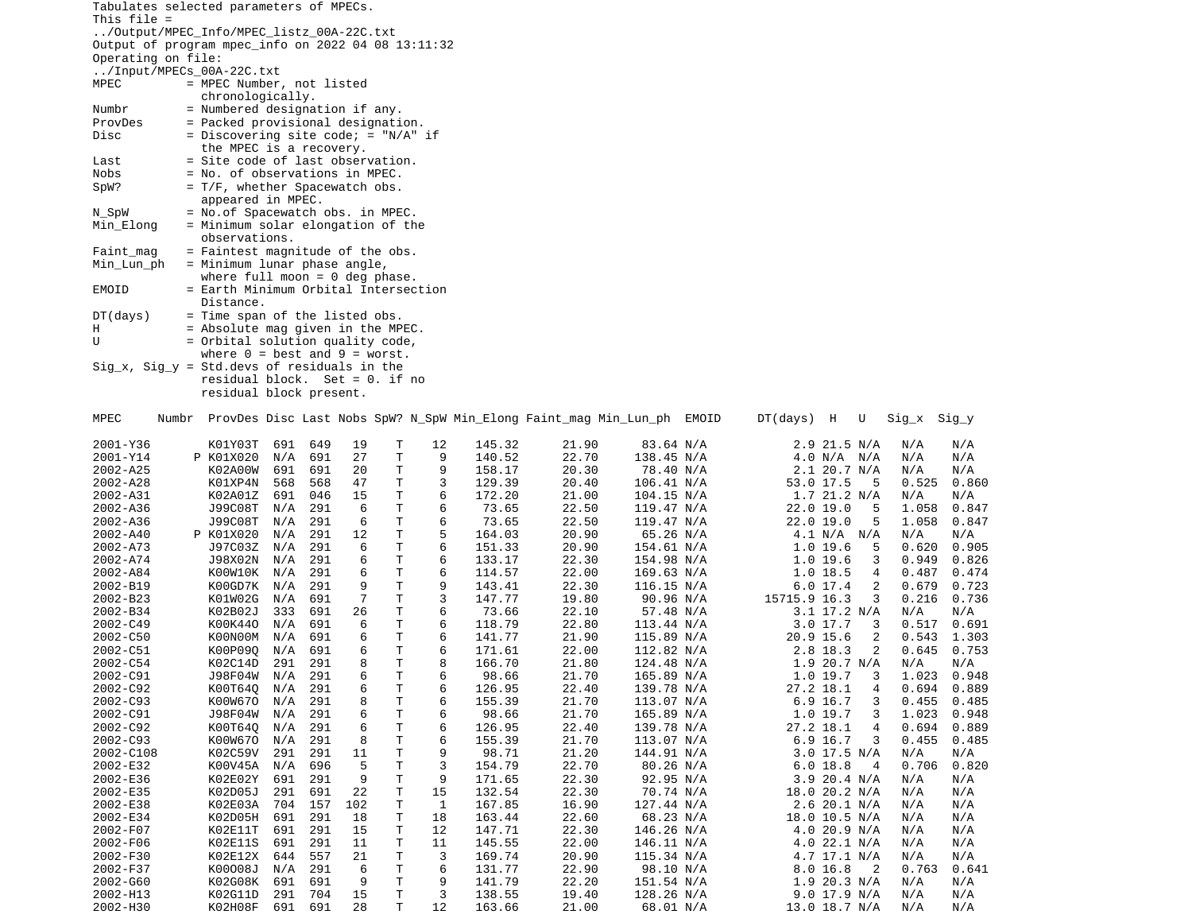|                      | Tabulates selected parameters of MPECs.                                              |                |            |           |        |         |                  |                                                                        |                          |                               |                            |                |                |
|----------------------|--------------------------------------------------------------------------------------|----------------|------------|-----------|--------|---------|------------------|------------------------------------------------------------------------|--------------------------|-------------------------------|----------------------------|----------------|----------------|
| This $file =$        | /Output/MPEC_Info/MPEC_listz_00A-22C.txt                                             |                |            |           |        |         |                  |                                                                        |                          |                               |                            |                |                |
|                      | Output of program mpec_info on 2022 04 08 13:11:32                                   |                |            |           |        |         |                  |                                                                        |                          |                               |                            |                |                |
| Operating on file:   | /Input/MPECs_00A-22C.txt                                                             |                |            |           |        |         |                  |                                                                        |                          |                               |                            |                |                |
| MPEC                 | = MPEC Number, not listed                                                            |                |            |           |        |         |                  |                                                                        |                          |                               |                            |                |                |
|                      | chronologically.                                                                     |                |            |           |        |         |                  |                                                                        |                          |                               |                            |                |                |
| Numbr<br>ProvDes     | = Numbered designation if any.<br>= Packed provisional designation.                  |                |            |           |        |         |                  |                                                                        |                          |                               |                            |                |                |
| Disc                 | = Discovering site code; = $''N/A''$ if                                              |                |            |           |        |         |                  |                                                                        |                          |                               |                            |                |                |
|                      | the MPEC is a recovery.                                                              |                |            |           |        |         |                  |                                                                        |                          |                               |                            |                |                |
| Last<br>Nobs         | = Site code of last observation.                                                     |                |            |           |        |         |                  |                                                                        |                          |                               |                            |                |                |
| SpW?                 | = No. of observations in MPEC.<br>= T/F, whether Spacewatch obs.                     |                |            |           |        |         |                  |                                                                        |                          |                               |                            |                |                |
|                      | appeared in MPEC.                                                                    |                |            |           |        |         |                  |                                                                        |                          |                               |                            |                |                |
| N_SpW                | = No.of Spacewatch obs. in MPEC.                                                     |                |            |           |        |         |                  |                                                                        |                          |                               |                            |                |                |
| Min_Elong            | = Minimum solar elongation of the<br>observations.                                   |                |            |           |        |         |                  |                                                                        |                          |                               |                            |                |                |
| Faint_mag            | $=$ Faintest magnitude of the obs.                                                   |                |            |           |        |         |                  |                                                                        |                          |                               |                            |                |                |
| Min_Lun_ph           | = Minimum lunar phase angle,                                                         |                |            |           |        |         |                  |                                                                        |                          |                               |                            |                |                |
|                      | where full moon = $\theta$ deg phase.                                                |                |            |           |        |         |                  |                                                                        |                          |                               |                            |                |                |
| EMOID                | = Earth Minimum Orbital Intersection<br>Distance.                                    |                |            |           |        |         |                  |                                                                        |                          |                               |                            |                |                |
| DT(days)             | = Time span of the listed obs.                                                       |                |            |           |        |         |                  |                                                                        |                          |                               |                            |                |                |
| H                    | $=$ Absolute mag given in the MPEC.                                                  |                |            |           |        |         |                  |                                                                        |                          |                               |                            |                |                |
| U                    | = Orbital solution quality code,<br>where $0 = \text{best}$ and $9 = \text{worst}$ . |                |            |           |        |         |                  |                                                                        |                          |                               |                            |                |                |
|                      | $Sig_x$ , $Sig_y = Std.devs$ of residuals in the                                     |                |            |           |        |         |                  |                                                                        |                          |                               |                            |                |                |
|                      | $residual block. Set = 0. if no$                                                     |                |            |           |        |         |                  |                                                                        |                          |                               |                            |                |                |
|                      | residual block present.                                                              |                |            |           |        |         |                  |                                                                        |                          |                               |                            |                |                |
| MPEC                 | Numbr                                                                                |                |            |           |        |         |                  | ProvDes Disc Last Nobs SpW? N_SpW Min_Elong Faint_mag Min_Lun_ph EMOID |                          | DT(days) H                    | U                          | Sig_x Sig_y    |                |
|                      |                                                                                      |                |            |           |        |         |                  |                                                                        |                          |                               |                            |                |                |
| 2001-Y36<br>2001-Y14 | K01Y03T<br>P K01X020                                                                 | 691<br>N/A     | 649<br>691 | 19<br>27  | Τ<br>Τ | 12<br>9 | 145.32<br>140.52 | 21.90<br>22.70                                                         | 83.64 N/A<br>138.45 N/A  | 2.9 21.5 N/A<br>4.0 N/A N/A   |                            | N/A<br>N/A     | N/A<br>N/A     |
| 2002-A25             | K02A00W                                                                              | 691            | 691        | 20        | T.     | 9       | 158.17           | 20.30                                                                  | 78.40 N/A                | 2.1 20.7 N/A                  |                            | N/A            | N/A            |
| 2002-A28             | K01XP4N                                                                              | 568            | 568        | 47        | Τ      | 3       | 129.39           | 20.40                                                                  | 106.41 N/A               | 53.0 17.5                     | 5                          | 0.525          | 0.860          |
| 2002-A31<br>2002-A36 | K02A01Z<br>J99C08T                                                                   | 691<br>N/A     | 046<br>291 | 15<br>6   | Τ<br>T | 6<br>6  | 172.20<br>73.65  | 21.00<br>22.50                                                         | 104.15 N/A<br>119.47 N/A | 1.7 21.2 N/A<br>22.0 19.0     | 5                          | N/A<br>1.058   | N/A<br>0.847   |
| 2002-A36             | J99C08T                                                                              | N/A            | 291        | 6         | Τ      | 6       | 73.65            | 22.50                                                                  | 119.47 N/A               | 22.0 19.0                     | 5                          | 1.058          | 0.847          |
| 2002-A40             | P K01X020                                                                            | N/A            | 291        | 12        | Τ      | 5       | 164.03           | 20.90                                                                  | 65.26 N/A                | $4.1$ N/A N/A                 |                            | N/A            | N/A            |
| 2002-A73             | J97C03Z                                                                              | N/A<br>N/A     | 291<br>291 | 6<br>6    | Τ<br>т | 6<br>6  | 151.33<br>133.17 | 20.90<br>22.30                                                         | 154.61 N/A               | $1.0$ 19.6                    | 5                          | 0.620          | 0.905          |
| 2002-A74<br>2002-A84 | J98X02N<br>K00W10K                                                                   | N/A            | 291        | 6         | Τ      | 6       | 114.57           | 22.00                                                                  | 154.98 N/A<br>169.63 N/A | $1.0$ 19.6<br>1.0 18.5        | 3<br>4                     | 0.949<br>0.487 | 0.826<br>0.474 |
| 2002-B19             | K00GD7K                                                                              | N/A            | 291        | 9         | Τ      | 9       | 143.41           | 22.30                                                                  | 116.15 N/A               | 6.017.4                       | 2                          | 0.679          | 0.723          |
| 2002-B23             | K01W02G                                                                              | N/A            | 691        | 7         | T      | 3       | 147.77           | 19.80                                                                  | 90.96 N/A                | 15715.9 16.3                  | 3                          | 0.216          | 0.736          |
| 2002-B34<br>2002-C49 | K02B02J<br>K00K440                                                                   | 333<br>N/A     | 691<br>691 | 26<br>6   | Τ<br>Τ | 6<br>6  | 73.66<br>118.79  | 22.10<br>22.80                                                         | 57.48 N/A<br>113.44 N/A  | 3.1 17.2 N/A<br>3.017.7       | 3                          | N/A<br>0.517   | N/A<br>0.691   |
| 2002-C50             | K00N00M                                                                              | N/A            | 691        | 6         | Τ      | 6       | 141.77           | 21.90                                                                  | 115.89 N/A               | 20.9 15.6                     | 2                          | 0.543          | 1.303          |
| 2002-C51             | K00P090                                                                              | N/A            | 691        | 6         | Τ      | 6       | 171.61           | 22.00                                                                  | 112.82 N/A               | 2.8 18.3                      | 2                          | 0.645          | 0.753          |
| 2002-C54             | K02C14D                                                                              | 291            | 291        | 8         | т      | 8       | 166.70           | 21.80                                                                  | 124.48 N/A               | $1.9$ 20.7 N/A                |                            | N/A            | N/A            |
| 2002-C91<br>2002-C92 | J98F04W<br>K00T64Q                                                                   | N/A<br>N/A 291 | 291        | 6<br>6    | Τ<br>Τ | 6<br>6  | 98.66<br>126.95  | 21.70<br>22.40                                                         | 165.89 N/A<br>139.78 N/A | 1.0 19.7<br>27.2 18.1         | 3<br>4                     | 1.023<br>0.694 | 0.948<br>0.889 |
| 2002-C93             | K00W670                                                                              | N/A            | 291        | 8         | Τ      | 6       | 155.39           | 21.70                                                                  | 113.07 N/A               | 6.9 16.7                      | 3                          | 0.455          | 0.485          |
| 2002-C91             | J98F04W                                                                              | N/A            | 291        | 6         | T      | 6       | 98.66            | 21.70                                                                  | 165.89 N/A               | 1.0 19.7                      | 3                          | 1.023          | 0.948          |
| 2002-C92<br>2002-C93 | K00T64Q<br>K00W670                                                                   | N/A<br>N/A     | 291<br>291 | 6<br>8    | Τ<br>Τ | 6<br>6  | 126.95<br>155.39 | 22.40<br>21.70                                                         | 139.78 N/A<br>113.07 N/A | 27.2 18.1<br>6.9 16.7         | 4<br>3                     | 0.694<br>0.455 | 0.889<br>0.485 |
| 2002-C108            | K02C59V                                                                              | 291            | 291        | 11        | Τ      | 9       | 98.71            | 21.20                                                                  | 144.91 N/A               | $3.0$ 17.5 N/A                |                            | N/A            | N/A            |
| 2002-E32             | K00V45A                                                                              | N/A            | 696        | 5         | T      | 3       | 154.79           | 22.70                                                                  | 80.26 N/A                | 6.0 18.8                      | - 4                        | 0.706          | 0.820          |
| 2002-E36             | K02E02Y                                                                              | 691            | 291        | 9         | Τ      | 9       | 171.65           | 22.30                                                                  | 92.95 N/A                | 3.9 20.4 N/A                  |                            | N/A            | N/A            |
| 2002-E35<br>2002-E38 | K02D05J<br>K02E03A                                                                   | 291<br>704     | 691<br>157 | 22<br>102 | Τ<br>Τ | 15<br>1 | 132.54<br>167.85 | 22.30<br>16.90                                                         | 70.74 N/A<br>127.44 N/A  | 18.0 20.2 N/A<br>2.6 20.1 N/A |                            | N/A<br>N/A     | N/A<br>N/A     |
| 2002-E34             | K02D05H                                                                              | 691            | 291        | 18        | Τ      | 18      | 163.44           | 22.60                                                                  | 68.23 N/A                | 18.0 10.5 N/A                 |                            | N/A            | N/A            |
| 2002-F07             | K02E11T                                                                              | 691            | 291        | 15        | Τ      | 12      | 147.71           | 22.30                                                                  | 146.26 N/A               | 4.0 20.9 N/A                  |                            | N/A            | N/A            |
| 2002-F06             | K02E11S                                                                              | 691            | 291        | 11        | Τ      | 11      | 145.55           | 22.00                                                                  | 146.11 N/A               | 4.0 22.1 N/A                  |                            | N/A            | N/A            |
| 2002-F30<br>2002-F37 | K02E12X<br>K00008J                                                                   | 644<br>N/A     | 557<br>291 | 21<br>6   | Τ<br>Τ | 3<br>6  | 169.74<br>131.77 | 20.90<br>22.90                                                         | 115.34 N/A<br>98.10 N/A  | 4.7 17.1 N/A<br>8.0 16.8      | $\overline{\phantom{0}}^2$ | N/A<br>0.763   | N/A<br>0.641   |
| 2002-G60             | K02G08K                                                                              | 691            | 691        | 9         | T      | 9       | 141.79           | 22.20                                                                  | 151.54 N/A               | 1.9 20.3 N/A                  |                            | N/A            | N/A            |
| 2002-H13             | K02G11D                                                                              | 291            | 704        | 15        | T.     | 3       | 138.55           | 19.40                                                                  | 128.26 N/A               | $9.0$ 17.9 N/A                |                            | N/A            | N/A            |
| 2002-H30             | K02H08F 691 691                                                                      |                |            | 28        | T.     | 12      | 163.66           | 21.00                                                                  | 68.01 N/A                | 13.0 18.7 N/A                 |                            | N/A            | N/A            |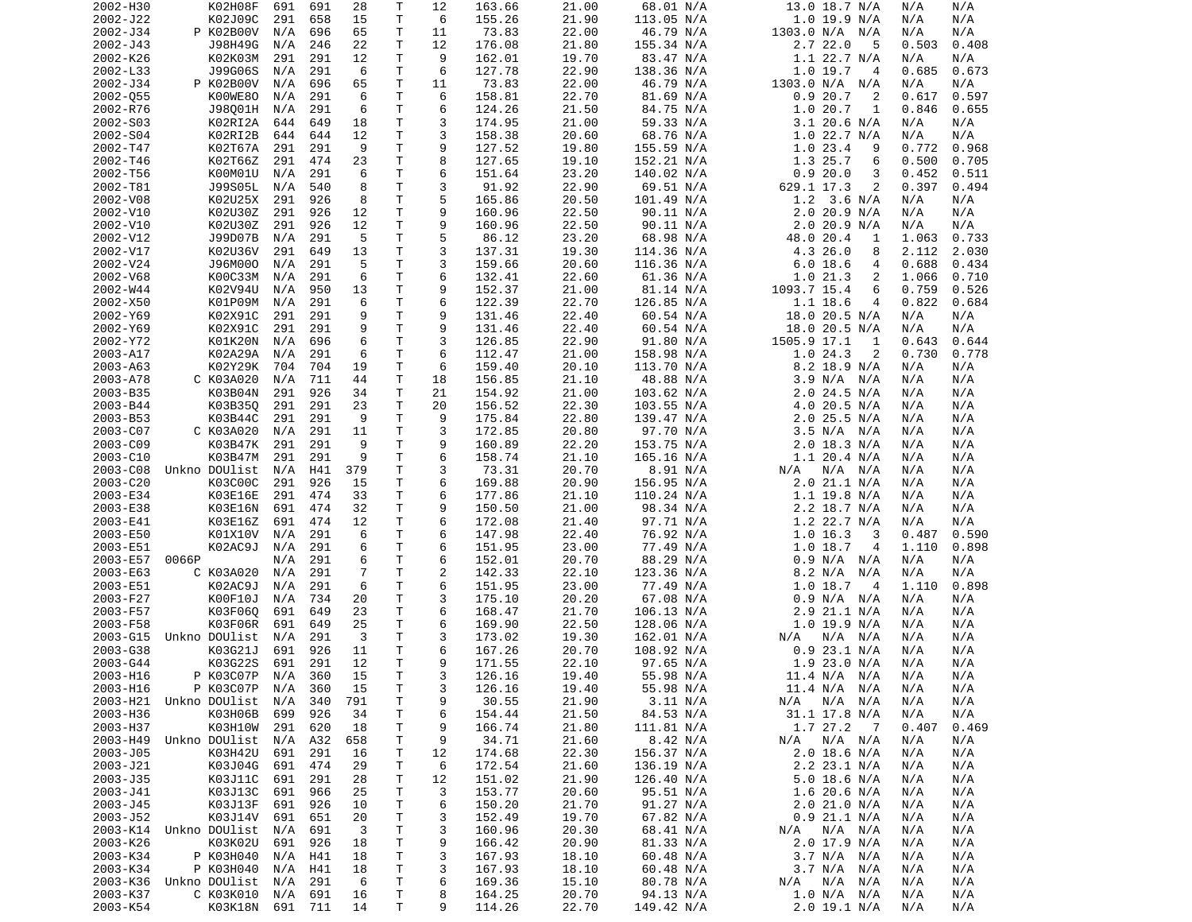| 2002-H30             | K02H08F                    | 691        | 691        | 28        | Т            | 12      | 163.66           | 21.00          | 68.01 N/A              | 13.0 18.7 N/A                         | N/A<br>N/A                   |
|----------------------|----------------------------|------------|------------|-----------|--------------|---------|------------------|----------------|------------------------|---------------------------------------|------------------------------|
| 2002-J22             | K02J09C                    | 291        | 658        | 15        | т            | 6       | 155.26           | 21.90          | 113.05 N/A             | $1.0$ 19.9 N/A                        | N/A<br>N/A                   |
| 2002-J34             | P K02B00V                  | N/A        | 696        | 65        | т            | 11      | 73.83            | 22.00          | 46.79 N/A              | 1303.0 N/A N/A                        | N/A<br>N/A                   |
| 2002-J43             | J98H49G                    | N/A        | 246        | 22        | Т            | 12      | 176.08           | 21.80          | 155.34 N/A             | 2.7 22.0<br>5                         | 0.503<br>0.408               |
| 2002-K26             | K02K03M                    | 291        | 291        | 12        | т            | 9       | 162.01           | 19.70          | 83.47 N/A              | 1.1 22.7 N/A                          | N/A<br>N/A                   |
| 2002-L33             | J99G06S                    | N/A        | 291        | 6         | Τ            | 6       | 127.78           | 22.90<br>22.00 | 138.36 N/A             | 1.019.7<br>4                          | 0.685<br>0.673               |
| 2002-J34<br>2002-055 | P K02B00V<br>K00WE80       | N/A<br>N/A | 696<br>291 | 65<br>6   | Τ<br>T.      | 11<br>6 | 73.83<br>158.81  | 22.70          | 46.79 N/A<br>81.69 N/A | 1303.0 N/A N/A<br>0.920.7<br>2        | N/A<br>N/A<br>0.617<br>0.597 |
| 2002-R76             | J98001H                    | N/A        | 291        | 6         | Τ            | 6       | 124.26           | 21.50          | 84.75 N/A              | 1.020.7<br>1                          | 0.846<br>0.655               |
| 2002-S03             | K02RI2A                    | 644        | 649        | 18        | Τ            | 3       | 174.95           | 21.00          | 59.33 N/A              | $3.1$ 20.6 N/A                        | N/A<br>N/A                   |
| 2002-S04             | K02RI2B                    | 644        | 644        | 12        | Τ            | 3       | 158.38           | 20.60          | 68.76 N/A              | $1.0$ 22.7 N/A                        | N/A<br>N/A                   |
| 2002-T47             | K02T67A                    | 291        | 291        | 9         | Τ            | 9       | 127.52           | 19.80          | 155.59 N/A             | 1.023.4<br>9                          | 0.772<br>0.968               |
| 2002-T46             | K02T66Z                    | 291        | 474        | 23        | T.           | 8       | 127.65           | 19.10          | 152.21 N/A             | 1.3 25.7<br>6                         | 0.500<br>0.705               |
| 2002-T56             | K00M01U                    | N/A        | 291        | 6         | т            | 6       | 151.64           | 23.20          | 140.02 N/A             | 0.920.0<br>3                          | 0.452<br>0.511               |
| 2002-T81             | J99S05L                    | N/A        | 540        | 8         | T.           | 3       | 91.92            | 22.90          | 69.51 N/A              | 629.1 17.3<br>2                       | 0.397<br>0.494               |
| 2002-V08             | K02U25X                    | 291        | 926        | 8         | Τ            | 5       | 165.86           | 20.50          | 101.49 N/A             | 1.2<br>3.6 N/A                        | N/A<br>N/A                   |
| 2002-V10             | K02U30Z                    | 291        | 926        | 12        | Τ            | 9       | 160.96           | 22.50          | 90.11 N/A              | 2.0 20.9 N/A                          | N/A<br>N/A                   |
| 2002-V10             | K02U30Z                    | 291        | 926        | 12        | T.           | 9       | 160.96           | 22.50          | 90.11 N/A              | 2.020.9 N/A                           | N/A<br>N/A                   |
| 2002-V12             | J99D07B                    | N/A        | 291        | 5         | Τ            | 5       | 86.12            | 23.20          | 68.98 N/A              | 48.0 20.4<br>1                        | 0.733<br>1.063               |
| 2002-V17             | K02U36V                    | 291        | 649        | 13        | T            | 3       | 137.31           | 19.30          | 114.36 N/A             | 4.3 26.0<br>8                         | 2.030<br>2.112               |
| 2002-V24             | J96M000                    | N/A        | 291        | 5         | Τ            | 3       | 159.66           | 20.60          | 116.36 N/A             | 6.0 18.6<br>4                         | 0.688<br>0.434               |
| 2002-V68             | K00C33M                    | N/A        | 291        | 6         | T.           | 6       | 132.41           | 22.60          | 61.36 N/A              | 1.021.3<br>2                          | 1.066<br>0.710               |
| 2002-W44             | K02V94U                    | N/A        | 950        | 13        | Τ            | 9       | 152.37           | 21.00          | 81.14 N/A              | 1093.7 15.4<br>6                      | 0.759<br>0.526               |
| 2002-X50             | K01P09M                    | N/A        | 291        | 6         | т            | 6       | 122.39           | 22.70          | 126.85 N/A             | 1.1 18.6<br>4                         | 0.822<br>0.684               |
| 2002-Y69             | K02X91C                    | 291        | 291        | 9         | T.           | 9       | 131.46           | 22.40          | 60.54 N/A              | 18.0 20.5 N/A                         | N/A<br>N/A                   |
| 2002-Y69             | K02X91C                    | 291        | 291        | 9         | Τ            | 9       | 131.46           | 22.40          | 60.54 N/A              | 18.0 20.5 N/A                         | N/A<br>N/A                   |
| 2002-Y72             | K01K20N                    | N/A        | 696        | 6         | T            | 3       | 126.85           | 22.90          | 91.80 N/A              | 1505.9 17.1<br>1                      | 0.643<br>0.644               |
| 2003-A17             | K02A29A                    | N/A        | 291        | 6         | T            | 6       | 112.47           | 21.00          | 158.98 N/A             | 1.024.3<br>2                          | 0.730<br>0.778               |
| 2003-A63             | K02Y29K                    | 704        | 704        | 19        | Τ            | 6       | 159.40           | 20.10          | 113.70 N/A             | 8.2 18.9 N/A                          | N/A<br>N/A                   |
| 2003-A78             | C K03A020                  | N/A        | 711        | 44        | T            | 18      | 156.85           | 21.10          | 48.88 N/A              | 3.9 N/A<br>N/A                        | N/A<br>N/A                   |
| 2003-B35             | K03B04N                    | 291        | 926        | 34        | Τ            | 21      | 154.92           | 21.00          | 103.62 N/A             | 2.0 24.5 N/A                          | N/A<br>N/A                   |
| 2003-B44             | K03B35Q                    | 291        | 291        | 23        | T.           | 20      | 156.52           | 22.30          | 103.55 N/A             | $4.0$ 20.5 N/A                        | N/A<br>N/A                   |
| 2003-B53             | K03B44C                    | 291        | 291        | 9         | Τ            | 9       | 175.84           | 22.80          | 139.47 N/A             | 2.0 25.5 N/A                          | N/A<br>N/A                   |
| 2003-C07             | C K03A020                  | N/A        | 291        | 11        | Τ            | 3       | 172.85           | 20.80          | 97.70 N/A              | 3.5 N/A<br>N/A                        | N/A<br>N/A                   |
| 2003-C09             | K03B47K                    | 291        | 291        | 9         | T.           | 9       | 160.89           | 22.20          | 153.75 N/A             | $2.0$ 18.3 N/A                        | N/A<br>N/A                   |
| 2003-C10             | K03B47M                    | 291        | 291        | 9         | Τ            | 6       | 158.74           | 21.10          | 165.16 N/A             | 1.1 20.4 N/A                          | N/A<br>N/A                   |
| 2003-C08             | Unkno DOUlist              | N/A        | H41        | 379       | Τ            | 3       | 73.31            | 20.70          | 8.91 N/A               | N/A<br>N/A N/A                        | N/A<br>N/A                   |
| 2003-C20             | K03C00C                    | 291        | 926        | 15        | Τ            | 6       | 169.88           | 20.90          | 156.95 N/A             | 2.0 21.1 N/A                          | N/A<br>N/A                   |
| 2003-E34             | K03E16E                    | 291        | 474        | 33        | Τ            | 6       | 177.86           | 21.10          | 110.24 N/A             | 1.1 19.8 N/A                          | N/A<br>N/A                   |
| 2003-E38             | K03E16N                    | 691        | 474        | 32        | Τ            | 9       | 150.50           | 21.00          | 98.34 N/A              | 2.2 18.7 N/A                          | N/A<br>N/A                   |
| 2003-E41             | K03E16Z                    | 691        | 474        | 12        | T.           | 6       | 172.08           | 21.40          | 97.71 N/A              | 1.2 22.7 N/A                          | N/A<br>N/A                   |
| 2003-E50             | K01X10V                    | N/A        | 291        | 6         | T.           | 6       | 147.98           | 22.40          | 76.92 N/A              | $1.0$ 16.3<br>3                       | 0.590<br>0.487               |
| 2003-E51             | K02AC9J                    | N/A        | 291        | 6         | Τ            | 6       | 151.95           | 23.00          | 77.49 N/A              | 1.0 18.7<br>4                         | 0.898<br>1.110               |
| 2003-E57             | 0066P                      | N/A        | 291        | 6         | $\mathsf{T}$ | 6       | 152.01           | 20.70          | 88.29 N/A              | 0.9 N/A<br>N/A                        | N/A<br>N/A                   |
| 2003-E63             | C K03A020                  | N/A        | 291        | 7         | Τ            | 2       | 142.33           | 22.10          | 123.36 N/A             | 8.2 N/A<br>N/A                        | N/A<br>N/A                   |
| 2003-E51             | K02AC9J                    | N/A        | 291        | 6         | T            | 6       | 151.95           | 23.00          | 77.49 N/A              | 1.018.7<br>$\overline{4}$             | 0.898<br>1.110               |
| 2003-F27             | K00F10J                    | N/A        | 734        | 20        | Τ            | 3       | 175.10           | 20.20          | 67.08 N/A              | 0.9 N/A<br>N/A                        | N/A<br>N/A                   |
| 2003-F57             | K03F060                    | 691        | 649        | 23        | T.           | 6       | 168.47           | 21.70          | 106.13 N/A             | 2.9 21.1 N/A                          | N/A<br>N/A                   |
| 2003-F58             | K03F06R                    | 691        | 649        | 25        | Τ            | 6       | 169.90           | 22.50          | 128.06 N/A             | $1.0$ 19.9 N/A                        | N/A<br>N/A                   |
| 2003-G15             | Unkno DOUlist              | N/A        | 291        | 3         | т            | 3       | 173.02           | 19.30          | 162.01 N/A             | N/A N/A<br>N/A                        | N/A<br>N/A                   |
| 2003-G38             | K03G21J                    | 691        | 926        | 11        | Τ            | 6       | 167.26           | 20.70          | 108.92 N/A             | $0.9$ 23.1 N/A                        | N/A<br>N/A                   |
| 2003-G44             | K03G22S                    | 691        | 291        | 12        | T.           | 9       | 171.55           | 22.10          | 97.65 N/A              | 1.923.0 N/A                           | N/A<br>N/A                   |
| 2003-H16             | P K03C07P N/A<br>P K03C07P |            | 360        | 15        | T            | 3       | 126.16           | 19.40          | 55.98 N/A              | 11.4 N/A N/A                          | N/A<br>N/A                   |
| 2003-H16             | Unkno DOUlist              | N/A        | 360        | 15        | Τ            | 3       | 126.16           | 19.40          | 55.98 N/A              | 11.4 N/A N/A                          | N/A<br>N/A                   |
| 2003-H21             |                            | N/A        | 340        | 791       | т            | 9       | 30.55            | 21.90          | 3.11 N/A               | N/A<br>N/A N/A                        | N/A<br>N/A                   |
| 2003-H36             | K03H06B                    | 699        | 926        | 34        | т            | 6       | 154.44           | 21.50          | 84.53 N/A              | 31.1 17.8 N/A                         | N/A<br>N/A                   |
| 2003-H37<br>2003-H49 | K03H10W<br>Unkno DOUlist   | 291<br>N/A | 620<br>A32 | 18        | т<br>т       | 9       | 166.74<br>34.71  | 21.80<br>21.60 | 111.81 N/A<br>8.42 N/A | 1.7 27.2<br>$\overline{7}$<br>N/A N/A | 0.407<br>0.469<br>N/A<br>N/A |
| 2003-J05             | K03H42U                    |            |            | 658<br>16 | т            | 9       | 174.68           | 22.30          | 156.37 N/A             | N/A<br>$2.0$ 18.6 N/A                 | N/A                          |
| 2003-J21             | K03J04G                    | 691<br>691 | 291        |           | Τ            | 12<br>6 |                  |                |                        | 2.2 23.1 N/A                          | N/A<br>N/A                   |
|                      |                            |            | 474        | 29        |              |         | 172.54           | 21.60          | 136.19 N/A             |                                       | N/A                          |
| 2003-J35             | K03J11C                    | 691<br>691 | 291        | 28        | т            | 12      | 151.02<br>153.77 | 21.90          | 126.40 N/A             | 5.0 18.6 N/A                          | N/A<br>N/A                   |
| 2003-J41<br>2003-J45 | K03J13C                    | 691        | 966<br>926 | 25        | т            | 3       | 150.20           | 20.60<br>21.70 | 95.51 N/A              | $1.6$ 20.6 N/A                        | N/A<br>N/A<br>N/A            |
| 2003-J52             | K03J13F<br>K03J14V         | 691        | 651        | 10<br>20  | т<br>т       | 6<br>3  | 152.49           | 19.70          | 91.27 N/A<br>67.82 N/A | 2.0 21.0 N/A<br>$0.9$ 21.1 N/A        | N/A<br>N/A<br>N/A            |
| 2003-K14             | Unkno DOUlist              | N/A        | 691        | 3         | т            | 3       | 160.96           | 20.30          | 68.41 N/A              | N/A N/A<br>N/A                        | N/A<br>N/A                   |
| 2003-K26             | K03K02U                    | 691        | 926        | 18        | т            | 9       | 166.42           | 20.90          | 81.33 N/A              | 2.0 17.9 N/A                          | N/A<br>N/A                   |
| 2003-K34             | P K03H040                  | N/A        | H41        | 18        | Τ            | 3       | 167.93           | 18.10          | 60.48 N/A              | 3.7 N/A N/A                           | N/A<br>N/A                   |
| 2003-K34             | P K03H040                  | N/A        | H41        | 18        | Τ            | 3       | 167.93           | 18.10          | 60.48 N/A              | 3.7 N/A<br>N/A                        | N/A<br>N/A                   |
| 2003-K36             | Unkno DOUlist              | N/A        | 291        | 6         | Τ            | 6       | 169.36           | 15.10          | 80.78 N/A              | N/A<br>N/A<br>N/A                     | N/A<br>N/A                   |
| 2003-K37             | C K03K010                  | N/A        | 691        | 16        | T            | 8       | 164.25           | 20.70          | 94.13 N/A              | 1.0 N/A N/A                           | N/A<br>N/A                   |
| 2003-K54             | K03K18N                    | 691 711    |            | 14        | Τ            | 9       | 114.26           | 22.70          | 149.42 N/A             | 2.0 19.1 N/A                          | N/A<br>N/A                   |
|                      |                            |            |            |           |              |         |                  |                |                        |                                       |                              |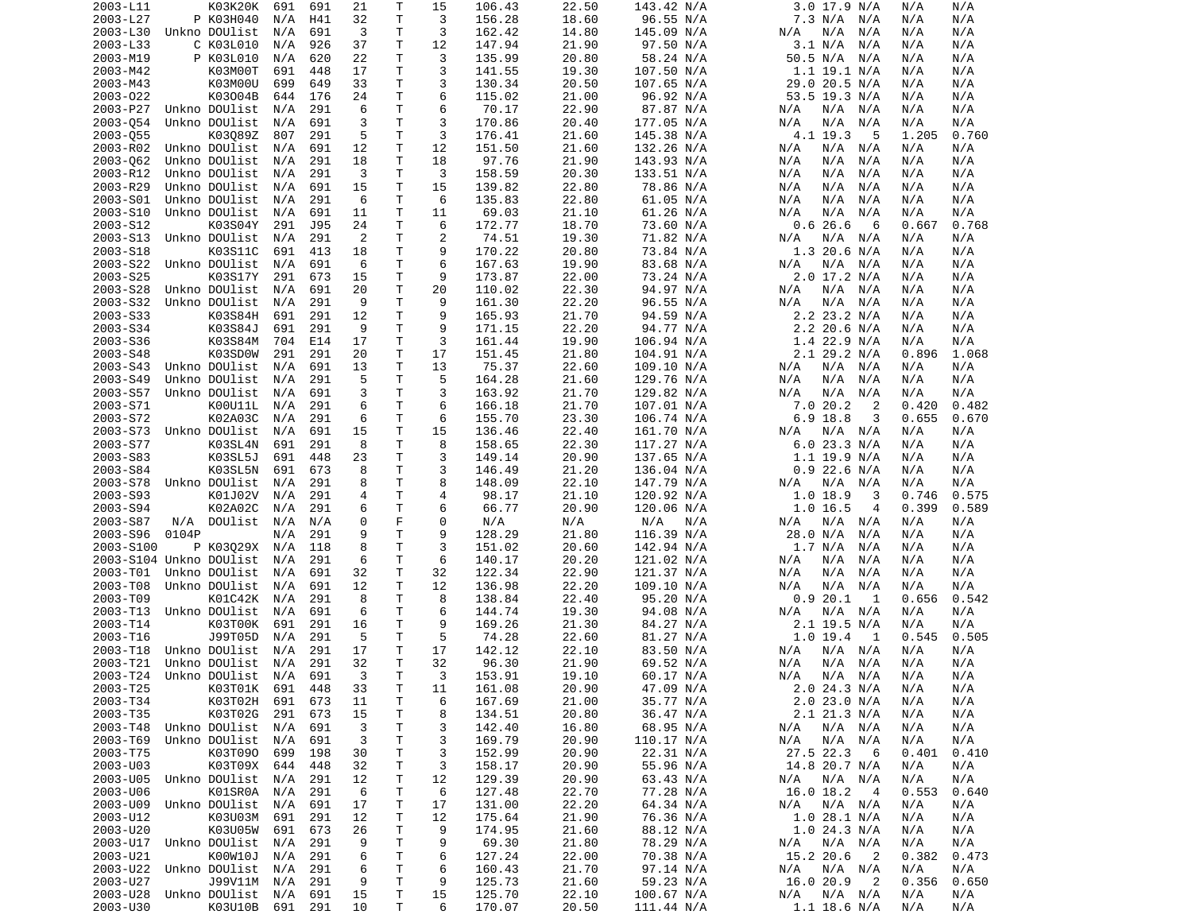| 2003-L11                   |       | K03K20K           | 691     | 691 | 21             | Τ           | 15 | 106.43 | 22.50 | 143.42 N/A | $3.0$ 17.9 N/A              | N/A<br>N/A     |
|----------------------------|-------|-------------------|---------|-----|----------------|-------------|----|--------|-------|------------|-----------------------------|----------------|
| 2003-L27                   |       | P K03H040         | N/A     | H41 | 32             | Т           | 3  | 156.28 | 18.60 | 96.55 N/A  | 7.3 N/A<br>N/A              | N/A<br>N/A     |
| 2003-L30                   |       | Unkno DOUlist     | N/A     | 691 | 3              | т           | 3  | 162.42 | 14.80 | 145.09 N/A | N/A<br>N/A<br>N/A           | N/A<br>N/A     |
| 2003-L33                   |       | C K03L010         | N/A     | 926 | 37             | T           | 12 | 147.94 | 21.90 | 97.50 N/A  | 3.1 N/A<br>N/A              | N/A<br>N/A     |
| 2003-M19                   |       | P K03L010         | N/A     | 620 | 22             | T           | 3  | 135.99 | 20.80 | 58.24 N/A  | 50.5 N/A<br>N/A             | N/A<br>N/A     |
| 2003-M42                   |       | K03M00T           | 691     | 448 | 17             | T           | 3  | 141.55 | 19.30 | 107.50 N/A | $1.1$ 19.1 N/A              | N/A<br>N/A     |
| 2003-M43                   |       | K03M00U           | 699     | 649 | 33             | Τ           | 3  | 130.34 | 20.50 | 107.65 N/A | 29.0 20.5 N/A               | N/A<br>N/A     |
| 2003-022                   |       | K03004B           | 644     | 176 | 24             | Τ           | 6  | 115.02 | 21.00 | 96.92 N/A  | 53.5 19.3 N/A               | N/A<br>N/A     |
| 2003-P27                   |       | Unkno DOUlist     | N/A     | 291 | 6              | T           | 6  | 70.17  | 22.90 | 87.87 N/A  | N/A<br>N/A<br>N/A           | N/A<br>N/A     |
| 2003-054                   |       | Unkno DOUlist     | N/A     | 691 | 3              | T           | 3  | 170.86 | 20.40 | 177.05 N/A | N/A<br>N/A<br>N/A           | N/A<br>N/A     |
| 2003-055                   |       | K03089Z           | 807     | 291 | 5              | T           | 3  | 176.41 | 21.60 | 145.38 N/A | 4.1 19.3<br>5               | 1.205<br>0.760 |
| 2003-R02                   |       | Unkno DOUlist     | N/A     | 691 | 12             | Τ           | 12 | 151.50 | 21.60 | 132.26 N/A | N/A<br>N/A<br>N/A           | N/A<br>N/A     |
| 2003-062                   |       | Unkno DOUlist     | N/A     | 291 | 18             | T           | 18 | 97.76  | 21.90 | 143.93 N/A | N/A<br>N/A<br>N/A           | N/A<br>N/A     |
| 2003-R12                   |       | Unkno DOUlist     | N/A     | 291 | 3              | Τ           | 3  | 158.59 | 20.30 | 133.51 N/A | N/A<br>N/A<br>N/A           | N/A<br>N/A     |
| 2003-R29                   |       | Unkno DOUlist     | N/A     | 691 | 15             | Τ           | 15 | 139.82 | 22.80 | 78.86 N/A  | N/A<br>N/A<br>N/A           | N/A<br>N/A     |
| 2003-S01                   |       | Unkno DOUlist     | N/A     | 291 | 6              | Τ           | 6  | 135.83 | 22.80 | 61.05 N/A  | N/A<br>N/A<br>N/A           | N/A<br>N/A     |
| 2003-S10                   |       | Unkno DOUlist     | N/A     | 691 | 11             | T           | 11 | 69.03  | 21.10 | 61.26 N/A  | N/A<br>N/A<br>N/A           | N/A<br>N/A     |
| 2003-S12                   |       | K03S04Y           | 291     | J95 | 24             | T           | 6  | 172.77 | 18.70 | 73.60 N/A  | 0.626.6<br>6                | 0.667<br>0.768 |
| 2003-S13                   |       | Unkno DOUlist     | N/A     | 291 | $\overline{2}$ | Τ           | 2  | 74.51  | 19.30 | 71.82 N/A  | N/A<br>N/A<br>N/A           | N/A<br>N/A     |
| 2003-S18                   |       | K03S11C           | 691     | 413 | 18             | T           | 9  | 170.22 | 20.80 | 73.84 N/A  | $1.3$ 20.6 N/A              | N/A<br>N/A     |
| 2003-S22                   |       | Unkno DOUlist     | N/A     | 691 | 6              | T           | 6  | 167.63 | 19.90 | 83.68 N/A  | N/A<br>N/A<br>N/A           | N/A<br>N/A     |
| 2003-S25                   |       | K03S17Y           | 291     | 673 | 15             | Т           | 9  | 173.87 | 22.00 | 73.24 N/A  | 2.0 17.2 N/A                | N/A<br>N/A     |
| 2003-S28                   |       | Unkno DOUlist     | N/A     | 691 | 20             | T           | 20 | 110.02 | 22.30 | 94.97 N/A  | N/A<br>N/A<br>N/A           | N/A<br>N/A     |
| 2003-S32                   |       | Unkno DOUlist     | N/A     | 291 | 9              | Τ           | 9  | 161.30 | 22.20 | 96.55 N/A  | N/A<br>N/A<br>N/A           | N/A<br>N/A     |
| 2003-S33                   |       | K03S84H           | 691     | 291 | 12             | T           | 9  | 165.93 | 21.70 | 94.59 N/A  | 2.2 23.2 N/A                | N/A<br>N/A     |
| 2003-S34                   |       | K03S84J           | 691     | 291 | 9              | Τ           | 9  | 171.15 | 22.20 | 94.77 N/A  | $2.2$ 20.6 N/A              | N/A<br>N/A     |
| 2003-S36                   |       | K03S84M           | 704     | E14 | 17             | T           | 3  | 161.44 | 19.90 | 106.94 N/A | $1.4$ 22.9 N/A              | N/A<br>N/A     |
| 2003-S48                   |       | K03SD0W           | 291     | 291 | 20             | Т           | 17 | 151.45 | 21.80 | 104.91 N/A | $2.1$ 29.2 N/A              | 0.896<br>1.068 |
| 2003-S43                   |       | Unkno DOUlist     | N/A     | 691 | 13             | т           | 13 | 75.37  | 22.60 | 109.10 N/A | N/A<br>N/A<br>N/A           | N/A<br>N/A     |
|                            |       | Unkno DOUlist     |         |     |                | T           |    |        |       |            |                             |                |
| 2003-S49<br>2003-S57       |       |                   | N/A     | 291 | 5              |             | 5  | 164.28 | 21.60 | 129.76 N/A | N/A<br>N/A<br>N/A           | N/A<br>N/A     |
|                            |       | Unkno DOUlist     | N/A     | 691 | 3              | T           | 3  | 163.92 | 21.70 | 129.82 N/A | N/A<br>N/A<br>N/A           | N/A<br>N/A     |
| 2003-S71                   |       | K00U11L           | N/A     | 291 | 6              | T           | 6  | 166.18 | 21.70 | 107.01 N/A | 7.020.2<br>2                | 0.420<br>0.482 |
| 2003-S72                   |       | K02A03C           | N/A     | 291 | 6              | Τ           | 6  | 155.70 | 23.30 | 106.74 N/A | $6.9$ 18.8<br>3             | 0.655<br>0.670 |
| 2003-S73                   |       | Unkno DOUlist     | N/A     | 691 | 15             | T           | 15 | 136.46 | 22.40 | 161.70 N/A | N/A<br>N/A<br>N/A           | N/A<br>N/A     |
| 2003-S77                   |       | K03SL4N           | 691     | 291 | 8              | T           | 8  | 158.65 | 22.30 | 117.27 N/A | 6.023.3 N/A                 | N/A<br>N/A     |
| 2003-S83                   |       | K03SL5J           | 691     | 448 | 23             | Τ           | 3  | 149.14 | 20.90 | 137.65 N/A | 1.1 19.9 N/A                | N/A<br>N/A     |
| 2003-S84                   |       | K03SL5N           | 691     | 673 | 8              | T           | 3  | 146.49 | 21.20 | 136.04 N/A | $0.9$ 22.6 N/A              | N/A<br>N/A     |
| 2003-S78                   |       | Unkno DOUlist     | N/A     | 291 | 8              | Τ           | 8  | 148.09 | 22.10 | 147.79 N/A | N/A N/A<br>N/A              | N/A<br>N/A     |
| 2003-S93                   |       | K01J02V           | N/A     | 291 | 4              | T           | 4  | 98.17  | 21.10 | 120.92 N/A | 1.018.9<br>3                | 0.575<br>0.746 |
| 2003-S94                   |       | K02A02C           | N/A     | 291 | 6              | Τ           | 6  | 66.77  | 20.90 | 120.06 N/A | 1.0 16.5<br>4               | 0.589<br>0.399 |
| 2003-S87                   | N/A   | DOUlist           | N/A     | N/A | 0              | F           | 0  | N/A    | N/A   | N/A<br>N/A | N/A<br>N/A<br>N/A           | N/A<br>N/A     |
| 2003-S96                   | 0104P |                   | N/A     | 291 | 9              | T           | 9  | 128.29 | 21.80 | 116.39 N/A | 28.0 N/A<br>N/A             | N/A<br>N/A     |
| 2003-S100                  |       | P K03029X         | N/A     | 118 | 8              | т           | 3  | 151.02 | 20.60 | 142.94 N/A | 1.7 N/A<br>N/A              | N/A<br>N/A     |
| 2003-S104 Unkno DOUlist    |       |                   | N/A     | 291 | 6              | T           | 6  | 140.17 | 20.20 | 121.02 N/A | N/A<br>N/A<br>N/A           | N/A<br>N/A     |
| 2003-T01                   |       | Unkno DOUlist     | N/A     | 691 | 32             | Τ           | 32 | 122.34 | 22.90 | 121.37 N/A | N/A<br>N/A<br>N/A           | N/A<br>N/A     |
| 2003-T08                   |       | Unkno DOUlist     | N/A     | 691 | 12             | Τ           | 12 | 136.98 | 22.20 | 109.10 N/A | N/A<br>N/A<br>N/A           | N/A<br>N/A     |
| 2003-T09                   |       | K01C42K           | N/A     | 291 | 8              | Τ           | 8  | 138.84 | 22.40 | 95.20 N/A  | 0.920.1<br>1                | 0.542<br>0.656 |
| 2003-T13                   |       | Unkno DOUlist     | N/A     | 691 | 6              | Т           | 6  | 144.74 | 19.30 | 94.08 N/A  | N/A<br>N/A<br>N/A           | N/A<br>N/A     |
| 2003-T14                   |       | K03T00K           | 691     | 291 | 16             | Τ           | 9  | 169.26 | 21.30 | 84.27 N/A  | $2.1$ 19.5 N/A              | N/A<br>N/A     |
| 2003-T16                   |       | J99T05D           | N/A     | 291 | 5              | Τ           | 5  | 74.28  | 22.60 | 81.27 N/A  | $1.0$ 19.4<br>1             | 0.545<br>0.505 |
| 2003-T18                   |       | Unkno DOUlist     | N/A     | 291 | 17             | T           | 17 | 142.12 | 22.10 | 83.50 N/A  | N/A<br>N/A<br>N/A           | N/A<br>N/A     |
| 2003-T21                   |       | Unkno DOUlist     | N/A     | 291 | 32             | T.          | 32 | 96.30  | 21.90 | 69.52 N/A  | N/A<br>N/A<br>N/A           | N/A<br>N/A     |
| 2003-T24 Unkno DOUlist N/A |       |                   |         | 691 | $\mathbf{3}$   | T           | 3  | 153.91 | 19.10 | 60.17 N/A  | N/A N/A N/A                 | N/A<br>N/A     |
| 2003-T25                   |       | K03T01K 691       |         | 448 | 33             | Τ           | 11 | 161.08 | 20.90 | 47.09 N/A  | 2.0 24.3 N/A                | N/A<br>N/A     |
| 2003-T34                   |       | K03T02H           | 691     | 673 | 11             | Τ           | 6  | 167.69 | 21.00 | 35.77 N/A  | 2.0 23.0 N/A                | N/A<br>N/A     |
| 2003-T35                   |       | K03T02G           | 291     | 673 | 15             | Τ           | 8  | 134.51 | 20.80 | 36.47 N/A  | 2.1 21.3 N/A                | N/A<br>N/A     |
| 2003-T48                   |       | Unkno DOUlist N/A |         | 691 | 3              | Τ           | 3  | 142.40 | 16.80 | 68.95 N/A  | N/A<br>N/A N/A              | N/A<br>N/A     |
| 2003-T69                   |       | Unkno DOUlist N/A |         | 691 | 3              | Τ           | 3  | 169.79 | 20.90 | 110.17 N/A | N/A<br>N/A<br>N/A           | N/A<br>N/A     |
| 2003-T75                   |       | K03T090           | 699     | 198 | 30             | T           | 3  | 152.99 | 20.90 | 22.31 N/A  | 27.5 22.3<br>- 6            | 0.410<br>0.401 |
| 2003-U03                   |       | K03T09X 644       |         | 448 | 32             | $\mathsf T$ | 3  | 158.17 | 20.90 | 55.96 N/A  | 14.8 20.7 N/A               | N/A<br>N/A     |
| 2003-U05                   |       | Unkno DOUlist N/A |         | 291 | 12             | Τ           | 12 | 129.39 | 20.90 | 63.43 N/A  | N/A<br>N/A N/A              | N/A<br>N/A     |
| 2003-U06                   |       | K01SR0A           | N/A     | 291 | 6              | Т           | 6  | 127.48 | 22.70 | 77.28 N/A  | 16.0 18.2<br>$\overline{4}$ | 0.553<br>0.640 |
| 2003-U09                   |       | Unkno DOUlist     | N/A     | 691 | 17             | Τ           | 17 | 131.00 | 22.20 | 64.34 N/A  | N/A N/A<br>N/A              | N/A<br>N/A     |
| 2003-U12                   |       | K03U03M           | 691     | 291 | 12             | Τ           | 12 | 175.64 | 21.90 | 76.36 N/A  | 1.0 28.1 N/A                | N/A<br>N/A     |
| 2003-U20                   |       | K03U05W           | 691     | 673 | 26             | Τ           | 9  | 174.95 | 21.60 | 88.12 N/A  | 1.0 24.3 N/A                | N/A<br>N/A     |
| 2003-U17                   |       | Unkno DOUlist N/A |         | 291 | 9              | Τ           | 9  | 69.30  | 21.80 | 78.29 N/A  | N/A<br>N/A N/A              | N/A<br>N/A     |
| 2003-U21                   |       | K00W10J           | N/A     | 291 |                | $\mathsf T$ | 6  | 127.24 | 22.00 | 70.38 N/A  | 15.2 20.6<br>2              | 0.382          |
| 2003-U22                   |       | Unkno DOUlist     |         | 291 | 6              | Т           |    |        | 21.70 | 97.14 N/A  |                             | 0.473<br>N/A   |
|                            |       |                   | N/A     | 291 | 6<br>9         |             | 6  | 160.43 |       |            | N/A<br>N/A N/A              | N/A<br>0.356   |
| 2003-U27                   |       | J99V11M           | N/A     |     |                | Τ           | 9  | 125.73 | 21.60 | 59.23 N/A  | 16.0 20.9<br>2              | 0.650          |
| 2003-U28                   |       | Unkno DOUlist     | N/A     | 691 | 15             | Τ           | 15 | 125.70 | 22.10 | 100.67 N/A | N/A N/A<br>N/A              | N/A<br>N/A     |
| 2003-U30                   |       | K03U10B           | 691 291 |     | 10             | T           | 6  | 170.07 | 20.50 | 111.44 N/A | 1.1 18.6 N/A                | N/A<br>N/A     |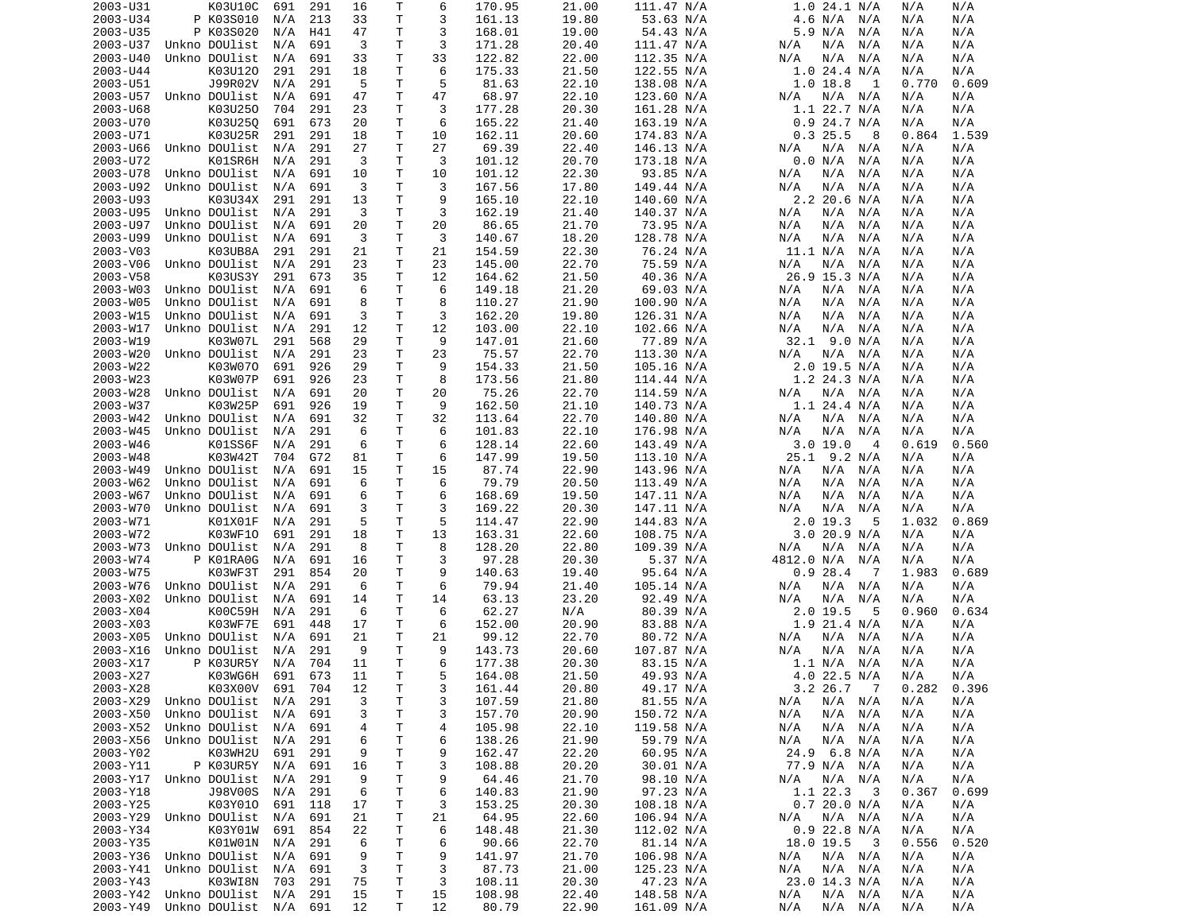| 2003-U31             | K03U10C                                    | 691 | 291 | 16       | Т      | 6        | 170.95          | 21.00          | 111.47 N/A               | 1.0 24.1 N/A                     | N/A        | N/A        |
|----------------------|--------------------------------------------|-----|-----|----------|--------|----------|-----------------|----------------|--------------------------|----------------------------------|------------|------------|
| 2003-U34             | P K03S010                                  | N/A | 213 | 33       | т      | 3        | 161.13          | 19.80          | 53.63 N/A                | 4.6 N/A<br>N/A                   | N/A        | N/A        |
| 2003-U35             | P K03S020                                  | N/A | H41 | 47       | т      | 3        | 168.01          | 19.00          | 54.43 N/A                | 5.9 N/A<br>N/A                   | N/A        | N/A        |
| 2003-U37             | Unkno DOUlist                              | N/A | 691 | 3        | т      | 3        | 171.28          | 20.40          | 111.47 N/A               | N/A<br>N/A<br>N/A                | N/A        | N/A        |
|                      | Unkno DOUlist                              |     | 691 | 33       | Τ      | 33       | 122.82          | 22.00          |                          |                                  |            | N/A        |
| 2003-U40             |                                            | N/A |     |          |        |          |                 |                | 112.35 N/A               | N/A<br>N/A<br>N/A                | N/A        |            |
| 2003-U44             | K03U120                                    | 291 | 291 | 18       | Τ      | 6        | 175.33          | 21.50          | 122.55 N/A               | $1.0$ 24.4 N/A                   | N/A        | N/A        |
| 2003-U51             | J99R02V                                    | N/A | 291 | 5        | т      | 5        | 81.63           | 22.10          | 138.08 N/A               | $1.0$ 18.8<br>-1                 | 0.770      | 0.609      |
| 2003-U57             | Unkno DOUlist                              | N/A | 691 | 47       | т      | 47       | 68.97           | 22.10          | 123.60 N/A               | $N/A$ $N/A$<br>N/A               | N/A        | N/A        |
| 2003-U68             | K03U250                                    | 704 | 291 | 23       | Τ      | 3        | 177.28          | 20.30          | 161.28 N/A               | $1.1$ 22.7 N/A                   | N/A        | N/A        |
| 2003-U70             | K03U250                                    | 691 | 673 | 20       | т      | 6        | 165.22          | 21.40          | 163.19 N/A               | $0.9$ 24.7 N/A                   | N/A        | N/A        |
| 2003-U71             | K03U25R                                    | 291 | 291 | 18       | т      | 10       | 162.11          | 20.60          | 174.83 N/A               | 0.325.5<br>8                     | 0.864      | 1.539      |
|                      |                                            |     |     |          | T.     | 27       |                 |                |                          |                                  |            |            |
| 2003-U66             | Unkno DOUlist                              | N/A | 291 | 27       |        |          | 69.39           | 22.40          | 146.13 N/A               | N/A<br>N/A<br>N/A                | N/A        | N/A        |
| 2003-U72             | K01SR6H                                    | N/A | 291 | 3        | т      | 3        | 101.12          | 20.70          | 173.18 N/A               | 0.0 N/A<br>N/A                   | N/A        | N/A        |
| 2003-U78             | Unkno DOUlist                              | N/A | 691 | 10       | т      | 10       | 101.12          | 22.30          | 93.85 N/A                | N/A<br>N/A<br>N/A                | N/A        | N/A        |
| 2003-U92             | Unkno DOUlist                              | N/A | 691 | 3        | Τ      | 3        | 167.56          | 17.80          | 149.44 N/A               | N/A<br>N/A<br>N/A                | N/A        | N/A        |
| 2003-U93             | K03U34X                                    | 291 | 291 | 13       | T      | 9        | 165.10          | 22.10          | 140.60 N/A               | $2.2$ 20.6 N/A                   | N/A        | N/A        |
| 2003-U95             | Unkno DOUlist                              | N/A | 291 | 3        | т      | 3        | 162.19          | 21.40          | 140.37 N/A               | N/A<br>N/A<br>N/A                | N/A        | N/A        |
| 2003-U97             | Unkno DOUlist                              | N/A | 691 | 20       | Τ      | 20       | 86.65           | 21.70          | 73.95 N/A                | N/A<br>N/A<br>N/A                | N/A        | N/A        |
| 2003-U99             | Unkno DOUlist                              | N/A | 691 | 3        | Τ      | 3        | 140.67          | 18.20          | 128.78 N/A               | N/A<br>N/A<br>N/A                | N/A        | N/A        |
|                      |                                            |     |     |          |        |          |                 |                |                          |                                  |            |            |
| 2003-V03             | K03UB8A                                    | 291 | 291 | 21       | т      | 21       | 154.59          | 22.30          | 76.24 N/A                | 11.1 N/A<br>N/A                  | N/A        | N/A        |
| 2003-V06             | Unkno DOUlist                              | N/A | 291 | 23       | т      | 23       | 145.00          | 22.70          | 75.59 N/A                | N/A<br>N/A<br>N/A                | N/A        | N/A        |
| 2003-V58             | K03US3Y                                    | 291 | 673 | 35       | Τ      | 12       | 164.62          | 21.50          | 40.36 N/A                | 26.9 15.3 N/A                    | N/A        | N/A        |
| 2003-W03             | Unkno DOUlist                              | N/A | 691 | 6        | Τ      | 6        | 149.18          | 21.20          | 69.03 N/A                | N/A<br>N/A<br>N/A                | N/A        | N/A        |
| 2003-W05             | Unkno DOUlist                              | N/A | 691 | 8        | т      | 8        | 110.27          | 21.90          | 100.90 N/A               | N/A<br>N/A<br>N/A                | N/A        | N/A        |
| 2003-W15             | Unkno DOUlist                              | N/A | 691 | 3        | T      | 3        | 162.20          | 19.80          | 126.31 N/A               | N/A<br>N/A<br>N/A                | N/A        | N/A        |
| 2003-W17             | Unkno DOUlist                              |     | 291 | 12       | Τ      | 12       | 103.00          | 22.10          | 102.66 N/A               | N/A<br>N/A<br>N/A                |            | N/A        |
|                      |                                            | N/A |     |          |        |          |                 |                |                          |                                  | N/A        |            |
| 2003-W19             | K03W07L                                    | 291 | 568 | 29       | т      | 9        | 147.01          | 21.60          | 77.89 N/A                | 32.1 9.0 N/A                     | N/A        | N/A        |
| 2003-W20             | Unkno DOUlist                              | N/A | 291 | 23       | Τ      | 23       | 75.57           | 22.70          | 113.30 N/A               | N/A<br>N/A<br>N/A                | N/A        | N/A        |
| 2003-W22             | K03W070                                    | 691 | 926 | 29       | Τ      | 9        | 154.33          | 21.50          | 105.16 N/A               | $2.0$ 19.5 N/A                   | N/A        | N/A        |
| 2003-W23             | K03W07P                                    | 691 | 926 | 23       | T      | 8        | 173.56          | 21.80          | 114.44 N/A               | $1.2$ 24.3 N/A                   | N/A        | N/A        |
| 2003-W28             | Unkno DOUlist                              | N/A | 691 | 20       | т      | 20       | 75.26           | 22.70          | 114.59 N/A               | N/A<br>N/A N/A                   | N/A        | N/A        |
| 2003-W37             | K03W25P                                    | 691 | 926 | 19       | T      | 9        | 162.50          | 21.10          | 140.73 N/A               | $1.1$ 24.4 N/A                   | N/A        | N/A        |
| 2003-W42             | Unkno DOUlist                              | N/A | 691 | 32       | Τ      | 32       | 113.64          | 22.70          | 140.80 N/A               | N/A<br>N/A<br>N/A                | N/A        | N/A        |
|                      |                                            |     |     |          |        |          |                 |                |                          |                                  |            |            |
| 2003-W45             | Unkno DOUlist                              | N/A | 291 | 6        | Τ      | 6        | 101.83          | 22.10          | 176.98 N/A               | N/A<br>N/A<br>N/A                | N/A        | N/A        |
| 2003-W46             | K01SS6F                                    | N/A | 291 | 6        | Τ      | 6        | 128.14          | 22.60          | 143.49 N/A               | 3.019.0<br>4                     | 0.619      | 0.560      |
| 2003-W48             | K03W42T                                    | 704 | G72 | 81       | т      | 6        | 147.99          | 19.50          | 113.10 N/A               | 25.1 9.2 N/A                     | N/A        | N/A        |
| 2003-W49             | Unkno DOUlist                              | N/A | 691 | 15       | T      | 15       | 87.74           | 22.90          | 143.96 N/A               | N/A<br>N/A<br>N/A                | N/A        | N/A        |
| 2003-W62             | Unkno DOUlist                              | N/A | 691 | 6        | T      | 6        | 79.79           | 20.50          | 113.49 N/A               | N/A<br>N/A<br>N/A                | N/A        | N/A        |
| 2003-W67             | Unkno DOUlist                              | N/A | 691 | 6        | Τ      | 6        | 168.69          | 19.50          | 147.11 N/A               | N/A<br>N/A<br>N/A                | N/A        | N/A        |
| 2003-W70             | Unkno DOUlist                              | N/A | 691 | 3        | т      | 3        | 169.22          | 20.30          | 147.11 N/A               | N/A<br>N/A<br>N/A                | N/A        | N/A        |
|                      |                                            |     |     |          |        |          |                 |                |                          |                                  |            |            |
| 2003-W71             | K01X01F                                    | N/A | 291 | 5        | т      | 5        | 114.47          | 22.90          | 144.83 N/A               | $2.0$ 19.3<br>5                  | 1.032      | 0.869      |
| 2003-W72             | K03WF10                                    | 691 | 291 | 18       | Τ      | 13       | 163.31          | 22.60          | 108.75 N/A               | 3.020.9 N/A                      | N/A        | N/A        |
| 2003-W73             | Unkno DOUlist                              | N/A | 291 | 8        | т      | 8        | 128.20          | 22.80          | 109.39 N/A               | N/A<br>N/A<br>N/A                | N/A        | N/A        |
| 2003-W74             | P K01RA0G                                  | N/A | 691 | 16       | т      | 3        | 97.28           | 20.30          | 5.37 N/A                 | 4812.0 N/A<br>N/A                | N/A        | N/A        |
| 2003-W75             | K03WF3T                                    | 291 | 854 | 20       | Τ      | 9        | 140.63          | 19.40          | 95.64 N/A                | 0.928.4<br>- 7                   | 1.983      | 0.689      |
| 2003-W76             | Unkno DOUlist                              | N/A | 291 | 6        | Τ      | 6        | 79.94           | 21.40          | 105.14 N/A               | N/A<br>N/A<br>N/A                | N/A        | N/A        |
| 2003-X02             | Unkno DOUlist                              | N/A | 691 | 14       | т      | 14       | 63.13           | 23.20          | 92.49 N/A                | N/A<br>N/A<br>N/A                | N/A        | N/A        |
|                      |                                            |     | 291 | 6        |        | 6        | 62.27           |                |                          | 5                                |            |            |
| 2003-X04             | K00C59H                                    | N/A |     |          | Τ      |          |                 | N/A            | 80.39 N/A                | $2.0$ 19.5                       | 0.960      | 0.634      |
| 2003-X03             | K03WF7E                                    | 691 | 448 | 17       | т      | 6        | 152.00          | 20.90          | 83.88 N/A                | $1.9$ 21.4 N/A                   | N/A        | N/A        |
| 2003-X05             | Unkno DOUlist                              | N/A | 691 | 21       | Τ      | 21       | 99.12           | 22.70          | 80.72 N/A                | N/A<br>N/A<br>N/A                | N/A        | N/A        |
| 2003-X16             | Unkno DOUlist                              | N/A | 291 | 9        | т      | 9        | 143.73          | 20.60          | 107.87 N/A               | N/A<br>N/A<br>N/A                | N/A        | N/A        |
| 2003-X17             | P K03UR5Y                                  | N/A | 704 | 11       | T.     | 6        | 177.38          | 20.30          | 83.15 N/A                | 1.1 N/A<br>N/A                   | N/A        | N/A        |
| 2003-X27             | K03WG6H                                    | 691 | 673 | 11       | T.     | 5        | 164.08          | 21.50          | 49.93 N/A                | 4.0 22.5 N/A                     | N/A        | N/A        |
| 2003-X28             | K03X00V                                    | 691 | 704 | 12       | т      | 3        | 161.44          | 20.80          | 49.17 N/A                | 3.226.77                         | 0.282      | 0.396      |
|                      |                                            |     | 291 | 3        | Τ      |          |                 | 21.80          | 81.55 N/A                |                                  |            |            |
| 2003-X29             |                                            |     |     |          |        | 3        | 107.59          |                |                          | $N/A$ $N/A$<br>N/A               | N/A        | N/A        |
|                      | Unkno DOUlist                              | N/A |     |          |        |          |                 |                |                          |                                  |            |            |
| 2003-X50             | Unkno DOUlist                              | N/A | 691 | 3        | т      | 3        | 157.70          | 20.90          | 150.72 N/A               | N/A<br>N/A<br>N/A                | N/A        | N/A        |
| 2003-X52             | Unkno DOUlist                              | N/A | 691 | 4        | т      | 4        | 105.98          | 22.10          | 119.58 N/A               | N/A<br>N/A N/A                   | N/A        | N/A        |
| 2003-X56             | Unkno DOUlist                              | N/A | 291 | 6        | Τ      | 6        | 138.26          | 21.90          | 59.79 N/A                | N/A<br>N/A N/A                   | N/A        | N/A        |
|                      |                                            |     |     |          |        |          |                 |                |                          | 24.9 6.8 N/A                     | N/A        |            |
| 2003-Y02             | K03WH2U                                    | 691 | 291 | 9        | т      | 9        | 162.47          | 22.20          | 60.95 N/A                |                                  |            | N/A        |
| 2003-Y11             | P K03UR5Y N/A                              |     | 691 | 16       | Τ      | 3        | 108.88          | 20.20          | 30.01 N/A                | 77.9 N/A N/A                     | N/A        | N/A        |
|                      | 2003-Y17 Unkno DOUlist                     | N/A | 291 | 9        | т      | 9        | 64.46           | 21.70          | 98.10 N/A                | N/A N/A<br>N/A                   | N/A        | N/A        |
| 2003-Y18             | J98V00S                                    | N/A | 291 | 6        | Τ      | 6        | 140.83          | 21.90          | 97.23 N/A                | 1.1 22.3<br>- 3                  | 0.367      | 0.699      |
| 2003-Y25             | K03Y010                                    | 691 | 118 | 17       | т      | 3        | 153.25          | 20.30          | 108.18 N/A               | 0.720.0 N/A                      | N/A        | N/A        |
| 2003-Y29             | Unkno DOUlist                              | N/A | 691 | 21       | т      | 21       | 64.95           | 22.60          | 106.94 N/A               | N/A<br>N/A N/A                   | N/A        | N/A        |
| 2003-Y34             | K03Y01W                                    | 691 | 854 | 22       | т      | 6        | 148.48          | 21.30          | 112.02 N/A               | $0.9$ 22.8 N/A                   | N/A        | N/A        |
| 2003-Y35             | K01W01N                                    | N/A | 291 | 6        | т      | 6        | 90.66           | 22.70          | 81.14 N/A                | 18.0 19.5<br>- 3                 | 0.556      | 0.520      |
|                      |                                            |     |     |          |        |          |                 | 21.70          |                          |                                  |            |            |
| 2003-Y36             | Unkno DOUlist                              | N/A | 691 | 9        | Τ      | 9        | 141.97          |                | 106.98 N/A               | N/A<br>N/A N/A                   | N/A        | N/A        |
| 2003-Y41             | Unkno DOUlist                              | N/A | 691 | 3        | Τ      | 3        | 87.73           | 21.00          | 125.23 N/A               | N/A<br>N/A N/A                   | N/A        | N/A        |
| 2003-Y43             | K03WI8N 703                                |     | 291 | 75       | Τ      | 3        | 108.11          | 20.30          | 47.23 N/A                | 23.0 14.3 N/A                    | N/A        | N/A        |
| 2003-Y42<br>2003-Y49 | Unkno DOUlist N/A<br>Unkno DOUlist N/A 691 |     | 291 | 15<br>12 | т<br>Τ | 15<br>12 | 108.98<br>80.79 | 22.40<br>22.90 | 148.58 N/A<br>161.09 N/A | N/A<br>N/A N/A<br>N/A<br>N/A N/A | N/A<br>N/A | N/A<br>N/A |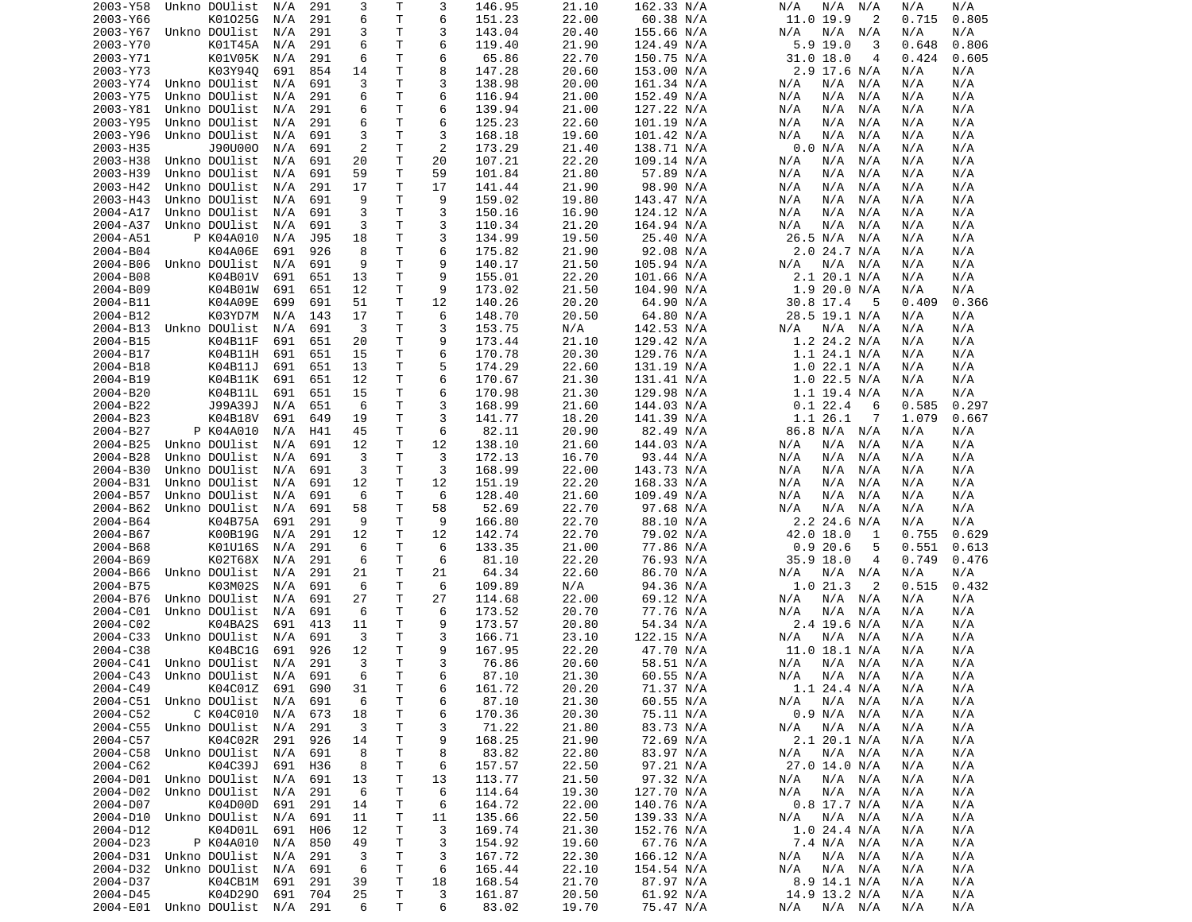| 2003-Y58 | Unkno DOUlist                  | N/A | 291        | 3  | Т            | 3  | 146.95 | 21.10 | 162.33 N/A | N/A<br>N/A<br>N/A  | N/A<br>N/A     |
|----------|--------------------------------|-----|------------|----|--------------|----|--------|-------|------------|--------------------|----------------|
| 2003-Y66 | K01025G                        | N/A | 291        | 6  | Т            | 6  | 151.23 | 22.00 | 60.38 N/A  | 11.0 19.9<br>2     | 0.805<br>0.715 |
| 2003-Y67 | Unkno DOUlist                  | N/A | 291        | 3  | т            | 3  | 143.04 | 20.40 | 155.66 N/A | N/A<br>N/A<br>N/A  | N/A<br>N/A     |
| 2003-Y70 | K01T45A                        | N/A | 291        | 6  | $\mathsf{T}$ | 6  | 119.40 | 21.90 | 124.49 N/A | $5.9$ 19.0<br>3    | 0.806<br>0.648 |
| 2003-Y71 | K01V05K                        | N/A | 291        | 6  | т            | 6  | 65.86  | 22.70 | 150.75 N/A | $31.0$ 18.0<br>4   | 0.424<br>0.605 |
| 2003-Y73 | K03Y940                        | 691 | 854        | 14 | T            | 8  | 147.28 | 20.60 | 153.00 N/A | 2.9 17.6 N/A       | N/A<br>N/A     |
| 2003-Y74 | Unkno DOUlist                  | N/A | 691        | 3  | т            | 3  | 138.98 | 20.00 | 161.34 N/A | N/A<br>N/A<br>N/A  | N/A<br>N/A     |
| 2003-Y75 | Unkno DOUlist                  | N/A | 291        | 6  | Т            | 6  | 116.94 | 21.00 | 152.49 N/A | N/A<br>N/A<br>N/A  | N/A<br>N/A     |
| 2003-Y81 | Unkno DOUlist                  | N/A | 291        | 6  | Τ            | 6  | 139.94 | 21.00 | 127.22 N/A | N/A<br>N/A<br>N/A  | N/A<br>N/A     |
| 2003-Y95 | Unkno DOUlist                  | N/A | 291        | 6  | Τ            | 6  | 125.23 | 22.60 | 101.19 N/A | N/A<br>N/A<br>N/A  | N/A<br>N/A     |
| 2003-Y96 | Unkno DOUlist                  | N/A | 691        | 3  | T            | 3  | 168.18 | 19.60 | 101.42 N/A | N/A<br>N/A<br>N/A  | N/A<br>N/A     |
| 2003-H35 | J90U000                        | N/A | 691        | 2  | Τ            | 2  | 173.29 | 21.40 | 138.71 N/A | 0.0 N/A<br>N/A     | N/A<br>N/A     |
| 2003-H38 | Unkno DOUlist                  | N/A | 691        | 20 | T            | 20 | 107.21 | 22.20 | 109.14 N/A | N/A<br>N/A<br>N/A  | N/A<br>N/A     |
| 2003-H39 | Unkno DOUlist                  | N/A | 691        | 59 | т            | 59 | 101.84 | 21.80 | 57.89 N/A  | N/A<br>N/A<br>N/A  | N/A<br>N/A     |
| 2003-H42 | Unkno DOUlist                  | N/A | 291        | 17 | т            | 17 | 141.44 | 21.90 | 98.90 N/A  | N/A<br>N/A<br>N/A  | N/A<br>N/A     |
| 2003-H43 | Unkno DOUlist                  | N/A | 691        | 9  | T.           | 9  | 159.02 | 19.80 | 143.47 N/A | N/A<br>N/A<br>N/A  | N/A<br>N/A     |
| 2004-A17 | Unkno DOUlist                  | N/A | 691        | 3  | Τ            | 3  | 150.16 | 16.90 | 124.12 N/A | N/A<br>N/A<br>N/A  | N/A<br>N/A     |
| 2004-A37 | Unkno DOUlist                  | N/A | 691        | 3  | T            | 3  | 110.34 | 21.20 | 164.94 N/A | N/A<br>N/A<br>N/A  | N/A<br>N/A     |
| 2004-A51 | P K04A010                      | N/A | <b>J95</b> | 18 | т            | 3  | 134.99 | 19.50 | 25.40 N/A  | 26.5 N/A<br>N/A    | N/A<br>N/A     |
| 2004-B04 | K04A06E                        | 691 | 926        | 8  | T            | 6  | 175.82 | 21.90 | 92.08 N/A  | 2.0 24.7 N/A       | N/A<br>N/A     |
| 2004-B06 | Unkno DOUlist                  | N/A | 691        | 9  | T            | 9  | 140.17 | 21.50 | 105.94 N/A | N/A<br>N/A<br>N/A  | N/A<br>N/A     |
| 2004-B08 | K04B01V                        | 691 | 651        | 13 | T            | 9  | 155.01 | 22.20 | 101.66 N/A | $2.1$ 20.1 N/A     | N/A<br>N/A     |
| 2004-B09 | K04B01W                        | 691 | 651        | 12 | Τ            | 9  | 173.02 | 21.50 | 104.90 N/A | 1.920.0 N/A        | N/A<br>N/A     |
| 2004-B11 | K04A09E                        | 699 | 691        | 51 | т            | 12 | 140.26 | 20.20 | 64.90 N/A  | 30.8 17.4<br>5     | 0.366<br>0.409 |
| 2004-B12 | K03YD7M                        | N/A | 143        | 17 | T.           | 6  | 148.70 | 20.50 | 64.80 N/A  | 28.5 19.1 N/A      | N/A<br>N/A     |
| 2004-B13 | Unkno DOUlist                  | N/A | 691        | 3  | т            | 3  | 153.75 | N/A   | 142.53 N/A | $N/A$ $N/A$<br>N/A | N/A<br>N/A     |
| 2004-B15 | K04B11F                        | 691 | 651        | 20 | T            | 9  | 173.44 | 21.10 | 129.42 N/A | 1.2 24.2 N/A       | N/A<br>N/A     |
| 2004-B17 | K04B11H                        | 691 | 651        | 15 | T            | 6  | 170.78 | 20.30 | 129.76 N/A | $1.1$ 24.1 N/A     | N/A<br>N/A     |
| 2004-B18 | K04B11J                        | 691 | 651        | 13 | Τ            | 5  | 174.29 | 22.60 | 131.19 N/A | $1.0$ 22.1 N/A     | N/A<br>N/A     |
| 2004-B19 | K04B11K                        | 691 | 651        | 12 | Τ            | 6  | 170.67 | 21.30 | 131.41 N/A | $1.0$ 22.5 N/A     | N/A<br>N/A     |
| 2004-B20 | K04B11L                        | 691 | 651        | 15 | т            | 6  | 170.98 | 21.30 | 129.98 N/A | $1.1$ 19.4 N/A     | N/A<br>N/A     |
| 2004-B22 | J99A39J                        | N/A | 651        | 6  | $\mathsf{T}$ | 3  | 168.99 | 21.60 | 144.03 N/A | 0.122.4<br>6       | 0.585<br>0.297 |
| 2004-B23 | K04B18V                        | 691 | 649        | 19 | т            | 3  | 141.77 | 18.20 | 141.39 N/A | 1.1 26.1<br>7      | 0.667<br>1.079 |
| 2004-B27 | P K04A010                      | N/A |            | 45 | T            | 6  | 82.11  | 20.90 |            | 86.8 N/A           | N/A            |
| 2004-B25 |                                |     | H41        |    | T            |    |        |       | 82.49 N/A  | N/A                | N/A            |
|          | Unkno DOUlist                  | N/A | 691        | 12 |              | 12 | 138.10 | 21.60 | 144.03 N/A | N/A<br>N/A<br>N/A  | N/A<br>N/A     |
| 2004-B28 | Unkno DOUlist                  | N/A | 691        | 3  | Τ            | 3  | 172.13 | 16.70 | 93.44 N/A  | N/A<br>N/A<br>N/A  | N/A<br>N/A     |
| 2004-B30 | Unkno DOUlist                  | N/A | 691        | 3  | T            | 3  | 168.99 | 22.00 | 143.73 N/A | N/A<br>N/A<br>N/A  | N/A<br>N/A     |
| 2004-B31 | Unkno DOUlist                  | N/A | 691        | 12 | т            | 12 | 151.19 | 22.20 | 168.33 N/A | N/A<br>N/A<br>N/A  | N/A<br>N/A     |
| 2004-B57 | Unkno DOUlist                  | N/A | 691        | 6  | T            | 6  | 128.40 | 21.60 | 109.49 N/A | N/A<br>N/A<br>N/A  | N/A<br>N/A     |
| 2004-B62 | Unkno DOUlist                  | N/A | 691        | 58 | T            | 58 | 52.69  | 22.70 | 97.68 N/A  | N/A<br>N/A<br>N/A  | N/A<br>N/A     |
| 2004-B64 | K04B75A                        | 691 | 291        | 9  | T            | 9  | 166.80 | 22.70 | 88.10 N/A  | 2.2 24.6 N/A       | N/A<br>N/A     |
| 2004-B67 | K00B19G                        | N/A | 291        | 12 | T            | 12 | 142.74 | 22.70 | 79.02 N/A  | 42.0 18.0<br>1     | 0.629<br>0.755 |
| 2004-B68 | K01U16S                        | N/A | 291        | 6  | Τ            | 6  | 133.35 | 21.00 | 77.86 N/A  | 0.920.6<br>5       | 0.551<br>0.613 |
| 2004-B69 | K02T68X                        | N/A | 291        | 6  | т            | 6  | 81.10  | 22.20 | 76.93 N/A  | 35.9 18.0<br>4     | 0.476<br>0.749 |
| 2004-B66 | Unkno DOUlist                  | N/A | 291        | 21 | т            | 21 | 64.34  | 22.60 | 86.70 N/A  | $N/A$ $N/A$<br>N/A | N/A<br>N/A     |
| 2004-B75 | K03M02S                        | N/A | 691        | 6  | Τ            | 6  | 109.89 | N/A   | 94.36 N/A  | 1.021.3<br>2       | 0.515<br>0.432 |
| 2004-B76 | Unkno DOUlist                  | N/A | 691        | 27 | Τ            | 27 | 114.68 | 22.00 | 69.12 N/A  | N/A<br>N/A<br>N/A  | N/A<br>N/A     |
| 2004-C01 | Unkno DOUlist                  | N/A | 691        | 6  | Τ            | 6  | 173.52 | 20.70 | 77.76 N/A  | N/A<br>N/A<br>N/A  | N/A<br>N/A     |
| 2004-C02 | K04BA2S                        | 691 | 413        | 11 | т            | 9  | 173.57 | 20.80 | 54.34 N/A  | $2.4$ 19.6 N/A     | N/A<br>N/A     |
| 2004-C33 | Unkno DOUlist                  | N/A | 691        | 3  | т            | 3  | 166.71 | 23.10 | 122.15 N/A | $N/A$ $N/A$<br>N/A | N/A<br>N/A     |
| 2004-C38 | K04BC1G                        | 691 | 926        | 12 | Τ            | 9  | 167.95 | 22.20 | 47.70 N/A  | 11.0 18.1 N/A      | N/A<br>N/A     |
| 2004-C41 | Unkno DOUlist                  | N/A | 291        | 3  | T.           | 3  | 76.86  | 20.60 | 58.51 N/A  | N/A<br>N/A N/A     | N/A<br>N/A     |
|          | 2004-C43 Unkno DOUlist N/A     |     | 691        | 6  | T.           | 6  | 87.10  | 21.30 | 60.55 N/A  | N/A N/A N/A        | N/A<br>N/A     |
| 2004-C49 | K04C01Z 691                    |     | G90        | 31 | Τ            | 6  | 161.72 | 20.20 | 71.37 N/A  | 1.1 24.4 N/A       | N/A<br>N/A     |
| 2004-C51 | Unkno DOUlist                  | N/A | 691        | 6  | т            | 6  | 87.10  | 21.30 | 60.55 N/A  | N/A N/A<br>N/A     | N/A<br>N/A     |
| 2004-C52 | C K04C010                      | N/A | 673        | 18 | т            | 6  | 170.36 | 20.30 | 75.11 N/A  | 0.9 N/A N/A        | N/A<br>N/A     |
| 2004-C55 | Unkno DOUlist                  | N/A | 291        | 3  | т            | 3  | 71.22  | 21.80 | 83.73 N/A  | $N/A$ $N/A$<br>N/A | N/A<br>N/A     |
| 2004-C57 | K04C02R                        | 291 | 926        | 14 | т            | 9  | 168.25 | 21.90 | 72.69 N/A  | 2.1 20.1 N/A       | N/A<br>N/A     |
| 2004-C58 | Unkno DOUlist N/A              |     | 691        | 8  | т            | 8  | 83.82  | 22.80 | 83.97 N/A  | N/A<br>$N/A$ $N/A$ | N/A<br>N/A     |
| 2004-C62 | K04C39J                        | 691 | H36        | 8  | Τ            | 6  | 157.57 | 22.50 | 97.21 N/A  | 27.0 14.0 N/A      | N/A<br>N/A     |
| 2004-D01 | Unkno DOUlist                  | N/A | 691        | 13 | Τ            | 13 | 113.77 | 21.50 | 97.32 N/A  | N/A<br>N/A N/A     | N/A<br>N/A     |
| 2004-D02 | Unkno DOUlist                  | N/A | 291        | 6  | Τ            | 6  | 114.64 | 19.30 | 127.70 N/A | N/A N/A<br>N/A     | N/A<br>N/A     |
| 2004-D07 | K04D00D                        | 691 | 291        | 14 | Τ            | 6  | 164.72 | 22.00 | 140.76 N/A | $0.8$ 17.7 N/A     | N/A<br>N/A     |
| 2004-D10 | Unkno DOUlist N/A              |     | 691        | 11 | Τ            | 11 | 135.66 | 22.50 | 139.33 N/A | N/A N/A<br>N/A     | N/A<br>N/A     |
| 2004-D12 | K04D01L                        | 691 | H06        | 12 | т            | 3  | 169.74 | 21.30 | 152.76 N/A | $1.0$ 24.4 N/A     | N/A<br>N/A     |
| 2004-D23 | P K04A010                      | N/A | 850        | 49 | т            | 3  | 154.92 | 19.60 | 67.76 N/A  | 7.4 N/A N/A        | N/A<br>N/A     |
| 2004-D31 | Unkno DOUlist                  | N/A | 291        | 3  | T            | 3  | 167.72 | 22.30 | 166.12 N/A | N/A<br>N/A N/A     | N/A<br>N/A     |
| 2004-D32 | Unkno DOUlist                  | N/A | 691        | 6  | Τ            | 6  | 165.44 | 22.10 | 154.54 N/A | N/A N/A<br>N/A     | N/A<br>N/A     |
| 2004-D37 | K04CB1M                        | 691 | 291        | 39 | Τ            | 18 | 168.54 | 21.70 | 87.97 N/A  | 8.9 14.1 N/A       | N/A<br>N/A     |
| 2004-D45 | K04D290                        | 691 | 704        | 25 | T            | 3  | 161.87 | 20.50 | 61.92 N/A  | 14.9 13.2 N/A      | N/A<br>N/A     |
|          | 2004-E01 Unkno DOUlist N/A 291 |     |            | 6  | T.           | 6  | 83.02  | 19.70 | 75.47 N/A  | N/A N/A N/A        | N/A<br>N/A     |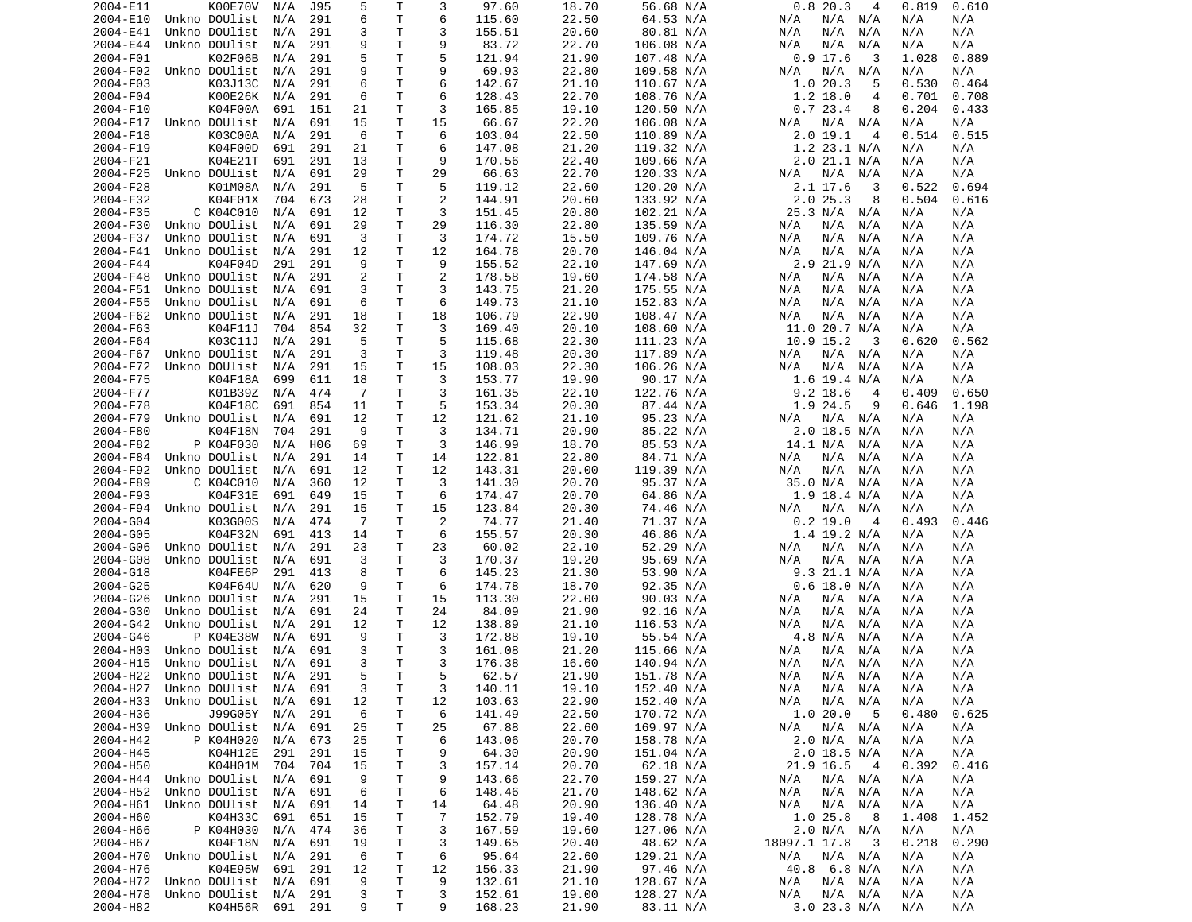| 2004-E11             | K00E70V                      | N/A     | J95 | 5      | Т      | 3              | 97.60            | 18.70          | 56.68 N/A               | 0.820.3<br>4                  | 0.819      | 0.610      |
|----------------------|------------------------------|---------|-----|--------|--------|----------------|------------------|----------------|-------------------------|-------------------------------|------------|------------|
| 2004-E10             | Unkno DOUlist                | N/A     | 291 | 6      | Τ      | 6              | 115.60           | 22.50          | 64.53 N/A               | N/A<br>N/A<br>N/A             | N/A        | N/A        |
| 2004-E41             | Unkno DOUlist                | N/A     | 291 | 3      | T      | 3              | 155.51           | 20.60          | 80.81 N/A               | N/A<br>N/A<br>N/A             | N/A        | N/A        |
|                      | Unkno DOUlist                |         |     | 9      | т      | 9              | 83.72            |                |                         |                               |            |            |
| 2004-E44             |                              | N/A     | 291 |        |        |                |                  | 22.70          | 106.08 N/A              | N/A<br>N/A<br>N/A             | N/A        | N/A        |
| 2004-F01             | K02F06B                      | N/A     | 291 | 5      | T.     | 5              | 121.94           | 21.90          | 107.48 N/A              | $0.9$ 17.6<br>3               | 1.028      | 0.889      |
| 2004-F02             | Unkno DOUlist                | N/A     | 291 | 9      | Τ      | 9              | 69.93            | 22.80          | 109.58 N/A              | N/A<br>N/A<br>N/A             | N/A        | N/A        |
| 2004-F03             | K03J13C                      | N/A     | 291 | 6      | т      | 6              | 142.67           | 21.10          | 110.67 N/A              | 20.3<br>5<br>1.0              | 0.530      | 0.464      |
| 2004-F04             | K00E26K                      | N/A     | 291 | 6      | т      | 6              | 128.43           | 22.70          | 108.76 N/A              | $1.2$ 18.0<br>4               | 0.701      | 0.708      |
| 2004-F10             | K04F00A                      | 691     | 151 | 21     | т      | 3              | 165.85           | 19.10          | 120.50 N/A              | 0.723.4<br>8                  | 0.204      | 0.433      |
|                      |                              |         |     |        |        |                |                  |                |                         |                               |            |            |
| 2004-F17             | Unkno DOUlist                | N/A     | 691 | 15     | т      | 15             | 66.67            | 22.20          | 106.08 N/A              | N/A<br>N/A<br>N/A             | N/A        | N/A        |
| 2004-F18             | K03C00A                      | N/A     | 291 | 6      | т      | 6              | 103.04           | 22.50          | 110.89 N/A              | 19.1<br>2.0<br>4              | 0.514      | 0.515      |
| 2004-F19             | K04F00D                      | 691     | 291 | 21     | Τ      | 6              | 147.08           | 21.20          | 119.32 N/A              | 1.2 23.1 N/A                  | N/A        | N/A        |
| 2004-F21             | K04E21T                      | 691     | 291 | 13     | Τ      | 9              | 170.56           | 22.40          | 109.66 N/A              | $2.0$ 21.1 N/A                | N/A        | N/A        |
| 2004-F25             | Unkno DOUlist                | N/A     | 691 | 29     | т      | 29             | 66.63            | 22.70          | 120.33 N/A              | N/A<br>N/A<br>N/A             | N/A        | N/A        |
|                      |                              |         |     |        |        |                |                  |                |                         |                               |            |            |
| 2004-F28             | K01M08A                      | N/A     | 291 | 5      | т      | 5              | 119.12           | 22.60          | 120.20 N/A              | 2.1 17.6<br>3                 | 0.522      | 0.694      |
| 2004-F32             | K04F01X                      | 704     | 673 | 28     | Τ      | $\overline{2}$ | 144.91           | 20.60          | 133.92 N/A              | 2.025.3<br>8                  | 0.504      | 0.616      |
| 2004-F35             | C K04C010                    | N/A     | 691 | 12     | т      | 3              | 151.45           | 20.80          | 102.21 N/A              | 25.3 N/A<br>N/A               | N/A        | N/A        |
| 2004-F30             | Unkno DOUlist                | N/A     | 691 | 29     | Τ      | 29             | 116.30           | 22.80          | 135.59 N/A              | N/A<br>N/A<br>N/A             | N/A        | N/A        |
| 2004-F37             | Unkno DOUlist                | N/A     | 691 | 3      | Τ      | 3              | 174.72           | 15.50          | 109.76 N/A              | N/A<br>N/A<br>N/A             | N/A        | N/A        |
|                      |                              |         |     |        |        |                |                  |                |                         |                               |            |            |
| 2004-F41             | Unkno DOUlist                | N/A     | 291 | 12     | Τ      | 12             | 164.78           | 20.70          | 146.04 N/A              | N/A<br>N/A<br>N/A             | N/A        | N/A        |
| 2004-F44             | K04F04D                      | 291     | 291 | 9      | Τ      | 9              | 155.52           | 22.10          | 147.69 N/A              | 2.9 21.9 N/A                  | N/A        | N/A        |
| 2004-F48             | Unkno DOUlist                | N/A     | 291 | 2      | Τ      | 2              | 178.58           | 19.60          | 174.58 N/A              | N/A<br>N/A<br>N/A             | N/A        | N/A        |
| 2004-F51             | Unkno DOUlist                | N/A     | 691 | 3      | т      | 3              | 143.75           | 21.20          | 175.55 N/A              | N/A<br>N/A<br>N/A             | N/A        | N/A        |
| 2004-F55             | Unkno DOUlist                | N/A     | 691 | 6      | т      | 6              | 149.73           | 21.10          | 152.83 N/A              | N/A<br>N/A<br>N/A             | N/A        | N/A        |
|                      |                              |         |     |        |        |                |                  |                |                         |                               |            |            |
| 2004-F62             | Unkno DOUlist                | N/A     | 291 | 18     | T      | 18             | 106.79           | 22.90          | 108.47 N/A              | N/A<br>N/A<br>N/A             | N/A        | N/A        |
| 2004-F63             | K04F11J                      | 704     | 854 | 32     | T.     | 3              | 169.40           | 20.10          | 108.60 N/A              | 11.020.7 N/A                  | N/A        | N/A        |
| 2004-F64             | K03C11J                      | N/A     | 291 | 5      | т      | 5              | 115.68           | 22.30          | 111.23 N/A              | 10.9 15.2<br>3                | 0.620      | 0.562      |
| 2004-F67             | Unkno DOUlist                | N/A     | 291 | 3      | т      | 3              | 119.48           | 20.30          | 117.89 N/A              | N/A<br>N/A<br>N/A             | N/A        | N/A        |
| 2004-F72             | Unkno DOUlist                | N/A     | 291 | 15     | T      | 15             | 108.03           | 22.30          | 106.26 N/A              | N/A<br>N/A<br>N/A             | N/A        | N/A        |
|                      |                              |         |     |        |        |                |                  |                |                         |                               |            |            |
| 2004-F75             | K04F18A                      | 699     | 611 | 18     | т      | 3              | 153.77           | 19.90          | 90.17 N/A               | $1.6$ 19.4 N/A                | N/A        | N/A        |
| 2004-F77             | K01B39Z                      | N/A     | 474 | 7      | т      | 3              | 161.35           | 22.10          | 122.76 N/A              | $9.2$ 18.6<br>4               | 0.409      | 0.650      |
| 2004-F78             | K04F18C                      | 691     | 854 | 11     | т      | 5              | 153.34           | 20.30          | 87.44 N/A               | 1.9 24.5<br>9                 | 0.646      | 1.198      |
| 2004-F79             | Unkno DOUlist                | N/A     | 691 | 12     | T.     | 12             | 121.62           | 21.10          | 95.23 N/A               | $N/A$ $N/A$<br>N/A            | N/A        | N/A        |
| 2004-F80             | K04F18N                      | 704     | 291 | 9      | Τ      | 3              | 134.71           | 20.90          | 85.22 N/A               | 2.0 18.5 N/A                  | N/A        | N/A        |
|                      |                              |         |     |        |        |                |                  |                |                         |                               |            |            |
| 2004-F82             | P K04F030                    | N/A     | H06 | 69     | т      | 3              | 146.99           | 18.70          | 85.53 N/A               | 14.1 N/A<br>N/A               | N/A        | N/A        |
| 2004-F84             | Unkno DOUlist                | N/A     | 291 | 14     | т      | 14             | 122.81           | 22.80          | 84.71 N/A               | N/A<br>N/A<br>N/A             | N/A        | N/A        |
| 2004-F92             | Unkno DOUlist                | N/A     | 691 | 12     | т      | 12             | 143.31           | 20.00          | 119.39 N/A              | N/A<br>N/A<br>N/A             | N/A        | N/A        |
| 2004-F89             | C K04C010                    | N/A     | 360 | 12     | т      | 3              | 141.30           | 20.70          | 95.37 N/A               | 35.0 N/A<br>N/A               | N/A        | N/A        |
| 2004-F93             | K04F31E                      | 691     | 649 | 15     | т      | 6              | 174.47           | 20.70          | 64.86 N/A               | $1.9$ 18.4 N/A                | N/A        | N/A        |
|                      |                              |         |     |        |        |                |                  |                |                         |                               |            |            |
| 2004-F94             | Unkno DOUlist                | N/A     | 291 | 15     | т      | 15             | 123.84           | 20.30          | 74.46 N/A               | N/A<br>N/A<br>N/A             | N/A        | N/A        |
| 2004-G04             | K03G00S                      | N/A     | 474 | -7     | т      | $\overline{c}$ | 74.77            | 21.40          | 71.37 N/A               | $0.2$ 19.0<br>$\overline{4}$  | 0.493      | 0.446      |
| 2004-G05             | K04F32N                      | 691     | 413 | 14     | т      | 6              | 155.57           | 20.30          | 46.86 N/A               | $1.4$ 19.2 N/A                | N/A        | N/A        |
| 2004-G06             | Unkno DOUlist                | N/A     | 291 | 23     | т      | 23             | 60.02            | 22.10          | 52.29 N/A               | N/A<br>N/A<br>N/A             | N/A        | N/A        |
| 2004-G08             | Unkno DOUlist                | N/A     | 691 | 3      | Τ      | 3              | 170.37           | 19.20          | 95.69 N/A               | N/A<br>N/A<br>N/A             | N/A        | N/A        |
|                      |                              |         |     |        |        |                |                  |                |                         |                               |            |            |
| 2004-G18             | K04FE6P                      | 291     | 413 | 8      | Τ      | 6              | 145.23           | 21.30          | 53.90 N/A               | 9.3 21.1 N/A                  | N/A        | N/A        |
| 2004-G25             | K04F64U                      | N/A     | 620 | 9      | Τ      | 6              | 174.78           | 18.70          | 92.35 N/A               | $0.6$ 18.0 N/A                | N/A        | N/A        |
| 2004-G26             | Unkno DOUlist                | N/A     | 291 | 15     | т      | 15             | 113.30           | 22.00          | 90.03 N/A               | N/A<br>N/A<br>N/A             | N/A        | N/A        |
| 2004-G30             | Unkno DOUlist                | N/A     | 691 | 24     | Τ      | 24             | 84.09            | 21.90          | 92.16 N/A               | N/A<br>N/A<br>N/A             | N/A        | N/A        |
| 2004-G42             | Unkno DOUlist                | N/A     | 291 | 12     | Τ      | 12             | 138.89           | 21.10          | 116.53 N/A              | N/A<br>N/A<br>N/A             | N/A        | N/A        |
|                      |                              |         |     |        |        |                |                  |                |                         |                               |            |            |
| 2004-G46             | P K04E38W                    | N/A     | 691 | 9      | Τ      | 3              | 172.88           | 19.10          | 55.54 N/A               | 4.8 N/A<br>N/A                | N/A        | N/A        |
| 2004-H03             | Unkno DOUlist                | N/A     | 691 | 3      | т      | 3              | 161.08           | 21.20          | 115.66 N/A              | N/A<br>N/A<br>N/A             | N/A        | N/A        |
| 2004-H15             | Unkno DOUlist                | N/A     | 691 | 3      | T.     | 3              | 176.38           | 16.60          | 140.94 N/A              | N/A<br>N/A<br>N/A             | N/A        | N/A        |
|                      | 2004-H22 Unkno DOUlist       | N/A     | 291 | 5      | T.     | 5              | 62.57            | 21.90          | 151.78 N/A              | N/A<br>N/A<br>N/A             | N/A        | N/A        |
| 2004-H27             | Unkno DOUlist N/A            |         | 691 | 3      | Τ      | 3              | 140.11           | 19.10          | 152.40 N/A              | N/A<br>N/A N/A                | N/A        | N/A        |
|                      |                              |         |     |        |        |                |                  |                |                         |                               |            |            |
| 2004-H33             | Unkno DOUlist                | N/A     | 691 | 12     | Τ      | 12             | 103.63           | 22.90          | 152.40 N/A              | N/A N/A<br>N/A                | N/A        | N/A        |
| 2004-H36             | J99G05Y                      | N/A     | 291 | 6      | т      | 6              | 141.49           | 22.50          | 170.72 N/A              | 1.0 20.0<br>- 5               | 0.480      | 0.625      |
| 2004-H39             | Unkno DOUlist                | N/A     | 691 | 25     | т      | 25             | 67.88            | 22.60          | 169.97 N/A              | N/A<br>$N/A$ $N/A$            | N/A        | N/A        |
| 2004-H42             | P K04H020                    | N/A     | 673 | 25     | Τ      | 6              | 143.06           | 20.70          | 158.78 N/A              | 2.0 N/A N/A                   | N/A        | N/A        |
| 2004-H45             | K04H12E                      |         |     |        | Τ      | 9              | 64.30            | 20.90          | 151.04 N/A              | $2.0$ 18.5 N/A                | N/A        | N/A        |
|                      |                              |         |     |        |        |                |                  |                |                         |                               |            |            |
| 2004-H50             |                              | 291     | 291 | 15     |        |                |                  |                |                         |                               |            |            |
|                      | K04H01M                      | 704     | 704 | 15     | Τ      | 3              | 157.14           | 20.70          | 62.18 N/A               | 21.9 16.5<br>$\overline{4}$   | 0.392      | 0.416      |
| 2004-H44             | Unkno DOUlist                | N/A     | 691 | 9      | т      | 9              | 143.66           | 22.70          | 159.27 N/A              | N/A N/A<br>N/A                | N/A        | N/A        |
| 2004-H52             | Unkno DOUlist                | N/A     | 691 | 6      | Τ      | 6              | 148.46           | 21.70          | 148.62 N/A              | N/A<br>N/A N/A                | N/A        | N/A        |
|                      |                              |         |     |        |        |                |                  |                |                         |                               |            |            |
| 2004-H61             | Unkno DOUlist                | N/A     | 691 | 14     | т      | 14             | 64.48            | 20.90          | 136.40 N/A              | N/A<br>N/A<br>N/A             | N/A        | N/A        |
| 2004-H60             | K04H33C                      | 691     | 651 | 15     | т      | 7              | 152.79           | 19.40          | 128.78 N/A              | 1.0 25.8<br>- 8               | 1.408      | 1.452      |
| 2004-H66             | P K04H030                    | N/A     | 474 | 36     | Τ      | 3              | 167.59           | 19.60          | 127.06 N/A              | 2.0 N/A N/A                   | N/A        | N/A        |
| 2004-H67             | K04F18N                      | N/A     | 691 | 19     | т      | 3              | 149.65           | 20.40          | 48.62 N/A               | 18097.1 17.8<br>- 3           | 0.218      | 0.290      |
|                      |                              |         |     |        |        |                |                  |                |                         |                               |            |            |
| 2004-H70             | Unkno DOUlist                | N/A     | 291 | 6      | Τ      | 6              | 95.64            | 22.60          | 129.21 N/A              | N/A<br>$N/A$ $N/A$            | N/A        | N/A        |
| 2004-H76             | K04E95W                      | 691     | 291 | 12     | Τ      | 12             | 156.33           | 21.90          | 97.46 N/A               | 40.8 6.8 N/A                  | N/A        | N/A        |
| 2004-H72             | Unkno DOUlist                | N/A     | 691 | 9      | т      | 9              | 132.61           | 21.10          | 128.67 N/A              | N/A<br>$N/A$ $N/A$            | N/A        | N/A        |
| 2004-H78<br>2004-H82 | Unkno DOUlist N/A<br>K04H56R | 691 291 | 291 | 3<br>9 | т<br>Τ | 3<br>9         | 152.61<br>168.23 | 19.00<br>21.90 | 128.27 N/A<br>83.11 N/A | N/A<br>N/A N/A<br>3.023.3 N/A | N/A<br>N/A | N/A<br>N/A |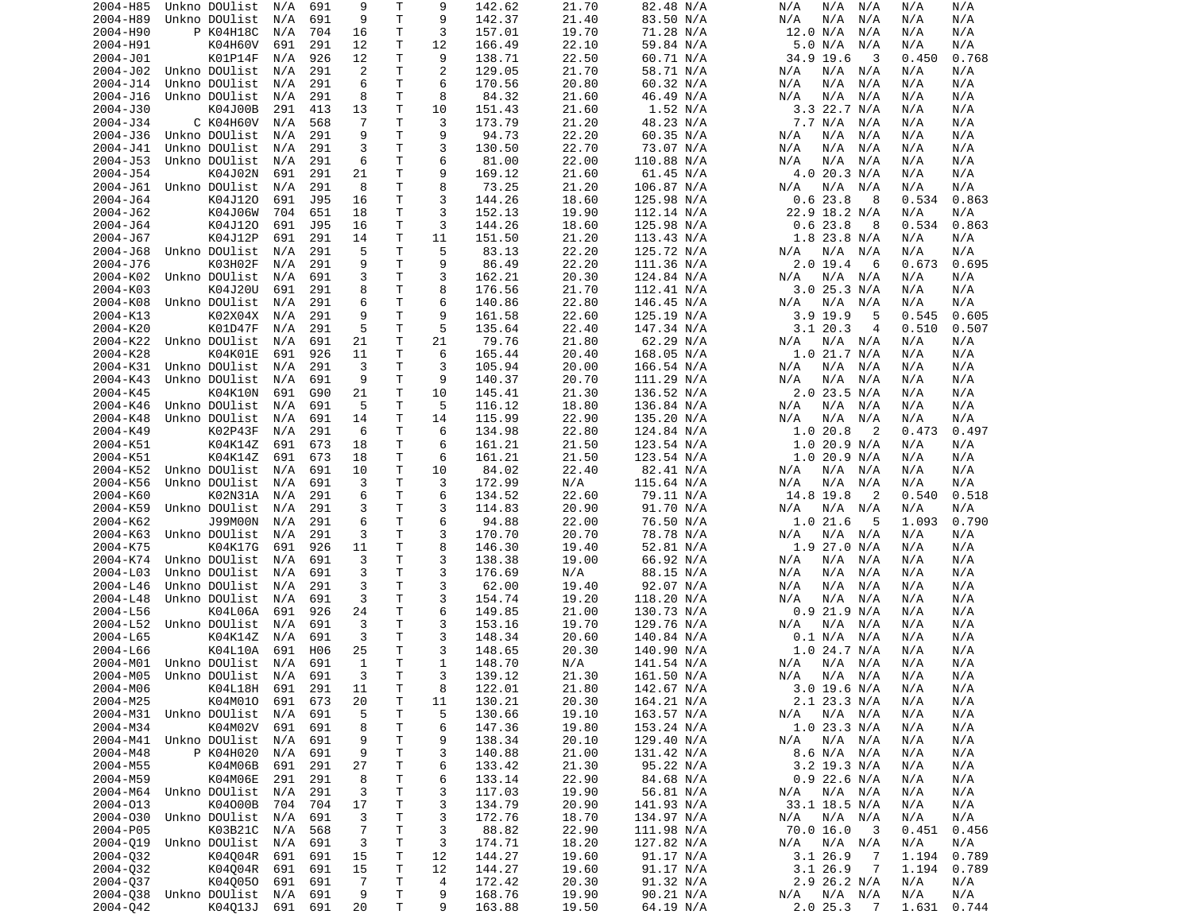| 2004-H85 | Unkno DOUlist                  | N/A | 691 | 9              | Τ            | 9              | 142.62 | 21.70 | 82.48 N/A  | N/A<br>N/A<br>N/A         | N/A<br>N/A     |
|----------|--------------------------------|-----|-----|----------------|--------------|----------------|--------|-------|------------|---------------------------|----------------|
| 2004-H89 | Unkno DOUlist                  | N/A | 691 | 9              | $\mathsf{T}$ | 9              | 142.37 | 21.40 | 83.50 N/A  | N/A<br>N/A<br>N/A         | N/A<br>N/A     |
| 2004-H90 | P K04H18C                      | N/A | 704 | 16             | Т            | 3              | 157.01 | 19.70 | 71.28 N/A  | 12.0 N/A<br>N/A           | N/A<br>N/A     |
| 2004-H91 | K04H60V                        | 691 | 291 | 12             | т            | 12             | 166.49 | 22.10 | 59.84 N/A  | 5.0 N/A<br>N/A            | N/A<br>N/A     |
| 2004-J01 | K01P14F                        | N/A | 926 | 12             | т            | 9              | 138.71 | 22.50 | 60.71 N/A  | 34.9 19.6<br>3            | 0.768<br>0.450 |
| 2004-J02 | Unkno DOUlist                  | N/A | 291 | 2              | т            | $\overline{2}$ | 129.05 | 21.70 | 58.71 N/A  | N/A<br>N/A<br>N/A         | N/A<br>N/A     |
| 2004-J14 | Unkno DOUlist                  | N/A | 291 | 6              | т            | 6              | 170.56 | 20.80 | 60.32 N/A  | N/A<br>N/A<br>N/A         | N/A<br>N/A     |
| 2004-J16 | Unkno DOUlist                  | N/A | 291 | 8              | Т            | 8              | 84.32  | 21.60 | 46.49 N/A  | N/A<br>N/A<br>N/A         | N/A<br>N/A     |
| 2004-J30 | K04J00B                        | 291 | 413 | 13             | T            | 10             | 151.43 | 21.60 | 1.52 N/A   | $3.3$ 22.7 N/A            | N/A<br>N/A     |
|          |                                |     |     |                |              |                |        |       |            |                           |                |
| 2004-J34 | C K04H60V                      | N/A | 568 | 7              | т            | 3              | 173.79 | 21.20 | 48.23 N/A  | 7.7 N/A<br>N/A            | N/A<br>N/A     |
| 2004-J36 | Unkno DOUlist                  | N/A | 291 | 9              | T            | 9              | 94.73  | 22.20 | 60.35 N/A  | N/A<br>N/A<br>N/A         | N/A<br>N/A     |
| 2004-J41 | Unkno DOUlist                  | N/A | 291 | 3              | T            | 3              | 130.50 | 22.70 | 73.07 N/A  | N/A<br>N/A<br>N/A         | N/A<br>N/A     |
| 2004-J53 | Unkno DOUlist                  | N/A | 291 | 6              | T            | 6              | 81.00  | 22.00 | 110.88 N/A | N/A<br>N/A<br>N/A         | N/A<br>N/A     |
| 2004-J54 | K04J02N                        | 691 | 291 | 21             | Т            | 9              | 169.12 | 21.60 | 61.45 N/A  | 4.0 20.3 N/A              | N/A<br>N/A     |
| 2004-J61 | Unkno DOUlist                  | N/A | 291 | 8              | т            | 8              | 73.25  | 21.20 | 106.87 N/A | N/A<br>N/A<br>N/A         | N/A<br>N/A     |
| 2004-J64 | K04J120                        | 691 | J95 | 16             | T            | 3              | 144.26 | 18.60 | 125.98 N/A | 0.623.8<br>8              | 0.534<br>0.863 |
| 2004-J62 | K04J06W                        | 704 | 651 | 18             | Т            | 3              | 152.13 | 19.90 | 112.14 N/A | 22.9 18.2 N/A             | N/A<br>N/A     |
| 2004-J64 | K04J120                        | 691 | J95 | 16             | т            | 3              | 144.26 | 18.60 | 125.98 N/A | 0.623.8<br>8              | 0.534<br>0.863 |
| 2004-J67 | K04J12P                        | 691 | 291 | 14             | т            | 11             | 151.50 | 21.20 | 113.43 N/A | $1.8$ 23.8 N/A            | N/A<br>N/A     |
| 2004-J68 | Unkno DOUlist                  | N/A | 291 | 5              | т            | 5              | 83.13  | 22.20 | 125.72 N/A | N/A<br>N/A<br>N/A         | N/A<br>N/A     |
| 2004-J76 | K03H02F                        | N/A | 291 | 9              | T            | 9              | 86.49  | 22.20 | 111.36 N/A | $2.0$ 19.4<br>6           | 0.673<br>0.695 |
| 2004-K02 | Unkno DOUlist                  | N/A | 691 | 3              | T            | 3              | 162.21 | 20.30 | 124.84 N/A | N/A<br>N/A<br>N/A         | N/A<br>N/A     |
| 2004-K03 | K04J20U                        | 691 | 291 | 8              | T            | 8              | 176.56 | 21.70 | 112.41 N/A | $3.0$ 25.3 N/A            | N/A<br>N/A     |
| 2004-K08 | Unkno DOUlist                  | N/A | 291 | 6              | T            | 6              | 140.86 | 22.80 | 146.45 N/A | N/A<br>N/A N/A            | N/A<br>N/A     |
| 2004-K13 | K02X04X                        | N/A | 291 | 9              | т            | 9              | 161.58 | 22.60 | 125.19 N/A | $3.9$ 19.9<br>5           | 0.545<br>0.605 |
| 2004-K20 | K01D47F                        | N/A | 291 | 5              | Т            | 5              | 135.64 | 22.40 | 147.34 N/A | 3.120.3<br>4              | 0.510<br>0.507 |
| 2004-K22 | Unkno DOUlist                  | N/A | 691 | 21             | т            | 21             | 79.76  | 21.80 | 62.29 N/A  | N/A<br>N/A<br>N/A         | N/A<br>N/A     |
| 2004-K28 | K04K01E                        | 691 | 926 | 11             | Т            | 6              | 165.44 | 20.40 | 168.05 N/A | 1.0 21.7 N/A              | N/A<br>N/A     |
| 2004-K31 | Unkno DOUlist                  |     | 291 | 3              | т            | 3              | 105.94 | 20.00 |            | N/A<br>N/A                | N/A            |
|          |                                | N/A |     |                |              |                |        |       | 166.54 N/A | N/A                       | N/A            |
| 2004-K43 | Unkno DOUlist                  | N/A | 691 | 9              | т            | 9              | 140.37 | 20.70 | 111.29 N/A | N/A<br>N/A<br>N/A         | N/A<br>N/A     |
| 2004-K45 | K04K10N                        | 691 | G90 | 21             | T            | 10             | 145.41 | 21.30 | 136.52 N/A | 2.0 23.5 N/A              | N/A<br>N/A     |
| 2004-K46 | Unkno DOUlist                  | N/A | 691 | 5              | т            | 5              | 116.12 | 18.80 | 136.84 N/A | N/A<br>N/A<br>N/A         | N/A<br>N/A     |
| 2004-K48 | Unkno DOUlist                  | N/A | 691 | 14             | T            | 14             | 115.99 | 22.90 | 135.20 N/A | N/A<br>N/A<br>N/A         | N/A<br>N/A     |
| 2004-K49 | K02P43F                        | N/A | 291 | 6              | Т            | 6              | 134.98 | 22.80 | 124.84 N/A | 1.0 20.8<br>2             | 0.473<br>0.497 |
| 2004-K51 | K04K14Z                        | 691 | 673 | 18             | Т            | 6              | 161.21 | 21.50 | 123.54 N/A | 1.0 20.9 N/A              | N/A<br>N/A     |
| 2004-K51 | K04K14Z                        | 691 | 673 | 18             | Т            | 6              | 161.21 | 21.50 | 123.54 N/A | 1.0 20.9 N/A              | N/A<br>N/A     |
| 2004-K52 | Unkno DOUlist                  | N/A | 691 | 10             | т            | 10             | 84.02  | 22.40 | 82.41 N/A  | N/A<br>N/A<br>N/A         | N/A<br>N/A     |
| 2004-K56 | Unkno DOUlist                  | N/A | 691 | 3              | т            | 3              | 172.99 | N/A   | 115.64 N/A | N/A<br>N/A<br>N/A         | N/A<br>N/A     |
| 2004-K60 | K02N31A                        | N/A | 291 | 6              | T            | 6              | 134.52 | 22.60 | 79.11 N/A  | 14.8 19.8<br>2            | 0.540<br>0.518 |
| 2004-K59 | Unkno DOUlist                  | N/A | 291 | 3              | T            | 3              | 114.83 | 20.90 | 91.70 N/A  | N/A<br>N/A<br>N/A         | N/A<br>N/A     |
| 2004-K62 | J99M00N                        | N/A | 291 | 6              | Т            | 6              | 94.88  | 22.00 | 76.50 N/A  | 1.021.6<br>5              | 1.093<br>0.790 |
| 2004-K63 | Unkno DOUlist                  | N/A | 291 | 3              | Т            | 3              | 170.70 | 20.70 | 78.78 N/A  | N/A<br>N/A<br>N/A         | N/A<br>N/A     |
| 2004-K75 | K04K17G                        | 691 | 926 | 11             | Т            | 8              | 146.30 | 19.40 | 52.81 N/A  | $1.9$ 27.0 N/A            | N/A<br>N/A     |
| 2004-K74 | Unkno DOUlist                  | N/A | 691 | 3              | T            | 3              | 138.38 | 19.00 | 66.92 N/A  | N/A<br>N/A<br>N/A         | N/A<br>N/A     |
| 2004-L03 | Unkno DOUlist                  | N/A | 691 | 3              | т            | 3              | 176.69 | N/A   | 88.15 N/A  | N/A<br>N/A<br>N/A         | N/A<br>N/A     |
| 2004-L46 | Unkno DOUlist                  | N/A | 291 | 3              | T            | 3              | 62.00  | 19.40 | 92.07 N/A  | N/A<br>N/A<br>N/A         | N/A<br>N/A     |
| 2004-L48 | Unkno DOUlist                  | N/A | 691 | 3              | T            | 3              | 154.74 | 19.20 | 118.20 N/A | N/A<br>N/A<br>N/A         | N/A<br>N/A     |
| 2004-L56 | K04L06A                        | 691 | 926 | 24             | Т            | 6              | 149.85 | 21.00 | 130.73 N/A | $0.9$ 21.9 N/A            | N/A<br>N/A     |
| 2004-L52 | Unkno DOUlist                  | N/A | 691 | 3              | Т            | 3              | 153.16 | 19.70 | 129.76 N/A | N/A<br>N/A<br>N/A         | N/A<br>N/A     |
| 2004-L65 |                                | N/A | 691 |                | T            | 3              |        |       |            |                           |                |
|          | K04K14Z                        |     |     | 3              |              |                | 148.34 | 20.60 | 140.84 N/A | 0.1 N/A<br>N/A            | N/A<br>N/A     |
| 2004-L66 | K04L10A                        | 691 | H06 | 25             | T            | 3              | 148.65 | 20.30 | 140.90 N/A | $1.0$ 24.7 N/A            | N/A<br>N/A     |
| 2004-M01 | Unkno DOUlist                  | N/A | 691 | 1              | T.           | 1              | 148.70 | N/A   | 141.54 N/A | N/A<br>N/A N/A            | N/A<br>N/A     |
|          | 2004-M05 Unkno DOUlist N/A 691 |     |     | 3              | T.           | 3              | 139.12 | 21.30 | 161.50 N/A | N/A N/A N/A               | N/A<br>N/A     |
| 2004-M06 | K04L18H 691 291                |     |     | 11             | Т            | 8              | 122.01 | 21.80 | 142.67 N/A | 3.0 19.6 N/A              | N/A<br>N/A     |
| 2004-M25 | K04M010                        | 691 | 673 | 20             | Τ            | 11             | 130.21 | 20.30 | 164.21 N/A | 2.1 23.3 N/A              | N/A<br>N/A     |
|          | 2004-M31 Unkno DOUlist         | N/A | 691 | 5              | T            | 5              | 130.66 | 19.10 | 163.57 N/A | $N/A$ $N/A$<br>N/A        | N/A<br>N/A     |
| 2004-M34 | K04M02V                        | 691 | 691 | 8              | Τ            | 6              | 147.36 | 19.80 | 153.24 N/A | 1.0 23.3 N/A              | N/A<br>N/A     |
|          | 2004-M41 Unkno DOUlist N/A     |     | 691 | 9              | $\mathsf T$  | 9              | 138.34 | 20.10 | 129.40 N/A | $N/A$ $N/A$<br>N/A        | N/A<br>N/A     |
| 2004-M48 | P K04H020                      | N/A | 691 | 9              | Τ            | 3              | 140.88 | 21.00 | 131.42 N/A | 8.6 N/A N/A               | N/A<br>N/A     |
| 2004-M55 | K04M06B                        | 691 | 291 | 27             | $\mathsf T$  | 6              | 133.42 | 21.30 | 95.22 N/A  | $3.2$ 19.3 N/A            | N/A<br>N/A     |
| 2004-M59 | K04M06E                        | 291 | 291 | 8              | T            | 6              | 133.14 | 22.90 | 84.68 N/A  | $0.9$ 22.6 N/A            | N/A<br>N/A     |
| 2004-M64 | Unkno DOUlist                  | N/A | 291 | 3              | T            | 3              | 117.03 | 19.90 | 56.81 N/A  | N/A<br>N/A N/A            | N/A<br>N/A     |
| 2004-013 | K04000B                        | 704 | 704 | 17             | T            | 3              | 134.79 | 20.90 | 141.93 N/A | 33.1 18.5 N/A             | N/A<br>N/A     |
| 2004-030 | Unkno DOUlist N/A              |     | 691 | 3              | T            | 3              | 172.76 | 18.70 | 134.97 N/A | N/A<br>N/A N/A            | N/A<br>N/A     |
| 2004-P05 | K03B21C                        | N/A | 568 | $\overline{7}$ | Τ            | 3              | 88.82  | 22.90 | 111.98 N/A | 70.0 16.0<br>- 3          | 0.451<br>0.456 |
| 2004-019 | Unkno DOUlist N/A              |     | 691 | 3              | T            | 3              | 174.71 | 18.20 | 127.82 N/A | N/A<br>$N/A$ $N/A$        | N/A<br>N/A     |
| 2004-032 | K04004R                        | 691 | 691 | 15             | T            | 12             | 144.27 | 19.60 | 91.17 N/A  | 3.126.9<br>-7             | 1.194<br>0.789 |
| 2004-032 | K04004R                        | 691 | 691 | 15             | T            | 12             | 144.27 | 19.60 | 91.17 N/A  | 3.126.9<br>$\overline{7}$ | 1.194<br>0.789 |
| 2004-037 | K040050                        | 691 | 691 | $\overline{7}$ | Τ            | 4              | 172.42 | 20.30 | 91.32 N/A  | 2.9 26.2 N/A              | N/A<br>N/A     |
|          |                                |     |     |                | T            |                |        |       |            |                           |                |
| 2004-038 | Unkno DOUlist                  | N/A | 691 | 9              |              | 9              | 168.76 | 19.90 | 90.21 N/A  | N/A N/A<br>N/A            | N/A<br>N/A     |
| 2004-Q42 | K04013J 691 691                |     |     | 20             | T            | 9              | 163.88 | 19.50 | 64.19 N/A  | 2.025.37                  | 1.631 0.744    |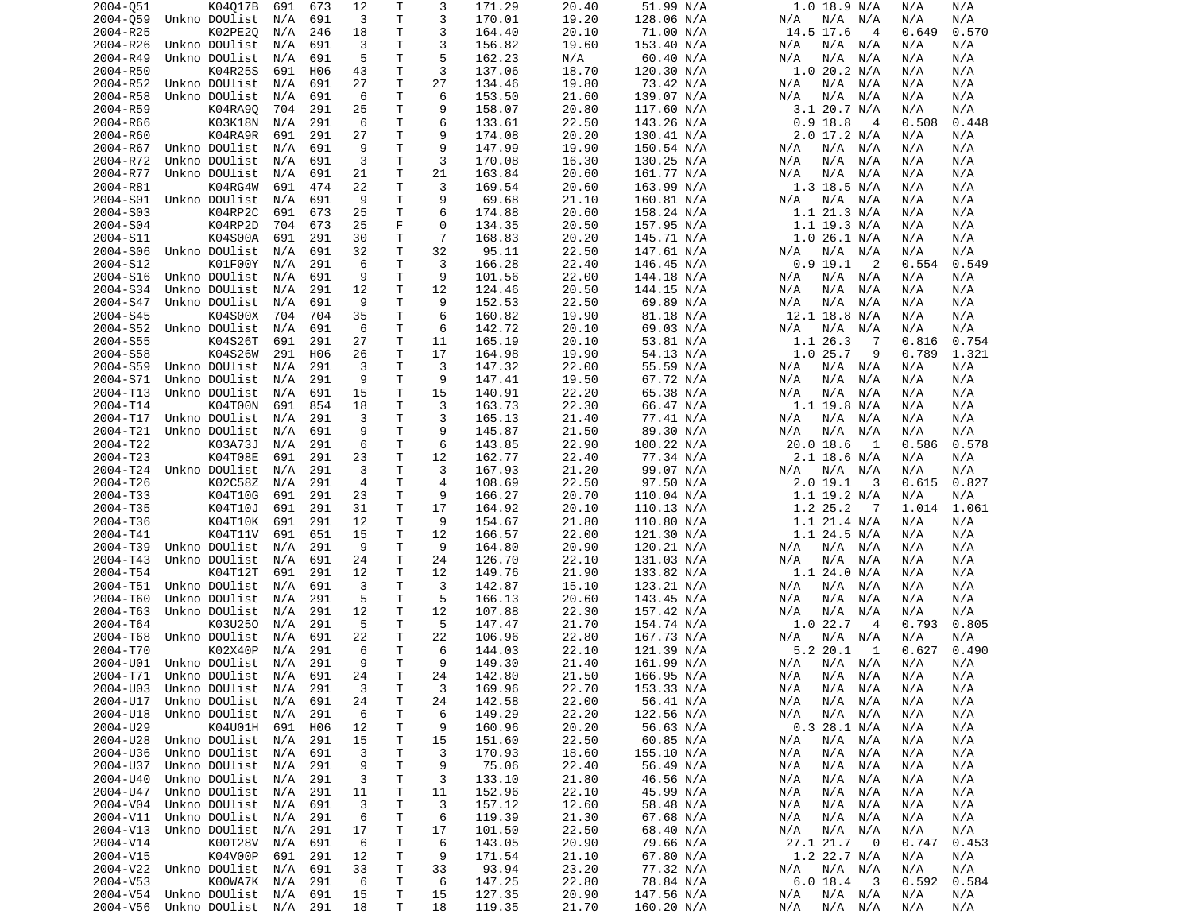| 2004-051             | K04Q17B                        | 691        | 673        | 12             | Τ            | 3              | 171.29 | 20.40          | 51.99 N/A  | 1.0 18.9 N/A                 | N/A<br>N/A        |
|----------------------|--------------------------------|------------|------------|----------------|--------------|----------------|--------|----------------|------------|------------------------------|-------------------|
| 2004-059             | Unkno DOUlist                  | N/A        | 691        | 3              | T            | 3              | 170.01 | 19.20          | 128.06 N/A | N/A<br>N/A N/A               | N/A<br>N/A        |
| 2004-R25             | K02PE20                        | N/A        | 246        | 18             | Τ            | 3              | 164.40 | 20.10          | 71.00 N/A  | 14.5 17.6<br>$\overline{4}$  | 0.649<br>0.570    |
| 2004-R26             | Unkno DOUlist                  | N/A        | 691        | 3              | T.           | 3              | 156.82 | 19.60          | 153.40 N/A | N/A N/A<br>N/A               | N/A<br>N/A        |
| 2004-R49             | Unkno DOUlist                  | N/A        | 691        | 5              | Τ            | 5              | 162.23 | N/A            | 60.40 N/A  | N/A<br>N/A N/A               | N/A<br>N/A        |
| 2004-R50             | K04R25S                        | 691        | H06        | 43             | T            | 3              | 137.06 | 18.70          | 120.30 N/A | $1.0$ 20.2 N/A               | N/A<br>N/A        |
| 2004-R52             | Unkno DOUlist                  | N/A        | 691        | 27             | Τ            | 27             | 134.46 | 19.80          | 73.42 N/A  | N/A<br>N/A N/A               | N/A<br>N/A        |
| 2004-R58             | Unkno DOUlist                  | N/A        | 691        | 6              | Τ            | 6              | 153.50 | 21.60          | 139.07 N/A | N/A<br>N/A<br>N/A            | N/A<br>N/A        |
| 2004-R59             | K04RA90                        | 704        | 291        | 25             | T            | 9              | 158.07 | 20.80          | 117.60 N/A | 3.1 20.7 N/A                 | N/A<br>N/A        |
| 2004-R66             | K03K18N                        | N/A        | 291        | 6              | Τ            | 6              | 133.61 | 22.50          | 143.26 N/A | $0.9$ 18.8<br>$\overline{4}$ | 0.508<br>0.448    |
| 2004-R60             | K04RA9R                        | 691        | 291        | 27             | T            | 9              | 174.08 | 20.20          | 130.41 N/A | $2.0$ 17.2 N/A               | N/A<br>N/A        |
| 2004-R67             | Unkno DOUlist                  | N/A        | 691        | 9              | Τ            | 9              | 147.99 | 19.90          | 150.54 N/A | N/A<br>N/A N/A               | N/A<br>N/A        |
| 2004-R72             | Unkno DOUlist                  | N/A        | 691        | 3              | T            | 3              | 170.08 | 16.30          | 130.25 N/A | N/A N/A<br>N/A               | N/A<br>N/A        |
| 2004-R77             | Unkno DOUlist                  | N/A        | 691        | 21             | T            | 21             | 163.84 | 20.60          | 161.77 N/A | N/A<br>N/A<br>N/A            | N/A<br>N/A        |
| 2004-R81             | K04RG4W                        | 691        | 474        | 22             | Τ            | 3              | 169.54 | 20.60          | 163.99 N/A | $1.3$ 18.5 N/A               | N/A<br>N/A        |
| 2004-S01             | Unkno DOUlist                  | N/A        | 691        | 9              | Τ            | 9              | 69.68  | 21.10          | 160.81 N/A | N/A<br>N/A N/A               | N/A<br>N/A        |
| 2004-S03             | K04RP2C                        | 691        | 673        | 25             | Τ            | 6              | 174.88 | 20.60          | 158.24 N/A | 1.1 21.3 N/A                 | N/A<br>N/A        |
| 2004-S04             | K04RP2D                        | 704        | 673        | 25             | F            | 0              | 134.35 | 20.50          | 157.95 N/A | $1.1$ 19.3 N/A               | N/A<br>N/A        |
| 2004-S11             | K04S00A                        | 691        | 291        | 30             | Τ            | $\overline{7}$ | 168.83 | 20.20          | 145.71 N/A | 1.026.1 N/A                  | N/A<br>N/A        |
| 2004-S06             | Unkno DOUlist                  | N/A        | 691        | 32             | $\mathsf T$  | 32             | 95.11  | 22.50          | 147.61 N/A | N/A<br>N/A N/A               | N/A<br>N/A        |
| 2004-S12             | K01F00Y                        | N/A        | 291        | 6              | Τ            | 3              | 166.28 | 22.40          | 146.45 N/A | $0.9$ 19.1<br>2              | 0.549<br>0.554    |
| 2004-S16             | Unkno DOUlist                  | N/A        | 691        | 9              | T            | 9              | 101.56 | 22.00          | 144.18 N/A | N/A<br>N/A N/A               | N/A<br>N/A        |
| 2004-S34             | Unkno DOUlist                  | N/A        | 291        | 12             | T            | 12             | 124.46 | 20.50          | 144.15 N/A | N/A<br>N/A<br>N/A            | N/A<br>N/A        |
| 2004-S47             | Unkno DOUlist                  | N/A        | 691        | 9              | T            | 9              | 152.53 | 22.50          | 69.89 N/A  | N/A<br>N/A N/A               | N/A<br>N/A        |
| 2004-S45             | K04S00X                        | 704        | 704        | 35             | Τ            | 6              | 160.82 | 19.90          | 81.18 N/A  | 12.1 18.8 N/A                | N/A<br>N/A        |
| 2004-S52             | Unkno DOUlist                  | N/A        | 691        | 6              | Τ            | 6              | 142.72 | 20.10          | 69.03 N/A  | N/A<br>N/A N/A               | N/A<br>N/A        |
| 2004-S55             | K04S26T                        | 691        | 291        | 27             | T            | 11             | 165.19 | 20.10          | 53.81 N/A  | 1.1 26.3<br>-7               | 0.816<br>0.754    |
| 2004-S58             | K04S26W                        | 291        | H06        | 26             | T            | 17             | 164.98 | 19.90          | 54.13 N/A  | 1.025.7<br>9                 | 0.789<br>1.321    |
| 2004-S59             | Unkno DOUlist                  | N/A        | 291        | 3              | Τ            | 3              | 147.32 | 22.00          | 55.59 N/A  | N/A<br>N/A N/A               | N/A<br>N/A        |
|                      |                                |            |            |                | T            | 9              |        |                |            |                              |                   |
| 2004-S71             | Unkno DOUlist                  | N/A        | 291        | 9              |              |                | 147.41 | 19.50          | 67.72 N/A  | N/A<br>N/A<br>N/A            | N/A<br>N/A        |
| 2004-T13             | Unkno DOUlist                  | N/A        | 691        | 15             | T            | 15             | 140.91 | 22.20          | 65.38 N/A  | N/A N/A<br>N/A               | N/A<br>N/A        |
| 2004-T14             | K04T00N                        | 691        | 854        | 18             | Τ            | 3              | 163.73 | 22.30          | 66.47 N/A  | $1.1$ 19.8 N/A               | N/A<br>N/A        |
| 2004-T17             | Unkno DOUlist                  | N/A        | 291        | 3              | Τ            | 3              | 165.13 | 21.40          | 77.41 N/A  | N/A<br>N/A<br>N/A            | N/A<br>N/A        |
| 2004-T21             | Unkno DOUlist                  | N/A        | 691        | 9              | Τ            | 9              | 145.87 | 21.50          | 89.30 N/A  | N/A<br>N/A<br>N/A            | N/A<br>N/A        |
| 2004-T22             | K03A73J                        | N/A        | 291        | 6              | Τ            | 6              | 143.85 | 22.90          | 100.22 N/A | $20.0$ 18.6<br>1             | 0.578<br>0.586    |
| 2004-T23             | K04T08E                        | 691        | 291        | 23             | Τ            | 12             | 162.77 | 22.40          | 77.34 N/A  | 2.1 18.6 N/A                 | N/A<br>N/A        |
| 2004-T24             | Unkno DOUlist                  | N/A        | 291        | 3              | Τ            | 3              | 167.93 | 21.20          | 99.07 N/A  | N/A N/A<br>N/A               | N/A<br>N/A        |
| 2004-T26             | K02C58Z                        | N/A        | 291        | $\overline{4}$ | Τ            | $\overline{4}$ | 108.69 | 22.50          | 97.50 N/A  | 2.0 19.1<br>3                | 0.827<br>0.615    |
| 2004-T33             | K04T10G                        | 691        | 291        | 23             | $\mathsf T$  | 9              | 166.27 | 20.70          | 110.04 N/A | $1.1$ 19.2 N/A               | N/A<br>N/A        |
| 2004-T35             | K04T10J                        | 691        | 291        | 31             | Τ            | 17             | 164.92 | 20.10          | 110.13 N/A | 1.2 25.2<br>- 7              | 1.014<br>1.061    |
| 2004-T36             | K04T10K                        | 691        | 291        | 12             | Τ            | 9              | 154.67 | 21.80          | 110.80 N/A | $1.1$ 21.4 N/A               | N/A<br>N/A        |
| 2004-T41             | K04T11V                        | 691        | 651        | 15             | Τ            | 12             | 166.57 | 22.00          | 121.30 N/A | $1.1$ 24.5 N/A               | N/A<br>N/A        |
| 2004-T39             | Unkno DOUlist                  | N/A        | 291        | 9              | Τ            | 9              | 164.80 | 20.90          | 120.21 N/A | N/A<br>N/A N/A               | N/A<br>N/A        |
| 2004-T43             | Unkno DOUlist                  | N/A        | 691        | 24             | T            | 24             | 126.70 | 22.10          | 131.03 N/A | N/A<br>N/A<br>N/A            | N/A<br>N/A        |
| 2004-T54             | K04T12T                        | 691        | 291        | 12             | Τ            | 12             | 149.76 | 21.90          | 133.82 N/A | 1.1 24.0 N/A                 | N/A<br>N/A        |
| 2004-T51             | Unkno DOUlist                  | N/A        | 691        | 3              | Τ            | 3              | 142.87 | 15.10          | 123.21 N/A | N/A<br>N/A<br>N/A            | N/A<br>N/A        |
| 2004-T60             | Unkno DOUlist                  | N/A        | 291        | 5              | Τ            | 5              | 166.13 | 20.60          | 143.45 N/A | N/A<br>N/A<br>N/A            | N/A<br>N/A        |
| 2004-T63             | Unkno DOUlist                  | N/A        | 291        | 12             | Τ            | 12             | 107.88 | 22.30          | 157.42 N/A | N/A<br>N/A<br>N/A            | N/A<br>N/A        |
| 2004-T64             | K03U250                        | N/A        | 291        | 5              | Τ            | 5              | 147.47 | 21.70          | 154.74 N/A | 1.022.7<br>-4                | 0.805<br>0.793    |
| 2004-T68             | Unkno DOUlist                  | N/A        | 691        | 22             | Τ            | 22             | 106.96 | 22.80          | 167.73 N/A | N/A<br>N/A<br>N/A            | N/A<br>N/A        |
| 2004-T70             | K02X40P                        | N/A        | 291        | 6              | $\mathsf{T}$ | 6              | 144.03 | 22.10          | 121.39 N/A | 5.2 20.1<br>1                | 0.627<br>0.490    |
| 2004-U01             | Unkno DOUlist                  | N/A        | 291        | 9              | T.           | 9              | 149.30 | 21.40          | 161.99 N/A | N/A N/A<br>N/A               | N/A<br>N/A        |
|                      | 2004-T71 Unkno DOUlist N/A 691 |            |            | 24             | T            | 24             | 142.80 | 21.50          | 166.95 N/A | N/A<br>N/A N/A               | N/A<br>N/A        |
| 2004-U03             | Unkno DOUlist                  | N/A        | 291        | 3              | Τ            | 3              | 169.96 | 22.70          | 153.33 N/A | N/A<br>N/A N/A               | N/A<br>N/A        |
| 2004-U17             | Unkno DOUlist                  | N/A        | 691        | 24             | Τ            | 24             | 142.58 | 22.00          | 56.41 N/A  | N/A<br>$N/A$ $N/A$           | N/A<br>N/A        |
| 2004-U18             | Unkno DOUlist                  | N/A        | 291        | 6              | Τ            | 6              | 149.29 | 22.20          | 122.56 N/A | N/A<br>$N/A$ $N/A$           | N/A<br>N/A        |
| 2004-U29             | K04U01H                        | 691        | H06        | 12             | Τ            | 9              | 160.96 | 20.20          | 56.63 N/A  | 0.3 28.1 N/A                 | N/A<br>N/A        |
| 2004-U28             | Unkno DOUlist                  | N/A        | 291        | 15             | Τ            | 15             | 151.60 | 22.50          | 60.85 N/A  | N/A<br>N/A N/A               | N/A<br>N/A        |
| 2004-U36             | Unkno DOUlist                  | N/A        | 691        | 3              | Т            | 3              | 170.93 | 18.60          | 155.10 N/A | N/A<br>N/A N/A               | N/A<br>N/A        |
| 2004-U37             | Unkno DOUlist                  | N/A        | 291        | 9              | Τ            | 9              | 75.06  | 22.40          | 56.49 N/A  | N/A<br>N/A N/A               | N/A<br>N/A        |
| 2004-U40             | Unkno DOUlist                  | N/A        | 291        | 3              | Τ            | 3              | 133.10 | 21.80          | 46.56 N/A  | N/A<br>N/A N/A               | N/A<br>N/A        |
| 2004-U47             | Unkno DOUlist                  | N/A        | 291        | 11             | т            | 11             | 152.96 | 22.10          | 45.99 N/A  | N/A<br>N/A<br>N/A            | N/A<br>N/A        |
|                      | Unkno DOUlist                  |            |            |                |              |                | 157.12 |                | 58.48 N/A  |                              |                   |
| 2004-V04             | Unkno DOUlist                  | N/A        | 691        | 3<br>6         | т<br>Τ       | 3              | 119.39 | 12.60<br>21.30 | 67.68 N/A  | N/A N/A<br>N/A<br>N/A N/A    | N/A<br>N/A<br>N/A |
| 2004-V11<br>2004-V13 | Unkno DOUlist                  | N/A<br>N/A | 291<br>291 | 17             | Τ            | 6<br>17        | 101.50 | 22.50          | 68.40 N/A  | N/A<br>N/A<br>$N/A$ $N/A$    | N/A<br>N/A<br>N/A |
|                      |                                |            |            |                |              |                |        |                |            |                              |                   |
| 2004-V14             | K00T28V                        | N/A        | 691        | 6              | т            | 6              | 143.05 | 20.90          | 79.66 N/A  | 27.1 21.7<br>- 0             | 0.747<br>0.453    |
| 2004-V15             | K04V00P                        | 691        | 291        | 12             | T            | 9              | 171.54 | 21.10          | 67.80 N/A  | 1.2 22.7 N/A                 | N/A<br>N/A        |
| 2004-V22             | Unkno DOUlist                  | N/A        | 691        | 33             | Τ            | 33             | 93.94  | 23.20          | 77.32 N/A  | N/A<br>N/A N/A               | N/A<br>N/A        |
| 2004-V53             | K00WA7K                        | N/A        | 291        | 6              | Τ            | 6              | 147.25 | 22.80          | 78.84 N/A  | 6.0 18.4<br>- 3              | 0.592<br>0.584    |
| 2004-V54             | Unkno DOUlist                  | N/A        | 691        | 15             | T.           | 15             | 127.35 | 20.90          | 147.56 N/A | N/A N/A<br>N/A               | N/A<br>N/A        |
| 2004-V56             | Unkno DOUlist N/A 291          |            |            | 18             | T            | 18             | 119.35 | 21.70          | 160.20 N/A | N/A N/A<br>N/A               | N/A<br>N/A        |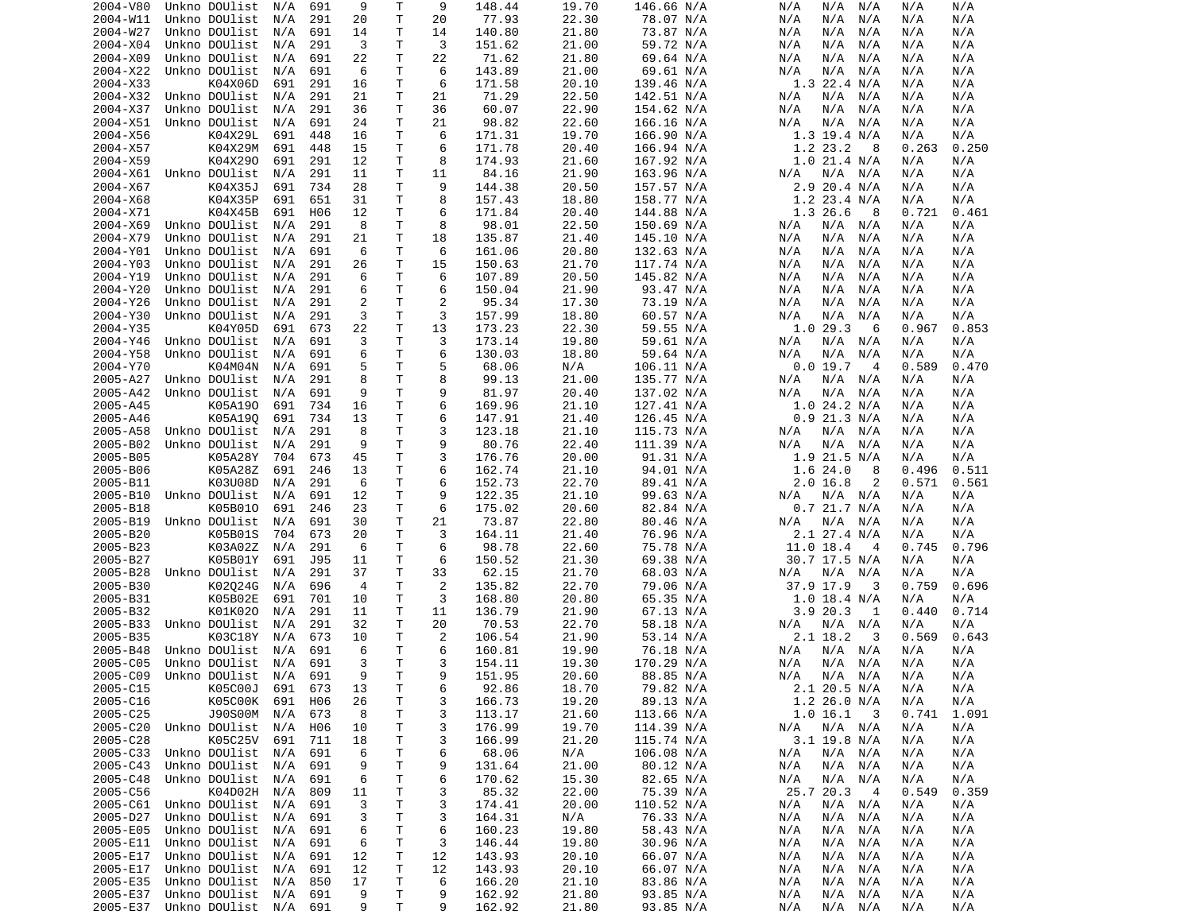| 2004-V80 | Unkno DOUlist     | N/A | 691             | 9              | Т            | 9              | 148.44 | 19.70 | 146.66 N/A | N/A<br>N/A<br>N/A  | N/A<br>N/A     |  |
|----------|-------------------|-----|-----------------|----------------|--------------|----------------|--------|-------|------------|--------------------|----------------|--|
| 2004-W11 | Unkno DOUlist     | N/A | 291             | 20             | T            | 20             | 77.93  | 22.30 | 78.07 N/A  | N/A<br>N/A<br>N/A  | N/A<br>N/A     |  |
| 2004-W27 | Unkno DOUlist     | N/A | 691             | 14             | T            | 14             | 140.80 | 21.80 | 73.87 N/A  | N/A<br>N/A<br>N/A  | N/A<br>N/A     |  |
| 2004-X04 | Unkno DOUlist     | N/A | 291             | 3              | т            | 3              |        | 21.00 |            | N/A<br>N/A<br>N/A  | N/A<br>N/A     |  |
|          |                   |     |                 |                |              |                | 151.62 |       | 59.72 N/A  |                    |                |  |
| 2004-X09 | Unkno DOUlist     | N/A | 691             | 22             | T            | 22             | 71.62  | 21.80 | 69.64 N/A  | N/A<br>N/A<br>N/A  | N/A<br>N/A     |  |
| 2004-X22 | Unkno DOUlist     | N/A | 691             | 6              | $\mathsf{T}$ | 6              | 143.89 | 21.00 | 69.61 N/A  | N/A<br>N/A<br>N/A  | N/A<br>N/A     |  |
| 2004-X33 | K04X06D           | 691 | 291             | 16             | т            | 6              | 171.58 | 20.10 | 139.46 N/A | $1.3$ 22.4 N/A     | N/A<br>N/A     |  |
| 2004-X32 | Unkno DOUlist     | N/A | 291             | 21             | т            | 21             | 71.29  | 22.50 | 142.51 N/A | N/A<br>N/A<br>N/A  | N/A<br>N/A     |  |
| 2004-X37 | Unkno DOUlist     | N/A | 291             | 36             | т            | 36             | 60.07  | 22.90 | 154.62 N/A | N/A<br>N/A<br>N/A  | N/A<br>N/A     |  |
|          |                   |     |                 |                |              |                |        |       |            |                    |                |  |
| 2004-X51 | Unkno DOUlist     | N/A | 691             | 24             | т            | 21             | 98.82  | 22.60 | 166.16 N/A | N/A<br>N/A<br>N/A  | N/A<br>N/A     |  |
| 2004-X56 | K04X29L           | 691 | 448             | 16             | T            | 6              | 171.31 | 19.70 | 166.90 N/A | $1.3$ 19.4 N/A     | N/A<br>N/A     |  |
| 2004-X57 | K04X29M           | 691 | 448             | 15             | T            | 6              | 171.78 | 20.40 | 166.94 N/A | 1.2 23.2<br>8      | 0.263<br>0.250 |  |
| 2004-X59 | K04X290           | 691 | 291             | 12             | T            | 8              | 174.93 | 21.60 | 167.92 N/A | 1.021.4 N/A        | N/A<br>N/A     |  |
| 2004-X61 | Unkno DOUlist     | N/A | 291             | 11             | т            | 11             | 84.16  | 21.90 | 163.96 N/A | N/A<br>N/A N/A     | N/A<br>N/A     |  |
|          |                   |     |                 |                |              |                |        |       |            |                    |                |  |
| 2004-X67 | K04X35J           | 691 | 734             | 28             | т            | 9              | 144.38 | 20.50 | 157.57 N/A | 2.9 20.4 N/A       | N/A<br>N/A     |  |
| 2004-X68 | K04X35P           | 691 | 651             | 31             | T            | 8              | 157.43 | 18.80 | 158.77 N/A | $1.2$ 23.4 N/A     | N/A<br>N/A     |  |
| 2004-X71 | K04X45B           | 691 | H <sub>06</sub> | 12             | т            | 6              | 171.84 | 20.40 | 144.88 N/A | 1.3 26.6<br>8      | 0.721<br>0.461 |  |
| 2004-X69 | Unkno DOUlist     | N/A | 291             | 8              | T            | 8              | 98.01  | 22.50 | 150.69 N/A | N/A<br>N/A<br>N/A  | N/A<br>N/A     |  |
| 2004-X79 | Unkno DOUlist     | N/A | 291             | 21             | T            | 18             | 135.87 | 21.40 | 145.10 N/A | N/A<br>N/A<br>N/A  | N/A<br>N/A     |  |
| 2004-Y01 | Unkno DOUlist     | N/A | 691             | 6              | т            | 6              | 161.06 | 20.80 | 132.63 N/A | N/A<br>N/A<br>N/A  | N/A<br>N/A     |  |
|          |                   |     |                 |                |              |                |        |       |            |                    |                |  |
| 2004-Y03 | Unkno DOUlist     | N/A | 291             | 26             | т            | 15             | 150.63 | 21.70 | 117.74 N/A | N/A<br>N/A<br>N/A  | N/A<br>N/A     |  |
| 2004-Y19 | Unkno DOUlist     | N/A | 291             | 6              | т            | 6              | 107.89 | 20.50 | 145.82 N/A | N/A<br>N/A<br>N/A  | N/A<br>N/A     |  |
| 2004-Y20 | Unkno DOUlist     | N/A | 291             | 6              | $\mathsf{T}$ | 6              | 150.04 | 21.90 | 93.47 N/A  | N/A<br>N/A<br>N/A  | N/A<br>N/A     |  |
| 2004-Y26 | Unkno DOUlist     | N/A | 291             | 2              | т            | 2              | 95.34  | 17.30 | 73.19 N/A  | N/A<br>N/A<br>N/A  | N/A<br>N/A     |  |
| 2004-Y30 | Unkno DOUlist     | N/A | 291             | 3              | T            | 3              | 157.99 | 18.80 | 60.57 N/A  | N/A<br>N/A<br>N/A  | N/A<br>N/A     |  |
|          |                   |     |                 |                |              |                |        |       |            |                    |                |  |
| 2004-Y35 | K04Y05D           | 691 | 673             | 22             | Τ            | 13             | 173.23 | 22.30 | 59.55 N/A  | 1.029.3<br>6       | 0.967<br>0.853 |  |
| 2004-Y46 | Unkno DOUlist     | N/A | 691             | 3              | т            | 3              | 173.14 | 19.80 | 59.61 N/A  | N/A<br>N/A<br>N/A  | N/A<br>N/A     |  |
| 2004-Y58 | Unkno DOUlist     | N/A | 691             | 6              | Т            | 6              | 130.03 | 18.80 | 59.64 N/A  | N/A<br>N/A<br>N/A  | N/A<br>N/A     |  |
| 2004-Y70 | K04M04N           | N/A | 691             | 5              | Τ            | 5              | 68.06  | N/A   | 106.11 N/A | 0.019.7<br>4       | 0.589<br>0.470 |  |
| 2005-A27 | Unkno DOUlist     | N/A | 291             | 8              | Τ            | 8              | 99.13  | 21.00 | 135.77 N/A | N/A<br>N/A<br>N/A  | N/A<br>N/A     |  |
|          |                   |     |                 |                |              |                |        |       |            |                    |                |  |
| 2005-A42 | Unkno DOUlist     | N/A | 691             | 9              | Τ            | 9              | 81.97  | 20.40 | 137.02 N/A | N/A<br>N/A<br>N/A  | N/A<br>N/A     |  |
| 2005-A45 | K05A190           | 691 | 734             | 16             | T            | 6              | 169.96 | 21.10 | 127.41 N/A | 1.0 24.2 N/A       | N/A<br>N/A     |  |
| 2005-A46 | K05A190           | 691 | 734             | 13             | T            | 6              | 147.91 | 21.40 | 126.45 N/A | $0.9$ 21.3 N/A     | N/A<br>N/A     |  |
| 2005-A58 | Unkno DOUlist     | N/A | 291             | 8              | т            | 3              | 123.18 | 21.10 | 115.73 N/A | N/A<br>N/A N/A     | N/A<br>N/A     |  |
| 2005-B02 | Unkno DOUlist     | N/A | 291             | 9              | T            | 9              | 80.76  | 22.40 | 111.39 N/A | N/A<br>N/A<br>N/A  | N/A<br>N/A     |  |
| 2005-B05 | K05A28Y           | 704 | 673             | 45             | Τ            | 3              | 176.76 | 20.00 | 91.31 N/A  | 1.9 21.5 N/A       | N/A<br>N/A     |  |
|          |                   |     |                 |                |              |                |        |       |            |                    |                |  |
| 2005-B06 | K05A28Z           | 691 | 246             | 13             | Τ            | 6              | 162.74 | 21.10 | 94.01 N/A  | 1.624.0<br>8       | 0.511<br>0.496 |  |
| 2005-B11 | K03U08D           | N/A | 291             | 6              | т            | 6              | 152.73 | 22.70 | 89.41 N/A  | 2.016.8<br>2       | 0.571<br>0.561 |  |
| 2005-B10 | Unkno DOUlist     | N/A | 691             | 12             | т            | 9              | 122.35 | 21.10 | 99.63 N/A  | N/A<br>N/A<br>N/A  | N/A<br>N/A     |  |
| 2005-B18 | K05B010           | 691 | 246             | 23             | т            | 6              | 175.02 | 20.60 | 82.84 N/A  | $0.7$ 21.7 N/A     | N/A<br>N/A     |  |
| 2005-B19 | Unkno DOUlist     | N/A | 691             | 30             | т            | 21             | 73.87  | 22.80 | 80.46 N/A  | $N/A$ $N/A$<br>N/A | N/A<br>N/A     |  |
|          |                   |     |                 |                |              |                |        |       |            |                    |                |  |
| 2005-B20 | K05B01S           | 704 | 673             | 20             | T            | 3              | 164.11 | 21.40 | 76.96 N/A  | 2.1 27.4 N/A       | N/A<br>N/A     |  |
| 2005-B23 | K03A02Z           | N/A | 291             | 6              | Τ            | 6              | 98.78  | 22.60 | 75.78 N/A  | 11.0 18.4<br>4     | 0.796<br>0.745 |  |
| 2005-B27 | K05B01Y           | 691 | J95             | 11             | т            | 6              | 150.52 | 21.30 | 69.38 N/A  | 30.7 17.5 N/A      | N/A<br>N/A     |  |
| 2005-B28 | Unkno DOUlist     | N/A | 291             | 37             | т            | 33             | 62.15  | 21.70 | 68.03 N/A  | N/A<br>N/A<br>N/A  | N/A<br>N/A     |  |
| 2005-B30 | K02024G           | N/A | 696             | $\overline{4}$ | Т            | $\overline{2}$ | 135.82 | 22.70 | 79.06 N/A  | 37.9 17.9<br>3     | 0.759<br>0.696 |  |
|          |                   |     |                 |                |              |                |        |       |            |                    |                |  |
| 2005-B31 | K05B02E           | 691 | 701             | 10             | т            | 3              | 168.80 | 20.80 | 65.35 N/A  | $1.0$ 18.4 N/A     | N/A<br>N/A     |  |
| 2005-B32 | K01K020           | N/A | 291             | 11             | Τ            | 11             | 136.79 | 21.90 | 67.13 N/A  | 3.920.3<br>1       | 0.714<br>0.440 |  |
| 2005-B33 | Unkno DOUlist     | N/A | 291             | 32             | T.           | 20             | 70.53  | 22.70 | 58.18 N/A  | N/A<br>N/A<br>N/A  | N/A<br>N/A     |  |
| 2005-B35 | K03C18Y           | N/A | 673             | 10             | т            | 2              | 106.54 | 21.90 | 53.14 N/A  | 2.1 18.2<br>3      | 0.643<br>0.569 |  |
| 2005-B48 | Unkno DOUlist     | N/A | 691             | 6              | T.           | 6              | 160.81 | 19.90 | 76.18 N/A  | N/A<br>N/A<br>N/A  | N/A<br>N/A     |  |
|          |                   |     |                 | 3              | Τ            |                |        |       |            |                    |                |  |
| 2005-C05 | Unkno DOUlist     | N/A | 691             |                |              | 3              | 154.11 | 19.30 | 170.29 N/A | N/A<br>N/A<br>N/A  | N/A<br>N/A     |  |
| 2005-C09 | Unkno DOUlist N/A |     | 691             | q              | T.           | q              | 151.95 | 20.60 | 88.85 N/A  | $N/A$ $N/A$<br>N/A | N/A<br>N/A     |  |
| 2005-C15 | K05C00J           | 691 | 673             | 13             | T            | 6              | 92.86  | 18.70 | 79.82 N/A  | 2.1 20.5 N/A       | N/A<br>N/A     |  |
| 2005-C16 | K05C00K           | 691 | H06             | 26             | т            | 3              | 166.73 | 19.20 | 89.13 N/A  | 1.2 26.0 N/A       | N/A<br>N/A     |  |
| 2005-C25 | J90S00M           | N/A | 673             | 8              | т            | 3              | 113.17 | 21.60 | 113.66 N/A | 1.0 16.1<br>3      | 1.091<br>0.741 |  |
| 2005-C20 | Unkno DOUlist     | N/A | H06             | 10             | т            | 3              | 176.99 | 19.70 | 114.39 N/A | $N/A$ $N/A$        | N/A            |  |
|          |                   |     |                 |                |              |                |        |       |            | N/A                | N/A            |  |
| 2005-C28 | K05C25V           | 691 | 711             | 18             | т            | 3              | 166.99 | 21.20 | 115.74 N/A | $3.1$ 19.8 N/A     | N/A<br>N/A     |  |
| 2005-C33 | Unkno DOUlist     | N/A | 691             | 6              | т            | 6              | 68.06  | N/A   | 106.08 N/A | $N/A$ $N/A$<br>N/A | N/A<br>N/A     |  |
| 2005-C43 | Unkno DOUlist     | N/A | 691             | 9              | Τ            | 9              | 131.64 | 21.00 | 80.12 N/A  | $N/A$ $N/A$<br>N/A | N/A<br>N/A     |  |
| 2005-C48 | Unkno DOUlist     | N/A | 691             | 6              | T            | 6              | 170.62 | 15.30 | 82.65 N/A  | $N/A$ $N/A$<br>N/A | N/A<br>N/A     |  |
| 2005-C56 | K04D02H           | N/A | 809             | 11             | т            | 3              | 85.32  | 22.00 | 75.39 N/A  | 25.7 20.3<br>- 4   | 0.359<br>0.549 |  |
|          |                   |     |                 | 3              |              |                |        |       |            |                    |                |  |
| 2005-C61 |                   |     |                 |                | Τ            | 3              | 174.41 | 20.00 | 110.52 N/A | N/A<br>$N/A$ $N/A$ | N/A<br>N/A     |  |
|          | Unkno DOUlist     | N/A | 691             |                |              |                |        |       |            |                    |                |  |
| 2005-D27 | Unkno DOUlist     | N/A | 691             | 3              | Τ            | 3              | 164.31 | N/A   | 76.33 N/A  | N/A<br>N/A<br>N/A  | N/A<br>N/A     |  |
| 2005-E05 | Unkno DOUlist     | N/A | 691             | 6              | Τ            | 6              | 160.23 | 19.80 | 58.43 N/A  | N/A<br>N/A N/A     | N/A<br>N/A     |  |
| 2005-E11 | Unkno DOUlist     | N/A | 691             | 6              | T            | 3              | 146.44 | 19.80 | 30.96 N/A  | N/A<br>N/A<br>N/A  | N/A            |  |
|          |                   |     |                 |                |              |                |        |       |            |                    | N/A            |  |
| 2005-E17 | Unkno DOUlist     | N/A | 691             | 12             | T            | 12             | 143.93 | 20.10 | 66.07 N/A  | $N/A$ $N/A$<br>N/A | N/A<br>N/A     |  |
| 2005-E17 | Unkno DOUlist     | N/A | 691             | 12             | Т            | 12             | 143.93 | 20.10 | 66.07 N/A  | N/A<br>N/A<br>N/A  | N/A<br>N/A     |  |
| 2005-E35 | Unkno DOUlist N/A |     | 850             | 17             | Т            | 6              | 166.20 | 21.10 | 83.86 N/A  | N/A<br>N/A N/A     | N/A<br>N/A     |  |
| 2005-E37 | Unkno DOUlist     | N/A | 691             | 9              | т            | 9              | 162.92 | 21.80 | 93.85 N/A  | N/A<br>N/A<br>N/A  | N/A<br>N/A     |  |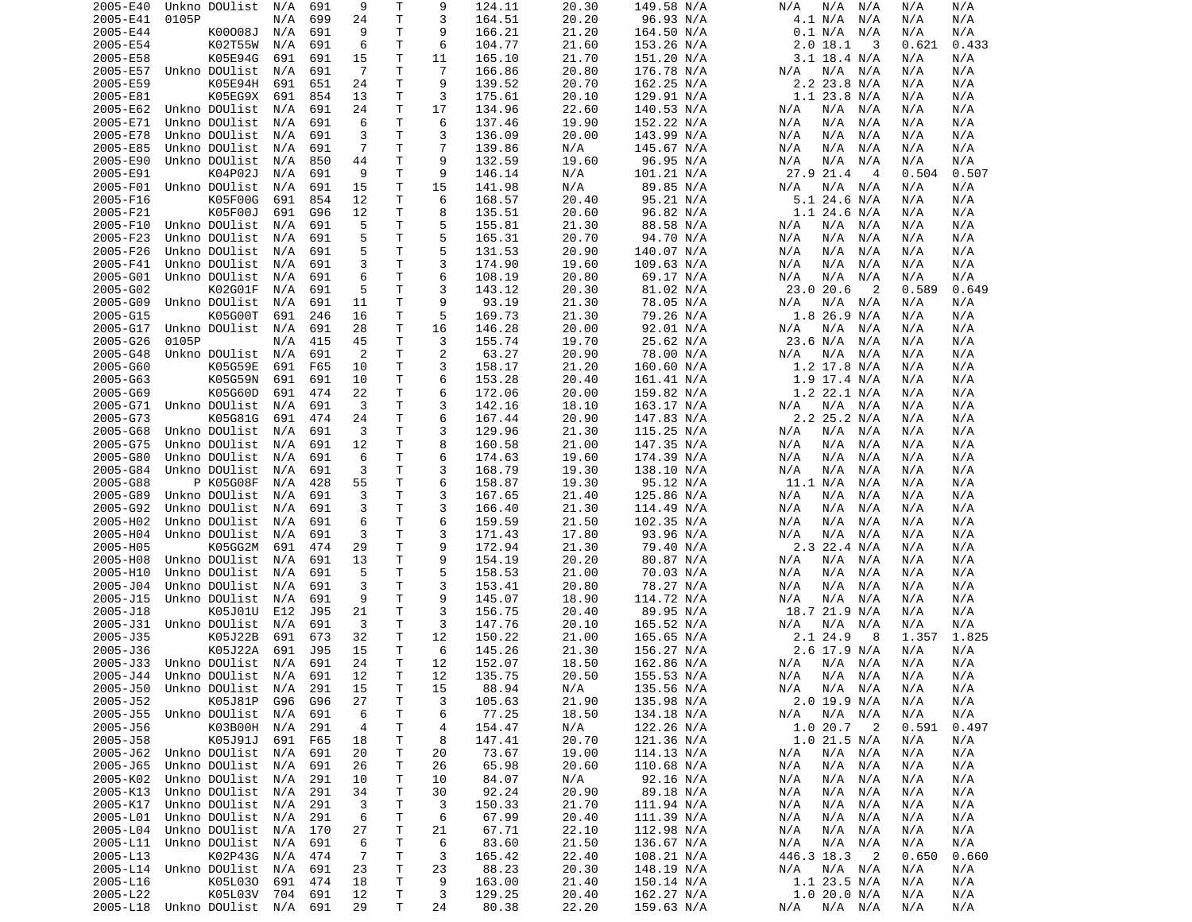| 2005-E40 | Unkno DOUlist                  | N/A | 691 | 9              | Т  | 9               | 124.11 | 20.30 | 149.58 N/A | N/A<br>N/A<br>N/A                      | N/A   | N/A   |
|----------|--------------------------------|-----|-----|----------------|----|-----------------|--------|-------|------------|----------------------------------------|-------|-------|
| 2005-E41 | 0105P                          | N/A | 699 | 24             | Τ  | 3               | 164.51 | 20.20 | 96.93 N/A  | N/A<br>4.1 N/A                         | N/A   | N/A   |
| 2005-E44 | K00008J                        | N/A | 691 | 9              | т  | 9               | 166.21 | 21.20 | 164.50 N/A | 0.1 N/A<br>N/A                         | N/A   | N/A   |
| 2005-E54 | K02T55W                        | N/A | 691 | 6              | т  | 6               | 104.77 | 21.60 | 153.26 N/A | 2.0 18.1<br>3                          | 0.621 | 0.433 |
| 2005-E58 | K05E94G                        | 691 | 691 | 15             | т  | 11              | 165.10 | 21.70 | 151.20 N/A | 3.1 18.4 N/A                           | N/A   | N/A   |
| 2005-E57 | Unkno DOUlist                  | N/A | 691 | $\overline{7}$ | Τ  | $\overline{7}$  | 166.86 | 20.80 | 176.78 N/A | N/A N/A<br>N/A                         | N/A   | N/A   |
| 2005-E59 | K05E94H                        | 691 | 651 | 24             | т  | 9               | 139.52 | 20.70 | 162.25 N/A | 2.2 23.8 N/A                           | N/A   | N/A   |
| 2005-E81 |                                |     | 854 |                | т  | 3               | 175.61 | 20.10 |            | 1.1 23.8 N/A                           |       | N/A   |
|          | K05EG9X                        | 691 |     | 13             |    |                 |        |       | 129.91 N/A |                                        | N/A   |       |
| 2005-E62 | Unkno DOUlist                  | N/A | 691 | 24             | Τ  | 17              | 134.96 | 22.60 | 140.53 N/A | N/A<br>N/A<br>N/A                      | N/A   | N/A   |
| 2005-E71 | Unkno DOUlist                  | N/A | 691 | 6              | т  | 6               | 137.46 | 19.90 | 152.22 N/A | N/A<br>N/A<br>N/A                      | N/A   | N/A   |
| 2005-E78 | Unkno DOUlist                  | N/A | 691 | 3              | Τ  | 3               | 136.09 | 20.00 | 143.99 N/A | N/A<br>N/A<br>N/A                      | N/A   | N/A   |
| 2005-E85 | Unkno DOUlist                  | N/A | 691 | 7              | т  | 7               | 139.86 | N/A   | 145.67 N/A | N/A<br>N/A<br>N/A                      | N/A   | N/A   |
| 2005-E90 | Unkno DOUlist                  | N/A | 850 | 44             | т  | 9               | 132.59 | 19.60 | 96.95 N/A  | N/A<br>N/A<br>N/A                      | N/A   | N/A   |
| 2005-E91 | K04P02J                        | N/A | 691 | 9              | т  | 9               | 146.14 | N/A   | 101.21 N/A | 27.9 21.4<br>$\overline{4}$            | 0.504 | 0.507 |
| 2005-F01 | Unkno DOUlist                  | N/A | 691 | 15             | Τ  | 15              | 141.98 | N/A   | 89.85 N/A  | N/A<br>N/A<br>N/A                      | N/A   | N/A   |
| 2005-F16 | K05F00G                        | 691 | 854 | 12             | т  | 6               | 168.57 | 20.40 | 95.21 N/A  | $5.1$ 24.6 N/A                         | N/A   | N/A   |
| 2005-F21 | K05F00J                        | 691 | G96 | 12             | т  | 8               | 135.51 | 20.60 | 96.82 N/A  | $1.1$ 24.6 N/A                         | N/A   | N/A   |
| 2005-F10 | Unkno DOUlist                  | N/A | 691 | 5              | т  | 5               | 155.81 | 21.30 | 88.58 N/A  | N/A<br>N/A<br>N/A                      | N/A   | N/A   |
|          |                                |     |     |                |    |                 |        |       |            |                                        |       |       |
| 2005-F23 | Unkno DOUlist                  | N/A | 691 | 5              | т  | 5               | 165.31 | 20.70 | 94.70 N/A  | N/A<br>N/A<br>N/A                      | N/A   | N/A   |
| 2005-F26 | Unkno DOUlist                  | N/A | 691 | 5              | т  | 5               | 131.53 | 20.90 | 140.07 N/A | N/A<br>N/A<br>N/A                      | N/A   | N/A   |
| 2005-F41 | Unkno DOUlist                  | N/A | 691 | 3              | Τ  | 3               | 174.90 | 19.60 | 109.63 N/A | N/A<br>N/A<br>N/A                      | N/A   | N/A   |
| 2005-G01 | Unkno DOUlist                  | N/A | 691 | 6              | Τ  | 6               | 108.19 | 20.80 | 69.17 N/A  | N/A<br>N/A<br>N/A                      | N/A   | N/A   |
| 2005-G02 | K02G01F                        | N/A | 691 | 5              | Τ  | 3               | 143.12 | 20.30 | 81.02 N/A  | 23.0 20.6<br>$\overline{2}$            | 0.589 | 0.649 |
| 2005-G09 | Unkno DOUlist                  | N/A | 691 | 11             | т  | 9               | 93.19  | 21.30 | 78.05 N/A  | N/A<br>N/A N/A                         | N/A   | N/A   |
| 2005-G15 | K05G00T                        | 691 | 246 | 16             | Τ  | 5               | 169.73 | 21.30 | 79.26 N/A  | 1.8 26.9 N/A                           | N/A   | N/A   |
| 2005-G17 | Unkno DOUlist                  | N/A | 691 | 28             | т  | 16              | 146.28 | 20.00 | 92.01 N/A  | N/A<br>N/A<br>N/A                      | N/A   | N/A   |
| 2005-G26 | 0105P                          | N/A | 415 | 45             | т  | 3               | 155.74 | 19.70 | 25.62 N/A  | 23.6 N/A<br>N/A                        | N/A   | N/A   |
| 2005-G48 | Unkno DOUlist                  | N/A | 691 | 2              | т  | $\overline{c}$  | 63.27  | 20.90 |            | N/A<br>N/A                             | N/A   | N/A   |
|          |                                |     |     |                |    |                 |        |       | 78.00 N/A  | N/A                                    |       |       |
| 2005-G60 | K05G59E                        | 691 | F65 | 10             | т  | 3               | 158.17 | 21.20 | 160.60 N/A | $1.2$ 17.8 N/A                         | N/A   | N/A   |
| 2005-G63 | K05G59N                        | 691 | 691 | 10             | Τ  | 6               | 153.28 | 20.40 | 161.41 N/A | $1.9$ 17.4 N/A                         | N/A   | N/A   |
| 2005-G69 | K05G60D                        | 691 | 474 | 22             | т  | 6               | 172.06 | 20.00 | 159.82 N/A | 1.2 22.1 N/A                           | N/A   | N/A   |
| 2005-G71 | Unkno DOUlist                  | N/A | 691 | 3              | Τ  | 3               | 142.16 | 18.10 | 163.17 N/A | N/A N/A<br>N/A                         | N/A   | N/A   |
| 2005-G73 | K05G81G                        | 691 | 474 | 24             | Τ  | 6               | 167.44 | 20.90 | 147.83 N/A | 2.2 25.2 N/A                           | N/A   | N/A   |
| 2005-G68 | Unkno DOUlist                  | N/A | 691 | 3              | т  | 3               | 129.96 | 21.30 | 115.25 N/A | N/A<br>N/A N/A                         | N/A   | N/A   |
| 2005-G75 | Unkno DOUlist                  | N/A | 691 | 12             | т  | 8               | 160.58 | 21.00 | 147.35 N/A | N/A<br>N/A<br>N/A                      | N/A   | N/A   |
| 2005-G80 | Unkno DOUlist                  | N/A | 691 | 6              | т  | 6               | 174.63 | 19.60 | 174.39 N/A | N/A<br>N/A<br>N/A                      | N/A   | N/A   |
| 2005-G84 | Unkno DOUlist                  | N/A | 691 | 3              | Τ  | 3               | 168.79 | 19.30 | 138.10 N/A | N/A<br>N/A<br>N/A                      | N/A   | N/A   |
| 2005-G88 | P K05G08F                      | N/A | 428 | 55             | т  | 6               | 158.87 | 19.30 | 95.12 N/A  | 11.1 N/A<br>N/A                        | N/A   | N/A   |
|          |                                |     |     |                |    |                 |        |       |            |                                        |       |       |
| 2005-G89 | Unkno DOUlist                  | N/A | 691 | 3              | Τ  | 3               | 167.65 | 21.40 | 125.86 N/A | N/A<br>N/A<br>N/A                      | N/A   | N/A   |
| 2005-G92 | Unkno DOUlist                  | N/A | 691 | 3              | Τ  | 3               | 166.40 | 21.30 | 114.49 N/A | N/A<br>N/A<br>N/A                      | N/A   | N/A   |
| 2005-H02 | Unkno DOUlist                  | N/A | 691 | 6              | т  | 6               | 159.59 | 21.50 | 102.35 N/A | N/A<br>N/A<br>N/A                      | N/A   | N/A   |
| 2005-H04 | Unkno DOUlist                  | N/A | 691 | 3              | Τ  | 3               | 171.43 | 17.80 | 93.96 N/A  | N/A<br>N/A<br>N/A                      | N/A   | N/A   |
| 2005-H05 | K05GG2M                        | 691 | 474 | 29             | т  | 9               | 172.94 | 21.30 | 79.40 N/A  | 2.3 22.4 N/A                           | N/A   | N/A   |
| 2005-H08 | Unkno DOUlist                  | N/A | 691 | 13             | Τ  | 9               | 154.19 | 20.20 | 80.87 N/A  | N/A<br>N/A<br>N/A                      | N/A   | N/A   |
| 2005-H10 | Unkno DOUlist                  | N/A | 691 | 5              | Τ  | 5               | 158.53 | 21.00 | 70.03 N/A  | N/A<br>N/A<br>N/A                      | N/A   | N/A   |
| 2005-J04 | Unkno DOUlist                  | N/A | 691 | 3              | Τ  | 3               | 153.41 | 20.80 | 78.27 N/A  | N/A<br>N/A<br>N/A                      | N/A   | N/A   |
| 2005-J15 | Unkno DOUlist                  | N/A | 691 | 9              | Τ  | 9               | 145.07 | 18.90 | 114.72 N/A | N/A<br>N/A<br>N/A                      | N/A   | N/A   |
| 2005-J18 | K05J01U                        | E12 | J95 | 21             | Τ  | 3               | 156.75 | 20.40 | 89.95 N/A  | 18.7 21.9 N/A                          | N/A   | N/A   |
|          |                                |     |     |                |    |                 |        |       |            |                                        |       |       |
| 2005-J31 | Unkno DOUlist                  | N/A | 691 | 3              | Τ  | 3               | 147.76 | 20.10 | 165.52 N/A | N/A<br>N/A<br>N/A                      | N/A   | N/A   |
| 2005-J35 | K05J22B                        | 691 | 673 | 32             | Τ  | 12              | 150.22 | 21.00 | 165.65 N/A | 2.1 24.9<br>8                          | 1.357 | 1.825 |
| 2005-J36 | K05J22A                        | 691 | J95 | 15             | т  | 6               | 145.26 | 21.30 | 156.27 N/A | 2.6 17.9 N/A                           | N/A   | N/A   |
| 2005-J33 | Unkno DOUlist                  | N/A | 691 | 24             | T. | 12              | 152.07 | 18.50 | 162.86 N/A | N/A<br>N/A N/A                         | N/A   | N/A   |
|          | 2005-J44 Unkno DOUlist N/A 691 |     |     | 12             | T. | 12 <sup>2</sup> | 135.75 | 20.50 | 155.53 N/A | $N/A$ $N/A$ $N/A$                      | N/A   | N/A   |
| 2005-J50 | Unkno DOUlist                  | N/A | 291 | 15             | т  | 15              | 88.94  | N/A   | 135.56 N/A | N/A<br>N/A N/A                         | N/A   | N/A   |
| 2005-J52 | K05J81P                        | G96 | G96 | 27             | Τ  | 3               | 105.63 | 21.90 | 135.98 N/A | 2.0 19.9 N/A                           | N/A   | N/A   |
| 2005-J55 | Unkno DOUlist                  | N/A | 691 | 6              | т  | 6               | 77.25  | 18.50 | 134.18 N/A | N/A<br>$N/A$ $N/A$                     | N/A   | N/A   |
| 2005-J56 | K03B00H                        | N/A | 291 | 4              | т  | 4               | 154.47 | N/A   | 122.26 N/A | 1.020.7<br>$\overline{\phantom{0}}^2$  | 0.591 | 0.497 |
| 2005-J58 | K05J91J                        |     |     | 18             | т  | 8               | 147.41 | 20.70 | 121.36 N/A | $1.0$ 21.5 N/A                         |       |       |
|          |                                | 691 | F65 |                |    |                 |        |       |            |                                        | N/A   | N/A   |
| 2005-J62 | Unkno DOUlist                  | N/A | 691 | 20             | т  | 20              | 73.67  | 19.00 | 114.13 N/A | $N/A$ $N/A$<br>N/A                     | N/A   | N/A   |
| 2005-J65 | Unkno DOUlist                  | N/A | 691 | 26             | т  | 26              | 65.98  | 20.60 | 110.68 N/A | N/A<br>N/A<br>N/A                      | N/A   | N/A   |
| 2005-K02 | Unkno DOUlist                  | N/A | 291 | 10             | т  | 10              | 84.07  | N/A   | 92.16 N/A  | N/A<br>N/A<br>N/A                      | N/A   | N/A   |
| 2005-K13 | Unkno DOUlist                  | N/A | 291 | 34             | т  | 30              | 92.24  | 20.90 | 89.18 N/A  | N/A<br>N/A<br>N/A                      | N/A   | N/A   |
| 2005-K17 | Unkno DOUlist                  | N/A | 291 | 3              | Τ  | 3               | 150.33 | 21.70 | 111.94 N/A | N/A<br>N/A<br>N/A                      | N/A   | N/A   |
| 2005-L01 | Unkno DOUlist                  | N/A | 291 | 6              | т  | 6               | 67.99  | 20.40 | 111.39 N/A | N/A<br>N/A N/A                         | N/A   | N/A   |
| 2005-L04 | Unkno DOUlist                  | N/A | 170 | 27             | т  | 21              | 67.71  | 22.10 | 112.98 N/A | N/A<br>N/A<br>N/A                      | N/A   | N/A   |
| 2005-L11 | Unkno DOUlist                  | N/A | 691 | 6              | т  | 6               | 83.60  | 21.50 | 136.67 N/A | $N/A$ $N/A$<br>N/A                     | N/A   | N/A   |
|          | K02P43G                        |     |     |                |    |                 |        |       |            |                                        |       |       |
| 2005-L13 |                                | N/A | 474 | -7             | Τ  | 3               | 165.42 | 22.40 | 108.21 N/A | 446.3 18.3<br>$\overline{\phantom{0}}$ | 0.650 | 0.660 |
| 2005-L14 | Unkno DOUlist                  | N/A | 691 | 23             | т  | 23              | 88.23  | 20.30 | 148.19 N/A | N/A N/A<br>N/A                         | N/A   | N/A   |
| 2005-L16 | K05L030                        | 691 | 474 | 18             | т  | 9               | 163.00 | 21.40 | 150.14 N/A | 1.1 23.5 N/A                           | N/A   | N/A   |
| 2005-L22 | K05L03V                        | 704 | 691 | 12             | т  | 3               | 129.25 | 20.40 | 162.27 N/A | 1.0 20.0 N/A                           | N/A   | N/A   |
|          | 2005-L18 Unkno DOUlist N/A 691 |     |     | 29             | T. | 24              | 80.38  | 22.20 | 159.63 N/A | N/A<br>N/A N/A                         | N/A   | N/A   |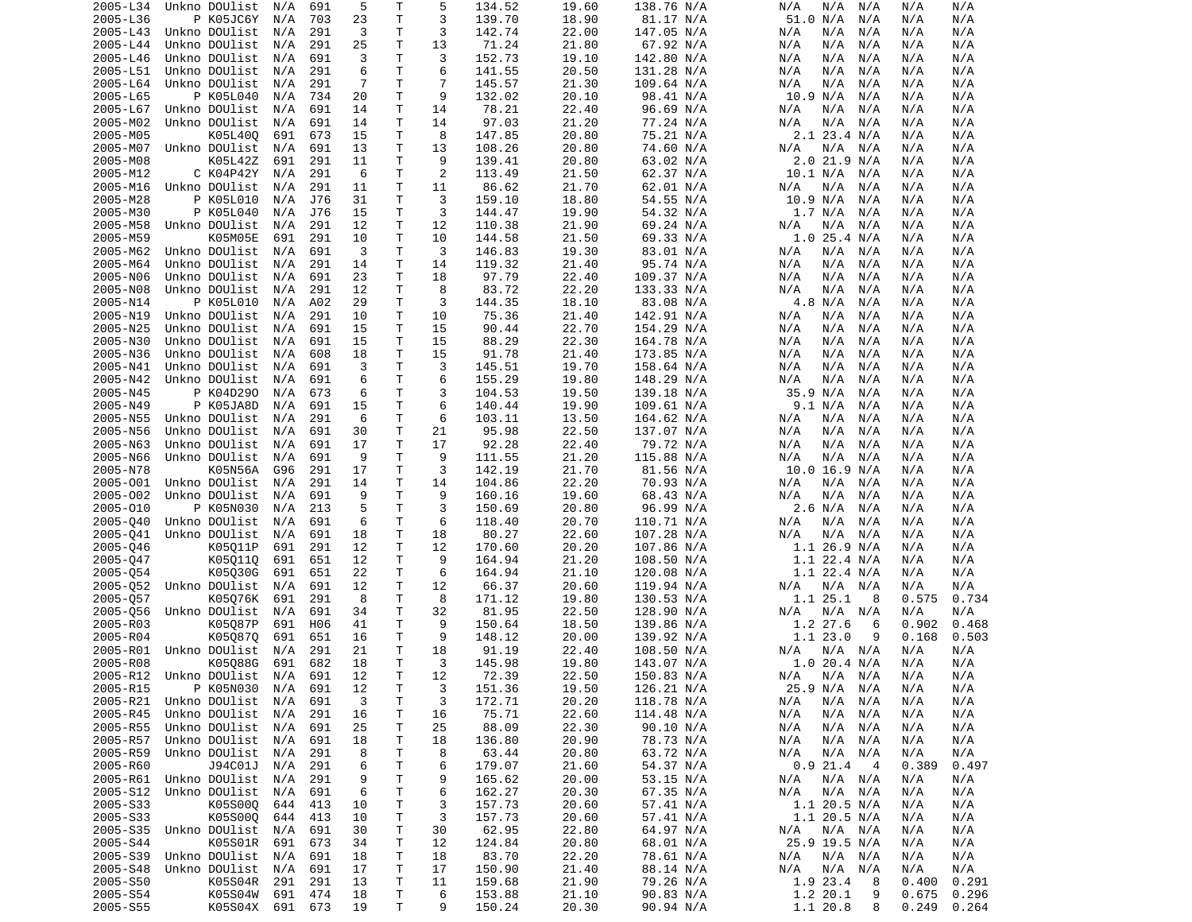| 2005-L34 | Unkno DOUlist          | N/A     | 691 | 5              | т  | 5  | 134.52 | 19.60 | 138.76 N/A | N/A<br>N/A<br>N/A  | N/A<br>N/A      |  |
|----------|------------------------|---------|-----|----------------|----|----|--------|-------|------------|--------------------|-----------------|--|
|          |                        |         |     |                |    |    |        |       |            |                    |                 |  |
| 2005-L36 | P K05JC6Y              | N/A     | 703 | 23             | т  | 3  | 139.70 | 18.90 | 81.17 N/A  | 51.0 N/A<br>N/A    | N/A<br>N/A      |  |
| 2005-L43 | Unkno DOUlist          | N/A     | 291 | 3              | Т  | 3  | 142.74 | 22.00 | 147.05 N/A | N/A<br>N/A<br>N/A  | N/A<br>N/A      |  |
| 2005-L44 | Unkno DOUlist          | N/A     | 291 | 25             | T  | 13 | 71.24  | 21.80 | 67.92 N/A  | N/A<br>N/A<br>N/A  | N/A<br>N/A      |  |
|          |                        |         |     |                |    |    |        |       |            |                    |                 |  |
| 2005-L46 | Unkno DOUlist          | N/A     | 691 | 3              | т  | 3  | 152.73 | 19.10 | 142.80 N/A | N/A<br>N/A<br>N/A  | N/A<br>N/A      |  |
| 2005-L51 | Unkno DOUlist          | N/A     | 291 | 6              | T. | 6  | 141.55 | 20.50 | 131.28 N/A | N/A<br>N/A<br>N/A  | N/A<br>N/A      |  |
| 2005-L64 | Unkno DOUlist          | N/A     | 291 | $\overline{7}$ | т  | 7  | 145.57 | 21.30 | 109.64 N/A | N/A<br>N/A<br>N/A  | N/A<br>N/A      |  |
|          |                        |         |     |                |    |    |        |       |            |                    |                 |  |
| 2005-L65 | P K05L040              | N/A     | 734 | 20             | Τ  | 9  | 132.02 | 20.10 | 98.41 N/A  | 10.9 N/A<br>N/A    | N/A<br>N/A      |  |
| 2005-L67 | Unkno DOUlist          | N/A     | 691 | 14             | Τ  | 14 | 78.21  | 22.40 | 96.69 N/A  | N/A<br>N/A<br>N/A  | N/A<br>N/A      |  |
|          |                        |         |     |                |    |    |        |       |            |                    |                 |  |
| 2005-M02 | Unkno DOUlist          | N/A     | 691 | 14             | т  | 14 | 97.03  | 21.20 | 77.24 N/A  | N/A<br>N/A<br>N/A  | N/A<br>N/A      |  |
| 2005-M05 | K05L400                | 691     | 673 | 15             | T  | 8  | 147.85 | 20.80 | 75.21 N/A  | 2.1 23.4 N/A       | N/A<br>N/A      |  |
| 2005-M07 | Unkno DOUlist          | N/A     | 691 | 13             | Τ  | 13 | 108.26 | 20.80 | 74.60 N/A  | N/A<br>N/A<br>N/A  | N/A<br>N/A      |  |
|          |                        |         |     |                |    |    |        |       |            |                    |                 |  |
| 2005-M08 | K05L42Z                | 691     | 291 | 11             | T. | 9  | 139.41 | 20.80 | 63.02 N/A  | $2.0$ 21.9 N/A     | N/A<br>N/A      |  |
| 2005-M12 | C K04P42Y              | N/A     | 291 | 6              | т  | 2  | 113.49 | 21.50 | 62.37 N/A  | 10.1 N/A<br>N/A    | N/A<br>N/A      |  |
| 2005-M16 | Unkno DOUlist          | N/A     | 291 | 11             | т  | 11 | 86.62  | 21.70 | 62.01 N/A  | N/A<br>N/A<br>N/A  | N/A<br>N/A      |  |
|          |                        |         |     |                |    |    |        |       |            |                    |                 |  |
| 2005-M28 | P K05L010              | N/A     | J76 | 31             | т  | 3  | 159.10 | 18.80 | 54.55 N/A  | 10.9 N/A<br>N/A    | N/A<br>N/A      |  |
| 2005-M30 | P K05L040              | N/A     | J76 | 15             | т  | 3  | 144.47 | 19.90 | 54.32 N/A  | 1.7 N/A<br>N/A     | N/A<br>N/A      |  |
|          |                        |         |     |                | T  |    |        |       |            |                    |                 |  |
| 2005-M58 | Unkno DOUlist          | N/A     | 291 | 12             |    | 12 | 110.38 | 21.90 | 69.24 N/A  | N/A<br>N/A<br>N/A  | N/A<br>N/A      |  |
| 2005-M59 | K05M05E                | 691     | 291 | 10             | т  | 10 | 144.58 | 21.50 | 69.33 N/A  | $1.0$ 25.4 N/A     | N/A<br>N/A      |  |
| 2005-M62 | Unkno DOUlist          | N/A     | 691 | 3              | Τ  | 3  | 146.83 | 19.30 | 83.01 N/A  | N/A<br>N/A<br>N/A  | N/A<br>N/A      |  |
|          |                        |         |     |                |    |    |        |       |            |                    |                 |  |
| 2005-M64 | Unkno DOUlist          | N/A     | 291 | 14             | т  | 14 | 119.32 | 21.40 | 95.74 N/A  | N/A<br>N/A<br>N/A  | N/A<br>N/A      |  |
| 2005-N06 | Unkno DOUlist          | N/A     | 691 | 23             | т  | 18 | 97.79  | 22.40 | 109.37 N/A | N/A<br>N/A<br>N/A  | N/A<br>N/A      |  |
| 2005-N08 | Unkno DOUlist          | N/A     | 291 | 12             | Τ  | 8  | 83.72  | 22.20 | 133.33 N/A | N/A<br>N/A<br>N/A  | N/A<br>N/A      |  |
|          |                        |         |     |                |    |    |        |       |            |                    |                 |  |
| 2005-N14 | P K05L010              | N/A     | A02 | 29             | т  | 3  | 144.35 | 18.10 | 83.08 N/A  | 4.8 N/A<br>N/A     | N/A<br>N/A      |  |
| 2005-N19 | Unkno DOUlist          | N/A     | 291 | 10             | T  | 10 | 75.36  | 21.40 | 142.91 N/A | N/A<br>N/A<br>N/A  | N/A<br>N/A      |  |
|          |                        |         | 691 |                | T  |    | 90.44  |       |            |                    |                 |  |
| 2005-N25 | Unkno DOUlist          | N/A     |     | 15             |    | 15 |        | 22.70 | 154.29 N/A | N/A<br>N/A<br>N/A  | N/A<br>N/A      |  |
| 2005-N30 | Unkno DOUlist          | N/A     | 691 | 15             | Τ  | 15 | 88.29  | 22.30 | 164.78 N/A | N/A<br>N/A<br>N/A  | N/A<br>N/A      |  |
| 2005-N36 | Unkno DOUlist          | N/A     | 608 | 18             | Τ  | 15 | 91.78  | 21.40 | 173.85 N/A | N/A<br>N/A<br>N/A  | N/A<br>N/A      |  |
|          |                        |         |     |                |    |    |        |       | 158.64 N/A |                    |                 |  |
| 2005-N41 | Unkno DOUlist          | N/A     | 691 | 3              | Τ  | 3  | 145.51 | 19.70 |            | N/A<br>N/A<br>N/A  | N/A<br>N/A      |  |
| 2005-N42 | Unkno DOUlist          | N/A     | 691 | 6              | T  | 6  | 155.29 | 19.80 | 148.29 N/A | N/A<br>N/A<br>N/A  | N/A<br>N/A      |  |
| 2005-N45 | P K04D290              | N/A     | 673 | 6              | т  | 3  | 104.53 | 19.50 | 139.18 N/A | 35.9 N/A<br>N/A    | N/A<br>N/A      |  |
|          |                        |         |     |                |    |    |        |       |            |                    |                 |  |
| 2005-N49 | P K05JA8D              | N/A     | 691 | 15             | T  | 6  | 140.44 | 19.90 | 109.61 N/A | 9.1 N/A<br>N/A     | N/A<br>N/A      |  |
| 2005-N55 | Unkno DOUlist          | N/A     | 291 | 6              | т  | 6  | 103.11 | 13.50 | 164.62 N/A | N/A<br>N/A<br>N/A  | N/A<br>N/A      |  |
| 2005-N56 | Unkno DOUlist          | N/A     | 691 | 30             | Τ  | 21 | 95.98  | 22.50 | 137.07 N/A | N/A<br>N/A<br>N/A  | N/A<br>N/A      |  |
|          |                        |         |     |                |    |    |        |       |            |                    |                 |  |
| 2005-N63 | Unkno DOUlist          | N/A     | 691 | 17             | Τ  | 17 | 92.28  | 22.40 | 79.72 N/A  | N/A<br>N/A<br>N/A  | N/A<br>N/A      |  |
| 2005-N66 | Unkno DOUlist          | N/A     | 691 | 9              | т  | 9  | 111.55 | 21.20 | 115.88 N/A | N/A<br>N/A<br>N/A  | N/A<br>N/A      |  |
| 2005-N78 | K05N56A                | G96     | 291 | 17             | Τ  | 3  | 142.19 | 21.70 | 81.56 N/A  | $10.0$ 16.9 N/A    |                 |  |
|          |                        |         |     |                |    |    |        |       |            |                    | N/A<br>N/A      |  |
| 2005-001 | Unkno DOUlist          | N/A     | 291 | 14             | Τ  | 14 | 104.86 | 22.20 | 70.93 N/A  | N/A<br>N/A<br>N/A  | N/A<br>N/A      |  |
| 2005-002 | Unkno DOUlist          | N/A     | 691 | 9              | T. | 9  | 160.16 | 19.60 | 68.43 N/A  | N/A<br>N/A<br>N/A  | N/A<br>N/A      |  |
|          |                        |         |     |                |    |    |        |       |            |                    |                 |  |
| 2005-010 | P K05N030              | N/A     | 213 | 5              | T  | 3  | 150.69 | 20.80 | 96.99 N/A  | 2.6 N/A<br>N/A     | N/A<br>N/A      |  |
| 2005-040 | Unkno DOUlist          | N/A     | 691 | 6              | т  | 6  | 118.40 | 20.70 | 110.71 N/A | N/A<br>N/A<br>N/A  | N/A<br>N/A      |  |
| 2005-041 | Unkno DOUlist          | N/A     | 691 | 18             | Τ  | 18 | 80.27  | 22.60 | 107.28 N/A | N/A<br>N/A<br>N/A  | N/A<br>N/A      |  |
|          |                        |         |     |                |    |    |        |       |            |                    |                 |  |
| 2005-046 | K05011P                | 691     | 291 | 12             | т  | 12 | 170.60 | 20.20 | 107.86 N/A | $1.1$ 26.9 N/A     | N/A<br>N/A      |  |
| 2005-047 | K050110                | 691     | 651 | 12             | Τ  | 9  | 164.94 | 21.20 | 108.50 N/A | $1.1$ 22.4 N/A     | N/A<br>N/A      |  |
|          | K05030G                | 691     | 651 | 22             | т  | 6  | 164.94 | 21.10 |            | $1.1$ 22.4 N/A     | N/A             |  |
| 2005-054 |                        |         |     |                |    |    |        |       | 120.08 N/A |                    | N/A             |  |
| 2005-052 | Unkno DOUlist          | N/A     | 691 | 12             | т  | 12 | 66.37  | 20.60 | 119.94 N/A | N/A<br>N/A<br>N/A  | N/A<br>N/A      |  |
| 2005-057 | K05076K                | 691     | 291 | 8              | т  | 8  | 171.12 | 19.80 | 130.53 N/A | 1.1 25.1<br>8      | 0.575<br>0.734  |  |
|          |                        |         |     |                |    |    |        |       |            |                    | N/A             |  |
| 2005-056 | Unkno DOUlist          | N/A     | 691 | 34             | Τ  | 32 | 81.95  | 22.50 | 128.90 N/A | N/A<br>N/A<br>N/A  | N/A             |  |
| 2005-R03 | K05087P                | 691     | H06 | 41             | Τ  | 9  | 150.64 | 18.50 | 139.86 N/A | 1.2 27.6<br>6      | 0.468<br>0.902  |  |
| 2005-R04 | K050870                | 691     | 651 | 16             | Τ  | 9  | 148.12 | 20.00 | 139.92 N/A | 1.123.0<br>9       | 0.168<br>0.503  |  |
|          | Unkno DOUlist          |         |     |                | T  |    | 91.19  | 22.40 |            |                    |                 |  |
| 2005-R01 |                        | N/A     | 291 | 21             |    | 18 |        |       | 108.50 N/A | N/A<br>N/A<br>N/A  | N/A<br>N/A      |  |
| 2005-R08 | K05088G                | 691     | 682 | 18             | Τ  | 3  | 145.98 | 19.80 | 143.07 N/A | 1.020.4 N/A        | N/A<br>N/A      |  |
|          | 2005-R12 Unkno DOUlist | N/A     | 691 | 12             | T. | 12 | 72.39  | 22.50 | 150.83 N/A | N/A<br>N/A N/A     | N/A<br>N/A      |  |
|          |                        |         |     |                |    |    |        |       |            |                    |                 |  |
| 2005-R15 | P K05N030              | N/A     | 691 | 12             | Т  | 3  | 151.36 | 19.50 | 126.21 N/A | 25.9 N/A<br>N/A    | N/A<br>N/A      |  |
| 2005-R21 | Unkno DOUlist          | N/A     | 691 | 3              | т  | 3  | 172.71 | 20.20 | 118.78 N/A | N/A<br>N/A<br>N/A  | N/A<br>N/A      |  |
| 2005-R45 | Unkno DOUlist          | N/A     | 291 | 16             | т  | 16 | 75.71  | 22.60 | 114.48 N/A | N/A<br>N/A<br>N/A  | N/A<br>N/A      |  |
|          |                        |         |     |                |    |    |        |       |            |                    |                 |  |
| 2005-R55 | Unkno DOUlist          | N/A     | 691 | 25             | Т  | 25 | 88.09  | 22.30 | 90.10 N/A  | N/A<br>N/A<br>N/A  | N/A<br>N/A      |  |
| 2005-R57 | Unkno DOUlist          | N/A     | 691 | 18             | Τ  | 18 | 136.80 | 20.90 | 78.73 N/A  | N/A<br>N/A<br>N/A  | N/A<br>N/A      |  |
| 2005-R59 | Unkno DOUlist          | N/A     | 291 | 8              | т  | 8  | 63.44  | 20.80 | 63.72 N/A  | N/A<br>N/A<br>N/A  | N/A<br>N/A      |  |
|          |                        |         |     |                |    |    |        |       |            |                    |                 |  |
| 2005-R60 | J94C01J                | N/A     | 291 | 6              | т  | 6  | 179.07 | 21.60 | 54.37 N/A  | $0.9$ 21.4<br>4    | 0.389<br>0.497  |  |
| 2005-R61 | Unkno DOUlist          | N/A     | 291 | 9              | т  | 9  | 165.62 | 20.00 | 53.15 N/A  | $N/A$ $N/A$<br>N/A | N/A<br>N/A      |  |
|          |                        |         |     |                |    |    |        |       |            |                    |                 |  |
| 2005-S12 | Unkno DOUlist          | N/A     | 691 | 6              | т  | 6  | 162.27 | 20.30 | 67.35 N/A  | N/A<br>N/A N/A     | N/A<br>N/A      |  |
| 2005-S33 | K05S000                | 644     | 413 | 10             | т  | 3  | 157.73 | 20.60 | 57.41 N/A  | $1.1$ 20.5 N/A     | N/A<br>N/A      |  |
| 2005-S33 | K05S000                | 644     | 413 | 10             | т  | 3  | 157.73 | 20.60 | 57.41 N/A  | $1.1$ 20.5 N/A     | N/A<br>N/A      |  |
|          |                        |         |     |                |    |    |        |       |            |                    |                 |  |
| 2005-S35 | Unkno DOUlist          | N/A     | 691 | 30             | т  | 30 | 62.95  | 22.80 | 64.97 N/A  | N/A<br>N/A N/A     | N/A<br>N/A      |  |
| 2005-S44 | K05S01R                | 691     | 673 | 34             | т  | 12 | 124.84 | 20.80 | 68.01 N/A  | 25.9 19.5 N/A      | N/A<br>N/A      |  |
| 2005-S39 | Unkno DOUlist          | N/A     | 691 | 18             | т  | 18 | 83.70  | 22.20 | 78.61 N/A  | $N/A$ $N/A$<br>N/A | N/A<br>N/A      |  |
|          |                        |         |     |                |    |    |        |       |            |                    |                 |  |
| 2005-S48 | Unkno DOUlist          | N/A     | 691 | 17             | т  | 17 | 150.90 | 21.40 | 88.14 N/A  | N/A<br>N/A N/A     | N/A<br>N/A      |  |
| 2005-S50 | K05S04R                | 291     | 291 | 13             | Т  | 11 | 159.68 | 21.90 | 79.26 N/A  | 1.9 23.4<br>8      | 0.291<br>0.400  |  |
|          |                        |         |     | 18             |    |    |        |       |            |                    |                 |  |
| 2005-S54 | K05S04W                | 691     | 474 |                | Τ  | 6  | 153.88 | 21.10 | 90.83 N/A  | 1.2 20.1<br>9      | 0.296<br>0.675  |  |
| 2005-S55 | K05S04X                | 691 673 |     | 19             | Τ  | 9  | 150.24 | 20.30 | 90.94 N/A  | 1.1 20.8<br>8      | $0.249$ $0.264$ |  |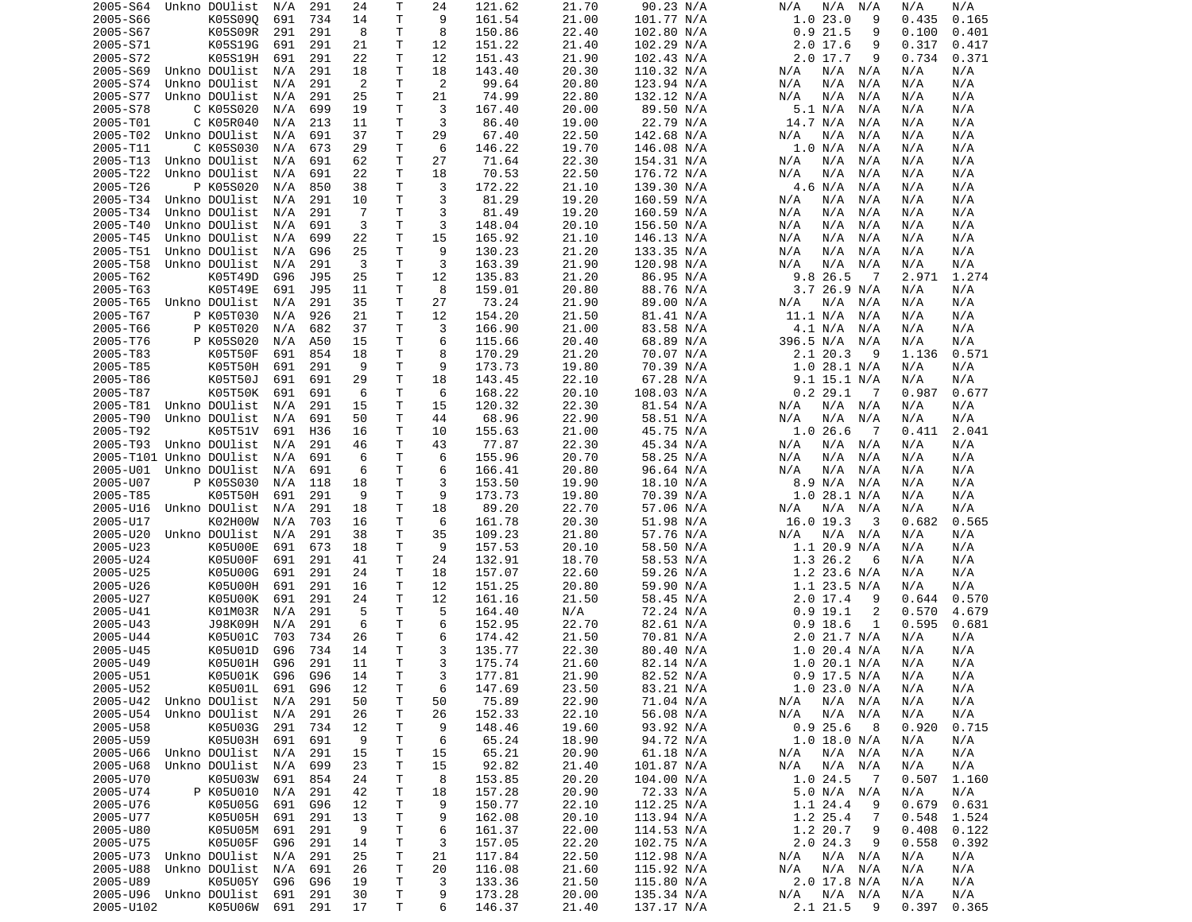| 2005-S66<br>K05S090<br>691<br>734<br>Τ<br>9<br>161.54<br>21.00<br>101.77 N/A<br>1.023.0<br>9<br>0.435<br>0.165<br>14<br>2005-S67<br>K05S09R<br>291<br>291<br>8<br>т<br>8<br>150.86<br>22.40<br>102.80 N/A<br>0.921.5<br>9<br>0.100<br>0.401<br>2005-S71<br>K05S19G<br>691<br>291<br>21<br>Τ<br>12<br>151.22<br>21.40<br>$2.0$ 17.6<br>0.317<br>102.29 N/A<br>9<br>0.417<br>2005-S72<br>K05S19H<br>691<br>291<br>22<br>Τ<br>12<br>151.43<br>21.90<br>102.43 N/A<br>$2.0$ 17.7<br>0.734<br>0.371<br>9<br>T<br>2005-S69<br>Unkno DOUlist<br>N/A<br>291<br>18<br>18<br>143.40<br>20.30<br>110.32 N/A<br>N/A<br>N/A<br>N/A<br>N/A<br>N/A<br>Unkno DOUlist<br>$\overline{2}$<br>Τ<br>$\overline{2}$<br>99.64<br>2005-S74<br>N/A<br>291<br>20.80<br>123.94 N/A<br>N/A<br>N/A<br>N/A<br>N/A<br>N/A<br>Τ<br>2005-S77<br>Unkno DOUlist<br>291<br>25<br>21<br>74.99<br>22.80<br>132.12 N/A<br>N/A<br>N/A<br>N/A<br>N/A<br>N/A<br>N/A<br>3<br>2005-S78<br>C K05S020<br>699<br>19<br>т<br>167.40<br>20.00<br>89.50 N/A<br>5.1 N/A<br>N/A<br>N/A<br>N/A<br>N/A<br>Τ<br>3<br>2005-T01<br>C K05R040<br>86.40<br>19.00<br>22.79 N/A<br>14.7 N/A<br>N/A<br>213<br>11<br>N/A<br>N/A<br>N/A<br>T<br>2005-T02<br>Unkno DOUlist<br>691<br>37<br>29<br>67.40<br>22.50<br>142.68 N/A<br>N/A<br>N/A<br>N/A<br>N/A<br>N/A<br>N/A<br>2005-T11<br>C K05S030<br>673<br>29<br>т<br>6<br>146.22<br>19.70<br>146.08 N/A<br>1.0 N/A<br>N/A<br>N/A<br>N/A<br>N/A<br>Τ<br>2005-T13<br>Unkno DOUlist<br>691<br>62<br>27<br>71.64<br>22.30<br>154.31 N/A<br>N/A<br>N/A<br>N/A<br>N/A<br>N/A<br>N/A<br>22<br>т<br>70.53<br>2005-T22<br>Unkno DOUlist<br>N/A<br>691<br>18<br>22.50<br>176.72 N/A<br>N/A<br>N/A<br>N/A<br>N/A<br>N/A<br>3<br>2005-T26<br>P K05S020<br>850<br>38<br>т<br>172.22<br>139.30 N/A<br>4.6 N/A<br>N/A<br>N/A<br>21.10<br>N/A<br>N/A<br>3<br>2005-T34<br>Unkno DOUlist<br>291<br>т<br>81.29<br>19.20<br>160.59 N/A<br>N/A<br>N/A<br>N/A<br>10<br>N/A<br>N/A<br>N/A<br>Τ<br>3<br>2005-T34<br>Unkno DOUlist<br>291<br>-7<br>81.49<br>19.20<br>160.59 N/A<br>N/A<br>N/A<br>N/A<br>N/A<br>N/A<br>N/A<br>T<br>3<br>2005-T40<br>Unkno DOUlist<br>691<br>3<br>148.04<br>20.10<br>N/A<br>N/A<br>N/A<br>156.50 N/A<br>N/A<br>N/A<br>N/A<br>т<br>2005-T45<br>Unkno DOUlist<br>699<br>22<br>15<br>165.92<br>21.10<br>146.13 N/A<br>N/A<br>N/A<br>N/A<br>N/A<br>N/A<br>N/A<br>Τ<br>9<br>25<br>130.23<br>133.35 N/A<br>2005-T51<br>Unkno DOUlist<br>N/A<br>G96<br>21.20<br>N/A<br>N/A<br>N/A<br>N/A<br>N/A<br>Τ<br>3<br>291<br>3<br>163.39<br>21.90<br>120.98 N/A<br>2005-T58<br>Unkno DOUlist<br>N/A<br>N/A<br>N/A<br>N/A<br>N/A<br>N/A<br>Τ<br>12<br>2005-T62<br>K05T49D<br>G96<br>J95<br>25<br>135.83<br>21.20<br>86.95 N/A<br>9.8 26.5<br>2.971<br>1.274<br>-7<br>T<br>8<br>2005-T63<br>K05T49E<br>691<br>J95<br>159.01<br>20.80<br>88.76 N/A<br>3.7 26.9 N/A<br>N/A<br>11<br>N/A<br>27<br>Unkno DOUlist<br>291<br>35<br>Τ<br>73.24<br>21.90<br>89.00 N/A<br>2005-T65<br>N/A<br>N/A<br>N/A N/A<br>N/A<br>N/A<br>Τ<br>12<br>2005-T67<br>P K05T030<br>926<br>21<br>154.20<br>21.50<br>81.41 N/A<br>11.1 N/A<br>N/A<br>N/A<br>N/A<br>N/A<br>2005-T66<br>P K05T020<br>682<br>37<br>т<br>3<br>166.90<br>21.00<br>83.58 N/A<br>4.1 N/A<br>N/A<br>N/A<br>N/A<br>N/A<br>Τ<br>6<br>68.89 N/A<br>396.5 N/A<br>2005-T76<br>P K05S020<br>N/A<br>A50<br>15<br>115.66<br>20.40<br>N/A<br>N/A<br>N/A<br>2005-T83<br>K05T50F<br>691<br>18<br>т<br>8<br>170.29<br>70.07 N/A<br>2.1 20.3<br>0.571<br>854<br>21.20<br>9<br>1.136<br>9<br>2005-T85<br>K05T50H<br>691<br>291<br>9<br>т<br>173.73<br>19.80<br>70.39 N/A<br>$1.0$ 28.1 N/A<br>N/A<br>N/A<br>T<br>K05T50J<br>691<br>18<br>143.45<br>22.10<br>67.28 N/A<br>2005-T86<br>691<br>29<br>9.1 15.1 N/A<br>N/A<br>N/A<br>K05T50K<br>Τ<br>168.22<br>0.2 29.1<br>2005-T87<br>691<br>691<br>6<br>20.10<br>108.03 N/A<br>0.677<br>6<br>0.987<br>- 7<br>T<br>2005-T81<br>Unkno DOUlist<br>N/A<br>291<br>15<br>15<br>120.32<br>22.30<br>81.54 N/A<br>N/A<br>N/A N/A<br>N/A<br>N/A<br>T<br>2005-T90<br>Unkno DOUlist<br>691<br>44<br>68.96<br>22.90<br>58.51 N/A<br>N/A<br>N/A<br>50<br>N/A<br>N/A<br>N/A<br>N/A<br>Τ<br>H36<br>10<br>1.026.6<br>2.041<br>2005-T92<br>K05T51V<br>691<br>16<br>155.63<br>21.00<br>45.75 N/A<br>0.411<br>7<br>2005-T93<br>Unkno DOUlist<br>N/A<br>291<br>т<br>43<br>77.87<br>22.30<br>45.34 N/A<br>N/A<br>N/A<br>N/A<br>46<br>N/A<br>N/A<br>2005-T101 Unkno DOUlist<br>691<br>6<br>т<br>6<br>155.96<br>20.70<br>58.25 N/A<br>N/A<br>N/A<br>N/A<br>N/A<br>N/A<br>N/A<br>Τ<br>6<br>2005-U01<br>Unkno DOUlist<br>6<br>166.41<br>20.80<br>96.64 N/A<br>N/A<br>N/A<br>691<br>N/A<br>N/A<br>N/A<br>N/A<br>2005-U07<br>P K05S030<br>т<br>3<br>153.50<br>19.90<br>18.10 N/A<br>N/A<br>118<br>18<br>8.9 N/A<br>N/A<br>N/A<br>N/A<br>T<br>9<br>2005-T85<br>K05T50H<br>291<br>9<br>173.73<br>19.80<br>70.39 N/A<br>$1.0$ 28.1 N/A<br>N/A<br>691<br>N/A<br>Τ<br>18<br>89.20<br>22.70<br>2005-U16<br>Unkno DOUlist<br>N/A<br>291<br>18<br>57.06 N/A<br>N/A<br>N/A<br>N/A<br>N/A<br>N/A<br>Τ<br>6<br>2005-U17<br>K02H00W<br>703<br>161.78<br>20.30<br>51.98 N/A<br>16.0 19.3<br>3<br>0.682<br>0.565<br>N/A<br>16<br>Τ<br>35<br>2005-U20<br>Unkno DOUlist<br>N/A<br>291<br>38<br>109.23<br>21.80<br>57.76 N/A<br>N/A N/A<br>N/A<br>N/A<br>N/A<br>2005-U23<br>K05U00E<br>691<br>673<br>т<br>9<br>157.53<br>20.10<br>58.50 N/A<br>1.1 20.9 N/A<br>N/A<br>18<br>N/A<br>2005-U24<br>K05U00F<br>291<br>Τ<br>24<br>132.91<br>18.70<br>58.53 N/A<br>1.3 26.2<br>691<br>41<br>6<br>N/A<br>N/A<br>2005-U25<br>K05U00G<br>691<br>291<br>24<br>т<br>18<br>157.07<br>22.60<br>59.26 N/A<br>$1.2$ 23.6 N/A<br>N/A<br>N/A<br>Τ<br>2005-U26<br>K05U00H<br>691<br>291<br>12<br>151.25<br>20.80<br>59.90 N/A<br>$1.1$ 23.5 N/A<br>N/A<br>16<br>N/A<br>Τ<br>291<br>161.16<br>58.45 N/A<br>$2.0$ 17.4<br>2005-U27<br>K05U00K<br>691<br>24<br>12<br>21.50<br>9<br>0.644<br>0.570<br>5<br>2005-U41<br>K01M03R<br>291<br>5<br>т<br>N/A<br>72.24 N/A<br>$0.9$ 19.1<br>2<br>0.570<br>N/A<br>164.40<br>4.679<br>2005-U43<br>J98K09H<br>291<br>6<br>т<br>6<br>152.95<br>82.61 N/A<br>$0.9$ 18.6<br>0.595<br>N/A<br>22.70<br>1<br>0.681<br>2005-U44<br>K05U01C<br>т<br>6<br>174.42<br>21.50<br>70.81 N/A<br>2.0 21.7 N/A<br>703<br>734<br>26<br>N/A<br>N/A<br>734<br>T<br>3<br>2005-U45<br>K05U01D<br>G96<br>135.77<br>22.30<br>80.40 N/A<br>$1.0$ 20.4 N/A<br>N/A<br>14<br>N/A<br>T.<br>3<br>2005-U49<br>K05U01H<br>G96<br>291<br>11<br>175.74<br>82.14 N/A<br>1.020.1 N/A<br>21.60<br>N/A<br>N/A |
|----------------------------------------------------------------------------------------------------------------------------------------------------------------------------------------------------------------------------------------------------------------------------------------------------------------------------------------------------------------------------------------------------------------------------------------------------------------------------------------------------------------------------------------------------------------------------------------------------------------------------------------------------------------------------------------------------------------------------------------------------------------------------------------------------------------------------------------------------------------------------------------------------------------------------------------------------------------------------------------------------------------------------------------------------------------------------------------------------------------------------------------------------------------------------------------------------------------------------------------------------------------------------------------------------------------------------------------------------------------------------------------------------------------------------------------------------------------------------------------------------------------------------------------------------------------------------------------------------------------------------------------------------------------------------------------------------------------------------------------------------------------------------------------------------------------------------------------------------------------------------------------------------------------------------------------------------------------------------------------------------------------------------------------------------------------------------------------------------------------------------------------------------------------------------------------------------------------------------------------------------------------------------------------------------------------------------------------------------------------------------------------------------------------------------------------------------------------------------------------------------------------------------------------------------------------------------------------------------------------------------------------------------------------------------------------------------------------------------------------------------------------------------------------------------------------------------------------------------------------------------------------------------------------------------------------------------------------------------------------------------------------------------------------------------------------------------------------------------------------------------------------------------------------------------------------------------------------------------------------------------------------------------------------------------------------------------------------------------------------------------------------------------------------------------------------------------------------------------------------------------------------------------------------------------------------------------------------------------------------------------------------------------------------------------------------------------------------------------------------------------------------------------------------------------------------------------------------------------------------------------------------------------------------------------------------------------------------------------------------------------------------------------------------------------------------------------------------------------------------------------------------------------------------------------------------------------------------------------------------------------------------------------------------------------------------------------------------------------------------------------------------------------------------------------------------------------------------------------------------------------------------------------------------------------------------------------------------------------------------------------------------------------------------------------------------------------------------------------------------------------------------------------------------------------------------------------------------------------------------------------------------------------------------------------------------------------------------------------------------------------------------------------------------------------------------------------------------------------------------------------------------------------------------------------------------------------------------------------------------------------------------------------------------------------------------------------------------------------------------------------------------------------------------------------------------------------------------------------------------------------------------------------------------------------------------------------------------------------------------------------------------------------------------------------------------------------------------------------------------------------------------------------------------------------------------------------------------------------------------------------------------------------------------------------------------------------------------------------------------------------------------------------------------------------------------------------------------------------------------------------------------------------------------------------------------------------------------------------------------------------------------------------------------------------------------------------------------------------------------------------------------------------------------------------------------------------------------------------------------|
|                                                                                                                                                                                                                                                                                                                                                                                                                                                                                                                                                                                                                                                                                                                                                                                                                                                                                                                                                                                                                                                                                                                                                                                                                                                                                                                                                                                                                                                                                                                                                                                                                                                                                                                                                                                                                                                                                                                                                                                                                                                                                                                                                                                                                                                                                                                                                                                                                                                                                                                                                                                                                                                                                                                                                                                                                                                                                                                                                                                                                                                                                                                                                                                                                                                                                                                                                                                                                                                                                                                                                                                                                                                                                                                                                                                                                                                                                                                                                                                                                                                                                                                                                                                                                                                                                                                                                                                                                                                                                                                                                                                                                                                                                                                                                                                                                                                                                                                                                                                                                                                                                                                                                                                                                                                                                                                                                                                                                                                                                                                                                                                                                                                                                                                                                                                                                                                                                                                                                                                                                                                                                                                                                                                                                                                                                                                                                                                                                                                                                        |
|                                                                                                                                                                                                                                                                                                                                                                                                                                                                                                                                                                                                                                                                                                                                                                                                                                                                                                                                                                                                                                                                                                                                                                                                                                                                                                                                                                                                                                                                                                                                                                                                                                                                                                                                                                                                                                                                                                                                                                                                                                                                                                                                                                                                                                                                                                                                                                                                                                                                                                                                                                                                                                                                                                                                                                                                                                                                                                                                                                                                                                                                                                                                                                                                                                                                                                                                                                                                                                                                                                                                                                                                                                                                                                                                                                                                                                                                                                                                                                                                                                                                                                                                                                                                                                                                                                                                                                                                                                                                                                                                                                                                                                                                                                                                                                                                                                                                                                                                                                                                                                                                                                                                                                                                                                                                                                                                                                                                                                                                                                                                                                                                                                                                                                                                                                                                                                                                                                                                                                                                                                                                                                                                                                                                                                                                                                                                                                                                                                                                                        |
|                                                                                                                                                                                                                                                                                                                                                                                                                                                                                                                                                                                                                                                                                                                                                                                                                                                                                                                                                                                                                                                                                                                                                                                                                                                                                                                                                                                                                                                                                                                                                                                                                                                                                                                                                                                                                                                                                                                                                                                                                                                                                                                                                                                                                                                                                                                                                                                                                                                                                                                                                                                                                                                                                                                                                                                                                                                                                                                                                                                                                                                                                                                                                                                                                                                                                                                                                                                                                                                                                                                                                                                                                                                                                                                                                                                                                                                                                                                                                                                                                                                                                                                                                                                                                                                                                                                                                                                                                                                                                                                                                                                                                                                                                                                                                                                                                                                                                                                                                                                                                                                                                                                                                                                                                                                                                                                                                                                                                                                                                                                                                                                                                                                                                                                                                                                                                                                                                                                                                                                                                                                                                                                                                                                                                                                                                                                                                                                                                                                                                        |
|                                                                                                                                                                                                                                                                                                                                                                                                                                                                                                                                                                                                                                                                                                                                                                                                                                                                                                                                                                                                                                                                                                                                                                                                                                                                                                                                                                                                                                                                                                                                                                                                                                                                                                                                                                                                                                                                                                                                                                                                                                                                                                                                                                                                                                                                                                                                                                                                                                                                                                                                                                                                                                                                                                                                                                                                                                                                                                                                                                                                                                                                                                                                                                                                                                                                                                                                                                                                                                                                                                                                                                                                                                                                                                                                                                                                                                                                                                                                                                                                                                                                                                                                                                                                                                                                                                                                                                                                                                                                                                                                                                                                                                                                                                                                                                                                                                                                                                                                                                                                                                                                                                                                                                                                                                                                                                                                                                                                                                                                                                                                                                                                                                                                                                                                                                                                                                                                                                                                                                                                                                                                                                                                                                                                                                                                                                                                                                                                                                                                                        |
|                                                                                                                                                                                                                                                                                                                                                                                                                                                                                                                                                                                                                                                                                                                                                                                                                                                                                                                                                                                                                                                                                                                                                                                                                                                                                                                                                                                                                                                                                                                                                                                                                                                                                                                                                                                                                                                                                                                                                                                                                                                                                                                                                                                                                                                                                                                                                                                                                                                                                                                                                                                                                                                                                                                                                                                                                                                                                                                                                                                                                                                                                                                                                                                                                                                                                                                                                                                                                                                                                                                                                                                                                                                                                                                                                                                                                                                                                                                                                                                                                                                                                                                                                                                                                                                                                                                                                                                                                                                                                                                                                                                                                                                                                                                                                                                                                                                                                                                                                                                                                                                                                                                                                                                                                                                                                                                                                                                                                                                                                                                                                                                                                                                                                                                                                                                                                                                                                                                                                                                                                                                                                                                                                                                                                                                                                                                                                                                                                                                                                        |
|                                                                                                                                                                                                                                                                                                                                                                                                                                                                                                                                                                                                                                                                                                                                                                                                                                                                                                                                                                                                                                                                                                                                                                                                                                                                                                                                                                                                                                                                                                                                                                                                                                                                                                                                                                                                                                                                                                                                                                                                                                                                                                                                                                                                                                                                                                                                                                                                                                                                                                                                                                                                                                                                                                                                                                                                                                                                                                                                                                                                                                                                                                                                                                                                                                                                                                                                                                                                                                                                                                                                                                                                                                                                                                                                                                                                                                                                                                                                                                                                                                                                                                                                                                                                                                                                                                                                                                                                                                                                                                                                                                                                                                                                                                                                                                                                                                                                                                                                                                                                                                                                                                                                                                                                                                                                                                                                                                                                                                                                                                                                                                                                                                                                                                                                                                                                                                                                                                                                                                                                                                                                                                                                                                                                                                                                                                                                                                                                                                                                                        |
|                                                                                                                                                                                                                                                                                                                                                                                                                                                                                                                                                                                                                                                                                                                                                                                                                                                                                                                                                                                                                                                                                                                                                                                                                                                                                                                                                                                                                                                                                                                                                                                                                                                                                                                                                                                                                                                                                                                                                                                                                                                                                                                                                                                                                                                                                                                                                                                                                                                                                                                                                                                                                                                                                                                                                                                                                                                                                                                                                                                                                                                                                                                                                                                                                                                                                                                                                                                                                                                                                                                                                                                                                                                                                                                                                                                                                                                                                                                                                                                                                                                                                                                                                                                                                                                                                                                                                                                                                                                                                                                                                                                                                                                                                                                                                                                                                                                                                                                                                                                                                                                                                                                                                                                                                                                                                                                                                                                                                                                                                                                                                                                                                                                                                                                                                                                                                                                                                                                                                                                                                                                                                                                                                                                                                                                                                                                                                                                                                                                                                        |
|                                                                                                                                                                                                                                                                                                                                                                                                                                                                                                                                                                                                                                                                                                                                                                                                                                                                                                                                                                                                                                                                                                                                                                                                                                                                                                                                                                                                                                                                                                                                                                                                                                                                                                                                                                                                                                                                                                                                                                                                                                                                                                                                                                                                                                                                                                                                                                                                                                                                                                                                                                                                                                                                                                                                                                                                                                                                                                                                                                                                                                                                                                                                                                                                                                                                                                                                                                                                                                                                                                                                                                                                                                                                                                                                                                                                                                                                                                                                                                                                                                                                                                                                                                                                                                                                                                                                                                                                                                                                                                                                                                                                                                                                                                                                                                                                                                                                                                                                                                                                                                                                                                                                                                                                                                                                                                                                                                                                                                                                                                                                                                                                                                                                                                                                                                                                                                                                                                                                                                                                                                                                                                                                                                                                                                                                                                                                                                                                                                                                                        |
|                                                                                                                                                                                                                                                                                                                                                                                                                                                                                                                                                                                                                                                                                                                                                                                                                                                                                                                                                                                                                                                                                                                                                                                                                                                                                                                                                                                                                                                                                                                                                                                                                                                                                                                                                                                                                                                                                                                                                                                                                                                                                                                                                                                                                                                                                                                                                                                                                                                                                                                                                                                                                                                                                                                                                                                                                                                                                                                                                                                                                                                                                                                                                                                                                                                                                                                                                                                                                                                                                                                                                                                                                                                                                                                                                                                                                                                                                                                                                                                                                                                                                                                                                                                                                                                                                                                                                                                                                                                                                                                                                                                                                                                                                                                                                                                                                                                                                                                                                                                                                                                                                                                                                                                                                                                                                                                                                                                                                                                                                                                                                                                                                                                                                                                                                                                                                                                                                                                                                                                                                                                                                                                                                                                                                                                                                                                                                                                                                                                                                        |
|                                                                                                                                                                                                                                                                                                                                                                                                                                                                                                                                                                                                                                                                                                                                                                                                                                                                                                                                                                                                                                                                                                                                                                                                                                                                                                                                                                                                                                                                                                                                                                                                                                                                                                                                                                                                                                                                                                                                                                                                                                                                                                                                                                                                                                                                                                                                                                                                                                                                                                                                                                                                                                                                                                                                                                                                                                                                                                                                                                                                                                                                                                                                                                                                                                                                                                                                                                                                                                                                                                                                                                                                                                                                                                                                                                                                                                                                                                                                                                                                                                                                                                                                                                                                                                                                                                                                                                                                                                                                                                                                                                                                                                                                                                                                                                                                                                                                                                                                                                                                                                                                                                                                                                                                                                                                                                                                                                                                                                                                                                                                                                                                                                                                                                                                                                                                                                                                                                                                                                                                                                                                                                                                                                                                                                                                                                                                                                                                                                                                                        |
|                                                                                                                                                                                                                                                                                                                                                                                                                                                                                                                                                                                                                                                                                                                                                                                                                                                                                                                                                                                                                                                                                                                                                                                                                                                                                                                                                                                                                                                                                                                                                                                                                                                                                                                                                                                                                                                                                                                                                                                                                                                                                                                                                                                                                                                                                                                                                                                                                                                                                                                                                                                                                                                                                                                                                                                                                                                                                                                                                                                                                                                                                                                                                                                                                                                                                                                                                                                                                                                                                                                                                                                                                                                                                                                                                                                                                                                                                                                                                                                                                                                                                                                                                                                                                                                                                                                                                                                                                                                                                                                                                                                                                                                                                                                                                                                                                                                                                                                                                                                                                                                                                                                                                                                                                                                                                                                                                                                                                                                                                                                                                                                                                                                                                                                                                                                                                                                                                                                                                                                                                                                                                                                                                                                                                                                                                                                                                                                                                                                                                        |
|                                                                                                                                                                                                                                                                                                                                                                                                                                                                                                                                                                                                                                                                                                                                                                                                                                                                                                                                                                                                                                                                                                                                                                                                                                                                                                                                                                                                                                                                                                                                                                                                                                                                                                                                                                                                                                                                                                                                                                                                                                                                                                                                                                                                                                                                                                                                                                                                                                                                                                                                                                                                                                                                                                                                                                                                                                                                                                                                                                                                                                                                                                                                                                                                                                                                                                                                                                                                                                                                                                                                                                                                                                                                                                                                                                                                                                                                                                                                                                                                                                                                                                                                                                                                                                                                                                                                                                                                                                                                                                                                                                                                                                                                                                                                                                                                                                                                                                                                                                                                                                                                                                                                                                                                                                                                                                                                                                                                                                                                                                                                                                                                                                                                                                                                                                                                                                                                                                                                                                                                                                                                                                                                                                                                                                                                                                                                                                                                                                                                                        |
|                                                                                                                                                                                                                                                                                                                                                                                                                                                                                                                                                                                                                                                                                                                                                                                                                                                                                                                                                                                                                                                                                                                                                                                                                                                                                                                                                                                                                                                                                                                                                                                                                                                                                                                                                                                                                                                                                                                                                                                                                                                                                                                                                                                                                                                                                                                                                                                                                                                                                                                                                                                                                                                                                                                                                                                                                                                                                                                                                                                                                                                                                                                                                                                                                                                                                                                                                                                                                                                                                                                                                                                                                                                                                                                                                                                                                                                                                                                                                                                                                                                                                                                                                                                                                                                                                                                                                                                                                                                                                                                                                                                                                                                                                                                                                                                                                                                                                                                                                                                                                                                                                                                                                                                                                                                                                                                                                                                                                                                                                                                                                                                                                                                                                                                                                                                                                                                                                                                                                                                                                                                                                                                                                                                                                                                                                                                                                                                                                                                                                        |
|                                                                                                                                                                                                                                                                                                                                                                                                                                                                                                                                                                                                                                                                                                                                                                                                                                                                                                                                                                                                                                                                                                                                                                                                                                                                                                                                                                                                                                                                                                                                                                                                                                                                                                                                                                                                                                                                                                                                                                                                                                                                                                                                                                                                                                                                                                                                                                                                                                                                                                                                                                                                                                                                                                                                                                                                                                                                                                                                                                                                                                                                                                                                                                                                                                                                                                                                                                                                                                                                                                                                                                                                                                                                                                                                                                                                                                                                                                                                                                                                                                                                                                                                                                                                                                                                                                                                                                                                                                                                                                                                                                                                                                                                                                                                                                                                                                                                                                                                                                                                                                                                                                                                                                                                                                                                                                                                                                                                                                                                                                                                                                                                                                                                                                                                                                                                                                                                                                                                                                                                                                                                                                                                                                                                                                                                                                                                                                                                                                                                                        |
|                                                                                                                                                                                                                                                                                                                                                                                                                                                                                                                                                                                                                                                                                                                                                                                                                                                                                                                                                                                                                                                                                                                                                                                                                                                                                                                                                                                                                                                                                                                                                                                                                                                                                                                                                                                                                                                                                                                                                                                                                                                                                                                                                                                                                                                                                                                                                                                                                                                                                                                                                                                                                                                                                                                                                                                                                                                                                                                                                                                                                                                                                                                                                                                                                                                                                                                                                                                                                                                                                                                                                                                                                                                                                                                                                                                                                                                                                                                                                                                                                                                                                                                                                                                                                                                                                                                                                                                                                                                                                                                                                                                                                                                                                                                                                                                                                                                                                                                                                                                                                                                                                                                                                                                                                                                                                                                                                                                                                                                                                                                                                                                                                                                                                                                                                                                                                                                                                                                                                                                                                                                                                                                                                                                                                                                                                                                                                                                                                                                                                        |
|                                                                                                                                                                                                                                                                                                                                                                                                                                                                                                                                                                                                                                                                                                                                                                                                                                                                                                                                                                                                                                                                                                                                                                                                                                                                                                                                                                                                                                                                                                                                                                                                                                                                                                                                                                                                                                                                                                                                                                                                                                                                                                                                                                                                                                                                                                                                                                                                                                                                                                                                                                                                                                                                                                                                                                                                                                                                                                                                                                                                                                                                                                                                                                                                                                                                                                                                                                                                                                                                                                                                                                                                                                                                                                                                                                                                                                                                                                                                                                                                                                                                                                                                                                                                                                                                                                                                                                                                                                                                                                                                                                                                                                                                                                                                                                                                                                                                                                                                                                                                                                                                                                                                                                                                                                                                                                                                                                                                                                                                                                                                                                                                                                                                                                                                                                                                                                                                                                                                                                                                                                                                                                                                                                                                                                                                                                                                                                                                                                                                                        |
|                                                                                                                                                                                                                                                                                                                                                                                                                                                                                                                                                                                                                                                                                                                                                                                                                                                                                                                                                                                                                                                                                                                                                                                                                                                                                                                                                                                                                                                                                                                                                                                                                                                                                                                                                                                                                                                                                                                                                                                                                                                                                                                                                                                                                                                                                                                                                                                                                                                                                                                                                                                                                                                                                                                                                                                                                                                                                                                                                                                                                                                                                                                                                                                                                                                                                                                                                                                                                                                                                                                                                                                                                                                                                                                                                                                                                                                                                                                                                                                                                                                                                                                                                                                                                                                                                                                                                                                                                                                                                                                                                                                                                                                                                                                                                                                                                                                                                                                                                                                                                                                                                                                                                                                                                                                                                                                                                                                                                                                                                                                                                                                                                                                                                                                                                                                                                                                                                                                                                                                                                                                                                                                                                                                                                                                                                                                                                                                                                                                                                        |
|                                                                                                                                                                                                                                                                                                                                                                                                                                                                                                                                                                                                                                                                                                                                                                                                                                                                                                                                                                                                                                                                                                                                                                                                                                                                                                                                                                                                                                                                                                                                                                                                                                                                                                                                                                                                                                                                                                                                                                                                                                                                                                                                                                                                                                                                                                                                                                                                                                                                                                                                                                                                                                                                                                                                                                                                                                                                                                                                                                                                                                                                                                                                                                                                                                                                                                                                                                                                                                                                                                                                                                                                                                                                                                                                                                                                                                                                                                                                                                                                                                                                                                                                                                                                                                                                                                                                                                                                                                                                                                                                                                                                                                                                                                                                                                                                                                                                                                                                                                                                                                                                                                                                                                                                                                                                                                                                                                                                                                                                                                                                                                                                                                                                                                                                                                                                                                                                                                                                                                                                                                                                                                                                                                                                                                                                                                                                                                                                                                                                                        |
|                                                                                                                                                                                                                                                                                                                                                                                                                                                                                                                                                                                                                                                                                                                                                                                                                                                                                                                                                                                                                                                                                                                                                                                                                                                                                                                                                                                                                                                                                                                                                                                                                                                                                                                                                                                                                                                                                                                                                                                                                                                                                                                                                                                                                                                                                                                                                                                                                                                                                                                                                                                                                                                                                                                                                                                                                                                                                                                                                                                                                                                                                                                                                                                                                                                                                                                                                                                                                                                                                                                                                                                                                                                                                                                                                                                                                                                                                                                                                                                                                                                                                                                                                                                                                                                                                                                                                                                                                                                                                                                                                                                                                                                                                                                                                                                                                                                                                                                                                                                                                                                                                                                                                                                                                                                                                                                                                                                                                                                                                                                                                                                                                                                                                                                                                                                                                                                                                                                                                                                                                                                                                                                                                                                                                                                                                                                                                                                                                                                                                        |
|                                                                                                                                                                                                                                                                                                                                                                                                                                                                                                                                                                                                                                                                                                                                                                                                                                                                                                                                                                                                                                                                                                                                                                                                                                                                                                                                                                                                                                                                                                                                                                                                                                                                                                                                                                                                                                                                                                                                                                                                                                                                                                                                                                                                                                                                                                                                                                                                                                                                                                                                                                                                                                                                                                                                                                                                                                                                                                                                                                                                                                                                                                                                                                                                                                                                                                                                                                                                                                                                                                                                                                                                                                                                                                                                                                                                                                                                                                                                                                                                                                                                                                                                                                                                                                                                                                                                                                                                                                                                                                                                                                                                                                                                                                                                                                                                                                                                                                                                                                                                                                                                                                                                                                                                                                                                                                                                                                                                                                                                                                                                                                                                                                                                                                                                                                                                                                                                                                                                                                                                                                                                                                                                                                                                                                                                                                                                                                                                                                                                                        |
|                                                                                                                                                                                                                                                                                                                                                                                                                                                                                                                                                                                                                                                                                                                                                                                                                                                                                                                                                                                                                                                                                                                                                                                                                                                                                                                                                                                                                                                                                                                                                                                                                                                                                                                                                                                                                                                                                                                                                                                                                                                                                                                                                                                                                                                                                                                                                                                                                                                                                                                                                                                                                                                                                                                                                                                                                                                                                                                                                                                                                                                                                                                                                                                                                                                                                                                                                                                                                                                                                                                                                                                                                                                                                                                                                                                                                                                                                                                                                                                                                                                                                                                                                                                                                                                                                                                                                                                                                                                                                                                                                                                                                                                                                                                                                                                                                                                                                                                                                                                                                                                                                                                                                                                                                                                                                                                                                                                                                                                                                                                                                                                                                                                                                                                                                                                                                                                                                                                                                                                                                                                                                                                                                                                                                                                                                                                                                                                                                                                                                        |
|                                                                                                                                                                                                                                                                                                                                                                                                                                                                                                                                                                                                                                                                                                                                                                                                                                                                                                                                                                                                                                                                                                                                                                                                                                                                                                                                                                                                                                                                                                                                                                                                                                                                                                                                                                                                                                                                                                                                                                                                                                                                                                                                                                                                                                                                                                                                                                                                                                                                                                                                                                                                                                                                                                                                                                                                                                                                                                                                                                                                                                                                                                                                                                                                                                                                                                                                                                                                                                                                                                                                                                                                                                                                                                                                                                                                                                                                                                                                                                                                                                                                                                                                                                                                                                                                                                                                                                                                                                                                                                                                                                                                                                                                                                                                                                                                                                                                                                                                                                                                                                                                                                                                                                                                                                                                                                                                                                                                                                                                                                                                                                                                                                                                                                                                                                                                                                                                                                                                                                                                                                                                                                                                                                                                                                                                                                                                                                                                                                                                                        |
|                                                                                                                                                                                                                                                                                                                                                                                                                                                                                                                                                                                                                                                                                                                                                                                                                                                                                                                                                                                                                                                                                                                                                                                                                                                                                                                                                                                                                                                                                                                                                                                                                                                                                                                                                                                                                                                                                                                                                                                                                                                                                                                                                                                                                                                                                                                                                                                                                                                                                                                                                                                                                                                                                                                                                                                                                                                                                                                                                                                                                                                                                                                                                                                                                                                                                                                                                                                                                                                                                                                                                                                                                                                                                                                                                                                                                                                                                                                                                                                                                                                                                                                                                                                                                                                                                                                                                                                                                                                                                                                                                                                                                                                                                                                                                                                                                                                                                                                                                                                                                                                                                                                                                                                                                                                                                                                                                                                                                                                                                                                                                                                                                                                                                                                                                                                                                                                                                                                                                                                                                                                                                                                                                                                                                                                                                                                                                                                                                                                                                        |
|                                                                                                                                                                                                                                                                                                                                                                                                                                                                                                                                                                                                                                                                                                                                                                                                                                                                                                                                                                                                                                                                                                                                                                                                                                                                                                                                                                                                                                                                                                                                                                                                                                                                                                                                                                                                                                                                                                                                                                                                                                                                                                                                                                                                                                                                                                                                                                                                                                                                                                                                                                                                                                                                                                                                                                                                                                                                                                                                                                                                                                                                                                                                                                                                                                                                                                                                                                                                                                                                                                                                                                                                                                                                                                                                                                                                                                                                                                                                                                                                                                                                                                                                                                                                                                                                                                                                                                                                                                                                                                                                                                                                                                                                                                                                                                                                                                                                                                                                                                                                                                                                                                                                                                                                                                                                                                                                                                                                                                                                                                                                                                                                                                                                                                                                                                                                                                                                                                                                                                                                                                                                                                                                                                                                                                                                                                                                                                                                                                                                                        |
|                                                                                                                                                                                                                                                                                                                                                                                                                                                                                                                                                                                                                                                                                                                                                                                                                                                                                                                                                                                                                                                                                                                                                                                                                                                                                                                                                                                                                                                                                                                                                                                                                                                                                                                                                                                                                                                                                                                                                                                                                                                                                                                                                                                                                                                                                                                                                                                                                                                                                                                                                                                                                                                                                                                                                                                                                                                                                                                                                                                                                                                                                                                                                                                                                                                                                                                                                                                                                                                                                                                                                                                                                                                                                                                                                                                                                                                                                                                                                                                                                                                                                                                                                                                                                                                                                                                                                                                                                                                                                                                                                                                                                                                                                                                                                                                                                                                                                                                                                                                                                                                                                                                                                                                                                                                                                                                                                                                                                                                                                                                                                                                                                                                                                                                                                                                                                                                                                                                                                                                                                                                                                                                                                                                                                                                                                                                                                                                                                                                                                        |
|                                                                                                                                                                                                                                                                                                                                                                                                                                                                                                                                                                                                                                                                                                                                                                                                                                                                                                                                                                                                                                                                                                                                                                                                                                                                                                                                                                                                                                                                                                                                                                                                                                                                                                                                                                                                                                                                                                                                                                                                                                                                                                                                                                                                                                                                                                                                                                                                                                                                                                                                                                                                                                                                                                                                                                                                                                                                                                                                                                                                                                                                                                                                                                                                                                                                                                                                                                                                                                                                                                                                                                                                                                                                                                                                                                                                                                                                                                                                                                                                                                                                                                                                                                                                                                                                                                                                                                                                                                                                                                                                                                                                                                                                                                                                                                                                                                                                                                                                                                                                                                                                                                                                                                                                                                                                                                                                                                                                                                                                                                                                                                                                                                                                                                                                                                                                                                                                                                                                                                                                                                                                                                                                                                                                                                                                                                                                                                                                                                                                                        |
|                                                                                                                                                                                                                                                                                                                                                                                                                                                                                                                                                                                                                                                                                                                                                                                                                                                                                                                                                                                                                                                                                                                                                                                                                                                                                                                                                                                                                                                                                                                                                                                                                                                                                                                                                                                                                                                                                                                                                                                                                                                                                                                                                                                                                                                                                                                                                                                                                                                                                                                                                                                                                                                                                                                                                                                                                                                                                                                                                                                                                                                                                                                                                                                                                                                                                                                                                                                                                                                                                                                                                                                                                                                                                                                                                                                                                                                                                                                                                                                                                                                                                                                                                                                                                                                                                                                                                                                                                                                                                                                                                                                                                                                                                                                                                                                                                                                                                                                                                                                                                                                                                                                                                                                                                                                                                                                                                                                                                                                                                                                                                                                                                                                                                                                                                                                                                                                                                                                                                                                                                                                                                                                                                                                                                                                                                                                                                                                                                                                                                        |
|                                                                                                                                                                                                                                                                                                                                                                                                                                                                                                                                                                                                                                                                                                                                                                                                                                                                                                                                                                                                                                                                                                                                                                                                                                                                                                                                                                                                                                                                                                                                                                                                                                                                                                                                                                                                                                                                                                                                                                                                                                                                                                                                                                                                                                                                                                                                                                                                                                                                                                                                                                                                                                                                                                                                                                                                                                                                                                                                                                                                                                                                                                                                                                                                                                                                                                                                                                                                                                                                                                                                                                                                                                                                                                                                                                                                                                                                                                                                                                                                                                                                                                                                                                                                                                                                                                                                                                                                                                                                                                                                                                                                                                                                                                                                                                                                                                                                                                                                                                                                                                                                                                                                                                                                                                                                                                                                                                                                                                                                                                                                                                                                                                                                                                                                                                                                                                                                                                                                                                                                                                                                                                                                                                                                                                                                                                                                                                                                                                                                                        |
|                                                                                                                                                                                                                                                                                                                                                                                                                                                                                                                                                                                                                                                                                                                                                                                                                                                                                                                                                                                                                                                                                                                                                                                                                                                                                                                                                                                                                                                                                                                                                                                                                                                                                                                                                                                                                                                                                                                                                                                                                                                                                                                                                                                                                                                                                                                                                                                                                                                                                                                                                                                                                                                                                                                                                                                                                                                                                                                                                                                                                                                                                                                                                                                                                                                                                                                                                                                                                                                                                                                                                                                                                                                                                                                                                                                                                                                                                                                                                                                                                                                                                                                                                                                                                                                                                                                                                                                                                                                                                                                                                                                                                                                                                                                                                                                                                                                                                                                                                                                                                                                                                                                                                                                                                                                                                                                                                                                                                                                                                                                                                                                                                                                                                                                                                                                                                                                                                                                                                                                                                                                                                                                                                                                                                                                                                                                                                                                                                                                                                        |
|                                                                                                                                                                                                                                                                                                                                                                                                                                                                                                                                                                                                                                                                                                                                                                                                                                                                                                                                                                                                                                                                                                                                                                                                                                                                                                                                                                                                                                                                                                                                                                                                                                                                                                                                                                                                                                                                                                                                                                                                                                                                                                                                                                                                                                                                                                                                                                                                                                                                                                                                                                                                                                                                                                                                                                                                                                                                                                                                                                                                                                                                                                                                                                                                                                                                                                                                                                                                                                                                                                                                                                                                                                                                                                                                                                                                                                                                                                                                                                                                                                                                                                                                                                                                                                                                                                                                                                                                                                                                                                                                                                                                                                                                                                                                                                                                                                                                                                                                                                                                                                                                                                                                                                                                                                                                                                                                                                                                                                                                                                                                                                                                                                                                                                                                                                                                                                                                                                                                                                                                                                                                                                                                                                                                                                                                                                                                                                                                                                                                                        |
|                                                                                                                                                                                                                                                                                                                                                                                                                                                                                                                                                                                                                                                                                                                                                                                                                                                                                                                                                                                                                                                                                                                                                                                                                                                                                                                                                                                                                                                                                                                                                                                                                                                                                                                                                                                                                                                                                                                                                                                                                                                                                                                                                                                                                                                                                                                                                                                                                                                                                                                                                                                                                                                                                                                                                                                                                                                                                                                                                                                                                                                                                                                                                                                                                                                                                                                                                                                                                                                                                                                                                                                                                                                                                                                                                                                                                                                                                                                                                                                                                                                                                                                                                                                                                                                                                                                                                                                                                                                                                                                                                                                                                                                                                                                                                                                                                                                                                                                                                                                                                                                                                                                                                                                                                                                                                                                                                                                                                                                                                                                                                                                                                                                                                                                                                                                                                                                                                                                                                                                                                                                                                                                                                                                                                                                                                                                                                                                                                                                                                        |
|                                                                                                                                                                                                                                                                                                                                                                                                                                                                                                                                                                                                                                                                                                                                                                                                                                                                                                                                                                                                                                                                                                                                                                                                                                                                                                                                                                                                                                                                                                                                                                                                                                                                                                                                                                                                                                                                                                                                                                                                                                                                                                                                                                                                                                                                                                                                                                                                                                                                                                                                                                                                                                                                                                                                                                                                                                                                                                                                                                                                                                                                                                                                                                                                                                                                                                                                                                                                                                                                                                                                                                                                                                                                                                                                                                                                                                                                                                                                                                                                                                                                                                                                                                                                                                                                                                                                                                                                                                                                                                                                                                                                                                                                                                                                                                                                                                                                                                                                                                                                                                                                                                                                                                                                                                                                                                                                                                                                                                                                                                                                                                                                                                                                                                                                                                                                                                                                                                                                                                                                                                                                                                                                                                                                                                                                                                                                                                                                                                                                                        |
|                                                                                                                                                                                                                                                                                                                                                                                                                                                                                                                                                                                                                                                                                                                                                                                                                                                                                                                                                                                                                                                                                                                                                                                                                                                                                                                                                                                                                                                                                                                                                                                                                                                                                                                                                                                                                                                                                                                                                                                                                                                                                                                                                                                                                                                                                                                                                                                                                                                                                                                                                                                                                                                                                                                                                                                                                                                                                                                                                                                                                                                                                                                                                                                                                                                                                                                                                                                                                                                                                                                                                                                                                                                                                                                                                                                                                                                                                                                                                                                                                                                                                                                                                                                                                                                                                                                                                                                                                                                                                                                                                                                                                                                                                                                                                                                                                                                                                                                                                                                                                                                                                                                                                                                                                                                                                                                                                                                                                                                                                                                                                                                                                                                                                                                                                                                                                                                                                                                                                                                                                                                                                                                                                                                                                                                                                                                                                                                                                                                                                        |
|                                                                                                                                                                                                                                                                                                                                                                                                                                                                                                                                                                                                                                                                                                                                                                                                                                                                                                                                                                                                                                                                                                                                                                                                                                                                                                                                                                                                                                                                                                                                                                                                                                                                                                                                                                                                                                                                                                                                                                                                                                                                                                                                                                                                                                                                                                                                                                                                                                                                                                                                                                                                                                                                                                                                                                                                                                                                                                                                                                                                                                                                                                                                                                                                                                                                                                                                                                                                                                                                                                                                                                                                                                                                                                                                                                                                                                                                                                                                                                                                                                                                                                                                                                                                                                                                                                                                                                                                                                                                                                                                                                                                                                                                                                                                                                                                                                                                                                                                                                                                                                                                                                                                                                                                                                                                                                                                                                                                                                                                                                                                                                                                                                                                                                                                                                                                                                                                                                                                                                                                                                                                                                                                                                                                                                                                                                                                                                                                                                                                                        |
|                                                                                                                                                                                                                                                                                                                                                                                                                                                                                                                                                                                                                                                                                                                                                                                                                                                                                                                                                                                                                                                                                                                                                                                                                                                                                                                                                                                                                                                                                                                                                                                                                                                                                                                                                                                                                                                                                                                                                                                                                                                                                                                                                                                                                                                                                                                                                                                                                                                                                                                                                                                                                                                                                                                                                                                                                                                                                                                                                                                                                                                                                                                                                                                                                                                                                                                                                                                                                                                                                                                                                                                                                                                                                                                                                                                                                                                                                                                                                                                                                                                                                                                                                                                                                                                                                                                                                                                                                                                                                                                                                                                                                                                                                                                                                                                                                                                                                                                                                                                                                                                                                                                                                                                                                                                                                                                                                                                                                                                                                                                                                                                                                                                                                                                                                                                                                                                                                                                                                                                                                                                                                                                                                                                                                                                                                                                                                                                                                                                                                        |
|                                                                                                                                                                                                                                                                                                                                                                                                                                                                                                                                                                                                                                                                                                                                                                                                                                                                                                                                                                                                                                                                                                                                                                                                                                                                                                                                                                                                                                                                                                                                                                                                                                                                                                                                                                                                                                                                                                                                                                                                                                                                                                                                                                                                                                                                                                                                                                                                                                                                                                                                                                                                                                                                                                                                                                                                                                                                                                                                                                                                                                                                                                                                                                                                                                                                                                                                                                                                                                                                                                                                                                                                                                                                                                                                                                                                                                                                                                                                                                                                                                                                                                                                                                                                                                                                                                                                                                                                                                                                                                                                                                                                                                                                                                                                                                                                                                                                                                                                                                                                                                                                                                                                                                                                                                                                                                                                                                                                                                                                                                                                                                                                                                                                                                                                                                                                                                                                                                                                                                                                                                                                                                                                                                                                                                                                                                                                                                                                                                                                                        |
|                                                                                                                                                                                                                                                                                                                                                                                                                                                                                                                                                                                                                                                                                                                                                                                                                                                                                                                                                                                                                                                                                                                                                                                                                                                                                                                                                                                                                                                                                                                                                                                                                                                                                                                                                                                                                                                                                                                                                                                                                                                                                                                                                                                                                                                                                                                                                                                                                                                                                                                                                                                                                                                                                                                                                                                                                                                                                                                                                                                                                                                                                                                                                                                                                                                                                                                                                                                                                                                                                                                                                                                                                                                                                                                                                                                                                                                                                                                                                                                                                                                                                                                                                                                                                                                                                                                                                                                                                                                                                                                                                                                                                                                                                                                                                                                                                                                                                                                                                                                                                                                                                                                                                                                                                                                                                                                                                                                                                                                                                                                                                                                                                                                                                                                                                                                                                                                                                                                                                                                                                                                                                                                                                                                                                                                                                                                                                                                                                                                                                        |
|                                                                                                                                                                                                                                                                                                                                                                                                                                                                                                                                                                                                                                                                                                                                                                                                                                                                                                                                                                                                                                                                                                                                                                                                                                                                                                                                                                                                                                                                                                                                                                                                                                                                                                                                                                                                                                                                                                                                                                                                                                                                                                                                                                                                                                                                                                                                                                                                                                                                                                                                                                                                                                                                                                                                                                                                                                                                                                                                                                                                                                                                                                                                                                                                                                                                                                                                                                                                                                                                                                                                                                                                                                                                                                                                                                                                                                                                                                                                                                                                                                                                                                                                                                                                                                                                                                                                                                                                                                                                                                                                                                                                                                                                                                                                                                                                                                                                                                                                                                                                                                                                                                                                                                                                                                                                                                                                                                                                                                                                                                                                                                                                                                                                                                                                                                                                                                                                                                                                                                                                                                                                                                                                                                                                                                                                                                                                                                                                                                                                                        |
|                                                                                                                                                                                                                                                                                                                                                                                                                                                                                                                                                                                                                                                                                                                                                                                                                                                                                                                                                                                                                                                                                                                                                                                                                                                                                                                                                                                                                                                                                                                                                                                                                                                                                                                                                                                                                                                                                                                                                                                                                                                                                                                                                                                                                                                                                                                                                                                                                                                                                                                                                                                                                                                                                                                                                                                                                                                                                                                                                                                                                                                                                                                                                                                                                                                                                                                                                                                                                                                                                                                                                                                                                                                                                                                                                                                                                                                                                                                                                                                                                                                                                                                                                                                                                                                                                                                                                                                                                                                                                                                                                                                                                                                                                                                                                                                                                                                                                                                                                                                                                                                                                                                                                                                                                                                                                                                                                                                                                                                                                                                                                                                                                                                                                                                                                                                                                                                                                                                                                                                                                                                                                                                                                                                                                                                                                                                                                                                                                                                                                        |
|                                                                                                                                                                                                                                                                                                                                                                                                                                                                                                                                                                                                                                                                                                                                                                                                                                                                                                                                                                                                                                                                                                                                                                                                                                                                                                                                                                                                                                                                                                                                                                                                                                                                                                                                                                                                                                                                                                                                                                                                                                                                                                                                                                                                                                                                                                                                                                                                                                                                                                                                                                                                                                                                                                                                                                                                                                                                                                                                                                                                                                                                                                                                                                                                                                                                                                                                                                                                                                                                                                                                                                                                                                                                                                                                                                                                                                                                                                                                                                                                                                                                                                                                                                                                                                                                                                                                                                                                                                                                                                                                                                                                                                                                                                                                                                                                                                                                                                                                                                                                                                                                                                                                                                                                                                                                                                                                                                                                                                                                                                                                                                                                                                                                                                                                                                                                                                                                                                                                                                                                                                                                                                                                                                                                                                                                                                                                                                                                                                                                                        |
|                                                                                                                                                                                                                                                                                                                                                                                                                                                                                                                                                                                                                                                                                                                                                                                                                                                                                                                                                                                                                                                                                                                                                                                                                                                                                                                                                                                                                                                                                                                                                                                                                                                                                                                                                                                                                                                                                                                                                                                                                                                                                                                                                                                                                                                                                                                                                                                                                                                                                                                                                                                                                                                                                                                                                                                                                                                                                                                                                                                                                                                                                                                                                                                                                                                                                                                                                                                                                                                                                                                                                                                                                                                                                                                                                                                                                                                                                                                                                                                                                                                                                                                                                                                                                                                                                                                                                                                                                                                                                                                                                                                                                                                                                                                                                                                                                                                                                                                                                                                                                                                                                                                                                                                                                                                                                                                                                                                                                                                                                                                                                                                                                                                                                                                                                                                                                                                                                                                                                                                                                                                                                                                                                                                                                                                                                                                                                                                                                                                                                        |
|                                                                                                                                                                                                                                                                                                                                                                                                                                                                                                                                                                                                                                                                                                                                                                                                                                                                                                                                                                                                                                                                                                                                                                                                                                                                                                                                                                                                                                                                                                                                                                                                                                                                                                                                                                                                                                                                                                                                                                                                                                                                                                                                                                                                                                                                                                                                                                                                                                                                                                                                                                                                                                                                                                                                                                                                                                                                                                                                                                                                                                                                                                                                                                                                                                                                                                                                                                                                                                                                                                                                                                                                                                                                                                                                                                                                                                                                                                                                                                                                                                                                                                                                                                                                                                                                                                                                                                                                                                                                                                                                                                                                                                                                                                                                                                                                                                                                                                                                                                                                                                                                                                                                                                                                                                                                                                                                                                                                                                                                                                                                                                                                                                                                                                                                                                                                                                                                                                                                                                                                                                                                                                                                                                                                                                                                                                                                                                                                                                                                                        |
|                                                                                                                                                                                                                                                                                                                                                                                                                                                                                                                                                                                                                                                                                                                                                                                                                                                                                                                                                                                                                                                                                                                                                                                                                                                                                                                                                                                                                                                                                                                                                                                                                                                                                                                                                                                                                                                                                                                                                                                                                                                                                                                                                                                                                                                                                                                                                                                                                                                                                                                                                                                                                                                                                                                                                                                                                                                                                                                                                                                                                                                                                                                                                                                                                                                                                                                                                                                                                                                                                                                                                                                                                                                                                                                                                                                                                                                                                                                                                                                                                                                                                                                                                                                                                                                                                                                                                                                                                                                                                                                                                                                                                                                                                                                                                                                                                                                                                                                                                                                                                                                                                                                                                                                                                                                                                                                                                                                                                                                                                                                                                                                                                                                                                                                                                                                                                                                                                                                                                                                                                                                                                                                                                                                                                                                                                                                                                                                                                                                                                        |
|                                                                                                                                                                                                                                                                                                                                                                                                                                                                                                                                                                                                                                                                                                                                                                                                                                                                                                                                                                                                                                                                                                                                                                                                                                                                                                                                                                                                                                                                                                                                                                                                                                                                                                                                                                                                                                                                                                                                                                                                                                                                                                                                                                                                                                                                                                                                                                                                                                                                                                                                                                                                                                                                                                                                                                                                                                                                                                                                                                                                                                                                                                                                                                                                                                                                                                                                                                                                                                                                                                                                                                                                                                                                                                                                                                                                                                                                                                                                                                                                                                                                                                                                                                                                                                                                                                                                                                                                                                                                                                                                                                                                                                                                                                                                                                                                                                                                                                                                                                                                                                                                                                                                                                                                                                                                                                                                                                                                                                                                                                                                                                                                                                                                                                                                                                                                                                                                                                                                                                                                                                                                                                                                                                                                                                                                                                                                                                                                                                                                                        |
|                                                                                                                                                                                                                                                                                                                                                                                                                                                                                                                                                                                                                                                                                                                                                                                                                                                                                                                                                                                                                                                                                                                                                                                                                                                                                                                                                                                                                                                                                                                                                                                                                                                                                                                                                                                                                                                                                                                                                                                                                                                                                                                                                                                                                                                                                                                                                                                                                                                                                                                                                                                                                                                                                                                                                                                                                                                                                                                                                                                                                                                                                                                                                                                                                                                                                                                                                                                                                                                                                                                                                                                                                                                                                                                                                                                                                                                                                                                                                                                                                                                                                                                                                                                                                                                                                                                                                                                                                                                                                                                                                                                                                                                                                                                                                                                                                                                                                                                                                                                                                                                                                                                                                                                                                                                                                                                                                                                                                                                                                                                                                                                                                                                                                                                                                                                                                                                                                                                                                                                                                                                                                                                                                                                                                                                                                                                                                                                                                                                                                        |
|                                                                                                                                                                                                                                                                                                                                                                                                                                                                                                                                                                                                                                                                                                                                                                                                                                                                                                                                                                                                                                                                                                                                                                                                                                                                                                                                                                                                                                                                                                                                                                                                                                                                                                                                                                                                                                                                                                                                                                                                                                                                                                                                                                                                                                                                                                                                                                                                                                                                                                                                                                                                                                                                                                                                                                                                                                                                                                                                                                                                                                                                                                                                                                                                                                                                                                                                                                                                                                                                                                                                                                                                                                                                                                                                                                                                                                                                                                                                                                                                                                                                                                                                                                                                                                                                                                                                                                                                                                                                                                                                                                                                                                                                                                                                                                                                                                                                                                                                                                                                                                                                                                                                                                                                                                                                                                                                                                                                                                                                                                                                                                                                                                                                                                                                                                                                                                                                                                                                                                                                                                                                                                                                                                                                                                                                                                                                                                                                                                                                                        |
|                                                                                                                                                                                                                                                                                                                                                                                                                                                                                                                                                                                                                                                                                                                                                                                                                                                                                                                                                                                                                                                                                                                                                                                                                                                                                                                                                                                                                                                                                                                                                                                                                                                                                                                                                                                                                                                                                                                                                                                                                                                                                                                                                                                                                                                                                                                                                                                                                                                                                                                                                                                                                                                                                                                                                                                                                                                                                                                                                                                                                                                                                                                                                                                                                                                                                                                                                                                                                                                                                                                                                                                                                                                                                                                                                                                                                                                                                                                                                                                                                                                                                                                                                                                                                                                                                                                                                                                                                                                                                                                                                                                                                                                                                                                                                                                                                                                                                                                                                                                                                                                                                                                                                                                                                                                                                                                                                                                                                                                                                                                                                                                                                                                                                                                                                                                                                                                                                                                                                                                                                                                                                                                                                                                                                                                                                                                                                                                                                                                                                        |
|                                                                                                                                                                                                                                                                                                                                                                                                                                                                                                                                                                                                                                                                                                                                                                                                                                                                                                                                                                                                                                                                                                                                                                                                                                                                                                                                                                                                                                                                                                                                                                                                                                                                                                                                                                                                                                                                                                                                                                                                                                                                                                                                                                                                                                                                                                                                                                                                                                                                                                                                                                                                                                                                                                                                                                                                                                                                                                                                                                                                                                                                                                                                                                                                                                                                                                                                                                                                                                                                                                                                                                                                                                                                                                                                                                                                                                                                                                                                                                                                                                                                                                                                                                                                                                                                                                                                                                                                                                                                                                                                                                                                                                                                                                                                                                                                                                                                                                                                                                                                                                                                                                                                                                                                                                                                                                                                                                                                                                                                                                                                                                                                                                                                                                                                                                                                                                                                                                                                                                                                                                                                                                                                                                                                                                                                                                                                                                                                                                                                                        |
|                                                                                                                                                                                                                                                                                                                                                                                                                                                                                                                                                                                                                                                                                                                                                                                                                                                                                                                                                                                                                                                                                                                                                                                                                                                                                                                                                                                                                                                                                                                                                                                                                                                                                                                                                                                                                                                                                                                                                                                                                                                                                                                                                                                                                                                                                                                                                                                                                                                                                                                                                                                                                                                                                                                                                                                                                                                                                                                                                                                                                                                                                                                                                                                                                                                                                                                                                                                                                                                                                                                                                                                                                                                                                                                                                                                                                                                                                                                                                                                                                                                                                                                                                                                                                                                                                                                                                                                                                                                                                                                                                                                                                                                                                                                                                                                                                                                                                                                                                                                                                                                                                                                                                                                                                                                                                                                                                                                                                                                                                                                                                                                                                                                                                                                                                                                                                                                                                                                                                                                                                                                                                                                                                                                                                                                                                                                                                                                                                                                                                        |
|                                                                                                                                                                                                                                                                                                                                                                                                                                                                                                                                                                                                                                                                                                                                                                                                                                                                                                                                                                                                                                                                                                                                                                                                                                                                                                                                                                                                                                                                                                                                                                                                                                                                                                                                                                                                                                                                                                                                                                                                                                                                                                                                                                                                                                                                                                                                                                                                                                                                                                                                                                                                                                                                                                                                                                                                                                                                                                                                                                                                                                                                                                                                                                                                                                                                                                                                                                                                                                                                                                                                                                                                                                                                                                                                                                                                                                                                                                                                                                                                                                                                                                                                                                                                                                                                                                                                                                                                                                                                                                                                                                                                                                                                                                                                                                                                                                                                                                                                                                                                                                                                                                                                                                                                                                                                                                                                                                                                                                                                                                                                                                                                                                                                                                                                                                                                                                                                                                                                                                                                                                                                                                                                                                                                                                                                                                                                                                                                                                                                                        |
|                                                                                                                                                                                                                                                                                                                                                                                                                                                                                                                                                                                                                                                                                                                                                                                                                                                                                                                                                                                                                                                                                                                                                                                                                                                                                                                                                                                                                                                                                                                                                                                                                                                                                                                                                                                                                                                                                                                                                                                                                                                                                                                                                                                                                                                                                                                                                                                                                                                                                                                                                                                                                                                                                                                                                                                                                                                                                                                                                                                                                                                                                                                                                                                                                                                                                                                                                                                                                                                                                                                                                                                                                                                                                                                                                                                                                                                                                                                                                                                                                                                                                                                                                                                                                                                                                                                                                                                                                                                                                                                                                                                                                                                                                                                                                                                                                                                                                                                                                                                                                                                                                                                                                                                                                                                                                                                                                                                                                                                                                                                                                                                                                                                                                                                                                                                                                                                                                                                                                                                                                                                                                                                                                                                                                                                                                                                                                                                                                                                                                        |
|                                                                                                                                                                                                                                                                                                                                                                                                                                                                                                                                                                                                                                                                                                                                                                                                                                                                                                                                                                                                                                                                                                                                                                                                                                                                                                                                                                                                                                                                                                                                                                                                                                                                                                                                                                                                                                                                                                                                                                                                                                                                                                                                                                                                                                                                                                                                                                                                                                                                                                                                                                                                                                                                                                                                                                                                                                                                                                                                                                                                                                                                                                                                                                                                                                                                                                                                                                                                                                                                                                                                                                                                                                                                                                                                                                                                                                                                                                                                                                                                                                                                                                                                                                                                                                                                                                                                                                                                                                                                                                                                                                                                                                                                                                                                                                                                                                                                                                                                                                                                                                                                                                                                                                                                                                                                                                                                                                                                                                                                                                                                                                                                                                                                                                                                                                                                                                                                                                                                                                                                                                                                                                                                                                                                                                                                                                                                                                                                                                                                                        |
| 2005-U51<br>K05U01K G96<br>G96<br>14<br>T.<br>3<br>177.81<br>21.90<br>82.52 N/A<br>$0.9$ 17.5 N/A<br>N/A<br>N/A                                                                                                                                                                                                                                                                                                                                                                                                                                                                                                                                                                                                                                                                                                                                                                                                                                                                                                                                                                                                                                                                                                                                                                                                                                                                                                                                                                                                                                                                                                                                                                                                                                                                                                                                                                                                                                                                                                                                                                                                                                                                                                                                                                                                                                                                                                                                                                                                                                                                                                                                                                                                                                                                                                                                                                                                                                                                                                                                                                                                                                                                                                                                                                                                                                                                                                                                                                                                                                                                                                                                                                                                                                                                                                                                                                                                                                                                                                                                                                                                                                                                                                                                                                                                                                                                                                                                                                                                                                                                                                                                                                                                                                                                                                                                                                                                                                                                                                                                                                                                                                                                                                                                                                                                                                                                                                                                                                                                                                                                                                                                                                                                                                                                                                                                                                                                                                                                                                                                                                                                                                                                                                                                                                                                                                                                                                                                                                        |
| Τ<br>2005-U52<br>691<br>G96<br>12<br>6<br>147.69<br>23.50<br>83.21 N/A<br>1.023.0 N/A<br>N/A<br>K05U01L<br>N/A                                                                                                                                                                                                                                                                                                                                                                                                                                                                                                                                                                                                                                                                                                                                                                                                                                                                                                                                                                                                                                                                                                                                                                                                                                                                                                                                                                                                                                                                                                                                                                                                                                                                                                                                                                                                                                                                                                                                                                                                                                                                                                                                                                                                                                                                                                                                                                                                                                                                                                                                                                                                                                                                                                                                                                                                                                                                                                                                                                                                                                                                                                                                                                                                                                                                                                                                                                                                                                                                                                                                                                                                                                                                                                                                                                                                                                                                                                                                                                                                                                                                                                                                                                                                                                                                                                                                                                                                                                                                                                                                                                                                                                                                                                                                                                                                                                                                                                                                                                                                                                                                                                                                                                                                                                                                                                                                                                                                                                                                                                                                                                                                                                                                                                                                                                                                                                                                                                                                                                                                                                                                                                                                                                                                                                                                                                                                                                         |
| 2005-U42<br>Unkno DOUlist<br>N/A<br>291<br>Τ<br>75.89<br>22.90<br>71.04 N/A<br>N/A<br>$N/A$ $N/A$<br>N/A<br>N/A<br>50<br>50                                                                                                                                                                                                                                                                                                                                                                                                                                                                                                                                                                                                                                                                                                                                                                                                                                                                                                                                                                                                                                                                                                                                                                                                                                                                                                                                                                                                                                                                                                                                                                                                                                                                                                                                                                                                                                                                                                                                                                                                                                                                                                                                                                                                                                                                                                                                                                                                                                                                                                                                                                                                                                                                                                                                                                                                                                                                                                                                                                                                                                                                                                                                                                                                                                                                                                                                                                                                                                                                                                                                                                                                                                                                                                                                                                                                                                                                                                                                                                                                                                                                                                                                                                                                                                                                                                                                                                                                                                                                                                                                                                                                                                                                                                                                                                                                                                                                                                                                                                                                                                                                                                                                                                                                                                                                                                                                                                                                                                                                                                                                                                                                                                                                                                                                                                                                                                                                                                                                                                                                                                                                                                                                                                                                                                                                                                                                                            |
| 2005-U54<br>Unkno DOUlist<br>N/A<br>291<br>Τ<br>152.33<br>22.10<br>56.08 N/A<br>$N/A$ $N/A$<br>N/A<br>N/A<br>26<br>26<br>N/A                                                                                                                                                                                                                                                                                                                                                                                                                                                                                                                                                                                                                                                                                                                                                                                                                                                                                                                                                                                                                                                                                                                                                                                                                                                                                                                                                                                                                                                                                                                                                                                                                                                                                                                                                                                                                                                                                                                                                                                                                                                                                                                                                                                                                                                                                                                                                                                                                                                                                                                                                                                                                                                                                                                                                                                                                                                                                                                                                                                                                                                                                                                                                                                                                                                                                                                                                                                                                                                                                                                                                                                                                                                                                                                                                                                                                                                                                                                                                                                                                                                                                                                                                                                                                                                                                                                                                                                                                                                                                                                                                                                                                                                                                                                                                                                                                                                                                                                                                                                                                                                                                                                                                                                                                                                                                                                                                                                                                                                                                                                                                                                                                                                                                                                                                                                                                                                                                                                                                                                                                                                                                                                                                                                                                                                                                                                                                           |
| K05U03G<br>291<br>Τ<br>9<br>148.46<br>19.60<br>93.92 N/A<br>0.925.6<br>0.920<br>2005-U58<br>734<br>12<br>- 8<br>0.715                                                                                                                                                                                                                                                                                                                                                                                                                                                                                                                                                                                                                                                                                                                                                                                                                                                                                                                                                                                                                                                                                                                                                                                                                                                                                                                                                                                                                                                                                                                                                                                                                                                                                                                                                                                                                                                                                                                                                                                                                                                                                                                                                                                                                                                                                                                                                                                                                                                                                                                                                                                                                                                                                                                                                                                                                                                                                                                                                                                                                                                                                                                                                                                                                                                                                                                                                                                                                                                                                                                                                                                                                                                                                                                                                                                                                                                                                                                                                                                                                                                                                                                                                                                                                                                                                                                                                                                                                                                                                                                                                                                                                                                                                                                                                                                                                                                                                                                                                                                                                                                                                                                                                                                                                                                                                                                                                                                                                                                                                                                                                                                                                                                                                                                                                                                                                                                                                                                                                                                                                                                                                                                                                                                                                                                                                                                                                                  |
| 2005-U59<br>K05U03H<br>691<br>691<br>9<br>Τ<br>65.24<br>18.90<br>94.72 N/A<br>$1.0$ 18.0 N/A<br>6<br>N/A<br>N/A                                                                                                                                                                                                                                                                                                                                                                                                                                                                                                                                                                                                                                                                                                                                                                                                                                                                                                                                                                                                                                                                                                                                                                                                                                                                                                                                                                                                                                                                                                                                                                                                                                                                                                                                                                                                                                                                                                                                                                                                                                                                                                                                                                                                                                                                                                                                                                                                                                                                                                                                                                                                                                                                                                                                                                                                                                                                                                                                                                                                                                                                                                                                                                                                                                                                                                                                                                                                                                                                                                                                                                                                                                                                                                                                                                                                                                                                                                                                                                                                                                                                                                                                                                                                                                                                                                                                                                                                                                                                                                                                                                                                                                                                                                                                                                                                                                                                                                                                                                                                                                                                                                                                                                                                                                                                                                                                                                                                                                                                                                                                                                                                                                                                                                                                                                                                                                                                                                                                                                                                                                                                                                                                                                                                                                                                                                                                                                        |
| 2005-U66<br>Unkno DOUlist<br>291<br>15<br>т<br>65.21<br>20.90<br>61.18 N/A<br>N/A<br>N/A<br>15<br>N/A<br>N/A N/A<br>N/A                                                                                                                                                                                                                                                                                                                                                                                                                                                                                                                                                                                                                                                                                                                                                                                                                                                                                                                                                                                                                                                                                                                                                                                                                                                                                                                                                                                                                                                                                                                                                                                                                                                                                                                                                                                                                                                                                                                                                                                                                                                                                                                                                                                                                                                                                                                                                                                                                                                                                                                                                                                                                                                                                                                                                                                                                                                                                                                                                                                                                                                                                                                                                                                                                                                                                                                                                                                                                                                                                                                                                                                                                                                                                                                                                                                                                                                                                                                                                                                                                                                                                                                                                                                                                                                                                                                                                                                                                                                                                                                                                                                                                                                                                                                                                                                                                                                                                                                                                                                                                                                                                                                                                                                                                                                                                                                                                                                                                                                                                                                                                                                                                                                                                                                                                                                                                                                                                                                                                                                                                                                                                                                                                                                                                                                                                                                                                                |
| т<br>23<br>92.82<br>2005-U68<br>Unkno DOUlist<br>N/A<br>699<br>15<br>21.40<br>101.87 N/A<br>N/A<br>N/A N/A<br>N/A<br>N/A                                                                                                                                                                                                                                                                                                                                                                                                                                                                                                                                                                                                                                                                                                                                                                                                                                                                                                                                                                                                                                                                                                                                                                                                                                                                                                                                                                                                                                                                                                                                                                                                                                                                                                                                                                                                                                                                                                                                                                                                                                                                                                                                                                                                                                                                                                                                                                                                                                                                                                                                                                                                                                                                                                                                                                                                                                                                                                                                                                                                                                                                                                                                                                                                                                                                                                                                                                                                                                                                                                                                                                                                                                                                                                                                                                                                                                                                                                                                                                                                                                                                                                                                                                                                                                                                                                                                                                                                                                                                                                                                                                                                                                                                                                                                                                                                                                                                                                                                                                                                                                                                                                                                                                                                                                                                                                                                                                                                                                                                                                                                                                                                                                                                                                                                                                                                                                                                                                                                                                                                                                                                                                                                                                                                                                                                                                                                                               |
| K05U03W<br>Τ<br>8<br>153.85<br>20.20<br>104.00 N/A<br>2005-U70<br>691<br>854<br>24<br>1.0 24.5<br>0.507<br>1.160<br>$\overline{7}$                                                                                                                                                                                                                                                                                                                                                                                                                                                                                                                                                                                                                                                                                                                                                                                                                                                                                                                                                                                                                                                                                                                                                                                                                                                                                                                                                                                                                                                                                                                                                                                                                                                                                                                                                                                                                                                                                                                                                                                                                                                                                                                                                                                                                                                                                                                                                                                                                                                                                                                                                                                                                                                                                                                                                                                                                                                                                                                                                                                                                                                                                                                                                                                                                                                                                                                                                                                                                                                                                                                                                                                                                                                                                                                                                                                                                                                                                                                                                                                                                                                                                                                                                                                                                                                                                                                                                                                                                                                                                                                                                                                                                                                                                                                                                                                                                                                                                                                                                                                                                                                                                                                                                                                                                                                                                                                                                                                                                                                                                                                                                                                                                                                                                                                                                                                                                                                                                                                                                                                                                                                                                                                                                                                                                                                                                                                                                     |
| P K05U010<br>72.33 N/A<br>2005-U74<br>N/A<br>291<br>42<br>Τ<br>18<br>157.28<br>20.90<br>5.0 N/A N/A<br>N/A<br>N/A                                                                                                                                                                                                                                                                                                                                                                                                                                                                                                                                                                                                                                                                                                                                                                                                                                                                                                                                                                                                                                                                                                                                                                                                                                                                                                                                                                                                                                                                                                                                                                                                                                                                                                                                                                                                                                                                                                                                                                                                                                                                                                                                                                                                                                                                                                                                                                                                                                                                                                                                                                                                                                                                                                                                                                                                                                                                                                                                                                                                                                                                                                                                                                                                                                                                                                                                                                                                                                                                                                                                                                                                                                                                                                                                                                                                                                                                                                                                                                                                                                                                                                                                                                                                                                                                                                                                                                                                                                                                                                                                                                                                                                                                                                                                                                                                                                                                                                                                                                                                                                                                                                                                                                                                                                                                                                                                                                                                                                                                                                                                                                                                                                                                                                                                                                                                                                                                                                                                                                                                                                                                                                                                                                                                                                                                                                                                                                      |
| 2005-U76<br>K05U05G<br>691<br>G96<br>Τ<br>9<br>150.77<br>22.10<br>112.25 N/A<br>1.1 24.4<br>0.679<br>0.631<br>12<br>9                                                                                                                                                                                                                                                                                                                                                                                                                                                                                                                                                                                                                                                                                                                                                                                                                                                                                                                                                                                                                                                                                                                                                                                                                                                                                                                                                                                                                                                                                                                                                                                                                                                                                                                                                                                                                                                                                                                                                                                                                                                                                                                                                                                                                                                                                                                                                                                                                                                                                                                                                                                                                                                                                                                                                                                                                                                                                                                                                                                                                                                                                                                                                                                                                                                                                                                                                                                                                                                                                                                                                                                                                                                                                                                                                                                                                                                                                                                                                                                                                                                                                                                                                                                                                                                                                                                                                                                                                                                                                                                                                                                                                                                                                                                                                                                                                                                                                                                                                                                                                                                                                                                                                                                                                                                                                                                                                                                                                                                                                                                                                                                                                                                                                                                                                                                                                                                                                                                                                                                                                                                                                                                                                                                                                                                                                                                                                                  |
| K05U05H<br>13<br>Τ<br>162.08<br>20.10<br>1.2 25.4<br>0.548<br>2005-U77<br>691<br>291<br>9<br>113.94 N/A<br>1.524<br>7                                                                                                                                                                                                                                                                                                                                                                                                                                                                                                                                                                                                                                                                                                                                                                                                                                                                                                                                                                                                                                                                                                                                                                                                                                                                                                                                                                                                                                                                                                                                                                                                                                                                                                                                                                                                                                                                                                                                                                                                                                                                                                                                                                                                                                                                                                                                                                                                                                                                                                                                                                                                                                                                                                                                                                                                                                                                                                                                                                                                                                                                                                                                                                                                                                                                                                                                                                                                                                                                                                                                                                                                                                                                                                                                                                                                                                                                                                                                                                                                                                                                                                                                                                                                                                                                                                                                                                                                                                                                                                                                                                                                                                                                                                                                                                                                                                                                                                                                                                                                                                                                                                                                                                                                                                                                                                                                                                                                                                                                                                                                                                                                                                                                                                                                                                                                                                                                                                                                                                                                                                                                                                                                                                                                                                                                                                                                                                  |
| Τ<br>1.2 20.7<br>2005-U80<br>K05U05M<br>691<br>291<br>9<br>6<br>161.37<br>22.00<br>114.53 N/A<br>0.408<br>0.122<br>9                                                                                                                                                                                                                                                                                                                                                                                                                                                                                                                                                                                                                                                                                                                                                                                                                                                                                                                                                                                                                                                                                                                                                                                                                                                                                                                                                                                                                                                                                                                                                                                                                                                                                                                                                                                                                                                                                                                                                                                                                                                                                                                                                                                                                                                                                                                                                                                                                                                                                                                                                                                                                                                                                                                                                                                                                                                                                                                                                                                                                                                                                                                                                                                                                                                                                                                                                                                                                                                                                                                                                                                                                                                                                                                                                                                                                                                                                                                                                                                                                                                                                                                                                                                                                                                                                                                                                                                                                                                                                                                                                                                                                                                                                                                                                                                                                                                                                                                                                                                                                                                                                                                                                                                                                                                                                                                                                                                                                                                                                                                                                                                                                                                                                                                                                                                                                                                                                                                                                                                                                                                                                                                                                                                                                                                                                                                                                                   |
| 2005-U75<br>K05U05F<br>G96<br>291<br>14<br>Τ<br>3<br>157.05<br>22.20<br>102.75 N/A<br>2.024.3<br>0.558<br>0.392<br>9                                                                                                                                                                                                                                                                                                                                                                                                                                                                                                                                                                                                                                                                                                                                                                                                                                                                                                                                                                                                                                                                                                                                                                                                                                                                                                                                                                                                                                                                                                                                                                                                                                                                                                                                                                                                                                                                                                                                                                                                                                                                                                                                                                                                                                                                                                                                                                                                                                                                                                                                                                                                                                                                                                                                                                                                                                                                                                                                                                                                                                                                                                                                                                                                                                                                                                                                                                                                                                                                                                                                                                                                                                                                                                                                                                                                                                                                                                                                                                                                                                                                                                                                                                                                                                                                                                                                                                                                                                                                                                                                                                                                                                                                                                                                                                                                                                                                                                                                                                                                                                                                                                                                                                                                                                                                                                                                                                                                                                                                                                                                                                                                                                                                                                                                                                                                                                                                                                                                                                                                                                                                                                                                                                                                                                                                                                                                                                   |
| т<br>2005-U73<br>Unkno DOUlist<br>25<br>N/A<br>291<br>21<br>117.84<br>22.50<br>112.98 N/A<br>N/A<br>N/A N/A<br>N/A<br>N/A                                                                                                                                                                                                                                                                                                                                                                                                                                                                                                                                                                                                                                                                                                                                                                                                                                                                                                                                                                                                                                                                                                                                                                                                                                                                                                                                                                                                                                                                                                                                                                                                                                                                                                                                                                                                                                                                                                                                                                                                                                                                                                                                                                                                                                                                                                                                                                                                                                                                                                                                                                                                                                                                                                                                                                                                                                                                                                                                                                                                                                                                                                                                                                                                                                                                                                                                                                                                                                                                                                                                                                                                                                                                                                                                                                                                                                                                                                                                                                                                                                                                                                                                                                                                                                                                                                                                                                                                                                                                                                                                                                                                                                                                                                                                                                                                                                                                                                                                                                                                                                                                                                                                                                                                                                                                                                                                                                                                                                                                                                                                                                                                                                                                                                                                                                                                                                                                                                                                                                                                                                                                                                                                                                                                                                                                                                                                                              |
| Unkno DOUlist<br>691<br>Τ<br>116.08<br>115.92 N/A<br>N/A<br>2005-U88<br>N/A<br>26<br>20<br>21.60<br>N/A<br>N/A N/A<br>N/A                                                                                                                                                                                                                                                                                                                                                                                                                                                                                                                                                                                                                                                                                                                                                                                                                                                                                                                                                                                                                                                                                                                                                                                                                                                                                                                                                                                                                                                                                                                                                                                                                                                                                                                                                                                                                                                                                                                                                                                                                                                                                                                                                                                                                                                                                                                                                                                                                                                                                                                                                                                                                                                                                                                                                                                                                                                                                                                                                                                                                                                                                                                                                                                                                                                                                                                                                                                                                                                                                                                                                                                                                                                                                                                                                                                                                                                                                                                                                                                                                                                                                                                                                                                                                                                                                                                                                                                                                                                                                                                                                                                                                                                                                                                                                                                                                                                                                                                                                                                                                                                                                                                                                                                                                                                                                                                                                                                                                                                                                                                                                                                                                                                                                                                                                                                                                                                                                                                                                                                                                                                                                                                                                                                                                                                                                                                                                              |
|                                                                                                                                                                                                                                                                                                                                                                                                                                                                                                                                                                                                                                                                                                                                                                                                                                                                                                                                                                                                                                                                                                                                                                                                                                                                                                                                                                                                                                                                                                                                                                                                                                                                                                                                                                                                                                                                                                                                                                                                                                                                                                                                                                                                                                                                                                                                                                                                                                                                                                                                                                                                                                                                                                                                                                                                                                                                                                                                                                                                                                                                                                                                                                                                                                                                                                                                                                                                                                                                                                                                                                                                                                                                                                                                                                                                                                                                                                                                                                                                                                                                                                                                                                                                                                                                                                                                                                                                                                                                                                                                                                                                                                                                                                                                                                                                                                                                                                                                                                                                                                                                                                                                                                                                                                                                                                                                                                                                                                                                                                                                                                                                                                                                                                                                                                                                                                                                                                                                                                                                                                                                                                                                                                                                                                                                                                                                                                                                                                                                                        |
| 19<br>G96                                                                                                                                                                                                                                                                                                                                                                                                                                                                                                                                                                                                                                                                                                                                                                                                                                                                                                                                                                                                                                                                                                                                                                                                                                                                                                                                                                                                                                                                                                                                                                                                                                                                                                                                                                                                                                                                                                                                                                                                                                                                                                                                                                                                                                                                                                                                                                                                                                                                                                                                                                                                                                                                                                                                                                                                                                                                                                                                                                                                                                                                                                                                                                                                                                                                                                                                                                                                                                                                                                                                                                                                                                                                                                                                                                                                                                                                                                                                                                                                                                                                                                                                                                                                                                                                                                                                                                                                                                                                                                                                                                                                                                                                                                                                                                                                                                                                                                                                                                                                                                                                                                                                                                                                                                                                                                                                                                                                                                                                                                                                                                                                                                                                                                                                                                                                                                                                                                                                                                                                                                                                                                                                                                                                                                                                                                                                                                                                                                                                              |
| 2005-U89<br>K05U05Y<br>G96<br>T.<br>3<br>133.36<br>21.50<br>115.80 N/A<br>2.0 17.8 N/A<br>N/A<br>N/A<br>2005-U96<br>Unkno DOUlist<br>T.<br>9<br>173.28<br>135.34 N/A<br>N/A N/A<br>691<br>291<br>30<br>20.00<br>N/A<br>N/A<br>N/A                                                                                                                                                                                                                                                                                                                                                                                                                                                                                                                                                                                                                                                                                                                                                                                                                                                                                                                                                                                                                                                                                                                                                                                                                                                                                                                                                                                                                                                                                                                                                                                                                                                                                                                                                                                                                                                                                                                                                                                                                                                                                                                                                                                                                                                                                                                                                                                                                                                                                                                                                                                                                                                                                                                                                                                                                                                                                                                                                                                                                                                                                                                                                                                                                                                                                                                                                                                                                                                                                                                                                                                                                                                                                                                                                                                                                                                                                                                                                                                                                                                                                                                                                                                                                                                                                                                                                                                                                                                                                                                                                                                                                                                                                                                                                                                                                                                                                                                                                                                                                                                                                                                                                                                                                                                                                                                                                                                                                                                                                                                                                                                                                                                                                                                                                                                                                                                                                                                                                                                                                                                                                                                                                                                                                                                      |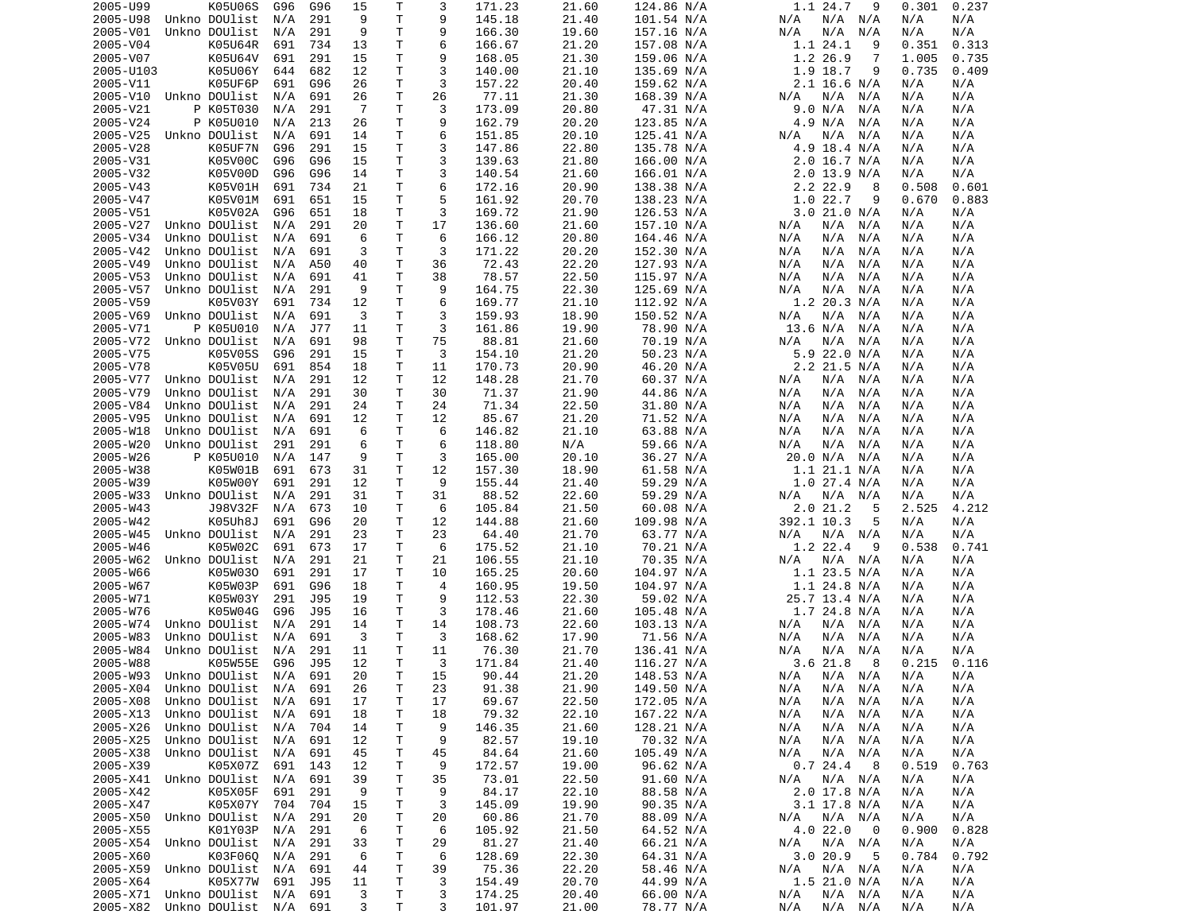| 2005-U99             | K05U06S                                | G96 | G96 | 15     | Т      | 3              | 171.23           | 21.60          | 124.86 N/A             | 1.1 24.7<br>9                        | 0.301<br>0.237           |
|----------------------|----------------------------------------|-----|-----|--------|--------|----------------|------------------|----------------|------------------------|--------------------------------------|--------------------------|
| 2005-U98             | Unkno DOUlist                          | N/A | 291 | 9      | T      | 9              | 145.18           | 21.40          | 101.54 N/A             | N/A N/A<br>N/A                       | N/A<br>N/A               |
| 2005-V01             | Unkno DOUlist                          | N/A | 291 | 9      | Τ      | 9              | 166.30           | 19.60          | 157.16 N/A             | N/A<br>N/A<br>N/A                    | N/A<br>N/A               |
|                      |                                        |     |     |        | Τ      | 6              |                  | 21.20          |                        | 1.1 24.1<br>9                        |                          |
| 2005-V04             | K05U64R                                | 691 | 734 | 13     |        |                | 166.67           |                | 157.08 N/A             |                                      | 0.351<br>0.313           |
| 2005-V07             | K05U64V                                | 691 | 291 | 15     | Τ      | 9              | 168.05           | 21.30          | 159.06 N/A             | 1.2 26.9<br>7                        | 1.005<br>0.735           |
| 2005-U103            | K05U06Y                                | 644 | 682 | 12     | т      | 3              | 140.00           | 21.10          | 135.69 N/A             | 1.9 18.7<br>9                        | 0.735<br>0.409           |
| 2005-V11             | K05UF6P                                | 691 | G96 | 26     | т      | 3              | 157.22           | 20.40          | 159.62 N/A             | $2.1$ 16.6 N/A                       | N/A<br>N/A               |
| 2005-V10             | Unkno DOUlist                          | N/A | 691 | 26     | Τ      | 26             | 77.11            | 21.30          | 168.39 N/A             | N/A<br>N/A<br>N/A                    | N/A<br>N/A               |
|                      |                                        |     |     |        |        | 3              |                  |                |                        |                                      |                          |
| 2005-V21             | P K05T030                              | N/A | 291 | -7     | T      |                | 173.09           | 20.80          | 47.31 N/A              | 9.0 N/A<br>N/A                       | N/A<br>N/A               |
| 2005-V24             | P K05U010                              | N/A | 213 | 26     | т      | 9              | 162.79           | 20.20          | 123.85 N/A             | 4.9 N/A<br>N/A                       | N/A<br>N/A               |
| 2005-V25             | Unkno DOUlist                          | N/A | 691 | 14     | Τ      | 6              | 151.85           | 20.10          | 125.41 N/A             | N/A<br>N/A<br>N/A                    | N/A<br>N/A               |
| 2005-V28             | K05UF7N                                | G96 | 291 | 15     | Τ      | 3              | 147.86           | 22.80          | 135.78 N/A             | 4.9 18.4 N/A                         | N/A<br>N/A               |
| 2005-V31             | K05V00C                                | G96 | G96 | 15     | Τ      | 3              | 139.63           | 21.80          | 166.00 N/A             | $2.0$ 16.7 N/A                       | N/A<br>N/A               |
|                      |                                        |     |     |        |        |                |                  |                |                        |                                      |                          |
| 2005-V32             | K05V00D                                | G96 | G96 | 14     | т      | 3              | 140.54           | 21.60          | 166.01 N/A             | $2.0$ 13.9 N/A                       | N/A<br>N/A               |
| 2005-V43             | K05V01H                                | 691 | 734 | 21     | T      | 6              | 172.16           | 20.90          | 138.38 N/A             | 2.2 22.9<br>8                        | 0.508<br>0.601           |
| 2005-V47             | K05V01M                                | 691 | 651 | 15     | T      | 5              | 161.92           | 20.70          | 138.23 N/A             | 1.022.7<br>9                         | 0.670<br>0.883           |
| 2005-V51             | K05V02A                                | G96 | 651 | 18     | т      | 3              | 169.72           | 21.90          | 126.53 N/A             | 3.021.0 N/A                          | N/A<br>N/A               |
|                      |                                        |     |     | 20     | T      | 17             |                  |                |                        |                                      |                          |
| 2005-V27             | Unkno DOUlist                          | N/A | 291 |        |        |                | 136.60           | 21.60          | 157.10 N/A             | N/A<br>N/A<br>N/A                    | N/A<br>N/A               |
| 2005-V34             | Unkno DOUlist                          | N/A | 691 | 6      | T      | 6              | 166.12           | 20.80          | 164.46 N/A             | N/A<br>N/A<br>N/A                    | N/A<br>N/A               |
| 2005-V42             | Unkno DOUlist                          | N/A | 691 | 3      | Τ      | 3              | 171.22           | 20.20          | 152.30 N/A             | N/A<br>N/A<br>N/A                    | N/A<br>N/A               |
| 2005-V49             | Unkno DOUlist                          | N/A | A50 | 40     | T      | 36             | 72.43            | 22.20          | 127.93 N/A             | N/A<br>N/A<br>N/A                    | N/A<br>N/A               |
| 2005-V53             | Unkno DOUlist                          | N/A | 691 | 41     | T      | 38             | 78.57            | 22.50          | 115.97 N/A             | N/A<br>N/A<br>N/A                    | N/A<br>N/A               |
|                      |                                        |     |     |        |        |                |                  |                |                        |                                      |                          |
| 2005-V57             | Unkno DOUlist                          | N/A | 291 | 9      | T      | 9              | 164.75           | 22.30          | 125.69 N/A             | N/A<br>N/A<br>N/A                    | N/A<br>N/A               |
| 2005-V59             | K05V03Y                                | 691 | 734 | 12     | Τ      | 6              | 169.77           | 21.10          | 112.92 N/A             | 1.2 20.3 N/A                         | N/A<br>N/A               |
| 2005-V69             | Unkno DOUlist                          | N/A | 691 | 3      | Τ      | 3              | 159.93           | 18.90          | 150.52 N/A             | N/A<br>N/A<br>N/A                    | N/A<br>N/A               |
| 2005-V71             | P K05U010                              | N/A | J77 | 11     | Τ      | 3              | 161.86           | 19.90          | 78.90 N/A              | 13.6 N/A<br>N/A                      | N/A<br>N/A               |
|                      | Unkno DOUlist                          |     |     |        |        |                |                  |                |                        |                                      |                          |
| 2005-V72             |                                        | N/A | 691 | 98     | т      | 75             | 88.81            | 21.60          | 70.19 N/A              | N/A<br>N/A<br>N/A                    | N/A<br>N/A               |
| 2005-V75             | K05V05S                                | G96 | 291 | 15     | Τ      | 3              | 154.10           | 21.20          | 50.23 N/A              | 5.9 22.0 N/A                         | N/A<br>N/A               |
| 2005-V78             | K05V05U                                | 691 | 854 | 18     | т      | 11             | 170.73           | 20.90          | 46.20 N/A              | 2.2 21.5 N/A                         | N/A<br>N/A               |
| 2005-V77             | Unkno DOUlist                          | N/A | 291 | 12     | T      | 12             | 148.28           | 21.70          | 60.37 N/A              | N/A<br>N/A<br>N/A                    | N/A<br>N/A               |
| 2005-V79             | Unkno DOUlist                          | N/A | 291 | 30     | Τ      | 30             | 71.37            | 21.90          | 44.86 N/A              | N/A<br>N/A<br>N/A                    | N/A<br>N/A               |
|                      |                                        |     |     |        |        |                |                  |                |                        |                                      |                          |
| 2005-V84             | Unkno DOUlist                          | N/A | 291 | 24     | T      | 24             | 71.34            | 22.50          | 31.80 N/A              | N/A<br>N/A<br>N/A                    | N/A<br>N/A               |
| 2005-V95             | Unkno DOUlist                          | N/A | 691 | 12     | T      | 12             | 85.67            | 21.20          | 71.52 N/A              | N/A<br>N/A<br>N/A                    | N/A<br>N/A               |
| 2005-W18             | Unkno DOUlist                          | N/A | 691 | 6      | т      | 6              | 146.82           | 21.10          | 63.88 N/A              | N/A<br>N/A<br>N/A                    | N/A<br>N/A               |
| 2005-W20             | Unkno DOUlist                          | 291 | 291 | 6      | T      | 6              | 118.80           | N/A            | 59.66 N/A              | N/A<br>N/A<br>N/A                    | N/A<br>N/A               |
| 2005-W26             | P K05U010                              | N/A | 147 | 9      | Τ      | 3              | 165.00           | 20.10          | 36.27 N/A              | 20.0 N/A<br>N/A                      | N/A<br>N/A               |
|                      |                                        |     |     |        |        |                |                  |                |                        |                                      |                          |
| 2005-W38             | K05W01B                                | 691 | 673 | 31     | Τ      | 12             | 157.30           | 18.90          | 61.58 N/A              | 1.1 21.1 N/A                         | N/A<br>N/A               |
| 2005-W39             | K05W00Y                                | 691 | 291 | 12     | т      | 9              | 155.44           | 21.40          | 59.29 N/A              | 1.0 27.4 N/A                         | N/A<br>N/A               |
| 2005-W33             | Unkno DOUlist                          | N/A | 291 | 31     | т      | 31             | 88.52            | 22.60          | 59.29 N/A              | N/A<br>N/A N/A                       | N/A<br>N/A               |
|                      |                                        |     | 673 | 10     | Τ      | 6              | 105.84           | 21.50          | 60.08 N/A              | 2.0 21.2<br>5                        | 2.525<br>4.212           |
|                      |                                        |     |     |        |        |                |                  |                |                        |                                      |                          |
| 2005-W43             | J98V32F                                | N/A |     |        |        |                |                  |                |                        |                                      |                          |
| 2005-W42             | K05Uh8J                                | 691 | G96 | 20     | т      | 12             | 144.88           | 21.60          | 109.98 N/A             | 392.1 10.3<br>5                      | N/A<br>N/A               |
| 2005-W45             | Unkno DOUlist                          | N/A | 291 | 23     | T      | 23             | 64.40            | 21.70          | 63.77 N/A              | N/A N/A<br>N/A                       | N/A<br>N/A               |
| 2005-W46             | K05W02C                                | 691 | 673 | 17     | Т      | 6              | 175.52           | 21.10          | 70.21 N/A              | 1.2 22.4<br>9                        | 0.538<br>0.741           |
| 2005-W62             | Unkno DOUlist                          | N/A | 291 | 21     | T      | 21             |                  | 21.10          |                        | N/A<br>N/A N/A                       | N/A<br>N/A               |
|                      |                                        |     |     |        |        |                | 106.55           |                | 70.35 N/A              |                                      |                          |
| 2005-W66             | K05W030                                | 691 | 291 | 17     | Τ      | 10             | 165.25           | 20.60          | 104.97 N/A             | 1.1 23.5 N/A                         | N/A<br>N/A               |
| 2005-W67             | K05W03P                                | 691 | G96 | 18     | т      | $\overline{4}$ | 160.95           | 19.50          | 104.97 N/A             | $1.1$ 24.8 N/A                       | N/A<br>N/A               |
| 2005-W71             | K05W03Y                                | 291 | J95 | 19     | Τ      | 9              | 112.53           | 22.30          | 59.02 N/A              | 25.7 13.4 N/A                        | N/A<br>N/A               |
| 2005-W76             | K05W04G                                | G96 | J95 | 16     | Τ      | 3              | 178.46           | 21.60          | 105.48 N/A             | 1.7 24.8 N/A                         | N/A<br>N/A               |
|                      |                                        |     |     |        |        | 14             |                  |                |                        | N/A<br>N/A                           | N/A                      |
| 2005-W74             | Unkno DOUlist                          | N/A | 291 | 14     | Τ      |                | 108.73           | 22.60          | 103.13 N/A             | N/A                                  | N/A                      |
| 2005-W83             | Unkno DOUlist                          | N/A | 691 | 3      | т      | 3              | 168.62           | 17.90          | 71.56 N/A              | N/A<br>N/A<br>N/A                    | N/A<br>N/A               |
| 2005-W84             | Unkno DOUlist                          | N/A | 291 | 11     | T      | 11             | 76.30            | 21.70          | 136.41 N/A             | N/A<br>N/A<br>N/A                    | N/A<br>N/A               |
| 2005-W88             | K05W55E                                | G96 | J95 | 12     | T.     | 3              | 171.84           | 21.40          | 116.27 N/A             | 3.6 21.8<br>8                        | 0.215<br>0.116           |
|                      | 2005-W93 Unkno DOUlist                 | N/A | 691 | 20     | T.     | 15             |                  | 21.20          | 148.53 N/A             | N/A<br>N/A N/A                       | N/A<br>N/A               |
|                      |                                        |     |     |        |        |                | 90.44            |                |                        |                                      |                          |
| 2005-X04             | Unkno DOUlist                          | N/A | 691 | 26     | Τ      | 23             | 91.38            | 21.90          | 149.50 N/A             | N/A<br>N/A N/A                       | N/A<br>N/A               |
| 2005-X08             | Unkno DOUlist                          | N/A | 691 | 17     | T      | 17             | 69.67            | 22.50          | 172.05 N/A             | N/A<br>$N/A$ $N/A$                   | N/A<br>N/A               |
| 2005-X13             | Unkno DOUlist                          | N/A | 691 | 18     | Τ      | 18             | 79.32            | 22.10          | 167.22 N/A             | N/A<br>N/A<br>N/A                    | N/A<br>N/A               |
| 2005-X26             | Unkno DOUlist                          | N/A | 704 | 14     | т      | 9              | 146.35           | 21.60          | 128.21 N/A             | N/A<br>N/A N/A                       | N/A<br>N/A               |
| 2005-X25             | Unkno DOUlist                          | N/A | 691 | 12     | Τ      | 9              | 82.57            | 19.10          | 70.32 N/A              | N/A<br>N/A N/A                       | N/A<br>N/A               |
|                      |                                        |     |     |        |        |                |                  |                |                        |                                      |                          |
| 2005-X38             | Unkno DOUlist                          | N/A | 691 | 45     | Τ      | 45             | 84.64            | 21.60          | 105.49 N/A             | $N/A$ $N/A$<br>N/A                   | N/A<br>N/A               |
| 2005-X39             | K05X07Z                                | 691 | 143 | 12     | Τ      | 9              | 172.57           | 19.00          | 96.62 N/A              | 0.724.4<br>8                         | 0.519<br>0.763           |
| 2005-X41             | Unkno DOUlist                          | N/A | 691 | 39     | Τ      | 35             | 73.01            | 22.50          | 91.60 N/A              | $N/A$ $N/A$<br>N/A                   | N/A<br>N/A               |
| 2005-X42             | K05X05F                                | 691 | 291 | 9      | Τ      | 9              | 84.17            | 22.10          | 88.58 N/A              | 2.0 17.8 N/A                         | N/A<br>N/A               |
| 2005-X47             | K05X07Y                                | 704 | 704 | 15     | T      | 3              | 145.09           | 19.90          | 90.35 N/A              | 3.1 17.8 N/A                         | N/A<br>N/A               |
|                      |                                        |     |     |        |        |                |                  | 21.70          |                        |                                      |                          |
| 2005-X50             | Unkno DOUlist                          | N/A | 291 | 20     | т      | 20             | 60.86            |                | 88.09 N/A              | N/A<br>N/A N/A                       | N/A<br>N/A               |
| 2005-X55             | K01Y03P                                | N/A | 291 | 6      | Τ      | 6              | 105.92           | 21.50          | 64.52 N/A              | 4.0 22.0<br>0                        | 0.900<br>0.828           |
| 2005-X54             | Unkno DOUlist                          | N/A | 291 | 33     | Τ      | 29             | 81.27            | 21.40          | 66.21 N/A              | $N/A$ $N/A$<br>N/A                   | N/A<br>N/A               |
| 2005-X60             | K03F060                                | N/A | 291 | 6      | Τ      | 6              | 128.69           | 22.30          | 64.31 N/A              | 3.0 20.9<br>5                        | 0.784<br>0.792           |
| 2005-X59             | Unkno DOUlist                          | N/A | 691 | 44     | Τ      | 39             | 75.36            | 22.20          | 58.46 N/A              | $N/A$ $N/A$<br>N/A                   | N/A<br>N/A               |
|                      |                                        |     |     |        |        |                |                  |                |                        |                                      |                          |
| 2005-X64             | K05X77W                                | 691 | J95 | 11     | Τ      | 3              | 154.49           | 20.70          | 44.99 N/A              | 1.5 21.0 N/A                         | N/A<br>N/A               |
| 2005-X71<br>2005-X82 | Unkno DOUlist<br>Unkno DOUlist N/A 691 | N/A | 691 | 3<br>3 | т<br>Τ | 3<br>3         | 174.25<br>101.97 | 20.40<br>21.00 | 66.00 N/A<br>78.77 N/A | N/A<br>$N/A$ $N/A$<br>N/A<br>N/A N/A | N/A<br>N/A<br>N/A<br>N/A |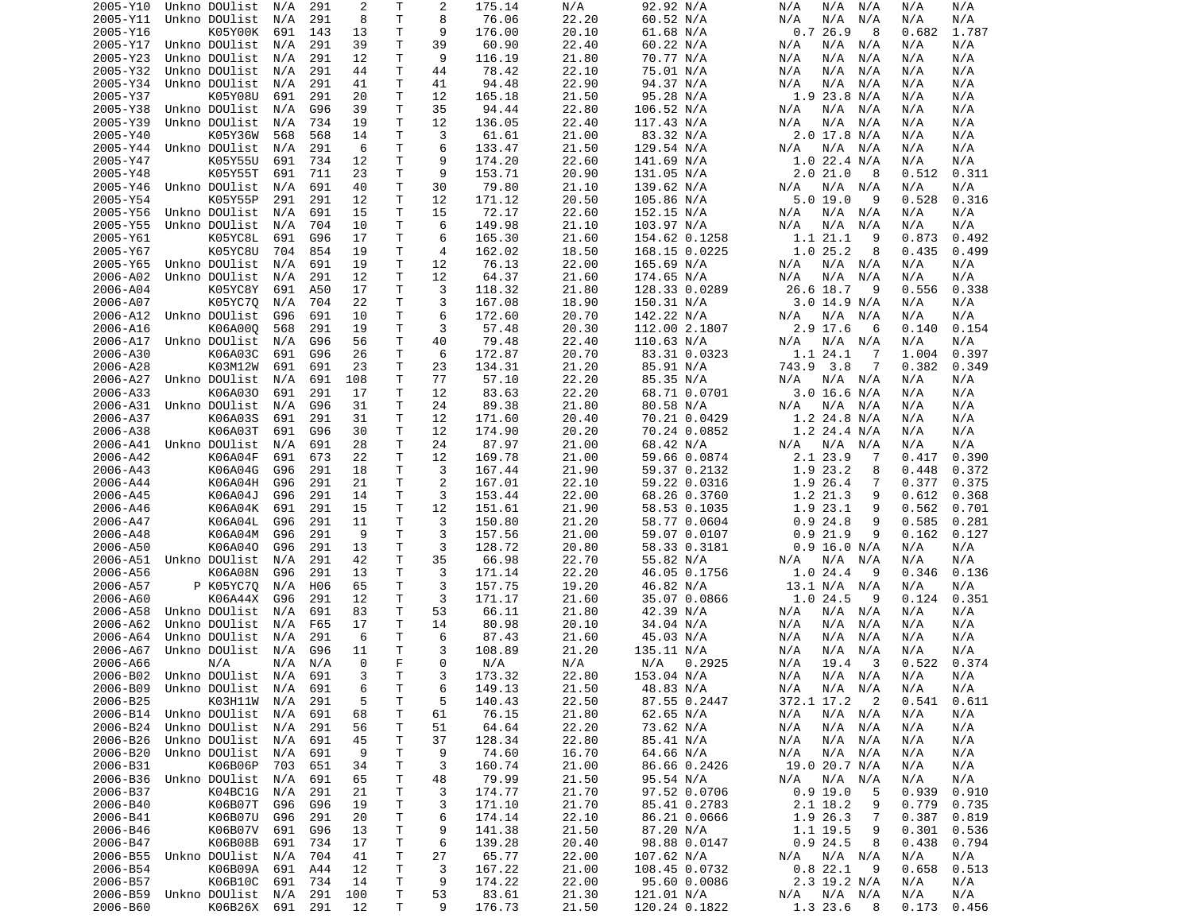| 2005-Y10 | Unkno DOUlist                  | N/A | 291 | 2   | Т  | 2  | 175.14 | N/A   | 92.92 N/A     | N/A<br>N/A<br>N/A                      | N/A<br>N/A     |
|----------|--------------------------------|-----|-----|-----|----|----|--------|-------|---------------|----------------------------------------|----------------|
| 2005-Y11 | Unkno DOUlist                  | N/A | 291 | 8   | Τ  | 8  | 76.06  | 22.20 | 60.52 N/A     | N/A<br>N/A<br>N/A                      | N/A<br>N/A     |
| 2005-Y16 | K05Y00K                        | 691 | 143 | 13  | т  | 9  | 176.00 | 20.10 | 61.68 N/A     | 0.726.9<br>8                           | 0.682<br>1.787 |
| 2005-Y17 | Unkno DOUlist                  | N/A | 291 | 39  | Τ  | 39 | 60.90  | 22.40 | 60.22 N/A     | N/A<br>N/A<br>N/A                      | N/A<br>N/A     |
| 2005-Y23 | Unkno DOUlist                  | N/A | 291 | 12  | т  | 9  | 116.19 | 21.80 | 70.77 N/A     | N/A<br>N/A<br>N/A                      | N/A<br>N/A     |
| 2005-Y32 | Unkno DOUlist                  | N/A | 291 | 44  | T  | 44 | 78.42  | 22.10 | 75.01 N/A     | N/A<br>N/A<br>N/A                      | N/A<br>N/A     |
|          |                                |     |     |     |    |    |        |       |               |                                        |                |
| 2005-Y34 | Unkno DOUlist                  | N/A | 291 | 41  | т  | 41 | 94.48  | 22.90 | 94.37 N/A     | N/A<br>N/A<br>N/A                      | N/A<br>N/A     |
| 2005-Y37 | K05Y08U                        | 691 | 291 | 20  | т  | 12 | 165.18 | 21.50 | 95.28 N/A     | 1.9 23.8 N/A                           | N/A<br>N/A     |
| 2005-Y38 | Unkno DOUlist                  | N/A | G96 | 39  | т  | 35 | 94.44  | 22.80 | 106.52 N/A    | N/A<br>N/A<br>N/A                      | N/A<br>N/A     |
| 2005-Y39 | Unkno DOUlist                  | N/A | 734 | 19  | т  | 12 | 136.05 | 22.40 | 117.43 N/A    | N/A<br>N/A<br>N/A                      | N/A<br>N/A     |
| 2005-Y40 | K05Y36W                        | 568 | 568 | 14  | Τ  | 3  | 61.61  | 21.00 | 83.32 N/A     | 2.0 17.8 N/A                           | N/A<br>N/A     |
| 2005-Y44 | Unkno DOUlist                  | N/A | 291 | 6   | т  | 6  | 133.47 | 21.50 | 129.54 N/A    | N/A N/A<br>N/A                         | N/A<br>N/A     |
| 2005-Y47 | K05Y55U                        | 691 | 734 | 12  | Τ  | 9  | 174.20 | 22.60 | 141.69 N/A    | $1.0$ 22.4 N/A                         | N/A<br>N/A     |
| 2005-Y48 | K05Y55T                        | 691 | 711 | 23  | Τ  | 9  | 153.71 | 20.90 | 131.05 N/A    | 2.021.0<br>8                           | 0.512<br>0.311 |
| 2005-Y46 | Unkno DOUlist                  | N/A | 691 | 40  | т  | 30 | 79.80  | 21.10 | 139.62 N/A    | N/A N/A<br>N/A                         | N/A<br>N/A     |
|          |                                |     |     |     |    |    |        |       |               | 9                                      |                |
| 2005-Y54 | K05Y55P                        | 291 | 291 | 12  | т  | 12 | 171.12 | 20.50 | 105.86 N/A    | 5.0 19.0                               | 0.528<br>0.316 |
| 2005-Y56 | Unkno DOUlist                  | N/A | 691 | 15  | т  | 15 | 72.17  | 22.60 | 152.15 N/A    | N/A N/A<br>N/A                         | N/A<br>N/A     |
| 2005-Y55 | Unkno DOUlist                  | N/A | 704 | 10  | т  | 6  | 149.98 | 21.10 | 103.97 N/A    | N/A<br>N/A<br>N/A                      | N/A<br>N/A     |
| 2005-Y61 | K05YC8L                        | 691 | G96 | 17  | т  | 6  | 165.30 | 21.60 | 154.62 0.1258 | 1.1 21.1<br>9                          | 0.873<br>0.492 |
| 2005-Y67 | K05YC8U                        | 704 | 854 | 19  | T  | 4  | 162.02 | 18.50 | 168.15 0.0225 | 1.025.2<br>8                           | 0.435<br>0.499 |
| 2005-Y65 | Unkno DOUlist                  | N/A | 691 | 19  | Τ  | 12 | 76.13  | 22.00 | 165.69 N/A    | $N/A$ $N/A$<br>N/A                     | N/A<br>N/A     |
| 2006-A02 | Unkno DOUlist                  | N/A | 291 | 12  | Τ  | 12 | 64.37  | 21.60 | 174.65 N/A    | N/A<br>N/A<br>N/A                      | N/A<br>N/A     |
| 2006-A04 | K05YC8Y                        | 691 | A50 | 17  | Τ  | 3  | 118.32 | 21.80 | 128.33 0.0289 | 26.6 18.7<br>9                         | 0.556<br>0.338 |
| 2006-A07 | K05YC70                        | N/A | 704 | 22  | Τ  | 3  | 167.08 | 18.90 | 150.31 N/A    | $3.0$ 14.9 N/A                         | N/A<br>N/A     |
| 2006-A12 | Unkno DOUlist                  | G96 | 691 | 10  | Τ  | 6  | 172.60 | 20.70 | 142.22 N/A    | N/A<br>N/A<br>N/A                      | N/A<br>N/A     |
|          |                                |     |     |     |    |    |        |       |               |                                        |                |
| 2006-A16 | K06A000                        | 568 | 291 | 19  | т  | 3  | 57.48  | 20.30 | 112.00 2.1807 | 2.9 17.6<br>6                          | 0.154<br>0.140 |
| 2006-A17 | Unkno DOUlist                  | N/A | G96 | 56  | т  | 40 | 79.48  | 22.40 | 110.63 N/A    | N/A<br>N/A<br>N/A                      | N/A<br>N/A     |
| 2006-A30 | K06A03C                        | 691 | G96 | 26  | т  | 6  | 172.87 | 20.70 | 83.31 0.0323  | 1.1 24.1<br>7                          | 0.397<br>1.004 |
| 2006-A28 | K03M12W                        | 691 | 691 | 23  | т  | 23 | 134.31 | 21.20 | 85.91 N/A     | 743.9 3.8<br>7                         | 0.382<br>0.349 |
| 2006-A27 | Unkno DOUlist                  | N/A | 691 | 108 | т  | 77 | 57.10  | 22.20 | 85.35 N/A     | N/A<br>N/A N/A                         | N/A<br>N/A     |
| 2006-A33 | K06A030                        | 691 | 291 | 17  | т  | 12 | 83.63  | 22.20 | 68.71 0.0701  | 3.0 16.6 N/A                           | N/A<br>N/A     |
| 2006-A31 | Unkno DOUlist                  | N/A | G96 | 31  | т  | 24 | 89.38  | 21.80 | 80.58 N/A     | N/A<br>N/A N/A                         | N/A<br>N/A     |
| 2006-A37 | K06A03S                        | 691 | 291 | 31  | т  | 12 | 171.60 | 20.40 | 70.21 0.0429  | $1.2$ 24.8 N/A                         | N/A<br>N/A     |
| 2006-A38 | K06A03T                        | 691 | G96 | 30  | т  | 12 | 174.90 | 20.20 | 70.24 0.0852  | 1.2 24.4 N/A                           | N/A<br>N/A     |
|          | Unkno DOUlist                  | N/A | 691 | 28  | т  | 24 |        | 21.00 |               | $N/A$ $N/A$                            | N/A<br>N/A     |
| 2006-A41 |                                |     |     |     |    |    | 87.97  |       | 68.42 N/A     | N/A                                    |                |
| 2006-A42 | K06A04F                        | 691 | 673 | 22  | т  | 12 | 169.78 | 21.00 | 59.66 0.0874  | 2.1 23.9<br>7                          | 0.417<br>0.390 |
| 2006-A43 | K06A04G                        | G96 | 291 | 18  | Τ  | 3  | 167.44 | 21.90 | 59.37 0.2132  | 1.9 23.2<br>8                          | 0.448<br>0.372 |
| 2006-A44 | K06A04H                        | G96 | 291 | 21  | т  | 2  | 167.01 | 22.10 | 59.22 0.0316  | 1.9 26.4<br>7                          | 0.377<br>0.375 |
| 2006-A45 | K06A04J                        | G96 | 291 | 14  | Τ  | 3  | 153.44 | 22.00 | 68.26 0.3760  | 1.2 21.3<br>9                          | 0.612<br>0.368 |
| 2006-A46 | K06A04K                        | 691 | 291 | 15  | Τ  | 12 | 151.61 | 21.90 | 58.53 0.1035  | 1.9 23.1<br>9                          | 0.562<br>0.701 |
| 2006-A47 | K06A04L                        | G96 | 291 | 11  | Τ  | 3  | 150.80 | 21.20 | 58.77 0.0604  | 0.924.8<br>9                           | 0.585<br>0.281 |
| 2006-A48 | K06A04M                        | G96 | 291 | 9   | т  | 3  | 157.56 | 21.00 | 59.07 0.0107  | 0.921.9<br>9                           | 0.162<br>0.127 |
| 2006-A50 | K06A040                        | G96 | 291 | 13  | т  | 3  | 128.72 | 20.80 | 58.33 0.3181  | $0.9$ 16.0 N/A                         | N/A<br>N/A     |
| 2006-A51 | Unkno DOUlist                  | N/A | 291 | 42  | Τ  | 35 | 66.98  | 22.70 | 55.82 N/A     | N/A<br>N/A<br>N/A                      | N/A<br>N/A     |
| 2006-A56 | K06A08N                        | G96 | 291 | 13  | Τ  | 3  | 171.14 | 22.20 | 46.05 0.1756  | 9                                      | 0.346<br>0.136 |
|          |                                |     |     |     |    |    |        |       |               | 1.024.4                                |                |
| 2006-A57 | P K05YC70                      | N/A | H06 | 65  | Τ  | 3  | 157.75 | 19.20 | 46.82 N/A     | 13.1 N/A<br>N/A                        | N/A<br>N/A     |
| 2006-A60 | K06A44X                        | G96 | 291 | 12  | Τ  | 3  | 171.17 | 21.60 | 35.07 0.0866  | 1.024.5<br>9                           | 0.351<br>0.124 |
| 2006-A58 | Unkno DOUlist                  | N/A | 691 | 83  | т  | 53 | 66.11  | 21.80 | 42.39 N/A     | N/A<br>N/A<br>N/A                      | N/A<br>N/A     |
| 2006-A62 | Unkno DOUlist                  | N/A | F65 | 17  | т  | 14 | 80.98  | 20.10 | 34.04 N/A     | N/A<br>N/A<br>N/A                      | N/A<br>N/A     |
| 2006-A64 | Unkno DOUlist                  | N/A | 291 | 6   | т  | 6  | 87.43  | 21.60 | 45.03 N/A     | N/A<br>N/A<br>N/A                      | N/A<br>N/A     |
| 2006-A67 | Unkno DOUlist                  | N/A | G96 | 11  | Τ  | 3  | 108.89 | 21.20 | 135.11 N/A    | N/A<br>N/A<br>N/A                      | N/A<br>N/A     |
| 2006-A66 | N/A                            | N/A | N/A | 0   | F. | 0  | N/A    | N/A   | 0.2925<br>N/A | 19.4<br>3<br>N/A                       | 0.522<br>0.374 |
|          | 2006-B02 Unkno DOUlist N/A 691 |     |     | 3   | T  | 3  | 173.32 | 22.80 | 153.04 N/A    | N/A<br>N/A N/A                         | N/A<br>N/A     |
| 2006-B09 | Unkno DOUlist N/A 691          |     |     | 6   | т  | 6  | 149.13 | 21.50 | 48.83 N/A     | N/A                                    | N/A<br>N/A     |
|          |                                |     |     |     |    |    |        |       |               | N/A N/A                                |                |
| 2006-B25 | K03H11W                        | N/A | 291 | 5   | Τ  | 5  | 140.43 | 22.50 | 87.55 0.2447  | 372.1 17.2<br>$\overline{\phantom{a}}$ | 0.541<br>0.611 |
| 2006-B14 | Unkno DOUlist                  | N/A | 691 | 68  | т  | 61 | 76.15  | 21.80 | 62.65 N/A     | N/A<br>$N/A$ $N/A$                     | N/A<br>N/A     |
| 2006-B24 | Unkno DOUlist                  | N/A | 291 | 56  | т  | 51 | 64.64  | 22.20 | 73.62 N/A     | N/A<br>N/A N/A                         | N/A<br>N/A     |
| 2006-B26 | Unkno DOUlist                  | N/A | 691 | 45  | т  | 37 | 128.34 | 22.80 | 85.41 N/A     | $N/A$ $N/A$<br>N/A                     | N/A<br>N/A     |
| 2006-B20 | Unkno DOUlist                  | N/A | 691 | 9   | т  | 9  | 74.60  | 16.70 | 64.66 N/A     | N/A N/A<br>N/A                         | N/A<br>N/A     |
| 2006-B31 | K06B06P                        | 703 | 651 | 34  | т  | 3  | 160.74 | 21.00 | 86.66 0.2426  | 19.0 20.7 N/A                          | N/A<br>N/A     |
| 2006-B36 | Unkno DOUlist                  | N/A | 691 | 65  | т  | 48 | 79.99  | 21.50 | 95.54 N/A     | N/A<br>N/A N/A                         | N/A<br>N/A     |
| 2006-B37 | K04BC1G                        | N/A | 291 | 21  | Τ  | 3  | 174.77 | 21.70 | 97.52 0.0706  | $0.9$ 19.0<br>5                        | 0.939<br>0.910 |
|          |                                |     |     |     |    |    | 171.10 |       |               |                                        |                |
| 2006-B40 | K06B07T                        | G96 | G96 | 19  | Τ  | 3  |        | 21.70 | 85.41 0.2783  | 2.1 18.2<br>9                          | 0.779<br>0.735 |
| 2006-B41 | K06B07U                        | G96 | 291 | 20  | Τ  | 6  | 174.14 | 22.10 | 86.21 0.0666  | 1.9 26.3<br>$\overline{7}$             | 0.387<br>0.819 |
| 2006-B46 | K06B07V                        | 691 | G96 | 13  | т  | 9  | 141.38 | 21.50 | 87.20 N/A     | 1.1 19.5<br>9                          | 0.301<br>0.536 |
| 2006-B47 | K06B08B                        | 691 | 734 | 17  | т  | 6  | 139.28 | 20.40 | 98.88 0.0147  | 0.924.5<br>8                           | 0.438<br>0.794 |
| 2006-B55 | Unkno DOUlist                  | N/A | 704 | 41  | Τ  | 27 | 65.77  | 22.00 | 107.62 N/A    | N/A<br>N/A N/A                         | N/A<br>N/A     |
| 2006-B54 | K06B09A                        | 691 | A44 | 12  | т  | 3  | 167.22 | 21.00 | 108.45 0.0732 | 0.822.1<br>- 9                         | 0.658<br>0.513 |
| 2006-B57 | K06B10C                        | 691 | 734 | 14  | T  | 9  | 174.22 | 22.00 | 95.60 0.0086  | 2.3 19.2 N/A                           | N/A<br>N/A     |
| 2006-B59 | Unkno DOUlist                  | N/A | 291 | 100 | T  | 53 | 83.61  | 21.30 | 121.01 N/A    | N/A<br>N/A N/A                         | N/A<br>N/A     |
| 2006-B60 | K06B26X 691 291                |     |     | 12  | T. | 9  | 176.73 | 21.50 | 120.24 0.1822 | 1.3 23.6 8                             | 0.173<br>0.456 |
|          |                                |     |     |     |    |    |        |       |               |                                        |                |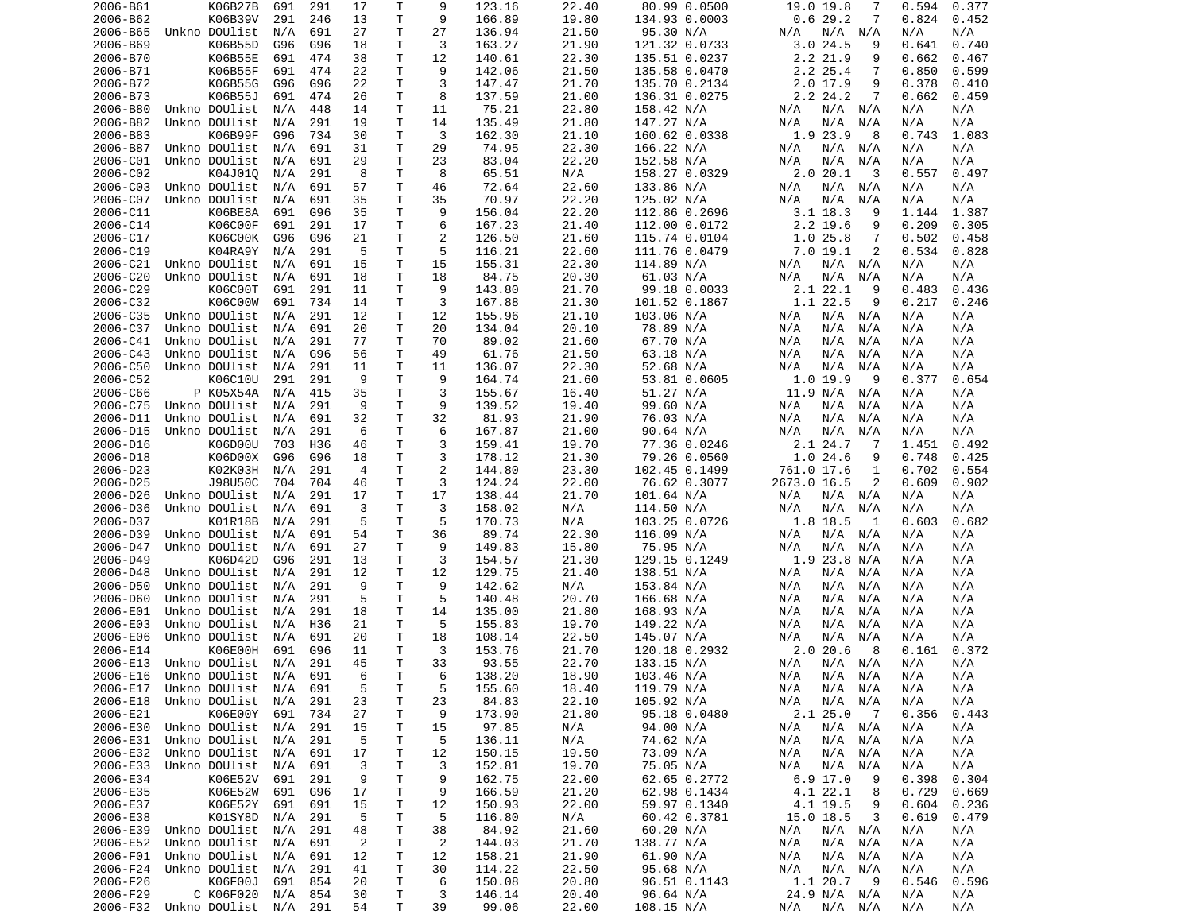| 2006-B61             | K06B27B                        | 691        | 291        | 17             | Τ            | 9              | 123.16           | 22.40          | 80.99 0.0500                | 19.0 19.8<br>7                     | 0.594<br>0.377               |
|----------------------|--------------------------------|------------|------------|----------------|--------------|----------------|------------------|----------------|-----------------------------|------------------------------------|------------------------------|
| 2006-B62             | K06B39V                        | 291        | 246        | 13             | Т            | 9              | 166.89           | 19.80          | 134.93 0.0003               | 0.629.2<br>7                       | 0.824<br>0.452               |
| 2006-B65             | Unkno DOUlist                  | N/A        | 691        | 27             | т            | 27             | 136.94           | 21.50          | 95.30 N/A                   | N/A<br>N/A<br>N/A                  | N/A<br>N/A                   |
| 2006-B69             | K06B55D                        | G96        | G96        | 18             | Τ            | 3              | 163.27           | 21.90          | 121.32 0.0733               | 3.024.5<br>9                       | 0.641<br>0.740               |
| 2006-B70             | K06B55E                        | 691        | 474        | 38             | т            | 12             | 140.61           | 22.30          | 135.51 0.0237               | 2.2 21.9<br>9                      | 0.662<br>0.467               |
| 2006-B71             | K06B55F                        | 691        | 474        | 22             | T            | 9              | 142.06           | 21.50          | 135.58 0.0470               | 2.2 25.4<br>7                      | 0.850<br>0.599               |
| 2006-B72             | K06B55G                        | G96        | G96        | 22             | Τ            | 3              | 147.47           | 21.70          | 135.70 0.2134               | $2.0$ 17.9<br>9                    | 0.378<br>0.410               |
| 2006-B73             | K06B55J                        | 691        | 474        | 26             | Τ            | 8              | 137.59           | 21.00          | 136.31 0.0275               | 2.2 24.2<br>7                      | 0.662<br>0.459               |
| 2006-B80             | Unkno DOUlist                  | N/A        | 448        | 14             | Т            | 11             | 75.21            | 22.80          | 158.42 N/A                  | N/A<br>N/A<br>N/A                  | N/A<br>N/A                   |
| 2006-B82<br>2006-B83 | Unkno DOUlist<br>K06B99F       | N/A        | 291        | 19             | Т<br>T       | 14<br>3        | 135.49<br>162.30 | 21.80<br>21.10 | 147.27 N/A                  | N/A<br>N/A<br>N/A<br>1.9 23.9<br>8 | N/A<br>N/A                   |
| 2006-B87             | Unkno DOUlist                  | G96<br>N/A | 734<br>691 | 30<br>31       | T            | 29             | 74.95            | 22.30          | 160.62 0.0338<br>166.22 N/A | N/A<br>N/A<br>N/A                  | 0.743<br>1.083<br>N/A<br>N/A |
| 2006-C01             | Unkno DOUlist                  | N/A        | 691        | 29             | T            | 23             | 83.04            | 22.20          | 152.58 N/A                  | N/A<br>N/A<br>N/A                  | N/A<br>N/A                   |
| 2006-C02             | K04J010                        | N/A        | 291        | 8              | Т            | 8              | 65.51            | N/A            | 158.27 0.0329               | 2.020.1<br>3                       | 0.557<br>0.497               |
| 2006-C03             | Unkno DOUlist                  | N/A        | 691        | 57             | Т            | 46             | 72.64            | 22.60          | 133.86 N/A                  | N/A<br>N/A<br>N/A                  | N/A<br>N/A                   |
| 2006-C07             | Unkno DOUlist                  | N/A        | 691        | 35             | Т            | 35             | 70.97            | 22.20          | 125.02 N/A                  | N/A<br>N/A<br>N/A                  | N/A<br>N/A                   |
| 2006-C11             | K06BE8A                        | 691        | G96        | 35             | T            | 9              | 156.04           | 22.20          | 112.86 0.2696               | $3.1$ 18.3<br>9                    | 1.387<br>1.144               |
| 2006-C14             | K06C00F                        | 691        | 291        | 17             | T            | 6              | 167.23           | 21.40          | 112.00 0.0172               | 2.2 19.6<br>9                      | 0.209<br>0.305               |
| 2006-C17             | K06C00K                        | G96        | G96        | 21             | Τ            | 2              | 126.50           | 21.60          | 115.74 0.0104               | 1.025.8<br>7                       | 0.502<br>0.458               |
| 2006-C19             | K04RA9Y                        | N/A        | 291        | 5              | T            | 5              | 116.21           | 22.60          | 111.76 0.0479               | 7.019.1<br>2                       | 0.534<br>0.828               |
| 2006-C21             | Unkno DOUlist                  | N/A        | 691        | 15             | T            | 15             | 155.31           | 22.30          | 114.89 N/A                  | N/A<br>N/A<br>N/A                  | N/A<br>N/A                   |
| 2006-C20             | Unkno DOUlist                  | N/A        | 691        | 18             | Т            | 18             | 84.75            | 20.30          | 61.03 N/A                   | N/A<br>N/A<br>N/A                  | N/A<br>N/A                   |
| 2006-C29             | K06C00T                        | 691        | 291        | 11             | Т            | 9              | 143.80           | 21.70          | 99.18 0.0033                | 2.1 22.1<br>9                      | 0.436<br>0.483               |
| 2006-C32             | K06C00W                        | 691        | 734        | 14             | т            | 3              | 167.88           | 21.30          | 101.52 0.1867               | 1.1 22.5<br>9                      | 0.217<br>0.246               |
| 2006-C35             | Unkno DOUlist                  | N/A        | 291        | 12             | T            | 12             | 155.96           | 21.10          | 103.06 N/A                  | N/A<br>N/A<br>N/A                  | N/A<br>N/A                   |
| 2006-C37             | Unkno DOUlist                  | N/A        | 691        | 20             | Т            | 20             | 134.04           | 20.10          | 78.89 N/A                   | N/A<br>N/A<br>N/A                  | N/A<br>N/A                   |
| 2006-C41             | Unkno DOUlist                  | N/A        | 291        | 77             | T            | 70             | 89.02            | 21.60          | 67.70 N/A                   | N/A<br>N/A<br>N/A                  | N/A<br>N/A                   |
| 2006-C43             | Unkno DOUlist                  | N/A        | G96        | 56             | Т            | 49             | 61.76            | 21.50          | 63.18 N/A                   | N/A<br>N/A<br>N/A                  | N/A<br>N/A                   |
| 2006-C50             | Unkno DOUlist                  | N/A        | 291        | 11             | т            | 11             | 136.07           | 22.30          | 52.68 N/A                   | N/A<br>N/A<br>N/A                  | N/A<br>N/A                   |
| 2006-C52             | K06C10U                        | 291        | 291        | 9              | T            | 9              | 164.74           | 21.60          | 53.81 0.0605                | 1.019.9<br>9                       | 0.377<br>0.654               |
| 2006-C66             | P K05X54A                      | N/A        | 415        | 35             | T            | 3              | 155.67           | 16.40          | 51.27 N/A                   | 11.9 N/A<br>N/A                    | N/A<br>N/A                   |
| 2006-C75             | Unkno DOUlist                  | N/A        | 291        | 9              | T            | 9              | 139.52           | 19.40          | 99.60 N/A                   | N/A<br>N/A<br>N/A                  | N/A<br>N/A                   |
| 2006-D11             | Unkno DOUlist                  | N/A        | 691        | 32             | Τ            | 32             | 81.93            | 21.90          | 76.03 N/A                   | N/A<br>N/A<br>N/A                  | N/A<br>N/A                   |
| 2006-D15             | Unkno DOUlist                  | N/A        | 291        | 6              | T            | 6              | 167.87           | 21.00          | 90.64 N/A                   | N/A<br>N/A<br>N/A                  | N/A<br>N/A                   |
| 2006-D16             | K06D00U                        | 703        | H36        | 46             | Т            | 3              | 159.41           | 19.70          | 77.36 0.0246                | 2.1 24.7<br>7                      | 1.451<br>0.492               |
| 2006-D18             | K06D00X                        | G96        | G96        | 18             | Τ            | 3              | 178.12           | 21.30          | 79.26 0.0560                | 1.024.6<br>9                       | 0.748<br>0.425               |
| 2006-D23             | K02K03H                        | N/A        | 291        | $\overline{a}$ | T            | $\overline{2}$ | 144.80           | 23.30          | 102.45 0.1499               | 761.0 17.6<br>1                    | 0.702<br>0.554               |
| 2006-D25             | J98U50C                        | 704        | 704        | 46             | Т            | 3              | 124.24           | 22.00          | 76.62 0.3077                | 2673.0 16.5<br>2                   | 0.609<br>0.902               |
| 2006-D26             | Unkno DOUlist                  | N/A        | 291        | 17             | T            | 17             | 138.44           | 21.70          | 101.64 N/A                  | N/A<br>N/A<br>N/A                  | N/A<br>N/A                   |
| 2006-D36             | Unkno DOUlist                  | N/A        | 691        | 3              | T            | 3              | 158.02           | N/A            | 114.50 N/A                  | N/A<br>N/A<br>N/A                  | N/A<br>N/A                   |
| 2006-D37             | K01R18B                        | N/A        | 291        | 5              | T            | 5              | 170.73           | N/A            | 103.25 0.0726               | 1.8 18.5<br>1                      | 0.603<br>0.682               |
| 2006-D39             | Unkno DOUlist                  | N/A        | 691        | 54             | T            | 36             | 89.74            | 22.30          | 116.09 N/A                  | N/A<br>N/A<br>N/A                  | N/A<br>N/A                   |
| 2006-D47             | Unkno DOUlist                  | N/A        | 691        | 27             | Τ            | 9              | 149.83           | 15.80          | 75.95 N/A                   | N/A<br>N/A<br>N/A                  | N/A<br>N/A                   |
| 2006-D49             | K06D42D                        | G96        | 291        | 13             | T            | 3              | 154.57           | 21.30          | 129.15 0.1249               | $1.9$ 23.8 N/A                     | N/A<br>N/A                   |
| 2006-D48             | Unkno DOUlist                  | N/A        | 291        | 12             | Τ            | 12             | 129.75           | 21.40          | 138.51 N/A                  | N/A<br>N/A<br>N/A                  | N/A<br>N/A                   |
| 2006-D50             | Unkno DOUlist                  | N/A        | 291        | 9              | T            | 9              | 142.62           | N/A            | 153.84 N/A                  | N/A<br>N/A<br>N/A                  | N/A<br>N/A                   |
| 2006-D60             | Unkno DOUlist                  | N/A        | 291        | 5              | T            | 5              | 140.48           | 20.70          | 166.68 N/A                  | N/A<br>N/A<br>N/A                  | N/A<br>N/A                   |
| 2006-E01             | Unkno DOUlist                  | N/A        | 291        | 18             | Т            | 14             | 135.00           | 21.80          | 168.93 N/A                  | N/A<br>N/A<br>N/A                  | N/A<br>N/A                   |
| 2006-E03<br>2006-E06 | Unkno DOUlist                  | N/A<br>N/A | H36<br>691 | 21             | Т<br>Τ       | 5              | 155.83           | 19.70<br>22.50 | 149.22 N/A                  | N/A<br>N/A<br>N/A                  | N/A<br>N/A                   |
| 2006-E14             | Unkno DOUlist<br>K06E00H       | 691        | G96        | 20<br>11       | $\mathsf{T}$ | 18<br>3        | 108.14<br>153.76 | 21.70          | 145.07 N/A<br>120.18 0.2932 | N/A<br>N/A<br>N/A<br>2.020.6<br>8  | N/A<br>N/A<br>0.161<br>0.372 |
| 2006-E13             | Unkno DOUlist                  | N/A        | 291        | 45             | T.           | 33             | 93.55            | 22.70          | 133.15 N/A                  | N/A<br>N/A<br>N/A                  | N/A<br>N/A                   |
|                      | 2006-E16 Unkno DOUlist N/A 691 |            |            | 6              | T.           | - 6            | 138.20           | 18.90          | 103.46 N/A                  | N/A<br>N/A N/A                     | N/A<br>N/A                   |
| 2006-E17             | Unkno DOUlist N/A 691          |            |            | 5              | Т            | 5              | 155.60           | 18.40          | 119.79 N/A                  | N/A<br>N/A N/A                     | N/A<br>N/A                   |
| 2006-E18             | Unkno DOUlist                  | N/A        | 291        | 23             | Τ            | 23             | 84.83            | 22.10          | 105.92 N/A                  | N/A<br>N/A<br>N/A                  | N/A<br>N/A                   |
| 2006-E21             | K06E00Y                        | 691        | 734        | 27             | Τ            | 9              | 173.90           | 21.80          | 95.18 0.0480                | 2.125.0<br>$\overline{7}$          | 0.356<br>0.443               |
| 2006-E30             | Unkno DOUlist                  | N/A        | 291        | 15             | Τ            | 15             | 97.85            | N/A            | 94.00 N/A                   | N/A<br>N/A N/A                     | N/A<br>N/A                   |
| 2006-E31             | Unkno DOUlist                  | N/A        | 291        | 5              | T            | 5              | 136.11           | N/A            | 74.62 N/A                   | N/A<br>N/A<br>N/A                  | N/A<br>N/A                   |
| 2006-E32             | Unkno DOUlist N/A              |            | 691        | 17             | т            | 12             | 150.15           | 19.50          | 73.09 N/A                   | N/A<br>N/A<br>N/A                  | N/A<br>N/A                   |
| 2006-E33             | Unkno DOUlist                  | N/A        | 691        | 3              | T            | 3              | 152.81           | 19.70          | 75.05 N/A                   | N/A<br>N/A<br>N/A                  | N/A<br>N/A                   |
| 2006-E34             | K06E52V                        | 691        | 291        | 9              | T            | 9              | 162.75           | 22.00          | 62.65 0.2772                | $6.9$ 17.0<br>9                    | 0.398<br>0.304               |
| 2006-E35             | K06E52W                        | 691        | G96        | 17             | Т            | 9              | 166.59           | 21.20          | 62.98 0.1434                | 4.1 22.1<br>8                      | 0.729<br>0.669               |
| 2006-E37             | K06E52Y                        | 691        | 691        | 15             | Т            | 12             | 150.93           | 22.00          | 59.97 0.1340                | 4.1 19.5<br>9                      | 0.604<br>0.236               |
| 2006-E38             | K01SY8D                        | N/A        | 291        | 5              | Т            | 5              | 116.80           | N/A            | 60.42 0.3781                | 3<br>15.0 18.5                     | 0.619<br>0.479               |
| 2006-E39             | Unkno DOUlist                  | N/A        | 291        | 48             | Τ            | 38             | 84.92            | 21.60          | 60.20 N/A                   | N/A N/A<br>N/A                     | N/A<br>N/A                   |
| 2006-E52             | Unkno DOUlist                  | N/A        | 691        | $\overline{2}$ | Т            | $\overline{2}$ | 144.03           | 21.70          | 138.77 N/A                  | N/A<br>N/A<br>N/A                  | N/A<br>N/A                   |
| 2006-F01             | Unkno DOUlist                  | N/A        | 691        | 12             | T            | 12             | 158.21           | 21.90          | 61.90 N/A                   | N/A<br>N/A<br>N/A                  | N/A<br>N/A                   |
| 2006-F24             | Unkno DOUlist                  | N/A        | 291        | 41             | Т            | 30             | 114.22           | 22.50          | 95.68 N/A                   | N/A<br>N/A<br>N/A                  | N/A<br>N/A                   |
| 2006-F26             | K06F00J                        | 691        | 854        | 20             | Τ            | 6              | 150.08           | 20.80          | 96.51 0.1143                | 1.1 20.7<br>- 9                    | 0.546<br>0.596               |
| 2006-F29             | C K06F020                      | N/A        | 854        | 30             | Τ            | 3              | 146.14           | 20.40          | 96.64 N/A                   | 24.9 N/A N/A                       | N/A<br>N/A                   |
|                      | 2006-F32 Unkno DOUlist N/A 291 |            |            | 54             | T            | 39             | 99.06            | 22.00          | 108.15 N/A                  | N/A N/A<br>N/A                     | N/A<br>N/A                   |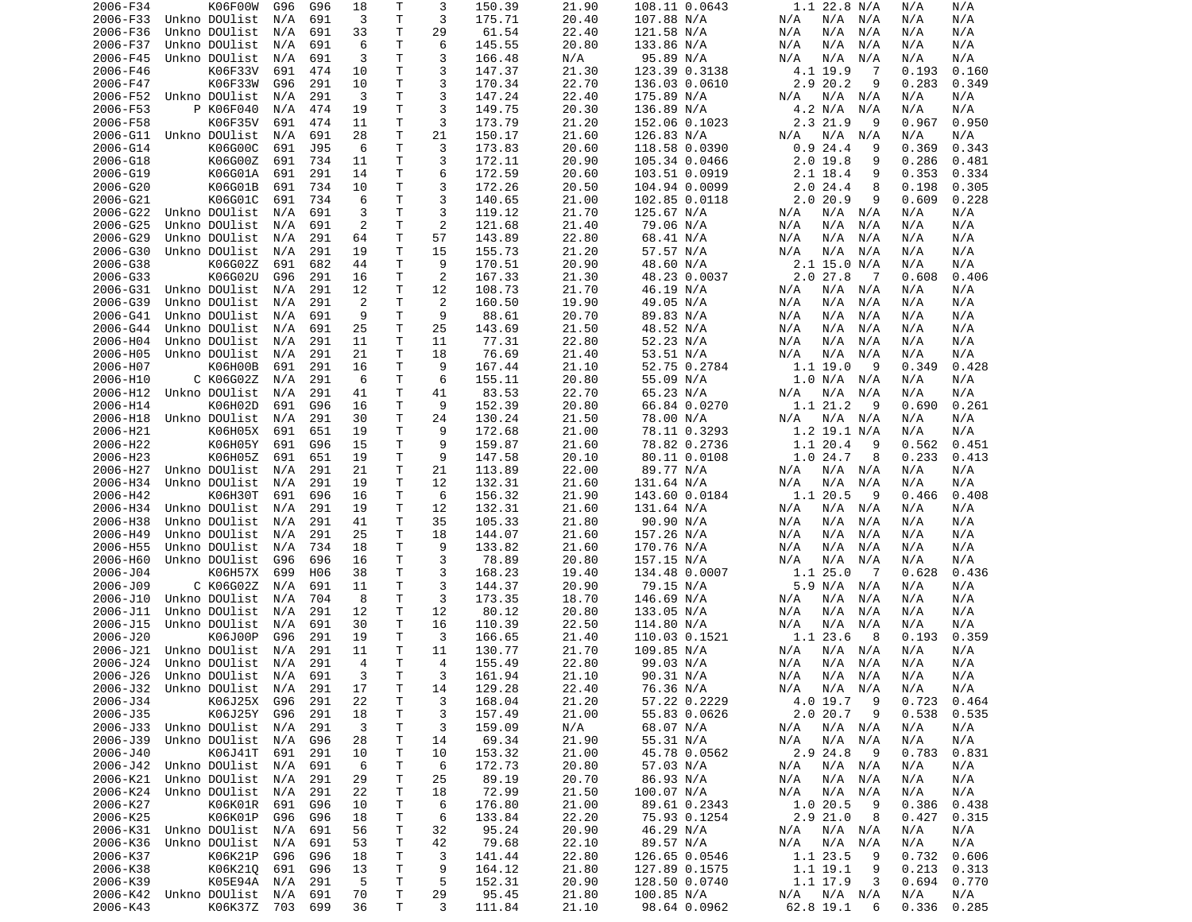| 2006-F34 | K06F00W                        | G96 | G96 | 18 | Т  | 3              | 150.39          | 21.90 | 108.11 0.0643          | $1.1$ 22.8 N/A            | N/A<br>N/A          |
|----------|--------------------------------|-----|-----|----|----|----------------|-----------------|-------|------------------------|---------------------------|---------------------|
| 2006-F33 | Unkno DOUlist                  | N/A | 691 | 3  | T  | 3              | 175.71          | 20.40 | 107.88 N/A             | N/A N/A<br>N/A            | N/A<br>N/A          |
| 2006-F36 | Unkno DOUlist                  | N/A | 691 | 33 | т  | 29             | 61.54           | 22.40 | 121.58 N/A             | N/A<br>N/A<br>N/A         | N/A<br>N/A          |
| 2006-F37 | Unkno DOUlist                  | N/A | 691 | 6  | Τ  | 6              | 145.55          | 20.80 | 133.86 N/A             | N/A<br>N/A<br>N/A         | N/A<br>N/A          |
| 2006-F45 | Unkno DOUlist                  | N/A | 691 | 3  | т  | 3              | 166.48          | N/A   | 95.89 N/A              | N/A<br>N/A<br>N/A         | N/A<br>N/A          |
| 2006-F46 | K06F33V                        | 691 | 474 | 10 | Τ  | 3              | 147.37          | 21.30 | 123.39 0.3138          | 4.1 19.9<br>-7            | 0.193<br>0.160      |
| 2006-F47 | K06F33W                        | G96 | 291 | 10 | Τ  | 3              | 170.34          | 22.70 | 136.03 0.0610          | 2.9 20.2<br>9             | 0.283<br>0.349      |
| 2006-F52 | Unkno DOUlist                  | N/A | 291 | 3  | T  | 3              | 147.24          | 22.40 | 175.89 N/A             | N/A<br>N/A<br>N/A         | N/A<br>N/A          |
| 2006-F53 | P K06F040                      | N/A | 474 | 19 | T  | 3              | 149.75          | 20.30 | 136.89 N/A             | 4.2 N/A<br>N/A            | N/A<br>N/A          |
| 2006-F58 | K06F35V                        | 691 | 474 | 11 | Τ  | 3              | 173.79          | 21.20 | 152.06 0.1023          | 2.3 21.9<br>9             | 0.967<br>0.950      |
| 2006-G11 | Unkno DOUlist                  | N/A | 691 | 28 | Τ  | 21             | 150.17          | 21.60 | 126.83 N/A             | $N/A$ $N/A$<br>N/A        | N/A<br>N/A          |
| 2006-G14 | K06G00C                        | 691 | J95 | 6  | Τ  | 3              | 173.83          | 20.60 | 118.58 0.0390          | 0.924.4<br>9              | 0.369<br>0.343      |
| 2006-G18 | K06G00Z                        | 691 | 734 | 11 | Τ  | 3              | 172.11          | 20.90 | 105.34 0.0466          | 2.019.8<br>9              | 0.286<br>0.481      |
| 2006-G19 | K06G01A                        | 691 | 291 | 14 | Τ  | 6              | 172.59          | 20.60 | 103.51 0.0919          | 2.1 18.4<br>9             | 0.353<br>0.334      |
| 2006-G20 | K06G01B                        | 691 | 734 | 10 | т  | 3              | 172.26          | 20.50 | 104.94 0.0099          | 2.024.4<br>8              | 0.198<br>0.305      |
| 2006-G21 | K06G01C                        | 691 | 734 | 6  | Τ  | 3              | 140.65          | 21.00 | 102.85 0.0118          | 2.020.9<br>9              | 0.609<br>0.228      |
| 2006-G22 | Unkno DOUlist                  | N/A | 691 | 3  | Τ  | 3              | 119.12          | 21.70 | 125.67 N/A             | N/A N/A<br>N/A            | N/A<br>N/A          |
| 2006-G25 | Unkno DOUlist                  | N/A | 691 | 2  | T  | $\overline{2}$ | 121.68          | 21.40 | 79.06 N/A              | N/A<br>N/A<br>N/A         | N/A<br>N/A          |
| 2006-G29 | Unkno DOUlist                  | N/A | 291 | 64 | т  | 57             | 143.89          | 22.80 | 68.41 N/A              | N/A<br>N/A<br>N/A         | N/A<br>N/A          |
| 2006-G30 | Unkno DOUlist                  | N/A | 291 | 19 | T  | 15             | 155.73          | 21.20 | 57.57 N/A              | N/A<br>N/A<br>N/A         | N/A<br>N/A          |
| 2006-G38 | K06G02Z                        | 691 | 682 | 44 | Τ  | 9              | 170.51          | 20.90 | 48.60 N/A              | $2.1$ 15.0 N/A            | N/A<br>N/A          |
| 2006-G33 | K06G02U                        | G96 | 291 | 16 | т  | $\overline{2}$ | 167.33          | 21.30 | 48.23 0.0037           | $2.0$ 27.8<br>- 7         | 0.608<br>0.406      |
| 2006-G31 | Unkno DOUlist                  | N/A | 291 | 12 | Τ  | 12             | 108.73          | 21.70 | 46.19 N/A              | $N/A$ $N/A$<br>N/A        | N/A<br>N/A          |
| 2006-G39 | Unkno DOUlist                  | N/A | 291 | 2  | Τ  | $\overline{2}$ | 160.50          | 19.90 | 49.05 N/A              | N/A<br>N/A N/A            | N/A<br>N/A          |
| 2006-G41 | Unkno DOUlist                  | N/A | 691 | 9  | T  | 9              | 88.61           | 20.70 | 89.83 N/A              | N/A<br>N/A<br>N/A         | N/A<br>N/A          |
| 2006-G44 | Unkno DOUlist                  | N/A | 691 | 25 | т  | 25             | 143.69          | 21.50 | 48.52 N/A              | N/A<br>N/A<br>N/A         | N/A<br>N/A          |
| 2006-H04 | Unkno DOUlist                  | N/A | 291 | 11 | T  | 11             | 77.31           | 22.80 | 52.23 N/A              | N/A<br>N/A<br>N/A         | N/A<br>N/A          |
| 2006-H05 | Unkno DOUlist                  | N/A | 291 | 21 | T  | 18             | 76.69           | 21.40 | 53.51 N/A              | N/A<br>N/A<br>N/A         | N/A<br>N/A          |
| 2006-H07 | K06H00B                        | 691 | 291 | 16 | т  | 9              | 167.44          | 21.10 | 52.75 0.2784           | 1.119.0<br>9              | 0.349<br>0.428      |
|          | C K06G02Z                      |     | 291 | 6  | Τ  | 6              |                 |       |                        | 1.0 N/A N/A               | N/A                 |
| 2006-H10 | Unkno DOUlist                  | N/A |     |    | Τ  |                | 155.11<br>83.53 | 20.80 | 55.09 N/A<br>65.23 N/A |                           | N/A                 |
| 2006-H12 |                                | N/A | 291 | 41 |    | 41<br>9        |                 | 22.70 |                        | N/A<br>N/A<br>N/A         | N/A<br>N/A<br>0.690 |
| 2006-H14 | K06H02D                        | 691 | G96 | 16 | Τ  |                | 152.39          | 20.80 | 66.84 0.0270           | 1.1 21.2<br>9             | 0.261               |
| 2006-H18 | Unkno DOUlist                  | N/A | 291 | 30 | Τ  | 24             | 130.24          | 21.50 | 78.00 N/A              | N/A N/A<br>N/A            | N/A<br>N/A          |
| 2006-H21 | K06H05X                        | 691 | 651 | 19 | Τ  | 9              | 172.68          | 21.00 | 78.11 0.3293           | 1.2 19.1 N/A              | N/A<br>N/A          |
| 2006-H22 | K06H05Y                        | 691 | G96 | 15 | т  | 9              | 159.87          | 21.60 | 78.82 0.2736           | 1.1 20.4<br>9             | 0.562<br>0.451      |
| 2006-H23 | K06H05Z                        | 691 | 651 | 19 | Τ  | 9              | 147.58          | 20.10 | 80.11 0.0108           | 1.0 24.7<br>8             | 0.233<br>0.413      |
| 2006-H27 | Unkno DOUlist                  | N/A | 291 | 21 | Τ  | 21             | 113.89          | 22.00 | 89.77 N/A              | N/A N/A<br>N/A            | N/A<br>N/A          |
| 2006-H34 | Unkno DOUlist                  | N/A | 291 | 19 | т  | 12             | 132.31          | 21.60 | 131.64 N/A             | N/A<br>N/A<br>N/A         | N/A<br>N/A          |
| 2006-H42 | K06H30T                        | 691 | 696 | 16 | T  | 6              | 156.32          | 21.90 | 143.60 0.0184          | 1.1 20.5<br>9             | 0.466<br>0.408      |
| 2006-H34 | Unkno DOUlist                  | N/A | 291 | 19 | T  | 12             | 132.31          | 21.60 | 131.64 N/A             | N/A<br>N/A N/A            | N/A<br>N/A          |
| 2006-H38 | Unkno DOUlist                  | N/A | 291 | 41 | T  | 35             | 105.33          | 21.80 | 90.90 N/A              | N/A<br>N/A<br>N/A         | N/A<br>N/A          |
| 2006-H49 | Unkno DOUlist                  | N/A | 291 | 25 | Τ  | 18             | 144.07          | 21.60 | 157.26 N/A             | N/A<br>N/A<br>N/A         | N/A<br>N/A          |
| 2006-H55 | Unkno DOUlist                  | N/A | 734 | 18 | Τ  | 9              | 133.82          | 21.60 | 170.76 N/A             | N/A<br>N/A<br>N/A         | N/A<br>N/A          |
| 2006-H60 | Unkno DOUlist                  | G96 | 696 | 16 | Τ  | 3              | 78.89           | 20.80 | 157.15 N/A             | N/A<br>N/A<br>N/A         | N/A<br>N/A          |
| 2006-J04 | K06H57X                        | 699 | H06 | 38 | т  | 3              | 168.23          | 19.40 | 134.48 0.0007          | 1.125.0<br>$\overline{7}$ | 0.628<br>0.436      |
| 2006-J09 | C K06G02Z                      | N/A | 691 | 11 | Τ  | 3              | 144.37          | 20.90 | 79.15 N/A              | 5.9 N/A N/A               | N/A<br>N/A          |
| 2006-J10 | Unkno DOUlist                  | N/A | 704 | 8  | Τ  | 3              | 173.35          | 18.70 | 146.69 N/A             | N/A<br>N/A<br>N/A         | N/A<br>N/A          |
| 2006-J11 | Unkno DOUlist                  | N/A | 291 | 12 | т  | 12             | 80.12           | 20.80 | 133.05 N/A             | N/A<br>N/A<br>N/A         | N/A<br>N/A          |
| 2006-J15 | Unkno DOUlist                  | N/A | 691 | 30 | т  | 16             | 110.39          | 22.50 | 114.80 N/A             | N/A<br>N/A<br>N/A         | N/A<br>N/A          |
| 2006-J20 | K06J00P                        | G96 | 291 | 19 | т  | 3              | 166.65          | 21.40 | 110.03 0.1521          | 1.1 23.6<br>8             | 0.193<br>0.359      |
| 2006-J21 | Unkno DOUlist                  | N/A | 291 | 11 | Τ  | 11             | 130.77          | 21.70 | 109.85 N/A             | N/A N/A<br>N/A            | N/A<br>N/A          |
| 2006-J24 | Unkno DOUlist                  | N/A | 291 | 4  | T. | 4              | 155.49          | 22.80 | 99.03 N/A              | N/A<br>N/A N/A            | N/A<br>N/A          |
|          | 2006-J26 Unkno DOUlist N/A 691 |     |     | 3  | T. | 3              | 161.94          | 21.10 | 90.31 N/A              | N/A<br>N/A N/A            | N/A<br>N/A          |
|          | 2006-J32 Unkno DOUlist N/A     |     | 291 | 17 | Τ  | 14             | 129.28          | 22.40 | 76.36 N/A              | N/A<br>N/A N/A            | N/A<br>N/A          |
| 2006-J34 | K06J25X                        | G96 | 291 | 22 | Τ  | 3              | 168.04          | 21.20 | 57.22 0.2229           | 4.0 19.7<br>- 9           | 0.723<br>0.464      |
| 2006-J35 | K06J25Y                        | G96 | 291 | 18 | Τ  | 3              | 157.49          | 21.00 | 55.83 0.0626           | 2.020.7<br>9              | 0.538<br>0.535      |
| 2006-J33 | Unkno DOUlist                  | N/A | 291 | 3  | Τ  | 3              | 159.09          | N/A   | 68.07 N/A              | N/A N/A<br>N/A            | N/A<br>N/A          |
| 2006-J39 | Unkno DOUlist                  | N/A | G96 | 28 | Т  | 14             | 69.34           | 21.90 | 55.31 N/A              | N/A<br>N/A N/A            | N/A<br>N/A          |
| 2006-J40 | K06J41T                        | 691 | 291 | 10 | Т  | 10             | 153.32          | 21.00 | 45.78 0.0562           | 2.9 24.8<br>- 9           | 0.783<br>0.831      |
| 2006-J42 | Unkno DOUlist                  | N/A | 691 | 6  | T  | 6              | 172.73          | 20.80 | 57.03 N/A              | $N/A$ $N/A$<br>N/A        | N/A<br>N/A          |
| 2006-K21 | Unkno DOUlist                  | N/A | 291 | 29 | Τ  | 25             | 89.19           | 20.70 | 86.93 N/A              | N/A<br>N/A N/A            | N/A<br>N/A          |
| 2006-K24 | Unkno DOUlist                  | N/A | 291 | 22 | Τ  | 18             | 72.99           | 21.50 | 100.07 N/A             | N/A<br>$N/A$ $N/A$        | N/A<br>N/A          |
| 2006-K27 | K06K01R                        | 691 | G96 | 10 | Τ  | 6              | 176.80          | 21.00 | 89.61 0.2343           | 1.0 20.5<br>- 9           | 0.386<br>0.438      |
| 2006-K25 | K06K01P                        | G96 | G96 | 18 | Τ  | 6              | 133.84          | 22.20 | 75.93 0.1254           | 2.921.0<br>- 8            | 0.427<br>0.315      |
|          | 2006-K31 Unkno DOUlist         | N/A | 691 | 56 | Τ  | 32             | 95.24           | 20.90 | 46.29 N/A              | N/A<br>N/A N/A            | N/A<br>N/A          |
| 2006-K36 | Unkno DOUlist                  | N/A | 691 | 53 | Τ  | 42             | 79.68           | 22.10 | 89.57 N/A              | N/A<br>N/A N/A            | N/A<br>N/A          |
| 2006-K37 | K06K21P                        | G96 | G96 | 18 | T  | 3              | 141.44          | 22.80 | 126.65 0.0546          | 1.1 23.5<br>9             | 0.732<br>0.606      |
| 2006-K38 | K06K21Q                        | 691 | G96 | 13 | Τ  | 9              | 164.12          | 21.80 | 127.89 0.1575          | 1.1 19.1<br>9             | 0.213<br>0.313      |
| 2006-K39 | K05E94A                        | N/A | 291 | 5  | T. | 5              | 152.31          | 20.90 | 128.50 0.0740          | 1.1 17.9<br>3             | 0.694<br>0.770      |
|          | 2006-K42 Unkno DOUlist         | N/A | 691 | 70 | T. | 29             | 95.45           | 21.80 |                        | N/A N/A                   | N/A<br>N/A          |
|          |                                |     |     |    |    |                |                 |       | 100.85 N/A             | N/A                       |                     |
| 2006-K43 | K06K37Z 703 699                |     |     | 36 | T  | 3              | 111.84          | 21.10 | 98.64 0.0962           | 62.8 19.1<br>6            | 0.336<br>0.285      |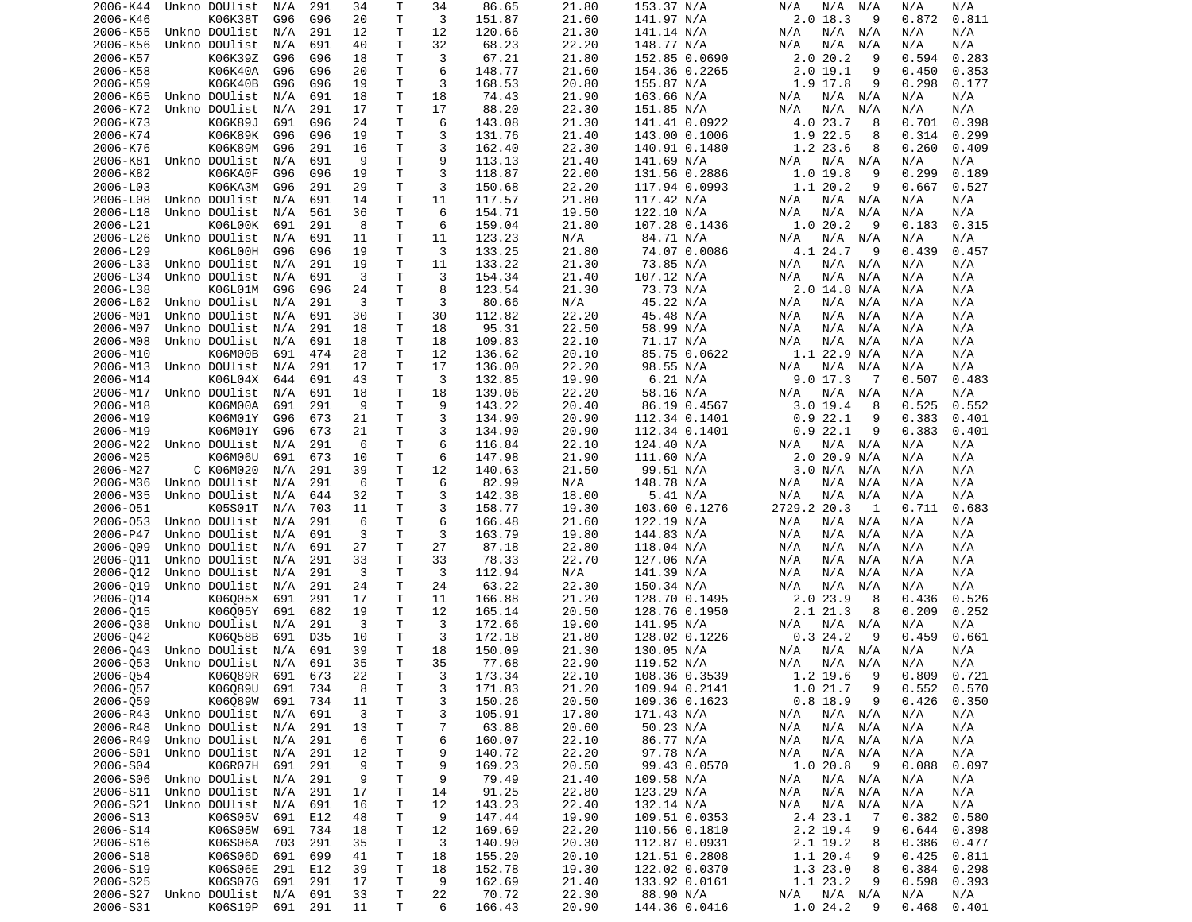| 2006-K44 | Unkno DOUlist      | N/A     | 291 | 34 | Т           | 34 | 86.65  | 21.80 | 153.37 N/A    | N/A<br>N/A<br>N/A          | N/A<br>N/A      |
|----------|--------------------|---------|-----|----|-------------|----|--------|-------|---------------|----------------------------|-----------------|
| 2006-K46 | K06K38T            | G96     | G96 | 20 | Τ           | 3  | 151.87 | 21.60 | 141.97 N/A    | 2.0 18.3<br>9              | 0.872<br>0.811  |
| 2006-K55 | Unkno DOUlist      | N/A     | 291 | 12 | Τ           | 12 | 120.66 | 21.30 | 141.14 N/A    | N/A<br>N/A<br>N/A          | N/A<br>N/A      |
| 2006-K56 | Unkno DOUlist      | N/A     | 691 | 40 | т           | 32 | 68.23  | 22.20 | 148.77 N/A    | N/A<br>N/A<br>N/A          | N/A<br>N/A      |
| 2006-K57 | K06K39Z            | G96     | G96 | 18 | т           | 3  | 67.21  | 21.80 | 152.85 0.0690 | 2.020.2<br>9               | 0.594<br>0.283  |
| 2006-K58 | K06K40A            | G96     | G96 | 20 | T           | 6  | 148.77 | 21.60 | 154.36 0.2265 | 2.019.1<br>9               | 0.450<br>0.353  |
| 2006-K59 | K06K40B            | G96     | G96 | 19 | T           | 3  | 168.53 | 20.80 | 155.87 N/A    | 1.9 17.8<br>9              | 0.298<br>0.177  |
| 2006-K65 | Unkno DOUlist      | N/A     | 691 | 18 | т           | 18 | 74.43  | 21.90 | 163.66 N/A    | N/A<br>N/A<br>N/A          | N/A<br>N/A      |
| 2006-K72 | Unkno DOUlist      | N/A     | 291 | 17 | Τ           | 17 | 88.20  | 22.30 | 151.85 N/A    | N/A<br>N/A<br>N/A          | N/A<br>N/A      |
|          |                    |         |     |    |             |    |        |       |               |                            |                 |
| 2006-K73 | K06K89J            | 691     | G96 | 24 | Τ           | 6  | 143.08 | 21.30 | 141.41 0.0922 | 4.0 23.7<br>8              | 0.398<br>0.701  |
| 2006-K74 | K06K89K            | G96     | G96 | 19 | Τ           | 3  | 131.76 | 21.40 | 143.00 0.1006 | 1.9 22.5<br>8              | 0.314<br>0.299  |
| 2006-K76 | K06K89M            | G96     | 291 | 16 | Τ           | 3  | 162.40 | 22.30 | 140.91 0.1480 | 1.2 23.6<br>8              | 0.260<br>0.409  |
| 2006-K81 | Unkno DOUlist      | N/A     | 691 | 9  | T           | 9  | 113.13 | 21.40 | 141.69 N/A    | N/A<br>N/A<br>N/A          | N/A<br>N/A      |
| 2006-K82 | K06KA0F            | G96     | G96 | 19 | T           | 3  | 118.87 | 22.00 | 131.56 0.2886 | 1.0 19.8<br>9              | 0.299<br>0.189  |
| 2006-L03 | K06KA3M            | G96     | 291 | 29 | T           | 3  | 150.68 | 22.20 | 117.94 0.0993 | 1.1 20.2<br>9              | 0.667<br>0.527  |
| 2006-L08 | Unkno DOUlist      | N/A     | 691 | 14 | Τ           | 11 | 117.57 | 21.80 | 117.42 N/A    | N/A N/A<br>N/A             | N/A<br>N/A      |
| 2006-L18 | Unkno DOUlist      | N/A     | 561 | 36 | т           | 6  | 154.71 | 19.50 | 122.10 N/A    | N/A<br>N/A<br>N/A          | N/A<br>N/A      |
| 2006-L21 | K06L00K            | 691     | 291 | 8  | T           | 6  | 159.04 | 21.80 | 107.28 0.1436 | 1.020.2<br>9               | 0.183<br>0.315  |
| 2006-L26 | Unkno DOUlist      | N/A     | 691 | 11 | Τ           | 11 | 123.23 | N/A   | 84.71 N/A     | N/A N/A<br>N/A             | N/A<br>N/A      |
| 2006-L29 | K06L00H            | G96     | G96 | 19 | T           | 3  | 133.25 | 21.80 | 74.07 0.0086  | 4.1 24.7<br>9              | 0.439<br>0.457  |
| 2006-L33 | Unkno DOUlist      | N/A     | 291 | 19 | Τ           | 11 | 133.22 | 21.30 | 73.85 N/A     | N/A<br>N/A N/A             | N/A<br>N/A      |
| 2006-L34 | Unkno DOUlist      | N/A     | 691 | 3  | Τ           | 3  | 154.34 | 21.40 | 107.12 N/A    | N/A<br>N/A<br>N/A          | N/A<br>N/A      |
| 2006-L38 | K06L01M            | G96     | G96 | 24 | T           | 8  | 123.54 | 21.30 | 73.73 N/A     | 2.0 14.8 N/A               | N/A<br>N/A      |
| 2006-L62 | Unkno DOUlist      | N/A     | 291 | 3  | Τ           | 3  | 80.66  | N/A   | 45.22 N/A     | N/A<br>N/A N/A             | N/A<br>N/A      |
| 2006-M01 | Unkno DOUlist      | N/A     | 691 | 30 | T           | 30 | 112.82 | 22.20 | 45.48 N/A     | N/A<br>N/A<br>N/A          | N/A<br>N/A      |
| 2006-M07 | Unkno DOUlist      | N/A     | 291 | 18 | T           | 18 | 95.31  | 22.50 | 58.99 N/A     | N/A<br>N/A N/A             | N/A<br>N/A      |
| 2006-M08 | Unkno DOUlist      | N/A     | 691 | 18 | T           | 18 | 109.83 | 22.10 |               | N/A<br>N/A<br>N/A          | N/A<br>N/A      |
|          | K06M00B            | 691     | 474 | 28 | Τ           | 12 |        | 20.10 | 71.17 N/A     | $1.1$ 22.9 N/A             | N/A             |
| 2006-M10 |                    |         |     |    |             |    | 136.62 |       | 85.75 0.0622  |                            | N/A             |
| 2006-M13 | Unkno DOUlist      | N/A     | 291 | 17 | т           | 17 | 136.00 | 22.20 | 98.55 N/A     | N/A<br>N/A<br>N/A          | N/A<br>N/A      |
| 2006-M14 | K06L04X            | 644     | 691 | 43 | Τ           | 3  | 132.85 | 19.90 | 6.21 N/A      | $9.0$ 17.3<br>-7           | 0.507<br>0.483  |
| 2006-M17 | Unkno DOUlist      | N/A     | 691 | 18 | T           | 18 | 139.06 | 22.20 | 58.16 N/A     | N/A<br>N/A<br>N/A          | N/A<br>N/A      |
| 2006-M18 | K06M00A            | 691     | 291 | 9  | Τ           | 9  | 143.22 | 20.40 | 86.19 0.4567  | $3.0$ 19.4<br>8            | 0.525<br>0.552  |
| 2006-M19 | K06M01Y            | G96     | 673 | 21 | Τ           | 3  | 134.90 | 20.90 | 112.34 0.1401 | 0.922.1<br>9               | 0.383<br>0.401  |
| 2006-M19 | K06M01Y            | G96     | 673 | 21 | Τ           | 3  | 134.90 | 20.90 | 112.34 0.1401 | 0.922.1<br>9               | 0.383<br>0.401  |
| 2006-M22 | Unkno DOUlist      | N/A     | 291 | 6  | Τ           | 6  | 116.84 | 22.10 | 124.40 N/A    | N/A N/A<br>N/A             | N/A<br>N/A      |
| 2006-M25 | K06M06U            | 691     | 673 | 10 | Τ           | 6  | 147.98 | 21.90 | 111.60 N/A    | 2.0 20.9 N/A               | N/A<br>N/A      |
| 2006-M27 | C K06M020          | N/A     | 291 | 39 | Τ           | 12 | 140.63 | 21.50 | 99.51 N/A     | 3.0 N/A<br>N/A             | N/A<br>N/A      |
| 2006-M36 | Unkno DOUlist      | N/A     | 291 | 6  | Τ           | 6  | 82.99  | N/A   | 148.78 N/A    | N/A<br>N/A<br>N/A          | N/A<br>N/A      |
| 2006-M35 | Unkno DOUlist      | N/A     | 644 | 32 | Τ           | 3  | 142.38 | 18.00 | 5.41 N/A      | N/A<br>N/A<br>N/A          | N/A<br>N/A      |
| 2006-051 | K05S01T            | N/A     | 703 | 11 | Τ           | 3  | 158.77 | 19.30 | 103.60 0.1276 | 2729.2 20.3<br>1           | 0.711<br>0.683  |
| 2006-053 | Unkno DOUlist      | N/A     | 291 | 6  | T           | 6  | 166.48 | 21.60 | 122.19 N/A    | N/A<br>N/A<br>N/A          | N/A<br>N/A      |
| 2006-P47 | Unkno DOUlist      | N/A     | 691 | 3  | T           | 3  | 163.79 | 19.80 | 144.83 N/A    | N/A<br>N/A<br>N/A          | N/A<br>N/A      |
| 2006-009 | Unkno DOUlist      | N/A     | 691 | 27 | Τ           | 27 | 87.18  | 22.80 | 118.04 N/A    | N/A<br>N/A<br>N/A          | N/A<br>N/A      |
| 2006-011 | Unkno DOUlist      | N/A     | 291 | 33 | T           | 33 | 78.33  | 22.70 | 127.06 N/A    | N/A<br>N/A<br>N/A          | N/A<br>N/A      |
| 2006-012 | Unkno DOUlist      | N/A     | 291 | 3  | Τ           | 3  | 112.94 | N/A   | 141.39 N/A    | N/A<br>N/A<br>N/A          | N/A<br>N/A      |
| 2006-019 | Unkno DOUlist      | N/A     | 291 | 24 | Τ           | 24 | 63.22  | 22.30 | 150.34 N/A    | N/A<br>N/A<br>N/A          | N/A<br>N/A      |
|          |                    |         |     |    | Τ           |    |        |       |               |                            |                 |
| 2006-014 | K06005X<br>K06005Y | 691     | 291 | 17 |             | 11 | 166.88 | 21.20 | 128.70 0.1495 | 2.0 23.9<br>8              | 0.436<br>0.526  |
| 2006-015 |                    | 691     | 682 | 19 | т           | 12 | 165.14 | 20.50 | 128.76 0.1950 | 2.1 21.3<br>8              | 0.209<br>0.252  |
| 2006-038 | Unkno DOUlist      | N/A     | 291 | 3  | т           | 3  | 172.66 | 19.00 | 141.95 N/A    | N/A N/A<br>N/A             | N/A<br>N/A      |
| 2006-042 | K06Q58B            | 691     | D35 | 10 | Τ           | 3  | 172.18 | 21.80 | 128.02 0.1226 | 0.324.2<br>9               | 0.459<br>0.661  |
| 2006-043 | Unkno DOUlist      | N/A     | 691 | 39 | T           | 18 | 150.09 | 21.30 | 130.05 N/A    | N/A<br>N/A N/A             | N/A<br>N/A      |
| 2006-053 | Unkno DOUlist      | N/A     | 691 | 35 | T.          | 35 | 77.68  | 22.90 | 119.52 N/A    | N/A<br>N/A N/A             | N/A<br>N/A      |
| 2006-Q54 | K06Q89R 691 673    |         |     | 22 | T.          | 3  | 173.34 | 22.10 | 108.36 0.3539 | 1.2 19.6<br>- 9            | $0.809$ $0.721$ |
| 2006-057 | K06Q89U 691        |         | 734 | 8  | Τ           | 3  | 171.83 | 21.20 | 109.94 0.2141 | 1.0 21.7<br>9              | 0.552<br>0.570  |
| 2006-059 | K06089W            | 691     | 734 | 11 | $\mathsf T$ | 3  | 150.26 | 20.50 | 109.36 0.1623 | $0.8$ 18.9<br>9            | 0.426<br>0.350  |
| 2006-R43 | Unkno DOUlist      | N/A     | 691 | 3  | T.          | 3  | 105.91 | 17.80 | 171.43 N/A    | $N/A$ $N/A$<br>N/A         | N/A<br>N/A      |
| 2006-R48 | Unkno DOUlist      | N/A     | 291 | 13 | T.          | 7  | 63.88  | 20.60 | 50.23 N/A     | $N/A$ $N/A$<br>N/A         | N/A<br>N/A      |
| 2006-R49 | Unkno DOUlist      | N/A     | 291 | 6  | Τ           | 6  | 160.07 | 22.10 | 86.77 N/A     | $N/A$ $N/A$<br>N/A         | N/A<br>N/A      |
| 2006-S01 | Unkno DOUlist      | N/A     | 291 | 12 | Τ           | 9  | 140.72 | 22.20 | 97.78 N/A     | N/A<br>N/A N/A             | N/A<br>N/A      |
| 2006-S04 | K06R07H            | 691     | 291 | 9  | T           | 9  | 169.23 | 20.50 | 99.43 0.0570  | 1.0 20.8<br>- 9            | 0.088<br>0.097  |
| 2006-S06 | Unkno DOUlist      | N/A     | 291 | 9  | T           | 9  | 79.49  | 21.40 | 109.58 N/A    | N/A<br>N/A N/A             | N/A<br>N/A      |
| 2006-S11 | Unkno DOUlist      | N/A     | 291 | 17 | Τ           | 14 | 91.25  | 22.80 | 123.29 N/A    | N/A<br>$N/A$ $N/A$         | N/A<br>N/A      |
| 2006-S21 | Unkno DOUlist      | N/A     | 691 | 16 | Τ           | 12 | 143.23 | 22.40 | 132.14 N/A    | $N/A$ $N/A$<br>N/A         | N/A<br>N/A      |
| 2006-S13 | K06S05V            | 691     | E12 | 48 | Τ           | 9  | 147.44 | 19.90 | 109.51 0.0353 | 2.4 23.1<br>$\overline{7}$ | 0.382<br>0.580  |
|          |                    |         |     | 18 | T           | 12 |        | 22.20 |               |                            | 0.644           |
| 2006-S14 | K06S05W            | 691     | 734 |    |             |    | 169.69 |       | 110.56 0.1810 | 2.2 19.4<br>9              | 0.398           |
| 2006-S16 | K06S06A            | 703     | 291 | 35 | Τ           | 3  | 140.90 | 20.30 | 112.87 0.0931 | 2.1 19.2<br>8              | 0.386<br>0.477  |
| 2006-S18 | K06S06D            | 691     | 699 | 41 | T           | 18 | 155.20 | 20.10 | 121.51 0.2808 | 1.1 20.4<br>9              | 0.425<br>0.811  |
| 2006-S19 | K06S06E            | 291     | E12 | 39 | Τ           | 18 | 152.78 | 19.30 | 122.02 0.0370 | 1.323.0<br>8               | 0.384<br>0.298  |
| 2006-S25 | K06S07G            | 691     | 291 | 17 | T           | 9  | 162.69 | 21.40 | 133.92 0.0161 | 1.1 23.2<br>9              | 0.598<br>0.393  |
| 2006-S27 | Unkno DOUlist      | N/A     | 691 | 33 | T.          | 22 | 70.72  | 22.30 | 88.90 N/A     | N/A N/A<br>N/A             | N/A<br>N/A      |
| 2006-S31 | K06S19P            | 691 291 |     | 11 | T           | 6  | 166.43 | 20.90 | 144.36 0.0416 | 1.024.2<br>- 9             | 0.468<br>0.401  |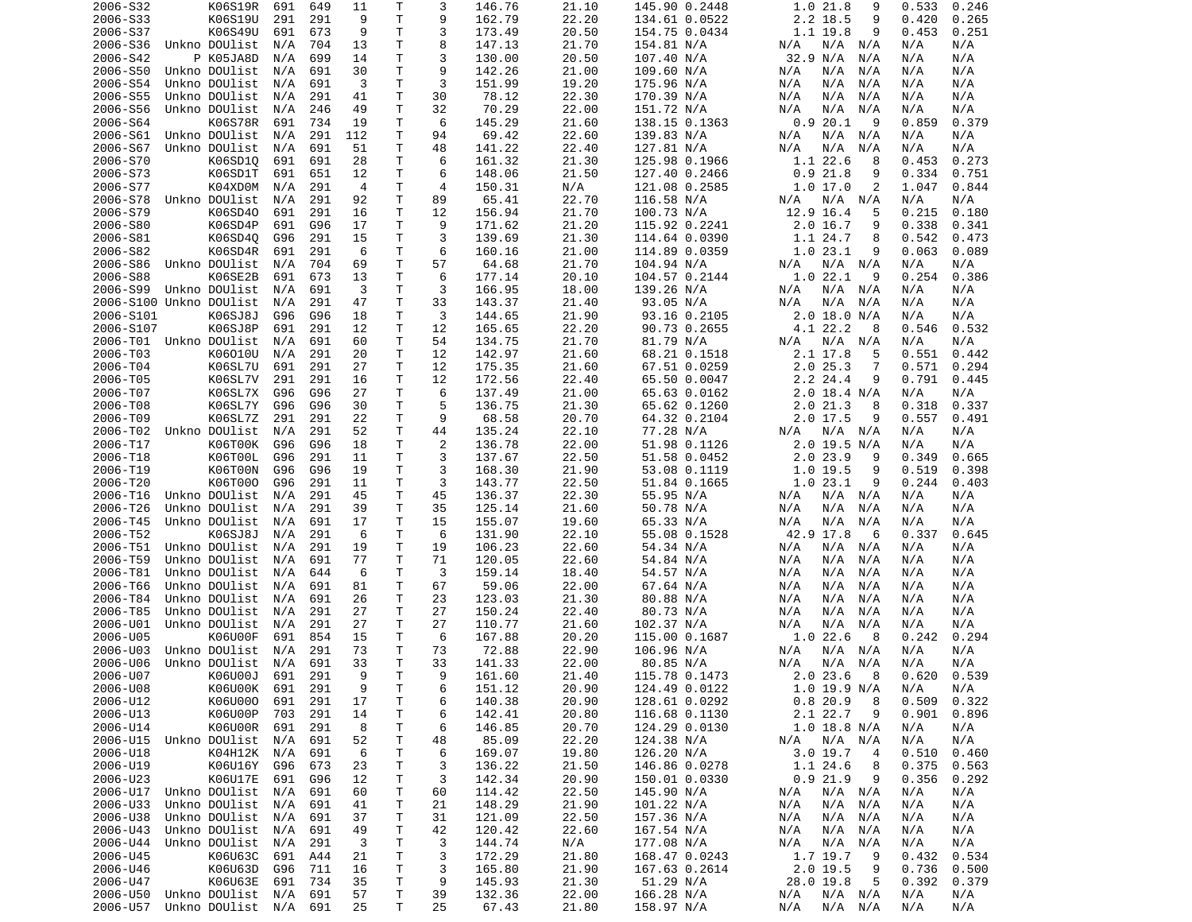| 2006-S32                | K06S19R                                | 691 | 649 | 11       | Т      | 3              | 146.76          | 21.10          | 145.90 0.2448            | 1.0 21.8<br>9                    | 0.533<br>0.246           |
|-------------------------|----------------------------------------|-----|-----|----------|--------|----------------|-----------------|----------------|--------------------------|----------------------------------|--------------------------|
| 2006-S33                | K06S19U                                | 291 | 291 | 9        | T      | 9              | 162.79          | 22.20          | 134.61 0.0522            | 2.2 18.5<br>9                    | 0.420<br>0.265           |
| 2006-S37                | K06S49U                                | 691 | 673 | 9        | Τ      | 3              | 173.49          | 20.50          | 154.75 0.0434            | 1.1 19.8<br>9                    | 0.453<br>0.251           |
| 2006-S36                | Unkno DOUlist                          | N/A | 704 | 13       | т      | 8              | 147.13          | 21.70          | 154.81 N/A               | N/A<br>N/A<br>N/A                | N/A<br>N/A               |
|                         |                                        |     |     |          |        |                |                 |                |                          |                                  |                          |
| 2006-S42                | P K05JA8D                              | N/A | 699 | 14       | т      | 3              | 130.00          | 20.50          | 107.40 N/A               | 32.9 N/A<br>N/A                  | N/A<br>N/A               |
| 2006-S50                | Unkno DOUlist                          | N/A | 691 | 30       | т      | 9              | 142.26          | 21.00          | 109.60 N/A               | N/A<br>N/A<br>N/A                | N/A<br>N/A               |
| 2006-S54                | Unkno DOUlist                          | N/A | 691 | 3        | Т      | 3              | 151.99          | 19.20          | 175.96 N/A               | N/A<br>N/A<br>N/A                | N/A<br>N/A               |
| 2006-S55                | Unkno DOUlist                          | N/A | 291 | 41       | Τ      | 30             | 78.12           | 22.30          | 170.39 N/A               | N/A<br>N/A<br>N/A                | N/A<br>N/A               |
| 2006-S56                | Unkno DOUlist                          | N/A | 246 | 49       | T      | 32             | 70.29           | 22.00          | 151.72 N/A               | N/A<br>N/A<br>N/A                | N/A<br>N/A               |
| 2006-S64                | K06S78R                                | 691 | 734 | 19       | T      | 6              | 145.29          | 21.60          |                          | 0.920.1<br>9                     | 0.379                    |
|                         |                                        |     |     |          |        |                |                 |                | 138.15 0.1363            |                                  | 0.859                    |
| 2006-S61                | Unkno DOUlist                          | N/A | 291 | 112      | T      | 94             | 69.42           | 22.60          | 139.83 N/A               | N/A<br>N/A<br>N/A                | N/A<br>N/A               |
| 2006-S67                | Unkno DOUlist                          | N/A | 691 | 51       | Τ      | 48             | 141.22          | 22.40          | 127.81 N/A               | N/A<br>N/A<br>N/A                | N/A<br>N/A               |
| 2006-S70                | K06SD10                                | 691 | 691 | 28       | Τ      | 6              | 161.32          | 21.30          | 125.98 0.1966            | 1.122.6<br>8                     | 0.453<br>0.273           |
| 2006-S73                | K06SD1T                                | 691 | 651 | 12       | т      | 6              | 148.06          | 21.50          | 127.40 0.2466            | $0.9$ 21.8<br>9                  | 0.334<br>0.751           |
| 2006-S77                | K04XD0M                                | N/A | 291 | 4        | т      | 4              | 150.31          | N/A            | 121.08 0.2585            | 1.0 17.0<br>2                    | 1.047<br>0.844           |
|                         |                                        |     |     |          | Τ      |                |                 |                |                          |                                  |                          |
| 2006-S78                | Unkno DOUlist                          | N/A | 291 | 92       |        | 89             | 65.41           | 22.70          | 116.58 N/A               | N/A<br>N/A<br>N/A                | N/A<br>N/A               |
| 2006-S79                | K06SD40                                | 691 | 291 | 16       | Τ      | 12             | 156.94          | 21.70          | 100.73 N/A               | 12.9 16.4<br>5                   | 0.215<br>0.180           |
| 2006-S80                | K06SD4P                                | 691 | G96 | 17       | T.     | 9              | 171.62          | 21.20          | 115.92 0.2241            | $2.0$ 16.7<br>9                  | 0.338<br>0.341           |
| 2006-S81                | K06SD40                                | G96 | 291 | 15       | Τ      | 3              | 139.69          | 21.30          | 114.64 0.0390            | 1.1 24.7<br>8                    | 0.542<br>0.473           |
| 2006-S82                | K06SD4R                                | 691 | 291 | 6        | т      | 6              | 160.16          | 21.00          | 114.89 0.0359            | 1.023.1<br>9                     | 0.063<br>0.089           |
| 2006-S86                | Unkno DOUlist                          | N/A | 704 | 69       | Τ      | 57             | 64.68           | 21.70          | 104.94 N/A               | $N/A$ $N/A$<br>N/A               | N/A<br>N/A               |
|                         |                                        |     |     |          |        |                |                 |                |                          |                                  |                          |
| 2006-S88                | K06SE2B                                | 691 | 673 | 13       | Τ      | 6              | 177.14          | 20.10          | 104.57 0.2144            | 1.022.1<br>9                     | 0.254<br>0.386           |
| 2006-S99                | Unkno DOUlist                          | N/A | 691 | 3        | T      | 3              | 166.95          | 18.00          | 139.26 N/A               | N/A<br>N/A<br>N/A                | N/A<br>N/A               |
| 2006-S100 Unkno DOUlist |                                        | N/A | 291 | 47       | т      | 33             | 143.37          | 21.40          | 93.05 N/A                | N/A<br>N/A<br>N/A                | N/A<br>N/A               |
| 2006-S101               | K06SJ8J                                | G96 | G96 | 18       | T      | 3              | 144.65          | 21.90          | 93.16 0.2105             | 2.0 18.0 N/A                     | N/A<br>N/A               |
| 2006-S107               | K06SJ8P                                | 691 | 291 | 12       | Τ      | 12             | 165.65          | 22.20          | 90.73 0.2655             | 4.1 22.2<br>8                    | 0.546<br>0.532           |
|                         |                                        |     |     |          |        |                |                 |                |                          |                                  |                          |
| 2006-T01                | Unkno DOUlist                          | N/A | 691 | 60       | т      | 54             | 134.75          | 21.70          | 81.79 N/A                | N/A<br>N/A<br>N/A                | N/A<br>N/A               |
| 2006-T03                | K06010U                                | N/A | 291 | 20       | т      | 12             | 142.97          | 21.60          | 68.21 0.1518             | 2.1 17.8<br>5                    | 0.551<br>0.442           |
| 2006-T04                | K06SL7U                                | 691 | 291 | 27       | т      | 12             | 175.35          | 21.60          | 67.51 0.0259             | 2.025.3<br>7                     | 0.294<br>0.571           |
| 2006-T05                | K06SL7V                                | 291 | 291 | 16       | Τ      | 12             | 172.56          | 22.40          | 65.50 0.0047             | 2.2 24.4<br>9                    | 0.791<br>0.445           |
| 2006-T07                | K06SL7X                                | G96 | G96 | 27       | т      | 6              | 137.49          | 21.00          | 65.63 0.0162             | $2.0$ 18.4 N/A                   | N/A<br>N/A               |
| 2006-T08                | K06SL7Y                                | G96 | G96 | 30       | T.     | 5              | 136.75          | 21.30          | 65.62 0.1260             | 2.021.3<br>8                     | 0.318<br>0.337           |
|                         |                                        |     |     |          |        |                |                 |                |                          |                                  |                          |
| 2006-T09                | K06SL7Z                                | 291 | 291 | 22       | т      | 9              | 68.58           | 20.70          | 64.32 0.2104             | 2.0 17.5<br>9                    | 0.557<br>0.491           |
| 2006-T02                | Unkno DOUlist                          | N/A | 291 | 52       | T      | 44             | 135.24          | 22.10          | 77.28 N/A                | N/A<br>N/A N/A                   | N/A<br>N/A               |
| 2006-T17                | K06T00K                                | G96 | G96 | 18       | Τ      | $\overline{c}$ | 136.78          | 22.00          | 51.98 0.1126             | 2.0 19.5 N/A                     | N/A<br>N/A               |
| 2006-T18                | K06T00L                                | G96 | 291 | 11       | Τ      | 3              | 137.67          | 22.50          | 51.58 0.0452             | $2.0$ 23.9<br>9                  | 0.349<br>0.665           |
| 2006-T19                | K06T00N                                | G96 | G96 | 19       | T      | 3              | 168.30          | 21.90          | 53.08 0.1119             | 1.0 19.5<br>9                    | 0.519<br>0.398           |
| 2006-T20                | K06T000                                | G96 | 291 | 11       | т      | 3              |                 |                |                          | 1.023.1<br>9                     | 0.244<br>0.403           |
|                         |                                        |     |     |          |        |                | 143.77          | 22.50          | 51.84 0.1665             |                                  |                          |
| 2006-T16                | Unkno DOUlist                          | N/A | 291 | 45       | т      | 45             | 136.37          | 22.30          | 55.95 N/A                | N/A<br>N/A<br>N/A                | N/A<br>N/A               |
| 2006-T26                | Unkno DOUlist                          | N/A | 291 | 39       | т      | 35             | 125.14          | 21.60          | 50.78 N/A                | N/A<br>N/A<br>N/A                | N/A<br>N/A               |
| 2006-T45                | Unkno DOUlist                          | N/A | 691 | 17       | т      | 15             | 155.07          | 19.60          | 65.33 N/A                | N/A<br>N/A<br>N/A                | N/A<br>N/A               |
| 2006-T52                | K06SJ8J                                | N/A | 291 | 6        | Τ      | 6              | 131.90          | 22.10          | 55.08 0.1528             | 42.9 17.8<br>6                   | 0.337<br>0.645           |
| 2006-T51                | Unkno DOUlist                          | N/A | 291 | 19       | т      | 19             | 106.23          | 22.60          | 54.34 N/A                | N/A<br>N/A<br>N/A                | N/A<br>N/A               |
|                         |                                        |     |     |          |        |                |                 |                |                          |                                  |                          |
| 2006-T59                | Unkno DOUlist                          | N/A | 691 | 77       | T      | 71             | 120.05          | 22.60          | 54.84 N/A                | N/A<br>N/A<br>N/A                | N/A<br>N/A               |
| 2006-T81                | Unkno DOUlist                          | N/A | 644 | 6        | T      | 3              | 159.14          | 18.40          | 54.57 N/A                | N/A<br>N/A<br>N/A                | N/A<br>N/A               |
| 2006-T66                | Unkno DOUlist                          | N/A | 691 | 81       | Τ      | 67             | 59.06           | 22.00          | 67.64 N/A                | N/A<br>N/A<br>N/A                | N/A<br>N/A               |
| 2006-T84                | Unkno DOUlist                          | N/A | 691 | 26       | T      | 23             | 123.03          | 21.30          | 80.88 N/A                | N/A<br>N/A<br>N/A                | N/A<br>N/A               |
| 2006-T85                | Unkno DOUlist                          | N/A | 291 | 27       | т      | 27             | 150.24          | 22.40          | 80.73 N/A                | N/A<br>N/A<br>N/A                | N/A<br>N/A               |
| 2006-U01                |                                        |     |     |          | Τ      | 27             |                 |                |                          | N/A<br>N/A                       | N/A                      |
|                         | Unkno DOUlist                          | N/A | 291 | 27       |        |                | 110.77          | 21.60          | 102.37 N/A               | N/A                              | N/A                      |
| 2006-U05                | K06U00F                                | 691 | 854 | 15       | т      | 6              | 167.88          | 20.20          | 115.00 0.1687            | 1.022.6<br>8                     | 0.242<br>0.294           |
| 2006-U03                | Unkno DOUlist                          | N/A | 291 | 73       | Τ      | 73             | 72.88           | 22.90          | 106.96 N/A               | N/A<br>N/A<br>N/A                | N/A<br>N/A               |
| 2006-U06                | Unkno DOUlist                          | N/A | 691 | 33       | T.     | 33             | 141.33          | 22.00          | 80.85 N/A                | N/A<br>N/A<br>N/A                | N/A<br>N/A               |
| 2006-U07                | K06U00J                                | 691 | 291 | 9        | T.     | 9              | 161.60          | 21.40          | 115.78 0.1473            | 2.023.68                         | 0.620<br>0.539           |
| 2006-U08                | K06U00K                                | 691 | 291 | 9        | T      | 6              | 151.12          | 20.90          | 124.49 0.0122            | $1.0$ 19.9 N/A                   | N/A<br>N/A               |
|                         |                                        |     |     |          |        |                |                 |                |                          |                                  |                          |
| 2006-U12                | K06U000                                | 691 | 291 | 17       | т      | 6              | 140.38          | 20.90          | 128.61 0.0292            | 0.820.9<br>8                     | 0.509<br>0.322           |
| 2006-U13                | K06U00P                                | 703 | 291 | 14       | т      | 6              | 142.41          | 20.80          | 116.68 0.1130            | 2.1 22.7<br>9                    | 0.901<br>0.896           |
| 2006-U14                | K06U00R                                | 691 | 291 | 8        | т      | 6              | 146.85          | 20.70          | 124.29 0.0130            | $1.0$ 18.8 N/A                   | N/A<br>N/A               |
| 2006-U15                | Unkno DOUlist                          | N/A | 691 | 52       | т      | 48             | 85.09           | 22.20          | 124.38 N/A               | $N/A$ $N/A$<br>N/A               | N/A<br>N/A               |
| 2006-U18                | K04H12K                                | N/A | 691 | 6        | т      | 6              | 169.07          | 19.80          | 126.20 N/A               | $3.0$ 19.7<br>4                  | 0.510<br>0.460           |
|                         |                                        |     |     |          |        |                |                 |                | 146.86 0.0278            |                                  |                          |
| 2006-U19                | K06U16Y                                | G96 | 673 | 23       | т      | 3              | 136.22          | 21.50          |                          | 1.1 24.6<br>8                    | 0.375<br>0.563           |
| 2006-U23                | K06U17E                                | 691 | G96 | 12       | т      | 3              | 142.34          | 20.90          | 150.01 0.0330            | 0.921.9<br>9                     | 0.356<br>0.292           |
| 2006-U17                | Unkno DOUlist                          | N/A | 691 | 60       | Τ      | 60             | 114.42          | 22.50          | 145.90 N/A               | $N/A$ $N/A$<br>N/A               | N/A<br>N/A               |
| 2006-U33                | Unkno DOUlist                          | N/A | 691 | 41       | т      | 21             | 148.29          | 21.90          | 101.22 N/A               | N/A<br>N/A<br>N/A                | N/A<br>N/A               |
| 2006-U38                | Unkno DOUlist                          | N/A | 691 | 37       | т      | 31             | 121.09          | 22.50          | 157.36 N/A               | N/A<br>N/A<br>N/A                | N/A<br>N/A               |
|                         |                                        |     |     |          |        |                |                 |                | 167.54 N/A               |                                  |                          |
| 2006-U43                | Unkno DOUlist                          | N/A | 691 | 49       | т      | 42             | 120.42          | 22.60          |                          | N/A<br>N/A<br>N/A                | N/A<br>N/A               |
| 2006-U44                | Unkno DOUlist                          | N/A | 291 | 3        | т      | 3              | 144.74          | N/A            | 177.08 N/A               | N/A<br>N/A<br>N/A                | N/A<br>N/A               |
|                         |                                        |     |     |          |        | 3              | 172.29          | 21.80          | 168.47 0.0243            | 1.7 19.7<br>9                    | 0.432<br>0.534           |
| 2006-U45                | K06U63C                                | 691 | A44 | 21       | Τ      |                |                 |                |                          |                                  |                          |
| 2006-U46                | K06U63D                                | G96 | 711 | 16       | Τ      | 3              | 165.80          | 21.90          | 167.63 0.2614            | $2.0$ 19.5<br>9                  | 0.736<br>0.500           |
|                         |                                        |     |     |          |        |                |                 |                |                          |                                  |                          |
| 2006-U47                | K06U63E                                | 691 | 734 | 35       | Τ      | 9              | 145.93          | 21.30          | 51.29 N/A                | 28.0 19.8<br>5                   | 0.392<br>0.379           |
| 2006-U50<br>2006-U57    | Unkno DOUlist<br>Unkno DOUlist N/A 691 | N/A | 691 | 57<br>25 | т<br>Τ | 39<br>25       | 132.36<br>67.43 | 22.00<br>21.80 | 166.28 N/A<br>158.97 N/A | N/A N/A<br>N/A<br>N/A<br>N/A N/A | N/A<br>N/A<br>N/A<br>N/A |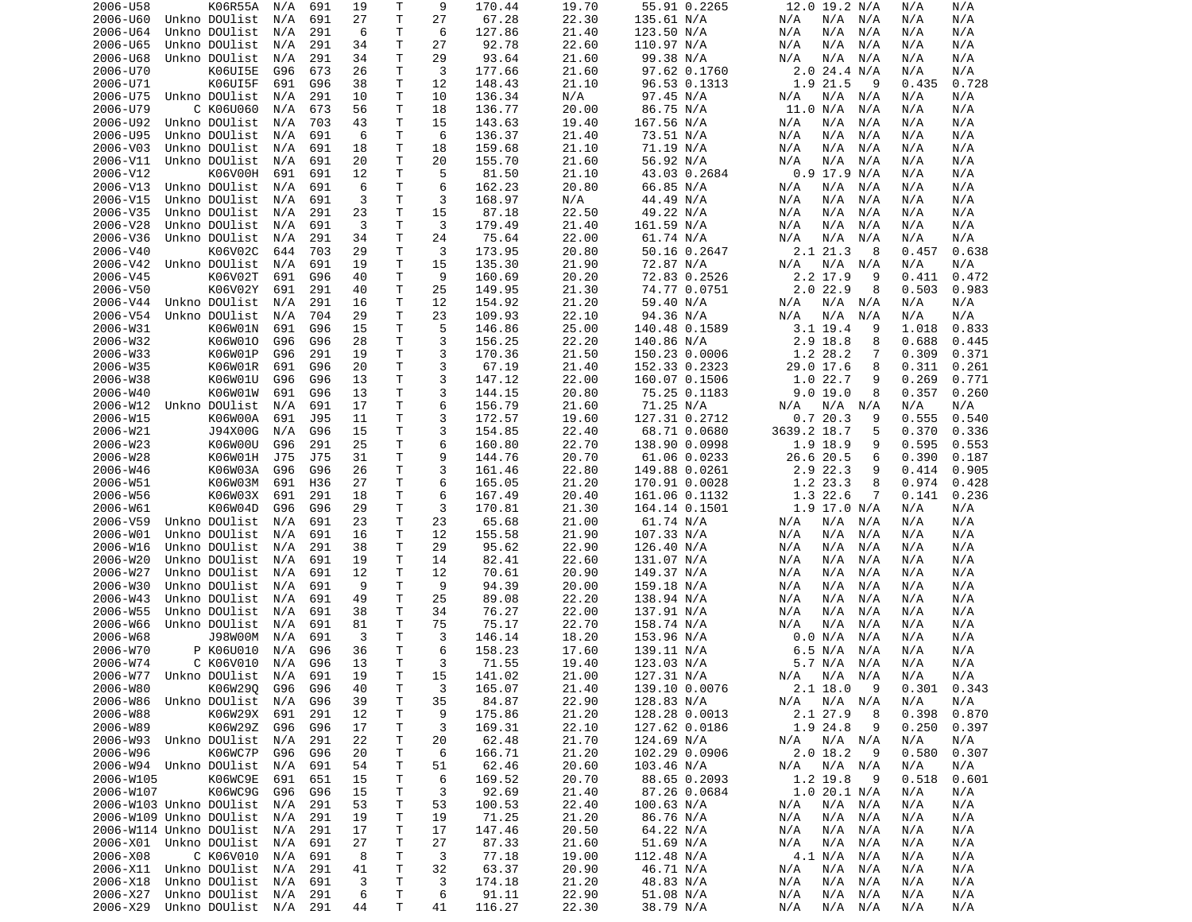| 2006-U58  |                            | K06R55A | N/A | 691 | 19 | Т            | 9  | 170.44 | 19.70 | 55.91 0.2265  | 12.0 19.2 N/A     | N/A   | N/A             |
|-----------|----------------------------|---------|-----|-----|----|--------------|----|--------|-------|---------------|-------------------|-------|-----------------|
| 2006-U60  | Unkno DOUlist              |         | N/A | 691 | 27 | $\mathsf{T}$ | 27 | 67.28  | 22.30 | 135.61 N/A    | N/A<br>N/A<br>N/A | N/A   | N/A             |
| 2006-U64  | Unkno DOUlist              |         | N/A | 291 | 6  | т            | 6  | 127.86 | 21.40 | 123.50 N/A    | N/A<br>N/A<br>N/A | N/A   | N/A             |
| 2006-U65  | Unkno DOUlist              |         | N/A | 291 | 34 | т            | 27 | 92.78  | 22.60 | 110.97 N/A    | N/A<br>N/A<br>N/A | N/A   | N/A             |
| 2006-U68  | Unkno DOUlist              |         | N/A | 291 | 34 | т            | 29 | 93.64  | 21.60 | 99.38 N/A     | N/A<br>N/A<br>N/A | N/A   | N/A             |
| 2006-U70  |                            | K06UI5E | G96 | 673 | 26 | т            | 3  | 177.66 | 21.60 | 97.62 0.1760  | $2.0$ 24.4 N/A    | N/A   | N/A             |
| 2006-U71  |                            | K06UI5F | 691 | G96 | 38 | т            | 12 | 148.43 | 21.10 | 96.53 0.1313  | 1.9 21.5<br>9     | 0.435 | 0.728           |
| 2006-U75  | Unkno DOUlist              |         | N/A | 291 | 10 | Τ            | 10 | 136.34 | N/A   | 97.45 N/A     | N/A<br>N/A<br>N/A | N/A   | N/A             |
| 2006-U79  | C K06U060                  |         | N/A | 673 | 56 | т            | 18 | 136.77 | 20.00 | 86.75 N/A     | 11.0 N/A<br>N/A   | N/A   | N/A             |
| 2006-U92  | Unkno DOUlist              |         | N/A | 703 | 43 | т            | 15 | 143.63 | 19.40 | 167.56 N/A    | N/A<br>N/A<br>N/A | N/A   | N/A             |
| 2006-U95  | Unkno DOUlist              |         | N/A | 691 | 6  | т            | 6  | 136.37 | 21.40 | 73.51 N/A     | N/A<br>N/A<br>N/A | N/A   | N/A             |
| 2006-V03  | Unkno DOUlist              |         | N/A | 691 | 18 | т            | 18 | 159.68 | 21.10 | 71.19 N/A     | N/A<br>N/A<br>N/A | N/A   | N/A             |
| 2006-V11  | Unkno DOUlist              |         | N/A | 691 | 20 | T            | 20 | 155.70 | 21.60 | 56.92 N/A     | N/A<br>N/A<br>N/A | N/A   | N/A             |
| 2006-V12  |                            | K06V00H | 691 | 691 | 12 | т            | 5  | 81.50  | 21.10 | 43.03 0.2684  | $0.9$ 17.9 N/A    | N/A   | N/A             |
| 2006-V13  | Unkno DOUlist              |         | N/A | 691 | 6  | Τ            | 6  | 162.23 | 20.80 | 66.85 N/A     | N/A<br>N/A<br>N/A | N/A   | N/A             |
| 2006-V15  | Unkno DOUlist              |         | N/A | 691 | 3  | т            | 3  | 168.97 | N/A   | 44.49 N/A     | N/A<br>N/A<br>N/A | N/A   | N/A             |
| 2006-V35  | Unkno DOUlist              |         | N/A | 291 | 23 | Τ            | 15 | 87.18  | 22.50 | 49.22 N/A     | N/A<br>N/A<br>N/A | N/A   | N/A             |
| 2006-V28  | Unkno DOUlist              |         | N/A | 691 | 3  | т            | 3  | 179.49 | 21.40 | 161.59 N/A    | N/A<br>N/A<br>N/A | N/A   | N/A             |
| 2006-V36  | Unkno DOUlist              |         | N/A | 291 | 34 | Τ            | 24 | 75.64  | 22.00 | 61.74 N/A     | N/A<br>N/A<br>N/A | N/A   | N/A             |
| 2006-V40  |                            | K06V02C | 644 | 703 | 29 | T            | 3  | 173.95 | 20.80 | 50.16 0.2647  | 2.1 21.3<br>8     | 0.457 | 0.638           |
| 2006-V42  | Unkno DOUlist              |         | N/A | 691 | 19 | Τ            | 15 | 135.30 | 21.90 | 72.87 N/A     | N/A<br>N/A<br>N/A | N/A   | N/A             |
| 2006-V45  |                            | K06V02T | 691 | G96 | 40 | Τ            | 9  | 160.69 | 20.20 | 72.83 0.2526  | 2.2 17.9<br>9     | 0.411 | 0.472           |
| 2006-V50  |                            | K06V02Y | 691 | 291 | 40 | т            | 25 | 149.95 | 21.30 | 74.77 0.0751  | $2.0$ 22.9<br>8   | 0.503 | 0.983           |
| 2006-V44  | Unkno DOUlist              |         | N/A | 291 | 16 | т            | 12 | 154.92 | 21.20 | 59.40 N/A     | N/A<br>N/A<br>N/A | N/A   | N/A             |
| 2006-V54  | Unkno DOUlist              |         | N/A | 704 | 29 | т            | 23 | 109.93 | 22.10 | 94.36 N/A     | N/A<br>N/A<br>N/A | N/A   | N/A             |
| 2006-W31  |                            | K06W01N | 691 | G96 | 15 | Τ            | 5  | 146.86 | 25.00 | 140.48 0.1589 | $3.1$ 19.4<br>9   | 1.018 | 0.833           |
| 2006-W32  |                            | K06W010 | G96 | G96 | 28 | т            | 3  | 156.25 | 22.20 | 140.86 N/A    | 2.9 18.8<br>8     | 0.688 | 0.445           |
| 2006-W33  |                            | K06W01P | G96 | 291 | 19 | т            | 3  | 170.36 | 21.50 | 150.23 0.0006 | 1.2 28.2<br>7     | 0.309 | 0.371           |
| 2006-W35  |                            | K06W01R | 691 | G96 | 20 | Τ            | 3  | 67.19  | 21.40 | 152.33 0.2323 | 29.0 17.6<br>8    | 0.311 | 0.261           |
|           |                            |         |     |     |    |              | 3  |        | 22.00 |               |                   |       |                 |
| 2006-W38  |                            | K06W01U | G96 | G96 | 13 | т            |    | 147.12 |       | 160.07 0.1506 | 1.022.7<br>9      | 0.269 | 0.771           |
| 2006-W40  |                            | K06W01W | 691 | G96 | 13 | Τ            | 3  | 144.15 | 20.80 | 75.25 0.1183  | 9.0 19.0<br>8     | 0.357 | 0.260           |
| 2006-W12  | Unkno DOUlist              |         | N/A | 691 | 17 | Τ            | 6  | 156.79 | 21.60 | 71.25 N/A     | N/A<br>N/A<br>N/A | N/A   | N/A             |
| 2006-W15  |                            | K06W00A | 691 | J95 | 11 | т            | 3  | 172.57 | 19.60 | 127.31 0.2712 | 0.720.3<br>9      | 0.555 | 0.540           |
| 2006-W21  |                            | J94X00G | N/A | G96 | 15 | T            | 3  | 154.85 | 22.40 | 68.71 0.0680  | 3639.2 18.7<br>5  | 0.370 | 0.336           |
| 2006-W23  |                            | K06W00U | G96 | 291 | 25 | т            | 6  | 160.80 | 22.70 | 138.90 0.0998 | 1.9 18.9<br>9     | 0.595 | 0.553           |
| 2006-W28  |                            | K06W01H | J75 | J75 | 31 | т            | 9  | 144.76 | 20.70 | 61.06 0.0233  | 26.6 20.5<br>6    | 0.390 | 0.187           |
| 2006-W46  |                            | K06W03A | G96 | G96 | 26 | т            | 3  | 161.46 | 22.80 | 149.88 0.0261 | 2.9 22.3<br>9     | 0.414 | 0.905           |
| 2006-W51  |                            | K06W03M | 691 | H36 | 27 | т            | 6  | 165.05 | 21.20 | 170.91 0.0028 | 1.2 23.3<br>8     | 0.974 | 0.428           |
| 2006-W56  |                            | K06W03X | 691 | 291 | 18 | T            | 6  | 167.49 | 20.40 | 161.06 0.1132 | 1.3 22.6<br>7     | 0.141 | 0.236           |
| 2006-W61  |                            | K06W04D | G96 | G96 | 29 | Τ            | 3  | 170.81 | 21.30 | 164.14 0.1501 | 1.9 17.0 N/A      | N/A   | N/A             |
| 2006-V59  | Unkno DOUlist              |         | N/A | 691 | 23 | T            | 23 | 65.68  | 21.00 | 61.74 N/A     | N/A<br>N/A<br>N/A | N/A   | N/A             |
| 2006-W01  | Unkno DOUlist              |         | N/A | 691 | 16 | т            | 12 | 155.58 | 21.90 | 107.33 N/A    | N/A<br>N/A<br>N/A | N/A   | N/A             |
| 2006-W16  | Unkno DOUlist              |         | N/A | 291 | 38 | т            | 29 | 95.62  | 22.90 | 126.40 N/A    | N/A<br>N/A<br>N/A | N/A   | N/A             |
| 2006-W20  | Unkno DOUlist              |         | N/A | 691 | 19 | Τ            | 14 | 82.41  | 22.60 | 131.07 N/A    | N/A<br>N/A<br>N/A | N/A   | N/A             |
| 2006-W27  | Unkno DOUlist              |         | N/A | 691 | 12 | т            | 12 | 70.61  | 20.90 | 149.37 N/A    | N/A<br>N/A<br>N/A | N/A   | N/A             |
| 2006-W30  | Unkno DOUlist              |         | N/A | 691 | 9  | т            | 9  | 94.39  | 20.00 | 159.18 N/A    | N/A<br>N/A<br>N/A | N/A   | N/A             |
| 2006-W43  | Unkno DOUlist              |         | N/A | 691 | 49 | т            | 25 | 89.08  | 22.20 | 138.94 N/A    | N/A<br>N/A<br>N/A | N/A   | N/A             |
| 2006-W55  | Unkno DOUlist              |         | N/A | 691 | 38 | т            | 34 | 76.27  | 22.00 | 137.91 N/A    | N/A<br>N/A<br>N/A | N/A   | N/A             |
| 2006-W66  | Unkno DOUlist              |         | N/A | 691 | 81 | Τ            | 75 | 75.17  | 22.70 | 158.74 N/A    | N/A<br>N/A<br>N/A | N/A   | N/A             |
| 2006-W68  |                            | J98W00M | N/A | 691 | 3  | Τ            | 3  | 146.14 | 18.20 | 153.96 N/A    | 0.0 N/A<br>N/A    | N/A   | N/A             |
| 2006-W70  | P K06U010                  |         | N/A | G96 | 36 | т            | 6  | 158.23 | 17.60 | 139.11 N/A    | 6.5 N/A<br>N/A    | N/A   | N/A             |
| 2006-W74  | C K06V010                  |         | N/A | G96 | 13 | Τ            | 3  | 71.55  | 19.40 | 123.03 N/A    | 5.7 N/A<br>N/A    | N/A   | N/A             |
|           | 2006-W77 Unkno DOUlist N/A |         |     | 691 | 19 | T.           | 15 | 141.02 | 21.00 | 127.31 N/A    | N/A N/A N/A       | N/A   | N/A             |
| 2006-W80  |                            | K06W29Q | G96 | G96 | 40 | Τ            | 3  | 165.07 | 21.40 | 139.10 0.0076 | $2.1$ 18.0<br>- 9 |       | $0.301$ $0.343$ |
| 2006-W86  | Unkno DOUlist              |         | N/A | G96 | 39 | Τ            | 35 | 84.87  | 22.90 | 128.83 N/A    | N/A<br>N/A N/A    | N/A   | N/A             |
| 2006-W88  |                            | K06W29X | 691 | 291 | 12 | Τ            | 9  | 175.86 | 21.20 | 128.28 0.0013 | 2.1 27.9<br>8     | 0.398 | 0.870           |
| 2006-W89  |                            | K06W29Z | G96 | G96 | 17 | Τ            | 3  | 169.31 | 22.10 | 127.62 0.0186 | 1.9 24.8<br>9     | 0.250 | 0.397           |
| 2006-W93  | Unkno DOUlist              |         | N/A | 291 | 22 | Т            | 20 | 62.48  | 21.70 | 124.69 N/A    | N/A N/A<br>N/A    | N/A   | N/A             |
| 2006-W96  |                            | K06WC7P | G96 | G96 | 20 | т            | 6  | 166.71 | 21.20 | 102.29 0.0906 | $2.0$ 18.2<br>9   | 0.580 | 0.307           |
|           | 2006-W94 Unkno DOUlist     |         | N/A | 691 | 54 | т            | 51 | 62.46  | 20.60 | 103.46 N/A    | N/A<br>N/A N/A    | N/A   | N/A             |
| 2006-W105 |                            | K06WC9E | 691 | 651 | 15 | T            | 6  | 169.52 | 20.70 | 88.65 0.2093  | 1.2 19.8<br>- 9   | 0.518 | 0.601           |
| 2006-W107 |                            | K06WC9G | G96 | G96 | 15 | T.           | 3  | 92.69  | 21.40 | 87.26 0.0684  | 1.0 20.1 N/A      | N/A   | N/A             |
|           | 2006-W103 Unkno DOUlist    |         | N/A | 291 | 53 | T            | 53 | 100.53 | 22.40 | 100.63 N/A    | N/A N/A<br>N/A    | N/A   | N/A             |
|           | 2006-W109 Unkno DOUlist    |         | N/A | 291 | 19 | Τ            | 19 | 71.25  | 21.20 | 86.76 N/A     | N/A<br>N/A N/A    | N/A   | N/A             |
|           | 2006-W114 Unkno DOUlist    |         | N/A | 291 | 17 | т            | 17 | 147.46 | 20.50 | 64.22 N/A     | N/A<br>N/A<br>N/A | N/A   | N/A             |
|           | 2006-X01 Unkno DOUlist     |         | N/A | 691 | 27 | т            | 27 | 87.33  | 21.60 | 51.69 N/A     | N/A<br>N/A<br>N/A | N/A   | N/A             |
| 2006-X08  | C K06V010                  |         | N/A | 691 | 8  | т            | 3  | 77.18  | 19.00 | 112.48 N/A    | 4.1 N/A<br>N/A    | N/A   | N/A             |
| 2006-X11  | Unkno DOUlist              |         | N/A | 291 | 41 | T            | 32 | 63.37  | 20.90 | 46.71 N/A     | N/A<br>N/A<br>N/A | N/A   | N/A             |
| 2006-X18  | Unkno DOUlist              |         | N/A | 691 | 3  | Τ            | 3  | 174.18 | 21.20 | 48.83 N/A     | N/A<br>N/A<br>N/A | N/A   | N/A             |
| 2006-X27  | Unkno DOUlist N/A          |         |     | 291 | 6  | T            | 6  | 91.11  | 22.90 | 51.08 N/A     | N/A<br>N/A N/A    | N/A   | N/A             |
|           |                            |         |     |     |    | T.           |    | 116.27 |       |               |                   |       |                 |
| 2006-X29  | Unkno DOUlist N/A 291      |         |     |     | 44 |              | 41 |        | 22.30 | 38.79 N/A     | N/A<br>N/A N/A    | N/A   | N/A             |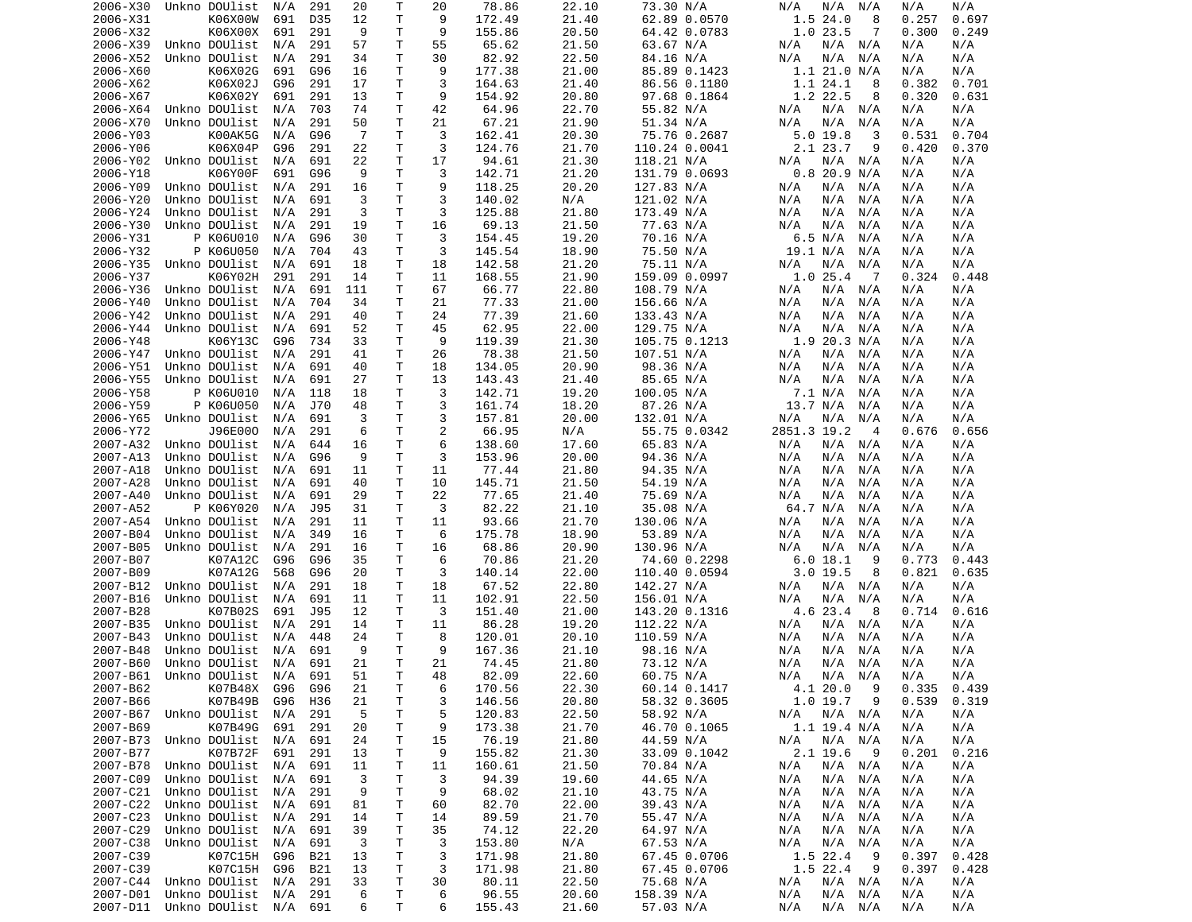| 2006-X30 | Unkno DOUlist                  | N/A | 291 | 20  | т            | 20             | 78.86  | 22.10 | 73.30 N/A     | N/A<br>N/A<br>N/A  | N/A   | N/A   |
|----------|--------------------------------|-----|-----|-----|--------------|----------------|--------|-------|---------------|--------------------|-------|-------|
| 2006-X31 | K06X00W                        | 691 | D35 | 12  | T            | 9              | 172.49 | 21.40 | 62.89 0.0570  | 1.524.0<br>8       | 0.257 | 0.697 |
| 2006-X32 | K06X00X                        | 691 | 291 | 9   | т            | 9              | 155.86 | 20.50 | 64.42 0.0783  | 1.023.5<br>7       | 0.300 | 0.249 |
| 2006-X39 | Unkno DOUlist                  | N/A | 291 | 57  | т            | 55             | 65.62  |       |               | N/A<br>N/A<br>N/A  | N/A   | N/A   |
|          |                                |     |     |     |              |                |        | 21.50 | 63.67 N/A     |                    |       |       |
| 2006-X52 | Unkno DOUlist                  | N/A | 291 | 34  | т            | 30             | 82.92  | 22.50 | 84.16 N/A     | N/A<br>N/A<br>N/A  | N/A   | N/A   |
| 2006-X60 | K06X02G                        | 691 | G96 | 16  | Τ            | 9              | 177.38 | 21.00 | 85.89 0.1423  | 1.1 21.0 N/A       | N/A   | N/A   |
| 2006-X62 | K06X02J                        | G96 | 291 | 17  | т            | 3              | 164.63 | 21.40 | 86.56 0.1180  | 1.1 24.1<br>8      | 0.382 | 0.701 |
| 2006-X67 | K06X02Y                        | 691 | 291 | 13  | т            | 9              | 154.92 | 20.80 | 97.68 0.1864  | 1.2 22.5<br>8      | 0.320 | 0.631 |
|          |                                |     |     |     |              |                |        |       |               |                    |       |       |
| 2006-X64 | Unkno DOUlist                  | N/A | 703 | 74  | T            | 42             | 64.96  | 22.70 | 55.82 N/A     | N/A<br>N/A<br>N/A  | N/A   | N/A   |
| 2006-X70 | Unkno DOUlist                  | N/A | 291 | 50  | т            | 21             | 67.21  | 21.90 | 51.34 N/A     | N/A<br>N/A<br>N/A  | N/A   | N/A   |
| 2006-Y03 | K00AK5G                        | N/A | G96 | -7  | T            | 3              | 162.41 | 20.30 | 75.76 0.2687  | $5.0$ 19.8<br>3    | 0.531 | 0.704 |
| 2006-Y06 | K06X04P                        | G96 | 291 | 22  | т            | 3              | 124.76 | 21.70 | 110.24 0.0041 | 2.1 23.7<br>9      | 0.420 | 0.370 |
| 2006-Y02 | Unkno DOUlist                  | N/A | 691 | 22  | T            | 17             | 94.61  | 21.30 | 118.21 N/A    | N/A<br>N/A<br>N/A  | N/A   | N/A   |
|          |                                |     |     |     |              |                |        |       |               |                    |       |       |
| 2006-Y18 | K06Y00F                        | 691 | G96 | 9   | т            | 3              | 142.71 | 21.20 | 131.79 0.0693 | $0.8$ 20.9 N/A     | N/A   | N/A   |
| 2006-Y09 | Unkno DOUlist                  | N/A | 291 | 16  | T            | 9              | 118.25 | 20.20 | 127.83 N/A    | N/A<br>N/A<br>N/A  | N/A   | N/A   |
| 2006-Y20 | Unkno DOUlist                  | N/A | 691 | 3   | T            | 3              | 140.02 | N/A   | 121.02 N/A    | N/A<br>N/A<br>N/A  | N/A   | N/A   |
| 2006-Y24 | Unkno DOUlist                  | N/A | 291 | 3   | т            | 3              | 125.88 | 21.80 | 173.49 N/A    | N/A<br>N/A<br>N/A  | N/A   | N/A   |
| 2006-Y30 | Unkno DOUlist                  |     | 291 | 19  | т            | 16             | 69.13  | 21.50 | 77.63 N/A     | N/A<br>N/A<br>N/A  | N/A   | N/A   |
|          |                                | N/A |     |     |              |                |        |       |               |                    |       |       |
| 2006-Y31 | P K06U010                      | N/A | G96 | 30  | Τ            | 3              | 154.45 | 19.20 | 70.16 N/A     | 6.5 N/A<br>N/A     | N/A   | N/A   |
| 2006-Y32 | P K06U050                      | N/A | 704 | 43  | Τ            | 3              | 145.54 | 18.90 | 75.50 N/A     | 19.1 N/A<br>N/A    | N/A   | N/A   |
| 2006-Y35 | Unkno DOUlist                  | N/A | 691 | 18  | т            | 18             | 142.58 | 21.20 | 75.11 N/A     | N/A<br>N/A<br>N/A  | N/A   | N/A   |
| 2006-Y37 | K06Y02H                        | 291 | 291 | 14  | т            | 11             | 168.55 | 21.90 | 159.09 0.0997 | 1.025.4<br>-7      | 0.324 | 0.448 |
|          |                                |     |     |     |              |                |        |       |               |                    |       |       |
| 2006-Y36 | Unkno DOUlist                  | N/A | 691 | 111 | T            | 67             | 66.77  | 22.80 | 108.79 N/A    | N/A<br>N/A<br>N/A  | N/A   | N/A   |
| 2006-Y40 | Unkno DOUlist                  | N/A | 704 | 34  | т            | 21             | 77.33  | 21.00 | 156.66 N/A    | N/A<br>N/A<br>N/A  | N/A   | N/A   |
| 2006-Y42 | Unkno DOUlist                  | N/A | 291 | 40  | Τ            | 24             | 77.39  | 21.60 | 133.43 N/A    | N/A<br>N/A<br>N/A  | N/A   | N/A   |
| 2006-Y44 | Unkno DOUlist                  | N/A | 691 | 52  | T            | 45             | 62.95  | 22.00 | 129.75 N/A    | N/A<br>N/A<br>N/A  | N/A   | N/A   |
|          | K06Y13C                        |     |     |     |              | 9              |        |       |               | 1.920.3 N/A        |       |       |
| 2006-Y48 |                                | G96 | 734 | 33  | Τ            |                | 119.39 | 21.30 | 105.75 0.1213 |                    | N/A   | N/A   |
| 2006-Y47 | Unkno DOUlist                  | N/A | 291 | 41  | т            | 26             | 78.38  | 21.50 | 107.51 N/A    | N/A<br>N/A<br>N/A  | N/A   | N/A   |
| 2006-Y51 | Unkno DOUlist                  | N/A | 691 | 40  | т            | 18             | 134.05 | 20.90 | 98.36 N/A     | N/A<br>N/A<br>N/A  | N/A   | N/A   |
| 2006-Y55 | Unkno DOUlist                  | N/A | 691 | 27  | T            | 13             | 143.43 | 21.40 | 85.65 N/A     | N/A<br>N/A<br>N/A  | N/A   | N/A   |
| 2006-Y58 | P K06U010                      | N/A | 118 | 18  | т            | 3              | 142.71 | 19.20 | 100.05 N/A    | 7.1 N/A<br>N/A     | N/A   | N/A   |
|          |                                |     |     |     |              |                |        |       |               |                    |       |       |
| 2006-Y59 | P K06U050                      | N/A | J70 | 48  | T            | 3              | 161.74 | 18.20 | 87.26 N/A     | 13.7 N/A<br>N/A    | N/A   | N/A   |
| 2006-Y65 | Unkno DOUlist                  | N/A | 691 | 3   | $\mathsf{T}$ | 3              | 157.81 | 20.00 | 132.01 N/A    | N/A<br>N/A<br>N/A  | N/A   | N/A   |
| 2006-Y72 | J96E000                        | N/A | 291 | 6   | т            | $\overline{c}$ | 66.95  | N/A   | 55.75 0.0342  | 2851.3 19.2<br>4   | 0.676 | 0.656 |
| 2007-A32 | Unkno DOUlist                  | N/A | 644 | 16  | T            | 6              | 138.60 | 17.60 | 65.83 N/A     | N/A<br>N/A<br>N/A  | N/A   | N/A   |
| 2007-A13 | Unkno DOUlist                  | N/A | G96 | 9   | т            | 3              | 153.96 | 20.00 | 94.36 N/A     | N/A<br>N/A<br>N/A  | N/A   | N/A   |
|          |                                |     |     |     |              |                |        |       |               |                    |       |       |
| 2007-A18 | Unkno DOUlist                  | N/A | 691 | 11  | T            | 11             | 77.44  | 21.80 | 94.35 N/A     | N/A<br>N/A<br>N/A  | N/A   | N/A   |
| 2007-A28 | Unkno DOUlist                  | N/A | 691 | 40  | т            | 10             | 145.71 | 21.50 | 54.19 N/A     | N/A<br>N/A<br>N/A  | N/A   | N/A   |
| 2007-A40 | Unkno DOUlist                  | N/A | 691 | 29  | Τ            | 22             | 77.65  | 21.40 | 75.69 N/A     | N/A<br>N/A<br>N/A  | N/A   | N/A   |
| 2007-A52 | P K06Y020                      | N/A | J95 | 31  | Τ            | 3              | 82.22  | 21.10 | 35.08 N/A     | 64.7 N/A<br>N/A    | N/A   | N/A   |
| 2007-A54 | Unkno DOUlist                  | N/A | 291 | 11  | т            | 11             | 93.66  | 21.70 | 130.06 N/A    | N/A<br>N/A<br>N/A  | N/A   | N/A   |
|          |                                |     |     |     |              |                |        |       |               |                    |       |       |
| 2007-B04 | Unkno DOUlist                  | N/A | 349 | 16  | т            | 6              | 175.78 | 18.90 | 53.89 N/A     | N/A<br>N/A<br>N/A  | N/A   | N/A   |
| 2007-B05 | Unkno DOUlist                  | N/A | 291 | 16  | т            | 16             | 68.86  | 20.90 | 130.96 N/A    | N/A<br>N/A<br>N/A  | N/A   | N/A   |
| 2007-B07 | K07A12C                        | G96 | G96 | 35  | т            | 6              | 70.86  | 21.20 | 74.60 0.2298  | 6.018.1<br>9       | 0.773 | 0.443 |
| 2007-B09 | K07A12G                        | 568 | G96 | 20  | т            | 3              | 140.14 | 22.00 | 110.40 0.0594 | 3.019.5<br>8       | 0.821 | 0.635 |
| 2007-B12 | Unkno DOUlist                  | N/A | 291 | 18  | т            | 18             | 67.52  | 22.80 | 142.27 N/A    | N/A<br>N/A<br>N/A  | N/A   | N/A   |
|          |                                |     |     |     |              |                |        |       |               |                    |       |       |
| 2007-B16 | Unkno DOUlist                  | N/A | 691 | 11  | Τ            | 11             | 102.91 | 22.50 | 156.01 N/A    | N/A<br>N/A<br>N/A  | N/A   | N/A   |
| 2007-B28 | K07B02S                        | 691 | J95 | 12  | T.           | 3              | 151.40 | 21.00 | 143.20 0.1316 | 4.6 23.4<br>- 8    | 0.714 | 0.616 |
| 2007-B35 | Unkno DOUlist                  | N/A | 291 | 14  | т            | 11             | 86.28  | 19.20 | 112.22 N/A    | N/A<br>N/A<br>N/A  | N/A   | N/A   |
| 2007-B43 | Unkno DOUlist                  | N/A | 448 | 24  | т            | 8              | 120.01 | 20.10 | 110.59 N/A    | N/A<br>N/A<br>N/A  | N/A   | N/A   |
| 2007-B48 | Unkno DOUlist                  | N/A | 691 | 9   | T            | 9              | 167.36 | 21.10 | 98.16 N/A     | N/A<br>N/A<br>N/A  | N/A   | N/A   |
|          |                                |     |     |     |              |                |        |       |               |                    |       |       |
| 2007-B60 | Unkno DOUlist                  | N/A | 691 | 21  | T.           | 21             | 74.45  | 21.80 | 73.12 N/A     | N/A<br>N/A<br>N/A  | N/A   | N/A   |
|          | 2007-B61 Unkno DOUlist N/A     |     | 691 | 51  | T.           | 48             | 82.09  | 22.60 | 60.75 N/A     | N/A<br>N/A<br>N/A  | N/A   | N/A   |
| 2007-B62 | K07B48X                        | G96 | G96 | 21  | Τ            | 6              | 170.56 | 22.30 | 60.14 0.1417  | - 9<br>4.1 20.0    | 0.335 | 0.439 |
| 2007-B66 | K07B49B                        | G96 | H36 | 21  | Τ            | 3              | 146.56 | 20.80 | 58.32 0.3605  | $1.0$ 19.7 9       | 0.539 | 0.319 |
| 2007-B67 | Unkno DOUlist                  | N/A | 291 | -5  | Τ            | 5              | 120.83 | 22.50 | 58.92 N/A     | N/A<br>N/A N/A     | N/A   | N/A   |
|          |                                |     |     |     |              |                |        |       |               |                    |       |       |
| 2007-B69 | K07B49G                        | 691 | 291 | 20  | Τ            | 9              | 173.38 | 21.70 | 46.70 0.1065  | $1.1$ 19.4 N/A     | N/A   | N/A   |
| 2007-B73 | Unkno DOUlist                  | N/A | 691 | 24  | Τ            | 15             | 76.19  | 21.80 | 44.59 N/A     | N/A<br>N/A N/A     | N/A   | N/A   |
| 2007-B77 | K07B72F                        | 691 | 291 | 13  | Τ            | 9              | 155.82 | 21.30 | 33.09 0.1042  | $2.1$ 19.6<br>- 9  | 0.201 | 0.216 |
| 2007-B78 | Unkno DOUlist                  | N/A | 691 | 11  | T            | 11             | 160.61 | 21.50 | 70.84 N/A     | N/A<br>$N/A$ $N/A$ | N/A   | N/A   |
| 2007-C09 | Unkno DOUlist                  | N/A |     | 3   | Τ            | 3              | 94.39  | 19.60 | 44.65 N/A     | N/A N/A<br>N/A     | N/A   | N/A   |
|          |                                |     | 691 |     |              |                |        |       |               |                    |       |       |
| 2007-C21 | Unkno DOUlist                  | N/A | 291 | 9   | Τ            | 9              | 68.02  | 21.10 | 43.75 N/A     | N/A<br>N/A N/A     | N/A   | N/A   |
| 2007-C22 | Unkno DOUlist                  | N/A | 691 | 81  | T            | 60             | 82.70  | 22.00 | 39.43 N/A     | N/A<br>N/A<br>N/A  | N/A   | N/A   |
| 2007-C23 | Unkno DOUlist                  | N/A | 291 | 14  | Τ            | 14             | 89.59  | 21.70 | 55.47 N/A     | N/A<br>N/A<br>N/A  | N/A   | N/A   |
| 2007-C29 | Unkno DOUlist                  | N/A | 691 | 39  | T            | 35             | 74.12  | 22.20 | 64.97 N/A     | N/A<br>N/A<br>N/A  | N/A   | N/A   |
| 2007-C38 | Unkno DOUlist                  | N/A | 691 | 3   | T            | 3              | 153.80 | N/A   | 67.53 N/A     | N/A<br>$N/A$ $N/A$ | N/A   | N/A   |
|          |                                |     |     |     |              |                |        |       |               |                    |       |       |
| 2007-C39 | K07C15H                        | G96 | B21 | 13  | T            | 3              | 171.98 | 21.80 | 67.45 0.0706  | 1.5 22.4<br>- 9    | 0.397 | 0.428 |
| 2007-C39 | K07C15H G96                    |     | B21 | 13  | T            | 3              | 171.98 | 21.80 | 67.45 0.0706  | 1.5 22.4<br>9      | 0.397 | 0.428 |
| 2007-C44 | Unkno DOUlist N/A              |     | 291 | 33  | T            | 30             | 80.11  | 22.50 | 75.68 N/A     | $N/A$ $N/A$<br>N/A | N/A   | N/A   |
| 2007-D01 | Unkno DOUlist N/A              |     | 291 | 6   | T            | 6              | 96.55  | 20.60 | 158.39 N/A    | N/A N/A<br>N/A     | N/A   | N/A   |
|          | 2007-D11 Unkno DOUlist N/A 691 |     |     | 6   | T.           | 6              | 155.43 | 21.60 | 57.03 N/A     | N/A<br>N/A N/A     | N/A   | N/A   |
|          |                                |     |     |     |              |                |        |       |               |                    |       |       |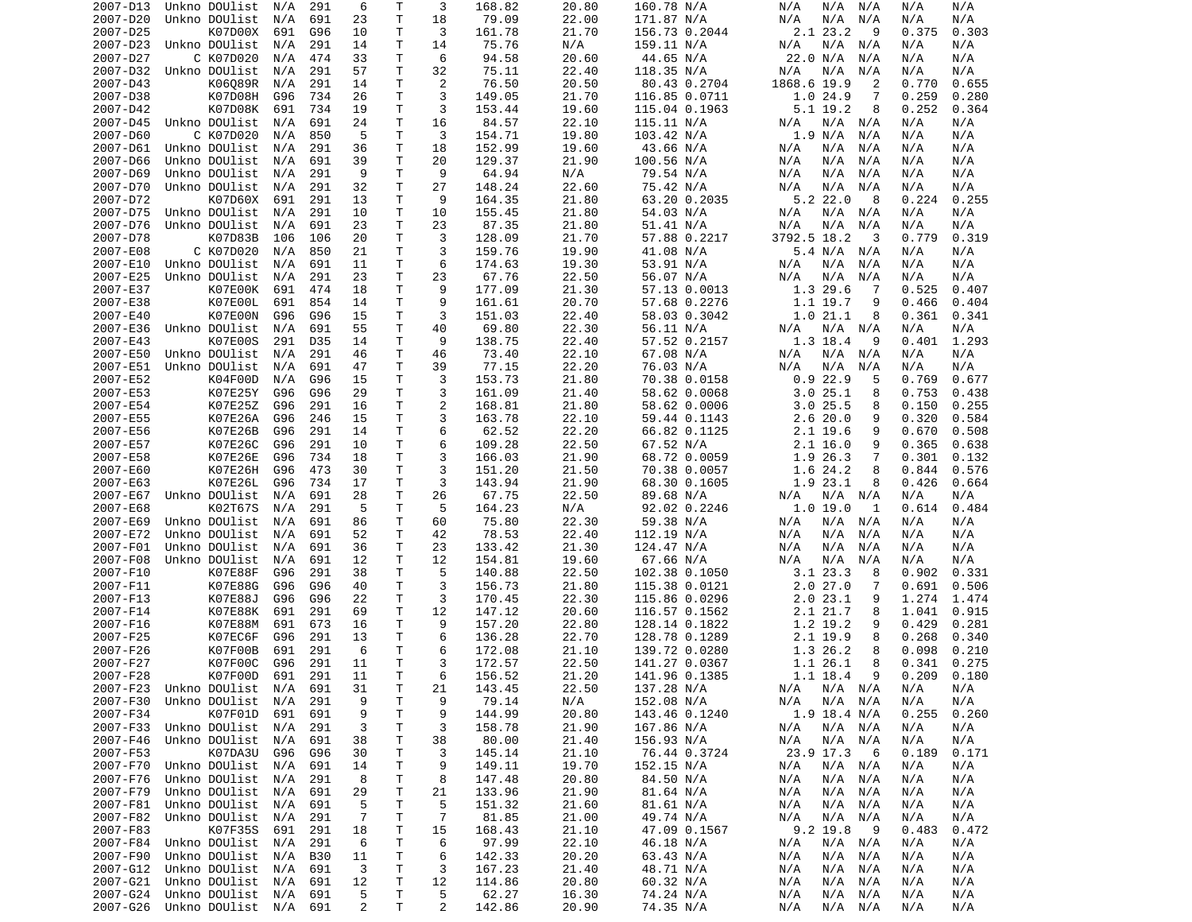| 2007-D13             | Unkno DOUlist                              | N/A | 291        | 6                   | Τ            | 3      | 168.82          | 20.80          | 160.78 N/A             | N/A<br>N/A<br>N/A                   | N/A<br>N/A               |
|----------------------|--------------------------------------------|-----|------------|---------------------|--------------|--------|-----------------|----------------|------------------------|-------------------------------------|--------------------------|
| 2007-D20             | Unkno DOUlist                              | N/A | 691        | 23                  | T            | 18     | 79.09           | 22.00          | 171.87 N/A             | N/A<br>N/A<br>N/A                   | N/A<br>N/A               |
| 2007-D25             | K07D00X                                    | 691 | G96        | 10                  | Τ            | 3      | 161.78          | 21.70          | 156.73 0.2044          | 2.1 23.2<br>9                       | 0.375<br>0.303           |
| 2007-D23             | Unkno DOUlist                              | N/A | 291        | 14                  | T            | 14     | 75.76           | N/A            | 159.11 N/A             | N/A<br>N/A<br>N/A                   | N/A<br>N/A               |
|                      |                                            |     |            |                     |              |        |                 |                |                        |                                     |                          |
| 2007-D27             | C K07D020                                  | N/A | 474        | 33                  | Т            | 6      | 94.58           | 20.60          | 44.65 N/A              | 22.0 N/A<br>N/A                     | N/A<br>N/A               |
| 2007-D32             | Unkno DOUlist                              | N/A | 291        | 57                  | T            | 32     | 75.11           | 22.40          | 118.35 N/A             | N/A<br>N/A<br>N/A                   | N/A<br>N/A               |
| 2007-D43             | K06089R                                    | N/A | 291        | 14                  | Τ            | 2      | 76.50           | 20.50          | 80.43 0.2704           | 1868.6 19.9<br>2                    | 0.770<br>0.655           |
| 2007-D38             | K07D08H                                    | G96 | 734        | 26                  | Τ            | 3      | 149.05          | 21.70          | 116.85 0.0711          | 1.0 24.9<br>7                       | 0.259<br>0.280           |
| 2007-D42             | K07D08K                                    | 691 | 734        | 19                  | T            | 3      | 153.44          | 19.60          | 115.04 0.1963          | 5.1 19.2<br>8                       | 0.252<br>0.364           |
|                      |                                            |     |            |                     |              |        |                 |                |                        |                                     |                          |
| 2007-D45             | Unkno DOUlist                              | N/A | 691        | 24                  | T            | 16     | 84.57           | 22.10          | 115.11 N/A             | $N/A$ $N/A$<br>N/A                  | N/A<br>N/A               |
| 2007-D60             | C K07D020                                  | N/A | 850        | 5                   | T            | 3      | 154.71          | 19.80          | 103.42 N/A             | 1.9 N/A<br>N/A                      | N/A<br>N/A               |
| 2007-D61             | Unkno DOUlist                              | N/A | 291        | 36                  | T            | 18     | 152.99          | 19.60          | 43.66 N/A              | N/A<br>N/A<br>N/A                   | N/A<br>N/A               |
| 2007-D66             | Unkno DOUlist                              | N/A | 691        | 39                  | $\mathsf{T}$ | 20     | 129.37          | 21.90          | 100.56 N/A             | N/A<br>N/A<br>N/A                   | N/A<br>N/A               |
| 2007-D69             | Unkno DOUlist                              | N/A | 291        | 9                   | T            | 9      | 64.94           | N/A            | 79.54 N/A              | N/A<br>N/A<br>N/A                   | N/A<br>N/A               |
| 2007-D70             | Unkno DOUlist                              | N/A | 291        | 32                  | T            | 27     | 148.24          | 22.60          | 75.42 N/A              | N/A<br>N/A<br>N/A                   | N/A<br>N/A               |
|                      |                                            |     |            |                     |              |        |                 |                |                        |                                     |                          |
| 2007-D72             | K07D60X                                    | 691 | 291        | 13                  | T            | 9      | 164.35          | 21.80          | 63.20 0.2035           | 5.222.0<br>-8                       | 0.224<br>0.255           |
| 2007-D75             | Unkno DOUlist                              | N/A | 291        | 10                  | Τ            | 10     | 155.45          | 21.80          | 54.03 N/A              | N/A<br>N/A<br>N/A                   | N/A<br>N/A               |
| 2007-D76             | Unkno DOUlist                              | N/A | 691        | 23                  | T            | 23     | 87.35           | 21.80          | 51.41 N/A              | N/A<br>N/A<br>N/A                   | N/A<br>N/A               |
| 2007-D78             | K07D83B                                    | 106 | 106        | 20                  | T            | 3      | 128.09          | 21.70          | 57.88 0.2217           | 3792.5 18.2<br>3                    | 0.319<br>0.779           |
| 2007-E08             | C K07D020                                  | N/A | 850        | 21                  | T            | 3      | 159.76          | 19.90          | 41.08 N/A              | 5.4 N/A<br>N/A                      | N/A<br>N/A               |
|                      |                                            |     |            |                     |              |        |                 |                |                        |                                     |                          |
| 2007-E10             | Unkno DOUlist                              | N/A | 691        | 11                  | T            | 6      | 174.63          | 19.30          | 53.91 N/A              | N/A<br>N/A<br>N/A                   | N/A<br>N/A               |
| 2007-E25             | Unkno DOUlist                              | N/A | 291        | 23                  | Τ            | 23     | 67.76           | 22.50          | 56.07 N/A              | N/A<br>N/A<br>N/A                   | N/A<br>N/A               |
| 2007-E37             | K07E00K                                    | 691 | 474        | 18                  | T            | 9      | 177.09          | 21.30          | 57.13 0.0013           | 1.3 29.6<br>7                       | 0.525<br>0.407           |
| 2007-E38             | K07E00L                                    | 691 | 854        | 14                  | Τ            | 9      | 161.61          | 20.70          | 57.68 0.2276           | 1.1 19.7<br>9                       | 0.466<br>0.404           |
| 2007-E40             | K07E00N                                    | G96 | G96        | 15                  | T            | 3      | 151.03          | 22.40          | 58.03 0.3042           | 1.021.1<br>8                        | 0.361<br>0.341           |
| 2007-E36             |                                            |     |            |                     |              |        |                 |                |                        |                                     |                          |
|                      | Unkno DOUlist                              | N/A | 691        | 55                  | T            | 40     | 69.80           | 22.30          | 56.11 N/A              | $N/A$ $N/A$<br>N/A                  | N/A<br>N/A               |
| 2007-E43             | K07E00S                                    | 291 | D35        | 14                  | T            | 9      | 138.75          | 22.40          | 57.52 0.2157           | 1.3 18.4<br>9                       | 0.401<br>1.293           |
| 2007-E50             | Unkno DOUlist                              | N/A | 291        | 46                  | Τ            | 46     | 73.40           | 22.10          | 67.08 N/A              | N/A<br>N/A<br>N/A                   | N/A<br>N/A               |
| 2007-E51             | Unkno DOUlist                              | N/A | 691        | 47                  | T.           | 39     | 77.15           | 22.20          | 76.03 N/A              | N/A<br>N/A<br>N/A                   | N/A<br>N/A               |
| 2007-E52             | K04F00D                                    | N/A | G96        | 15                  | T.           | 3      | 153.73          | 21.80          | 70.38 0.0158           | 0.922.9<br>5                        | 0.769<br>0.677           |
| 2007-E53             | K07E25Y                                    | G96 | G96        | 29                  | T            | 3      | 161.09          | 21.40          | 58.62 0.0068           | 3.025.1<br>8                        | 0.753<br>0.438           |
|                      |                                            |     |            |                     |              |        |                 |                |                        |                                     |                          |
| 2007-E54             | K07E25Z                                    | G96 | 291        | 16                  | $\mathsf{T}$ | 2      | 168.81          | 21.80          | 58.62 0.0006           | 3.025.5<br>8                        | 0.255<br>0.150           |
| 2007-E55             | K07E26A                                    | G96 | 246        | 15                  | T            | 3      | 163.78          | 22.10          | 59.44 0.1143           | 2.620.0<br>9                        | 0.320<br>0.584           |
| 2007-E56             | K07E26B                                    | G96 | 291        | 14                  | Τ            | 6      | 62.52           | 22.20          | 66.82 0.1125           | 2.1 19.6<br>9                       | 0.670<br>0.508           |
| 2007-E57             | K07E26C                                    | G96 | 291        | 10                  | T            | 6      | 109.28          | 22.50          | 67.52 N/A              | $2.1$ 16.0<br>9                     | 0.365<br>0.638           |
| 2007-E58             | K07E26E                                    | G96 | 734        | 18                  | T            | 3      | 166.03          | 21.90          | 68.72 0.0059           | 1.9 26.3<br>7                       | 0.301<br>0.132           |
|                      |                                            |     |            |                     |              |        |                 |                |                        |                                     |                          |
| 2007-E60             | K07E26H                                    | G96 | 473        | 30                  | T            | 3      | 151.20          | 21.50          | 70.38 0.0057           | 1.6<br>24.2<br>8                    | 0.844<br>0.576           |
| 2007-E63             | K07E26L                                    | G96 | 734        | 17                  | Т            | 3      | 143.94          | 21.90          | 68.30 0.1605           | 1.9 23.1<br>8                       | 0.426<br>0.664           |
| 2007-E67             | Unkno DOUlist                              | N/A | 691        | 28                  | Τ            | 26     | 67.75           | 22.50          | 89.68 N/A              | N/A<br>$N/A$ $N/A$                  | N/A<br>N/A               |
| 2007-E68             | K02T67S                                    | N/A | 291        | 5                   | T            | 5      | 164.23          | N/A            | 92.02 0.2246           | 1.019.0<br>1                        | 0.614<br>0.484           |
| 2007-E69             | Unkno DOUlist                              | N/A | 691        | 86                  | T            | 60     | 75.80           | 22.30          | 59.38 N/A              | $N/A$ $N/A$<br>N/A                  | N/A<br>N/A               |
| 2007-E72             | Unkno DOUlist                              | N/A | 691        | 52                  | T            | 42     | 78.53           | 22.40          | 112.19 N/A             | N/A<br>N/A<br>N/A                   | N/A<br>N/A               |
|                      |                                            |     |            |                     |              |        |                 |                |                        |                                     |                          |
| 2007-F01             | Unkno DOUlist                              | N/A | 691        | 36                  | Τ            | 23     | 133.42          | 21.30          | 124.47 N/A             | N/A<br>N/A<br>N/A                   | N/A<br>N/A               |
| 2007-F08             | Unkno DOUlist                              | N/A | 691        | 12                  | T            | 12     | 154.81          | 19.60          | 67.66 N/A              | N/A<br>N/A<br>N/A                   | N/A<br>N/A               |
| 2007-F10             | K07E88F                                    | G96 | 291        | 38                  | T            | 5      | 140.88          | 22.50          | 102.38 0.1050          | 3.123.3<br>8                        | 0.902<br>0.331           |
| 2007-F11             | K07E88G                                    | G96 | G96        | 40                  | $\mathsf{T}$ | 3      | 156.73          | 21.80          | 115.38 0.0121          | 2.027.0<br>7                        | 0.691<br>0.506           |
| 2007-F13             | K07E88J                                    | G96 | G96        | 22                  | T            | 3      | 170.45          | 22.30          | 115.86 0.0296          | 2.023.1<br>9                        | 1.274<br>1.474           |
|                      |                                            |     |            |                     |              |        |                 |                |                        |                                     |                          |
| 2007-F14             | K07E88K                                    | 691 | 291        | 69                  | Τ            | 12     | 147.12          | 20.60          | 116.57 0.1562          | 2.1 21.7<br>8                       | 1.041<br>0.915           |
| 2007-F16             | K07E88M                                    | 691 | 673        | 16                  | $\mathsf{T}$ | 9      | 157.20          | 22.80          | 128.14 0.1822          | 1.2 19.2<br>9                       | 0.429<br>0.281           |
| 2007-F25             | K07EC6F                                    | G96 | 291        | 13                  | Τ            | 6      | 136.28          | 22.70          | 128.78 0.1289          | 2.1 19.9<br>8                       | 0.268<br>0.340           |
| 2007-F26             | K07F00B                                    | 691 | 291        | 6                   | $\mathsf{T}$ | 6      | 172.08          | 21.10          | 139.72 0.0280          | 1.3 26.2<br>8                       | 0.098<br>0.210           |
| 2007-F27             | K07F00C                                    | G96 | 291        | 11                  | T            | 3      | 172.57          | 22.50          | 141.27 0.0367          | 1.1 26.1<br>8                       | 0.341<br>0.275           |
|                      |                                            |     |            | 11                  | T.           | 6      |                 |                |                        | 9                                   | 0.180                    |
| 2007-F28             | K07F00D                                    | 691 | 291        |                     |              |        | 156.52          | 21.20          | 141.96 0.1385          | 1.1 18.4                            | 0.209                    |
| 2007-F23             | Unkno DOUlist N/A                          |     | 691        | 31                  | Τ            | 21     | 143.45          | 22.50          | 137.28 N/A             | N/A N/A<br>N/A                      | N/A<br>N/A               |
| 2007-F30             | Unkno DOUlist                              | N/A | 291        | 9                   | Τ            | 9      | 79.14           | N/A            | 152.08 N/A             | $N/A$ $N/A$<br>N/A                  | N/A<br>N/A               |
| 2007-F34             | K07F01D                                    | 691 | 691        | 9                   | Τ            | 9      | 144.99          | 20.80          | 143.46 0.1240          | $1.9$ 18.4 N/A                      | 0.255<br>0.260           |
| 2007-F33             | Unkno DOUlist                              | N/A | 291        | 3                   | Τ            | 3      | 158.78          | 21.90          | 167.86 N/A             | N/A<br>$N/A$ $N/A$                  | N/A<br>N/A               |
| 2007-F46             | Unkno DOUlist                              | N/A | 691        | 38                  | Т            | 38     | 80.00           | 21.40          | 156.93 N/A             | N/A<br>N/A N/A                      | N/A<br>N/A               |
|                      |                                            |     |            |                     |              |        |                 |                |                        |                                     |                          |
| 2007-F53             | K07DA3U                                    | G96 | G96        | 30                  | Т            | 3      | 145.14          | 21.10          | 76.44 0.3724           | 23.9 17.3<br>- 6                    | 0.189<br>0.171           |
| 2007-F70             | Unkno DOUlist                              | N/A | 691        | 14                  | Τ            | 9      | 149.11          | 19.70          | 152.15 N/A             | N/A<br>$N/A$ $N/A$                  | N/A<br>N/A               |
| 2007-F76             | Unkno DOUlist                              | N/A | 291        | 8                   | T            | 8      | 147.48          | 20.80          | 84.50 N/A              | N/A<br>N/A<br>N/A                   | N/A<br>N/A               |
| 2007-F79             | Unkno DOUlist N/A                          |     | 691        | 29                  | Τ            | 21     | 133.96          | 21.90          | 81.64 N/A              | N/A<br>N/A<br>N/A                   | N/A<br>N/A               |
| 2007-F81             | Unkno DOUlist                              | N/A | 691        | 5                   | T            | 5      | 151.32          | 21.60          | 81.61 N/A              | N/A<br>N/A<br>N/A                   | N/A<br>N/A               |
|                      |                                            |     |            |                     |              |        |                 |                |                        |                                     |                          |
| 2007-F82             | Unkno DOUlist                              | N/A | 291        | 7                   | Τ            | 7      | 81.85           | 21.00          | 49.74 N/A              | N/A<br>N/A N/A                      | N/A<br>N/A               |
| 2007-F83             | K07F35S                                    | 691 | 291        | 18                  | Τ            | 15     | 168.43          | 21.10          | 47.09 0.1567           | $9.2$ 19.8<br>- 9                   | 0.483<br>0.472           |
| 2007-F84             | Unkno DOUlist                              | N/A | 291        | 6                   | Т            | 6      | 97.99           | 22.10          | 46.18 N/A              | N/A<br>$N/A$ $N/A$                  | N/A<br>N/A               |
| 2007-F90             | Unkno DOUlist                              | N/A | <b>B30</b> | 11                  | Τ            | 6      | 142.33          | 20.20          | 63.43 N/A              | N/A<br>N/A<br>N/A                   | N/A<br>N/A               |
| 2007-G12             | Unkno DOUlist                              | N/A | 691        | 3                   | Τ            | 3      | 167.23          | 21.40          | 48.71 N/A              | N/A<br>N/A<br>N/A                   | N/A<br>N/A               |
|                      |                                            |     | 691        |                     |              |        |                 |                |                        |                                     |                          |
| 2007-G21             | Unkno DOUlist N/A                          |     |            | 12                  | Τ            | 12     | 114.86          | 20.80          | 60.32 N/A              | N/A<br>N/A<br>N/A                   | N/A<br>N/A               |
|                      |                                            |     |            |                     |              |        |                 |                |                        |                                     |                          |
| 2007-G24<br>2007-G26 | Unkno DOUlist N/A<br>Unkno DOUlist N/A 691 |     | 691        | 5<br>$\overline{2}$ | т<br>Τ       | 5<br>2 | 62.27<br>142.86 | 16.30<br>20.90 | 74.24 N/A<br>74.35 N/A | N/A<br>N/A<br>N/A<br>N/A<br>N/A N/A | N/A<br>N/A<br>N/A<br>N/A |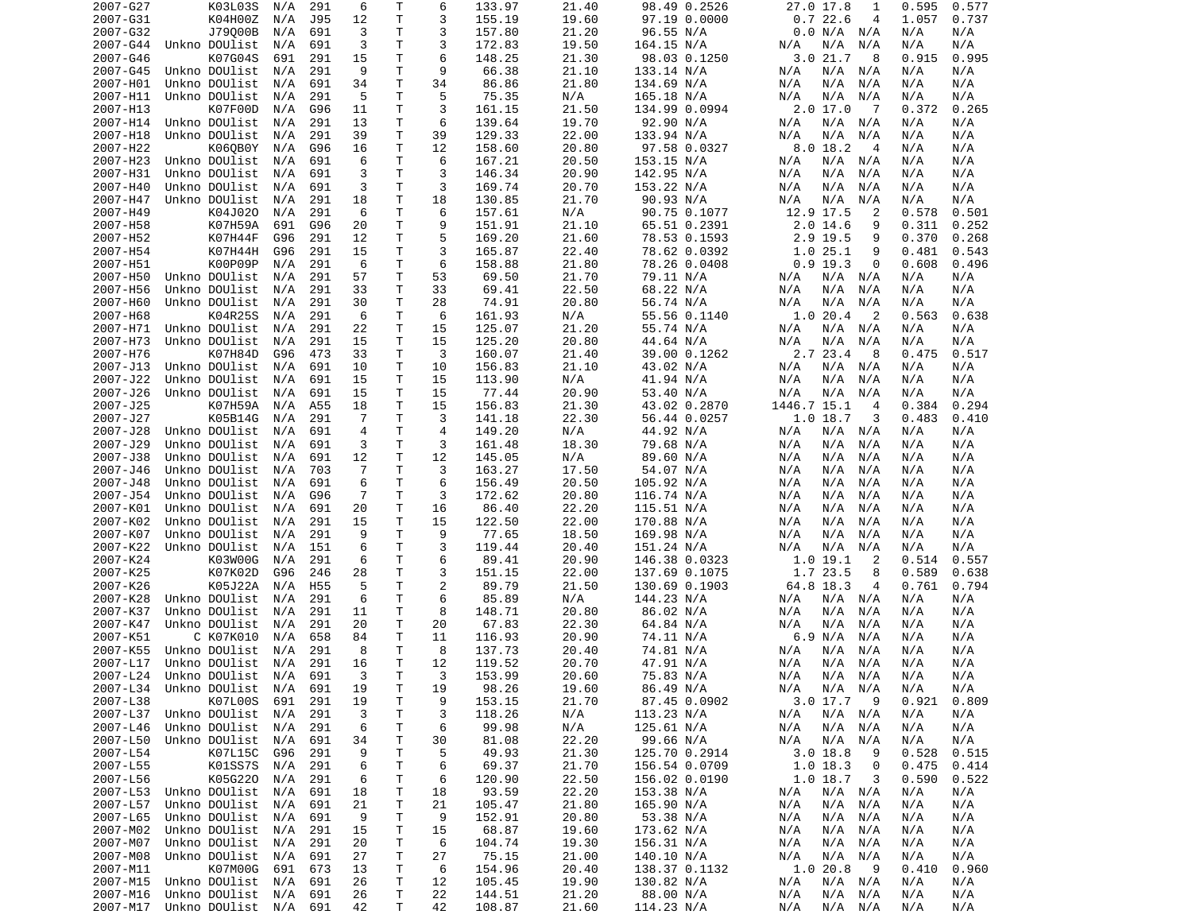| 2007-G27 | K03L03S                        | N/A | 291             | 6              | т  | 6              | 133.97 | 21.40 | 98.49 0.2526  | 27.0 17.8<br>1                | 0.577<br>0.595 |
|----------|--------------------------------|-----|-----------------|----------------|----|----------------|--------|-------|---------------|-------------------------------|----------------|
| 2007-G31 | K04H00Z                        | N/A | J95             | 12             | Τ  | 3              | 155.19 | 19.60 | 97.19 0.0000  | 0.722.6<br>4                  | 1.057<br>0.737 |
| 2007-G32 | J79000B                        | N/A | 691             | 3              | т  | 3              | 157.80 | 21.20 | 96.55 N/A     | 0.0 N/A N/A                   | N/A<br>N/A     |
| 2007-G44 | Unkno DOUlist                  | N/A | 691             | 3              | T. | 3              | 172.83 | 19.50 | 164.15 N/A    | N/A<br>N/A<br>N/A             | N/A<br>N/A     |
| 2007-G46 | K07G04S                        | 691 | 291             | 15             | Τ  | 6              | 148.25 | 21.30 | 98.03 0.1250  | 3.021.7<br>- 8                | 0.915<br>0.995 |
| 2007-G45 | Unkno DOUlist                  | N/A | 291             | 9              | T  | 9              | 66.38  | 21.10 | 133.14 N/A    | N/A<br>N/A N/A                | N/A<br>N/A     |
| 2007-H01 | Unkno DOUlist                  | N/A | 691             | 34             | Τ  | 34             | 86.86  | 21.80 | 134.69 N/A    | N/A<br>N/A<br>N/A             | N/A<br>N/A     |
| 2007-H11 | Unkno DOUlist                  | N/A | 291             | 5              | T. | 5              | 75.35  | N/A   | 165.18 N/A    | N/A<br>N/A<br>N/A             | N/A<br>N/A     |
| 2007-H13 | K07F00D                        | N/A | G96             | 11             | T  | 3              | 161.15 | 21.50 | 134.99 0.0994 | $2.0$ 17.0<br>$\overline{7}$  | 0.265<br>0.372 |
| 2007-H14 | Unkno DOUlist                  | N/A | 291             | 13             | Τ  | 6              | 139.64 | 19.70 | 92.90 N/A     | N/A N/A<br>N/A                | N/A<br>N/A     |
| 2007-H18 | Unkno DOUlist                  | N/A | 291             | 39             | Τ  | 39             | 129.33 | 22.00 | 133.94 N/A    | N/A<br>N/A<br>N/A             | N/A<br>N/A     |
| 2007-H22 | K060B0Y                        | N/A | G96             | 16             | Τ  | 12             | 158.60 | 20.80 | 97.58 0.0327  | 8.018.2<br>-4                 | N/A<br>N/A     |
| 2007-H23 | Unkno DOUlist                  | N/A | 691             | 6              | T. | 6              | 167.21 | 20.50 | 153.15 N/A    | N/A<br>N/A N/A                | N/A<br>N/A     |
| 2007-H31 | Unkno DOUlist                  | N/A | 691             | 3              | Τ  | 3              | 146.34 | 20.90 | 142.95 N/A    | N/A<br>N/A<br>N/A             | N/A<br>N/A     |
| 2007-H40 | Unkno DOUlist                  | N/A | 691             | 3              | т  | 3              | 169.74 | 20.70 | 153.22 N/A    | N/A<br>N/A<br>N/A             | N/A<br>N/A     |
| 2007-H47 | Unkno DOUlist                  | N/A | 291             | 18             | T  | 18             | 130.85 | 21.70 | 90.93 N/A     | N/A<br>N/A<br>N/A             | N/A<br>N/A     |
| 2007-H49 | K04J020                        | N/A | 291             | 6              | Τ  | 6              | 157.61 | N/A   | 90.75 0.1077  | 12.9 17.5<br>2                | 0.578<br>0.501 |
| 2007-H58 | K07H59A                        | 691 | G96             | 20             | Τ  | 9              | 151.91 | 21.10 | 65.51 0.2391  | $2.0$ 14.6<br>9               | 0.311<br>0.252 |
| 2007-H52 | K07H44F                        | G96 | 291             | 12             | Τ  | 5              | 169.20 | 21.60 | 78.53 0.1593  | 2.9 19.5<br>9                 | 0.370<br>0.268 |
| 2007-H54 | K07H44H                        | G96 | 291             | 15             | T  | 3              | 165.87 | 22.40 | 78.62 0.0392  | 1.025.1<br>9                  | 0.481<br>0.543 |
| 2007-H51 | K00P09P                        | N/A | 291             | 6              | Τ  | 6              | 158.88 | 21.80 | 78.26 0.0408  | $0.9$ 19.3<br>0               | 0.608<br>0.496 |
| 2007-H50 | Unkno DOUlist                  | N/A | 291             | 57             | Τ  | 53             | 69.50  | 21.70 | 79.11 N/A     | N/A<br>N/A N/A                | N/A<br>N/A     |
| 2007-H56 | Unkno DOUlist                  | N/A | 291             | 33             | т  | 33             | 69.41  | 22.50 | 68.22 N/A     | N/A<br>N/A<br>N/A             | N/A<br>N/A     |
| 2007-H60 | Unkno DOUlist                  | N/A | 291             | 30             | Τ  | 28             | 74.91  | 20.80 | 56.74 N/A     | N/A<br>N/A<br>N/A             | N/A<br>N/A     |
| 2007-H68 | K04R25S                        | N/A | 291             | 6              | T  | 6              | 161.93 | N/A   | 55.56 0.1140  | 1.020.4<br>$\overline{2}$     | 0.563<br>0.638 |
| 2007-H71 | Unkno DOUlist                  | N/A | 291             | 22             | т  | 15             | 125.07 | 21.20 | 55.74 N/A     | N/A N/A<br>N/A                | N/A<br>N/A     |
| 2007-H73 | Unkno DOUlist                  | N/A | 291             | 15             | T. | 15             | 125.20 | 20.80 | 44.64 N/A     | N/A<br>N/A<br>N/A             | N/A<br>N/A     |
| 2007-H76 | K07H84D                        | G96 | 473             | 33             | Τ  | 3              | 160.07 | 21.40 | 39.00 0.1262  | 2.7 23.4<br>-8                | 0.475<br>0.517 |
| 2007-J13 | Unkno DOUlist                  | N/A | 691             | 10             | т  | 10             | 156.83 | 21.10 | 43.02 N/A     | N/A<br>N/A<br>N/A             | N/A<br>N/A     |
|          | Unkno DOUlist                  |     |                 |                | T  |                |        |       |               |                               |                |
| 2007-J22 |                                | N/A | 691             | 15             |    | 15             | 113.90 | N/A   | 41.94 N/A     | N/A<br>N/A<br>N/A             | N/A<br>N/A     |
| 2007-J26 | Unkno DOUlist                  | N/A | 691             | 15             | Τ  | 15             | 77.44  | 20.90 | 53.40 N/A     | N/A<br>N/A<br>N/A             | N/A<br>N/A     |
| 2007-J25 | K07H59A                        | N/A | A55             | 18             | Τ  | 15             | 156.83 | 21.30 | 43.02 0.2870  | 1446.7 15.1<br>$\overline{4}$ | 0.384<br>0.294 |
| 2007-J27 | K05B14G                        | N/A | 291             | 7              | Τ  | 3              | 141.18 | 22.30 | 56.44 0.0257  | 1.018.7<br>3                  | 0.483<br>0.410 |
| 2007-J28 | Unkno DOUlist                  | N/A | 691             | 4              | T. | $\overline{4}$ | 149.20 | N/A   | 44.92 N/A     | N/A<br>N/A N/A                | N/A<br>N/A     |
| 2007-J29 | Unkno DOUlist                  | N/A | 691             | 3              | Τ  | 3              | 161.48 | 18.30 | 79.68 N/A     | N/A<br>N/A<br>N/A             | N/A<br>N/A     |
| 2007-J38 | Unkno DOUlist                  | N/A | 691             | 12             | Τ  | 12             | 145.05 | N/A   | 89.60 N/A     | N/A<br>N/A<br>N/A             | N/A<br>N/A     |
| 2007-J46 | Unkno DOUlist                  | N/A | 703             | $\overline{7}$ | Τ  | 3              | 163.27 | 17.50 | 54.07 N/A     | N/A<br>N/A<br>N/A             | N/A<br>N/A     |
| 2007-J48 | Unkno DOUlist                  | N/A | 691             | 6              | Τ  | 6              | 156.49 | 20.50 | 105.92 N/A    | N/A<br>N/A<br>N/A             | N/A<br>N/A     |
| 2007-J54 | Unkno DOUlist                  | N/A | G96             | 7              | T  | 3              | 172.62 | 20.80 | 116.74 N/A    | N/A<br>N/A<br>N/A             | N/A<br>N/A     |
| 2007-K01 | Unkno DOUlist                  | N/A | 691             | 20             | Τ  | 16             | 86.40  | 22.20 | 115.51 N/A    | N/A<br>N/A<br>N/A             | N/A<br>N/A     |
| 2007-K02 | Unkno DOUlist                  | N/A | 291             | 15             | T. | 15             | 122.50 | 22.00 | 170.88 N/A    | N/A<br>N/A<br>N/A             | N/A<br>N/A     |
| 2007-K07 | Unkno DOUlist                  | N/A | 291             | 9              | T. | 9              | 77.65  | 18.50 | 169.98 N/A    | N/A<br>N/A<br>N/A             | N/A<br>N/A     |
| 2007-K22 | Unkno DOUlist                  | N/A | 151             | 6              | Τ  | 3              | 119.44 | 20.40 | 151.24 N/A    | N/A<br>N/A<br>N/A             | N/A<br>N/A     |
| 2007-K24 | K03W00G                        | N/A | 291             | 6              | T  | 6              | 89.41  | 20.90 | 146.38 0.0323 | 1.019.1<br>2                  | 0.514<br>0.557 |
| 2007-K25 | K07K02D                        | G96 | 246             | 28             | Τ  | 3              | 151.15 | 22.00 | 137.69 0.1075 | 1.7 23.5<br>8                 | 0.589<br>0.638 |
| 2007-K26 | K05J22A                        | N/A | H <sub>55</sub> | 5              | Τ  | 2              | 89.79  | 21.50 | 130.69 0.1903 | 64.8 18.3<br>4                | 0.761<br>0.794 |
| 2007-K28 | Unkno DOUlist                  | N/A | 291             | 6              | Τ  | 6              | 85.89  | N/A   | 144.23 N/A    | N/A<br>N/A N/A                | N/A<br>N/A     |
| 2007-K37 | Unkno DOUlist                  | N/A | 291             | 11             | Τ  | 8              | 148.71 | 20.80 | 86.02 N/A     | N/A<br>N/A<br>N/A             | N/A<br>N/A     |
| 2007-K47 | Unkno DOUlist                  | N/A | 291             | 20             | т  | 20             | 67.83  | 22.30 | 64.84 N/A     | N/A<br>N/A<br>N/A             | N/A<br>N/A     |
| 2007-K51 | C K07K010                      | N/A | 658             | 84             | т  | 11             | 116.93 | 20.90 | 74.11 N/A     | 6.9 N/A<br>N/A                | N/A<br>N/A     |
| 2007-K55 | Unkno DOUlist                  | N/A | 291             | 8              | T  | 8              | 137.73 | 20.40 | 74.81 N/A     | N/A<br>N/A<br>N/A             | N/A<br>N/A     |
| 2007-L17 | Unkno DOUlist                  | N/A | 291             | 16             | T. | 12             | 119.52 | 20.70 | 47.91 N/A     | N/A<br>N/A N/A                | N/A<br>N/A     |
|          | 2007-L24 Unkno DOUlist N/A 691 |     |                 | 3              | T. | 3              | 153.99 | 20.60 | 75.83 N/A     | N/A<br>N/A N/A                | N/A<br>N/A     |
| 2007-L34 | Unkno DOUlist                  | N/A | 691             | 19             | Τ  | 19             | 98.26  | 19.60 | 86.49 N/A     | N/A<br>N/A N/A                | N/A<br>N/A     |
| 2007-L38 | K07L00S                        | 691 | 291             | 19             | Τ  | 9              | 153.15 | 21.70 | 87.45 0.0902  | 3.017.7<br>- 9                | 0.921<br>0.809 |
| 2007-L37 | Unkno DOUlist                  | N/A | 291             | 3              | Τ  | 3              | 118.26 | N/A   | 113.23 N/A    | $N/A$ $N/A$<br>N/A            | N/A<br>N/A     |
| 2007-L46 | Unkno DOUlist                  | N/A | 291             | 6              | Τ  | 6              | 99.98  | N/A   | 125.61 N/A    | N/A N/A<br>N/A                | N/A<br>N/A     |
| 2007-L50 | Unkno DOUlist                  | N/A | 691             | 34             | Τ  | 30             | 81.08  | 22.20 | 99.66 N/A     | N/A<br>N/A<br>N/A             | N/A<br>N/A     |
| 2007-L54 | K07L15C                        | G96 | 291             | 9              | Т  | 5              | 49.93  | 21.30 | 125.70 0.2914 | $3.0$ 18.8<br>9               | 0.528<br>0.515 |
| 2007-L55 | K01SS7S                        | N/A | 291             | 6              | T  | 6              | 69.37  | 21.70 | 156.54 0.0709 | $1.0$ 18.3<br>0               | 0.475<br>0.414 |
| 2007-L56 | K05G220                        | N/A | 291             | 6              | T  | 6              | 120.90 | 22.50 | 156.02 0.0190 | $1.0$ 18.7<br>3               | 0.590<br>0.522 |
| 2007-L53 | Unkno DOUlist                  | N/A | 691             | 18             | Τ  | 18             | 93.59  | 22.20 | 153.38 N/A    | N/A<br>$N/A$ $N/A$            | N/A<br>N/A     |
| 2007-L57 | Unkno DOUlist                  | N/A | 691             | 21             | Τ  | 21             | 105.47 | 21.80 | 165.90 N/A    | N/A N/A<br>N/A                | N/A<br>N/A     |
| 2007-L65 | Unkno DOUlist                  | N/A | 691             | 9              | Τ  | 9              | 152.91 | 20.80 | 53.38 N/A     | N/A<br>N/A N/A                | N/A<br>N/A     |
| 2007-M02 | Unkno DOUlist                  | N/A | 291             | 15             | Τ  | 15             | 68.87  | 19.60 | 173.62 N/A    | N/A<br>N/A<br>N/A             | N/A<br>N/A     |
|          |                                |     |                 |                |    |                |        |       |               |                               |                |
| 2007-M07 | Unkno DOUlist                  | N/A | 291             | 20             | Τ  | 6              | 104.74 | 19.30 | 156.31 N/A    | N/A<br>N/A N/A                | N/A<br>N/A     |
| 2007-M08 | Unkno DOUlist                  | N/A | 691             | 27             | T  | 27             | 75.15  | 21.00 | 140.10 N/A    | N/A<br>N/A N/A                | N/A<br>N/A     |
| 2007-M11 | K07M00G                        | 691 | 673             | 13             | Τ  | 6              | 154.96 | 20.40 | 138.37 0.1132 | 1.0 20.8<br>- 9               | 0.960<br>0.410 |
| 2007-M15 | Unkno DOUlist                  | N/A | 691             | 26             | T  | 12             | 105.45 | 19.90 | 130.82 N/A    | N/A<br>$N/A$ $N/A$            | N/A<br>N/A     |
| 2007-M16 | Unkno DOUlist                  | N/A | 691             | 26             | T. | 22             | 144.51 | 21.20 | 88.00 N/A     | $N/A$ $N/A$<br>N/A            | N/A<br>N/A     |
| 2007-M17 | Unkno DOUlist N/A 691          |     |                 | 42             | T  | 42             | 108.87 | 21.60 | 114.23 N/A    | N/A N/A<br>N/A                | N/A<br>N/A     |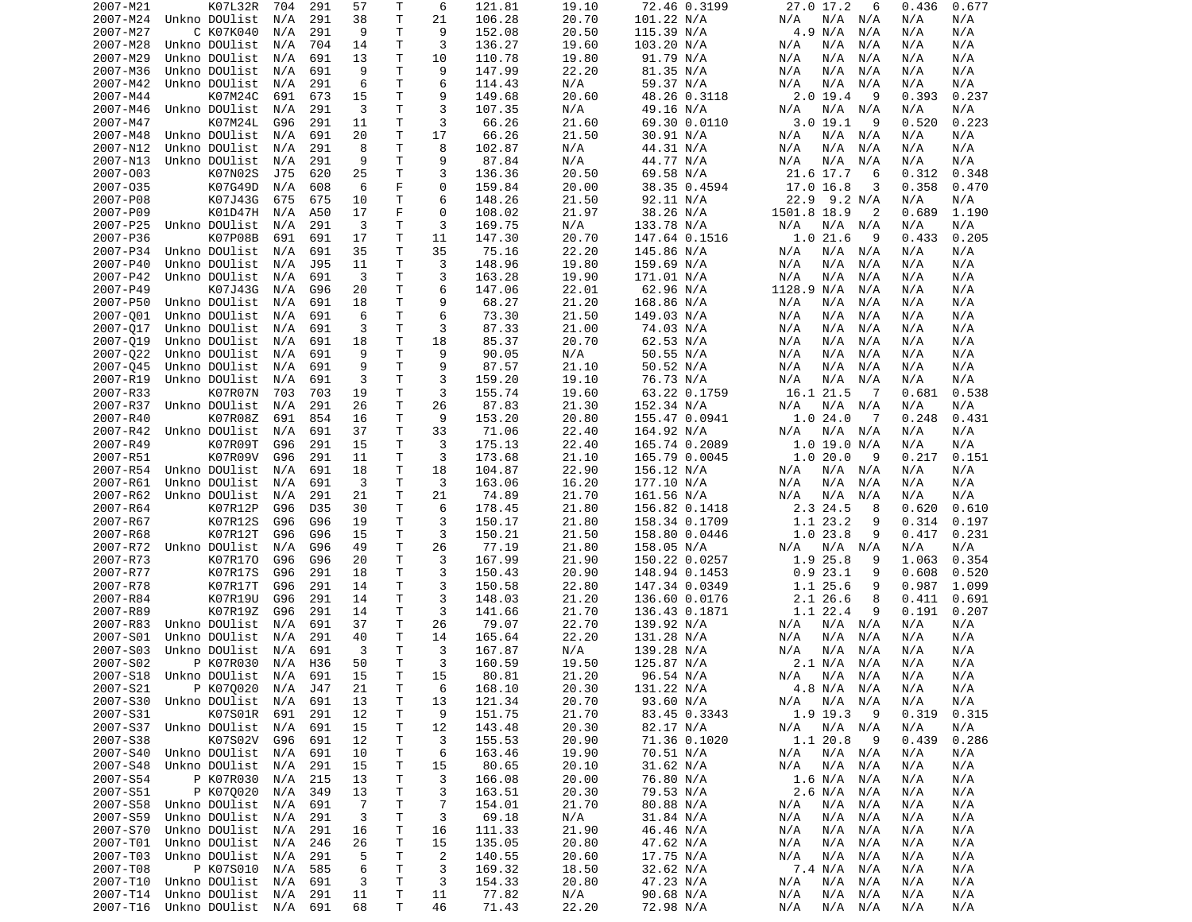| 2007-M21 | K07L32R                        | 704 | 291 | 57             | Т  | 6              | 121.81 | 19.10 | 72.46 0.3199  | 27.0 17.2<br>6    | 0.436<br>0.677 |
|----------|--------------------------------|-----|-----|----------------|----|----------------|--------|-------|---------------|-------------------|----------------|
| 2007-M24 | Unkno DOUlist                  | N/A | 291 | 38             | T. | 21             | 106.28 | 20.70 | 101.22 N/A    | N/A<br>N/A<br>N/A | N/A<br>N/A     |
| 2007-M27 | C K07K040                      | N/A | 291 | 9              | Τ  | 9              | 152.08 | 20.50 | 115.39 N/A    | 4.9 N/A<br>N/A    | N/A<br>N/A     |
| 2007-M28 | Unkno DOUlist                  | N/A | 704 | 14             | T. | 3              | 136.27 | 19.60 | 103.20 N/A    | N/A<br>N/A<br>N/A | N/A<br>N/A     |
| 2007-M29 | Unkno DOUlist                  | N/A | 691 | 13             | Τ  | 10             | 110.78 | 19.80 | 91.79 N/A     | N/A<br>N/A<br>N/A | N/A<br>N/A     |
| 2007-M36 | Unkno DOUlist                  | N/A | 691 | 9              | T. | 9              | 147.99 | 22.20 | 81.35 N/A     | N/A<br>N/A<br>N/A | N/A<br>N/A     |
| 2007-M42 | Unkno DOUlist                  | N/A | 291 | 6              | Τ  | 6              | 114.43 | N/A   | 59.37 N/A     | N/A<br>N/A<br>N/A | N/A<br>N/A     |
| 2007-M44 | K07M24C                        | 691 | 673 | 15             | Τ  | 9              | 149.68 | 20.60 | 48.26 0.3118  | $2.0$ 19.4<br>9   | 0.393<br>0.237 |
| 2007-M46 | Unkno DOUlist                  | N/A | 291 | 3              | Τ  | 3              | 107.35 | N/A   | 49.16 N/A     | N/A<br>N/A<br>N/A | N/A<br>N/A     |
| 2007-M47 | K07M24L                        | G96 | 291 | 11             | т  | 3              | 66.26  | 21.60 | 69.30 0.0110  | 3.019.1<br>-9     | 0.520<br>0.223 |
| 2007-M48 | Unkno DOUlist                  | N/A | 691 | 20             | Τ  | 17             | 66.26  | 21.50 | 30.91 N/A     | N/A<br>N/A<br>N/A | N/A<br>N/A     |
| 2007-N12 | Unkno DOUlist                  | N/A | 291 | 8              | T. | 8              | 102.87 | N/A   | 44.31 N/A     | N/A<br>N/A<br>N/A | N/A<br>N/A     |
| 2007-N13 | Unkno DOUlist                  | N/A | 291 | 9              | T. | 9              | 87.84  | N/A   | 44.77 N/A     | N/A<br>N/A<br>N/A | N/A<br>N/A     |
| 2007-003 | K07N02S                        | J75 | 620 | 25             | Τ  | 3              | 136.36 | 20.50 | 69.58 N/A     | 21.6 17.7<br>6    | 0.312<br>0.348 |
| 2007-035 | K07G49D                        | N/A | 608 | 6              | F  | $\Theta$       | 159.84 | 20.00 | 38.35 0.4594  | 17.0 16.8<br>3    | 0.358<br>0.470 |
| 2007-P08 | K07J43G                        | 675 | 675 | 10             | Τ  | 6              | 148.26 | 21.50 | 92.11 N/A     | 22.9 9.2 N/A      | N/A<br>N/A     |
| 2007-P09 | K01D47H                        | N/A | A50 | 17             | F  | $\Theta$       | 108.02 | 21.97 | 38.26 N/A     | 1501.8 18.9<br>2  | 0.689<br>1.190 |
| 2007-P25 | Unkno DOUlist                  | N/A | 291 | 3              | T  | 3              | 169.75 | N/A   | 133.78 N/A    | N/A<br>N/A<br>N/A | N/A<br>N/A     |
| 2007-P36 | K07P08B                        | 691 | 691 | 17             | Τ  | 11             | 147.30 | 20.70 | 147.64 0.1516 | 1.021.6<br>9      | 0.205<br>0.433 |
| 2007-P34 | Unkno DOUlist                  | N/A | 691 | 35             | Τ  | 35             | 75.16  | 22.20 | 145.86 N/A    | N/A<br>N/A<br>N/A | N/A<br>N/A     |
| 2007-P40 | Unkno DOUlist                  | N/A | J95 | 11             | Τ  | 3              | 148.96 | 19.80 | 159.69 N/A    | N/A<br>N/A<br>N/A | N/A<br>N/A     |
| 2007-P42 | Unkno DOUlist                  | N/A | 691 | 3              | т  | 3              | 163.28 | 19.90 | 171.01 N/A    | N/A<br>N/A<br>N/A | N/A<br>N/A     |
| 2007-P49 | K07J43G                        | N/A | G96 | 20             | Τ  | 6              | 147.06 | 22.01 | 62.96 N/A     | 1128.9 N/A<br>N/A | N/A<br>N/A     |
| 2007-P50 | Unkno DOUlist                  | N/A | 691 | 18             | T. | 9              | 68.27  | 21.20 | 168.86 N/A    | N/A<br>N/A<br>N/A | N/A<br>N/A     |
| 2007-001 | Unkno DOUlist                  | N/A | 691 | 6              | T. | 6              | 73.30  | 21.50 | 149.03 N/A    | N/A<br>N/A<br>N/A | N/A<br>N/A     |
| 2007-017 | Unkno DOUlist                  | N/A | 691 | 3              | Τ  | 3              | 87.33  | 21.00 | 74.03 N/A     | N/A<br>N/A<br>N/A | N/A<br>N/A     |
| 2007-019 | Unkno DOUlist                  | N/A | 691 | 18             | Τ  | 18             | 85.37  | 20.70 | 62.53 N/A     | N/A<br>N/A<br>N/A | N/A<br>N/A     |
| 2007-022 | Unkno DOUlist                  | N/A | 691 | 9              | T. | 9              | 90.05  | N/A   | 50.55 N/A     | N/A<br>N/A<br>N/A | N/A<br>N/A     |
| 2007-045 | Unkno DOUlist                  | N/A | 691 | 9              | T  | 9              | 87.57  | 21.10 | 50.52 N/A     | N/A<br>N/A<br>N/A | N/A<br>N/A     |
|          | Unkno DOUlist                  |     |     | 3              | Τ  | 3              |        | 19.10 |               |                   |                |
| 2007-R19 |                                | N/A | 691 |                |    |                | 159.20 |       | 76.73 N/A     | N/A<br>N/A<br>N/A | N/A<br>N/A     |
| 2007-R33 | K07R07N                        | 703 | 703 | 19             | T  | 3              | 155.74 | 19.60 | 63.22 0.1759  | 16.1 21.5<br>- 7  | 0.538<br>0.681 |
| 2007-R37 | Unkno DOUlist                  | N/A | 291 | 26             | Τ  | 26             | 87.83  | 21.30 | 152.34 N/A    | N/A<br>N/A<br>N/A | N/A<br>N/A     |
| 2007-R40 | K07R08Z                        | 691 | 854 | 16             | т  | 9              | 153.20 | 20.80 | 155.47 0.0941 | 1.024.0<br>-7     | 0.248<br>0.431 |
| 2007-R42 | Unkno DOUlist                  | N/A | 691 | 37             | T. | 33             | 71.06  | 22.40 | 164.92 N/A    | N/A<br>N/A<br>N/A | N/A<br>N/A     |
| 2007-R49 | K07R09T                        | G96 | 291 | 15             | Τ  | 3              | 175.13 | 22.40 | 165.74 0.2089 | $1.0$ 19.0 N/A    | N/A<br>N/A     |
| 2007-R51 | K07R09V                        | G96 | 291 | 11             | т  | 3              | 173.68 | 21.10 | 165.79 0.0045 | 1.020.0<br>9      | 0.217<br>0.151 |
| 2007-R54 | Unkno DOUlist                  | N/A | 691 | 18             | Τ  | 18             | 104.87 | 22.90 | 156.12 N/A    | N/A<br>N/A<br>N/A | N/A<br>N/A     |
| 2007-R61 | Unkno DOUlist                  | N/A | 691 | 3              | т  | 3              | 163.06 | 16.20 | 177.10 N/A    | N/A<br>N/A<br>N/A | N/A<br>N/A     |
| 2007-R62 | Unkno DOUlist                  | N/A | 291 | 21             | Τ  | 21             | 74.89  | 21.70 | 161.56 N/A    | N/A<br>N/A<br>N/A | N/A<br>N/A     |
| 2007-R64 | K07R12P                        | G96 | D35 | 30             | т  | 6              | 178.45 | 21.80 | 156.82 0.1418 | 2.3 24.5<br>8     | 0.620<br>0.610 |
| 2007-R67 | K07R12S                        | G96 | G96 | 19             | T. | 3              | 150.17 | 21.80 | 158.34 0.1709 | 1.1 23.2<br>9     | 0.314<br>0.197 |
| 2007-R68 | K07R12T                        | G96 | G96 | 15             | Τ  | 3              | 150.21 | 21.50 | 158.80 0.0446 | 1.023.8<br>9      | 0.417<br>0.231 |
| 2007-R72 | Unkno DOUlist                  | N/A | G96 | 49             | T  | 26             | 77.19  | 21.80 | 158.05 N/A    | N/A<br>N/A<br>N/A | N/A<br>N/A     |
| 2007-R73 | K07R170                        | G96 | G96 | 20             | Τ  | 3              | 167.99 | 21.90 | 150.22 0.0257 | 1.9 25.8<br>9     | 0.354<br>1.063 |
| 2007-R77 | K07R17S                        | G96 | 291 | 18             | т  | 3              | 150.43 | 20.90 | 148.94 0.1453 | 0.923.1<br>9      | 0.520<br>0.608 |
| 2007-R78 | K07R17T                        | G96 | 291 | 14             | Τ  | 3              | 150.58 | 22.80 | 147.34 0.0349 | 1.1 25.6<br>9     | 0.987<br>1.099 |
| 2007-R84 | K07R19U                        | G96 | 291 | 14             | т  | 3              | 148.03 | 21.20 | 136.60 0.0176 | 2.126.6<br>8      | 0.411<br>0.691 |
| 2007-R89 | K07R19Z                        | G96 | 291 | 14             | т  | 3              | 141.66 | 21.70 | 136.43 0.1871 | 1.1 22.4<br>9     | 0.191<br>0.207 |
| 2007-R83 | Unkno DOUlist                  | N/A | 691 | 37             | т  | 26             | 79.07  | 22.70 | 139.92 N/A    | N/A<br>N/A<br>N/A | N/A<br>N/A     |
| 2007-S01 | Unkno DOUlist                  | N/A | 291 | 40             | Τ  | 14             | 165.64 | 22.20 | 131.28 N/A    | N/A<br>N/A<br>N/A | N/A<br>N/A     |
| 2007-S03 | Unkno DOUlist                  | N/A | 691 | 3              | T. | 3              | 167.87 | N/A   | 139.28 N/A    | N/A<br>N/A<br>N/A | N/A<br>N/A     |
| 2007-S02 | P K07R030                      | N/A | H36 | 50             | T. | 3              | 160.59 | 19.50 | 125.87 N/A    | 2.1 N/A<br>N/A    | N/A<br>N/A     |
|          | 2007-S18 Unkno DOUlist N/A 691 |     |     | 15             | T. | 15             | 80.81  | 21.20 | 96.54 N/A     | N/A N/A N/A       | N/A<br>N/A     |
| 2007-S21 | P K070020                      | N/A | J47 | 21             | Τ  | 6              | 168.10 | 20.30 | 131.22 N/A    | 4.8 N/A N/A       | N/A<br>N/A     |
|          | 2007-S30 Unkno DOUlist         | N/A | 691 | 13             | Τ  | 13             | 121.34 | 20.70 | 93.60 N/A     | N/A<br>N/A<br>N/A | N/A<br>N/A     |
| 2007-S31 | K07S01R                        | 691 | 291 | 12             | Τ  | 9              | 151.75 | 21.70 | 83.45 0.3343  | 1.9 19.3<br>9     | 0.319<br>0.315 |
|          | 2007-S37 Unkno DOUlist         | N/A | 691 | 15             | Τ  | 12             | 143.48 | 20.30 | 82.17 N/A     | N/A N/A<br>N/A    | N/A<br>N/A     |
| 2007-S38 | K07S02V                        | G96 | 691 | 12             | т  | 3              | 155.53 | 20.90 | 71.36 0.1020  | 1.1 20.8<br>9     | 0.439<br>0.286 |
| 2007-S40 | Unkno DOUlist                  | N/A | 691 | 10             | т  | 6              | 163.46 | 19.90 | 70.51 N/A     | N/A N/A<br>N/A    | N/A<br>N/A     |
| 2007-S48 | Unkno DOUlist                  | N/A | 291 | 15             | т  | 15             | 80.65  | 20.10 | 31.62 N/A     | N/A<br>N/A<br>N/A | N/A<br>N/A     |
| 2007-S54 | P K07R030                      | N/A | 215 | 13             | Τ  | 3              | 166.08 | 20.00 | 76.80 N/A     | 1.6 N/A<br>N/A    | N/A<br>N/A     |
| 2007-S51 | P K070020                      | N/A | 349 | 13             | Τ  | 3              | 163.51 | 20.30 | 79.53 N/A     | 2.6 N/A<br>N/A    | N/A<br>N/A     |
| 2007-S58 | Unkno DOUlist                  | N/A | 691 | $\overline{7}$ | Τ  | $\overline{7}$ | 154.01 | 21.70 | 80.88 N/A     | N/A<br>N/A<br>N/A | N/A<br>N/A     |
| 2007-S59 | Unkno DOUlist                  | N/A | 291 | 3              | Τ  | 3              | 69.18  | N/A   | 31.84 N/A     | N/A<br>N/A N/A    | N/A<br>N/A     |
| 2007-S70 | Unkno DOUlist                  | N/A | 291 | 16             | Τ  | 16             | 111.33 | 21.90 | 46.46 N/A     | N/A<br>N/A<br>N/A | N/A<br>N/A     |
| 2007-T01 | Unkno DOUlist                  | N/A | 246 | 26             | т  | 15             | 135.05 | 20.80 | 47.62 N/A     | N/A<br>N/A<br>N/A | N/A<br>N/A     |
| 2007-T03 | Unkno DOUlist                  | N/A | 291 | 5              | Τ  | 2              | 140.55 | 20.60 | 17.75 N/A     | N/A<br>N/A<br>N/A | N/A<br>N/A     |
| 2007-T08 | P K07S010                      | N/A | 585 | 6              | т  | 3              | 169.32 | 18.50 | 32.62 N/A     | 7.4 N/A<br>N/A    | N/A<br>N/A     |
| 2007-T10 | Unkno DOUlist                  | N/A | 691 | 3              | Τ  | 3              | 154.33 | 20.80 | 47.23 N/A     | N/A<br>N/A<br>N/A | N/A<br>N/A     |
| 2007-T14 | Unkno DOUlist                  | N/A | 291 | 11             | T  | 11             | 77.82  | N/A   | 90.68 N/A     | N/A<br>N/A<br>N/A | N/A<br>N/A     |
| 2007-T16 | Unkno DOUlist N/A 691          |     |     | 68             | T. | 46             | 71.43  | 22.20 | 72.98 N/A     | N/A<br>N/A N/A    | N/A<br>N/A     |
|          |                                |     |     |                |    |                |        |       |               |                   |                |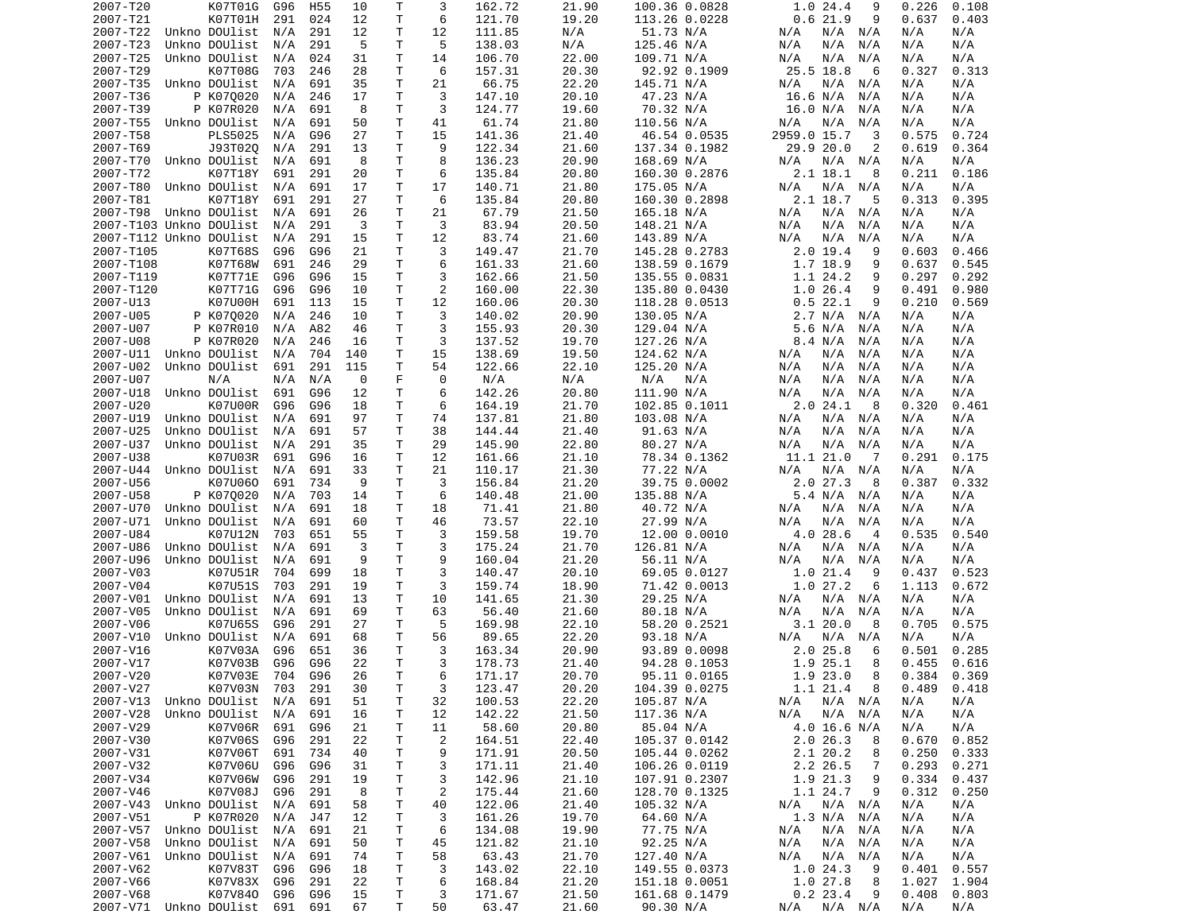| 2007-T20  | K07T01G                        | G96 | H <sub>55</sub> | 10  | Τ            | 3              | 162.72 | 21.90 | 100.36 0.0828 | 1.024.4<br>9               | 0.226<br>0.108  |
|-----------|--------------------------------|-----|-----------------|-----|--------------|----------------|--------|-------|---------------|----------------------------|-----------------|
| 2007-T21  | K07T01H                        | 291 | 024             | 12  | Τ            | 6              | 121.70 | 19.20 | 113.26 0.0228 | 0.621.9<br>9               | 0.637<br>0.403  |
| 2007-T22  | Unkno DOUlist                  | N/A | 291             | 12  | T            | 12             | 111.85 | N/A   | 51.73 N/A     | N/A N/A<br>N/A             | N/A<br>N/A      |
| 2007-T23  | Unkno DOUlist                  | N/A | 291             | 5   | Τ            | 5              | 138.03 | N/A   | 125.46 N/A    | N/A<br>N/A<br>N/A          | N/A<br>N/A      |
| 2007-T25  | Unkno DOUlist                  | N/A | 024             | 31  | Τ            | 14             | 106.70 | 22.00 | 109.71 N/A    | N/A<br>N/A<br>N/A          | N/A<br>N/A      |
| 2007-T29  | K07T08G                        | 703 | 246             | 28  | Τ            | 6              | 157.31 | 20.30 | 92.92 0.1909  | 25.5 18.8<br>6             | 0.327<br>0.313  |
| 2007-T35  | Unkno DOUlist                  | N/A | 691             | 35  | Τ            | 21             | 66.75  | 22.20 | 145.71 N/A    | N/A<br>N/A<br>N/A          | N/A<br>N/A      |
| 2007-T36  | P K070020                      | N/A | 246             | 17  | Τ            | 3              | 147.10 | 20.10 | 47.23 N/A     | 16.6 N/A<br>N/A            | N/A<br>N/A      |
| 2007-T39  | P K07R020                      | N/A | 691             | 8   | Τ            | 3              | 124.77 | 19.60 | 70.32 N/A     | 16.0 N/A<br>N/A            | N/A<br>N/A      |
| 2007-T55  | Unkno DOUlist                  | N/A | 691             | 50  | Τ            | 41             | 61.74  | 21.80 | 110.56 N/A    | N/A<br>N/A<br>N/A          | N/A<br>N/A      |
| 2007-T58  | PLS5025                        | N/A | G96             | 27  | Τ            | 15             | 141.36 | 21.40 | 46.54 0.0535  | 2959.0 15.7<br>3           | 0.575<br>0.724  |
| 2007-T69  | J93T020                        | N/A | 291             | 13  | Τ            | 9              | 122.34 | 21.60 | 137.34 0.1982 | 29.9 20.0<br>2             | 0.619<br>0.364  |
| 2007-T70  | Unkno DOUlist                  | N/A | 691             | 8   | Τ            | 8              | 136.23 | 20.90 | 168.69 N/A    | N/A<br>N/A N/A             | N/A<br>N/A      |
| 2007-T72  | K07T18Y                        | 691 | 291             | 20  | T            | 6              | 135.84 | 20.80 | 160.30 0.2876 | 2.1 18.1<br>8              | 0.211<br>0.186  |
| 2007-T80  | Unkno DOUlist                  | N/A | 691             | 17  | Τ            | 17             | 140.71 | 21.80 | 175.05 N/A    | N/A<br>N/A N/A             | N/A<br>N/A      |
| 2007-T81  | K07T18Y                        | 691 | 291             | 27  | т            | 6              | 135.84 | 20.80 | 160.30 0.2898 | 2.1 18.7<br>5              | 0.313<br>0.395  |
| 2007-T98  | Unkno DOUlist                  | N/A | 691             | 26  | Τ            | 21             | 67.79  | 21.50 | 165.18 N/A    | N/A<br>N/A<br>N/A          | N/A<br>N/A      |
|           | 2007-T103 Unkno DOUlist        | N/A | 291             | 3   | T            | 3              | 83.94  | 20.50 | 148.21 N/A    | N/A<br>N/A<br>N/A          | N/A<br>N/A      |
|           | 2007-T112 Unkno DOUlist        | N/A | 291             | 15  | Τ            | 12             | 83.74  | 21.60 | 143.89 N/A    | N/A<br>N/A<br>N/A          | N/A<br>N/A      |
| 2007-T105 | K07T68S                        | G96 | G96             | 21  | T            | 3              | 149.47 | 21.70 | 145.28 0.2783 | $2.0$ 19.4<br>9            | 0.603<br>0.466  |
| 2007-T108 | K07T68W                        | 691 | 246             | 29  | Τ            | 6              | 161.33 | 21.60 | 138.59 0.1679 | 1.7 18.9<br>9              | 0.637<br>0.545  |
| 2007-T119 | K07T71E                        | G96 | G96             | 15  | Τ            | 3              | 162.66 | 21.50 | 135.55 0.0831 | 1.1 24.2<br>9              | 0.297<br>0.292  |
| 2007-T120 | K07T71G                        | G96 | G96             | 10  | T            | 2              | 160.00 | 22.30 | 135.80 0.0430 | 1.026.4<br>9               | 0.491<br>0.980  |
| 2007-U13  | K07U00H                        | 691 | 113             | 15  | T.           | 12             | 160.06 | 20.30 | 118.28 0.0513 | 0.522.1<br>9               | 0.210<br>0.569  |
| 2007-U05  | P K070020                      | N/A | 246             | 10  | T.           | 3              | 140.02 | 20.90 | 130.05 N/A    | 2.7 N/A N/A                | N/A<br>N/A      |
| 2007-U07  | P K07R010                      | N/A | A82             | 46  | т            | 3              | 155.93 | 20.30 | 129.04 N/A    | 5.6 N/A<br>N/A             | N/A<br>N/A      |
| 2007-U08  | P K07R020                      | N/A | 246             | 16  | T            | 3              | 137.52 | 19.70 | 127.26 N/A    | 8.4 N/A<br>N/A             | N/A<br>N/A      |
| 2007-U11  | Unkno DOUlist                  | N/A | 704             | 140 | т            | 15             | 138.69 | 19.50 | 124.62 N/A    | N/A<br>N/A<br>N/A          | N/A<br>N/A      |
| 2007-U02  | Unkno DOUlist                  | 691 | 291             | 115 | т            | 54             | 122.66 | 22.10 | 125.20 N/A    | N/A<br>N/A<br>N/A          | N/A<br>N/A      |
| 2007-U07  | N/A                            | N/A | N/A             | 0   | F            | 0              | N/A    | N/A   | N/A<br>N/A    | N/A<br>N/A<br>N/A          | N/A<br>N/A      |
| 2007-U18  | Unkno DOUlist                  | 691 | G96             | 12  | T            | 6              | 142.26 | 20.80 | 111.90 N/A    | N/A<br>N/A<br>N/A          | N/A<br>N/A      |
| 2007-U20  | K07U00R                        | G96 | G96             | 18  | T            | 6              | 164.19 | 21.70 | 102.85 0.1011 | 2.024.1<br>-8              | 0.320<br>0.461  |
| 2007-U19  | Unkno DOUlist                  | N/A | 691             | 97  | Τ            | 74             | 137.81 | 21.80 | 103.08 N/A    | N/A N/A<br>N/A             | N/A<br>N/A      |
| 2007-U25  | Unkno DOUlist                  | N/A | 691             | 57  | T.           | 38             | 144.44 | 21.40 | 91.63 N/A     | N/A<br>N/A<br>N/A          | N/A<br>N/A      |
| 2007-U37  | Unkno DOUlist                  | N/A | 291             | 35  | Τ            | 29             | 145.90 | 22.80 | 80.27 N/A     | N/A<br>N/A<br>N/A          | N/A<br>N/A      |
| 2007-U38  | K07U03R                        | 691 | G96             | 16  | Τ            | 12             | 161.66 | 21.10 | 78.34 0.1362  | 11.1 21.0<br>- 7           | 0.291<br>0.175  |
| 2007-U44  | Unkno DOUlist                  | N/A | 691             | 33  | Τ            | 21             | 110.17 | 21.30 | 77.22 N/A     | N/A N/A<br>N/A             | N/A<br>N/A      |
| 2007-U56  | K07U060                        | 691 | 734             | 9   | т            | 3              | 156.84 | 21.20 | 39.75 0.0002  | 2.027.3<br>8               | 0.387<br>0.332  |
| 2007-U58  | P K070020                      | N/A | 703             | 14  | T            | 6              | 140.48 | 21.00 | 135.88 N/A    | 5.4 N/A<br>N/A             | N/A<br>N/A      |
| 2007-U70  | Unkno DOUlist                  | N/A | 691             | 18  | Τ            | 18             | 71.41  | 21.80 | 40.72 N/A     | N/A<br>N/A<br>N/A          | N/A<br>N/A      |
| 2007-U71  | Unkno DOUlist                  | N/A | 691             | 60  | T.           | 46             | 73.57  | 22.10 | 27.99 N/A     | N/A<br>N/A<br>N/A          | N/A<br>N/A      |
| 2007-U84  | K07U12N                        | 703 | 651             | 55  | Τ            | 3              | 159.58 | 19.70 | 12.00 0.0010  | 4.0 28.6<br>$\overline{a}$ | 0.535<br>0.540  |
| 2007-U86  | Unkno DOUlist                  | N/A | 691             | 3   | Τ            | 3              | 175.24 | 21.70 | 126.81 N/A    | N/A<br>N/A N/A             | N/A<br>N/A      |
| 2007-U96  | Unkno DOUlist                  | N/A | 691             | 9   | $\mathsf{T}$ | 9              | 160.04 | 21.20 | 56.11 N/A     | N/A<br>N/A<br>N/A          | N/A<br>N/A      |
| 2007-V03  | K07U51R                        | 704 | 699             | 18  | T            | 3              | 140.47 | 20.10 | 69.05 0.0127  | 1.0 21.4<br>-9             | 0.523<br>0.437  |
| 2007-V04  | K07U51S                        | 703 | 291             | 19  | Τ            | 3              | 159.74 | 18.90 | 71.42 0.0013  | 1.027.2<br>6               | 1.113<br>0.672  |
| 2007-V01  | Unkno DOUlist                  | N/A | 691             | 13  | Τ            | 10             | 141.65 | 21.30 | 29.25 N/A     | N/A<br>N/A N/A             | N/A<br>N/A      |
| 2007-V05  | Unkno DOUlist                  | N/A | 691             | 69  | т            | 63             | 56.40  | 21.60 | 80.18 N/A     | N/A<br>N/A<br>N/A          | N/A<br>N/A      |
| 2007-V06  | K07U65S                        | G96 | 291             | 27  | т            | 5              | 169.98 | 22.10 | 58.20 0.2521  | 3.120.0<br>8               | 0.575<br>0.705  |
| 2007-V10  | Unkno DOUlist                  | N/A | 691             | 68  | T            | 56             | 89.65  | 22.20 | 93.18 N/A     | N/A<br>N/A<br>N/A          | N/A<br>N/A      |
| 2007-V16  | K07V03A                        | G96 | 651             | 36  | T.           | 3              | 163.34 | 20.90 | 93.89 0.0098  | 2.025.8<br>6               | 0.501<br>0.285  |
| 2007-V17  | K07V03B                        | G96 | G96             | 22  | T.           | 3              | 178.73 | 21.40 | 94.28 0.1053  | 1.9 25.1<br>8              | 0.455<br>0.616  |
| 2007-V20  | K07V03E 704 G96                |     |                 | 26  | T.           | 6              | 171.17 | 20.70 | 95.11 0.0165  | 1.9 23.0<br>8              | $0.384$ $0.369$ |
| 2007-V27  | K07V03N                        | 703 | 291             | 30  | Τ            | 3              | 123.47 | 20.20 | 104.39 0.0275 | 1.1 21.4<br>8              | 0.489<br>0.418  |
|           | 2007-V13 Unkno DOUlist         | N/A | 691             | 51  | T.           | 32             | 100.53 | 22.20 | 105.87 N/A    | N/A<br>$N/A$ $N/A$         | N/A<br>N/A      |
| 2007-V28  | Unkno DOUlist                  | N/A | 691             | 16  | Τ            | 12             | 142.22 | 21.50 | 117.36 N/A    | N/A N/A<br>N/A             | N/A<br>N/A      |
| 2007-V29  | K07V06R                        | 691 | G96             | 21  | Τ            | 11             | 58.60  | 20.80 | 85.04 N/A     | 4.0 16.6 N/A               | N/A<br>N/A      |
| 2007-V30  | K07V06S                        | G96 | 291             | 22  | Τ            | $\overline{c}$ | 164.51 | 22.40 | 105.37 0.0142 | 2.026.3<br>8               | 0.670<br>0.852  |
| 2007-V31  | K07V06T                        | 691 | 734             | 40  | т            | 9              | 171.91 | 20.50 | 105.44 0.0262 | 2.120.2<br>8               | 0.250<br>0.333  |
| 2007-V32  | K07V06U                        | G96 | G96             | 31  | Τ            | 3              | 171.11 | 21.40 | 106.26 0.0119 | 2.2 26.5<br>7              | 0.293<br>0.271  |
| 2007-V34  | K07V06W                        | G96 | 291             | 19  | Τ            | 3              | 142.96 | 21.10 | 107.91 0.2307 | 1.9 21.3<br>9              | 0.334<br>0.437  |
| 2007-V46  | K07V08J                        | G96 | 291             | 8   | Τ            | 2              | 175.44 | 21.60 | 128.70 0.1325 | 1.1 24.7<br>9              | 0.312<br>0.250  |
| 2007-V43  | Unkno DOUlist                  | N/A | 691             | 58  | Τ            | 40             | 122.06 | 21.40 | 105.32 N/A    | N/A N/A<br>N/A             | N/A<br>N/A      |
| 2007-V51  | P K07R020                      | N/A | J47             | 12  | Τ            | 3              | 161.26 | 19.70 | 64.60 N/A     | 1.3 N/A N/A                | N/A<br>N/A      |
| 2007-V57  | Unkno DOUlist                  | N/A | 691             | 21  | T            | 6              | 134.08 | 19.90 | 77.75 N/A     | N/A<br>N/A N/A             | N/A<br>N/A      |
| 2007-V58  | Unkno DOUlist                  | N/A | 691             | 50  | Τ            | 45             | 121.82 | 21.10 | 92.25 N/A     | N/A<br>N/A N/A             | N/A<br>N/A      |
| 2007-V61  | Unkno DOUlist                  | N/A | 691             | 74  | T            | 58             | 63.43  | 21.70 | 127.40 N/A    | N/A<br>N/A N/A             | N/A<br>N/A      |
| 2007-V62  | K07V83T                        | G96 | G96             | 18  | Τ            | 3              | 143.02 | 22.10 | 149.55 0.0373 | 1.024.3<br>9               | 0.401<br>0.557  |
| 2007-V66  | K07V83X                        | G96 | 291             | 22  | T            | 6              | 168.84 | 21.20 | 151.18 0.0051 | 1.027.8<br>8               | 1.027<br>1.904  |
| 2007-V68  | K07V840                        | G96 | G96             | 15  | T.           | 3              | 171.67 | 21.50 | 161.68 0.1479 | $0.2$ 23.4<br>9            | 0.408<br>0.803  |
|           | 2007-V71 Unkno DOUlist 691 691 |     |                 | 67  | T            | 50             | 63.47  | 21.60 | 90.30 N/A     | N/A N/A<br>N/A             | N/A<br>N/A      |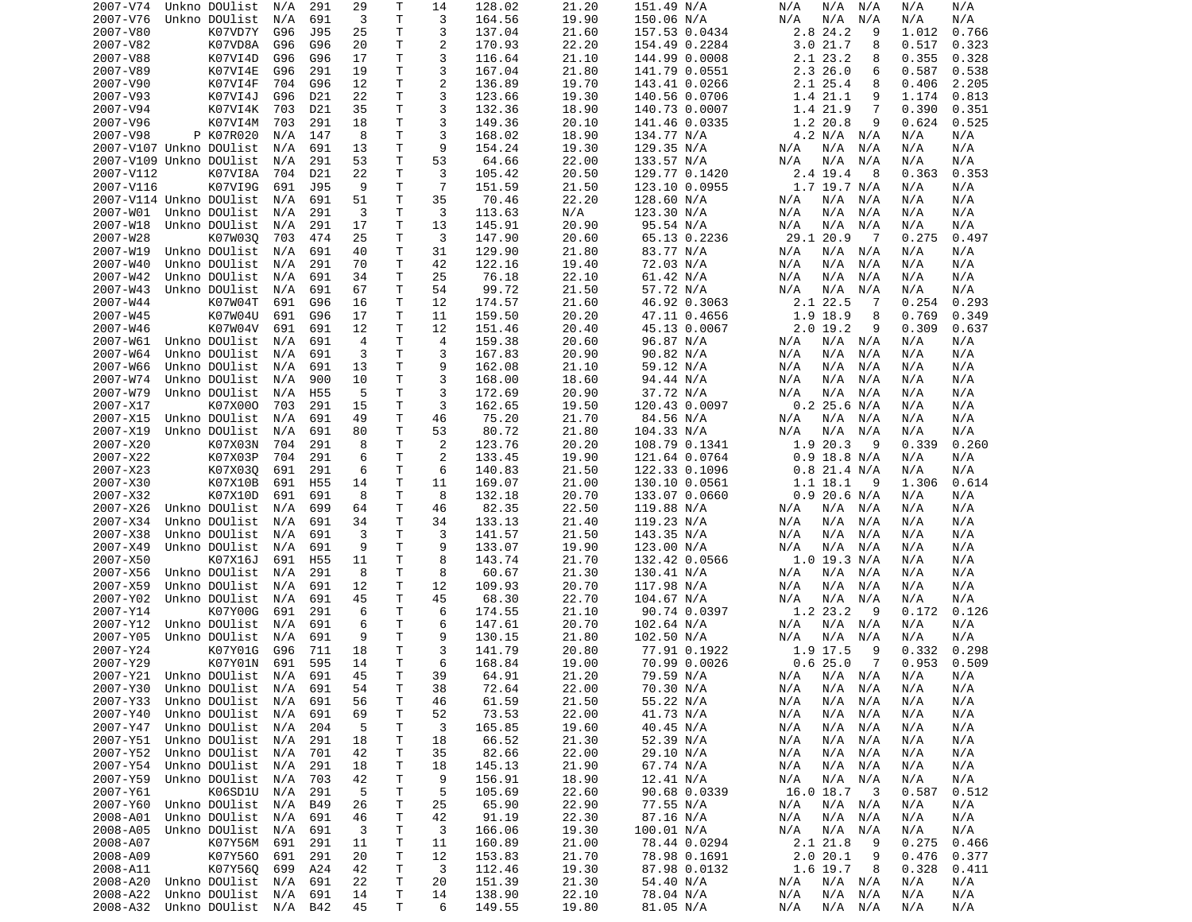| 2007-V74  | Unkno DOUlist                  | N/A | 291             | 29 | Т  | 14             | 128.02 | 21.20 | 151.49 N/A    | N/A<br>N/A<br>N/A      | N/A<br>N/A     |
|-----------|--------------------------------|-----|-----------------|----|----|----------------|--------|-------|---------------|------------------------|----------------|
| 2007-V76  | Unkno DOUlist                  | N/A | 691             | 3  | T. | 3              | 164.56 | 19.90 | 150.06 N/A    | N/A<br>N/A<br>N/A      | N/A<br>N/A     |
| 2007-V80  | K07VD7Y                        | G96 | J95             | 25 | т  | 3              | 137.04 | 21.60 | 157.53 0.0434 | 2.8 24.2<br>9          | 1.012<br>0.766 |
| 2007-V82  | K07VD8A                        | G96 | G96             | 20 | т  | $\overline{c}$ | 170.93 | 22.20 | 154.49 0.2284 | 3.021.7<br>8           | 0.323<br>0.517 |
| 2007-V88  | K07VI4D                        | G96 | G96             | 17 | т  | 3              | 116.64 | 21.10 | 144.99 0.0008 | 2.1 23.2<br>8          | 0.355<br>0.328 |
| 2007-V89  | K07VI4E                        | G96 | 291             | 19 | Τ  | 3              | 167.04 | 21.80 | 141.79 0.0551 | 2.3 26.0<br>6          | 0.587<br>0.538 |
| 2007-V90  | K07VI4F                        | 704 | G96             | 12 | т  | $\overline{c}$ | 136.89 | 19.70 | 143.41 0.0266 | 2.1 25.4<br>8          | 0.406<br>2.205 |
| 2007-V93  | K07VI4J                        | G96 | D21             | 22 | т  | 3              | 123.66 | 19.30 | 140.56 0.0706 | 1.4 21.1<br>9          | 1.174<br>0.813 |
| 2007-V94  | K07VI4K                        | 703 | D21             | 35 | т  | 3              | 132.36 | 18.90 | 140.73 0.0007 | 1.4 21.9<br>7          | 0.390<br>0.351 |
| 2007-V96  | K07VI4M                        | 703 | 291             | 18 | т  | 3              | 149.36 | 20.10 | 141.46 0.0335 | 1.2 20.8<br>9          | 0.624<br>0.525 |
| 2007-V98  | P K07R020                      | N/A | 147             | 8  | Τ  | 3              | 168.02 | 18.90 | 134.77 N/A    | 4.2 N/A<br>N/A         | N/A<br>N/A     |
|           | 2007-V107 Unkno DOUlist        | N/A | 691             | 13 | т  | 9              | 154.24 | 19.30 | 129.35 N/A    | N/A<br>N/A<br>N/A      | N/A<br>N/A     |
|           | 2007-V109 Unkno DOUlist        | N/A | 291             | 53 | Τ  | 53             | 64.66  | 22.00 | 133.57 N/A    | N/A<br>N/A<br>N/A      | N/A<br>N/A     |
| 2007-V112 | K07VI8A                        | 704 | D21             | 22 | т  | 3              | 105.42 | 20.50 | 129.77 0.1420 | 2.4 19.4<br>8          | 0.363<br>0.353 |
| 2007-V116 | K07VI9G                        | 691 | J95             | 9  | т  | $\overline{7}$ | 151.59 | 21.50 | 123.10 0.0955 | $1.7$ 19.7 N/A         | N/A<br>N/A     |
|           | 2007-V114 Unkno DOUlist        | N/A | 691             | 51 | Τ  | 35             | 70.46  | 22.20 | 128.60 N/A    | N/A<br>N/A<br>N/A      | N/A<br>N/A     |
| 2007-W01  | Unkno DOUlist                  | N/A | 291             | 3  | т  | 3              | 113.63 | N/A   | 123.30 N/A    | N/A<br>N/A<br>N/A      | N/A<br>N/A     |
| 2007-W18  | Unkno DOUlist                  | N/A | 291             | 17 | т  | 13             | 145.91 | 20.90 | 95.54 N/A     | N/A<br>N/A<br>N/A      | N/A<br>N/A     |
| 2007-W28  | K07W030                        | 703 | 474             | 25 | т  | 3              | 147.90 | 20.60 | 65.13 0.2236  | 29.1 20.9<br>-7        | 0.275<br>0.497 |
| 2007-W19  | Unkno DOUlist                  | N/A | 691             | 40 | T  | 31             | 129.90 | 21.80 | 83.77 N/A     | N/A<br>N/A<br>N/A      | N/A<br>N/A     |
| 2007-W40  | Unkno DOUlist                  | N/A | 291             | 70 | т  | 42             | 122.16 | 19.40 | 72.03 N/A     | N/A<br>N/A<br>N/A      | N/A<br>N/A     |
| 2007-W42  | Unkno DOUlist                  | N/A | 691             | 34 | Т  | 25             | 76.18  | 22.10 | 61.42 N/A     | N/A<br>N/A<br>N/A      | N/A<br>N/A     |
| 2007-W43  | Unkno DOUlist                  | N/A | 691             | 67 | т  | 54             | 99.72  | 21.50 | 57.72 N/A     | N/A<br>N/A<br>N/A      | N/A<br>N/A     |
| 2007-W44  | K07W04T                        | 691 | G96             | 16 | т  | 12             | 174.57 | 21.60 | 46.92 0.3063  | 2.1 22.5<br>-7         | 0.254<br>0.293 |
| 2007-W45  | K07W04U                        | 691 | G96             | 17 | т  | 11             | 159.50 | 20.20 | 47.11 0.4656  | 1.9 18.9<br>8          | 0.349<br>0.769 |
| 2007-W46  | K07W04V                        | 691 | 691             | 12 | т  | 12             | 151.46 | 20.40 | 45.13 0.0067  | $2.0$ 19.2<br>9        | 0.637<br>0.309 |
| 2007-W61  | Unkno DOUlist                  | N/A | 691             | 4  | T  | $\overline{4}$ | 159.38 | 20.60 | 96.87 N/A     | N/A<br>N/A<br>N/A      | N/A<br>N/A     |
| 2007-W64  | Unkno DOUlist                  | N/A | 691             | 3  | Τ  | 3              | 167.83 | 20.90 | 90.82 N/A     | N/A<br>N/A<br>N/A      | N/A<br>N/A     |
| 2007-W66  | Unkno DOUlist                  | N/A | 691             | 13 | Τ  | 9              | 162.08 | 21.10 | 59.12 N/A     | N/A<br>N/A<br>N/A      | N/A<br>N/A     |
| 2007-W74  | Unkno DOUlist                  | N/A | 900             | 10 | Τ  | 3              | 168.00 | 18.60 | 94.44 N/A     | N/A<br>N/A<br>N/A      | N/A<br>N/A     |
| 2007-W79  | Unkno DOUlist                  | N/A | H <sub>55</sub> | 5  | Τ  | 3              | 172.69 | 20.90 | 37.72 N/A     | N/A<br>N/A<br>N/A      | N/A<br>N/A     |
| 2007-X17  | K07X000                        | 703 | 291             | 15 | Τ  | 3              | 162.65 | 19.50 | 120.43 0.0097 | $0.2$ 25.6 N/A         | N/A<br>N/A     |
| 2007-X15  | Unkno DOUlist                  | N/A | 691             | 49 | Τ  | 46             | 75.20  | 21.70 | 84.56 N/A     | N/A<br>N/A<br>N/A      | N/A<br>N/A     |
|           |                                |     |                 | 80 | Τ  | 53             |        |       |               |                        |                |
| 2007-X19  | Unkno DOUlist                  | N/A | 691             |    | Τ  | 2              | 80.72  | 21.80 | 104.33 N/A    | N/A<br>N/A<br>N/A<br>9 | N/A<br>N/A     |
| 2007-X20  | K07X03N                        | 704 | 291             | 8  |    |                | 123.76 | 20.20 | 108.79 0.1341 | 1.9 20.3               | 0.339<br>0.260 |
| 2007-X22  | K07X03P                        | 704 | 291             | 6  | т  | $\overline{2}$ | 133.45 | 19.90 | 121.64 0.0764 | $0.9$ 18.8 N/A         | N/A<br>N/A     |
| 2007-X23  | K07X030                        | 691 | 291             | 6  | Τ  | 6<br>11        | 140.83 | 21.50 | 122.33 0.1096 | $0.8$ 21.4 N/A         | N/A<br>N/A     |
| 2007-X30  | K07X10B                        | 691 | H <sub>55</sub> | 14 | т  |                | 169.07 | 21.00 | 130.10 0.0561 | 1.1 18.1<br>- 9        | 1.306<br>0.614 |
| 2007-X32  | K07X10D                        | 691 | 691             | 8  | Τ  | 8              | 132.18 | 20.70 | 133.07 0.0660 | $0.9$ 20.6 N/A         | N/A<br>N/A     |
| 2007-X26  | Unkno DOUlist                  | N/A | 699             | 64 | т  | 46             | 82.35  | 22.50 | 119.88 N/A    | N/A<br>N/A N/A         | N/A<br>N/A     |
| 2007-X34  | Unkno DOUlist                  | N/A | 691             | 34 | T. | 34             | 133.13 | 21.40 | 119.23 N/A    | N/A<br>N/A<br>N/A      | N/A<br>N/A     |
| 2007-X38  | Unkno DOUlist                  | N/A | 691             | 3  | Τ  | 3              | 141.57 | 21.50 | 143.35 N/A    | N/A<br>N/A<br>N/A      | N/A<br>N/A     |
| 2007-X49  | Unkno DOUlist                  | N/A | 691             | 9  | т  | 9              | 133.07 | 19.90 | 123.00 N/A    | N/A<br>N/A<br>N/A      | N/A<br>N/A     |
| 2007-X50  | K07X16J                        | 691 | H <sub>55</sub> | 11 | Τ  | 8              | 143.74 | 21.70 | 132.42 0.0566 | 1.0 19.3 N/A           | N/A<br>N/A     |
| 2007-X56  | Unkno DOUlist                  | N/A | 291             | 8  | Τ  | 8              | 60.67  | 21.30 | 130.41 N/A    | N/A<br>N/A N/A         | N/A<br>N/A     |
| 2007-X59  | Unkno DOUlist                  | N/A | 691             | 12 | Τ  | 12             | 109.93 | 20.70 | 117.98 N/A    | N/A<br>N/A<br>N/A      | N/A<br>N/A     |
| 2007-Y02  | Unkno DOUlist                  | N/A | 691             | 45 | Τ  | 45             | 68.30  | 22.70 | 104.67 N/A    | N/A<br>N/A<br>N/A      | N/A<br>N/A     |
| 2007-Y14  | K07Y00G                        | 691 | 291             | 6  | Τ  | 6              | 174.55 | 21.10 | 90.74 0.0397  | 1.2 23.2<br>9          | 0.126<br>0.172 |
| 2007-Y12  | Unkno DOUlist                  | N/A | 691             | 6  | т  | 6              | 147.61 | 20.70 | 102.64 N/A    | N/A N/A<br>N/A         | N/A<br>N/A     |
| 2007-Y05  | Unkno DOUlist                  | N/A | 691             | 9  | т  | 9              | 130.15 | 21.80 | 102.50 N/A    | N/A<br>N/A<br>N/A      | N/A<br>N/A     |
| 2007-Y24  | K07Y01G                        | G96 | 711             | 18 | Τ  | 3              | 141.79 | 20.80 | 77.91 0.1922  | 1.9 17.5<br>9          | 0.332<br>0.298 |
| 2007-Y29  | K07Y01N                        | 691 | 595             | 14 | T. | 6              | 168.84 | 19.00 | 70.99 0.0026  | 0.625.0<br>7           | 0.953<br>0.509 |
|           | 2007-Y21 Unkno DOUlist N/A 691 |     |                 | 45 | T. | 39             | 64.91  | 21.20 | 79.59 N/A     | N/A<br>N/A N/A         | N/A<br>N/A     |
| 2007-Y30  | Unkno DOUlist N/A 691          |     |                 | 54 | т  | 38             | 72.64  | 22.00 | 70.30 N/A     | N/A<br>N/A N/A         | N/A<br>N/A     |
| 2007-Y33  | Unkno DOUlist                  | N/A | 691             | 56 | т  | 46             | 61.59  | 21.50 | 55.22 N/A     | N/A<br>N/A<br>N/A      | N/A<br>N/A     |
| 2007-Y40  | Unkno DOUlist                  | N/A | 691             | 69 | т  | 52             | 73.53  | 22.00 | 41.73 N/A     | N/A<br>N/A<br>N/A      | N/A<br>N/A     |
| 2007-Y47  | Unkno DOUlist                  | N/A | 204             | 5  | Т  | 3              | 165.85 | 19.60 | 40.45 N/A     | $N/A$ $N/A$<br>N/A     | N/A<br>N/A     |
| 2007-Y51  | Unkno DOUlist                  | N/A | 291             | 18 | т  | 18             | 66.52  | 21.30 | 52.39 N/A     | N/A<br>N/A<br>N/A      | N/A<br>N/A     |
| 2007-Y52  | Unkno DOUlist                  | N/A | 701             | 42 | т  | 35             | 82.66  | 22.00 | 29.10 N/A     | N/A<br>N/A N/A         | N/A<br>N/A     |
| 2007-Y54  | Unkno DOUlist                  | N/A | 291             | 18 | т  | 18             | 145.13 | 21.90 | 67.74 N/A     | N/A<br>N/A N/A         | N/A<br>N/A     |
| 2007-Y59  | Unkno DOUlist                  | N/A | 703             | 42 | т  | 9              | 156.91 | 18.90 | 12.41 N/A     | N/A<br>N/A<br>N/A      | N/A<br>N/A     |
| 2007-Y61  | K06SD1U                        | N/A | 291             | 5  | т  | 5              | 105.69 | 22.60 | 90.68 0.0339  | 16.0 18.7<br>$_{3}$    | 0.587<br>0.512 |
| 2007-Y60  | Unkno DOUlist                  | N/A | B49             | 26 | т  | 25             | 65.90  | 22.90 | 77.55 N/A     | N/A N/A<br>N/A         | N/A<br>N/A     |
| 2008-A01  | Unkno DOUlist                  | N/A | 691             | 46 | Т  | 42             | 91.19  | 22.30 | 87.16 N/A     | N/A<br>N/A N/A         | N/A<br>N/A     |
| 2008-A05  | Unkno DOUlist                  | N/A | 691             | 3  | т  | 3              | 166.06 | 19.30 | 100.01 N/A    | N/A<br>N/A<br>N/A      | N/A<br>N/A     |
| 2008-A07  | K07Y56M 691                    |     | 291             | 11 | т  | 11             | 160.89 | 21.00 | 78.44 0.0294  | 2.1 21.8<br>9          | 0.275<br>0.466 |
| 2008-A09  | K07Y560                        | 691 | 291             | 20 | Τ  | 12             | 153.83 | 21.70 | 78.98 0.1691  | 2.020.1<br>9           | 0.476<br>0.377 |
| 2008-A11  | K07Y560                        | 699 | A24             | 42 | т  | 3              | 112.46 | 19.30 | 87.98 0.0132  | 1.6 19.7<br>8          | 0.328<br>0.411 |
| 2008-A20  | Unkno DOUlist                  | N/A | 691             | 22 | Τ  | 20             | 151.39 | 21.30 | 54.40 N/A     | $N/A$ $N/A$<br>N/A     | N/A<br>N/A     |
| 2008-A22  | Unkno DOUlist                  | N/A | 691             | 14 | Τ  | 14             | 138.90 | 22.10 | 78.04 N/A     | N/A N/A<br>N/A         | N/A<br>N/A     |
| 2008-A32  | Unkno DOUlist N/A B42          |     |                 | 45 | Τ  | 6              | 149.55 | 19.80 | 81.05 N/A     | N/A<br>N/A N/A         | N/A<br>N/A     |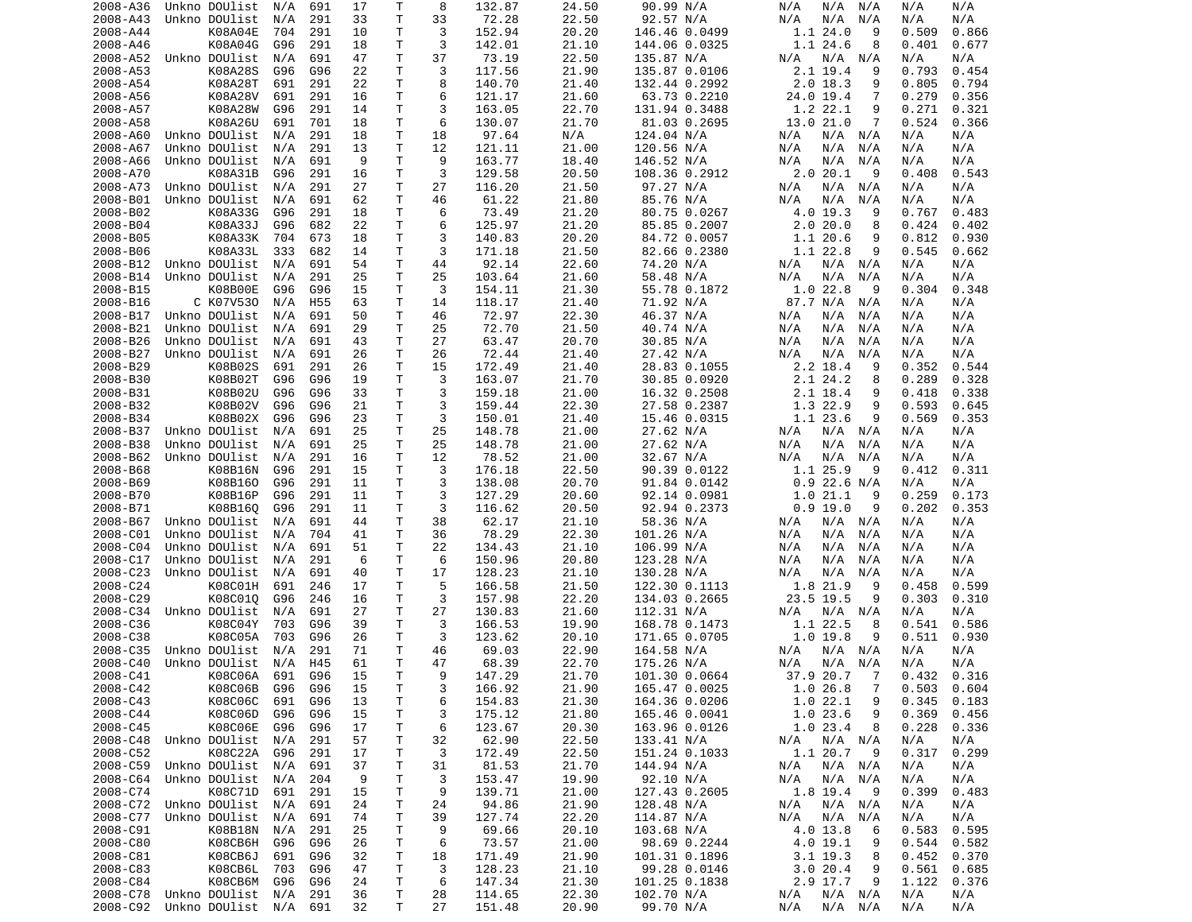| 2008-A36 | Unkno DOUlist                  | N/A | 691             | 17 | Т  | 8  | 132.87 | 24.50 | 90.99 N/A     | N/A<br>N/A<br>N/A         | N/A<br>N/A     |
|----------|--------------------------------|-----|-----------------|----|----|----|--------|-------|---------------|---------------------------|----------------|
| 2008-A43 | Unkno DOUlist                  | N/A | 291             | 33 | T  | 33 | 72.28  | 22.50 | 92.57 N/A     | N/A<br>N/A<br>N/A         | N/A<br>N/A     |
| 2008-A44 | K08A04E                        | 704 | 291             | 10 | Τ  | 3  | 152.94 | 20.20 | 146.46 0.0499 | 1.124.0<br>9              | 0.509<br>0.866 |
| 2008-A46 | K08A04G                        | G96 | 291             | 18 | т  | 3  | 142.01 | 21.10 |               | 1.1 24.6<br>8             | 0.401          |
|          |                                |     |                 |    |    |    |        |       | 144.06 0.0325 |                           | 0.677          |
| 2008-A52 | Unkno DOUlist                  | N/A | 691             | 47 | Τ  | 37 | 73.19  | 22.50 | 135.87 N/A    | N/A<br>N/A N/A            | N/A<br>N/A     |
| 2008-A53 | K08A28S                        | G96 | G96             | 22 | т  | 3  | 117.56 | 21.90 | 135.87 0.0106 | 2.1 19.4<br>9             | 0.793<br>0.454 |
| 2008-A54 | K08A28T                        | 691 | 291             | 22 | т  | 8  | 140.70 | 21.40 | 132.44 0.2992 | $2.0$ 18.3<br>9           | 0.805<br>0.794 |
| 2008-A56 | K08A28V                        | 691 | 291             | 16 | Τ  | 6  | 121.17 | 21.60 | 63.73 0.2210  | 24.0 19.4<br>7            | 0.279<br>0.356 |
| 2008-A57 | K08A28W                        | G96 | 291             | 14 | T  | 3  | 163.05 | 22.70 | 131.94 0.3488 | 1.2 22.1<br>9             | 0.271<br>0.321 |
|          |                                |     |                 |    |    |    |        |       |               |                           |                |
| 2008-A58 | K08A26U                        | 691 | 701             | 18 | т  | 6  | 130.07 | 21.70 | 81.03 0.2695  | 13.0 21.0<br>7            | 0.524<br>0.366 |
| 2008-A60 | Unkno DOUlist                  | N/A | 291             | 18 | T  | 18 | 97.64  | N/A   | 124.04 N/A    | N/A N/A<br>N/A            | N/A<br>N/A     |
| 2008-A67 | Unkno DOUlist                  | N/A | 291             | 13 | T  | 12 | 121.11 | 21.00 | 120.56 N/A    | N/A<br>N/A<br>N/A         | N/A<br>N/A     |
| 2008-A66 | Unkno DOUlist                  | N/A | 691             | 9  | T. | 9  | 163.77 | 18.40 | 146.52 N/A    | N/A<br>N/A<br>N/A         | N/A<br>N/A     |
| 2008-A70 | K08A31B                        | G96 | 291             | 16 | т  | 3  | 129.58 | 20.50 | 108.36 0.2912 | 2.0 20.1<br>-9            | 0.408<br>0.543 |
|          | Unkno DOUlist                  |     |                 |    |    |    |        |       |               |                           |                |
| 2008-A73 |                                | N/A | 291             | 27 | T  | 27 | 116.20 | 21.50 | 97.27 N/A     | N/A<br>N/A N/A            | N/A<br>N/A     |
| 2008-B01 | Unkno DOUlist                  | N/A | 691             | 62 | T. | 46 | 61.22  | 21.80 | 85.76 N/A     | N/A<br>N/A<br>N/A         | N/A<br>N/A     |
| 2008-B02 | K08A33G                        | G96 | 291             | 18 | Τ  | 6  | 73.49  | 21.20 | 80.75 0.0267  | 4.0 19.3<br>9             | 0.767<br>0.483 |
| 2008-B04 | K08A33J                        | G96 | 682             | 22 | T. | 6  | 125.97 | 21.20 | 85.85 0.2007  | 2.020.0<br>8              | 0.424<br>0.402 |
| 2008-B05 | K08A33K                        | 704 | 673             | 18 | T  | 3  | 140.83 | 20.20 | 84.72 0.0057  | 1.1 20.6<br>9             | 0.812<br>0.930 |
| 2008-B06 | K08A33L                        | 333 | 682             | 14 | т  | 3  | 171.18 | 21.50 | 82.66 0.2380  | 1.1 22.8<br>9             | 0.545<br>0.662 |
|          |                                |     |                 |    |    |    |        |       |               |                           |                |
| 2008-B12 | Unkno DOUlist                  | N/A | 691             | 54 | T  | 44 | 92.14  | 22.60 | 74.20 N/A     | N/A N/A<br>N/A            | N/A<br>N/A     |
| 2008-B14 | Unkno DOUlist                  | N/A | 291             | 25 | Τ  | 25 | 103.64 | 21.60 | 58.48 N/A     | N/A<br>N/A<br>N/A         | N/A<br>N/A     |
| 2008-B15 | K08B00E                        | G96 | G96             | 15 | T  | 3  | 154.11 | 21.30 | 55.78 0.1872  | 1.022.8<br>9              | 0.304<br>0.348 |
| 2008-B16 | C K07V530                      | N/A | H <sub>55</sub> | 63 | Τ  | 14 | 118.17 | 21.40 | 71.92 N/A     | 87.7 N/A N/A              | N/A<br>N/A     |
| 2008-B17 | Unkno DOUlist                  | N/A | 691             | 50 | T  | 46 | 72.97  | 22.30 | 46.37 N/A     | N/A<br>N/A<br>N/A         | N/A<br>N/A     |
|          |                                |     |                 |    |    |    |        |       |               |                           |                |
| 2008-B21 | Unkno DOUlist                  | N/A | 691             | 29 | Τ  | 25 | 72.70  | 21.50 | 40.74 N/A     | N/A<br>N/A<br>N/A         | N/A<br>N/A     |
| 2008-B26 | Unkno DOUlist                  | N/A | 691             | 43 | Τ  | 27 | 63.47  | 20.70 | 30.85 N/A     | N/A<br>N/A<br>N/A         | N/A<br>N/A     |
| 2008-B27 | Unkno DOUlist                  | N/A | 691             | 26 | т  | 26 | 72.44  | 21.40 | 27.42 N/A     | N/A<br>N/A<br>N/A         | N/A<br>N/A     |
| 2008-B29 | K08B02S                        | 691 | 291             | 26 | Τ  | 15 | 172.49 | 21.40 | 28.83 0.1055  | $2.2$ 18.4<br>9           | 0.352<br>0.544 |
| 2008-B30 | K08B02T                        | G96 | G96             | 19 | Τ  | 3  | 163.07 | 21.70 | 30.85 0.0920  | 2.1 24.2<br>8             | 0.289<br>0.328 |
|          |                                |     |                 |    |    |    |        |       |               |                           |                |
| 2008-B31 | K08B02U                        | G96 | G96             | 33 | Τ  | 3  | 159.18 | 21.00 | 16.32 0.2508  | 2.1 18.4<br>9             | 0.418<br>0.338 |
| 2008-B32 | K08B02V                        | G96 | G96             | 21 | Τ  | 3  | 159.44 | 22.30 | 27.58 0.2387  | 1.3 22.9<br>9             | 0.593<br>0.645 |
| 2008-B34 | K08B02X                        | G96 | G96             | 23 | T  | 3  | 150.01 | 21.40 | 15.46 0.0315  | 1.1 23.6<br>9             | 0.569<br>0.353 |
| 2008-B37 | Unkno DOUlist                  | N/A | 691             | 25 | Τ  | 25 | 148.78 | 21.00 | 27.62 N/A     | N/A<br>N/A N/A            | N/A<br>N/A     |
| 2008-B38 | Unkno DOUlist                  | N/A | 691             | 25 | Τ  | 25 | 148.78 | 21.00 | 27.62 N/A     | N/A<br>N/A<br>N/A         | N/A<br>N/A     |
| 2008-B62 | Unkno DOUlist                  |     | 291             | 16 | T  | 12 | 78.52  | 21.00 | 32.67 N/A     | N/A<br>N/A<br>N/A         | N/A<br>N/A     |
|          |                                | N/A |                 |    |    |    |        |       |               |                           |                |
| 2008-B68 | K08B16N                        | G96 | 291             | 15 | Τ  | 3  | 176.18 | 22.50 | 90.39 0.0122  | 1.1 25.9<br>9             | 0.412<br>0.311 |
| 2008-B69 | K08B160                        | G96 | 291             | 11 | T  | 3  | 138.08 | 20.70 | 91.84 0.0142  | $0.9$ 22.6 N/A            | N/A<br>N/A     |
| 2008-B70 | K08B16P                        | G96 | 291             | 11 | т  | 3  | 127.29 | 20.60 | 92.14 0.0981  | 1.021.1<br>9              | 0.259<br>0.173 |
| 2008-B71 | K08B160                        | G96 | 291             | 11 | т  | 3  | 116.62 | 20.50 | 92.94 0.2373  | 0.9 19.0<br>9             | 0.202<br>0.353 |
| 2008-B67 | Unkno DOUlist                  | N/A | 691             | 44 | т  | 38 | 62.17  | 21.10 | 58.36 N/A     | N/A N/A<br>N/A            | N/A<br>N/A     |
|          |                                |     |                 |    |    |    |        |       |               |                           |                |
| 2008-C01 | Unkno DOUlist                  | N/A | 704             | 41 | T  | 36 | 78.29  | 22.30 | 101.26 N/A    | N/A<br>N/A<br>N/A         | N/A<br>N/A     |
| 2008-C04 | Unkno DOUlist                  | N/A | 691             | 51 | Τ  | 22 | 134.43 | 21.10 | 106.99 N/A    | N/A<br>N/A<br>N/A         | N/A<br>N/A     |
| 2008-C17 | Unkno DOUlist                  | N/A | 291             | 6  | T  | 6  | 150.96 | 20.80 | 123.28 N/A    | N/A<br>N/A<br>N/A         | N/A<br>N/A     |
| 2008-C23 | Unkno DOUlist                  | N/A | 691             | 40 | Τ  | 17 | 128.23 | 21.10 | 130.28 N/A    | N/A<br>N/A<br>N/A         | N/A<br>N/A     |
| 2008-C24 | K08C01H                        | 691 | 246             | 17 | Τ  | 5  | 166.58 | 21.50 | 122.30 0.1113 | 1.8 21.9<br>9             | 0.458<br>0.599 |
|          |                                |     |                 |    |    |    |        |       |               |                           |                |
| 2008-C29 | K08C010                        | G96 | 246             | 16 | T  | 3  | 157.98 | 22.20 | 134.03 0.2665 | 23.5 19.5<br>9            | 0.303<br>0.310 |
| 2008-C34 | Unkno DOUlist                  | N/A | 691             | 27 | T. | 27 | 130.83 | 21.60 | 112.31 N/A    | N/A<br>N/A N/A            | N/A<br>N/A     |
| 2008-C36 | K08C04Y                        | 703 | G96             | 39 | Τ  | 3  | 166.53 | 19.90 | 168.78 0.1473 | $1.1$ 22.5<br>8           | 0.541<br>0.586 |
| 2008-C38 | K08C05A                        | 703 | G96             | 26 | Τ  | 3  | 123.62 | 20.10 | 171.65 0.0705 | 1.019.8<br>9              | 0.511<br>0.930 |
| 2008-C35 | Unkno DOUlist                  | N/A | 291             | 71 | Τ  | 46 | 69.03  | 22.90 | 164.58 N/A    | N/A<br>N/A N/A            | N/A<br>N/A     |
|          | Unkno DOUlist                  |     |                 |    | T. | 47 |        |       |               |                           |                |
| 2008-C40 |                                | N/A | H45             | 61 |    |    | 68.39  | 22.70 | 175.26 N/A    | N/A<br>N/A N/A            | N/A<br>N/A     |
| 2008-C41 | K08C06A                        | 691 | G96             | 15 | T. | 9  | 147.29 | 21.70 | 101.30 0.0664 | 37.9 20.7 7               | 0.432<br>0.316 |
| 2008-C42 | K08C06B                        | G96 | G96             | 15 | Τ  | 3  | 166.92 | 21.90 | 165.47 0.0025 | 1.026.8<br>$\overline{7}$ | 0.503<br>0.604 |
| 2008-C43 | K08C06C                        | 691 | G96             | 13 | Τ  | 6  | 154.83 | 21.30 | 164.36 0.0206 | 1.022.1<br>9              | 0.345<br>0.183 |
| 2008-C44 | K08C06D                        | G96 | G96             | 15 | Τ  | 3  | 175.12 | 21.80 | 165.46 0.0041 | 1.023.6<br>9              | 0.369<br>0.456 |
|          |                                |     |                 |    |    |    |        |       |               | 1.023.4                   |                |
| 2008-C45 | K08C06E                        | G96 | G96             | 17 | т  | 6  | 123.67 | 20.30 | 163.96 0.0126 | 8                         | 0.228<br>0.336 |
| 2008-C48 | Unkno DOUlist                  | N/A | 291             | 57 | Τ  | 32 | 62.90  | 22.50 | 133.41 N/A    | N/A<br>N/A N/A            | N/A<br>N/A     |
| 2008-C52 | K08C22A                        | G96 | 291             | 17 | Τ  | 3  | 172.49 | 22.50 | 151.24 0.1033 | 1.1 20.7<br>9             | 0.317<br>0.299 |
| 2008-C59 | Unkno DOUlist                  | N/A | 691             | 37 | T. | 31 | 81.53  | 21.70 | 144.94 N/A    | N/A<br>$N/A$ $N/A$        | N/A<br>N/A     |
| 2008-C64 | Unkno DOUlist                  | N/A | 204             | 9  | Τ  | 3  | 153.47 | 19.90 | 92.10 N/A     | $N/A$ $N/A$<br>N/A        | N/A<br>N/A     |
|          | K08C71D                        |     |                 |    |    |    | 139.71 | 21.00 |               | 1.8 19.4                  |                |
| 2008-C74 |                                | 691 | 291             | 15 | Τ  | 9  |        |       | 127.43 0.2605 | - 9                       | 0.399<br>0.483 |
| 2008-C72 | Unkno DOUlist                  | N/A | 691             | 24 | Τ  | 24 | 94.86  | 21.90 | 128.48 N/A    | N/A<br>N/A N/A            | N/A<br>N/A     |
| 2008-C77 | Unkno DOUlist                  | N/A | 691             | 74 | Τ  | 39 | 127.74 | 22.20 | 114.87 N/A    | N/A<br>N/A N/A            | N/A<br>N/A     |
| 2008-C91 | K08B18N                        | N/A | 291             | 25 | T  | 9  | 69.66  | 20.10 | 103.68 N/A    | 4.0 13.8<br>6             | 0.583<br>0.595 |
| 2008-C80 | K08CB6H                        | G96 | G96             | 26 | Τ  | 6  | 73.57  | 21.00 | 98.69 0.2244  | 4.0 19.1<br>9             | 0.544<br>0.582 |
| 2008-C81 | K08CB6J                        | 691 | G96             | 32 | T  |    | 171.49 | 21.90 | 101.31 0.1896 | $3.1$ 19.3<br>8           | 0.452<br>0.370 |
|          |                                |     |                 |    |    | 18 |        |       |               |                           |                |
| 2008-C83 | K08CB6L                        | 703 | G96             | 47 | Τ  | 3  | 128.23 | 21.10 | 99.28 0.0146  | 3.020.4<br>9              | 0.561<br>0.685 |
| 2008-C84 | K08CB6M                        | G96 | G96             | 24 | Τ  | 6  | 147.34 | 21.30 | 101.25 0.1838 | 2.9 17.7<br>9             | 1.122<br>0.376 |
| 2008-C78 | Unkno DOUlist N/A              |     | 291             | 36 | Τ  | 28 | 114.65 | 22.30 | 102.70 N/A    | N/A<br>$N/A$ $N/A$        | N/A<br>N/A     |
|          | 2008-C92 Unkno DOUlist N/A 691 |     |                 | 32 | Τ  | 27 | 151.48 | 20.90 | 99.70 N/A     | N/A<br>N/A N/A            | N/A<br>N/A     |
|          |                                |     |                 |    |    |    |        |       |               |                           |                |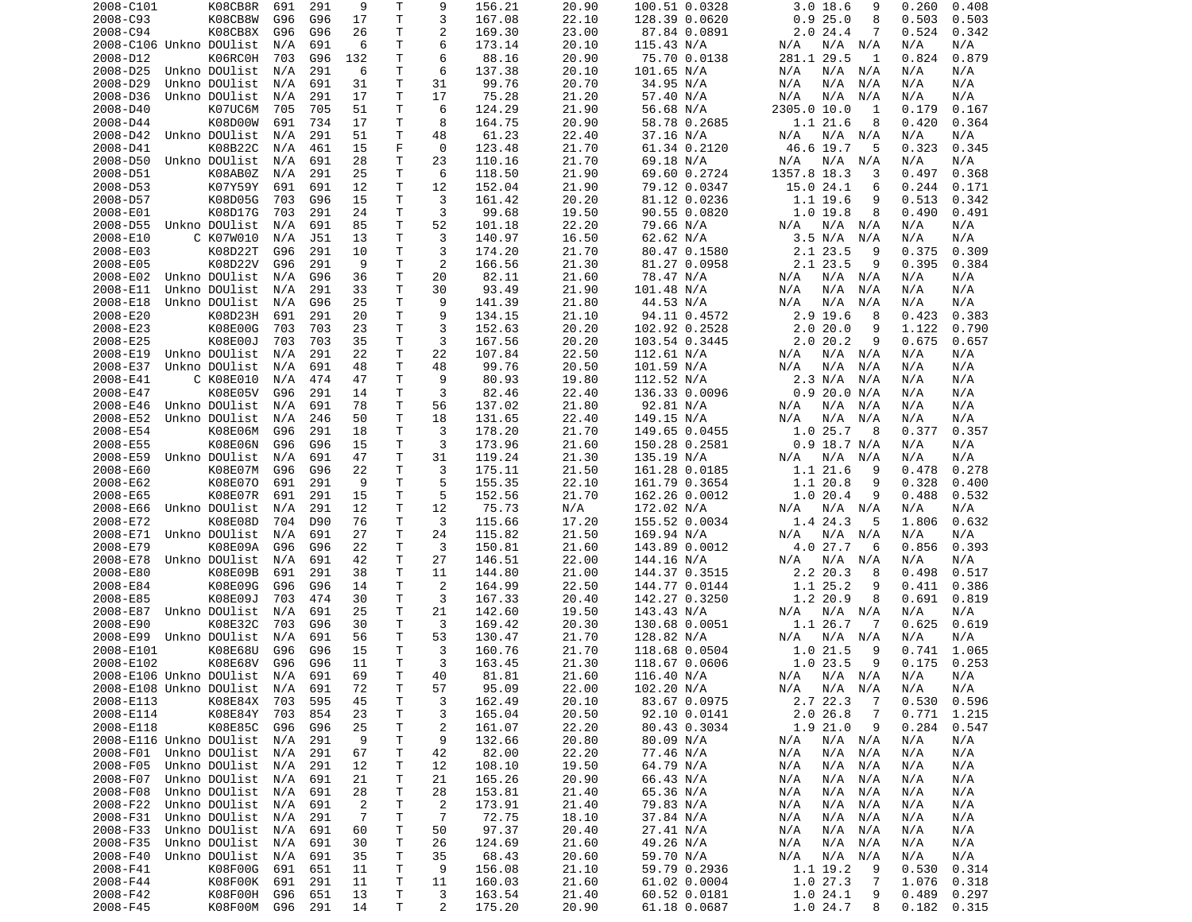| 2008-C101               | K08CB8R            | 691 | 291        | 9              | Τ            | 9              | 156.21 | 20.90 | 100.51 0.0328 | $3.0$ 18.6<br>9            | 0.260<br>0.408 |
|-------------------------|--------------------|-----|------------|----------------|--------------|----------------|--------|-------|---------------|----------------------------|----------------|
| 2008-C93                | K08CB8W            | G96 | G96        | 17             | T            | 3              | 167.08 | 22.10 | 128.39 0.0620 | 0.925.0<br>8               | 0.503<br>0.503 |
| 2008-C94                | K08CB8X            | G96 | G96        | 26             | т            | $\overline{c}$ | 169.30 | 23.00 | 87.84 0.0891  | 2.024.4<br>7               | 0.524<br>0.342 |
| 2008-C106 Unkno DOUlist |                    | N/A | 691        | 6              | т            | 6              | 173.14 | 20.10 | 115.43 N/A    | N/A<br>N/A N/A             | N/A<br>N/A     |
| 2008-D12                | K06RC0H            | 703 | G96        | 132            | т            | 6              | 88.16  | 20.90 | 75.70 0.0138  | 281.1 29.5<br>1            | 0.824<br>0.879 |
| 2008-D25                | Unkno DOUlist      | N/A | 291        | 6              | Τ            | 6              | 137.38 | 20.10 | 101.65 N/A    | N/A<br>$N/A$ $N/A$         | N/A<br>N/A     |
| 2008-D29                | Unkno DOUlist      | N/A | 691        | 31             | т            | 31             | 99.76  | 20.70 | 34.95 N/A     | N/A<br>N/A<br>N/A          | N/A<br>N/A     |
| 2008-D36                | Unkno DOUlist      | N/A | 291        | 17             | т            | 17             | 75.28  | 21.20 | 57.40 N/A     | N/A<br>N/A<br>N/A          | N/A<br>N/A     |
| 2008-D40                | K07UC6M            | 705 | 705        | 51             | T            | 6              | 124.29 | 21.90 | 56.68 N/A     | 2305.0 10.0<br>1           | 0.179<br>0.167 |
| 2008-D44                | K08D00W            | 691 | 734        | 17             | т            | 8              | 164.75 | 20.90 | 58.78 0.2685  | 1.1 21.6<br>8              | 0.420<br>0.364 |
| 2008-D42                | Unkno DOUlist      | N/A | 291        | 51             | T            | 48             | 61.23  | 22.40 | 37.16 N/A     | N/A N/A<br>N/A             | N/A<br>N/A     |
| 2008-D41                | K08B22C            | N/A | 461        | 15             | F            | 0              | 123.48 | 21.70 | 61.34 0.2120  | 46.6 19.7<br>5             | 0.323<br>0.345 |
| 2008-D50                | Unkno DOUlist      | N/A | 691        | 28             | $\mathsf{T}$ | 23             | 110.16 | 21.70 | 69.18 N/A     | N/A<br>N/A<br>N/A          | N/A<br>N/A     |
| 2008-D51                | K08AB0Z            | N/A | 291        | 25             | т            | 6              | 118.50 | 21.90 | 69.60 0.2724  | 1357.8 18.3<br>3           | 0.368<br>0.497 |
| 2008-D53                | K07Y59Y            | 691 | 691        | 12             | T            | 12             | 152.04 | 21.90 | 79.12 0.0347  | 15.0 24.1<br>6             | 0.244<br>0.171 |
| 2008-D57                | K08D05G            | 703 | G96        | 15             | T            | 3              | 161.42 | 20.20 | 81.12 0.0236  | $1.1$ 19.6<br>9            | 0.513<br>0.342 |
| 2008-E01                | K08D17G            | 703 | 291        | 24             | т            | 3              | 99.68  | 19.50 | 90.55 0.0820  | 1.019.8<br>8               | 0.490<br>0.491 |
| 2008-D55                | Unkno DOUlist      | N/A | 691        | 85             | T            | 52             | 101.18 | 22.20 | 79.66 N/A     | N/A<br>N/A<br>N/A          | N/A<br>N/A     |
| 2008-E10                | C K07W010          | N/A | <b>J51</b> | 13             | $\mathsf{T}$ | 3              | 140.97 | 16.50 | 62.62 N/A     | 3.5 N/A<br>N/A             | N/A<br>N/A     |
| 2008-E03                | K08D22T            | G96 | 291        | 10             | Τ            | 3              | 174.20 | 21.70 | 80.47 0.1580  | 2.1 23.5<br>9              | 0.375<br>0.309 |
| 2008-E05                | K08D22V            | G96 | 291        | 9              | т            | $\overline{2}$ | 166.56 | 21.30 | 81.27 0.0958  | 2.1 23.5<br>9              | 0.395<br>0.384 |
| 2008-E02                | Unkno DOUlist      | N/A | G96        | 36             | т            | 20             | 82.11  | 21.60 | 78.47 N/A     | N/A<br>N/A<br>N/A          | N/A<br>N/A     |
| 2008-E11                | Unkno DOUlist      | N/A | 291        | 33             | T            | 30             | 93.49  | 21.90 | 101.48 N/A    | N/A<br>N/A<br>N/A          | N/A<br>N/A     |
| 2008-E18                | Unkno DOUlist      | N/A | G96        | 25             | т            | 9              | 141.39 | 21.80 | 44.53 N/A     | N/A<br>N/A<br>N/A          | N/A<br>N/A     |
| 2008-E20                | K08D23H            | 691 | 291        | 20             | T            | 9              | 134.15 | 21.10 | 94.11 0.4572  | $2.9$ 19.6<br>8            | 0.423<br>0.383 |
| 2008-E23                | K08E00G            | 703 | 703        | 23             | $\mathsf{T}$ | 3              | 152.63 | 20.20 | 102.92 0.2528 | 2.020.0<br>9               | 1.122<br>0.790 |
| 2008-E25                | K08E00J            | 703 | 703        | 35             | T            | 3              | 167.56 | 20.20 | 103.54 0.3445 | 2.020.2<br>9               | 0.675<br>0.657 |
| 2008-E19                | Unkno DOUlist      | N/A | 291        | 22             | т            | 22             | 107.84 | 22.50 | 112.61 N/A    | $N/A$ $N/A$<br>N/A         | N/A<br>N/A     |
| 2008-E37                | Unkno DOUlist      | N/A | 691        | 48             | T            | 48             | 99.76  | 20.50 | 101.59 N/A    | N/A<br>N/A<br>N/A          | N/A<br>N/A     |
| 2008-E41                | C K08E010          | N/A | 474        | 47             | т            | 9              | 80.93  | 19.80 | 112.52 N/A    | 2.3 N/A<br>N/A             | N/A<br>N/A     |
| 2008-E47                | K08E05V            | G96 | 291        | 14             | т            | 3              | 82.46  | 22.40 | 136.33 0.0096 | 0.9 20.0 N/A               | N/A<br>N/A     |
| 2008-E46                | Unkno DOUlist      | N/A | 691        | 78             | т            | 56             | 137.02 | 21.80 | 92.81 N/A     | N/A<br>N/A<br>N/A          | N/A<br>N/A     |
| 2008-E52                | Unkno DOUlist      | N/A | 246        | 50             | $\mathsf{T}$ | 18             | 131.65 | 22.40 | 149.15 N/A    | N/A<br>N/A<br>N/A          | N/A<br>N/A     |
|                         |                    |     | 291        |                | т            | 3              | 178.20 | 21.70 | 149.65 0.0455 | 1.025.7<br>- 8             |                |
| 2008-E54                | K08E06M<br>K08E06N | G96 |            | 18             | T            | 3              |        |       |               | $0.9$ 18.7 N/A             | 0.377<br>0.357 |
| 2008-E55                |                    | G96 | G96        | 15             |              |                | 173.96 | 21.60 | 150.28 0.2581 |                            | N/A<br>N/A     |
| 2008-E59                | Unkno DOUlist      | N/A | 691        | 47             | Τ            | 31             | 119.24 | 21.30 | 135.19 N/A    | N/A<br>$N/A$ $N/A$         | N/A<br>N/A     |
| 2008-E60                | K08E07M            | G96 | G96        | 22<br>9        | т<br>т       | 3<br>5         | 175.11 | 21.50 | 161.28 0.0185 | 1.121.6<br>9<br>9          | 0.278<br>0.478 |
| 2008-E62                | K08E070            | 691 | 291        |                |              | 5              | 155.35 | 22.10 | 161.79 0.3654 | 1.1 20.8                   | 0.328<br>0.400 |
| 2008-E65                | K08E07R            | 691 | 291        | 15             | Τ            |                | 152.56 | 21.70 | 162.26 0.0012 | 1.020.4<br>9               | 0.488<br>0.532 |
| 2008-E66                | Unkno DOUlist      | N/A | 291        | 12             | T            | 12             | 75.73  | N/A   | 172.02 N/A    | $N/A$ $N/A$<br>N/A         | N/A<br>N/A     |
| 2008-E72                | K08E08D            | 704 | D90        | 76             | т            | 3              | 115.66 | 17.20 | 155.52 0.0034 | 1.4 24.3<br>5              | 1.806<br>0.632 |
| 2008-E71                | Unkno DOUlist      | N/A | 691        | 27             | т            | 24             | 115.82 | 21.50 | 169.94 N/A    | $N/A$ $N/A$<br>N/A         | N/A<br>N/A     |
| 2008-E79                | K08E09A            | G96 | G96        | 22             | т            | 3              | 150.81 | 21.60 | 143.89 0.0012 | 4.0 27.7<br>6              | 0.393<br>0.856 |
| 2008-E78                | Unkno DOUlist      | N/A | 691        | 42             | T            | 27             | 146.51 | 22.00 | 144.16 N/A    | N/A<br>N/A<br>N/A          | N/A<br>N/A     |
| 2008-E80                | K08E09B            | 691 | 291        | 38             | т            | 11             | 144.80 | 21.00 | 144.37 0.3515 | 2.2 20.3<br>8              | 0.517<br>0.498 |
| 2008-E84                | K08E09G            | G96 | G96        | 14             | $\mathsf{T}$ | 2              | 164.99 | 22.50 | 144.77 0.0144 | 1.1 25.2<br>9              | 0.411<br>0.386 |
| 2008-E85                | K08E09J            | 703 | 474        | 30             | Τ            | 3              | 167.33 | 20.40 | 142.27 0.3250 | 1.2 20.9<br>8              | 0.691<br>0.819 |
| 2008-E87                | Unkno DOUlist      | N/A | 691        | 25             | T            | 21             | 142.60 | 19.50 | 143.43 N/A    | N/A N/A<br>N/A             | N/A<br>N/A     |
| 2008-E90                | K08E32C            | 703 | G96        | 30             | $\mathsf{T}$ | 3              | 169.42 | 20.30 | 130.68 0.0051 | 1.1 26.7<br>-7             | 0.625<br>0.619 |
| 2008-E99                | Unkno DOUlist      | N/A | 691        | 56             | T            | 53             | 130.47 | 21.70 | 128.82 N/A    | N/A<br>$N/A$ $N/A$         | N/A<br>N/A     |
| 2008-E101               | K08E68U            | G96 | G96        | 15             | т            | 3              | 160.76 | 21.70 | 118.68 0.0504 | 1.0 21.5<br>9              | 1.065<br>0.741 |
| 2008-E102               | K08E68V            | G96 | G96        | 11             | T.           | 3              | 163.45 | 21.30 | 118.67 0.0606 | 1.0 23.5<br>9              | 0.175<br>0.253 |
| 2008-E106 Unkno DOUlist |                    | N/A | 691        | 69             | T.           | 40             | 81.81  | 21.60 | 116.40 N/A    | N/A N/A N/A                | N/A<br>N/A     |
| 2008-E108 Unkno DOUlist |                    | N/A | 691        | 72             | Τ            | 57             | 95.09  | 22.00 | 102.20 N/A    | N/A<br>N/A N/A             | N/A<br>N/A     |
| 2008-E113               | K08E84X            | 703 | 595        | 45             | Τ            | 3              | 162.49 | 20.10 | 83.67 0.0975  | 2.7 22.3<br>$\overline{7}$ | 0.530<br>0.596 |
| 2008-E114               | K08E84Y            | 703 | 854        | 23             | Τ            | 3              | 165.04 | 20.50 | 92.10 0.0141  | 2.026.8<br>7               | 0.771<br>1.215 |
| 2008-E118               | K08E85C            | G96 | G96        | 25             | Τ            | 2              | 161.07 | 22.20 | 80.43 0.3034  | 1.9 21.0<br>9              | 0.284<br>0.547 |
| 2008-E116 Unkno DOUlist |                    | N/A | 291        | 9              | Τ            | 9              | 132.66 | 20.80 | 80.09 N/A     | N/A<br>N/A N/A             | N/A<br>N/A     |
| 2008-F01                | Unkno DOUlist      | N/A | 291        | 67             | Τ            | 42             | 82.00  | 22.20 | 77.46 N/A     | $N/A$ $N/A$<br>N/A         | N/A<br>N/A     |
| 2008-F05                | Unkno DOUlist      | N/A | 291        | 12             | Τ            | 12             | 108.10 | 19.50 | 64.79 N/A     | N/A<br>N/A<br>N/A          | N/A<br>N/A     |
| 2008-F07                | Unkno DOUlist      | N/A | 691        | 21             | Τ            | 21             | 165.26 | 20.90 | 66.43 N/A     | N/A<br>N/A<br>N/A          | N/A<br>N/A     |
| 2008-F08                | Unkno DOUlist      | N/A | 691        | 28             | Τ            | 28             | 153.81 | 21.40 | 65.36 N/A     | N/A<br>N/A<br>N/A          | N/A<br>N/A     |
| 2008-F22                | Unkno DOUlist      | N/A | 691        | $\overline{2}$ | Τ            | $\overline{2}$ | 173.91 | 21.40 | 79.83 N/A     | N/A<br>N/A<br>N/A          | N/A<br>N/A     |
| 2008-F31                | Unkno DOUlist      | N/A | 291        | 7              | т            | 7              | 72.75  | 18.10 | 37.84 N/A     | N/A<br>N/A<br>N/A          | N/A<br>N/A     |
| 2008-F33                | Unkno DOUlist      | N/A | 691        | 60             | Τ            | 50             | 97.37  | 20.40 | 27.41 N/A     | N/A<br>N/A<br>N/A          | N/A<br>N/A     |
| 2008-F35                | Unkno DOUlist      | N/A | 691        | 30             | Τ            | 26             | 124.69 | 21.60 | 49.26 N/A     | N/A<br>N/A<br>N/A          | N/A<br>N/A     |
| 2008-F40                | Unkno DOUlist      | N/A | 691        | 35             | T            | 35             | 68.43  | 20.60 | 59.70 N/A     | N/A<br>N/A<br>N/A          | N/A<br>N/A     |
| 2008-F41                | K08F00G            | 691 | 651        | 11             | Τ            | 9              | 156.08 | 21.10 | 59.79 0.2936  | 1.1 19.2<br>9              | 0.530<br>0.314 |
| 2008-F44                | K08F00K            | 691 | 291        | 11             | Τ            | 11             | 160.03 | 21.60 | 61.02 0.0004  | 1.027.3<br>7               | 1.076<br>0.318 |
|                         |                    | G96 |            | 13             | T            | 3              |        |       |               |                            |                |
| 2008-F42                | K08F00H            |     | 651        |                |              |                | 163.54 | 21.40 | 60.52 0.0181  | 1.024.1<br>9               | 0.489<br>0.297 |
| 2008-F45                | K08F00M            | G96 | 291        | 14             | Τ            | $\overline{2}$ | 175.20 | 20.90 | 61.18 0.0687  | 1.0 24.7<br>8              | 0.182<br>0.315 |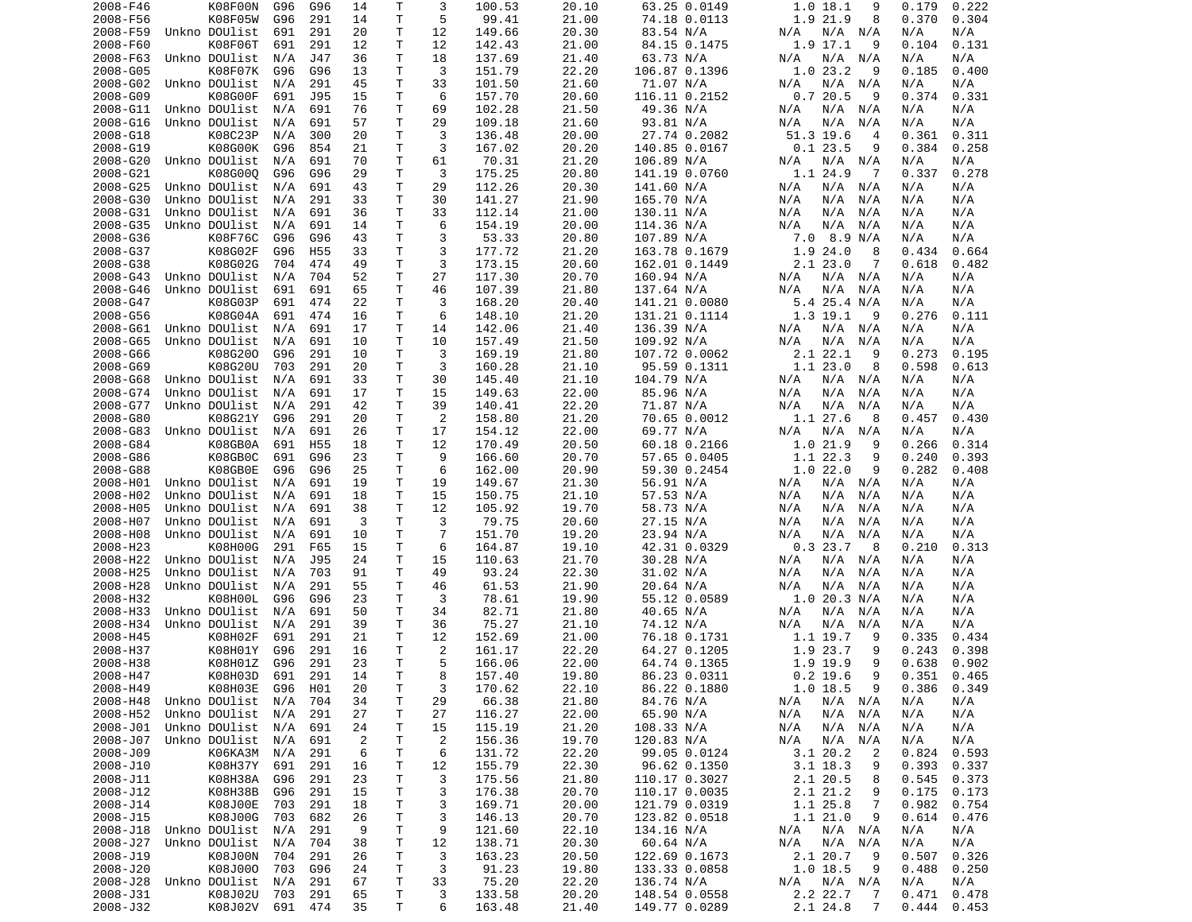| 2008-F46             | K08F00N                    | G96        | G96             | 14             | Τ       | 3              | 100.53           | 20.10          | 63.25 0.0149                  | 1.018.1<br>9                                | 0.222<br>0.179                    |
|----------------------|----------------------------|------------|-----------------|----------------|---------|----------------|------------------|----------------|-------------------------------|---------------------------------------------|-----------------------------------|
| 2008-F56             | K08F05W                    | G96        | 291             | 14             | Τ       | 5              | 99.41            | 21.00          | 74.18 0.0113                  | 1.9 21.9<br>8                               | 0.370<br>0.304                    |
| 2008-F59             | Unkno DOUlist              | 691        | 291             | 20             | т       | 12             | 149.66           | 20.30          | 83.54 N/A                     | N/A N/A<br>N/A                              | N/A<br>N/A                        |
| 2008-F60             | K08F06T                    | 691        | 291             | 12             | т       | 12             | 142.43           | 21.00          | 84.15 0.1475                  | 1.9 17.1<br>9                               | 0.104<br>0.131                    |
| 2008-F63             | Unkno DOUlist              | N/A        | J47             | 36             | т       | 18             | 137.69           | 21.40          | 63.73 N/A                     | N/A N/A<br>N/A                              | N/A<br>N/A                        |
| 2008-G05             | K08F07K                    | G96        | G96             | 13             | T       | 3              | 151.79           | 22.20          | 106.87 0.1396                 | 1.023.2<br>9                                | 0.185<br>0.400                    |
| 2008-G02             | Unkno DOUlist              | N/A        | 291             | 45             | Τ       | 33             | 101.50           | 21.60          | 71.07 N/A                     | $N/A$ $N/A$<br>N/A                          | N/A<br>N/A                        |
| 2008-G09             | K08G00F                    | 691        | J95             | 15             | Τ       | 6              | 157.70           | 20.60          | 116.11 0.2152                 | 0.720.5<br>9                                | 0.374<br>0.331                    |
| 2008-G11             | Unkno DOUlist              | N/A        | 691             | 76             | Τ       | 69             | 102.28           | 21.50          | 49.36 N/A                     | N/A N/A<br>N/A                              | N/A<br>N/A                        |
| 2008-G16             | Unkno DOUlist              | N/A        | 691             | 57             | Τ       | 29             | 109.18           | 21.60          | 93.81 N/A                     | N/A<br>N/A<br>N/A                           | N/A<br>N/A                        |
| 2008-G18<br>2008-G19 | K08C23P<br>K08G00K         | N/A<br>G96 | 300<br>854      | 20<br>21       | Τ<br>T  | 3<br>3         | 136.48<br>167.02 | 20.00<br>20.20 | 27.74 0.2082<br>140.85 0.0167 | 51.3 19.6<br>$\overline{4}$<br>0.123.5<br>9 | 0.361<br>0.311<br>0.384<br>0.258  |
| 2008-G20             | Unkno DOUlist              | N/A        | 691             | 70             | Τ       | 61             | 70.31            | 21.20          | 106.89 N/A                    | N/A N/A<br>N/A                              | N/A<br>N/A                        |
| 2008-G21             | K08G000                    | G96        | G96             | 29             | Τ       | 3              | 175.25           | 20.80          | 141.19 0.0760                 | 1.1 24.9<br>7                               | 0.337<br>0.278                    |
| 2008-G25             | Unkno DOUlist              | N/A        | 691             | 43             | т       | 29             | 112.26           | 20.30          | 141.60 N/A                    | N/A<br>N/A N/A                              | N/A<br>N/A                        |
| 2008-G30             | Unkno DOUlist              | N/A        | 291             | 33             | т       | 30             | 141.27           | 21.90          | 165.70 N/A                    | N/A<br>N/A<br>N/A                           | N/A<br>N/A                        |
| 2008-G31             | Unkno DOUlist              | N/A        | 691             | 36             | т       | 33             | 112.14           | 21.00          | 130.11 N/A                    | N/A<br>N/A<br>N/A                           | N/A<br>N/A                        |
| 2008-G35             | Unkno DOUlist              | N/A        | 691             | 14             | Τ       | 6              | 154.19           | 20.00          | 114.36 N/A                    | N/A<br>N/A<br>N/A                           | N/A<br>N/A                        |
| 2008-G36             | K08F76C                    | G96        | G96             | 43             | Τ       | 3              | 53.33            | 20.80          | 107.89 N/A                    | 7.0 8.9 N/A                                 | N/A<br>N/A                        |
| 2008-G37             | K08G02F                    | G96        | H55             | 33             | T       | 3              | 177.72           | 21.20          | 163.78 0.1679                 | 1.9 24.0<br>8                               | 0.434<br>0.664                    |
| 2008-G38             | K08G02G                    | 704        | 474             | 49             | Τ       | 3              | 173.15           | 20.60          | 162.01 0.1449                 | 2.123.0<br>7                                | 0.618<br>0.482                    |
| 2008-G43             | Unkno DOUlist              | N/A        | 704             | 52             | Τ       | 27             | 117.30           | 20.70          | 160.94 N/A                    | N/A<br>N/A N/A                              | N/A<br>N/A                        |
| 2008-G46             | Unkno DOUlist              | 691        | 691             | 65             | T       | 46             | 107.39           | 21.80          | 137.64 N/A                    | N/A<br>N/A<br>N/A                           | N/A<br>N/A                        |
| 2008-G47             | K08G03P                    | 691        | 474             | 22             | Τ       | 3              | 168.20           | 20.40          | 141.21 0.0080                 | 5.4 25.4 N/A                                | N/A<br>N/A                        |
| 2008-G56             | K08G04A                    | 691        | 474             | 16             | Τ       | 6              | 148.10           | 21.20          | 131.21 0.1114                 | 1.3 19.1<br>-9                              | 0.276<br>0.111                    |
| 2008-G61             | Unkno DOUlist              | N/A        | 691             | 17             | т       | 14             | 142.06           | 21.40          | 136.39 N/A                    | N/A N/A<br>N/A                              | N/A<br>N/A                        |
| 2008-G65             | Unkno DOUlist              | N/A        | 691             | 10             | T.      | 10             | 157.49           | 21.50          | 109.92 N/A                    | N/A<br>N/A<br>N/A                           | N/A<br>N/A                        |
| 2008-G66             | K08G200                    | G96        | 291             | 10             | Τ       | 3              | 169.19           | 21.80          | 107.72 0.0062                 | 2.1 22.1<br>9                               | 0.273<br>0.195                    |
| 2008-G69             | K08G20U                    | 703        | 291             | 20             | т       | 3              | 160.28           | 21.10          | 95.59 0.1311                  | 1.1 23.0<br>8                               | 0.598<br>0.613                    |
| 2008-G68             | Unkno DOUlist              | N/A        | 691             | 33             | T       | 30             | 145.40           | 21.10          | 104.79 N/A                    | N/A N/A<br>N/A                              | N/A<br>N/A                        |
| 2008-G74             | Unkno DOUlist              | N/A        | 691             | 17             | Τ       | 15             | 149.63           | 22.00          | 85.96 N/A                     | N/A<br>N/A<br>N/A                           | N/A<br>N/A                        |
| 2008-G77             | Unkno DOUlist              | N/A        | 291             | 42             | T       | 39             | 140.41           | 22.20          | 71.87 N/A                     | N/A<br>N/A<br>N/A                           | N/A<br>N/A                        |
| 2008-G80             | K08G21Y                    | G96        | 291             | 20             | Τ       | 2              | 158.80           | 21.20          | 70.65 0.0012                  | 1.1 27.6<br>8                               | 0.430<br>0.457                    |
| 2008-G83             | Unkno DOUlist              | N/A        | 691             | 26             | Τ       | 17             | 154.12           | 22.00          | 69.77 N/A                     | N/A<br>N/A<br>N/A                           | N/A<br>N/A                        |
| 2008-G84             | K08GB0A                    | 691        | H <sub>55</sub> | 18             | т       | 12             | 170.49           | 20.50          | 60.18 0.2166                  | 1.0 21.9<br>9                               | 0.266<br>0.314                    |
| 2008-G86             | K08GB0C                    | 691        | G96             | 23             | т       | 9              | 166.60           | 20.70          | 57.65 0.0405                  | 1.1 22.3<br>9                               | 0.240<br>0.393                    |
| 2008-G88             | K08GB0E                    | G96        | G96             | 25             | Τ       | 6              | 162.00           | 20.90          | 59.30 0.2454                  | 1.022.0<br>9                                | 0.282<br>0.408                    |
| 2008-H01             | Unkno DOUlist              | N/A        | 691             | 19             | Τ       | 19             | 149.67           | 21.30          | 56.91 N/A                     | N/A N/A<br>N/A                              | N/A<br>N/A                        |
| 2008-H02             | Unkno DOUlist              | N/A        | 691             | 18             | Τ       | 15             | 150.75           | 21.10          | 57.53 N/A                     | N/A<br>N/A<br>N/A                           | N/A<br>N/A                        |
| 2008-H05             | Unkno DOUlist              | N/A        | 691             | 38             | Τ       | 12             | 105.92           | 19.70          | 58.73 N/A                     | N/A<br>N/A<br>N/A                           | N/A<br>N/A                        |
| 2008-H07             | Unkno DOUlist              | N/A        | 691             | 3              | T.      | 3              | 79.75            | 20.60          | 27.15 N/A                     | N/A<br>N/A<br>N/A                           | N/A<br>N/A                        |
| 2008-H08             | Unkno DOUlist              | N/A        | 691             | 10             | Τ       | $\overline{7}$ | 151.70           | 19.20          | 23.94 N/A                     | N/A<br>N/A<br>N/A                           | N/A<br>N/A                        |
| 2008-H23             | K08H00G                    | 291        | F65             | 15             | T       | 6              | 164.87           | 19.10          | 42.31 0.0329                  | 0.323.7<br>8                                | 0.210<br>0.313                    |
| 2008-H22             | Unkno DOUlist              | N/A        | J95             | 24             | T       | 15             | 110.63           | 21.70          | 30.28 N/A                     | N/A N/A<br>N/A                              | N/A<br>N/A                        |
| 2008-H25             | Unkno DOUlist              | N/A        | 703             | 91             | T       | 49             | 93.24            | 22.30          | 31.02 N/A                     | N/A N/A<br>N/A                              | N/A<br>N/A                        |
| 2008-H28             | Unkno DOUlist              | N/A        | 291             | 55             | Τ       | 46             | 61.53            | 21.90          | 20.64 N/A                     | N/A<br>N/A<br>N/A                           | N/A<br>N/A                        |
| 2008-H32             | K08H00L                    | G96        | G96             | 23             | T       | 3              | 78.61            | 19.90          | 55.12 0.0589                  | 1.0 20.3 N/A                                | N/A<br>N/A                        |
| 2008-H33             | Unkno DOUlist              | N/A        | 691             | 50             | т       | 34             | 82.71            | 21.80          | 40.65 N/A                     | N/A<br>N/A<br>N/A                           | N/A<br>N/A                        |
| 2008-H34             | Unkno DOUlist              | N/A        | 291             | 39             | т       | 36             | 75.27            | 21.10          | 74.12 N/A                     | N/A<br>N/A<br>N/A                           | N/A<br>N/A                        |
| 2008-H45             | K08H02F                    | 691        | 291             | 21             | т       | 12             | 152.69           | 21.00          | 76.18 0.1731                  | 1.1 19.7<br>9                               | 0.335<br>0.434                    |
| 2008-H37             | K08H01Y                    | G96        | 291             | 16             | Τ<br>T. | 2<br>5         | 161.17           | 22.20          | 64.27 0.1205<br>64.74 0.1365  | 1.9 23.7<br>9<br>9                          | 0.243<br>0.398                    |
| 2008-H38             | K08H01Z                    | G96        | 291             | 23             |         | 8              | 166.06<br>157.40 | 22.00          |                               | 1.9 19.9<br>9                               | 0.638<br>0.902<br>$0.351$ $0.465$ |
| 2008-H47<br>2008-H49 | K08H03D 691 291<br>K08H03E | G96 H01    |                 | 14<br>20       | T.<br>т | 3              | 170.62           | 19.80<br>22.10 | 86.23 0.0311<br>86.22 0.1880  | $0.2$ 19.6<br>$1.0$ 18.5<br>9               | 0.386<br>0.349                    |
| 2008-H48             | Unkno DOUlist              | N/A        | 704             | 34             | Τ       | 29             | 66.38            | 21.80          | 84.76 N/A                     | N/A<br>$N/A$ $N/A$                          | N/A<br>N/A                        |
| 2008-H52             | Unkno DOUlist              | N/A        | 291             | 27             | Τ       | 27             | 116.27           | 22.00          | 65.90 N/A                     | N/A N/A<br>N/A                              | N/A<br>N/A                        |
| 2008-J01             | Unkno DOUlist              | N/A        | 691             | 24             | Τ       | 15             | 115.19           | 21.20          | 108.33 N/A                    | N/A N/A<br>N/A                              | N/A<br>N/A                        |
| 2008-J07             | Unkno DOUlist              | N/A        | 691             | $\overline{2}$ | т       | $\overline{2}$ | 156.36           | 19.70          | 120.83 N/A                    | N/A<br>N/A<br>N/A                           | N/A<br>N/A                        |
| 2008-J09             | K06KA3M                    | N/A        | 291             | 6              | т       | 6              | 131.72           | 22.20          | 99.05 0.0124                  | 3.1 20.2<br>2                               | 0.824<br>0.593                    |
| 2008-J10             | K08H37Y                    | 691        | 291             | 16             | т       | 12             | 155.79           | 22.30          | 96.62 0.1350                  | 3.1 18.3<br>9                               | 0.393<br>0.337                    |
| 2008-J11             | K08H38A                    | G96        | 291             | 23             | Τ       | 3              | 175.56           | 21.80          | 110.17 0.3027                 | 2.1 20.5<br>8                               | 0.545<br>0.373                    |
| 2008-J12             | K08H38B                    | G96        | 291             | 15             | Τ       | 3              | 176.38           | 20.70          | 110.17 0.0035                 | 2.1 21.2<br>9                               | 0.175<br>0.173                    |
| 2008-J14             | K08J00E                    | 703        | 291             | 18             | Τ       | 3              | 169.71           | 20.00          | 121.79 0.0319                 | 1.1 25.8<br>-7                              | 0.982<br>0.754                    |
| 2008-J15             | K08J00G                    | 703        | 682             | 26             | T       | 3              | 146.13           | 20.70          | 123.82 0.0518                 | 1.1 21.0<br>-9                              | 0.614<br>0.476                    |
| 2008-J18             | Unkno DOUlist              | N/A        | 291             | 9              | Τ       | 9              | 121.60           | 22.10          | 134.16 N/A                    | N/A<br>N/A N/A                              | N/A<br>N/A                        |
| 2008-J27             | Unkno DOUlist              | N/A        | 704             | 38             | Τ       | 12             | 138.71           | 20.30          | 60.64 N/A                     | N/A<br>N/A N/A                              | N/A<br>N/A                        |
| 2008-J19             | K08J00N                    | 704        | 291             | 26             | T       | 3              | 163.23           | 20.50          | 122.69 0.1673                 | 2.1 20.7<br>9                               | 0.507<br>0.326                    |
| 2008-J20             | K08J000                    | 703        | G96             | 24             | Τ       | 3              | 91.23            | 19.80          | 133.33 0.0858                 | 1.0 18.5<br>9                               | 0.488<br>0.250                    |
| 2008-J28             | Unkno DOUlist              | N/A        | 291             | 67             | T       | 33             | 75.20            | 22.20          | 136.74 N/A                    | $N/A$ $N/A$<br>N/A                          | N/A<br>N/A                        |
| 2008-J31             | K08J02U                    | 703        | 291             | 65             | T.      | 3              | 133.58           | 20.20          | 148.54 0.0558                 | 2.2 22.7<br>$\overline{7}$                  | 0.471<br>0.478                    |
| 2008-J32             | K08J02V 691 474            |            |                 | 35             | T.      | 6              | 163.48           | 21.40          | 149.77 0.0289                 | 2.1 24.8<br>$\overline{7}$                  | 0.444<br>0.453                    |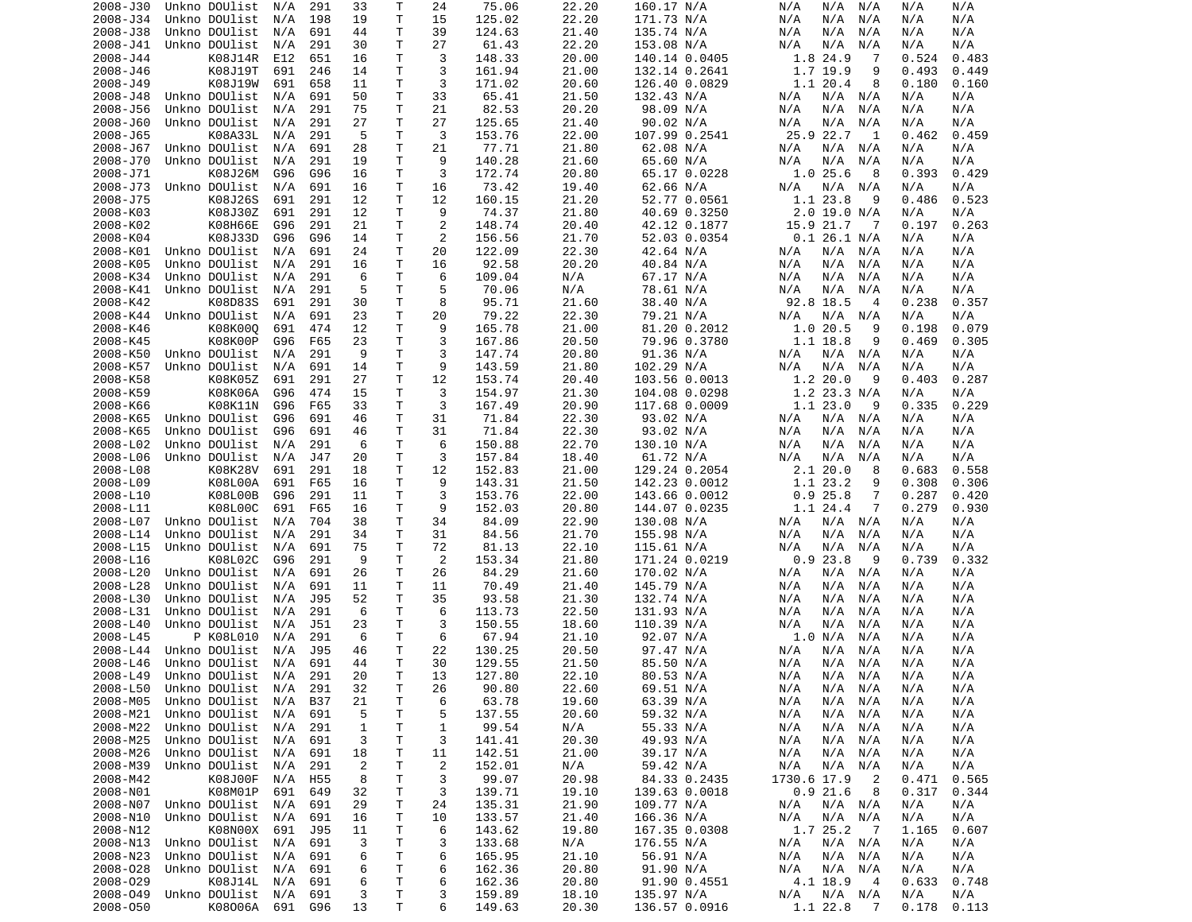| 2008-J30 | Unkno DOUlist          | N/A     | 291        | 33             | т  | 24             | 75.06  | 22.20 | 160.17 N/A    | N/A<br>N/A<br>N/A             | N/A   | N/A   |
|----------|------------------------|---------|------------|----------------|----|----------------|--------|-------|---------------|-------------------------------|-------|-------|
| 2008-J34 | Unkno DOUlist          | N/A     | 198        | 19             | T  | 15             | 125.02 | 22.20 | 171.73 N/A    | N/A<br>N/A<br>N/A             | N/A   | N/A   |
| 2008-J38 | Unkno DOUlist          | N/A     | 691        | 44             | т  | 39             | 124.63 | 21.40 | 135.74 N/A    | N/A<br>N/A<br>N/A             | N/A   | N/A   |
| 2008-J41 | Unkno DOUlist          | N/A     | 291        | 30             | т  | 27             | 61.43  | 22.20 |               | N/A<br>N/A<br>N/A             | N/A   | N/A   |
|          |                        |         |            |                |    |                |        |       | 153.08 N/A    |                               |       |       |
| 2008-J44 | K08J14R                | E12     | 651        | 16             | т  | 3              | 148.33 | 20.00 | 140.14 0.0405 | 1.8 24.9<br>7                 | 0.524 | 0.483 |
| 2008-J46 | K08J19T                | 691     | 246        | 14             | т  | 3              | 161.94 | 21.00 | 132.14 0.2641 | 1.7 19.9<br>9                 | 0.493 | 0.449 |
| 2008-J49 | K08J19W                | 691     | 658        | 11             | т  | 3              | 171.02 | 20.60 | 126.40 0.0829 | 1.1 20.4<br>8                 | 0.180 | 0.160 |
| 2008-J48 | Unkno DOUlist          | N/A     | 691        | 50             | т  | 33             | 65.41  | 21.50 | 132.43 N/A    | N/A<br>N/A<br>N/A             | N/A   | N/A   |
| 2008-J56 | Unkno DOUlist          | N/A     | 291        | 75             | T  | 21             | 82.53  | 20.20 | 98.09 N/A     | N/A<br>N/A<br>N/A             | N/A   | N/A   |
|          |                        |         |            |                |    |                |        |       |               |                               |       |       |
| 2008-J60 | Unkno DOUlist          | N/A     | 291        | 27             | т  | 27             | 125.65 | 21.40 | 90.02 N/A     | N/A<br>N/A<br>N/A             | N/A   | N/A   |
| 2008-J65 | K08A33L                | N/A     | 291        | 5              | T  | 3              | 153.76 | 22.00 | 107.99 0.2541 | 25.9 22.7<br>1                | 0.462 | 0.459 |
| 2008-J67 | Unkno DOUlist          | N/A     | 691        | 28             | т  | 21             | 77.71  | 21.80 | 62.08 N/A     | N/A<br>N/A<br>N/A             | N/A   | N/A   |
| 2008-J70 | Unkno DOUlist          | N/A     | 291        | 19             | T  | 9              | 140.28 | 21.60 | 65.60 N/A     | N/A<br>N/A<br>N/A             | N/A   | N/A   |
| 2008-J71 | K08J26M                | G96     | G96        | 16             | Τ  | 3              | 172.74 | 20.80 | 65.17 0.0228  | 1.025.6<br>8                  | 0.393 | 0.429 |
|          |                        |         |            |                |    |                |        |       |               |                               |       |       |
| 2008-J73 | Unkno DOUlist          | N/A     | 691        | 16             | T  | 16             | 73.42  | 19.40 | 62.66 N/A     | N/A<br>N/A<br>N/A             | N/A   | N/A   |
| 2008-J75 | K08J26S                | 691     | 291        | 12             | т  | 12             | 160.15 | 21.20 | 52.77 0.0561  | 1.1 23.8<br>9                 | 0.486 | 0.523 |
| 2008-K03 | K08J30Z                | 691     | 291        | 12             | т  | 9              | 74.37  | 21.80 | 40.69 0.3250  | $2.0$ 19.0 N/A                | N/A   | N/A   |
| 2008-K02 | K08H66E                | G96     | 291        | 21             | T  | $\overline{c}$ | 148.74 | 20.40 | 42.12 0.1877  | 15.9 21.7<br>-7               | 0.197 | 0.263 |
| 2008-K04 | K08J33D                | G96     | G96        | 14             | т  | $\overline{c}$ | 156.56 | 21.70 | 52.03 0.0354  | $0.1$ 26.1 N/A                | N/A   | N/A   |
| 2008-K01 | Unkno DOUlist          | N/A     | 691        | 24             | т  | 20             | 122.09 | 22.30 | 42.64 N/A     | N/A<br>N/A<br>N/A             | N/A   | N/A   |
|          |                        |         |            |                |    |                |        |       |               |                               |       |       |
| 2008-K05 | Unkno DOUlist          | N/A     | 291        | 16             | т  | 16             | 92.58  | 20.20 | 40.84 N/A     | N/A<br>N/A<br>N/A             | N/A   | N/A   |
| 2008-K34 | Unkno DOUlist          | N/A     | 291        | 6              | т  | 6              | 109.04 | N/A   | 67.17 N/A     | N/A<br>N/A<br>N/A             | N/A   | N/A   |
| 2008-K41 | Unkno DOUlist          | N/A     | 291        | 5              | T  | 5              | 70.06  | N/A   | 78.61 N/A     | N/A<br>N/A<br>N/A             | N/A   | N/A   |
| 2008-K42 | K08D83S                | 691     | 291        | 30             | т  | 8              | 95.71  | 21.60 | 38.40 N/A     | 92.8 18.5<br>4                | 0.238 | 0.357 |
| 2008-K44 | Unkno DOUlist          | N/A     | 691        | 23             | т  | 20             | 79.22  | 22.30 | 79.21 N/A     | N/A<br>N/A<br>N/A             | N/A   | N/A   |
|          |                        |         |            |                |    |                |        |       |               |                               |       |       |
| 2008-K46 | K08K000                | 691     | 474        | 12             | T  | 9              | 165.78 | 21.00 | 81.20 0.2012  | 1.020.5<br>9                  | 0.198 | 0.079 |
| 2008-K45 | K08K00P                | G96     | F65        | 23             | T  | 3              | 167.86 | 20.50 | 79.96 0.3780  | 1.1 18.8<br>9                 | 0.469 | 0.305 |
| 2008-K50 | Unkno DOUlist          | N/A     | 291        | 9              | т  | 3              | 147.74 | 20.80 | 91.36 N/A     | N/A<br>N/A<br>N/A             | N/A   | N/A   |
| 2008-K57 | Unkno DOUlist          | N/A     | 691        | 14             | Τ  | 9              | 143.59 | 21.80 | 102.29 N/A    | N/A<br>N/A<br>N/A             | N/A   | N/A   |
| 2008-K58 | K08K05Z                | 691     | 291        | 27             | T  | 12             | 153.74 | 20.40 | 103.56 0.0013 | 1.2 20.0<br>9                 | 0.403 | 0.287 |
|          |                        |         |            |                |    |                |        |       |               |                               |       |       |
| 2008-K59 | K08K06A                | G96     | 474        | 15             | т  | 3              | 154.97 | 21.30 | 104.08 0.0298 | 1.2 23.3 N/A                  | N/A   | N/A   |
| 2008-K66 | K08K11N                | G96     | F65        | 33             | T  | 3              | 167.49 | 20.90 | 117.68 0.0009 | 1.123.0<br>9                  | 0.335 | 0.229 |
| 2008-K65 | Unkno DOUlist          | G96     | 691        | 46             | т  | 31             | 71.84  | 22.30 | 93.02 N/A     | N/A<br>N/A<br>N/A             | N/A   | N/A   |
| 2008-K65 | Unkno DOUlist          | G96     | 691        | 46             | т  | 31             | 71.84  | 22.30 | 93.02 N/A     | N/A<br>N/A<br>N/A             | N/A   | N/A   |
| 2008-L02 | Unkno DOUlist          | N/A     | 291        | 6              | T  | 6              | 150.88 | 22.70 | 130.10 N/A    | N/A<br>N/A<br>N/A             | N/A   | N/A   |
|          |                        |         |            |                |    | 3              |        |       |               |                               |       |       |
| 2008-L06 | Unkno DOUlist          | N/A     | J47        | 20             | Τ  |                | 157.84 | 18.40 | 61.72 N/A     | N/A<br>N/A<br>N/A             | N/A   | N/A   |
| 2008-L08 | K08K28V                | 691     | 291        | 18             | т  | 12             | 152.83 | 21.00 | 129.24 0.2054 | 2.120.0<br>8                  | 0.683 | 0.558 |
| 2008-L09 | K08L00A                | 691     | F65        | 16             | т  | 9              | 143.31 | 21.50 | 142.23 0.0012 | 1.1 23.2<br>9                 | 0.308 | 0.306 |
| 2008-L10 | K08L00B                | G96     | 291        | 11             | Τ  | 3              | 153.76 | 22.00 | 143.66 0.0012 | 0.925.8<br>7                  | 0.287 | 0.420 |
| 2008-L11 | K08L00C                | 691     | F65        | 16             | т  | 9              | 152.03 | 20.80 | 144.07 0.0235 | 1.1 24.4<br>7                 | 0.279 | 0.930 |
| 2008-L07 | Unkno DOUlist          | N/A     | 704        | 38             | т  | 34             | 84.09  | 22.90 |               | N/A<br>N/A<br>N/A             | N/A   | N/A   |
|          |                        |         |            |                |    |                |        |       | 130.08 N/A    |                               |       |       |
| 2008-L14 | Unkno DOUlist          | N/A     | 291        | 34             | т  | 31             | 84.56  | 21.70 | 155.98 N/A    | N/A<br>N/A<br>N/A             | N/A   | N/A   |
| 2008-L15 | Unkno DOUlist          | N/A     | 691        | 75             | т  | 72             | 81.13  | 22.10 | 115.61 N/A    | N/A<br>N/A<br>N/A             | N/A   | N/A   |
| 2008-L16 | K08L02C                | G96     | 291        | 9              | T  | 2              | 153.34 | 21.80 | 171.24 0.0219 | 0.923.8<br>9                  | 0.739 | 0.332 |
| 2008-L20 | Unkno DOUlist          | N/A     | 691        | 26             | т  | 26             | 84.29  | 21.60 | 170.02 N/A    | N/A<br>N/A<br>N/A             | N/A   | N/A   |
| 2008-L28 | Unkno DOUlist          | N/A     | 691        | 11             | т  | 11             | 70.49  | 21.40 | 145.79 N/A    | N/A<br>N/A<br>N/A             | N/A   | N/A   |
|          |                        |         |            |                |    |                |        |       |               |                               |       |       |
| 2008-L30 | Unkno DOUlist          | N/A     | J95        | 52             | Τ  | 35             | 93.58  | 21.30 | 132.74 N/A    | N/A<br>N/A<br>N/A             | N/A   | N/A   |
| 2008-L31 | Unkno DOUlist          | N/A     | 291        | 6              | T  | 6              | 113.73 | 22.50 | 131.93 N/A    | N/A<br>N/A<br>N/A             | N/A   | N/A   |
| 2008-L40 | Unkno DOUlist          | N/A     | J51        | 23             | т  | 3              | 150.55 | 18.60 | 110.39 N/A    | N/A<br>N/A<br>N/A             | N/A   | N/A   |
| 2008-L45 | P K08L010              | N/A     | 291        | 6              | т  | 6              | 67.94  | 21.10 | 92.07 N/A     | 1.0 N/A<br>N/A                | N/A   | N/A   |
| 2008-L44 | Unkno DOUlist          | N/A     | J95        | 46             | т  | 22             | 130.25 | 20.50 | 97.47 N/A     | N/A<br>N/A<br>N/A             | N/A   | N/A   |
|          |                        |         |            |                |    |                |        |       |               |                               |       |       |
| 2008-L46 | Unkno DOUlist          | N/A     | 691        | 44             | T. | 30             | 129.55 | 21.50 | 85.50 N/A     | N/A<br>N/A<br>N/A             | N/A   | N/A   |
|          | 2008-L49 Unkno DOUlist | N/A     | 291        | 20             | T. | 13             | 127.80 | 22.10 | 80.53 N/A     | N/A<br>N/A<br>N/A             | N/A   | N/A   |
| 2008-L50 | Unkno DOUlist          | N/A     | 291        | 32             | Τ  | 26             | 90.80  | 22.60 | 69.51 N/A     | N/A<br>N/A N/A                | N/A   | N/A   |
| 2008-M05 | Unkno DOUlist          | N/A     | <b>B37</b> | 21             | T  | 6              | 63.78  | 19.60 | 63.39 N/A     | N/A<br>N/A<br>N/A             | N/A   | N/A   |
| 2008-M21 | Unkno DOUlist          | N/A     | 691        | 5              | т  | 5              | 137.55 | 20.60 | 59.32 N/A     | N/A<br>N/A<br>N/A             | N/A   | N/A   |
|          |                        |         |            |                |    |                |        |       |               |                               |       |       |
| 2008-M22 | Unkno DOUlist          | N/A     | 291        | 1              | т  | 1              | 99.54  | N/A   | 55.33 N/A     | N/A<br>N/A<br>N/A             | N/A   | N/A   |
| 2008-M25 | Unkno DOUlist          | N/A     | 691        | 3              | т  | 3              | 141.41 | 20.30 | 49.93 N/A     | N/A<br>N/A<br>N/A             | N/A   | N/A   |
| 2008-M26 | Unkno DOUlist          | N/A     | 691        | 18             | Τ  | 11             | 142.51 | 21.00 | 39.17 N/A     | N/A<br>N/A<br>N/A             | N/A   | N/A   |
| 2008-M39 | Unkno DOUlist          | N/A     | 291        | $\overline{2}$ | Τ  | $\overline{2}$ | 152.01 | N/A   | 59.42 N/A     | N/A<br>N/A<br>N/A             | N/A   | N/A   |
| 2008-M42 | K08J00F                | N/A     | H55        | 8              | Τ  | 3              | 99.07  | 20.98 | 84.33 0.2435  | 1730.6 17.9<br>$\overline{2}$ | 0.471 | 0.565 |
|          |                        |         |            |                |    |                |        |       |               |                               |       |       |
| 2008-N01 | K08M01P                | 691     | 649        | 32             | Τ  | 3              | 139.71 | 19.10 | 139.63 0.0018 | 0.921.6<br>8                  | 0.317 | 0.344 |
| 2008-N07 | Unkno DOUlist          | N/A     | 691        | 29             | Τ  | 24             | 135.31 | 21.90 | 109.77 N/A    | N/A<br>N/A N/A                | N/A   | N/A   |
| 2008-N10 | Unkno DOUlist          | N/A     | 691        | 16             | т  | 10             | 133.57 | 21.40 | 166.36 N/A    | N/A<br>N/A N/A                | N/A   | N/A   |
| 2008-N12 | K08N00X                | 691     | J95        | 11             | Т  | 6              | 143.62 | 19.80 | 167.35 0.0308 | 1.7 25.2<br>$\overline{7}$    | 1.165 | 0.607 |
| 2008-N13 | Unkno DOUlist          | N/A     | 691        | 3              | Τ  | 3              | 133.68 | N/A   | 176.55 N/A    | N/A<br>$N/A$ $N/A$            | N/A   | N/A   |
|          | Unkno DOUlist          |         |            |                |    |                |        |       |               |                               |       |       |
| 2008-N23 |                        | N/A     | 691        | 6              | Τ  | 6              | 165.95 | 21.10 | 56.91 N/A     | N/A N/A<br>N/A                | N/A   | N/A   |
| 2008-028 | Unkno DOUlist          | N/A     | 691        | 6              | Τ  | 6              | 162.36 | 20.80 | 91.90 N/A     | N/A<br>N/A<br>N/A             | N/A   | N/A   |
| 2008-029 | K08J14L                | N/A     | 691        | 6              | Τ  | 6              | 162.36 | 20.80 | 91.90 0.4551  | 4.1 18.9<br>- 4               | 0.633 | 0.748 |
| 2008-049 | Unkno DOUlist N/A      |         | 691        | 3              | т  | 3              | 159.89 | 18.10 | 135.97 N/A    | N/A<br>N/A N/A                | N/A   | N/A   |
| 2008-050 | K08006A                | 691 G96 |            | 13             | т  | 6              | 149.63 | 20.30 | 136.57 0.0916 | 1.1 22.8<br>$\overline{7}$    | 0.178 | 0.113 |
|          |                        |         |            |                |    |                |        |       |               |                               |       |       |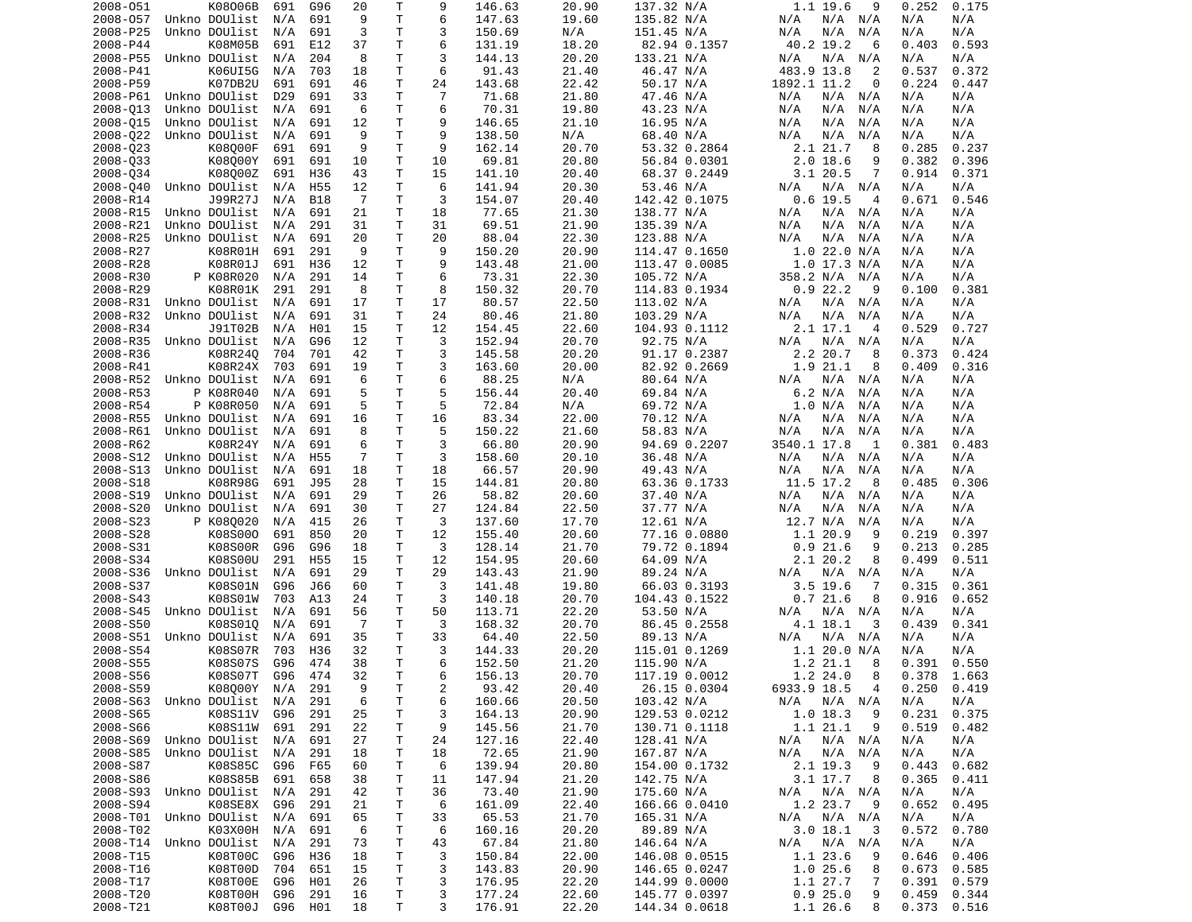| 2008-051             | K08006B                    | 691        | G96             | 20             | Τ            | 9              | 146.63           | 20.90          | 137.32 N/A                    | 1.1 19.6<br>9                                      | 0.252<br>0.175                   |
|----------------------|----------------------------|------------|-----------------|----------------|--------------|----------------|------------------|----------------|-------------------------------|----------------------------------------------------|----------------------------------|
| 2008-057             | Unkno DOUlist              | N/A        | 691             | 9              | T.           | 6              | 147.63           | 19.60          | 135.82 N/A                    | N/A<br>N/A<br>N/A                                  | N/A<br>N/A                       |
| 2008-P25             | Unkno DOUlist              | N/A        | 691             | 3              | T.           | 3              | 150.69           | N/A            | 151.45 N/A                    | N/A<br>N/A<br>N/A                                  | N/A<br>N/A                       |
| 2008-P44             | K08M05B                    | 691        | E12             | 37             | Τ            | 6              | 131.19           | 18.20          | 82.94 0.1357                  | 40.2 19.2<br>6                                     | 0.403<br>0.593                   |
| 2008-P55             | Unkno DOUlist              | N/A        | 204             | 8              | Τ            | 3              | 144.13           | 20.20          | 133.21 N/A                    | N/A<br>N/A<br>N/A                                  | N/A<br>N/A                       |
| 2008-P41             | K06UI5G                    | N/A        | 703             | 18             | T            | 6              | 91.43            | 21.40          | 46.47 N/A                     | 483.9 13.8<br>2                                    | 0.537<br>0.372                   |
| 2008-P59             | K07DB2U                    | 691        | 691             | 46             | Τ            | 24             | 143.68           | 22.42          | 50.17 N/A                     | 1892.1 11.2<br>0                                   | 0.224<br>0.447                   |
| 2008-P61             | Unkno DOUlist              | D29        | 691             | 33             | T            | $\overline{7}$ | 71.68            | 21.80          | 47.46 N/A                     | N/A<br>N/A<br>N/A                                  | N/A<br>N/A                       |
| 2008-013             | Unkno DOUlist              | N/A        | 691             | 6              | Τ            | 6<br>9         | 70.31            | 19.80          | 43.23 N/A                     | N/A<br>N/A<br>N/A                                  | N/A<br>N/A                       |
| 2008-015             | Unkno DOUlist              | N/A        | 691             | 12<br>9        | т<br>T.      | 9              | 146.65           | 21.10          | 16.95 N/A                     | N/A<br>N/A<br>N/A                                  | N/A<br>N/A                       |
| 2008-022<br>2008-023 | Unkno DOUlist<br>K08000F   | N/A<br>691 | 691<br>691      | 9              | T.           | 9              | 138.50<br>162.14 | N/A<br>20.70   | 68.40 N/A<br>53.32 0.2864     | N/A<br>N/A<br>N/A<br>2.1 21.7<br>8                 | N/A<br>N/A<br>0.285<br>0.237     |
| 2008-033             | K08000Y                    | 691        | 691             | 10             | Τ            | 10             | 69.81            | 20.80          | 56.84 0.0301                  | $2.0$ 18.6<br>9                                    | 0.382<br>0.396                   |
| 2008-034             | K08000Z                    | 691        | H36             | 43             | T.           | 15             | 141.10           | 20.40          | 68.37 0.2449                  | 7<br>$3.1$ 20.5                                    | 0.914<br>0.371                   |
| 2008-040             | Unkno DOUlist              | N/A        | H <sub>55</sub> | 12             | Τ            | 6              | 141.94           | 20.30          | 53.46 N/A                     | N/A N/A<br>N/A                                     | N/A<br>N/A                       |
| 2008-R14             | J99R27J                    | N/A        | <b>B18</b>      | 7              | Τ            | 3              | 154.07           | 20.40          | 142.42 0.1075                 | $0.6$ 19.5<br>4                                    | 0.671<br>0.546                   |
| 2008-R15             | Unkno DOUlist              | N/A        | 691             | 21             | Τ            | 18             | 77.65            | 21.30          | 138.77 N/A                    | N/A N/A<br>N/A                                     | N/A<br>N/A                       |
| 2008-R21             | Unkno DOUlist              | N/A        | 291             | 31             | Τ            | 31             | 69.51            | 21.90          | 135.39 N/A                    | N/A<br>N/A<br>N/A                                  | N/A<br>N/A                       |
| 2008-R25             | Unkno DOUlist              | N/A        | 691             | 20             | Τ            | 20             | 88.04            | 22.30          | 123.88 N/A                    | N/A<br>N/A<br>N/A                                  | N/A<br>N/A                       |
| 2008-R27             | K08R01H                    | 691        | 291             | 9              | T            | 9              | 150.20           | 20.90          | 114.47 0.1650                 | 1.022.0 N/A                                        | N/A<br>N/A                       |
| 2008-R28             | K08R01J                    | 691        | H36             | 12             | T.           | 9              | 143.48           | 21.00          | 113.47 0.0085                 | $1.0$ 17.3 N/A                                     | N/A<br>N/A                       |
| 2008-R30             | P K08R020                  | N/A        | 291             | 14             | T.           | 6              | 73.31            | 22.30          | 105.72 N/A                    | 358.2 N/A<br>N/A                                   | N/A<br>N/A                       |
| 2008-R29             | K08R01K                    | 291        | 291             | 8              | Τ            | 8              | 150.32           | 20.70          | 114.83 0.1934                 | 0.922.2<br>9                                       | 0.100<br>0.381                   |
| 2008-R31             | Unkno DOUlist              | N/A        | 691             | 17             | Τ            | 17             | 80.57            | 22.50          | 113.02 N/A                    | N/A N/A<br>N/A                                     | N/A<br>N/A                       |
| 2008-R32             | Unkno DOUlist              | N/A        | 691             | 31             | T            | 24             | 80.46            | 21.80          | 103.29 N/A                    | N/A<br>N/A<br>N/A                                  | N/A<br>N/A                       |
| 2008-R34             | J91T02B                    | N/A        | H01             | 15             | Τ            | 12             | 154.45           | 22.60          | 104.93 0.1112                 | $2.1$ 17.1<br>4                                    | 0.529<br>0.727                   |
| 2008-R35             | Unkno DOUlist              | N/A        | G96             | 12             | T            | 3              | 152.94           | 20.70          | 92.75 N/A                     | N/A<br>N/A<br>N/A                                  | N/A<br>N/A                       |
| 2008-R36             | K08R240                    | 704        | 701             | 42             | T.           | 3              | 145.58           | 20.20          | 91.17 0.2387                  | 2.2 20.7<br>8                                      | 0.373<br>0.424                   |
| 2008-R41             | K08R24X                    | 703        | 691             | 19             | Τ            | 3              | 163.60           | 20.00          | 82.92 0.2669                  | 1.9 21.1<br>8                                      | 0.409<br>0.316                   |
| 2008-R52             | Unkno DOUlist              | N/A        | 691             | 6              | $\mathsf{T}$ | 6              | 88.25            | N/A            | 80.64 N/A                     | N/A N/A<br>N/A                                     | N/A<br>N/A                       |
| 2008-R53             | P K08R040                  | N/A        | 691             | 5              | $\mathsf{T}$ | 5              | 156.44           | 20.40          | 69.84 N/A                     | 6.2 N/A<br>N/A                                     | N/A<br>N/A                       |
| 2008-R54             | P K08R050                  | N/A        | 691             | 5              | T.           | 5              | 72.84            | N/A            | 69.72 N/A                     | 1.0 N/A<br>N/A                                     | N/A<br>N/A                       |
| 2008-R55             | Unkno DOUlist              | N/A        | 691             | 16             | T            | 16             | 83.34            | 22.00          | 70.12 N/A                     | N/A<br>N/A<br>N/A                                  | N/A<br>N/A                       |
| 2008-R61             | Unkno DOUlist              | N/A        | 691             | 8              | T            | 5              | 150.22           | 21.60          | 58.83 N/A                     | N/A<br>N/A<br>N/A                                  | N/A<br>N/A                       |
| 2008-R62             | K08R24Y                    | N/A        | 691             | 6              | T.           | 3              | 66.80            | 20.90          | 94.69 0.2207                  | 3540.1 17.8<br>1                                   | 0.381<br>0.483                   |
| 2008-S12             | Unkno DOUlist              | N/A        | H <sub>55</sub> | $\overline{7}$ | Τ            | 3              | 158.60           | 20.10          | 36.48 N/A                     | N/A<br>N/A<br>N/A                                  | N/A<br>N/A                       |
| 2008-S13             | Unkno DOUlist              | N/A        | 691             | 18             | Τ            | 18             | 66.57            | 20.90          | 49.43 N/A                     | N/A<br>N/A<br>N/A                                  | N/A<br>N/A                       |
| 2008-S18             | K08R98G                    | 691        | J95             | 28             | Τ            | 15             | 144.81           | 20.80          | 63.36 0.1733                  | 11.5 17.2<br>8                                     | 0.485<br>0.306                   |
| 2008-S19             | Unkno DOUlist              | N/A        | 691             | 29             | T            | 26             | 58.82            | 20.60          | 37.40 N/A                     | N/A<br>N/A<br>N/A                                  | N/A<br>N/A                       |
| 2008-S20             | Unkno DOUlist              | N/A        | 691             | 30             | Τ            | 27             | 124.84           | 22.50          | 37.77 N/A                     | N/A<br>N/A<br>N/A                                  | N/A<br>N/A                       |
| 2008-S23             | P K080020                  | N/A        | 415             | 26             | T.           | 3              | 137.60           | 17.70          | 12.61 N/A                     | 12.7 N/A<br>N/A                                    | N/A<br>N/A                       |
| 2008-S28             | K08S000                    | 691        | 850             | 20             | $\mathsf{T}$ | 12             | 155.40           | 20.60          | 77.16 0.0880                  | 1.1 20.9<br>9                                      | 0.219<br>0.397                   |
| 2008-S31             | K08S00R                    | G96        | G96             | 18             | T.           | 3              | 128.14           | 21.70          | 79.72 0.1894                  | 0.921.6<br>9                                       | 0.213<br>0.285                   |
| 2008-S34             | K08S00U                    | 291        | H55             | 15             | $\mathsf{T}$ | 12             | 154.95           | 20.60          | 64.09 N/A                     | 2.1 20.2<br>8                                      | 0.499<br>0.511                   |
| 2008-S36             | Unkno DOUlist              | N/A        | 691             | 29             | T.           | 29             | 143.43           | 21.90          | 89.24 N/A                     | N/A N/A<br>N/A                                     | N/A<br>N/A                       |
| 2008-S37             | K08S01N                    | G96        | J66             | 60             | Τ            | 3              | 141.48           | 19.80          | 66.03 0.3193                  | $3.5$ 19.6<br>-7                                   | 0.315<br>0.361                   |
| 2008-S43             | K08S01W                    | 703        | A13             | 24             | Τ            | 3              | 140.18           | 20.70          | 104.43 0.1522                 | 0.721.6<br>8                                       | 0.916<br>0.652                   |
| 2008-S45             | Unkno DOUlist              | N/A        | 691             | 56             | T.           | 50             | 113.71           | 22.20          | 53.50 N/A                     | N/A<br>N/A<br>N/A                                  | N/A<br>N/A                       |
| 2008-S50             | K08S010                    | N/A        | 691             | 7              | т            | 3              | 168.32           | 20.70          | 86.45 0.2558                  | 4.1 18.1<br>3                                      | 0.439<br>0.341                   |
| 2008-S51             | Unkno DOUlist              | N/A        | 691             | 35             | Τ            | 33<br>3        | 64.40            | 22.50          | 89.13 N/A                     | $N/A$ $N/A$<br>N/A                                 | N/A<br>N/A                       |
| 2008-S54             | K08S07R                    | 703        | H36             | 32             | T.<br>T.     | 6              | 144.33           | 20.20          | 115.01 0.1269                 | 1.1 20.0 N/A                                       | N/A<br>N/A                       |
| 2008-S55             | K08S07S<br>K08S07T G96 474 | G96        | 474             | 38             | T.           | 6              | 152.50           | 21.20          | 115.90 N/A                    | 1.2 21.1<br>8                                      | 0.391<br>0.550                   |
| 2008-S56<br>2008-S59 | K08000Y N/A 291            |            |                 | 32<br>9        | $\mathsf T$  | $\overline{c}$ | 156.13<br>93.42  | 20.70<br>20.40 | 117.19 0.0012<br>26.15 0.0304 | $1.2$ 24.0<br>- 8<br>6933.9 18.5<br>$\overline{4}$ | $0.378$ 1.663<br>$0.250$ $0.419$ |
|                      | 2008-S63 Unkno DOUlist N/A |            | 291             | 6              | T            | 6              | 160.66           | 20.50          | 103.42 N/A                    | N/A N/A N/A                                        | N/A<br>N/A                       |
| 2008-S65             | K08S11V                    | G96        | 291             | 25             | T            | 3              | 164.13           | 20.90          | 129.53 0.0212                 | $1.0$ 18.3<br>-9                                   | 0.231<br>0.375                   |
| 2008-S66             | K08S11W 691                |            | 291             | 22             | T            | 9              | 145.56           | 21.70          | 130.71 0.1118                 | 1.1 21.1<br>9                                      | 0.519<br>0.482                   |
| 2008-S69             | Unkno DOUlist N/A          |            | 691             | 27             | Τ            | 24             | 127.16           | 22.40          | 128.41 N/A                    | N/A N/A<br>N/A                                     | N/A<br>N/A                       |
| 2008-S85             | Unkno DOUlist N/A          |            | 291             | 18             | т            | 18             | 72.65            | 21.90          | 167.87 N/A                    | N/A<br>N/A N/A                                     | N/A<br>N/A                       |
| 2008-S87             | K08S85C                    | G96        | F65             | 60             | т            | 6              | 139.94           | 20.80          | 154.00 0.1732                 | 2.1 19.3<br>- 9                                    | 0.682<br>0.443                   |
| 2008-S86             | K08S85B                    | 691        | 658             | 38             | Τ            | 11             | 147.94           | 21.20          | 142.75 N/A                    | 3.1 17.7<br>8                                      | 0.365<br>0.411                   |
|                      | 2008-S93 Unkno DOUlist     | N/A        | 291             | 42             | т            | 36             | 73.40            | 21.90          | 175.60 N/A                    | N/A<br>N/A N/A                                     | N/A<br>N/A                       |
| 2008-S94             | K08SE8X                    | G96        | 291             | 21             | Τ            | 6              | 161.09           | 22.40          | 166.66 0.0410                 | 1.2 23.7<br>- 9                                    | 0.652<br>0.495                   |
| 2008-T01             | Unkno DOUlist N/A          |            | 691             | 65             | Τ            | 33             | 65.53            | 21.70          | 165.31 N/A                    | N/A<br>N/A N/A                                     | N/A<br>N/A                       |
| 2008-T02             | K03X00H                    | N/A        | 691             | 6              | т            | 6              | 160.16           | 20.20          | 89.89 N/A                     | 3.018.1<br>3                                       | 0.572<br>0.780                   |
| 2008-T14             | Unkno DOUlist N/A          |            | 291             | 73             | Τ            | 43             | 67.84            | 21.80          | 146.64 N/A                    | N/A<br>N/A N/A                                     | N/A<br>N/A                       |
| 2008-T15             | K08T00C                    | G96        | H36             | 18             | Τ            | 3              | 150.84           | 22.00          | 146.08 0.0515                 | 1.1 23.6<br>9                                      | 0.646<br>0.406                   |
| 2008-T16             | K08T00D                    | 704        | 651             | 15             | T            | 3              | 143.83           | 20.90          | 146.65 0.0247                 | 1.025.6<br>8                                       | 0.673<br>0.585                   |
| 2008-T17             | K08T00E                    | G96        | H01             | 26             | T.           | 3              | 176.95           | 22.20          | 144.99 0.0000                 | 1.1 27.7<br>7                                      | 0.391<br>0.579                   |
| 2008-T20             | K08T00H                    | G96        | 291             | 16             | T            | 3              | 177.24           | 22.60          | 145.77 0.0397                 | 0.925.0<br>9                                       | 0.459<br>0.344                   |
| 2008-T21             | K08T00J                    | G96        | H01             | 18             | T.           | 3              | 176.91           | 22.20          | 144.34 0.0618                 | 1.1 26.6<br>8                                      | $0.373$ $0.516$                  |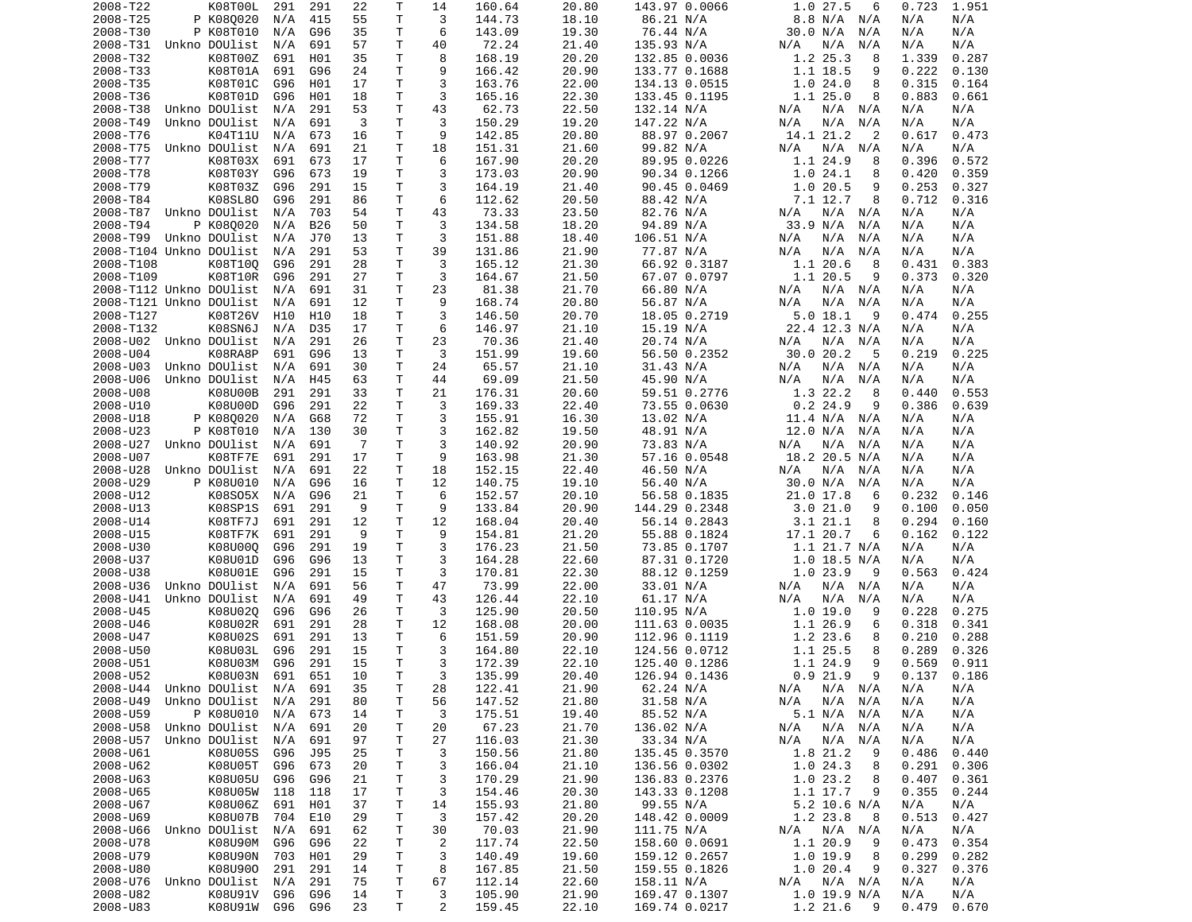| 2008-T22                | K08T00L       | 291 | 291 | 22             | Т  | 14             | 160.64 | 20.80 | 143.97 0.0066 | 1.0 27.5<br>6      | 1.951<br>0.723 |
|-------------------------|---------------|-----|-----|----------------|----|----------------|--------|-------|---------------|--------------------|----------------|
| 2008-T25                | P K080020     | N/A | 415 | 55             | Τ  | 3              | 144.73 | 18.10 | 86.21 N/A     | 8.8 N/A<br>N/A     | N/A<br>N/A     |
| 2008-T30                | P K08T010     | N/A | G96 | 35             | т  | 6              | 143.09 | 19.30 | 76.44 N/A     | 30.0 N/A<br>N/A    | N/A<br>N/A     |
| 2008-T31                | Unkno DOUlist | N/A | 691 | 57             | т  | 40             | 72.24  | 21.40 | 135.93 N/A    | N/A<br>N/A<br>N/A  | N/A<br>N/A     |
| 2008-T32                | K08T00Z       | 691 | H01 | 35             | т  | 8              | 168.19 | 20.20 | 132.85 0.0036 | 1.2 25.3<br>8      | 1.339<br>0.287 |
| 2008-T33                | K08T01A       | 691 | G96 | 24             | Τ  | 9              | 166.42 | 20.90 | 133.77 0.1688 | 1.1 18.5<br>9      | 0.222<br>0.130 |
| 2008-T35                | K08T01C       | G96 | H01 | 17             | Τ  | 3              | 163.76 | 22.00 | 134.13 0.0515 | 1.024.0<br>8       | 0.315<br>0.164 |
| 2008-T36                | K08T01D       | G96 | H01 | 18             | Τ  | 3              | 165.16 | 22.30 | 133.45 0.1195 | 1.125.0<br>8       | 0.883<br>0.661 |
| 2008-T38                | Unkno DOUlist | N/A | 291 | 53             | Τ  | 43             | 62.73  | 22.50 | 132.14 N/A    | N/A<br>N/A<br>N/A  | N/A<br>N/A     |
| 2008-T49                | Unkno DOUlist | N/A | 691 | 3              | Τ  | 3              | 150.29 | 19.20 | 147.22 N/A    | N/A<br>N/A<br>N/A  | N/A<br>N/A     |
|                         |               |     |     |                | Τ  | 9              |        |       |               |                    |                |
| 2008-T76                | K04T11U       | N/A | 673 | 16             |    |                | 142.85 | 20.80 | 88.97 0.2067  | 14.1 21.2<br>2     | 0.617<br>0.473 |
| 2008-T75                | Unkno DOUlist | N/A | 691 | 21             | Τ  | 18             | 151.31 | 21.60 | 99.82 N/A     | $N/A$ $N/A$<br>N/A | N/A<br>N/A     |
| 2008-T77                | K08T03X       | 691 | 673 | 17             | Τ  | 6              | 167.90 | 20.20 | 89.95 0.0226  | 1.1 24.9<br>8      | 0.396<br>0.572 |
| 2008-T78                | K08T03Y       | G96 | 673 | 19             | т  | 3              | 173.03 | 20.90 | 90.34 0.1266  | 1.024.1<br>8       | 0.420<br>0.359 |
| 2008-T79                | K08T03Z       | G96 | 291 | 15             | Τ  | 3              | 164.19 | 21.40 | 90.45 0.0469  | 1.0 20.5<br>9      | 0.253<br>0.327 |
| 2008-T84                | K08SL80       | G96 | 291 | 86             | Τ  | 6              | 112.62 | 20.50 | 88.42 N/A     | 7.1 12.7<br>8      | 0.712<br>0.316 |
| 2008-T87                | Unkno DOUlist | N/A | 703 | 54             | Τ  | 43             | 73.33  | 23.50 | 82.76 N/A     | N/A<br>N/A<br>N/A  | N/A<br>N/A     |
| 2008-T94                | P K080020     | N/A | B26 | 50             | Τ  | 3              | 134.58 | 18.20 | 94.89 N/A     | 33.9 N/A<br>N/A    | N/A<br>N/A     |
| 2008-T99                | Unkno DOUlist | N/A | J70 | 13             | т  | 3              | 151.88 | 18.40 | 106.51 N/A    | N/A<br>N/A<br>N/A  | N/A<br>N/A     |
| 2008-T104 Unkno DOUlist |               | N/A | 291 | 53             | т  | 39             | 131.86 | 21.90 | 77.87 N/A     | N/A<br>N/A<br>N/A  | N/A<br>N/A     |
| 2008-T108               | K08T100       | G96 | 291 | 28             | Τ  | 3              | 165.12 | 21.30 | 66.92 0.3187  | 1.1 20.6<br>8      | 0.383<br>0.431 |
| 2008-T109               | K08T10R       | G96 | 291 | 27             | т  | 3              | 164.67 | 21.50 | 67.07 0.0797  | 1.1 20.5<br>9      | 0.373<br>0.320 |
| 2008-T112 Unkno DOUlist |               | N/A | 691 | 31             | Τ  | 23             | 81.38  | 21.70 | 66.80 N/A     | N/A<br>N/A<br>N/A  | N/A<br>N/A     |
| 2008-T121 Unkno DOUlist |               | N/A | 691 | 12             | Τ  | 9              | 168.74 | 20.80 | 56.87 N/A     | N/A<br>N/A<br>N/A  | N/A<br>N/A     |
| 2008-T127               | K08T26V       | H10 | H10 | 18             | T. | 3              | 146.50 | 20.70 | 18.05 0.2719  | 5.018.1<br>9       | 0.474<br>0.255 |
| 2008-T132               | K08SN6J       | N/A | D35 | 17             | Τ  | 6              | 146.97 | 21.10 | 15.19 N/A     | 22.4 12.3 N/A      | N/A<br>N/A     |
|                         |               |     |     |                |    |                |        |       |               |                    |                |
| 2008-U02                | Unkno DOUlist | N/A | 291 | 26             | т  | 23             | 70.36  | 21.40 | 20.74 N/A     | N/A<br>N/A<br>N/A  | N/A<br>N/A     |
| 2008-U04                | K08RA8P       | 691 | G96 | 13             | т  | 3              | 151.99 | 19.60 | 56.50 0.2352  | 30.020.2<br>-5     | 0.219<br>0.225 |
| 2008-U03                | Unkno DOUlist | N/A | 691 | 30             | Τ  | 24             | 65.57  | 21.10 | 31.43 N/A     | N/A<br>N/A N/A     | N/A<br>N/A     |
| 2008-U06                | Unkno DOUlist | N/A | H45 | 63             | Τ  | 44             | 69.09  | 21.50 | 45.90 N/A     | N/A<br>N/A<br>N/A  | N/A<br>N/A     |
| 2008-U08                | K08U00B       | 291 | 291 | 33             | Τ  | 21             | 176.31 | 20.60 | 59.51 0.2776  | 1.3 22.2<br>8      | 0.440<br>0.553 |
| 2008-U10                | K08U00D       | G96 | 291 | 22             | T. | 3              | 169.33 | 22.40 | 73.55 0.0630  | $0.2$ 24.9<br>9    | 0.386<br>0.639 |
| 2008-U18                | P K080020     | N/A | G68 | 72             | Τ  | 3              | 155.91 | 16.30 | 13.02 N/A     | 11.4 N/A<br>N/A    | N/A<br>N/A     |
| 2008-U23                | P K08T010     | N/A | 130 | 30             | т  | 3              | 162.82 | 19.50 | 48.91 N/A     | 12.0 N/A<br>N/A    | N/A<br>N/A     |
| 2008-U27                | Unkno DOUlist | N/A | 691 | $\overline{7}$ | Τ  | 3              | 140.92 | 20.90 | 73.83 N/A     | N/A<br>N/A<br>N/A  | N/A<br>N/A     |
| 2008-U07                | K08TF7E       | 691 | 291 | 17             | Τ  | 9              | 163.98 | 21.30 | 57.16 0.0548  | 18.2 20.5 N/A      | N/A<br>N/A     |
| 2008-U28                | Unkno DOUlist | N/A | 691 | 22             | т  | 18             | 152.15 | 22.40 | 46.50 N/A     | N/A<br>N/A<br>N/A  | N/A<br>N/A     |
| 2008-U29                | P K08U010     | N/A | G96 | 16             | Τ  | 12             | 140.75 | 19.10 | 56.40 N/A     | 30.0 N/A<br>N/A    | N/A<br>N/A     |
| 2008-U12                | K08S05X       | N/A | G96 | 21             | T. | 6              | 152.57 | 20.10 | 56.58 0.1835  | 21.0 17.8<br>6     | 0.232<br>0.146 |
| 2008-U13                | K08SP1S       | 691 | 291 | 9              | Τ  | 9              | 133.84 | 20.90 | 144.29 0.2348 | 3.021.0<br>9       | 0.050<br>0.100 |
| 2008-U14                | K08TF7J       | 691 | 291 | 12             | Τ  | 12             | 168.04 | 20.40 | 56.14 0.2843  | 3.1 21.1<br>8      | 0.294<br>0.160 |
|                         |               |     |     | 9              | T. | 9              |        |       |               | 17.1 20.7          |                |
| 2008-U15                | K08TF7K       | 691 | 291 |                |    |                | 154.81 | 21.20 | 55.88 0.1824  | 6                  | 0.162<br>0.122 |
| 2008-U30                | K08U000       | G96 | 291 | 19             | Τ  | 3              | 176.23 | 21.50 | 73.85 0.1707  | $1.1$ 21.7 N/A     | N/A<br>N/A     |
| 2008-U37                | K08U01D       | G96 | G96 | 13             | T  | 3              | 164.28 | 22.60 | 87.31 0.1720  | $1.0$ 18.5 N/A     | N/A<br>N/A     |
| 2008-U38                | K08U01E       | G96 | 291 | 15             | Τ  | 3              | 170.81 | 22.30 | 88.12 0.1259  | 1.0 23.9<br>9      | 0.563<br>0.424 |
| 2008-U36                | Unkno DOUlist | N/A | 691 | 56             | Τ  | 47             | 73.99  | 22.00 | 33.01 N/A     | N/A<br>N/A<br>N/A  | N/A<br>N/A     |
| 2008-U41                | Unkno DOUlist | N/A | 691 | 49             | Τ  | 43             | 126.44 | 22.10 | 61.17 N/A     | N/A<br>N/A<br>N/A  | N/A<br>N/A     |
| 2008-U45                | K08U020       | G96 | G96 | 26             | т  | 3              | 125.90 | 20.50 | 110.95 N/A    | 1.0 19.0<br>9      | 0.228<br>0.275 |
| 2008-U46                | K08U02R       | 691 | 291 | 28             | Τ  | 12             | 168.08 | 20.00 | 111.63 0.0035 | 1.1 26.9<br>6      | 0.318<br>0.341 |
| 2008-U47                | K08U02S       | 691 | 291 | 13             | Τ  | 6              | 151.59 | 20.90 | 112.96 0.1119 | 1.2 23.6<br>8      | 0.210<br>0.288 |
| 2008-U50                | K08U03L       | G96 | 291 | 15             | Τ  | 3              | 164.80 | 22.10 | 124.56 0.0712 | 1.1 25.5<br>8      | 0.289<br>0.326 |
| 2008-U51                | K08U03M       | G96 | 291 | 15             | T. | 3              | 172.39 | 22.10 | 125.40 0.1286 | 1.1 24.9<br>9      | 0.569<br>0.911 |
| 2008-U52                | K08U03N 691   |     | 651 | 10             | T. | 3              | 135.99 | 20.40 | 126.94 0.1436 | $0.9$ 21.9<br>9    | 0.137<br>0.186 |
| 2008-U44                | Unkno DOUlist | N/A | 691 | 35             | Τ  | 28             | 122.41 | 21.90 | 62.24 N/A     | N/A N/A<br>N/A     | N/A<br>N/A     |
| 2008-U49                | Unkno DOUlist | N/A | 291 | 80             | т  | 56             | 147.52 | 21.80 | 31.58 N/A     | N/A<br>$N/A$ $N/A$ | N/A<br>N/A     |
| 2008-U59                | P K08U010     | N/A | 673 | 14             | т  | 3              | 175.51 | 19.40 | 85.52 N/A     | 5.1 N/A<br>N/A     | N/A<br>N/A     |
| 2008-U58                | Unkno DOUlist | N/A | 691 | 20             | т  | 20             | 67.23  | 21.70 | 136.02 N/A    | N/A<br>N/A<br>N/A  | N/A<br>N/A     |
| 2008-U57                | Unkno DOUlist | N/A | 691 | 97             | т  | 27             | 116.03 | 21.30 | 33.34 N/A     | N/A<br>N/A<br>N/A  | N/A<br>N/A     |
|                         |               |     |     |                |    |                |        |       |               |                    |                |
| 2008-U61                | K08U05S       | G96 | J95 | 25             | т  | 3              | 150.56 | 21.80 | 135.45 0.3570 | 1.8 21.2<br>9      | 0.486<br>0.440 |
| 2008-U62                | K08U05T       | G96 | 673 | 20             | т  | 3              | 166.04 | 21.10 | 136.56 0.0302 | 1.024.3<br>8       | 0.291<br>0.306 |
| 2008-U63                | K08U05U       | G96 | G96 | 21             | т  | 3              | 170.29 | 21.90 | 136.83 0.2376 | 1.023.2<br>8       | 0.407<br>0.361 |
| 2008-U65                | K08U05W       | 118 | 118 | 17             | т  | 3              | 154.46 | 20.30 | 143.33 0.1208 | 1.1 17.7<br>9      | 0.355<br>0.244 |
| 2008-U67                | K08U06Z       | 691 | H01 | 37             | т  | 14             | 155.93 | 21.80 | 99.55 N/A     | $5.2$ 10.6 N/A     | N/A<br>N/A     |
| 2008-U69                | K08U07B       | 704 | E10 | 29             | т  | 3              | 157.42 | 20.20 | 148.42 0.0009 | 1.2 23.8<br>8      | 0.513<br>0.427 |
| 2008-U66                | Unkno DOUlist | N/A | 691 | 62             | т  | 30             | 70.03  | 21.90 | 111.75 N/A    | $N/A$ $N/A$<br>N/A | N/A<br>N/A     |
| 2008-U78                | K08U90M       | G96 | G96 | 22             | т  | $\overline{c}$ | 117.74 | 22.50 | 158.60 0.0691 | 1.1 20.9<br>9      | 0.473<br>0.354 |
| 2008-U79                | K08U90N       | 703 | H01 | 29             | Τ  | 3              | 140.49 | 19.60 | 159.12 0.2657 | 1.0 19.9<br>8      | 0.299<br>0.282 |
| 2008-U80                | K08U900       | 291 | 291 | 14             | т  | 8              | 167.85 | 21.50 | 159.55 0.1826 | 1.020.4<br>9       | 0.327<br>0.376 |
| 2008-U76                | Unkno DOUlist | N/A | 291 | 75             | т  | 67             | 112.14 | 22.60 | 158.11 N/A    | N/A N/A<br>N/A     | N/A<br>N/A     |
| 2008-U82                | K08U91V       | G96 | G96 | 14             | Τ  | 3              | 105.90 | 21.90 | 169.47 0.1307 | 1.0 19.9 N/A       | N/A<br>N/A     |
| 2008-U83                | K08U91W       | G96 | G96 | 23             | Τ  | 2              | 159.45 | 22.10 | 169.74 0.0217 | 1.2 21.6<br>- 9    | 0.479<br>0.670 |
|                         |               |     |     |                |    |                |        |       |               |                    |                |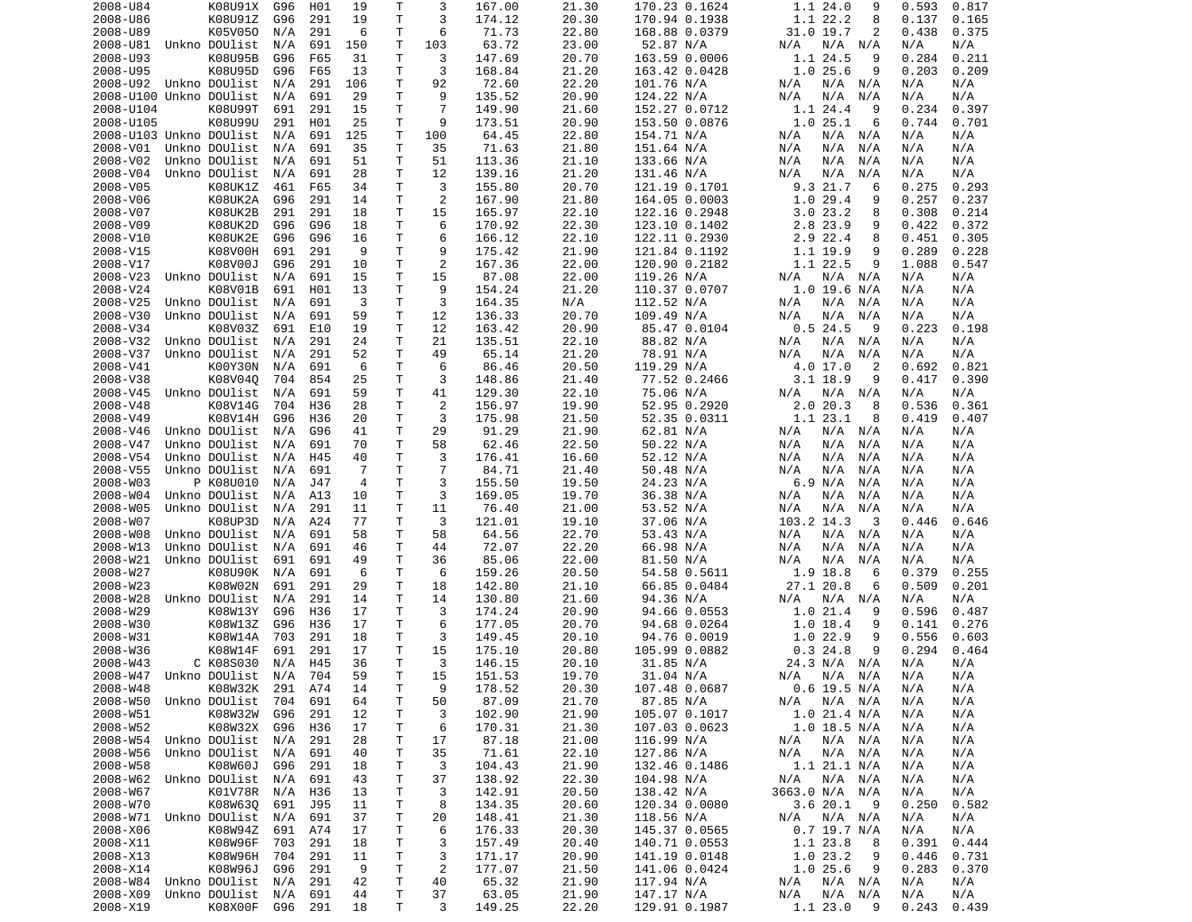| 2008-U84                   | K08U91X                  | G96            | H01 | 19       | Т      | 3              | 167.00          | 21.30          | 170.23 0.1624               | 1.124.0<br>9                     | 0.593<br>0.817               |
|----------------------------|--------------------------|----------------|-----|----------|--------|----------------|-----------------|----------------|-----------------------------|----------------------------------|------------------------------|
| 2008-U86                   | K08U91Z                  | G96            | 291 | 19       | т      | 3              | 174.12          | 20.30          | 170.94 0.1938               | 1.1 22.2<br>8                    | 0.137<br>0.165               |
| 2008-U89                   | K05V050                  | N/A            | 291 | 6        | т      | 6              | 71.73           | 22.80          | 168.88 0.0379               | 31.0 19.7<br>2                   | 0.438<br>0.375               |
| 2008-U81                   | Unkno DOUlist            | N/A            | 691 | 150      | т      | 103            | 63.72           | 23.00          | 52.87 N/A                   | N/A<br>N/A<br>N/A                | N/A<br>N/A                   |
| 2008-U93                   | K08U95B                  | G96            | F65 | 31       | Τ      | 3              | 147.69          | 20.70          | 163.59 0.0006               | 1.1 24.5<br>9                    | 0.284<br>0.211               |
| 2008-U95                   | K08U95D                  | G96            | F65 | 13       | Τ      | 3              | 168.84          | 21.20          | 163.42 0.0428               | 1.025.6<br>9                     | 0.203<br>0.209               |
| 2008-U92                   | Unkno DOUlist            | N/A            | 291 | 106      | Τ      | 92             | 72.60           | 22.20          | 101.76 N/A                  | N/A<br>N/A<br>N/A                | N/A<br>N/A                   |
| 2008-U100 Unkno DOUlist    |                          | N/A            | 691 | 29       | Τ      | 9              | 135.52          | 20.90          | 124.22 N/A                  | N/A<br>N/A<br>N/A                | N/A<br>N/A                   |
| 2008-U104                  | K08U99T                  | 691            | 291 | 15       | т      | $\overline{7}$ | 149.90          | 21.60          | 152.27 0.0712               | 1.1 24.4<br>9                    | 0.234<br>0.397               |
| 2008-U105                  | K08U99U                  | 291            | H01 | 25       | т      | 9              | 173.51          | 20.90          | 153.50 0.0876               | 1.025.1<br>6                     | 0.744<br>0.701               |
| 2008-U103 Unkno DOUlist    |                          | N/A            | 691 | 125      | т      | 100            | 64.45           | 22.80          | 154.71 N/A                  | N/A<br>N/A<br>N/A                | N/A<br>N/A                   |
| 2008-V01                   | Unkno DOUlist            | N/A            | 691 | 35       | т      | 35             | 71.63           | 21.80          | 151.64 N/A                  | N/A<br>N/A<br>N/A                | N/A<br>N/A                   |
| 2008-V02                   | Unkno DOUlist            | N/A            | 691 | 51       | Τ      | 51             | 113.36          | 21.10          | 133.66 N/A                  | N/A<br>N/A<br>N/A                | N/A<br>N/A                   |
| 2008-V04                   | Unkno DOUlist            | N/A            | 691 | 28       | т      | 12             | 139.16          | 21.20          | 131.46 N/A                  | N/A<br>N/A<br>N/A                | N/A<br>N/A                   |
| 2008-V05                   | K08UK1Z                  | 461            | F65 | 34       | Τ      | 3              | 155.80          | 20.70          | 121.19 0.1701               | 9.3 21.7<br>6                    | 0.275<br>0.293               |
| 2008-V06                   | K08UK2A                  | G96            | 291 | 14       | т      | 2              | 167.90          | 21.80          | 164.05 0.0003               | 1.029.4<br>9                     | 0.257<br>0.237               |
| 2008-V07                   | K08UK2B                  | 291            | 291 | 18       | Τ      | 15             | 165.97          | 22.10          | 122.16 0.2948               | 3.023.2<br>8                     | 0.308<br>0.214               |
| 2008-V09                   | K08UK2D                  | G96            | G96 | 18       | Τ      | 6              | 170.92          | 22.30          | 123.10 0.1402               | 2.8 23.9<br>9                    | 0.422<br>0.372               |
| 2008-V10                   | K08UK2E                  | G96            | G96 | 16       | т      | 6              | 166.12          | 22.10          | 122.11 0.2930               | 2.9 22.4<br>8                    | 0.451<br>0.305               |
| 2008-V15                   | K08V00H                  | 691            | 291 | 9        | T      | 9              | 175.42          | 21.90          | 121.84 0.1192               | 1.1 19.9<br>9                    | 0.289<br>0.228               |
| 2008-V17                   | K08V00J                  | G96            | 291 | 10       | Τ      | $\overline{2}$ | 167.36          | 22.00          | 120.90 0.2182               | 1.1 22.5<br>9                    | 0.547<br>1.088               |
| 2008-V23                   | Unkno DOUlist            | N/A            | 691 | 15       | Τ      | 15             | 87.08           | 22.00          | 119.26 N/A                  | $N/A$ $N/A$<br>N/A               | N/A<br>N/A                   |
| 2008-V24                   | K08V01B                  | 691            | H01 | 13       | Τ      | 9              | 154.24          | 21.20          | 110.37 0.0707               | 1.0 19.6 N/A                     | N/A<br>N/A                   |
| 2008-V25                   | Unkno DOUlist            | N/A            | 691 | 3        | т      | 3              | 164.35          | N/A            | 112.52 N/A                  | N/A<br>N/A N/A                   | N/A<br>N/A                   |
| 2008-V30                   | Unkno DOUlist            | N/A            | 691 | 59       | Τ      | 12             | 136.33          | 20.70          | 109.49 N/A                  | N/A<br>N/A<br>N/A                | N/A<br>N/A                   |
| 2008-V34                   | K08V03Z                  | 691            | E10 | 19       | т      | 12             | 163.42          | 20.90          | 85.47 0.0104                | 0.524.5<br>9                     | 0.223<br>0.198               |
| 2008-V32                   | Unkno DOUlist            | N/A            | 291 | 24       | т      | 21             | 135.51          | 22.10          | 88.82 N/A                   | N/A<br>N/A<br>N/A                | N/A<br>N/A                   |
| 2008-V37                   | Unkno DOUlist            | N/A            | 291 | 52       | Τ      | 49             | 65.14           | 21.20          | 78.91 N/A                   | N/A<br>N/A<br>N/A                | N/A<br>N/A                   |
| 2008-V41                   | K00Y30N                  | N/A            | 691 | 6        | Τ      | 6              | 86.46           | 20.50          | 119.29 N/A                  | 4.0 17.0<br>2                    | 0.692<br>0.821               |
| 2008-V38                   |                          |                |     |          | Τ      | 3              |                 |                |                             | $3.1$ 18.9                       |                              |
|                            | K08V040                  | 704            | 854 | 25       |        |                | 148.86          | 21.40          | 77.52 0.2466                | 9                                | 0.417<br>0.390               |
| 2008-V45                   | Unkno DOUlist            | N/A            | 691 | 59       | Τ      | 41             | 129.30          | 22.10          | 75.06 N/A                   | N/A<br>N/A N/A                   | N/A<br>N/A                   |
| 2008-V48                   | K08V14G                  | 704            | H36 | 28       | T.     | 2              | 156.97          | 19.90          | 52.95 0.2920                | 2.020.3<br>8                     | 0.536<br>0.361               |
| 2008-V49                   | K08V14H                  | G96            | H36 | 20       | т      | 3              | 175.98          | 21.50          | 52.35 0.0311                | 1.1 23.1<br>8                    | 0.407<br>0.419               |
| 2008-V46                   | Unkno DOUlist            | N/A            | G96 | 41       | Τ      | 29             | 91.29           | 21.90          | 62.81 N/A                   | N/A<br>N/A<br>N/A                | N/A<br>N/A                   |
| 2008-V47                   | Unkno DOUlist            | N/A            | 691 | 70       | Τ      | 58             | 62.46           | 22.50          | 50.22 N/A                   | N/A<br>N/A<br>N/A                | N/A<br>N/A                   |
| 2008-V54                   | Unkno DOUlist            | N/A            | H45 | 40       | Τ      | 3              | 176.41          | 16.60          | 52.12 N/A                   | N/A<br>N/A<br>N/A                | N/A<br>N/A                   |
| 2008-V55                   | Unkno DOUlist            | N/A            | 691 | 7        | т      | $\overline{7}$ | 84.71           | 21.40          | 50.48 N/A                   | N/A<br>N/A<br>N/A                | N/A<br>N/A                   |
| 2008-W03                   | P K08U010                | N/A            | J47 | 4        | т      | 3              | 155.50          | 19.50          | 24.23 N/A                   | 6.9 N/A<br>N/A                   | N/A<br>N/A                   |
| 2008-W04                   | Unkno DOUlist            | N/A            | A13 | 10       | Τ      | 3              | 169.05          | 19.70          | 36.38 N/A                   | N/A<br>N/A<br>N/A                | N/A<br>N/A                   |
| 2008-W05                   | Unkno DOUlist            | N/A            | 291 | 11       | Τ      | 11             | 76.40           | 21.00          | 53.52 N/A                   | N/A<br>N/A<br>N/A                | N/A<br>N/A                   |
| 2008-W07                   | K08UP3D                  | N/A            | A24 | 77       | T      | 3              | 121.01          | 19.10          | 37.06 N/A                   | 103.2 14.3<br>3                  | 0.646<br>0.446               |
| 2008-W08                   | Unkno DOUlist            | N/A            | 691 | 58       | т      | 58             | 64.56           | 22.70          | 53.43 N/A                   | N/A<br>N/A<br>N/A                | N/A<br>N/A                   |
| 2008-W13                   | Unkno DOUlist            | N/A            | 691 | 46       | т      | 44             | 72.07           | 22.20          | 66.98 N/A                   | N/A<br>N/A<br>N/A                | N/A<br>N/A                   |
| 2008-W21                   | Unkno DOUlist            | 691            | 691 | 49       | T      | 36             | 85.06           | 22.00          | 81.50 N/A                   | N/A<br>N/A<br>N/A                | N/A<br>N/A                   |
| 2008-W27                   | K08U90K                  | N/A            | 691 | 6        | т      | 6              | 159.26          | 20.50          | 54.58 0.5611                | 1.9 18.8<br>6                    | 0.379<br>0.255               |
| 2008-W23                   | K08W02N                  | 691            | 291 | 29       | Τ      | 18             | 142.80          | 21.10          | 66.85 0.0484                | 27.1 20.8<br>6                   | 0.509<br>0.201               |
| 2008-W28                   | Unkno DOUlist            | N/A            | 291 | 14       | Τ      | 14             | 130.80          | 21.60          | 94.36 N/A                   | N/A<br>N/A N/A                   | N/A<br>N/A                   |
| 2008-W29                   | K08W13Y                  | G96            | H36 | 17       | т      | 3              | 174.24          | 20.90          | 94.66 0.0553                | 1.0 21.4<br>9                    | 0.596<br>0.487               |
| 2008-W30                   | K08W13Z                  | G96            | H36 | 17       | т      | 6              | 177.05          | 20.70          | 94.68 0.0264                | $1.0$ 18.4<br>9                  | 0.141<br>0.276               |
| 2008-W31                   | K08W14A                  | 703            | 291 | 18       | т      | 3              | 149.45          | 20.10          | 94.76 0.0019                | 1.0 22.9<br>9                    | 0.556<br>0.603               |
| 2008-W36                   | K08W14F                  | 691            | 291 | 17       | Τ      | 15             | 175.10          | 20.80          | 105.99 0.0882               | 0.324.8<br>9                     | 0.294<br>0.464               |
| 2008-W43                   | C K08S030                | N/A            | H45 | 36       | T.     | 3              | 146.15          | 20.10          | 31.85 N/A                   | 24.3 N/A N/A                     | N/A<br>N/A                   |
| 2008-W47 Unkno DOUlist N/A |                          |                | 704 | 59       | T.     | 15             | 151.53          | 19.70          | 31.04 N/A                   | N/A N/A N/A                      | N/A<br>N/A                   |
| 2008-W48                   | K08W32K 291 A74          |                |     | 14       | т      | 9              | 178.52          | 20.30          | 107.48 0.0687               | $0.6$ 19.5 N/A                   | N/A<br>N/A                   |
| 2008-W50                   | Unkno DOUlist 704        |                | 691 | 64       | т      | 50             | 87.09           | 21.70          | 87.85 N/A                   | N/A<br>$N/A$ $N/A$               | N/A<br>N/A                   |
| 2008-W51                   | K08W32W                  | G96            | 291 | 12       | Τ      | 3              | 102.90          | 21.90          | 105.07 0.1017               | 1.0 21.4 N/A                     | N/A<br>N/A                   |
| 2008-W52                   | K08W32X G96              |                | H36 | 17       | Τ      | 6              | 170.31          | 21.30          | 107.03 0.0623               | $1.0$ 18.5 N/A                   | N/A<br>N/A                   |
| 2008-W54                   | Unkno DOUlist            | N/A            | 291 | 28       | т      | 17             | 87.18           | 21.00          | 116.99 N/A                  | N/A<br>N/A N/A                   | N/A<br>N/A                   |
| 2008-W56                   | Unkno DOUlist            | N/A            | 691 | 40       | т      | 35             | 71.61           | 22.10          | 127.86 N/A                  | N/A N/A<br>N/A                   | N/A<br>N/A                   |
| 2008-W58                   | K08W60J                  | G96            | 291 | 18       | т      | 3              | 104.43          | 21.90          | 132.46 0.1486               | 1.1 21.1 N/A                     | N/A<br>N/A                   |
| 2008-W62                   | Unkno DOUlist            | N/A            | 691 | 43       | т      | 37             | 138.92          | 22.30          | 104.98 N/A                  | N/A<br>N/A N/A                   | N/A<br>N/A                   |
| 2008-W67                   | K01V78R                  | N/A            | H36 | 13       | т      | 3              | 142.91          | 20.50          | 138.42 N/A                  | 3663.0 N/A N/A                   | N/A<br>N/A                   |
|                            | K08W630                  |                |     |          |        |                | 134.35          |                | 120.34 0.0080               | 3.620.1<br>- 9                   |                              |
| 2008-W70                   |                          | 691            | J95 | 11       | Τ      | 8              |                 | 20.60          |                             |                                  | 0.250<br>0.582               |
| 2008-W71 Unkno DOUlist     |                          | N/A            | 691 | 37       | Τ      | 20             | 148.41          | 21.30          | 118.56 N/A                  | N/A N/A<br>N/A                   | N/A<br>N/A                   |
| 2008-X06                   | K08W94Z                  | 691            | A74 | 17       | т      | 6              | 176.33          | 20.30          | 145.37 0.0565               | 0.7 19.7 N/A                     | N/A<br>N/A                   |
| 2008-X11                   | K08W96F                  | 703            | 291 | 18       | т      | 3              | 157.49          | 20.40          | 140.71 0.0553               | 1.1 23.8<br>8                    | 0.391<br>0.444               |
| 2008-X13                   | K08W96H                  | 704            | 291 | 11       | Τ      | 3              | 171.17          | 20.90          | 141.19 0.0148               | 1.023.2<br>9                     | 0.446<br>0.731               |
| 2008-X14                   | K08W96J                  | G96            | 291 | 9        | т      | $\overline{2}$ | 177.07          | 21.50          | 141.06 0.0424               | 1.025.6<br>9                     | 0.283<br>0.370               |
| 2008-W84                   | Unkno DOUlist            | N/A            | 291 | 42       | T      | 40             | 65.32           | 21.90          | 117.94 N/A                  | $N/A$ $N/A$<br>N/A               | N/A<br>N/A                   |
|                            |                          |                |     |          |        |                |                 |                |                             |                                  |                              |
| 2008-X09<br>2008-X19       | Unkno DOUlist<br>K08X00F | N/A<br>G96 291 | 691 | 44<br>18 | T<br>Τ | 37<br>3        | 63.05<br>149.25 | 21.90<br>22.20 | 147.17 N/A<br>129.91 0.1987 | N/A N/A<br>N/A<br>1.123.0<br>- 9 | N/A<br>N/A<br>0.243<br>0.439 |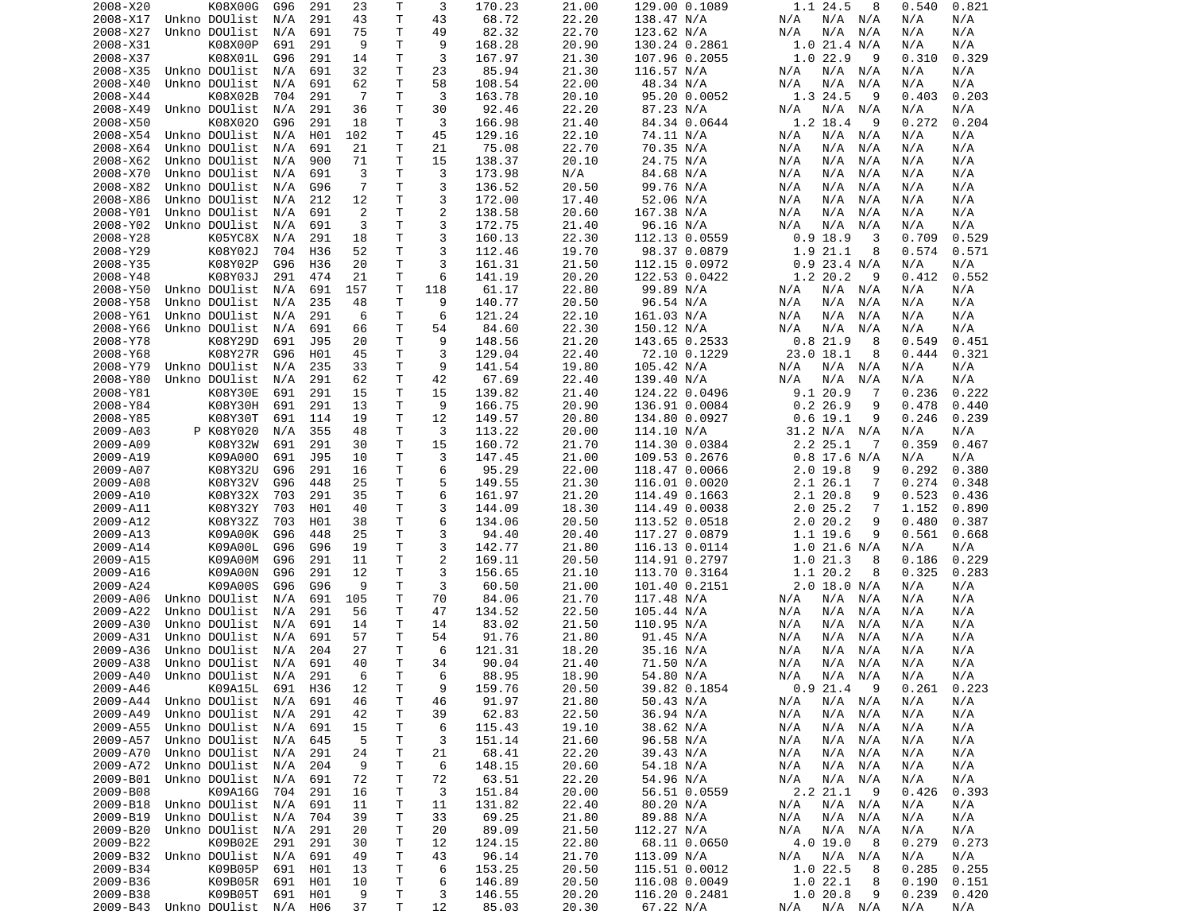| 2008-X20             | K08X00G                        | G96        | 291        | 23        | Τ      | 3                   | 170.23           | 21.00          | 129.00 0.1089                  | 1.1 24.5<br>8                   | 0.821<br>0.540           |  |
|----------------------|--------------------------------|------------|------------|-----------|--------|---------------------|------------------|----------------|--------------------------------|---------------------------------|--------------------------|--|
| 2008-X17             | Unkno DOUlist                  | N/A        | 291        | 43        | Τ      | 43                  | 68.72            | 22.20          | 138.47 N/A                     | $N/A$ $N/A$<br>N/A              | N/A<br>N/A               |  |
| 2008-X27             | Unkno DOUlist                  | N/A        | 691        | 75        | Τ      | 49                  | 82.32            | 22.70          | 123.62 N/A                     | N/A<br>N/A<br>N/A               | N/A<br>N/A               |  |
| 2008-X31             | K08X00P                        | 691        | 291        | 9         | Τ      | 9                   | 168.28           | 20.90          | 130.24 0.2861                  | 1.0 21.4 N/A                    | N/A<br>N/A               |  |
| 2008-X37             | K08X01L                        | G96        | 291        | 14        | т      | 3                   | 167.97           | 21.30          | 107.96 0.2055                  | 1.022.9<br>9                    | 0.310<br>0.329           |  |
| 2008-X35             | Unkno DOUlist                  | N/A        | 691        | 32        | T      | 23                  | 85.94            | 21.30          | 116.57 N/A                     | N/A<br>N/A<br>N/A               | N/A<br>N/A               |  |
| 2008-X40             | Unkno DOUlist                  | N/A        | 691        | 62        | T      | 58                  | 108.54           | 22.00          | 48.34 N/A                      | N/A<br>N/A<br>N/A               | N/A<br>N/A               |  |
| 2008-X44             | K08X02B                        | 704        | 291        | -7        | Τ      | 3                   | 163.78           | 20.10          | 95.20 0.0052                   | 1.3 24.5<br>9                   | 0.403<br>0.203           |  |
| 2008-X49             | Unkno DOUlist                  | N/A        | 291        | 36        | т      | 30                  | 92.46            | 22.20          | 87.23 N/A                      | N/A<br>N/A<br>N/A               | N/A<br>N/A               |  |
| 2008-X50             | K08X020                        | G96        | 291        | 18        | т      | 3<br>45             | 166.98           | 21.40<br>22.10 | 84.34 0.0644                   | 1.2 18.4<br>9                   | 0.272<br>0.204           |  |
| 2008-X54<br>2008-X64 | Unkno DOUlist<br>Unkno DOUlist | N/A<br>N/A | H01<br>691 | 102<br>21 | т<br>т | 21                  | 129.16<br>75.08  | 22.70          | 74.11 N/A                      | N/A<br>N/A<br>N/A<br>N/A<br>N/A | N/A<br>N/A<br>N/A<br>N/A |  |
| 2008-X62             | Unkno DOUlist                  | N/A        | 900        | 71        | т      | 15                  | 138.37           | 20.10          | 70.35 N/A<br>24.75 N/A         | N/A<br>N/A<br>N/A<br>N/A        | N/A<br>N/A               |  |
| 2008-X70             | Unkno DOUlist                  | N/A        | 691        | 3         | Τ      | 3                   | 173.98           | N/A            | 84.68 N/A                      | N/A<br>N/A<br>N/A               | N/A<br>N/A               |  |
| 2008-X82             | Unkno DOUlist                  | N/A        | G96        | 7         | Τ      | 3                   | 136.52           | 20.50          | 99.76 N/A                      | N/A<br>N/A<br>N/A               | N/A<br>N/A               |  |
| 2008-X86             | Unkno DOUlist                  | N/A        | 212        | 12        | Τ      | 3                   | 172.00           | 17.40          | 52.06 N/A                      | N/A<br>N/A<br>N/A               | N/A<br>N/A               |  |
| 2008-Y01             | Unkno DOUlist                  | N/A        | 691        | 2         | Τ      | $\overline{c}$      | 138.58           | 20.60          | 167.38 N/A                     | N/A<br>N/A<br>N/A               | N/A<br>N/A               |  |
| 2008-Y02             | Unkno DOUlist                  | N/A        | 691        | 3         | Τ      | 3                   | 172.75           | 21.40          | 96.16 N/A                      | N/A<br>N/A<br>N/A               | N/A<br>N/A               |  |
| 2008-Y28             | K05YC8X                        | N/A        | 291        | 18        | Τ      | 3                   | 160.13           | 22.30          | 112.13 0.0559                  | $0.9$ 18.9<br>3                 | 0.529<br>0.709           |  |
| 2008-Y29             | K08Y02J                        | 704        | H36        | 52        | т      | 3                   | 112.46           | 19.70          | 98.37 0.0879                   | 1.9<br>21.1<br>8                | 0.574<br>0.571           |  |
| 2008-Y35             | K08Y02P                        | G96        | H36        | 20        | т      | 3                   | 161.31           | 21.50          | 112.15 0.0972                  | $0.9$ 23.4 N/A                  | N/A<br>N/A               |  |
| 2008-Y48             | K08Y03J                        | 291        | 474        | 21        | т      | 6                   | 141.19           | 20.20          | 122.53 0.0422                  | 1.2 20.2<br>9                   | 0.412<br>0.552           |  |
| 2008-Y50             | Unkno DOUlist                  | N/A        | 691        | 157       | т      | 118                 | 61.17            | 22.80          | 99.89 N/A                      | N/A<br>N/A<br>N/A               | N/A<br>N/A               |  |
| 2008-Y58             | Unkno DOUlist                  | N/A        | 235        | 48        | т      | 9                   | 140.77           | 20.50          | 96.54 N/A                      | N/A<br>N/A<br>N/A               | N/A<br>N/A               |  |
| 2008-Y61             | Unkno DOUlist                  | N/A        | 291        | 6         | т      | 6                   | 121.24           | 22.10          | 161.03 N/A                     | N/A<br>N/A<br>N/A               | N/A<br>N/A               |  |
| 2008-Y66             | Unkno DOUlist                  | N/A        | 691        | 66        | Τ      | 54                  | 84.60            | 22.30          | 150.12 N/A                     | N/A<br>N/A<br>N/A               | N/A<br>N/A               |  |
| 2008-Y78             | K08Y29D                        | 691        | J95        | 20        | T      | 9                   | 148.56           | 21.20          | 143.65 0.2533                  | 0.821.9<br>8                    | 0.549<br>0.451           |  |
| 2008-Y68             | K08Y27R                        | G96        | H01        | 45        | Τ      | 3                   | 129.04           | 22.40          | 72.10 0.1229                   | 23.0 18.1<br>8                  | 0.321<br>0.444           |  |
| 2008-Y79             | Unkno DOUlist                  | N/A        | 235        | 33        | т      | 9                   | 141.54           | 19.80          | 105.42 N/A                     | N/A<br>N/A<br>N/A               | N/A<br>N/A               |  |
| 2008-Y80             | Unkno DOUlist                  | N/A        | 291        | 62        | т      | 42                  | 67.69            | 22.40          | 139.40 N/A                     | N/A<br>N/A<br>N/A               | N/A<br>N/A               |  |
| 2008-Y81             | K08Y30E                        | 691        | 291        | 15        | Τ      | 15                  | 139.82           | 21.40          | 124.22 0.0496                  | 9.120.9<br>-7                   | 0.236<br>0.222           |  |
| 2008-Y84             | K08Y30H                        | 691        | 291        | 13        | Τ      | 9                   | 166.75           | 20.90          | 136.91 0.0084                  | 0.226.9<br>9                    | 0.478<br>0.440           |  |
| 2008-Y85             | K08Y30T                        | 691        | 114        | 19        | т      | 12                  | 149.57           | 20.80          | 134.80 0.0927                  | $0.6$ 19.1<br>9                 | 0.246<br>0.239           |  |
| 2009-A03             | P K08Y020                      | N/A        | 355        | 48        | Τ      | 3                   | 113.22           | 20.00          | 114.10 N/A                     | 31.2 N/A<br>N/A                 | N/A<br>N/A               |  |
| 2009-A09             | K08Y32W                        | 691        | 291        | 30        | т      | 15                  | 160.72           | 21.70          | 114.30 0.0384                  | 2.2 25.1<br>7                   | 0.359<br>0.467           |  |
| 2009-A19             | K09A000                        | 691        | J95        | 10        | Τ      | 3                   | 147.45           | 21.00          | 109.53 0.2676                  | $0.8$ 17.6 N/A                  | N/A<br>N/A               |  |
| 2009-A07             | K08Y32U                        | G96        | 291        | 16        | т      | 6                   | 95.29            | 22.00          | 118.47 0.0066                  | $2.0$ 19.8<br>9                 | 0.380<br>0.292           |  |
| 2009-A08             | K08Y32V                        | G96        | 448        | 25        | т      | 5                   | 149.55           | 21.30          | 116.01 0.0020                  | 2.1 26.1<br>7                   | 0.274<br>0.348           |  |
| 2009-A10             | K08Y32X                        | 703        | 291        | 35        | т      | 6                   | 161.97           | 21.20          | 114.49 0.1663                  | 2.1 20.8<br>9                   | 0.523<br>0.436           |  |
| 2009-A11             | K08Y32Y                        | 703        | H01        | 40        | Τ      | 3                   | 144.09           | 18.30          | 114.49 0.0038                  | 2.025.2<br>7                    | 1.152<br>0.890           |  |
| 2009-A12             | K08Y32Z                        | 703        | H01        | 38        | T.     | 6                   | 134.06           | 20.50          | 113.52 0.0518                  | 2.020.2<br>9                    | 0.480<br>0.387           |  |
| 2009-A13             | K09A00K                        | G96        | 448        | 25        | т      | 3                   | 94.40            | 20.40          | 117.27 0.0879                  | 1.1 19.6<br>9                   | 0.561<br>0.668           |  |
| 2009-A14             | K09A00L<br>K09A00M             | G96        | G96<br>291 | 19        | Τ      | 3<br>$\overline{2}$ | 142.77           | 21.80          | 116.13 0.0114                  | 1.0 21.6 N/A<br>8               | N/A<br>N/A<br>0.229      |  |
| 2009-A15<br>2009-A16 | K09A00N                        | G96<br>G96 | 291        | 11<br>12  | Τ<br>Τ | 3                   | 169.11<br>156.65 | 20.50<br>21.10 | 114.91 0.2797<br>113.70 0.3164 | 1.021.3<br>1.1 20.2<br>8        | 0.186<br>0.325<br>0.283  |  |
| 2009-A24             | K09A00S                        | G96        | G96        | 9         | т      | 3                   | 60.50            | 21.00          | 101.40 0.2151                  | $2.0$ 18.0 N/A                  | N/A<br>N/A               |  |
| 2009-A06             | Unkno DOUlist                  | N/A        | 691        | 105       | т      | 70                  | 84.06            | 21.70          | 117.48 N/A                     | N/A<br>N/A<br>N/A               | N/A<br>N/A               |  |
| 2009-A22             | Unkno DOUlist                  | N/A        | 291        | 56        | Τ      | 47                  | 134.52           | 22.50          | 105.44 N/A                     | N/A<br>N/A<br>N/A               | N/A<br>N/A               |  |
| 2009-A30             | Unkno DOUlist                  | N/A        | 691        | 14        | т      | 14                  | 83.02            | 21.50          | 110.95 N/A                     | N/A<br>N/A<br>N/A               | N/A<br>N/A               |  |
| 2009-A31             | Unkno DOUlist                  | N/A        | 691        | 57        | Τ      | 54                  | 91.76            | 21.80          | 91.45 N/A                      | N/A<br>N/A<br>N/A               | N/A<br>N/A               |  |
| 2009-A36             | Unkno DOUlist                  | N/A        | 204        | 27        | т      | 6                   | 121.31           | 18.20          | 35.16 N/A                      | N/A<br>N/A<br>N/A               | N/A<br>N/A               |  |
| 2009-A38             | Unkno DOUlist                  | N/A        | 691        | 40        | T.     | 34                  | 90.04            | 21.40          | 71.50 N/A                      | N/A<br>N/A<br>N/A               | N/A<br>N/A               |  |
|                      | 2009-A40 Unkno DOUlist N/A 291 |            |            | - 6       | T.     | 6                   | 88.95            | 18.90          | 54.80 N/A                      | N/A<br>N/A N/A                  | N/A<br>N/A               |  |
| 2009-A46             | K09A15L 691 H36                |            |            | 12        | т      | 9                   | 159.76           | 20.50          | 39.82 0.1854                   | 0.921.49                        | 0.261<br>0.223           |  |
| 2009-A44             | Unkno DOUlist N/A              |            | 691        | 46        | Τ      | 46                  | 91.97            | 21.80          | 50.43 N/A                      | N/A<br>$N/A$ $N/A$              | N/A<br>N/A               |  |
| 2009-A49             | Unkno DOUlist                  | N/A        | 291        | 42        | Τ      | 39                  | 62.83            | 22.50          | 36.94 N/A                      | N/A<br>$N/A$ $N/A$              | N/A<br>N/A               |  |
| 2009-A55             | Unkno DOUlist N/A              |            | 691        | 15        | Τ      | 6                   | 115.43           | 19.10          | 38.62 N/A                      | N/A<br>N/A N/A                  | N/A<br>N/A               |  |
| 2009-A57             | Unkno DOUlist                  | N/A        | 645        | -5        | Т      | 3                   | 151.14           | 21.60          | 96.58 N/A                      | N/A<br>N/A<br>N/A               | N/A<br>N/A               |  |
| 2009-A70             | Unkno DOUlist N/A              |            | 291        | 24        | т      | 21                  | 68.41            | 22.20          | 39.43 N/A                      | N/A<br>N/A<br>N/A               | N/A<br>N/A               |  |
| 2009-A72             | Unkno DOUlist N/A              |            | 204        | 9         | т      | 6                   | 148.15           | 20.60          | 54.18 N/A                      | N/A<br>N/A<br>N/A               | N/A<br>N/A               |  |
| 2009-B01             | Unkno DOUlist N/A              |            | 691        | 72        | T      | 72                  | 63.51            | 22.20          | 54.96 N/A                      | N/A<br>N/A<br>N/A               | N/A<br>N/A               |  |
| 2009-B08             | K09A16G                        | 704        | 291        | 16        | т      | 3                   | 151.84           | 20.00          | 56.51 0.0559                   | 2.2 21.1<br>- 9                 | 0.426<br>0.393           |  |
| 2009-B18             | Unkno DOUlist                  | N/A        | 691        | 11        | T      | 11                  | 131.82           | 22.40          | 80.20 N/A                      | N/A N/A<br>N/A                  | N/A<br>N/A               |  |
| 2009-B19             | Unkno DOUlist                  | N/A        | 704        | 39        | Τ      | 33                  | 69.25            | 21.80          | 89.88 N/A                      | N/A<br>N/A N/A                  | N/A<br>N/A               |  |
| 2009-B20             | Unkno DOUlist                  | N/A        | 291        | 20        | т      | 20                  | 89.09            | 21.50          | 112.27 N/A                     | N/A<br>N/A<br>N/A               | N/A<br>N/A               |  |
| 2009-B22             | K09B02E                        | 291        | 291        | 30        | т      | 12                  | 124.15           | 22.80          | 68.11 0.0650                   | 4.0 19.0<br>8                   | 0.279<br>0.273           |  |
| 2009-B32             | Unkno DOUlist                  | N/A        | 691        | 49        | т      | 43                  | 96.14            | 21.70          | 113.09 N/A                     | N/A N/A<br>N/A                  | N/A<br>N/A               |  |
| 2009-B34             | K09B05P                        | 691        | H01        | 13        | T      | 6                   | 153.25           | 20.50          | 115.51 0.0012                  | 1.0 22.5<br>8                   | 0.285<br>0.255           |  |
| 2009-B36             | K09B05R                        | 691        | H01        | 10        | T.     | 6                   | 146.89           | 20.50          | 116.08 0.0049                  | 1.022.1<br>8                    | 0.190<br>0.151           |  |
| 2009-B38             | K09B05T                        | 691        | H01        | 9         | T      | 3                   | 146.55           | 20.20          | 116.20 0.2481                  | 1.0 20.8<br>9                   | 0.239<br>0.420           |  |
|                      | 2009-B43 Unkno DOUlist N/A H06 |            |            | 37        | T.     | 12                  | 85.03            | 20.30          | 67.22 N/A                      | $N/A$ $N/A$ $N/A$               | N/A<br>N/A               |  |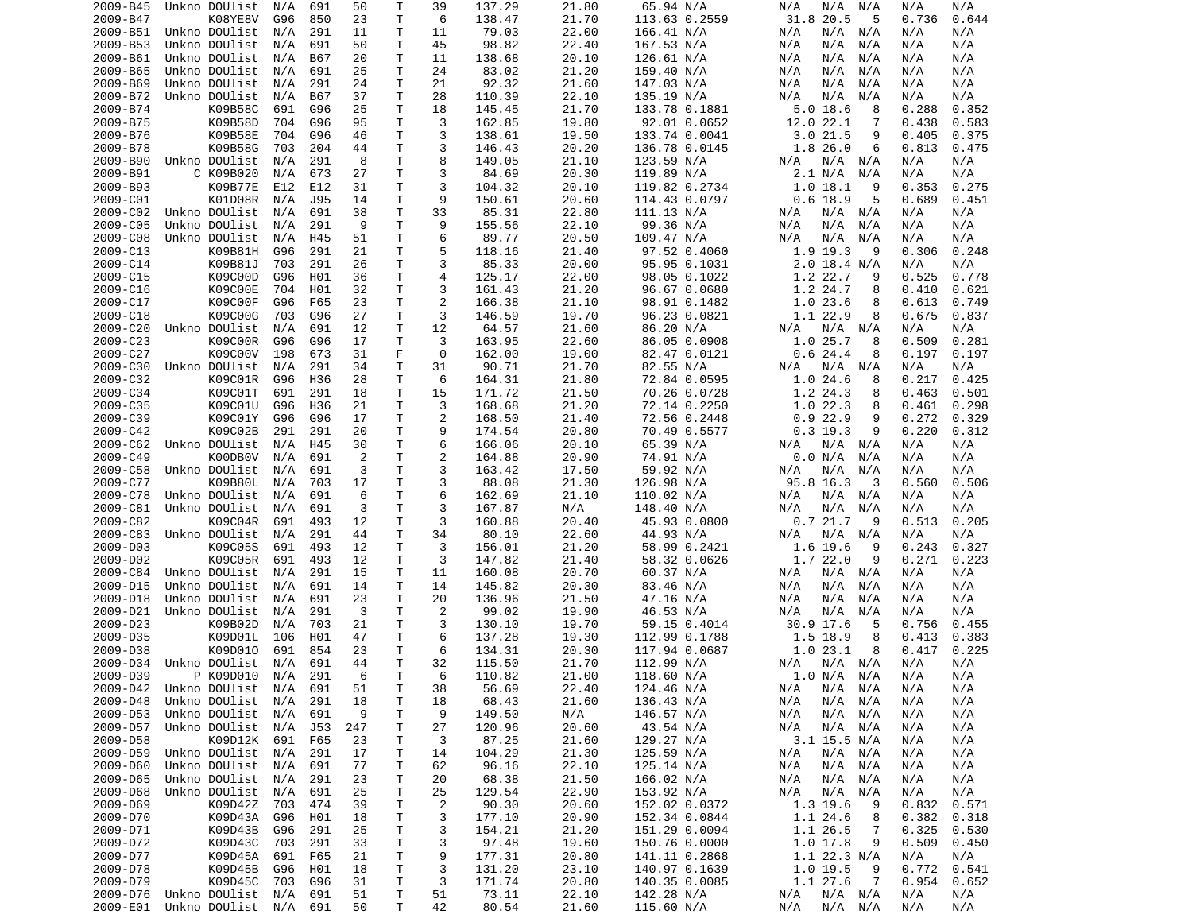| 2009-B45 | Unkno DOUlist         | N/A | 691        | 50       | Т      | 39             | 137.29 | 21.80 | 65.94 N/A     | N/A<br>N/A<br>N/A          | N/A<br>N/A              |
|----------|-----------------------|-----|------------|----------|--------|----------------|--------|-------|---------------|----------------------------|-------------------------|
| 2009-B47 | K08YE8V               | G96 | 850        | 23       | т      | 6              | 138.47 | 21.70 | 113.63 0.2559 | 31.8 20.5<br>5             | 0.736<br>0.644          |
| 2009-B51 | Unkno DOUlist         | N/A | 291        | 11       | т      | 11             | 79.03  | 22.00 | 166.41 N/A    | N/A<br>N/A<br>N/A          | N/A<br>N/A              |
| 2009-B53 | Unkno DOUlist         | N/A | 691        | 50       | т      | 45             | 98.82  | 22.40 | 167.53 N/A    | N/A<br>N/A<br>N/A          | N/A<br>N/A              |
| 2009-B61 | Unkno DOUlist         | N/A | <b>B67</b> | 20       | т      | 11             | 138.68 | 20.10 | 126.61 N/A    | N/A<br>N/A<br>N/A          | N/A<br>N/A              |
| 2009-B65 | Unkno DOUlist         | N/A | 691        | 25       | T      | 24             | 83.02  | 21.20 | 159.40 N/A    | N/A<br>N/A<br>N/A          | N/A<br>N/A              |
| 2009-B69 | Unkno DOUlist         | N/A | 291        | 24       | т      | 21             | 92.32  | 21.60 | 147.03 N/A    | N/A<br>N/A<br>N/A          | N/A<br>N/A              |
| 2009-B72 | Unkno DOUlist         | N/A | <b>B67</b> | 37       | т      | 28             | 110.39 | 22.10 | 135.19 N/A    | N/A<br>N/A<br>N/A          | N/A<br>N/A              |
| 2009-B74 | K09B58C               | 691 | G96        | 25       | т      | 18             | 145.45 | 21.70 | 133.78 0.1881 | $5.0$ 18.6<br>8            | 0.352<br>0.288          |
| 2009-B75 | K09B58D               | 704 | G96        | 95       | т      | 3              | 162.85 | 19.80 | 92.01 0.0652  | 12.0 22.1<br>7             | 0.438<br>0.583          |
| 2009-B76 | K09B58E               | 704 | G96        | 46       | т      | 3              | 138.61 | 19.50 | 133.74 0.0041 | 3.021.5<br>9               | 0.375<br>0.405          |
| 2009-B78 | K09B58G               | 703 | 204        | 44       | т      | 3              | 146.43 | 20.20 | 136.78 0.0145 | 1.8 26.0<br>6              | 0.813<br>0.475          |
| 2009-B90 | Unkno DOUlist         | N/A | 291        | 8        | Τ      | 8              | 149.05 | 21.10 | 123.59 N/A    | N/A<br>N/A<br>N/A          | N/A<br>N/A              |
| 2009-B91 | C K09B020             | N/A | 673        | 27       | т      | 3              | 84.69  | 20.30 | 119.89 N/A    | 2.1 N/A<br>N/A             | N/A<br>N/A              |
| 2009-B93 | K09B77E               | E12 | E12        | 31       | т      | 3              | 104.32 | 20.10 | 119.82 0.2734 | 1.018.1<br>9               | 0.353<br>0.275          |
| 2009-C01 | K01D08R               | N/A | J95        | 14       | т      | 9              | 150.61 | 20.60 | 114.43 0.0797 | $0.6$ 18.9<br>5            | 0.689<br>0.451          |
| 2009-C02 | Unkno DOUlist         | N/A | 691        | 38       | Τ      | 33             | 85.31  | 22.80 | 111.13 N/A    | N/A<br>N/A N/A             | N/A<br>N/A              |
| 2009-C05 | Unkno DOUlist         | N/A | 291        | 9        | Τ      | 9              | 155.56 | 22.10 | 99.36 N/A     | N/A<br>N/A<br>N/A          | N/A<br>N/A              |
| 2009-C08 | Unkno DOUlist         | N/A | H45        | 51       | т      | 6              | 89.77  | 20.50 | 109.47 N/A    | N/A<br>N/A<br>N/A          | N/A<br>N/A              |
| 2009-C13 | K09B81H               | G96 | 291        | 21       | т      | 5              | 118.16 | 21.40 | 97.52 0.4060  | 1.9 19.3<br>9              | 0.248<br>0.306          |
| 2009-C14 | K09B81J               | 703 | 291        | 26       | Τ      | 3              | 85.33  | 20.00 | 95.95 0.1031  | 2.0 18.4 N/A               | N/A<br>N/A              |
| 2009-C15 | K09C00D               | G96 | H01        | 36       | Τ      | 4              | 125.17 | 22.00 | 98.05 0.1022  | 1.2 22.7<br>9              | 0.525<br>0.778          |
| 2009-C16 | K09C00E               | 704 | H01        | 32       | Τ      | 3              | 161.43 | 21.20 | 96.67 0.0680  | 1.2 24.7<br>8              | 0.410<br>0.621          |
| 2009-C17 | K09C00F               | G96 | F65        | 23       | т      | $\overline{2}$ | 166.38 | 21.10 | 98.91 0.1482  | 1.023.6<br>8               | 0.613<br>0.749          |
| 2009-C18 | K09C00G               | 703 | G96        | 27       | т      | 3              | 146.59 | 19.70 | 96.23 0.0821  | 1.1 22.9<br>8              | 0.675<br>0.837          |
| 2009-C20 | Unkno DOUlist         | N/A | 691        | 12       | т      | 12             | 64.57  | 21.60 | 86.20 N/A     | N/A<br>N/A N/A             | N/A<br>N/A              |
| 2009-C23 | K09C00R               | G96 | G96        | 17       | т      | 3              | 163.95 | 22.60 | 86.05 0.0908  | 1.0 25.7<br>8              | 0.509<br>0.281          |
| 2009-C27 | K09C00V               | 198 | 673        | 31       | F      | 0              | 162.00 | 19.00 | 82.47 0.0121  | 0.624.4<br>8               | 0.197<br>0.197          |
| 2009-C30 | Unkno DOUlist         | N/A | 291        | 34       | т      | 31             | 90.71  | 21.70 | 82.55 N/A     | N/A<br>N/A<br>N/A          | N/A<br>N/A              |
|          |                       |     |            |          |        | 6              |        |       |               |                            |                         |
| 2009-C32 | K09C01R               | G96 | H36        | 28       | т      |                | 164.31 | 21.80 | 72.84 0.0595  | 1.024.6<br>8               | 0.217<br>0.425          |
| 2009-C34 | K09C01T               | 691 | 291        | 18       | т      | 15             | 171.72 | 21.50 | 70.26 0.0728  | 1.2 24.3<br>8              | 0.463<br>0.501          |
| 2009-C35 | K09C01U               | G96 | H36        | 21       | Τ      | 3              | 168.68 | 21.20 | 72.14 0.2250  | 1.022.3<br>8               | 0.298<br>0.461          |
| 2009-C39 | K09C01Y               | G96 | G96        | 17       | т      | 2              | 168.50 | 21.40 | 72.56 0.2448  | 0.922.9<br>9               | 0.272<br>0.329          |
| 2009-C42 | K09C02B               | 291 | 291        | 20       | т      | 9              | 174.54 | 20.80 | 70.49 0.5577  | $0.3$ 19.3<br>9            | 0.220<br>0.312          |
| 2009-C62 | Unkno DOUlist         | N/A | H45        | 30       | т      | 6              | 166.06 | 20.10 | 65.39 N/A     | N/A<br>N/A<br>N/A          | N/A<br>N/A              |
| 2009-C49 | K00DB0V               | N/A | 691        | 2        | Τ      | $\overline{c}$ | 164.88 | 20.90 | 74.91 N/A     | 0.0 N/A<br>N/A             | N/A<br>N/A              |
| 2009-C58 | Unkno DOUlist         | N/A | 691        | 3        | т      | 3              | 163.42 | 17.50 | 59.92 N/A     | N/A<br>N/A<br>N/A          | N/A<br>N/A              |
| 2009-C77 | K09B80L               | N/A | 703        | 17       | т      | 3              | 88.08  | 21.30 | 126.98 N/A    | 95.8 16.3<br>3             | 0.506<br>0.560          |
| 2009-C78 | Unkno DOUlist         | N/A | 691        | 6        | Τ      | 6              | 162.69 | 21.10 | 110.02 N/A    | N/A N/A<br>N/A             | N/A<br>N/A              |
| 2009-C81 | Unkno DOUlist         | N/A | 691        | 3        | Τ      | 3              | 167.87 | N/A   | 148.40 N/A    | N/A<br>N/A<br>N/A          | N/A<br>N/A              |
| 2009-C82 | K09C04R               | 691 | 493        | 12       | т      | 3              | 160.88 | 20.40 | 45.93 0.0800  | 0.721.7<br>9               | 0.513<br>0.205          |
| 2009-C83 | Unkno DOUlist         | N/A | 291        | 44       | Τ      | 34             | 80.10  | 22.60 | 44.93 N/A     | N/A<br>N/A N/A             | N/A<br>N/A              |
| 2009-D03 | K09C05S               | 691 | 493        | 12       | т      | 3              | 156.01 | 21.20 | 58.99 0.2421  | 1.6 19.6<br>9              | 0.243<br>0.327          |
| 2009-D02 | K09C05R               | 691 | 493        | 12       | т      | 3              | 147.82 | 21.40 | 58.32 0.0626  | 1.722.0<br>9               | 0.271<br>0.223          |
| 2009-C84 | Unkno DOUlist         | N/A | 291        | 15       | т      | 11             | 160.08 | 20.70 | 60.37 N/A     | N/A<br>N/A N/A             | N/A<br>N/A              |
| 2009-D15 | Unkno DOUlist         | N/A | 691        | 14       | т      | 14             | 145.82 | 20.30 | 83.46 N/A     | N/A<br>N/A<br>N/A          | N/A<br>N/A              |
| 2009-D18 | Unkno DOUlist         | N/A | 691        | 23       | т      | 20             | 136.96 | 21.50 | 47.16 N/A     | N/A<br>N/A<br>N/A          | N/A<br>N/A              |
| 2009-D21 | Unkno DOUlist         | N/A | 291        | 3        | Τ      | 2              | 99.02  | 19.90 | 46.53 N/A     | N/A<br>N/A<br>N/A          | N/A<br>N/A              |
| 2009-D23 | K09B02D               | N/A | 703        | 21       | т      | 3              | 130.10 | 19.70 | 59.15 0.4014  | 30.9 17.6<br>5             | 0.756<br>0.455          |
| 2009-D35 | K09D01L               | 106 | H01        | 47       | т      | 6              | 137.28 | 19.30 | 112.99 0.1788 | 1.5 18.9<br>8              | 0.413<br>0.383          |
| 2009-D38 | K09D010               | 691 | 854        | 23       | Τ      | 6              | 134.31 | 20.30 | 117.94 0.0687 | 1.023.1<br>8               | 0.417<br>0.225          |
| 2009-D34 | Unkno DOUlist         | N/A | 691        | 44       | T.     | 32             | 115.50 | 21.70 | 112.99 N/A    | N/A<br>N/A N/A             | N/A<br>N/A              |
| 2009-D39 | P K09D010 N/A 291     |     |            | - 6      | T.     | 6              | 110.82 | 21.00 | 118.60 N/A    | 1.0 N/A N/A                | N/A<br>N/A              |
| 2009-D42 | Unkno DOUlist N/A 691 |     |            | 51       | т      | 38             | 56.69  | 22.40 | 124.46 N/A    | $N/A$ $N/A$<br>N/A         | N/A<br>N/A              |
| 2009-D48 | Unkno DOUlist         | N/A | 291        | 18       | т      | 18             | 68.43  | 21.60 | 136.43 N/A    | N/A<br>$N/A$ $N/A$         | N/A<br>N/A              |
| 2009-D53 | Unkno DOUlist         | N/A | 691        | 9        | т      | 9              | 149.50 | N/A   | 146.57 N/A    | N/A<br>N/A N/A             | N/A<br>N/A              |
| 2009-D57 | Unkno DOUlist         | N/A | J53        | 247      | Т      | 27             | 120.96 | 20.60 | 43.54 N/A     | $N/A$ $N/A$<br>N/A         | N/A<br>N/A              |
| 2009-D58 | K09D12K               | 691 | F65        | 23       | т      | 3              | 87.25  | 21.60 | 129.27 N/A    | 3.1 15.5 N/A               | N/A<br>N/A              |
| 2009-D59 | Unkno DOUlist         | N/A | 291        | 17       | т      | 14             | 104.29 | 21.30 | 125.59 N/A    | N/A<br>N/A N/A             | N/A<br>N/A              |
| 2009-D60 | Unkno DOUlist         | N/A | 691        | 77       | Τ      | 62             | 96.16  | 22.10 | 125.14 N/A    | N/A<br>N/A N/A             | N/A<br>N/A              |
| 2009-D65 | Unkno DOUlist         | N/A | 291        | 23       | т      | 20             | 68.38  | 21.50 | 166.02 N/A    | N/A<br>N/A<br>N/A          | N/A<br>N/A              |
| 2009-D68 | Unkno DOUlist         | N/A | 691        | 25       | т      | 25             | 129.54 | 22.90 | 153.92 N/A    | N/A<br>N/A<br>N/A          | N/A<br>N/A              |
| 2009-D69 | K09D42Z               | 703 | 474        | 39       | Τ      | $\overline{c}$ | 90.30  | 20.60 | 152.02 0.0372 | 1.3 19.6<br>9              | 0.832<br>0.571          |
| 2009-D70 | K09D43A               | G96 |            |          |        |                | 177.10 | 20.90 | 152.34 0.0844 | 1.1 24.6<br>8              | 0.382                   |
| 2009-D71 | K09D43B               | G96 | H01<br>291 | 18<br>25 | Τ<br>т | 3<br>3         | 154.21 | 21.20 | 151.29 0.0094 | 1.1 26.5<br>7              | 0.318<br>0.325<br>0.530 |
|          |                       |     |            |          |        |                |        |       |               |                            |                         |
| 2009-D72 | K09D43C               | 703 | 291        | 33       | T      | 3              | 97.48  | 19.60 | 150.76 0.0000 | 1.0 17.8<br>9              | 0.509<br>0.450          |
| 2009-D77 | K09D45A               | 691 | F65        | 21       | Τ      | 9              | 177.31 | 20.80 | 141.11 0.2868 | $1.1$ 22.3 N/A             | N/A<br>N/A              |
| 2009-D78 | K09D45B               | G96 | H01        | 18       | т      | 3              | 131.20 | 23.10 | 140.97 0.1639 | 1.0 19.5<br>9              | 0.772<br>0.541          |
| 2009-D79 | K09D45C               | 703 | G96        | 31       | T      | 3              | 171.74 | 20.80 | 140.35 0.0085 | 1.1 27.6<br>$\overline{7}$ | 0.954<br>0.652          |
| 2009-D76 | Unkno DOUlist         | N/A | 691        | 51       | T      | 51             | 73.11  | 22.10 | 142.28 N/A    | N/A N/A<br>N/A             | N/A<br>N/A              |
| 2009-E01 | Unkno DOUlist N/A 691 |     |            | 50       | T.     | 42             | 80.54  | 21.60 | 115.60 N/A    | N/A<br>N/A N/A             | N/A<br>N/A              |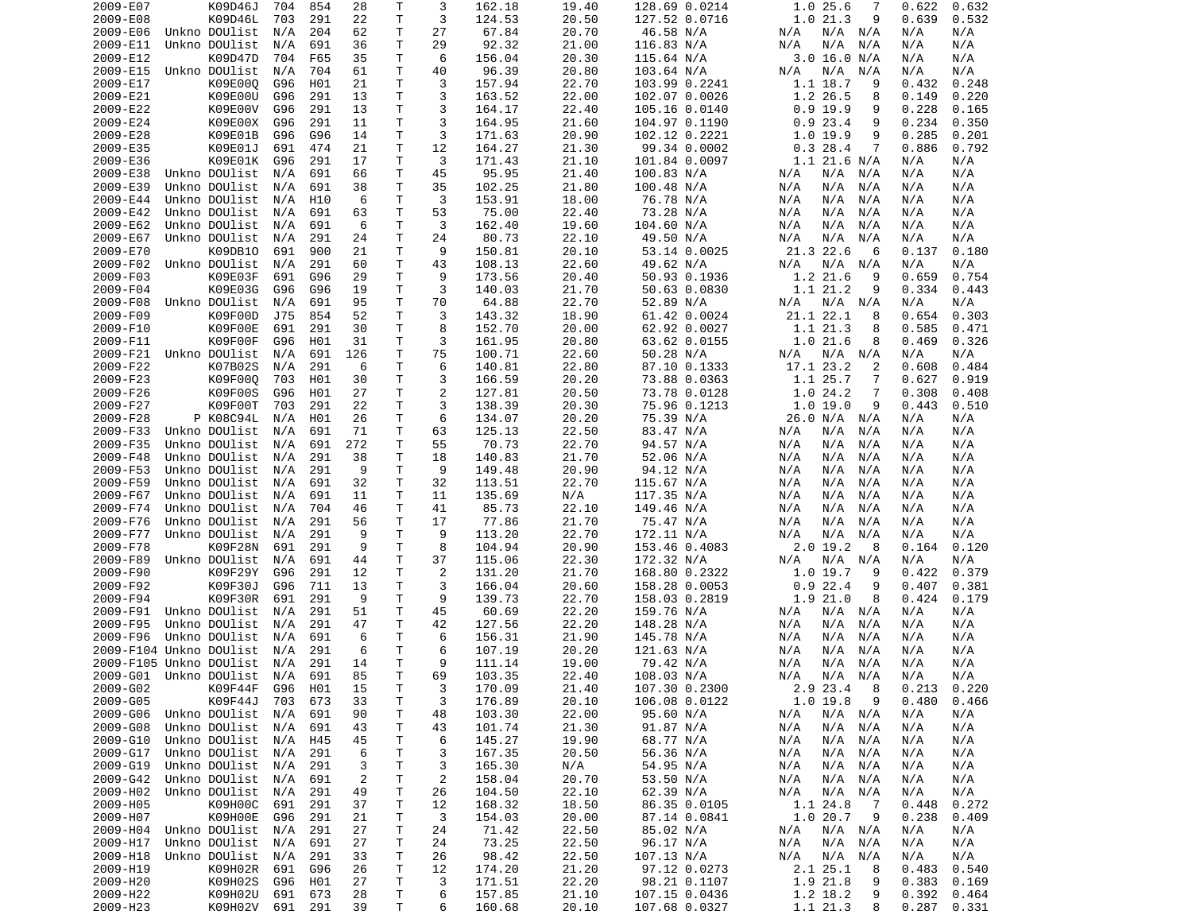| 2009-E07             | K09D46J                                   | 704        | 854        | 28             | Τ                  | 3              | 162.18           | 19.40          | 128.69 0.0214                  | 1.025.6<br>7                    | 0.632<br>0.622                   |
|----------------------|-------------------------------------------|------------|------------|----------------|--------------------|----------------|------------------|----------------|--------------------------------|---------------------------------|----------------------------------|
| 2009-E08             | K09D46L                                   | 703        | 291        | 22             | Τ                  | 3              | 124.53           | 20.50          | 127.52 0.0716                  | 1.021.3<br>9                    | 0.639<br>0.532                   |
| 2009-E06             | Unkno DOUlist                             | N/A        | 204        | 62             | т                  | 27             | 67.84            | 20.70          | 46.58 N/A                      | N/A N/A<br>N/A                  | N/A<br>N/A                       |
| 2009-E11             | Unkno DOUlist                             | N/A        | 691        | 36             | т                  | 29             | 92.32            | 21.00          | 116.83 N/A                     | N/A<br>N/A<br>N/A               | N/A<br>N/A                       |
| 2009-E12             | K09D47D                                   | 704        | F65        | 35             | т                  | 6              | 156.04           | 20.30          | 115.64 N/A                     | 3.0 16.0 N/A                    | N/A<br>N/A                       |
| 2009-E15             | Unkno DOUlist                             | N/A        | 704        | 61             | Τ                  | 40             | 96.39            | 20.80          | 103.64 N/A                     | N/A<br>N/A<br>N/A               | N/A<br>N/A                       |
| 2009-E17<br>2009-E21 | K09E000<br>K09E00U                        | G96<br>G96 | H01<br>291 | 21<br>13       | т<br>т             | 3<br>3         | 157.94<br>163.52 | 22.70<br>22.00 | 103.99 0.2241<br>102.07 0.0026 | 1.1 18.7<br>9<br>1.2 26.5<br>8  | 0.432<br>0.248<br>0.149<br>0.220 |
| 2009-E22             | K09E00V                                   | G96        | 291        | 13             | Τ                  | 3              | 164.17           | 22.40          | 105.16 0.0140                  | $0.9$ 19.9<br>9                 | 0.228<br>0.165                   |
| 2009-E24             | K09E00X                                   | G96        | 291        | 11             | Τ                  | 3              | 164.95           | 21.60          | 104.97 0.1190                  | 0.923.4<br>9                    | 0.234<br>0.350                   |
| 2009-E28             | K09E01B                                   | G96        | G96        | 14             | T                  | 3              | 171.63           | 20.90          | 102.12 0.2221                  | 1.0 19.9<br>9                   | 0.285<br>0.201                   |
| 2009-E35             | K09E01J                                   | 691        | 474        | 21             | Τ                  | 12             | 164.27           | 21.30          | 99.34 0.0002                   | 0.328.4<br>7                    | 0.886<br>0.792                   |
| 2009-E36             | K09E01K                                   | G96        | 291        | 17             | Τ                  | 3              | 171.43           | 21.10          | 101.84 0.0097                  | $1.1$ 21.6 N/A                  | N/A<br>N/A                       |
| 2009-E38             | Unkno DOUlist                             | N/A        | 691        | 66             | т                  | 45             | 95.95            | 21.40          | 100.83 N/A                     | N/A<br>N/A N/A                  | N/A<br>N/A                       |
| 2009-E39             | Unkno DOUlist                             | N/A        | 691        | 38             | т                  | 35             | 102.25           | 21.80          | 100.48 N/A                     | N/A<br>N/A<br>N/A               | N/A<br>N/A                       |
| 2009-E44             | Unkno DOUlist                             | N/A        | H10        | 6              | т                  | 3              | 153.91           | 18.00          | 76.78 N/A                      | N/A<br>N/A<br>N/A               | N/A<br>N/A                       |
| 2009-E42             | Unkno DOUlist                             | N/A        | 691        | 63             | т                  | 53             | 75.00            | 22.40          | 73.28 N/A                      | N/A<br>N/A<br>N/A               | N/A<br>N/A                       |
| 2009-E62             | Unkno DOUlist                             | N/A        | 691        | 6              | T                  | 3              | 162.40           | 19.60          | 104.60 N/A                     | N/A<br>N/A<br>N/A               | N/A<br>N/A                       |
| 2009-E67             | Unkno DOUlist                             | N/A        | 291        | 24             | Τ                  | 24             | 80.73            | 22.10          | 49.50 N/A                      | N/A<br>N/A<br>N/A               | N/A<br>N/A                       |
| 2009-E70             | K09DB10                                   | 691        | 900        | 21             | Τ                  | 9              | 150.81           | 20.10          | 53.14 0.0025                   | 21.3 22.6<br>6                  | 0.137<br>0.180                   |
| 2009-F02             | Unkno DOUlist                             | N/A        | 291        | 60             | Τ                  | 43             | 108.13           | 22.60          | 49.62 N/A                      | N/A<br>N/A N/A                  | N/A<br>N/A                       |
| 2009-F03             | K09E03F                                   | 691        | G96        | 29             | Τ                  | 9              | 173.56           | 20.40          | 50.93 0.1936                   | 1.2 21.6<br>9                   | 0.659<br>0.754                   |
| 2009-F04             | K09E03G                                   | G96        | G96        | 19             | Τ                  | 3              | 140.03           | 21.70          | 50.63 0.0830                   | 1.1 21.2<br>9                   | 0.334<br>0.443                   |
| 2009-F08             | Unkno DOUlist                             | N/A        | 691        | 95             | T.                 | 70             | 64.88            | 22.70          | 52.89 N/A                      | N/A<br>N/A N/A                  | N/A<br>N/A                       |
| 2009-F09             | K09F00D                                   | J75        | 854        | 52             | Τ                  | 3              | 143.32           | 18.90          | 61.42 0.0024                   | 21.1 22.1<br>8                  | 0.303<br>0.654                   |
| 2009-F10             | K09F00E                                   | 691        | 291        | 30             | т                  | 8              | 152.70           | 20.00          | 62.92 0.0027                   | 1.1 21.3<br>8                   | 0.585<br>0.471                   |
| 2009-F11             | K09F00F<br>Unkno DOUlist                  | G96        | H01        | 31             | T                  | 3              | 161.95           | 20.80          | 63.62 0.0155                   | 1.021.6<br>8                    | 0.326<br>0.469                   |
| 2009-F21             | K07B02S                                   | N/A        | 691        | 126            | Τ                  | 75             | 100.71           | 22.60          | 50.28 N/A                      | N/A<br>N/A N/A                  | N/A<br>N/A                       |
| 2009-F22<br>2009-F23 | K09F000                                   | N/A<br>703 | 291<br>H01 | 6<br>30        | т<br>Τ             | 6<br>3         | 140.81<br>166.59 | 22.80<br>20.20 | 87.10 0.1333<br>73.88 0.0363   | 17.1 23.2<br>2<br>1.1 25.7<br>7 | 0.608<br>0.484<br>0.919<br>0.627 |
| 2009-F26             | K09F00S                                   | G96        | H01        | 27             | T                  | $\overline{c}$ | 127.81           | 20.50          | 73.78 0.0128                   | 1.024.2<br>7                    | 0.308<br>0.408                   |
| 2009-F27             | K09F00T                                   | 703        | 291        | 22             | Τ                  | 3              | 138.39           | 20.30          | 75.96 0.1213                   | 1.019.0<br>9                    | 0.443<br>0.510                   |
| 2009-F28             | P K08C94L                                 | N/A        | H01        | 26             | т                  | 6              | 134.07           | 20.20          | 75.39 N/A                      | 26.0 N/A<br>N/A                 | N/A<br>N/A                       |
| 2009-F33             | Unkno DOUlist                             | N/A        | 691        | 71             | Τ                  | 63             | 125.13           | 22.50          | 83.47 N/A                      | N/A<br>N/A<br>N/A               | N/A<br>N/A                       |
| 2009-F35             | Unkno DOUlist                             | N/A        | 691        | 272            | Τ                  | 55             | 70.73            | 22.70          | 94.57 N/A                      | N/A<br>N/A<br>N/A               | N/A<br>N/A                       |
| 2009-F48             | Unkno DOUlist                             | N/A        | 291        | 38             | т                  | 18             | 140.83           | 21.70          | 52.06 N/A                      | N/A<br>N/A<br>N/A               | N/A<br>N/A                       |
| 2009-F53             | Unkno DOUlist                             | N/A        | 291        | 9              | Τ                  | 9              | 149.48           | 20.90          | 94.12 N/A                      | N/A<br>N/A<br>N/A               | N/A<br>N/A                       |
| 2009-F59             | Unkno DOUlist                             | N/A        | 691        | 32             | т                  | 32             | 113.51           | 22.70          | 115.67 N/A                     | N/A<br>N/A<br>N/A               | N/A<br>N/A                       |
| 2009-F67             | Unkno DOUlist                             | N/A        | 691        | 11             | T                  | 11             | 135.69           | N/A            | 117.35 N/A                     | N/A<br>N/A<br>N/A               | N/A<br>N/A                       |
| 2009-F74             | Unkno DOUlist                             | N/A        | 704        | 46             | Τ                  | 41             | 85.73            | 22.10          | 149.46 N/A                     | N/A<br>N/A<br>N/A               | N/A<br>N/A                       |
| 2009-F76             | Unkno DOUlist                             | N/A        | 291        | 56             | T                  | 17             | 77.86            | 21.70          | 75.47 N/A                      | N/A<br>N/A<br>N/A               | N/A<br>N/A                       |
| 2009-F77             | Unkno DOUlist                             | N/A        | 291        | 9              | T                  | 9              | 113.20           | 22.70          | 172.11 N/A                     | N/A<br>N/A<br>N/A               | N/A<br>N/A                       |
| 2009-F78             | K09F28N                                   | 691        | 291        | 9              | Τ                  | 8              | 104.94           | 20.90          | 153.46 0.4083                  | 2.0 19.2<br>8                   | 0.164<br>0.120                   |
| 2009-F89             | Unkno DOUlist                             | N/A        | 691        | 44             | T                  | 37             | 115.06           | 22.30          | 172.32 N/A                     | N/A N/A<br>N/A                  | N/A<br>N/A                       |
| 2009-F90             | K09F29Y                                   | G96        | 291        | 12             | т                  | 2              | 131.20           | 21.70          | 168.80 0.2322                  | 1.0 19.7<br>9                   | 0.422<br>0.379                   |
| 2009-F92             | K09F30J                                   | G96        | 711        | 13             | Τ                  | 3              | 166.04           | 20.60          | 158.28 0.0053                  | 0.922.4<br>9                    | 0.381<br>0.407                   |
| 2009-F94             | K09F30R                                   | 691        | 291        | 9              | Τ                  | 9              | 139.73           | 22.70          | 158.03 0.2819                  | 1.921.0<br>8                    | 0.424<br>0.179                   |
| 2009-F91             | Unkno DOUlist                             | N/A        | 291        | 51             | т                  | 45             | 60.69            | 22.20          | 159.76 N/A                     | N/A N/A<br>N/A                  | N/A<br>N/A                       |
| 2009-F95             | Unkno DOUlist                             | N/A        | 291        | 47             | т                  | 42             | 127.56           | 22.20          | 148.28 N/A                     | N/A<br>N/A<br>N/A               | N/A<br>N/A                       |
| 2009-F96             | Unkno DOUlist                             | N/A        | 691        | 6              | т                  | 6              | 156.31           | 21.90          | 145.78 N/A                     | N/A<br>N/A<br>N/A               | N/A<br>N/A                       |
|                      | 2009-F104 Unkno DOUlist                   | N/A        | 291        | 6              | $\mathsf{T}$<br>T. | 6<br>9         | 107.19           | 20.20          | 121.63 N/A                     | N/A<br>N/A<br>N/A               | N/A<br>N/A                       |
|                      | 2009-F105 Unkno DOUlist                   | N/A        | 291        | 14<br>85       |                    |                | 111.14           | 19.00<br>22.40 | 79.42 N/A                      | N/A<br>N/A<br>N/A               | N/A<br>N/A                       |
| 2009-G02             | 2009-G01 Unkno DOUlist N/A 691<br>K09F44F | G96        | H01        | 15             | T.<br>Τ            | 69<br>3        | 103.35<br>170.09 | 21.40          | 108.03 N/A<br>107.30 0.2300    | N/A<br>N/A N/A<br>8<br>2.9 23.4 | N/A<br>N/A<br>0.213<br>0.220     |
| 2009-G05             | K09F44J                                   | 703        | 673        | 33             | $\mathsf T$        | 3              | 176.89           | 20.10          | 106.08 0.0122                  | $1.0$ 19.8<br>9                 | 0.480<br>0.466                   |
| 2009-G06             | Unkno DOUlist                             | N/A        | 691        | 90             | Τ                  | 48             | 103.30           | 22.00          | 95.60 N/A                      | N/A N/A<br>N/A                  | N/A<br>N/A                       |
| 2009-G08             | Unkno DOUlist                             | N/A        | 691        | 43             | Τ                  | 43             | 101.74           | 21.30          | 91.87 N/A                      | $N/A$ $N/A$<br>N/A              | N/A<br>N/A                       |
| 2009-G10             | Unkno DOUlist                             | N/A        | H45        | 45             | т                  | 6              | 145.27           | 19.90          | 68.77 N/A                      | N/A<br>N/A N/A                  | N/A<br>N/A                       |
| 2009-G17             | Unkno DOUlist                             | N/A        | 291        | 6              | т                  | 3              | 167.35           | 20.50          | 56.36 N/A                      | N/A<br>N/A N/A                  | N/A<br>N/A                       |
| 2009-G19             | Unkno DOUlist                             | N/A        | 291        | 3              | T                  | 3              | 165.30           | N/A            | 54.95 N/A                      | N/A<br>N/A N/A                  | N/A<br>N/A                       |
| 2009-G42             | Unkno DOUlist                             | N/A        | 691        | $\overline{2}$ | т                  | $\overline{c}$ | 158.04           | 20.70          | 53.50 N/A                      | N/A<br>N/A N/A                  | N/A<br>N/A                       |
| 2009-H02             | Unkno DOUlist                             | N/A        | 291        | 49             | Τ                  | 26             | 104.50           | 22.10          | 62.39 N/A                      | N/A<br>$N/A$ $N/A$              | N/A<br>N/A                       |
| 2009-H05             | K09H00C                                   | 691        | 291        | 37             | Τ                  | 12             | 168.32           | 18.50          | 86.35 0.0105                   | 1.1 24.8<br>$\overline{7}$      | 0.448<br>0.272                   |
| 2009-H07             | K09H00E                                   | G96        | 291        | 21             | Τ                  | 3              | 154.03           | 20.00          | 87.14 0.0841                   | 1.0 20.7<br>- 9                 | 0.238<br>0.409                   |
| 2009-H04             | Unkno DOUlist                             | N/A        | 291        | 27             | Τ                  | 24             | 71.42            | 22.50          | 85.02 N/A                      | N/A<br>$N/A$ $N/A$              | N/A<br>N/A                       |
| 2009-H17             | Unkno DOUlist                             | N/A        | 691        | 27             | Τ                  | 24             | 73.25            | 22.50          | 96.17 N/A                      | $N/A$ $N/A$<br>N/A              | N/A<br>N/A                       |
| 2009-H18             | Unkno DOUlist                             | N/A        | 291        | 33             | T                  | 26             | 98.42            | 22.50          | 107.13 N/A                     | N/A<br>N/A N/A                  | N/A<br>N/A                       |
| 2009-H19             | K09H02R                                   | 691        | G96        | 26             | Τ                  | 12             | 174.20           | 21.20          | 97.12 0.0273                   | 2.1 25.1<br>8                   | 0.483<br>0.540                   |
| 2009-H20             | K09H02S                                   | G96        | H01        | 27             | T.                 | 3              | 171.51           | 22.20          | 98.21 0.1107                   | 1.9 21.8<br>9                   | 0.383<br>0.169                   |
| 2009-H22             | K09H02U                                   | 691        | 673        | 28             | T.                 | 6              | 157.85           | 21.10          | 107.15 0.0436                  | 1.2 18.2<br>9                   | 0.392<br>0.464                   |
| 2009-H23             | K09H02V                                   |            | 691 291    | 39             | T.                 | 6              | 160.68           | 20.10          | 107.68 0.0327                  | 1.1 21.3<br>8                   | 0.287<br>0.331                   |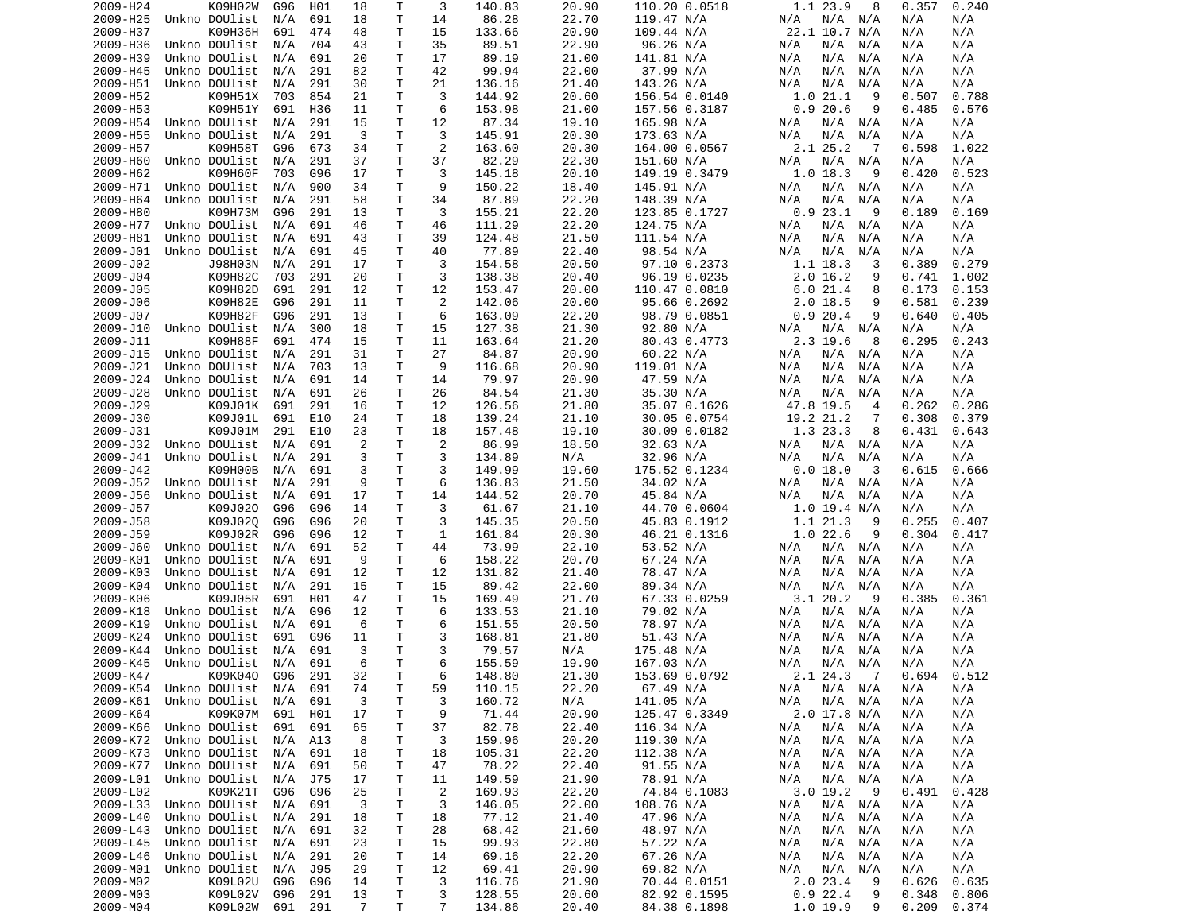| 2009-H24 | K09H02W           | G96 | H01 | 18             | Τ            | 3              | 140.83 | 20.90 | 110.20 0.0518 | 1.1 23.9<br>8               | 0.357<br>0.240 |  |
|----------|-------------------|-----|-----|----------------|--------------|----------------|--------|-------|---------------|-----------------------------|----------------|--|
| 2009-H25 | Unkno DOUlist     | N/A | 691 | 18             | T            | 14             | 86.28  | 22.70 | 119.47 N/A    | N/A N/A<br>N/A              | N/A<br>N/A     |  |
| 2009-H37 | K09H36H           | 691 | 474 | 48             | Τ            | 15             | 133.66 | 20.90 | 109.44 N/A    | 22.1 10.7 N/A               | N/A<br>N/A     |  |
| 2009-H36 | Unkno DOUlist     | N/A | 704 | 43             | Τ            | 35             | 89.51  | 22.90 | 96.26 N/A     | N/A<br>N/A<br>N/A           | N/A<br>N/A     |  |
| 2009-H39 | Unkno DOUlist     | N/A | 691 | 20             | Τ            | 17             | 89.19  | 21.00 | 141.81 N/A    | N/A<br>N/A<br>N/A           | N/A<br>N/A     |  |
| 2009-H45 | Unkno DOUlist     | N/A | 291 | 82             | T            | 42             | 99.94  | 22.00 | 37.99 N/A     | N/A<br>N/A<br>N/A           | N/A<br>N/A     |  |
| 2009-H51 | Unkno DOUlist     | N/A | 291 | 30             | Τ            | 21             | 136.16 | 21.40 | 143.26 N/A    | N/A<br>N/A<br>N/A           | N/A<br>N/A     |  |
| 2009-H52 | K09H51X           | 703 | 854 | 21             | т            | 3              | 144.92 | 20.60 | 156.54 0.0140 | 1.021.1<br>9                | 0.507<br>0.788 |  |
| 2009-H53 | K09H51Y           | 691 | H36 | 11             | Τ            | 6              | 153.98 | 21.00 | 157.56 0.3187 | 0.920.6<br>9                | 0.485<br>0.576 |  |
| 2009-H54 | Unkno DOUlist     | N/A | 291 | 15             | Τ            | 12             | 87.34  | 19.10 | 165.98 N/A    | N/A N/A<br>N/A              | N/A<br>N/A     |  |
| 2009-H55 | Unkno DOUlist     | N/A | 291 | 3              | Τ            | 3              | 145.91 | 20.30 | 173.63 N/A    | N/A<br>N/A<br>N/A           | N/A<br>N/A     |  |
| 2009-H57 | K09H58T           | G96 | 673 | 34             | T            | 2              | 163.60 | 20.30 | 164.00 0.0567 | 2.1 25.2<br>- 7             | 0.598<br>1.022 |  |
| 2009-H60 | Unkno DOUlist     | N/A | 291 | 37             | T            | 37             | 82.29  | 22.30 | 151.60 N/A    | N/A<br>N/A N/A              | N/A<br>N/A     |  |
| 2009-H62 | K09H60F           | 703 | G96 | 17             | т            | 3              | 145.18 | 20.10 | 149.19 0.3479 | $1.0$ 18.3<br>9             | 0.420<br>0.523 |  |
| 2009-H71 | Unkno DOUlist     | N/A | 900 | 34             | т            | 9              | 150.22 | 18.40 | 145.91 N/A    | N/A<br>N/A N/A              | N/A<br>N/A     |  |
| 2009-H64 | Unkno DOUlist     | N/A | 291 | 58             | Τ            | 34             | 87.89  | 22.20 | 148.39 N/A    | N/A<br>N/A<br>N/A           | N/A<br>N/A     |  |
| 2009-H80 | K09H73M           | G96 | 291 | 13             | т            | 3              | 155.21 | 22.20 | 123.85 0.1727 | 0.923.1<br>- 9              | 0.189<br>0.169 |  |
| 2009-H77 | Unkno DOUlist     | N/A | 691 | 46             | T            | 46             | 111.29 | 22.20 | 124.75 N/A    | N/A<br>N/A<br>N/A           | N/A<br>N/A     |  |
| 2009-H81 | Unkno DOUlist     | N/A | 691 | 43             | T            | 39             | 124.48 | 21.50 | 111.54 N/A    | N/A<br>N/A<br>N/A           | N/A<br>N/A     |  |
| 2009-J01 | Unkno DOUlist     | N/A | 691 | 45             | T            | 40             | 77.89  | 22.40 | 98.54 N/A     | N/A<br>N/A<br>N/A           | N/A<br>N/A     |  |
| 2009-J02 | J98H03N           | N/A | 291 | 17             | Τ            | 3              | 154.58 | 20.50 | 97.10 0.2373  | 1.1 18.3<br>3               | 0.389<br>0.279 |  |
| 2009-J04 | K09H82C           | 703 | 291 | 20             | т            | 3              | 138.38 | 20.40 | 96.19 0.0235  | $2.0$ 16.2<br>9             | 0.741<br>1.002 |  |
| 2009-J05 | K09H82D           | 691 | 291 | 12             | T            | 12             | 153.47 | 20.00 | 110.47 0.0810 | 6.021.4<br>8                | 0.173<br>0.153 |  |
| 2009-J06 | K09H82E           | G96 | 291 | 11             | Τ            | 2              | 142.06 | 20.00 | 95.66 0.2692  | $2.0$ 18.5<br>9             | 0.581<br>0.239 |  |
| 2009-J07 | K09H82F           | G96 | 291 | 13             | Τ            | 6              | 163.09 | 22.20 | 98.79 0.0851  | 0.920.4<br>9                | 0.640<br>0.405 |  |
| 2009-J10 | Unkno DOUlist     | N/A | 300 | 18             | т            | 15             | 127.38 | 21.30 | 92.80 N/A     | N/A N/A<br>N/A              | N/A<br>N/A     |  |
| 2009-J11 | K09H88F           | 691 | 474 | 15             | T            | 11             | 163.64 | 21.20 | 80.43 0.4773  | 2.3 19.6<br>8               | 0.295<br>0.243 |  |
| 2009-J15 | Unkno DOUlist     | N/A | 291 | 31             | Τ            | 27             | 84.87  | 20.90 | 60.22 N/A     | N/A<br>N/A<br>N/A           | N/A<br>N/A     |  |
| 2009-J21 | Unkno DOUlist     | N/A | 703 | 13             | т            | 9              | 116.68 | 20.90 | 119.01 N/A    | N/A<br>N/A<br>N/A           | N/A<br>N/A     |  |
|          | Unkno DOUlist     |     | 691 |                | T            | 14             | 79.97  | 20.90 |               | N/A                         |                |  |
| 2009-J24 |                   | N/A |     | 14             |              |                |        |       | 47.59 N/A     | N/A<br>N/A                  | N/A<br>N/A     |  |
| 2009-J28 | Unkno DOUlist     | N/A | 691 | 26             | Τ            | 26             | 84.54  | 21.30 | 35.30 N/A     | N/A<br>N/A<br>N/A           | N/A<br>N/A     |  |
| 2009-J29 | K09J01K           | 691 | 291 | 16             | T            | 12             | 126.56 | 21.80 | 35.07 0.1626  | 47.8 19.5<br>$\overline{4}$ | 0.262<br>0.286 |  |
| 2009-J30 | K09J01L           | 691 | E10 | 24             | Τ            | 18             | 139.24 | 21.10 | 30.05 0.0754  | 19.2 21.2<br>7              | 0.308<br>0.379 |  |
| 2009-J31 | K09J01M           | 291 | E10 | 23             | T.           | 18             | 157.48 | 19.10 | 30.09 0.0182  | 1.3 23.3<br>8               | 0.431<br>0.643 |  |
| 2009-J32 | Unkno DOUlist     | N/A | 691 | 2              | т            | 2              | 86.99  | 18.50 | 32.63 N/A     | N/A N/A<br>N/A              | N/A<br>N/A     |  |
| 2009-J41 | Unkno DOUlist     | N/A | 291 | 3              | т            | 3              | 134.89 | N/A   | 32.96 N/A     | N/A<br>N/A<br>N/A           | N/A<br>N/A     |  |
| 2009-J42 | K09H00B           | N/A | 691 | 3              | Τ            | 3              | 149.99 | 19.60 | 175.52 0.1234 | 0.0 18.0<br>3               | 0.615<br>0.666 |  |
| 2009-J52 | Unkno DOUlist     | N/A | 291 | 9              | Τ            | 6              | 136.83 | 21.50 | 34.02 N/A     | N/A N/A<br>N/A              | N/A<br>N/A     |  |
| 2009-J56 | Unkno DOUlist     | N/A | 691 | 17             | T            | 14             | 144.52 | 20.70 | 45.84 N/A     | N/A<br>N/A<br>N/A           | N/A<br>N/A     |  |
| 2009-J57 | K09J020           | G96 | G96 | 14             | Τ            | 3              | 61.67  | 21.10 | 44.70 0.0604  | $1.0$ 19.4 N/A              | N/A<br>N/A     |  |
| 2009-J58 | K09J02Q           | G96 | G96 | 20             | Τ            | 3              | 145.35 | 20.50 | 45.83 0.1912  | 1.1 21.3<br>9               | 0.255<br>0.407 |  |
| 2009-J59 | K09J02R           | G96 | G96 | 12             | T            | 1              | 161.84 | 20.30 | 46.21 0.1316  | 1.022.6<br>9                | 0.304<br>0.417 |  |
| 2009-J60 | Unkno DOUlist     | N/A | 691 | 52             | Τ            | 44             | 73.99  | 22.10 | 53.52 N/A     | N/A N/A<br>N/A              | N/A<br>N/A     |  |
| 2009-K01 | Unkno DOUlist     | N/A | 691 | 9              | T.           | 6              | 158.22 | 20.70 | 67.24 N/A     | N/A<br>N/A<br>N/A           | N/A<br>N/A     |  |
| 2009-K03 | Unkno DOUlist     | N/A | 691 | 12             | т            | 12             | 131.82 | 21.40 | 78.47 N/A     | N/A<br>N/A<br>N/A           | N/A<br>N/A     |  |
| 2009-K04 | Unkno DOUlist     | N/A | 291 | 15             | Τ            | 15             | 89.42  | 22.00 | 89.34 N/A     | N/A<br>N/A<br>N/A           | N/A<br>N/A     |  |
| 2009-K06 | K09J05R           | 691 | H01 | 47             | Τ            | 15             | 169.49 | 21.70 | 67.33 0.0259  | 3.120.2<br>-9               | 0.361<br>0.385 |  |
| 2009-K18 | Unkno DOUlist     | N/A | G96 | 12             | т            | 6              | 133.53 | 21.10 | 79.02 N/A     | N/A<br>N/A<br>N/A           | N/A<br>N/A     |  |
| 2009-K19 | Unkno DOUlist     | N/A | 691 | 6              | т            | 6              | 151.55 | 20.50 | 78.97 N/A     | N/A<br>N/A<br>N/A           | N/A<br>N/A     |  |
| 2009-K24 | Unkno DOUlist     | 691 | G96 | 11             | т            | 3              | 168.81 | 21.80 | 51.43 N/A     | N/A<br>N/A<br>N/A           | N/A<br>N/A     |  |
| 2009-K44 | Unkno DOUlist     | N/A | 691 | 3              | $\mathsf{T}$ | 3              | 79.57  | N/A   | 175.48 N/A    | N/A<br>N/A<br>N/A           | N/A<br>N/A     |  |
| 2009-K45 | Unkno DOUlist     | N/A | 691 | 6              | T.           | 6              | 155.59 | 19.90 | 167.03 N/A    | N/A<br>N/A N/A              | N/A<br>N/A     |  |
| 2009-K47 | K09K040 G96       |     | 291 | 32             | T.           | 6              | 148.80 | 21.30 | 153.69 0.0792 | 2.1 24.3 7                  | 0.694<br>0.512 |  |
| 2009-K54 | Unkno DOUlist N/A |     | 691 | 74             | т            | 59             | 110.15 | 22.20 | 67.49 N/A     | N/A N/A<br>N/A              | N/A<br>N/A     |  |
| 2009-K61 | Unkno DOUlist     | N/A | 691 | 3              | Τ            | 3              | 160.72 | N/A   | 141.05 N/A    | $N/A$ $N/A$<br>N/A          | N/A<br>N/A     |  |
| 2009-K64 | K09K07M           | 691 | H01 | 17             | Τ            | 9              | 71.44  | 20.90 | 125.47 0.3349 | 2.0 17.8 N/A                | N/A<br>N/A     |  |
| 2009-K66 | Unkno DOUlist     | 691 | 691 | 65             | Τ            | 37             | 82.78  | 22.40 | 116.34 N/A    | N/A<br>N/A N/A              | N/A<br>N/A     |  |
| 2009-K72 | Unkno DOUlist     | N/A | A13 | 8              | Τ            | 3              | 159.96 | 20.20 | 119.30 N/A    | N/A<br>N/A N/A              | N/A<br>N/A     |  |
| 2009-K73 | Unkno DOUlist     | N/A | 691 | 18             | Τ            | 18             | 105.31 | 22.20 | 112.38 N/A    | N/A<br>N/A N/A              | N/A<br>N/A     |  |
| 2009-K77 | Unkno DOUlist     | N/A | 691 | 50             | T            | 47             | 78.22  | 22.40 | 91.55 N/A     | N/A<br>N/A N/A              | N/A<br>N/A     |  |
| 2009-L01 | Unkno DOUlist     | N/A | J75 | 17             | Τ            | 11             | 149.59 | 21.90 | 78.91 N/A     | $N/A$ $N/A$<br>N/A          | N/A<br>N/A     |  |
| 2009-L02 | K09K21T           | G96 | G96 | 25             | Τ            | $\overline{2}$ | 169.93 | 22.20 | 74.84 0.1083  | 3.019.2<br>- 9              | 0.491<br>0.428 |  |
| 2009-L33 | Unkno DOUlist     | N/A | 691 | 3              | Τ            | 3              | 146.05 | 22.00 | 108.76 N/A    | N/A<br>N/A N/A              | N/A<br>N/A     |  |
| 2009-L40 | Unkno DOUlist     | N/A | 291 | 18             | Τ            | 18             | 77.12  | 21.40 | 47.96 N/A     | N/A<br>N/A N/A              | N/A<br>N/A     |  |
| 2009-L43 | Unkno DOUlist     | N/A | 691 | 32             | T            | 28             | 68.42  | 21.60 | 48.97 N/A     | N/A N/A<br>N/A              | N/A<br>N/A     |  |
| 2009-L45 | Unkno DOUlist     | N/A | 691 | 23             | Τ            | 15             | 99.93  | 22.80 | 57.22 N/A     | N/A                         | N/A            |  |
|          | Unkno DOUlist     |     |     |                |              |                |        |       |               | N/A N/A                     | N/A            |  |
| 2009-L46 | Unkno DOUlist     | N/A | 291 | 20             | T            | 14             | 69.16  | 22.20 | 67.26 N/A     | N/A<br>N/A N/A              | N/A<br>N/A     |  |
| 2009-M01 |                   | N/A | J95 | 29             | Τ            | 12             | 69.41  | 20.90 | 69.82 N/A     | N/A<br>N/A N/A              | N/A<br>N/A     |  |
| 2009-M02 | K09L02U           | G96 | G96 | 14             | T            | 3              | 116.76 | 21.90 | 70.44 0.0151  | 2.023.4<br>9                | 0.626<br>0.635 |  |
| 2009-M03 | K09L02V           | G96 | 291 | 13             | T.           | 3              | 128.55 | 20.60 | 82.92 0.1595  | 0.922.4<br>9                | 0.348<br>0.806 |  |
| 2009-M04 | K09L02W 691 291   |     |     | $\overline{7}$ | T.           | $\overline{7}$ | 134.86 | 20.40 | 84.38 0.1898  | 1.0 19.9<br>9               | 0.209<br>0.374 |  |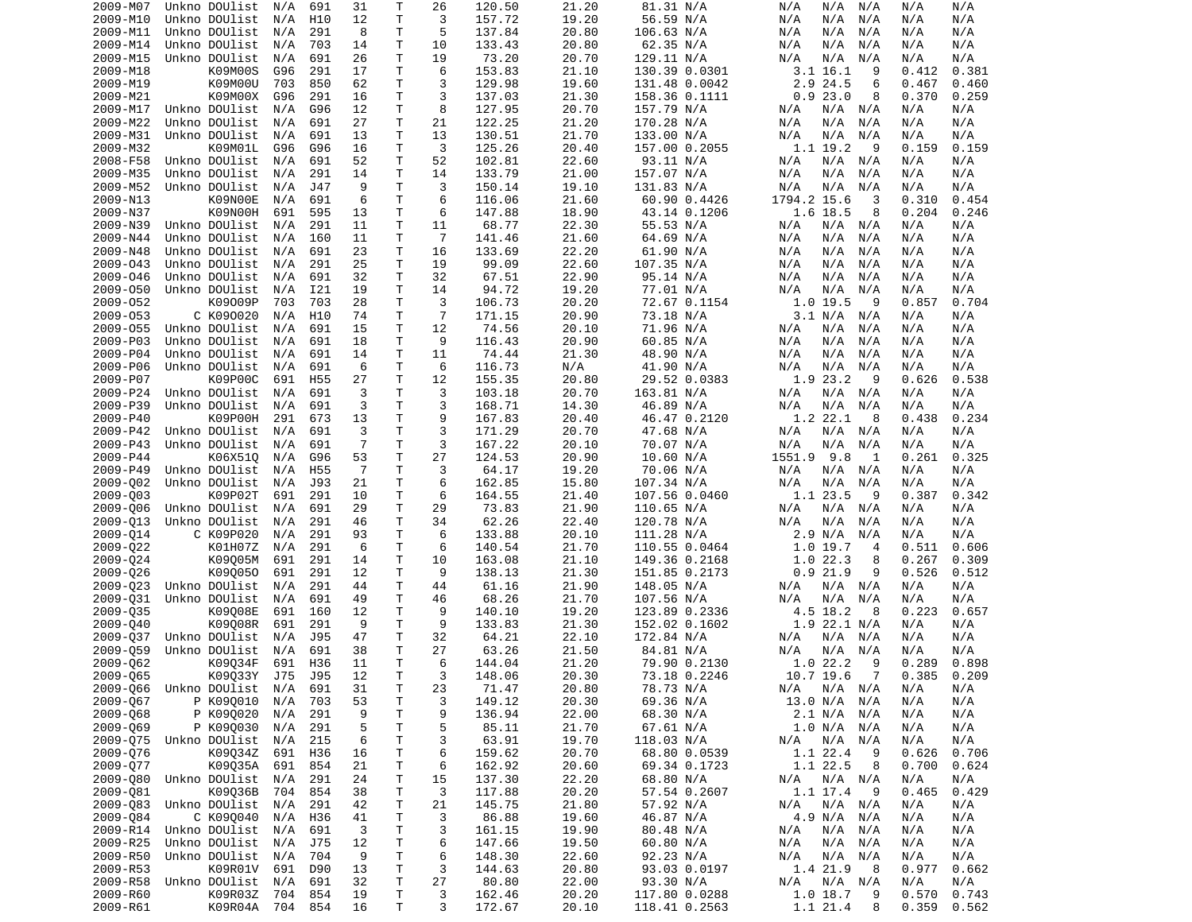| 2009-M07             | Unkno DOUlist      | N/A        | 691             | 31             | Τ            | 26             | 120.50           | 21.20          | 81.31 N/A                      | N/A<br>N/A<br>N/A              | N/A<br>N/A                       |
|----------------------|--------------------|------------|-----------------|----------------|--------------|----------------|------------------|----------------|--------------------------------|--------------------------------|----------------------------------|
| 2009-M10             | Unkno DOUlist      | N/A        | H10             | 12             | T            | 3              | 157.72           | 19.20          | 56.59 N/A                      | N/A<br>N/A<br>N/A              | N/A<br>N/A                       |
| 2009-M11             | Unkno DOUlist      | N/A        | 291             | 8              | Τ            | 5              | 137.84           | 20.80          | 106.63 N/A                     | N/A<br>N/A<br>N/A              | N/A<br>N/A                       |
| 2009-M14             | Unkno DOUlist      | N/A        | 703             | 14             | T            | 10             | 133.43           | 20.80          | 62.35 N/A                      | N/A<br>N/A<br>N/A              | N/A<br>N/A                       |
| 2009-M15             |                    |            | 691             | 26             | T.           | 19             |                  | 20.70          |                                |                                | N/A<br>N/A                       |
|                      | Unkno DOUlist      | N/A        |                 |                |              |                | 73.20            |                | 129.11 N/A                     | N/A<br>N/A<br>N/A              |                                  |
| 2009-M18             | K09M00S            | G96        | 291             | 17             | Τ            | 6              | 153.83           | 21.10          | 130.39 0.0301                  | $3.1$ 16.1<br>9                | 0.412<br>0.381                   |
| 2009-M19             | K09M00U            | 703        | 850             | 62             | т            | 3              | 129.98           | 19.60          | 131.48 0.0042                  | 2.9 24.5<br>6                  | 0.467<br>0.460                   |
| 2009-M21             | K09M00X            | G96        | 291             | 16             | Τ            | 3              | 137.03           | 21.30          | 158.36 0.1111                  | 0.923.0<br>8                   | 0.370<br>0.259                   |
| 2009-M17             | Unkno DOUlist      | N/A        | G96             | 12             | T            | 8              | 127.95           | 20.70          | 157.79 N/A                     | N/A<br>N/A<br>N/A              | N/A<br>N/A                       |
| 2009-M22             | Unkno DOUlist      | N/A        | 691             | 27             | Τ            | 21             | 122.25           | 21.20          | 170.28 N/A                     | N/A<br>N/A<br>N/A              | N/A<br>N/A                       |
| 2009-M31             | Unkno DOUlist      | N/A        | 691             | 13             | T            | 13             | 130.51           | 21.70          | 133.00 N/A                     | N/A<br>N/A<br>N/A              | N/A<br>N/A                       |
| 2009-M32             |                    | G96        | G96             | 16             | T            | 3              |                  | 20.40          | 157.00 0.2055                  | 9                              | 0.159<br>0.159                   |
|                      | K09M01L            |            |                 |                |              |                | 125.26           |                |                                | 1.1 19.2                       |                                  |
| 2008-F58             | Unkno DOUlist      | N/A        | 691             | 52             | Τ            | 52             | 102.81           | 22.60          | 93.11 N/A                      | N/A<br>N/A<br>N/A              | N/A<br>N/A                       |
| 2009-M35             | Unkno DOUlist      | N/A        | 291             | 14             | т            | 14             | 133.79           | 21.00          | 157.07 N/A                     | N/A<br>N/A<br>N/A              | N/A<br>N/A                       |
| 2009-M52             | Unkno DOUlist      | N/A        | J47             | 9              | $\mathsf{T}$ | 3              | 150.14           | 19.10          | 131.83 N/A                     | N/A<br>N/A<br>N/A              | N/A<br>N/A                       |
| 2009-N13             | K09N00E            | N/A        | 691             | 6              | T.           | 6              | 116.06           | 21.60          | 60.90 0.4426                   | 1794.2 15.6<br>3               | 0.310<br>0.454                   |
| 2009-N37             | K09N00H            | 691        | 595             | 13             | Τ            | 6              | 147.88           | 18.90          | 43.14 0.1206                   | 1.6 18.5<br>8                  | 0.204<br>0.246                   |
| 2009-N39             | Unkno DOUlist      | N/A        | 291             | 11             | T            | 11             | 68.77            | 22.30          | 55.53 N/A                      | N/A<br>N/A<br>N/A              | N/A<br>N/A                       |
| 2009-N44             | Unkno DOUlist      | N/A        | 160             | 11             | T            | $\overline{7}$ | 141.46           | 21.60          | 64.69 N/A                      | N/A<br>N/A<br>N/A              | N/A<br>N/A                       |
|                      |                    |            |                 |                |              |                |                  |                |                                |                                |                                  |
| 2009-N48             | Unkno DOUlist      | N/A        | 691             | 23             | Τ            | 16             | 133.69           | 22.20          | 61.90 N/A                      | N/A<br>N/A<br>N/A              | N/A<br>N/A                       |
| 2009-043             | Unkno DOUlist      | N/A        | 291             | 25             | T            | 19             | 99.09            | 22.60          | 107.35 N/A                     | N/A<br>N/A<br>N/A              | N/A<br>N/A                       |
| 2009-046             | Unkno DOUlist      | N/A        | 691             | 32             | T            | 32             | 67.51            | 22.90          | 95.14 N/A                      | N/A<br>N/A<br>N/A              | N/A<br>N/A                       |
| 2009-050             | Unkno DOUlist      | N/A        | I21             | 19             | T            | 14             | 94.72            | 19.20          | 77.01 N/A                      | N/A<br>N/A<br>N/A              | N/A<br>N/A                       |
| 2009-052             | K09009P            | 703        | 703             | 28             | Τ            | 3              | 106.73           | 20.20          | 72.67 0.1154                   | 1.0 19.5<br>9                  | 0.857<br>0.704                   |
| 2009-053             | C K090020          | N/A        | H10             | 74             | T.           | $\overline{7}$ | 171.15           | 20.90          | 73.18 N/A                      | 3.1 N/A<br>N/A                 | N/A<br>N/A                       |
| 2009-055             | Unkno DOUlist      | N/A        | 691             | 15             | Τ            | 12             | 74.56            | 20.10          |                                | N/A                            | N/A                              |
|                      |                    |            |                 |                |              |                |                  |                | 71.96 N/A                      | N/A<br>N/A                     | N/A                              |
| 2009-P03             | Unkno DOUlist      | N/A        | 691             | 18             | Τ            | 9              | 116.43           | 20.90          | 60.85 N/A                      | N/A<br>N/A<br>N/A              | N/A<br>N/A                       |
| 2009-P04             | Unkno DOUlist      | N/A        | 691             | 14             | T            | 11             | 74.44            | 21.30          | 48.90 N/A                      | N/A<br>N/A<br>N/A              | N/A<br>N/A                       |
| 2009-P06             | Unkno DOUlist      | N/A        | 691             | 6              | Τ            | 6              | 116.73           | N/A            | 41.90 N/A                      | N/A<br>N/A<br>N/A              | N/A<br>N/A                       |
| 2009-P07             | K09P00C            | 691        | H <sub>55</sub> | 27             | T            | 12             | 155.35           | 20.80          | 29.52 0.0383                   | 1.9 23.2<br>9                  | 0.538<br>0.626                   |
| 2009-P24             | Unkno DOUlist      | N/A        | 691             | 3              | Τ            | 3              | 103.18           | 20.70          | 163.81 N/A                     | N/A<br>N/A N/A                 | N/A<br>N/A                       |
| 2009-P39             | Unkno DOUlist      | N/A        | 691             | 3              | Τ            | 3              | 168.71           | 14.30          | 46.89 N/A                      | N/A<br>N/A<br>N/A              | N/A<br>N/A                       |
| 2009-P40             | K09P00H            | 291        | 673             | 13             | T            | 9              | 167.83           | 20.40          | 46.47 0.2120                   | 1.2 22.1<br>8                  | 0.438<br>0.234                   |
|                      |                    |            |                 |                |              |                |                  |                |                                |                                |                                  |
| 2009-P42             | Unkno DOUlist      | N/A        | 691             | 3              | Τ            | 3              | 171.29           | 20.70          | 47.68 N/A                      | N/A N/A<br>N/A                 | N/A<br>N/A                       |
| 2009-P43             | Unkno DOUlist      | N/A        | 691             | $\overline{7}$ | T            | 3              | 167.22           | 20.10          | 70.07 N/A                      | N/A<br>N/A<br>N/A              | N/A<br>N/A                       |
| 2009-P44             | K06X510            | N/A        | G96             | 53             | Τ            | 27             | 124.53           | 20.90          | 10.60 N/A                      | 1551.9 9.8<br>1                | 0.261<br>0.325                   |
| 2009-P49             | Unkno DOUlist      | N/A        | H <sub>55</sub> | $\overline{7}$ | T.           | 3              | 64.17            | 19.20          | 70.06 N/A                      | N/A<br>N/A<br>N/A              | N/A<br>N/A                       |
| 2009-002             | Unkno DOUlist      | N/A        | J93             | 21             | Τ            | 6              | 162.85           | 15.80          | 107.34 N/A                     | N/A<br>N/A<br>N/A              | N/A<br>N/A                       |
| 2009-003             | K09P02T            | 691        | 291             | 10             | Τ            | 6              | 164.55           | 21.40          | 107.56 0.0460                  | 1.1 23.5<br>9                  | 0.387<br>0.342                   |
| 2009-006             | Unkno DOUlist      | N/A        | 691             | 29             | T            | 29             | 73.83            | 21.90          | 110.65 N/A                     | N/A<br>N/A<br>N/A              | N/A<br>N/A                       |
|                      |                    |            |                 |                |              |                |                  |                |                                |                                |                                  |
| 2009-013             | Unkno DOUlist      | N/A        | 291             | 46             | т            | 34             | 62.26            | 22.40          | 120.78 N/A                     | N/A<br>N/A<br>N/A              | N/A<br>N/A                       |
| 2009-014             | C K09P020          | N/A        | 291             | 93             | T            | 6              | 133.88           | 20.10          | 111.28 N/A                     | 2.9 N/A<br>N/A                 | N/A<br>N/A                       |
| 2009-022             | K01H07Z            | N/A        | 291             | 6              | Τ            | 6              | 140.54           | 21.70          | 110.55 0.0464                  | 1.0 19.7<br>$\overline{4}$     | 0.511<br>0.606                   |
| 2009-024             | K09005M            | 691        | 291             | 14             | T            | 10             | 163.08           | 21.10          | 149.36 0.2168                  | 1.022.3<br>8                   | 0.267<br>0.309                   |
| 2009-026             | K090050            | 691        | 291             | 12             | Τ            | 9              | 138.13           | 21.30          | 151.85 0.2173                  | 0.921.9<br>9                   | 0.526<br>0.512                   |
| 2009-023             | Unkno DOUlist      | N/A        | 291             | 44             | Τ            | 44             | 61.16            | 21.90          | 148.05 N/A                     | N/A<br>N/A<br>N/A              | N/A<br>N/A                       |
| 2009-031             | Unkno DOUlist      | N/A        | 691             | 49             | Τ            | 46             | 68.26            | 21.70          | 107.56 N/A                     | N/A<br>N/A<br>N/A              | N/A<br>N/A                       |
|                      |                    |            |                 |                | Τ            | 9              |                  |                |                                | 8                              | 0.223<br>0.657                   |
| 2009-035             | K09008E            | 691        | 160             | 12             |              |                | 140.10           | 19.20          | 123.89 0.2336                  | 4.5 18.2                       |                                  |
| 2009-040             | K09008R            | 691        | 291             | 9              | T            | 9              | 133.83           | 21.30          | 152.02 0.1602                  | $1.9$ 22.1 N/A                 | N/A<br>N/A                       |
| 2009-037             | Unkno DOUlist      | N/A        | J95             | 47             | Τ            | 32             | 64.21            | 22.10          | 172.84 N/A                     | N/A<br>N/A N/A                 | N/A<br>N/A                       |
| 2009-059             | Unkno DOUlist      | N/A        | 691             | 38             | Τ            | 27             | 63.26            | 21.50          | 84.81 N/A                      | N/A<br>N/A<br>N/A              | N/A<br>N/A                       |
| 2009-062             | K09034F            | 691        | H36             | 11             | T.           | 6              | 144.04           | 21.20          | 79.90 0.2130                   | 1.022.2<br>9                   | 0.898<br>0.289                   |
| 2009-Q65             | K09Q33Y J75 J95    |            |                 | 12             | T.           | 3              | 148.06           | 20.30          | 73.18 0.2246                   | 10.7 19.6<br>7                 | 0.385<br>0.209                   |
| 2009-Q66             | Unkno DOUlist      | N/A        | 691             | 31             | $\mathsf T$  | 23             | 71.47            | 20.80          | 78.73 N/A                      | N/A<br>$N/A$ $N/A$             | N/A<br>N/A                       |
| 2009-067             |                    |            |                 |                |              |                |                  |                | 69.36 N/A                      |                                |                                  |
|                      | P K090010          | N/A        | 703             | 53             | Т            | 3              | 149.12           | 20.30          |                                | 13.0 N/A N/A                   | N/A<br>N/A                       |
| 2009-068             |                    |            |                 |                | т            | 9              | 136.94           | 22.00          |                                |                                |                                  |
| 2009-069             | P K090020          | N/A        | 291             | 9              |              |                |                  |                | 68.30 N/A                      | 2.1 N/A<br>N/A                 | N/A<br>N/A                       |
|                      | P K090030          | N/A        | 291             | 5              | т            | 5              | 85.11            | 21.70          | 67.61 N/A                      | 1.0 N/A N/A                    | N/A<br>N/A                       |
|                      | Unkno DOUlist      | N/A        | 215             | 6              | Τ            | 3              | 63.91            | 19.70          | 118.03 N/A                     | N/A<br>N/A<br>N/A              | N/A<br>N/A                       |
| 2009-Q75             |                    |            |                 |                |              |                |                  |                |                                |                                |                                  |
| 2009-076             | K09034Z            | 691        | H36             | 16             | Τ            | 6              | 159.62           | 20.70          | 68.80 0.0539                   | 1.1 22.4<br>9                  | 0.626<br>0.706                   |
| 2009-077             | K09035A            | 691        | 854             | 21             | Τ            | 6              | 162.92           | 20.60          | 69.34 0.1723                   | 1.1 22.5<br>8                  | 0.700<br>0.624                   |
| 2009-080             | Unkno DOUlist      | N/A        | 291             | 24             | Τ            | 15             | 137.30           | 22.20          | 68.80 N/A                      | N/A N/A<br>N/A                 | N/A<br>N/A                       |
| 2009-081             | K09036B            | 704        | 854             | 38             | Τ            | 3              | 117.88           | 20.20          | 57.54 0.2607                   | 1.1 17.4<br>- 9                | 0.465<br>0.429                   |
| 2009-083             | Unkno DOUlist      | N/A        | 291             | 42             | Τ            | 21             | 145.75           | 21.80          | 57.92 N/A                      | N/A<br>N/A N/A                 | N/A<br>N/A                       |
| 2009-084             | C K090040          | N/A        | H36             | 41             | Τ            | 3              | 86.88            | 19.60          | 46.87 N/A                      | 4.9 N/A N/A                    | N/A<br>N/A                       |
| 2009-R14             | Unkno DOUlist      | N/A        | 691             | 3              | Τ            | 3              | 161.15           | 19.90          | 80.48 N/A                      | N/A<br>N/A<br>N/A              | N/A<br>N/A                       |
| 2009-R25             | Unkno DOUlist      | N/A        | J75             | 12             | Τ            | 6              | 147.66           | 19.50          |                                | N/A<br>N/A<br>N/A              | N/A<br>N/A                       |
|                      |                    |            |                 |                |              |                |                  |                | 60.80 N/A                      |                                |                                  |
| 2009-R50             | Unkno DOUlist      | N/A        | 704             | 9              | Τ            | 6              | 148.30           | 22.60          | 92.23 N/A                      | N/A<br>N/A<br>N/A              | N/A<br>N/A                       |
| 2009-R53             | K09R01V            | 691        | D90             | 13             | T            | 3              | 144.63           | 20.80          | 93.03 0.0197                   | 1.4 21.9<br>8                  | 0.977<br>0.662                   |
| 2009-R58             | Unkno DOUlist      | N/A        | 691             | 32             | Τ            | 27             | 80.80            | 22.00          | 93.30 N/A                      | $N/A$ $N/A$<br>N/A             | N/A<br>N/A                       |
| 2009-R60<br>2009-R61 | K09R03Z<br>K09R04A | 704<br>704 | 854<br>854      | 19<br>16       | Τ<br>Τ       | 3<br>3         | 162.46<br>172.67 | 20.20<br>20.10 | 117.80 0.0288<br>118.41 0.2563 | 1.0 18.7<br>9<br>1.1 21.4<br>8 | 0.570<br>0.743<br>0.359<br>0.562 |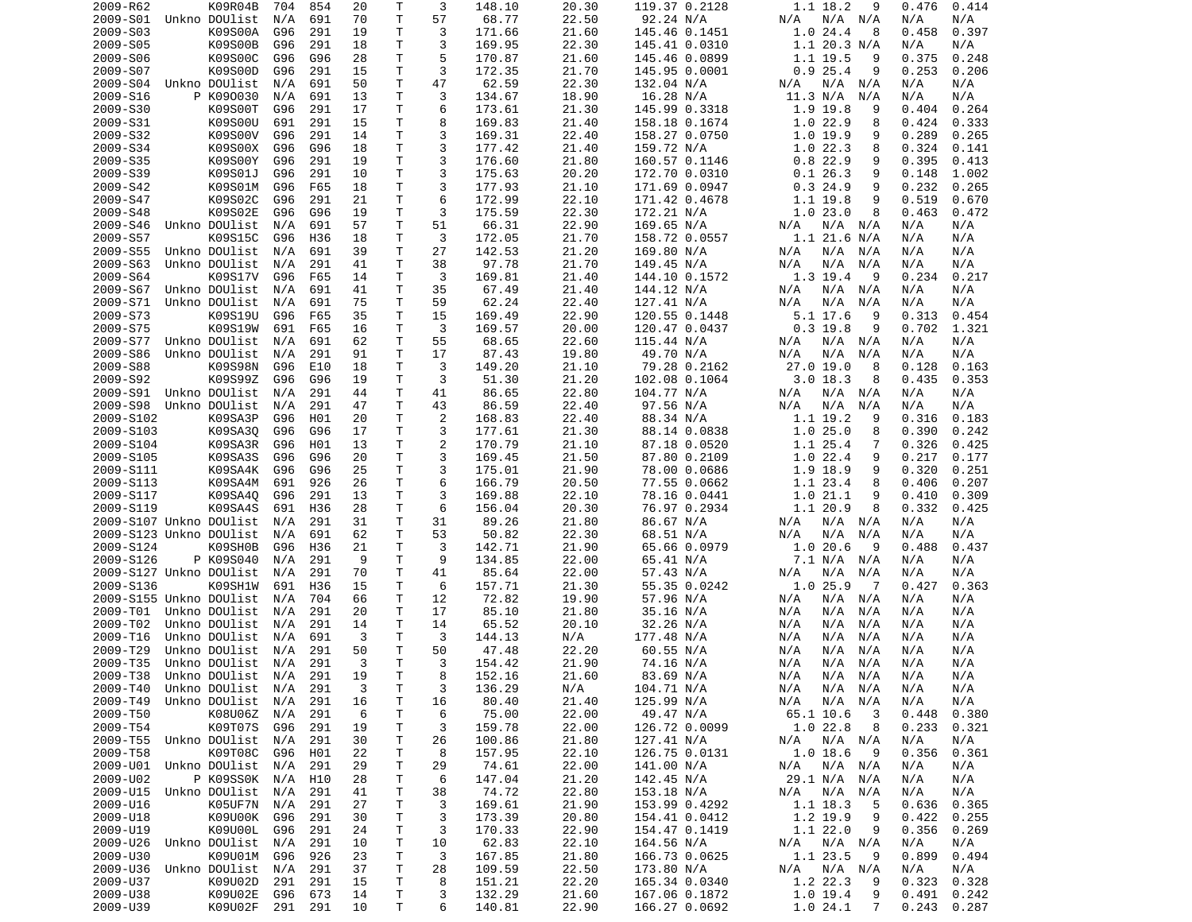| 2009-R62                       | K09R04B               | 704     | 854 | 20 | Τ  | 3  | 148.10 | 20.30 | 119.37 0.2128 | 1.1 18.2<br>9              | 0.414<br>0.476 |
|--------------------------------|-----------------------|---------|-----|----|----|----|--------|-------|---------------|----------------------------|----------------|
| 2009-S01                       | Unkno DOUlist         | N/A     | 691 | 70 | T  | 57 | 68.77  | 22.50 | 92.24 N/A     | N/A N/A<br>N/A             | N/A<br>N/A     |
| 2009-S03                       | K09S00A               | G96     | 291 | 19 | т  | 3  | 171.66 | 21.60 | 145.46 0.1451 | 1.024.4<br>8               | 0.458<br>0.397 |
| 2009-S05                       | K09S00B               | G96     | 291 | 18 | Τ  | 3  | 169.95 | 22.30 | 145.41 0.0310 | $1.1$ 20.3 N/A             | N/A<br>N/A     |
| 2009-S06                       | K09S00C               | G96     | G96 | 28 | т  | 5  | 170.87 | 21.60 | 145.46 0.0899 | 1.1 19.5<br>9              | 0.375<br>0.248 |
| 2009-S07                       | K09S00D               | G96     | 291 | 15 | Τ  | 3  | 172.35 | 21.70 | 145.95 0.0001 | 0.925.4<br>9               | 0.253<br>0.206 |
| 2009-S04                       | Unkno DOUlist         | N/A     | 691 | 50 | Τ  | 47 | 62.59  | 22.30 | 132.04 N/A    | N/A<br>N/A<br>N/A          | N/A<br>N/A     |
| 2009-S16                       | P K090030             | N/A     | 691 | 13 | T. | 3  | 134.67 | 18.90 | 16.28 N/A     | 11.3 N/A<br>N/A            | N/A<br>N/A     |
| 2009-S30                       | K09S00T               | G96     | 291 | 17 | T  | 6  | 173.61 | 21.30 | 145.99 0.3318 | 1.9 19.8<br>9              | 0.404<br>0.264 |
| 2009-S31                       | K09S00U               | 691     | 291 | 15 | Τ  | 8  | 169.83 | 21.40 | 158.18 0.1674 | 1.022.9<br>8               | 0.424<br>0.333 |
| 2009-S32                       | K09S00V               | G96     | 291 | 14 | T  | 3  | 169.31 | 22.40 | 158.27 0.0750 | 1.019.9<br>9               | 0.289<br>0.265 |
| 2009-S34                       | K09S00X               | G96     | G96 | 18 | Τ  | 3  | 177.42 | 21.40 | 159.72 N/A    | 1.022.3<br>8               | 0.324<br>0.141 |
| 2009-S35                       | K09S00Y               | G96     | 291 | 19 | Τ  | 3  | 176.60 | 21.80 | 160.57 0.1146 | 0.822.9<br>9               | 0.395<br>0.413 |
| 2009-S39                       | K09S01J               | G96     | 291 | 10 | T  | 3  | 175.63 | 20.20 | 172.70 0.0310 | 0.126.3<br>9               | 0.148<br>1.002 |
| 2009-S42                       | K09S01M               | G96     | F65 | 18 | Τ  | 3  | 177.93 | 21.10 | 171.69 0.0947 | 0.324.9<br>9               | 0.232<br>0.265 |
| 2009-S47                       | K09S02C               | G96     | 291 | 21 | Τ  | 6  | 172.99 | 22.10 | 171.42 0.4678 | 1.1 19.8<br>9              | 0.519<br>0.670 |
| 2009-S48                       | K09S02E               | G96     | G96 | 19 | т  | 3  | 175.59 | 22.30 | 172.21 N/A    | 1.023.0<br>8               | 0.463<br>0.472 |
| 2009-S46                       | Unkno DOUlist         | N/A     | 691 | 57 | T  | 51 | 66.31  | 22.90 | 169.65 N/A    | N/A N/A<br>N/A             | N/A<br>N/A     |
| 2009-S57                       | K09S15C               | G96     | H36 | 18 | Τ  | 3  | 172.05 | 21.70 | 158.72 0.0557 | $1.1$ 21.6 N/A             | N/A<br>N/A     |
| 2009-S55                       | Unkno DOUlist         | N/A     | 691 | 39 | T  | 27 | 142.53 | 21.20 | 169.80 N/A    | N/A<br>N/A N/A             | N/A<br>N/A     |
| 2009-S63                       | Unkno DOUlist         | N/A     | 291 | 41 | Τ  | 38 | 97.78  | 21.70 | 149.45 N/A    | N/A<br>N/A<br>N/A          | N/A<br>N/A     |
| 2009-S64                       | K09S17V               | G96     | F65 | 14 | T. | 3  | 169.81 | 21.40 | 144.10 0.1572 | 1.3 19.4<br>9              | 0.234<br>0.217 |
| 2009-S67                       | Unkno DOUlist         | N/A     | 691 | 41 | T  | 35 | 67.49  | 21.40 | 144.12 N/A    | $N/A$ $N/A$<br>N/A         | N/A<br>N/A     |
| 2009-S71                       | Unkno DOUlist         | N/A     | 691 | 75 | Τ  | 59 | 62.24  | 22.40 | 127.41 N/A    | N/A<br>N/A<br>N/A          | N/A<br>N/A     |
| 2009-S73                       | K09S19U               | G96     | F65 | 35 | T. | 15 | 169.49 | 22.90 | 120.55 0.1448 | $5.1$ 17.6<br>9            | 0.313<br>0.454 |
| 2009-S75                       | K09S19W               | 691     | F65 | 16 | т  | 3  | 169.57 | 20.00 | 120.47 0.0437 | $0.3$ 19.8<br>9            | 1.321<br>0.702 |
| 2009-S77                       | Unkno DOUlist         | N/A     | 691 | 62 | Τ  | 55 | 68.65  | 22.60 | 115.44 N/A    | N/A<br>N/A N/A             | N/A<br>N/A     |
| 2009-S86                       | Unkno DOUlist         | N/A     | 291 | 91 | T  | 17 | 87.43  | 19.80 | 49.70 N/A     | N/A<br>N/A<br>N/A          | N/A<br>N/A     |
| 2009-S88                       | K09S98N               | G96     | E10 | 18 | т  | 3  | 149.20 | 21.10 | 79.28 0.2162  | $27.0$ 19.0<br>8           | 0.128<br>0.163 |
|                                | K09S99Z               |         |     |    | Τ  | 3  |        |       |               |                            |                |
| 2009-S92                       |                       | G96     | G96 | 19 |    |    | 51.30  | 21.20 | 102.08 0.1064 | $3.0$ 18.3<br>8            | 0.435<br>0.353 |
| 2009-S91                       | Unkno DOUlist         | N/A     | 291 | 44 | Τ  | 41 | 86.65  | 22.80 | 104.77 N/A    | N/A N/A<br>N/A             | N/A<br>N/A     |
| 2009-S98                       | Unkno DOUlist         | N/A     | 291 | 47 | T. | 43 | 86.59  | 22.40 | 97.56 N/A     | N/A<br>N/A<br>N/A          | N/A<br>N/A     |
| 2009-S102                      | K09SA3P               | G96     | H01 | 20 | Τ  | 2  | 168.83 | 22.40 | 88.34 N/A     | 1.1 19.2<br>9              | 0.316<br>0.183 |
| 2009-S103                      | K09SA30               | G96     | G96 | 17 | Τ  | 3  | 177.61 | 21.30 | 88.14 0.0838  | 1.025.0<br>8               | 0.390<br>0.242 |
| 2009-S104                      | K09SA3R               | G96     | H01 | 13 | т  | 2  | 170.79 | 21.10 | 87.18 0.0520  | 1.1 25.4<br>7              | 0.326<br>0.425 |
| 2009-S105                      | K09SA3S               | G96     | G96 | 20 | T. | 3  | 169.45 | 21.50 | 87.80 0.2109  | 1.022.4<br>9               | 0.217<br>0.177 |
| 2009-S111                      | K09SA4K               | G96     | G96 | 25 | Τ  | 3  | 175.01 | 21.90 | 78.00 0.0686  | 1.9 18.9<br>9              | 0.320<br>0.251 |
| 2009-S113                      | K09SA4M               | 691     | 926 | 26 | т  | 6  | 166.79 | 20.50 | 77.55 0.0662  | 1.1 23.4<br>8              | 0.207<br>0.406 |
| 2009-S117                      | K09SA40               | G96     | 291 | 13 | T  | 3  | 169.88 | 22.10 | 78.16 0.0441  | 1.021.1<br>9               | 0.410<br>0.309 |
| 2009-S119                      | K09SA4S               | 691     | H36 | 28 | Τ  | 6  | 156.04 | 20.30 | 76.97 0.2934  | 1.1 20.9<br>8              | 0.332<br>0.425 |
| 2009-S107 Unkno DOUlist        |                       | N/A     | 291 | 31 | Τ  | 31 | 89.26  | 21.80 | 86.67 N/A     | N/A<br>N/A N/A             | N/A<br>N/A     |
| 2009-S123 Unkno DOUlist        |                       | N/A     | 691 | 62 | Τ  | 53 | 50.82  | 22.30 | 68.51 N/A     | N/A<br>N/A<br>N/A          | N/A<br>N/A     |
| 2009-S124                      | K09SH0B               | G96     | H36 | 21 | Τ  | 3  | 142.71 | 21.90 | 65.66 0.0979  | 1.020.6<br>9               | 0.488<br>0.437 |
| 2009-S126                      | P K09S040             | N/A     | 291 | 9  | T  | 9  | 134.85 | 22.00 | 65.41 N/A     | 7.1 N/A N/A                | N/A<br>N/A     |
| 2009-S127 Unkno DOUlist        |                       | N/A     | 291 | 70 | т  | 41 | 85.64  | 22.00 | 57.43 N/A     | N/A<br>N/A<br>N/A          | N/A<br>N/A     |
| 2009-S136                      | K09SH1W               | 691     | H36 | 15 | Τ  | 6  | 157.71 | 21.30 | 55.35 0.0242  | 1.0 25.9<br>$\overline{7}$ | 0.363<br>0.427 |
| 2009-S155 Unkno DOUlist        |                       | N/A     | 704 | 66 | Τ  | 12 | 72.82  | 19.90 | 57.96 N/A     | N/A<br>N/A N/A             | N/A<br>N/A     |
| 2009-T01                       | Unkno DOUlist         | N/A     | 291 | 20 | т  | 17 | 85.10  | 21.80 | 35.16 N/A     | N/A<br>N/A<br>N/A          | N/A<br>N/A     |
| 2009-T02                       | Unkno DOUlist         | N/A     | 291 | 14 | т  | 14 | 65.52  | 20.10 | 32.26 N/A     | N/A<br>N/A<br>N/A          | N/A<br>N/A     |
| 2009-T16                       | Unkno DOUlist         | N/A     | 691 | 3  | т  | 3  | 144.13 | N/A   | 177.48 N/A    | N/A<br>N/A<br>N/A          | N/A<br>N/A     |
| 2009-T29                       | Unkno DOUlist         | N/A     | 291 | 50 | T  | 50 | 47.48  | 22.20 | 60.55 N/A     | N/A<br>N/A<br>N/A          | N/A<br>N/A     |
| 2009-T35                       | Unkno DOUlist         | N/A     | 291 | 3  | T. | 3  | 154.42 | 21.90 | 74.16 N/A     | N/A<br>N/A N/A             | N/A<br>N/A     |
| 2009-T38 Unkno DOUlist N/A 291 |                       |         |     | 19 | T  | 8  | 152.16 | 21.60 | 83.69 N/A     | N/A<br>N/A N/A             | N/A<br>N/A     |
| 2009-T40                       | Unkno DOUlist N/A 291 |         |     | 3  | т  | 3  | 136.29 | N/A   | 104.71 N/A    | N/A N/A<br>N/A             | N/A<br>N/A     |
| 2009-T49                       | Unkno DOUlist         | N/A     | 291 | 16 | Τ  | 16 | 80.40  | 21.40 | 125.99 N/A    | N/A<br>$N/A$ $N/A$         | N/A<br>N/A     |
| 2009-T50                       | K08U06Z               | N/A     | 291 | 6  | Τ  | 6  | 75.00  | 22.00 | 49.47 N/A     | 65.1 10.6<br>3             | 0.448<br>0.380 |
| 2009-T54                       | K09T07S               | G96     | 291 | 19 | Τ  | 3  | 159.78 | 22.00 | 126.72 0.0099 | 1.022.8<br>8               | 0.233<br>0.321 |
| 2009-T55                       | Unkno DOUlist         | N/A     | 291 | 30 | Τ  | 26 | 100.86 | 21.80 | 127.41 N/A    | N/A N/A<br>N/A             | N/A<br>N/A     |
| 2009-T58                       | K09T08C               | G96     | H01 | 22 | т  | 8  | 157.95 | 22.10 | 126.75 0.0131 | $1.0$ 18.6<br>- 9          | 0.356<br>0.361 |
| 2009-U01                       | Unkno DOUlist         | N/A     | 291 | 29 | Τ  | 29 | 74.61  | 22.00 | 141.00 N/A    | $N/A$ $N/A$<br>N/A         | N/A<br>N/A     |
| 2009-U02                       | P K09SS0K             | N/A     | H10 | 28 | Τ  | 6  | 147.04 | 21.20 | 142.45 N/A    | 29.1 N/A N/A               | N/A<br>N/A     |
| 2009-U15                       | Unkno DOUlist         | N/A     | 291 | 41 | Τ  | 38 | 74.72  | 22.80 | 153.18 N/A    | N/A<br>N/A N/A             | N/A<br>N/A     |
| 2009-U16                       | K05UF7N               | N/A     | 291 | 27 | Τ  | 3  | 169.61 | 21.90 | 153.99 0.4292 | 1.1 18.3<br>5              | 0.636<br>0.365 |
| 2009-U18                       | K09U00K G96           |         | 291 | 30 | Τ  | 3  | 173.39 | 20.80 | 154.41 0.0412 | 1.2 19.9<br>9              | 0.422<br>0.255 |
| 2009-U19                       | K09U00L               | G96     | 291 | 24 | Τ  | 3  | 170.33 | 22.90 | 154.47 0.1419 | 1.122.0<br>9               | 0.356<br>0.269 |
| 2009-U26                       | Unkno DOUlist         | N/A     | 291 | 10 | Τ  | 10 | 62.83  | 22.10 | 164.56 N/A    | N/A<br>N/A N/A             | N/A<br>N/A     |
| 2009-U30                       | K09U01M               | G96     | 926 | 23 | T  | 3  | 167.85 | 21.80 | 166.73 0.0625 | 1.1 23.5<br>9              | 0.899<br>0.494 |
| 2009-U36                       | Unkno DOUlist         | N/A     | 291 | 37 | Τ  | 28 | 109.59 | 22.50 | 173.80 N/A    | N/A N/A<br>N/A             | N/A<br>N/A     |
| 2009-U37                       | K09U02D               | 291     | 291 | 15 | T. | 8  | 151.21 | 22.20 | 165.34 0.0340 | 1.2 22.3<br>9              | 0.323<br>0.328 |
| 2009-U38                       | K09U02E               | G96     | 673 | 14 | T. | 3  | 132.29 | 21.60 | 167.06 0.1872 | $1.0$ 19.4<br>9            | 0.491<br>0.242 |
| 2009-U39                       | K09U02F               | 291 291 |     | 10 | T  | 6  | 140.81 | 22.90 | 166.27 0.0692 | 1.024.1<br>7               | 0.243<br>0.287 |
|                                |                       |         |     |    |    |    |        |       |               |                            |                |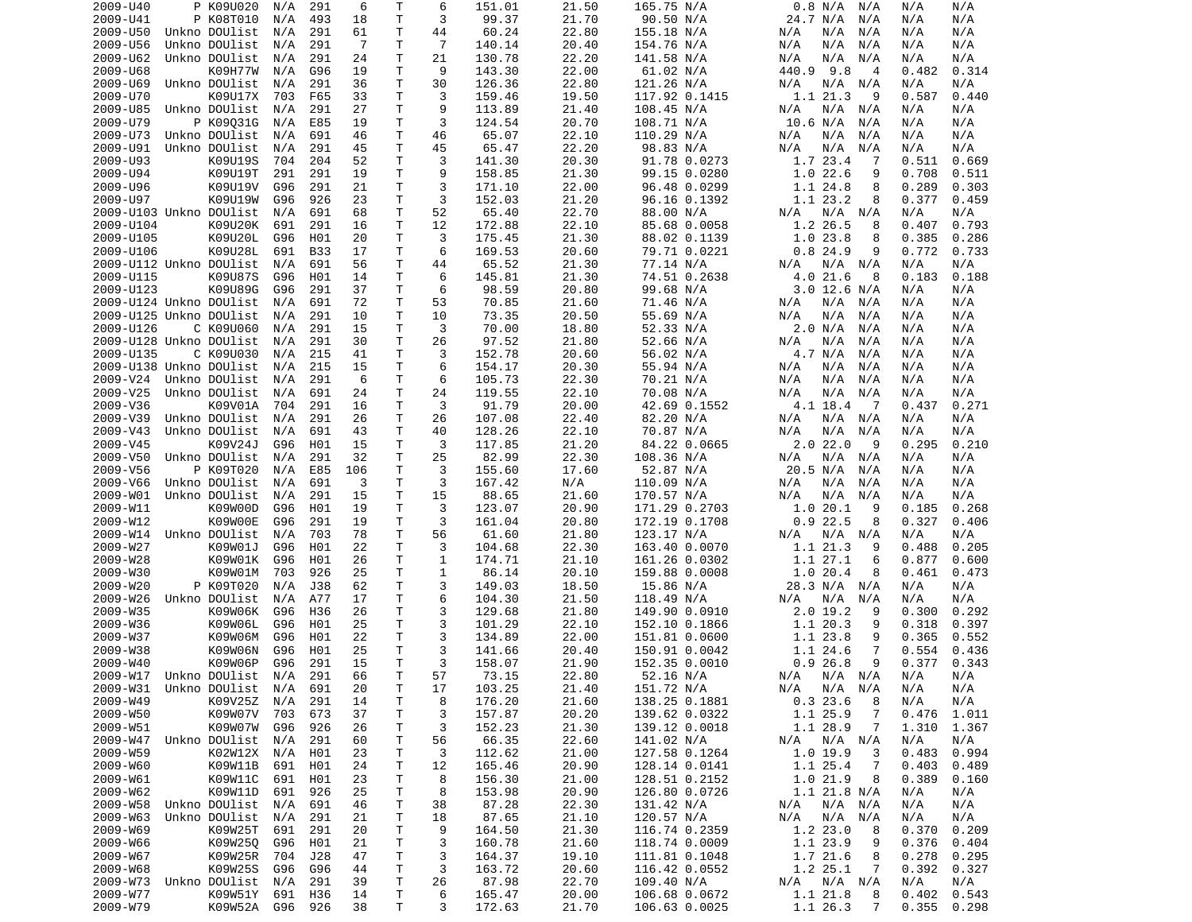| 2009-U40                   | P K09U020                      | N/A            | 291        | 6        | Τ       | 6        | 151.01           | 21.50          | 165.75 N/A                     | 0.8 N/A<br>N/A                  | N/A<br>N/A                       |
|----------------------------|--------------------------------|----------------|------------|----------|---------|----------|------------------|----------------|--------------------------------|---------------------------------|----------------------------------|
| 2009-U41                   | P K08T010                      | N/A            | 493        | 18       | T       | 3        | 99.37            | 21.70          | 90.50 N/A                      | 24.7 N/A<br>N/A                 | N/A<br>N/A                       |
| 2009-U50                   | Unkno DOUlist                  | N/A            | 291        | 61       | т       | 44       | 60.24            | 22.80          | 155.18 N/A                     | N/A<br>N/A<br>N/A               | N/A<br>N/A                       |
| 2009-U56                   | Unkno DOUlist                  | N/A            | 291        | -7       | Τ       | 7        | 140.14           | 20.40          | 154.76 N/A                     | N/A<br>N/A<br>N/A               | N/A<br>N/A                       |
| 2009-U62                   | Unkno DOUlist                  | N/A            | 291        | 24       | т       | 21       | 130.78           | 22.20          | 141.58 N/A                     | N/A<br>N/A<br>N/A               | N/A<br>N/A                       |
| 2009-U68                   | K09H77W                        | N/A            | G96        | 19       | T       | 9        | 143.30           | 22.00          | 61.02 N/A                      | 440.9<br>9.8<br>$\overline{4}$  | 0.314<br>0.482                   |
| 2009-U69                   | Unkno DOUlist                  | N/A            | 291        | 36       | Τ       | 30       | 126.36           | 22.80          | 121.26 N/A                     | N/A<br>N/A N/A                  | N/A<br>N/A                       |
| 2009-U70                   | K09U17X                        | 703            | F65        | 33       | Τ       | 3        | 159.46           | 19.50          | 117.92 0.1415                  | 1.1 21.3<br>9                   | 0.587<br>0.440                   |
| 2009-U85                   | Unkno DOUlist                  | N/A            | 291        | 27       | Τ       | 9        | 113.89           | 21.40          | 108.45 N/A                     | N/A<br>N/A<br>N/A               | N/A<br>N/A                       |
| 2009-U79                   | P K09031G                      | N/A            | E85        | 19       | Τ<br>T  | 3        | 124.54           | 20.70<br>22.10 | 108.71 N/A                     | 10.6 N/A<br>N/A<br>N/A          | N/A<br>N/A                       |
| 2009-U73<br>2009-U91       | Unkno DOUlist<br>Unkno DOUlist | N/A<br>N/A     | 691<br>291 | 46<br>45 | Τ       | 46<br>45 | 65.07<br>65.47   | 22.20          | 110.29 N/A<br>98.83 N/A        | N/A<br>N/A<br>N/A<br>N/A<br>N/A | N/A<br>N/A<br>N/A<br>N/A         |
| 2009-U93                   | K09U19S                        | 704            | 204        | 52       | Τ       | 3        | 141.30           | 20.30          | 91.78 0.0273                   | 1.7 23.4<br>-7                  | 0.511<br>0.669                   |
| 2009-U94                   | K09U19T                        | 291            | 291        | 19       | Τ       | 9        | 158.85           | 21.30          | 99.15 0.0280                   | 1.022.6<br>9                    | 0.708<br>0.511                   |
| 2009-U96                   | K09U19V                        | G96            | 291        | 21       | т       | 3        | 171.10           | 22.00          | 96.48 0.0299                   | 1.1 24.8<br>8                   | 0.289<br>0.303                   |
| 2009-U97                   | K09U19W                        | G96            | 926        | 23       | т       | 3        | 152.03           | 21.20          | 96.16 0.1392                   | 1.1 23.2<br>8                   | 0.377<br>0.459                   |
| 2009-U103 Unkno DOUlist    |                                | N/A            | 691        | 68       | Τ       | 52       | 65.40            | 22.70          | 88.00 N/A                      | N/A N/A<br>N/A                  | N/A<br>N/A                       |
| 2009-U104                  | K09U20K                        | 691            | 291        | 16       | T       | 12       | 172.88           | 22.10          | 85.68 0.0058                   | 1.2 26.5<br>8                   | 0.793<br>0.407                   |
| 2009-U105                  | K09U20L                        | G96            | H01        | 20       | т       | 3        | 175.45           | 21.30          | 88.02 0.1139                   | 1.023.8<br>8                    | 0.385<br>0.286                   |
| 2009-U106                  | K09U28L                        | 691            | <b>B33</b> | 17       | T       | 6        | 169.53           | 20.60          | 79.71 0.0221                   | 0.824.9<br>9                    | 0.772<br>0.733                   |
| 2009-U112 Unkno DOUlist    |                                | N/A            | 691        | 56       | Τ       | 44       | 65.52            | 21.30          | 77.14 N/A                      | N/A<br>N/A N/A                  | N/A<br>N/A                       |
| 2009-U115                  | K09U87S                        | G96            | H01        | 14       | T.      | 6        | 145.81           | 21.30          | 74.51 0.2638                   | 4.0 21.6<br>8                   | 0.183<br>0.188                   |
| 2009-U123                  | K09U89G                        | G96            | 291        | 37       | Τ       | 6        | 98.59            | 20.80          | 99.68 N/A                      | $3.0$ 12.6 N/A                  | N/A<br>N/A                       |
| 2009-U124 Unkno DOUlist    |                                | N/A            | 691        | 72       | т       | 53       | 70.85            | 21.60          | 71.46 N/A                      | N/A<br>N/A N/A                  | N/A<br>N/A                       |
| 2009-U125 Unkno DOUlist    |                                | N/A            | 291        | 10       | T       | 10       | 73.35            | 20.50          | 55.69 N/A                      | N/A<br>N/A<br>N/A               | N/A<br>N/A                       |
| 2009-U126                  | C K09U060                      | N/A            | 291        | 15       | т       | 3        | 70.00            | 18.80          | 52.33 N/A                      | 2.0 N/A<br>N/A                  | N/A<br>N/A                       |
| 2009-U128 Unkno DOUlist    |                                | N/A            | 291        | 30       | T       | 26       | 97.52            | 21.80          | 52.66 N/A                      | N/A<br>N/A<br>N/A               | N/A<br>N/A                       |
| 2009-U135                  | C K09U030                      | N/A            | 215        | 41       | Τ       | 3        | 152.78           | 20.60          | 56.02 N/A                      | 4.7 N/A<br>N/A                  | N/A<br>N/A                       |
| 2009-U138 Unkno DOUlist    |                                | N/A            | 215        | 15       | т       | 6        | 154.17           | 20.30          | 55.94 N/A                      | N/A<br>N/A<br>N/A               | N/A<br>N/A                       |
| 2009-V24                   | Unkno DOUlist                  | N/A            | 291        | 6        | T       | 6        | 105.73           | 22.30          | 70.21 N/A                      | N/A<br>N/A<br>N/A               | N/A<br>N/A                       |
| 2009-V25                   | Unkno DOUlist                  | N/A            | 691        | 24       | Τ       | 24       | 119.55           | 22.10          | 70.08 N/A                      | N/A<br>N/A<br>N/A               | N/A<br>N/A                       |
| 2009-V36                   | K09V01A                        | 704            | 291        | 16       | T       | 3        | 91.79            | 20.00          | 42.69 0.1552                   | 4.1 18.4<br>- 7                 | 0.437<br>0.271                   |
| 2009-V39                   | Unkno DOUlist                  | N/A            | 291        | 26       | Τ       | 26       | 107.08           | 22.40          | 82.20 N/A                      | N/A<br>N/A<br>N/A               | N/A<br>N/A                       |
| 2009-V43                   | Unkno DOUlist                  | N/A            | 691        | 43       | T       | 40       | 128.26           | 22.10          | 70.87 N/A                      | N/A<br>N/A<br>N/A               | N/A<br>N/A                       |
| 2009-V45                   | K09V24J                        | G96            | H01        | 15       | Τ       | 3        | 117.85           | 21.20          | 84.22 0.0665                   | 2.022.0<br>9                    | 0.295<br>0.210                   |
| 2009-V50                   | Unkno DOUlist                  | N/A            | 291        | 32       | т       | 25       | 82.99            | 22.30          | 108.36 N/A                     | N/A<br>N/A<br>N/A               | N/A<br>N/A                       |
| 2009-V56                   | P K09T020                      | N/A            | E85        | 106      | Τ       | 3        | 155.60           | 17.60          | 52.87 N/A                      | 20.5 N/A<br>N/A                 | N/A<br>N/A                       |
| 2009-V66                   | Unkno DOUlist                  | N/A            | 691        | 3        | т       | 3        | 167.42           | N/A            | 110.09 N/A                     | N/A<br>N/A<br>N/A               | N/A<br>N/A                       |
| 2009-W01                   | Unkno DOUlist                  | N/A            | 291        | 15       | T       | 15       | 88.65            | 21.60          | 170.57 N/A                     | N/A<br>N/A<br>N/A               | N/A<br>N/A                       |
| 2009-W11                   | K09W00D                        | G96            | H01        | 19       | T       | 3        | 123.07           | 20.90          | 171.29 0.2703                  | 1.020.1<br>9                    | 0.185<br>0.268                   |
| 2009-W12                   | K09W00E                        | G96            | 291        | 19       | T       | 3        | 161.04           | 20.80          | 172.19 0.1708                  | 0.922.5<br>8                    | 0.327<br>0.406                   |
| 2009-W14                   | Unkno DOUlist                  | N/A            | 703        | 78       | Τ       | 56       | 61.60            | 21.80          | 123.17 N/A                     | N/A<br>N/A N/A                  | N/A<br>N/A                       |
| 2009-W27                   | K09W01J                        | G96            | H01        | 22       | Τ       | 3        | 104.68           | 22.30          | 163.40 0.0070                  | 1.1 21.3<br>9                   | 0.488<br>0.205                   |
| 2009-W28                   | K09W01K                        | G96            | H01        | 26       | Τ       | 1        | 174.71           | 21.10          | 161.26 0.0302                  | 1.1 27.1<br>6                   | 0.877<br>0.600                   |
| 2009-W30                   | K09W01M                        | 703            | 926        | 25       | т       | 1        | 86.14            | 20.10          | 159.88 0.0008                  | 1.020.4<br>8                    | 0.461<br>0.473                   |
| 2009-W20                   | P K09T020                      | N/A            | J38        | 62       | Τ       | 3        | 149.03           | 18.50          | 15.86 N/A                      | 28.3 N/A N/A                    | N/A<br>N/A                       |
| 2009-W26                   | Unkno DOUlist                  | N/A            | A77        | 17       | Τ       | 6        | 104.30           | 21.50          | 118.49 N/A                     | N/A<br>N/A<br>N/A               | N/A<br>N/A                       |
| 2009-W35                   | K09W06K                        | G96            | H36        | 26       | т       | 3        | 129.68           | 21.80          | 149.90 0.0910                  | $2.0$ 19.2<br>9                 | 0.300<br>0.292                   |
| 2009-W36                   | K09W06L                        | G96            | H01        | 25       | т       | 3        | 101.29           | 22.10          | 152.10 0.1866                  | 1.1 20.3<br>9                   | 0.318<br>0.397                   |
| 2009-W37                   | K09W06M                        | G96            | H01        | 22       | т       | 3        | 134.89           | 22.00          | 151.81 0.0600                  | 1.1 23.8<br>9                   | 0.365<br>0.552                   |
| 2009-W38                   | K09W06N                        | G96            | H01        | 25       | T       | 3        | 141.66           | 20.40          | 150.91 0.0042                  | 1.1 24.6<br>7                   | 0.554<br>0.436                   |
| 2009-W40                   | K09W06P                        | G96            | 291        | 15       | T.      | 3        | 158.07           | 21.90          | 152.35 0.0010                  | 0.926.8<br>9                    | 0.377<br>0.343                   |
| 2009-W17 Unkno DOUlist N/A |                                |                | 291        | 66       | T.      | 57       | 73.15            | 22.80          | 52.16 N/A                      | N/A N/A N/A                     | N/A<br>N/A                       |
| 2009-W31                   | Unkno DOUlist  N/A             |                | 691        | 20       | Τ       | 17       | 103.25           | 21.40          | 151.72 N/A                     | N/A N/A<br>N/A                  | N/A<br>N/A                       |
| 2009-W49                   | K09V25Z                        | N/A            | 291        | 14       | Τ       | 8        | 176.20           | 21.60          | 138.25 0.1881                  | 0.323.6<br>8                    | N/A<br>N/A                       |
| 2009-W50                   | K09W07V                        | 703            | 673        | 37       | Τ       | 3        | 157.87           | 20.20          | 139.62 0.0322                  | 1.1 25.9<br>-7                  | 0.476<br>1.011                   |
| 2009-W51                   | K09W07W                        | G96            | 926        | 26       | Τ       | 3        | 152.23           | 21.30          | 139.12 0.0018                  | 1.1 28.9<br>$\overline{7}$      | 1.310<br>1.367                   |
| 2009-W47                   | Unkno DOUlist                  | N/A            | 291        | 60       | Τ       | 56       | 66.35            | 22.60          | 141.02 N/A                     | N/A N/A<br>N/A                  | N/A<br>N/A                       |
| 2009-W59                   | K02W12X                        | N/A            | H01        | 23       | Τ       | 3        | 112.62           | 21.00          | 127.58 0.1264                  | 1.0 19.9<br>3                   | 0.483<br>0.994                   |
| 2009-W60                   | K09W11B                        | 691            | H01        | 24       | Τ       | 12       | 165.46           | 20.90          | 128.14 0.0141                  | 1.1 25.4<br>-7                  | 0.403<br>0.489                   |
| 2009-W61                   | K09W11C                        | 691            | H01        | 23       | Τ       | 8        | 156.30           | 21.00          | 128.51 0.2152                  | 1.0 21.9<br>- 8                 | 0.389<br>0.160                   |
| 2009-W62                   | K09W11D                        | 691            | 926        | 25       | Τ       | 8        | 153.98           | 20.90          | 126.80 0.0726                  | 1.1 21.8 N/A                    | N/A<br>N/A                       |
| 2009-W58                   | Unkno DOUlist                  | N/A            | 691        | 46       | Τ       | 38       | 87.28            | 22.30          | 131.42 N/A                     | N/A N/A<br>N/A                  | N/A<br>N/A                       |
| 2009-W63                   | Unkno DOUlist                  | N/A            | 291        | 21       | Τ       | 18       | 87.65            | 21.10          | 120.57 N/A                     | N/A<br>N/A N/A                  | N/A<br>N/A                       |
| 2009-W69                   | K09W25T                        | 691            | 291        | 20       | Τ       | 9        | 164.50           | 21.30          | 116.74 0.2359                  | 1.2 23.0<br>8                   | 0.370<br>0.209                   |
| 2009-W66                   | K09W250                        | G96            | H01        | 21       | Τ       | 3        | 160.78           | 21.60          | 118.74 0.0009                  | 1.1 23.9<br>9                   | 0.376<br>0.404                   |
| 2009-W67                   | K09W25R                        | 704            | J28        | 47       | T       | 3        | 164.37           | 19.10          | 111.81 0.1048                  | 1.7 21.6<br>8                   | 0.278<br>0.295                   |
| 2009-W68                   | K09W25S                        | G96            | G96        | 44       | Τ       | 3        | 163.72           | 20.60          | 116.42 0.0552                  | 1.2 25.1<br>$\overline{7}$      | 0.392<br>0.327                   |
| 2009-W73                   | Unkno DOUlist                  | N/A            | 291        | 39       | T.      | 26       | 87.98            | 22.70          | 109.40 N/A                     | $N/A$ $N/A$<br>N/A              | N/A<br>N/A                       |
| 2009-W77<br>2009-W79       | K09W51Y<br>K09W52A             | 691<br>G96 926 | H36        | 14<br>38 | T.<br>T | 6<br>3   | 165.47<br>172.63 | 20.00<br>21.70 | 106.68 0.0672<br>106.63 0.0025 | 1.1 21.8<br>8<br>1.1 26.3<br>7  | 0.402<br>0.543<br>0.355<br>0.298 |
|                            |                                |                |            |          |         |          |                  |                |                                |                                 |                                  |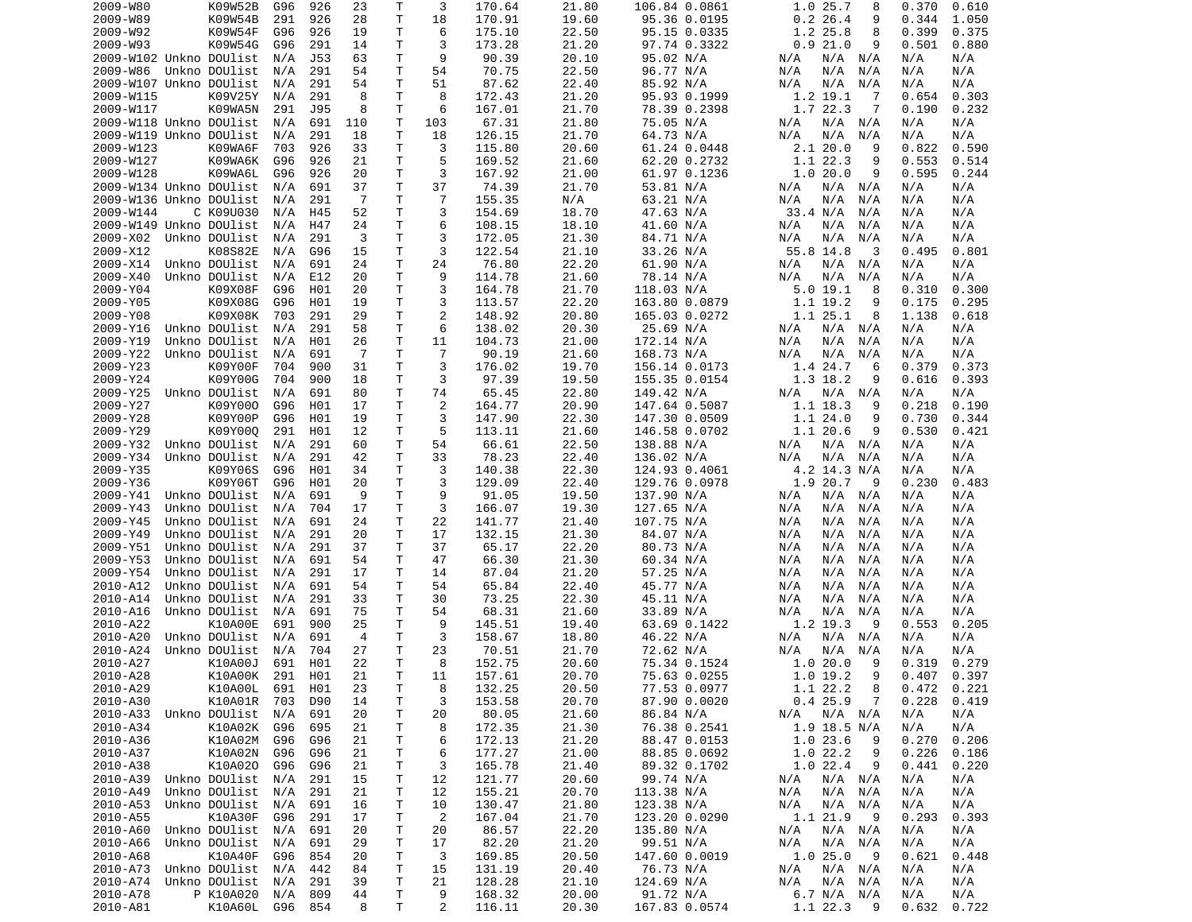| 2009-W80                | K09W52B       | G96     | 926        | 23  | Т  | 3              | 170.64 | 21.80 | 106.84 0.0861 | 1.0 25.7<br>8      | 0.370<br>0.610 |
|-------------------------|---------------|---------|------------|-----|----|----------------|--------|-------|---------------|--------------------|----------------|
| 2009-W89                | K09W54B       | 291     | 926        | 28  | Τ  | 18             | 170.91 | 19.60 | 95.36 0.0195  | $0.2$ 26.4<br>9    | 0.344<br>1.050 |
| 2009-W92                | K09W54F       | G96     | 926        | 19  | Τ  | 6              | 175.10 | 22.50 | 95.15 0.0335  | 1.2 25.8<br>8      | 0.399<br>0.375 |
| 2009-W93                | K09W54G       | G96     | 291        | 14  | Т  | 3              | 173.28 | 21.20 | 97.74 0.3322  | 0.921.0<br>9       | 0.501<br>0.880 |
| 2009-W102 Unkno DOUlist |               | N/A     | <b>J53</b> | 63  | Τ  | 9              | 90.39  | 20.10 | 95.02 N/A     | N/A<br>N/A N/A     | N/A<br>N/A     |
| 2009-W86                | Unkno DOUlist | N/A     | 291        | 54  | т  | 54             | 70.75  | 22.50 | 96.77 N/A     | N/A<br>N/A<br>N/A  | N/A<br>N/A     |
| 2009-W107 Unkno DOUlist |               | N/A     | 291        | 54  | Т  | 51             | 87.62  | 22.40 | 85.92 N/A     | N/A<br>N/A<br>N/A  | N/A<br>N/A     |
| 2009-W115               | K09V25Y       | N/A     | 291        | 8   | T  | 8              | 172.43 | 21.20 | 95.93 0.1999  | 1.2 19.1<br>-7     | 0.654<br>0.303 |
| 2009-W117               | K09WA5N       | 291     | J95        | 8   | T  | 6              | 167.01 | 21.70 | 78.39 0.2398  | 1.7 22.3<br>7      | 0.190<br>0.232 |
| 2009-W118 Unkno DOUlist |               | N/A     | 691        | 110 | T  | 103            | 67.31  | 21.80 | 75.05 N/A     | N/A N/A<br>N/A     | N/A<br>N/A     |
| 2009-W119 Unkno DOUlist |               | N/A     | 291        | 18  | T  | 18             | 126.15 | 21.70 | 64.73 N/A     | N/A<br>N/A<br>N/A  | N/A<br>N/A     |
| 2009-W123               |               | 703     | 926        |     | T  | 3              |        | 20.60 | 61.24 0.0448  | 2.120.0<br>9       | 0.822<br>0.590 |
|                         | K09WA6F       |         |            | 33  |    |                | 115.80 |       |               |                    |                |
| 2009-W127               | K09WA6K       | G96     | 926        | 21  | Τ  | 5              | 169.52 | 21.60 | 62.20 0.2732  | 1.1 22.3<br>9      | 0.553<br>0.514 |
| 2009-W128               | K09WA6L       | G96     | 926        | 20  | т  | 3              | 167.92 | 21.00 | 61.97 0.1236  | 1.020.0<br>9       | 0.595<br>0.244 |
| 2009-W134 Unkno DOUlist |               | N/A     | 691        | 37  | Τ  | 37             | 74.39  | 21.70 | 53.81 N/A     | N/A N/A<br>N/A     | N/A<br>N/A     |
| 2009-W136 Unkno DOUlist |               | N/A     | 291        | -7  | T. | $\overline{7}$ | 155.35 | N/A   | 63.21 N/A     | N/A<br>N/A<br>N/A  | N/A<br>N/A     |
| 2009-W144               | C K09U030     | N/A     | H45        | 52  | т  | 3              | 154.69 | 18.70 | 47.63 N/A     | 33.4 N/A<br>N/A    | N/A<br>N/A     |
| 2009-W149 Unkno DOUlist |               | N/A     | H47        | 24  | T. | 6              | 108.15 | 18.10 | 41.60 N/A     | N/A<br>N/A<br>N/A  | N/A<br>N/A     |
| 2009-X02                | Unkno DOUlist | N/A     | 291        | 3   | T  | 3              | 172.05 | 21.30 | 84.71 N/A     | N/A<br>N/A<br>N/A  | N/A<br>N/A     |
| 2009-X12                | K08S82E       | N/A     | G96        | 15  | т  | 3              | 122.54 | 21.10 | 33.26 N/A     | 55.8 14.8<br>3     | 0.495<br>0.801 |
| 2009-X14                | Unkno DOUlist | N/A     | 691        | 24  | T  | 24             | 76.80  | 22.20 | 61.90 N/A     | N/A N/A<br>N/A     | N/A<br>N/A     |
| 2009-X40                | Unkno DOUlist | N/A     | E12        | 20  | Τ  | 9              | 114.78 | 21.60 | 78.14 N/A     | N/A<br>N/A<br>N/A  | N/A<br>N/A     |
| 2009-Y04                | K09X08F       | G96     | H01        | 20  | Τ  | 3              | 164.78 | 21.70 | 118.03 N/A    | 5.019.1<br>8       | 0.310<br>0.300 |
| 2009-Y05                | K09X08G       | G96     | H01        | 19  | Τ  | 3              | 113.57 | 22.20 | 163.80 0.0879 | 1.1 19.2<br>9      | 0.175<br>0.295 |
| 2009-Y08                | K09X08K       | 703     | 291        | 29  | Τ  | $\overline{2}$ | 148.92 | 20.80 | 165.03 0.0272 | 1.1 25.1<br>8      | 1.138<br>0.618 |
| 2009-Y16                | Unkno DOUlist | N/A     | 291        | 58  | Τ  | 6              | 138.02 | 20.30 | 25.69 N/A     | N/A<br>N/A<br>N/A  | N/A<br>N/A     |
| 2009-Y19                | Unkno DOUlist | N/A     | H01        | 26  | Τ  | 11             | 104.73 | 21.00 | 172.14 N/A    | N/A<br>N/A<br>N/A  | N/A<br>N/A     |
| 2009-Y22                | Unkno DOUlist | N/A     | 691        | -7  | Τ  | $\overline{7}$ | 90.19  | 21.60 | 168.73 N/A    | N/A<br>N/A<br>N/A  | N/A<br>N/A     |
| 2009-Y23                | K09Y00F       | 704     | 900        | 31  | Τ  | 3              | 176.02 | 19.70 | 156.14 0.0173 | 1.4 24.7<br>6      | 0.379<br>0.373 |
| 2009-Y24                | K09Y00G       | 704     | 900        | 18  | T  | 3              | 97.39  | 19.50 | 155.35 0.0154 | 1.3 18.2<br>9      | 0.616<br>0.393 |
| 2009-Y25                | Unkno DOUlist | N/A     | 691        | 80  | Τ  | 74             | 65.45  | 22.80 | 149.42 N/A    | N/A<br>N/A N/A     | N/A<br>N/A     |
| 2009-Y27                | K09Y000       | G96     | H01        | 17  | T. | $\overline{2}$ | 164.77 | 20.90 | 147.64 0.5087 | 1.1 18.3<br>9      | 0.218<br>0.190 |
| 2009-Y28                | K09Y00P       | G96     | H01        | 19  | T  | 3              | 147.90 | 22.30 | 147.30 0.0509 | 1.124.0<br>9       | 0.730<br>0.344 |
| 2009-Y29                | K09Y000       |         |            |     | т  | 5              | 113.11 | 21.60 |               | 1.120.6<br>9       |                |
|                         |               | 291     | H01        | 12  |    |                |        |       | 146.58 0.0702 |                    | 0.530<br>0.421 |
| 2009-Y32                | Unkno DOUlist | N/A     | 291        | 60  | Τ  | 54             | 66.61  | 22.50 | 138.88 N/A    | N/A<br>N/A N/A     | N/A<br>N/A     |
| 2009-Y34                | Unkno DOUlist | N/A     | 291        | 42  | Τ  | 33             | 78.23  | 22.40 | 136.02 N/A    | N/A<br>N/A<br>N/A  | N/A<br>N/A     |
| 2009-Y35                | K09Y06S       | G96     | H01        | 34  | Τ  | 3              | 140.38 | 22.30 | 124.93 0.4061 | 4.2 14.3 N/A       | N/A<br>N/A     |
| 2009-Y36                | K09Y06T       | G96     | H01        | 20  | т  | 3              | 129.09 | 22.40 | 129.76 0.0978 | 1.9 20.7<br>9      | 0.230<br>0.483 |
| 2009-Y41                | Unkno DOUlist | N/A     | 691        | 9   | Τ  | 9              | 91.05  | 19.50 | 137.90 N/A    | N/A<br>N/A N/A     | N/A<br>N/A     |
| 2009-Y43                | Unkno DOUlist | N/A     | 704        | 17  | т  | 3              | 166.07 | 19.30 | 127.65 N/A    | N/A<br>N/A<br>N/A  | N/A<br>N/A     |
| 2009-Y45                | Unkno DOUlist | N/A     | 691        | 24  | т  | 22             | 141.77 | 21.40 | 107.75 N/A    | N/A<br>N/A<br>N/A  | N/A<br>N/A     |
| 2009-Y49                | Unkno DOUlist | N/A     | 291        | 20  | T  | 17             | 132.15 | 21.30 | 84.07 N/A     | N/A<br>N/A<br>N/A  | N/A<br>N/A     |
| 2009-Y51                | Unkno DOUlist | N/A     | 291        | 37  | Т  | 37             | 65.17  | 22.20 | 80.73 N/A     | N/A<br>N/A<br>N/A  | N/A<br>N/A     |
| 2009-Y53                | Unkno DOUlist | N/A     | 691        | 54  | T  | 47             | 66.30  | 21.30 | 60.34 N/A     | N/A<br>N/A<br>N/A  | N/A<br>N/A     |
| 2009-Y54                | Unkno DOUlist | N/A     | 291        | 17  | T  | 14             | 87.04  | 21.20 | 57.25 N/A     | N/A<br>N/A<br>N/A  | N/A<br>N/A     |
| 2010-A12                | Unkno DOUlist | N/A     | 691        | 54  | T  | 54             | 65.84  | 22.40 | 45.77 N/A     | N/A<br>N/A<br>N/A  | N/A<br>N/A     |
| 2010-A14                | Unkno DOUlist | N/A     | 291        | 33  | т  | 30             | 73.25  | 22.30 | 45.11 N/A     | N/A<br>N/A<br>N/A  | N/A<br>N/A     |
| 2010-A16                | Unkno DOUlist | N/A     | 691        | 75  | Τ  | 54             | 68.31  | 21.60 | 33.89 N/A     | N/A<br>N/A<br>N/A  | N/A<br>N/A     |
| 2010-A22                | K10A00E       | 691     | 900        | 25  | T. | 9              | 145.51 | 19.40 | 63.69 0.1422  | 1.2 19.3<br>9      | 0.553<br>0.205 |
| 2010-A20                | Unkno DOUlist | N/A     | 691        | 4   | т  | 3              | 158.67 | 18.80 | 46.22 N/A     | N/A N/A<br>N/A     | N/A<br>N/A     |
| 2010-A24                | Unkno DOUlist | N/A     | 704        | 27  | Τ  | 23             | 70.51  | 21.70 | 72.62 N/A     | N/A<br>N/A<br>N/A  | N/A<br>N/A     |
| 2010-A27                | K10A00J       | 691     | H01        | 22  | T. | 8              | 152.75 | 20.60 | 75.34 0.1524  | 1.020.0<br>9       | 0.319<br>0.279 |
| 2010-A28                | K10A00K       | 291     | H01        | 21  | T. | 11             | 157.61 | 20.70 | 75.63 0.0255  | 1.0 19.2<br>9      | $0.407$ 0.397  |
| 2010-A29                | K10A00L       | 691     | H01        | 23  | Τ  | 8              | 132.25 | 20.50 | 77.53 0.0977  | 1.1 22.2<br>8      | $0.472$ 0.221  |
| 2010-A30                | K10A01R       | 703     | D90        | 14  | T  | 3              | 153.58 | 20.70 | 87.90 0.0020  | 0.425.9<br>7       | 0.228<br>0.419 |
| 2010-A33                | Unkno DOUlist | N/A     | 691        | 20  | Τ  | 20             | 80.05  | 21.60 | 86.84 N/A     | N/A<br>$N/A$ $N/A$ | N/A<br>N/A     |
|                         | K10A02K       | G96     |            |     |    |                |        |       |               |                    | N/A            |
| 2010-A34                |               |         | 695        | 21  | Τ  | 8              | 172.35 | 21.30 | 76.38 0.2541  | $1.9$ 18.5 N/A     | N/A            |
| 2010-A36                | K10A02M       | G96     | G96        | 21  | Τ  | 6              | 172.13 | 21.20 | 88.47 0.0153  | 1.0 23.6<br>9      | 0.270<br>0.206 |
| 2010-A37                | K10A02N       | G96     | G96        | 21  | Τ  | 6              | 177.27 | 21.00 | 88.85 0.0692  | 1.022.2<br>9       | 0.226<br>0.186 |
| 2010-A38                | K10A020       | G96     | G96        | 21  | T. | 3              | 165.78 | 21.40 | 89.32 0.1702  | 1.022.4<br>9       | 0.441<br>0.220 |
| 2010-A39                | Unkno DOUlist | N/A     | 291        | 15  | Τ  | 12             | 121.77 | 20.60 | 99.74 N/A     | N/A N/A<br>N/A     | N/A<br>N/A     |
| 2010-A49                | Unkno DOUlist | N/A     | 291        | 21  | Τ  | 12             | 155.21 | 20.70 | 113.38 N/A    | N/A N/A<br>N/A     | N/A<br>N/A     |
| 2010-A53                | Unkno DOUlist | N/A     | 691        | 16  | Τ  | 10             | 130.47 | 21.80 | 123.38 N/A    | N/A N/A<br>N/A     | N/A<br>N/A     |
| 2010-A55                | K10A30F       | G96     | 291        | 17  | Τ  | $\overline{2}$ | 167.04 | 21.70 | 123.20 0.0290 | 1.1 21.9<br>- 9    | 0.293<br>0.393 |
| 2010-A60                | Unkno DOUlist | N/A     | 691        | 20  | Τ  | 20             | 86.57  | 22.20 | 135.80 N/A    | N/A<br>N/A N/A     | N/A<br>N/A     |
| 2010-A66                | Unkno DOUlist | N/A     | 691        | 29  | Τ  | 17             | 82.20  | 21.20 | 99.51 N/A     | $N/A$ $N/A$<br>N/A | N/A<br>N/A     |
| 2010-A68                | K10A40F       | G96     | 854        | 20  | Τ  | 3              | 169.85 | 20.50 | 147.60 0.0019 | 1.025.0<br>- 9     | 0.621<br>0.448 |
| 2010-A73                | Unkno DOUlist | N/A     | 442        | 84  | Τ  | 15             | 131.19 | 20.40 | 76.73 N/A     | N/A N/A<br>N/A     | N/A<br>N/A     |
| 2010-A74                | Unkno DOUlist | N/A     | 291        | 39  | Τ  | 21             | 128.28 | 21.10 | 124.69 N/A    | N/A<br>N/A N/A     | N/A<br>N/A     |
| 2010-A78                | P K10A020     | N/A     | 809        | 44  | Τ  | 9              | 168.32 | 20.00 | 91.72 N/A     | 6.7 N/A N/A        | N/A<br>N/A     |
| 2010-A81                | K10A60L       | G96 854 |            | 8   | Τ  | 2              | 116.11 | 20.30 | 167.83 0.0574 | 1.122.39           | 0.632<br>0.722 |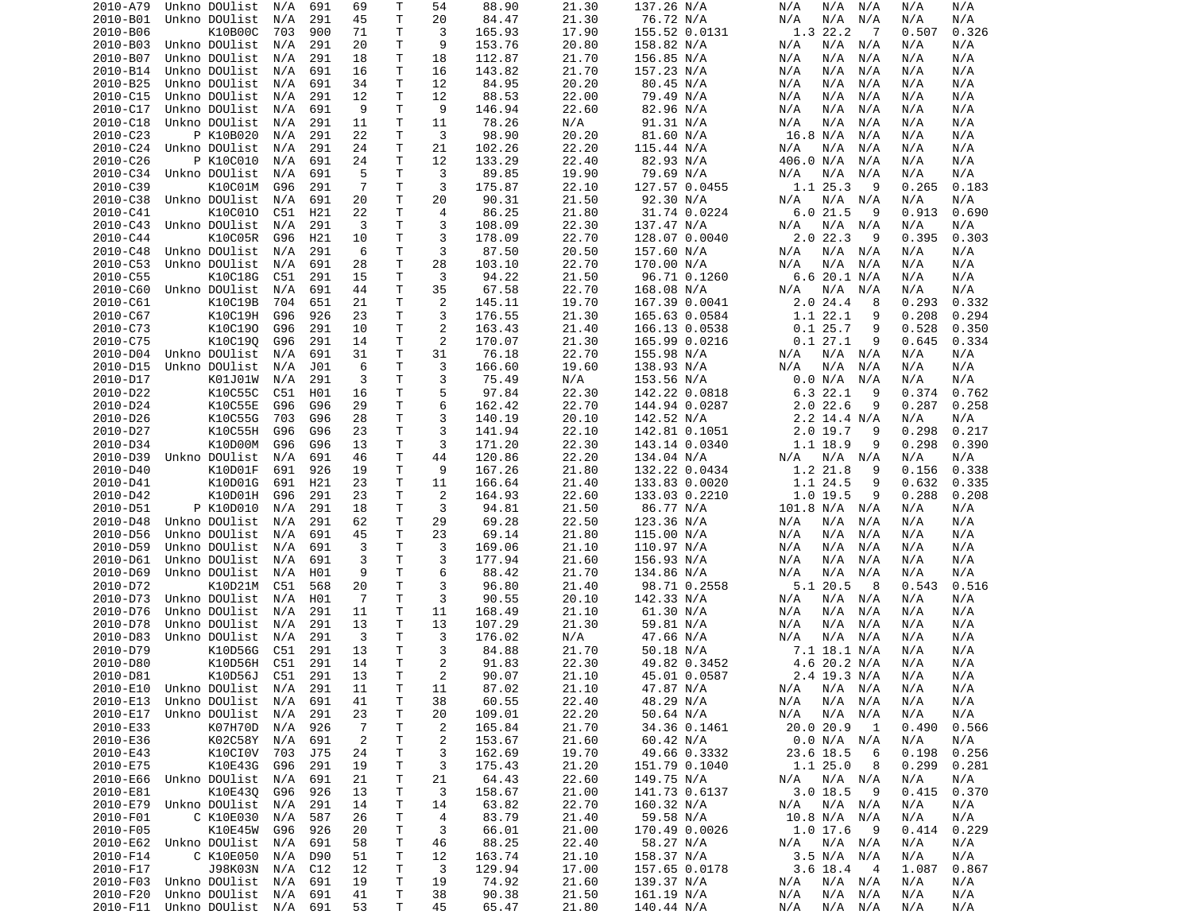| 2010-A79             | Unkno DOUlist | N/A | 691 | 69       | Т      | 54             | 88.90          | 21.30 | 137.26 N/A    | N/A<br>N/A<br>N/A          | N/A<br>N/A     |  |
|----------------------|---------------|-----|-----|----------|--------|----------------|----------------|-------|---------------|----------------------------|----------------|--|
| 2010-B01             | Unkno DOUlist | N/A | 291 | 45       | Τ      | 20             | 84.47          | 21.30 | 76.72 N/A     | N/A<br>N/A<br>N/A          | N/A<br>N/A     |  |
| 2010-B06             | K10B00C       | 703 | 900 | 71       | т      | 3              | 165.93         | 17.90 | 155.52 0.0131 | 1.3 22.2<br>- 7            | 0.507<br>0.326 |  |
|                      |               |     |     |          | т      | 9              |                |       |               |                            |                |  |
| 2010-B03             | Unkno DOUlist | N/A | 291 | 20       |        |                | 153.76         | 20.80 | 158.82 N/A    | N/A<br>N/A<br>N/A          | N/A<br>N/A     |  |
| 2010-B07             | Unkno DOUlist | N/A | 291 | 18       | т      | 18             | 112.87         | 21.70 | 156.85 N/A    | N/A<br>N/A<br>N/A          | N/A<br>N/A     |  |
| 2010-B14             | Unkno DOUlist | N/A | 691 | 16       | т      | 16             | 143.82         | 21.70 | 157.23 N/A    | N/A<br>N/A<br>N/A          | N/A<br>N/A     |  |
| 2010-B25             | Unkno DOUlist | N/A | 691 | 34       | т      | 12             | 84.95          | 20.20 | 80.45 N/A     | N/A<br>N/A<br>N/A          | N/A<br>N/A     |  |
| 2010-C15             | Unkno DOUlist | N/A | 291 | 12       | т      | 12             | 88.53          | 22.00 | 79.49 N/A     | N/A<br>N/A<br>N/A          | N/A<br>N/A     |  |
| 2010-C17             | Unkno DOUlist | N/A | 691 | 9        | Τ      | 9              | 146.94         | 22.60 | 82.96 N/A     | N/A<br>N/A<br>N/A          | N/A<br>N/A     |  |
|                      |               |     |     |          |        |                |                |       |               |                            |                |  |
| 2010-C18             | Unkno DOUlist | N/A | 291 | 11       | т      | 11             | 78.26          | N/A   | 91.31 N/A     | N/A<br>N/A<br>N/A          | N/A<br>N/A     |  |
| 2010-C23             | P K10B020     | N/A | 291 | 22       | т      | 3              | 98.90          | 20.20 | 81.60 N/A     | 16.8 N/A<br>N/A            | N/A<br>N/A     |  |
| 2010-C24             | Unkno DOUlist | N/A | 291 | 24       | т      | 21             | 102.26         | 22.20 | 115.44 N/A    | N/A<br>N/A<br>N/A          | N/A<br>N/A     |  |
| 2010-C26             | P K10C010     | N/A | 691 | 24       | Τ      | 12             | 133.29         | 22.40 | 82.93 N/A     | 406.0 N/A<br>N/A           | N/A<br>N/A     |  |
| 2010-C34             | Unkno DOUlist | N/A | 691 | 5        | т      | 3              | 89.85          | 19.90 | 79.69 N/A     | N/A<br>N/A<br>N/A          | N/A<br>N/A     |  |
|                      |               |     |     |          |        |                |                |       |               |                            |                |  |
| 2010-C39             | K10C01M       | G96 | 291 | 7        | Τ      | 3              | 175.87         | 22.10 | 127.57 0.0455 | 1.1 25.3<br>9              | 0.265<br>0.183 |  |
| 2010-C38             | Unkno DOUlist | N/A | 691 | 20       | T      | 20             | 90.31          | 21.50 | 92.30 N/A     | N/A<br>N/A<br>N/A          | N/A<br>N/A     |  |
| 2010-C41             | K10C010       | C51 | H21 | 22       | Τ      | 4              | 86.25          | 21.80 | 31.74 0.0224  | 6.021.5<br>9               | 0.690<br>0.913 |  |
| 2010-C43             | Unkno DOUlist | N/A | 291 | 3        | Τ      | 3              | 108.09         | 22.30 | 137.47 N/A    | N/A<br>N/A<br>N/A          | N/A<br>N/A     |  |
| 2010-C44             | K10C05R       | G96 | H21 | 10       | т      | 3              | 178.09         | 22.70 | 128.07 0.0040 | 2.022.3<br>9               | 0.395<br>0.303 |  |
|                      |               |     |     |          |        |                |                |       |               |                            |                |  |
| 2010-C48             | Unkno DOUlist | N/A | 291 | 6        | т      | 3              | 87.50          | 20.50 | 157.60 N/A    | N/A N/A<br>N/A             | N/A<br>N/A     |  |
| 2010-C53             | Unkno DOUlist | N/A | 691 | 28       | Τ      | 28             | 103.10         | 22.70 | 170.00 N/A    | N/A<br>N/A<br>N/A          | N/A<br>N/A     |  |
| 2010-C55             | K10C18G       | C51 | 291 | 15       | т      | 3              | 94.22          | 21.50 | 96.71 0.1260  | 6.6 20.1 N/A               | N/A<br>N/A     |  |
| 2010-C60             | Unkno DOUlist | N/A | 691 | 44       | Τ      | 35             | 67.58          | 22.70 | 168.08 N/A    | N/A<br>N/A<br>N/A          | N/A<br>N/A     |  |
| 2010-C61             | K10C19B       | 704 | 651 | 21       | т      | 2              | 145.11         | 19.70 | 167.39 0.0041 | 2.0 24.4<br>8              | 0.293<br>0.332 |  |
|                      |               |     |     |          |        |                |                |       |               |                            |                |  |
| 2010-C67             | K10C19H       | G96 | 926 | 23       | Τ      | 3              | 176.55         | 21.30 | 165.63 0.0584 | 1.1 22.1<br>9              | 0.208<br>0.294 |  |
| 2010-C73             | K10C190       | G96 | 291 | 10       | т      | $\overline{2}$ | 163.43         | 21.40 | 166.13 0.0538 | 0.125.7<br>9               | 0.528<br>0.350 |  |
| 2010-C75             | K10C190       | G96 | 291 | 14       | т      | 2              | 170.07         | 21.30 | 165.99 0.0216 | 0.127.1<br>9               | 0.645<br>0.334 |  |
| 2010-D04             | Unkno DOUlist | N/A | 691 | 31       | т      | 31             | 76.18          | 22.70 | 155.98 N/A    | N/A<br>N/A<br>N/A          | N/A<br>N/A     |  |
| 2010-D15             | Unkno DOUlist | N/A | J01 | 6        | Τ      | 3              | 166.60         | 19.60 | 138.93 N/A    | N/A<br>N/A<br>N/A          | N/A<br>N/A     |  |
|                      |               |     |     |          |        |                |                |       |               |                            |                |  |
| 2010-D17             | K01J01W       | N/A | 291 | 3        | Τ      | 3              | 75.49          | N/A   | 153.56 N/A    | 0.0 N/A<br>N/A             | N/A<br>N/A     |  |
| 2010-D22             | K10C55C       | C51 | H01 | 16       | Τ      | 5              | 97.84          | 22.30 | 142.22 0.0818 | 6.3 22.1<br>9              | 0.374<br>0.762 |  |
| 2010-D24             | K10C55E       | G96 | G96 | 29       | Τ      | 6              | 162.42         | 22.70 | 144.94 0.0287 | $2.0$ 22.6<br>9            | 0.287<br>0.258 |  |
| 2010-D26             | K10C55G       | 703 | G96 | 28       | Τ      | 3              | 140.19         | 20.10 | 142.52 N/A    | $2.2$ 14.4 N/A             | N/A<br>N/A     |  |
| 2010-D27             | K10C55H       | G96 | G96 | 23       | т      | 3              | 141.94         | 22.10 | 142.81 0.1051 | 2.0 19.7<br>9              | 0.298<br>0.217 |  |
|                      |               |     |     |          |        |                |                |       |               |                            |                |  |
| 2010-D34             | K10D00M       | G96 | G96 | 13       | т      | 3              | 171.20         | 22.30 | 143.14 0.0340 | 1.1 18.9<br>9              | 0.298<br>0.390 |  |
| 2010-D39             | Unkno DOUlist | N/A | 691 | 46       | т      | 44             | 120.86         | 22.20 | 134.04 N/A    | N/A N/A<br>N/A             | N/A<br>N/A     |  |
| 2010-D40             | K10D01F       | 691 | 926 | 19       | Τ      | 9              | 167.26         | 21.80 | 132.22 0.0434 | 1.2 21.8<br>9              | 0.156<br>0.338 |  |
| 2010-D41             | K10D01G       | 691 | H21 | 23       | т      | 11             | 166.64         | 21.40 | 133.83 0.0020 | 1.1 24.5<br>9              | 0.632<br>0.335 |  |
| 2010-D42             | K10D01H       | G96 | 291 | 23       | Τ      | 2              | 164.93         | 22.60 | 133.03 0.2210 | 1.0 19.5<br>9              | 0.288<br>0.208 |  |
|                      |               |     |     |          |        |                |                |       |               |                            |                |  |
| 2010-D51             | P K10D010     | N/A | 291 | 18       | т      | 3              | 94.81          | 21.50 | 86.77 N/A     | 101.8 N/A<br>N/A           | N/A<br>N/A     |  |
| 2010-D48             | Unkno DOUlist | N/A | 291 | 62       | т      | 29             | 69.28          | 22.50 | 123.36 N/A    | N/A<br>N/A<br>N/A          | N/A<br>N/A     |  |
| 2010-D56             | Unkno DOUlist | N/A | 691 | 45       | T.     | 23             | 69.14          | 21.80 | 115.00 N/A    | N/A<br>N/A<br>N/A          | N/A<br>N/A     |  |
| 2010-D59             | Unkno DOUlist | N/A | 691 | 3        | т      | 3              | 169.06         | 21.10 | 110.97 N/A    | N/A<br>N/A<br>N/A          | N/A<br>N/A     |  |
| 2010-D61             | Unkno DOUlist | N/A | 691 | 3        | Τ      | 3              | 177.94         | 21.60 | 156.93 N/A    | N/A<br>N/A<br>N/A          | N/A<br>N/A     |  |
|                      |               |     |     |          |        |                |                |       |               |                            |                |  |
| 2010-D69             | Unkno DOUlist | N/A | H01 | 9        | Τ      | 6              | 88.42          | 21.70 | 134.86 N/A    | N/A<br>N/A<br>N/A          | N/A<br>N/A     |  |
| 2010-D72             | K10D21M       | C51 | 568 | 20       | Τ      | 3              | 96.80          | 21.40 | 98.71 0.2558  | 5.1 20.5<br>8              | 0.543<br>0.516 |  |
| 2010-D73             | Unkno DOUlist | N/A | H01 | -7       | Τ      | 3              | 90.55          | 20.10 | 142.33 N/A    | N/A<br>N/A<br>N/A          | N/A<br>N/A     |  |
| 2010-D76             | Unkno DOUlist | N/A | 291 | 11       | Τ      | 11             | 168.49         | 21.10 | 61.30 N/A     | N/A<br>N/A<br>N/A          | N/A<br>N/A     |  |
| 2010-D78             | Unkno DOUlist | N/A | 291 | 13       | Τ      | 13             | 107.29         | 21.30 | 59.81 N/A     | N/A<br>N/A<br>N/A          | N/A<br>N/A     |  |
|                      |               |     |     |          |        |                |                |       |               |                            |                |  |
| 2010-D83             | Unkno DOUlist | N/A | 291 | 3        | т      | 3              | 176.02         | N/A   | 47.66 N/A     | N/A<br>N/A<br>N/A          | N/A<br>N/A     |  |
| 2010-D79             | K10D56G       | C51 | 291 | 13       | Τ      | 3              | 84.88          | 21.70 | 50.18 N/A     | 7.1 18.1 N/A               | N/A<br>N/A     |  |
| 2010-D80             | K10D56H       | C51 | 291 | 14       | T.     | 2              | 91.83          | 22.30 | 49.82 0.3452  | 4.6 20.2 N/A               | N/A<br>N/A     |  |
| 2010-D81             | K10D56J C51   |     | 291 | 13       | T.     | 2              | 90.07          | 21.10 | 45.01 0.0587  | 2.4 19.3 N/A               | N/A<br>N/A     |  |
| 2010-E10             | Unkno DOUlist | N/A | 291 | 11       | т      |                | 87.02          | 21.10 | 47.87 N/A     | N/A N/A                    | N/A            |  |
|                      |               |     |     |          |        | 11             |                |       |               | N/A                        | N/A            |  |
| 2010-E13             | Unkno DOUlist | N/A | 691 | 41       | т      | 38             | 60.55          | 22.40 | 48.29 N/A     | N/A<br>$N/A$ $N/A$         | N/A<br>N/A     |  |
| 2010-E17             | Unkno DOUlist | N/A | 291 | 23       | т      | 20             | 109.01         | 22.20 | 50.64 N/A     | N/A<br>N/A<br>N/A          | N/A<br>N/A     |  |
| 2010-E33             | K07H70D       | N/A | 926 | -7       | т      | $\overline{2}$ | 165.84         | 21.70 | 34.36 0.1461  | 20.0 20.9<br>1             | 0.490<br>0.566 |  |
| 2010-E36             | K02C58Y       | N/A | 691 | 2        | т      | $\overline{c}$ | 153.67         | 21.60 | 60.42 N/A     | 0.0 N/A N/A                | N/A<br>N/A     |  |
|                      |               | 703 | J75 | 24       |        |                |                |       | 49.66 0.3332  |                            | 0.198          |  |
| 2010-E43             | K10CI0V       |     |     |          | т      | 3              | 162.69         | 19.70 |               | 23.6 18.5<br>6             | 0.256          |  |
| 2010-E75             | K10E43G       | G96 | 291 | 19       | т      | 3              | 175.43         | 21.20 | 151.79 0.1040 | 1.125.0<br>8               | 0.299<br>0.281 |  |
| 2010-E66             | Unkno DOUlist | N/A | 691 | 21       | т      | 21             | 64.43          | 22.60 | 149.75 N/A    | N/A N/A<br>N/A             | N/A<br>N/A     |  |
| 2010-E81             | K10E430       | G96 | 926 | 13       | т      | 3              | 158.67         | 21.00 | 141.73 0.6137 | 3.018.5<br>- 9             | 0.370<br>0.415 |  |
| 2010-E79             | Unkno DOUlist | N/A | 291 | 14       | т      | 14             | 63.82          | 22.70 | 160.32 N/A    | N/A<br>N/A N/A             | N/A<br>N/A     |  |
|                      |               |     |     |          |        |                |                |       |               |                            |                |  |
| 2010-F01             | C K10E030     | N/A | 587 | 26       | т      | 4              | 83.79          | 21.40 | 59.58 N/A     | 10.8 N/A N/A               | N/A<br>N/A     |  |
| 2010-F05             | K10E45W       | G96 | 926 | 20       | Τ      | 3              | 66.01          | 21.00 | 170.49 0.0026 | $1.0$ 17.6<br>- 9          | 0.229<br>0.414 |  |
| 2010-E62             | Unkno DOUlist | N/A | 691 | 58       | Τ      | 46             | 88.25          | 22.40 | 58.27 N/A     | N/A N/A<br>N/A             | N/A<br>N/A     |  |
| 2010-F14             | C K10E050     | N/A | D90 | 51       | T      | 12             | 163.74         | 21.10 | 158.37 N/A    | 3.5 N/A N/A                | N/A<br>N/A     |  |
| 2010-F17             | J98K03N       | N/A | C12 | 12       | Τ      | 3              | 129.94         | 17.00 | 157.65 0.0178 | 3.6 18.4<br>$\overline{4}$ | 1.087<br>0.867 |  |
|                      |               |     |     |          |        |                |                |       |               |                            |                |  |
|                      |               |     |     |          |        |                |                |       |               |                            |                |  |
| 2010-F03             | Unkno DOUlist | N/A | 691 | 19       | т      | 19             | 74.92          | 21.60 | 139.37 N/A    | $N/A$ $N/A$<br>N/A         | N/A<br>N/A     |  |
| 2010-F20<br>2010-F11 | Unkno DOUlist | N/A | 691 | 41<br>53 | т<br>Τ | 38<br>45       | 90.38<br>65.47 | 21.50 | 161.19 N/A    | $N/A$ $N/A$<br>N/A         | N/A<br>N/A     |  |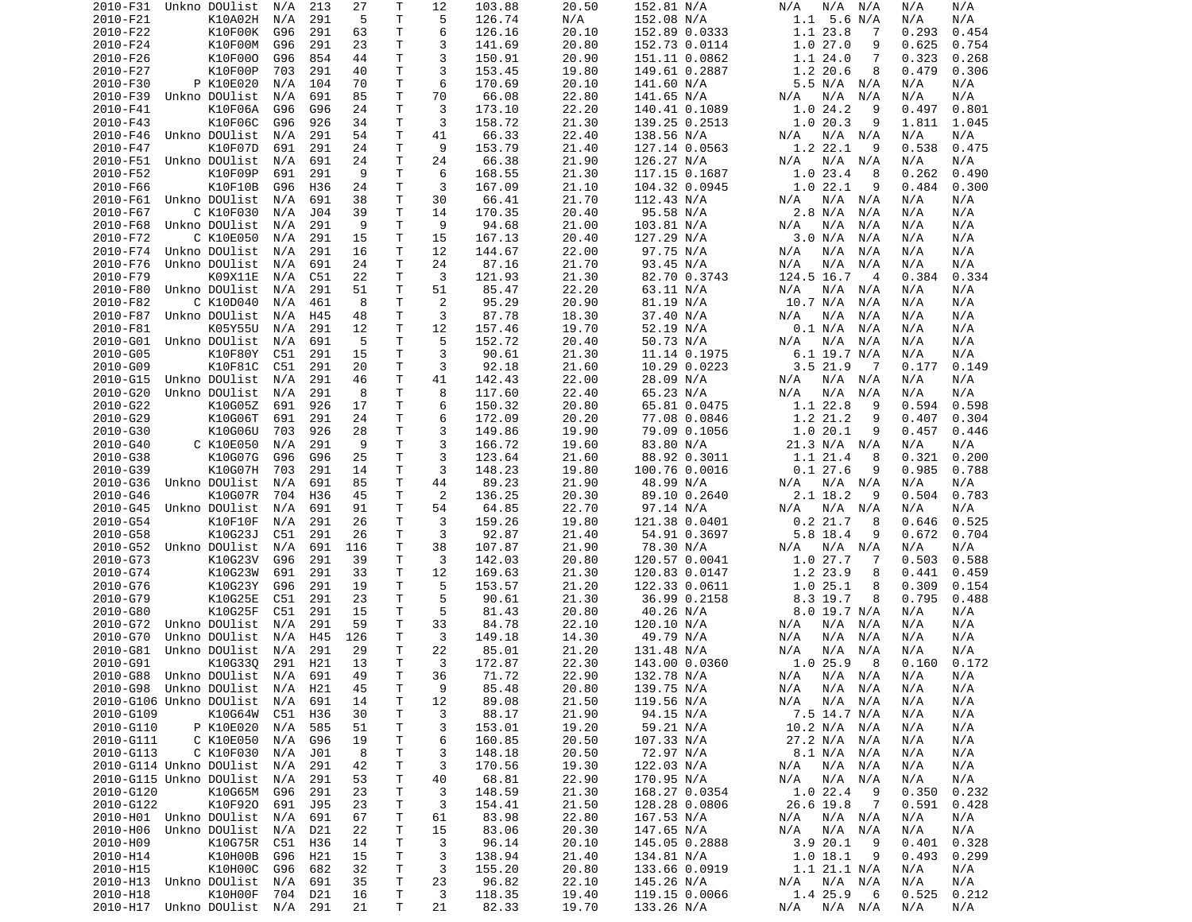| 2010-F31             | Unkno DOUlist                  | N/A        | 213        | 27       | Τ      | 12      | 103.88          | 20.50          | 152.81 N/A                  | N/A<br>N/A N/A                  | N/A<br>N/A                   |
|----------------------|--------------------------------|------------|------------|----------|--------|---------|-----------------|----------------|-----------------------------|---------------------------------|------------------------------|
| 2010-F21             | K10A02H                        | N/A        | 291        | 5        | Τ      | 5       | 126.74          | N/A            | 152.08 N/A                  | $1.1$ 5.6 N/A                   | N/A<br>N/A                   |
| 2010-F22             | K10F00K                        | G96        | 291        | 63       | т      | 6       | 126.16          | 20.10          | 152.89 0.0333               | 1.1 23.8<br>7                   | 0.293<br>0.454               |
| 2010-F24             | K10F00M                        | G96        | 291        | 23       | Τ      | 3       | 141.69          | 20.80          | 152.73 0.0114               | 1.027.0<br>9                    | 0.625<br>0.754               |
| 2010-F26             | K10F000                        | G96        | 854        | 44       | т      | 3       | 150.91          | 20.90          | 151.11 0.0862               | 1.124.0<br>7                    | 0.323<br>0.268               |
| 2010-F27             | K10F00P                        | 703        | 291        | 40       | T      | 3       | 153.45          | 19.80          | 149.61 0.2887               | 1.2 20.6<br>8                   | 0.479<br>0.306               |
| 2010-F30             | P K10E020                      | N/A        | 104        | 70       | Τ      | 6       | 170.69          | 20.10          | 141.60 N/A                  | 5.5 N/A N/A                     | N/A<br>N/A                   |
| 2010-F39             | Unkno DOUlist                  | N/A        | 691        | 85       | Τ      | 70      | 66.08           | 22.80          | 141.65 N/A                  | N/A<br>N/A<br>N/A               | N/A<br>N/A                   |
| 2010-F41             | K10F06A                        | G96        | G96        | 24       | Τ      | 3       | 173.10          | 22.20          | 140.41 0.1089               | 1.024.2<br>9                    | 0.801<br>0.497               |
| 2010-F43             | K10F06C                        | G96        | 926        | 34       | т      | 3       | 158.72          | 21.30          | 139.25 0.2513               | 1.020.3<br>9                    | 1.811<br>1.045               |
| 2010-F46<br>2010-F47 | Unkno DOUlist<br>K10F07D       | N/A<br>691 | 291<br>291 | 54<br>24 | T<br>т | 41<br>9 | 66.33<br>153.79 | 22.40<br>21.40 | 138.56 N/A                  | N/A N/A<br>N/A<br>1.2 22.1<br>9 | N/A<br>N/A<br>0.538<br>0.475 |
| 2010-F51             | Unkno DOUlist                  | N/A        | 691        | 24       | T      | 24      | 66.38           | 21.90          | 127.14 0.0563<br>126.27 N/A | N/A<br>N/A<br>N/A               | N/A<br>N/A                   |
| 2010-F52             | K10F09P                        | 691        | 291        | 9        | Τ      | 6       | 168.55          | 21.30          | 117.15 0.1687               | 1.023.4<br>8                    | 0.262<br>0.490               |
| 2010-F66             | K10F10B                        | G96        | H36        | 24       | Τ      | 3       | 167.09          | 21.10          | 104.32 0.0945               | 1.022.1<br>9                    | 0.484<br>0.300               |
| 2010-F61             | Unkno DOUlist                  | N/A        | 691        | 38       | Τ      | 30      | 66.41           | 21.70          | 112.43 N/A                  | N/A<br>N/A<br>N/A               | N/A<br>N/A                   |
| 2010-F67             | C K10F030                      | N/A        | J04        | 39       | т      | 14      | 170.35          | 20.40          | 95.58 N/A                   | 2.8 N/A<br>N/A                  | N/A<br>N/A                   |
| 2010-F68             | Unkno DOUlist                  | N/A        | 291        | 9        | T      | 9       | 94.68           | 21.00          | 103.81 N/A                  | N/A<br>N/A<br>N/A               | N/A<br>N/A                   |
| 2010-F72             | C K10E050                      | N/A        | 291        | 15       | T      | 15      | 167.13          | 20.40          | 127.29 N/A                  | 3.0 N/A<br>N/A                  | N/A<br>N/A                   |
| 2010-F74             | Unkno DOUlist                  | N/A        | 291        | 16       | T      | 12      | 144.67          | 22.00          | 97.75 N/A                   | N/A<br>N/A<br>N/A               | N/A<br>N/A                   |
| 2010-F76             | Unkno DOUlist                  | N/A        | 691        | 24       | T      | 24      | 87.16           | 21.70          | 93.45 N/A                   | N/A<br>N/A<br>N/A               | N/A<br>N/A                   |
| 2010-F79             | K09X11E                        | N/A        | C51        | 22       | т      | 3       | 121.93          | 21.30          | 82.70 0.3743                | 124.5 16.7<br>-4                | 0.384<br>0.334               |
| 2010-F80             | Unkno DOUlist                  | N/A        | 291        | 51       | T      | 51      | 85.47           | 22.20          | 63.11 N/A                   | N/A<br>N/A<br>N/A               | N/A<br>N/A                   |
| 2010-F82             | C K10D040                      | N/A        | 461        | 8        | Τ      | 2       | 95.29           | 20.90          | 81.19 N/A                   | 10.7 N/A<br>N/A                 | N/A<br>N/A                   |
| 2010-F87             | Unkno DOUlist                  | N/A        | H45        | 48       | T      | 3       | 87.78           | 18.30          | 37.40 N/A                   | N/A<br>N/A<br>N/A               | N/A<br>N/A                   |
| 2010-F81             | K05Y55U                        | N/A        | 291        | 12       | Τ      | 12      | 157.46          | 19.70          | 52.19 N/A                   | 0.1 N/A<br>N/A                  | N/A<br>N/A                   |
| 2010-G01             | Unkno DOUlist                  | N/A        | 691        | 5        | T      | 5       | 152.72          | 20.40          | 50.73 N/A                   | N/A<br>N/A<br>N/A               | N/A<br>N/A                   |
| 2010-G05             | K10F80Y                        | C51        | 291        | 15       | Τ      | 3       | 90.61           | 21.30          | 11.14 0.1975                | 6.1 19.7 N/A                    | N/A<br>N/A                   |
| 2010-G09             | K10F81C                        | C51        | 291        | 20       | т      | 3       | 92.18           | 21.60          | 10.29 0.0223                | 3.521.9<br>- 7                  | 0.177<br>0.149               |
| 2010-G15             | Unkno DOUlist                  | N/A        | 291        | 46       | Τ      | 41      | 142.43          | 22.00          | 28.09 N/A                   | N/A N/A<br>N/A                  | N/A<br>N/A                   |
| 2010-G20             | Unkno DOUlist                  | N/A        | 291        | 8        | Τ      | 8       | 117.60          | 22.40          | 65.23 N/A                   | N/A<br>N/A<br>N/A               | N/A<br>N/A                   |
| 2010-G22             | K10G05Z                        | 691        | 926        | 17       | Τ      | 6       | 150.32          | 20.80          | 65.81 0.0475                | 1.1 22.8<br>9                   | 0.594<br>0.598               |
| 2010-G29             | K10G06T                        | 691        | 291        | 24       | Τ      | 6       | 172.09          | 20.20          | 77.08 0.0846                | 1.2 21.2<br>9                   | 0.304<br>0.407               |
| 2010-G30             | K10G06U                        | 703        | 926        | 28       | T.     | 3       | 149.86          | 19.90          | 79.09 0.1056                | 1.0 20.1<br>9                   | 0.457<br>0.446               |
| 2010-G40             | C K10E050                      | N/A        | 291        | 9        | Τ      | 3       | 166.72          | 19.60          | 83.80 N/A                   | 21.3 N/A N/A                    | N/A<br>N/A                   |
| 2010-G38             | K10G07G                        | G96        | G96        | 25       | т      | 3       | 123.64          | 21.60          | 88.92 0.3011                | 1.1 21.4<br>8                   | 0.321<br>0.200               |
| 2010-G39             | K10G07H                        | 703        | 291        | 14       | T      | 3       | 148.23          | 19.80          | 100.76 0.0016               | 0.127.6<br>9                    | 0.985<br>0.788               |
| 2010-G36             | Unkno DOUlist                  | N/A        | 691        | 85       | т      | 44      | 89.23           | 21.90          | 48.99 N/A                   | N/A<br>N/A N/A                  | N/A<br>N/A                   |
| 2010-G46             | K10G07R                        | 704        | H36        | 45       | T      | 2       | 136.25          | 20.30          | 89.10 0.2640                | 2.1 18.2<br>9                   | 0.504<br>0.783               |
| 2010-G45             | Unkno DOUlist                  | N/A        | 691        | 91       | T      | 54      | 64.85           | 22.70          | 97.14 N/A                   | N/A<br>N/A N/A                  | N/A<br>N/A                   |
| 2010-G54             | K10F10F                        | N/A        | 291        | 26       | T      | 3       | 159.26          | 19.80          | 121.38 0.0401               | 0.2 21.7<br>8                   | 0.525<br>0.646               |
| 2010-G58             | K10G23J                        | C51        | 291        | 26       | Τ      | 3       | 92.87           | 21.40          | 54.91 0.3697                | 5.8 18.4<br>9                   | 0.672<br>0.704               |
| 2010-G52             | Unkno DOUlist                  | N/A        | 691        | 116      | т      | 38      | 107.87          | 21.90          | 78.30 N/A                   | N/A<br>N/A<br>N/A               | N/A<br>N/A                   |
| 2010-G73             | K10G23V                        | G96        | 291        | 39       | т      | 3       | 142.03          | 20.80          | 120.57 0.0041               | 1.027.7<br>7                    | 0.503<br>0.588               |
| 2010-G74             | K10G23W                        | 691        | 291        | 33       | т      | 12      | 169.63          | 21.30          | 120.83 0.0147               | 1.2 23.9<br>8                   | 0.441<br>0.459               |
| 2010-G76             | K10G23Y                        | G96        | 291        | 19       | Τ      | 5       | 153.57          | 21.20          | 122.33 0.0611               | 1.025.1<br>8                    | 0.309<br>0.154               |
| 2010-G79<br>2010-G80 | K10G25E<br>K10G25F             | C51<br>C51 | 291<br>291 | 23<br>15 | т<br>т | 5<br>5  | 90.61<br>81.43  | 21.30<br>20.80 | 36.99 0.2158<br>40.26 N/A   | 8.3 19.7<br>8<br>8.0 19.7 N/A   | 0.795<br>0.488<br>N/A<br>N/A |
| 2010-G72             | Unkno DOUlist                  | N/A        | 291        | 59       | т      | 33      | 84.78           | 22.10          | 120.10 N/A                  | N/A<br>N/A<br>N/A               | N/A<br>N/A                   |
| 2010-G70             | Unkno DOUlist                  | N/A        | H45        | 126      | т      | 3       | 149.18          | 14.30          | 49.79 N/A                   | N/A<br>N/A<br>N/A               | N/A<br>N/A                   |
| 2010-G81             | Unkno DOUlist                  | N/A        | 291        | 29       | T      | 22      | 85.01           | 21.20          | 131.48 N/A                  | N/A<br>N/A<br>N/A               | N/A<br>N/A                   |
| 2010-G91             | K10G330                        | 291        | H21        | 13       | T.     | 3       | 172.87          | 22.30          | 143.00 0.0360               | 1.025.9<br>8                    | 0.160<br>0.172               |
|                      | 2010-G88 Unkno DOUlist N/A 691 |            |            | 49       | T.     | 36      | 71.72           | 22.90          | 132.78 N/A                  | N/A N/A N/A                     | N/A<br>N/A                   |
|                      | 2010-G98 Unkno DOUlist N/A H21 |            |            | 45       | Τ      | 9       | 85.48           | 20.80          | 139.75 N/A                  | N/A<br>N/A N/A                  | N/A<br>N/A                   |
|                      | 2010-G106 Unkno DOUlist        | N/A        | 691        | 14       | T.     | 12      | 89.08           | 21.50          | 119.56 N/A                  | N/A<br>$N/A$ $N/A$              | N/A<br>N/A                   |
| 2010-G109            | K10G64W                        | C51        | H36        | 30       | Τ      | 3       | 88.17           | 21.90          | 94.15 N/A                   | 7.5 14.7 N/A                    | N/A<br>N/A                   |
| 2010-G110            | P K10E020                      | N/A        | 585        | 51       | Τ      | 3       | 153.01          | 19.20          | 59.21 N/A                   | 10.2 N/A N/A                    | N/A<br>N/A                   |
| 2010-G111            | C K10E050                      | N/A        | G96        | 19       | Τ      | 6       | 160.85          | 20.50          | 107.33 N/A                  | 27.2 N/A N/A                    | N/A<br>N/A                   |
| 2010-G113            | C K10F030                      | N/A        | J01        | 8        | т      | 3       | 148.18          | 20.50          | 72.97 N/A                   | 8.1 N/A N/A                     | N/A<br>N/A                   |
|                      | 2010-G114 Unkno DOUlist        | N/A        | 291        | 42       | T      | 3       | 170.56          | 19.30          | 122.03 N/A                  | N/A<br>N/A N/A                  | N/A<br>N/A                   |
|                      | 2010-G115 Unkno DOUlist        | N/A        | 291        | 53       | Τ      | 40      | 68.81           | 22.90          | 170.95 N/A                  | N/A<br>N/A N/A                  | N/A<br>N/A                   |
| 2010-G120            | K10G65M                        | G96        | 291        | 23       | Τ      | 3       | 148.59          | 21.30          | 168.27 0.0354               | 1.022.4<br>- 9                  | 0.350<br>0.232               |
| 2010-G122            | K10F920                        | 691        | J95        | 23       | Τ      | 3       | 154.41          | 21.50          | 128.28 0.0806               | 26.6 19.8<br>$\overline{7}$     | 0.591<br>0.428               |
|                      | 2010-H01 Unkno DOUlist         | N/A        | 691        | 67       | T      | 61      | 83.98           | 22.80          | 167.53 N/A                  | N/A N/A<br>N/A                  | N/A<br>N/A                   |
| 2010-H06             | Unkno DOUlist                  | N/A        | D21        | 22       | Τ      | 15      | 83.06           | 20.30          | 147.65 N/A                  | N/A<br>N/A N/A                  | N/A<br>N/A                   |
| 2010-H09             | K10G75R                        | C51        | H36        | 14       | Τ      | 3       | 96.14           | 20.10          | 145.05 0.2888               | 3.920.1<br>- 9                  | 0.328<br>0.401               |
| 2010-H14             | K10H00B                        | G96        | H21        | 15       | T      | 3       | 138.94          | 21.40          | 134.81 N/A                  | 1.0 18.1<br>9                   | 0.493<br>0.299               |
| 2010-H15             | K10H00C                        | G96        | 682        | 32       | Τ      | 3       | 155.20          | 20.80          | 133.66 0.0919               | 1.1 21.1 N/A                    | N/A<br>N/A                   |
| 2010-H13             | Unkno DOUlist                  | N/A        | 691        | 35       | T      | 23      | 96.82           | 22.10          | 145.26 N/A                  | N/A N/A<br>N/A                  | N/A<br>N/A                   |
| 2010-H18             | K10H00F                        | 704        | D21        | 16       | T.     | 3       | 118.35          | 19.40          | 119.15 0.0066               | 1.4 25.9<br>6                   | 0.525<br>0.212               |
|                      | 2010-H17 Unkno DOUlist N/A 291 |            |            | 21       | T      | 21      | 82.33           | 19.70          | 133.26 N/A                  | N/A N/A<br>N/A                  | N/A<br>N/A                   |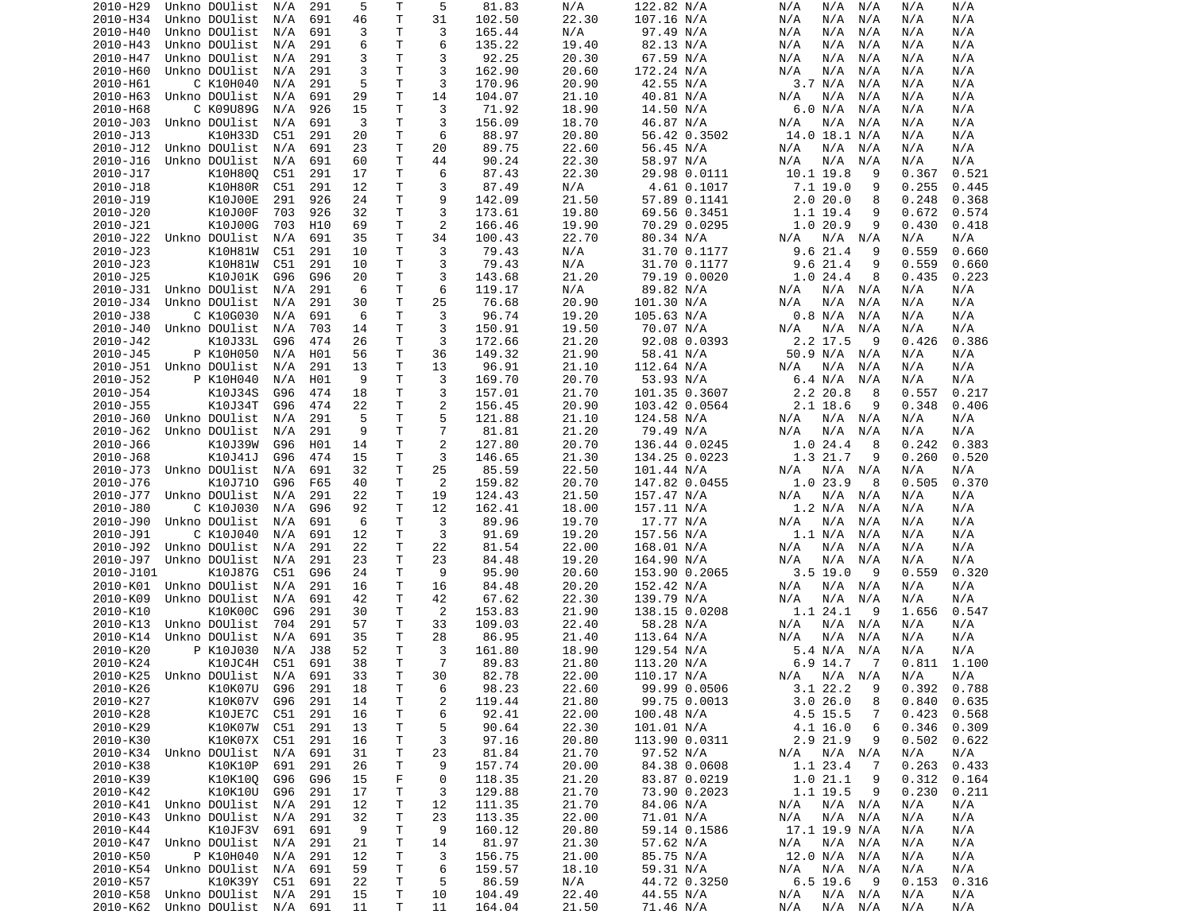| 2010-H29  | Unkno DOUlist                  | N/A | 291             | 5  | Τ            | 5              | 81.83  | N/A   | 122.82 N/A    | N/A<br>N/A<br>N/A          | N/A<br>N/A      |
|-----------|--------------------------------|-----|-----------------|----|--------------|----------------|--------|-------|---------------|----------------------------|-----------------|
| 2010-H34  | Unkno DOUlist                  | N/A | 691             | 46 | T            | 31             | 102.50 | 22.30 | 107.16 N/A    | N/A<br>N/A<br>N/A          | N/A<br>N/A      |
| 2010-H40  | Unkno DOUlist                  | N/A | 691             | 3  | Τ            | 3              | 165.44 | N/A   | 97.49 N/A     | N/A<br>N/A<br>N/A          | N/A<br>N/A      |
| 2010-H43  | Unkno DOUlist                  | N/A | 291             | 6  | $\mathsf{T}$ | 6              | 135.22 | 19.40 | 82.13 N/A     | N/A<br>N/A<br>N/A          | N/A<br>N/A      |
| 2010-H47  | Unkno DOUlist                  | N/A | 291             | 3  | T            | 3              | 92.25  | 20.30 | 67.59 N/A     | N/A<br>N/A<br>N/A          | N/A<br>N/A      |
| 2010-H60  | Unkno DOUlist                  | N/A | 291             | 3  | T            | 3              | 162.90 | 20.60 | 172.24 N/A    | N/A<br>N/A<br>N/A          | N/A<br>N/A      |
|           | C K10H040                      |     |                 |    |              |                |        |       |               |                            |                 |
| 2010-H61  |                                | N/A | 291             | 5  | Τ            | 3              | 170.96 | 20.90 | 42.55 N/A     | 3.7 N/A<br>N/A             | N/A<br>N/A      |
| 2010-H63  | Unkno DOUlist                  | N/A | 691             | 29 | T            | 14             | 104.07 | 21.10 | 40.81 N/A     | N/A<br>N/A<br>N/A          | N/A<br>N/A      |
| 2010-H68  | C K09U89G                      | N/A | 926             | 15 | T            | 3              | 71.92  | 18.90 | 14.50 N/A     | 6.0 N/A<br>N/A             | N/A<br>N/A      |
| 2010-J03  | Unkno DOUlist                  | N/A | 691             | 3  | T            | 3              | 156.09 | 18.70 | 46.87 N/A     | N/A<br>N/A<br>N/A          | N/A<br>N/A      |
| 2010-J13  | K10H33D                        | C51 | 291             | 20 | T            | 6              | 88.97  | 20.80 | 56.42 0.3502  | 14.0 18.1 N/A              | N/A<br>N/A      |
| 2010-J12  | Unkno DOUlist                  | N/A | 691             | 23 | Τ            | 20             | 89.75  | 22.60 | 56.45 N/A     | N/A<br>N/A<br>N/A          | N/A<br>N/A      |
| 2010-J16  | Unkno DOUlist                  | N/A | 691             | 60 | T            | 44             | 90.24  | 22.30 | 58.97 N/A     | N/A<br>N/A<br>N/A          | N/A<br>N/A      |
| 2010-J17  | K10H80Q                        | C51 | 291             | 17 | Τ            | 6              | 87.43  | 22.30 | 29.98 0.0111  | 10.1 19.8<br>9             | 0.367<br>0.521  |
| 2010-J18  | K10H80R                        | C51 | 291             | 12 | T            | 3              | 87.49  | N/A   | 4.61 0.1017   | 7.1 19.0<br>9              | 0.255<br>0.445  |
|           |                                |     |                 |    |              |                |        |       |               |                            |                 |
| 2010-J19  | K10J00E                        | 291 | 926             | 24 | T            | 9              | 142.09 | 21.50 | 57.89 0.1141  | 2.020.0<br>8               | 0.248<br>0.368  |
| 2010-J20  | K10J00F                        | 703 | 926             | 32 | T            | 3              | 173.61 | 19.80 | 69.56 0.3451  | 1.1 19.4<br>9              | 0.672<br>0.574  |
| 2010-J21  | K10J00G                        | 703 | H <sub>10</sub> | 69 | Т            | 2              | 166.46 | 19.90 | 70.29 0.0295  | 1.020.9<br>9               | 0.430<br>0.418  |
| 2010-J22  | Unkno DOUlist                  | N/A | 691             | 35 | T            | 34             | 100.43 | 22.70 | 80.34 N/A     | N/A<br>N/A<br>N/A          | N/A<br>N/A      |
| 2010-J23  | K10H81W                        | C51 | 291             | 10 | T            | 3              | 79.43  | N/A   | 31.70 0.1177  | 9.6 21.4<br>9              | 0.559<br>0.660  |
| 2010-J23  | K10H81W                        | C51 | 291             | 10 | T            | 3              | 79.43  | N/A   | 31.70 0.1177  | 9.6 21.4<br>9              | 0.559<br>0.660  |
| 2010-J25  | K10J01K                        | G96 | G96             | 20 | T            | 3              | 143.68 | 21.20 | 79.19 0.0020  | 1.024.4<br>8               | 0.435<br>0.223  |
| 2010-J31  | Unkno DOUlist                  | N/A | 291             | 6  | T            | 6              | 119.17 | N/A   | 89.82 N/A     | N/A<br>N/A<br>N/A          | N/A<br>N/A      |
|           |                                |     |                 |    |              |                |        |       |               |                            |                 |
| 2010-J34  | Unkno DOUlist                  | N/A | 291             | 30 | T            | 25             | 76.68  | 20.90 | 101.30 N/A    | N/A<br>N/A<br>N/A          | N/A<br>N/A      |
| 2010-J38  | C K10G030                      | N/A | 691             | 6  | T            | 3              | 96.74  | 19.20 | 105.63 N/A    | 0.8 N/A<br>N/A             | N/A<br>N/A      |
| 2010-J40  | Unkno DOUlist                  | N/A | 703             | 14 | Τ            | 3              | 150.91 | 19.50 | 70.07 N/A     | N/A<br>N/A<br>N/A          | N/A<br>N/A      |
| 2010-J42  | K10J33L                        | G96 | 474             | 26 | T            | 3              | 172.66 | 21.20 | 92.08 0.0393  | 2.2 17.5<br>9              | 0.426<br>0.386  |
| 2010-J45  | P K10H050                      | N/A | H01             | 56 | Т            | 36             | 149.32 | 21.90 | 58.41 N/A     | 50.9 N/A<br>N/A            | N/A<br>N/A      |
| 2010-J51  | Unkno DOUlist                  | N/A | 291             | 13 | T            | 13             | 96.91  | 21.10 | 112.64 N/A    | N/A<br>N/A<br>N/A          | N/A<br>N/A      |
| 2010-J52  | P K10H040                      | N/A | H01             | 9  | T            | 3              | 169.70 | 20.70 | 53.93 N/A     | 6.4 N/A<br>N/A             | N/A<br>N/A      |
| 2010-J54  |                                | G96 | 474             |    | T            | 3              | 157.01 | 21.70 |               | 2.2 20.8<br>8              | 0.557<br>0.217  |
|           | K10J34S                        |     |                 | 18 |              |                |        |       | 101.35 0.3607 |                            |                 |
| 2010-J55  | K10J34T                        | G96 | 474             | 22 | T            | 2              | 156.45 | 20.90 | 103.42 0.0564 | $2.1$ 18.6<br>9            | 0.348<br>0.406  |
| 2010-J60  | Unkno DOUlist                  | N/A | 291             | 5  | T            | 5              | 121.88 | 21.10 | 124.58 N/A    | N/A<br>N/A<br>N/A          | N/A<br>N/A      |
| 2010-J62  | Unkno DOUlist                  | N/A | 291             | 9  | T            | $\overline{7}$ | 81.81  | 21.20 | 79.49 N/A     | N/A<br>N/A<br>N/A          | N/A<br>N/A      |
| 2010-J66  | K10J39W                        | G96 | H01             | 14 | T            | 2              | 127.80 | 20.70 | 136.44 0.0245 | 1.024.4<br>8               | 0.242<br>0.383  |
| 2010-J68  | K10J41J                        | G96 | 474             | 15 | T            | 3              | 146.65 | 21.30 | 134.25 0.0223 | 1.3 21.7<br>9              | 0.260<br>0.520  |
| 2010-J73  | Unkno DOUlist                  | N/A | 691             | 32 | T            | 25             | 85.59  | 22.50 | 101.44 N/A    | N/A<br>N/A<br>N/A          | N/A<br>N/A      |
| 2010-J76  | K10J710                        | G96 | F65             | 40 | Т            | 2              | 159.82 | 20.70 | 147.82 0.0455 | 1.0 23.9<br>8              | 0.370<br>0.505  |
| 2010-J77  | Unkno DOUlist                  |     | 291             | 22 | T            | 19             | 124.43 | 21.50 |               | N/A                        |                 |
|           |                                | N/A |                 |    |              |                |        |       | 157.47 N/A    | N/A<br>N/A                 | N/A<br>N/A      |
| 2010-J80  | C K10J030                      | N/A | G96             | 92 | Τ            | 12             | 162.41 | 18.00 | 157.11 N/A    | 1.2 N/A<br>N/A             | N/A<br>N/A      |
| 2010-J90  | Unkno DOUlist                  | N/A | 691             | 6  | $\mathsf{T}$ | 3              | 89.96  | 19.70 | 17.77 N/A     | N/A<br>N/A<br>N/A          | N/A<br>N/A      |
| 2010-J91  | C K10J040                      | N/A | 691             | 12 | T            | 3              | 91.69  | 19.20 | 157.56 N/A    | 1.1 N/A<br>N/A             | N/A<br>N/A      |
| 2010-J92  | Unkno DOUlist                  | N/A | 291             | 22 | T            | 22             | 81.54  | 22.00 | 168.01 N/A    | N/A<br>N/A<br>N/A          | N/A<br>N/A      |
| 2010-J97  | Unkno DOUlist                  | N/A | 291             | 23 | Т            | 23             | 84.48  | 19.20 | 164.90 N/A    | N/A<br>N/A<br>N/A          | N/A<br>N/A      |
| 2010-J101 | K10J87G                        | C51 | G96             | 24 | Т            | 9              | 95.90  | 20.60 | 153.90 0.2065 | $3.5$ 19.0<br>- 9          | 0.320<br>0.559  |
| 2010-K01  | Unkno DOUlist                  | N/A | 291             | 16 | T            | 16             | 84.48  | 20.20 | 152.42 N/A    | N/A<br>N/A<br>N/A          | N/A<br>N/A      |
|           |                                |     |                 |    |              |                |        |       |               |                            |                 |
| 2010-K09  | Unkno DOUlist                  | N/A | 691             | 42 | Т            | 42             | 67.62  | 22.30 | 139.79 N/A    | N/A<br>N/A<br>N/A          | N/A<br>N/A      |
| 2010-K10  | K10K00C                        | G96 | 291             | 30 | Т            | 2              | 153.83 | 21.90 | 138.15 0.0208 | 1.1 24.1<br>9              | 0.547<br>1.656  |
| 2010-K13  | Unkno DOUlist                  | 704 | 291             | 57 | Т            | 33             | 109.03 | 22.40 | 58.28 N/A     | N/A<br>N/A<br>N/A          | N/A<br>N/A      |
| 2010-K14  | Unkno DOUlist                  | N/A | 691             | 35 | Τ            | 28             | 86.95  | 21.40 | 113.64 N/A    | N/A<br>N/A<br>N/A          | N/A<br>N/A      |
| 2010-K20  | P K10J030                      | N/A | <b>J38</b>      | 52 | $\mathsf{T}$ | 3              | 161.80 | 18.90 | 129.54 N/A    | 5.4 N/A<br>N/A             | N/A<br>N/A      |
| 2010-K24  | K10JC4H                        | C51 | 691             | 38 | T.           | 7              | 89.83  | 21.80 | 113.20 N/A    | 6.9 14.7<br>-7             | 0.811<br>1.100  |
|           | 2010-K25 Unkno DOUlist N/A 691 |     |                 | 33 | T.           | 30             | 82.78  | 22.00 | 110.17 N/A    | N/A N/A N/A                | N/A<br>N/A      |
| 2010-K26  | K10K07U                        | G96 | 291             | 18 | Τ            | 6              | 98.23  | 22.60 | 99.99 0.0506  | 3.1 22.2<br>9              | $0.392$ $0.788$ |
| 2010-K27  | K10K07V                        | G96 | 291             | 14 | $\mathsf T$  | 2              | 119.44 | 21.80 | 99.75 0.0013  | 3.026.0<br>8               | 0.840<br>0.635  |
|           |                                |     |                 |    |              |                |        | 22.00 |               | 4.5 15.5                   | 0.568           |
| 2010-K28  | K10JE7C                        | C51 | 291             | 16 | Τ            | 6              | 92.41  |       | 100.48 N/A    | 7                          | 0.423           |
| 2010-K29  | K10K07W                        | C51 | 291             | 13 | Τ            | 5              | 90.64  | 22.30 | 101.01 N/A    | 4.1 16.0<br>6              | 0.346<br>0.309  |
| 2010-K30  | K10K07X                        | C51 | 291             | 16 | Τ            | 3              | 97.16  | 20.80 | 113.90 0.0311 | 2.9 21.9<br>9              | 0.502<br>0.622  |
| 2010-K34  | Unkno DOUlist                  | N/A | 691             | 31 | Τ            | 23             | 81.84  | 21.70 | 97.52 N/A     | N/A N/A<br>N/A             | N/A<br>N/A      |
| 2010-K38  | K10K10P                        | 691 | 291             | 26 | Τ            | 9              | 157.74 | 20.00 | 84.38 0.0608  | 1.1 23.4<br>$\overline{7}$ | 0.263<br>0.433  |
| 2010-K39  | K10K10Q                        | G96 | G96             | 15 | F            | 0              | 118.35 | 21.20 | 83.87 0.0219  | 1.021.1<br>9               | 0.312<br>0.164  |
| 2010-K42  | K10K10U                        | G96 | 291             | 17 | Τ            | 3              | 129.88 | 21.70 | 73.90 0.2023  | 1.1 19.5<br>9              | 0.230<br>0.211  |
|           |                                |     |                 |    |              |                |        |       |               |                            |                 |
| 2010-K41  | Unkno DOUlist                  | N/A | 291             | 12 | Τ            | 12             | 111.35 | 21.70 | 84.06 N/A     | N/A N/A<br>N/A             | N/A<br>N/A      |
| 2010-K43  | Unkno DOUlist                  | N/A | 291             | 32 | Τ            | 23             | 113.35 | 22.00 | 71.01 N/A     | N/A<br>N/A N/A             | N/A<br>N/A      |
| 2010-K44  | K10JF3V                        | 691 | 691             | 9  | T            | 9              | 160.12 | 20.80 | 59.14 0.1586  | 17.1 19.9 N/A              | N/A<br>N/A      |
| 2010-K47  | Unkno DOUlist                  | N/A | 291             | 21 | $\mathsf T$  | 14             | 81.97  | 21.30 | 57.62 N/A     | N/A<br>N/A N/A             | N/A<br>N/A      |
| 2010-K50  | P K10H040                      | N/A | 291             | 12 | T            | 3              | 156.75 | 21.00 | 85.75 N/A     | 12.0 N/A N/A               | N/A<br>N/A      |
| 2010-K54  | Unkno DOUlist                  | N/A | 691             | 59 | $\mathsf T$  | 6              | 159.57 | 18.10 | 59.31 N/A     | N/A<br>N/A N/A             | N/A<br>N/A      |
| 2010-K57  | K10K39Y C51                    |     | 691             | 22 | T            | 5              | 86.59  | N/A   | 44.72 0.3250  | $6.5$ 19.6<br>- 9          | 0.153<br>0.316  |
| 2010-K58  | Unkno DOUlist N/A              |     | 291             | 15 | T            |                | 104.49 | 22.40 | 44.55 N/A     | N/A N/A                    | N/A             |
|           |                                |     |                 |    |              | 10             |        |       |               | N/A                        | N/A             |
|           | 2010-K62 Unkno DOUlist N/A 691 |     |                 | 11 | T.           | 11             | 164.04 | 21.50 | 71.46 N/A     | N/A<br>N/A N/A             | N/A<br>N/A      |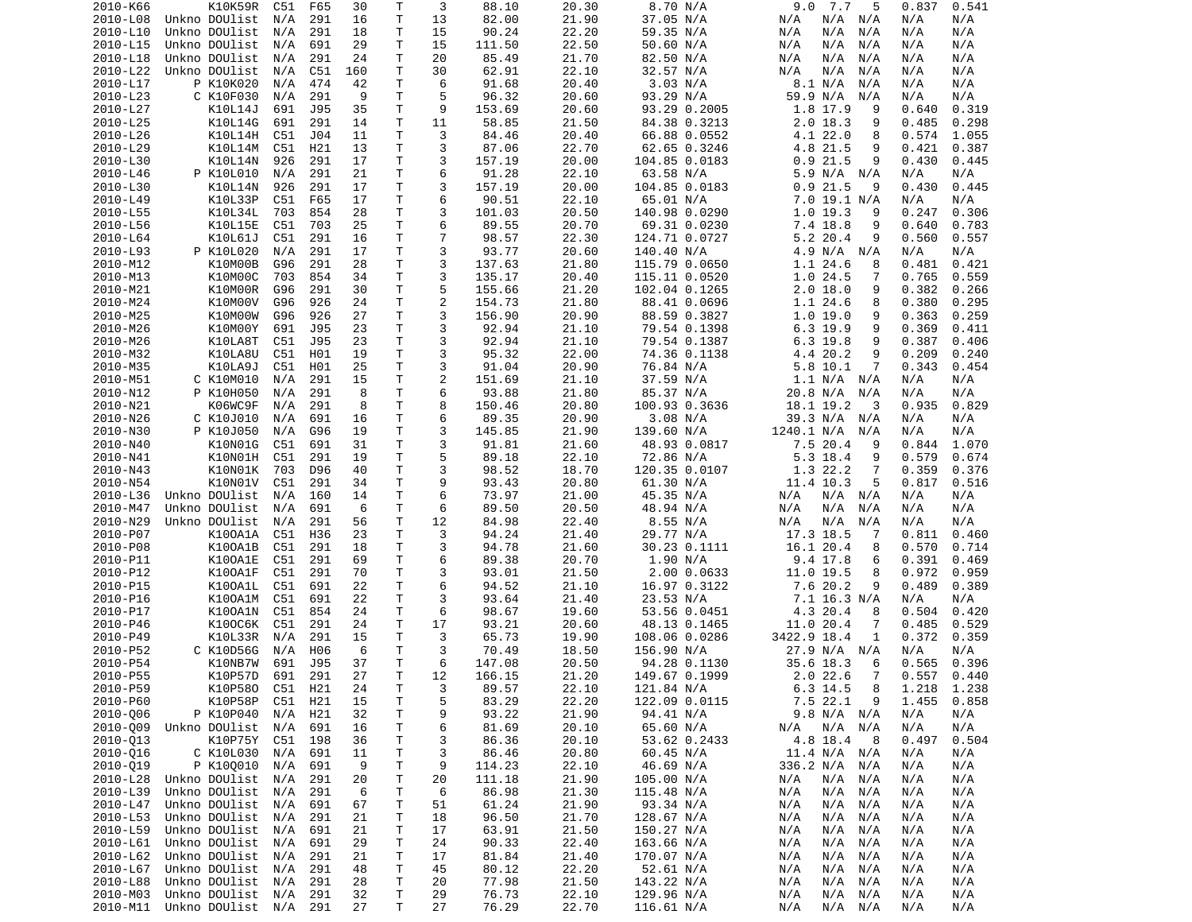| 2010-K66             | K10K59R                        | C51        | F65        | 30       | Τ       | 3              | 88.10          | 20.30          | 8.70 N/A                     | 9.0<br>7.7<br>5                 | 0.837<br>0.541                   |
|----------------------|--------------------------------|------------|------------|----------|---------|----------------|----------------|----------------|------------------------------|---------------------------------|----------------------------------|
| 2010-L08             | Unkno DOUlist                  | N/A        | 291        | 16       | T.      | 13             | 82.00          | 21.90          | 37.05 N/A                    | N/A<br>N/A<br>N/A               | N/A<br>N/A                       |
| 2010-L10             | Unkno DOUlist                  | N/A        | 291        | 18       | Τ       | 15             | 90.24          | 22.20          | 59.35 N/A                    | N/A<br>N/A<br>N/A               | N/A<br>N/A                       |
| 2010-L15             | Unkno DOUlist                  | N/A        | 691        | 29       | Τ       | 15             | 111.50         | 22.50          | 50.60 N/A                    | N/A<br>N/A<br>N/A               | N/A<br>N/A                       |
| 2010-L18             | Unkno DOUlist                  | N/A        | 291        | 24       | т       | 20             | 85.49          | 21.70          | 82.50 N/A                    | N/A<br>N/A<br>N/A               | N/A<br>N/A                       |
| 2010-L22             | Unkno DOUlist                  | N/A        | C51        | 160      | т       | 30             | 62.91          | 22.10          | 32.57 N/A                    | N/A<br>N/A<br>N/A               | N/A<br>N/A                       |
| 2010-L17             | P K10K020                      | N/A        | 474        | 42       | т       | 6              | 91.68          | 20.40          | 3.03 N/A                     | 8.1 N/A<br>N/A                  | N/A<br>N/A                       |
| 2010-L23             | C K10F030                      | N/A        | 291        | 9        | Τ       | 5              | 96.32          | 20.60          | 93.29 N/A                    | 59.9 N/A<br>N/A                 | N/A<br>N/A                       |
| 2010-L27             | K10L14J                        | 691        | J95        | 35       | т       | 9              | 153.69         | 20.60          | 93.29 0.2005                 | 1.8 17.9<br>9                   | 0.319<br>0.640                   |
| 2010-L25             | K10L14G                        | 691        | 291        | 14       | Τ       | 11             | 58.85          | 21.50          | 84.38 0.3213                 | $2.0$ 18.3<br>9                 | 0.485<br>0.298                   |
| 2010-L26<br>2010-L29 | K10L14H<br>K10L14M             | C51<br>C51 | J04<br>H21 | 11<br>13 | Τ<br>T. | 3<br>3         | 84.46<br>87.06 | 20.40<br>22.70 | 66.88 0.0552<br>62.65 0.3246 | 4.1 22.0<br>8<br>9              | 0.574<br>1.055<br>0.421<br>0.387 |
| 2010-L30             | K10L14N                        | 926        | 291        | 17       | т       | 3              | 157.19         | 20.00          | 104.85 0.0183                | 4.8 21.5<br>0.9<br>21.5<br>9    | 0.430<br>0.445                   |
| 2010-L46             | P K10L010                      | N/A        | 291        | 21       | Τ       | 6              | 91.28          | 22.10          | 63.58 N/A                    | 5.9 N/A N/A                     | N/A<br>N/A                       |
| 2010-L30             | K10L14N                        | 926        | 291        | 17       | T.      | 3              | 157.19         | 20.00          | 104.85 0.0183                | 0.921.5<br>9                    | 0.430<br>0.445                   |
| 2010-L49             | K10L33P                        | C51        | F65        | 17       | Τ       | 6              | 90.51          | 22.10          | 65.01 N/A                    | 7.0 19.1 N/A                    | N/A<br>N/A                       |
| 2010-L55             | K10L34L                        | 703        | 854        | 28       | Τ       | 3              | 101.03         | 20.50          | 140.98 0.0290                | 1.0 19.3<br>9                   | 0.247<br>0.306                   |
| 2010-L56             | K10L15E                        | C51        | 703        | 25       | Τ       | 6              | 89.55          | 20.70          | 69.31 0.0230                 | 7.4 18.8<br>9                   | 0.640<br>0.783                   |
| 2010-L64             | K10L61J                        | C51        | 291        | 16       | Τ       | 7              | 98.57          | 22.30          | 124.71 0.0727                | 5.2 20.4<br>9                   | 0.560<br>0.557                   |
| 2010-L93             | P K10L020                      | N/A        | 291        | 17       | т       | 3              | 93.77          | 20.60          | 140.40 N/A                   | 4.9 N/A<br>N/A                  | N/A<br>N/A                       |
| 2010-M12             | K10M00B                        | G96        | 291        | 28       | T       | 3              | 137.63         | 21.80          | 115.79 0.0650                | 1.1 24.6<br>8                   | 0.421<br>0.481                   |
| 2010-M13             | K10M00C                        | 703        | 854        | 34       | Τ       | 3              | 135.17         | 20.40          | 115.11 0.0520                | 1.0 24.5<br>7                   | 0.765<br>0.559                   |
| 2010-M21             | K10M00R                        | G96        | 291        | 30       | Τ       | 5              | 155.66         | 21.20          | 102.04 0.1265                | $2.0$ 18.0<br>9                 | 0.382<br>0.266                   |
| 2010-M24             | K10M00V                        | G96        | 926        | 24       | T.      | $\overline{c}$ | 154.73         | 21.80          | 88.41 0.0696                 | 1.1 24.6<br>8                   | 0.380<br>0.295                   |
| 2010-M25             | K10M00W                        | G96        | 926        | 27       | T.      | 3              | 156.90         | 20.90          | 88.59 0.3827                 | 1.019.0<br>9                    | 0.363<br>0.259                   |
| 2010-M26             | K10M00Y                        | 691        | J95        | 23       | Τ       | 3              | 92.94          | 21.10          | 79.54 0.1398                 | $6.3$ 19.9<br>9                 | 0.369<br>0.411                   |
| 2010-M26             | K10LA8T                        | C51        | J95        | 23       | т       | 3              | 92.94          | 21.10          | 79.54 0.1387                 | 9<br>$6.3$ 19.8                 | 0.387<br>0.406                   |
| 2010-M32             | K10LA8U                        | C51        | H01        | 19       | T.      | 3              | 95.32          | 22.00          | 74.36 0.1138                 | 4.4 20.2<br>9                   | 0.209<br>0.240                   |
| 2010-M35             | K10LA9J                        | C51        | H01        | 25       | Τ       | 3              | 91.04          | 20.90          | 76.84 N/A                    | 5.8 10.1<br>7                   | 0.343<br>0.454                   |
| 2010-M51             | C K10M010                      | N/A        | 291        | 15       | Τ       | $\overline{2}$ | 151.69         | 21.10          | 37.59 N/A                    | 1.1 N/A N/A                     | N/A<br>N/A                       |
| 2010-N12             | P K10H050                      | N/A        | 291        | 8        | T.      | 6              | 93.88          | 21.80          | 85.37 N/A                    | 20.8 N/A<br>N/A                 | N/A<br>N/A                       |
| 2010-N21             | K06WC9F                        | N/A        | 291        | 8        | T.      | 8              | 150.46         | 20.80          | 100.93 0.3636                | 18.1 19.2<br>3                  | 0.935<br>0.829                   |
| 2010-N26             | C K10J010                      | N/A        | 691        | 16       | T       | 6              | 89.35          | 20.90          | 3.08 N/A                     | 39.3 N/A<br>N/A                 | N/A<br>N/A                       |
| 2010-N30             | P K10J050                      | N/A        | G96        | 19       | T.      | 3              | 145.85         | 21.90          | 139.60 N/A                   | 1240.1 N/A<br>N/A               | N/A<br>N/A                       |
| 2010-N40             | K10N01G                        | C51        | 691        | 31       | T.      | 3              | 91.81          | 21.60          | 48.93 0.0817                 | 7.5 20.4<br>9                   | 0.844<br>1.070                   |
| 2010-N41             | K10N01H                        | C51        | 291        | 19       | Τ       | 5              | 89.18          | 22.10          | 72.86 N/A                    | 5.3 18.4<br>9                   | 0.579<br>0.674                   |
| 2010-N43             | K10N01K                        | 703        | D96        | 40       | т       | 3              | 98.52          | 18.70          | 120.35 0.0107                | 1.3 22.2<br>7                   | 0.359<br>0.376                   |
| 2010-N54             | K10N01V                        | C51        | 291        | 34       | Τ       | 9              | 93.43          | 20.80          | 61.30 N/A                    | 11.4 10.3<br>5                  | 0.817<br>0.516                   |
| 2010-L36             | Unkno DOUlist                  | N/A        | 160        | 14       | т       | 6              | 73.97          | 21.00          | 45.35 N/A                    | N/A<br>N/A<br>N/A               | N/A<br>N/A                       |
| 2010-M47             | Unkno DOUlist                  | N/A        | 691        | 6        | т       | 6              | 89.50          | 20.50          | 48.94 N/A                    | N/A<br>N/A<br>N/A               | N/A<br>N/A                       |
| 2010-N29             | Unkno DOUlist                  | N/A        | 291        | 56       | T       | 12             | 84.98          | 22.40          | 8.55 N/A                     | N/A<br>N/A<br>N/A               | N/A<br>N/A                       |
| 2010-P07             | K100A1A                        | C51        | H36        | 23       | T.      | 3              | 94.24          | 21.40          | 29.77 N/A                    | 17.3 18.5<br>7                  | 0.811<br>0.460                   |
| 2010-P08<br>2010-P11 | K100A1B<br>K100A1E             | C51        | 291<br>291 | 18<br>69 | Τ<br>Τ  | 3<br>6         | 94.78          | 21.60<br>20.70 | 30.23 0.1111<br>1.90 N/A     | 16.1 20.4<br>8                  | 0.570<br>0.714<br>0.391          |
| 2010-P12             | K100A1F                        | C51<br>C51 | 291        | 70       | T.      | 3              | 89.38<br>93.01 | 21.50          | 2.00 0.0633                  | 9.4 17.8<br>6<br>11.0 19.5<br>8 | 0.469<br>0.972<br>0.959          |
| 2010-P15             | K100A1L                        | C51        | 691        | 22       | т       | 6              | 94.52          | 21.10          | 16.97 0.3122                 | 7.6 20.2<br>9                   | 0.489<br>0.389                   |
| 2010-P16             | K100A1M                        | C51        | 691        | 22       | т       | 3              | 93.64          | 21.40          | 23.53 N/A                    | 7.1 16.3 N/A                    | N/A<br>N/A                       |
| 2010-P17             | K100A1N                        | C51        | 854        | 24       | Τ       | 6              | 98.67          | 19.60          | 53.56 0.0451                 | 4.3 20.4<br>8                   | 0.504<br>0.420                   |
| 2010-P46             | K100C6K                        | C51        | 291        | 24       | Τ       | 17             | 93.21          | 20.60          | 48.13 0.1465                 | 11.0 20.4<br>7                  | 0.529<br>0.485                   |
| 2010-P49             | K10L33R                        | N/A        | 291        | 15       | Τ       | 3              | 65.73          | 19.90          | 108.06 0.0286                | 3422.9 18.4<br>1                | 0.372<br>0.359                   |
| 2010-P52             | C K10D56G                      | N/A        | H06        | 6        | T.      | 3              | 70.49          | 18.50          | 156.90 N/A                   | 27.9 N/A N/A                    | N/A<br>N/A                       |
| 2010-P54             | K10NB7W                        | 691        | J95        | 37       | T.      | 6              | 147.08         | 20.50          | 94.28 0.1130                 | 35.6 18.3<br>6                  | 0.565<br>0.396                   |
| 2010-P55             | K10P57D 691 291                |            |            | 27       | T.      | 12             | 166.15         | 21.20          | 149.67 0.1999                | 2.0 22.6<br>$\overline{7}$      | $0.557$ $0.440$                  |
| 2010-P59             | K10P580                        | C51 H21    |            | 24       | T       | 3              | 89.57          | 22.10          | 121.84 N/A                   | 8<br>6.3 14.5                   | 1.218 1.238                      |
| 2010-P60             | K10P58P                        | C51        | H21        | 15       | T       | 5              | 83.29          | 22.20          | 122.09 0.0115                | $7.5$ 22.1<br>9                 | 1.455<br>0.858                   |
| 2010-006             | P K10P040                      | N/A        | H21        | 32       | T       | 9              | 93.22          | 21.90          | 94.41 N/A                    | 9.8 N/A N/A                     | N/A<br>N/A                       |
| 2010-009             | Unkno DOUlist                  | N/A        | 691        | 16       | T       | 6              | 81.69          | 20.10          | 65.60 N/A                    | N/A N/A<br>N/A                  | N/A<br>N/A                       |
| 2010-013             | K10P75Y                        | C51        | 198        | 36       | Τ       | 3              | 86.36          | 20.10          | 53.62 0.2433                 | 4.8 18.4<br>- 8                 | 0.497<br>0.504                   |
| 2010-016             | C K10L030                      | N/A        | 691        | 11       | Τ       | 3              | 86.46          | 20.80          | 60.45 N/A                    | 11.4 N/A N/A                    | N/A<br>N/A                       |
| 2010-019             | P K100010                      | N/A        | 691        | 9        | Τ       | 9              | 114.23         | 22.10          | 46.69 N/A                    | 336.2 N/A<br>N/A                | N/A<br>N/A                       |
| 2010-L28             | Unkno DOUlist                  | N/A        | 291        | 20       | T       | 20             | 111.18         | 21.90          | 105.00 N/A                   | N/A<br>N/A<br>N/A               | N/A<br>N/A                       |
| 2010-L39             | Unkno DOUlist                  | N/A        | 291        | 6        | Τ       | 6              | 86.98          | 21.30          | 115.48 N/A                   | N/A<br>N/A<br>N/A               | N/A<br>N/A                       |
| 2010-L47             | Unkno DOUlist                  | N/A        | 691        | 67       | T       | 51             | 61.24          | 21.90          | 93.34 N/A                    | N/A<br>N/A<br>N/A               | N/A<br>N/A                       |
| 2010-L53             | Unkno DOUlist                  | N/A        | 291        | 21       | Τ       | 18             | 96.50          | 21.70          | 128.67 N/A                   | N/A<br>N/A<br>N/A               | N/A<br>N/A                       |
| 2010-L59             | Unkno DOUlist                  | N/A        | 691        | 21       | Τ       | 17             | 63.91          | 21.50          | 150.27 N/A                   | N/A<br>N/A<br>N/A               | N/A<br>N/A                       |
| 2010-L61             | Unkno DOUlist                  | N/A        | 691        | 29       | т       | 24             | 90.33          | 22.40          | 163.66 N/A                   | N/A<br>N/A<br>N/A               | N/A<br>N/A                       |
| 2010-L62             | Unkno DOUlist                  | N/A        | 291        | 21       | т       | 17             | 81.84          | 21.40          | 170.07 N/A                   | N/A<br>N/A<br>N/A               | N/A<br>N/A                       |
| 2010-L67             | Unkno DOUlist                  | N/A        | 291        | 48       | T       | 45             | 80.12          | 22.20          | 52.61 N/A                    | N/A<br>N/A<br>N/A               | N/A<br>N/A                       |
| 2010-L88             | Unkno DOUlist                  | N/A        | 291        | 28       | T       | 20             | 77.98          | 21.50          | 143.22 N/A                   | N/A<br>N/A<br>N/A               | N/A<br>N/A                       |
| 2010-M03             | Unkno DOUlist                  | N/A        | 291        | 32<br>27 | T       | 29<br>27       | 76.73<br>76.29 | 22.10<br>22.70 | 129.96 N/A                   | $N/A$ $N/A$<br>N/A<br>N/A       | N/A<br>N/A                       |
|                      | 2010-M11 Unkno DOUlist N/A 291 |            |            |          | Τ       |                |                |                | 116.61 N/A                   | $N/A$ $N/A$                     | N/A<br>N/A                       |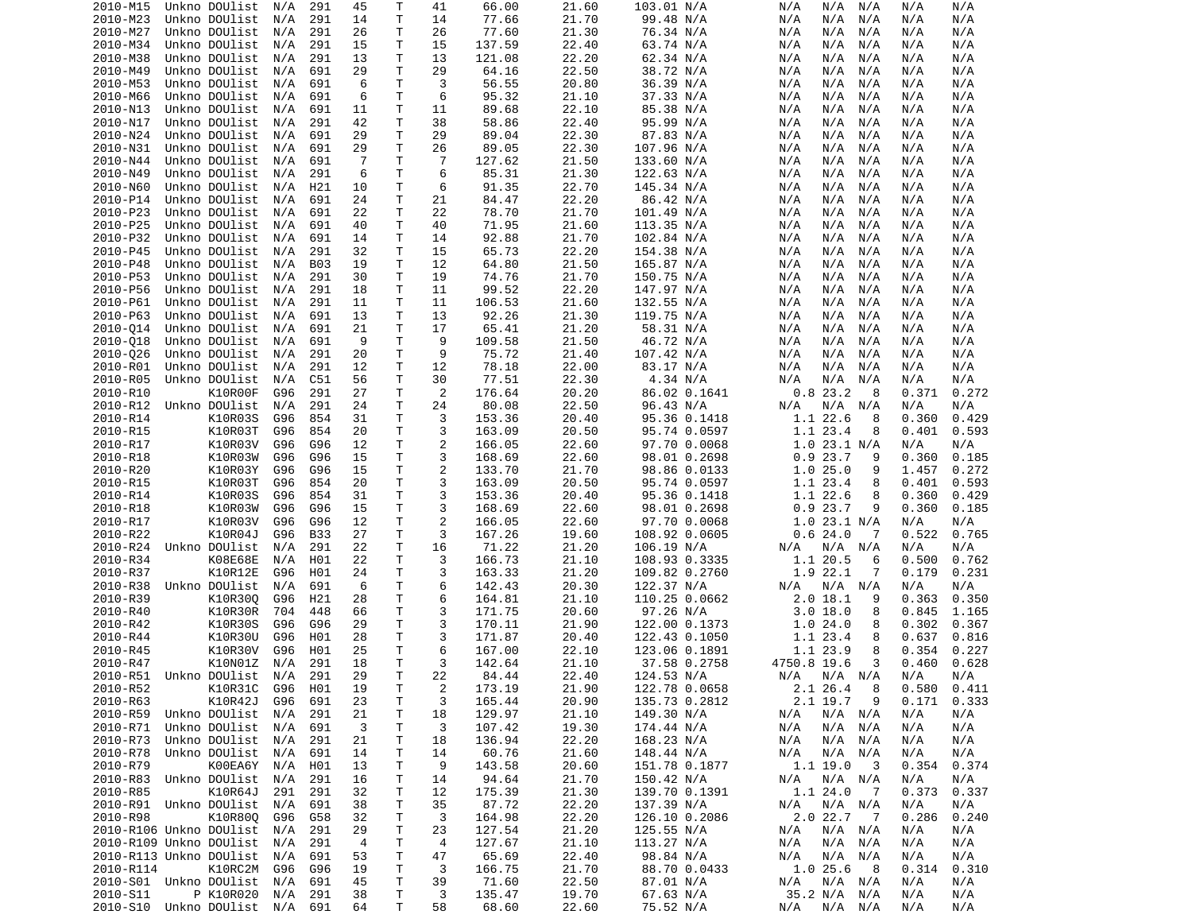| 2010-M15                                   | Unkno DOUlist           | N/A | 291        | 45             | Т                 | 41             | 66.00           | 21.60          | 103.01 N/A             | N/A<br>N/A<br>N/A              | N/A        | N/A        |
|--------------------------------------------|-------------------------|-----|------------|----------------|-------------------|----------------|-----------------|----------------|------------------------|--------------------------------|------------|------------|
| 2010-M23                                   | Unkno DOUlist           | N/A | 291        | 14             | $\mathsf{T}$      | 14             | 77.66           | 21.70          | 99.48 N/A              | N/A<br>N/A<br>N/A              | N/A        | N/A        |
| 2010-M27                                   | Unkno DOUlist           | N/A | 291        | 26             | т                 | 26             | 77.60           | 21.30          | 76.34 N/A              | N/A<br>N/A<br>N/A              | N/A        | N/A        |
| 2010-M34                                   | Unkno DOUlist           | N/A | 291        | 15             | T                 | 15             | 137.59          | 22.40          |                        | N/A<br>N/A<br>N/A              | N/A        | N/A        |
|                                            |                         |     |            |                |                   |                |                 |                | 63.74 N/A              |                                |            |            |
| 2010-M38                                   | Unkno DOUlist           | N/A | 291        | 13             | T                 | 13             | 121.08          | 22.20          | 62.34 N/A              | N/A<br>N/A<br>N/A              | N/A        | N/A        |
| 2010-M49                                   | Unkno DOUlist           | N/A | 691        | 29             | $\mathsf{T}$      | 29             | 64.16           | 22.50          | 38.72 N/A              | N/A<br>N/A<br>N/A              | N/A        | N/A        |
| 2010-M53                                   | Unkno DOUlist           | N/A | 691        | 6              | T                 | 3              | 56.55           | 20.80          | 36.39 N/A              | N/A<br>N/A<br>N/A              | N/A        | N/A        |
| 2010-M66                                   | Unkno DOUlist           | N/A | 691        | 6              | T                 | 6              | 95.32           | 21.10          | 37.33 N/A              | N/A<br>N/A<br>N/A              | N/A        | N/A        |
| 2010-N13                                   | Unkno DOUlist           | N/A | 691        | 11             | $\mathsf{T}$      | 11             | 89.68           | 22.10          | 85.38 N/A              | N/A<br>N/A<br>N/A              | N/A        | N/A        |
|                                            |                         |     |            |                |                   |                |                 |                |                        |                                |            |            |
| 2010-N17                                   | Unkno DOUlist           | N/A | 291        | 42             | $\mathsf{T}$      | 38             | 58.86           | 22.40          | 95.99 N/A              | N/A<br>N/A<br>N/A              | N/A        | N/A        |
| 2010-N24                                   | Unkno DOUlist           | N/A | 691        | 29             | T                 | 29             | 89.04           | 22.30          | 87.83 N/A              | N/A<br>N/A<br>N/A              | N/A        | N/A        |
| 2010-N31                                   | Unkno DOUlist           | N/A | 691        | 29             | $\mathsf{T}$      | 26             | 89.05           | 22.30          | 107.96 N/A             | N/A<br>N/A<br>N/A              | N/A        | N/A        |
| 2010-N44                                   | Unkno DOUlist           | N/A | 691        | -7             | $\mathsf{T}$      | 7              | 127.62          | 21.50          | 133.60 N/A             | N/A<br>N/A<br>N/A              | N/A        | N/A        |
| 2010-N49                                   | Unkno DOUlist           | N/A | 291        | 6              | T                 | 6              | 85.31           | 21.30          | 122.63 N/A             | N/A<br>N/A<br>N/A              | N/A        | N/A        |
|                                            |                         |     |            |                |                   |                |                 |                |                        |                                |            |            |
| 2010-N60                                   | Unkno DOUlist           | N/A | H21        | 10             | T                 | 6              | 91.35           | 22.70          | 145.34 N/A             | N/A<br>N/A<br>N/A              | N/A        | N/A        |
| 2010-P14                                   | Unkno DOUlist           | N/A | 691        | 24             | $\mathsf{T}$      | 21             | 84.47           | 22.20          | 86.42 N/A              | N/A<br>N/A<br>N/A              | N/A        | N/A        |
| 2010-P23                                   | Unkno DOUlist           | N/A | 691        | 22             | $\mathsf{T}$      | 22             | 78.70           | 21.70          | 101.49 N/A             | N/A<br>N/A<br>N/A              | N/A        | N/A        |
| 2010-P25                                   | Unkno DOUlist           | N/A | 691        | 40             | $\mathsf{T}$      | 40             | 71.95           | 21.60          | 113.35 N/A             | N/A<br>N/A<br>N/A              | N/A        | N/A        |
| 2010-P32                                   | Unkno DOUlist           | N/A | 691        | 14             | $\mathsf{T}$      | 14             | 92.88           | 21.70          | 102.84 N/A             | N/A<br>N/A<br>N/A              | N/A        | N/A        |
|                                            |                         |     |            |                |                   |                |                 |                |                        |                                |            |            |
| 2010-P45                                   | Unkno DOUlist           | N/A | 291        | 32             | $\mathsf{T}$      | 15             | 65.73           | 22.20          | 154.38 N/A             | N/A<br>N/A<br>N/A              | N/A        | N/A        |
| 2010-P48                                   | Unkno DOUlist           | N/A | <b>B03</b> | 19             | $\mathsf{T}$      | 12             | 64.80           | 21.50          | 165.87 N/A             | N/A<br>N/A<br>N/A              | N/A        | N/A        |
| 2010-P53                                   | Unkno DOUlist           | N/A | 291        | 30             | T                 | 19             | 74.76           | 21.70          | 150.75 N/A             | N/A<br>N/A<br>N/A              | N/A        | N/A        |
| 2010-P56                                   | Unkno DOUlist           | N/A | 291        | 18             | $\mathsf{T}$      | 11             | 99.52           | 22.20          | 147.97 N/A             | N/A<br>N/A<br>N/A              | N/A        | N/A        |
| 2010-P61                                   | Unkno DOUlist           | N/A | 291        | 11             | T                 | 11             | 106.53          | 21.60          | 132.55 N/A             | N/A<br>N/A<br>N/A              | N/A        | N/A        |
|                                            |                         |     |            |                |                   |                |                 |                |                        |                                |            |            |
| 2010-P63                                   | Unkno DOUlist           | N/A | 691        | 13             | T                 | 13             | 92.26           | 21.30          | 119.75 N/A             | N/A<br>N/A<br>N/A              | N/A        | N/A        |
| 2010-014                                   | Unkno DOUlist           | N/A | 691        | 21             | $\mathsf{T}$      | 17             | 65.41           | 21.20          | 58.31 N/A              | N/A<br>N/A<br>N/A              | N/A        | N/A        |
| 2010-018                                   | Unkno DOUlist           | N/A | 691        | 9              | $\mathsf{T}$      | 9              | 109.58          | 21.50          | 46.72 N/A              | N/A<br>N/A<br>N/A              | N/A        | N/A        |
| 2010-026                                   | Unkno DOUlist           | N/A | 291        | 20             | т                 | 9              | 75.72           | 21.40          | 107.42 N/A             | N/A<br>N/A<br>N/A              | N/A        | N/A        |
| 2010-R01                                   | Unkno DOUlist           | N/A | 291        | 12             | T                 | 12             | 78.18           | 22.00          | 83.17 N/A              | N/A<br>N/A<br>N/A              | N/A        | N/A        |
|                                            |                         |     |            |                |                   |                |                 |                |                        |                                |            |            |
| 2010-R05                                   | Unkno DOUlist           | N/A | C51        | 56             | $\mathsf{T}$      | 30             | 77.51           | 22.30          | 4.34 N/A               | N/A<br>N/A<br>N/A              | N/A        | N/A        |
| 2010-R10                                   | K10R00F                 | G96 | 291        | 27             | T                 | 2              | 176.64          | 20.20          | 86.02 0.1641           | 0.823.2<br>8                   | 0.371      | 0.272      |
| 2010-R12                                   | Unkno DOUlist           | N/A | 291        | 24             | $\mathsf{T}$      | 24             | 80.08           | 22.50          | 96.43 N/A              | N/A<br>N/A<br>N/A              | N/A        | N/A        |
| 2010-R14                                   | K10R03S                 | G96 | 854        | 31             | T                 | 3              | 153.36          | 20.40          | 95.36 0.1418           | 1.1 22.6<br>8                  | 0.360      | 0.429      |
| 2010-R15                                   | K10R03T                 | G96 | 854        | 20             | T                 | 3              | 163.09          | 20.50          | 95.74 0.0597           | 1.1 23.4<br>8                  | 0.401      | 0.593      |
|                                            |                         |     |            |                |                   |                |                 |                |                        |                                |            |            |
| 2010-R17                                   | K10R03V                 | G96 | G96        | 12             | T                 | 2              | 166.05          | 22.60          | 97.70 0.0068           | $1.0$ 23.1 N/A                 | N/A        | N/A        |
| 2010-R18                                   | K10R03W                 | G96 | G96        | 15             | Τ                 | 3              | 168.69          | 22.60          | 98.01 0.2698           | 0.923.7<br>9                   | 0.360      | 0.185      |
| 2010-R20                                   | K10R03Y                 | G96 | G96        | 15             | T                 | 2              | 133.70          | 21.70          | 98.86 0.0133           | 1.025.0<br>9                   | 1.457      | 0.272      |
| 2010-R15                                   | K10R03T                 | G96 | 854        | 20             | T                 | 3              | 163.09          | 20.50          | 95.74 0.0597           | 1.1 23.4<br>8                  | 0.401      | 0.593      |
| 2010-R14                                   | K10R03S                 | G96 | 854        | 31             | $\mathsf{T}$      | 3              | 153.36          | 20.40          | 95.36 0.1418           | 1.1 22.6<br>8                  | 0.360      | 0.429      |
|                                            |                         |     |            |                |                   |                |                 |                |                        |                                |            |            |
| 2010-R18                                   | K10R03W                 | G96 | G96        | 15             | $\mathsf{T}$      | 3              | 168.69          | 22.60          | 98.01 0.2698           | 0.923.7<br>9                   | 0.360      | 0.185      |
| 2010-R17                                   | K10R03V                 | G96 | G96        | 12             | Τ                 | 2              | 166.05          | 22.60          | 97.70 0.0068           | $1.0$ 23.1 N/A                 | N/A        | N/A        |
| 2010-R22                                   | K10R04J                 | G96 | <b>B33</b> | 27             | T                 | 3              | 167.26          | 19.60          | 108.92 0.0605          | 0.624.0<br>7                   | 0.522      | 0.765      |
| 2010-R24                                   | Unkno DOUlist           | N/A | 291        | 22             | Τ                 | 16             | 71.22           | 21.20          | 106.19 N/A             | N/A<br>N/A<br>N/A              | N/A        | N/A        |
| 2010-R34                                   | K08E68E                 | N/A | H01        | 22             | T                 | 3              | 166.73          | 21.10          | 108.93 0.3335          | 1.1 20.5<br>6                  | 0.500      | 0.762      |
|                                            |                         |     |            |                |                   |                |                 |                |                        |                                |            |            |
| 2010-R37                                   | K10R12E                 | G96 | H01        | 24             | T                 | 3              | 163.33          | 21.20          | 109.82 0.2760          | 1.9 22.1<br>7                  | 0.179      | 0.231      |
| 2010-R38                                   | Unkno DOUlist           | N/A | 691        | 6              | T                 | 6              | 142.43          | 20.30          | 122.37 N/A             | N/A<br>N/A<br>N/A              | N/A        | N/A        |
| 2010-R39                                   | K10R300                 | G96 | H21        | 28             | T                 | 6              | 164.81          | 21.10          | 110.25 0.0662          | $2.0$ 18.1<br>9                | 0.363      | 0.350      |
| 2010-R40                                   | K10R30R                 | 704 | 448        | 66             | $\mathsf{T}$      | 3              | 171.75          | 20.60          | 97.26 N/A              | 3.0 18.0<br>8                  | 0.845      | 1.165      |
| 2010-R42                                   | K10R30S                 | G96 | G96        | 29             | T                 | 3              | 170.11          | 21.90          | 122.00 0.1373          | 1.024.0<br>8                   | 0.302      | 0.367      |
|                                            |                         |     |            |                |                   |                |                 |                |                        |                                |            |            |
| 2010-R44                                   | K10R30U                 | G96 | H01        | 28             | Τ                 | 3              | 171.87          | 20.40          | 122.43 0.1050          | 1.1 23.4<br>8                  | 0.637      | 0.816      |
| 2010-R45                                   | K10R30V                 | G96 | H01        | 25             | $\mathsf{T}$      | 6              | 167.00          | 22.10          | 123.06 0.1891          | 1.1 23.9<br>8                  | 0.354      | 0.227      |
| 2010-R47                                   | K10N01Z                 | N/A | 291        | 18             | $\mathsf{T}$      | 3              | 142.64          | 21.10          | 37.58 0.2758           | 4750.8 19.6<br>3               | 0.460      | 0.628      |
| 2010-R51 Unkno DOUlist N/A                 |                         |     | 291        | 29             | T.                | 22             | 84.44           | 22.40          | 124.53 N/A             | $N/A$ $N/A$ $N/A$              | N/A        | N/A        |
| 2010-R52                                   | K10R31C                 | G96 | H01        | 19             | T                 | $\overline{c}$ | 173.19          | 21.90          | 122.78 0.0658          | 2.1 26.4<br>8                  | 0.580      | 0.411      |
|                                            |                         |     |            |                |                   |                |                 |                |                        |                                |            |            |
| 2010-R63                                   | K10R42J                 | G96 | 691        | 23             | Τ                 | 3              | 165.44          | 20.90          | 135.73 0.2812          | 2.1 19.7<br>9                  | 0.171      | 0.333      |
| 2010-R59                                   | Unkno DOUlist           | N/A | 291        | 21             | T                 | 18             | 129.97          | 21.10          | 149.30 N/A             | N/A<br>N/A N/A                 | N/A        | N/A        |
| 2010-R71                                   | Unkno DOUlist N/A       |     | 691        | 3              | T                 | 3              | 107.42          | 19.30          | 174.44 N/A             | N/A N/A<br>N/A                 | N/A        | N/A        |
| 2010-R73                                   | Unkno DOUlist           | N/A | 291        | 21             | $\mathsf{T}$      | 18             | 136.94          | 22.20          | 168.23 N/A             | N/A<br>N/A N/A                 | N/A        | N/A        |
| 2010-R78                                   | Unkno DOUlist           | N/A | 691        | 14             | T                 | 14             | 60.76           | 21.60          | 148.44 N/A             | N/A<br>N/A<br>N/A              | N/A        | N/A        |
|                                            |                         |     |            |                |                   |                |                 |                |                        |                                |            |            |
| 2010-R79                                   | K00EA6Y                 | N/A | H01        | 13             | Τ                 | 9              | 143.58          | 20.60          | 151.78 0.1877          | $1.1 \; 19.0$<br>- 3           | 0.354      | 0.374      |
| 2010-R83                                   | Unkno DOUlist N/A       |     | 291        | 16             | Τ                 | 14             | 94.64           | 21.70          | 150.42 N/A             | N/A N/A<br>N/A                 | N/A        | N/A        |
| 2010-R85                                   | K10R64J                 | 291 | 291        | 32             | Τ                 | 12             | 175.39          | 21.30          | 139.70 0.1391          | 1.124.0<br>$\overline{7}$      | 0.373      | 0.337      |
| 2010-R91 Unkno DOUlist                     |                         | N/A | 691        | 38             | T                 | 35             | 87.72           | 22.20          | 137.39 N/A             | N/A<br>$N/A$ $N/A$             | N/A        | N/A        |
| 2010-R98                                   | K10R800                 | G96 | G58        | 32             | Τ                 | 3              | 164.98          | 22.20          |                        | 2.0 22.7<br>$\overline{7}$     | 0.286      | 0.240      |
|                                            |                         |     |            |                |                   |                |                 |                | 126.10 0.2086          |                                |            |            |
| 2010-R106 Unkno DOUlist                    |                         | N/A | 291        | 29             | T                 | 23             | 127.54          | 21.20          | 125.55 N/A             | N/A<br>N/A N/A                 | N/A        | N/A        |
| 2010-R109 Unkno DOUlist                    |                         | N/A | 291        | $\overline{4}$ | Τ                 | 4              | 127.67          | 21.10          | 113.27 N/A             | N/A<br>N/A<br>N/A              | N/A        | N/A        |
|                                            | 2010-R113 Unkno DOUlist | N/A | 691        | 53             | Τ                 | 47             | 65.69           | 22.40          | 98.84 N/A              | N/A<br>N/A<br>N/A              | N/A        | N/A        |
|                                            |                         |     |            |                |                   |                |                 |                |                        | 1.025.6<br>- 8                 |            |            |
|                                            |                         |     |            |                |                   |                |                 |                |                        |                                |            |            |
| 2010-R114                                  | K10RC2M                 | G96 | G96        | 19             | T                 | 3              | 166.75          | 21.70          | 88.70 0.0433           |                                | 0.314      | 0.310      |
| 2010-S01 Unkno DOUlist N/A                 |                         |     | 691        | 45             | Τ                 | 39             | 71.60           | 22.50          | 87.01 N/A              | N/A<br>N/A<br>N/A              | N/A        | N/A        |
| 2010-S11<br>2010-S10 Unkno DOUlist N/A 691 | P K10R020               | N/A | 291        | 38<br>64       | $\mathsf T$<br>T. | 3<br>58        | 135.47<br>68.60 | 19.70<br>22.60 | 67.63 N/A<br>75.52 N/A | 35.2 N/A N/A<br>N/A<br>N/A N/A | N/A<br>N/A | N/A<br>N/A |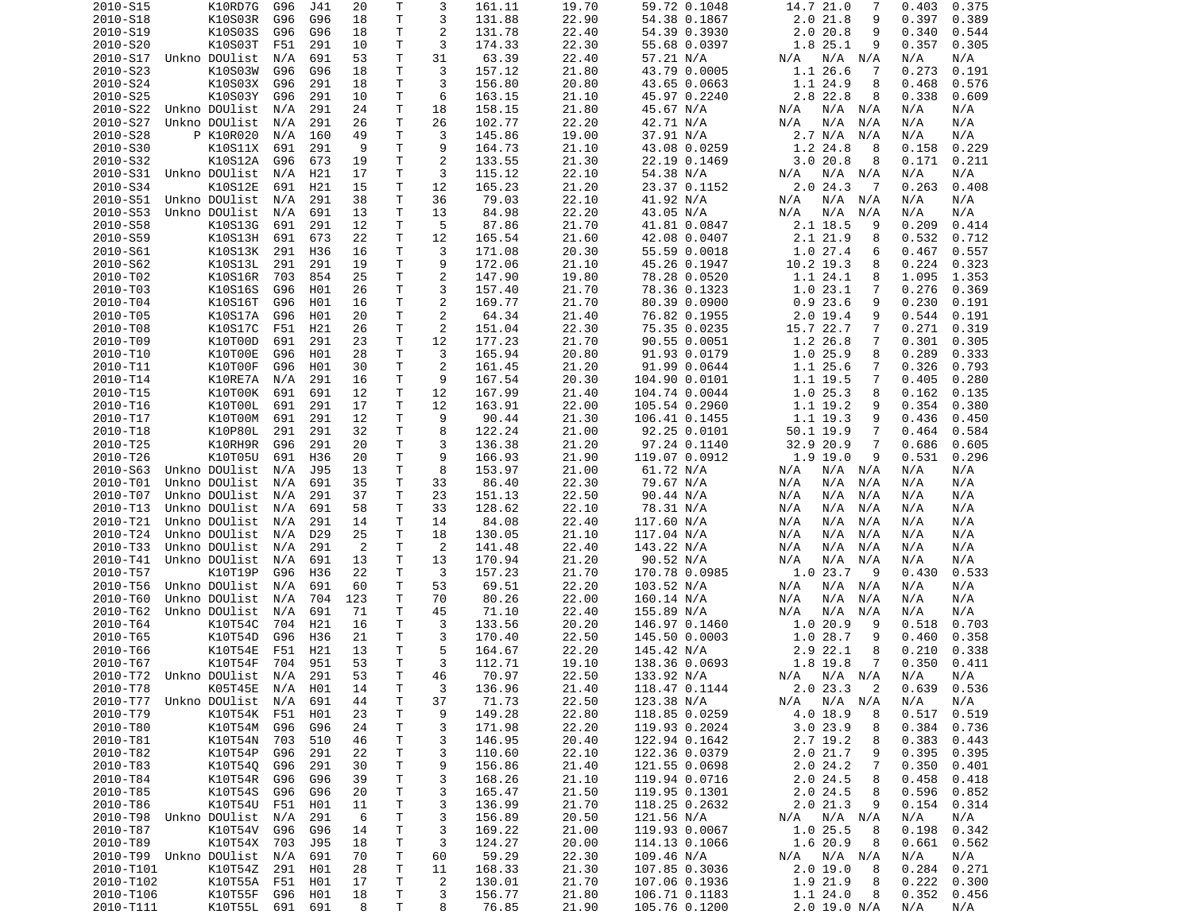| 2010-S15                   | K10RD7G           | G96 | J41             | 20             | Т  | 3              | 161.11 | 19.70 | 59.72 0.1048  | 14.7 21.0<br>7              | 0.403<br>0.375  |
|----------------------------|-------------------|-----|-----------------|----------------|----|----------------|--------|-------|---------------|-----------------------------|-----------------|
| 2010-S18                   | K10S03R           | G96 | G96             | 18             | Τ  | 3              | 131.88 | 22.90 | 54.38 0.1867  | 2.021.8<br>9                | 0.397<br>0.389  |
| 2010-S19                   | K10S03S           | G96 | G96             | 18             | т  | 2              | 131.78 | 22.40 | 54.39 0.3930  | 2.020.8<br>9                | 0.340<br>0.544  |
| 2010-S20                   | K10S03T           | F51 | 291             | 10             | т  | 3              | 174.33 | 22.30 | 55.68 0.0397  | 1.8 25.1<br>9               | 0.357<br>0.305  |
| 2010-S17                   | Unkno DOUlist     | N/A | 691             | 53             | т  | 31             | 63.39  | 22.40 | 57.21 N/A     | N/A<br>N/A N/A              | N/A<br>N/A      |
| 2010-S23                   | K10S03W           | G96 | G96             | 18             | т  | 3              | 157.12 | 21.80 | 43.79 0.0005  | 1.1 26.6<br>7               | 0.273<br>0.191  |
| 2010-S24                   | K10S03X           | G96 | 291             | 18             | т  | 3              | 156.80 | 20.80 | 43.65 0.0663  | 1.1 24.9<br>8               | 0.468<br>0.576  |
| 2010-S25                   | K10S03Y           | G96 | 291             |                | т  | 6              |        | 21.10 |               | 2.8 22.8<br>8               | 0.338           |
|                            |                   |     |                 | 10             |    |                | 163.15 |       | 45.97 0.2240  |                             | 0.609           |
| 2010-S22                   | Unkno DOUlist     | N/A | 291             | 24             | Τ  | 18             | 158.15 | 21.80 | 45.67 N/A     | N/A<br>N/A<br>N/A           | N/A<br>N/A      |
| 2010-S27                   | Unkno DOUlist     | N/A | 291             | 26             | Τ  | 26             | 102.77 | 22.20 | 42.71 N/A     | N/A<br>N/A<br>N/A           | N/A<br>N/A      |
| 2010-S28                   | P K10R020         | N/A | 160             | 49             | Τ  | 3              | 145.86 | 19.00 | 37.91 N/A     | 2.7 N/A<br>N/A              | N/A<br>N/A      |
| 2010-S30                   | K10S11X           | 691 | 291             | 9              | T. | 9              | 164.73 | 21.10 | 43.08 0.0259  | 1.2 24.8<br>8               | 0.158<br>0.229  |
| 2010-S32                   | K10S12A           | G96 | 673             | 19             | Τ  | $\overline{2}$ | 133.55 | 21.30 | 22.19 0.1469  | 3.0 20.8<br>8               | 0.171<br>0.211  |
| 2010-S31                   | Unkno DOUlist     | N/A | H21             | 17             | т  | 3              | 115.12 | 22.10 | 54.38 N/A     | N/A N/A<br>N/A              | N/A<br>N/A      |
| 2010-S34                   | K10S12E           | 691 | H21             | 15             | т  | 12             | 165.23 | 21.20 | 23.37 0.1152  | 2.024.3<br>-7               | 0.263<br>0.408  |
| 2010-S51                   | Unkno DOUlist     | N/A | 291             | 38             | Τ  | 36             | 79.03  | 22.10 | 41.92 N/A     | N/A<br>$N/A$ $N/A$          | N/A<br>N/A      |
| 2010-S53                   | Unkno DOUlist     | N/A | 691             | 13             | Τ  | 13             | 84.98  | 22.20 | 43.05 N/A     | N/A<br>N/A<br>N/A           | N/A<br>N/A      |
| 2010-S58                   | K10S13G           | 691 | 291             | 12             | Τ  | 5              | 87.86  | 21.70 | 41.81 0.0847  | 2.1 18.5<br>9               | 0.209<br>0.414  |
| 2010-S59                   | K10S13H           | 691 | 673             | 22             | Τ  | 12             | 165.54 | 21.60 | 42.08 0.0407  | 2.1 21.9<br>8               | 0.532<br>0.712  |
| 2010-S61                   | K10S13K           | 291 | H36             | 16             | т  | 3              | 171.08 | 20.30 | 55.59 0.0018  | 1.027.4<br>6                | 0.467<br>0.557  |
|                            |                   |     |                 |                |    |                |        |       |               |                             |                 |
| 2010-S62                   | K10S13L           | 291 | 291             | 19             | Τ  | 9              | 172.06 | 21.10 | 45.26 0.1947  | 10.2 19.3<br>8              | 0.224<br>0.323  |
| 2010-T02                   | K10S16R           | 703 | 854             | 25             | T  | $\overline{c}$ | 147.90 | 19.80 | 78.28 0.0520  | 1.1 24.1<br>8               | 1.095<br>1.353  |
| 2010-T03                   | K10S16S           | G96 | H01             | 26             | Τ  | 3              | 157.40 | 21.70 | 78.36 0.1323  | 1.023.1<br>7                | 0.276<br>0.369  |
| 2010-T04                   | K10S16T           | G96 | H01             | 16             | т  | $\overline{2}$ | 169.77 | 21.70 | 80.39 0.0900  | 0.923.6<br>9                | 0.230<br>0.191  |
| 2010-T05                   | K10S17A           | G96 | H01             | 20             | T. | 2              | 64.34  | 21.40 | 76.82 0.1955  | $2.0$ 19.4<br>9             | 0.544<br>0.191  |
| 2010-T08                   | K10S17C           | F51 | H21             | 26             | т  | 2              | 151.04 | 22.30 | 75.35 0.0235  | 15.7 22.7<br>7              | 0.271<br>0.319  |
| 2010-T09                   | K10T00D           | 691 | 291             | 23             | Τ  | 12             | 177.23 | 21.70 | 90.55 0.0051  | $1.2$ 26.8<br>7             | 0.301<br>0.305  |
| 2010-T10                   | K10T00E           | G96 | H01             | 28             | т  | 3              | 165.94 | 20.80 | 91.93 0.0179  | 1.025.9<br>8                | 0.289<br>0.333  |
| 2010-T11                   | K10T00F           | G96 | H01             | 30             | т  | $\overline{2}$ | 161.45 | 21.20 | 91.99 0.0644  | 1.1 25.6<br>7               | 0.326<br>0.793  |
| 2010-T14                   | K10RE7A           | N/A | 291             | 16             | Τ  | 9              | 167.54 | 20.30 | 104.90 0.0101 | 1.1 19.5<br>7               | 0.405<br>0.280  |
| 2010-T15                   | K10T00K           | 691 | 691             | 12             | т  | 12             | 167.99 | 21.40 |               | 1.025.3<br>8                | 0.135           |
|                            |                   |     |                 |                |    |                |        |       | 104.74 0.0044 |                             | 0.162           |
| 2010-T16                   | K10T00L           | 691 | 291             | 17             | Τ  | 12             | 163.91 | 22.00 | 105.54 0.2960 | 1.1 19.2<br>9               | 0.354<br>0.380  |
| 2010-T17                   | K10T00M           | 691 | 291             | 12             | Τ  | 9              | 90.44  | 21.30 | 106.41 0.1455 | $1.1$ 19.3<br>9             | 0.436<br>0.450  |
| 2010-T18                   | K10P80L           | 291 | 291             | 32             | Τ  | 8              | 122.24 | 21.00 | 92.25 0.0101  | 50.1 19.9<br>7              | 0.464<br>0.584  |
| 2010-T25                   | K10RH9R           | G96 | 291             | 20             | Τ  | 3              | 136.38 | 21.20 | 97.24 0.1140  | 32.9 20.9<br>$\overline{7}$ | 0.686<br>0.605  |
| 2010-T26                   | K10T05U           | 691 | H36             | 20             | Τ  | 9              | 166.93 | 21.90 | 119.07 0.0912 | $1.9$ 19.0<br>9             | 0.531<br>0.296  |
| 2010-S63                   | Unkno DOUlist     | N/A | J95             | 13             | Τ  | 8              | 153.97 | 21.00 | 61.72 N/A     | N/A<br>N/A N/A              | N/A<br>N/A      |
| 2010-T01                   | Unkno DOUlist     | N/A | 691             | 35             | т  | 33             | 86.40  | 22.30 | 79.67 N/A     | N/A<br>N/A<br>N/A           | N/A<br>N/A      |
| 2010-T07                   | Unkno DOUlist     | N/A | 291             | 37             | т  | 23             | 151.13 | 22.50 | 90.44 N/A     | N/A<br>N/A<br>N/A           | N/A<br>N/A      |
| 2010-T13                   | Unkno DOUlist     | N/A | 691             | 58             | т  | 33             | 128.62 | 22.10 | 78.31 N/A     | N/A<br>N/A<br>N/A           | N/A<br>N/A      |
| 2010-T21                   | Unkno DOUlist     | N/A | 291             | 14             | т  | 14             | 84.08  | 22.40 | 117.60 N/A    | N/A<br>N/A<br>N/A           | N/A<br>N/A      |
| 2010-T24                   | Unkno DOUlist     | N/A | D <sub>29</sub> | 25             | Τ  | 18             | 130.05 | 21.10 |               | N/A<br>N/A                  | N/A<br>N/A      |
|                            |                   |     |                 |                |    |                |        |       | 117.04 N/A    | N/A                         |                 |
| 2010-T33                   | Unkno DOUlist     | N/A | 291             | $\overline{2}$ | Τ  | 2              | 141.48 | 22.40 | 143.22 N/A    | N/A<br>N/A<br>N/A           | N/A<br>N/A      |
| 2010-T41                   | Unkno DOUlist     | N/A | 691             | 13             | Τ  | 13             | 170.94 | 21.20 | 90.52 N/A     | N/A<br>N/A<br>N/A           | N/A<br>N/A      |
| 2010-T57                   | K10T19P           | G96 | H36             | 22             | Τ  | 3              | 157.23 | 21.70 | 170.78 0.0985 | 1.0 23.7<br>- 9             | 0.533<br>0.430  |
| 2010-T56                   | Unkno DOUlist     | N/A | 691             | 60             | Τ  | 53             | 69.51  | 22.20 | 103.52 N/A    | N/A<br>N/A<br>N/A           | N/A<br>N/A      |
| 2010-T60                   | Unkno DOUlist     | N/A | 704             | 123            | т  | 70             | 80.26  | 22.00 | 160.14 N/A    | N/A<br>N/A<br>N/A           | N/A<br>N/A      |
| 2010-T62                   | Unkno DOUlist     | N/A | 691             | 71             | Τ  | 45             | 71.10  | 22.40 | 155.89 N/A    | N/A<br>N/A<br>N/A           | N/A<br>N/A      |
| 2010-T64                   | K10T54C           | 704 | H21             | 16             | т  | 3              | 133.56 | 20.20 | 146.97 0.1460 | 1.020.9<br>9                | 0.518<br>0.703  |
| 2010-T65                   | K10T54D           | G96 | H36             | 21             | Τ  | 3              | 170.40 | 22.50 | 145.50 0.0003 | 1.0 28.7<br>9               | 0.358<br>0.460  |
| 2010-T66                   | K10T54E           | F51 | H21             | 13             | т  | 5              | 164.67 | 22.20 | 145.42 N/A    | 2.9 22.1<br>8               | 0.210<br>0.338  |
| 2010-T67                   | K10T54F           | 704 | 951             | 53             | T. | 3              | 112.71 | 19.10 | 138.36 0.0693 | 1.8 19.8<br>7               | 0.350<br>0.411  |
| 2010-T72 Unkno DOUlist N/A |                   |     | 291             | 53             | T. | 46             | 70.97  | 22.50 | 133.92 N/A    | N/A N/A N/A                 | N/A<br>N/A      |
|                            |                   |     |                 |                |    |                |        | 21.40 |               |                             |                 |
| 2010-T78                   | K05T45E N/A H01   |     |                 | 14             | т  | 3              | 136.96 |       | 118.47 0.1144 | 2.023.32                    | $0.639$ $0.536$ |
| 2010-T77 Unkno DOUlist N/A |                   |     | 691             | 44             | Τ  | 37             | 71.73  | 22.50 | 123.38 N/A    | $N/A$ $N/A$<br>N/A          | N/A<br>N/A      |
| 2010-T79                   | K10T54K           | F51 | H01             | 23             | Τ  | 9              | 149.28 | 22.80 | 118.85 0.0259 | 4.0 18.9<br>8               | 0.517<br>0.519  |
| 2010-T80                   | K10T54M           | G96 | G96             | 24             | т  | 3              | 171.98 | 22.20 | 119.93 0.2024 | 3.023.9<br>8                | 0.384<br>0.736  |
| 2010-T81                   | K10T54N           |     |                 |                |    | 3              | 146.95 |       |               |                             |                 |
| 2010-T82                   |                   | 703 | 510             | 46             | Τ  |                |        | 20.40 | 122.94 0.1642 | 2.7 19.2<br>8               | 0.383<br>0.443  |
|                            | K10T54P           | G96 | 291             | 22             | Τ  | 3              | 110.60 | 22.10 |               | 2.021.7<br>9                | 0.395<br>0.395  |
|                            |                   |     |                 |                |    |                |        |       | 122.36 0.0379 |                             |                 |
| 2010-T83                   | K10T54Q           | G96 | 291             | 30             | T  | 9              | 156.86 | 21.40 | 121.55 0.0698 | 2.024.2<br>7                | 0.350<br>0.401  |
| 2010-T84                   | K10T54R           | G96 | G96             | 39             | Τ  | 3              | 168.26 | 21.10 | 119.94 0.0716 | 2.024.5<br>8                | 0.458<br>0.418  |
| 2010-T85                   | K10T54S           | G96 | G96             | 20             | Τ  | 3              | 165.47 | 21.50 | 119.95 0.1301 | 2.024.5<br>8                | 0.596<br>0.852  |
| 2010-T86                   | K10T54U           | F51 | H01             | 11             | т  | 3              | 136.99 | 21.70 | 118.25 0.2632 | 2.021.3<br>9                | 0.154<br>0.314  |
| 2010-T98                   | Unkno DOUlist N/A |     | 291             | 6              | т  | 3              | 156.89 | 20.50 | 121.56 N/A    | N/A<br>N/A N/A              | N/A<br>N/A      |
| 2010-T87                   | K10T54V           | G96 | G96             | 14             | Τ  | 3              | 169.22 | 21.00 | 119.93 0.0067 | 1.025.5<br>8                | 0.198<br>0.342  |
| 2010-T89                   | K10T54X           | 703 | J95             | 18             | т  | 3              | 124.27 | 20.00 | 114.13 0.1066 | 1.6 20.9<br>8               | 0.661<br>0.562  |
| 2010-T99 Unkno DOUlist     |                   | N/A | 691             | 70             | T  | 60             | 59.29  | 22.30 | 109.46 N/A    | N/A N/A<br>N/A              | N/A<br>N/A      |
| 2010-T101                  | K10T54Z           | 291 | H01             | 28             | Τ  | 11             | 168.33 | 21.30 | 107.85 0.3036 | 2.019.0<br>8                | 0.284<br>0.271  |
| 2010-T102                  | K10T55A F51       |     | H01             | 17             | Τ  | $\overline{c}$ | 130.01 | 21.70 | 107.06 0.1936 | 1.9 21.9<br>8               | 0.222<br>0.300  |
| 2010-T106                  | K10T55F           | G96 | H01             | 18             | T  | 3              | 156.77 | 21.80 | 106.71 0.1183 | 1.1 24.0<br>8               | 0.352<br>0.456  |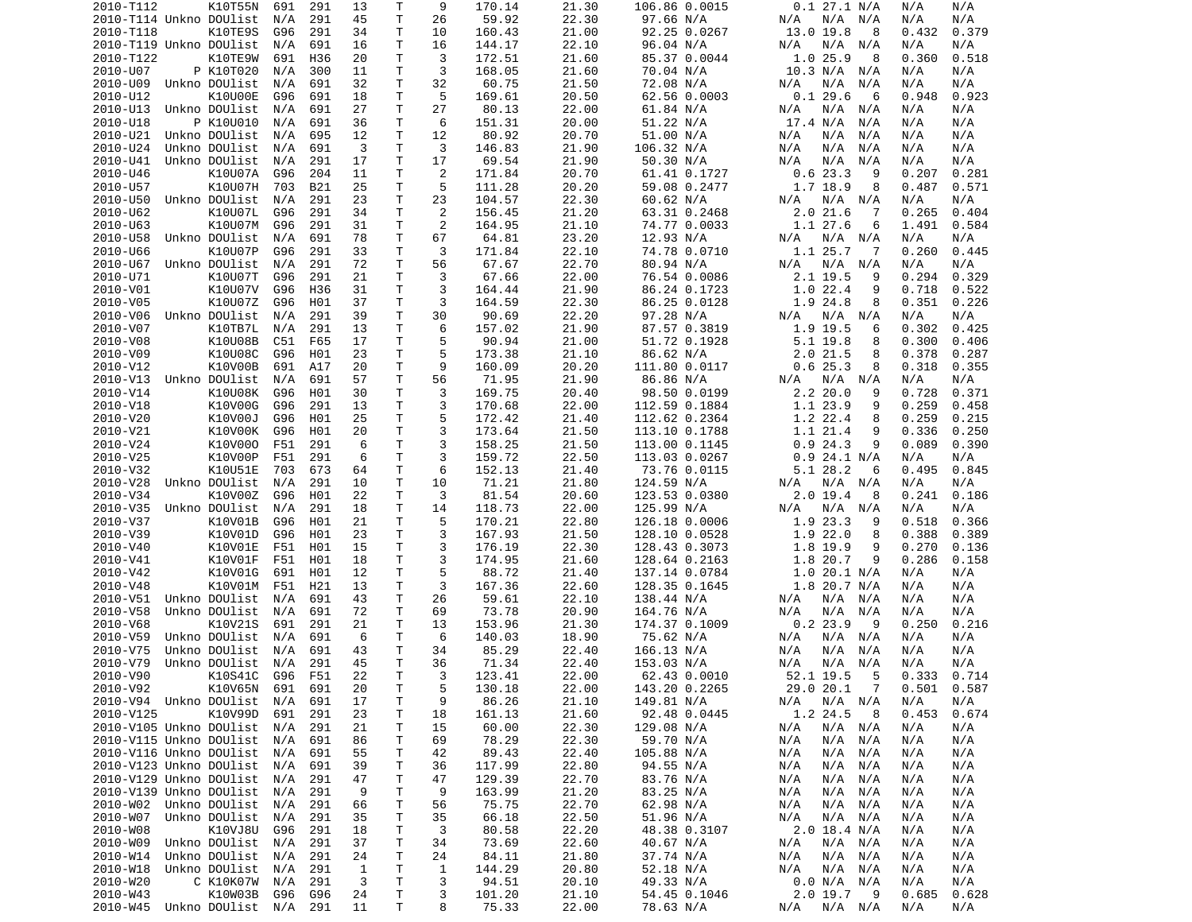| 2010-T112                                  | K10T55N         | 691 | 291 | 13           | Τ      | 9      | 170.14          | 21.30          | 106.86 0.0015             | 0.1 27.1 N/A                        | N/A<br>N/A                   |
|--------------------------------------------|-----------------|-----|-----|--------------|--------|--------|-----------------|----------------|---------------------------|-------------------------------------|------------------------------|
| 2010-T114 Unkno DOUlist                    |                 | N/A | 291 | 45           | T      | 26     | 59.92           | 22.30          | 97.66 N/A                 | N/A N/A<br>N/A                      | N/A<br>N/A                   |
| 2010-T118                                  | K10TE9S         | G96 | 291 | 34           | Τ      | 10     | 160.43          | 21.00          | 92.25 0.0267              | 13.0 19.8<br>8                      | 0.432<br>0.379               |
| 2010-T119 Unkno DOUlist                    |                 |     |     |              | Τ      |        |                 | 22.10          |                           |                                     |                              |
|                                            |                 | N/A | 691 | 16           |        | 16     | 144.17          |                | 96.04 N/A                 | N/A<br>N/A<br>N/A                   | N/A<br>N/A                   |
| 2010-T122                                  | K10TE9W         | 691 | H36 | 20           | т      | 3      | 172.51          | 21.60          | 85.37 0.0044              | 1.025.9<br>8                        | 0.360<br>0.518               |
| 2010-U07                                   | P K10T020       | N/A | 300 | 11           | т      | 3      | 168.05          | 21.60          | 70.04 N/A                 | 10.3 N/A<br>N/A                     | N/A<br>N/A                   |
| 2010-U09                                   | Unkno DOUlist   | N/A | 691 | 32           | т      | 32     | 60.75           | 21.50          | 72.08 N/A                 | N/A<br>N/A<br>N/A                   | N/A<br>N/A                   |
| 2010-U12                                   | K10U00E         | G96 | 691 | 18           | Τ      | 5      | 169.61          | 20.50          | 62.56 0.0003              | 0.129.6<br>6                        | 0.923<br>0.948               |
| 2010-U13                                   |                 |     |     |              | T      | 27     |                 |                |                           |                                     |                              |
|                                            | Unkno DOUlist   | N/A | 691 | 27           |        |        | 80.13           | 22.00          | 61.84 N/A                 | N/A<br>N/A<br>N/A                   | N/A<br>N/A                   |
| 2010-U18                                   | P K10U010       | N/A | 691 | 36           | Τ      | 6      | 151.31          | 20.00          | 51.22 N/A                 | 17.4 N/A<br>N/A                     | N/A<br>N/A                   |
| 2010-U21                                   | Unkno DOUlist   | N/A | 695 | 12           | T      | 12     | 80.92           | 20.70          | 51.00 N/A                 | N/A<br>N/A<br>N/A                   | N/A<br>N/A                   |
| 2010-U24                                   | Unkno DOUlist   | N/A | 691 | 3            | T      | 3      | 146.83          | 21.90          | 106.32 N/A                | N/A<br>N/A<br>N/A                   | N/A<br>N/A                   |
| 2010-U41                                   | Unkno DOUlist   | N/A | 291 | 17           | Τ      | 17     | 69.54           | 21.90          | 50.30 N/A                 | N/A<br>N/A<br>N/A                   | N/A<br>N/A                   |
|                                            |                 |     |     |              |        |        |                 |                |                           |                                     |                              |
| 2010-U46                                   | K10U07A         | G96 | 204 | 11           | т      | 2      | 171.84          | 20.70          | 61.41 0.1727              | 0.623.3<br>9                        | 0.207<br>0.281               |
| 2010-U57                                   | K10U07H         | 703 | B21 | 25           | T      | 5      | 111.28          | 20.20          | 59.08 0.2477              | 1.7 18.9<br>8                       | 0.571<br>0.487               |
| 2010-U50                                   | Unkno DOUlist   | N/A | 291 | 23           | T.     | 23     | 104.57          | 22.30          | 60.62 N/A                 | N/A<br>N/A N/A                      | N/A<br>N/A                   |
| 2010-U62                                   | K10U07L         | G96 | 291 | 34           | т      | 2      | 156.45          | 21.20          | 63.31 0.2468              | 2.021.6<br>7                        | 0.265<br>0.404               |
| 2010-U63                                   | K10U07M         | G96 | 291 | 31           | T      | 2      | 164.95          | 21.10          |                           | 1.1 27.6<br>6                       | 0.584<br>1.491               |
|                                            |                 |     |     |              |        |        |                 |                | 74.77 0.0033              |                                     |                              |
| 2010-U58                                   | Unkno DOUlist   | N/A | 691 | 78           | T      | 67     | 64.81           | 23.20          | 12.93 N/A                 | N/A N/A<br>N/A                      | N/A<br>N/A                   |
| 2010-U66                                   | K10U07P         | G96 | 291 | 33           | т      | 3      | 171.84          | 22.10          | 74.78 0.0710              | 1.1 25.7<br>- 7                     | 0.260<br>0.445               |
| 2010-U67                                   | Unkno DOUlist   | N/A | 291 | 72           | Τ      | 56     | 67.67           | 22.70          | 80.94 N/A                 | N/A N/A<br>N/A                      | N/A<br>N/A                   |
| 2010-U71                                   | K10U07T         | G96 | 291 | 21           | Τ      | 3      | 67.66           | 22.00          | 76.54 0.0086              | 2.1 19.5<br>9                       | 0.294<br>0.329               |
|                                            |                 |     |     |              |        |        |                 |                |                           |                                     |                              |
| 2010-V01                                   | K10U07V         | G96 | H36 | 31           | T      | 3      | 164.44          | 21.90          | 86.24 0.1723              | 1.022.4<br>9                        | 0.718<br>0.522               |
| 2010-V05                                   | K10U07Z         | G96 | H01 | 37           | т      | 3      | 164.59          | 22.30          | 86.25 0.0128              | 1.9 24.8<br>8                       | 0.351<br>0.226               |
| 2010-V06                                   | Unkno DOUlist   | N/A | 291 | 39           | T.     | 30     | 90.69           | 22.20          | 97.28 N/A                 | N/A<br>N/A<br>N/A                   | N/A<br>N/A                   |
| 2010-V07                                   | K10TB7L         | N/A | 291 | 13           | T.     | 6      | 157.02          | 21.90          | 87.57 0.3819              | 1.9 19.5<br>6                       | 0.302<br>0.425               |
|                                            |                 |     |     |              |        |        |                 |                |                           |                                     |                              |
| 2010-V08                                   | K10U08B         | C51 | F65 | 17           | Τ      | 5      | 90.94           | 21.00          | 51.72 0.1928              | 5.1 19.8<br>8                       | 0.300<br>0.406               |
| 2010-V09                                   | K10U08C         | G96 | H01 | 23           | Τ      | 5      | 173.38          | 21.10          | 86.62 N/A                 | $2.0$ 21.5<br>8                     | 0.378<br>0.287               |
| 2010-V12                                   | K10V00B         | 691 | A17 | 20           | Τ      | 9      | 160.09          | 20.20          | 111.80 0.0117             | 0.625.3<br>8                        | 0.318<br>0.355               |
| 2010-V13                                   | Unkno DOUlist   | N/A | 691 | 57           | Τ      | 56     | 71.95           | 21.90          | 86.86 N/A                 | N/A<br>N/A<br>N/A                   | N/A<br>N/A                   |
| 2010-V14                                   | K10U08K         | G96 | H01 | 30           | Τ      | 3      | 169.75          | 20.40          | 98.50 0.0199              | 2.220.0<br>9                        | 0.728<br>0.371               |
|                                            |                 |     |     |              |        |        |                 |                |                           |                                     |                              |
| 2010-V18                                   | K10V00G         | G96 | 291 | 13           | T.     | 3      | 170.68          | 22.00          | 112.59 0.1884             | 1.1 23.9<br>9                       | 0.259<br>0.458               |
| 2010-V20                                   | K10V00J         | G96 | H01 | 25           | Τ      | 5      | 172.42          | 21.40          | 112.62 0.2364             | 1.2 22.4<br>8                       | 0.259<br>0.215               |
| 2010-V21                                   | K10V00K         | G96 | H01 | 20           | Τ      | 3      | 173.64          | 21.50          | 113.10 0.1788             | 1.1 21.4<br>9                       | 0.336<br>0.250               |
| 2010-V24                                   | K10V000         | F51 | 291 | 6            | T      | 3      | 158.25          | 21.50          | 113.00 0.1145             | 0.924.3<br>9                        | 0.089<br>0.390               |
| 2010-V25                                   | K10V00P         | F51 | 291 | 6            | Τ      | 3      | 159.72          | 22.50          | 113.03 0.0267             | $0.9$ 24.1 N/A                      | N/A<br>N/A                   |
|                                            |                 |     |     |              |        |        |                 |                |                           |                                     |                              |
| 2010-V32                                   | K10U51E         | 703 | 673 | 64           | T      | 6      | 152.13          | 21.40          | 73.76 0.0115              | 5.1 28.2<br>6                       | 0.495<br>0.845               |
| 2010-V28                                   | Unkno DOUlist   | N/A | 291 | 10           | Τ      | 10     | 71.21           | 21.80          | 124.59 N/A                | N/A<br>N/A N/A                      | N/A<br>N/A                   |
| 2010-V34                                   | K10V00Z         | G96 | H01 | 22           | т      | 3      | 81.54           | 20.60          | 123.53 0.0380             | 2.0 19.4<br>8                       | 0.241<br>0.186               |
| 2010-V35                                   | Unkno DOUlist   | N/A | 291 | 18           | Τ      | 14     | 118.73          | 22.00          | 125.99 N/A                | N/A N/A<br>N/A                      | N/A<br>N/A                   |
| 2010-V37                                   | K10V01B         | G96 | H01 | 21           | т      | 5      | 170.21          | 22.80          |                           | 1.9 23.3<br>9                       | 0.518<br>0.366               |
|                                            |                 |     |     |              |        |        |                 |                | 126.18 0.0006             |                                     |                              |
| 2010-V39                                   | K10V01D         | G96 | H01 | 23           | Τ      | 3      | 167.93          | 21.50          | 128.10 0.0528             | 1.9 22.0<br>8                       | 0.388<br>0.389               |
| 2010-V40                                   | K10V01E         | F51 | H01 | 15           | Τ      | 3      | 176.19          | 22.30          | 128.43 0.3073             | 1.8 19.9<br>9                       | 0.270<br>0.136               |
| 2010-V41                                   | K10V01F         | F51 | H01 | 18           | T      | 3      | 174.95          | 21.60          |                           | 1.8 20.7<br>9                       |                              |
| 2010-V42                                   | K10V01G         | 691 |     |              |        |        |                 |                | 128.64 0.2163             |                                     | 0.286<br>0.158               |
| 2010-V48                                   |                 |     |     |              |        |        |                 |                |                           |                                     |                              |
|                                            |                 |     | H01 | 12           | Τ      | 5      | 88.72           | 21.40          | 137.14 0.0784             | 1.020.1 N/A                         | N/A<br>N/A                   |
| 2010-V51                                   | K10V01M         | F51 | H21 | 13           | Τ      | 3      | 167.36          | 22.60          | 128.35 0.1645             | $1.8$ 20.7 N/A                      | N/A<br>N/A                   |
| 2010-V58                                   | Unkno DOUlist   | N/A | 691 | 43           | T      | 26     | 59.61           | 22.10          | 138.44 N/A                | N/A<br>N/A N/A                      | N/A<br>N/A                   |
|                                            | Unkno DOUlist   | N/A | 691 | 72           | т      | 69     | 73.78           | 20.90          | 164.76 N/A                | N/A<br>N/A<br>N/A                   | N/A<br>N/A                   |
| 2010-V68                                   |                 |     |     | 21           | Τ      | 13     |                 |                |                           | 9                                   |                              |
|                                            | K10V21S         | 691 | 291 |              |        |        | 153.96          | 21.30          | 174.37 0.1009             | 0.223.9                             | 0.250<br>0.216               |
| 2010-V59                                   | Unkno DOUlist   | N/A | 691 | 6            | т      | 6      | 140.03          | 18.90          | 75.62 N/A                 | N/A N/A<br>N/A                      | N/A<br>N/A                   |
| 2010-V75                                   | Unkno DOUlist   | N/A | 691 | 43           | T      | 34     | 85.29           | 22.40          | 166.13 N/A                | N/A<br>N/A<br>N/A                   | N/A<br>N/A                   |
| 2010-V79                                   | Unkno DOUlist   | N/A | 291 | 45           | T.     | 36     | 71.34           | 22.40          | 153.03 N/A                | N/A<br>N/A<br>N/A                   | N/A<br>N/A                   |
| 2010-V90                                   | K10S41C G96 F51 |     |     | 22           | T.     | 3      | 123.41          | 22.00          | 62.43 0.0010              | 52.1 19.5<br>-5                     | 0.333<br>0.714               |
|                                            |                 |     |     |              |        |        |                 |                |                           |                                     |                              |
| 2010-V92                                   | K10V65N         | 691 | 691 | 20           | Τ      | 5      | 130.18          | 22.00          | 143.20 0.2265             | $\overline{7}$<br>29.0 20.1         | $0.501$ $0.587$              |
| 2010-V94 Unkno DOUlist                     |                 | N/A | 691 | 17           | Τ      | 9      | 86.26           | 21.10          | 149.81 N/A                | $N/A$ $N/A$<br>N/A                  | N/A<br>N/A                   |
| 2010-V125                                  | K10V99D         | 691 | 291 | 23           | T      | 18     | 161.13          | 21.60          | 92.48 0.0445              | 1.2 24.5<br>8                       | 0.453<br>0.674               |
| 2010-V105 Unkno DOUlist                    |                 | N/A | 291 | 21           | т      | 15     | 60.00           | 22.30          | 129.08 N/A                | N/A<br>$N/A$ $N/A$                  | N/A<br>N/A                   |
| 2010-V115 Unkno DOUlist                    |                 | N/A | 691 | 86           | Τ      | 69     | 78.29           | 22.30          | 59.70 N/A                 | N/A<br>N/A N/A                      | N/A<br>N/A                   |
|                                            |                 |     |     |              |        |        |                 |                |                           |                                     |                              |
| 2010-V116 Unkno DOUlist                    |                 | N/A | 691 | 55           | Т      | 42     | 89.43           | 22.40          | 105.88 N/A                | $N/A$ $N/A$<br>N/A                  | N/A<br>N/A                   |
| 2010-V123 Unkno DOUlist                    |                 | N/A | 691 | 39           | Τ      | 36     | 117.99          | 22.80          | 94.55 N/A                 | $N/A$ $N/A$<br>N/A                  | N/A<br>N/A                   |
| 2010-V129 Unkno DOUlist                    |                 | N/A | 291 | 47           | Τ      | 47     | 129.39          | 22.70          | 83.76 N/A                 | $N/A$ $N/A$<br>N/A                  | N/A<br>N/A                   |
| 2010-V139 Unkno DOUlist                    |                 | N/A | 291 | 9            | Τ      | 9      | 163.99          | 21.20          | 83.25 N/A                 | N/A<br>$N/A$ $N/A$                  | N/A<br>N/A                   |
| 2010-W02                                   | Unkno DOUlist   | N/A | 291 | 66           | Т      | 56     | 75.75           | 22.70          | 62.98 N/A                 | N/A<br>N/A N/A                      | N/A<br>N/A                   |
|                                            | Unkno DOUlist   |     |     |              |        |        |                 |                |                           |                                     | N/A                          |
| 2010-W07                                   |                 | N/A | 291 | 35           | т      | 35     | 66.18           | 22.50          | 51.96 N/A                 | N/A<br>N/A N/A                      | N/A                          |
| 2010-W08                                   | K10VJ8U         | G96 | 291 | 18           | T      | 3      | 80.58           | 22.20          | 48.38 0.3107              | $2.0$ 18.4 N/A                      | N/A<br>N/A                   |
| 2010-W09                                   | Unkno DOUlist   | N/A | 291 | 37           | Τ      | 34     | 73.69           | 22.60          | 40.67 N/A                 | $N/A$ $N/A$<br>N/A                  | N/A<br>N/A                   |
| 2010-W14                                   | Unkno DOUlist   | N/A | 291 | 24           | Τ      | 24     | 84.11           | 21.80          | 37.74 N/A                 | N/A N/A<br>N/A                      | N/A<br>N/A                   |
| 2010-W18                                   | Unkno DOUlist   | N/A | 291 | $\mathbf{1}$ | Τ      | 1      | 144.29          | 20.80          | 52.18 N/A                 | N/A<br>N/A N/A                      | N/A<br>N/A                   |
|                                            |                 |     |     |              |        |        |                 |                |                           |                                     |                              |
| 2010-W20                                   | C K10K07W       | N/A | 291 | 3            | Τ      | 3      | 94.51           | 20.10          | 49.33 N/A                 | 0.0 N/A N/A                         | N/A<br>N/A                   |
| 2010-W43<br>2010-W45 Unkno DOUlist N/A 291 | K10W03B         | G96 | G96 | 24<br>11     | Τ<br>Τ | 3<br>8 | 101.20<br>75.33 | 21.10<br>22.00 | 54.45 0.1046<br>78.63 N/A | $2.0$ 19.7<br>- 9<br>N/A<br>N/A N/A | 0.685<br>0.628<br>N/A<br>N/A |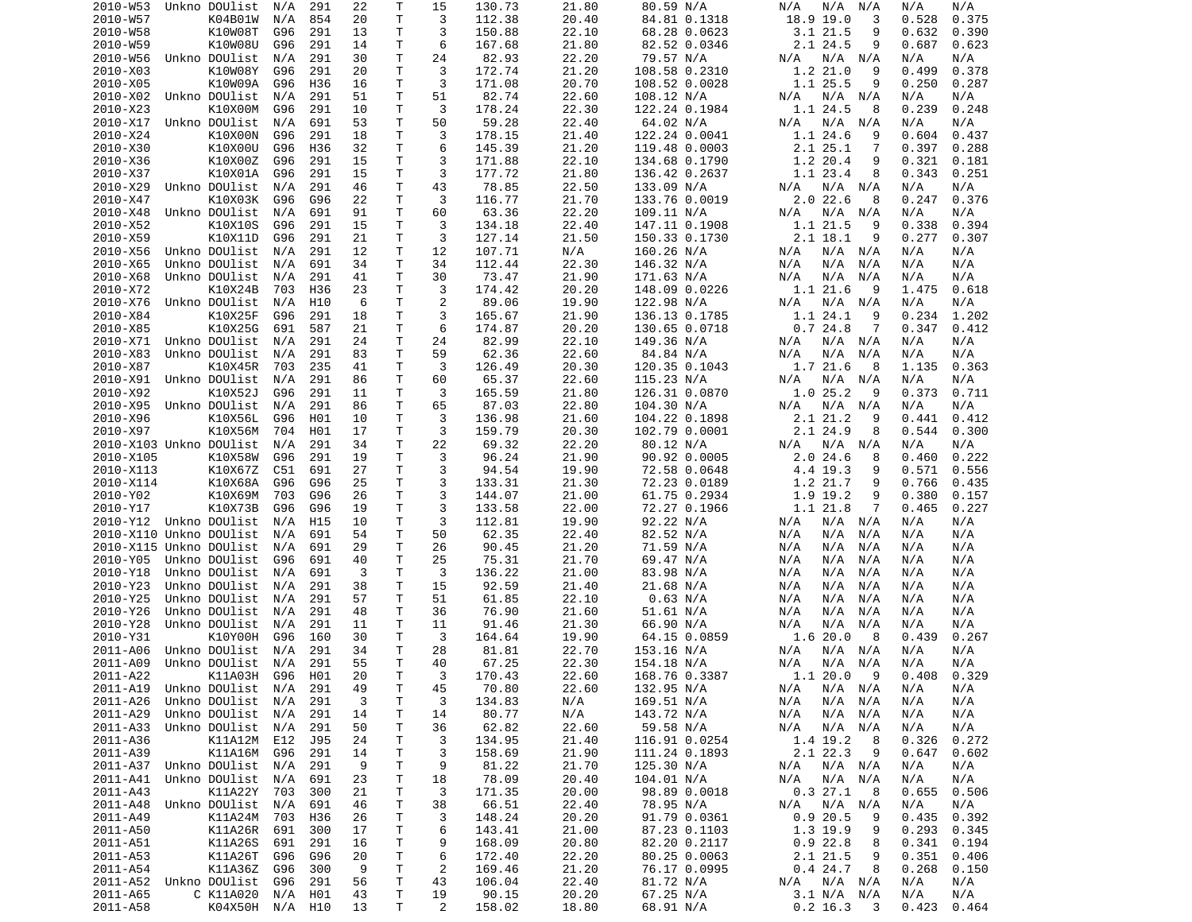|                         | Unkno DOUlist                | N/A     | 291 | 22       | Т      | 15             | 130.73          | 21.80          | 80.59 N/A              | N/A<br>N/A<br>N/A              | N/A<br>N/A                   |
|-------------------------|------------------------------|---------|-----|----------|--------|----------------|-----------------|----------------|------------------------|--------------------------------|------------------------------|
| 2010-W57                | K04B01W                      | N/A     | 854 | 20       | T      | 3              | 112.38          | 20.40          | 84.81 0.1318           | 18.9 19.0<br>3                 | 0.375<br>0.528               |
| 2010-W58                | K10W08T                      | G96     | 291 | 13       | т      | 3              | 150.88          | 22.10          | 68.28 0.0623           | 3.121.5<br>9                   | 0.632<br>0.390               |
|                         |                              |         |     |          | Τ      | 6              |                 | 21.80          |                        | 2.1 24.5<br>9                  | 0.687                        |
| 2010-W59                | K10W08U                      | G96     | 291 | 14       |        |                | 167.68          |                | 82.52 0.0346           |                                | 0.623                        |
| 2010-W56                | Unkno DOUlist                | N/A     | 291 | 30       | Τ      | 24             | 82.93           | 22.20          | 79.57 N/A              | N/A<br>N/A N/A                 | N/A<br>N/A                   |
| 2010-X03                | K10W08Y                      | G96     | 291 | 20       | Τ      | 3              | 172.74          | 21.20          | 108.58 0.2310          | 1.2 21.0<br>9                  | 0.499<br>0.378               |
| 2010-X05                | K10W09A                      | G96     | H36 | 16       | Τ      | 3              | 171.08          | 20.70          | 108.52 0.0028          | 1.1 25.5<br>9                  | 0.250<br>0.287               |
| 2010-X02                | Unkno DOUlist                | N/A     | 291 | 51       | Τ      | 51             | 82.74           | 22.60          | 108.12 N/A             | N/A N/A<br>N/A                 | N/A<br>N/A                   |
| 2010-X23                | K10X00M                      | G96     | 291 | 10       | T      | 3              | 178.24          | 22.30          | 122.24 0.1984          | 1.1 24.5<br>8                  | 0.239<br>0.248               |
|                         |                              |         |     |          |        |                |                 |                |                        |                                |                              |
| 2010-X17                | Unkno DOUlist                | N/A     | 691 | 53       | Τ      | 50             | 59.28           | 22.40          | 64.02 N/A              | N/A N/A<br>N/A                 | N/A<br>N/A                   |
| 2010-X24                | K10X00N                      | G96     | 291 | 18       | Τ      | 3              | 178.15          | 21.40          | 122.24 0.0041          | 1.1 24.6<br>9                  | 0.604<br>0.437               |
| 2010-X30                | K10X00U                      | G96     | H36 | 32       | Τ      | 6              | 145.39          | 21.20          | 119.48 0.0003          | 2.1 25.1<br>7                  | 0.397<br>0.288               |
| 2010-X36                | K10X00Z                      | G96     | 291 | 15       | Τ      | 3              | 171.88          | 22.10          | 134.68 0.1790          | 1.2 20.4<br>9                  | 0.321<br>0.181               |
| 2010-X37                | K10X01A                      | G96     | 291 | 15       | Τ      | 3              | 177.72          | 21.80          | 136.42 0.2637          | 1.1 23.4<br>8                  | 0.343<br>0.251               |
|                         |                              |         |     |          |        |                |                 |                |                        |                                |                              |
| 2010-X29                | Unkno DOUlist                | N/A     | 291 | 46       | Τ      | 43             | 78.85           | 22.50          | 133.09 N/A             | N/A N/A<br>N/A                 | N/A<br>N/A                   |
| 2010-X47                | K10X03K                      | G96     | G96 | 22       | Τ      | 3              | 116.77          | 21.70          | 133.76 0.0019          | $2.0$ 22.6<br>8                | 0.247<br>0.376               |
| 2010-X48                | Unkno DOUlist                | N/A     | 691 | 91       | Τ      | 60             | 63.36           | 22.20          | 109.11 N/A             | N/A N/A<br>N/A                 | N/A<br>N/A                   |
| 2010-X52                | K10X10S                      | G96     | 291 | 15       | T      | 3              | 134.18          | 22.40          | 147.11 0.1908          | 1.1 21.5<br>9                  | 0.338<br>0.394               |
| 2010-X59                | K10X11D                      | G96     | 291 | 21       | T      | 3              | 127.14          | 21.50          | 150.33 0.1730          | 2.1 18.1<br>9                  | 0.277<br>0.307               |
| 2010-X56                | Unkno DOUlist                | N/A     | 291 | 12       | т      | 12             | 107.71          | N/A            | 160.26 N/A             | N/A N/A<br>N/A                 | N/A<br>N/A                   |
|                         |                              |         |     |          |        |                |                 |                |                        |                                |                              |
| 2010-X65                | Unkno DOUlist                | N/A     | 691 | 34       | T      | 34             | 112.44          | 22.30          | 146.32 N/A             | N/A<br>N/A<br>N/A              | N/A<br>N/A                   |
| 2010-X68                | Unkno DOUlist                | N/A     | 291 | 41       | Τ      | 30             | 73.47           | 21.90          | 171.63 N/A             | N/A<br>N/A<br>N/A              | N/A<br>N/A                   |
| 2010-X72                | K10X24B                      | 703     | H36 | 23       | T      | 3              | 174.42          | 20.20          | 148.09 0.0226          | 1.1 21.6<br>9                  | 1.475<br>0.618               |
| 2010-X76                | Unkno DOUlist                | N/A     | H10 | 6        | Τ      | 2              | 89.06           | 19.90          | 122.98 N/A             | N/A<br>N/A N/A                 | N/A<br>N/A                   |
|                         |                              |         |     |          | Τ      | 3              |                 |                |                        |                                |                              |
| 2010-X84                | K10X25F                      | G96     | 291 | 18       |        |                | 165.67          | 21.90          | 136.13 0.1785          | 1.1 24.1<br>9                  | 0.234<br>1.202               |
| 2010-X85                | K10X25G                      | 691     | 587 | 21       | T      | 6              | 174.87          | 20.20          | 130.65 0.0718          | 0.724.8<br>7                   | 0.347<br>0.412               |
| 2010-X71                | Unkno DOUlist                | N/A     | 291 | 24       | т      | 24             | 82.99           | 22.10          | 149.36 N/A             | N/A N/A<br>N/A                 | N/A<br>N/A                   |
| 2010-X83                | Unkno DOUlist                | N/A     | 291 | 83       | Τ      | 59             | 62.36           | 22.60          | 84.84 N/A              | N/A<br>N/A<br>N/A              | N/A<br>N/A                   |
| 2010-X87                | K10X45R                      | 703     | 235 | 41       | Τ      | 3              | 126.49          | 20.30          | 120.35 0.1043          | 1.7 21.6<br>8                  | 1.135<br>0.363               |
| 2010-X91                | Unkno DOUlist                |         | 291 |          | T      |                | 65.37           | 22.60          |                        | N/A                            | N/A                          |
|                         |                              | N/A     |     | 86       |        | 60             |                 |                | 115.23 N/A             | N/A<br>N/A                     | N/A                          |
| 2010-X92                | K10X52J                      | G96     | 291 | 11       | Τ      | 3              | 165.59          | 21.80          | 126.31 0.0870          | 1.025.2<br>9                   | 0.373<br>0.711               |
| 2010-X95                | Unkno DOUlist                | N/A     | 291 | 86       | T.     | 65             | 87.03           | 22.80          | 104.30 N/A             | N/A<br>N/A<br>N/A              | N/A<br>N/A                   |
| 2010-X96                | K10X56L                      | G96     | H01 | 10       | T      | 3              | 136.98          | 21.60          | 104.22 0.1898          | 2.1 21.2<br>9                  | 0.441<br>0.412               |
| 2010-X97                | K10X56M                      | 704     | H01 | 17       | т      | 3              | 159.79          | 20.30          | 102.79 0.0001          | 2.1 24.9<br>8                  | 0.544<br>0.300               |
| 2010-X103 Unkno DOUlist |                              | N/A     | 291 | 34       | Τ      | 22             | 69.32           | 22.20          | 80.12 N/A              | N/A<br>N/A N/A                 | N/A<br>N/A                   |
|                         |                              |         |     |          |        |                |                 |                |                        |                                |                              |
| 2010-X105               | K10X58W                      | G96     | 291 | 19       | Τ      | 3              | 96.24           | 21.90          | 90.92 0.0005           | 2.024.6<br>8                   | 0.460<br>0.222               |
| 2010-X113               | K10X67Z                      | C51     | 691 | 27       | Τ      | 3              | 94.54           | 19.90          | 72.58 0.0648           | 4.4 19.3<br>9                  | 0.571<br>0.556               |
| 2010-X114               | K10X68A                      | G96     | G96 | 25       | Τ      | 3              | 133.31          | 21.30          | 72.23 0.0189           | 1.2 21.7<br>9                  | 0.766<br>0.435               |
| 2010-Y02                | K10X69M                      | 703     | G96 | 26       | т      | 3              | 144.07          | 21.00          | 61.75 0.2934           | 1.9 19.2<br>9                  | 0.380<br>0.157               |
| 2010-Y17                | K10X73B                      | G96     | G96 | 19       | т      | 3              | 133.58          | 22.00          | 72.27 0.1966           | 1.1 21.8<br>7                  | 0.465<br>0.227               |
|                         |                              |         |     |          |        |                |                 |                |                        |                                |                              |
| 2010-Y12 Unkno DOUlist  |                              | N/A     | H15 | 10       | т      | 3              | 112.81          | 19.90          | 92.22 N/A              | N/A N/A<br>N/A                 | N/A<br>N/A                   |
| 2010-X110 Unkno DOUlist |                              |         |     |          |        |                |                 |                |                        |                                |                              |
|                         |                              | N/A     | 691 | 54       | T      | 50             | 62.35           | 22.40          | 82.52 N/A              | N/A<br>N/A<br>N/A              | N/A<br>N/A                   |
| 2010-X115 Unkno DOUlist |                              | N/A     | 691 | 29       | Τ      | 26             | 90.45           | 21.20          | 71.59 N/A              | N/A<br>N/A<br>N/A              | N/A<br>N/A                   |
|                         |                              |         |     |          |        |                |                 |                |                        |                                |                              |
| 2010-Y05                | Unkno DOUlist                | G96     | 691 | 40       | T      | 25             | 75.31           | 21.70          | 69.47 N/A              | N/A<br>N/A<br>N/A              | N/A<br>N/A                   |
| 2010-Y18                | Unkno DOUlist                | N/A     | 691 | 3        | T      | 3              | 136.22          | 21.00          | 83.98 N/A              | N/A<br>N/A<br>N/A              | N/A<br>N/A                   |
| 2010-Y23                | Unkno DOUlist                | N/A     | 291 | 38       | Τ      | 15             | 92.59           | 21.40          | 21.68 N/A              | N/A<br>N/A<br>N/A              | N/A<br>N/A                   |
| 2010-Y25                | Unkno DOUlist                | N/A     | 291 | 57       | Τ      | 51             | 61.85           | 22.10          | 0.63 N/A               | N/A<br>N/A<br>N/A              | N/A<br>N/A                   |
| 2010-Y26                | Unkno DOUlist                | N/A     | 291 | 48       | Τ      | 36             | 76.90           | 21.60          | 51.61 N/A              | N/A<br>N/A<br>N/A              | N/A<br>N/A                   |
|                         |                              |         |     |          |        |                |                 |                |                        |                                |                              |
| 2010-Y28                | Unkno DOUlist                | N/A     | 291 | 11       | Τ      | 11             | 91.46           | 21.30          | 66.90 N/A              | N/A<br>N/A<br>N/A              | N/A<br>N/A                   |
| 2010-Y31                | K10Y00H                      | G96     | 160 | 30       | т      | 3              | 164.64          | 19.90          | 64.15 0.0859           | 1.620.0<br>8                   | 0.267<br>0.439               |
| 2011-A06                | Unkno DOUlist                | N/A     | 291 | 34       | T      | 28             | 81.81           | 22.70          | 153.16 N/A             | N/A<br>N/A N/A                 | N/A<br>N/A                   |
| 2011-A09                | Unkno DOUlist                | N/A     | 291 | 55       | T.     | 40             | 67.25           | 22.30          | 154.18 N/A             | N/A<br>N/A N/A                 | N/A<br>N/A                   |
| 2011-A22                | K11A03H                      | G96 H01 |     | 20       | T.     | 3              | 170.43          | 22.60          | 168.76 0.3387          | 1.120.0<br>9                   | 0.329<br>0.408               |
|                         | Unkno DOUlist                |         |     |          |        |                |                 |                |                        |                                | N/A                          |
| 2011-A19                |                              | N/A     | 291 | 49       | Τ      | 45             | 70.80           | 22.60          | 132.95 N/A             | N/A N/A<br>N/A                 | N/A                          |
| 2011-A26                | Unkno DOUlist                | N/A     | 291 | 3        | T      | 3              | 134.83          | N/A            | 169.51 N/A             | N/A<br>$N/A$ $N/A$             | N/A<br>N/A                   |
| 2011-A29                | Unkno DOUlist                | N/A     | 291 | 14       | T      | 14             | 80.77           | N/A            | 143.72 N/A             | N/A<br>$N/A$ $N/A$             | N/A<br>N/A                   |
| 2011-A33                | Unkno DOUlist                | N/A     | 291 | 50       | т      | 36             | 62.82           | 22.60          | 59.58 N/A              | N/A<br>N/A N/A                 | N/A<br>N/A                   |
| 2011-A36                | K11A12M                      | E12     | J95 | 24       | T      | 3              | 134.95          | 21.40          | 116.91 0.0254          | 1.4 19.2<br>-8                 | 0.326<br>0.272               |
|                         |                              |         |     | 14       |        |                |                 |                |                        | 9                              | 0.647                        |
| 2011-A39                | K11A16M                      | G96     | 291 |          | Τ      | 3              | 158.69          | 21.90          | 111.24 0.1893          | 2.1 22.3                       | 0.602                        |
| 2011-A37                | Unkno DOUlist                | N/A     | 291 | 9        | Τ      | 9              | 81.22           | 21.70          | 125.30 N/A             | $N/A$ $N/A$<br>N/A             | N/A<br>N/A                   |
| 2011-A41                | Unkno DOUlist                | N/A     | 691 | 23       | Τ      | 18             | 78.09           | 20.40          | 104.01 N/A             | $N/A$ $N/A$<br>N/A             | N/A<br>N/A                   |
| 2011-A43                | K11A22Y 703                  |         | 300 | 21       | Τ      | 3              | 171.35          | 20.00          | 98.89 0.0018           | 0.327.1<br>- 8                 | 0.655<br>0.506               |
| 2011-A48                | Unkno DOUlist                | N/A     | 691 | 46       | Τ      | 38             | 66.51           | 22.40          | 78.95 N/A              | N/A<br>N/A N/A                 | N/A<br>N/A                   |
| 2011-A49                | K11A24M                      | 703     | H36 | 26       | т      | 3              |                 | 20.20          |                        | 9                              | 0.435<br>0.392               |
|                         |                              |         |     |          |        |                | 148.24          |                | 91.79 0.0361           | 0.920.5                        |                              |
| 2011-A50                | K11A26R                      | 691     | 300 | 17       | Τ      | 6              | 143.41          | 21.00          | 87.23 0.1103           | 1.3 19.9<br>9                  | 0.293<br>0.345               |
| 2011-A51                | K11A26S                      | 691     | 291 | 16       | Τ      | 9              | 168.09          | 20.80          | 82.20 0.2117           | $0.9$ 22.8<br>8                | 0.341<br>0.194               |
| 2011-A53                | K11A26T                      | G96     | G96 | 20       | Τ      | 6              | 172.40          | 22.20          | 80.25 0.0063           | 2.1 21.5<br>9                  | 0.351<br>0.406               |
| 2011-A54                | K11A36Z G96                  |         | 300 | 9        | T      | $\overline{c}$ | 169.46          | 21.20          | 76.17 0.0995           | 0.424.7<br>8                   | 0.268<br>0.150               |
|                         |                              | G96     | 291 | 56       |        |                |                 |                |                        |                                |                              |
| 2011-A52 Unkno DOUlist  |                              |         |     |          | Τ      | 43             | 106.04          | 22.40          | 81.72 N/A              | $N/A$ $N/A$<br>N/A             | N/A<br>N/A                   |
| 2011-A65<br>2011-A58    | C K11A020<br>K04X50H N/A H10 | N/A     | H01 | 43<br>13 | T<br>Τ | 19<br>2        | 90.15<br>158.02 | 20.20<br>18.80 | 67.25 N/A<br>68.91 N/A | 3.1 N/A N/A<br>$0.2$ 16.3<br>3 | N/A<br>N/A<br>0.423<br>0.464 |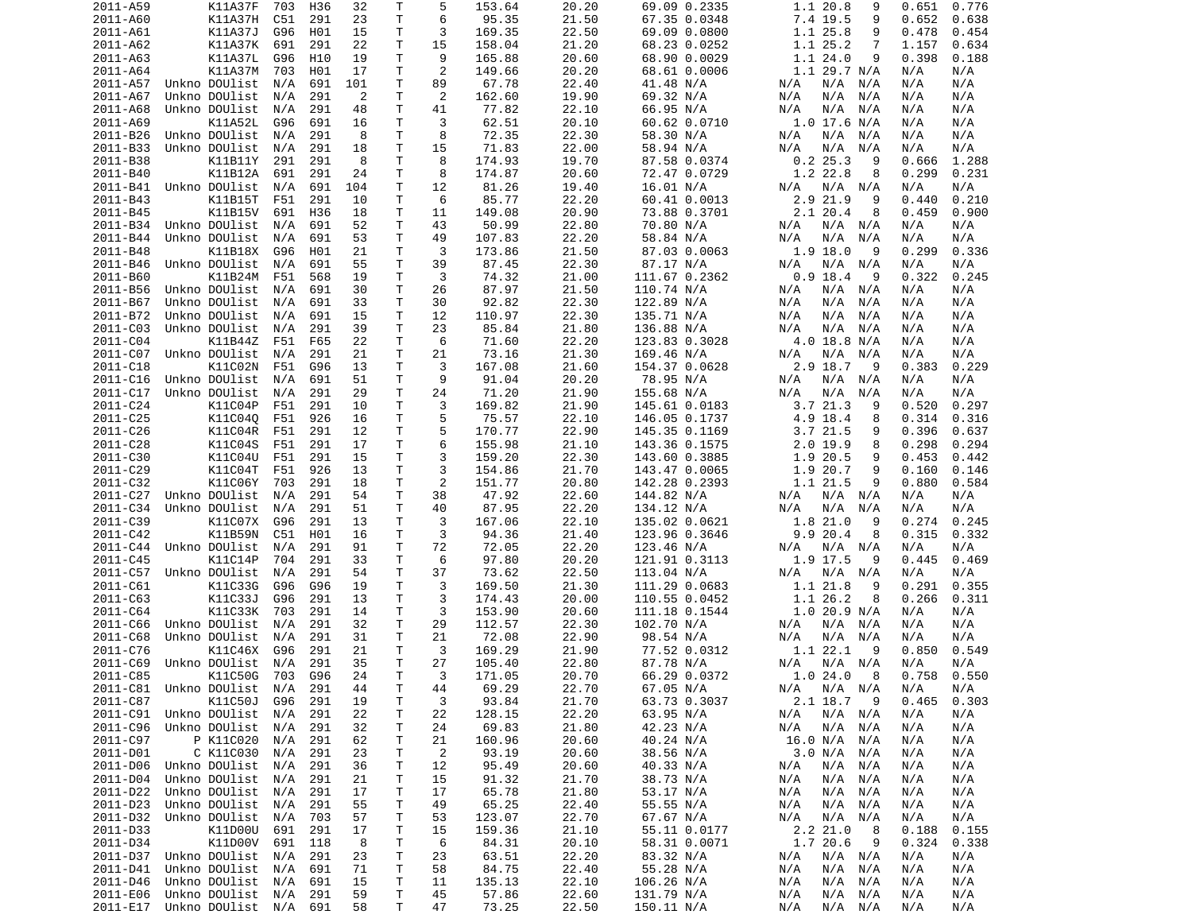| 2011-A59 | K11A37F               | 703 | H36 | 32  | Т  | 5              | 153.64 | 20.20 | 69.09 0.2335  | 1.1 20.8<br>9      | 0.651<br>0.776 |
|----------|-----------------------|-----|-----|-----|----|----------------|--------|-------|---------------|--------------------|----------------|
| 2011-A60 | <b>K11A37H</b>        | C51 | 291 | 23  | Τ  | 6              | 95.35  | 21.50 | 67.35 0.0348  | 7.4 19.5<br>9      | 0.652<br>0.638 |
| 2011-A61 | K11A37J               | G96 | H01 | 15  | т  | 3              | 169.35 | 22.50 | 69.09 0.0800  | 1.1 25.8<br>9      | 0.478<br>0.454 |
| 2011-A62 | K11A37K               | 691 | 291 | 22  | т  | 15             | 158.04 | 21.20 | 68.23 0.0252  | 1.1 25.2<br>7      | 1.157<br>0.634 |
| 2011-A63 | K11A37L               | G96 | H10 | 19  | т  | 9              | 165.88 | 20.60 | 68.90 0.0029  | 1.124.0<br>9       | 0.398<br>0.188 |
| 2011-A64 | K11A37M               | 703 | H01 | 17  | т  | 2              | 149.66 | 20.20 | 68.61 0.0006  | 1.1 29.7 N/A       | N/A<br>N/A     |
| 2011-A57 | Unkno DOUlist         | N/A | 691 | 101 | т  | 89             | 67.78  | 22.40 | 41.48 N/A     | N/A<br>N/A<br>N/A  | N/A<br>N/A     |
| 2011-A67 | Unkno DOUlist         | N/A | 291 | 2   | Τ  | 2              | 162.60 | 19.90 | 69.32 N/A     | N/A<br>N/A<br>N/A  | N/A<br>N/A     |
| 2011-A68 | Unkno DOUlist         | N/A | 291 | 48  | т  | 41             | 77.82  | 22.10 | 66.95 N/A     | N/A<br>N/A<br>N/A  | N/A<br>N/A     |
| 2011-A69 | K11A52L               | G96 | 691 | 16  | т  | 3              | 62.51  | 20.10 | 60.62 0.0710  | 1.0 17.6 N/A       | N/A<br>N/A     |
|          |                       |     |     |     |    |                |        |       |               |                    |                |
| 2011-B26 | Unkno DOUlist         | N/A | 291 | 8   | т  | 8              | 72.35  | 22.30 | 58.30 N/A     | N/A<br>N/A N/A     | N/A<br>N/A     |
| 2011-B33 | Unkno DOUlist         | N/A | 291 | 18  | т  | 15             | 71.83  | 22.00 | 58.94 N/A     | N/A<br>N/A<br>N/A  | N/A<br>N/A     |
| 2011-B38 | K11B11Y               | 291 | 291 | 8   | Τ  | 8              | 174.93 | 19.70 | 87.58 0.0374  | 0.225.3<br>9       | 0.666<br>1.288 |
| 2011-B40 | K11B12A               | 691 | 291 | 24  | т  | 8              | 174.87 | 20.60 | 72.47 0.0729  | 1.2 22.8<br>8      | 0.299<br>0.231 |
| 2011-B41 | Unkno DOUlist         | N/A | 691 | 104 | т  | 12             | 81.26  | 19.40 | 16.01 N/A     | N/A N/A<br>N/A     | N/A<br>N/A     |
| 2011-B43 | K11B15T               | F51 | 291 | 10  | T. | 6              | 85.77  | 22.20 | 60.41 0.0013  | 2.9 21.9<br>9      | 0.210<br>0.440 |
| 2011-B45 | K11B15V               | 691 | H36 | 18  | т  | 11             | 149.08 | 20.90 | 73.88 0.3701  | 2.1 20.4<br>8      | 0.900<br>0.459 |
| 2011-B34 | Unkno DOUlist         | N/A | 691 | 52  | т  | 43             | 50.99  | 22.80 | 70.80 N/A     | N/A<br>N/A N/A     | N/A<br>N/A     |
| 2011-B44 | Unkno DOUlist         | N/A | 691 | 53  | т  | 49             | 107.83 | 22.20 | 58.84 N/A     | N/A<br>N/A<br>N/A  | N/A<br>N/A     |
| 2011-B48 | K11B18X               | G96 | H01 | 21  | т  | 3              | 173.86 | 21.50 | 87.03 0.0063  | 1.9 18.0<br>9      | 0.299<br>0.336 |
| 2011-B46 | Unkno DOUlist         | N/A | 691 | 55  | т  | 39             | 87.45  | 22.30 | 87.17 N/A     | N/A<br>N/A N/A     | N/A<br>N/A     |
| 2011-B60 | K11B24M               | F51 | 568 | 19  | т  | 3              | 74.32  | 21.00 | 111.67 0.2362 | $0.9$ 18.4<br>9    | 0.322<br>0.245 |
| 2011-B56 | Unkno DOUlist         | N/A | 691 | 30  | T  | 26             | 87.97  | 21.50 | 110.74 N/A    | N/A<br>N/A<br>N/A  | N/A<br>N/A     |
| 2011-B67 | Unkno DOUlist         | N/A | 691 | 33  | т  | 30             | 92.82  | 22.30 | 122.89 N/A    | N/A<br>N/A<br>N/A  | N/A<br>N/A     |
| 2011-B72 | Unkno DOUlist         | N/A | 691 | 15  | Т  | 12             | 110.97 | 22.30 | 135.71 N/A    | N/A<br>N/A<br>N/A  | N/A<br>N/A     |
| 2011-C03 | Unkno DOUlist         | N/A | 291 | 39  | Τ  | 23             | 85.84  | 21.80 | 136.88 N/A    | N/A<br>N/A<br>N/A  | N/A<br>N/A     |
|          |                       |     |     |     |    |                |        |       |               |                    |                |
| 2011-C04 | K11B44Z               | F51 | F65 | 22  | т  | 6              | 71.60  | 22.20 | 123.83 0.3028 | 4.0 18.8 N/A       | N/A<br>N/A     |
| 2011-C07 | Unkno DOUlist         | N/A | 291 | 21  | т  | 21             | 73.16  | 21.30 | 169.46 N/A    | N/A<br>N/A N/A     | N/A<br>N/A     |
| 2011-C18 | K11C02N               | F51 | G96 | 13  | т  | 3              | 167.08 | 21.60 | 154.37 0.0628 | 2.9 18.7<br>- 9    | 0.383<br>0.229 |
| 2011-C16 | Unkno DOUlist         | N/A | 691 | 51  | Τ  | 9              | 91.04  | 20.20 | 78.95 N/A     | N/A<br>N/A<br>N/A  | N/A<br>N/A     |
| 2011-C17 | Unkno DOUlist         | N/A | 291 | 29  | т  | 24             | 71.20  | 21.90 | 155.68 N/A    | N/A<br>N/A<br>N/A  | N/A<br>N/A     |
| 2011-C24 | K11C04P               | F51 | 291 | 10  | T. | 3              | 169.82 | 21.90 | 145.61 0.0183 | 3.7 21.3<br>9      | 0.520<br>0.297 |
| 2011-C25 | K11C04Q               | F51 | 926 | 16  | T. | 5              | 75.57  | 22.10 | 146.05 0.1737 | 4.9 18.4<br>8      | 0.314<br>0.316 |
| 2011-C26 | K11C04R               | F51 | 291 | 12  | Τ  | 5              | 170.77 | 22.90 | 145.35 0.1169 | 3.7 21.5<br>9      | 0.396<br>0.637 |
| 2011-C28 | K11C04S               | F51 | 291 | 17  | Τ  | 6              | 155.98 | 21.10 | 143.36 0.1575 | 2.0 19.9<br>8      | 0.298<br>0.294 |
| 2011-C30 | K11C04U               | F51 | 291 | 15  | т  | 3              | 159.20 | 22.30 | 143.60 0.3885 | 1.9 20.5<br>9      | 0.453<br>0.442 |
| 2011-C29 | K11C04T               | F51 | 926 | 13  | Τ  | 3              | 154.86 | 21.70 | 143.47 0.0065 | 1.9 20.7<br>9      | 0.160<br>0.146 |
| 2011-C32 | K11C06Y               | 703 | 291 | 18  | т  | 2              | 151.77 | 20.80 | 142.28 0.2393 | 1.1 21.5<br>9      | 0.880<br>0.584 |
| 2011-C27 | Unkno DOUlist         | N/A | 291 | 54  | т  | 38             | 47.92  | 22.60 | 144.82 N/A    | N/A<br>N/A N/A     | N/A<br>N/A     |
| 2011-C34 | Unkno DOUlist         | N/A | 291 | 51  | т  | 40             | 87.95  | 22.20 | 134.12 N/A    | N/A<br>N/A<br>N/A  | N/A<br>N/A     |
| 2011-C39 | K11C07X               | G96 | 291 | 13  | т  | 3              | 167.06 | 22.10 | 135.02 0.0621 | 1.8 21.0<br>9      | 0.274<br>0.245 |
| 2011-C42 | K11B59N               | C51 | H01 | 16  | т  | 3              | 94.36  | 21.40 | 123.96 0.3646 | 9.9 20.4<br>8      | 0.315          |
|          |                       |     |     |     |    |                |        |       |               |                    | 0.332          |
| 2011-C44 | Unkno DOUlist         | N/A | 291 | 91  | т  | 72             | 72.05  | 22.20 | 123.46 N/A    | N/A N/A<br>N/A     | N/A<br>N/A     |
| 2011-C45 | K11C14P               | 704 | 291 | 33  | т  | 6              | 97.80  | 20.20 | 121.91 0.3113 | 1.9 17.5<br>9      | 0.469<br>0.445 |
| 2011-C57 | Unkno DOUlist         | N/A | 291 | 54  | т  | 37             | 73.62  | 22.50 | 113.04 N/A    | N/A<br>N/A N/A     | N/A<br>N/A     |
| 2011-C61 | K11C33G               | G96 | G96 | 19  | Τ  | 3              | 169.50 | 21.30 | 111.29 0.0683 | 1.1 21.8<br>9      | 0.291<br>0.355 |
| 2011-C63 | K11C33J               | G96 | 291 | 13  | т  | 3              | 174.43 | 20.00 | 110.55 0.0452 | 1.1 26.2<br>8      | 0.266<br>0.311 |
| 2011-C64 | K11C33K               | 703 | 291 | 14  | т  | 3              | 153.90 | 20.60 | 111.18 0.1544 | 1.0 20.9 N/A       | N/A<br>N/A     |
| 2011-C66 | Unkno DOUlist         | N/A | 291 | 32  | т  | 29             | 112.57 | 22.30 | 102.70 N/A    | $N/A$ $N/A$<br>N/A | N/A<br>N/A     |
| 2011-C68 | Unkno DOUlist         | N/A | 291 | 31  | т  | 21             | 72.08  | 22.90 | 98.54 N/A     | N/A<br>N/A N/A     | N/A<br>N/A     |
| 2011-C76 | K11C46X               | G96 | 291 | 21  | Τ  | 3              | 169.29 | 21.90 | 77.52 0.0312  | 1.1 22.1<br>9      | 0.549<br>0.850 |
| 2011-C69 | Unkno DOUlist         | N/A | 291 | 35  | T. | 27             | 105.40 | 22.80 | 87.78 N/A     | N/A N/A<br>N/A     | N/A<br>N/A     |
| 2011-C85 | K11C50G 703 G96       |     |     | 24  | T. | 3              | 171.05 | 20.70 | 66.29 0.0372  | 1.024.08           | 0.758<br>0.550 |
| 2011-C81 | Unkno DOUlist         | N/A | 291 | 44  | т  | 44             | 69.29  | 22.70 | 67.05 N/A     | $N/A$ $N/A$<br>N/A | N/A<br>N/A     |
| 2011-C87 | K11C50J               | G96 | 291 | 19  | т  | 3              | 93.84  | 21.70 | 63.73 0.3037  | 2.1 18.7 9         | 0.303<br>0.465 |
| 2011-C91 | Unkno DOUlist         | N/A | 291 | 22  | т  | 22             | 128.15 | 22.20 | 63.95 N/A     | N/A<br>$N/A$ $N/A$ | N/A<br>N/A     |
| 2011-C96 | Unkno DOUlist         | N/A | 291 | 32  | т  | 24             | 69.83  | 21.80 | 42.23 N/A     | N/A<br>N/A<br>N/A  | N/A<br>N/A     |
| 2011-C97 | P K11C020             | N/A | 291 | 62  | т  | 21             | 160.96 | 20.60 | 40.24 N/A     | 16.0 N/A<br>N/A    | N/A<br>N/A     |
|          |                       |     |     | 23  |    |                |        |       | 38.56 N/A     | 3.0 N/A<br>N/A     | N/A            |
| 2011-D01 | C K11C030             | N/A | 291 |     | т  | $\overline{2}$ | 93.19  | 20.60 |               |                    | N/A            |
| 2011-D06 | Unkno DOUlist         | N/A | 291 | 36  | т  | 12             | 95.49  | 20.60 | 40.33 N/A     | N/A<br>N/A<br>N/A  | N/A<br>N/A     |
| 2011-D04 | Unkno DOUlist         | N/A | 291 | 21  | т  | 15             | 91.32  | 21.70 | 38.73 N/A     | N/A<br>N/A<br>N/A  | N/A<br>N/A     |
| 2011-D22 | Unkno DOUlist         | N/A | 291 | 17  | т  | 17             | 65.78  | 21.80 | 53.17 N/A     | N/A<br>N/A<br>N/A  | N/A<br>N/A     |
| 2011-D23 | Unkno DOUlist         | N/A | 291 | 55  | т  | 49             | 65.25  | 22.40 | 55.55 N/A     | N/A<br>N/A<br>N/A  | N/A<br>N/A     |
| 2011-D32 | Unkno DOUlist         | N/A | 703 | 57  | т  | 53             | 123.07 | 22.70 | 67.67 N/A     | N/A<br>N/A N/A     | N/A<br>N/A     |
| 2011-D33 | K11D00U               | 691 | 291 | 17  | т  | 15             | 159.36 | 21.10 | 55.11 0.0177  | 2.2 21.0<br>8      | 0.188<br>0.155 |
| 2011-D34 | K11D00V               | 691 | 118 | 8   | т  | 6              | 84.31  | 20.10 | 58.31 0.0071  | 1.7 20.6<br>9      | 0.324<br>0.338 |
| 2011-D37 | Unkno DOUlist         | N/A | 291 | 23  | T  | 23             | 63.51  | 22.20 | 83.32 N/A     | N/A<br>$N/A$ $N/A$ | N/A<br>N/A     |
| 2011-D41 | Unkno DOUlist         | N/A | 691 | 71  | т  | 58             | 84.75  | 22.40 | 55.28 N/A     | N/A<br>N/A<br>N/A  | N/A<br>N/A     |
| 2011-D46 | Unkno DOUlist         | N/A | 691 | 15  | т  | 11             | 135.13 | 22.10 | 106.26 N/A    | N/A<br>N/A<br>N/A  | N/A<br>N/A     |
| 2011-E06 | Unkno DOUlist         | N/A | 291 | 59  | т  | 45             | 57.86  | 22.60 | 131.79 N/A    | N/A<br>N/A<br>N/A  | N/A<br>N/A     |
| 2011-E17 | Unkno DOUlist N/A 691 |     |     | 58  | Τ  | 47             | 73.25  | 22.50 | 150.11 N/A    | N/A<br>N/A N/A     | N/A<br>N/A     |
|          |                       |     |     |     |    |                |        |       |               |                    |                |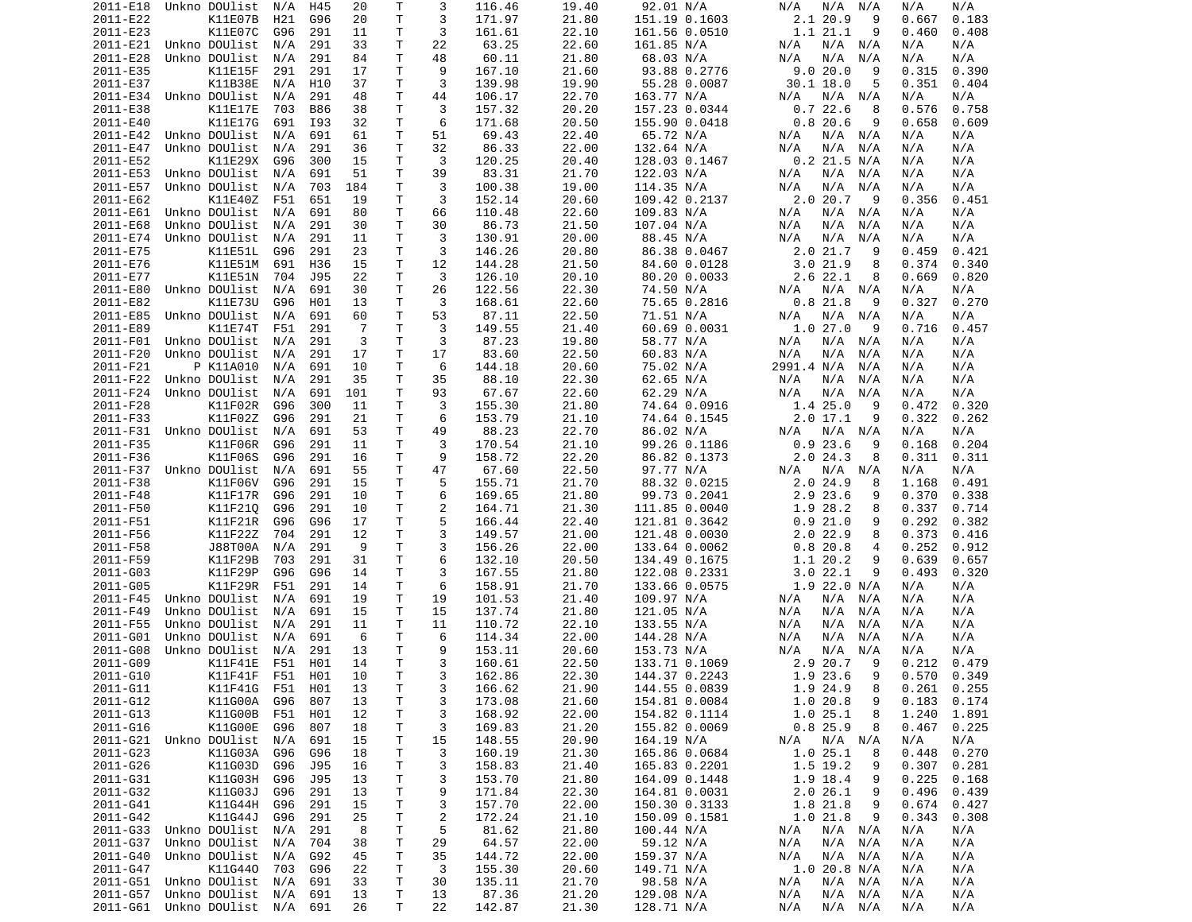| 2011-E18             | Unkno DOUlist                          | N/A | H45        | 20       | Т            | 3              | 116.46          | 19.40          | 92.01 N/A                | N/A<br>N/A<br>N/A                   | N/A<br>N/A               |
|----------------------|----------------------------------------|-----|------------|----------|--------------|----------------|-----------------|----------------|--------------------------|-------------------------------------|--------------------------|
| 2011-E22             | K11E07B                                | H21 | G96        | 20       | Τ            | 3              | 171.97          | 21.80          | 151.19 0.1603            | 2.120.9<br>9                        | 0.667<br>0.183           |
| 2011-E23             | K11E07C                                | G96 | 291        | 11       | т            | 3              | 161.61          | 22.10          | 161.56 0.0510            | 1.1 21.1<br>9                       | 0.460<br>0.408           |
| 2011-E21             | Unkno DOUlist                          | N/A | 291        | 33       | т            | 22             | 63.25           | 22.60          |                          | N/A<br>N/A<br>N/A                   | N/A<br>N/A               |
|                      |                                        |     |            |          |              |                |                 |                | 161.85 N/A               |                                     |                          |
| 2011-E28             | Unkno DOUlist                          | N/A | 291        | 84       | Τ            | 48             | 60.11           | 21.80          | 68.03 N/A                | N/A<br>N/A<br>N/A                   | N/A<br>N/A               |
| 2011-E35             | K11E15F                                | 291 | 291        | 17       | Τ            | 9              | 167.10          | 21.60          | 93.88 0.2776             | 9.0 20.0<br>9                       | 0.315<br>0.390           |
| 2011-E37             | K11B38E                                | N/A | H10        | 37       | т            | 3              | 139.98          | 19.90          | 55.28 0.0087             | $30.1$ $18.0$<br>5                  | 0.351<br>0.404           |
| 2011-E34             | Unkno DOUlist                          | N/A | 291        | 48       | Τ            | 44             | 106.17          | 22.70          | 163.77 N/A               | N/A N/A<br>N/A                      | N/A<br>N/A               |
| 2011-E38             | K11E17E                                | 703 | <b>B86</b> | 38       | T.           | 3              | 157.32          | 20.20          | 157.23 0.0344            | 0.722.6<br>8                        | 0.576<br>0.758           |
|                      |                                        |     |            |          |              |                |                 |                |                          |                                     |                          |
| 2011-E40             | K11E17G                                | 691 | I93        | 32       | т            | 6              | 171.68          | 20.50          | 155.90 0.0418            | 0.820.6<br>9                        | 0.658<br>0.609           |
| 2011-E42             | Unkno DOUlist                          | N/A | 691        | 61       | Τ            | 51             | 69.43           | 22.40          | 65.72 N/A                | $N/A$ $N/A$<br>N/A                  | N/A<br>N/A               |
| 2011-E47             | Unkno DOUlist                          | N/A | 291        | 36       | Τ            | 32             | 86.33           | 22.00          | 132.64 N/A               | N/A<br>N/A<br>N/A                   | N/A<br>N/A               |
| 2011-E52             | K11E29X                                | G96 | 300        | 15       | т            | 3              | 120.25          | 20.40          | 128.03 0.1467            | $0.2$ 21.5 N/A                      | N/A<br>N/A               |
| 2011-E53             | Unkno DOUlist                          | N/A | 691        | 51       | т            | 39             | 83.31           | 21.70          | 122.03 N/A               | N/A<br>N/A<br>N/A                   | N/A<br>N/A               |
|                      | Unkno DOUlist                          |     |            |          |              |                |                 |                |                          |                                     |                          |
| 2011-E57             |                                        | N/A | 703        | 184      | т            | 3              | 100.38          | 19.00          | 114.35 N/A               | N/A<br>N/A<br>N/A                   | N/A<br>N/A               |
| 2011-E62             | K11E40Z                                | F51 | 651        | 19       | Τ            | 3              | 152.14          | 20.60          | 109.42 0.2137            | 2.020.7<br>9                        | 0.356<br>0.451           |
| 2011-E61             | Unkno DOUlist                          | N/A | 691        | 80       | т            | 66             | 110.48          | 22.60          | 109.83 N/A               | N/A<br>N/A<br>N/A                   | N/A<br>N/A               |
| 2011-E68             | Unkno DOUlist                          | N/A | 291        | 30       | Τ            | 30             | 86.73           | 21.50          | 107.04 N/A               | N/A<br>N/A<br>N/A                   | N/A<br>N/A               |
| 2011-E74             | Unkno DOUlist                          | N/A | 291        | 11       | т            | 3              | 130.91          | 20.00          | 88.45 N/A                | N/A<br>N/A<br>N/A                   | N/A<br>N/A               |
| 2011-E75             | K11E51L                                | G96 | 291        | 23       | т            | 3              | 146.26          | 20.80          | 86.38 0.0467             | 2.021.7<br>9                        | 0.459<br>0.421           |
|                      |                                        |     |            |          |              |                |                 |                |                          |                                     |                          |
| 2011-E76             | K11E51M                                | 691 | H36        | 15       | Τ            | 12             | 144.28          | 21.50          | 84.60 0.0128             | 3.021.9<br>8                        | 0.374<br>0.340           |
| 2011-E77             | K11E51N                                | 704 | J95        | 22       | т            | 3              | 126.10          | 20.10          | 80.20 0.0033             | $2.6$ 22.1<br>8                     | 0.669<br>0.820           |
| 2011-E80             | Unkno DOUlist                          | N/A | 691        | 30       | T.           | 26             | 122.56          | 22.30          | 74.50 N/A                | N/A<br>N/A<br>N/A                   | N/A<br>N/A               |
| 2011-E82             | K11E73U                                | G96 | H01        | 13       | т            | 3              | 168.61          | 22.60          | 75.65 0.2816             | $0.8$ 21.8<br>9                     | 0.327<br>0.270           |
| 2011-E85             | Unkno DOUlist                          | N/A | 691        | 60       | T.           | 53             | 87.11           | 22.50          | 71.51 N/A                | N/A<br>N/A<br>N/A                   | N/A<br>N/A               |
|                      |                                        |     |            |          | T.           |                |                 |                |                          | 1.027.0                             |                          |
| 2011-E89             | K11E74T                                | F51 | 291        | -7       |              | 3              | 149.55          | 21.40          | 60.69 0.0031             | 9                                   | 0.716<br>0.457           |
| 2011-F01             | Unkno DOUlist                          | N/A | 291        | 3        | т            | 3              | 87.23           | 19.80          | 58.77 N/A                | N/A<br>N/A<br>N/A                   | N/A<br>N/A               |
| 2011-F20             | Unkno DOUlist                          | N/A | 291        | 17       | Τ            | 17             | 83.60           | 22.50          | 60.83 N/A                | N/A<br>N/A<br>N/A                   | N/A<br>N/A               |
| 2011-F21             | P K11A010                              | N/A | 691        | 10       | т            | 6              | 144.18          | 20.60          | 75.02 N/A                | 2991.4 N/A<br>N/A                   | N/A<br>N/A               |
| 2011-F22             | Unkno DOUlist                          | N/A | 291        | 35       | Τ            | 35             | 88.10           | 22.30          | 62.65 N/A                | N/A<br>N/A<br>N/A                   | N/A<br>N/A               |
| 2011-F24             | Unkno DOUlist                          | N/A | 691        | 101      | т            | 93             | 67.67           | 22.60          | 62.29 N/A                | N/A<br>N/A                          | N/A<br>N/A               |
|                      |                                        |     |            |          |              |                |                 |                |                          | N/A                                 |                          |
| 2011-F28             | K11F02R                                | G96 | 300        | 11       | T.           | 3              | 155.30          | 21.80          | 74.64 0.0916             | 1.4 25.0<br>9                       | 0.472<br>0.320           |
| 2011-F33             | K11F02Z                                | G96 | 291        | 21       | т            | 6              | 153.79          | 21.10          | 74.64 0.1545             | $2.0$ 17.1<br>9                     | 0.322<br>0.262           |
| 2011-F31             | Unkno DOUlist                          | N/A | 691        | 53       | т            | 49             | 88.23           | 22.70          | 86.02 N/A                | N/A<br>N/A<br>N/A                   | N/A<br>N/A               |
| 2011-F35             | K11F06R                                | G96 | 291        | 11       | T.           | 3              | 170.54          | 21.10          | 99.26 0.1186             | 0.923.6<br>9                        | 0.168<br>0.204           |
| 2011-F36             | K11F06S                                | G96 | 291        | 16       | т            | 9              | 158.72          | 22.20          | 86.82 0.1373             | 2.024.3<br>8                        | 0.311<br>0.311           |
|                      |                                        |     |            |          |              |                |                 |                |                          |                                     |                          |
| 2011-F37             | Unkno DOUlist                          | N/A | 691        | 55       | Τ            | 47             | 67.60           | 22.50          | 97.77 N/A                | N/A<br>N/A<br>N/A                   | N/A<br>N/A               |
| 2011-F38             | K11F06V                                | G96 | 291        | 15       | Τ            | 5              | 155.71          | 21.70          | 88.32 0.0215             | 2.024.9<br>8                        | 1.168<br>0.491           |
| 2011-F48             | K11F17R                                | G96 | 291        | 10       | т            | 6              | 169.65          | 21.80          | 99.73 0.2041             | 2.9 23.6<br>9                       | 0.370<br>0.338           |
| 2011-F50             | K11F210                                | G96 | 291        | 10       | т            | 2              | 164.71          | 21.30          | 111.85 0.0040            | 1.9 28.2<br>8                       | 0.337<br>0.714           |
| 2011-F51             | K11F21R                                | G96 | G96        | 17       | Τ            | 5              | 166.44          | 22.40          | 121.81 0.3642            | 0.921.0<br>9                        | 0.292<br>0.382           |
| 2011-F56             | K11F22Z                                | 704 | 291        | 12       | Τ            | 3              | 149.57          | 21.00          | 121.48 0.0030            | $2.0$ 22.9<br>8                     | 0.373<br>0.416           |
|                      |                                        |     |            |          |              |                |                 |                |                          |                                     |                          |
| 2011-F58             | J88T00A                                | N/A | 291        | -9       | т            | 3              | 156.26          | 22.00          | 133.64 0.0062            | 0.820.8<br>4                        | 0.252<br>0.912           |
| 2011-F59             | K11F29B                                | 703 | 291        | 31       | Τ            | 6              | 132.10          | 20.50          | 134.49 0.1675            | 1.1 20.2<br>9                       | 0.639<br>0.657           |
| 2011-G03             | K11F29P                                | G96 | G96        | 14       | Τ            | 3              | 167.55          | 21.80          | 122.08 0.2331            | 3.022.1<br>9                        | 0.493<br>0.320           |
| 2011-G05             | K11F29R                                | F51 | 291        | 14       | т            | 6              | 158.91          | 21.70          | 133.66 0.0575            | 1.9 22.0 N/A                        | N/A<br>N/A               |
| 2011-F45             | Unkno DOUlist                          | N/A | 691        | 19       | Τ            | 19             | 101.53          | 21.40          | 109.97 N/A               | N/A<br>N/A<br>N/A                   | N/A<br>N/A               |
|                      |                                        |     |            |          |              |                |                 |                |                          |                                     |                          |
| 2011-F49             | Unkno DOUlist                          | N/A | 691        | 15       | т            | 15             | 137.74          | 21.80          | 121.05 N/A               | N/A<br>N/A<br>N/A                   | N/A<br>N/A               |
| 2011-F55             | Unkno DOUlist                          | N/A | 291        | 11       | т            | 11             | 110.72          | 22.10          | 133.55 N/A               | N/A<br>N/A<br>N/A                   | N/A<br>N/A               |
| 2011-G01             | Unkno DOUlist                          | N/A | 691        | 6        | Τ            | 6              | 114.34          | 22.00          | 144.28 N/A               | N/A<br>N/A<br>N/A                   | N/A<br>N/A               |
| 2011-G08             | Unkno DOUlist                          | N/A | 291        | 13       | Τ            | 9              | 153.11          | 20.60          | 153.73 N/A               | N/A<br>N/A<br>N/A                   | N/A<br>N/A               |
| 2011-G09             | K11F41E                                | F51 | H01        | 14       | T.           | 3              | 160.61          | 22.50          | 133.71 0.1069            | 2.9 20.7<br>9                       | 0.212<br>0.479           |
|                      |                                        |     |            |          | $\mathsf{T}$ |                |                 |                |                          | 1.9 23.6                            |                          |
| 2011-G10             | K11F41F F51                            |     | H01        | 10       |              | 3              | 162.86          | 22.30          | 144.37 0.2243            | 9                                   | $0.570$ 0.349            |
| 2011-G11             | K11F41G F51 H01                        |     |            | 13       | Τ            | 3              | 166.62          | 21.90          | 144.55 0.0839            | 1.9 24.9<br>8                       | $0.261$ $0.255$          |
| 2011-G12             | K11G00A                                | G96 | 807        | 13       | T            | 3              | 173.08          | 21.60          | 154.81 0.0084            | 1.0 20.8<br>9                       | 0.183<br>0.174           |
| 2011-G13             | K11G00B                                | F51 | H01        | 12       | Τ            | 3              | 168.92          | 22.00          | 154.82 0.1114            | 1.025.1<br>8                        | 1.240<br>1.891           |
| 2011-G16             | K11G00E                                | G96 | 807        | 18       | т            | 3              | 169.83          | 21.20          | 155.82 0.0069            | $0.8$ 25.9<br>8                     | 0.467<br>0.225           |
| 2011-G21             | Unkno DOUlist                          | N/A | 691        | 15       | T            | 15             | 148.55          | 20.90          | 164.19 N/A               | N/A N/A<br>N/A                      | N/A<br>N/A               |
|                      |                                        |     |            |          |              |                |                 |                |                          |                                     |                          |
| 2011-G23             | K11G03A                                | G96 | G96        | 18       | Τ            | 3              | 160.19          | 21.30          | 165.86 0.0684            | 1.025.1<br>8                        | 0.448<br>0.270           |
| 2011-G26             | K11G03D                                | G96 | J95        | 16       | Τ            | 3              | 158.83          | 21.40          | 165.83 0.2201            | 1.5 19.2<br>9                       | 0.307<br>0.281           |
| 2011-G31             | K11G03H                                | G96 | J95        | 13       | Τ            | 3              | 153.70          | 21.80          | 164.09 0.1448            | 1.9 18.4<br>9                       | 0.225<br>0.168           |
| 2011-632             | K11G03J                                | G96 | 291        | 13       | Τ            | 9              | 171.84          | 22.30          | 164.81 0.0031            | 2.026.1<br>9                        | 0.496<br>0.439           |
| 2011-G41             | K11G44H                                | G96 | 291        | 15       | Τ            | 3              | 157.70          | 22.00          | 150.30 0.3133            | 1.8 21.8<br>9                       | 0.674<br>0.427           |
|                      |                                        |     |            |          |              |                |                 |                |                          |                                     |                          |
| 2011-G42             | K11G44J                                | G96 | 291        | 25       | Τ            | $\overline{c}$ | 172.24          | 21.10          | 150.09 0.1581            | 1.021.8<br>9                        | 0.343<br>0.308           |
| 2011-G33             | Unkno DOUlist                          | N/A | 291        | 8        | T            | 5              | 81.62           | 21.80          | 100.44 N/A               | N/A<br>N/A N/A                      | N/A<br>N/A               |
| 2011-637             | Unkno DOUlist                          | N/A | 704        | 38       | Τ            | 29             | 64.57           | 22.00          | 59.12 N/A                | N/A<br>N/A<br>N/A                   | N/A<br>N/A               |
|                      |                                        |     |            |          |              |                | 144.72          | 22.00          | 159.37 N/A               | N/A<br>N/A N/A                      | N/A<br>N/A               |
| 2011-G40             |                                        | N/A | G92        | 45       |              |                |                 |                |                          |                                     |                          |
|                      | Unkno DOUlist                          |     |            |          | Τ            | 35             |                 |                |                          |                                     |                          |
| 2011-G47             | K11G440                                | 703 | G96        | 22       | Τ            | 3              | 155.30          | 20.60          | 149.71 N/A               | 1.0 20.8 N/A                        | N/A<br>N/A               |
| 2011-G51             | Unkno DOUlist                          | N/A | 691        | 33       | Τ            | 30             | 135.11          | 21.70          | 98.58 N/A                | N/A<br>$N/A$ $N/A$                  | N/A<br>N/A               |
| 2011-G57<br>2011-G61 | Unkno DOUlist<br>Unkno DOUlist N/A 691 | N/A | 691        | 13<br>26 | Τ<br>Τ       | 13<br>22       | 87.36<br>142.87 | 21.20<br>21.30 | 129.08 N/A<br>128.71 N/A | N/A<br>N/A<br>N/A<br>N/A<br>N/A N/A | N/A<br>N/A<br>N/A<br>N/A |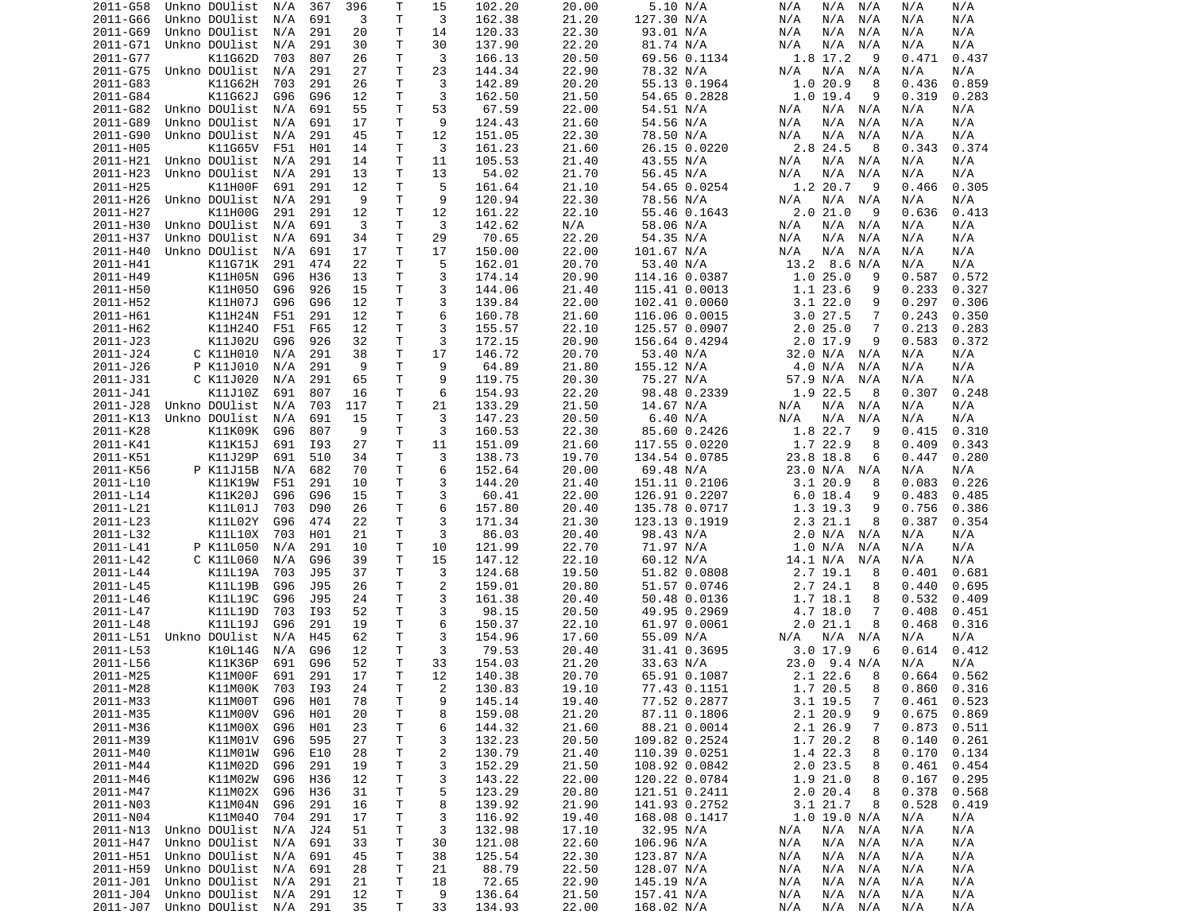| 2011-G58             | Unkno DOUlist                          | N/A | 367 | 396      | Т      | 15                      | 102.20           | 20.00          | 5.10 N/A                 | N/A<br>N/A<br>N/A                | N/A<br>N/A               |
|----------------------|----------------------------------------|-----|-----|----------|--------|-------------------------|------------------|----------------|--------------------------|----------------------------------|--------------------------|
| 2011-G66             | Unkno DOUlist                          | N/A | 691 | 3        | T      | 3                       | 162.38           | 21.20          | 127.30 N/A               | N/A<br>N/A<br>N/A                | N/A<br>N/A               |
| 2011-G69             | Unkno DOUlist                          | N/A | 291 | 20       | Τ      | 14                      | 120.33           | 22.30          | 93.01 N/A                | N/A<br>N/A<br>N/A                | N/A<br>N/A               |
| 2011-G71             | Unkno DOUlist                          | N/A | 291 | 30       | Τ      | 30                      | 137.90           | 22.20          | 81.74 N/A                | N/A<br>N/A<br>N/A                | N/A<br>N/A               |
| 2011-G77             |                                        |     | 807 | 26       | Τ      | 3                       |                  | 20.50          |                          | 1.8 17.2<br>9                    |                          |
|                      | K11G62D                                | 703 |     |          |        |                         | 166.13           |                | 69.56 0.1134             |                                  | 0.471<br>0.437           |
| 2011-G75             | Unkno DOUlist                          | N/A | 291 | 27       | т      | 23                      | 144.34           | 22.90          | 78.32 N/A                | N/A<br>N/A<br>N/A                | N/A<br>N/A               |
| 2011-G83             | K11G62H                                | 703 | 291 | 26       | т      | 3                       | 142.89           | 20.20          | 55.13 0.1964             | 1.020.9<br>8                     | 0.436<br>0.859           |
| 2011-G84             | K11G62J                                | G96 | G96 | 12       | Τ      | 3                       | 162.50           | 21.50          | 54.65 0.2828             | 1.019.4<br>9                     | 0.319<br>0.283           |
| 2011-G82             | Unkno DOUlist                          | N/A | 691 | 55       | T      | 53                      | 67.59            | 22.00          | 54.51 N/A                | N/A<br>N/A<br>N/A                | N/A<br>N/A               |
| 2011-G89             | Unkno DOUlist                          | N/A | 691 | 17       | Т      | 9                       | 124.43           | 21.60          | 54.56 N/A                | N/A<br>N/A<br>N/A                | N/A<br>N/A               |
| 2011-G90             |                                        |     |     | 45       | T      | 12                      |                  |                |                          |                                  |                          |
|                      | Unkno DOUlist                          | N/A | 291 |          |        |                         | 151.05           | 22.30          | 78.50 N/A                | N/A<br>N/A<br>N/A                | N/A<br>N/A               |
| 2011-H05             | K11G65V                                | F51 | H01 | 14       | T      | 3                       | 161.23           | 21.60          | 26.15 0.0220             | 2.8 24.5<br>8                    | 0.343<br>0.374           |
| 2011-H21             | Unkno DOUlist                          | N/A | 291 | 14       | Τ      | 11                      | 105.53           | 21.40          | 43.55 N/A                | N/A<br>N/A<br>N/A                | N/A<br>N/A               |
| 2011-H23             | Unkno DOUlist                          | N/A | 291 | 13       | т      | 13                      | 54.02            | 21.70          | 56.45 N/A                | N/A<br>N/A<br>N/A                | N/A<br>N/A               |
| 2011-H25             | K11H00F                                | 691 | 291 | 12       | T      | 5                       | 161.64           | 21.10          | 54.65 0.0254             | 1.2 20.7<br>-9                   | 0.305<br>0.466           |
| 2011-H26             | Unkno DOUlist                          | N/A | 291 | 9        | T      | 9                       | 120.94           | 22.30          | 78.56 N/A                | N/A<br>N/A N/A                   | N/A<br>N/A               |
| 2011-H27             | K11H00G                                | 291 | 291 | 12       | Τ      | 12                      | 161.22           | 22.10          | 55.46 0.1643             | 2.021.0<br>9                     | 0.413<br>0.636           |
|                      |                                        |     |     | 3        | T      | 3                       |                  |                |                          | N/A<br>N/A N/A                   |                          |
| 2011-H30             | Unkno DOUlist                          | N/A | 691 |          |        |                         | 142.62           | N/A            | 58.06 N/A                |                                  | N/A<br>N/A               |
| 2011-H37             | Unkno DOUlist                          | N/A | 691 | 34       | Τ      | 29                      | 70.65            | 22.20          | 54.35 N/A                | N/A<br>N/A<br>N/A                | N/A<br>N/A               |
| 2011-H40             | Unkno DOUlist                          | N/A | 691 | 17       | т      | 17                      | 150.00           | 22.00          | 101.67 N/A               | N/A<br>N/A<br>N/A                | N/A<br>N/A               |
| 2011-H41             | K11G71K                                | 291 | 474 | 22       | Τ      | 5                       | 162.01           | 20.70          | 53.40 N/A                | 13.2 8.6 N/A                     | N/A<br>N/A               |
| 2011-H49             | K11H05N                                | G96 | H36 | 13       | Τ      | 3                       | 174.14           | 20.90          | 114.16 0.0387            | 1.025.0<br>9                     | 0.587<br>0.572           |
| 2011-H50             | K11H050                                | G96 | 926 | 15       | Τ      | 3                       | 144.06           | 21.40          | 115.41 0.0013            | 1.1 23.6<br>9                    | 0.233<br>0.327           |
| 2011-H52             | K11H07J                                | G96 | G96 | 12       | Τ      | 3                       | 139.84           | 22.00          | 102.41 0.0060            | 3.122.0<br>9                     | 0.297<br>0.306           |
|                      |                                        |     |     |          |        |                         |                  |                |                          |                                  |                          |
| 2011-H61             | K11H24N                                | F51 | 291 | 12       | Τ      | 6                       | 160.78           | 21.60          | 116.06 0.0015            | 3.027.5<br>7                     | 0.243<br>0.350           |
| 2011-H62             | K11H240                                | F51 | F65 | 12       | Τ      | 3                       | 155.57           | 22.10          | 125.57 0.0907            | 2.025.0<br>7                     | 0.213<br>0.283           |
| 2011-J23             | K11J02U                                | G96 | 926 | 32       | т      | 3                       | 172.15           | 20.90          | 156.64 0.4294            | $2.0$ 17.9<br>9                  | 0.583<br>0.372           |
| 2011-J24             | C K11H010                              | N/A | 291 | 38       | Τ      | 17                      | 146.72           | 20.70          | 53.40 N/A                | 32.0 N/A N/A                     | N/A<br>N/A               |
| 2011-J26             | P K11J010                              | N/A | 291 | 9        | Τ      | 9                       | 64.89            | 21.80          | 155.12 N/A               | 4.0 N/A<br>N/A                   | N/A<br>N/A               |
| 2011-J31             | C K11J020                              | N/A | 291 | 65       | Τ      | 9                       | 119.75           | 20.30          | 75.27 N/A                | 57.9 N/A<br>N/A                  | N/A<br>N/A               |
|                      |                                        |     |     |          |        |                         |                  |                |                          |                                  |                          |
| 2011-J41             | K11J10Z                                | 691 | 807 | 16       | т      | 6                       | 154.93           | 22.20          | 98.48 0.2339             | 1.9 22.5<br>8                    | 0.307<br>0.248           |
| 2011-J28             | Unkno DOUlist                          | N/A | 703 | 117      | T      | 21                      | 133.29           | 21.50          | 14.67 N/A                | N/A<br>N/A<br>N/A                | N/A<br>N/A               |
| 2011-K13             | Unkno DOUlist                          | N/A | 691 | 15       | T      | 3                       | 147.23           | 20.50          | 6.40 N/A                 | N/A<br>N/A<br>N/A                | N/A<br>N/A               |
| 2011-K28             | K11K09K                                | G96 | 807 | 9        | Τ      | 3                       | 160.53           | 22.30          | 85.60 0.2426             | 1.8 22.7<br>9                    | 0.415<br>0.310           |
| 2011-K41             | K11K15J                                | 691 | I93 | 27       | T      | 11                      | 151.09           | 21.60          | 117.55 0.0220            | 1.7 22.9<br>8                    | 0.409<br>0.343           |
| 2011-K51             | K11J29P                                | 691 | 510 | 34       | Τ      | 3                       | 138.73           | 19.70          | 134.54 0.0785            | 23.8 18.8<br>6                   | 0.280<br>0.447           |
| 2011-K56             | P K11J15B                              | N/A | 682 | 70       | Τ      | 6                       | 152.64           | 20.00          | 69.48 N/A                | 23.0 N/A<br>N/A                  | N/A<br>N/A               |
|                      |                                        |     |     |          |        |                         |                  |                |                          |                                  |                          |
| 2011-L10             | K11K19W                                | F51 | 291 | 10       | т      | 3                       | 144.20           | 21.40          | 151.11 0.2106            | $3.1 \ 20.9$<br>8                | 0.226<br>0.083           |
| 2011-L14             | K11K20J                                | G96 | G96 | 15       | т      | 3                       | 60.41            | 22.00          | 126.91 0.2207            | 6.0 18.4<br>9                    | 0.483<br>0.485           |
| 2011-L21             | K11L01J                                | 703 | D90 | 26       | т      | 6                       | 157.80           | 20.40          | 135.78 0.0717            | 1.3 19.3<br>9                    | 0.756<br>0.386           |
| 2011-L23             | K11L02Y                                | G96 | 474 | 22       | т      | 3                       | 171.34           | 21.30          | 123.13 0.1919            | 2.3 21.1<br>8                    | 0.387<br>0.354           |
| 2011-L32             | K11L10X                                | 703 | H01 | 21       | Τ      | 3                       | 86.03            | 20.40          | 98.43 N/A                | 2.0 N/A N/A                      | N/A<br>N/A               |
| 2011-L41             | P K11L050                              | N/A | 291 | 10       | Τ      | 10                      | 121.99           | 22.70          | 71.97 N/A                | 1.0 N/A<br>N/A                   | N/A<br>N/A               |
| 2011-L42             | C K11L060                              | N/A |     |          |        |                         |                  |                |                          |                                  |                          |
|                      |                                        |     |     |          |        |                         |                  |                |                          |                                  |                          |
| 2011-L44             |                                        |     | G96 | 39       | Τ      | 15                      | 147.12           | 22.10          | 60.12 N/A                | 14.1 N/A<br>N/A                  | N/A<br>N/A               |
| 2011-L45             | K11L19A                                | 703 | J95 | 37       | Τ      | 3                       | 124.68           | 19.50          | 51.82 0.0808             | 2.7 19.1<br>8                    | 0.401<br>0.681           |
|                      | K11L19B                                | G96 | J95 | 26       | Τ      | $\overline{2}$          | 159.01           | 20.80          | 51.57 0.0746             | 2.724.1<br>8                     | 0.440<br>0.695           |
| 2011-L46             | K11L19C                                | G96 | J95 | 24       | T      | 3                       | 161.38           | 20.40          | 50.48 0.0136             | 1.7 18.1<br>8                    | 0.532<br>0.409           |
| 2011-L47             |                                        | 703 | I93 | 52       | T.     | 3                       | 98.15            | 20.50          |                          | 7                                | 0.408<br>0.451           |
|                      | K11L19D                                |     |     |          |        |                         |                  |                | 49.95 0.2969             | 4.7 18.0                         |                          |
| 2011-L48             | K11L19J                                | G96 | 291 | 19       | Τ      | 6                       | 150.37           | 22.10          | 61.97 0.0061             | 2.021.1<br>8                     | 0.316<br>0.468           |
| 2011-L51             | Unkno DOUlist                          | N/A | H45 | 62       | т      | 3                       | 154.96           | 17.60          | 55.09 N/A                | N/A N/A<br>N/A                   | N/A<br>N/A               |
| 2011-L53             | K10L14G                                | N/A | G96 | 12       | Τ      | 3                       | 79.53            | 20.40          | 31.41 0.3695             | 3.017.9<br>6                     | 0.412<br>0.614           |
| 2011-L56             | K11K36P                                | 691 | G96 | 52       | T.     | 33                      | 154.03           | 21.20          | 33.63 N/A                | $23.0$ 9.4 N/A                   | N/A<br>N/A               |
| 2011-M25             | K11M00F                                | 691 | 291 | 17       | $\top$ | 12                      | 140.38           | 20.70          | 65.91 0.1087             | $2.122.6$ 8                      | 0.664<br>0.562           |
| 2011-M28             |                                        | 703 | I93 | 24       | Τ      |                         |                  | 19.10          | 77.43 0.1151             | 1.7 20.5<br>8                    | $0.860$ $0.316$          |
|                      | K11M00K                                |     |     |          |        | $\overline{\mathbf{c}}$ | 130.83           |                |                          |                                  |                          |
| 2011-M33             | K11M00T                                | G96 | H01 | 78       | T      | 9                       | 145.14           | 19.40          | 77.52 0.2877             | 3.1 19.5<br>7                    | 0.523<br>0.461           |
| 2011-M35             | K11M00V                                | G96 | H01 | 20       | Τ      | 8                       | 159.08           | 21.20          | 87.11 0.1806             | 2.1 20.9<br>9                    | 0.675<br>0.869           |
| 2011-M36             | K11M00X                                | G96 | H01 | 23       | т      | 6                       | 144.32           | 21.60          | 88.21 0.0014             | 2.1 26.9<br>7                    | 0.873<br>0.511           |
| 2011-M39             | K11M01V                                | G96 | 595 | 27       | Τ      | 3                       | 132.23           | 20.50          | 109.82 0.2524            | 1.7 20.2<br>8                    | 0.140<br>0.261           |
| 2011-M40             | K11M01W                                | G96 | E10 | 28       | Τ      | $\overline{\mathbf{c}}$ | 130.79           | 21.40          | 110.39 0.0251            | 1.4 22.3<br>8                    | 0.170<br>0.134           |
| 2011-M44             | K11M02D                                | G96 | 291 | 19       | T      | 3                       | 152.29           | 21.50          | 108.92 0.0842            | 2.0 23.5<br>8                    | 0.461<br>0.454           |
| 2011-M46             | K11M02W                                | G96 | H36 | 12       | T.     | 3                       | 143.22           | 22.00          | 120.22 0.0784            | 1.9 21.0<br>8                    | 0.167<br>0.295           |
|                      |                                        |     |     |          |        |                         |                  |                |                          |                                  |                          |
| 2011-M47             | K11M02X                                | G96 | H36 | 31       | T      | 5                       | 123.29           | 20.80          | 121.51 0.2411            | 2.020.4<br>8                     | 0.378<br>0.568           |
| 2011-N03             | K11M04N                                | G96 | 291 | 16       | Τ      | 8                       | 139.92           | 21.90          | 141.93 0.2752            | 3.1 21.7<br>8                    | 0.528<br>0.419           |
| 2011-N04             | K11M040                                | 704 | 291 | 17       | Τ      | 3                       | 116.92           | 19.40          | 168.08 0.1417            | 1.0 19.0 N/A                     | N/A<br>N/A               |
| 2011-N13             | Unkno DOUlist                          | N/A | J24 | 51       | Τ      | 3                       | 132.98           | 17.10          | 32.95 N/A                | $N/A$ $N/A$<br>N/A               | N/A<br>N/A               |
| 2011-H47             | Unkno DOUlist                          | N/A | 691 | 33       | Τ      | 30                      | 121.08           | 22.60          | 106.96 N/A               | $N/A$ $N/A$<br>N/A               | N/A<br>N/A               |
| 2011-H51             | Unkno DOUlist                          | N/A | 691 | 45       | Τ      | 38                      | 125.54           | 22.30          | 123.87 N/A               | $N/A$ $N/A$<br>N/A               | N/A<br>N/A               |
|                      |                                        |     |     |          |        |                         |                  |                |                          |                                  |                          |
| 2011-H59             | Unkno DOUlist                          | N/A | 691 | 28       | Τ      | 21                      | 88.79            | 22.50          | 128.07 N/A               | $N/A$ $N/A$<br>N/A               | N/A<br>N/A               |
| 2011-J01             | Unkno DOUlist                          | N/A | 291 | 21       | Τ      | 18                      | 72.65            | 22.90          | 145.19 N/A               | $N/A$ $N/A$<br>N/A               | N/A<br>N/A               |
| 2011-J04<br>2011-J07 | Unkno DOUlist<br>Unkno DOUlist N/A 291 | N/A | 291 | 12<br>35 | Τ<br>Τ | 9<br>33                 | 136.64<br>134.93 | 21.50<br>22.00 | 157.41 N/A<br>168.02 N/A | N/A N/A<br>N/A<br>N/A<br>N/A N/A | N/A<br>N/A<br>N/A<br>N/A |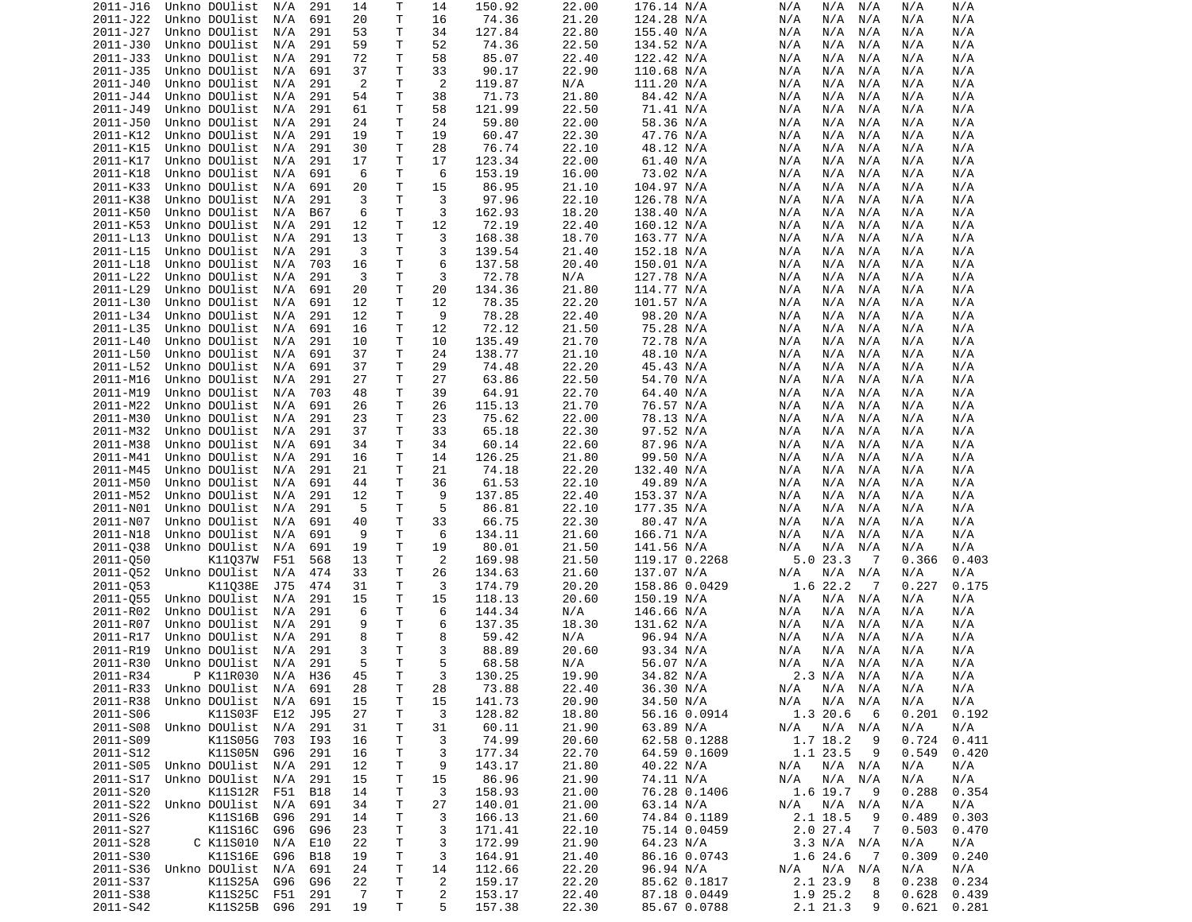| 2011-J16 | Unkno DOUlist              | N/A     | 291        | 14             | Т            | 14             | 150.92 | 22.00 | 176.14 N/A    | N/A | N/A               | N/A            | N/A             | N/A   |
|----------|----------------------------|---------|------------|----------------|--------------|----------------|--------|-------|---------------|-----|-------------------|----------------|-----------------|-------|
| 2011-J22 | Unkno DOUlist              | N/A     | 691        | 20             | Τ            | 16             | 74.36  | 21.20 | 124.28 N/A    | N/A | N/A               | N/A            | N/A             | N/A   |
| 2011-J27 | Unkno DOUlist              | N/A     | 291        | 53             | Τ            | 34             | 127.84 | 22.80 | 155.40 N/A    | N/A | N/A               | N/A            | N/A             | N/A   |
| 2011-J30 | Unkno DOUlist              | N/A     |            | 59             | Τ            | 52             | 74.36  |       |               | N/A | N/A               | N/A            | N/A             |       |
|          |                            |         | 291        |                |              |                |        | 22.50 | 134.52 N/A    |     |                   |                |                 | N/A   |
| 2011-J33 | Unkno DOUlist              | N/A     | 291        | 72             | Τ            | 58             | 85.07  | 22.40 | 122.42 N/A    | N/A | N/A               | N/A            | N/A             | N/A   |
| 2011-J35 | Unkno DOUlist              | N/A     | 691        | 37             | $\mathsf{T}$ | 33             | 90.17  | 22.90 | 110.68 N/A    | N/A | N/A               | N/A            | N/A             | N/A   |
| 2011-J40 | Unkno DOUlist              | N/A     | 291        | 2              | Τ            | 2              | 119.87 | N/A   | 111.20 N/A    | N/A | N/A               | N/A            | N/A             | N/A   |
| 2011-J44 | Unkno DOUlist              | N/A     | 291        | 54             | Τ            | 38             | 71.73  | 21.80 | 84.42 N/A     | N/A | N/A               | N/A            | N/A             | N/A   |
| 2011-J49 | Unkno DOUlist              | N/A     | 291        | 61             | T            | 58             | 121.99 | 22.50 | 71.41 N/A     | N/A | N/A               | N/A            | N/A             | N/A   |
|          |                            |         |            |                |              |                |        |       |               |     |                   |                |                 |       |
| 2011-J50 | Unkno DOUlist              | N/A     | 291        | 24             | Τ            | 24             | 59.80  | 22.00 | 58.36 N/A     | N/A | N/A               | N/A            | N/A             | N/A   |
| 2011-K12 | Unkno DOUlist              | N/A     | 291        | 19             | T            | 19             | 60.47  | 22.30 | 47.76 N/A     | N/A | N/A               | N/A            | N/A             | N/A   |
| 2011-K15 | Unkno DOUlist              | N/A     | 291        | 30             | T            | 28             | 76.74  | 22.10 | 48.12 N/A     | N/A | N/A               | N/A            | N/A             | N/A   |
| 2011-K17 | Unkno DOUlist              | N/A     | 291        | 17             | $\mathsf{T}$ | 17             | 123.34 | 22.00 | 61.40 N/A     | N/A | N/A               | N/A            | N/A             | N/A   |
| 2011-K18 | Unkno DOUlist              | N/A     | 691        | 6              | Τ            | 6              | 153.19 | 16.00 | 73.02 N/A     | N/A | N/A               | N/A            | N/A             | N/A   |
|          |                            |         |            |                |              |                |        |       |               |     |                   |                |                 |       |
| 2011-K33 | Unkno DOUlist              | N/A     | 691        | 20             | T            | 15             | 86.95  | 21.10 | 104.97 N/A    | N/A | N/A               | N/A            | N/A             | N/A   |
| 2011-K38 | Unkno DOUlist              | N/A     | 291        | 3              | $\mathsf{T}$ | 3              | 97.96  | 22.10 | 126.78 N/A    | N/A | N/A               | N/A            | N/A             | N/A   |
| 2011-K50 | Unkno DOUlist              | N/A     | B67        | 6              | T            | 3              | 162.93 | 18.20 | 138.40 N/A    | N/A | N/A               | N/A            | N/A             | N/A   |
| 2011-K53 | Unkno DOUlist              | N/A     | 291        | 12             | T            | 12             | 72.19  | 22.40 | 160.12 N/A    | N/A | N/A               | N/A            | N/A             | N/A   |
| 2011-L13 | Unkno DOUlist              | N/A     | 291        | 13             | T            | 3              | 168.38 | 18.70 | 163.77 N/A    | N/A | N/A               | N/A            | N/A             | N/A   |
|          |                            |         |            |                |              |                |        |       |               |     |                   |                |                 |       |
| 2011-L15 | Unkno DOUlist              | N/A     | 291        | 3              | T            | 3              | 139.54 | 21.40 | 152.18 N/A    | N/A | N/A               | N/A            | N/A             | N/A   |
| 2011-L18 | Unkno DOUlist              | N/A     | 703        | 16             | Τ            | 6              | 137.58 | 20.40 | 150.01 N/A    | N/A | N/A               | N/A            | N/A             | N/A   |
| 2011-L22 | Unkno DOUlist              | N/A     | 291        | 3              | T            | 3              | 72.78  | N/A   | 127.78 N/A    | N/A | N/A               | N/A            | N/A             | N/A   |
| 2011-L29 | Unkno DOUlist              | N/A     | 691        | 20             | T            | 20             | 134.36 | 21.80 | 114.77 N/A    | N/A | N/A               | N/A            | N/A             | N/A   |
| 2011-L30 | Unkno DOUlist              | N/A     | 691        | 12             | T            | 12             | 78.35  | 22.20 | 101.57 N/A    | N/A | N/A               | N/A            | N/A             | N/A   |
|          |                            |         |            |                |              |                |        |       |               |     |                   |                |                 |       |
| 2011-L34 | Unkno DOUlist              | N/A     | 291        | 12             | $\mathsf{T}$ | 9              | 78.28  | 22.40 | 98.20 N/A     | N/A | N/A               | N/A            | N/A             | N/A   |
| 2011-L35 | Unkno DOUlist              | N/A     | 691        | 16             | Τ            | 12             | 72.12  | 21.50 | 75.28 N/A     | N/A | N/A               | N/A            | N/A             | N/A   |
| 2011-L40 | Unkno DOUlist              | N/A     | 291        | 10             | Τ            | 10             | 135.49 | 21.70 | 72.78 N/A     | N/A | N/A               | N/A            | N/A             | N/A   |
| 2011-L50 | Unkno DOUlist              | N/A     | 691        | 37             | Τ            | 24             | 138.77 | 21.10 | 48.10 N/A     | N/A | N/A               | N/A            | N/A             | N/A   |
| 2011-L52 | Unkno DOUlist              | N/A     | 691        | 37             | Τ            | 29             | 74.48  | 22.20 | 45.43 N/A     | N/A | N/A               | N/A            | N/A             | N/A   |
|          |                            |         |            |                |              |                |        |       |               |     |                   |                |                 |       |
| 2011-M16 | Unkno DOUlist              | N/A     | 291        | 27             | T            | 27             | 63.86  | 22.50 | 54.70 N/A     | N/A | N/A               | N/A            | N/A             | N/A   |
| 2011-M19 | Unkno DOUlist              | N/A     | 703        | 48             | Τ            | 39             | 64.91  | 22.70 | 64.40 N/A     | N/A | N/A               | N/A            | N/A             | N/A   |
| 2011-M22 | Unkno DOUlist              | N/A     | 691        | 26             | Τ            | 26             | 115.13 | 21.70 | 76.57 N/A     | N/A | N/A               | N/A            | N/A             | N/A   |
| 2011-M30 | Unkno DOUlist              | N/A     | 291        | 23             | Τ            | 23             | 75.62  | 22.00 | 78.13 N/A     | N/A | N/A               | N/A            | N/A             | N/A   |
| 2011-M32 | Unkno DOUlist              | N/A     | 291        | 37             | Τ            | 33             | 65.18  | 22.30 | 97.52 N/A     | N/A | N/A               | N/A            | N/A             | N/A   |
|          |                            |         |            |                |              |                |        |       |               |     |                   |                |                 |       |
| 2011-M38 | Unkno DOUlist              | N/A     | 691        | 34             | Τ            | 34             | 60.14  | 22.60 | 87.96 N/A     | N/A | N/A               | N/A            | N/A             | N/A   |
| 2011-M41 | Unkno DOUlist              | N/A     | 291        | 16             | T            | 14             | 126.25 | 21.80 | 99.50 N/A     | N/A | N/A               | N/A            | N/A             | N/A   |
| 2011-M45 | Unkno DOUlist              | N/A     | 291        | 21             | T            | 21             | 74.18  | 22.20 | 132.40 N/A    | N/A | N/A               | N/A            | N/A             | N/A   |
| 2011-M50 | Unkno DOUlist              | N/A     | 691        | 44             | T            | 36             | 61.53  | 22.10 | 49.89 N/A     | N/A | N/A               | N/A            | N/A             | N/A   |
| 2011-M52 | Unkno DOUlist              | N/A     | 291        | 12             | $\mathsf{T}$ | 9              | 137.85 | 22.40 | 153.37 N/A    | N/A | N/A               | N/A            | N/A             | N/A   |
|          |                            |         |            |                |              |                |        |       |               |     |                   |                |                 |       |
| 2011-N01 | Unkno DOUlist              | N/A     | 291        | 5              | Τ            | 5              | 86.81  | 22.10 | 177.35 N/A    | N/A | N/A               | N/A            | N/A             | N/A   |
| 2011-N07 | Unkno DOUlist              | N/A     | 691        | 40             | T            | 33             | 66.75  | 22.30 | 80.47 N/A     | N/A | N/A               | N/A            | N/A             | N/A   |
| 2011-N18 | Unkno DOUlist              | N/A     | 691        | 9              | $\mathsf{T}$ | 6              | 134.11 | 21.60 | 166.71 N/A    | N/A | N/A               | N/A            | N/A             | N/A   |
| 2011-038 | Unkno DOUlist              | N/A     | 691        | 19             | T            | 19             | 80.01  | 21.50 | 141.56 N/A    | N/A | N/A               | N/A            | N/A             | N/A   |
| 2011-050 | K11037W                    | F51     | 568        | 13             | T            | 2              | 169.98 | 21.50 | 119.17 0.2268 |     | 5.023.3           | 7              | 0.366           | 0.403 |
|          |                            |         |            |                |              |                |        |       |               |     |                   |                |                 |       |
| 2011-052 | Unkno DOUlist              | N/A     | 474        | 33             | T            | 26             | 134.63 | 21.60 | 137.07 N/A    | N/A | N/A               | N/A            | N/A             | N/A   |
| 2011-053 | K11038E                    | J75     | 474        | 31             | Τ            | 3              | 174.79 | 20.20 | 158.86 0.0429 |     | 1.6 22.2          | $\overline{7}$ | 0.227           | 0.175 |
| 2011-055 | Unkno DOUlist              | N/A     | 291        | 15             | T            | 15             | 118.13 | 20.60 | 150.19 N/A    | N/A | N/A               | N/A            | N/A             | N/A   |
| 2011-R02 | Unkno DOUlist              | N/A     | 291        | 6              | T            | 6              | 144.34 | N/A   | 146.66 N/A    | N/A | N/A               | N/A            | N/A             | N/A   |
| 2011-R07 | Unkno DOUlist              | N/A     | 291        | 9              | T.           | 6              | 137.35 | 18.30 | 131.62 N/A    | N/A | N/A               | N/A            | N/A             | N/A   |
|          |                            |         |            |                |              |                |        |       |               |     |                   |                |                 |       |
| 2011-R17 | Unkno DOUlist              | N/A     | 291        | 8              | T.           | 8              | 59.42  | N/A   | 96.94 N/A     | N/A | N/A               | N/A            | N/A             | N/A   |
| 2011-R19 | Unkno DOUlist              | N/A     | 291        | 3              | T            | 3              | 88.89  | 20.60 | 93.34 N/A     | N/A | N/A               | N/A            | N/A             | N/A   |
| 2011-R30 | Unkno DOUlist              | N/A     | 291        | 5              | T.           | 5              | 68.58  | N/A   | 56.07 N/A     | N/A | N/A               | N/A            | N/A             | N/A   |
| 2011-R34 | P K11R030                  | N/A     | H36        | 45             | T            | 3              | 130.25 | 19.90 | 34.82 N/A     |     | 2.3 N/A N/A       |                | N/A             | N/A   |
| 2011-R33 | Unkno DOUlist N/A 691      |         |            | 28             | Τ            | 28             | 73.88  | 22.40 | 36.30 N/A     |     | $N/A$ $N/A$ $N/A$ |                | N/A             | N/A   |
|          |                            |         |            |                |              |                |        |       |               |     |                   |                |                 |       |
| 2011-R38 | Unkno DOUlist              | N/A     | 691        | 15             | Τ            | 15             | 141.73 | 20.90 | 34.50 N/A     | N/A | N/A N/A           |                | N/A             | N/A   |
| 2011-S06 | K11S03F                    | E12     | J95        | 27             | T            | 3              | 128.82 | 18.80 | 56.16 0.0914  |     | 1.3 20.6          | 6              | 0.201           | 0.192 |
| 2011-S08 | Unkno DOUlist N/A          |         | 291        | 31             | Τ            | 31             | 60.11  | 21.90 | 63.89 N/A     | N/A | N/A N/A           |                | N/A             | N/A   |
| 2011-S09 | K11S05G                    | 703     | I93        | 16             | T            | 3              | 74.99  | 20.60 | 62.58 0.1288  |     | 1.7 18.2          | - 9            | 0.724           | 0.411 |
| 2011-S12 | K11S05N                    | G96     | 291        | 16             | Τ            | 3              | 177.34 | 22.70 | 64.59 0.1609  |     | 1.1 23.5          | - 9            | 0.549           | 0.420 |
|          |                            |         |            |                |              |                |        |       |               |     |                   |                |                 |       |
| 2011-S05 | Unkno DOUlist N/A 291      |         |            | 12             | Τ            | 9              | 143.17 | 21.80 | 40.22 N/A     | N/A | N/A N/A           |                | N/A             | N/A   |
| 2011-S17 | Unkno DOUlist              | N/A     | 291        | 15             | Τ            | 15             | 86.96  | 21.90 | 74.11 N/A     | N/A | N/A N/A           |                | N/A             | N/A   |
| 2011-S20 | K11S12R F51 B18            |         |            | 14             | T            | 3              | 158.93 | 21.00 | 76.28 0.1406  |     | 1.6 19.7          | - 9            | 0.288           | 0.354 |
|          | 2011-S22 Unkno DOUlist N/A |         | 691        | 34             | T            | 27             | 140.01 | 21.00 | 63.14 N/A     | N/A | N/A N/A           |                | N/A             | N/A   |
| 2011-S26 | K11S16B                    | G96     | 291        | 14             | Τ            | 3              | 166.13 | 21.60 |               |     |                   | 9              | 0.489           | 0.303 |
|          |                            |         |            |                |              |                |        |       | 74.84 0.1189  |     | 2.1 18.5          |                |                 |       |
| 2011-S27 | K11S16C                    | G96     | G96        | 23             | T            | 3              | 171.41 | 22.10 | 75.14 0.0459  |     | 2.027.47          |                | 0.503           | 0.470 |
| 2011-S28 | C K11S010                  | N/A     | E10        | 22             | Τ            | 3              | 172.99 | 21.90 | 64.23 N/A     |     | 3.3 N/A N/A       |                | N/A             | N/A   |
| 2011-S30 | K11S16E G96                |         | <b>B18</b> | 19             | Τ            | 3              | 164.91 | 21.40 | 86.16 0.0743  |     | 1.6 24.6          | $\overline{7}$ | 0.309           | 0.240 |
|          | 2011-S36 Unkno DOUlist N/A |         | 691        | 24             | Τ            | 14             | 112.66 | 22.20 | 96.94 N/A     | N/A | N/A N/A           |                | N/A             | N/A   |
| 2011-S37 | K11S25A                    | G96     | G96        | 22             | Τ            | 2              | 159.17 | 22.20 | 85.62 0.1817  |     | 2.1 23.9          | 8              | 0.238           | 0.234 |
|          |                            |         |            |                |              |                |        |       |               |     |                   |                |                 |       |
| 2011-S38 | K11S25C                    | F51 291 |            | $\overline{7}$ | T            | $\overline{2}$ | 153.17 | 22.40 | 87.18 0.0449  |     | 1.9 25.2          | 8              | 0.628           | 0.439 |
| 2011-S42 | K11S25B G96 291            |         |            | 19             | Τ            | 5              | 157.38 | 22.30 | 85.67 0.0788  |     | 2.1 21.3          | 9              | $0.621$ $0.281$ |       |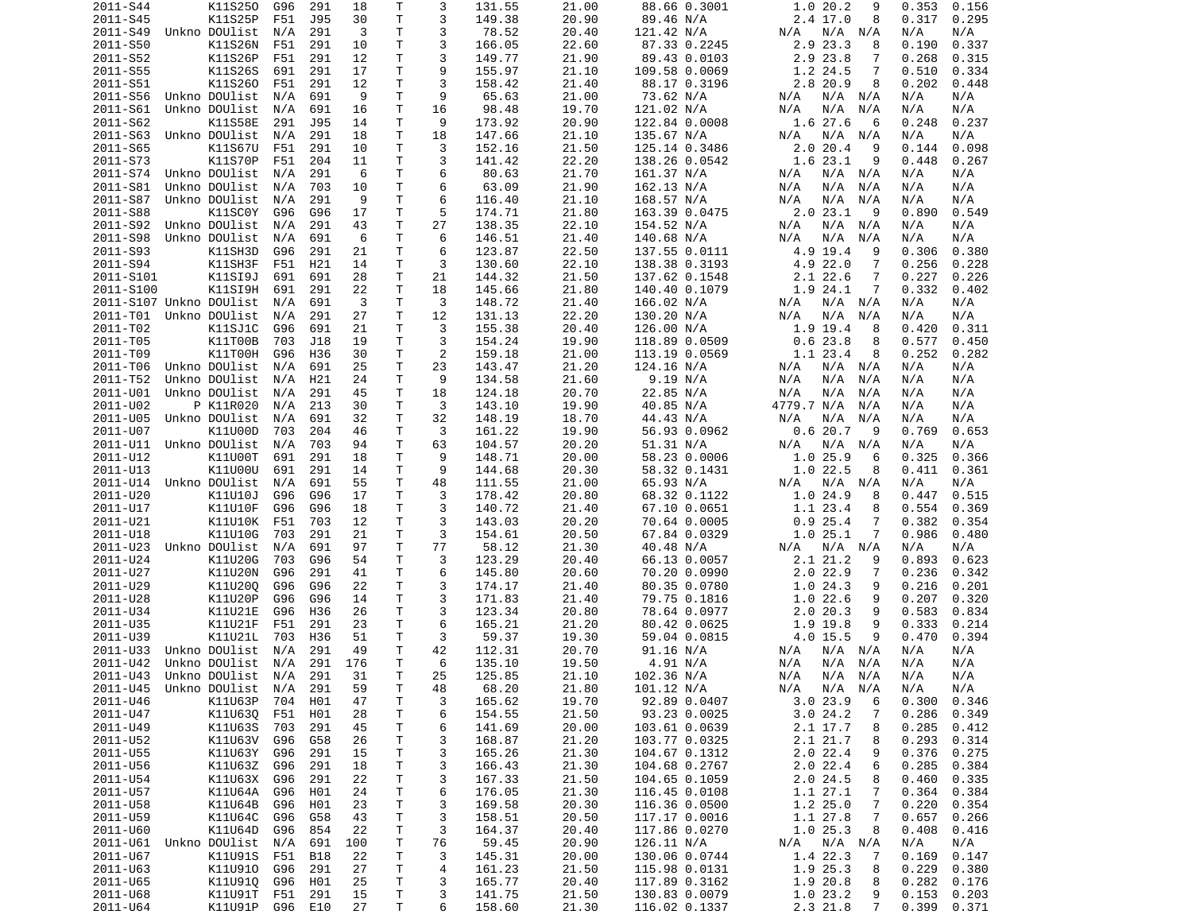| 2011-S44                       | K11S250                        | G96            | 291        | 18       | Τ        | 3       | 131.55           | 21.00          | 88.66 0.3001                   | 1.020.2<br>9                            | 0.353<br>0.156                   |
|--------------------------------|--------------------------------|----------------|------------|----------|----------|---------|------------------|----------------|--------------------------------|-----------------------------------------|----------------------------------|
| 2011-S45                       | K11S25P                        | F51            | J95        | 30       | T.       | 3       | 149.38           | 20.90          | 89.46 N/A                      | 2.4 17.0<br>8                           | 0.317<br>0.295                   |
| 2011-S49                       | Unkno DOUlist                  | N/A            | 291        | 3        | T.       | 3       | 78.52            | 20.40          | 121.42 N/A                     | N/A<br>N/A N/A                          | N/A<br>N/A                       |
| 2011-S50                       | K11S26N                        | F51            | 291        | 10       | T.       | 3       | 166.05           | 22.60          | 87.33 0.2245                   | 2.9<br>23.3<br>8                        | 0.337<br>0.190                   |
| 2011-S52                       | K11S26P                        | F51            | 291        | 12<br>17 | T.<br>т  | 3<br>9  | 149.77           | 21.90          | 89.43 0.0103                   | 2.9 23.8<br>7<br>7                      | 0.268<br>0.315                   |
| 2011-S55<br>2011-S51           | K11S26S<br>K11S260             | 691<br>F51     | 291<br>291 | 12       | т        | 3       | 155.97<br>158.42 | 21.10<br>21.40 | 109.58 0.0069<br>88.17 0.3196  | 1.2 24.5<br>2.8 20.9<br>8               | 0.510<br>0.334<br>0.202<br>0.448 |
| 2011-S56                       | Unkno DOUlist                  | N/A            | 691        | 9        | Τ        | 9       | 65.63            | 21.00          | 73.62 N/A                      | N/A<br>N/A N/A                          | N/A<br>N/A                       |
| 2011-S61                       | Unkno DOUlist                  | N/A            | 691        | 16       | т        | 16      | 98.48            | 19.70          | 121.02 N/A                     | N/A<br>N/A<br>N/A                       | N/A<br>N/A                       |
| 2011-S62                       | K11S58E                        | 291            | J95        | 14       | т        | 9       | 173.92           | 20.90          | 122.84 0.0008                  | 1.6 27.6<br>6                           | 0.248<br>0.237                   |
| 2011-S63                       | Unkno DOUlist                  | N/A            | 291        | 18       | т        | 18      | 147.66           | 21.10          | 135.67 N/A                     | $N/A$ $N/A$<br>N/A                      | N/A<br>N/A                       |
| 2011-S65                       | K11S67U                        | F51            | 291        | 10       | Τ        | 3       | 152.16           | 21.50          | 125.14 0.3486                  | 2.020.4<br>9                            | 0.144<br>0.098                   |
| 2011-S73                       | <b>K11S70P</b>                 | F51            | 204        | 11       | T        | 3       | 141.42           | 22.20          | 138.26 0.0542                  | 1.623.1<br>9                            | 0.448<br>0.267                   |
| 2011-S74                       | Unkno DOUlist                  | N/A            | 291        | 6        | Τ        | 6       | 80.63            | 21.70          | 161.37 N/A                     | N/A<br>N/A N/A                          | N/A<br>N/A                       |
| 2011-S81                       | Unkno DOUlist                  | N/A            | 703        | 10       | Τ        | 6       | 63.09            | 21.90          | 162.13 N/A                     | N/A<br>N/A<br>N/A                       | N/A<br>N/A                       |
| 2011-S87                       | Unkno DOUlist                  | N/A            | 291        | 9        | т        | 6       | 116.40           | 21.10          | 168.57 N/A                     | N/A<br>N/A<br>N/A                       | N/A<br>N/A                       |
| 2011-S88                       | K11SC0Y                        | G96            | G96        | 17<br>43 | т<br>Τ   | 5<br>27 | 174.71           | 21.80          | 163.39 0.0475                  | 2.023.1<br>9                            | 0.549<br>0.890<br>N/A            |
| 2011-S92<br>2011-S98           | Unkno DOUlist<br>Unkno DOUlist | N/A<br>N/A     | 291<br>691 | 6        | т        | 6       | 138.35<br>146.51 | 22.10<br>21.40 | 154.52 N/A<br>140.68 N/A       | N/A<br>N/A N/A<br>N/A<br>N/A<br>N/A     | N/A<br>N/A<br>N/A                |
| 2011-S93                       | K11SH3D                        | G96            | 291        | 21       | T        | 6       | 123.87           | 22.50          | 137.55 0.0111                  | 4.9 19.4<br>9                           | 0.380<br>0.306                   |
| 2011-S94                       | K11SH3F                        | F51            | H21        | 14       | т        | 3       | 130.60           | 22.10          | 138.38 0.3193                  | 4.9 22.0<br>7                           | 0.256<br>0.228                   |
| 2011-S101                      | K11SI9J                        | 691            | 691        | 28       | Τ        | 21      | 144.32           | 21.50          | 137.62 0.1548                  | 2.1 22.6<br>7                           | 0.227<br>0.226                   |
| 2011-S100                      | K11SI9H                        | 691            | 291        | 22       | т        | 18      | 145.66           | 21.80          | 140.40 0.1079                  | 1.9 24.1<br>7                           | 0.332<br>0.402                   |
| 2011-S107 Unkno DOUlist        |                                | N/A            | 691        | 3        | Τ        | 3       | 148.72           | 21.40          | 166.02 N/A                     | N/A N/A<br>N/A                          | N/A<br>N/A                       |
| 2011-T01 Unkno DOUlist         |                                | N/A            | 291        | 27       | T        | 12      | 131.13           | 22.20          | 130.20 N/A                     | N/A<br>N/A<br>N/A                       | N/A<br>N/A                       |
| 2011-T02                       | K11SJ1C                        | G96            | 691        | 21       | т        | 3       | 155.38           | 20.40          | 126.00 N/A                     | 1.9 19.4<br>8                           | 0.311<br>0.420                   |
| 2011-T05                       | K11T00B                        | 703            | J18        | 19       | T        | 3       | 154.24           | 19.90          | 118.89 0.0509                  | 0.623.8<br>8                            | 0.577<br>0.450                   |
| 2011-T09                       | K11T00H                        | G96            | H36        | 30       | Τ        | 2       | 159.18           | 21.00          | 113.19 0.0569                  | 1.1 23.4<br>8                           | 0.252<br>0.282                   |
| 2011-T06                       | Unkno DOUlist                  | N/A            | 691        | 25       | Τ        | 23      | 143.47           | 21.20          | 124.16 N/A                     | N/A<br>$N/A$ $N/A$                      | N/A<br>N/A                       |
| 2011-T52                       | Unkno DOUlist                  | N/A            | H21        | 24       | т        | 9       | 134.58           | 21.60          | 9.19 N/A                       | N/A<br>N/A<br>N/A                       | N/A<br>N/A                       |
| 2011-U01                       | Unkno DOUlist                  | N/A            | 291        | 45       | T.       | 18      | 124.18           | 20.70          | 22.85 N/A                      | N/A<br>N/A<br>N/A                       | N/A<br>N/A                       |
| 2011-U02<br>2011-U05           | P K11R020<br>Unkno DOUlist     | N/A<br>N/A     | 213<br>691 | 30<br>32 | Τ<br>т   | 3<br>32 | 143.10<br>148.19 | 19.90<br>18.70 | 40.85 N/A<br>44.43 N/A         | 4779.7 N/A<br>N/A<br>N/A<br>N/A<br>N/A  | N/A<br>N/A<br>N/A<br>N/A         |
| 2011-U07                       | K11U00D                        | 703            | 204        | 46       | Τ        | 3       | 161.22           | 19.90          | 56.93 0.0962                   | 0.620.7<br>9                            | 0.653<br>0.769                   |
| 2011-U11                       | Unkno DOUlist                  | N/A            | 703        | 94       | Τ        | 63      | 104.57           | 20.20          | 51.31 N/A                      | N/A<br>N/A<br>N/A                       | N/A<br>N/A                       |
| 2011-U12                       | K11U00T                        | 691            | 291        | 18       | т        | 9       | 148.71           | 20.00          | 58.23 0.0006                   | 1.025.9<br>6                            | 0.325<br>0.366                   |
| 2011-U13                       | K11U00U                        | 691            | 291        | 14       | т        | 9       | 144.68           | 20.30          | 58.32 0.1431                   | 1.022.5<br>8                            | 0.411<br>0.361                   |
| 2011-U14                       | Unkno DOUlist                  | N/A            | 691        | 55       | T.       | 48      | 111.55           | 21.00          | 65.93 N/A                      | N/A<br>N/A<br>N/A                       | N/A<br>N/A                       |
| 2011-U20                       | K11U10J                        | G96            | G96        | 17       | т        | 3       | 178.42           | 20.80          | 68.32 0.1122                   | 1.0 24.9<br>8                           | 0.515<br>0.447                   |
| 2011-U17                       | K11U10F                        | G96            | G96        | 18       | Τ        | 3       | 140.72           | 21.40          | 67.10 0.0651                   | 1.1 23.4<br>8                           | 0.554<br>0.369                   |
| 2011-U21                       | K11U10K                        | F51            | 703        | 12       | T.       | 3       | 143.03           | 20.20          | 70.64 0.0005                   | 0.925.4<br>7                            | 0.382<br>0.354                   |
| 2011-U18                       | K11U10G                        | 703            | 291        | 21       | Τ        | 3       | 154.61           | 20.50          | 67.84 0.0329                   | 1.025.1<br>7                            | 0.986<br>0.480                   |
| 2011-U23                       | Unkno DOUlist                  | N/A            | 691        | 97       | Τ        | 77      | 58.12            | 21.30          | 40.48 N/A                      | N/A<br>N/A N/A                          | N/A<br>N/A                       |
| 2011-U24<br>2011-U27           | K11U20G<br>K11U20N             | 703<br>G96     | G96<br>291 | 54<br>41 | T.<br>T. | 3<br>6  | 123.29<br>145.80 | 20.40<br>20.60 | 66.13 0.0057<br>70.20 0.0990   | 2.1 21.2<br>9<br>$2.0$ 22.9<br>7        | 0.623<br>0.893<br>0.236<br>0.342 |
| 2011-U29                       | K11U200                        | G96            | G96        | 22       | т        | 3       | 174.17           | 21.40          | 80.35 0.0780                   | 1.024.3<br>9                            | 0.216<br>0.201                   |
| 2011-U28                       | K11U20P                        | G96            | G96        | 14       | т        | 3       | 171.83           | 21.40          | 79.75 0.1816                   | 1.022.6<br>9                            | 0.207<br>0.320                   |
| 2011-U34                       | K11U21E                        | G96            | H36        | 26       | Τ        | 3       | 123.34           | 20.80          | 78.64 0.0977                   | 2.020.3<br>9                            | 0.583<br>0.834                   |
| 2011-U35                       | K11U21F                        | F51            | 291        | 23       | т        | 6       | 165.21           | 21.20          | 80.42 0.0625                   | 9<br>1.9 19.8                           | 0.333<br>0.214                   |
| 2011-U39                       | K11U21L                        | 703            | H36        | 51       | Τ        | 3       | 59.37            | 19.30          | 59.04 0.0815                   | 4.0 15.5<br>9                           | 0.470<br>0.394                   |
| 2011-U33                       | Unkno DOUlist                  | N/A            | 291        | 49       | Τ        | 42      | 112.31           | 20.70          | 91.16 N/A                      | N/A N/A<br>N/A                          | N/A<br>N/A                       |
| 2011-U42                       | Unkno DOUlist                  | N/A            | 291        | 176      | Τ        | 6       | 135.10           | 19.50          | 4.91 N/A                       | N/A<br>N/A<br>N/A                       | N/A<br>N/A                       |
| 2011-U43 Unkno DOUlist N/A 291 |                                |                |            | 31       | T.       | 25      | 125.85           | 21.10          | 102.36 N/A                     | N/A<br>N/A N/A                          | N/A<br>N/A                       |
| 2011-U45 Unkno DOUlist N/A     |                                |                | 291        | 59       | T        | 48      | 68.20            | 21.80          | 101.12 N/A                     | N/A N/A N/A                             | N/A<br>N/A                       |
| 2011-U46                       | K11U63P                        | 704            | H01        | 47       | T        | 3       | 165.62           | 19.70          | 92.89 0.0407                   | 3.023.9<br>6                            | 0.300<br>0.346                   |
| 2011-U47                       | K11U630                        | F51            | H01        | 28       | Τ        | 6       | 154.55           | 21.50          | 93.23 0.0025                   | 3.024.2<br>7                            | 0.286<br>0.349                   |
| 2011-U49<br>2011-U52           | K11U63S<br>K11U63V             | 703<br>G96     | 291<br>G58 | 45<br>26 | Τ<br>T   | 6<br>3  | 141.69<br>168.87 | 20.00<br>21.20 | 103.61 0.0639<br>103.77 0.0325 | 2.1 17.7<br>8<br>2.1 21.7<br>8          | 0.285<br>0.412<br>0.293<br>0.314 |
| 2011-U55                       | K11U63Y                        | G96            | 291        | 15       | Τ        | 3       | 165.26           | 21.30          | 104.67 0.1312                  | 2.022.4<br>9                            | 0.376<br>0.275                   |
| 2011-U56                       | K11U63Z G96                    |                | 291        | 18       | Τ        | 3       | 166.43           | 21.30          | 104.68 0.2767                  | 6<br>2.0 22.4                           | 0.285<br>0.384                   |
| 2011-U54                       | K11U63X                        | G96            | 291        | 22       | T        | 3       | 167.33           | 21.50          | 104.65 0.1059                  | 2.0 24.5<br>8                           | 0.460<br>0.335                   |
| 2011-U57                       | K11U64A                        | G96            | H01        | 24       | Τ        | 6       | 176.05           | 21.30          | 116.45 0.0108                  | 1.127.1<br>7                            | 0.364<br>0.384                   |
| 2011-U58                       | K11U64B                        | G96            | H01        | 23       | T        | 3       | 169.58           | 20.30          | 116.36 0.0500                  | 1.225.0<br>7                            | 0.220<br>0.354                   |
| 2011-U59                       | K11U64C                        | G96            | G58        | 43       | T        | 3       | 158.51           | 20.50          | 117.17 0.0016                  | 1.1 27.8<br>7                           | 0.657<br>0.266                   |
| 2011-U60                       | K11U64D                        | G96            | 854        | 22       | Τ        | 3       | 164.37           | 20.40          | 117.86 0.0270                  | 1.025.3<br>8                            | 0.408<br>0.416                   |
| 2011-U61                       | Unkno DOUlist                  | N/A            | 691        | 100      | Τ        | 76      | 59.45            | 20.90          | 126.11 N/A                     | N/A N/A<br>N/A                          | N/A<br>N/A                       |
| 2011-U67                       | K11U91S                        | F51            | B18        | 22       | Τ        | 3       | 145.31           | 20.00          | 130.06 0.0744                  | 1.4 22.3<br>7                           | 0.169<br>0.147                   |
| 2011-U63                       | K11U910                        | G96            | 291        | 27       | T.       | 4       | 161.23           | 21.50          | 115.98 0.0131                  | 1.9 25.3<br>8                           | 0.229<br>0.380                   |
| 2011-U65                       | K11U910                        | G96            | H01        | 25       | T.       | 3       | 165.77           | 20.40          | 117.89 0.3162                  | 1.9 20.8<br>8                           | 0.282<br>0.176                   |
| 2011-U68<br>2011-U64           | K11U91T<br>K11U91P             | F51<br>G96 E10 | 291        | 15<br>27 | T.<br>T. | 3<br>6  | 141.75<br>158.60 | 21.50<br>21.30 | 130.83 0.0079<br>116.02 0.1337 | 1.023.2<br>9<br>2.3 21.8<br>$7^{\circ}$ | 0.153<br>0.203<br>0.399<br>0.371 |
|                                |                                |                |            |          |          |         |                  |                |                                |                                         |                                  |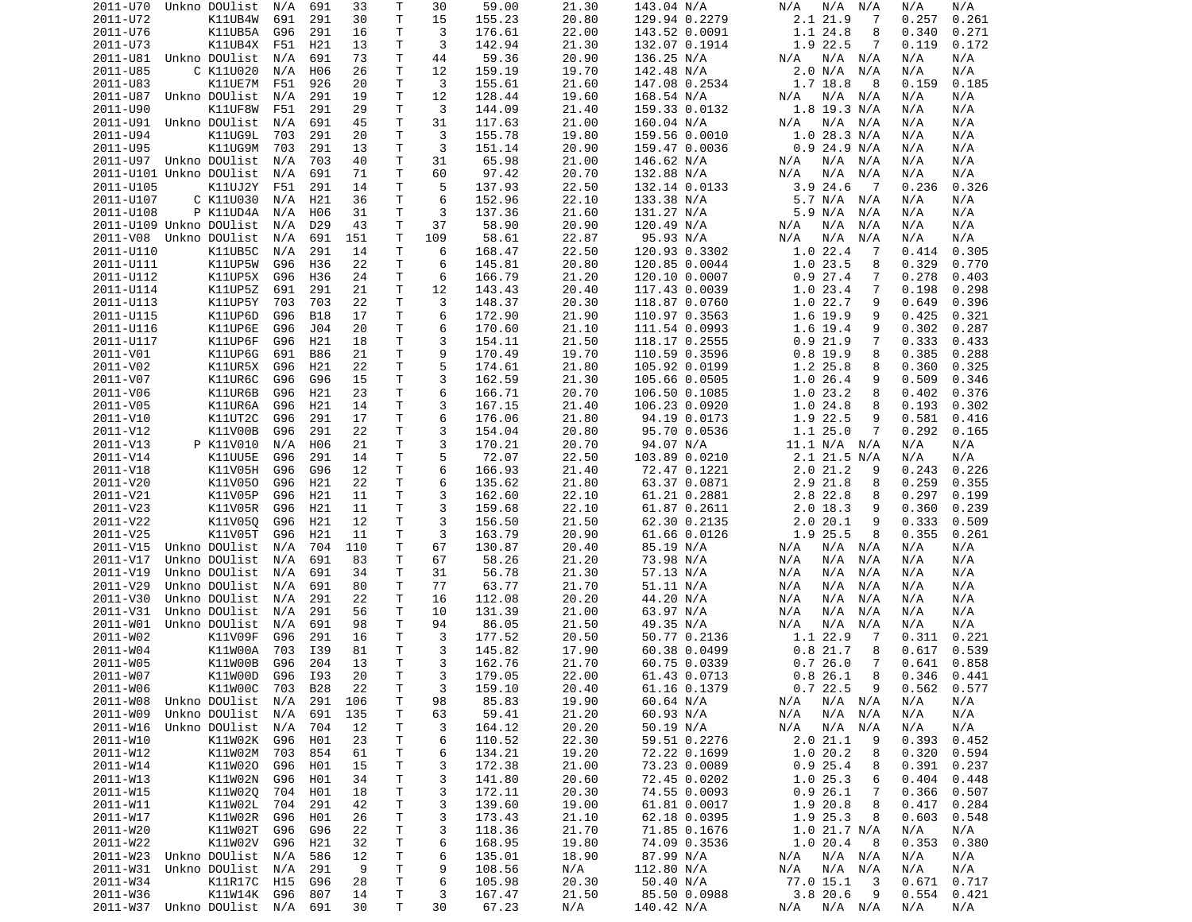| 2011-U70  | Unkno DOUlist              | N/A     | 691             | 33  | Т  | 30  | 59.00  | 21.30 | 143.04 N/A    | N/A<br>N/A<br>N/A  | N/A<br>N/A      |
|-----------|----------------------------|---------|-----------------|-----|----|-----|--------|-------|---------------|--------------------|-----------------|
| 2011-U72  | K11UB4W                    | 691     | 291             | 30  | т  | 15  | 155.23 | 20.80 | 129.94 0.2279 | 2.1 21.9<br>7      | 0.257<br>0.261  |
| 2011-U76  | K11UB5A                    | G96     | 291             | 16  | т  | 3   | 176.61 | 22.00 | 143.52 0.0091 | 1.1 24.8<br>8      | 0.340<br>0.271  |
| 2011-U73  | K11UB4X                    | F51     | H21             | 13  | т  | 3   | 142.94 | 21.30 | 132.07 0.1914 | 1.9 22.5<br>7      | 0.119<br>0.172  |
| 2011-U81  | Unkno DOUlist              | N/A     | 691             | 73  | т  | 44  | 59.36  | 20.90 | 136.25 N/A    | N/A<br>N/A<br>N/A  | N/A<br>N/A      |
| 2011-U85  | C K11U020                  | N/A     | H06             | 26  | Τ  | 12  | 159.19 | 19.70 | 142.48 N/A    | 2.0 N/A<br>N/A     | N/A<br>N/A      |
| 2011-U83  | K11UE7M                    | F51     | 926             | 20  | т  | 3   | 155.61 | 21.60 | 147.08 0.2534 | 1.7 18.8<br>8      | 0.185<br>0.159  |
| 2011-U87  | Unkno DOUlist              | N/A     | 291             | 19  | т  | 12  | 128.44 | 19.60 | 168.54 N/A    | $N/A$ $N/A$<br>N/A | N/A<br>N/A      |
| 2011-U90  | K11UF8W                    | F51     | 291             | 29  | Τ  | 3   | 144.09 | 21.40 | 159.33 0.0132 | $1.8$ 19.3 N/A     | N/A<br>N/A      |
| 2011-U91  | Unkno DOUlist              | N/A     | 691             | 45  | т  | 31  | 117.63 | 21.00 | 160.04 N/A    | $N/A$ $N/A$<br>N/A | N/A<br>N/A      |
| 2011-U94  | K11UG9L                    | 703     | 291             | 20  | т  | 3   |        | 19.80 |               | $1.0$ 28.3 N/A     | N/A<br>N/A      |
|           |                            |         |                 |     | Τ  | 3   | 155.78 |       | 159.56 0.0010 |                    |                 |
| 2011-U95  | K11UG9M                    | 703     | 291             | 13  |    |     | 151.14 | 20.90 | 159.47 0.0036 | $0.9$ 24.9 N/A     | N/A<br>N/A      |
|           | 2011-U97 Unkno DOUlist     | N/A     | 703             | 40  | Τ  | 31  | 65.98  | 21.00 | 146.62 N/A    | N/A<br>N/A N/A     | N/A<br>N/A      |
|           | 2011-U101 Unkno DOUlist    | N/A     | 691             | 71  | т  | 60  | 97.42  | 20.70 | 132.88 N/A    | N/A<br>N/A<br>N/A  | N/A<br>N/A      |
| 2011-U105 | K11UJ2Y                    | F51     | 291             | 14  | Τ  | 5   | 137.93 | 22.50 | 132.14 0.0133 | 3.924.6<br>- 7     | 0.236<br>0.326  |
| 2011-U107 | C K11U030                  | N/A     | H21             | 36  | T. | 6   | 152.96 | 22.10 | 133.38 N/A    | 5.7 N/A<br>N/A     | N/A<br>N/A      |
| 2011-U108 | P K11UD4A                  | N/A     | H06             | 31  | т  | 3   | 137.36 | 21.60 | 131.27 N/A    | 5.9 N/A<br>N/A     | N/A<br>N/A      |
|           | 2011-U109 Unkno DOUlist    | N/A     | D <sub>29</sub> | 43  | т  | 37  | 58.90  | 20.90 | 120.49 N/A    | N/A<br>N/A<br>N/A  | N/A<br>N/A      |
|           | 2011-V08 Unkno DOUlist     | N/A     | 691             | 151 | Τ  | 109 | 58.61  | 22.87 | 95.93 N/A     | N/A<br>N/A<br>N/A  | N/A<br>N/A      |
| 2011-U110 | K11UB5C                    | N/A     | 291             | 14  | Τ  | 6   | 168.47 | 22.50 | 120.93 0.3302 | 1.022.4<br>-7      | 0.305<br>0.414  |
| 2011-U111 | K11UP5W                    | G96     | H36             | 22  | т  | 6   | 145.81 | 20.80 | 120.85 0.0044 | 1.023.5<br>8       | 0.329<br>0.770  |
| 2011-U112 | K11UP5X                    | G96     | H36             | 24  | Τ  | 6   | 166.79 | 21.20 | 120.10 0.0007 | 0.927.4<br>7       | 0.278<br>0.403  |
| 2011-U114 | K11UP5Z                    | 691     | 291             | 21  | T  | 12  | 143.43 | 20.40 | 117.43 0.0039 | 1.0<br>23.4<br>7   | 0.198<br>0.298  |
| 2011-U113 | K11UP5Y                    | 703     | 703             | 22  | т  | 3   | 148.37 | 20.30 | 118.87 0.0760 | 1.0 22.7<br>9      | 0.649<br>0.396  |
| 2011-U115 | K11UP6D                    | G96     | B18             | 17  | T. | 6   | 172.90 | 21.90 | 110.97 0.3563 | 1.6 19.9<br>9      | 0.425<br>0.321  |
| 2011-U116 | K11UP6E                    | G96     | J04             | 20  | Τ  | 6   | 170.60 | 21.10 | 111.54 0.0993 | 1.6 19.4<br>9      | 0.302<br>0.287  |
| 2011-U117 | K11UP6F                    | G96     | H21             | 18  | Τ  | 3   | 154.11 | 21.50 | 118.17 0.2555 | 0.921.9<br>7       | 0.333<br>0.433  |
| 2011-V01  | K11UP6G                    | 691     | B86             | 21  | т  | 9   | 170.49 | 19.70 | 110.59 0.3596 | $0.8$ 19.9<br>8    | 0.385<br>0.288  |
| 2011-V02  | K11UR5X                    | G96     | H21             | 22  | T. | 5   | 174.61 | 21.80 | 105.92 0.0199 | 1.2 25.8<br>8      | 0.360<br>0.325  |
| 2011-V07  | K11UR6C                    | G96     | G96             | 15  | т  | 3   | 162.59 | 21.30 | 105.66 0.0505 | 1.026.4<br>9       | 0.509<br>0.346  |
|           |                            |         |                 |     | Τ  | 6   |        |       |               |                    |                 |
| 2011-V06  | K11UR6B                    | G96     | H21             | 23  |    |     | 166.71 | 20.70 | 106.50 0.1085 | 1.023.2<br>8       | 0.402<br>0.376  |
| 2011-V05  | K11UR6A                    | G96     | H21             | 14  | T. | 3   | 167.15 | 21.40 | 106.23 0.0920 | 1.024.8<br>8       | 0.193<br>0.302  |
| 2011-V10  | <b>K11UT2C</b>             | G96     | 291             | 17  | Τ  | 6   | 176.06 | 21.80 | 94.19 0.0173  | 1.9 22.5<br>9      | 0.581<br>0.416  |
| 2011-V12  | K11V00B                    | G96     | 291             | 22  | Τ  | 3   | 154.04 | 20.80 | 95.70 0.0536  | 1.125.0<br>7       | 0.292<br>0.165  |
| 2011-V13  | P K11V010                  | N/A     | H06             | 21  | Τ  | 3   | 170.21 | 20.70 | 94.07 N/A     | 11.1 N/A N/A       | N/A<br>N/A      |
| 2011-V14  | <b>K11UU5E</b>             | G96     | 291             | 14  | T. | 5   | 72.07  | 22.50 | 103.89 0.0210 | 2.1 21.5 N/A       | N/A<br>N/A      |
| 2011-V18  | K11V05H                    | G96     | G96             | 12  | т  | 6   | 166.93 | 21.40 | 72.47 0.1221  | 2.021.2<br>9       | 0.243<br>0.226  |
| 2011-V20  | K11V050                    | G96     | H21             | 22  | Τ  | 6   | 135.62 | 21.80 | 63.37 0.0871  | 2.9 21.8<br>8      | 0.259<br>0.355  |
| 2011-V21  | K11V05P                    | G96     | H21             | 11  | Τ  | 3   | 162.60 | 22.10 | 61.21 0.2881  | 2.8 22.8<br>8      | 0.297<br>0.199  |
| 2011-V23  | K11V05R                    | G96     | H21             | 11  | т  | 3   | 159.68 | 22.10 | 61.87 0.2611  | $2.0$ 18.3<br>9    | 0.360<br>0.239  |
| 2011-V22  | K11V050                    | G96     | H21             | 12  | т  | 3   | 156.50 | 21.50 | 62.30 0.2135  | 2.020.1<br>9       | 0.333<br>0.509  |
| 2011-V25  | K11V05T                    | G96     | H21             | 11  | т  | 3   | 163.79 | 20.90 | 61.66 0.0126  | 1.9 25.5<br>8      | 0.355<br>0.261  |
| 2011-V15  | Unkno DOUlist              | N/A     | 704             | 110 | т  | 67  | 130.87 | 20.40 | 85.19 N/A     | N/A<br>N/A<br>N/A  | N/A<br>N/A      |
| 2011-V17  | Unkno DOUlist              | N/A     | 691             | 83  | т  | 67  | 58.26  | 21.20 | 73.98 N/A     | N/A<br>N/A<br>N/A  | N/A<br>N/A      |
| 2011-V19  | Unkno DOUlist              | N/A     | 691             | 34  | т  | 31  | 56.78  | 21.30 | 57.13 N/A     | N/A<br>N/A<br>N/A  | N/A<br>N/A      |
| 2011-V29  | Unkno DOUlist              | N/A     | 691             | 80  | Τ  | 77  | 63.77  | 21.70 | 51.11 N/A     | N/A<br>N/A<br>N/A  | N/A<br>N/A      |
| 2011-V30  | Unkno DOUlist              | N/A     | 291             | 22  | т  | 16  | 112.08 | 20.20 | 44.20 N/A     | N/A<br>N/A<br>N/A  | N/A<br>N/A      |
| 2011-V31  | Unkno DOUlist              | N/A     | 291             | 56  | Τ  | 10  | 131.39 | 21.00 | 63.97 N/A     | N/A<br>N/A<br>N/A  | N/A<br>N/A      |
| 2011-W01  | Unkno DOUlist              | N/A     | 691             | 98  | Τ  | 94  | 86.05  | 21.50 | 49.35 N/A     | N/A<br>N/A<br>N/A  | N/A<br>N/A      |
| 2011-W02  | K11V09F                    | G96     | 291             | 16  | Τ  | 3   | 177.52 | 20.50 | 50.77 0.2136  | 1.1 22.9<br>7      | 0.311<br>0.221  |
|           | K11W00A                    |         |                 |     |    | 3   |        |       |               |                    |                 |
| 2011-W04  |                            | 703     | I39             | 81  | т  |     | 145.82 | 17.90 | 60.38 0.0499  | 0.821.7<br>8       | 0.617<br>0.539  |
| 2011-W05  | K11W00B                    | G96     | 204             | 13  | T. | 3   | 162.76 | 21.70 | 60.75 0.0339  | 0.726.0<br>7       | 0.641<br>0.858  |
| 2011-W07  | K11W00D                    | G96 I93 |                 | 20  | T. | 3   | 179.05 | 22.00 | 61.43 0.0713  | $0.8$ 26.1<br>8    | $0.346$ $0.441$ |
| 2011-W06  | K11W00C                    | 703     | <b>B28</b>      | 22  | T  | 3   | 159.10 | 20.40 | 61.16 0.1379  | 0.722.5<br>9       | $0.562$ $0.577$ |
| 2011-W08  | Unkno DOUlist              | N/A     | 291             | 106 | Τ  | 98  | 85.83  | 19.90 | 60.64 N/A     | $N/A$ $N/A$<br>N/A | N/A<br>N/A      |
| 2011-W09  | Unkno DOUlist              | N/A     | 691             | 135 | Τ  | 63  | 59.41  | 21.20 | 60.93 N/A     | N/A<br>N/A<br>N/A  | N/A<br>N/A      |
| 2011-W16  | Unkno DOUlist N/A          |         | 704             | 12  | Τ  | 3   | 164.12 | 20.20 | 50.19 N/A     | N/A N/A<br>N/A     | N/A<br>N/A      |
| 2011-W10  | K11W02K G96                |         | H01             | 23  | Τ  | 6   | 110.52 | 22.30 | 59.51 0.2276  | 2.021.1<br>9       | 0.393<br>0.452  |
| 2011-W12  | K11W02M 703                |         | 854             | 61  | Τ  | 6   | 134.21 | 19.20 | 72.22 0.1699  | 1.0 20.2<br>8      | 0.320<br>0.594  |
| 2011-W14  | K11W020                    | G96     | H01             | 15  | Τ  | 3   | 172.38 | 21.00 | 73.23 0.0089  | 0.925.4<br>8       | 0.391<br>0.237  |
| 2011-W13  | K11W02N                    | G96     | H01             | 34  | Τ  | 3   | 141.80 | 20.60 | 72.45 0.0202  | 1.025.3<br>6       | 0.404<br>0.448  |
| 2011-W15  | K11W02Q 704                |         | H01             | 18  | Τ  | 3   | 172.11 | 20.30 | 74.55 0.0093  | 0.926.1<br>7       | 0.366<br>0.507  |
| 2011-W11  | K11W02L                    | 704     | 291             | 42  | Τ  | 3   | 139.60 | 19.00 | 61.81 0.0017  | 1.9 20.8<br>8      | 0.417<br>0.284  |
| 2011-W17  | K11W02R                    | G96     | H01             | 26  | Τ  | 3   | 173.43 | 21.10 | 62.18 0.0395  | 1.9 25.3<br>8      | 0.603<br>0.548  |
| 2011-W20  | K11W02T                    | G96     | G96             | 22  | Τ  | 3   | 118.36 | 21.70 | 71.85 0.1676  | 1.0 21.7 N/A       | N/A<br>N/A      |
| 2011-W22  | K11W02V                    | G96     | H21             | 32  | T  | 6   | 168.95 | 19.80 | 74.09 0.3536  | 1.020.4<br>- 8     | 0.353<br>0.380  |
| 2011-W23  | Unkno DOUlist N/A          |         | 586             | 12  | T  | 6   | 135.01 | 18.90 | 87.99 N/A     | $N/A$ $N/A$<br>N/A | N/A<br>N/A      |
| 2011-W31  | Unkno DOUlist N/A          |         |                 | 9   | T  | 9   | 108.56 | N/A   | 112.80 N/A    |                    |                 |
|           |                            |         | 291             |     |    |     |        |       |               | N/A<br>N/A N/A     | N/A<br>N/A      |
| 2011-W34  | K11R17C                    | H15     | G96             | 28  | T  | 6   | 105.98 | 20.30 | 50.40 N/A     | 77.0 15.1<br>3     | 0.717<br>0.671  |
| 2011-W36  | K11W14K G96                |         | 807             | 14  | т  | 3   | 167.47 | 21.50 | 85.50 0.0988  | 3.820.6<br>9       | 0.554<br>0.421  |
|           | 2011-W37 Unkno DOUlist N/A |         | 691             | 30  | Τ  | 30  | 67.23  | N/A   | 140.42 N/A    | N/A<br>N/A N/A     | N/A<br>N/A      |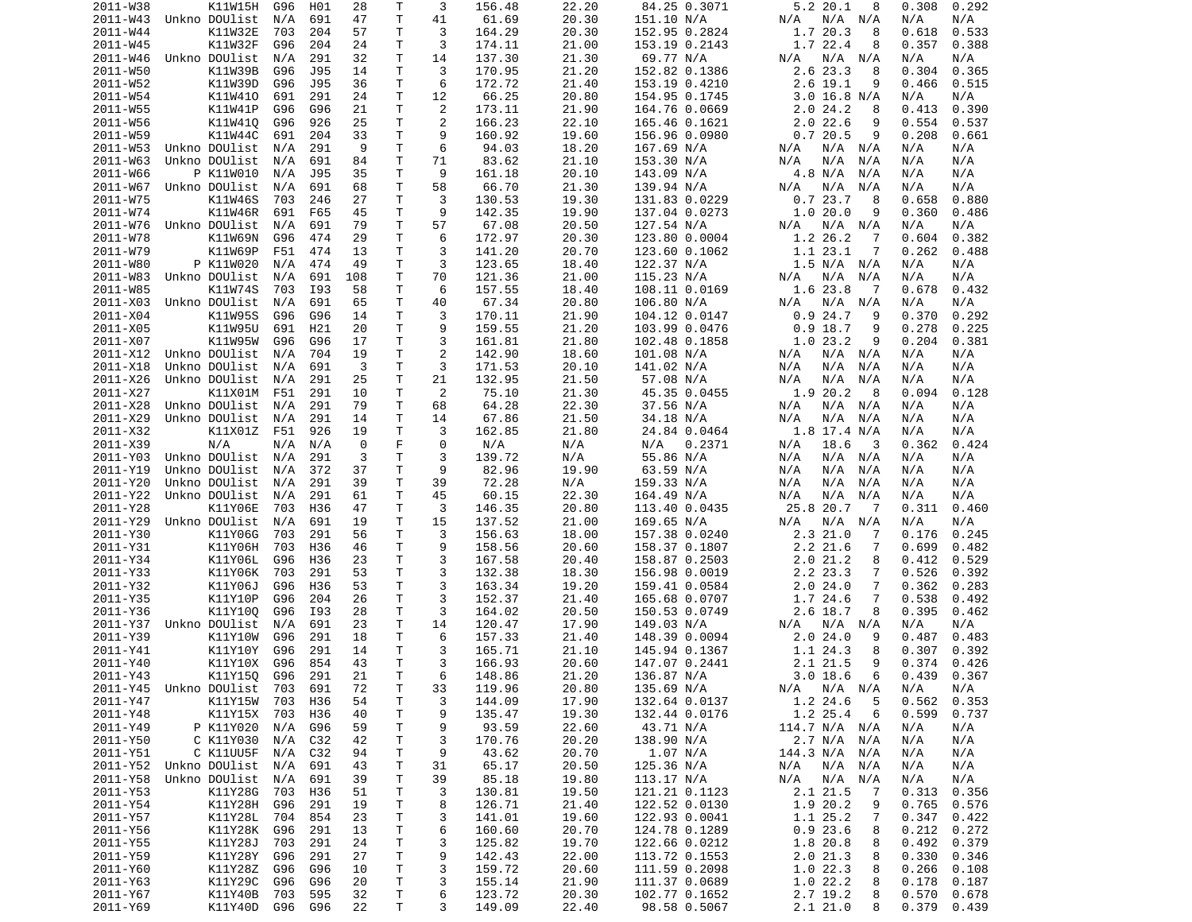| 2011-W38             | K11W15H            | G96        | H01        | 28       | Т            | 3              | 156.48           | 22.20          | 84.25 0.3071                  | 5.2 20.1<br>8                 | 0.308<br>0.292                   |
|----------------------|--------------------|------------|------------|----------|--------------|----------------|------------------|----------------|-------------------------------|-------------------------------|----------------------------------|
| 2011-W43             | Unkno DOUlist      | N/A        | 691        | 47       | T            | 41             | 61.69            | 20.30          | 151.10 N/A                    | N/A N/A<br>N/A                | N/A<br>N/A                       |
| 2011-W44             | K11W32E            | 703        | 204        | 57       | Τ            | 3              | 164.29           | 20.30          | 152.95 0.2824                 | 1.7 20.3<br>8                 | 0.618<br>0.533                   |
|                      | K11W32F            |            |            |          | т            | 3              | 174.11           | 21.00          |                               | 1.7 22.4                      |                                  |
| 2011-W45             |                    | G96        | 204        | 24       |              |                |                  |                | 153.19 0.2143                 | 8                             | 0.357<br>0.388                   |
| 2011-W46             | Unkno DOUlist      | N/A        | 291        | 32       | Τ            | 14             | 137.30           | 21.30          | 69.77 N/A                     | N/A N/A<br>N/A                | N/A<br>N/A                       |
| 2011-W50             | K11W39B            | G96        | J95        | 14       | Τ            | 3              | 170.95           | 21.20          | 152.82 0.1386                 | 2.6 23.3<br>8                 | 0.304<br>0.365                   |
| 2011-W52             | K11W39D            | G96        | J95        | 36       | т            | 6              | 172.72           | 21.40          | 153.19 0.4210                 | $2.6$ 19.1<br>9               | 0.466<br>0.515                   |
| 2011-W54             | K11W410            | 691        | 291        | 24       | Τ            | 12             | 66.25            | 20.80          | 154.95 0.1745                 | $3.0$ 16.8 N/A                | N/A<br>N/A                       |
|                      |                    | G96        |            | 21       | T.           | $\overline{2}$ |                  |                |                               |                               |                                  |
| 2011-W55             | K11W41P            |            | G96        |          |              |                | 173.11           | 21.90          | 164.76 0.0669                 | 2.024.2<br>8                  | 0.390<br>0.413                   |
| 2011-W56             | K11W410            | G96        | 926        | 25       | Τ            | 2              | 166.23           | 22.10          | 165.46 0.1621                 | 2.022.6<br>9                  | 0.554<br>0.537                   |
| 2011-W59             | K11W44C            | 691        | 204        | 33       | T            | 9              | 160.92           | 19.60          | 156.96 0.0980                 | 0.720.5<br>9                  | 0.208<br>0.661                   |
| 2011-W53             | Unkno DOUlist      | N/A        | 291        | 9        | Τ            | 6              | 94.03            | 18.20          | 167.69 N/A                    | N/A<br>N/A N/A                | N/A<br>N/A                       |
| 2011-W63             | Unkno DOUlist      | N/A        | 691        | 84       | Τ            | 71             | 83.62            | 21.10          | 153.30 N/A                    | N/A<br>N/A<br>N/A             | N/A<br>N/A                       |
|                      |                    |            |            |          |              |                |                  |                |                               |                               |                                  |
| 2011-W66             | P K11W010          | N/A        | J95        | 35       | т            | 9              | 161.18           | 20.10          | 143.09 N/A                    | 4.8 N/A<br>N/A                | N/A<br>N/A                       |
| 2011-W67             | Unkno DOUlist      | N/A        | 691        | 68       | T            | 58             | 66.70            | 21.30          | 139.94 N/A                    | N/A<br>N/A<br>N/A             | N/A<br>N/A                       |
| 2011-W75             | K11W46S            | 703        | 246        | 27       | T.           | 3              | 130.53           | 19.30          | 131.83 0.0229                 | 0.723.7<br>8                  | 0.658<br>0.880                   |
| 2011-W74             | K11W46R            | 691        | F65        | 45       | Τ            | 9              | 142.35           | 19.90          | 137.04 0.0273                 | 1.020.0<br>9                  | 0.360<br>0.486                   |
|                      |                    |            |            | 79       | T            | 57             |                  |                |                               |                               |                                  |
| 2011-W76             | Unkno DOUlist      | N/A        | 691        |          |              |                | 67.08            | 20.50          | 127.54 N/A                    | N/A<br>N/A<br>N/A             | N/A<br>N/A                       |
| 2011-W78             | K11W69N            | G96        | 474        | 29       | Τ            | 6              | 172.97           | 20.30          | 123.80 0.0004                 | 1.2 26.2<br>-7                | 0.382<br>0.604                   |
| 2011-W79             | K11W69P            | F51        | 474        | 13       | т            | 3              | 141.20           | 20.70          | 123.60 0.1062                 | 1.1 23.1<br>7                 | 0.262<br>0.488                   |
| 2011-W80             | P K11W020          | N/A        | 474        | 49       | T            | 3              | 123.65           | 18.40          | 122.37 N/A                    | 1.5 N/A N/A                   | N/A<br>N/A                       |
| 2011-W83             | Unkno DOUlist      | N/A        | 691        | 108      | Τ            | 70             | 121.36           | 21.00          | 115.23 N/A                    | N/A<br>N/A<br>N/A             | N/A<br>N/A                       |
|                      |                    |            |            |          |              |                |                  |                |                               |                               |                                  |
| 2011-W85             | K11W74S            | 703        | I93        | 58       | T            | 6              | 157.55           | 18.40          | 108.11 0.0169                 | 1.6 23.8<br>-7                | 0.678<br>0.432                   |
| 2011-X03             | Unkno DOUlist      | N/A        | 691        | 65       | Τ            | 40             | 67.34            | 20.80          | 106.80 N/A                    | N/A N/A<br>N/A                | N/A<br>N/A                       |
| 2011-X04             | K11W95S            | G96        | G96        | 14       | T.           | 3              | 170.11           | 21.90          | 104.12 0.0147                 | 0.924.7<br>9                  | 0.370<br>0.292                   |
| 2011-X05             | K11W95U            | 691        | H21        | 20       | Τ            | 9              | 159.55           | 21.20          | 103.99 0.0476                 | $0.9$ 18.7<br>9               | 0.278<br>0.225                   |
|                      |                    |            |            |          |              |                |                  |                |                               | 9                             |                                  |
| 2011-X07             | K11W95W            | G96        | G96        | 17       | т            | 3              | 161.81           | 21.80          | 102.48 0.1858                 | 1.023.2                       | 0.204<br>0.381                   |
| 2011-X12             | Unkno DOUlist      | N/A        | 704        | 19       | Τ            | $\overline{2}$ | 142.90           | 18.60          | 101.08 N/A                    | N/A N/A<br>N/A                | N/A<br>N/A                       |
| 2011-X18             | Unkno DOUlist      | N/A        | 691        | 3        | Τ            | 3              | 171.53           | 20.10          | 141.02 N/A                    | N/A<br>N/A<br>N/A             | N/A<br>N/A                       |
| 2011-X26             | Unkno DOUlist      | N/A        | 291        | 25       | T            | 21             | 132.95           | 21.50          | 57.08 N/A                     | N/A<br>N/A<br>N/A             | N/A<br>N/A                       |
| 2011-X27             | K11X01M            | F51        | 291        | 10       | T            | 2              | 75.10            | 21.30          | 45.35 0.0455                  | 1.9 20.2<br>-8                | 0.094<br>0.128                   |
|                      |                    |            |            |          |              |                |                  |                |                               |                               |                                  |
| 2011-X28             | Unkno DOUlist      | N/A        | 291        | 79       | T            | 68             | 64.28            | 22.30          | 37.56 N/A                     | N/A<br>N/A N/A                | N/A<br>N/A                       |
| 2011-X29             | Unkno DOUlist      | N/A        | 291        | 14       | T            | 14             | 67.86            | 21.50          | 34.18 N/A                     | N/A<br>N/A<br>N/A             | N/A<br>N/A                       |
| 2011-X32             | K11X01Z            | F51        | 926        | 19       | т            | 3              | 162.85           | 21.80          | 24.84 0.0464                  | 1.8 17.4 N/A                  | N/A<br>N/A                       |
| 2011-X39             | N/A                | N/A        | N/A        | 0        | F            | 0              | N/A              | N/A            | 0.2371<br>N/A                 | N/A<br>18.6<br>-3             | 0.362<br>0.424                   |
| 2011-Y03             | Unkno DOUlist      | N/A        | 291        | 3        | Τ            | 3              | 139.72           | N/A            | 55.86 N/A                     | N/A<br>N/A N/A                | N/A<br>N/A                       |
|                      |                    |            |            |          |              |                |                  |                |                               |                               |                                  |
| 2011-Y19             | Unkno DOUlist      | N/A        | 372        | 37       | $\mathsf T$  | 9              | 82.96            | 19.90          | 63.59 N/A                     | N/A<br>N/A<br>N/A             | N/A<br>N/A                       |
| 2011-Y20             | Unkno DOUlist      | N/A        | 291        | 39       | Τ            | 39             | 72.28            | N/A            | 159.33 N/A                    | N/A<br>N/A<br>N/A             | N/A<br>N/A                       |
| 2011-Y22             | Unkno DOUlist      | N/A        | 291        | 61       | Τ            | 45             | 60.15            | 22.30          | 164.49 N/A                    | N/A<br>N/A<br>N/A             | N/A<br>N/A                       |
| 2011-Y28             | K11Y06E            | 703        | H36        | 47       | т            | 3              | 146.35           | 20.80          | 113.40 0.0435                 | 25.8 20.7<br>- 7              | 0.311<br>0.460                   |
| 2011-Y29             | Unkno DOUlist      | N/A        | 691        | 19       | Τ            | 15             | 137.52           | 21.00          | 169.65 N/A                    | N/A<br>N/A<br>N/A             | N/A<br>N/A                       |
|                      |                    |            |            |          |              |                |                  |                |                               |                               |                                  |
| 2011-Y30             | K11Y06G            | 703        | 291        | 56       | Τ            | 3              | 156.63           | 18.00          | 157.38 0.0240                 | 2.321.0<br>7                  | 0.176<br>0.245                   |
| 2011-Y31             | K11Y06H            | 703        | H36        | 46       | Τ            | 9              | 158.56           | 20.60          | 158.37 0.1807                 | $2.2$ $21.6$<br>7             | 0.699<br>0.482                   |
| 2011-Y34             | K11Y06L            | G96        | H36        | 23       | Τ            | 3              | 167.58           | 20.40          | 158.87 0.2503                 | 2.021.2<br>8                  | 0.412<br>0.529                   |
| 2011-Y33             | K11Y06K            | 703        | 291        | 53       | Τ            | 3              | 132.38           | 18.30          | 156.98 0.0019                 | 2.2 23.3<br>7                 | 0.526<br>0.392                   |
| 2011-Y32             | K11Y06J            | G96        | H36        | 53       | Τ            | 3              | 163.34           | 19.20          |                               |                               |                                  |
|                      |                    |            |            |          |              |                |                  |                |                               |                               |                                  |
| 2011-Y35             | K11Y10P            | G96        | 204        | 26       |              |                |                  |                | 159.41 0.0584                 | 2.024.0<br>7                  | 0.362<br>0.283                   |
| 2011-Y36             | K11Y100            | G96        |            |          | T            | 3              | 152.37           | 21.40          | 165.68 0.0707                 | 1.7 24.6<br>7                 | 0.538<br>0.492                   |
| 2011-Y37             | Unkno DOUlist      |            | I93        | 28       | Τ            | 3              | 164.02           | 20.50          | 150.53 0.0749                 | 2.6 18.7<br>8                 | 0.395<br>0.462                   |
| 2011-Y39             |                    | N/A        | 691        | 23       | Τ            | 14             | 120.47           | 17.90          | 149.03 N/A                    | N/A<br>N/A N/A                | N/A<br>N/A                       |
| 2011-Y41             |                    |            |            |          |              |                |                  |                |                               |                               |                                  |
|                      | K11Y10W            | G96        | 291        | 18       | т            | 6              | 157.33           | 21.40          | 148.39 0.0094                 | 2.024.0<br>9                  | 0.487<br>0.483                   |
|                      | K11Y10Y            | G96        | 291        | 14       | Τ            | 3              | 165.71           | 21.10          | 145.94 0.1367                 | 1.1 24.3<br>8                 | 0.307<br>0.392                   |
| 2011-Y40             | K11Y10X            | G96        | 854        | 43       | T.           | 3              | 166.93           | 20.60          | 147.07 0.2441                 | 2.1 21.5<br>9                 | 0.374<br>0.426                   |
| 2011-Y43             | K11Y15Q G96        |            | 291        | 21       | $\mathsf{T}$ | 6              | 148.86           | 21.20          | 136.87 N/A                    | 3.018.6<br>6                  | 0.439<br>0.367                   |
| 2011-Y45             | Unkno DOUlist 703  |            | 691        | 72       | Τ            |                | 119.96           | 20.80          | 135.69 N/A                    | $N/A$ $N/A$ $N/A$             | N/A<br>N/A                       |
|                      |                    |            |            |          |              | 33             |                  |                |                               |                               |                                  |
| 2011-Y47             | K11Y15W            | 703        | H36        | 54       | Τ            | 3              | 144.09           | 17.90          | 132.64 0.0137                 | 1.2 24.6<br>5                 | 0.562<br>0.353                   |
| 2011-Y48             | K11Y15X            | 703        | H36        | 40       | Τ            | 9              | 135.47           | 19.30          | 132.44 0.0176                 | 1.2 25.4<br>6                 | 0.599<br>0.737                   |
| 2011-Y49             | P K11Y020          | N/A        | G96        | 59       | т            | 9              | 93.59            | 22.60          | 43.71 N/A                     | 114.7 N/A N/A                 | N/A<br>N/A                       |
| 2011-Y50             | C K11Y030          | N/A        | C32        | 42       | T            | 3              | 170.76           | 20.20          | 138.90 N/A                    | 2.7 N/A N/A                   | N/A<br>N/A                       |
| 2011-Y51             | C K11UU5F          | N/A        | C32        | 94       | Τ            | 9              | 43.62            | 20.70          |                               | 144.3 N/A N/A                 | N/A<br>N/A                       |
|                      |                    |            |            |          |              |                |                  |                | 1.07 N/A                      |                               |                                  |
| 2011-Y52             | Unkno DOUlist      | N/A        | 691        | 43       | Τ            | 31             | 65.17            | 20.50          | 125.36 N/A                    | N/A N/A<br>N/A                | N/A<br>N/A                       |
| 2011-Y58             | Unkno DOUlist      | N/A        | 691        | 39       | Τ            | 39             | 85.18            | 19.80          | 113.17 N/A                    | N/A N/A<br>N/A                | N/A<br>N/A                       |
| 2011-Y53             | K11Y28G            | 703        | H36        | 51       | T            | 3              | 130.81           | 19.50          | 121.21 0.1123                 | 2.1 21.5<br>$\overline{7}$    | 0.313<br>0.356                   |
| 2011-Y54             | K11Y28H            | G96        | 291        | 19       | Τ            | 8              | 126.71           | 21.40          | 122.52 0.0130                 | 1.9 20.2<br>9                 | 0.765<br>0.576                   |
| 2011-Y57             | K11Y28L            | 704        | 854        | 23       | т            | 3              | 141.01           | 19.60          | 122.93 0.0041                 | 1.1 25.2<br>7                 | 0.347<br>0.422                   |
|                      |                    |            |            |          |              |                |                  |                |                               |                               |                                  |
| 2011-Y56             | K11Y28K            | G96        | 291        | 13       | T.           | 6              | 160.60           | 20.70          | 124.78 0.1289                 | 0.923.6<br>8                  | 0.212<br>0.272                   |
| 2011-Y55             | K11Y28J            | 703        | 291        | 24       | Τ            | 3              | 125.82           | 19.70          | 122.66 0.0212                 | 1.8 20.8<br>8                 | 0.492<br>0.379                   |
| 2011-Y59             | K11Y28Y            | G96        | 291        | 27       | T.           | 9              | 142.43           | 22.00          | 113.72 0.1553                 | 2.021.3<br>8                  | 0.330<br>0.346                   |
| 2011-Y60             | K11Y28Z G96        |            | G96        | 10       | T.           | 3              | 159.72           | 20.60          | 111.59 0.2098                 | 1.022.3<br>8                  | 0.266<br>0.108                   |
| 2011-Y63             | K11Y29C            | G96        | G96        | 20       | Τ            | 3              | 155.14           | 21.90          | 111.37 0.0689                 | 1.022.2<br>8                  | 0.178<br>0.187                   |
|                      |                    |            |            |          |              |                |                  |                |                               |                               |                                  |
| 2011-Y67<br>2011-Y69 | K11Y40B<br>K11Y40D | 703<br>G96 | 595<br>G96 | 32<br>22 | T.<br>Τ      | 6<br>3         | 123.72<br>149.09 | 20.30<br>22.40 | 102.77 0.1652<br>98.58 0.5067 | 2.7 19.2<br>8<br>2.121.0<br>8 | 0.570<br>0.678<br>0.379<br>0.439 |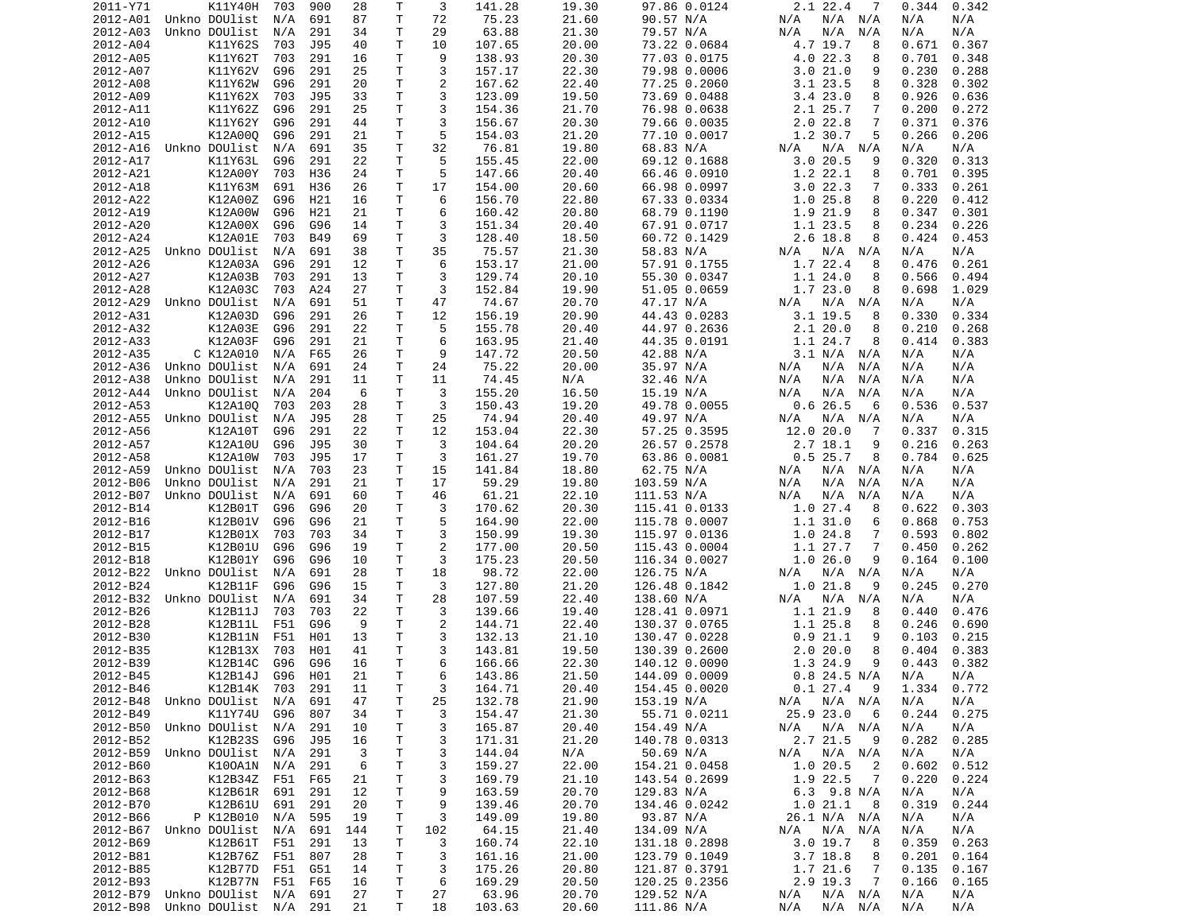| 2011-Y71 | K11Y40H                    | 703 | 900        | 28  | Τ            | 3   | 141.28 | 19.30 | 97.86 0.0124  | $2.1$ 22.4<br>7                    | 0.344<br>0.342 |
|----------|----------------------------|-----|------------|-----|--------------|-----|--------|-------|---------------|------------------------------------|----------------|
| 2012-A01 | Unkno DOUlist              | N/A | 691        | 87  | Τ            | 72  | 75.23  | 21.60 | 90.57 N/A     | N/A N/A<br>N/A                     | N/A<br>N/A     |
| 2012-A03 | Unkno DOUlist              | N/A | 291        | 34  | т            | 29  | 63.88  | 21.30 | 79.57 N/A     | N/A<br>N/A<br>N/A                  | N/A<br>N/A     |
| 2012-A04 | K11Y62S                    | 703 | J95        | 40  | Τ            | 10  | 107.65 | 20.00 | 73.22 0.0684  | 4.7 19.7<br>8                      | 0.367<br>0.671 |
| 2012-A05 | K11Y62T                    | 703 | 291        | 16  | т            | 9   | 138.93 | 20.30 | 77.03 0.0175  | 4.0 22.3<br>8                      | 0.701<br>0.348 |
| 2012-A07 | K11Y62V                    | G96 | 291        | 25  | Τ            | 3   | 157.17 | 22.30 | 79.98 0.0006  | 3.021.0<br>9                       | 0.230<br>0.288 |
| 2012-A08 | K11Y62W                    | G96 | 291        | 20  | Τ            | 2   | 167.62 | 22.40 | 77.25 0.2060  | 3.1 23.5<br>8                      | 0.328<br>0.302 |
| 2012-A09 | K11Y62X                    | 703 | J95        | 33  | Τ            | 3   | 123.09 | 19.50 | 73.69 0.0488  | 3.423.0<br>8                       | 0.926<br>0.636 |
| 2012-A11 | K11Y62Z                    | G96 | 291        | 25  | T            | 3   | 154.36 | 21.70 | 76.98 0.0638  | 2.1 25.7<br>7                      | 0.200<br>0.272 |
| 2012-A10 | K11Y62Y                    | G96 | 291        | 44  | Τ            | 3   | 156.67 | 20.30 | 79.66 0.0035  | $2.0$ 22.8<br>7                    | 0.371<br>0.376 |
| 2012-A15 | K12A00Q                    | G96 | 291        | 21  | T            | 5   | 154.03 | 21.20 | 77.10 0.0017  | 1.2 30.7<br>5                      | 0.266<br>0.206 |
| 2012-A16 | Unkno DOUlist              | N/A | 691        | 35  | Τ            | 32  | 76.81  | 19.80 | 68.83 N/A     | N/A<br>N/A N/A                     | N/A<br>N/A     |
| 2012-A17 | K11Y63L                    | G96 | 291        | 22  | Τ            | 5   | 155.45 | 22.00 | 69.12 0.1688  | 3.020.5<br>9                       | 0.320<br>0.313 |
| 2012-A21 | K12A00Y                    | 703 | H36        | 24  | T.           | 5   | 147.66 | 20.40 | 66.46 0.0910  | 1.2 22.1<br>8                      | 0.701<br>0.395 |
| 2012-A18 | K11Y63M                    | 691 | H36        | 26  | т            | 17  | 154.00 | 20.60 | 66.98 0.0997  | 3.022.3<br>7                       | 0.333<br>0.261 |
| 2012-A22 | K12A00Z                    | G96 | H21        | 16  | Τ            | 6   | 156.70 | 22.80 | 67.33 0.0334  | 1.025.8<br>8                       | 0.220<br>0.412 |
| 2012-A19 | K12A00W                    | G96 | H21        | 21  | т            | 6   | 160.42 | 20.80 | 68.79 0.1190  | 1.9 21.9<br>8                      | 0.347<br>0.301 |
| 2012-A20 | K12A00X                    | G96 | G96        | 14  | Τ            | 3   | 151.34 | 20.40 | 67.91 0.0717  | 1.1 23.5<br>8                      | 0.234<br>0.226 |
| 2012-A24 | K12A01E                    | 703 | <b>B49</b> | 69  | Τ            | 3   | 128.40 | 18.50 | 60.72 0.1429  | 2.6 18.8<br>8                      | 0.424<br>0.453 |
| 2012-A25 | Unkno DOUlist              | N/A | 691        | 38  | Τ            | 35  | 75.57  | 21.30 | 58.83 N/A     | N/A<br>N/A N/A                     | N/A<br>N/A     |
| 2012-A26 | K12A03A                    | G96 | 291        | 12  | T            | 6   | 153.17 | 21.00 | 57.91 0.1755  | 1.7 22.4<br>8                      | 0.261<br>0.476 |
| 2012-A27 | K12A03B                    | 703 | 291        | 13  | T            | 3   | 129.74 | 20.10 | 55.30 0.0347  | 1.1 24.0<br>8                      | 0.566<br>0.494 |
| 2012-A28 | K12A03C                    | 703 | A24        | 27  | T            | 3   | 152.84 | 19.90 | 51.05 0.0659  | 1.723.0<br>8                       | 0.698<br>1.029 |
| 2012-A29 | Unkno DOUlist              | N/A | 691        | 51  | T.           | 47  | 74.67  | 20.70 | 47.17 N/A     | N/A<br>N/A N/A                     | N/A<br>N/A     |
| 2012-A31 | K12A03D                    | G96 | 291        | 26  | Τ            | 12  | 156.19 | 20.90 | 44.43 0.0283  | $3.1$ 19.5<br>8                    | 0.330<br>0.334 |
| 2012-A32 | K12A03E                    | G96 | 291        | 22  | T            | 5   | 155.78 | 20.40 | 44.97 0.2636  | 2.120.0<br>8                       | 0.210<br>0.268 |
| 2012-A33 | K12A03F                    | G96 | 291        | 21  | T.           | 6   | 163.95 | 21.40 | 44.35 0.0191  | 1.1 24.7<br>8                      | 0.383<br>0.414 |
| 2012-A35 | C K12A010                  | N/A | F65        | 26  | т            | 9   | 147.72 | 20.50 | 42.88 N/A     | 3.1 N/A N/A                        | N/A<br>N/A     |
| 2012-A36 | Unkno DOUlist              | N/A | 691        | 24  | Τ            | 24  | 75.22  | 20.00 | 35.97 N/A     | N/A<br>N/A<br>N/A                  | N/A<br>N/A     |
|          |                            |     |            |     | Τ            |     |        |       |               |                                    |                |
| 2012-A38 | Unkno DOUlist              | N/A | 291        | 11  |              | 11  | 74.45  | N/A   | 32.46 N/A     | N/A<br>N/A<br>N/A                  | N/A<br>N/A     |
| 2012-A44 | Unkno DOUlist              | N/A | 204        | 6   | Τ            | 3   | 155.20 | 16.50 | 15.19 N/A     | N/A<br>N/A<br>N/A                  | N/A<br>N/A     |
| 2012-A53 | K12A10Q                    | 703 | 203        | 28  | Τ            | 3   | 150.43 | 19.20 | 49.78 0.0055  | 0.626.5<br>6                       | 0.536<br>0.537 |
| 2012-A55 | Unkno DOUlist              | N/A | J95        | 28  | Τ            | 25  | 74.94  | 20.40 | 49.97 N/A     | N/A N/A<br>N/A                     | N/A<br>N/A     |
| 2012-A56 | K12A10T                    | G96 | 291        | 22  | T.           | 12  | 153.04 | 22.30 | 57.25 0.3595  | 12.0 20.0<br>7                     | 0.337<br>0.315 |
| 2012-A57 | K12A10U                    | G96 | J95        | 30  | т            | 3   | 104.64 | 20.20 | 26.57 0.2578  | $2.7$ 18.1<br>9                    | 0.216<br>0.263 |
| 2012-A58 | K12A10W                    | 703 | J95        | 17  | Τ            | 3   | 161.27 | 19.70 | 63.86 0.0081  | 0.525.7<br>8                       | 0.784<br>0.625 |
| 2012-A59 | Unkno DOUlist              | N/A | 703        | 23  | Τ            | 15  | 141.84 | 18.80 | 62.75 N/A     | N/A N/A<br>N/A                     | N/A<br>N/A     |
| 2012-B06 | Unkno DOUlist              | N/A | 291        | 21  | Τ            | 17  | 59.29  | 19.80 | 103.59 N/A    | N/A<br>N/A<br>N/A                  | N/A<br>N/A     |
| 2012-B07 | Unkno DOUlist              | N/A | 691        | 60  | Τ            | 46  | 61.21  | 22.10 | 111.53 N/A    | N/A<br>N/A<br>N/A                  | N/A<br>N/A     |
| 2012-B14 | K12B01T                    | G96 | G96        | 20  | Τ            | 3   | 170.62 | 20.30 | 115.41 0.0133 | 1.027.4<br>8                       | 0.622<br>0.303 |
| 2012-B16 | K12B01V                    | G96 | G96        | 21  | Τ            | 5   | 164.90 | 22.00 | 115.78 0.0007 | 1.1 31.0<br>6                      | 0.868<br>0.753 |
| 2012-B17 | K12B01X                    | 703 | 703        | 34  | T            | 3   | 150.99 | 19.30 | 115.97 0.0136 | 1.024.8<br>7                       | 0.593<br>0.802 |
| 2012-B15 | K12B01U                    | G96 | G96        | 19  | T            | 2   | 177.00 | 20.50 | 115.43 0.0004 | 1.1 27.7<br>7                      | 0.450<br>0.262 |
| 2012-B18 | K12B01Y                    | G96 | G96        | 10  | Τ            | 3   | 175.23 | 20.50 | 116.34 0.0027 | 1.026.0<br>9                       | 0.164<br>0.100 |
| 2012-B22 | Unkno DOUlist              | N/A | 691        | 28  | T            | 18  | 98.72  | 22.00 | 126.75 N/A    | N/A<br>N/A N/A                     | N/A<br>N/A     |
| 2012-B24 | K12B11F                    | G96 | G96        | 15  | Τ            | 3   | 127.80 | 21.20 | 126.48 0.1842 | 1.021.8<br>9                       | 0.245<br>0.270 |
| 2012-B32 | Unkno DOUlist              | N/A | 691        | 34  | T.           | 28  | 107.59 | 22.40 | 138.60 N/A    | N/A<br>N/A N/A                     | N/A<br>N/A     |
| 2012-B26 | K12B11J                    | 703 | 703        | 22  | Τ            | 3   | 139.66 | 19.40 | 128.41 0.0971 | 1.1 21.9<br>8                      | 0.440<br>0.476 |
| 2012-B28 | K12B11L                    | F51 | G96        | 9   | т            | 2   | 144.71 | 22.40 | 130.37 0.0765 | 1.1 25.8<br>8                      | 0.246<br>0.690 |
| 2012-B30 | K12B11N                    | F51 | H01        | 13  | T.           | 3   | 132.13 | 21.10 | 130.47 0.0228 | 0.921.1<br>9                       | 0.103<br>0.215 |
| 2012-B35 | K12B13X                    | 703 | H01        | 41  | $\mathsf{T}$ | 3   | 143.81 | 19.50 | 130.39 0.2600 | 2.020.0<br>8                       | 0.404<br>0.383 |
| 2012-B39 | K12B14C                    | G96 | G96        | 16  | T.           | 6   | 166.66 | 22.30 | 140.12 0.0090 | 1.3 24.9<br>9                      | 0.443<br>0.382 |
| 2012-B45 | K12B14J G96 H01            |     |            | 21  | $\mathsf{T}$ | 6   | 143.86 | 21.50 | 144.09 0.0009 | $0.8$ 24.5 N/A                     | N/A<br>N/A     |
| 2012-B46 | K12B14K 703 291            |     |            | 11  | T.           | 3   | 164.71 | 20.40 | 154.45 0.0020 | 0.127.49                           | 1.334 0.772    |
| 2012-B48 | Unkno DOUlist N/A          |     | 691        | 47  | $\mathsf T$  | 25  | 132.78 | 21.90 | 153.19 N/A    | N/A<br>$N/A$ $N/A$                 | N/A<br>N/A     |
| 2012-B49 | K11Y74U G96                |     | 807        | 34  | T.           | 3   | 154.47 | 21.30 | 55.71 0.0211  | 25.9 23.0<br>- 6                   | 0.244<br>0.275 |
| 2012-B50 | Unkno DOUlist N/A          |     | 291        | 10  | T.           | 3   | 165.87 | 20.40 | 154.49 N/A    | N/A N/A<br>N/A                     | N/A<br>N/A     |
| 2012-B52 | K12B23S                    | G96 | J95        | 16  | Τ            | 3   | 171.31 | 21.20 | 140.78 0.0313 | 2.7 21.5<br>- 9                    | 0.282<br>0.285 |
| 2012-B59 | Unkno DOUlist N/A          |     | 291        | 3   | Τ            | 3   | 144.04 | N/A   | 50.69 N/A     | N/A<br>N/A N/A                     | N/A<br>N/A     |
| 2012-B60 | K100A1N N/A                |     | 291        | 6   | T            | 3   | 159.27 | 22.00 | 154.21 0.0458 | 1.020.5<br>$\overline{\mathbf{2}}$ | 0.602<br>0.512 |
| 2012-B63 | K12B34Z F51                |     | F65        | 21  | T.           | 3   | 169.79 | 21.10 | 143.54 0.2699 | 1.9 22.5<br>$\overline{7}$         | 0.220<br>0.224 |
| 2012-B68 | K12B61R                    | 691 | 291        | 12  | Τ            | 9   | 163.59 | 20.70 | 129.83 N/A    | 6.3 9.8 N/A                        | N/A<br>N/A     |
| 2012-B70 | K12B61U                    | 691 | 291        | 20  | T            | 9   | 139.46 | 20.70 | 134.46 0.0242 | 1.021.1<br>- 8                     | 0.319<br>0.244 |
| 2012-B66 | P K12B010 N/A              |     | 595        | 19  | T            | 3   | 149.09 | 19.80 | 93.87 N/A     | 26.1 N/A N/A                       | N/A<br>N/A     |
|          | 2012-B67 Unkno DOUlist N/A |     | 691        | 144 | T            | 102 | 64.15  | 21.40 | 134.09 N/A    | N/A<br>N/A N/A                     | N/A<br>N/A     |
| 2012-B69 | K12B61T F51 291            |     |            | 13  | T            | 3   | 160.74 | 22.10 | 131.18 0.2898 | 3.019.7<br>8                       | 0.359<br>0.263 |
| 2012-B81 | K12B76Z F51 807            |     |            | 28  | T            | 3   | 161.16 | 21.00 | 123.79 0.1049 | $3.7$ 18.8<br>8                    | 0.201<br>0.164 |
| 2012-B85 | K12B77D                    | F51 | G51        | 14  | Τ            | 3   | 175.26 | 20.80 | 121.87 0.3791 | 1.7 21.6<br>$\overline{7}$         | 0.135<br>0.167 |
| 2012-B93 | K12B77N F51                |     | F65        | 16  | T.           | 6   | 169.29 | 20.50 | 120.25 0.2356 | 2.9 19.3<br>$\overline{7}$         | 0.166<br>0.165 |
| 2012-B79 | Unkno DOUlist N/A          |     | 691        | 27  | T.           | 27  | 63.96  | 20.70 | 129.52 N/A    | N/A N/A<br>N/A                     | N/A<br>N/A     |
| 2012-B98 | Unkno DOUlist N/A 291      |     |            | 21  | T.           | 18  | 103.63 | 20.60 | 111.86 N/A    | N/A<br>N/A N/A                     | N/A<br>N/A     |
|          |                            |     |            |     |              |     |        |       |               |                                    |                |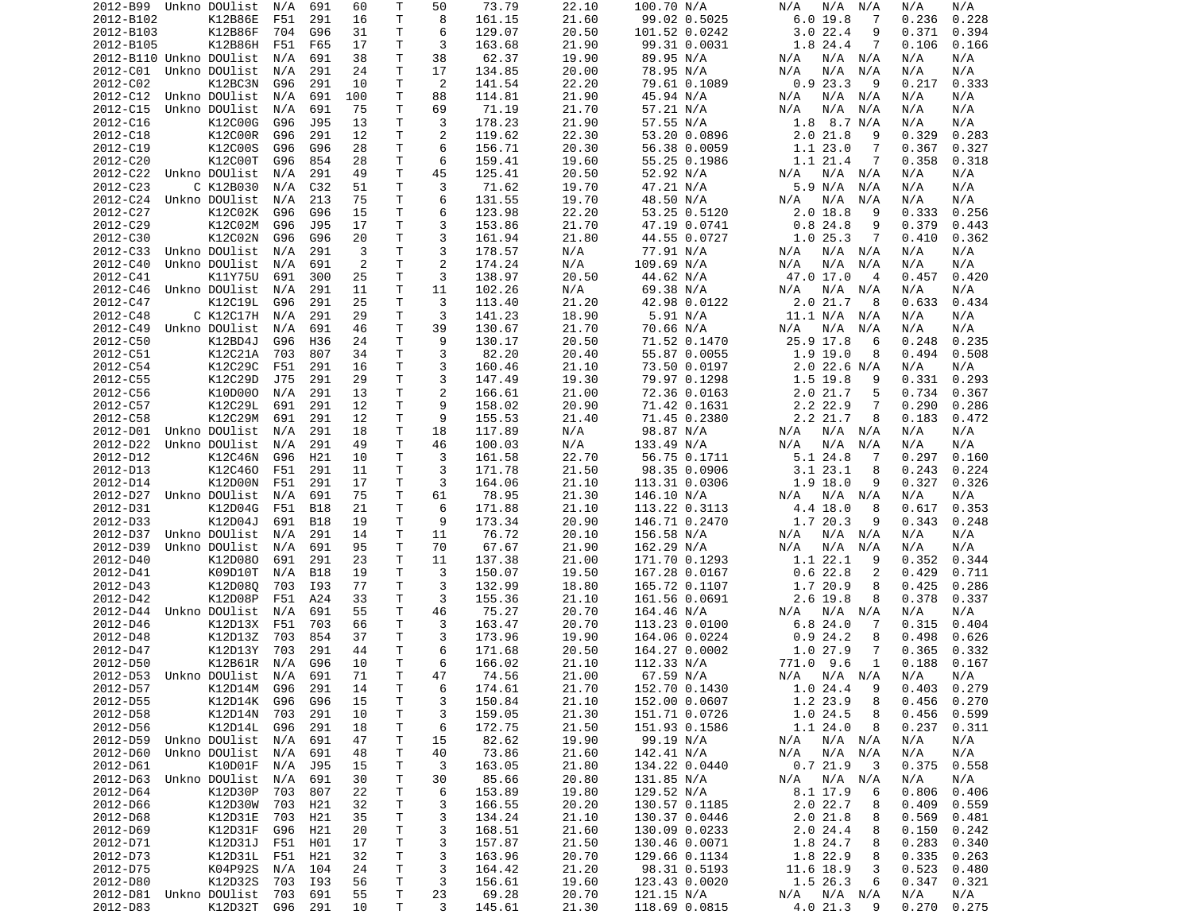| 2012-B99                   | Unkno DOUlist | N/A     | 691        | 60  | Т            | 50             | 73.79  | 22.10 | 100.70 N/A    | N/A<br>N/A<br>N/A           | N/A<br>N/A     |
|----------------------------|---------------|---------|------------|-----|--------------|----------------|--------|-------|---------------|-----------------------------|----------------|
| 2012-B102                  | K12B86E       | F51     | 291        | 16  | Τ            | 8              | 161.15 | 21.60 | 99.02 0.5025  | 6.019.8<br>7                | 0.228<br>0.236 |
| 2012-B103                  | K12B86F       | 704     | G96        | 31  | т            | 6              | 129.07 | 20.50 | 101.52 0.0242 | 3.022.4<br>9                | 0.371<br>0.394 |
|                            | K12B86H       |         |            | 17  | Τ            | 3              | 163.68 |       |               | 1.8 24.4<br>7               |                |
| 2012-B105                  |               | F51     | F65        |     |              |                |        | 21.90 | 99.31 0.0031  |                             | 0.106<br>0.166 |
| 2012-B110 Unkno DOUlist    |               | N/A     | 691        | 38  | Τ            | 38             | 62.37  | 19.90 | 89.95 N/A     | N/A<br>N/A N/A              | N/A<br>N/A     |
| 2012-C01                   | Unkno DOUlist | N/A     | 291        | 24  | Τ            | 17             | 134.85 | 20.00 | 78.95 N/A     | N/A<br>N/A<br>N/A           | N/A<br>N/A     |
| 2012-C02                   | K12BC3N       | G96     | 291        | 10  | т            | 2              | 141.54 | 22.20 | 79.61 0.1089  | 0.923.3<br>9                | 0.217<br>0.333 |
| 2012-C12                   | Unkno DOUlist | N/A     | 691        | 100 | т            | 88             | 114.81 | 21.90 | 45.94 N/A     | N/A N/A<br>N/A              | N/A<br>N/A     |
|                            |               |         |            |     | T            |                |        |       |               |                             |                |
| 2012-C15                   | Unkno DOUlist | N/A     | 691        | 75  |              | 69             | 71.19  | 21.70 | 57.21 N/A     | N/A<br>N/A<br>N/A           | N/A<br>N/A     |
| 2012-C16                   | K12C00G       | G96     | J95        | 13  | т            | 3              | 178.23 | 21.90 | 57.55 N/A     | $1.8$ 8.7 N/A               | N/A<br>N/A     |
| 2012-C18                   | K12C00R       | G96     | 291        | 12  | Τ            | 2              | 119.62 | 22.30 | 53.20 0.0896  | 2.021.8<br>9                | 0.329<br>0.283 |
| 2012-C19                   | K12C00S       | G96     | G96        | 28  | Τ            | 6              | 156.71 | 20.30 | 56.38 0.0059  | 1.123.0<br>7                | 0.367<br>0.327 |
| 2012-C20                   | K12C00T       | G96     | 854        | 28  | Τ            | 6              | 159.41 | 19.60 | 55.25 0.1986  | 1.1 21.4<br>7               | 0.358<br>0.318 |
|                            |               |         |            |     |              |                |        |       |               |                             |                |
| 2012-C22                   | Unkno DOUlist | N/A     | 291        | 49  | Τ            | 45             | 125.41 | 20.50 | 52.92 N/A     | N/A N/A<br>N/A              | N/A<br>N/A     |
| 2012-C23                   | C K12B030     | N/A     | C32        | 51  | $\mathsf{T}$ | 3              | 71.62  | 19.70 | 47.21 N/A     | 5.9 N/A<br>N/A              | N/A<br>N/A     |
| 2012-C24                   | Unkno DOUlist | N/A     | 213        | 75  | T.           | 6              | 131.55 | 19.70 | 48.50 N/A     | N/A<br>N/A<br>N/A           | N/A<br>N/A     |
| 2012-C27                   | K12C02K       | G96     | G96        | 15  | т            | 6              | 123.98 | 22.20 | 53.25 0.5120  | 2.018.8<br>9                | 0.333<br>0.256 |
| 2012-C29                   | K12C02M       | G96     | J95        | 17  | T.           | 3              | 153.86 | 21.70 | 47.19 0.0741  | 0.824.8<br>9                | 0.379<br>0.443 |
|                            |               |         |            |     |              |                |        |       |               |                             |                |
| 2012-C30                   | K12C02N       | G96     | G96        | 20  | Τ            | 3              | 161.94 | 21.80 | 44.55 0.0727  | 1.025.3<br>7                | 0.410<br>0.362 |
| 2012-C33                   | Unkno DOUlist | N/A     | 291        | 3   | Τ            | 3              | 178.57 | N/A   | 77.91 N/A     | N/A N/A<br>N/A              | N/A<br>N/A     |
| 2012-C40                   | Unkno DOUlist | N/A     | 691        | 2   | T            | $\overline{2}$ | 174.24 | N/A   | 109.69 N/A    | N/A<br>N/A<br>N/A           | N/A<br>N/A     |
| 2012-C41                   | K11Y75U       | 691     | 300        | 25  | Τ            | 3              | 138.97 | 20.50 | 44.62 N/A     | 47.0 17.0<br>$\overline{4}$ | 0.457<br>0.420 |
| 2012-C46                   |               | N/A     |            | 11  | T            | 11             |        |       |               | N/A<br>N/A                  | N/A<br>N/A     |
|                            | Unkno DOUlist |         | 291        |     |              |                | 102.26 | N/A   | 69.38 N/A     | N/A                         |                |
| 2012-C47                   | K12C19L       | G96     | 291        | 25  | Τ            | 3              | 113.40 | 21.20 | 42.98 0.0122  | 2.0 21.7<br>8               | 0.633<br>0.434 |
| 2012-C48                   | C K12C17H     | N/A     | 291        | 29  | T.           | 3              | 141.23 | 18.90 | 5.91 N/A      | 11.1 N/A N/A                | N/A<br>N/A     |
| 2012-C49                   | Unkno DOUlist | N/A     | 691        | 46  | Τ            | 39             | 130.67 | 21.70 | 70.66 N/A     | N/A<br>N/A<br>N/A           | N/A<br>N/A     |
| 2012-C50                   | K12BD4J       | G96     | H36        | 24  | T.           | 9              | 130.17 | 20.50 | 71.52 0.1470  | 25.9 17.8<br>6              | 0.248<br>0.235 |
| 2012-C51                   |               |         |            |     | T.           |                |        |       |               |                             |                |
|                            | K12C21A       | 703     | 807        | 34  |              | 3              | 82.20  | 20.40 | 55.87 0.0055  | $1.9$ 19.0<br>8             | 0.494<br>0.508 |
| 2012-C54                   | K12C29C       | F51     | 291        | 16  | Τ            | 3              | 160.46 | 21.10 | 73.50 0.0197  | $2.0$ 22.6 N/A              | N/A<br>N/A     |
| 2012-C55                   | K12C29D       | J75     | 291        | 29  | Τ            | 3              | 147.49 | 19.30 | 79.97 0.1298  | 1.5<br>19.8<br>9            | 0.331<br>0.293 |
| 2012-C56                   | K10D000       | N/A     | 291        | 13  | Τ            | 2              | 166.61 | 21.00 | 72.36 0.0163  | 2.0 21.7<br>5               | 0.734<br>0.367 |
| 2012-C57                   | K12C29L       | 691     | 291        | 12  | T.           | 9              | 158.02 | 20.90 | 71.42 0.1631  | 2.2 22.9<br>7               | 0.290<br>0.286 |
| 2012-C58                   |               |         |            |     |              |                |        |       |               |                             |                |
|                            | K12C29M       | 691     | 291        | 12  | Τ            | 9              | 155.53 | 21.40 | 71.45 0.2380  | 2.2 21.7<br>8               | 0.183<br>0.472 |
| 2012-D01                   | Unkno DOUlist | N/A     | 291        | 18  | т            | 18             | 117.89 | N/A   | 98.87 N/A     | N/A N/A<br>N/A              | N/A<br>N/A     |
| 2012-D22                   | Unkno DOUlist | N/A     | 291        | 49  | T.           | 46             | 100.03 | N/A   | 133.49 N/A    | N/A<br>N/A<br>N/A           | N/A<br>N/A     |
| 2012-D12                   | K12C46N       | G96     | H21        | 10  | Τ            | 3              | 161.58 | 22.70 | 56.75 0.1711  | 5.1 24.8<br>-7              | 0.297<br>0.160 |
| 2012-D13                   | K12C460       | F51     | 291        | 11  | Τ            | 3              | 171.78 | 21.50 | 98.35 0.0906  | 3.123.1<br>8                | 0.243<br>0.224 |
|                            |               |         |            |     |              |                |        |       |               |                             |                |
| 2012-D14                   | K12D00N       | F51     | 291        | 17  | т            | 3              | 164.06 | 21.10 | 113.31 0.0306 | $1.9$ 18.0<br>9             | 0.327<br>0.326 |
| 2012-D27                   | Unkno DOUlist | N/A     | 691        | 75  | т            | 61             | 78.95  | 21.30 | 146.10 N/A    | N/A N/A<br>N/A              | N/A<br>N/A     |
| 2012-D31                   | K12D04G       | F51     | <b>B18</b> | 21  | т            | 6              | 171.88 | 21.10 | 113.22 0.3113 | 4.4 18.0<br>8               | 0.353<br>0.617 |
| 2012-D33                   | K12D04J       | 691     | <b>B18</b> | 19  | т            | 9              | 173.34 | 20.90 | 146.71 0.2470 | 1.7 20.3<br>9               | 0.343<br>0.248 |
| 2012-D37                   | Unkno DOUlist | N/A     | 291        | 14  | T            | 11             | 76.72  | 20.10 | 156.58 N/A    | N/A<br>N/A N/A              | N/A<br>N/A     |
|                            |               |         |            |     |              |                |        |       |               |                             |                |
| 2012-D39                   | Unkno DOUlist | N/A     | 691        | 95  | Τ            | 70             | 67.67  | 21.90 | 162.29 N/A    | N/A<br>N/A<br>N/A           | N/A<br>N/A     |
| 2012-D40                   | K12D080       | 691     | 291        | 23  | T            | 11             | 137.38 | 21.00 | 171.70 0.1293 | 1.1 22.1<br>9               | 0.352<br>0.344 |
| 2012-D41                   | K09D10T       | N/A     | B18        | 19  | Τ            | 3              | 150.07 | 19.50 | 167.28 0.0167 | 0.622.8<br>2                | 0.429<br>0.711 |
| 2012-D43                   | K12D080       | 703     | I93        | 77  | Τ            | 3              | 132.99 | 18.80 | 165.72 0.1107 | 1.7 20.9<br>8               | 0.425<br>0.286 |
| 2012-D42                   | K12D08P       | F51     | A24        | 33  | T            | 3              | 155.36 | 21.10 | 161.56 0.0691 | 2.6 19.8<br>8               | 0.378<br>0.337 |
|                            |               |         |            |     |              |                |        |       |               |                             |                |
| 2012-D44                   | Unkno DOUlist | N/A     | 691        | 55  | T.           | 46             | 75.27  | 20.70 | 164.46 N/A    | N/A N/A<br>N/A              | N/A<br>N/A     |
| 2012-D46                   | K12D13X       | F51     | 703        | 66  | T.           | 3              | 163.47 | 20.70 | 113.23 0.0100 | 6.824.0<br>7                | 0.315<br>0.404 |
| 2012-D48                   | K12D13Z       | 703     | 854        | 37  | T            | 3              | 173.96 | 19.90 | 164.06 0.0224 | 0.924.2<br>8                | 0.498<br>0.626 |
| 2012-D47                   | K12D13Y       | 703     | 291        | 44  | T.           | 6              | 171.68 | 20.50 | 164.27 0.0002 | 1.0 27.9<br>7               | 0.365<br>0.332 |
| 2012-D50                   | K12B61R       | N/A     | G96        | 10  | T.           | 6              | 166.02 | 21.10 |               | 771.0 9.6<br>1              | 0.188<br>0.167 |
|                            |               |         |            |     |              |                |        |       | 112.33 N/A    |                             |                |
| 2012-D53 Unkno DOUlist N/A |               |         | 691        | 71  | $\mathsf{T}$ | 47             | 74.56  | 21.00 | 67.59 N/A     | $N/A$ $N/A$ $N/A$           | N/A<br>N/A     |
| 2012-D57                   | K12D14M G96   |         | 291        | 14  | Τ            | 6              | 174.61 | 21.70 | 152.70 0.1430 | 1.024.4<br>- 9              | $0.403$ 0.279  |
| 2012-D55                   | K12D14K       | G96     | G96        | 15  | Τ            | 3              | 150.84 | 21.10 | 152.00 0.0607 | 1.2 23.9<br>8               | 0.456<br>0.270 |
| 2012-D58                   | K12D14N 703   |         | 291        | 10  | Τ            | 3              | 159.05 | 21.30 | 151.71 0.0726 | 1.024.5<br>8                | 0.456<br>0.599 |
| 2012-D56                   | K12D14L       | G96     | 291        | 18  | т            | 6              | 172.75 | 21.50 | 151.93 0.1586 | 1.1 24.0<br>8               | 0.237<br>0.311 |
|                            |               |         |            |     |              |                |        |       |               |                             |                |
| 2012-D59                   | Unkno DOUlist | N/A     | 691        | 47  | Τ            | 15             | 82.62  | 19.90 | 99.19 N/A     | N/A N/A<br>N/A              | N/A<br>N/A     |
| 2012-D60                   | Unkno DOUlist | N/A     | 691        | 48  | Τ            | 40             | 73.86  | 21.60 | 142.41 N/A    | $N/A$ $N/A$<br>N/A          | N/A<br>N/A     |
| 2012-D61                   | K10D01F       | N/A     | J95        | 15  | Τ            | 3              | 163.05 | 21.80 | 134.22 0.0440 | 0.721.9<br>-3               | 0.375<br>0.558 |
| 2012-D63                   | Unkno DOUlist | N/A     | 691        | 30  | Τ            | 30             | 85.66  | 20.80 | 131.85 N/A    | $N/A$ $N/A$<br>N/A          | N/A<br>N/A     |
|                            | K12D30P       | 703     |            |     |              |                | 153.89 | 19.80 | 129.52 N/A    | 6                           |                |
| 2012-D64                   |               |         | 807        | 22  | T            | 6              |        |       |               | 8.1 17.9                    | 0.806<br>0.406 |
| 2012-D66                   | K12D30W       | 703     | H21        | 32  | Τ            | 3              | 166.55 | 20.20 | 130.57 0.1185 | 2.022.7<br>8                | 0.409<br>0.559 |
| 2012-D68                   | K12D31E       | 703     | H21        | 35  | Τ            | 3              | 134.24 | 21.10 | 130.37 0.0446 | 2.0 21.8<br>8               | 0.569<br>0.481 |
| 2012-D69                   | K12D31F       | G96     | H21        | 20  | T.           | 3              | 168.51 | 21.60 | 130.09 0.0233 | 2.024.4<br>8                | 0.150<br>0.242 |
| 2012-D71                   | K12D31J       | F51     | H01        | 17  | Τ            | 3              | 157.87 | 21.50 | 130.46 0.0071 | 1.8 24.7<br>8               | 0.283<br>0.340 |
| 2012-D73                   | K12D31L F51   |         | H21        | 32  | T.           | 3              | 163.96 | 20.70 | 129.66 0.1134 | 1.8 22.9<br>8               | 0.335<br>0.263 |
|                            |               |         |            |     |              |                |        |       |               |                             |                |
| 2012-D75                   | K04P92S       | N/A     | 104        | 24  | T            | 3              | 164.42 | 21.20 | 98.31 0.5193  | 11.6 18.9<br>3              | 0.523<br>0.480 |
| 2012-D80                   | K12D32S       | 703     | I93        | 56  | Τ            | 3              | 156.61 | 19.60 | 123.43 0.0020 | 1.5 26.3<br>6               | 0.347<br>0.321 |
| 2012-D81 Unkno DOUlist     |               | 703     | 691        | 55  | T            | 23             | 69.28  | 20.70 | 121.15 N/A    | N/A N/A<br>N/A              | N/A<br>N/A     |
| 2012-D83                   | K12D32T       | G96 291 |            | 10  | Τ            | 3              | 145.61 | 21.30 | 118.69 0.0815 | 4.0 21.3<br>9               | 0.275<br>0.270 |
|                            |               |         |            |     |              |                |        |       |               |                             |                |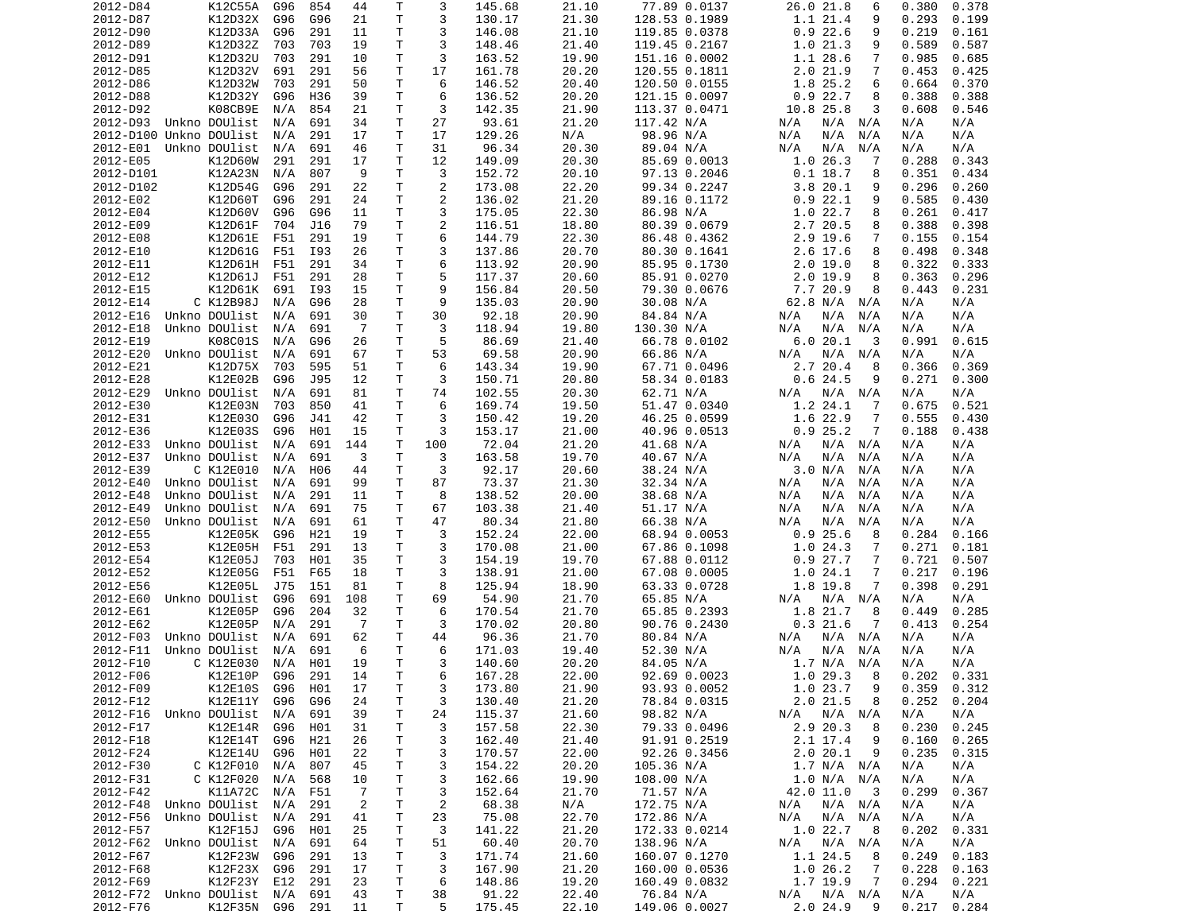| 2012-D84                           | K12C55A       | G96            | 854 | 44             | Т      | 3              | 145.68          | 21.10          | 77.89 0.0137               | 26.0 21.8<br>6                  | 0.380<br>0.378              |
|------------------------------------|---------------|----------------|-----|----------------|--------|----------------|-----------------|----------------|----------------------------|---------------------------------|-----------------------------|
| 2012-D87                           | K12D32X       | G96            | G96 | 21             | Τ      | 3              | 130.17          | 21.30          | 128.53 0.1989              | 1.1 21.4<br>9                   | 0.293<br>0.199              |
| 2012-D90                           | K12D33A       | G96            | 291 | 11             | Τ      | 3              | 146.08          | 21.10          | 119.85 0.0378              | 0.922.6<br>9                    | 0.219<br>0.161              |
| 2012-D89                           | K12D32Z       | 703            | 703 | 19             | Τ      | 3              | 148.46          | 21.40          | 119.45 0.2167              | 1.021.3<br>9                    | 0.589<br>0.587              |
| 2012-D91                           | K12D32U       | 703            | 291 | 10             | т      | 3              | 163.52          | 19.90          | 151.16 0.0002              | 1.1 28.6<br>7                   | 0.985<br>0.685              |
|                                    |               |                |     |                |        |                |                 |                |                            |                                 |                             |
| 2012-D85                           | K12D32V       | 691            | 291 | 56             | т      | 17             | 161.78          | 20.20          | 120.55 0.1811              | 2.021.9<br>7                    | 0.453<br>0.425              |
| 2012-D86                           | K12D32W       | 703            | 291 | 50             | т      | 6              | 146.52          | 20.40          | 120.50 0.0155              | 1.8 25.2<br>6                   | 0.664<br>0.370              |
| 2012-D88                           | K12D32Y       | G96            | H36 | 39             | Τ      | 6              | 136.52          | 20.20          | 121.15 0.0097              | 0.922.7<br>8                    | 0.388<br>0.388              |
| 2012-D92                           | K08CB9E       | N/A            | 854 | 21             | T      | 3              | 142.35          | 21.90          | 113.37 0.0471              | 10.8 25.8<br>3                  | 0.608<br>0.546              |
| 2012-D93                           | Unkno DOUlist | N/A            | 691 | 34             | т      | 27             | 93.61           | 21.20          | 117.42 N/A                 | N/A<br>N/A<br>N/A               | N/A<br>N/A                  |
| 2012-D100 Unkno DOUlist            |               | N/A            | 291 | 17             | T      | 17             | 129.26          | N/A            | 98.96 N/A                  | N/A<br>N/A<br>N/A               | N/A<br>N/A                  |
| 2012-E01                           | Unkno DOUlist | N/A            | 691 | 46             | т      | 31             | 96.34           | 20.30          | 89.04 N/A                  | N/A<br>N/A<br>N/A               | N/A<br>N/A                  |
| 2012-E05                           | K12D60W       | 291            | 291 | 17             | Τ      | 12             | 149.09          | 20.30          | 85.69 0.0013               | 1.026.3<br>-7                   | 0.288<br>0.343              |
| 2012-D101                          |               |                | 807 | 9              | т      |                | 152.72          |                |                            | $0.1$ 18.7                      | 0.434                       |
|                                    | K12A23N       | N/A            |     |                |        | 3              |                 | 20.10          | 97.13 0.2046               | 8                               | 0.351                       |
| 2012-D102                          | K12D54G       | G96            | 291 | 22             | Τ      | $\overline{c}$ | 173.08          | 22.20          | 99.34 0.2247               | 3.820.1<br>9                    | 0.296<br>0.260              |
| 2012-E02                           | K12D60T       | G96            | 291 | 24             | Τ      | 2              | 136.02          | 21.20          | 89.16 0.1172               | 0.922.1<br>9                    | 0.585<br>0.430              |
| 2012-E04                           | K12D60V       | G96            | G96 | 11             | Τ      | 3              | 175.05          | 22.30          | 86.98 N/A                  | 1.022.7<br>8                    | 0.261<br>0.417              |
| 2012-E09                           | K12D61F       | 704            | J16 | 79             | T.     | $\overline{c}$ | 116.51          | 18.80          | 80.39 0.0679               | 2.7 20.5<br>8                   | 0.398<br>0.388              |
| 2012-E08                           | K12D61E       | F51            | 291 | 19             | Τ      | 6              | 144.79          | 22.30          | 86.48 0.4362               | 2.9 19.6<br>7                   | 0.155<br>0.154              |
| 2012-E10                           | K12D61G       | F51            | I93 | 26             | Τ      | 3              | 137.86          | 20.70          | 80.30 0.1641               | 2.6 17.6<br>8                   | 0.498<br>0.348              |
| 2012-E11                           | K12D61H       | F51            | 291 | 34             | Τ      | 6              | 113.92          | 20.90          | 85.95 0.1730               | 2.0 19.0<br>8                   | 0.322<br>0.333              |
| 2012-E12                           | K12D61J       | F51            | 291 | 28             | т      | 5              | 117.37          | 20.60          | 85.91 0.0270               | $2.0$ 19.9<br>8                 | 0.363<br>0.296              |
|                                    |               |                |     |                | T.     | 9              |                 |                |                            |                                 |                             |
| 2012-E15                           | K12D61K       | 691            | I93 | 15             |        |                | 156.84          | 20.50          | 79.30 0.0676               | 7.7 20.9<br>8                   | 0.443<br>0.231              |
| 2012-E14                           | C K12B98J     | N/A            | G96 | 28             | т      | 9              | 135.03          | 20.90          | 30.08 N/A                  | 62.8 N/A<br>N/A                 | N/A<br>N/A                  |
| 2012-E16                           | Unkno DOUlist | N/A            | 691 | 30             | T.     | 30             | 92.18           | 20.90          | 84.84 N/A                  | N/A<br>N/A<br>N/A               | N/A<br>N/A                  |
| 2012-E18                           | Unkno DOUlist | N/A            | 691 | $\overline{7}$ | T.     | 3              | 118.94          | 19.80          | 130.30 N/A                 | N/A<br>N/A<br>N/A               | N/A<br>N/A                  |
| 2012-E19                           | K08C01S       | N/A            | G96 | 26             | т      | 5              | 86.69           | 21.40          | 66.78 0.0102               | 6.0 20.1<br>3                   | 0.991<br>0.615              |
| 2012-E20                           | Unkno DOUlist | N/A            | 691 | 67             | Τ      | 53             | 69.58           | 20.90          | 66.86 N/A                  | N/A<br>N/A<br>N/A               | N/A<br>N/A                  |
| 2012-E21                           | K12D75X       | 703            | 595 | 51             | Τ      | 6              | 143.34          | 19.90          | 67.71 0.0496               | 2.7 20.4<br>8                   | 0.366<br>0.369              |
| 2012-E28                           | K12E02B       | G96            | J95 | 12             | Τ      | 3              | 150.71          | 20.80          | 58.34 0.0183               | 0.624.5<br>9                    | 0.271<br>0.300              |
| 2012-E29                           | Unkno DOUlist | N/A            | 691 | 81             | Τ      | 74             | 102.55          | 20.30          | 62.71 N/A                  | N/A<br>N/A N/A                  | N/A<br>N/A                  |
| 2012-E30                           | K12E03N       | 703            | 850 | 41             | T.     | 6              | 169.74          | 19.50          | 51.47 0.0340               | 1.2 24.1<br>-7                  | 0.675<br>0.521              |
| 2012-E31                           | K12E030       | G96            | J41 | 42             | Τ      | 3              | 150.42          | 19.20          | 46.25 0.0599               | 1.6 22.9<br>7                   | 0.555<br>0.430              |
| 2012-E36                           | K12E03S       | G96            | H01 | 15             | т      | 3              | 153.17          | 21.00          | 40.96 0.0513               | 0.925.2<br>7                    | 0.188<br>0.438              |
|                                    |               |                |     |                |        |                |                 |                |                            |                                 |                             |
| 2012-E33                           | Unkno DOUlist | N/A            | 691 | 144            | T      | 100            | 72.04           | 21.20          | 41.68 N/A                  | N/A<br>N/A<br>N/A               | N/A<br>N/A                  |
| 2012-E37                           | Unkno DOUlist | N/A            | 691 | 3              | Τ      | 3              | 163.58          | 19.70          | 40.67 N/A                  | N/A<br>N/A<br>N/A               | N/A<br>N/A                  |
| 2012-E39                           | C K12E010     | N/A            | H06 | 44             | T      | 3              | 92.17           | 20.60          | 38.24 N/A                  | 3.0 N/A<br>N/A                  | N/A<br>N/A                  |
| 2012-E40                           | Unkno DOUlist | N/A            | 691 | 99             | Τ      | 87             | 73.37           | 21.30          | 32.34 N/A                  | N/A<br>N/A<br>N/A               | N/A<br>N/A                  |
| 2012-E48                           | Unkno DOUlist | N/A            | 291 | 11             | т      | 8              | 138.52          | 20.00          | 38.68 N/A                  | N/A<br>N/A<br>N/A               | N/A<br>N/A                  |
| 2012-E49                           | Unkno DOUlist | N/A            | 691 | 75             | т      | 67             | 103.38          | 21.40          | 51.17 N/A                  | N/A<br>N/A<br>N/A               | N/A<br>N/A                  |
| 2012-E50                           | Unkno DOUlist | N/A            | 691 | 61             | т      | 47             | 80.34           | 21.80          | 66.38 N/A                  | N/A<br>N/A<br>N/A               | N/A<br>N/A                  |
| 2012-E55                           | K12E05K       | G96            | H21 | 19             | T.     | 3              | 152.24          | 22.00          | 68.94 0.0053               | 0.925.6<br>8                    | 0.284<br>0.166              |
| 2012-E53                           | K12E05H       | F51            | 291 | 13             | т      | 3              | 170.08          | 21.00          | 67.86 0.1098               | 1.024.3<br>7                    | 0.271<br>0.181              |
| 2012-E54                           | K12E05J       | 703            | H01 | 35             | Τ      | 3              | 154.19          | 19.70          | 67.88 0.0112               | 0.927.7<br>7                    | 0.721<br>0.507              |
| 2012-E52                           | K12E05G       | F51            | F65 | 18             | Τ      | 3              | 138.91          | 21.00          | 67.08 0.0005               | 1.024.1<br>7                    | 0.217<br>0.196              |
| 2012-E56                           | K12E05L       | J75            | 151 | 81             | Τ      | 8              | 125.94          | 18.90          |                            | 1.8 19.8<br>7                   | 0.398<br>0.291              |
|                                    |               |                |     |                |        |                |                 |                | 63.33 0.0728               |                                 |                             |
| 2012-E60                           | Unkno DOUlist | G96            | 691 | 108            | Τ      | 69             | 54.90           | 21.70          | 65.85 N/A                  | $N/A$ $N/A$<br>N/A              | N/A<br>N/A                  |
| 2012-E61                           | K12E05P       | G96            | 204 | 32             | T.     | 6              | 170.54          | 21.70          | 65.85 0.2393               | 1.8 21.7<br>8                   | 0.285<br>0.449              |
| 2012-E62                           | K12E05P       | N/A            | 291 | $\overline{7}$ | Τ      | 3              | 170.02          | 20.80          | 90.76 0.2430               | 0.321.6<br>7                    | 0.413<br>0.254              |
| 2012-F03                           | Unkno DOUlist | N/A            | 691 | 62             | Τ      | 44             | 96.36           | 21.70          | 80.84 N/A                  | N/A<br>N/A<br>N/A               | N/A<br>N/A                  |
| 2012-F11                           | Unkno DOUlist | N/A            | 691 | 6              | T.     | 6              | 171.03          | 19.40          | 52.30 N/A                  | N/A<br>N/A<br>N/A               | N/A<br>N/A                  |
| 2012-F10                           | C K12E030     | N/A            | H01 | 19             | T.     | 3              | 140.60          | 20.20          | 84.05 N/A                  | 1.7 N/A<br>N/A                  | N/A<br>N/A                  |
| 2012-F06                           | K12E10P       | G96            | 291 | 14             | T.     | 6              | 167.28          | 22.00          | 92.69 0.0023               | 1.029.38                        | 0.202<br>0.331              |
| 2012-F09                           | K12E10S       | G96            | H01 | 17             | Τ      | 3              | 173.80          | 21.90          | 93.93 0.0052               | 1.023.7<br>9                    | $0.359$ $0.312$             |
| 2012-F12                           | K12E11Y       | G96            | G96 | 24             | T      | 3              | 130.40          | 21.20          | 78.84 0.0315               | 2.0 21.5<br>8                   | 0.252<br>0.204              |
| 2012-F16 Unkno DOUlist             |               | N/A            | 691 | 39             | Τ      | 24             | 115.37          | 21.60          | 98.82 N/A                  | N/A N/A<br>N/A                  | N/A<br>N/A                  |
| 2012-F17                           | K12E14R G96   |                | H01 | 31             | т      | 3              | 157.58          | 22.30          | 79.33 0.0496               | 2.9 20.3<br>8                   | 0.230<br>0.245              |
| 2012-F18                           |               |                |     | 26             |        |                |                 |                | 91.91 0.2519               |                                 |                             |
|                                    | K12E14T G96   |                | H21 |                | Τ      | 3              | 162.40          | 21.40          |                            | 2.1 17.4<br>9                   | 0.160<br>0.265              |
| 2012-F24                           | K12E14U       | G96            | H01 | 22             | т      | 3              | 170.57          | 22.00          | 92.26 0.3456               | 2.020.1<br>9                    | 0.235<br>0.315              |
| 2012-F30                           | C K12F010     | N/A            | 807 | 45             | Τ      | 3              | 154.22          | 20.20          | 105.36 N/A                 | 1.7 N/A N/A                     | N/A<br>N/A                  |
| 2012-F31                           | C K12F020     | N/A            | 568 | 10             | т      | 3              | 162.66          | 19.90          | 108.00 N/A                 | 1.0 N/A N/A                     | N/A<br>N/A                  |
|                                    | K11A72C       | N/A            | F51 | $\overline{7}$ | Τ      | 3              | 152.64          | 21.70          | 71.57 N/A                  | 42.0 11.0<br>$_{3}$             | 0.299<br>0.367              |
| 2012-F42                           |               |                |     |                | т      | $\overline{c}$ | 68.38           | N/A            | 172.75 N/A                 | N/A<br>N/A N/A                  | N/A<br>N/A                  |
| 2012-F48                           | Unkno DOUlist | N/A            | 291 | $\overline{2}$ |        |                |                 |                |                            |                                 |                             |
| 2012-F56                           | Unkno DOUlist | N/A            | 291 | 41             | т      | 23             | 75.08           | 22.70          | 172.86 N/A                 | N/A<br>N/A N/A                  | N/A<br>N/A                  |
| 2012-F57                           | K12F15J       | G96            | H01 | 25             | Τ      | 3              | 141.22          | 21.20          | 172.33 0.0214              | 1.022.7<br>-8                   | 0.202<br>0.331              |
|                                    | Unkno DOUlist | N/A            | 691 | 64             |        |                |                 |                |                            |                                 | N/A                         |
| 2012-F62                           |               |                |     |                | Τ      | 51             | 60.40           | 20.70          | 138.96 N/A                 | N/A<br>N/A N/A                  | N/A                         |
| 2012-F67                           | K12F23W       | G96            | 291 | 13             | Τ      | 3              | 171.74          | 21.60          | 160.07 0.1270              | 1.1 24.5<br>8                   | 0.249<br>0.183              |
| 2012-F68                           | K12F23X G96   |                | 291 | 17             | Τ      | 3              | 167.90          | 21.20          | 160.00 0.0536              | 1.026.2<br>$\overline{7}$       | 0.228<br>0.163              |
| 2012-F69                           | K12F23Y E12   |                | 291 | 23             | Τ      | 6              | 148.86          | 19.20          | 160.49 0.0832              | 1.7 19.9<br>7                   | 0.294<br>0.221              |
| 2012-F72 Unkno DOUlist<br>2012-F76 | K12F35N       | N/A<br>G96 291 | 691 | 43<br>11       | Τ<br>Τ | 38<br>5        | 91.22<br>175.45 | 22.40<br>22.10 | 76.84 N/A<br>149.06 0.0027 | N/A N/A<br>N/A<br>2.024.9<br>-9 | N/A<br>N/A<br>$0.217$ 0.284 |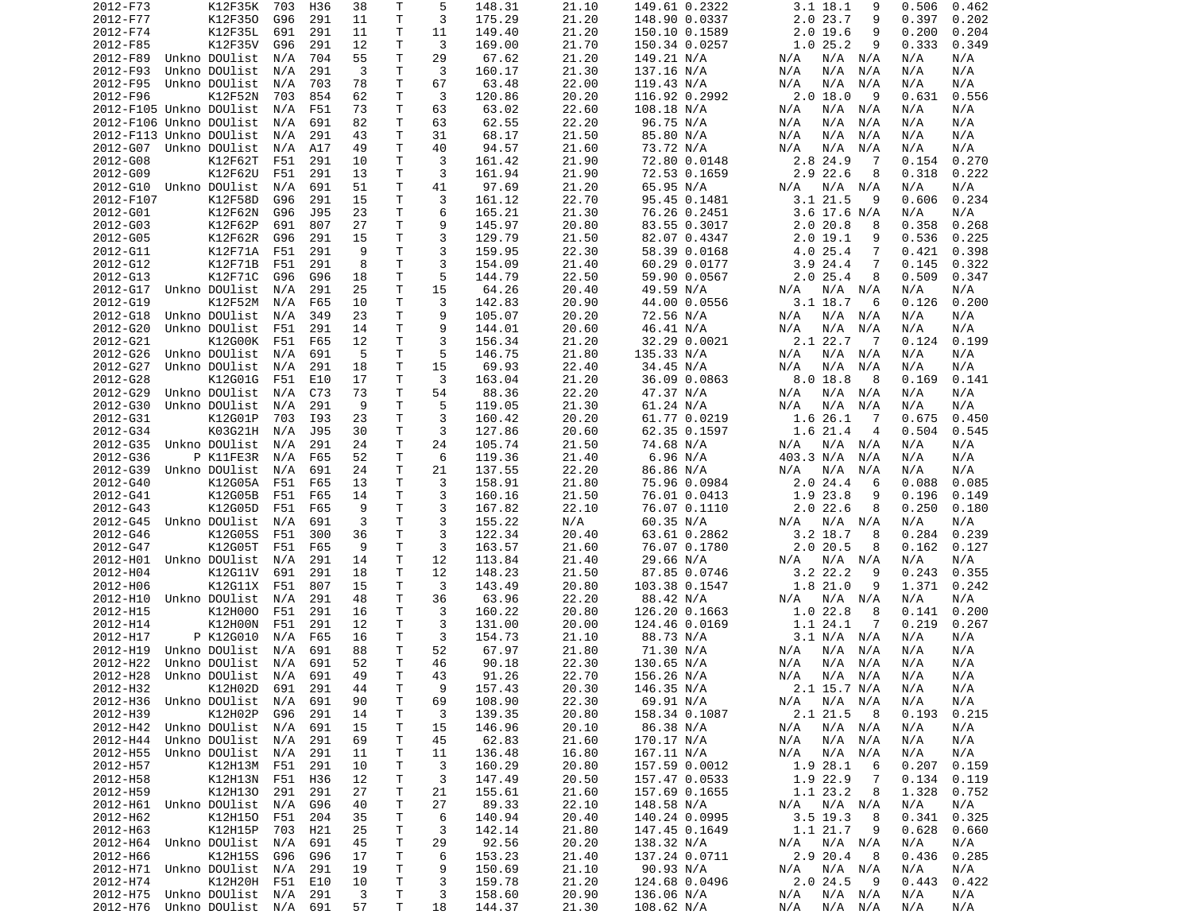| 2012-F73                       | K12F35K               | 703 | H36 | 38 | Т            | 5  | 148.31 | 21.10 | 149.61 0.2322 | 3.1 18.1<br>9              | 0.506<br>0.462 |
|--------------------------------|-----------------------|-----|-----|----|--------------|----|--------|-------|---------------|----------------------------|----------------|
| 2012-F77                       | K12F350               | G96 | 291 | 11 | Τ            | 3  | 175.29 | 21.20 | 148.90 0.0337 | 2.0 23.7<br>9              | 0.397<br>0.202 |
| 2012-F74                       | K12F35L               | 691 | 291 | 11 | Τ            | 11 | 149.40 | 21.20 | 150.10 0.1589 | $2.0$ 19.6<br>9            | 0.200<br>0.204 |
| 2012-F85                       | K12F35V               | G96 | 291 | 12 | т            | 3  | 169.00 | 21.70 | 150.34 0.0257 | 1.025.2<br>9               | 0.333<br>0.349 |
| 2012-F89                       | Unkno DOUlist         | N/A | 704 | 55 | т            | 29 | 67.62  | 21.20 | 149.21 N/A    | N/A N/A<br>N/A             | N/A<br>N/A     |
| 2012-F93                       | Unkno DOUlist         | N/A | 291 | 3  | Τ            | 3  | 160.17 | 21.30 | 137.16 N/A    | N/A<br>N/A<br>N/A          | N/A<br>N/A     |
| 2012-F95                       | Unkno DOUlist         | N/A | 703 | 78 | т            | 67 | 63.48  | 22.00 | 119.43 N/A    | N/A<br>N/A<br>N/A          | N/A<br>N/A     |
| 2012-F96                       | <b>K12F52N</b>        | 703 | 854 | 62 | т            | 3  | 120.86 | 20.20 | 116.92 0.2992 | $2.0$ 18.0<br>- 9          | 0.631<br>0.556 |
| 2012-F105 Unkno DOUlist        |                       | N/A | F51 | 73 | T            | 63 | 63.02  | 22.60 | 108.18 N/A    | N/A<br>N/A<br>N/A          | N/A<br>N/A     |
| 2012-F106 Unkno DOUlist        |                       | N/A | 691 | 82 | т            | 63 | 62.55  | 22.20 | 96.75 N/A     | N/A<br>N/A<br>N/A          | N/A<br>N/A     |
| 2012-F113 Unkno DOUlist        |                       | N/A | 291 | 43 | т            | 31 | 68.17  | 21.50 | 85.80 N/A     | N/A<br>N/A<br>N/A          | N/A<br>N/A     |
|                                |                       |     |     |    | Τ            | 40 |        |       |               |                            |                |
| 2012-G07                       | Unkno DOUlist         | N/A | A17 | 49 |              |    | 94.57  | 21.60 | 73.72 N/A     | N/A<br>N/A<br>N/A          | N/A<br>N/A     |
| 2012-G08                       | K12F62T               | F51 | 291 | 10 | Τ            | 3  | 161.42 | 21.90 | 72.80 0.0148  | 2.8 24.9<br>-7             | 0.154<br>0.270 |
| 2012-G09                       | K12F62U               | F51 | 291 | 13 | т            | 3  | 161.94 | 21.90 | 72.53 0.1659  | 2.9 22.6<br>8              | 0.222<br>0.318 |
| 2012-G10                       | Unkno DOUlist         | N/A | 691 | 51 | т            | 41 | 97.69  | 21.20 | 65.95 N/A     | $N/A$ $N/A$<br>N/A         | N/A<br>N/A     |
| 2012-F107                      | K12F58D               | G96 | 291 | 15 | T.           | 3  | 161.12 | 22.70 | 95.45 0.1481  | 3.121.5<br>9               | 0.606<br>0.234 |
| 2012-G01                       | K12F62N               | G96 | J95 | 23 | т            | 6  | 165.21 | 21.30 | 76.26 0.2451  | 3.6 17.6 N/A               | N/A<br>N/A     |
| 2012-G03                       | K12F62P               | 691 | 807 | 27 | т            | 9  | 145.97 | 20.80 | 83.55 0.3017  | 2.0 20.8<br>8              | 0.358<br>0.268 |
| 2012-G05                       | K12F62R               | G96 | 291 | 15 | т            | 3  | 129.79 | 21.50 | 82.07 0.4347  | 2.019.1<br>9               | 0.536<br>0.225 |
| 2012-G11                       | K12F71A               | F51 | 291 | 9  | т            | 3  | 159.95 | 22.30 | 58.39 0.0168  | $4.0$ 25.4<br>7            | 0.421<br>0.398 |
| 2012-G12                       | K12F71B               | F51 | 291 | 8  | Τ            | 3  | 154.09 | 21.40 | 60.29 0.0177  | 3.924.4<br>7               | 0.145<br>0.322 |
| 2012-G13                       | K12F71C               | G96 | G96 | 18 | т            | 5  | 144.79 | 22.50 | 59.90 0.0567  | 2.025.4<br>8               | 0.509<br>0.347 |
| 2012-G17                       | Unkno DOUlist         | N/A | 291 | 25 | Τ            | 15 | 64.26  | 20.40 | 49.59 N/A     | N/A<br>N/A<br>N/A          | N/A<br>N/A     |
| 2012-G19                       | K12F52M               | N/A | F65 | 10 | т            | 3  | 142.83 | 20.90 | 44.00 0.0556  | 3.1 18.7<br>6              | 0.126<br>0.200 |
| 2012-G18                       | Unkno DOUlist         | N/A | 349 | 23 | T.           | 9  | 105.07 | 20.20 | 72.56 N/A     | N/A<br>N/A N/A             | N/A<br>N/A     |
| 2012-G20                       | Unkno DOUlist         | F51 | 291 | 14 | Τ            | 9  | 144.01 | 20.60 | 46.41 N/A     | N/A<br>N/A<br>N/A          | N/A<br>N/A     |
| 2012-G21                       | K12G00K               | F51 | F65 | 12 | т            | 3  | 156.34 | 21.20 | 32.29 0.0021  | 2.1 22.7<br>$\overline{7}$ | 0.124<br>0.199 |
| 2012-G26                       | Unkno DOUlist         | N/A | 691 | 5  | т            | 5  | 146.75 | 21.80 | 135.33 N/A    | N/A<br>N/A N/A             | N/A<br>N/A     |
| 2012-G27                       | Unkno DOUlist         | N/A | 291 | 18 | Τ            | 15 | 69.93  | 22.40 | 34.45 N/A     | N/A<br>N/A<br>N/A          | N/A<br>N/A     |
| 2012-G28                       | K12G01G               | F51 | E10 | 17 | Τ            | 3  | 163.04 | 21.20 | 36.09 0.0863  | 8.0 18.8<br>8              | 0.169<br>0.141 |
|                                |                       |     |     |    | Τ            |    |        |       |               |                            |                |
| 2012-G29                       | Unkno DOUlist         | N/A | C73 | 73 |              | 54 | 88.36  | 22.20 | 47.37 N/A     | N/A N/A<br>N/A             | N/A<br>N/A     |
| 2012-G30                       | Unkno DOUlist         | N/A | 291 | 9  | T.           | 5  | 119.05 | 21.30 | 61.24 N/A     | N/A<br>N/A<br>N/A          | N/A<br>N/A     |
| 2012-G31                       | K12G01P               | 703 | I93 | 23 | Τ            | 3  | 160.42 | 20.20 | 61.77 0.0219  | 1.6 26.1<br>-7             | 0.675<br>0.450 |
| 2012-G34                       | K03G21H               | N/A | J95 | 30 | т            | 3  | 127.86 | 20.60 | 62.35 0.1597  | 1.6 21.4<br>$\overline{4}$ | 0.504<br>0.545 |
| 2012-G35                       | Unkno DOUlist         | N/A | 291 | 24 | Τ            | 24 | 105.74 | 21.50 | 74.68 N/A     | N/A<br>N/A<br>N/A          | N/A<br>N/A     |
| 2012-G36                       | P K11FE3R             | N/A | F65 | 52 | т            | 6  | 119.36 | 21.40 | 6.96 N/A      | 403.3 N/A<br>N/A           | N/A<br>N/A     |
| 2012-G39                       | Unkno DOUlist         | N/A | 691 | 24 | Τ            | 21 | 137.55 | 22.20 | 86.86 N/A     | N/A<br>N/A<br>N/A          | N/A<br>N/A     |
| 2012-G40                       | K12G05A               | F51 | F65 | 13 | Τ            | 3  | 158.91 | 21.80 | 75.96 0.0984  | 2.0 24.4<br>6              | 0.088<br>0.085 |
| 2012-G41                       | K12G05B               | F51 | F65 | 14 | т            | 3  | 160.16 | 21.50 | 76.01 0.0413  | 1.9 23.8<br>9              | 0.196<br>0.149 |
| 2012-G43                       | K12G05D               | F51 | F65 | 9  | T.           | 3  | 167.82 | 22.10 | 76.07 0.1110  | $2.0$ 22.6<br>8            | 0.250<br>0.180 |
| 2012-G45                       | Unkno DOUlist         | N/A | 691 | 3  | т            | 3  | 155.22 | N/A   | 60.35 N/A     | N/A<br>N/A N/A             | N/A<br>N/A     |
| 2012-G46                       | K12G05S               | F51 | 300 | 36 | Τ            | 3  | 122.34 | 20.40 | 63.61 0.2862  | $3.2$ 18.7<br>8            | 0.284<br>0.239 |
| 2012-G47                       | K12G05T               | F51 | F65 | -9 | т            | 3  | 163.57 | 21.60 | 76.07 0.1780  | $2.0$ 20.5<br>8            | 0.162<br>0.127 |
| 2012-H01                       | Unkno DOUlist         | N/A | 291 | 14 | Τ            | 12 | 113.84 | 21.40 | 29.66 N/A     | N/A<br>N/A N/A             | N/A<br>N/A     |
| 2012-H04                       | K12G11V               | 691 | 291 | 18 | т            | 12 | 148.23 | 21.50 | 87.85 0.0746  | 3.2 22.2<br>9              | 0.243<br>0.355 |
| 2012-H06                       | K12G11X               | F51 | 807 | 15 | т            | 3  | 143.49 | 20.80 | 103.38 0.1547 | 1.8 21.0<br>9              | 1.371<br>0.242 |
| 2012-H10                       | Unkno DOUlist         | N/A | 291 | 48 | Τ            | 36 | 63.96  | 22.20 | 88.42 N/A     | N/A N/A<br>N/A             | N/A<br>N/A     |
| 2012-H15                       | K12H000               | F51 | 291 | 16 | Τ            | 3  | 160.22 | 20.80 | 126.20 0.1663 | 1.0 22.8<br>8              | 0.141<br>0.200 |
| 2012-H14                       | K12H00N               | F51 | 291 | 12 | Τ            | 3  | 131.00 | 20.00 | 124.46 0.0169 | 1.1 24.1<br>7              | 0.219<br>0.267 |
| 2012-H17                       | P K12G010             | N/A | F65 | 16 | т            | 3  | 154.73 | 21.10 | 88.73 N/A     | 3.1 N/A N/A                | N/A<br>N/A     |
|                                | Unkno DOUlist         |     |     | 88 | Τ            | 52 |        | 21.80 |               |                            | N/A            |
| 2012-H19                       |                       | N/A | 691 |    |              |    | 67.97  |       | 71.30 N/A     | N/A<br>N/A<br>N/A          | N/A            |
| 2012-H22                       | Unkno DOUlist         | N/A | 691 | 52 | Τ            | 46 | 90.18  | 22.30 | 130.65 N/A    | N/A<br>N/A<br>N/A          | N/A<br>N/A     |
| 2012-H28                       | Unkno DOUlist  N/A    |     | 691 | 49 | $\mathsf{T}$ | 43 | 91.26  | 22.70 | 156.26 N/A    | N/A<br>N/A N/A             | N/A<br>N/A     |
| 2012-H32                       | K12H02D 691 291       |     |     | 44 | т            | 9  | 157.43 | 20.30 | 146.35 N/A    | 2.1 15.7 N/A               | N/A<br>N/A     |
| 2012-H36                       | Unkno DOUlist         | N/A | 691 | 90 | Τ            | 69 | 108.90 | 22.30 | 69.91 N/A     | $N/A$ $N/A$<br>N/A         | N/A<br>N/A     |
| 2012-H39                       | K12H02P               | G96 | 291 | 14 | т            | 3  | 139.35 | 20.80 | 158.34 0.1087 | 2.1 21.5<br>8              | 0.193<br>0.215 |
| 2012-H42 Unkno DOUlist N/A 691 |                       |     |     | 15 | т            | 15 | 146.96 | 20.10 | 86.38 N/A     | N/A<br>N/A N/A             | N/A<br>N/A     |
| 2012-H44                       | Unkno DOUlist N/A     |     | 291 | 69 | т            | 45 | 62.83  | 21.60 | 170.17 N/A    | N/A N/A<br>N/A             | N/A<br>N/A     |
| 2012-H55                       | Unkno DOUlist         | N/A | 291 | 11 | т            | 11 | 136.48 | 16.80 | 167.11 N/A    | N/A<br>N/A N/A             | N/A<br>N/A     |
| 2012-H57                       | K12H13M F51           |     | 291 | 10 | т            | 3  | 160.29 | 20.80 | 157.59 0.0012 | 1.9 28.1<br>- 6            | 0.207<br>0.159 |
| 2012-H58                       | K12H13N F51           |     | H36 | 12 | т            | 3  | 147.49 | 20.50 | 157.47 0.0533 | 1.9 22.9<br>7              | 0.134<br>0.119 |
| 2012-H59                       | K12H130               | 291 | 291 | 27 | Τ            | 21 | 155.61 | 21.60 | 157.69 0.1655 | 1.1 23.2<br>8              | 1.328<br>0.752 |
| 2012-H61 Unkno DOUlist         |                       | N/A | G96 | 40 | т            | 27 | 89.33  | 22.10 | 148.58 N/A    | N/A N/A<br>N/A             | N/A<br>N/A     |
| 2012-H62                       | K12H150               | F51 | 204 | 35 | Τ            | 6  | 140.94 | 20.40 | 140.24 0.0995 | 3.5 19.3<br>8              | 0.341<br>0.325 |
| 2012-H63                       | K12H15P               | 703 | H21 | 25 | Τ            | 3  | 142.14 | 21.80 | 147.45 0.1649 | 1.1 21.7<br>9              | 0.628<br>0.660 |
| 2012-H64                       | Unkno DOUlist         | N/A | 691 | 45 | T            | 29 | 92.56  | 20.20 | 138.32 N/A    | N/A N/A<br>N/A             | N/A<br>N/A     |
| 2012-H66                       | K12H15S               | G96 | G96 | 17 | T            | 6  | 153.23 | 21.40 | 137.24 0.0711 | 2.9 20.4<br>- 8            | 0.436<br>0.285 |
| 2012-H71 Unkno DOUlist N/A     |                       |     | 291 | 19 | T            | 9  | 150.69 | 21.10 | 90.93 N/A     | N/A N/A<br>N/A             | N/A<br>N/A     |
| 2012-H74                       | K12H20H F51 E10       |     |     | 10 | T            | 3  | 159.78 | 21.20 | 124.68 0.0496 | 2.024.5<br>- 9             | 0.422<br>0.443 |
|                                |                       |     |     |    |              |    |        |       |               |                            |                |
| 2012-H75                       | Unkno DOUlist N/A 291 |     |     | 3  | т            | 3  | 158.60 | 20.90 | 136.06 N/A    | N/A<br>N/A N/A             | N/A<br>N/A     |
| 2012-H76                       | Unkno DOUlist N/A 691 |     |     | 57 | Τ            | 18 | 144.37 | 21.30 | 108.62 N/A    | N/A<br>N/A N/A             | N/A<br>N/A     |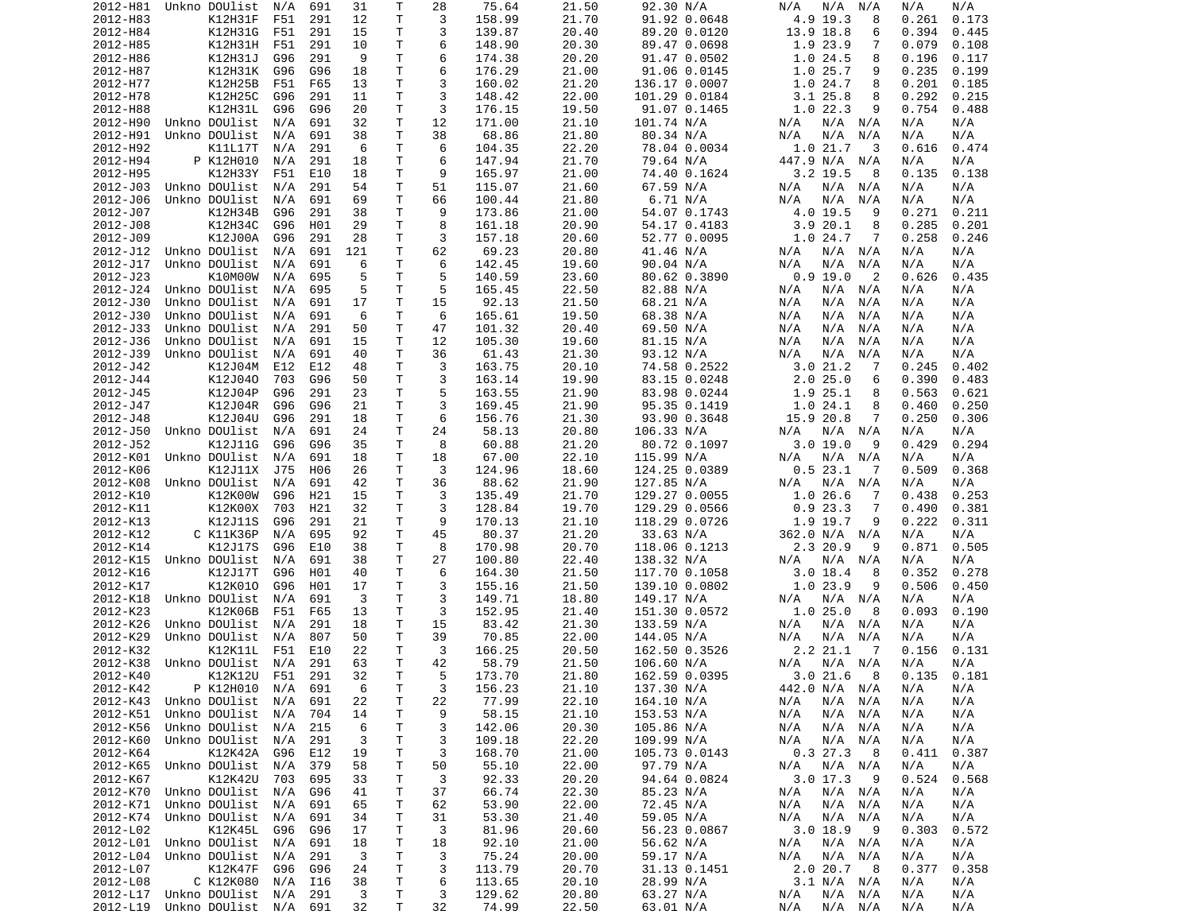| 2012-H81 | Unkno DOUlist         | N/A | 691 | 31  | Т  | 28 | 75.64  | 21.50 | 92.30 N/A     | N/A<br>N/A<br>N/A          | N/A<br>N/A     |
|----------|-----------------------|-----|-----|-----|----|----|--------|-------|---------------|----------------------------|----------------|
| 2012-H83 | K12H31F               | F51 | 291 | 12  | Τ  | 3  | 158.99 | 21.70 | 91.92 0.0648  | 4.9 19.3<br>8              | 0.261<br>0.173 |
| 2012-H84 | K12H31G               | F51 | 291 | 15  | т  | 3  | 139.87 | 20.40 | 89.20 0.0120  | 13.9 18.8<br>6             | 0.394<br>0.445 |
| 2012-H85 | K12H31H               | F51 | 291 | 10  | Τ  | 6  | 148.90 | 20.30 |               | 1.9 23.9<br>7              | 0.079<br>0.108 |
|          |                       |     |     |     |    |    |        |       | 89.47 0.0698  |                            |                |
| 2012-H86 | K12H31J               | G96 | 291 | 9   | Τ  | 6  | 174.38 | 20.20 | 91.47 0.0502  | 1.024.5<br>8               | 0.196<br>0.117 |
| 2012-H87 | K12H31K               | G96 | G96 | 18  | т  | 6  | 176.29 | 21.00 | 91.06 0.0145  | 1.025.7<br>9               | 0.235<br>0.199 |
| 2012-H77 | <b>K12H25B</b>        | F51 | F65 | 13  | т  | 3  | 160.02 | 21.20 | 136.17 0.0007 | 1.024.7<br>8               | 0.201<br>0.185 |
| 2012-H78 | K12H25C               | G96 | 291 | 11  | T. | 3  | 148.42 | 22.00 | 101.29 0.0184 | $3.1$ 25.8<br>8            | 0.292<br>0.215 |
| 2012-H88 | K12H31L               | G96 | G96 | 20  | T  | 3  | 176.15 | 19.50 | 91.07 0.1465  | 1.022.3<br>9               | 0.754<br>0.488 |
|          |                       |     |     |     |    |    |        |       |               |                            |                |
| 2012-H90 | Unkno DOUlist         | N/A | 691 | 32  | т  | 12 | 171.00 | 21.10 | 101.74 N/A    | N/A<br>N/A<br>N/A          | N/A<br>N/A     |
| 2012-H91 | Unkno DOUlist         | N/A | 691 | 38  | Τ  | 38 | 68.86  | 21.80 | 80.34 N/A     | N/A<br>N/A<br>N/A          | N/A<br>N/A     |
| 2012-H92 | K11L17T               | N/A | 291 | 6   | T. | 6  | 104.35 | 22.20 | 78.04 0.0034  | 1.021.7<br>3               | 0.616<br>0.474 |
| 2012-H94 | P K12H010             | N/A | 291 | 18  | Τ  | 6  | 147.94 | 21.70 | 79.64 N/A     | 447.9 N/A<br>N/A           | N/A<br>N/A     |
| 2012-H95 | <b>K12H33Y</b>        | F51 | E10 | 18  | Τ  | 9  | 165.97 | 21.00 | 74.40 0.1624  | $3.2$ 19.5<br>8            | 0.135<br>0.138 |
|          |                       |     |     |     |    |    |        |       |               |                            |                |
| 2012-J03 | Unkno DOUlist         | N/A | 291 | 54  | т  | 51 | 115.07 | 21.60 | 67.59 N/A     | N/A<br>N/A<br>N/A          | N/A<br>N/A     |
| 2012-J06 | Unkno DOUlist         | N/A | 691 | 69  | Τ  | 66 | 100.44 | 21.80 | 6.71 N/A      | N/A<br>N/A<br>N/A          | N/A<br>N/A     |
| 2012-J07 | K12H34B               | G96 | 291 | 38  | т  | 9  | 173.86 | 21.00 | 54.07 0.1743  | 4.0 19.5<br>9              | 0.271<br>0.211 |
| 2012-J08 | K12H34C               | G96 | H01 | 29  | T  | 8  | 161.18 | 20.90 | 54.17 0.4183  | 3.920.1<br>8               | 0.285<br>0.201 |
| 2012-J09 | K12J00A               | G96 | 291 | 28  | т  | 3  | 157.18 | 20.60 | 52.77 0.0095  | 1.024.7<br>7               | 0.258<br>0.246 |
| 2012-J12 | Unkno DOUlist         | N/A | 691 | 121 | Τ  | 62 | 69.23  | 20.80 | 41.46 N/A     | N/A<br>N/A<br>N/A          | N/A<br>N/A     |
|          |                       |     |     |     |    |    |        |       |               |                            |                |
| 2012-J17 | Unkno DOUlist         | N/A | 691 | 6   | Τ  | 6  | 142.45 | 19.60 | 90.04 N/A     | N/A<br>N/A<br>N/A          | N/A<br>N/A     |
| 2012-J23 | K10M00W               | N/A | 695 | 5   | T. | 5  | 140.59 | 23.60 | 80.62 0.3890  | 0.9 19.0<br>$\overline{2}$ | 0.626<br>0.435 |
| 2012-J24 | Unkno DOUlist         | N/A | 695 | 5   | T  | 5  | 165.45 | 22.50 | 82.88 N/A     | N/A<br>N/A<br>N/A          | N/A<br>N/A     |
| 2012-J30 | Unkno DOUlist         | N/A | 691 | 17  | т  | 15 | 92.13  | 21.50 | 68.21 N/A     | N/A<br>N/A<br>N/A          | N/A<br>N/A     |
| 2012-J30 | Unkno DOUlist         |     | 691 | 6   | T  | 6  |        |       | 68.38 N/A     | N/A<br>N/A                 |                |
|          |                       | N/A |     |     |    |    | 165.61 | 19.50 |               | N/A                        | N/A<br>N/A     |
| 2012-J33 | Unkno DOUlist         | N/A | 291 | 50  | Τ  | 47 | 101.32 | 20.40 | 69.50 N/A     | N/A<br>N/A<br>N/A          | N/A<br>N/A     |
| 2012-J36 | Unkno DOUlist         | N/A | 691 | 15  | т  | 12 | 105.30 | 19.60 | 81.15 N/A     | N/A<br>N/A<br>N/A          | N/A<br>N/A     |
| 2012-J39 | Unkno DOUlist         | N/A | 691 | 40  | Τ  | 36 | 61.43  | 21.30 | 93.12 N/A     | N/A<br>N/A<br>N/A          | N/A<br>N/A     |
| 2012-J42 | K12J04M               | E12 | E12 | 48  | т  | 3  | 163.75 | 20.10 | 74.58 0.2522  | 3.021.2<br>-7              | 0.245<br>0.402 |
| 2012-J44 | K12J040               |     | G96 |     | Τ  | 3  | 163.14 | 19.90 | 83.15 0.0248  | 2.025.0                    | 0.390          |
|          |                       | 703 |     | 50  |    |    |        |       |               | 6                          | 0.483          |
| 2012-J45 | K12J04P               | G96 | 291 | 23  | т  | 5  | 163.55 | 21.90 | 83.98 0.0244  | 1.9 25.1<br>8              | 0.563<br>0.621 |
| 2012-J47 | K12J04R               | G96 | G96 | 21  | Τ  | 3  | 169.45 | 21.90 | 95.35 0.1419  | 1.024.1<br>8               | 0.250<br>0.460 |
| 2012-J48 | K12J04U               | G96 | 291 | 18  | Τ  | 6  | 156.76 | 21.30 | 93.90 0.3648  | 15.9 20.8<br>7             | 0.250<br>0.306 |
| 2012-J50 | Unkno DOUlist         | N/A | 691 | 24  | т  | 24 | 58.13  | 20.80 | 106.33 N/A    | N/A<br>N/A N/A             | N/A<br>N/A     |
| 2012-J52 | K12J11G               | G96 | G96 | 35  | T  | 8  | 60.88  | 21.20 | 80.72 0.1097  | 3.019.0<br>9               | 0.429<br>0.294 |
|          |                       |     |     |     |    |    |        |       |               |                            |                |
| 2012-K01 | Unkno DOUlist         | N/A | 691 | 18  | Τ  | 18 | 67.00  | 22.10 | 115.99 N/A    | N/A<br>N/A<br>N/A          | N/A<br>N/A     |
| 2012-K06 | K12J11X               | J75 | H06 | 26  | Τ  | 3  | 124.96 | 18.60 | 124.25 0.0389 | 0.523.1<br>7               | 0.509<br>0.368 |
| 2012-K08 | Unkno DOUlist         | N/A | 691 | 42  | т  | 36 | 88.62  | 21.90 | 127.85 N/A    | N/A<br>N/A<br>N/A          | N/A<br>N/A     |
| 2012-K10 | K12K00W               | G96 | H21 | 15  | Τ  | 3  | 135.49 | 21.70 | 129.27 0.0055 | 1.026.6<br>-7              | 0.438<br>0.253 |
| 2012-K11 | K12K00X               | 703 | H21 | 32  | т  | 3  | 128.84 | 19.70 | 129.29 0.0566 | 0.923.3<br>7               | 0.490<br>0.381 |
|          |                       |     |     |     |    |    |        |       |               |                            |                |
| 2012-K13 | K12J11S               | G96 | 291 | 21  | т  | 9  | 170.13 | 21.10 | 118.29 0.0726 | 1.9 19.7<br>9              | 0.222<br>0.311 |
| 2012-K12 | C K11K36P             | N/A | 695 | 92  | т  | 45 | 80.37  | 21.20 | 33.63 N/A     | 362.0 N/A<br>N/A           | N/A<br>N/A     |
| 2012-K14 | K12J17S               | G96 | E10 | 38  | т  | 8  | 170.98 | 20.70 | 118.06 0.1213 | 2.3 20.9<br>9              | 0.871<br>0.505 |
| 2012-K15 | Unkno DOUlist         | N/A | 691 | 38  | Τ  | 27 | 100.80 | 22.40 | 138.32 N/A    | N/A<br>N/A<br>N/A          | N/A<br>N/A     |
| 2012-K16 | K12J17T               | G96 | H01 | 40  | Τ  | 6  | 164.30 | 21.50 | 117.70 0.1058 | 3.0 18.4<br>8              | 0.352<br>0.278 |
|          | K12K010               |     |     |     |    |    |        |       |               | 1.023.9<br>9               |                |
| 2012-K17 |                       | G96 | H01 | 17  | т  | 3  | 155.16 | 21.50 | 139.10 0.0802 |                            | 0.506<br>0.450 |
| 2012-K18 | Unkno DOUlist         | N/A | 691 | 3   | Τ  | 3  | 149.71 | 18.80 | 149.17 N/A    | N/A<br>N/A<br>N/A          | N/A<br>N/A     |
| 2012-K23 | K12K06B               | F51 | F65 | 13  | т  | 3  | 152.95 | 21.40 | 151.30 0.0572 | 1.025.0<br>8               | 0.190<br>0.093 |
| 2012-K26 | Unkno DOUlist         | N/A | 291 | 18  | т  | 15 | 83.42  | 21.30 | 133.59 N/A    | N/A<br>N/A<br>N/A          | N/A<br>N/A     |
| 2012-K29 | Unkno DOUlist         | N/A | 807 | 50  | т  | 39 | 70.85  | 22.00 | 144.05 N/A    | N/A<br>N/A<br>N/A          | N/A<br>N/A     |
|          | K12K11L               |     | E10 | 22  | Τ  | 3  |        |       |               | 2.2 21.1<br>-7             | 0.156<br>0.131 |
| 2012-K32 |                       | F51 |     |     |    |    | 166.25 | 20.50 | 162.50 0.3526 |                            |                |
| 2012-K38 | Unkno DOUlist         | N/A | 291 | 63  | T. | 42 | 58.79  | 21.50 | 106.60 N/A    | $N/A$ $N/A$<br>N/A         | N/A<br>N/A     |
| 2012-K40 | K12K12U F51           |     | 291 | 32  | T. | 5  | 173.70 | 21.80 | 162.59 0.0395 | 3.021.68                   | 0.135<br>0.181 |
| 2012-K42 | P K12H010             | N/A | 691 | 6   | Τ  | 3  | 156.23 | 21.10 | 137.30 N/A    | 442.0 N/A N/A              | N/A<br>N/A     |
| 2012-K43 | Unkno DOUlist         | N/A | 691 | 22  | Τ  | 22 | 77.99  | 22.10 | 164.10 N/A    | N/A<br>N/A<br>N/A          | N/A<br>N/A     |
| 2012-K51 | Unkno DOUlist         | N/A | 704 | 14  | т  | 9  | 58.15  | 21.10 | 153.53 N/A    | N/A<br>N/A<br>N/A          | N/A<br>N/A     |
|          |                       |     |     |     |    |    |        |       |               |                            |                |
| 2012-K56 | Unkno DOUlist         | N/A | 215 | 6   | т  | 3  | 142.06 | 20.30 | 105.86 N/A    | N/A<br>N/A<br>N/A          | N/A<br>N/A     |
| 2012-K60 | Unkno DOUlist         | N/A | 291 | 3   | Τ  | 3  | 109.18 | 22.20 | 109.99 N/A    | N/A<br>N/A<br>N/A          | N/A<br>N/A     |
| 2012-K64 | K12K42A               | G96 | E12 | 19  | т  | 3  | 168.70 | 21.00 | 105.73 0.0143 | 0.327.3<br>8               | 0.411<br>0.387 |
| 2012-K65 | Unkno DOUlist         | N/A | 379 | 58  | Τ  | 50 | 55.10  | 22.00 | 97.79 N/A     | N/A N/A<br>N/A             | N/A<br>N/A     |
|          | K12K42U               |     |     |     |    |    |        | 20.20 |               |                            |                |
| 2012-K67 |                       | 703 | 695 | 33  | т  | 3  | 92.33  |       | 94.64 0.0824  | $3.0$ 17.3<br>- 9          | 0.524<br>0.568 |
| 2012-K70 | Unkno DOUlist         | N/A | G96 | 41  | Τ  | 37 | 66.74  | 22.30 | 85.23 N/A     | N/A N/A<br>N/A             | N/A<br>N/A     |
| 2012-K71 | Unkno DOUlist         | N/A | 691 | 65  | т  | 62 | 53.90  | 22.00 | 72.45 N/A     | N/A<br>N/A<br>N/A          | N/A<br>N/A     |
| 2012-K74 | Unkno DOUlist         | N/A | 691 | 34  | т  | 31 | 53.30  | 21.40 | 59.05 N/A     | N/A<br>N/A<br>N/A          | N/A<br>N/A     |
| 2012-L02 | K12K45L               | G96 | G96 | 17  | Τ  | 3  | 81.96  | 20.60 | 56.23 0.0867  | 3.0 18.9<br>9              | 0.303<br>0.572 |
| 2012-L01 | Unkno DOUlist         | N/A | 691 | 18  | Τ  | 18 | 92.10  | 21.00 | 56.62 N/A     | N/A<br>N/A N/A             | N/A<br>N/A     |
|          |                       |     |     |     |    |    |        |       |               |                            |                |
| 2012-L04 | Unkno DOUlist         | N/A | 291 | 3   | Τ  | 3  | 75.24  | 20.00 | 59.17 N/A     | N/A<br>N/A<br>N/A          | N/A<br>N/A     |
| 2012-L07 | K12K47F               | G96 | G96 | 24  | Τ  | 3  | 113.79 | 20.70 | 31.13 0.1451  | 2.020.7<br>- 8             | 0.377<br>0.358 |
| 2012-L08 | C K12K080             | N/A | I16 | 38  | Τ  | 6  | 113.65 | 20.10 | 28.99 N/A     | 3.1 N/A N/A                | N/A<br>N/A     |
| 2012-L17 | Unkno DOUlist         | N/A | 291 | 3   | Τ  | 3  | 129.62 | 20.80 | 63.27 N/A     | N/A<br>N/A<br>N/A          | N/A<br>N/A     |
| 2012-L19 | Unkno DOUlist N/A 691 |     |     | 32  | Τ  | 32 | 74.99  | 22.50 | 63.01 N/A     | N/A<br>N/A N/A             | N/A<br>N/A     |
|          |                       |     |     |     |    |    |        |       |               |                            |                |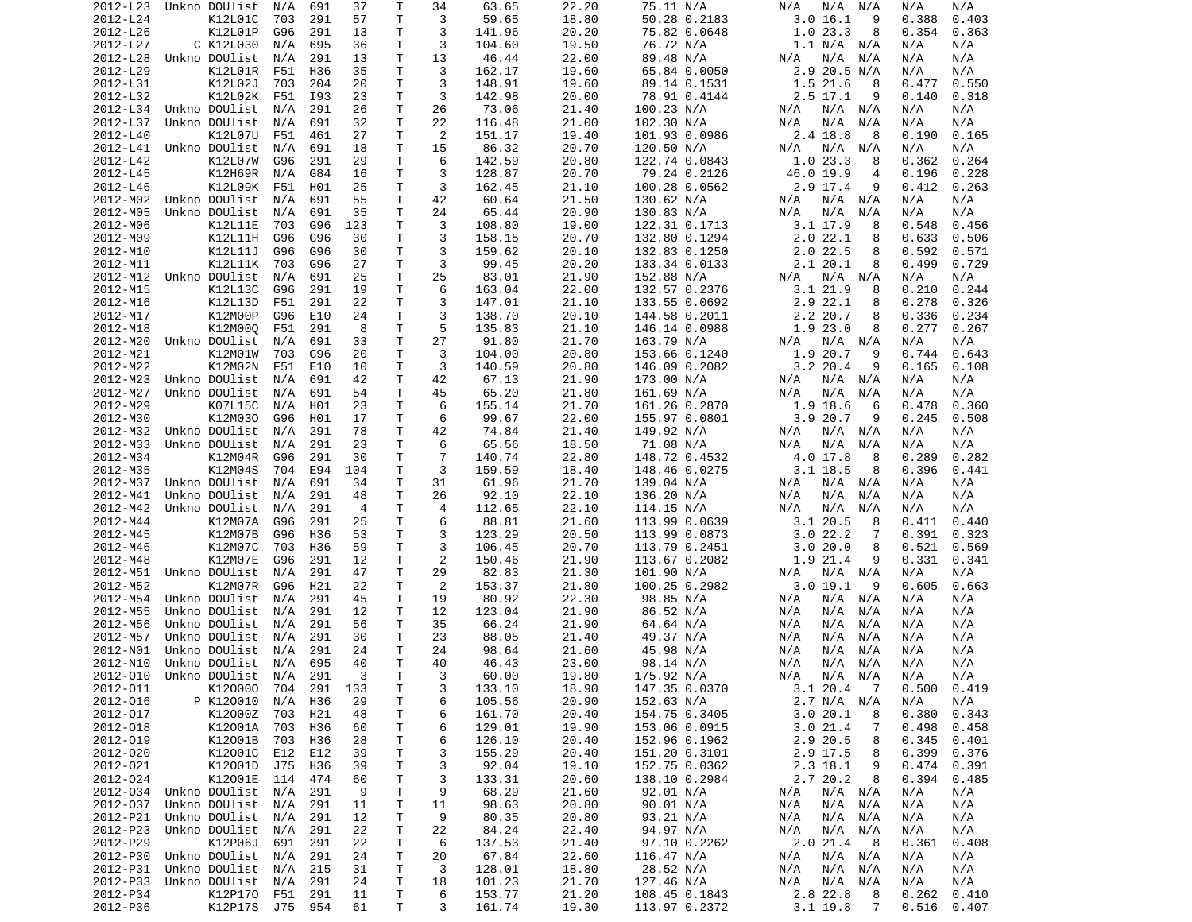| 2012-L23             | Unkno DOUlist              | N/A | 691 | 37             | Т            | 34             | 63.65            | 22.20 | 75.11 N/A     | N/A<br>N/A<br>N/A           | N/A<br>N/A      |
|----------------------|----------------------------|-----|-----|----------------|--------------|----------------|------------------|-------|---------------|-----------------------------|-----------------|
| 2012-L24             | K12L01C                    | 703 | 291 | 57             | Τ            | 3              | 59.65            | 18.80 | 50.28 0.2183  | 3.0 16.1<br>9               | 0.388<br>0.403  |
| 2012-L26             | K12L01P                    | G96 | 291 | 13             | Τ            | 3              | 141.96           | 20.20 | 75.82 0.0648  | 1.023.3<br>8                | 0.354<br>0.363  |
| 2012-L27             | C K12L030                  |     |     |                | Т            | 3              |                  |       |               | 1.1 N/A N/A                 |                 |
|                      |                            | N/A | 695 | 36             |              |                | 104.60           | 19.50 | 76.72 N/A     |                             | N/A<br>N/A      |
| 2012-L28             | Unkno DOUlist              | N/A | 291 | 13             | Τ            | 13             | 46.44            | 22.00 | 89.48 N/A     | N/A<br>N/A<br>N/A           | N/A<br>N/A      |
| 2012-L29             | K12L01R                    | F51 | H36 | 35             | т            | 3              | 162.17           | 19.60 | 65.84 0.0050  | 2.9 20.5 N/A                | N/A<br>N/A      |
| 2012-L31             | K12L02J                    | 703 | 204 | 20             | т            | 3              | 148.91           | 19.60 | 89.14 0.1531  | 1.521.6<br>8                | 0.550<br>0.477  |
| 2012-L32             | K12L02K                    | F51 | I93 | 23             | Τ            | 3              | 142.98           | 20.00 | 78.91 0.4144  | $2.5$ 17.1<br>9             | 0.318<br>0.140  |
| 2012-L34             | Unkno DOUlist              | N/A | 291 | 26             | T            | 26             | 73.06            | 21.40 | 100.23 N/A    | N/A<br>N/A<br>N/A           | N/A<br>N/A      |
|                      |                            |     |     |                |              |                |                  |       |               |                             |                 |
| 2012-L37             | Unkno DOUlist              | N/A | 691 | 32             | Т            | 22             | 116.48           | 21.00 | 102.30 N/A    | N/A<br>N/A<br>N/A           | N/A<br>N/A      |
| 2012-L40             | K12L07U                    | F51 | 461 | 27             | Τ            | 2              | 151.17           | 19.40 | 101.93 0.0986 | 2.4 18.8<br>8               | 0.165<br>0.190  |
| 2012-L41             | Unkno DOUlist              | N/A | 691 | 18             | Τ            | 15             | 86.32            | 20.70 | 120.50 N/A    | N/A<br>N/A<br>N/A           | N/A<br>N/A      |
| 2012-L42             | K12L07W                    | G96 | 291 | 29             | Τ            | 6              | 142.59           | 20.80 | 122.74 0.0843 | 1.023.3<br>8                | 0.362<br>0.264  |
| 2012-L45             | <b>K12H69R</b>             | N/A | G84 | 16             | т            | 3              | 128.87           | 20.70 | 79.24 0.2126  | 46.0 19.9<br>4              | 0.196<br>0.228  |
|                      |                            |     |     |                |              |                |                  |       |               |                             |                 |
| 2012-L46             | K12L09K                    | F51 | H01 | 25             | Τ            | 3              | 162.45           | 21.10 | 100.28 0.0562 | 2.9 17.4<br>9               | 0.412<br>0.263  |
| 2012-M02             | Unkno DOUlist              | N/A | 691 | 55             | Τ            | 42             | 60.64            | 21.50 | 130.62 N/A    | N/A<br>N/A<br>N/A           | N/A<br>N/A      |
| 2012-M05             | Unkno DOUlist              | N/A | 691 | 35             | т            | 24             | 65.44            | 20.90 | 130.83 N/A    | N/A<br>N/A<br>N/A           | N/A<br>N/A      |
| 2012-M06             | K12L11E                    | 703 | G96 | 123            | T.           | 3              | 108.80           | 19.00 | 122.31 0.1713 | $3.1$ 17.9<br>8             | 0.548<br>0.456  |
| 2012-M09             | K12L11H                    | G96 | G96 | 30             | т            | 3              | 158.15           | 20.70 | 132.80 0.1294 | 2.022.1<br>8                | 0.633<br>0.506  |
|                      |                            |     |     |                |              |                |                  |       |               |                             |                 |
| 2012-M10             | K12L11J                    | G96 | G96 | 30             | т            | 3              | 159.62           | 20.10 | 132.83 0.1250 | 2.0 22.5<br>8               | 0.592<br>0.571  |
| 2012-M11             | K12L11K                    | 703 | G96 | 27             | T            | 3              | 99.45            | 20.20 | 133.34 0.0133 | 2.1 20.1<br>8               | 0.499<br>0.729  |
| 2012-M12             | Unkno DOUlist              | N/A | 691 | 25             | Τ            | 25             | 83.01            | 21.90 | 152.88 N/A    | $N/A$ $N/A$<br>N/A          | N/A<br>N/A      |
| 2012-M15             | K12L13C                    | G96 | 291 | 19             | Τ            | 6              | 163.04           | 22.00 | 132.57 0.2376 | 3.121.9<br>8                | 0.210<br>0.244  |
| 2012-M16             | K12L13D                    | F51 | 291 | 22             | т            | 3              | 147.01           | 21.10 | 133.55 0.0692 | 2.9 22.1<br>8               | 0.278<br>0.326  |
|                      |                            |     |     |                |              |                |                  |       |               |                             |                 |
| 2012-M17             | K12M00P                    | G96 | E10 | 24             | Τ            | 3              | 138.70           | 20.10 | 144.58 0.2011 | 2.2 20.7<br>8               | 0.336<br>0.234  |
| 2012-M18             | K12M00Q                    | F51 | 291 | 8              | Τ            | 5              | 135.83           | 21.10 | 146.14 0.0988 | 1.9 23.0<br>8               | 0.277<br>0.267  |
| 2012-M20             | Unkno DOUlist              | N/A | 691 | 33             | т            | 27             | 91.80            | 21.70 | 163.79 N/A    | N/A N/A<br>N/A              | N/A<br>N/A      |
| 2012-M21             | K12M01W                    | 703 | G96 | 20             | т            | 3              | 104.00           | 20.80 | 153.66 0.1240 | 1.9 20.7<br>9               | 0.643<br>0.744  |
| 2012-M22             | K12M02N                    | F51 | E10 | 10             | т            | 3              | 140.59           | 20.80 | 146.09 0.2082 | $3.2$ 20.4<br>9             | 0.165<br>0.108  |
|                      |                            |     |     |                |              |                |                  |       |               |                             |                 |
| 2012-M23             | Unkno DOUlist              | N/A | 691 | 42             | T            | 42             | 67.13            | 21.90 | 173.00 N/A    | N/A<br>N/A N/A              | N/A<br>N/A      |
| 2012-M27             | Unkno DOUlist              | N/A | 691 | 54             | Т            | 45             | 65.20            | 21.80 | 161.69 N/A    | N/A<br>N/A<br>N/A           | N/A<br>N/A      |
| 2012-M29             | K07L15C                    | N/A | H01 | 23             | T.           | 6              | 155.14           | 21.70 | 161.26 0.2870 | 1.9 18.6<br>6               | 0.360<br>0.478  |
| 2012-M30             | K12M030                    | G96 | H01 | 17             | T            | 6              | 99.67            | 22.00 | 155.97 0.0801 | 3.920.7<br>9                | 0.245<br>0.508  |
| 2012-M32             | Unkno DOUlist              | N/A | 291 | 78             | т            | 42             | 74.84            | 21.40 | 149.92 N/A    | N/A<br>N/A N/A              | N/A<br>N/A      |
|                      |                            |     |     |                |              |                |                  |       |               |                             |                 |
| 2012-M33             | Unkno DOUlist              | N/A | 291 | 23             | Τ            | 6              | 65.56            | 18.50 | 71.08 N/A     | N/A<br>N/A<br>N/A           | N/A<br>N/A      |
| 2012-M34             | K12M04R                    | G96 | 291 | 30             | т            | 7              | 140.74           | 22.80 | 148.72 0.4532 | 4.0 17.8<br>8               | 0.289<br>0.282  |
| 2012-M35             | K12M04S                    | 704 | E94 | 104            | T            | 3              | 159.59           | 18.40 | 148.46 0.0275 | $3.1$ 18.5<br>8             | 0.396<br>0.441  |
| 2012-M37             | Unkno DOUlist              | N/A | 691 | 34             | т            | 31             | 61.96            | 21.70 | 139.04 N/A    | N/A<br>N/A N/A              | N/A<br>N/A      |
| 2012-M41             | Unkno DOUlist              | N/A | 291 | 48             | Τ            | 26             | 92.10            | 22.10 | 136.20 N/A    | N/A<br>N/A<br>N/A           | N/A<br>N/A      |
|                      |                            |     |     |                |              |                |                  |       |               |                             |                 |
| 2012-M42             | Unkno DOUlist              | N/A | 291 | $\overline{4}$ | т            | 4              | 112.65           | 22.10 | 114.15 N/A    | N/A<br>N/A<br>N/A           | N/A<br>N/A      |
| 2012-M44             | K12M07A                    | G96 | 291 | 25             | т            | 6              | 88.81            | 21.60 | 113.99 0.0639 | 3.1 20.5<br>8               | 0.411<br>0.440  |
| 2012-M45             | K12M07B                    | G96 | H36 | 53             | Τ            | 3              | 123.29           | 20.50 | 113.99 0.0873 | 3.022.2<br>7                | 0.391<br>0.323  |
| 2012-M46             | K12M07C                    | 703 | H36 | 59             | Τ            | 3              | 106.45           | 20.70 | 113.79 0.2451 | 3.020.0<br>8                | 0.521<br>0.569  |
| 2012-M48             | K12M07E                    | G96 | 291 | 12             | T            | $\overline{2}$ | 150.46           | 21.90 | 113.67 0.2082 | 1.9 21.4<br>9               | 0.331<br>0.341  |
|                      |                            |     |     |                |              |                |                  |       |               |                             |                 |
| 2012-M51             | Unkno DOUlist              | N/A | 291 | 47             | Τ            | 29             | 82.83            | 21.30 | 101.90 N/A    | N/A<br>N/A N/A              | N/A<br>N/A      |
| 2012-M52             | K12M07R                    | G96 | H21 | 22             | т            | $\overline{2}$ | 153.37           | 21.80 | 100.25 0.2982 | 3.019.1<br>9                | 0.605<br>0.663  |
| 2012-M54             | Unkno DOUlist              | N/A | 291 | 45             | Τ            | 19             | 80.92            | 22.30 | 98.85 N/A     | N/A N/A<br>N/A              | N/A<br>N/A      |
| 2012-M55             | Unkno DOUlist              | N/A | 291 | 12             | Τ            | 12             | 123.04           | 21.90 |               |                             |                 |
| 2012-M56             | Unkno DOUlist              | N/A | 291 |                |              |                |                  |       |               |                             |                 |
|                      |                            |     |     |                |              |                |                  |       | 86.52 N/A     | N/A<br>N/A N/A              | N/A<br>N/A      |
| 2012-M57             | Unkno DOUlist              |     |     | 56             | т            | 35             | 66.24            | 21.90 | 64.64 N/A     | N/A<br>N/A<br>N/A           | N/A<br>N/A      |
| 2012-N01             |                            | N/A | 291 | 30             | т            | 23             | 88.05            | 21.40 | 49.37 N/A     | N/A<br>N/A<br>N/A           | N/A<br>N/A      |
| 2012-N10             | Unkno DOUlist              | N/A | 291 | 24             | Τ            | 24             | 98.64            | 21.60 | 45.98 N/A     | N/A<br>N/A<br>N/A           | N/A<br>N/A      |
|                      | Unkno DOUlist              |     | 695 | 40             | T.           | 40             |                  |       |               |                             |                 |
|                      |                            | N/A |     |                |              |                | 46.43            | 23.00 | 98.14 N/A     | N/A<br>N/A<br>N/A           | N/A<br>N/A      |
|                      | 2012-010 Unkno DOUlist N/A |     | 291 | 3              | $\mathsf{T}$ | 3              | 60.00            | 19.80 | 175.92 N/A    | $N/A$ $N/A$<br>N/A          | N/A<br>N/A      |
| 2012-011             | K120000                    | 704 | 291 | 133            | Τ            | 3              | 133.10           | 18.90 | 147.35 0.0370 | 3.120.47                    | $0.500$ $0.419$ |
| 2012-016             | P K120010                  | N/A | H36 | 29             | T.           | 6              | 105.56           | 20.90 | 152.63 N/A    | 2.7 N/A N/A                 | N/A<br>N/A      |
| 2012-017             | K12000Z                    | 703 | H21 | 48             | Τ            | 6              | 161.70           | 20.40 | 154.75 0.3405 | 3.0 20.1<br>8               | 0.380<br>0.343  |
|                      |                            |     |     |                |              |                |                  |       |               |                             |                 |
| 2012-018             | K12001A                    | 703 | H36 | 60             | Τ            | 6              | 129.01           | 19.90 | 153.06 0.0915 | 3.021.4<br>7                | 0.498<br>0.458  |
| 2012-019             | K12001B                    | 703 | H36 | 28             | Τ            | 6              | 126.10           | 20.40 | 152.96 0.1962 | 2.9 20.5<br>8               | 0.345<br>0.401  |
| 2012-020             | K12001C                    | E12 | E12 | 39             | Τ            | 3              | 155.29           | 20.40 | 151.20 0.3101 | 2.9 17.5<br>8               | 0.399<br>0.376  |
| 2012-021             | K12001D                    | J75 | H36 | 39             | T            | 3              | 92.04            | 19.10 | 152.75 0.0362 | 2.3 18.1<br>9               | 0.474<br>0.391  |
| 2012-024             | K12001E                    | 114 | 474 | 60             | Τ            | 3              | 133.31           | 20.60 | 138.10 0.2984 | 2.7 20.2<br>8               | 0.394<br>0.485  |
|                      |                            |     |     | -9             |              |                |                  |       |               |                             |                 |
| 2012-034             | Unkno DOUlist              | N/A | 291 |                | Τ            | 9              | 68.29            | 21.60 | 92.01 N/A     | $N/A$ $N/A$<br>N/A          | N/A<br>N/A      |
| 2012-037             | Unkno DOUlist              | N/A | 291 | 11             | Τ            | 11             | 98.63            | 20.80 | 90.01 N/A     | N/A<br>N/A N/A              | N/A<br>N/A      |
| 2012-P21             | Unkno DOUlist              | N/A | 291 | 12             | Τ            | 9              | 80.35            | 20.80 | 93.21 N/A     | N/A<br>N/A N/A              | N/A<br>N/A      |
| 2012-P23             | Unkno DOUlist              | N/A | 291 | 22             | T            | 22             | 84.24            | 22.40 | 94.97 N/A     | N/A<br>N/A N/A              | N/A<br>N/A      |
| 2012-P29             | K12P06J                    | 691 | 291 | 22             | Τ            | 6              | 137.53           | 21.40 | 97.10 0.2262  | 2.021.4<br>- 8              | 0.361<br>0.408  |
|                      |                            |     |     |                |              |                |                  |       |               |                             |                 |
| 2012-P30             | Unkno DOUlist              | N/A | 291 | 24             | T            | 20             | 67.84            | 22.60 | 116.47 N/A    | N/A<br>N/A N/A              | N/A<br>N/A      |
| 2012-P31             | Unkno DOUlist              | N/A | 215 | 31             | T            | 3              | 128.01           | 18.80 | 28.52 N/A     | N/A<br>N/A N/A              | N/A<br>N/A      |
| 2012-P33             | Unkno DOUlist              | N/A | 291 | 24             | T            | 18             | 101.23           | 21.70 | 127.46 N/A    | N/A<br>N/A N/A              | N/A<br>N/A      |
| 2012-P34<br>2012-P36 | K12P170<br>K12P17S         | F51 | 291 | 11<br>61       | T.<br>T.     | 6<br>3         | 153.77<br>161.74 | 21.20 | 108.45 0.1843 | 2.8 22.8<br>8<br>$3.1$ 19.8 | 0.262<br>0.410  |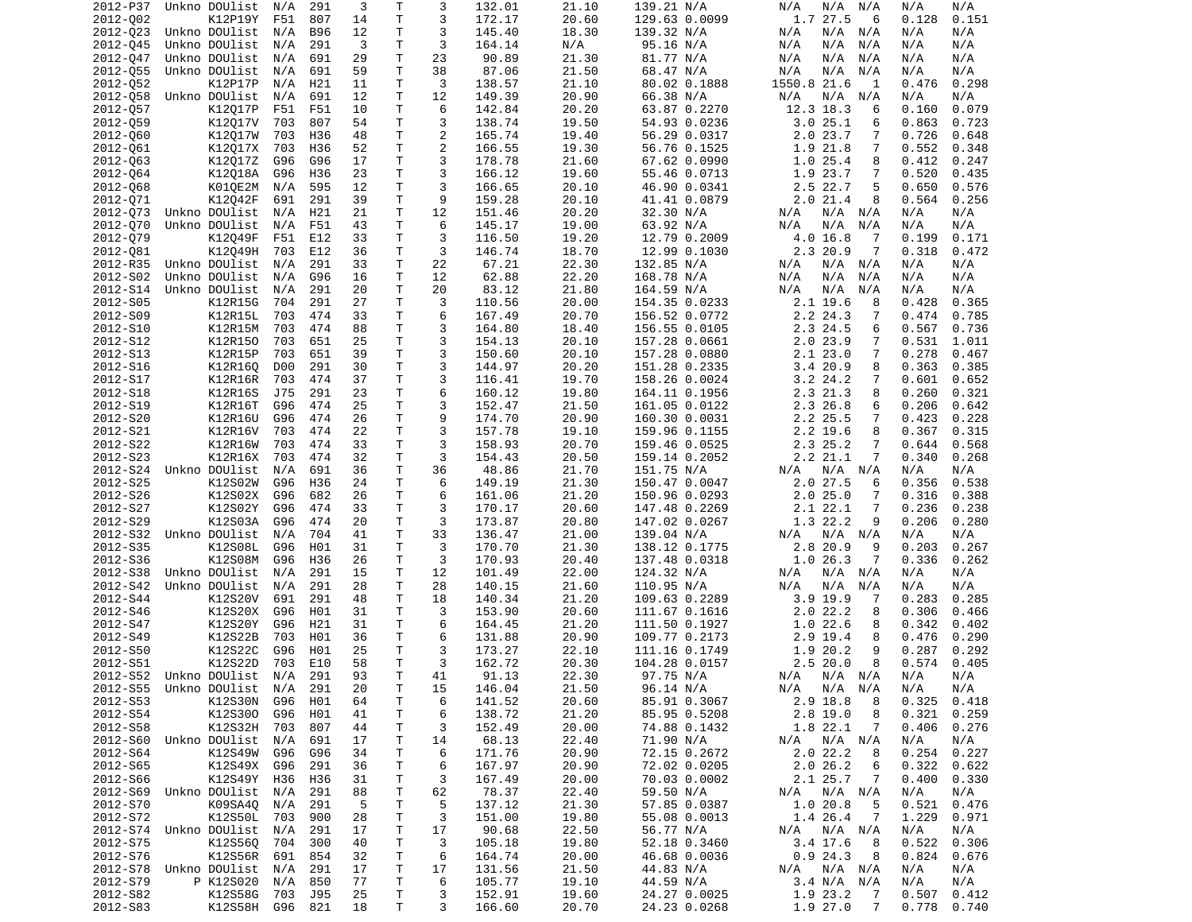| 2012-P37 | Unkno DOUlist              | N/A | 291        | 3  | Τ            | 3              | 132.01 | 21.10 | 139.21 N/A    | N/A<br>N/A<br>N/A          | N/A<br>N/A     |
|----------|----------------------------|-----|------------|----|--------------|----------------|--------|-------|---------------|----------------------------|----------------|
| 2012-002 | K12P19Y                    | F51 | 807        | 14 | T            | 3              | 172.17 | 20.60 | 129.63 0.0099 | 1.7 27.5<br>6              | 0.128<br>0.151 |
| 2012-023 | Unkno DOUlist              | N/A | <b>B96</b> | 12 | T.           | 3              | 145.40 | 18.30 | 139.32 N/A    | N/A<br>N/A N/A             | N/A<br>N/A     |
| 2012-045 | Unkno DOUlist              | N/A | 291        | 3  | T.           | 3              | 164.14 | N/A   | 95.16 N/A     | N/A<br>N/A<br>N/A          | N/A<br>N/A     |
| 2012-047 | Unkno DOUlist              | N/A | 691        | 29 | Τ            | 23             | 90.89  | 21.30 | 81.77 N/A     | N/A<br>N/A<br>N/A          | N/A<br>N/A     |
| 2012-055 | Unkno DOUlist              | N/A | 691        | 59 | T            | 38             | 87.06  | 21.50 | 68.47 N/A     | N/A<br>N/A<br>N/A          | N/A<br>N/A     |
| 2012-052 | K12P17P                    | N/A | H21        | 11 | Τ            | 3              | 138.57 | 21.10 | 80.02 0.1888  | 1550.8 21.6<br>1           | 0.476<br>0.298 |
| 2012-058 | Unkno DOUlist              | N/A | 691        | 12 | T.           | 12             | 149.39 | 20.90 | 66.38 N/A     | N/A<br>N/A<br>N/A          | N/A<br>N/A     |
| 2012-057 | K12017P                    | F51 | F51        | 10 | T            | 6              | 142.84 | 20.20 | 63.87 0.2270  | 12.3 18.3<br>6             | 0.079<br>0.160 |
| 2012-059 | K12017V                    | 703 | 807        | 54 | T            | 3              | 138.74 | 19.50 | 54.93 0.0236  | 3.025.1<br>6               | 0.863<br>0.723 |
| 2012-060 | K12017W                    | 703 | H36        | 48 | $\mathsf{T}$ | 2              | 165.74 | 19.40 | 56.29 0.0317  | 2.023.7<br>7               | 0.726<br>0.648 |
| 2012-061 | K12017X                    | 703 | H36        | 52 | T            | $\overline{2}$ | 166.55 | 19.30 | 56.76 0.1525  | 1.9 21.8<br>7              | 0.552<br>0.348 |
| 2012-063 | K12017Z                    | G96 | G96        | 17 | T            | 3              | 178.78 | 21.60 | 67.62 0.0990  | 1.025.4<br>8               | 0.412<br>0.247 |
| 2012-064 | K12018A                    | G96 | H36        | 23 | T            | 3              | 166.12 | 19.60 | 55.46 0.0713  | 1.9 23.7<br>7              | 0.520<br>0.435 |
| 2012-068 | K01QE2M                    | N/A | 595        | 12 | Τ            | 3              | 166.65 | 20.10 | 46.90 0.0341  | 2.5 22.7<br>5              | 0.650<br>0.576 |
| 2012-071 | K12042F                    | 691 | 291        | 39 | T            | 9              | 159.28 | 20.10 | 41.41 0.0879  | 2.021.4<br>8               | 0.564<br>0.256 |
| 2012-073 | Unkno DOUlist              | N/A | H21        | 21 | T.           | 12             | 151.46 | 20.20 | 32.30 N/A     | N/A N/A<br>N/A             | N/A<br>N/A     |
| 2012-070 | Unkno DOUlist              | N/A | F51        | 43 | T.           | 6              | 145.17 | 19.00 | 63.92 N/A     | N/A<br>N/A<br>N/A          | N/A<br>N/A     |
| 2012-079 | K12049F                    | F51 | E12        | 33 | Τ            | 3              | 116.50 | 19.20 | 12.79 0.2009  | 4.0 16.8<br>-7             | 0.199<br>0.171 |
| 2012-081 | K12049H                    | 703 | E12        | 36 | T            | 3              | 146.74 | 18.70 | 12.99 0.1030  | 2.3 20.9<br>7              | 0.318<br>0.472 |
| 2012-R35 | Unkno DOUlist              | N/A | 291        | 33 | T            | 22             | 67.21  | 22.30 | 132.85 N/A    | N/A<br>N/A N/A             | N/A<br>N/A     |
| 2012-S02 | Unkno DOUlist              | N/A | G96        | 16 | Τ            | 12             | 62.88  | 22.20 | 168.78 N/A    | N/A<br>N/A<br>N/A          | N/A<br>N/A     |
| 2012-S14 | Unkno DOUlist              | N/A | 291        | 20 | T            | 20             | 83.12  | 21.80 | 164.59 N/A    | N/A<br>N/A<br>N/A          | N/A<br>N/A     |
| 2012-S05 | K12R15G                    | 704 | 291        | 27 | T.           | 3              | 110.56 | 20.00 | 154.35 0.0233 | 2.1 19.6<br>8              | 0.428<br>0.365 |
| 2012-S09 | K12R15L                    | 703 | 474        | 33 | T.           | 6              | 167.49 | 20.70 | 156.52 0.0772 | 2.2 24.3<br>7              | 0.474<br>0.785 |
| 2012-S10 | K12R15M                    | 703 | 474        | 88 | Τ            | 3              | 164.80 | 18.40 | 156.55 0.0105 | 2.3 24.5<br>6              | 0.567<br>0.736 |
| 2012-S12 | K12R150                    | 703 | 651        | 25 | Τ            | 3              | 154.13 | 20.10 | 157.28 0.0661 | $2.0$ 23.9<br>7            | 0.531<br>1.011 |
| 2012-S13 | K12R15P                    | 703 | 651        | 39 | T            | 3              | 150.60 | 20.10 | 157.28 0.0880 | 2.123.0<br>7               | 0.278<br>0.467 |
| 2012-S16 | K12R16Q                    | D00 | 291        | 30 | T            | 3              | 144.97 | 20.20 | 151.28 0.2335 | 3.420.9<br>8               | 0.363<br>0.385 |
|          |                            |     |            |    | T            |                |        |       |               |                            |                |
| 2012-S17 | K12R16R                    | 703 | 474        | 37 |              | 3<br>6         | 116.41 | 19.70 | 158.26 0.0024 | $3.2$ 24.2<br>7            | 0.601<br>0.652 |
| 2012-S18 | K12R16S                    | J75 | 291        | 23 | T            |                | 160.12 | 19.80 | 164.11 0.1956 | 2.3 21.3<br>8              | 0.260<br>0.321 |
| 2012-S19 | K12R16T                    | G96 | 474        | 25 | Τ            | 3              | 152.47 | 21.50 | 161.05 0.0122 | 2.3 26.8<br>6              | 0.206<br>0.642 |
| 2012-S20 | K12R16U                    | G96 | 474        | 26 | Τ            | 9              | 174.70 | 20.90 | 160.30 0.0031 | 2.2 25.5<br>7              | 0.423<br>0.228 |
| 2012-S21 | K12R16V                    | 703 | 474        | 22 | T.           | 3              | 157.78 | 19.10 | 159.96 0.1155 | $2.2$ 19.6<br>8            | 0.367<br>0.315 |
| 2012-S22 | K12R16W                    | 703 | 474        | 33 | T            | 3              | 158.93 | 20.70 | 159.46 0.0525 | 2.3 25.2<br>7              | 0.568<br>0.644 |
| 2012-S23 | K12R16X                    | 703 | 474        | 32 | Τ            | 3              | 154.43 | 20.50 | 159.14 0.2052 | 2.2 21.1<br>7              | 0.340<br>0.268 |
| 2012-S24 | Unkno DOUlist              | N/A | 691        | 36 | T            | 36             | 48.86  | 21.70 | 151.75 N/A    | N/A N/A<br>N/A             | N/A<br>N/A     |
| 2012-S25 | K12S02W                    | G96 | H36        | 24 | Τ            | 6              | 149.19 | 21.30 | 150.47 0.0047 | 2.0 27.5<br>6              | 0.356<br>0.538 |
| 2012-S26 | K12S02X                    | G96 | 682        | 26 | Τ            | 6              | 161.06 | 21.20 | 150.96 0.0293 | 2.025.0<br>7               | 0.316<br>0.388 |
| 2012-S27 | K12S02Y                    | G96 | 474        | 33 | Τ            | 3              | 170.17 | 20.60 | 147.48 0.2269 | 7<br>2.1 22.1              | 0.236<br>0.238 |
| 2012-S29 | K12S03A                    | G96 | 474        | 20 | Τ            | 3              | 173.87 | 20.80 | 147.02 0.0267 | 1.3 22.2<br>9              | 0.206<br>0.280 |
| 2012-S32 | Unkno DOUlist              | N/A | 704        | 41 | T            | 33             | 136.47 | 21.00 | 139.04 N/A    | $N/A$ $N/A$<br>N/A         | N/A<br>N/A     |
| 2012-S35 | K12S08L                    | G96 | H01        | 31 | Τ            | 3              | 170.70 | 21.30 | 138.12 0.1775 | 2.8 20.9<br>9              | 0.203<br>0.267 |
| 2012-S36 | K12S08M                    | G96 | H36        | 26 | T            | 3              | 170.93 | 20.40 | 137.48 0.0318 | 1.026.3<br>7               | 0.336<br>0.262 |
| 2012-S38 | Unkno DOUlist              | N/A | 291        | 15 | T            | 12             | 101.49 | 22.00 | 124.32 N/A    | N/A<br>N/A N/A             | N/A<br>N/A     |
| 2012-S42 | Unkno DOUlist              | N/A | 291        | 28 | Τ            | 28             | 140.15 | 21.60 | 110.95 N/A    | N/A<br>N/A<br>N/A          | N/A<br>N/A     |
| 2012-S44 | K12S20V                    | 691 | 291        | 48 | Τ            | 18             | 140.34 | 21.20 | 109.63 0.2289 | 3.9 19.9<br>-7             | 0.283<br>0.285 |
| 2012-S46 | K12S20X                    | G96 | H01        | 31 | Τ            | 3              | 153.90 | 20.60 | 111.67 0.1616 | 2.022.2<br>8               | 0.306<br>0.466 |
| 2012-S47 | K12S20Y                    | G96 | H21        | 31 | Τ            | 6              | 164.45 | 21.20 | 111.50 0.1927 | 1.022.6<br>8               | 0.342<br>0.402 |
| 2012-S49 | K12S22B                    | 703 | H01        | 36 | T.           | 6              | 131.88 | 20.90 | 109.77 0.2173 | 2.9 19.4<br>8              | 0.476<br>0.290 |
| 2012-S50 | K12S22C                    | G96 | H01        | 25 | $\mathsf{T}$ | 3              | 173.27 | 22.10 | 111.16 0.1749 | 1.9 20.2<br>9              | 0.287<br>0.292 |
| 2012-S51 | K12S22D                    | 703 | E10        | 58 | T.           | 3              | 162.72 | 20.30 | 104.28 0.0157 | 2.520.0<br>8               | 0.574<br>0.405 |
|          | 2012-S52 Unkno DOUlist N/A |     | 291        | 93 | $\mathsf{T}$ | 41             | 91.13  | 22.30 | 97.75 N/A     | N/A N/A N/A                | N/A<br>N/A     |
|          | 2012-S55 Unkno DOUlist N/A |     | 291        | 20 | Τ            | 15             | 146.04 | 21.50 | 96.14 N/A     | N/A N/A N/A                | N/A<br>N/A     |
| 2012-S53 | K12S30N                    | G96 | H01        | 64 | Τ            | 6              | 141.52 | 20.60 | 85.91 0.3067  | 2.9 18.8<br>8              | 0.325<br>0.418 |
| 2012-S54 | K12S300                    | G96 | H01        | 41 | Τ            | 6              | 138.72 | 21.20 | 85.95 0.5208  | $2.8$ 19.0<br>8            | 0.321<br>0.259 |
| 2012-S58 | K12S32H 703                |     | 807        | 44 | Τ            | 3              | 152.49 | 20.00 | 74.88 0.1432  | 1.8 22.1<br>$\overline{7}$ | 0.406<br>0.276 |
|          | 2012-S60 Unkno DOUlist     | N/A | 691        | 17 | т            | 14             | 68.13  | 22.40 | 71.90 N/A     | N/A N/A<br>N/A             | N/A<br>N/A     |
| 2012-S64 | K12S49W G96                |     | G96        | 34 | т            | 6              | 171.76 | 20.90 | 72.15 0.2672  | 2.022.2<br>8               | 0.254<br>0.227 |
| 2012-S65 | K12S49X                    | G96 | 291        | 36 | Τ            | 6              | 167.97 | 20.90 | 72.02 0.0205  | 2.026.2<br>6               | 0.322<br>0.622 |
| 2012-S66 | K12S49Y                    | H36 | H36        | 31 | Τ            | 3              | 167.49 | 20.00 | 70.03 0.0002  | 2.1 25.7<br>-7             | 0.400<br>0.330 |
|          | 2012-S69 Unkno DOUlist     | N/A | 291        | 88 | т            | 62             | 78.37  | 22.40 | 59.50 N/A     | N/A<br>N/A N/A             | N/A<br>N/A     |
| 2012-S70 | K09SA40                    | N/A | 291        | 5  | Τ            | 5              | 137.12 | 21.30 | 57.85 0.0387  | 1.0 20.8<br>5              | 0.521<br>0.476 |
| 2012-S72 | K12S50L                    | 703 | 900        | 28 | Τ            | 3              | 151.00 | 19.80 | 55.08 0.0013  | 1.4 26.4<br>$\overline{7}$ | 1.229<br>0.971 |
|          | 2012-S74 Unkno DOUlist     | N/A | 291        | 17 | Τ            | 17             | 90.68  | 22.50 | 56.77 N/A     | N/A N/A<br>N/A             | N/A<br>N/A     |
| 2012-S75 | K12S560                    | 704 | 300        | 40 | т            | 3              | 105.18 | 19.80 | 52.18 0.3460  | 3.4 17.6<br>8              | 0.522<br>0.306 |
| 2012-S76 | K12S56R                    | 691 | 854        | 32 | T            | 6              |        | 20.00 | 46.68 0.0036  | 0.924.3<br>8               | 0.824<br>0.676 |
| 2012-S78 | Unkno DOUlist              |     | 291        | 17 |              |                | 164.74 |       | 44.83 N/A     | N/A N/A                    | N/A            |
|          |                            | N/A |            |    | Τ            | 17             | 131.56 | 21.50 |               | N/A                        | N/A            |
| 2012-S79 | P K12S020                  | N/A | 850        | 77 | T.           | 6              | 105.77 | 19.10 | 44.59 N/A     | 3.4 N/A N/A                | N/A<br>N/A     |
| 2012-S82 | K12S58G                    | 703 | J95        | 25 | T.           | 3              | 152.91 | 19.60 | 24.27 0.0025  | 1.9 23.2<br>$\overline{7}$ | 0.507<br>0.412 |
| 2012-S83 | K12S58H G96 821            |     |            | 18 | T            | 3              | 166.60 | 20.70 | 24.23 0.0268  | 1.927.0<br>$\overline{7}$  | 0.778<br>0.740 |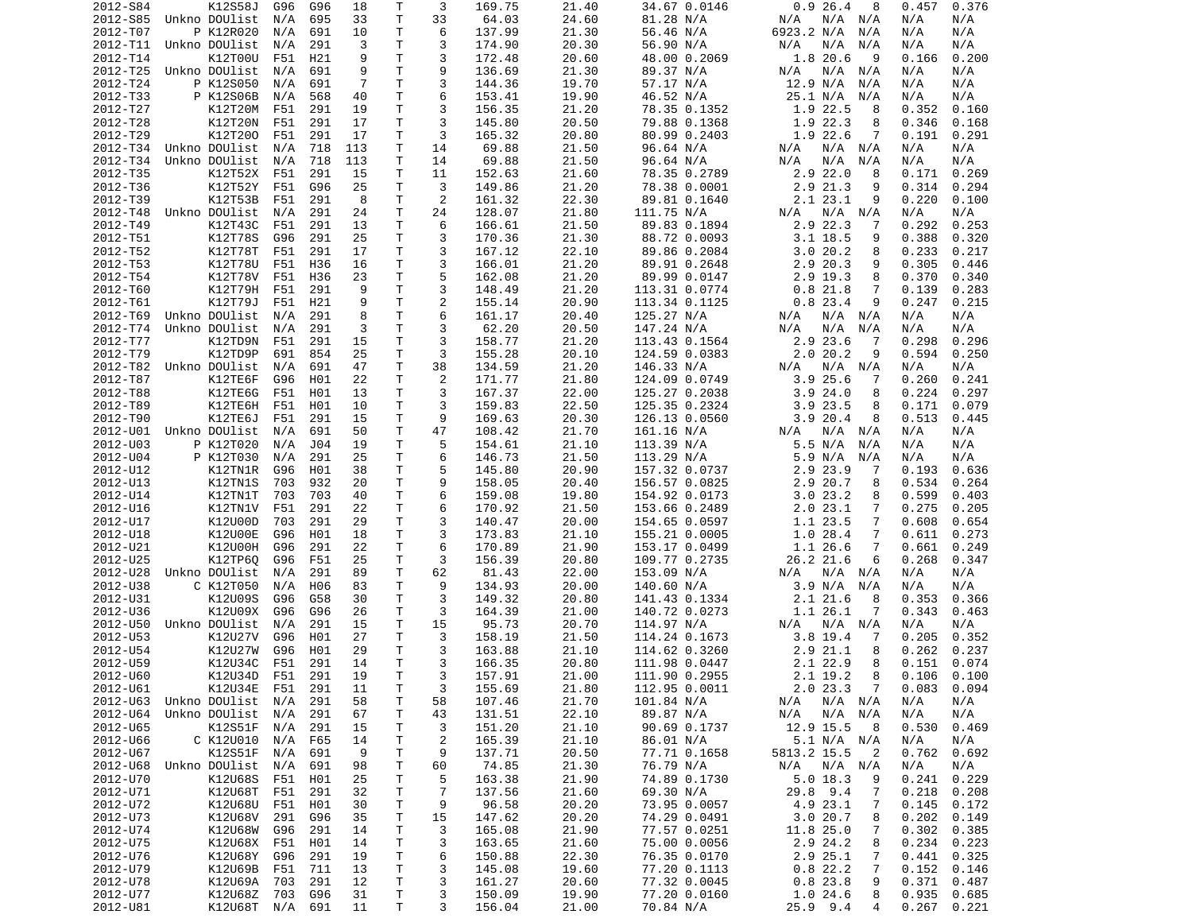| 2012-S84 | K12S58J        | G96 | G96 | 18  | Т  | 3              | 169.75           | 21.40 | 34.67 0.0146  | 0.926.4<br>8              | 0.457<br>0.376  |
|----------|----------------|-----|-----|-----|----|----------------|------------------|-------|---------------|---------------------------|-----------------|
| 2012-S85 | Unkno DOUlist  | N/A | 695 | 33  | Τ  | 33             | 64.03            | 24.60 | 81.28 N/A     | N/A<br>N/A<br>N/A         | N/A<br>N/A      |
| 2012-T07 | P K12R020      | N/A | 691 | 10  | Τ  | 6              | 137.99           | 21.30 | 56.46 N/A     | 6923.2 N/A<br>N/A         | N/A<br>N/A      |
| 2012-T11 | Unkno DOUlist  | N/A | 291 | 3   | Τ  | 3              | 174.90           | 20.30 | 56.90 N/A     | N/A<br>N/A<br>N/A         | N/A<br>N/A      |
| 2012-T14 | K12T00U        | F51 | H21 | 9   | T. | 3              | 172.48           | 20.60 | 48.00 0.2069  | 1.8 20.6<br>9             | 0.200<br>0.166  |
| 2012-T25 | Unkno DOUlist  | N/A | 691 | 9   | Τ  | 9              | 136.69           | 21.30 | 89.37 N/A     | N/A<br>N/A<br>N/A         | N/A<br>N/A      |
| 2012-T24 | P K12S050      | N/A | 691 | 7   | Τ  | 3              | 144.36           | 19.70 | 57.17 N/A     | 12.9 N/A<br>N/A           | N/A<br>N/A      |
| 2012-T33 |                |     |     |     | Τ  | 6              |                  | 19.90 |               | 25.1 N/A                  |                 |
|          | P K12S06B      | N/A | 568 | 40  |    |                | 153.41           |       | 46.52 N/A     | N/A                       | N/A<br>N/A      |
| 2012-T27 | K12T20M        | F51 | 291 | 19  | T  | 3              | 156.35           | 21.20 | 78.35 0.1352  | 1.9<br>22.5<br>8          | 0.352<br>0.160  |
| 2012-T28 | K12T20N        | F51 | 291 | 17  | т  | 3              | 145.80           | 20.50 | 79.88 0.1368  | 1.9 22.3<br>8             | 0.346<br>0.168  |
| 2012-T29 | K12T200        | F51 | 291 | 17  | т  | 3              | 165.32           | 20.80 | 80.99 0.2403  | 1.9 22.6<br>7             | 0.191<br>0.291  |
| 2012-T34 | Unkno DOUlist  | N/A | 718 | 113 | Τ  | 14             | 69.88            | 21.50 | 96.64 N/A     | N/A<br>N/A<br>N/A         | N/A<br>N/A      |
| 2012-T34 | Unkno DOUlist  | N/A | 718 | 113 | Τ  | 14             | 69.88            | 21.50 | 96.64 N/A     | N/A<br>N/A<br>N/A         | N/A<br>N/A      |
| 2012-T35 | K12T52X        | F51 | 291 | 15  | Τ  | 11             | 152.63           | 21.60 | 78.35 0.2789  | $2.9$ 22.0<br>8           | 0.171<br>0.269  |
| 2012-T36 | K12T52Y        | F51 | G96 | 25  | T. | 3              | 149.86           | 21.20 | 78.38 0.0001  | 2.9 21.3<br>9             | 0.314<br>0.294  |
| 2012-T39 | K12T53B        | F51 | 291 | 8   | T. | 2              | 161.32           | 22.30 | 89.81 0.1640  | 2.123.1<br>9              | 0.220<br>0.100  |
| 2012-T48 | Unkno DOUlist  | N/A | 291 | 24  | T  | 24             | 128.07           | 21.80 | 111.75 N/A    | N/A<br>N/A<br>N/A         | N/A<br>N/A      |
| 2012-T49 | K12T43C        | F51 | 291 | 13  | Τ  | 6              | 166.61           | 21.50 | 89.83 0.1894  | 2.9 22.3<br>7             | 0.292<br>0.253  |
| 2012-T51 | K12T78S        | G96 | 291 | 25  | T. | 3              | 170.36           | 21.30 | 88.72 0.0093  | $3.1$ 18.5<br>9           | 0.388<br>0.320  |
|          |                |     |     |     |    |                |                  |       |               |                           |                 |
| 2012-T52 | K12T78T        | F51 | 291 | 17  | Τ  | 3              | 167.12           | 22.10 | 89.86 0.2084  | 3.020.2<br>8              | 0.233<br>0.217  |
| 2012-T53 | K12T78U        | F51 | H36 | 16  | т  | 3              | 166.01           | 21.20 | 89.91 0.2648  | 2.9 20.3<br>9             | 0.305<br>0.446  |
| 2012-T54 | K12T78V        | F51 | H36 | 23  | Τ  | 5              | 162.08           | 21.20 | 89.99 0.0147  | 2.9 19.3<br>8             | 0.370<br>0.340  |
| 2012-T60 | K12T79H        | F51 | 291 | 9   | T  | 3              | 148.49           | 21.20 | 113.31 0.0774 | 0.8<br>21.8<br>7          | 0.139<br>0.283  |
| 2012-T61 | K12T79J        | F51 | H21 | 9   | т  | $\overline{2}$ | 155.14           | 20.90 | 113.34 0.1125 | $0.8$ 23.4<br>9           | 0.247<br>0.215  |
| 2012-T69 | Unkno DOUlist  | N/A | 291 | 8   | T  | 6              | 161.17           | 20.40 | 125.27 N/A    | N/A N/A<br>N/A            | N/A<br>N/A      |
| 2012-T74 | Unkno DOUlist  | N/A | 291 | 3   | T. | 3              | 62.20            | 20.50 | 147.24 N/A    | N/A<br>N/A<br>N/A         | N/A<br>N/A      |
| 2012-T77 | K12TD9N        | F51 | 291 | 15  | т  | 3              | 158.77           | 21.20 | 113.43 0.1564 | 2.9 23.6<br>-7            | 0.298<br>0.296  |
| 2012-T79 | K12TD9P        | 691 | 854 | 25  | т  | 3              | 155.28           | 20.10 | 124.59 0.0383 | 2.020.2<br>9              | 0.594<br>0.250  |
| 2012-T82 | Unkno DOUlist  | N/A | 691 | 47  | T. | 38             | 134.59           | 21.20 | 146.33 N/A    | N/A<br>N/A<br>N/A         | N/A<br>N/A      |
| 2012-T87 | K12TE6F        | G96 | H01 | 22  | т  | 2              | 171.77           | 21.80 | 124.09 0.0749 | 3.9<br>25.6<br>7          | 0.260<br>0.241  |
|          |                |     |     |     |    |                |                  |       |               |                           |                 |
| 2012-T88 | K12TE6G        | F51 | H01 | 13  | Τ  | 3              | 167.37           | 22.00 | 125.27 0.2038 | 3.924.0<br>8              | 0.224<br>0.297  |
| 2012-T89 | K12TE6H        | F51 | H01 | 10  | T. | 3              | 159.83           | 22.50 | 125.35 0.2324 | 3.9 23.5<br>8             | 0.171<br>0.079  |
| 2012-T90 | K12TE6J        | F51 | 291 | 15  | Τ  | 9              | 169.63           | 20.30 | 126.13 0.0560 | 3.920.4<br>8              | 0.513<br>0.445  |
| 2012-U01 | Unkno DOUlist  | N/A | 691 | 50  | Τ  | 47             | 108.42           | 21.70 | 161.16 N/A    | N/A<br>N/A<br>N/A         | N/A<br>N/A      |
| 2012-U03 | P K12T020      | N/A | J04 | 19  | T. | 5              | 154.61           | 21.10 | 113.39 N/A    | 5.5 N/A<br>N/A            | N/A<br>N/A      |
| 2012-U04 | P K12T030      | N/A | 291 | 25  | T. | 6              | 146.73           | 21.50 | 113.29 N/A    | 5.9 N/A<br>N/A            | N/A<br>N/A      |
| 2012-U12 | K12TN1R        | G96 | H01 | 38  | т  | 5              | 145.80           | 20.90 | 157.32 0.0737 | 2.9<br>23.9<br>7          | 0.193<br>0.636  |
| 2012-U13 | K12TN1S        | 703 | 932 | 20  | T. | 9              | 158.05           | 20.40 | 156.57 0.0825 | 2.9 20.7<br>8             | 0.534<br>0.264  |
| 2012-U14 | K12TN1T        | 703 | 703 | 40  | Τ  | 6              | 159.08           | 19.80 | 154.92 0.0173 | 3.023.2<br>8              | 0.599<br>0.403  |
| 2012-U16 | <b>K12TN1V</b> | F51 | 291 | 22  | т  | 6              | 170.92           | 21.50 | 153.66 0.2489 | 2.023.1<br>7              | 0.275<br>0.205  |
| 2012-U17 | K12U00D        | 703 | 291 | 29  | т  | 3              | 140.47           | 20.00 | 154.65 0.0597 | 1.1 23.5<br>7             | 0.608<br>0.654  |
|          |                |     |     |     |    | 3              |                  |       |               |                           |                 |
| 2012-U18 | K12U00E        | G96 | H01 | 18  | Τ  |                | 173.83           | 21.10 | 155.21 0.0005 | 1.028.4<br>7              | 0.611<br>0.273  |
| 2012-U21 | K12U00H        | G96 | 291 | 22  | т  | 6              | 170.89           | 21.90 | 153.17 0.0499 | 1.1 26.6<br>7             | 0.661<br>0.249  |
| 2012-U25 | K12TP6Q        | G96 | F51 | 25  | T  | 3              | 156.39           | 20.80 | 109.77 0.2735 | 26.2 21.6<br>6            | 0.268<br>0.347  |
| 2012-U28 | Unkno DOUlist  | N/A | 291 | 89  | T  | 62             | 81.43            | 22.00 | 153.09 N/A    | N/A<br>N/A N/A            | N/A<br>N/A      |
| 2012-U38 | C K12T050      | N/A | H06 | 83  | Τ  | 9              | 134.93           | 20.00 | 140.60 N/A    | 3.9 N/A<br>N/A            | N/A<br>N/A      |
| 2012-U31 | K12U09S        | G96 | G58 | 30  | T  | 3              | 149.32           | 20.80 | 141.43 0.1334 | 2.121.6<br>8              | 0.353<br>0.366  |
| 2012-U36 | K12U09X        | G96 | G96 | 26  | Τ  | 3              | 164.39           | 21.00 | 140.72 0.0273 | 1.1 26.1<br>7             | 0.343<br>0.463  |
| 2012-U50 | Unkno DOUlist  | N/A | 291 | 15  | Τ  | 15             | 95.73            | 20.70 | 114.97 N/A    | N/A N/A<br>N/A            | N/A<br>N/A      |
| 2012-U53 | K12U27V        | G96 | H01 | 27  | Τ  | 3              | 158.19           | 21.50 | 114.24 0.1673 | 3.8 19.4<br>7             | 0.205<br>0.352  |
| 2012-U54 | K12U27W        | G96 | H01 | 29  | Τ  | 3              | 163.88           | 21.10 | 114.62 0.3260 | 21.1<br>8<br>2.9          | 0.262<br>0.237  |
| 2012-U59 | K12U34C        | F51 | 291 | 14  | T. | 3              | 166.35           | 20.80 | 111.98 0.0447 | 2.1 22.9<br>8             | 0.074<br>0.151  |
| 2012-U60 |                |     | 291 | 19  | T. | 3              |                  |       | 111.90 0.2955 | 8                         |                 |
|          | K12U34D        | F51 |     |     |    |                | 157.91<br>155.69 | 21.00 |               | 2.1 19.2                  | $0.106$ $0.100$ |
| 2012-U61 | K12U34E F51    |     | 291 | 11  | т  | 3              |                  | 21.80 | 112.95 0.0011 | 2.023.3<br>$\overline{7}$ | 0.083<br>0.094  |
| 2012-U63 | Unkno DOUlist  | N/A | 291 | 58  | Τ  | 58             | 107.46           | 21.70 | 101.84 N/A    | N/A N/A<br>N/A            | N/A<br>N/A      |
| 2012-U64 | Unkno DOUlist  | N/A | 291 | 67  | т  | 43             | 131.51           | 22.10 | 89.87 N/A     | N/A<br>N/A<br>N/A         | N/A<br>N/A      |
| 2012-U65 | K12S51F        | N/A | 291 | 15  | т  | 3              | 151.20           | 21.10 | 90.69 0.1737  | 12.9 15.5<br>8            | 0.530<br>0.469  |
| 2012-U66 | C K12U010      | N/A | F65 | 14  | т  | 2              | 165.39           | 21.10 | 86.01 N/A     | 5.1 N/A N/A               | N/A<br>N/A      |
| 2012-U67 | K12S51F        | N/A | 691 | 9   | т  | 9              | 137.71           | 20.50 | 77.71 0.1658  | 5813.2 15.5<br>2          | 0.692<br>0.762  |
| 2012-U68 | Unkno DOUlist  | N/A | 691 | 98  | Τ  | 60             | 74.85            | 21.30 | 76.79 N/A     | N/A<br>N/A N/A            | N/A<br>N/A      |
| 2012-U70 | K12U68S        | F51 | H01 | 25  | Τ  | 5              | 163.38           | 21.90 | 74.89 0.1730  | $5.0$ 18.3<br>9           | 0.241<br>0.229  |
| 2012-U71 | K12U68T        | F51 | 291 | 32  | Τ  | 7              | 137.56           | 21.60 | 69.30 N/A     | 29.8 9.4<br>7             | 0.218<br>0.208  |
| 2012-U72 | K12U68U        | F51 | H01 | 30  | т  | 9              | 96.58            | 20.20 | 73.95 0.0057  | 4.9 23.1<br>7             | 0.145<br>0.172  |
|          |                |     |     |     |    |                |                  |       |               |                           |                 |
| 2012-U73 | K12U68V        | 291 | G96 | 35  | Т  | 15             | 147.62           | 20.20 | 74.29 0.0491  | 3.020.7<br>8              | 0.202<br>0.149  |
| 2012-U74 | K12U68W        | G96 | 291 | 14  | Τ  | 3              | 165.08           | 21.90 | 77.57 0.0251  | 11.8 25.0<br>7            | 0.302<br>0.385  |
| 2012-U75 | K12U68X        | F51 | H01 | 14  | Τ  | 3              | 163.65           | 21.60 | 75.00 0.0056  | 2.9 24.2<br>8             | 0.234<br>0.223  |
| 2012-U76 | K12U68Y        | G96 | 291 | 19  | Τ  | 6              | 150.88           | 22.30 | 76.35 0.0170  | 2.9 25.1<br>7             | 0.441<br>0.325  |
| 2012-U79 | K12U69B        | F51 | 711 | 13  | T. | 3              | 145.08           | 19.60 | 77.20 0.1113  | 0.822.2<br>7              | 0.152<br>0.146  |
| 2012-U78 | K12U69A        | 703 | 291 | 12  | Τ  | 3              | 161.27           | 20.60 | 77.32 0.0045  | 0.823.8<br>9              | 0.371<br>0.487  |
|          |                |     |     |     |    |                |                  |       |               |                           |                 |
| 2012-U77 | K12U68Z        | 703 | G96 | 31  | Τ  | 3              | 150.09           | 19.90 | 77.20 0.0160  | 1.024.6<br>8              | 0.935<br>0.685  |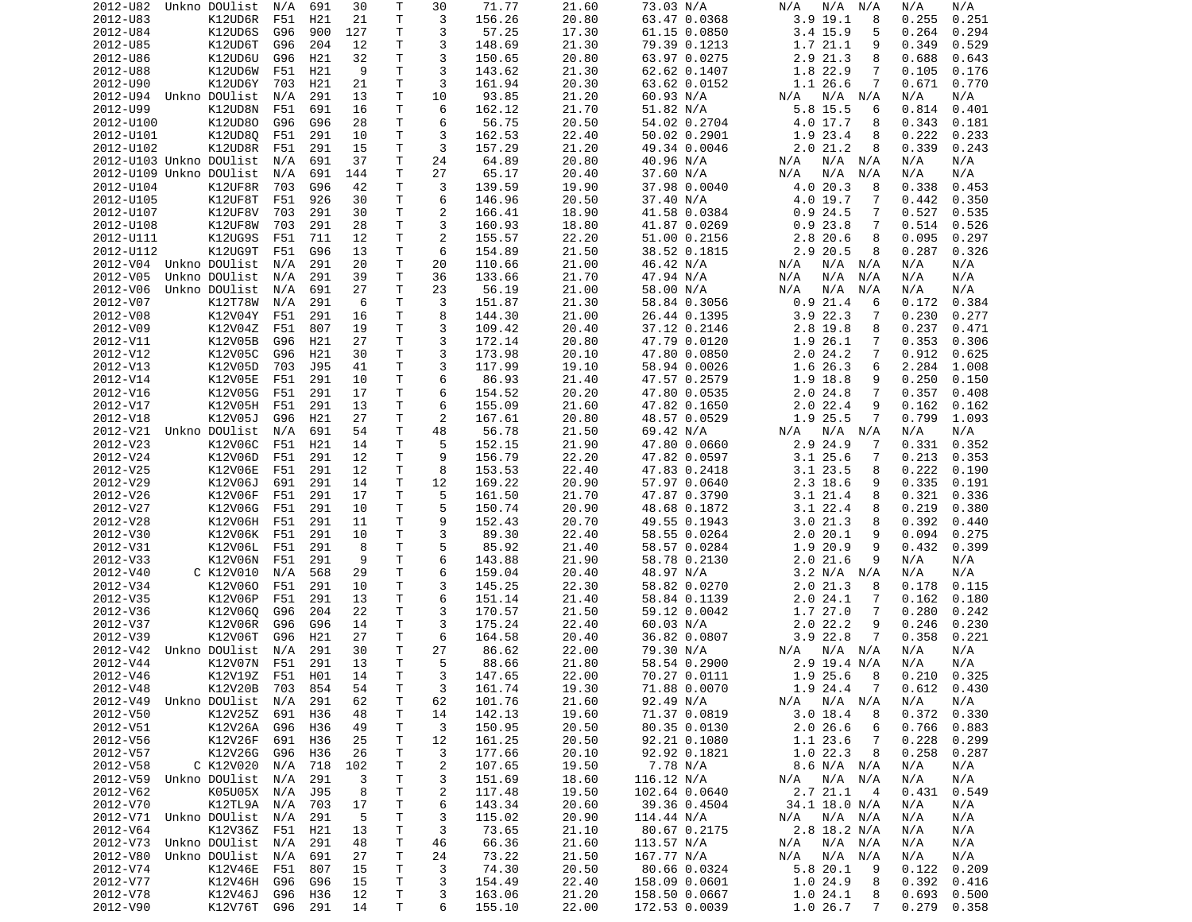| 2012-U82                | Unkno DOUlist              | N/A | 691             | 30       | Τ            | 30             | 71.77            | 21.60          | 73.03 N/A                      | N/A<br>N/A<br>N/A             | N/A<br>N/A                       |
|-------------------------|----------------------------|-----|-----------------|----------|--------------|----------------|------------------|----------------|--------------------------------|-------------------------------|----------------------------------|
| 2012-U83                | K12UD6R                    | F51 | H21             | 21       | Τ            | 3              | 156.26           | 20.80          | 63.47 0.0368                   | $3.9$ 19.1<br>8               | 0.255<br>0.251                   |
| 2012-U84                | K12UD6S                    | G96 | 900             | 127      | т            | 3              | 57.25            | 17.30          | 61.15 0.0850                   | 3.4 15.9<br>5                 | 0.264<br>0.294                   |
| 2012-U85                | K12UD6T                    |     |                 |          | Τ            | 3              | 148.69           |                |                                | 9                             |                                  |
|                         |                            | G96 | 204             | 12       |              |                |                  | 21.30          | 79.39 0.1213                   | 1.7 21.1                      | 0.349<br>0.529                   |
| 2012-U86                | K12UD6U                    | G96 | H21             | 32       | Τ            | 3              | 150.65           | 20.80          | 63.97 0.0275                   | 2.9 21.3<br>8                 | 0.688<br>0.643                   |
| 2012-U88                | K12UD6W                    | F51 | H21             | 9        | T.           | 3              | 143.62           | 21.30          | 62.62 0.1407                   | 1.8 22.9<br>7                 | 0.105<br>0.176                   |
| 2012-U90                | K12UD6Y                    | 703 | H21             | 21       | Τ            | 3              | 161.94           | 20.30          | 63.62 0.0152                   | 1.1 26.6<br>7                 | 0.671<br>0.770                   |
| 2012-U94                | Unkno DOUlist              | N/A | 291             | 13       | T            | 10             | 93.85            | 21.20          | 60.93 N/A                      | N/A N/A<br>N/A                | N/A<br>N/A                       |
|                         |                            |     |                 |          | T.           |                |                  |                |                                |                               |                                  |
| 2012-U99                | K12UD8N                    | F51 | 691             | 16       |              | 6              | 162.12           | 21.70          | 51.82 N/A                      | 5.8 15.5<br>6                 | 0.814<br>0.401                   |
| 2012-U100               | K12UD80                    | G96 | G96             | 28       | т            | 6              | 56.75            | 20.50          | 54.02 0.2704                   | 4.0 17.7<br>8                 | 0.343<br>0.181                   |
| 2012-U101               | K12UD8Q                    | F51 | 291             | 10       | Τ            | 3              | 162.53           | 22.40          | 50.02 0.2901                   | 1.9 23.4<br>8                 | 0.222<br>0.233                   |
| 2012-U102               | K12UD8R                    | F51 | 291             | 15       | т            | 3              | 157.29           | 21.20          | 49.34 0.0046                   | 2.021.2<br>8                  | 0.339<br>0.243                   |
| 2012-U103 Unkno DOUlist |                            | N/A | 691             | 37       | Τ            | 24             | 64.89            | 20.80          | 40.96 N/A                      | N/A<br>N/A N/A                | N/A<br>N/A                       |
|                         |                            |     |                 |          |              |                |                  |                |                                |                               |                                  |
| 2012-U109 Unkno DOUlist |                            | N/A | 691             | 144      | т            | 27             | 65.17            | 20.40          | 37.60 N/A                      | N/A<br>N/A<br>N/A             | N/A<br>N/A                       |
| 2012-U104               | K12UF8R                    | 703 | G96             | 42       | Τ            | 3              | 139.59           | 19.90          | 37.98 0.0040                   | 4.0 20.3<br>8                 | 0.338<br>0.453                   |
| 2012-U105               | K12UF8T                    | F51 | 926             | 30       | T.           | 6              | 146.96           | 20.50          | 37.40 N/A                      | $4.0$ 19.7<br>7               | 0.442<br>0.350                   |
| 2012-U107               | K12UF8V                    | 703 | 291             | 30       | Τ            | 2              | 166.41           | 18.90          | 41.58 0.0384                   | 0.924.5<br>7                  | 0.527<br>0.535                   |
| 2012-U108               | K12UF8W                    | 703 | 291             | 28       | Τ            | 3              |                  |                |                                | 0.923.8<br>7                  | 0.514                            |
|                         |                            |     |                 |          |              |                | 160.93           | 18.80          | 41.87 0.0269                   |                               | 0.526                            |
| 2012-U111               | K12UG9S                    | F51 | 711             | 12       | т            | $\overline{c}$ | 155.57           | 22.20          | 51.00 0.2156                   | 2.8 20.6<br>8                 | 0.095<br>0.297                   |
| 2012-U112               | K12UG9T                    | F51 | G96             | 13       | т            | 6              | 154.89           | 21.50          | 38.52 0.1815                   | 2.9 20.5<br>8                 | 0.287<br>0.326                   |
| 2012-V04 Unkno DOUlist  |                            | N/A | 291             | 20       | Τ            | 20             | 110.66           | 21.00          | 46.42 N/A                      | N/A N/A<br>N/A                | N/A<br>N/A                       |
| 2012-V05                | Unkno DOUlist              | N/A | 291             | 39       | т            | 36             | 133.66           | 21.70          | 47.94 N/A                      | N/A<br>N/A<br>N/A             | N/A<br>N/A                       |
|                         |                            |     |                 |          |              |                |                  |                |                                |                               |                                  |
| 2012-V06                | Unkno DOUlist              | N/A | 691             | 27       | Τ            | 23             | 56.19            | 21.00          | 58.00 N/A                      | N/A<br>N/A<br>N/A             | N/A<br>N/A                       |
| 2012-V07                | K12T78W                    | N/A | 291             | 6        | т            | 3              | 151.87           | 21.30          | 58.84 0.3056                   | $0.9$ 21.4<br>6               | 0.172<br>0.384                   |
| 2012-V08                | K12V04Y                    | F51 | 291             | 16       | Τ            | 8              | 144.30           | 21.00          | 26.44 0.1395                   | $3.9$ 22.3<br>7               | 0.230<br>0.277                   |
| 2012-V09                | K12V04Z                    | F51 | 807             | 19       | T.           | 3              | 109.42           | 20.40          | 37.12 0.2146                   | 2.8 19.8<br>8                 | 0.237<br>0.471                   |
|                         |                            |     |                 |          |              |                |                  |                |                                |                               |                                  |
| 2012-V11                | K12V05B                    | G96 | H21             | 27       | Τ            | 3              | 172.14           | 20.80          | 47.79 0.0120                   | 1.9 26.1<br>7                 | 0.353<br>0.306                   |
| 2012-V12                | K12V05C                    | G96 | H21             | 30       | Τ            | 3              | 173.98           | 20.10          | 47.80 0.0850                   | 2.024.2<br>7                  | 0.912<br>0.625                   |
| 2012-V13                | K12V05D                    | 703 | J95             | 41       | Τ            | 3              | 117.99           | 19.10          | 58.94 0.0026                   | 1.6 26.3<br>6                 | 2.284<br>1.008                   |
| 2012-V14                | K12V05E                    | F51 | 291             | 10       | Τ            | 6              | 86.93            | 21.40          | 47.57 0.2579                   | 1.9 18.8<br>9                 | 0.250<br>0.150                   |
| 2012-V16                | K12V05G                    | F51 | 291             | 17       | т            | 6              | 154.52           | 20.20          | 47.80 0.0535                   | $2.0$ 24.8<br>7               | 0.357<br>0.408                   |
|                         |                            |     |                 |          |              |                |                  |                |                                |                               |                                  |
| 2012-V17                | K12V05H                    | F51 | 291             | 13       | T.           | 6              | 155.09           | 21.60          | 47.82 0.1650                   | 2.022.4<br>9                  | 0.162<br>0.162                   |
| 2012-V18                | K12V05J                    | G96 | H <sub>21</sub> | 27       | Τ            | 2              | 167.61           | 20.80          | 48.57 0.0529                   | 1.9 25.5<br>7                 | 0.799<br>1.093                   |
| 2012-V21                | Unkno DOUlist              | N/A | 691             | 54       | т            | 48             | 56.78            | 21.50          | 69.42 N/A                      | N/A<br>N/A N/A                | N/A<br>N/A                       |
| 2012-V23                | K12V06C                    | F51 | H21             | 14       | T.           | 5              | 152.15           | 21.90          | 47.80 0.0660                   | 2.9 24.9<br>7                 | 0.331<br>0.352                   |
| 2012-V24                | K12V06D                    | F51 | 291             | 12       | т            | 9              | 156.79           | 22.20          | 47.82 0.0597                   | 3.125.6<br>7                  | 0.213<br>0.353                   |
|                         |                            |     |                 |          |              |                |                  |                |                                |                               |                                  |
| 2012-V25                | K12V06E                    | F51 | 291             | 12       | Τ            | 8              | 153.53           | 22.40          | 47.83 0.2418                   | 3.1 23.5<br>8                 | 0.222<br>0.190                   |
| 2012-V29                | K12V06J                    | 691 | 291             | 14       | Τ            | 12             | 169.22           | 20.90          | 57.97 0.0640                   | 2.3 18.6<br>9                 | 0.335<br>0.191                   |
| 2012-V26                | K12V06F                    | F51 | 291             | 17       | T.           | 5              | 161.50           | 21.70          | 47.87 0.3790                   | $3.1$ 21.4<br>8               | 0.321<br>0.336                   |
| 2012-V27                | K12V06G                    | F51 | 291             | 10       | Τ            | 5              | 150.74           | 20.90          | 48.68 0.1872                   | $3.1$ 22.4<br>8               | 0.219<br>0.380                   |
| 2012-V28                | K12V06H                    | F51 | 291             | 11       | Τ            | 9              | 152.43           | 20.70          | 49.55 0.1943                   | 3.021.3<br>8                  | 0.392<br>0.440                   |
|                         |                            |     |                 |          |              |                |                  |                |                                |                               |                                  |
| 2012-V30                | K12V06K F51                |     | 291             | 10       | T.           | 3              | 89.30            | 22.40          | 58.55 0.0264                   | 2.0 20.1<br>9                 | 0.094<br>0.275                   |
| 2012-V31                | K12V06L                    | F51 | 291             | 8        | Τ            | 5              | 85.92            | 21.40          | 58.57 0.0284                   | 1.9 20.9<br>9                 | 0.432<br>0.399                   |
| 2012-V33                | K12V06N                    | F51 | 291             | 9        | Τ            | 6              | 143.88           | 21.90          | 58.78 0.2130                   | 2.021.6<br>9                  | N/A<br>N/A                       |
| 2012-V40                | C K12V010                  | N/A | 568             | 29       | Τ            | 6              | 159.04           | 20.40          | 48.97 N/A                      | 3.2 N/A N/A                   | N/A<br>N/A                       |
|                         |                            |     |                 |          |              |                |                  |                |                                |                               |                                  |
| 2012-V34                | K12V060                    | F51 | 291             | 10       | Τ            | 3              | 145.25           | 22.30          | 58.82 0.0270                   | 2.021.3<br>8                  | 0.178<br>0.115                   |
| 2012-V35                | K12V06P                    | F51 | 291             | 13       | Τ            | 6              | 151.14           | 21.40          | 58.84 0.1139                   | 2.024.1<br>7                  | 0.162<br>0.180                   |
| 2012-V36                | K12V060                    | G96 | 204             | 22       | T.           | 3              | 170.57           | 21.50          | 59.12 0.0042                   | 1.7 27.0<br>7                 | 0.280<br>0.242                   |
| 2012-V37                | K12V06R                    | G96 | G96             | 14       | T.           | 3              | 175.24           | 22.40          | 60.03 N/A                      | 2.022.2<br>9                  | 0.246<br>0.230                   |
| 2012-V39                | K12V06T                    | G96 | H21             | 27       | Τ            | 6              | 164.58           | 20.40          | 36.82 0.0807                   | $3.9$ 22.8<br>7               | 0.358<br>0.221                   |
|                         |                            |     |                 |          |              |                |                  |                |                                |                               |                                  |
| 2012-V42                | Unkno DOUlist              | N/A | 291             | 30       | Τ            | 27             | 86.62            | 22.00          | 79.30 N/A                      | N/A<br>N/A N/A                | N/A<br>N/A                       |
| 2012-V44                | K12V07N                    | F51 | 291             | 13       | T.           | 5              | 88.66            | 21.80          | 58.54 0.2900                   | 2.9 19.4 N/A                  | N/A<br>N/A                       |
| 2012-V46                | K12V19Z F51                |     | H01             | 14       | $\mathsf{T}$ | 3              | 147.65           | 22.00          | 70.27 0.0111                   | 1.925.68                      | 0.210<br>0.325                   |
| 2012-V48                | K12V20B 703 854            |     |                 | 54       | т            | 3              | 161.74           | 19.30          | 71.88 0.0070                   | 1.9 24.4<br>$\overline{7}$    | $0.612$ $0.430$                  |
| 2012-V49                | Unkno DOUlist              | N/A | 291             | 62       | Τ            | 62             | 101.76           | 21.60          | 92.49 N/A                      | $N/A$ $N/A$<br>N/A            | N/A<br>N/A                       |
|                         |                            |     |                 |          |              |                |                  |                |                                |                               |                                  |
| 2012-V50                | K12V25Z 691                |     | H36             | 48       | т            | 14             | 142.13           | 19.60          | 71.37 0.0819                   | $3.0$ 18.4<br>8               | 0.372<br>0.330                   |
| 2012-V51                | K12V26A                    | G96 | H36             | 49       | т            | 3              | 150.95           | 20.50          | 80.35 0.0130                   | 2.026.6<br>6                  | 0.766<br>0.883                   |
| 2012-V56                | K12V26F                    | 691 | H36             | 25       | т            | 12             | 161.25           | 20.50          | 92.21 0.1080                   | 1.1 23.6<br>7                 | 0.228<br>0.299                   |
| 2012-V57                | K12V26G                    | G96 | H36             | 26       | т            | 3              | 177.66           | 20.10          | 92.92 0.1821                   | 1.022.3<br>8                  | 0.258<br>0.287                   |
| 2012-V58                | C K12V020                  | N/A |                 |          | Τ            |                | 107.65           | 19.50          | 7.78 N/A                       | 8.6 N/A N/A                   | N/A<br>N/A                       |
|                         |                            |     | 718             | 102      |              | 2              |                  |                |                                |                               |                                  |
| 2012-V59                | Unkno DOUlist              | N/A | 291             | 3        | т            | 3              | 151.69           | 18.60          | 116.12 N/A                     | N/A N/A<br>N/A                | N/A<br>N/A                       |
|                         |                            |     | J95             | 8        | т            | 2              | 117.48           | 19.50          | 102.64 0.0640                  | 2.7 21.1<br>$\overline{4}$    | 0.431<br>0.549                   |
| 2012-V62                | K05U05X N/A                |     |                 |          |              |                | 143.34           | 20.60          | 39.36 0.4504                   | 34.1 18.0 N/A                 | N/A<br>N/A                       |
| 2012-V70                | K12TL9A                    | N/A | 703             | 17       |              |                |                  |                |                                |                               |                                  |
|                         |                            |     |                 |          | т            | 6              |                  |                |                                |                               |                                  |
| 2012-V71                | Unkno DOUlist              | N/A | 291             | -5       | т            | 3              | 115.02           | 20.90          | 114.44 N/A                     | N/A<br>N/A N/A                | N/A<br>N/A                       |
| 2012-V64                | K12V36Z                    | F51 | H21             | 13       | т            | 3              | 73.65            | 21.10          | 80.67 0.2175                   | 2.8 18.2 N/A                  | N/A<br>N/A                       |
| 2012-V73                | Unkno DOUlist              | N/A | 291             | 48       | т            | 46             | 66.36            | 21.60          | 113.57 N/A                     | $N/A$ $N/A$<br>N/A            | N/A<br>N/A                       |
| 2012-V80                | Unkno DOUlist              | N/A | 691             | 27       | Τ            | 24             | 73.22            | 21.50          | 167.77 N/A                     | N/A<br>N/A N/A                | N/A<br>N/A                       |
|                         |                            |     |                 |          |              |                |                  |                |                                | 9                             |                                  |
| 2012-V74                | K12V46E                    | F51 | 807             | 15       | Τ            | 3              | 74.30            | 20.50          | 80.66 0.0324                   | 5.8 20.1                      | 0.122<br>0.209                   |
| 2012-V77                | K12V46H                    | G96 | G96             | 15       | т            | 3              | 154.49           | 22.40          | 158.09 0.0601                  | 1.0 24.9<br>8                 | 0.392<br>0.416                   |
| 2012-V78<br>2012-V90    | K12V46J<br>K12V76T G96 291 | G96 | H36             | 12<br>14 | т<br>Τ       | 3<br>6         | 163.06<br>155.10 | 21.20<br>22.00 | 158.50 0.0667<br>172.53 0.0039 | 1.024.1<br>8<br>1.0 26.7<br>7 | 0.693<br>0.500<br>0.279<br>0.358 |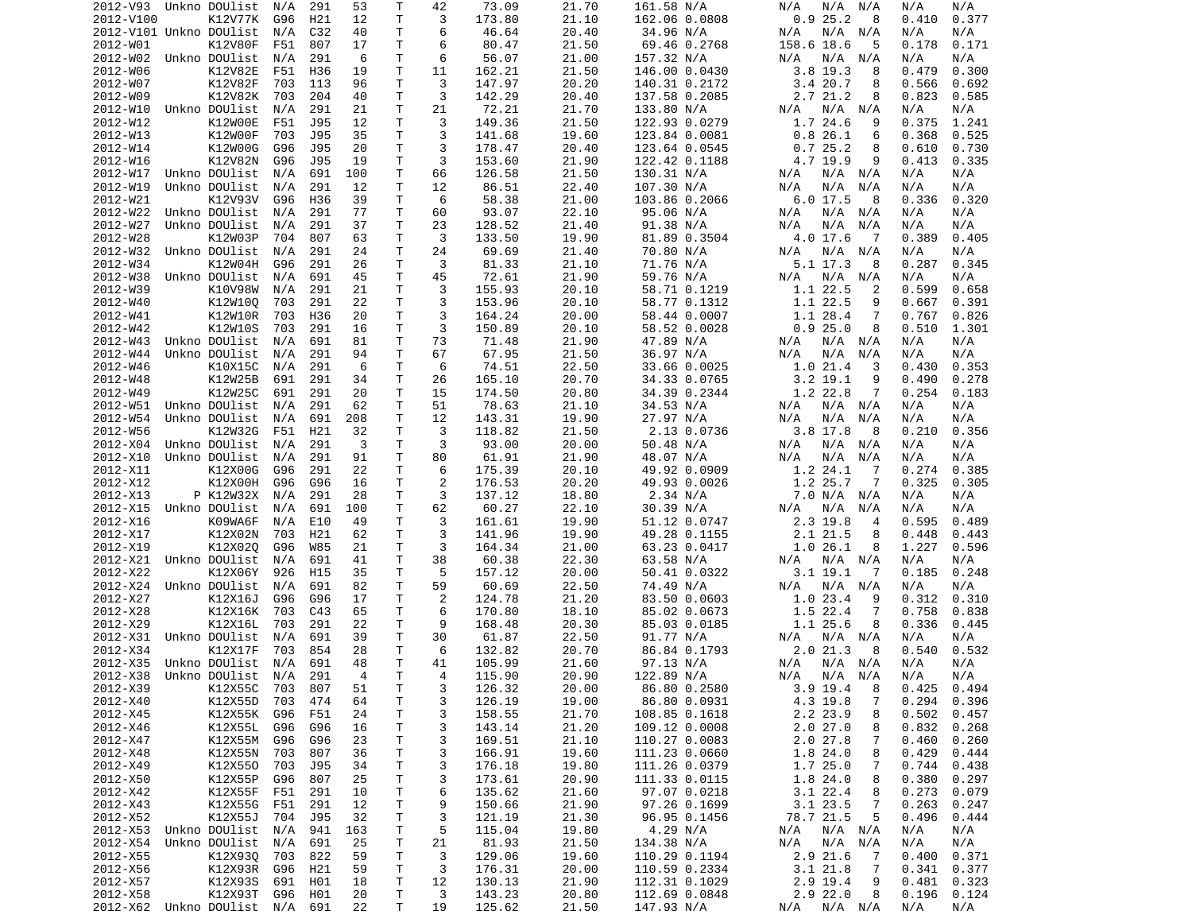| 2012-V93                               | Unkno DOUlist | N/A | 291 | 53             | Т  | 42             | 73.09  | 21.70 | 161.58 N/A    | N/A<br>N/A<br>N/A          | N/A<br>N/A     |
|----------------------------------------|---------------|-----|-----|----------------|----|----------------|--------|-------|---------------|----------------------------|----------------|
| 2012-V100                              | K12V77K       | G96 | H21 | 12             | т  | 3              | 173.80 | 21.10 | 162.06 0.0808 | 0.925.2<br>8               | 0.410<br>0.377 |
| 2012-V101 Unkno DOUlist                |               | N/A | C32 | 40             | Τ  | 6              | 46.64  | 20.40 | 34.96 N/A     | N/A<br>N/A<br>N/A          | N/A<br>N/A     |
| 2012-W01                               | K12V80F       | F51 | 807 | 17             | Τ  | 6              | 80.47  | 21.50 | 69.46 0.2768  | 158.6 18.6<br>5            | 0.178<br>0.171 |
| 2012-W02                               | Unkno DOUlist | N/A | 291 | 6              | Τ  | 6              | 56.07  | 21.00 | 157.32 N/A    | N/A<br>N/A<br>N/A          | N/A<br>N/A     |
| 2012-W06                               | K12V82E       | F51 | H36 | 19             | Τ  | 11             | 162.21 | 21.50 | 146.00 0.0430 | $3.8$ 19.3<br>8            | 0.479<br>0.300 |
| 2012-W07                               | K12V82F       | 703 | 113 | 96             | Τ  | 3              | 147.97 | 20.20 | 140.31 0.2172 | 3.420.7<br>8               | 0.566<br>0.692 |
| 2012-W09                               | K12V82K       | 703 | 204 | 40             | Τ  | 3              | 142.29 | 20.40 | 137.58 0.2085 | 2.7 21.2<br>8              | 0.823<br>0.585 |
| 2012-W10                               | Unkno DOUlist | N/A | 291 | 21             | Τ  | 21             | 72.21  | 21.70 | 133.80 N/A    | N/A<br>N/A<br>N/A          | N/A<br>N/A     |
| 2012-W12                               | K12W00E       | F51 | J95 | 12             | т  | 3              | 149.36 | 21.50 | 122.93 0.0279 | 1.7 24.6<br>9              | 0.375<br>1.241 |
|                                        |               |     |     |                | т  | 3              |        |       |               |                            |                |
| 2012-W13                               | K12W00F       | 703 | J95 | 35             |    |                | 141.68 | 19.60 | 123.84 0.0081 | 0.826.1<br>6               | 0.525<br>0.368 |
| 2012-W14                               | K12W00G       | G96 | J95 | 20             | T. | 3              | 178.47 | 20.40 | 123.64 0.0545 | 0.725.2<br>8               | 0.730<br>0.610 |
| 2012-W16                               | K12V82N       | G96 | J95 | 19             | Τ  | 3              | 153.60 | 21.90 | 122.42 0.1188 | 4.7 19.9<br>9              | 0.413<br>0.335 |
| 2012-W17                               | Unkno DOUlist | N/A | 691 | 100            | т  | 66             | 126.58 | 21.50 | 130.31 N/A    | N/A N/A<br>N/A             | N/A<br>N/A     |
| 2012-W19                               | Unkno DOUlist | N/A | 291 | 12             | Τ  | 12             | 86.51  | 22.40 | 107.30 N/A    | N/A<br>N/A<br>N/A          | N/A<br>N/A     |
| 2012-W21                               | K12V93V       | G96 | H36 | 39             | T  | 6              | 58.38  | 21.00 | 103.86 0.2066 | 6.017.5<br>-8              | 0.336<br>0.320 |
| 2012-W22                               | Unkno DOUlist | N/A | 291 | 77             | т  | 60             | 93.07  | 22.10 | 95.06 N/A     | N/A<br>N/A<br>N/A          | N/A<br>N/A     |
| 2012-W27                               | Unkno DOUlist | N/A | 291 | 37             | Τ  | 23             | 128.52 | 21.40 | 91.38 N/A     | N/A<br>N/A<br>N/A          | N/A<br>N/A     |
| 2012-W28                               | K12W03P       | 704 | 807 | 63             | Τ  | 3              | 133.50 | 19.90 | 81.89 0.3504  | 4.0 17.6<br>- 7            | 0.389<br>0.405 |
| 2012-W32                               | Unkno DOUlist | N/A | 291 | 24             | T. | 24             | 69.69  | 21.40 | 70.80 N/A     | N/A<br>N/A<br>N/A          | N/A<br>N/A     |
| 2012-W34                               | K12W04H       | G96 | 291 | 26             | Τ  | 3              | 81.33  | 21.10 | 71.76 N/A     | 5.1 17.3<br>8              | 0.345<br>0.287 |
| 2012-W38                               | Unkno DOUlist | N/A | 691 | 45             | T. | 45             | 72.61  | 21.90 | 59.76 N/A     | N/A<br>N/A<br>N/A          | N/A<br>N/A     |
| 2012-W39                               | K10V98W       | N/A | 291 | 21             | T  | 3              | 155.93 | 20.10 | 58.71 0.1219  | 1.1 22.5<br>2              | 0.599<br>0.658 |
| 2012-W40                               | K12W100       | 703 | 291 | 22             | т  | 3              | 153.96 | 20.10 | 58.77 0.1312  | 1.1 22.5<br>9              | 0.667<br>0.391 |
| 2012-W41                               | K12W10R       |     | H36 | 20             | T  | 3              | 164.24 | 20.00 | 58.44 0.0007  | 7                          |                |
|                                        |               | 703 |     |                |    |                |        |       |               | 1.1 28.4                   | 0.826<br>0.767 |
| 2012-W42                               | K12W10S       | 703 | 291 | 16             | Τ  | 3              | 150.89 | 20.10 | 58.52 0.0028  | 0.925.0<br>8               | 0.510<br>1.301 |
| 2012-W43                               | Unkno DOUlist | N/A | 691 | 81             | Τ  | 73             | 71.48  | 21.90 | 47.89 N/A     | N/A<br>N/A<br>N/A          | N/A<br>N/A     |
| 2012-W44                               | Unkno DOUlist | N/A | 291 | 94             | Τ  | 67             | 67.95  | 21.50 | 36.97 N/A     | N/A<br>N/A<br>N/A          | N/A<br>N/A     |
| 2012-W46                               | K10X15C       | N/A | 291 | 6              | Τ  | 6              | 74.51  | 22.50 | 33.66 0.0025  | 1.021.4<br>3               | 0.430<br>0.353 |
| 2012-W48                               | K12W25B       | 691 | 291 | 34             | T  | 26             | 165.10 | 20.70 | 34.33 0.0765  | $3.2$ 19.1<br>9            | 0.490<br>0.278 |
| 2012-W49                               | K12W25C       | 691 | 291 | 20             | т  | 15             | 174.50 | 20.80 | 34.39 0.2344  | 1.2 22.8<br>7              | 0.254<br>0.183 |
| 2012-W51                               | Unkno DOUlist | N/A | 291 | 62             | Τ  | 51             | 78.63  | 21.10 | 34.53 N/A     | N/A<br>N/A N/A             | N/A<br>N/A     |
| 2012-W54                               | Unkno DOUlist | N/A | 691 | 208            | Τ  | 12             | 143.31 | 19.90 | 27.97 N/A     | N/A<br>N/A<br>N/A          | N/A<br>N/A     |
| 2012-W56                               | K12W32G       | F51 | H21 | 32             | Τ  | 3              | 118.82 | 21.50 | 2.13 0.0736   | $3.8$ 17.8<br>- 8          | 0.210<br>0.356 |
| 2012-X04                               | Unkno DOUlist | N/A | 291 | 3              | т  | 3              | 93.00  | 20.00 | 50.48 N/A     | N/A<br>N/A<br>N/A          | N/A<br>N/A     |
| 2012-X10                               | Unkno DOUlist | N/A | 291 | 91             | Τ  | 80             | 61.91  | 21.90 | 48.07 N/A     | N/A<br>N/A<br>N/A          | N/A<br>N/A     |
| 2012-X11                               | K12X00G       | G96 | 291 | 22             | T  | 6              | 175.39 | 20.10 | 49.92 0.0909  | 1.2 24.1<br>7              | 0.274<br>0.385 |
| 2012-X12                               | K12X00H       | G96 | G96 | 16             | Τ  | 2              | 176.53 | 20.20 | 49.93 0.0026  | 1.2 25.7<br>7              | 0.325<br>0.305 |
| 2012-X13                               | P K12W32X     | N/A | 291 | 28             | Τ  | 3              | 137.12 | 18.80 | 2.34 N/A      | 7.0 N/A<br>N/A             | N/A<br>N/A     |
|                                        |               |     |     |                |    |                |        |       |               |                            |                |
| 2012-X15                               | Unkno DOUlist | N/A | 691 | 100            | т  | 62             | 60.27  | 22.10 | 30.39 N/A     | N/A<br>N/A<br>N/A          | N/A<br>N/A     |
| 2012-X16                               | K09WA6F       | N/A | E10 | 49             | т  | 3              | 161.61 | 19.90 | 51.12 0.0747  | 2.3 19.8<br>4              | 0.595<br>0.489 |
| 2012-X17                               | K12X02N       | 703 | H21 | 62             | т  | 3              | 141.96 | 19.90 | 49.28 0.1155  | 2.1 21.5<br>8              | 0.448<br>0.443 |
| 2012-X19                               | K12X020       | G96 | W85 | 21             | т  | 3              | 164.34 | 21.00 | 63.23 0.0417  | 1.026.1<br>8               | 1.227<br>0.596 |
| 2012-X21                               | Unkno DOUlist | N/A | 691 | 41             | T  | 38             | 60.38  | 22.30 | 63.58 N/A     | N/A<br>N/A<br>N/A          | N/A<br>N/A     |
| 2012-X22                               | K12X06Y       | 926 | H15 | 35             | T. | 5              | 157.12 | 20.00 | 50.41 0.0322  | 3.1 19.1<br>7              | 0.185<br>0.248 |
| 2012-X24                               | Unkno DOUlist | N/A | 691 | 82             | Τ  | 59             | 60.69  | 22.50 | 74.49 N/A     | N/A<br>N/A N/A             | N/A<br>N/A     |
| 2012-X27                               | K12X16J       | G96 | G96 | 17             | T. | 2              | 124.78 | 21.20 | 83.50 0.0603  | 1.023.4<br>9               | 0.312<br>0.310 |
| 2012-X28                               | K12X16K       | 703 | C43 | 65             | T. | 6              | 170.80 | 18.10 | 85.02 0.0673  | 1.5 22.4<br>7              | 0.758<br>0.838 |
| 2012-X29                               | K12X16L       | 703 | 291 | 22             | Τ  | 9              | 168.48 | 20.30 | 85.03 0.0185  | 1.1 25.6<br>8              | 0.336<br>0.445 |
| 2012-X31                               | Unkno DOUlist | N/A | 691 | 39             | т  | 30             | 61.87  | 22.50 | 91.77 N/A     | N/A<br>N/A<br>N/A          | N/A<br>N/A     |
| 2012-X34                               | K12X17F       | 703 | 854 | 28             | т  | 6              | 132.82 | 20.70 | 86.84 0.1793  | 2.021.3<br>8               | 0.540<br>0.532 |
| 2012-X35                               | Unkno DOUlist | N/A | 691 | 48             | T. | 41             | 105.99 | 21.60 | 97.13 N/A     | N/A N/A<br>N/A             | N/A<br>N/A     |
| 2012-X38 Unkno DOUlist N/A             |               |     | 291 | $\overline{4}$ | T. | $\overline{4}$ | 115.90 | 20.90 | 122.89 N/A    | N/A N/A<br>N/A             | N/A<br>N/A     |
| 2012-X39                               | K12X55C       | 703 | 807 | 51             | Τ  | 3              | 126.32 | 20.00 | 86.80 0.2580  | $3.9$ 19.4<br>8            | $0.425$ 0.494  |
| 2012-X40                               | K12X55D       | 703 | 474 | 64             | Τ  | 3              | 126.19 | 19.00 | 86.80 0.0931  | 4.3 19.8<br>7              | 0.294<br>0.396 |
| 2012-X45                               | K12X55K       |     |     |                |    |                |        | 21.70 |               | 2.2 23.9                   |                |
|                                        |               | G96 | F51 | 24             | Τ  | 3              | 158.55 |       | 108.85 0.1618 | 8                          | 0.502<br>0.457 |
| 2012-X46                               | K12X55L       | G96 | G96 | 16             | Τ  | 3              | 143.14 | 21.20 | 109.12 0.0008 | 2.027.0<br>8               | 0.832<br>0.268 |
| 2012-X47                               | K12X55M       | G96 | G96 | 23             | Τ  | 3              | 169.51 | 21.10 | 110.27 0.0083 | 2.0 27.8<br>7              | 0.460<br>0.260 |
| 2012-X48                               | K12X55N       | 703 | 807 | 36             | T  | 3              | 166.91 | 19.60 | 111.23 0.0660 | 1.8 24.0<br>8              | 0.429<br>0.444 |
| 2012-X49                               | K12X550       | 703 | J95 | 34             | T  | 3              | 176.18 | 19.80 | 111.26 0.0379 | 1.725.0<br>7               | 0.744<br>0.438 |
| 2012-X50                               | K12X55P       | G96 | 807 | 25             | T. | 3              | 173.61 | 20.90 | 111.33 0.0115 | 1.8 24.0<br>8              | 0.380<br>0.297 |
| 2012-X42                               | K12X55F F51   |     | 291 | 10             | Τ  | 6              | 135.62 | 21.60 | 97.07 0.0218  | $3.1$ 22.4<br>8            | 0.273<br>0.079 |
| 2012-X43                               | K12X55G       | F51 | 291 | 12             | т  | 9              | 150.66 | 21.90 | 97.26 0.1699  | $3.1$ 23.5<br>7            | 0.263<br>0.247 |
| 2012-X52                               | K12X55J       | 704 | J95 | 32             | Τ  | 3              | 121.19 | 21.30 | 96.95 0.1456  | 78.7 21.5<br>5             | 0.496<br>0.444 |
| 2012-X53 Unkno DOUlist                 |               | N/A | 941 | 163            | T  | 5              | 115.04 | 19.80 | 4.29 N/A      | N/A N/A<br>N/A             | N/A<br>N/A     |
| 2012-X54                               | Unkno DOUlist | N/A | 691 | 25             | T  | 21             | 81.93  | 21.50 | 134.38 N/A    | N/A<br>$N/A$ $N/A$         | N/A<br>N/A     |
| 2012-X55                               | K12X930       | 703 | 822 | 59             | T  | 3              | 129.06 | 19.60 | 110.29 0.1194 | 2.9 21.6<br>$\overline{7}$ | 0.400<br>0.371 |
| 2012-X56                               | K12X93R       | G96 | H21 | 59             | Τ  | 3              | 176.31 | 20.00 | 110.59 0.2334 | 3.121.8<br>7               | 0.341<br>0.377 |
| 2012-X57                               | K12X93S       | 691 |     | 18             | T  | 12             | 130.13 | 21.90 | 112.31 0.1029 | 2.9 19.4<br>9              | 0.323<br>0.481 |
|                                        |               |     | H01 |                |    |                |        |       |               |                            |                |
| 2012-X58<br>2012-X62 Unkno DOUlist N/A | K12X93T       | G96 | H01 | 20             | Τ  | 3              | 143.23 | 20.80 | 112.69 0.0848 | $2.9$ 22.0<br>8            | 0.196<br>0.124 |
|                                        |               |     | 691 | 22             | Τ  | 19             | 125.62 | 21.50 | 147.93 N/A    | N/A<br>N/A N/A             | N/A<br>N/A     |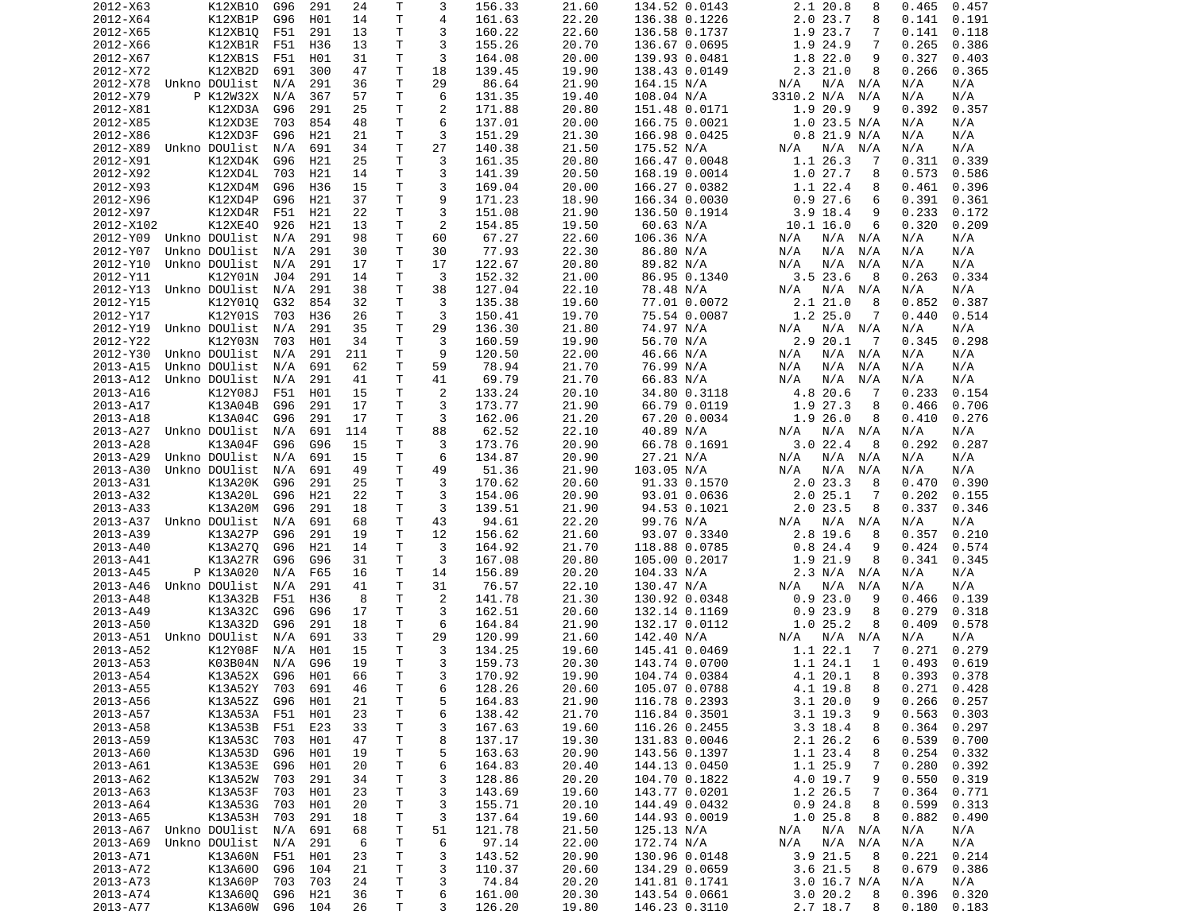| 2012-X63               | K12XB10         | G96 | 291 | 24  | Т            | 3  | 156.33 | 21.60 | 134.52 0.0143 | 2.1 20.8<br>8             | 0.465<br>0.457  |
|------------------------|-----------------|-----|-----|-----|--------------|----|--------|-------|---------------|---------------------------|-----------------|
| 2012-X64               | K12XB1P         | G96 | H01 | 14  | Τ            | 4  | 161.63 | 22.20 | 136.38 0.1226 | 2.023.7<br>8              | 0.191<br>0.141  |
| 2012-X65               | K12XB10         | F51 | 291 | 13  | Τ            | 3  | 160.22 | 22.60 | 136.58 0.1737 | 1.9 23.7<br>7             | 0.141<br>0.118  |
| 2012-X66               | K12XB1R         | F51 | H36 | 13  | т            | 3  | 155.26 | 20.70 | 136.67 0.0695 | 1.9 24.9<br>7             | 0.265<br>0.386  |
| 2012-X67               | K12XB1S         | F51 | H01 | 31  | Τ            | 3  | 164.08 | 20.00 | 139.93 0.0481 | 1.8 22.0<br>9             | 0.327<br>0.403  |
| 2012-X72               | K12XB2D         | 691 | 300 | 47  | т            | 18 | 139.45 | 19.90 | 138.43 0.0149 | 2.321.0<br>8              | 0.266<br>0.365  |
| 2012-X78               | Unkno DOUlist   | N/A | 291 | 36  | т            | 29 | 86.64  | 21.90 | 164.15 N/A    | $N/A$ $N/A$<br>N/A        | N/A<br>N/A      |
| 2012-X79               | P K12W32X       | N/A | 367 | 57  | Τ            | 6  | 131.35 | 19.40 | 108.04 N/A    | 3310.2 N/A<br>N/A         | N/A<br>N/A      |
| 2012-X81               | K12XD3A         | G96 | 291 | 25  | Τ            | 2  | 171.88 | 20.80 | 151.48 0.0171 | 1.9 20.9<br>9             | 0.392<br>0.357  |
| 2012-X85               | K12XD3E         | 703 | 854 | 48  | Τ            | 6  | 137.01 | 20.00 | 166.75 0.0021 | $1.0$ 23.5 N/A            | N/A<br>N/A      |
| 2012-X86               | K12XD3F         | G96 | H21 | 21  | T            | 3  | 151.29 | 21.30 |               | $0.8$ 21.9 N/A            | N/A<br>N/A      |
|                        |                 |     |     |     | Τ            | 27 |        |       | 166.98 0.0425 |                           |                 |
| 2012-X89               | Unkno DOUlist   | N/A | 691 | 34  |              |    | 140.38 | 21.50 | 175.52 N/A    | N/A<br>N/A N/A            | N/A<br>N/A      |
| 2012-X91               | K12XD4K         | G96 | H21 | 25  | Τ            | 3  | 161.35 | 20.80 | 166.47 0.0048 | 1.1 26.3<br>7             | 0.311<br>0.339  |
| 2012-X92               | K12XD4L         | 703 | H21 | 14  | т            | 3  | 141.39 | 20.50 | 168.19 0.0014 | 1.0 27.7<br>8             | 0.573<br>0.586  |
| 2012-X93               | K12XD4M         | G96 | H36 | 15  | T.           | 3  | 169.04 | 20.00 | 166.27 0.0382 | 1.1 22.4<br>8             | 0.461<br>0.396  |
| 2012-X96               | K12XD4P         | G96 | H21 | 37  | Τ            | 9  | 171.23 | 18.90 | 166.34 0.0030 | 0.927.6<br>6              | 0.391<br>0.361  |
| 2012-X97               | K12XD4R         | F51 | H21 | 22  | т            | 3  | 151.08 | 21.90 | 136.50 0.1914 | $3.9$ 18.4<br>9           | 0.233<br>0.172  |
| 2012-X102              | K12XE40         | 926 | H21 | 13  | T            | 2  | 154.85 | 19.50 | 60.63 N/A     | 10.1 16.0<br>6            | 0.320<br>0.209  |
| 2012-Y09               | Unkno DOUlist   | N/A | 291 | 98  | Τ            | 60 | 67.27  | 22.60 | 106.36 N/A    | N/A N/A<br>N/A            | N/A<br>N/A      |
| 2012-Y07               | Unkno DOUlist   | N/A | 291 | 30  | т            | 30 | 77.93  | 22.30 | 86.80 N/A     | N/A<br>N/A<br>N/A         | N/A<br>N/A      |
| 2012-Y10               | Unkno DOUlist   | N/A | 291 | 17  | Τ            | 17 | 122.67 | 20.80 | 89.82 N/A     | N/A<br>N/A<br>N/A         | N/A<br>N/A      |
| 2012-Y11               | K12Y01N         | J04 | 291 | 14  | Τ            | 3  | 152.32 | 21.00 | 86.95 0.1340  | 3.523.6<br>8              | 0.263<br>0.334  |
| 2012-Y13               | Unkno DOUlist   | N/A | 291 | 38  | T            | 38 | 127.04 | 22.10 | 78.48 N/A     | N/A<br>N/A<br>N/A         | N/A<br>N/A      |
| 2012-Y15               | K12Y010         | G32 | 854 | 32  | т            | 3  | 135.38 | 19.60 | 77.01 0.0072  | 2.1 21.0<br>8             | 0.852<br>0.387  |
| 2012-Y17               | K12Y01S         | 703 | H36 | 26  | Τ            | 3  | 150.41 | 19.70 | 75.54 0.0087  | 1.225.0<br>7              | 0.440<br>0.514  |
| 2012-Y19               | Unkno DOUlist   | N/A | 291 | 35  | Τ            | 29 | 136.30 | 21.80 | 74.97 N/A     | N/A N/A<br>N/A            | N/A<br>N/A      |
| 2012-Y22               | K12Y03N         | 703 | H01 | 34  | т            | 3  | 160.59 | 19.90 | 56.70 N/A     | 2.920.1<br>$\overline{7}$ | 0.345<br>0.298  |
| 2012-Y30               | Unkno DOUlist   | N/A | 291 | 211 | т            | 9  | 120.50 | 22.00 | 46.66 N/A     | N/A<br>N/A N/A            | N/A<br>N/A      |
| 2013-A15               | Unkno DOUlist   | N/A | 691 | 62  | Τ            | 59 | 78.94  | 21.70 | 76.99 N/A     | N/A<br>N/A<br>N/A         | N/A<br>N/A      |
| 2013-A12               | Unkno DOUlist   | N/A | 291 | 41  | Τ            | 41 | 69.79  | 21.70 | 66.83 N/A     | N/A<br>N/A<br>N/A         | N/A<br>N/A      |
| 2013-A16               | K12Y08J         | F51 | H01 | 15  | Τ            | 2  | 133.24 | 20.10 | 34.80 0.3118  | 4.8 20.6<br>-7            | 0.233<br>0.154  |
|                        |                 |     |     |     | T.           | 3  |        |       |               | 8                         |                 |
| 2013-A17               | K13A04B         | G96 | 291 | 17  |              |    | 173.77 | 21.90 | 66.79 0.0119  | 1.9 27.3                  | 0.466<br>0.706  |
| 2013-A18               | K13A04C         | G96 | 291 | 17  | Τ            | 3  | 162.06 | 21.20 | 67.20 0.0034  | 1.926.0<br>8              | 0.410<br>0.276  |
| 2013-A27               | Unkno DOUlist   | N/A | 691 | 114 | Τ            | 88 | 62.52  | 22.10 | 40.89 N/A     | N/A<br>N/A N/A            | N/A<br>N/A      |
| 2013-A28               | K13A04F         | G96 | G96 | 15  | Τ            | 3  | 173.76 | 20.90 | 66.78 0.1691  | 3.022.4<br>8              | 0.287<br>0.292  |
| 2013-A29               | Unkno DOUlist   | N/A | 691 | 15  | Τ            | 6  | 134.87 | 20.90 | 27.21 N/A     | N/A<br>N/A<br>N/A         | N/A<br>N/A      |
| 2013-A30               | Unkno DOUlist   | N/A | 691 | 49  | Τ            | 49 | 51.36  | 21.90 | 103.05 N/A    | N/A<br>N/A<br>N/A         | N/A<br>N/A      |
| 2013-A31               | K13A20K         | G96 | 291 | 25  | Τ            | 3  | 170.62 | 20.60 | 91.33 0.1570  | 2.023.3<br>8              | 0.470<br>0.390  |
| 2013-A32               | K13A20L         | G96 | H21 | 22  | т            | 3  | 154.06 | 20.90 | 93.01 0.0636  | 2.025.1<br>7              | 0.202<br>0.155  |
| 2013-A33               | K13A20M         | G96 | 291 | 18  | т            | 3  | 139.51 | 21.90 | 94.53 0.1021  | $2.0$ 23.5<br>8           | 0.337<br>0.346  |
| 2013-A37               | Unkno DOUlist   | N/A | 691 | 68  | Τ            | 43 | 94.61  | 22.20 | 99.76 N/A     | N/A N/A<br>N/A            | N/A<br>N/A      |
| 2013-A39               | K13A27P         | G96 | 291 | 19  | Τ            | 12 | 156.62 | 21.60 | 93.07 0.3340  | 2.8 19.6<br>8             | 0.357<br>0.210  |
| 2013-A40               | K13A270         | G96 | H21 | 14  | Τ            | 3  | 164.92 | 21.70 | 118.88 0.0785 | 0.824.4<br>9              | 0.424<br>0.574  |
| 2013-A41               | K13A27R         | G96 | G96 | 31  | T            | 3  | 167.08 | 20.80 | 105.00 0.2017 | 1.9 21.9<br>8             | 0.345<br>0.341  |
| 2013-A45               | P K13A020       | N/A | F65 | 16  | Τ            | 14 | 156.89 | 20.20 | 104.33 N/A    | 2.3 N/A N/A               | N/A<br>N/A      |
| 2013-A46               | Unkno DOUlist   | N/A | 291 | 41  | Τ            | 31 | 76.57  | 22.10 | 130.47 N/A    | N/A<br>N/A<br>N/A         | N/A<br>N/A      |
| 2013-A48               | K13A32B         | F51 | H36 | 8   | Τ            | 2  | 141.78 | 21.30 | 130.92 0.0348 | 0.923.0<br>9              | 0.466<br>0.139  |
| 2013-A49               | K13A32C         | G96 | G96 | 17  | Τ            | 3  | 162.51 | 20.60 | 132.14 0.1169 | 0.923.9<br>8              | 0.279<br>0.318  |
| 2013-A50               | K13A32D         | G96 | 291 | 18  | Τ            | 6  | 164.84 | 21.90 | 132.17 0.0112 | 1.025.2<br>8              | 0.409<br>0.578  |
| 2013-A51               | Unkno DOUlist   | N/A | 691 | 33  | T.           | 29 | 120.99 | 21.60 | 142.40 N/A    | $N/A$ $N/A$<br>N/A        | N/A<br>N/A      |
| 2013-A52               | K12Y08F         |     |     | 15  | Τ            | 3  |        |       |               |                           | 0.271<br>0.279  |
|                        |                 | N/A | H01 |     |              |    | 134.25 | 19.60 | 145.41 0.0469 | 1.1 22.1<br>7             |                 |
| 2013-A53               | K03B04N         | N/A | G96 | 19  | T.           | 3  | 159.73 | 20.30 | 143.74 0.0700 | 1.1 24.1<br>1             | 0.493<br>0.619  |
| 2013-A54               | K13A52X G96 H01 |     |     | 66  | $\mathsf{T}$ | 3  | 170.92 | 19.90 | 104.74 0.0384 | 4.1 20.1<br>8             | $0.393$ $0.378$ |
| 2013-A55               | K13A52Y         | 703 | 691 | 46  | Τ            | 6  | 128.26 | 20.60 | 105.07 0.0788 | 4.1 19.8<br>8             | $0.271$ $0.428$ |
| 2013-A56               | K13A52Z         | G96 | H01 | 21  | T            | 5  | 164.83 | 21.90 | 116.78 0.2393 | 3.1 20.0<br>9             | 0.266<br>0.257  |
| 2013-A57               | K13A53A         | F51 | H01 | 23  | Τ            | 6  | 138.42 | 21.70 | 116.84 0.3501 | $3.1$ 19.3<br>9           | 0.563<br>0.303  |
| 2013-A58               | K13A53B         | F51 | E23 | 33  | т            | 3  | 167.63 | 19.60 | 116.26 0.2455 | $3.3$ 18.4<br>8           | 0.364<br>0.297  |
| 2013-A59               | K13A53C         | 703 | H01 | 47  | Τ            | 8  | 137.17 | 19.30 | 131.83 0.0046 | 2.1 26.2<br>6             | 0.539<br>0.700  |
| 2013-A60               | K13A53D         | G96 | H01 | 19  | Τ            | 5  | 163.63 | 20.90 | 143.56 0.1397 | 1.1 23.4<br>8             | 0.254<br>0.332  |
| 2013-A61               | K13A53E         | G96 | H01 | 20  | T.           | 6  | 164.83 | 20.40 | 144.13 0.0450 | 1.1 25.9<br>7             | 0.280<br>0.392  |
| 2013-A62               | K13A52W         | 703 | 291 | 34  | Τ            | 3  | 128.86 | 20.20 | 104.70 0.1822 | 4.0 19.7<br>9             | 0.550<br>0.319  |
| 2013-A63               | K13A53F         | 703 | H01 | 23  | Τ            | 3  | 143.69 | 19.60 | 143.77 0.0201 | 1.2 26.5<br>7             | 0.364<br>0.771  |
| 2013-A64               | K13A53G         | 703 | H01 | 20  | Τ            | 3  | 155.71 | 20.10 | 144.49 0.0432 | 0.924.8<br>8              | 0.599<br>0.313  |
| 2013-A65               | K13A53H         | 703 | 291 | 18  | т            | 3  | 137.64 | 19.60 | 144.93 0.0019 | 1.025.8<br>8              | 0.882<br>0.490  |
| 2013-A67 Unkno DOUlist |                 | N/A | 691 | 68  | Τ            | 51 | 121.78 | 21.50 | 125.13 N/A    | N/A N/A<br>N/A            | N/A<br>N/A      |
| 2013-A69               | Unkno DOUlist   | N/A | 291 | 6   | T            | 6  | 97.14  | 22.00 | 172.74 N/A    | $N/A$ $N/A$<br>N/A        | N/A<br>N/A      |
| 2013-A71               | K13A60N         | F51 | H01 | 23  | T.           | 3  | 143.52 | 20.90 | 130.96 0.0148 | 3.9 21.5<br>8             | 0.221<br>0.214  |
| 2013-A72               | K13A600         | G96 | 104 | 21  | $\mathsf{T}$ | 3  | 110.37 | 20.60 | 134.29 0.0659 | $3.6$ 21.5<br>8           | 0.679<br>0.386  |
| 2013-A73               | K13A60P         | 703 | 703 | 24  | T.           | 3  | 74.84  | 20.20 | 141.81 0.1741 | $3.0$ 16.7 N/A            | N/A<br>N/A      |
|                        |                 |     |     |     |              |    |        |       |               |                           |                 |
| 2013-A74               | K13A600         | G96 | H21 | 36  | Τ            | 6  | 161.00 | 20.30 | 143.54 0.0661 | 3.020.2<br>8              | 0.396<br>0.320  |
| 2013-A77               | K13A60W         | G96 | 104 | 26  | Τ            | 3  | 126.20 | 19.80 | 146.23 0.3110 | 2.7 18.7<br>8             | 0.180<br>0.183  |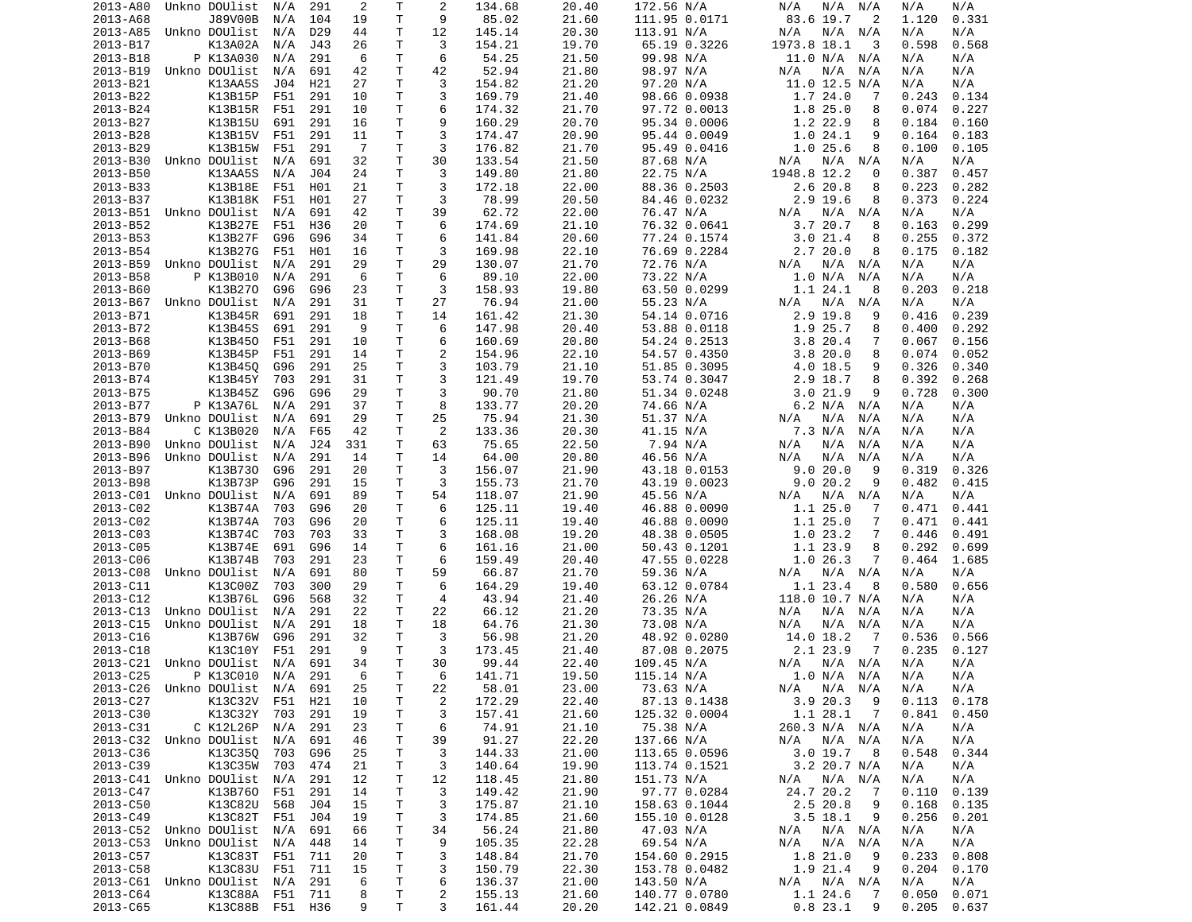| 2013-A80             | Unkno DOUlist                  | N/A | 291             | 2              | Т            | 2              | 134.68           | 20.40          | 172.56 N/A                     | N/A<br>N/A<br>N/A              | N/A<br>N/A                       |
|----------------------|--------------------------------|-----|-----------------|----------------|--------------|----------------|------------------|----------------|--------------------------------|--------------------------------|----------------------------------|
| 2013-A68             | J89V00B                        | N/A | 104             | 19             | T            | 9              | 85.02            | 21.60          | 111.95 0.0171                  | 83.6 19.7<br>$\overline{2}$    | 0.331<br>1.120                   |
| 2013-A85             | Unkno DOUlist                  | N/A | D <sub>29</sub> | 44             | Τ            | 12             | 145.14           | 20.30          | 113.91 N/A                     | N/A<br>N/A N/A                 | N/A<br>N/A                       |
|                      | K13A02A                        |     |                 |                | Τ            | 3              |                  |                |                                | 1973.8 18.1<br>3               |                                  |
| 2013-B17             |                                | N/A | J43             | 26             |              |                | 154.21           | 19.70          | 65.19 0.3226                   |                                | 0.598<br>0.568                   |
| 2013-B18             | P K13A030                      | N/A | 291             | 6              | T.           | 6              | 54.25            | 21.50          | 99.98 N/A                      | 11.0 N/A N/A                   | N/A<br>N/A                       |
| 2013-B19             | Unkno DOUlist                  | N/A | 691             | 42             | Τ            | 42             | 52.94            | 21.80          | 98.97 N/A                      | N/A<br>N/A<br>N/A              | N/A<br>N/A                       |
| 2013-B21             | K13AA5S                        | J04 | H21             | 27             | Τ            | 3              | 154.82           | 21.20          | 97.20 N/A                      | $11.0$ 12.5 N/A                | N/A<br>N/A                       |
| 2013-B22             | K13B15P                        | F51 | 291             | 10             | Τ            | 3              | 169.79           | 21.40          | 98.66 0.0938                   | 1.724.0<br>-7                  | 0.243<br>0.134                   |
|                      |                                |     |                 |                | T.           |                |                  |                |                                |                                | 0.074                            |
| 2013-B24             | K13B15R                        | F51 | 291             | 10             |              | 6              | 174.32           | 21.70          | 97.72 0.0013                   | 1.825.0<br>8                   | 0.227                            |
| 2013-B27             | K13B15U                        | 691 | 291             | 16             | т            | 9              | 160.29           | 20.70          | 95.34 0.0006                   | 1.2 22.9<br>8                  | 0.184<br>0.160                   |
| 2013-B28             | K13B15V                        | F51 | 291             | 11             | T            | 3              | 174.47           | 20.90          | 95.44 0.0049                   | 1.024.1<br>9                   | 0.164<br>0.183                   |
| 2013-B29             | K13B15W                        | F51 | 291             | $\overline{7}$ | Τ            | 3              | 176.82           | 21.70          | 95.49 0.0416                   | 1.025.6<br>8                   | 0.100<br>0.105                   |
| 2013-B30             | Unkno DOUlist                  | N/A | 691             | 32             | Τ            | 30             | 133.54           | 21.50          | 87.68 N/A                      | N/A<br>N/A N/A                 | N/A<br>N/A                       |
|                      |                                |     |                 |                |              |                |                  |                |                                |                                |                                  |
| 2013-B50             | K13AA5S                        | N/A | J04             | 24             | т            | 3              | 149.80           | 21.80          | 22.75 N/A                      | 1948.8 12.2<br>0               | 0.387<br>0.457                   |
| 2013-B33             | K13B18E                        | F51 | H01             | 21             | T            | 3              | 172.18           | 22.00          | 88.36 0.2503                   | 2.6 20.8<br>8                  | 0.223<br>0.282                   |
| 2013-B37             | K13B18K                        | F51 | H01             | 27             | Τ            | 3              | 78.99            | 20.50          | 84.46 0.0232                   | $2.9$ 19.6<br>8                | 0.373<br>0.224                   |
| 2013-B51             | Unkno DOUlist                  | N/A | 691             | 42             | Τ            | 39             | 62.72            | 22.00          | 76.47 N/A                      | N/A<br>N/A N/A                 | N/A<br>N/A                       |
| 2013-B52             |                                |     | H36             | 20             | T.           | 6              |                  |                |                                | 3.720.7                        | 0.163                            |
|                      | K13B27E                        | F51 |                 |                |              |                | 174.69           | 21.10          | 76.32 0.0641                   | 8                              | 0.299                            |
| 2013-B53             | K13B27F                        | G96 | G96             | 34             | Τ            | 6              | 141.84           | 20.60          | 77.24 0.1574                   | 3.021.4<br>8                   | 0.255<br>0.372                   |
| 2013-B54             | K13B27G                        | F51 | H01             | 16             | т            | 3              | 169.98           | 22.10          | 76.69 0.2284                   | 2.7 20.0<br>8                  | 0.175<br>0.182                   |
| 2013-B59             | Unkno DOUlist                  | N/A | 291             | 29             | Τ            | 29             | 130.07           | 21.70          | 72.76 N/A                      | N/A N/A<br>N/A                 | N/A<br>N/A                       |
| 2013-B58             | P K13B010                      | N/A | 291             | 6              | T.           | 6              | 89.10            | 22.00          | 73.22 N/A                      | 1.0 N/A<br>N/A                 | N/A<br>N/A                       |
|                      |                                |     |                 |                |              |                |                  |                |                                |                                |                                  |
| 2013-B60             | K13B270                        | G96 | G96             | 23             | T            | 3              | 158.93           | 19.80          | 63.50 0.0299                   | 1.1 24.1<br>8                  | 0.203<br>0.218                   |
| 2013-B67             | Unkno DOUlist                  | N/A | 291             | 31             | Τ            | 27             | 76.94            | 21.00          | 55.23 N/A                      | N/A N/A<br>N/A                 | N/A<br>N/A                       |
| 2013-B71             | K13B45R                        | 691 | 291             | 18             | T.           | 14             | 161.42           | 21.30          | 54.14 0.0716                   | 2.9 19.8<br>9                  | 0.416<br>0.239                   |
| 2013-B72             | K13B45S                        | 691 | 291             | 9              | T.           | 6              | 147.98           | 20.40          | 53.88 0.0118                   | 1.9 25.7<br>8                  | 0.400<br>0.292                   |
|                      |                                |     |                 |                |              | 6              |                  |                |                                |                                |                                  |
| 2013-B68             | K13B450                        | F51 | 291             | 10             | Τ            |                | 160.69           | 20.80          | 54.24 0.2513                   | 3.820.4<br>7                   | 0.067<br>0.156                   |
| 2013-B69             | K13B45P                        | F51 | 291             | 14             | Τ            | 2              | 154.96           | 22.10          | 54.57 0.4350                   | 3.820.0<br>8                   | 0.074<br>0.052                   |
| 2013-B70             | K13B450                        | G96 | 291             | 25             | Τ            | 3              | 103.79           | 21.10          | 51.85 0.3095                   | 4.0 18.5<br>9                  | 0.326<br>0.340                   |
| 2013-B74             | K13B45Y                        | 703 | 291             | 31             | Τ            | 3              | 121.49           | 19.70          | 53.74 0.3047                   | 2.9 18.7<br>8                  | 0.392<br>0.268                   |
| 2013-B75             | K13B45Z                        | G96 | G96             | 29             | Τ            | 3              | 90.70            | 21.80          | 51.34 0.0248                   | 3.021.9<br>9                   | 0.728<br>0.300                   |
|                      |                                |     |                 |                |              |                |                  |                |                                |                                |                                  |
| 2013-B77             | P K13A76L                      | N/A | 291             | 37             | T            | 8              | 133.77           | 20.20          | 74.66 N/A                      | 6.2 N/A N/A                    | N/A<br>N/A                       |
| 2013-B79             | Unkno DOUlist                  | N/A | 691             | 29             | T            | 25             | 75.94            | 21.30          | 51.37 N/A                      | N/A<br>N/A<br>N/A              | N/A<br>N/A                       |
| 2013-B84             | C K13B020                      | N/A | F65             | 42             | т            | 2              | 133.36           | 20.30          | 41.15 N/A                      | 7.3 N/A<br>N/A                 | N/A<br>N/A                       |
| 2013-B90             | Unkno DOUlist                  | N/A | J24             | 331            | T            | 63             | 75.65            | 22.50          | 7.94 N/A                       | N/A<br>N/A<br>N/A              | N/A<br>N/A                       |
| 2013-B96             | Unkno DOUlist                  | N/A | 291             | 14             | Τ            | 14             | 64.00            | 20.80          | 46.56 N/A                      | N/A<br>N/A<br>N/A              | N/A<br>N/A                       |
|                      |                                |     |                 |                |              |                |                  |                |                                |                                |                                  |
| 2013-B97             | K13B730                        | G96 | 291             | 20             | T.           | 3              | 156.07           | 21.90          | 43.18 0.0153                   | 9.0 20.0<br>9                  | 0.319<br>0.326                   |
| 2013-B98             | K13B73P                        | G96 | 291             | 15             | т            | 3              | 155.73           | 21.70          | 43.19 0.0023                   | 9.020.2<br>9                   | 0.482<br>0.415                   |
| 2013-C01             | Unkno DOUlist                  | N/A | 691             | 89             | т            | 54             | 118.07           | 21.90          | 45.56 N/A                      | N/A<br>N/A N/A                 | N/A<br>N/A                       |
| 2013-C02             | K13B74A                        | 703 | G96             | 20             | т            | 6              | 125.11           | 19.40          | 46.88 0.0090                   | 1.125.0<br>-7                  | 0.471<br>0.441                   |
| 2013-C02             | K13B74A                        | 703 | G96             | 20             | т            | 6              | 125.11           | 19.40          | 46.88 0.0090                   | 1.125.0<br>7                   | 0.471<br>0.441                   |
|                      |                                |     |                 |                |              |                |                  |                |                                |                                |                                  |
| 2013-C03             | K13B74C                        | 703 | 703             | 33             | Τ            | 3              | 168.08           | 19.20          | 48.38 0.0505                   | 1.023.2<br>7                   | 0.446<br>0.491                   |
| 2013-C05             | K13B74E                        | 691 | G96             | 14             | Τ            | 6              | 161.16           | 21.00          | 50.43 0.1201                   | 1.1 23.9<br>8                  | 0.292<br>0.699                   |
| 2013-C06             | K13B74B                        | 703 | 291             | 23             | T            | 6              | 159.49           | 20.40          | 47.55 0.0228                   | 1.026.3<br>7                   | 0.464<br>1.685                   |
| 2013-C08             | Unkno DOUlist                  | N/A | 691             | 80             | Τ            | 59             | 66.87            | 21.70          | 59.36 N/A                      | N/A<br>N/A N/A                 | N/A<br>N/A                       |
| 2013-C11             | K13C00Z                        | 703 | 300             | 29             | T.           | 6              | 164.29           | 19.40          | 63.12 0.0784                   | 1.1 23.4<br>8                  | 0.580<br>0.656                   |
|                      |                                |     |                 |                |              |                |                  |                |                                |                                |                                  |
| 2013-C12             | K13B76L                        | G96 | 568             | 32             | Τ            | 4              | 43.94            | 21.40          | 26.26 N/A                      | 118.0 10.7 N/A                 | N/A<br>N/A                       |
| 2013-C13             | Unkno DOUlist                  | N/A | 291             | 22             | т            | 22             | 66.12            | 21.20          | 73.35 N/A                      | N/A<br>N/A N/A                 | N/A<br>N/A                       |
| 2013-C15             | Unkno DOUlist                  | N/A | 291             | 18             | T.           | 18             | 64.76            | 21.30          | 73.08 N/A                      | N/A<br>N/A<br>N/A              | N/A<br>N/A                       |
| 2013-C16             | K13B76W                        | G96 | 291             | 32             | т            | 3              | 56.98            | 21.20          | 48.92 0.0280                   | 14.0 18.2<br>-7                | 0.566<br>0.536                   |
| 2013-C18             | K13C10Y                        | F51 | 291             | 9              | T            | 3              | 173.45           | 21.40          |                                | 2.1 23.9<br>7                  | 0.235<br>0.127                   |
|                      |                                |     |                 |                |              |                |                  |                | 87.08 0.2075                   |                                |                                  |
| 2013-C21             | Unkno DOUlist                  | N/A | 691             | 34             | T.           | 30             | 99.44            | 22.40          | 109.45 N/A                     | N/A<br>N/A N/A                 | N/A<br>N/A                       |
| 2013-C25             | P K13C010                      | N/A | 291             | 6              | $\mathsf{T}$ | 6              | 141.71           | 19.50          | 115.14 N/A                     | 1.0 N/A N/A                    | N/A<br>N/A                       |
| 2013-C26             | Unkno DOUlist N/A              |     | 691             | 25             | Τ            | 22             | 58.01            | 23.00          | 73.63 N/A                      | N/A N/A<br>N/A                 | N/A<br>N/A                       |
| 2013-C27             | K13C32V                        | F51 | H21             | 10             | Τ            | $\overline{c}$ | 172.29           | 22.40          | 87.13 0.1438                   | 3.920.3<br>- 9                 | 0.113<br>0.178                   |
| 2013-C30             | K13C32Y                        |     |                 |                |              |                | 157.41           |                |                                | 1.1 28.1<br>$\overline{7}$     | 0.841                            |
|                      |                                | 703 | 291             | 19             | Τ            | 3              |                  | 21.60          | 125.32 0.0004                  |                                | 0.450                            |
| 2013-C31             |                                |     |                 |                |              |                |                  |                |                                |                                |                                  |
|                      | C K12L26P                      | N/A | 291             | 23             | т            | 6              | 74.91            | 21.10          | 75.38 N/A                      | 260.3 N/A N/A                  | N/A<br>N/A                       |
|                      | 2013-C32 Unkno DOUlist N/A     |     | 691             | 46             | T            | 39             | 91.27            | 22.20          | 137.66 N/A                     | N/A N/A<br>N/A                 | N/A<br>N/A                       |
| 2013-C36             | K13C350                        | 703 | G96             | 25             | Τ            | 3              | 144.33           | 21.00          | 113.65 0.0596                  | 3.019.7<br>- 8                 | 0.548<br>0.344                   |
|                      |                                |     |                 |                |              |                |                  |                |                                |                                |                                  |
| 2013-C39             | K13C35W                        | 703 | 474             | 21             | T.           | 3              | 140.64           | 19.90          | 113.74 0.1521                  | 3.2 20.7 N/A                   | N/A<br>N/A                       |
|                      | 2013-C41 Unkno DOUlist         | N/A | 291             | 12             | Τ            | 12             | 118.45           | 21.80          | 151.73 N/A                     | N/A N/A<br>N/A                 | N/A<br>N/A                       |
| 2013-C47             | K13B760 F51                    |     | 291             | 14             | Τ            | 3              | 149.42           | 21.90          | 97.77 0.0284                   | 24.7 20.2<br>7                 | 0.110<br>0.139                   |
| 2013-C50             | K13C82U                        | 568 | J04             | 15             | Τ            | 3              | 175.87           | 21.10          | 158.63 0.1044                  | 2.5 20.8<br>9                  | 0.168<br>0.135                   |
| 2013-C49             |                                |     |                 | 19             |              |                |                  |                |                                | 9                              |                                  |
|                      | K13C82T                        | F51 | J04             |                | Τ            | 3              | 174.85           | 21.60          | 155.10 0.0128                  | $3.5$ 18.1                     | 0.256<br>0.201                   |
|                      | 2013-C52 Unkno DOUlist         | N/A | 691             | 66             | Τ            | 34             | 56.24            | 21.80          | 47.03 N/A                      | N/A N/A<br>N/A                 | N/A<br>N/A                       |
| 2013-C53             | Unkno DOUlist                  | N/A | 448             | 14             | Τ            | 9              | 105.35           | 22.28          | 69.54 N/A                      | $N/A$ $N/A$<br>N/A             | N/A<br>N/A                       |
| 2013-C57             | K13C83T                        | F51 | 711             | 20             | T.           | 3              | 148.84           | 21.70          | 154.60 0.2915                  | 1.8 21.0<br>- 9                | 0.233<br>0.808                   |
| 2013-C58             | K13C83U F51                    |     | 711             | 15             | Τ            | 3              | 150.79           | 22.30          | 153.78 0.0482                  | 1.9 21.4<br>9                  | 0.204<br>0.170                   |
|                      |                                |     |                 |                |              |                |                  |                |                                |                                |                                  |
|                      | 2013-C61 Unkno DOUlist N/A     |     | 291             | 6              | Τ            | 6              | 136.37           | 21.00          | 143.50 N/A                     | N/A N/A<br>N/A                 | N/A<br>N/A                       |
| 2013-C64<br>2013-C65 | K13C88A F51<br>K13C88B F51 H36 |     | 711             | 8<br>9         | Τ<br>Τ       | 2<br>3         | 155.13<br>161.44 | 21.60<br>20.20 | 140.77 0.0780<br>142.21 0.0849 | 1.1 24.6<br>-7<br>0.823.1<br>9 | 0.050<br>0.071<br>0.205<br>0.637 |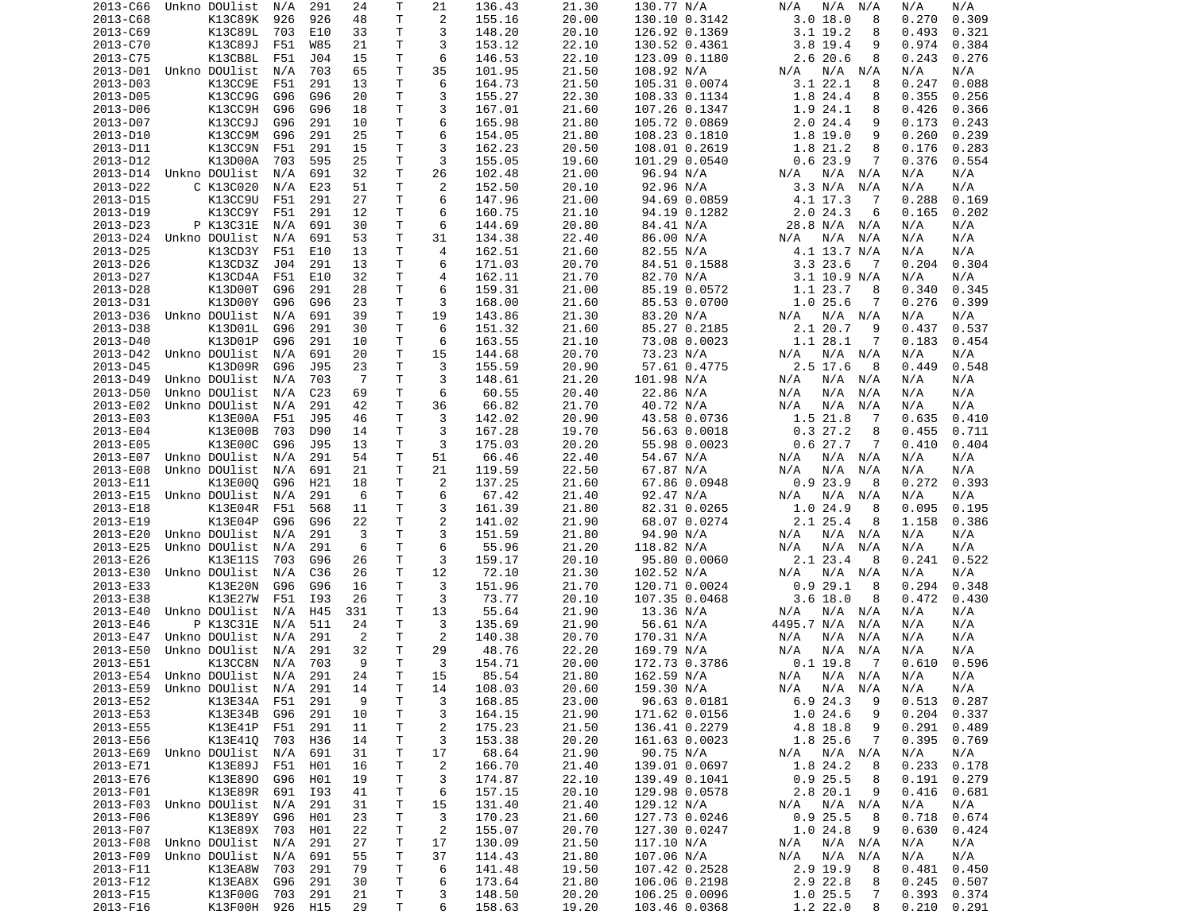| 2013-C66             | Unkno DOUlist              | N/A         | 291 | 24       | Т            | 21             | 136.43 | 21.30 | 130.77 N/A    | N/A<br>N/A<br>N/A            | N/A<br>N/A              |
|----------------------|----------------------------|-------------|-----|----------|--------------|----------------|--------|-------|---------------|------------------------------|-------------------------|
| 2013-C68             | K13C89K                    | 926         | 926 | 48       | T            | $\overline{c}$ | 155.16 | 20.00 | 130.10 0.3142 | 3.018.0<br>8                 | 0.309<br>0.270          |
| 2013-C69             | K13C89L                    | 703         | E10 | 33       | т            | 3              | 148.20 | 20.10 | 126.92 0.1369 | $3.1$ 19.2<br>8              | 0.493<br>0.321          |
|                      |                            |             |     |          | т            | 3              | 153.12 |       |               | 9                            | 0.974                   |
| 2013-C70             | K13C89J                    | F51         | W85 | 21       |              |                |        | 22.10 | 130.52 0.4361 | $3.8$ 19.4                   | 0.384                   |
| 2013-C75             | K13CB8L                    | F51         | J04 | 15       | т            | 6              | 146.53 | 22.10 | 123.09 0.1180 | 2.6 20.6<br>8                | 0.243<br>0.276          |
| 2013-D01             | Unkno DOUlist              | N/A         | 703 | 65       | Τ            | 35             | 101.95 | 21.50 | 108.92 N/A    | N/A<br>N/A<br>N/A            | N/A<br>N/A              |
| 2013-D03             | K13CC9E                    | F51         | 291 | 13       | Τ            | 6              | 164.73 | 21.50 | 105.31 0.0074 | 3.1 22.1<br>8                | 0.247<br>0.088          |
| 2013-D05             | K13CC9G                    | G96         | G96 | 20       | Τ            | 3              | 155.27 | 22.30 | 108.33 0.1134 | 1.8 24.4<br>8                | 0.355<br>0.256          |
| 2013-D06             | K13CC9H                    | G96         | G96 | 18       | T.           | 3              | 167.01 | 21.60 | 107.26 0.1347 | 1.9 24.1<br>8                | 0.426<br>0.366          |
|                      |                            |             |     |          |              |                |        |       |               |                              |                         |
| 2013-D07             | K13CC9J                    | G96         | 291 | 10       | т            | 6              | 165.98 | 21.80 | 105.72 0.0869 | 2.024.4<br>9                 | 0.173<br>0.243          |
| 2013-D10             | K13CC9M                    | G96         | 291 | 25       | т            | 6              | 154.05 | 21.80 | 108.23 0.1810 | 1.8 19.0<br>9                | 0.260<br>0.239          |
| 2013-D11             | K13CC9N                    | F51         | 291 | 15       | T            | 3              | 162.23 | 20.50 | 108.01 0.2619 | 1.8 21.2<br>8                | 0.176<br>0.283          |
| 2013-D12             | K13D00A                    | 703         | 595 | 25       | Τ            | 3              | 155.05 | 19.60 | 101.29 0.0540 | 0.623.9<br>7                 | 0.376<br>0.554          |
| 2013-D14             | Unkno DOUlist              | N/A         | 691 | 32       | т            | 26             | 102.48 | 21.00 | 96.94 N/A     | N/A N/A<br>N/A               | N/A<br>N/A              |
|                      |                            |             |     |          |              |                |        |       |               |                              |                         |
| 2013-D22             | C K13C020                  | N/A         | E23 | 51       | Τ            | 2              | 152.50 | 20.10 | 92.96 N/A     | 3.3 N/A<br>N/A               | N/A<br>N/A              |
| 2013-D15             | K13CC9U                    | F51         | 291 | 27       | T.           | 6              | 147.96 | 21.00 | 94.69 0.0859  | 4.1 17.3<br>-7               | 0.288<br>0.169          |
| 2013-D19             | K13CC9Y                    | F51         | 291 | 12       | т            | 6              | 160.75 | 21.10 | 94.19 0.1282  | 2.024.3<br>6                 | 0.165<br>0.202          |
| 2013-D23             | P K13C31E                  | N/A         | 691 | 30       | т            | 6              | 144.69 | 20.80 | 84.41 N/A     | 28.8 N/A<br>N/A              | N/A<br>N/A              |
| 2013-D24             | Unkno DOUlist              | N/A         | 691 | 53       | Τ            | 31             | 134.38 | 22.40 | 86.00 N/A     | N/A<br>N/A<br>N/A            | N/A<br>N/A              |
|                      |                            |             |     |          |              |                |        |       |               |                              |                         |
| 2013-D25             | K13CD3Y                    | F51         | E10 | 13       | т            | 4              | 162.51 | 21.60 | 82.55 N/A     | 4.1 13.7 N/A                 | N/A<br>N/A              |
| 2013-D26             | K13CD3Z                    | J04         | 291 | 13       | т            | 6              | 171.03 | 20.70 | 84.51 0.1588  | 3.323.6<br>- 7               | 0.204<br>0.304          |
| 2013-D27             | K13CD4A                    | F51         | E10 | 32       | Τ            | 4              | 162.11 | 21.70 | 82.70 N/A     | $3.1$ 10.9 N/A               | N/A<br>N/A              |
| 2013-D28             | K13D00T                    | G96         | 291 | 28       | т            | 6              | 159.31 | 21.00 | 85.19 0.0572  | 1.1 23.7<br>8                | 0.340<br>0.345          |
| 2013-D31             | K13D00Y                    | G96         | G96 | 23       | т            | 3              | 168.00 | 21.60 | 85.53 0.0700  | 1.025.6<br>7                 | 0.276<br>0.399          |
|                      |                            |             |     |          |              |                |        |       |               |                              |                         |
| 2013-D36             | Unkno DOUlist              | N/A         | 691 | 39       | T.           | 19             | 143.86 | 21.30 | 83.20 N/A     | $N/A$ $N/A$<br>N/A           | N/A<br>N/A              |
| 2013-D38             | K13D01L                    | G96         | 291 | 30       | Τ            | 6              | 151.32 | 21.60 | 85.27 0.2185  | 2.1 20.7<br>9                | 0.437<br>0.537          |
| 2013-D40             | K13D01P                    | G96         | 291 | 10       | т            | 6              | 163.55 | 21.10 | 73.08 0.0023  | 1.1 28.1<br>7                | 0.183<br>0.454          |
| 2013-D42             | Unkno DOUlist              | N/A         | 691 | 20       | т            | 15             | 144.68 | 20.70 | 73.23 N/A     | $N/A$ $N/A$<br>N/A           | N/A<br>N/A              |
| 2013-D45             | K13D09R                    | G96         | J95 | 23       | Τ            | 3              | 155.59 | 20.90 | 57.61 0.4775  | 2.5 17.6<br>8                | 0.449<br>0.548          |
|                      |                            |             |     |          |              |                |        |       |               |                              |                         |
| 2013-D49             | Unkno DOUlist              | N/A         | 703 | - 7      | Τ            | 3              | 148.61 | 21.20 | 101.98 N/A    | N/A<br>N/A<br>N/A            | N/A<br>N/A              |
| 2013-D50             | Unkno DOUlist              | N/A         | C23 | 69       | т            | 6              | 60.55  | 20.40 | 22.86 N/A     | N/A<br>N/A<br>N/A            | N/A<br>N/A              |
| 2013-E02             | Unkno DOUlist              | N/A         | 291 | 42       | T.           | 36             | 66.82  | 21.70 | 40.72 N/A     | N/A<br>N/A<br>N/A            | N/A<br>N/A              |
| 2013-E03             | K13E00A                    | F51         | J95 | 46       | T.           | 3              | 142.02 | 20.90 | 43.58 0.0736  | 1.5 21.8<br>-7               | 0.635<br>0.410          |
| 2013-E04             | K13E00B                    | 703         | D90 | 14       | т            | 3              | 167.28 | 19.70 | 56.63 0.0018  | 0.327.2<br>8                 | 0.455<br>0.711          |
|                      |                            |             |     |          |              |                |        |       |               |                              |                         |
| 2013-E05             | K13E00C                    | G96         | J95 | 13       | Τ            | 3              | 175.03 | 20.20 | 55.98 0.0023  | 0.627.7<br>7                 | 0.410<br>0.404          |
| 2013-E07             | Unkno DOUlist              | N/A         | 291 | 54       | т            | 51             | 66.46  | 22.40 | 54.67 N/A     | N/A<br>N/A<br>N/A            | N/A<br>N/A              |
| 2013-E08             | Unkno DOUlist              | N/A         | 691 | 21       | T.           | 21             | 119.59 | 22.50 | 67.87 N/A     | N/A<br>N/A<br>N/A            | N/A<br>N/A              |
| 2013-E11             | K13E000                    | G96         | H21 | 18       | т            | $\overline{c}$ | 137.25 | 21.60 | 67.86 0.0948  | 0.923.9<br>8                 | 0.272<br>0.393          |
| 2013-E15             | Unkno DOUlist              | N/A         | 291 | 6        | Τ            | 6              | 67.42  | 21.40 | 92.47 N/A     | N/A<br>N/A<br>N/A            | N/A<br>N/A              |
|                      |                            |             |     |          |              |                |        |       |               |                              |                         |
| 2013-E18             | K13E04R                    | F51         | 568 | 11       | т            | 3              | 161.39 | 21.80 | 82.31 0.0265  | 1.024.9<br>8                 | 0.095<br>0.195          |
| 2013-E19             | K13E04P                    | G96         | G96 | 22       | т            | $\overline{c}$ | 141.02 | 21.90 | 68.07 0.0274  | 2.1 25.4<br>8                | 1.158<br>0.386          |
| 2013-E20             | Unkno DOUlist              | N/A         | 291 | 3        | T            | 3              | 151.59 | 21.80 | 94.90 N/A     | N/A N/A<br>N/A               | N/A<br>N/A              |
| 2013-E25             | Unkno DOUlist              | N/A         | 291 | 6        | т            | 6              | 55.96  | 21.20 | 118.82 N/A    | N/A<br>N/A<br>N/A            | N/A<br>N/A              |
| 2013-E26             | K13E11S                    | 703         | G96 | 26       | T            | 3              | 159.17 | 20.10 | 95.80 0.0060  | 2.1 23.4<br>8                | 0.241<br>0.522          |
|                      |                            |             |     |          |              |                |        |       |               |                              |                         |
| 2013-E30             | Unkno DOUlist              | N/A         | C36 | 26       | Τ            | 12             | 72.10  | 21.30 | 102.52 N/A    | N/A N/A<br>N/A               | N/A<br>N/A              |
| 2013-E33             | K13E20N                    | G96         | G96 | 16       | Τ            | 3              | 151.96 | 21.70 | 120.71 0.0024 | 0.929.1<br>8                 | 0.294<br>0.348          |
| 2013-E38             | K13E27W                    | F51         | I93 | 26       | т            | 3              | 73.77  | 20.10 | 107.35 0.0468 | $3.6$ 18.0<br>8              | 0.472<br>0.430          |
| 2013-E40             | Unkno DOUlist              | N/A         | H45 | 331      | Τ            | 13             | 55.64  | 21.90 | 13.36 N/A     | N/A<br>N/A N/A               | N/A<br>N/A              |
| 2013-E46             | P K13C31E                  | N/A         | 511 | 24       | Τ            | 3              | 135.69 | 21.90 | 56.61 N/A     | 4495.7 N/A<br>N/A            | N/A<br>N/A              |
|                      |                            |             |     |          |              |                |        |       |               |                              |                         |
| 2013-E47             | Unkno DOUlist              | N/A         | 291 | 2        | т            | 2              | 140.38 | 20.70 | 170.31 N/A    | N/A<br>N/A<br>N/A            | N/A<br>N/A              |
| 2013-E50             | Unkno DOUlist              | N/A         | 291 | 32       | т            | 29             | 48.76  | 22.20 | 169.79 N/A    | N/A<br>N/A<br>N/A            | N/A<br>N/A              |
| 2013-E51             | K13CC8N                    | N/A         | 703 | 9        | T.           | 3              | 154.71 | 20.00 | 172.73 0.3786 | $0.1$ 19.8<br>$\overline{7}$ | 0.596<br>0.610          |
|                      | 2013-E54 Unkno DOUlist N/A |             | 291 | 24       | $\mathsf{T}$ | 15             | 85.54  | 21.80 | 162.59 N/A    | $N/A$ $N/A$ $N/A$            | N/A<br>N/A              |
| 2013-E59             | Unkno DOUlist  N/A  291    |             |     | 14       | т            |                | 108.03 | 20.60 | 159.30 N/A    | N/A N/A                      | N/A<br>N/A              |
|                      |                            |             |     |          |              | 14             |        |       |               | N/A                          |                         |
| 2013-E52             |                            | K13E34A F51 | 291 | 9        | Τ            | 3              | 168.85 | 23.00 | 96.63 0.0181  | 6.924.3<br>- 9               | 0.513<br>0.287          |
| 2013-E53             | K13E34B                    | G96         | 291 | 10       | т            | 3              | 164.15 | 21.90 | 171.62 0.0156 | 1.024.6<br>9                 | 0.204<br>0.337          |
| 2013-E55             |                            | K13E41P F51 | 291 | 11       | т            | 2              | 175.23 | 21.50 | 136.41 0.2279 | 4.8 18.8<br>9                | 0.291<br>0.489          |
| 2013-E56             | K13E410                    | 703         | H36 | 14       | т            | 3              | 153.38 | 20.20 | 161.63 0.0023 | 1.8 25.6<br>$\overline{7}$   | 0.395<br>0.769          |
|                      |                            |             |     |          |              |                |        |       |               |                              |                         |
|                      | 2013-E69 Unkno DOUlist     | N/A         | 691 | 31       | т            | 17             | 68.64  | 21.90 | 90.75 N/A     | N/A<br>N/A N/A               | N/A<br>N/A              |
| 2013-E71             | K13E89J                    | F51         | H01 | 16       | Τ            | $\overline{c}$ | 166.70 | 21.40 | 139.01 0.0697 | 1.8 24.2<br>8                | 0.233<br>0.178          |
| 2013-E76             | K13E890                    | G96         | H01 | 19       | т            | 3              | 174.87 | 22.10 | 139.49 0.1041 | 0.925.5<br>8                 | 0.191<br>0.279          |
| 2013-F01             |                            | K13E89R 691 | I93 | 41       | Τ            | 6              | 157.15 | 20.10 | 129.98 0.0578 | 2.8 20.1<br>9                | 0.416<br>0.681          |
| 2013-F03             | Unkno DOUlist N/A          |             | 291 | 31       | т            | 15             | 131.40 | 21.40 | 129.12 N/A    | N/A N/A<br>N/A               | N/A<br>N/A              |
|                      |                            |             |     |          |              |                |        |       |               |                              |                         |
| 2013-F06             | K13E89Y                    | G96         | H01 | 23       | т            | 3              | 170.23 | 21.60 | 127.73 0.0246 | 0.925.5<br>8                 | 0.718<br>0.674          |
| 2013-F07             |                            | K13E89X 703 | H01 | 22       | т            | $\overline{c}$ | 155.07 | 20.70 | 127.30 0.0247 | 1.024.8<br>9                 | 0.630<br>0.424          |
|                      |                            |             | 291 | 27       | т            | 17             | 130.09 | 21.50 | 117.10 N/A    | N/A N/A<br>N/A               | N/A<br>N/A              |
| 2013-F08             | Unkno DOUlist N/A          |             |     |          |              |                |        |       |               |                              |                         |
|                      |                            |             |     |          |              |                |        |       |               |                              |                         |
| 2013-F09             | Unkno DOUlist              | N/A         | 691 | 55       | Τ            | 37             | 114.43 | 21.80 | 107.06 N/A    | N/A<br>N/A N/A               | N/A<br>N/A              |
| 2013-F11             | K13EA8W                    | 703         | 291 | 79       | Τ            | 6              | 141.48 | 19.50 | 107.42 0.2528 | 2.9 19.9<br>8                | 0.481<br>0.450          |
| 2013-F12             |                            | K13EA8X G96 | 291 | 30       | T            | 6              | 173.64 | 21.80 | 106.06 0.2198 | 2.9 22.8<br>8                | 0.245<br>0.507          |
| 2013-F15<br>2013-F16 | K13F00G                    | 703         | 291 | 21<br>29 | Τ<br>T.      | 3              | 148.50 | 20.20 | 106.25 0.0096 | 1.025.5<br>7<br>1.2 22.0     | 0.393<br>0.374<br>0.210 |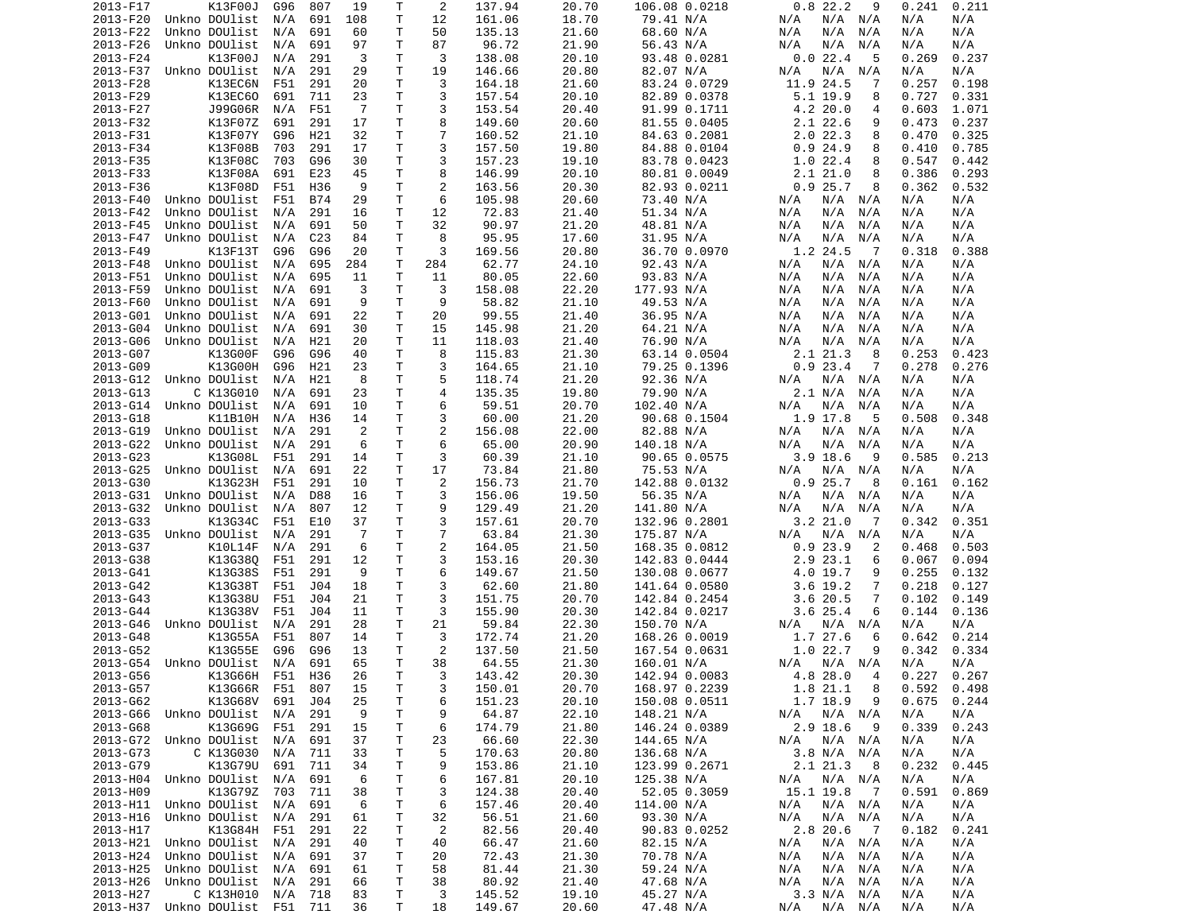| 2013-F17 | K13F00J                        | G96 | 807             | 19             | Т  | 2              | 137.94 | 20.70 | 106.08 0.0218 | 0.822.2<br>9                | 0.211<br>0.241  |
|----------|--------------------------------|-----|-----------------|----------------|----|----------------|--------|-------|---------------|-----------------------------|-----------------|
| 2013-F20 | Unkno DOUlist                  | N/A | 691             | 108            | T  | 12             | 161.06 | 18.70 | 79.41 N/A     | N/A<br>N/A N/A              | N/A<br>N/A      |
| 2013-F22 | Unkno DOUlist                  | N/A | 691             | 60             | Τ  | 50             | 135.13 | 21.60 | 68.60 N/A     | N/A<br>N/A<br>N/A           | N/A<br>N/A      |
| 2013-F26 | Unkno DOUlist                  | N/A | 691             | 97             | Τ  | 87             | 96.72  | 21.90 | 56.43 N/A     | N/A<br>N/A<br>N/A           | N/A<br>N/A      |
|          |                                |     |                 |                |    |                |        |       |               |                             |                 |
| 2013-F24 | K13F00J                        | N/A | 291             | 3              | Τ  | 3              | 138.08 | 20.10 | 93.48 0.0281  | 0.022.4<br>5                | 0.269<br>0.237  |
| 2013-F37 | Unkno DOUlist                  | N/A | 291             | 29             | т  | 19             | 146.66 | 20.80 | 82.07 N/A     | N/A<br>N/A<br>N/A           | N/A<br>N/A      |
| 2013-F28 | K13EC6N                        | F51 | 291             | 20             | т  | 3              | 164.18 | 21.60 | 83.24 0.0729  | 11.9 24.5<br>7              | 0.257<br>0.198  |
| 2013-F29 | K13EC60                        | 691 | 711             | 23             | Τ  | 3              | 157.54 | 20.10 | 82.89 0.0378  | 5.1 19.9<br>8               | 0.727<br>0.331  |
| 2013-F27 | J99G06R                        | N/A | F51             | -7             | T  | 3              | 153.54 | 20.40 | 91.99 0.1711  | 4.2 20.0<br>4               | 0.603<br>1.071  |
| 2013-F32 | K13F07Z                        | 691 | 291             | 17             | Τ  | 8              | 149.60 | 20.60 | 81.55 0.0405  | 2.1 22.6<br>9               | 0.473<br>0.237  |
|          |                                |     |                 |                |    |                |        |       |               |                             |                 |
| 2013-F31 | K13F07Y                        | G96 | H21             | 32             | Τ  | $\overline{7}$ | 160.52 | 21.10 | 84.63 0.2081  | 2.022.3<br>8                | 0.470<br>0.325  |
| 2013-F34 | K13F08B                        | 703 | 291             | 17             | Τ  | 3              | 157.50 | 19.80 | 84.88 0.0104  | 0.924.9<br>8                | 0.410<br>0.785  |
| 2013-F35 | K13F08C                        | 703 | G96             | 30             | Τ  | 3              | 157.23 | 19.10 | 83.78 0.0423  | 1.022.4<br>8                | 0.547<br>0.442  |
| 2013-F33 | K13F08A                        | 691 | E23             | 45             | т  | 8              | 146.99 | 20.10 | 80.81 0.0049  | 2.121.0<br>8                | 0.386<br>0.293  |
| 2013-F36 | K13F08D                        | F51 | H36             | 9              | T. | $\overline{2}$ | 163.56 | 20.30 | 82.93 0.0211  | 0.925.7<br>8                | 0.362<br>0.532  |
| 2013-F40 | Unkno DOUlist                  | F51 | <b>B74</b>      | 29             | T  | 6              | 105.98 | 20.60 | 73.40 N/A     | N/A<br>N/A N/A              | N/A<br>N/A      |
| 2013-F42 | Unkno DOUlist                  | N/A | 291             | 16             | Τ  | 12             | 72.83  | 21.40 | 51.34 N/A     | N/A<br>N/A<br>N/A           | N/A<br>N/A      |
|          |                                |     |                 |                |    |                |        |       |               |                             |                 |
| 2013-F45 | Unkno DOUlist                  | N/A | 691             | 50             | T  | 32             | 90.97  | 21.20 | 48.81 N/A     | N/A<br>N/A<br>N/A           | N/A<br>N/A      |
| 2013-F47 | Unkno DOUlist                  | N/A | C <sub>23</sub> | 84             | Τ  | 8              | 95.95  | 17.60 | 31.95 N/A     | N/A<br>N/A<br>N/A           | N/A<br>N/A      |
| 2013-F49 | K13F13T                        | G96 | G96             | 20             | Т  | 3              | 169.56 | 20.80 | 36.70 0.0970  | 1.2 24.5<br>$\overline{7}$  | 0.318<br>0.388  |
| 2013-F48 | Unkno DOUlist                  | N/A | 695             | 284            | T  | 284            | 62.77  | 24.10 | 92.43 N/A     | N/A<br>N/A<br>N/A           | N/A<br>N/A      |
| 2013-F51 | Unkno DOUlist                  | N/A | 695             | 11             | Τ  | 11             | 80.05  | 22.60 | 93.83 N/A     | N/A<br>N/A<br>N/A           | N/A<br>N/A      |
| 2013-F59 | Unkno DOUlist                  | N/A | 691             | 3              | T  | 3              | 158.08 | 22.20 | 177.93 N/A    | N/A<br>N/A<br>N/A           | N/A<br>N/A      |
|          |                                |     |                 |                |    |                |        |       |               |                             |                 |
| 2013-F60 | Unkno DOUlist                  | N/A | 691             | 9              | Τ  | 9              | 58.82  | 21.10 | 49.53 N/A     | N/A<br>N/A<br>N/A           | N/A<br>N/A      |
| 2013-G01 | Unkno DOUlist                  | N/A | 691             | 22             | Τ  | 20             | 99.55  | 21.40 | 36.95 N/A     | N/A<br>N/A<br>N/A           | N/A<br>N/A      |
| 2013-G04 | Unkno DOUlist                  | N/A | 691             | 30             | т  | 15             | 145.98 | 21.20 | 64.21 N/A     | N/A<br>N/A<br>N/A           | N/A<br>N/A      |
| 2013-G06 | Unkno DOUlist                  | N/A | H21             | 20             | т  | 11             | 118.03 | 21.40 | 76.90 N/A     | N/A<br>N/A<br>N/A           | N/A<br>N/A      |
| 2013-G07 | K13G00F                        | G96 | G96             | 40             | т  | 8              | 115.83 | 21.30 | 63.14 0.0504  | 2.1 21.3<br>8               | 0.253<br>0.423  |
| 2013-G09 | K13G00H                        | G96 | H21             | 23             | Τ  | 3              | 164.65 | 21.10 | 79.25 0.1396  | 0.923.4<br>7                | 0.278<br>0.276  |
|          |                                |     |                 |                |    |                |        |       |               |                             |                 |
| 2013-G12 | Unkno DOUlist                  | N/A | H21             | 8              | Τ  | 5              | 118.74 | 21.20 | 92.36 N/A     | N/A<br>N/A<br>N/A           | N/A<br>N/A      |
| 2013-G13 | C K13G010                      | N/A | 691             | 23             | Τ  | 4              | 135.35 | 19.80 | 79.90 N/A     | 2.1 N/A<br>N/A              | N/A<br>N/A      |
| 2013-G14 | Unkno DOUlist                  | N/A | 691             | 10             | T. | 6              | 59.51  | 20.70 | 102.40 N/A    | N/A<br>N/A<br>N/A           | N/A<br>N/A      |
| 2013-G18 | K11B10H                        | N/A | H36             | 14             | T. | 3              | 60.00  | 21.20 | 90.68 0.1504  | 1.9 17.8<br>5               | 0.508<br>0.348  |
| 2013-G19 | Unkno DOUlist                  | N/A | 291             | 2              | Τ  | $\overline{2}$ | 156.08 | 22.00 | 82.88 N/A     | N/A N/A<br>N/A              | N/A<br>N/A      |
| 2013-G22 | Unkno DOUlist                  | N/A | 291             | 6              | T  | 6              | 65.00  | 20.90 | 140.18 N/A    | N/A<br>N/A<br>N/A           | N/A<br>N/A      |
|          |                                |     |                 |                |    |                |        |       |               |                             |                 |
| 2013-G23 | K13G08L                        | F51 | 291             | 14             | Τ  | 3              | 60.39  | 21.10 | 90.65 0.0575  | 3.9 18.6<br>9               | 0.585<br>0.213  |
| 2013-G25 | Unkno DOUlist                  | N/A | 691             | 22             | Τ  | 17             | 73.84  | 21.80 | 75.53 N/A     | N/A<br>N/A N/A              | N/A<br>N/A      |
| 2013-G30 | K13G23H                        | F51 | 291             | 10             | т  | $\overline{c}$ | 156.73 | 21.70 | 142.88 0.0132 | 0.925.7<br>8                | 0.161<br>0.162  |
| 2013-G31 | Unkno DOUlist                  | N/A | <b>D88</b>      | 16             | т  | 3              | 156.06 | 19.50 | 56.35 N/A     | N/A<br>N/A N/A              | N/A<br>N/A      |
| 2013-G32 | Unkno DOUlist                  | N/A | 807             | 12             | т  | 9              | 129.49 | 21.20 | 141.80 N/A    | N/A<br>N/A<br>N/A           | N/A<br>N/A      |
| 2013-G33 | K13G34C                        | F51 | E10             | 37             | т  | 3              | 157.61 | 20.70 | 132.96 0.2801 | 3.2 21.0<br>- 7             | 0.342<br>0.351  |
| 2013-G35 | Unkno DOUlist                  | N/A | 291             | $\overline{7}$ | T  | $\overline{7}$ | 63.84  | 21.30 |               | $N/A$ $N/A$<br>N/A          | N/A<br>N/A      |
|          |                                |     |                 |                |    |                |        |       | 175.87 N/A    |                             |                 |
| 2013-G37 | K10L14F                        | N/A | 291             | 6              | Τ  | $\overline{c}$ | 164.05 | 21.50 | 168.35 0.0812 | 0.923.9<br>2                | 0.468<br>0.503  |
| 2013-G38 | K13G380                        | F51 | 291             | 12             | T  | 3              | 153.16 | 20.30 | 142.83 0.0444 | 2.9 23.1<br>6               | 0.067<br>0.094  |
| 2013-G41 | K13G38S                        | F51 | 291             | 9              | Τ  | 6              | 149.67 | 21.50 | 130.08 0.0677 | 4.0 19.7<br>9               | 0.255<br>0.132  |
| 2013-G42 | K13G38T                        | F51 | J04             | 18             | Τ  | 3              | 62.60  | 21.80 | 141.64 0.0580 | $3.6$ 19.2<br>7             | 0.218<br>0.127  |
| 2013-G43 | K13G38U                        | F51 | J04             | 21             | T  | 3              | 151.75 | 20.70 | 142.84 0.2454 | 3.620.5<br>7                | 0.102<br>0.149  |
| 2013-G44 | K13G38V                        | F51 | J04             | 11             | Τ  | 3              | 155.90 | 20.30 | 142.84 0.0217 | $3.6$ 25.4<br>6             | 0.144<br>0.136  |
|          | Unkno DOUlist                  |     |                 |                |    |                |        |       |               |                             |                 |
| 2013-G46 |                                | N/A | 291             | 28             | Τ  | 21             | 59.84  | 22.30 | 150.70 N/A    | N/A N/A<br>N/A              | N/A<br>N/A      |
| 2013-G48 | K13G55A                        | F51 | 807             | 14             | т  | 3              | 172.74 | 21.20 | 168.26 0.0019 | 1.7 27.6<br>6               | 0.214<br>0.642  |
| 2013-G52 | K13G55E                        | G96 | G96             | 13             | Τ  | 2              | 137.50 | 21.50 | 167.54 0.0631 | 1.022.7<br>9                | 0.342<br>0.334  |
| 2013-G54 | Unkno DOUlist                  | N/A | 691             | 65             | T. | 38             | 64.55  | 21.30 | 160.01 N/A    | N/A<br>N/A N/A              | N/A<br>N/A      |
| 2013-G56 | K13G66H                        | F51 | H36             | 26             | T. | 3              | 143.42 | 20.30 | 142.94 0.0083 | 4.8 28.0<br>4               | 0.227<br>0.267  |
| 2013-G57 | K13G66R F51                    |     | 807             | 15             | Τ  | 3              | 150.01 | 20.70 | 168.97 0.2239 | 1.8 21.1<br>8               | $0.592$ $0.498$ |
| 2013-G62 |                                |     |                 |                |    |                |        | 20.10 |               |                             |                 |
|          | K13G68V                        | 691 | J04             | 25             | T  | 6              | 151.23 |       | 150.08 0.0511 | 1.7 18.9<br>9               | 0.675<br>0.244  |
| 2013-G66 | Unkno DOUlist                  | N/A | 291             | 9              | T  | 9              | 64.87  | 22.10 | 148.21 N/A    | $N/A$ $N/A$<br>N/A          | N/A<br>N/A      |
| 2013-G68 | K13G69G                        | F51 | 291             | 15             | т  | 6              | 174.79 | 21.80 | 146.24 0.0389 | 2.9 18.6<br>- 9             | 0.339<br>0.243  |
|          | 2013-G72 Unkno DOUlist         | N/A | 691             | 37             | T  | 23             | 66.60  | 22.30 | 144.65 N/A    | N/A N/A<br>N/A              | N/A<br>N/A      |
| 2013-G73 | C K13G030                      | N/A | 711             | 33             | Τ  | 5              | 170.63 | 20.80 | 136.68 N/A    | 3.8 N/A N/A                 | N/A<br>N/A      |
| 2013-G79 | K13G79U 691                    |     | 711             | 34             | T. | 9              | 153.86 | 21.10 | 123.99 0.2671 | 2.1 21.3<br>- 8             | 0.232<br>0.445  |
|          |                                |     |                 |                |    |                |        |       |               |                             |                 |
| 2013-H04 | Unkno DOUlist                  | N/A | 691             | 6              | T  | 6              | 167.81 | 20.10 | 125.38 N/A    | N/A N/A<br>N/A              | N/A<br>N/A      |
| 2013-H09 | K13G79Z 703                    |     | 711             | 38             | Τ  | 3              | 124.38 | 20.40 | 52.05 0.3059  | 15.1 19.8<br>$\overline{7}$ | 0.591<br>0.869  |
| 2013-H11 | Unkno DOUlist                  | N/A | 691             | 6              | T  | 6              | 157.46 | 20.40 | 114.00 N/A    | N/A<br>N/A N/A              | N/A<br>N/A      |
| 2013-H16 | Unkno DOUlist                  | N/A | 291             | 61             | Τ  | 32             | 56.51  | 21.60 | 93.30 N/A     | N/A<br>N/A N/A              | N/A<br>N/A      |
| 2013-H17 | K13G84H                        | F51 | 291             | 22             | T  | 2              | 82.56  | 20.40 | 90.83 0.0252  | 2.8 20.6<br>$\overline{7}$  | 0.182<br>0.241  |
| 2013-H21 | Unkno DOUlist                  | N/A | 291             | 40             | T  | 40             | 66.47  | 21.60 | 82.15 N/A     | N/A<br>$N/A$ $N/A$          | N/A<br>N/A      |
|          | Unkno DOUlist                  |     |                 |                |    |                |        |       |               |                             |                 |
| 2013-H24 |                                | N/A | 691             | 37             | Τ  | 20             | 72.43  | 21.30 | 70.78 N/A     | $N/A$ $N/A$<br>N/A          | N/A<br>N/A      |
| 2013-H25 | Unkno DOUlist                  | N/A | 691             | 61             | Τ  | 58             | 81.44  | 21.30 | 59.24 N/A     | N/A<br>N/A N/A              | N/A<br>N/A      |
| 2013-H26 | Unkno DOUlist                  | N/A | 291             | 66             | Τ  | 38             | 80.92  | 21.40 | 47.68 N/A     | N/A<br>$N/A$ $N/A$          | N/A<br>N/A      |
| 2013-H27 | C K13H010                      | N/A | 718             | 83             | Τ  | 3              | 145.52 | 19.10 | 45.27 N/A     | 3.3 N/A N/A                 | N/A<br>N/A      |
|          | 2013-H37 Unkno DOUlist F51 711 |     |                 | 36             | Τ  | 18             | 149.67 | 20.60 | 47.48 N/A     | N/A N/A<br>N/A              | N/A<br>N/A      |
|          |                                |     |                 |                |    |                |        |       |               |                             |                 |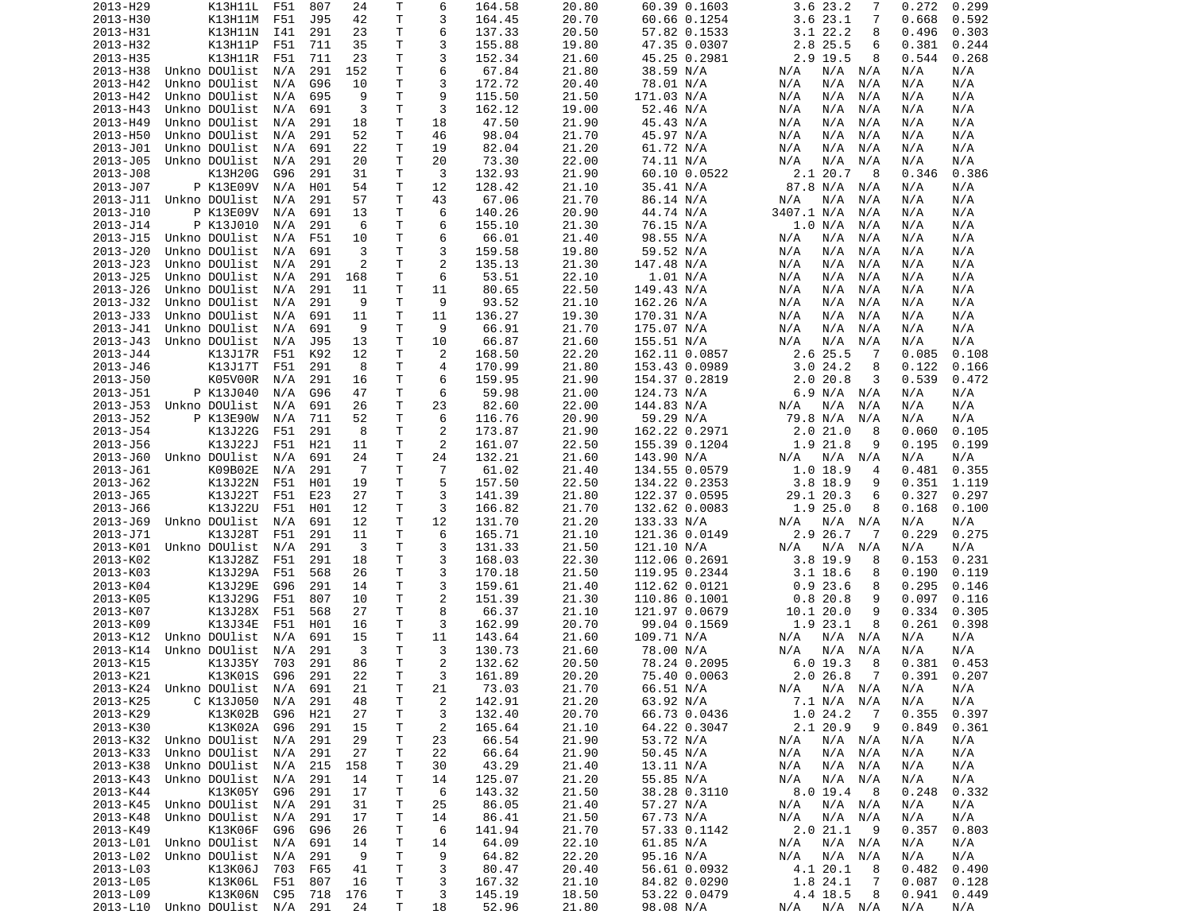| 2013-H29 | K13H11L                        | F51 | 807 | 24  | Т  | 6              | 164.58 | 20.80 | 60.39 0.1603  | 3.6 23.2<br>7             | 0.272<br>0.299 |
|----------|--------------------------------|-----|-----|-----|----|----------------|--------|-------|---------------|---------------------------|----------------|
| 2013-H30 | K13H11M                        | F51 | J95 | 42  | Τ  | 3              | 164.45 | 20.70 | 60.66 0.1254  | 3.623.1<br>7              | 0.668<br>0.592 |
| 2013-H31 | K13H11N                        | I41 | 291 | 23  | т  | 6              | 137.33 | 20.50 | 57.82 0.1533  | $3.1$ 22.2<br>8           | 0.496<br>0.303 |
| 2013-H32 | K13H11P                        | F51 | 711 | 35  | т  | 3              | 155.88 | 19.80 | 47.35 0.0307  | 2.8 25.5<br>6             | 0.381<br>0.244 |
| 2013-H35 | K13H11R                        | F51 | 711 | 23  | т  | 3              | 152.34 | 21.60 | 45.25 0.2981  | 2.9 19.5<br>8             | 0.544<br>0.268 |
| 2013-H38 | Unkno DOUlist                  | N/A | 291 | 152 | т  | 6              | 67.84  | 21.80 | 38.59 N/A     | N/A<br>N/A<br>N/A         | N/A<br>N/A     |
| 2013-H42 | Unkno DOUlist                  | N/A | G96 | 10  | т  | 3              | 172.72 | 20.40 | 78.01 N/A     | N/A<br>N/A<br>N/A         | N/A<br>N/A     |
| 2013-H42 | Unkno DOUlist                  |     |     | 9   | T. | 9              |        | 21.50 | 171.03 N/A    | N/A<br>N/A                |                |
|          |                                | N/A | 695 |     |    |                | 115.50 |       |               | N/A                       | N/A<br>N/A     |
| 2013-H43 | Unkno DOUlist                  | N/A | 691 | 3   | T  | 3              | 162.12 | 19.00 | 52.46 N/A     | N/A<br>N/A<br>N/A         | N/A<br>N/A     |
| 2013-H49 | Unkno DOUlist                  | N/A | 291 | 18  | т  | 18             | 47.50  | 21.90 | 45.43 N/A     | N/A<br>N/A<br>N/A         | N/A<br>N/A     |
| 2013-H50 | Unkno DOUlist                  | N/A | 291 | 52  | т  | 46             | 98.04  | 21.70 | 45.97 N/A     | N/A<br>N/A<br>N/A         | N/A<br>N/A     |
| 2013-J01 | Unkno DOUlist                  | N/A | 691 | 22  | T  | 19             | 82.04  | 21.20 | 61.72 N/A     | N/A<br>N/A<br>N/A         | N/A<br>N/A     |
| 2013-J05 | Unkno DOUlist                  | N/A | 291 | 20  | T. | 20             | 73.30  | 22.00 | 74.11 N/A     | N/A<br>N/A<br>N/A         | N/A<br>N/A     |
| 2013-J08 | K13H20G                        | G96 | 291 | 31  | т  | 3              | 132.93 | 21.90 | 60.10 0.0522  | 2.1 20.7<br>8             | 0.346<br>0.386 |
| 2013-J07 | P K13E09V                      | N/A | H01 | 54  | т  | 12             | 128.42 | 21.10 | 35.41 N/A     | 87.8 N/A<br>N/A           | N/A<br>N/A     |
| 2013-J11 | Unkno DOUlist                  | N/A | 291 | 57  | T. | 43             | 67.06  | 21.70 | 86.14 N/A     | N/A<br>N/A<br>N/A         | N/A<br>N/A     |
| 2013-J10 | P K13E09V                      | N/A | 691 | 13  | т  | 6              | 140.26 | 20.90 | 44.74 N/A     | 3407.1 N/A<br>N/A         | N/A<br>N/A     |
| 2013-J14 | P K13J010                      | N/A | 291 | 6   | T. | 6              | 155.10 | 21.30 | 76.15 N/A     | 1.0 N/A<br>N/A            | N/A<br>N/A     |
| 2013-J15 | Unkno DOUlist                  | N/A | F51 | 10  | Τ  | 6              | 66.01  | 21.40 | 98.55 N/A     | N/A<br>N/A<br>N/A         | N/A<br>N/A     |
| 2013-J20 | Unkno DOUlist                  | N/A | 691 | 3   | Τ  | 3              | 159.58 | 19.80 | 59.52 N/A     | N/A<br>N/A<br>N/A         | N/A<br>N/A     |
|          |                                |     |     |     | т  | $\overline{2}$ |        |       |               |                           |                |
| 2013-J23 | Unkno DOUlist                  | N/A | 291 | 2   |    |                | 135.13 | 21.30 | 147.48 N/A    | N/A<br>N/A<br>N/A         | N/A<br>N/A     |
| 2013-J25 | Unkno DOUlist                  | N/A | 291 | 168 | т  | 6              | 53.51  | 22.10 | 1.01 N/A      | N/A<br>N/A<br>N/A         | N/A<br>N/A     |
| 2013-J26 | Unkno DOUlist                  | N/A | 291 | 11  | т  | 11             | 80.65  | 22.50 | 149.43 N/A    | N/A<br>N/A<br>N/A         | N/A<br>N/A     |
| 2013-J32 | Unkno DOUlist                  | N/A | 291 | 9   | Т  | 9              | 93.52  | 21.10 | 162.26 N/A    | N/A<br>N/A<br>N/A         | N/A<br>N/A     |
| 2013-J33 | Unkno DOUlist                  | N/A | 691 | 11  | Τ  | 11             | 136.27 | 19.30 | 170.31 N/A    | N/A<br>N/A<br>N/A         | N/A<br>N/A     |
| 2013-J41 | Unkno DOUlist                  | N/A | 691 | 9   | Τ  | 9              | 66.91  | 21.70 | 175.07 N/A    | N/A<br>N/A<br>N/A         | N/A<br>N/A     |
| 2013-J43 | Unkno DOUlist                  | N/A | J95 | 13  | т  | 10             | 66.87  | 21.60 | 155.51 N/A    | N/A<br>N/A<br>N/A         | N/A<br>N/A     |
| 2013-J44 | K13J17R                        | F51 | K92 | 12  | т  | 2              | 168.50 | 22.20 | 162.11 0.0857 | 2.6 25.5<br>-7            | 0.085<br>0.108 |
| 2013-J46 | K13J17T                        | F51 | 291 | 8   | т  | 4              | 170.99 | 21.80 | 153.43 0.0989 | 3.024.2<br>8              | 0.122<br>0.166 |
| 2013-J50 | K05V00R                        | N/A | 291 | 16  | Τ  | 6              | 159.95 | 21.90 | 154.37 0.2819 | 2.0<br>20.8<br>3          | 0.539<br>0.472 |
| 2013-J51 | P K13J040                      | N/A | G96 | 47  | т  | 6              | 59.98  | 21.00 | 124.73 N/A    | 6.9 N/A N/A               | N/A<br>N/A     |
| 2013-J53 | Unkno DOUlist                  | N/A | 691 | 26  | T  | 23             | 82.60  | 22.00 | 144.83 N/A    | N/A<br>N/A<br>N/A         | N/A<br>N/A     |
| 2013-J52 |                                | N/A |     |     | T. | 6              |        |       |               |                           | N/A            |
|          | P K13E90W                      |     | 711 | 52  |    |                | 116.76 | 20.90 | 59.29 N/A     | 79.8 N/A<br>N/A           | N/A            |
| 2013-J54 | K13J22G                        | F51 | 291 | 8   | т  | $\overline{2}$ | 173.87 | 21.90 | 162.22 0.2971 | 2.021.0<br>8              | 0.060<br>0.105 |
| 2013-J56 | K13J22J                        | F51 | H21 | 11  | т  | 2              | 161.07 | 22.50 | 155.39 0.1204 | 1.9 21.8<br>9             | 0.195<br>0.199 |
| 2013-J60 | Unkno DOUlist                  | N/A | 691 | 24  | Τ  | 24             | 132.21 | 21.60 | 143.90 N/A    | N/A<br>N/A<br>N/A         | N/A<br>N/A     |
| 2013-J61 | K09B02E                        | N/A | 291 | - 7 | Τ  | $\overline{7}$ | 61.02  | 21.40 | 134.55 0.0579 | 1.018.9<br>4              | 0.355<br>0.481 |
| 2013-J62 | K13J22N                        | F51 | H01 | 19  | т  | 5              | 157.50 | 22.50 | 134.22 0.2353 | 3.8 18.9<br>9             | 0.351<br>1.119 |
| 2013-J65 | K13J22T                        | F51 | E23 | 27  | т  | 3              | 141.39 | 21.80 | 122.37 0.0595 | 29.1 20.3<br>6            | 0.327<br>0.297 |
| 2013-J66 | K13J22U                        | F51 | H01 | 12  | т  | 3              | 166.82 | 21.70 | 132.62 0.0083 | 1.925.0<br>8              | 0.168<br>0.100 |
| 2013-J69 | Unkno DOUlist                  | N/A | 691 | 12  | т  | 12             | 131.70 | 21.20 | 133.33 N/A    | N/A N/A<br>N/A            | N/A<br>N/A     |
| 2013-J71 | K13J28T                        | F51 | 291 | 11  | Τ  | 6              | 165.71 | 21.10 | 121.36 0.0149 | 2.9 26.7<br>-7            | 0.275<br>0.229 |
| 2013-K01 | Unkno DOUlist                  | N/A | 291 | 3   | Τ  | 3              | 131.33 | 21.50 | 121.10 N/A    | N/A<br>N/A<br>N/A         | N/A<br>N/A     |
| 2013-K02 | K13J28Z                        | F51 | 291 | 18  | Τ  | 3              | 168.03 | 22.30 | 112.06 0.2691 | 3.8 19.9<br>8             | 0.153<br>0.231 |
| 2013-K03 | K13J29A                        | F51 | 568 | 26  | Τ  | 3              | 170.18 | 21.50 | 119.95 0.2344 | $3.1$ 18.6<br>8           | 0.190<br>0.119 |
| 2013-K04 |                                |     |     |     |    |                |        |       |               | 0.923.6                   |                |
|          | K13J29E                        | G96 | 291 | 14  | Τ  | 3              | 159.61 | 21.40 | 112.62 0.0121 | 8                         | 0.295<br>0.146 |
| 2013-K05 | K13J29G                        | F51 | 807 | 10  | т  | $\overline{2}$ | 151.39 | 21.30 | 110.86 0.1001 | 0.820.8<br>9              | 0.097<br>0.116 |
| 2013-K07 | K13J28X                        | F51 | 568 | 27  | т  | 8              | 66.37  | 21.10 | 121.97 0.0679 | 10.1 20.0<br>9            | 0.334<br>0.305 |
| 2013-K09 | K13J34E                        | F51 | H01 | 16  | т  | 3              | 162.99 | 20.70 | 99.04 0.1569  | 1.9 23.1<br>8             | 0.261<br>0.398 |
| 2013-K12 | Unkno DOUlist                  | N/A | 691 | 15  | Τ  | 11             | 143.64 | 21.60 | 109.71 N/A    | N/A<br>N/A N/A            | N/A<br>N/A     |
| 2013-K14 | Unkno DOUlist                  | N/A | 291 | 3   | Τ  | 3              | 130.73 | 21.60 | 78.00 N/A     | N/A<br>N/A<br>N/A         | N/A<br>N/A     |
| 2013-K15 | K13J35Y                        | 703 | 291 | 86  | T. | $\overline{2}$ | 132.62 | 20.50 | 78.24 0.2095  | 6.0 19.3<br>8             | 0.381<br>0.453 |
| 2013-K21 | K13K01S                        | G96 | 291 | 22  | T. | 3              | 161.89 | 20.20 | 75.40 0.0063  | 2.0 26.8<br>7             | 0.391<br>0.207 |
| 2013-K24 | Unkno DOUlist N/A 691          |     |     | 21  | т  | 21             | 73.03  | 21.70 | 66.51 N/A     | $N/A$ $N/A$<br>N/A        | N/A<br>N/A     |
| 2013-K25 | C K13J050                      | N/A | 291 | 48  | Τ  | $\overline{c}$ | 142.91 | 21.20 | 63.92 N/A     | 7.1 N/A N/A               | N/A<br>N/A     |
| 2013-K29 | K13K02B                        | G96 | H21 | 27  | т  | 3              | 132.40 | 20.70 | 66.73 0.0436  | 1.024.2<br>$\overline{7}$ | 0.355<br>0.397 |
| 2013-K30 | K13K02A                        | G96 | 291 | 15  | т  | $\overline{c}$ | 165.64 | 21.10 | 64.22 0.3047  | 2.1 20.9<br>- 9           | 0.849<br>0.361 |
|          |                                |     | 291 | 29  |    |                |        |       |               |                           |                |
| 2013-K32 | Unkno DOUlist N/A              |     |     |     | т  | 23             | 66.54  | 21.90 | 53.72 N/A     | N/A<br>N/A N/A            | N/A<br>N/A     |
| 2013-K33 | Unkno DOUlist                  | N/A | 291 | 27  | т  | 22             | 66.64  | 21.90 | 50.45 N/A     | $N/A$ $N/A$<br>N/A        | N/A<br>N/A     |
| 2013-K38 | Unkno DOUlist N/A              |     | 215 | 158 | Τ  | 30             | 43.29  | 21.40 | 13.11 N/A     | $N/A$ $N/A$<br>N/A        | N/A<br>N/A     |
| 2013-K43 | Unkno DOUlist                  | N/A | 291 | 14  | Т  | 14             | 125.07 | 21.20 | 55.85 N/A     | $N/A$ $N/A$<br>N/A        | N/A<br>N/A     |
| 2013-K44 | K13K05Y G96                    |     | 291 | 17  | Τ  | 6              | 143.32 | 21.50 | 38.28 0.3110  | 8.0 19.4<br>8             | 0.248<br>0.332 |
| 2013-K45 | Unkno DOUlist N/A              |     | 291 | 31  | т  | 25             | 86.05  | 21.40 | 57.27 N/A     | N/A<br>N/A N/A            | N/A<br>N/A     |
| 2013-K48 | Unkno DOUlist N/A              |     | 291 | 17  | т  | 14             | 86.41  | 21.50 | 67.73 N/A     | N/A<br>N/A N/A            | N/A<br>N/A     |
| 2013-K49 | K13K06F                        | G96 | G96 | 26  | т  | 6              | 141.94 | 21.70 | 57.33 0.1142  | 2.021.1<br>- 9            | 0.357<br>0.803 |
| 2013-L01 | Unkno DOUlist N/A              |     | 691 | 14  | т  | 14             | 64.09  | 22.10 | 61.85 N/A     | $N/A$ $N/A$<br>N/A        | N/A<br>N/A     |
| 2013-L02 | Unkno DOUlist                  | N/A | 291 | 9   | т  | 9              | 64.82  | 22.20 | 95.16 N/A     | N/A N/A<br>N/A            | N/A<br>N/A     |
| 2013-L03 | K13K06J                        | 703 | F65 | 41  | T  | 3              | 80.47  | 20.40 | 56.61 0.0932  | 4.1 20.1<br>- 8           | 0.482<br>0.490 |
| 2013-L05 | K13K06L F51                    |     | 807 | 16  | T  | 3              | 167.32 | 21.10 | 84.82 0.0290  | 1.8 24.1<br>-7            | 0.087<br>0.128 |
|          |                                |     |     |     |    |                |        |       |               |                           |                |
| 2013-L09 | K13K06N                        | C95 | 718 | 176 | Τ  | 3              | 145.19 | 18.50 | 53.22 0.0479  | 4.4 18.5<br>8             | 0.941<br>0.449 |
|          | 2013-L10 Unkno DOUlist N/A 291 |     |     | 24  | T. | 18             | 52.96  | 21.80 | 98.08 N/A     | N/A<br>N/A N/A            | N/A<br>N/A     |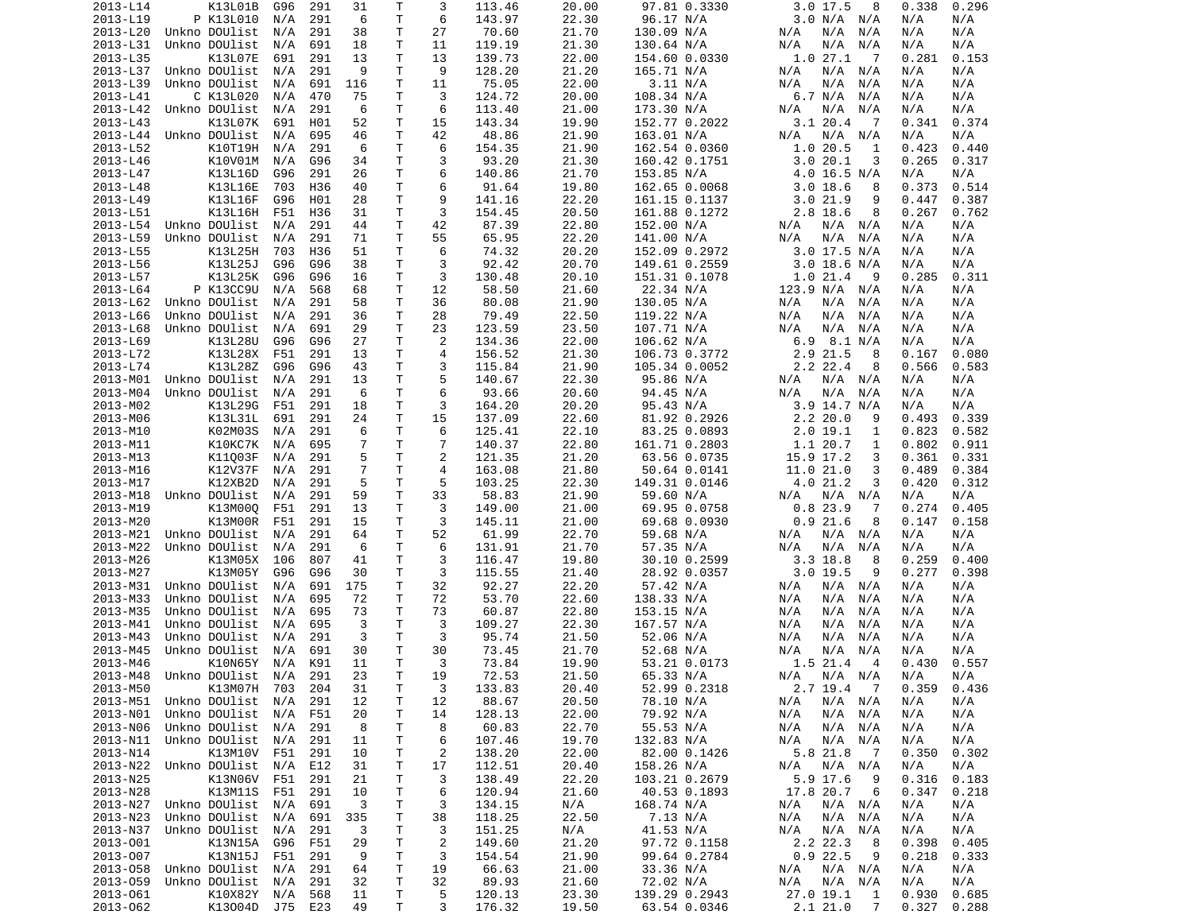| 2013-L14 | K13L01B                        | G96     | 291 | 31             | Τ            | 3              | 113.46          | 20.00 | 97.81 0.3330  | 3.017.5<br>8               | 0.338<br>0.296      |  |
|----------|--------------------------------|---------|-----|----------------|--------------|----------------|-----------------|-------|---------------|----------------------------|---------------------|--|
| 2013-L19 | P K13L010                      | N/A     | 291 | 6              | T            | 6              | 143.97          | 22.30 | 96.17 N/A     | 3.0 N/A<br>N/A             | N/A<br>N/A          |  |
| 2013-L20 | Unkno DOUlist                  | N/A     | 291 | 38             | т            | 27             | 70.60           | 21.70 | 130.09 N/A    | N/A<br>N/A<br>N/A          | N/A<br>N/A          |  |
| 2013-L31 | Unkno DOUlist                  | N/A     | 691 | 18             | т            | 11             | 119.19          | 21.30 | 130.64 N/A    | N/A<br>N/A<br>N/A          | N/A<br>N/A          |  |
| 2013-L35 | K13L07E                        | 691     | 291 | 13             | т            | 13             | 139.73          | 22.00 | 154.60 0.0330 | 1.027.1<br>- 7             | 0.281<br>0.153      |  |
| 2013-L37 | Unkno DOUlist                  | N/A     | 291 | 9              | Τ            | 9              | 128.20          | 21.20 | 165.71 N/A    | N/A<br>N/A<br>N/A          | N/A<br>N/A          |  |
| 2013-L39 | Unkno DOUlist                  | N/A     | 691 | 116            | т            | 11             | 75.05           | 22.00 | 3.11 N/A      | N/A<br>N/A<br>N/A          | N/A<br>N/A          |  |
| 2013-L41 | C K13L020                      | N/A     | 470 | 75             | T.           | 3              | 124.72          | 20.00 | 108.34 N/A    | 6.7 N/A<br>N/A             | N/A<br>N/A          |  |
| 2013-L42 | Unkno DOUlist                  | N/A     | 291 | 6              | T            | 6              | 113.40          | 21.00 | 173.30 N/A    | N/A<br>N/A<br>N/A          | N/A<br>N/A          |  |
| 2013-L43 | K13L07K                        | 691     | H01 | 52             | Τ            | 15             | 143.34          | 19.90 | 152.77 0.2022 | 3.1 20.4<br>- 7            | 0.374<br>0.341      |  |
| 2013-L44 | Unkno DOUlist                  | N/A     | 695 | 46             | Τ            | 42             | 48.86           | 21.90 | 163.01 N/A    | N/A<br>N/A<br>N/A          | N/A<br>N/A          |  |
| 2013-L52 | K10T19H                        | N/A     | 291 | 6              | Τ            | 6              | 154.35          | 21.90 | 162.54 0.0360 | 1.020.5<br>1               | 0.423<br>0.440      |  |
| 2013-L46 | K10V01M                        | N/A     | G96 | 34             | Τ            | 3              | 93.20           | 21.30 | 160.42 0.1751 | 3.0<br>20.1<br>3           | 0.265<br>0.317      |  |
| 2013-L47 | K13L16D                        | G96     | 291 | 26             | Τ            | 6              | 140.86          | 21.70 | 153.85 N/A    | 4.0 16.5 N/A               | N/A<br>N/A          |  |
| 2013-L48 | K13L16E                        | 703     | H36 | 40             | т            | 6              | 91.64           | 19.80 | 162.65 0.0068 | 3.018.6<br>8               | 0.373<br>0.514      |  |
| 2013-L49 | K13L16F                        | G96     | H01 | 28             | т            | 9              | 141.16          | 22.20 | 161.15 0.1137 | 3.021.9<br>9               | 0.447<br>0.387      |  |
| 2013-L51 | K13L16H                        | F51     | H36 | 31             | т            | 3              | 154.45          | 20.50 | 161.88 0.1272 | 2.8 18.6<br>8              | 0.267<br>0.762      |  |
| 2013-L54 | Unkno DOUlist                  | N/A     | 291 | 44             | Τ            | 42             | 87.39           | 22.80 | 152.00 N/A    | N/A<br>N/A<br>N/A          | N/A<br>N/A          |  |
| 2013-L59 | Unkno DOUlist                  | N/A     | 291 | 71             | Τ            | 55             | 65.95           | 22.20 | 141.00 N/A    | N/A<br>N/A<br>N/A          | N/A<br>N/A          |  |
| 2013-L55 | K13L25H                        | 703     | H36 | 51             | T.           | 6              | 74.32           | 20.20 | 152.09 0.2972 | $3.0$ 17.5 N/A             | N/A<br>N/A          |  |
| 2013-L56 | K13L25J                        | G96     | G96 | 38             | Τ            | 3              | 92.42           | 20.70 | 149.61 0.2559 | $3.0$ 18.6 N/A             | N/A<br>N/A          |  |
| 2013-L57 | K13L25K                        | G96     | G96 | 16             | Τ            | 3              | 130.48          | 20.10 | 151.31 0.1078 | 1.021.4<br>- 9             | 0.285<br>0.311      |  |
| 2013-L64 | P K13CC9U                      | N/A     | 568 | 68             | T            | 12             | 58.50           | 21.60 | 22.34 N/A     | 123.9 N/A<br>N/A           | N/A<br>N/A          |  |
| 2013-L62 | Unkno DOUlist                  | N/A     | 291 | 58             | Τ            | 36             | 80.08           | 21.90 | 130.05 N/A    | N/A<br>N/A<br>N/A          | N/A<br>N/A          |  |
| 2013-L66 | Unkno DOUlist                  | N/A     | 291 | 36             | T            | 28             | 79.49           | 22.50 | 119.22 N/A    | N/A<br>N/A<br>N/A          | N/A<br>N/A          |  |
| 2013-L68 | Unkno DOUlist                  | N/A     | 691 | 29             | Τ            | 23             | 123.59          | 23.50 | 107.71 N/A    | N/A<br>N/A<br>N/A          | N/A<br>N/A          |  |
| 2013-L69 | K13L28U                        | G96     | G96 | 27             | T.           | 2              | 134.36          | 22.00 | 106.62 N/A    | 6.9<br>8.1 N/A             | N/A<br>N/A          |  |
| 2013-L72 | K13L28X                        | F51     | 291 | 13             | т            | 4              | 156.52          | 21.30 | 106.73 0.3772 | 2.9 21.5<br>8              | 0.080<br>0.167      |  |
| 2013-L74 | K13L28Z                        | G96     | G96 | 43             | т            | 3              | 115.84          | 21.90 | 105.34 0.0052 | 2.2 22.4<br>8              | 0.566<br>0.583      |  |
|          | Unkno DOUlist                  |         |     |                | Τ            | 5              |                 |       |               |                            |                     |  |
| 2013-M01 | Unkno DOUlist                  | N/A     | 291 | 13             |              |                | 140.67          | 22.30 | 95.86 N/A     | $N/A$ $N/A$<br>N/A         | N/A<br>N/A          |  |
| 2013-M04 |                                | N/A     | 291 | 6              | Τ            | 6              | 93.66           | 20.60 | 94.45 N/A     | N/A<br>N/A<br>N/A          | N/A<br>N/A          |  |
| 2013-M02 | K13L29G                        | F51     | 291 | 18             | Τ            | 3              | 164.20          | 20.20 | 95.43 N/A     | $3.9$ 14.7 N/A             | N/A<br>N/A          |  |
| 2013-M06 | K13L31L                        | 691     | 291 | 24             | Τ            | 15             | 137.09          | 22.60 | 81.92 0.2926  | 2.220.0<br>9               | 0.339<br>0.493      |  |
| 2013-M10 | K02M03S                        | N/A     | 291 | 6              | T.           | 6              | 125.41          | 22.10 | 83.25 0.0893  | 2.019.1<br>1               | 0.823<br>0.582      |  |
| 2013-M11 | K10KC7K                        | N/A     | 695 | 7              | Τ            | $\overline{7}$ | 140.37          | 22.80 | 161.71 0.2803 | 1.1 20.7<br>1              | 0.802<br>0.911      |  |
| 2013-M13 | K11003F                        | N/A     | 291 | 5              | Τ            | 2              | 121.35          | 21.20 | 63.56 0.0735  | 15.9 17.2<br>3             | 0.361<br>0.331      |  |
| 2013-M16 | K12V37F                        | N/A     | 291 | $\overline{7}$ | T            | $\overline{4}$ | 163.08          | 21.80 | 50.64 0.0141  | 11.0 21.0<br>3             | 0.489<br>0.384      |  |
| 2013-M17 | K12XB2D                        | N/A     | 291 | 5              | Τ            | 5              | 103.25          | 22.30 | 149.31 0.0146 | 4.0 21.2<br>3              | 0.420<br>0.312      |  |
| 2013-M18 | Unkno DOUlist                  | N/A     | 291 | 59             | T            | 33             | 58.83           | 21.90 | 59.60 N/A     | N/A<br>N/A<br>N/A          | N/A<br>N/A          |  |
| 2013-M19 | K13M00Q                        | F51     | 291 | 13             | Τ            | 3              | 149.00          | 21.00 | 69.95 0.0758  | 0.823.9<br>7               | 0.405<br>0.274      |  |
| 2013-M20 | K13M00R                        | F51     | 291 | 15             | Τ            | 3              | 145.11          | 21.00 | 69.68 0.0930  | 0.921.6<br>8               | 0.147<br>0.158      |  |
| 2013-M21 | Unkno DOUlist                  | N/A     | 291 | 64             | Τ            | 52             | 61.99           | 22.70 | 59.68 N/A     | N/A<br>N/A<br>N/A          | N/A<br>N/A          |  |
| 2013-M22 | Unkno DOUlist                  | N/A     | 291 | 6              | т            | 6              | 131.91          | 21.70 | 57.35 N/A     | N/A<br>N/A<br>N/A          | N/A<br>N/A          |  |
| 2013-M26 | K13M05X                        | 106     | 807 | 41             | Τ            | 3              | 116.47          | 19.80 | 30.10 0.2599  | $3.3$ 18.8<br>8            | 0.259<br>0.400      |  |
| 2013-M27 | K13M05Y                        | G96     | G96 | 30             | т            | 3              | 115.55          | 21.40 | 28.92 0.0357  | $3.0$ 19.5<br>9            | 0.277<br>0.398      |  |
| 2013-M31 | Unkno DOUlist                  | N/A     | 691 | 175            | Τ            | 32             | 92.27           | 22.20 | 57.42 N/A     | N/A<br>$N/A$ $N/A$         | N/A<br>N/A          |  |
| 2013-M33 | Unkno DOUlist                  | N/A     | 695 | 72             | т            | 72             | 53.70           | 22.60 | 138.33 N/A    | N/A<br>N/A<br>N/A          | N/A<br>N/A          |  |
| 2013-M35 | Unkno DOUlist                  | N/A     | 695 | 73             | Τ            | 73             | 60.87           | 22.80 | 153.15 N/A    | N/A<br>N/A<br>N/A          | N/A<br>N/A          |  |
| 2013-M41 | Unkno DOUlist                  | N/A     | 695 | 3              | т            | 3              | 109.27          | 22.30 | 167.57 N/A    | N/A<br>N/A<br>N/A          | N/A<br>N/A          |  |
| 2013-M43 | Unkno DOUlist                  | N/A     | 291 | 3              | т            | 3              | 95.74           | 21.50 | 52.06 N/A     | N/A<br>N/A<br>N/A          | N/A<br>N/A          |  |
| 2013-M45 | Unkno DOUlist                  | N/A     | 691 | 30             | T            | 30             | 73.45           | 21.70 | 52.68 N/A     | N/A<br>N/A<br>N/A          | N/A<br>N/A          |  |
| 2013-M46 | K10N65Y                        | N/A     | K91 | 11             | T.           | 3              | 73.84           | 19.90 | 53.21 0.0173  | 1.5 21.4<br>$\overline{4}$ | 0.430<br>0.557      |  |
|          | 2013-M48 Unkno DOUlist N/A 291 |         |     | 23             | $\mathsf{T}$ | 19             | 72.53           | 21.50 | 65.33 N/A     | N/A N/A N/A                | N/A<br>N/A          |  |
| 2013-M50 | K13M07H 703 204                |         |     | 31             | Τ            | 3              | 133.83          | 20.40 | 52.99 0.2318  | $2.7$ 19.4 $7$             | 0.359<br>0.436      |  |
|          | 2013-M51 Unkno DOUlist N/A 291 |         |     | 12             | T.           | 12             | 88.67           | 20.50 | 78.10 N/A     | N/A<br>N/A N/A             | N/A<br>N/A          |  |
| 2013-N01 | Unkno DOUlist                  | N/A     | F51 | 20             | т            | 14             | 128.13          | 22.00 | 79.92 N/A     | N/A<br>N/A N/A             | N/A<br>N/A          |  |
| 2013-N06 | Unkno DOUlist N/A 291          |         |     | 8              | т            | 8              | 60.83           | 22.70 | 55.53 N/A     | N/A N/A<br>N/A             | N/A<br>N/A          |  |
| 2013-N11 | Unkno DOUlist N/A              |         | 291 | 11             | Τ            | 6              | 107.46          | 19.70 | 132.83 N/A    | N/A<br>N/A<br>N/A          | N/A<br>N/A          |  |
| 2013-N14 | K13M10V F51                    |         | 291 | 10             | Τ            | $\overline{c}$ | 138.20          | 22.00 | 82.00 0.1426  | 5.8 21.8<br>$\overline{7}$ | 0.302<br>0.350      |  |
| 2013-N22 | Unkno DOUlist N/A              |         | E12 | 31             | т            | 17             | 112.51          | 20.40 | 158.26 N/A    | N/A<br>N/A N/A             | N/A<br>N/A          |  |
| 2013-N25 | K13N06V F51                    |         | 291 | 21             | Τ            | 3              | 138.49          | 22.20 | 103.21 0.2679 | 5.9 17.6<br>9              | 0.316<br>0.183      |  |
| 2013-N28 | K13M11S                        | F51     | 291 | 10             | Τ            | 6              | 120.94          | 21.60 | 40.53 0.1893  | 17.8 20.7<br>6             | 0.347<br>0.218      |  |
| 2013-N27 | Unkno DOUlist N/A              |         | 691 | 3              | Τ            | 3              | 134.15          | N/A   | 168.74 N/A    | N/A<br>N/A N/A             | N/A<br>N/A          |  |
| 2013-N23 | Unkno DOUlist N/A              |         | 691 | 335            | T            | 38             | 118.25          | 22.50 | 7.13 N/A      | N/A<br>N/A N/A             | N/A<br>N/A          |  |
| 2013-N37 | Unkno DOUlist N/A              |         | 291 | 3              | т            | 3              | 151.25          | N/A   | 41.53 N/A     | N/A<br>N/A<br>N/A          | N/A<br>N/A          |  |
| 2013-001 | K13N15A                        | G96     | F51 | 29             | Τ            | $\overline{c}$ | 149.60          | 21.20 | 97.72 0.1158  | 2.2 22.3<br>- 8            | 0.398<br>0.405      |  |
| 2013-007 | K13N15J                        | F51 291 |     | 9              | T            | 3              |                 | 21.90 | 99.64 0.2784  | 0.922.5<br>9               | 0.218               |  |
| 2013-058 | Unkno DOUlist                  |         | 291 | 64             | Τ            | 19             | 154.54<br>66.63 | 21.00 | 33.36 N/A     | N/A N/A                    | 0.333<br>N/A<br>N/A |  |
|          |                                | N/A     |     | 32             |              |                |                 |       |               | N/A                        |                     |  |
| 2013-059 | Unkno DOUlist N/A 291          |         |     |                | T.           | 32             | 89.93           | 21.60 | 72.02 N/A     | N/A<br>N/A N/A             | N/A<br>N/A          |  |
| 2013-061 | K10X82Y                        | N/A     | 568 | 11             | T.           | 5              | 120.13          | 23.30 | 139.29 0.2943 | 27.0 19.1<br>$\mathbf{1}$  | 0.930<br>0.685      |  |
| 2013-062 | K13004D                        | J75 E23 |     | 49             | T.           | 3              | 176.32          | 19.50 | 63.54 0.0346  | 2.121.0<br>$\overline{7}$  | 0.327<br>0.288      |  |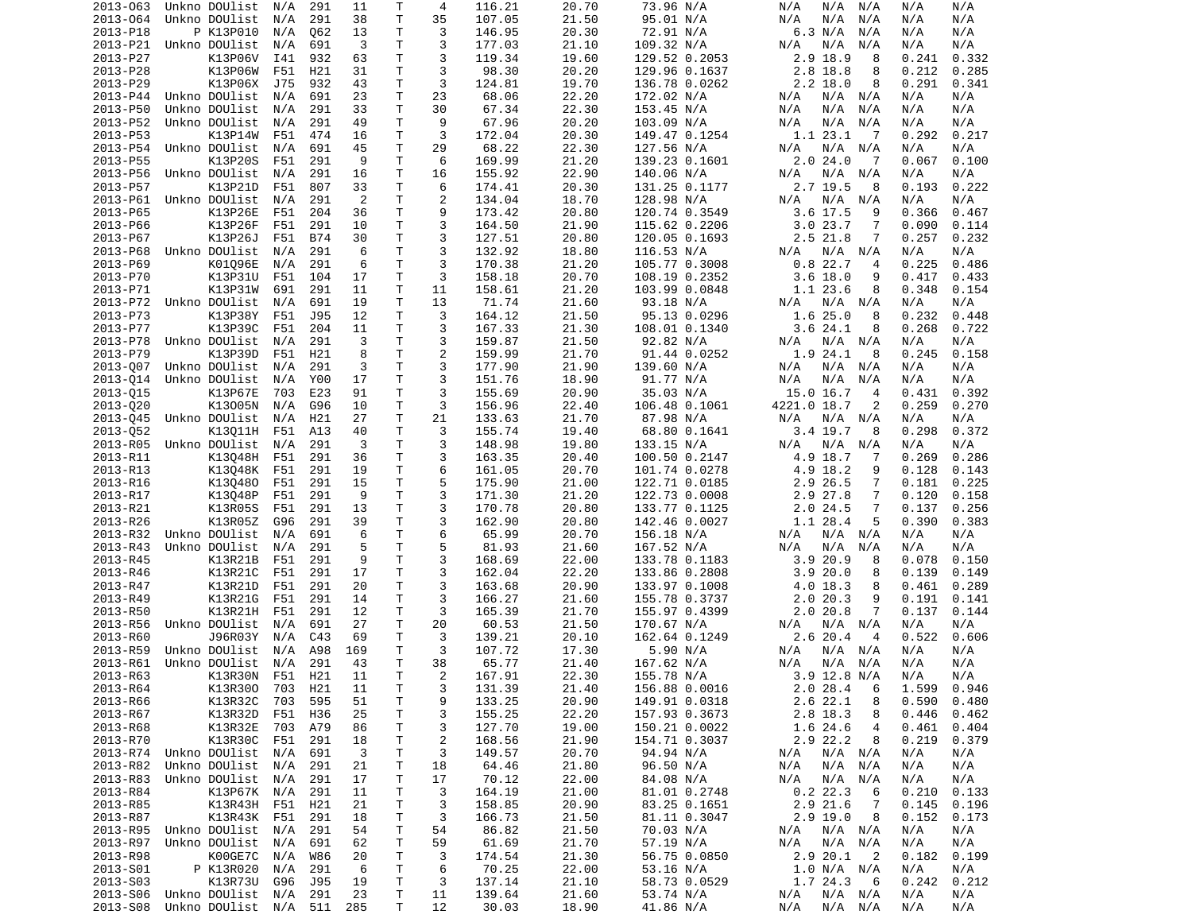| 2013-063 | Unkno DOUlist             | N/A | 291        | 11   | Τ            | 4              | 116.21 | 20.70 | 73.96 N/A     | N/A<br>N/A<br>N/A                      | N/A<br>N/A     |
|----------|---------------------------|-----|------------|------|--------------|----------------|--------|-------|---------------|----------------------------------------|----------------|
| 2013-064 | Unkno DOUlist             | N/A | 291        | 38   | T            | 35             | 107.05 | 21.50 | 95.01 N/A     | N/A<br>N/A<br>N/A                      | N/A<br>N/A     |
| 2013-P18 | P K13P010                 | N/A | 062        | 13   | Τ            | 3              | 146.95 | 20.30 | 72.91 N/A     | 6.3 N/A<br>N/A                         | N/A<br>N/A     |
| 2013-P21 | Unkno DOUlist             |     |            | 3    | T.           | 3              |        |       |               |                                        |                |
|          |                           | N/A | 691        |      |              |                | 177.03 | 21.10 | 109.32 N/A    | N/A<br>N/A<br>N/A                      | N/A<br>N/A     |
| 2013-P27 | K13P06V                   | I41 | 932        | 63   | Τ            | 3              | 119.34 | 19.60 | 129.52 0.2053 | 2.9 18.9<br>8                          | 0.241<br>0.332 |
| 2013-P28 | K13P06W                   | F51 | H21        | 31   | Τ            | 3              | 98.30  | 20.20 | 129.96 0.1637 | 2.8 18.8<br>8                          | 0.212<br>0.285 |
| 2013-P29 | K13P06X                   | J75 | 932        | 43   | Τ            | 3              | 124.81 | 19.70 | 136.78 0.0262 | $2.2$ 18.0<br>8                        | 0.291<br>0.341 |
| 2013-P44 | Unkno DOUlist             | N/A | 691        | 23   | Τ            | 23             | 68.06  | 22.20 | 172.02 N/A    | N/A<br>N/A N/A                         | N/A<br>N/A     |
| 2013-P50 | Unkno DOUlist             | N/A | 291        | 33   | T            | 30             | 67.34  | 22.30 | 153.45 N/A    | N/A<br>N/A<br>N/A                      | N/A<br>N/A     |
|          |                           |     |            |      |              |                |        |       |               |                                        |                |
| 2013-P52 | Unkno DOUlist             | N/A | 291        | 49   | T            | 9              | 67.96  | 20.20 | 103.09 N/A    | N/A<br>N/A<br>N/A                      | N/A<br>N/A     |
| 2013-P53 | K13P14W                   | F51 | 474        | 16   | T            | 3              | 172.04 | 20.30 | 149.47 0.1254 | 1.1 23.1<br>- 7                        | 0.292<br>0.217 |
| 2013-P54 | Unkno DOUlist             | N/A | 691        | 45   | T            | 29             | 68.22  | 22.30 | 127.56 N/A    | N/A N/A<br>N/A                         | N/A<br>N/A     |
| 2013-P55 | K13P20S                   | F51 | 291        | 9    | T            | 6              | 169.99 | 21.20 | 139.23 0.1601 | 2.0 24.0<br>-7                         | 0.067<br>0.100 |
| 2013-P56 | Unkno DOUlist             | N/A | 291        | 16   | Τ            | 16             | 155.92 | 22.90 | 140.06 N/A    | N/A N/A<br>N/A                         | N/A<br>N/A     |
|          |                           |     |            |      |              |                |        |       |               |                                        |                |
| 2013-P57 | K13P21D                   | F51 | 807        | 33   | Τ            | 6              | 174.41 | 20.30 | 131.25 0.1177 | 2.7 19.5<br>8                          | 0.222<br>0.193 |
| 2013-P61 | Unkno DOUlist             | N/A | 291        | 2    | T.           | 2              | 134.04 | 18.70 | 128.98 N/A    | N/A<br>N/A N/A                         | N/A<br>N/A     |
| 2013-P65 | K13P26E                   | F51 | 204        | 36   | Τ            | 9              | 173.42 | 20.80 | 120.74 0.3549 | $3.6$ 17.5<br>9                        | 0.366<br>0.467 |
| 2013-P66 | K13P26F                   | F51 | 291        | 10   | T.           | 3              | 164.50 | 21.90 | 115.62 0.2206 | 3.023.7<br>7                           | 0.090<br>0.114 |
| 2013-P67 | K13P26J                   | F51 | <b>B74</b> | 30   | Τ            | 3              | 127.51 | 20.80 | 120.05 0.1693 | 2.5 21.8<br>7                          | 0.257<br>0.232 |
| 2013-P68 | Unkno DOUlist             | N/A | 291        | 6    | Τ            | 3              | 132.92 | 18.80 | 116.53 N/A    | N/A N/A<br>N/A                         | N/A<br>N/A     |
|          |                           |     |            |      |              |                |        |       |               |                                        |                |
| 2013-P69 | K01096E                   | N/A | 291        | 6    | T            | 3              | 170.38 | 21.20 | 105.77 0.3008 | 0.822.7<br>4                           | 0.225<br>0.486 |
| 2013-P70 | K13P31U                   | F51 | 104        | 17   | Τ            | 3              | 158.18 | 20.70 | 108.19 0.2352 | $3.6$ 18.0<br>9                        | 0.417<br>0.433 |
| 2013-P71 | K13P31W                   | 691 | 291        | 11   | T            | 11             | 158.61 | 21.20 | 103.99 0.0848 | 1.1 23.6<br>8                          | 0.348<br>0.154 |
| 2013-P72 | Unkno DOUlist             | N/A | 691        | 19   | Τ            | 13             | 71.74  | 21.60 | 93.18 N/A     | N/A<br>N/A N/A                         | N/A<br>N/A     |
| 2013-P73 | K13P38Y                   | F51 | J95        | 12   | T.           | 3              | 164.12 | 21.50 | 95.13 0.0296  | 1.6 25.0<br>8                          | 0.232<br>0.448 |
|          |                           |     |            |      |              |                |        |       |               |                                        |                |
| 2013-P77 | K13P39C                   | F51 | 204        | 11   | Τ            | 3              | 167.33 | 21.30 | 108.01 0.1340 | 3.624.1<br>8                           | 0.268<br>0.722 |
| 2013-P78 | Unkno DOUlist             | N/A | 291        | 3    | т            | 3              | 159.87 | 21.50 | 92.82 N/A     | N/A N/A<br>N/A                         | N/A<br>N/A     |
| 2013-P79 | K13P39D                   | F51 | H21        | 8    | T.           | $\overline{c}$ | 159.99 | 21.70 | 91.44 0.0252  | 1.9 24.1<br>8                          | 0.245<br>0.158 |
| 2013-007 | Unkno DOUlist             | N/A | 291        | 3    | Τ            | 3              | 177.90 | 21.90 | 139.60 N/A    | N/A<br>N/A N/A                         | N/A<br>N/A     |
| 2013-014 | Unkno DOUlist             | N/A | Y00        | 17   | Τ            | 3              | 151.76 | 18.90 | 91.77 N/A     | N/A<br>N/A<br>N/A                      | N/A<br>N/A     |
|          |                           |     |            |      |              |                |        |       |               |                                        |                |
| 2013-015 | K13P67E                   | 703 | E23        | 91   | Τ            | 3              | 155.69 | 20.90 | 35.03 N/A     | 15.0 16.7<br>$\overline{4}$            | 0.431<br>0.392 |
| 2013-020 | K13005N                   | N/A | G96        | 10   | T            | 3              | 156.96 | 22.40 | 106.48 0.1061 | 4221.0 18.7<br>2                       | 0.259<br>0.270 |
| 2013-045 | Unkno DOUlist             | N/A | H21        | 27   | Τ            | 21             | 133.63 | 21.70 | 87.98 N/A     | N/A<br>N/A N/A                         | N/A<br>N/A     |
| 2013-052 | K13011H                   | F51 | A13        | 40   | Τ            | 3              | 155.74 | 19.40 | 68.80 0.1641  | 3.4 19.7<br>8                          | 0.372<br>0.298 |
| 2013-R05 | Unkno DOUlist             | N/A | 291        | 3    | T.           | 3              | 148.98 | 19.80 | 133.15 N/A    | N/A<br>N/A N/A                         | N/A<br>N/A     |
| 2013-R11 |                           |     | 291        | 36   | Τ            | 3              | 163.35 | 20.40 |               | 7                                      | 0.269<br>0.286 |
|          | K13048H                   | F51 |            |      |              |                |        |       | 100.50 0.2147 | 4.9 18.7                               |                |
| 2013-R13 | K13048K                   | F51 | 291        | 19   | Τ            | 6              | 161.05 | 20.70 | 101.74 0.0278 | 4.9 18.2<br>9                          | 0.128<br>0.143 |
| 2013-R16 | K130480                   | F51 | 291        | 15   | Τ            | 5              | 175.90 | 21.00 | 122.71 0.0185 | 2.9 26.5<br>7                          | 0.181<br>0.225 |
| 2013-R17 | K13048P                   | F51 | 291        | 9    | T.           | 3              | 171.30 | 21.20 | 122.73 0.0008 | 2.9 27.8<br>7                          | 0.120<br>0.158 |
| 2013-R21 | K13R05S                   | F51 | 291        | 13   | Τ            | 3              | 170.78 | 20.80 | 133.77 0.1125 | $2.0$ 24.5<br>7                        | 0.137<br>0.256 |
| 2013-R26 | K13R05Z                   | G96 | 291        | 39   | Τ            | 3              | 162.90 | 20.80 | 142.46 0.0027 | 1.1 28.4<br>5                          | 0.390<br>0.383 |
|          |                           |     |            |      |              |                |        |       |               |                                        |                |
| 2013-R32 | Unkno DOUlist             | N/A | 691        | 6    | T            | 6              | 65.99  | 20.70 | 156.18 N/A    | N/A N/A<br>N/A                         | N/A<br>N/A     |
| 2013-R43 | Unkno DOUlist             | N/A | 291        | 5    | Τ            | 5              | 81.93  | 21.60 | 167.52 N/A    | N/A<br>N/A<br>N/A                      | N/A<br>N/A     |
| 2013-R45 | K13R21B                   | F51 | 291        | 9    | T            | 3              | 168.69 | 22.00 | 133.78 0.1183 | 3.9 20.9<br>8                          | 0.078<br>0.150 |
| 2013-R46 | K13R21C                   | F51 | 291        | 17   | Τ            | 3              | 162.04 | 22.20 | 133.86 0.2808 | 3.920.0<br>8                           | 0.139<br>0.149 |
| 2013-R47 | K13R21D                   | F51 | 291        | 20   | Τ            | 3              | 163.68 | 20.90 | 133.97 0.1008 | 4.0 18.3<br>8                          | 0.461<br>0.289 |
|          |                           |     |            |      |              |                |        |       |               |                                        |                |
| 2013-R49 | K13R21G                   | F51 | 291        | 14   | T            | 3              | 166.27 | 21.60 | 155.78 0.3737 | 2.020.3<br>9                           | 0.191<br>0.141 |
| 2013-R50 | K13R21H                   | F51 | 291        | 12   | Τ            | 3              | 165.39 | 21.70 | 155.97 0.4399 | 2.0 20.8<br>7                          | 0.137<br>0.144 |
| 2013-R56 | Unkno DOUlist             | N/A | 691        | 27   | Τ            | 20             | 60.53  | 21.50 | 170.67 N/A    | N/A<br>$N/A$ $N/A$                     | N/A<br>N/A     |
| 2013-R60 | J96R03Y                   | N/A | C43        | 69   | т            | 3              | 139.21 | 20.10 | 162.64 0.1249 | 2.6 20.4<br>$\overline{4}$             | 0.522<br>0.606 |
| 2013-R59 | Unkno DOUlist             | N/A | A98        | 169  | Τ            | 3              | 107.72 | 17.30 | 5.90 N/A      | N/A<br>N/A N/A                         | N/A<br>N/A     |
|          | Unkno DOUlist             |     | 291        | 43   | T.           | 38             | 65.77  |       |               |                                        |                |
| 2013-R61 |                           | N/A |            |      |              |                |        | 21.40 | 167.62 N/A    | N/A<br>N/A N/A                         | N/A<br>N/A     |
| 2013-R63 | K13R30N F51               |     | H21        | - 11 | $\mathsf{T}$ | $\overline{2}$ | 167.91 | 22.30 | 155.78 N/A    | 3.9 12.8 N/A                           | N/A<br>N/A     |
| 2013-R64 | K13R300                   | 703 | H21        | 11   | T            | 3              | 131.39 | 21.40 | 156.88 0.0016 | 2.028.4<br>6                           | 1.599 0.946    |
| 2013-R66 | K13R32C                   | 703 | 595        | 51   | T            | 9              | 133.25 | 20.90 | 149.91 0.0318 | 2.6 22.1<br>8                          | 0.590<br>0.480 |
| 2013-R67 | K13R32D                   | F51 | H36        | 25   | Τ            | 3              | 155.25 | 22.20 | 157.93 0.3673 | 2.8 18.3<br>8                          | 0.446<br>0.462 |
|          |                           |     |            |      |              |                |        |       | 150.21 0.0022 |                                        | 0.404          |
| 2013-R68 | K13R32E                   | 703 | A79        | 86   | т            | 3              | 127.70 | 19.00 |               | 1.6 24.6<br>4                          | 0.461          |
| 2013-R70 | K13R30C                   | F51 | 291        | 18   | T            | $\overline{c}$ | 168.56 | 21.90 | 154.71 0.3037 | 2.9 22.2<br>8                          | 0.219<br>0.379 |
| 2013-R74 | Unkno DOUlist             | N/A | 691        | 3    | Τ            | 3              | 149.57 | 20.70 | 94.94 N/A     | $N/A$ $N/A$<br>N/A                     | N/A<br>N/A     |
| 2013-R82 | Unkno DOUlist             | N/A | 291        | 21   | $\mathsf T$  | 18             | 64.46  | 21.80 | 96.50 N/A     | $N/A$ $N/A$<br>N/A                     | N/A<br>N/A     |
| 2013-R83 | Unkno DOUlist             | N/A | 291        | 17   | Τ            | 17             | 70.12  | 22.00 | 84.08 N/A     | N/A<br>$N/A$ $N/A$                     | N/A<br>N/A     |
|          |                           |     |            |      |              |                | 164.19 | 21.00 |               |                                        |                |
| 2013-R84 | K13P67K N/A               |     | 291        | 11   | Τ            | 3              |        |       | 81.01 0.2748  | 0.222.3<br>6                           | 0.210<br>0.133 |
| 2013-R85 | K13R43H                   | F51 | H21        | 21   | Τ            | 3              | 158.85 | 20.90 | 83.25 0.1651  | 2.9 21.6<br>7                          | 0.145<br>0.196 |
| 2013-R87 | K13R43K                   | F51 | 291        | 18   | Τ            | 3              | 166.73 | 21.50 | 81.11 0.3047  | 2.9 19.0<br>8                          | 0.152<br>0.173 |
| 2013-R95 | Unkno DOUlist             | N/A | 291        | 54   | Τ            | 54             | 86.82  | 21.50 | 70.03 N/A     | N/A<br>N/A N/A                         | N/A<br>N/A     |
| 2013-R97 | Unkno DOUlist             | N/A | 691        | 62   | Τ            | 59             | 61.69  | 21.70 | 57.19 N/A     | $N/A$ $N/A$<br>N/A                     | N/A<br>N/A     |
|          |                           |     |            |      |              |                |        |       |               |                                        |                |
| 2013-R98 | K00GE7C                   | N/A | W86        | 20   | T.           | 3              | 174.54 | 21.30 | 56.75 0.0850  | 2.9 20.1<br>$\overline{\phantom{0}}^2$ | 0.182<br>0.199 |
| 2013-S01 | P K13R020                 | N/A | 291        | 6    | T            | 6              | 70.25  | 22.00 | 53.16 N/A     | 1.0 N/A N/A                            | N/A<br>N/A     |
| 2013-S03 | K13R73U                   | G96 | J95        | 19   | Τ            | 3              | 137.14 | 21.10 | 58.73 0.0529  | 1.7 24.3<br>6                          | 0.242<br>0.212 |
| 2013-S06 | Unkno DOUlist N/A         |     | 291        | 23   | Τ            | 11             | 139.64 | 21.60 | 53.74 N/A     | N/A<br>N/A N/A                         | N/A<br>N/A     |
| 2013-S08 | Unkno DOUlist N/A 511 285 |     |            |      | Τ            | 12             | 30.03  | 18.90 | 41.86 N/A     | N/A<br>N/A N/A                         | N/A<br>N/A     |
|          |                           |     |            |      |              |                |        |       |               |                                        |                |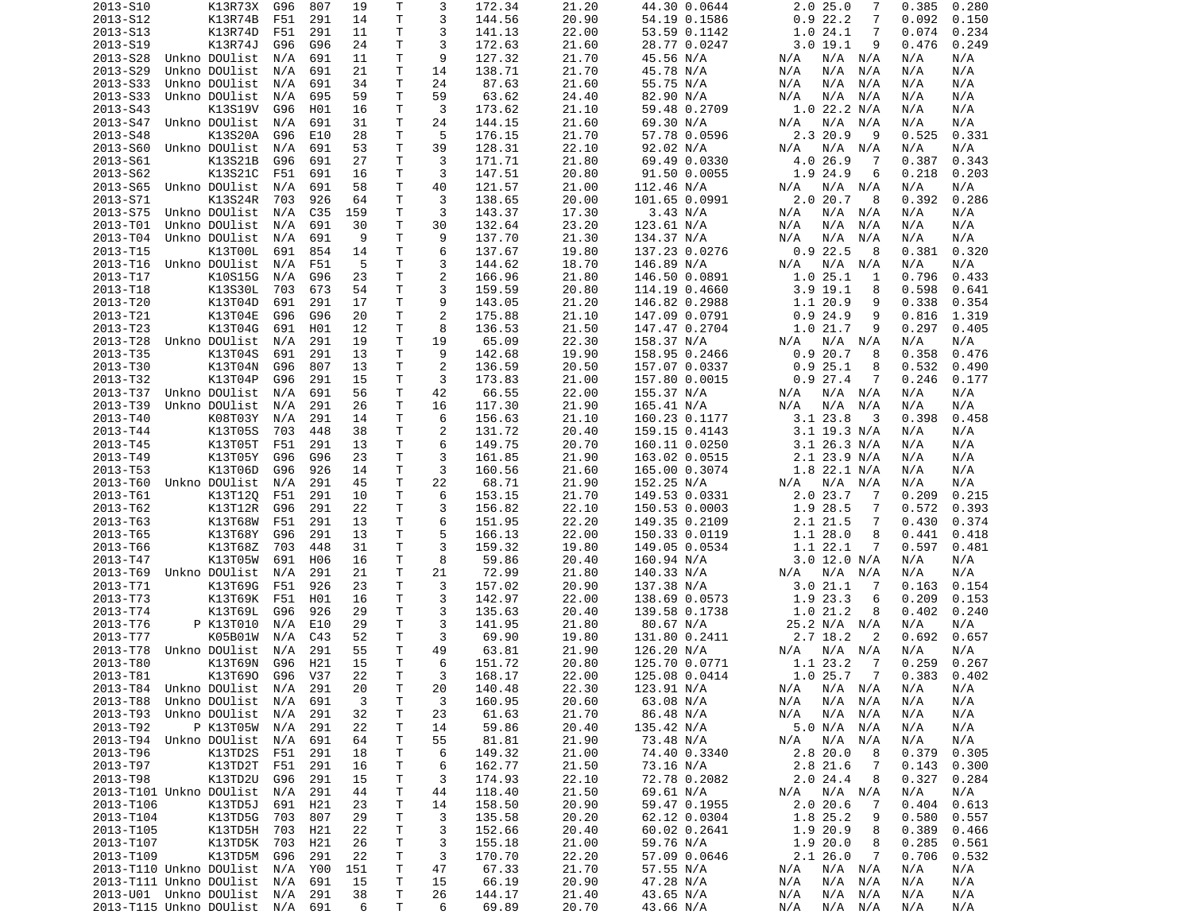| 2013-S10                    |                        | K13R73X   | G96     | 807        | 19      | Τ      | 3       | 172.34          | 21.20          | 44.30 0.0644           | 2.0 25.0<br>7                       | 0.385      | 0.280      |
|-----------------------------|------------------------|-----------|---------|------------|---------|--------|---------|-----------------|----------------|------------------------|-------------------------------------|------------|------------|
| 2013-S12                    |                        | K13R74B   | F51     | 291        | 14      | T      | 3       | 144.56          | 20.90          | 54.19 0.1586           | 0.922.2<br>7                        | 0.092      | 0.150      |
| 2013-S13                    |                        | K13R74D   | F51     | 291        | 11      | т      | 3       | 141.13          | 22.00          | 53.59 0.1142           | 1.024.1<br>7                        | 0.074      | 0.234      |
| 2013-S19                    |                        | K13R74J   | G96     | G96        | 24      | Τ      | 3       | 172.63          | 21.60          | 28.77 0.0247           | 3.019.1<br>9                        | 0.476      | 0.249      |
|                             |                        |           |         |            |         |        |         |                 |                |                        |                                     |            |            |
| 2013-S28                    | Unkno DOUlist          |           | N/A     | 691        | 11      | Т      | 9       | 127.32          | 21.70          | 45.56 N/A              | N/A<br>N/A N/A                      | N/A        | N/A        |
| 2013-S29                    | Unkno DOUlist          |           | N/A     | 691        | 21      | Τ      | 14      | 138.71          | 21.70          | 45.78 N/A              | N/A<br>N/A<br>N/A                   | N/A        | N/A        |
| 2013-S33                    | Unkno DOUlist          |           | N/A     | 691        | 34      | Τ      | 24      | 87.63           | 21.60          | 55.75 N/A              | N/A<br>N/A<br>N/A                   | N/A        | N/A        |
| 2013-S33                    | Unkno DOUlist          |           | N/A     | 695        | 59      | Τ      | 59      | 63.62           | 24.40          | 82.90 N/A              | N/A<br>N/A<br>N/A                   | N/A        | N/A        |
| 2013-S43                    |                        | K13S19V   | G96     | H01        | 16      | T      | 3       | 173.62          | 21.10          | 59.48 0.2709           | $1.0$ 22.2 N/A                      | N/A        | N/A        |
| 2013-S47                    | Unkno DOUlist          |           | N/A     | 691        | 31      | Τ      | 24      | 144.15          | 21.60          | 69.30 N/A              | $N/A$ $N/A$<br>N/A                  | N/A        | N/A        |
|                             |                        |           |         |            |         |        |         |                 |                |                        |                                     |            |            |
| 2013-S48                    |                        | K13S20A   | G96     | E10        | 28      | T      | 5       | 176.15          | 21.70          | 57.78 0.0596           | 2.3 20.9<br>9                       | 0.525      | 0.331      |
| 2013-S60                    | Unkno DOUlist          |           | N/A     | 691        | 53      | T      | 39      | 128.31          | 22.10          | 92.02 N/A              | $N/A$ $N/A$<br>N/A                  | N/A        | N/A        |
| 2013-S61                    |                        | K13S21B   | G96     | 691        | 27      | T      | 3       | 171.71          | 21.80          | 69.49 0.0330           | 4.0 26.9<br>7                       | 0.387      | 0.343      |
| 2013-S62                    |                        | K13S21C   | F51     | 691        | 16      | Τ      | 3       | 147.51          | 20.80          | 91.50 0.0055           | 1.9 24.9<br>6                       | 0.218      | 0.203      |
| 2013-S65                    | Unkno DOUlist          |           | N/A     | 691        | 58      | т      | 40      | 121.57          | 21.00          | 112.46 N/A             | $N/A$ $N/A$<br>N/A                  | N/A        | N/A        |
| 2013-S71                    |                        | K13S24R   | 703     | 926        | 64      | T      | 3       | 138.65          | 20.00          | 101.65 0.0991          | 2.020.7<br>8                        | 0.392      | 0.286      |
| 2013-S75                    | Unkno DOUlist          |           |         | C35        | 159     | Τ      | 3       | 143.37          | 17.30          | 3.43 N/A               | N/A                                 |            | N/A        |
|                             |                        |           | N/A     |            |         |        |         |                 |                |                        | N/A<br>N/A                          | N/A        |            |
| 2013-T01                    | Unkno DOUlist          |           | N/A     | 691        | 30      | T      | 30      | 132.64          | 23.20          | 123.61 N/A             | N/A<br>N/A<br>N/A                   | N/A        | N/A        |
| 2013-T04                    | Unkno DOUlist          |           | N/A     | 691        | 9       | T      | 9       | 137.70          | 21.30          | 134.37 N/A             | N/A<br>N/A<br>N/A                   | N/A        | N/A        |
| 2013-T15                    |                        | K13T00L   | 691     | 854        | 14      | T      | 6       | 137.67          | 19.80          | 137.23 0.0276          | 0.922.5<br>8                        | 0.381      | 0.320      |
| 2013-T16                    | Unkno DOUlist          |           | N/A     | F51        | 5       | T      | 3       | 144.62          | 18.70          | 146.89 N/A             | N/A<br>$N/A$ $N/A$                  | N/A        | N/A        |
| 2013-T17                    |                        | K10S15G   | N/A     | G96        | 23      | T      | 2       | 166.96          | 21.80          | 146.50 0.0891          | 1.025.1<br>1                        | 0.796      | 0.433      |
| 2013-T18                    |                        | K13S30L   | 703     | 673        | 54      | T      | 3       | 159.59          | 20.80          | 114.19 0.4660          | $3.9$ 19.1<br>8                     | 0.598      | 0.641      |
|                             |                        |           |         |            |         |        |         |                 |                |                        |                                     |            |            |
| 2013-T20                    |                        | K13T04D   | 691     | 291        | 17      | Τ      | 9       | 143.05          | 21.20          | 146.82 0.2988          | 1.1 20.9<br>9                       | 0.338      | 0.354      |
| 2013-T21                    |                        | K13T04E   | G96     | G96        | 20      | T      | 2       | 175.88          | 21.10          | 147.09 0.0791          | 0.924.9<br>9                        | 0.816      | 1.319      |
| 2013-T23                    |                        | K13T04G   | 691     | H01        | 12      | T      | 8       | 136.53          | 21.50          | 147.47 0.2704          | 1.021.7<br>9                        | 0.297      | 0.405      |
| 2013-T28                    | Unkno DOUlist          |           | N/A     | 291        | 19      | Τ      | 19      | 65.09           | 22.30          | 158.37 N/A             | N/A N/A<br>N/A                      | N/A        | N/A        |
| 2013-T35                    |                        | K13T04S   | 691     | 291        | 13      | Τ      | 9       | 142.68          | 19.90          | 158.95 0.2466          | 0.920.7<br>8                        | 0.358      | 0.476      |
| 2013-T30                    |                        | K13T04N   | G96     | 807        | 13      | Τ      | 2       | 136.59          | 20.50          | 157.07 0.0337          | 0.925.1<br>8                        | 0.532      | 0.490      |
|                             |                        |           |         |            |         |        |         |                 |                |                        |                                     |            |            |
| 2013-T32                    |                        | K13T04P   | G96     | 291        | 15      | T      | 3       | 173.83          | 21.00          | 157.80 0.0015          | 0.927.4<br>7                        | 0.246      | 0.177      |
| 2013-T37                    | Unkno DOUlist          |           | N/A     | 691        | 56      | T      | 42      | 66.55           | 22.00          | 155.37 N/A             | N/A<br>N/A N/A                      | N/A        | N/A        |
| 2013-T39                    | Unkno DOUlist          |           | N/A     | 291        | 26      | T.     | 16      | 117.30          | 21.90          | 165.41 N/A             | N/A<br>N/A<br>N/A                   | N/A        | N/A        |
| 2013-T40                    |                        | K08T03Y   | N/A     | 291        | 14      | T      | 6       | 156.63          | 21.10          | 160.23 0.1177          | 3.123.8<br>3                        | 0.398      | 0.458      |
| 2013-T44                    |                        | K13T05S   | 703     | 448        | 38      | Τ      | 2       | 131.72          | 20.40          | 159.15 0.4143          | $3.1$ 19.3 N/A                      | N/A        | N/A        |
| 2013-T45                    |                        | K13T05T   | F51     | 291        | 13      | T      | 6       | 149.75          | 20.70          | 160.11 0.0250          | $3.1$ 26.3 N/A                      | N/A        | N/A        |
|                             |                        |           |         |            |         |        |         |                 |                |                        |                                     |            |            |
| 2013-T49                    |                        | K13T05Y   | G96     | G96        | 23      | Τ      | 3       | 161.85          | 21.90          | 163.02 0.0515          | $2.1$ 23.9 N/A                      | N/A        | N/A        |
| 2013-T53                    |                        | K13T06D   | G96     | 926        | 14      | T      | 3       | 160.56          | 21.60          | 165.00 0.3074          | $1.8$ 22.1 N/A                      | N/A        | N/A        |
| 2013-T60                    | Unkno DOUlist          |           | N/A     | 291        | 45      | Τ      | 22      | 68.71           | 21.90          | 152.25 N/A             | N/A<br>N/A N/A                      | N/A        | N/A        |
| 2013-T61                    |                        | K13T120   | F51     | 291        | 10      | T      | 6       | 153.15          | 21.70          | 149.53 0.0331          | 2.0 23.7<br>7                       | 0.209      | 0.215      |
| 2013-T62                    |                        | K13T12R   | G96     | 291        | 22      | Τ      | 3       | 156.82          | 22.10          | 150.53 0.0003          | 1.9 28.5<br>7                       | 0.572      | 0.393      |
| 2013-T63                    |                        | K13T68W   | F51     | 291        | 13      | T      | 6       | 151.95          | 22.20          | 149.35 0.2109          | 2.1 21.5<br>7                       | 0.430      | 0.374      |
|                             |                        |           |         |            |         |        |         |                 |                |                        |                                     |            |            |
| 2013-T65                    |                        | K13T68Y   | G96     | 291        | 13      | T      | 5       | 166.13          | 22.00          | 150.33 0.0119          | 1.1 28.0<br>8                       | 0.441      | 0.418      |
| 2013-T66                    |                        | K13T68Z   | 703     | 448        | 31      | Τ      | 3       | 159.32          | 19.80          | 149.05 0.0534          | 1.1 22.1<br>7                       | 0.597      | 0.481      |
| 2013-T47                    |                        | K13T05W   | 691     | H06        | 16      | T      | 8       | 59.86           | 20.40          | 160.94 N/A             | $3.0$ 12.0 N/A                      | N/A        | N/A        |
| 2013-T69                    | Unkno DOUlist          |           | N/A     | 291        | 21      | T      | 21      | 72.99           | 21.80          | 140.33 N/A             | N/A<br>N/A<br>N/A                   | N/A        | N/A        |
| 2013-T71                    |                        | K13T69G   | F51     | 926        | 23      | T      | 3       | 157.02          | 20.90          | 137.38 N/A             | 3.021.1<br>-7                       | 0.163      | 0.154      |
| 2013-T73                    |                        | K13T69K   | F51     | H01        | 16      | T      | 3       | 142.97          | 22.00          | 138.69 0.0573          | 1.9 23.3<br>6                       | 0.209      | 0.153      |
|                             |                        |           |         |            |         |        |         |                 |                |                        |                                     |            |            |
| 2013-T74                    |                        | K13T69L   | G96     | 926        | 29      | Τ      | 3       | 135.63          | 20.40          | 139.58 0.1738          | 1.021.2<br>8                        | 0.402      | 0.240      |
| 2013-T76                    |                        | P K13T010 | N/A     | E10        | 29      | T      | 3       | 141.95          | 21.80          | 80.67 N/A              | 25.2 N/A N/A                        | N/A        | N/A        |
| 2013-T77                    |                        | K05B01W   | N/A     | C43        | 52      | Τ      | 3       | 69.90           | 19.80          | 131.80 0.2411          | 2.7 18.2<br>2                       | 0.692      | 0.657      |
| 2013-T78                    | Unkno DOUlist          |           | N/A     | 291        | 55      | T.     | 49      | 63.81           | 21.90          | 126.20 N/A             | N/A<br>N/A N/A                      | N/A        | N/A        |
| 2013-T80                    |                        | K13T69N   | G96     | H21        | 15      | T      | 6       | 151.72          | 20.80          | 125.70 0.0771          | 1.1 23.2<br>7                       | 0.259      | 0.267      |
| 2013-T81                    |                        | K13T690   | G96 V37 |            | 22      | T.     | 3       | 168.17          | 22.00          | 125.08 0.0414          | 1.0 25.7 7                          | 0.383      | 0.402      |
|                             |                        |           |         |            |         |        |         |                 |                |                        |                                     |            |            |
| 2013-T84                    | Unkno DOUlist N/A      |           |         | 291        | 20      | Τ      | 20      | 140.48          | 22.30          | 123.91 N/A             | N/A N/A<br>N/A                      | N/A        | N/A        |
| 2013-T88                    | Unkno DOUlist          |           | N/A     | 691        | 3       | Τ      | 3       | 160.95          | 20.60          | 63.08 N/A              | N/A<br>N/A<br>N/A                   | N/A        | N/A        |
| 2013-T93                    | Unkno DOUlist          |           | N/A     | 291        | 32      | Τ      | 23      | 61.63           | 21.70          | 86.48 N/A              | N/A<br>N/A<br>N/A                   | N/A        | N/A        |
| 2013-T92                    |                        | P K13T05W | N/A     | 291        | 22      | Τ      | 14      | 59.86           | 20.40          | 135.42 N/A             | 5.0 N/A<br>N/A                      | N/A        | N/A        |
| 2013-T94                    | Unkno DOUlist          |           | N/A     | 691        | 64      | Τ      | 55      | 81.81           | 21.90          | 73.48 N/A              | N/A<br>N/A<br>N/A                   | N/A        | N/A        |
| 2013-T96                    |                        | K13TD2S   | F51     | 291        | 18      | Τ      | 6       | 149.32          | 21.00          | 74.40 0.3340           | $2.8$ 20.0<br>8                     | 0.379      | 0.305      |
|                             |                        |           |         |            |         |        |         |                 |                |                        |                                     |            |            |
| 2013-T97                    |                        | K13TD2T   | F51     | 291        | 16      | Τ      | 6       | 162.77          | 21.50          | 73.16 N/A              | 2.8 21.6<br>7                       | 0.143      | 0.300      |
| 2013-T98                    |                        | K13TD2U   | G96     | 291        | 15      | Т      | 3       | 174.93          | 22.10          | 72.78 0.2082           | 2.024.4<br>8                        | 0.327      | 0.284      |
| 2013-T101 Unkno DOUlist     |                        |           | N/A     | 291        | 44      | Τ      | 44      | 118.40          | 21.50          | 69.61 N/A              | N/A N/A<br>N/A                      | N/A        | N/A        |
| 2013-T106                   |                        | K13TD5J   | 691     | H21        | 23      | T      | 14      | 158.50          | 20.90          | 59.47 0.1955           | 2.020.6<br>7                        | 0.404      | 0.613      |
| 2013-T104                   |                        | K13TD5G   | 703     | 807        | 29      | Τ      | 3       | 135.58          | 20.20          | 62.12 0.0304           | 1.8 25.2<br>9                       | 0.580      | 0.557      |
| 2013-T105                   |                        | K13TD5H   | 703     | H21        | 22      | Τ      | 3       | 152.66          | 20.40          | 60.02 0.2641           | 1.9 20.9<br>8                       | 0.389      | 0.466      |
|                             |                        |           |         |            |         |        |         |                 |                |                        |                                     |            |            |
| 2013-T107                   |                        | K13TD5K   | 703     | H21        | 26      | Τ      | 3       | 155.18          | 21.00          | 59.76 N/A              | 1.9 20.0<br>8                       | 0.285      | 0.561      |
| 2013-T109                   |                        | K13TD5M   | G96     | 291        | 22      | Τ      | 3       | 170.70          | 22.20          | 57.09 0.0646           | 2.126.0<br>7                        | 0.706      | 0.532      |
| 2013-T110 Unkno DOUlist     |                        |           | N/A     | Y00        | 151     | Τ      | 47      | 67.33           | 21.70          | 57.55 N/A              | N/A<br>N/A N/A                      | N/A        | N/A        |
| 2013-T111 Unkno DOUlist     |                        |           | N/A     | 691        | 15      | Т      | 15      | 66.19           | 20.90          | 47.28 N/A              | $N/A$ $N/A$<br>N/A                  | N/A        | N/A        |
|                             |                        |           |         |            |         |        |         |                 |                |                        |                                     |            |            |
|                             |                        |           |         |            |         |        |         |                 |                |                        |                                     |            |            |
| 2013-T115 Unkno DOUlist N/A | 2013-U01 Unkno DOUlist |           | N/A     | 291<br>691 | 38<br>6 | т<br>Τ | 26<br>6 | 144.17<br>69.89 | 21.40<br>20.70 | 43.65 N/A<br>43.66 N/A | N/A<br>N/A<br>N/A<br>N/A<br>N/A N/A | N/A<br>N/A | N/A<br>N/A |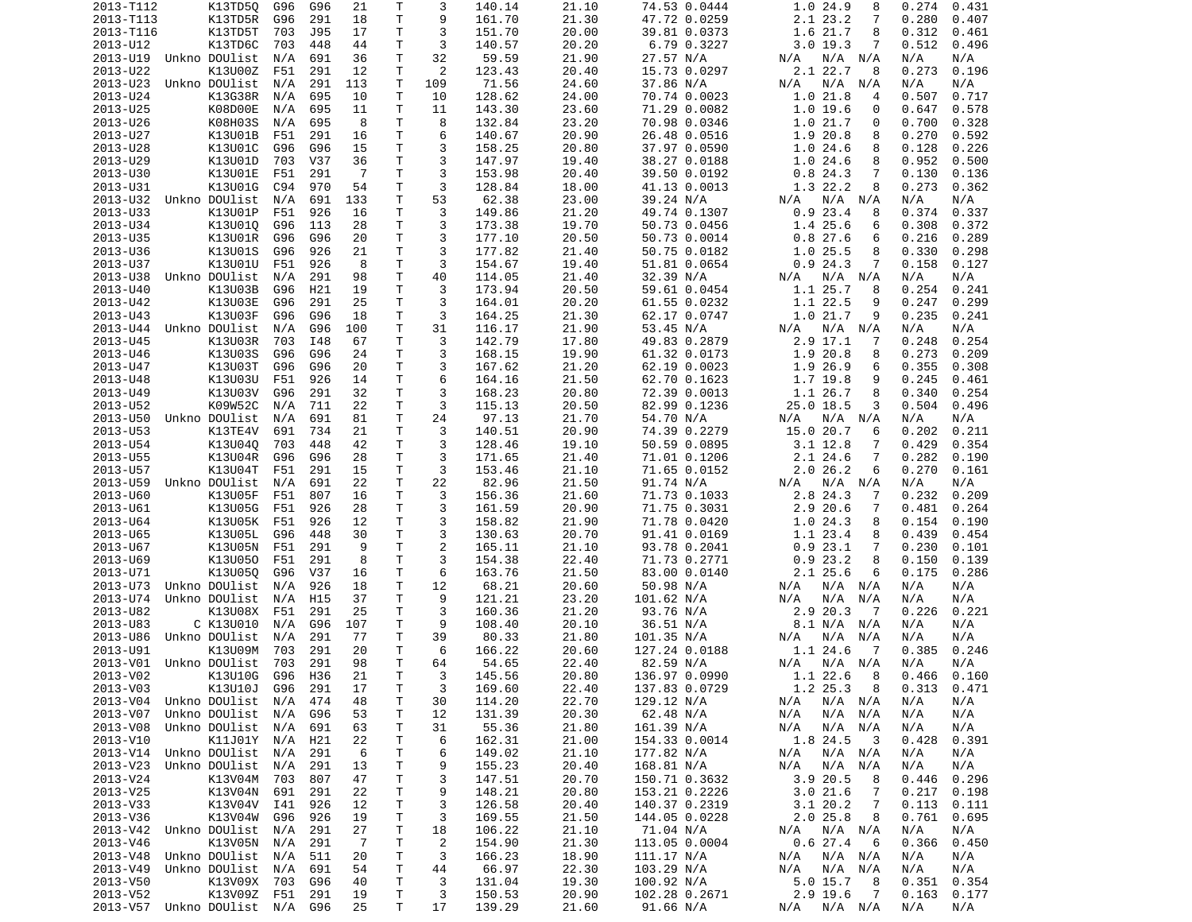| 2013-T112              | K13TD50                        | G96 | G96 | 21             | Τ            | 3              | 140.14 | 21.10 | 74.53 0.0444  | 1.0 24.9<br>8              | 0.274<br>0.431 |
|------------------------|--------------------------------|-----|-----|----------------|--------------|----------------|--------|-------|---------------|----------------------------|----------------|
| 2013-T113              | K13TD5R                        | G96 | 291 | 18             | Τ            | 9              | 161.70 | 21.30 | 47.72 0.0259  | 2.1 23.2<br>7              | 0.280<br>0.407 |
| 2013-T116              | K13TD5T                        | 703 | J95 | 17             | Τ            | 3              | 151.70 | 20.00 | 39.81 0.0373  | 1.6 21.7<br>8              | 0.312<br>0.461 |
| 2013-U12               | K13TD6C                        | 703 | 448 | 44             | Τ            | 3              | 140.57 | 20.20 | 6.79 0.3227   | $3.0$ 19.3<br>7            | 0.512<br>0.496 |
| 2013-U19               | Unkno DOUlist                  | N/A | 691 | 36             | T.           | 32             | 59.59  | 21.90 | 27.57 N/A     | N/A<br>N/A N/A             | N/A<br>N/A     |
| 2013-U22               | K13U00Z                        | F51 | 291 | 12             | Τ            | 2              | 123.43 | 20.40 | 15.73 0.0297  | 2.1 22.7<br>8              | 0.273<br>0.196 |
| 2013-U23               | Unkno DOUlist                  | N/A | 291 | 113            | т            | 109            | 71.56  | 24.60 | 37.86 N/A     | N/A N/A<br>N/A             | N/A<br>N/A     |
| 2013-U24               | K13G38R                        | N/A | 695 | 10             | т            | 10             | 128.62 | 24.00 | 70.74 0.0023  | 1.021.8<br>4               | 0.507<br>0.717 |
| 2013-U25               | K08D00E                        | N/A | 695 | 11             | T            | 11             | 143.30 | 23.60 | 71.29 0.0082  | 1.019.6<br>0               | 0.647<br>0.578 |
| 2013-U26               | K08H03S                        | N/A | 695 | 8              | Τ            | 8              | 132.84 | 23.20 | 70.98 0.0346  | 1.021.7<br>0               | 0.700<br>0.328 |
| 2013-U27               | K13U01B                        | F51 | 291 | 16             | Τ            | 6              | 140.67 | 20.90 | 26.48 0.0516  | 1.9 20.8<br>8              | 0.270<br>0.592 |
|                        |                                |     |     |                | Τ            | 3              |        |       |               |                            |                |
| 2013-U28               | K13U01C                        | G96 | G96 | 15             |              |                | 158.25 | 20.80 | 37.97 0.0590  | 1.024.6<br>8               | 0.128<br>0.226 |
| 2013-U29               | K13U01D                        | 703 | V37 | 36             | T.           | 3              | 147.97 | 19.40 | 38.27 0.0188  | 1.024.6<br>8               | 0.952<br>0.500 |
| 2013-U30               | K13U01E                        | F51 | 291 | -7             | Τ            | 3              | 153.98 | 20.40 | 39.50 0.0192  | 0.824.3<br>7               | 0.130<br>0.136 |
| 2013-U31               | K13U01G                        | C94 | 970 | 54             | T            | 3              | 128.84 | 18.00 | 41.13 0.0013  | 1.3 22.2<br>8              | 0.273<br>0.362 |
| 2013-U32               | Unkno DOUlist                  | N/A | 691 | 133            | T.           | 53             | 62.38  | 23.00 | 39.24 N/A     | N/A<br>N/A N/A             | N/A<br>N/A     |
| 2013-U33               | K13U01P                        | F51 | 926 | 16             | Τ            | 3              | 149.86 | 21.20 | 49.74 0.1307  | 0.923.4<br>8               | 0.374<br>0.337 |
| 2013-U34               | K13U010                        | G96 | 113 | 28             | T.           | 3              | 173.38 | 19.70 | 50.73 0.0456  | 1.4 25.6<br>6              | 0.308<br>0.372 |
| 2013-U35               | K13U01R                        | G96 | G96 | 20             | Τ            | 3              | 177.10 | 20.50 | 50.73 0.0014  | 0.827.6<br>6               | 0.216<br>0.289 |
| 2013-U36               | K13U01S                        | G96 | 926 | 21             | т            | 3              | 177.82 | 21.40 | 50.75 0.0182  | 1.0 25.5<br>8              | 0.330<br>0.298 |
| 2013-U37               | K13U01U                        | F51 | 926 | 8              | Τ            | 3              | 154.67 | 19.40 | 51.81 0.0654  | 0.924.3<br>7               | 0.158<br>0.127 |
| 2013-U38               | Unkno DOUlist                  | N/A | 291 | 98             | Τ            | 40             | 114.05 | 21.40 | 32.39 N/A     | $N/A$ $N/A$<br>N/A         | N/A<br>N/A     |
| 2013-U40               | K13U03B                        | G96 | H21 | 19             | T            | 3              | 173.94 | 20.50 | 59.61 0.0454  | 1.1 25.7<br>8              | 0.254<br>0.241 |
| 2013-U42               | K13U03E                        | G96 | 291 | 25             | Τ            | 3              | 164.01 | 20.20 | 61.55 0.0232  | 1.1 22.5<br>9              | 0.247<br>0.299 |
| 2013-U43               | K13U03F                        | G96 | G96 | 18             | Τ            | 3              | 164.25 | 21.30 | 62.17 0.0747  | 1.021.7<br>9               | 0.235<br>0.241 |
| 2013-U44               | Unkno DOUlist                  | N/A | G96 | 100            | Τ            | 31             | 116.17 | 21.90 | 53.45 N/A     | N/A N/A<br>N/A             | N/A<br>N/A     |
| 2013-U45               | K13U03R                        | 703 | I48 | 67             | T            | 3              | 142.79 | 17.80 | 49.83 0.2879  | $2.9$ 17.1<br>-7           | 0.248<br>0.254 |
| 2013-U46               | K13U03S                        | G96 | G96 | 24             | Τ            | 3              | 168.15 | 19.90 | 61.32 0.0173  | 1.9 20.8<br>8              | 0.273<br>0.209 |
| 2013-U47               | K13U03T                        | G96 | G96 | 20             | Τ            | 3              | 167.62 | 21.20 | 62.19 0.0023  | 1.9 26.9<br>6              | 0.355<br>0.308 |
| 2013-U48               | K13U03U                        | F51 | 926 | 14             | Τ            | 6              | 164.16 | 21.50 | 62.70 0.1623  | 1.7 19.8<br>9              | 0.245<br>0.461 |
|                        |                                |     |     |                | Τ            | 3              |        |       |               |                            |                |
| 2013-U49               | K13U03V                        | G96 | 291 | 32             |              |                | 168.23 | 20.80 | 72.39 0.0013  | 1.1 26.7<br>8              | 0.340<br>0.254 |
| 2013-U52               | K09W52C                        | N/A | 711 | 22             | T.           | 3              | 115.13 | 20.50 | 82.99 0.1236  | 25.0 18.5<br>3             | 0.504<br>0.496 |
| 2013-U50               | Unkno DOUlist                  | N/A | 691 | 81             | Τ            | 24             | 97.13  | 21.70 | 54.70 N/A     | N/A N/A<br>N/A             | N/A<br>N/A     |
| 2013-U53               | K13TE4V                        | 691 | 734 | 21             | Τ            | 3              | 140.51 | 20.90 | 74.39 0.2279  | 15.0 20.7<br>6             | 0.202<br>0.211 |
| 2013-U54               | K13U04Q                        | 703 | 448 | 42             | T.           | 3              | 128.46 | 19.10 | 50.59 0.0895  | $3.1$ 12.8<br>7            | 0.429<br>0.354 |
| 2013-U55               | K13U04R                        | G96 | G96 | 28             | T.           | 3              | 171.65 | 21.40 | 71.01 0.1206  | 2.1 24.6<br>7              | 0.282<br>0.190 |
| 2013-U57               | K13U04T                        | F51 | 291 | 15             | Τ            | 3              | 153.46 | 21.10 | 71.65 0.0152  | 2.026.2<br>6               | 0.270<br>0.161 |
| 2013-U59               | Unkno DOUlist                  | N/A | 691 | 22             | Τ            | 22             | 82.96  | 21.50 | 91.74 N/A     | N/A<br>N/A N/A             | N/A<br>N/A     |
| 2013-U60               | K13U05F                        | F51 | 807 | 16             | Τ            | 3              | 156.36 | 21.60 | 71.73 0.1033  | 2.8 24.3<br>7              | 0.232<br>0.209 |
| 2013-U61               | K13U05G                        | F51 | 926 | 28             | т            | 3              | 161.59 | 20.90 | 71.75 0.3031  | 2.920.6<br>7               | 0.481<br>0.264 |
| 2013-U64               | K13U05K                        | F51 | 926 | 12             | Τ            | 3              | 158.82 | 21.90 | 71.78 0.0420  | 1.024.3<br>8               | 0.154<br>0.190 |
| 2013-U65               | K13U05L                        | G96 | 448 | 30             | Τ            | 3              | 130.63 | 20.70 | 91.41 0.0169  | 1.1 23.4<br>8              | 0.439<br>0.454 |
| 2013-U67               | K13U05N                        | F51 | 291 | 9              | Τ            | $\overline{2}$ | 165.11 | 21.10 | 93.78 0.2041  | 0.923.1<br>7               | 0.230<br>0.101 |
| 2013-U69               | K13U050                        | F51 | 291 | 8              | T            | 3              | 154.38 | 22.40 | 71.73 0.2771  | 8<br>0.923.2               | 0.150<br>0.139 |
| 2013-U71               | K13U05Q                        | G96 | V37 | 16             | Τ            | 6              | 163.76 | 21.50 | 83.00 0.0140  | 2.125.6<br>6               | 0.286<br>0.175 |
| 2013-U73               | Unkno DOUlist                  | N/A | 926 | 18             | Τ            | 12             | 68.21  | 20.60 | 50.98 N/A     | N/A<br>N/A N/A             | N/A<br>N/A     |
| 2013-U74               | Unkno DOUlist                  | N/A | H15 | 37             | T            | 9              | 121.21 | 23.20 | 101.62 N/A    | N/A<br>N/A<br>N/A          | N/A<br>N/A     |
| 2013-U82               | K13U08X                        | F51 | 291 | 25             | T            | 3              | 160.36 | 21.20 | 93.76 N/A     | 2.9 20.3<br>$\overline{7}$ | 0.226<br>0.221 |
| 2013-U83               | C K13U010                      | N/A | G96 | 107            | т            | 9              | 108.40 | 20.10 | 36.51 N/A     | 8.1 N/A N/A                | N/A<br>N/A     |
| 2013-U86               | Unkno DOUlist                  | N/A | 291 | 77             | т            | 39             | 80.33  | 21.80 | 101.35 N/A    | N/A<br>N/A<br>N/A          | N/A<br>N/A     |
|                        |                                |     | 291 | 20             | T.           | 6              |        | 20.60 |               | 1.1 24.6<br>-7             | 0.385<br>0.246 |
| 2013-U91               | K13U09M                        | 703 |     |                |              |                | 166.22 |       | 127.24 0.0188 |                            |                |
| 2013-V01               | Unkno DOUlist                  | 703 | 291 | 98             | T.           | 64             | 54.65  | 22.40 | 82.59 N/A     | $N/A$ $N/A$<br>N/A         | N/A<br>N/A     |
| 2013-V02               | K13U10G G96 H36                |     |     | 21             | $\mathsf{T}$ | 3              | 145.56 | 20.80 | 136.97 0.0990 | $1.122.6$ 8                | 0.466<br>0.160 |
| 2013-V03               | K13U10J                        | G96 | 291 | 17             | Τ            | 3              | 169.60 | 22.40 | 137.83 0.0729 | 1.2 25.3<br>$_{\rm 8}$     | 0.313<br>0.471 |
| 2013-V04               | Unkno DOUlist                  | N/A | 474 | 48             | T            | 30             | 114.20 | 22.70 | 129.12 N/A    | $N/A$ $N/A$<br>N/A         | N/A<br>N/A     |
| 2013-V07               | Unkno DOUlist                  | N/A | G96 | 53             | T            | 12             | 131.39 | 20.30 | 62.48 N/A     | N/A N/A<br>N/A             | N/A<br>N/A     |
| 2013-V08               | Unkno DOUlist                  | N/A | 691 | 63             | т            | 31             | 55.36  | 21.80 | 161.39 N/A    | $N/A$ $N/A$<br>N/A         | N/A<br>N/A     |
| 2013-V10               | K11J01Y N/A                    |     | H21 | 22             | т            | 6              | 162.31 | 21.00 | 154.33 0.0014 | 1.8 24.5<br>- 3            | 0.428<br>0.391 |
| 2013-V14               | Unkno DOUlist                  | N/A | 291 | 6              | Τ            | 6              | 149.02 | 21.10 | 177.82 N/A    | $N/A$ $N/A$<br>N/A         | N/A<br>N/A     |
| 2013-V23               | Unkno DOUlist                  | N/A | 291 | 13             | T.           | 9              | 155.23 | 20.40 | 168.81 N/A    | N/A N/A<br>N/A             | N/A<br>N/A     |
| 2013-V24               | K13V04M                        | 703 | 807 | 47             | T            | 3              | 147.51 | 20.70 | 150.71 0.3632 | 3.920.5<br>8               | 0.446<br>0.296 |
| 2013-V25               | K13V04N 691                    |     | 291 | 22             | Τ            | 9              | 148.21 | 20.80 | 153.21 0.2226 | 3.021.6<br>$\overline{7}$  | 0.217<br>0.198 |
| 2013-V33               | K13V04V                        | I41 | 926 | 12             | T            | 3              | 126.58 | 20.40 | 140.37 0.2319 | 3.120.2<br>7               | 0.113<br>0.111 |
| 2013-V36               | K13V04W                        | G96 | 926 | 19             | Τ            | 3              | 169.55 | 21.50 | 144.05 0.0228 | 2.0 25.8<br>8              | 0.761<br>0.695 |
| 2013-V42 Unkno DOUlist |                                | N/A | 291 | 27             | T            | 18             | 106.22 | 21.10 | 71.04 N/A     | N/A N/A<br>N/A             | N/A<br>N/A     |
| 2013-V46               | K13V05N                        | N/A | 291 | $\overline{7}$ | Τ            | $\overline{2}$ | 154.90 | 21.30 | 113.05 0.0004 | 0.627.4<br>6               | 0.366<br>0.450 |
| 2013-V48               | Unkno DOUlist                  | N/A | 511 | 20             | T            | 3              | 166.23 | 18.90 | 111.17 N/A    | N/A<br>$N/A$ $N/A$         | N/A<br>N/A     |
| 2013-V49               | Unkno DOUlist                  | N/A | 691 | 54             | T            | 44             | 66.97  | 22.30 | 103.29 N/A    | $N/A$ $N/A$<br>N/A         | N/A<br>N/A     |
| 2013-V50               | K13V09X 703                    |     | G96 | 40             | Τ            | 3              | 131.04 | 19.30 | 100.92 N/A    | 5.0 15.7<br>- 8            | 0.351<br>0.354 |
|                        |                                |     |     |                |              |                |        |       |               |                            |                |
| 2013-V52               | K13V09Z F51                    |     | 291 | 19             | Τ            | 3              | 150.53 | 20.90 | 102.28 0.2671 | 2.9 19.6<br>$\overline{7}$ | 0.163<br>0.177 |
|                        | 2013-V57 Unkno DOUlist N/A G96 |     |     | 25             | Τ            | 17             | 139.29 | 21.60 | 91.66 N/A     | N/A<br>N/A N/A             | N/A<br>N/A     |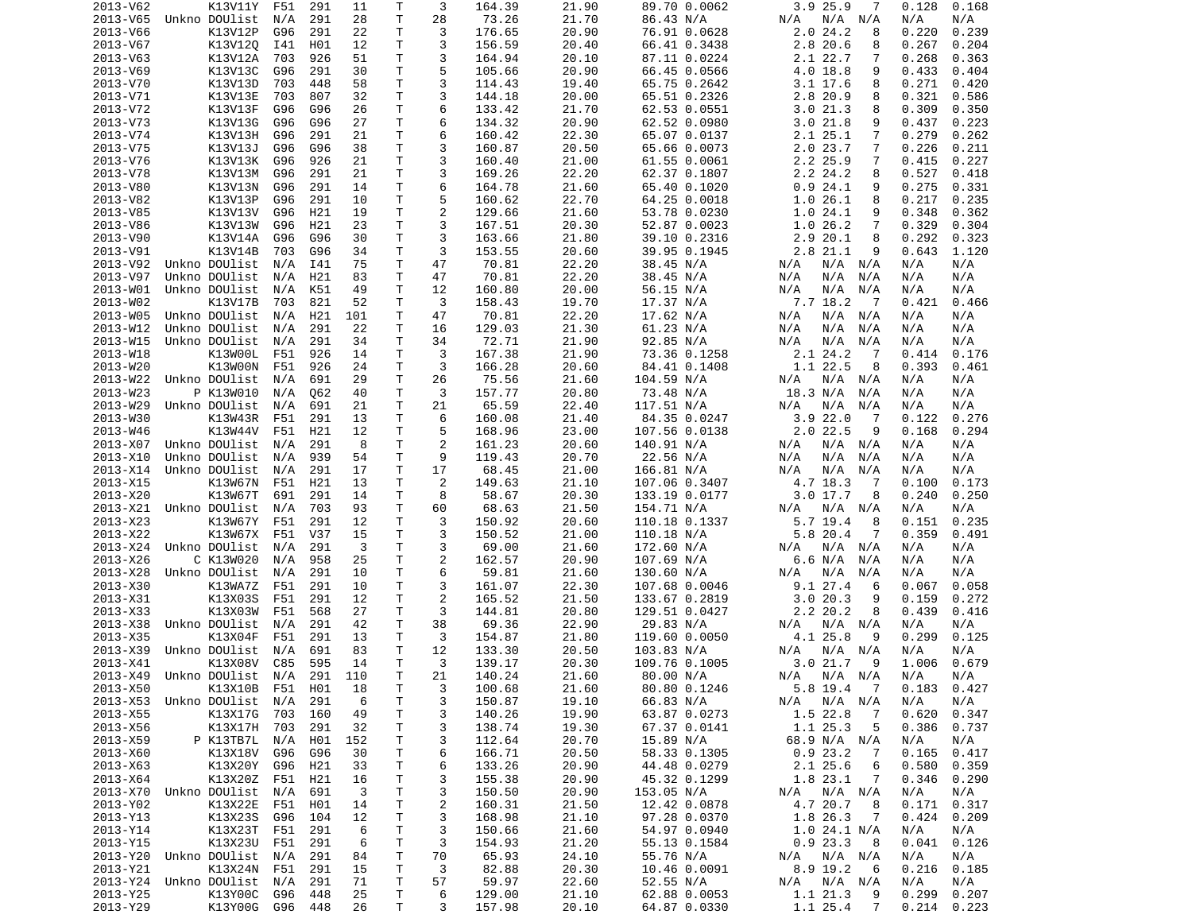| 2013-V62 | K13V11Y                        | F51 | 291 | 11  | Т  | 3              | 164.39 | 21.90 | 89.70 0.0062  | 3.9 25.9<br>7                | 0.128<br>0.168  |
|----------|--------------------------------|-----|-----|-----|----|----------------|--------|-------|---------------|------------------------------|-----------------|
| 2013-V65 | Unkno DOUlist                  | N/A | 291 | 28  | Τ  | 28             | 73.26  | 21.70 | 86.43 N/A     | N/A N/A<br>N/A               | N/A<br>N/A      |
| 2013-V66 | K13V12P                        | G96 | 291 | 22  | т  | 3              | 176.65 | 20.90 | 76.91 0.0628  | 2.024.2<br>8                 | 0.220<br>0.239  |
| 2013-V67 | K13V120                        | I41 | H01 | 12  | Τ  | 3              | 156.59 | 20.40 | 66.41 0.3438  | 2.8 20.6<br>8                | 0.267<br>0.204  |
| 2013-V63 | K13V12A                        | 703 | 926 | 51  | Τ  | 3              | 164.94 | 20.10 | 87.11 0.0224  | 2.1 22.7<br>7                | 0.268<br>0.363  |
| 2013-V69 | K13V13C                        | G96 | 291 | 30  | Τ  | 5              | 105.66 | 20.90 | 66.45 0.0566  | 4.0 18.8<br>9                | 0.433<br>0.404  |
| 2013-V70 | K13V13D                        | 703 | 448 | 58  | Τ  | 3              | 114.43 | 19.40 | 65.75 0.2642  | 3.1 17.6<br>8                | 0.271<br>0.420  |
| 2013-V71 | K13V13E                        | 703 | 807 | 32  | Τ  | 3              | 144.18 | 20.00 | 65.51 0.2326  | 2.8 20.9<br>8                | 0.321<br>0.586  |
| 2013-V72 | K13V13F                        | G96 | G96 | 26  | т  | 6              | 133.42 | 21.70 | 62.53 0.0551  | 3.021.3<br>8                 | 0.309<br>0.350  |
| 2013-V73 | K13V13G                        | G96 | G96 | 27  | т  | 6              | 134.32 | 20.90 | 62.52 0.0980  | 3.021.8<br>9                 | 0.437<br>0.223  |
| 2013-V74 | K13V13H                        | G96 | 291 | 21  | Τ  | 6              | 160.42 | 22.30 | 65.07 0.0137  | 2.125.1<br>7                 | 0.279<br>0.262  |
| 2013-V75 | K13V13J                        | G96 | G96 | 38  | Τ  | 3              | 160.87 | 20.50 | 65.66 0.0073  | 2.0 23.7<br>7                | 0.226<br>0.211  |
| 2013-V76 | K13V13K                        | G96 | 926 | 21  | Τ  | 3              | 160.40 | 21.00 | 61.55 0.0061  | 2.2 25.9<br>7                | 0.415<br>0.227  |
| 2013-V78 | K13V13M                        | G96 | 291 | 21  | т  | 3              | 169.26 | 22.20 | 62.37 0.1807  | 2.2 24.2<br>8                | 0.527<br>0.418  |
| 2013-V80 | K13V13N                        | G96 | 291 | 14  | т  | 6              | 164.78 | 21.60 | 65.40 0.1020  | 0.924.1<br>9                 | 0.275<br>0.331  |
| 2013-V82 | K13V13P                        | G96 | 291 | 10  | Τ  | 5              | 160.62 | 22.70 | 64.25 0.0018  | 1.026.1<br>8                 | 0.217<br>0.235  |
| 2013-V85 | K13V13V                        | G96 | H21 | 19  | т  | $\overline{2}$ | 129.66 | 21.60 | 53.78 0.0230  | 1.024.1<br>9                 | 0.348<br>0.362  |
| 2013-V86 | K13V13W                        | G96 | H21 | 23  | т  | 3              | 167.51 | 20.30 | 52.87 0.0023  | 1.0<br>26.2<br>7             | 0.329<br>0.304  |
| 2013-V90 | K13V14A                        | G96 | G96 | 30  | т  | 3              | 163.66 | 21.80 | 39.10 0.2316  | 2.9 20.1<br>8                | 0.292<br>0.323  |
| 2013-V91 | K13V14B                        | 703 | G96 | 34  | T  | 3              | 153.55 | 20.60 | 39.95 0.1945  | 2.8 21.1<br>9                | 0.643<br>1.120  |
| 2013-V92 | Unkno DOUlist                  | N/A | I41 | 75  | T  | 47             | 70.81  | 22.20 | 38.45 N/A     | N/A<br>N/A<br>N/A            | N/A<br>N/A      |
| 2013-V97 | Unkno DOUlist                  | N/A | H21 | 83  | т  | 47             | 70.81  | 22.20 | 38.45 N/A     | N/A<br>N/A<br>N/A            | N/A<br>N/A      |
| 2013-W01 | Unkno DOUlist                  | N/A | K51 | 49  | Τ  | 12             | 160.80 | 20.00 | 56.15 N/A     | N/A<br>N/A<br>N/A            | N/A<br>N/A      |
| 2013-W02 | K13V17B                        | 703 | 821 | 52  | т  | 3              | 158.43 | 19.70 | 17.37 N/A     | 7.7 18.2<br>$\overline{7}$   | 0.421<br>0.466  |
| 2013-W05 | Unkno DOUlist                  | N/A | H21 | 101 | т  | 47             | 70.81  | 22.20 | 17.62 N/A     | N/A<br>N/A<br>N/A            | N/A<br>N/A      |
| 2013-W12 | Unkno DOUlist                  | N/A | 291 | 22  | т  | 16             | 129.03 | 21.30 | 61.23 N/A     | N/A<br>N/A<br>N/A            | N/A<br>N/A      |
| 2013-W15 | Unkno DOUlist                  | N/A | 291 | 34  | T  | 34             | 72.71  | 21.90 | 92.85 N/A     | N/A<br>N/A<br>N/A            | N/A<br>N/A      |
| 2013-W18 | K13W00L                        | F51 | 926 | 14  | т  | 3              | 167.38 | 21.90 | 73.36 0.1258  | 2.1 24.2<br>7                | 0.414<br>0.176  |
| 2013-W20 | K13W00N                        | F51 | 926 | 24  | т  | 3              | 166.28 | 20.60 | 84.41 0.1408  | 1.1 22.5<br>8                | 0.393<br>0.461  |
| 2013-W22 | Unkno DOUlist                  | N/A | 691 | 29  | Τ  | 26             | 75.56  | 21.60 | 104.59 N/A    | N/A<br>N/A<br>N/A            | N/A<br>N/A      |
| 2013-W23 | P K13W010                      | N/A | Q62 | 40  | т  | 3              | 157.77 | 20.80 | 73.48 N/A     | 18.3 N/A<br>N/A              | N/A<br>N/A      |
| 2013-W29 | Unkno DOUlist                  | N/A | 691 | 21  | T. | 21             | 65.59  | 22.40 | 117.51 N/A    | N/A<br>N/A<br>N/A            | N/A<br>N/A      |
| 2013-W30 | K13W43R                        | F51 | 291 | 13  | Τ  | 6              | 160.08 | 21.40 | 84.35 0.0247  | 3.922.0<br>7                 | 0.276<br>0.122  |
| 2013-W46 | K13W44V                        | F51 | H21 | 12  | T. | 5              | 168.96 | 23.00 | 107.56 0.0138 | $2.0$ 22.5<br>9              | 0.294<br>0.168  |
| 2013-X07 | Unkno DOUlist                  | N/A | 291 | 8   | Τ  | $\overline{c}$ | 161.23 | 20.60 | 140.91 N/A    | N/A N/A<br>N/A               | N/A<br>N/A      |
| 2013-X10 | Unkno DOUlist                  | N/A | 939 | 54  | Τ  | 9              | 119.43 | 20.70 | 22.56 N/A     | N/A<br>N/A<br>N/A            | N/A<br>N/A      |
| 2013-X14 | Unkno DOUlist                  | N/A | 291 | 17  | Τ  | 17             | 68.45  | 21.00 | 166.81 N/A    | N/A<br>N/A<br>N/A            | N/A<br>N/A      |
| 2013-X15 | K13W67N                        | F51 | H21 | 13  | т  | 2              | 149.63 | 21.10 | 107.06 0.3407 | 4.7 18.3<br>7                | 0.100<br>0.173  |
| 2013-X20 | K13W67T                        |     | 291 | 14  | Τ  | 8              | 58.67  | 20.30 |               | $3.0$ 17.7                   | 0.240<br>0.250  |
|          |                                | 691 |     |     | Τ  |                |        |       | 133.19 0.0177 | 8                            |                 |
| 2013-X21 | Unkno DOUlist                  | N/A | 703 | 93  | T. | 60<br>3        | 68.63  | 21.50 | 154.71 N/A    | N/A<br>N/A N/A               | N/A<br>N/A      |
| 2013-X23 | K13W67Y                        | F51 | 291 | 12  |    |                | 150.92 | 20.60 | 110.18 0.1337 | 5.7 19.4<br>8                | 0.235<br>0.151  |
| 2013-X22 | K13W67X                        | F51 | V37 | 15  | Τ  | 3              | 150.52 | 21.00 | 110.18 N/A    | 5.8 20.4<br>7                | 0.359<br>0.491  |
| 2013-X24 | Unkno DOUlist                  | N/A | 291 | 3   | т  | 3              | 69.00  | 21.60 | 172.60 N/A    | N/A N/A<br>N/A               | N/A<br>N/A      |
| 2013-X26 | C K13W020                      | N/A | 958 | 25  | Τ  | 2              | 162.57 | 20.90 | 107.69 N/A    | 6.6 N/A<br>N/A               | N/A<br>N/A      |
| 2013-X28 | Unkno DOUlist                  | N/A | 291 | 10  | Τ  | 6              | 59.81  | 21.60 | 130.60 N/A    | N/A<br>N/A<br>N/A            | N/A<br>N/A      |
| 2013-X30 | K13WA7Z                        | F51 | 291 | 10  | Τ  | 3              | 161.07 | 22.30 | 107.68 0.0046 | 9.1 27.4<br>6                | 0.058<br>0.067  |
| 2013-X31 | K13X03S                        | F51 | 291 | 12  | Τ  | $\overline{c}$ | 165.52 | 21.50 | 133.67 0.2819 | 3.020.3<br>9                 | 0.272<br>0.159  |
| 2013-X33 | K13X03W                        | F51 | 568 | 27  | т  | 3              | 144.81 | 20.80 | 129.51 0.0427 | 2.2 20.2<br>8                | 0.439<br>0.416  |
| 2013-X38 | Unkno DOUlist                  | N/A | 291 | 42  | т  | 38             | 69.36  | 22.90 | 29.83 N/A     | N/A N/A<br>N/A               | N/A<br>N/A      |
| 2013-X35 | K13X04F                        | F51 | 291 | 13  | т  | 3              | 154.87 | 21.80 | 119.60 0.0050 | 4.1 25.8<br>9                | 0.299<br>0.125  |
| 2013-X39 | Unkno DOUlist                  | N/A | 691 | 83  | T. | 12             | 133.30 | 20.50 | 103.83 N/A    | N/A<br>$N/A$ $N/A$           | N/A<br>N/A      |
| 2013-X41 | K13X08V                        | C85 | 595 | 14  | T. | 3              | 139.17 | 20.30 | 109.76 0.1005 | 3.021.7<br>9                 | 1.006<br>0.679  |
|          | 2013-X49 Unkno DOUlist N/A 291 |     |     | 110 | T. | 21             | 140.24 | 21.60 | 80.00 N/A     | N/A N/A N/A                  | N/A<br>N/A      |
| 2013-X50 | K13X10B F51 H01                |     |     | 18  | т  | 3              | 100.68 | 21.60 | 80.80 0.1246  | 5.8 19.4<br>$\overline{7}$   | $0.183$ $0.427$ |
|          | 2013-X53 Unkno DOUlist N/A     |     | 291 | 6   | Τ  | 3              | 150.87 | 19.10 | 66.83 N/A     | N/A<br>N/A N/A               | N/A<br>N/A      |
| 2013-X55 | K13X17G                        | 703 | 160 | 49  | Τ  | 3              | 140.26 | 19.90 | 63.87 0.0273  | $1.5$ 22.8<br>$\overline{7}$ | 0.620<br>0.347  |
| 2013-X56 | K13X17H 703                    |     | 291 | 32  | Τ  | 3              | 138.74 | 19.30 | 67.37 0.0141  | 1.1 25.3<br>5                | 0.386<br>0.737  |
| 2013-X59 | P K13TB7L                      | N/A | H01 | 152 | т  | 3              | 112.64 | 20.70 | 15.89 N/A     | 68.9 N/A N/A                 | N/A<br>N/A      |
| 2013-X60 | K13X18V G96                    |     | G96 | 30  | т  | 6              | 166.71 | 20.50 | 58.33 0.1305  | 0.923.2<br>7                 | 0.165<br>0.417  |
| 2013-X63 | K13X20Y G96                    |     | H21 | 33  | т  | 6              | 133.26 | 20.90 | 44.48 0.0279  | 2.1 25.6<br>6                | 0.580<br>0.359  |
| 2013-X64 | K13X20Z F51                    |     | H21 | 16  | т  | 3              | 155.38 | 20.90 | 45.32 0.1299  | 1.8 23.1<br>$\overline{7}$   | 0.346<br>0.290  |
|          | 2013-X70 Unkno DOUlist         | N/A | 691 | 3   | т  | 3              | 150.50 | 20.90 | 153.05 N/A    | N/A<br>$N/A$ $N/A$           | N/A<br>N/A      |
| 2013-Y02 | K13X22E                        | F51 | H01 | 14  | Τ  | 2              | 160.31 | 21.50 | 12.42 0.0878  | 4.7 20.7<br>8                | 0.171<br>0.317  |
| 2013-Y13 | K13X23S                        | G96 | 104 | 12  | Τ  | 3              | 168.98 | 21.10 | 97.28 0.0370  | 1.8 26.3<br>$\overline{7}$   | 0.424<br>0.209  |
| 2013-Y14 | K13X23T                        | F51 | 291 | 6   | т  | 3              | 150.66 | 21.60 | 54.97 0.0940  | 1.024.1 N/A                  | N/A<br>N/A      |
| 2013-Y15 | K13X23U F51                    |     | 291 | 6   | т  | 3              | 154.93 | 21.20 | 55.13 0.1584  | 0.923.3<br>- 8               | 0.126<br>0.041  |
|          | 2013-Y20 Unkno DOUlist         | N/A | 291 | 84  | Τ  | 70             | 65.93  | 24.10 | 55.76 N/A     | N/A<br>N/A N/A               | N/A<br>N/A      |
| 2013-Y21 | K13X24N                        | F51 | 291 | 15  | т  | 3              | 82.88  | 20.30 | 10.46 0.0091  | 8.9 19.2<br>- 6              | 0.216<br>0.185  |
|          | 2013-Y24 Unkno DOUlist         | N/A | 291 | 71  | Τ  | 57             | 59.97  | 22.60 | 52.55 N/A     | N/A<br>N/A N/A               | N/A<br>N/A      |
| 2013-Y25 | K13Y00C                        | G96 | 448 | 25  | Τ  | 6              | 129.00 | 21.10 | 62.88 0.0053  | 1.1 21.3<br>-9               | 0.299<br>0.207  |
| 2013-Y29 | K13Y00G G96 448                |     |     | 26  | Τ  | 3              | 157.98 | 20.10 | 64.87 0.0330  | 1.125.4<br>$\overline{7}$    | 0.214<br>0.223  |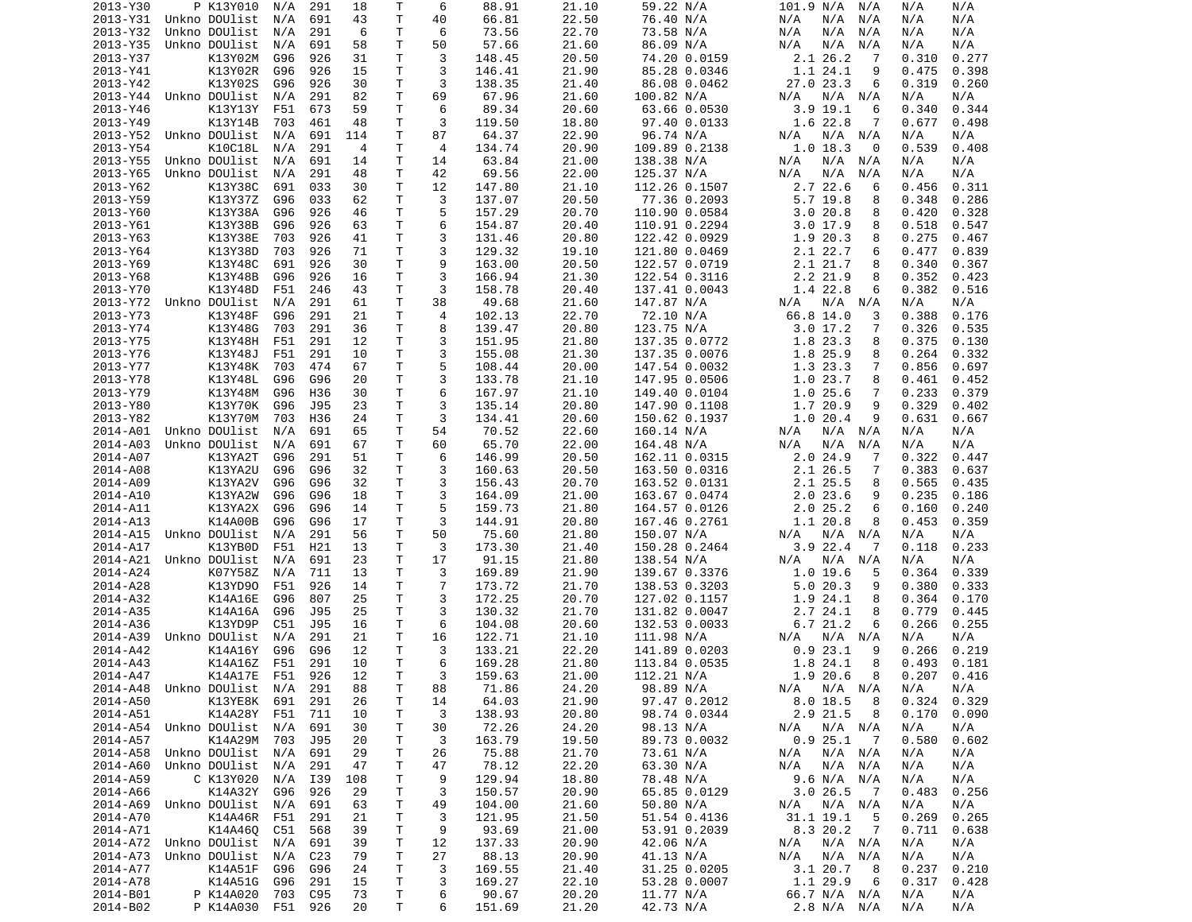| 2013-Y30             | P K13Y010                        | N/A        | 291        | 18             | Τ            | 6                   | 88.91            | 21.10          | 59.22 N/A                      | 101.9 N/A<br>N/A                     | N/A<br>N/A                       |
|----------------------|----------------------------------|------------|------------|----------------|--------------|---------------------|------------------|----------------|--------------------------------|--------------------------------------|----------------------------------|
| 2013-Y31             | Unkno DOUlist                    | N/A        | 691        | 43             | $\mathsf{T}$ | 40                  | 66.81            | 22.50          | 76.40 N/A                      | N/A<br>N/A<br>N/A                    | N/A<br>N/A                       |
| 2013-Y32             | Unkno DOUlist                    | N/A        | 291        | 6              | т            | 6                   | 73.56            | 22.70          | 73.58 N/A                      | N/A<br>N/A<br>N/A                    | N/A<br>N/A                       |
| 2013-Y35             | Unkno DOUlist                    | N/A        | 691        | 58             | т            | 50                  | 57.66            | 21.60          | 86.09 N/A                      | N/A<br>N/A<br>N/A                    | N/A<br>N/A                       |
| 2013-Y37             | K13Y02M                          | G96        | 926        | 31             | т            | 3                   | 148.45           | 20.50          | 74.20 0.0159                   | 2.1 26.2<br>7                        | 0.310<br>0.277                   |
| 2013-Y41             | K13Y02R                          | G96        | 926        | 15             | т            | 3                   | 146.41           | 21.90          | 85.28 0.0346                   | 1.1 24.1<br>9                        | 0.475<br>0.398                   |
| 2013-Y42             | K13Y02S                          | G96        | 926        | 30             | т            | 3                   | 138.35           | 21.40          | 86.08 0.0462                   | 27.0 23.3<br>6                       | 0.319<br>0.260                   |
| 2013-Y44<br>2013-Y46 | Unkno DOUlist<br>K13Y13Y         | N/A        | 291<br>673 | 82<br>59       | Τ<br>Τ       | 69<br>6             | 67.96<br>89.34   | 21.60<br>20.60 | 100.82 N/A<br>63.66 0.0530     | N/A<br>N/A<br>N/A<br>$3.9$ 19.1<br>6 | N/A<br>N/A<br>0.340<br>0.344     |
| 2013-Y49             | K13Y14B                          | F51<br>703 | 461        | 48             | Τ            | 3                   | 119.50           | 18.80          | 97.40 0.0133                   | 1.6 22.8<br>7                        | 0.677<br>0.498                   |
|                      | 2013-Y52 Unkno DOUlist           | N/A        | 691        | 114            | Τ            | 87                  | 64.37            | 22.90          | 96.74 N/A                      | $N/A$ $N/A$<br>N/A                   | N/A<br>N/A                       |
| 2013-Y54             | K10C18L                          | N/A        | 291        | $\overline{4}$ | T            | 4                   | 134.74           | 20.90          | 109.89 0.2138                  | $1.0$ 18.3<br>0                      | 0.539<br>0.408                   |
| 2013-Y55             | Unkno DOUlist                    | N/A        | 691        | 14             | T            | 14                  | 63.84            | 21.00          | 138.38 N/A                     | N/A<br>N/A<br>N/A                    | N/A<br>N/A                       |
| 2013-Y65             | Unkno DOUlist                    | N/A        | 291        | 48             | т            | 42                  | 69.56            | 22.00          | 125.37 N/A                     | N/A<br>N/A<br>N/A                    | N/A<br>N/A                       |
| 2013-Y62             | K13Y38C                          | 691        | 033        | 30             | Τ            | 12                  | 147.80           | 21.10          | 112.26 0.1507                  | 2.7 22.6<br>6                        | 0.456<br>0.311                   |
| 2013-Y59             | K13Y37Z                          | G96        | 033        | 62             | T            | 3                   | 137.07           | 20.50          | 77.36 0.2093                   | 5.7 19.8<br>8                        | 0.348<br>0.286                   |
| 2013-Y60             | K13Y38A                          | G96        | 926        | 46             | T            | 5                   | 157.29           | 20.70          | 110.90 0.0584                  | 3.020.8<br>8                         | 0.420<br>0.328                   |
| 2013-Y61             | K13Y38B                          | G96        | 926        | 63             | Τ            | 6                   | 154.87           | 20.40          | 110.91 0.2294                  | 3.017.9<br>8                         | 0.518<br>0.547                   |
| 2013-Y63             | K13Y38E                          | 703        | 926        | 41             | т            | 3                   | 131.46           | 20.80          | 122.42 0.0929                  | 1.9 20.3<br>8                        | 0.275<br>0.467                   |
| 2013-Y64             | K13Y38D                          | 703        | 926        | 71             | т            | 3                   | 129.32           | 19.10          | 121.80 0.0469                  | 2.1 22.7<br>6                        | 0.477<br>0.839                   |
| 2013-Y69             | K13Y48C                          | 691        | 926        | 30             | т            | 9                   | 163.00           | 20.50          | 122.57 0.0719                  | 2.1 21.7<br>8                        | 0.340<br>0.367                   |
| 2013-Y68             | K13Y48B                          | G96        | 926        | 16             | T            | 3                   | 166.94           | 21.30          | 122.54 0.3116                  | 2.2 21.9<br>8                        | 0.352<br>0.423                   |
| 2013-Y70             | K13Y48D                          | F51        | 246        | 43             | Τ            | 3                   | 158.78           | 20.40          | 137.41 0.0043                  | 1.4 22.8<br>6                        | 0.382<br>0.516                   |
| 2013-Y72             | Unkno DOUlist                    | N/A        | 291        | 61             | T            | 38                  | 49.68            | 21.60          | 147.87 N/A                     | N/A N/A<br>N/A                       | N/A<br>N/A                       |
| 2013-Y73             | K13Y48F                          | G96        | 291        | 21             | Τ            | 4                   | 102.13           | 22.70          | 72.10 N/A                      | 66.8 14.0<br>3                       | 0.388<br>0.176                   |
| 2013-Y74             | K13Y48G                          | 703        | 291        | 36             | Τ            | 8                   | 139.47           | 20.80          | 123.75 N/A                     | 3.017.2<br>7                         | 0.326<br>0.535                   |
| 2013-Y75             | K13Y48H<br>K13Y48J               | F51        | 291<br>291 | 12<br>10       | т<br>T       | 3<br>3              | 151.95<br>155.08 | 21.80<br>21.30 | 137.35 0.0772                  | 1.8 23.3<br>8                        | 0.375<br>0.130<br>0.264<br>0.332 |
| 2013-Y76<br>2013-Y77 | K13Y48K                          | F51<br>703 | 474        | 67             | T            | 5                   | 108.44           | 20.00          | 137.35 0.0076<br>147.54 0.0032 | 1.8 25.9<br>8<br>1.3 23.3<br>7       | 0.856<br>0.697                   |
| 2013-Y78             | K13Y48L                          | G96        | G96        | 20             | T            | 3                   | 133.78           | 21.10          | 147.95 0.0506                  | 1.0 23.7<br>8                        | 0.461<br>0.452                   |
| 2013-Y79             | K13Y48M                          | G96        | H36        | 30             | T            | 6                   | 167.97           | 21.10          | 149.40 0.0104                  | 1.025.6<br>$\overline{7}$            | 0.233<br>0.379                   |
| 2013-Y80             | K13Y70K                          | G96        | J95        | 23             | T            | 3                   | 135.14           | 20.80          | 147.90 0.1108                  | 1.7 20.9<br>9                        | 0.329<br>0.402                   |
| 2013-Y82             | K13Y70M                          | 703        | H36        | 24             | т            | 3                   | 134.41           | 20.60          | 150.62 0.1937                  | 1.020.4<br>9                         | 0.631<br>0.667                   |
| 2014-A01             | Unkno DOUlist                    | N/A        | 691        | 65             | т            | 54                  | 70.52            | 22.60          | 160.14 N/A                     | N/A<br>N/A<br>N/A                    | N/A<br>N/A                       |
| 2014-A03             | Unkno DOUlist                    | N/A        | 691        | 67             | Τ            | 60                  | 65.70            | 22.00          | 164.48 N/A                     | N/A<br>N/A<br>N/A                    | N/A<br>N/A                       |
| 2014-A07             | K13YA2T                          | G96        | 291        | 51             | T            | 6                   | 146.99           | 20.50          | 162.11 0.0315                  | 2.024.9<br>-7                        | 0.322<br>0.447                   |
| 2014-A08             | K13YA2U                          | G96        | G96        | 32             | Τ            | 3                   | 160.63           | 20.50          | 163.50 0.0316                  | 2.1 26.5<br>7                        | 0.383<br>0.637                   |
| 2014-A09             | K13YA2V                          | G96        | G96        | 32             | Τ            | 3                   | 156.43           | 20.70          | 163.52 0.0131                  | 2.1 25.5<br>8                        | 0.565<br>0.435                   |
| 2014-A10             | K13YA2W                          | G96        | G96        | 18             | т            | 3                   | 164.09           | 21.00          | 163.67 0.0474                  | 2.023.6<br>9                         | 0.235<br>0.186                   |
| 2014-A11             | K13YA2X                          | G96        | G96        | 14             | т            | 5                   | 159.73           | 21.80          | 164.57 0.0126                  | 2.025.2<br>6                         | 0.160<br>0.240                   |
| 2014-A13             | K14A00B                          | G96        | G96        | 17             | т            | 3                   | 144.91           | 20.80          | 167.46 0.2761                  | 1.1 20.8<br>8                        | 0.453<br>0.359                   |
| 2014-A15             | Unkno DOUlist                    | N/A        | 291        | 56             | T            | 50                  | 75.60            | 21.80          | 150.07 N/A                     | $N/A$ $N/A$<br>N/A                   | N/A<br>N/A                       |
| 2014-A17             | K13YB0D                          | F51        | H21        | 13             | T            | 3                   | 173.30           | 21.40          | 150.28 0.2464                  | 3.9 22.4<br>-7                       | 0.118<br>0.233                   |
| 2014-A21             | Unkno DOUlist                    | N/A        | 691        | 23             | Τ            | 17                  | 91.15            | 21.80          | 138.54 N/A                     | N/A<br>N/A<br>N/A                    | N/A<br>N/A                       |
| 2014-A24             | K07Y58Z                          | N/A        | 711        | 13             | T            | 3<br>$\overline{7}$ | 169.89           | 21.90          | 139.67 0.3376                  | 1.0 19.6<br>5                        | 0.364<br>0.339                   |
| 2014-A28<br>2014-A32 | K13YD90<br>K14A16E               | F51        | 926        | 14<br>25       | т<br>т       | 3                   | 173.72<br>172.25 | 21.70<br>20.70 | 138.53 0.3203                  | 5.020.3<br>9                         | 0.380<br>0.333                   |
| 2014-A35             | K14A16A                          | G96<br>G96 | 807<br>J95 | 25             | T            | 3                   | 130.32           | 21.70          | 127.02 0.1157<br>131.82 0.0047 | 1.9<br>24.1<br>8<br>2.7 24.1<br>8    | 0.364<br>0.170<br>0.779<br>0.445 |
| 2014-A36             | K13YD9P                          | C51        | J95        | 16             | Τ            | 6                   | 104.08           | 20.60          | 132.53 0.0033                  | 6.721.2<br>6                         | 0.266<br>0.255                   |
| 2014-A39             | Unkno DOUlist                    | N/A        | 291        | 21             | T            | 16                  | 122.71           | 21.10          | 111.98 N/A                     | $N/A$ $N/A$<br>N/A                   | N/A<br>N/A                       |
| 2014-A42             | K14A16Y                          | G96        | G96        | 12             | T.           | 3                   | 133.21           | 22.20          | 141.89 0.0203                  | 0.923.1<br>9                         | 0.266<br>0.219                   |
| 2014-A43             | K14A16Z                          | F51        | 291        | 10             | T.           | 6                   | 169.28           | 21.80          | 113.84 0.0535                  | 1.8 24.1<br>8                        | 0.493<br>0.181                   |
| 2014-A47             | K14A17E F51 926                  |            |            | 12             | T.           | 3                   | 159.63           | 21.00          | 112.21 N/A                     | 1.9 20.6 8                           | $0.207$ $0.416$                  |
|                      | 2014-A48 Unkno DOUlist N/A       |            | 291        | 88             | $\mathsf T$  | 88                  | 71.86            | 24.20          | 98.89 N/A                      | N/A N/A N/A                          | N/A<br>N/A                       |
| 2014-A50             | K13YE8K                          | 691        | 291        | 26             | Τ            | 14                  | 64.03            | 21.90          | 97.47 0.2012                   | 8.018.5<br>- 8                       | 0.324<br>0.329                   |
| 2014-A51             | K14A28Y                          | F51        | 711        | 10             | T            | 3                   | 138.93           | 20.80          | 98.74 0.0344                   | 2.9 21.5<br>8                        | 0.170<br>0.090                   |
|                      | 2014-A54 Unkno DOUlist N/A       |            | 691        | 30             | Τ            | 30                  | 72.26            | 24.20          | 98.13 N/A                      | N/A N/A<br>N/A                       | N/A<br>N/A                       |
| 2014-A57             | K14A29M                          | 703        | J95        | 20             | Τ            | 3                   | 163.79           | 19.50          | 89.73 0.0032                   | 0.925.1<br>$\overline{7}$            | 0.580<br>0.602                   |
| 2014-A58             | Unkno DOUlist N/A                |            | 691        | 29             | Τ            | 26                  | 75.88            | 21.70          | 73.61 N/A                      | N/A N/A<br>N/A                       | N/A<br>N/A                       |
| 2014-A60             | Unkno DOUlist N/A                |            | 291        | 47             | T            | 47                  | 78.12            | 22.20          | 63.30 N/A                      | N/A<br>N/A N/A                       | N/A<br>N/A                       |
| 2014-A59             | C K13Y020                        | N/A        | I39        | 108            | Τ            | 9                   | 129.94           | 18.80          | 78.48 N/A                      | 9.6 N/A N/A                          | N/A<br>N/A                       |
| 2014-A66             | K14A32Y G96                      |            | 926        | 29             | T            | 3                   | 150.57           | 20.90          | 65.85 0.0129                   | 3.026.5<br>$\overline{7}$            | 0.483<br>0.256                   |
| 2014-A69             | Unkno DOUlist                    | N/A        | 691        | 63             | T            | 49                  | 104.00           | 21.60          | 50.80 N/A                      | N/A N/A<br>N/A                       | N/A<br>N/A                       |
| 2014-A70             | K14A46R F51                      |            | 291        | 21             | T            | 3                   | 121.95           | 21.50          | 51.54 0.4136                   | 31.1 19.1<br>5                       | 0.269<br>0.265                   |
| 2014-A71             | K14A460 C51<br>Unkno DOUlist N/A |            | 568<br>691 | 39<br>39       | T            | 9                   | 93.69            | 21.00          | 53.91 0.2039<br>42.06 N/A      | 8.3 20.2<br>$\overline{7}$           | 0.711<br>0.638                   |
| 2014-A72<br>2014-A73 | Unkno DOUlist                    | N/A        | C23        | 79             | Τ<br>T       | 12<br>27            | 137.33<br>88.13  | 20.90<br>20.90 | 41.13 N/A                      | N/A N/A<br>N/A<br>N/A<br>N/A N/A     | N/A<br>N/A<br>N/A<br>N/A         |
| 2014-A77             | K14A51F                          | G96        | G96        | 24             | Τ            | 3                   | 169.55           | 21.40          | 31.25 0.0205                   | 3.120.7<br>-8                        | 0.237<br>0.210                   |
| 2014-A78             | K14A51G                          | G96        | 291        | 15             | T            | 3                   | 169.27           | 22.10          | 53.28 0.0007                   | 1.1 29.9<br>6                        | 0.317<br>0.428                   |
| 2014-B01             | P K14A020                        | 703        | C95        | 73             | T.           | 6                   | 90.67            | 20.20          | 11.77 N/A                      | 66.7 N/A N/A                         | N/A<br>N/A                       |
| 2014-B02             | P K14A030 F51 926                |            |            | 20             | T.           | 6                   | 151.69           | 21.20          | 42.73 N/A                      | 2.8 N/A N/A                          | N/A<br>N/A                       |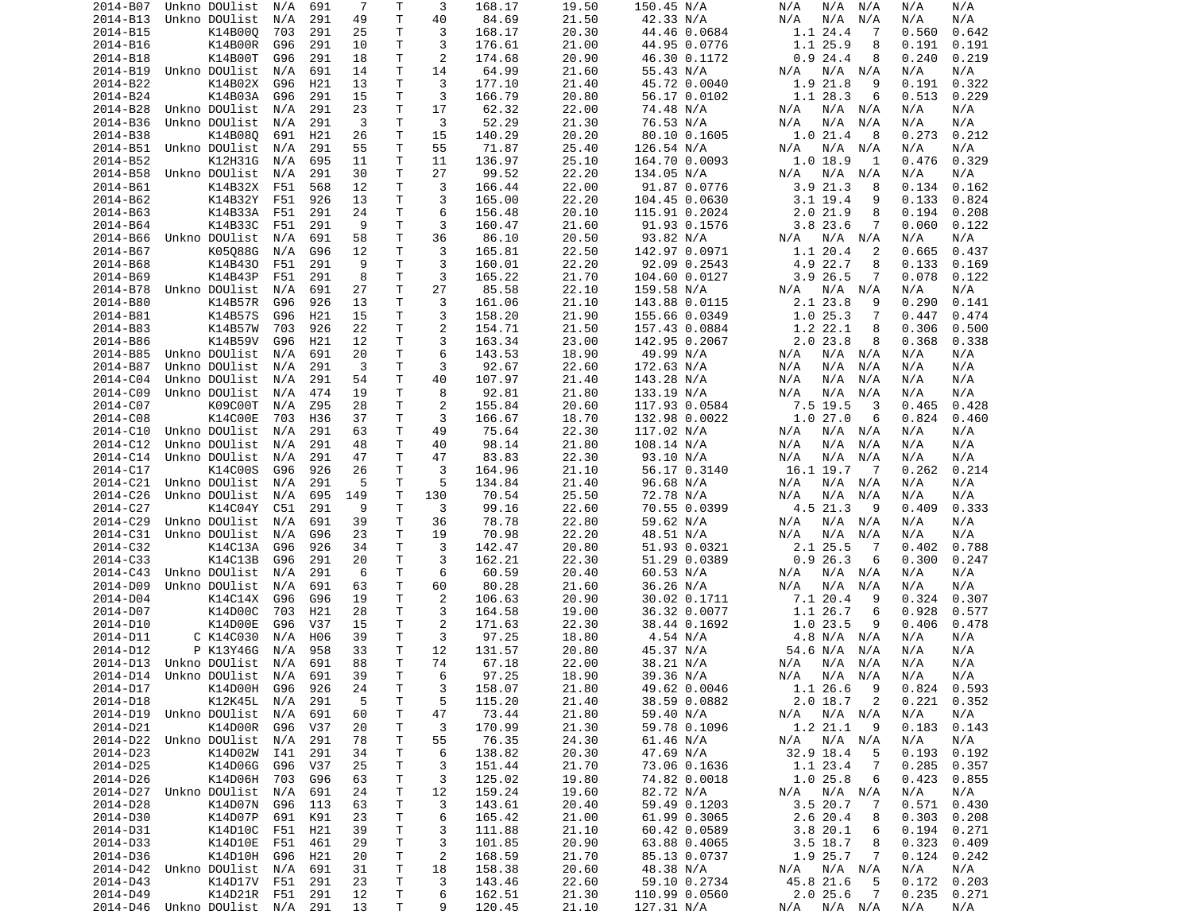| 2014-B07 | Unkno DOUlist                                     | N/A  | 691 | 7        | Т            | 3              | 168.17           | 19.50          | 150.45 N/A                  | N/A<br>N/A<br>N/A                        | N/A<br>N/A                   |
|----------|---------------------------------------------------|------|-----|----------|--------------|----------------|------------------|----------------|-----------------------------|------------------------------------------|------------------------------|
| 2014-B13 | Unkno DOUlist                                     | N/A  | 291 | 49       | Τ            | 40             | 84.69            | 21.50          | 42.33 N/A                   | N/A<br>N/A<br>N/A                        | N/A<br>N/A                   |
| 2014-B15 | K14B000                                           | 703  | 291 | 25       | Τ            | 3              | 168.17           | 20.30          | 44.46 0.0684                | 1.1 24.4<br>7                            | 0.560<br>0.642               |
|          | K14B00R                                           |      |     |          | Τ            | 3              | 176.61           |                | 44.95 0.0776                |                                          |                              |
| 2014-B16 |                                                   | G96  | 291 | 10       |              |                |                  | 21.00          |                             | 1.1 25.9<br>8                            | 0.191<br>0.191               |
| 2014-B18 | K14B00T                                           | G96  | 291 | 18       | т            | 2              | 174.68           | 20.90          | 46.30 0.1172                | 0.924.4<br>8                             | 0.240<br>0.219               |
| 2014-B19 | Unkno DOUlist                                     | N/A  | 691 | 14       | Τ            | 14             | 64.99            | 21.60          | 55.43 N/A                   | N/A<br>N/A<br>N/A                        | N/A<br>N/A                   |
| 2014-B22 | K14B02X                                           | G96  | H21 | 13       | Τ            | 3              | 177.10           | 21.40          | 45.72 0.0040                | 1.9 21.8<br>9                            | 0.191<br>0.322               |
| 2014-B24 | K14B03A                                           | G96  | 291 | 15       | Τ            | 3              | 166.79           | 20.80          | 56.17 0.0102                | 1.1 28.3<br>6                            | 0.513<br>0.229               |
| 2014-B28 | Unkno DOUlist                                     | N/A  | 291 | 23       | T            | 17             | 62.32            | 22.00          | 74.48 N/A                   | N/A<br>N/A N/A                           | N/A<br>N/A                   |
|          |                                                   |      |     |          |              |                |                  |                |                             |                                          |                              |
| 2014-B36 | Unkno DOUlist                                     | N/A  | 291 | 3        | T            | 3              | 52.29            | 21.30          | 76.53 N/A                   | N/A<br>N/A<br>N/A                        | N/A<br>N/A                   |
| 2014-B38 | K14B080                                           | 691  | H21 | 26       | T            | 15             | 140.29           | 20.20          | 80.10 0.1605                | 1.021.4<br>8                             | 0.273<br>0.212               |
| 2014-B51 | Unkno DOUlist                                     | N/A  | 291 | 55       | T            | 55             | 71.87            | 25.40          | 126.54 N/A                  | N/A N/A<br>N/A                           | N/A<br>N/A                   |
| 2014-B52 | K12H31G                                           | N/A  | 695 | 11       | T            | 11             | 136.97           | 25.10          | 164.70 0.0093               | 1.0 18.9<br>1                            | 0.476<br>0.329               |
| 2014-B58 | Unkno DOUlist                                     | N/A  | 291 | 30       | т            | 27             | 99.52            | 22.20          | 134.05 N/A                  | N/A N/A<br>N/A                           | N/A<br>N/A                   |
|          |                                                   |      |     |          |              |                |                  |                |                             |                                          |                              |
| 2014-B61 | K14B32X                                           | F51  | 568 | 12       | Τ            | 3              | 166.44           | 22.00          | 91.87 0.0776                | 3.9 21.3<br>8                            | 0.134<br>0.162               |
| 2014-B62 | K14B32Y                                           | F51  | 926 | 13       | T.           | 3              | 165.00           | 22.20          | 104.45 0.0630               | $3.1$ 19.4<br>9                          | 0.133<br>0.824               |
| 2014-B63 | K14B33A                                           | F51  | 291 | 24       | т            | 6              | 156.48           | 20.10          | 115.91 0.2024               | 2.021.9<br>8                             | 0.194<br>0.208               |
| 2014-B64 | K14B33C                                           | F51  | 291 | 9        | T            | 3              | 160.47           | 21.60          | 91.93 0.1576                | 3.8 23.6<br>7                            | 0.060<br>0.122               |
| 2014-B66 | Unkno DOUlist                                     | N/A  | 691 | 58       | Τ            | 36             | 86.10            | 20.50          | 93.82 N/A                   | N/A<br>N/A<br>N/A                        | N/A<br>N/A                   |
|          |                                                   |      |     |          |              |                |                  |                |                             |                                          |                              |
| 2014-B67 | K05088G                                           | N/A  | G96 | 12       | т            | 3              | 165.81           | 22.50          | 142.97 0.0971               | 1.1 20.4<br>2                            | 0.665<br>0.437               |
| 2014-B68 | K14B430                                           | F51  | 291 | 9        | T            | 3              | 160.01           | 22.20          | 92.09 0.2543                | 4.9 22.7<br>8                            | 0.133<br>0.169               |
| 2014-B69 | K14B43P                                           | F51  | 291 | 8        | Τ            | 3              | 165.22           | 21.70          | 104.60 0.0127               | 3.9 26.5<br>7                            | 0.078<br>0.122               |
| 2014-B78 | Unkno DOUlist                                     | N/A  | 691 | 27       | T            | 27             | 85.58            | 22.10          | 159.58 N/A                  | N/A<br>N/A<br>N/A                        | N/A<br>N/A                   |
| 2014-B80 | K14B57R                                           | G96  | 926 | 13       | Τ            | 3              | 161.06           | 21.10          | 143.88 0.0115               | 2.1 23.8<br>9                            | 0.290<br>0.141               |
|          | K14B57S                                           |      |     |          | T.           | 3              |                  | 21.90          |                             | 1.025.3<br>7                             |                              |
| 2014-B81 |                                                   | G96  | H21 | 15       |              |                | 158.20           |                | 155.66 0.0349               |                                          | 0.447<br>0.474               |
| 2014-B83 | K14B57W                                           | 703  | 926 | 22       | Τ            | $\overline{2}$ | 154.71           | 21.50          | 157.43 0.0884               | 1.2 22.1<br>8                            | 0.306<br>0.500               |
| 2014-B86 | K14B59V                                           | G96  | H21 | 12       | т            | 3              | 163.34           | 23.00          | 142.95 0.2067               | 2.023.8<br>8                             | 0.368<br>0.338               |
| 2014-B85 | Unkno DOUlist                                     | N/A  | 691 | 20       | т            | 6              | 143.53           | 18.90          | 49.99 N/A                   | N/A N/A<br>N/A                           | N/A<br>N/A                   |
| 2014-B87 | Unkno DOUlist                                     | N/A  | 291 | 3        | Τ            | 3              | 92.67            | 22.60          | 172.63 N/A                  | N/A<br>N/A<br>N/A                        | N/A<br>N/A                   |
| 2014-C04 | Unkno DOUlist                                     |      | 291 | 54       | Τ            | 40             | 107.97           | 21.40          |                             | N/A                                      | N/A                          |
|          |                                                   | N/A  |     |          |              |                |                  |                | 143.28 N/A                  | N/A<br>N/A                               | N/A                          |
| 2014-C09 | Unkno DOUlist                                     | N/A  | 474 | 19       | Τ            | 8              | 92.81            | 21.80          | 133.19 N/A                  | N/A<br>N/A<br>N/A                        | N/A<br>N/A                   |
| 2014-C07 | K09C00T                                           | N/A  | Z95 | 28       | T.           | $\overline{2}$ | 155.84           | 20.60          | 117.93 0.0584               | 7.5 19.5<br>3                            | 0.465<br>0.428               |
| 2014-C08 | K14C00E                                           | 703  | H36 | 37       | T            | 3              | 166.67           | 18.70          | 132.98 0.0022               | 1.027.0<br>6                             | 0.824<br>0.460               |
| 2014-C10 | Unkno DOUlist                                     | N/A  | 291 | 63       | т            | 49             | 75.64            | 22.30          | 117.02 N/A                  | N/A<br>N/A N/A                           | N/A<br>N/A                   |
|          |                                                   |      |     |          | Τ            | 40             |                  |                |                             |                                          |                              |
| 2014-C12 | Unkno DOUlist                                     | N/A  | 291 | 48       |              |                | 98.14            | 21.80          | 108.14 N/A                  | N/A<br>N/A<br>N/A                        | N/A<br>N/A                   |
| 2014-C14 |                                                   |      |     |          |              |                |                  |                |                             |                                          |                              |
|          | Unkno DOUlist                                     | N/A  | 291 | 47       | Τ            | 47             | 83.83            | 22.30          | 93.10 N/A                   | N/A<br>N/A<br>N/A                        | N/A<br>N/A                   |
| 2014-C17 | K14C00S                                           | G96  | 926 | 26       | Τ            | 3              | 164.96           | 21.10          | 56.17 0.3140                | 16.1 19.7<br>$\overline{7}$              | 0.262<br>0.214               |
|          |                                                   |      |     |          |              |                |                  |                |                             |                                          |                              |
| 2014-C21 | Unkno DOUlist                                     | N/A  | 291 | 5        | T            | 5              | 134.84           | 21.40          | 96.68 N/A                   | N/A N/A<br>N/A                           | N/A<br>N/A                   |
| 2014-C26 | Unkno DOUlist                                     | N/A  | 695 | 149      | т            | 130            | 70.54            | 25.50          | 72.78 N/A                   | N/A<br>N/A<br>N/A                        | N/A<br>N/A                   |
| 2014-C27 | K14C04Y                                           | C51  | 291 | 9        | Т            | 3              | 99.16            | 22.60          | 70.55 0.0399                | 4.5 21.3<br>9                            | 0.409<br>0.333               |
| 2014-C29 | Unkno DOUlist                                     | N/A  | 691 | 39       | Τ            | 36             | 78.78            | 22.80          | 59.62 N/A                   | N/A N/A<br>N/A                           | N/A<br>N/A                   |
| 2014-C31 | Unkno DOUlist                                     | N/A  | G96 | 23       | Τ            | 19             | 70.98            | 22.20          | 48.51 N/A                   | N/A<br>N/A<br>N/A                        | N/A<br>N/A                   |
|          |                                                   |      |     |          |              |                |                  |                |                             |                                          |                              |
| 2014-C32 | K14C13A                                           | G96  | 926 | 34       | Τ            | 3              | 142.47           | 20.80          | 51.93 0.0321                | 2.1 25.5<br>-7                           | 0.788<br>0.402               |
| 2014-C33 | K14C13B                                           | G96  | 291 | 20       | T            | 3              | 162.21           | 22.30          | 51.29 0.0389                | 0.926.3<br>6                             | 0.300<br>0.247               |
| 2014-C43 | Unkno DOUlist                                     | N/A  | 291 | 6        | Τ            | 6              | 60.59            | 20.40          | 60.53 N/A                   | N/A<br>N/A N/A                           | N/A<br>N/A                   |
| 2014-D09 | Unkno DOUlist                                     | N/A  | 691 | 63       | Τ            | 60             | 80.28            | 21.60          | 36.26 N/A                   | N/A<br>N/A<br>N/A                        | N/A<br>N/A                   |
| 2014-D04 | K14C14X                                           | G96  | G96 | 19       | Τ            | $\overline{2}$ | 106.63           | 20.90          | 30.02 0.1711                | 7.1 20.4<br>9                            | 0.324<br>0.307               |
|          |                                                   |      |     |          |              |                |                  |                |                             |                                          |                              |
| 2014-D07 | K14D00C                                           | 703  | H21 | 28       | Τ            | 3              | 164.58           | 19.00          | 36.32 0.0077                | 1.1 26.7<br>6                            | 0.928<br>0.577               |
| 2014-D10 | K14D00E                                           | G96  | V37 | 15       | T.           | $\overline{2}$ | 171.63           | 22.30          | 38.44 0.1692                | 1.023.5<br>9                             | 0.406<br>0.478               |
| 2014-D11 | C K14C030                                         | N/A  | H06 | 39       | т            | 3              | 97.25            | 18.80          | 4.54 N/A                    | 4.8 N/A N/A                              | N/A<br>N/A                   |
| 2014-D12 | P K13Y46G                                         | N/A  | 958 | 33       | Τ            | 12             | 131.57           | 20.80          | 45.37 N/A                   | 54.6 N/A<br>N/A                          | N/A<br>N/A                   |
| 2014-D13 | Unkno DOUlist                                     | N/A  | 691 | 88       | T.           | 74             | 67.18            | 22.00          | 38.21 N/A                   | N/A<br>N/A<br>N/A                        | N/A<br>N/A                   |
|          |                                                   |      |     |          |              |                |                  |                |                             |                                          |                              |
|          | 2014-D14 Unkno DOUlist                            | N/A  | 691 | 39       | $\mathsf{T}$ | 6              | 97.25            | 18.90          | 39.36 N/A                   | N/A N/A<br>N/A                           | N/A<br>N/A                   |
| 2014-D17 | K14D00H G96                                       |      | 926 | 24       | Τ            | 3              | 158.07           | 21.80          | 49.62 0.0046                | - 9<br>1.1 26.6                          | $0.824$ 0.593                |
| 2014-D18 | K12K45L                                           | N/A  | 291 | 5        | T            | 5              | 115.20           | 21.40          | 38.59 0.0882                | $2.0$ 18.7 2                             | 0.221<br>0.352               |
|          | 2014-D19 Unkno DOUlist                            | N/A  | 691 | 60       | T            | 47             | 73.44            | 21.80          | 59.40 N/A                   | N/A N/A<br>N/A                           | N/A<br>N/A                   |
|          | K14D00R                                           | G96  | V37 | 20       |              | 3              | 170.99           | 21.30          | 59.78 0.1096                | 1.2 21.1<br>- 9                          | 0.183<br>0.143               |
| 2014-D21 |                                                   |      |     |          | т            |                |                  |                |                             |                                          |                              |
|          | 2014-D22 Unkno DOUlist N/A                        |      | 291 | 78       | T            | 55             | 76.35            | 24.30          | 61.46 N/A                   | N/A N/A<br>N/A                           | N/A<br>N/A                   |
| 2014-D23 | K14D02W                                           | I 41 | 291 | 34       | Τ            | 6              | 138.82           | 20.30          | 47.69 N/A                   | 32.9 18.4<br>5                           | 0.193<br>0.192               |
| 2014-D25 | K14D06G                                           | G96  | V37 | 25       | T            | 3              | 151.44           | 21.70          | 73.06 0.1636                | 1.1 23.4<br>$\overline{7}$               | 0.285<br>0.357               |
| 2014-D26 | K14D06H                                           | 703  | G96 | 63       | T            | 3              | 125.02           | 19.80          | 74.82 0.0018                | 1.025.8<br>6                             | 0.423<br>0.855               |
|          | 2014-D27 Unkno DOUlist                            | N/A  | 691 | 24       | T            | 12             | 159.24           | 19.60          | 82.72 N/A                   |                                          | N/A<br>N/A                   |
|          |                                                   |      |     |          |              |                |                  |                |                             | N/A<br>N/A N/A                           |                              |
| 2014-D28 | K14D07N                                           | G96  | 113 | 63       | T            | 3              | 143.61           | 20.40          | 59.49 0.1203                | 3.520.7<br>7                             | 0.571<br>0.430               |
| 2014-D30 | K14D07P                                           | 691  | K91 | 23       | Τ            | 6              | 165.42           | 21.00          | 61.99 0.3065                | 2.6 20.4<br>8                            | 0.303<br>0.208               |
| 2014-D31 | K14D10C                                           | F51  | H21 | 39       | T            | 3              | 111.88           | 21.10          | 60.42 0.0589                | 3.820.1<br>6                             | 0.194<br>0.271               |
| 2014-D33 | K14D10E                                           | F51  | 461 | 29       | T            | 3              | 101.85           | 20.90          | 63.88 0.4065                | $3.5$ 18.7<br>8                          | 0.323<br>0.409               |
| 2014-D36 | K14D10H                                           | G96  | H21 | 20       |              |                |                  | 21.70          |                             | $\overline{7}$                           |                              |
|          |                                                   |      |     |          | T            | $\overline{c}$ | 168.59           |                | 85.13 0.0737                | 1.9 25.7                                 | 0.124<br>0.242               |
|          | 2014-D42 Unkno DOUlist                            | N/A  | 691 | 31       | T            | 18             | 158.38           | 20.60          | 48.38 N/A                   | N/A N/A<br>N/A                           | N/A<br>N/A                   |
| 2014-D43 | K14D17V F51                                       |      | 291 | 23       | T            | 3              | 143.46           | 22.60          | 59.10 0.2734                | 45.8 21.6<br>-5                          | $0.172 \quad 0.203$          |
| 2014-D49 | K14D21R F51 291<br>2014-D46 Unkno DOUlist N/A 291 |      |     | 12<br>13 | T.<br>T.     | 6<br>9         | 162.51<br>120.45 | 21.30<br>21.10 | 110.99 0.0560<br>127.31 N/A | 2.025.6<br>$\overline{7}$<br>N/A N/A N/A | 0.235<br>0.271<br>N/A<br>N/A |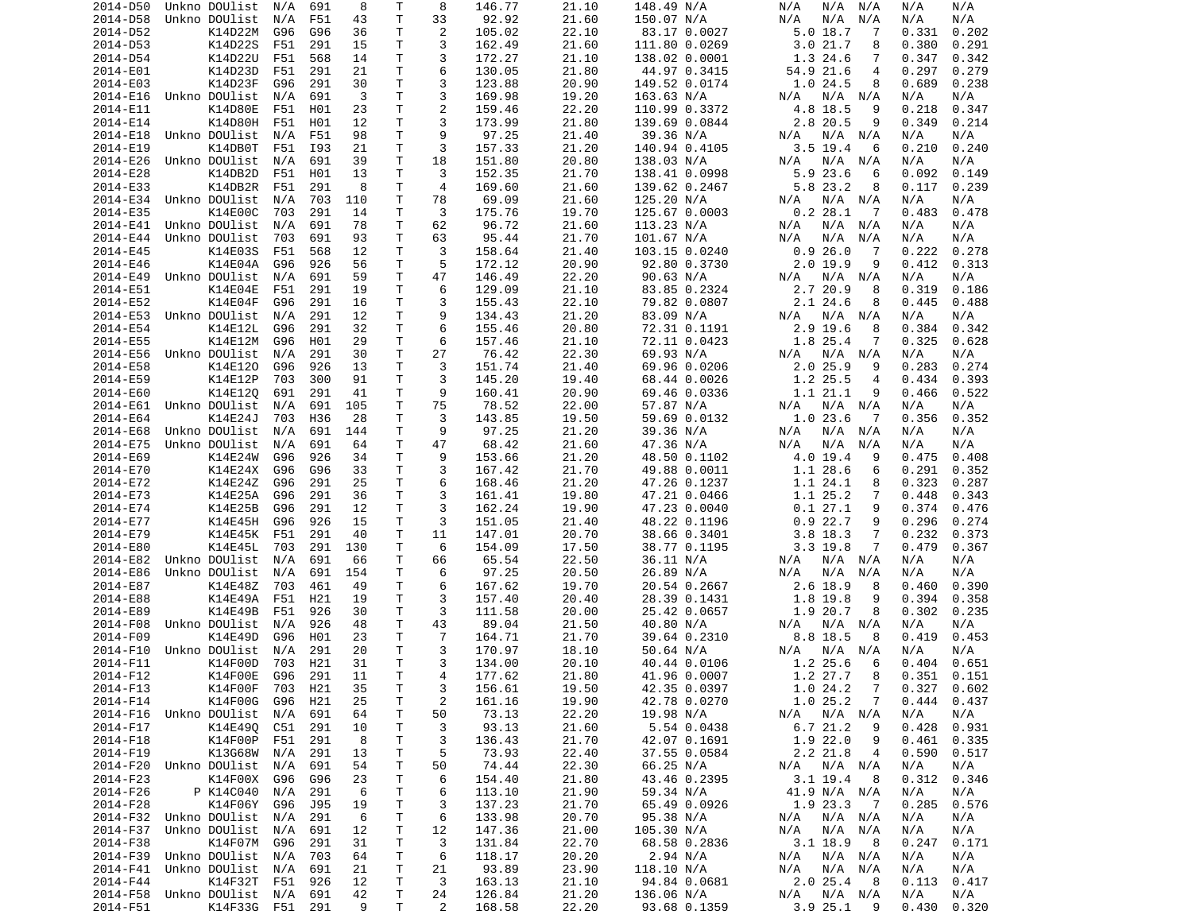| 2014-D50 | Unkno DOUlist                                     | N/A     | 691 | 8       | Т            | 8              | 146.77           | 21.10          | 148.49 N/A                 | N/A<br>N/A<br>N/A           | N/A<br>N/A                   |
|----------|---------------------------------------------------|---------|-----|---------|--------------|----------------|------------------|----------------|----------------------------|-----------------------------|------------------------------|
| 2014-D58 | Unkno DOUlist                                     | N/A     | F51 | 43      | T            | 33             | 92.92            | 21.60          | 150.07 N/A                 | N/A<br>N/A<br>N/A           | N/A<br>N/A                   |
| 2014-D52 | K14D22M                                           | G96     | G96 | 36      | Τ            | 2              | 105.02           | 22.10          | 83.17 0.0027               | $5.0$ 18.7<br>7             | 0.331<br>0.202               |
|          | K14D22S                                           |         |     |         | Τ            | 3              |                  |                |                            | 3.021.7                     |                              |
| 2014-D53 |                                                   | F51     | 291 | 15      |              |                | 162.49           | 21.60          | 111.80 0.0269              | 8                           | 0.380<br>0.291               |
| 2014-D54 | K14D22U                                           | F51     | 568 | 14      | T.           | 3              | 172.27           | 21.10          | 138.02 0.0001              | 1.3 24.6<br>7               | 0.347<br>0.342               |
| 2014-E01 | K14D23D                                           | F51     | 291 | 21      | Τ            | 6              | 130.05           | 21.80          | 44.97 0.3415               | 54.9 21.6<br>$\overline{4}$ | 0.297<br>0.279               |
| 2014-E03 | K14D23F                                           | G96     | 291 | 30      | т            | 3              | 123.88           | 20.90          | 149.52 0.0174              | 1.024.5<br>8                | 0.689<br>0.238               |
| 2014-E16 | Unkno DOUlist                                     | N/A     | 691 | 3       | T.           | 3              | 169.98           | 19.20          | 163.63 N/A                 | $N/A$ $N/A$<br>N/A          | N/A<br>N/A                   |
| 2014-E11 | K14D80E                                           | F51     | H01 | 23      | T            | $\overline{2}$ | 159.46           | 22.20          | 110.99 0.3372              | 4.8 18.5<br>9               | 0.218<br>0.347               |
|          |                                                   |         |     |         |              |                |                  |                |                            |                             |                              |
| 2014-E14 | K14D80H                                           | F51     | H01 | 12      | Τ            | 3              | 173.99           | 21.80          | 139.69 0.0844              | 2.8 20.5<br>9               | 0.349<br>0.214               |
| 2014-E18 | Unkno DOUlist                                     | N/A     | F51 | 98      | T            | 9              | 97.25            | 21.40          | 39.36 N/A                  | N/A<br>N/A N/A              | N/A<br>N/A                   |
| 2014-E19 | K14DB0T                                           | F51     | I93 | 21      | Τ            | 3              | 157.33           | 21.20          | 140.94 0.4105              | $3.5$ 19.4<br>6             | 0.210<br>0.240               |
| 2014-E26 | Unkno DOUlist                                     | N/A     | 691 | 39      | T.           | 18             | 151.80           | 20.80          | 138.03 N/A                 | N/A<br>N/A N/A              | N/A<br>N/A                   |
| 2014-E28 | K14DB2D                                           | F51     | H01 | 13      | т            | 3              | 152.35           | 21.70          | 138.41 0.0998              | 5.9 23.6<br>6               | 0.092<br>0.149               |
|          | K14DB2R                                           |         |     |         |              | 4              |                  |                |                            |                             |                              |
| 2014-E33 |                                                   | F51     | 291 | 8       | Τ            |                | 169.60           | 21.60          | 139.62 0.2467              | 5.8 23.2<br>8               | 0.117<br>0.239               |
| 2014-E34 | Unkno DOUlist                                     | N/A     | 703 | 110     | T            | 78             | 69.09            | 21.60          | 125.20 N/A                 | N/A<br>N/A N/A              | N/A<br>N/A                   |
| 2014-E35 | K14E00C                                           | 703     | 291 | 14      | т            | 3              | 175.76           | 19.70          | 125.67 0.0003              | 0.228.1<br>$\overline{7}$   | 0.478<br>0.483               |
| 2014-E41 | Unkno DOUlist                                     | N/A     | 691 | 78      | T            | 62             | 96.72            | 21.60          | 113.23 N/A                 | N/A<br>N/A N/A              | N/A<br>N/A                   |
| 2014-E44 | Unkno DOUlist                                     | 703     | 691 | 93      | T            | 63             | 95.44            | 21.70          | 101.67 N/A                 | N/A<br>N/A<br>N/A           | N/A<br>N/A                   |
| 2014-E45 | K14E03S                                           | F51     | 568 | 12      | т            | 3              | 158.64           | 21.40          | 103.15 0.0240              | 0.926.0<br>- 7              | 0.222<br>0.278               |
|          |                                                   |         |     |         |              |                |                  |                |                            |                             |                              |
| 2014-E46 | K14E04A                                           | G96     | 926 | 56      | T            | 5              | 172.12           | 20.90          | 92.80 0.3730               | $2.0$ 19.9<br>9             | 0.412<br>0.313               |
| 2014-E49 | Unkno DOUlist                                     | N/A     | 691 | 59      | Τ            | 47             | 146.49           | 22.20          | 90.63 N/A                  | N/A N/A<br>N/A              | N/A<br>N/A                   |
| 2014-E51 | K14E04E                                           | F51     | 291 | 19      | T.           | 6              | 129.09           | 21.10          | 83.85 0.2324               | 2.7 20.9<br>8               | 0.319<br>0.186               |
| 2014-E52 | K14E04F                                           | G96     | 291 | 16      | т            | 3              | 155.43           | 22.10          | 79.82 0.0807               | 2.1 24.6<br>8               | 0.445<br>0.488               |
| 2014-E53 | Unkno DOUlist                                     | N/A     | 291 | 12      | T.           | 9              | 134.43           | 21.20          | 83.09 N/A                  | $N/A$ $N/A$<br>N/A          | N/A<br>N/A                   |
|          |                                                   |         |     |         |              |                |                  |                |                            |                             |                              |
| 2014-E54 | K14E12L                                           | G96     | 291 | 32      | Τ            | 6              | 155.46           | 20.80          | 72.31 0.1191               | $2.9$ 19.6<br>8             | 0.384<br>0.342               |
| 2014-E55 | K14E12M                                           | G96     | H01 | 29      | Τ            | 6              | 157.46           | 21.10          | 72.11 0.0423               | 1.8 25.4<br>7               | 0.325<br>0.628               |
| 2014-E56 | Unkno DOUlist                                     | N/A     | 291 | 30      | T.           | 27             | 76.42            | 22.30          | 69.93 N/A                  | N/A N/A<br>N/A              | N/A<br>N/A                   |
| 2014-E58 | K14E120                                           | G96     | 926 | 13      | т            | 3              | 151.74           | 21.40          | 69.96 0.0206               | $2.0$ 25.9<br>9             | 0.283<br>0.274               |
| 2014-E59 | K14E12P                                           | 703     | 300 | 91      | T            | 3              | 145.20           | 19.40          | 68.44 0.0026               | 1.2 25.5<br>$\overline{4}$  | 0.434<br>0.393               |
|          |                                                   |         |     |         |              |                |                  |                |                            |                             |                              |
| 2014-E60 | K14E12Q                                           | 691     | 291 | 41      | т            | 9              | 160.41           | 20.90          | 69.46 0.0336               | 1.1 21.1<br>9               | 0.466<br>0.522               |
| 2014-E61 | Unkno DOUlist                                     | N/A     | 691 | 105     | T.           | 75             | 78.52            | 22.00          | 57.87 N/A                  | $N/A$ $N/A$<br>N/A          | N/A<br>N/A                   |
| 2014-E64 | K14E24J                                           | 703     | H36 | 28      | T            | 3              | 143.85           | 19.50          | 59.69 0.0132               | 1.023.6<br>-7               | 0.356<br>0.352               |
| 2014-E68 | Unkno DOUlist                                     | N/A     | 691 | 144     | т            | 9              | 97.25            | 21.20          | 39.36 N/A                  | N/A N/A<br>N/A              | N/A<br>N/A                   |
| 2014-E75 | Unkno DOUlist                                     | N/A     | 691 | 64      | Τ            | 47             | 68.42            | 21.60          | 47.36 N/A                  | N/A<br>N/A<br>N/A           | N/A<br>N/A                   |
|          |                                                   |         |     |         |              |                |                  |                |                            |                             |                              |
| 2014-E69 | K14E24W                                           | G96     | 926 | 34      | Τ            | 9              | 153.66           | 21.20          | 48.50 0.1102               | 4.0 19.4<br>9               | 0.408<br>0.475               |
| 2014-E70 | K14E24X                                           | G96     | G96 | 33      | Τ            | 3              | 167.42           | 21.70          | 49.88 0.0011               | 1.1 28.6<br>6               | 0.291<br>0.352               |
| 2014-E72 | K14E24Z                                           | G96     | 291 | 25      | Τ            | 6              | 168.46           | 21.20          | 47.26 0.1237               | 1.1 24.1<br>8               | 0.323<br>0.287               |
| 2014-E73 | K14E25A                                           | G96     | 291 | 36      | т            | 3              | 161.41           | 19.80          | 47.21 0.0466               | 1.1 25.2<br>7               | 0.448<br>0.343               |
| 2014-E74 | K14E25B                                           | G96     | 291 | 12      | т            | 3              | 162.24           | 19.90          | 47.23 0.0040               | 0.127.1<br>9                | 0.374<br>0.476               |
|          | K14E45H                                           |         |     |         |              | 3              |                  |                |                            | 9                           |                              |
| 2014-E77 |                                                   | G96     | 926 | 15      | т            |                | 151.05           | 21.40          | 48.22 0.1196               | 0.922.7                     | 0.296<br>0.274               |
| 2014-E79 | K14E45K                                           | F51     | 291 | 40      | Τ            | 11             | 147.01           | 20.70          | 38.66 0.3401               | $3.8$ 18.3<br>7             | 0.232<br>0.373               |
| 2014-E80 | K14E45L                                           | 703     | 291 | 130     | Τ            | 6              | 154.09           | 17.50          | 38.77 0.1195               | $3.3$ 19.8<br>7             | 0.479<br>0.367               |
| 2014-E82 | Unkno DOUlist                                     | N/A     | 691 | 66      | T            | 66             | 65.54            | 22.50          | 36.11 N/A                  | N/A<br>N/A<br>N/A           | N/A<br>N/A                   |
| 2014-E86 | Unkno DOUlist                                     | N/A     | 691 | 154     | T.           | 6              | 97.25            | 20.50          | 26.89 N/A                  | N/A<br>N/A<br>N/A           | N/A<br>N/A                   |
| 2014-E87 | K14E48Z                                           |         |     | 49      | Τ            | 6              |                  |                |                            |                             | 0.460                        |
|          |                                                   | 703     | 461 |         |              |                | 167.62           | 19.70          | 20.54 0.2667               | 2.6 18.9<br>8               | 0.390                        |
| 2014-E88 | K14E49A                                           | F51     | H21 | 19      | т            | 3              | 157.40           | 20.40          | 28.39 0.1431               | 1.8 19.8<br>9               | 0.394<br>0.358               |
| 2014-E89 | K14E49B                                           | F51     | 926 | 30      | Τ            | 3              | 111.58           | 20.00          | 25.42 0.0657               | 1.9 20.7<br>8               | 0.302<br>0.235               |
| 2014-F08 | Unkno DOUlist                                     | N/A     | 926 | 48      | Τ            | 43             | 89.04            | 21.50          | 40.80 N/A                  | N/A<br>N/A N/A              | N/A<br>N/A                   |
| 2014-F09 | K14E49D                                           | G96     | H01 | 23      | T            | 7              | 164.71           | 21.70          | 39.64 0.2310               | 8.8 18.5<br>8               | 0.419<br>0.453               |
| 2014-F10 | Unkno DOUlist                                     |         | 291 | 20      | T.           | 3              |                  |                |                            |                             | N/A                          |
|          |                                                   | N/A     |     |         |              |                | 170.97           | 18.10          | 50.64 N/A                  | N/A<br>N/A N/A              | N/A                          |
| 2014-F11 | K14F00D                                           | 703     | H21 | 31      | T.           | 3              | 134.00           | 20.10          | 40.44 0.0106               | 1.2 25.6<br>6               | 0.651<br>0.404               |
| 2014-F12 | K14F00E                                           | G96     | 291 | 11      | $\mathsf{T}$ | $\overline{4}$ | 177.62           | 21.80          | 41.96 0.0007               | 1.2 27.7<br>8               | 0.351<br>0.151               |
| 2014-F13 | K14F00F                                           | 703 H21 |     | 35      | Τ            | 3              | 156.61           | 19.50          | 42.35 0.0397               | 1.024.2<br>$\overline{7}$   | 0.327<br>0.602               |
| 2014-F14 | K14F00G                                           | G96     | H21 | 25      | T            | $\overline{c}$ | 161.16           | 19.90          | 42.78 0.0270               | 1.025.2<br>$\overline{7}$   | 0.444<br>0.437               |
|          | 2014-F16 Unkno DOUlist                            | N/A     | 691 | 64      | T            | 50             | 73.13            | 22.20          | 19.98 N/A                  | $N/A$ $N/A$<br>N/A          | N/A<br>N/A                   |
|          |                                                   |         |     |         |              |                |                  |                |                            |                             |                              |
| 2014-F17 | K14E490                                           | C51     | 291 | 10      | т            | 3              | 93.13            | 21.60          | 5.54 0.0438                | 6.7 21.2<br>9               | 0.428<br>0.931               |
| 2014-F18 | K14F00P                                           | F51     | 291 | 8       | T            | 3              | 136.43           | 21.70          | 42.07 0.1691               | 1.9 22.0<br>9               | 0.461<br>0.335               |
| 2014-F19 | K13G68W                                           | N/A     | 291 | 13      | Τ            | 5              | 73.93            | 22.40          | 37.55 0.0584               | 2.2 21.8<br>$\overline{4}$  | 0.590<br>0.517               |
|          | 2014-F20 Unkno DOUlist                            | N/A     | 691 | 54      | T.           | 50             | 74.44            | 22.30          | 66.25 N/A                  | N/A N/A<br>N/A              | N/A<br>N/A                   |
|          |                                                   |         |     |         |              |                | 154.40           |                |                            | $3.1$ 19.4                  |                              |
| 2014-F23 | K14F00X                                           | G96     | G96 | 23      | Τ            | 6              |                  | 21.80          | 43.46 0.2395               | - 8                         | 0.346<br>0.312               |
| 2014-F26 | P K14C040 N/A                                     |         | 291 | 6       | Τ            | 6              | 113.10           | 21.90          | 59.34 N/A                  | 41.9 N/A N/A                | N/A<br>N/A                   |
| 2014-F28 | K14F06Y G96                                       |         | J95 | 19      | T            | 3              | 137.23           | 21.70          | 65.49 0.0926               | 1.9 23.3<br>$\overline{7}$  | 0.285<br>0.576               |
| 2014-F32 | Unkno DOUlist N/A                                 |         | 291 | -6      | т            | 6              | 133.98           | 20.70          | 95.38 N/A                  | N/A<br>N/A N/A              | N/A<br>N/A                   |
| 2014-F37 | Unkno DOUlist                                     | N/A     | 691 | 12      | T            | 12             | 147.36           | 21.00          | 105.30 N/A                 | N/A N/A<br>N/A              | N/A<br>N/A                   |
|          |                                                   |         |     | 31      |              |                |                  |                |                            | $3.1$ 18.9<br>- 8           | 0.247                        |
| 2014-F38 | K14F07M                                           | G96     | 291 |         | Τ            | 3              | 131.84           | 22.70          | 68.58 0.2836               |                             | 0.171                        |
| 2014-F39 | Unkno DOUlist                                     | N/A     | 703 | 64      | T            | 6              | 118.17           | 20.20          | 2.94 N/A                   | N/A<br>N/A N/A              | N/A<br>N/A                   |
| 2014-F41 | Unkno DOUlist                                     | N/A     | 691 | 21      | Τ            | 21             | 93.89            | 23.90          | 118.10 N/A                 | N/A N/A<br>N/A              | N/A<br>N/A                   |
|          |                                                   |         |     |         |              |                |                  |                |                            |                             |                              |
|          |                                                   |         |     | 12      |              |                |                  |                |                            | - 8                         | 0.113                        |
| 2014-F44 | K14F32T F51 926                                   |         |     |         | Τ            | 3              | 163.13           | 21.10          | 94.84 0.0681               | 2.0 25.4                    | 0.417                        |
| 2014-F51 | 2014-F58 Unkno DOUlist N/A 691<br>K14F33G F51 291 |         |     | 42<br>9 | T.<br>Τ      | 24<br>2        | 126.84<br>168.58 | 21.20<br>22.20 | 136.06 N/A<br>93.68 0.1359 | N/A<br>N/A N/A<br>3.925.19  | N/A<br>N/A<br>0.430<br>0.320 |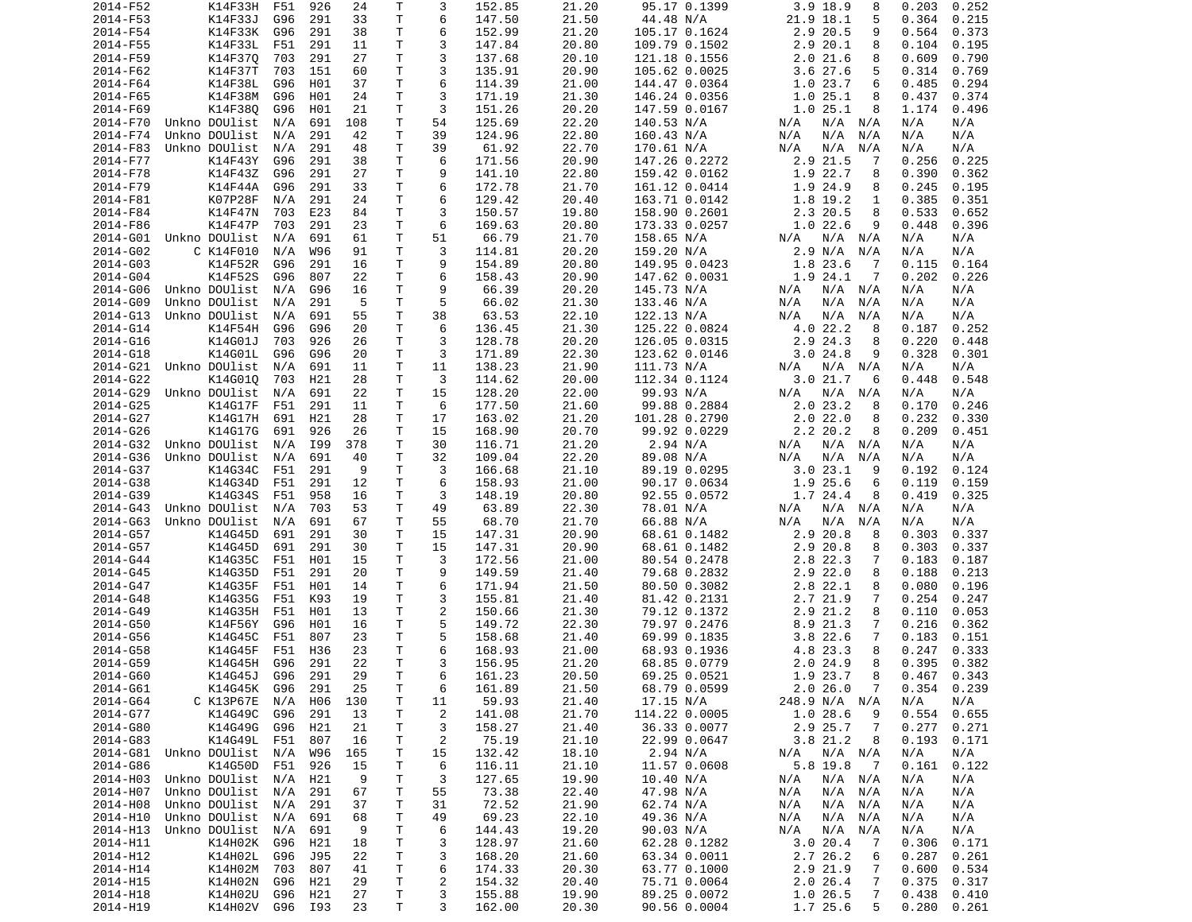| 2014-F52 | K14F33H       | F51     | 926 | 24  | Τ            | 3              | 152.85 | 21.20 | 95.17 0.1399  | 3.9 18.9<br>8              | 0.203<br>0.252  |
|----------|---------------|---------|-----|-----|--------------|----------------|--------|-------|---------------|----------------------------|-----------------|
| 2014-F53 | K14F33J       | G96     | 291 | 33  | Τ            | 6              | 147.50 | 21.50 | 44.48 N/A     | 21.9 18.1<br>5             | 0.364<br>0.215  |
| 2014-F54 | K14F33K       | G96     | 291 | 38  | т            | 6              | 152.99 | 21.20 | 105.17 0.1624 | 2.9 20.5<br>9              | 0.564<br>0.373  |
| 2014-F55 | K14F33L       | F51     | 291 | 11  | т            | 3              | 147.84 | 20.80 | 109.79 0.1502 | 2.920.1<br>8               | 0.104<br>0.195  |
| 2014-F59 | K14F370       | 703     | 291 | 27  | Τ            | 3              | 137.68 | 20.10 | 121.18 0.1556 | 2.021.6<br>8               | 0.609<br>0.790  |
| 2014-F62 | K14F37T       | 703     | 151 | 60  | т            | 3              | 135.91 | 20.90 | 105.62 0.0025 | 3.6 27.6<br>5              | 0.314<br>0.769  |
| 2014-F64 | K14F38L       | G96     | H01 | 37  | т            | 6              | 114.39 | 21.00 | 144.47 0.0364 | 1.023.7<br>6               | 0.485<br>0.294  |
| 2014-F65 | K14F38M       | G96     | H01 | 24  | Τ            | 3              | 171.19 | 21.30 | 146.24 0.0356 | 1.025.1<br>8               | 0.374<br>0.437  |
| 2014-F69 | K14F380       | G96     | H01 | 21  | T            | 3              | 151.26 | 20.20 | 147.59 0.0167 | 1.025.1<br>8               | 1.174<br>0.496  |
| 2014-F70 | Unkno DOUlist | N/A     | 691 | 108 | Τ            | 54             | 125.69 | 22.20 | 140.53 N/A    | N/A N/A<br>N/A             | N/A<br>N/A      |
|          |               |         |     |     | T            |                |        |       |               |                            |                 |
| 2014-F74 | Unkno DOUlist | N/A     | 291 | 42  |              | 39             | 124.96 | 22.80 | 160.43 N/A    | N/A<br>N/A<br>N/A          | N/A<br>N/A      |
| 2014-F83 | Unkno DOUlist | N/A     | 291 | 48  | Τ            | 39             | 61.92  | 22.70 | 170.61 N/A    | N/A<br>N/A<br>N/A          | N/A<br>N/A      |
| 2014-F77 | K14F43Y       | G96     | 291 | 38  | Τ            | 6              | 171.56 | 20.90 | 147.26 0.2272 | 2.9 21.5<br>7              | 0.256<br>0.225  |
| 2014-F78 | K14F43Z       | G96     | 291 | 27  | т            | 9              | 141.10 | 22.80 | 159.42 0.0162 | 1.9 22.7<br>8              | 0.390<br>0.362  |
| 2014-F79 | K14F44A       | G96     | 291 | 33  | T.           | 6              | 172.78 | 21.70 | 161.12 0.0414 | 1.9 24.9<br>8              | 0.245<br>0.195  |
| 2014-F81 | K07P28F       | N/A     | 291 | 24  | T.           | 6              | 129.42 | 20.40 | 163.71 0.0142 | 1.8 19.2<br>1              | 0.385<br>0.351  |
| 2014-F84 | K14F47N       | 703     | E23 | 84  | т            | 3              | 150.57 | 19.80 | 158.90 0.2601 | 2.3 20.5<br>8              | 0.533<br>0.652  |
| 2014-F86 | K14F47P       | 703     | 291 | 23  | Τ            | 6              | 169.63 | 20.80 | 173.33 0.0257 | 1.022.6<br>9               | 0.448<br>0.396  |
| 2014-G01 | Unkno DOUlist | N/A     | 691 | 61  | Τ            | 51             | 66.79  | 21.70 | 158.65 N/A    | N/A N/A<br>N/A             | N/A<br>N/A      |
| 2014-G02 | C K14F010     | N/A     | W96 | 91  | т            | 3              | 114.81 | 20.20 | 159.20 N/A    | 2.9 N/A<br>N/A             | N/A<br>N/A      |
| 2014-G03 | K14F52R       | G96     | 291 | 16  | Τ            | 9              | 154.89 | 20.80 | 149.95 0.0423 | 1.8 23.6<br>- 7            | 0.164<br>0.115  |
| 2014-G04 | K14F52S       | G96     | 807 | 22  | Τ            | 6              | 158.43 | 20.90 | 147.62 0.0031 | 1.9 24.1<br>7              | 0.202<br>0.226  |
| 2014-G06 | Unkno DOUlist | N/A     | G96 | 16  | T            | 9              | 66.39  | 20.20 | 145.73 N/A    | N/A<br>N/A N/A             | N/A<br>N/A      |
| 2014-G09 | Unkno DOUlist | N/A     | 291 | 5   | Τ            | 5              | 66.02  | 21.30 | 133.46 N/A    | N/A<br>N/A<br>N/A          | N/A<br>N/A      |
| 2014-G13 | Unkno DOUlist | N/A     | 691 | 55  | Τ            | 38             | 63.53  | 22.10 | 122.13 N/A    | N/A<br>N/A<br>N/A          | N/A<br>N/A      |
|          |               | G96     |     | 20  | Τ            | 6              |        |       |               |                            |                 |
| 2014-G14 | K14F54H       |         | G96 |     |              |                | 136.45 | 21.30 | 125.22 0.0824 | 4.022.2<br>8               | 0.252<br>0.187  |
| 2014-G16 | K14G01J       | 703     | 926 | 26  | Τ            | 3              | 128.78 | 20.20 | 126.05 0.0315 | 2.9 24.3<br>8              | 0.220<br>0.448  |
| 2014-G18 | K14G01L       | G96     | G96 | 20  | т            | 3              | 171.89 | 22.30 | 123.62 0.0146 | 3.024.8<br>9               | 0.328<br>0.301  |
| 2014-G21 | Unkno DOUlist | N/A     | 691 | 11  | Τ            | 11             | 138.23 | 21.90 | 111.73 N/A    | N/A N/A<br>N/A             | N/A<br>N/A      |
| 2014-G22 | K14G010       | 703     | H21 | 28  | Τ            | 3              | 114.62 | 20.00 | 112.34 0.1124 | 3.0 21.7<br>6              | 0.448<br>0.548  |
| 2014-G29 | Unkno DOUlist | N/A     | 691 | 22  | Τ            | 15             | 128.20 | 22.00 | 99.93 N/A     | N/A N/A<br>N/A             | N/A<br>N/A      |
| 2014-G25 | K14G17F       | F51     | 291 | 11  | T.           | 6              | 177.50 | 21.60 | 99.88 0.2884  | 2.023.2<br>8               | 0.170<br>0.246  |
| 2014-G27 | K14G17H       | 691     | H21 | 28  | T            | 17             | 163.02 | 21.20 | 101.28 0.2790 | 2.022.0<br>8               | 0.232<br>0.330  |
| 2014-G26 | K14G17G       | 691     | 926 | 26  | т            | 15             | 168.90 | 20.70 | 99.92 0.0229  | 2.2 20.2<br>8              | 0.209<br>0.451  |
| 2014-G32 | Unkno DOUlist | N/A     | I99 | 378 | Τ            | 30             | 116.71 | 21.20 | 2.94 N/A      | $N/A$ $N/A$<br>N/A         | N/A<br>N/A      |
| 2014-G36 | Unkno DOUlist | N/A     | 691 | 40  | Τ            | 32             | 109.04 | 22.20 | 89.08 N/A     | N/A<br>N/A<br>N/A          | N/A<br>N/A      |
| 2014-G37 | K14G34C       | F51     | 291 | 9   | Τ            | 3              | 166.68 | 21.10 | 89.19 0.0295  | 3.023.1<br>9               | 0.192<br>0.124  |
| 2014-G38 | K14G34D       | F51     | 291 | 12  | Τ            | 6              | 158.93 | 21.00 | 90.17 0.0634  | 1.9 25.6<br>6              | 0.119<br>0.159  |
| 2014-G39 | K14G34S       | F51     | 958 | 16  | т            | 3              | 148.19 | 20.80 | 92.55 0.0572  | 1.7 24.4<br>8              | 0.419<br>0.325  |
| 2014-G43 | Unkno DOUlist | N/A     | 703 | 53  | Τ            | 49             | 63.89  | 22.30 | 78.01 N/A     | N/A N/A<br>N/A             | N/A<br>N/A      |
| 2014-G63 | Unkno DOUlist |         | 691 | 67  | т            | 55             | 68.70  | 21.70 |               | N/A<br>N/A                 | N/A<br>N/A      |
|          |               | N/A     |     |     |              |                |        |       | 66.88 N/A     | N/A                        |                 |
| 2014-G57 | K14G45D       | 691     | 291 | 30  | Τ            | 15             | 147.31 | 20.90 | 68.61 0.1482  | 2.9 20.8<br>8              | 0.303<br>0.337  |
| 2014-G57 | K14G45D       | 691     | 291 | 30  | Τ            | 15             | 147.31 | 20.90 | 68.61 0.1482  | 2.9 20.8<br>8              | 0.303<br>0.337  |
| 2014-G44 | K14G35C       | F51     | H01 | 15  | Τ            | 3              | 172.56 | 21.00 | 80.54 0.2478  | 2.8 22.3<br>7              | 0.183<br>0.187  |
| 2014-G45 | K14G35D       | F51     | 291 | 20  | Τ            | 9              | 149.59 | 21.40 | 79.68 0.2832  | $2.9$ 22.0<br>8            | 0.188<br>0.213  |
| 2014-G47 | K14G35F       | F51     | H01 | 14  | Τ            | 6              | 171.94 | 21.50 | 80.50 0.3082  | 2.8 22.1<br>8              | 0.080<br>0.196  |
| 2014-G48 | K14G35G       | F51     | K93 | 19  | T            | 3              | 155.81 | 21.40 | 81.42 0.2131  | 2.7 21.9<br>7              | 0.254<br>0.247  |
| 2014-G49 | K14G35H       | F51     | H01 | 13  | T.           | 2              | 150.66 | 21.30 | 79.12 0.1372  | 2.9 21.2<br>8              | 0.110<br>0.053  |
| 2014-G50 | K14F56Y       | G96     | H01 | 16  | $\mathsf{T}$ | 5              | 149.72 | 22.30 | 79.97 0.2476  | 8.9 21.3<br>7              | 0.216<br>0.362  |
| 2014-G56 | K14G45C       | F51     | 807 | 23  | T.           | 5              | 158.68 | 21.40 | 69.99 0.1835  | 3.8 22.6<br>7              | 0.183<br>0.151  |
| 2014-G58 | K14G45F       | F51     | H36 | 23  | Τ            | 6              | 168.93 | 21.00 | 68.93 0.1936  | 4.8 23.3<br>8              | 0.247<br>0.333  |
| 2014-G59 | K14G45H       | G96     | 291 | 22  | T.           | 3              | 156.95 | 21.20 | 68.85 0.0779  | 2.024.9<br>8               | 0.395<br>0.382  |
| 2014-G60 | K14G45J       | G96 291 |     | 29  | $\mathsf{T}$ | 6              | 161.23 | 20.50 | 69.25 0.0521  | 1.9 23.7<br>8              | $0.467$ 0.343   |
| 2014-G61 | K14G45K G96   |         | 291 | 25  | T            | 6              | 161.89 | 21.50 | 68.79 0.0599  | 2.026.0<br>$\overline{7}$  | $0.354$ $0.239$ |
| 2014-G64 | C K13P67E     | N/A     | H06 | 130 | T            | 11             | 59.93  | 21.40 | 17.15 N/A     | 248.9 N/A N/A              | N/A<br>N/A      |
| 2014-G77 | K14G49C       | G96     | 291 | 13  | Τ            | $\overline{c}$ | 141.08 | 21.70 | 114.22 0.0005 | 1.028.6<br>9               | 0.554<br>0.655  |
|          |               |         |     |     |              |                |        |       |               |                            |                 |
| 2014-G80 | K14G49G       | G96     | H21 | 21  | т            | 3              | 158.27 | 21.40 | 36.33 0.0077  | 2.9 25.7<br>7              | 0.277<br>0.271  |
| 2014-G83 | K14G49L       | F51     | 807 | 16  | Τ            | $\overline{c}$ | 75.19  | 21.10 | 22.99 0.0647  | 3.821.2<br>8               | 0.193<br>0.171  |
| 2014-G81 | Unkno DOUlist | N/A     | W96 | 165 | Т            | 15             | 132.42 | 18.10 | 2.94 N/A      | $N/A$ $N/A$<br>N/A         | N/A<br>N/A      |
| 2014-G86 | K14G50D       | F51     | 926 | 15  | Τ            | 6              | 116.11 | 21.10 | 11.57 0.0608  | 5.8 19.8<br>$\overline{7}$ | 0.161<br>0.122  |
| 2014-H03 | Unkno DOUlist | N/A     | H21 | 9   | Τ            | 3              | 127.65 | 19.90 | 10.40 N/A     | $N/A$ $N/A$<br>N/A         | N/A<br>N/A      |
| 2014-H07 | Unkno DOUlist | N/A     | 291 | 67  | Τ            | 55             | 73.38  | 22.40 | 47.98 N/A     | $N/A$ $N/A$<br>N/A         | N/A<br>N/A      |
| 2014-H08 | Unkno DOUlist | N/A     | 291 | 37  | т            | 31             | 72.52  | 21.90 | 62.74 N/A     | N/A N/A<br>N/A             | N/A<br>N/A      |
| 2014-H10 | Unkno DOUlist | N/A     | 691 | 68  | т            | 49             | 69.23  | 22.10 | 49.36 N/A     | N/A<br>N/A N/A             | N/A<br>N/A      |
| 2014-H13 | Unkno DOUlist | N/A     | 691 | 9   | T            | 6              | 144.43 | 19.20 | 90.03 N/A     | N/A<br>N/A<br>N/A          | N/A<br>N/A      |
| 2014-H11 | K14H02K       | G96     | H21 | 18  | Τ            | 3              | 128.97 | 21.60 | 62.28 0.1282  | 3.020.4<br>-7              | 0.306<br>0.171  |
| 2014-H12 | K14H02L       | G96     | J95 | 22  | T.           | 3              | 168.20 | 21.60 | 63.34 0.0011  | 2.7 26.2<br>6              | 0.287<br>0.261  |
| 2014-H14 | K14H02M       | 703     | 807 | 41  | Τ            | 6              | 174.33 | 20.30 | 63.77 0.1000  | 2.9 21.9<br>7              | 0.600<br>0.534  |
| 2014-H15 | K14H02N       | G96     | H21 | 29  | Τ            | $\overline{c}$ | 154.32 | 20.40 | 75.71 0.0064  | 2.026.4<br>7               | 0.375<br>0.317  |
| 2014-H18 | K14H02U       | G96     | H21 | 27  | T.           | 3              | 155.88 | 19.90 | 89.25 0.0072  | 1.0 26.5<br>7              | 0.438<br>0.410  |
|          |               |         |     | 23  | Τ            | 3              |        |       |               |                            |                 |
| 2014-H19 | K14H02V G96   |         | I93 |     |              |                | 162.00 | 20.30 | 90.56 0.0004  | 1.7 25.6<br>5              | 0.280<br>0.261  |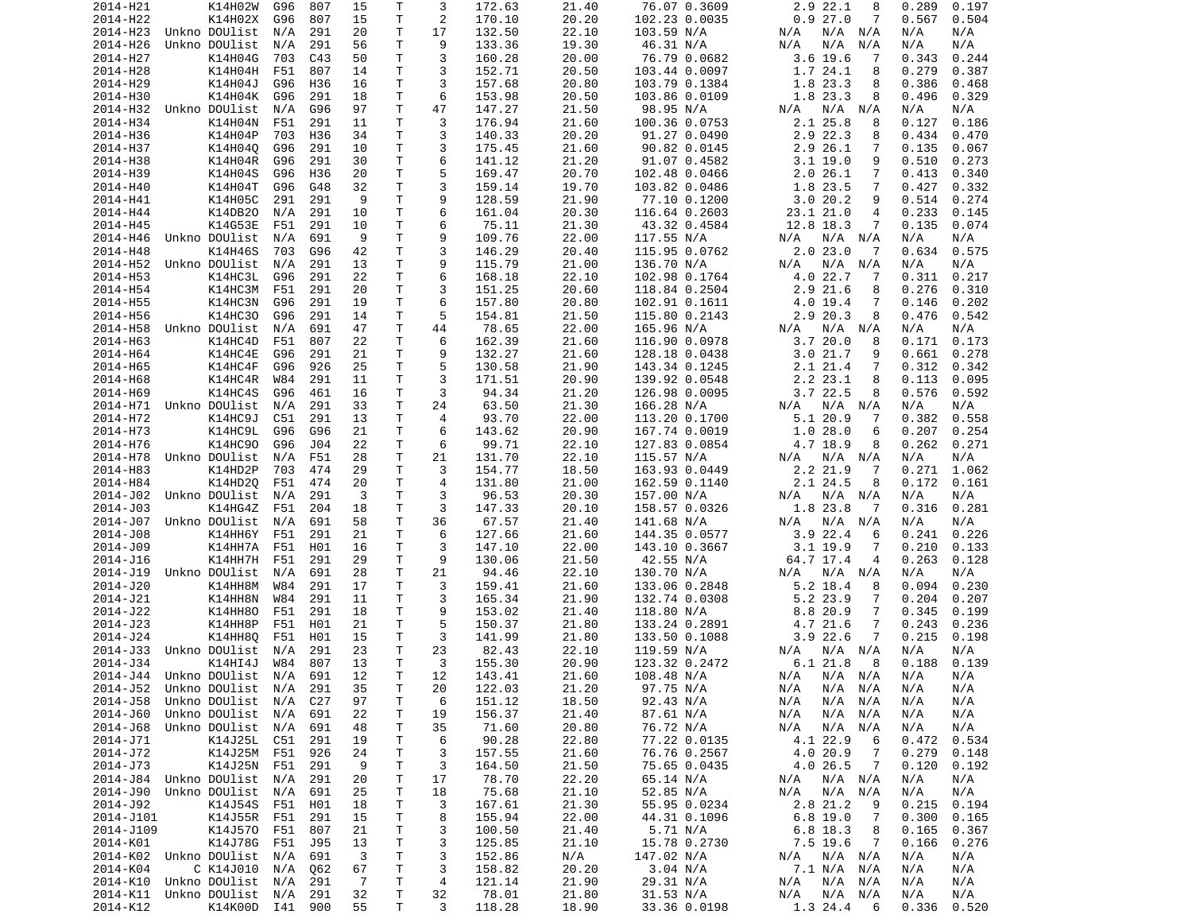| 2014-H21                           | K14H02W           | G96 | 807 | 15             | Т            | 3  | 172.63 | 21.40 | 76.07 0.3609  | 2.9 22.1<br>8                | 0.289<br>0.197 |
|------------------------------------|-------------------|-----|-----|----------------|--------------|----|--------|-------|---------------|------------------------------|----------------|
| 2014-H22                           | K14H02X           | G96 | 807 | 15             | т            | 2  | 170.10 | 20.20 | 102.23 0.0035 | 0.927.0<br>7                 | 0.567<br>0.504 |
| 2014-H23                           | Unkno DOUlist     | N/A | 291 | 20             | Τ            | 17 | 132.50 | 22.10 | 103.59 N/A    | N/A<br>N/A<br>N/A            | N/A<br>N/A     |
| 2014-H26                           | Unkno DOUlist     | N/A | 291 | 56             | Τ            | 9  | 133.36 | 19.30 | 46.31 N/A     | N/A<br>N/A<br>N/A            | N/A<br>N/A     |
| 2014-H27                           | K14H04G           | 703 | C43 | 50             | т            | 3  | 160.28 | 20.00 | 76.79 0.0682  | $3.6$ 19.6<br>7              | 0.343<br>0.244 |
| 2014-H28                           | K14H04H           | F51 | 807 | 14             | Τ            | 3  | 152.71 | 20.50 | 103.44 0.0097 | 1.7 24.1<br>8                | 0.279<br>0.387 |
| 2014-H29                           | K14H04J           | G96 | H36 | 16             | Τ            | 3  | 157.68 | 20.80 | 103.79 0.1384 | 1.8 23.3<br>8                | 0.386<br>0.468 |
| 2014-H30                           | K14H04K           | G96 | 291 | 18             | т            | 6  | 153.98 | 20.50 | 103.86 0.0109 | 1.8 23.3<br>8                | 0.496<br>0.329 |
| 2014-H32                           | Unkno DOUlist     | N/A | G96 | 97             | Τ            | 47 | 147.27 | 21.50 | 98.95 N/A     | $N/A$ $N/A$<br>N/A           | N/A<br>N/A     |
| 2014-H34                           | K14H04N           | F51 | 291 | 11             | т            | 3  | 176.94 | 21.60 | 100.36 0.0753 | 2.1 25.8<br>8                | 0.127<br>0.186 |
| 2014-H36                           | K14H04P           | 703 | H36 | 34             | T.           | 3  | 140.33 | 20.20 | 91.27 0.0490  | 2.9 22.3<br>8                | 0.434<br>0.470 |
| 2014-H37                           | K14H040           | G96 | 291 | 10             | Τ            | 3  | 175.45 | 21.60 | 90.82 0.0145  | 2.9 26.1<br>7                | 0.135<br>0.067 |
| 2014-H38                           | K14H04R           | G96 | 291 | 30             | T.           | 6  | 141.12 | 21.20 | 91.07 0.4582  | $3.1$ 19.0<br>9              | 0.510<br>0.273 |
| 2014-H39                           | K14H04S           | G96 | H36 | 20             | T.           | 5  | 169.47 | 20.70 | 102.48 0.0466 | 2.0 26.1<br>7                | 0.413<br>0.340 |
| 2014-H40                           | K14H04T           | G96 | G48 | 32             | Τ            | 3  | 159.14 | 19.70 | 103.82 0.0486 | 1.8 23.5<br>7                | 0.427<br>0.332 |
| 2014-H41                           | K14H05C           | 291 | 291 | 9              | T.           | 9  | 128.59 | 21.90 | 77.10 0.1200  | 3.020.2<br>9                 | 0.514<br>0.274 |
| 2014-H44                           | K14DB20           | N/A | 291 | 10             | Τ            | 6  | 161.04 | 20.30 | 116.64 0.2603 | 23.1 21.0<br>4               | 0.233<br>0.145 |
| 2014-H45                           | K14G53E           | F51 | 291 | 10             | Τ            | 6  | 75.11  | 21.30 | 43.32 0.4584  | 12.8 18.3<br>7               | 0.135<br>0.074 |
| 2014-H46                           | Unkno DOUlist     | N/A | 691 | 9              | Τ            | 9  | 109.76 | 22.00 | 117.55 N/A    | $N/A$ $N/A$<br>N/A           | N/A<br>N/A     |
| 2014-H48                           | K14H46S           | 703 | G96 | 42             | Τ            | 3  | 146.29 | 20.40 | 115.95 0.0762 | 2.023.0<br>7                 | 0.634<br>0.575 |
| 2014-H52                           | Unkno DOUlist     | N/A | 291 | 13             | Τ            | 9  | 115.79 | 21.00 | 136.70 N/A    | N/A<br>N/A<br>N/A            | N/A<br>N/A     |
| 2014-H53                           | K14HC3L           | G96 | 291 | 22             | т            | 6  | 168.18 | 22.10 | 102.98 0.1764 | 4.0 22.7<br>-7               | 0.311<br>0.217 |
| 2014-H54                           | K14HC3M           | F51 | 291 | 20             | т            | 3  | 151.25 | 20.60 | 118.84 0.2504 | $2.9$ $21.6$<br>8            | 0.276<br>0.310 |
| 2014-H55                           | K14HC3N           | G96 | 291 | 19             | T.           | 6  | 157.80 | 20.80 | 102.91 0.1611 | 4.0 19.4<br>7                | 0.146<br>0.202 |
| 2014-H56                           | K14HC30           | G96 | 291 | 14             | Τ            | 5  | 154.81 | 21.50 | 115.80 0.2143 | 2.9 20.3<br>8                | 0.476<br>0.542 |
| 2014-H58                           | Unkno DOUlist     | N/A | 691 | 47             | Τ            | 44 | 78.65  | 22.00 | 165.96 N/A    | N/A<br>N/A<br>N/A            | N/A<br>N/A     |
| 2014-H63                           | K14HC4D           | F51 | 807 | 22             | T.           | 6  | 162.39 | 21.60 | 116.90 0.0978 | 3.720.0<br>8                 | 0.173<br>0.171 |
| 2014-H64                           | K14HC4E           | G96 | 291 | 21             | т            | 9  | 132.27 | 21.60 | 128.18 0.0438 | 3.021.7<br>9                 | 0.661<br>0.278 |
| 2014-H65                           | K14HC4F           | G96 | 926 | 25             | Τ            | 5  | 130.58 | 21.90 | 143.34 0.1245 | 2.1 21.4<br>7                | 0.312<br>0.342 |
| 2014-H68                           | K14HC4R           |     | 291 |                | Τ            | 3  | 171.51 | 20.90 | 139.92 0.0548 | 8                            | 0.113          |
|                                    | K14HC4S           | W84 |     | 11             |              | 3  | 94.34  |       |               | 2.2 23.1<br>3.722.5          | 0.095          |
| 2014-H69<br>2014-H71 Unkno DOUlist |                   | G96 | 461 | 16             | Τ<br>T.      |    |        | 21.20 | 126.98 0.0095 | 8                            | 0.576<br>0.592 |
|                                    |                   | N/A | 291 | 33             |              | 24 | 63.50  | 21.30 | 166.28 N/A    | N/A<br>N/A<br>N/A            | N/A<br>N/A     |
| 2014-H72                           | K14HC9J           | C51 | 291 | 13             | Τ            | 4  | 93.70  | 22.00 | 113.20 0.1700 | 5.120.9<br>7                 | 0.382<br>0.558 |
| 2014-H73                           | K14HC9L           | G96 | G96 | 21             | T.           | 6  | 143.62 | 20.90 | 167.74 0.0019 | 1.028.0<br>6                 | 0.207<br>0.254 |
| 2014-H76                           | K14HC90           | G96 | J04 | 22             | т            | 6  | 99.71  | 22.10 | 127.83 0.0854 | 4.7 18.9<br>8                | 0.262<br>0.271 |
| 2014-H78                           | Unkno DOUlist     | N/A | F51 | 28             | T            | 21 | 131.70 | 22.10 | 115.57 N/A    | N/A<br>N/A<br>N/A            | N/A<br>N/A     |
| 2014-H83                           | K14HD2P           | 703 | 474 | 29             | Τ            | 3  | 154.77 | 18.50 | 163.93 0.0449 | 2.2 21.9<br>-7               | 0.271<br>1.062 |
| 2014-H84                           | K14HD2Q           | F51 | 474 | 20             | т            | 4  | 131.80 | 21.00 | 162.59 0.1140 | 2.1 24.5<br>8                | 0.172<br>0.161 |
| 2014-J02                           | Unkno DOUlist     | N/A | 291 | 3              | Τ            | 3  | 96.53  | 20.30 | 157.00 N/A    | N/A<br>N/A<br>N/A            | N/A<br>N/A     |
| 2014-J03                           | K14HG4Z           | F51 | 204 | 18             | Τ            | 3  | 147.33 | 20.10 | 158.57 0.0326 | 1.8 23.8<br>-7               | 0.316<br>0.281 |
| 2014-J07                           | Unkno DOUlist     | N/A | 691 | 58             | T.           | 36 | 67.57  | 21.40 | 141.68 N/A    | N/A<br>N/A<br>N/A            | N/A<br>N/A     |
| 2014-J08                           | K14HH6Y           | F51 | 291 | 21             | Τ            | 6  | 127.66 | 21.60 | 144.35 0.0577 | $3.9$ 22.4<br>6              | 0.241<br>0.226 |
| 2014-J09                           | K14HH7A           | F51 | H01 | 16             | т            | 3  | 147.10 | 22.00 | 143.10 0.3667 | $3.1$ 19.9<br>7              | 0.210<br>0.133 |
| 2014-J16                           | K14HH7H           | F51 | 291 | 29             | т            | 9  | 130.06 | 21.50 | 42.55 N/A     | 64.7 17.4<br>4               | 0.263<br>0.128 |
| 2014-J19                           | Unkno DOUlist     | N/A | 691 | 28             | T            | 21 | 94.46  | 22.10 | 130.70 N/A    | N/A<br>N/A<br>N/A            | N/A<br>N/A     |
| 2014-J20                           | K14HH8M           | W84 | 291 | 17             | Τ            | 3  | 159.41 | 21.60 | 133.06 0.2848 | 5.2 18.4<br>8                | 0.094<br>0.230 |
| 2014-J21                           | K14HH8N           | W84 | 291 | 11             | Τ            | 3  | 165.34 | 21.90 | 132.74 0.0308 | 5.2 23.9<br>7                | 0.204<br>0.207 |
| 2014-J22                           | <b>K14HH80</b>    | F51 | 291 | 18             | т            | 9  | 153.02 | 21.40 | 118.80 N/A    | 8.8 20.9<br>7                | 0.345<br>0.199 |
| 2014-J23                           | K14HH8P           | F51 | H01 | 21             | т            | 5  | 150.37 | 21.80 | 133.24 0.2891 | 4.7 21.6<br>7                | 0.243<br>0.236 |
| 2014-J24                           | K14HH8Q           | F51 | H01 | 15             | т            | 3  | 141.99 | 21.80 | 133.50 0.1088 | $3.9$ 22.6<br>7              | 0.215<br>0.198 |
| 2014-J33                           | Unkno DOUlist     | N/A | 291 | 23             | T.           | 23 | 82.43  | 22.10 | 119.59 N/A    | $N/A$ $N/A$<br>N/A           | N/A<br>N/A     |
| 2014-J34                           | K14HI4J           | W84 | 807 | 13             | T.           | 3  | 155.30 | 20.90 | 123.32 0.2472 | 6.1 21.8<br>8                | 0.188<br>0.139 |
| 2014-J44 Unkno DOUlist N/A 691     |                   |     |     | 12             | $\mathsf{T}$ | 12 | 143.41 | 21.60 | 108.48 N/A    | N/A N/A N/A                  | N/A<br>N/A     |
| 2014-J52 Unkno DOUlist N/A 291     |                   |     |     | 35             | Τ            | 20 | 122.03 | 21.20 | 97.75 N/A     | N/A N/A<br>N/A               | N/A<br>N/A     |
| 2014-J58                           | Unkno DOUlist     | N/A | C27 | 97             | Τ            | 6  | 151.12 | 18.50 | 92.43 N/A     | N/A<br>N/A<br>N/A            | N/A<br>N/A     |
| 2014-J60                           | Unkno DOUlist     | N/A | 691 | 22             | Τ            | 19 | 156.37 | 21.40 | 87.61 N/A     | N/A<br>N/A<br>N/A            | N/A<br>N/A     |
| 2014-J68                           | Unkno DOUlist N/A |     | 691 | 48             | Τ            | 35 | 71.60  | 20.80 | 76.72 N/A     | N/A<br>N/A<br>N/A            | N/A<br>N/A     |
| 2014-J71                           | K14J25L C51       |     | 291 | 19             | т            | 6  | 90.28  | 22.80 | 77.22 0.0135  | 4.1 22.9<br>6                | 0.472<br>0.534 |
| 2014-J72                           | K14J25M F51       |     | 926 | 24             | т            | 3  | 157.55 | 21.60 | 76.76 0.2567  | 4.0 20.9<br>$\overline{7}$   | 0.279<br>0.148 |
| 2014-J73                           | K14J25N F51       |     | 291 | 9              | Τ            | 3  | 164.50 | 21.50 | 75.65 0.0435  | 4.0 26.5<br>$\overline{7}$   | 0.120<br>0.192 |
| 2014-J84                           | Unkno DOUlist     | N/A | 291 | 20             | т            | 17 | 78.70  | 22.20 | 65.14 N/A     | N/A N/A<br>N/A               | N/A<br>N/A     |
| 2014-J90                           | Unkno DOUlist     | N/A | 691 | 25             | Τ            | 18 | 75.68  | 21.10 | 52.85 N/A     | N/A<br>N/A<br>N/A            | N/A<br>N/A     |
| 2014-J92                           | K14J54S           | F51 | H01 | 18             | Τ            | 3  | 167.61 | 21.30 | 55.95 0.0234  | 2.8 21.2<br>9                | 0.215<br>0.194 |
| 2014-J101                          | K14J55R F51       |     | 291 | 15             | T            | 8  | 155.94 | 22.00 | 44.31 0.1096  | $6.8$ 19.0<br>$\overline{7}$ | 0.300<br>0.165 |
| 2014-J109                          | K14J570           | F51 | 807 | 21             | Τ            | 3  | 100.50 | 21.40 | 5.71 N/A      | 6.8 18.3<br>8                | 0.165<br>0.367 |
| 2014-K01                           | K14J78G F51       |     | J95 | 13             | Τ            | 3  | 125.85 | 21.10 | 15.78 0.2730  | 7.5 19.6<br>$\overline{7}$   | 0.166<br>0.276 |
| 2014-K02 Unkno DOUlist             |                   | N/A | 691 | 3              | Τ            | 3  | 152.86 | N/A   | 147.02 N/A    | N/A<br>N/A N/A               | N/A<br>N/A     |
| 2014-K04                           | C K14J010         | N/A | Q62 | 67             | Τ            | 3  | 158.82 | 20.20 | 3.04 N/A      | 7.1 N/A<br>N/A               | N/A<br>N/A     |
| 2014-K10                           | Unkno DOUlist     | N/A | 291 | $\overline{7}$ | Τ            | 4  | 121.14 | 21.90 | 29.31 N/A     | N/A<br>N/A<br>N/A            | N/A<br>N/A     |
| 2014-K11                           | Unkno DOUlist     | N/A | 291 | 32             | T            | 32 | 78.01  | 21.80 | 31.53 N/A     | N/A<br>N/A N/A               | N/A<br>N/A     |
|                                    | K14K00D I41 900   |     |     | 55             | T.           |    | 118.28 |       |               |                              |                |
| 2014-K12                           |                   |     |     |                |              | 3  |        | 18.90 | 33.36 0.0198  | 1.324.46                     | 0.336<br>0.520 |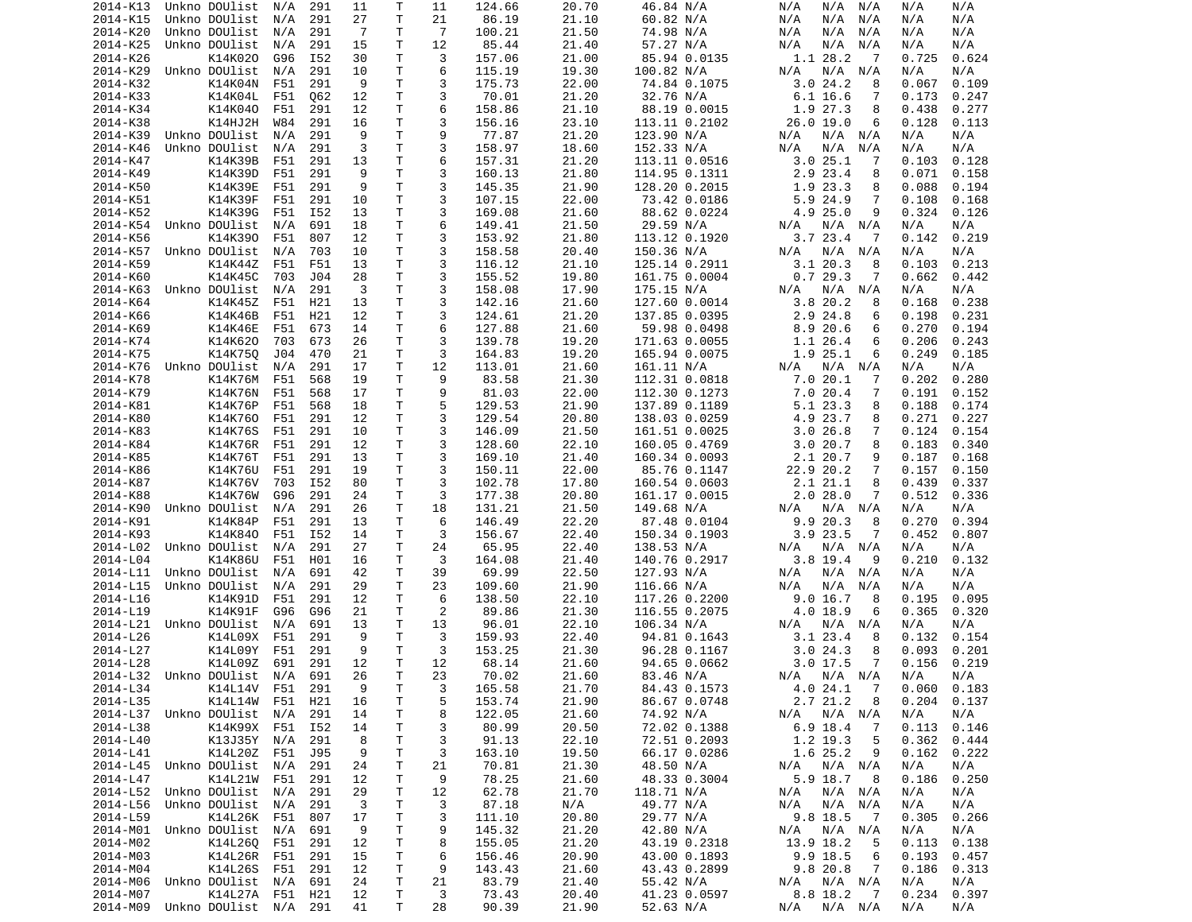| 2014-K13             | Unkno DOUlist                            | N/A | 291 | 11             | Т      | 11             | 124.66         | 20.70          | 46.84 N/A                 | N/A<br>N/A<br>N/A                            | N/A<br>N/A                   |
|----------------------|------------------------------------------|-----|-----|----------------|--------|----------------|----------------|----------------|---------------------------|----------------------------------------------|------------------------------|
| 2014-K15             | Unkno DOUlist                            | N/A | 291 | 27             | T      | 21             | 86.19          | 21.10          | 60.82 N/A                 | N/A<br>N/A<br>N/A                            | N/A<br>N/A                   |
| 2014-K20             | Unkno DOUlist                            | N/A | 291 | $\overline{7}$ | т      | $\overline{7}$ | 100.21         | 21.50          | 74.98 N/A                 | N/A<br>N/A<br>N/A                            | N/A<br>N/A                   |
| 2014-K25             |                                          |     |     |                | Τ      | 12             | 85.44          |                |                           |                                              |                              |
|                      | Unkno DOUlist                            | N/A | 291 | 15             |        |                |                | 21.40          | 57.27 N/A                 | N/A<br>N/A<br>N/A                            | N/A<br>N/A                   |
| 2014-K26             | K14K020                                  | G96 | I52 | 30             | Τ      | 3              | 157.06         | 21.00          | 85.94 0.0135              | 1.1 28.2<br>-7                               | 0.624<br>0.725               |
| 2014-K29             | Unkno DOUlist                            | N/A | 291 | 10             | Τ      | 6              | 115.19         | 19.30          | 100.82 N/A                | N/A<br>N/A<br>N/A                            | N/A<br>N/A                   |
| 2014-K32             | K14K04N                                  | F51 | 291 | 9              | Τ      | 3              | 175.73         | 22.00          | 74.84 0.1075              | 3.024.2<br>8                                 | 0.067<br>0.109               |
| 2014-K33             | K14K04L                                  | F51 | Q62 | 12             | Τ      | 3              | 70.01          | 21.20          | 32.76 N/A                 | 6.1 16.6<br>7                                | 0.173<br>0.247               |
| 2014-K34             | K14K040                                  | F51 | 291 | 12             | T.     | 6              | 158.86         | 21.10          | 88.19 0.0015              | 1.9 27.3<br>8                                | 0.438<br>0.277               |
|                      |                                          |     |     |                |        |                |                |                |                           |                                              |                              |
| 2014-K38             | K14HJ2H                                  | W84 | 291 | 16             | Τ      | 3              | 156.16         | 23.10          | 113.11 0.2102             | 26.0 19.0<br>6                               | 0.128<br>0.113               |
| 2014-K39             | Unkno DOUlist                            | N/A | 291 | 9              | T      | 9              | 77.87          | 21.20          | 123.90 N/A                | N/A<br>N/A<br>N/A                            | N/A<br>N/A                   |
| 2014-K46             | Unkno DOUlist                            | N/A | 291 | 3              | T.     | 3              | 158.97         | 18.60          | 152.33 N/A                | N/A<br>N/A<br>N/A                            | N/A<br>N/A                   |
| 2014-K47             | K14K39B                                  | F51 | 291 | 13             | Τ      | 6              | 157.31         | 21.20          | 113.11 0.0516             | 3.025.1<br>-7                                | 0.103<br>0.128               |
| 2014-K49             | K14K39D                                  | F51 | 291 | 9              | Τ      | 3              | 160.13         | 21.80          | 114.95 0.1311             | 2.9 23.4<br>8                                | 0.071<br>0.158               |
|                      |                                          |     |     |                |        |                |                |                |                           |                                              |                              |
| 2014-K50             | K14K39E                                  | F51 | 291 | 9              | Τ      | 3              | 145.35         | 21.90          | 128.20 0.2015             | 1.9 23.3<br>8                                | 0.088<br>0.194               |
| 2014-K51             | K14K39F                                  | F51 | 291 | 10             | Τ      | 3              | 107.15         | 22.00          | 73.42 0.0186              | 5.9 24.9<br>7                                | 0.108<br>0.168               |
| 2014-K52             | K14K39G                                  | F51 | I52 | 13             | Τ      | 3              | 169.08         | 21.60          | 88.62 0.0224              | 4.9 25.0<br>9                                | 0.324<br>0.126               |
| 2014-K54             | Unkno DOUlist                            | N/A | 691 | 18             | T.     | 6              | 149.41         | 21.50          | 29.59 N/A                 | N/A<br>N/A<br>N/A                            | N/A<br>N/A                   |
| 2014-K56             | K14K390                                  | F51 | 807 | 12             | Τ      | 3              | 153.92         | 21.80          | 113.12 0.1920             | 3.723.4<br>-7                                | 0.142<br>0.219               |
|                      |                                          |     |     |                |        |                |                |                |                           |                                              |                              |
| 2014-K57             | Unkno DOUlist                            | N/A | 703 | 10             | т      | 3              | 158.58         | 20.40          | 150.36 N/A                | N/A<br>N/A<br>N/A                            | N/A<br>N/A                   |
| 2014-K59             | K14K44Z                                  | F51 | F51 | 13             | Τ      | 3              | 116.12         | 21.10          | 125.14 0.2911             | 3.120.3<br>8                                 | 0.103<br>0.213               |
| 2014-K60             | K14K45C                                  | 703 | J04 | 28             | T      | 3              | 155.52         | 19.80          | 161.75 0.0004             | 0.729.3<br>7                                 | 0.662<br>0.442               |
| 2014-K63             | Unkno DOUlist                            | N/A | 291 | 3              | T.     | 3              | 158.08         | 17.90          | 175.15 N/A                | N/A<br>N/A<br>N/A                            | N/A<br>N/A                   |
| 2014-K64             | K14K45Z                                  | F51 | H21 | 13             | т      | 3              | 142.16         | 21.60          | 127.60 0.0014             | 3.8 20.2<br>8                                | 0.168<br>0.238               |
|                      |                                          |     |     |                |        |                |                |                |                           |                                              |                              |
| 2014-K66             | K14K46B                                  | F51 | H21 | 12             | T.     | 3              | 124.61         | 21.20          | 137.85 0.0395             | 2.9 24.8<br>6                                | 0.198<br>0.231               |
| 2014-K69             | K14K46E                                  | F51 | 673 | 14             | Τ      | 6              | 127.88         | 21.60          | 59.98 0.0498              | 8.920.6<br>6                                 | 0.270<br>0.194               |
| 2014-K74             | K14K620                                  | 703 | 673 | 26             | т      | 3              | 139.78         | 19.20          | 171.63 0.0055             | 1.1 26.4<br>6                                | 0.206<br>0.243               |
| 2014-K75             | K14K750                                  | J04 | 470 | 21             | т      | 3              | 164.83         | 19.20          | 165.94 0.0075             | 1.9 25.1<br>6                                | 0.249<br>0.185               |
| 2014-K76             | Unkno DOUlist                            | N/A | 291 | 17             | Τ      | 12             | 113.01         | 21.60          | 161.11 N/A                | N/A<br>N/A<br>N/A                            | N/A<br>N/A                   |
|                      |                                          |     |     |                |        |                |                |                |                           |                                              |                              |
| 2014-K78             | K14K76M                                  | F51 | 568 | 19             | T.     | 9              | 83.58          | 21.30          | 112.31 0.0818             | 7.020.1<br>7                                 | 0.202<br>0.280               |
| 2014-K79             | <b>K14K76N</b>                           | F51 | 568 | 17             | т      | 9              | 81.03          | 22.00          | 112.30 0.1273             | 7.020.4<br>7                                 | 0.191<br>0.152               |
| 2014-K81             | K14K76P                                  | F51 | 568 | 18             | T.     | 5              | 129.53         | 21.90          | 137.89 0.1189             | 5.1 23.3<br>8                                | 0.188<br>0.174               |
| 2014-K80             | K14K760                                  | F51 | 291 | 12             | Τ      | 3              | 129.54         | 20.80          | 138.03 0.0259             | 4.9 23.7<br>8                                | 0.271<br>0.227               |
| 2014-K83             | K14K76S                                  | F51 | 291 | 10             | т      | 3              | 146.09         | 21.50          | 161.51 0.0025             | 3.0 26.8<br>7                                | 0.124<br>0.154               |
|                      |                                          |     |     |                |        |                |                |                |                           |                                              |                              |
| 2014-K84             | K14K76R                                  | F51 | 291 | 12             | Τ      | 3              | 128.60         | 22.10          | 160.05 0.4769             | 3.020.7<br>8                                 | 0.183<br>0.340               |
| 2014-K85             | K14K76T                                  | F51 | 291 | 13             | Τ      | 3              | 169.10         | 21.40          | 160.34 0.0093             | 2.1 20.7<br>9                                | 0.187<br>0.168               |
| 2014-K86             | K14K76U                                  | F51 | 291 | 19             | Τ      | 3              | 150.11         | 22.00          | 85.76 0.1147              | 22.9 20.2<br>7                               | 0.157<br>0.150               |
| 2014-K87             | K14K76V                                  | 703 | I52 | 80             | т      | 3              | 102.78         | 17.80          | 160.54 0.0603             | 2.1 21.1<br>8                                | 0.439<br>0.337               |
| 2014-K88             | K14K76W                                  | G96 | 291 | 24             | т      | 3              | 177.38         | 20.80          | 161.17 0.0015             | 2.028.0<br>7                                 | 0.512<br>0.336               |
|                      |                                          |     |     |                |        |                |                |                |                           |                                              |                              |
| 2014-K90             | Unkno DOUlist                            | N/A | 291 | 26             | т      | 18             | 131.21         | 21.50          | 149.68 N/A                | $N/A$ $N/A$<br>N/A                           | N/A<br>N/A                   |
| 2014-K91             | K14K84P                                  | F51 | 291 | 13             | т      | 6              | 146.49         | 22.20          | 87.48 0.0104              | 9.9 20.3<br>8                                | 0.270<br>0.394               |
| 2014-K93             | K14K840                                  | F51 | I52 | 14             | т      | 3              | 156.67         | 22.40          | 150.34 0.1903             | $3.9$ 23.5<br>7                              | 0.452<br>0.807               |
| 2014-L02             | Unkno DOUlist                            | N/A | 291 | 27             | т      | 24             | 65.95          | 22.40          | 138.53 N/A                | N/A<br>N/A<br>N/A                            | N/A<br>N/A                   |
| 2014-L04             | K14K86U                                  | F51 | H01 | 16             | Τ      | 3              | 164.08         | 21.40          | 140.76 0.2917             | $3.8$ 19.4<br>9                              | 0.210<br>0.132               |
|                      |                                          |     |     |                |        |                |                |                |                           |                                              |                              |
| 2014-L11             | Unkno DOUlist                            | N/A | 691 | 42             | Τ      | 39             | 69.99          | 22.50          | 127.93 N/A                | N/A<br>N/A<br>N/A                            | N/A<br>N/A                   |
| 2014-L15             | Unkno DOUlist                            | N/A | 291 | 29             | T.     | 23             | 109.60         | 21.90          | 116.66 N/A                | N/A<br>N/A<br>N/A                            | N/A<br>N/A                   |
| 2014-L16             | K14K91D                                  | F51 | 291 | 12             | т      | 6              | 138.50         | 22.10          | 117.26 0.2200             | 9.0 16.7<br>8                                | 0.195<br>0.095               |
| 2014-L19             | K14K91F                                  | G96 | G96 | 21             | т      | 2              | 89.86          | 21.30          | 116.55 0.2075             | 4.0 18.9<br>6                                | 0.365<br>0.320               |
|                      | 2014-L21 Unkno DOUlist                   | N/A | 691 | 13             | Τ      | 13             | 96.01          | 22.10          | 106.34 N/A                | N/A<br>N/A<br>N/A                            | N/A<br>N/A                   |
|                      |                                          |     |     |                |        |                |                |                |                           |                                              |                              |
| 2014-L26             | K14L09X                                  | F51 | 291 | 9              | т      | 3              | 159.93         | 22.40          | 94.81 0.1643              | 3.1 23.4<br>8                                | 0.132<br>0.154               |
| 2014-L27             | K14L09Y                                  | F51 | 291 | 9              | T      | 3              | 153.25         | 21.30          | 96.28 0.1167              | 3.024.3<br>8                                 | 0.093<br>0.201               |
| 2014-L28             | K14L09Z                                  | 691 | 291 | 12             | T.     | 12             | 68.14          | 21.60          | 94.65 0.0662              | $3.0$ 17.5<br>$\overline{7}$                 | 0.219<br>0.156               |
|                      | 2014-L32 Unkno DOUlist N/A               |     | 691 | 26             | T.     | 23             | 70.02          | 21.60          | 83.46 N/A                 | N/A N/A N/A                                  | N/A<br>N/A                   |
| 2014-L34             | K14L14V F51 291                          |     |     | 9              | $\top$ | 3              | 165.58         | 21.70          | 84.43 0.1573              | 4.0 24.1 7                                   | $0.060$ $0.183$              |
|                      |                                          |     |     |                |        |                |                |                |                           |                                              |                              |
| 2014-L35             | K14L14W F51                              |     | H21 | 16             | Τ      | 5              | 153.74         | 21.90          | 86.67 0.0748              | 2.7 21.2<br>8                                | 0.204<br>0.137               |
|                      | 2014-L37 Unkno DOUlist                   | N/A | 291 | 14             | Τ      | 8              | 122.05         | 21.60          | 74.92 N/A                 | N/A N/A<br>N/A                               | N/A<br>N/A                   |
| 2014-L38             | K14K99X F51 I52                          |     |     | 14             | т      | 3              | 80.99          | 20.50          | 72.02 0.1388              | 6.9 18.4<br>$\overline{7}$                   | 0.113<br>0.146               |
| 2014-L40             | K13J35Y N/A                              |     | 291 | 8              | Τ      | 3              | 91.13          | 22.10          | 72.51 0.2093              | 1.2 19.3<br>5                                | 0.362<br>0.444               |
| 2014-L41             | K14L20Z F51                              |     | J95 | 9              | т      | 3              | 163.10         | 19.50          | 66.17 0.0286              | 1.6 25.2<br>9                                | 0.162<br>0.222               |
|                      |                                          |     |     |                |        |                |                |                |                           |                                              |                              |
|                      | 2014-L45 Unkno DOUlist                   | N/A | 291 | 24             | Τ      | 21             | 70.81          | 21.30          | 48.50 N/A                 | N/A N/A<br>N/A                               | N/A<br>N/A                   |
| 2014-L47             | K14L21W                                  | F51 | 291 | 12             | т      | 9              | 78.25          | 21.60          | 48.33 0.3004              | 5.9 18.7<br>- 8                              | 0.186<br>0.250               |
| 2014-L52             | Unkno DOUlist N/A                        |     | 291 | 29             | T      | 12             | 62.78          | 21.70          | 118.71 N/A                | N/A N/A<br>N/A                               | N/A<br>N/A                   |
| 2014-L56             | Unkno DOUlist                            | N/A | 291 | $\mathbf{3}$   | т      | 3              | 87.18          | N/A            | 49.77 N/A                 | N/A<br>N/A N/A                               | N/A<br>N/A                   |
| 2014-L59             | K14L26K F51 807                          |     |     | 17             | Τ      | 3              | 111.10         | 20.80          | 29.77 N/A                 | 9.8 18.5<br>$\overline{7}$                   | 0.305<br>0.266               |
|                      |                                          |     |     |                |        |                |                |                |                           |                                              |                              |
|                      | 2014-M01 Unkno DOUlist N/A               |     | 691 | 9              | Τ      | 9              | 145.32         | 21.20          | 42.80 N/A                 | N/A<br>N/A N/A                               | N/A<br>N/A                   |
| 2014-M02             | K14L260 F51                              |     | 291 | 12             | T      | 8              | 155.05         | 21.20          | 43.19 0.2318              | 13.9 18.2<br>5                               | 0.113<br>0.138               |
| 2014-M03             | K14L26R F51                              |     | 291 | 15             | Τ      | 6              | 156.46         | 20.90          | 43.00 0.1893              | 9.9 18.5<br>6                                | 0.193<br>0.457               |
| 2014-M04             | K14L26S F51                              |     | 291 | 12             | Τ      | 9              | 143.43         | 21.60          | 43.43 0.2899              | 9.8 20.8<br>$\overline{7}$                   | 0.186<br>0.313               |
| 2014-M06             | Unkno DOUlist N/A                        |     | 691 | 24             | Τ      | 21             | 83.79          | 21.40          | 55.42 N/A                 | N/A N/A                                      | N/A<br>N/A                   |
|                      |                                          |     |     |                |        |                |                |                |                           | N/A                                          |                              |
|                      |                                          |     |     |                |        |                |                |                |                           |                                              |                              |
| 2014-M07<br>2014-M09 | K14L27A F51 H21<br>Unkno DOUlist N/A 291 |     |     | 12<br>41       | T<br>Τ | 3<br>28        | 73.43<br>90.39 | 20.40<br>21.90 | 41.23 0.0597<br>52.63 N/A | 8.8 18.2<br>$\overline{7}$<br>N/A N/A<br>N/A | 0.234<br>0.397<br>N/A<br>N/A |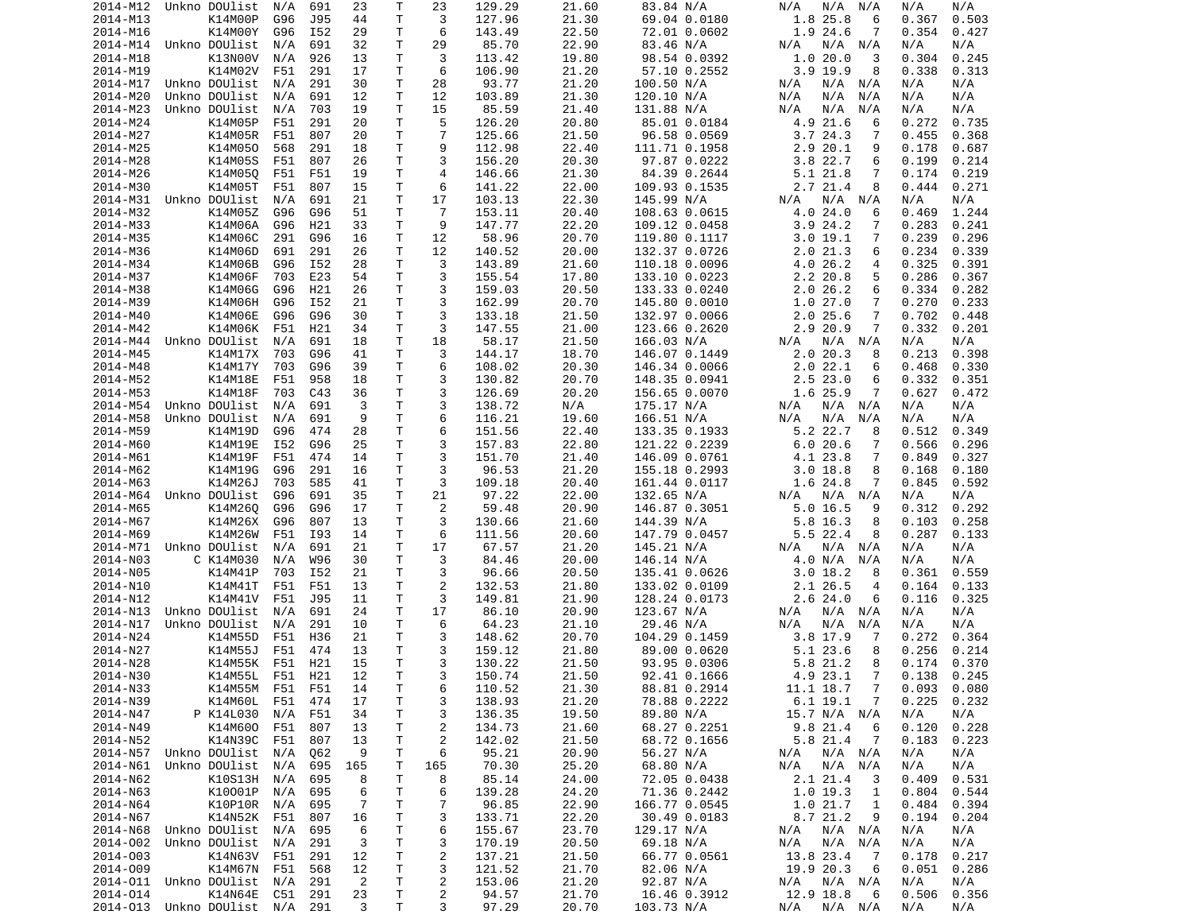| 2014-M12 | Unkno DOUlist                  | N/A | 691 | 23             | Т            | 23             | 129.29 | 21.60 | 83.84 N/A     | N/A<br>N/A<br>N/A           | N/A<br>N/A          |
|----------|--------------------------------|-----|-----|----------------|--------------|----------------|--------|-------|---------------|-----------------------------|---------------------|
| 2014-M13 | K14M00P                        | G96 | J95 | 44             | T            | 3              | 127.96 | 21.30 | 69.04 0.0180  | 1.8 25.8<br>6               | 0.367<br>0.503      |
| 2014-M16 | K14M00Y                        | G96 | I52 | 29             | Τ            | 6              | 143.49 | 22.50 | 72.01 0.0602  | 1.9 24.6<br>7               | 0.354<br>0.427      |
|          | Unkno DOUlist                  |     |     |                | T            | 29             | 85.70  |       |               |                             |                     |
| 2014-M14 |                                | N/A | 691 | 32             |              |                |        | 22.90 | 83.46 N/A     | N/A<br>N/A<br>N/A           | N/A<br>N/A          |
| 2014-M18 | K13N00V                        | N/A | 926 | 13             | T.           | 3              | 113.42 | 19.80 | 98.54 0.0392  | 1.020.0<br>3                | 0.304<br>0.245      |
| 2014-M19 | K14M02V                        | F51 | 291 | 17             | т            | 6              | 106.90 | 21.20 | 57.10 0.2552  | $3.9$ 19.9<br>8             | 0.338<br>0.313      |
| 2014-M17 | Unkno DOUlist                  | N/A | 291 | 30             | Τ            | 28             | 93.77  | 21.20 | 100.50 N/A    | N/A N/A<br>N/A              | N/A<br>N/A          |
| 2014-M20 | Unkno DOUlist                  | N/A | 691 | 12             | Τ            | 12             | 103.89 | 21.30 | 120.10 N/A    | N/A<br>N/A<br>N/A           | N/A<br>N/A          |
|          | Unkno DOUlist                  | N/A |     | 19             | T.           | 15             |        |       |               | N/A                         | N/A<br>N/A          |
| 2014-M23 |                                |     | 703 |                |              |                | 85.59  | 21.40 | 131.88 N/A    | N/A<br>N/A                  |                     |
| 2014-M24 | K14M05P                        | F51 | 291 | 20             | Τ            | 5              | 126.20 | 20.80 | 85.01 0.0184  | 4.9 21.6<br>6               | 0.272<br>0.735      |
| 2014-M27 | K14M05R                        | F51 | 807 | 20             | Τ            | $\overline{7}$ | 125.66 | 21.50 | 96.58 0.0569  | 3.724.3<br>7                | 0.455<br>0.368      |
| 2014-M25 | K14M050                        | 568 | 291 | 18             | T            | 9              | 112.98 | 22.40 | 111.71 0.1958 | 2.9 20.1<br>9               | 0.178<br>0.687      |
| 2014-M28 | K14M05S                        | F51 | 807 | 26             | Τ            | 3              | 156.20 | 20.30 | 97.87 0.0222  | 3.822.7<br>6                | 0.199<br>0.214      |
|          |                                |     |     |                |              |                |        |       |               |                             |                     |
| 2014-M26 | K14M05Q                        | F51 | F51 | 19             | Τ            | $\overline{4}$ | 146.66 | 21.30 | 84.39 0.2644  | 5.1 21.8<br>7               | 0.174<br>0.219      |
| 2014-M30 | K14M05T                        | F51 | 807 | 15             | T            | 6              | 141.22 | 22.00 | 109.93 0.1535 | 2.7 21.4<br>8               | 0.444<br>0.271      |
| 2014-M31 | Unkno DOUlist                  | N/A | 691 | 21             | Τ            | 17             | 103.13 | 22.30 | 145.99 N/A    | N/A<br>N/A<br>N/A           | N/A<br>N/A          |
| 2014-M32 | K14M05Z                        | G96 | G96 | 51             | т            | $\overline{7}$ | 153.11 | 20.40 | 108.63 0.0615 | 4.024.0<br>6                | 0.469<br>1.244      |
| 2014-M33 | K14M06A                        | G96 | H21 | 33             | T            | 9              |        | 22.20 |               | 3.924.2<br>7                | 0.283<br>0.241      |
|          |                                |     |     |                |              |                | 147.77 |       | 109.12 0.0458 |                             |                     |
| 2014-M35 | K14M06C                        | 291 | G96 | 16             | Τ            | 12             | 58.96  | 20.70 | 119.80 0.1117 | 3.019.1<br>7                | 0.239<br>0.296      |
| 2014-M36 | K14M06D                        | 691 | 291 | 26             | т            | 12             | 140.52 | 20.00 | 132.37 0.0726 | 2.021.3<br>6                | 0.234<br>0.339      |
| 2014-M34 | K14M06B                        | G96 | I52 | 28             | Τ            | 3              | 143.89 | 21.60 | 110.18 0.0096 | 4.0 26.2<br>4               | 0.325<br>0.391      |
| 2014-M37 | K14M06F                        | 703 | E23 | 54             | Τ            | 3              | 155.54 | 17.80 | 133.10 0.0223 | 2.2 20.8<br>5               | 0.286<br>0.367      |
|          |                                |     |     |                |              |                |        |       |               |                             |                     |
| 2014-M38 | K14M06G                        | G96 | H21 | 26             | Τ            | 3              | 159.03 | 20.50 | 133.33 0.0240 | 2.026.2<br>6                | 0.334<br>0.282      |
| 2014-M39 | K14M06H                        | G96 | I52 | 21             | Τ            | 3              | 162.99 | 20.70 | 145.80 0.0010 | 1.027.0<br>7                | 0.270<br>0.233      |
| 2014-M40 | K14M06E                        | G96 | G96 | 30             | T.           | 3              | 133.18 | 21.50 | 132.97 0.0066 | 2.025.6<br>7                | 0.702<br>0.448      |
| 2014-M42 | K14M06K                        | F51 | H21 | 34             | Τ            | 3              | 147.55 | 21.00 | 123.66 0.2620 | 2.9 20.9<br>7               | 0.332<br>0.201      |
| 2014-M44 | Unkno DOUlist                  | N/A | 691 | 18             | T.           | 18             | 58.17  | 21.50 |               |                             | N/A<br>N/A          |
|          |                                |     |     |                |              |                |        |       | 166.03 N/A    | N/A<br>N/A N/A              |                     |
| 2014-M45 | K14M17X                        | 703 | G96 | 41             | T.           | 3              | 144.17 | 18.70 | 146.07 0.1449 | 2.020.3<br>8                | 0.213<br>0.398      |
| 2014-M48 | K14M17Y                        | 703 | G96 | 39             | Τ            | 6              | 108.02 | 20.30 | 146.34 0.0066 | 2.022.1<br>6                | 0.468<br>0.330      |
| 2014-M52 | K14M18E                        | F51 | 958 | 18             | Τ            | 3              | 130.82 | 20.70 | 148.35 0.0941 | 2.523.0<br>6                | 0.332<br>0.351      |
| 2014-M53 | K14M18F                        | 703 | C43 | 36             | Τ            | 3              | 126.69 | 20.20 | 156.65 0.0070 | 1.6 25.9<br>7               | 0.627<br>0.472      |
| 2014-M54 | Unkno DOUlist                  |     | 691 | 3              | T.           | 3              |        |       |               | N/A<br>N/A N/A              | N/A<br>N/A          |
|          |                                | N/A |     |                |              |                | 138.72 | N/A   | 175.17 N/A    |                             |                     |
| 2014-M58 | Unkno DOUlist                  | N/A | 691 | 9              | T.           | 6              | 116.21 | 19.60 | 166.51 N/A    | N/A<br>N/A<br>N/A           | N/A<br>N/A          |
| 2014-M59 | K14M19D                        | G96 | 474 | 28             | Τ            | 6              | 151.56 | 22.40 | 133.35 0.1933 | 5.2 22.7<br>8               | 0.512<br>0.349      |
| 2014-M60 | K14M19E                        | I52 | G96 | 25             | T            | 3              | 157.83 | 22.80 | 121.22 0.2239 | 6.020.6<br>7                | 0.566<br>0.296      |
| 2014-M61 | K14M19F                        | F51 | 474 | 14             | Τ            | 3              | 151.70 | 21.40 | 146.09 0.0761 | 4.1 23.8<br>7               | 0.849<br>0.327      |
| 2014-M62 | K14M19G                        | G96 | 291 | 16             | Τ            | 3              | 96.53  | 21.20 | 155.18 0.2993 | 3.018.8<br>8                | 0.168<br>0.180      |
|          |                                |     |     |                |              |                |        |       |               |                             |                     |
| 2014-M63 | K14M26J                        | 703 | 585 | 41             | Τ            | 3              | 109.18 | 20.40 | 161.44 0.0117 | 1.6 24.8<br>7               | 0.845<br>0.592      |
| 2014-M64 | Unkno DOUlist                  | G96 | 691 | 35             | Τ            | 21             | 97.22  | 22.00 | 132.65 N/A    | N/A<br>N/A<br>N/A           | N/A<br>N/A          |
| 2014-M65 | K14M260                        | G96 | G96 | 17             | т            | 2              | 59.48  | 20.90 | 146.87 0.3051 | $5.0$ 16.5<br>9             | 0.312<br>0.292      |
| 2014-M67 | K14M26X                        | G96 | 807 | 13             | т            | 3              | 130.66 | 21.60 | 144.39 N/A    | 5.8 16.3<br>8               | 0.103<br>0.258      |
|          | K14M26W                        |     |     |                | Τ            | 6              |        |       |               | 5.5 22.4<br>8               | 0.287               |
| 2014-M69 |                                | F51 | I93 | 14             |              |                | 111.56 | 20.60 | 147.79 0.0457 |                             | 0.133               |
| 2014-M71 | Unkno DOUlist                  | N/A | 691 | 21             | Τ            | 17             | 67.57  | 21.20 | 145.21 N/A    | N/A<br>N/A<br>N/A           | N/A<br>N/A          |
| 2014-N03 | C K14M030                      | N/A | W96 | 30             | Τ            | 3              | 84.46  | 20.00 | 146.14 N/A    | 4.0 N/A<br>N/A              | N/A<br>N/A          |
| 2014-N05 | K14M41P                        | 703 | I52 | 21             | Τ            | 3              | 96.66  | 20.50 | 135.41 0.0626 | 3.018.2<br>8                | 0.559<br>0.361      |
| 2014-N10 | K14M41T                        | F51 | F51 | 13             | Τ            | 2              | 132.53 | 21.80 | 133.02 0.0109 | 2.1 26.5<br>4               | 0.164<br>0.133      |
|          | K14M41V                        |     |     |                | T            | 3              |        |       |               |                             |                     |
| 2014-N12 |                                | F51 | J95 | 11             |              |                | 149.81 | 21.90 | 128.24 0.0173 | 2.624.0<br>6                | 0.116<br>0.325      |
| 2014-N13 | Unkno DOUlist                  | N/A | 691 | 24             | T.           | 17             | 86.10  | 20.90 | 123.67 N/A    | N/A N/A<br>N/A              | N/A<br>N/A          |
| 2014-N17 | Unkno DOUlist                  | N/A | 291 | 10             | Τ            | 6              | 64.23  | 21.10 | 29.46 N/A     | N/A<br>N/A<br>N/A           | N/A<br>N/A          |
| 2014-N24 | K14M55D                        | F51 | H36 | 21             | T            | 3              | 148.62 | 20.70 | 104.29 0.1459 | $3.8$ 17.9<br>7             | 0.272<br>0.364      |
| 2014-N27 | K14M55J                        | F51 | 474 | 13             | Τ            | 3              | 159.12 | 21.80 | 89.00 0.0620  | 5.1 23.6<br>8               | 0.256<br>0.214      |
|          |                                |     |     |                | T.           | 3              |        |       |               | 5.8 21.2                    |                     |
| 2014-N28 | K14M55K                        | F51 | H21 | 15             |              |                | 130.22 | 21.50 | 93.95 0.0306  | 8                           | 0.174<br>0.370      |
| 2014-N30 | K14M55L                        | F51 | H21 | 12             | $\mathsf{T}$ | 3              | 150.74 | 21.50 | 92.41 0.1666  | 4.9 23.1 7                  | $0.138 \quad 0.245$ |
| 2014-N33 | K14M55M F51 F51                |     |     | 14             | $\mathsf T$  | 6              | 110.52 | 21.30 | 88.81 0.2914  | 11.1 18.7<br>$\overline{7}$ | 0.093<br>0.080      |
| 2014-N39 | K14M60L                        | F51 | 474 | 17             | T            | 3              | 138.93 | 21.20 | 78.88 0.2222  | 6.1 19.1<br>7               | 0.225<br>0.232      |
| 2014-N47 | P K14L030                      | N/A | F51 | 34             | Τ            | 3              | 136.35 | 19.50 | 89.80 N/A     | 15.7 N/A N/A                | N/A<br>N/A          |
|          |                                |     |     |                |              |                |        |       |               |                             |                     |
| 2014-N49 | K14M600                        | F51 | 807 | 13             | т            | $\overline{c}$ | 134.73 | 21.60 | 68.27 0.2251  | 9.8 21.4<br>6               | 0.120<br>0.228      |
| 2014-N52 | K14N39C                        | F51 | 807 | 13             | T            | 2              | 142.02 | 21.50 | 68.72 0.1656  | 5.8 21.4<br>$\overline{7}$  | 0.183<br>0.223      |
| 2014-N57 | Unkno DOUlist                  | N/A | 062 | 9              | т            | 6              | 95.21  | 20.90 | 56.27 N/A     | N/A N/A<br>N/A              | N/A<br>N/A          |
| 2014-N61 | Unkno DOUlist                  | N/A | 695 | 165            | Τ            | 165            | 70.30  | 25.20 | 68.80 N/A     | N/A N/A<br>N/A              | N/A<br>N/A          |
| 2014-N62 | K10S13H                        | N/A | 695 | 8              | Τ            | 8              | 85.14  | 24.00 | 72.05 0.0438  | 2.1 21.4<br>3               | 0.409<br>0.531      |
|          |                                |     |     |                |              |                |        |       |               |                             |                     |
| 2014-N63 | K10001P                        | N/A | 695 | 6              | Τ            | 6              | 139.28 | 24.20 | 71.36 0.2442  | $1.0$ 19.3<br>1             | 0.804<br>0.544      |
| 2014-N64 | K10P10R                        | N/A | 695 | $\overline{7}$ | Τ            | 7              | 96.85  | 22.90 | 166.77 0.0545 | 1.021.7<br>1                | 0.484<br>0.394      |
| 2014-N67 | K14N52K                        | F51 | 807 | 16             | т            | 3              | 133.71 | 22.20 | 30.49 0.0183  | 8.7 21.2<br>9               | 0.194<br>0.204      |
| 2014-N68 | Unkno DOUlist                  | N/A | 695 | 6              | Τ            | 6              | 155.67 | 23.70 | 129.17 N/A    | N/A<br>N/A N/A              | N/A<br>N/A          |
| 2014-002 | Unkno DOUlist                  | N/A | 291 | 3              | Τ            | 3              | 170.19 | 20.50 | 69.18 N/A     | N/A<br>$N/A$ $N/A$          | N/A<br>N/A          |
|          |                                |     |     |                |              |                |        |       |               |                             |                     |
| 2014-003 | K14N63V                        | F51 | 291 | 12             | T.           | $\overline{c}$ | 137.21 | 21.50 | 66.77 0.0561  | 13.8 23.4<br>$\overline{7}$ | 0.178<br>0.217      |
| 2014-009 | K14M67N F51                    |     | 568 | 12             | $\mathsf{T}$ | 3              | 121.52 | 21.70 | 82.06 N/A     | 19.9 20.3<br>6              | 0.051<br>0.286      |
|          | 2014-011 Unkno DOUlist         | N/A | 291 | $\overline{2}$ | T.           | $\overline{c}$ | 153.06 | 21.20 | 92.87 N/A     | N/A<br>N/A N/A              | N/A<br>N/A          |
| 2014-014 | K14N64E C51 291                |     |     | 23             | T.           | 2              | 94.57  | 21.70 | 16.46 0.3912  | 12.9 18.8<br>-6             | 0.506<br>0.356      |
|          | 2014-013 Unkno DOUlist N/A 291 |     |     | 3              | Τ            | 3              | 97.29  | 20.70 | 103.73 N/A    | N/A N/A<br>N/A              | N/A<br>N/A          |
|          |                                |     |     |                |              |                |        |       |               |                             |                     |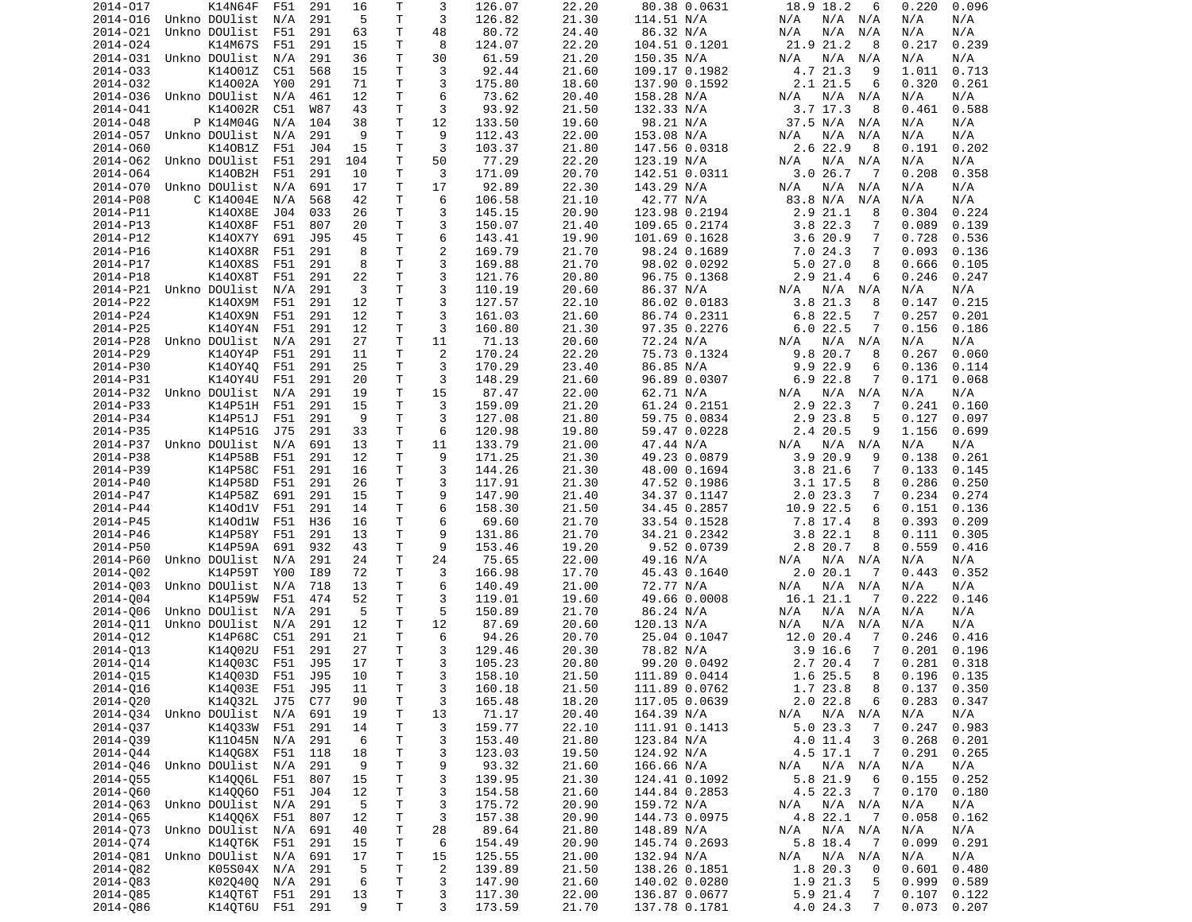| 2014-017             | K14N64F                        | F51     | 291 | 16      | Τ            | 3              | 126.07           | 22.20          | 80.38 0.0631                   | 18.9 18.2<br>6                                           | 0.220<br>0.096                   |
|----------------------|--------------------------------|---------|-----|---------|--------------|----------------|------------------|----------------|--------------------------------|----------------------------------------------------------|----------------------------------|
| 2014-016             | Unkno DOUlist                  | N/A     | 291 | 5       | T            | 3              | 126.82           | 21.30          | 114.51 N/A                     | N/A N/A<br>N/A                                           | N/A<br>N/A                       |
| 2014-021             | Unkno DOUlist                  | F51     | 291 | 63      | T.           | 48             | 80.72            | 24.40          | 86.32 N/A                      | N/A<br>N/A<br>N/A                                        | N/A<br>N/A                       |
|                      |                                |         |     |         | Τ            | 8              | 124.07           | 22.20          |                                | 21.9 21.2                                                | 0.239                            |
| 2014-024             | K14M67S                        | F51     | 291 | 15      |              |                |                  |                | 104.51 0.1201                  | 8                                                        | 0.217                            |
| 2014-031             | Unkno DOUlist                  | N/A     | 291 | 36      | T            | 30             | 61.59            | 21.20          | 150.35 N/A                     | $N/A$ $N/A$<br>N/A                                       | N/A<br>N/A                       |
| 2014-033             | K14001Z                        | C51     | 568 | 15      | T.           | 3              | 92.44            | 21.60          | 109.17 0.1982                  | 4.7 21.3<br>9                                            | 1.011<br>0.713                   |
| 2014-032             | K14002A                        | Y00     | 291 | 71      | Τ            | 3              | 175.80           | 18.60          | 137.90 0.1592                  | 2.1 21.5<br>6                                            | 0.320<br>0.261                   |
| 2014-036             | Unkno DOUlist                  | N/A     | 461 | 12      | T            | 6              | 73.62            | 20.40          | 158.28 N/A                     | N/A<br>N/A<br>N/A                                        | N/A<br>N/A                       |
| 2014-041             | K14002R                        |         |     | 43      | T            | 3              |                  |                |                                | $3.7$ 17.3<br>8                                          | 0.461<br>0.588                   |
|                      |                                | C51     | W87 |         |              |                | 93.92            | 21.50          | 132.33 N/A                     |                                                          |                                  |
| 2014-048             | P K14M04G                      | N/A     | 104 | 38      | т            | 12             | 133.50           | 19.60          | 98.21 N/A                      | 37.5 N/A<br>N/A                                          | N/A<br>N/A                       |
| 2014-057             | Unkno DOUlist                  | N/A     | 291 | 9       | T            | 9              | 112.43           | 22.00          | 153.08 N/A                     | N/A<br>N/A<br>N/A                                        | N/A<br>N/A                       |
| 2014-060             | K140B1Z                        | F51     | J04 | 15      | T            | 3              | 103.37           | 21.80          | 147.56 0.0318                  | 2.6 22.9<br>8                                            | 0.191<br>0.202                   |
| 2014-062             | Unkno DOUlist                  | F51     | 291 | 104     | T.           | 50             | 77.29            | 22.20          | 123.19 N/A                     | N/A<br>N/A<br>N/A                                        | N/A<br>N/A                       |
|                      |                                |         |     |         |              |                |                  |                |                                |                                                          |                                  |
| 2014-064             | K140B2H                        | F51     | 291 | 10      | Τ            | 3              | 171.09           | 20.70          | 142.51 0.0311                  | 3.026.7<br>$\overline{7}$                                | 0.208<br>0.358                   |
| 2014-070             | Unkno DOUlist                  | N/A     | 691 | 17      | T.           | 17             | 92.89            | 22.30          | 143.29 N/A                     | N/A<br>N/A<br>N/A                                        | N/A<br>N/A                       |
| 2014-P08             | C K14004E                      | N/A     | 568 | 42      | T            | 6              | 106.58           | 21.10          | 42.77 N/A                      | 83.8 N/A<br>N/A                                          | N/A<br>N/A                       |
| 2014-P11             | K140X8E                        | J04     | 033 | 26      | Τ            | 3              | 145.15           | 20.90          | 123.98 0.2194                  | 2.921.1<br>8                                             | 0.304<br>0.224                   |
| 2014-P13             |                                | F51     |     | 20      | T            | 3              |                  |                |                                | 3.8 22.3<br>7                                            |                                  |
|                      | K140X8F                        |         | 807 |         |              |                | 150.07           | 21.40          | 109.65 0.2174                  |                                                          | 0.089<br>0.139                   |
| 2014-P12             | K140X7Y                        | 691     | J95 | 45      | T.           | 6              | 143.41           | 19.90          | 101.69 0.1628                  | 3.620.9<br>7                                             | 0.728<br>0.536                   |
| 2014-P16             | K140X8R                        | F51     | 291 | 8       | T            | $\overline{c}$ | 169.79           | 21.70          | 98.24 0.1689                   | 7.0 24.3<br>7                                            | 0.093<br>0.136                   |
| 2014-P17             | K140X8S                        | F51     | 291 | 8       | T            | 3              | 169.88           | 21.70          | 98.02 0.0292                   | 5.027.0<br>8                                             | 0.666<br>0.105                   |
| 2014-P18             | K140X8T                        | F51     | 291 | 22      | Τ            | 3              | 121.76           | 20.80          | 96.75 0.1368                   | 2.9 21.4<br>6                                            | 0.246<br>0.247                   |
|                      |                                |         |     |         |              |                |                  |                |                                |                                                          |                                  |
| 2014-P21             | Unkno DOUlist                  | N/A     | 291 | 3       | T            | 3              | 110.19           | 20.60          | 86.37 N/A                      | N/A<br>N/A<br>N/A                                        | N/A<br>N/A                       |
| 2014-P22             | K140X9M                        | F51     | 291 | 12      | T            | 3              | 127.57           | 22.10          | 86.02 0.0183                   | 3.8 21.3<br>8                                            | 0.215<br>0.147                   |
| 2014-P24             | K140X9N                        | F51     | 291 | 12      | T            | 3              | 161.03           | 21.60          | 86.74 0.2311                   | 6.8 22.5<br>7                                            | 0.257<br>0.201                   |
| 2014-P25             | K140Y4N                        | F51     | 291 | 12      | $\mathsf{T}$ | 3              | 160.80           | 21.30          | 97.35 0.2276                   | 6.022.5<br>7                                             | 0.156<br>0.186                   |
|                      |                                |         |     |         |              |                |                  |                | 72.24 N/A                      |                                                          | N/A                              |
| 2014-P28             | Unkno DOUlist                  | N/A     | 291 | 27      | T            | 11             | 71.13            | 20.60          |                                | N/A N/A<br>N/A                                           | N/A                              |
| 2014-P29             | K140Y4P                        | F51     | 291 | 11      | т            | 2              | 170.24           | 22.20          | 75.73 0.1324                   | 9.8 20.7<br>8                                            | 0.267<br>0.060                   |
| 2014-P30             | K140Y40                        | F51     | 291 | 25      | T.           | 3              | 170.29           | 23.40          | 86.85 N/A                      | 9.9 22.9<br>6                                            | 0.136<br>0.114                   |
| 2014-P31             | K140Y4U                        | F51     | 291 | 20      | T            | 3              | 148.29           | 21.60          | 96.89 0.0307                   | $6.9$ 22.8<br>7                                          | 0.171<br>0.068                   |
| 2014-P32             | Unkno DOUlist                  | N/A     | 291 | 19      | т            | 15             | 87.47            | 22.00          | 62.71 N/A                      | N/A<br>N/A N/A                                           | N/A<br>N/A                       |
|                      |                                |         |     |         |              |                |                  |                |                                |                                                          |                                  |
| 2014-P33             | K14P51H                        | F51     | 291 | 15      | T            | 3              | 159.09           | 21.20          | 61.24 0.2151                   | 2.9<br>22.3<br>-7                                        | 0.241<br>0.160                   |
| 2014-P34             | K14P51J                        | F51     | 291 | 9       | $\mathsf{T}$ | 3              | 127.08           | 21.80          | 59.75 0.0834                   | 2.9 23.8<br>5                                            | 0.127<br>0.097                   |
| 2014-P35             | K14P51G                        | J75     | 291 | 33      | T            | 6              | 120.98           | 19.80          | 59.47 0.0228                   | 2.4 20.5<br>9                                            | 1.156<br>0.699                   |
| 2014-P37             | Unkno DOUlist                  | N/A     | 691 | 13      | T            | 11             | 133.79           | 21.00          | 47.44 N/A                      | N/A<br>N/A<br>N/A                                        | N/A<br>N/A                       |
| 2014-P38             | K14P58B                        | F51     | 291 | 12      | T.           | 9              | 171.25           | 21.30          | 49.23 0.0879                   | 3.920.9<br>9                                             | 0.138<br>0.261                   |
|                      |                                |         |     |         |              |                |                  |                |                                |                                                          |                                  |
| 2014-P39             | K14P58C                        | F51     | 291 | 16      | T            | 3              | 144.26           | 21.30          | 48.00 0.1694                   | 3.821.6<br>7                                             | 0.133<br>0.145                   |
| 2014-P40             | K14P58D                        | F51     | 291 | 26      | T            | 3              | 117.91           | 21.30          | 47.52 0.1986                   | 3.1 17.5<br>8                                            | 0.286<br>0.250                   |
| 2014-P47             | K14P58Z                        | 691     | 291 | 15      | T.           | 9              | 147.90           | 21.40          | 34.37 0.1147                   | 2.023.3<br>7                                             | 0.234<br>0.274                   |
| 2014-P44             | K140d1V                        | F51     | 291 | 14      | T            | 6              | 158.30           | 21.50          | 34.45 0.2857                   | 10.9 22.5<br>6                                           | 0.151<br>0.136                   |
| 2014-P45             | K140d1W                        | F51     | H36 | 16      | T            | 6              | 69.60            | 21.70          | 33.54 0.1528                   | 7.8 17.4<br>8                                            | 0.393<br>0.209                   |
|                      |                                |         |     |         |              |                |                  |                |                                |                                                          |                                  |
| 2014-P46             | K14P58Y                        | F51     | 291 | 13      | $\mathsf{T}$ | 9              | 131.86           | 21.70          | 34.21 0.2342                   | 3.822.1<br>8                                             | 0.111<br>0.305                   |
| 2014-P50             | K14P59A                        | 691     | 932 | 43      | т            | 9              | 153.46           | 19.20          | 9.52 0.0739                    | 2.8 20.7<br>8                                            | 0.559<br>0.416                   |
| 2014-P60             | Unkno DOUlist                  | N/A     | 291 | 24      | T            | 24             | 75.65            | 22.00          | 49.16 N/A                      | N/A<br>N/A N/A                                           | N/A<br>N/A                       |
| 2014-002             | K14P59T                        | Y00     | I89 | 72      | T            | 3              | 166.98           | 17.70          | 45.43 0.1640                   | 2.020.1<br>-7                                            | 0.352<br>0.443                   |
| 2014-003             | Unkno DOUlist                  | N/A     | 718 | 13      | $\mathsf{T}$ | 6              | 140.49           | 21.00          | 72.77 N/A                      | N/A<br>$N/A$ $N/A$                                       | N/A<br>N/A                       |
|                      |                                |         |     |         |              |                |                  |                |                                |                                                          |                                  |
| 2014-004             | K14P59W                        | F51     | 474 | 52      | T            | 3              | 119.01           | 19.60          | 49.66 0.0008                   | 16.1 21.1<br>-7                                          | 0.222<br>0.146                   |
| 2014-006             | Unkno DOUlist                  | N/A     | 291 | 5       | T            | 5              | 150.89           | 21.70          | 86.24 N/A                      | N/A<br>N/A<br>N/A                                        | N/A<br>N/A                       |
| 2014-011             | Unkno DOUlist                  | N/A     | 291 | 12      | $\mathsf{T}$ | 12             | 87.69            | 20.60          | 120.13 N/A                     | N/A<br>N/A<br>N/A                                        | N/A<br>N/A                       |
| 2014-012             | K14P68C                        | C51     | 291 | 21      | T            | 6              | 94.26            | 20.70          | 25.04 0.1047                   | 12.0 20.4<br>7                                           | 0.246<br>0.416                   |
|                      |                                |         |     |         | т            | 3              |                  | 20.30          |                                |                                                          |                                  |
| 2014-013             | K14002U                        | F51     | 291 | 27      |              |                | 129.46           |                | 78.82 N/A                      | 3.9<br>16.6<br>7                                         | 0.201<br>0.196                   |
| 2014-014             | K14003C                        | F51     | J95 | 17      | T.           | 3              | 105.23           | 20.80          | 99.20 0.0492                   | 2.7 20.4<br>7                                            | 0.281<br>0.318                   |
| 2014-Q15             | K14Q03D                        | F51 J95 |     | 10      | T.           | 3              | 158.10           | 21.50          | 111.89 0.0414                  | 1.6 25.5<br>8                                            | $0.196$ $0.135$                  |
| 2014-016             | K14003E F51                    |         | J95 | 11      | T            | 3              | 160.18           | 21.50          | 111.89 0.0762                  | 1.7 23.8<br>8                                            | $0.137$ $0.350$                  |
| 2014-Q20             | K14Q32L J75                    |         | C77 | 90      | T            | 3              | 165.48           | 18.20          | 117.05 0.0639                  | 2.022.8<br>6                                             | 0.283<br>0.347                   |
|                      |                                |         |     |         |              |                |                  |                |                                |                                                          |                                  |
|                      | 2014-Q34 Unkno DOUlist N/A     |         | 691 | 19      | T            | 13             | 71.17            | 20.40          | 164.39 N/A                     | N/A N/A<br>N/A                                           | N/A<br>N/A                       |
| 2014-037             | K14033W F51                    |         | 291 | 14      | Τ            | 3              | 159.77           | 22.10          | 111.91 0.1413                  | 5.023.3<br>7                                             | 0.247<br>0.983                   |
| 2014-039             | K11045N N/A                    |         | 291 | 6       | T            | 3              | 153.40           | 21.80          | 123.84 N/A                     | $4.0$ 11.4<br>3                                          | 0.268<br>0.201                   |
| 2014-044             | K140G8X F51                    |         | 118 | 18      | $\mathsf T$  | 3              | 123.03           | 19.50          | 124.92 N/A                     | 4.5 17.1<br>7                                            | 0.291<br>0.265                   |
| 2014-046             | Unkno DOUlist N/A              |         | 291 | 9       | Τ            | 9              | 93.32            | 21.60          | 166.66 N/A                     | $N/A$ $N/A$<br>N/A                                       | N/A<br>N/A                       |
|                      |                                |         |     |         |              |                |                  |                |                                |                                                          |                                  |
| 2014-055             | K14006L F51                    |         | 807 | 15      | $\mathsf T$  | 3              | 139.95           | 21.30          | 124.41 0.1092                  | 5.8 21.9<br>6                                            | 0.155<br>0.252                   |
| 2014-060             | K14QQ60 F51                    |         | J04 | 12      | T            | 3              | 154.58           | 21.60          | 144.84 0.2853                  | 4.5 22.3<br>$\overline{7}$                               | 0.170<br>0.180                   |
|                      | 2014-063 Unkno DOUlist N/A     |         | 291 | 5       | T            | 3              | 175.72           | 20.90          | 159.72 N/A                     | N/A N/A<br>N/A                                           | N/A<br>N/A                       |
| 2014-065             | K14006X F51                    |         | 807 | 12      | T            | 3              | 157.38           | 20.90          | 144.73 0.0975                  | 4.8 22.1<br>- 7                                          | 0.058<br>0.162                   |
|                      | 2014-Q73 Unkno DOUlist N/A     |         |     |         |              | 28             |                  |                |                                |                                                          |                                  |
|                      |                                |         | 691 | 40      | T            |                | 89.64            | 21.80          | 148.89 N/A                     | N/A<br>N/A N/A                                           | N/A<br>N/A                       |
|                      |                                |         |     |         | $\mathsf T$  | 6              | 154.49           | 20.90          | 145.74 0.2693                  | 5.8 18.4<br>- 7                                          | 0.291<br>0.099                   |
| 2014-074             | K140T6K F51                    |         | 291 | 15      |              |                |                  |                |                                |                                                          |                                  |
| 2014-081             | Unkno DOUlist                  | N/A     | 691 | 17      | T            | 15             | 125.55           | 21.00          | 132.94 N/A                     | N/A<br>N/A N/A                                           | N/A<br>N/A                       |
|                      |                                |         |     |         |              |                |                  |                |                                | 0                                                        |                                  |
| 2014-082             | K05S04X N/A                    |         | 291 | 5       | Τ            | $\overline{2}$ | 139.89           | 21.50          | 138.26 0.1851                  | 1.8 20.3                                                 | 0.480<br>0.601                   |
| 2014-083             | K020400 N/A                    |         | 291 | 6       | T            | 3              | 147.90           | 21.60          | 140.02 0.0280                  | 1.9 21.3<br>5                                            | 0.999<br>0.589                   |
| 2014-085<br>2014-086 | K14QT6T F51<br>K140T6U F51 291 |         | 291 | 13<br>9 | T<br>Τ       | 3<br>3         | 117.30<br>173.59 | 22.00<br>21.70 | 136.87 0.0677<br>137.78 0.1781 | 5.9 21.4<br>$\overline{7}$<br>$\overline{7}$<br>4.0 24.3 | 0.107<br>0.122<br>0.073<br>0.207 |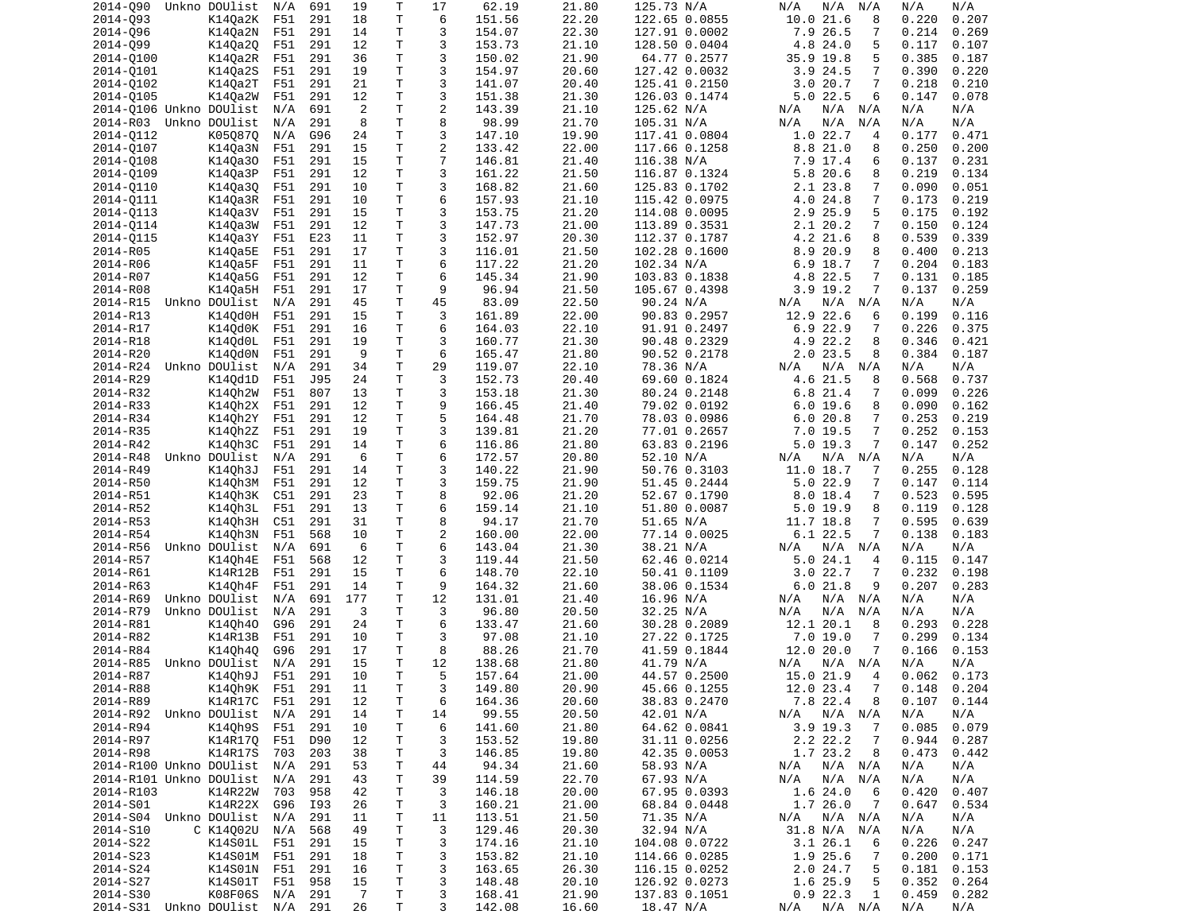| 2014-090                                   | Unkno DOUlist   | N/A | 691 | 19                   | Τ            | 17             | 62.19            | 21.80          | 125.73 N/A                 | N/A<br>N/A<br>N/A              | N/A<br>N/A                   |
|--------------------------------------------|-----------------|-----|-----|----------------------|--------------|----------------|------------------|----------------|----------------------------|--------------------------------|------------------------------|
| 2014-093                                   | K14Qa2K F51     |     | 291 | 18                   | T            | 6              | 151.56           | 22.20          | 122.65 0.0855              | 10.0 21.6<br>8                 | 0.207<br>0.220               |
| 2014-096                                   | K140a2N         | F51 | 291 | 14                   | Τ            | 3              | 154.07           | 22.30          | 127.91 0.0002              | 7.9 26.5<br>7                  | 0.214<br>0.269               |
|                                            |                 |     |     |                      | T.           | 3              |                  |                |                            |                                |                              |
| 2014-099                                   | K14Qa2Q         | F51 | 291 | 12                   |              |                | 153.73           | 21.10          | 128.50 0.0404              | 4.8 24.0<br>5                  | 0.117<br>0.107               |
| 2014-0100                                  | K14Qa2R         | F51 | 291 | 36                   | T.           | 3              | 150.02           | 21.90          | 64.77 0.2577               | 35.9 19.8<br>5                 | 0.385<br>0.187               |
| 2014-0101                                  | K140a2S         | F51 | 291 | 19                   | $\mathsf{T}$ | 3              | 154.97           | 20.60          | 127.42 0.0032              | 3.9 24.5<br>7                  | 0.390<br>0.220               |
| 2014-0102                                  | K140a2T         | F51 | 291 | 21                   | T            | 3              | 141.07           | 20.40          | 125.41 0.2150              | 7<br>3.020.7                   | 0.218<br>0.210               |
| 2014-0105                                  | K14Qa2W         | F51 | 291 | 12                   | Τ            | 3              | 151.38           | 21.30          | 126.03 0.1474              | $5.0$ 22.5<br>6                | 0.147<br>0.078               |
|                                            |                 |     |     |                      | T.           | $\overline{2}$ |                  |                |                            |                                |                              |
| 2014-Q106 Unkno DOUlist                    |                 | N/A | 691 | $\overline{2}$       |              |                | 143.39           | 21.10          | 125.62 N/A                 | N/A<br>N/A N/A                 | N/A<br>N/A                   |
| 2014-R03 Unkno DOUlist                     |                 | N/A | 291 | 8                    | Τ            | 8              | 98.99            | 21.70          | 105.31 N/A                 | N/A<br>N/A<br>N/A              | N/A<br>N/A                   |
| 2014-0112                                  | K050870         | N/A | G96 | 24                   | T            | 3              | 147.10           | 19.90          | 117.41 0.0804              | 1.022.7<br>4                   | 0.177<br>0.471               |
| 2014-0107                                  | K14Qa3N         | F51 | 291 | 15                   | $\mathsf{T}$ | $\overline{c}$ | 133.42           | 22.00          | 117.66 0.1258              | 8.8 21.0<br>8                  | 0.250<br>0.200               |
| 2014-0108                                  | K140a30         | F51 | 291 | 15                   | T            | $\overline{7}$ | 146.81           | 21.40          | 116.38 N/A                 | 7.9 17.4<br>6                  | 0.137<br>0.231               |
|                                            |                 |     |     |                      |              |                |                  |                |                            |                                |                              |
| 2014-0109                                  | K14Qa3P         | F51 | 291 | 12                   | T            | 3              | 161.22           | 21.50          | 116.87 0.1324              | 5.8 20.6<br>8                  | 0.219<br>0.134               |
| 2014-0110                                  | K14Qa3Q         | F51 | 291 | 10                   | T.           | 3              | 168.82           | 21.60          | 125.83 0.1702              | 2.1 23.8<br>7                  | 0.090<br>0.051               |
| 2014-0111                                  | K14Qa3R         | F51 | 291 | 10                   | $\mathsf{T}$ | 6              | 157.93           | 21.10          | 115.42 0.0975              | 4.0 24.8<br>7                  | 0.173<br>0.219               |
| 2014-0113                                  | K14Qa3V         | F51 | 291 | 15                   | T.           | 3              | 153.75           | 21.20          | 114.08 0.0095              | 2.9 25.9<br>5                  | 0.175<br>0.192               |
|                                            |                 |     | 291 | 12                   | $\mathsf{T}$ | 3              |                  | 21.00          |                            | 7                              |                              |
| 2014-0114                                  | K14Qa3W         | F51 |     |                      |              |                | 147.73           |                | 113.89 0.3531              | 2.1 20.2                       | 0.150<br>0.124               |
| 2014-0115                                  | K14Qa3Y         | F51 | E23 | 11                   | T            | 3              | 152.97           | 20.30          | 112.37 0.1787              | 4.2 21.6<br>8                  | 0.539<br>0.339               |
| 2014-R05                                   | K140a5E         | F51 | 291 | 17                   | T.           | 3              | 116.01           | 21.50          | 102.28 0.1600              | 8.9 20.9<br>8                  | 0.400<br>0.213               |
| 2014-R06                                   | K140a5F         | F51 | 291 | 11                   | Τ            | 6              | 117.22           | 21.20          | 102.34 N/A                 | 6.9 18.7<br>7                  | 0.204<br>0.183               |
| 2014-R07                                   | K14Qa5G         | F51 | 291 | 12                   | T            | 6              | 145.34           | 21.90          | 103.83 0.1838              | 4.8 22.5<br>7                  | 0.131<br>0.185               |
|                                            |                 |     |     |                      |              |                |                  |                |                            |                                |                              |
| 2014-R08                                   | K140a5H         | F51 | 291 | 17                   | T            | 9              | 96.94            | 21.50          | 105.67 0.4398              | $3.9$ 19.2<br>7                | 0.137<br>0.259               |
| 2014-R15                                   | Unkno DOUlist   | N/A | 291 | 45                   | T.           | 45             | 83.09            | 22.50          | 90.24 N/A                  | N/A<br>N/A N/A                 | N/A<br>N/A                   |
| 2014-R13                                   | K14Qd0H         | F51 | 291 | 15                   | T.           | 3              | 161.89           | 22.00          | 90.83 0.2957               | 12.9 22.6<br>6                 | 0.199<br>0.116               |
| 2014-R17                                   | K14Qd0K         | F51 | 291 | 16                   | T            | 6              | 164.03           | 22.10          | 91.91 0.2497               | $6.9$ 22.9<br>7                | 0.226<br>0.375               |
|                                            |                 |     |     |                      |              | 3              |                  | 21.30          |                            | 8                              |                              |
| 2014-R18                                   | K140d0L         | F51 | 291 | 19                   | Τ            |                | 160.77           |                | 90.48 0.2329               | 4.9 22.2                       | 0.346<br>0.421               |
| 2014-R20                                   | K14Qd0N         | F51 | 291 | 9                    | T            | 6              | 165.47           | 21.80          | 90.52 0.2178               | $2.0$ 23.5<br>8                | 0.384<br>0.187               |
| 2014-R24                                   | Unkno DOUlist   | N/A | 291 | 34                   | T.           | 29             | 119.07           | 22.10          | 78.36 N/A                  | $N/A$ $N/A$<br>N/A             | N/A<br>N/A                   |
| 2014-R29                                   | K140d1D         | F51 | J95 | 24                   | T            | 3              | 152.73           | 20.40          | 69.60 0.1824               | 4.6 21.5<br>8                  | 0.568<br>0.737               |
| 2014-R32                                   | K140h2W         | F51 | 807 | 13                   | Τ            | 3              | 153.18           | 21.30          | 80.24 0.2148               | 6.8 21.4<br>7                  | 0.099<br>0.226               |
|                                            |                 |     |     |                      |              |                |                  |                |                            |                                |                              |
| 2014-R33                                   | K140h2X         | F51 | 291 | 12                   | $\mathsf{T}$ | 9              | 166.45           | 21.40          | 79.02 0.0192               | 6.0 19.6<br>8                  | 0.090<br>0.162               |
| 2014-R34                                   | K140h2Y         | F51 | 291 | 12                   | T            | 5              | 164.48           | 21.70          | 78.03 0.0986               | 6.020.8<br>7                   | 0.253<br>0.219               |
| 2014-R35                                   | K14Qh2Z         | F51 | 291 | 19                   | Τ            | 3              | 139.81           | 21.20          | 77.01 0.2657               | 7<br>$7.0$ 19.5                | 0.252<br>0.153               |
| 2014-R42                                   | K140h3C         | F51 | 291 | 14                   | T            | 6              | 116.86           | 21.80          | 63.83 0.2196               | $5.0$ 19.3<br>7                | 0.147<br>0.252               |
| 2014-R48                                   | Unkno DOUlist   | N/A | 291 | 6                    | T            | 6              | 172.57           | 20.80          | 52.10 N/A                  | $N/A$ $N/A$<br>N/A             | N/A<br>N/A                   |
|                                            |                 |     |     |                      |              |                |                  |                |                            |                                |                              |
| 2014-R49                                   | K140h3J         | F51 | 291 | 14                   | T            | 3              | 140.22           | 21.90          | 50.76 0.3103               | 11.0 18.7<br>7                 | 0.255<br>0.128               |
| 2014-R50                                   | K14Qh3M         | F51 | 291 | 12                   | T.           | 3              | 159.75           | 21.90          | 51.45 0.2444               | $5.0$ 22.9<br>7                | 0.147<br>0.114               |
| 2014-R51                                   | K14Qh3K         | C51 | 291 | 23                   | T            | 8              | 92.06            | 21.20          | 52.67 0.1790               | 8.018.4<br>7                   | 0.523<br>0.595               |
| 2014-R52                                   | K140h3L         | F51 | 291 | 13                   | T            | 6              | 159.14           | 21.10          | 51.80 0.0087               | 5.0 19.9<br>8                  | 0.119<br>0.128               |
| 2014-R53                                   | K14Qh3H         | C51 | 291 | 31                   | T.           | 8              | 94.17            | 21.70          |                            | 7                              | 0.595                        |
|                                            |                 |     |     |                      |              |                |                  |                | 51.65 N/A                  | 11.7 18.8                      | 0.639                        |
| 2014-R54                                   | K14Qh3N         | F51 | 568 | 10                   | Τ            | $\overline{2}$ | 160.00           | 22.00          | 77.14 0.0025               | 6.122.5<br>7                   | 0.138<br>0.183               |
| 2014-R56                                   |                 |     |     |                      |              | 6              | 143.04           | 21.30          |                            | N/A                            |                              |
|                                            | Unkno DOUlist   | N/A | 691 | - 6                  | Τ            |                |                  |                | 38.21 N/A                  | $N/A$ $N/A$                    | N/A<br>N/A                   |
|                                            |                 |     |     | 12                   | Τ            | 3              |                  |                |                            | 4                              | 0.115<br>0.147               |
| 2014-R57                                   | K140h4E         | F51 | 568 |                      |              |                | 119.44           | 21.50          | 62.46 0.0214               | 5.0 24.1                       |                              |
| 2014-R61                                   | K14R12B         | F51 | 291 | 15                   | T            | 6              | 148.70           | 22.10          | 50.41 0.1109               | 3.022.7<br>7                   | 0.232<br>0.198               |
| 2014-R63                                   | K140h4F         | F51 | 291 | 14                   | T            | 9              | 164.32           | 21.60          | 38.06 0.1534               | 6.021.8<br>9                   | 0.207<br>0.283               |
| 2014-R69                                   | Unkno DOUlist   | N/A | 691 | 177                  | T            | 12             | 131.01           | 21.40          | 16.96 N/A                  | N/A N/A<br>N/A                 | N/A<br>N/A                   |
| 2014-R79                                   | Unkno DOUlist   | N/A | 291 | 3                    | T.           | 3              | 96.80            | 20.50          | 32.25 N/A                  | N/A<br>N/A N/A                 | N/A<br>N/A                   |
|                                            |                 |     |     |                      | $\mathsf{T}$ | 6              |                  |                |                            | 8                              |                              |
| 2014-R81                                   | K140h40         | G96 | 291 | 24                   |              |                | 133.47           | 21.60          | 30.28 0.2089               | 12.1 20.1                      | 0.293<br>0.228               |
| 2014-R82                                   | K14R13B         | F51 | 291 | 10                   | T.           | 3              | 97.08            | 21.10          | 27.22 0.1725               | 7.0 19.0<br>7                  | 0.299<br>0.134               |
| 2014-R84                                   | K140h40         | G96 | 291 | 17                   | T            | 8              | 88.26            | 21.70          | 41.59 0.1844               | 12.0 20.0<br>7                 | 0.166<br>0.153               |
| 2014-R85                                   | Unkno DOUlist   | N/A | 291 | 15                   | T.           | 12             | 138.68           | 21.80          | 41.79 N/A                  | N/A N/A<br>N/A                 | N/A<br>N/A                   |
|                                            |                 | F51 | 291 | 10                   | T            | 5              | 157.64           | 21.00          |                            | 15.0 21.9<br>4                 | 0.062<br>0.173               |
| 2014-R87                                   | K14Qh9J         |     |     |                      |              |                |                  |                | 44.57 0.2500               |                                |                              |
| 2014-R88                                   | K140h9K F51 291 |     |     | 11                   | Τ            | 3              | 149.80           | 20.90          | 45.66 0.1255               | $\overline{7}$<br>12.0 23.4    | $0.148$ $0.204$              |
| 2014-R89                                   | K14R17C F51     |     | 291 | 12                   | T            | 6              | 164.36           | 20.60          | 38.83 0.2470               | 7.8 22.4<br>8                  | 0.107<br>0.144               |
| 2014-R92 Unkno DOUlist N/A                 |                 |     | 291 | 14                   | Τ            | 14             | 99.55            | 20.50          | 42.01 N/A                  | N/A N/A<br>N/A                 | N/A<br>N/A                   |
| 2014-R94                                   | K140h9S F51     |     | 291 | 10                   | т            | 6              | 141.60           | 21.80          | 64.62 0.0841               | $3.9$ 19.3<br>7                | 0.085<br>0.079               |
|                                            |                 |     |     | 12                   | T            | 3              |                  |                |                            | $\overline{7}$                 |                              |
| 2014-R97                                   | K14R170 F51     |     | D90 |                      |              |                | 153.52           | 19.80          | 31.11 0.0256               | 2.2 22.2                       | 0.944<br>0.287               |
| 2014-R98                                   | K14R17S         | 703 | 203 | 38                   | Τ            | 3              | 146.85           | 19.80          | 42.35 0.0053               | 1.7 23.2<br>8                  | 0.473<br>0.442               |
| 2014-R100 Unkno DOUlist N/A                |                 |     | 291 | 53                   | T            | 44             | 94.34            | 21.60          | 58.93 N/A                  | N/A N/A<br>N/A                 | N/A<br>N/A                   |
| 2014-R101 Unkno DOUlist                    |                 | N/A | 291 | 43                   | Τ            | 39             | 114.59           | 22.70          | 67.93 N/A                  | N/A N/A<br>N/A                 | N/A<br>N/A                   |
| 2014-R103                                  | K14R22W 703     |     | 958 | 42                   | T            | 3              | 146.18           | 20.00          | 67.95 0.0393               | 1.6 24.0<br>- 6                | 0.420<br>0.407               |
|                                            |                 |     |     |                      |              |                |                  |                |                            | $\overline{7}$                 |                              |
| 2014-S01                                   | K14R22X G96     |     | I93 | 26                   | T            | 3              | 160.21           | 21.00          | 68.84 0.0448               | 1.7 26.0                       | 0.647<br>0.534               |
| 2014-S04 Unkno DOUlist N/A                 |                 |     | 291 | 11                   | Τ            | 11             | 113.51           | 21.50          | 71.35 N/A                  | N/A<br>N/A N/A                 | N/A<br>N/A                   |
| 2014-S10                                   | C K14002U N/A   |     | 568 | 49                   | T            | 3              | 129.46           | 20.30          | 32.94 N/A                  | 31.8 N/A N/A                   | N/A<br>N/A                   |
| 2014-S22                                   | K14S01L F51     |     | 291 | 15                   | T            | 3              | 174.16           | 21.10          | 104.08 0.0722              | 3.126.1<br>6                   | 0.226<br>0.247               |
| 2014-S23                                   | K14S01M F51     |     | 291 | 18                   | T            | 3              | 153.82           | 21.10          | 114.66 0.0285              | 1.9 25.6<br>7                  | 0.200<br>0.171               |
|                                            |                 |     |     |                      |              |                |                  |                |                            |                                |                              |
| 2014-S24                                   | K14S01N F51     |     | 291 | 16                   | T            | 3              | 163.65           | 26.30          | 116.15 0.0252              | 2.024.7<br>5                   | 0.181<br>0.153               |
| 2014-S27                                   | K14S01T F51     |     | 958 | 15                   | T            | 3              | 148.48           | 20.10          | 126.92 0.0273              | 1.6 25.9<br>5                  | 0.352<br>0.264               |
| 2014-S30<br>2014-S31 Unkno DOUlist N/A 291 | K08F06S         | N/A | 291 | $\overline{7}$<br>26 | T.<br>Τ      | 3<br>3         | 168.41<br>142.08 | 21.90<br>16.60 | 137.83 0.1051<br>18.47 N/A | 0.922.3<br>1<br>N/A<br>N/A N/A | 0.459<br>0.282<br>N/A<br>N/A |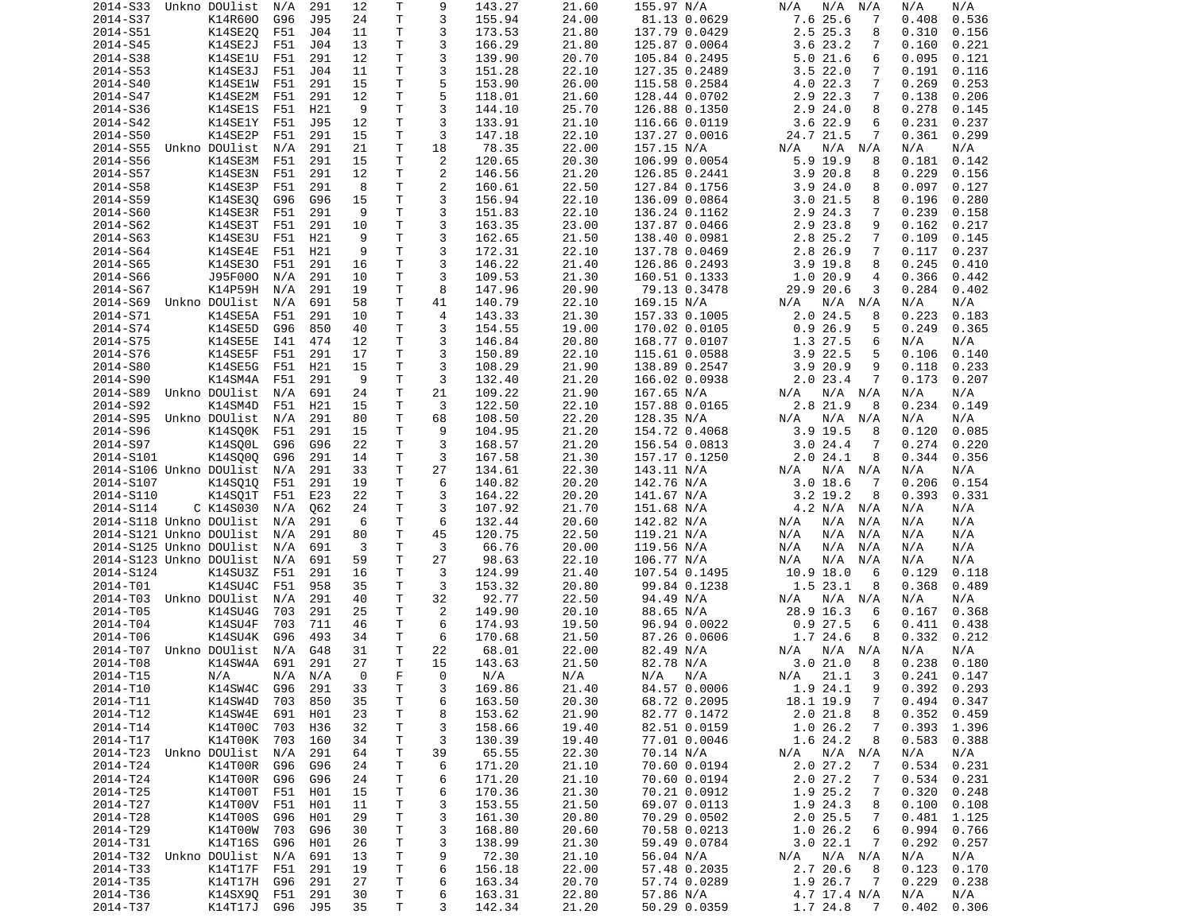| 2014-S33                | Unkno DOUlist  | N/A     | 291        | 12       | Τ  | 9              | 143.27 | 21.60 | 155.97 N/A                | N/A<br>N/A<br>N/A           | N/A<br>N/A      |
|-------------------------|----------------|---------|------------|----------|----|----------------|--------|-------|---------------------------|-----------------------------|-----------------|
| 2014-S37                | K14R600        | G96     | J95        | 24       | т  | 3              | 155.94 | 24.00 | 81.13 0.0629              | 7.6 25.6<br>7               | 0.408<br>0.536  |
| 2014-S51                | K14SE20        | F51     | J04        | 11       | Τ  | 3              | 173.53 | 21.80 | 137.79 0.0429             | 2.5 25.3<br>8               | 0.310<br>0.156  |
| 2014-S45                | K14SE2J        | F51     | J04        | 13       | Τ  | 3              | 166.29 | 21.80 | 125.87 0.0064             | 3.6 23.2<br>7               | 0.160<br>0.221  |
| 2014-S38                | K14SE1U        | F51     | 291        | 12       | Τ  | 3              | 139.90 | 20.70 | 105.84 0.2495             | 5.021.6<br>6                | 0.095<br>0.121  |
| 2014-S53                | K14SE3J        | F51     | J04        | 11       | T. | 3              | 151.28 | 22.10 | 127.35 0.2489             | 3.522.0<br>7                | 0.191<br>0.116  |
| 2014-S40                | K14SE1W        | F51     | 291        | 15       | Τ  | 5              | 153.90 | 26.00 | 115.58 0.2584             | 4.0 22.3<br>7               | 0.269<br>0.253  |
| 2014-S47                | K14SE2M        | F51     | 291        | 12       | Τ  | 5              | 118.01 | 21.60 | 128.44 0.0702             | 2.9 22.3<br>7               | 0.138<br>0.206  |
| 2014-S36                | <b>K14SE1S</b> | F51     | H21        | 9        | Τ  | 3              | 144.10 | 25.70 | 126.88 0.1350             | 2.924.0<br>8                | 0.278<br>0.145  |
| 2014-S42                | K14SE1Y        | F51     | J95        | 12       | т  | 3              | 133.91 | 21.10 | 116.66 0.0119             | 3.6 22.9<br>6               | 0.231<br>0.237  |
| 2014-S50                | K14SE2P        | F51     | 291        | 15       | Τ  | 3              | 147.18 | 22.10 | 137.27 0.0016             | 24.7 21.5<br>7              | 0.361<br>0.299  |
| 2014-S55                | Unkno DOUlist  | N/A     | 291        | 21       | Τ  | 18             | 78.35  | 22.00 | 157.15 N/A                | N/A N/A<br>N/A              | N/A<br>N/A      |
| 2014-S56                | K14SE3M        | F51     | 291        | 15       | T. | 2              | 120.65 | 20.30 | 106.99 0.0054             | 5.9 19.9<br>8               | 0.181<br>0.142  |
| 2014-S57                | K14SE3N        | F51     | 291        | 12       | T. | $\overline{c}$ | 146.56 | 21.20 | 126.85 0.2441             | 3.9 20.8<br>8               | 0.229<br>0.156  |
|                         | K14SE3P        | F51     |            | 8        | T. | 2              |        |       |                           | 8                           |                 |
| 2014-S58                |                |         | 291        |          |    |                | 160.61 | 22.50 | 127.84 0.1756             | 3.924.0                     | 0.097<br>0.127  |
| 2014-S59                | K14SE30        | G96     | G96        | 15       | Τ  | 3              | 156.94 | 22.10 | 136.09 0.0864             | 3.021.5<br>8                | 0.196<br>0.280  |
| 2014-S60                | K14SE3R        | F51     | 291        | 9        | Τ  | 3              | 151.83 | 22.10 | 136.24 0.1162             | 2.9 24.3<br>7               | 0.239<br>0.158  |
| 2014-S62                | K14SE3T        | F51     | 291        | 10       | Τ  | 3              | 163.35 | 23.00 | 137.87 0.0466             | 2.9 23.8<br>9               | 0.217<br>0.162  |
| 2014-S63                | K14SE3U        | F51     | H21        | 9        | Τ  | 3              | 162.65 | 21.50 | 138.40 0.0981             | 2.8 25.2<br>7               | 0.109<br>0.145  |
| 2014-S64                | K14SE4E        | F51     | H21        | 9        | Τ  | 3              | 172.31 | 22.10 | 137.78 0.0469             | 2.8 26.9<br>7               | 0.117<br>0.237  |
| 2014-S65                | K14SE30        | F51     | 291        | 16       | Τ  | 3              | 146.22 | 21.40 | 126.86 0.2493             | $3.9$ 19.8<br>8             | 0.245<br>0.410  |
| 2014-S66                | J95F000        | N/A     | 291        | 10       | T. | 3              | 109.53 | 21.30 | 160.51 0.1333             | 1.0 20.9<br>4               | 0.366<br>0.442  |
| 2014-S67                | K14P59H        | N/A     | 291        | 19       | Τ  | 8              | 147.96 | 20.90 | 79.13 0.3478              | 29.9 20.6<br>3              | 0.284<br>0.402  |
| 2014-S69                | Unkno DOUlist  | N/A     | 691        | 58       | Τ  | 41             | 140.79 | 22.10 | 169.15 N/A                | N/A<br>N/A N/A              | N/A<br>N/A      |
| 2014-S71                | K14SE5A        | F51     | 291        | 10       | T. | 4              | 143.33 | 21.30 | 157.33 0.1005             | $2.0$ 24.5<br>8             | 0.223<br>0.183  |
| 2014-S74                | K14SE5D        | G96     | 850        | 40       | Τ  | 3              | 154.55 | 19.00 | 170.02 0.0105             | 0.926.9<br>5                | 0.249<br>0.365  |
| 2014-S75                | K14SE5E        | I41     | 474        | 12       | T. | 3              | 146.84 | 20.80 | 168.77 0.0107             | 1.3 27.5<br>6               | N/A<br>N/A      |
| 2014-S76                | K14SE5F        | F51     | 291        | 17       | Τ  | 3              | 150.89 | 22.10 | 115.61 0.0588             | 3.9 22.5<br>5               | 0.106<br>0.140  |
| 2014-S80                | K14SE5G        | F51     | H21        | 15       | Τ  | 3              | 108.29 | 21.90 | 138.89 0.2547             | 3.9 20.9<br>9               | 0.118<br>0.233  |
| 2014-S90                | K14SM4A        | F51     | 291        | 9        | Τ  | 3              | 132.40 | 21.20 | 166.02 0.0938             | $2.0$ 23.4<br>7             | 0.173<br>0.207  |
| 2014-S89                | Unkno DOUlist  | N/A     | 691        | 24       | Τ  | 21             | 109.22 | 21.90 | 167.65 N/A                | N/A N/A<br>N/A              | N/A<br>N/A      |
| 2014-S92                | K14SM4D        | F51     | H21        | 15       | T. | 3              | 122.50 | 22.10 | 157.88 0.0165             | 2.8 21.9<br>8               | 0.234<br>0.149  |
| 2014-S95                | Unkno DOUlist  | N/A     | 291        | 80       | Τ  | 68             | 108.50 | 22.20 | 128.35 N/A                | N/A N/A<br>N/A              | N/A<br>N/A      |
| 2014-S96                | K14SQ0K        | F51     | 291        | 15       | T. | 9              | 104.95 | 21.20 | 154.72 0.4068             | $3.9$ 19.5<br>8             | 0.085<br>0.120  |
| 2014-S97                | K14SQ0L        | G96     | G96        | 22       | Τ  | 3              | 168.57 | 21.20 | 156.54 0.0813             | 3.024.4<br>7                | 0.274<br>0.220  |
| 2014-S101               | K14S000        | G96     | 291        | 14       | т  | 3              | 167.58 | 21.30 | 157.17 0.1250             | 2.024.1<br>8                | 0.344<br>0.356  |
| 2014-S106 Unkno DOUlist |                | N/A     | 291        | 33       | Τ  | 27             | 134.61 | 22.30 | 143.11 N/A                | N/A N/A<br>N/A              | N/A<br>N/A      |
| 2014-S107               | K14SQ1Q        | F51     | 291        | 19       | т  | 6              | 140.82 | 20.20 | 142.76 N/A                | $3.0$ 18.6<br>7             | 0.206<br>0.154  |
|                         |                |         |            |          |    |                |        |       |                           |                             |                 |
| 2014-S110               | K14SQ1T        | F51     | E23        | 22       | Τ  | 3              | 164.22 | 20.20 | 141.67 N/A                | $3.2$ 19.2<br>8             | 0.393<br>0.331  |
| 2014-S114               | C K14S030      | N/A     | Q62        | 24       | Τ  | 3              | 107.92 | 21.70 | 151.68 N/A                | 4.2 N/A N/A                 | N/A<br>N/A      |
| 2014-S118 Unkno DOUlist |                | N/A     | 291        | 6        | T. | 6              | 132.44 | 20.60 | 142.82 N/A                | N/A<br>N/A<br>N/A           | N/A<br>N/A      |
| 2014-S121 Unkno DOUlist |                | N/A     | 291        | 80       | T. | 45             | 120.75 | 22.50 | 119.21 N/A                | N/A<br>N/A<br>N/A           | N/A<br>N/A      |
| 2014-S125 Unkno DOUlist |                | N/A     | 691        | 3        | т  | 3              | 66.76  | 20.00 | 119.56 N/A                | N/A<br>N/A<br>N/A           | N/A<br>N/A      |
| 2014-S123 Unkno DOUlist |                | N/A     | 691        | 59       | Τ  | 27             | 98.63  | 22.10 | 106.77 N/A                | N/A<br>N/A<br>N/A           | N/A<br>N/A      |
| 2014-S124               | K14SU3Z        | F51     | 291        | 16       | Τ  | 3              | 124.99 | 21.40 | 107.54 0.1495             | 10.9 18.0<br>6              | 0.129<br>0.118  |
| 2014-T01                | K14SU4C        | F51     | 958        | 35       | Τ  | 3              | 153.32 | 20.80 | 99.84 0.1238              | 1.523.1<br>8                | 0.368<br>0.489  |
| 2014-T03                | Unkno DOUlist  | N/A     | 291        | 40       | Τ  | 32             | 92.77  | 22.50 | 94.49 N/A                 | N/A<br>N/A N/A              | N/A<br>N/A      |
| 2014-T05                | K14SU4G        | 703     | 291        | 25       | Τ  | 2              | 149.90 | 20.10 | 88.65 N/A                 | 28.9 16.3<br>6              | 0.368<br>0.167  |
| 2014-T04                | K14SU4F        | 703     | 711        | 46       | т  | 6              | 174.93 | 19.50 | 96.94 0.0022              | 0.927.5<br>6                | 0.411<br>0.438  |
| 2014-T06                | K14SU4K        | G96     | 493        | 34       | т  | 6              | 170.68 | 21.50 | 87.26 0.0606              | 1.7 24.6<br>8               | 0.332<br>0.212  |
| 2014-T07                | Unkno DOUlist  | N/A     | G48        | 31       | Τ  | 22             | 68.01  | 22.00 | 82.49 N/A                 | $N/A$ $N/A$<br>N/A          | N/A<br>N/A      |
| 2014-T08                | K14SW4A        | 691     | 291        | 27       | T. | 15             | 143.63 | 21.50 | 82.78 N/A                 | 3.021.0<br>8                | 0.238<br>0.180  |
| 2014-T15                | N/A            | N/A N/A |            | $\Theta$ | F  | $\Theta$       | N/A    | N/A   | N/A N/A                   | N/A 21.1<br>$\mathbf{3}$    | $0.241$ $0.147$ |
| 2014-T10                | K14SW4C G96    |         | 291        | 33       | т  | 3              | 169.86 | 21.40 | 84.57 0.0006              | 1.9 24.1<br>9               | $0.392$ $0.293$ |
| 2014-T11                | K14SW4D        | 703     | 850        | 35       | Τ  | 6              | 163.50 | 20.30 | 68.72 0.2095              | 18.1 19.9<br>$\overline{7}$ | 0.494<br>0.347  |
| 2014-T12                | K14SW4E        | 691     | H01        | 23       | Τ  | 8              | 153.62 | 21.90 | 82.77 0.1472              | 2.021.8<br>8                | 0.352<br>0.459  |
| 2014-T14                | K14T00C        | 703     | H36        | 32       | Τ  | 3              | 158.66 | 19.40 | 82.51 0.0159              | 1.026.2<br>$\overline{7}$   | 0.393<br>1.396  |
| 2014-T17                | K14T00K 703    |         | 160        | 34       | т  | 3              | 130.39 | 19.40 | 77.01 0.0046              | 1.6 24.2<br>8               | 0.583<br>0.388  |
| 2014-T23 Unkno DOUlist  |                | N/A     | 291        | 64       | т  | 39             | 65.55  | 22.30 | 70.14 N/A                 | $N/A$ $N/A$<br>N/A          | N/A<br>N/A      |
| 2014-T24                | K14T00R        | G96     | G96        | 24       | Τ  | 6              | 171.20 | 21.10 | 70.60 0.0194              | 2.027.2<br>7                | 0.534<br>0.231  |
| 2014-T24                | K14T00R        | G96     | G96        | 24       | т  | 6              | 171.20 | 21.10 | 70.60 0.0194              | 2.027.2<br>7                | 0.534<br>0.231  |
| 2014-T25                | K14T00T        | F51     | H01        | 15       | Τ  | 6              | 170.36 | 21.30 | 70.21 0.0912              | 1.9 25.2<br>$\overline{7}$  | 0.320<br>0.248  |
| 2014-T27                | K14T00V        | F51     | H01        | 11       | T  | 3              | 153.55 | 21.50 | 69.07 0.0113              | 1.9 24.3<br>8               | 0.100<br>0.108  |
| 2014-T28                | K14T00S        | G96     | H01        | 29       | Τ  | 3              | 161.30 | 20.80 | 70.29 0.0502              | 2.025.5<br>$\overline{7}$   | 0.481<br>1.125  |
| 2014-T29                | K14T00W        | 703     | G96        | 30       | Τ  | 3              | 168.80 | 20.60 | 70.58 0.0213              | 1.026.2<br>6                | 0.994<br>0.766  |
| 2014-T31                | K14T16S        | G96     | H01        | 26       | T  | 3              | 138.99 | 21.30 | 59.49 0.0784              | 3.022.1<br>$\overline{7}$   | 0.292<br>0.257  |
|                         |                |         |            |          | Τ  |                |        |       |                           |                             | N/A             |
| 2014-T32 Unkno DOUlist  |                | N/A     | 691<br>291 | 13<br>19 | Τ  | 9              | 72.30  | 21.10 | 56.04 N/A<br>57.48 0.2035 | N/A N/A<br>N/A              | N/A             |
| 2014-T33                | K14T17F        | F51     |            |          |    | 6              | 156.18 | 22.00 |                           | 2.7 20.6<br>8               | 0.123<br>0.170  |
| 2014-T35                | K14T17H        | G96     | 291        | 27       | T  | 6              | 163.34 | 20.70 | 57.74 0.0289              | 1.9 26.7<br>$\overline{7}$  | 0.229<br>0.238  |
| 2014-T36                | K14SX90 F51    |         | 291        | 30       | T  | 6              | 163.31 | 22.80 | 57.86 N/A                 | 4.7 17.4 N/A                | N/A<br>N/A      |
| 2014-T37                | K14T17J        | G96 J95 |            | 35       | T. | 3              | 142.34 | 21.20 | 50.29 0.0359              | 1.7 24.8<br>$\overline{7}$  | $0.402$ $0.306$ |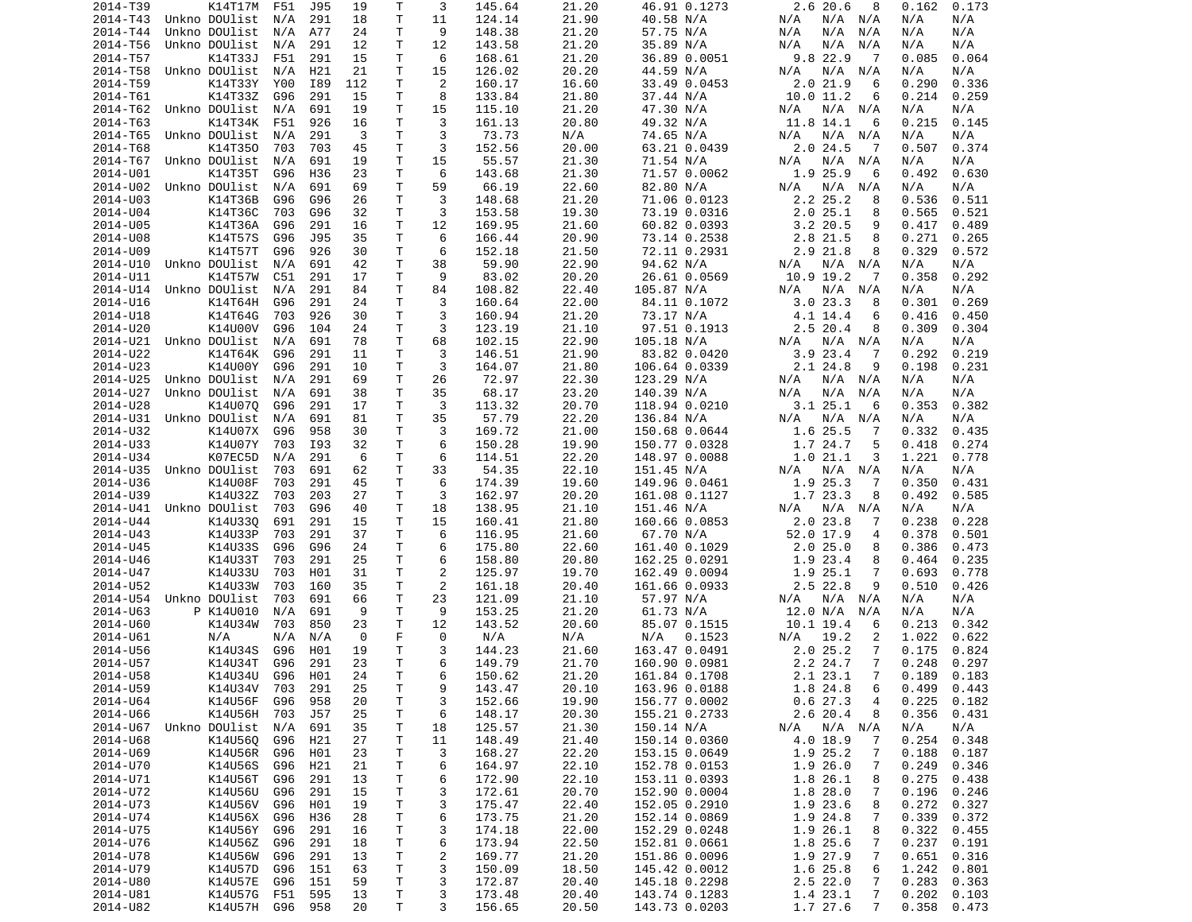| 2014-T39             | K14T17M                    | F51        | J95        | 19      | Τ       | 3              | 145.64           | 21.20          | 46.91 0.1273           | 2.620.6<br>8                         | 0.162<br>0.173           |
|----------------------|----------------------------|------------|------------|---------|---------|----------------|------------------|----------------|------------------------|--------------------------------------|--------------------------|
| 2014-T43             | Unkno DOUlist              | N/A        | 291        | 18      | T       | 11             | 124.14           | 21.90          | 40.58 N/A              | N/A N/A<br>N/A                       | N/A<br>N/A               |
| 2014-T44             | Unkno DOUlist              | N/A        | A77        | 24      | т       | 9              | 148.38           | 21.20          | 57.75 N/A              | N/A<br>N/A<br>N/A                    | N/A<br>N/A               |
| 2014-T56             | Unkno DOUlist              | N/A        | 291        | 12      | Τ       | 12             | 143.58           | 21.20          | 35.89 N/A              | N/A<br>N/A<br>N/A                    | N/A<br>N/A               |
| 2014-T57             | K14T33J                    | F51        | 291        | 15      | т       | 6              | 168.61           | 21.20          | 36.89 0.0051           | 9.8 22.9<br>7                        | 0.085<br>0.064           |
| 2014-T58             | Unkno DOUlist              | N/A        | H21        | 21      | Τ       | 15             | 126.02           | 20.20          | 44.59 N/A              | N/A N/A<br>N/A                       | N/A<br>N/A               |
| 2014-T59             | K14T33Y                    | Y00        | I89        | 112     | Τ       | 2              | 160.17           | 16.60          | 33.49 0.0453           | 2.021.9<br>6                         | 0.290<br>0.336           |
| 2014-T61             | K14T33Z                    | G96        | 291        | 15      | Τ       | 8              | 133.84           | 21.80          | 37.44 N/A              | 10.0 11.2<br>6                       | 0.214<br>0.259           |
| 2014-T62             | Unkno DOUlist              | N/A        | 691        | 19      | Τ       | 15             | 115.10           | 21.20          | 47.30 N/A              | N/A N/A<br>N/A                       | N/A<br>N/A               |
| 2014-T63             | K14T34K                    | F51        | 926        | 16<br>3 | Τ<br>T. | 3<br>3         | 161.13<br>73.73  | 20.80          | 49.32 N/A<br>74.65 N/A | 11.8 14.1<br>6<br>N/A                | 0.215<br>0.145<br>N/A    |
| 2014-T65<br>2014-T68 | Unkno DOUlist<br>K14T350   | N/A<br>703 | 291<br>703 | 45      | Τ       | 3              | 152.56           | N/A<br>20.00   | 63.21 0.0439           | N/A N/A<br>$2.0$ 24.5<br>-7          | N/A<br>0.507<br>0.374    |
| 2014-T67             | Unkno DOUlist              | N/A        | 691        | 19      | T.      | 15             | 55.57            | 21.30          | 71.54 N/A              | N/A<br>N/A N/A                       | N/A<br>N/A               |
| 2014-U01             | K14T35T                    | G96        | H36        | 23      | Τ       | 6              | 143.68           | 21.30          | 71.57 0.0062           | 1.9 25.9<br>6                        | 0.630<br>0.492           |
| 2014-U02             | Unkno DOUlist              | N/A        | 691        | 69      | Τ       | 59             | 66.19            | 22.60          | 82.80 N/A              | N/A<br>N/A<br>N/A                    | N/A<br>N/A               |
| 2014-U03             | K14T36B                    | G96        | G96        | 26      | т       | 3              | 148.68           | 21.20          | 71.06 0.0123           | 2.2 25.2<br>8                        | 0.536<br>0.511           |
| 2014-U04             | K14T36C                    | 703        | G96        | 32      | т       | 3              | 153.58           | 19.30          | 73.19 0.0316           | 2.025.1<br>8                         | 0.565<br>0.521           |
| 2014-U05             | K14T36A                    | G96        | 291        | 16      | T       | 12             | 169.95           | 21.60          | 60.82 0.0393           | $3.2$ 20.5<br>9                      | 0.417<br>0.489           |
| 2014-U08             | K14T57S                    | G96        | J95        | 35      | Τ       | 6              | 166.44           | 20.90          | 73.14 0.2538           | 2.8 21.5<br>8                        | 0.271<br>0.265           |
| 2014-U09             | K14T57T                    | G96        | 926        | 30      | T       | 6              | 152.18           | 21.50          | 72.11 0.2931           | $2.9$ $21.8$<br>8                    | 0.329<br>0.572           |
| 2014-U10             | Unkno DOUlist              | N/A        | 691        | 42      | Τ       | 38             | 59.90            | 22.90          | 94.62 N/A              | N/A<br>N/A N/A                       | N/A<br>N/A               |
| 2014-U11             | K14T57W                    | C51        | 291        | 17      | Τ       | 9              | 83.02            | 20.20          | 26.61 0.0569           | 10.9 19.2<br>-7                      | 0.292<br>0.358           |
| 2014-U14             | Unkno DOUlist              | N/A        | 291        | 84      | Τ       | 84             | 108.82           | 22.40          | 105.87 N/A             | N/A N/A<br>N/A                       | N/A<br>N/A               |
| 2014-U16             | K14T64H                    | G96        | 291        | 24      | Τ       | 3              | 160.64           | 22.00          | 84.11 0.1072           | 3.023.3<br>8                         | 0.301<br>0.269           |
| 2014-U18             | K14T64G                    | 703        | 926        | 30      | T.      | 3              | 160.94           | 21.20          | 73.17 N/A              | 4.1 14.4<br>6                        | 0.416<br>0.450           |
| 2014-U20             | K14U00V                    | G96        | 104        | 24      | т       | 3              | 123.19           | 21.10          | 97.51 0.1913           | 2.520.4<br>8                         | 0.309<br>0.304           |
| 2014-U21             | Unkno DOUlist              | N/A        | 691        | 78      | T.      | 68             | 102.15           | 22.90          | 105.18 N/A             | N/A<br>N/A N/A                       | N/A<br>N/A               |
| 2014-U22             | K14T64K                    | G96        | 291        | 11      | Τ       | 3              | 146.51           | 21.90          | 83.82 0.0420           | 3.923.4<br>-7                        | 0.292<br>0.219           |
| 2014-U23             | K14U00Y                    | G96        | 291        | 10      | т       | 3              | 164.07           | 21.80          | 106.64 0.0339          | 2.1 24.8<br>9                        | 0.198<br>0.231           |
| 2014-U25             | Unkno DOUlist              | N/A        | 291        | 69      | T       | 26             | 72.97            | 22.30          | 123.29 N/A             | N/A N/A<br>N/A                       | N/A<br>N/A               |
| 2014-U27             | Unkno DOUlist              | N/A        | 691        | 38      | Τ       | 35             | 68.17            | 23.20          | 140.39 N/A             | N/A<br>N/A<br>N/A                    | N/A<br>N/A               |
| 2014-U28             | K14U070                    | G96        | 291        | 17      | T.      | 3              | 113.32           | 20.70          | 118.94 0.0210          | 3.1 25.1<br>6                        | 0.353<br>0.382           |
| 2014-U31             | Unkno DOUlist              | N/A        | 691        | 81      | Τ       | 35             | 57.79            | 22.20          | 136.84 N/A             | N/A N/A<br>N/A                       | N/A<br>N/A               |
| 2014-U32             | K14U07X                    | G96        | 958        | 30      | T.      | 3              | 169.72           | 21.00          | 150.68 0.0644          | 1.6 25.5<br>7                        | 0.332<br>0.435           |
| 2014-U33             | K14U07Y                    | 703        | I93        | 32      | т       | 6              | 150.28           | 19.90          | 150.77 0.0328          | 1.7 24.7<br>5                        | 0.418<br>0.274           |
| 2014-U34             | K07EC5D                    | N/A        | 291        | 6       | т       | 6              | 114.51           | 22.20          | 148.97 0.0088          | 1.021.1<br>3                         | 1.221<br>0.778           |
| 2014-U35             | Unkno DOUlist              | 703        | 691        | 62      | Τ       | 33             | 54.35            | 22.10          | 151.45 N/A             | N/A N/A<br>N/A                       | N/A<br>N/A               |
| 2014-U36             | K14U08F                    | 703        | 291        | 45      | Τ       | 6              | 174.39           | 19.60          | 149.96 0.0461          | 1.9 25.3<br>7                        | 0.350<br>0.431           |
| 2014-U39             | K14U32Z                    | 703        | 203        | 27      | T       | 3              | 162.97           | 20.20          | 161.08 0.1127          | 1.7 23.3<br>8                        | 0.492<br>0.585           |
| 2014-U41             | Unkno DOUlist              | 703        | G96        | 40      | Τ       | 18             | 138.95           | 21.10          | 151.46 N/A             | $N/A$ $N/A$<br>N/A                   | N/A<br>N/A               |
| 2014-U44             | K14U330                    | 691        | 291        | 15      | T.      | 15             | 160.41           | 21.80          | 160.66 0.0853          | 2.023.8<br>7                         | 0.238<br>0.228           |
| 2014-U43             | K14U33P                    | 703        | 291        | 37      | T.      | 6              | 116.95           | 21.60          | 67.70 N/A              | 52.0 17.9<br>4                       | 0.378<br>0.501           |
| 2014-U45             | K14U33S                    | G96        | G96        | 24      | Τ       | 6              | 175.80           | 22.60          | 161.40 0.1029          | 2.025.0<br>8                         | 0.386<br>0.473           |
| 2014-U46             | K14U33T                    | 703        | 291        | 25      | T.      | 6              | 158.80           | 20.80          | 162.25 0.0291          | 1.9 23.4<br>8                        | 0.235<br>0.464           |
| 2014-U47             | K14U33U                    | 703        | H01        | 31      | т       | 2              | 125.97           | 19.70          | 162.49 0.0094          | 1.9 25.1<br>7                        | 0.693<br>0.778           |
| 2014-U52             | K14U33W                    | 703        | 160        | 35      | Τ       | 2              | 161.18           | 20.40          | 161.66 0.0933          | 2.5 22.8<br>9                        | 0.510<br>0.426           |
| 2014-U54<br>2014-U63 | Unkno DOUlist<br>P K14U010 | 703<br>N/A | 691<br>691 | 66<br>9 | Τ<br>Τ  | 23<br>9        | 121.09<br>153.25 | 21.10<br>21.20 | 57.97 N/A<br>61.73 N/A | N/A<br>N/A<br>N/A<br>12.0 N/A<br>N/A | N/A<br>N/A<br>N/A<br>N/A |
| 2014-U60             | K14U34W                    | 703        | 850        | 23      | Τ       | 12             | 143.52           | 20.60          | 85.07 0.1515           | $10.1$ 19.4<br>6                     | 0.213<br>0.342           |
| 2014-U61             | N/A                        | N/A        | N/A        | 0       | F       | 0              | N/A              | N/A            | N/A<br>0.1523          | 19.2<br>2<br>N/A                     | 1.022<br>0.622           |
| 2014-U56             | K14U34S                    | G96        | H01        | 19      | T       | 3              | 144.23           | 21.60          | 163.47 0.0491          | 2.025.2<br>7                         | 0.175<br>0.824           |
| 2014-U57             | K14U34T                    | G96        | 291        | 23      | T.      | 6              | 149.79           | 21.70          | 160.90 0.0981          | 2.2 24.7<br>7                        | 0.248<br>0.297           |
| 2014-U58             | K14U34U G96 H01            |            |            | 24      | T.      | 6              | 150.62           | 21.20          | 161.84 0.1708          | 2.1 23.1<br>$7\overline{ }$          | $0.189$ $0.183$          |
| 2014-U59             | K14U34V 703                |            | 291        | 25      | Τ       | 9              | 143.47           | 20.10          | 163.96 0.0188          | 1.8 24.8<br>6                        | $0.499$ $0.443$          |
| 2014-U64             | K14U56F                    | G96        | 958        | 20      | T.      | 3              | 152.66           | 19.90          | 156.77 0.0002          | 0.627.3<br>4                         | 0.225<br>0.182           |
| 2014-U66             | K14U56H                    | 703        | J57        | 25      | T.      | 6              | 148.17           | 20.30          | 155.21 0.2733          | 2.6 20.4<br>8                        | 0.356<br>0.431           |
|                      | 2014-U67 Unkno DOUlist     | N/A        | 691        | 35      | T.      | 18             | 125.57           | 21.30          | 150.14 N/A             | N/A N/A<br>N/A                       | N/A<br>N/A               |
| 2014-U68             | K14U56Q                    | G96        | H21        | 27      | Τ       | 11             | 148.49           | 21.40          | 150.14 0.0360          | 4.0 18.9<br>7                        | 0.254<br>0.348           |
| 2014-U69             | K14U56R                    | G96        | H01        | 23      | Τ       | 3              | 168.27           | 22.20          | 153.15 0.0649          | 1.9 25.2<br>7                        | 0.188<br>0.187           |
| 2014-U70             | K14U56S                    | G96        | H21        | 21      | T       | 6              | 164.97           | 22.10          | 152.78 0.0153          | 1.926.0<br>7                         | 0.249<br>0.346           |
| 2014-U71             | K14U56T                    | G96        | 291        | 13      | T.      | 6              | 172.90           | 22.10          | 153.11 0.0393          | 1.8 26.1<br>8                        | 0.275<br>0.438           |
| 2014-U72             | K14U56U                    | G96        | 291        | 15      | T       | 3              | 172.61           | 20.70          | 152.90 0.0004          | 1.8 28.0<br>7                        | 0.196<br>0.246           |
| 2014-U73             | K14U56V                    | G96        | H01        | 19      | T.      | 3              | 175.47           | 22.40          | 152.05 0.2910          | 1.9 23.6<br>8                        | 0.272<br>0.327           |
| 2014-U74             | K14U56X G96                |            | H36        | 28      | T       | 6              | 173.75           | 21.20          | 152.14 0.0869          | 1.9 24.8<br>$\overline{7}$           | 0.339<br>0.372           |
| 2014-U75             | K14U56Y                    | G96        | 291        | 16      | T       | 3              | 174.18           | 22.00          | 152.29 0.0248          | 1.9 26.1<br>8                        | 0.322<br>0.455           |
| 2014-U76             | K14U56Z G96                |            | 291        | 18      | T.      | 6              | 173.94           | 22.50          | 152.81 0.0661          | 1.8 25.6<br>7                        | 0.237<br>0.191           |
| 2014-U78             | K14U56W                    | G96        | 291        | 13      | T.      | $\overline{c}$ | 169.77           | 21.20          | 151.86 0.0096          | 7<br>1.9 27.9                        | 0.651<br>0.316           |
| 2014-U79             | K14U57D                    | G96        | 151        | 63      | T.      | 3              | 150.09           | 18.50          | 145.42 0.0012          | 1.6 25.8<br>6                        | 1.242<br>0.801           |
| 2014-U80             | K14U57E                    | G96        | 151        | 59      | T       | 3              | 172.87           | 20.40          | 145.18 0.2298          | $2.5$ 22.0<br>7                      | 0.283<br>0.363           |
| 2014-U81             | K14U57G                    | F51        | 595        | 13      | T.      | 3              | 173.48           | 20.40          | 143.74 0.1283          | 1.4 23.1<br>7                        | 0.202<br>0.103           |
| 2014-U82             | K14U57H G96 958            |            |            | 20      | T       | 3              | 156.65           | 20.50          | 143.73 0.0203          | 1.7 27.6<br>$\overline{7}$           | 0.358<br>0.473           |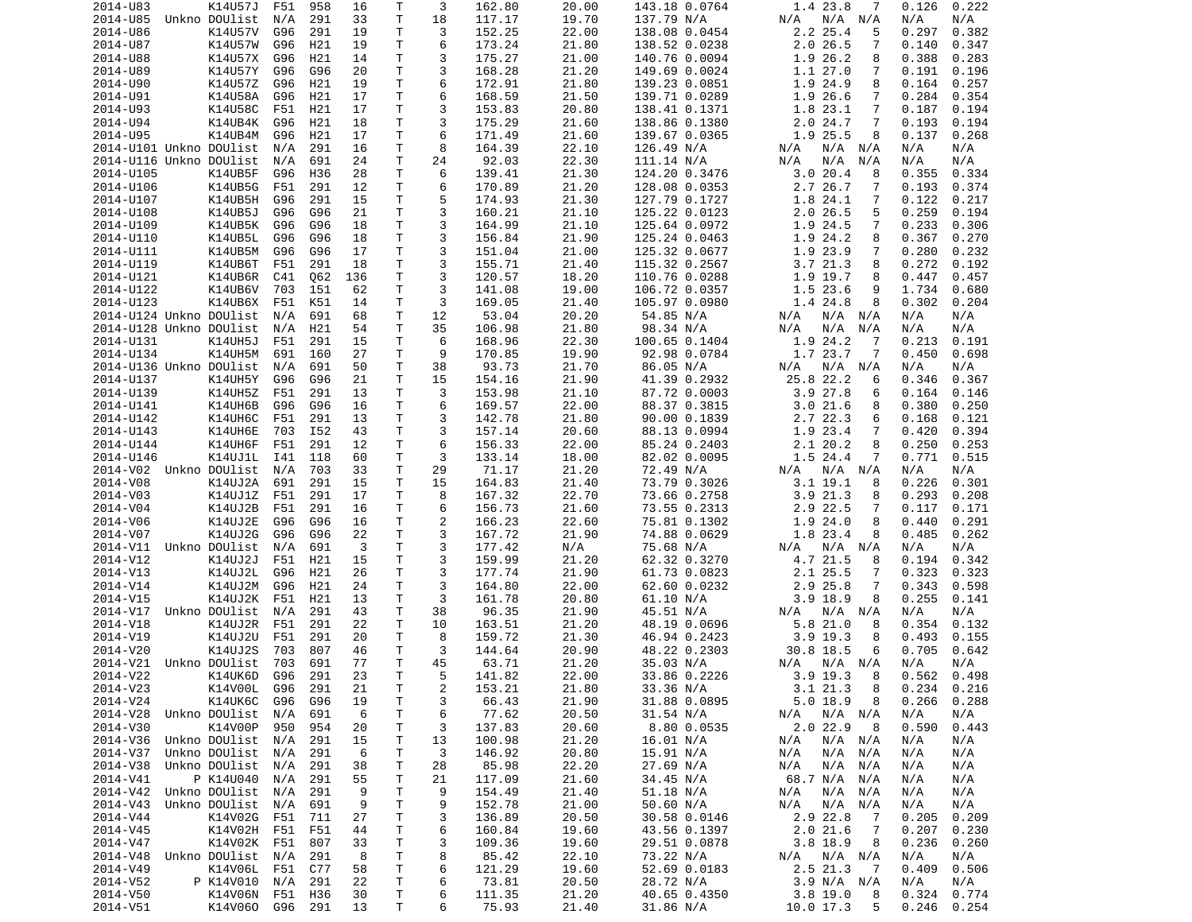| 2014-U83                | K14U57J                            | F51 | 958 | 16       | Τ            | 3              | 162.80          | 20.00          | 143.18 0.0764             | 1.4 23.8<br>7                     | 0.126<br>0.222                   |
|-------------------------|------------------------------------|-----|-----|----------|--------------|----------------|-----------------|----------------|---------------------------|-----------------------------------|----------------------------------|
| 2014-U85                | Unkno DOUlist                      | N/A | 291 | 33       | Τ            | 18             | 117.17          | 19.70          | 137.79 N/A                | N/A<br>N/A N/A                    | N/A<br>N/A                       |
| 2014-U86                | K14U57V                            | G96 | 291 | 19       | Τ            | 3              | 152.25          | 22.00          | 138.08 0.0454             | $2.2$ $25.4$<br>5                 | 0.297<br>0.382                   |
| 2014-U87                |                                    |     |     |          | Τ            | 6              | 173.24          |                |                           | 2.026.5                           | 0.140                            |
|                         | K14U57W                            | G96 | H21 | 19       |              |                |                 | 21.80          | 138.52 0.0238             | 7                                 | 0.347                            |
| 2014-U88                | K14U57X                            | G96 | H21 | 14       | T.           | 3              | 175.27          | 21.00          | 140.76 0.0094             | 1.9 26.2<br>8                     | 0.388<br>0.283                   |
| 2014-U89                | K14U57Y                            | G96 | G96 | 20       | Τ            | 3              | 168.28          | 21.20          | 149.69 0.0024             | 1.127.0<br>7                      | 0.191<br>0.196                   |
| 2014-U90                | K14U57Z                            | G96 | H21 | 19       | Τ            | 6              | 172.91          | 21.80          | 139.23 0.0851             | 1.9 24.9<br>8                     | 0.164<br>0.257                   |
| 2014-U91                | K14U58A                            | G96 | H21 | 17       | Τ            | 6              | 168.59          | 21.50          | 139.71 0.0289             | 1.9 26.6<br>7                     | 0.284<br>0.354                   |
|                         | K14U58C                            |     |     |          | T.           | 3              |                 |                | 138.41 0.1371             |                                   |                                  |
| 2014-U93                |                                    | F51 | H21 | 17       |              |                | 153.83          | 20.80          |                           | 1.8 23.1<br>7                     | 0.187<br>0.194                   |
| 2014-U94                | K14UB4K                            | G96 | H21 | 18       | Τ            | 3              | 175.29          | 21.60          | 138.86 0.1380             | 2.0 24.7<br>7                     | 0.193<br>0.194                   |
| 2014-U95                | K14UB4M                            | G96 | H21 | 17       | T            | 6              | 171.49          | 21.60          | 139.67 0.0365             | 1.9 25.5<br>8                     | 0.137<br>0.268                   |
| 2014-U101 Unkno DOUlist |                                    | N/A | 291 | 16       | Τ            | 8              | 164.39          | 22.10          | 126.49 N/A                | N/A<br>N/A N/A                    | N/A<br>N/A                       |
| 2014-U116 Unkno DOUlist |                                    | N/A | 691 | 24       | T.           | 24             | 92.03           | 22.30          | 111.14 N/A                | N/A<br>N/A<br>N/A                 | N/A<br>N/A                       |
|                         |                                    |     |     |          |              |                |                 |                |                           |                                   |                                  |
| 2014-U105               | K14UB5F                            | G96 | H36 | 28       | т            | 6              | 139.41          | 21.30          | 124.20 0.3476             | 3.020.4<br>8                      | 0.355<br>0.334                   |
| 2014-U106               | K14UB5G                            | F51 | 291 | 12       | $\mathsf{T}$ | 6              | 170.89          | 21.20          | 128.08 0.0353             | 2.7 26.7<br>7                     | 0.193<br>0.374                   |
| 2014-U107               | K14UB5H                            | G96 | 291 | 15       | T.           | 5              | 174.93          | 21.30          | 127.79 0.1727             | 1.8 24.1<br>7                     | 0.122<br>0.217                   |
| 2014-U108               | K14UB5J                            | G96 | G96 | 21       | Τ            | 3              | 160.21          | 21.10          | 125.22 0.0123             | 2.026.5<br>5                      | 0.259<br>0.194                   |
|                         | K14UB5K                            |     | G96 |          | T.           | 3              |                 |                |                           | 7                                 |                                  |
| 2014-U109               |                                    | G96 |     | 18       |              |                | 164.99          | 21.10          | 125.64 0.0972             | 1.9 24.5                          | 0.233<br>0.306                   |
| 2014-U110               | K14UB5L                            | G96 | G96 | 18       | $\mathsf{T}$ | 3              | 156.84          | 21.90          | 125.24 0.0463             | 1.9 24.2<br>8                     | 0.367<br>0.270                   |
| 2014-U111               | K14UB5M                            | G96 | G96 | 17       | T            | 3              | 151.04          | 21.00          | 125.32 0.0677             | 1.9 23.9<br>7                     | 0.280<br>0.232                   |
| 2014-U119               | K14UB6T                            | F51 | 291 | 18       | Τ            | 3              | 155.71          | 21.40          | 115.32 0.2567             | 3.721.3<br>8                      | 0.272<br>0.192                   |
| 2014-U121               | K14UB6R                            | C41 | Q62 | 136      | Τ            | 3              | 120.57          | 18.20          | 110.76 0.0288             | 1.9 19.7<br>8                     | 0.447<br>0.457                   |
|                         |                                    |     |     |          |              |                |                 |                |                           |                                   |                                  |
| 2014-U122               | K14UB6V                            | 703 | 151 | 62       | T            | 3              | 141.08          | 19.00          | 106.72 0.0357             | 1.523.6<br>9                      | 1.734<br>0.680                   |
| 2014-U123               | K14UB6X                            | F51 | K51 | 14       | т            | 3              | 169.05          | 21.40          | 105.97 0.0980             | 1.4 24.8<br>8                     | 0.302<br>0.204                   |
| 2014-U124 Unkno DOUlist |                                    | N/A | 691 | 68       | T.           | 12             | 53.04           | 20.20          | 54.85 N/A                 | N/A<br>N/A N/A                    | N/A<br>N/A                       |
| 2014-U128 Unkno DOUlist |                                    | N/A | H21 | 54       | T.           | 35             | 106.98          | 21.80          | 98.34 N/A                 | N/A<br>N/A<br>N/A                 | N/A<br>N/A                       |
| 2014-U131               |                                    | F51 |     |          |              | 6              |                 |                |                           | 1.9 24.2                          |                                  |
|                         | <b>K14UH5J</b>                     |     | 291 | 15       | Τ            |                | 168.96          | 22.30          | 100.65 0.1404             | -7                                | 0.213<br>0.191                   |
| 2014-U134               | K14UH5M                            | 691 | 160 | 27       | T            | 9              | 170.85          | 19.90          | 92.98 0.0784              | 1.7 23.7<br>7                     | 0.450<br>0.698                   |
| 2014-U136 Unkno DOUlist |                                    | N/A | 691 | 50       | Τ            | 38             | 93.73           | 21.70          | 86.05 N/A                 | N/A<br>N/A N/A                    | N/A<br>N/A                       |
| 2014-U137               | K14UH5Y                            | G96 | G96 | 21       | T.           | 15             | 154.16          | 21.90          | 41.39 0.2932              | 25.8 22.2<br>6                    | 0.346<br>0.367                   |
| 2014-U139               | K14UH5Z                            | F51 | 291 | 13       | Τ            | 3              | 153.98          | 21.10          | 87.72 0.0003              | 3.927.8<br>6                      | 0.164<br>0.146                   |
|                         | K14UH6B                            |     |     |          |              |                |                 |                |                           |                                   |                                  |
| 2014-U141               |                                    | G96 | G96 | 16       | T.           | 6              | 169.57          | 22.00          | 88.37 0.3815              | 3.021.6<br>8                      | 0.380<br>0.250                   |
| 2014-U142               | K14UH6C                            | F51 | 291 | 13       | T.           | 3              | 142.78          | 21.80          | 90.00 0.1839              | 2.7 22.3<br>6                     | 0.168<br>0.121                   |
| 2014-U143               | K14UH6E                            | 703 | I52 | 43       | Τ            | 3              | 157.14          | 20.60          | 88.13 0.0994              | 1.9 23.4<br>7                     | 0.420<br>0.394                   |
| 2014-U144               | K14UH6F                            | F51 | 291 | 12       | T.           | 6              | 156.33          | 22.00          | 85.24 0.2403              | 2.120.2<br>8                      | 0.250<br>0.253                   |
| 2014-U146               | K14UJ1L                            | I41 | 118 | 60       | Τ            | 3              | 133.14          | 18.00          | 82.02 0.0095              | 1.5 24.4<br>7                     | 0.771<br>0.515                   |
|                         |                                    |     |     |          |              |                |                 |                |                           |                                   |                                  |
| 2014-V02 Unkno DOUlist  |                                    | N/A | 703 | 33       | Τ            | 29             | 71.17           | 21.20          | 72.49 N/A                 | N/A N/A<br>N/A                    | N/A<br>N/A                       |
| 2014-V08                | K14UJ2A                            | 691 | 291 | 15       | T.           | 15             | 164.83          | 21.40          | 73.79 0.3026              | $3.1$ 19.1<br>8                   | 0.226<br>0.301                   |
| 2014-V03                | K14UJ1Z                            | F51 | 291 | 17       | Τ            | 8              | 167.32          | 22.70          | 73.66 0.2758              | 3.921.3<br>8                      | 0.293<br>0.208                   |
| 2014-V04                | K14UJ2B                            | F51 | 291 | 16       | т            | 6              | 156.73          | 21.60          | 73.55 0.2313              | 2.9 22.5<br>7                     | 0.117<br>0.171                   |
| 2014-V06                | K14UJ2E                            | G96 | G96 | 16       | Τ            | $\overline{c}$ | 166.23          | 22.60          | 75.81 0.1302              | 1.9 24.0<br>8                     | 0.440<br>0.291                   |
|                         |                                    |     |     |          |              |                |                 |                |                           |                                   |                                  |
| 2014-V07                |                                    |     |     |          |              |                |                 |                |                           |                                   |                                  |
|                         | K14UJ2G                            | G96 | G96 | 22       | Τ            | 3              | 167.72          | 21.90          | 74.88 0.0629              | 1.8 23.4<br>8                     | 0.485<br>0.262                   |
| 2014-V11                | Unkno DOUlist                      | N/A | 691 | 3        | Τ            | 3              | 177.42          | N/A            | 75.68 N/A                 | N/A<br>N/A<br>N/A                 | N/A<br>N/A                       |
| 2014-V12                | K14UJ2J                            | F51 | H21 | 15       | Τ            | 3              | 159.99          | 21.20          |                           | 8                                 | 0.194<br>0.342                   |
|                         |                                    |     |     |          |              |                |                 |                | 62.32 0.3270              | 4.7 21.5                          |                                  |
| 2014-V13                | K14UJ2L                            | G96 | H21 | 26       | Τ            | 3              | 177.74          | 21.90          | 61.73 0.0823              | 2.1 25.5<br>7                     | 0.323<br>0.323                   |
| 2014-V14                | K14UJ2M                            | G96 | H21 | 24       | T.           | 3              | 164.80          | 22.00          | 62.60 0.0232              | 2.9 25.8<br>7                     | 0.343<br>0.598                   |
| 2014-V15                | K14UJ2K                            | F51 | H21 | 13       | T            | 3              | 161.78          | 20.80          | 61.10 N/A                 | $3.9$ 18.9<br>8                   | 0.255<br>0.141                   |
| 2014-V17                | Unkno DOUlist                      | N/A | 291 | 43       | $\mathsf{T}$ | 38             | 96.35           | 21.90          | 45.51 N/A                 | N/A N/A<br>N/A                    | N/A<br>N/A                       |
| 2014-V18                |                                    |     |     |          | T.           | 10             |                 |                |                           | 8                                 |                                  |
|                         | K14UJ2R                            | F51 | 291 | 22       |              |                | 163.51          | 21.20          | 48.19 0.0696              | 5.821.0                           | 0.354<br>0.132                   |
| 2014-V19                | K14UJ2U                            | F51 | 291 | 20       | т            | 8              | 159.72          | 21.30          | 46.94 0.2423              | $3.9$ 19.3<br>8                   | 0.493<br>0.155                   |
| 2014-V20                | K14UJ2S                            | 703 | 807 | 46       | Τ            | 3              | 144.64          | 20.90          | 48.22 0.2303              | 30.8 18.5<br>6                    | 0.705<br>0.642                   |
| 2014-V21                | Unkno DOUlist                      | 703 | 691 | 77       | T.           | 45             | 63.71           | 21.20          | 35.03 N/A                 | N/A N/A<br>N/A                    | N/A<br>N/A                       |
| 2014-V22                | K14UK6D                            | G96 | 291 | 23       | $\mathsf{T}$ | 5              | 141.82          | 22.00          | 33.86 0.2226              | $3.9$ 19.3 8                      | 0.562<br>0.498                   |
|                         |                                    |     |     |          |              |                |                 |                |                           |                                   |                                  |
| 2014-V23                | K14V00L                            | G96 | 291 | 21       | T            | 2              | 153.21          | 21.80          | 33.36 N/A                 | 3.121.3<br>8                      | 0.234<br>0.216                   |
| 2014-V24                | K14UK6C                            | G96 | G96 | 19       | T            | 3              | 66.43           | 21.90          | 31.88 0.0895              | 5.018.9<br>8                      | 0.266<br>0.288                   |
| 2014-V28                | Unkno DOUlist                      | N/A | 691 | 6        | T            | 6              | 77.62           | 20.50          | 31.54 N/A                 | N/A<br>$N/A$ $N/A$                | N/A<br>N/A                       |
| 2014-V30                | K14V00P                            | 950 | 954 | 20       | т            | 3              | 137.83          | 20.60          | 8.80 0.0535               | $2.0$ 22.9<br>8                   | 0.590<br>0.443                   |
| 2014-V36                | Unkno DOUlist                      | N/A | 291 | 15       | т            | 13             | 100.98          | 21.20          | 16.01 N/A                 | N/A N/A<br>N/A                    | N/A<br>N/A                       |
| 2014-V37                | Unkno DOUlist                      | N/A | 291 | 6        | Τ            | 3              | 146.92          | 20.80          |                           | $N/A$ $N/A$<br>N/A                | N/A<br>N/A                       |
|                         |                                    |     |     |          |              |                |                 |                | 15.91 N/A                 |                                   |                                  |
| 2014-V38                | Unkno DOUlist                      | N/A | 291 | 38       | Τ            | 28             | 85.98           | 22.20          | 27.69 N/A                 | $N/A$ $N/A$<br>N/A                | N/A<br>N/A                       |
| 2014-V41                | P K14U040                          | N/A | 291 | 55       | Τ            | 21             | 117.09          | 21.60          | 34.45 N/A                 | 68.7 N/A N/A                      | N/A<br>N/A                       |
| 2014-V42                | Unkno DOUlist                      | N/A | 291 | 9        | Τ            | 9              | 154.49          | 21.40          | 51.18 N/A                 | N/A<br>N/A N/A                    | N/A<br>N/A                       |
| 2014-V43                | Unkno DOUlist                      | N/A | 691 | 9        | T            | 9              | 152.78          | 21.00          | 50.60 N/A                 | N/A<br>N/A N/A                    | N/A<br>N/A                       |
|                         |                                    |     |     |          |              |                |                 |                |                           | -7                                |                                  |
| 2014-V44                | K14V02G                            | F51 | 711 | 27       | Τ            | 3              | 136.89          | 20.50          | 30.58 0.0146              | 2.9 22.8                          | 0.205<br>0.209                   |
| 2014-V45                | K14V02H F51                        |     | F51 | 44       | T            | 6              | 160.84          | 19.60          | 43.56 0.1397              | 2.021.6<br>$\overline{7}$         | 0.207<br>0.230                   |
| 2014-V47                | K14V02K                            | F51 | 807 | 33       | T            | 3              | 109.36          | 19.60          | 29.51 0.0878              | 3.8 18.9<br>8                     | 0.236<br>0.260                   |
| 2014-V48                | Unkno DOUlist                      | N/A | 291 | 8        | Τ            | 8              | 85.42           | 22.10          | 73.22 N/A                 | N/A N/A<br>N/A                    | N/A<br>N/A                       |
| 2014-V49                | K14V06L F51                        |     | C77 | 58       | $\mathsf{T}$ | 6              | 121.29          | 19.60          | 52.69 0.0183              | 2.5 21.3<br>$\overline{7}$        | 0.409<br>0.506                   |
|                         |                                    | N/A |     | 22       |              |                |                 |                |                           |                                   | N/A                              |
| 2014-V52                | P K14V010                          |     | 291 |          | T            | 6              | 73.81           | 20.50          | 28.72 N/A                 | 3.9 N/A N/A                       | N/A                              |
| 2014-V50<br>2014-V51    | K14V06N F51 H36<br>K14V060 G96 291 |     |     | 30<br>13 | T.<br>Τ      | 6<br>6         | 111.35<br>75.93 | 21.20<br>21.40 | 40.65 0.4350<br>31.86 N/A | $3.8$ 19.0<br>8<br>10.0 17.3<br>5 | 0.324<br>0.774<br>0.246<br>0.254 |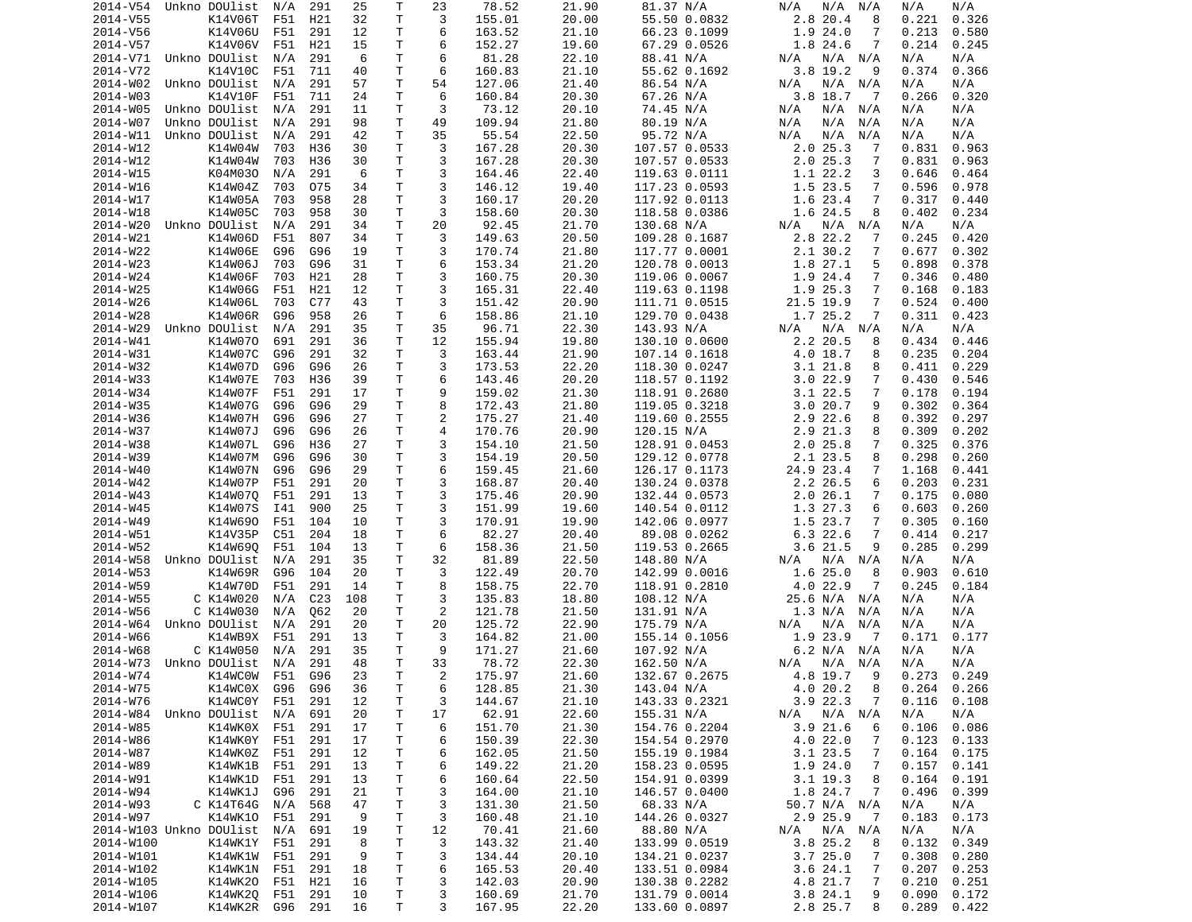| 2014-V54                | Unkno DOUlist      | N/A            | 291             | 25       | Τ            | 23                       | 78.52            | 21.90          | 81.37 N/A                      | N/A<br>N/A<br>N/A             | N/A<br>N/A                       |
|-------------------------|--------------------|----------------|-----------------|----------|--------------|--------------------------|------------------|----------------|--------------------------------|-------------------------------|----------------------------------|
| 2014-V55                | K14V06T            | F51            | H21             | 32       | Τ            | 3                        | 155.01           | 20.00          | 55.50 0.0832                   | 2.8 20.4<br>8                 | 0.326<br>0.221                   |
| 2014-V56                | K14V06U            | F51            | 291             | 12       | Τ            | 6                        | 163.52           | 21.10          | 66.23 0.1099                   | 1.924.0<br>7                  | 0.213<br>0.580                   |
| 2014-V57                | K14V06V            | F51            | H21             | 15       | т            | 6                        | 152.27           | 19.60          | 67.29 0.0526                   | 1.8 24.6<br>7                 | 0.214<br>0.245                   |
| 2014-V71                | Unkno DOUlist      | N/A            | 291             | 6        | T.           | 6                        | 81.28            | 22.10          | 88.41 N/A                      | N/A<br>N/A N/A                | N/A<br>N/A                       |
| 2014-V72                | K14V10C            | F51            | 711             | 40       | т            | 6                        | 160.83           | 21.10          | 55.62 0.1692                   | 3.8 19.2<br>9                 | 0.374<br>0.366                   |
| 2014-W02                | Unkno DOUlist      | N/A            | 291             | 57       | Τ            | 54                       | 127.06           | 21.40          | 86.54 N/A                      | $N/A$ $N/A$<br>N/A            | N/A<br>N/A                       |
| 2014-W03                | K14V10F            | F51            | 711             | 24       | Τ            | 6                        |                  | 20.30          |                                | 3.8 18.7                      | 0.320                            |
|                         |                    |                |                 |          |              |                          | 160.84           |                | 67.26 N/A                      | $\overline{7}$                | 0.266                            |
| 2014-W05                | Unkno DOUlist      | N/A            | 291             | 11       | T            | 3                        | 73.12            | 20.10          | 74.45 N/A                      | N/A<br>N/A<br>N/A             | N/A<br>N/A                       |
| 2014-W07                | Unkno DOUlist      | N/A            | 291             | 98       | Τ            | 49                       | 109.94           | 21.80          | 80.19 N/A                      | N/A<br>N/A<br>N/A             | N/A<br>N/A                       |
| 2014-W11                | Unkno DOUlist      | N/A            | 291             | 42       | T            | 35                       | 55.54            | 22.50          | 95.72 N/A                      | N/A<br>N/A<br>N/A             | N/A<br>N/A                       |
| 2014-W12                | K14W04W            | 703            | H36             | 30       | Τ            | 3                        | 167.28           | 20.30          | 107.57 0.0533                  | 2.025.3<br>7                  | 0.831<br>0.963                   |
| 2014-W12                | K14W04W            | 703            | H36             | 30       | Τ            | 3                        | 167.28           | 20.30          | 107.57 0.0533                  | 2.025.3<br>7                  | 0.831<br>0.963                   |
| 2014-W15                | K04M030            | N/A            | 291             | 6        | Τ            | 3                        | 164.46           | 22.40          | 119.63 0.0111                  | 1.1 22.2<br>3                 | 0.646<br>0.464                   |
| 2014-W16                | K14W04Z            | 703            | 075             | 34       | T            | 3                        | 146.12           | 19.40          | 117.23 0.0593                  | 1.5 23.5<br>7                 | 0.596<br>0.978                   |
| 2014-W17                | K14W05A            | 703            | 958             | 28       | T.           | 3                        | 160.17           | 20.20          | 117.92 0.0113                  | 1.6 23.4<br>7                 | 0.317<br>0.440                   |
| 2014-W18                | K14W05C            | 703            | 958             | 30       | Τ            | 3                        | 158.60           | 20.30          | 118.58 0.0386                  | 1.6 24.5<br>8                 | 0.234<br>0.402                   |
| 2014-W20                | Unkno DOUlist      | N/A            | 291             | 34       | T.           | 20                       | 92.45            | 21.70          | 130.68 N/A                     | N/A<br>N/A<br>N/A             | N/A<br>N/A                       |
| 2014-W21                | K14W06D            | F51            | 807             | 34       | T.           | 3                        | 149.63           | 20.50          | 109.28 0.1687                  | 2.8 22.2<br>7                 | 0.245<br>0.420                   |
|                         |                    |                |                 |          |              |                          |                  |                |                                |                               |                                  |
| 2014-W22                | K14W06E            | G96            | G96             | 19       | Τ            | 3                        | 170.74           | 21.80          | 117.77 0.0001                  | 2.1 30.2<br>7                 | 0.677<br>0.302                   |
| 2014-W23                | K14W06J            | 703            | G96             | 31       | Τ            | 6                        | 153.34           | 21.20          | 120.78 0.0013                  | 1.8 27.1<br>5                 | 0.898<br>0.378                   |
| 2014-W24                | K14W06F            | 703            | H21             | 28       | Τ            | 3                        | 160.75           | 20.30          | 119.06 0.0067                  | 1.9 24.4<br>7                 | 0.346<br>0.480                   |
| 2014-W25                | K14W06G            | F51            | H21             | 12       | Τ            | 3                        | 165.31           | 22.40          | 119.63 0.1198                  | 1.9 25.3<br>7                 | 0.168<br>0.183                   |
| 2014-W26                | K14W06L            | 703            | C77             | 43       | Τ            | 3                        | 151.42           | 20.90          | 111.71 0.0515                  | 21.5 19.9<br>7                | 0.524<br>0.400                   |
| 2014-W28                | K14W06R            | G96            | 958             | 26       | T.           | 6                        | 158.86           | 21.10          | 129.70 0.0438                  | 1.7 25.2<br>7                 | 0.311<br>0.423                   |
| 2014-W29                | Unkno DOUlist      | N/A            | 291             | 35       | Τ            | 35                       | 96.71            | 22.30          | 143.93 N/A                     | N/A N/A<br>N/A                | N/A<br>N/A                       |
| 2014-W41                | K14W070            | 691            | 291             | 36       | т            | 12                       | 155.94           | 19.80          | 130.10 0.0600                  | 2.2 20.5<br>8                 | 0.434<br>0.446                   |
| 2014-W31                | K14W07C            | G96            | 291             | 32       | Τ            | 3                        | 163.44           | 21.90          | 107.14 0.1618                  | 4.0 18.7<br>8                 | 0.235<br>0.204                   |
| 2014-W32                | K14W07D            | G96            | G96             | 26       | Τ            | 3                        | 173.53           | 22.20          | 118.30 0.0247                  | 3.121.8<br>8                  | 0.411<br>0.229                   |
|                         |                    |                |                 |          |              |                          |                  |                |                                |                               |                                  |
| 2014-W33                | K14W07E            | 703            | H36             | 39       | Τ            | 6                        | 143.46           | 20.20          | 118.57 0.1192                  | 3.022.9<br>7                  | 0.430<br>0.546                   |
| 2014-W34                | K14W07F            | F51            | 291             | 17       | Τ            | 9                        | 159.02           | 21.30          | 118.91 0.2680                  | 3.1 22.5<br>7                 | 0.178<br>0.194                   |
| 2014-W35                | K14W07G            | G96            | G96             | 29       | T.           | 8                        | 172.43           | 21.80          | 119.05 0.3218                  | 3.020.7<br>9                  | 0.302<br>0.364                   |
| 2014-W36                | K14W07H            | G96            | G96             | 27       | Τ            | 2                        | 175.27           | 21.40          | 119.60 0.2555                  | 2.9 22.6<br>8                 | 0.392<br>0.297                   |
| 2014-W37                | K14W07J            | G96            | G96             | 26       | Τ            | 4                        | 170.76           | 20.90          | 120.15 N/A                     | 2.9 21.3<br>8                 | 0.309<br>0.202                   |
| 2014-W38                | K14W07L            | G96            | H36             | 27       | Τ            | 3                        | 154.10           | 21.50          | 128.91 0.0453                  | 2.025.8<br>7                  | 0.325<br>0.376                   |
| 2014-W39                | K14W07M            | G96            | G96             | 30       | Τ            | 3                        | 154.19           | 20.50          | 129.12 0.0778                  | 2.1 23.5<br>8                 | 0.298<br>0.260                   |
| 2014-W40                | K14W07N            | G96            | G96             | 29       | Τ            | 6                        | 159.45           | 21.60          | 126.17 0.1173                  | 24.9 23.4<br>7                | 1.168<br>0.441                   |
| 2014-W42                | K14W07P            | F51            | 291             | 20       | Τ            | 3                        | 168.87           | 20.40          | 130.24 0.0378                  | 2.2 26.5<br>6                 | 0.203<br>0.231                   |
| 2014-W43                | K14W070            | F51            | 291             | 13       | т            | 3                        | 175.46           | 20.90          | 132.44 0.0573                  | 2.026.1<br>7                  | 0.175<br>0.080                   |
| 2014-W45                | K14W07S            | I41            | 900             | 25       | Τ            | 3                        | 151.99           | 19.60          |                                |                               | 0.603                            |
|                         |                    |                |                 |          |              |                          |                  |                | 140.54 0.0112                  | 1.3 27.3<br>6                 | 0.260                            |
| 2014-W49                | K14W690            | F51            | 104             | 10       | т            | 3                        | 170.91           | 19.90          | 142.06 0.0977                  | 1.5 23.7<br>7                 | 0.305<br>0.160                   |
| 2014-W51                | K14V35P            | C51            | 204             | 18       | T            | 6                        | 82.27            | 20.40          | 89.08 0.0262                   | 6.322.6<br>7                  | 0.414<br>0.217                   |
| 2014-W52                | K14W690            | F51            | 104             | 13       | Τ            | 6                        | 158.36           | 21.50          | 119.53 0.2665                  | 3.621.5<br>9                  | 0.285<br>0.299                   |
| 2014-W58                | Unkno DOUlist      | N/A            | 291             | 35       | Τ            | 32                       | 81.89            | 22.50          | 148.80 N/A                     | N/A<br>N/A<br>N/A             | N/A<br>N/A                       |
| 2014-W53                | K14W69R            | G96            | 104             | 20       | Τ            | 3                        | 122.49           | 20.70          | 142.99 0.0016                  | 1.6 25.0<br>8                 | 0.610<br>0.903                   |
| 2014-W59                | K14W70D            | F51            | 291             | 14       | Τ            | 8                        | 158.75           | 22.70          | 118.91 0.2810                  | 4.0 22.9<br>7                 | 0.245<br>0.184                   |
| 2014-W55                | C K14W020          | N/A            | C <sub>23</sub> | 108      | Τ            | 3                        | 135.83           | 18.80          | 108.12 N/A                     | 25.6 N/A N/A                  | N/A<br>N/A                       |
| 2014-W56                | C K14W030          | N/A            | Q62             | 20       | Τ            | 2                        | 121.78           | 21.50          | 131.91 N/A                     | 1.3 N/A<br>N/A                | N/A<br>N/A                       |
| 2014-W64                | Unkno DOUlist      | N/A            | 291             | 20       | Τ            | 20                       | 125.72           | 22.90          | 175.79 N/A                     | N/A<br>N/A<br>N/A             | N/A<br>N/A                       |
| 2014-W66                | K14WB9X            | F51            | 291             | 13       | Τ            | 3                        | 164.82           | 21.00          | 155.14 0.1056                  | 1.9 23.9<br>$\overline{7}$    | 0.171<br>0.177                   |
|                         |                    |                |                 |          |              |                          |                  |                |                                |                               |                                  |
| 2014-W68                | C K14W050          | N/A            | 291             | 35       | T            | 9                        | 171.27           | 21.60          | 107.92 N/A                     | 6.2 N/A N/A                   | N/A<br>N/A                       |
| 2014-W73                | Unkno DOUlist      | N/A            | 291             | 48       | T.           | 33                       | 78.72            | 22.30          | 162.50 N/A                     | N/A<br>N/A N/A                | N/A<br>N/A                       |
| 2014-W74                | K14WC0W            | F51            | G96             | 23       | $\mathsf{T}$ | $\overline{\phantom{a}}$ | 175.97           | 21.60          | 132.67 0.2675                  | 4.8 19.7<br>9                 | 0.273<br>0.249                   |
| 2014-W75                | K14WC0X G96        |                | G96             | 36       | Τ            | 6                        | 128.85           | 21.30          | 143.04 N/A                     | 4.020.2<br>8                  | $0.264$ $0.266$                  |
| 2014-W76                | K14WC0Y            | F51            | 291             | 12       | T            | 3                        | 144.67           | 21.10          | 143.33 0.2321                  | 3.9 22.3<br>7                 | 0.116<br>0.108                   |
| 2014-W84                | Unkno DOUlist      | N/A            | 691             | 20       | T            | 17                       | 62.91            | 22.60          | 155.31 N/A                     | N/A<br>$N/A$ $N/A$            | N/A<br>N/A                       |
| 2014-W85                | K14WK0X F51        |                | 291             | 17       | т            | 6                        | 151.70           | 21.30          | 154.76 0.2204                  | 3.9 21.6<br>6                 | 0.106<br>0.086                   |
| 2014-W86                | K14WK0Y F51        |                | 291             | 17       | T            | 6                        | 150.39           | 22.30          | 154.54 0.2970                  | 4.022.0<br>7                  | 0.123<br>0.133                   |
| 2014-W87                | K14WK0Z            | F51            | 291             | 12       | Τ            | 6                        | 162.05           | 21.50          | 155.19 0.1984                  | 3.1 23.5<br>7                 | 0.164<br>0.175                   |
|                         |                    |                |                 |          |              |                          |                  |                |                                |                               |                                  |
| 2014-W89                | K14WK1B            | F51            | 291             | 13       | T.           | 6                        | 149.22           | 21.20          | 158.23 0.0595                  | 1.9 24.0<br>$\overline{7}$    | 0.157<br>0.141                   |
| 2014-W91                | K14WK1D            | F51            | 291             | 13       | Τ            | 6                        | 160.64           | 22.50          | 154.91 0.0399                  | $3.1$ 19.3<br>8               | 0.164<br>0.191                   |
| 2014-W94                | K14WK1J            | G96            | 291             | 21       | Τ            | 3                        | 164.00           | 21.10          | 146.57 0.0400                  | 1.8 24.7<br>$\overline{7}$    | 0.496<br>0.399                   |
| 2014-W93                | C K14T64G          | N/A            | 568             | 47       | T            | 3                        | 131.30           | 21.50          | 68.33 N/A                      | 50.7 N/A N/A                  | N/A<br>N/A                       |
| 2014-W97                | K14WK10            | F51            | 291             | 9        | т            | 3                        | 160.48           | 21.10          | 144.26 0.0327                  | 2.9 25.9<br>$\overline{7}$    | 0.183<br>0.173                   |
| 2014-W103 Unkno DOUlist |                    | N/A            | 691             | 19       | т            | 12                       | 70.41            | 21.60          | 88.80 N/A                      | N/A N/A<br>N/A                | N/A<br>N/A                       |
| 2014-W100               | K14WK1Y            | F51            | 291             | 8        | T            | 3                        | 143.32           | 21.40          | 133.99 0.0519                  | 3.8 25.2<br>8                 | 0.132<br>0.349                   |
| 2014-W101               | K14WK1W            | F51            | 291             | 9        | Τ            | 3                        | 134.44           | 20.10          | 134.21 0.0237                  | 3.725.0<br>7                  | 0.308<br>0.280                   |
| 2014-W102               | K14WK1N            | F51            | 291             | 18       | T            | 6                        | 165.53           | 20.40          | 133.51 0.0984                  | 3.624.1<br>7                  | 0.207<br>0.253                   |
|                         |                    |                |                 |          |              |                          |                  |                |                                |                               |                                  |
| 2014-W105               | K14WK20            | F51            | H21             | 16       | Τ            | 3                        | 142.03           | 20.90          | 130.38 0.2282                  | 4.8 21.7<br>7                 | 0.210<br>0.251                   |
|                         |                    |                |                 |          |              |                          |                  |                |                                |                               |                                  |
| 2014-W106<br>2014-W107  | K14WK2Q<br>K14WK2R | F51<br>G96 291 | 291             | 10<br>16 | T<br>Τ       | 3<br>3                   | 160.69<br>167.95 | 21.70<br>22.20 | 131.79 0.0014<br>133.60 0.0897 | 3.824.1<br>9<br>2.8 25.7<br>8 | 0.090<br>0.172<br>0.289<br>0.422 |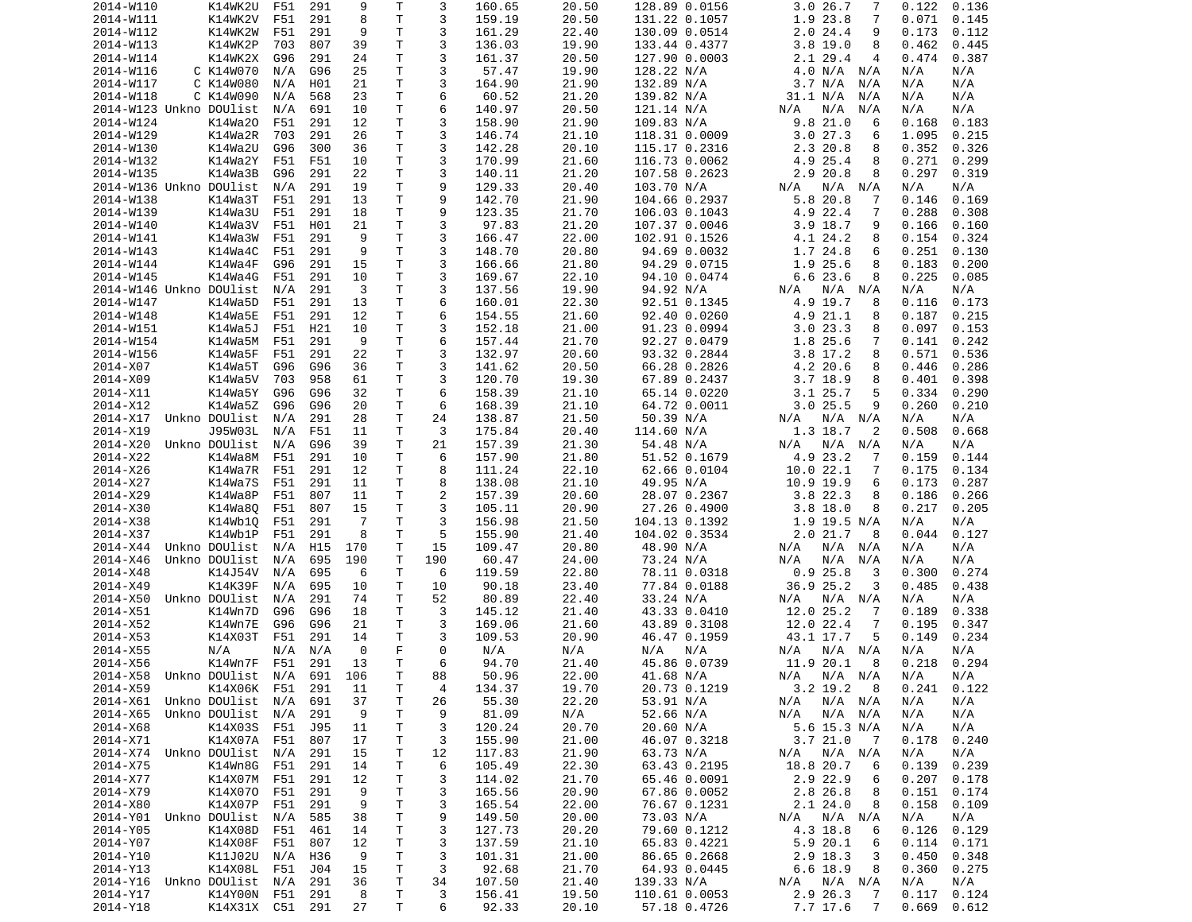| 2014-W110                  | K14WK2U                            | F51 | 291             | 9        | Т            | 3        | 160.65          | 20.50          | 128.89 0.0156                 | 3.026.7<br>7                                | 0.122<br>0.136                   |
|----------------------------|------------------------------------|-----|-----------------|----------|--------------|----------|-----------------|----------------|-------------------------------|---------------------------------------------|----------------------------------|
| 2014-W111                  | K14WK2V                            | F51 | 291             | 8        | Τ            | 3        | 159.19          | 20.50          | 131.22 0.1057                 | 1.9 23.8<br>7                               | 0.071<br>0.145                   |
| 2014-W112                  | K14WK2W                            | F51 | 291             | 9        | Τ            | 3        | 161.29          | 22.40          | 130.09 0.0514                 | 2.024.4<br>9                                | 0.173<br>0.112                   |
| 2014-W113                  | K14WK2P                            | 703 | 807             | 39       | Τ            | 3        | 136.03          | 19.90          | 133.44 0.4377                 | $3.8$ 19.0<br>8                             | 0.462<br>0.445                   |
| 2014-W114                  | K14WK2X                            |     | 291             | 24       | Τ            | 3        | 161.37          |                |                               | 4                                           | 0.387                            |
|                            |                                    | G96 |                 |          |              |          |                 | 20.50          | 127.90 0.0003                 | 2.1 29.4                                    | 0.474                            |
| 2014-W116                  | C K14W070                          | N/A | G96             | 25       | Τ            | 3        | 57.47           | 19.90          | 128.22 N/A                    | 4.0 N/A N/A                                 | N/A<br>N/A                       |
| 2014-W117                  | C K14W080                          | N/A | H01             | 21       | Τ            | 3        | 164.90          | 21.90          | 132.89 N/A                    | 3.7 N/A<br>N/A                              | N/A<br>N/A                       |
| 2014-W118                  | C K14W090                          | N/A | 568             | 23       | Τ            | 6        | 60.52           | 21.20          | 139.82 N/A                    | 31.1 N/A<br>N/A                             | N/A<br>N/A                       |
| 2014-W123 Unkno DOUlist    |                                    | N/A | 691             | 10       | Τ            | 6        | 140.97          | 20.50          | 121.14 N/A                    | N/A<br>N/A<br>N/A                           | N/A<br>N/A                       |
| 2014-W124                  | K14Wa20                            | F51 | 291             | 12       | Τ            | 3        | 158.90          | 21.90          | 109.83 N/A                    | 9.8 21.0<br>6                               | 0.183<br>0.168                   |
| 2014-W129                  | K14Wa2R                            | 703 | 291             | 26       | Τ            | 3        | 146.74          | 21.10          | 118.31 0.0009                 | 3.027.3<br>6                                | 1.095<br>0.215                   |
|                            |                                    |     |                 |          |              |          |                 |                |                               |                                             |                                  |
| 2014-W130                  | K14Wa2U                            | G96 | 300             | 36       | Τ            | 3        | 142.28          | 20.10          | 115.17 0.2316                 | 2.3 20.8<br>8                               | 0.352<br>0.326                   |
| 2014-W132                  | K14Wa2Y                            | F51 | F51             | 10       | T.           | 3        | 170.99          | 21.60          | 116.73 0.0062                 | 4.9 25.4<br>8                               | 0.271<br>0.299                   |
| 2014-W135                  | K14Wa3B                            | G96 | 291             | 22       | Τ            | 3        | 140.11          | 21.20          | 107.58 0.2623                 | 2.9 20.8<br>8                               | 0.297<br>0.319                   |
| 2014-W136 Unkno DOUlist    |                                    | N/A | 291             | 19       | Τ            | 9        | 129.33          | 20.40          | 103.70 N/A                    | $N/A$ $N/A$<br>N/A                          | N/A<br>N/A                       |
| 2014-W138                  | K14Wa3T                            | F51 | 291             | 13       | T.           | 9        | 142.70          | 21.90          | 104.66 0.2937                 | 5.8 20.8<br>7                               | 0.146<br>0.169                   |
| 2014-W139                  | K14Wa3U                            | F51 | 291             | 18       | Τ            | 9        | 123.35          | 21.70          | 106.03 0.1043                 | 4.9 22.4<br>7                               | 0.288<br>0.308                   |
| 2014-W140                  |                                    | F51 |                 | 21       | T.           | 3        | 97.83           | 21.20          |                               | 3.9 18.7<br>9                               |                                  |
|                            | K14Wa3V                            |     | H01             |          |              |          |                 |                | 107.37 0.0046                 |                                             | 0.166<br>0.160                   |
| 2014-W141                  | K14Wa3W                            | F51 | 291             | 9        | T.           | 3        | 166.47          | 22.00          | 102.91 0.1526                 | 4.1 24.2<br>8                               | 0.154<br>0.324                   |
| 2014-W143                  | K14Wa4C                            | F51 | 291             | 9        | Τ            | 3        | 148.70          | 20.80          | 94.69 0.0032                  | 1.7 24.8<br>6                               | 0.251<br>0.130                   |
| 2014-W144                  | K14Wa4F                            | G96 | 291             | 15       | Τ            | 3        | 166.66          | 21.80          | 94.29 0.0715                  | 1.9 25.6<br>8                               | 0.183<br>0.200                   |
| 2014-W145                  | K14Wa4G                            | F51 | 291             | 10       | Τ            | 3        | 169.67          | 22.10          | 94.10 0.0474                  | 6.623.6<br>8                                | 0.225<br>0.085                   |
| 2014-W146 Unkno DOUlist    |                                    | N/A | 291             | 3        | T.           | 3        | 137.56          | 19.90          | 94.92 N/A                     | N/A<br>N/A<br>N/A                           | N/A<br>N/A                       |
| 2014-W147                  | K14Wa5D                            | F51 | 291             | 13       | Τ            | 6        | 160.01          | 22.30          | 92.51 0.1345                  | 4.9 19.7<br>8                               | 0.116<br>0.173                   |
|                            |                                    |     |                 |          |              |          |                 |                |                               |                                             |                                  |
| 2014-W148                  | K14Wa5E                            | F51 | 291             | 12       | Τ            | 6        | 154.55          | 21.60          | 92.40 0.0260                  | 4.9 21.1<br>8                               | 0.187<br>0.215                   |
| 2014-W151                  | K14Wa5J                            | F51 | H21             | 10       | Τ            | 3        | 152.18          | 21.00          | 91.23 0.0994                  | 3.023.3<br>8                                | 0.097<br>0.153                   |
| 2014-W154                  | K14Wa5M                            | F51 | 291             | 9        | Τ            | 6        | 157.44          | 21.70          | 92.27 0.0479                  | 1.8 25.6<br>7                               | 0.141<br>0.242                   |
| 2014-W156                  | K14Wa5F                            | F51 | 291             | 22       | Τ            | 3        | 132.97          | 20.60          | 93.32 0.2844                  | 3.8 17.2<br>8                               | 0.571<br>0.536                   |
| 2014-X07                   | K14Wa5T                            | G96 | G96             | 36       | Τ            | 3        | 141.62          | 20.50          | 66.28 0.2826                  | 4.2 20.6<br>8                               | 0.446<br>0.286                   |
| 2014-X09                   | K14Wa5V                            | 703 | 958             | 61       | Τ            | 3        | 120.70          | 19.30          | 67.89 0.2437                  | $3.7$ 18.9<br>8                             | 0.398<br>0.401                   |
|                            |                                    |     |                 | 32       | Τ            | 6        |                 | 21.10          |                               |                                             |                                  |
| 2014-X11                   | K14Wa5Y                            | G96 | G96             |          |              |          | 158.39          |                | 65.14 0.0220                  | 3.1 25.7<br>5                               | 0.334<br>0.290                   |
| 2014-X12                   | K14Wa5Z                            | G96 | G96             | 20       | Τ            | 6        | 168.39          | 21.10          | 64.72 0.0011                  | 3.025.5<br>9                                | 0.260<br>0.210                   |
| 2014-X17                   | Unkno DOUlist                      | N/A | 291             | 28       | Τ            | 24       | 138.87          | 21.50          | 50.39 N/A                     | N/A N/A<br>N/A                              | N/A<br>N/A                       |
| 2014-X19                   | J95W03L                            | N/A | F51             | 11       | Τ            | 3        | 175.84          | 20.40          | 114.60 N/A                    | 1.3 18.7<br>2                               | 0.508<br>0.668                   |
| 2014-X20                   | Unkno DOUlist                      | N/A | G96             | 39       | Τ            | 21       | 157.39          | 21.30          | 54.48 N/A                     | $N/A$ $N/A$<br>N/A                          | N/A<br>N/A                       |
| 2014-X22                   | K14Wa8M                            | F51 | 291             | 10       | Τ            | 6        | 157.90          | 21.80          | 51.52 0.1679                  | 4.9 23.2<br>7                               | 0.159<br>0.144                   |
| 2014-X26                   | K14Wa7R                            | F51 | 291             | 12       | Τ            | 8        | 111.24          | 22.10          | 62.66 0.0104                  | 10.022.1<br>7                               | 0.175<br>0.134                   |
|                            |                                    |     |                 |          | Τ            |          |                 |                |                               |                                             |                                  |
| 2014-X27                   | K14Wa7S                            | F51 | 291             | 11       |              | 8        | 138.08          | 21.10          | 49.95 N/A                     | 10.9 19.9<br>6                              | 0.173<br>0.287                   |
| 2014-X29                   | K14Wa8P                            | F51 | 807             | 11       | Τ            | 2        | 157.39          | 20.60          | 28.07 0.2367                  | 3.822.3<br>8                                | 0.186<br>0.266                   |
| 2014-X30                   | K14Wa8Q                            | F51 | 807             | 15       | Τ            | 3        | 105.11          | 20.90          | 27.26 0.4900                  | $3.8$ 18.0<br>8                             | 0.217<br>0.205                   |
| 2014-X38                   | K14Wb10                            | F51 | 291             | -7       | Τ            | 3        | 156.98          | 21.50          | 104.13 0.1392                 | 1.9 19.5 N/A                                | N/A<br>N/A                       |
| 2014-X37                   | K14Wb1P                            | F51 | 291             | 8        | T            | 5        | 155.90          | 21.40          | 104.02 0.3534                 | 2.021.7<br>8                                | 0.044<br>0.127                   |
| 2014-X44                   | Unkno DOUlist                      | N/A | H <sub>15</sub> | 170      | Τ            | 15       | 109.47          | 20.80          | 48.90 N/A                     | N/A<br>N/A N/A                              | N/A<br>N/A                       |
| 2014-X46                   | Unkno DOUlist                      | N/A | 695             | 190      | T            | 190      | 60.47           | 24.00          | 73.24 N/A                     | N/A<br>N/A<br>N/A                           | N/A<br>N/A                       |
|                            |                                    |     |                 |          |              |          |                 |                |                               |                                             |                                  |
| 2014-X48                   | K14J54V                            | N/A | 695             | 6        | T            | 6        | 119.59          | 22.80          | 78.11 0.0318                  | 0.925.8<br>3                                | 0.274<br>0.300                   |
| 2014-X49                   | K14K39F                            | N/A | 695             | 10       | Τ            | 10       | 90.18           | 23.40          | 77.84 0.0188                  | 36.9 25.2<br>3                              | 0.485<br>0.438                   |
| 2014-X50                   | Unkno DOUlist                      | N/A | 291             | 74       | Τ            | 52       | 80.89           | 22.40          | 33.24 N/A                     | N/A N/A<br>N/A                              | N/A<br>N/A                       |
| 2014-X51                   | K14Wn7D                            | G96 | G96             | 18       | T.           | 3        | 145.12          | 21.40          | 43.33 0.0410                  | 12.0 25.2<br>7                              | 0.189<br>0.338                   |
| 2014-X52                   | K14Wn7E                            | G96 | G96             | 21       | T.           | 3        | 169.06          | 21.60          | 43.89 0.3108                  | 12.0 22.4<br>7                              | 0.195<br>0.347                   |
| 2014-X53                   | K14X03T                            | F51 | 291             | 14       | т            | 3        | 109.53          | 20.90          | 46.47 0.1959                  | 43.1 17.7<br>5                              | 0.149<br>0.234                   |
|                            |                                    |     |                 | $\Theta$ | F            | $\Theta$ |                 |                |                               |                                             |                                  |
| 2014-X55                   | N/A                                | N/A | N/A             |          |              |          | N/A             | N/A            | N/A<br>N/A                    | N/A<br>N/A N/A                              | N/A<br>N/A                       |
| 2014-X56                   | K14Wn7F                            | F51 | 291             | 13       | T.           | 6        | 94.70           | 21.40          | 45.86 0.0739                  | 11.9 20.1<br>8                              | 0.218<br>0.294                   |
| 2014-X58 Unkno DOUlist     |                                    | N/A | 691             | 106      | $\mathsf{T}$ | 88       | 50.96           | 22.00          | 41.68 N/A                     | N/A N/A<br>N/A                              | N/A<br>N/A                       |
| 2014-X59                   | K14X06K F51 291                    |     |                 | 11       | T            | 4        | 134.37          | 19.70          | 20.73 0.1219                  | $3.2$ 19.2 8                                | $0.241$ $0.122$                  |
| 2014-X61 Unkno DOUlist N/A |                                    |     | 691             | 37       | T            | 26       | 55.30           | 22.20          | 53.91 N/A                     | $N/A$ $N/A$<br>N/A                          | N/A<br>N/A                       |
| 2014-X65                   | Unkno DOUlist                      | N/A | 291             | 9        | T            | 9        | 81.09           | N/A            | 52.66 N/A                     | N/A<br>$N/A$ $N/A$                          | N/A<br>N/A                       |
| 2014-X68                   | K14X03S F51                        |     | J95             | 11       | Τ            | 3        | 120.24          | 20.70          | 20.60 N/A                     | 5.6 15.3 N/A                                | N/A<br>N/A                       |
|                            |                                    |     |                 |          |              |          |                 |                |                               |                                             |                                  |
| 2014-X71                   | K14X07A F51                        |     | 807             | 17       | T            | 3        | 155.90          | 21.00          | 46.07 0.3218                  | 3.721.0<br>$\overline{7}$                   | 0.178<br>0.240                   |
| 2014-X74 Unkno DOUlist N/A |                                    |     | 291             | 15       | Τ            | 12       | 117.83          | 21.90          | 63.73 N/A                     | N/A N/A<br>N/A                              | N/A<br>N/A                       |
| 2014-X75                   | K14Wn8G                            | F51 | 291             | 14       | T            | 6        | 105.49          | 22.30          | 63.43 0.2195                  | 18.8 20.7<br>6                              | 0.139<br>0.239                   |
| 2014-X77                   |                                    |     |                 |          |              | 3        | 114.02          | 21.70          | 65.46 0.0091                  | 2.9 22.9<br>6                               | 0.207<br>0.178                   |
|                            | K14X07M                            | F51 | 291             | 12       | Τ            |          |                 |                |                               |                                             |                                  |
|                            |                                    |     |                 |          |              |          |                 |                |                               |                                             |                                  |
| 2014-X79                   | K14X070 F51                        |     | 291             | 9        | T            | 3        | 165.56          | 20.90          | 67.86 0.0052                  | 2.8 26.8<br>8                               | 0.151<br>0.174                   |
| 2014-X80                   | K14X07P                            | F51 | 291             | 9        | T            | 3        | 165.54          | 22.00          | 76.67 0.1231                  | 2.124.0<br>8                                | 0.158<br>0.109                   |
| 2014-Y01 Unkno DOUlist N/A |                                    |     | 585             | 38       | Τ            | 9        | 149.50          | 20.00          | 73.03 N/A                     | N/A<br>N/A N/A                              | N/A<br>N/A                       |
| 2014-Y05                   | K14X08D                            | F51 | 461             | 14       | T            | 3        | 127.73          | 20.20          | 79.60 0.1212                  | 4.3 18.8<br>6                               | 0.126<br>0.129                   |
| 2014-Y07                   | K14X08F                            | F51 | 807             | 12       | T            | 3        | 137.59          | 21.10          | 65.83 0.4221                  | 5.9 20.1<br>6                               | 0.114<br>0.171                   |
| 2014-Y10                   | K11J02U N/A                        |     | H36             | 9        | T.           | 3        | 101.31          | 21.00          | 86.65 0.2668                  | 2.9 18.3<br>3                               | 0.450<br>0.348                   |
|                            | K14X08L F51                        |     | J04             | 15       |              |          |                 |                |                               | 8                                           |                                  |
| 2014-Y13                   |                                    |     |                 |          | Τ            | 3        | 92.68           | 21.70          | 64.93 0.0445                  | 6.6 18.9                                    | 0.360<br>0.275                   |
| 2014-Y16 Unkno DOUlist N/A |                                    |     | 291             | 36       | T            | 34       | 107.50          | 21.40          | 139.33 N/A                    | N/A N/A<br>N/A                              | N/A<br>N/A                       |
| 2014-Y17<br>2014-Y18       | K14Y00N F51 291<br>K14X31X C51 291 |     |                 | 8<br>27  | T.<br>T      | 3<br>6   | 156.41<br>92.33 | 19.50<br>20.10 | 110.61 0.0053<br>57.18 0.4726 | 2.9 26.3<br>7<br>7.7 17.6<br>$\overline{7}$ | 0.117<br>0.124<br>0.669<br>0.612 |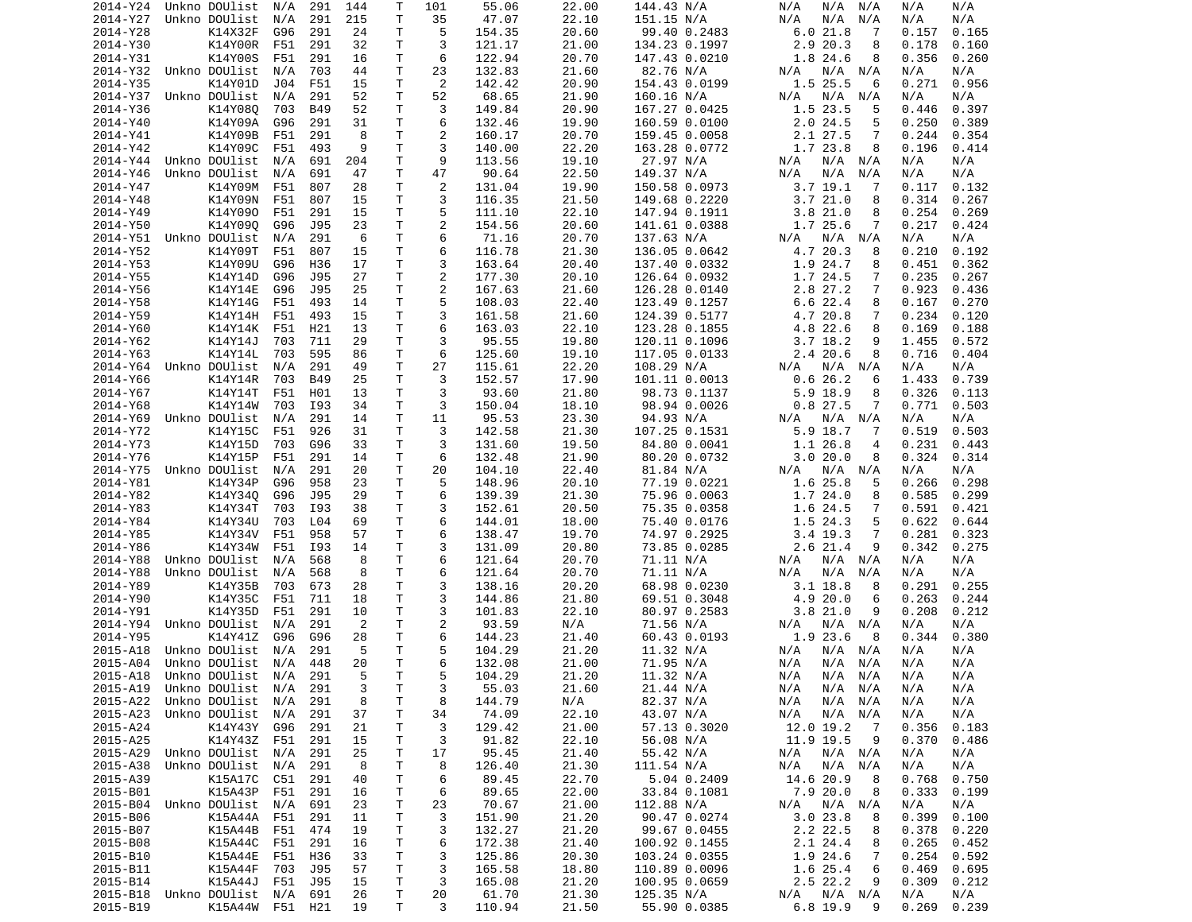| 2014-Y24 | Unkno DOUlist                  | N/A | 291        | 144 | Τ            | 101            | 55.06  | 22.00 | 144.43 N/A    | N/A<br>N/A N/A              | N/A<br>N/A     |
|----------|--------------------------------|-----|------------|-----|--------------|----------------|--------|-------|---------------|-----------------------------|----------------|
| 2014-Y27 | Unkno DOUlist                  | N/A | 291        | 215 | Τ            | 35             | 47.07  | 22.10 | 151.15 N/A    | N/A<br>N/A<br>N/A           | N/A<br>N/A     |
| 2014-Y28 | K14X32F                        | G96 | 291        | 24  | Τ            | 5              | 154.35 | 20.60 | 99.40 0.2483  | 6.021.8<br>-7               | 0.157<br>0.165 |
| 2014-Y30 | K14Y00R                        | F51 | 291        | 32  | Τ            | 3              | 121.17 | 21.00 | 134.23 0.1997 | 2.9 20.3<br>8               | 0.178<br>0.160 |
| 2014-Y31 | K14Y00S                        | F51 | 291        | 16  | т            | 6              | 122.94 | 20.70 | 147.43 0.0210 | 1.8 24.6<br>8               | 0.356<br>0.260 |
| 2014-Y32 | Unkno DOUlist                  | N/A | 703        | 44  | T            | 23             | 132.83 | 21.60 | 82.76 N/A     | N/A<br>N/A<br>N/A           | N/A<br>N/A     |
| 2014-Y35 | K14Y01D                        | J04 | F51        | 15  | Τ            | 2              | 142.42 | 20.90 | 154.43 0.0199 | 1.5 25.5<br>6               | 0.956<br>0.271 |
| 2014-Y37 | Unkno DOUlist                  | N/A | 291        | 52  | т            | 52             | 68.65  | 21.90 | 160.16 N/A    | N/A<br>N/A<br>N/A           | N/A<br>N/A     |
| 2014-Y36 | K14Y080                        | 703 | <b>B49</b> | 52  | Τ            | 3              | 149.84 | 20.90 | 167.27 0.0425 | 1.5 23.5<br>5               | 0.446<br>0.397 |
| 2014-Y40 | K14Y09A                        | G96 | 291        | 31  | Τ            | 6              | 132.46 | 19.90 | 160.59 0.0100 | 2.024.5<br>5                | 0.250<br>0.389 |
| 2014-Y41 | K14Y09B                        | F51 | 291        | 8   | Τ            | 2              | 160.17 | 20.70 | 159.45 0.0058 | 2.1 27.5<br>7               | 0.244<br>0.354 |
| 2014-Y42 | K14Y09C                        | F51 | 493        | 9   | Τ            | 3              | 140.00 | 22.20 | 163.28 0.0772 | 1.7 23.8<br>8               | 0.196<br>0.414 |
| 2014-Y44 | Unkno DOUlist                  | N/A | 691        | 204 | Τ            | 9              | 113.56 | 19.10 | 27.97 N/A     | N/A<br>N/A N/A              | N/A<br>N/A     |
| 2014-Y46 | Unkno DOUlist                  | N/A | 691        | 47  | Τ            | 47             | 90.64  | 22.50 | 149.37 N/A    | N/A<br>N/A<br>N/A           | N/A<br>N/A     |
| 2014-Y47 | K14Y09M                        | F51 | 807        | 28  | т            | 2              | 131.04 | 19.90 | 150.58 0.0973 | $3.7$ 19.1<br>7             | 0.117<br>0.132 |
| 2014-Y48 | K14Y09N                        | F51 | 807        | 15  | т            | 3              | 116.35 | 21.50 | 149.68 0.2220 | 3.721.0<br>8                | 0.314<br>0.267 |
| 2014-Y49 | K14Y090                        | F51 | 291        | 15  | Τ            | 5              | 111.10 | 22.10 | 147.94 0.1911 | 3.821.0<br>8                | 0.254<br>0.269 |
| 2014-Y50 | K14Y090                        | G96 | J95        | 23  | Τ            | 2              | 154.56 | 20.60 | 141.61 0.0388 | 1.7 25.6<br>7               | 0.217<br>0.424 |
| 2014-Y51 | Unkno DOUlist                  | N/A | 291        | 6   | Τ            | 6              | 71.16  | 20.70 | 137.63 N/A    | N/A N/A<br>N/A              | N/A<br>N/A     |
| 2014-Y52 | K14Y09T                        | F51 | 807        | 15  | Τ            | 6              | 116.78 | 21.30 | 136.05 0.0642 | 4.7 20.3<br>8               | 0.210<br>0.192 |
| 2014-Y53 | K14Y09U                        | G96 | H36        | 17  | Τ            | 3              | 163.64 | 20.40 | 137.40 0.0332 | 1.9 24.7<br>8               | 0.451<br>0.362 |
| 2014-Y55 | K14Y14D                        | G96 | J95        | 27  | Τ            | 2              | 177.30 | 20.10 | 126.64 0.0932 | 1.7 24.5<br>7               | 0.235<br>0.267 |
| 2014-Y56 | K14Y14E                        | G96 | J95        | 25  | T            | 2              | 167.63 | 21.60 | 126.28 0.0140 | 2.8 27.2<br>7               | 0.923<br>0.436 |
| 2014-Y58 | K14Y14G                        | F51 | 493        | 14  | Τ            | 5              | 108.03 | 22.40 | 123.49 0.1257 | 6.6 22.4<br>8               | 0.167<br>0.270 |
| 2014-Y59 | K14Y14H                        | F51 | 493        | 15  | T.           | 3              | 161.58 | 21.60 | 124.39 0.5177 | 4.7 20.8<br>7               | 0.234<br>0.120 |
| 2014-Y60 | K14Y14K                        | F51 | H21        | 13  | Τ            | 6              | 163.03 | 22.10 | 123.28 0.1855 | 4.8 22.6<br>8               | 0.169<br>0.188 |
| 2014-Y62 | K14Y14J                        | 703 | 711        | 29  | T            | 3              | 95.55  | 19.80 | 120.11 0.1096 | 3.7 18.2<br>9               | 1.455<br>0.572 |
| 2014-Y63 | K14Y14L                        | 703 | 595        | 86  | т            | 6              | 125.60 | 19.10 | 117.05 0.0133 | 2.420.6<br>8                | 0.716<br>0.404 |
| 2014-Y64 | Unkno DOUlist                  | N/A | 291        | 49  | т            | 27             | 115.61 | 22.20 | 108.29 N/A    | $N/A$ $N/A$<br>N/A          | N/A<br>N/A     |
| 2014-Y66 | K14Y14R                        | 703 | B49        | 25  | Τ            | 3              | 152.57 | 17.90 | 101.11 0.0013 | 0.626.2<br>6                | 0.739<br>1.433 |
| 2014-Y67 | K14Y14T                        | F51 | H01        | 13  | Τ            | 3              | 93.60  | 21.80 | 98.73 0.1137  | 5.9 18.9<br>8               | 0.326<br>0.113 |
| 2014-Y68 | K14Y14W                        | 703 | I93        | 34  | T            | 3              | 150.04 | 18.10 | 98.94 0.0026  | 0.827.5<br>7                | 0.771<br>0.503 |
| 2014-Y69 | Unkno DOUlist                  | N/A | 291        | 14  | Τ            | 11             | 95.53  | 23.30 | 94.93 N/A     | N/A N/A<br>N/A              | N/A<br>N/A     |
| 2014-Y72 | K14Y15C                        | F51 | 926        | 31  | T.           | 3              | 142.58 | 21.30 | 107.25 0.1531 | 5.9 18.7<br>7               | 0.519<br>0.503 |
| 2014-Y73 | K14Y15D                        | 703 | G96        | 33  | т            | 3              | 131.60 | 19.50 | 84.80 0.0041  | 1.1 26.8<br>4               | 0.231<br>0.443 |
| 2014-Y76 | K14Y15P                        | F51 | 291        | 14  | Τ            | 6              | 132.48 | 21.90 | 80.20 0.0732  | 3.020.0<br>8                | 0.324<br>0.314 |
| 2014-Y75 | Unkno DOUlist                  | N/A | 291        | 20  | Τ            | 20             | 104.10 | 22.40 | 81.84 N/A     | N/A N/A<br>N/A              | N/A<br>N/A     |
| 2014-Y81 | K14Y34P                        | G96 | 958        | 23  | т            | 5              | 148.96 | 20.10 | 77.19 0.0221  | 1.6 25.8<br>5               | 0.266<br>0.298 |
| 2014-Y82 | K14Y340                        | G96 | J95        | 29  | Τ            | 6              | 139.39 | 21.30 | 75.96 0.0063  | 1.724.0<br>8                | 0.585<br>0.299 |
| 2014-Y83 | K14Y34T                        | 703 | I93        | 38  | Τ            | 3              | 152.61 | 20.50 | 75.35 0.0358  | 1.6 24.5<br>7               | 0.591<br>0.421 |
| 2014-Y84 | K14Y34U                        | 703 | L04        | 69  | T.           | 6              | 144.01 | 18.00 | 75.40 0.0176  | 5<br>1.5 24.3               | 0.622<br>0.644 |
| 2014-Y85 | K14Y34V                        | F51 | 958        | 57  | Τ            | 6              | 138.47 | 19.70 | 74.97 0.2925  | 3.4 19.3<br>7               | 0.281<br>0.323 |
| 2014-Y86 | K14Y34W                        | F51 | I93        | 14  | Τ            | 3              | 131.09 | 20.80 | 73.85 0.0285  | $2.6$ 21.4<br>9             | 0.342<br>0.275 |
| 2014-Y88 | Unkno DOUlist                  | N/A | 568        | 8   | T.           | 6              | 121.64 | 20.70 | 71.11 N/A     | N/A N/A<br>N/A              | N/A<br>N/A     |
| 2014-Y88 | Unkno DOUlist                  | N/A | 568        | 8   | Τ            | 6              | 121.64 | 20.70 | 71.11 N/A     | N/A<br>N/A<br>N/A           | N/A<br>N/A     |
| 2014-Y89 | K14Y35B                        | 703 | 673        | 28  | Τ            | 3              | 138.16 | 20.20 | 68.98 0.0230  | 3.1 18.8<br>8               | 0.291<br>0.255 |
| 2014-Y90 | K14Y35C                        | F51 | 711        | 18  | Τ            | 3              | 144.86 | 21.80 | 69.51 0.3048  | 4.9 20.0<br>6               | 0.263<br>0.244 |
| 2014-Y91 | K14Y35D                        | F51 | 291        | 10  | Τ            | 3              | 101.83 | 22.10 | 80.97 0.2583  | 3.8 21.0<br>9               | 0.208<br>0.212 |
| 2014-Y94 | Unkno DOUlist                  | N/A | 291        | 2   | т            | $\overline{c}$ | 93.59  | N/A   | 71.56 N/A     | N/A N/A<br>N/A              | N/A<br>N/A     |
| 2014-Y95 | K14Y41Z                        | G96 | G96        | 28  | т            | 6              | 144.23 | 21.40 | 60.43 0.0193  | 1.9 23.6<br>8               | 0.344<br>0.380 |
| 2015-A18 | Unkno DOUlist                  | N/A | 291        | 5   | $\mathsf{T}$ | 5              | 104.29 | 21.20 | 11.32 N/A     | N/A<br>N/A N/A              | N/A<br>N/A     |
| 2015-A04 | Unkno DOUlist                  | N/A | 448        | 20  | T.           | 6              | 132.08 | 21.00 | 71.95 N/A     | N/A<br>N/A N/A              | N/A<br>N/A     |
|          | 2015-A18 Unkno DOUlist N/A 291 |     |            | 5   | T.           | 5              | 104.29 | 21.20 | 11.32 N/A     | N/A<br>N/A N/A              | N/A<br>N/A     |
|          | 2015-A19 Unkno DOUlist N/A 291 |     |            | 3   | Τ            | 3              | 55.03  | 21.60 | 21.44 N/A     | N/A N/A<br>N/A              | N/A<br>N/A     |
| 2015-A22 | Unkno DOUlist                  | N/A | 291        | 8   | $\mathsf T$  | 8              | 144.79 | N/A   | 82.37 N/A     | N/A<br>$N/A$ $N/A$          | N/A<br>N/A     |
| 2015-A23 | Unkno DOUlist                  | N/A | 291        | 37  | Τ            | 34             | 74.09  | 22.10 | 43.07 N/A     | N/A<br>N/A N/A              | N/A<br>N/A     |
| 2015-A24 | K14Y43Y G96                    |     | 291        | 21  | Τ            | 3              | 129.42 | 21.00 | 57.13 0.3020  | 12.0 19.2<br>$\overline{7}$ | 0.356<br>0.183 |
| 2015-A25 | K14Y43Z F51                    |     | 291        | 15  | Τ            | 3              | 91.82  | 22.10 | 56.08 N/A     | 11.9 19.5<br>9              | 0.370<br>0.486 |
| 2015-A29 | Unkno DOUlist N/A              |     | 291        | 25  | т            | 17             | 95.45  | 21.40 | 55.42 N/A     | N/A<br>N/A N/A              | N/A<br>N/A     |
| 2015-A38 | Unkno DOUlist                  | N/A | 291        | 8   | Τ            | 8              | 126.40 | 21.30 | 111.54 N/A    | N/A<br>N/A N/A              | N/A<br>N/A     |
| 2015-A39 | K15A17C                        | C51 | 291        | 40  | T            | 6              | 89.45  | 22.70 | 5.04 0.2409   | 14.6 20.9<br>8              | 0.768<br>0.750 |
| 2015-B01 | K15A43P                        | F51 | 291        | 16  | Τ            | 6              | 89.65  | 22.00 | 33.84 0.1081  | 7.9 20.0<br>8               | 0.333<br>0.199 |
| 2015-B04 | Unkno DOUlist                  | N/A | 691        | 23  | Τ            | 23             | 70.67  | 21.00 | 112.88 N/A    | N/A N/A<br>N/A              | N/A<br>N/A     |
| 2015-B06 | K15A44A                        | F51 | 291        | 11  | Τ            | 3              | 151.90 | 21.20 | 90.47 0.0274  | 3.023.8<br>8                | 0.399<br>0.100 |
| 2015-B07 | K15A44B                        | F51 | 474        | 19  | Τ            | 3              | 132.27 | 21.20 | 99.67 0.0455  | 2.2 22.5<br>8               | 0.378<br>0.220 |
| 2015-B08 | K15A44C                        | F51 | 291        | 16  | Τ            | 6              | 172.38 | 21.40 | 100.92 0.1455 | 2.1 24.4<br>8               | 0.265<br>0.452 |
| 2015-B10 | K15A44E                        | F51 | H36        | 33  | T            | 3              | 125.86 | 20.30 | 103.24 0.0355 | 1.9 24.6<br>7               | 0.254<br>0.592 |
| 2015-B11 | K15A44F                        | 703 | J95        | 57  | Τ            | 3              | 165.58 | 18.80 | 110.89 0.0096 | 1.6 25.4<br>6               | 0.469<br>0.695 |
| 2015-B14 | K15A44J                        | F51 | J95        | 15  | T            | 3              | 165.08 | 21.20 | 100.95 0.0659 | 2.5 22.2<br>9               | 0.309<br>0.212 |
| 2015-B18 | Unkno DOUlist                  | N/A | 691        | 26  | T.           | 20             | 61.70  | 21.30 | 125.35 N/A    | N/A N/A<br>N/A              | N/A<br>N/A     |
| 2015-B19 | K15A44W F51 H21                |     |            | 19  | T            | 3              | 110.94 | 21.50 | 55.90 0.0385  | $6.8$ 19.9<br>- 9           | 0.269<br>0.239 |
|          |                                |     |            |     |              |                |        |       |               |                             |                |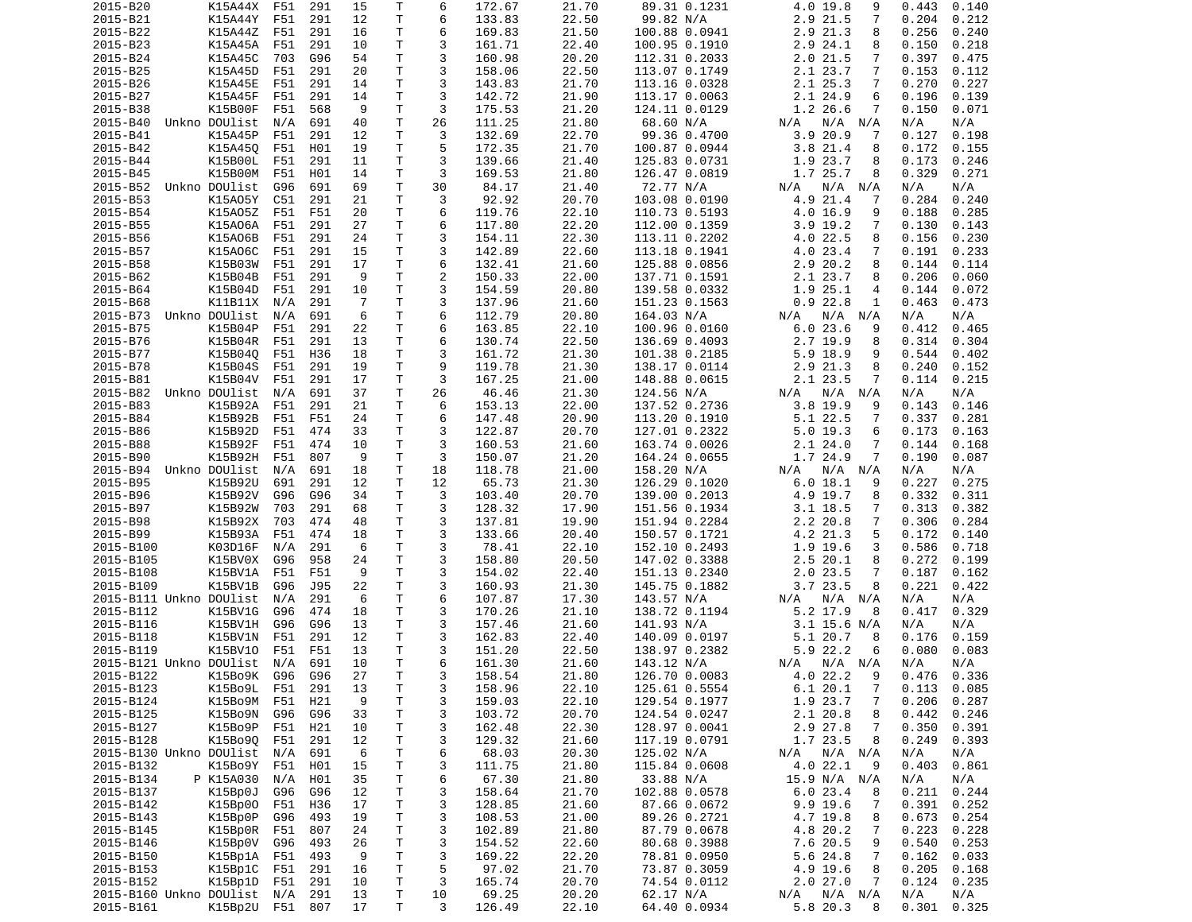| 2015-B20                             | K15A44X         | F51 | 291 | 15 | Т            | 6              | 172.67          | 21.70          | 89.31 0.1231              | 4.0 19.8<br>9                       | 0.443<br>0.140  |
|--------------------------------------|-----------------|-----|-----|----|--------------|----------------|-----------------|----------------|---------------------------|-------------------------------------|-----------------|
| 2015-B21                             | K15A44Y         | F51 | 291 | 12 | Τ            | 6              | 133.83          | 22.50          | 99.82 N/A                 | 2.9 21.5<br>7                       | 0.204<br>0.212  |
| 2015-B22                             | K15A44Z F51     |     | 291 | 16 | т            | 6              | 169.83          | 21.50          | 100.88 0.0941             | 2.9 21.3<br>8                       | 0.256<br>0.240  |
| 2015-B23                             | K15A45A         | F51 | 291 | 10 | Τ            | 3              | 161.71          | 22.40          |                           | 2.9 24.1<br>8                       | 0.150<br>0.218  |
|                                      |                 |     |     |    |              |                |                 |                | 100.95 0.1910             |                                     |                 |
| 2015-B24                             | K15A45C         | 703 | G96 | 54 | T.           | 3              | 160.98          | 20.20          | 112.31 0.2033             | $2.0$ 21.5<br>7                     | 0.397<br>0.475  |
| 2015-B25                             | K15A45D         | F51 | 291 | 20 | Τ            | 3              | 158.06          | 22.50          | 113.07 0.1749             | 2.1 23.7<br>7                       | 0.153<br>0.112  |
| 2015-B26                             | K15A45E         | F51 | 291 | 14 | т            | 3              | 143.83          | 21.70          | 113.16 0.0328             | 2.1 25.3<br>7                       | 0.270<br>0.227  |
| 2015-B27                             | K15A45F         | F51 | 291 | 14 | Τ            | 3              | 142.72          | 21.90          | 113.17 0.0063             | 2.1 24.9<br>6                       | 0.196<br>0.139  |
| 2015-B38                             | K15B00F         | F51 | 568 | 9  | T            | 3              | 175.53          | 21.20          | 124.11 0.0129             | 1.2 26.6<br>7                       | 0.150<br>0.071  |
|                                      |                 |     |     |    |              |                |                 |                |                           |                                     |                 |
| 2015-B40                             | Unkno DOUlist   | N/A | 691 | 40 | Τ            | 26             | 111.25          | 21.80          | 68.60 N/A                 | $N/A$ $N/A$<br>N/A                  | N/A<br>N/A      |
| 2015-B41                             | K15A45P         | F51 | 291 | 12 | Τ            | 3              | 132.69          | 22.70          | 99.36 0.4700              | 3.920.9<br>7                        | 0.127<br>0.198  |
| 2015-B42                             | K15A450         | F51 | H01 | 19 | T.           | 5              | 172.35          | 21.70          | 100.87 0.0944             | 3.8 21.4<br>8                       | 0.172<br>0.155  |
| 2015-B44                             | K15B00L         | F51 | 291 | 11 | T.           | 3              | 139.66          | 21.40          | 125.83 0.0731             | 1.9 23.7<br>8                       | 0.173<br>0.246  |
| 2015-B45                             | K15B00M         | F51 | H01 | 14 | т            | 3              | 169.53          | 21.80          | 126.47 0.0819             | 1.7 25.7<br>8                       | 0.329<br>0.271  |
|                                      |                 |     |     |    |              |                |                 |                |                           |                                     |                 |
| 2015-B52                             | Unkno DOUlist   | G96 | 691 | 69 | T            | 30             | 84.17           | 21.40          | 72.77 N/A                 | N/A N/A<br>N/A                      | N/A<br>N/A      |
| 2015-B53                             | K15A05Y         | C51 | 291 | 21 | T.           | 3              | 92.92           | 20.70          | 103.08 0.0190             | 4.9 21.4<br>7                       | 0.284<br>0.240  |
| 2015-B54                             | K15A05Z         | F51 | F51 | 20 | т            | 6              | 119.76          | 22.10          | 110.73 0.5193             | 4.0 16.9<br>9                       | 0.188<br>0.285  |
| 2015-B55                             | K15A06A         | F51 | 291 | 27 | T.           | 6              | 117.80          | 22.20          | 112.00 0.1359             | $3.9$ 19.2<br>7                     | 0.130<br>0.143  |
| 2015-B56                             | K15A06B         | F51 | 291 | 24 | Τ            | 3              | 154.11          | 22.30          | 113.11 0.2202             | 4.0 22.5<br>8                       | 0.156<br>0.230  |
| 2015-B57                             | K15A06C         | F51 | 291 | 15 | т            | 3              | 142.89          | 22.60          | 113.18 0.1941             | 4.0 23.4<br>7                       | 0.191<br>0.233  |
|                                      |                 |     |     |    |              |                |                 |                |                           |                                     |                 |
| 2015-B58                             | K15B03W         | F51 | 291 | 17 | Τ            | 6              | 132.41          | 21.60          | 125.88 0.0856             | 2.9 20.2<br>8                       | 0.144<br>0.114  |
| 2015-B62                             | K15B04B         | F51 | 291 | 9  | Τ            | $\overline{c}$ | 150.33          | 22.00          | 137.71 0.1591             | 2.1 23.7<br>8                       | 0.206<br>0.060  |
| 2015-B64                             | K15B04D         | F51 | 291 | 10 | T            | 3              | 154.59          | 20.80          | 139.58 0.0332             | 1.9 25.1<br>4                       | 0.144<br>0.072  |
| 2015-B68                             | K11B11X         | N/A | 291 | 7  | Τ            | 3              | 137.96          | 21.60          | 151.23 0.1563             | 0.922.8<br>1                        | 0.463<br>0.473  |
| 2015-B73                             | Unkno DOUlist   | N/A | 691 | 6  | T.           | 6              | 112.79          | 20.80          | 164.03 N/A                | N/A<br>$N/A$ $N/A$                  | N/A<br>N/A      |
|                                      |                 |     |     |    |              |                |                 |                |                           |                                     |                 |
| 2015-B75                             | K15B04P         | F51 | 291 | 22 | Τ            | 6              | 163.85          | 22.10          | 100.96 0.0160             | 6.023.6<br>9                        | 0.412<br>0.465  |
| 2015-B76                             | K15B04R         | F51 | 291 | 13 | т            | 6              | 130.74          | 22.50          | 136.69 0.4093             | 2.7 19.9<br>8                       | 0.314<br>0.304  |
| 2015-B77                             | K15B040         | F51 | H36 | 18 | т            | 3              | 161.72          | 21.30          | 101.38 0.2185             | $5.9$ 18.9<br>9                     | 0.544<br>0.402  |
| 2015-B78                             | K15B04S         | F51 | 291 | 19 | Τ            | 9              | 119.78          | 21.30          | 138.17 0.0114             | 2.9 21.3<br>8                       | 0.240<br>0.152  |
| 2015-B81                             | K15B04V         | F51 | 291 | 17 | T            | 3              | 167.25          | 21.00          | 148.88 0.0615             | 2.1 23.5<br>7                       | 0.114<br>0.215  |
|                                      |                 |     |     |    |              |                |                 |                |                           |                                     |                 |
| 2015-B82                             | Unkno DOUlist   | N/A | 691 | 37 | Τ            | 26             | 46.46           | 21.30          | 124.56 N/A                | N/A<br>N/A N/A                      | N/A<br>N/A      |
| 2015-B83                             | K15B92A         | F51 | 291 | 21 | T.           | 6              | 153.13          | 22.00          | 137.52 0.2736             | $3.8$ 19.9<br>9                     | 0.143<br>0.146  |
| 2015-B84                             | K15B92B         | F51 | F51 | 24 | T.           | 6              | 147.48          | 20.90          | 113.20 0.1910             | 5.1 22.5<br>7                       | 0.337<br>0.281  |
| 2015-B86                             | K15B92D         | F51 | 474 | 33 | т            | 3              | 122.87          | 20.70          | 127.01 0.2322             | $5.0$ 19.3<br>6                     | 0.173<br>0.163  |
| 2015-B88                             | K15B92F         | F51 | 474 | 10 | Τ            | 3              | 160.53          | 21.60          | 163.74 0.0026             | 2.124.0<br>7                        | 0.144<br>0.168  |
| 2015-B90                             | K15B92H         | F51 | 807 | 9  | T.           | 3              | 150.07          | 21.20          |                           | 1.7 24.9<br>7                       | 0.190<br>0.087  |
|                                      |                 |     |     |    |              |                |                 |                | 164.24 0.0655             |                                     |                 |
| 2015-B94                             | Unkno DOUlist   | N/A | 691 | 18 | Τ            | 18             | 118.78          | 21.00          | 158.20 N/A                | N/A N/A<br>N/A                      | N/A<br>N/A      |
| 2015-B95                             | K15B92U         | 691 | 291 | 12 | т            | 12             | 65.73           | 21.30          | 126.29 0.1020             | 6.0 18.1<br>9                       | 0.227<br>0.275  |
| 2015-B96                             | K15B92V         | G96 | G96 | 34 | Τ            | 3              | 103.40          | 20.70          | 139.00 0.2013             | 4.9 19.7<br>8                       | 0.332<br>0.311  |
| 2015-B97                             | K15B92W         | 703 | 291 | 68 | т            | 3              | 128.32          | 17.90          | 151.56 0.1934             | $3.1$ 18.5<br>7                     | 0.313<br>0.382  |
| 2015-B98                             | K15B92X         | 703 | 474 | 48 | т            | 3              | 137.81          | 19.90          | 151.94 0.2284             | 2.2 20.8<br>7                       | 0.306<br>0.284  |
|                                      |                 |     |     |    |              |                |                 |                |                           |                                     |                 |
| 2015-B99                             | K15B93A         | F51 | 474 | 18 | Τ            | 3              | 133.66          | 20.40          | 150.57 0.1721             | 4.2 21.3<br>5                       | 0.172<br>0.140  |
| 2015-B100                            | K03D16F         | N/A | 291 | 6  | Τ            | 3              | 78.41           | 22.10          | 152.10 0.2493             | 1.9 19.6<br>3                       | 0.586<br>0.718  |
| 2015-B105                            | K15BV0X         | G96 | 958 | 24 | T            | 3              | 158.80          | 20.50          | 147.02 0.3388             | 2.5 20.1<br>8                       | 0.272<br>0.199  |
| 2015-B108                            | K15BV1A         | F51 | F51 | 9  | Τ            | 3              | 154.02          | 22.40          | 151.13 0.2340             | $2.0$ 23.5<br>7                     | 0.187<br>0.162  |
| 2015-B109                            | K15BV1B         | G96 | J95 | 22 | Τ            | 3              | 160.93          | 21.30          | 145.75 0.1882             | 3.723.5<br>8                        | 0.221<br>0.422  |
|                                      |                 |     |     |    |              |                |                 |                |                           |                                     |                 |
| 2015-B111 Unkno DOUlist              |                 | N/A | 291 | 6  | Τ            | 6              | 107.87          | 17.30          | 143.57 N/A                | N/A N/A<br>N/A                      | N/A<br>N/A      |
| 2015-B112                            | K15BV1G         | G96 | 474 | 18 | T.           | 3              | 170.26          | 21.10          | 138.72 0.1194             | 5.2 17.9<br>8                       | 0.329<br>0.417  |
| 2015-B116                            | K15BV1H         | G96 | G96 | 13 | T.           | 3              | 157.46          | 21.60          | 141.93 N/A                | $3.1$ 15.6 N/A                      | N/A<br>N/A      |
| 2015-B118                            | K15BV1N         | F51 | 291 | 12 | T.           | 3              | 162.83          | 22.40          | 140.09 0.0197             | 5.1 20.7<br>8                       | 0.159<br>0.176  |
| 2015-B119                            | K15BV10         | F51 | F51 | 13 | T.           | 3              | 151.20          | 22.50          | 138.97 0.2382             | 5.9 22.2<br>6                       | 0.083<br>0.080  |
|                                      |                 |     |     |    |              |                |                 |                |                           |                                     |                 |
| 2015-B121 Unkno DOUlist              |                 | N/A | 691 | 10 | T.           | 6              | 161.30          | 21.60          | 143.12 N/A                | N/A<br>N/A N/A                      | N/A<br>N/A      |
| 2015-B122                            | K15B09K G96     |     | G96 | 27 | $\mathsf{T}$ | 3              | 158.54          | 21.80          | 126.70 0.0083             | 4.0 22.2<br>9                       |                 |
| 2015-B123                            |                 |     |     |    |              |                |                 |                |                           |                                     | 0.476<br>0.336  |
|                                      | K15B09L F51     |     | 291 | 13 | Τ            | 3              | 158.96          | 22.10          | 125.61 0.5554             | $\overline{7}$<br>6.120.1           | $0.113$ $0.085$ |
|                                      |                 |     |     |    |              |                |                 |                |                           |                                     |                 |
| 2015-B124                            | K15Bo9M         | F51 | H21 | 9  | Τ            | 3              | 159.03          | 22.10          | 129.54 0.1977             | 1.9 23.7<br>7                       | 0.206<br>0.287  |
| 2015-B125                            | K15Bo9N         | G96 | G96 | 33 | $\mathsf T$  | 3              | 103.72          | 20.70          | 124.54 0.0247             | 2.1 20.8<br>8                       | 0.442<br>0.246  |
| 2015-B127                            | K15Bo9P         | F51 | H21 | 10 | T            | 3              | 162.48          | 22.30          | 128.97 0.0041             | 2.9 27.8<br>7                       | 0.350<br>0.391  |
| 2015-B128                            | K15B090 F51     |     | 291 | 12 | T.           | 3              | 129.32          | 21.60          | 117.19 0.0791             | 1.7 23.5<br>8                       | 0.249<br>0.393  |
| 2015-B130 Unkno DOUlist              |                 | N/A | 691 | 6  | T.           | 6              | 68.03           | 20.30          | 125.02 N/A                | N/A                                 | N/A<br>N/A      |
|                                      |                 |     |     |    |              |                |                 |                |                           | N/A N/A                             |                 |
| 2015-B132                            | K15B09Y F51     |     | H01 | 15 | T            | 3              | 111.75          | 21.80          | 115.84 0.0608             | 4.0 22.1<br>9                       | 0.403<br>0.861  |
| 2015-B134                            | P K15A030       | N/A | H01 | 35 | T.           | 6              | 67.30           | 21.80          | 33.88 N/A                 | 15.9 N/A N/A                        | N/A<br>N/A      |
| 2015-B137                            | K15Bp0J         | G96 | G96 | 12 | $\mathsf{T}$ | 3              | 158.64          | 21.70          | 102.88 0.0578             | 6.023.4<br>8                        | 0.244<br>0.211  |
| 2015-B142                            | K15Bp00         | F51 | H36 | 17 | Τ            | 3              | 128.85          | 21.60          | 87.66 0.0672              | 9.9 19.6<br>7                       | 0.391<br>0.252  |
| 2015-B143                            | K15Bp0P         | G96 | 493 | 19 | T.           | 3              | 108.53          | 21.00          | 89.26 0.2721              | 4.7 19.8<br>8                       | 0.673<br>0.254  |
|                                      |                 |     |     |    |              |                |                 |                |                           |                                     |                 |
| 2015-B145                            | K15Bp0R         | F51 | 807 | 24 | T.           | 3              | 102.89          | 21.80          | 87.79 0.0678              | 4.8 20.2<br>7                       | 0.223<br>0.228  |
| 2015-B146                            | K15Bp0V         | G96 | 493 | 26 | T            | 3              | 154.52          | 22.60          | 80.68 0.3988              | 7.6 20.5<br>9                       | 0.540<br>0.253  |
| 2015-B150                            | K15Bp1A         | F51 | 493 | 9  | T.           | 3              | 169.22          | 22.20          | 78.81 0.0950              | 5.6 24.8<br>7                       | 0.162<br>0.033  |
| 2015-B153                            | K15Bp1C         | F51 | 291 | 16 | $\mathsf{T}$ | 5              | 97.02           | 21.70          | 73.87 0.3059              | 4.9 19.6<br>8                       | 0.205<br>0.168  |
| 2015-B152                            | K15Bp1D F51     |     | 291 | 10 | T            | 3              | 165.74          | 20.70          | 74.54 0.0112              | 2.027.0<br>7                        | 0.124<br>0.235  |
|                                      |                 | N/A |     | 13 | T.           | 10             |                 |                |                           |                                     | N/A<br>N/A      |
| 2015-B160 Unkno DOUlist<br>2015-B161 | K15Bp2U F51 807 |     | 291 | 17 | Τ            | 3              | 69.25<br>126.49 | 20.20<br>22.10 | 62.17 N/A<br>64.40 0.0934 | $N/A$ $N/A$<br>N/A<br>5.8 20.3<br>8 | 0.325<br>0.301  |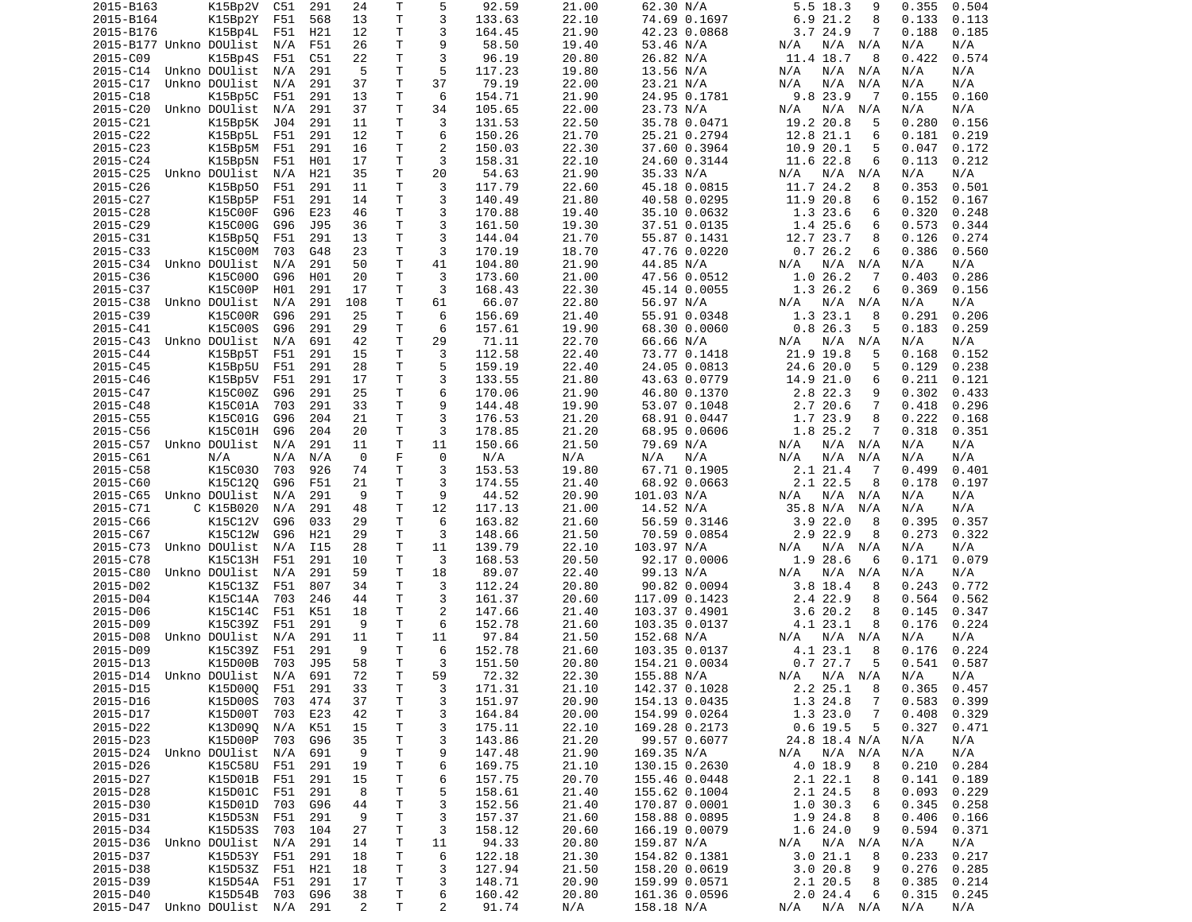| 2015-B163                                  | K15Bp2V       | C51 | 291 | 24      | Τ            | 5                   | 92.59           | 21.00        | 62.30 N/A                   | 5.5 18.3<br>9                  | 0.355<br>0.504               |
|--------------------------------------------|---------------|-----|-----|---------|--------------|---------------------|-----------------|--------------|-----------------------------|--------------------------------|------------------------------|
| 2015-B164                                  | K15Bp2Y       | F51 | 568 | 13      | Τ            | 3                   | 133.63          | 22.10        | 74.69 0.1697                | 6.9 21.2<br>8                  | 0.133<br>0.113               |
| 2015-B176                                  | K15Bp4L       | F51 | H21 | 12      | T.           | 3                   | 164.45          | 21.90        | 42.23 0.0868                | 3.724.9<br>7                   | 0.188<br>0.185               |
| 2015-B177 Unkno DOUlist                    |               | N/A | F51 | 26      | Τ            | 9                   | 58.50           | 19.40        | 53.46 N/A                   | N/A<br>N/A<br>N/A              | N/A<br>N/A                   |
| 2015-C09                                   | K15Bp4S       | F51 | C51 | 22      | T.           | 3                   | 96.19           | 20.80        | 26.82 N/A                   | 11.4 18.7<br>8                 | 0.422<br>0.574               |
| 2015-C14                                   | Unkno DOUlist | N/A | 291 | -5      | Τ            | 5                   | 117.23          | 19.80        | 13.56 N/A                   | N/A<br>N/A N/A                 | N/A<br>N/A                   |
| 2015-C17                                   | Unkno DOUlist | N/A | 291 | 37      | T            | 37                  | 79.19           | 22.00        | 23.21 N/A                   | N/A<br>N/A<br>N/A              | N/A<br>N/A                   |
| 2015-C18                                   | K15Bp5C       | F51 | 291 | 13      | Τ            | 6                   | 154.71          | 21.90        | 24.95 0.1781                | 9.8 23.9<br>7                  | 0.155<br>0.160               |
| 2015-C20                                   | Unkno DOUlist | N/A | 291 | 37      | T.           | 34                  | 105.65          | 22.00        | 23.73 N/A                   | N/A<br>N/A<br>N/A              | N/A<br>N/A                   |
| 2015-C21                                   | K15Bp5K       | J04 | 291 | 11      | Τ            | 3                   | 131.53          | 22.50        | 35.78 0.0471                | 19.2 20.8<br>5                 | 0.280<br>0.156               |
| 2015-C22                                   |               |     | 291 | 12      | т            | 6                   |                 | 21.70        |                             | 6                              |                              |
|                                            | K15Bp5L       | F51 |     |         | T.           |                     | 150.26          | 22.30        | 25.21 0.2794                | 12.8 21.1                      | 0.181<br>0.219               |
| 2015-C23                                   | K15Bp5M       | F51 | 291 | 16      |              | $\overline{c}$      | 150.03          |              | 37.60 0.3964                | 10.9 20.1<br>5                 | 0.172<br>0.047               |
| 2015-C24                                   | K15Bp5N       | F51 | H01 | 17      | T.           | 3                   | 158.31          | 22.10        | 24.60 0.3144                | 11.6 22.8<br>6                 | 0.113<br>0.212               |
| 2015-C25                                   | Unkno DOUlist | N/A | H21 | 35      | т            | 20                  | 54.63           | 21.90        | 35.33 N/A                   | N/A<br>N/A N/A                 | N/A<br>N/A                   |
| 2015-C26                                   | K15Bp50       | F51 | 291 | 11      | T.           | 3                   | 117.79          | 22.60        | 45.18 0.0815                | 11.7 24.2<br>8                 | 0.353<br>0.501               |
| 2015-C27                                   | K15Bp5P       | F51 | 291 | 14      | T.           | 3                   | 140.49          | 21.80        | 40.58 0.0295                | 11.9 20.8<br>6                 | 0.152<br>0.167               |
| 2015-C28                                   | K15C00F       | G96 | E23 | 46      | T            | 3                   | 170.88          | 19.40        | 35.10 0.0632                | 1.3 23.6<br>6                  | 0.320<br>0.248               |
| 2015-C29                                   | K15C00G       | G96 | J95 | 36      | T.           | 3                   | 161.50          | 19.30        | 37.51 0.0135                | 1.4 25.6<br>6                  | 0.344<br>0.573               |
| 2015-C31                                   | K15Bp5Q       | F51 | 291 | 13      | $\mathsf{T}$ | 3                   | 144.04          | 21.70        | 55.87 0.1431                | 12.7 23.7<br>8                 | 0.126<br>0.274               |
| 2015-C33                                   | K15C00M       | 703 | G48 | 23      | Τ            | 3                   | 170.19          | 18.70        | 47.76 0.0220                | 0.726.2<br>6                   | 0.386<br>0.560               |
| 2015-C34 Unkno DOUlist                     |               | N/A | 291 | 50      | т            | 41                  | 104.80          | 21.90        | 44.85 N/A                   | N/A N/A<br>N/A                 | N/A<br>N/A                   |
| 2015-C36                                   | K15C000       | G96 | H01 | 20      | T.           | 3                   | 173.60          | 21.00        | 47.56 0.0512                | 1.0 26.2<br>7                  | 0.403<br>0.286               |
| 2015-C37                                   | K15C00P       | H01 | 291 | 17      | T.           | 3                   | 168.43          | 22.30        | 45.14 0.0055                | 1.3 26.2<br>6                  | 0.369<br>0.156               |
| 2015-C38                                   | Unkno DOUlist | N/A | 291 | 108     | Τ            | 61                  | 66.07           | 22.80        | 56.97 N/A                   | N/A<br>N/A N/A                 | N/A<br>N/A                   |
| 2015-C39                                   | K15C00R       | G96 | 291 | 25      | T            | 6                   | 156.69          | 21.40        | 55.91 0.0348                | 1.3 23.1<br>8                  | 0.291<br>0.206               |
| 2015-C41                                   | K15C00S       | G96 | 291 | 29      | T.           | 6                   | 157.61          | 19.90        | 68.30 0.0060                | 0.826.3<br>5                   | 0.183<br>0.259               |
| 2015-C43                                   | Unkno DOUlist | N/A | 691 | 42      | Τ            | 29                  | 71.11           | 22.70        | 66.66 N/A                   | N/A<br>N/A N/A                 | N/A<br>N/A                   |
| 2015-C44                                   | K15Bp5T       | F51 | 291 | 15      | T.           | 3                   | 112.58          | 22.40        | 73.77 0.1418                | 21.9 19.8<br>5                 | 0.152<br>0.168               |
| 2015-C45                                   | K15Bp5U       | F51 | 291 | 28      | T.           | 5                   | 159.19          | 22.40        | 24.05 0.0813                | 24.6 20.0<br>5                 | 0.129<br>0.238               |
| 2015-C46                                   | K15Bp5V       | F51 | 291 | 17      | Τ            | 3                   | 133.55          | 21.80        | 43.63 0.0779                | 14.9 21.0<br>6                 | 0.211<br>0.121               |
|                                            | K15C00Z       |     |     | 25      | Τ            | 6                   |                 | 21.90        |                             |                                | 0.302                        |
| 2015-C47                                   |               | G96 | 291 |         |              |                     | 170.06          |              | 46.80 0.1370                | 2.8 22.3<br>9                  | 0.433                        |
| 2015-C48                                   | K15C01A       | 703 | 291 | 33      | T.           | 9                   | 144.48          | 19.90        | 53.07 0.1048                | 2.7 20.6<br>$\overline{7}$     | 0.418<br>0.296               |
| 2015-C55                                   | K15C01G       | G96 | 204 | 21      | $\mathsf{T}$ | 3                   | 176.53          | 21.20        | 68.91 0.0447                | 1.7 23.9<br>8                  | 0.222<br>0.168               |
| 2015-C56                                   | K15C01H       | G96 | 204 | 20      | Τ            | 3                   | 178.85          | 21.20        | 68.95 0.0606                | 1.8 25.2<br>7                  | 0.318<br>0.351               |
| 2015-C57 Unkno DOUlist                     |               | N/A | 291 | 11      | T.           | 11                  | 150.66          | 21.50        | 79.69 N/A                   | N/A N/A<br>N/A                 | N/A<br>N/A                   |
| 2015-C61                                   | N/A           | N/A | N/A | 0       | F            | 0                   | N/A             | N/A          | N/A<br>N/A                  | N/A<br>N/A<br>N/A              | N/A<br>N/A                   |
| 2015-C58                                   | K15C030       | 703 | 926 | 74      | т            | 3                   | 153.53          | 19.80        | 67.71 0.1905                | 2.1 21.4<br>-7                 | 0.499<br>0.401               |
| 2015-C60                                   | K15C12Q       | G96 | F51 | 21      | Τ            | 3                   | 174.55          | 21.40        | 68.92 0.0663                | 2.1 22.5<br>8                  | 0.178<br>0.197               |
| 2015-C65                                   | Unkno DOUlist | N/A | 291 | 9       | T.           | 9                   | 44.52           | 20.90        | 101.03 N/A                  | N/A<br>N/A N/A                 | N/A<br>N/A                   |
| 2015-C71                                   | C K15B020     | N/A | 291 | 48      | Τ            | 12                  | 117.13          | 21.00        | 14.52 N/A                   | 35.8 N/A<br>N/A                | N/A<br>N/A                   |
|                                            | K15C12V       | G96 | 033 | 29      | т            | 6                   | 163.82          | 21.60        | 56.59 0.3146                | 3.922.0<br>8                   | 0.395<br>0.357               |
| 2015-C66                                   |               |     |     |         |              |                     |                 |              |                             |                                |                              |
| 2015-C67                                   | K15C12W       | G96 | H21 | 29      | Τ            | 3                   |                 | 21.50        |                             | 8                              | 0.273<br>0.322               |
|                                            |               |     |     |         |              |                     | 148.66          |              | 70.59 0.0854                | 2.9 22.9                       |                              |
| 2015-C73                                   | Unkno DOUlist | N/A | I15 | 28      | Τ            | 11                  | 139.79          | 22.10        | 103.97 N/A                  | N/A<br>N/A<br>N/A              | N/A<br>N/A                   |
| 2015-C78                                   | K15C13H       | F51 | 291 | 10      | T            | 3                   | 168.53          | 20.50        | 92.17 0.0006                | 1.9<br>28.6<br>6               | 0.171<br>0.079               |
| 2015-C80                                   | Unkno DOUlist | N/A | 291 | 59      | T            | 18                  | 89.07           | 22.40        | 99.13 N/A                   | $N/A$ $N/A$<br>N/A             | N/A<br>N/A                   |
| 2015-D02                                   | K15C13Z       | F51 | 807 | 34      | T.           | 3                   | 112.24          | 20.80        | 90.82 0.0094                | 3.8 18.4<br>8                  | 0.243<br>0.772               |
| 2015-D04                                   | K15C14A       | 703 | 246 | 44      | T.           | 3                   | 161.37          | 20.60        | 117.09 0.1423               | 2.4 22.9<br>8                  | 0.564<br>0.562               |
| 2015-D06                                   | K15C14C       | F51 | K51 | 18      | T.           | 2                   | 147.66          | 21.40        | 103.37 0.4901               | 3.620.2<br>8                   | 0.145<br>0.347               |
| 2015-D09                                   | K15C39Z       | F51 | 291 | 9       | T.           | 6                   | 152.78          | 21.60        | 103.35 0.0137               | 4.1 23.1<br>8                  | 0.176<br>0.224               |
| 2015-D08                                   | Unkno DOUlist | N/A | 291 | 11      | T            | 11                  | 97.84           | 21.50        | 152.68 N/A                  | $N/A$ $N/A$<br>N/A             | N/A<br>N/A                   |
| 2015-D09                                   | K15C39Z       | F51 | 291 | 9       | T.           | 6                   | 152.78          | 21.60        | 103.35 0.0137               | 4.1 23.1<br>8                  | 0.176<br>0.224               |
| 2015-D13                                   | K15D00B       | 703 | J95 | 58      | T.           | 3                   | 151.50          | 20.80        | 154.21 0.0034               | 0.727.7<br>5                   | 0.541<br>0.587               |
| 2015-D14 Unkno DOUlist N/A                 |               |     | 691 | 72      | T.           | 59                  | 72.32           | 22.30        | 155.88 N/A                  | N/A N/A N/A                    | N/A l<br>N/A                 |
| 2015-D15                                   | K15D000 F51   |     | 291 | 33      | Τ            | 3                   | 171.31          | 21.10        | 142.37 0.1028               | 2.225.1<br>- 8                 | $0.365$ 0.457                |
| 2015-D16                                   | K15D00S       | 703 | 474 | 37      | T            | 3                   | 151.97          | 20.90        | 154.13 0.0435               | 1.3 24.8<br>7                  | 0.583<br>0.399               |
| 2015-D17                                   | K15D00T       | 703 | E23 | 42      | Τ            | 3                   | 164.84          | 20.00        | 154.99 0.0264               | 1.323.0<br>7                   | 0.408<br>0.329               |
| 2015-D22                                   | K13D09Q       | N/A | K51 | 15      | Τ            | 3                   | 175.11          | 22.10        | 169.28 0.2173               | $0.6$ 19.5<br>5                | 0.327<br>0.471               |
| 2015-D23                                   | K15D00P       | 703 | G96 | 35      | Τ            | 3                   | 143.86          | 21.20        | 99.57 0.6077                | 24.8 18.4 N/A                  | N/A<br>N/A                   |
| 2015-D24 Unkno DOUlist                     |               | N/A | 691 | 9       | T            | 9                   | 147.48          | 21.90        | 169.35 N/A                  | N/A N/A<br>N/A                 | N/A<br>N/A                   |
| 2015-D26                                   | K15C58U       | F51 | 291 | 19      | T            | 6                   | 169.75          | 21.10        | 130.15 0.2630               | 4.0 18.9<br>8                  | 0.210<br>0.284               |
| 2015-D27                                   | K15D01B       | F51 | 291 | 15      | T            | 6                   | 157.75          | 20.70        | 155.46 0.0448               | 2.1 22.1<br>8                  | 0.141<br>0.189               |
|                                            |               |     |     |         |              |                     |                 |              |                             |                                |                              |
| 2015-D28                                   | K15D01C       | F51 | 291 | 8       | T            | 5                   | 158.61          | 21.40        | 155.62 0.1004               | 2.1 24.5<br>8                  | 0.093<br>0.229               |
| 2015-D30                                   | K15D01D       | 703 | G96 | 44      | T            | 3                   | 152.56          | 21.40        | 170.87 0.0001               | 1.0 30.3<br>6                  | 0.345<br>0.258               |
| 2015-D31                                   | K15D53N       | F51 | 291 | 9       | Τ            | 3                   | 157.37          | 21.60        | 158.88 0.0895               | 1.9 24.8<br>8                  | 0.406<br>0.166               |
| 2015-D34                                   | K15D53S       | 703 | 104 | 27      | Τ            | 3                   | 158.12          | 20.60        | 166.19 0.0079               | 1.624.0<br>9                   | 0.594<br>0.371               |
| 2015-D36                                   | Unkno DOUlist | N/A | 291 | 14      | T            | 11                  | 94.33           | 20.80        | 159.87 N/A                  | N/A N/A<br>N/A                 | N/A<br>N/A                   |
| 2015-D37                                   | K15D53Y       | F51 | 291 | 18      | T            | 6                   | 122.18          | 21.30        | 154.82 0.1381               | 3.021.1<br>8                   | 0.233<br>0.217               |
| 2015-D38                                   | K15D53Z F51   |     | H21 | 18      | T.           | 3                   | 127.94          | 21.50        | 158.20 0.0619               | 3.0 20.8<br>9                  | 0.276<br>0.285               |
| 2015-D39                                   | K15D54A       | F51 | 291 | 17      | T            | 3                   | 148.71          | 20.90        | 159.99 0.0571               | 2.1 20.5<br>8                  | 0.385<br>0.214               |
| 2015-D40<br>2015-D47 Unkno DOUlist N/A 291 | K15D54B       | 703 | G96 | 38<br>2 | Τ<br>Τ       | 6<br>$\overline{2}$ | 160.42<br>91.74 | 20.80<br>N/A | 161.36 0.0596<br>158.18 N/A | 2.024.4<br>6<br>N/A<br>N/A N/A | 0.315<br>0.245<br>N/A<br>N/A |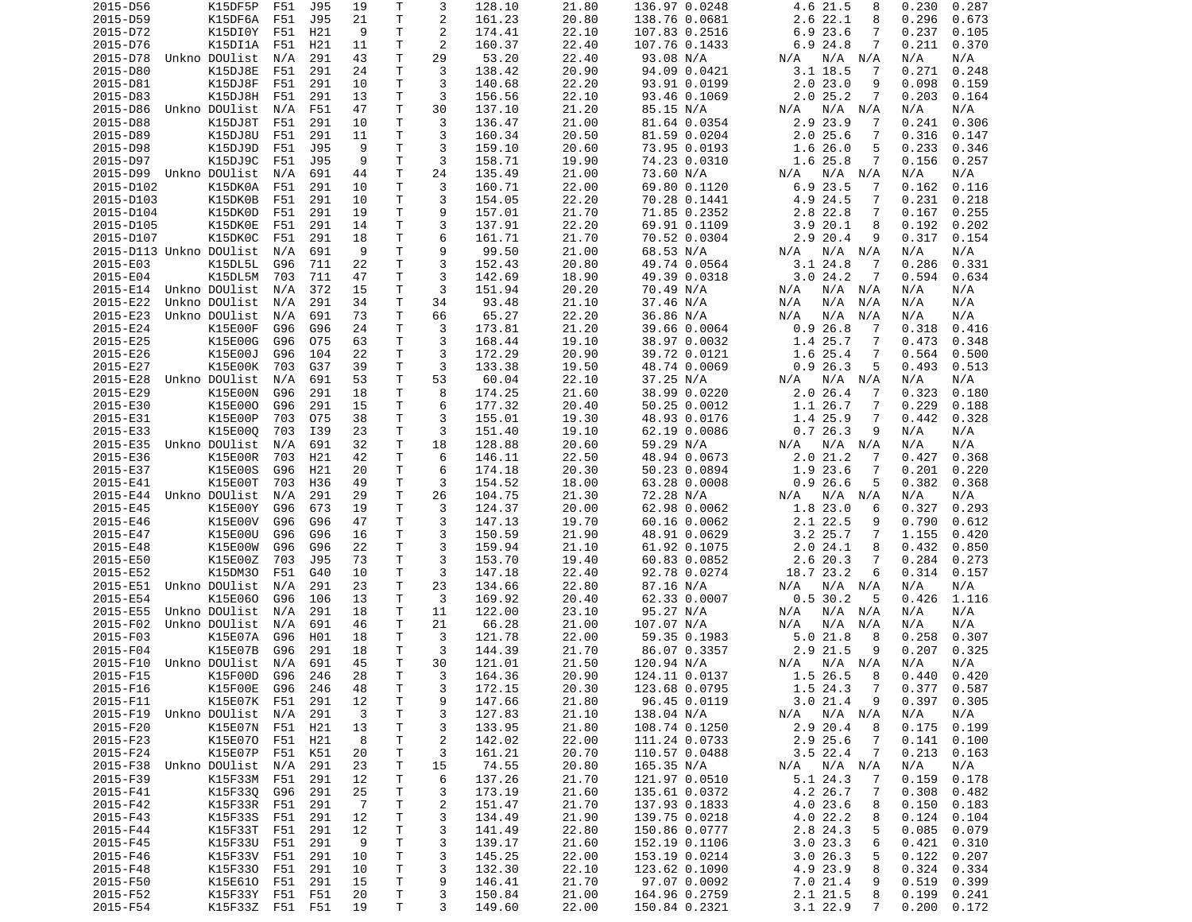| 2015-D56                   | K15DF5P                  | F51 | J95 | 19             | Т            | 3              | 128.10 | 21.80 | 136.97 0.0248                | 4.6 21.5<br>8              | 0.230<br>0.287 |
|----------------------------|--------------------------|-----|-----|----------------|--------------|----------------|--------|-------|------------------------------|----------------------------|----------------|
| 2015-D59                   | K15DF6A                  | F51 | J95 | 21             | Τ            | 2              | 161.23 | 20.80 | 138.76 0.0681                | $2.6$ 22.1<br>8            | 0.296<br>0.673 |
| 2015-D72                   | K15DI0Y                  | F51 | H21 | 9              | Τ            | $\overline{2}$ | 174.41 | 22.10 | 107.83 0.2516                | 6.923.6<br>7               | 0.237<br>0.105 |
| 2015-D76                   | K15DI1A                  | F51 | H21 | 11             | Т            | 2              | 160.37 | 22.40 | 107.76 0.1433                | 6.9 24.8<br>7              | 0.211<br>0.370 |
| 2015-D78                   | Unkno DOUlist            | N/A | 291 | 43             | Τ            | 29             | 53.20  | 22.40 | 93.08 N/A                    | N/A<br>N/A N/A             | N/A<br>N/A     |
| 2015-D80                   | K15DJ8E                  | F51 | 291 | 24             | Τ            | 3              | 138.42 | 20.90 | 94.09 0.0421                 | $3.1$ 18.5<br>7            | 0.271<br>0.248 |
| 2015-D81                   | K15DJ8F                  | F51 | 291 | 10             | т            | 3              | 140.68 | 22.20 | 93.91 0.0199                 | 2.023.0<br>9               | 0.098<br>0.159 |
| 2015-D83                   | K15DJ8H                  | F51 | 291 | 13             | Τ            | 3              | 156.56 | 22.10 | 93.46 0.1069                 | 2.025.2<br>7               | 0.203<br>0.164 |
| 2015-D86                   | Unkno DOUlist            | N/A | F51 | 47             | T.           | 30             | 137.10 | 21.20 | 85.15 N/A                    | N/A<br>N/A N/A             | N/A<br>N/A     |
| 2015-D88                   | K15DJ8T                  | F51 | 291 | 10             | т            | 3              | 136.47 | 21.00 | 81.64 0.0354                 | 2.9 23.9<br>7              | 0.241<br>0.306 |
| 2015-D89                   | K15DJ8U                  | F51 | 291 | 11             | T            | 3              | 160.34 | 20.50 | 81.59 0.0204                 | $2.0$ 25.6<br>7            | 0.316<br>0.147 |
| 2015-D98                   | K15DJ9D                  | F51 | J95 | 9              | T            | 3              | 159.10 | 20.60 |                              | 5                          | 0.233<br>0.346 |
|                            |                          |     |     |                |              | 3              |        |       | 73.95 0.0193<br>74.23 0.0310 | 1.626.0                    |                |
| 2015-D97                   | K15DJ9C<br>Unkno DOUlist | F51 | J95 | 9              | Τ            |                | 158.71 | 19.90 |                              | 1.6 25.8<br>7              | 0.156<br>0.257 |
| 2015-D99                   |                          | N/A | 691 | 44             | Τ            | 24             | 135.49 | 21.00 | 73.60 N/A                    | N/A N/A<br>N/A             | N/A<br>N/A     |
| 2015-D102                  | K15DK0A                  | F51 | 291 | 10             | Τ            | 3              | 160.71 | 22.00 | 69.80 0.1120                 | 6.9 23.5<br>7              | 0.162<br>0.116 |
| 2015-D103                  | K15DK0B                  | F51 | 291 | 10             | T.           | 3              | 154.05 | 22.20 | 70.28 0.1441                 | 4.9 24.5<br>7              | 0.231<br>0.218 |
| 2015-D104                  | K15DK0D                  | F51 | 291 | 19             | т            | 9              | 157.01 | 21.70 | 71.85 0.2352                 | 2.8 22.8<br>7              | 0.167<br>0.255 |
| 2015-D105                  | K15DK0E                  | F51 | 291 | 14             | T.           | 3              | 137.91 | 22.20 | 69.91 0.1109                 | 3.920.1<br>8               | 0.192<br>0.202 |
| 2015-D107                  | K15DK0C                  | F51 | 291 | 18             | T.           | 6              | 161.71 | 21.70 | 70.52 0.0304                 | 2.9 20.4<br>9              | 0.317<br>0.154 |
| 2015-D113 Unkno DOUlist    |                          | N/A | 691 | 9              | Τ            | 9              | 99.50  | 21.00 | 68.53 N/A                    | N/A N/A<br>N/A             | N/A<br>N/A     |
| 2015-E03                   | K15DL5L                  | G96 | 711 | 22             | Τ            | 3              | 152.43 | 20.80 | 49.74 0.0564                 | 3.124.8<br>-7              | 0.286<br>0.331 |
| 2015-E04                   | K15DL5M                  | 703 | 711 | 47             | Τ            | 3              | 142.69 | 18.90 | 49.39 0.0318                 | 3.024.2<br>7               | 0.594<br>0.634 |
| 2015-E14                   | Unkno DOUlist            | N/A | 372 | 15             | T            | 3              | 151.94 | 20.20 | 70.49 N/A                    | N/A<br>N/A N/A             | N/A<br>N/A     |
| 2015-E22                   | Unkno DOUlist            | N/A | 291 | 34             | Τ            | 34             | 93.48  | 21.10 | 37.46 N/A                    | N/A<br>N/A<br>N/A          | N/A<br>N/A     |
| 2015-E23                   | Unkno DOUlist            | N/A | 691 | 73             | T.           | 66             | 65.27  | 22.20 | 36.86 N/A                    | N/A<br>N/A<br>N/A          | N/A<br>N/A     |
| 2015-E24                   | K15E00F                  | G96 | G96 | 24             | Τ            | 3              | 173.81 | 21.20 | 39.66 0.0064                 | 0.926.8<br>-7              | 0.318<br>0.416 |
| 2015-E25                   | K15E00G                  | G96 | 075 | 63             | т            | 3              | 168.44 | 19.10 | 38.97 0.0032                 | 1.4 25.7<br>7              | 0.473<br>0.348 |
| 2015-E26                   | K15E00J                  | G96 | 104 | 22             | Τ            | 3              | 172.29 | 20.90 | 39.72 0.0121                 | 1.6 25.4<br>7              | 0.564<br>0.500 |
| 2015-E27                   | K15E00K                  | 703 | G37 | 39             | Τ            | 3              | 133.38 | 19.50 | 48.74 0.0069                 | 0.926.3<br>5               | 0.493<br>0.513 |
| 2015-E28                   | Unkno DOUlist            | N/A | 691 | 53             | Τ            | 53             | 60.04  | 22.10 | 37.25 N/A                    | N/A N/A<br>N/A             | N/A<br>N/A     |
| 2015-E29                   | K15E00N                  | G96 | 291 | 18             | т            | 8              | 174.25 | 21.60 | 38.99 0.0220                 | $2.0$ 26.4<br>7            | 0.323<br>0.180 |
| 2015-E30                   | K15E000                  | G96 | 291 | 15             | T.           | 6              | 177.32 | 20.40 | 50.25 0.0012                 | 1.1 26.7<br>7              | 0.229<br>0.188 |
|                            | K15E00P                  | 703 | 075 |                | T            | 3              | 155.01 |       |                              | 7                          | 0.442          |
| 2015-E31                   |                          |     |     | 38             |              |                |        | 19.30 | 48.93 0.0176                 | 1.4 25.9                   | 0.328          |
| 2015-E33                   | K15E000                  | 703 | I39 | 23             | т            | 3              | 151.40 | 19.10 | 62.19 0.0086                 | 0.726.3<br>9               | N/A<br>N/A     |
| 2015-E35                   | Unkno DOUlist            | N/A | 691 | 32             | Τ            | 18             | 128.88 | 20.60 | 59.29 N/A                    | N/A<br>N/A N/A             | N/A<br>N/A     |
| 2015-E36                   | K15E00R                  | 703 | H21 | 42             | Τ            | 6              | 146.11 | 22.50 | 48.94 0.0673                 | 2.021.2<br>7               | 0.427<br>0.368 |
| 2015-E37                   | K15E00S                  | G96 | H21 | 20             | T.           | 6              | 174.18 | 20.30 | 50.23 0.0894                 | 1.9 23.6<br>7              | 0.201<br>0.220 |
| 2015-E41                   | K15E00T                  | 703 | H36 | 49             | т            | 3              | 154.52 | 18.00 | 63.28 0.0008                 | 0.926.6<br>5               | 0.382<br>0.368 |
| 2015-E44                   | Unkno DOUlist            | N/A | 291 | 29             | т            | 26             | 104.75 | 21.30 | 72.28 N/A                    | N/A<br>N/A<br>N/A          | N/A<br>N/A     |
| 2015-E45                   | K15E00Y                  | G96 | 673 | 19             | т            | 3              | 124.37 | 20.00 | 62.98 0.0062                 | 1.823.0<br>6               | 0.327<br>0.293 |
| 2015-E46                   | K15E00V                  | G96 | G96 | 47             | т            | 3              | 147.13 | 19.70 | 60.16 0.0062                 | 2.1 22.5<br>9              | 0.790<br>0.612 |
| 2015-E47                   | K15E00U                  | G96 | G96 | 16             | Τ            | 3              | 150.59 | 21.90 | 48.91 0.0629                 | $3.2$ 25.7<br>7            | 1.155<br>0.420 |
| 2015-E48                   | K15E00W                  | G96 | G96 | 22             | Τ            | 3              | 159.94 | 21.10 | 61.92 0.1075                 | 2.024.1<br>8               | 0.432<br>0.850 |
| 2015-E50                   | K15E00Z                  | 703 | J95 | 73             | T            | 3              | 153.70 | 19.40 | 60.83 0.0852                 | 7<br>2.6 20.3              | 0.284<br>0.273 |
| 2015-E52                   | K15DM30                  | F51 | G40 | 10             | Τ            | 3              | 147.18 | 22.40 | 92.78 0.0274                 | 18.7 23.2<br>6             | 0.314<br>0.157 |
| 2015-E51                   | Unkno DOUlist            | N/A | 291 | 23             | T.           | 23             | 134.66 | 22.80 | 87.16 N/A                    | N/A<br>N/A N/A             | N/A<br>N/A     |
| 2015-E54                   | K15E060                  | G96 | 106 | 13             | т            | 3              | 169.92 | 20.40 | 62.33 0.0007                 | 0.530.2<br>5               | 0.426<br>1.116 |
| 2015-E55                   | Unkno DOUlist            | N/A | 291 | 18             | Τ            | 11             | 122.00 | 23.10 | 95.27 N/A                    | $N/A$ $N/A$<br>N/A         | N/A<br>N/A     |
| 2015-F02                   | Unkno DOUlist            | N/A | 691 | 46             | Τ            | 21             | 66.28  | 21.00 | 107.07 N/A                   | N/A<br>N/A<br>N/A          | N/A<br>N/A     |
| 2015-F03                   | K15E07A                  | G96 | H01 | 18             | т            | 3              | 121.78 | 22.00 | 59.35 0.1983                 | 5.0 21.8<br>8              | 0.258<br>0.307 |
| 2015-F04                   | K15E07B                  | G96 | 291 | 18             | Τ            | 3              | 144.39 | 21.70 | 86.07 0.3357                 | 2.9 21.5<br>9              | 0.207<br>0.325 |
| 2015-F10                   | Unkno DOUlist            | N/A | 691 | 45             | T.           | 30             | 121.01 | 21.50 | 120.94 N/A                   | N/A<br>N/A N/A             | N/A<br>N/A     |
|                            |                          |     |     |                | $\mathsf{T}$ | 3              |        |       |                              | 1.526.58                   | 0.420          |
| 2015-F15                   | K15F00D G96 246          |     |     | 28             |              |                | 164.36 | 20.90 | 124.11 0.0137                |                            | 0.440          |
| 2015-F16                   | K15F00E G96              |     | 246 | 48             | Τ            | 3              | 172.15 | 20.30 | 123.68 0.0795                | 1.5 24.3<br>$\overline{7}$ | $0.377$ 0.587  |
| 2015-F11                   | K15E07K F51              |     | 291 | 12             | T            | 9              | 147.66 | 21.80 | 96.45 0.0119                 | 3.021.4<br>9               | 0.397<br>0.305 |
| 2015-F19 Unkno DOUlist N/A |                          |     | 291 | 3              | Τ            | 3              | 127.83 | 21.10 | 138.04 N/A                   | N/A<br>$N/A$ $N/A$         | N/A<br>N/A     |
| 2015-F20                   | K15E07N F51 H21          |     |     | 13             | т            | 3              | 133.95 | 21.80 | 108.74 0.1250                | 2.9 20.4<br>8              | 0.175<br>0.199 |
| 2015-F23                   | K15E070 F51              |     | H21 | 8              | T            | 2              | 142.02 | 22.00 | 111.24 0.0733                | 2.9 25.6<br>7              | 0.141<br>0.100 |
| 2015-F24                   | K15E07P F51              |     | K51 | 20             | Τ            | 3              | 161.21 | 20.70 | 110.57 0.0488                | $3.5$ 22.4<br>-7           | 0.213<br>0.163 |
| 2015-F38                   | Unkno DOUlist            | N/A | 291 | 23             | T.           | 15             | 74.55  | 20.80 | 165.35 N/A                   | $N/A$ $N/A$<br>N/A         | N/A<br>N/A     |
| 2015-F39                   | K15F33M                  | F51 | 291 | 12             | T.           | 6              | 137.26 | 21.70 | 121.97 0.0510                | 5.1 24.3<br>-7             | 0.159<br>0.178 |
| 2015-F41                   | K15F33Q                  | G96 | 291 | 25             | T            | 3              | 173.19 | 21.60 | 135.61 0.0372                | 4.2 26.7<br>7              | 0.308<br>0.482 |
| 2015-F42                   | K15F33R                  | F51 | 291 | $\overline{7}$ | Τ            | $\overline{c}$ | 151.47 | 21.70 | 137.93 0.1833                | 4.0 23.6<br>8              | 0.150<br>0.183 |
| 2015-F43                   | K15F33S                  | F51 | 291 | 12             | Τ            | 3              | 134.49 | 21.90 | 139.75 0.0218                | 4.0 22.2<br>8              | 0.124<br>0.104 |
| 2015-F44                   | K15F33T F51              |     | 291 | 12             | T.           | 3              | 141.49 | 22.80 | 150.86 0.0777                | 2.8 24.3<br>5              | 0.085<br>0.079 |
| 2015-F45                   | K15F33U F51              |     | 291 | 9              | T.           | 3              | 139.17 | 21.60 | 152.19 0.1106                | 3.023.3<br>6               | 0.421<br>0.310 |
| 2015-F46                   | K15F33V F51              |     | 291 | 10             | T            | 3              | 145.25 | 22.00 | 153.19 0.0214                | 3.026.3<br>5               | 0.122<br>0.207 |
| 2015-F48                   | K15F330 F51              |     | 291 | 10             | T            | 3              | 132.30 | 22.10 | 123.62 0.1090                | 4.9 23.9<br>8              | 0.324<br>0.334 |
| 2015-F50                   | K15E610 F51              |     | 291 | 15             | T            | 9              | 146.41 | 21.70 | 97.07 0.0092                 | 7.0 21.4<br>9              | 0.519<br>0.399 |
| 2015-F52                   | K15F33Y F51 F51          |     |     | 20             | T.           | 3              | 150.84 | 21.00 | 164.96 0.2759                | 2.1 21.5<br>8              | 0.199<br>0.241 |
| 2015-F54                   | K15F33Z F51 F51          |     |     | 19             | T.           | 3              | 149.60 | 22.00 | 150.84 0.2321                | $3.1$ 22.9<br>7            | 0.200<br>0.172 |
|                            |                          |     |     |                |              |                |        |       |                              |                            |                |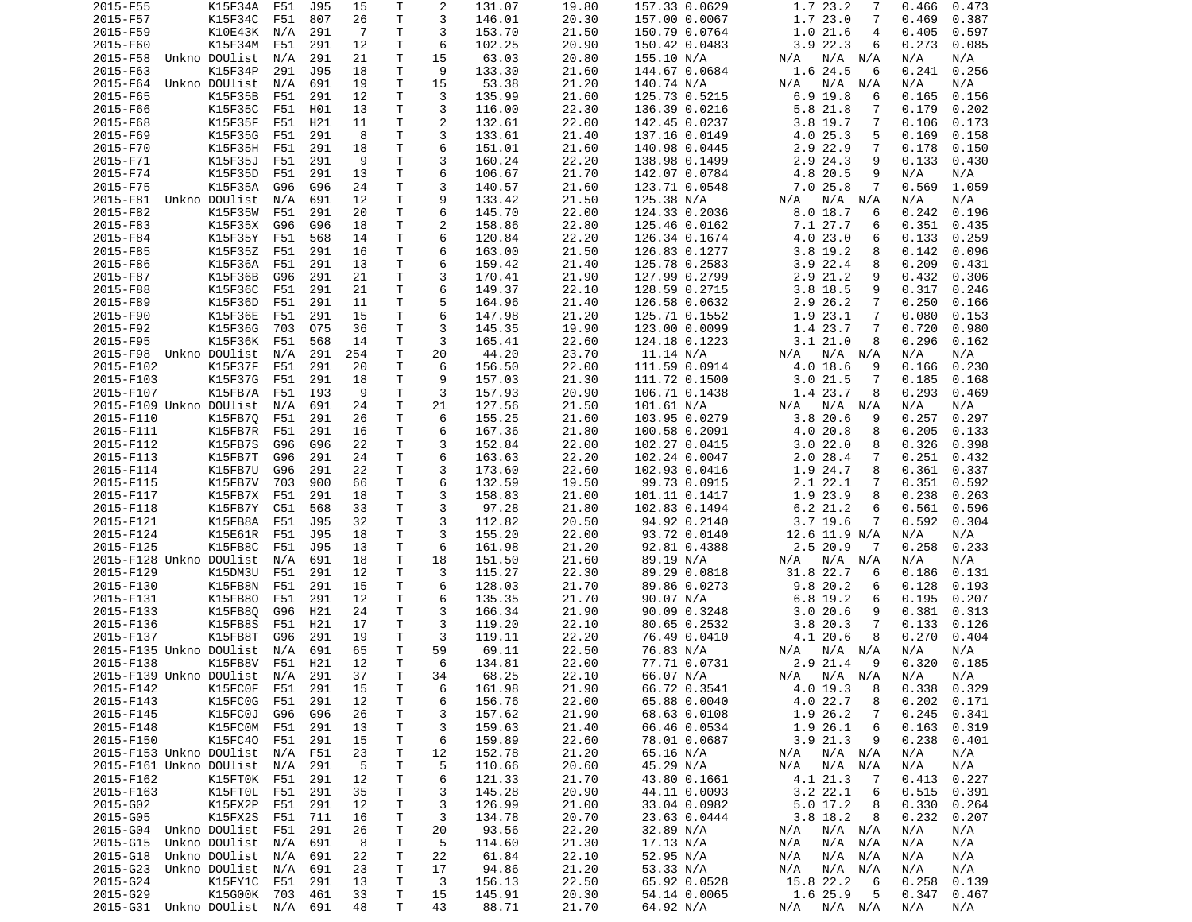| 2015-F55                    | K15F34A           | F51 | J95 | 15  | Τ            | 2  | 131.07 | 19.80 | 157.33 0.0629 | 1.7 23.2<br>7              | 0.466<br>0.473  |
|-----------------------------|-------------------|-----|-----|-----|--------------|----|--------|-------|---------------|----------------------------|-----------------|
| 2015-F57                    | K15F34C           | F51 | 807 | 26  | Τ            | 3  | 146.01 | 20.30 | 157.00 0.0067 | 1.7 23.0<br>7              | 0.469<br>0.387  |
| 2015-F59                    | K10E43K N/A       |     | 291 | -7  | T.           | 3  | 153.70 | 21.50 | 150.79 0.0764 | 1.021.6<br>4               | 0.405<br>0.597  |
| 2015-F60                    | K15F34M           | F51 | 291 | 12  | т            | 6  | 102.25 | 20.90 | 150.42 0.0483 | 3.922.3<br>6               | 0.273<br>0.085  |
| 2015-F58                    | Unkno DOUlist     | N/A | 291 | 21  | T.           | 15 | 63.03  | 20.80 | 155.10 N/A    | N/A<br>N/A N/A             | N/A<br>N/A      |
| 2015-F63                    | K15F34P           | 291 | J95 | 18  | Τ            | 9  | 133.30 | 21.60 | 144.67 0.0684 | 1.6 24.5<br>6              | 0.241<br>0.256  |
| 2015-F64                    | Unkno DOUlist     | N/A | 691 | 19  | T.           | 15 | 53.38  | 21.20 | 140.74 N/A    | N/A N/A<br>N/A             | N/A<br>N/A      |
| 2015-F65                    | K15F35B           | F51 | 291 | 12  | T            | 3  | 135.99 | 21.60 | 125.73 0.5215 | $6.9$ 19.8<br>6            | 0.165<br>0.156  |
| 2015-F66                    | K15F35C           | F51 | H01 | 13  | T.           | 3  | 116.00 | 22.30 | 136.39 0.0216 | 5.8 21.8<br>7              | 0.179<br>0.202  |
| 2015-F68                    | K15F35F           | F51 | H21 | 11  | T            | 2  | 132.61 | 22.00 | 142.45 0.0237 | 3.8 19.7<br>7              | 0.106<br>0.173  |
| 2015-F69                    | K15F35G           | F51 | 291 | 8   | T            | 3  | 133.61 | 21.40 |               | 4.0 25.3<br>5              | 0.158<br>0.169  |
|                             |                   |     |     |     | T.           | 6  |        |       | 137.16 0.0149 | 7                          |                 |
| 2015-F70                    | K15F35H           | F51 | 291 | 18  |              |    | 151.01 | 21.60 | 140.98 0.0445 | 2.9 22.9                   | 0.150<br>0.178  |
| 2015-F71                    | K15F35J           | F51 | 291 | 9   | T.           | 3  | 160.24 | 22.20 | 138.98 0.1499 | 2.9 24.3<br>9              | 0.133<br>0.430  |
| 2015-F74                    | K15F35D           | F51 | 291 | 13  | Τ            | 6  | 106.67 | 21.70 | 142.07 0.0784 | 4.8 20.5<br>9              | N/A<br>N/A      |
| 2015-F75                    | K15F35A           | G96 | G96 | 24  | T.           | 3  | 140.57 | 21.60 | 123.71 0.0548 | 7.025.8<br>7               | 0.569<br>1.059  |
| 2015-F81 Unkno DOUlist      |                   | N/A | 691 | 12  | T.           | 9  | 133.42 | 21.50 | 125.38 N/A    | N/A<br>N/A<br>N/A          | N/A<br>N/A      |
| 2015-F82                    | K15F35W           | F51 | 291 | 20  | T.           | 6  | 145.70 | 22.00 | 124.33 0.2036 | 8.018.7<br>6               | 0.242<br>0.196  |
| 2015-F83                    | K15F35X           | G96 | G96 | 18  | T.           | 2  | 158.86 | 22.80 | 125.46 0.0162 | 7.1 27.7<br>6              | 0.351<br>0.435  |
| 2015-F84                    | K15F35Y           | F51 | 568 | 14  | T.           | 6  | 120.84 | 22.20 | 126.34 0.1674 | 4.0 23.0<br>6              | 0.133<br>0.259  |
| 2015-F85                    | K15F35Z           | F51 | 291 | 16  | T.           | 6  | 163.00 | 21.50 | 126.83 0.1277 | 3.8 19.2<br>8              | 0.142<br>0.096  |
| 2015-F86                    | K15F36A           | F51 | 291 | 13  | T.           | 6  | 159.42 | 21.40 | 125.78 0.2583 | $3.9$ 22.4<br>8            | 0.209<br>0.431  |
| 2015-F87                    | K15F36B           | G96 | 291 | 21  | T.           | 3  | 170.41 | 21.90 | 127.99 0.2799 | 2.9 21.2<br>9              | 0.432<br>0.306  |
| 2015-F88                    | K15F36C           | F51 | 291 | 21  | T.           | 6  | 149.37 | 22.10 | 128.59 0.2715 | $3.8$ 18.5<br>9            | 0.317<br>0.246  |
| 2015-F89                    | K15F36D           | F51 | 291 | 11  | T            | 5  | 164.96 | 21.40 | 126.58 0.0632 | 7<br>2.9 26.2              | 0.250<br>0.166  |
| 2015-F90                    | K15F36E           | F51 | 291 | 15  | T.           | 6  | 147.98 | 21.20 | 125.71 0.1552 | 1.9 23.1<br>$\overline{7}$ | 0.080<br>0.153  |
| 2015-F92                    | K15F36G           | 703 | 075 | 36  | $\mathsf{T}$ | 3  | 145.35 | 19.90 | 123.00 0.0099 | 1.4 23.7<br>7              | 0.720<br>0.980  |
| 2015-F95                    | K15F36K           | F51 | 568 | 14  | T            | 3  | 165.41 | 22.60 | 124.18 0.1223 | 3.121.0<br>8               | 0.296<br>0.162  |
| 2015-F98 Unkno DOUlist      |                   | N/A | 291 | 254 | T            | 20 | 44.20  | 23.70 | 11.14 N/A     | N/A N/A<br>N/A             | N/A<br>N/A      |
| 2015-F102                   | K15F37F           | F51 | 291 | 20  | T.           | 6  | 156.50 | 22.00 | 111.59 0.0914 | 4.0 18.6<br>9              | 0.166<br>0.230  |
| 2015-F103                   | K15F37G           | F51 | 291 | 18  | Τ            | 9  | 157.03 | 21.30 | 111.72 0.1500 | $\overline{7}$<br>3.021.5  | 0.185<br>0.168  |
| 2015-F107                   | K15FB7A           |     |     |     | Τ            | 3  |        | 20.90 |               | 8                          | 0.293<br>0.469  |
|                             |                   | F51 | I93 | 9   |              |    | 157.93 |       | 106.71 0.1438 | 1.4 23.7                   |                 |
| 2015-F109 Unkno DOUlist     |                   | N/A | 691 | 24  | T.           | 21 | 127.56 | 21.50 | 101.61 N/A    | N/A N/A<br>N/A             | N/A<br>N/A      |
| 2015-F110                   | K15FB70           | F51 | 291 | 26  | T            | 6  | 155.25 | 21.60 | 103.95 0.0279 | 3.820.6<br>9               | 0.257<br>0.297  |
| 2015-F111                   | K15FB7R           | F51 | 291 | 16  | T.           | 6  | 167.36 | 21.80 | 100.58 0.2091 | 4.0 20.8<br>8              | 0.205<br>0.133  |
| 2015-F112                   | K15FB7S           | G96 | G96 | 22  | T            | 3  | 152.84 | 22.00 | 102.27 0.0415 | 3.022.0<br>8               | 0.326<br>0.398  |
| 2015-F113                   | K15FB7T           | G96 | 291 | 24  | T.           | 6  | 163.63 | 22.20 | 102.24 0.0047 | $2.0$ 28.4<br>7            | 0.251<br>0.432  |
| 2015-F114                   | K15FB7U           | G96 | 291 | 22  | T.           | 3  | 173.60 | 22.60 | 102.93 0.0416 | 1.9 24.7<br>8              | 0.361<br>0.337  |
| 2015-F115                   | K15FB7V           | 703 | 900 | 66  | T.           | 6  | 132.59 | 19.50 | 99.73 0.0915  | 2.1 22.1<br>7              | 0.351<br>0.592  |
| 2015-F117                   | K15FB7X           | F51 | 291 | 18  | T.           | 3  | 158.83 | 21.00 | 101.11 0.1417 | 1.9 23.9<br>8              | 0.238<br>0.263  |
| 2015-F118                   | K15FB7Y           | C51 | 568 | 33  | T.           | 3  | 97.28  | 21.80 | 102.83 0.1494 | $6.2$ 21.2<br>6            | 0.561<br>0.596  |
| 2015-F121                   | K15FB8A           | F51 | J95 | 32  | T            | 3  | 112.82 | 20.50 | 94.92 0.2140  | $3.7$ 19.6<br>7            | 0.592<br>0.304  |
| 2015-F124                   | K15E61R           | F51 | J95 | 18  | Τ            | 3  | 155.20 | 22.00 | 93.72 0.0140  | 12.6 11.9 N/A              | N/A<br>N/A      |
| 2015-F125                   | K15FB8C           | F51 | J95 | 13  | т            | 6  | 161.98 | 21.20 | 92.81 0.4388  | 2.5 20.9<br>- 7            | 0.258<br>0.233  |
| 2015-F128 Unkno DOUlist     |                   | N/A | 691 | 18  | т            | 18 | 151.50 | 21.60 | 89.19 N/A     | N/A<br>N/A N/A             | N/A<br>N/A      |
| 2015-F129                   | K15DM3U           | F51 | 291 | 12  | T.           | 3  | 115.27 | 22.30 | 89.29 0.0818  | 31.8 22.7<br>6             | 0.131<br>0.186  |
| 2015-F130                   | K15FB8N           | F51 | 291 | 15  | T.           | 6  | 128.03 | 21.70 | 89.86 0.0273  | 9.820.2<br>6               | 0.128<br>0.193  |
| 2015-F131                   | K15FB80           | F51 | 291 | 12  | T.           | 6  | 135.35 | 21.70 | 90.07 N/A     | $6.8$ 19.2<br>6            | 0.195<br>0.207  |
| 2015-F133                   | K15FB80           | G96 | H21 | 24  | T.           | 3  | 166.34 | 21.90 | 90.09 0.3248  | 3.020.6<br>9               | 0.381<br>0.313  |
| 2015-F136                   | K15FB8S           | F51 | H21 | 17  | T            | 3  | 119.20 | 22.10 | 80.65 0.2532  | 3.820.3<br>7               | 0.133<br>0.126  |
| 2015-F137                   | K15FB8T           | G96 | 291 | 19  | T.           | 3  | 119.11 | 22.20 | 76.49 0.0410  | 4.1 20.6<br>8              | 0.270<br>0.404  |
| 2015-F135 Unkno DOUlist     |                   |     |     | 65  | T.           | 59 |        |       |               |                            | N/A             |
|                             |                   | N/A | 691 |     |              |    | 69.11  | 22.50 | 76.83 N/A     | N/A<br>N/A N/A             | N/A             |
| 2015-F138                   | K15FB8V           | F51 | H21 | 12  | T.           | 6  | 134.81 | 22.00 | 77.71 0.0731  | 2.9 21.4<br>- 9            | 0.320<br>0.185  |
| 2015-F139 Unkno DOUlist N/A |                   |     | 291 | 37  | $\mathsf{T}$ | 34 | 68.25  | 22.10 | 66.07 N/A     | N/A<br>N/A N/A             | N/A<br>N/A      |
| 2015-F142                   | K15FC0F F51 291   |     |     | 15  | Τ            | 6  | 161.98 | 21.90 | 66.72 0.3541  | 4.0 19.3<br>- 8            | $0.338$ $0.329$ |
| 2015-F143                   | K15FC0G F51       |     | 291 | 12  | T.           | 6  | 156.76 | 22.00 | 65.88 0.0040  | 4.0 22.7<br>8              | 0.202<br>0.171  |
| 2015-F145                   | K15FC0J           | G96 | G96 | 26  | T.           | 3  | 157.62 | 21.90 | 68.63 0.0108  | 1.9 26.2<br>7              | 0.245<br>0.341  |
| 2015-F148                   | K15FC0M F51       |     | 291 | 13  | T.           | 3  | 159.63 | 21.40 | 66.46 0.0534  | 1.9 26.1<br>6              | 0.163<br>0.319  |
| 2015-F150                   | K15FC40           | F51 | 291 | 15  | T            | 6  | 159.89 | 22.60 | 78.01 0.0687  | $3.9$ $21.3$<br>9          | 0.238<br>0.401  |
| 2015-F153 Unkno DOUlist N/A |                   |     | F51 | 23  | T.           | 12 | 152.78 | 21.20 | 65.16 N/A     | N/A N/A<br>N/A             | N/A<br>N/A      |
| 2015-F161 Unkno DOUlist N/A |                   |     | 291 | 5   | T.           | 5  | 110.66 | 20.60 | 45.29 N/A     | N/A<br>$N/A$ $N/A$         | N/A<br>N/A      |
| 2015-F162                   | K15FT0K F51       |     | 291 | 12  | T.           | 6  | 121.33 | 21.70 | 43.80 0.1661  | 4.1 21.3<br>-7             | 0.413<br>0.227  |
| 2015-F163                   | K15FT0L F51       |     | 291 | 35  | T.           | 3  | 145.28 | 20.90 | 44.11 0.0093  | $3.2$ 22.1<br>6            | 0.515<br>0.391  |
| 2015-G02                    | K15FX2P           | F51 | 291 | 12  | T.           | 3  | 126.99 | 21.00 | 33.04 0.0982  | $5.0$ 17.2<br>8            | 0.330<br>0.264  |
| 2015-G05                    | K15FX2S           | F51 | 711 | 16  | T.           | 3  | 134.78 | 20.70 | 23.63 0.0444  | 3.8 18.2<br>8              | 0.232<br>0.207  |
| 2015-G04 Unkno DOUlist      |                   | F51 | 291 | 26  | T.           | 20 | 93.56  | 22.20 | 32.89 N/A     | N/A N/A<br>N/A             | N/A<br>N/A      |
| 2015-G15                    | Unkno DOUlist     | N/A | 691 | 8   | T.           | 5  | 114.60 | 21.30 | 17.13 N/A     | N/A N/A<br>N/A             | N/A<br>N/A      |
| 2015-G18                    | Unkno DOUlist N/A |     | 691 | 22  | T.           | 22 | 61.84  | 22.10 | 52.95 N/A     | N/A N/A<br>N/A             | N/A<br>N/A      |
| 2015-G23                    | Unkno DOUlist N/A |     | 691 | 23  | T.           | 17 | 94.86  | 21.20 | 53.33 N/A     | N/A N/A<br>N/A             | N/A<br>N/A      |
| 2015-G24                    | K15FY1C           | F51 | 291 | 13  | T.           | 3  | 156.13 | 22.50 | 65.92 0.0528  | 15.8 22.2<br>-6            | 0.258<br>0.139  |
| 2015-G29                    | K15G00K 703       |     | 461 | 33  | T.           | 15 | 145.91 | 20.30 | 54.14 0.0065  | 1.6 25.9<br>5              | 0.347<br>0.467  |
| 2015-G31 Unkno DOUlist N/A  |                   |     | 691 | 48  | Τ            | 43 | 88.71  | 21.70 |               | N/A<br>N/A N/A             | N/A<br>N/A      |
|                             |                   |     |     |     |              |    |        |       | 64.92 N/A     |                            |                 |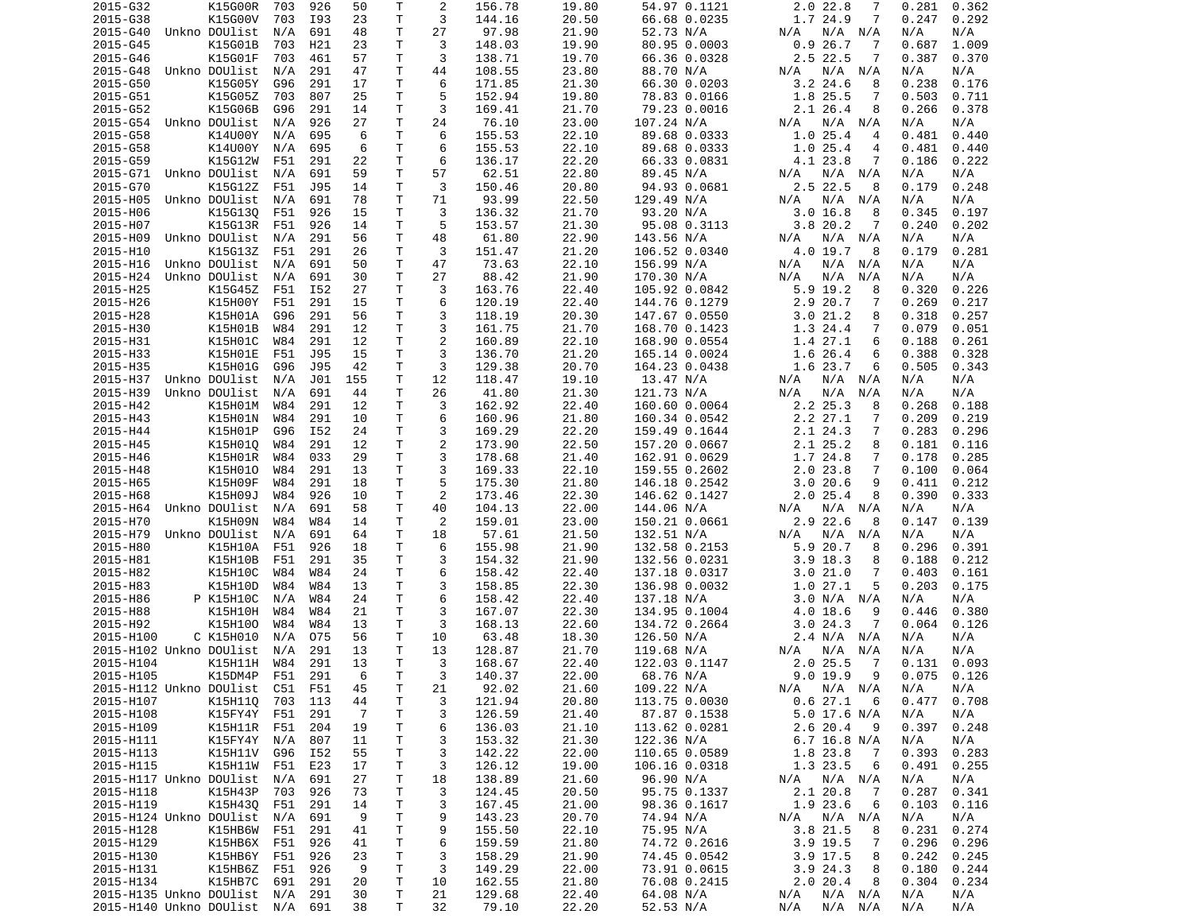| 2015-G32                        | K15G00R       | 703 | 926 | 50             | Т            | 2              | 156.78 | 19.80 | 54.97 0.1121  | 2.0 22.8<br>7             | 0.281<br>0.362 |
|---------------------------------|---------------|-----|-----|----------------|--------------|----------------|--------|-------|---------------|---------------------------|----------------|
| 2015-G38                        | K15G00V       | 703 | I93 | 23             | T            | 3              | 144.16 | 20.50 | 66.68 0.0235  | 1.7 24.9<br>7             | 0.247<br>0.292 |
| 2015-G40                        | Unkno DOUlist | N/A | 691 | 48             | Τ            | 27             | 97.98  | 21.90 | 52.73 N/A     | $N/A$ $N/A$<br>N/A        | N/A<br>N/A     |
| 2015-G45                        | K15G01B       | 703 | H21 | 23             | Τ            | 3              | 148.03 | 19.90 | 80.95 0.0003  | 26.7<br>0.9<br>7          | 1.009<br>0.687 |
| 2015-G46                        | K15G01F       | 703 | 461 | 57             | Τ            | 3              | 138.71 | 19.70 | 66.36 0.0328  | 2.5 22.5<br>7             | 0.387<br>0.370 |
| 2015-G48                        | Unkno DOUlist | N/A | 291 | 47             | Τ            | 44             | 108.55 | 23.80 | 88.70 N/A     | N/A<br>N/A<br>N/A         | N/A<br>N/A     |
| 2015-G50                        | K15G05Y       | G96 | 291 | 17             | т            | 6              | 171.85 | 21.30 | 66.30 0.0203  | $3.2$ 24.6<br>8           | 0.238<br>0.176 |
| 2015-G51                        | K15G05Z       | 703 | 807 | 25             | т            | 5              | 152.94 | 19.80 | 78.83 0.0166  | 1.8 25.5<br>7             | 0.503<br>0.711 |
|                                 |               | G96 |     |                | т            | 3              |        |       | 79.23 0.0016  | $2.1$ 26.4                |                |
| 2015-G52                        | K15G06B       |     | 291 | 14             |              |                | 169.41 | 21.70 |               | 8                         | 0.266<br>0.378 |
| 2015-G54                        | Unkno DOUlist | N/A | 926 | 27             | т            | 24             | 76.10  | 23.00 | 107.24 N/A    | $N/A$ $N/A$<br>N/A        | N/A<br>N/A     |
| 2015-G58                        | K14U00Y       | N/A | 695 | 6              | T            | 6              | 155.53 | 22.10 | 89.68 0.0333  | 1.0<br>25.4<br>4          | 0.481<br>0.440 |
| 2015-G58                        | K14U00Y       | N/A | 695 | 6              | т            | 6              | 155.53 | 22.10 | 89.68 0.0333  | 1.025.4<br>4              | 0.481<br>0.440 |
| 2015-G59                        | K15G12W       | F51 | 291 | 22             | т            | 6              | 136.17 | 22.20 | 66.33 0.0831  | 4.1 23.8<br>7             | 0.186<br>0.222 |
| 2015-G71                        | Unkno DOUlist | N/A | 691 | 59             | Τ            | 57             | 62.51  | 22.80 | 89.45 N/A     | $N/A$ $N/A$<br>N/A        | N/A<br>N/A     |
| 2015-G70                        | K15G12Z       | F51 | J95 | 14             | T            | 3              | 150.46 | 20.80 | 94.93 0.0681  | 2.5 22.5<br>8             | 0.179<br>0.248 |
| 2015-H05                        | Unkno DOUlist | N/A | 691 | 78             | T            | 71             | 93.99  | 22.50 | 129.49 N/A    | N/A<br>N/A<br>N/A         | N/A<br>N/A     |
| 2015-H06                        | K15G130       | F51 | 926 | 15             | т            | 3              | 136.32 | 21.70 | 93.20 N/A     | 3.016.8<br>8              | 0.345<br>0.197 |
| 2015-H07                        | K15G13R       | F51 | 926 | 14             | T            | 5              | 153.57 | 21.30 | 95.08 0.3113  | 3.8 20.2<br>7             | 0.240<br>0.202 |
| 2015-H09                        | Unkno DOUlist | N/A | 291 | 56             | T            | 48             | 61.80  | 22.90 | 143.56 N/A    | $N/A$ $N/A$<br>N/A        | N/A<br>N/A     |
| 2015-H10                        | K15G13Z       | F51 | 291 | 26             | т            | 3              | 151.47 | 21.20 | 106.52 0.0340 | 4.0 19.7<br>8             | 0.179<br>0.281 |
|                                 |               |     |     |                |              |                |        |       |               |                           |                |
| 2015-H16                        | Unkno DOUlist | N/A | 691 | 50             | т            | 47             | 73.63  | 22.10 | 156.99 N/A    | N/A<br>N/A<br>N/A         | N/A<br>N/A     |
| 2015-H24                        | Unkno DOUlist | N/A | 691 | 30             | т            | 27             | 88.42  | 21.90 | 170.30 N/A    | N/A<br>N/A<br>N/A         | N/A<br>N/A     |
| 2015-H25                        | K15G45Z       | F51 | I52 | 27             | T            | 3              | 163.76 | 22.40 | 105.92 0.0842 | $5.9$ 19.2<br>8           | 0.320<br>0.226 |
| 2015-H26                        | K15H00Y       | F51 | 291 | 15             | т            | 6              | 120.19 | 22.40 | 144.76 0.1279 | 2.9 20.7<br>7             | 0.269<br>0.217 |
| 2015-H28                        | K15H01A       | G96 | 291 | 56             | Τ            | 3              | 118.19 | 20.30 | 147.67 0.0550 | 3.021.2<br>8              | 0.318<br>0.257 |
| 2015-H30                        | K15H01B       | W84 | 291 | 12             | T            | 3              | 161.75 | 21.70 | 168.70 0.1423 | 1.3 24.4<br>7             | 0.079<br>0.051 |
| 2015-H31                        | K15H01C       | W84 | 291 | 12             | T            | $\overline{c}$ | 160.89 | 22.10 | 168.90 0.0554 | 1.4 27.1<br>6             | 0.188<br>0.261 |
| 2015-H33                        | K15H01E       | F51 | J95 | 15             | т            | 3              | 136.70 | 21.20 | 165.14 0.0024 | 1.6 26.4<br>6             | 0.388<br>0.328 |
| 2015-H35                        | K15H01G       | G96 | J95 | 42             | т            | 3              | 129.38 | 20.70 | 164.23 0.0438 | 1.6 23.7<br>6             | 0.505<br>0.343 |
| 2015-H37                        | Unkno DOUlist | N/A | J01 | 155            | т            | 12             | 118.47 | 19.10 | 13.47 N/A     | N/A<br>N/A<br>N/A         | N/A<br>N/A     |
|                                 | Unkno DOUlist |     |     |                | т            | 26             |        | 21.30 |               |                           | N/A            |
| 2015-H39                        |               | N/A | 691 | 44             |              |                | 41.80  |       | 121.73 N/A    | N/A<br>N/A<br>N/A         | N/A            |
| 2015-H42                        | K15H01M       | W84 | 291 | 12             | T            | 3              | 162.92 | 22.40 | 160.60 0.0064 | 2.2 25.3<br>8             | 0.268<br>0.188 |
| 2015-H43                        | K15H01N       | W84 | 291 | 10             | $\mathsf{T}$ | 6              | 160.96 | 21.80 | 160.34 0.0542 | 2.2 27.1<br>7             | 0.209<br>0.219 |
| 2015-H44                        | K15H01P       | G96 | I52 | 24             | T            | 3              | 169.29 | 22.20 | 159.49 0.1644 | 2.1 24.3<br>7             | 0.283<br>0.296 |
| 2015-H45                        | K15H010       | W84 | 291 | 12             | T            | $\overline{c}$ | 173.90 | 22.50 | 157.20 0.0667 | 2.1 25.2<br>8             | 0.181<br>0.116 |
| 2015-H46                        | K15H01R       | W84 | 033 | 29             | T            | 3              | 178.68 | 21.40 | 162.91 0.0629 | 1.7 24.8<br>7             | 0.178<br>0.285 |
| 2015-H48                        | K15H010       | W84 | 291 | 13             | т            | 3              | 169.33 | 22.10 | 159.55 0.2602 | $\overline{7}$<br>2.023.8 | 0.100<br>0.064 |
| 2015-H65                        | K15H09F       | W84 | 291 | 18             | T            | 5              | 175.30 | 21.80 | 146.18 0.2542 | 9<br>3.020.6              | 0.411<br>0.212 |
| 2015-H68                        | K15H09J       | W84 | 926 | 10             | T            | 2              | 173.46 | 22.30 | 146.62 0.1427 | 2.025.4<br>8              | 0.390<br>0.333 |
| 2015-H64                        | Unkno DOUlist | N/A | 691 | 58             | Τ            | 40             | 104.13 | 22.00 | 144.06 N/A    | N/A N/A<br>N/A            | N/A<br>N/A     |
| 2015-H70                        | K15H09N       | W84 | W84 | 14             | т            | 2              | 159.01 | 23.00 | 150.21 0.0661 | 2.9 22.6<br>8             | 0.139<br>0.147 |
|                                 |               |     |     |                | т            |                |        |       |               | N/A                       | N/A            |
| 2015-H79                        | Unkno DOUlist | N/A | 691 | 64             |              | 18             | 57.61  | 21.50 | 132.51 N/A    | N/A<br>N/A                | N/A            |
| 2015-H80                        | K15H10A       | F51 | 926 | 18             | т            | 6              | 155.98 | 21.90 | 132.58 0.2153 | 5.9<br>20.7<br>8          | 0.296<br>0.391 |
| 2015-H81                        | K15H10B       | F51 | 291 | 35             | т            | 3              | 154.32 | 21.90 | 132.56 0.0231 | 3.9<br>18.3<br>8          | 0.188<br>0.212 |
| 2015-H82                        | K15H10C       | W84 | W84 | 24             | Τ            | 6              | 158.42 | 22.40 | 137.18 0.0317 | 3.021.0<br>7              | 0.403<br>0.161 |
| 2015-H83                        | K15H10D       | W84 | W84 | 13             | T.           | 3              | 158.85 | 22.30 | 136.98 0.0032 | 1.027.1<br>5              | 0.203<br>0.175 |
| 2015-H86                        | P K15H10C     | N/A | W84 | 24             | Τ            | 6              | 158.42 | 22.40 | 137.18 N/A    | 3.0 N/A N/A               | N/A<br>N/A     |
| 2015-H88                        | K15H10H       | W84 | W84 | 21             | T            | 3              | 167.07 | 22.30 | 134.95 0.1004 | 4.0 18.6<br>9             | 0.380<br>0.446 |
| 2015-H92                        | K15H100       | W84 | W84 | 13             | Τ            | 3              | 168.13 | 22.60 | 134.72 0.2664 | 3.024.3<br>7              | 0.064<br>0.126 |
| 2015-H100                       | C K15H010     | N/A | 075 | 56             | т            | 10             | 63.48  | 18.30 | 126.50 N/A    | 2.4 N/A N/A               | N/A<br>N/A     |
| 2015-H102 Unkno DOUlist         |               | N/A | 291 | 13             | т            | 13             | 128.87 | 21.70 | 119.68 N/A    | N/A<br>N/A<br>N/A         | N/A<br>N/A     |
| 2015-H104                       |               | W84 | 291 | 13             | T.           | 3              | 168.67 | 22.40 |               | $2.0$ 25.5<br>7           | 0.131<br>0.093 |
|                                 | K15H11H       |     |     |                |              |                |        |       | 122.03 0.1147 |                           |                |
| 2015-H105                       | K15DM4P       | F51 | 291 | - 6            | T.           | 3              | 140.37 | 22.00 | 68.76 N/A     | 9.0 19.9<br>9             | $0.075$ 0.126  |
| 2015-H112 Unkno DOUlist C51 F51 |               |     |     | 45             | Т            | 21             | 92.02  | 21.60 | 109.22 N/A    | N/A N/A<br>N/A            | N/A<br>N/A     |
| 2015-H107                       | K15H110       | 703 | 113 | 44             | T            | 3              | 121.94 | 20.80 | 113.75 0.0030 | 0.627.1<br>6              | 0.477<br>0.708 |
| 2015-H108                       | K15FY4Y       | F51 | 291 | $\overline{7}$ | T            | 3              | 126.59 | 21.40 | 87.87 0.1538  | 5.0 17.6 N/A              | N/A<br>N/A     |
| 2015-H109                       | K15H11R       | F51 | 204 | 19             | Τ            | 6              | 136.03 | 21.10 | 113.62 0.0281 | 2.6 20.4<br>9             | 0.397<br>0.248 |
| 2015-H111                       | K15FY4Y N/A   |     | 807 | 11             | T            | 3              | 153.32 | 21.30 | 122.36 N/A    | $6.7$ 16.8 N/A            | N/A<br>N/A     |
| 2015-H113                       | K15H11V       | G96 | I52 | 55             | Τ            | 3              | 142.22 | 22.00 | 110.65 0.0589 | 1.8 23.8<br>7             | 0.393<br>0.283 |
| 2015-H115                       | K15H11W F51   |     | E23 | 17             | Τ            | 3              | 126.12 | 19.00 | 106.16 0.0318 | 1.3 23.5<br>6             | 0.491<br>0.255 |
| 2015-H117 Unkno DOUlist         |               | N/A | 691 | 27             | Τ            | 18             | 138.89 | 21.60 | 96.90 N/A     | N/A N/A<br>N/A            | N/A<br>N/A     |
| 2015-H118                       | K15H43P       |     | 926 | 73             | Τ            | 3              | 124.45 | 20.50 | 95.75 0.1337  | 2.1 20.8<br>- 7           | 0.287<br>0.341 |
|                                 |               | 703 |     |                |              |                |        |       |               |                           |                |
| 2015-H119                       | K15H430       | F51 | 291 | 14             | Τ            | 3              | 167.45 | 21.00 | 98.36 0.1617  | 1.9 23.6<br>6             | 0.103<br>0.116 |
| 2015-H124 Unkno DOUlist         |               | N/A | 691 | 9              | Τ            | 9              | 143.23 | 20.70 | 74.94 N/A     | N/A<br>N/A N/A            | N/A<br>N/A     |
| 2015-H128                       | K15HB6W       | F51 | 291 | 41             | T            | 9              | 155.50 | 22.10 | 75.95 N/A     | 3.8 21.5<br>8             | 0.231<br>0.274 |
| 2015-H129                       | K15HB6X       | F51 | 926 | 41             | T            | 6              | 159.59 | 21.80 | 74.72 0.2616  | 3.9 19.5<br>7             | 0.296<br>0.296 |
| 2015-H130                       | K15HB6Y F51   |     | 926 | 23             | Τ            | 3              | 158.29 | 21.90 | 74.45 0.0542  | $3.9$ 17.5<br>8           | 0.242<br>0.245 |
| 2015-H131                       | K15HB6Z F51   |     | 926 | 9              | T            | 3              | 149.29 | 22.00 | 73.91 0.0615  | 3.924.3<br>8              | 0.180<br>0.244 |
| 2015-H134                       | K15HB7C       | 691 | 291 | 20             | T            | 10             | 162.55 | 21.80 | 76.08 0.2415  | 2.020.4<br>8              | 0.304<br>0.234 |
| 2015-H135 Unkno DOUlist N/A     |               |     | 291 | 30             | T            | 21             | 129.68 | 22.40 | 64.08 N/A     | N/A<br>$N/A$ $N/A$        | N/A<br>N/A     |
| 2015-H140 Unkno DOUlist N/A 691 |               |     |     | 38             | Τ            | 32             | 79.10  | 22.20 | 52.53 N/A     | $N/A$ $N/A$<br>N/A        | N/A<br>N/A     |
|                                 |               |     |     |                |              |                |        |       |               |                           |                |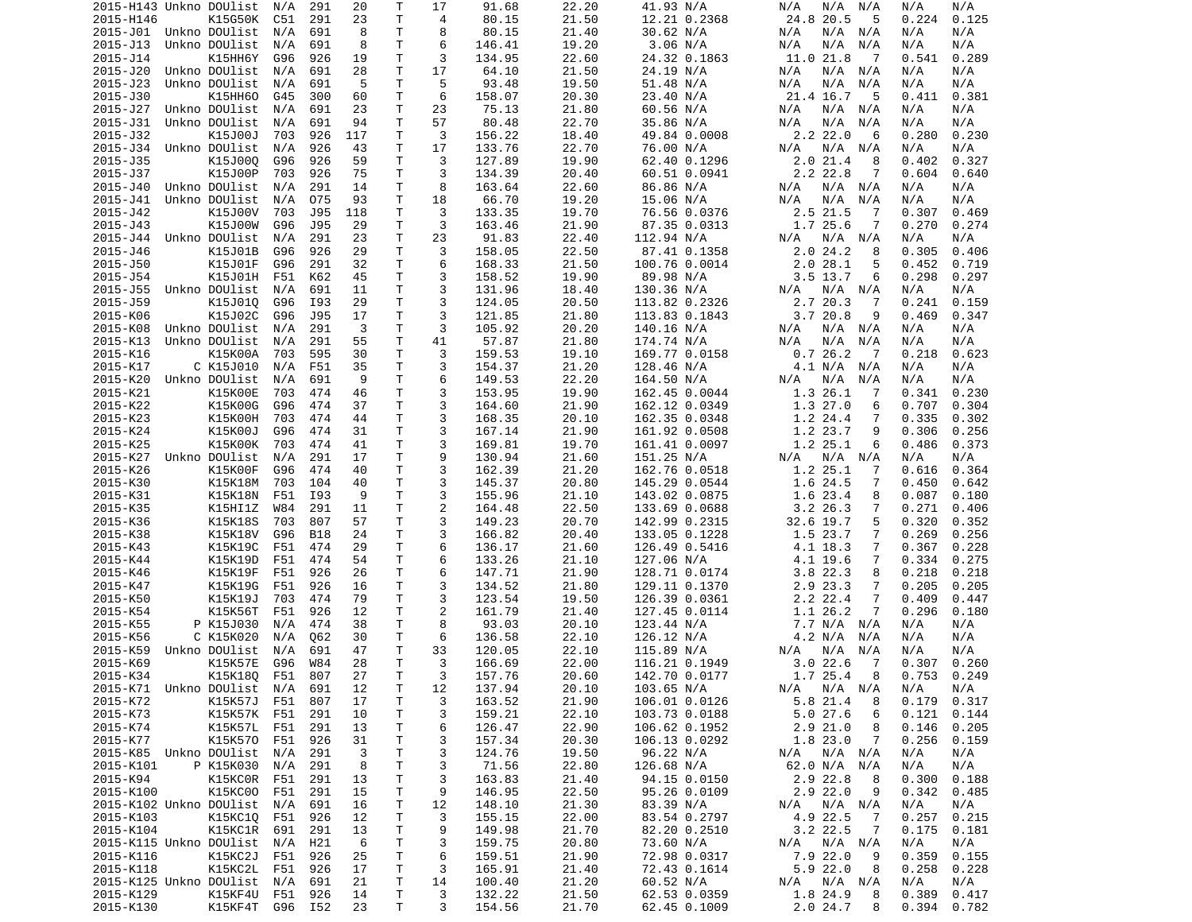| 2015-H143 Unkno DOUlist     |                                | N/A | 291        | 20       | Т            | 17             | 91.68            | 22.20          | 41.93 N/A                    | N/A<br>N/A<br>N/A             | N/A<br>N/A                       |
|-----------------------------|--------------------------------|-----|------------|----------|--------------|----------------|------------------|----------------|------------------------------|-------------------------------|----------------------------------|
| 2015-H146                   | K15G50K                        | C51 | 291        | 23       | т            | 4              | 80.15            | 21.50          | 12.21 0.2368                 | 24.8 20.5<br>5                | 0.125<br>0.224                   |
| 2015-J01 Unkno DOUlist      |                                | N/A | 691        | 8        | T            | 8              | 80.15            | 21.40          | 30.62 N/A                    | N/A<br>N/A<br>N/A             | N/A<br>N/A                       |
| 2015-J13                    | Unkno DOUlist                  | N/A | 691        | 8        | т            | 6              | 146.41           | 19.20          | 3.06 N/A                     | N/A<br>N/A<br>N/A             | N/A<br>N/A                       |
| 2015-J14                    | K15HH6Y                        | G96 | 926        | 19       | T.           | 3              | 134.95           | 22.60          | 24.32 0.1863                 | 11.0 21.8<br>- 7              | 0.289<br>0.541                   |
| 2015-J20                    | Unkno DOUlist                  | N/A | 691        | 28       | Τ            | 17             | 64.10            | 21.50          | 24.19 N/A                    | N/A<br>N/A<br>N/A             | N/A<br>N/A                       |
| 2015-J23                    | Unkno DOUlist                  | N/A | 691        | 5        | т            | 5              | 93.48            | 19.50          | 51.48 N/A                    | N/A<br>N/A<br>N/A             | N/A<br>N/A                       |
| 2015-J30                    | K15HH60                        | G45 | 300        | 60       | т            | 6              | 158.07           | 20.30          | 23.40 N/A                    | 21.4 16.7<br>5                | 0.381<br>0.411                   |
| 2015-J27                    | Unkno DOUlist                  | N/A | 691        | 23       | $\mathsf{T}$ | 23             | 75.13            | 21.80          | 60.56 N/A                    | N/A<br>N/A<br>N/A             | N/A<br>N/A                       |
| 2015-J31                    | Unkno DOUlist                  | N/A | 691        | 94       | т            | 57             | 80.48            | 22.70          | 35.86 N/A                    | N/A<br>N/A<br>N/A             | N/A<br>N/A                       |
| 2015-J32                    | K15J00J                        | 703 | 926        | 117      | T            | 3              | 156.22           | 18.40          | 49.84 0.0008                 | 2.2 22.0<br>6                 | 0.230<br>0.280                   |
|                             |                                |     |            |          | Τ            | 17             |                  |                |                              |                               |                                  |
| 2015-J34                    | Unkno DOUlist                  | N/A | 926        | 43       |              |                | 133.76           | 22.70          | 76.00 N/A                    | N/A<br>N/A<br>N/A             | N/A<br>N/A                       |
| 2015-J35                    | K15J000                        | G96 | 926        | 59       | Τ            | 3              | 127.89           | 19.90          | 62.40 0.1296                 | 2.021.4<br>8                  | 0.402<br>0.327                   |
| 2015-J37                    | K15J00P                        | 703 | 926        | 75       | т            | 3              | 134.39           | 20.40          | 60.51 0.0941                 | 2.2 22.8<br>7                 | 0.604<br>0.640                   |
| 2015-J40                    | Unkno DOUlist                  | N/A | 291        | 14       | Τ            | 8              | 163.64           | 22.60          | 86.86 N/A                    | N/A<br>N/A N/A                | N/A<br>N/A                       |
| 2015-J41                    | Unkno DOUlist                  | N/A | 075        | 93       | T.           | 18             | 66.70            | 19.20          | 15.06 N/A                    | N/A<br>N/A<br>N/A             | N/A<br>N/A                       |
| 2015-J42                    | K15J00V                        | 703 | J95        | 118      | Τ            | 3              | 133.35           | 19.70          | 76.56 0.0376                 | 2.5 21.5<br>7                 | 0.307<br>0.469                   |
| 2015-J43                    | K15J00W                        | G96 | J95        | 29       | Τ            | 3              | 163.46           | 21.90          | 87.35 0.0313                 | 1.7 25.6<br>7                 | 0.270<br>0.274                   |
| 2015-J44                    | Unkno DOUlist                  | N/A | 291        | 23       | T.           | 23             | 91.83            | 22.40          | 112.94 N/A                   | N/A<br>N/A N/A                | N/A<br>N/A                       |
| 2015-J46                    | K15J01B                        | G96 | 926        | 29       | Τ            | 3              | 158.05           | 22.50          | 87.41 0.1358                 | 2.024.2<br>8                  | 0.305<br>0.406                   |
| 2015-J50                    | K15J01F                        | G96 | 291        | 32       | т            | 6              | 168.33           | 21.50          | 100.76 0.0014                | 2.028.1<br>5                  | 0.452<br>0.719                   |
| 2015-J54                    | K15J01H                        | F51 | K62        | 45       | Τ            | 3              | 158.52           | 19.90          | 89.98 N/A                    | $3.5$ 13.7<br>6               | 0.298<br>0.297                   |
| 2015-J55                    | Unkno DOUlist                  | N/A | 691        | 11       | T            | 3              | 131.96           | 18.40          | 130.36 N/A                   | N/A<br>N/A<br>N/A             | N/A<br>N/A                       |
| 2015 - J59                  | K15J010                        | G96 | I93        | 29       | т            | 3              | 124.05           | 20.50          | 113.82 0.2326                | 2.7 20.3<br>7                 | 0.241<br>0.159                   |
| 2015-K06                    | K15J02C                        | G96 | J95        | 17       | T            | 3              | 121.85           | 21.80          | 113.83 0.1843                | 3.720.8<br>9                  | 0.469<br>0.347                   |
| 2015-K08                    | Unkno DOUlist                  | N/A | 291        | 3        | Τ            | 3              | 105.92           | 20.20          | 140.16 N/A                   | $N/A$ $N/A$<br>N/A            | N/A<br>N/A                       |
| 2015-K13                    | Unkno DOUlist                  | N/A | 291        | 55       | Τ            | 41             | 57.87            | 21.80          | 174.74 N/A                   | N/A<br>N/A<br>N/A             | N/A<br>N/A                       |
| 2015-K16                    | K15K00A                        | 703 | 595        | 30       | Τ            | 3              | 159.53           | 19.10          | 169.77 0.0158                | 0.726.2<br>- 7                | 0.218<br>0.623                   |
| 2015-K17                    | C K15J010                      | N/A | F51        | 35       | T.           | 3              | 154.37           | 21.20          | 128.46 N/A                   | 4.1 N/A<br>N/A                | N/A<br>N/A                       |
| 2015-K20                    | Unkno DOUlist                  | N/A | 691        | 9        | т            | 6              | 149.53           | 22.20          | 164.50 N/A                   | N/A<br>N/A<br>N/A             | N/A<br>N/A                       |
|                             |                                |     |            |          | Τ            | 3              |                  |                |                              |                               |                                  |
| 2015-K21                    | K15K00E                        | 703 | 474        | 46       |              |                | 153.95           | 19.90          | 162.45 0.0044                | 1.3 26.1<br>7                 | 0.341<br>0.230                   |
| 2015-K22                    | K15K00G                        | G96 | 474        | 37       | T.           | 3              | 164.60           | 21.90          | 162.12 0.0349                | 1.3 27.0<br>6                 | 0.707<br>0.304                   |
| 2015-K23                    | K15K00H                        | 703 | 474        | 44       | Τ            | 3              | 168.35           | 20.10          | 162.35 0.0348                | 1.2 24.4<br>7                 | 0.335<br>0.302                   |
| 2015-K24                    | K15K00J                        | G96 | 474        | 31       | Τ            | 3              | 167.14           | 21.90          | 161.92 0.0508                | 1.2 23.7<br>9                 | 0.306<br>0.256                   |
| 2015-K25                    | K15K00K                        | 703 | 474        | 41       | Τ            | 3              | 169.81           | 19.70          | 161.41 0.0097                | 1.2 25.1<br>6                 | 0.486<br>0.373                   |
| 2015-K27                    | Unkno DOUlist                  | N/A | 291        | 17       | T.           | 9              | 130.94           | 21.60          | 151.25 N/A                   | N/A<br>N/A<br>N/A             | N/A<br>N/A                       |
| 2015-K26                    | K15K00F                        | G96 | 474        | 40       | T            | 3              | 162.39           | 21.20          | 162.76 0.0518                | 1.2 25.1<br>7                 | 0.616<br>0.364                   |
| 2015-K30                    | K15K18M                        | 703 | 104        | 40       | T.           | 3              | 145.37           | 20.80          | 145.29 0.0544                | 1.6 24.5<br>7                 | 0.450<br>0.642                   |
| 2015-K31                    | K15K18N                        | F51 | I93        | 9        | Τ            | 3              | 155.96           | 21.10          | 143.02 0.0875                | 1.6 23.4<br>8                 | 0.087<br>0.180                   |
| 2015-K35                    | K15HI1Z                        | W84 | 291        | 11       | т            | $\overline{2}$ | 164.48           | 22.50          | 133.69 0.0688                | $3.2$ 26.3<br>7               | 0.271<br>0.406                   |
| 2015-K36                    | K15K18S                        | 703 | 807        | 57       | т            | 3              | 149.23           | 20.70          | 142.99 0.2315                | 32.6 19.7<br>5                | 0.320<br>0.352                   |
| 2015-K38                    | K15K18V                        | G96 | <b>B18</b> | 24       | Τ            | 3              | 166.82           | 20.40          | 133.05 0.1228                | 1.5 23.7<br>7                 | 0.269<br>0.256                   |
| 2015-K43                    | K15K19C                        | F51 | 474        | 29       | Τ            | 6              | 136.17           | 21.60          | 126.49 0.5416                | 4.1 18.3<br>7                 | 0.367<br>0.228                   |
| 2015-K44                    | K15K19D                        | F51 | 474        | 54       | т            | 6              | 133.26           | 21.10          | 127.06 N/A                   | 4.1 19.6<br>7                 | 0.334<br>0.275                   |
| 2015-K46                    | K15K19F                        | F51 | 926        | 26       | T            | 6              | 147.71           | 21.90          | 128.71 0.0174                | 3.8 22.3<br>8                 | 0.218<br>0.218                   |
| 2015-K47                    | K15K19G                        | F51 | 926        | 16       | T.           | 3              | 134.52           | 21.80          | 129.11 0.1370                | 2.9 23.3<br>7                 | 0.205<br>0.205                   |
| 2015-K50                    | K15K19J                        | 703 | 474        | 79       | Τ            | 3              | 123.54           | 19.50          | 126.39 0.0361                | 2.2 22.4<br>7                 | 0.409<br>0.447                   |
| 2015-K54                    | K15K56T                        | F51 | 926        | 12       | T.           | $\overline{c}$ | 161.79           | 21.40          | 127.45 0.0114                | 1.1 26.2<br>7                 | 0.296<br>0.180                   |
| 2015-K55                    | P K15J030                      | N/A | 474        | 38       | Τ            | 8              | 93.03            | 20.10          | 123.44 N/A                   | 7.7 N/A                       | N/A                              |
|                             | C K15K020                      |     |            |          |              |                |                  |                |                              | N/A                           | N/A                              |
| 2015-K56                    |                                | N/A | Q62        | 30       | т            | 6              | 136.58           | 22.10          | 126.12 N/A                   | 4.2 N/A<br>N/A                | N/A<br>N/A                       |
| 2015-K59                    | Unkno DOUlist                  | N/A | 691        | 47       | т            | 33             | 120.05           | 22.10          | 115.89 N/A                   | N/A<br>N/A<br>N/A             | N/A<br>N/A                       |
| 2015-K69                    | K15K57E                        | G96 | W84        | 28       | T.           | 3              | 166.69           | 22.00          | 116.21 0.1949                | 3.022.6<br>$\overline{7}$     | 0.260<br>0.307                   |
| 2015-K34                    | K15K18Q                        | F51 | 807        | 27       | $\mathsf{T}$ | 3              | 157.76           | 20.60          | 142.70 0.0177                | 1.7 25.4<br>8                 | 0.753<br>0.249                   |
| 2015-K71 Unkno DOUlist N/A  |                                |     | 691        | 12       | Τ            | 12             | 137.94           | 20.10          | 103.65 N/A                   | N/A N/A<br>N/A                | N/A<br>N/A                       |
| 2015-K72                    | K15K57J F51                    |     | 807        | 17       | Τ            | 3              | 163.52           | 21.90          | 106.01 0.0126                | 5.8 21.4<br>8                 | 0.179<br>0.317                   |
| 2015-K73                    | K15K57K F51                    |     | 291        | 10       | Τ            | 3              | 159.21           | 22.10          | 103.73 0.0188                | 5.027.6<br>6                  | 0.121<br>0.144                   |
| 2015-K74                    | K15K57L F51                    |     | 291        | 13       | Τ            | 6              | 126.47           | 22.90          | 106.62 0.1952                | $2.9$ $21.0$<br>8             | 0.146<br>0.205                   |
| 2015-K77                    | K15K570 F51                    |     | 926        | 31       | Τ            | 3              | 157.34           | 20.30          | 106.13 0.0292                | 1.8 23.0<br>$\overline{7}$    | 0.256<br>0.159                   |
| 2015-K85 Unkno DOUlist N/A  |                                |     | 291        | 3        | Τ            | 3              | 124.76           | 19.50          | 96.22 N/A                    | N/A N/A<br>N/A                | N/A<br>N/A                       |
| 2015-K101                   | P K15K030 N/A                  |     | 291        | 8        | T            | 3              | 71.56            | 22.80          | 126.68 N/A                   | 62.0 N/A N/A                  | N/A<br>N/A                       |
| 2015-K94                    | K15KC0R F51                    |     | 291        | 13       | T            | 3              | 163.83           | 21.40          | 94.15 0.0150                 | 2.9 22.8<br>- 8               | 0.300<br>0.188                   |
| 2015-K100                   | K15KC00 F51                    |     | 291        | 15       | Τ            | 9              | 146.95           | 22.50          | 95.26 0.0109                 | 2.9 22.0<br>9                 | 0.342<br>0.485                   |
| 2015-K102 Unkno DOUlist N/A |                                |     | 691        | 16       | T            | 12             | 148.10           | 21.30          | 83.39 N/A                    | $N/A$ $N/A$<br>N/A            | N/A<br>N/A                       |
| 2015-K103                   | K15KC1Q                        | F51 | 926        | 12       | Τ            | 3              | 155.15           | 22.00          | 83.54 0.2797                 | 4.9 22.5<br>7                 | 0.257<br>0.215                   |
| 2015-K104                   | K15KC1R                        | 691 | 291        | 13       | Τ            | 9              | 149.98           | 21.70          | 82.20 0.2510                 | $3.2$ 22.5<br>$\overline{7}$  | 0.175<br>0.181                   |
| 2015-K115 Unkno DOUlist N/A |                                |     | H21        | 6        | T            | 3              | 159.75           | 20.80          | 73.60 N/A                    | N/A N/A<br>N/A                | N/A<br>N/A                       |
|                             |                                |     |            |          |              | 6              | 159.51           | 21.90          | 72.98 0.0317                 | 7.9 22.0<br>9                 | 0.359<br>0.155                   |
|                             |                                |     |            |          |              |                |                  |                |                              |                               |                                  |
| 2015-K116                   | K15KC2J                        | F51 | 926        | 25       | T            |                |                  |                |                              |                               |                                  |
| 2015-K118                   | K15KC2L F51                    |     | 926        | 17       | T            | 3              | 165.91           | 21.40          | 72.43 0.1614                 | 5.9 22.0<br>8                 | 0.258<br>0.228                   |
| 2015-K125 Unkno DOUlist N/A |                                |     | 691        | 21       | T            | 14             | 100.40           | 21.20          | 60.52 N/A                    | N/A N/A<br>N/A                | N/A<br>N/A                       |
| 2015-K129<br>2015-K130      | K15KF4U F51<br>K15KF4T G96 I52 |     | 926        | 14<br>23 | Τ<br>Τ       | 3<br>3         | 132.22<br>154.56 | 21.50<br>21.70 | 62.53 0.0359<br>62.45 0.1009 | 1.8 24.9<br>8<br>2.024.7<br>8 | 0.389<br>0.417<br>0.394<br>0.782 |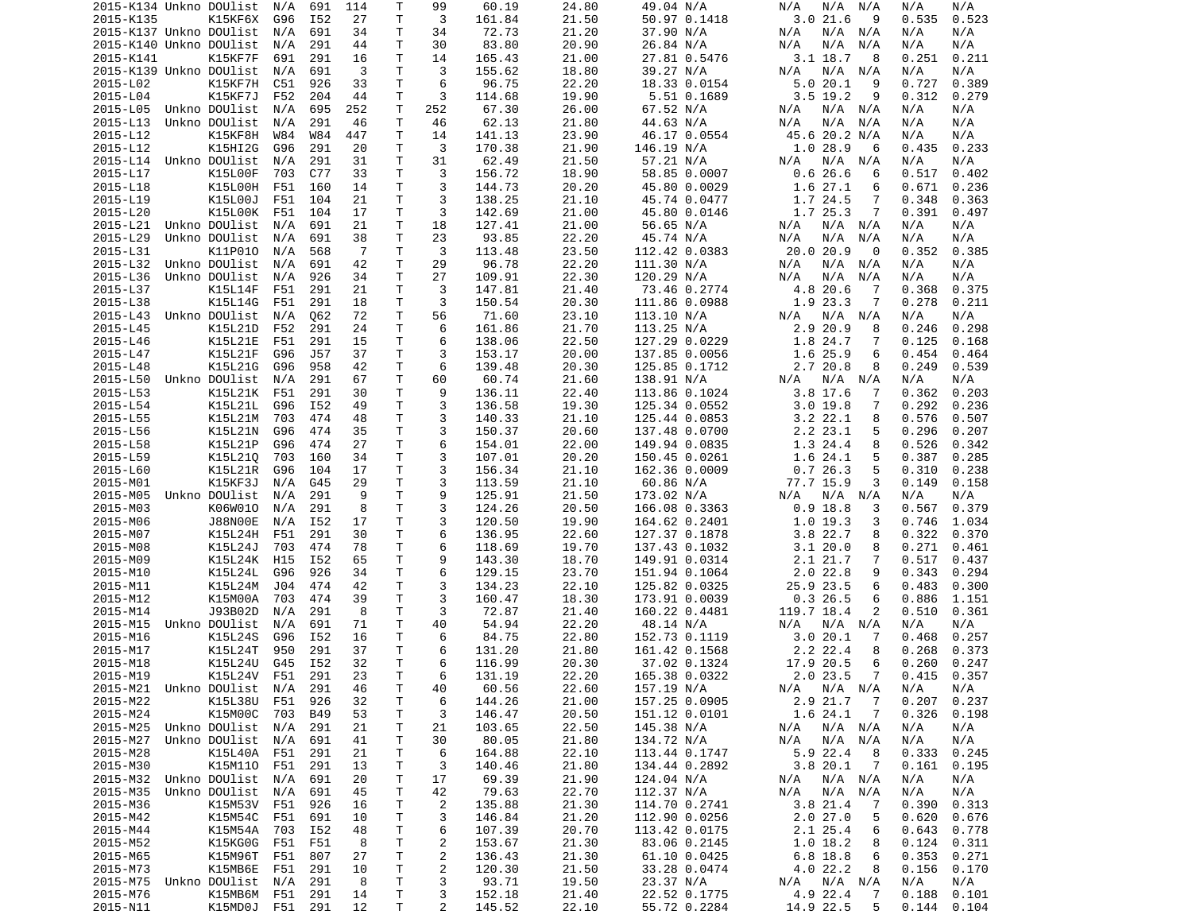| 2015-K134 Unkno DOUlist    |                   | N/A     | 691        | 114            | т            | 99                      | 60.19  | 24.80 | 49.04 N/A     | N/A<br>N/A<br>N/A          | N/A<br>N/A     |
|----------------------------|-------------------|---------|------------|----------------|--------------|-------------------------|--------|-------|---------------|----------------------------|----------------|
| 2015-K135                  | K15KF6X           | G96     | I52        | 27             | Τ            | 3                       | 161.84 | 21.50 | 50.97 0.1418  | 3.021.6<br>9               | 0.523<br>0.535 |
| 2015-K137 Unkno DOUlist    |                   | N/A     | 691        | 34             | т            | 34                      | 72.73  | 21.20 | 37.90 N/A     | N/A<br>N/A<br>N/A          | N/A<br>N/A     |
| 2015-K140 Unkno DOUlist    |                   | N/A     | 291        | 44             | т            | 30                      | 83.80  | 20.90 | 26.84 N/A     | N/A<br>N/A<br>N/A          | N/A<br>N/A     |
| 2015-K141                  | K15KF7F           | 691     | 291        | 16             | T            | 14                      | 165.43 | 21.00 | 27.81 0.5476  | 3.1 18.7<br>8              | 0.251<br>0.211 |
| 2015-K139 Unkno DOUlist    |                   | N/A     | 691        | 3              | Τ            | 3                       | 155.62 | 18.80 | 39.27 N/A     | N/A<br>N/A<br>N/A          | N/A<br>N/A     |
| 2015-L02                   | K15KF7H           | C51     | 926        | 33             | т            | 6                       | 96.75  | 22.20 | 18.33 0.0154  | 5.020.1<br>9               | 0.727<br>0.389 |
| 2015-L04                   |                   | F52     | 204        | 44             | т            | 3                       | 114.68 | 19.90 | 5.51 0.1689   | $3.5$ 19.2<br>9            | 0.312<br>0.279 |
|                            | K15KF7J           |         |            |                |              |                         |        |       |               |                            |                |
| 2015-L05                   | Unkno DOUlist     | N/A     | 695        | 252            | T            | 252                     | 67.30  | 26.00 | 67.52 N/A     | N/A<br>N/A<br>N/A          | N/A<br>N/A     |
| 2015-L13                   | Unkno DOUlist     | N/A     | 291        | 46             | т            | 46                      | 62.13  | 21.80 | 44.63 N/A     | N/A<br>N/A<br>N/A          | N/A<br>N/A     |
| 2015-L12                   | K15KF8H           | W84     | W84        | 447            | T            | 14                      | 141.13 | 23.90 | 46.17 0.0554  | 45.6 20.2 N/A              | N/A<br>N/A     |
| 2015-L12                   | K15HI2G           | G96     | 291        | 20             | т            | 3                       | 170.38 | 21.90 | 146.19 N/A    | 1.028.9<br>6               | 0.435<br>0.233 |
| 2015-L14                   | Unkno DOUlist     | N/A     | 291        | 31             | T            | 31                      | 62.49  | 21.50 | 57.21 N/A     | N/A<br>N/A<br>N/A          | N/A<br>N/A     |
| 2015-L17                   | K15L00F           | 703     | C77        | 33             | т            | 3                       | 156.72 | 18.90 | 58.85 0.0007  | 0.626.6<br>6               | 0.517<br>0.402 |
| 2015-L18                   | K15L00H           | F51     | 160        | 14             | T            | 3                       | 144.73 | 20.20 | 45.80 0.0029  | 1.6 27.1<br>6              | 0.671<br>0.236 |
| 2015-L19                   | K15L00J           | F51     | 104        | 21             | T            | 3                       | 138.25 | 21.10 | 45.74 0.0477  | 1.7 24.5<br>7              | 0.348<br>0.363 |
| 2015-L20                   | K15L00K           | F51     | 104        | 17             | т            | 3                       | 142.69 | 21.00 | 45.80 0.0146  | 1.7 25.3<br>7              | 0.391<br>0.497 |
| 2015-L21                   | Unkno DOUlist     | N/A     | 691        | 21             | T            | 18                      | 127.41 | 21.00 | 56.65 N/A     | N/A<br>N/A<br>N/A          | N/A<br>N/A     |
| 2015-L29                   | Unkno DOUlist     | N/A     | 691        | 38             | $\mathsf{T}$ | 23                      | 93.85  | 22.20 | 45.74 N/A     | N/A<br>N/A<br>N/A          | N/A<br>N/A     |
| 2015-L31                   | K11P010           | N/A     | 568        | $\overline{7}$ | Τ            | 3                       | 113.48 | 23.50 | 112.42 0.0383 | 20.0 20.9<br>0             | 0.352<br>0.385 |
| 2015-L32                   | Unkno DOUlist     | N/A     | 691        | 42             | т            | 29                      | 96.78  | 22.20 | 111.30 N/A    | $N/A$ $N/A$<br>N/A         | N/A<br>N/A     |
|                            |                   |         |            |                | т            |                         | 109.91 |       |               |                            |                |
| 2015-L36                   | Unkno DOUlist     | N/A     | 926        | 34             |              | 27                      |        | 22.30 | 120.29 N/A    | N/A<br>N/A<br>N/A          | N/A<br>N/A     |
| 2015-L37                   | K15L14F           | F51     | 291        | 21             | T            | 3                       | 147.81 | 21.40 | 73.46 0.2774  | 4.8 20.6<br>7              | 0.368<br>0.375 |
| 2015-L38                   | K15L14G           | F51     | 291        | 18             | т            | 3                       | 150.54 | 20.30 | 111.86 0.0988 | 1.9 23.3<br>7              | 0.278<br>0.211 |
| 2015-L43                   | Unkno DOUlist     | N/A     | Q62        | 72             | T            | 56                      | 71.60  | 23.10 | 113.10 N/A    | N/A<br>N/A<br>N/A          | N/A<br>N/A     |
| 2015-L45                   | K15L21D           | F52     | 291        | 24             | $\mathsf{T}$ | 6                       | 161.86 | 21.70 | 113.25 N/A    | 2.9 20.9<br>8              | 0.246<br>0.298 |
| 2015-L46                   | K15L21E           | F51     | 291        | 15             | T            | 6                       | 138.06 | 22.50 | 127.29 0.0229 | 1.8 24.7<br>7              | 0.125<br>0.168 |
| 2015-L47                   | K15L21F           | G96     | J57        | 37             | т            | 3                       | 153.17 | 20.00 | 137.85 0.0056 | 1.6 25.9<br>6              | 0.454<br>0.464 |
| 2015-L48                   | K15L21G           | G96     | 958        | 42             | т            | 6                       | 139.48 | 20.30 | 125.85 0.1712 | 2.7 20.8<br>8              | 0.249<br>0.539 |
| 2015-L50                   | Unkno DOUlist     | N/A     | 291        | 67             | T            | 60                      | 60.74  | 21.60 | 138.91 N/A    | N/A<br>N/A<br>N/A          | N/A<br>N/A     |
| 2015-L53                   | K15L21K           | F51     | 291        | 30             | т            | 9                       | 136.11 | 22.40 | 113.86 0.1024 | $3.8$ 17.6<br>7            | 0.362<br>0.203 |
| 2015-L54                   | K15L21L           | G96     | I52        | 49             | T            | 3                       | 136.58 | 19.30 | 125.34 0.0552 | $3.0$ 19.8<br>7            | 0.292<br>0.236 |
| 2015-L55                   | K15L21M           | 703     | 474        | 48             | $\mathsf{T}$ | 3                       | 140.33 | 21.10 | 125.44 0.0853 | $3.2$ $22.1$<br>8          | 0.576<br>0.507 |
| 2015-L56                   | K15L21N           | G96     | 474        | 35             | т            | 3                       | 150.37 | 20.60 | 137.48 0.0700 | 2.2 23.1<br>5              | 0.296<br>0.207 |
| 2015-L58                   | K15L21P           | G96     | 474        | 27             | T            | 6                       | 154.01 | 22.00 | 149.94 0.0835 | 1.3 24.4<br>8              | 0.526<br>0.342 |
|                            |                   |         |            |                |              |                         |        |       |               |                            |                |
| 2015-L59                   | K15L210           | 703     | 160        | 34             | T            | 3                       | 107.01 | 20.20 | 150.45 0.0261 | 1.6 24.1<br>5              | 0.387<br>0.285 |
| 2015-L60                   | K15L21R           | G96     | 104        | 17             | т            | 3                       | 156.34 | 21.10 | 162.36 0.0009 | 0.726.3<br>5               | 0.310<br>0.238 |
| 2015-M01                   | K15KF3J           | N/A     | G45        | 29             | т            | 3                       | 113.59 | 21.10 | 60.86 N/A     | 77.7 15.9<br>3             | 0.149<br>0.158 |
| 2015-M05                   | Unkno DOUlist     | N/A     | 291        | 9              | Τ            | 9                       | 125.91 | 21.50 | 173.02 N/A    | N/A<br>N/A<br>N/A          | N/A<br>N/A     |
| 2015-M03                   | K06W010           | N/A     | 291        | 8              | T            | 3                       | 124.26 | 20.50 | 166.08 0.3363 | $0.9$ 18.8<br>3            | 0.567<br>0.379 |
| 2015-M06                   | <b>J88N00E</b>    | N/A     | I52        | 17             | т            | 3                       | 120.50 | 19.90 | 164.62 0.2401 | 1.0 19.3<br>3              | 0.746<br>1.034 |
| 2015-M07                   | K15L24H           | F51     | 291        | 30             | т            | 6                       | 136.95 | 22.60 | 127.37 0.1878 | 3.8 22.7<br>8              | 0.322<br>0.370 |
| 2015-M08                   | K15L24J           | 703     | 474        | 78             | т            | 6                       | 118.69 | 19.70 | 137.43 0.1032 | 3.120.0<br>8               | 0.271<br>0.461 |
| 2015-M09                   | K15L24K           | H15     | I52        | 65             | T            | 9                       | 143.30 | 18.70 | 149.91 0.0314 | 7<br>2.1 21.7              | 0.517<br>0.437 |
| 2015-M10                   | K15L24L           | G96     | 926        | 34             | т            | 6                       | 129.15 | 23.70 | 151.94 0.1064 | $2.0$ 22.8<br>9            | 0.343<br>0.294 |
| 2015-M11                   | K15L24M           | J04     | 474        | 42             | Τ            | 3                       | 134.23 | 22.10 | 125.82 0.0325 | 25.9 23.5<br>6             | 0.483<br>0.300 |
| 2015-M12                   | K15M00A           | 703     | 474        | 39             | Τ            | 3                       | 160.47 | 18.30 | 173.91 0.0039 | 0.326.5<br>6               | 0.886<br>1.151 |
| 2015-M14                   | J93B02D           | N/A     | 291        | 8              | T            | 3                       | 72.87  | 21.40 | 160.22 0.4481 | 119.7 18.4<br>2            | 0.510<br>0.361 |
|                            | Unkno DOUlist     |         |            | 71             | T            | 40                      |        |       |               | N/A                        | N/A<br>N/A     |
| 2015-M15                   |                   | N/A     | 691        |                |              |                         | 54.94  | 22.20 | 48.14 N/A     | N/A<br>N/A                 |                |
| 2015-M16                   | K15L24S           | G96     | I52        | 16             | Τ            | 6                       | 84.75  | 22.80 | 152.73 0.1119 | 3.020.1<br>7               | 0.257<br>0.468 |
| 2015-M17                   | K15L24T           | 950     | 291        | 37             | т            | 6                       | 131.20 | 21.80 | 161.42 0.1568 | 2.2 22.4<br>8              | 0.268<br>0.373 |
| 2015-M18                   | K15L24U           | G45     | I52        | 32             | T.           | 6                       | 116.99 | 20.30 | 37.02 0.1324  | 17.9 20.5<br>6             | 0.260<br>0.247 |
| 2015-M19                   | K15L24V F51       |         | 291        | 23             | $\mathsf{T}$ | 6                       | 131.19 | 22.20 | 165.38 0.0322 | 2.023.5<br>7               | $0.415$ 0.357  |
| 2015-M21 Unkno DOUlist N/A |                   |         | 291        | 46             | Τ            | 40                      | 60.56  | 22.60 | 157.19 N/A    | N/A N/A<br>N/A             | N/A<br>N/A     |
| 2015-M22                   | K15L38U           | F51     | 926        | 32             | T            | 6                       | 144.26 | 21.00 | 157.25 0.0905 | 2.9 21.7<br>$\overline{7}$ | 0.207<br>0.237 |
| 2015-M24                   | K15M00C           | 703     | <b>B49</b> | 53             | T            | 3                       | 146.47 | 20.50 | 151.12 0.0101 | 1.6 24.1<br>7              | 0.326<br>0.198 |
| 2015-M25                   | Unkno DOUlist N/A |         | 291        | 21             | Τ            | 21                      | 103.65 | 22.50 | 145.38 N/A    | N/A N/A<br>N/A             | N/A<br>N/A     |
| 2015-M27                   | Unkno DOUlist N/A |         | 691        | 41             | т            | 30                      | 80.05  | 21.80 | 134.72 N/A    | N/A<br>N/A N/A             | N/A<br>N/A     |
| 2015-M28                   | K15L40A           | F51     | 291        | 21             | Τ            | 6                       | 164.88 | 22.10 | 113.44 0.1747 | 5.9 22.4<br>-8             | 0.333<br>0.245 |
| 2015-M30                   | K15M110           | F51     | 291        | 13             | Τ            | 3                       | 140.46 | 21.80 | 134.44 0.2892 | 3.820.1<br>$\overline{7}$  | 0.161<br>0.195 |
|                            | Unkno DOUlist     |         |            |                |              |                         |        |       |               | N/A N/A                    |                |
| 2015-M32                   |                   | N/A     | 691        | 20             | Τ            | 17                      | 69.39  | 21.90 | 124.04 N/A    | N/A                        | N/A<br>N/A     |
| 2015-M35                   | Unkno DOUlist     | N/A     | 691        | 45             | T            | 42                      | 79.63  | 22.70 | 112.37 N/A    | N/A<br>N/A N/A             | N/A<br>N/A     |
| 2015-M36                   | K15M53V           | F51     | 926        | 16             | Τ            | $\overline{\mathbf{c}}$ | 135.88 | 21.30 | 114.70 0.2741 | 3.8 21.4<br>7              | 0.390<br>0.313 |
| 2015-M42                   | K15M54C           | F51     | 691        | 10             | Τ            | 3                       | 146.84 | 21.20 | 112.90 0.0256 | 2.027.0<br>5               | 0.620<br>0.676 |
| 2015-M44                   | K15M54A           | 703     | I52        | 48             | T            | 6                       | 107.39 | 20.70 | 113.42 0.0175 | 2.1 25.4<br>6              | 0.643<br>0.778 |
| 2015-M52                   | K15KG0G           | F51     | F51        | 8              | $\mathsf T$  | 2                       | 153.67 | 21.30 | 83.06 0.2145  | $1.0$ 18.2<br>8            | 0.124<br>0.311 |
| 2015-M65                   | K15M96T           | F51     | 807        | 27             | T            | 2                       | 136.43 | 21.30 | 61.10 0.0425  | 6.8 18.8<br>6              | 0.353<br>0.271 |
| 2015-M73                   | K15MB6E           | F51     | 291        | 10             | T            | $\overline{\mathbf{c}}$ | 120.30 | 21.50 | 33.28 0.0474  | 4.022.2<br>8               | 0.156<br>0.170 |
| 2015-M75                   | Unkno DOUlist     | N/A     | 291        | 8              | T            | 3                       | 93.71  | 19.50 | 23.37 N/A     | N/A N/A<br>N/A             | N/A<br>N/A     |
| 2015-M76                   | K15MB6M           | F51     | 291        | 14             | T            | 3                       | 152.18 | 21.40 | 22.52 0.1775  | 4.9 22.4<br>7              | 0.188<br>0.101 |
| 2015-N11                   | K15MD0J           | F51 291 |            | 12             | Τ            | $\overline{2}$          | 145.52 | 22.10 | 55.72 0.2284  | 14.9 22.5<br>5             | 0.144<br>0.104 |
|                            |                   |         |            |                |              |                         |        |       |               |                            |                |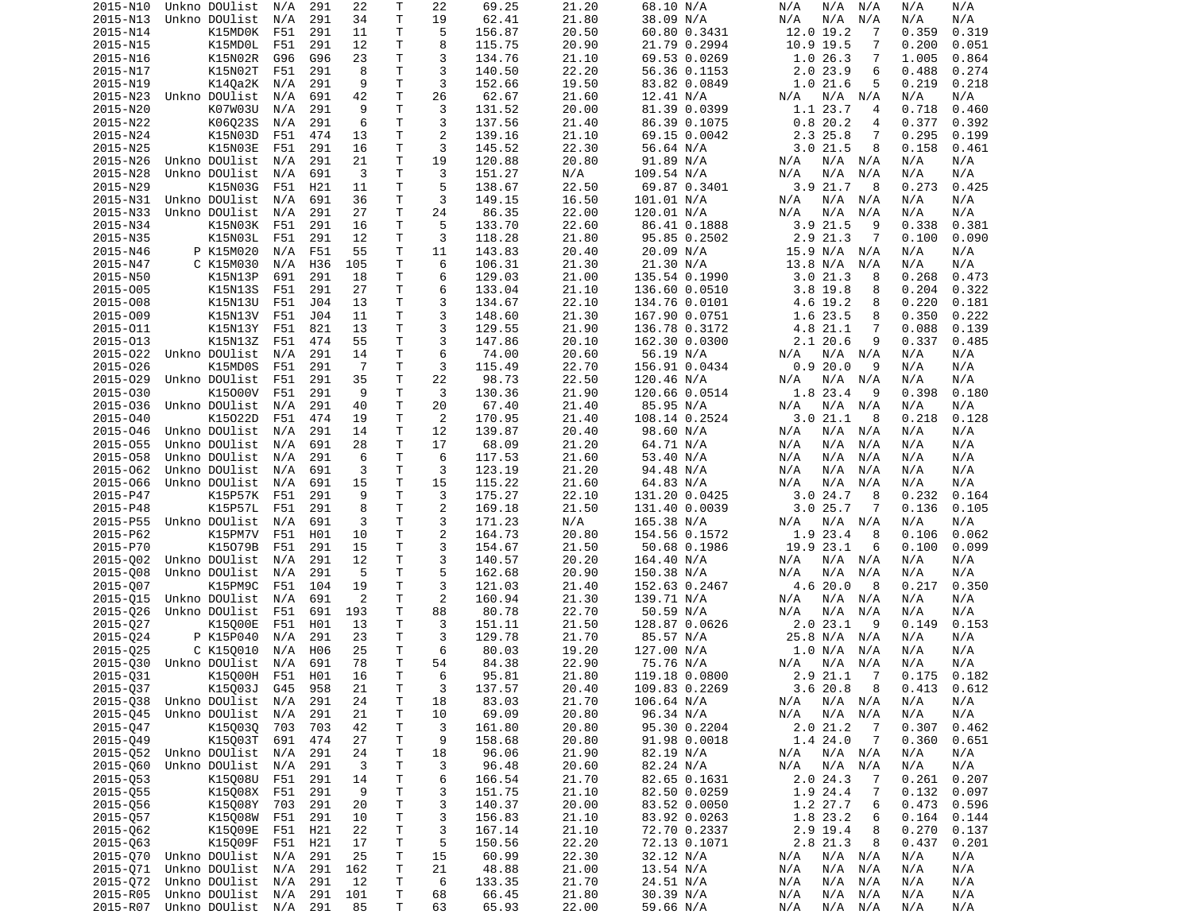| 2015-N10 | Unkno DOUlist         | N/A | 291 | 22             | т            | 22             | 69.25  | 21.20 | 68.10 N/A     | N/A<br>N/A<br>N/A         | N/A<br>N/A     |
|----------|-----------------------|-----|-----|----------------|--------------|----------------|--------|-------|---------------|---------------------------|----------------|
| 2015-N13 | Unkno DOUlist         | N/A | 291 | 34             | T            | 19             | 62.41  | 21.80 | 38.09 N/A     | N/A<br>N/A<br>N/A         | N/A<br>N/A     |
| 2015-N14 | K15MD0K               | F51 | 291 | 11             | т            | 5              | 156.87 | 20.50 | 60.80 0.3431  | 12.0 19.2<br>-7           | 0.359<br>0.319 |
| 2015-N15 | K15MD0L               | F51 | 291 | 12             | Τ            | 8              | 115.75 | 20.90 | 21.79 0.2994  | 10.9 19.5<br>7            | 0.200<br>0.051 |
| 2015-N16 | K15N02R               | G96 | G96 | 23             | т            | 3              | 134.76 | 21.10 | 69.53 0.0269  | 1.026.3<br>7              | 1.005<br>0.864 |
| 2015-N17 | K15N02T               | F51 | 291 | 8              | T            | 3              | 140.50 | 22.20 | 56.36 0.1153  | 2.023.9<br>6              | 0.488<br>0.274 |
| 2015-N19 | K14Qa2K               | N/A | 291 | 9              | Τ            | 3              | 152.66 | 19.50 | 83.82 0.0849  | 1.021.6<br>5              | 0.219<br>0.218 |
| 2015-N23 | Unkno DOUlist         | N/A | 691 | 42             | Τ            | 26             | 62.67  | 21.60 | 12.41 N/A     | N/A<br>N/A<br>N/A         | N/A<br>N/A     |
| 2015-N20 | K07W03U               | N/A | 291 | 9              | Τ            | 3              | 131.52 | 20.00 | 81.39 0.0399  | 1.1 23.7<br>4             | 0.718<br>0.460 |
| 2015-N22 | K06023S               | N/A | 291 | 6              | T            | 3              | 137.56 | 21.40 | 86.39 0.1075  | 0.820.2<br>4              | 0.377<br>0.392 |
| 2015-N24 | K15N03D               | F51 | 474 | 13             | T            | $\overline{2}$ | 139.16 | 21.10 | 69.15 0.0042  | 2.3 25.8<br>7             | 0.295<br>0.199 |
| 2015-N25 | K15N03E               | F51 | 291 | 16             | Τ            | 3              | 145.52 | 22.30 | 56.64 N/A     | 3.021.5<br>8              | 0.158<br>0.461 |
| 2015-N26 | Unkno DOUlist         | N/A | 291 | 21             | T            | 19             | 120.88 | 20.80 | 91.89 N/A     | N/A<br>N/A N/A            | N/A<br>N/A     |
| 2015-N28 | Unkno DOUlist         | N/A | 691 | 3              | Τ            | 3              | 151.27 | N/A   | 109.54 N/A    | N/A<br>N/A<br>N/A         | N/A<br>N/A     |
| 2015-N29 | K15N03G               | F51 | H21 | 11             | Τ            | 5              | 138.67 | 22.50 | 69.87 0.3401  | 3.9 21.7<br>8             | 0.273<br>0.425 |
| 2015-N31 | Unkno DOUlist         | N/A | 691 | 36             | Τ            | 3              | 149.15 | 16.50 | 101.01 N/A    | N/A N/A<br>N/A            | N/A<br>N/A     |
| 2015-N33 | Unkno DOUlist         | N/A | 291 | 27             | Τ            | 24             | 86.35  | 22.00 | 120.01 N/A    | N/A<br>N/A<br>N/A         | N/A<br>N/A     |
| 2015-N34 | K15N03K               | F51 | 291 | 16             | T.           | 5              | 133.70 | 22.60 | 86.41 0.1888  | 3.921.5<br>9              | 0.338<br>0.381 |
| 2015-N35 | K15N03L               | F51 | 291 | 12             | Τ            | 3              | 118.28 | 21.80 | 95.85 0.2502  | 2.9 21.3<br>7             | 0.100<br>0.090 |
| 2015-N46 | P K15M020             | N/A | F51 | 55             | Τ            | 11             | 143.83 | 20.40 | 20.09 N/A     | 15.9 N/A N/A              | N/A<br>N/A     |
| 2015-N47 | C K15M030             | N/A | H36 | 105            | Τ            | 6              | 106.31 | 21.30 | 21.30 N/A     | 13.8 N/A<br>N/A           | N/A<br>N/A     |
| 2015-N50 | K15N13P               | 691 | 291 | 18             | T            | 6              | 129.03 | 21.00 | 135.54 0.1990 | 3.021.3<br>8              | 0.268<br>0.473 |
| 2015-005 | K15N13S               | F51 | 291 | 27             | T            | 6              | 133.04 | 21.10 | 136.60 0.0510 | $3.8$ 19.8<br>8           | 0.204<br>0.322 |
| 2015-008 | K15N13U               | F51 | J04 | 13             | T.           | 3              | 134.67 | 22.10 | 134.76 0.0101 | 4.6 19.2<br>8             | 0.220<br>0.181 |
| 2015-009 | K15N13V               | F51 | J04 | 11             | T.           | 3              | 148.60 | 21.30 | 167.90 0.0751 | 1.6 23.5<br>8             | 0.350<br>0.222 |
| 2015-011 | K15N13Y               | F51 | 821 | 13             | Τ            | 3              | 129.55 | 21.90 | 136.78 0.3172 | 4.8 21.1<br>7             | 0.088<br>0.139 |
| 2015-013 | K15N13Z               | F51 | 474 | 55             | Τ            | 3              | 147.86 | 20.10 | 162.30 0.0300 | 2.120.6<br>9              | 0.337<br>0.485 |
| 2015-022 | Unkno DOUlist         | N/A | 291 | 14             | Τ            | 6              | 74.00  | 20.60 | 56.19 N/A     | N/A<br>N/A N/A            | N/A<br>N/A     |
| 2015-026 | K15MD0S               | F51 | 291 | $\overline{7}$ | т            | 3              | 115.49 | 22.70 | 156.91 0.0434 | 0.920.0<br>9              | N/A<br>N/A     |
| 2015-029 | Unkno DOUlist         | F51 | 291 | 35             | Τ            | 22             | 98.73  | 22.50 | 120.46 N/A    | N/A N/A<br>N/A            | N/A<br>N/A     |
| 2015-030 | K15000V               | F51 | 291 | 9              | Τ            | 3              | 130.36 | 21.90 | 120.66 0.0514 | 1.8 23.4<br>-9            | 0.398<br>0.180 |
| 2015-036 | Unkno DOUlist         | N/A | 291 | 40             | T            | 20             | 67.40  | 21.40 | 85.95 N/A     | N/A<br>N/A N/A            | N/A<br>N/A     |
| 2015-040 | K15022D               | F51 | 474 | 19             | T            | 2              | 170.95 | 21.40 | 108.14 0.2524 | 3.021.1<br>8              | 0.218<br>0.128 |
| 2015-046 | Unkno DOUlist         | N/A | 291 | 14             | T            | 12             | 139.87 | 20.40 | 98.60 N/A     | N/A<br>N/A N/A            | N/A<br>N/A     |
| 2015-055 | Unkno DOUlist         | N/A | 691 | 28             | T            | 17             | 68.09  | 21.20 | 64.71 N/A     | N/A<br>N/A<br>N/A         | N/A<br>N/A     |
| 2015-058 | Unkno DOUlist         | N/A | 291 | 6              | т            | 6              | 117.53 | 21.60 | 53.40 N/A     | N/A<br>N/A<br>N/A         | N/A<br>N/A     |
| 2015-062 | Unkno DOUlist         | N/A | 691 | 3              | Τ            | 3              | 123.19 | 21.20 | 94.48 N/A     | N/A<br>N/A<br>N/A         | N/A<br>N/A     |
| 2015-066 | Unkno DOUlist         | N/A | 691 | 15             | T.           | 15             | 115.22 | 21.60 | 64.83 N/A     | N/A<br>N/A<br>N/A         | N/A<br>N/A     |
| 2015-P47 | K15P57K               | F51 | 291 | 9              | T            | 3              | 175.27 | 22.10 | 131.20 0.0425 | 3.024.7<br>8              | 0.232<br>0.164 |
| 2015-P48 | K15P57L               | F51 | 291 | 8              | Τ            | $\overline{c}$ | 169.18 | 21.50 | 131.40 0.0039 | 3.025.7<br>7              | 0.136<br>0.105 |
| 2015-P55 | Unkno DOUlist         | N/A | 691 | 3              | Τ            | 3              | 171.23 | N/A   | 165.38 N/A    | N/A<br>N/A<br>N/A         | N/A<br>N/A     |
| 2015-P62 | K15PM7V               | F51 | H01 | 10             | T            | $\overline{c}$ | 164.73 | 20.80 | 154.56 0.1572 | 1.9 23.4<br>8             | 0.062<br>0.106 |
| 2015-P70 | K15079B               | F51 | 291 | 15             | Τ            | 3              | 154.67 | 21.50 | 50.68 0.1986  | 19.9 23.1<br>6            | 0.100<br>0.099 |
| 2015-002 | Unkno DOUlist         | N/A | 291 | 12             | T            | 3              | 140.57 | 20.20 | 164.40 N/A    | N/A<br>N/A N/A            | N/A<br>N/A     |
| 2015-008 | Unkno DOUlist         | N/A | 291 | 5              | Τ            | 5              | 162.68 | 20.90 | 150.38 N/A    | N/A<br>N/A<br>N/A         | N/A<br>N/A     |
| 2015-007 | K15PM9C               | F51 | 104 | 19             | Τ            | 3              | 121.03 | 21.40 | 152.63 0.2467 | 4.6 20.0<br>8             | 0.217<br>0.350 |
| 2015-015 | Unkno DOUlist         | N/A | 691 | 2              | Τ            | 2              | 160.94 | 21.30 | 139.71 N/A    | N/A<br>N/A N/A            | N/A<br>N/A     |
| 2015-026 | Unkno DOUlist         | F51 | 691 | 193            | T            | 88             | 80.78  | 22.70 | 50.59 N/A     | N/A<br>N/A<br>N/A         | N/A<br>N/A     |
| 2015-027 | K15000E               | F51 | H01 | 13             | т            | 3              | 151.11 | 21.50 | 128.87 0.0626 | 2.0 23.1<br>-9            | 0.153<br>0.149 |
| 2015-024 | P K15P040             | N/A | 291 | 23             | Τ            | 3              | 129.78 | 21.70 | 85.57 N/A     | 25.8 N/A N/A              | N/A<br>N/A     |
| 2015-025 | C K150010             | N/A | H06 | 25             | T            | 6              | 80.03  | 19.20 | 127.00 N/A    | 1.0 N/A<br>N/A            | N/A<br>N/A     |
| 2015-030 | Unkno DOUlist         | N/A | 691 | 78             | T.           | 54             | 84.38  | 22.90 | 75.76 N/A     | N/A N/A<br>N/A            | N/A<br>N/A     |
| 2015-Q31 | K15Q00H F51 H01       |     |     | 16             | T.           | 6              | 95.81  | 21.80 | 119.18 0.0800 | 2.9 21.1 7                | $0.175$ 0.182  |
| 2015-Q37 | K15003J               | G45 | 958 | 21             | Τ            | 3              | 137.57 | 20.40 | 109.83 0.2269 | 3.620.8<br>8              | 0.413<br>0.612 |
| 2015-Q38 | Unkno DOUlist         | N/A | 291 | 24             | Τ            | 18             | 83.03  | 21.70 | 106.64 N/A    | N/A<br>$N/A$ $N/A$        | N/A<br>N/A     |
| 2015-045 | Unkno DOUlist         | N/A | 291 | 21             | Τ            | 10             | 69.09  | 20.80 | 96.34 N/A     | N/A N/A<br>N/A            | N/A<br>N/A     |
| 2015-047 | K150030               | 703 | 703 | 42             | Τ            | 3              | 161.80 | 20.80 | 95.30 0.2204  | 2.021.2<br>$\overline{7}$ | 0.307<br>0.462 |
| 2015-Q49 | K15003T               | 691 | 474 | 27             | Τ            | 9              | 158.68 | 20.80 | 91.98 0.0018  | 1.4 24.0<br>7             | 0.360<br>0.651 |
| 2015-052 | Unkno DOUlist         | N/A | 291 | 24             | Τ            | 18             | 96.06  | 21.90 | 82.19 N/A     | N/A N/A<br>N/A            | N/A<br>N/A     |
| 2015-060 | Unkno DOUlist         | N/A | 291 | 3              | Τ            | 3              | 96.48  | 20.60 | 82.24 N/A     | N/A<br>N/A N/A            | N/A<br>N/A     |
| 2015-053 | K15008U               | F51 | 291 | 14             | Τ            | 6              | 166.54 | 21.70 | 82.65 0.1631  | 2.024.3<br>7              | 0.207<br>0.261 |
| 2015-055 | K15008X               | F51 | 291 | 9              | Τ            | 3              | 151.75 | 21.10 | 82.50 0.0259  | 1.9 24.4<br>7             | 0.132<br>0.097 |
| 2015-056 | K15008Y               | 703 | 291 | 20             | T            | 3              | 140.37 | 20.00 | 83.52 0.0050  | 1.2 27.7<br>6             | 0.473<br>0.596 |
| 2015-Q57 | K15008W F51           |     | 291 | 10             | $\mathsf{T}$ | 3              | 156.83 | 21.10 | 83.92 0.0263  | 1.8 23.2<br>6             | 0.164<br>0.144 |
| 2015-062 | K15009E               | F51 | H21 | 22             | T            | 3              | 167.14 | 21.10 | 72.70 0.2337  | 2.9 19.4<br>8             | 0.270<br>0.137 |
| 2015-063 | K15009F               | F51 | H21 | 17             | Τ            | 5              | 150.56 | 22.20 | 72.13 0.1071  | 2.8 21.3<br>8             | 0.437<br>0.201 |
| 2015-070 | Unkno DOUlist         | N/A | 291 | 25             | T            | 15             | 60.99  | 22.30 | 32.12 N/A     | N/A<br>N/A N/A            | N/A<br>N/A     |
| 2015-Q71 | Unkno DOUlist         | N/A | 291 | 162            | Τ            | 21             | 48.88  | 21.00 | 13.54 N/A     | N/A<br>N/A N/A            | N/A<br>N/A     |
| 2015-072 | Unkno DOUlist         | N/A | 291 | 12             | T            | 6              | 133.35 | 21.70 | 24.51 N/A     | $N/A$ $N/A$<br>N/A        | N/A<br>N/A     |
| 2015-R05 | Unkno DOUlist         | N/A | 291 | 101            | Τ            | 68             | 66.45  | 21.80 | 30.39 N/A     | $N/A$ $N/A$<br>N/A        | N/A<br>N/A     |
| 2015-R07 | Unkno DOUlist N/A 291 |     |     | 85             | T            | 63             | 65.93  | 22.00 | 59.66 N/A     | N/A<br>N/A N/A            | N/A<br>N/A     |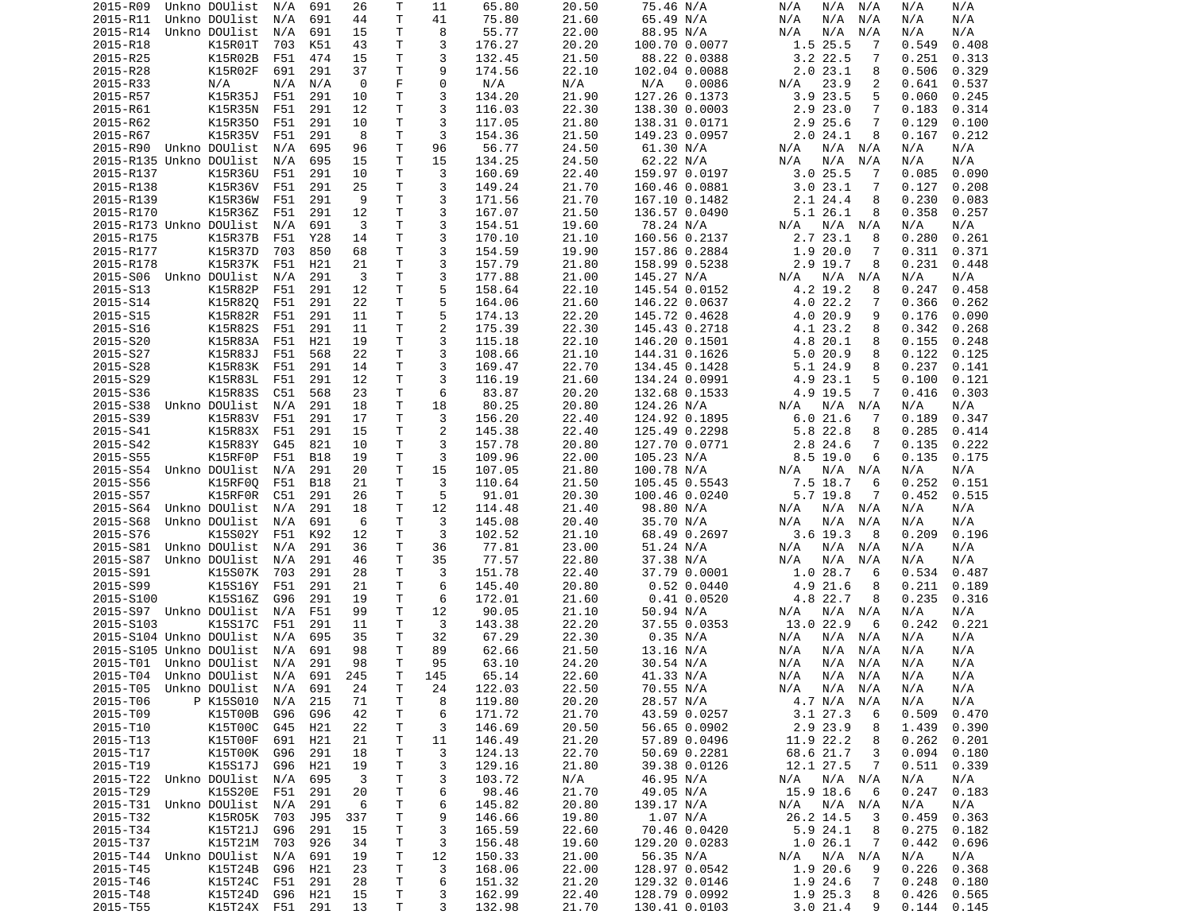| 2015-R09                           | Unkno DOUlist            | N/A        | 691        | 26      | Т            | 11       | 65.80            | 20.50          | 75.46 N/A                  | N/A<br>N/A N/A              | N/A<br>N/A                   |
|------------------------------------|--------------------------|------------|------------|---------|--------------|----------|------------------|----------------|----------------------------|-----------------------------|------------------------------|
| 2015-R11                           | Unkno DOUlist            | N/A        | 691        | 44      | Τ            | 41       | 75.80            | 21.60          | 65.49 N/A                  | N/A<br>N/A<br>N/A           | N/A<br>N/A                   |
| 2015-R14                           | Unkno DOUlist            | N/A        | 691        | 15      | т            | 8        | 55.77            | 22.00          | 88.95 N/A                  | N/A<br>N/A<br>N/A           | N/A<br>N/A                   |
| 2015-R18                           | K15R01T                  | 703        | K51        | 43      | Τ            | 3        | 176.27           | 20.20          | 100.70 0.0077              | 1.5 25.5<br>7               | 0.549<br>0.408               |
| 2015-R25                           | K15R02B                  | F51        | 474        | 15      | т            | 3        | 132.45           | 21.50          | 88.22 0.0388               | $3.2$ 22.5<br>7             | 0.251<br>0.313               |
| 2015-R28                           | K15R02F                  | 691        | 291        | 37      | T            | 9        | 174.56           | 22.10          | 102.04 0.0088              | 2.023.1<br>8                | 0.506<br>0.329               |
| 2015-R33                           | N/A                      | N/A        | N/A        | 0       | F            | $\Theta$ | N/A              | N/A            | N/A<br>0.0086              | 23.9<br>N/A<br>2            | 0.641<br>0.537               |
| 2015-R57                           | K15R35J                  | F51        | 291        | 10      | Τ            | 3        | 134.20           | 21.90          | 127.26 0.1373              | 3.9 23.5<br>5               | 0.060<br>0.245               |
| 2015-R61                           | K15R35N                  | F51        | 291        | 12      | Τ            | 3        | 116.03           | 22.30          | 138.30 0.0003              | 2.923.0<br>7                | 0.314<br>0.183               |
| 2015-R62                           | K15R350<br>K15R35V       | F51        | 291        | 10<br>8 | Τ<br>T       | 3<br>3   | 117.05<br>154.36 | 21.80          | 138.31 0.0171              | 2.9 25.6<br>7<br>8          | 0.129<br>0.100               |
| 2015-R67<br>2015-R90               | Unkno DOUlist            | F51<br>N/A | 291<br>695 | 96      | Τ            | 96       | 56.77            | 21.50<br>24.50 | 149.23 0.0957<br>61.30 N/A | 2.024.1<br>N/A N/A<br>N/A   | 0.167<br>0.212<br>N/A<br>N/A |
| 2015-R135 Unkno DOUlist            |                          | N/A        | 695        | 15      | Τ            | 15       | 134.25           | 24.50          | 62.22 N/A                  | N/A<br>N/A<br>N/A           | N/A<br>N/A                   |
| 2015-R137                          | K15R36U                  | F51        | 291        | 10      | т            | 3        | 160.69           | 22.40          | 159.97 0.0197              | $3.0$ 25.5<br>7             | 0.085<br>0.090               |
| 2015-R138                          | K15R36V                  | F51        | 291        | 25      | т            | 3        | 149.24           | 21.70          | 160.46 0.0881              | 3.023.1<br>7                | 0.127<br>0.208               |
| 2015-R139                          | K15R36W                  | F51        | 291        | 9       | т            | 3        | 171.56           | 21.70          | 167.10 0.1482              | 2.124.4<br>8                | 0.230<br>0.083               |
| 2015-R170                          | K15R36Z                  | F51        | 291        | 12      | Τ            | 3        | 167.07           | 21.50          | 136.57 0.0490              | 5.126.1<br>8                | 0.358<br>0.257               |
| 2015-R173 Unkno DOUlist            |                          | N/A        | 691        | 3       | T            | 3        | 154.51           | 19.60          | 78.24 N/A                  | N/A<br>N/A N/A              | N/A<br>N/A                   |
| 2015-R175                          | <b>K15R37B</b>           | F51        | Y28        | 14      | Τ            | 3        | 170.10           | 21.10          | 160.56 0.2137              | 2.7 23.1<br>8               | 0.280<br>0.261               |
| 2015-R177                          | K15R37D                  | 703        | 850        | 68      | T            | 3        | 154.59           | 19.90          | 157.86 0.2884              | 1.9 20.0<br>7               | 0.311<br>0.371               |
| 2015-R178                          | K15R37K                  | F51        | H21        | 21      | Τ            | 3        | 157.79           | 21.80          | 158.99 0.5238              | 2.9 19.7<br>8               | 0.231<br>0.448               |
| 2015-S06                           | Unkno DOUlist            | N/A        | 291        | 3       | T.           | 3        | 177.88           | 21.00          | 145.27 N/A                 | N/A<br>N/A<br>N/A           | N/A<br>N/A                   |
| 2015-S13                           | K15R82P                  | F51        | 291        | 12      | T            | 5        | 158.64           | 22.10          | 145.54 0.0152              | 4.2 19.2<br>8               | 0.247<br>0.458               |
| 2015-S14                           | K15R820                  | F51        | 291        | 22      | Τ            | 5        | 164.06           | 21.60          | 146.22 0.0637              | 4.0 22.2<br>7               | 0.366<br>0.262               |
| 2015-S15                           | K15R82R                  | F51        | 291        | 11      | Τ            | 5        | 174.13           | 22.20          | 145.72 0.4628              | 4.0 20.9<br>9               | 0.176<br>0.090               |
| 2015-S16                           | K15R82S                  | F51        | 291        | 11      | т            | 2        | 175.39           | 22.30          | 145.43 0.2718              | 4.1 23.2<br>8               | 0.342<br>0.268               |
| 2015-S20                           | K15R83A                  | F51        | H21        | 19      | T.           | 3        | 115.18           | 22.10          | 146.20 0.1501              | 4.8 20.1<br>8               | 0.155<br>0.248               |
| 2015-S27                           | K15R83J                  | F51        | 568        | 22      | т            | 3        | 108.66           | 21.10          | 144.31 0.1626              | 5.0 20.9<br>8               | 0.122<br>0.125               |
| 2015-S28                           | K15R83K                  | F51        | 291        | 14      | т            | 3        | 169.47           | 22.70          | 134.45 0.1428              | 5.1 24.9<br>8               | 0.237<br>0.141               |
| 2015-S29                           | K15R83L                  | F51        | 291        | 12      | Τ            | 3        | 116.19           | 21.60          | 134.24 0.0991              | 4.9 23.1<br>5               | 0.100<br>0.121               |
| 2015-S36                           | K15R83S                  | C51        | 568        | 23      | Τ            | 6        | 83.87            | 20.20          | 132.68 0.1533              | 4.9 19.5<br>7               | 0.416<br>0.303               |
| 2015-S38                           | Unkno DOUlist            | N/A        | 291        | 18      | Τ            | 18       | 80.25            | 20.80          | 124.26 N/A                 | N/A<br>N/A N/A              | N/A<br>N/A                   |
| 2015-S39                           | K15R83V                  | F51        | 291        | 17      | т            | 3        | 156.20           | 22.40          | 124.92 0.1895              | 6.021.6<br>7                | 0.189<br>0.347               |
| 2015-S41                           | K15R83X                  | F51        | 291        | 15      | T.           | 2        | 145.38           | 22.40          | 125.49 0.2298              | 5.8 22.8<br>8               | 0.285<br>0.414               |
| 2015-S42                           | K15R83Y                  | G45        | 821        | 10      | т            | 3        | 157.78           | 20.80          | 127.70 0.0771              | 2.8 24.6<br>7               | 0.135<br>0.222               |
| 2015-S55                           | K15RF0P                  | F51        | <b>B18</b> | 19      | Τ            | 3        | 109.96           | 22.00          | 105.23 N/A                 | $8.5$ 19.0<br>6             | 0.135<br>0.175               |
| 2015-S54                           | Unkno DOUlist            | N/A        | 291        | 20      | Τ            | 15       | 107.05           | 21.80          | 100.78 N/A                 | N/A N/A<br>N/A              | N/A<br>N/A                   |
| 2015-S56                           | K15RF00                  | F51        | <b>B18</b> | 21      | т            | 3        | 110.64           | 21.50          | 105.45 0.5543              | 7.5 18.7<br>6               | 0.252<br>0.151               |
| 2015-S57                           | K15RF0R                  | C51        | 291        | 26      | T            | 5        | 91.01            | 20.30          | 100.46 0.0240              | 5.7 19.8<br>7               | 0.452<br>0.515               |
| 2015-S64                           | Unkno DOUlist            | N/A        | 291        | 18      | Τ            | 12       | 114.48           | 21.40          | 98.80 N/A                  | N/A<br>N/A N/A              | N/A<br>N/A                   |
| 2015-S68                           | Unkno DOUlist            | N/A        | 691        | 6       | T            | 3        | 145.08           | 20.40          | 35.70 N/A                  | N/A<br>N/A<br>N/A           | N/A<br>N/A                   |
| 2015-S76                           | K15S02Y                  | F51        | K92        | 12      | T            | 3        | 102.52           | 21.10          | 68.49 0.2697               | $3.6$ 19.3<br>-8            | 0.209<br>0.196               |
| 2015-S81                           | Unkno DOUlist            | N/A        | 291        | 36      | Τ            | 36       | 77.81            | 23.00          | 51.24 N/A                  | N/A<br>N/A N/A              | N/A<br>N/A                   |
| 2015-S87                           | Unkno DOUlist            | N/A        | 291        | 46      | т            | 35       | 77.57            | 22.80          | 37.38 N/A                  | N/A<br>N/A<br>N/A           | N/A<br>N/A                   |
| 2015-S91                           | K15S07K                  | 703        | 291        | 28      | т            | 3        | 151.78           | 22.40          | 37.79 0.0001               | 1.028.7<br>6                | 0.534<br>0.487               |
| 2015-S99                           | K15S16Y                  | F51        | 291        | 21      | Τ            | 6        | 145.40           | 20.80          | 0.52 0.0440                | 4.9 21.6<br>8               | 0.211<br>0.189               |
| 2015-S100                          | K15S16Z                  | G96        | 291        | 19      | т            | 6        | 172.01           | 21.60          | $0.41$ $0.0520$            | 4.8 22.7<br>8               | 0.235<br>0.316               |
| 2015-S97 Unkno DOUlist             |                          | N/A        | F51        | 99      | Τ            | 12       | 90.05            | 21.10          | 50.94 N/A                  | N/A<br>N/A<br>N/A           | N/A<br>N/A                   |
| 2015-S103                          | K15S17C                  | F51        | 291        | 11      | т            | 3        | 143.38           | 22.20          | 37.55 0.0353               | 13.0 22.9<br>6              | 0.242<br>0.221               |
| 2015-S104 Unkno DOUlist            |                          | N/A        | 695        | 35      | т            | 32       | 67.29            | 22.30          | 0.35 N/A                   | N/A<br>N/A<br>N/A           | N/A<br>N/A                   |
| 2015-S105 Unkno DOUlist            |                          | N/A        | 691        | 98      | T            | 89       | 62.66            | 21.50          | 13.16 N/A                  | N/A<br>N/A<br>N/A           | N/A<br>N/A                   |
| 2015-T01 Unkno DOUlist             |                          | N/A        | 291        | 98      | T.           | 95       | 63.10            | 24.20          | 30.54 N/A                  | N/A<br>N/A N/A              | N/A<br>N/A                   |
| 2015-T04 Unkno DOUlist N/A 691     |                          |            |            | 245     | $\mathsf{T}$ | 145      | 65.14            | 22.60          | 41.33 N/A                  | N/A<br>N/A N/A              | N/A<br>N/A                   |
| 2015-T05                           | Unkno DOUlist N/A        |            | 691        | 24      | Τ            | 24       | 122.03           | 22.50          | 70.55 N/A                  | N/A N/A<br>N/A              | N/A<br>N/A                   |
| 2015-T06                           | P K15S010                | N/A        | 215        | 71      | T.           | 8        | 119.80           | 20.20          | 28.57 N/A                  | 4.7 N/A N/A                 | N/A<br>N/A                   |
| 2015-T09                           | K15T00B                  | G96        | G96        | 42      | Τ            | 6        | 171.72           | 21.70          | 43.59 0.0257               | $3.1$ 27.3<br>6             | 0.509<br>0.470               |
| 2015-T10                           | K15T00C                  | G45        | H21        | 22      | Τ            | 3        | 146.69           | 20.50          | 56.65 0.0902               | 2.9 23.9<br>8               | 1.439<br>0.390               |
| 2015-T13                           | K15T00F                  | 691        | H21        | 21      | Τ            | 11       | 146.49           | 21.20          | 57.89 0.0496               | 11.9 22.2<br>8              | 0.262<br>0.201               |
| 2015-T17                           | K15T00K G96              |            | 291        | 18      | т            | 3        | 124.13           | 22.70          | 50.69 0.2281               | 68.6 21.7<br>3              | 0.094<br>0.180               |
| 2015-T19                           | K15S17J                  | G96        | H21<br>695 | 19      | Τ<br>T       | 3        | 129.16           | 21.80          | 39.38 0.0126               | 12.1 27.5<br>7              | 0.511<br>0.339               |
| 2015-T22                           | Unkno DOUlist<br>K15S20E | N/A        | 291        | 3<br>20 |              | 3        | 103.72           | N/A<br>21.70   | 46.95 N/A                  | N/A<br>N/A N/A<br>15.9 18.6 | N/A<br>N/A                   |
| 2015-T29<br>2015-T31 Unkno DOUlist |                          | F51<br>N/A | 291        | 6       | Τ<br>T       | 6        | 98.46<br>145.82  | 20.80          | 49.05 N/A                  | 6                           | 0.247<br>0.183<br>N/A<br>N/A |
| 2015-T32                           | K15R05K 703              |            |            | 337     | Τ            | 6<br>9   | 146.66           | 19.80          | 139.17 N/A<br>1.07 N/A     | N/A N/A<br>N/A<br>26.2 14.5 | 0.459<br>0.363               |
| 2015-T34                           | K15T21J                  | G96        | J95<br>291 | 15      | Τ            | 3        | 165.59           | 22.60          | 70.46 0.0420               | 3<br>5.9 24.1<br>8          | 0.275<br>0.182               |
| 2015-T37                           | K15T21M 703              |            | 926        | 34      | Τ            | 3        | 156.48           | 19.60          | 129.20 0.0283              | 1.026.1<br>$\overline{7}$   | 0.442<br>0.696               |
| 2015-T44 Unkno DOUlist             |                          | N/A        | 691        | 19      | T            | 12       | 150.33           | 21.00          | 56.35 N/A                  | N/A<br>N/A N/A              | N/A<br>N/A                   |
| 2015-T45                           | K15T24B                  | G96        | H21        | 23      | Τ            | 3        | 168.06           | 22.00          | 128.97 0.0542              | 1.9 20.6<br>9               | 0.226<br>0.368               |
| 2015-T46                           | K15T24C                  | F51        | 291        | 28      | T            | 6        | 151.32           | 21.20          | 129.32 0.0146              | 1.9 24.6<br>7               | 0.248<br>0.180               |
| 2015-T48                           | K15T24D                  | G96        | H21        | 15      | T.           | 3        | 162.99           | 22.40          | 128.79 0.0992              | 1.9 25.3<br>8               | 0.426<br>0.565               |
| 2015-T55                           | K15T24X F51 291          |            |            | 13      | T            | 3        | 132.98           | 21.70          | 130.41 0.0103              | 3.021.4<br>9                | 0.144<br>0.145               |
|                                    |                          |            |            |         |              |          |                  |                |                            |                             |                              |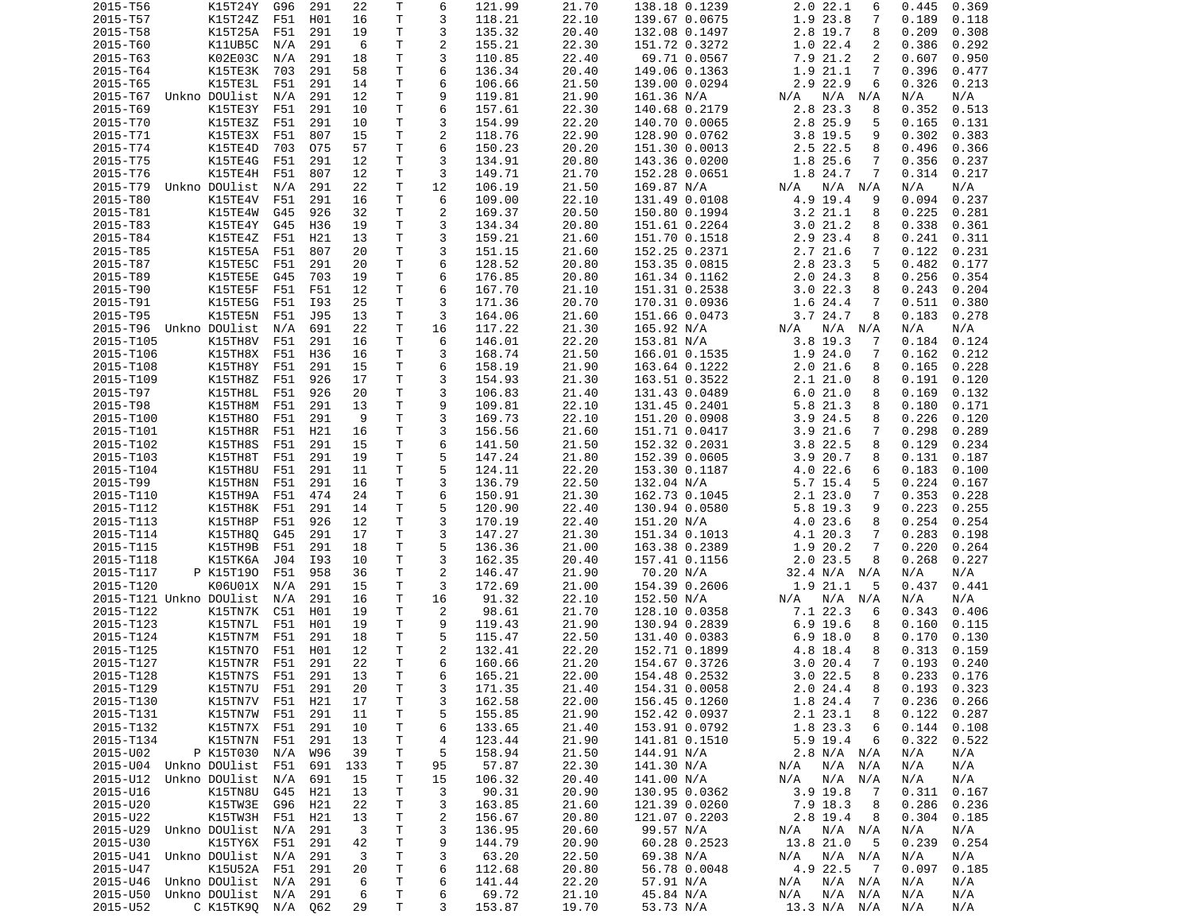| 2015-T56                | K15T24Y                                | G96 | 291 | 22           | Τ            | 6              | 121.99          | 21.70          | 138.18 0.1239          | 2.0 22.1<br>6                  | 0.445<br>0.369           |
|-------------------------|----------------------------------------|-----|-----|--------------|--------------|----------------|-----------------|----------------|------------------------|--------------------------------|--------------------------|
| 2015-T57                | K15T24Z F51                            |     | H01 | 16           | T            | 3              | 118.21          | 22.10          | 139.67 0.0675          | 1.9 23.8<br>7                  | 0.189<br>0.118           |
| 2015-T58                | K15T25A                                | F51 | 291 | 19           | Τ            | 3              | 135.32          | 20.40          | 132.08 0.1497          | 2.8 19.7<br>8                  | 0.209<br>0.308           |
| 2015-T60                | K11UB5C                                | N/A | 291 | 6            | Τ            | $\overline{2}$ | 155.21          | 22.30          | 151.72 0.3272          | 1.022.4<br>2                   | 0.386<br>0.292           |
| 2015-T63                | K02E03C                                | N/A | 291 | 18           | T.           | 3              | 110.85          | 22.40          | 69.71 0.0567           | 7.9 21.2<br>2                  | 0.950<br>0.607           |
| 2015-T64                | K15TE3K                                | 703 | 291 | 58           | Τ            | 6              | 136.34          | 20.40          | 149.06 0.1363          | 1.9 21.1<br>7                  | 0.396<br>0.477           |
| 2015-T65                | K15TE3L                                | F51 | 291 | 14           | Τ            | 6              | 106.66          | 21.50          | 139.00 0.0294          | 2.9 22.9<br>6                  | 0.326<br>0.213           |
| 2015-T67                | Unkno DOUlist                          | N/A | 291 | 12           | Τ            | 9              | 119.81          | 21.90          | 161.36 N/A             | $N/A$ $N/A$<br>N/A             | N/A<br>N/A               |
| 2015-T69                | K15TE3Y                                | F51 | 291 | 10           | T.           | 6              | 157.61          | 22.30          | 140.68 0.2179          | 2.8 23.3<br>8                  | 0.352<br>0.513           |
| 2015-T70                | K15TE3Z                                | F51 | 291 | 10           | т            | 3              | 154.99          | 22.20          | 140.70 0.0065          | 2.8 25.9<br>5                  | 0.165<br>0.131           |
| 2015-T71                | K15TE3X                                | F51 | 807 | 15           | Τ            | 2              | 118.76          | 22.90          | 128.90 0.0762          | 3.8 19.5<br>9                  | 0.302<br>0.383           |
|                         |                                        |     |     |              | $\mathsf{T}$ | 6              |                 |                |                        |                                |                          |
| 2015-T74                | K15TE4D                                | 703 | 075 | 57           |              |                | 150.23          | 20.20          | 151.30 0.0013          | 2.5 22.5<br>8                  | 0.366<br>0.496           |
| 2015-T75                | K15TE4G                                | F51 | 291 | 12           | T.           | 3              | 134.91          | 20.80          | 143.36 0.0200          | 1.8 25.6<br>7                  | 0.356<br>0.237           |
| 2015-T76                | K15TE4H                                | F51 | 807 | 12           | Τ            | 3              | 149.71          | 21.70          | 152.28 0.0651          | 1.8 24.7<br>7                  | 0.314<br>0.217           |
| 2015-T79                | Unkno DOUlist                          | N/A | 291 | 22           | T.           | 12             | 106.19          | 21.50          | 169.87 N/A             | $N/A$ $N/A$<br>N/A             | N/A<br>N/A               |
| 2015-T80                | K15TE4V                                | F51 | 291 | 16           | T.           | 6              | 109.00          | 22.10          | 131.49 0.0108          | 4.9 19.4<br>9                  | 0.237<br>0.094           |
| 2015-T81                | K15TE4W                                | G45 | 926 | 32           | T            | 2              | 169.37          | 20.50          | 150.80 0.1994          | 3.221.1<br>8                   | 0.225<br>0.281           |
| 2015-T83                | K15TE4Y                                | G45 | H36 | 19           | T.           | 3              | 134.34          | 20.80          | 151.61 0.2264          | 3.021.2<br>8                   | 0.338<br>0.361           |
| 2015-T84                | K15TE4Z                                | F51 | H21 | 13           | T            | 3              | 159.21          | 21.60          | 151.70 0.1518          | 2.9 23.4<br>8                  | 0.241<br>0.311           |
| 2015-T85                | K15TE5A                                | F51 | 807 | 20           | Τ            | 3              | 151.15          | 21.60          | 152.25 0.2371          | 2.7 21.6<br>7                  | 0.122<br>0.231           |
| 2015-T87                | K15TE5C                                | F51 | 291 | 20           | Τ            | 6              | 128.52          | 20.80          | 153.35 0.0815          | 2.8 23.3<br>5                  | 0.482<br>0.177           |
| 2015-T89                | K15TE5E                                | G45 | 703 | 19           | Τ            | 6              | 176.85          | 20.80          | 161.34 0.1162          | 2.024.3<br>8                   | 0.256<br>0.354           |
| 2015-T90                | K15TE5F                                | F51 | F51 | 12           | Τ            | 6              | 167.70          | 21.10          | 151.31 0.2538          | 3.022.3<br>8                   | 0.243<br>0.204           |
| 2015-T91                | K15TE5G                                | F51 | I93 | 25           | Τ            | 3              | 171.36          | 20.70          | 170.31 0.0936          | 1.6 24.4<br>7                  | 0.511<br>0.380           |
| 2015-T95                | K15TE5N                                | F51 | J95 | 13           | Τ            | 3              | 164.06          | 21.60          | 151.66 0.0473          | 3.7 24.7<br>8                  | 0.183<br>0.278           |
| 2015-T96                | Unkno DOUlist                          | N/A | 691 | 22           | T            | 16             | 117.22          | 21.30          | 165.92 N/A             | N/A N/A<br>N/A                 | N/A<br>N/A               |
| 2015-T105               | K15TH8V                                | F51 | 291 | 16           | T.           | 6              | 146.01          | 22.20          | 153.81 N/A             | 3.8 19.3<br>-7                 | 0.184<br>0.124           |
| 2015-T106               | K15TH8X                                | F51 | H36 | 16           | т            | 3              | 168.74          | 21.50          | 166.01 0.1535          | 1.924.0<br>7                   | 0.212<br>0.162           |
| 2015-T108               | K15TH8Y                                | F51 | 291 | 15           | Τ            | 6              | 158.19          | 21.90          | 163.64 0.1222          | 2.021.6<br>8                   | 0.165<br>0.228           |
| 2015-T109               | K15TH8Z                                | F51 | 926 | 17           | Τ            | 3              | 154.93          | 21.30          | 163.51 0.3522          | 2.121.0<br>8                   | 0.191<br>0.120           |
| 2015-T97                |                                        |     |     |              | Τ            | 3              |                 |                |                        |                                |                          |
|                         | K15TH8L                                | F51 | 926 | 20           |              |                | 106.83          | 21.40          | 131.43 0.0489          | 6.021.0<br>8                   | 0.169<br>0.132           |
| 2015-T98                | K15TH8M                                | F51 | 291 | 13           | T.           | 9              | 109.81          | 22.10          | 131.45 0.2401          | 5.8 21.3<br>8                  | 0.180<br>0.171           |
| 2015-T100               | K15TH80                                | F51 | 291 | 9            | $\mathsf{T}$ | 3              | 169.73          | 22.10          | 151.20 0.0908          | $3.9$ 24.5<br>8                | 0.226<br>0.120           |
| 2015-T101               | K15TH8R                                | F51 | H21 | 16           | T            | 3              | 156.56          | 21.60          | 151.71 0.0417          | 3.921.6<br>7                   | 0.298<br>0.289           |
| 2015-T102               | K15TH8S                                | F51 | 291 | 15           | T            | 6              | 141.50          | 21.50          | 152.32 0.2031          | 3.8 22.5<br>8                  | 0.129<br>0.234           |
| 2015-T103               | K15TH8T                                | F51 | 291 | 19           | Τ            | 5              | 147.24          | 21.80          | 152.39 0.0605          | 3.920.7<br>8                   | 0.131<br>0.187           |
| 2015-T104               | K15TH8U                                | F51 | 291 | 11           | Τ            | 5              | 124.11          | 22.20          | 153.30 0.1187          | 4.022.6<br>6                   | 0.183<br>0.100           |
| 2015-T99                | K15TH8N                                | F51 | 291 | 16           | T.           | 3              | 136.79          | 22.50          | 132.04 N/A             | 5.7 15.4<br>5                  | 0.224<br>0.167           |
| 2015-T110               | K15TH9A                                | F51 | 474 | 24           | Τ            | 6              | 150.91          | 21.30          | 162.73 0.1045          | 2.123.0<br>7                   | 0.353<br>0.228           |
| 2015-T112               | K15TH8K                                | F51 | 291 | 14           | Τ            | 5              | 120.90          | 22.40          | 130.94 0.0580          | 5.8 19.3<br>9                  | 0.223<br>0.255           |
| 2015-T113               | K15TH8P                                | F51 | 926 | 12           | T            | 3              | 170.19          | 22.40          | 151.20 N/A             | 4.0 23.6<br>8                  | 0.254<br>0.254           |
| 2015-T114               | K15TH8Q                                | G45 | 291 | 17           | Τ            | 3              | 147.27          | 21.30          | 151.34 0.1013          | 4.1 20.3<br>7                  | 0.283<br>0.198           |
| 2015-T115               | K15TH9B                                | F51 | 291 | 18           | Τ            | 5              | 136.36          | 21.00          | 163.38 0.2389          | 1.9 20.2<br>7                  | 0.220<br>0.264           |
| 2015-T118               | K15TK6A                                | J04 | I93 | 10           | Τ            | 3              | 162.35          | 20.40          | 157.41 0.1156          | 2.0 23.5<br>8                  | 0.268<br>0.227           |
| 2015-T117               | P K15T190                              | F51 | 958 | 36           | T            | 2              | 146.47          | 21.90          | 70.20 N/A              | 32.4 N/A N/A                   | N/A<br>N/A               |
| 2015-T120               | K06U01X                                | N/A | 291 | 15           | Τ            | 3              | 172.69          | 21.00          | 154.39 0.2606          | 1.9 21.1<br>5                  | 0.437<br>0.441           |
| 2015-T121 Unkno DOUlist |                                        | N/A | 291 | 16           | T            | 16             | 91.32           | 22.10          | 152.50 N/A             | N/A N/A<br>N/A                 | N/A<br>N/A               |
| 2015-T122               | K15TN7K                                | C51 | H01 | 19           | T.           | $\overline{c}$ | 98.61           | 21.70          | 128.10 0.0358          | 7.1 22.3<br>6                  | 0.343<br>0.406           |
| 2015-T123               | K15TN7L                                | F51 | H01 | 19           | $\mathsf{T}$ | 9              | 119.43          | 21.90          | 130.94 0.2839          | $6.9$ 19.6<br>8                | 0.160<br>0.115           |
| 2015-T124               | K15TN7M                                | F51 | 291 | 18           | T.           | 5              | 115.47          | 22.50          | 131.40 0.0383          | $6.9$ 18.0<br>8                | 0.170<br>0.130           |
| 2015-T125               | K15TN70                                | F51 |     | 12           | T.           | 2              |                 |                |                        | 8                              | 0.313                    |
|                         |                                        |     | H01 |              |              |                | 132.41          | 22.20          | 152.71 0.1899          | 4.8 18.4                       | 0.159                    |
| 2015-T127               | K15TN7R                                | F51 | 291 | 22           | T.           | 6              | 160.66          | 21.20          | 154.67 0.3726          | 3.020.4<br>7                   | 0.193<br>0.240           |
| 2015-T128               | K15TN7S F51                            |     | 291 | 13           | T            | 6              | 165.21          | 22.00          | 154.48 0.2532          | 3.022.5<br>8                   | $0.233$ $0.176$          |
| 2015-T129               | K15TN7U F51                            |     | 291 | 20           | Τ            | 3              | 171.35          | 21.40          | 154.31 0.0058          | 2.024.4<br>8                   | $0.193$ $0.323$          |
| 2015-T130               | K15TN7V                                | F51 | H21 | 17           | T            | 3              | 162.58          | 22.00          | 156.45 0.1260          | 1.8 24.4<br>7                  | 0.236<br>0.266           |
| 2015-T131               | K15TN7W                                | F51 | 291 | 11           | Τ            | 5              | 155.85          | 21.90          | 152.42 0.0937          | 2.1 23.1<br>8                  | 0.122<br>0.287           |
| 2015-T132               | K15TN7X F51                            |     | 291 | 10           | т            | 6              | 133.65          | 21.40          | 153.91 0.0792          | 1.8 23.3<br>6                  | 0.144<br>0.108           |
| 2015-T134               | K15TN7N F51                            |     | 291 | 13           | T            | 4              | 123.44          | 21.90          | 141.81 0.1510          | 5.9 19.4<br>6                  | 0.322<br>0.522           |
| 2015-U02                | P K15T030                              | N/A | W96 | 39           | Τ            | 5              | 158.94          | 21.50          | 144.91 N/A             | 2.8 N/A N/A                    | N/A<br>N/A               |
| 2015-U04                | Unkno DOUlist F51                      |     | 691 | 133          | T            | 95             | 57.87           | 22.30          | 141.30 N/A             | $N/A$ $N/A$<br>N/A             | N/A<br>N/A               |
| 2015-U12                | Unkno DOUlist                          | N/A | 691 | 15           | Τ            | 15             | 106.32          | 20.40          | 141.00 N/A             | $N/A$ $N/A$<br>N/A             | N/A<br>N/A               |
| 2015-U16                | K15TN8U G45                            |     | H21 | 13           | T            | 3              | 90.31           | 20.90          | 130.95 0.0362          | 3.9 19.8<br>$\overline{7}$     | 0.311<br>0.167           |
| 2015-U20                | K15TW3E                                | G96 | H21 | 22           | Τ            | 3              | 163.85          | 21.60          | 121.39 0.0260          | 7.9 18.3<br>8                  | 0.286<br>0.236           |
| 2015-U22                | K15TW3H                                | F51 | H21 | 13           | Τ            | 2              | 156.67          | 20.80          | 121.07 0.2203          | 2.8 19.4<br>8                  | 0.304<br>0.185           |
| 2015-U29                | Unkno DOUlist                          | N/A | 291 | $\mathbf{3}$ | T            | 3              | 136.95          | 20.60          | 99.57 N/A              | N/A N/A<br>N/A                 | N/A<br>N/A               |
| 2015-U30                | K15TY6X                                | F51 | 291 | 42           | Τ            | 9              | 144.79          | 20.90          | 60.28 0.2523           | 13.8 21.0<br>5                 | 0.239<br>0.254           |
| 2015-U41                | Unkno DOUlist                          | N/A | 291 | 3            | T.           | 3              | 63.20           | 22.50          | 69.38 N/A              | N/A<br>$N/A$ $N/A$             | N/A<br>N/A               |
| 2015-U47                | K15U52A                                | F51 | 291 | 20           | T            | 6              | 112.68          | 20.80          | 56.78 0.0048           | 4.9 22.5<br>$\overline{7}$     | 0.097<br>0.185           |
| 2015-U46                | Unkno DOUlist N/A                      |     | 291 | 6            | Τ            |                | 141.44          | 22.20          | 57.91 N/A              | N/A<br>$N/A$ $N/A$             | N/A<br>N/A               |
|                         |                                        |     |     |              |              | 6              |                 |                |                        |                                |                          |
| 2015-U50                | Unkno DOUlist N/A<br>C K15TK90 N/A 062 |     | 291 | 6<br>29      | Τ<br>Τ       | 6<br>3         | 69.72<br>153.87 | 21.10<br>19.70 | 45.84 N/A<br>53.73 N/A | N/A N/A<br>N/A<br>13.3 N/A N/A | N/A<br>N/A<br>N/A<br>N/A |
| 2015-U52                |                                        |     |     |              |              |                |                 |                |                        |                                |                          |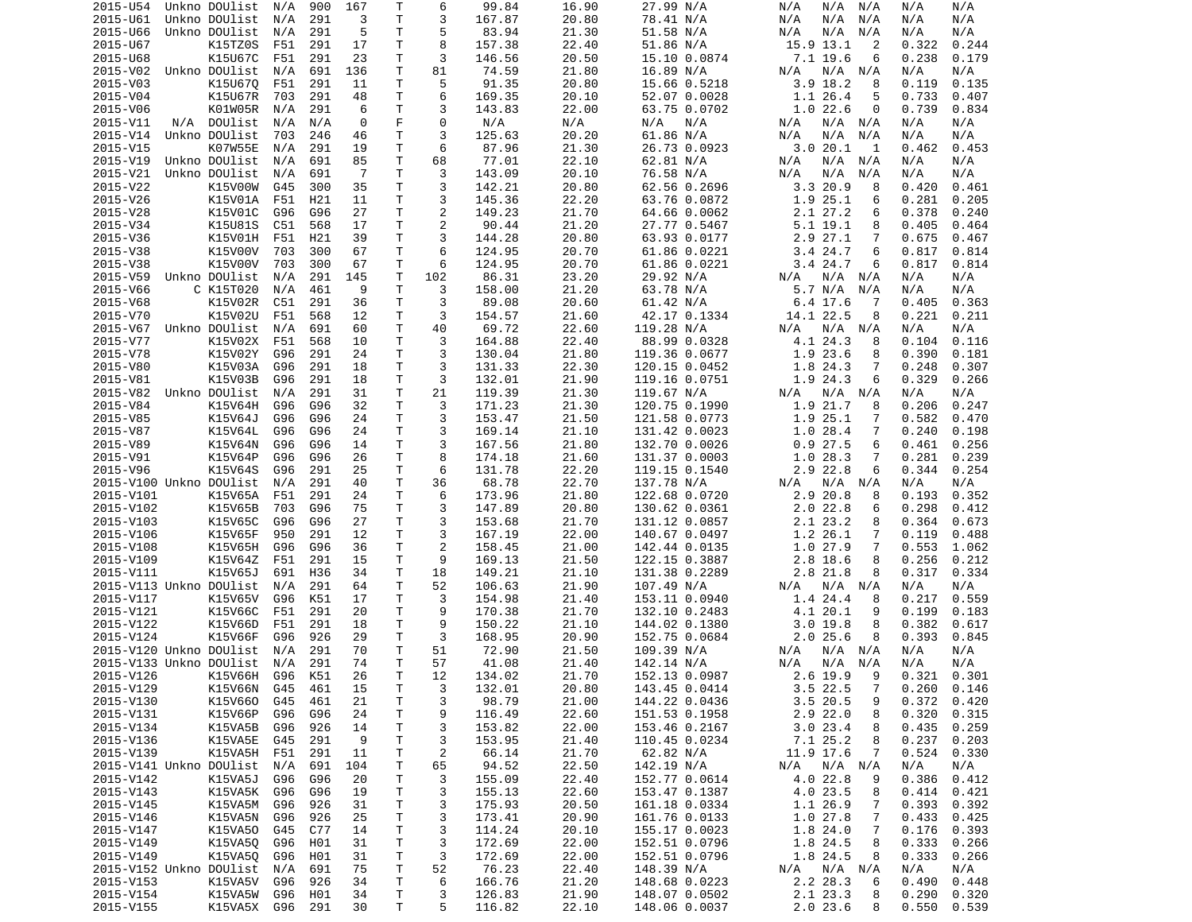| 2015-U54                |     | Unkno DOUlist | N/A | 900 | 167 | Т            | 6              | 99.84  | 16.90 | 27.99 N/A     | N/A<br>N/A<br>N/A            | N/A<br>N/A      |
|-------------------------|-----|---------------|-----|-----|-----|--------------|----------------|--------|-------|---------------|------------------------------|-----------------|
| 2015-U61                |     | Unkno DOUlist | N/A | 291 | 3   | T            | 3              | 167.87 | 20.80 | 78.41 N/A     | N/A<br>N/A<br>N/A            | N/A<br>N/A      |
| 2015-U66                |     | Unkno DOUlist | N/A | 291 | 5   | Τ            | 5              | 83.94  | 21.30 | 51.58 N/A     | N/A<br>N/A<br>N/A            | N/A<br>N/A      |
| 2015-U67                |     | K15TZ0S       | F51 | 291 | 17  | Τ            | 8              | 157.38 | 22.40 | 51.86 N/A     | 15.9 13.1<br>2               | 0.244<br>0.322  |
| 2015-U68                |     | K15U67C       | F51 | 291 | 23  | Τ            | 3              | 146.56 | 20.50 | 15.10 0.0874  | 7.1 19.6<br>6                | 0.238<br>0.179  |
| 2015-V02                |     | Unkno DOUlist | N/A | 691 | 136 | т            | 81             | 74.59  | 21.80 | 16.89 N/A     | N/A<br>N/A N/A               | N/A<br>N/A      |
| 2015-V03                |     | K15U670       | F51 | 291 | 11  | т            | 5              | 91.35  | 20.80 | 15.66 0.5218  | $3.9$ 18.2<br>8              | 0.119<br>0.135  |
| 2015-V04                |     | K15U67R       | 703 | 291 | 48  | Τ            | 6              | 169.35 | 20.10 | 52.07 0.0028  | 1.1 26.4<br>5                | 0.733<br>0.407  |
| 2015-V06                |     | K01W05R       | N/A | 291 | 6   | T            | 3              | 143.83 | 22.00 | 63.75 0.0702  | 1.022.6<br>0                 | 0.739<br>0.834  |
|                         |     |               |     |     |     |              |                |        |       |               |                              |                 |
| 2015-V11                | N/A | DOUlist       | N/A | N/A | 0   | F            | 0              | N/A    | N/A   | N/A<br>N/A    | N/A N/A<br>N/A               | N/A<br>N/A      |
| 2015-V14                |     | Unkno DOUlist | 703 | 246 | 46  | T            | 3              | 125.63 | 20.20 | 61.86 N/A     | N/A<br>N/A<br>N/A            | N/A<br>N/A      |
| 2015-V15                |     | K07W55E       | N/A | 291 | 19  | Τ            | 6              | 87.96  | 21.30 | 26.73 0.0923  | 3.0 20.1<br>-1               | 0.453<br>0.462  |
| 2015-V19                |     | Unkno DOUlist | N/A | 691 | 85  | Τ            | 68             | 77.01  | 22.10 | 62.81 N/A     | N/A<br>N/A N/A               | N/A<br>N/A      |
| 2015-V21                |     | Unkno DOUlist | N/A | 691 | -7  | Τ            | 3              | 143.09 | 20.10 | 76.58 N/A     | N/A<br>N/A<br>N/A            | N/A<br>N/A      |
| 2015-V22                |     | K15V00W       | G45 | 300 | 35  | T            | 3              | 142.21 | 20.80 | 62.56 0.2696  | 3.320.9<br>8                 | 0.420<br>0.461  |
| 2015-V26                |     | K15V01A       | F51 | H21 | 11  | T.           | 3              | 145.36 | 22.20 | 63.76 0.0872  | 1.9 25.1<br>6                | 0.281<br>0.205  |
| 2015-V28                |     | K15V01C       | G96 | G96 | 27  | Τ            | 2              | 149.23 | 21.70 | 64.66 0.0062  | 2.1 27.2<br>6                | 0.378<br>0.240  |
| 2015-V34                |     | K15U81S       | C51 | 568 | 17  | T.           | 2              | 90.44  | 21.20 | 27.77 0.5467  | 5.1 19.1<br>8                | 0.405<br>0.464  |
| 2015-V36                |     | K15V01H       | F51 | H21 | 39  | Τ            | 3              | 144.28 | 20.80 | 63.93 0.0177  | 2.9 27.1<br>7                | 0.675<br>0.467  |
| 2015-V38                |     | K15V00V       | 703 | 300 | 67  | Τ            | 6              | 124.95 | 20.70 | 61.86 0.0221  | 3.4 24.7<br>6                | 0.817<br>0.814  |
| 2015-V38                |     | K15V00V       | 703 | 300 | 67  | T            | 6              | 124.95 | 20.70 | 61.86 0.0221  | 3.4 24.7<br>6                | 0.817<br>0.814  |
| 2015-V59                |     | Unkno DOUlist | N/A | 291 | 145 | T            | 102            | 86.31  | 23.20 | 29.92 N/A     | N/A<br>N/A<br>N/A            | N/A<br>N/A      |
| 2015-V66                |     | C K15T020     | N/A | 461 | 9   | T            | 3              | 158.00 | 21.20 | 63.78 N/A     | 5.7 N/A<br>N/A               | N/A<br>N/A      |
|                         |     |               |     |     |     | Τ            | 3              |        |       |               |                              |                 |
| 2015-V68                |     | K15V02R       | C51 | 291 | 36  |              |                | 89.08  | 20.60 | 61.42 N/A     | 6.4 17.6<br>-7               | 0.405<br>0.363  |
| 2015-V70                |     | K15V02U       | F51 | 568 | 12  | Τ            | 3              | 154.57 | 21.60 | 42.17 0.1334  | 14.1 22.5<br>8               | 0.221<br>0.211  |
| 2015-V67                |     | Unkno DOUlist | N/A | 691 | 60  | Τ            | 40             | 69.72  | 22.60 | 119.28 N/A    | N/A N/A<br>N/A               | N/A<br>N/A      |
| 2015-V77                |     | K15V02X       | F51 | 568 | 10  | т            | 3              | 164.88 | 22.40 | 88.99 0.0328  | 4.1 24.3<br>8                | 0.104<br>0.116  |
| 2015-V78                |     | K15V02Y       | G96 | 291 | 24  | т            | 3              | 130.04 | 21.80 | 119.36 0.0677 | 1.9 23.6<br>8                | 0.390<br>0.181  |
| 2015-V80                |     | K15V03A       | G96 | 291 | 18  | Τ            | 3              | 131.33 | 22.30 | 120.15 0.0452 | 1.8 24.3<br>7                | 0.248<br>0.307  |
| 2015-V81                |     | K15V03B       | G96 | 291 | 18  | T            | 3              | 132.01 | 21.90 | 119.16 0.0751 | 1.9 24.3<br>6                | 0.329<br>0.266  |
| 2015-V82                |     | Unkno DOUlist | N/A | 291 | 31  | Τ            | 21             | 119.39 | 21.30 | 119.67 N/A    | N/A<br>N/A N/A               | N/A<br>N/A      |
| 2015-V84                |     | K15V64H       | G96 | G96 | 32  | T.           | 3              | 171.23 | 21.30 | 120.75 0.1990 | 1.9 21.7<br>8                | 0.206<br>0.247  |
| 2015-V85                |     | K15V64J       | G96 | G96 | 24  | Τ            | 3              | 153.47 | 21.50 | 121.58 0.0773 | 1.9 25.1<br>7                | 0.582<br>0.470  |
| 2015-V87                |     | K15V64L       | G96 | G96 | 24  | т            | 3              | 169.14 | 21.10 | 131.42 0.0023 | 1.028.4<br>7                 | 0.240<br>0.198  |
| 2015-V89                |     | K15V64N       | G96 | G96 | 14  | Τ            | 3              | 167.56 | 21.80 | 132.70 0.0026 | 0.927.5<br>6                 | 0.461<br>0.256  |
| 2015-V91                |     | K15V64P       | G96 | G96 | 26  | Τ            | 8              | 174.18 | 21.60 | 131.37 0.0003 | 1.028.3<br>7                 | 0.281<br>0.239  |
| 2015-V96                |     | K15V64S       | G96 | 291 | 25  | Τ            | 6              | 131.78 | 22.20 | 119.15 0.1540 | 2.9 22.8<br>6                | 0.344<br>0.254  |
| 2015-V100 Unkno DOUlist |     |               |     | 291 | 40  | Τ            | 36             | 68.78  | 22.70 |               | N/A                          | N/A             |
|                         |     |               | N/A |     |     |              |                |        |       | 137.78 N/A    | N/A N/A                      | N/A             |
| 2015-V101               |     | K15V65A       | F51 | 291 | 24  | Τ            | 6              | 173.96 | 21.80 | 122.68 0.0720 | 2.9 20.8<br>8                | 0.193<br>0.352  |
| 2015-V102               |     | K15V65B       | 703 | G96 | 75  | т            | 3              | 147.89 | 20.80 | 130.62 0.0361 | 2.022.8<br>6                 | 0.298<br>0.412  |
| 2015-V103               |     | K15V65C       | G96 | G96 | 27  | Τ            | 3              | 153.68 | 21.70 | 131.12 0.0857 | 2.1 23.2<br>8                | 0.364<br>0.673  |
| 2015-V106               |     | K15V65F       | 950 | 291 | 12  | Τ            | 3              | 167.19 | 22.00 | 140.67 0.0497 | 1.2 26.1<br>7                | 0.119<br>0.488  |
| 2015-V108               |     | K15V65H       | G96 | G96 | 36  | Τ            | 2              | 158.45 | 21.00 | 142.44 0.0135 | 1.027.9<br>7                 | 0.553<br>1.062  |
| 2015-V109               |     | K15V64Z       | F51 | 291 | 15  | T            | 9              | 169.13 | 21.50 | 122.15 0.3887 | 8<br>2.8 18.6                | 0.256<br>0.212  |
| 2015-V111               |     | K15V65J       | 691 | H36 | 34  | Τ            | 18             | 149.21 | 21.10 | 131.38 0.2289 | 2.8 21.8<br>8                | 0.317<br>0.334  |
| 2015-V113 Unkno DOUlist |     |               | N/A | 291 | 64  | T.           | 52             | 106.63 | 21.90 | 107.49 N/A    | N/A<br>N/A<br>N/A            | N/A<br>N/A      |
| 2015-V117               |     | K15V65V       | G96 | K51 | 17  | Τ            | 3              | 154.98 | 21.40 | 153.11 0.0940 | 1.4 24.4<br>8                | 0.217<br>0.559  |
| 2015-V121               |     | K15V66C       | F51 | 291 | 20  | Τ            | 9              | 170.38 | 21.70 | 132.10 0.2483 | 4.1 20.1<br>9                | 0.199<br>0.183  |
| 2015-V122               |     | K15V66D       | F51 | 291 | 18  | T.           | 9              | 150.22 | 21.10 | 144.02 0.1380 | 3.019.8<br>8                 | 0.382<br>0.617  |
| 2015-V124               |     | K15V66F       | G96 | 926 | 29  | Τ            | 3              | 168.95 | 20.90 | 152.75 0.0684 | 2.025.6<br>8                 | 0.393<br>0.845  |
| 2015-V120 Unkno DOUlist |     |               | N/A | 291 | 70  | T            | 51             | 72.90  | 21.50 | 109.39 N/A    | N/A<br>N/A N/A               | N/A<br>N/A      |
| 2015-V133 Unkno DOUlist |     |               | N/A | 291 | 74  | $\mathsf{T}$ | 57             | 41.08  | 21.40 | 142.14 N/A    | N/A<br>N/A N/A               | N/A<br>N/A      |
| 2015-V126               |     | K15V66H       | G96 | K51 | 26  | $\mathsf{T}$ | 12             | 134.02 | 21.70 | 152.13 0.0987 | $2.6$ 19.9<br>9              | 0.321<br>0.301  |
| 2015-V129               |     | K15V66N G45   |     | 461 |     | Τ            | 3              | 132.01 | 20.80 | 143.45 0.0414 | $\overline{7}$<br>$3.5$ 22.5 | $0.260$ $0.146$ |
|                         |     |               |     |     | 15  |              |                |        |       |               |                              |                 |
| 2015-V130               |     | K15V660       | G45 | 461 | 21  | T            | 3              | 98.79  | 21.00 | 144.22 0.0436 | 3.5 20.5<br>9                | 0.372<br>0.420  |
| 2015-V131               |     | K15V66P       | G96 | G96 | 24  | Τ            | 9              | 116.49 | 22.60 | 151.53 0.1958 | $2.9$ 22.0<br>8              | 0.320<br>0.315  |
| 2015-V134               |     | K15VA5B       | G96 | 926 | 14  | т            | 3              | 153.82 | 22.00 | 153.46 0.2167 | 3.023.4<br>8                 | 0.435<br>0.259  |
| 2015-V136               |     | K15VA5E       | G45 | 291 | 9   | Τ            | 3              | 153.95 | 21.40 | 110.45 0.0234 | 7.1 25.2<br>8                | 0.237<br>0.203  |
| 2015-V139               |     | K15VA5H       | F51 | 291 | 11  | Τ            | $\overline{c}$ | 66.14  | 21.70 | 62.82 N/A     | 11.9 17.6<br>7               | 0.524<br>0.330  |
| 2015-V141 Unkno DOUlist |     |               | N/A | 691 | 104 | T.           | 65             | 94.52  | 22.50 | 142.19 N/A    | N/A<br>N/A N/A               | N/A<br>N/A      |
| 2015-V142               |     | K15VA5J       | G96 | G96 | 20  | T            | 3              | 155.09 | 22.40 | 152.77 0.0614 | 4.0 22.8<br>9                | 0.386<br>0.412  |
| 2015-V143               |     | K15VA5K G96   |     | G96 | 19  | T            | 3              | 155.13 | 22.60 | 153.47 0.1387 | 4.0 23.5<br>8                | 0.414<br>0.421  |
| 2015-V145               |     | K15VA5M G96   |     | 926 | 31  | Τ            | 3              | 175.93 | 20.50 | 161.18 0.0334 | 1.1 26.9<br>7                | 0.393<br>0.392  |
| 2015-V146               |     | K15VA5N       | G96 | 926 | 25  | т            | 3              | 173.41 | 20.90 | 161.76 0.0133 | 1.0 27.8<br>7                | 0.433<br>0.425  |
| 2015-V147               |     | K15VA50       | G45 | C77 | 14  | T            | 3              | 114.24 | 20.10 | 155.17 0.0023 | 1.8 24.0<br>$\overline{7}$   | 0.176<br>0.393  |
| 2015-V149               |     | K15VA50       | G96 | H01 | 31  | Τ            | 3              | 172.69 | 22.00 | 152.51 0.0796 | 1.8 24.5<br>8                | 0.333<br>0.266  |
| 2015-V149               |     | K15VA50       | G96 | H01 | 31  | T.           | 3              | 172.69 | 22.00 | 152.51 0.0796 | 1.8 24.5<br>8                | 0.333<br>0.266  |
|                         |     |               |     |     | 75  | Τ            | 52             | 76.23  | 22.40 |               | N/A N/A                      | N/A<br>N/A      |
| 2015-V152 Unkno DOUlist |     |               | N/A | 691 |     |              |                |        |       | 148.39 N/A    | N/A                          |                 |
| 2015-V153               |     | K15VA5V       | G96 | 926 | 34  | Τ            | 6              | 166.76 | 21.20 | 148.68 0.0223 | 2.2 28.3<br>6                | 0.490<br>0.448  |
| 2015-V154               |     | K15VA5W       | G96 | H01 | 34  | T.           | 3              | 126.83 | 21.90 | 148.07 0.0502 | 2.1 23.3<br>8                | 0.290<br>0.320  |
| 2015-V155               |     | K15VA5X G96   |     | 291 | 30  | Τ            | 5              | 116.82 | 22.10 | 148.06 0.0037 | 2.0 23.6<br>8                | 0.550<br>0.539  |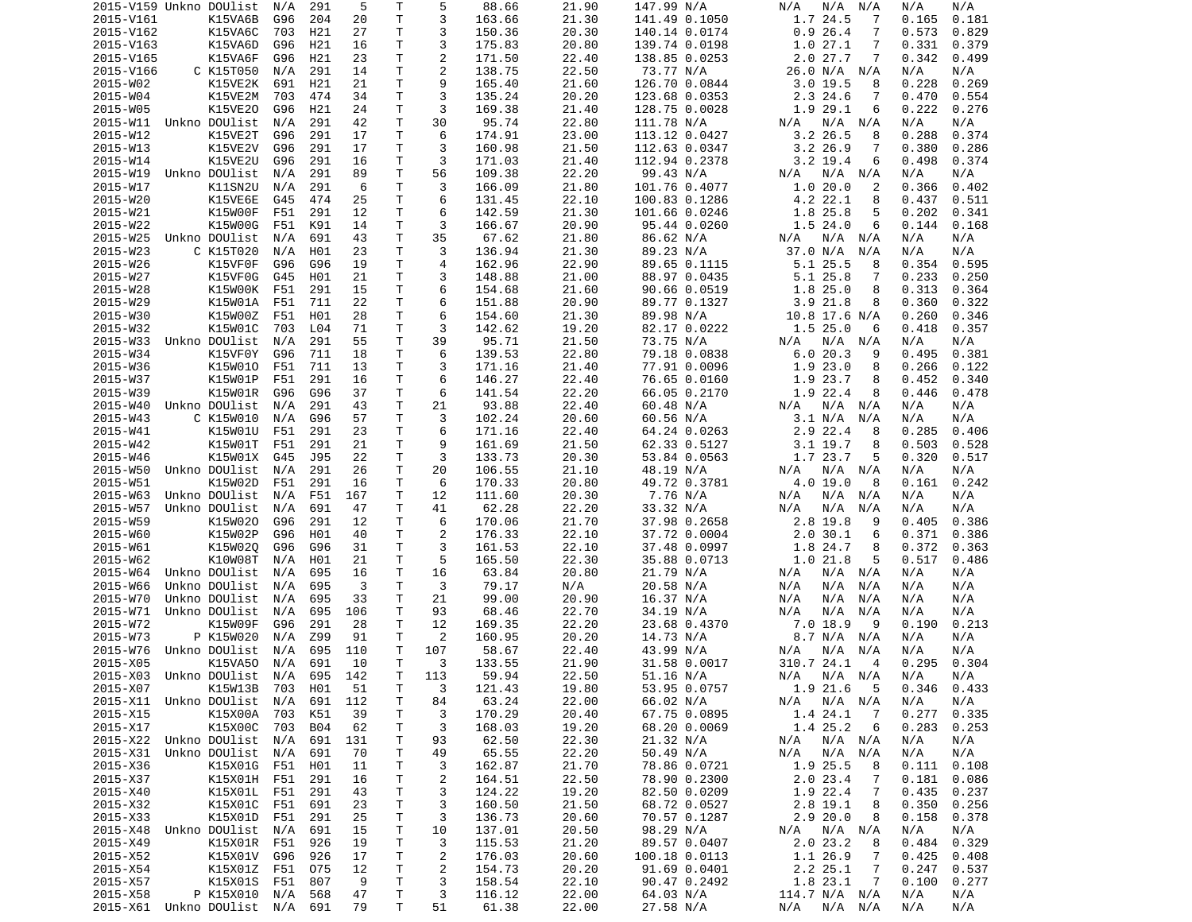| 2015-V159 Unkno DOUlist                    |               | N/A | 291        | 5        | Τ      | 5              | 88.66           | 21.90          | 147.99 N/A                | N/A<br>N/A<br>N/A               | N/A<br>N/A               |
|--------------------------------------------|---------------|-----|------------|----------|--------|----------------|-----------------|----------------|---------------------------|---------------------------------|--------------------------|
| 2015-V161                                  | K15VA6B       | G96 | 204        | 20       | Τ      | 3              | 163.66          | 21.30          | 141.49 0.1050             | 1.7 24.5<br>7                   | 0.165<br>0.181           |
| 2015-V162                                  | K15VA6C       | 703 | H21        | 27       | Τ      | 3              | 150.36          | 20.30          | 140.14 0.0174             | 0.926.4<br>7                    | 0.573<br>0.829           |
| 2015-V163                                  | K15VA6D       | G96 | H21        | 16       | т      | 3              | 175.83          | 20.80          | 139.74 0.0198             | 1.0<br>27.1<br>7                | 0.331<br>0.379           |
| 2015-V165                                  | K15VA6F       | G96 | H21        | 23       | Τ      | 2              | 171.50          | 22.40          | 138.85 0.0253             | 2.027.7<br>7                    | 0.342<br>0.499           |
| 2015-V166                                  | C K15T050     | N/A | 291        | 14       | т      | 2              | 138.75          | 22.50          | 73.77 N/A                 | 26.0 N/A<br>N/A                 | N/A<br>N/A               |
| 2015-W02                                   | K15VE2K       | 691 | H21        | 21       | т      | 9              | 165.40          | 21.60          | 126.70 0.0844             | $3.0$ 19.5<br>8                 | 0.228<br>0.269           |
| 2015-W04                                   | K15VE2M       | 703 | 474        | 34       | Τ      | 3              | 135.24          | 20.20          | 123.68 0.0353             | 2.3 24.6<br>7                   | 0.470<br>0.554           |
| 2015-W05                                   | K15VE20       | G96 | H21        | 24       | T      | 3              | 169.38          | 21.40          | 128.75 0.0028             | 1.9 29.1<br>6                   | 0.222<br>0.276           |
| 2015-W11                                   | Unkno DOUlist | N/A | 291        | 42       | Τ      | 30             | 95.74           | 22.80          | 111.78 N/A                | N/A N/A<br>N/A                  | N/A<br>N/A               |
| 2015-W12                                   | K15VE2T       | G96 | 291        | 17       | T      | 6              | 174.91          | 23.00          | 113.12 0.0427             | 3.2 26.5<br>8                   | 0.288<br>0.374           |
| 2015-W13                                   |               | G96 | 291        | 17       | T      | 3              |                 | 21.50          |                           | 7                               | 0.380<br>0.286           |
|                                            | K15VE2V       |     |            |          |        |                | 160.98          |                | 112.63 0.0347             | $3.2$ 26.9                      |                          |
| 2015-W14                                   | K15VE2U       | G96 | 291        | 16       | Τ      | 3              | 171.03          | 21.40          | 112.94 0.2378             | $3.2$ 19.4<br>6                 | 0.498<br>0.374           |
| 2015-W19                                   | Unkno DOUlist | N/A | 291        | 89       | Τ      | 56             | 109.38          | 22.20          | 99.43 N/A                 | N/A N/A<br>N/A                  | N/A<br>N/A               |
| 2015-W17                                   | K11SN2U       | N/A | 291        | 6        | T.     | 3              | 166.09          | 21.80          | 101.76 0.4077             | 1.0 20.0<br>2                   | 0.366<br>0.402           |
| 2015-W20                                   | K15VE6E       | G45 | 474        | 25       | T.     | 6              | 131.45          | 22.10          | 100.83 0.1286             | 4.2 22.1<br>8                   | 0.437<br>0.511           |
| 2015-W21                                   | K15W00F       | F51 | 291        | 12       | Τ      | 6              | 142.59          | 21.30          | 101.66 0.0246             | 1.8 25.8<br>5                   | 0.202<br>0.341           |
| 2015-W22                                   | K15W00G       | F51 | K91        | 14       | T      | 3              | 166.67          | 20.90          | 95.44 0.0260              | 1.5 24.0<br>6                   | 0.144<br>0.168           |
| 2015-W25                                   | Unkno DOUlist | N/A | 691        | 43       | Τ      | 35             | 67.62           | 21.80          | 86.62 N/A                 | N/A<br>N/A<br>N/A               | N/A<br>N/A               |
| 2015-W23                                   | C K15T020     | N/A | H01        | 23       | т      | 3              | 136.94          | 21.30          | 89.23 N/A                 | 37.0 N/A<br>N/A                 | N/A<br>N/A               |
| 2015-W26                                   | K15VF0F       | G96 | G96        | 19       | Τ      | $\overline{4}$ | 162.96          | 22.90          | 89.65 0.1115              | 5.1 25.5<br>8                   | 0.354<br>0.595           |
| 2015-W27                                   | K15VF0G       | G45 | H01        | 21       | Τ      | 3              | 148.88          | 21.00          | 88.97 0.0435              | 5.1 25.8<br>7                   | 0.233<br>0.250           |
| 2015-W28                                   | K15W00K       | F51 | 291        | 15       | T      | 6              | 154.68          | 21.60          | 90.66 0.0519              | 1.825.0<br>8                    | 0.313<br>0.364           |
| 2015-W29                                   | K15W01A       | F51 | 711        | 22       | т      | 6              | 151.88          | 20.90          | 89.77 0.1327              | $3.9$ 21.8<br>8                 | 0.360<br>0.322           |
| 2015-W30                                   | K15W00Z       | F51 | H01        | 28       | T.     | 6              | 154.60          | 21.30          | 89.98 N/A                 | 10.8 17.6 N/A                   | 0.260<br>0.346           |
| 2015-W32                                   | K15W01C       | 703 | L04        | 71       | Τ      | 3              | 142.62          | 19.20          | 82.17 0.0222              | 1.525.0<br>6                    | 0.418<br>0.357           |
| 2015-W33                                   | Unkno DOUlist | N/A | 291        | 55       | т      | 39             | 95.71           | 21.50          | 73.75 N/A                 | N/A N/A<br>N/A                  | N/A<br>N/A               |
| 2015-W34                                   | K15VF0Y       | G96 | 711        | 18       | T.     | 6              | 139.53          | 22.80          | 79.18 0.0838              | 6.020.3<br>9                    | 0.381<br>0.495           |
| 2015-W36                                   | K15W010       | F51 | 711        | 13       | Τ      | 3              | 171.16          | 21.40          | 77.91 0.0096              | 1.923.0<br>8                    | 0.266<br>0.122           |
| 2015-W37                                   | K15W01P       | F51 | 291        | 16       | T      | 6              | 146.27          | 22.40          | 76.65 0.0160              | 1.9 23.7<br>8                   | 0.340<br>0.452           |
| 2015-W39                                   | K15W01R       | G96 | G96        | 37       | Τ      | 6              |                 | 22.20          |                           | 1.9 22.4<br>8                   | 0.446                    |
|                                            | Unkno DOUlist |     |            |          | T.     |                | 141.54<br>93.88 |                | 66.05 0.2170<br>60.48 N/A |                                 | 0.478                    |
| 2015-W40                                   |               | N/A | 291        | 43       |        | 21             |                 | 22.40          |                           | N/A N/A<br>N/A                  | N/A<br>N/A               |
| 2015-W43                                   | C K15W010     | N/A | G96        | 57       | T.     | 3              | 102.24          | 20.60          | 60.56 N/A                 | 3.1 N/A<br>N/A                  | N/A<br>N/A               |
| 2015-W41                                   | K15W01U       | F51 | 291        | 23       | т      | 6              | 171.16          | 22.40          | 64.24 0.0263              | 2.9 22.4<br>8                   | 0.285<br>0.406           |
| 2015-W42                                   | K15W01T       | F51 | 291        | 21       | Τ      | 9              | 161.69          | 21.50          | 62.33 0.5127              | $3.1$ 19.7<br>8                 | 0.503<br>0.528           |
| 2015-W46                                   | K15W01X       | G45 | J95        | 22       | Τ      | 3              | 133.73          | 20.30          | 53.84 0.0563              | 1.7 23.7<br>5                   | 0.320<br>0.517           |
| 2015-W50                                   | Unkno DOUlist | N/A | 291        | 26       | Τ      | 20             | 106.55          | 21.10          | 48.19 N/A                 | N/A<br>N/A N/A                  | N/A<br>N/A               |
| 2015-W51                                   | K15W02D       | F51 | 291        | 16       | т      | 6              | 170.33          | 20.80          | 49.72 0.3781              | 4.0 19.0<br>8                   | 0.242<br>0.161           |
| 2015-W63                                   | Unkno DOUlist | N/A | F51        | 167      | т      | 12             | 111.60          | 20.30          | 7.76 N/A                  | N/A<br>N/A<br>N/A               | N/A<br>N/A               |
| 2015-W57                                   | Unkno DOUlist | N/A | 691        | 47       | т      | 41             | 62.28           | 22.20          | 33.32 N/A                 | N/A<br>N/A<br>N/A               | N/A<br>N/A               |
| 2015-W59                                   | K15W020       | G96 | 291        | 12       | т      | 6              | 170.06          | 21.70          | 37.98 0.2658              | 2.8 19.8<br>9                   | 0.405<br>0.386           |
| 2015-W60                                   | K15W02P       | G96 | H01        | 40       | T      | $\overline{2}$ | 176.33          | 22.10          | 37.72 0.0004              | 2.030.1<br>6                    | 0.371<br>0.386           |
| 2015-W61                                   | K15W020       | G96 | G96        | 31       | Τ      | 3              | 161.53          | 22.10          | 37.48 0.0997              | 1.8 24.7<br>8                   | 0.372<br>0.363           |
| 2015-W62                                   | K10W08T       | N/A | H01        | 21       | T      | 5              | 165.50          | 22.30          | 35.88 0.0713              | 1.021.8<br>5                    | 0.517<br>0.486           |
| 2015-W64                                   | Unkno DOUlist | N/A | 695        | 16       | Τ      | 16             | 63.84           | 20.80          | 21.79 N/A                 | N/A N/A<br>N/A                  | N/A<br>N/A               |
| 2015-W66                                   | Unkno DOUlist | N/A | 695        | 3        | T      | 3              | 79.17           | N/A            | 20.58 N/A                 | N/A<br>N/A<br>N/A               | N/A<br>N/A               |
| 2015-W70                                   | Unkno DOUlist | N/A | 695        | 33       | Τ      | 21             | 99.00           | 20.90          | 16.37 N/A                 | N/A<br>N/A<br>N/A               | N/A<br>N/A               |
| 2015-W71                                   | Unkno DOUlist | N/A | 695        | 106      | Τ      | 93             | 68.46           | 22.70          | 34.19 N/A                 | N/A<br>N/A<br>N/A               | N/A<br>N/A               |
| 2015-W72                                   | K15W09F       | G96 | 291        | 28       | T.     | 12             | 169.35          | 22.20          | 23.68 0.4370              | 7.0 18.9<br>9                   | 0.190<br>0.213           |
| 2015-W73                                   | P K15W020     | N/A | Z99        | 91       | т      | 2              | 160.95          | 20.20          | 14.73 N/A                 | 8.7 N/A N/A                     | N/A<br>N/A               |
|                                            | Unkno DOUlist |     |            |          | T      | 107            |                 |                |                           |                                 |                          |
| 2015-W76                                   |               | N/A | 695        | 110      |        |                | 58.67           | 22.40          | 43.99 N/A                 | N/A<br>N/A<br>N/A               | N/A<br>N/A               |
| 2015-X05                                   | K15VA50       | N/A | 691        | 10       | T.     | 3              | 133.55          | 21.90          | 31.58 0.0017              | 310.7 24.1<br>$\overline{a}$    | 0.295<br>0.304           |
| 2015-X03 Unkno DOUlist                     |               | N/A |            | 695 142  | T.     | 113            | 59.94           | 22.50          | 51.16 N/A                 | N/A N/A<br>N/A                  | N/A<br>N/A               |
| 2015-X07                                   | K15W13B 703   |     | H01        | 51       | Τ      | 3              | 121.43          | 19.80          | 53.95 0.0757              | 1.9 21.6 5                      | $0.346$ 0.433            |
| 2015-X11 Unkno DOUlist                     |               | N/A | 691        | 112      | T      | 84             | 63.24           | 22.00          | 66.02 N/A                 | $N/A$ $N/A$<br>N/A              | N/A<br>N/A               |
| 2015-X15                                   | K15X00A       | 703 | K51        | 39       | Τ      | 3              | 170.29          | 20.40          | 67.75 0.0895              | 1.4 24.1<br>$\overline{7}$      | 0.335<br>0.277           |
| 2015-X17                                   | K15X00C       | 703 | <b>B04</b> | 62       | Τ      | 3              | 168.03          | 19.20          | 68.20 0.0069              | 1.4 25.2<br>6                   | 0.283<br>0.253           |
| 2015-X22 Unkno DOUlist                     |               | N/A | 691        | 131      | Τ      | 93             | 62.50           | 22.30          | 21.32 N/A                 | N/A<br>N/A N/A                  | N/A<br>N/A               |
| 2015-X31 Unkno DOUlist                     |               | N/A | 691        | 70       | Τ      | 49             | 65.55           | 22.20          | 50.49 N/A                 | $N/A$ $N/A$<br>N/A              | N/A<br>N/A               |
| 2015-X36                                   | K15X01G       | F51 | H01        | 11       | T      | 3              | 162.87          | 21.70          | 78.86 0.0721              | 1.9 25.5<br>8                   | 0.111<br>0.108           |
| 2015-X37                                   | K15X01H F51   |     | 291        | 16       | T      | $\overline{c}$ | 164.51          | 22.50          | 78.90 0.2300              | 2.023.4<br>7                    | 0.181<br>0.086           |
| 2015-X40                                   | K15X01L F51   |     | 291        | 43       | T      | 3              | 124.22          | 19.20          | 82.50 0.0209              | 1.9 22.4<br>$\overline{7}$      | 0.435<br>0.237           |
| 2015-X32                                   | K15X01C       | F51 | 691        | 23       | Τ      | 3              | 160.50          | 21.50          | 68.72 0.0527              | 2.8 19.1<br>8                   | 0.350<br>0.256           |
| 2015-X33                                   | K15X01D       | F51 | 291        | 25       | Τ      | 3              | 136.73          | 20.60          | 70.57 0.1287              | 2.920.0<br>8                    | 0.158<br>0.378           |
| 2015-X48 Unkno DOUlist N/A                 |               |     | 691        | 15       | T      | 10             | 137.01          | 20.50          | 98.29 N/A                 | N/A N/A<br>N/A                  | N/A<br>N/A               |
|                                            | K15X01R       | F51 | 926        | 19       | Τ      | 3              | 115.53          | 21.20          | 89.57 0.0407              | 2.023.2<br>8                    | 0.484<br>0.329           |
|                                            |               |     |            |          |        |                |                 |                |                           |                                 |                          |
| 2015-X49                                   |               |     |            |          |        |                |                 |                |                           |                                 |                          |
| 2015-X52                                   | K15X01V       | G96 | 926        | 17       | T      | 2              | 176.03          | 20.60          | 100.18 0.0113             | 1.1 26.9<br>7                   | 0.425<br>0.408           |
| 2015-X54                                   | K15X01Z F51   |     | 075        | 12       | T      | $\overline{c}$ | 154.73          | 20.20          | 91.69 0.0401              | 2.2 25.1<br>7                   | 0.247<br>0.537           |
| 2015-X57                                   | K15X01S       | F51 | 807        | 9        | Τ      | 3              | 158.54          | 22.10          | 90.47 0.2492              | 1.8 23.1<br>7                   | 0.100<br>0.277           |
| 2015-X58<br>2015-X61 Unkno DOUlist N/A 691 | P K15X010     | N/A | 568        | 47<br>79 | Τ<br>Τ | 3<br>51        | 116.12<br>61.38 | 22.00<br>22.00 | 64.03 N/A<br>27.58 N/A    | 114.7 N/A N/A<br>N/A<br>N/A N/A | N/A<br>N/A<br>N/A<br>N/A |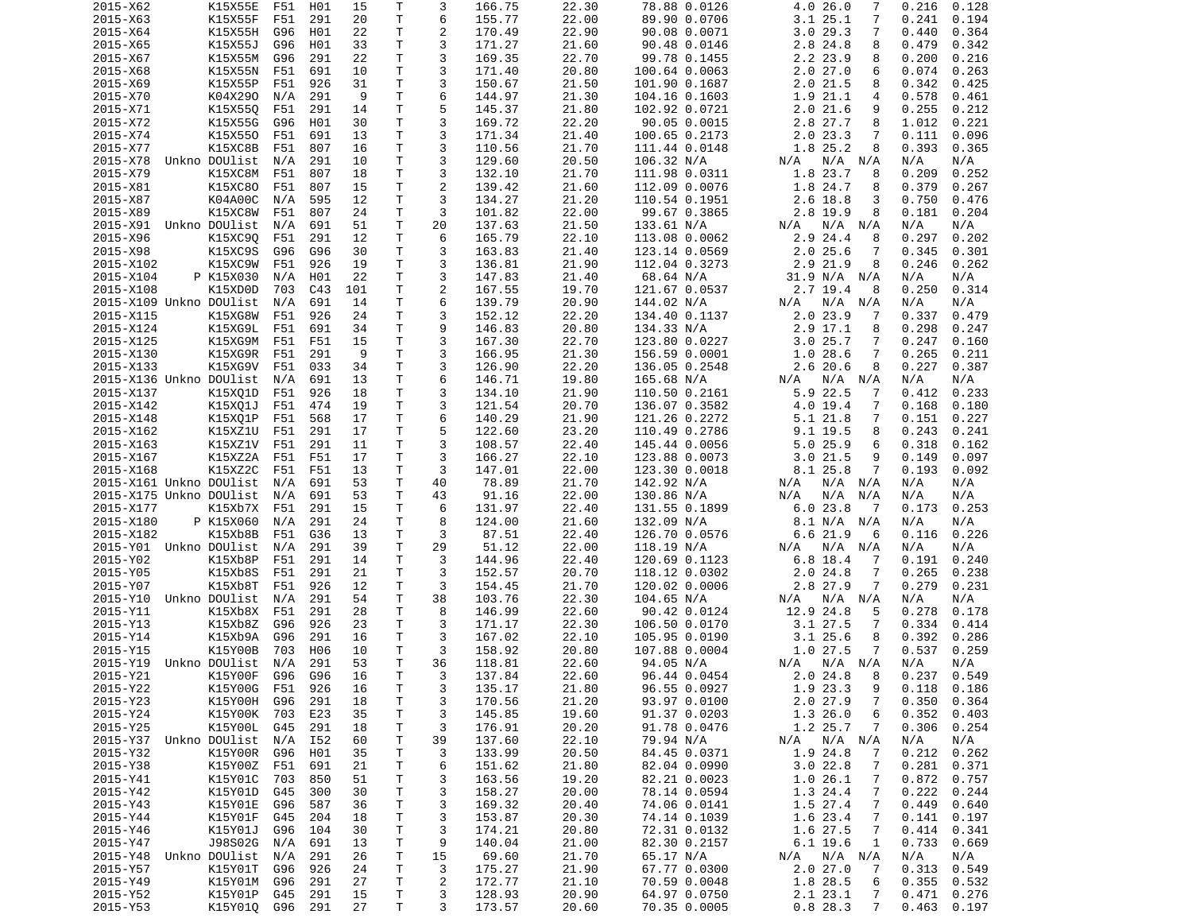| 2015-X62                | K15X55E            | F51        | H01          | 15       | Τ            | 3              | 166.75           | 22.30          | 78.88 0.0126                 | 4.0 26.0<br>7                 | 0.216<br>0.128                   |
|-------------------------|--------------------|------------|--------------|----------|--------------|----------------|------------------|----------------|------------------------------|-------------------------------|----------------------------------|
| 2015-X63                | K15X55F            | F51        | 291          | 20       | T            | 6              | 155.77           | 22.00          | 89.90 0.0706                 | 3.125.1<br>7                  | 0.241<br>0.194                   |
| 2015-X64                | K15X55H            | G96        | H01          | 22       | Τ            | $\overline{c}$ | 170.49           | 22.90          | 90.08 0.0071                 | 3.029.3<br>7                  | 0.440<br>0.364                   |
| 2015-X65                | K15X55J            | G96        | H01          | 33       | т            | 3              | 171.27           | 21.60          | 90.48 0.0146                 | 2.8 24.8<br>8                 | 0.479<br>0.342                   |
| 2015-X67                | K15X55M            | G96        | 291          | 22       | Τ            | 3              | 169.35           | 22.70          | 99.78 0.1455                 | 2.2 23.9<br>8                 | 0.200<br>0.216                   |
| 2015-X68                | K15X55N            | F51        | 691          | 10       | T.           | 3              | 171.40           | 20.80          | 100.64 0.0063                | 2.027.0<br>6                  | 0.074<br>0.263                   |
| 2015-X69                | K15X55P            | F51        | 926          | 31       | Τ            | 3              | 150.67           | 21.50          | 101.90 0.1687                | 2.021.5<br>8                  | 0.342<br>0.425                   |
| 2015-X70                | K04X290            | N/A        | 291          | -9       | т            | 6              | 144.97           | 21.30          | 104.16 0.1603                | 1.9 21.1<br>4                 | 0.578<br>0.461                   |
| 2015-X71                | K15X550            | F51        | 291          | 14       | T            | 5              | 145.37           | 21.80          | 102.92 0.0721                | 2.021.6<br>9                  | 0.255<br>0.212                   |
| 2015-X72                | K15X55G            | G96        | H01          | 30       | т            | 3              | 169.72           | 22.20          | 90.05 0.0015                 | 2.8 27.7<br>8                 | 1.012<br>0.221                   |
|                         |                    |            |              |          | т            | 3              |                  |                |                              | 7                             |                                  |
| 2015-X74                | K15X550            | F51        | 691          | 13       |              |                | 171.34           | 21.40          | 100.65 0.2173                | 2.023.3                       | 0.096<br>0.111                   |
| 2015-X77                | K15XC8B            | F51        | 807          | 16       | T            | 3              | 110.56           | 21.70          | 111.44 0.0148                | 1.8 25.2<br>8                 | 0.393<br>0.365                   |
| 2015-X78                | Unkno DOUlist      | N/A        | 291          | 10       | T.           | 3              | 129.60           | 20.50          | 106.32 N/A                   | N/A<br>$N/A$ $N/A$            | N/A<br>N/A                       |
| 2015-X79                | K15XC8M            | F51        | 807          | 18       | T            | 3              | 132.10           | 21.70          | 111.98 0.0311                | 1.8 23.7<br>8                 | 0.209<br>0.252                   |
| 2015-X81                | K15XC80            | F51        | 807          | 15       | T.           | $\overline{c}$ | 139.42           | 21.60          | 112.09 0.0076                | 1.8 24.7<br>8                 | 0.379<br>0.267                   |
| 2015-X87                | K04A00C            | N/A        | 595          | 12       | $\mathsf{T}$ | 3              | 134.27           | 21.20          | 110.54 0.1951                | 2.6 18.8<br>3                 | 0.750<br>0.476                   |
| 2015-X89                | K15XC8W            | F51        | 807          | 24       | Τ            | 3              | 101.82           | 22.00          | 99.67 0.3865                 | 2.8 19.9<br>8                 | 0.181<br>0.204                   |
| 2015-X91                | Unkno DOUlist      | N/A        | 691          | 51       | T            | 20             | 137.63           | 21.50          | 133.61 N/A                   | N/A<br>N/A<br>N/A             | N/A<br>N/A                       |
| 2015-X96                | K15XC90            | F51        | 291          | 12       | $\mathsf{T}$ | 6              | 165.79           | 22.10          | 113.08 0.0062                | 2.9 24.4<br>8                 | 0.297<br>0.202                   |
| 2015-X98                | K15XC9S            | G96        | G96          | 30       | T            | 3              | 163.83           | 21.40          | 123.14 0.0569                | $2.0$ 25.6<br>7               | 0.345<br>0.301                   |
| 2015-X102               | K15XC9W            | F51        | 926          | 19       | T            | 3              | 136.81           | 21.90          | 112.04 0.3273                | 2.9 21.9<br>8                 | 0.246<br>0.262                   |
| 2015-X104               | P K15X030          | N/A        | H01          | 22       | T            | 3              | 147.83           | 21.40          | 68.64 N/A                    | 31.9 N/A<br>N/A               | N/A<br>N/A                       |
| 2015-X108               | K15XD0D            | 703        | C43          | 101      | T            | $\overline{c}$ | 167.55           | 19.70          | 121.67 0.0537                | 2.7 19.4<br>8                 | 0.314<br>0.250                   |
| 2015-X109 Unkno DOUlist |                    | N/A        | 691          | 14       | т            | 6              | 139.79           | 20.90          | 144.02 N/A                   | N/A<br>N/A N/A                | N/A<br>N/A                       |
|                         | K15XG8W            |            |              | 24       | T.           | 3              |                  |                |                              | 2.0 23.9                      |                                  |
| 2015-X115               |                    | F51        | 926          |          |              |                | 152.12           | 22.20          | 134.40 0.1137                | 7                             | 0.337<br>0.479                   |
| 2015-X124               | K15XG9L            | F51        | 691          | 34       | $\mathsf{T}$ | 9              | 146.83           | 20.80          | 134.33 N/A                   | 2.9 17.1<br>8                 | 0.298<br>0.247                   |
| 2015-X125               | K15XG9M            | F51        | F51          | 15       | T            | 3              | 167.30           | 22.70          | 123.80 0.0227                | 3.025.7<br>7                  | 0.247<br>0.160                   |
| 2015-X130               | K15XG9R            | F51        | 291          | 9        | T            | 3              | 166.95           | 21.30          | 156.59 0.0001                | 1.028.6<br>7                  | 0.265<br>0.211                   |
| 2015-X133               | K15XG9V            | F51        | 033          | 34       | T            | 3              | 126.90           | 22.20          | 136.05 0.2548                | 2.620.6<br>8                  | 0.227<br>0.387                   |
| 2015-X136 Unkno DOUlist |                    | N/A        | 691          | 13       | т            | 6              | 146.71           | 19.80          | 165.68 N/A                   | N/A<br>$N/A$ $N/A$            | N/A<br>N/A                       |
| 2015-X137               | K15X01D            | F51        | 926          | 18       | т            | 3              | 134.10           | 21.90          | 110.50 0.2161                | 5.9 22.5<br>7                 | 0.412<br>0.233                   |
| 2015-X142               | K15X01J            | F51        | 474          | 19       | T            | 3              | 121.54           | 20.70          | 136.07 0.3582                | 4.0 19.4<br>7                 | 0.168<br>0.180                   |
| 2015-X148               | K15X01P            | F51        | 568          | 17       | $\mathsf{T}$ | 6              | 140.29           | 21.90          | 121.26 0.2272                | 5.121.8<br>7                  | 0.151<br>0.227                   |
| 2015-X162               | K15XZ1U            | F51        | 291          | 17       | T            | 5              | 122.60           | 23.20          | 110.49 0.2786                | 9.1 19.5<br>8                 | 0.243<br>0.241                   |
| 2015-X163               | K15XZ1V            | F51        | 291          | 11       | T            | 3              | 108.57           | 22.40          | 145.44 0.0056                | 5.025.9<br>6                  | 0.318<br>0.162                   |
| 2015-X167               | K15XZ2A            | F51        | F51          | 17       | T.           | 3              | 166.27           | 22.10          | 123.88 0.0073                | 3.021.5<br>9                  | 0.149<br>0.097                   |
| 2015-X168               | K15XZ2C            | F51        | F51          | 13       | т            | 3              | 147.01           | 22.00          | 123.30 0.0018                | 8.1 25.8<br>7                 | 0.193<br>0.092                   |
| 2015-X161 Unkno DOUlist |                    | N/A        | 691          | 53       | T            | 40             | 78.89            | 21.70          | 142.92 N/A                   | N/A N/A<br>N/A                | N/A<br>N/A                       |
| 2015-X175 Unkno DOUlist |                    |            | 691          | 53       | T            | 43             | 91.16            | 22.00          | 130.86 N/A                   | N/A<br>N/A<br>N/A             | N/A<br>N/A                       |
|                         |                    | N/A        |              |          |              |                |                  |                |                              |                               |                                  |
| 2015-X177               | K15Xb7X            | F51        | 291          | 15       | T            | 6              | 131.97           | 22.40          | 131.55 0.1899                | 6.023.8<br>$\overline{7}$     | 0.253<br>0.173                   |
|                         |                    |            | 291          | 24       | т            | 8              | 124.00           | 21.60          | 132.09 N/A                   | 8.1 N/A<br>N/A                | N/A<br>N/A                       |
| 2015-X180               | P K15X060          | N/A        |              |          |              |                |                  |                |                              |                               |                                  |
| 2015-X182               | K15Xb8B            | F51        | G36          | 13       | T            | 3              | 87.51            | 22.40          | 126.70 0.0576                | 6.621.9<br>6                  | 0.226<br>0.116                   |
| 2015-Y01 Unkno DOUlist  |                    | N/A        | 291          | 39       | т            | 29             | 51.12            | 22.00          | 118.19 N/A                   | N/A<br>N/A<br>N/A             | N/A<br>N/A                       |
| 2015-Y02                | K15Xb8P            | F51        | 291          | 14       | т            | 3              | 144.96           | 22.40          | 120.69 0.1123                | 6.8 18.4<br>7                 | 0.240<br>0.191                   |
| 2015-Y05                | K15Xb8S            | F51        | 291          | 21       | T            | 3              | 152.57           | 20.70          | 118.12 0.0302                | 2.024.8<br>7                  | 0.265<br>0.238                   |
| 2015-Y07                | K15Xb8T            | F51        | 926          | 12       | $\mathsf{T}$ | 3              | 154.45           | 21.70          | 120.02 0.0006                | 2.8 27.9<br>7                 | 0.279<br>0.231                   |
| 2015-Y10                | Unkno DOUlist      | N/A        | 291          | 54       | T            | 38             | 103.76           | 22.30          | 104.65 N/A                   | N/A N/A<br>N/A                | N/A<br>N/A                       |
| 2015-Y11                | K15Xb8X            | F51        | 291          | 28       | T            | 8              |                  | 22.60          |                              | 5                             | 0.278<br>0.178                   |
|                         |                    |            |              |          |              |                | 146.99           |                | 90.42 0.0124                 | 12.9 24.8                     |                                  |
| 2015-Y13                | K15Xb8Z            | G96        | 926          | 23       | $\mathsf{T}$ | 3              | 171.17           | 22.30          | 106.50 0.0170                | $3.1$ $27.5$<br>7             | 0.334<br>0.414                   |
| 2015-Y14                | K15Xb9A            | G96        | 291          | 16       | T            | 3              | 167.02           | 22.10          | 105.95 0.0190                | $3.1$ 25.6<br>8               | 0.392<br>0.286                   |
| 2015-Y15                | K15Y00B            | 703        | H06          | 10       | т            | 3              | 158.92           | 20.80          | 107.88 0.0004                | 1.0 27.5<br>7                 | 0.537<br>0.259                   |
| 2015-Y19                | Unkno DOUlist      | N/A        | 291          | 53       | T.           | 36             | 118.81           | 22.60          | 94.05 N/A                    | N/A<br>N/A N/A                | N/A<br>N/A                       |
| 2015-Y21                | K15Y00F G96 G96    |            |              | 16       | $\mathsf{T}$ | 3              | 137.84           | 22.60          | 96.44 0.0454                 | 2.024.8<br>- 8                | 0.237<br>0.549                   |
| 2015-Y22                | K15Y00G F51        |            | 926          | 16       | Τ            | 3              | 135.17           | 21.80          | 96.55 0.0927                 | 1.9 23.3<br>9                 | $0.118$ $0.186$                  |
| 2015-Y23                | K15Y00H            | G96        | 291          | 18       | T            | 3              | 170.56           | 21.20          | 93.97 0.0100                 | 2.027.9<br>7                  | 0.350<br>0.364                   |
| 2015-Y24                | K15Y00K            | 703        | E23          | 35       | $\mathsf T$  | 3              | 145.85           | 19.60          | 91.37 0.0203                 | 1.3 26.0<br>6                 | 0.352<br>0.403                   |
| 2015-Y25                | K15Y00L            | G45        | 291          | 18       | Τ            | 3              | 176.91           | 20.20          | 91.78 0.0476                 | 1.2 25.7<br>7                 | 0.306<br>0.254                   |
| 2015-Y37 Unkno DOUlist  |                    | N/A        | I52          | 60       | T            | 39             | 137.60           | 22.10          | 79.94 N/A                    | N/A<br>N/A N/A                | N/A<br>N/A                       |
| 2015-Y32                | K15Y00R            | G96        | H01          | 35       | T            | 3              | 133.99           | 20.50          | 84.45 0.0371                 | 1.9 24.8<br>7                 | 0.212<br>0.262                   |
| 2015-Y38                | K15Y00Z            | F51        | 691          | 21       | T            | 6              | 151.62           | 21.80          | 82.04 0.0990                 | 3.022.8<br>7                  | 0.281<br>0.371                   |
| 2015-Y41                | K15Y01C            | 703        | 850          | 51       | T            | 3              | 163.56           | 19.20          | 82.21 0.0023                 | 1.026.1<br>7                  | 0.872<br>0.757                   |
|                         |                    |            |              |          |              |                |                  |                |                              |                               |                                  |
| 2015-Y42                | K15Y01D            | G45        | 300          | 30       | T            | 3              | 158.27           | 20.00          | 78.14 0.0594                 | 1.3 24.4<br>$\overline{7}$    | 0.222<br>0.244                   |
| 2015-Y43                | K15Y01E            | G96        | 587          | 36       | Τ            | 3              | 169.32           | 20.40          | 74.06 0.0141                 | 1.5 27.4<br>7                 | 0.449<br>0.640                   |
| 2015-Y44                | K15Y01F            | G45        | 204          | 18       | Τ            | 3              | 153.87           | 20.30          | 74.14 0.1039                 | 1.6 23.4<br>7                 | 0.141<br>0.197                   |
| 2015-Y46                | K15Y01J            | G96        | 104          | 30       | T            | 3              | 174.21           | 20.80          | 72.31 0.0132                 | 1.6 27.5<br>$\overline{7}$    | 0.414<br>0.341                   |
| 2015-Y47                | J98S02G            | N/A        | 691          | 13       | $\mathsf{T}$ | 9              | 140.04           | 21.00          | 82.30 0.2157                 | $6.1$ 19.6<br>1               | 0.733<br>0.669                   |
| 2015-Y48                | Unkno DOUlist      | N/A        | 291          | 26       | T            | 15             | 69.60            | 21.70          | 65.17 N/A                    | N/A N/A<br>N/A                | N/A<br>N/A                       |
| 2015-Y57                | K15Y01T            | G96        | 926          | 24       | Τ            | 3              | 175.27           | 21.90          | 67.77 0.0300                 | 2.027.0<br>$\overline{7}$     | 0.313<br>0.549                   |
| 2015-Y49                | K15Y01M            | G96        | 291          | 27       | T            | 2              | 172.77           | 21.10          | 70.59 0.0048                 | 1.8 28.5<br>6                 | 0.355<br>0.532                   |
| 2015-Y52<br>2015-Y53    | K15Y01P<br>K15Y010 | G45<br>G96 | 291<br>- 291 | 15<br>27 | T<br>T.      | 3<br>3         | 128.93<br>173.57 | 20.90<br>20.60 | 64.97 0.0750<br>70.35 0.0005 | 2.1 23.1<br>7<br>0.828.3<br>7 | 0.471<br>0.276<br>0.463<br>0.197 |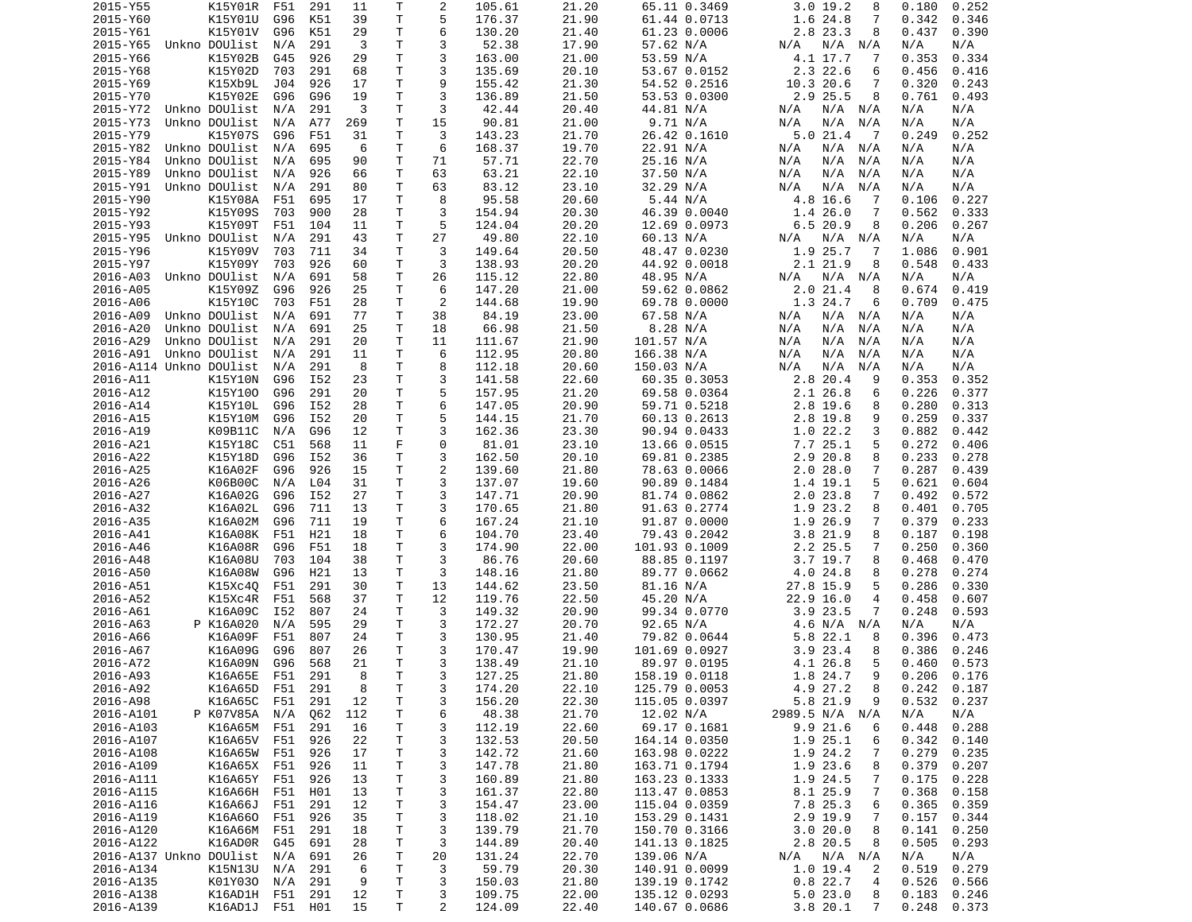| 2015-Y55                |               | K15Y01R       | F51     | 291 | 11  | Τ            | 2              | 105.61 | 21.20 | 65.11 0.3469  | 3.019.2<br>8                | 0.180<br>0.252  |
|-------------------------|---------------|---------------|---------|-----|-----|--------------|----------------|--------|-------|---------------|-----------------------------|-----------------|
| 2015-Y60                |               | K15Y01U       | G96     | K51 | 39  | T            | 5              | 176.37 | 21.90 | 61.44 0.0713  | 1.6 24.8<br>7               | 0.342<br>0.346  |
| 2015-Y61                |               | K15Y01V       | G96     | K51 | 29  | т            | 6              | 130.20 | 21.40 | 61.23 0.0006  | 2.8 23.3<br>8               | 0.437<br>0.390  |
| 2015-Y65                | Unkno DOUlist |               | N/A     | 291 | 3   | т            | 3              | 52.38  | 17.90 | 57.62 N/A     | N/A<br>N/A<br>N/A           | N/A<br>N/A      |
| 2015-Y66                |               | K15Y02B       | G45     | 926 | 29  | T            | 3              | 163.00 | 21.00 | 53.59 N/A     | 4.1 17.7<br>7               | 0.353<br>0.334  |
| 2015-Y68                |               | K15Y02D       | 703     | 291 | 68  | T            | 3              | 135.69 | 20.10 | 53.67 0.0152  | 2.3 22.6<br>6               | 0.456<br>0.416  |
| 2015-Y69                |               | K15Xb9L       | J04     | 926 | 17  | T            | 9              | 155.42 | 21.30 | 54.52 0.2516  | 10.3 20.6<br>7              | 0.320<br>0.243  |
| 2015-Y70                |               | K15Y02E       |         | G96 |     | T            | 3              |        | 21.50 |               | 2.9 25.5<br>8               | 0.761           |
|                         |               |               | G96     |     | 19  |              |                | 136.89 |       | 53.53 0.0300  |                             | 0.493           |
| 2015-Y72                | Unkno DOUlist |               | N/A     | 291 | 3   | т            | 3              | 42.44  | 20.40 | 44.81 N/A     | N/A<br>N/A<br>N/A           | N/A<br>N/A      |
| 2015-Y73                | Unkno DOUlist |               | N/A     | A77 | 269 | т            | 15             | 90.81  | 21.00 | 9.71 N/A      | N/A<br>N/A<br>N/A           | N/A<br>N/A      |
| 2015-Y79                |               | K15Y07S       | G96     | F51 | 31  | T            | 3              | 143.23 | 21.70 | 26.42 0.1610  | 5.021.4<br>$\overline{7}$   | 0.249<br>0.252  |
| 2015-Y82                | Unkno DOUlist |               | N/A     | 695 | 6   | т            | 6              | 168.37 | 19.70 | 22.91 N/A     | N/A<br>N/A<br>N/A           | N/A<br>N/A      |
| 2015-Y84                | Unkno DOUlist |               | N/A     | 695 | 90  | $\mathsf{T}$ | 71             | 57.71  | 22.70 | 25.16 N/A     | N/A<br>N/A<br>N/A           | N/A<br>N/A      |
| 2015-Y89                | Unkno DOUlist |               | N/A     | 926 | 66  | Τ            | 63             | 63.21  | 22.10 | 37.50 N/A     | N/A<br>N/A<br>N/A           | N/A<br>N/A      |
| 2015-Y91                | Unkno DOUlist |               | N/A     | 291 | 80  | T            | 63             | 83.12  | 23.10 | 32.29 N/A     | N/A<br>N/A<br>N/A           | N/A<br>N/A      |
| 2015-Y90                |               | K15Y08A       | F51     | 695 | 17  | T            | 8              | 95.58  | 20.60 | 5.44 N/A      | 4.8 16.6<br>7               | 0.106<br>0.227  |
| 2015-Y92                |               | K15Y09S       | 703     | 900 | 28  | т            | 3              | 154.94 | 20.30 | 46.39 0.0040  | 1.426.0<br>7                | 0.562<br>0.333  |
| 2015-Y93                |               | K15Y09T       | F51     | 104 | 11  | т            | 5              | 124.04 | 20.20 | 12.69 0.0973  | 6.520.9<br>8                | 0.206<br>0.267  |
| 2015-Y95                | Unkno DOUlist |               | N/A     | 291 | 43  | T            | 27             | 49.80  | 22.10 | 60.13 N/A     | $N/A$ $N/A$<br>N/A          | N/A<br>N/A      |
|                         |               |               |         |     |     |              |                |        |       |               |                             |                 |
| 2015-Y96                |               | K15Y09V       | 703     | 711 | 34  | Τ            | 3              | 149.64 | 20.50 | 48.47 0.0230  | 1.9 25.7<br>7               | 1.086<br>0.901  |
| 2015-Y97                |               | K15Y09Y       | 703     | 926 | 60  | т            | 3              | 138.93 | 20.20 | 44.92 0.0018  | 2.1 21.9<br>8               | 0.548<br>0.433  |
| 2016-A03                | Unkno DOUlist |               | N/A     | 691 | 58  | т            | 26             | 115.12 | 22.80 | 48.95 N/A     | N/A<br>N/A<br>N/A           | N/A<br>N/A      |
| 2016-A05                |               | K15Y09Z       | G96     | 926 | 25  | T            | 6              | 147.20 | 21.00 | 59.62 0.0862  | 2.021.4<br>8                | 0.674<br>0.419  |
| 2016-A06                |               | K15Y10C       | 703     | F51 | 28  | т            | 2              | 144.68 | 19.90 | 69.78 0.0000  | 1.3 24.7<br>6               | 0.709<br>0.475  |
| 2016-A09                | Unkno DOUlist |               | N/A     | 691 | 77  | т            | 38             | 84.19  | 23.00 | 67.58 N/A     | N/A<br>$N/A$ $N/A$          | N/A<br>N/A      |
| 2016-A20                | Unkno DOUlist |               | N/A     | 691 | 25  | Τ            | 18             | 66.98  | 21.50 | 8.28 N/A      | N/A<br>N/A<br>N/A           | N/A<br>N/A      |
| 2016-A29                | Unkno DOUlist |               | N/A     | 291 | 20  | Τ            | 11             | 111.67 | 21.90 | 101.57 N/A    | N/A<br>N/A<br>N/A           | N/A<br>N/A      |
| 2016-A91                | Unkno DOUlist |               | N/A     | 291 | 11  | т            | 6              | 112.95 | 20.80 | 166.38 N/A    | N/A<br>N/A<br>N/A           | N/A<br>N/A      |
|                         |               |               |         |     |     |              |                |        |       |               |                             |                 |
| 2016-A114 Unkno DOUlist |               |               | N/A     | 291 | 8   | т            | 8              | 112.18 | 20.60 | 150.03 N/A    | N/A<br>N/A<br>N/A           | N/A<br>N/A      |
| 2016-A11                |               | K15Y10N       | G96     | I52 | 23  | т            | 3              | 141.58 | 22.60 | 60.35 0.3053  | 2.8 20.4<br>9               | 0.353<br>0.352  |
| 2016-A12                |               | K15Y100       | G96     | 291 | 20  | т            | 5              | 157.95 | 21.20 | 69.58 0.0364  | 2.1 26.8<br>6               | 0.226<br>0.377  |
| 2016-A14                |               | K15Y10L       | G96     | I52 | 28  | т            | 6              | 147.05 | 20.90 | 59.71 0.5218  | 2.8 19.6<br>8               | 0.280<br>0.313  |
| 2016-A15                |               | K15Y10M       | G96     | I52 | 20  | $\mathsf{T}$ | 5              | 144.15 | 21.70 | 60.13 0.2613  | 2.8 19.8<br>9               | 0.259<br>0.337  |
| 2016-A19                |               | K09B11C       | N/A     | G96 | 12  | т            | 3              | 162.36 | 23.30 | 90.94 0.0433  | 1.022.2<br>3                | 0.882<br>0.442  |
| 2016-A21                |               | K15Y18C       | C51     | 568 | 11  | F            | 0              | 81.01  | 23.10 | 13.66 0.0515  | 7.725.1<br>5                | 0.272<br>0.406  |
| 2016-A22                |               | K15Y18D       | G96     | I52 | 36  | Τ            | 3              | 162.50 | 20.10 | 69.81 0.2385  | 2.9 20.8<br>8               | 0.233<br>0.278  |
| 2016-A25                |               | K16A02F       | G96     | 926 | 15  | т            | $\overline{c}$ | 139.60 | 21.80 | 78.63 0.0066  | 2.028.0<br>7                | 0.287<br>0.439  |
| 2016-A26                |               | K06B00C       | N/A     | L04 | 31  | T            | 3              | 137.07 | 19.60 | 90.89 0.1484  | 5<br>1.4 19.1               | 0.621<br>0.604  |
|                         |               |               | G96     |     |     |              | 3              |        |       |               |                             |                 |
| 2016-A27                |               | K16A02G       |         | I52 | 27  | T            |                | 147.71 | 20.90 | 81.74 0.0862  | 2.023.8<br>7                | 0.492<br>0.572  |
| 2016-A32                |               | K16A02L       | G96     | 711 | 13  | T            | 3              | 170.65 | 21.80 | 91.63 0.2774  | 1.9 23.2<br>8               | 0.401<br>0.705  |
| 2016-A35                |               | K16A02M       | G96     | 711 | 19  | T            | 6              | 167.24 | 21.10 | 91.87 0.0000  | 1.9 26.9<br>7               | 0.379<br>0.233  |
| 2016-A41                |               | K16A08K       | F51     | H21 | 18  | T            | 6              | 104.70 | 23.40 | 79.43 0.2042  | 3.8 21.9<br>8               | 0.187<br>0.198  |
| 2016-A46                |               | K16A08R       | G96     | F51 | 18  | т            | 3              | 174.90 | 22.00 | 101.93 0.1009 | 2.2 25.5<br>7               | 0.250<br>0.360  |
| 2016-A48                |               | K16A08U       | 703     | 104 | 38  | T            | 3              | 86.76  | 20.60 | 88.85 0.1197  | $3.7$ 19.7<br>8             | 0.468<br>0.470  |
| 2016-A50                |               | K16A08W       | G96     | H21 | 13  | T            | 3              | 148.16 | 21.80 | 89.77 0.0662  | 4.0 24.8<br>8               | 0.278<br>0.274  |
| 2016-A51                |               | K15Xc40       | F51     | 291 | 30  | T            | 13             | 144.62 | 23.50 | 81.16 N/A     | 27.8 15.9<br>5              | 0.286<br>0.330  |
| 2016-A52                |               | K15Xc4R       | F51     | 568 | 37  | T            | 12             | 119.76 | 22.50 | 45.20 N/A     | 22.9 16.0<br>$\overline{4}$ | 0.458<br>0.607  |
| 2016-A61                |               | K16A09C       |         |     | 24  | T            | 3              |        | 20.90 |               | 7                           | 0.248<br>0.593  |
|                         |               |               | I52     | 807 |     |              |                | 149.32 |       | 99.34 0.0770  | 3.9 23.5                    |                 |
| 2016-A63                |               | P K16A020     | N/A     | 595 | 29  | T.           | 3              | 172.27 | 20.70 | 92.65 N/A     | 4.6 N/A<br>N/A              | N/A<br>N/A      |
| 2016-A66                |               | K16A09F       | F51     | 807 | 24  | T            | 3              | 130.95 | 21.40 | 79.82 0.0644  | 5.8 22.1<br>8               | 0.396<br>0.473  |
| 2016-A67                |               | K16A09G       | G96     | 807 | 26  | т            | 3              | 170.47 | 19.90 | 101.69 0.0927 | 3.9<br>23.4<br>8            | 0.386<br>0.246  |
| 2016-A72                |               | K16A09N       | G96     | 568 | 21  | T.           | 3              | 138.49 | 21.10 | 89.97 0.0195  | 4.1 26.8<br>5               | 0.573<br>0.460  |
| 2016-A93                |               | K16A65E F51   |         | 291 | - 8 | T.           | 3              | 127.25 | 21.80 | 158.19 0.0118 | q<br>1.8 24.7               | $0.206$ $0.176$ |
| 2016-A92                |               | K16A65D F51   |         | 291 | 8   | T            | 3              | 174.20 | 22.10 | 125.79 0.0053 | 4.9 27.2<br>8               | $0.242$ $0.187$ |
| 2016-A98                |               | K16A65C       | F51     | 291 | 12  | Τ            | 3              | 156.20 | 22.30 | 115.05 0.0397 | 5.8 21.9<br>9               | 0.532<br>0.237  |
| 2016-A101               |               | P K07V85A N/A |         | Q62 | 112 | $\mathsf T$  | 6              | 48.38  | 21.70 | 12.02 N/A     | 2989.5 N/A N/A              | N/A<br>N/A      |
| 2016-A103               |               | K16A65M F51   |         | 291 | 16  | Τ            | 3              | 112.19 | 22.60 | 69.17 0.1681  | 9.921.6<br>6                | 0.448<br>0.288  |
|                         |               | K16A65V F51   |         |     | 22  |              |                |        |       |               |                             |                 |
| 2016-A107               |               |               |         | 926 |     | Τ            | 3              | 132.53 | 20.50 | 164.14 0.0350 | 1.9 25.1<br>6               | 0.342<br>0.140  |
| 2016-A108               |               | K16A65W       | F51     | 926 | 17  | T            | 3              | 142.72 | 21.60 | 163.98 0.0222 | 1.9 24.2<br>7               | 0.279<br>0.235  |
| 2016-A109               |               | K16A65X F51   |         | 926 | 11  | T            | 3              | 147.78 | 21.80 | 163.71 0.1794 | 1.9 23.6<br>8               | 0.379<br>0.207  |
| 2016-A111               |               | K16A65Y       | F51     | 926 | 13  | T            | 3              | 160.89 | 21.80 | 163.23 0.1333 | 1.9 24.5<br>7               | 0.175<br>0.228  |
| 2016-A115               |               | K16A66H F51   |         | H01 | 13  | T            | 3              | 161.37 | 22.80 | 113.47 0.0853 | 8.1 25.9<br>7               | 0.368<br>0.158  |
| 2016-A116               |               | K16A66J       | F51     | 291 | 12  | T            | 3              | 154.47 | 23.00 | 115.04 0.0359 | 7.8 25.3<br>6               | 0.365<br>0.359  |
| 2016-A119               |               | K16A660       | F51     | 926 | 35  | Τ            | 3              | 118.02 | 21.10 | 153.29 0.1431 | 2.9 19.9<br>7               | 0.157<br>0.344  |
| 2016-A120               |               | K16A66M F51   |         | 291 | 18  | T            | 3              | 139.79 | 21.70 | 150.70 0.3166 | 3.020.0<br>8                | 0.141<br>0.250  |
| 2016-A122               |               | K16AD0R       | G45     | 691 | 28  | T            | 3              | 144.89 | 20.40 | 141.13 0.1825 | 2.8 20.5<br>8               | 0.505<br>0.293  |
| 2016-A137 Unkno DOUlist |               |               |         |     |     |              |                |        | 22.70 |               |                             |                 |
|                         |               |               | N/A     | 691 | 26  | T            | 20             | 131.24 |       | 139.06 N/A    | N/A N/A<br>N/A              | N/A<br>N/A      |
| 2016-A134               |               | K15N13U       | N/A     | 291 | 6   | T.           | 3              | 59.79  | 20.30 | 140.91 0.0099 | $1.0$ 19.4<br>2             | 0.519<br>0.279  |
| 2016-A135               |               | K01Y030       | N/A     | 291 | 9   | T            | 3              | 150.03 | 21.80 | 139.19 0.1742 | 0.822.7<br>4                | 0.526<br>0.566  |
| 2016-A138               |               | K16AD1H       | F51     | 291 | 12  | T            | 3              | 109.75 | 22.00 | 135.12 0.0293 | 5.023.0<br>8                | 0.183<br>0.246  |
| 2016-A139               |               | K16AD1J       | F51 H01 |     | 15  | Τ            | $\overline{2}$ | 124.09 | 22.40 | 140.67 0.0686 | 3.8 20.1<br>$\overline{7}$  | 0.248<br>0.373  |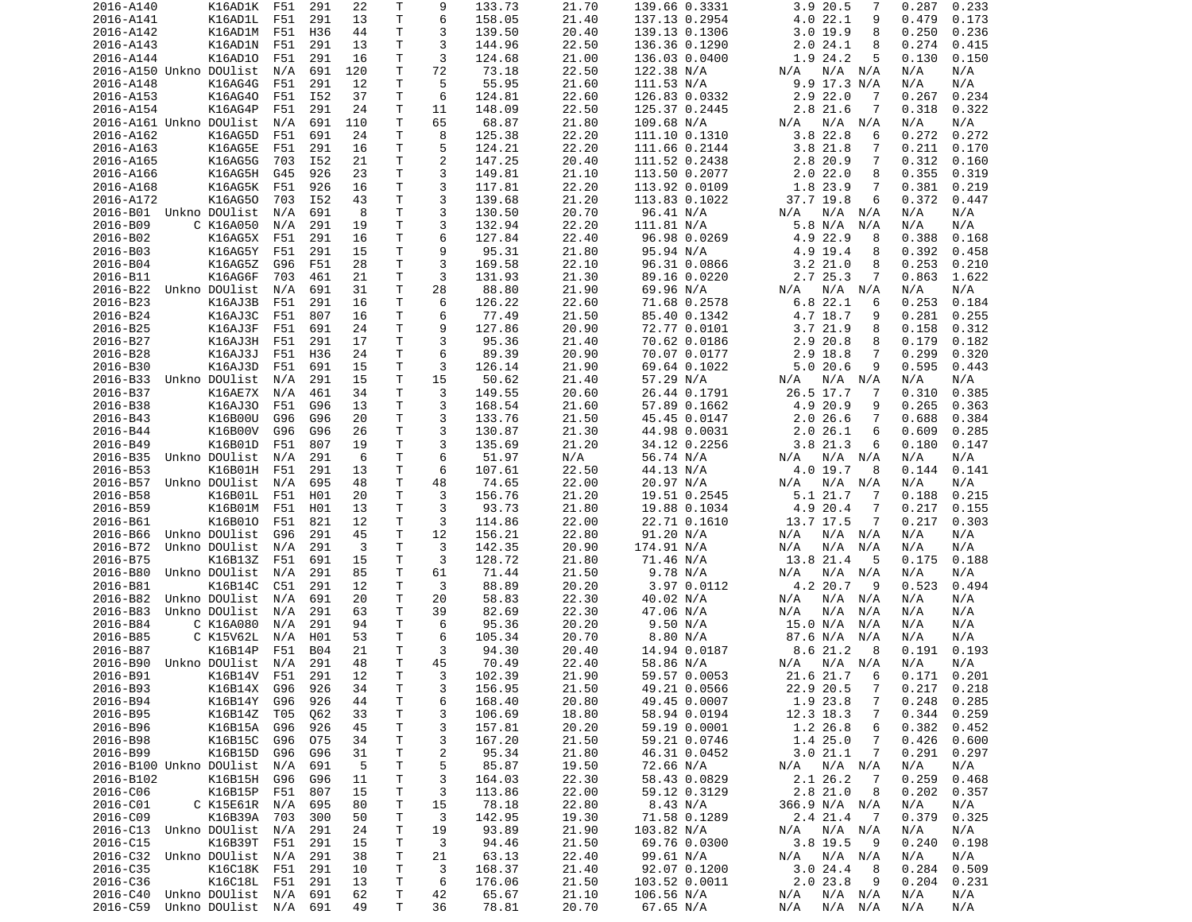| 2016-A140                   | K16AD1K            | F51 | 291 | 22                | Т  | 9              | 133.73 | 21.70 | 139.66 0.3331 | 3.9 20.5<br>7              | 0.233<br>0.287  |
|-----------------------------|--------------------|-----|-----|-------------------|----|----------------|--------|-------|---------------|----------------------------|-----------------|
| 2016-A141                   | K16AD1L            | F51 | 291 | 13                | т  | 6              | 158.05 | 21.40 | 137.13 0.2954 | 4.0 22.1<br>9              | 0.479<br>0.173  |
| 2016-A142                   | K16AD1M            | F51 | H36 | 44                | т  | 3              | 139.50 | 20.40 | 139.13 0.1306 | 3.019.9<br>8               | 0.250<br>0.236  |
| 2016-A143                   | K16AD1N            | F51 | 291 | 13                | т  | 3              | 144.96 | 22.50 | 136.36 0.1290 | 24.1<br>2.0<br>8           | 0.274<br>0.415  |
| 2016-A144                   | K16AD10            | F51 | 291 | 16                | Τ  | 3              | 124.68 | 21.00 | 136.03 0.0400 | 1.9 24.2<br>5              | 0.130<br>0.150  |
| 2016-A150 Unkno DOUlist     |                    | N/A | 691 | 120               | T. | 72             | 73.18  | 22.50 | 122.38 N/A    | N/A N/A<br>N/A             | N/A<br>N/A      |
| 2016-A148                   | K16AG4G            | F51 | 291 | 12                | т  | 5              | 55.95  | 21.60 | 111.53 N/A    | $9.9$ 17.3 N/A             | N/A<br>N/A      |
| 2016-A153                   | K16AG40            | F51 | I52 | 37                | Τ  | 6              | 124.81 | 22.60 | 126.83 0.0332 | $2.9$ 22.0<br>7            | 0.234<br>0.267  |
| 2016-A154                   | K16AG4P            | F51 | 291 | 24                | Τ  | 11             | 148.09 | 22.50 | 125.37 0.2445 | 2.8 21.6<br>7              | 0.318<br>0.322  |
| 2016-A161 Unkno DOUlist     |                    | N/A | 691 | 110               | т  | 65             | 68.87  | 21.80 | 109.68 N/A    | N/A<br>N/A<br>N/A          | N/A<br>N/A      |
|                             |                    |     |     |                   |    |                |        |       |               |                            |                 |
| 2016-A162                   | K16AG5D            | F51 | 691 | 24                | т  | 8              | 125.38 | 22.20 | 111.10 0.1310 | 3.8<br>22.8<br>6           | 0.272<br>0.272  |
| 2016-A163                   | K16AG5E            | F51 | 291 | 16                | Τ  | 5              | 124.21 | 22.20 | 111.66 0.2144 | 3.8 21.8<br>7              | 0.211<br>0.170  |
| 2016-A165                   | K16AG5G            | 703 | I52 | 21                | Τ  | $\overline{c}$ | 147.25 | 20.40 | 111.52 0.2438 | 2.8 20.9<br>7              | 0.312<br>0.160  |
| 2016-A166                   | K16AG5H            | G45 | 926 | 23                | т  | 3              | 149.81 | 21.10 | 113.50 0.2077 | 2.022.0<br>8               | 0.355<br>0.319  |
| 2016-A168                   | K16AG5K            | F51 | 926 | 16                | Τ  | 3              | 117.81 | 22.20 | 113.92 0.0109 | 1.8 23.9<br>7              | 0.381<br>0.219  |
| 2016-A172                   | K16AG50            | 703 | I52 | 43                | T  | 3              | 139.68 | 21.20 | 113.83 0.1022 | 37.7 19.8<br>6             | 0.372<br>0.447  |
| 2016-B01 Unkno DOUlist      |                    | N/A | 691 | 8                 | т  | 3              | 130.50 | 20.70 | 96.41 N/A     | N/A<br>N/A<br>N/A          | N/A<br>N/A      |
| 2016-B09                    | C K16A050          | N/A | 291 | 19                | Τ  | 3              | 132.94 | 22.20 | 111.81 N/A    | 5.8 N/A<br>N/A             | N/A<br>N/A      |
| 2016-B02                    | K16AG5X            | F51 | 291 | 16                | Τ  | 6              | 127.84 | 22.40 | 96.98 0.0269  | 4.9 22.9<br>8              | 0.388<br>0.168  |
| 2016-B03                    | K16AG5Y            | F51 | 291 | 15                | Τ  | 9              | 95.31  | 21.80 | 95.94 N/A     | 4.9 19.4<br>8              | 0.392<br>0.458  |
| 2016-B04                    | K16AG5Z            | G96 | F51 | 28                | т  | 3              | 169.58 | 22.10 | 96.31 0.0866  | 3.221.0<br>8               | 0.253<br>0.210  |
| 2016-B11                    | K16AG6F            | 703 | 461 | 21                | Τ  | 3              | 131.93 | 21.30 | 89.16 0.0220  | 2.7 25.3<br>7              | 0.863<br>1.622  |
| 2016-B22                    | Unkno DOUlist      | N/A | 691 | 31                | T  | 28             | 88.80  | 21.90 | 69.96 N/A     | N/A<br>N/A<br>N/A          | N/A<br>N/A      |
| 2016-B23                    | K16AJ3B            | F51 | 291 | 16                | т  | 6              | 126.22 | 22.60 | 71.68 0.2578  | 6.8 22.1<br>6              | 0.253<br>0.184  |
| 2016-B24                    | K16AJ3C            | F51 | 807 | 16                | T  | 6              | 77.49  | 21.50 | 85.40 0.1342  | 4.7 18.7<br>9              | 0.281<br>0.255  |
|                             |                    |     |     |                   |    |                |        |       |               |                            |                 |
| 2016-B25                    | K16AJ3F            | F51 | 691 | 24                | T. | 9              | 127.86 | 20.90 | 72.77 0.0101  | 3.721.9<br>8               | 0.158<br>0.312  |
| 2016-B27                    | K16AJ3H            | F51 | 291 | 17                | Τ  | 3              | 95.36  | 21.40 | 70.62 0.0186  | 2.9 20.8<br>8              | 0.179<br>0.182  |
| 2016-B28                    | K16AJ3J            | F51 | H36 | 24                | т  | 6              | 89.39  | 20.90 | 70.07 0.0177  | 7<br>2.9 18.8              | 0.299<br>0.320  |
| 2016-B30                    | K16AJ3D            | F51 | 691 | 15                | т  | 3              | 126.14 | 21.90 | 69.64 0.1022  | 5.020.6<br>9               | 0.595<br>0.443  |
| 2016-B33                    | Unkno DOUlist      | N/A | 291 | 15                | т  | 15             | 50.62  | 21.40 | 57.29 N/A     | N/A<br>N/A<br>N/A          | N/A<br>N/A      |
| 2016-B37                    | K16AE7X            | N/A | 461 | 34                | т  | 3              | 149.55 | 20.60 | 26.44 0.1791  | 26.5 17.7<br>7             | 0.385<br>0.310  |
| 2016-B38                    | K16AJ30            | F51 | G96 | 13                | T. | 3              | 168.54 | 21.60 | 57.89 0.1662  | 4.9 20.9<br>9              | 0.265<br>0.363  |
| 2016-B43                    | K16B00U            | G96 | G96 | 20                | Τ  | 3              | 133.76 | 21.50 | 45.45 0.0147  | 2.026.6<br>7               | 0.688<br>0.384  |
| 2016-B44                    | K16B00V            | G96 | G96 | 26                | Τ  | 3              | 130.87 | 21.30 | 44.98 0.0031  | 2.0 26.1<br>6              | 0.609<br>0.285  |
| 2016-B49                    | K16B01D            | F51 | 807 | 19                | т  | 3              | 135.69 | 21.20 | 34.12 0.2256  | 3.8 21.3<br>6              | 0.180<br>0.147  |
| 2016-B35                    | Unkno DOUlist      | N/A | 291 | -6                | Τ  | 6              | 51.97  | N/A   | 56.74 N/A     | N/A N/A<br>N/A             | N/A<br>N/A      |
| 2016-B53                    | K16B01H            | F51 | 291 | 13                | т  | 6              | 107.61 | 22.50 | 44.13 N/A     | 4.0 19.7<br>8              | 0.144<br>0.141  |
| 2016-B57                    | Unkno DOUlist      | N/A | 695 | 48                | Τ  | 48             | 74.65  | 22.00 | 20.97 N/A     | N/A<br>N/A<br>N/A          | N/A<br>N/A      |
| 2016-B58                    | K16B01L            | F51 | H01 | 20                | Τ  | 3              | 156.76 | 21.20 | 19.51 0.2545  | 5.1 21.7<br>7              | 0.188<br>0.215  |
| 2016-B59                    | K16B01M            | F51 | H01 |                   | т  | 3              | 93.73  | 21.80 | 19.88 0.1034  | 7                          | 0.217<br>0.155  |
|                             |                    |     |     | 13                |    |                |        |       |               | 4.9 20.4                   |                 |
| 2016-B61                    | K16B010            | F51 | 821 | 12                | т  | 3              | 114.86 | 22.00 | 22.71 0.1610  | 13.7 17.5<br>7             | 0.217<br>0.303  |
| 2016-B66                    | Unkno DOUlist      | G96 | 291 | 45                | т  | 12             | 156.21 | 22.80 | 91.20 N/A     | N/A N/A<br>N/A             | N/A<br>N/A      |
| 2016-B72                    | Unkno DOUlist      | N/A | 291 | 3                 | т  | 3              | 142.35 | 20.90 | 174.91 N/A    | N/A<br>N/A<br>N/A          | N/A<br>N/A      |
| 2016-B75                    | K16B13Z            | F51 | 691 | 15                | т  | 3              | 128.72 | 21.80 | 71.46 N/A     | 13.8 21.4<br>5             | 0.175<br>0.188  |
| 2016-B80                    | Unkno DOUlist      | N/A | 291 | 85                | Τ  | 61             | 71.44  | 21.50 | 9.78 N/A      | N/A<br>N/A<br>N/A          | N/A<br>N/A      |
| 2016-B81                    | K16B14C            | C51 | 291 | 12                | Τ  | 3              | 88.89  | 20.20 | 3.97 0.0112   | 4.2 20.7<br>9              | 0.523<br>0.494  |
| 2016-B82                    | Unkno DOUlist      | N/A | 691 | 20                | т  | 20             | 58.83  | 22.30 | 40.02 N/A     | N/A<br>N/A<br>N/A          | N/A<br>N/A      |
| 2016-B83                    | Unkno DOUlist      | N/A | 291 | 63                | Τ  | 39             | 82.69  | 22.30 | 47.06 N/A     | N/A<br>N/A<br>N/A          | N/A<br>N/A      |
| 2016-B84                    | C K16A080          | N/A | 291 | 94                | Τ  | 6              | 95.36  | 20.20 | 9.50 N/A      | 15.0 N/A<br>N/A            | N/A<br>N/A      |
| 2016-B85                    | C K15V62L          | N/A | H01 | 53                | Τ  | 6              | 105.34 | 20.70 | 8.80 N/A      | 87.6 N/A<br>N/A            | N/A<br>N/A      |
| 2016-B87                    | K16B14P            | F51 | B04 | 21                | т  | 3              | 94.30  | 20.40 | 14.94 0.0187  | 8.6 21.2<br>8              | 0.191<br>0.193  |
| 2016-B90                    | Unkno DOUlist      | N/A | 291 | 48                | T. | 45             | 70.49  | 22.40 | 58.86 N/A     | N/A N/A<br>N/A             | N/A<br>N/A      |
| 2016-B91                    | K16B14V F51        |     | 291 | $12 \overline{ }$ | T. | 3              | 102.39 | 21.90 | 59.57 0.0053  | 21.6 21.7<br>6             | 0.171<br>0.201  |
| 2016-B93                    | K16B14X            | G96 | 926 | 34                | T  | 3              | 156.95 | 21.50 | 49.21 0.0566  | 22.9 20.5<br>7             | $0.217$ $0.218$ |
| 2016-B94                    | K16B14Y            | G96 | 926 | 44                | Τ  | 6              | 168.40 | 20.80 | 49.45 0.0007  | 1.9 23.8<br>7              | 0.248<br>0.285  |
|                             |                    | T05 |     |                   |    |                |        |       |               | 12.3 18.3                  | 0.344           |
| 2016-B95                    | K16B14Z            |     | Q62 | 33                | Τ  | 3              | 106.69 | 18.80 | 58.94 0.0194  | 7                          | 0.259           |
| 2016-B96                    | K16B15A            | G96 | 926 | 45                | Τ  | 3              | 157.81 | 20.20 | 59.19 0.0001  | 1.2 26.8<br>6              | 0.382<br>0.452  |
| 2016-B98                    | K16B15C            | G96 | 075 | 34                | Τ  | 3              | 167.20 | 21.50 | 59.21 0.0746  | 1.425.0<br>7               | 0.426<br>0.600  |
| 2016-B99                    | K16B15D            | G96 | G96 | 31                | Τ  | $\overline{c}$ | 95.34  | 21.80 | 46.31 0.0452  | 3.021.1<br>7               | 0.291<br>0.297  |
| 2016-B100 Unkno DOUlist N/A |                    |     | 691 | 5                 | Τ  | 5              | 85.87  | 19.50 | 72.66 N/A     | N/A N/A<br>N/A             | N/A<br>N/A      |
| 2016-B102                   | K16B15H            | G96 | G96 | 11                | Τ  | 3              | 164.03 | 22.30 | 58.43 0.0829  | 2.1 26.2<br>-7             | 0.259<br>0.468  |
| 2016-C06                    | K16B15P F51        |     | 807 | 15                | Τ  | 3              | 113.86 | 22.00 | 59.12 0.3129  | 2.8 21.0<br>8              | 0.202<br>0.357  |
| 2016-C01                    | C K15E61R N/A      |     | 695 | 80                | т  | 15             | 78.18  | 22.80 | 8.43 N/A      | 366.9 N/A N/A              | N/A<br>N/A      |
| 2016-C09                    | K16B39A            | 703 | 300 | 50                | Т  | 3              | 142.95 | 19.30 | 71.58 0.1289  | 2.4 21.4<br>$\overline{7}$ | 0.379<br>0.325  |
| 2016-C13                    | Unkno DOUlist      | N/A | 291 | 24                | Τ  | 19             | 93.89  | 21.90 | 103.82 N/A    | N/A N/A<br>N/A             | N/A<br>N/A      |
| 2016-C15                    | K16B39T            | F51 | 291 | 15                | T  | 3              | 94.46  | 21.50 | 69.76 0.0300  | 3.8 19.5<br>- 9            | 0.240<br>0.198  |
| 2016-C32 Unkno DOUlist N/A  |                    |     | 291 | 38                | T  | 21             | 63.13  | 22.40 | 99.61 N/A     | N/A<br>$N/A$ $N/A$         | N/A<br>N/A      |
| 2016-C35                    | K16C18K F51        |     | 291 | 10                | T. | 3              | 168.37 | 21.40 | 92.07 0.1200  | 3.024.4<br>- 8             | 0.509<br>0.284  |
| 2016-C36                    | K16C18L F51        |     | 291 | 13                | T  | 6              | 176.06 | 21.50 | 103.52 0.0011 | 2.023.8<br>- 9             | 0.204<br>0.231  |
| 2016-C40                    | Unkno DOUlist N/A  |     | 691 | 62                | т  | 42             | 65.67  | 21.10 | 106.56 N/A    | N/A<br>N/A N/A             | N/A<br>N/A      |
|                             | Unkno DOUlist  N/A |     | 691 | 49                | т  | 36             | 78.81  | 20.70 | 67.65 N/A     | N/A<br>N/A N/A             | N/A<br>N/A      |
| 2016-C59                    |                    |     |     |                   |    |                |        |       |               |                            |                 |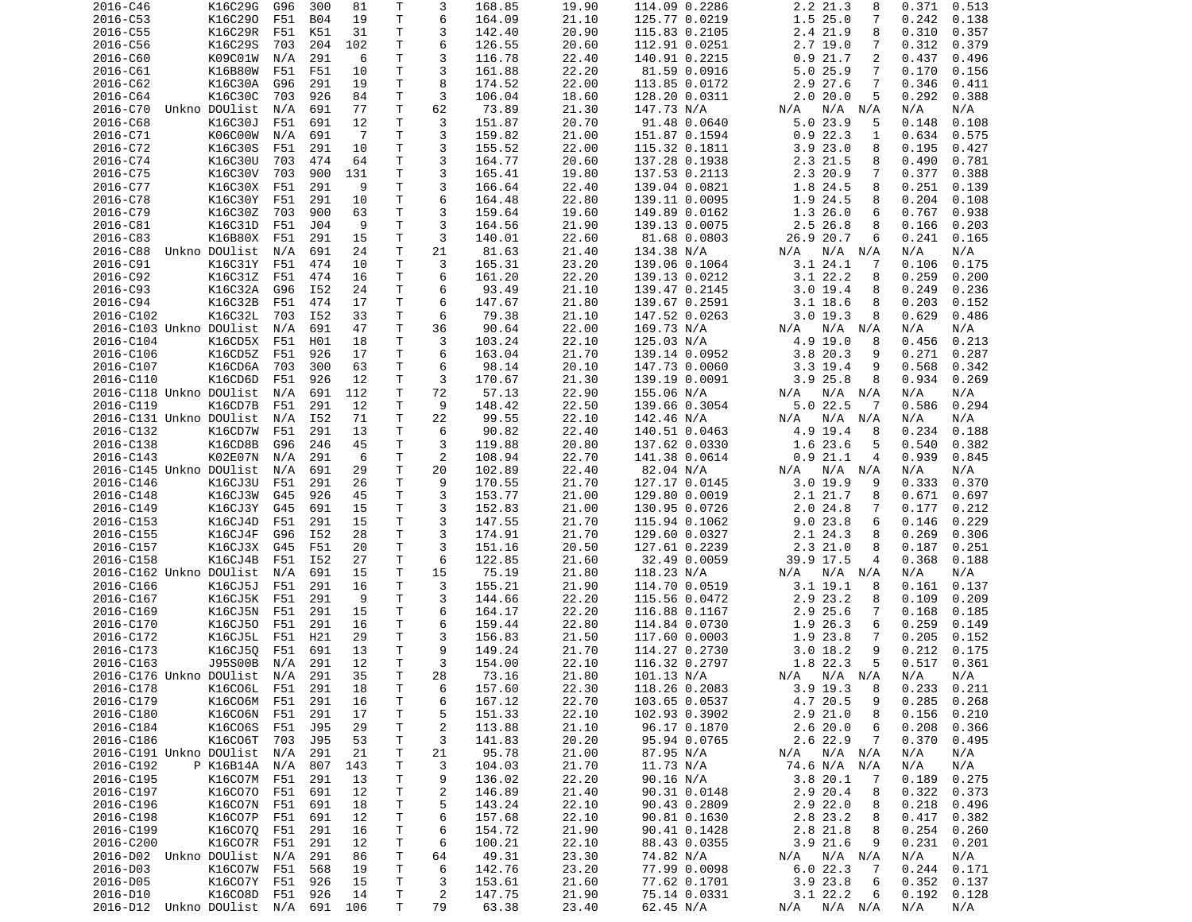| K16C290<br>T<br>1.525.0<br>2016-C53<br>F51<br><b>B04</b><br>6<br>164.09<br>21.10<br>125.77 0.0219<br>7<br>0.242<br>0.138<br>19<br>т<br>2016-C55<br>K16C29R<br>F51<br>K51<br>31<br>3<br>142.40<br>20.90<br>115.83 0.2105<br>2.4 21.9<br>0.310<br>0.357<br>8<br>6<br>K16C29S<br>т<br>2.719.0<br>0.312<br>2016-C56<br>703<br>204<br>102<br>126.55<br>20.60<br>112.91 0.0251<br>7<br>0.379<br>Τ<br>3<br>K09C01W<br>291<br>116.78<br>22.40<br>0.921.7<br>2<br>2016-C60<br>N/A<br>6<br>140.91 0.2215<br>0.437<br>0.496<br>3<br>2016-C61<br>K16B80W<br>F51<br>10<br>T<br>161.88<br>22.20<br>81.59 0.0916<br>5.025.9<br>0.170<br>0.156<br>F51<br>7<br>8<br>2016-C62<br>K16C30A<br>G96<br>291<br>19<br>Τ<br>174.52<br>22.00<br>113.85 0.0172<br>2.9 27.6<br>7<br>0.346<br>0.411<br>3<br>2016-C64<br>K16C30C<br>926<br>84<br>Τ<br>106.04<br>128.20 0.0311<br>2.020.0<br>5<br>0.292<br>0.388<br>703<br>18.60<br>т<br>62<br>2016-C70<br>Unkno DOUlist<br>N/A<br>691<br>77<br>73.89<br>21.30<br>147.73 N/A<br>N/A<br>N/A<br>N/A<br>N/A<br>N/A<br>3<br>2016-C68<br>K16C30J<br>F51<br>691<br>12<br>т<br>151.87<br>20.70<br>91.48 0.0640<br>5.023.9<br>0.148<br>0.108<br>5<br>т<br>3<br>2016-C71<br>K06C00W<br>$\overline{7}$<br>159.82<br>0.922.3<br>0.634<br>0.575<br>N/A<br>691<br>21.00<br>151.87 0.1594<br>1<br>Τ<br>3<br>3.923.0<br>2016-C72<br>K16C30S<br>F51<br>291<br>155.52<br>22.00<br>8<br>0.195<br>10<br>115.32 0.1811<br>0.427<br>T.<br>3<br>2016-C74<br>K16C30U<br>703<br>474<br>64<br>164.77<br>20.60<br>137.28 0.1938<br>2.3 21.5<br>8<br>0.490<br>0.781<br>3<br>K16C30V<br>T<br>2.3 20.9<br>0.377<br>2016-C75<br>703<br>900<br>131<br>165.41<br>19.80<br>137.53 0.2113<br>7<br>0.388<br>3<br>2016-C77<br>K16C30X<br>F51<br>291<br>T<br>166.64<br>22.40<br>139.04 0.0821<br>1.8 24.5<br>0.251<br>9<br>8<br>0.139<br>T<br>6<br>2016-C78<br>K16C30Y<br>F51<br>291<br>10<br>164.48<br>22.80<br>139.11 0.0095<br>1.9 24.5<br>8<br>0.204<br>0.108<br>т<br>3<br>2016-C79<br>K16C30Z<br>703<br>900<br>63<br>159.64<br>19.60<br>149.89 0.0162<br>1.326.0<br>0.767<br>0.938<br>6<br>T<br>3<br>K16C31D<br>F51<br>9<br>2.5 26.8<br>2016-C81<br>J04<br>164.56<br>21.90<br>139.13 0.0075<br>8<br>0.166<br>0.203<br>T<br>3<br>2016-C83<br>K16B80X<br>F51<br>291<br>15<br>140.01<br>22.60<br>81.68 0.0803<br>26.9 20.7<br>0.241<br>0.165<br>6<br>T<br>2016-C88<br>Unkno DOUlist<br>N/A<br>691<br>24<br>21<br>81.63<br>21.40<br>134.38 N/A<br>$N/A$ $N/A$<br>N/A<br>N/A<br>N/A<br>3<br>2016-C91<br>K16C31Y<br>т<br>165.31<br>23.20<br>139.06 0.1064<br>3.124.1<br>0.175<br>F51<br>474<br>10<br>7<br>0.106<br>K16C31Z<br>Τ<br>6<br>$3.1$ 22.2<br>0.259<br>2016-C92<br>F51<br>474<br>161.20<br>22.20<br>139.13 0.0212<br>0.200<br>16<br>8<br>K16C32A<br>T<br>2016-C93<br>G96<br>I52<br>24<br>6<br>93.49<br>21.10<br>139.47 0.2145<br>3.019.4<br>0.249<br>0.236<br>8<br>т<br>6<br>2016-C94<br>K16C32B<br>F51<br>474<br>17<br>147.67<br>21.80<br>139.67 0.2591<br>$3.1$ 18.6<br>8<br>0.203<br>0.152<br>т<br>6<br>2016-C102<br>K16C32L<br>I52<br>33<br>79.38<br>147.52 0.0263<br>3.019.3<br>8<br>0.629<br>0.486<br>703<br>21.10<br>T<br>2016-C103 Unkno DOUlist<br>N/A<br>691<br>47<br>36<br>90.64<br>22.00<br>169.73 N/A<br>$N/A$ $N/A$<br>N/A<br>N/A<br>N/A<br>2016-C104<br>K16CD5X<br>F51<br>H01<br>18<br>T<br>3<br>103.24<br>22.10<br>125.03 N/A<br>4.9 19.0<br>0.456<br>0.213<br>8<br>6<br>2016-C106<br>K16CD5Z<br>926<br>Τ<br>163.04<br>21.70<br>3.8 20.3<br>0.271<br>0.287<br>F51<br>17<br>139.14 0.0952<br>9<br>2016-C107<br>K16CD6A<br>300<br>63<br>т<br>6<br>98.14<br>20.10<br>147.73 0.0060<br>$3.3$ 19.4<br>0.568<br>0.342<br>703<br>9<br>T<br>3<br>K16CD6D<br>F51<br>926<br>12<br>170.67<br>21.30<br>139.19 0.0091<br>3.925.8<br>8<br>0.934<br>0.269<br>2016-C110<br>т<br>72<br>57.13<br>22.90<br>2016-C118 Unkno DOUlist<br>N/A<br>691<br>112<br>155.06 N/A<br>N/A<br>N/A N/A<br>N/A<br>N/A<br>T<br>9<br>$5.0$ 22.5<br>0.294<br>2016-C119<br>K16CD7B<br>F51<br>291<br>12<br>148.42<br>22.50<br>139.66 0.3054<br>0.586<br>7<br>$\mathsf{T}$<br>22<br>2016-C131 Unkno DOUlist<br>N/A<br>I52<br>71<br>99.55<br>22.10<br>142.46 N/A<br>N/A<br>N/A<br>N/A<br>N/A<br>N/A<br>K16CD7W<br>291<br>т<br>6<br>90.82<br>22.40<br>4.9 19.4<br>0.188<br>2016-C132<br>F51<br>13<br>140.51 0.0463<br>8<br>0.234<br>K16CD8B<br>T<br>3<br>1.6 23.6<br>2016-C138<br>G96<br>246<br>45<br>119.88<br>20.80<br>137.62 0.0330<br>0.540<br>0.382<br>5<br>T<br>2<br>2016-C143<br>K02E07N<br>N/A<br>291<br>6<br>108.94<br>22.70<br>141.38 0.0614<br>0.921.1<br>0.939<br>0.845<br>4<br>т<br>2016-C145 Unkno DOUlist<br>691<br>29<br>20<br>102.89<br>22.40<br>82.04 N/A<br>N/A<br>N/A<br>N/A<br>N/A<br>N/A<br>N/A<br>Τ<br>9<br>21.70<br>2016-C146<br>K16CJ3U<br>F51<br>291<br>26<br>170.55<br>127.17 0.0145<br>3.019.9<br>9<br>0.333<br>0.370<br>3<br>2016-C148<br>K16CJ3W<br>926<br>45<br>T<br>153.77<br>21.00<br>129.80 0.0019<br>2.1 21.7<br>0.671<br>0.697<br>G45<br>8<br>3<br>2016-C149<br>K16CJ3Y<br>691<br>T<br>152.83<br>21.00<br>130.95 0.0726<br>2.024.8<br>0.177<br>0.212<br>G45<br>15<br>7<br>3<br>K16CJ4D<br>291<br>T<br>147.55<br>21.70<br>9.023.8<br>0.146<br>0.229<br>2016-C153<br>F51<br>15<br>115.94 0.1062<br>6<br>3<br>K16CJ4F<br>T<br>2016-C155<br>I52<br>28<br>174.91<br>21.70<br>129.60 0.0327<br>2.1 24.3<br>8<br>0.269<br>0.306<br>G96<br>т<br>3<br>2016-C157<br>K16CJ3X<br>F51<br>20<br>151.16<br>20.50<br>127.61 0.2239<br>2.321.0<br>0.187<br>0.251<br>G45<br>8<br>T<br>6<br>2016-C158<br>K16CJ4B<br>F51<br>I52<br>27<br>122.85<br>21.60<br>32.49 0.0059<br>39.9 17.5<br>4<br>0.368<br>0.188<br>Τ<br>15<br>2016-C162 Unkno DOUlist<br>691<br>15<br>75.19<br>118.23 N/A<br>N/A<br>N/A<br>21.80<br>N/A<br>N/A N/A<br>N/A<br>T.<br>3<br>2016-C166<br>K16CJ5J<br>F51<br>291<br>16<br>155.21<br>21.90<br>114.70 0.0519<br>$3.1$ 19.1<br>0.161<br>0.137<br>8<br>T<br>3<br>2016-C167<br>K16CJ5K<br>F51<br>291<br>9<br>144.66<br>22.20<br>115.56 0.0472<br>2.9 23.2<br>0.109<br>0.209<br>8<br>2.9 25.6<br>2016-C169<br>K16CJ5N<br>291<br>15<br>T<br>6<br>164.17<br>22.20<br>116.88 0.1167<br>0.168<br>F51<br>7<br>0.185<br>$\mathsf{T}$<br>6<br>2016-C170<br>K16CJ50<br>291<br>16<br>159.44<br>22.80<br>114.84 0.0730<br>1.9<br>26.3<br>0.259<br>0.149<br>F51<br>6<br>2016-C172<br>K16CJ5L<br>F51<br>H21<br>29<br>T<br>3<br>21.50<br>117.60 0.0003<br>1.9 23.8<br>0.205<br>156.83<br>7<br>0.152<br>9<br>т<br>K16CJ50<br>691<br>13<br>9<br>0.212<br>2016-C173<br>F51<br>149.24<br>21.70<br>114.27 0.2730<br>3.018.2<br>0.175<br>T.<br>3<br>J95S00B<br>291<br>12<br>1.8 22.3<br>5<br>0.517<br>2016-C163<br>N/A<br>154.00<br>22.10<br>116.32 0.2797<br>0.361<br>28<br>2016-C176 Unkno DOUlist N/A 291<br>35<br>T.<br>73.16<br>101.13 N/A<br>N/A<br>N/A<br>21.80<br>N/A N/A N/A<br>291<br>22.30<br>2016-C178<br>K16C06L F51<br>Τ<br>6<br>157.60<br>118.26 0.2083<br>$3.9$ 19.3<br>18<br>- 8<br>$0.233$ $0.211$<br>22.70<br>4.7 20.5<br>2016-C179<br>K16C06M<br>F51<br>291<br>Τ<br>6<br>167.12<br>103.65 0.0537<br>0.285<br>0.268<br>16<br>9<br>T<br>22.10<br>$2.9$ $21.0$<br>2016-C180<br>K16C06N F51<br>291<br>17<br>5<br>151.33<br>102.93 0.3902<br>0.156<br>0.210<br>8<br>2016-C184<br>K16C06S<br>F51<br>J95<br>29<br>Τ<br>2<br>113.88<br>21.10<br>96.17 0.1870<br>2.620.0<br>0.208<br>0.366<br>6<br>K16C06T 703<br>53<br>T<br>3<br>0.370<br>2016-C186<br>J95<br>141.83<br>20.20<br>95.94 0.0765<br>2.6 22.9<br>7<br>0.495<br>2016-C191 Unkno DOUlist<br>N/A<br>291<br>21<br>Τ<br>21<br>95.78<br>21.00<br>87.95 N/A<br>N/A N/A<br>N/A<br>N/A<br>N/A<br>2016-C192<br>P K16B14A N/A<br>143<br>T<br>3<br>104.03<br>21.70<br>11.73 N/A<br>74.6 N/A N/A<br>N/A<br>N/A<br>807<br>22.20<br>2016-C195<br>K16C07M<br>291<br>T<br>9<br>136.02<br>90.16 N/A<br>3.820.1<br>0.189<br>0.275<br>F51<br>13<br>7<br>K16C070 F51<br>21.40<br>2.9 20.4<br>0.322<br>2016-C197<br>691<br>12<br>T<br>2<br>146.89<br>90.31 0.0148<br>0.373<br>8<br>K16C07N<br>T<br>22.10<br>$2.9$ 22.0<br>2016-C196<br>F51<br>691<br>18<br>5<br>143.24<br>90.43 0.2809<br>0.218<br>0.496<br>8<br>Τ<br>6<br>2016-C198<br>K16C07P<br>F51<br>691<br>12<br>157.68<br>22.10<br>90.81 0.1630<br>2.8 23.2<br>0.417<br>0.382<br>8<br>T<br>2016-C199<br>K16C070<br>F51<br>291<br>16<br>6<br>21.90<br>90.41 0.1428<br>2.8 21.8<br>8<br>0.254<br>154.72<br>0.260<br>2016-C200<br>K16C07R<br>F51<br>291<br>12<br>T<br>6<br>100.21<br>22.10<br>88.43 0.0355<br>$3.9$ 21.6<br>9<br>0.231<br>0.201<br>49.31<br>2016-D02 Unkno DOUlist<br>N/A<br>291<br>86<br>T<br>64<br>23.30<br>74.82 N/A<br>$N/A$ $N/A$<br>N/A<br>N/A<br>N/A<br>K16C07W<br>6<br>142.76<br>23.20<br>77.99 0.0098<br>6.022.3<br>0.244<br>2016-D03<br>F51<br>568<br>19<br>Τ<br>0.171<br>- 7<br>2016-D05<br>K16C07Y F51<br>926<br>15<br>T<br>3<br>153.61<br>21.60<br>77.62 0.1701<br>$3.9$ 23.8<br>0.352<br>0.137<br>6<br>2016-D10<br>K16C08D F51<br>926<br>14<br>T<br>2<br>147.75<br>21.90<br>75.14 0.0331<br>3.122.2<br>0.192<br>0.128<br>6<br>2016-D12 Unkno DOUlist N/A 691<br>106<br>T.<br>79<br>63.38<br>N/A N/A<br>23.40<br>62.45 N/A<br>N/A<br>N/A<br>N/A | 2016-C46 | K16C29G | G96 | 300 | 81 | Т | 3 | 168.85 | 19.90 | 114.09 0.2286 | 2.2 21.3<br>8 | 0.371<br>0.513 |
|----------------------------------------------------------------------------------------------------------------------------------------------------------------------------------------------------------------------------------------------------------------------------------------------------------------------------------------------------------------------------------------------------------------------------------------------------------------------------------------------------------------------------------------------------------------------------------------------------------------------------------------------------------------------------------------------------------------------------------------------------------------------------------------------------------------------------------------------------------------------------------------------------------------------------------------------------------------------------------------------------------------------------------------------------------------------------------------------------------------------------------------------------------------------------------------------------------------------------------------------------------------------------------------------------------------------------------------------------------------------------------------------------------------------------------------------------------------------------------------------------------------------------------------------------------------------------------------------------------------------------------------------------------------------------------------------------------------------------------------------------------------------------------------------------------------------------------------------------------------------------------------------------------------------------------------------------------------------------------------------------------------------------------------------------------------------------------------------------------------------------------------------------------------------------------------------------------------------------------------------------------------------------------------------------------------------------------------------------------------------------------------------------------------------------------------------------------------------------------------------------------------------------------------------------------------------------------------------------------------------------------------------------------------------------------------------------------------------------------------------------------------------------------------------------------------------------------------------------------------------------------------------------------------------------------------------------------------------------------------------------------------------------------------------------------------------------------------------------------------------------------------------------------------------------------------------------------------------------------------------------------------------------------------------------------------------------------------------------------------------------------------------------------------------------------------------------------------------------------------------------------------------------------------------------------------------------------------------------------------------------------------------------------------------------------------------------------------------------------------------------------------------------------------------------------------------------------------------------------------------------------------------------------------------------------------------------------------------------------------------------------------------------------------------------------------------------------------------------------------------------------------------------------------------------------------------------------------------------------------------------------------------------------------------------------------------------------------------------------------------------------------------------------------------------------------------------------------------------------------------------------------------------------------------------------------------------------------------------------------------------------------------------------------------------------------------------------------------------------------------------------------------------------------------------------------------------------------------------------------------------------------------------------------------------------------------------------------------------------------------------------------------------------------------------------------------------------------------------------------------------------------------------------------------------------------------------------------------------------------------------------------------------------------------------------------------------------------------------------------------------------------------------------------------------------------------------------------------------------------------------------------------------------------------------------------------------------------------------------------------------------------------------------------------------------------------------------------------------------------------------------------------------------------------------------------------------------------------------------------------------------------------------------------------------------------------------------------------------------------------------------------------------------------------------------------------------------------------------------------------------------------------------------------------------------------------------------------------------------------------------------------------------------------------------------------------------------------------------------------------------------------------------------------------------------------------------------------------------------------------------------------------------------------------------------------------------------------------------------------------------------------------------------------------------------------------------------------------------------------------------------------------------------------------------------------------------------------------------------------------------------------------------------------------------------------------------------------------------------------------------------------------------------------------------------------------------------------------------------------------------------------------------------------------------------------------------------------------------------------------------------------------------------------------------------------------------------------------------------------------------------------------------------------------------------------------------------------------------------------------------------------------------------------------------------------------------------------------------------------------------------------------------------------------------------------------------------------------------------------------------------------------------------------------------------------------------------------------------------------------------------------------------------------------------------------------------------------------------------------------------------------------------------------------------------------------------------------------------------------------------------------------------------------------------------------------------------------------------------------------------------------------------------------------------------------------------------------------------------------------------------------------------------------------------------------------------------------------------------------------------------------------------------------------------------------------------------------------------------------------------------------------------------------------------------------------------------------------------------------------------------------------------------------------------------------------------------------------------------------------------------------------------------------------------------------------------------------------------------------------------------------------------------------------------------|----------|---------|-----|-----|----|---|---|--------|-------|---------------|---------------|----------------|
|                                                                                                                                                                                                                                                                                                                                                                                                                                                                                                                                                                                                                                                                                                                                                                                                                                                                                                                                                                                                                                                                                                                                                                                                                                                                                                                                                                                                                                                                                                                                                                                                                                                                                                                                                                                                                                                                                                                                                                                                                                                                                                                                                                                                                                                                                                                                                                                                                                                                                                                                                                                                                                                                                                                                                                                                                                                                                                                                                                                                                                                                                                                                                                                                                                                                                                                                                                                                                                                                                                                                                                                                                                                                                                                                                                                                                                                                                                                                                                                                                                                                                                                                                                                                                                                                                                                                                                                                                                                                                                                                                                                                                                                                                                                                                                                                                                                                                                                                                                                                                                                                                                                                                                                                                                                                                                                                                                                                                                                                                                                                                                                                                                                                                                                                                                                                                                                                                                                                                                                                                                                                                                                                                                                                                                                                                                                                                                                                                                                                                                                                                                                                                                                                                                                                                                                                                                                                                                                                                                                                                                                                                                                                                                                                                                                                                                                                                                                                                                                                                                                                                                                                                                                                                                                                                                                                                                                                                                                                                                                                                                                                                                                                                                                                                                                                                                                                                                                                                                                                                                                                                                                                                                                                                                                                                                                                                                                                                                                                                                                                                                                          |          |         |     |     |    |   |   |        |       |               |               |                |
|                                                                                                                                                                                                                                                                                                                                                                                                                                                                                                                                                                                                                                                                                                                                                                                                                                                                                                                                                                                                                                                                                                                                                                                                                                                                                                                                                                                                                                                                                                                                                                                                                                                                                                                                                                                                                                                                                                                                                                                                                                                                                                                                                                                                                                                                                                                                                                                                                                                                                                                                                                                                                                                                                                                                                                                                                                                                                                                                                                                                                                                                                                                                                                                                                                                                                                                                                                                                                                                                                                                                                                                                                                                                                                                                                                                                                                                                                                                                                                                                                                                                                                                                                                                                                                                                                                                                                                                                                                                                                                                                                                                                                                                                                                                                                                                                                                                                                                                                                                                                                                                                                                                                                                                                                                                                                                                                                                                                                                                                                                                                                                                                                                                                                                                                                                                                                                                                                                                                                                                                                                                                                                                                                                                                                                                                                                                                                                                                                                                                                                                                                                                                                                                                                                                                                                                                                                                                                                                                                                                                                                                                                                                                                                                                                                                                                                                                                                                                                                                                                                                                                                                                                                                                                                                                                                                                                                                                                                                                                                                                                                                                                                                                                                                                                                                                                                                                                                                                                                                                                                                                                                                                                                                                                                                                                                                                                                                                                                                                                                                                                                                          |          |         |     |     |    |   |   |        |       |               |               |                |
|                                                                                                                                                                                                                                                                                                                                                                                                                                                                                                                                                                                                                                                                                                                                                                                                                                                                                                                                                                                                                                                                                                                                                                                                                                                                                                                                                                                                                                                                                                                                                                                                                                                                                                                                                                                                                                                                                                                                                                                                                                                                                                                                                                                                                                                                                                                                                                                                                                                                                                                                                                                                                                                                                                                                                                                                                                                                                                                                                                                                                                                                                                                                                                                                                                                                                                                                                                                                                                                                                                                                                                                                                                                                                                                                                                                                                                                                                                                                                                                                                                                                                                                                                                                                                                                                                                                                                                                                                                                                                                                                                                                                                                                                                                                                                                                                                                                                                                                                                                                                                                                                                                                                                                                                                                                                                                                                                                                                                                                                                                                                                                                                                                                                                                                                                                                                                                                                                                                                                                                                                                                                                                                                                                                                                                                                                                                                                                                                                                                                                                                                                                                                                                                                                                                                                                                                                                                                                                                                                                                                                                                                                                                                                                                                                                                                                                                                                                                                                                                                                                                                                                                                                                                                                                                                                                                                                                                                                                                                                                                                                                                                                                                                                                                                                                                                                                                                                                                                                                                                                                                                                                                                                                                                                                                                                                                                                                                                                                                                                                                                                                                          |          |         |     |     |    |   |   |        |       |               |               |                |
|                                                                                                                                                                                                                                                                                                                                                                                                                                                                                                                                                                                                                                                                                                                                                                                                                                                                                                                                                                                                                                                                                                                                                                                                                                                                                                                                                                                                                                                                                                                                                                                                                                                                                                                                                                                                                                                                                                                                                                                                                                                                                                                                                                                                                                                                                                                                                                                                                                                                                                                                                                                                                                                                                                                                                                                                                                                                                                                                                                                                                                                                                                                                                                                                                                                                                                                                                                                                                                                                                                                                                                                                                                                                                                                                                                                                                                                                                                                                                                                                                                                                                                                                                                                                                                                                                                                                                                                                                                                                                                                                                                                                                                                                                                                                                                                                                                                                                                                                                                                                                                                                                                                                                                                                                                                                                                                                                                                                                                                                                                                                                                                                                                                                                                                                                                                                                                                                                                                                                                                                                                                                                                                                                                                                                                                                                                                                                                                                                                                                                                                                                                                                                                                                                                                                                                                                                                                                                                                                                                                                                                                                                                                                                                                                                                                                                                                                                                                                                                                                                                                                                                                                                                                                                                                                                                                                                                                                                                                                                                                                                                                                                                                                                                                                                                                                                                                                                                                                                                                                                                                                                                                                                                                                                                                                                                                                                                                                                                                                                                                                                                                          |          |         |     |     |    |   |   |        |       |               |               |                |
|                                                                                                                                                                                                                                                                                                                                                                                                                                                                                                                                                                                                                                                                                                                                                                                                                                                                                                                                                                                                                                                                                                                                                                                                                                                                                                                                                                                                                                                                                                                                                                                                                                                                                                                                                                                                                                                                                                                                                                                                                                                                                                                                                                                                                                                                                                                                                                                                                                                                                                                                                                                                                                                                                                                                                                                                                                                                                                                                                                                                                                                                                                                                                                                                                                                                                                                                                                                                                                                                                                                                                                                                                                                                                                                                                                                                                                                                                                                                                                                                                                                                                                                                                                                                                                                                                                                                                                                                                                                                                                                                                                                                                                                                                                                                                                                                                                                                                                                                                                                                                                                                                                                                                                                                                                                                                                                                                                                                                                                                                                                                                                                                                                                                                                                                                                                                                                                                                                                                                                                                                                                                                                                                                                                                                                                                                                                                                                                                                                                                                                                                                                                                                                                                                                                                                                                                                                                                                                                                                                                                                                                                                                                                                                                                                                                                                                                                                                                                                                                                                                                                                                                                                                                                                                                                                                                                                                                                                                                                                                                                                                                                                                                                                                                                                                                                                                                                                                                                                                                                                                                                                                                                                                                                                                                                                                                                                                                                                                                                                                                                                                                          |          |         |     |     |    |   |   |        |       |               |               |                |
|                                                                                                                                                                                                                                                                                                                                                                                                                                                                                                                                                                                                                                                                                                                                                                                                                                                                                                                                                                                                                                                                                                                                                                                                                                                                                                                                                                                                                                                                                                                                                                                                                                                                                                                                                                                                                                                                                                                                                                                                                                                                                                                                                                                                                                                                                                                                                                                                                                                                                                                                                                                                                                                                                                                                                                                                                                                                                                                                                                                                                                                                                                                                                                                                                                                                                                                                                                                                                                                                                                                                                                                                                                                                                                                                                                                                                                                                                                                                                                                                                                                                                                                                                                                                                                                                                                                                                                                                                                                                                                                                                                                                                                                                                                                                                                                                                                                                                                                                                                                                                                                                                                                                                                                                                                                                                                                                                                                                                                                                                                                                                                                                                                                                                                                                                                                                                                                                                                                                                                                                                                                                                                                                                                                                                                                                                                                                                                                                                                                                                                                                                                                                                                                                                                                                                                                                                                                                                                                                                                                                                                                                                                                                                                                                                                                                                                                                                                                                                                                                                                                                                                                                                                                                                                                                                                                                                                                                                                                                                                                                                                                                                                                                                                                                                                                                                                                                                                                                                                                                                                                                                                                                                                                                                                                                                                                                                                                                                                                                                                                                                                                          |          |         |     |     |    |   |   |        |       |               |               |                |
|                                                                                                                                                                                                                                                                                                                                                                                                                                                                                                                                                                                                                                                                                                                                                                                                                                                                                                                                                                                                                                                                                                                                                                                                                                                                                                                                                                                                                                                                                                                                                                                                                                                                                                                                                                                                                                                                                                                                                                                                                                                                                                                                                                                                                                                                                                                                                                                                                                                                                                                                                                                                                                                                                                                                                                                                                                                                                                                                                                                                                                                                                                                                                                                                                                                                                                                                                                                                                                                                                                                                                                                                                                                                                                                                                                                                                                                                                                                                                                                                                                                                                                                                                                                                                                                                                                                                                                                                                                                                                                                                                                                                                                                                                                                                                                                                                                                                                                                                                                                                                                                                                                                                                                                                                                                                                                                                                                                                                                                                                                                                                                                                                                                                                                                                                                                                                                                                                                                                                                                                                                                                                                                                                                                                                                                                                                                                                                                                                                                                                                                                                                                                                                                                                                                                                                                                                                                                                                                                                                                                                                                                                                                                                                                                                                                                                                                                                                                                                                                                                                                                                                                                                                                                                                                                                                                                                                                                                                                                                                                                                                                                                                                                                                                                                                                                                                                                                                                                                                                                                                                                                                                                                                                                                                                                                                                                                                                                                                                                                                                                                                                          |          |         |     |     |    |   |   |        |       |               |               |                |
|                                                                                                                                                                                                                                                                                                                                                                                                                                                                                                                                                                                                                                                                                                                                                                                                                                                                                                                                                                                                                                                                                                                                                                                                                                                                                                                                                                                                                                                                                                                                                                                                                                                                                                                                                                                                                                                                                                                                                                                                                                                                                                                                                                                                                                                                                                                                                                                                                                                                                                                                                                                                                                                                                                                                                                                                                                                                                                                                                                                                                                                                                                                                                                                                                                                                                                                                                                                                                                                                                                                                                                                                                                                                                                                                                                                                                                                                                                                                                                                                                                                                                                                                                                                                                                                                                                                                                                                                                                                                                                                                                                                                                                                                                                                                                                                                                                                                                                                                                                                                                                                                                                                                                                                                                                                                                                                                                                                                                                                                                                                                                                                                                                                                                                                                                                                                                                                                                                                                                                                                                                                                                                                                                                                                                                                                                                                                                                                                                                                                                                                                                                                                                                                                                                                                                                                                                                                                                                                                                                                                                                                                                                                                                                                                                                                                                                                                                                                                                                                                                                                                                                                                                                                                                                                                                                                                                                                                                                                                                                                                                                                                                                                                                                                                                                                                                                                                                                                                                                                                                                                                                                                                                                                                                                                                                                                                                                                                                                                                                                                                                                                          |          |         |     |     |    |   |   |        |       |               |               |                |
|                                                                                                                                                                                                                                                                                                                                                                                                                                                                                                                                                                                                                                                                                                                                                                                                                                                                                                                                                                                                                                                                                                                                                                                                                                                                                                                                                                                                                                                                                                                                                                                                                                                                                                                                                                                                                                                                                                                                                                                                                                                                                                                                                                                                                                                                                                                                                                                                                                                                                                                                                                                                                                                                                                                                                                                                                                                                                                                                                                                                                                                                                                                                                                                                                                                                                                                                                                                                                                                                                                                                                                                                                                                                                                                                                                                                                                                                                                                                                                                                                                                                                                                                                                                                                                                                                                                                                                                                                                                                                                                                                                                                                                                                                                                                                                                                                                                                                                                                                                                                                                                                                                                                                                                                                                                                                                                                                                                                                                                                                                                                                                                                                                                                                                                                                                                                                                                                                                                                                                                                                                                                                                                                                                                                                                                                                                                                                                                                                                                                                                                                                                                                                                                                                                                                                                                                                                                                                                                                                                                                                                                                                                                                                                                                                                                                                                                                                                                                                                                                                                                                                                                                                                                                                                                                                                                                                                                                                                                                                                                                                                                                                                                                                                                                                                                                                                                                                                                                                                                                                                                                                                                                                                                                                                                                                                                                                                                                                                                                                                                                                                                          |          |         |     |     |    |   |   |        |       |               |               |                |
|                                                                                                                                                                                                                                                                                                                                                                                                                                                                                                                                                                                                                                                                                                                                                                                                                                                                                                                                                                                                                                                                                                                                                                                                                                                                                                                                                                                                                                                                                                                                                                                                                                                                                                                                                                                                                                                                                                                                                                                                                                                                                                                                                                                                                                                                                                                                                                                                                                                                                                                                                                                                                                                                                                                                                                                                                                                                                                                                                                                                                                                                                                                                                                                                                                                                                                                                                                                                                                                                                                                                                                                                                                                                                                                                                                                                                                                                                                                                                                                                                                                                                                                                                                                                                                                                                                                                                                                                                                                                                                                                                                                                                                                                                                                                                                                                                                                                                                                                                                                                                                                                                                                                                                                                                                                                                                                                                                                                                                                                                                                                                                                                                                                                                                                                                                                                                                                                                                                                                                                                                                                                                                                                                                                                                                                                                                                                                                                                                                                                                                                                                                                                                                                                                                                                                                                                                                                                                                                                                                                                                                                                                                                                                                                                                                                                                                                                                                                                                                                                                                                                                                                                                                                                                                                                                                                                                                                                                                                                                                                                                                                                                                                                                                                                                                                                                                                                                                                                                                                                                                                                                                                                                                                                                                                                                                                                                                                                                                                                                                                                                                                          |          |         |     |     |    |   |   |        |       |               |               |                |
|                                                                                                                                                                                                                                                                                                                                                                                                                                                                                                                                                                                                                                                                                                                                                                                                                                                                                                                                                                                                                                                                                                                                                                                                                                                                                                                                                                                                                                                                                                                                                                                                                                                                                                                                                                                                                                                                                                                                                                                                                                                                                                                                                                                                                                                                                                                                                                                                                                                                                                                                                                                                                                                                                                                                                                                                                                                                                                                                                                                                                                                                                                                                                                                                                                                                                                                                                                                                                                                                                                                                                                                                                                                                                                                                                                                                                                                                                                                                                                                                                                                                                                                                                                                                                                                                                                                                                                                                                                                                                                                                                                                                                                                                                                                                                                                                                                                                                                                                                                                                                                                                                                                                                                                                                                                                                                                                                                                                                                                                                                                                                                                                                                                                                                                                                                                                                                                                                                                                                                                                                                                                                                                                                                                                                                                                                                                                                                                                                                                                                                                                                                                                                                                                                                                                                                                                                                                                                                                                                                                                                                                                                                                                                                                                                                                                                                                                                                                                                                                                                                                                                                                                                                                                                                                                                                                                                                                                                                                                                                                                                                                                                                                                                                                                                                                                                                                                                                                                                                                                                                                                                                                                                                                                                                                                                                                                                                                                                                                                                                                                                                                          |          |         |     |     |    |   |   |        |       |               |               |                |
|                                                                                                                                                                                                                                                                                                                                                                                                                                                                                                                                                                                                                                                                                                                                                                                                                                                                                                                                                                                                                                                                                                                                                                                                                                                                                                                                                                                                                                                                                                                                                                                                                                                                                                                                                                                                                                                                                                                                                                                                                                                                                                                                                                                                                                                                                                                                                                                                                                                                                                                                                                                                                                                                                                                                                                                                                                                                                                                                                                                                                                                                                                                                                                                                                                                                                                                                                                                                                                                                                                                                                                                                                                                                                                                                                                                                                                                                                                                                                                                                                                                                                                                                                                                                                                                                                                                                                                                                                                                                                                                                                                                                                                                                                                                                                                                                                                                                                                                                                                                                                                                                                                                                                                                                                                                                                                                                                                                                                                                                                                                                                                                                                                                                                                                                                                                                                                                                                                                                                                                                                                                                                                                                                                                                                                                                                                                                                                                                                                                                                                                                                                                                                                                                                                                                                                                                                                                                                                                                                                                                                                                                                                                                                                                                                                                                                                                                                                                                                                                                                                                                                                                                                                                                                                                                                                                                                                                                                                                                                                                                                                                                                                                                                                                                                                                                                                                                                                                                                                                                                                                                                                                                                                                                                                                                                                                                                                                                                                                                                                                                                                                          |          |         |     |     |    |   |   |        |       |               |               |                |
|                                                                                                                                                                                                                                                                                                                                                                                                                                                                                                                                                                                                                                                                                                                                                                                                                                                                                                                                                                                                                                                                                                                                                                                                                                                                                                                                                                                                                                                                                                                                                                                                                                                                                                                                                                                                                                                                                                                                                                                                                                                                                                                                                                                                                                                                                                                                                                                                                                                                                                                                                                                                                                                                                                                                                                                                                                                                                                                                                                                                                                                                                                                                                                                                                                                                                                                                                                                                                                                                                                                                                                                                                                                                                                                                                                                                                                                                                                                                                                                                                                                                                                                                                                                                                                                                                                                                                                                                                                                                                                                                                                                                                                                                                                                                                                                                                                                                                                                                                                                                                                                                                                                                                                                                                                                                                                                                                                                                                                                                                                                                                                                                                                                                                                                                                                                                                                                                                                                                                                                                                                                                                                                                                                                                                                                                                                                                                                                                                                                                                                                                                                                                                                                                                                                                                                                                                                                                                                                                                                                                                                                                                                                                                                                                                                                                                                                                                                                                                                                                                                                                                                                                                                                                                                                                                                                                                                                                                                                                                                                                                                                                                                                                                                                                                                                                                                                                                                                                                                                                                                                                                                                                                                                                                                                                                                                                                                                                                                                                                                                                                                                          |          |         |     |     |    |   |   |        |       |               |               |                |
|                                                                                                                                                                                                                                                                                                                                                                                                                                                                                                                                                                                                                                                                                                                                                                                                                                                                                                                                                                                                                                                                                                                                                                                                                                                                                                                                                                                                                                                                                                                                                                                                                                                                                                                                                                                                                                                                                                                                                                                                                                                                                                                                                                                                                                                                                                                                                                                                                                                                                                                                                                                                                                                                                                                                                                                                                                                                                                                                                                                                                                                                                                                                                                                                                                                                                                                                                                                                                                                                                                                                                                                                                                                                                                                                                                                                                                                                                                                                                                                                                                                                                                                                                                                                                                                                                                                                                                                                                                                                                                                                                                                                                                                                                                                                                                                                                                                                                                                                                                                                                                                                                                                                                                                                                                                                                                                                                                                                                                                                                                                                                                                                                                                                                                                                                                                                                                                                                                                                                                                                                                                                                                                                                                                                                                                                                                                                                                                                                                                                                                                                                                                                                                                                                                                                                                                                                                                                                                                                                                                                                                                                                                                                                                                                                                                                                                                                                                                                                                                                                                                                                                                                                                                                                                                                                                                                                                                                                                                                                                                                                                                                                                                                                                                                                                                                                                                                                                                                                                                                                                                                                                                                                                                                                                                                                                                                                                                                                                                                                                                                                                                          |          |         |     |     |    |   |   |        |       |               |               |                |
|                                                                                                                                                                                                                                                                                                                                                                                                                                                                                                                                                                                                                                                                                                                                                                                                                                                                                                                                                                                                                                                                                                                                                                                                                                                                                                                                                                                                                                                                                                                                                                                                                                                                                                                                                                                                                                                                                                                                                                                                                                                                                                                                                                                                                                                                                                                                                                                                                                                                                                                                                                                                                                                                                                                                                                                                                                                                                                                                                                                                                                                                                                                                                                                                                                                                                                                                                                                                                                                                                                                                                                                                                                                                                                                                                                                                                                                                                                                                                                                                                                                                                                                                                                                                                                                                                                                                                                                                                                                                                                                                                                                                                                                                                                                                                                                                                                                                                                                                                                                                                                                                                                                                                                                                                                                                                                                                                                                                                                                                                                                                                                                                                                                                                                                                                                                                                                                                                                                                                                                                                                                                                                                                                                                                                                                                                                                                                                                                                                                                                                                                                                                                                                                                                                                                                                                                                                                                                                                                                                                                                                                                                                                                                                                                                                                                                                                                                                                                                                                                                                                                                                                                                                                                                                                                                                                                                                                                                                                                                                                                                                                                                                                                                                                                                                                                                                                                                                                                                                                                                                                                                                                                                                                                                                                                                                                                                                                                                                                                                                                                                                                          |          |         |     |     |    |   |   |        |       |               |               |                |
|                                                                                                                                                                                                                                                                                                                                                                                                                                                                                                                                                                                                                                                                                                                                                                                                                                                                                                                                                                                                                                                                                                                                                                                                                                                                                                                                                                                                                                                                                                                                                                                                                                                                                                                                                                                                                                                                                                                                                                                                                                                                                                                                                                                                                                                                                                                                                                                                                                                                                                                                                                                                                                                                                                                                                                                                                                                                                                                                                                                                                                                                                                                                                                                                                                                                                                                                                                                                                                                                                                                                                                                                                                                                                                                                                                                                                                                                                                                                                                                                                                                                                                                                                                                                                                                                                                                                                                                                                                                                                                                                                                                                                                                                                                                                                                                                                                                                                                                                                                                                                                                                                                                                                                                                                                                                                                                                                                                                                                                                                                                                                                                                                                                                                                                                                                                                                                                                                                                                                                                                                                                                                                                                                                                                                                                                                                                                                                                                                                                                                                                                                                                                                                                                                                                                                                                                                                                                                                                                                                                                                                                                                                                                                                                                                                                                                                                                                                                                                                                                                                                                                                                                                                                                                                                                                                                                                                                                                                                                                                                                                                                                                                                                                                                                                                                                                                                                                                                                                                                                                                                                                                                                                                                                                                                                                                                                                                                                                                                                                                                                                                                          |          |         |     |     |    |   |   |        |       |               |               |                |
|                                                                                                                                                                                                                                                                                                                                                                                                                                                                                                                                                                                                                                                                                                                                                                                                                                                                                                                                                                                                                                                                                                                                                                                                                                                                                                                                                                                                                                                                                                                                                                                                                                                                                                                                                                                                                                                                                                                                                                                                                                                                                                                                                                                                                                                                                                                                                                                                                                                                                                                                                                                                                                                                                                                                                                                                                                                                                                                                                                                                                                                                                                                                                                                                                                                                                                                                                                                                                                                                                                                                                                                                                                                                                                                                                                                                                                                                                                                                                                                                                                                                                                                                                                                                                                                                                                                                                                                                                                                                                                                                                                                                                                                                                                                                                                                                                                                                                                                                                                                                                                                                                                                                                                                                                                                                                                                                                                                                                                                                                                                                                                                                                                                                                                                                                                                                                                                                                                                                                                                                                                                                                                                                                                                                                                                                                                                                                                                                                                                                                                                                                                                                                                                                                                                                                                                                                                                                                                                                                                                                                                                                                                                                                                                                                                                                                                                                                                                                                                                                                                                                                                                                                                                                                                                                                                                                                                                                                                                                                                                                                                                                                                                                                                                                                                                                                                                                                                                                                                                                                                                                                                                                                                                                                                                                                                                                                                                                                                                                                                                                                                                          |          |         |     |     |    |   |   |        |       |               |               |                |
|                                                                                                                                                                                                                                                                                                                                                                                                                                                                                                                                                                                                                                                                                                                                                                                                                                                                                                                                                                                                                                                                                                                                                                                                                                                                                                                                                                                                                                                                                                                                                                                                                                                                                                                                                                                                                                                                                                                                                                                                                                                                                                                                                                                                                                                                                                                                                                                                                                                                                                                                                                                                                                                                                                                                                                                                                                                                                                                                                                                                                                                                                                                                                                                                                                                                                                                                                                                                                                                                                                                                                                                                                                                                                                                                                                                                                                                                                                                                                                                                                                                                                                                                                                                                                                                                                                                                                                                                                                                                                                                                                                                                                                                                                                                                                                                                                                                                                                                                                                                                                                                                                                                                                                                                                                                                                                                                                                                                                                                                                                                                                                                                                                                                                                                                                                                                                                                                                                                                                                                                                                                                                                                                                                                                                                                                                                                                                                                                                                                                                                                                                                                                                                                                                                                                                                                                                                                                                                                                                                                                                                                                                                                                                                                                                                                                                                                                                                                                                                                                                                                                                                                                                                                                                                                                                                                                                                                                                                                                                                                                                                                                                                                                                                                                                                                                                                                                                                                                                                                                                                                                                                                                                                                                                                                                                                                                                                                                                                                                                                                                                                                          |          |         |     |     |    |   |   |        |       |               |               |                |
|                                                                                                                                                                                                                                                                                                                                                                                                                                                                                                                                                                                                                                                                                                                                                                                                                                                                                                                                                                                                                                                                                                                                                                                                                                                                                                                                                                                                                                                                                                                                                                                                                                                                                                                                                                                                                                                                                                                                                                                                                                                                                                                                                                                                                                                                                                                                                                                                                                                                                                                                                                                                                                                                                                                                                                                                                                                                                                                                                                                                                                                                                                                                                                                                                                                                                                                                                                                                                                                                                                                                                                                                                                                                                                                                                                                                                                                                                                                                                                                                                                                                                                                                                                                                                                                                                                                                                                                                                                                                                                                                                                                                                                                                                                                                                                                                                                                                                                                                                                                                                                                                                                                                                                                                                                                                                                                                                                                                                                                                                                                                                                                                                                                                                                                                                                                                                                                                                                                                                                                                                                                                                                                                                                                                                                                                                                                                                                                                                                                                                                                                                                                                                                                                                                                                                                                                                                                                                                                                                                                                                                                                                                                                                                                                                                                                                                                                                                                                                                                                                                                                                                                                                                                                                                                                                                                                                                                                                                                                                                                                                                                                                                                                                                                                                                                                                                                                                                                                                                                                                                                                                                                                                                                                                                                                                                                                                                                                                                                                                                                                                                                          |          |         |     |     |    |   |   |        |       |               |               |                |
|                                                                                                                                                                                                                                                                                                                                                                                                                                                                                                                                                                                                                                                                                                                                                                                                                                                                                                                                                                                                                                                                                                                                                                                                                                                                                                                                                                                                                                                                                                                                                                                                                                                                                                                                                                                                                                                                                                                                                                                                                                                                                                                                                                                                                                                                                                                                                                                                                                                                                                                                                                                                                                                                                                                                                                                                                                                                                                                                                                                                                                                                                                                                                                                                                                                                                                                                                                                                                                                                                                                                                                                                                                                                                                                                                                                                                                                                                                                                                                                                                                                                                                                                                                                                                                                                                                                                                                                                                                                                                                                                                                                                                                                                                                                                                                                                                                                                                                                                                                                                                                                                                                                                                                                                                                                                                                                                                                                                                                                                                                                                                                                                                                                                                                                                                                                                                                                                                                                                                                                                                                                                                                                                                                                                                                                                                                                                                                                                                                                                                                                                                                                                                                                                                                                                                                                                                                                                                                                                                                                                                                                                                                                                                                                                                                                                                                                                                                                                                                                                                                                                                                                                                                                                                                                                                                                                                                                                                                                                                                                                                                                                                                                                                                                                                                                                                                                                                                                                                                                                                                                                                                                                                                                                                                                                                                                                                                                                                                                                                                                                                                                          |          |         |     |     |    |   |   |        |       |               |               |                |
|                                                                                                                                                                                                                                                                                                                                                                                                                                                                                                                                                                                                                                                                                                                                                                                                                                                                                                                                                                                                                                                                                                                                                                                                                                                                                                                                                                                                                                                                                                                                                                                                                                                                                                                                                                                                                                                                                                                                                                                                                                                                                                                                                                                                                                                                                                                                                                                                                                                                                                                                                                                                                                                                                                                                                                                                                                                                                                                                                                                                                                                                                                                                                                                                                                                                                                                                                                                                                                                                                                                                                                                                                                                                                                                                                                                                                                                                                                                                                                                                                                                                                                                                                                                                                                                                                                                                                                                                                                                                                                                                                                                                                                                                                                                                                                                                                                                                                                                                                                                                                                                                                                                                                                                                                                                                                                                                                                                                                                                                                                                                                                                                                                                                                                                                                                                                                                                                                                                                                                                                                                                                                                                                                                                                                                                                                                                                                                                                                                                                                                                                                                                                                                                                                                                                                                                                                                                                                                                                                                                                                                                                                                                                                                                                                                                                                                                                                                                                                                                                                                                                                                                                                                                                                                                                                                                                                                                                                                                                                                                                                                                                                                                                                                                                                                                                                                                                                                                                                                                                                                                                                                                                                                                                                                                                                                                                                                                                                                                                                                                                                                                          |          |         |     |     |    |   |   |        |       |               |               |                |
|                                                                                                                                                                                                                                                                                                                                                                                                                                                                                                                                                                                                                                                                                                                                                                                                                                                                                                                                                                                                                                                                                                                                                                                                                                                                                                                                                                                                                                                                                                                                                                                                                                                                                                                                                                                                                                                                                                                                                                                                                                                                                                                                                                                                                                                                                                                                                                                                                                                                                                                                                                                                                                                                                                                                                                                                                                                                                                                                                                                                                                                                                                                                                                                                                                                                                                                                                                                                                                                                                                                                                                                                                                                                                                                                                                                                                                                                                                                                                                                                                                                                                                                                                                                                                                                                                                                                                                                                                                                                                                                                                                                                                                                                                                                                                                                                                                                                                                                                                                                                                                                                                                                                                                                                                                                                                                                                                                                                                                                                                                                                                                                                                                                                                                                                                                                                                                                                                                                                                                                                                                                                                                                                                                                                                                                                                                                                                                                                                                                                                                                                                                                                                                                                                                                                                                                                                                                                                                                                                                                                                                                                                                                                                                                                                                                                                                                                                                                                                                                                                                                                                                                                                                                                                                                                                                                                                                                                                                                                                                                                                                                                                                                                                                                                                                                                                                                                                                                                                                                                                                                                                                                                                                                                                                                                                                                                                                                                                                                                                                                                                                                          |          |         |     |     |    |   |   |        |       |               |               |                |
|                                                                                                                                                                                                                                                                                                                                                                                                                                                                                                                                                                                                                                                                                                                                                                                                                                                                                                                                                                                                                                                                                                                                                                                                                                                                                                                                                                                                                                                                                                                                                                                                                                                                                                                                                                                                                                                                                                                                                                                                                                                                                                                                                                                                                                                                                                                                                                                                                                                                                                                                                                                                                                                                                                                                                                                                                                                                                                                                                                                                                                                                                                                                                                                                                                                                                                                                                                                                                                                                                                                                                                                                                                                                                                                                                                                                                                                                                                                                                                                                                                                                                                                                                                                                                                                                                                                                                                                                                                                                                                                                                                                                                                                                                                                                                                                                                                                                                                                                                                                                                                                                                                                                                                                                                                                                                                                                                                                                                                                                                                                                                                                                                                                                                                                                                                                                                                                                                                                                                                                                                                                                                                                                                                                                                                                                                                                                                                                                                                                                                                                                                                                                                                                                                                                                                                                                                                                                                                                                                                                                                                                                                                                                                                                                                                                                                                                                                                                                                                                                                                                                                                                                                                                                                                                                                                                                                                                                                                                                                                                                                                                                                                                                                                                                                                                                                                                                                                                                                                                                                                                                                                                                                                                                                                                                                                                                                                                                                                                                                                                                                                                          |          |         |     |     |    |   |   |        |       |               |               |                |
|                                                                                                                                                                                                                                                                                                                                                                                                                                                                                                                                                                                                                                                                                                                                                                                                                                                                                                                                                                                                                                                                                                                                                                                                                                                                                                                                                                                                                                                                                                                                                                                                                                                                                                                                                                                                                                                                                                                                                                                                                                                                                                                                                                                                                                                                                                                                                                                                                                                                                                                                                                                                                                                                                                                                                                                                                                                                                                                                                                                                                                                                                                                                                                                                                                                                                                                                                                                                                                                                                                                                                                                                                                                                                                                                                                                                                                                                                                                                                                                                                                                                                                                                                                                                                                                                                                                                                                                                                                                                                                                                                                                                                                                                                                                                                                                                                                                                                                                                                                                                                                                                                                                                                                                                                                                                                                                                                                                                                                                                                                                                                                                                                                                                                                                                                                                                                                                                                                                                                                                                                                                                                                                                                                                                                                                                                                                                                                                                                                                                                                                                                                                                                                                                                                                                                                                                                                                                                                                                                                                                                                                                                                                                                                                                                                                                                                                                                                                                                                                                                                                                                                                                                                                                                                                                                                                                                                                                                                                                                                                                                                                                                                                                                                                                                                                                                                                                                                                                                                                                                                                                                                                                                                                                                                                                                                                                                                                                                                                                                                                                                                                          |          |         |     |     |    |   |   |        |       |               |               |                |
|                                                                                                                                                                                                                                                                                                                                                                                                                                                                                                                                                                                                                                                                                                                                                                                                                                                                                                                                                                                                                                                                                                                                                                                                                                                                                                                                                                                                                                                                                                                                                                                                                                                                                                                                                                                                                                                                                                                                                                                                                                                                                                                                                                                                                                                                                                                                                                                                                                                                                                                                                                                                                                                                                                                                                                                                                                                                                                                                                                                                                                                                                                                                                                                                                                                                                                                                                                                                                                                                                                                                                                                                                                                                                                                                                                                                                                                                                                                                                                                                                                                                                                                                                                                                                                                                                                                                                                                                                                                                                                                                                                                                                                                                                                                                                                                                                                                                                                                                                                                                                                                                                                                                                                                                                                                                                                                                                                                                                                                                                                                                                                                                                                                                                                                                                                                                                                                                                                                                                                                                                                                                                                                                                                                                                                                                                                                                                                                                                                                                                                                                                                                                                                                                                                                                                                                                                                                                                                                                                                                                                                                                                                                                                                                                                                                                                                                                                                                                                                                                                                                                                                                                                                                                                                                                                                                                                                                                                                                                                                                                                                                                                                                                                                                                                                                                                                                                                                                                                                                                                                                                                                                                                                                                                                                                                                                                                                                                                                                                                                                                                                                          |          |         |     |     |    |   |   |        |       |               |               |                |
|                                                                                                                                                                                                                                                                                                                                                                                                                                                                                                                                                                                                                                                                                                                                                                                                                                                                                                                                                                                                                                                                                                                                                                                                                                                                                                                                                                                                                                                                                                                                                                                                                                                                                                                                                                                                                                                                                                                                                                                                                                                                                                                                                                                                                                                                                                                                                                                                                                                                                                                                                                                                                                                                                                                                                                                                                                                                                                                                                                                                                                                                                                                                                                                                                                                                                                                                                                                                                                                                                                                                                                                                                                                                                                                                                                                                                                                                                                                                                                                                                                                                                                                                                                                                                                                                                                                                                                                                                                                                                                                                                                                                                                                                                                                                                                                                                                                                                                                                                                                                                                                                                                                                                                                                                                                                                                                                                                                                                                                                                                                                                                                                                                                                                                                                                                                                                                                                                                                                                                                                                                                                                                                                                                                                                                                                                                                                                                                                                                                                                                                                                                                                                                                                                                                                                                                                                                                                                                                                                                                                                                                                                                                                                                                                                                                                                                                                                                                                                                                                                                                                                                                                                                                                                                                                                                                                                                                                                                                                                                                                                                                                                                                                                                                                                                                                                                                                                                                                                                                                                                                                                                                                                                                                                                                                                                                                                                                                                                                                                                                                                                                          |          |         |     |     |    |   |   |        |       |               |               |                |
|                                                                                                                                                                                                                                                                                                                                                                                                                                                                                                                                                                                                                                                                                                                                                                                                                                                                                                                                                                                                                                                                                                                                                                                                                                                                                                                                                                                                                                                                                                                                                                                                                                                                                                                                                                                                                                                                                                                                                                                                                                                                                                                                                                                                                                                                                                                                                                                                                                                                                                                                                                                                                                                                                                                                                                                                                                                                                                                                                                                                                                                                                                                                                                                                                                                                                                                                                                                                                                                                                                                                                                                                                                                                                                                                                                                                                                                                                                                                                                                                                                                                                                                                                                                                                                                                                                                                                                                                                                                                                                                                                                                                                                                                                                                                                                                                                                                                                                                                                                                                                                                                                                                                                                                                                                                                                                                                                                                                                                                                                                                                                                                                                                                                                                                                                                                                                                                                                                                                                                                                                                                                                                                                                                                                                                                                                                                                                                                                                                                                                                                                                                                                                                                                                                                                                                                                                                                                                                                                                                                                                                                                                                                                                                                                                                                                                                                                                                                                                                                                                                                                                                                                                                                                                                                                                                                                                                                                                                                                                                                                                                                                                                                                                                                                                                                                                                                                                                                                                                                                                                                                                                                                                                                                                                                                                                                                                                                                                                                                                                                                                                                          |          |         |     |     |    |   |   |        |       |               |               |                |
|                                                                                                                                                                                                                                                                                                                                                                                                                                                                                                                                                                                                                                                                                                                                                                                                                                                                                                                                                                                                                                                                                                                                                                                                                                                                                                                                                                                                                                                                                                                                                                                                                                                                                                                                                                                                                                                                                                                                                                                                                                                                                                                                                                                                                                                                                                                                                                                                                                                                                                                                                                                                                                                                                                                                                                                                                                                                                                                                                                                                                                                                                                                                                                                                                                                                                                                                                                                                                                                                                                                                                                                                                                                                                                                                                                                                                                                                                                                                                                                                                                                                                                                                                                                                                                                                                                                                                                                                                                                                                                                                                                                                                                                                                                                                                                                                                                                                                                                                                                                                                                                                                                                                                                                                                                                                                                                                                                                                                                                                                                                                                                                                                                                                                                                                                                                                                                                                                                                                                                                                                                                                                                                                                                                                                                                                                                                                                                                                                                                                                                                                                                                                                                                                                                                                                                                                                                                                                                                                                                                                                                                                                                                                                                                                                                                                                                                                                                                                                                                                                                                                                                                                                                                                                                                                                                                                                                                                                                                                                                                                                                                                                                                                                                                                                                                                                                                                                                                                                                                                                                                                                                                                                                                                                                                                                                                                                                                                                                                                                                                                                                                          |          |         |     |     |    |   |   |        |       |               |               |                |
|                                                                                                                                                                                                                                                                                                                                                                                                                                                                                                                                                                                                                                                                                                                                                                                                                                                                                                                                                                                                                                                                                                                                                                                                                                                                                                                                                                                                                                                                                                                                                                                                                                                                                                                                                                                                                                                                                                                                                                                                                                                                                                                                                                                                                                                                                                                                                                                                                                                                                                                                                                                                                                                                                                                                                                                                                                                                                                                                                                                                                                                                                                                                                                                                                                                                                                                                                                                                                                                                                                                                                                                                                                                                                                                                                                                                                                                                                                                                                                                                                                                                                                                                                                                                                                                                                                                                                                                                                                                                                                                                                                                                                                                                                                                                                                                                                                                                                                                                                                                                                                                                                                                                                                                                                                                                                                                                                                                                                                                                                                                                                                                                                                                                                                                                                                                                                                                                                                                                                                                                                                                                                                                                                                                                                                                                                                                                                                                                                                                                                                                                                                                                                                                                                                                                                                                                                                                                                                                                                                                                                                                                                                                                                                                                                                                                                                                                                                                                                                                                                                                                                                                                                                                                                                                                                                                                                                                                                                                                                                                                                                                                                                                                                                                                                                                                                                                                                                                                                                                                                                                                                                                                                                                                                                                                                                                                                                                                                                                                                                                                                                                          |          |         |     |     |    |   |   |        |       |               |               |                |
|                                                                                                                                                                                                                                                                                                                                                                                                                                                                                                                                                                                                                                                                                                                                                                                                                                                                                                                                                                                                                                                                                                                                                                                                                                                                                                                                                                                                                                                                                                                                                                                                                                                                                                                                                                                                                                                                                                                                                                                                                                                                                                                                                                                                                                                                                                                                                                                                                                                                                                                                                                                                                                                                                                                                                                                                                                                                                                                                                                                                                                                                                                                                                                                                                                                                                                                                                                                                                                                                                                                                                                                                                                                                                                                                                                                                                                                                                                                                                                                                                                                                                                                                                                                                                                                                                                                                                                                                                                                                                                                                                                                                                                                                                                                                                                                                                                                                                                                                                                                                                                                                                                                                                                                                                                                                                                                                                                                                                                                                                                                                                                                                                                                                                                                                                                                                                                                                                                                                                                                                                                                                                                                                                                                                                                                                                                                                                                                                                                                                                                                                                                                                                                                                                                                                                                                                                                                                                                                                                                                                                                                                                                                                                                                                                                                                                                                                                                                                                                                                                                                                                                                                                                                                                                                                                                                                                                                                                                                                                                                                                                                                                                                                                                                                                                                                                                                                                                                                                                                                                                                                                                                                                                                                                                                                                                                                                                                                                                                                                                                                                                                          |          |         |     |     |    |   |   |        |       |               |               |                |
|                                                                                                                                                                                                                                                                                                                                                                                                                                                                                                                                                                                                                                                                                                                                                                                                                                                                                                                                                                                                                                                                                                                                                                                                                                                                                                                                                                                                                                                                                                                                                                                                                                                                                                                                                                                                                                                                                                                                                                                                                                                                                                                                                                                                                                                                                                                                                                                                                                                                                                                                                                                                                                                                                                                                                                                                                                                                                                                                                                                                                                                                                                                                                                                                                                                                                                                                                                                                                                                                                                                                                                                                                                                                                                                                                                                                                                                                                                                                                                                                                                                                                                                                                                                                                                                                                                                                                                                                                                                                                                                                                                                                                                                                                                                                                                                                                                                                                                                                                                                                                                                                                                                                                                                                                                                                                                                                                                                                                                                                                                                                                                                                                                                                                                                                                                                                                                                                                                                                                                                                                                                                                                                                                                                                                                                                                                                                                                                                                                                                                                                                                                                                                                                                                                                                                                                                                                                                                                                                                                                                                                                                                                                                                                                                                                                                                                                                                                                                                                                                                                                                                                                                                                                                                                                                                                                                                                                                                                                                                                                                                                                                                                                                                                                                                                                                                                                                                                                                                                                                                                                                                                                                                                                                                                                                                                                                                                                                                                                                                                                                                                                          |          |         |     |     |    |   |   |        |       |               |               |                |
|                                                                                                                                                                                                                                                                                                                                                                                                                                                                                                                                                                                                                                                                                                                                                                                                                                                                                                                                                                                                                                                                                                                                                                                                                                                                                                                                                                                                                                                                                                                                                                                                                                                                                                                                                                                                                                                                                                                                                                                                                                                                                                                                                                                                                                                                                                                                                                                                                                                                                                                                                                                                                                                                                                                                                                                                                                                                                                                                                                                                                                                                                                                                                                                                                                                                                                                                                                                                                                                                                                                                                                                                                                                                                                                                                                                                                                                                                                                                                                                                                                                                                                                                                                                                                                                                                                                                                                                                                                                                                                                                                                                                                                                                                                                                                                                                                                                                                                                                                                                                                                                                                                                                                                                                                                                                                                                                                                                                                                                                                                                                                                                                                                                                                                                                                                                                                                                                                                                                                                                                                                                                                                                                                                                                                                                                                                                                                                                                                                                                                                                                                                                                                                                                                                                                                                                                                                                                                                                                                                                                                                                                                                                                                                                                                                                                                                                                                                                                                                                                                                                                                                                                                                                                                                                                                                                                                                                                                                                                                                                                                                                                                                                                                                                                                                                                                                                                                                                                                                                                                                                                                                                                                                                                                                                                                                                                                                                                                                                                                                                                                                                          |          |         |     |     |    |   |   |        |       |               |               |                |
|                                                                                                                                                                                                                                                                                                                                                                                                                                                                                                                                                                                                                                                                                                                                                                                                                                                                                                                                                                                                                                                                                                                                                                                                                                                                                                                                                                                                                                                                                                                                                                                                                                                                                                                                                                                                                                                                                                                                                                                                                                                                                                                                                                                                                                                                                                                                                                                                                                                                                                                                                                                                                                                                                                                                                                                                                                                                                                                                                                                                                                                                                                                                                                                                                                                                                                                                                                                                                                                                                                                                                                                                                                                                                                                                                                                                                                                                                                                                                                                                                                                                                                                                                                                                                                                                                                                                                                                                                                                                                                                                                                                                                                                                                                                                                                                                                                                                                                                                                                                                                                                                                                                                                                                                                                                                                                                                                                                                                                                                                                                                                                                                                                                                                                                                                                                                                                                                                                                                                                                                                                                                                                                                                                                                                                                                                                                                                                                                                                                                                                                                                                                                                                                                                                                                                                                                                                                                                                                                                                                                                                                                                                                                                                                                                                                                                                                                                                                                                                                                                                                                                                                                                                                                                                                                                                                                                                                                                                                                                                                                                                                                                                                                                                                                                                                                                                                                                                                                                                                                                                                                                                                                                                                                                                                                                                                                                                                                                                                                                                                                                                                          |          |         |     |     |    |   |   |        |       |               |               |                |
|                                                                                                                                                                                                                                                                                                                                                                                                                                                                                                                                                                                                                                                                                                                                                                                                                                                                                                                                                                                                                                                                                                                                                                                                                                                                                                                                                                                                                                                                                                                                                                                                                                                                                                                                                                                                                                                                                                                                                                                                                                                                                                                                                                                                                                                                                                                                                                                                                                                                                                                                                                                                                                                                                                                                                                                                                                                                                                                                                                                                                                                                                                                                                                                                                                                                                                                                                                                                                                                                                                                                                                                                                                                                                                                                                                                                                                                                                                                                                                                                                                                                                                                                                                                                                                                                                                                                                                                                                                                                                                                                                                                                                                                                                                                                                                                                                                                                                                                                                                                                                                                                                                                                                                                                                                                                                                                                                                                                                                                                                                                                                                                                                                                                                                                                                                                                                                                                                                                                                                                                                                                                                                                                                                                                                                                                                                                                                                                                                                                                                                                                                                                                                                                                                                                                                                                                                                                                                                                                                                                                                                                                                                                                                                                                                                                                                                                                                                                                                                                                                                                                                                                                                                                                                                                                                                                                                                                                                                                                                                                                                                                                                                                                                                                                                                                                                                                                                                                                                                                                                                                                                                                                                                                                                                                                                                                                                                                                                                                                                                                                                                                          |          |         |     |     |    |   |   |        |       |               |               |                |
|                                                                                                                                                                                                                                                                                                                                                                                                                                                                                                                                                                                                                                                                                                                                                                                                                                                                                                                                                                                                                                                                                                                                                                                                                                                                                                                                                                                                                                                                                                                                                                                                                                                                                                                                                                                                                                                                                                                                                                                                                                                                                                                                                                                                                                                                                                                                                                                                                                                                                                                                                                                                                                                                                                                                                                                                                                                                                                                                                                                                                                                                                                                                                                                                                                                                                                                                                                                                                                                                                                                                                                                                                                                                                                                                                                                                                                                                                                                                                                                                                                                                                                                                                                                                                                                                                                                                                                                                                                                                                                                                                                                                                                                                                                                                                                                                                                                                                                                                                                                                                                                                                                                                                                                                                                                                                                                                                                                                                                                                                                                                                                                                                                                                                                                                                                                                                                                                                                                                                                                                                                                                                                                                                                                                                                                                                                                                                                                                                                                                                                                                                                                                                                                                                                                                                                                                                                                                                                                                                                                                                                                                                                                                                                                                                                                                                                                                                                                                                                                                                                                                                                                                                                                                                                                                                                                                                                                                                                                                                                                                                                                                                                                                                                                                                                                                                                                                                                                                                                                                                                                                                                                                                                                                                                                                                                                                                                                                                                                                                                                                                                                          |          |         |     |     |    |   |   |        |       |               |               |                |
|                                                                                                                                                                                                                                                                                                                                                                                                                                                                                                                                                                                                                                                                                                                                                                                                                                                                                                                                                                                                                                                                                                                                                                                                                                                                                                                                                                                                                                                                                                                                                                                                                                                                                                                                                                                                                                                                                                                                                                                                                                                                                                                                                                                                                                                                                                                                                                                                                                                                                                                                                                                                                                                                                                                                                                                                                                                                                                                                                                                                                                                                                                                                                                                                                                                                                                                                                                                                                                                                                                                                                                                                                                                                                                                                                                                                                                                                                                                                                                                                                                                                                                                                                                                                                                                                                                                                                                                                                                                                                                                                                                                                                                                                                                                                                                                                                                                                                                                                                                                                                                                                                                                                                                                                                                                                                                                                                                                                                                                                                                                                                                                                                                                                                                                                                                                                                                                                                                                                                                                                                                                                                                                                                                                                                                                                                                                                                                                                                                                                                                                                                                                                                                                                                                                                                                                                                                                                                                                                                                                                                                                                                                                                                                                                                                                                                                                                                                                                                                                                                                                                                                                                                                                                                                                                                                                                                                                                                                                                                                                                                                                                                                                                                                                                                                                                                                                                                                                                                                                                                                                                                                                                                                                                                                                                                                                                                                                                                                                                                                                                                                                          |          |         |     |     |    |   |   |        |       |               |               |                |
|                                                                                                                                                                                                                                                                                                                                                                                                                                                                                                                                                                                                                                                                                                                                                                                                                                                                                                                                                                                                                                                                                                                                                                                                                                                                                                                                                                                                                                                                                                                                                                                                                                                                                                                                                                                                                                                                                                                                                                                                                                                                                                                                                                                                                                                                                                                                                                                                                                                                                                                                                                                                                                                                                                                                                                                                                                                                                                                                                                                                                                                                                                                                                                                                                                                                                                                                                                                                                                                                                                                                                                                                                                                                                                                                                                                                                                                                                                                                                                                                                                                                                                                                                                                                                                                                                                                                                                                                                                                                                                                                                                                                                                                                                                                                                                                                                                                                                                                                                                                                                                                                                                                                                                                                                                                                                                                                                                                                                                                                                                                                                                                                                                                                                                                                                                                                                                                                                                                                                                                                                                                                                                                                                                                                                                                                                                                                                                                                                                                                                                                                                                                                                                                                                                                                                                                                                                                                                                                                                                                                                                                                                                                                                                                                                                                                                                                                                                                                                                                                                                                                                                                                                                                                                                                                                                                                                                                                                                                                                                                                                                                                                                                                                                                                                                                                                                                                                                                                                                                                                                                                                                                                                                                                                                                                                                                                                                                                                                                                                                                                                                                          |          |         |     |     |    |   |   |        |       |               |               |                |
|                                                                                                                                                                                                                                                                                                                                                                                                                                                                                                                                                                                                                                                                                                                                                                                                                                                                                                                                                                                                                                                                                                                                                                                                                                                                                                                                                                                                                                                                                                                                                                                                                                                                                                                                                                                                                                                                                                                                                                                                                                                                                                                                                                                                                                                                                                                                                                                                                                                                                                                                                                                                                                                                                                                                                                                                                                                                                                                                                                                                                                                                                                                                                                                                                                                                                                                                                                                                                                                                                                                                                                                                                                                                                                                                                                                                                                                                                                                                                                                                                                                                                                                                                                                                                                                                                                                                                                                                                                                                                                                                                                                                                                                                                                                                                                                                                                                                                                                                                                                                                                                                                                                                                                                                                                                                                                                                                                                                                                                                                                                                                                                                                                                                                                                                                                                                                                                                                                                                                                                                                                                                                                                                                                                                                                                                                                                                                                                                                                                                                                                                                                                                                                                                                                                                                                                                                                                                                                                                                                                                                                                                                                                                                                                                                                                                                                                                                                                                                                                                                                                                                                                                                                                                                                                                                                                                                                                                                                                                                                                                                                                                                                                                                                                                                                                                                                                                                                                                                                                                                                                                                                                                                                                                                                                                                                                                                                                                                                                                                                                                                                                          |          |         |     |     |    |   |   |        |       |               |               |                |
|                                                                                                                                                                                                                                                                                                                                                                                                                                                                                                                                                                                                                                                                                                                                                                                                                                                                                                                                                                                                                                                                                                                                                                                                                                                                                                                                                                                                                                                                                                                                                                                                                                                                                                                                                                                                                                                                                                                                                                                                                                                                                                                                                                                                                                                                                                                                                                                                                                                                                                                                                                                                                                                                                                                                                                                                                                                                                                                                                                                                                                                                                                                                                                                                                                                                                                                                                                                                                                                                                                                                                                                                                                                                                                                                                                                                                                                                                                                                                                                                                                                                                                                                                                                                                                                                                                                                                                                                                                                                                                                                                                                                                                                                                                                                                                                                                                                                                                                                                                                                                                                                                                                                                                                                                                                                                                                                                                                                                                                                                                                                                                                                                                                                                                                                                                                                                                                                                                                                                                                                                                                                                                                                                                                                                                                                                                                                                                                                                                                                                                                                                                                                                                                                                                                                                                                                                                                                                                                                                                                                                                                                                                                                                                                                                                                                                                                                                                                                                                                                                                                                                                                                                                                                                                                                                                                                                                                                                                                                                                                                                                                                                                                                                                                                                                                                                                                                                                                                                                                                                                                                                                                                                                                                                                                                                                                                                                                                                                                                                                                                                                                          |          |         |     |     |    |   |   |        |       |               |               |                |
|                                                                                                                                                                                                                                                                                                                                                                                                                                                                                                                                                                                                                                                                                                                                                                                                                                                                                                                                                                                                                                                                                                                                                                                                                                                                                                                                                                                                                                                                                                                                                                                                                                                                                                                                                                                                                                                                                                                                                                                                                                                                                                                                                                                                                                                                                                                                                                                                                                                                                                                                                                                                                                                                                                                                                                                                                                                                                                                                                                                                                                                                                                                                                                                                                                                                                                                                                                                                                                                                                                                                                                                                                                                                                                                                                                                                                                                                                                                                                                                                                                                                                                                                                                                                                                                                                                                                                                                                                                                                                                                                                                                                                                                                                                                                                                                                                                                                                                                                                                                                                                                                                                                                                                                                                                                                                                                                                                                                                                                                                                                                                                                                                                                                                                                                                                                                                                                                                                                                                                                                                                                                                                                                                                                                                                                                                                                                                                                                                                                                                                                                                                                                                                                                                                                                                                                                                                                                                                                                                                                                                                                                                                                                                                                                                                                                                                                                                                                                                                                                                                                                                                                                                                                                                                                                                                                                                                                                                                                                                                                                                                                                                                                                                                                                                                                                                                                                                                                                                                                                                                                                                                                                                                                                                                                                                                                                                                                                                                                                                                                                                                                          |          |         |     |     |    |   |   |        |       |               |               |                |
|                                                                                                                                                                                                                                                                                                                                                                                                                                                                                                                                                                                                                                                                                                                                                                                                                                                                                                                                                                                                                                                                                                                                                                                                                                                                                                                                                                                                                                                                                                                                                                                                                                                                                                                                                                                                                                                                                                                                                                                                                                                                                                                                                                                                                                                                                                                                                                                                                                                                                                                                                                                                                                                                                                                                                                                                                                                                                                                                                                                                                                                                                                                                                                                                                                                                                                                                                                                                                                                                                                                                                                                                                                                                                                                                                                                                                                                                                                                                                                                                                                                                                                                                                                                                                                                                                                                                                                                                                                                                                                                                                                                                                                                                                                                                                                                                                                                                                                                                                                                                                                                                                                                                                                                                                                                                                                                                                                                                                                                                                                                                                                                                                                                                                                                                                                                                                                                                                                                                                                                                                                                                                                                                                                                                                                                                                                                                                                                                                                                                                                                                                                                                                                                                                                                                                                                                                                                                                                                                                                                                                                                                                                                                                                                                                                                                                                                                                                                                                                                                                                                                                                                                                                                                                                                                                                                                                                                                                                                                                                                                                                                                                                                                                                                                                                                                                                                                                                                                                                                                                                                                                                                                                                                                                                                                                                                                                                                                                                                                                                                                                                                          |          |         |     |     |    |   |   |        |       |               |               |                |
|                                                                                                                                                                                                                                                                                                                                                                                                                                                                                                                                                                                                                                                                                                                                                                                                                                                                                                                                                                                                                                                                                                                                                                                                                                                                                                                                                                                                                                                                                                                                                                                                                                                                                                                                                                                                                                                                                                                                                                                                                                                                                                                                                                                                                                                                                                                                                                                                                                                                                                                                                                                                                                                                                                                                                                                                                                                                                                                                                                                                                                                                                                                                                                                                                                                                                                                                                                                                                                                                                                                                                                                                                                                                                                                                                                                                                                                                                                                                                                                                                                                                                                                                                                                                                                                                                                                                                                                                                                                                                                                                                                                                                                                                                                                                                                                                                                                                                                                                                                                                                                                                                                                                                                                                                                                                                                                                                                                                                                                                                                                                                                                                                                                                                                                                                                                                                                                                                                                                                                                                                                                                                                                                                                                                                                                                                                                                                                                                                                                                                                                                                                                                                                                                                                                                                                                                                                                                                                                                                                                                                                                                                                                                                                                                                                                                                                                                                                                                                                                                                                                                                                                                                                                                                                                                                                                                                                                                                                                                                                                                                                                                                                                                                                                                                                                                                                                                                                                                                                                                                                                                                                                                                                                                                                                                                                                                                                                                                                                                                                                                                                                          |          |         |     |     |    |   |   |        |       |               |               |                |
|                                                                                                                                                                                                                                                                                                                                                                                                                                                                                                                                                                                                                                                                                                                                                                                                                                                                                                                                                                                                                                                                                                                                                                                                                                                                                                                                                                                                                                                                                                                                                                                                                                                                                                                                                                                                                                                                                                                                                                                                                                                                                                                                                                                                                                                                                                                                                                                                                                                                                                                                                                                                                                                                                                                                                                                                                                                                                                                                                                                                                                                                                                                                                                                                                                                                                                                                                                                                                                                                                                                                                                                                                                                                                                                                                                                                                                                                                                                                                                                                                                                                                                                                                                                                                                                                                                                                                                                                                                                                                                                                                                                                                                                                                                                                                                                                                                                                                                                                                                                                                                                                                                                                                                                                                                                                                                                                                                                                                                                                                                                                                                                                                                                                                                                                                                                                                                                                                                                                                                                                                                                                                                                                                                                                                                                                                                                                                                                                                                                                                                                                                                                                                                                                                                                                                                                                                                                                                                                                                                                                                                                                                                                                                                                                                                                                                                                                                                                                                                                                                                                                                                                                                                                                                                                                                                                                                                                                                                                                                                                                                                                                                                                                                                                                                                                                                                                                                                                                                                                                                                                                                                                                                                                                                                                                                                                                                                                                                                                                                                                                                                                          |          |         |     |     |    |   |   |        |       |               |               |                |
|                                                                                                                                                                                                                                                                                                                                                                                                                                                                                                                                                                                                                                                                                                                                                                                                                                                                                                                                                                                                                                                                                                                                                                                                                                                                                                                                                                                                                                                                                                                                                                                                                                                                                                                                                                                                                                                                                                                                                                                                                                                                                                                                                                                                                                                                                                                                                                                                                                                                                                                                                                                                                                                                                                                                                                                                                                                                                                                                                                                                                                                                                                                                                                                                                                                                                                                                                                                                                                                                                                                                                                                                                                                                                                                                                                                                                                                                                                                                                                                                                                                                                                                                                                                                                                                                                                                                                                                                                                                                                                                                                                                                                                                                                                                                                                                                                                                                                                                                                                                                                                                                                                                                                                                                                                                                                                                                                                                                                                                                                                                                                                                                                                                                                                                                                                                                                                                                                                                                                                                                                                                                                                                                                                                                                                                                                                                                                                                                                                                                                                                                                                                                                                                                                                                                                                                                                                                                                                                                                                                                                                                                                                                                                                                                                                                                                                                                                                                                                                                                                                                                                                                                                                                                                                                                                                                                                                                                                                                                                                                                                                                                                                                                                                                                                                                                                                                                                                                                                                                                                                                                                                                                                                                                                                                                                                                                                                                                                                                                                                                                                                                          |          |         |     |     |    |   |   |        |       |               |               |                |
|                                                                                                                                                                                                                                                                                                                                                                                                                                                                                                                                                                                                                                                                                                                                                                                                                                                                                                                                                                                                                                                                                                                                                                                                                                                                                                                                                                                                                                                                                                                                                                                                                                                                                                                                                                                                                                                                                                                                                                                                                                                                                                                                                                                                                                                                                                                                                                                                                                                                                                                                                                                                                                                                                                                                                                                                                                                                                                                                                                                                                                                                                                                                                                                                                                                                                                                                                                                                                                                                                                                                                                                                                                                                                                                                                                                                                                                                                                                                                                                                                                                                                                                                                                                                                                                                                                                                                                                                                                                                                                                                                                                                                                                                                                                                                                                                                                                                                                                                                                                                                                                                                                                                                                                                                                                                                                                                                                                                                                                                                                                                                                                                                                                                                                                                                                                                                                                                                                                                                                                                                                                                                                                                                                                                                                                                                                                                                                                                                                                                                                                                                                                                                                                                                                                                                                                                                                                                                                                                                                                                                                                                                                                                                                                                                                                                                                                                                                                                                                                                                                                                                                                                                                                                                                                                                                                                                                                                                                                                                                                                                                                                                                                                                                                                                                                                                                                                                                                                                                                                                                                                                                                                                                                                                                                                                                                                                                                                                                                                                                                                                                                          |          |         |     |     |    |   |   |        |       |               |               |                |
|                                                                                                                                                                                                                                                                                                                                                                                                                                                                                                                                                                                                                                                                                                                                                                                                                                                                                                                                                                                                                                                                                                                                                                                                                                                                                                                                                                                                                                                                                                                                                                                                                                                                                                                                                                                                                                                                                                                                                                                                                                                                                                                                                                                                                                                                                                                                                                                                                                                                                                                                                                                                                                                                                                                                                                                                                                                                                                                                                                                                                                                                                                                                                                                                                                                                                                                                                                                                                                                                                                                                                                                                                                                                                                                                                                                                                                                                                                                                                                                                                                                                                                                                                                                                                                                                                                                                                                                                                                                                                                                                                                                                                                                                                                                                                                                                                                                                                                                                                                                                                                                                                                                                                                                                                                                                                                                                                                                                                                                                                                                                                                                                                                                                                                                                                                                                                                                                                                                                                                                                                                                                                                                                                                                                                                                                                                                                                                                                                                                                                                                                                                                                                                                                                                                                                                                                                                                                                                                                                                                                                                                                                                                                                                                                                                                                                                                                                                                                                                                                                                                                                                                                                                                                                                                                                                                                                                                                                                                                                                                                                                                                                                                                                                                                                                                                                                                                                                                                                                                                                                                                                                                                                                                                                                                                                                                                                                                                                                                                                                                                                                                          |          |         |     |     |    |   |   |        |       |               |               |                |
|                                                                                                                                                                                                                                                                                                                                                                                                                                                                                                                                                                                                                                                                                                                                                                                                                                                                                                                                                                                                                                                                                                                                                                                                                                                                                                                                                                                                                                                                                                                                                                                                                                                                                                                                                                                                                                                                                                                                                                                                                                                                                                                                                                                                                                                                                                                                                                                                                                                                                                                                                                                                                                                                                                                                                                                                                                                                                                                                                                                                                                                                                                                                                                                                                                                                                                                                                                                                                                                                                                                                                                                                                                                                                                                                                                                                                                                                                                                                                                                                                                                                                                                                                                                                                                                                                                                                                                                                                                                                                                                                                                                                                                                                                                                                                                                                                                                                                                                                                                                                                                                                                                                                                                                                                                                                                                                                                                                                                                                                                                                                                                                                                                                                                                                                                                                                                                                                                                                                                                                                                                                                                                                                                                                                                                                                                                                                                                                                                                                                                                                                                                                                                                                                                                                                                                                                                                                                                                                                                                                                                                                                                                                                                                                                                                                                                                                                                                                                                                                                                                                                                                                                                                                                                                                                                                                                                                                                                                                                                                                                                                                                                                                                                                                                                                                                                                                                                                                                                                                                                                                                                                                                                                                                                                                                                                                                                                                                                                                                                                                                                                                          |          |         |     |     |    |   |   |        |       |               |               |                |
|                                                                                                                                                                                                                                                                                                                                                                                                                                                                                                                                                                                                                                                                                                                                                                                                                                                                                                                                                                                                                                                                                                                                                                                                                                                                                                                                                                                                                                                                                                                                                                                                                                                                                                                                                                                                                                                                                                                                                                                                                                                                                                                                                                                                                                                                                                                                                                                                                                                                                                                                                                                                                                                                                                                                                                                                                                                                                                                                                                                                                                                                                                                                                                                                                                                                                                                                                                                                                                                                                                                                                                                                                                                                                                                                                                                                                                                                                                                                                                                                                                                                                                                                                                                                                                                                                                                                                                                                                                                                                                                                                                                                                                                                                                                                                                                                                                                                                                                                                                                                                                                                                                                                                                                                                                                                                                                                                                                                                                                                                                                                                                                                                                                                                                                                                                                                                                                                                                                                                                                                                                                                                                                                                                                                                                                                                                                                                                                                                                                                                                                                                                                                                                                                                                                                                                                                                                                                                                                                                                                                                                                                                                                                                                                                                                                                                                                                                                                                                                                                                                                                                                                                                                                                                                                                                                                                                                                                                                                                                                                                                                                                                                                                                                                                                                                                                                                                                                                                                                                                                                                                                                                                                                                                                                                                                                                                                                                                                                                                                                                                                                                          |          |         |     |     |    |   |   |        |       |               |               |                |
|                                                                                                                                                                                                                                                                                                                                                                                                                                                                                                                                                                                                                                                                                                                                                                                                                                                                                                                                                                                                                                                                                                                                                                                                                                                                                                                                                                                                                                                                                                                                                                                                                                                                                                                                                                                                                                                                                                                                                                                                                                                                                                                                                                                                                                                                                                                                                                                                                                                                                                                                                                                                                                                                                                                                                                                                                                                                                                                                                                                                                                                                                                                                                                                                                                                                                                                                                                                                                                                                                                                                                                                                                                                                                                                                                                                                                                                                                                                                                                                                                                                                                                                                                                                                                                                                                                                                                                                                                                                                                                                                                                                                                                                                                                                                                                                                                                                                                                                                                                                                                                                                                                                                                                                                                                                                                                                                                                                                                                                                                                                                                                                                                                                                                                                                                                                                                                                                                                                                                                                                                                                                                                                                                                                                                                                                                                                                                                                                                                                                                                                                                                                                                                                                                                                                                                                                                                                                                                                                                                                                                                                                                                                                                                                                                                                                                                                                                                                                                                                                                                                                                                                                                                                                                                                                                                                                                                                                                                                                                                                                                                                                                                                                                                                                                                                                                                                                                                                                                                                                                                                                                                                                                                                                                                                                                                                                                                                                                                                                                                                                                                                          |          |         |     |     |    |   |   |        |       |               |               |                |
|                                                                                                                                                                                                                                                                                                                                                                                                                                                                                                                                                                                                                                                                                                                                                                                                                                                                                                                                                                                                                                                                                                                                                                                                                                                                                                                                                                                                                                                                                                                                                                                                                                                                                                                                                                                                                                                                                                                                                                                                                                                                                                                                                                                                                                                                                                                                                                                                                                                                                                                                                                                                                                                                                                                                                                                                                                                                                                                                                                                                                                                                                                                                                                                                                                                                                                                                                                                                                                                                                                                                                                                                                                                                                                                                                                                                                                                                                                                                                                                                                                                                                                                                                                                                                                                                                                                                                                                                                                                                                                                                                                                                                                                                                                                                                                                                                                                                                                                                                                                                                                                                                                                                                                                                                                                                                                                                                                                                                                                                                                                                                                                                                                                                                                                                                                                                                                                                                                                                                                                                                                                                                                                                                                                                                                                                                                                                                                                                                                                                                                                                                                                                                                                                                                                                                                                                                                                                                                                                                                                                                                                                                                                                                                                                                                                                                                                                                                                                                                                                                                                                                                                                                                                                                                                                                                                                                                                                                                                                                                                                                                                                                                                                                                                                                                                                                                                                                                                                                                                                                                                                                                                                                                                                                                                                                                                                                                                                                                                                                                                                                                                          |          |         |     |     |    |   |   |        |       |               |               |                |
|                                                                                                                                                                                                                                                                                                                                                                                                                                                                                                                                                                                                                                                                                                                                                                                                                                                                                                                                                                                                                                                                                                                                                                                                                                                                                                                                                                                                                                                                                                                                                                                                                                                                                                                                                                                                                                                                                                                                                                                                                                                                                                                                                                                                                                                                                                                                                                                                                                                                                                                                                                                                                                                                                                                                                                                                                                                                                                                                                                                                                                                                                                                                                                                                                                                                                                                                                                                                                                                                                                                                                                                                                                                                                                                                                                                                                                                                                                                                                                                                                                                                                                                                                                                                                                                                                                                                                                                                                                                                                                                                                                                                                                                                                                                                                                                                                                                                                                                                                                                                                                                                                                                                                                                                                                                                                                                                                                                                                                                                                                                                                                                                                                                                                                                                                                                                                                                                                                                                                                                                                                                                                                                                                                                                                                                                                                                                                                                                                                                                                                                                                                                                                                                                                                                                                                                                                                                                                                                                                                                                                                                                                                                                                                                                                                                                                                                                                                                                                                                                                                                                                                                                                                                                                                                                                                                                                                                                                                                                                                                                                                                                                                                                                                                                                                                                                                                                                                                                                                                                                                                                                                                                                                                                                                                                                                                                                                                                                                                                                                                                                                                          |          |         |     |     |    |   |   |        |       |               |               |                |
|                                                                                                                                                                                                                                                                                                                                                                                                                                                                                                                                                                                                                                                                                                                                                                                                                                                                                                                                                                                                                                                                                                                                                                                                                                                                                                                                                                                                                                                                                                                                                                                                                                                                                                                                                                                                                                                                                                                                                                                                                                                                                                                                                                                                                                                                                                                                                                                                                                                                                                                                                                                                                                                                                                                                                                                                                                                                                                                                                                                                                                                                                                                                                                                                                                                                                                                                                                                                                                                                                                                                                                                                                                                                                                                                                                                                                                                                                                                                                                                                                                                                                                                                                                                                                                                                                                                                                                                                                                                                                                                                                                                                                                                                                                                                                                                                                                                                                                                                                                                                                                                                                                                                                                                                                                                                                                                                                                                                                                                                                                                                                                                                                                                                                                                                                                                                                                                                                                                                                                                                                                                                                                                                                                                                                                                                                                                                                                                                                                                                                                                                                                                                                                                                                                                                                                                                                                                                                                                                                                                                                                                                                                                                                                                                                                                                                                                                                                                                                                                                                                                                                                                                                                                                                                                                                                                                                                                                                                                                                                                                                                                                                                                                                                                                                                                                                                                                                                                                                                                                                                                                                                                                                                                                                                                                                                                                                                                                                                                                                                                                                                                          |          |         |     |     |    |   |   |        |       |               |               |                |
|                                                                                                                                                                                                                                                                                                                                                                                                                                                                                                                                                                                                                                                                                                                                                                                                                                                                                                                                                                                                                                                                                                                                                                                                                                                                                                                                                                                                                                                                                                                                                                                                                                                                                                                                                                                                                                                                                                                                                                                                                                                                                                                                                                                                                                                                                                                                                                                                                                                                                                                                                                                                                                                                                                                                                                                                                                                                                                                                                                                                                                                                                                                                                                                                                                                                                                                                                                                                                                                                                                                                                                                                                                                                                                                                                                                                                                                                                                                                                                                                                                                                                                                                                                                                                                                                                                                                                                                                                                                                                                                                                                                                                                                                                                                                                                                                                                                                                                                                                                                                                                                                                                                                                                                                                                                                                                                                                                                                                                                                                                                                                                                                                                                                                                                                                                                                                                                                                                                                                                                                                                                                                                                                                                                                                                                                                                                                                                                                                                                                                                                                                                                                                                                                                                                                                                                                                                                                                                                                                                                                                                                                                                                                                                                                                                                                                                                                                                                                                                                                                                                                                                                                                                                                                                                                                                                                                                                                                                                                                                                                                                                                                                                                                                                                                                                                                                                                                                                                                                                                                                                                                                                                                                                                                                                                                                                                                                                                                                                                                                                                                                                          |          |         |     |     |    |   |   |        |       |               |               |                |
|                                                                                                                                                                                                                                                                                                                                                                                                                                                                                                                                                                                                                                                                                                                                                                                                                                                                                                                                                                                                                                                                                                                                                                                                                                                                                                                                                                                                                                                                                                                                                                                                                                                                                                                                                                                                                                                                                                                                                                                                                                                                                                                                                                                                                                                                                                                                                                                                                                                                                                                                                                                                                                                                                                                                                                                                                                                                                                                                                                                                                                                                                                                                                                                                                                                                                                                                                                                                                                                                                                                                                                                                                                                                                                                                                                                                                                                                                                                                                                                                                                                                                                                                                                                                                                                                                                                                                                                                                                                                                                                                                                                                                                                                                                                                                                                                                                                                                                                                                                                                                                                                                                                                                                                                                                                                                                                                                                                                                                                                                                                                                                                                                                                                                                                                                                                                                                                                                                                                                                                                                                                                                                                                                                                                                                                                                                                                                                                                                                                                                                                                                                                                                                                                                                                                                                                                                                                                                                                                                                                                                                                                                                                                                                                                                                                                                                                                                                                                                                                                                                                                                                                                                                                                                                                                                                                                                                                                                                                                                                                                                                                                                                                                                                                                                                                                                                                                                                                                                                                                                                                                                                                                                                                                                                                                                                                                                                                                                                                                                                                                                                                          |          |         |     |     |    |   |   |        |       |               |               |                |
|                                                                                                                                                                                                                                                                                                                                                                                                                                                                                                                                                                                                                                                                                                                                                                                                                                                                                                                                                                                                                                                                                                                                                                                                                                                                                                                                                                                                                                                                                                                                                                                                                                                                                                                                                                                                                                                                                                                                                                                                                                                                                                                                                                                                                                                                                                                                                                                                                                                                                                                                                                                                                                                                                                                                                                                                                                                                                                                                                                                                                                                                                                                                                                                                                                                                                                                                                                                                                                                                                                                                                                                                                                                                                                                                                                                                                                                                                                                                                                                                                                                                                                                                                                                                                                                                                                                                                                                                                                                                                                                                                                                                                                                                                                                                                                                                                                                                                                                                                                                                                                                                                                                                                                                                                                                                                                                                                                                                                                                                                                                                                                                                                                                                                                                                                                                                                                                                                                                                                                                                                                                                                                                                                                                                                                                                                                                                                                                                                                                                                                                                                                                                                                                                                                                                                                                                                                                                                                                                                                                                                                                                                                                                                                                                                                                                                                                                                                                                                                                                                                                                                                                                                                                                                                                                                                                                                                                                                                                                                                                                                                                                                                                                                                                                                                                                                                                                                                                                                                                                                                                                                                                                                                                                                                                                                                                                                                                                                                                                                                                                                                                          |          |         |     |     |    |   |   |        |       |               |               |                |
|                                                                                                                                                                                                                                                                                                                                                                                                                                                                                                                                                                                                                                                                                                                                                                                                                                                                                                                                                                                                                                                                                                                                                                                                                                                                                                                                                                                                                                                                                                                                                                                                                                                                                                                                                                                                                                                                                                                                                                                                                                                                                                                                                                                                                                                                                                                                                                                                                                                                                                                                                                                                                                                                                                                                                                                                                                                                                                                                                                                                                                                                                                                                                                                                                                                                                                                                                                                                                                                                                                                                                                                                                                                                                                                                                                                                                                                                                                                                                                                                                                                                                                                                                                                                                                                                                                                                                                                                                                                                                                                                                                                                                                                                                                                                                                                                                                                                                                                                                                                                                                                                                                                                                                                                                                                                                                                                                                                                                                                                                                                                                                                                                                                                                                                                                                                                                                                                                                                                                                                                                                                                                                                                                                                                                                                                                                                                                                                                                                                                                                                                                                                                                                                                                                                                                                                                                                                                                                                                                                                                                                                                                                                                                                                                                                                                                                                                                                                                                                                                                                                                                                                                                                                                                                                                                                                                                                                                                                                                                                                                                                                                                                                                                                                                                                                                                                                                                                                                                                                                                                                                                                                                                                                                                                                                                                                                                                                                                                                                                                                                                                                          |          |         |     |     |    |   |   |        |       |               |               |                |
|                                                                                                                                                                                                                                                                                                                                                                                                                                                                                                                                                                                                                                                                                                                                                                                                                                                                                                                                                                                                                                                                                                                                                                                                                                                                                                                                                                                                                                                                                                                                                                                                                                                                                                                                                                                                                                                                                                                                                                                                                                                                                                                                                                                                                                                                                                                                                                                                                                                                                                                                                                                                                                                                                                                                                                                                                                                                                                                                                                                                                                                                                                                                                                                                                                                                                                                                                                                                                                                                                                                                                                                                                                                                                                                                                                                                                                                                                                                                                                                                                                                                                                                                                                                                                                                                                                                                                                                                                                                                                                                                                                                                                                                                                                                                                                                                                                                                                                                                                                                                                                                                                                                                                                                                                                                                                                                                                                                                                                                                                                                                                                                                                                                                                                                                                                                                                                                                                                                                                                                                                                                                                                                                                                                                                                                                                                                                                                                                                                                                                                                                                                                                                                                                                                                                                                                                                                                                                                                                                                                                                                                                                                                                                                                                                                                                                                                                                                                                                                                                                                                                                                                                                                                                                                                                                                                                                                                                                                                                                                                                                                                                                                                                                                                                                                                                                                                                                                                                                                                                                                                                                                                                                                                                                                                                                                                                                                                                                                                                                                                                                                                          |          |         |     |     |    |   |   |        |       |               |               |                |
|                                                                                                                                                                                                                                                                                                                                                                                                                                                                                                                                                                                                                                                                                                                                                                                                                                                                                                                                                                                                                                                                                                                                                                                                                                                                                                                                                                                                                                                                                                                                                                                                                                                                                                                                                                                                                                                                                                                                                                                                                                                                                                                                                                                                                                                                                                                                                                                                                                                                                                                                                                                                                                                                                                                                                                                                                                                                                                                                                                                                                                                                                                                                                                                                                                                                                                                                                                                                                                                                                                                                                                                                                                                                                                                                                                                                                                                                                                                                                                                                                                                                                                                                                                                                                                                                                                                                                                                                                                                                                                                                                                                                                                                                                                                                                                                                                                                                                                                                                                                                                                                                                                                                                                                                                                                                                                                                                                                                                                                                                                                                                                                                                                                                                                                                                                                                                                                                                                                                                                                                                                                                                                                                                                                                                                                                                                                                                                                                                                                                                                                                                                                                                                                                                                                                                                                                                                                                                                                                                                                                                                                                                                                                                                                                                                                                                                                                                                                                                                                                                                                                                                                                                                                                                                                                                                                                                                                                                                                                                                                                                                                                                                                                                                                                                                                                                                                                                                                                                                                                                                                                                                                                                                                                                                                                                                                                                                                                                                                                                                                                                                                          |          |         |     |     |    |   |   |        |       |               |               |                |
|                                                                                                                                                                                                                                                                                                                                                                                                                                                                                                                                                                                                                                                                                                                                                                                                                                                                                                                                                                                                                                                                                                                                                                                                                                                                                                                                                                                                                                                                                                                                                                                                                                                                                                                                                                                                                                                                                                                                                                                                                                                                                                                                                                                                                                                                                                                                                                                                                                                                                                                                                                                                                                                                                                                                                                                                                                                                                                                                                                                                                                                                                                                                                                                                                                                                                                                                                                                                                                                                                                                                                                                                                                                                                                                                                                                                                                                                                                                                                                                                                                                                                                                                                                                                                                                                                                                                                                                                                                                                                                                                                                                                                                                                                                                                                                                                                                                                                                                                                                                                                                                                                                                                                                                                                                                                                                                                                                                                                                                                                                                                                                                                                                                                                                                                                                                                                                                                                                                                                                                                                                                                                                                                                                                                                                                                                                                                                                                                                                                                                                                                                                                                                                                                                                                                                                                                                                                                                                                                                                                                                                                                                                                                                                                                                                                                                                                                                                                                                                                                                                                                                                                                                                                                                                                                                                                                                                                                                                                                                                                                                                                                                                                                                                                                                                                                                                                                                                                                                                                                                                                                                                                                                                                                                                                                                                                                                                                                                                                                                                                                                                                          |          |         |     |     |    |   |   |        |       |               |               |                |
|                                                                                                                                                                                                                                                                                                                                                                                                                                                                                                                                                                                                                                                                                                                                                                                                                                                                                                                                                                                                                                                                                                                                                                                                                                                                                                                                                                                                                                                                                                                                                                                                                                                                                                                                                                                                                                                                                                                                                                                                                                                                                                                                                                                                                                                                                                                                                                                                                                                                                                                                                                                                                                                                                                                                                                                                                                                                                                                                                                                                                                                                                                                                                                                                                                                                                                                                                                                                                                                                                                                                                                                                                                                                                                                                                                                                                                                                                                                                                                                                                                                                                                                                                                                                                                                                                                                                                                                                                                                                                                                                                                                                                                                                                                                                                                                                                                                                                                                                                                                                                                                                                                                                                                                                                                                                                                                                                                                                                                                                                                                                                                                                                                                                                                                                                                                                                                                                                                                                                                                                                                                                                                                                                                                                                                                                                                                                                                                                                                                                                                                                                                                                                                                                                                                                                                                                                                                                                                                                                                                                                                                                                                                                                                                                                                                                                                                                                                                                                                                                                                                                                                                                                                                                                                                                                                                                                                                                                                                                                                                                                                                                                                                                                                                                                                                                                                                                                                                                                                                                                                                                                                                                                                                                                                                                                                                                                                                                                                                                                                                                                                                          |          |         |     |     |    |   |   |        |       |               |               |                |
|                                                                                                                                                                                                                                                                                                                                                                                                                                                                                                                                                                                                                                                                                                                                                                                                                                                                                                                                                                                                                                                                                                                                                                                                                                                                                                                                                                                                                                                                                                                                                                                                                                                                                                                                                                                                                                                                                                                                                                                                                                                                                                                                                                                                                                                                                                                                                                                                                                                                                                                                                                                                                                                                                                                                                                                                                                                                                                                                                                                                                                                                                                                                                                                                                                                                                                                                                                                                                                                                                                                                                                                                                                                                                                                                                                                                                                                                                                                                                                                                                                                                                                                                                                                                                                                                                                                                                                                                                                                                                                                                                                                                                                                                                                                                                                                                                                                                                                                                                                                                                                                                                                                                                                                                                                                                                                                                                                                                                                                                                                                                                                                                                                                                                                                                                                                                                                                                                                                                                                                                                                                                                                                                                                                                                                                                                                                                                                                                                                                                                                                                                                                                                                                                                                                                                                                                                                                                                                                                                                                                                                                                                                                                                                                                                                                                                                                                                                                                                                                                                                                                                                                                                                                                                                                                                                                                                                                                                                                                                                                                                                                                                                                                                                                                                                                                                                                                                                                                                                                                                                                                                                                                                                                                                                                                                                                                                                                                                                                                                                                                                                                          |          |         |     |     |    |   |   |        |       |               |               |                |
|                                                                                                                                                                                                                                                                                                                                                                                                                                                                                                                                                                                                                                                                                                                                                                                                                                                                                                                                                                                                                                                                                                                                                                                                                                                                                                                                                                                                                                                                                                                                                                                                                                                                                                                                                                                                                                                                                                                                                                                                                                                                                                                                                                                                                                                                                                                                                                                                                                                                                                                                                                                                                                                                                                                                                                                                                                                                                                                                                                                                                                                                                                                                                                                                                                                                                                                                                                                                                                                                                                                                                                                                                                                                                                                                                                                                                                                                                                                                                                                                                                                                                                                                                                                                                                                                                                                                                                                                                                                                                                                                                                                                                                                                                                                                                                                                                                                                                                                                                                                                                                                                                                                                                                                                                                                                                                                                                                                                                                                                                                                                                                                                                                                                                                                                                                                                                                                                                                                                                                                                                                                                                                                                                                                                                                                                                                                                                                                                                                                                                                                                                                                                                                                                                                                                                                                                                                                                                                                                                                                                                                                                                                                                                                                                                                                                                                                                                                                                                                                                                                                                                                                                                                                                                                                                                                                                                                                                                                                                                                                                                                                                                                                                                                                                                                                                                                                                                                                                                                                                                                                                                                                                                                                                                                                                                                                                                                                                                                                                                                                                                                                          |          |         |     |     |    |   |   |        |       |               |               |                |
|                                                                                                                                                                                                                                                                                                                                                                                                                                                                                                                                                                                                                                                                                                                                                                                                                                                                                                                                                                                                                                                                                                                                                                                                                                                                                                                                                                                                                                                                                                                                                                                                                                                                                                                                                                                                                                                                                                                                                                                                                                                                                                                                                                                                                                                                                                                                                                                                                                                                                                                                                                                                                                                                                                                                                                                                                                                                                                                                                                                                                                                                                                                                                                                                                                                                                                                                                                                                                                                                                                                                                                                                                                                                                                                                                                                                                                                                                                                                                                                                                                                                                                                                                                                                                                                                                                                                                                                                                                                                                                                                                                                                                                                                                                                                                                                                                                                                                                                                                                                                                                                                                                                                                                                                                                                                                                                                                                                                                                                                                                                                                                                                                                                                                                                                                                                                                                                                                                                                                                                                                                                                                                                                                                                                                                                                                                                                                                                                                                                                                                                                                                                                                                                                                                                                                                                                                                                                                                                                                                                                                                                                                                                                                                                                                                                                                                                                                                                                                                                                                                                                                                                                                                                                                                                                                                                                                                                                                                                                                                                                                                                                                                                                                                                                                                                                                                                                                                                                                                                                                                                                                                                                                                                                                                                                                                                                                                                                                                                                                                                                                                                          |          |         |     |     |    |   |   |        |       |               |               |                |
|                                                                                                                                                                                                                                                                                                                                                                                                                                                                                                                                                                                                                                                                                                                                                                                                                                                                                                                                                                                                                                                                                                                                                                                                                                                                                                                                                                                                                                                                                                                                                                                                                                                                                                                                                                                                                                                                                                                                                                                                                                                                                                                                                                                                                                                                                                                                                                                                                                                                                                                                                                                                                                                                                                                                                                                                                                                                                                                                                                                                                                                                                                                                                                                                                                                                                                                                                                                                                                                                                                                                                                                                                                                                                                                                                                                                                                                                                                                                                                                                                                                                                                                                                                                                                                                                                                                                                                                                                                                                                                                                                                                                                                                                                                                                                                                                                                                                                                                                                                                                                                                                                                                                                                                                                                                                                                                                                                                                                                                                                                                                                                                                                                                                                                                                                                                                                                                                                                                                                                                                                                                                                                                                                                                                                                                                                                                                                                                                                                                                                                                                                                                                                                                                                                                                                                                                                                                                                                                                                                                                                                                                                                                                                                                                                                                                                                                                                                                                                                                                                                                                                                                                                                                                                                                                                                                                                                                                                                                                                                                                                                                                                                                                                                                                                                                                                                                                                                                                                                                                                                                                                                                                                                                                                                                                                                                                                                                                                                                                                                                                                                                          |          |         |     |     |    |   |   |        |       |               |               |                |
|                                                                                                                                                                                                                                                                                                                                                                                                                                                                                                                                                                                                                                                                                                                                                                                                                                                                                                                                                                                                                                                                                                                                                                                                                                                                                                                                                                                                                                                                                                                                                                                                                                                                                                                                                                                                                                                                                                                                                                                                                                                                                                                                                                                                                                                                                                                                                                                                                                                                                                                                                                                                                                                                                                                                                                                                                                                                                                                                                                                                                                                                                                                                                                                                                                                                                                                                                                                                                                                                                                                                                                                                                                                                                                                                                                                                                                                                                                                                                                                                                                                                                                                                                                                                                                                                                                                                                                                                                                                                                                                                                                                                                                                                                                                                                                                                                                                                                                                                                                                                                                                                                                                                                                                                                                                                                                                                                                                                                                                                                                                                                                                                                                                                                                                                                                                                                                                                                                                                                                                                                                                                                                                                                                                                                                                                                                                                                                                                                                                                                                                                                                                                                                                                                                                                                                                                                                                                                                                                                                                                                                                                                                                                                                                                                                                                                                                                                                                                                                                                                                                                                                                                                                                                                                                                                                                                                                                                                                                                                                                                                                                                                                                                                                                                                                                                                                                                                                                                                                                                                                                                                                                                                                                                                                                                                                                                                                                                                                                                                                                                                                                          |          |         |     |     |    |   |   |        |       |               |               |                |
|                                                                                                                                                                                                                                                                                                                                                                                                                                                                                                                                                                                                                                                                                                                                                                                                                                                                                                                                                                                                                                                                                                                                                                                                                                                                                                                                                                                                                                                                                                                                                                                                                                                                                                                                                                                                                                                                                                                                                                                                                                                                                                                                                                                                                                                                                                                                                                                                                                                                                                                                                                                                                                                                                                                                                                                                                                                                                                                                                                                                                                                                                                                                                                                                                                                                                                                                                                                                                                                                                                                                                                                                                                                                                                                                                                                                                                                                                                                                                                                                                                                                                                                                                                                                                                                                                                                                                                                                                                                                                                                                                                                                                                                                                                                                                                                                                                                                                                                                                                                                                                                                                                                                                                                                                                                                                                                                                                                                                                                                                                                                                                                                                                                                                                                                                                                                                                                                                                                                                                                                                                                                                                                                                                                                                                                                                                                                                                                                                                                                                                                                                                                                                                                                                                                                                                                                                                                                                                                                                                                                                                                                                                                                                                                                                                                                                                                                                                                                                                                                                                                                                                                                                                                                                                                                                                                                                                                                                                                                                                                                                                                                                                                                                                                                                                                                                                                                                                                                                                                                                                                                                                                                                                                                                                                                                                                                                                                                                                                                                                                                                                                          |          |         |     |     |    |   |   |        |       |               |               |                |
|                                                                                                                                                                                                                                                                                                                                                                                                                                                                                                                                                                                                                                                                                                                                                                                                                                                                                                                                                                                                                                                                                                                                                                                                                                                                                                                                                                                                                                                                                                                                                                                                                                                                                                                                                                                                                                                                                                                                                                                                                                                                                                                                                                                                                                                                                                                                                                                                                                                                                                                                                                                                                                                                                                                                                                                                                                                                                                                                                                                                                                                                                                                                                                                                                                                                                                                                                                                                                                                                                                                                                                                                                                                                                                                                                                                                                                                                                                                                                                                                                                                                                                                                                                                                                                                                                                                                                                                                                                                                                                                                                                                                                                                                                                                                                                                                                                                                                                                                                                                                                                                                                                                                                                                                                                                                                                                                                                                                                                                                                                                                                                                                                                                                                                                                                                                                                                                                                                                                                                                                                                                                                                                                                                                                                                                                                                                                                                                                                                                                                                                                                                                                                                                                                                                                                                                                                                                                                                                                                                                                                                                                                                                                                                                                                                                                                                                                                                                                                                                                                                                                                                                                                                                                                                                                                                                                                                                                                                                                                                                                                                                                                                                                                                                                                                                                                                                                                                                                                                                                                                                                                                                                                                                                                                                                                                                                                                                                                                                                                                                                                                                          |          |         |     |     |    |   |   |        |       |               |               |                |
|                                                                                                                                                                                                                                                                                                                                                                                                                                                                                                                                                                                                                                                                                                                                                                                                                                                                                                                                                                                                                                                                                                                                                                                                                                                                                                                                                                                                                                                                                                                                                                                                                                                                                                                                                                                                                                                                                                                                                                                                                                                                                                                                                                                                                                                                                                                                                                                                                                                                                                                                                                                                                                                                                                                                                                                                                                                                                                                                                                                                                                                                                                                                                                                                                                                                                                                                                                                                                                                                                                                                                                                                                                                                                                                                                                                                                                                                                                                                                                                                                                                                                                                                                                                                                                                                                                                                                                                                                                                                                                                                                                                                                                                                                                                                                                                                                                                                                                                                                                                                                                                                                                                                                                                                                                                                                                                                                                                                                                                                                                                                                                                                                                                                                                                                                                                                                                                                                                                                                                                                                                                                                                                                                                                                                                                                                                                                                                                                                                                                                                                                                                                                                                                                                                                                                                                                                                                                                                                                                                                                                                                                                                                                                                                                                                                                                                                                                                                                                                                                                                                                                                                                                                                                                                                                                                                                                                                                                                                                                                                                                                                                                                                                                                                                                                                                                                                                                                                                                                                                                                                                                                                                                                                                                                                                                                                                                                                                                                                                                                                                                                                          |          |         |     |     |    |   |   |        |       |               |               |                |
|                                                                                                                                                                                                                                                                                                                                                                                                                                                                                                                                                                                                                                                                                                                                                                                                                                                                                                                                                                                                                                                                                                                                                                                                                                                                                                                                                                                                                                                                                                                                                                                                                                                                                                                                                                                                                                                                                                                                                                                                                                                                                                                                                                                                                                                                                                                                                                                                                                                                                                                                                                                                                                                                                                                                                                                                                                                                                                                                                                                                                                                                                                                                                                                                                                                                                                                                                                                                                                                                                                                                                                                                                                                                                                                                                                                                                                                                                                                                                                                                                                                                                                                                                                                                                                                                                                                                                                                                                                                                                                                                                                                                                                                                                                                                                                                                                                                                                                                                                                                                                                                                                                                                                                                                                                                                                                                                                                                                                                                                                                                                                                                                                                                                                                                                                                                                                                                                                                                                                                                                                                                                                                                                                                                                                                                                                                                                                                                                                                                                                                                                                                                                                                                                                                                                                                                                                                                                                                                                                                                                                                                                                                                                                                                                                                                                                                                                                                                                                                                                                                                                                                                                                                                                                                                                                                                                                                                                                                                                                                                                                                                                                                                                                                                                                                                                                                                                                                                                                                                                                                                                                                                                                                                                                                                                                                                                                                                                                                                                                                                                                                                          |          |         |     |     |    |   |   |        |       |               |               |                |
|                                                                                                                                                                                                                                                                                                                                                                                                                                                                                                                                                                                                                                                                                                                                                                                                                                                                                                                                                                                                                                                                                                                                                                                                                                                                                                                                                                                                                                                                                                                                                                                                                                                                                                                                                                                                                                                                                                                                                                                                                                                                                                                                                                                                                                                                                                                                                                                                                                                                                                                                                                                                                                                                                                                                                                                                                                                                                                                                                                                                                                                                                                                                                                                                                                                                                                                                                                                                                                                                                                                                                                                                                                                                                                                                                                                                                                                                                                                                                                                                                                                                                                                                                                                                                                                                                                                                                                                                                                                                                                                                                                                                                                                                                                                                                                                                                                                                                                                                                                                                                                                                                                                                                                                                                                                                                                                                                                                                                                                                                                                                                                                                                                                                                                                                                                                                                                                                                                                                                                                                                                                                                                                                                                                                                                                                                                                                                                                                                                                                                                                                                                                                                                                                                                                                                                                                                                                                                                                                                                                                                                                                                                                                                                                                                                                                                                                                                                                                                                                                                                                                                                                                                                                                                                                                                                                                                                                                                                                                                                                                                                                                                                                                                                                                                                                                                                                                                                                                                                                                                                                                                                                                                                                                                                                                                                                                                                                                                                                                                                                                                                                          |          |         |     |     |    |   |   |        |       |               |               |                |
|                                                                                                                                                                                                                                                                                                                                                                                                                                                                                                                                                                                                                                                                                                                                                                                                                                                                                                                                                                                                                                                                                                                                                                                                                                                                                                                                                                                                                                                                                                                                                                                                                                                                                                                                                                                                                                                                                                                                                                                                                                                                                                                                                                                                                                                                                                                                                                                                                                                                                                                                                                                                                                                                                                                                                                                                                                                                                                                                                                                                                                                                                                                                                                                                                                                                                                                                                                                                                                                                                                                                                                                                                                                                                                                                                                                                                                                                                                                                                                                                                                                                                                                                                                                                                                                                                                                                                                                                                                                                                                                                                                                                                                                                                                                                                                                                                                                                                                                                                                                                                                                                                                                                                                                                                                                                                                                                                                                                                                                                                                                                                                                                                                                                                                                                                                                                                                                                                                                                                                                                                                                                                                                                                                                                                                                                                                                                                                                                                                                                                                                                                                                                                                                                                                                                                                                                                                                                                                                                                                                                                                                                                                                                                                                                                                                                                                                                                                                                                                                                                                                                                                                                                                                                                                                                                                                                                                                                                                                                                                                                                                                                                                                                                                                                                                                                                                                                                                                                                                                                                                                                                                                                                                                                                                                                                                                                                                                                                                                                                                                                                                                          |          |         |     |     |    |   |   |        |       |               |               |                |
|                                                                                                                                                                                                                                                                                                                                                                                                                                                                                                                                                                                                                                                                                                                                                                                                                                                                                                                                                                                                                                                                                                                                                                                                                                                                                                                                                                                                                                                                                                                                                                                                                                                                                                                                                                                                                                                                                                                                                                                                                                                                                                                                                                                                                                                                                                                                                                                                                                                                                                                                                                                                                                                                                                                                                                                                                                                                                                                                                                                                                                                                                                                                                                                                                                                                                                                                                                                                                                                                                                                                                                                                                                                                                                                                                                                                                                                                                                                                                                                                                                                                                                                                                                                                                                                                                                                                                                                                                                                                                                                                                                                                                                                                                                                                                                                                                                                                                                                                                                                                                                                                                                                                                                                                                                                                                                                                                                                                                                                                                                                                                                                                                                                                                                                                                                                                                                                                                                                                                                                                                                                                                                                                                                                                                                                                                                                                                                                                                                                                                                                                                                                                                                                                                                                                                                                                                                                                                                                                                                                                                                                                                                                                                                                                                                                                                                                                                                                                                                                                                                                                                                                                                                                                                                                                                                                                                                                                                                                                                                                                                                                                                                                                                                                                                                                                                                                                                                                                                                                                                                                                                                                                                                                                                                                                                                                                                                                                                                                                                                                                                                                          |          |         |     |     |    |   |   |        |       |               |               |                |
|                                                                                                                                                                                                                                                                                                                                                                                                                                                                                                                                                                                                                                                                                                                                                                                                                                                                                                                                                                                                                                                                                                                                                                                                                                                                                                                                                                                                                                                                                                                                                                                                                                                                                                                                                                                                                                                                                                                                                                                                                                                                                                                                                                                                                                                                                                                                                                                                                                                                                                                                                                                                                                                                                                                                                                                                                                                                                                                                                                                                                                                                                                                                                                                                                                                                                                                                                                                                                                                                                                                                                                                                                                                                                                                                                                                                                                                                                                                                                                                                                                                                                                                                                                                                                                                                                                                                                                                                                                                                                                                                                                                                                                                                                                                                                                                                                                                                                                                                                                                                                                                                                                                                                                                                                                                                                                                                                                                                                                                                                                                                                                                                                                                                                                                                                                                                                                                                                                                                                                                                                                                                                                                                                                                                                                                                                                                                                                                                                                                                                                                                                                                                                                                                                                                                                                                                                                                                                                                                                                                                                                                                                                                                                                                                                                                                                                                                                                                                                                                                                                                                                                                                                                                                                                                                                                                                                                                                                                                                                                                                                                                                                                                                                                                                                                                                                                                                                                                                                                                                                                                                                                                                                                                                                                                                                                                                                                                                                                                                                                                                                                                          |          |         |     |     |    |   |   |        |       |               |               |                |
|                                                                                                                                                                                                                                                                                                                                                                                                                                                                                                                                                                                                                                                                                                                                                                                                                                                                                                                                                                                                                                                                                                                                                                                                                                                                                                                                                                                                                                                                                                                                                                                                                                                                                                                                                                                                                                                                                                                                                                                                                                                                                                                                                                                                                                                                                                                                                                                                                                                                                                                                                                                                                                                                                                                                                                                                                                                                                                                                                                                                                                                                                                                                                                                                                                                                                                                                                                                                                                                                                                                                                                                                                                                                                                                                                                                                                                                                                                                                                                                                                                                                                                                                                                                                                                                                                                                                                                                                                                                                                                                                                                                                                                                                                                                                                                                                                                                                                                                                                                                                                                                                                                                                                                                                                                                                                                                                                                                                                                                                                                                                                                                                                                                                                                                                                                                                                                                                                                                                                                                                                                                                                                                                                                                                                                                                                                                                                                                                                                                                                                                                                                                                                                                                                                                                                                                                                                                                                                                                                                                                                                                                                                                                                                                                                                                                                                                                                                                                                                                                                                                                                                                                                                                                                                                                                                                                                                                                                                                                                                                                                                                                                                                                                                                                                                                                                                                                                                                                                                                                                                                                                                                                                                                                                                                                                                                                                                                                                                                                                                                                                                                          |          |         |     |     |    |   |   |        |       |               |               |                |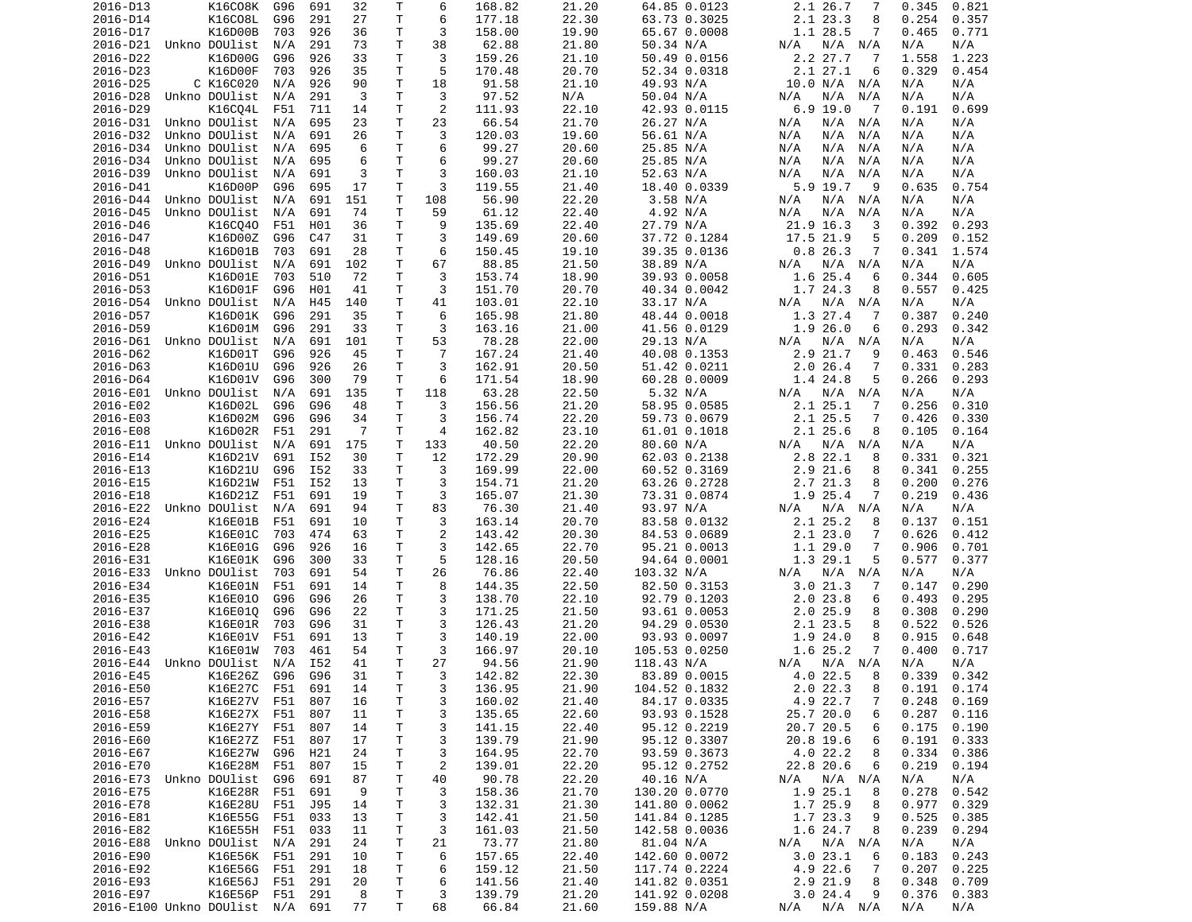| 2016-D13               | K16C08K                     | G96 | 691 | 32  | Т  | 6              | 168.82 | 21.20 | 64.85 0.0123  | 2.1 26.7<br>7                | 0.821<br>0.345  |
|------------------------|-----------------------------|-----|-----|-----|----|----------------|--------|-------|---------------|------------------------------|-----------------|
| 2016-D14               | K16C08L                     | G96 | 291 | 27  | т  | 6              | 177.18 | 22.30 | 63.73 0.3025  | 2.1 23.3<br>8                | 0.254<br>0.357  |
| 2016-D17               | K16D00B                     | 703 | 926 | 36  | т  | 3              | 158.00 | 19.90 | 65.67 0.0008  | 1.1 28.5<br>7                | 0.465<br>0.771  |
| 2016-D21               | Unkno DOUlist               | N/A | 291 | 73  | т  | 38             | 62.88  | 21.80 | 50.34 N/A     | N/A<br>N/A<br>N/A            | N/A<br>N/A      |
| 2016-D22               | K16D00G                     | G96 | 926 | 33  | Τ  | 3              | 159.26 | 21.10 | 50.49 0.0156  | 2.2 27.7<br>7                | 1.223<br>1.558  |
| 2016-D23               | K16D00F                     | 703 | 926 | 35  | Τ  | 5              | 170.48 | 20.70 | 52.34 0.0318  | 2.1 27.1<br>6                | 0.329<br>0.454  |
| 2016-D25               | C K16C020                   | N/A | 926 | 90  | т  | 18             | 91.58  | 21.10 | 49.93 N/A     | 10.0 N/A N/A                 | N/A<br>N/A      |
| 2016-D28               | Unkno DOUlist               | N/A | 291 | 3   | Τ  | 3              | 97.52  | N/A   | 50.04 N/A     | N/A<br>N/A<br>N/A            | N/A<br>N/A      |
| 2016-D29               | K16C04L                     | F51 | 711 | 14  | T  | 2              | 111.93 | 22.10 | 42.93 0.0115  | $6.9$ 19.0<br>$\overline{7}$ | 0.191<br>0.699  |
| 2016-D31               | Unkno DOUlist               | N/A | 695 | 23  | т  | 23             | 66.54  | 21.70 | 26.27 N/A     | N/A<br>N/A<br>N/A            | N/A<br>N/A      |
| 2016-D32               | Unkno DOUlist               | N/A | 691 | 26  | T  | 3              | 120.03 | 19.60 | 56.61 N/A     | N/A<br>N/A<br>N/A            | N/A<br>N/A      |
| 2016-D34               | Unkno DOUlist               | N/A | 695 | 6   | T  | 6              | 99.27  | 20.60 | 25.85 N/A     | N/A<br>N/A<br>N/A            | N/A<br>N/A      |
| 2016-D34               | Unkno DOUlist               | N/A | 695 | 6   | T. | 6              | 99.27  | 20.60 | 25.85 N/A     | N/A<br>N/A<br>N/A            | N/A<br>N/A      |
| 2016-D39               | Unkno DOUlist               | N/A | 691 | 3   | т  | 3              | 160.03 | 21.10 | 52.63 N/A     | N/A<br>N/A<br>N/A            | N/A<br>N/A      |
| 2016-D41               | K16D00P                     | G96 | 695 | 17  | т  | 3              | 119.55 | 21.40 | 18.40 0.0339  | 5.9 19.7<br>9                | 0.635<br>0.754  |
| 2016-D44               | Unkno DOUlist               | N/A | 691 | 151 | Τ  | 108            | 56.90  | 22.20 | 3.58 N/A      | N/A<br>N/A<br>N/A            | N/A<br>N/A      |
| 2016-D45               | Unkno DOUlist               | N/A | 691 | 74  | т  | 59             | 61.12  | 22.40 | 4.92 N/A      | N/A<br>N/A<br>N/A            | N/A<br>N/A      |
| 2016-D46               | K16CQ40                     | F51 | H01 | 36  | Τ  | 9              | 135.69 | 22.40 | 27.79 N/A     | 21.9 16.3<br>3               | 0.392<br>0.293  |
| 2016-D47               | K16D00Z                     | G96 | C47 | 31  | Τ  | 3              | 149.69 | 20.60 | 37.72 0.1284  | 5                            | 0.209<br>0.152  |
|                        |                             |     |     |     |    | 6              |        |       |               | 17.5 21.9<br>7               |                 |
| 2016-D48               | K16D01B                     | 703 | 691 | 28  | Τ  |                | 150.45 | 19.10 | 39.35 0.0136  | 0.826.3                      | 0.341<br>1.574  |
| 2016-D49               | Unkno DOUlist               | N/A | 691 | 102 | т  | 67             | 88.85  | 21.50 | 38.89 N/A     | N/A N/A<br>N/A               | N/A<br>N/A      |
| 2016-D51               | K16D01E                     | 703 | 510 | 72  | Τ  | 3              | 153.74 | 18.90 | 39.93 0.0058  | 1.6 25.4<br>6                | 0.344<br>0.605  |
| 2016-D53               | K16D01F                     | G96 | H01 | 41  | т  | 3              | 151.70 | 20.70 | 40.34 0.0042  | 1.7 24.3<br>8                | 0.557<br>0.425  |
| 2016-D54               | Unkno DOUlist               | N/A | H45 | 140 | т  | 41             | 103.01 | 22.10 | 33.17 N/A     | N/A<br>N/A N/A               | N/A<br>N/A      |
| 2016-D57               | K16D01K                     | G96 | 291 | 35  | T  | 6              | 165.98 | 21.80 | 48.44 0.0018  | 1.3 27.4<br>7                | 0.387<br>0.240  |
| 2016-D59               | K16D01M                     | G96 | 291 | 33  | т  | 3              | 163.16 | 21.00 | 41.56 0.0129  | 1.9 26.0<br>6                | 0.293<br>0.342  |
| 2016-D61               | Unkno DOUlist               | N/A | 691 | 101 | Τ  | 53             | 78.28  | 22.00 | 29.13 N/A     | N/A<br>N/A N/A               | N/A<br>N/A      |
| 2016-D62               | K16D01T                     | G96 | 926 | 45  | Τ  | $\overline{7}$ | 167.24 | 21.40 | 40.08 0.1353  | 2.9<br>21.7<br>9             | 0.463<br>0.546  |
| 2016-D63               | K16D01U                     | G96 | 926 | 26  | Τ  | 3              | 162.91 | 20.50 | 51.42 0.0211  | $2.0$ 26.4<br>7              | 0.331<br>0.283  |
| 2016-D64               | K16D01V                     | G96 | 300 | 79  | T  | 6              | 171.54 | 18.90 | 60.28 0.0009  | 1.4 24.8<br>5                | 0.266<br>0.293  |
| 2016-E01               | Unkno DOUlist               | N/A | 691 | 135 | Τ  | 118            | 63.28  | 22.50 | 5.32 N/A      | $N/A$ $N/A$<br>N/A           | N/A<br>N/A      |
| 2016-E02               | K16D02L                     | G96 | G96 | 48  | T  | 3              | 156.56 | 21.20 | 58.95 0.0585  | 2.125.1<br>7                 | 0.310<br>0.256  |
| 2016-E03               | K16D02M                     | G96 | G96 | 34  | Τ  | 3              | 156.74 | 22.20 | 59.73 0.0679  | 2.1 25.5<br>7                | 0.426<br>0.330  |
| 2016-E08               | K16D02R                     | F51 | 291 | -7  | Τ  | 4              | 162.82 | 23.10 | 61.01 0.1018  | 2.1 25.6<br>8                | 0.105<br>0.164  |
| 2016-E11               | Unkno DOUlist               | N/A | 691 | 175 | т  | 133            | 40.50  | 22.20 | 80.60 N/A     | N/A N/A<br>N/A               | N/A<br>N/A      |
| 2016-E14               | K16D21V                     | 691 | I52 | 30  | Τ  | 12             | 172.29 | 20.90 | 62.03 0.2138  | 2.8 22.1<br>8                | 0.331<br>0.321  |
| 2016-E13               | K16D21U                     | G96 | I52 | 33  | T  | 3              | 169.99 | 22.00 | 60.52 0.3169  | 2.9<br>21.6<br>8             | 0.341<br>0.255  |
| 2016-E15               | K16D21W                     | F51 | I52 | 13  | Τ  | 3              | 154.71 | 21.20 | 63.26 0.2728  | 2.7 21.3<br>8                | 0.200<br>0.276  |
| 2016-E18               | K16D21Z                     | F51 | 691 | 19  | Τ  | 3              | 165.07 | 21.30 | 73.31 0.0874  | 1.9 25.4<br>7                | 0.219<br>0.436  |
| 2016-E22               | Unkno DOUlist               | N/A | 691 | 94  | т  | 83             | 76.30  | 21.40 | 93.97 N/A     | N/A<br>N/A<br>N/A            | N/A<br>N/A      |
| 2016-E24               | K16E01B                     | F51 | 691 | 10  | т  | 3              | 163.14 | 20.70 | 83.58 0.0132  | 2.1 25.2<br>8                | 0.137<br>0.151  |
| 2016-E25               | K16E01C                     | 703 | 474 | 63  | т  | $\overline{2}$ | 143.42 | 20.30 | 84.53 0.0689  | 2.123.0<br>7                 | 0.626<br>0.412  |
| 2016-E28               | K16E01G                     | G96 | 926 | 16  | т  | 3              | 142.65 | 22.70 | 95.21 0.0013  | 1.1 29.0<br>7                | 0.906<br>0.701  |
| 2016-E31               | K16E01K                     | G96 | 300 | 33  | т  | 5              | 128.16 | 20.50 | 94.64 0.0001  | 1.3 29.1<br>5                | 0.577<br>0.377  |
| 2016-E33               | Unkno DOUlist               | 703 | 691 | 54  | Τ  | 26             | 76.86  | 22.40 | 103.32 N/A    | N/A<br>N/A<br>N/A            | N/A<br>N/A      |
| 2016-E34               | K16E01N                     | F51 | 691 | 14  | T. | 8              | 144.35 | 22.50 | 82.50 0.3153  | 3.021.3<br>7                 | 0.290<br>0.147  |
| 2016-E35               | K16E010                     | G96 | G96 | 26  | Τ  | 3              | 138.70 | 22.10 | 92.79 0.1203  | 2.023.8<br>6                 | 0.493<br>0.295  |
| 2016-E37               | K16E010                     | G96 | G96 | 22  | Τ  | 3              | 171.25 | 21.50 | 93.61 0.0053  | $2.0$ 25.9<br>8              | 0.308<br>0.290  |
| 2016-E38               | K16E01R                     | 703 | G96 | 31  | Τ  | 3              | 126.43 | 21.20 | 94.29 0.0530  | 2.1 23.5<br>8                | 0.522<br>0.526  |
| 2016-E42               | K16E01V                     | F51 | 691 | 13  | Τ  | 3              | 140.19 | 22.00 | 93.93 0.0097  | 1.9 24.0<br>8                | 0.915<br>0.648  |
| 2016-E43               | K16E01W                     | 703 | 461 | 54  | T  | 3              | 166.97 | 20.10 | 105.53 0.0250 | 1.6 25.2<br>7                | 0.717<br>0.400  |
|                        | Unkno DOUlist               |     |     | 41  | T. | 27             |        |       |               |                              |                 |
| 2016-E44               |                             | N/A | I52 |     |    |                | 94.56  | 21.90 | 118.43 N/A    | N/A<br>N/A N/A               | N/A<br>N/A      |
| 2016-E45               | K16E26Z                     | G96 | G96 | 31  | T. | 3              | 142.82 | 22.30 | 83.89 0.0015  | 4.0 22.5<br>8                | 0.339<br>0.342  |
| 2016-E50               | K16E27C F51                 |     | 691 | 14  | Τ  | 3              | 136.95 | 21.90 | 104.52 0.1832 | 2.022.3<br>8                 | $0.191$ $0.174$ |
| 2016-E57               | K16E27V F51                 |     | 807 | 16  | Τ  | 3              | 160.02 | 21.40 | 84.17 0.0335  | 4.9 22.7<br>7                | 0.248<br>0.169  |
| 2016-E58               | K16E27X F51                 |     | 807 | 11  | T  | 3              | 135.65 | 22.60 | 93.93 0.1528  | 25.7 20.0<br>6               | 0.287<br>0.116  |
| 2016-E59               | K16E27Y F51                 |     | 807 | 14  | Τ  | 3              | 141.15 | 22.40 | 95.12 0.2219  | 20.7 20.5<br>6               | 0.175<br>0.190  |
| 2016-E60               | K16E27Z F51                 |     | 807 | 17  | Τ  | 3              | 139.79 | 21.90 | 95.12 0.3307  | 6<br>20.8 19.6               | 0.191<br>0.333  |
| 2016-E67               | K16E27W                     | G96 | H21 | 24  | Τ  | 3              | 164.95 | 22.70 | 93.59 0.3673  | 4.0 22.2<br>8                | 0.334<br>0.386  |
| 2016-E70               | K16E28M F51                 |     | 807 | 15  | Τ  | $\overline{c}$ | 139.01 | 22.20 | 95.12 0.2752  | 22.8 20.6<br>6               | 0.219<br>0.194  |
| 2016-E73 Unkno DOUlist |                             | G96 | 691 | 87  | Τ  | 40             | 90.78  | 22.20 | 40.16 N/A     | N/A N/A<br>N/A               | N/A<br>N/A      |
| 2016-E75               | K16E28R F51                 |     | 691 | 9   | Τ  | 3              | 158.36 | 21.70 | 130.20 0.0770 | 1.9 25.1<br>8                | 0.278<br>0.542  |
| 2016-E78               | K16E28U                     | F51 | J95 | 14  | T  | 3              | 132.31 | 21.30 | 141.80 0.0062 | 1.7 25.9<br>8                | 0.977<br>0.329  |
| 2016-E81               | K16E55G                     | F51 | 033 | 13  | Τ  | 3              | 142.41 | 21.50 | 141.84 0.1285 | 1.7 23.3<br>9                | 0.525<br>0.385  |
| 2016-E82               | K16E55H                     | F51 | 033 | 11  | Τ  | 3              | 161.03 | 21.50 | 142.58 0.0036 | 1.6 24.7<br>8                | 0.239<br>0.294  |
| 2016-E88               | Unkno DOUlist               | N/A | 291 | 24  | T  | 21             | 73.77  | 21.80 | 81.04 N/A     | N/A N/A<br>N/A               | N/A<br>N/A      |
| 2016-E90               | K16E56K F51                 |     | 291 | 10  | T  | 6              | 157.65 | 22.40 | 142.60 0.0072 | 3.023.1<br>6                 | 0.183<br>0.243  |
| 2016-E92               | K16E56G                     | F51 | 291 | 18  | T. | 6              | 159.12 | 21.50 | 117.74 0.2224 | 4.9 22.6<br>7                | 0.207<br>0.225  |
| 2016-E93               | K16E56J                     | F51 | 291 | 20  | T  | 6              | 141.56 | 21.40 | 141.82 0.0351 | 2.9 21.9<br>8                | 0.348<br>0.709  |
| 2016-E97               | K16E56P                     | F51 | 291 | 8   | т  | 3              | 139.79 | 21.20 | 141.92 0.0208 | 3.024.4<br>9                 | 0.376<br>0.383  |
|                        | 2016-E100 Unkno DOUlist N/A |     | 691 | 77  | Τ  | 68             | 66.84  | 21.60 | 159.88 N/A    | N/A<br>N/A N/A               | N/A<br>N/A      |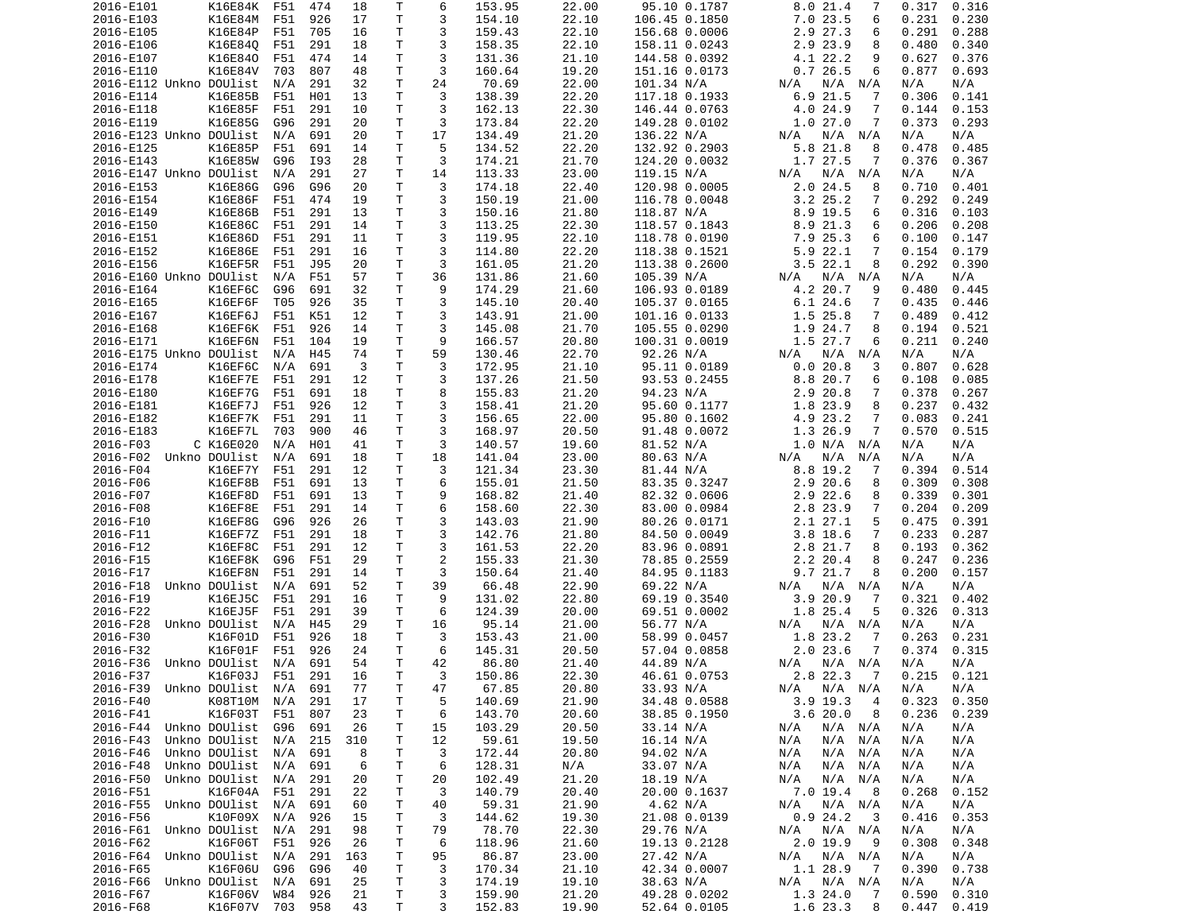| 2016-E101               | K16E84K                | F51 | 474        | 18       | Τ      | 6                       | 153.95           | 22.00          | 95.10 0.1787                 | 8.0 21.4<br>7                 | 0.317<br>0.316                   |
|-------------------------|------------------------|-----|------------|----------|--------|-------------------------|------------------|----------------|------------------------------|-------------------------------|----------------------------------|
| 2016-E103               | K16E84M                | F51 | 926        | 17       | т      | 3                       | 154.10           | 22.10          | 106.45 0.1850                | 7.023.5<br>6                  | 0.231<br>0.230                   |
| 2016-E105               | K16E84P                | F51 | 705        | 16       | т      | 3                       | 159.43           | 22.10          | 156.68 0.0006                | 2.9 27.3<br>6                 | 0.291<br>0.288                   |
| 2016-E106               | K16E840                | F51 | 291        | 18       | т      | 3                       | 158.35           | 22.10          |                              | 2.9 23.9<br>8                 | 0.480<br>0.340                   |
|                         |                        |     |            |          |        |                         |                  |                | 158.11 0.0243                |                               |                                  |
| 2016-E107               | K16E840                | F51 | 474        | 14       | T.     | 3                       | 131.36           | 21.10          | 144.58 0.0392                | 4.1 22.2<br>9                 | 0.376<br>0.627                   |
| 2016-E110               | K16E84V                | 703 | 807        | 48       | Τ      | 3                       | 160.64           | 19.20          | 151.16 0.0173                | 0.726.5<br>6                  | 0.877<br>0.693                   |
| 2016-E112 Unkno DOUlist |                        | N/A | 291        | 32       | Τ      | 24                      | 70.69            | 22.00          | 101.34 N/A                   | N/A N/A<br>N/A                | N/A<br>N/A                       |
| 2016-E114               | K16E85B                | F51 | H01        | 13       | T.     | 3                       | 138.39           | 22.20          | 117.18 0.1933                | 6.9 21.5<br>7                 | 0.306<br>0.141                   |
| 2016-E118               | K16E85F                | F51 | 291        | 10       | Τ      | 3                       | 162.13           | 22.30          | 146.44 0.0763                | 4.0<br>24.9<br>7              | 0.144<br>0.153                   |
|                         |                        |     |            |          |        |                         |                  |                |                              |                               |                                  |
| 2016-E119               | K16E85G                | G96 | 291        | 20       | т      | 3                       | 173.84           | 22.20          | 149.28 0.0102                | 1.027.0<br>7                  | 0.373<br>0.293                   |
| 2016-E123 Unkno DOUlist |                        | N/A | 691        | 20       | T      | 17                      | 134.49           | 21.20          | 136.22 N/A                   | N/A<br>N/A<br>N/A             | N/A<br>N/A                       |
| 2016-E125               | K16E85P                | F51 | 691        | 14       | T.     | 5                       | 134.52           | 22.20          | 132.92 0.2903                | 5.8 21.8<br>8                 | 0.485<br>0.478                   |
| 2016-E143               | K16E85W                | G96 | I93        | 28       | Τ      | 3                       | 174.21           | 21.70          | 124.20 0.0032                | 1.7 27.5<br>7                 | 0.376<br>0.367                   |
| 2016-E147 Unkno DOUlist |                        | N/A | 291        | 27       | т      | 14                      | 113.33           | 23.00          | 119.15 N/A                   | N/A N/A<br>N/A                | N/A<br>N/A                       |
|                         |                        |     |            |          |        |                         |                  |                |                              |                               |                                  |
| 2016-E153               | K16E86G                | G96 | G96        | 20       | T.     | 3                       | 174.18           | 22.40          | 120.98 0.0005                | $2.0$ 24.5<br>8               | 0.710<br>0.401                   |
| 2016-E154               | K16E86F                | F51 | 474        | 19       | T      | 3                       | 150.19           | 21.00          | 116.78 0.0048                | $3.2$ $25.2$<br>7             | 0.292<br>0.249                   |
| 2016-E149               | K16E86B                | F51 | 291        | 13       | Τ      | 3                       | 150.16           | 21.80          | 118.87 N/A                   | 8.9 19.5<br>6                 | 0.316<br>0.103                   |
| 2016-E150               | K16E86C                | F51 | 291        | 14       | Τ      | 3                       | 113.25           | 22.30          | 118.57 0.1843                | 8.9 21.3<br>6                 | 0.206<br>0.208                   |
| 2016-E151               | K16E86D                | F51 | 291        | 11       | T.     | 3                       | 119.95           | 22.10          | 118.78 0.0190                | 7.9 25.3<br>6                 | 0.100<br>0.147                   |
|                         |                        |     |            |          |        |                         |                  |                |                              |                               |                                  |
| 2016-E152               | K16E86E                | F51 | 291        | 16       | Τ      | 3                       | 114.80           | 22.20          | 118.38 0.1521                | 5.9 22.1<br>7                 | 0.154<br>0.179                   |
| 2016-E156               | K16EF5R                | F51 | J95        | 20       | т      | 3                       | 161.05           | 21.20          | 113.38 0.2600                | $3.5$ 22.1<br>8               | 0.292<br>0.390                   |
| 2016-E160 Unkno DOUlist |                        | N/A | F51        | 57       | Τ      | 36                      | 131.86           | 21.60          | 105.39 N/A                   | $N/A$ $N/A$<br>N/A            | N/A<br>N/A                       |
| 2016-E164               | K16EF6C                | G96 | 691        | 32       | Τ      | 9                       | 174.29           | 21.60          | 106.93 0.0189                | 4.2 20.7<br>9                 | 0.480<br>0.445                   |
| 2016-E165               | K16EF6F                | T05 | 926        | 35       | т      | 3                       | 145.10           | 20.40          | 105.37 0.0165                | 6.124.6<br>7                  | 0.435<br>0.446                   |
|                         |                        |     |            |          |        |                         |                  |                |                              |                               |                                  |
| 2016-E167               | K16EF6J                | F51 | K51        | 12       | T      | 3                       | 143.91           | 21.00          | 101.16 0.0133                | 1.5 25.8<br>7                 | 0.489<br>0.412                   |
| 2016-E168               | K16EF6K                | F51 | 926        | 14       | T.     | 3                       | 145.08           | 21.70          | 105.55 0.0290                | 1.9 24.7<br>8                 | 0.194<br>0.521                   |
| 2016-E171               | K16EF6N                | F51 | 104        | 19       | т      | 9                       | 166.57           | 20.80          | 100.31 0.0019                | 1.5 27.7<br>6                 | 0.211<br>0.240                   |
| 2016-E175 Unkno DOUlist |                        | N/A | H45        | 74       | Τ      | 59                      | 130.46           | 22.70          | 92.26 N/A                    | N/A<br>N/A<br>N/A             | N/A<br>N/A                       |
| 2016-E174               | K16EF6C                | N/A | 691        | 3        | T      | 3                       | 172.95           | 21.10          | 95.11 0.0189                 | 0.020.8<br>3                  | 0.807<br>0.628                   |
|                         |                        |     |            |          |        |                         |                  |                |                              |                               |                                  |
| 2016-E178               | K16EF7E                | F51 | 291        | 12       | Τ      | 3                       | 137.26           | 21.50          | 93.53 0.2455                 | 8.8 20.7<br>6                 | 0.108<br>0.085                   |
| 2016-E180               | K16EF7G                | F51 | 691        | 18       | Τ      | 8                       | 155.83           | 21.20          | 94.23 N/A                    | 2.9 20.8<br>7                 | 0.378<br>0.267                   |
| 2016-E181               | K16EF7J                | F51 | 926        | 12       | T.     | 3                       | 158.41           | 21.20          | 95.60 0.1177                 | 1.8 23.9<br>8                 | 0.237<br>0.432                   |
| 2016-E182               | K16EF7K                | F51 | 291        | 11       | Τ      | 3                       | 156.65           | 22.00          | 95.80 0.1602                 | 4.9 23.2<br>7                 | 0.083<br>0.241                   |
| 2016-E183               | K16EF7L                | 703 | 900        | 46       | Τ      | 3                       | 168.97           | 20.50          | 91.48 0.0072                 | 1.3 26.9<br>7                 | 0.570<br>0.515                   |
|                         |                        |     |            |          |        |                         |                  |                |                              |                               |                                  |
| 2016-F03                | C K16E020              | N/A | H01        | 41       | т      | 3                       | 140.57           | 19.60          | 81.52 N/A                    | 1.0 N/A N/A                   | N/A<br>N/A                       |
| 2016-F02                | Unkno DOUlist          | N/A | 691        | 18       | T.     | 18                      | 141.04           | 23.00          |                              |                               |                                  |
|                         |                        |     |            |          |        |                         |                  |                | 80.63 N/A                    | N/A<br>N/A<br>N/A             | N/A<br>N/A                       |
| 2016-F04                | K16EF7Y                | F51 | 291        | 12       | T      | 3                       | 121.34           | 23.30          | 81.44 N/A                    | 8.8 19.2<br>7                 | 0.394<br>0.514                   |
|                         |                        |     |            |          |        |                         |                  |                |                              |                               |                                  |
| 2016-F06                | K16EF8B                | F51 | 691        | 13       | Τ      | 6                       | 155.01           | 21.50          | 83.35 0.3247                 | 2.9 20.6<br>8                 | 0.309<br>0.308                   |
| 2016-F07                | K16EF8D                | F51 | 691        | 13       | Τ      | 9                       | 168.82           | 21.40          | 82.32 0.0606                 | 2.9 22.6<br>8                 | 0.339<br>0.301                   |
| 2016-F08                | K16EF8E                | F51 | 291        | 14       | т      | 6                       | 158.60           | 22.30          | 83.00 0.0984                 | 2.8 23.9<br>7                 | 0.204<br>0.209                   |
| 2016-F10                | K16EF8G                | G96 | 926        | 26       | Τ      | 3                       | 143.03           | 21.90          | 80.26 0.0171                 | 2.1 27.1<br>5                 | 0.475<br>0.391                   |
|                         |                        |     |            |          |        |                         |                  |                |                              | 7                             |                                  |
| 2016-F11                | K16EF7Z                | F51 | 291        | 18       | Τ      | 3                       | 142.76           | 21.80          | 84.50 0.0049                 | $3.8$ 18.6                    | 0.233<br>0.287                   |
| 2016-F12                | K16EF8C                | F51 | 291        | 12       | T.     | 3                       | 161.53           | 22.20          | 83.96 0.0891                 | 2.8 21.7<br>8                 | 0.193<br>0.362                   |
| 2016-F15                | K16EF8K                | G96 | F51        | 29       | т      | $\overline{2}$          | 155.33           | 21.30          | 78.85 0.2559                 | 8<br>2.2 20.4                 | 0.247<br>0.236                   |
| 2016-F17                | K16EF8N                | F51 | 291        | 14       | Τ      | 3                       | 150.64           | 21.40          | 84.95 0.1183                 | 9.7 21.7<br>8                 | 0.200<br>0.157                   |
| 2016-F18                | Unkno DOUlist          | N/A | 691        | 52       | Τ      | 39                      | 66.48            | 22.90          | 69.22 N/A                    | N/A<br>N/A N/A                | N/A<br>N/A                       |
|                         |                        |     |            |          | T.     | 9                       |                  |                |                              | 7                             |                                  |
| 2016-F19                | K16EJ5C                | F51 | 291        | 16       |        |                         | 131.02           | 22.80          | 69.19 0.3540                 | 3.920.9                       | 0.321<br>0.402                   |
| 2016-F22                | K16EJ5F                | F51 | 291        | 39       | Τ      | 6                       | 124.39           | 20.00          | 69.51 0.0002                 | 1.8 25.4<br>5                 | 0.326<br>0.313                   |
| 2016-F28                | Unkno DOUlist          | N/A | H45        | 29       | Τ      | 16                      | 95.14            | 21.00          | 56.77 N/A                    | N/A<br>N/A N/A                | N/A<br>N/A                       |
| 2016-F30                | K16F01D                | F51 | 926        | 18       | Τ      | 3                       | 153.43           | 21.00          | 58.99 0.0457                 | 1.8 23.2<br>7                 | 0.263<br>0.231                   |
| 2016-F32                | K16F01F                | F51 | 926        | 24       | т      | 6                       | 145.31           | 20.50          | 57.04 0.0858                 | $2.0$ 23.6<br>7               | 0.374<br>0.315                   |
| 2016-F36                | Unkno DOUlist          | N/A | 691        | 54       | T.     | 42                      | 86.80            | 21.40          | 44.89 N/A                    | N/A<br>N/A N/A                | N/A<br>N/A                       |
|                         |                        |     |            |          |        |                         |                  |                |                              |                               |                                  |
| 2016-F37                | K16F03J                | F51 | 291        | 16       | T.     | $\overline{\mathbf{3}}$ | 150.86           | 22.30          | 46.61 0.0753                 | 2.8 22.3 7                    | 0.215<br>0.121                   |
| 2016-F39                | Unkno DOUlist N/A      |     | 691        | 77       | T      | 47                      | 67.85            | 20.80          | 33.93 N/A                    | N/A N/A<br>N/A                | N/A<br>N/A                       |
| 2016-F40                | K08T10M N/A            |     | 291        | 17       | Τ      | 5                       | 140.69           | 21.90          | 34.48 0.0588                 | $3.9$ 19.3<br>4               | 0.323<br>0.350                   |
| 2016-F41                | K16F03T                | F51 | 807        | 23       | т      | 6                       | 143.70           | 20.60          | 38.85 0.1950                 | 3.620.0<br>8                  | 0.236<br>0.239                   |
| 2016-F44                | Unkno DOUlist          | G96 | 691        | 26       |        |                         |                  |                |                              |                               | N/A                              |
|                         |                        |     |            |          | т      | 15                      | 103.29           | 20.50          | 33.14 N/A                    | $N/A$ $N/A$<br>N/A            | N/A                              |
| 2016-F43                | Unkno DOUlist N/A      |     | 215        | 310      | т      | 12                      | 59.61            | 19.50          | 16.14 N/A                    | N/A<br>N/A<br>N/A             | N/A<br>N/A                       |
| 2016-F46                | Unkno DOUlist          | N/A | 691        | 8        | т      | 3                       | 172.44           | 20.80          | 94.02 N/A                    | N/A<br>N/A<br>N/A             | N/A<br>N/A                       |
| 2016-F48                | Unkno DOUlist N/A      |     | 691        | 6        | Τ      | 6                       | 128.31           | N/A            | 33.07 N/A                    | N/A<br>N/A<br>N/A             | N/A<br>N/A                       |
| 2016-F50                | Unkno DOUlist N/A      |     | 291        | 20       | Τ      | 20                      | 102.49           | 21.20          | 18.19 N/A                    | N/A<br>N/A<br>N/A             | N/A<br>N/A                       |
|                         |                        |     |            |          |        |                         |                  |                |                              |                               |                                  |
| 2016-F51                | K16F04A F51            |     | 291        | 22       | Τ      | 3                       | 140.79           | 20.40          | 20.00 0.1637                 | 7.0 19.4<br>- 8               | 0.268<br>0.152                   |
| 2016-F55                | Unkno DOUlist          | N/A | 691        | 60       | т      | 40                      | 59.31            | 21.90          | 4.62 N/A                     | N/A N/A<br>N/A                | N/A<br>N/A                       |
| 2016-F56                | K10F09X N/A            |     | 926        | 15       | Т      | 3                       | 144.62           | 19.30          | 21.08 0.0139                 | 0.924.2<br>3                  | 0.416<br>0.353                   |
| 2016-F61                | Unkno DOUlist          | N/A | 291        | 98       | т      | 79                      | 78.70            | 22.30          | 29.76 N/A                    | N/A N/A<br>N/A                | N/A<br>N/A                       |
| 2016-F62                | K16F06T                | F51 | 926        | 26       | Т      | 6                       | 118.96           | 21.60          | 19.13 0.2128                 | $2.0$ 19.9<br>- 9             | 0.308<br>0.348                   |
| 2016-F64                | Unkno DOUlist          | N/A | 291        | 163      | T      | 95                      | 86.87            | 23.00          | 27.42 N/A                    | N/A                           | N/A<br>N/A                       |
|                         |                        |     |            |          |        |                         |                  |                |                              | N/A N/A                       |                                  |
| 2016-F65                | K16F06U                | G96 | G96        | 40       | Τ      | 3                       | 170.34           | 21.10          | 42.34 0.0007                 | 1.1 28.9<br>$\overline{7}$    | 0.390<br>0.738                   |
| 2016-F66                | Unkno DOUlist N/A      |     | 691        | 25       | T      | 3                       | 174.19           | 19.10          | 38.63 N/A                    | N/A<br>N/A N/A                | N/A<br>N/A                       |
| 2016-F67<br>2016-F68    | K16F06V<br>K16F07V 703 | W84 | 926<br>958 | 21<br>43 | Τ<br>Τ | 3<br>3                  | 159.90<br>152.83 | 21.20<br>19.90 | 49.28 0.0202<br>52.64 0.0105 | 1.324.0<br>7<br>1.6 23.3<br>8 | 0.590<br>0.310<br>0.447<br>0.419 |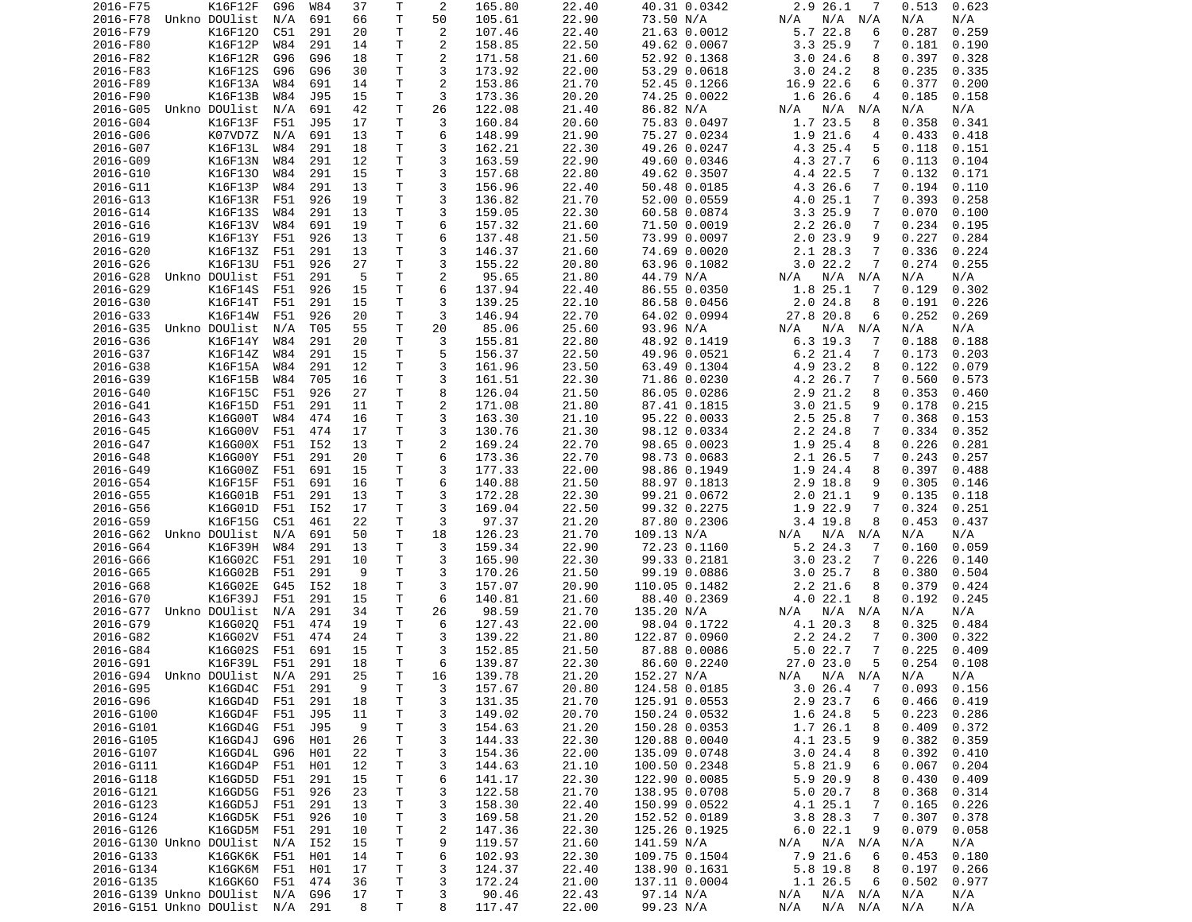| 2016-F75                    | K16F12F                        | G96 | W84 | 37 | Τ            | 2              | 165.80 | 22.40 | 40.31 0.0342           | 2.9 26.1<br>7              | 0.513<br>0.623  |
|-----------------------------|--------------------------------|-----|-----|----|--------------|----------------|--------|-------|------------------------|----------------------------|-----------------|
| 2016-F78                    | Unkno DOUlist                  | N/A | 691 | 66 | Τ            | 50             | 105.61 | 22.90 | 73.50 N/A              | N/A N/A<br>N/A             | N/A<br>N/A      |
| 2016-F79                    | K16F120                        | C51 | 291 | 20 | Τ            | 2              | 107.46 | 22.40 | 21.63 0.0012           | 5.7 22.8<br>6              | 0.287<br>0.259  |
|                             | K16F12P                        |     | 291 |    | Τ            | 2              |        |       | 49.62 0.0067           | 3.325.9                    | 0.181           |
| 2016-F80                    |                                | W84 |     | 14 |              |                | 158.85 | 22.50 |                        | 7                          | 0.190           |
| 2016-F82                    | K16F12R                        | G96 | G96 | 18 | T.           | 2              | 171.58 | 21.60 | 52.92 0.1368           | 3.024.6<br>8               | 0.397<br>0.328  |
| 2016-F83                    | K16F12S                        | G96 | G96 | 30 | T            | 3              | 173.92 | 22.00 | 53.29 0.0618           | 3.024.2<br>8               | 0.235<br>0.335  |
| 2016-F89                    | K16F13A                        | W84 | 691 | 14 | Τ            | $\overline{2}$ | 153.86 | 21.70 | 52.45 0.1266           | 16.9 22.6<br>6             | 0.377<br>0.200  |
| 2016-F90                    | K16F13B                        | W84 | J95 | 15 | Τ            | 3              | 173.36 | 20.20 | 74.25 0.0022           | 1.6 26.6<br>4              | 0.185<br>0.158  |
| 2016-G05                    | Unkno DOUlist                  | N/A | 691 | 42 | Τ            | 26             | 122.08 | 21.40 | 86.82 N/A              | N/A N/A<br>N/A             | N/A<br>N/A      |
|                             |                                |     |     |    |              |                |        |       |                        |                            |                 |
| 2016-G04                    | K16F13F                        | F51 | J95 | 17 | Τ            | 3              | 160.84 | 20.60 | 75.83 0.0497           | 1.7 23.5<br>8              | 0.358<br>0.341  |
| 2016-G06                    | K07VD7Z                        | N/A | 691 | 13 | Τ            | 6              | 148.99 | 21.90 | 75.27 0.0234           | 1.9 21.6<br>4              | 0.433<br>0.418  |
| 2016-G07                    | K16F13L                        | W84 | 291 | 18 | T            | 3              | 162.21 | 22.30 | 49.26 0.0247           | 4.3 25.4<br>5              | 0.118<br>0.151  |
| 2016-G09                    | K16F13N                        | W84 | 291 | 12 | T            | 3              | 163.59 | 22.90 | 49.60 0.0346           | 4.3 27.7<br>6              | 0.113<br>0.104  |
| 2016-G10                    | K16F130                        | W84 | 291 | 15 | T            | 3              | 157.68 | 22.80 | 49.62 0.3507           | 4.4 22.5<br>7              | 0.132<br>0.171  |
|                             |                                |     |     |    |              |                |        |       |                        |                            |                 |
| 2016-G11                    | K16F13P                        | W84 | 291 | 13 | T.           | 3              | 156.96 | 22.40 | 50.48 0.0185           | 4.3 26.6<br>$\overline{7}$ | 0.194<br>0.110  |
| 2016-G13                    | K16F13R                        | F51 | 926 | 19 | $\mathsf{T}$ | 3              | 136.82 | 21.70 | 52.00 0.0559           | 4.0 25.1<br>7              | 0.393<br>0.258  |
| 2016-G14                    | K16F13S                        | W84 | 291 | 13 | T.           | 3              | 159.05 | 22.30 | 60.58 0.0874           | 3.3 25.9<br>7              | 0.070<br>0.100  |
| 2016-G16                    | K16F13V                        | W84 | 691 | 19 | T.           | 6              | 157.32 | 21.60 | 71.50 0.0019           | 2.226.0<br>7               | 0.234<br>0.195  |
| 2016-G19                    | K16F13Y                        | F51 | 926 | 13 | T            | 6              | 137.48 | 21.50 | 73.99 0.0097           | 2.023.9<br>9               | 0.227<br>0.284  |
| 2016-G20                    | K16F13Z                        | F51 | 291 | 13 | T            | 3              | 146.37 | 21.60 | 74.69 0.0020           | 2.1 28.3<br>7              | 0.336<br>0.224  |
|                             |                                |     |     |    |              |                |        |       |                        |                            |                 |
| 2016-G26                    | K16F13U                        | F51 | 926 | 27 | Τ            | 3              | 155.22 | 20.80 | 63.96 0.1082           | 3.022.2<br>7               | 0.274<br>0.255  |
| 2016-G28                    | Unkno DOUlist                  | F51 | 291 | 5  | Τ            | $\overline{c}$ | 95.65  | 21.80 | 44.79 N/A              | $N/A$ $N/A$<br>N/A         | N/A<br>N/A      |
| 2016-G29                    | K16F14S                        | F51 | 926 | 15 | T            | 6              | 137.94 | 22.40 | 86.55 0.0350           | 1.8 25.1<br>7              | 0.302<br>0.129  |
| 2016-G30                    | K16F14T                        | F51 | 291 | 15 | Τ            | 3              | 139.25 | 22.10 | 86.58 0.0456           | 2.024.8<br>8               | 0.191<br>0.226  |
| 2016-G33                    | K16F14W                        | F51 | 926 | 20 | Τ            | 3              | 146.94 | 22.70 | 64.02 0.0994           | 27.8 20.8<br>6             | 0.252<br>0.269  |
|                             |                                |     |     |    |              |                |        |       |                        |                            |                 |
| 2016-G35                    | Unkno DOUlist                  | N/A | T05 | 55 | T            | 20             | 85.06  | 25.60 | 93.96 N/A              | N/A N/A<br>N/A             | N/A<br>N/A      |
| 2016-G36                    | K16F14Y                        | W84 | 291 | 20 | T.           | 3              | 155.81 | 22.80 | 48.92 0.1419           | 6.3 19.3<br>-7             | 0.188<br>0.188  |
| 2016-G37                    | K16F14Z                        | W84 | 291 | 15 | Τ            | 5              | 156.37 | 22.50 | 49.96 0.0521           | 6.2 21.4<br>7              | 0.173<br>0.203  |
| 2016-G38                    | K16F15A                        | W84 | 291 | 12 | Τ            | 3              | 161.96 | 23.50 | 63.49 0.1304           | 4.9 23.2<br>8              | 0.122<br>0.079  |
| 2016-G39                    | K16F15B                        | W84 | 705 | 16 | Τ            | 3              | 161.51 | 22.30 | 71.86 0.0230           | 4.2 26.7<br>7              | 0.560<br>0.573  |
|                             |                                |     |     |    |              |                |        |       |                        |                            |                 |
| 2016-G40                    | K16F15C                        | F51 | 926 | 27 | Τ            | 8              | 126.04 | 21.50 | 86.05 0.0286           | 2.9 21.2<br>8              | 0.353<br>0.460  |
| 2016-G41                    | K16F15D                        | F51 | 291 | 11 | T.           | 2              | 171.08 | 21.80 | 87.41 0.1815           | 3.021.5<br>9               | 0.178<br>0.215  |
| 2016-G43                    | K16G00T                        | W84 | 474 | 16 | $\mathsf{T}$ | 3              | 163.30 | 21.10 | 95.22 0.0033           | 2.5 25.8<br>7              | 0.368<br>0.153  |
| 2016-G45                    | K16G00V                        | F51 | 474 | 17 | Τ            | 3              | 130.76 | 21.30 | 98.12 0.0334           | 2.2 24.8<br>7              | 0.334<br>0.352  |
| 2016-G47                    | K16G00X                        | F51 | I52 | 13 | T            | $\overline{2}$ | 169.24 | 22.70 | 98.65 0.0023           | 1.9 25.4<br>8              | 0.226<br>0.281  |
| 2016-G48                    | K16G00Y                        | F51 | 291 | 20 | Τ            | 6              | 173.36 | 22.70 | 98.73 0.0683           | 2.1 26.5<br>7              | 0.243<br>0.257  |
|                             |                                |     |     |    |              |                |        |       |                        |                            |                 |
| 2016-G49                    | K16G00Z                        | F51 | 691 | 15 | Τ            | 3              | 177.33 | 22.00 | 98.86 0.1949           | 1.9 24.4<br>8              | 0.397<br>0.488  |
| 2016-G54                    | K16F15F                        | F51 | 691 | 16 | T.           | 6              | 140.88 | 21.50 | 88.97 0.1813           | 2.9 18.8<br>9              | 0.305<br>0.146  |
| 2016-G55                    | K16G01B                        | F51 | 291 | 13 | T            | 3              | 172.28 | 22.30 | 99.21 0.0672           | 2.021.1<br>9               | 0.135<br>0.118  |
| 2016-G56                    | K16G01D                        | F51 | I52 | 17 | T            | 3              | 169.04 | 22.50 | 99.32 0.2275           | 1.9 22.9<br>7              | 0.324<br>0.251  |
| 2016-G59                    | K16F15G                        | C51 | 461 | 22 | Τ            | 3              | 97.37  | 21.20 | 87.80 0.2306           | $3.4$ 19.8<br>8            | 0.453<br>0.437  |
|                             |                                |     |     |    |              |                |        |       |                        |                            |                 |
| 2016-G62                    | Unkno DOUlist                  | N/A | 691 | 50 | Τ            | 18             | 126.23 | 21.70 | 109.13 N/A             | N/A N/A<br>N/A             | N/A<br>N/A      |
| 2016-G64                    | K16F39H                        | W84 | 291 | 13 | Τ            | 3              | 159.34 | 22.90 | 72.23 0.1160           | 5.2 24.3<br>7              | 0.160<br>0.059  |
| 2016-G66                    | K16G02C                        | F51 | 291 | 10 | T            | 3              | 165.90 | 22.30 | 99.33 0.2181           | 3.023.2<br>7               | 0.226<br>0.140  |
| 2016-G65                    | K16G02B                        | F51 | 291 | 9  | Τ            | 3              | 170.26 | 21.50 | 99.19 0.0886           | 3.025.7<br>8               | 0.380<br>0.504  |
| 2016-G68                    | K16G02E                        | G45 | I52 | 18 | T            | 3              | 157.07 | 20.90 | 110.05 0.1482          | 2.2 21.6<br>8              | 0.379<br>0.424  |
|                             |                                |     |     |    |              |                |        |       |                        |                            |                 |
| 2016-G70                    | K16F39J                        | F51 | 291 | 15 | T            | 6              | 140.81 | 21.60 | 88.40 0.2369           | 4.0 22.1<br>8              | 0.192<br>0.245  |
| 2016-G77                    | Unkno DOUlist                  | N/A | 291 | 34 | T.           | 26             | 98.59  | 21.70 | 135.20 N/A             | N/A N/A<br>N/A             | N/A<br>N/A      |
| 2016-G79                    | K16G020                        | F51 | 474 | 19 | $\mathsf{T}$ | 6              | 127.43 | 22.00 | 98.04 0.1722           | 4.1 20.3<br>8              | 0.325<br>0.484  |
| 2016-G82                    | K16G02V                        | F51 | 474 | 24 | T.           | 3              | 139.22 | 21.80 | 122.87 0.0960          | 2.2 24.2<br>7              | 0.300<br>0.322  |
| 2016-G84                    | K16G02S                        | F51 | 691 | 15 | Τ            | 3              | 152.85 | 21.50 | 87.88 0.0086           | 5.022.7<br>7               | 0.225<br>0.409  |
|                             | K16F39L                        | F51 | 291 | 18 | T.           | 6              | 139.87 | 22.30 |                        | 5<br>27.0 23.0             | 0.254           |
| 2016-G91                    |                                |     |     |    |              |                |        |       | 86.60 0.2240           |                            | 0.108           |
|                             |                                |     |     |    |              | 16             | 139.78 | 21.20 |                        |                            |                 |
| 2016-G95                    | 2016-G94 Unkno DOUlist N/A 291 |     |     | 25 | T            |                |        |       | 152.27 N/A             | N/A N/A N/A                | N/A<br>N/A      |
|                             | K16GD4C                        | F51 | 291 | 9  | Τ            | 3              | 157.67 | 20.80 | 124.58 0.0185          | 3.026.4<br>$\overline{7}$  | $0.093$ $0.156$ |
|                             |                                |     |     |    |              |                |        |       |                        | 6                          |                 |
| 2016-G96                    | K16GD4D                        | F51 | 291 | 18 | $\mathsf T$  | 3              | 131.35 | 21.70 | 125.91 0.0553          | 2.9 23.7                   | 0.466<br>0.419  |
| 2016-G100                   | K16GD4F                        | F51 | J95 | 11 | Τ            | 3              | 149.02 | 20.70 | 150.24 0.0532          | 1.6 24.8<br>5              | 0.223<br>0.286  |
| 2016-G101                   | K16GD4G                        | F51 | J95 | 9  | т            | 3              | 154.63 | 21.20 | 150.28 0.0353          | 1.7 26.1<br>8              | 0.409<br>0.372  |
| 2016-G105                   | K16GD4J                        | G96 | H01 | 26 | T.           | 3              | 144.33 | 22.30 | 120.88 0.0040          | 4.1 23.5<br>9              | 0.382<br>0.359  |
| 2016-G107                   | K16GD4L                        | G96 | H01 | 22 | T.           | 3              | 154.36 | 22.00 | 135.09 0.0748          | 3.024.4<br>8               | 0.392<br>0.410  |
| 2016-G111                   | K16GD4P                        | F51 | H01 | 12 | T.           | 3              | 144.63 | 21.10 | 100.50 0.2348          | 5.8 21.9<br>6              | 0.067<br>0.204  |
|                             |                                |     |     |    |              |                |        |       |                        |                            |                 |
| 2016-G118                   | K16GD5D                        | F51 | 291 | 15 | T.           | 6              | 141.17 | 22.30 | 122.90 0.0085          | 5.9 20.9<br>8              | 0.430<br>0.409  |
| 2016-G121                   | K16GD5G                        | F51 | 926 | 23 | T            | 3              | 122.58 | 21.70 | 138.95 0.0708          | 5.0 20.7<br>8              | 0.368<br>0.314  |
| 2016-G123                   | K16GD5J                        | F51 | 291 | 13 | Τ            | 3              | 158.30 | 22.40 | 150.99 0.0522          | 4.1 25.1<br>7              | 0.165<br>0.226  |
| 2016-G124                   | K16GD5K                        | F51 | 926 | 10 | T.           | 3              | 169.58 | 21.20 | 152.52 0.0189          | 3.8 28.3<br>7              | 0.307<br>0.378  |
| 2016-G126                   | K16GD5M F51                    |     | 291 | 10 | T.           | $\overline{c}$ | 147.36 | 22.30 | 125.26 0.1925          | 6.022.1<br>9               | 0.079<br>0.058  |
| 2016-G130 Unkno DOUlist     |                                | N/A | I52 | 15 | T.           | 9              | 119.57 | 21.60 |                        | $N/A$ $N/A$<br>N/A         | N/A<br>N/A      |
|                             |                                |     |     |    |              |                |        |       | 141.59 N/A             |                            |                 |
| 2016-G133                   | K16GK6K F51                    |     | H01 | 14 | T            | 6              | 102.93 | 22.30 | 109.75 0.1504          | 7.9 21.6<br>6              | 0.453<br>0.180  |
| 2016-G134                   | K16GK6M F51                    |     | H01 | 17 | T            | 3              | 124.37 | 22.40 | 138.90 0.1631          | 5.8 19.8<br>8              | 0.197<br>0.266  |
| 2016-G135                   | K16GK60 F51                    |     | 474 | 36 | T            | 3              | 172.24 | 21.00 | 137.11 0.0004          | 1.1 26.5<br>6              | 0.502<br>0.977  |
| 2016-G139 Unkno DOUlist N/A |                                |     | G96 | 17 | T.           | 3              | 90.46  | 22.43 | 97.14 N/A<br>99.23 N/A | $N/A$ $N/A$<br>N/A         | N/A<br>N/A      |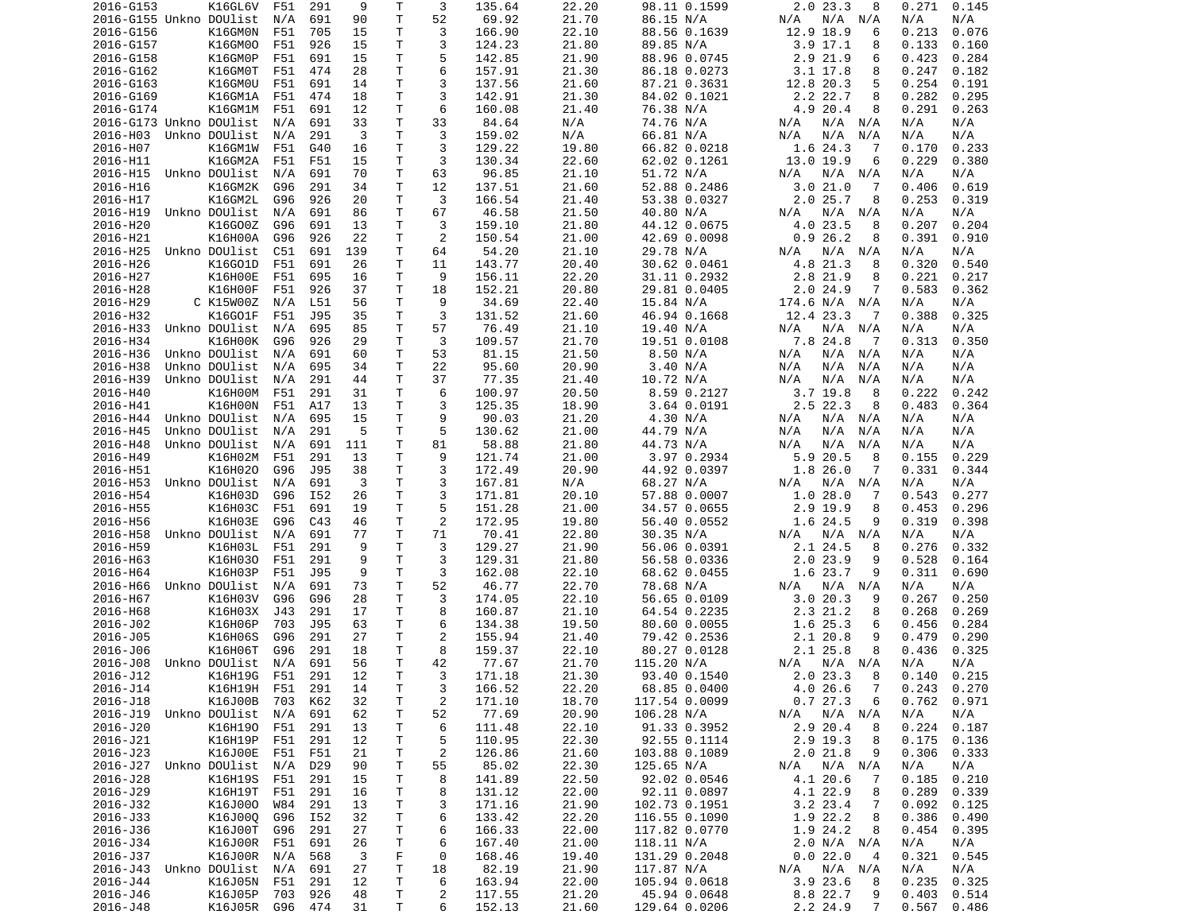| 2016-G153                  | K16GL6V                  | F51        | 291        | 9        | Т            | 3                   | 135.64           | 22.20          | 98.11 0.1599                 | 2.023.3<br>8                   | 0.271<br>0.145               |
|----------------------------|--------------------------|------------|------------|----------|--------------|---------------------|------------------|----------------|------------------------------|--------------------------------|------------------------------|
| 2016-G155 Unkno DOUlist    |                          | N/A        | 691        | 90       | T            | 52                  | 69.92            | 21.70          | 86.15 N/A                    | N/A N/A<br>N/A                 | N/A<br>N/A                   |
| 2016-G156                  | K16GM0N                  | F51        | 705        | 15       | т            | 3                   | 166.90           | 22.10          | 88.56 0.1639                 | 12.9 18.9<br>6                 | 0.213<br>0.076               |
| 2016-G157                  | K16GM00                  | F51        | 926        | 15       | Τ            | 3                   | 124.23           | 21.80          | 89.85 N/A                    | $3.9$ 17.1<br>8                | 0.133<br>0.160               |
| 2016-G158                  | K16GM0P                  | F51        | 691        | 15       | т            | 5                   | 142.85           | 21.90          | 88.96 0.0745                 | 2.9 21.9<br>6                  | 0.423<br>0.284               |
| 2016-G162                  | K16GM0T                  | F51        | 474        | 28       | Τ            | 6                   | 157.91           | 21.30          | 86.18 0.0273                 | 3.1 17.8<br>8                  | 0.247<br>0.182               |
| 2016-G163                  | K16GM0U                  | F51        | 691        | 14       | Τ            | 3                   | 137.56           | 21.60          | 87.21 0.3631                 | 12.8 20.3<br>5                 | 0.254<br>0.191               |
| 2016-G169                  | K16GM1A                  | F51        | 474        | 18       | Т            | 3                   | 142.91           | 21.30          | 84.02 0.1021                 | 2.2 22.7<br>8                  | 0.282<br>0.295               |
| 2016-G174                  | K16GM1M                  | F51        | 691        | 12       | Τ            | 6                   | 160.08           | 21.40          | 76.38 N/A                    | 4.9 20.4<br>8                  | 0.291<br>0.263               |
| 2016-G173 Unkno DOUlist    |                          | N/A        | 691        | 33       | Τ            | 33                  | 84.64            | N/A            | 74.76 N/A                    | N/A N/A<br>N/A                 | N/A<br>N/A                   |
| 2016-H03                   | Unkno DOUlist            | N/A        | 291        | 3        | T.           | 3                   | 159.02           | N/A            | 66.81 N/A                    | N/A<br>N/A<br>N/A              | N/A<br>N/A                   |
| 2016-H07                   | K16GM1W                  | F51        | G40        | 16       | Τ            | 3                   | 129.22           | 19.80          | 66.82 0.0218                 | 1.6 24.3<br>-7                 | 0.170<br>0.233               |
| 2016-H11<br>2016-H15       | K16GM2A<br>Unkno DOUlist | F51        | F51        | 15       | T<br>т       | 3<br>63             | 130.34           | 22.60<br>21.10 | 62.02 0.1261<br>51.72 N/A    | 13.0 19.9<br>6                 | 0.229<br>0.380               |
| 2016-H16                   | K16GM2K                  | N/A<br>G96 | 691<br>291 | 70<br>34 | т            | 12                  | 96.85<br>137.51  | 21.60          | 52.88 0.2486                 | N/A N/A<br>N/A<br>3.021.0<br>7 | N/A<br>N/A<br>0.406<br>0.619 |
| 2016-H17                   | K16GM2L                  | G96        | 926        | 20       | т            | 3                   | 166.54           | 21.40          | 53.38 0.0327                 | 2.025.7<br>8                   | 0.253<br>0.319               |
| 2016-H19                   | Unkno DOUlist            | N/A        | 691        | 86       | т            | 67                  | 46.58            | 21.50          | 40.80 N/A                    | N/A<br>N/A N/A                 | N/A<br>N/A                   |
| 2016-H20                   | K16G00Z                  | G96        | 691        | 13       | T            | 3                   | 159.10           | 21.80          | 44.12 0.0675                 | 4.0 23.5<br>8                  | 0.207<br>0.204               |
| 2016-H21                   | K16H00A                  | G96        | 926        | 22       | т            | 2                   | 150.54           | 21.00          | 42.69 0.0098                 | 0.926.2<br>8                   | 0.391<br>0.910               |
| 2016-H25                   | Unkno DOUlist            | C51        | 691        | 139      | T            | 64                  | 54.20            | 21.10          | 29.78 N/A                    | N/A<br>N/A N/A                 | N/A<br>N/A                   |
| 2016-H26                   | K16G01D                  | F51        | 691        | 26       | T            | 11                  | 143.77           | 20.40          | 30.62 0.0461                 | 4.8 21.3<br>8                  | 0.320<br>0.540               |
| 2016-H27                   | K16H00E                  | F51        | 695        | 16       | т            | 9                   | 156.11           | 22.20          | 31.11 0.2932                 | 2.8 21.9<br>8                  | 0.221<br>0.217               |
| 2016-H28                   | K16H00F                  | F51        | 926        | 37       | Τ            | 18                  | 152.21           | 20.80          | 29.81 0.0405                 | 2.024.9<br>7                   | 0.583<br>0.362               |
| 2016-H29                   | C K15W00Z                | N/A        | L51        | 56       | Τ            | 9                   | 34.69            | 22.40          | 15.84 N/A                    | 174.6 N/A N/A                  | N/A<br>N/A                   |
| 2016-H32                   | K16G01F                  | F51        | J95        | 35       | Τ            | 3                   | 131.52           | 21.60          | 46.94 0.1668                 | 12.4 23.3<br>-7                | 0.388<br>0.325               |
| 2016-H33                   | Unkno DOUlist            | N/A        | 695        | 85       | Τ            | 57                  | 76.49            | 21.10          | 19.40 N/A                    | $N/A$ $N/A$<br>N/A             | N/A<br>N/A                   |
| 2016-H34                   | K16H00K                  | G96        | 926        | 29       | T            | 3                   | 109.57           | 21.70          | 19.51 0.0108                 | 7.8 24.8<br>-7                 | 0.313<br>0.350               |
| 2016-H36                   | Unkno DOUlist            | N/A        | 691        | 60       | Т            | 53                  | 81.15            | 21.50          | 8.50 N/A                     | N/A<br>N/A<br>N/A              | N/A<br>N/A                   |
| 2016-H38                   | Unkno DOUlist            | N/A        | 695        | 34       | т            | 22                  | 95.60            | 20.90          | 3.40 N/A                     | N/A<br>N/A<br>N/A              | N/A<br>N/A                   |
| 2016-H39                   | Unkno DOUlist            | N/A        | 291        | 44       | Τ            | 37                  | 77.35            | 21.40          | 10.72 N/A                    | N/A<br>N/A<br>N/A              | N/A<br>N/A                   |
| 2016-H40                   | K16H00M                  | F51        | 291        | 31       | Τ            | 6                   | 100.97           | 20.50          | 8.59 0.2127                  | 3.7 19.8<br>8                  | 0.222<br>0.242               |
| 2016-H41                   | K16H00N                  | F51        | A17        | 13       | Τ            | 3                   | 125.35           | 18.90          | 3.64 0.0191                  | 2.5 22.3<br>8                  | 0.483<br>0.364               |
| 2016-H44                   | Unkno DOUlist            | N/A        | 695        | 15       | Τ            | 9                   | 90.03            | 21.20          | 4.30 N/A                     | N/A N/A<br>N/A                 | N/A<br>N/A                   |
| 2016-H45                   | Unkno DOUlist            | N/A        | 291        | 5        | Τ            | 5                   | 130.62           | 21.00          | 44.79 N/A                    | N/A<br>N/A<br>N/A              | N/A<br>N/A                   |
| 2016-H48                   | Unkno DOUlist            | N/A        | 691        | 111      | т            | 81                  | 58.88            | 21.80          | 44.73 N/A                    | N/A<br>N/A<br>N/A              | N/A<br>N/A                   |
| 2016-H49                   | K16H02M                  | F51        | 291        | 13       | т            | 9                   | 121.74           | 21.00          | 3.97 0.2934                  | 5.9 20.5<br>8                  | 0.155<br>0.229               |
| 2016-H51                   | K16H020                  | G96        | J95        | 38       | Τ            | 3                   | 172.49           | 20.90          | 44.92 0.0397                 | 1.8 26.0<br>7                  | 0.331<br>0.344               |
| 2016-H53                   | Unkno DOUlist            | N/A        | 691        | 3        | Τ            | 3                   | 167.81           | N/A            | 68.27 N/A                    | N/A<br>N/A N/A                 | N/A<br>N/A                   |
| 2016-H54                   | K16H03D                  | G96        | I52        | 26       | T            | 3                   | 171.81           | 20.10          | 57.88 0.0007                 | 1.028.0<br>-7                  | 0.543<br>0.277               |
| 2016-H55                   | K16H03C                  | F51        | 691        | 19       | Τ            | 5                   | 151.28           | 21.00          | 34.57 0.0655                 | 2.9 19.9<br>8                  | 0.453<br>0.296               |
| 2016-H56                   | K16H03E                  | G96        | C43        | 46       | T            | 2                   | 172.95           | 19.80          | 56.40 0.0552                 | 1.6 24.5<br>9                  | 0.319<br>0.398               |
| 2016-H58                   | Unkno DOUlist            | N/A        | 691        | 77       | Τ            | 71                  | 70.41            | 22.80          | 30.35 N/A                    | N/A N/A<br>N/A                 | N/A<br>N/A                   |
| 2016-H59<br>2016-H63       | K16H03L<br>K16H030       | F51        | 291<br>291 | 9<br>9   | Τ<br>Τ       | 3<br>3              | 129.27           | 21.90<br>21.80 | 56.06 0.0391                 | 2.1 24.5<br>8<br>9             | 0.276<br>0.332<br>0.528      |
| 2016-H64                   | K16H03P                  | F51<br>F51 | J95        | 9        | Τ            | 3                   | 129.31<br>162.08 | 22.10          | 56.58 0.0336<br>68.62 0.0455 | 2.023.9<br>1.6 23.7<br>9       | 0.164<br>0.311<br>0.690      |
| 2016-H66                   | Unkno DOUlist            | N/A        | 691        | 73       | Τ            | 52                  | 46.77            | 22.70          | 78.68 N/A                    | N/A N/A<br>N/A                 | N/A<br>N/A                   |
| 2016-H67                   | K16H03V                  | G96        | G96        | 28       | Τ            | 3                   | 174.05           | 22.10          | 56.65 0.0109                 | 3.020.3<br>9                   | 0.267<br>0.250               |
| 2016-H68                   | K16H03X                  | J43        | 291        | 17       | т            | 8                   | 160.87           | 21.10          | 64.54 0.2235                 | 2.3 21.2<br>8                  | 0.268<br>0.269               |
| 2016-J02                   | K16H06P                  | 703        | J95        | 63       | т            | 6                   | 134.38           | 19.50          | 80.60 0.0055                 | 1.6 25.3<br>6                  | 0.456<br>0.284               |
| 2016-J05                   | K16H06S                  | G96        | 291        | 27       | т            | $\overline{c}$      | 155.94           | 21.40          | 79.42 0.2536                 | 2.1 20.8<br>9                  | 0.479<br>0.290               |
| 2016-J06                   | K16H06T                  | G96        | 291        | 18       | Τ            | 8                   | 159.37           | 22.10          | 80.27 0.0128                 | 2.1 25.8<br>8                  | 0.436<br>0.325               |
| 2016-J08                   | Unkno DOUlist            | N/A        | 691        | 56       | T.           | 42                  | 77.67            | 21.70          | 115.20 N/A                   | N/A N/A<br>N/A                 | N/A<br>N/A                   |
| 2016-J12                   | K16H19G F51 291          |            |            | 12       | T.           | 3                   | 171.18           | 21.30          | 93.40 0.1540                 | 2.023.3<br>8                   | $0.140$ $0.215$              |
| 2016-J14                   | K16H19H F51 291          |            |            | 14       | T            | 3                   | 166.52           | 22.20          | 68.85 0.0400                 | 4.026.6<br>$\overline{7}$      | $0.243$ $0.270$              |
| 2016-J18                   | K16J00B                  | 703        | K62        | 32       | $\mathsf T$  | $\overline{c}$      | 171.10           | 18.70          | 117.54 0.0099                | 0.727.3<br>6                   | 0.762<br>0.971               |
| 2016-J19 Unkno DOUlist     |                          | N/A        | 691        | 62       | $\mathsf{T}$ | 52                  | 77.69            | 20.90          | 106.28 N/A                   | N/A<br>N/A N/A                 | N/A<br>N/A                   |
| 2016-J20                   | K16H190 F51              |            | 291        | 13       | Τ            | 6                   | 111.48           | 22.10          | 91.33 0.3952                 | 2.9 20.4<br>8                  | 0.224<br>0.187               |
| 2016-J21                   | K16H19P                  | F51        | 291        | 12       | Τ            | 5                   | 110.95           | 22.30          | 92.55 0.1114                 | 2.9 19.3<br>8                  | 0.175<br>0.136               |
| 2016-J23                   | K16J00E F51              |            | F51        | 21       | Τ            | $\overline{c}$      | 126.86           | 21.60          | 103.88 0.1089                | 2.021.8<br>9                   | 0.306<br>0.333               |
| 2016-J27 Unkno DOUlist N/A |                          |            | D29        | 90       | T            | 55                  | 85.02            | 22.30          | 125.65 N/A                   | N/A<br>N/A N/A                 | N/A<br>N/A                   |
| 2016-J28                   | K16H19S                  | F51        | 291        | 15       | T            | 8                   | 141.89           | 22.50          | 92.02 0.0546                 | 4.1 20.6<br>-7                 | 0.185<br>0.210               |
| 2016-J29                   | K16H19T F51              |            | 291        | 16       | T            | 8                   | 131.12           | 22.00          | 92.11 0.0897                 | 4.1 22.9<br>8                  | 0.289<br>0.339               |
| 2016-J32                   | K16J000                  | W84        | 291        | 13       | T.           | 3                   | 171.16           | 21.90          | 102.73 0.1951                | $3.2$ 23.4<br>$\overline{7}$   | 0.092<br>0.125               |
| 2016-J33                   | K16J00Q                  | G96        | I52        | 32       | T            | 6                   | 133.42           | 22.20          | 116.55 0.1090                | 1.9 22.2<br>- 8                | 0.386<br>0.490               |
| 2016-J36                   | K16J00T                  | G96        | 291        | 27       | T            | 6                   | 166.33           | 22.00          | 117.82 0.0770                | 1.9 24.2<br>- 8                | 0.454<br>0.395               |
| 2016-J34                   | K16J00R                  | F51        | 691        | 26       | Τ            | 6                   | 167.40           | 21.00          | 118.11 N/A                   | 2.0 N/A N/A                    | N/A<br>N/A                   |
| 2016-J37                   | K16J00R                  | N/A        | 568        | 3        | F            | 0                   | 168.46           | 19.40          | 131.29 0.2048                | 0.022.0<br>$\overline{4}$      | $0.321$ $0.545$              |
| 2016-J43 Unkno DOUlist     |                          | N/A        | 691        | 27       | Τ            | 18                  | 82.19            | 21.90          | 117.87 N/A                   | N/A N/A<br>N/A                 | N/A<br>N/A                   |
| 2016-J44                   | K16J05N                  | F51        | 291        | 12       | T.           | 6                   | 163.94           | 22.00          | 105.94 0.0618                | $3.9$ 23.6<br>8                | 0.235<br>0.325               |
| 2016-J46                   | K16J05P                  | 703        | 926        | 48<br>31 | T.<br>T.     | $\overline{c}$<br>6 | 117.55           | 21.20          | 45.94 0.0648                 | 8.8 22.7<br>9                  | 0.403<br>0.514               |
| 2016-J48                   | K16J05R G96 474          |            |            |          |              |                     | 152.13           | 21.60          | 129.64 0.0206                | 2.2 24.9<br>7                  | 0.567<br>0.486               |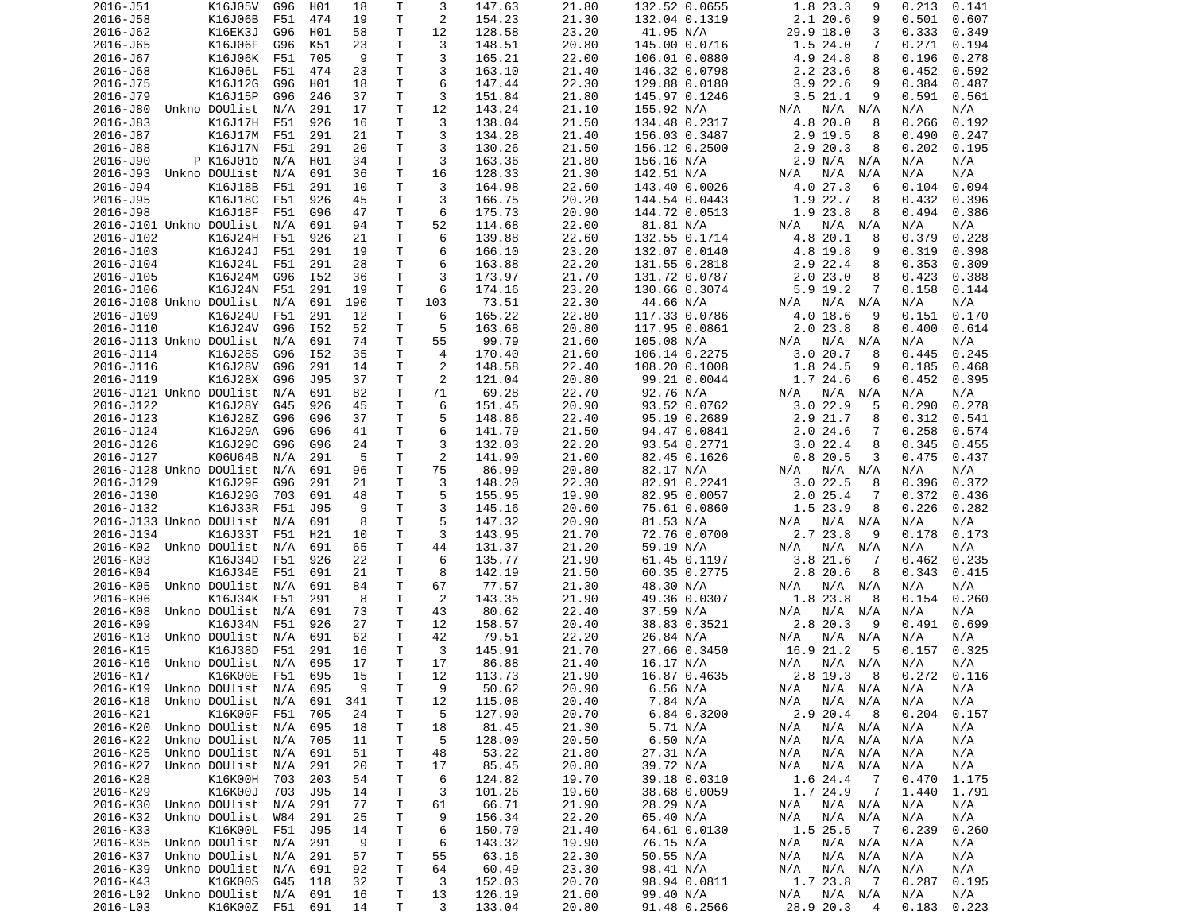| 2016-J51                | K16J05V                          | G96 | H01 | 18       | Т      | 3              | 147.63           | 21.80          | 132.52 0.0655             | 1.8 23.3<br>9                    | 0.213<br>0.141               |
|-------------------------|----------------------------------|-----|-----|----------|--------|----------------|------------------|----------------|---------------------------|----------------------------------|------------------------------|
| 2016-J58                | K16J06B                          | F51 | 474 | 19       | Τ      | $\overline{c}$ | 154.23           | 21.30          | 132.04 0.1319             | 2.1 20.6<br>9                    | 0.501<br>0.607               |
| 2016-J62                | K16EK3J                          | G96 | H01 | 58       | Τ      | 12             | 128.58           | 23.20          | 41.95 N/A                 | 29.9 18.0<br>3                   | 0.333<br>0.349               |
|                         | K16J06F                          |     |     |          | т      | 3              |                  |                | 145.00 0.0716             |                                  |                              |
| 2016-J65                |                                  | G96 | K51 | 23       |        |                | 148.51           | 20.80          |                           | 1.524.0<br>7                     | 0.271<br>0.194               |
| 2016-J67                | K16J06K                          | F51 | 705 | 9        | Τ      | 3              | 165.21           | 22.00          | 106.01 0.0880             | 4.9 24.8<br>8                    | 0.196<br>0.278               |
| 2016-J68                | K16J06L                          | F51 | 474 | 23       | т      | 3              | 163.10           | 21.40          | 146.32 0.0798             | 2.2 23.6<br>8                    | 0.592<br>0.452               |
| 2016-J75                | K16J12G                          | G96 | H01 | 18       | Τ      | 6              | 147.44           | 22.30          | 129.88 0.0180             | 3.922.6<br>9                     | 0.384<br>0.487               |
| 2016-J79                | K16J15P                          | G96 | 246 | 37       | т      | 3              | 151.84           | 21.80          | 145.97 0.1246             | 3.521.1<br>9                     | 0.591<br>0.561               |
| 2016-J80                | Unkno DOUlist                    | N/A | 291 | 17       | Τ      | 12             | 143.24           | 21.10          | 155.92 N/A                | N/A<br>N/A<br>N/A                | N/A<br>N/A                   |
|                         |                                  |     |     |          |        |                |                  |                |                           |                                  |                              |
| 2016-J83                | K16J17H                          | F51 | 926 | 16       | т      | 3              | 138.04           | 21.50          | 134.48 0.2317             | 4.8 20.0<br>8                    | 0.266<br>0.192               |
| 2016-J87                | K16J17M                          | F51 | 291 | 21       | Τ      | 3              | 134.28           | 21.40          | 156.03 0.3487             | 2.9 19.5<br>8                    | 0.490<br>0.247               |
| 2016-J88                | K16J17N                          | F51 | 291 | 20       | т      | 3              | 130.26           | 21.50          | 156.12 0.2500             | 2.9 20.3<br>8                    | 0.202<br>0.195               |
| 2016-J90                | P K16J01b                        | N/A | H01 | 34       | т      | 3              | 163.36           | 21.80          | 156.16 N/A                | 2.9 N/A N/A                      | N/A<br>N/A                   |
| 2016-J93                | Unkno DOUlist                    | N/A | 691 | 36       | Τ      | 16             | 128.33           | 21.30          | 142.51 N/A                | N/A<br>N/A<br>N/A                | N/A<br>N/A                   |
|                         |                                  |     |     |          |        |                |                  |                |                           |                                  |                              |
| 2016-J94                | K16J18B                          | F51 | 291 | 10       | Τ      | 3              | 164.98           | 22.60          | 143.40 0.0026             | 4.0 27.3<br>6                    | 0.104<br>0.094               |
| 2016-J95                | K16J18C                          | F51 | 926 | 45       | T.     | 3              | 166.75           | 20.20          | 144.54 0.0443             | 1.9 22.7<br>8                    | 0.432<br>0.396               |
| 2016-J98                | K16J18F                          | F51 | G96 | 47       | т      | 6              | 175.73           | 20.90          | 144.72 0.0513             | 1.9 23.8<br>8                    | 0.386<br>0.494               |
| 2016-J101 Unkno DOUlist |                                  | N/A | 691 | 94       | Τ      | 52             | 114.68           | 22.00          | 81.81 N/A                 | N/A<br>N/A<br>N/A                | N/A<br>N/A                   |
| 2016-J102               | K16J24H                          | F51 | 926 | 21       | т      | 6              | 139.88           | 22.60          | 132.55 0.1714             | 4.8 20.1<br>8                    | 0.379<br>0.228               |
|                         |                                  |     |     |          |        |                |                  |                |                           |                                  |                              |
| 2016-J103               | K16J24J                          | F51 | 291 | 19       | т      | 6              | 166.10           | 23.20          | 132.07 0.0140             | 4.8 19.8<br>9                    | 0.319<br>0.398               |
| 2016-J104               | K16J24L                          | F51 | 291 | 28       | т      | 6              | 163.88           | 22.20          | 131.55 0.2818             | 2.9 22.4<br>8                    | 0.353<br>0.309               |
| 2016-J105               | K16J24M                          | G96 | I52 | 36       | т      | 3              | 173.97           | 21.70          | 131.72 0.0787             | 2.023.0<br>8                     | 0.388<br>0.423               |
| 2016-J106               | K16J24N                          | F51 | 291 | 19       | T      | 6              | 174.16           | 23.20          | 130.66 0.3074             | 5.9 19.2<br>7                    | 0.158<br>0.144               |
| 2016-J108 Unkno DOUlist |                                  | N/A | 691 | 190      | т      | 103            | 73.51            | 22.30          | 44.66 N/A                 | N/A N/A<br>N/A                   | N/A<br>N/A                   |
|                         |                                  |     |     |          |        |                |                  |                |                           |                                  |                              |
| 2016-J109               | K16J24U                          | F51 | 291 | 12       | T.     | 6              | 165.22           | 22.80          | 117.33 0.0786             | 4.0 18.6<br>9                    | 0.151<br>0.170               |
| 2016-J110               | K16J24V                          | G96 | I52 | 52       | т      | 5              | 163.68           | 20.80          | 117.95 0.0861             | $2.0$ 23.8<br>8                  | 0.400<br>0.614               |
| 2016-J113 Unkno DOUlist |                                  | N/A | 691 | 74       | Τ      | 55             | 99.79            | 21.60          | 105.08 N/A                | N/A N/A<br>N/A                   | N/A<br>N/A                   |
| 2016-J114               | K16J28S                          | G96 | I52 | 35       | Τ      | $\overline{4}$ | 170.40           | 21.60          | 106.14 0.2275             | 3.020.7<br>8                     | 0.245<br>0.445               |
| 2016-J116               | K16J28V                          | G96 | 291 | 14       | Τ      | 2              | 148.58           | 22.40          | 108.20 0.1008             | 1.8 24.5<br>9                    | 0.185<br>0.468               |
|                         |                                  |     |     |          |        |                |                  |                |                           |                                  |                              |
| 2016-J119               | K16J28X                          | G96 | J95 | 37       | Τ      | 2              | 121.04           | 20.80          | 99.21 0.0044              | 1.7 24.6<br>6                    | 0.395<br>0.452               |
| 2016-J121 Unkno DOUlist |                                  | N/A | 691 | 82       | Τ      | 71             | 69.28            | 22.70          | 92.76 N/A                 | N/A<br>N/A N/A                   | N/A<br>N/A                   |
| 2016-J122               | K16J28Y                          | G45 | 926 | 45       | T.     | 6              | 151.45           | 20.90          | 93.52 0.0762              | 3.022.9<br>5                     | 0.290<br>0.278               |
| 2016-J123               | K16J28Z                          | G96 | G96 | 37       | Τ      | 5              | 148.86           | 22.40          | 95.19 0.2689              | 2.9 21.7<br>8                    | 0.312<br>0.541               |
| 2016-J124               | K16J29A                          | G96 | G96 | 41       | т      | 6              | 141.79           | 21.50          | 94.47 0.0841              | $2.0$ 24.6<br>7                  | 0.258<br>0.574               |
|                         |                                  |     |     |          |        |                |                  |                |                           |                                  |                              |
| 2016-J126               | K16J29C                          | G96 | G96 | 24       | Τ      | 3              | 132.03           | 22.20          | 93.54 0.2771              | 3.022.4<br>8                     | 0.345<br>0.455               |
| 2016-J127               |                                  |     |     |          |        |                |                  |                |                           |                                  |                              |
|                         | K06U64B                          | N/A | 291 | 5        | т      | 2              | 141.90           | 21.00          | 82.45 0.1626              | 0.820.5<br>3                     | 0.475<br>0.437               |
| 2016-J128 Unkno DOUlist |                                  | N/A | 691 | 96       | Τ      | 75             | 86.99            | 20.80          | 82.17 N/A                 | N/A<br>N/A N/A                   | N/A<br>N/A                   |
|                         |                                  |     |     |          |        |                |                  |                |                           |                                  |                              |
| 2016-J129               | K16J29F                          | G96 | 291 | 21       | т      | 3              | 148.20           | 22.30          | 82.91 0.2241              | 3.022.5<br>8                     | 0.396<br>0.372               |
| 2016-J130               | K16J29G                          | 703 | 691 | 48       | T.     | 5              | 155.95           | 19.90          | 82.95 0.0057              | $2.0$ 25.4<br>7                  | 0.372<br>0.436               |
| 2016-J132               | K16J33R                          | F51 | J95 | 9        | T.     | 3              | 145.16           | 20.60          | 75.61 0.0860              | 1.5 23.9<br>8                    | 0.226<br>0.282               |
| 2016-J133 Unkno DOUlist |                                  | N/A | 691 | 8        | т      | 5              | 147.32           | 20.90          | 81.53 N/A                 | N/A<br>N/A N/A                   | N/A<br>N/A                   |
|                         |                                  |     |     |          |        |                |                  |                |                           | 9                                |                              |
| 2016-J134               | K16J33T                          | F51 | H21 | 10       | Τ      | 3              | 143.95           | 21.70          | 72.76 0.0700              | 2.7 23.8                         | 0.178<br>0.173               |
| 2016-K02 Unkno DOUlist  |                                  | N/A | 691 | 65       | Τ      | 44             | 131.37           | 21.20          | 59.19 N/A                 | N/A<br>N/A N/A                   | N/A<br>N/A                   |
| 2016-K03                | K16J34D                          | F51 | 926 | 22       | т      | 6              | 135.77           | 21.90          | 61.45 0.1197              | 3.821.6<br>7                     | 0.462<br>0.235               |
| 2016-K04                | K16J34E                          | F51 | 691 | 21       | т      | 8              | 142.19           | 21.50          | 60.35 0.2775              | 2.8 20.6<br>8                    | 0.343<br>0.415               |
| 2016-K05                | Unkno DOUlist                    | N/A | 691 | 84       | T      | 67             | 77.57            | 21.30          | 48.30 N/A                 | N/A<br>$N/A$ $N/A$               | N/A<br>N/A                   |
|                         |                                  |     |     |          |        |                |                  |                |                           | 8                                |                              |
| 2016-K06                | K16J34K                          | F51 | 291 | 8        | Τ      | 2              | 143.35           | 21.90          | 49.36 0.0307              | 1.8 23.8                         | 0.154<br>0.260               |
| 2016-K08                | Unkno DOUlist                    | N/A | 691 | 73       | т      | 43             | 80.62            | 22.40          | 37.59 N/A                 | $N/A$ $N/A$<br>N/A               | N/A<br>N/A                   |
| 2016-K09                | K16J34N                          | F51 | 926 | 27       | Τ      | 12             | 158.57           | 20.40          | 38.83 0.3521              | 2.8 20.3<br>9                    | 0.491<br>0.699               |
| 2016-K13                | Unkno DOUlist                    | N/A | 691 | 62       | т      | 42             | 79.51            | 22.20          | 26.84 N/A                 | N/A<br>N/A N/A                   | N/A<br>N/A                   |
| 2016-K15                | K16J38D                          | F51 | 291 | 16       | т      | 3              | 145.91           | 21.70          | 27.66 0.3450              | 16.9 21.2<br>5                   | 0.325<br>0.157               |
| 2016-K16                | Unkno DOUlist                    | N/A | 695 | 17       | T.     | 17             | 86.88            | 21.40          |                           | N/A                              | N/A<br>N/A                   |
|                         |                                  |     |     |          |        |                |                  |                | 16.17 N/A                 | N/A N/A                          |                              |
| 2016-K17                | K16K00E F51                      |     | 695 | 15       | T.     | 12             | 113.73           | 21.90          | 16.87 0.4635              | 2.8 19.3 8                       | 0.272<br>0.116               |
| 2016-K19                | Unkno DOUlist N/A                |     | 695 | 9        | т      | 9              | 50.62            | 20.90          | 6.56 N/A                  | N/A N/A<br>N/A                   | N/A<br>N/A                   |
| 2016-K18                | Unkno DOUlist                    | N/A | 691 | 341      | т      | 12             | 115.08           | 20.40          | 7.84 N/A                  | N/A<br>$N/A$ $N/A$               | N/A<br>N/A                   |
| 2016-K21                | K16K00F                          | F51 | 705 | 24       | т      | 5              | 127.90           | 20.70          | 6.84 0.3200               | 2.9 20.4<br>- 8                  | 0.204<br>0.157               |
|                         | Unkno DOUlist                    | N/A | 695 | 18       |        |                |                  |                |                           | N/A                              | N/A                          |
| 2016-K20                |                                  |     |     |          | т      | 18             | 81.45            | 21.30          | 5.71 N/A                  | $N/A$ $N/A$                      | N/A                          |
| 2016-K22                | Unkno DOUlist                    | N/A | 705 | 11       | т      | 5              | 128.00           | 20.50          | 6.50 N/A                  | N/A<br>N/A N/A                   | N/A<br>N/A                   |
| 2016-K25                | Unkno DOUlist                    | N/A | 691 | 51       | т      | 48             | 53.22            | 21.80          | 27.31 N/A                 | N/A<br>N/A<br>N/A                | N/A<br>N/A                   |
| 2016-K27                | Unkno DOUlist                    | N/A | 291 | 20       | т      | 17             | 85.45            | 20.80          | 39.72 N/A                 | N/A<br>N/A N/A                   | N/A<br>N/A                   |
| 2016-K28                | K16K00H                          | 703 | 203 | 54       | т      | 6              | 124.82           | 19.70          | 39.18 0.0310              | 1.6 24.4<br>- 7                  | 0.470<br>1.175               |
|                         |                                  |     |     |          |        |                |                  |                |                           |                                  |                              |
| 2016-K29                | K16K00J                          | 703 | J95 | 14       | Τ      | 3              | 101.26           | 19.60          | 38.68 0.0059              | 1.7 24.9<br>$\overline{7}$       | 1.440<br>1.791               |
| 2016-K30                | Unkno DOUlist                    | N/A | 291 | 77       | т      | 61             | 66.71            | 21.90          | 28.29 N/A                 | N/A<br>N/A N/A                   | N/A<br>N/A                   |
| 2016-K32                | Unkno DOUlist                    | W84 | 291 | 25       | т      | 9              | 156.34           | 22.20          | 65.40 N/A                 | N/A<br>N/A N/A                   | N/A<br>N/A                   |
| 2016-K33                | K16K00L                          | F51 | J95 | 14       | т      | 6              | 150.70           | 21.40          | 64.61 0.0130              | 1.5 25.5<br>$\overline{7}$       | 0.239<br>0.260               |
| 2016-K35                | Unkno DOUlist                    | N/A | 291 | 9        | т      | 6              | 143.32           | 19.90          | 76.15 N/A                 | $N/A$ $N/A$<br>N/A               | N/A<br>N/A                   |
| 2016-K37                | Unkno DOUlist                    | N/A | 291 | 57       |        | 55             | 63.16            | 22.30          | 50.55 N/A                 | N/A N/A<br>N/A                   | N/A<br>N/A                   |
|                         |                                  |     |     |          | Τ      |                |                  |                |                           |                                  |                              |
| 2016-K39                | Unkno DOUlist                    | N/A | 691 | 92       | т      | 64             | 60.49            | 23.30          | 98.41 N/A                 | N/A<br>N/A N/A                   | N/A<br>N/A                   |
| 2016-K43                | K16K00S                          | G45 | 118 | 32       | т      | 3              | 152.03           | 20.70          | 98.94 0.0811              | 1.7 23.8<br>$\overline{7}$       | 0.287<br>0.195               |
| 2016-L02<br>2016-L03    | Unkno DOUlist<br>K16K00Z F51 691 | N/A | 691 | 16<br>14 | Τ<br>Τ | 13<br>3        | 126.19<br>133.04 | 21.60<br>20.80 | 99.40 N/A<br>91.48 0.2566 | N/A<br>N/A N/A<br>28.9 20.3<br>4 | N/A<br>N/A<br>0.183<br>0.223 |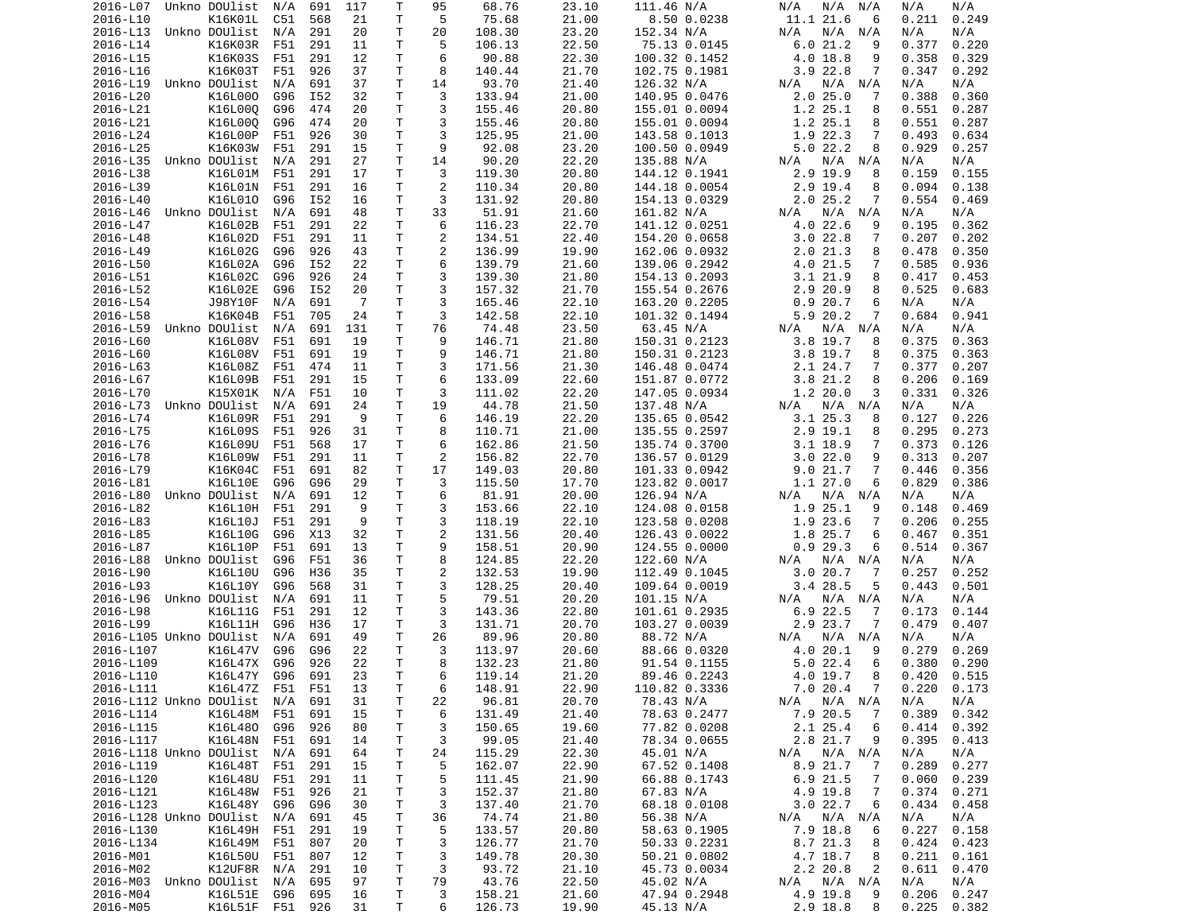| 2016-L07                    | Unkno DOUlist   | N/A     | 691 | 117 | Τ           | 95 | 68.76  | 23.10 | 111.46 N/A    | N/A<br>N/A<br>N/A          | N/A<br>N/A      |
|-----------------------------|-----------------|---------|-----|-----|-------------|----|--------|-------|---------------|----------------------------|-----------------|
| 2016-L10                    | K16K01L         | C51     | 568 | 21  | Τ           | 5  | 75.68  | 21.00 | 8.50 0.0238   | 11.1 21.6<br>6             | 0.211<br>0.249  |
| 2016-L13                    | Unkno DOUlist   | N/A     | 291 | 20  | т           | 20 | 108.30 | 23.20 | 152.34 N/A    | N/A<br>N/A N/A             | N/A<br>N/A      |
| 2016-L14                    | K16K03R         | F51     | 291 | 11  | Τ           | 5  | 106.13 | 22.50 | 75.13 0.0145  | 6.021.2<br>9               | 0.377<br>0.220  |
| 2016-L15                    | K16K03S         | F51     | 291 | 12  | т           | 6  | 90.88  | 22.30 | 100.32 0.1452 | 4.0 18.8<br>9              | 0.358<br>0.329  |
| 2016-L16                    | K16K03T         | F51     | 926 | 37  | T           | 8  | 140.44 | 21.70 | 102.75 0.1981 | $3.9$ 22.8<br>7            | 0.347<br>0.292  |
| 2016-L19                    | Unkno DOUlist   | N/A     | 691 | 37  | Τ           | 14 | 93.70  | 21.40 | 126.32 N/A    | N/A<br>N/A N/A             | N/A<br>N/A      |
| 2016-L20                    | K16L000         | G96     | I52 | 32  | T.          | 3  | 133.94 | 21.00 | 140.95 0.0476 | 2.025.0<br>7               | 0.388<br>0.360  |
| 2016-L21                    | K16L000         | G96     | 474 | 20  | Τ           | 3  | 155.46 | 20.80 | 155.01 0.0094 | 1.2 25.1<br>8              | 0.551<br>0.287  |
| 2016-L21                    | K16L000         | G96     | 474 | 20  | Τ           | 3  | 155.46 | 20.80 | 155.01 0.0094 | 1.2 25.1<br>8              | 0.551<br>0.287  |
| 2016-L24                    | K16L00P         | F51     | 926 | 30  | Τ           | 3  | 125.95 | 21.00 | 143.58 0.1013 | 1.9 22.3<br>7              | 0.493<br>0.634  |
| 2016-L25                    | K16K03W         | F51     | 291 | 15  | Τ           | 9  | 92.08  | 23.20 | 100.50 0.0949 | 5.022.2<br>8               | 0.929<br>0.257  |
| 2016-L35                    | Unkno DOUlist   | N/A     | 291 | 27  | Τ           | 14 | 90.20  | 22.20 | 135.88 N/A    | N/A N/A<br>N/A             | N/A<br>N/A      |
| 2016-L38                    | K16L01M         | F51     | 291 | 17  | т           | 3  | 119.30 | 20.80 | 144.12 0.1941 | 2.9 19.9<br>8              | 0.159<br>0.155  |
| 2016-L39                    | K16L01N         | F51     | 291 | 16  | т           | 2  | 110.34 | 20.80 | 144.18 0.0054 | 2.9 19.4<br>8              | 0.094<br>0.138  |
| 2016-L40                    | K16L010         | G96     | I52 | 16  | т           | 3  | 131.92 | 20.80 | 154.13 0.0329 | 2.025.2<br>7               | 0.554<br>0.469  |
| 2016-L46                    | Unkno DOUlist   | N/A     | 691 | 48  | Τ           | 33 | 51.91  | 21.60 | 161.82 N/A    | $N/A$ $N/A$<br>N/A         | N/A<br>N/A      |
| 2016-L47                    | K16L02B         | F51     | 291 | 22  | T.          | 6  | 116.23 | 22.70 | 141.12 0.0251 | 4.0 22.6<br>9              | 0.195<br>0.362  |
| 2016-L48                    | K16L02D         | F51     | 291 | 11  | т           | 2  | 134.51 | 22.40 | 154.20 0.0658 | 3.022.8<br>7               | 0.207<br>0.202  |
| 2016-L49                    | K16L02G         | G96     | 926 | 43  | Τ           | 2  | 136.99 | 19.90 | 162.06 0.0932 | 2.021.3<br>8               | 0.478<br>0.350  |
| 2016-L50                    | K16L02A         | G96     | I52 | 22  | Τ           | 6  | 139.79 | 21.60 | 139.06 0.2942 | 4.0 21.5<br>7              | 0.585<br>0.936  |
| 2016-L51                    | K16L02C         | G96     | 926 | 24  | Τ           | 3  | 139.30 | 21.80 | 154.13 0.2093 | 3.1 21.9<br>8              | 0.417<br>0.453  |
| 2016-L52                    | K16L02E         | G96     | I52 | 20  | Τ           | 3  | 157.32 | 21.70 | 155.54 0.2676 | 2.9 20.9<br>8              | 0.525<br>0.683  |
| 2016-L54                    | J98Y10F         | N/A     | 691 | - 7 | Τ           | 3  | 165.46 | 22.10 | 163.20 0.2205 | 0.920.7<br>6               | N/A<br>N/A      |
| 2016-L58                    | K16K04B         | F51     | 705 | 24  | Τ           | 3  | 142.58 | 22.10 | 101.32 0.1494 | 5.9 20.2<br>7              | 0.684<br>0.941  |
| 2016-L59                    | Unkno DOUlist   | N/A     | 691 | 131 | Τ           | 76 | 74.48  | 23.50 | 63.45 N/A     | $N/A$ $N/A$<br>N/A         | N/A<br>N/A      |
| 2016-L60                    | K16L08V         | F51     | 691 | 19  | T.          | 9  | 146.71 | 21.80 | 150.31 0.2123 | 3.8 19.7<br>8              | 0.375<br>0.363  |
| 2016-L60                    | K16L08V         | F51     | 691 | 19  | т           | 9  | 146.71 | 21.80 | 150.31 0.2123 | $3.8$ 19.7<br>8            | 0.375<br>0.363  |
| 2016-L63                    | K16L08Z         | F51     | 474 | 11  | т           | 3  | 171.56 | 21.30 | 146.48 0.0474 | 2.1 24.7<br>7              | 0.377<br>0.207  |
|                             |                 |         |     |     | T           | 6  |        |       | 151.87 0.0772 |                            |                 |
| 2016-L67<br>2016-L70        | K16L09B         | F51     | 291 | 15  |             |    | 133.09 | 22.60 |               | 3.8 21.2<br>8              | 0.206<br>0.169  |
|                             | K15X01K         | N/A     | F51 | 10  | Τ           | 3  | 111.02 | 22.20 | 147.05 0.0934 | 1.2 20.0<br>3              | 0.331<br>0.326  |
| 2016-L73                    | Unkno DOUlist   | N/A     | 691 | 24  | T           | 19 | 44.78  | 21.50 | 137.48 N/A    | N/A<br>N/A N/A             | N/A<br>N/A      |
| 2016-L74                    | K16L09R         | F51     | 291 | 9   | Τ           | 6  | 146.19 | 22.20 | 135.65 0.0542 | 3.1 25.3<br>8              | 0.127<br>0.226  |
| 2016-L75                    | K16L09S         | F51     | 926 | 31  | Τ           | 8  | 110.71 | 21.00 | 135.55 0.2597 | 2.9 19.1<br>8              | 0.295<br>0.273  |
| 2016-L76                    | K16L09U         | F51     | 568 | 17  | т           | 6  | 162.86 | 21.50 | 135.74 0.3700 | $3.1$ 18.9<br>7            | 0.373<br>0.126  |
| 2016-L78                    | K16L09W         | F51     | 291 | 11  | т           | 2  | 156.82 | 22.70 | 136.57 0.0129 | 3.022.0<br>9               | 0.313<br>0.207  |
| 2016-L79                    | K16K04C         | F51     | 691 | 82  | Τ           | 17 | 149.03 | 20.80 | 101.33 0.0942 | 9.021.7<br>7               | 0.446<br>0.356  |
| 2016-L81                    | K16L10E         | G96     | G96 | 29  | т           | 3  | 115.50 | 17.70 | 123.82 0.0017 | 1.1 27.0<br>6              | 0.829<br>0.386  |
| 2016-L80                    | Unkno DOUlist   | N/A     | 691 | 12  | Τ           | 6  | 81.91  | 20.00 | 126.94 N/A    | N/A N/A<br>N/A             | N/A<br>N/A      |
| 2016-L82                    | K16L10H         | F51     | 291 | 9   | Τ           | 3  | 153.66 | 22.10 | 124.08 0.0158 | 1.9 25.1<br>9              | 0.148<br>0.469  |
| 2016-L83                    | K16L10J         | F51     | 291 | 9   | Τ           | 3  | 118.19 | 22.10 | 123.58 0.0208 | 1.9 23.6<br>7              | 0.206<br>0.255  |
| 2016-L85                    | K16L10G         | G96     | X13 | 32  | Τ           | 2  | 131.56 | 20.40 | 126.43 0.0022 | 1.8 25.7<br>6              | 0.467<br>0.351  |
| 2016-L87                    | K16L10P         | F51     | 691 | 13  | Τ           | 9  | 158.51 | 20.90 | 124.55 0.0000 | 0.929.3<br>6               | 0.514<br>0.367  |
| 2016-L88                    | Unkno DOUlist   | G96     | F51 | 36  | T           | 8  | 124.85 | 22.20 | 122.60 N/A    | N/A N/A<br>N/A             | N/A<br>N/A      |
| 2016-L90                    | K16L10U         | G96     | H36 | 35  | т           | 2  | 132.53 | 19.90 | 112.49 0.1045 | 3.0 20.7<br>7              | 0.257<br>0.252  |
| 2016-L93                    | K16L10Y         | G96     | 568 | 31  | Τ           | 3  | 128.25 | 20.40 | 109.64 0.0019 | 3.4 28.5<br>5              | 0.443<br>0.501  |
| 2016-L96                    | Unkno DOUlist   | N/A     | 691 | 11  | Τ           | 5  | 79.51  | 20.20 | 101.15 N/A    | N/A<br>N/A N/A             | N/A<br>N/A      |
| 2016-L98                    | K16L11G         | F51     | 291 | 12  | Τ           | 3  | 143.36 | 22.80 | 101.61 0.2935 | 6.9 22.5<br>7              | 0.173<br>0.144  |
| 2016-L99                    | K16L11H         | G96     | H36 | 17  | т           | 3  | 131.71 | 20.70 | 103.27 0.0039 | 2.9 23.7<br>7              | 0.479<br>0.407  |
| 2016-L105 Unkno DOUlist     |                 | N/A     | 691 | 49  | т           | 26 | 89.96  | 20.80 | 88.72 N/A     | $N/A$ $N/A$<br>N/A         | N/A<br>N/A      |
| 2016-L107                   | K16L47V         | G96     | G96 | 22  | T.          | 3  | 113.97 | 20.60 | 88.66 0.0320  | 4.0 20.1<br>9              | 0.279<br>0.269  |
| 2016-L109                   | K16L47X         | G96     | 926 | 22  | T.          | 8  | 132.23 | 21.80 | 91.54 0.1155  | 5.022.4<br>6               | 0.380<br>0.290  |
| 2016-L110                   | K16L47Y G96 691 |         |     | 23  | T.          | 6  | 119.14 | 21.20 | 89.46 0.2243  | 4.0 19.7<br>8              | $0.420$ $0.515$ |
| 2016-L111                   | K16L47Z F51 F51 |         |     | 13  | T.          | 6  | 148.91 | 22.90 | 110.82 0.3336 | 7.0 20.4<br>$\overline{7}$ | $0.220$ 0.173   |
| 2016-L112 Unkno DOUlist N/A |                 |         | 691 | 31  | $\mathsf T$ | 22 | 96.81  | 20.70 | 78.43 N/A     | $N/A$ $N/A$<br>N/A         | N/A<br>N/A      |
| 2016-L114                   | K16L48M F51     |         | 691 | 15  | T.          | 6  | 131.49 | 21.40 | 78.63 0.2477  | 7.9 20.5<br>$\overline{7}$ | 0.389<br>0.342  |
| 2016-L115                   | K16L480 G96     |         | 926 | 80  | Τ           | 3  | 150.65 | 19.60 | 77.82 0.0208  | 2.1 25.4<br>6              | 0.414<br>0.392  |
| 2016-L117                   | K16L48N F51     |         | 691 | 14  | Τ           | 3  | 99.05  | 21.40 | 78.34 0.0655  | 2.8 21.7<br>9              | 0.395<br>0.413  |
| 2016-L118 Unkno DOUlist N/A |                 |         | 691 | 64  | Τ           | 24 | 115.29 | 22.30 | 45.01 N/A     | N/A N/A<br>N/A             | N/A<br>N/A      |
| 2016-L119                   | K16L48T F51     |         | 291 | 15  | T           | 5  | 162.07 | 22.90 | 67.52 0.1408  | 8.9 21.7<br>7              | 0.289<br>0.277  |
| 2016-L120                   | K16L48U         | F51     | 291 | 11  | Τ           | 5  | 111.45 | 21.90 | 66.88 0.1743  | 6.9 21.5<br>-7             | 0.060<br>0.239  |
| 2016-L121                   | K16L48W         | F51     | 926 | 21  | Τ           | 3  | 152.37 | 21.80 | 67.83 N/A     | 4.9 19.8<br>$\overline{7}$ | 0.374<br>0.271  |
| 2016-L123                   | K16L48Y         | G96     | G96 | 30  | Τ           | 3  | 137.40 | 21.70 | 68.18 0.0108  | 3.022.7<br>6               | 0.434<br>0.458  |
| 2016-L128 Unkno DOUlist     |                 | N/A     | 691 | 45  | T           | 36 | 74.74  | 21.80 | 56.38 N/A     | N/A N/A N/A                | N/A<br>N/A      |
| 2016-L130                   | K16L49H         | F51     | 291 | 19  | T           | 5  | 133.57 | 20.80 | 58.63 0.1905  | 7.9 18.8<br>6              | 0.227<br>0.158  |
| 2016-L134                   | K16L49M F51     |         | 807 | 20  | Τ           | 3  | 126.77 | 21.70 | 50.33 0.2231  | 8.7 21.3<br>8              | 0.424<br>0.423  |
| 2016-M01                    | K16L50U         | F51 807 |     | 12  | T           | 3  | 149.78 | 20.30 | 50.21 0.0802  | 4.7 18.7<br>8              | 0.211<br>0.161  |
| 2016-M02                    | K12UF8R         | N/A     | 291 | 10  | Τ           | 3  | 93.72  | 21.10 | 45.73 0.0034  | 2.2 20.8<br>2              | 0.611<br>0.470  |
| 2016-M03 Unkno DOUlist      |                 | N/A     | 695 | 97  | T           | 79 | 43.76  | 22.50 | 45.02 N/A     | N/A N/A<br>N/A             | N/A<br>N/A      |
| 2016-M04                    | K16L51E         | G96     | 695 | 16  | T.          | 3  | 158.21 | 21.60 | 47.94 0.2948  | 4.9 19.8<br>9              | 0.206<br>0.247  |
|                             |                 |         |     |     |             | 6  | 126.73 |       |               | 2.9 18.8                   |                 |
| 2016-M05                    | K16L51F F51 926 |         |     | 31  | T.          |    |        | 19.90 | 45.13 N/A     | 8                          | 0.225<br>0.382  |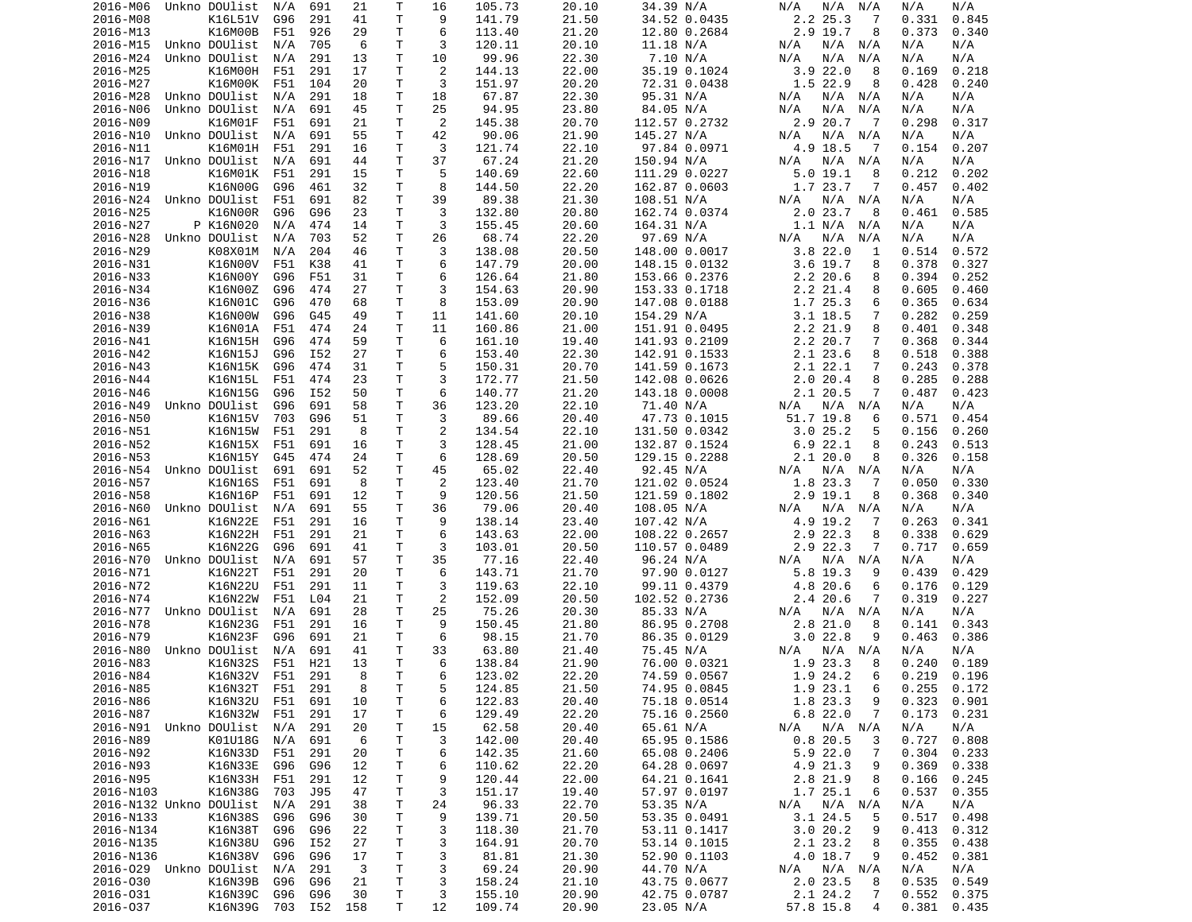| 2016-M06                   | Unkno DOUlist   | N/A | 691 | 21  | Τ            | 16 | 105.73 | 20.10 | 34.39 N/A     | N/A<br>N/A<br>N/A  | N/A<br>N/A      |
|----------------------------|-----------------|-----|-----|-----|--------------|----|--------|-------|---------------|--------------------|-----------------|
| 2016-M08                   | K16L51V         | G96 | 291 | 41  | Τ            | 9  | 141.79 | 21.50 | 34.52 0.0435  | 2.2 25.3<br>-7     | 0.331<br>0.845  |
| 2016-M13                   | K16M00B         | F51 | 926 | 29  | Τ            | 6  | 113.40 | 21.20 | 12.80 0.2684  | 2.9 19.7<br>8      | 0.373<br>0.340  |
| 2016-M15                   | Unkno DOUlist   | N/A | 705 | 6   | т            | 3  | 120.11 | 20.10 | 11.18 N/A     | N/A<br>N/A<br>N/A  | N/A<br>N/A      |
| 2016-M24                   | Unkno DOUlist   | N/A | 291 | 13  | Τ            | 10 | 99.96  | 22.30 | 7.10 N/A      | N/A<br>N/A<br>N/A  | N/A<br>N/A      |
| 2016-M25                   | K16M00H         | F51 | 291 | 17  | Τ            | 2  | 144.13 | 22.00 | 35.19 0.1024  | 3.922.0<br>8       | 0.169<br>0.218  |
| 2016-M27                   | K16M00K         | F51 | 104 | 20  | т            | 3  | 151.97 | 20.20 | 72.31 0.0438  | 1.5 22.9<br>8      | 0.428<br>0.240  |
| 2016-M28                   | Unkno DOUlist   |     | 291 |     | т            | 18 | 67.87  |       |               | N/A N/A            | N/A             |
|                            |                 | N/A |     | 18  |              |    |        | 22.30 | 95.31 N/A     | N/A                | N/A             |
| 2016-N06                   | Unkno DOUlist   | N/A | 691 | 45  | Τ            | 25 | 94.95  | 23.80 | 84.05 N/A     | N/A<br>N/A<br>N/A  | N/A<br>N/A      |
| 2016-N09                   | K16M01F         | F51 | 691 | 21  | т            | 2  | 145.38 | 20.70 | 112.57 0.2732 | 2.9 20.7<br>-7     | 0.298<br>0.317  |
| 2016-N10                   | Unkno DOUlist   | N/A | 691 | 55  | т            | 42 | 90.06  | 21.90 | 145.27 N/A    | N/A<br>N/A<br>N/A  | N/A<br>N/A      |
| 2016-N11                   | K16M01H         | F51 | 291 | 16  | Τ            | 3  | 121.74 | 22.10 | 97.84 0.0971  | 4.9 18.5<br>-7     | 0.154<br>0.207  |
| 2016-N17                   | Unkno DOUlist   | N/A | 691 | 44  | T.           | 37 | 67.24  | 21.20 | 150.94 N/A    | N/A<br>N/A N/A     | N/A<br>N/A      |
| 2016-N18                   | K16M01K         | F51 | 291 | 15  | т            | 5  | 140.69 | 22.60 | 111.29 0.0227 | 5.019.1<br>8       | 0.202<br>0.212  |
| 2016-N19                   | K16N00G         | G96 | 461 | 32  | т            | 8  | 144.50 | 22.20 | 162.87 0.0603 | 1.7 23.7<br>7      | 0.457<br>0.402  |
| 2016-N24                   | Unkno DOUlist   | F51 | 691 | 82  | T.           | 39 | 89.38  | 21.30 | 108.51 N/A    | N/A<br>N/A<br>N/A  | N/A<br>N/A      |
| 2016-N25                   | K16N00R         | G96 | G96 | 23  | Τ            | 3  | 132.80 | 20.80 | 162.74 0.0374 | 2.0 23.7<br>8      | 0.585<br>0.461  |
|                            |                 |     |     |     |              | 3  |        |       |               |                    |                 |
| 2016-N27                   | P K16N020       | N/A | 474 | 14  | Τ            |    | 155.45 | 20.60 | 164.31 N/A    | 1.1 N/A<br>N/A     | N/A<br>N/A      |
| 2016-N28                   | Unkno DOUlist   | N/A | 703 | 52  | Τ            | 26 | 68.74  | 22.20 | 97.69 N/A     | N/A<br>N/A<br>N/A  | N/A<br>N/A      |
| 2016-N29                   | K08X01M         | N/A | 204 | 46  | T            | 3  | 138.08 | 20.50 | 148.00 0.0017 | 3.822.0<br>1       | 0.514<br>0.572  |
| 2016-N31                   | K16N00V         | F51 | K38 | 41  | т            | 6  | 147.79 | 20.00 | 148.15 0.0132 | $3.6$ 19.7<br>8    | 0.378<br>0.327  |
| 2016-N33                   | K16N00Y         | G96 | F51 | 31  | T            | 6  | 126.64 | 21.80 | 153.66 0.2376 | $2.2$ 20.6<br>8    | 0.394<br>0.252  |
| 2016-N34                   | K16N00Z         | G96 | 474 | 27  | T.           | 3  | 154.63 | 20.90 | 153.33 0.1718 | 2.2 21.4<br>8      | 0.605<br>0.460  |
| 2016-N36                   | K16N01C         | G96 | 470 | 68  | т            | 8  | 153.09 | 20.90 | 147.08 0.0188 | 1.7 25.3<br>6      | 0.365<br>0.634  |
| 2016-N38                   | K16N00W         | G96 | G45 | 49  | T.           | 11 | 141.60 | 20.10 | 154.29 N/A    | $3.1$ 18.5<br>7    | 0.282<br>0.259  |
| 2016-N39                   | K16N01A         | F51 | 474 | 24  | $\mathsf{T}$ | 11 | 160.86 | 21.00 | 151.91 0.0495 | 2.2 21.9<br>8      | 0.401<br>0.348  |
|                            |                 |     |     |     |              |    |        |       |               |                    |                 |
| 2016-N41                   | K16N15H         | G96 | 474 | 59  | T.           | 6  | 161.10 | 19.40 | 141.93 0.2109 | 2.2 20.7<br>7      | 0.368<br>0.344  |
| 2016-N42                   | K16N15J         | G96 | I52 | 27  | т            | 6  | 153.40 | 22.30 | 142.91 0.1533 | 2.1 23.6<br>8      | 0.388<br>0.518  |
| 2016-N43                   | K16N15K         | G96 | 474 | 31  | Τ            | 5  | 150.31 | 20.70 | 141.59 0.1673 | 2.1 22.1<br>7      | 0.243<br>0.378  |
| 2016-N44                   | K16N15L         | F51 | 474 | 23  | Τ            | 3  | 172.77 | 21.50 | 142.08 0.0626 | 2.020.4<br>8       | 0.285<br>0.288  |
| 2016-N46                   | K16N15G         | G96 | I52 | 50  | Τ            | 6  | 140.77 | 21.20 | 143.18 0.0008 | 2.1 20.5<br>7      | 0.423<br>0.487  |
| 2016-N49                   | Unkno DOUlist   | G96 | 691 | 58  | T.           | 36 | 123.20 | 22.10 | 71.40 N/A     | N/A<br>N/A<br>N/A  | N/A<br>N/A      |
| 2016-N50                   | K16N15V         | 703 | G96 | 51  | $\mathsf{T}$ | 3  | 89.66  | 20.40 | 47.73 0.1015  | 51.7 19.8<br>6     | 0.571<br>0.454  |
| 2016-N51                   | K16N15W         | F51 | 291 | 8   | т            | 2  | 134.54 | 22.10 | 131.50 0.0342 | 3.025.2<br>5       | 0.156<br>0.260  |
| 2016-N52                   | K16N15X         | F51 | 691 | 16  | т            | 3  | 128.45 | 21.00 | 132.87 0.1524 | 6.922.1<br>8       | 0.243<br>0.513  |
|                            |                 |     |     |     |              | 6  |        |       |               |                    |                 |
| 2016-N53                   | K16N15Y         | G45 | 474 | 24  | T            |    | 128.69 | 20.50 | 129.15 0.2288 | 2.120.0<br>8       | 0.326<br>0.158  |
| 2016-N54                   | Unkno DOUlist   | 691 | 691 | 52  | Τ            | 45 | 65.02  | 22.40 | 92.45 N/A     | N/A<br>N/A<br>N/A  | N/A<br>N/A      |
| 2016-N57                   | K16N16S         | F51 | 691 | 8   | Τ            | 2  | 123.40 | 21.70 | 121.02 0.0524 | 1.8 23.3<br>7      | 0.050<br>0.330  |
| 2016-N58                   | K16N16P         | F51 | 691 | 12  | т            | 9  | 120.56 | 21.50 | 121.59 0.1802 | $2.9$ 19.1<br>8    | 0.368<br>0.340  |
| 2016-N60                   | Unkno DOUlist   | N/A | 691 | 55  | Τ            | 36 | 79.06  | 20.40 | 108.05 N/A    | N/A N/A<br>N/A     | N/A<br>N/A      |
| 2016-N61                   | K16N22E         | F51 | 291 | 16  | т            | 9  | 138.14 | 23.40 | 107.42 N/A    | 4.9 19.2<br>7      | 0.263<br>0.341  |
| 2016-N63                   | K16N22H         | F51 | 291 | 21  | Τ            | 6  | 143.63 | 22.00 | 108.22 0.2657 | 2.9 22.3<br>8      | 0.338<br>0.629  |
| 2016-N65                   | K16N22G         | G96 | 691 | 41  | Τ            | 3  | 103.01 | 20.50 | 110.57 0.0489 | 2.9 22.3<br>7      | 0.717<br>0.659  |
| 2016-N70                   | Unkno DOUlist   | N/A | 691 | 57  | т            | 35 | 77.16  | 22.40 | 96.24 N/A     | N/A<br>N/A<br>N/A  | N/A<br>N/A      |
|                            |                 |     |     |     | Τ            | 6  |        |       |               |                    |                 |
| 2016-N71                   | K16N22T         | F51 | 291 | 20  |              |    | 143.71 | 21.70 | 97.90 0.0127  | 5.8 19.3<br>9      | 0.439<br>0.429  |
| 2016-N72                   | K16N22U         | F51 | 291 | 11  | T            | 3  | 119.63 | 22.10 | 99.11 0.4379  | 4.8 20.6<br>6      | 0.176<br>0.129  |
| 2016-N74                   | K16N22W         | F51 | L04 | 21  | T.           | 2  | 152.09 | 20.50 | 102.52 0.2736 | 2.4 20.6<br>7      | 0.319<br>0.227  |
| 2016-N77                   | Unkno DOUlist   | N/A | 691 | 28  | T.           | 25 | 75.26  | 20.30 | 85.33 N/A     | $N/A$ $N/A$<br>N/A | N/A<br>N/A      |
| 2016-N78                   | K16N23G         | F51 | 291 | 16  | т            | 9  | 150.45 | 21.80 | 86.95 0.2708  | $2.8$ 21.0<br>8    | 0.343<br>0.141  |
| 2016-N79                   | K16N23F         | G96 | 691 | 21  | T.           | 6  | 98.15  | 21.70 | 86.35 0.0129  | 3.022.8<br>9       | 0.463<br>0.386  |
| 2016-N80                   | Unkno DOUlist   | N/A | 691 | 41  | Τ            | 33 | 63.80  | 21.40 | 75.45 N/A     | N/A<br>N/A<br>N/A  | N/A<br>N/A      |
| 2016-N83                   | K16N32S         | F51 | H21 | 13  | T.           | 6  | 138.84 | 21.90 | 76.00 0.0321  | 1.9 23.3<br>8      | 0.240<br>0.189  |
|                            | K16N32V         | F51 | 291 | 8   | T.           | 6  | 123.02 | 22.20 | 74.59 0.0567  | 1.9 24.2<br>6      | $0.219$ $0.196$ |
| 2016-N84                   |                 |     |     | 8   | Τ            |    | 124.85 | 21.50 |               |                    |                 |
| 2016-N85                   | K16N32T F51     |     | 291 |     |              | 5  |        |       | 74.95 0.0845  | 1.9 23.1<br>6      | $0.255$ $0.172$ |
| 2016-N86                   | K16N32U         | F51 | 691 | 10  | T.           | 6  | 122.83 | 20.40 | 75.18 0.0514  | 1.8 23.3<br>9      | 0.323<br>0.901  |
| 2016-N87                   | K16N32W         | F51 | 291 | 17  | T.           | 6  | 129.49 | 22.20 | 75.16 0.2560  | 6.822.0<br>7       | 0.173<br>0.231  |
| 2016-N91 Unkno DOUlist N/A |                 |     | 291 | 20  | Τ            | 15 | 62.58  | 20.40 | 65.61 N/A     | N/A N/A<br>N/A     | N/A<br>N/A      |
| 2016-N89                   | K01U18G         | N/A | 691 | 6   | T            | 3  | 142.00 | 20.40 | 65.95 0.1586  | 0.820.5<br>3       | 0.727<br>0.808  |
| 2016-N92                   | K16N33D         | F51 | 291 | 20  | T.           | 6  | 142.35 | 21.60 | 65.08 0.2406  | 5.922.0<br>7       | 0.304<br>0.233  |
| 2016-N93                   | K16N33E         | G96 | G96 | 12  | T.           | 6  | 110.62 | 22.20 | 64.28 0.0697  | 4.9 21.3<br>9      | 0.369<br>0.338  |
| 2016-N95                   | K16N33H         | F51 | 291 | 12  | T.           | 9  | 120.44 | 22.00 | 64.21 0.1641  | 2.8 21.9<br>8      | 0.166<br>0.245  |
| 2016-N103                  | K16N38G         | 703 | J95 | 47  | T.           | 3  | 151.17 | 19.40 | 57.97 0.0197  | 1.7 25.1<br>6      | 0.537<br>0.355  |
|                            |                 |     |     |     |              |    |        |       |               |                    |                 |
| 2016-N132 Unkno DOUlist    |                 | N/A | 291 | 38  | Τ            | 24 | 96.33  | 22.70 | 53.35 N/A     | N/A N/A<br>N/A     | N/A<br>N/A      |
| 2016-N133                  | K16N38S         | G96 | G96 | 30  | T.           | 9  | 139.71 | 20.50 | 53.35 0.0491  | 3.1 24.5<br>5      | 0.517<br>0.498  |
| 2016-N134                  | K16N38T         | G96 | G96 | 22  | T.           | 3  | 118.30 | 21.70 | 53.11 0.1417  | 3.020.2<br>9       | 0.413<br>0.312  |
| 2016-N135                  | K16N38U         | G96 | I52 | 27  | T.           | 3  | 164.91 | 20.70 | 53.14 0.1015  | 2.1 23.2<br>8      | 0.355<br>0.438  |
| 2016-N136                  | K16N38V         | G96 | G96 | 17  | T.           | 3  | 81.81  | 21.30 | 52.90 0.1103  | $4.0$ 18.7<br>9    | 0.452<br>0.381  |
| 2016-029 Unkno DOUlist     |                 | N/A | 291 | 3   | T.           | 3  | 69.24  | 20.90 | 44.70 N/A     | N/A N/A<br>N/A     | N/A<br>N/A      |
| 2016-030                   | K16N39B         | G96 | G96 | 21  | T.           | 3  | 158.24 | 21.10 | 43.75 0.0677  | 2.0 23.5<br>8      | $0.535$ $0.549$ |
| 2016-031                   | K16N39C         | G96 | G96 | 30  | T.           | 3  | 155.10 | 20.90 | 42.75 0.0787  | 2.1 24.2<br>7      | $0.552$ $0.375$ |
| 2016-037                   | K16N39G 703 I52 |     |     | 158 | T.           | 12 | 109.74 | 20.90 | 23.05 N/A     | 57.8 15.8<br>4     | $0.381$ $0.435$ |
|                            |                 |     |     |     |              |    |        |       |               |                    |                 |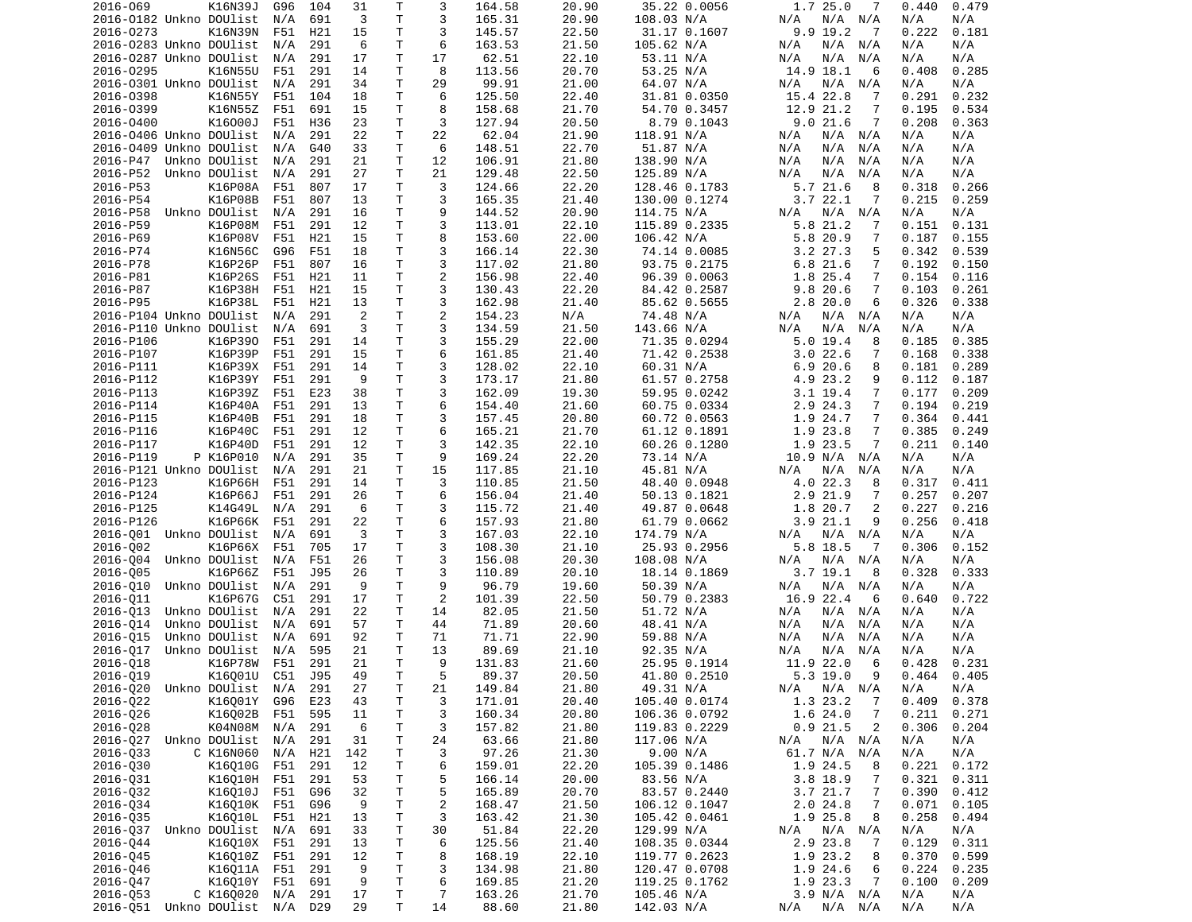| 2016-069                   | K16N39J           | G96 | 104             | 31             | Τ            | 3              | 164.58 | 20.90 | 35.22 0.0056  | 1.7 25.0<br>7              | 0.440<br>0.479 |  |
|----------------------------|-------------------|-----|-----------------|----------------|--------------|----------------|--------|-------|---------------|----------------------------|----------------|--|
| 2016-0182 Unkno DOUlist    |                   | N/A | 691             | 3              | T.           | 3              | 165.31 | 20.90 | 108.03 N/A    | $N/A$ $N/A$<br>N/A         | N/A<br>N/A     |  |
| 2016-0273                  | K16N39N           | F51 | H <sub>21</sub> | 15             | T.           | 3              | 145.57 | 22.50 | 31.17 0.1607  | 9.9 19.2<br>$\overline{7}$ | 0.222<br>0.181 |  |
| 2016-0283 Unkno DOUlist    |                   | N/A | 291             | 6              | т            | 6              | 163.53 | 21.50 | 105.62 N/A    | N/A N/A<br>N/A             | N/A<br>N/A     |  |
| 2016-0287 Unkno DOUlist    |                   | N/A | 291             | 17             | T.           | 17             | 62.51  | 22.10 | 53.11 N/A     | N/A<br>N/A<br>N/A          | N/A<br>N/A     |  |
| 2016-0295                  | K16N55U           | F51 | 291             | 14             | Τ            | 8              | 113.56 | 20.70 | 53.25 N/A     | 14.9 18.1<br>6             | 0.408<br>0.285 |  |
| 2016-0301 Unkno DOUlist    |                   | N/A | 291             | 34             | Τ            | 29             | 99.91  | 21.00 | 64.07 N/A     | N/A<br>N/A N/A             | N/A<br>N/A     |  |
|                            |                   |     |                 |                | T.           | 6              |        |       |               |                            |                |  |
| 2016-0398                  | K16N55Y           | F51 | 104             | 18             |              |                | 125.50 | 22.40 | 31.81 0.0350  | 15.4 22.8<br>7             | 0.291<br>0.232 |  |
| 2016-0399                  | K16N55Z           | F51 | 691             | 15             | T.           | 8              | 158.68 | 21.70 | 54.70 0.3457  | 12.9<br>21.2<br>7          | 0.195<br>0.534 |  |
| 2016-0400                  | K16000J           | F51 | H36             | 23             | т            | 3              | 127.94 | 20.50 | 8.79 0.1043   | 9.021.6<br>7               | 0.208<br>0.363 |  |
| 2016-0406 Unkno DOUlist    |                   | N/A | 291             | 22             | T            | 22             | 62.04  | 21.90 | 118.91 N/A    | N/A<br>N/A N/A             | N/A<br>N/A     |  |
| 2016-0409 Unkno DOUlist    |                   | N/A | G40             | 33             | T.           | 6              | 148.51 | 22.70 | 51.87 N/A     | N/A<br>N/A<br>N/A          | N/A<br>N/A     |  |
| 2016-P47                   | Unkno DOUlist     | N/A | 291             | 21             | T.           | 12             | 106.91 | 21.80 | 138.90 N/A    | N/A<br>N/A<br>N/A          | N/A<br>N/A     |  |
| 2016-P52                   | Unkno DOUlist     | N/A | 291             | 27             | т            | 21             | 129.48 | 22.50 | 125.89 N/A    | N/A<br>N/A<br>N/A          | N/A<br>N/A     |  |
| 2016-P53                   | K16P08A           | F51 | 807             | 17             | T.           | 3              | 124.66 | 22.20 | 128.46 0.1783 | 5.721.6<br>8               | 0.318<br>0.266 |  |
| 2016-P54                   | K16P08B           | F51 | 807             | 13             | T            | 3              | 165.35 | 21.40 | 130.00 0.1274 | 3.722.1<br>7               | 0.215<br>0.259 |  |
| 2016-P58                   | Unkno DOUlist     | N/A | 291             | 16             | T            | 9              | 144.52 | 20.90 | 114.75 N/A    | N/A<br>N/A<br>N/A          | N/A<br>N/A     |  |
|                            |                   |     |                 |                |              |                |        |       |               |                            |                |  |
| 2016-P59                   | K16P08M           | F51 | 291             | 12             | Τ            | 3              | 113.01 | 22.10 | 115.89 0.2335 | 5.8 21.2<br>7              | 0.131<br>0.151 |  |
| 2016-P69                   | K16P08V           | F51 | H21             | 15             | T.           | 8              | 153.60 | 22.00 | 106.42 N/A    | 5.8 20.9<br>7              | 0.187<br>0.155 |  |
| 2016-P74                   | K16N56C           | G96 | F51             | 18             | Τ            | 3              | 166.14 | 22.30 | 74.14 0.0085  | $3.2$ 27.3<br>5            | 0.342<br>0.539 |  |
| 2016-P78                   | K16P26P           | F51 | 807             | 16             | т            | 3              | 117.02 | 21.80 | 93.75 0.2175  | 6.8 21.6<br>7              | 0.192<br>0.150 |  |
| 2016-P81                   | K16P26S           | F51 | H21             | 11             | T.           | $\overline{c}$ | 156.98 | 22.40 | 96.39 0.0063  | 1.8 25.4<br>7              | 0.154<br>0.116 |  |
| 2016-P87                   | K16P38H           | F51 | H <sub>21</sub> | 15             | T            | 3              | 130.43 | 22.20 | 84.42 0.2587  | 9.8<br>20.6<br>7           | 0.103<br>0.261 |  |
| 2016-P95                   | K16P38L           | F51 | H21             | 13             | т            | 3              | 162.98 | 21.40 | 85.62 0.5655  | 6<br>2.8 20.0              | 0.326<br>0.338 |  |
| 2016-P104 Unkno DOUlist    |                   | N/A | 291             | $\overline{2}$ | T            | $\overline{c}$ | 154.23 | N/A   | 74.48 N/A     | N/A<br>N/A<br>N/A          | N/A<br>N/A     |  |
| 2016-P110 Unkno DOUlist    |                   | N/A | 691             | 3              | T.           | 3              | 134.59 | 21.50 | 143.66 N/A    | N/A<br>N/A<br>N/A          | N/A<br>N/A     |  |
|                            |                   |     |                 |                |              |                |        |       |               |                            |                |  |
| 2016-P106                  | K16P390           | F51 | 291             | 14             | Τ            | 3              | 155.29 | 22.00 | 71.35 0.0294  | 5.019.4<br>8               | 0.185<br>0.385 |  |
| 2016-P107                  | K16P39P           | F51 | 291             | 15             | Τ            | 6              | 161.85 | 21.40 | 71.42 0.2538  | 3.022.6<br>7               | 0.168<br>0.338 |  |
| 2016-P111                  | K16P39X           | F51 | 291             | 14             | T.           | 3              | 128.02 | 22.10 | 60.31 N/A     | 6.920.6<br>8               | 0.181<br>0.289 |  |
| 2016-P112                  | K16P39Y           | F51 | 291             | 9              | T            | 3              | 173.17 | 21.80 | 61.57 0.2758  | 4.9 23.2<br>9              | 0.112<br>0.187 |  |
| 2016-P113                  | K16P39Z           | F51 | E23             | 38             | Τ            | 3              | 162.09 | 19.30 | 59.95 0.0242  | $3.1$ 19.4<br>7            | 0.177<br>0.209 |  |
| 2016-P114                  | K16P40A           | F51 | 291             | 13             | T.           | 6              | 154.40 | 21.60 | 60.75 0.0334  | 2.9 24.3<br>7              | 0.194<br>0.219 |  |
| 2016-P115                  | K16P40B           | F51 | 291             | 18             | $\mathsf{T}$ | 3              | 157.45 | 20.80 | 60.72 0.0563  | 1.9 24.7<br>7              | 0.364<br>0.441 |  |
| 2016-P116                  | K16P40C           | F51 | 291             | 12             | Τ            | 6              | 165.21 | 21.70 | 61.12 0.1891  | 1.9 23.8<br>7              | 0.385<br>0.249 |  |
| 2016-P117                  | K16P40D           | F51 | 291             | 12             | Τ            | 3              | 142.35 | 22.10 | 60.26 0.1280  | 1.9 23.5<br>7              | 0.211<br>0.140 |  |
|                            |                   | N/A |                 | 35             | Τ            | 9              |        |       |               |                            | N/A            |  |
| 2016-P119                  | P K16P010         |     | 291             |                |              |                | 169.24 | 22.20 | 73.14 N/A     | 10.9 N/A<br>N/A            | N/A            |  |
| 2016-P121 Unkno DOUlist    |                   | N/A | 291             | 21             | T            | 15             | 117.85 | 21.10 | 45.81 N/A     | N/A<br>N/A<br>N/A          | N/A<br>N/A     |  |
| 2016-P123                  | K16P66H           | F51 | 291             | 14             | T.           | 3              | 110.85 | 21.50 | 48.40 0.0948  | 4.0 22.3<br>8              | 0.317<br>0.411 |  |
| 2016-P124                  | K16P66J           | F51 | 291             | 26             | Τ            | 6              | 156.04 | 21.40 | 50.13 0.1821  | 2.9 21.9<br>7              | 0.257<br>0.207 |  |
| 2016-P125                  | K14G49L           | N/A | 291             | 6              | Τ            | 3              | 115.72 | 21.40 | 49.87 0.0648  | 20.7<br>2<br>1.8           | 0.227<br>0.216 |  |
| 2016-P126                  | K16P66K           | F51 | 291             | 22             | т            | 6              | 157.93 | 21.80 | 61.79 0.0662  | 3.921.1<br>9               | 0.256<br>0.418 |  |
| 2016-001 Unkno DOUlist     |                   | N/A | 691             | 3              | T.           | 3              | 167.03 | 22.10 | 174.79 N/A    | N/A N/A<br>N/A             | N/A<br>N/A     |  |
| 2016-002                   | K16P66X           | F51 | 705             | 17             | T            | 3              | 108.30 | 21.10 | 25.93 0.2956  | 5.8 18.5<br>7              | 0.306<br>0.152 |  |
| 2016-004                   | Unkno DOUlist     | N/A | F51             | 26             | т            | 3              | 156.08 | 20.30 | 108.08 N/A    | N/A<br>N/A<br>N/A          | N/A<br>N/A     |  |
| 2016-005                   | K16P66Z           | F51 | J95             | 26             | T.           | 3              | 110.89 | 20.10 | 18.14 0.1869  | $3.7$ 19.1<br>8            | 0.328<br>0.333 |  |
|                            |                   |     |                 |                |              |                |        |       |               |                            |                |  |
| 2016-010                   | Unkno DOUlist     | N/A | 291             | 9              | Τ            | 9              | 96.79  | 19.60 | 50.39 N/A     | N/A<br>N/A N/A             | N/A<br>N/A     |  |
| 2016-011                   | K16P67G           | C51 | 291             | 17             | T            | 2              | 101.39 | 22.50 | 50.79 0.2383  | 16.9 22.4<br>6             | 0.722<br>0.640 |  |
| 2016-013                   | Unkno DOUlist     | N/A | 291             | 22             | T.           | 14             | 82.05  | 21.50 | 51.72 N/A     | N/A N/A<br>N/A             | N/A<br>N/A     |  |
| 2016-014                   | Unkno DOUlist     | N/A | 691             | 57             | Τ            | 44             | 71.89  | 20.60 | 48.41 N/A     | N/A<br>N/A<br>N/A          | N/A<br>N/A     |  |
| 2016-015                   | Unkno DOUlist     | N/A | 691             | 92             | т            | 71             | 71.71  | 22.90 | 59.88 N/A     | N/A<br>N/A<br>N/A          | N/A<br>N/A     |  |
| 2016-017                   | Unkno DOUlist     | N/A | 595             | 21             | T            | 13             | 89.69  | 21.10 | 92.35 N/A     | N/A<br>N/A<br>N/A          | N/A<br>N/A     |  |
| 2016-018                   | K16P78W           | F51 | 291             | 21             | T.           | 9              | 131.83 | 21.60 | 25.95 0.1914  | 11.9 22.0<br>6             | 0.428<br>0.231 |  |
| 2016-Q19                   | K16Q01U C51 J95   |     |                 | 49             | T.           | 5              | 89.37  | 20.50 | 41.80 0.2510  | 5.3 19.0<br>9              | $0.464$ 0.405  |  |
| 2016-Q20                   | Unkno DOUlist N/A |     | 291             | 27             | T            |                | 149.84 | 21.80 | 49.31 N/A     | $N/A$ $N/A$<br>N/A         | N/A<br>N/A     |  |
|                            |                   |     |                 |                |              | 21             |        |       |               |                            |                |  |
| 2016-Q22                   | K16Q01Y           | G96 | E23             | 43             | Τ            | 3              | 171.01 | 20.40 | 105.40 0.0174 | 1.3 23.2<br>7              | 0.409<br>0.378 |  |
| 2016-Q26                   | K16002B           | F51 | 595             | 11             | т            | 3              | 160.34 | 20.80 | 106.36 0.0792 | 1.6 24.0<br>$\overline{7}$ | 0.211<br>0.271 |  |
| 2016-028                   | K04N08M           | N/A | 291             | 6              | Τ            | 3              | 157.82 | 21.80 | 119.83 0.2229 | $0.9$ 21.5<br>2            | 0.306<br>0.204 |  |
| 2016-Q27                   | Unkno DOUlist     | N/A | 291             | 31             | Τ            | 24             | 63.66  | 21.80 | 117.06 N/A    | N/A N/A<br>N/A             | N/A<br>N/A     |  |
| 2016-033                   | C K16N060         | N/A | H21             | 142            | Τ            | 3              | 97.26  | 21.30 | 9.00 N/A      | 61.7 N/A N/A               | N/A<br>N/A     |  |
| 2016-030                   | K16010G           | F51 | 291             | 12             | Τ            | 6              | 159.01 | 22.20 | 105.39 0.1486 | 1.9 24.5<br>8              | 0.221<br>0.172 |  |
| 2016-031                   | K16010H           | F51 | 291             | 53             | T            | 5              | 166.14 | 20.00 | 83.56 N/A     | $3.8$ 18.9<br>7            | 0.321<br>0.311 |  |
| 2016-Q32                   | K16010J           | F51 | G96             | 32             | T            | 5              | 165.89 | 20.70 | 83.57 0.2440  | 3.7 21.7<br>7              | 0.390<br>0.412 |  |
|                            |                   |     |                 |                |              |                |        |       |               |                            |                |  |
| 2016-034                   | K16010K F51       |     | G96             | 9              | T            | $\overline{c}$ | 168.47 | 21.50 | 106.12 0.1047 | 2.024.8<br>7               | 0.071<br>0.105 |  |
| 2016-035                   | K16Q10L           | F51 | H21             | 13             | T            | 3              | 163.42 | 21.30 | 105.42 0.0461 | 1.9 25.8<br>8              | 0.258<br>0.494 |  |
| 2016-Q37                   | Unkno DOUlist N/A |     | 691             | 33             | Τ            | 30             | 51.84  | 22.20 | 129.99 N/A    | N/A<br>N/A<br>N/A          | N/A<br>N/A     |  |
| 2016-044                   | K16010X           | F51 | 291             | 13             | T            | 6              | 125.56 | 21.40 | 108.35 0.0344 | 2.9 23.8<br>7              | 0.129<br>0.311 |  |
| 2016-045                   | K16010Z           | F51 | 291             | 12             | T            | 8              | 168.19 | 22.10 | 119.77 0.2623 | 1.9 23.2<br>8              | 0.370<br>0.599 |  |
| 2016-Q46                   | K16Q11A           | F51 | 291             | 9              | T            | 3              | 134.98 | 21.80 | 120.47 0.0708 | 1.9 24.6<br>6              | 0.224<br>0.235 |  |
| 2016-047                   | K16Q10Y F51       |     | 691             | 9              | T            | 6              | 169.85 | 21.20 | 119.25 0.1762 | 1.9 23.3<br>7              | 0.100<br>0.209 |  |
| 2016-053                   | C K160020 N/A     |     | 291             | 17             | т            | $\overline{7}$ | 163.26 | 21.70 | 105.46 N/A    | 3.9 N/A N/A                | N/A<br>N/A     |  |
| 2016-Q51 Unkno DOUlist N/A |                   |     | D29             | 29             | Τ            | 14             | 88.60  | 21.80 | 142.03 N/A    | N/A<br>N/A N/A             | N/A<br>N/A     |  |
|                            |                   |     |                 |                |              |                |        |       |               |                            |                |  |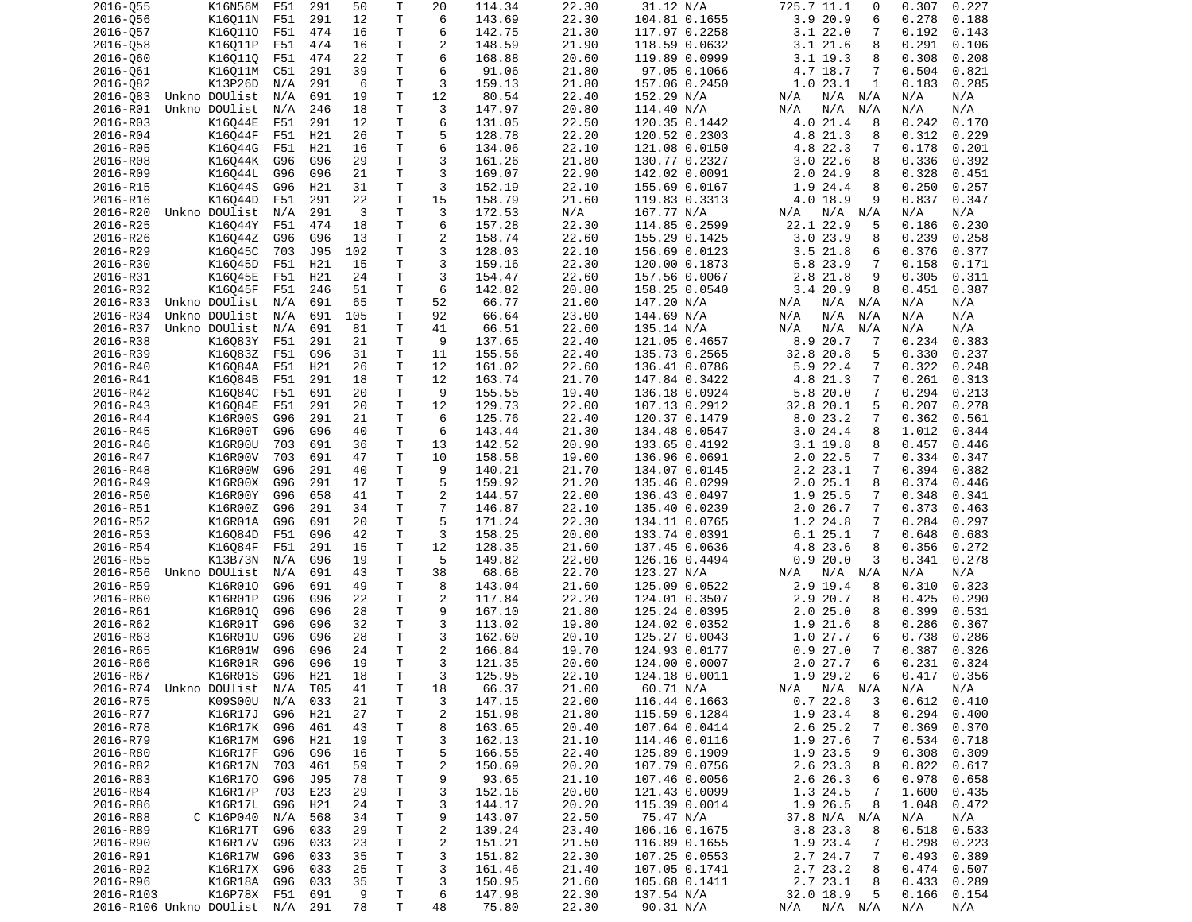| 2016-Q55                    | K16N56M           | F51 | 291 | 50  | Τ            | 20             | 114.34 | 22.30 | 31.12 N/A     | 725.7 11.1<br>0               | 0.227<br>0.307 |
|-----------------------------|-------------------|-----|-----|-----|--------------|----------------|--------|-------|---------------|-------------------------------|----------------|
| 2016-056                    | K16Q11N           | F51 | 291 | 12  | T            | 6              | 143.69 | 22.30 | 104.81 0.1655 | 3.9 20.9<br>6                 | 0.278<br>0.188 |
| 2016-057                    | K160110           | F51 | 474 | 16  | Τ            | 6              | 142.75 | 21.30 | 117.97 0.2258 | 3.122.0<br>7                  | 0.192<br>0.143 |
| 2016-058                    | K16011P           | F51 | 474 | 16  | т            | 2              | 148.59 | 21.90 | 118.59 0.0632 | 8<br>3.1 21.6                 | 0.291<br>0.106 |
| 2016-060                    | K160110           | F51 | 474 | 22  | T            | 6              | 168.88 | 20.60 | 119.89 0.0999 | $3.1$ 19.3<br>8               | 0.308<br>0.208 |
| 2016-061                    | K16Q11M           | C51 | 291 | 39  | T.           | 6              | 91.06  | 21.80 | 97.05 0.1066  | 4.7 18.7<br>7                 | 0.504<br>0.821 |
| 2016-082                    | K13P26D           | N/A | 291 | 6   | T            | 3              | 159.13 | 21.80 | 157.06 0.2450 | 1.023.1<br>1                  | 0.183<br>0.285 |
| 2016-083                    | Unkno DOUlist     | N/A | 691 | 19  | T            | 12             | 80.54  | 22.40 | 152.29 N/A    | N/A<br>N/A N/A                | N/A<br>N/A     |
| 2016-R01                    | Unkno DOUlist     | N/A | 246 | 18  | T.           | 3              | 147.97 | 20.80 | 114.40 N/A    | N/A<br>N/A<br>N/A             | N/A<br>N/A     |
| 2016-R03                    | K16044E           | F51 | 291 | 12  | T            | 6              | 131.05 | 22.50 | 120.35 0.1442 | 4.0 21.4<br>8                 | 0.242<br>0.170 |
|                             |                   |     |     |     | Τ            | 5              |        |       |               |                               |                |
| 2016-R04                    | K16044F           | F51 | H21 | 26  |              |                | 128.78 | 22.20 | 120.52 0.2303 | 4.8 21.3<br>8                 | 0.312<br>0.229 |
| 2016-R05                    | K16044G           | F51 | H21 | 16  | $\mathsf T$  | 6              | 134.06 | 22.10 | 121.08 0.0150 | 4.8 22.3<br>7                 | 0.201<br>0.178 |
| 2016-R08                    | K16044K           | G96 | G96 | 29  | T.           | 3              | 161.26 | 21.80 | 130.77 0.2327 | 3.022.6<br>8                  | 0.336<br>0.392 |
| 2016-R09                    | K16044L           | G96 | G96 | 21  | T            | 3              | 169.07 | 22.90 | 142.02 0.0091 | 2.024.9<br>8                  | 0.328<br>0.451 |
| 2016-R15                    | K16044S           | G96 | H21 | 31  | T            | 3              | 152.19 | 22.10 | 155.69 0.0167 | 1.9 24.4<br>8                 | 0.250<br>0.257 |
| 2016-R16                    | K16044D           | F51 | 291 | 22  | T.           | 15             | 158.79 | 21.60 | 119.83 0.3313 | 4.0 18.9<br>9                 | 0.837<br>0.347 |
| 2016-R20                    | Unkno DOUlist     | N/A | 291 | 3   | T            | 3              | 172.53 | N/A   | 167.77 N/A    | $N/A$ $N/A$<br>N/A            | N/A<br>N/A     |
| 2016-R25                    | K16044Y           | F51 | 474 | 18  | $\mathsf T$  | 6              | 157.28 | 22.30 | 114.85 0.2599 | 22.1 22.9<br>5                | 0.186<br>0.230 |
| 2016-R26                    | K16044Z           | G96 | G96 | 13  | $\mathsf T$  | $\overline{c}$ | 158.74 | 22.60 | 155.29 0.1425 | 3.023.9<br>8                  | 0.239<br>0.258 |
| 2016-R29                    | K16045C           | 703 | J95 | 102 | T.           | 3              | 128.03 | 22.10 | 156.69 0.0123 | $3.5$ 21.8<br>6               | 0.376<br>0.377 |
| 2016-R30                    | K16045D           | F51 | H21 | 15  | T            | 3              | 159.16 | 22.30 | 120.00 0.1873 | 5.8 23.9<br>7                 | 0.158<br>0.171 |
| 2016-R31                    | K16045E           | F51 | H21 | 24  | T            | 3              | 154.47 | 22.60 | 157.56 0.0067 | 2.8 21.8<br>9                 | 0.305<br>0.311 |
| 2016-R32                    | K16045F           | F51 | 246 | 51  | Τ            | 6              | 142.82 | 20.80 | 158.25 0.0540 | 3.420.9<br>8                  | 0.451<br>0.387 |
| 2016-R33                    | Unkno DOUlist N/A |     | 691 | 65  | T            | 52             | 66.77  | 21.00 | 147.20 N/A    | N/A<br>N/A N/A                | N/A<br>N/A     |
| 2016-R34                    | Unkno DOUlist     | N/A | 691 | 105 | T.           | 92             | 66.64  | 23.00 | 144.69 N/A    | N/A<br>N/A<br>N/A             | N/A<br>N/A     |
| 2016-R37                    | Unkno DOUlist     | N/A | 691 | 81  | T            | 41             | 66.51  | 22.60 | 135.14 N/A    | N/A<br>N/A<br>N/A             | N/A<br>N/A     |
|                             |                   |     |     |     |              | 9              |        |       |               |                               |                |
| 2016-R38                    | K16083Y           | F51 | 291 | 21  | Τ            |                | 137.65 | 22.40 | 121.05 0.4657 | 8.9 20.7<br>-7                | 0.234<br>0.383 |
| 2016-R39                    | K16083Z           | F51 | G96 | 31  | T            | 11             | 155.56 | 22.40 | 135.73 0.2565 | 32.8 20.8<br>5                | 0.330<br>0.237 |
| 2016-R40                    | K16084A           | F51 | H21 | 26  | т            | 12             | 161.02 | 22.60 | 136.41 0.0786 | 5.9 22.4<br>$\overline{7}$    | 0.322<br>0.248 |
| 2016-R41                    | K16084B           | F51 | 291 | 18  | Τ            | 12             | 163.74 | 21.70 | 147.84 0.3422 | $\overline{7}$<br>4.8 21.3    | 0.261<br>0.313 |
| 2016-R42                    | K16084C           | F51 | 691 | 20  | Τ            | 9              | 155.55 | 19.40 | 136.18 0.0924 | 5.8 20.0<br>7                 | 0.294<br>0.213 |
| 2016-R43                    | K16084E           | F51 | 291 | 20  | T.           | 12             | 129.73 | 22.00 | 107.13 0.2912 | 32.8 20.1<br>5                | 0.207<br>0.278 |
| 2016-R44                    | K16R00S           | G96 | 291 | 21  | T.           | 6              | 125.76 | 22.40 | 120.37 0.1479 | 8.023.2<br>7                  | 0.362<br>0.561 |
| 2016-R45                    | K16R00T           | G96 | G96 | 40  | T            | 6              | 143.44 | 21.30 | 134.48 0.0547 | 3.024.4<br>8                  | 1.012<br>0.344 |
| 2016-R46                    | K16R00U           | 703 | 691 | 36  | T            | 13             | 142.52 | 20.90 | 133.65 0.4192 | 3.1 19.8<br>8                 | 0.457<br>0.446 |
| 2016-R47                    | K16R00V           | 703 | 691 | 47  | T.           | 10             | 158.58 | 19.00 | 136.96 0.0691 | $2.0$ 22.5<br>7               | 0.334<br>0.347 |
| 2016-R48                    | K16R00W           | G96 | 291 | 40  | T            | 9              | 140.21 | 21.70 | 134.07 0.0145 | $\overline{7}$<br>2.2 23.1    | 0.394<br>0.382 |
| 2016-R49                    | K16R00X           | G96 | 291 | 17  | T            | 5              | 159.92 | 21.20 | 135.46 0.0299 | 2.025.1<br>8                  | 0.374<br>0.446 |
| 2016-R50                    | K16R00Y           | G96 | 658 | 41  | T.           | $\overline{c}$ | 144.57 | 22.00 | 136.43 0.0497 | 1.9 25.5<br>$\overline{7}$    | 0.348<br>0.341 |
| 2016-R51                    | K16R00Z           | G96 | 291 | 34  | T            | $\overline{7}$ | 146.87 | 22.10 | 135.40 0.0239 | 2.026.7<br>7                  | 0.373<br>0.463 |
| 2016-R52                    | K16R01A           | G96 | 691 | 20  | Τ            | 5              | 171.24 | 22.30 | 134.11 0.0765 | 1.2 24.8<br>$\overline{7}$    | 0.284<br>0.297 |
| 2016-R53                    | K16084D           | F51 | G96 | 42  | Τ            | 3              | 158.25 | 20.00 | 133.74 0.0391 | 6.125.1<br>7                  | 0.648<br>0.683 |
| 2016-R54                    | K16084F           | F51 | 291 | 15  | T            | 12             | 128.35 | 21.60 | 137.45 0.0636 | 4.8 23.6<br>8                 | 0.356<br>0.272 |
|                             |                   |     |     | 19  | Τ            | 5              |        |       |               | 3                             |                |
| 2016-R55                    | K13B73N           | N/A | G96 |     |              |                | 149.82 | 22.00 | 126.16 0.4494 | 0.920.0                       | 0.341<br>0.278 |
| 2016-R56                    | Unkno DOUlist     | N/A | 691 | 43  | $\mathsf{T}$ | 38             | 68.68  | 22.70 | 123.27 N/A    | N/A<br>N/A N/A                | N/A<br>N/A     |
| 2016-R59                    | K16R010           | G96 | 691 | 49  | $\mathsf{T}$ | 8              | 143.04 | 21.60 | 125.09 0.0522 | 2.9 19.4<br>8                 | 0.310<br>0.323 |
| 2016-R60                    | K16R01P           | G96 | G96 | 22  | T.           | 2              | 117.84 | 22.20 | 124.01 0.3507 | 2.9 20.7<br>8                 | 0.425<br>0.290 |
| 2016-R61                    | K16R010           | G96 | G96 | 28  | T.           | 9              | 167.10 | 21.80 | 125.24 0.0395 | 2.025.0<br>8                  | 0.399<br>0.531 |
| 2016-R62                    | K16R01T           | G96 | G96 | 32  | T            | 3              | 113.02 | 19.80 | 124.02 0.0352 | 1.9<br>21.6<br>8              | 0.286<br>0.367 |
| 2016-R63                    | K16R01U           | G96 | G96 | 28  | T.           | 3              | 162.60 | 20.10 | 125.27 0.0043 | 1.0 27.7<br>6                 | 0.738<br>0.286 |
| 2016-R65                    | K16R01W           | G96 | G96 | 24  | T            | $\overline{2}$ | 166.84 | 19.70 | 124.93 0.0177 | 27.0<br>$\overline{7}$<br>0.9 | 0.387<br>0.326 |
| 2016-R66                    | K16R01R           | G96 | G96 | 19  | $\mathsf{T}$ | 3              | 121.35 | 20.60 | 124.00 0.0007 | 2.027.7<br>6                  | 0.231<br>0.324 |
| 2016-R67                    | K16R01S G96       |     | H21 | 18  | $\mathsf{T}$ | 3              | 125.95 | 22.10 | 124.18 0.0011 | 1.9 29.2<br>6                 | $0.417$ 0.356  |
| 2016-R74 Unkno DOUlist N/A  |                   |     | T05 | 41  | Τ            | 18             | 66.37  | 21.00 | 60.71 N/A     | $N/A$ $N/A$<br>N/A            | N/A<br>N/A     |
| 2016-R75                    | K09S00U           | N/A | 033 | 21  | T            | 3              | 147.15 | 22.00 | 116.44 0.1663 | 0.722.8<br>3                  | 0.612<br>0.410 |
| 2016-R77                    | K16R17J           | G96 | H21 | 27  | Τ            | $\overline{c}$ | 151.98 | 21.80 | 115.59 0.1284 | 1.9 23.4<br>8                 | 0.294<br>0.400 |
| 2016-R78                    | K16R17K           | G96 | 461 | 43  | Τ            | 8              | 163.65 | 20.40 | 107.64 0.0414 | 2.6 25.2<br>7                 | 0.369<br>0.370 |
| 2016-R79                    | K16R17M           | G96 | H21 | 19  | Τ            | 3              | 162.13 | 21.10 | 114.46 0.0116 | 1.9 27.6<br>7                 | 0.534<br>0.718 |
| 2016-R80                    | K16R17F           | G96 | G96 | 16  | T            | 5              | 166.55 | 22.40 | 125.89 0.1909 | 1.9 23.5<br>9                 | 0.308<br>0.309 |
|                             |                   |     |     | 59  |              |                |        |       |               |                               |                |
| 2016-R82                    | K16R17N           | 703 | 461 |     | T            | 2              | 150.69 | 20.20 | 107.79 0.0756 | 2.6 23.3<br>8                 | 0.822<br>0.617 |
| 2016-R83                    | K16R170           | G96 | J95 | 78  | T.           | 9              | 93.65  | 21.10 | 107.46 0.0056 | 2.6 26.3<br>6                 | 0.978<br>0.658 |
| 2016-R84                    | K16R17P           | 703 | E23 | 29  | Τ            | 3              | 152.16 | 20.00 | 121.43 0.0099 | 1.3 24.5<br>7                 | 1.600<br>0.435 |
| 2016-R86                    | K16R17L           | G96 | H21 | 24  | T            | 3              | 144.17 | 20.20 | 115.39 0.0014 | 1.9 26.5<br>8                 | 1.048<br>0.472 |
| 2016-R88                    | C K16P040         | N/A | 568 | 34  | Τ            | 9              | 143.07 | 22.50 | 75.47 N/A     | 37.8 N/A N/A                  | N/A<br>N/A     |
| 2016-R89                    | K16R17T           | G96 | 033 | 29  | T            | $\overline{c}$ | 139.24 | 23.40 | 106.16 0.1675 | 3.8 23.3<br>8                 | 0.518<br>0.533 |
| 2016-R90                    | K16R17V           | G96 | 033 | 23  | T            | $\overline{c}$ | 151.21 | 21.50 | 116.89 0.1655 | 1.9 23.4<br>7                 | 0.298<br>0.223 |
| 2016-R91                    | K16R17W           | G96 | 033 | 35  | T            | 3              | 151.82 | 22.30 | 107.25 0.0553 | 2.7 24.7<br>7                 | 0.493<br>0.389 |
| 2016-R92                    | K16R17X G96       |     | 033 | 25  | T            | 3              | 161.46 | 21.40 | 107.05 0.1741 | 2.7 23.2<br>8                 | 0.474<br>0.507 |
| 2016-R96                    | K16R18A           | G96 | 033 | 35  | T            | 3              | 150.95 | 21.60 | 105.68 0.1411 | 2.7 23.1<br>8                 | 0.433<br>0.289 |
| 2016-R103                   | K16P78X F51       |     | 691 | 9   | т            | 6              | 147.98 | 22.30 | 137.54 N/A    | 32.0 18.9<br>5                | 0.166<br>0.154 |
| 2016-R106 Unkno DOUlist N/A |                   |     | 291 | 78  | Τ            | 48             | 75.80  | 22.30 | 90.31 N/A     | N/A<br>N/A N/A                | N/A<br>N/A     |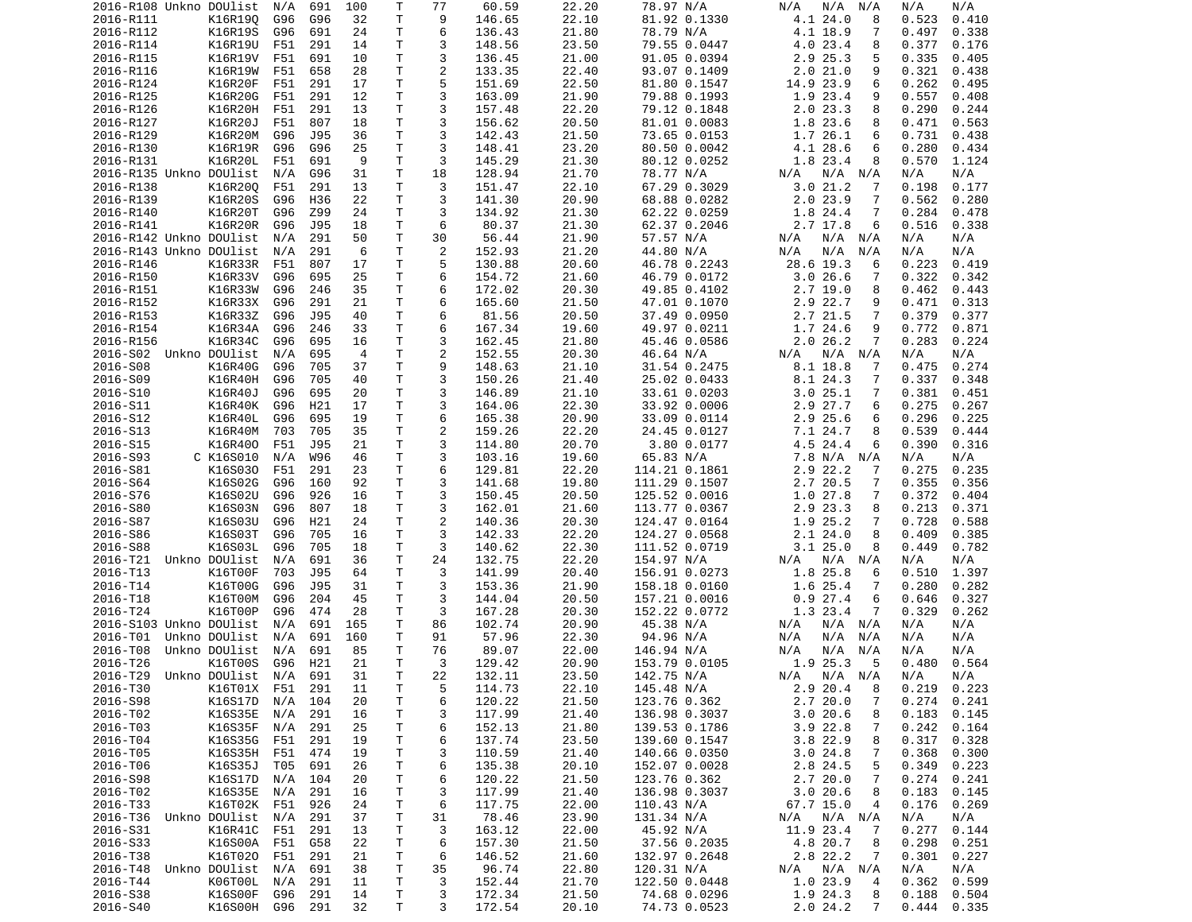| 2016-R108 Unkno DOUlist    |               | N/A     | 691 | 100            | Т            | 77             | 60.59  | 22.20 | 78.97 N/A     | N/A<br>N/A<br>N/A           | N/A<br>N/A      |
|----------------------------|---------------|---------|-----|----------------|--------------|----------------|--------|-------|---------------|-----------------------------|-----------------|
| 2016-R111                  | K16R190       | G96     | G96 | 32             | Τ            | 9              | 146.65 | 22.10 | 81.92 0.1330  | 4.1 24.0<br>8               | 0.523<br>0.410  |
| 2016-R112                  | K16R19S       | G96     | 691 | 24             | Τ            | 6              | 136.43 | 21.80 | 78.79 N/A     | 4.1 18.9<br>7               | 0.497<br>0.338  |
|                            |               |         |     |                | Τ            | 3              |        |       |               |                             |                 |
| 2016-R114                  | K16R19U       | F51     | 291 | 14             |              |                | 148.56 | 23.50 | 79.55 0.0447  | 4.0 23.4<br>8               | 0.377<br>0.176  |
| 2016-R115                  | K16R19V       | F51     | 691 | 10             | Τ            | 3              | 136.45 | 21.00 | 91.05 0.0394  | 2.9 25.3<br>5               | 0.335<br>0.405  |
| 2016-R116                  | K16R19W       | F51     | 658 | 28             | т            | 2              | 133.35 | 22.40 | 93.07 0.1409  | 2.021.0<br>9                | 0.321<br>0.438  |
| 2016-R124                  | K16R20F       | F51     | 291 | 17             | Τ            | 5              | 151.69 | 22.50 | 81.80 0.1547  | 14.9 23.9<br>6              | 0.262<br>0.495  |
| 2016-R125                  | K16R20G       | F51     | 291 | 12             | Τ            | 3              | 163.09 | 21.90 | 79.88 0.1993  | 1.9 23.4<br>9               | 0.557<br>0.408  |
|                            |               |         |     |                | T.           | 3              |        |       | 79.12 0.1848  |                             |                 |
| 2016-R126                  | K16R20H       | F51     | 291 | 13             |              |                | 157.48 | 22.20 |               | 2.023.3<br>8                | 0.290<br>0.244  |
| 2016-R127                  | K16R20J       | F51     | 807 | 18             | Τ            | 3              | 156.62 | 20.50 | 81.01 0.0083  | 1.8 23.6<br>8               | 0.563<br>0.471  |
| 2016-R129                  | K16R20M       | G96     | J95 | 36             | T            | 3              | 142.43 | 21.50 | 73.65 0.0153  | 1.7 26.1<br>6               | 0.731<br>0.438  |
| 2016-R130                  | K16R19R       | G96     | G96 | 25             | T            | 3              | 148.41 | 23.20 | 80.50 0.0042  | 4.1 28.6<br>6               | 0.280<br>0.434  |
| 2016-R131                  | K16R20L       | F51     | 691 | 9              | Τ            | 3              | 145.29 | 21.30 | 80.12 0.0252  | 1.8 23.4<br>8               | 0.570<br>1.124  |
|                            |               |         |     |                |              |                |        |       |               |                             |                 |
| 2016-R135 Unkno DOUlist    |               | N/A     | G96 | 31             | Τ            | 18             | 128.94 | 21.70 | 78.77 N/A     | N/A N/A<br>N/A              | N/A<br>N/A      |
| 2016-R138                  | K16R200       | F51     | 291 | 13             | Τ            | 3              | 151.47 | 22.10 | 67.29 0.3029  | 3.021.2<br>7                | 0.198<br>0.177  |
| 2016-R139                  | K16R20S       | G96     | H36 | 22             | T.           | 3              | 141.30 | 20.90 | 68.88 0.0282  | 2.023.9<br>7                | 0.562<br>0.280  |
| 2016-R140                  | K16R20T       | G96     | Z99 | 24             | Τ            | 3              | 134.92 | 21.30 | 62.22 0.0259  | 1.8 24.4<br>7               | 0.284<br>0.478  |
| 2016-R141                  | K16R20R       | G96     | J95 | 18             | T.           | 6              | 80.37  | 21.30 | 62.37 0.2046  | 2.7 17.8<br>6               | 0.516<br>0.338  |
|                            |               |         |     |                |              |                |        |       |               |                             |                 |
| 2016-R142 Unkno DOUlist    |               | N/A     | 291 | 50             | Τ            | 30             | 56.44  | 21.90 | 57.57 N/A     | N/A<br>N/A<br>N/A           | N/A<br>N/A      |
| 2016-R143 Unkno DOUlist    |               | N/A     | 291 | 6              | Τ            | 2              | 152.93 | 21.20 | 44.80 N/A     | N/A<br>N/A<br>N/A           | N/A<br>N/A      |
| 2016-R146                  | K16R33R       | F51     | 807 | 17             | Τ            | 5              | 130.88 | 20.60 | 46.78 0.2243  | 28.6 19.3<br>6              | 0.223<br>0.419  |
| 2016-R150                  | K16R33V       | G96     | 695 | 25             | Τ            | 6              | 154.72 | 21.60 | 46.79 0.0172  | 3.0 26.6<br>7               | 0.322<br>0.342  |
|                            | K16R33W       | G96     |     |                | Τ            | 6              |        |       |               | 8                           | 0.462           |
| 2016-R151                  |               |         | 246 | 35             |              |                | 172.02 | 20.30 | 49.85 0.4102  | 2.719.0                     | 0.443           |
| 2016-R152                  | K16R33X       | G96     | 291 | 21             | Τ            | 6              | 165.60 | 21.50 | 47.01 0.1070  | 2.9 22.7<br>9               | 0.471<br>0.313  |
| 2016-R153                  | K16R33Z       | G96     | J95 | 40             | T.           | 6              | 81.56  | 20.50 | 37.49 0.0950  | 2.7 21.5<br>7               | 0.379<br>0.377  |
| 2016-R154                  | K16R34A       | G96     | 246 | 33             | Τ            | 6              | 167.34 | 19.60 | 49.97 0.0211  | 1.7 24.6<br>9               | 0.772<br>0.871  |
| 2016-R156                  | K16R34C       | G96     | 695 | 16             | Τ            | 3              | 162.45 | 21.80 | 45.46 0.0586  | 2.026.2<br>7                | 0.283<br>0.224  |
| 2016-S02 Unkno DOUlist     |               |         |     | $\overline{4}$ | Τ            |                |        |       |               |                             |                 |
|                            |               | N/A     | 695 |                |              | $\overline{c}$ | 152.55 | 20.30 | 46.64 N/A     | $N/A$ $N/A$<br>N/A          | N/A<br>N/A      |
| 2016-S08                   | K16R40G       | G96     | 705 | 37             | Τ            | 9              | 148.63 | 21.10 | 31.54 0.2475  | 8.1 18.8<br>7               | 0.475<br>0.274  |
| 2016-S09                   | K16R40H       | G96     | 705 | 40             | Τ            | 3              | 150.26 | 21.40 | 25.02 0.0433  | 8.1 24.3<br>7               | 0.337<br>0.348  |
| 2016-S10                   | K16R40J       | G96     | 695 | 20             | Τ            | 3              | 146.89 | 21.10 | 33.61 0.0203  | 3.025.1<br>7                | 0.381<br>0.451  |
| 2016-S11                   | K16R40K       | G96     | H21 | 17             | T.           | 3              | 164.06 | 22.30 | 33.92 0.0006  | 2.9 27.7<br>6               | 0.275<br>0.267  |
|                            |               |         |     |                |              |                |        |       |               |                             |                 |
| 2016-S12                   | K16R40L       | G96     | 695 | 19             | T.           | 6              | 165.38 | 20.90 | 33.09 0.0114  | 2.9 25.6<br>6               | 0.296<br>0.225  |
| 2016-S13                   | K16R40M       | 703     | 705 | 35             | Τ            | $\overline{c}$ | 159.26 | 22.20 | 24.45 0.0127  | 7.1 24.7<br>8               | 0.539<br>0.444  |
| 2016-S15                   | K16R400       | F51     | J95 | 21             | T            | 3              | 114.80 | 20.70 | 3.80 0.0177   | 4.5 24.4<br>6               | 0.390<br>0.316  |
| 2016-S93                   | C K16S010     | N/A     | W96 | 46             | Τ            | 3              | 103.16 | 19.60 | 65.83 N/A     | 7.8 N/A N/A                 | N/A<br>N/A      |
| 2016-S81                   | K16S030       | F51     | 291 | 23             | Τ            | 6              | 129.81 | 22.20 | 114.21 0.1861 | 2.9 22.2<br>7               | 0.275<br>0.235  |
|                            |               |         |     |                |              |                |        |       |               |                             |                 |
| 2016-S64                   | K16S02G       | G96     | 160 | 92             | Τ            | 3              | 141.68 | 19.80 | 111.29 0.1507 | 2.7 20.5<br>7               | 0.355<br>0.356  |
| 2016-S76                   | K16S02U       | G96     | 926 | 16             | т            | 3              | 150.45 | 20.50 | 125.52 0.0016 | 1.027.8<br>7                | 0.372<br>0.404  |
| 2016-S80                   | K16S03N       | G96     | 807 | 18             | Τ            | 3              | 162.01 | 21.60 | 113.77 0.0367 | 2.9 23.3<br>8               | 0.213<br>0.371  |
| 2016-S87                   | K16S03U       | G96     | H21 | 24             | т            | $\overline{c}$ | 140.36 | 20.30 | 124.47 0.0164 | 1.9 25.2<br>7               | 0.728<br>0.588  |
| 2016-S86                   | K16S03T       | G96     | 705 | 16             | Τ            | 3              | 142.33 | 22.20 | 124.27 0.0568 | 2.124.0<br>8                | 0.409<br>0.385  |
|                            |               |         |     |                |              |                |        |       |               |                             |                 |
| 2016-S88                   | K16S03L       | G96     | 705 | 18             | Τ            | 3              | 140.62 | 22.30 | 111.52 0.0719 | 3.125.0<br>8                | 0.449<br>0.782  |
| 2016-T21                   | Unkno DOUlist | N/A     | 691 | 36             | Τ            | 24             | 132.75 | 22.20 | 154.97 N/A    | N/A<br>N/A<br>N/A           | N/A<br>N/A      |
| 2016-T13                   | K16T00F       | 703     | J95 | 64             | Τ            | 3              | 141.99 | 20.40 | 156.91 0.0273 | 1.8 25.8<br>6               | 1.397<br>0.510  |
| 2016-T14                   | K16T00G       | G96     | J95 | 31             | T            | 3              | 153.36 | 21.90 | 158.18 0.0160 | 1.6 25.4<br>7               | 0.280<br>0.282  |
| 2016-T18                   | K16T00M       | G96     | 204 | 45             | T            | 3              | 144.04 | 20.50 | 157.21 0.0016 | 0.927.4<br>6                | 0.646<br>0.327  |
|                            |               |         |     |                |              |                |        |       |               |                             |                 |
| 2016-T24                   | K16T00P       | G96     | 474 | 28             | Τ            | 3              | 167.28 | 20.30 | 152.22 0.0772 | 1.3 23.4<br>7               | 0.329<br>0.262  |
| 2016-S103 Unkno DOUlist    |               | N/A     | 691 | 165            | Τ            | 86             | 102.74 | 20.90 | 45.38 N/A     | N/A<br>$N/A$ $N/A$          | N/A<br>N/A      |
| 2016-T01                   | Unkno DOUlist | N/A     | 691 | 160            | т            | 91             | 57.96  | 22.30 | 94.96 N/A     | N/A<br>N/A<br>N/A           | N/A<br>N/A      |
| 2016-T08                   | Unkno DOUlist | N/A     | 691 | 85             | T.           | 76             | 89.07  | 22.00 | 146.94 N/A    | N/A<br>N/A<br>N/A           | N/A<br>N/A      |
| 2016-T26                   | K16T00S       | G96     | H21 | 21             | T.           | 3              | 129.42 | 20.90 | 153.79 0.0105 | 1.9 25.3<br>- 5             | 0.564<br>0.480  |
|                            |               |         |     |                |              |                |        |       |               |                             |                 |
| 2016-T29 Unkno DOUlist N/A |               |         | 691 | 31             | $\mathsf{T}$ | 22             | 132.11 | 23.50 | 142.75 N/A    | N/A N/A N/A                 | N/A<br>N/A      |
| 2016-T30                   | K16T01X F51   |         | 291 | 11             | T            | 5              | 114.73 | 22.10 | 145.48 N/A    | 2.9 20.4<br>8               | $0.219$ 0.223   |
| 2016-S98                   | K16S17D       | N/A     | 104 | 20             | T            | 6              | 120.22 | 21.50 | 123.76 0.362  | 2.720.0<br>7                | 0.274<br>0.241  |
| 2016-T02                   | K16S35E       | N/A     | 291 | 16             | T            | 3              | 117.99 | 21.40 | 136.98 0.3037 | 3.020.6<br>8                | 0.183<br>0.145  |
| 2016-T03                   | K16S35F       | N/A     | 291 | 25             | т            |                | 152.13 | 21.80 | 139.53 0.1786 | $3.9$ 22.8<br>7             | 0.242           |
|                            |               |         |     |                |              | 6              |        |       |               |                             | 0.164           |
| 2016-T04                   | K16S35G       | F51     | 291 | 19             | T            | 6              | 137.74 | 23.50 | 139.60 0.1547 | 8<br>3.822.9                | 0.317<br>0.328  |
| 2016-T05                   | K16S35H       | F51     | 474 | 19             | T.           | 3              | 110.59 | 21.40 | 140.66 0.0350 | 3.024.8<br>7                | 0.368<br>0.300  |
| 2016-T06                   | K16S35J       | T05     | 691 | 26             | T            | 6              | 135.38 | 20.10 | 152.07 0.0028 | 2.8 24.5<br>5               | 0.349<br>0.223  |
| 2016-S98                   | K16S17D       | N/A     | 104 | 20             | Τ            | 6              | 120.22 | 21.50 | 123.76 0.362  | 2.720.0<br>7                | 0.274<br>0.241  |
|                            | K16S35E N/A   |         | 291 |                |              | 3              |        | 21.40 |               | 3.020.6<br>8                |                 |
| 2016-T02                   |               |         |     | 16             | T            |                | 117.99 |       | 136.98 0.3037 |                             | 0.183<br>0.145  |
| 2016-T33                   | K16T02K F51   |         | 926 | 24             | T            | 6              | 117.75 | 22.00 | 110.43 N/A    | 67.7 15.0<br>4              | 0.176<br>0.269  |
| 2016-T36                   | Unkno DOUlist | N/A     | 291 | 37             | Τ            | 31             | 78.46  | 23.90 | 131.34 N/A    | N/A<br>N/A N/A              | N/A<br>N/A      |
| 2016-S31                   | K16R41C       | F51     | 291 | 13             | T            | 3              | 163.12 | 22.00 | 45.92 N/A     | 11.9 23.4<br>$\overline{7}$ | 0.277<br>0.144  |
| 2016-S33                   | K16S00A       | F51     | G58 | 22             | Τ            | 6              | 157.30 | 21.50 | 37.56 0.2035  | 4.8 20.7<br>8               | 0.298<br>0.251  |
| 2016-T38                   | K16T020       | F51     | 291 | 21             | T            | 6              | 146.52 | 21.60 | 132.97 0.2648 | 2.8 22.2<br>7               | 0.301<br>0.227  |
|                            |               |         |     |                |              |                |        |       |               |                             |                 |
| 2016-T48                   | Unkno DOUlist | N/A     | 691 | 38             | T            | 35             | 96.74  | 22.80 | 120.31 N/A    | N/A N/A<br>N/A              | N/A<br>N/A      |
| 2016-T44                   | K06T00L       | N/A     | 291 | 11             | Τ            | 3              | 152.44 | 21.70 | 122.50 0.0448 | 1.0 23.9<br>4               | 0.362<br>0.599  |
| 2016-S38                   | K16S00F       | G96     | 291 | 14             | T.           | 3              | 172.34 | 21.50 | 74.68 0.0296  | 1.9 24.3<br>8               | 0.188<br>0.504  |
| 2016-S40                   | K16S00H       | G96 291 |     | 32             | T.           | 3              | 172.54 | 20.10 | 74.73 0.0523  | 2.0 24.2<br>7               | $0.444$ $0.335$ |
|                            |               |         |     |                |              |                |        |       |               |                             |                 |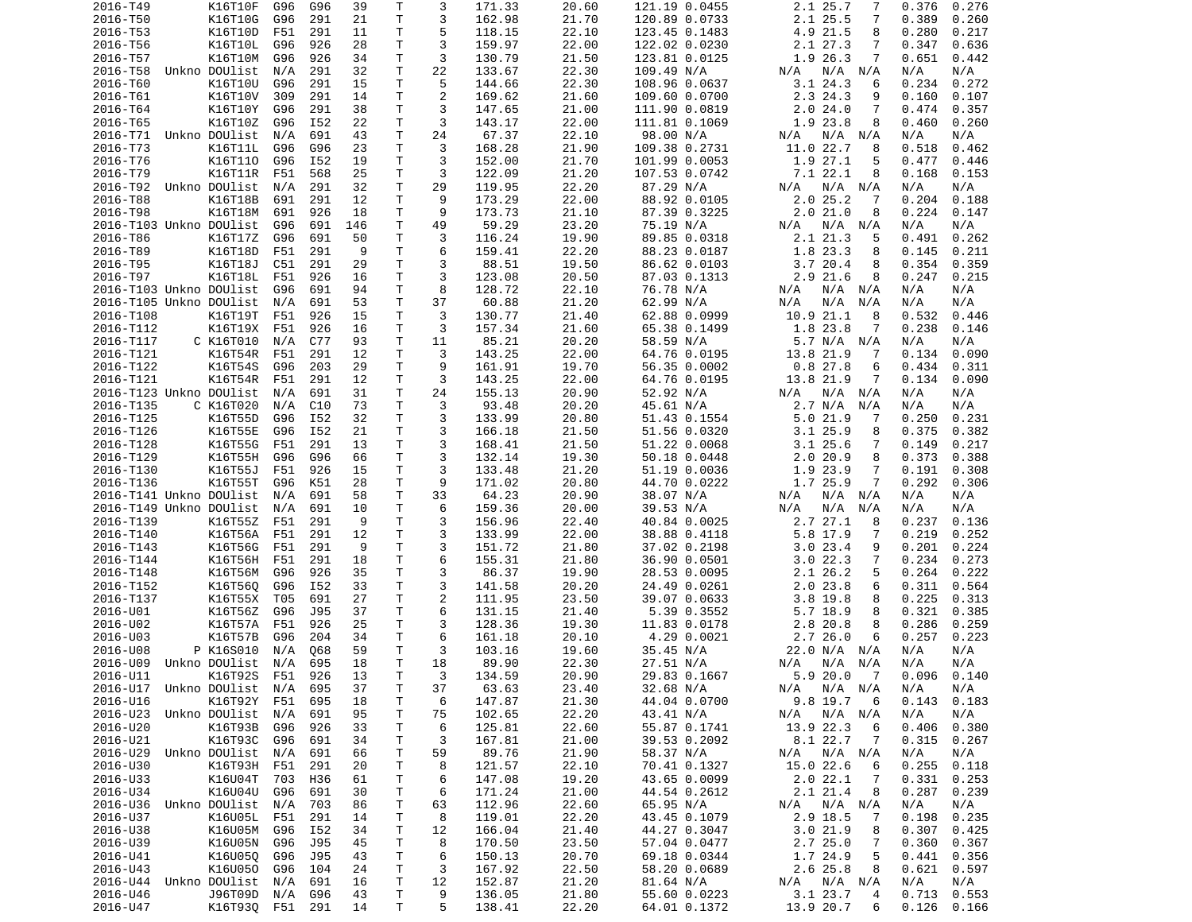| 2016-T49                | K16T10F                    | G96 | G96 | 39       | Τ            | 3              | 171.33           | 20.60          | 121.19 0.0455                | 2.1 25.7<br>7                   | 0.376<br>0.276                   |
|-------------------------|----------------------------|-----|-----|----------|--------------|----------------|------------------|----------------|------------------------------|---------------------------------|----------------------------------|
| 2016-T50                | K16T10G                    | G96 | 291 | 21       | T            | 3              | 162.98           | 21.70          | 120.89 0.0733                | 2.1 25.5<br>7                   | 0.389<br>0.260                   |
| 2016-T53                | K16T10D                    | F51 | 291 | 11       | Τ            | 5              | 118.15           | 22.10          | 123.45 0.1483                | 4.9 21.5<br>8                   | 0.280<br>0.217                   |
| 2016-T56                | K16T10L                    |     |     |          | Τ            | 3              | 159.97           | 22.00          |                              | 7                               |                                  |
|                         |                            | G96 | 926 | 28       |              |                |                  |                | 122.02 0.0230                | 2.1 27.3                        | 0.347<br>0.636                   |
| 2016-T57                | K16T10M                    | G96 | 926 | 34       | Τ            | 3              | 130.79           | 21.50          | 123.81 0.0125                | 1.9 26.3<br>7                   | 0.651<br>0.442                   |
| 2016-T58                | Unkno DOUlist              | N/A | 291 | 32       | т            | 22             | 133.67           | 22.30          | 109.49 N/A                   | N/A<br>N/A<br>N/A               | N/A<br>N/A                       |
| 2016-T60                | K16T10U                    | G96 | 291 | 15       | Τ            | 5              | 144.66           | 22.30          | 108.96 0.0637                | 3.124.3<br>6                    | 0.234<br>0.272                   |
| 2016-T61                | K16T10V                    | 309 | 291 | 14       | Τ            | $\overline{2}$ | 169.62           | 21.60          | 109.60 0.0700                | 2.3 24.3<br>9                   | 0.160<br>0.107                   |
|                         |                            | G96 |     |          | T            | 3              |                  |                |                              | 7                               | 0.474                            |
| 2016-T64                | K16T10Y                    |     | 291 | 38       |              |                | 147.65           | 21.00          | 111.90 0.0819                | 2.024.0                         | 0.357                            |
| 2016-T65                | K16T10Z                    | G96 | I52 | 22       | Τ            | 3              | 143.17           | 22.00          | 111.81 0.1069                | 1.9 23.8<br>8                   | 0.460<br>0.260                   |
| 2016-T71                | Unkno DOUlist              | N/A | 691 | 43       | T            | 24             | 67.37            | 22.10          | 98.00 N/A                    | N/A<br>N/A N/A                  | N/A<br>N/A                       |
| 2016-T73                | K16T11L                    | G96 | G96 | 23       | T.           | 3              | 168.28           | 21.90          | 109.38 0.2731                | 11.0 22.7<br>8                  | 0.518<br>0.462                   |
| 2016-T76                | K16T110                    | G96 | I52 | 19       | $\mathsf{T}$ | 3              | 152.00           | 21.70          | 101.99 0.0053                | 1.9 27.1<br>5                   | 0.477<br>0.446                   |
|                         |                            |     |     |          |              |                |                  |                |                              |                                 |                                  |
| 2016-T79                | K16T11R                    | F51 | 568 | 25       | т            | 3              | 122.09           | 21.20          | 107.53 0.0742                | 7.122.1<br>8                    | 0.168<br>0.153                   |
| 2016-T92                | Unkno DOUlist              | N/A | 291 | 32       | T            | 29             | 119.95           | 22.20          | 87.29 N/A                    | N/A N/A<br>N/A                  | N/A<br>N/A                       |
| 2016-T88                | K16T18B                    | 691 | 291 | 12       | T.           | 9              | 173.29           | 22.00          | 88.92 0.0105                 | 2.025.2<br>7                    | 0.204<br>0.188                   |
| 2016-T98                | K16T18M                    | 691 | 926 | 18       | Τ            | 9              | 173.73           | 21.10          | 87.39 0.3225                 | 2.021.0<br>8                    | 0.224<br>0.147                   |
|                         |                            | G96 | 691 | 146      | T.           | 49             | 59.29            | 23.20          | 75.19 N/A                    | $N/A$ $N/A$<br>N/A              | N/A                              |
| 2016-T103 Unkno DOUlist |                            |     |     |          |              |                |                  |                |                              |                                 | N/A                              |
| 2016-T86                | K16T17Z                    | G96 | 691 | 50       | T.           | 3              | 116.24           | 19.90          | 89.85 0.0318                 | 2.1 21.3<br>5                   | 0.491<br>0.262                   |
| 2016-T89                | K16T18D                    | F51 | 291 | 9        | Τ            | 6              | 159.41           | 22.20          | 88.23 0.0187                 | 1.8 23.3<br>8                   | 0.145<br>0.211                   |
| 2016-T95                | K16T18J                    | C51 | 291 | 29       | Τ            | 3              | 88.51            | 19.50          | 86.62 0.0103                 | 3.720.4<br>8                    | 0.354<br>0.359                   |
| 2016-T97                | K16T18L                    | F51 | 926 | 16       | Τ            | 3              | 123.08           | 20.50          | 87.03 0.1313                 | 2.9 21.6<br>8                   | 0.247<br>0.215                   |
|                         |                            |     |     |          |              |                |                  |                |                              |                                 |                                  |
| 2016-T103 Unkno DOUlist |                            | G96 | 691 | 94       | T            | 8              | 128.72           | 22.10          | 76.78 N/A                    | N/A<br>N/A N/A                  | N/A<br>N/A                       |
| 2016-T105 Unkno DOUlist |                            | N/A | 691 | 53       | Τ            | 37             | 60.88            | 21.20          | 62.99 N/A                    | N/A<br>N/A<br>N/A               | N/A<br>N/A                       |
| 2016-T108               | K16T19T                    | F51 | 926 | 15       | T.           | 3              | 130.77           | 21.40          | 62.88 0.0999                 | 10.9 21.1<br>8                  | 0.532<br>0.446                   |
| 2016-T112               | K16T19X                    | F51 | 926 | 16       | T            | 3              | 157.34           | 21.60          | 65.38 0.1499                 | 1.8 23.8<br>7                   | 0.238<br>0.146                   |
|                         |                            |     |     |          |              |                |                  |                |                              |                                 |                                  |
| 2016-T117               | C K16T010                  | N/A | C77 | 93       | T.           | 11             | 85.21            | 20.20          | 58.59 N/A                    | 5.7 N/A N/A                     | N/A<br>N/A                       |
| 2016-T121               | K16T54R                    | F51 | 291 | 12       | Τ            | 3              | 143.25           | 22.00          | 64.76 0.0195                 | 13.8 21.9<br>7                  | 0.134<br>0.090                   |
| 2016-T122               | K16T54S                    | G96 | 203 | 29       | Τ            | 9              | 161.91           | 19.70          | 56.35 0.0002                 | 0.827.8<br>6                    | 0.434<br>0.311                   |
| 2016-T121               | K16T54R                    | F51 | 291 | 12       | Τ            | 3              | 143.25           | 22.00          | 64.76 0.0195                 | 13.8 21.9<br>7                  | 0.134<br>0.090                   |
| 2016-T123 Unkno DOUlist |                            | N/A | 691 | 31       | Τ            | 24             | 155.13           | 20.90          | 52.92 N/A                    | N/A<br>N/A N/A                  | N/A<br>N/A                       |
|                         |                            |     |     |          |              |                |                  |                |                              |                                 |                                  |
| 2016-T135               | C K16T020                  | N/A | C10 | 73       | T.           | 3              | 93.48            | 20.20          | 45.61 N/A                    | 2.7 N/A<br>N/A                  | N/A<br>N/A                       |
| 2016-T125               | K16T55D                    | G96 | I52 | 32       | Τ            | 3              | 133.99           | 20.80          | 51.43 0.1554                 | 5.021.9<br>-7                   | 0.250<br>0.231                   |
| 2016-T126               | K16T55E                    | G96 | I52 | 21       | Τ            | 3              | 166.18           | 21.50          | 51.56 0.0320                 | $3.1$ 25.9<br>8                 | 0.375<br>0.382                   |
| 2016-T128               | K16T55G                    | F51 | 291 | 13       | Τ            | 3              | 168.41           | 21.50          | 51.22 0.0068                 | $3.1$ 25.6<br>7                 | 0.149<br>0.217                   |
| 2016-T129               | K16T55H                    | G96 | G96 | 66       | Τ            | 3              | 132.14           | 19.30          | 50.18 0.0448                 | 2.020.9<br>8                    | 0.373<br>0.388                   |
|                         |                            |     |     |          |              |                |                  |                |                              |                                 |                                  |
| 2016-T130               | K16T55J                    | F51 | 926 | 15       | Τ            | 3              | 133.48           | 21.20          | 51.19 0.0036                 | 1.9 23.9<br>7                   | 0.191<br>0.308                   |
| 2016-T136               | K16T55T                    | G96 | K51 | 28       | Τ            | 9              | 171.02           | 20.80          | 44.70 0.0222                 | 1.7 25.9<br>7                   | 0.292<br>0.306                   |
| 2016-T141 Unkno DOUlist |                            | N/A | 691 | 58       | T.           | 33             | 64.23            | 20.90          | 38.07 N/A                    | N/A<br>N/A<br>N/A               | N/A<br>N/A                       |
| 2016-T149 Unkno DOUlist |                            | N/A | 691 | 10       | т            | 6              | 159.36           | 20.00          | 39.53 N/A                    | N/A<br>N/A<br>N/A               | N/A<br>N/A                       |
| 2016-T139               | K16T55Z                    | F51 | 291 | 9        | Τ            | 3              | 156.96           | 22.40          | 40.84 0.0025                 | 2.7 27.1<br>8                   | 0.237<br>0.136                   |
|                         |                            |     |     |          |              |                |                  |                |                              |                                 |                                  |
| 2016-T140               | K16T56A                    | F51 | 291 | 12       | Τ            | 3              | 133.99           | 22.00          | 38.88 0.4118                 | 5.8 17.9<br>7                   | 0.219<br>0.252                   |
| 2016-T143               |                            |     |     |          |              |                |                  |                |                              |                                 |                                  |
| 2016-T144               | K16T56G                    | F51 | 291 | 9        | Τ            | 3              | 151.72           | 21.80          | 37.02 0.2198                 | 3.023.4<br>9                    | 0.201<br>0.224                   |
|                         |                            | F51 | 291 | 18       | Τ            | 6              |                  | 21.80          |                              | 7                               | 0.234<br>0.273                   |
|                         | K16T56H                    |     |     |          |              |                | 155.31           |                | 36.90 0.0501                 | 3.022.3                         |                                  |
| 2016-T148               | K16T56M                    | G96 | 926 | 35       | Τ            | 3              | 86.37            | 19.90          | 28.53 0.0095                 | 2.1 26.2<br>5                   | 0.264<br>0.222                   |
| 2016-T152               | K16T560                    | G96 | I52 | 33       | T            | 3              | 141.58           | 20.20          | 24.49 0.0261                 | 2.023.8<br>6                    | 0.311<br>0.564                   |
| 2016-T137               | K16T55X                    | T05 | 691 | 27       | T            | 2              | 111.95           | 23.50          | 39.07 0.0633                 | $3.8$ 19.8<br>8                 | 0.225<br>0.313                   |
| 2016-U01                | K16T56Z                    | G96 | J95 | 37       | T.           | 6              | 131.15           | 21.40          | 5.39 0.3552                  | 5.7 18.9<br>8                   | 0.321<br>0.385                   |
| 2016-U02                |                            |     |     |          | T.           |                |                  |                |                              | 8                               |                                  |
|                         | K16T57A                    | F51 | 926 | 25       |              | 3              | 128.36           | 19.30          | 11.83 0.0178                 | 2.8 20.8                        | 0.286<br>0.259                   |
| 2016-U03                | K16T57B                    | G96 | 204 | 34       | Τ            | 6              | 161.18           | 20.10          | 4.29 0.0021                  | 2.726.0<br>6                    | 0.257<br>0.223                   |
| 2016-U08                | P K16S010                  | N/A | Q68 | 59       | Τ            | 3              | 103.16           | 19.60          | 35.45 N/A                    | 22.0 N/A N/A                    | N/A<br>N/A                       |
| 2016-U09                | Unkno DOUlist              | N/A | 695 | 18       | T.           | 18             | 89.90            | 22.30          | 27.51 N/A                    | N/A<br>N/A N/A                  | N/A<br>N/A                       |
| 2016-U11                | K16T92S F51                |     | 926 | 13       | $\top$       | 3              | 134.59           | 20.90          | 29.83 0.1667                 | 5.920.07                        | 0.096<br>0.140                   |
|                         |                            |     |     |          |              |                |                  |                |                              |                                 |                                  |
| 2016-U17                | Unkno DOUlist              | N/A | 695 | 37       | $\mathsf T$  | 37             | 63.63            | 23.40          | 32.68 N/A                    | $N/A$ $N/A$<br>N/A              | N/A<br>N/A                       |
| 2016-U16                | K16T92Y                    | F51 | 695 | 18       | T            | 6              | 147.87           | 21.30          | 44.04 0.0700                 | 9.8 19.7<br>6                   | 0.143<br>0.183                   |
| 2016-U23                | Unkno DOUlist              | N/A | 691 | 95       | Τ            | 75             | 102.65           | 22.20          | 43.41 N/A                    | $N/A$ $N/A$<br>N/A              | N/A<br>N/A                       |
| 2016-U20                | K16T93B                    | G96 | 926 | 33       | т            | 6              | 125.81           | 22.60          | 55.87 0.1741                 | 13.9 22.3<br>6                  | 0.406<br>0.380                   |
| 2016-U21                | K16T93C                    | G96 | 691 | 34       | Τ            | 3              | 167.81           | 21.00          | 39.53 0.2092                 | 8.1 22.7<br>7                   | 0.315<br>0.267                   |
|                         |                            |     |     |          |              |                |                  |                |                              |                                 |                                  |
| 2016-U29                | Unkno DOUlist              | N/A | 691 | 66       | Τ            | 59             | 89.76            | 21.90          | 58.37 N/A                    | $N/A$ $N/A$<br>N/A              | N/A<br>N/A                       |
| 2016-U30                | K16T93H                    | F51 | 291 | 20       | Τ            | 8              | 121.57           | 22.10          | 70.41 0.1327                 | 15.0 22.6<br>6                  | 0.255<br>0.118                   |
| 2016-U33                | K16U04T                    | 703 | H36 | 61       | Τ            | 6              | 147.08           | 19.20          | 43.65 0.0099                 | 2.022.1<br>-7                   | 0.331<br>0.253                   |
| 2016-U34                | K16U04U                    | G96 | 691 | 30       | Τ            | 6              | 171.24           | 21.00          | 44.54 0.2612                 | 2.1 21.4<br>8                   | 0.287<br>0.239                   |
|                         | Unkno DOUlist              |     |     |          |              |                | 112.96           |                |                              |                                 |                                  |
| 2016-U36                |                            | N/A | 703 | 86       | Τ            | 63             |                  | 22.60          | 65.95 N/A                    | N/A N/A<br>N/A                  | N/A<br>N/A                       |
| 2016-U37                | K16U05L                    | F51 | 291 | 14       | т            | 8              | 119.01           | 22.20          | 43.45 0.1079                 | 2.9 18.5<br>7                   | 0.198<br>0.235                   |
| 2016-U38                | K16U05M                    | G96 | I52 | 34       | Τ            | 12             | 166.04           | 21.40          | 44.27 0.3047                 | 3.021.9<br>8                    | 0.307<br>0.425                   |
| 2016-U39                | K16U05N                    | G96 | J95 | 45       | T            | 8              | 170.50           | 23.50          | 57.04 0.0477                 | 2.725.0<br>7                    | 0.360<br>0.367                   |
| 2016-U41                | K16U05Q                    | G96 | J95 | 43       | T.           | 6              | 150.13           | 20.70          | 69.18 0.0344                 | 1.7 24.9<br>5                   | 0.441<br>0.356                   |
|                         |                            |     |     |          |              |                |                  |                |                              |                                 |                                  |
| 2016-U43                | K16U050                    | G96 | 104 | 24       | Τ            | 3              | 167.92           | 22.50          | 58.20 0.0689                 | 2.6 25.8<br>8                   | 0.621<br>0.597                   |
| 2016-U44                | Unkno DOUlist              | N/A | 691 | 16       | T.           | 12             | 152.87           | 21.20          | 81.64 N/A                    | N/A N/A<br>N/A                  | N/A<br>N/A                       |
| 2016-U46<br>2016-U47    | J96T09D<br>K16T930 F51 291 | N/A | G96 | 43<br>14 | T<br>T.      | 9<br>5         | 136.05<br>138.41 | 21.80<br>22.20 | 55.60 0.0223<br>64.01 0.1372 | 3.1 23.7<br>4<br>13.9 20.7<br>6 | 0.713<br>0.553<br>0.126<br>0.166 |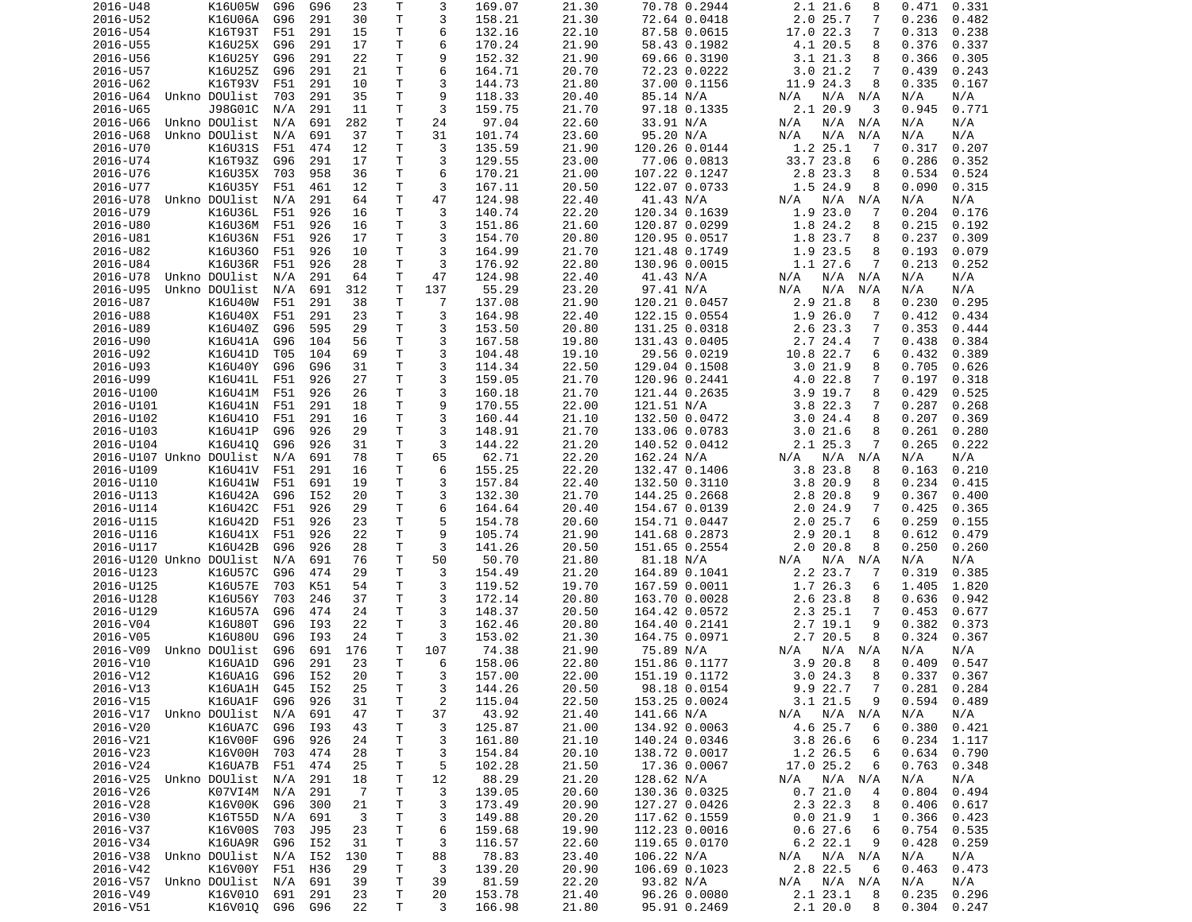| 2016-U48                | K16U05W            | G96        | G96        | 23             | Τ            | 3              | 169.07           | 21.30          | 70.78 0.2944                 | 2.1 21.6<br>8                  | 0.471<br>0.331                   |
|-------------------------|--------------------|------------|------------|----------------|--------------|----------------|------------------|----------------|------------------------------|--------------------------------|----------------------------------|
| 2016-U52                | K16U06A            | G96        | 291        | 30             | Τ            | 3              | 158.21           | 21.30          | 72.64 0.0418                 | 2.025.7<br>7                   | 0.236<br>0.482                   |
| 2016-U54                | K16T93T            | F51        | 291        | 15             | Τ            | 6              | 132.16           | 22.10          | 87.58 0.0615                 | 17.0 22.3<br>7                 | 0.313<br>0.238                   |
| 2016-U55                | K16U25X            | G96        | 291        | 17             | т            | 6              | 170.24           | 21.90          | 58.43 0.1982                 | 4.1 20.5<br>8                  | 0.376<br>0.337                   |
| 2016-U56                | K16U25Y            | G96        | 291        | 22             | Τ            | 9              | 152.32           | 21.90          | 69.66 0.3190                 | 3.1 21.3<br>8                  | 0.366<br>0.305                   |
| 2016-U57                | K16U25Z            | G96        | 291        | 21             | т            | 6              | 164.71           | 20.70          | 72.23 0.0222                 | 3.021.2<br>7                   | 0.439<br>0.243                   |
| 2016-U62                | K16T93V            | F51        | 291        | 10             | т            | 3              | 144.73           | 21.80          | 37.00 0.1156                 | 11.9 24.3<br>8                 | 0.335<br>0.167                   |
| 2016-U64                | Unkno DOUlist      | 703        | 291        | 35             | T.           | 9              | 118.33           | 20.40          | 85.14 N/A                    | $N/A$ $N/A$<br>N/A             | N/A<br>N/A                       |
| 2016-U65                | J98G01C            | N/A        | 291        | 11             | T            | 3              | 159.75           | 21.70          | 97.18 0.1335                 | 2.1 20.9<br>3                  | 0.945<br>0.771                   |
| 2016-U66                | Unkno DOUlist      | N/A        | 691        | 282            | Τ            | 24             | 97.04            | 22.60          | 33.91 N/A                    | N/A N/A<br>N/A                 | N/A<br>N/A                       |
| 2016-U68                | Unkno DOUlist      | N/A        | 691        | 37             | T            | 31             | 101.74           | 23.60          | 95.20 N/A                    | N/A<br>N/A<br>N/A              | N/A<br>N/A                       |
|                         |                    |            | 474        |                | T.           | 3              |                  |                |                              | 1.2 25.1                       |                                  |
| 2016-U70                | K16U31S            | F51        |            | 12             |              |                | 135.59           | 21.90          | 120.26 0.0144                | -7<br>33.7 23.8                | 0.317<br>0.207                   |
| 2016-U74                | K16T93Z            | G96        | 291        | 17             | T.           | 3              | 129.55           | 23.00          | 77.06 0.0813                 | 6                              | 0.286<br>0.352                   |
| 2016-U76                | K16U35X            | 703        | 958        | 36             | т            | 6              | 170.21           | 21.00          | 107.22 0.1247                | 2.8 23.3<br>8                  | 0.534<br>0.524                   |
| 2016-U77                | K16U35Y            | F51        | 461        | 12             | T            | 3              | 167.11           | 20.50          | 122.07 0.0733                | 1.5 24.9<br>8                  | 0.090<br>0.315                   |
| 2016-U78                | Unkno DOUlist      | N/A        | 291        | 64             | T.           | 47             | 124.98           | 22.40          | 41.43 N/A                    | N/A<br>N/A N/A                 | N/A<br>N/A                       |
| 2016-U79                | K16U36L            | F51        | 926        | 16             | Τ            | 3              | 140.74           | 22.20          | 120.34 0.1639                | 1.923.0<br>7                   | 0.204<br>0.176                   |
| 2016-U80                | K16U36M            | F51        | 926        | 16             | T.           | 3              | 151.86           | 21.60          | 120.87 0.0299                | 1.8 24.2<br>8                  | 0.215<br>0.192                   |
| 2016-U81                | K16U36N            | F51        | 926        | 17             | Τ            | 3              | 154.70           | 20.80          | 120.95 0.0517                | 1.8 23.7<br>8                  | 0.237<br>0.309                   |
| 2016-U82                | K16U360            | F51        | 926        | 10             | т            | 3              | 164.99           | 21.70          | 121.48 0.1749                | 1.9 23.5<br>8                  | 0.193<br>0.079                   |
| 2016-U84                | K16U36R            | F51        | 926        | 28             | T            | 3              | 176.92           | 22.80          | 130.96 0.0015                | 1.1 27.6<br>7                  | 0.213<br>0.252                   |
| 2016-U78                | Unkno DOUlist      | N/A        | 291        | 64             | Τ            | 47             | 124.98           | 22.40          | 41.43 N/A                    | N/A<br>N/A<br>N/A              | N/A<br>N/A                       |
| 2016-U95                | Unkno DOUlist      | N/A        | 691        | 312            | T            | 137            | 55.29            | 23.20          | 97.41 N/A                    | N/A<br>N/A<br>N/A              | N/A<br>N/A                       |
| 2016-U87                | K16U40W            | F51        | 291        | 38             | т            | 7              | 137.08           | 21.90          | 120.21 0.0457                | 2.9 21.8<br>8                  | 0.230<br>0.295                   |
| 2016-U88                | K16U40X            | F51        | 291        | 23             | T.           | 3              | 164.98           | 22.40          | 122.15 0.0554                | 1.9 26.0<br>7                  | 0.412<br>0.434                   |
| 2016-U89                | K16U40Z            | G96        | 595        | 29             | Τ            | 3              | 153.50           | 20.80          | 131.25 0.0318                | 2.6 23.3<br>7                  | 0.353<br>0.444                   |
| 2016-U90                | K16U41A            | G96        | 104        | 56             | Τ            | 3              | 167.58           | 19.80          | 131.43 0.0405                | 2.7 24.4<br>7                  | 0.438<br>0.384                   |
| 2016-U92                | K16U41D            | T05        | 104        | 69             | Τ            | 3              | 104.48           | 19.10          | 29.56 0.0219                 | 10.8 22.7<br>6                 | 0.432<br>0.389                   |
| 2016-U93                | K16U40Y            | G96        | G96        | 31             | Τ            | 3              | 114.34           | 22.50          | 129.04 0.1508                | 3.021.9<br>8                   | 0.705<br>0.626                   |
| 2016-U99                | K16U41L            | F51        | 926        | 27             | Τ            | 3              | 159.05           | 21.70          | 120.96 0.2441                | 4.0 22.8<br>7                  | 0.197<br>0.318                   |
| 2016-U100               | K16U41M            |            |            |                | Τ            | 3              | 160.18           |                |                              |                                | 0.525                            |
|                         |                    | F51        | 926        | 26             |              |                |                  | 21.70          | 121.44 0.2635                | $3.9$ 19.7<br>8                | 0.429                            |
| 2016-U101               | K16U41N            | F51        | 291        | 18             | T.           | 9              | 170.55           | 22.00          | 121.51 N/A                   | 3.8 22.3<br>7                  | 0.287<br>0.268                   |
| 2016-U102               | K16U410            | F51        | 291        | 16             | T.           | 3              | 160.44           | 21.10          | 132.50 0.0472                | 3.024.4<br>8                   | 0.207<br>0.369                   |
| 2016-U103               | K16U41P            | G96        | 926        | 29             | Τ            | 3              | 148.91           | 21.70          | 133.06 0.0783                | 3.021.6<br>8                   | 0.261<br>0.280                   |
| 2016-U104               | K16U410            | G96        | 926        | 31             | T            | 3              | 144.22           | 21.20          | 140.52 0.0412                | 2.1 25.3<br>7                  | 0.265<br>0.222                   |
| 2016-U107 Unkno DOUlist |                    | N/A        | 691        | 78             | Τ            | 65             | 62.71            | 22.20          | 162.24 N/A                   | N/A<br>N/A<br>N/A              | N/A<br>N/A                       |
| 2016-U109               | K16U41V            | F51        | 291        | 16             | T.           | 6              | 155.25           | 22.20          | 132.47 0.1406                | 3.8 23.8<br>8                  | 0.163<br>0.210                   |
| 2016-U110               | K16U41W            | F51        | 691        | 19             | Τ            | 3              | 157.84           | 22.40          | 132.50 0.3110                | 3.8 20.9<br>8                  | 0.234<br>0.415                   |
| 2016-U113               | K16U42A            | G96        | I52        | 20             | т            | 3              | 132.30           | 21.70          | 144.25 0.2668                | 2.8 20.8<br>9                  | 0.367<br>0.400                   |
| 2016-U114               | K16U42C            | F51        | 926        | 29             | Τ            | 6              | 164.64           | 20.40          | 154.67 0.0139                | 2.024.9<br>7                   | 0.425<br>0.365                   |
| 2016-U115               | K16U42D            | F51        | 926        | 23             | Τ            | 5              | 154.78           | 20.60          | 154.71 0.0447                | 2.025.7<br>6                   | 0.259<br>0.155                   |
| 2016-U116               | K16U41X            | F51        | 926        | 22             | Τ            | 9              | 105.74           | 21.90          | 141.68 0.2873                | 2.920.1<br>8                   | 0.612<br>0.479                   |
| 2016-U117               | K16U42B            | G96        | 926        | 28             | Τ            | 3              | 141.26           | 20.50          | 151.65 0.2554                | 2.0 20.8<br>8                  | 0.250<br>0.260                   |
| 2016-U120 Unkno DOUlist |                    | N/A        | 691        | 76             | T            | 50             | 50.70            | 21.80          | 81.18 N/A                    | N/A<br>N/A<br>N/A              | N/A<br>N/A                       |
| 2016-U123               | K16U57C            | G96        | 474        | 29             | Τ            | 3              | 154.49           | 21.20          | 164.89 0.1041                | 2.2 23.7<br>7                  | 0.319<br>0.385                   |
| 2016-U125               | K16U57E            | 703        | K51        | 54             | Τ            | 3              | 119.52           | 19.70          | 167.59 0.0011                | 1.7 26.3<br>6                  | 1.405<br>1.820                   |
| 2016-U128               | K16U56Y            | 703        | 246        | 37             | T            | 3              | 172.14           | 20.80          | 163.70 0.0028                | 2.6 23.8<br>8                  | 0.636<br>0.942                   |
| 2016-U129               | K16U57A            | G96        | 474        | 24             | $\mathsf{T}$ | 3              | 148.37           | 20.50          | 164.42 0.0572                | 2.3 25.1<br>7                  | 0.453<br>0.677                   |
| 2016-V04                | K16U80T            | G96        | I93        | 22             | T.           | 3              | 162.46           | 20.80          | 164.40 0.2141                | 2.7 19.1<br>9                  | 0.382<br>0.373                   |
| 2016-V05                | K16U80U            | G96        | I93        | 24             | т            | 3              | 153.02           | 21.30          | 164.75 0.0971                | 2.7 20.5<br>8                  | 0.324<br>0.367                   |
|                         | Unkno DOUlist      |            | 691        | 176            | Τ            | 107            |                  | 21.90          |                              |                                |                                  |
| 2016-V09                |                    | G96        |            |                |              |                | 74.38            |                | 75.89 N/A                    | N/A<br>N/A N/A                 | N/A<br>N/A                       |
| 2016-V10                | K16UA1D            | G96        | 291        | 23             | T.           | 6              | 158.06           | 22.80          | 151.86 0.1177                | 3.9 20.8<br>8                  | 0.547<br>0.409                   |
| 2016-V12                | K16UA1G G96 I52    |            |            | 20             | T            | 3              | 157.00           | 22.00          | 151.19 0.1172                | 3.0 24.3<br>8                  | $0.337$ $0.367$                  |
| 2016-V13                | K16UA1H            | G45        | I52        | 25             | Τ            | 3              | 144.26           | 20.50          | 98.18 0.0154                 | $\overline{7}$<br>9.9 22.7     | $0.281$ $0.284$                  |
| 2016-V15                | K16UA1F            | G96        | 926        | 31             | T            | $\overline{c}$ | 115.04           | 22.50          | 153.25 0.0024                | 3.1 21.5<br>9                  | 0.594<br>0.489                   |
| 2016-V17 Unkno DOUlist  |                    | N/A        | 691        | 47             | Τ            | 37             | 43.92            | 21.40          | 141.66 N/A                   | N/A<br>$N/A$ $N/A$             | N/A<br>N/A                       |
| 2016-V20                | K16UA7C            | G96        | I93        | 43             | т            | 3              | 125.87           | 21.00          | 134.92 0.0063                | 4.6 25.7<br>6                  | 0.380<br>0.421                   |
| 2016-V21                | K16V00F            | G96        | 926        | 24             | T            | 3              | 161.80           | 21.10          | 140.24 0.0346                | 3.8 26.6<br>6                  | 0.234<br>1.117                   |
| 2016-V23                | K16V00H            | 703        | 474        | 28             | Τ            | 3              | 154.84           | 20.10          | 138.72 0.0017                | 1.2 26.5<br>6                  | 0.634<br>0.790                   |
| 2016-V24                | K16UA7B            | F51        | 474        | 25             | T.           | 5              | 102.28           | 21.50          | 17.36 0.0067                 | 17.0 25.2<br>6                 | 0.763<br>0.348                   |
| 2016-V25                | Unkno DOUlist      | N/A        | 291        | 18             | Τ            | 12             | 88.29            | 21.20          | 128.62 N/A                   | N/A N/A<br>N/A                 | N/A<br>N/A                       |
| 2016-V26                | K07VI4M            | N/A        | 291        | $\overline{7}$ | T.           | 3              | 139.05           | 20.60          | 130.36 0.0325                | 0.721.0<br>4                   | 0.804<br>0.494                   |
| 2016-V28                | K16V00K            | G96        | 300        | 21             | Τ            | 3              | 173.49           | 20.90          | 127.27 0.0426                | 2.3 22.3<br>8                  | 0.406<br>0.617                   |
| 2016-V30                | K16T55D            | N/A        | 691        | 3              | т            | 3              | 149.88           | 20.20          | 117.62 0.1559                | 0.021.9<br>1                   | 0.366<br>0.423                   |
| 2016-V37                | K16V00S            | 703        | J95        | 23             | Τ            | 6              | 159.68           | 19.90          | 112.23 0.0016                | 0.627.6<br>6                   | 0.754<br>0.535                   |
|                         | K16UA9R            | G96        | I52        | 31             | Τ            | 3              | 116.57           | 22.60          | 119.65 0.0170                | 6.222.1<br>9                   | 0.428<br>0.259                   |
|                         |                    |            |            |                |              |                |                  |                |                              |                                |                                  |
| 2016-V34                |                    |            |            |                |              |                |                  |                |                              |                                |                                  |
| 2016-V38                | Unkno DOUlist      | N/A        | I52        | 130            | T.           | 88             | 78.83            | 23.40          | 106.22 N/A                   | N/A N/A<br>N/A                 | N/A<br>N/A                       |
| 2016-V42                | K16V00Y            | F51        | H36        | 29             | Τ            | 3              | 139.20           | 20.90          | 106.69 0.1023                | 2.8 22.5<br>6                  | 0.463<br>0.473                   |
| 2016-V57                | Unkno DOUlist  N/A |            | 691        | 39             | Τ            | 39             | 81.59            | 22.20          | 93.82 N/A                    | N/A N/A<br>N/A                 | N/A<br>N/A                       |
| 2016-V49<br>2016-V51    | K16V010<br>K16V010 | 691<br>G96 | 291<br>G96 | 23<br>22       | T.<br>Τ      | 20<br>3        | 153.78<br>166.98 | 21.40<br>21.80 | 96.26 0.0080<br>95.91 0.2469 | 2.1 23.1<br>8<br>2.1 20.0<br>8 | 0.235<br>0.296<br>0.304<br>0.247 |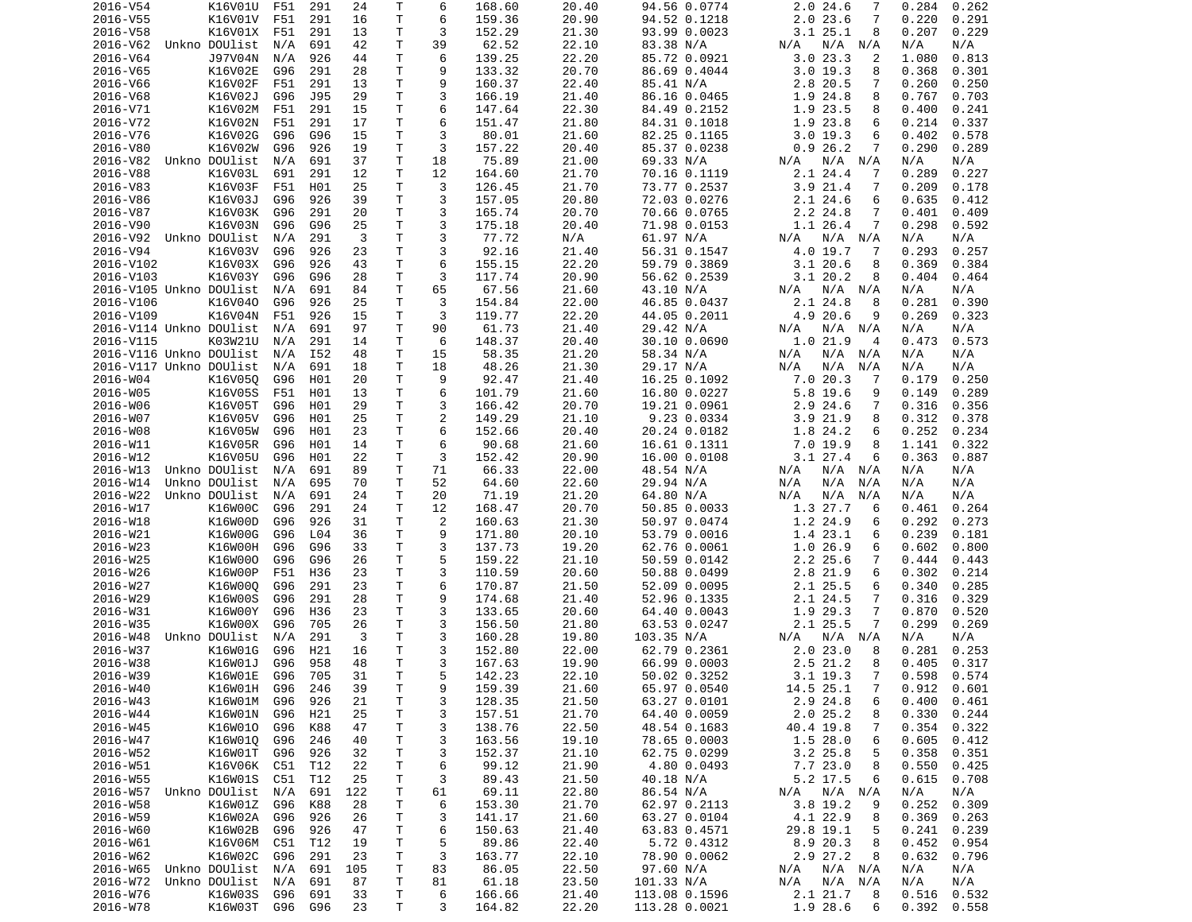| 2016-V54                | K16V01U            | F51        | 291        | 24       | Τ            | 6              | 168.60           | 20.40          | 94.56 0.0774                   | $2.0$ 24.6<br>7                | 0.284<br>0.262                   |
|-------------------------|--------------------|------------|------------|----------|--------------|----------------|------------------|----------------|--------------------------------|--------------------------------|----------------------------------|
| 2016-V55                | K16V01V            | F51        | 291        | 16       | T            | 6              | 159.36           | 20.90          | 94.52 0.1218                   | 2.023.6<br>7                   | 0.220<br>0.291                   |
| 2016-V58                | K16V01X            | F51        | 291        | 13       | Τ            | 3              | 152.29           | 21.30          | 93.99 0.0023                   | 3.125.1<br>8                   | 0.207<br>0.229                   |
| 2016-V62                | Unkno DOUlist      | N/A        | 691        | 42       | T.           | 39             | 62.52            | 22.10          | 83.38 N/A                      | N/A<br>N/A<br>N/A              | N/A<br>N/A                       |
| 2016-V64                | J97V04N            | N/A        | 926        | 44       | T.           | 6              | 139.25           | 22.20          | 85.72 0.0921                   | 3.023.3<br>2                   | 1.080<br>0.813                   |
| 2016-V65                | K16V02E            | G96        | 291        | 28       | т            | 9              | 133.32           | 20.70          | 86.69 0.4044                   | 3.019.3<br>8                   | 0.368<br>0.301                   |
| 2016-V66                | K16V02F            | F51        | 291        | 13       | Τ            | 9              | 160.37           | 22.40          | 85.41 N/A                      | 2.8 20.5<br>7                  | 0.260<br>0.250                   |
| 2016-V68                | K16V02J            | G96        | J95        | 29       | Τ            | 3              | 166.19           | 21.40          | 86.16 0.0465                   | 1.9 24.8<br>8                  | 0.767<br>0.703                   |
| 2016-V71                | K16V02M            | F51        | 291        | 15       | T.           | 6              | 147.64           | 22.30          | 84.49 0.2152                   | 1.9 23.5<br>8                  | 0.400<br>0.241                   |
|                         |                    |            |            |          |              |                |                  |                |                                |                                |                                  |
| 2016-V72                | K16V02N            | F51        | 291        | 17       | Τ            | 6              | 151.47           | 21.80          | 84.31 0.1018                   | 1.9 23.8<br>6                  | 0.214<br>0.337                   |
| 2016-V76                | K16V02G            | G96        | G96        | 15       | T            | 3              | 80.01            | 21.60          | 82.25 0.1165                   | 3.019.3<br>6                   | 0.402<br>0.578                   |
| 2016-V80                | K16V02W            | G96        | 926        | 19       | Τ            | 3              | 157.22           | 20.40          | 85.37 0.0238                   | 0.926.2<br>7                   | 0.290<br>0.289                   |
| 2016-V82                | Unkno DOUlist      | N/A        | 691        | 37       | Τ            | 18             | 75.89            | 21.00          | 69.33 N/A                      | N/A<br>N/A N/A                 | N/A<br>N/A                       |
| 2016-V88                | K16V03L            | 691        | 291        | 12       | Τ            | 12             | 164.60           | 21.70          | 70.16 0.1119                   | 2.1 24.4<br>7                  | 0.289<br>0.227                   |
| 2016-V83                | K16V03F            | F51        | H01        | 25       | Τ            | 3              | 126.45           | 21.70          | 73.77 0.2537                   | 3.9 21.4<br>7                  | 0.209<br>0.178                   |
| 2016-V86                | K16V03J            | G96        | 926        | 39       | T.           | 3              | 157.05           | 20.80          | 72.03 0.0276                   | $2.1$ 24.6<br>6                | 0.635<br>0.412                   |
| 2016-V87                | K16V03K            | G96        | 291        | 20       | Τ            | 3              | 165.74           | 20.70          | 70.66 0.0765                   | 2.2 24.8<br>7                  | 0.401<br>0.409                   |
| 2016-V90                | K16V03N            | G96        | G96        | 25       | T.           | 3              | 175.18           | 20.40          | 71.98 0.0153                   | 1.1 26.4<br>7                  | 0.298<br>0.592                   |
| 2016-V92                | Unkno DOUlist      | N/A        | 291        | 3        | Τ            | 3              | 77.72            | N/A            | 61.97 N/A                      | N/A N/A<br>N/A                 | N/A<br>N/A                       |
| 2016-V94                | K16V03V            | G96        | 926        | 23       | Τ            | 3              | 92.16            | 21.40          | 56.31 0.1547                   | 4.0 19.7<br>-7                 | 0.293<br>0.257                   |
|                         |                    |            |            |          | T            | 6              | 155.15           |                |                                |                                |                                  |
| 2016-V102               | K16V03X            | G96        | 926        | 43       |              |                |                  | 22.20          | 59.79 0.3869                   | 3.120.6<br>8                   | 0.369<br>0.384                   |
| 2016-V103               | K16V03Y            | G96        | G96        | 28       | Τ            | 3              | 117.74           | 20.90          | 56.62 0.2539                   | 3.1 20.2<br>8                  | 0.404<br>0.464                   |
| 2016-V105 Unkno DOUlist |                    | N/A        | 691        | 84       | $\mathsf T$  | 65             | 67.56            | 21.60          | 43.10 N/A                      | N/A N/A<br>N/A                 | N/A<br>N/A                       |
| 2016-V106               | K16V040            | G96        | 926        | 25       | Τ            | 3              | 154.84           | 22.00          | 46.85 0.0437                   | 2.1 24.8<br>8                  | 0.281<br>0.390                   |
| 2016-V109               | K16V04N            | F51        | 926        | 15       | Τ            | 3              | 119.77           | 22.20          | 44.05 0.2011                   | 4.9 20.6<br>9                  | 0.269<br>0.323                   |
| 2016-V114 Unkno DOUlist |                    | N/A        | 691        | 97       | T            | 90             | 61.73            | 21.40          | 29.42 N/A                      | N/A<br>N/A N/A                 | N/A<br>N/A                       |
| 2016-V115               | K03W21U            | N/A        | 291        | 14       | т            | 6              | 148.37           | 20.40          | 30.10 0.0690                   | 1.021.9<br>$\overline{4}$      | 0.473<br>0.573                   |
| 2016-V116 Unkno DOUlist |                    | N/A        | I52        | 48       | Τ            | 15             | 58.35            | 21.20          | 58.34 N/A                      | N/A<br>N/A N/A                 | N/A<br>N/A                       |
| 2016-V117 Unkno DOUlist |                    | N/A        | 691        | 18       | Τ            | 18             | 48.26            | 21.30          | 29.17 N/A                      | N/A<br>N/A<br>N/A              | N/A<br>N/A                       |
| 2016-W04                | K16V050            | G96        | H01        | 20       | Τ            | 9              | 92.47            | 21.40          | 16.25 0.1092                   | 7.020.3<br>7                   | 0.179<br>0.250                   |
| 2016-W05                | K16V05S            | F51        | H01        | 13       | Τ            | 6              | 101.79           | 21.60          | 16.80 0.0227                   | 5.8 19.6<br>9                  | 0.149<br>0.289                   |
| 2016-W06                | K16V05T            | G96        | H01        | 29       | T.           | 3              | 166.42           | 20.70          | 19.21 0.0961                   | 2.9 24.6<br>7                  | 0.316<br>0.356                   |
|                         |                    |            |            |          |              |                |                  |                |                                |                                |                                  |
| 2016-W07                | K16V05V            | G96        | H01        | 25       | Τ            | 2              | 149.29           | 21.10          | 9.23 0.0334                    | 3.921.9<br>8                   | 0.312<br>0.378                   |
| 2016-W08                | K16V05W            | G96        | H01        | 23       | Τ            | 6              | 152.66           | 20.40          | 20.24 0.0182                   | 1.8 24.2<br>6                  | 0.252<br>0.234                   |
| 2016-W11                | K16V05R            | G96        | H01        | 14       | T            | 6              | 90.68            | 21.60          | 16.61 0.1311                   | 7.0 19.9<br>8                  | 1.141<br>0.322                   |
| 2016-W12                | K16V05U            | G96        | H01        | 22       | Τ            | 3              | 152.42           | 20.90          | 16.00 0.0108                   | $3.1$ 27.4<br>6                | 0.363<br>0.887                   |
|                         |                    |            |            |          |              |                |                  |                |                                |                                |                                  |
| 2016-W13                | Unkno DOUlist      | N/A        | 691        | 89       | Τ            | 71             | 66.33            | 22.00          | 48.54 N/A                      | N/A<br>N/A<br>N/A              | N/A<br>N/A                       |
| 2016-W14                | Unkno DOUlist      | N/A        | 695        | 70       | т            | 52             | 64.60            | 22.60          | 29.94 N/A                      | N/A<br>N/A<br>N/A              | N/A<br>N/A                       |
| 2016-W22                | Unkno DOUlist      | N/A        | 691        | 24       | т            | 20             | 71.19            | 21.20          | 64.80 N/A                      | N/A<br>N/A<br>N/A              | N/A<br>N/A                       |
|                         |                    |            |            |          |              |                |                  |                |                                | 6                              |                                  |
| 2016-W17                | K16W00C            | G96        | 291        | 24       | т            | 12             | 168.47           | 20.70          | 50.85 0.0033                   | 1.3 27.7                       | 0.461<br>0.264                   |
| 2016-W18                | K16W00D            | G96        | 926        | 31       | Τ            | $\overline{2}$ | 160.63           | 21.30          | 50.97 0.0474                   | 1.2 24.9<br>6                  | 0.292<br>0.273                   |
| 2016-W21                | K16W00G            | G96        | L04        | 36       | Τ            | 9              | 171.80           | 20.10          | 53.79 0.0016                   | 1.4 23.1<br>6                  | 0.239<br>0.181                   |
| 2016-W23                | K16W00H            | G96        | G96        | 33       | Τ            | 3              | 137.73           | 19.20          | 62.76 0.0061                   | 1.026.9<br>6                   | 0.602<br>0.800                   |
| 2016-W25                | K16W000            | G96        | G96        | 26       | Τ            | 5              | 159.22           | 21.10          | 50.59 0.0142                   | 2.2 25.6<br>7                  | 0.444<br>0.443                   |
| 2016-W26                | K16W00P            | F51        | H36        | 23       | Τ            | 3              | 110.59           | 20.60          | 50.88 0.0499                   | 2.8 21.9<br>6                  | 0.302<br>0.214                   |
| 2016-W27                | K16W000            | G96        | 291        | 23       | Τ            | 6              | 170.87           | 21.50          | 52.09 0.0095                   | $2.1$ $25.5$<br>6              | 0.340<br>0.285                   |
| 2016-W29                | K16W00S            | G96        | 291        | 28       | T            | 9              | 174.68           | 21.40          | 52.96 0.1335                   | 2.1 24.5<br>7                  | 0.316<br>0.329                   |
| 2016-W31                | K16W00Y            | G96        | H36        | 23       | T.           | 3              | 133.65           | 20.60          | 64.40 0.0043                   | 1.9 29.3<br>7                  | 0.870<br>0.520                   |
| 2016-W35                | K16W00X            | G96        | 705        | 26       | T.           | 3              | 156.50           | 21.80          | 63.53 0.0247                   | 2.125.5<br>7                   | 0.299<br>0.269                   |
| 2016-W48                | Unkno DOUlist      | N/A        | 291        | 3        | Τ            | 3              | 160.28           | 19.80          | 103.35 N/A                     | $N/A$ $N/A$<br>N/A             | N/A<br>N/A                       |
| 2016-W37                | K16W01G            | G96        | H21        | 16       | Τ            | 3              | 152.80           | 22.00          | 62.79 0.2361                   | 2.023.0<br>8                   | 0.281<br>0.253                   |
| 2016-W38                | K16W01J            | G96        | 958        | 48       | T.           | 3              | 167.63           | 19.90          | 66.99 0.0003                   | 2.5 21.2<br>8                  | 0.405<br>0.317                   |
|                         |                    |            |            |          |              |                |                  |                |                                |                                |                                  |
| 2016-W39                | K16W01E            | G96 705    |            | 31       | $\mathsf{T}$ | 5              | 142.23           | 22.10          | 50.02 0.3252                   | 3.1 19.3<br>$7^{\circ}$        | $0.598$ $0.574$                  |
| 2016-W40                | K16W01H            | G96        | 246        | 39       | Τ            | 9              | 159.39           | 21.60          | 65.97 0.0540                   | 14.5 25.1<br>7                 | $0.912$ $0.601$                  |
| 2016-W43                | K16W01M            | G96        | 926        | 21       | T            | 3              | 128.35           | 21.50          | 63.27 0.0101                   | 2.9 24.8<br>6                  | 0.400<br>0.461                   |
| 2016-W44                | K16W01N            | G96        | H21        | 25       | Τ            | 3              | 157.51           | 21.70          | 64.40 0.0059                   | 2.025.2<br>8                   | 0.330<br>0.244                   |
| 2016-W45                | K16W010            | G96        | K88        | 47       | т            | 3              | 138.76           | 22.50          | 48.54 0.1683                   | 40.4 19.8<br>7                 | 0.354<br>0.322                   |
| 2016-W47                | K16W010            | G96        | 246        | 40       | T            | 3              | 163.56           | 19.10          | 78.65 0.0003                   | 1.528.0<br>6                   | 0.605<br>0.412                   |
| 2016-W52                | K16W01T            | G96        | 926        | 32       | Τ            | 3              | 152.37           | 21.10          | 62.75 0.0299                   | $3.2$ 25.8<br>5                | 0.358<br>0.351                   |
| 2016-W51                | K16V06K            | C51        | T12        | 22       | Τ            | 6              | 99.12            | 21.90          | 4.80 0.0493                    | 7.7 23.0<br>8                  | 0.550<br>0.425                   |
| 2016-W55                | K16W01S            | C51        | T12        | 25       | Τ            | 3              | 89.43            | 21.50          | 40.18 N/A                      | 5.2 17.5<br>6                  | 0.615<br>0.708                   |
| 2016-W57                | Unkno DOUlist      | N/A        | 691        | 122      | T.           | 61             | 69.11            | 22.80          | 86.54 N/A                      | N/A<br>N/A N/A                 | N/A<br>N/A                       |
| 2016-W58                | K16W01Z            | G96        | K88        | 28       | Τ            | 6              | 153.30           | 21.70          | 62.97 0.2113                   | 3.8 19.2<br>9                  | 0.252<br>0.309                   |
| 2016-W59                | K16W02A            | G96        | 926        | 26       | т            | 3              | 141.17           | 21.60          |                                | 8                              | 0.369<br>0.263                   |
|                         |                    |            |            |          |              |                |                  |                | 63.27 0.0104                   | 4.1 22.9                       |                                  |
| 2016-W60                | K16W02B            | G96        | 926        | 47       | Τ            | 6              | 150.63           | 21.40          | 63.83 0.4571                   | 29.8 19.1<br>5                 | 0.241<br>0.239                   |
| 2016-W61                | K16V06M            | C51        | T12        | 19       | Τ            | 5              | 89.86            | 22.40          | 5.72 0.4312                    | 8.9 20.3<br>8                  | 0.452<br>0.954                   |
| 2016-W62                | K16W02C            | G96        | 291        | 23       | Τ            | 3              | 163.77           | 22.10          | 78.90 0.0062                   | 2.9 27.2<br>8                  | 0.632<br>0.796                   |
| 2016-W65                | Unkno DOUlist      | N/A        | 691        | 105      | Τ            | 83             | 86.05            | 22.50          | 97.60 N/A                      | N/A N/A<br>N/A                 | N/A<br>N/A                       |
| 2016-W72                | Unkno DOUlist      | N/A        | 691        | 87       | Τ            | 81             | 61.18            | 23.50          | 101.33 N/A                     | N/A<br>$N/A$ $N/A$             | N/A<br>N/A                       |
| 2016-W76<br>2016-W78    | K16W03S<br>K16W03T | G96<br>G96 | 691<br>G96 | 33<br>23 | т<br>Τ       | 6<br>3         | 166.66<br>164.82 | 21.40<br>22.20 | 113.08 0.1596<br>113.28 0.0021 | 2.1 21.7<br>8<br>1.9 28.6<br>6 | 0.516<br>0.532<br>0.392<br>0.558 |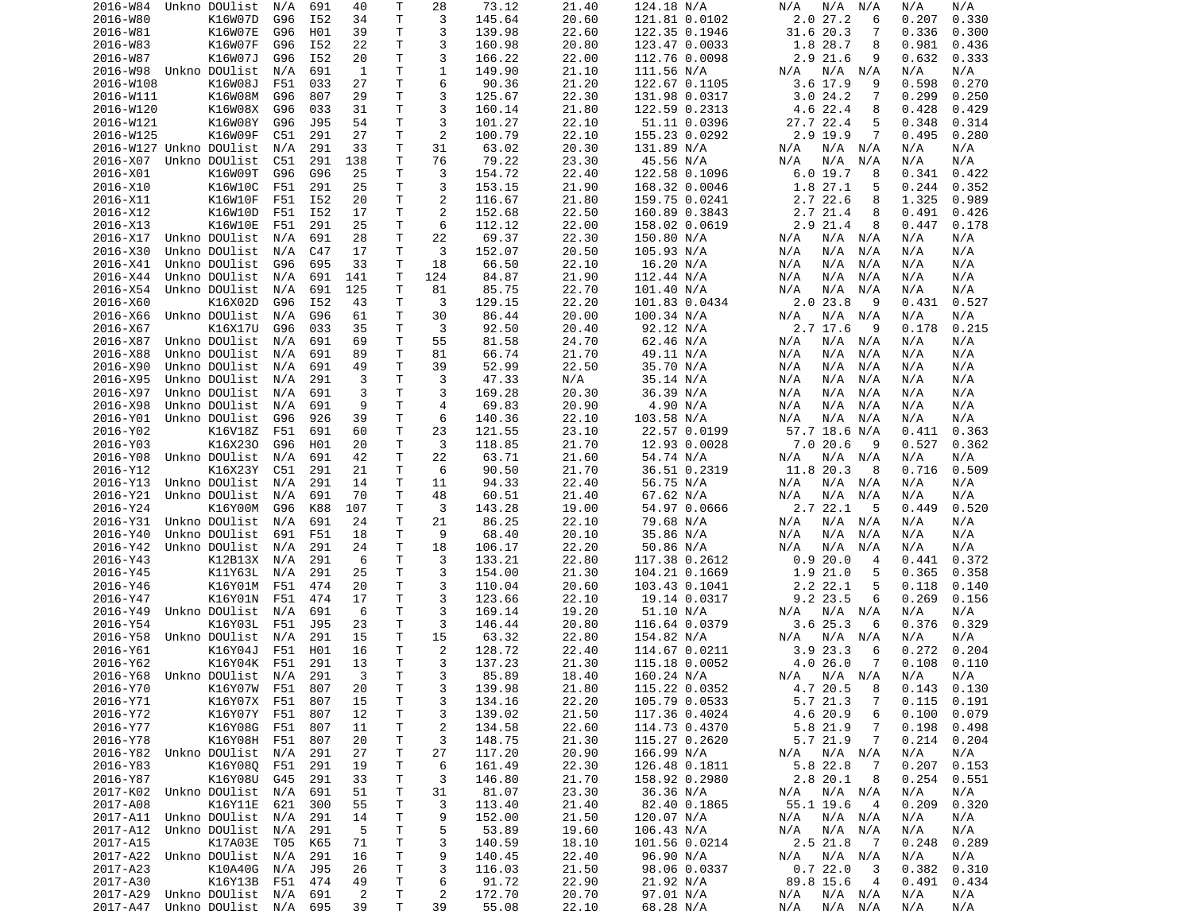| 2016-W84                       | Unkno DOUlist      | N/A | 691 | 40             | Т            | 28             | 73.12  | 21.40 | 124.18 N/A    | N/A<br>N/A<br>N/A           | N/A<br>N/A      |  |
|--------------------------------|--------------------|-----|-----|----------------|--------------|----------------|--------|-------|---------------|-----------------------------|-----------------|--|
| 2016-W80                       | K16W07D            | G96 | I52 | 34             | T            | 3              | 145.64 | 20.60 | 121.81 0.0102 | 2.027.2<br>6                | 0.330<br>0.207  |  |
| 2016-W81                       | K16W07E            | G96 | H01 | 39             | Τ            | 3              | 139.98 | 22.60 | 122.35 0.1946 | 31.620.3<br>7               | 0.336<br>0.300  |  |
|                                |                    |     |     |                | т            | 3              |        | 20.80 |               |                             |                 |  |
| 2016-W83                       | K16W07F            | G96 | I52 | 22             |              |                | 160.98 |       | 123.47 0.0033 | 1.8 28.7<br>8               | 0.981<br>0.436  |  |
| 2016-W87                       | K16W07J            | G96 | I52 | 20             | Τ            | 3              | 166.22 | 22.00 | 112.76 0.0098 | 2.9 21.6<br>9               | 0.333<br>0.632  |  |
| 2016-W98                       | Unkno DOUlist      | N/A | 691 | 1              | т            | 1              | 149.90 | 21.10 | 111.56 N/A    | N/A<br>N/A<br>N/A           | N/A<br>N/A      |  |
| 2016-W108                      | K16W08J            | F51 | 033 | 27             | Τ            | 6              | 90.36  | 21.20 | 122.67 0.1105 | 3.6 17.9<br>9               | 0.598<br>0.270  |  |
| 2016-W111                      | K16W08M            | G96 | 807 | 29             | Τ            | 3              | 125.67 | 22.30 | 131.98 0.0317 | 3.024.2<br>7                | 0.299<br>0.250  |  |
| 2016-W120                      | K16W08X            | G96 | 033 | 31             | T            | 3              | 160.14 | 21.80 | 122.59 0.2313 | 4.6 22.4<br>8               | 0.428<br>0.429  |  |
|                                |                    |     |     |                |              |                |        |       |               |                             |                 |  |
| 2016-W121                      | K16W08Y            | G96 | J95 | 54             | т            | 3              | 101.27 | 22.10 | 51.11 0.0396  | 27.7 22.4<br>5              | 0.348<br>0.314  |  |
| 2016-W125                      | K16W09F            | C51 | 291 | 27             | T            | 2              | 100.79 | 22.10 | 155.23 0.0292 | 2.9 19.9<br>7               | 0.495<br>0.280  |  |
| 2016-W127 Unkno DOUlist        |                    | N/A | 291 | 33             | Τ            | 31             | 63.02  | 20.30 | 131.89 N/A    | N/A<br>N/A N/A              | N/A<br>N/A      |  |
| 2016-X07                       | Unkno DOUlist      | C51 | 291 | 138            | Τ            | 76             | 79.22  | 23.30 | 45.56 N/A     | N/A<br>N/A<br>N/A           | N/A<br>N/A      |  |
| 2016-X01                       | K16W09T            | G96 | G96 | 25             | т            | 3              | 154.72 | 22.40 | 122.58 0.1096 | 6.0 19.7<br>8               | 0.341<br>0.422  |  |
|                                |                    |     |     |                |              |                |        |       |               |                             |                 |  |
| 2016-X10                       | K16W10C            | F51 | 291 | 25             | T            | 3              | 153.15 | 21.90 | 168.32 0.0046 | 1.8 27.1<br>5               | 0.244<br>0.352  |  |
| 2016-X11                       | K16W10F            | F51 | I52 | 20             | Τ            | 2              | 116.67 | 21.80 | 159.75 0.0241 | 2.722.6<br>8                | 1.325<br>0.989  |  |
| 2016-X12                       | K16W10D            | F51 | I52 | 17             | т            | 2              | 152.68 | 22.50 | 160.89 0.3843 | 2.7 21.4<br>8               | 0.491<br>0.426  |  |
| 2016-X13                       | K16W10E            | F51 | 291 | 25             | T            | 6              | 112.12 | 22.00 | 158.02 0.0619 | $2.9$ $21.4$<br>8           | 0.447<br>0.178  |  |
| 2016-X17                       | Unkno DOUlist      | N/A | 691 | 28             | Τ            | 22             | 69.37  | 22.30 | 150.80 N/A    | N/A<br>N/A<br>N/A           | N/A<br>N/A      |  |
| 2016-X30                       | Unkno DOUlist      | N/A | C47 | 17             | Τ            | 3              | 152.07 | 20.50 | 105.93 N/A    | N/A<br>N/A<br>N/A           | N/A<br>N/A      |  |
|                                |                    |     |     |                |              |                |        |       |               |                             |                 |  |
| 2016-X41                       | Unkno DOUlist      | G96 | 695 | 33             | T            | 18             | 66.50  | 22.10 | 16.20 N/A     | N/A<br>N/A<br>N/A           | N/A<br>N/A      |  |
| 2016-X44                       | Unkno DOUlist      | N/A | 691 | 141            | Τ            | 124            | 84.87  | 21.90 | 112.44 N/A    | N/A<br>N/A<br>N/A           | N/A<br>N/A      |  |
| 2016-X54                       | Unkno DOUlist      | N/A | 691 | 125            | T            | 81             | 85.75  | 22.70 | 101.40 N/A    | N/A<br>N/A<br>N/A           | N/A<br>N/A      |  |
| 2016-X60                       | K16X02D            | G96 | I52 | 43             | Τ            | 3              | 129.15 | 22.20 | 101.83 0.0434 | 2.0 23.8<br>9               | 0.431<br>0.527  |  |
| 2016-X66                       | Unkno DOUlist      | N/A | G96 | 61             | T.           | 30             | 86.44  | 20.00 | 100.34 N/A    | N/A<br>N/A<br>N/A           | N/A<br>N/A      |  |
|                                |                    |     |     |                |              |                |        |       |               |                             |                 |  |
| 2016-X67                       | K16X17U            | G96 | 033 | 35             | Τ            | 3              | 92.50  | 20.40 | 92.12 N/A     | 2.7 17.6<br>9               | 0.215<br>0.178  |  |
| 2016-X87                       | Unkno DOUlist      | N/A | 691 | 69             | т            | 55             | 81.58  | 24.70 | 62.46 N/A     | N/A N/A<br>N/A              | N/A<br>N/A      |  |
| 2016-X88                       | Unkno DOUlist      | N/A | 691 | 89             | Τ            | 81             | 66.74  | 21.70 | 49.11 N/A     | N/A<br>N/A<br>N/A           | N/A<br>N/A      |  |
| 2016-X90                       | Unkno DOUlist      | N/A | 691 | 49             | Τ            | 39             | 52.99  | 22.50 | 35.70 N/A     | N/A<br>N/A<br>N/A           | N/A<br>N/A      |  |
| 2016-X95                       | Unkno DOUlist      | N/A | 291 | 3              | Τ            | 3              | 47.33  | N/A   | 35.14 N/A     | N/A<br>N/A<br>N/A           | N/A<br>N/A      |  |
|                                |                    |     |     |                |              |                |        |       |               |                             |                 |  |
| 2016-X97                       | Unkno DOUlist      | N/A | 691 | 3              | Τ            | 3              | 169.28 | 20.30 | 36.39 N/A     | N/A<br>N/A<br>N/A           | N/A<br>N/A      |  |
| 2016-X98                       | Unkno DOUlist      | N/A | 691 | 9              | T            | $\overline{4}$ | 69.83  | 20.90 | 4.90 N/A      | N/A<br>N/A<br>N/A           | N/A<br>N/A      |  |
| 2016-Y01                       | Unkno DOUlist      | G96 | 926 | 39             | T            | 6              | 140.36 | 22.10 | 103.58 N/A    | N/A<br>N/A<br>N/A           | N/A<br>N/A      |  |
| 2016-Y02                       | K16V18Z            | F51 | 691 | 60             | Τ            | 23             | 121.55 | 23.10 | 22.57 0.0199  | 57.7 18.6 N/A               | 0.411<br>0.363  |  |
| 2016-Y03                       | K16X230            | G96 | H01 | 20             | Τ            | 3              | 118.85 | 21.70 | 12.93 0.0028  | 7.020.6<br>9                | 0.527<br>0.362  |  |
| 2016-Y08                       | Unkno DOUlist      | N/A | 691 | 42             | Τ            | 22             | 63.71  | 21.60 | 54.74 N/A     | N/A<br>N/A                  | N/A<br>N/A      |  |
|                                |                    |     |     |                |              |                |        |       |               | N/A                         |                 |  |
| 2016-Y12                       | K16X23Y            | C51 | 291 | 21             | Τ            | 6              | 90.50  | 21.70 | 36.51 0.2319  | 11.8 20.3<br>8              | 0.716<br>0.509  |  |
| 2016-Y13                       | Unkno DOUlist      | N/A | 291 | 14             | т            | 11             | 94.33  | 22.40 | 56.75 N/A     | N/A N/A<br>N/A              | N/A<br>N/A      |  |
| 2016-Y21                       | Unkno DOUlist      | N/A | 691 | 70             | т            | 48             | 60.51  | 21.40 | 67.62 N/A     | N/A<br>N/A<br>N/A           | N/A<br>N/A      |  |
| 2016-Y24                       | K16Y00M            | G96 | K88 | 107            | Τ            | 3              | 143.28 | 19.00 | 54.97 0.0666  | 2.7 22.1<br>-5              | 0.449<br>0.520  |  |
| 2016-Y31                       | Unkno DOUlist      | N/A | 691 | 24             | т            | 21             | 86.25  | 22.10 | 79.68 N/A     | N/A N/A<br>N/A              | N/A<br>N/A      |  |
|                                |                    |     |     |                |              |                |        |       |               |                             |                 |  |
| 2016-Y40                       | Unkno DOUlist      | 691 | F51 | 18             | T            | 9              | 68.40  | 20.10 | 35.86 N/A     | N/A<br>N/A<br>N/A           | N/A<br>N/A      |  |
| 2016-Y42                       | Unkno DOUlist      | N/A | 291 | 24             | Τ            | 18             | 106.17 | 22.20 | 50.86 N/A     | N/A<br>N/A<br>N/A           | N/A<br>N/A      |  |
| 2016-Y43                       | K12B13X            | N/A | 291 | 6              | Τ            | 3              | 133.21 | 22.80 | 117.38 0.2612 | 0.920.0<br>4                | 0.441<br>0.372  |  |
| 2016-Y45                       | K11Y63L            | N/A | 291 | 25             | Τ            | 3              | 154.00 | 21.30 | 104.21 0.1669 | 1.9 21.0<br>5               | 0.365<br>0.358  |  |
| 2016-Y46                       | K16Y01M            | F51 | 474 | 20             | Τ            | 3              | 110.04 | 20.60 | 103.43 0.1041 | 2.222.1<br>5                | 0.118<br>0.140  |  |
|                                |                    |     |     |                |              |                |        |       |               |                             |                 |  |
| 2016-Y47                       | K16Y01N            | F51 | 474 | 17             | Τ            | 3              | 123.66 | 22.10 | 19.14 0.0317  | 9.2 23.5<br>6               | 0.269<br>0.156  |  |
| 2016-Y49                       | Unkno DOUlist      | N/A | 691 | 6              | т            | 3              | 169.14 | 19.20 | 51.10 N/A     | $N/A$ $N/A$<br>N/A          | N/A<br>N/A      |  |
| 2016-Y54                       | K16Y03L            | F51 | J95 | 23             | Τ            | 3              | 146.44 | 20.80 | 116.64 0.0379 | 3.625.3<br>6                | 0.376<br>0.329  |  |
| 2016-Y58                       | Unkno DOUlist      | N/A | 291 | 15             | T.           | 15             | 63.32  | 22.80 | 154.82 N/A    | N/A N/A<br>N/A              | N/A<br>N/A      |  |
| 2016-Y61                       | K16Y04J            | F51 | H01 | 16             | Τ            | $\overline{2}$ | 128.72 | 22.40 | 114.67 0.0211 | 3.9 23.3<br>6               | 0.272<br>0.204  |  |
|                                |                    |     |     |                |              |                |        |       |               |                             |                 |  |
| 2016-Y62                       | K16Y04K            | F51 | 291 | 13             | T.           | 3              | 137.23 | 21.30 | 115.18 0.0052 | 4.026.0<br>7                | 0.108<br>0.110  |  |
| 2016-Y68 Unkno DOUlist N/A     |                    |     | 291 | 3              | T.           | 3              | 85.89  | 18.40 | 160.24 N/A    | N/A<br>$N/A$ $N/A$          | N/A<br>N/A      |  |
| 2016-Y70                       | K16Y07W F51 807    |     |     | 20             | Τ            | 3              | 139.98 | 21.80 | 115.22 0.0352 | 4.7 20.5<br>$_{\rm 8}$      | $0.143$ $0.130$ |  |
| 2016-Y71                       | K16Y07X F51        |     | 807 | 15             | $\mathsf T$  | 3              | 134.16 | 22.20 | 105.79 0.0533 | 5.7 21.3<br>7               | 0.115<br>0.191  |  |
| 2016-Y72                       | K16Y07Y            | F51 | 807 | 12             | T            | 3              | 139.02 | 21.50 | 117.36 0.4024 | 4.6 20.9<br>6               | 0.100<br>0.079  |  |
|                                |                    |     |     |                |              |                |        |       |               |                             |                 |  |
| 2016-Y77                       | K16Y08G            | F51 | 807 | 11             | Τ            | $\overline{c}$ | 134.58 | 22.60 | 114.73 0.4370 | 5.8 21.9<br>7               | 0.198<br>0.498  |  |
| 2016-Y78                       | K16Y08H            | F51 | 807 | 20             | T            | 3              | 148.75 | 21.30 | 115.27 0.2620 | 5.7 21.9<br>$\overline{7}$  | 0.214<br>0.204  |  |
| 2016-Y82 Unkno DOUlist         |                    | N/A | 291 | 27             | Τ            | 27             | 117.20 | 20.90 | 166.99 N/A    | N/A N/A<br>N/A              | N/A<br>N/A      |  |
| 2016-Y83                       | K16Y080            | F51 | 291 | 19             | T            | 6              | 161.49 | 22.30 | 126.48 0.1811 | 5.8 22.8<br>$\overline{7}$  | 0.207<br>0.153  |  |
| 2016-Y87                       | K16Y08U            | G45 | 291 | 33             | Τ            | 3              | 146.80 | 21.70 | 158.92 0.2980 | 2.8 20.1<br>8               | 0.254<br>0.551  |  |
|                                |                    |     |     |                |              |                |        |       |               |                             |                 |  |
| 2017-K02 Unkno DOUlist         |                    | N/A | 691 | 51             | T            | 31             | 81.07  | 23.30 | 36.36 N/A     | $N/A$ $N/A$<br>N/A          | N/A<br>N/A      |  |
| 2017-A08                       | K16Y11E            | 621 | 300 | 55             | Τ            | 3              | 113.40 | 21.40 | 82.40 0.1865  | 55.1 19.6<br>$\overline{4}$ | 0.209<br>0.320  |  |
| 2017-A11                       | Unkno DOUlist N/A  |     | 291 | 14             | Τ            | 9              | 152.00 | 21.50 | 120.07 N/A    | N/A<br>N/A N/A              | N/A<br>N/A      |  |
| 2017-A12                       | Unkno DOUlist      | N/A | 291 | 5              | T            | 5              | 53.89  | 19.60 | 106.43 N/A    | N/A<br>N/A N/A              | N/A<br>N/A      |  |
| 2017-A15                       | K17A03E            | T05 | K65 | 71             | $\mathsf{T}$ | 3              | 140.59 | 18.10 | 101.56 0.0214 | 2.5 21.8<br>$\overline{7}$  | 0.248<br>0.289  |  |
|                                |                    |     |     |                |              |                |        |       |               |                             |                 |  |
| 2017-A22 Unkno DOUlist         |                    | N/A | 291 | 16             | T            | 9              | 140.45 | 22.40 | 96.90 N/A     | N/A<br>N/A N/A              | N/A<br>N/A      |  |
| 2017-A23                       | K10A40G            | N/A | J95 | 26             | T.           | 3              | 116.03 | 21.50 | 98.06 0.0337  | 0.722.0<br>- 3              | 0.382<br>0.310  |  |
| 2017-A30                       | K16Y13B F51 474    |     |     | 49             | T            | 6              | 91.72  | 22.90 | 21.92 N/A     | 89.8 15.6<br>$\overline{4}$ | 0.491<br>0.434  |  |
| 2017-A29                       | Unkno DOUlist  N/A |     | 691 | $\overline{2}$ | T            | 2              | 172.70 | 20.70 | 97.01 N/A     | N/A<br>N/A N/A              | N/A<br>N/A      |  |
| 2017-A47 Unkno DOUlist N/A 695 |                    |     |     | 39             | T.           | 39             | 55.08  | 22.10 | 68.28 N/A     | N/A<br>N/A N/A              | N/A<br>N/A      |  |
|                                |                    |     |     |                |              |                |        |       |               |                             |                 |  |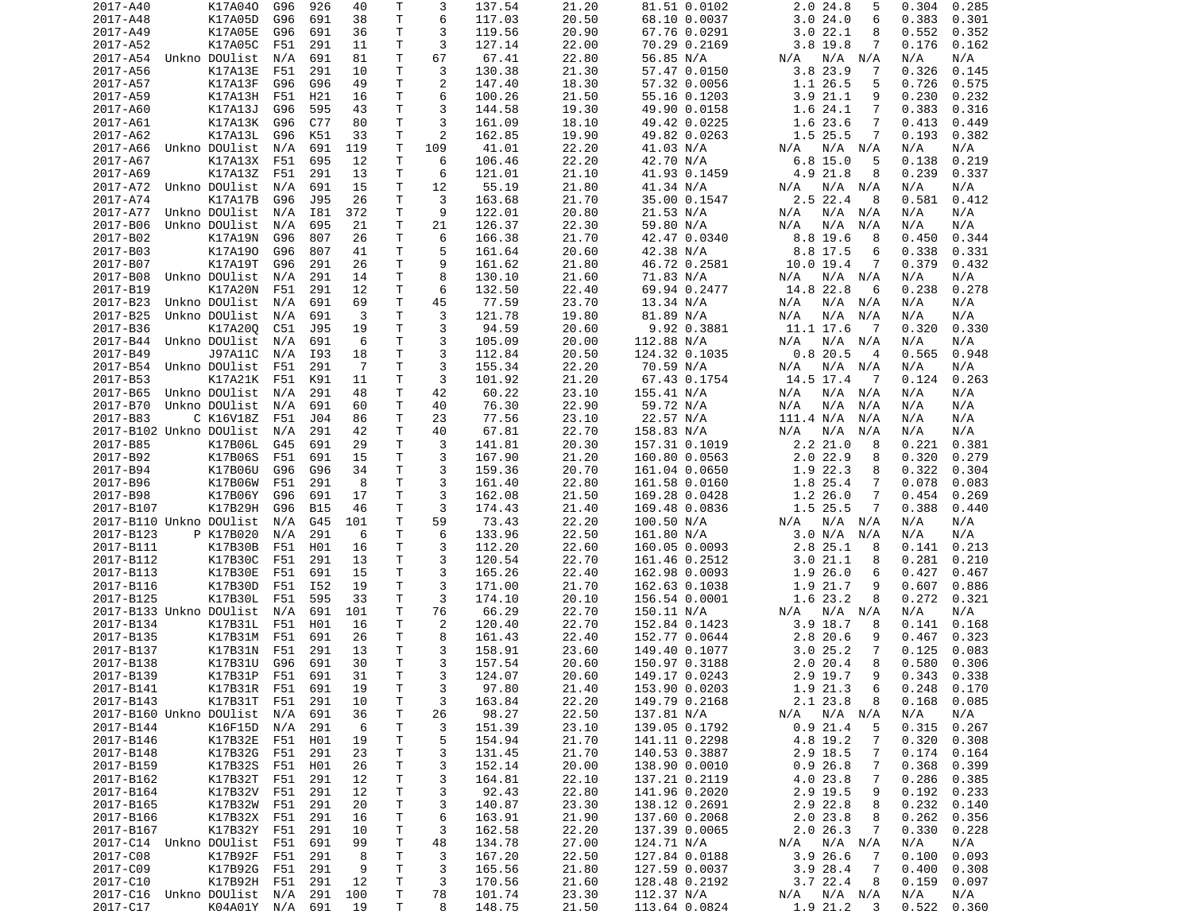| 2017-A40                | K17A040                               | G96 | 926        | 40             | Т            | 3       | 137.54           | 21.20 | 81.51 0.0102                | 2.0 24.8<br>5               | 0.304<br>0.285               |
|-------------------------|---------------------------------------|-----|------------|----------------|--------------|---------|------------------|-------|-----------------------------|-----------------------------|------------------------------|
| 2017-A48                | K17A05D                               | G96 | 691        | 38             | T            | 6       | 117.03           | 20.50 | 68.10 0.0037                | 3.024.0<br>6                | 0.383<br>0.301               |
| 2017-A49                | K17A05E                               | G96 | 691        | 36             | т            | 3       | 119.56           | 20.90 | 67.76 0.0291                | 3.022.1<br>8                | 0.552<br>0.352               |
| 2017-A52                | K17A05C                               | F51 | 291        | 11             | т            | 3       | 127.14           | 22.00 | 70.29 0.2169                | $3.8$ 19.8<br>7             | 0.176<br>0.162               |
| 2017-A54                | Unkno DOUlist                         | N/A | 691        | 81             | Τ            | 67      | 67.41            | 22.80 | 56.85 N/A                   | N/A<br>N/A N/A              | N/A<br>N/A                   |
| 2017-A56                | K17A13E                               | F51 | 291        | 10             | Τ            | 3       | 130.38           | 21.30 | 57.47 0.0150                | 3.823.9<br>7                | 0.326<br>0.145               |
| 2017-A57                | K17A13F                               | G96 | G96        | 49             | т            | 2       | 147.40           | 18.30 | 57.32 0.0056                | 1.1 26.5<br>5               | 0.726<br>0.575               |
| 2017-A59                | K17A13H                               | F51 | H21        | 16             | Τ            | 6       | 100.26           | 21.50 | 55.16 0.1203                | 3.921.1<br>9                | 0.230<br>0.232               |
| 2017-A60                | K17A13J                               | G96 | 595        | 43             | T.           | 3       | 144.58           | 19.30 | 49.90 0.0158                | 1.6 24.1<br>7               | 0.383<br>0.316               |
|                         |                                       |     |            |                |              |         |                  |       |                             |                             |                              |
| 2017-A61                | K17A13K                               | G96 | C77        | 80             | т            | 3       | 161.09           | 18.10 | 49.42 0.0225                | 1.6 23.6<br>7               | 0.413<br>0.449               |
| 2017-A62                | K17A13L                               | G96 | K51        | 33             | T            | 2       | 162.85           | 19.90 | 49.82 0.0263                | 1.5 25.5<br>7               | 0.193<br>0.382               |
| 2017-A66                | Unkno DOUlist                         | N/A | 691        | 119            | T            | 109     | 41.01            | 22.20 | 41.03 N/A                   | N/A<br>N/A N/A              | N/A<br>N/A                   |
| 2017-A67                | K17A13X                               | F51 | 695        | 12             | T.           | 6       | 106.46           | 22.20 | 42.70 N/A                   | $6.8$ 15.0<br>5             | 0.219<br>0.138               |
| 2017-A69                | K17A13Z                               | F51 | 291        | 13             | т            | 6       | 121.01           | 21.10 | 41.93 0.1459                | 4.9 21.8<br>8               | 0.239<br>0.337               |
| 2017-A72                | Unkno DOUlist                         | N/A | 691        | 15             | T            | 12      | 55.19            | 21.80 | 41.34 N/A                   | N/A N/A<br>N/A              | N/A<br>N/A                   |
| 2017-A74                | K17A17B                               | G96 | J95        | 26             | T.           | 3       | 163.68           | 21.70 | 35.00 0.1547                | 2.5 22.4<br>8               | 0.581<br>0.412               |
| 2017-A77                | Unkno DOUlist                         | N/A | I81        | 372            | т            | 9       | 122.01           | 20.80 | 21.53 N/A                   | N/A<br>N/A N/A              | N/A<br>N/A                   |
| 2017-B06                | Unkno DOUlist                         | N/A | 695        | 21             | T.           | 21      | 126.37           | 22.30 | 59.80 N/A                   | N/A<br>N/A<br>N/A           | N/A<br>N/A                   |
| 2017-B02                | K17A19N                               | G96 | 807        | 26             | T.           | 6       | 166.38           | 21.70 | 42.47 0.0340                | 8.8 19.6<br>8               | 0.450<br>0.344               |
| 2017-B03                | K17A190                               | G96 | 807        | 41             | т            | 5       | 161.64           | 20.60 | 42.38 N/A                   | 8.8 17.5<br>6               | 0.338<br>0.331               |
| 2017-B07                | K17A19T                               | G96 | 291        | 26             | Τ            | 9       | 161.62           | 21.80 | 46.72 0.2581                | 10.0 19.4<br>7              | 0.379<br>0.432               |
| 2017-B08                | Unkno DOUlist                         | N/A | 291        | 14             | Τ            | 8       | 130.10           | 21.60 | 71.83 N/A                   | N/A N/A<br>N/A              | N/A<br>N/A                   |
|                         |                                       |     |            |                |              |         |                  |       |                             |                             |                              |
| 2017-B19                | K17A20N                               | F51 | 291        | 12             | T            | 6       | 132.50           | 22.40 | 69.94 0.2477                | 14.8 22.8<br>6              | 0.278<br>0.238               |
| 2017-B23                | Unkno DOUlist                         | N/A | 691        | 69             | Τ            | 45      | 77.59            | 23.70 | 13.34 N/A                   | N/A<br>N/A N/A              | N/A<br>N/A                   |
| 2017-B25                | Unkno DOUlist                         | N/A | 691        | 3              | T.           | 3       | 121.78           | 19.80 | 81.89 N/A                   | N/A<br>N/A<br>N/A           | N/A<br>N/A                   |
| 2017-B36                | K17A200                               | C51 | J95        | 19             | Τ            | 3       | 94.59            | 20.60 | 9.92 0.3881                 | 11.1 17.6<br>- 7            | 0.320<br>0.330               |
| 2017-B44                | Unkno DOUlist                         | N/A | 691        | 6              | т            | 3       | 105.09           | 20.00 | 112.88 N/A                  | N/A<br>N/A N/A              | N/A<br>N/A                   |
| 2017-B49                | J97A11C                               | N/A | I93        | 18             | Τ            | 3       | 112.84           | 20.50 | 124.32 0.1035               | 0.820.5<br>$\overline{4}$   | 0.565<br>0.948               |
| 2017-B54                | Unkno DOUlist                         | F51 | 291        | $\overline{7}$ | Τ            | 3       | 155.34           | 22.20 | 70.59 N/A                   | N/A<br>N/A N/A              | N/A<br>N/A                   |
| 2017-B53                | K17A21K                               | F51 | K91        | 11             | T            | 3       | 101.92           | 21.20 | 67.43 0.1754                | 14.5 17.4<br>$\overline{7}$ | 0.124<br>0.263               |
| 2017-B65                | Unkno DOUlist                         | N/A | 291        | 48             | Τ            | 42      | 60.22            | 23.10 | 155.41 N/A                  | N/A<br>N/A N/A              | N/A<br>N/A                   |
| 2017-B70                | Unkno DOUlist                         | N/A | 691        | 60             | T            | 40      | 76.30            | 22.90 | 59.72 N/A                   | N/A<br>N/A<br>N/A           | N/A<br>N/A                   |
| 2017-B83                | C K16V18Z                             | F51 | J04        | 86             | T            | 23      | 77.56            | 23.10 | 22.57 N/A                   | 111.4 N/A<br>N/A            | N/A<br>N/A                   |
| 2017-B102 Unkno DOUlist |                                       | N/A | 291        | 42             | т            | 40      | 67.81            | 22.70 | 158.83 N/A                  | N/A<br>N/A<br>N/A           | N/A<br>N/A                   |
| 2017-B85                | K17B06L                               | G45 | 691        | 29             | T.           | 3       | 141.81           | 20.30 | 157.31 0.1019               | 2.221.0<br>8                | 0.221<br>0.381               |
| 2017-B92                | K17B06S                               | F51 | 691        | 15             | Τ            | 3       | 167.90           | 21.20 | 160.80 0.0563               | 2.022.9<br>8                | 0.320<br>0.279               |
|                         |                                       |     |            |                | Τ            | 3       |                  |       |                             |                             |                              |
| 2017-B94                | K17B06U                               | G96 | G96        | 34             |              |         | 159.36           | 20.70 | 161.04 0.0650               | 1.9 22.3<br>8               | 0.322<br>0.304               |
| 2017-B96                | K17B06W                               | F51 | 291        | 8              | Τ            | 3       | 161.40           | 22.80 | 161.58 0.0160               | 1.8 25.4<br>7               | 0.078<br>0.083               |
| 2017-B98                | K17B06Y                               | G96 | 691        | 17             | т            | 3       | 162.08           | 21.50 | 169.28 0.0428               | 1.226.0<br>7                | 0.454<br>0.269               |
| 2017-B107               | K17B29H                               | G96 | <b>B15</b> | 46             | т            | 3       | 174.43           | 21.40 | 169.48 0.0836               | 1.5 25.5<br>7               | 0.388<br>0.440               |
| 2017-B110 Unkno DOUlist |                                       | N/A | G45        | 101            | Τ            | 59      | 73.43            | 22.20 | 100.50 N/A                  | N/A N/A<br>N/A              | N/A<br>N/A                   |
| 2017-B123               | P K17B020                             | N/A | 291        | 6              | Τ            | 6       | 133.96           | 22.50 | 161.80 N/A                  | 3.0 N/A<br>N/A              | N/A<br>N/A                   |
| 2017-B111               | K17B30B                               | F51 | H01        | 16             | Τ            | 3       |                  |       |                             |                             |                              |
| 2017-B112               | K17B30C                               |     |            |                |              |         | 112.20           | 22.60 | 160.05 0.0093               | 2.8 25.1<br>8               | 0.141<br>0.213               |
| 2017-B113               |                                       | F51 | 291        | 13             | Τ            | 3       | 120.54           | 22.70 | 161.46 0.2512               | 3.021.1<br>8                | 0.281<br>0.210               |
| 2017-B116               |                                       | F51 | 691        | 15             | Τ            | 3       |                  | 22.40 |                             | 6                           | 0.427<br>0.467               |
|                         | K17B30E                               |     |            |                |              |         | 165.26           |       | 162.98 0.0093               | 1.9 26.0                    |                              |
|                         | K17B30D                               | F51 | I52        | 19             | $\mathsf{T}$ | 3       | 171.00           | 21.70 | 162.63 0.1038               | 1.9 21.7<br>9               | 0.607<br>0.886               |
| 2017-B125               | K17B30L                               | F51 | 595        | 33             | T            | 3       | 174.10           | 20.10 | 156.54 0.0001               | 1.6 23.2<br>8               | 0.272<br>0.321               |
| 2017-B133 Unkno DOUlist |                                       | N/A | 691        | 101            | T.           | 76      | 66.29            | 22.70 | 150.11 N/A                  | N/A N/A<br>N/A              | N/A<br>N/A                   |
| 2017-B134               | K17B31L                               | F51 | H01        | 16             | Τ            | 2       | 120.40           | 22.70 | 152.84 0.1423               | $3.9$ 18.7<br>8             | 0.141<br>0.168               |
| 2017-B135               | K17B31M                               | F51 | 691        | 26             | T            | 8       | 161.43           | 22.40 | 152.77 0.0644               | 2.8 20.6<br>9               | 0.467<br>0.323               |
| 2017-B137               | K17B31N                               | F51 | 291        | 13             | T.           | 3       | 158.91           | 23.60 | 149.40 0.1077               | 3.025.2<br>7                | 0.125<br>0.083               |
| 2017-B138               | K17B31U                               | G96 | 691        | 30             | T.           | 3       | 157.54           | 20.60 | 150.97 0.3188               | 2.020.4<br>8                | 0.580<br>0.306               |
| 2017-B139               | K17B31P                               | F51 | 691        | 31             | $\mathsf{T}$ | 3       | 124.07           | 20.60 | 149.17 0.0243               | 2.9 19.7<br>9               | 0.343<br>0.338               |
| 2017-B141               | K17B31R F51 691                       |     |            | 19             | Τ            | 3       | 97.80            | 21.40 | 153.90 0.0203               | 1.9 21.3<br>6               | 0.248<br>0.170               |
| 2017-B143               | K17B31T                               | F51 | 291        | 10             | T            | 3       | 163.84           | 22.20 | 149.79 0.2168               | 2.1 23.8<br>8               | 0.168<br>0.085               |
| 2017-B160 Unkno DOUlist |                                       | N/A | 691        | 36             | Τ            | 26      | 98.27            | 22.50 | 137.81 N/A                  | N/A<br>$N/A$ $N/A$          | N/A<br>N/A                   |
| 2017-B144               | K16F15D N/A                           |     | 291        | 6              | т            | 3       | 151.39           | 23.10 | 139.05 0.1792               | 0.921.4<br>5                | 0.315<br>0.267               |
| 2017-B146               | K17B32E F51                           |     | H01        | 19             | Τ            | 5       | 154.94           | 21.70 | 141.11 0.2298               | 4.8 19.2<br>7               | 0.320<br>0.308               |
| 2017-B148               | K17B32G                               | F51 | 291        | 23             | T.           | 3       | 131.45           | 21.70 | 140.53 0.3887               | 2.9 18.5<br>7               | 0.174<br>0.164               |
|                         |                                       |     |            |                |              |         |                  |       |                             |                             |                              |
| 2017-B159               | K17B32S F51                           |     | H01        | 26             | T.           | 3       | 152.14           | 20.00 | 138.90 0.0010               | 0.926.8<br>7                | 0.368<br>0.399               |
| 2017-B162               | K17B32T                               | F51 | 291        | 12             | T            | 3       | 164.81           | 22.10 | 137.21 0.2119               | 4.0 23.8<br>7               | 0.286<br>0.385               |
| 2017-B164               | K17B32V F51                           |     | 291        | 12             | T            | 3       | 92.43            | 22.80 | 141.96 0.2020               | 2.9 19.5<br>9               | 0.192<br>0.233               |
| 2017-B165               | K17B32W                               | F51 | 291        | 20             | Τ            | 3       | 140.87           | 23.30 | 138.12 0.2691               | 2.9 22.8<br>8               | 0.232<br>0.140               |
| 2017-B166               | K17B32X F51                           |     | 291        | 16             | Τ            | 6       | 163.91           | 21.90 | 137.60 0.2068               | 2.0 23.8<br>8               | 0.262<br>0.356               |
| 2017-B167               | K17B32Y F51                           |     | 291        | 10             | T            | 3       | 162.58           | 22.20 | 137.39 0.0065               | 2.026.3<br>7                | 0.330<br>0.228               |
| 2017-C14 Unkno DOUlist  |                                       | F51 | 691        | 99             | T            | 48      | 134.78           | 27.00 | 124.71 N/A                  | $N/A$ $N/A$<br>N/A          | N/A<br>N/A                   |
| 2017-C08                | K17B92F                               | F51 | 291        | 8              | T.           | 3       | 167.20           | 22.50 | 127.84 0.0188               | 3.9 26.6<br>$\overline{7}$  | 0.100<br>0.093               |
| 2017-C09                | K17B92G F51                           |     | 291        | 9              | T            | 3       | 165.56           | 21.80 | 127.59 0.0037               | 3.928.4<br>-7               | 0.400<br>0.308               |
| 2017-C10                | K17B92H F51                           |     | 291        | 12             | Τ            | 3       | 170.56           | 21.60 | 128.48 0.2192               | 3.7 22.4<br>8               | 0.159<br>0.097               |
| 2017-C16<br>2017-C17    | Unkno DOUlist  N/A<br>K04A01Y N/A 691 |     | 291        | 100            | T.           | 78<br>8 | 101.74<br>148.75 | 23.30 | 112.37 N/A<br>113.64 0.0824 | N/A N/A<br>N/A<br>1.9 21.2  | N/A<br>N/A<br>0.522<br>0.360 |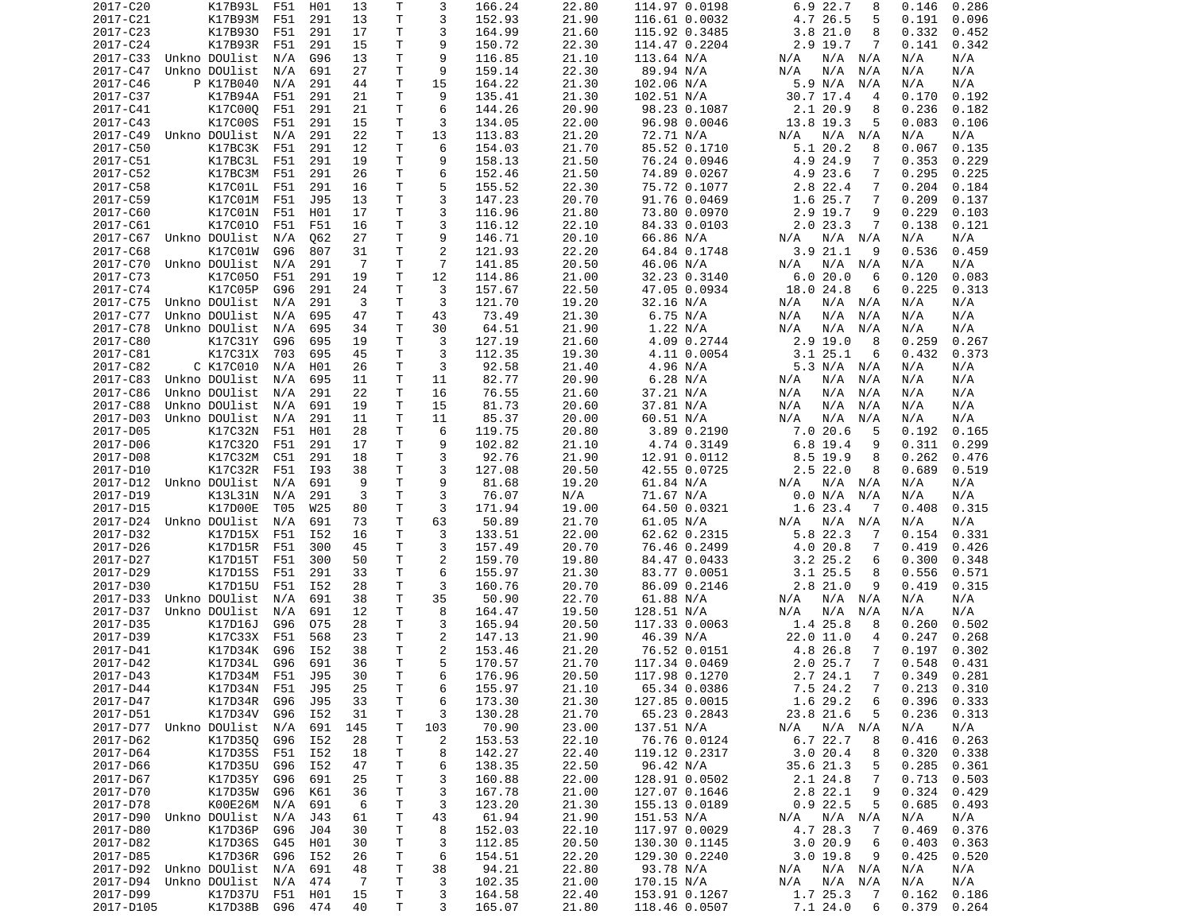| 2017-C20               | K17B93L           | F51 | H01 | 13             | т            | 3              | 166.24 | 22.80 | 114.97 0.0198 | 6.9 22.7<br>8              | 0.146<br>0.286  |
|------------------------|-------------------|-----|-----|----------------|--------------|----------------|--------|-------|---------------|----------------------------|-----------------|
| 2017-C21               | K17B93M           | F51 | 291 | 13             | Τ            | 3              | 152.93 | 21.90 | 116.61 0.0032 | 4.7 26.5<br>5              | 0.191<br>0.096  |
| 2017-C23               | K17B930           | F51 | 291 | 17             | Τ            | 3              | 164.99 | 21.60 | 115.92 0.3485 | 3.821.0<br>8               | 0.332<br>0.452  |
| 2017-C24               | K17B93R           | F51 | 291 | 15             | т            | 9              | 150.72 | 22.30 | 114.47 0.2204 | 2.9 19.7<br>7              | 0.141<br>0.342  |
| 2017-C33               | Unkno DOUlist     | N/A | G96 | 13             | Τ            | 9              | 116.85 | 21.10 | 113.64 N/A    | N/A<br>N/A N/A             | N/A<br>N/A      |
| 2017-C47               | Unkno DOUlist     | N/A | 691 | 27             | т            | 9              | 159.14 | 22.30 | 89.94 N/A     | N/A<br>N/A<br>N/A          | N/A<br>N/A      |
| 2017-C46               | P K17B040         | N/A | 291 | 44             | т            | 15             | 164.22 | 21.30 | 102.06 N/A    | 5.9 N/A<br>N/A             | N/A<br>N/A      |
| 2017-C37               |                   | F51 |     | 21             | Τ            | 9              | 135.41 | 21.30 |               |                            |                 |
|                        | K17B94A           |     | 291 |                |              |                |        |       | 102.51 N/A    | 30.7 17.4<br>4             | 0.170<br>0.192  |
| 2017-C41               | K17C000           | F51 | 291 | 21             | T            | 6              | 144.26 | 20.90 | 98.23 0.1087  | 2.1 20.9<br>8              | 0.236<br>0.182  |
| 2017-C43               | K17C00S           | F51 | 291 | 15             | т            | 3              | 134.05 | 22.00 | 96.98 0.0046  | 13.8 19.3<br>5             | 0.083<br>0.106  |
| 2017-C49               | Unkno DOUlist     | N/A | 291 | 22             | Τ            | 13             | 113.83 | 21.20 | 72.71 N/A     | N/A<br>N/A N/A             | N/A<br>N/A      |
| 2017-C50               | K17BC3K           | F51 | 291 | 12             | Τ            | 6              | 154.03 | 21.70 | 85.52 0.1710  | 5.1 20.2<br>8              | 0.067<br>0.135  |
| 2017-C51               | K17BC3L           | F51 | 291 | 19             | T.           | 9              | 158.13 | 21.50 | 76.24 0.0946  | 4.9 24.9<br>7              | 0.353<br>0.229  |
| 2017-C52               | K17BC3M           | F51 | 291 | 26             | т            | 6              | 152.46 | 21.50 | 74.89 0.0267  | 4.9 23.6<br>7              | 0.295<br>0.225  |
| 2017-C58               | K17C01L           | F51 | 291 | 16             | T.           | 5              | 155.52 | 22.30 | 75.72 0.1077  | 2.8 22.4<br>7              | 0.204<br>0.184  |
| 2017-C59               | K17C01M           | F51 | J95 | 13             | T.           | 3              | 147.23 | 20.70 | 91.76 0.0469  | 1.6 25.7<br>7              | 0.209<br>0.137  |
| 2017-C60               | K17C01N           | F51 | H01 | 17             | Τ            | 3              | 116.96 | 21.80 | 73.80 0.0970  | 2.9 19.7<br>9              | 0.229<br>0.103  |
| 2017-C61               | K17C010           | F51 | F51 | 16             | T.           | 3              | 116.12 | 22.10 | 84.33 0.0103  | 2.023.3<br>7               | 0.138<br>0.121  |
| 2017-C67               | Unkno DOUlist     | N/A | 062 | 27             | Τ            | 9              | 146.71 | 20.10 | 66.86 N/A     | N/A N/A<br>N/A             | N/A<br>N/A      |
| 2017-C68               | K17C01W           | G96 | 807 | 31             | т            | $\overline{c}$ | 121.93 | 22.20 | 64.84 0.1748  | 3.9 21.1<br>9              | 0.536<br>0.459  |
|                        |                   |     |     |                | Τ            | $\overline{7}$ |        |       |               | $N/A$ $N/A$                |                 |
| 2017-C70               | Unkno DOUlist     | N/A | 291 | -7             |              |                | 141.85 | 20.50 | 46.06 N/A     | N/A                        | N/A<br>N/A      |
| 2017-C73               | K17C050           | F51 | 291 | 19             | Τ            | 12             | 114.86 | 21.00 | 32.23 0.3140  | 6.020.0<br>6               | 0.120<br>0.083  |
| 2017-C74               | K17C05P           | G96 | 291 | 24             | T            | 3              | 157.67 | 22.50 | 47.05 0.0934  | 18.0 24.8<br>6             | 0.225<br>0.313  |
| 2017-C75               | Unkno DOUlist     | N/A | 291 | 3              | Τ            | 3              | 121.70 | 19.20 | 32.16 N/A     | N/A<br>N/A N/A             | N/A<br>N/A      |
| 2017-C77               | Unkno DOUlist     | N/A | 695 | 47             | Τ            | 43             | 73.49  | 21.30 | 6.75 N/A      | N/A<br>N/A<br>N/A          | N/A<br>N/A      |
| 2017-C78               | Unkno DOUlist     | N/A | 695 | 34             | Τ            | 30             | 64.51  | 21.90 | 1.22 N/A      | N/A<br>N/A<br>N/A          | N/A<br>N/A      |
| 2017-C80               | K17C31Y           | G96 | 695 | 19             | Τ            | 3              | 127.19 | 21.60 | 4.09 0.2744   | 2.9 19.0<br>8              | 0.259<br>0.267  |
| 2017-C81               | K17C31X           | 703 | 695 | 45             | т            | 3              | 112.35 | 19.30 | 4.11 0.0054   | 3.125.1<br>6               | 0.432<br>0.373  |
| 2017-C82               | C K17C010         | N/A | H01 | 26             | т            | 3              | 92.58  | 21.40 | 4.96 N/A      | 5.3 N/A N/A                | N/A<br>N/A      |
| 2017-C83               | Unkno DOUlist     | N/A | 695 | 11             | T            | 11             | 82.77  | 20.90 | 6.28 N/A      | N/A<br>N/A<br>N/A          | N/A<br>N/A      |
| 2017-C86               | Unkno DOUlist     | N/A | 291 | 22             | Т            | 16             | 76.55  | 21.60 | 37.21 N/A     | N/A<br>N/A<br>N/A          | N/A<br>N/A      |
| 2017-C88               | Unkno DOUlist     | N/A | 691 | 19             | T            | 15             | 81.73  | 20.60 | 37.81 N/A     | N/A<br>N/A<br>N/A          | N/A<br>N/A      |
|                        |                   |     |     |                | T.           |                |        |       |               |                            |                 |
| 2017-D03               | Unkno DOUlist     | N/A | 291 | 11             |              | 11             | 85.37  | 20.00 | 60.51 N/A     | N/A<br>N/A<br>N/A          | N/A<br>N/A      |
| 2017-D05               | K17C32N           | F51 | H01 | 28             | т            | 6              | 119.75 | 20.80 | 3.89 0.2190   | 7.0 20.6<br>5              | 0.192<br>0.165  |
| 2017-D06               | K17C320           | F51 | 291 | 17             | Τ            | 9              | 102.82 | 21.10 | 4.74 0.3149   | $6.8$ 19.4<br>9            | 0.311<br>0.299  |
| 2017-D08               | K17C32M           | C51 | 291 | 18             | Τ            | 3              | 92.76  | 21.90 | 12.91 0.0112  | 8.5 19.9<br>8              | 0.262<br>0.476  |
| 2017-D10               | K17C32R           | F51 | I93 | 38             | T.           | 3              | 127.08 | 20.50 | 42.55 0.0725  | 2.5 22.0<br>8              | 0.689<br>0.519  |
| 2017-D12               | Unkno DOUlist     | N/A | 691 | 9              | Τ            | 9              | 81.68  | 19.20 | 61.84 N/A     | N/A N/A<br>N/A             | N/A<br>N/A      |
| 2017-D19               | K13L31N           | N/A | 291 | 3              | т            | 3              | 76.07  | N/A   | 71.67 N/A     | 0.0 N/A<br>N/A             | N/A<br>N/A      |
| 2017-D15               | K17D00E           | T05 | W25 | 80             | T            | 3              | 171.94 | 19.00 | 64.50 0.0321  | 1.6 23.4<br>- 7            | 0.408<br>0.315  |
| 2017-D24               | Unkno DOUlist     | N/A | 691 | 73             | T.           | 63             | 50.89  | 21.70 | 61.05 N/A     | N/A N/A<br>N/A             | N/A<br>N/A      |
| 2017-D32               | K17D15X           | F51 | I52 | 16             | Τ            | 3              | 133.51 | 22.00 | 62.62 0.2315  | 5.8 22.3<br>7              | 0.154<br>0.331  |
| 2017-D26               | K17D15R           | F51 | 300 | 45             | Τ            | 3              | 157.49 | 20.70 | 76.46 0.2499  | 4.0 20.8<br>7              | 0.419<br>0.426  |
| 2017-D27               | K17D15T           | F51 | 300 | 50             | Τ            | $\overline{2}$ | 159.70 | 19.80 | 84.47 0.0433  | $3.2$ $25.2$<br>6          | 0.300<br>0.348  |
| 2017-D29               |                   | F51 | 291 |                | Τ            | 6              |        | 21.30 |               | 8                          | 0.571           |
|                        | K17D15S           |     |     | 33             |              |                | 155.97 |       | 83.77 0.0051  | $3.1$ 25.5                 | 0.556           |
| 2017-D30               | K17D15U           | F51 | I52 | 28             | т            | 3              | 160.76 | 20.70 | 86.09 0.2146  | $2.8$ 21.0<br>9            | 0.419<br>0.315  |
| 2017-D33               | Unkno DOUlist     | N/A | 691 | 38             | T            | 35             | 50.90  | 22.70 | 61.88 N/A     | N/A N/A<br>N/A             | N/A<br>N/A      |
| 2017-D37               | Unkno DOUlist     | N/A | 691 | 12             | T.           | 8              | 164.47 | 19.50 | 128.51 N/A    | N/A<br>N/A<br>N/A          | N/A<br>N/A      |
| 2017-D35               | K17D16J           | G96 | 075 | 28             | T.           | 3              | 165.94 | 20.50 | 117.33 0.0063 | 1.4 25.8<br>8              | 0.260<br>0.502  |
| 2017-D39               | K17C33X           | F51 | 568 | 23             | т            | 2              | 147.13 | 21.90 | 46.39 N/A     | 22.0 11.0<br>4             | 0.247<br>0.268  |
| 2017-D41               | K17D34K           | G96 | I52 | 38             | T.           | 2              | 153.46 | 21.20 | 76.52 0.0151  | 4.8 26.8<br>7              | 0.197<br>0.302  |
| 2017-D42               | K17D34L           | G96 | 691 | 36             | T.           | 5              | 170.57 | 21.70 | 117.34 0.0469 | 2.025.7<br>7               | 0.548<br>0.431  |
| 2017-D43               | K17D34M           | F51 | J95 | 30             | $\mathsf{T}$ | 6              | 176.96 | 20.50 | 117.98 0.1270 | 2.724.1<br>$7^{\circ}$     | 0.349<br>0.281  |
| 2017-D44               | K17D34N F51       |     | J95 | 25             | Τ            | 6              | 155.97 | 21.10 | 65.34 0.0386  | 7.5 24.2<br>$\overline{7}$ | $0.213$ $0.310$ |
| 2017-D47               | K17D34R           | G96 | J95 | 33             | Τ            | 6              | 173.30 | 21.30 | 127.85 0.0015 | 1.6 29.2<br>6              | 0.396<br>0.333  |
| 2017-D51               | K17D34V           | G96 | I52 | 31             | Τ            | 3              | 130.28 | 21.70 | 65.23 0.2843  | 23.8 21.6<br>5             | 0.236<br>0.313  |
|                        |                   |     |     |                |              |                |        |       |               |                            |                 |
| 2017-D77 Unkno DOUlist |                   | N/A | 691 | 145            | т            | 103            | 70.90  | 23.00 | 137.51 N/A    | $N/A$ $N/A$<br>N/A         | N/A<br>N/A      |
| 2017-D62               | K17D350           | G96 | I52 | 28             | Τ            | $\overline{c}$ | 153.53 | 22.10 | 76.76 0.0124  | 6.7 22.7<br>8              | 0.416<br>0.263  |
| 2017-D64               | K17D35S           | F51 | I52 | 18             | Τ            | 8              | 142.27 | 22.40 | 119.12 0.2317 | 3.020.4<br>8               | 0.320<br>0.338  |
| 2017-D66               | K17D35U           | G96 | I52 | 47             | T            | 6              | 138.35 | 22.50 | 96.42 N/A     | 35.6 21.3<br>5             | 0.285<br>0.361  |
| 2017-D67               | K17D35Y           | G96 | 691 | 25             | Τ            | 3              | 160.88 | 22.00 | 128.91 0.0502 | 2.1 24.8<br>7              | 0.713<br>0.503  |
| 2017-D70               | K17D35W G96       |     | K61 | 36             | T            | 3              | 167.78 | 21.00 | 127.07 0.1646 | 2.8 22.1<br>9              | 0.324<br>0.429  |
| 2017-D78               | K00E26M           | N/A | 691 | - 6            | Τ            | 3              | 123.20 | 21.30 | 155.13 0.0189 | $0.9$ 22.5<br>5            | 0.685<br>0.493  |
| 2017-D90               | Unkno DOUlist     | N/A | J43 | 61             | Τ            | 43             | 61.94  | 21.90 | 151.53 N/A    | N/A<br>N/A N/A             | N/A<br>N/A      |
| 2017-D80               | K17D36P           | G96 | J04 | 30             | T            | 8              | 152.03 | 22.10 | 117.97 0.0029 | 4.7 28.3<br>$\overline{7}$ | 0.469<br>0.376  |
| 2017-D82               | K17D36S           | G45 | H01 | 30             | Τ            | 3              | 112.85 | 20.50 | 130.30 0.1145 | 3.020.9<br>6               | 0.403<br>0.363  |
| 2017-D85               | K17D36R           | G96 | I52 | 26             | T            | 6              | 154.51 | 22.20 | 129.30 0.2240 | 3.019.8<br>9               | 0.425<br>0.520  |
| 2017-D92 Unkno DOUlist |                   |     |     |                | T            |                | 94.21  |       |               |                            |                 |
|                        |                   | N/A | 691 | 48             |              | 38             |        | 22.80 | 93.78 N/A     | N/A N/A<br>N/A             | N/A<br>N/A      |
| 2017-D94               | Unkno DOUlist N/A |     | 474 | $\overline{7}$ | Τ            | 3              | 102.35 | 21.00 | 170.15 N/A    | N/A<br>N/A N/A             | N/A<br>N/A      |
| 2017-D99               | K17D37U           | F51 | H01 | 15             | T.           | 3              | 164.58 | 22.40 | 153.91 0.1267 | 1.7 25.3<br>-7             | 0.162<br>0.186  |
| 2017-D105              | K17D38B G96       |     | 474 | 40             | Τ            | 3              | 165.07 | 21.80 | 118.46 0.0507 | 7.1 24.0<br>6              | 0.379<br>0.264  |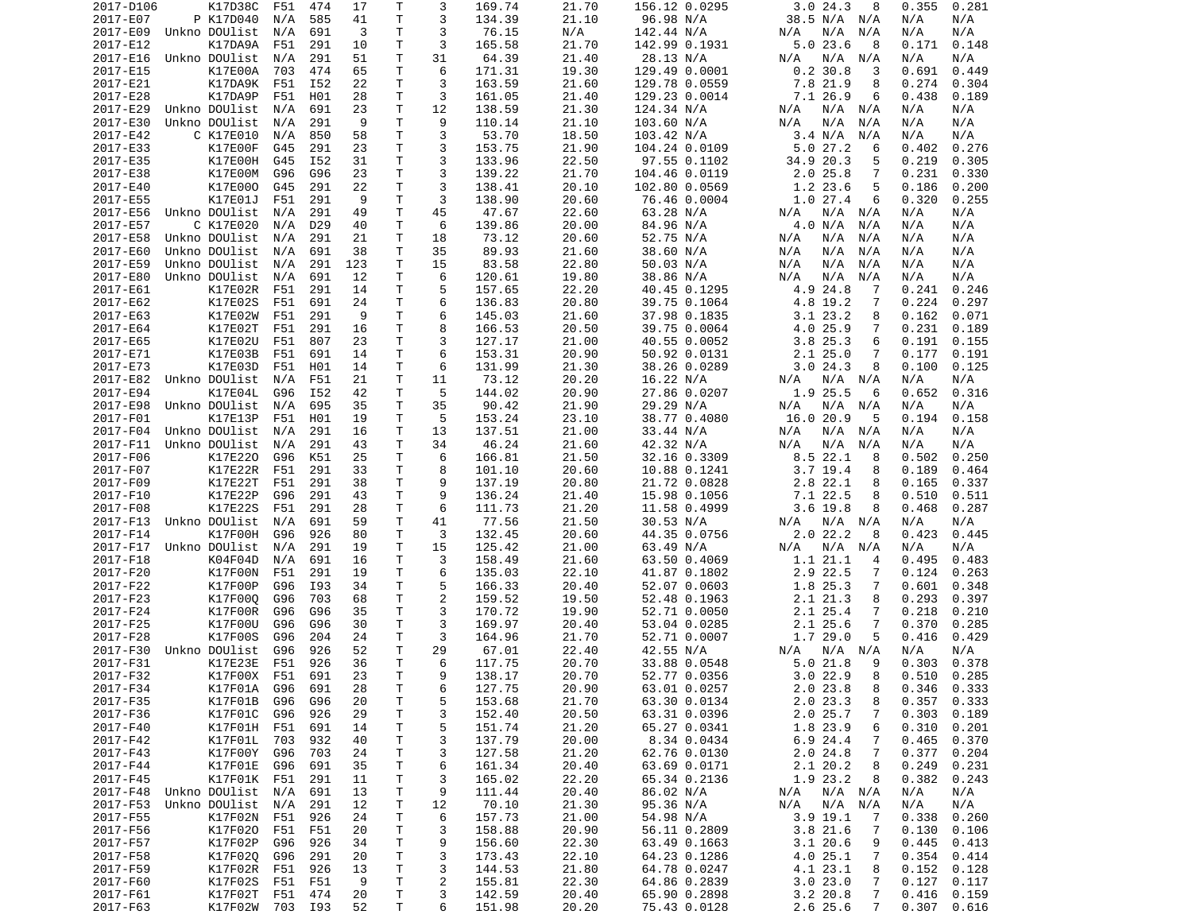| 2017-D106            | K17D38C         | F51 | 474             | 17       | Τ            | 3              | 169.74 | 21.70 | 156.12 0.0295 | 3.024.3<br>8               | 0.281<br>0.355      |
|----------------------|-----------------|-----|-----------------|----------|--------------|----------------|--------|-------|---------------|----------------------------|---------------------|
| 2017-E07             | P K17D040       | N/A | 585             | 41       | т            | 3              | 134.39 | 21.10 | 96.98 N/A     | 38.5 N/A N/A               | N/A<br>N/A          |
| 2017-E09             | Unkno DOUlist   | N/A | 691             | 3        | Τ            | 3              | 76.15  | N/A   | 142.44 N/A    | N/A<br>N/A<br>N/A          | N/A<br>N/A          |
| 2017-E12             | K17DA9A         | F51 | 291             | 10       | т            | 3              | 165.58 | 21.70 | 142.99 0.1931 | $5.0$ 23.6<br>8            | 0.148<br>0.171      |
| 2017-E16             | Unkno DOUlist   | N/A | 291             | 51       | T.           | 31             | 64.39  | 21.40 | 28.13 N/A     | N/A<br>N/A<br>N/A          | N/A<br>N/A          |
| 2017-E15             | K17E00A         | 703 | 474             | 65       | Τ            | 6              | 171.31 | 19.30 | 129.49 0.0001 | 0.230.8<br>3               | 0.691<br>0.449      |
| 2017-E21             | K17DA9K         | F51 | I52             | 22       | Τ            | 3              | 163.59 | 21.60 | 129.78 0.0559 | 7.8 21.9<br>8              | 0.274<br>0.304      |
| 2017-E28             | K17DA9P         | F51 | H01             | 28       | Τ            | 3              | 161.05 | 21.40 | 129.23 0.0014 | 7.1 26.9<br>6              | 0.438<br>0.189      |
| 2017-E29             | Unkno DOUlist   | N/A | 691             | 23       | T            | 12             | 138.59 | 21.30 | 124.34 N/A    | N/A<br>N/A<br>N/A          | N/A<br>N/A          |
| 2017-E30             | Unkno DOUlist   | N/A | 291             | 9        | т            | 9              | 110.14 | 21.10 | 103.60 N/A    | N/A<br>N/A<br>N/A          | N/A<br>N/A          |
| 2017-E42             | C K17E010       | N/A | 850             | 58       | т            | 3              | 53.70  | 18.50 | 103.42 N/A    | 3.4 N/A<br>N/A             | N/A<br>N/A          |
| 2017-E33             | K17E00F         | G45 | 291             | 23       | T.           | 3              | 153.75 | 21.90 | 104.24 0.0109 | 5.027.2<br>6               | 0.276<br>0.402      |
| 2017-E35             | K17E00H         | G45 | I52             | 31       | T.           | 3              | 133.96 | 22.50 | 97.55 0.1102  | 34.9 20.3<br>5             | 0.219<br>0.305      |
| 2017-E38             | K17E00M         | G96 | G96             | 23       | т            | 3              | 139.22 | 21.70 | 104.46 0.0119 | $2.0$ 25.8<br>7            | 0.231<br>0.330      |
| 2017-E40             | K17E000         | G45 | 291             | 22       | T.           | 3              | 138.41 | 20.10 | 102.80 0.0569 | 5<br>1.2 23.6              | 0.186<br>0.200      |
| 2017-E55             | K17E01J         | F51 | 291             | 9        | T.           | 3              | 138.90 | 20.60 | 76.46 0.0004  | 1.027.4<br>6               | 0.320<br>0.255      |
| 2017-E56             | Unkno DOUlist   | N/A | 291             | 49       | T            | 45             | 47.67  | 22.60 | 63.28 N/A     | N/A<br>N/A<br>N/A          | N/A<br>N/A          |
| 2017-E57             | C K17E020       | N/A | D <sub>29</sub> | 40       | Τ            | 6              | 139.86 | 20.00 | 84.96 N/A     | 4.0 N/A<br>N/A             | N/A<br>N/A          |
| 2017-E58             | Unkno DOUlist   |     | 291             | 21       | Τ            | 18             | 73.12  | 20.60 | 52.75 N/A     | N/A<br>N/A<br>N/A          | N/A<br>N/A          |
|                      |                 | N/A |                 |          |              |                |        |       |               |                            |                     |
| 2017-E60             | Unkno DOUlist   | N/A | 691             | 38       | Τ            | 35             | 89.93  | 21.60 | 38.60 N/A     | N/A<br>N/A<br>N/A          | N/A<br>N/A          |
| 2017-E59             | Unkno DOUlist   | N/A | 291             | 123      | Τ            | 15             | 83.58  | 22.80 | 50.03 N/A     | N/A<br>N/A<br>N/A          | N/A<br>N/A          |
| 2017-E80             | Unkno DOUlist   | N/A | 691             | 12       | T.           | 6              | 120.61 | 19.80 | 38.86 N/A     | N/A<br>N/A<br>N/A          | N/A<br>N/A          |
| 2017-E61             | K17E02R         | F51 | 291             | 14       | T.           | 5              | 157.65 | 22.20 | 40.45 0.1295  | 4.9 24.8<br>7              | 0.241<br>0.246      |
| 2017-E62             | K17E02S         | F51 | 691             | 24       | т            | 6              | 136.83 | 20.80 | 39.75 0.1064  | 4.8 19.2<br>7              | 0.224<br>0.297      |
| 2017-E63             | K17E02W         | F51 | 291             | 9        | T.           | 6              | 145.03 | 21.60 | 37.98 0.1835  | $3.1$ $23.2$<br>8          | 0.162<br>0.071      |
| 2017-E64             | K17E02T         | F51 | 291             | 16       | T.           | 8              | 166.53 | 20.50 | 39.75 0.0064  | 4.0 25.9<br>7              | 0.231<br>0.189      |
| 2017-E65             | K17E02U         | F51 | 807             | 23       | Τ            | 3              | 127.17 | 21.00 | 40.55 0.0052  | 3.825.3<br>6               | 0.191<br>0.155      |
| 2017-E71             | K17E03B         | F51 | 691             | 14       | Τ            | 6              | 153.31 | 20.90 | 50.92 0.0131  | $2.1$ $25.0$<br>7          | 0.177<br>0.191      |
| 2017-E73             | K17E03D         | F51 | H01             | 14       | Τ            | 6              | 131.99 | 21.30 | 38.26 0.0289  | 3.024.3<br>8               | 0.100<br>0.125      |
| 2017-E82             | Unkno DOUlist   | N/A | F51             | 21       | т            | 11             | 73.12  | 20.20 | 16.22 N/A     | N/A<br>N/A<br>N/A          | N/A<br>N/A          |
| 2017-E94             | K17E04L         | G96 | I52             | 42       | т            | 5              | 144.02 | 20.90 | 27.86 0.0207  | 1.9 25.5<br>6              | 0.316<br>0.652      |
| 2017-E98             | Unkno DOUlist   | N/A | 695             | 35       | Τ            | 35             | 90.42  | 21.90 | 29.29 N/A     | N/A<br>N/A<br>N/A          | N/A<br>N/A          |
| 2017-F01             | K17E13P         | F51 | H01             | 19       | Τ            | 5              | 153.24 | 23.10 | 38.77 0.4080  | 16.0 20.9<br>5             | 0.194<br>0.158      |
| 2017-F04             | Unkno DOUlist   | N/A | 291             | 16       | Τ            | 13             | 137.51 | 21.00 | 33.44 N/A     | N/A<br>$N/A$ $N/A$         | N/A<br>N/A          |
| 2017-F11             | Unkno DOUlist   | N/A | 291             | 43       | Τ            | 34             | 46.24  | 21.60 | 42.32 N/A     | N/A<br>N/A<br>N/A          | N/A<br>N/A          |
| 2017-F06             | K17E220         | G96 | K51             | 25       | T.           | 6              | 166.81 | 21.50 | 32.16 0.3309  | $8.5$ 22.1<br>8            | 0.502<br>0.250      |
| 2017-F07             | K17E22R         | F51 | 291             | 33       | T            | 8              | 101.10 | 20.60 | 10.88 0.1241  | $3.7$ 19.4<br>8            | 0.189<br>0.464      |
| 2017-F09             | K17E22T         | F51 | 291             | 38       | T.           | 9              | 137.19 | 20.80 | 21.72 0.0828  | 2.8 22.1<br>8              | 0.165<br>0.337      |
| 2017-F10             | K17E22P         | G96 | 291             | 43       | Τ            | 9              | 136.24 | 21.40 | 15.98 0.1056  | 7.1 22.5<br>8              | 0.510<br>0.511      |
| 2017-F08             | K17E22S         | F51 | 291             | 28       | т            | 6              | 111.73 | 21.20 | 11.58 0.4999  | $3.6$ 19.8<br>8            | 0.468<br>0.287      |
| 2017-F13             | Unkno DOUlist   | N/A | 691             | 59       | т            | 41             | 77.56  | 21.50 | 30.53 N/A     | $N/A$ $N/A$<br>N/A         | N/A<br>N/A          |
| 2017-F14             | K17F00H         | G96 | 926             | 80       | т            | 3              | 132.45 | 20.60 | 44.35 0.0756  | 2.022.2<br>8               | 0.423<br>0.445      |
| 2017-F17             | Unkno DOUlist   | N/A | 291             | 19       | Τ            | 15             | 125.42 | 21.00 | 63.49 N/A     | N/A<br>N/A N/A             | N/A<br>N/A          |
| 2017-F18             | K04F04D         | N/A | 691             | 16       | т            | 3              | 158.49 | 21.60 | 63.50 0.4069  | 1.1 21.1<br>4              | 0.495<br>0.483      |
| 2017-F20             | K17F00N         | F51 | 291             | 19       | T            | 6              | 135.03 | 22.10 | 41.87 0.1802  | 2.9 22.5<br>7              | 0.124<br>0.263      |
| 2017-F22             | K17F00P         | G96 | I93             | 34       | T.           | 5              | 166.33 | 20.40 | 52.07 0.0603  | 1.8 25.3<br>7              | 0.601<br>0.348      |
| 2017-F23             | K17F000         | G96 | 703             | 68       | T.           | $\overline{2}$ | 159.52 | 19.50 | 52.48 0.1963  | 2.1 21.3<br>8              | 0.293<br>0.397      |
| 2017-F24             | K17F00R         | G96 | G96             | 35       | T.           | 3              | 170.72 | 19.90 | 52.71 0.0050  | 2.1 25.4<br>7              | 0.218<br>0.210      |
| 2017-F25             | K17F00U         | G96 | G96             | 30       | Τ            | 3              | 169.97 | 20.40 | 53.04 0.0285  | $2.1$ $25.6$<br>7          | 0.370<br>0.285      |
| 2017-F28             | K17F00S         | G96 | 204             | 24       | Τ            | 3              | 164.96 | 21.70 | 52.71 0.0007  | 1.7 29.0<br>5              | 0.416<br>0.429      |
| 2017-F30             | Unkno DOUlist   | G96 | 926             | 52       | T.           | 29             | 67.01  | 22.40 | 42.55 N/A     | N/A<br>N/A<br>N/A          | N/A<br>N/A          |
| 2017-F31             | K17E23E         | F51 | 926             | 36       | T.           | 6              | 117.75 | 20.70 | 33.88 0.0548  | 9<br>5.021.8               | 0.378<br>0.303      |
| 2017-F32             | K17F00X F51     |     | 691             | 23       | $\mathsf{T}$ | q              | 138.17 | 20.70 | 52.77 0.0356  | 3.0 22.9<br>8              | $0.510 \quad 0.285$ |
| 2017-F34             | K17F01A         | G96 | 691             | 28       | Τ            | 6              | 127.75 | 20.90 | 63.01 0.0257  | 2.023.8<br>8               | $0.346$ $0.333$     |
| 2017-F35             | K17F01B         | G96 | G96             | 20       | T            | 5              | 153.68 | 21.70 | 63.30 0.0134  | 2.0 23.3<br>8              | 0.357<br>0.333      |
| 2017-F36             | K17F01C         | G96 | 926             | 29       | Τ            | 3              | 152.40 | 20.50 | 63.31 0.0396  | 2.025.7<br>7               | 0.303<br>0.189      |
| 2017-F40             | K17F01H F51     |     | 691             | 14       | Τ            | 5              | 151.74 | 21.20 | 65.27 0.0341  | 1.8 23.9<br>6              | 0.310<br>0.201      |
| 2017-F42             | K17F01L         | 703 | 932             | 40       | Τ            | 3              | 137.79 | 20.00 | 8.34 0.0434   | 6.9 24.4<br>7              | 0.465<br>0.370      |
| 2017-F43             | K17F00Y         | G96 | 703             | 24       | Τ            | 3              | 127.58 | 21.20 | 62.76 0.0130  | 2.024.8<br>7               | 0.377<br>0.204      |
| 2017-F44             | K17F01E         | G96 | 691             | 35       | T            | 6              | 161.34 | 20.40 | 63.69 0.0171  | 2.1 20.2<br>8              | 0.249<br>0.231      |
| 2017-F45             | K17F01K F51     |     | 291             | 11       | Τ            | 3              | 165.02 | 22.20 | 65.34 0.2136  | 1.9 23.2<br>8              | 0.382<br>0.243      |
| 2017-F48             | Unkno DOUlist   | N/A | 691             | 13       |              | 9              | 111.44 | 20.40 | 86.02 N/A     | N/A N/A                    | N/A<br>N/A          |
|                      |                 |     |                 |          | Τ            |                |        | 21.30 |               | N/A                        |                     |
| 2017-F53             | Unkno DOUlist   | N/A | 291             | 12<br>24 | т            | 12             | 70.10  |       | 95.36 N/A     | N/A N/A<br>N/A<br>7        | N/A<br>N/A          |
| 2017-F55<br>2017-F56 | K17F02N         | F51 | 926             |          | Τ            | 6              | 157.73 | 21.00 | 54.98 N/A     | 3.9 19.1                   | 0.338<br>0.260      |
|                      | K17F020         | F51 | F51             | 20       | Τ            | 3              | 158.88 | 20.90 | 56.11 0.2809  | 3.8 21.6<br>7              | 0.130<br>0.106      |
| 2017-F57             | K17F02P         | G96 | 926             | 34       | T            | 9              | 156.60 | 22.30 | 63.49 0.1663  | 3.120.6<br>9               | 0.445<br>0.413      |
| 2017-F58             | K17F020         | G96 | 291             | 20       | T            | 3              | 173.43 | 22.10 | 64.23 0.1286  | 4.0 25.1<br>7              | 0.354<br>0.414      |
| 2017-F59             | K17F02R         | F51 | 926             | 13       | Τ            | 3              | 144.53 | 21.80 | 64.78 0.0247  | 4.1 23.1<br>8              | 0.152<br>0.128      |
| 2017-F60             | K17F02S         | F51 | F51             | 9        | T            | $\overline{c}$ | 155.81 | 22.30 | 64.86 0.2839  | 3.023.0<br>7               | 0.127<br>0.117      |
| 2017-F61             | K17F02T         | F51 | 474             | 20       | Τ            | 3              | 142.59 | 20.40 | 65.90 0.2898  | $3.2$ 20.8<br>7            | 0.416<br>0.159      |
| 2017-F63             | K17F02W 703 I93 |     |                 | 52       | Τ            | 6              | 151.98 | 20.20 | 75.43 0.0128  | $\overline{7}$<br>2.6 25.6 | 0.616<br>0.307      |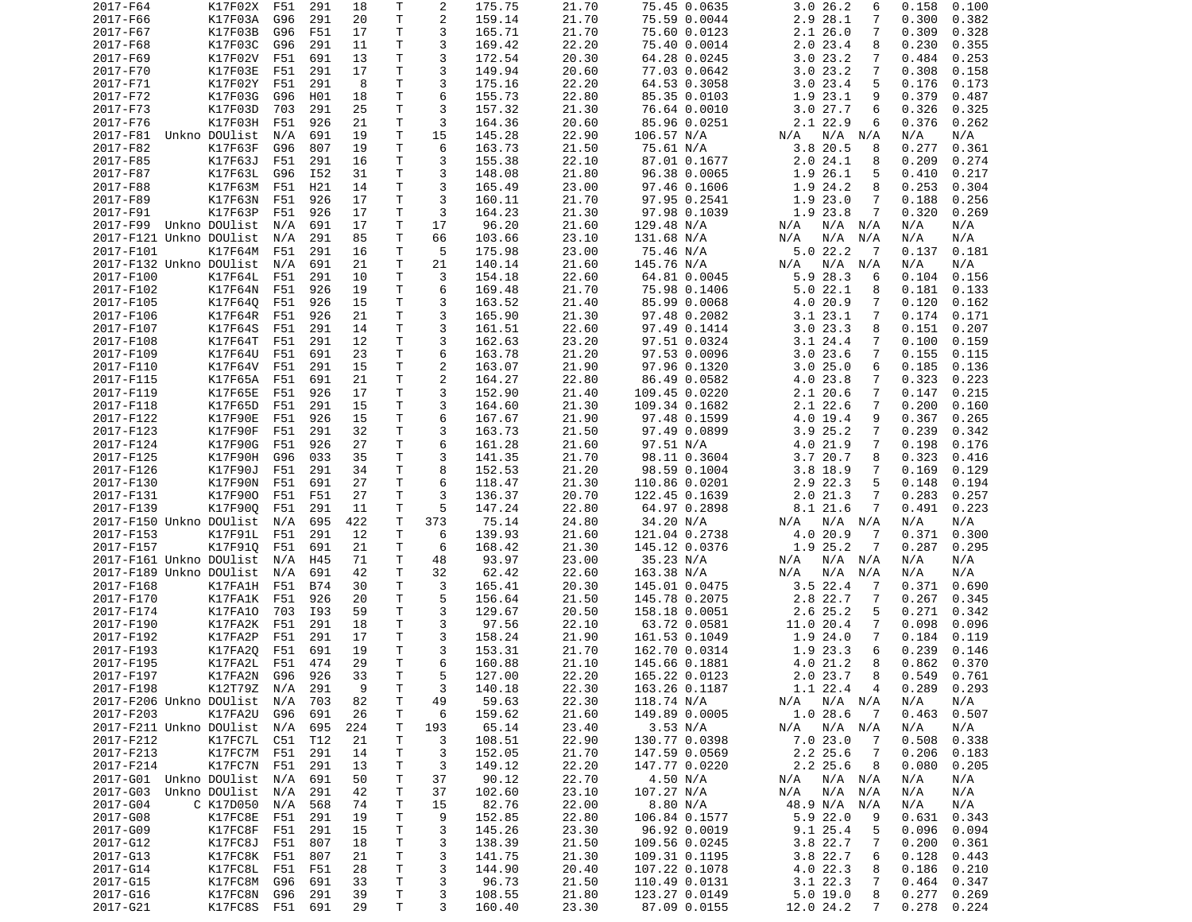| 2017-F64                    | K17F02X                | F51 | 291        | 18       | Τ       | 2              | 175.75           | 21.70          | 75.45 0.0635                  | 3.026.2<br>6                    | 0.158<br>0.100                   |
|-----------------------------|------------------------|-----|------------|----------|---------|----------------|------------------|----------------|-------------------------------|---------------------------------|----------------------------------|
| 2017-F66                    | K17F03A                | G96 | 291        | 20       | Т       | 2              | 159.14           | 21.70          | 75.59 0.0044                  | 2.9 28.1<br>7                   | 0.382<br>0.300                   |
| 2017-F67                    | K17F03B                | G96 | F51        | 17       | Τ       | 3              | 165.71           | 21.70          | 75.60 0.0123                  | 2.126.0<br>7                    | 0.309<br>0.328                   |
| 2017-F68                    | K17F03C                | G96 | 291        | 11       | Τ       | 3              | 169.42           | 22.20          | 75.40 0.0014                  | $2.0$ 23.4<br>8                 | 0.230<br>0.355                   |
| 2017-F69                    | K17F02V                | F51 | 691        | 13       | T.      | 3              | 172.54           | 20.30          | 64.28 0.0245                  | 3.023.2<br>7                    | 0.253<br>0.484                   |
|                             |                        |     |            |          |         |                |                  |                |                               |                                 |                                  |
| 2017-F70                    | K17F03E                | F51 | 291        | 17       | T.      | 3              | 149.94           | 20.60          | 77.03 0.0642                  | 3.023.2<br>$\overline{7}$       | 0.308<br>0.158                   |
| 2017-F71                    | K17F02Y                | F51 | 291        | 8        | T       | 3              | 175.16           | 22.20          | 64.53 0.3058                  | 3.023.4<br>5                    | 0.173<br>0.176                   |
| 2017-F72                    | K17F03G                | G96 | H01        | 18       | T       | 6              | 155.73           | 22.80          | 85.35 0.0103                  | 1.9 23.1<br>9                   | 0.379<br>0.487                   |
| 2017-F73                    | K17F03D                | 703 | 291        | 25       | T       | 3              | 157.32           | 21.30          | 76.64 0.0010                  | 3.027.7<br>6                    | 0.326<br>0.325                   |
| 2017-F76                    | K17F03H                | F51 | 926        | 21       | T       | 3              | 164.36           | 20.60          | 85.96 0.0251                  | 2.1 22.9<br>6                   | 0.376<br>0.262                   |
| 2017-F81                    | Unkno DOUlist          | N/A | 691        | 19       | Τ       | 15             | 145.28           | 22.90          | 106.57 N/A                    | N/A N/A<br>N/A                  | N/A<br>N/A                       |
| 2017-F82                    | K17F63F                | G96 | 807        | 19       | T.      | 6              | 163.73           | 21.50          | 75.61 N/A                     | 3.820.5<br>8                    | 0.277<br>0.361                   |
| 2017-F85                    | K17F63J                | F51 | 291        | 16       | T.      | 3              | 155.38           | 22.10          | 87.01 0.1677                  | 2.024.1<br>8                    | 0.209<br>0.274                   |
| 2017-F87                    | K17F63L                |     | I52        | 31       | T       | 3              | 148.08           | 21.80          |                               |                                 | 0.217                            |
|                             |                        | G96 |            |          |         |                |                  |                | 96.38 0.0065                  | 1.9 26.1<br>5                   | 0.410                            |
| 2017-F88                    | K17F63M                | F51 | H21        | 14       | T.      | 3              | 165.49           | 23.00          | 97.46 0.1606                  | 1.9 24.2<br>8                   | 0.304<br>0.253                   |
| 2017-F89                    | K17F63N                | F51 | 926        | 17       | T       | 3              | 160.11           | 21.70          | 97.95 0.2541                  | $\overline{7}$<br>1.9 23.0      | 0.188<br>0.256                   |
| 2017-F91                    | K17F63P                | F51 | 926        | 17       | T       | 3              | 164.23           | 21.30          | 97.98 0.1039                  | 1.9 23.8<br>7                   | 0.320<br>0.269                   |
| 2017-F99 Unkno DOUlist      |                        | N/A | 691        | 17       | Τ       | 17             | 96.20            | 21.60          | 129.48 N/A                    | N/A N/A<br>N/A                  | N/A<br>N/A                       |
| 2017-F121 Unkno DOUlist     |                        | N/A | 291        | 85       | Т       | 66             | 103.66           | 23.10          | 131.68 N/A                    | N/A<br>$N/A$ $N/A$              | N/A<br>N/A                       |
| 2017-F101                   | K17F64M                | F51 | 291        | 16       | T       | 5              | 175.98           | 23.00          | 75.46 N/A                     | 5.022.2<br>$\overline{7}$       | 0.137<br>0.181                   |
| 2017-F132 Unkno DOUlist     |                        | N/A | 691        | 21       | T       | 21             | 140.14           | 21.60          | 145.76 N/A                    | $N/A$ $N/A$<br>N/A              | N/A<br>N/A                       |
| 2017-F100                   | K17F64L                | F51 | 291        | 10       | T.      | 3              | 154.18           | 22.60          | 64.81 0.0045                  | 5.9 28.3<br>6                   | 0.104<br>0.156                   |
|                             |                        |     |            |          | T.      | 6              |                  |                |                               |                                 |                                  |
| 2017-F102                   | K17F64N                | F51 | 926        | 19       |         |                | 169.48           | 21.70          | 75.98 0.1406                  | 5.022.1<br>8                    | 0.181<br>0.133                   |
| 2017-F105                   | K17F640                | F51 | 926        | 15       | T       | 3              | 163.52           | 21.40          | 85.99 0.0068                  | 4.0 20.9<br>7                   | 0.120<br>0.162                   |
| 2017-F106                   | K17F64R                | F51 | 926        | 21       | T.      | 3              | 165.90           | 21.30          | 97.48 0.2082                  | 3.1 23.1<br>$\overline{7}$      | 0.174<br>0.171                   |
| 2017-F107                   | K17F64S                | F51 | 291        | 14       | T.      | 3              | 161.51           | 22.60          | 97.49 0.1414                  | 3.023.3<br>8                    | 0.151<br>0.207                   |
| 2017-F108                   | K17F64T                | F51 | 291        | 12       | T.      | 3              | 162.63           | 23.20          | 97.51 0.0324                  | $3.1$ 24.4<br>$\overline{7}$    | 0.100<br>0.159                   |
| 2017-F109                   | K17F64U                | F51 | 691        | 23       | T       | 6              | 163.78           | 21.20          | 97.53 0.0096                  | 3.023.6<br>7                    | 0.155<br>0.115                   |
| 2017-F110                   | K17F64V                | F51 | 291        | 15       | T       | $\overline{2}$ | 163.07           | 21.90          | 97.96 0.1320                  | 3.025.0<br>6                    | 0.185<br>0.136                   |
| 2017-F115                   | K17F65A                | F51 | 691        | 21       | T       | $\overline{2}$ | 164.27           | 22.80          | 86.49 0.0582                  | 4.0 23.8<br>$\overline{7}$      | 0.323<br>0.223                   |
| 2017-F119                   | K17F65E                | F51 | 926        | 17       | T       | 3              | 152.90           | 21.40          | 109.45 0.0220                 | 2.1 20.6<br>$\overline{7}$      | 0.215<br>0.147                   |
| 2017-F118                   | K17F65D                | F51 | 291        | 15       | T.      | 3              | 164.60           | 21.30          | 109.34 0.1682                 | $2.1$ 22.6<br>$\overline{7}$    | 0.200<br>0.160                   |
| 2017-F122                   | K17F90E                | F51 | 926        | 15       | T.      | 6              | 167.67           | 21.90          | 97.48 0.1599                  | 4.0 19.4<br>9                   | 0.367<br>0.265                   |
| 2017-F123                   | K17F90F                | F51 | 291        | 32       | T       | 3              |                  | 21.50          | 97.49 0.0899                  | 3.9 25.2<br>$\overline{7}$      | 0.239<br>0.342                   |
|                             |                        |     |            |          |         | 6              | 163.73           |                |                               |                                 |                                  |
| 2017-F124                   | K17F90G                | F51 | 926        | 27       | T       |                | 161.28           | 21.60          | 97.51 N/A                     | 4.0 21.9<br>$\overline{7}$      | 0.198<br>0.176                   |
| 2017-F125                   | K17F90H                | G96 | 033        | 35       | Τ       | 3              | 141.35           | 21.70          | 98.11 0.3604                  | 3.7 20.7<br>8                   | 0.323<br>0.416                   |
| 2017-F126                   | K17F90J                | F51 | 291        | 34       | T       | 8              | 152.53           | 21.20          | 98.59 0.1004                  | $3.8$ 18.9<br>$\overline{7}$    | 0.169<br>0.129                   |
| 2017-F130                   | K17F90N                | F51 | 691        | 27       | T.      | 6              | 118.47           | 21.30          | 110.86 0.0201                 | 5<br>2.9 22.3                   | 0.194<br>0.148                   |
| 2017-F131                   | K17F900                | F51 | F51        | 27       | T.      | 3              | 136.37           | 20.70          | 122.45 0.1639                 | 2.021.3<br>$\overline{7}$       | 0.283<br>0.257                   |
| 2017-F139                   | K17F900                | F51 | 291        | 11       | T       | 5              | 147.24           | 22.80          | 64.97 0.2898                  | 8.1 21.6<br>7                   | 0.491<br>0.223                   |
| 2017-F150 Unkno DOUlist     |                        | N/A | 695        | 422      | T       | 373            | 75.14            | 24.80          | 34.20 N/A                     | N/A N/A<br>N/A                  | N/A<br>N/A                       |
| 2017-F153                   | K17F91L                | F51 | 291        | 12       | T       | 6              | 139.93           | 21.60          | 121.04 0.2738                 | 4.0 20.9<br>7                   | 0.371<br>0.300                   |
| 2017-F157                   | K17F910                | F51 | 691        | 21       | T       | 6              | 168.42           | 21.30          | 145.12 0.0376                 | 1.9 25.2<br>7                   | 0.287<br>0.295                   |
| 2017-F161 Unkno DOUlist     |                        | N/A | H45        | 71       | Τ       | 48             | 93.97            | 23.00          | 35.23 N/A                     | N/A<br>N/A N/A                  | N/A<br>N/A                       |
| 2017-F189 Unkno DOUlist     |                        | N/A | 691        | 42       | T       | 32             | 62.42            | 22.60          | 163.38 N/A                    | N/A<br>N/A N/A                  | N/A<br>N/A                       |
|                             |                        |     |            |          |         |                |                  |                |                               |                                 |                                  |
| 2017-F168                   | K17FA1H                | F51 | <b>B74</b> | 30       | T.      | 3              | 165.41           | 20.30          | 145.01 0.0475                 | $3.5$ 22.4<br>7                 | 0.371<br>0.690                   |
| 2017-F170                   | K17FA1K                | F51 | 926        | 20       | T       | 5              | 156.64           | 21.50          | 145.78 0.2075                 | 2.8 22.7<br>7                   | 0.267<br>0.345                   |
| 2017-F174                   | K17FA10                | 703 | I93        | 59       | T.      | 3              | 129.67           | 20.50          | 158.18 0.0051                 | 2.6 25.2<br>5                   | 0.271<br>0.342                   |
| 2017-F190                   | K17FA2K                | F51 | 291        | 18       | T       | 3              | 97.56            | 22.10          | 63.72 0.0581                  | 11.0 20.4<br>7                  | 0.098<br>0.096                   |
| 2017-F192                   | K17FA2P                | F51 | 291        | 17       | T.      | 3              | 158.24           | 21.90          | 161.53 0.1049                 | 1.9 24.0<br>$\overline{7}$      | 0.184<br>0.119                   |
| 2017-F193                   | K17FA20                | F51 | 691        | 19       | T       | 3              | 153.31           | 21.70          | 162.70 0.0314                 | 6<br>1.9 23.3                   | 0.239<br>0.146                   |
| 2017-F195                   | K17FA2L                | F51 | 474        | 29       | T.      | 6              | 160.88           | 21.10          | 145.66 0.1881                 | 4.0 21.2<br>8                   | 0.862<br>0.370                   |
| 2017-F197                   | K17FA2N                | G96 | 926        | 33       | T       | 5              | 127.00           | 22.20          | 165.22 0.0123                 | 2.0 23.7<br>8                   | $0.549$ $0.761$                  |
| 2017-F198                   | K12T79Z N/A            |     | 291        | 9        | Т       | 3              | 140.18           | 22.30          | 163.26 0.1187                 | 1.1 22.4<br>4                   | 0.289<br>0.293                   |
| 2017-F206 Unkno DOUlist     |                        |     |            |          |         |                | 59.63            | 22.30          |                               |                                 |                                  |
|                             |                        | N/A | 703        | 82       | Т       | 49             |                  |                | 118.74 N/A                    | $N/A$ $N/A$<br>N/A              | N/A<br>N/A                       |
| 2017-F203                   | K17FA2U                | G96 | 691        | 26       | Т       | 6              | 159.62           | 21.60          | 149.89 0.0005                 | 1.028.6<br>- 7                  | 0.463<br>0.507                   |
| 2017-F211 Unkno DOUlist N/A |                        |     | 695        | 224      | Т       | 193            | 65.14            | 23.40          | 3.53 N/A                      | $N/A$ $N/A$<br>N/A              | N/A<br>N/A                       |
| 2017-F212                   | K17FC7L                | C51 | T12        | 21       | Τ       | 3              | 108.51           | 22.90          | 130.77 0.0398                 | 7.0 23.0<br>7                   | 0.508<br>0.338                   |
| 2017-F213                   | K17FC7M F51            |     | 291        | 14       | Т       | 3              | 152.05           | 21.70          | 147.59 0.0569                 | 2.2 25.6<br>7                   | 0.206<br>0.183                   |
| 2017-F214                   | K17FC7N                | F51 | 291        | 13       | Τ       | 3              | 149.12           | 22.20          | 147.77 0.0220                 | 2.2 25.6<br>8                   | 0.080<br>0.205                   |
| 2017-G01 Unkno DOUlist      |                        | N/A | 691        | 50       | Т       | 37             | 90.12            | 22.70          | 4.50 N/A                      | N/A N/A<br>N/A                  | N/A<br>N/A                       |
| 2017-G03                    | Unkno DOUlist          | N/A | 291        | 42       | Τ       | 37             | 102.60           | 23.10          | 107.27 N/A                    | N/A<br>N/A N/A                  | N/A<br>N/A                       |
| 2017-G04                    | C K17D050              | N/A | 568        | 74       | Т       | 15             | 82.76            | 22.00          | 8.80 N/A                      | 48.9 N/A<br>N/A                 | N/A<br>N/A                       |
| 2017-G08                    | K17FC8E                | F51 | 291        | 19       | Τ       | 9              | 152.85           | 22.80          | 106.84 0.1577                 | 5.9 22.0<br>9                   | 0.631<br>0.343                   |
|                             | K17FC8F                | F51 | 291        | 15       | T       | 3              | 145.26           | 23.30          | 96.92 0.0019                  | 9.125.4<br>5                    | 0.096<br>0.094                   |
|                             |                        |     |            |          |         | 3              | 138.39           | 21.50          | 109.56 0.0245                 | 3.8 22.7<br>7                   |                                  |
| 2017-G09                    |                        |     |            |          |         |                |                  |                |                               |                                 |                                  |
| 2017-G12                    | K17FC8J                | F51 | 807        | 18       | Τ       |                |                  |                |                               |                                 | 0.200<br>0.361                   |
| 2017-G13                    | K17FC8K F51            |     | 807        | 21       | T.      | 3              | 141.75           | 21.30          | 109.31 0.1195                 | 3.8 22.7<br>6                   | 0.128<br>0.443                   |
| 2017-G14                    | K17FC8L                | F51 | F51        | 28       | T.      | 3              | 144.90           | 20.40          | 107.22 0.1078                 | 4.0 22.3<br>8                   | 0.210<br>0.186                   |
| 2017-G15                    | K17FC8M                | G96 | 691        | 33       | Τ       | 3              | 96.73            | 21.50          | 110.49 0.0131                 | 3.1 22.3<br>7                   | 0.347<br>0.464                   |
| 2017-G16<br>2017-G21        | K17FC8N<br>K17FC8S F51 | G96 | 291<br>691 | 39<br>29 | T<br>T. | 3<br>3         | 108.55<br>160.40 | 21.80<br>23.30 | 123.27 0.0149<br>87.09 0.0155 | 5.0 19.0<br>8<br>12.0 24.2<br>7 | 0.277<br>0.269<br>0.278<br>0.224 |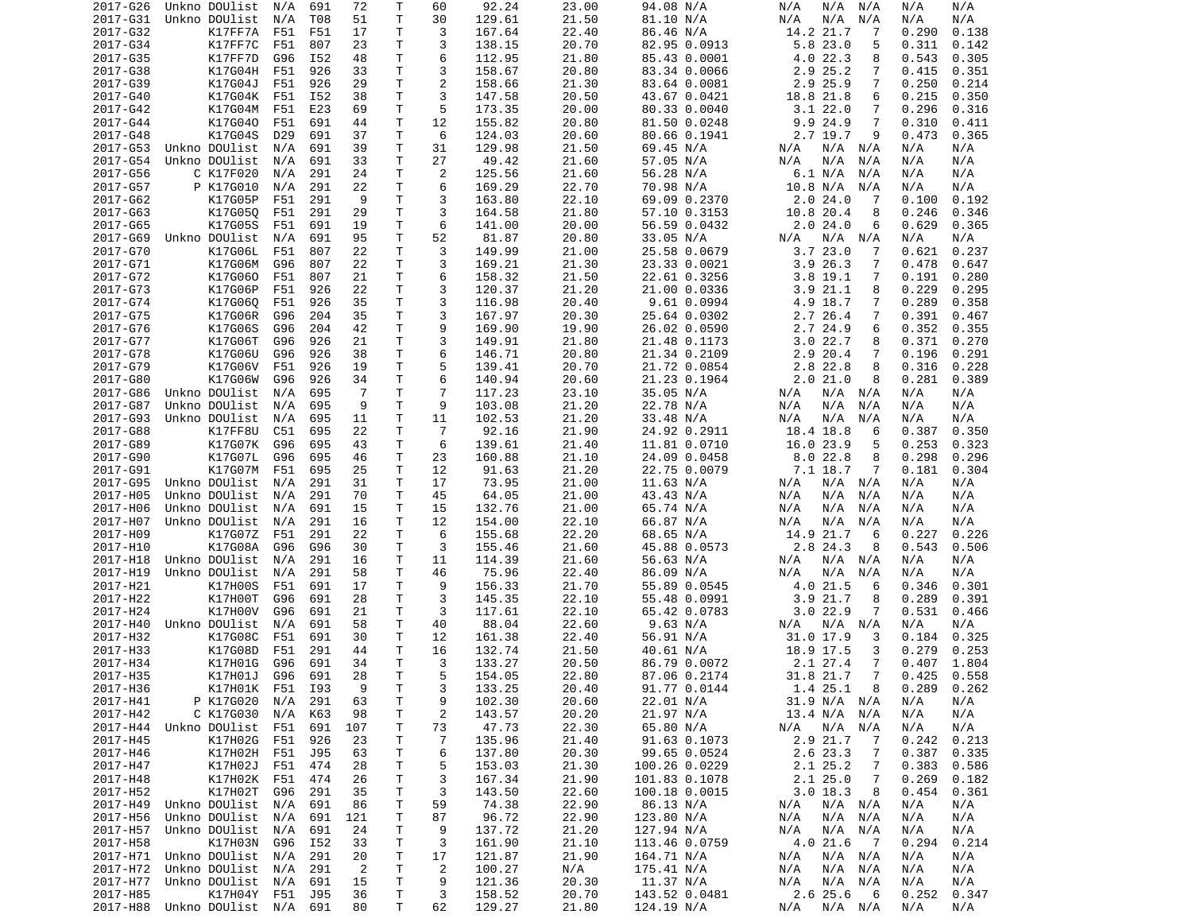| 2017-G26 | Unkno DOUlist              | N/A     | 691 | 72             | Т  | 60             | 92.24  | 23.00 | 94.08 N/A     | N/A<br>N/A<br>N/A            | N/A<br>N/A     |
|----------|----------------------------|---------|-----|----------------|----|----------------|--------|-------|---------------|------------------------------|----------------|
| 2017-G31 | Unkno DOUlist              | N/A     | T08 | 51             | T  | 30             | 129.61 | 21.50 | 81.10 N/A     | N/A<br>N/A<br>N/A            | N/A<br>N/A     |
| 2017-G32 | K17FF7A                    | F51     | F51 | 17             | т  | 3              | 167.64 | 22.40 | 86.46 N/A     | 14.2 21.7<br>7               | 0.290<br>0.138 |
| 2017-G34 | K17FF7C                    | F51     | 807 | 23             | т  | 3              | 138.15 | 20.70 | 82.95 0.0913  | 5.8 23.0<br>5                | 0.311<br>0.142 |
|          |                            |         |     |                |    |                |        |       |               |                              |                |
| 2017-G35 | K17FF7D                    | G96     | I52 | 48             | Τ  | 6              | 112.95 | 21.80 | 85.43 0.0001  | 4.022.3<br>8                 | 0.543<br>0.305 |
| 2017-G38 | K17G04H                    | F51     | 926 | 33             | T  | 3              | 158.67 | 20.80 | 83.34 0.0066  | 2.9 25.2<br>7                | 0.415<br>0.351 |
| 2017-G39 | K17G04J                    | F51     | 926 | 29             | Τ  | $\overline{c}$ | 158.66 | 21.30 | 83.64 0.0081  | 2.9 25.9<br>7                | 0.250<br>0.214 |
| 2017-G40 | K17G04K                    | F51     | I52 | 38             | т  | 3              | 147.58 | 20.50 | 43.67 0.0421  | 18.8 21.8<br>6               | 0.215<br>0.350 |
|          |                            |         |     |                |    | 5              |        |       |               | 3.122.0                      |                |
| 2017-G42 | K17G04M                    | F51     | E23 | 69             | т  |                | 173.35 | 20.00 | 80.33 0.0040  | 7                            | 0.296<br>0.316 |
| 2017-G44 | K17G040                    | F51     | 691 | 44             | т  | 12             | 155.82 | 20.80 | 81.50 0.0248  | 9.9 24.9<br>7                | 0.310<br>0.411 |
| 2017-G48 | K17G04S                    | D29     | 691 | 37             | T  | 6              | 124.03 | 20.60 | 80.66 0.1941  | 2.7 19.7<br>9                | 0.473<br>0.365 |
| 2017-G53 | Unkno DOUlist              | N/A     | 691 | 39             | т  | 31             | 129.98 | 21.50 | 69.45 N/A     | N/A<br>N/A<br>N/A            | N/A<br>N/A     |
| 2017-G54 | Unkno DOUlist              | N/A     | 691 | 33             | T  | 27             | 49.42  | 21.60 | 57.05 N/A     | N/A<br>N/A<br>N/A            | N/A<br>N/A     |
|          |                            |         |     |                |    |                |        |       |               |                              |                |
| 2017-G56 | C K17F020                  | N/A     | 291 | 24             | т  | 2              | 125.56 | 21.60 | 56.28 N/A     | 6.1 N/A<br>N/A               | N/A<br>N/A     |
| 2017-G57 | P K17G010                  | N/A     | 291 | 22             | T  | 6              | 169.29 | 22.70 | 70.98 N/A     | 10.8 N/A<br>N/A              | N/A<br>N/A     |
| 2017-G62 | K17G05P                    | F51     | 291 | 9              | T  | 3              | 163.80 | 22.10 | 69.09 0.2370  | 2.024.0<br>7                 | 0.100<br>0.192 |
| 2017-G63 | K17G05Q                    | F51     | 291 | 29             | т  | 3              | 164.58 | 21.80 | 57.10 0.3153  | 10.8 20.4<br>8               | 0.246<br>0.346 |
| 2017-G65 | K17G05S                    | F51     | 691 | 19             | т  | 6              | 141.00 | 20.00 |               | 2.024.0<br>6                 | 0.629<br>0.365 |
|          |                            |         |     |                |    |                |        |       | 56.59 0.0432  |                              |                |
| 2017-G69 | Unkno DOUlist              | N/A     | 691 | 95             | T  | 52             | 81.87  | 20.80 | 33.05 N/A     | N/A N/A<br>N/A               | N/A<br>N/A     |
| 2017-G70 | K17G06L                    | F51     | 807 | 22             | Τ  | 3              | 149.99 | 21.00 | 25.58 0.0679  | 3.723.0<br>7                 | 0.621<br>0.237 |
| 2017-G71 | K17G06M                    | G96     | 807 | 22             | т  | 3              | 169.21 | 21.30 | 23.33 0.0021  | 3.926.3<br>7                 | 0.478<br>0.647 |
| 2017-G72 | K17G060                    | F51     | 807 | 21             | Τ  | 6              | 158.32 | 21.50 | 22.61 0.3256  | $3.8$ 19.1<br>$\overline{7}$ | 0.191<br>0.280 |
|          |                            |         |     |                |    |                |        |       |               |                              |                |
| 2017-G73 | K17G06P                    | F51     | 926 | 22             | T  | 3              | 120.37 | 21.20 | 21.00 0.0336  | 21.1<br>3.9<br>8             | 0.229<br>0.295 |
| 2017-G74 | K17G06Q                    | F51     | 926 | 35             | т  | 3              | 116.98 | 20.40 | 9.61 0.0994   | 4.9 18.7<br>7                | 0.289<br>0.358 |
| 2017-G75 | K17G06R                    | G96     | 204 | 35             | т  | 3              | 167.97 | 20.30 | 25.64 0.0302  | 2.7 26.4<br>7                | 0.391<br>0.467 |
| 2017-G76 | K17G06S                    | G96     | 204 | 42             | T. | 9              | 169.90 | 19.90 | 26.02 0.0590  | 2.7 24.9<br>6                | 0.352<br>0.355 |
| 2017-G77 | K17G06T                    | G96     | 926 | 21             | T  | 3              | 149.91 | 21.80 | 21.48 0.1173  | 3.022.7                      | 0.371<br>0.270 |
|          |                            |         |     |                |    |                |        |       |               | 8                            |                |
| 2017-G78 | K17G06U                    | G96     | 926 | 38             | т  | 6              | 146.71 | 20.80 | 21.34 0.2109  | 2.9 20.4<br>7                | 0.196<br>0.291 |
| 2017-G79 | K17G06V                    | F51     | 926 | 19             | т  | 5              | 139.41 | 20.70 | 21.72 0.0854  | 2.8 22.8<br>8                | 0.316<br>0.228 |
| 2017-G80 | K17G06W                    | G96     | 926 | 34             | т  | 6              | 140.94 | 20.60 | 21.23 0.1964  | 2.021.0<br>8                 | 0.281<br>0.389 |
| 2017-G86 | Unkno DOUlist              | N/A     | 695 | 7              | т  | 7              | 117.23 | 23.10 | 35.05 N/A     | N/A<br>N/A<br>N/A            | N/A<br>N/A     |
| 2017-G87 | Unkno DOUlist              |         | 695 | 9              | T  | 9              |        | 21.20 | 22.78 N/A     | N/A<br>N/A                   | N/A            |
|          |                            | N/A     |     |                |    |                | 103.08 |       |               | N/A                          | N/A            |
| 2017-G93 | Unkno DOUlist              | N/A     | 695 | 11             | T  | 11             | 102.53 | 21.20 | 33.48 N/A     | N/A<br>N/A<br>N/A            | N/A<br>N/A     |
| 2017-G88 | K17FF8U                    | C51     | 695 | 22             | т  | 7              | 92.16  | 21.90 | 24.92 0.2911  | 18.4 18.8<br>6               | 0.387<br>0.350 |
| 2017-G89 | K17G07K                    | G96     | 695 | 43             | т  | 6              | 139.61 | 21.40 | 11.81 0.0710  | 16.0 23.9<br>5               | 0.253<br>0.323 |
| 2017-G90 | K17G07L                    | G96     | 695 | 46             | т  | 23             | 160.88 | 21.10 | 24.09 0.0458  | 8.0 22.8<br>8                | 0.298<br>0.296 |
| 2017-G91 | K17G07M                    | F51     | 695 | 25             | т  | 12             | 91.63  | 21.20 | 22.75 0.0079  | 7.1 18.7<br>7                | 0.181<br>0.304 |
|          |                            |         |     |                |    |                |        |       |               |                              |                |
| 2017-G95 | Unkno DOUlist              | N/A     | 291 | 31             | т  | 17             | 73.95  | 21.00 | 11.63 N/A     | N/A<br>N/A<br>N/A            | N/A<br>N/A     |
| 2017-H05 | Unkno DOUlist              | N/A     | 291 | 70             | Τ  | 45             | 64.05  | 21.00 | 43.43 N/A     | N/A<br>N/A<br>N/A            | N/A<br>N/A     |
| 2017-H06 | Unkno DOUlist              | N/A     | 691 | 15             | т  | 15             | 132.76 | 21.00 | 65.74 N/A     | N/A<br>N/A<br>N/A            | N/A<br>N/A     |
| 2017-H07 | Unkno DOUlist              | N/A     | 291 | 16             | т  | 12             | 154.00 | 22.10 | 66.87 N/A     | N/A<br>N/A<br>N/A            | N/A<br>N/A     |
|          |                            |         |     |                | т  | 6              |        | 22.20 |               | 14.9 21.7<br>6               |                |
| 2017-H09 | K17G07Z                    | F51     | 291 | 22             |    |                | 155.68 |       | 68.65 N/A     |                              | 0.227<br>0.226 |
| 2017-H10 | K17G08A                    | G96     | G96 | 30             | т  | 3              | 155.46 | 21.60 | 45.88 0.0573  | 2.8 24.3<br>8                | 0.543<br>0.506 |
| 2017-H18 | Unkno DOUlist              | N/A     | 291 | 16             | T  | 11             | 114.39 | 21.60 | 56.63 N/A     | N/A<br>N/A<br>N/A            | N/A<br>N/A     |
| 2017-H19 | Unkno DOUlist              | N/A     | 291 | 58             | т  | 46             | 75.96  | 22.40 | 86.09 N/A     | N/A<br>N/A<br>N/A            | N/A<br>N/A     |
| 2017-H21 | K17H00S                    | F51     | 691 | 17             | T. | 9              | 156.33 | 21.70 | 55.89 0.0545  | 4.0 21.5<br>6                | 0.346<br>0.301 |
| 2017-H22 |                            | G96     |     |                |    | 3              |        |       |               |                              |                |
|          | K17H00T                    |         | 691 | 28             | Τ  |                | 145.35 | 22.10 | 55.48 0.0991  | 3.921.7<br>8                 | 0.289<br>0.391 |
| 2017-H24 | K17H00V                    | G96     | 691 | 21             | T  | 3              | 117.61 | 22.10 | 65.42 0.0783  | 3.022.9<br>7                 | 0.531<br>0.466 |
| 2017-H40 | Unkno DOUlist              | N/A     | 691 | 58             | т  | 40             | 88.04  | 22.60 | 9.63 N/A      | N/A<br>N/A<br>N/A            | N/A<br>N/A     |
| 2017-H32 | K17G08C                    | F51     | 691 | 30             | т  | 12             | 161.38 | 22.40 | 56.91 N/A     | 31.0 17.9<br>3               | 0.184<br>0.325 |
| 2017-H33 | K17G08D                    | F51     | 291 | 44             | т  | 16             | 132.74 | 21.50 | 40.61 N/A     | 18.9 17.5<br>3               | 0.279<br>0.253 |
|          |                            |         |     |                | T. | 3              |        |       |               |                              |                |
| 2017-H34 | K17H01G                    | G96     | 691 | 34             |    |                | 133.27 | 20.50 | 86.79 0.0072  | 2.1 27.4<br>7                | 1.804<br>0.407 |
| 2017-H35 | K17H01J                    | G96     | 691 | 28             | T. | 5.             | 154.05 | 22.80 | 87.06 0.2174  | 31.8 21.7 7                  | $0.425$ 0.558  |
| 2017-H36 | K17H01K                    | F51 I93 |     | 9              | Τ  | 3              | 133.25 | 20.40 | 91.77 0.0144  | 1.4 25.1<br>8                | 0.289<br>0.262 |
| 2017-H41 | P K17G020                  | N/A     | 291 | 63             | T  | 9              | 102.30 | 20.60 | 22.01 N/A     | 31.9 N/A N/A                 | N/A<br>N/A     |
| 2017-H42 | C K17G030                  | N/A     | K63 | 98             | T  | 2              | 143.57 | 20.20 | 21.97 N/A     | 13.4 N/A<br>N/A              | N/A<br>N/A     |
|          |                            |         |     |                |    |                |        |       |               |                              |                |
| 2017-H44 | Unkno DOUlist              | F51     | 691 | 107            | Τ  | 73             | 47.73  | 22.30 | 65.80 N/A     | N/A N/A<br>N/A               | N/A<br>N/A     |
| 2017-H45 | K17H02G                    | F51     | 926 | 23             | Τ  | 7              | 135.96 | 21.40 | 91.63 0.1073  | 2.9 21.7<br>7                | 0.242<br>0.213 |
| 2017-H46 | K17H02H                    | F51     | J95 | 63             | Τ  | 6              | 137.80 | 20.30 | 99.65 0.0524  | 2.6 23.3<br>7                | 0.387<br>0.335 |
| 2017-H47 | K17H02J                    | F51     | 474 | 28             | Τ  | 5              | 153.03 | 21.30 | 100.26 0.0229 | 2.1 25.2<br>7                | 0.383<br>0.586 |
| 2017-H48 | K17H02K                    | F51     | 474 | 26             | T  | 3              | 167.34 | 21.90 | 101.83 0.1078 | 2.125.0<br>7                 | 0.269<br>0.182 |
|          |                            |         |     |                |    |                |        |       |               |                              |                |
| 2017-H52 | K17H02T                    | G96     | 291 | 35             | Τ  | 3              | 143.50 | 22.60 | 100.18 0.0015 | 3.018.3<br>8                 | 0.454<br>0.361 |
| 2017-H49 | Unkno DOUlist              | N/A     | 691 | 86             | T  | 59             | 74.38  | 22.90 | 86.13 N/A     | N/A<br>$N/A$ $N/A$           | N/A<br>N/A     |
| 2017-H56 | Unkno DOUlist              | N/A     | 691 | 121            | Τ  | 87             | 96.72  | 22.90 | 123.80 N/A    | N/A<br>N/A N/A               | N/A<br>N/A     |
| 2017-H57 | Unkno DOUlist              | N/A     | 691 | 24             | T  | 9              | 137.72 | 21.20 | 127.94 N/A    | N/A<br>N/A N/A               | N/A<br>N/A     |
| 2017-H58 | K17H03N                    | G96     | I52 | 33             | T  | 3              | 161.90 | 21.10 | 113.46 0.0759 | 4.021.6<br>$\overline{7}$    | 0.294<br>0.214 |
|          |                            |         |     |                |    |                |        |       |               |                              |                |
| 2017-H71 | Unkno DOUlist              | N/A     | 291 | 20             | T  | 17             | 121.87 | 21.90 | 164.71 N/A    | N/A<br>N/A N/A               | N/A<br>N/A     |
| 2017-H72 | Unkno DOUlist              | N/A     | 291 | $\overline{2}$ | T  | $\overline{2}$ | 100.27 | N/A   | 175.41 N/A    | N/A N/A<br>N/A               | N/A<br>N/A     |
| 2017-H77 | Unkno DOUlist              | N/A     | 691 | 15             | T  | 9              | 121.36 | 20.30 | 11.37 N/A     | N/A<br>N/A N/A               | N/A<br>N/A     |
| 2017-H85 | K17H04Y                    | F51     | J95 | 36             | Τ  | 3              | 158.52 | 20.70 | 143.52 0.0481 | 2.6 25.6<br>6                | 0.252<br>0.347 |
|          | 2017-H88 Unkno DOUlist N/A |         | 691 | 80             | Τ  | 62             | 129.27 | 21.80 | 124.19 N/A    | N/A N/A<br>N/A               | N/A<br>N/A     |
|          |                            |         |     |                |    |                |        |       |               |                              |                |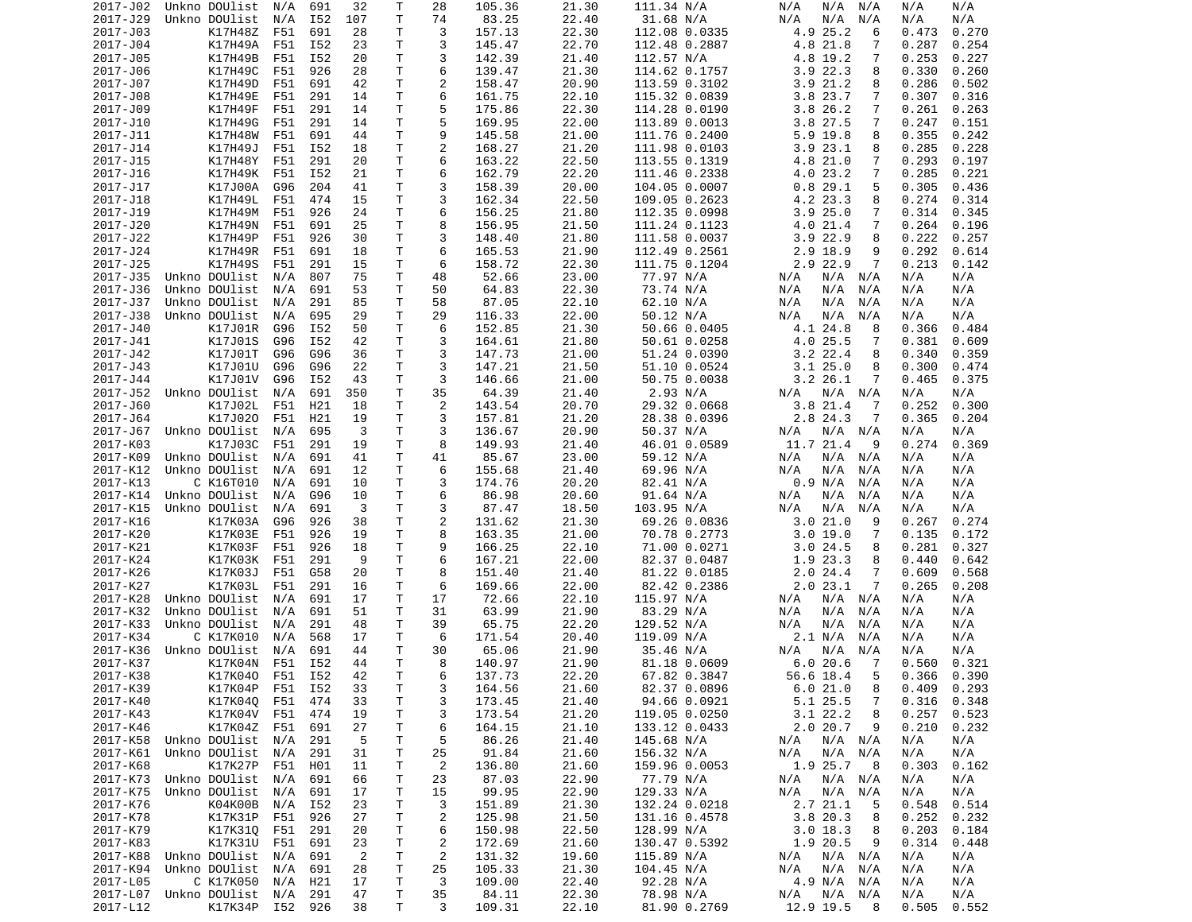| 2017-J02             | Unkno DOUlist      | N/A        | 691        | 32             | Τ           | 28             | 105.36           | 21.30          | 111.34 N/A                     | N/A<br>N/A N/A               | N/A<br>N/A                       |
|----------------------|--------------------|------------|------------|----------------|-------------|----------------|------------------|----------------|--------------------------------|------------------------------|----------------------------------|
| 2017-J29             | Unkno DOUlist      | N/A        | I52        | 107            | т           | 74             | 83.25            | 22.40          | 31.68 N/A                      | N/A<br>N/A<br>N/A            | N/A<br>N/A                       |
| 2017-J03             | K17H48Z            | F51        | 691        | 28             | т           | 3              | 157.13           | 22.30          | 112.08 0.0335                  | 4.9 25.2<br>6                | 0.473<br>0.270                   |
| 2017-J04             | K17H49A            | F51        | I52        | 23             | т           | 3              | 145.47           | 22.70          | 112.48 0.2887                  | 4.8 21.8<br>7                | 0.287<br>0.254                   |
| 2017-J05             | K17H49B            | F51        | I52        | 20             | т           | 3              | 142.39           | 21.40          | 112.57 N/A                     | 4.8 19.2<br>7                | 0.253<br>0.227                   |
| 2017-J06             | K17H49C            | F51        | 926        | 28             | Τ           | 6              | 139.47           | 21.30          | 114.62 0.1757                  | $3.9$ 22.3<br>8              | 0.330<br>0.260                   |
| 2017-J07             | K17H49D            | F51        | 691        | 42             | т           | 2              | 158.47           | 20.90          | 113.59 0.3102                  | 3.921.2<br>8                 | 0.286<br>0.502                   |
| 2017-J08             | K17H49E            | F51        | 291        | 14             | т           | 6              | 161.75           | 22.10          | 115.32 0.0839                  | 3.8 23.7<br>7                | 0.307<br>0.316                   |
| 2017-J09             | K17H49F            | F51        | 291        | 14             | Τ           | 5              | 175.86           | 22.30          | 114.28 0.0190                  | 3.826.2<br>7                 | 0.261<br>0.263                   |
| 2017-J10             | K17H49G            | F51        | 291        | 14             | Τ           | 5              | 169.95           | 22.00          | 113.89 0.0013                  | 3.8 27.5<br>7                | 0.247<br>0.151                   |
| 2017-J11             | K17H48W            | F51        | 691        | 44             | Τ           | 9              | 145.58           | 21.00          | 111.76 0.2400                  | $5.9$ 19.8<br>8              | 0.355<br>0.242                   |
| 2017-J14             | K17H49J            | F51        | I52        | 18             | Τ           | 2              | 168.27           | 21.20          | 111.98 0.0103                  | 3.923.1<br>8                 | 0.285<br>0.228                   |
| 2017-J15<br>2017-J16 | K17H48Y            | F51        | 291        | 20             | Τ<br>т      | 6<br>6         | 163.22           | 22.50<br>22.20 | 113.55 0.1319                  | 4.8 21.0<br>7<br>7           | 0.293<br>0.197                   |
| 2017-J17             | K17H49K<br>K17J00A | F51<br>G96 | I52<br>204 | 21<br>41       | т           | 3              | 162.79<br>158.39 | 20.00          | 111.46 0.2338<br>104.05 0.0007 | 4.0 23.2<br>0.829.1<br>5     | 0.285<br>0.221<br>0.305<br>0.436 |
| 2017-J18             | K17H49L            | F51        | 474        | 15             | т           | 3              | 162.34           | 22.50          | 109.05 0.2623                  | 4.2 23.3<br>8                | 0.274<br>0.314                   |
| 2017-J19             | K17H49M            | F51        | 926        | 24             | т           | 6              | 156.25           | 21.80          | 112.35 0.0998                  | 3.925.0<br>7                 | 0.314<br>0.345                   |
| 2017-J20             | K17H49N            | F51        | 691        | 25             | Τ           | 8              | 156.95           | 21.50          | 111.24 0.1123                  | 4.0 21.4<br>7                | 0.264<br>0.196                   |
| 2017-J22             | K17H49P            | F51        | 926        | 30             | т           | 3              | 148.40           | 21.80          | 111.58 0.0037                  | $3.9$ 22.9<br>8              | 0.222<br>0.257                   |
| 2017-J24             | K17H49R            | F51        | 691        | 18             | T           | 6              | 165.53           | 21.90          | 112.49 0.2561                  | 2.9 18.9<br>9                | 0.292<br>0.614                   |
| 2017-J25             | K17H49S            | F51        | 291        | 15             | Τ           | 6              | 158.72           | 22.30          | 111.75 0.1204                  | 2.9 22.9<br>7                | 0.213<br>0.142                   |
| 2017-J35             | Unkno DOUlist      | N/A        | 807        | 75             | т           | 48             | 52.66            | 23.00          | 77.97 N/A                      | N/A<br>N/A N/A               | N/A<br>N/A                       |
| 2017-J36             | Unkno DOUlist      | N/A        | 691        | 53             | T           | 50             | 64.83            | 22.30          | 73.74 N/A                      | N/A<br>N/A<br>N/A            | N/A<br>N/A                       |
| 2017-J37             | Unkno DOUlist      | N/A        | 291        | 85             | Τ           | 58             | 87.05            | 22.10          | 62.10 N/A                      | N/A<br>N/A<br>N/A            | N/A<br>N/A                       |
| 2017-J38             | Unkno DOUlist      | N/A        | 695        | 29             | T.          | 29             | 116.33           | 22.00          | 50.12 N/A                      | N/A<br>N/A<br>N/A            | N/A<br>N/A                       |
| 2017-J40             | K17J01R            | G96        | I52        | 50             | т           | 6              | 152.85           | 21.30          | 50.66 0.0405                   | 4.1 24.8<br>8                | 0.366<br>0.484                   |
| 2017-J41             | K17J01S            | G96        | I52        | 42             | T.          | 3              | 164.61           | 21.80          | 50.61 0.0258                   | 4.0 25.5<br>7                | 0.381<br>0.609                   |
| 2017-J42             | K17J01T            | G96        | G96        | 36             | т           | 3              | 147.73           | 21.00          | 51.24 0.0390                   | $3.2$ 22.4<br>8              | 0.340<br>0.359                   |
| 2017-J43             | K17J01U            | G96        | G96        | 22             | т           | 3              | 147.21           | 21.50          | 51.10 0.0524                   | 3.125.0<br>8                 | 0.300<br>0.474                   |
| 2017-J44             | K17J01V            | G96        | I52        | 43             | Τ           | 3              | 146.66           | 21.00          | 50.75 0.0038                   | 3.2 26.1<br>7                | 0.465<br>0.375                   |
| 2017-J52             | Unkno DOUlist      | N/A        | 691        | 350            | Τ           | 35             | 64.39            | 21.40          | 2.93 N/A                       | $N/A$ $N/A$<br>N/A           | N/A<br>N/A                       |
| 2017-J60             | K17J02L            | F51        | H21        | 18             | T.          | 2              | 143.54           | 20.70          | 29.32 0.0668                   | 3.8 21.4<br>7                | 0.252<br>0.300                   |
| 2017-J64             | K17J020            | F51        | H21        | 19             | Τ           | 3              | 157.81           | 21.20          | 28.38 0.0396                   | 2.8 24.3<br>7                | 0.365<br>0.204                   |
| 2017-J67             | Unkno DOUlist      | N/A        | 695        | 3              | T.          | 3              | 136.67           | 20.90          | 50.37 N/A                      | N/A<br>N/A N/A               | N/A<br>N/A                       |
| 2017-K03             | K17J03C            | F51        | 291        | 19             | т           | 8              | 149.93           | 21.40          | 46.01 0.0589                   | 11.7 21.4<br>9               | 0.274<br>0.369                   |
| 2017-K09             | Unkno DOUlist      | N/A        | 691        | 41             | т           | 41             | 85.67            | 23.00          | 59.12 N/A                      | N/A<br>N/A N/A               | N/A<br>N/A                       |
| 2017-K12             | Unkno DOUlist      | N/A        | 691        | 12             | т           | 6              | 155.68           | 21.40          | 69.96 N/A                      | N/A<br>N/A<br>N/A            | N/A<br>N/A                       |
| 2017-K13             | C K16T010          | N/A        | 691        | 10             | т           | 3              | 174.76           | 20.20          | 82.41 N/A                      | 0.9 N/A<br>N/A               | N/A<br>N/A                       |
| 2017-K14             | Unkno DOUlist      | N/A        | G96        | 10             | Τ           | 6              | 86.98            | 20.60          | 91.64 N/A                      | N/A<br>N/A<br>N/A            | N/A<br>N/A                       |
| 2017-K15             | Unkno DOUlist      | N/A        | 691        | 3              | Τ           | 3              | 87.47            | 18.50          | 103.95 N/A                     | N/A<br>N/A<br>N/A            | N/A<br>N/A                       |
| 2017-K16             | K17K03A            | G96        | 926        | 38             | Τ           | 2              | 131.62           | 21.30          | 69.26 0.0836                   | 3.021.0<br>9                 | 0.267<br>0.274                   |
| 2017-K20             | K17K03E            | F51        | 926        | 19             | Τ           | 8              | 163.35           | 21.00          | 70.78 0.2773                   | 3.019.0<br>7                 | 0.135<br>0.172                   |
| 2017-K21             | K17K03F            | F51        | 926        | 18             | T           | 9              | 166.25           | 22.10          | 71.00 0.0271                   | 3.024.5<br>8                 | 0.281<br>0.327                   |
| 2017-K24             | K17K03K            | F51        | 291        | 9              | T           | 6              | 167.21           | 22.00          | 82.37 0.0487                   | 1.9 23.3<br>8                | 0.440<br>0.642                   |
| 2017-K26             | K17K03J<br>K17K03L | F51<br>F51 | G58<br>291 | 20             | т<br>Τ      | 8<br>6         | 151.40<br>169.66 | 21.40<br>22.00 | 81.22 0.0185                   | 2.024.4<br>7<br>2.023.1<br>7 | 0.609<br>0.568<br>0.265<br>0.208 |
| 2017-K27<br>2017-K28 | Unkno DOUlist      | N/A        | 691        | 16<br>17       | т           | 17             | 72.66            | 22.10          | 82.42 0.2386<br>115.97 N/A     | N/A<br>N/A N/A               | N/A<br>N/A                       |
| 2017-K32             | Unkno DOUlist      | N/A        | 691        | 51             | т           | 31             | 63.99            | 21.90          | 83.29 N/A                      | N/A<br>N/A<br>N/A            | N/A<br>N/A                       |
| 2017-K33             | Unkno DOUlist      | N/A        | 291        | 48             | т           | 39             | 65.75            | 22.20          | 129.52 N/A                     | N/A<br>N/A<br>N/A            | N/A<br>N/A                       |
| 2017-K34             | C K17K010          | N/A        | 568        | 17             | т           | 6              | 171.54           | 20.40          | 119.09 N/A                     | 2.1 N/A<br>N/A               | N/A<br>N/A                       |
| 2017-K36             | Unkno DOUlist      | N/A        | 691        | 44             | T.          | 30             | 65.06            | 21.90          | 35.46 N/A                      | N/A<br>N/A<br>N/A            | N/A<br>N/A                       |
| 2017-K37             | K17K04N            | F51        | I52        | 44             | T.          | 8              | 140.97           | 21.90          | 81.18 0.0609                   | 6.020.6<br>7                 | 0.560<br>0.321                   |
| 2017-K38             | K17K040 F51 I52    |            |            | 42             | T           | 6              | 137.73           | 22.20          | 67.82 0.3847                   | 56.6 18.4<br>- 5             | $0.366$ $0.390$                  |
| 2017-K39             | K17K04P F51 I52    |            |            | 33             | Τ           | 3              | 164.56           | 21.60          | 82.37 0.0896                   | 6.021.0<br>8                 | $0.409$ $0.293$                  |
| 2017-K40             | K17K040            | F51        | 474        | 33             | $\mathsf T$ | 3              | 173.45           | 21.40          | 94.66 0.0921                   | 5.1 25.5<br>7                | 0.316<br>0.348                   |
| 2017-K43             | K17K04V            | F51        | 474        | 19             | T.          | 3              | 173.54           | 21.20          | 119.05 0.0250                  | $3.1$ 22.2<br>8              | 0.257<br>0.523                   |
| 2017-K46             | K17K04Z F51        |            | 691        | 27             | Τ           | 6              | 164.15           | 21.10          | 133.12 0.0433                  | 2.020.7<br>9                 | 0.210<br>0.232                   |
| 2017-K58             | Unkno DOUlist      | N/A        | 291        | 5              | Τ           | 5              | 86.26            | 21.40          | 145.68 N/A                     | N/A N/A<br>N/A               | N/A<br>N/A                       |
| 2017-K61             | Unkno DOUlist      | N/A        | 291        | 31             | Τ           | 25             | 91.84            | 21.60          | 156.32 N/A                     | $N/A$ $N/A$<br>N/A           | N/A<br>N/A                       |
| 2017-K68             | K17K27P            | F51        | H01        | 11             | Τ           | 2              | 136.80           | 21.60          | 159.96 0.0053                  | 1.9 25.7<br>- 8              | 0.303<br>0.162                   |
| 2017-K73             | Unkno DOUlist      | N/A        | 691        | 66             | Τ           | 23             | 87.03            | 22.90          | 77.79 N/A                      | $N/A$ $N/A$<br>N/A           | N/A<br>N/A                       |
| 2017-K75             | Unkno DOUlist      | N/A        | 691        | 17             | Τ           | 15             | 99.95            | 22.90          | 129.33 N/A                     | N/A<br>$N/A$ $N/A$           | N/A<br>N/A                       |
| 2017-K76             | K04K00B            | N/A        | I52        | 23             | Τ           | 3              | 151.89           | 21.30          | 132.24 0.0218                  | 2.7 21.1<br>-5               | 0.548<br>0.514                   |
| 2017-K78             | K17K31P            | F51        | 926        | 27             | Τ           | $\overline{c}$ | 125.98           | 21.50          | 131.16 0.4578                  | 3.8 20.3<br>8                | 0.252<br>0.232                   |
| 2017-K79             | K17K31Q            | F51        | 291        | 20             | Τ           | 6              | 150.98           | 22.50          | 128.99 N/A                     | $3.0$ 18.3<br>8              | 0.203<br>0.184                   |
| 2017-K83             | K17K31U            | F51        | 691        | 23             | Τ           | $\overline{c}$ | 172.69           | 21.60          | 130.47 0.5392                  | 1.9 20.5<br>-9               | 0.314<br>0.448                   |
| 2017-K88             | Unkno DOUlist      | N/A        | 691        | $\overline{2}$ | T           | $\overline{c}$ | 131.32           | 19.60          | 115.89 N/A                     | N/A<br>N/A N/A               | N/A<br>N/A                       |
| 2017-K94             | Unkno DOUlist      | N/A        | 691        | 28             | Τ           | 25             | 105.33           | 21.30          | 104.45 N/A                     | N/A N/A<br>N/A               | N/A<br>N/A                       |
| 2017-L05             | C K17K050          | N/A        | H21        | 17             | T           | 3              | 109.00           | 22.40          | 92.28 N/A                      | 4.9 N/A N/A                  | N/A<br>N/A                       |
| 2017-L07             | Unkno DOUlist      | N/A        | 291        | 47             | T.          | 35             | 84.11            | 22.30          | 78.98 N/A                      | N/A<br>N/A N/A               | N/A<br>N/A                       |
| 2017-L12             | K17K34P I52 926    |            |            | 38             | T           | 3              | 109.31           | 22.10          | 81.90 0.2769                   | 12.9 19.5<br>8               | 0.505<br>0.552                   |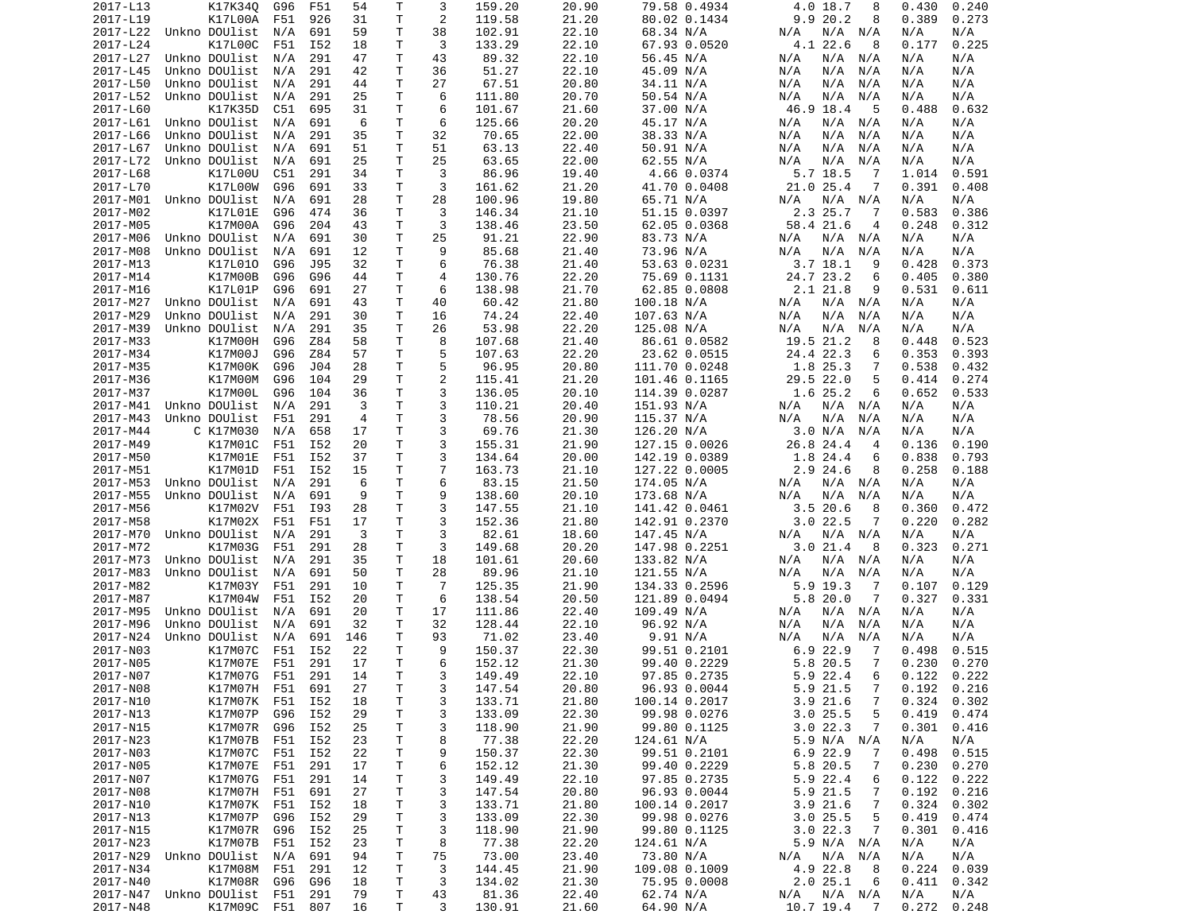| 2017-L13             | K17K340                          | G96 | F51             | 54       | Т      | 3              | 159.20          | 20.90          | 79.58 0.4934           | 4.0 18.7<br>8                                 | 0.430<br>0.240                    |
|----------------------|----------------------------------|-----|-----------------|----------|--------|----------------|-----------------|----------------|------------------------|-----------------------------------------------|-----------------------------------|
| 2017-L19             | K17L00A                          | F51 | 926             | 31       | T      | 2              | 119.58          | 21.20          | 80.02 0.1434           | 9.920.2<br>8                                  | 0.273<br>0.389                    |
| 2017-L22             | Unkno DOUlist                    | N/A | 691             | 59       | Τ      | 38             | 102.91          | 22.10          | 68.34 N/A              | N/A N/A<br>N/A                                | N/A<br>N/A                        |
| 2017-L24             | K17L00C                          | F51 | I52             | 18       | Τ      | 3              | 133.29          | 22.10          | 67.93 0.0520           | 4.1 22.6<br>8                                 | 0.225<br>0.177                    |
| 2017-L27             | Unkno DOUlist                    | N/A | 291             | 47       | Τ      | 43             | 89.32           | 22.10          | 56.45 N/A              | N/A N/A<br>N/A                                | N/A<br>N/A                        |
| 2017-L45             | Unkno DOUlist                    | N/A | 291             | 42       | Τ      | 36             | 51.27           | 22.10          | 45.09 N/A              | N/A<br>N/A<br>N/A                             | N/A<br>N/A                        |
| 2017-L50             | Unkno DOUlist                    | N/A | 291             | 44       | т      | 27             | 67.51           | 20.80          | 34.11 N/A              | N/A<br>N/A<br>N/A                             | N/A<br>N/A                        |
| 2017-L52             | Unkno DOUlist                    | N/A | 291             | 25       | Τ      | 6              | 111.80          | 20.70          | 50.54 N/A              | N/A<br>N/A<br>N/A                             | N/A<br>N/A                        |
| 2017-L60             | K17K35D                          | C51 | 695             | 31       | T      | 6              | 101.67          | 21.60          | 37.00 N/A              | 46.9 18.4<br>-5                               | 0.488<br>0.632                    |
| 2017-L61             | Unkno DOUlist                    | N/A | 691             | 6        | т      | 6              | 125.66          | 20.20          | 45.17 N/A              | N/A N/A<br>N/A                                | N/A<br>N/A                        |
| 2017-L66             | Unkno DOUlist                    | N/A | 291             | 35       | T      | 32             | 70.65           | 22.00          | 38.33 N/A              | N/A<br>N/A<br>N/A                             | N/A<br>N/A                        |
| 2017-L67             | Unkno DOUlist                    | N/A | 691             | 51       | Τ      | 51             | 63.13           | 22.40          | 50.91 N/A              | N/A<br>N/A<br>N/A                             | N/A<br>N/A                        |
| 2017-L72             | Unkno DOUlist                    | N/A | 691             | 25       | T.     | 25             | 63.65           | 22.00          | 62.55 N/A              | N/A<br>N/A<br>N/A                             | N/A<br>N/A                        |
| 2017-L68             | K17L00U                          | C51 | 291             | 34       | т      | 3              | 86.96           | 19.40          | 4.66 0.0374            | $5.7$ 18.5<br>-7                              | 1.014<br>0.591                    |
| 2017-L70             | K17L00W                          | G96 | 691             | 33       | T      | 3              | 161.62          | 21.20          | 41.70 0.0408           | 21.0 25.4<br>7                                | 0.391<br>0.408                    |
|                      | 2017-M01 Unkno DOUlist           | N/A | 691             | 28       | Τ      | 28             | 100.96          | 19.80          | 65.71 N/A              | N/A<br>N/A<br>N/A                             | N/A<br>N/A                        |
| 2017-M02             | K17L01E                          | G96 | 474             | 36       | т      | 3              | 146.34          | 21.10          | 51.15 0.0397           | 2.3 25.7<br>-7                                | 0.583<br>0.386                    |
| 2017-M05             | K17M00A                          | G96 | 204             | 43       | T.     | 3              | 138.46          | 23.50          | 62.05 0.0368           | 58.4 21.6<br>4                                | 0.248<br>0.312                    |
| 2017-M06             | Unkno DOUlist                    | N/A | 691             | 30       | T      | 25             | 91.21           | 22.90          | 83.73 N/A              | N/A<br>N/A N/A                                | N/A<br>N/A                        |
|                      |                                  |     |                 |          |        | 9              |                 |                |                        |                                               |                                   |
| 2017-M08             | Unkno DOUlist                    | N/A | 691             | 12       | т      |                | 85.68           | 21.40          | 73.96 N/A              | N/A<br>N/A<br>N/A                             | N/A<br>N/A                        |
| 2017-M13             | K17L010                          | G96 | J95             | 32       | Τ      | 6              | 76.38           | 21.40          | 53.63 0.0231           | $3.7$ 18.1<br>9                               | 0.428<br>0.373                    |
| 2017-M14             | K17M00B                          | G96 | G96             | 44       | Τ      | 4              | 130.76          | 22.20          | 75.69 0.1131           | 24.7 23.2<br>6                                | 0.405<br>0.380                    |
| 2017-M16             | K17L01P                          | G96 | 691             | 27       | T      | 6              | 138.98          | 21.70          | 62.85 0.0808           | 2.1 21.8<br>9                                 | 0.531<br>0.611                    |
| 2017-M27             | Unkno DOUlist                    | N/A | 691             | 43       | т      | 40             | 60.42           | 21.80          | 100.18 N/A             | N/A<br>N/A N/A                                | N/A<br>N/A                        |
| 2017-M29             | Unkno DOUlist                    | N/A | 291             | 30       | T.     | 16             | 74.24           | 22.40          | 107.63 N/A             | N/A<br>N/A<br>N/A                             | N/A<br>N/A                        |
| 2017-M39             | Unkno DOUlist                    | N/A | 291             | 35       | т      | 26             | 53.98           | 22.20          | 125.08 N/A             | N/A<br>N/A<br>N/A                             | N/A<br>N/A                        |
| 2017-M33             | K17M00H                          | G96 | Z84             | 58       | Τ      | 8              | 107.68          | 21.40          | 86.61 0.0582           | 19.5 21.2<br>8                                | 0.448<br>0.523                    |
| 2017-M34             | K17M00J                          | G96 | Z84             | 57       | Τ      | 5              | 107.63          | 22.20          | 23.62 0.0515           | 24.4 22.3<br>6                                | 0.353<br>0.393                    |
| 2017-M35             | K17M00K                          | G96 | J <sub>04</sub> | 28       | Τ      | 5              | 96.95           | 20.80          | 111.70 0.0248          | 1.8 25.3<br>7                                 | 0.538<br>0.432                    |
| 2017-M36             | K17M00M                          | G96 | 104             | 29       | Τ      | $\overline{2}$ | 115.41          | 21.20          | 101.46 0.1165          | 29.5 22.0<br>5                                | 0.414<br>0.274                    |
| 2017-M37             | K17M00L                          | G96 | 104             | 36       | Τ      | 3              | 136.05          | 20.10          | 114.39 0.0287          | 1.6 25.2<br>6                                 | 0.652<br>0.533                    |
| 2017-M41             | Unkno DOUlist                    | N/A | 291             | 3        | T.     | 3              | 110.21          | 20.40          | 151.93 N/A             | N/A<br>N/A N/A                                | N/A<br>N/A                        |
| 2017-M43             | Unkno DOUlist                    | F51 | 291             | 4        | T.     | 3              | 78.56           | 20.90          | 115.37 N/A             | N/A<br>N/A<br>N/A                             | N/A<br>N/A                        |
| 2017-M44             | C K17M030                        | N/A | 658             | 17       | Τ      | 3              | 69.76           | 21.30          | 126.20 N/A             | 3.0 N/A<br>N/A                                | N/A<br>N/A                        |
| 2017-M49             | K17M01C                          | F51 | I52             | 20       | T      | 3              | 155.31          | 21.90          | 127.15 0.0026          | 26.8 24.4<br>$\overline{4}$                   | 0.136<br>0.190                    |
| 2017-M50             | K17M01E                          | F51 | I52             | 37       | Τ      | 3              | 134.64          | 20.00          | 142.19 0.0389          | 1.8 24.4<br>6                                 | 0.838<br>0.793                    |
| 2017-M51             | K17M01D                          | F51 | I52             | 15       | Τ      | $\overline{7}$ | 163.73          | 21.10          | 127.22 0.0005          | 2.9 24.6<br>8                                 | 0.258<br>0.188                    |
| 2017-M53             | Unkno DOUlist                    | N/A | 291             | 6        | Τ      | 6              | 83.15           | 21.50          | 174.05 N/A             | N/A<br>N/A N/A                                | N/A<br>N/A                        |
| 2017-M55             | Unkno DOUlist                    | N/A | 691             | 9        | Τ      | 9              | 138.60          | 20.10          | 173.68 N/A             | N/A<br>N/A<br>N/A                             | N/A<br>N/A                        |
| 2017-M56             | K17M02V                          | F51 | I93             | 28       | T      | 3              | 147.55          | 21.10          | 141.42 0.0461          | 3.520.6<br>8                                  | 0.360<br>0.472                    |
| 2017-M58             | K17M02X                          | F51 | F51             | 17       | Τ      | 3              | 152.36          | 21.80          | 142.91 0.2370          | $3.0$ 22.5<br>7                               | 0.220<br>0.282                    |
| 2017-M70             | Unkno DOUlist                    | N/A | 291             | 3        | T      | 3              | 82.61           | 18.60          | 147.45 N/A             | N/A<br>N/A N/A                                | N/A<br>N/A                        |
| 2017-M72             | K17M03G                          | F51 | 291             | 28       | Τ      | 3              | 149.68          | 20.20          | 147.98 0.2251          | 3.021.4<br>8                                  | 0.323<br>0.271                    |
| 2017-M73             | Unkno DOUlist                    | N/A | 291             | 35       | T      | 18             | 101.61          | 20.60          | 133.82 N/A             | N/A<br>N/A N/A                                | N/A<br>N/A                        |
| 2017-M83             | Unkno DOUlist                    | N/A | 691             | 50       | Τ      | 28             | 89.96           | 21.10          | 121.55 N/A             | N/A<br>N/A<br>N/A                             | N/A<br>N/A                        |
| 2017-M82             | K17M03Y                          | F51 | 291             | 10       | Τ      | $\overline{7}$ | 125.35          | 21.90          | 134.33 0.2596          | 5.9 19.3<br>-7                                | 0.107<br>0.129                    |
| 2017-M87             | K17M04W                          | F51 | I52             | 20       | Τ      | 6              | 138.54          | 20.50          | 121.89 0.0494          | 5.820.0<br>7                                  | 0.327<br>0.331                    |
| 2017-M95             | Unkno DOUlist                    | N/A | 691             | 20       | Τ      | 17             | 111.86          | 22.40          | 109.49 N/A             | N/A<br>N/A N/A                                | N/A<br>N/A                        |
| 2017-M96             | Unkno DOUlist                    | N/A | 691             | 32       | т      | 32             | 128.44          | 22.10          | 96.92 N/A              | N/A<br>N/A<br>N/A                             | N/A<br>N/A                        |
| 2017-N24             | Unkno DOUlist                    | N/A | 691             | 146      | T.     | 93             | 71.02           | 23.40          | 9.91 N/A               | N/A<br>N/A<br>N/A                             | N/A<br>N/A                        |
| 2017-N03             | K17M07C                          | F51 | I52             | 22       | Τ      | 9              | 150.37          | 22.30          | 99.51 0.2101           | $6.9$ 22.9<br>7                               | 0.498<br>0.515                    |
| 2017-N05             | K17M07E                          | F51 | 291             | 17       | T.     | 6              | 152.12          | 21.30          | 99.40 0.2229           | 5.8 20.5<br>7                                 | 0.230<br>0.270                    |
| 2017-N07             | K17M07G F51                      |     | 291             | 14       | T.     | 3              | 149.49          | 22.10          | 97.85 0.2735           | 5.922.4<br>6                                  | 0.122<br>0.222                    |
| 2017-N08             | K17M07H F51 691                  |     |                 | 27       | Τ      | 3              | 147.54          | 20.80          | 96.93 0.0044           | $\overline{7}$<br>5.9 21.5                    | $0.192$ $0.216$                   |
| 2017-N10             | K17M07K F51                      |     | I52             | 18       | T      | 3              | 133.71          | 21.80          | 100.14 0.2017          | 3.9 21.6<br>7                                 | 0.324<br>0.302                    |
| 2017-N13             | K17M07P                          | G96 | I52             | 29       | Τ      | 3              | 133.09          | 22.30          | 99.98 0.0276           | 3.025.5<br>5                                  | 0.419<br>0.474                    |
| 2017-N15             | K17M07R                          | G96 | I52             | 25       | Τ      | 3              | 118.90          | 21.90          | 99.80 0.1125           | 3.022.3<br>7                                  | 0.301<br>0.416                    |
| 2017-N23             | K17M07B                          | F51 | I52             | 23       | Τ      | 8              | 77.38           | 22.20          | 124.61 N/A             |                                               | N/A<br>N/A                        |
|                      | K17M07C                          |     |                 |          |        |                |                 |                |                        | 5.9 N/A N/A                                   |                                   |
| 2017-N03             |                                  | F51 | I52             | 22       | Τ      | 9              | 150.37          | 22.30          | 99.51 0.2101           | 6.9 22.9<br>7                                 | 0.498<br>0.515                    |
| 2017-N05             | K17M07E                          | F51 | 291             | 17       | T.     | 6              | 152.12          | 21.30          | 99.40 0.2229           | 5.8 20.5<br>7                                 | 0.230<br>0.270                    |
| 2017-N07             | K17M07G                          | F51 | 291             | 14       | Τ      | 3              | 149.49          | 22.10          | 97.85 0.2735           | 5.9 22.4<br>6                                 | 0.122<br>0.222                    |
| 2017-N08             | K17M07H                          | F51 | 691             | 27       | T      | 3              | 147.54          | 20.80          | 96.93 0.0044           | 5.9 21.5<br>7                                 | 0.192<br>0.216                    |
| 2017-N10             | K17M07K                          | F51 | I52             | 18       | Τ      | 3              | 133.71          | 21.80          | 100.14 0.2017          | $3.9$ 21.6<br>7                               | 0.324<br>0.302                    |
| 2017-N13             | K17M07P                          | G96 | I52             | 29       | Τ      | 3              | 133.09          | 22.30          | 99.98 0.0276           | 3.025.5<br>5                                  | 0.419<br>0.474                    |
| 2017-N15             | K17M07R                          | G96 | I52             | 25       | Τ      | 3              | 118.90          | 21.90          | 99.80 0.1125           | 3.022.3<br>7                                  | 0.301<br>0.416                    |
| 2017-N23             | K17M07B                          | F51 | I52             | 23       | Τ      | 8              | 77.38           | 22.20          | 124.61 N/A             | 5.9 N/A N/A                                   | N/A<br>N/A                        |
| 2017-N29             | Unkno DOUlist                    | N/A | 691             | 94       | T      | 75             | 73.00           | 23.40          | 73.80 N/A              | N/A N/A<br>N/A                                | N/A<br>N/A                        |
| 2017-N34             |                                  |     |                 | 12       | T      | 3              | 144.45          | 21.90          | 109.08 0.1009          | 4.9 22.8<br>8                                 | 0.224<br>0.039                    |
|                      | K17M08M                          | F51 | 291             |          |        |                |                 |                |                        |                                               |                                   |
| 2017-N40             | K17M08R G96                      |     | G96             | 18       | T      | 3              | 134.02          | 21.30          | 75.95 0.0008           | 2.025.1<br>6                                  | 0.411<br>0.342                    |
| 2017-N47<br>2017-N48 | Unkno DOUlist<br>K17M09C F51 807 | F51 | 291             | 79<br>16 | T<br>Τ | 43<br>3        | 81.36<br>130.91 | 22.40<br>21.60 | 62.74 N/A<br>64.90 N/A | N/A N/A<br>N/A<br>10.7 19.4<br>$\overline{7}$ | N/A<br>N/A<br>$0.272 \quad 0.248$ |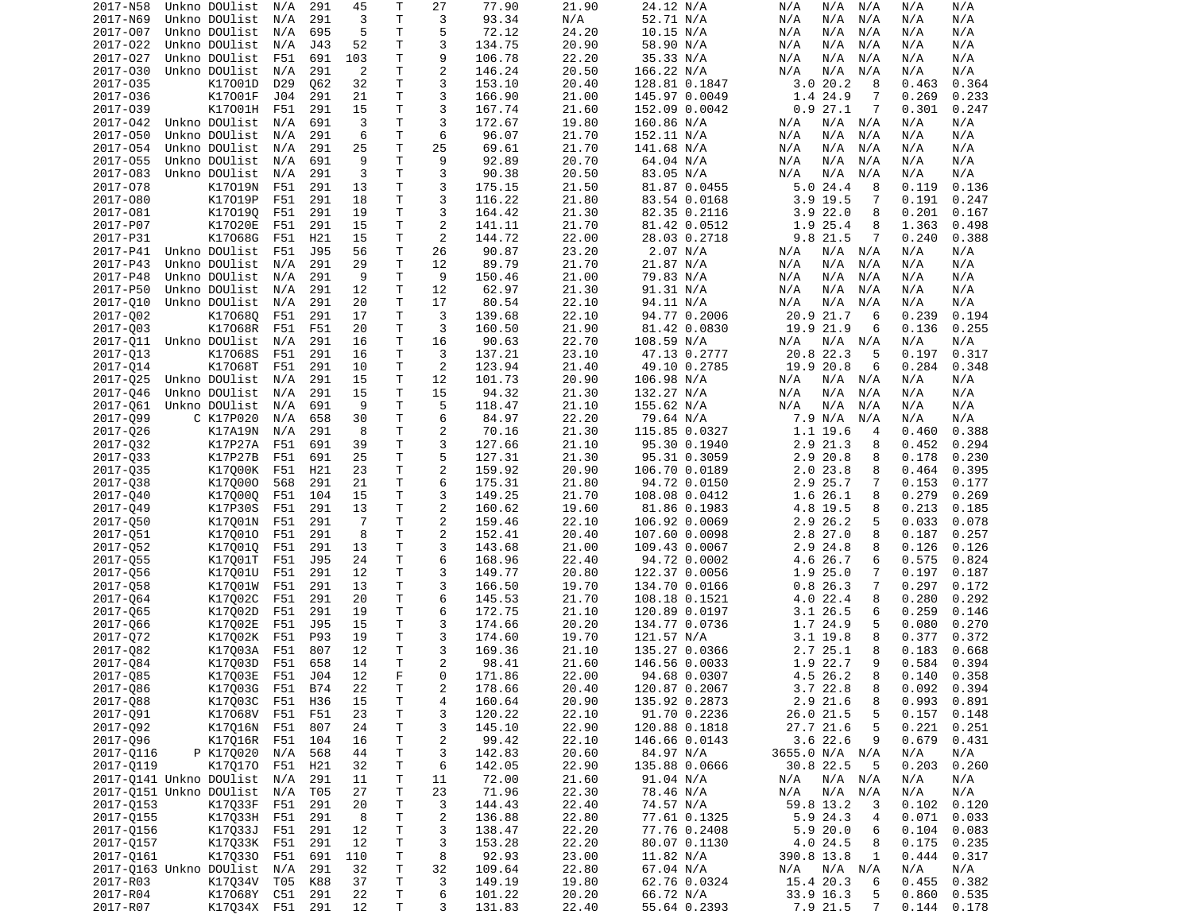| 2017-N58  | Unkno DOUlist           | N/A | 291 | 45             | Т  | 27             | 77.90  | 21.90 | 24.12 N/A     | N/A<br>N/A<br>N/A  | N/A<br>N/A      |
|-----------|-------------------------|-----|-----|----------------|----|----------------|--------|-------|---------------|--------------------|-----------------|
| 2017-N69  | Unkno DOUlist           | N/A | 291 | 3              | T  | 3              | 93.34  | N/A   | 52.71 N/A     | N/A<br>N/A<br>N/A  | N/A<br>N/A      |
| 2017-007  | Unkno DOUlist           | N/A | 695 | 5              | Τ  | 5              | 72.12  | 24.20 | 10.15 N/A     | N/A<br>N/A<br>N/A  | N/A<br>N/A      |
| 2017-022  |                         | N/A | J43 | 52             | T. | 3              | 134.75 |       |               | N/A<br>N/A<br>N/A  | N/A             |
|           | Unkno DOUlist           |     |     |                |    |                |        | 20.90 | 58.90 N/A     |                    | N/A             |
| 2017-027  | Unkno DOUlist           | F51 | 691 | 103            | T  | 9              | 106.78 | 22.20 | 35.33 N/A     | N/A<br>N/A<br>N/A  | N/A<br>N/A      |
| 2017-030  | Unkno DOUlist           | N/A | 291 | $\overline{2}$ | Τ  | $\overline{c}$ | 146.24 | 20.50 | 166.22 N/A    | N/A<br>N/A<br>N/A  | N/A<br>N/A      |
| 2017-035  | K17001D                 | D29 | 062 | 32             | Τ  | 3              | 153.10 | 20.40 | 128.81 0.1847 | 3.020.2<br>8       | 0.364<br>0.463  |
| 2017-036  | K17001F                 | J04 | 291 | 21             | T  | 3              | 166.90 | 21.00 | 145.97 0.0049 | 1.4 24.9<br>7      | 0.269<br>0.233  |
| 2017-039  | K17001H                 | F51 | 291 | 15             | Τ  | 3              | 167.74 | 21.60 | 152.09 0.0042 | 0.927.1<br>7       | 0.301<br>0.247  |
|           |                         |     |     |                |    |                |        |       |               |                    |                 |
| 2017-042  | Unkno DOUlist           | N/A | 691 | 3              | Τ  | 3              | 172.67 | 19.80 | 160.86 N/A    | N/A<br>N/A<br>N/A  | N/A<br>N/A      |
| 2017-050  | Unkno DOUlist           | N/A | 291 | 6              | Τ  | 6              | 96.07  | 21.70 | 152.11 N/A    | N/A<br>N/A<br>N/A  | N/A<br>N/A      |
| 2017-054  | Unkno DOUlist           | N/A | 291 | 25             | Τ  | 25             | 69.61  | 21.70 | 141.68 N/A    | N/A<br>N/A<br>N/A  | N/A<br>N/A      |
| 2017-055  | Unkno DOUlist           | N/A | 691 | 9              | T. | 9              | 92.89  | 20.70 | 64.04 N/A     | N/A<br>N/A<br>N/A  | N/A<br>N/A      |
| 2017-083  | Unkno DOUlist           | N/A | 291 | 3              | Τ  | 3              | 90.38  | 20.50 | 83.05 N/A     | N/A<br>N/A<br>N/A  | N/A<br>N/A      |
|           |                         |     |     |                |    |                |        | 21.50 |               |                    |                 |
| 2017-078  | K17019N                 | F51 | 291 | 13             | T  | 3              | 175.15 |       | 81.87 0.0455  | 5.024.4<br>8       | 0.119<br>0.136  |
| 2017-080  | K17019P                 | F51 | 291 | 18             | Τ  | 3              | 116.22 | 21.80 | 83.54 0.0168  | $3.9$ 19.5<br>7    | 0.191<br>0.247  |
| 2017-081  | K170190                 | F51 | 291 | 19             | Τ  | 3              | 164.42 | 21.30 | 82.35 0.2116  | 3.922.0<br>8       | 0.201<br>0.167  |
| 2017-P07  | K17020E                 | F51 | 291 | 15             | T. | 2              | 141.11 | 21.70 | 81.42 0.0512  | 1.9 25.4<br>8      | 1.363<br>0.498  |
| 2017-P31  | K17068G                 | F51 | H21 | 15             | т  | 2              | 144.72 | 22.00 | 28.03 0.2718  | 9.8 21.5<br>7      | 0.240<br>0.388  |
| 2017-P41  | Unkno DOUlist           | F51 | J95 | 56             | Τ  | 26             | 90.87  | 23.20 | 2.07 N/A      | N/A N/A<br>N/A     | N/A<br>N/A      |
|           |                         |     |     |                |    |                |        |       |               |                    |                 |
| 2017-P43  | Unkno DOUlist           | N/A | 291 | 29             | Τ  | 12             | 89.79  | 21.70 | 21.87 N/A     | N/A<br>N/A<br>N/A  | N/A<br>N/A      |
| 2017-P48  | Unkno DOUlist           | N/A | 291 | 9              | Τ  | 9              | 150.46 | 21.00 | 79.83 N/A     | N/A<br>N/A<br>N/A  | N/A<br>N/A      |
| 2017-P50  | Unkno DOUlist           | N/A | 291 | 12             | Τ  | 12             | 62.97  | 21.30 | 91.31 N/A     | N/A<br>N/A<br>N/A  | N/A<br>N/A      |
| 2017-010  | Unkno DOUlist           | N/A | 291 | 20             | т  | 17             | 80.54  | 22.10 | 94.11 N/A     | N/A<br>N/A<br>N/A  | N/A<br>N/A      |
|           |                         | F51 | 291 | 17             | T. | 3              |        | 22.10 |               | 20.9 21.7<br>6     | 0.239           |
| 2017-002  | K170680                 |     |     |                |    |                | 139.68 |       | 94.77 0.2006  |                    | 0.194           |
| 2017-003  | K17068R                 | F51 | F51 | 20             | Τ  | 3              | 160.50 | 21.90 | 81.42 0.0830  | 19.9 21.9<br>6     | 0.136<br>0.255  |
| 2017-011  | Unkno DOUlist           | N/A | 291 | 16             | Τ  | 16             | 90.63  | 22.70 | 108.59 N/A    | N/A<br>$N/A$ $N/A$ | N/A<br>N/A      |
| 2017-013  | K17068S                 | F51 | 291 | 16             | Τ  | 3              | 137.21 | 23.10 | 47.13 0.2777  | 20.8 22.3<br>5     | 0.197<br>0.317  |
| 2017-014  | K17068T                 | F51 | 291 | 10             | т  | 2              | 123.94 | 21.40 | 49.10 0.2785  | 19.9 20.8<br>6     | 0.284<br>0.348  |
|           | Unkno DOUlist           |     | 291 | 15             | Τ  | 12             | 101.73 | 20.90 |               | N/A                | N/A             |
| 2017-025  |                         | N/A |     |                |    |                |        |       | 106.98 N/A    | N/A<br>N/A         | N/A             |
| 2017-046  | Unkno DOUlist           | N/A | 291 | 15             | Τ  | 15             | 94.32  | 21.30 | 132.27 N/A    | N/A<br>N/A<br>N/A  | N/A<br>N/A      |
| 2017-061  | Unkno DOUlist           | N/A | 691 | 9              | T. | 5              | 118.47 | 21.10 | 155.62 N/A    | N/A<br>N/A<br>N/A  | N/A<br>N/A      |
| 2017-099  | C K17P020               | N/A | 658 | 30             | т  | 6              | 84.97  | 22.20 | 79.64 N/A     | 7.9 N/A<br>N/A     | N/A<br>N/A      |
| 2017-026  | K17A19N                 | N/A | 291 | 8              | Τ  | $\overline{c}$ | 70.16  | 21.30 | 115.85 0.0327 | 1.1 19.6<br>4      | 0.460<br>0.388  |
| 2017-032  | K17P27A                 | F51 | 691 | 39             | Τ  | 3              | 127.66 | 21.10 | 95.30 0.1940  | 2.9 21.3<br>8      | 0.294<br>0.452  |
|           |                         |     |     |                |    |                |        |       |               |                    |                 |
| 2017-033  | K17P27B                 | F51 | 691 | 25             | Τ  | 5              | 127.31 | 21.30 | 95.31 0.3059  | 2.9 20.8<br>8      | 0.178<br>0.230  |
| 2017-035  | K17000K                 | F51 | H21 | 23             | Τ  | $\overline{2}$ | 159.92 | 20.90 | 106.70 0.0189 | 2.023.8<br>8       | 0.395<br>0.464  |
| 2017-038  | K170000                 | 568 | 291 | 21             | T  | 6              | 175.31 | 21.80 | 94.72 0.0150  | 2.9 25.7<br>7      | 0.153<br>0.177  |
| 2017-040  | K170000                 | F51 | 104 | 15             | т  | 3              | 149.25 | 21.70 | 108.08 0.0412 | 1.6 26.1<br>8      | 0.279<br>0.269  |
| 2017-049  | K17P30S                 | F51 | 291 | 13             | T  | 2              | 160.62 | 19.60 | 81.86 0.1983  | 4.8 19.5<br>8      | 0.213<br>0.185  |
|           |                         |     |     |                |    |                |        |       |               |                    |                 |
| 2017-050  | K17001N                 | F51 | 291 | $\overline{7}$ | Τ  | $\overline{c}$ | 159.46 | 22.10 | 106.92 0.0069 | 2.9 26.2<br>5      | 0.033<br>0.078  |
| 2017-051  | K170010                 | F51 | 291 | 8              | Τ  | $\overline{c}$ | 152.41 | 20.40 | 107.60 0.0098 | 2.8 27.0<br>8      | 0.187<br>0.257  |
| 2017-052  | K170010                 | F51 | 291 | 13             | Τ  | 3              | 143.68 | 21.00 | 109.43 0.0067 | 2.9 24.8<br>8      | 0.126<br>0.126  |
| 2017-055  | K17001T                 | F51 | J95 | 24             | Τ  | 6              | 168.96 | 22.40 | 94.72 0.0002  | 4.6 26.7<br>6      | 0.575<br>0.824  |
| 2017-056  | K17001U                 | F51 | 291 | 12             | Τ  | 3              | 149.77 | 20.80 | 122.37 0.0056 | 1.9 25.0<br>7      | 0.197<br>0.187  |
|           |                         |     |     |                |    |                |        |       |               |                    |                 |
| 2017-058  | K17001W                 | F51 | 291 | 13             | Τ  | 3              | 166.50 | 19.70 | 134.70 0.0166 | 0.826.3<br>7       | 0.297<br>0.172  |
| 2017-064  | K17002C                 | F51 | 291 | 20             | T  | 6              | 145.53 | 21.70 | 108.18 0.1521 | 4.0 22.4<br>8      | 0.280<br>0.292  |
| 2017-065  | K17002D                 | F51 | 291 | 19             | T  | 6              | 172.75 | 21.10 | 120.89 0.0197 | 3.1 26.5<br>6      | 0.259<br>0.146  |
| 2017-066  | K17002E                 | F51 | J95 | 15             | T  | 3              | 174.66 | 20.20 | 134.77 0.0736 | 1.7 24.9<br>5      | 0.270<br>0.080  |
| 2017-072  | K17002K                 | F51 | P93 | 19             | T  | 3              | 174.60 | 19.70 | 121.57 N/A    | 3.1 19.8<br>8      | 0.377<br>0.372  |
|           |                         |     |     |                |    |                |        |       |               |                    |                 |
| 2017-082  | K17003A                 | F51 | 807 | 12             | T  | 3              | 169.36 | 21.10 | 135.27 0.0366 | 2.7 25.1<br>8      | 0.183<br>0.668  |
| 2017-084  | K17003D                 | F51 | 658 | 14             | T. | 2              | 98.41  | 21.60 | 146.56 0.0033 | 1.9 22.7<br>9      | 0.584<br>0.394  |
| 2017-Q85  | K17Q03E F51             |     | J04 | 12             | F. | 0              | 171.86 | 22.00 | 94.68 0.0307  | 4.5 26.2<br>8      | $0.140$ $0.358$ |
| 2017-086  | K17Q03G F51 B74         |     |     | 22             | Τ  | 2              | 178.66 | 20.40 | 120.87 0.2067 | 3.722.8<br>8       | $0.092$ 0.394   |
| 2017-088  | K17Q03C F51             |     | H36 | 15             | Τ  | 4              | 160.64 | 20.90 | 135.92 0.2873 | 2.9 21.6<br>8      | 0.993<br>0.891  |
|           |                         |     |     |                |    |                |        |       |               |                    |                 |
| 2017-Q91  | K17068V F51             |     | F51 | 23             | T  | 3              | 120.22 | 22.10 | 91.70 0.2236  | 26.0 21.5<br>5     | 0.157<br>0.148  |
| 2017-092  | K17016N F51             |     | 807 | 24             | Τ  | 3              | 145.10 | 22.90 | 120.88 0.1818 | 27.7 21.6<br>5     | 0.221<br>0.251  |
| 2017-096  | K17Q16R F51             |     | 104 | 16             | T  | $\overline{c}$ | 99.42  | 22.10 | 146.66 0.0143 | $3.6$ 22.6<br>9    | 0.679<br>0.431  |
| 2017-0116 | P K170020               | N/A | 568 | 44             | Τ  | 3              | 142.83 | 20.60 | 84.97 N/A     | 3655.0 N/A N/A     | N/A<br>N/A      |
| 2017-0119 | K170170 F51             |     | H21 | 32             | Τ  | 6              | 142.05 | 22.90 | 135.88 0.0666 | 30.8 22.5<br>5     | 0.203<br>0.260  |
|           |                         |     |     |                |    |                |        |       |               |                    |                 |
|           | 2017-0141 Unkno DOUlist | N/A | 291 | 11             | Τ  | 11             | 72.00  | 21.60 | 91.04 N/A     | N/A N/A<br>N/A     | N/A<br>N/A      |
|           | 2017-0151 Unkno DOUlist | N/A | T05 | 27             | Τ  | 23             | 71.96  | 22.30 | 78.46 N/A     | N/A<br>N/A<br>N/A  | N/A<br>N/A      |
| 2017-0153 | K17033F                 | F51 | 291 | 20             | Τ  | 3              | 144.43 | 22.40 | 74.57 N/A     | 59.8 13.2<br>3     | 0.102<br>0.120  |
| 2017-0155 | K17Q33H F51             |     | 291 | -8             | Τ  | $\overline{c}$ | 136.88 | 22.80 | 77.61 0.1325  | 5.9 24.3<br>4      | 0.071<br>0.033  |
| 2017-Q156 | K17Q33J                 | F51 | 291 | 12             | T  | 3              | 138.47 | 22.20 | 77.76 0.2408  | 5.920.0<br>6       | 0.104<br>0.083  |
|           |                         |     |     |                |    |                | 153.28 |       |               |                    |                 |
| 2017-0157 | K17033K F51             |     | 291 | 12             | Τ  | 3              |        | 22.20 | 80.07 0.1130  | 4.0 24.5<br>8      | 0.175<br>0.235  |
| 2017-0161 | K170330 F51             |     | 691 | 110            | Τ  | 8              | 92.93  | 23.00 | 11.82 N/A     | 390.8 13.8<br>1    | $0.444$ $0.317$ |
|           | 2017-Q163 Unkno DOUlist | N/A | 291 | 32             | Τ  | 32             | 109.64 | 22.80 | 67.04 N/A     | N/A N/A<br>N/A     | N/A<br>N/A      |
| 2017-R03  | K17Q34V T05             |     | K88 | 37             | Τ  | 3              | 149.19 | 19.80 | 62.76 0.0324  | 15.4 20.3<br>6     | 0.455<br>0.382  |
| 2017-R04  | K17068Y                 | C51 | 291 | 22             | T  | 6              | 101.22 | 20.20 | 66.72 N/A     | 33.9 16.3<br>5     | 0.860<br>0.535  |
|           |                         |     |     | 12             | Τ  | 3              |        |       |               |                    |                 |
| 2017-R07  | K17Q34X F51 291         |     |     |                |    |                | 131.83 | 22.40 | 55.64 0.2393  | 7.9 21.5<br>7      | $0.144$ $0.178$ |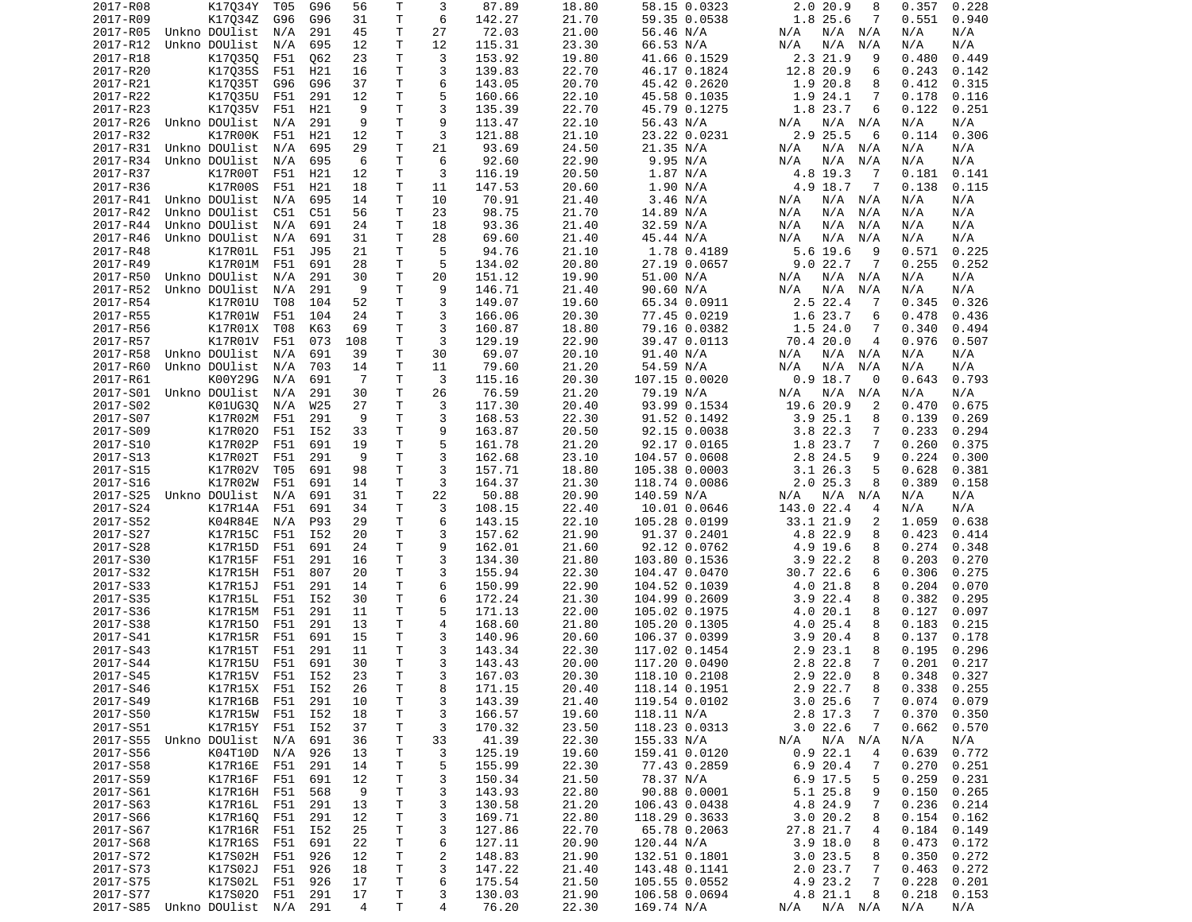| 2017-R08             | K17034Y                        | T05             | G96        | 56                   | $\mathsf{T}$ | 3              | 87.89            | 18.80          | 58.15 0.0323                   | 2.020.9<br>8                         | 0.357<br>0.228                     |
|----------------------|--------------------------------|-----------------|------------|----------------------|--------------|----------------|------------------|----------------|--------------------------------|--------------------------------------|------------------------------------|
| 2017-R09             | K17034Z                        | G96             | G96        | 31                   | Τ            | 6              | 142.27           | 21.70          | 59.35 0.0538                   | 1.8 25.6<br>7                        | 0.551<br>0.940                     |
| 2017-R05             | Unkno DOUlist                  | N/A             | 291        | 45                   | Τ            | 27             | 72.03            | 21.00          | 56.46 N/A                      | N/A<br>N/A N/A                       | N/A<br>N/A                         |
| 2017-R12             | Unkno DOUlist                  | N/A             | 695        | 12                   | Τ            | 12             | 115.31           | 23.30          | 66.53 N/A                      | N/A<br>N/A<br>N/A                    | N/A<br>N/A                         |
| 2017-R18             | K170350                        | F51             | Q62        | 23                   | T.           | 3              | 153.92           | 19.80          | 41.66 0.1529                   | 2.3 21.9<br>9                        | 0.480<br>0.449                     |
| 2017-R20             | K17035S                        | F51             | H21        | 16                   | т            | 3              | 139.83           | 22.70          | 46.17 0.1824                   | 12.8 20.9<br>6                       | 0.243<br>0.142                     |
| 2017-R21<br>2017-R22 | K17Q35T<br>K17035U             | G96<br>F51      | G96<br>291 | 37<br>12             | т<br>T.      | 6<br>5         | 143.05           | 20.70<br>22.10 | 45.42 0.2620<br>45.58 0.1035   | 1.9<br>20.8<br>8<br>1.9 24.1<br>7    | 0.412<br>0.315<br>0.116<br>0.178   |
| 2017-R23             | K17035V                        | F51             | H21        | 9                    | Τ            | 3              | 160.66<br>135.39 | 22.70          | 45.79 0.1275                   | 1.8 23.7<br>6                        | 0.122<br>0.251                     |
| 2017-R26             | Unkno DOUlist                  | N/A             | 291        | 9                    | т            | 9              | 113.47           | 22.10          | 56.43 N/A                      | N/A<br>N/A N/A                       | N/A<br>N/A                         |
| 2017-R32             | K17R00K                        | F51             | H21        | 12                   | Τ            | 3              | 121.88           | 21.10          | 23.22 0.0231                   | 2.9 25.5<br>6                        | 0.306<br>0.114                     |
| 2017-R31             | Unkno DOUlist                  | N/A             | 695        | 29                   | T.           | 21             | 93.69            | 24.50          | 21.35 N/A                      | N/A<br>N/A<br>N/A                    | N/A<br>N/A                         |
| 2017-R34             | Unkno DOUlist                  | N/A             | 695        | 6                    | T            | 6              | 92.60            | 22.90          | 9.95 N/A                       | N/A<br>N/A<br>N/A                    | N/A<br>N/A                         |
| 2017-R37             | K17R00T                        | F51             | H21        | 12                   | Τ            | 3              | 116.19           | 20.50          | 1.87 N/A                       | 4.8 19.3<br>-7                       | 0.181<br>0.141                     |
| 2017-R36             | K17R00S                        | F51             | H21        | 18                   | Τ            | 11             | 147.53           | 20.60          | 1.90 N/A                       | 4.9 18.7<br>-7                       | 0.138<br>0.115                     |
| 2017-R41             | Unkno DOUlist                  | N/A             | 695        | 14                   | Τ            | 10             | 70.91            | 21.40          | 3.46 N/A                       | $N/A$ $N/A$<br>N/A                   | N/A<br>N/A                         |
| 2017-R42             | Unkno DOUlist                  | C51             | C51        | 56                   | Τ            | 23             | 98.75            | 21.70          | 14.89 N/A                      | N/A<br>N/A<br>N/A                    | N/A<br>N/A                         |
| 2017-R44             | Unkno DOUlist                  | N/A             | 691        | 24                   | Τ            | 18             | 93.36            | 21.40          | 32.59 N/A                      | N/A<br>N/A<br>N/A                    | N/A<br>N/A                         |
| 2017-R46             | Unkno DOUlist                  | N/A             | 691        | 31                   | т            | 28             | 69.60            | 21.40          | 45.44 N/A                      | N/A<br>N/A<br>N/A                    | N/A<br>N/A                         |
| 2017-R48             | K17R01L                        | F51             | J95        | 21                   | Τ            | 5              | 94.76            | 21.10          | 1.78 0.4189                    | 5.6 19.6<br>9                        | 0.225<br>0.571                     |
| 2017-R49             | K17R01M                        | F51             | 691        | 28                   | T.           | 5              | 134.02           | 20.80          | 27.19 0.0657                   | 9.022.7<br>7                         | 0.255<br>0.252                     |
| 2017-R50             | Unkno DOUlist                  | N/A             | 291        | 30                   | Τ            | 20             | 151.12           | 19.90          | 51.00 N/A                      | N/A<br>N/A<br>N/A                    | N/A<br>N/A                         |
| 2017-R52             | Unkno DOUlist                  | N/A             | 291        | 9                    | T.           | 9              | 146.71           | 21.40          | 90.60 N/A                      | N/A<br>N/A<br>N/A                    | N/A<br>N/A                         |
| 2017-R54             | K17R01U                        | T08             | 104        | 52                   | T            | 3              | 149.07           | 19.60          | 65.34 0.0911                   | $2.5$ 22.4<br>-7                     | 0.345<br>0.326                     |
| 2017-R55             | K17R01W                        | F51             | 104        | 24                   | T.           | 3              | 166.06           | 20.30          | 77.45 0.0219                   | 1.6 23.7<br>6                        | 0.478<br>0.436                     |
| 2017-R56             | K17R01X                        | T08             | K63        | 69                   | Τ            | 3              | 160.87           | 18.80          | 79.16 0.0382                   | 1.524.0<br>7                         | 0.340<br>0.494                     |
| 2017-R57             | K17R01V                        | F51             | 073        | 108                  | T            | 3              | 129.19           | 22.90          | 39.47 0.0113                   | 70.4 20.0<br>$\overline{4}$          | 0.976<br>0.507                     |
| 2017-R58             | Unkno DOUlist                  | N/A             | 691        | 39                   | Τ<br>T.      | 30             | 69.07            | 20.10          | 91.40 N/A<br>54.59 N/A         | N/A<br>$N/A$ $N/A$                   | N/A<br>N/A                         |
| 2017-R60<br>2017-R61 | Unkno DOUlist<br>K00Y29G       | N/A             | 703<br>691 | 14<br>$\overline{7}$ | т            | 11<br>3        | 79.60            | 21.20<br>20.30 |                                | N/A<br>N/A<br>N/A<br>$0.9$ 18.7<br>0 | N/A<br>N/A<br>0.643<br>0.793       |
| 2017-S01             | Unkno DOUlist                  | N/A<br>N/A      | 291        | 30                   | Τ            | 26             | 115.16<br>76.59  | 21.20          | 107.15 0.0020<br>79.19 N/A     | N/A<br>N/A<br>N/A                    | N/A<br>N/A                         |
| 2017-S02             | K01UG3Q                        | N/A             | W25        | 27                   | T            | 3              | 117.30           | 20.40          | 93.99 0.1534                   | 19.6 20.9<br>2                       | 0.470<br>0.675                     |
| 2017-S07             | K17R02M                        | F51             | 291        | 9                    | Τ            | 3              | 168.53           | 22.30          | 91.52 0.1492                   | 3.925.1<br>8                         | 0.139<br>0.269                     |
| 2017-S09             | K17R020                        | F51             | I52        | 33                   | T.           | 9              | 163.87           | 20.50          | 92.15 0.0038                   | 3.8 22.3<br>7                        | 0.233<br>0.294                     |
| 2017-S10             | K17R02P                        | F51             | 691        | 19                   | T.           | 5              | 161.78           | 21.20          | 92.17 0.0165                   | 1.8 23.7<br>7                        | 0.260<br>0.375                     |
| 2017-S13             | K17R02T                        | F51             | 291        | 9                    | Τ            | 3              | 162.68           | 23.10          | 104.57 0.0608                  | 2.8 24.5<br>9                        | 0.224<br>0.300                     |
| 2017-S15             | K17R02V                        | T05             | 691        | 98                   | т            | 3              | 157.71           | 18.80          | 105.38 0.0003                  | 3.126.3<br>5                         | 0.628<br>0.381                     |
| 2017-S16             | K17R02W                        | F51             | 691        | 14                   | т            | 3              | 164.37           | 21.30          | 118.74 0.0086                  | 2.025.3<br>8                         | 0.389<br>0.158                     |
| 2017-S25             | Unkno DOUlist                  | N/A             | 691        | 31                   | т            | 22             | 50.88            | 20.90          | 140.59 N/A                     | N/A<br>N/A<br>N/A                    | N/A<br>N/A                         |
| 2017-S24             | K17R14A                        | F51             | 691        | 34                   | Τ            | 3              | 108.15           | 22.40          | 10.01 0.0646                   | 143.0 22.4<br>4                      | N/A<br>N/A                         |
| 2017-S52             | K04R84E                        | N/A             | P93        | 29                   | T.           | 6              | 143.15           | 22.10          | 105.28 0.0199                  | 33.1 21.9<br>2                       | 1.059<br>0.638                     |
| 2017-S27             | K17R15C                        | F51             | I52        | 20                   | T.           | 3              | 157.62           | 21.90          | 91.37 0.2401                   | 4.8 22.9<br>8                        | 0.423<br>0.414                     |
| 2017-S28             | K17R15D                        | F51             | 691        | 24                   | Τ            | 9              | 162.01           | 21.60          | 92.12 0.0762                   | 4.9 19.6<br>8                        | 0.274<br>0.348                     |
| 2017-S30             | K17R15F                        | F51             | 291        | 16                   | T            | 3              | 134.30           | 21.80          | 103.80 0.1536                  | $3.9$ 22.2<br>8                      | 0.203<br>0.270                     |
| 2017-S32             | K17R15H                        | F51             | 807        | 20                   | T.           | 3              | 155.94           | 22.30          | 104.47 0.0470                  | 30.7 22.6<br>6                       | 0.306<br>0.275                     |
| 2017-S33             | K17R15J                        | F51             | 291        | 14                   | Τ            | 6              | 150.99           | 22.90          | 104.52 0.1039                  | 4.0 21.8<br>8                        | 0.204<br>0.070                     |
| 2017-S35             | K17R15L                        | F51             | I52        | 30                   | т            | 6              | 172.24           | 21.30          | 104.99 0.2609                  | $3.9$ 22.4<br>8                      | 0.382<br>0.295                     |
| 2017-S36             | K17R15M                        | F51             | 291        | 11                   | T.           | 5              | 171.13           | 22.00          | 105.02 0.1975                  | 20.1<br>8<br>4.0                     | 0.127<br>0.097                     |
| 2017-S38             | K17R150                        | F51             | 291        | 13                   | Τ            | 4              | 168.60           | 21.80          | 105.20 0.1305                  | 4.0 25.4<br>8                        | 0.183<br>0.215                     |
| 2017-S41             | K17R15R                        | F51             | 691        | 15                   | Τ            | 3<br>3         | 140.96           | 20.60          | 106.37 0.0399                  | 3.920.4<br>8                         | 0.137<br>0.178                     |
| 2017-S43             | K17R15T                        | F51             | 291        | 11                   | $\mathsf{T}$ | 3              | 143.34           | 22.30          | 117.02 0.1454                  | 8<br>2.9 23.1                        | 0.195<br>0.296                     |
| 2017-S44             | K17R15U F51                    |                 | 691        | 30                   | T.<br>T.     | 3              | 143.43           | 20.00          | 117.20 0.0490                  | 2.8 22.8<br>7                        | 0.201<br>0.217                     |
| 2017-S45<br>2017-S46 | K17R15V F51 I52                | K17R15X F51 I52 |            | 23<br>26             | T            | 8              | 167.03<br>171.15 | 20.30<br>20.40 | 118.10 0.2108<br>118.14 0.1951 | $2.9$ 22.0<br>8<br>2.9 22.7<br>8     | $0.348$ $0.327$<br>$0.338$ $0.255$ |
| 2017-S49             |                                | K17R16B F51 291 |            | 10                   | Τ            | 3              | 143.39           | 21.40          | 119.54 0.0102                  | 3.025.6<br>$\overline{7}$            | 0.074<br>0.079                     |
| 2017-S50             |                                | K17R15W F51     | I52        | 18                   | T            | 3              | 166.57           | 19.60          | 118.11 N/A                     | 2.8 17.3<br>7                        | 0.370<br>0.350                     |
| 2017-S51             |                                | K17R15Y F51 I52 |            | 37                   | T.           | 3              | 170.32           | 23.50          | 118.23 0.0313                  | 3.022.6<br>7                         | 0.662<br>0.570                     |
|                      | 2017-S55 Unkno DOUlist N/A     |                 | 691        | 36                   | T            | 33             | 41.39            | 22.30          | 155.33 N/A                     | N/A<br>N/A N/A                       | N/A<br>N/A                         |
| 2017-S56             |                                | K04T10D N/A     | 926        | 13                   | Τ            | 3              | 125.19           | 19.60          | 159.41 0.0120                  | 0.922.1<br>4                         | 0.639<br>0.772                     |
| 2017-S58             | K17R16E                        | F51             | 291        | 14                   | Τ            | 5              | 155.99           | 22.30          | 77.43 0.2859                   | 6.920.4<br>7                         | 0.270<br>0.251                     |
| 2017-S59             | K17R16F                        | F51             | 691        | 12                   | T            | 3              | 150.34           | 21.50          | 78.37 N/A                      | 6.9 17.5<br>5                        | 0.259<br>0.231                     |
| 2017-S61             | K17R16H F51                    |                 | 568        | 9                    | T            | 3              | 143.93           | 22.80          | 90.88 0.0001                   | 5.1 25.8<br>9                        | 0.150<br>0.265                     |
| 2017-S63             | K17R16L F51                    |                 | 291        | 13                   | T            | 3              | 130.58           | 21.20          | 106.43 0.0438                  | 4.8 24.9<br>7                        | 0.236<br>0.214                     |
| 2017-S66             | K17R16Q F51                    |                 | 291        | 12                   | Τ            | 3              | 169.71           | 22.80          | 118.29 0.3633                  | 3.020.2<br>8                         | 0.154<br>0.162                     |
| 2017-S67             | K17R16R F51                    |                 | I52        | 25                   | T            | 3              | 127.86           | 22.70          | 65.78 0.2063                   | 27.8 21.7<br>4                       | 0.184<br>0.149                     |
| 2017-S68             |                                | K17R16S F51     | 691        | 22                   | T            | 6              | 127.11           | 20.90          | 120.44 N/A                     | $3.9$ 18.0<br>8                      | 0.473<br>0.172                     |
| 2017-S72             |                                | K17S02H F51     | 926        | 12                   | T            | $\overline{c}$ | 148.83           | 21.90          | 132.51 0.1801                  | 3.023.5<br>8                         | 0.350<br>0.272                     |
| 2017-S73             | K17S02J                        | F51             | 926        | 18                   | T            | 3              | 147.22           | 21.40          | 143.48 0.1141                  | 2.0 23.7<br>7                        | 0.463<br>0.272                     |
| 2017-S75             |                                | K17S02L F51     | 926        | 17                   | T.           | 6              | 175.54           | 21.50          | 105.55 0.0552                  | 4.9 23.2<br>$\overline{7}$           | 0.228<br>0.201                     |
| 2017-S77             |                                | K17S020 F51 291 |            | 17                   | T.           | 3              | 130.03           | 21.90          | 106.58 0.0694                  | 4.8 21.1<br>8                        | 0.218<br>0.153                     |
|                      | 2017-S85 Unkno DOUlist N/A 291 |                 |            | $\overline{4}$       | T.           | 4              | 76.20            | 22.30          | 169.74 N/A                     | N/A N/A N/A                          | N/A<br>N/A                         |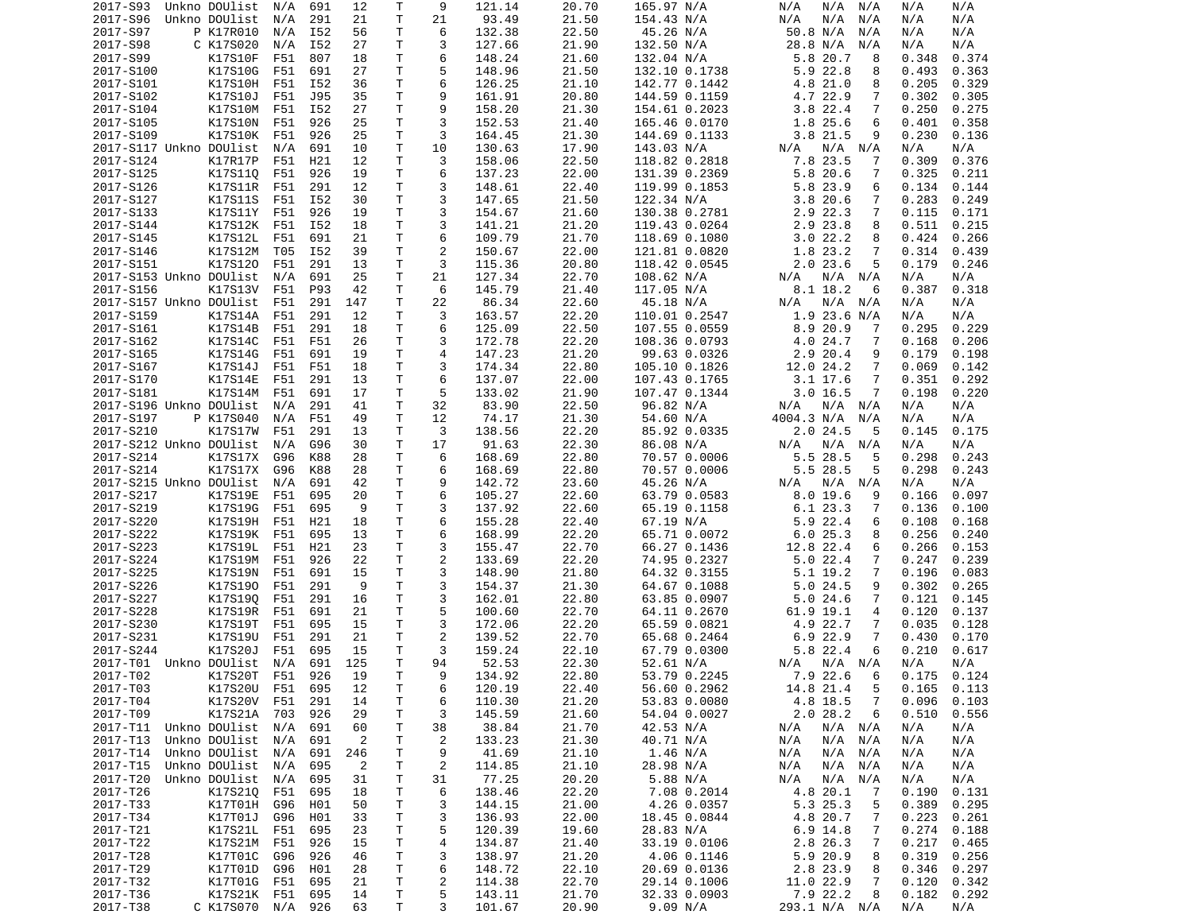| 2017-S93               | Unkno DOUlist N/A          |            | 691        | 12             | Τ       | 9              | 121.14           | 20.70          | 165.97 N/A                   | N/A<br>N/A N/A                | N/A<br>N/A                       |
|------------------------|----------------------------|------------|------------|----------------|---------|----------------|------------------|----------------|------------------------------|-------------------------------|----------------------------------|
| 2017-S96               | Unkno DOUlist              | N/A        | 291        | 21             | Τ       | 21             | 93.49            | 21.50          | 154.43 N/A                   | N/A<br>N/A<br>N/A             | N/A<br>N/A                       |
| 2017-S97               | P K17R010                  | N/A        | I52        | 56             | T.      | 6              | 132.38           | 22.50          | 45.26 N/A                    | 50.8 N/A<br>N/A               | N/A<br>N/A                       |
| 2017-S98               | C K17S020                  | N/A        | I52        | 27             | T.      | 3              | 127.66           | 21.90          | 132.50 N/A                   | 28.8 N/A<br>N/A               | N/A<br>N/A                       |
| 2017-S99               | K17S10F                    | F51        | 807        | 18             | T.      | 6              | 148.24           | 21.60          | 132.04 N/A                   | 5.8 20.7<br>8                 | 0.348<br>0.374                   |
| 2017-S100              | K17S10G                    | F51        | 691        | 27             | т       | 5              | 148.96           | 21.50          | 132.10 0.1738                | 5.9 22.8<br>8                 | 0.493<br>0.363                   |
| 2017-S101              | K17S10H                    | F51        | I52        | 36             | т       | 6              | 126.25           | 21.10          | 142.77 0.1442                | 4.8 21.0<br>8                 | 0.205<br>0.329                   |
| 2017-S102              | K17S10J                    | F51        | J95        | 35             | Τ       | 9              | 161.91           | 20.80          | 144.59 0.1159                | 4.7 22.9<br>7                 | 0.302<br>0.305                   |
| 2017-S104              | K17S10M                    | F51        | I52        | 27             | т       | 9              | 158.20           | 21.30          | 154.61 0.2023                | $3.8$ 22.4<br>7               | 0.250<br>0.275                   |
| 2017-S105              | K17S10N                    | F51        | 926        | 25             | т       | 3              | 152.53           | 21.40          | 165.46 0.0170                | 1.8 25.6<br>6                 | 0.401<br>0.358                   |
| 2017-S109              | K17S10K                    | F51        | 926        | 25             | т       | 3              | 164.45           | 21.30          | 144.69 0.1133                | 3.8 21.5<br>9                 | 0.230<br>0.136                   |
|                        | 2017-S117 Unkno DOUlist    | N/A        | 691        | 10             | T.<br>T | 10             | 130.63           | 17.90          | 143.03 N/A<br>118.82 0.2818  | N/A<br>N/A<br>N/A<br>7.8 23.5 | N/A<br>N/A                       |
| 2017-S124<br>2017-S125 | K17R17P<br>K17S110         | F51        | H21        | 12             | Τ       | 3<br>6         | 158.06           | 22.50<br>22.00 | 131.39 0.2369                | 7<br>5.8 20.6<br>7            | 0.309<br>0.376                   |
| 2017-S126              | K17S11R                    | F51<br>F51 | 926<br>291 | 19<br>12       | T.      | 3              | 137.23<br>148.61 | 22.40          | 119.99 0.1853                | 5.8 23.9<br>6                 | 0.325<br>0.211<br>0.134<br>0.144 |
| 2017-S127              | K17S11S                    | F51        | I52        | 30             | Τ       | 3              | 147.65           | 21.50          | 122.34 N/A                   | 3.820.6<br>7                  | 0.283<br>0.249                   |
| 2017-S133              | K17S11Y                    | F51        | 926        | 19             | Τ       | 3              | 154.67           | 21.60          | 130.38 0.2781                | 2.9 22.3<br>7                 | 0.115<br>0.171                   |
| 2017-S144              | K17S12K                    | F51        | I52        | 18             | Τ       | 3              | 141.21           | 21.20          | 119.43 0.0264                | 2.9 23.8<br>8                 | 0.511<br>0.215                   |
| 2017-S145              | K17S12L                    | F51        | 691        | 21             | Τ       | 6              | 109.79           | 21.70          | 118.69 0.1080                | 3.022.2<br>8                  | 0.424<br>0.266                   |
| 2017-S146              | K17S12M                    | T05        | I52        | 39             | т       | $\overline{2}$ | 150.67           | 22.00          | 121.81 0.0820                | 1.8 23.2<br>7                 | 0.314<br>0.439                   |
| 2017-S151              | K17S120                    | F51        | 291        | 13             | т       | 3              | 115.36           | 20.80          | 118.42 0.0545                | 5<br>$2.0$ 23.6               | 0.246<br>0.179                   |
|                        | 2017-S153 Unkno DOUlist    | N/A        | 691        | 25             | Τ       | 21             | 127.34           | 22.70          | 108.62 N/A                   | $N/A$ $N/A$<br>N/A            | N/A<br>N/A                       |
| 2017-S156              | K17S13V                    | F51        | P93        | 42             | т       | 6              | 145.79           | 21.40          | 117.05 N/A                   | 8.1 18.2<br>6                 | 0.387<br>0.318                   |
|                        | 2017-S157 Unkno DOUlist    | F51        | 291        | 147            | T.      | 22             | 86.34            | 22.60          | 45.18 N/A                    | N/A N/A<br>N/A                | N/A<br>N/A                       |
| 2017-S159              | K17S14A                    | F51        | 291        | 12             | Τ       | 3              | 163.57           | 22.20          | 110.01 0.2547                | $1.9$ 23.6 N/A                | N/A<br>N/A                       |
| 2017-S161              | K17S14B                    | F51        | 291        | 18             | Τ       | 6              | 125.09           | 22.50          | 107.55 0.0559                | 8.9 20.9<br>7                 | 0.295<br>0.229                   |
| 2017-S162              | K17S14C                    | F51        | F51        | 26             | T.      | 3              | 172.78           | 22.20          | 108.36 0.0793                | 4.0 24.7<br>7                 | 0.168<br>0.206                   |
| 2017-S165              | K17S14G                    | F51        | 691        | 19             | T.      | 4              | 147.23           | 21.20          | 99.63 0.0326                 | 2.9 20.4<br>9                 | 0.179<br>0.198                   |
| 2017-S167              | K17S14J                    | F51        | F51        | 18             | Τ       | 3              | 174.34           | 22.80          | 105.10 0.1826                | 12.0 24.2<br>7                | 0.069<br>0.142                   |
| 2017-S170              | K17S14E                    | F51        | 291        | 13             | т       | 6              | 137.07           | 22.00          | 107.43 0.1765                | 3.1 17.6<br>7                 | 0.351<br>0.292                   |
| 2017-S181              | K17S14M                    | F51        | 691        | 17             | T.      | 5              | 133.02           | 21.90          | 107.47 0.1344                | 3.016.5<br>7                  | 0.198<br>0.220                   |
|                        | 2017-S196 Unkno DOUlist    | N/A        | 291        | 41             | Τ       | 32             | 83.90            | 22.50          | 96.82 N/A                    | N/A<br>N/A N/A                | N/A<br>N/A                       |
| 2017-S197              | P K17S040                  | N/A        | F51        | 49             | Τ       | 12             | 74.17            | 21.30          | 54.60 N/A                    | 4004.3 N/A<br>N/A             | N/A<br>N/A                       |
| 2017-S210              | K17S17W                    | F51        | 291        | 13             | Τ       | 3              | 138.56           | 22.20          | 85.92 0.0335                 | 2.024.5<br>5                  | 0.175<br>0.145                   |
|                        | 2017-S212 Unkno DOUlist    | N/A        | G96        | 30             | Τ       | 17             | 91.63            | 22.30          | 86.08 N/A                    | $N/A$ $N/A$<br>N/A            | N/A<br>N/A                       |
| 2017-S214              | K17S17X                    | G96        | K88        | 28             | T.      | 6              | 168.69           | 22.80          | 70.57 0.0006                 | 5.5 28.5<br>5                 | 0.298<br>0.243                   |
| 2017-S214              | K17S17X                    | G96        | K88        | 28             | т       | 6              | 168.69           | 22.80          | 70.57 0.0006                 | 5.5 28.5<br>5                 | 0.298<br>0.243                   |
|                        | 2017-S215 Unkno DOUlist    | N/A        | 691        | 42             | T.      | 9              | 142.72           | 23.60          | 45.26 N/A                    | N/A N/A<br>N/A                | N/A<br>N/A                       |
| 2017-S217              | K17S19E                    | F51        | 695        | 20             | т       | 6              | 105.27           | 22.60          | 63.79 0.0583                 | $8.0$ 19.6<br>9               | 0.097<br>0.166                   |
| 2017-S219              | K17S19G                    | F51        | 695        | 9              | Τ       | 3              | 137.92           | 22.60          | 65.19 0.1158                 | 6.1 23.3<br>7                 | 0.136<br>0.100                   |
| 2017-S220              | K17S19H                    | F51        | H21        | 18             | T.      | 6              | 155.28           | 22.40          | 67.19 N/A                    | 5.9 22.4<br>6                 | 0.108<br>0.168                   |
| 2017-S222              | K17S19K                    | F51        | 695        | 13             | T.      | 6              | 168.99           | 22.20          | 65.71 0.0072                 | 6.025.3<br>8                  | 0.256<br>0.240                   |
| 2017-S223              | K17S19L                    | F51        | H21        | 23             | Τ       | 3              | 155.47           | 22.70          | 66.27 0.1436                 | 12.8 22.4<br>6                | 0.266<br>0.153                   |
| 2017-S224              | K17S19M                    | F51        | 926        | 22             | Τ       | $\overline{2}$ | 133.69           | 22.20          | 74.95 0.2327                 | 5.022.4<br>7                  | 0.247<br>0.239                   |
| 2017-S225<br>2017-S226 | K17S19N<br>K17S190         | F51<br>F51 | 691<br>291 | 15<br>9        | T.<br>т | 3<br>3         | 148.90<br>154.37 | 21.80<br>21.30 | 64.32 0.3155<br>64.67 0.1088 | 5.1 19.2<br>7<br>5.024.5<br>9 | 0.196<br>0.083<br>0.302<br>0.265 |
| 2017-S227              | K17S190                    | F51        | 291        | 16             | Τ       | 3              | 162.01           | 22.80          | 63.85 0.0907                 | 7                             | 0.121<br>0.145                   |
| 2017-S228              | K17S19R                    | F51        | 691        | 21             | T.      | 5              | 100.60           | 22.70          | 64.11 0.2670                 | 5.024.6<br>61.9 19.1<br>4     | 0.120<br>0.137                   |
| 2017-S230              | K17S19T                    | F51        | 695        | 15             | Τ       | 3              | 172.06           | 22.20          | 65.59 0.0821                 | 4.9 22.7<br>7                 | 0.035<br>0.128                   |
| 2017-S231              | K17S19U                    | F51        | 291        | 21             | Τ       | 2              | 139.52           | 22.70          | 65.68 0.2464                 | 6.9 22.9<br>7                 | 0.430<br>0.170                   |
| 2017-S244              | K17S20J                    | F51        | 695        | 15             | т       | 3              | 159.24           | 22.10          | 67.79 0.0300                 | 5.8 22.4<br>6                 | 0.210<br>0.617                   |
|                        | 2017-T01 Unkno DOUlist     | N/A        | 691        | 125            | T.      | 94             | 52.53            | 22.30          | 52.61 N/A                    | N/A N/A<br>N/A                | N/A<br>N/A                       |
| 2017-T02               | K17S20T F51 926            |            |            | 19             | T       | - 9            | 134.92           | 22.80          | 53.79 0.2245                 | 7.9 22.6 6                    | $0.175$ 0.124                    |
| 2017-T03               | K17S20U F51 695            |            |            | 12             | Τ       | 6              | 120.19           | 22.40          | 56.60 0.2962                 | 5<br>14.8 21.4                | $0.165$ $0.113$                  |
| 2017-T04               | K17S20V F51                |            | 291        | 14             | Τ       | 6              | 110.30           | 21.20          | 53.83 0.0080                 | 4.8 18.5<br>$\overline{7}$    | 0.096<br>0.103                   |
| 2017-T09               | K17S21A 703                |            | 926        | 29             | Τ       | 3              | 145.59           | 21.60          | 54.04 0.0027                 | 2.028.2<br>6                  | 0.510<br>0.556                   |
|                        | 2017-T11 Unkno DOUlist N/A |            | 691        | 60             | Τ       | 38             | 38.84            | 21.70          | 42.53 N/A                    | $N/A$ $N/A$<br>N/A            | N/A<br>N/A                       |
| 2017-T13               | Unkno DOUlist N/A          |            | 691        | 2              | Τ       | 2              | 133.23           | 21.30          | 40.71 N/A                    | N/A<br>N/A<br>N/A             | N/A<br>N/A                       |
| 2017-T14               | Unkno DOUlist N/A          |            | 691        | 246            | т       | 9              | 41.69            | 21.10          | 1.46 N/A                     | N/A<br>N/A N/A                | N/A<br>N/A                       |
| 2017-T15               | Unkno DOUlist N/A          |            | 695        | $\overline{2}$ | т       | 2              | 114.85           | 21.10          | 28.98 N/A                    | N/A<br>N/A<br>N/A             | N/A<br>N/A                       |
| 2017-T20               | Unkno DOUlist N/A          |            | 695        | 31             | Τ       | 31             | 77.25            | 20.20          | 5.88 N/A                     | N/A<br>N/A<br>N/A             | N/A<br>N/A                       |
| 2017-T26               | K17S210                    | F51        | 695        | 18             | T       | 6              | 138.46           | 22.20          | 7.08 0.2014                  | 4.8 20.1<br>7                 | 0.190<br>0.131                   |
| 2017-T33               | K17T01H                    | G96        | H01        | 50             | T       | 3              | 144.15           | 21.00          | 4.26 0.0357                  | 5.3 25.3<br>5                 | 0.389<br>0.295                   |
| 2017-T34               | K17T01J                    | G96        | H01        | 33             | Τ       | 3              | 136.93           | 22.00          | 18.45 0.0844                 | 4.8 20.7<br>7                 | 0.223<br>0.261                   |
| 2017-T21               | K17S21L                    | F51        | 695        | 23             | т       | 5              | 120.39           | 19.60          | 28.83 N/A                    | $6.9$ 14.8<br>7               | 0.274<br>0.188                   |
| 2017-T22               | K17S21M F51                |            | 926        | 15             | т       | 4              | 134.87           | 21.40          | 33.19 0.0106                 | 2.8 26.3<br>7                 | 0.217<br>0.465                   |
| 2017-T28               | K17T01C                    | G96        | 926        | 46             | Τ       | 3              | 138.97           | 21.20          | 4.06 0.1146                  | 5.9 20.9<br>8                 | 0.319<br>0.256                   |
| 2017-T29               | K17T01D                    | G96        | H01        | 28             | T       | 6              | 148.72           | 22.10          | 20.69 0.0136                 | 2.8 23.9<br>8                 | 0.346<br>0.297                   |
| 2017-T32               | K17T01G                    | F51        | 695        | 21             | T.      | $\overline{c}$ | 114.38           | 22.70          | 29.14 0.1006                 | 11.0 22.9<br>7                | 0.120<br>0.342                   |
| 2017-T36               | K17S21K F51                |            | 695        | 14             | T       | 5              | 143.11           | 21.70          | 32.33 0.0903                 | 7.9 22.2<br>8                 | $0.182 \quad 0.292$              |
| 2017-T38               | C K17S070 N/A 926          |            |            | 63             | T.      | 3              | 101.67           | 20.90          | 9.09 N/A                     | 293.1 N/A N/A                 | N/A<br>N/A                       |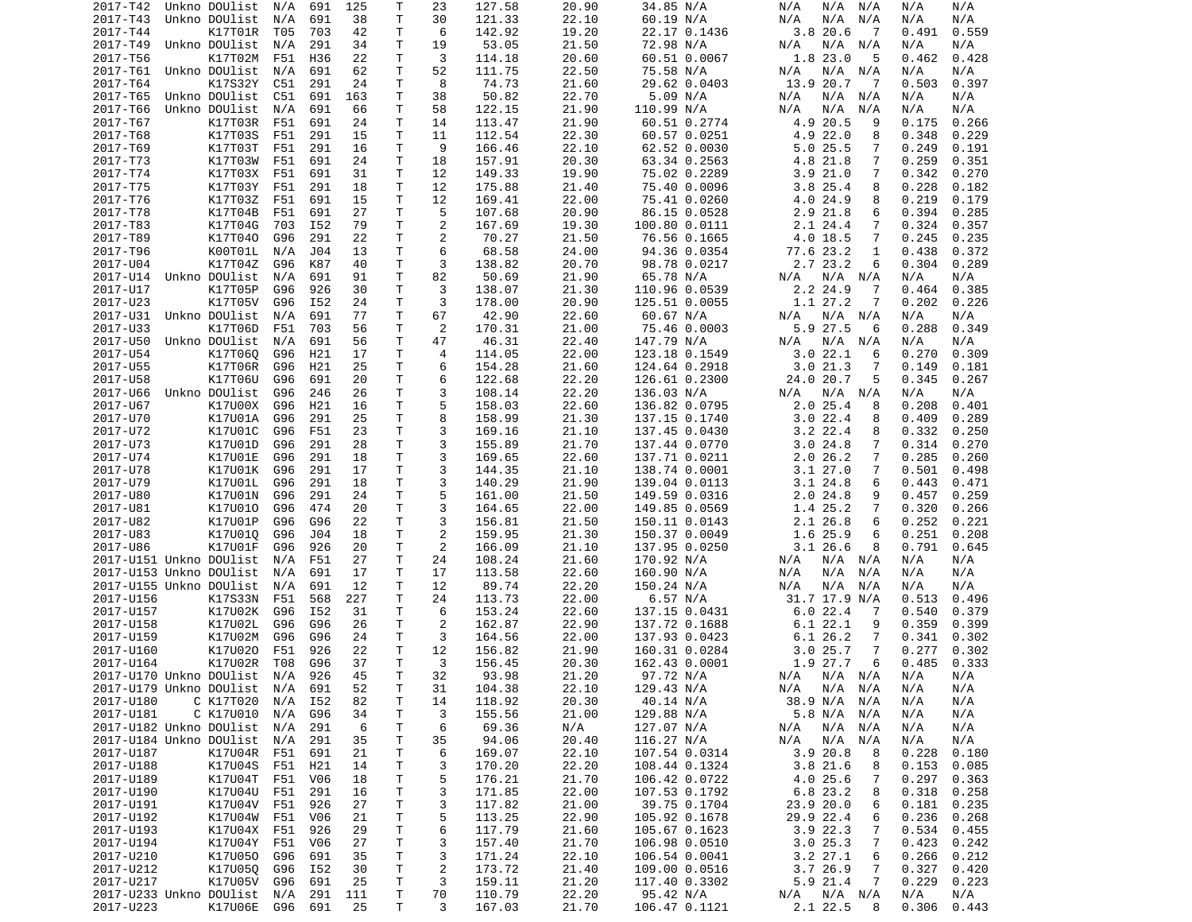| 2017-T42                        | Unkno DOUlist      | N/A        | 691        | 125      | Т      | 23             | 127.58           | 20.90          | 34.85 N/A     | N/A<br>N/A<br>N/A            | N/A<br>N/A     |
|---------------------------------|--------------------|------------|------------|----------|--------|----------------|------------------|----------------|---------------|------------------------------|----------------|
| 2017-T43                        | Unkno DOUlist      | N/A        | 691        | 38       | т      | 30             | 121.33           | 22.10          | 60.19 N/A     | N/A<br>N/A<br>N/A            | N/A<br>N/A     |
| 2017-T44                        | K17T01R            | T05        | 703        | 42       | т      | 6              | 142.92           | 19.20          | 22.17 0.1436  | 3.820.6<br>-7                | 0.491<br>0.559 |
| 2017-T49                        | Unkno DOUlist      | N/A        | 291        | 34       | т      | 19             | 53.05            | 21.50          | 72.98 N/A     | N/A<br>N/A<br>N/A            | N/A<br>N/A     |
| 2017-T56                        | K17T02M            | F51        | H36        | 22       | т      | 3              | 114.18           | 20.60          | 60.51 0.0067  | 1.8 23.0<br>5                | 0.428<br>0.462 |
| 2017-T61                        | Unkno DOUlist      | N/A        | 691        | 62       | Τ      | 52             | 111.75           | 22.50          | 75.58 N/A     | N/A<br>N/A<br>N/A            | N/A<br>N/A     |
| 2017-T64                        | K17S32Y            | C51        | 291        | 24       | т      | 8              | 74.73            | 21.60          | 29.62 0.0403  | 13.9 20.7<br>$\overline{7}$  | 0.397<br>0.503 |
| 2017-T65                        | Unkno DOUlist      | C51        | 691        | 163      | т      | 38             | 50.82            | 22.70          | 5.09 N/A      | N/A<br>N/A<br>N/A            | N/A<br>N/A     |
| 2017-T66                        | Unkno DOUlist      | N/A        | 691        | 66       | т      | 58             | 122.15           | 21.90          | 110.99 N/A    | N/A<br>N/A<br>N/A            | N/A<br>N/A     |
| 2017-T67                        | K17T03R            | F51        | 691        | 24       | т      | 14             | 113.47           | 21.90          | 60.51 0.2774  | 4.9 20.5<br>9                | 0.175<br>0.266 |
| 2017-T68                        | K17T03S            | F51        | 291        | 15       | т      | 11             | 112.54           | 22.30          | 60.57 0.0251  | 4.9 22.0<br>8                | 0.348<br>0.229 |
| 2017-T69                        | K17T03T            | F51        | 291        | 16       | т      | 9              | 166.46           | 22.10          | 62.52 0.0030  | 5.0 25.5<br>7                | 0.249<br>0.191 |
| 2017-T73                        | K17T03W            | F51        | 691        | 24       | Τ      | 18             | 157.91           | 20.30          | 63.34 0.2563  | 4.8 21.8<br>7                | 0.259<br>0.351 |
| 2017-T74                        | K17T03X            | F51        | 691        | 31       | т      | 12             | 149.33           | 19.90          | 75.02 0.2289  | 3.921.0<br>7                 | 0.342<br>0.270 |
| 2017-T75                        | K17T03Y            | F51        | 291        | 18       | т      | 12             | 175.88           | 21.40          | 75.40 0.0096  | 3.825.4<br>8                 | 0.228<br>0.182 |
| 2017-T76                        | K17T03Z            | F51        | 691        | 15       | т      | 12             | 169.41           | 22.00          | 75.41 0.0260  | 4.024.9<br>8                 | 0.219<br>0.179 |
| 2017-T78                        | K17T04B            | F51        | 691        | 27       | Τ      | 5              | 107.68           | 20.90          | 86.15 0.0528  | 2.9 21.8<br>6                | 0.394<br>0.285 |
| 2017-T83                        | K17T04G            | 703        | I52        | 79       | Τ      | 2              | 167.69           | 19.30          | 100.80 0.0111 | 2.1 24.4<br>7                | 0.324<br>0.357 |
| 2017-T89                        | K17T040            | G96        | 291        | 22       | т      | 2              | 70.27            | 21.50          | 76.56 0.1665  | 4.0 18.5<br>7                | 0.245<br>0.235 |
| 2017-T96                        | K00T01L            | N/A        | J04        | 13       | Τ      | 6              | 68.58            | 24.00          | 94.36 0.0354  | 77.6 23.2<br>1               | 0.438<br>0.372 |
| 2017-U04                        | K17T04Z            | G96        | K87        | 40       | т      | 3              | 138.82           | 20.70          | 98.78 0.0217  | 2.7 23.2<br>6                | 0.304<br>0.289 |
| 2017-U14                        | Unkno DOUlist      | N/A        | 691        | 91       | T.     | 82             | 50.69            | 21.90          | 65.78 N/A     | $N/A$ $N/A$<br>N/A           | N/A<br>N/A     |
| 2017-U17                        | K17T05P            | G96        | 926        | 30       | т      | 3              | 138.07           | 21.30          | 110.96 0.0539 | 2.2 24.9<br>7                | 0.464<br>0.385 |
| 2017-U23                        | K17T05V            | G96        | I52        | 24       | Τ      | 3              | 178.00           | 20.90          | 125.51 0.0055 | 1.1 27.2<br>7                | 0.202<br>0.226 |
| 2017-U31                        | Unkno DOUlist      | N/A        | 691        | 77       | Τ      | 67             | 42.90            | 22.60          | 60.67 N/A     | N/A<br>N/A N/A               | N/A<br>N/A     |
| 2017-U33                        | K17T06D            | F51        | 703        | 56       | т      | 2              | 170.31           | 21.00          | 75.46 0.0003  | 5.9 27.5<br>6                | 0.288<br>0.349 |
| 2017-U50                        | Unkno DOUlist      | N/A        | 691        | 56       | T.     | 47             | 46.31            | 22.40          | 147.79 N/A    | N/A<br>N/A<br>N/A            | N/A<br>N/A     |
| 2017-U54                        | K17T060            | G96        | H21        | 17       | т      | 4              | 114.05           | 22.00          | 123.18 0.1549 | 3.022.1<br>6                 | 0.270<br>0.309 |
| 2017-U55                        | K17T06R            | G96        | H21        | 25       | т      | 6              | 154.28           | 21.60          | 124.64 0.2918 | 3.021.3<br>7                 | 0.149<br>0.181 |
| 2017-U58                        | K17T06U            | G96        | 691        | 20       | Τ      | 6              | 122.68           | 22.20          | 126.61 0.2300 | 24.0 20.7<br>5               | 0.345<br>0.267 |
| 2017-U66                        | Unkno DOUlist      | G96        | 246        | 26       | т      | 3              | 108.14           | 22.20          | 136.03 N/A    | N/A N/A<br>N/A               | N/A<br>N/A     |
| 2017-U67                        | K17U00X            | G96        | H21        | 16       | T.     | 5              | 158.03           | 22.60          | 136.82 0.0795 | 2.025.4<br>8                 | 0.208<br>0.401 |
| 2017-U70                        | K17U01A            | G96        | 291        | 25       | Τ      | 8              | 158.99           | 21.30          | 137.15 0.1740 | 3.022.4<br>8                 | 0.289<br>0.409 |
| 2017-U72                        | K17U01C            | G96        | F51        | 23       | T.     | 3              | 169.16           | 21.10          | 137.45 0.0430 | 3.2 22.4<br>8                | 0.332<br>0.250 |
| 2017-U73                        | K17U01D            | G96        | 291        | 28       | Τ      | 3              | 155.89           | 21.70          | 137.44 0.0770 | 3.024.8<br>7                 | 0.314<br>0.270 |
|                                 |                    |            |            |          | Τ      | 3              |                  |                | 137.71 0.0211 |                              |                |
| 2017-U74                        | K17U01E            | G96        | 291        | 18       |        |                | 169.65           | 22.60          |               | 2.026.2<br>$\overline{7}$    | 0.285<br>0.260 |
| 2017-U78<br>2017-U79            | K17U01K<br>K17U01L | G96<br>G96 | 291<br>291 | 17<br>18 | Τ<br>т | 3<br>3         | 144.35<br>140.29 | 21.10<br>21.90 | 138.74 0.0001 | 3.127.0<br>7<br>3.124.8<br>6 | 0.501<br>0.498 |
|                                 |                    |            |            |          |        |                |                  |                | 139.04 0.0113 |                              | 0.443<br>0.471 |
| 2017-U80                        | K17U01N            | G96        | 291        | 24       | Τ      | 5              | 161.00           | 21.50          | 149.59 0.0316 | $2.0$ 24.8<br>9              | 0.259<br>0.457 |
| 2017-U81                        | K17U010            | G96        | 474        | 20       | т      | 3              | 164.65           | 22.00          | 149.85 0.0569 | 1.4 25.2<br>7                | 0.320<br>0.266 |
| 2017-U82                        | K17U01P            | G96        | G96        | 22       | T.     | 3              | 156.81           | 21.50          | 150.11 0.0143 | 2.1 26.8<br>6                | 0.252<br>0.221 |
| 2017-U83                        | K17U010            | G96        | J04        | 18       | т      | $\overline{2}$ | 159.95           | 21.30          | 150.37 0.0049 | 1.6 25.9<br>6                | 0.251<br>0.208 |
| 2017-U86                        | K17U01F            | G96        | 926        | 20       | т      | 2              | 166.09           | 21.10          | 137.95 0.0250 | 3.126.6<br>8                 | 0.791<br>0.645 |
| 2017-U151 Unkno DOUlist         |                    | N/A        | F51        | 27       | Τ      | 24             | 108.24           | 21.60          | 170.92 N/A    | N/A<br>N/A<br>N/A            | N/A<br>N/A     |
| 2017-U153 Unkno DOUlist         |                    | N/A        | 691        | 17       | т      | 17             | 113.58           | 22.60          | 160.90 N/A    | N/A<br>N/A<br>N/A            | N/A<br>N/A     |
| 2017-U155 Unkno DOUlist         |                    | N/A        | 691        | 12       | Τ      | 12             | 89.74            | 22.20          | 150.24 N/A    | N/A<br>N/A<br>N/A            | N/A<br>N/A     |
| 2017-U156                       | K17S33N            | F51        | 568        | 227      | т      | 24             | 113.73           | 22.00          | 6.57 N/A      | 31.7 17.9 N/A                | 0.513<br>0.496 |
| 2017-U157                       | K17U02K            | G96        | I52        | 31       | Τ      | 6              | 153.24           | 22.60          | 137.15 0.0431 | 6.022.4<br>-7                | 0.540<br>0.379 |
| 2017-U158                       | K17U02L            | G96        | G96        | 26       | т      | $\overline{2}$ | 162.87           | 22.90          | 137.72 0.1688 | 6.122.1<br>9                 | 0.399<br>0.359 |
| 2017-U159                       | K17U02M            | G96        | G96        | 24       | Τ      | 3              | 164.56           | 22.00          | 137.93 0.0423 | 6.1 26.2<br>7                | 0.341<br>0.302 |
| 2017-U160                       | K17U020            | F51        | 926        | 22       | Τ      | 12             | 156.82           | 21.90          | 160.31 0.0284 | 3.025.7<br>7                 | 0.277<br>0.302 |
| 2017-U164                       | K17U02R            | T08        | G96        | 37       | T.     | 3              | 156.45           | 20.30          | 162.43 0.0001 | 1.9 27.7<br>6                | 0.485<br>0.333 |
| 2017-U170 Unkno DOUlist N/A 926 |                    |            |            | 45       | T.     | 32             | 93.98            | 21.20          | 97.72 N/A     | N/A N/A N/A                  | N/A<br>N/A     |
| 2017-U179 Unkno DOUlist N/A 691 |                    |            |            | 52       | т      | 31             | 104.38           | 22.10          | 129.43 N/A    | $N/A$ $N/A$<br>N/A           | N/A<br>N/A     |
| 2017-U180                       | C K17T020          | N/A        | I52        | 82       | т      | 14             | 118.92           | 20.30          | 40.14 N/A     | 38.9 N/A N/A                 | N/A<br>N/A     |
| 2017-U181                       | C K17U010          | N/A        | G96        | 34       | т      | 3              | 155.56           | 21.00          | 129.88 N/A    | 5.8 N/A N/A                  | N/A<br>N/A     |
| 2017-U182 Unkno DOUlist         |                    | N/A        | 291        | 6        | т      | 6              | 69.36            | N/A            | 127.07 N/A    | N/A N/A<br>N/A               | N/A<br>N/A     |
| 2017-U184 Unkno DOUlist         |                    | N/A        | 291        | 35       | т      | 35             | 94.06            | 20.40          | 116.27 N/A    | N/A<br>N/A<br>N/A            | N/A<br>N/A     |
| 2017-U187                       | K17U04R F51        |            | 691        | 21       | т      | 6              | 169.07           | 22.10          | 107.54 0.0314 | 3.9 20.8<br>8                | 0.228<br>0.180 |
| 2017-U188                       | K17U04S            | F51        | H21        | 14       | Τ      | 3              | 170.20           | 22.20          | 108.44 0.1324 | 3.8 21.6<br>8                | 0.153<br>0.085 |
| 2017-U189                       | K17U04T            | F51        | V06        | 18       | т      | 5              | 176.21           | 21.70          | 106.42 0.0722 | 4.0 25.6<br>7                | 0.297<br>0.363 |
| 2017-U190                       | K17U04U            | F51        | 291        | 16       | Τ      | 3              | 171.85           | 22.00          | 107.53 0.1792 | 6.8 23.2<br>8                | 0.318<br>0.258 |
| 2017-U191                       | K17U04V            | F51        | 926        | 27       | Τ      | 3              | 117.82           | 21.00          | 39.75 0.1704  | 23.9 20.0<br>6               | 0.181<br>0.235 |
| 2017-U192                       | K17U04W F51        |            | V06        | 21       | Τ      | 5              | 113.25           | 22.90          | 105.92 0.1678 | 29.9 22.4<br>6               | 0.236<br>0.268 |
| 2017-U193                       | K17U04X F51        |            | 926        | 29       | т      | 6              | 117.79           | 21.60          | 105.67 0.1623 | 3.922.3<br>7                 | 0.534<br>0.455 |
| 2017-U194                       | K17U04Y F51        |            | V06        | 27       | т      | 3              | 157.40           | 21.70          | 106.98 0.0510 | 3.025.3<br>7                 | 0.423<br>0.242 |
| 2017-U210                       | K17U050            | G96        | 691        | 35       | Τ      | 3              | 171.24           | 22.10          | 106.54 0.0041 | 3.2 27.1<br>6                | 0.266<br>0.212 |
| 2017-U212                       | K17U05Q            | G96        | I52        | 30       | т      | $\overline{c}$ | 173.72           | 21.40          | 109.00 0.0516 | 3.7 26.9<br>7                | 0.327<br>0.420 |
| 2017-U217                       | K17U05V            | G96        | 691        | 25       | T      | 3              | 159.11           | 21.20          | 117.40 0.3302 | 5.9 21.4<br>$\overline{7}$   | 0.229<br>0.223 |
| 2017-U233 Unkno DOUlist         |                    | N/A        | 291        | 111      | T      | 70             | 110.79           | 22.20          | 95.42 N/A     | $N/A$ $N/A$<br>N/A           | N/A<br>N/A     |
| 2017-U223                       | K17U06E G96 691    |            |            | 25       | T.     | 3              | 167.03           | 21.70          | 106.47 0.1121 | 2.1 22.5<br>8                | 0.306<br>0.443 |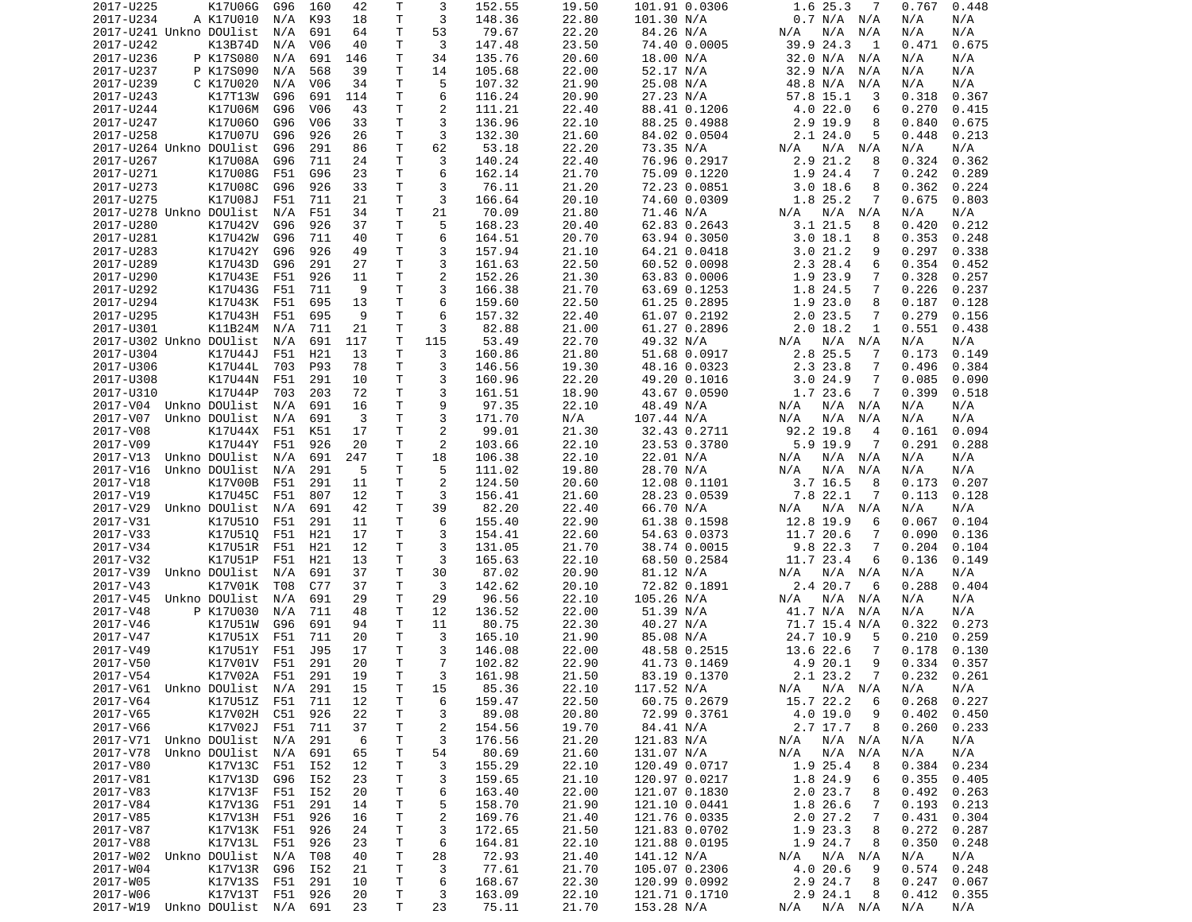| 2017-U225                                  | K17U06G            | G96 | 160             | 42  | Τ            | 3              | 152.55 | 19.50          | 101.91 0.0306                | 1.6 25.3<br>-7             | 0.767           | 0.448 |
|--------------------------------------------|--------------------|-----|-----------------|-----|--------------|----------------|--------|----------------|------------------------------|----------------------------|-----------------|-------|
| 2017-U234                                  | A K17U010          | N/A | K93             | 18  | T            | 3              | 148.36 | 22.80          | 101.30 N/A                   | 0.7 N/A N/A                | N/A             | N/A   |
| 2017-U241 Unkno DOUlist                    |                    | N/A | 691             | 64  | T            | 53             | 79.67  | 22.20          | 84.26 N/A                    | N/A<br>N/A<br>N/A          | N/A             | N/A   |
| 2017-U242                                  | K13B74D            | N/A | V <sub>06</sub> | 40  | Τ            | 3              | 147.48 | 23.50          | 74.40 0.0005                 | 39.9 24.3<br>1             | 0.471           | 0.675 |
| 2017-U236                                  | P K17S080          | N/A | 691             | 146 | Τ            | 34             | 135.76 | 20.60          | 18.00 N/A                    | 32.0 N/A<br>N/A            | N/A             | N/A   |
| 2017-U237                                  | P K17S090          | N/A | 568             | 39  | Τ            | 14             | 105.68 | 22.00          | 52.17 N/A                    | 32.9 N/A<br>N/A            | N/A             | N/A   |
| 2017-U239                                  | C K17U020          | N/A | V06             | 34  | Τ            | 5              | 107.32 | 21.90          | 25.08 N/A                    | 48.8 N/A<br>N/A            | N/A             | N/A   |
| 2017-U243                                  | K17T13W            | G96 | 691             | 114 | T.           | 6              | 116.24 | 20.90          | 27.23 N/A                    | 57.8 15.1<br>3             | 0.318           | 0.367 |
| 2017-U244                                  | K17U06M            | G96 | V <sub>06</sub> | 43  | Т            | $\overline{2}$ | 111.21 | 22.40          | 88.41 0.1206                 | 4.022.0<br>6               | 0.270           | 0.415 |
| 2017-U247                                  | K17U060            | G96 | V06             | 33  | T            | 3              | 136.96 | 22.10          | 88.25 0.4988                 | 2.9 19.9<br>8              | 0.840           | 0.675 |
| 2017-U258                                  | K17U07U            | G96 | 926             | 26  | T            | 3              | 132.30 | 21.60          | 84.02 0.0504                 | 5<br>2.124.0               | 0.448           | 0.213 |
| 2017-U264 Unkno DOUlist                    |                    | G96 | 291             | 86  | Τ            | 62             | 53.18  | 22.20          | 73.35 N/A                    | N/A<br>$N/A$ $N/A$         | N/A             | N/A   |
| 2017-U267                                  | K17U08A            | G96 | 711             | 24  | T            | 3              | 140.24 | 22.40          | 76.96 0.2917                 | 2.9 21.2<br>8              | 0.324           | 0.362 |
| 2017-U271                                  | K17U08G            | F51 | G96             | 23  | Т            | 6              | 162.14 | 21.70          | 75.09 0.1220                 | 1.9 24.4<br>7              | 0.242           | 0.289 |
| 2017-U273                                  | K17U08C            | G96 | 926             | 33  | $\mathsf{T}$ | 3              | 76.11  | 21.20          | 72.23 0.0851                 | $3.0$ 18.6<br>8            | 0.362           | 0.224 |
| 2017-U275                                  | K17U08J            | F51 | 711             | 21  | T            | 3              | 166.64 | 20.10          | 74.60 0.0309                 | 1.8 25.2<br>7              | 0.675           | 0.803 |
| 2017-U278 Unkno DOUlist                    |                    | N/A | F51             | 34  | Τ            | 21             | 70.09  | 21.80          | 71.46 N/A                    | $N/A$ $N/A$<br>N/A         | N/A             | N/A   |
| 2017-U280                                  | K17U42V            | G96 | 926             | 37  | Τ            | 5              | 168.23 | 20.40          | 62.83 0.2643                 | 3.121.5<br>8               | 0.420           | 0.212 |
| 2017-U281                                  | K17U42W            | G96 | 711             | 40  | T            | 6              | 164.51 | 20.70          | 63.94 0.3050                 | 3.018.1<br>8               | 0.353           | 0.248 |
| 2017-U283                                  | K17U42Y            | G96 | 926             | 49  | T            | 3              | 157.94 | 21.10          | 64.21 0.0418                 | 3.021.2<br>9               | 0.297           | 0.338 |
| 2017-U289                                  | K17U43D            | G96 | 291             | 27  | T            | 3              | 161.63 | 22.50          | 60.52 0.0098                 | 2.3 28.4<br>6              | 0.354           | 0.452 |
| 2017-U290                                  | K17U43E            | F51 | 926             | 11  | T.           | $\overline{2}$ | 152.26 | 21.30          | 63.83 0.0006                 | 1.9 23.9<br>$\overline{7}$ | 0.328           | 0.257 |
| 2017-U292                                  | K17U43G            | F51 | 711             | 9   | T            | 3              | 166.38 | 21.70          | 63.69 0.1253                 | 1.8 24.5<br>$\overline{7}$ | 0.226           | 0.237 |
| 2017-U294                                  | K17U43K            | F51 | 695             | 13  | T            | 6              | 159.60 | 22.50          | 61.25 0.2895                 | 1.9 23.0<br>8              | 0.187           | 0.128 |
| 2017-U295                                  | K17U43H            | F51 | 695             | 9   | T            | 6              | 157.32 | 22.40          | 61.07 0.2192                 | 2.023.5<br>7               | 0.279           | 0.156 |
| 2017-U301                                  | K11B24M            | N/A | 711             | 21  | T            | 3              | 82.88  | 21.00          | 61.27 0.2896                 | 2.018.2<br>1               | 0.551           | 0.438 |
| 2017-U302 Unkno DOUlist                    |                    | N/A | 691             | 117 | T            | 115            | 53.49  | 22.70          | 49.32 N/A                    | $N/A$ $N/A$<br>N/A         | N/A             | N/A   |
| 2017-U304                                  | K17U44J            | F51 | H21             | 13  | Τ            | 3              | 160.86 | 21.80          | 51.68 0.0917                 | 2.8 25.5<br>7              | 0.173           | 0.149 |
| 2017-U306                                  | K17U44L            | 703 | P93             | 78  | T            | 3              | 146.56 | 19.30          | 48.16 0.0323                 | 2.3 23.8<br>7              | 0.496           | 0.384 |
|                                            |                    |     |                 |     | T            | 3              |        |                |                              |                            |                 |       |
| 2017-U308                                  | K17U44N            | F51 | 291             | 10  | T.           | 3              | 160.96 | 22.20          | 49.20 0.1016<br>43.67 0.0590 | 3.024.9<br>7               | 0.085           | 0.090 |
| 2017-U310                                  | K17U44P            | 703 | 203             | 72  |              |                | 161.51 | 18.90          |                              | 1.7 23.6<br>7              | 0.399           | 0.518 |
| 2017-V04                                   | Unkno DOUlist      | N/A | 691             | 16  | T            | 9              | 97.35  | 22.10          | 48.49 N/A                    | N/A<br>$N/A$ $N/A$         | N/A             | N/A   |
| 2017-V07                                   | Unkno DOUlist      | N/A | 691             | 3   | T            | 3              | 171.70 | N/A            | 107.44 N/A                   | N/A<br>N/A N/A             | N/A             | N/A   |
| 2017-V08                                   | K17U44X            | F51 | K51             | 17  | T            | $\overline{2}$ | 99.01  | 21.30          | 32.43 0.2711                 | 92.2 19.8<br>4             | 0.161           | 0.094 |
| 2017-V09                                   | K17U44Y            | F51 | 926             | 20  | T            | $\overline{2}$ | 103.66 | 22.10          | 23.53 0.3780                 | $5.9$ 19.9<br>7            | 0.291           | 0.288 |
| 2017-V13                                   | Unkno DOUlist      | N/A | 691             | 247 | T            | 18             | 106.38 | 22.10          | 22.01 N/A                    | N/A<br>$N/A$ $N/A$         | N/A             | N/A   |
| 2017-V16                                   | Unkno DOUlist      | N/A | 291             | 5   | T            | 5              | 111.02 | 19.80          | 28.70 N/A                    | N/A<br>N/A<br>N/A          | N/A             | N/A   |
| 2017-V18                                   | K17V00B            | F51 | 291             | 11  | T            | 2              | 124.50 | 20.60          | 12.08 0.1101                 | $3.7$ 16.5<br>8            | 0.173           | 0.207 |
| 2017-V19                                   | K17U45C            | F51 | 807             | 12  | T            | 3              | 156.41 | 21.60          | 28.23 0.0539                 | 7.8 22.1<br>7              | 0.113           | 0.128 |
| 2017-V29                                   | Unkno DOUlist      | N/A | 691             | 42  | Τ            | 39             | 82.20  | 22.40          | 66.70 N/A                    | $N/A$ $N/A$<br>N/A         | N/A             | N/A   |
| 2017-V31                                   | K17U510            | F51 | 291             | 11  | T.           | 6              | 155.40 | 22.90          | 61.38 0.1598                 | 12.8 19.9<br>6             | 0.067           | 0.104 |
| 2017-V33                                   | K17U510            | F51 | H21             | 17  | Т            | 3              | 154.41 | 22.60          | 54.63 0.0373                 | 11.7 20.6<br>7             | 0.090           | 0.136 |
| 2017-V34                                   | K17U51R            | F51 | H21             | 12  | T            | 3              | 131.05 | 21.70          | 38.74 0.0015                 | 9.8 22.3<br>$\overline{7}$ | 0.204           | 0.104 |
| 2017-V32                                   | K17U51P            | F51 | H21             | 13  | Т            | 3              | 165.63 | 22.10          | 68.50 0.2584                 | 11.7 23.4<br>6             | 0.136           | 0.149 |
| 2017-V39                                   | Unkno DOUlist      | N/A | 691             | 37  | T            | 30             | 87.02  | 20.90          | 81.12 N/A                    | N/A<br>$N/A$ $N/A$         | N/A             | N/A   |
| 2017-V43                                   | K17V01K            | T08 | C77             | 37  | T            | 3              | 142.62 | 20.10          | 72.82 0.1891                 | 2.4 20.7<br>6              | 0.288           | 0.404 |
| 2017-V45                                   | Unkno DOUlist      | N/A | 691             | 29  | Т            | 29             | 96.56  | 22.10          | 105.26 N/A                   | N/A<br>N/A<br>N/A          | N/A             | N/A   |
| 2017-V48                                   | P K17U030          | N/A | 711             | 48  | Τ            | 12             | 136.52 | 22.00          | 51.39 N/A                    | 41.7 N/A<br>N/A            | N/A             | N/A   |
| 2017-V46                                   | K17U51W            | G96 | 691             | 94  | T            | 11             | 80.75  | 22.30          | 40.27 N/A                    | 71.7 15.4 N/A              | 0.322           | 0.273 |
| 2017-V47                                   | K17U51X            | F51 | 711             | 20  | T            | 3              | 165.10 | 21.90          | 85.08 N/A                    | 24.7 10.9<br>5             | 0.210           | 0.259 |
| 2017-V49                                   | K17U51Y            | F51 | J95             | 17  | T.           | 3              | 146.08 | 22.00          | 48.58 0.2515                 | 13.6 22.6<br>7             | 0.178           | 0.130 |
| 2017-V50                                   | K17V01V F51        |     | 291             | 20  | T.           | $\overline{7}$ | 102.82 | 22.90          | 41.73 0.1469                 | 4.9 20.1<br>9              | 0.334           | 0.357 |
| 2017-V54                                   | K17V02A F51 291    |     |                 | 19  | $\mathsf{T}$ | 3              | 161.98 | 21.50          | 83.19 0.1370                 | 2.1 23.2<br>$\overline{7}$ | $0.232$ $0.261$ |       |
| 2017-V61 Unkno DOUlist N/A 291             |                    |     |                 | 15  | T            | 15             | 85.36  | 22.10          | 117.52 N/A                   | $N/A$ $N/A$ $N/A$          | N/A             | N/A   |
| 2017-V64                                   | K17U51Z F51        |     | 711             | 12  | T.           | 6              | 159.47 | 22.50          | 60.75 0.2679                 | 15.7 22.2<br>6             | 0.268           | 0.227 |
| 2017-V65                                   | K17V02H            | C51 | 926             | 22  | T.           | 3              | 89.08  | 20.80          | 72.99 0.3761                 | 4.0 19.0<br>9              | 0.402           | 0.450 |
| 2017-V66                                   | K17V02J F51        |     | 711             | 37  | T.           | 2              | 154.56 | 19.70          | 84.41 N/A                    | 2.7 17.7<br>8              | 0.260           | 0.233 |
| 2017-V71 Unkno DOUlist N/A                 |                    |     | 291             | 6   | Τ            | 3              | 176.56 | 21.20          | 121.83 N/A                   | N/A N/A<br>N/A             | N/A             | N/A   |
| 2017-V78                                   | Unkno DOUlist N/A  |     | 691             | 65  | Τ            | 54             | 80.69  | 21.60          | 131.07 N/A                   | N/A<br>N/A N/A             | N/A             | N/A   |
| 2017-V80                                   | K17V13C            | F51 | I52             | 12  | T            | 3              | 155.29 | 22.10          | 120.49 0.0717                | 1.9 25.4<br>8              | 0.384           | 0.234 |
| 2017-V81                                   | K17V13D            | G96 | I52             | 23  | T.           | 3              | 159.65 | 21.10          | 120.97 0.0217                | 1.8 24.9<br>6              | 0.355           | 0.405 |
| 2017-V83                                   | K17V13F F51        |     | I52             | 20  | T.           | 6              | 163.40 | 22.00          | 121.07 0.1830                | 2.023.7<br>8               | 0.492           | 0.263 |
| 2017-V84                                   | K17V13G            | F51 | 291             | 14  | T.           | 5              | 158.70 | 21.90          | 121.10 0.0441                | 1.8 26.6<br>7              | 0.193           | 0.213 |
| 2017-V85                                   | K17V13H F51        |     | 926             | 16  | T.           | $\overline{c}$ | 169.76 | 21.40          | 121.76 0.0335                | 2.027.2<br>7               | 0.431           | 0.304 |
| 2017-V87                                   | K17V13K F51        |     | 926             | 24  | Τ            | 3              | 172.65 | 21.50          | 121.83 0.0702                | 1.9 23.3<br>8              | 0.272           | 0.287 |
| 2017-V88                                   | K17V13L F51        |     | 926             | 23  | Τ            | 6              | 164.81 | 22.10          | 121.88 0.0195                | 1.9 24.7<br>8              | 0.350           | 0.248 |
| 2017-W02                                   | Unkno DOUlist  N/A |     | T08             | 40  | T            | 28             | 72.93  | 21.40          |                              |                            | N/A             | N/A   |
| 2017-W04                                   | K17V13R            | G96 | I52             | 21  | T            | 3              | 77.61  | 21.70          | 141.12 N/A<br>105.07 0.2306  | N/A<br>N/A N/A<br>9        | 0.574           | 0.248 |
|                                            |                    |     | 291             |     |              | 6              |        |                |                              | 4.0 20.6                   |                 | 0.067 |
| 2017-W05                                   | K17V13S F51        |     |                 | 10  | T            |                | 168.67 | 22.30          | 120.99 0.0992                | 2.9 24.7<br>8              | 0.247           |       |
| 2017-W06<br>2017-W19 Unkno DOUlist N/A 691 | K17V13T F51        |     | 926             | 20  | T            | 3<br>23        | 163.09 | 22.10<br>21.70 | 121.71 0.1710<br>153.28 N/A  | 2.9 24.1<br>8              | $0.412$ $0.355$ |       |
|                                            |                    |     |                 | 23  | T.           |                | 75.11  |                |                              | N/A N/A N/A                | N/A             | N/A   |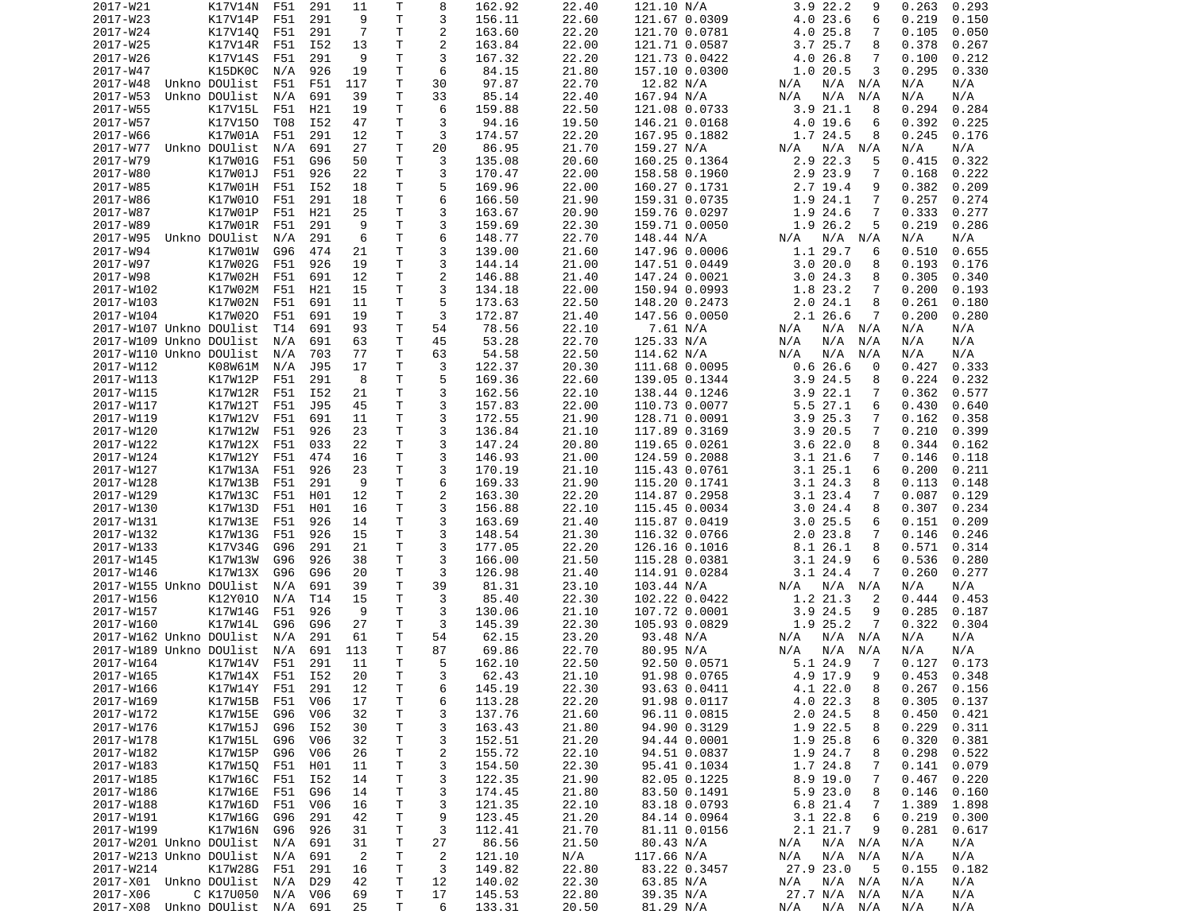| 2017-W21                                   | K17V14N         | F51             | 291             | 11             | Т            | 8              | 162.92           | 22.40          | 121.10 N/A             | 3.9 22.2<br>9                  | 0.263<br>0.293           |
|--------------------------------------------|-----------------|-----------------|-----------------|----------------|--------------|----------------|------------------|----------------|------------------------|--------------------------------|--------------------------|
| 2017-W23                                   | K17V14P         | F51             | 291             | 9              | T            | 3              | 156.11           | 22.60          | 121.67 0.0309          | 4.0 23.6<br>6                  | 0.219<br>0.150           |
| 2017-W24                                   | K17V140         | F51             | 291             | 7              | Τ            | $\overline{2}$ | 163.60           | 22.20          | 121.70 0.0781          | 4.025.8<br>7                   | 0.105<br>0.050           |
| 2017-W25                                   | K17V14R         | F51             | I52             | 13             | Τ            | 2              | 163.84           | 22.00          | 121.71 0.0587          | 3.725.7<br>8                   | 0.378<br>0.267           |
| 2017-W26                                   | K17V14S         | F51             | 291             | 9              | T.           | 3              | 167.32           | 22.20          | 121.73 0.0422          | 4.026.8<br>7                   | 0.212<br>0.100           |
| 2017-W47                                   | K15DK0C         | N/A             | 926             | 19             | Τ            | 6              | 84.15            | 21.80          | 157.10 0.0300          | 1.020.5<br>3                   | 0.295<br>0.330           |
| 2017-W48                                   | Unkno DOUlist   | F51             | F51             | 117            | т            | 30             | 97.87            | 22.70          | 12.82 N/A              | N/A N/A<br>N/A                 | N/A<br>N/A               |
| 2017-W53                                   | Unkno DOUlist   | N/A             | 691             | 39             | Τ            | 33             | 85.14            | 22.40          | 167.94 N/A             | N/A<br>N/A<br>N/A              | N/A<br>N/A               |
| 2017-W55                                   | K17V15L         | F51             | H21             | 19             | T.           | 6              | 159.88           | 22.50          | 121.08 0.0733          | 3.921.1<br>8                   | 0.294<br>0.284           |
| 2017-W57                                   | K17V150         | T08             | I52             | 47             | Τ            | 3              | 94.16            | 19.50          | 146.21 0.0168          | 4.0 19.6<br>6                  | 0.392<br>0.225           |
| 2017-W66                                   | K17W01A         | F51             | 291             | 12             | Τ            | 3              | 174.57           | 22.20          |                        | 1.7 24.5<br>8                  | 0.245<br>0.176           |
|                                            |                 |                 |                 | 27             | Τ            | 20             |                  |                | 167.95 0.1882          |                                |                          |
| 2017-W77                                   | Unkno DOUlist   | N/A             | 691             |                |              |                | 86.95            | 21.70          | 159.27 N/A             | N/A<br>N/A N/A                 | N/A<br>N/A               |
| 2017-W79                                   | K17W01G         | F51             | G96             | 50             | T.           | 3              | 135.08           | 20.60          | 160.25 0.1364          | 2.9 22.3<br>5                  | 0.322<br>0.415           |
| 2017-W80                                   | K17W01J         | F51             | 926             | 22             | т            | 3              | 170.47           | 22.00          | 158.58 0.1960          | 2.9 23.9<br>7                  | 0.168<br>0.222           |
| 2017-W85                                   | K17W01H         | F51             | I52             | 18             | T.           | 5              | 169.96           | 22.00          | 160.27 0.1731          | 2.7 19.4<br>9                  | 0.382<br>0.209           |
| 2017-W86                                   | K17W010         | F51             | 291             | 18             | T.           | 6              | 166.50           | 21.90          | 159.31 0.0735          | 1.9 24.1<br>7                  | 0.257<br>0.274           |
| 2017-W87                                   | K17W01P         | F51             | H21             | 25             | Τ            | 3              | 163.67           | 20.90          | 159.76 0.0297          | 1.9 24.6<br>7                  | 0.333<br>0.277           |
| 2017-W89                                   | K17W01R         | F51             | 291             | 9              | T.           | 3              | 159.69           | 22.30          | 159.71 0.0050          | 1.9 26.2<br>5                  | 0.219<br>0.286           |
| 2017-W95                                   | Unkno DOUlist   | N/A             | 291             | 6              | Τ            | 6              | 148.77           | 22.70          | 148.44 N/A             | N/A N/A<br>N/A                 | N/A<br>N/A               |
| 2017-W94                                   | K17W01W         | G96             | 474             | 21             | Τ            | 3              | 139.00           | 21.60          | 147.96 0.0006          | 1.1 29.7<br>6                  | 0.510<br>0.655           |
| 2017-W97                                   | K17W02G         | F51             | 926             | 19             | Τ            | 3              | 144.14           | 21.00          | 147.51 0.0449          | 3.020.0<br>8                   | 0.193<br>0.176           |
| 2017-W98                                   | K17W02H         | F51             | 691             | 12             | Τ            | $\overline{c}$ | 146.88           | 21.40          | 147.24 0.0021          | 3.024.3<br>8                   | 0.305<br>0.340           |
| 2017-W102                                  | K17W02M         | F51             | H <sub>21</sub> | 15             | T.           | 3              | 134.18           | 22.00          | 150.94 0.0993          | 1.8 23.2<br>7                  | 0.200<br>0.193           |
| 2017-W103                                  | K17W02N         | F51             | 691             | 11             | Τ            | 5              | 173.63           | 22.50          | 148.20 0.2473          | 2.024.1<br>8                   | 0.261<br>0.180           |
| 2017-W104                                  | K17W020         | F51             | 691             | 19             | T.           | 3              | 172.87           | 21.40          | 147.56 0.0050          | 2.1 26.6<br>7                  | 0.200<br>0.280           |
| 2017-W107 Unkno DOUlist                    |                 | T <sub>14</sub> | 691             | 93             | $\mathsf{T}$ | 54             | 78.56            | 22.10          | 7.61 N/A               | N/A N/A<br>N/A                 | N/A<br>N/A               |
| 2017-W109 Unkno DOUlist                    |                 | N/A             | 691             | 63             | Τ            | 45             | 53.28            | 22.70          | 125.33 N/A             | N/A<br>N/A<br>N/A              | N/A<br>N/A               |
| 2017-W110 Unkno DOUlist                    |                 | N/A             | 703             | 77             | T.           | 63             | 54.58            | 22.50          | 114.62 N/A             | N/A<br>N/A<br>N/A              | N/A<br>N/A               |
| 2017-W112                                  | K08W61M         | N/A             | J95             | 17             | Τ            | 3              | 122.37           | 20.30          | 111.68 0.0095          | 0.626.6<br>0                   | 0.427<br>0.333           |
|                                            | K17W12P         |                 |                 |                | Τ            | 5              |                  |                |                        |                                |                          |
| 2017-W113                                  |                 | F51             | 291             | 8              |              |                | 169.36           | 22.60          | 139.05 0.1344          | $3.9$ 24.5<br>8                | 0.224<br>0.232           |
| 2017-W115                                  | K17W12R         | F51             | I52             | 21             | Τ            | 3              | 162.56           | 22.10          | 138.44 0.1246          | 3.922.1<br>7                   | 0.362<br>0.577           |
| 2017-W117                                  | K17W12T         | F51             | J95             | 45             | T.           | 3              | 157.83           | 22.00          | 110.73 0.0077          | $5.5$ 27.1<br>6                | 0.430<br>0.640           |
| 2017-W119                                  | K17W12V         | F51             | 691             | 11             | $\mathsf{T}$ | 3              | 172.55           | 21.90          | 128.71 0.0091          | 3.925.3<br>7                   | 0.162<br>0.358           |
| 2017-W120                                  | K17W12W         | F51             | 926             | 23             | Τ            | 3              | 136.84           | 21.10          | 117.89 0.3169          | 3.9 20.5<br>7                  | 0.210<br>0.399           |
| 2017-W122                                  | K17W12X         | F51             | 033             | 22             | T.           | 3              | 147.24           | 20.80          | 119.65 0.0261          | 3.622.0<br>8                   | 0.344<br>0.162           |
| 2017-W124                                  | K17W12Y         | F51             | 474             | 16             | Τ            | 3              | 146.93           | 21.00          | 124.59 0.2088          | 3.121.6<br>7                   | 0.146<br>0.118           |
| 2017-W127                                  | K17W13A         | F51             | 926             | 23             | T.           | 3              | 170.19           | 21.10          | 115.43 0.0761          | 3.125.1<br>6                   | 0.200<br>0.211           |
| 2017-W128                                  | K17W13B         | F51             | 291             | 9              | Τ            | 6              | 169.33           | 21.90          | 115.20 0.1741          | 3.124.3<br>8                   | 0.113<br>0.148           |
| 2017-W129                                  | K17W13C         | F51             | H01             | 12             | T            | $\overline{2}$ | 163.30           | 22.20          | 114.87 0.2958          | 3.123.4<br>7                   | 0.087<br>0.129           |
| 2017-W130                                  | K17W13D         | F51             | H01             | 16             | T            | 3              | 156.88           | 22.10          | 115.45 0.0034          | 3.024.4<br>8                   | 0.307<br>0.234           |
| 2017-W131                                  | K17W13E         | F51             | 926             | 14             | Τ            | 3              | 163.69           | 21.40          | 115.87 0.0419          | $3.0$ 25.5<br>6                | 0.151<br>0.209           |
| 2017-W132                                  | K17W13G         | F51             | 926             | 15             | Τ            | 3              | 148.54           | 21.30          | 116.32 0.0766          | $2.0$ 23.8<br>7                | 0.146<br>0.246           |
| 2017-W133                                  | K17V34G         | G96             | 291             | 21             | Τ            | 3              | 177.05           | 22.20          | 126.16 0.1016          | 8.1 26.1<br>8                  | 0.571<br>0.314           |
| 2017-W145                                  | K17W13W         | G96             | 926             | 38             | T            | 3              | 166.00           | 21.50          | 115.28 0.0381          | 3.1 24.9<br>6                  | 0.536<br>0.280           |
| 2017-W146                                  | K17W13X         | G96             | G96             | 20             | Τ            | 3              | 126.98           | 21.40          | 114.91 0.0284          | 3.1 24.4<br>7                  | 0.260<br>0.277           |
| 2017-W155 Unkno DOUlist                    |                 | N/A             | 691             | 39             | T.           | 39             | 81.31            | 23.10          | 103.44 N/A             | N/A<br>$N/A$ $N/A$             | N/A<br>N/A               |
|                                            |                 |                 |                 |                | T            | 3              |                  |                |                        |                                | 0.444                    |
| 2017-W156                                  | K12Y010         | N/A             | T14             | 15<br>9        | T            | 3              | 85.40            | 22.30          | 102.22 0.0422          | 1.2 21.3<br>2<br>9             | 0.453                    |
| 2017-W157                                  | K17W14G         | F51             | 926             |                |              |                | 130.06           | 21.10          | 107.72 0.0001          | $3.9$ 24.5                     | 0.285<br>0.187           |
| 2017-W160                                  | K17W14L         | G96             | G96             | 27             | Τ            | 3              | 145.39           | 22.30          | 105.93 0.0829          | 1.9 25.2<br>7                  | 0.322<br>0.304           |
| 2017-W162 Unkno DOUlist                    |                 | N/A             | 291             | 61             | T            | 54             | 62.15            | 23.20          | 93.48 N/A              | N/A N/A<br>N/A                 | N/A<br>N/A               |
| 2017-W189 Unkno DOUlist                    |                 | N/A             | 691             | 113            | T.           | 87             | 69.86            | 22.70          | 80.95 N/A              | N/A<br>N/A<br>N/A              | N/A<br>N/A               |
| 2017-W164                                  | K17W14V         | F51             | 291             | 11             | T.           | 5              | 162.10           | 22.50          | 92.50 0.0571           | 5.1 24.9<br>-7                 | 0.127<br>0.173           |
| 2017-W165                                  | K17W14X F51 I52 |                 |                 | 20             | $\mathsf{T}$ | 3              | 62.43            | 21.10          | 91.98 0.0765           | 4.9 17.9<br>9                  | $0.453$ $0.348$          |
| 2017-W166                                  | K17W14Y         | F51             | 291             | 12             | Τ            | 6              | 145.19           | 22.30          | 93.63 0.0411           | 4.1 22.0<br>8                  | $0.267$ $0.156$          |
| 2017-W169                                  | K17W15B         | F51             | V <sub>06</sub> | 17             | Τ            | 6              | 113.28           | 22.20          | 91.98 0.0117           | 4.0 22.3<br>8                  | 0.305<br>0.137           |
| 2017-W172                                  | K17W15E         | G96             | V <sub>06</sub> | 32             | Τ            | 3              | 137.76           | 21.60          | 96.11 0.0815           | 2.024.5<br>8                   | 0.450<br>0.421           |
| 2017-W176                                  | K17W15J         | G96             | I52             | 30             | т            | 3              | 163.43           | 21.80          | 94.90 0.3129           | 1.9 22.5<br>8                  | 0.229<br>0.311           |
| 2017-W178                                  | K17W15L         | G96             | V06             | 32             | T            | 3              | 152.51           | 21.20          | 94.44 0.0001           | 1.9 25.8<br>6                  | 0.320<br>0.381           |
| 2017-W182                                  | K17W15P         | G96             | V06             | 26             | T.           | $\overline{c}$ | 155.72           | 22.10          | 94.51 0.0837           | 1.9 24.7<br>8                  | 0.298<br>0.522           |
| 2017-W183                                  | K17W15Q         | F51             | H01             | 11             | T            | 3              | 154.50           | 22.30          | 95.41 0.1034           | 1.7 24.8<br>7                  | 0.141<br>0.079           |
| 2017-W185                                  | K17W16C         | F51             | I52             | 14             | Τ            | 3              | 122.35           | 21.90          | 82.05 0.1225           | 8.9 19.0<br>7                  | 0.467<br>0.220           |
| 2017-W186                                  | K17W16E F51     |                 | G96             | 14             | T            | 3              | 174.45           | 21.80          | 83.50 0.1491           | 5.9 23.0<br>8                  | 0.146<br>0.160           |
| 2017-W188                                  | K17W16D         | F51             | V06             | 16             | Τ            | 3              | 121.35           | 22.10          | 83.18 0.0793           | 6.8 21.4<br>7                  | 1.389<br>1.898           |
| 2017-W191                                  | K17W16G         |                 |                 |                | Τ            |                | 123.45           |                |                        |                                |                          |
|                                            |                 | G96             | 291             | 42             |              | 9              |                  | 21.20          | 84.14 0.0964           | 3.1 22.8<br>6                  | 0.219<br>0.300           |
| 2017-W199                                  | K17W16N         | G96             | 926             | 31             | T            | 3              | 112.41           | 21.70          | 81.11 0.0156           | 2.1 21.7<br>9                  | 0.281<br>0.617           |
| 2017-W201 Unkno DOUlist                    |                 | N/A             | 691             | 31             | Τ            | 27             | 86.56            | 21.50          | 80.43 N/A              | N/A N/A<br>N/A                 | N/A<br>N/A               |
| 2017-W213 Unkno DOUlist                    |                 | N/A             | 691             | $\overline{2}$ | Τ            | $\overline{2}$ | 121.10           | N/A            | 117.66 N/A             | N/A<br>$N/A$ $N/A$             | N/A<br>N/A               |
| 2017-W214                                  | K17W28G         | F51             | 291             | 16             | Τ            | 3              | 149.82           | 22.80          | 83.22 0.3457           | 27.9 23.0<br>- 5               | 0.155<br>0.182           |
|                                            |                 |                 |                 |                |              |                |                  |                |                        |                                |                          |
| 2017-X01 Unkno DOUlist N/A                 |                 |                 | D29             | 42             | T.           | 12             | 140.02           | 22.30          | 63.85 N/A              | N/A<br>$N/A$ $N/A$             | N/A<br>N/A               |
| 2017-X06<br>2017-X08 Unkno DOUlist N/A 691 | C K17U050       | N/A             | V06             | 69<br>25       | T<br>T.      | 17<br>6        | 145.53<br>133.31 | 22.80<br>20.50 | 39.35 N/A<br>81.29 N/A | 27.7 N/A N/A<br>N/A<br>N/A N/A | N/A<br>N/A<br>N/A<br>N/A |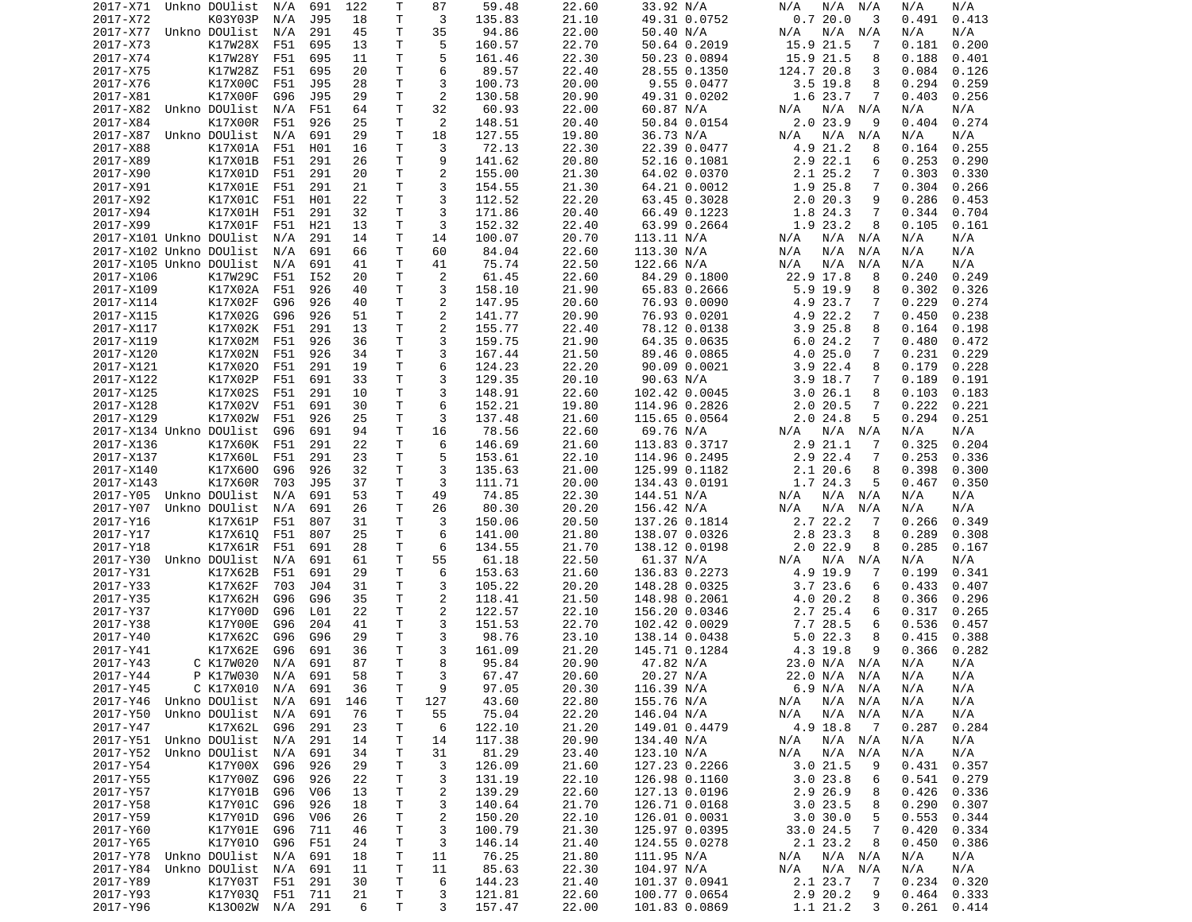| 2017-X71                | Unkno DOUlist            | N/A        | 691        | 122      | Т       | 87                      | 59.48            | 22.60          | 33.92 N/A                      | N/A<br>N/A<br>N/A                   | N/A<br>N/A                   |
|-------------------------|--------------------------|------------|------------|----------|---------|-------------------------|------------------|----------------|--------------------------------|-------------------------------------|------------------------------|
| 2017-X72                | K03Y03P                  | N/A        | J95        | 18       | т       | 3                       | 135.83           | 21.10          | 49.31 0.0752                   | 0.720.0<br>3                        | 0.491<br>0.413               |
| 2017-X77                | Unkno DOUlist            | N/A        | 291        | 45       | Τ       | 35                      | 94.86            | 22.00          | 50.40 N/A                      | N/A<br>N/A<br>N/A                   | N/A<br>N/A                   |
| 2017-X73                | K17W28X                  | F51        | 695        | 13       | Τ       | 5                       | 160.57           | 22.70          | 50.64 0.2019                   | 15.9 21.5<br>7                      | 0.181<br>0.200               |
| 2017-X74                | K17W28Y                  | F51        | 695        | 11       | т       | 5                       | 161.46           | 22.30          | 50.23 0.0894                   | 15.9 21.5<br>8                      | 0.188<br>0.401               |
| 2017-X75                | K17W28Z                  | F51        | 695        | 20       | Τ       | 6                       | 89.57            | 22.40          | 28.55 0.1350                   | 124.7 20.8<br>3                     | 0.084<br>0.126               |
| 2017-X76                | K17X00C                  | F51        | J95        | 28       | т       | 3                       | 100.73           | 20.00          | 9.55 0.0477                    | 3.5 19.8<br>8                       | 0.294<br>0.259               |
| 2017-X81                | K17X00F                  | G96        | <b>J95</b> | 29       | т       | 2                       | 130.58           | 20.90          | 49.31 0.0202                   | 1.6 23.7<br>7                       | 0.403<br>0.256               |
| 2017-X82                | Unkno DOUlist            | N/A        | F51        | 64       | Τ       | 32                      | 60.93            | 22.00          | 60.87 N/A                      | $N/A$ $N/A$<br>N/A                  | N/A<br>N/A                   |
| 2017-X84                | K17X00R                  | F51        | 926        | 25       | т<br>T. | 2                       | 148.51           | 20.40          | 50.84 0.0154                   | 2.0 23.9<br>9                       | 0.274<br>0.404               |
| 2017-X87<br>2017-X88    | Unkno DOUlist<br>K17X01A | N/A<br>F51 | 691<br>H01 | 29<br>16 | Τ       | 18<br>3                 | 127.55<br>72.13  | 19.80<br>22.30 | 36.73 N/A<br>22.39 0.0477      | $N/A$ $N/A$<br>N/A<br>4.9 21.2<br>8 | N/A<br>N/A<br>0.164<br>0.255 |
| 2017-X89                | K17X01B                  | F51        | 291        | 26       | Τ       | 9                       | 141.62           | 20.80          | 52.16 0.1081                   | $2.9$ 22.1<br>6                     | 0.253<br>0.290               |
| 2017-X90                | K17X01D                  | F51        | 291        | 20       | Τ       | $\overline{\mathbf{c}}$ | 155.00           | 21.30          | 64.02 0.0370                   | 2.1 25.2<br>7                       | 0.303<br>0.330               |
| 2017-X91                | K17X01E                  | F51        | 291        | 21       | Τ       | 3                       | 154.55           | 21.30          | 64.21 0.0012                   | 1.9 25.8<br>7                       | 0.304<br>0.266               |
| 2017-X92                | K17X01C                  | F51        | H01        | 22       | Τ       | 3                       | 112.52           | 22.20          | 63.45 0.3028                   | 2.020.3<br>9                        | 0.286<br>0.453               |
| 2017-X94                | K17X01H                  | F51        | 291        | 32       | Τ       | 3                       | 171.86           | 20.40          | 66.49 0.1223                   | 1.8 24.3<br>7                       | 0.344<br>0.704               |
| 2017-X99                | K17X01F                  | F51        | H21        | 13       | т       | 3                       | 152.32           | 22.40          | 63.99 0.2664                   | 1.9 23.2<br>8                       | 0.105<br>0.161               |
| 2017-X101 Unkno DOUlist |                          | N/A        | 291        | 14       | Τ       | 14                      | 100.07           | 20.70          | 113.11 N/A                     | N/A<br>N/A<br>N/A                   | N/A<br>N/A                   |
| 2017-X102 Unkno DOUlist |                          | N/A        | 691        | 66       | Τ       | 60                      | 84.04            | 22.60          | 113.30 N/A                     | N/A<br>N/A<br>N/A                   | N/A<br>N/A                   |
| 2017-X105 Unkno DOUlist |                          | N/A        | 691        | 41       | т       | 41                      | 75.74            | 22.50          | 122.66 N/A                     | N/A<br>N/A<br>N/A                   | N/A<br>N/A                   |
| 2017-X106               | K17W29C                  | F51        | I52        | 20       | Τ       | 2                       | 61.45            | 22.60          | 84.29 0.1800                   | 22.9 17.8<br>8                      | 0.240<br>0.249               |
| 2017-X109               | K17X02A                  | F51        | 926        | 40       | т       | 3                       | 158.10           | 21.90          | 65.83 0.2666                   | $5.9$ 19.9<br>8                     | 0.302<br>0.326               |
| 2017-X114               | K17X02F                  | G96        | 926        | 40       | T.      | $\overline{c}$          | 147.95           | 20.60          | 76.93 0.0090                   | 4.9 23.7<br>7                       | 0.229<br>0.274               |
| 2017-X115               | K17X02G                  | G96        | 926        | 51       | T.      | 2                       | 141.77           | 20.90          | 76.93 0.0201                   | 4.9 22.2<br>$\overline{7}$          | 0.450<br>0.238               |
| 2017-X117               | K17X02K                  | F51        | 291        | 13       | Τ       | 2                       | 155.77           | 22.40          | 78.12 0.0138                   | 3.925.8<br>8                        | 0.164<br>0.198               |
| 2017-X119               | K17X02M                  | F51        | 926        | 36       | T.      | 3                       | 159.75           | 21.90          | 64.35 0.0635                   | 6.024.2<br>7                        | 0.480<br>0.472               |
| 2017-X120               | K17X02N                  | F51        | 926        | 34       | т       | 3                       | 167.44           | 21.50          | 89.46 0.0865                   | 4.025.0<br>7                        | 0.231<br>0.229               |
| 2017-X121               | K17X020                  | F51        | 291        | 19       | Τ       | 6                       | 124.23           | 22.20          | 90.09 0.0021                   | $3.9$ 22.4<br>8                     | 0.179<br>0.228               |
| 2017-X122               | K17X02P                  | F51        | 691        | 33       | Τ       | 3                       | 129.35           | 20.10          | 90.63 N/A                      | $3.9$ 18.7<br>7                     | 0.189<br>0.191               |
| 2017-X125               | K17X02S                  | F51        | 291        | 10       | Τ       | 3                       | 148.91           | 22.60          | 102.42 0.0045                  | 3.026.1<br>8                        | 0.103<br>0.183               |
| 2017-X128               | K17X02V                  | F51        | 691        | 30       | T.      | 6                       | 152.21           | 19.80          | 114.96 0.2826                  | 2.020.5<br>7                        | 0.222<br>0.221               |
| 2017-X129               | K17X02W                  | F51        | 926        | 25       | т       | 3                       | 137.48           | 21.60          | 115.65 0.0564                  | 2.024.8<br>5                        | 0.294<br>0.251               |
| 2017-X134 Unkno DOUlist |                          | G96        | 691        | 94       | T.      | 16                      | 78.56            | 22.60          | 69.76 N/A                      | N/A<br>N/A<br>N/A                   | N/A<br>N/A                   |
| 2017-X136               | K17X60K                  | F51        | 291        | 22       | Τ       | 6                       | 146.69           | 21.60          | 113.83 0.3717                  | 2.9 21.1<br>7                       | 0.325<br>0.204               |
| 2017-X137               | K17X60L                  | F51        | 291        | 23       | Τ       | 5                       | 153.61           | 22.10          | 114.96 0.2495                  | 2.9 22.4<br>7                       | 0.253<br>0.336               |
| 2017-X140               | K17X600                  | G96        | 926        | 32       | Τ       | 3                       | 135.63           | 21.00          | 125.99 0.1182                  | 2.120.6<br>8                        | 0.398<br>0.300               |
| 2017-X143               | K17X60R                  | 703        | J95        | 37       | т       | 3                       | 111.71           | 20.00          | 134.43 0.0191                  | 1.7 24.3<br>5                       | 0.350<br>0.467               |
| 2017-Y05 Unkno DOUlist  |                          | N/A        | 691        | 53       | Τ       | 49                      | 74.85            | 22.30          | 144.51 N/A                     | N/A<br>N/A<br>N/A                   | N/A<br>N/A                   |
| 2017-Y07                | Unkno DOUlist            | N/A        | 691        | 26       | т       | 26                      | 80.30            | 20.20          | 156.42 N/A                     | N/A<br>N/A<br>N/A                   | N/A<br>N/A                   |
| 2017-Y16                | K17X61P                  | F51        | 807        | 31       | T.      | 3                       | 150.06           | 20.50          | 137.26 0.1814                  | 2.7 22.2<br>-7                      | 0.266<br>0.349               |
| 2017-Y17                | K17X610                  | F51        | 807        | 25       | т       | 6                       | 141.00           | 21.80          | 138.07 0.0326                  | 2.8 23.3<br>8                       | 0.289<br>0.308               |
| 2017-Y18                | K17X61R                  | F51        | 691        | 28       | т       | 6                       | 134.55           | 21.70          | 138.12 0.0198                  | $2.0$ 22.9<br>8                     | 0.285<br>0.167               |
| 2017-Y30                | Unkno DOUlist            | N/A        | 691        | 61       | Τ       | 55                      | 61.18            | 22.50          | 61.37 N/A                      | $N/A$ $N/A$<br>N/A                  | N/A<br>N/A                   |
| 2017-Y31                | K17X62B                  | F51        | 691        | 29       | Τ       | 6                       | 153.63           | 21.60          | 136.83 0.2273                  | 4.9 19.9<br>7                       | 0.199<br>0.341               |
| 2017-Y33                | K17X62F                  | 703        | J04        | 31       | Τ       | 3                       | 105.22           | 20.20          | 148.28 0.0325                  | 3.723.6<br>6                        | 0.433<br>0.407               |
| 2017-Y35                | K17X62H                  | G96        | G96<br>L01 | 35       | Τ       | $\overline{c}$          | 118.41           | 21.50          | 148.98 0.2061                  | 4.0 20.2<br>8                       | 0.366<br>0.296               |
| 2017-Y37<br>2017-Y38    | K17Y00D<br>K17Y00E       | G96<br>G96 | 204        | 22<br>41 | Τ<br>Τ  | $\overline{c}$<br>3     | 122.57<br>151.53 | 22.10<br>22.70 | 156.20 0.0346                  | 2.7 25.4<br>6                       | 0.317<br>0.265<br>0.536      |
| 2017-Y40                | K17X62C                  | G96        | G96        | 29       | Τ       | 3                       | 98.76            | 23.10          | 102.42 0.0029<br>138.14 0.0438 | 7.7 28.5<br>6<br>5.022.3<br>8       | 0.457<br>0.388<br>0.415      |
| 2017-Y41                | K17X62E                  | G96        | 691        | 36       | T.      | 3                       | 161.09           | 21.20          | 145.71 0.1284                  | 4.3 19.8<br>9                       | 0.366<br>0.282               |
| 2017-Y43                | C K17W020                | N/A        | 691        | 87       | T.      | 8                       | 95.84            | 20.90          | 47.82 N/A                      | 23.0 N/A N/A                        | N/A<br>N/A                   |
| 2017-Y44                | P K17W030 N/A 691        |            |            | 58       | T       | 3                       | 67.47            | 20.60          | 20.27 N/A                      | 22.0 N/A N/A                        | N/A<br>N/A                   |
| 2017-Y45                | C K17X010                | N/A        | 691        | 36       | Τ       | 9                       | 97.05            | 20.30          | 116.39 N/A                     | 6.9 N/A N/A                         | N/A<br>N/A                   |
| 2017-Y46                | Unkno DOUlist            | N/A        | 691        | 146      | Τ       | 127                     | 43.60            | 22.80          | 155.76 N/A                     | N/A<br>N/A N/A                      | N/A<br>N/A                   |
| 2017-Y50                | Unkno DOUlist            | N/A        | 691        | 76       | Τ       | 55                      | 75.04            | 22.20          | 146.04 N/A                     | N/A N/A<br>N/A                      | N/A<br>N/A                   |
| 2017-Y47                | K17X62L                  | G96        | 291        | 23       | Τ       | 6                       | 122.10           | 21.20          | 149.01 0.4479                  | 4.9 18.8<br>$\overline{7}$          | 0.287<br>0.284               |
| 2017-Y51 Unkno DOUlist  |                          | N/A        | 291        | 14       | Τ       | 14                      | 117.38           | 20.90          | 134.40 N/A                     | N/A<br>N/A N/A                      | N/A<br>N/A                   |
| 2017-Y52                | Unkno DOUlist            | N/A        | 691        | 34       | Τ       | 31                      | 81.29            | 23.40          | 123.10 N/A                     | N/A<br>N/A N/A                      | N/A<br>N/A                   |
| 2017-Y54                | K17Y00X                  | G96        | 926        | 29       | Τ       | 3                       | 126.09           | 21.60          | 127.23 0.2266                  | 3.021.5<br>9                        | 0.431<br>0.357               |
| 2017-Y55                | K17Y00Z                  | G96        | 926        | 22       | т       | 3                       | 131.19           | 22.10          | 126.98 0.1160                  | 3.023.8<br>6                        | 0.541<br>0.279               |
| 2017-Y57                | K17Y01B                  | G96        | V06        | 13       | Τ       | 2                       | 139.29           | 22.60          | 127.13 0.0196                  | 2.9 26.9<br>8                       | 0.426<br>0.336               |
| 2017-Y58                | K17Y01C                  | G96        | 926        | 18       | T       | 3                       | 140.64           | 21.70          | 126.71 0.0168                  | 3.023.5<br>8                        | 0.290<br>0.307               |
| 2017-Y59                | K17Y01D                  | G96        | V06        | 26       | T       | $\overline{c}$          | 150.20           | 22.10          | 126.01 0.0031                  | 3.030.0<br>5                        | 0.553<br>0.344               |
| 2017-Y60                | K17Y01E                  | G96        | 711        | 46       | Τ       | 3                       | 100.79           | 21.30          | 125.97 0.0395                  | 33.0 24.5<br>$\overline{7}$         | 0.420<br>0.334               |
| 2017-Y65                | K17Y010                  | G96        | F51        | 24       | Τ       | 3                       | 146.14           | 21.40          | 124.55 0.0278                  | 2.1 23.2<br>8                       | 0.450<br>0.386               |
| 2017-Y78                | Unkno DOUlist            | N/A        | 691        | 18       | т       | 11                      | 76.25            | 21.80          | 111.95 N/A                     | N/A N/A<br>N/A                      | N/A<br>N/A                   |
| 2017-Y84                | Unkno DOUlist            | N/A        | 691        | 11       | Τ       | 11                      | 85.63            | 22.30          | 104.97 N/A                     | N/A<br>N/A<br>N/A                   | N/A<br>N/A                   |
| 2017-Y89                | K17Y03T                  | F51        | 291        | 30       | T       | 6                       | 144.23           | 21.40          | 101.37 0.0941                  | 2.1 23.7<br>$\overline{7}$          | 0.234<br>0.320               |
| 2017-Y93                | K17Y030                  | F51        | 711        | 21       | T       | 3                       | 121.81           | 22.60          | 100.77 0.0654                  | 2.9 20.2<br>9                       | 0.464<br>0.333               |
| 2017-Y96                | K13002W                  | N/A 291    |            | 6        | Τ       | 3                       | 157.47           | 22.00          | 101.83 0.0869                  | 1.1 21.2<br>3                       | 0.261<br>0.414               |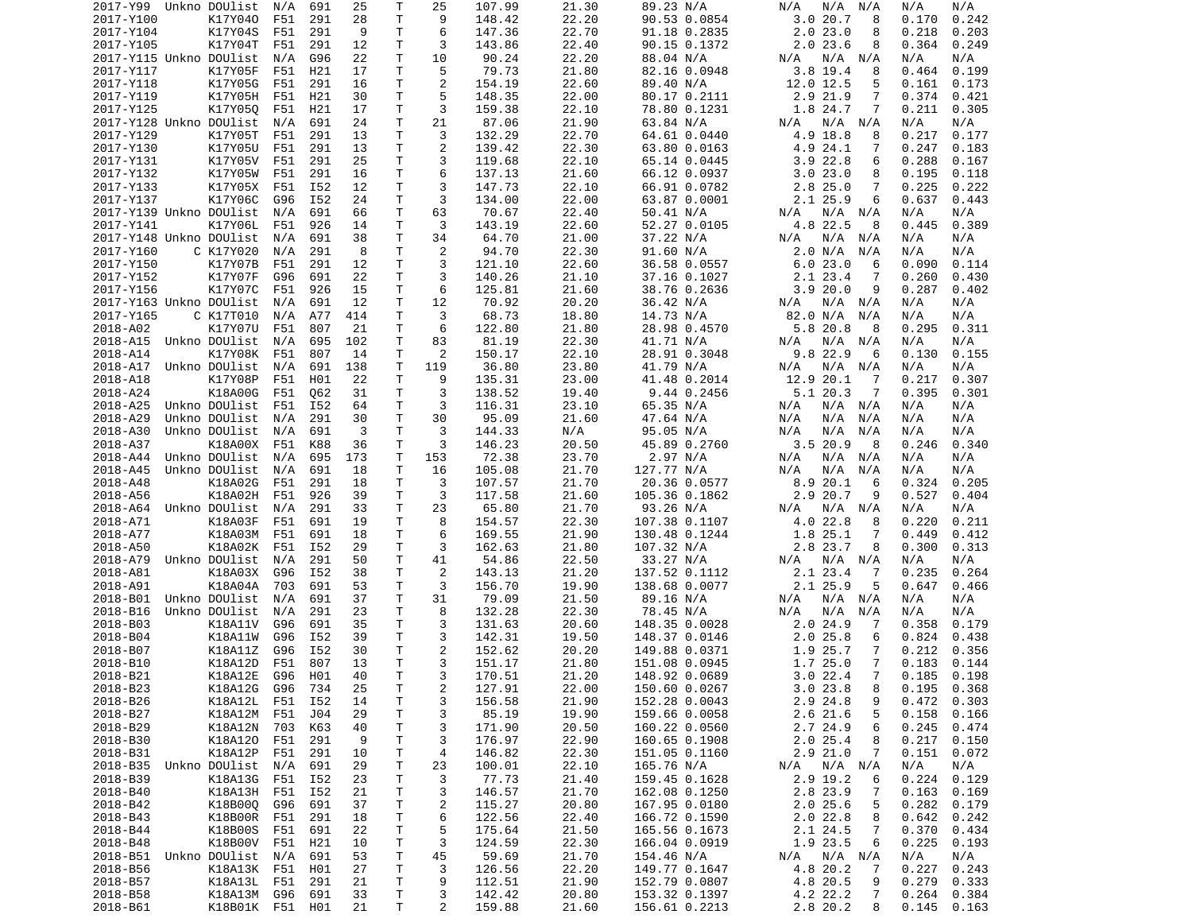| 2017-Y99                   | Unkno DOUlist   | N/A | 691 | 25  | Т            | 25                      | 107.99 | 21.30 | 89.23 N/A     | N/A<br>N/A<br>N/A         | N/A<br>N/A      |
|----------------------------|-----------------|-----|-----|-----|--------------|-------------------------|--------|-------|---------------|---------------------------|-----------------|
| 2017-Y100                  | K17Y040         | F51 | 291 | 28  | T            | 9                       | 148.42 | 22.20 | 90.53 0.0854  | 3.020.7<br>8              | 0.242<br>0.170  |
| 2017-Y104                  | K17Y04S         | F51 | 291 | 9   | Τ            | 6                       | 147.36 | 22.70 | 91.18 0.2835  | 2.023.0<br>8              | 0.218<br>0.203  |
| 2017-Y105                  | K17Y04T         | F51 | 291 | 12  | т            | 3                       | 143.86 | 22.40 | 90.15 0.1372  | 2.023.6<br>8              | 0.249<br>0.364  |
| 2017-Y115 Unkno DOUlist    |                 | N/A | G96 | 22  | Τ            | 10                      | 90.24  | 22.20 | 88.04 N/A     | N/A<br>N/A<br>N/A         | N/A<br>N/A      |
| 2017-Y117                  | K17Y05F         | F51 | H21 | 17  | Τ            | 5                       | 79.73  | 21.80 | 82.16 0.0948  | $3.8$ 19.4<br>8           | 0.464<br>0.199  |
| 2017-Y118                  | K17Y05G         | F51 | 291 | 16  | т            | $\overline{c}$          | 154.19 | 22.60 | 89.40 N/A     | 12.0 12.5<br>5            | 0.161<br>0.173  |
| 2017-Y119                  | K17Y05H         | F51 | H21 | 30  | т            | 5                       |        | 22.00 |               | 2.9 21.9<br>7             | 0.374           |
|                            |                 |     |     |     |              |                         | 148.35 |       | 80.17 0.2111  |                           | 0.421           |
| 2017-Y125                  | K17Y050         | F51 | H21 | 17  | т            | 3                       | 159.38 | 22.10 | 78.80 0.1231  | 1.8 24.7<br>7             | 0.211<br>0.305  |
| 2017-Y128 Unkno DOUlist    |                 | N/A | 691 | 24  | т            | 21                      | 87.06  | 21.90 | 63.84 N/A     | $N/A$ $N/A$<br>N/A        | N/A<br>N/A      |
| 2017-Y129                  | K17Y05T         | F51 | 291 | 13  | т            | 3                       | 132.29 | 22.70 | 64.61 0.0440  | 4.9<br>18.8<br>8          | 0.217<br>0.177  |
| 2017-Y130                  | K17Y05U         | F51 | 291 | 13  | т            | $\overline{\mathbf{c}}$ | 139.42 | 22.30 | 63.80 0.0163  | 4.9 24.1<br>7             | 0.247<br>0.183  |
| 2017-Y131                  | K17Y05V         | F51 | 291 | 25  | $\mathsf{T}$ | 3                       | 119.68 | 22.10 | 65.14 0.0445  | $3.9$ 22.8<br>6           | 0.288<br>0.167  |
| 2017-Y132                  | K17Y05W         | F51 | 291 | 16  | Τ            | 6                       | 137.13 | 21.60 | 66.12 0.0937  | 3.023.0<br>8              | 0.195<br>0.118  |
| 2017-Y133                  | K17Y05X         | F51 | I52 | 12  | T            | 3                       | 147.73 | 22.10 | 66.91 0.0782  | $2.8$ 25.0<br>7           | 0.225<br>0.222  |
| 2017-Y137                  | K17Y06C         | G96 | I52 | 24  | T            | 3                       | 134.00 | 22.00 | 63.87 0.0001  | 2.1 25.9<br>6             | 0.637<br>0.443  |
| 2017-Y139 Unkno DOUlist    |                 | N/A | 691 | 66  | т            | 63                      | 70.67  | 22.40 | 50.41 N/A     | $N/A$ $N/A$<br>N/A        | N/A<br>N/A      |
| 2017-Y141                  | K17Y06L         | F51 | 926 | 14  | T            | 3                       | 143.19 | 22.60 | 52.27 0.0105  | 4.8 22.5<br>8             | 0.445<br>0.389  |
| 2017-Y148 Unkno DOUlist    |                 | N/A | 691 | 38  | $\mathsf{T}$ | 34                      | 64.70  | 21.00 | 37.22 N/A     | N/A<br>N/A<br>N/A         | N/A<br>N/A      |
|                            |                 |     |     |     |              |                         |        |       |               |                           |                 |
| 2017-Y160                  | C K17Y020       | N/A | 291 | 8   | Τ            | 2                       | 94.70  | 22.30 | 91.60 N/A     | 2.0 N/A<br>N/A            | N/A<br>N/A      |
| 2017-Y150                  | K17Y07B         | F51 | 291 | 12  | т            | 3                       | 121.10 | 22.60 | 36.58 0.0557  | 6.023.0<br>6              | 0.090<br>0.114  |
| 2017-Y152                  | K17Y07F         | G96 | 691 | 22  | Τ            | 3                       | 140.26 | 21.10 | 37.16 0.1027  | 2.1 23.4<br>7             | 0.260<br>0.430  |
| 2017-Y156                  | K17Y07C         | F51 | 926 | 15  | T            | 6                       | 125.81 | 21.60 | 38.76 0.2636  | 3.9<br>20.0<br>9          | 0.287<br>0.402  |
| 2017-Y163 Unkno DOUlist    |                 | N/A | 691 | 12  | т            | 12                      | 70.92  | 20.20 | 36.42 N/A     | N/A<br>N/A N/A            | N/A<br>N/A      |
| 2017-Y165                  | C K17T010       | N/A | A77 | 414 | T            | 3                       | 68.73  | 18.80 | 14.73 N/A     | 82.0 N/A<br>N/A           | N/A<br>N/A      |
| 2018-A02                   | K17Y07U         | F51 | 807 | 21  | T            | 6                       | 122.80 | 21.80 | 28.98 0.4570  | 5.8 20.8<br>8             | 0.295<br>0.311  |
| 2018-A15                   | Unkno DOUlist   | N/A | 695 | 102 | T            | 83                      | 81.19  | 22.30 | 41.71 N/A     | N/A<br>$N/A$ $N/A$        | N/A<br>N/A      |
| 2018-A14                   | K17Y08K         | F51 | 807 | 14  | т            | 2                       | 150.17 | 22.10 | 28.91 0.3048  | 9.8 22.9<br>6             | 0.130<br>0.155  |
| 2018-A17                   | Unkno DOUlist   | N/A | 691 | 138 | T            | 119                     | 36.80  | 23.80 | 41.79 N/A     | N/A<br>N/A<br>N/A         | N/A<br>N/A      |
| 2018-A18                   | K17Y08P         | F51 | H01 | 22  | т            | 9                       | 135.31 | 23.00 | 41.48 0.2014  | 12.9<br>20.1<br>7         | 0.217<br>0.307  |
| 2018-A24                   | K18A00G         |     |     |     | т            | 3                       | 138.52 |       | 9.44 0.2456   | 5.120.3<br>-7             | 0.395           |
|                            |                 | F51 | Q62 | 31  |              |                         |        | 19.40 |               |                           | 0.301           |
| 2018-A25                   | Unkno DOUlist   | F51 | I52 | 64  | T            | 3                       | 116.31 | 23.10 | 65.35 N/A     | N/A<br>$N/A$ $N/A$        | N/A<br>N/A      |
| 2018-A29                   | Unkno DOUlist   | N/A | 291 | 30  | $\mathsf{T}$ | 30                      | 95.09  | 21.60 | 47.64 N/A     | N/A<br>N/A<br>N/A         | N/A<br>N/A      |
| 2018-A30                   | Unkno DOUlist   | N/A | 691 | 3   | Τ            | 3                       | 144.33 | N/A   | 95.05 N/A     | N/A<br>N/A<br>N/A         | N/A<br>N/A      |
| 2018-A37                   | K18A00X         | F51 | K88 | 36  | T            | 3                       | 146.23 | 20.50 | 45.89 0.2760  | 3.520.9<br>- 8            | 0.246<br>0.340  |
| 2018-A44                   | Unkno DOUlist   | N/A | 695 | 173 | T            | 153                     | 72.38  | 23.70 | 2.97 N/A      | N/A<br>N/A<br>N/A         | N/A<br>N/A      |
| 2018-A45                   | Unkno DOUlist   | N/A | 691 | 18  | T            | 16                      | 105.08 | 21.70 | 127.77 N/A    | N/A<br>N/A<br>N/A         | N/A<br>N/A      |
| 2018-A48                   | K18A02G         | F51 | 291 | 18  | Τ            | 3                       | 107.57 | 21.70 | 20.36 0.0577  | 8.9 20.1<br>6             | 0.324<br>0.205  |
| 2018-A56                   | K18A02H         | F51 | 926 | 39  | T            | 3                       | 117.58 | 21.60 | 105.36 0.1862 | 2.9 20.7<br>9             | 0.527<br>0.404  |
| 2018-A64                   | Unkno DOUlist   | N/A | 291 | 33  | T            | 23                      | 65.80  | 21.70 | 93.26 N/A     | N/A N/A<br>N/A            | N/A<br>N/A      |
| 2018-A71                   | K18A03F         | F51 | 691 | 19  | Τ            | 8                       | 154.57 | 22.30 | 107.38 0.1107 | 4.0 22.8<br>8             | 0.220<br>0.211  |
|                            |                 |     |     |     | т            | 6                       |        |       |               | 1.8 25.1<br>7             |                 |
| 2018-A77                   | K18A03M         | F51 | 691 | 18  |              |                         | 169.55 | 21.90 | 130.48 0.1244 |                           | 0.449<br>0.412  |
| 2018-A50                   | K18A02K         | F51 | I52 | 29  | т            | 3                       | 162.63 | 21.80 | 107.32 N/A    | 2.8 23.7<br>8             | 0.300<br>0.313  |
| 2018-A79                   | Unkno DOUlist   | N/A | 291 | 50  | T            | 41                      | 54.86  | 22.50 | 33.27 N/A     | N/A<br>N/A<br>N/A         | N/A<br>N/A      |
| 2018-A81                   | K18A03X         | G96 | I52 | 38  | т            | 2                       | 143.13 | 21.20 | 137.52 0.1112 | 2.1 23.4<br>7             | 0.235<br>0.264  |
| 2018-A91                   | K18A04A         | 703 | 691 | 53  | T            | 3                       | 156.70 | 19.90 | 138.68 0.0077 | 2.1 25.9<br>5             | 0.647<br>0.466  |
| 2018-B01                   | Unkno DOUlist   | N/A | 691 | 37  | T            | 31                      | 79.09  | 21.50 | 89.16 N/A     | $N/A$ $N/A$<br>N/A        | N/A<br>N/A      |
| 2018-B16                   | Unkno DOUlist   | N/A | 291 | 23  | T            | 8                       | 132.28 | 22.30 | 78.45 N/A     | N/A<br>N/A<br>N/A         | N/A<br>N/A      |
| 2018-B03                   | K18A11V         | G96 | 691 | 35  | $\mathsf{T}$ | 3                       | 131.63 | 20.60 | 148.35 0.0028 | 2.024.9<br>7              | 0.358<br>0.179  |
| 2018-B04                   | K18A11W         | G96 | I52 | 39  | T            | 3                       | 142.31 | 19.50 | 148.37 0.0146 | 2.025.8<br>6              | 0.824<br>0.438  |
| 2018-B07                   | K18A11Z         | G96 | I52 | 30  | т            | $\overline{c}$          | 152.62 | 20.20 | 149.88 0.0371 | 7<br>1.9<br>25.7          | 0.212<br>0.356  |
| 2018-B10                   | K18A12D         | F51 | 807 | 13  | T.           | 3                       | 151.17 | 21.80 | 151.08 0.0945 | 1.725.0<br>7              | 0.183<br>0.144  |
| 2018-B21                   | K18A12E G96 H01 |     |     | 40  | T.           | 3                       | 170.51 | 21.20 | 148.92 0.0689 | 3.022.4<br>$\overline{7}$ | $0.185$ $0.198$ |
| 2018-B23                   | K18A12G G96     |     | 734 |     |              | $\overline{\mathbf{c}}$ | 127.91 |       | 150.60 0.0267 | 3.023.8                   | $0.195$ $0.368$ |
|                            |                 |     |     | 25  | Τ            |                         |        | 22.00 |               | 8                         |                 |
| 2018-B26                   | K18A12L F51     |     | I52 | 14  | T            | 3                       | 156.58 | 21.90 | 152.28 0.0043 | 2.9 24.8<br>9             | 0.472<br>0.303  |
| 2018-B27                   | K18A12M F51     |     | J04 | 29  | T            | 3                       | 85.19  | 19.90 | 159.66 0.0058 | $2.6$ 21.6<br>5           | 0.158<br>0.166  |
| 2018-B29                   | K18A12N 703     |     | K63 | 40  | Τ            | 3                       | 171.90 | 20.50 | 160.22 0.0560 | 2.7 24.9<br>6             | 0.245<br>0.474  |
| 2018-B30                   | K18A120 F51     |     | 291 | 9   | T            | 3                       | 176.97 | 22.90 | 160.65 0.1908 | 2.025.4<br>8              | 0.217<br>0.150  |
| 2018-B31                   | K18A12P         | F51 | 291 | 10  | Τ            | 4                       | 146.82 | 22.30 | 151.05 0.1160 | $2.9$ $21.0$<br>7         | 0.151<br>0.072  |
| 2018-B35                   | Unkno DOUlist   | N/A | 691 | 29  | T            | 23                      | 100.01 | 22.10 | 165.76 N/A    | N/A N/A<br>N/A            | N/A<br>N/A      |
| 2018-B39                   | K18A13G         | F51 | I52 | 23  | T            | 3                       | 77.73  | 21.40 | 159.45 0.1628 | 2.9 19.2<br>6             | 0.224<br>0.129  |
| 2018-B40                   | K18A13H F51     |     | I52 | 21  | T            | 3                       | 146.57 | 21.70 | 162.08 0.1250 | 2.8 23.9<br>7             | 0.163<br>0.169  |
| 2018-B42                   | K18B000 G96     |     | 691 | 37  | $\mathsf T$  | $\overline{\mathbf{c}}$ | 115.27 | 20.80 | 167.95 0.0180 | 2.025.6<br>5              | 0.282<br>0.179  |
|                            |                 |     |     |     |              |                         | 122.56 |       |               |                           |                 |
| 2018-B43                   | K18B00R         | F51 | 291 | 18  | Τ            | 6                       |        | 22.40 | 166.72 0.1590 | 2.022.8<br>8              | 0.642<br>0.242  |
| 2018-B44                   | K18B00S         | F51 | 691 | 22  | T            | 5                       | 175.64 | 21.50 | 165.56 0.1673 | 2.1 24.5<br>7             | 0.370<br>0.434  |
| 2018-B48                   | K18B00V         | F51 | H21 | 10  | T            | 3                       | 124.59 | 22.30 | 166.04 0.0919 | 1.9 23.5<br>6             | 0.225<br>0.193  |
| 2018-B51 Unkno DOUlist N/A |                 |     | 691 | 53  | T            | 45                      | 59.69  | 21.70 | 154.46 N/A    | N/A N/A<br>N/A            | N/A<br>N/A      |
| 2018-B56                   | K18A13K F51     |     | H01 | 27  | T            | 3                       | 126.56 | 22.20 | 149.77 0.1647 | 4.8 20.2<br>-7            | 0.227<br>0.243  |
| 2018-B57                   | K18A13L F51     |     | 291 | 21  | T            | 9                       | 112.51 | 21.90 | 152.79 0.0807 | 4.8 20.5<br>9             | 0.279<br>0.333  |
| 2018-B58                   | K18A13M G96     |     | 691 | 33  | T            | 3                       | 142.42 | 20.80 | 153.32 0.1397 | 4.2 22.2<br>7             | 0.264<br>0.384  |
| 2018-B61                   | K18B01K F51 H01 |     |     | 21  | Τ            | $\overline{2}$          | 159.88 | 21.60 | 156.61 0.2213 | 2.8 20.2<br>8             | 0.145<br>0.163  |
|                            |                 |     |     |     |              |                         |        |       |               |                           |                 |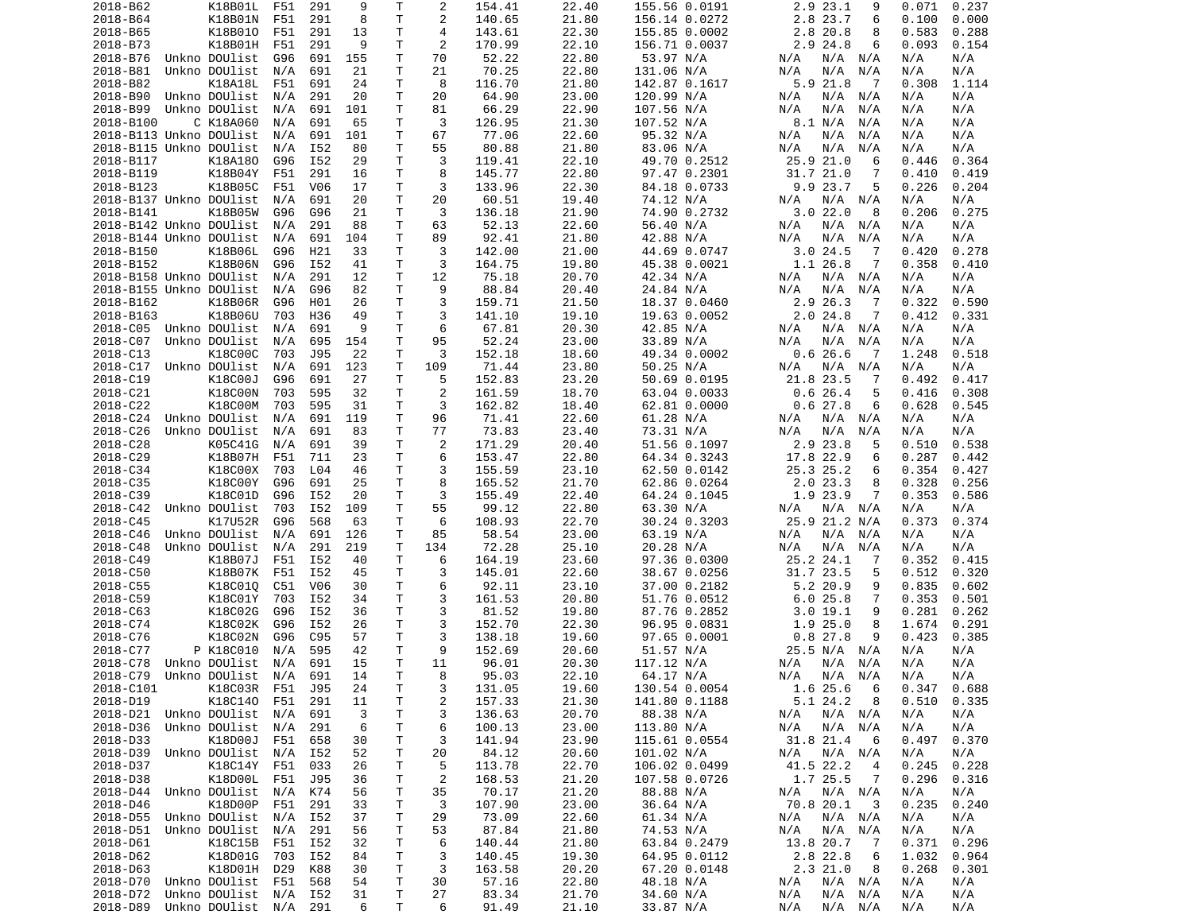| 2018-B62                                   | K18B01L               | F51 | 291 | 9       | Τ      | 2              | 154.41         | 22.40          | 155.56 0.0191          | 2.9 23.1<br>9                    | 0.237<br>0.071           |
|--------------------------------------------|-----------------------|-----|-----|---------|--------|----------------|----------------|----------------|------------------------|----------------------------------|--------------------------|
| 2018-B64                                   | K18B01N               | F51 | 291 | 8       | Τ      | $\overline{c}$ | 140.65         | 21.80          | 156.14 0.0272          | 2.8 23.7<br>6                    | 0.100<br>0.000           |
| 2018-B65                                   | K18B010               | F51 | 291 | 13      | т      | $\overline{4}$ | 143.61         | 22.30          | 155.85 0.0002          | 2.8 20.8<br>8                    | 0.583<br>0.288           |
| 2018-B73                                   | K18B01H               | F51 | 291 | 9       | т      | 2              | 170.99         | 22.10          | 156.71 0.0037          | 2.9 24.8<br>6                    | 0.093<br>0.154           |
| 2018-B76                                   | Unkno DOUlist         | G96 | 691 | 155     | Τ      | 70             | 52.22          | 22.80          | 53.97 N/A              | N/A<br>N/A N/A                   | N/A<br>N/A               |
| 2018-B81                                   | Unkno DOUlist         | N/A | 691 | 21      | Τ      | 21             | 70.25          | 22.80          | 131.06 N/A             | N/A<br>N/A<br>N/A                | N/A<br>N/A               |
| 2018-B82                                   | K18A18L               | F51 | 691 | 24      | т      | 8              | 116.70         | 21.80          | 142.87 0.1617          | 5.9 21.8<br>$\overline{7}$       | 0.308<br>1.114           |
| 2018-B90                                   | Unkno DOUlist         | N/A | 291 | 20      | Τ      | 20             | 64.90          | 23.00          | 120.99 N/A             | N/A<br>N/A<br>N/A                | N/A<br>N/A               |
| 2018-B99                                   | Unkno DOUlist         | N/A | 691 | 101     | Τ      | 81             | 66.29          | 22.90          | 107.56 N/A             | N/A<br>N/A<br>N/A                | N/A<br>N/A               |
| 2018-B100                                  | C K18A060             | N/A | 691 | 65      | т      | 3              | 126.95         | 21.30          | 107.52 N/A             | 8.1 N/A<br>N/A                   | N/A<br>N/A               |
| 2018-B113 Unkno DOUlist                    |                       | N/A | 691 | 101     | т      | 67             | 77.06          | 22.60          | 95.32 N/A              | N/A<br>N/A<br>N/A                | N/A<br>N/A               |
|                                            |                       |     |     |         | Τ      | 55             |                |                |                        |                                  |                          |
| 2018-B115 Unkno DOUlist                    |                       | N/A | I52 | 80      |        |                | 80.88          | 21.80          | 83.06 N/A              | N/A<br>N/A<br>N/A                | N/A<br>N/A               |
| 2018-B117                                  | K18A180               | G96 | I52 | 29      | Τ      | 3              | 119.41         | 22.10          | 49.70 0.2512           | 25.9 21.0<br>6                   | 0.446<br>0.364           |
| 2018-B119                                  | K18B04Y               | F51 | 291 | 16      | т      | 8              | 145.77         | 22.80          | 97.47 0.2301           | 31.7 21.0<br>7                   | 0.410<br>0.419           |
| 2018-B123                                  | K18B05C               | F51 | V06 | 17      | Τ      | 3              | 133.96         | 22.30          | 84.18 0.0733           | 9.9 23.7<br>5                    | 0.226<br>0.204           |
| 2018-B137 Unkno DOUlist                    |                       | N/A | 691 | 20      | Τ      | 20             | 60.51          | 19.40          | 74.12 N/A              | N/A<br>N/A<br>N/A                | N/A<br>N/A               |
| 2018-B141                                  | K18B05W               | G96 | G96 | 21      | т      | 3              | 136.18         | 21.90          | 74.90 0.2732           | 3.022.0<br>8                     | 0.206<br>0.275           |
| 2018-B142 Unkno DOUlist                    |                       | N/A | 291 | 88      | Τ      | 63             | 52.13          | 22.60          | 56.40 N/A              | N/A<br>N/A N/A                   | N/A<br>N/A               |
| 2018-B144 Unkno DOUlist                    |                       | N/A | 691 | 104     | Τ      | 89             | 92.41          | 21.80          | 42.88 N/A              | N/A<br>N/A<br>N/A                | N/A<br>N/A               |
| 2018-B150                                  | K18B06L               | G96 | H21 | 33      | Τ      | 3              | 142.00         | 21.00          | 44.69 0.0747           | 3.024.5<br>$\overline{7}$        | 0.420<br>0.278           |
| 2018-B152                                  | K18B06N               | G96 | I52 | 41      | Τ      | 3              | 164.75         | 19.80          | 45.38 0.0021           | 1.1 26.8<br>7                    | 0.358<br>0.410           |
| 2018-B158 Unkno DOUlist                    |                       | N/A | 291 | 12      | Τ      | 12             | 75.18          | 20.70          | 42.34 N/A              | N/A<br>N/A N/A                   | N/A<br>N/A               |
| 2018-B155 Unkno DOUlist                    |                       | N/A | G96 | 82      | Τ      | 9              | 88.84          | 20.40          | 24.84 N/A              | N/A<br>N/A<br>N/A                | N/A<br>N/A               |
| 2018-B162                                  | K18B06R               | G96 | H01 | 26      | т      | 3              | 159.71         | 21.50          | 18.37 0.0460           | 2.9 26.3<br>7                    | 0.322<br>0.590           |
| 2018-B163                                  | K18B06U               | 703 | H36 | 49      | T      | 3              | 141.10         | 19.10          | 19.63 0.0052           | 2.024.8<br>-7                    | 0.412<br>0.331           |
| 2018-C05                                   | Unkno DOUlist         | N/A | 691 | 9       | T.     | 6              | 67.81          | 20.30          | 42.85 N/A              | $N/A$ $N/A$<br>N/A               | N/A<br>N/A               |
| 2018-C07                                   | Unkno DOUlist         | N/A | 695 | 154     | т      | 95             | 52.24          | 23.00          | 33.89 N/A              | N/A<br>N/A<br>N/A                | N/A<br>N/A               |
| 2018-C13                                   | K18C00C               | 703 | J95 | 22      | т      | 3              | 152.18         | 18.60          | 49.34 0.0002           | 0.626.6<br>$\overline{7}$        | 1.248<br>0.518           |
| 2018-C17                                   | Unkno DOUlist         | N/A | 691 | 123     | Τ      | 109            | 71.44          | 23.80          | 50.25 N/A              | N/A<br>N/A<br>N/A                | N/A<br>N/A               |
| 2018-C19                                   | K18C00J               | G96 | 691 | 27      | T      | 5              | 152.83         | 23.20          | 50.69 0.0195           | 21.8 23.5<br>7                   | 0.492<br>0.417           |
|                                            |                       |     |     |         |        | 2              |                |                |                        |                                  |                          |
| 2018-C21                                   | K18C00N               | 703 | 595 | 32      | т      |                | 161.59         | 18.70          | 63.04 0.0033           | 0.626.4<br>5                     | 0.416<br>0.308           |
| 2018-C22                                   | K18C00M               | 703 | 595 | 31      | T.     | 3              | 162.82         | 18.40          | 62.81 0.0000           | 0.627.8<br>6                     | 0.628<br>0.545           |
| 2018-C24                                   | Unkno DOUlist         | N/A | 691 | 119     | Τ      | 96             | 71.41          | 22.60          | 61.28 N/A              | $N/A$ $N/A$<br>N/A               | N/A<br>N/A               |
| 2018-C26                                   | Unkno DOUlist         | N/A | 691 | 83      | Τ      | 77             | 73.83          | 23.40          | 73.31 N/A              | N/A<br>N/A<br>N/A                | N/A<br>N/A               |
| 2018-C28                                   | K05C41G               | N/A | 691 | 39      | Τ      | 2              | 171.29         | 20.40          | 51.56 0.1097           | 2.9 23.8<br>5                    | 0.538<br>0.510           |
| 2018-C29                                   | K18B07H               | F51 | 711 | 23      | Τ      | 6              | 153.47         | 22.80          | 64.34 0.3243           | 17.8 22.9<br>6                   | 0.287<br>0.442           |
| 2018-C34                                   | K18C00X               | 703 | L04 | 46      | т      | 3              | 155.59         | 23.10          | 62.50 0.0142           | 25.3 25.2<br>6                   | 0.354<br>0.427           |
| 2018-C35                                   | K18C00Y               | G96 | 691 | 25      | Τ      | 8              | 165.52         | 21.70          | 62.86 0.0264           | 2.023.3<br>8                     | 0.328<br>0.256           |
| 2018-C39                                   | K18C01D               | G96 | I52 | 20      | Τ      | 3              | 155.49         | 22.40          | 64.24 0.1045           | 1.9 23.9<br>7                    | 0.353<br>0.586           |
| 2018-C42                                   | Unkno DOUlist         | 703 | I52 | 109     | т      | 55             | 99.12          | 22.80          | 63.30 N/A              | N/A N/A<br>N/A                   | N/A<br>N/A               |
| 2018-C45                                   | K17U52R               | G96 | 568 | 63      | т      | 6              | 108.93         | 22.70          | 30.24 0.3203           | 25.9 21.2 N/A                    | 0.373<br>0.374           |
| 2018-C46                                   | Unkno DOUlist         | N/A | 691 | 126     | т      | 85             | 58.54          | 23.00          | 63.19 N/A              | N/A<br>N/A<br>N/A                | N/A<br>N/A               |
| 2018-C48                                   | Unkno DOUlist         | N/A | 291 | 219     | Т      | 134            | 72.28          | 25.10          | 20.28 N/A              | N/A<br>N/A<br>N/A                | N/A<br>N/A               |
| 2018-C49                                   | K18B07J               | F51 | I52 | 40      | Τ      | 6              | 164.19         | 23.60          | 97.36 0.0300           | 25.2 24.1<br>7                   | 0.352<br>0.415           |
| 2018-C50                                   | K18B07K               | F51 | I52 | 45      | Τ      | 3              | 145.01         | 22.60          | 38.67 0.0256           | 31.7 23.5<br>5                   | 0.512<br>0.320           |
| 2018-C55                                   | K18C010               | C51 | V06 | 30      | T.     | 6              | 92.11          | 23.10          | 37.00 0.2182           | 5.2 20.9<br>9                    | 0.835<br>0.602           |
| 2018-C59                                   | K18C01Y               | 703 | I52 | 34      | Τ      | 3              | 161.53         | 20.80          | 51.76 0.0512           | 6.025.8<br>7                     | 0.353<br>0.501           |
| 2018-C63                                   | K18C02G               | G96 | I52 | 36      | T.     | 3              | 81.52          | 19.80          | 87.76 0.2852           | 3.019.1<br>9                     | 0.281<br>0.262           |
| 2018-C74                                   | K18C02K               | G96 | I52 | 26      | Τ      | 3              | 152.70         | 22.30          | 96.95 0.0831           | 1.9<br>25.0<br>8                 | 1.674<br>0.291           |
|                                            |                       |     |     |         |        | 3              |                |                | 97.65 0.0001           | 9                                |                          |
| 2018-C76                                   | K18C02N               | G96 | C95 | 57      | Τ      |                | 138.18         | 19.60          |                        | 0.827.8                          | 0.423<br>0.385           |
| 2018-C77                                   | P K18C010             | N/A | 595 | 42      | т      | 9              | 152.69         | 20.60          | 51.57 N/A              | 25.5 N/A<br>N/A                  | N/A<br>N/A               |
| 2018-C78                                   | Unkno DOUlist         | N/A | 691 | 15      | T.     | 11             | 96.01          | 20.30          | 117.12 N/A             | N/A<br>N/A<br>N/A                | N/A<br>N/A               |
| 2018-C79                                   | Unkno DOUlist N/A     |     | 691 | 14      | T.     | 8              | 95.03          | 22.10          | 64.17 N/A              | N/A N/A<br>N/A                   | N/A<br>N/A               |
| 2018-C101                                  | K18C03R F51 J95       |     |     | 24      | T      | 3              | 131.05         | 19.60          | 130.54 0.0054          | 1.6 25.6<br>$6\overline{6}$      | $0.347$ $0.688$          |
| 2018-D19                                   | K18C140 F51           |     | 291 | 11      | T      | 2              | 157.33         | 21.30          | 141.80 0.1188          | 5.1 24.2<br>8                    | 0.510<br>0.335           |
| 2018-D21 Unkno DOUlist N/A                 |                       |     | 691 | 3       | Τ      | 3              | 136.63         | 20.70          | 88.38 N/A              | N/A N/A<br>N/A                   | N/A<br>N/A               |
| 2018-D36                                   | Unkno DOUlist N/A     |     | 291 | 6       | т      | 6              | 100.13         | 23.00          | 113.80 N/A             | N/A N/A<br>N/A                   | N/A<br>N/A               |
| 2018-D33                                   | K18D00J               | F51 | 658 | 30      | т      | 3              | 141.94         | 23.90          | 115.61 0.0554          | 31.8 21.4<br>- 6                 | 0.497<br>0.370           |
| 2018-D39                                   | Unkno DOUlist N/A     |     | I52 | 52      | T      | 20             | 84.12          | 20.60          | 101.02 N/A             | N/A N/A<br>N/A                   | N/A<br>N/A               |
| 2018-D37                                   | K18C14Y F51           |     | 033 | 26      | T      | 5              | 113.78         | 22.70          | 106.02 0.0499          | 41.5 22.2<br>4                   | 0.245<br>0.228           |
| 2018-D38                                   | K18D00L F51           |     | J95 | 36      | Τ      | $\overline{c}$ | 168.53         | 21.20          | 107.58 0.0726          | 1.7 25.5<br>$\overline{7}$       | 0.296<br>0.316           |
|                                            | Unkno DOUlist         | N/A | K74 | 56      | Τ      | 35             | 70.17          | 21.20          | 88.88 N/A              | N/A<br>N/A N/A                   | N/A<br>N/A               |
|                                            |                       |     |     |         | T      | 3              | 107.90         | 23.00          | 36.64 N/A              | 70.8 20.1<br>3                   | 0.235<br>0.240           |
| 2018-D44                                   |                       |     |     |         |        |                |                |                |                        |                                  |                          |
| 2018-D46                                   | K18D00P               | F51 | 291 | 33      |        |                |                |                |                        |                                  |                          |
| 2018-D55                                   | Unkno DOUlist N/A     |     | I52 | 37      | T      | 29             | 73.09          | 22.60          | 61.34 N/A              | N/A<br>N/A N/A                   | N/A<br>N/A               |
| 2018-D51                                   | Unkno DOUlist N/A     |     | 291 | 56      | T      | 53             | 87.84          | 21.80          | 74.53 N/A              | N/A<br>N/A N/A                   | N/A<br>N/A               |
| 2018-D61                                   | K18C15B               | F51 | I52 | 32      | T      | 6              | 140.44         | 21.80          | 63.84 0.2479           | 13.8 20.7<br>- 7                 | 0.371<br>0.296           |
| 2018-D62                                   | K18D01G               | 703 | I52 | 84      | T      | 3              | 140.45         | 19.30          | 64.95 0.0112           | 2.8 22.8<br>6                    | 1.032<br>0.964           |
| 2018-D63                                   | K18D01H               | D29 | K88 | 30      | Τ      | 3              | 163.58         | 20.20          | 67.20 0.0148           | 2.3 21.0<br>8                    | 0.268<br>0.301           |
| 2018-D70                                   | Unkno DOUlist F51     |     | 568 | 54      | T      | 30             | 57.16          | 22.80          | 48.18 N/A              | N/A<br>$N/A$ $N/A$               | N/A<br>N/A               |
| 2018-D72<br>2018-D89 Unkno DOUlist N/A 291 | Unkno DOUlist N/A I52 |     |     | 31<br>6 | Τ<br>Τ | 27<br>6        | 83.34<br>91.49 | 21.70<br>21.10 | 34.60 N/A<br>33.87 N/A | N/A<br>N/A N/A<br>N/A<br>N/A N/A | N/A<br>N/A<br>N/A<br>N/A |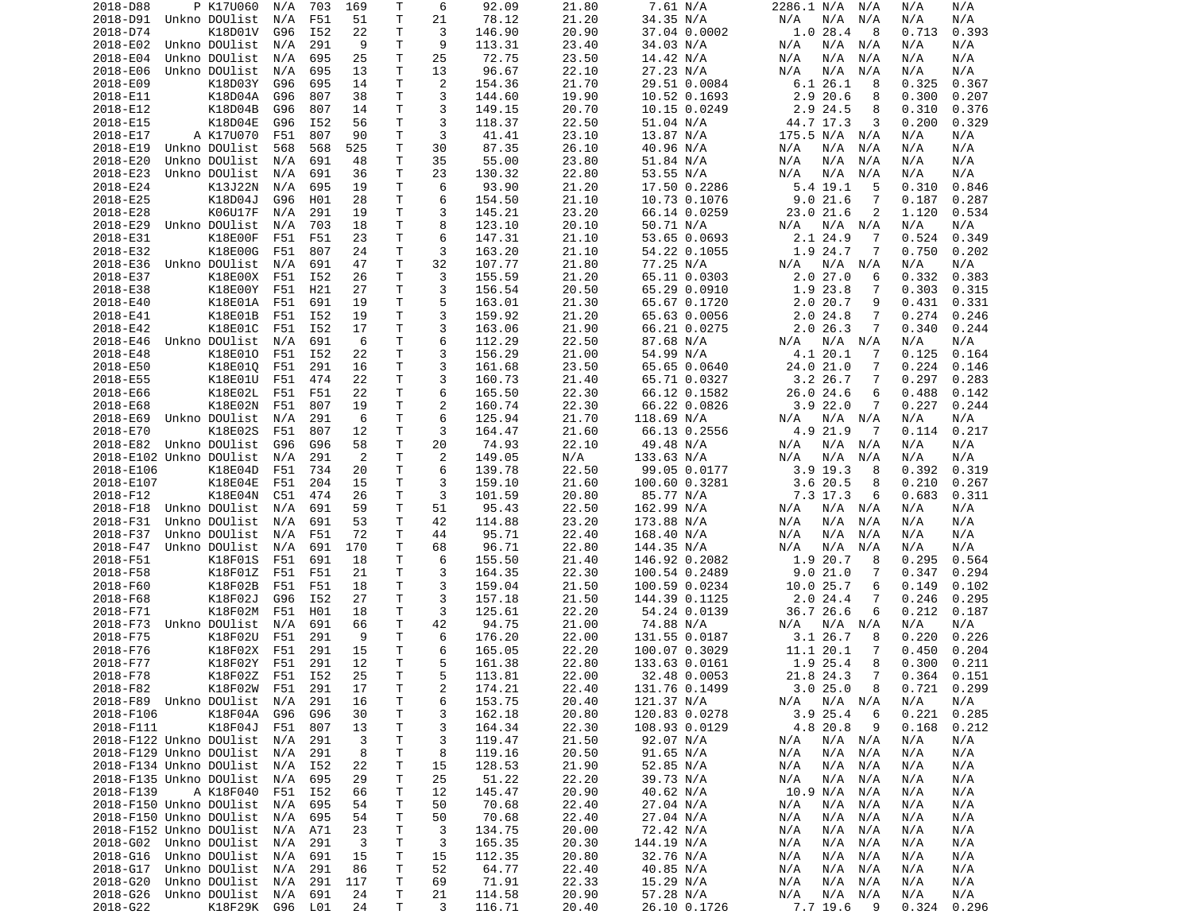| 2018-D88                                           | P K17U060                | N/A        | 703        | 169      | Τ            | 6       | 92.09           | 21.80          | 7.61 N/A                     | 2286.1 N/A N/A                     | N/A<br>N/A                   |  |
|----------------------------------------------------|--------------------------|------------|------------|----------|--------------|---------|-----------------|----------------|------------------------------|------------------------------------|------------------------------|--|
| 2018-D91                                           | Unkno DOUlist            | N/A        | F51        | 51       | T            | 21      | 78.12           | 21.20          | 34.35 N/A                    | N/A<br>N/A<br>N/A                  | N/A<br>N/A                   |  |
| 2018-D74                                           | K18D01V                  | G96        | I52        | 22       | т            | 3       | 146.90          | 20.90          | 37.04 0.0002                 | 1.028.4<br>8                       | 0.713<br>0.393               |  |
| 2018-E02                                           | Unkno DOUlist            | N/A        | 291        | 9        | T            | 9       | 113.31          | 23.40          | 34.03 N/A                    | N/A N/A<br>N/A                     | N/A<br>N/A                   |  |
| 2018-E04                                           | Unkno DOUlist            | N/A        | 695        | 25       | т            | 25      | 72.75           | 23.50          | 14.42 N/A                    | N/A<br>N/A<br>N/A                  | N/A<br>N/A                   |  |
| 2018-E06                                           | Unkno DOUlist            | N/A        | 695        | 13       | Τ            | 13      | 96.67           | 22.10          | 27.23 N/A                    | N/A<br>N/A<br>N/A                  | N/A<br>N/A                   |  |
| 2018-E09                                           | K18D03Y                  | G96        | 695        | 14       | Τ            | 2       | 154.36          | 21.70          | 29.51 0.0084                 | 6.1 26.1<br>8                      | 0.325<br>0.367               |  |
| 2018-E11                                           | K18D04A                  | G96        | 807        | 38       | т            | 3       | 144.60          | 19.90          | 10.52 0.1693                 | 2.920.6<br>8                       | 0.300<br>0.207               |  |
| 2018-E12                                           | K18D04B                  | G96        | 807        | 14       | T            | 3       | 149.15          | 20.70          | 10.15 0.0249                 | 2.9 24.5<br>8                      | 0.310<br>0.376               |  |
| 2018-E15                                           | K18D04E                  | G96        | I52        | 56       | Τ            | 3       | 118.37          | 22.50          | 51.04 N/A                    | 44.7 17.3<br>3                     | 0.200<br>0.329               |  |
| 2018-E17                                           | A K17U070                | F51        | 807        | 90       | T            | 3       | 41.41           | 23.10          | 13.87 N/A                    | 175.5 N/A N/A                      | N/A<br>N/A                   |  |
| 2018-E19                                           | Unkno DOUlist            | 568        | 568        | 525      | Τ            | 30      | 87.35           | 26.10          | 40.96 N/A                    | N/A<br>N/A<br>N/A                  | N/A<br>N/A                   |  |
| 2018-E20                                           | Unkno DOUlist            | N/A        | 691        | 48       | Τ            | 35      | 55.00           | 23.80          | 51.84 N/A                    | N/A<br>N/A<br>N/A                  | N/A<br>N/A                   |  |
| 2018-E23<br>2018-E24                               | Unkno DOUlist<br>K13J22N | N/A        | 691<br>695 | 36<br>19 | Τ<br>т       | 23<br>6 | 130.32<br>93.90 | 22.80<br>21.20 | 53.55 N/A                    | N/A<br>N/A<br>N/A<br>5.4 19.1<br>5 | N/A<br>N/A<br>0.310<br>0.846 |  |
| 2018-E25                                           | K18D04J                  | N/A<br>G96 | H01        | 28       | Τ            | 6       | 154.50          | 21.10          | 17.50 0.2286<br>10.73 0.1076 | 9.021.6<br>7                       | 0.187<br>0.287               |  |
| 2018-E28                                           | K06U17F                  | N/A        | 291        | 19       | т            | 3       | 145.21          | 23.20          | 66.14 0.0259                 | 2<br>23.0 21.6                     | 1.120<br>0.534               |  |
| 2018-E29                                           | Unkno DOUlist            | N/A        | 703        | 18       | Τ            | 8       | 123.10          | 20.10          | 50.71 N/A                    | N/A N/A<br>N/A                     | N/A<br>N/A                   |  |
| 2018-E31                                           | K18E00F                  | F51        | F51        | 23       | Τ            | 6       | 147.31          | 21.10          | 53.65 0.0693                 | 2.1 24.9<br>7                      | 0.524<br>0.349               |  |
| 2018-E32                                           | K18E00G                  | F51        | 807        | 24       | T            | 3       | 163.20          | 21.10          | 54.22 0.1055                 | 1.9 24.7<br>7                      | 0.750<br>0.202               |  |
| 2018-E36                                           | Unkno DOUlist            | N/A        | 691        | 47       | Τ            | 32      | 107.77          | 21.80          | 77.25 N/A                    | N/A N/A<br>N/A                     | N/A<br>N/A                   |  |
| 2018-E37                                           | K18E00X                  | F51        | I52        | 26       | T.           | 3       | 155.59          | 21.20          | 65.11 0.0303                 | 2.027.0<br>6                       | 0.332<br>0.383               |  |
| 2018-E38                                           | K18E00Y                  | F51        | H21        | 27       | T            | 3       | 156.54          | 20.50          | 65.29 0.0910                 | 1.9 23.8<br>7                      | 0.303<br>0.315               |  |
| 2018-E40                                           | K18E01A                  | F51        | 691        | 19       | T.           | 5       | 163.01          | 21.30          | 65.67 0.1720                 | 2.020.7<br>9                       | 0.431<br>0.331               |  |
| 2018-E41                                           | K18E01B                  | F51        | I52        | 19       | Τ            | 3       | 159.92          | 21.20          | 65.63 0.0056                 | 2.024.8<br>7                       | 0.274<br>0.246               |  |
| 2018-E42                                           | K18E01C                  | F51        | I52        | 17       | Τ            | 3       | 163.06          | 21.90          | 66.21 0.0275                 | 2.026.3<br>7                       | 0.340<br>0.244               |  |
| 2018-E46                                           | Unkno DOUlist            | N/A        | 691        | 6        | T.           | 6       | 112.29          | 22.50          | 87.68 N/A                    | N/A<br>N/A N/A                     | N/A<br>N/A                   |  |
| 2018-E48                                           | K18E010                  | F51        | I52        | 22       | Τ            | 3       | 156.29          | 21.00          | 54.99 N/A                    | 4.1 20.1<br>7                      | 0.125<br>0.164               |  |
| 2018-E50                                           | K18E010                  | F51        | 291        | 16       | Τ            | 3       | 161.68          | 23.50          | 65.65 0.0640                 | 24.0 21.0<br>7                     | 0.224<br>0.146               |  |
| 2018-E55                                           | K18E01U                  | F51        | 474        | 22       | Τ            | 3       | 160.73          | 21.40          | 65.71 0.0327                 | 3.2 26.7<br>7                      | 0.297<br>0.283               |  |
| 2018-E66                                           | K18E02L                  | F51        | F51        | 22       | Τ            | 6       | 165.50          | 22.30          | 66.12 0.1582                 | 26.0 24.6<br>6                     | 0.488<br>0.142               |  |
| 2018-E68                                           | K18E02N                  | F51        | 807        | 19       | T            | 2       | 160.74          | 22.30          | 66.22 0.0826                 | 3.922.0<br>7                       | 0.227<br>0.244               |  |
| 2018-E69                                           | Unkno DOUlist            | N/A        | 291        | 6        | Τ            | 6       | 125.94          | 21.70          | 118.69 N/A                   | N/A N/A<br>N/A                     | N/A<br>N/A                   |  |
| 2018-E70                                           | K18E02S                  | F51        | 807        | 12       | Τ            | 3       | 164.47          | 21.60          | 66.13 0.2556                 | 4.9 21.9<br>-7                     | 0.114<br>0.217               |  |
| 2018-E82                                           | Unkno DOUlist            | G96        | G96        | 58       | Τ            | 20      | 74.93           | 22.10          | 49.48 N/A                    | N/A<br>N/A N/A                     | N/A<br>N/A                   |  |
| 2018-E102 Unkno DOUlist                            |                          | N/A        | 291        | 2        | т            | 2       | 149.05          | N/A            | 133.63 N/A                   | N/A<br>N/A<br>N/A                  | N/A<br>N/A                   |  |
| 2018-E106                                          | K18E04D                  | F51        | 734        | 20       | Τ            | 6       | 139.78          | 22.50          | 99.05 0.0177                 | $3.9$ 19.3<br>8                    | 0.392<br>0.319               |  |
| 2018-E107                                          | K18E04E                  | F51        | 204        | 15       | т            | 3<br>3  | 159.10          | 21.60          | 100.60 0.3281                | 3.620.5<br>8                       | 0.210<br>0.267               |  |
| 2018-F12<br>2018-F18                               | K18E04N<br>Unkno DOUlist | C51<br>N/A | 474<br>691 | 26<br>59 | T<br>Τ       | 51      | 101.59<br>95.43 | 20.80<br>22.50 | 85.77 N/A<br>162.99 N/A      | 7.3 17.3<br>6<br>N/A<br>N/A N/A    | 0.683<br>0.311<br>N/A<br>N/A |  |
| 2018-F31                                           | Unkno DOUlist            | N/A        | 691        | 53       | T            | 42      | 114.88          | 23.20          | 173.88 N/A                   | N/A<br>N/A<br>N/A                  | N/A<br>N/A                   |  |
| 2018-F37                                           | Unkno DOUlist            | N/A        | F51        | 72       | T            | 44      | 95.71           | 22.40          | 168.40 N/A                   | N/A<br>N/A<br>N/A                  | N/A<br>N/A                   |  |
| 2018-F47                                           | Unkno DOUlist            | N/A        | 691        | 170      | т            | 68      | 96.71           | 22.80          | 144.35 N/A                   | N/A<br>N/A<br>N/A                  | N/A<br>N/A                   |  |
| 2018-F51                                           | K18F01S                  | F51        | 691        | 18       | т            | 6       | 155.50          | 21.40          | 146.92 0.2082                | 1.9 20.7<br>8                      | 0.295<br>0.564               |  |
| 2018-F58                                           | K18F01Z                  | F51        | F51        | 21       | т            | 3       | 164.35          | 22.30          | 100.54 0.2489                | 9.021.0<br>7                       | 0.347<br>0.294               |  |
| 2018-F60                                           | K18F02B                  | F51        | F51        | 18       | Τ            | 3       | 159.04          | 21.50          | 100.59 0.0234                | 10.0 25.7<br>6                     | 0.149<br>0.102               |  |
| 2018-F68                                           | K18F02J                  | G96        | I52        | 27       | Τ            | 3       | 157.18          | 21.50          | 144.39 0.1125                | 2.024.4<br>7                       | 0.246<br>0.295               |  |
| 2018-F71                                           | K18F02M                  | F51        | H01        | 18       | т            | 3       | 125.61          | 22.20          | 54.24 0.0139                 | 36.7 26.6<br>6                     | 0.212<br>0.187               |  |
| 2018-F73                                           | Unkno DOUlist            | N/A        | 691        | 66       | Τ            | 42      | 94.75           | 21.00          | 74.88 N/A                    | N/A N/A<br>N/A                     | N/A<br>N/A                   |  |
| 2018-F75                                           | K18F02U                  | F51        | 291        | 9        | т            | 6       | 176.20          | 22.00          | 131.55 0.0187                | 3.1 26.7<br>8                      | 0.220<br>0.226               |  |
| 2018-F76                                           | K18F02X                  | F51        | 291        | 15       | $\mathsf{T}$ | 6       | 165.05          | 22.20          | 100.07 0.3029                | 11.1 20.1<br>7                     | 0.450<br>0.204               |  |
| 2018-F77                                           | K18F02Y                  | F51        | 291        | 12       | T.           | 5       | 161.38          | 22.80          | 133.63 0.0161                | 1.9 25.4<br>8                      | 0.300<br>0.211               |  |
| 2018-F78                                           | K18F02Z F51 I52          |            |            | 25       | T.           | 5       | 113.81          | 22.00          | 32.48 0.0053                 | 21.8 24.3<br>$\overline{7}$        | $0.364$ $0.151$              |  |
| 2018-F82                                           | K18F02W                  | F51 291    |            | 17       | Τ            | 2       | 174.21          | 22.40          | 131.76 0.1499                | 3.025.0<br>8                       | $0.721$ $0.299$              |  |
| 2018-F89 Unkno DOUlist                             |                          | N/A        | 291        | 16       | T.           | 6       | 153.75          | 20.40          | 121.37 N/A                   | N/A<br>$N/A$ $N/A$                 | N/A<br>N/A                   |  |
| 2018-F106                                          | K18F04A                  | G96        | G96        | 30       | Τ            | 3       | 162.18          | 20.80          | 120.83 0.0278                | 3.925.4<br>6                       | 0.221<br>0.285               |  |
| 2018-F111                                          | K18F04J                  | F51        | 807        | 13       | Τ            | 3       | 164.34          | 22.30          | 108.93 0.0129                | 4.8 20.8<br>9                      | 0.168<br>0.212               |  |
| 2018-F122 Unkno DOUlist                            |                          | N/A        | 291        | 3        | Τ            | 3       | 119.47          | 21.50          | 92.07 N/A                    | N/A<br>$N/A$ $N/A$                 | N/A<br>N/A                   |  |
| 2018-F129 Unkno DOUlist                            |                          | N/A        | 291        | 8        | т            | 8       | 119.16          | 20.50          | 91.65 N/A                    | N/A<br>N/A N/A                     | N/A<br>N/A                   |  |
| 2018-F134 Unkno DOUlist                            |                          | N/A        | I52        | 22       | Τ            | 15      | 128.53          | 21.90          | 52.85 N/A                    | N/A<br>N/A N/A                     | N/A<br>N/A                   |  |
| 2018-F135 Unkno DOUlist                            |                          | N/A        | 695        | 29       | Τ            | 25      | 51.22           | 22.20          | 39.73 N/A                    | N/A<br>N/A<br>N/A                  | N/A<br>N/A                   |  |
| 2018-F139                                          | A K18F040                | F51        | I52        | 66       | Τ            | 12      | 145.47          | 20.90          | 40.62 N/A                    | 10.9 N/A<br>N/A                    | N/A<br>N/A                   |  |
| 2018-F150 Unkno DOUlist                            |                          | N/A        | 695        | 54       | Τ            | 50      | 70.68           | 22.40          | 27.04 N/A                    | N/A<br>N/A N/A                     | N/A<br>N/A                   |  |
| 2018-F150 Unkno DOUlist<br>2018-F152 Unkno DOUlist |                          | N/A<br>N/A | 695<br>A71 | 54<br>23 | Τ<br>Τ       | 50<br>3 | 70.68<br>134.75 | 22.40<br>20.00 | 27.04 N/A<br>72.42 N/A       | N/A<br>N/A N/A<br>N/A N/A<br>N/A   | N/A<br>N/A<br>N/A<br>N/A     |  |
| 2018-G02 Unkno DOUlist                             |                          | N/A        | 291        | 3        | Τ            | 3       | 165.35          | 20.30          | 144.19 N/A                   | N/A<br>N/A N/A                     | N/A<br>N/A                   |  |
| 2018-G16                                           | Unkno DOUlist            | N/A        | 691        | 15       | T            | 15      | 112.35          | 20.80          | 32.76 N/A                    | N/A<br>N/A N/A                     | N/A<br>N/A                   |  |
| 2018-G17                                           | Unkno DOUlist            | N/A        | 291        | 86       | Τ            | 52      | 64.77           | 22.40          | 40.85 N/A                    | N/A<br>N/A N/A                     | N/A<br>N/A                   |  |
| 2018-G20                                           | Unkno DOUlist            | N/A        | 291        | 117      | T            | 69      | 71.91           | 22.33          | 15.29 N/A                    | $N/A$ $N/A$<br>N/A                 | N/A<br>N/A                   |  |
| 2018-G26                                           | Unkno DOUlist            | N/A        | 691        | 24       | T.           | 21      | 114.58          | 20.90          | 57.28 N/A                    | $N/A$ $N/A$<br>N/A                 | N/A<br>N/A                   |  |
| 2018-G22                                           | K18F29K G96 L01          |            |            | 24       | T.           | 3       | 116.71          | 20.40          | 26.10 0.1726                 | 7.7 19.6<br>- 9                    | 0.324<br>0.296               |  |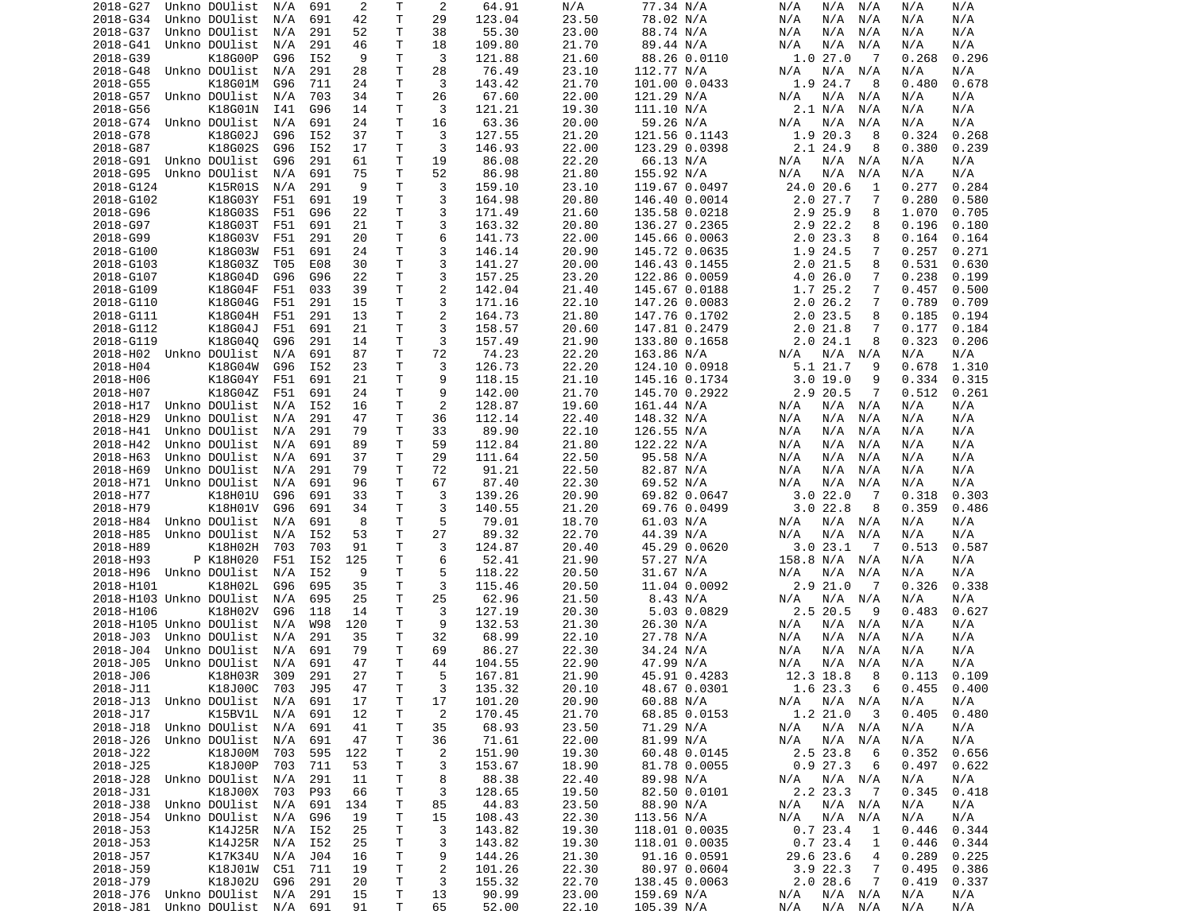| 2018-G27                       | Unkno DOUlist      | N/A     | 691        | 2        | Т           | 2                         | 64.91  | N/A   | 77.34 N/A     | N/A<br>N/A<br>N/A          | N/A<br>N/A      |
|--------------------------------|--------------------|---------|------------|----------|-------------|---------------------------|--------|-------|---------------|----------------------------|-----------------|
| 2018-G34                       | Unkno DOUlist      | N/A     | 691        | 42       | Τ           | 29                        | 123.04 | 23.50 | 78.02 N/A     | N/A<br>N/A<br>N/A          | N/A<br>N/A      |
| 2018-G37                       | Unkno DOUlist      | N/A     | 291        | 52       | т           | 38                        | 55.30  | 23.00 | 88.74 N/A     | N/A<br>N/A<br>N/A          | N/A<br>N/A      |
| 2018-G41                       | Unkno DOUlist      | N/A     | 291        | 46       | т           | 18                        | 109.80 | 21.70 | 89.44 N/A     | N/A<br>N/A<br>N/A          | N/A<br>N/A      |
| 2018-G39                       | K18G00P            | G96     | I52        | 9        | т           | 3                         | 121.88 | 21.60 | 88.26 0.0110  | 1.027.0<br>7               | 0.268<br>0.296  |
| 2018-G48                       | Unkno DOUlist      | N/A     | 291        | 28       | т           | 28                        | 76.49  | 23.10 | 112.77 N/A    | N/A<br>N/A<br>N/A          | N/A<br>N/A      |
| 2018-G55                       | K18G01M            | G96     | 711        | 24       | т           | 3                         | 143.42 | 21.70 | 101.00 0.0433 | 1.9<br>24.7<br>8           | 0.678<br>0.480  |
| 2018-G57                       | Unkno DOUlist      | N/A     | 703        | 34       | Τ           | 26                        | 67.60  | 22.00 | 121.29 N/A    | N/A<br>N/A<br>N/A          | N/A<br>N/A      |
| 2018-G56                       | K18G01N            | I41     | G96        | 14       | т           | 3                         | 121.21 | 19.30 | 111.10 N/A    | 2.1 N/A<br>N/A             | N/A<br>N/A      |
| 2018-G74                       | Unkno DOUlist      | N/A     | 691        | 24       | т           | 16                        | 63.36  | 20.00 | 59.26 N/A     | N/A<br>N/A<br>N/A          | N/A<br>N/A      |
| 2018-G78                       | K18G02J            | G96     | I52        | 37       | т           | 3                         | 127.55 | 21.20 | 121.56 0.1143 | 20.3<br>1.9<br>8           | 0.324<br>0.268  |
| 2018-G87                       | K18G02S            | G96     | I52        | 17       | т           | 3                         | 146.93 | 22.00 | 123.29 0.0398 | 2.1 24.9<br>8              | 0.380<br>0.239  |
| 2018-G91                       | Unkno DOUlist      | G96     | 291        | 61       | T           | 19                        | 86.08  | 22.20 | 66.13 N/A     | N/A<br>N/A<br>N/A          | N/A<br>N/A      |
| 2018-G95                       | Unkno DOUlist      | N/A     | 691        | 75       | т           | 52                        | 86.98  | 21.80 | 155.92 N/A    | N/A<br>N/A<br>N/A          | N/A<br>N/A      |
| 2018-G124                      | K15R01S            | N/A     | 291        | 9        | Τ           | 3                         | 159.10 | 23.10 | 119.67 0.0497 | 24.0 20.6<br>1             | 0.277<br>0.284  |
| 2018-G102                      | K18G03Y            | F51     | 691        | 19       | Τ           | 3                         | 164.98 | 20.80 | 146.40 0.0014 | 2.027.7<br>7               | 0.280<br>0.580  |
| 2018-G96                       | K18G03S            | F51     | G96        | 22       | Τ           | 3                         | 171.49 | 21.60 | 135.58 0.0218 | 2.9 25.9<br>8              | 1.070<br>0.705  |
| 2018-G97                       | K18G03T            | F51     | 691        | 21       | Τ           | 3                         | 163.32 | 20.80 | 136.27 0.2365 | 2.9<br>22.2<br>8           | 0.196<br>0.180  |
| 2018-G99                       | K18G03V            | F51     | 291        | 20       | т           | 6                         | 141.73 | 22.00 | 145.66 0.0063 | 2.023.3<br>8               | 0.164<br>0.164  |
| 2018-G100                      | K18G03W            | F51     | 691        | 24       | т           | 3                         | 146.14 | 20.90 | 145.72 0.0635 | 24.5<br>7<br>1.9           | 0.257<br>0.271  |
| 2018-G103                      | K18G03Z            | T05     | E08        | 30       | т           | 3                         | 141.27 | 20.00 | 146.43 0.1455 | 8<br>2.0 21.5              | 0.531<br>0.630  |
| 2018-G107                      | K18G04D            | G96     | G96        | 22       | Τ           | 3                         | 157.25 | 23.20 | 122.86 0.0059 | 4.0 26.0<br>7              | 0.238<br>0.199  |
| 2018-G109                      | K18G04F            | F51     | 033        | 39       | т           | $\overline{c}$            | 142.04 | 21.40 | 145.67 0.0188 | 1.7 25.2<br>7              | 0.457<br>0.500  |
| 2018-G110                      | K18G04G            | F51     | 291        | 15       | Τ           | 3                         | 171.16 | 22.10 | 147.26 0.0083 | 2.0 26.2<br>7              | 0.789<br>0.709  |
| 2018-G111                      | K18G04H            | F51     | 291        | 13       | т           | $\overline{2}$            | 164.73 | 21.80 | 147.76 0.1702 | 2.0<br>23.5<br>8           | 0.185<br>0.194  |
| 2018-G112                      | K18G04J            | F51     | 691        | 21       | т           | 3                         | 158.57 | 20.60 | 147.81 0.2479 | 2.021.8<br>7               | 0.177<br>0.184  |
| 2018-G119                      | K18G040            | G96     | 291        | 14       | T           | 3                         | 157.49 | 21.90 | 133.80 0.1658 | 24.1<br>8<br>2.0           | 0.323<br>0.206  |
| 2018-H02 Unkno DOUlist         |                    | N/A     | 691        | 87       | т           | 72                        | 74.23  | 22.20 | 163.86 N/A    | N/A<br>N/A<br>N/A          | N/A<br>N/A      |
| 2018-H04                       | K18G04W            | G96     | I52        | 23       | Τ           | 3                         | 126.73 | 22.20 | 124.10 0.0918 | 5.1 21.7<br>9              | 0.678<br>1.310  |
| 2018-H06                       | K18G04Y            | F51     | 691        | 21       | т           | 9                         | 118.15 | 21.10 | 145.16 0.1734 | 3.019.0<br>9               | 0.334<br>0.315  |
| 2018-H07                       | K18G04Z            | F51     | 691        | 24       | Τ           | 9                         | 142.00 | 21.70 | 145.70 0.2922 | 2.9 20.5<br>7              | 0.512<br>0.261  |
| 2018-H17                       | Unkno DOUlist      | N/A     | I52        | 16       | т           | $\overline{2}$            | 128.87 | 19.60 | 161.44 N/A    | N/A<br>N/A<br>N/A          | N/A<br>N/A      |
| 2018-H29                       | Unkno DOUlist      |         | 291        |          | т           | 36                        | 112.14 | 22.40 |               |                            |                 |
|                                |                    | N/A     |            | 47<br>79 | т           | 33                        |        |       | 148.32 N/A    | N/A<br>N/A<br>N/A          | N/A<br>N/A      |
| 2018-H41                       | Unkno DOUlist      | N/A     | 291        |          |             |                           | 89.90  | 22.10 | 126.55 N/A    | N/A<br>N/A<br>N/A          | N/A<br>N/A      |
| 2018-H42                       | Unkno DOUlist      | N/A     | 691        | 89       | т           | 59                        | 112.84 | 21.80 | 122.22 N/A    | N/A<br>N/A<br>N/A          | N/A<br>N/A      |
| 2018-H63                       | Unkno DOUlist      | N/A     | 691        | 37       | т           | 29                        | 111.64 | 22.50 | 95.58 N/A     | N/A<br>N/A<br>N/A          | N/A<br>N/A      |
| 2018-H69                       | Unkno DOUlist      | N/A     | 291        | 79       | Τ           | 72                        | 91.21  | 22.50 | 82.87 N/A     | N/A<br>N/A<br>N/A          | N/A<br>N/A      |
| 2018-H71                       | Unkno DOUlist      | N/A     | 691        | 96       | т           | 67                        | 87.40  | 22.30 | 69.52 N/A     | N/A<br>N/A<br>N/A          | N/A<br>N/A      |
| 2018-H77                       | K18H01U            | G96     | 691        | 33       | т           | 3                         | 139.26 | 20.90 | 69.82 0.0647  | 3.022.0<br>-7              | 0.318<br>0.303  |
| 2018-H79                       | K18H01V            | G96     | 691        | 34       | T           | 3                         | 140.55 | 21.20 | 69.76 0.0499  | 3.022.8<br>8               | 0.359<br>0.486  |
| 2018-H84                       | Unkno DOUlist      | N/A     | 691        | 8        | T           | 5                         | 79.01  | 18.70 | 61.03 N/A     | N/A<br>N/A<br>N/A          | N/A<br>N/A      |
| 2018-H85                       | Unkno DOUlist      | N/A     | I52        | 53       | Τ           | 27                        | 89.32  | 22.70 | 44.39 N/A     | N/A<br>N/A<br>N/A          | N/A<br>N/A      |
| 2018-H89                       | K18H02H            | 703     | 703        | 91       | Τ           | 3                         | 124.87 | 20.40 | 45.29 0.0620  | 3.0 23.1<br>-7             | 0.513<br>0.587  |
| 2018-H93                       | P K18H020          | F51     | I52        | 125      | Τ           | 6                         | 52.41  | 21.90 | 57.27 N/A     | 158.8 N/A<br>N/A           | N/A<br>N/A      |
| 2018-H96                       | Unkno DOUlist      | N/A     | I52        | 9        | т           | 5                         | 118.22 | 20.50 | 31.67 N/A     | N/A<br>N/A<br>N/A          | N/A<br>N/A      |
| 2018-H101                      | K18H02L            | G96     | 695        | 35       | т           | 3                         | 115.46 | 20.50 | 11.04 0.0092  | 2.9 21.0<br>- 7            | 0.326<br>0.338  |
| 2018-H103 Unkno DOUlist        |                    | N/A     | 695        | 25       | т           | 25                        | 62.96  | 21.50 | 8.43 N/A      | N/A<br>N/A<br>N/A          | N/A<br>N/A      |
| 2018-H106                      | K18H02V            | G96     | 118        | 14       | Τ           | 3                         | 127.19 | 20.30 | 5.03 0.0829   | 2.5 20.5<br>9              | 0.483<br>0.627  |
| 2018-H105 Unkno DOUlist        |                    | N/A     | <b>W98</b> | 120      | т           | 9                         | 132.53 | 21.30 | 26.30 N/A     | N/A<br>N/A<br>N/A          | N/A<br>N/A      |
| 2018-J03                       | Unkno DOUlist      | N/A     | 291        | 35       | Τ           | 32                        | 68.99  | 22.10 | 27.78 N/A     | N/A<br>N/A<br>N/A          | N/A<br>N/A      |
| 2018-J04                       | Unkno DOUlist      | N/A     | 691        | 79       | т           | 69                        | 86.27  | 22.30 | 34.24 N/A     | N/A<br>N/A<br>N/A          | N/A<br>N/A      |
| 2018-J05                       | Unkno DOUlist      | N/A     | 691        | 47       | Τ           | 44                        | 104.55 | 22.90 | 47.99 N/A     | N/A<br>N/A<br>N/A          | N/A<br>N/A      |
| 2018-J06                       | K18H03R 309        |         | 291        | 27       | T.          | 5                         | 167.81 | 21.90 | 45.91 0.4283  | 12.3 18.8<br>8             | 0.113<br>0.109  |
| 2018-J11                       | K18J00C            | 703 J95 |            | 47       | $\mathsf T$ | 3                         | 135.32 | 20.10 | 48.67 0.0301  | 6<br>1.6 23.3              | $0.455$ $0.400$ |
| 2018-J13 Unkno DOUlist N/A     |                    |         | 691        | 17       | Τ           | 17                        | 101.20 | 20.90 | 60.88 N/A     | N/A N/A<br>N/A             | N/A<br>N/A      |
| 2018-J17                       | K15BV1L N/A        |         | 691        | 12       | Τ           | $\overline{2}$            | 170.45 | 21.70 | 68.85 0.0153  | 1.2 21.0<br>- 3            | 0.405<br>0.480  |
| 2018-J18 Unkno DOUlist N/A     |                    |         | 691        | 41       | Τ           | 35                        | 68.93  | 23.50 | 71.29 N/A     | N/A N/A<br>N/A             | N/A<br>N/A      |
| 2018-J26                       | Unkno DOUlist N/A  |         | 691        | 47       | T           | 36                        | 71.61  | 22.00 | 81.99 N/A     | N/A N/A<br>N/A             | N/A<br>N/A      |
| 2018-J22                       | K18J00M            | 703     | 595        | 122      | Τ           | $\overline{c}$            | 151.90 | 19.30 | 60.48 0.0145  | 2.5 23.8<br>6              | 0.352<br>0.656  |
| 2018-J25                       | K18J00P            | 703     | 711        | 53       | т           | 3                         | 153.67 | 18.90 | 81.78 0.0055  | 0.927.3<br>6               | 0.497<br>0.622  |
| 2018-J28                       | Unkno DOUlist N/A  |         | 291        | 11       | T           | 8                         | 88.38  | 22.40 | 89.98 N/A     | N/A<br>N/A N/A             | N/A<br>N/A      |
| 2018-J31                       | K18J00X 703        |         | P93        | 66       | T           | 3                         | 128.65 | 19.50 | 82.50 0.0101  | 2.2 23.3<br>$\overline{7}$ | 0.345<br>0.418  |
| 2018-J38                       | Unkno DOUlist N/A  |         | 691        | 134      | T           | 85                        | 44.83  | 23.50 | 88.90 N/A     | N/A<br>N/A N/A             | N/A<br>N/A      |
| 2018-J54                       | Unkno DOUlist N/A  |         | G96        | 19       | Τ           | 15                        | 108.43 | 22.30 | 113.56 N/A    | N/A<br>N/A N/A             | N/A<br>N/A      |
| 2018-J53                       | K14J25R            | N/A     | I52        | 25       | T           | $\ensuremath{\mathsf{3}}$ | 143.82 | 19.30 | 118.01 0.0035 | 0.723.4<br>1               | 0.446<br>0.344  |
| 2018-J53                       | K14J25R N/A        |         | I52        | 25       | T           | 3                         | 143.82 | 19.30 | 118.01 0.0035 | 0.723.4<br>1               | 0.446<br>0.344  |
| 2018-J57                       | K17K34U            | N/A     | J04        | 16       | Τ           | 9                         | 144.26 | 21.30 | 91.16 0.0591  | 29.6 23.6<br>4             | 0.289<br>0.225  |
| 2018-J59                       | K18J01W            | C51     | 711        | 19       | T           | $\overline{c}$            | 101.26 | 22.30 | 80.97 0.0604  | $3.9$ 22.3<br>7            | 0.495<br>0.386  |
| 2018-J79                       | K18J02U            | G96     | 291        | 20       | T.          | 3                         | 155.32 | 22.70 | 138.45 0.0063 | 2.028.6<br>$\overline{7}$  | 0.419<br>0.337  |
| 2018-J76                       | Unkno DOUlist  N/A |         | 291        | 15       | T           | 13                        | 90.99  | 23.00 | 159.69 N/A    | N/A N/A<br>N/A             | N/A<br>N/A      |
| 2018-J81 Unkno DOUlist N/A 691 |                    |         |            | 91       | T.          | 65                        | 52.00  | 22.10 | 105.39 N/A    | N/A<br>N/A N/A             | N/A<br>N/A      |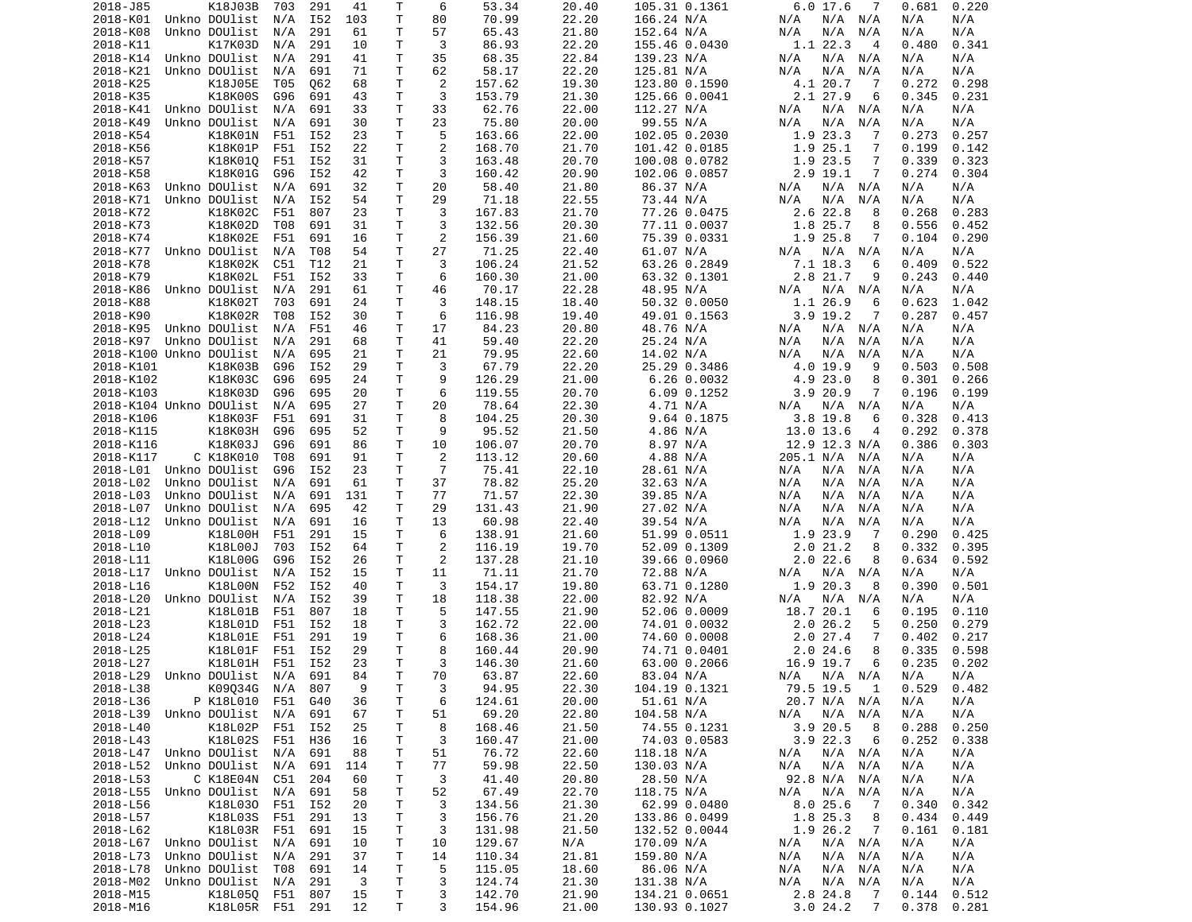| T<br>70.99<br>22.20<br>2018-K01<br>Unkno DOUlist<br>I52<br>103<br>80<br>166.24 N/A<br>N/A N/A<br>N/A<br>N/A<br>N/A<br>N/A<br>Τ<br>2018-K08<br>Unkno DOUlist<br>N/A<br>291<br>61<br>57<br>65.43<br>21.80<br>152.64 N/A<br>N/A<br>N/A<br>N/A<br>N/A<br>N/A<br>Τ<br>3<br>86.93<br>1.1 22.3<br>0.341<br>2018-K11<br>K17K03D<br>N/A<br>291<br>10<br>22.20<br>155.46 0.0430<br>4<br>0.480<br>Τ<br>35<br>Unkno DOUlist<br>291<br>41<br>68.35<br>22.84<br>N/A N/A<br>N/A<br>2018-K14<br>N/A<br>139.23 N/A<br>N/A<br>N/A<br>2018-K21<br>Unkno DOUlist<br>691<br>71<br>Τ<br>62<br>58.17<br>22.20<br>125.81 N/A<br>N/A<br>N/A<br>N/A<br>N/A<br>N/A<br>N/A<br>2<br>2018-K25<br>K18J05E<br>062<br>68<br>т<br>157.62<br>19.30<br>4.1 20.7<br>0.298<br>T05<br>123.80 0.1590<br>-7<br>0.272<br>K18K00S<br>Τ<br>3<br>2.1 27.9<br>2018-K35<br>691<br>43<br>153.79<br>21.30<br>125.66 0.0041<br>6<br>0.345<br>0.231<br>G96<br>T<br>2018-K41<br>Unkno DOUlist<br>N/A<br>691<br>33<br>33<br>62.76<br>22.00<br>112.27 N/A<br>N/A<br>N/A<br>N/A<br>N/A<br>N/A<br>Τ<br>Unkno DOUlist<br>691<br>30<br>23<br>75.80<br>20.00<br>99.55 N/A<br>N/A<br>N/A<br>2018-K49<br>N/A<br>N/A<br>N/A<br>N/A<br>Τ<br>5<br>2018-K54<br>23<br>163.66<br>102.05 0.2030<br>1.9 23.3<br>0.273<br>0.257<br>K18K01N<br>F51<br>I52<br>22.00<br>7<br>Τ<br>$\overline{2}$<br>1.9 25.1<br>2018-K56<br>K18K01P<br>F51<br>I52<br>22<br>168.70<br>21.70<br>101.42 0.0185<br>7<br>0.199<br>0.142<br>Τ<br>3<br>0.339<br>2018-K57<br>K18K010<br>F51<br>I52<br>31<br>163.48<br>20.70<br>100.08 0.0782<br>1.9 23.5<br>7<br>0.323<br>3<br>K18K01G<br>I52<br>т<br>20.90<br>2.9 19.1<br>7<br>0.274<br>2018-K58<br>G96<br>42<br>160.42<br>102.06 0.0857<br>0.304<br>T<br>20<br>2018-K63<br>Unkno DOUlist<br>691<br>32<br>58.40<br>21.80<br>86.37 N/A<br>N/A N/A<br>N/A<br>N/A<br>N/A<br>N/A<br>Τ<br>29<br>2018-K71<br>Unkno DOUlist<br>N/A<br>I52<br>54<br>71.18<br>22.55<br>73.44 N/A<br>N/A<br>N/A<br>N/A<br>N/A<br>N/A<br>Τ<br>2018-K72<br>K18K02C<br>F51<br>807<br>23<br>3<br>167.83<br>21.70<br>77.26 0.0475<br>2.6 22.8<br>0.268<br>0.283<br>8<br>T.<br>3<br>K18K02D<br>691<br>132.56<br>1.8 25.7<br>2018-K73<br>T08<br>31<br>20.30<br>77.11 0.0037<br>8<br>0.556<br>0.452<br>Τ<br>$\overline{2}$<br>1.9 25.8<br>2018-K74<br>K18K02E<br>F51<br>691<br>16<br>156.39<br>21.60<br>75.39 0.0331<br>0.104<br>0.290<br>7<br>Τ<br>27<br>Unkno DOUlist<br>N/A<br>T08<br>54<br>71.25<br>22.40<br>61.07 N/A<br>N/A<br>N/A<br>2018-K77<br>N/A<br>N/A N/A<br>Τ<br>3<br>K18K02K<br>C51<br>T12<br>106.24<br>21.52<br>63.26 0.2849<br>7.1 18.3<br>0.409<br>0.522<br>2018-K78<br>21<br>6<br>K18K02L<br>Τ<br>6<br>160.30<br>2.8 21.7<br>2018-K79<br>F51<br>I52<br>33<br>21.00<br>63.32 0.1301<br>0.243<br>0.440<br>9<br>Τ<br>2018-K86<br>Unkno DOUlist<br>N/A<br>291<br>61<br>46<br>70.17<br>22.28<br>48.95 N/A<br>N/A<br>N/A<br>N/A<br>N/A<br>N/A<br>Τ<br>3<br>50.32 0.0050<br>2018-K88<br>K18K02T<br>703<br>691<br>24<br>148.15<br>18.40<br>1.1 26.9<br>6<br>0.623<br>1.042<br>Τ<br>6<br>2018-K90<br>K18K02R<br>I52<br>30<br>116.98<br>$3.9$ 19.2<br>0.287<br>T08<br>19.40<br>49.01 0.1563<br>7<br>0.457<br>Τ<br>2018-K95<br>Unkno DOUlist<br>N/A<br>F51<br>46<br>17<br>84.23<br>20.80<br>48.76 N/A<br>N/A<br>N/A N/A<br>N/A<br>N/A<br>2018-K97<br>Unkno DOUlist<br>291<br>68<br>Τ<br>41<br>59.40<br>22.20<br>25.24 N/A<br>N/A<br>N/A<br>N/A<br>N/A<br>N/A<br>N/A<br>Τ<br>2018-K100 Unkno DOUlist<br>695<br>21<br>21<br>79.95<br>22.60<br>14.02 N/A<br>N/A<br>N/A<br>N/A<br>N/A<br>N/A<br>N/A<br>Τ<br>2018-K101<br>K18K03B<br>G96<br>I52<br>29<br>3<br>67.79<br>22.20<br>25.29 0.3486<br>4.0 19.9<br>0.503<br>0.508<br>9<br>Τ<br>9<br>2018-K102<br>K18K03C<br>695<br>24<br>126.29<br>21.00<br>$6.26$ $0.0032$<br>4.9 23.0<br>8<br>0.301<br>0.266<br>G96<br>Τ<br>6<br>K18K03D<br>119.55<br>20.70<br>6.09 0.1252<br>3.920.9<br>7<br>2018-K103<br>G96<br>695<br>20<br>0.196<br>0.199<br>Τ<br>20<br>2018-K104 Unkno DOUlist<br>695<br>27<br>78.64<br>22.30<br>4.71 N/A<br>N/A<br>N/A<br>N/A<br>N/A<br>N/A<br>N/A<br>Τ<br>8<br>2018-K106<br>K18K03F<br>F51<br>691<br>31<br>104.25<br>20.30<br>9.64 0.1875<br>$3.8$ 19.8<br>0.328<br>0.413<br>6<br>9<br>K18K03H<br>т<br>95.52<br>4.86 N/A<br>13.0 13.6<br>0.292<br>2018-K115<br>G96<br>695<br>52<br>21.50<br>$\overline{4}$<br>0.378<br>K18K03J<br>T<br>8.97 N/A<br>12.9 12.3 N/A<br>2018-K116<br>691<br>86<br>10<br>106.07<br>20.70<br>0.386<br>0.303<br>G96<br>Τ<br>2<br>4.88 N/A<br>2018-K117<br>C K18K010<br>T08<br>691<br>91<br>113.12<br>20.60<br>205.1 N/A<br>N/A<br>N/A<br>N/A<br>$\overline{7}$<br>Τ<br>2018-L01 Unkno DOUlist<br>G96<br>I52<br>23<br>75.41<br>22.10<br>28.61 N/A<br>N/A<br>N/A<br>N/A<br>N/A<br>N/A<br>Τ<br>37<br>78.82<br>25.20<br>32.63 N/A<br>2018-L02<br>Unkno DOUlist<br>N/A<br>691<br>61<br>N/A<br>N/A<br>N/A<br>N/A<br>N/A<br>2018-L03<br>Unkno DOUlist<br>691<br>131<br>т<br>77<br>71.57<br>22.30<br>39.85 N/A<br>N/A<br>N/A<br>N/A<br>N/A<br>N/A<br>N/A<br>2018-L07<br>Unkno DOUlist<br>695<br>42<br>т<br>29<br>131.43<br>21.90<br>27.02 N/A<br>N/A<br>N/A<br>N/A<br>N/A<br>N/A<br>N/A<br>Unkno DOUlist<br>т<br>13<br>60.98<br>22.40<br>39.54 N/A<br>N/A<br>N/A<br>2018-L12<br>N/A<br>691<br>16<br>N/A<br>N/A<br>N/A<br>Τ<br>1.9 23.9<br>2018-L09<br>K18L00H<br>F51<br>291<br>15<br>6<br>138.91<br>21.60<br>51.99 0.0511<br>7<br>0.290<br>0.425<br>Τ<br>$\overline{2}$<br>2018-L10<br>K18L00J<br>703<br>I52<br>64<br>116.19<br>19.70<br>52.09 0.1309<br>2.021.2<br>8<br>0.332<br>0.395<br>T<br>2<br>K18L00G<br>137.28<br>2.022.6<br>2018-L11<br>G96<br>I52<br>26<br>21.10<br>39.66 0.0960<br>8<br>0.634<br>0.592<br>Τ<br>Unkno DOUlist<br>I52<br>15<br>11<br>71.11<br>21.70<br>72.88 N/A<br>2018-L17<br>N/A<br>N/A<br>N/A N/A<br>N/A<br>N/A<br>Τ<br>3<br>1.9 20.3<br>2018-L16<br>K18L00N<br>F52<br>I52<br>40<br>154.17<br>19.80<br>63.71 0.1280<br>8<br>0.390<br>0.501<br>T<br>2018-L20<br>Unkno DOUlist<br>N/A<br>I52<br>39<br>18<br>118.38<br>22.00<br>82.92 N/A<br>N/A N/A<br>N/A<br>N/A<br>N/A<br>2018-L21<br>K18L01B<br>F51<br>807<br>T.<br>5<br>147.55<br>21.90<br>52.06 0.0009<br>18.7 20.1<br>0.195<br>18<br>0.110<br>6<br>T<br>3<br>2018-L23<br>K18L01D<br>F51<br>I52<br>18<br>162.72<br>22.00<br>74.01 0.0032<br>2.026.2<br>0.250<br>0.279<br>5<br>2018-L24<br>K18L01E<br>F51<br>291<br>19<br>Τ<br>6<br>168.36<br>21.00<br>74.60 0.0008<br>2.027.4<br>0.402<br>7<br>0.217<br>Τ<br>8<br>8<br>K18L01F<br>F51<br>I52<br>29<br>2.024.6<br>0.335<br>2018-L25<br>160.44<br>20.90<br>74.71 0.0401<br>0.598<br>T.<br>3<br>F51<br>I52<br>23<br>16.9 19.7<br>6<br>0.235<br>2018-L27<br>K18L01H<br>146.30<br>21.60<br>63.00 0.2066<br>0.202<br>2018-L29 Unkno DOUlist N/A 691<br>84<br>T<br>70<br>63.87<br>83.04 N/A<br>22.60<br>N/A N/A N/A<br>N/A<br>N/A<br>2018-L38<br>Τ<br>94.95<br>22.30<br>104.19 0.1321<br>K09034G N/A 807<br>9<br>3<br>79.5 19.5 1<br>0.529<br>0.482<br>P K18L010 F51<br>$\mathsf T$<br>2018-L36<br>G40<br>36<br>124.61<br>20.00<br>51.61 N/A<br>20.7 N/A N/A<br>N/A<br>N/A<br>6<br>T<br>22.80<br>2018-L39 Unkno DOUlist<br>N/A<br>691<br>67<br>51<br>69.20<br>104.58 N/A<br>N/A<br>$N/A$ $N/A$<br>N/A<br>N/A<br>2018-L40<br>K18L02P<br>F51 I52<br>25<br>т<br>168.46<br>21.50<br>74.55 0.1231<br>3.920.5<br>0.288<br>0.250<br>8<br>8<br>T<br>2018-L43<br>K18L02S F51<br>3<br>$3.9$ 22.3<br>0.252<br>H36<br>16<br>160.47<br>21.00<br>74.03 0.0583<br>6<br>0.338<br>2018-L47 Unkno DOUlist N/A<br>691<br>88<br>Τ<br>76.72<br>22.60<br>118.18 N/A<br>N/A N/A<br>N/A<br>N/A<br>51<br>N/A<br>2018-L52<br>Unkno DOUlist<br>691<br>114<br>T<br>77<br>59.98<br>22.50<br>130.03 N/A<br>N/A<br>N/A N/A<br>N/A<br>N/A<br>N/A<br>41.40<br>2018-L53<br>C K18E04N C51<br>204<br>Τ<br>3<br>20.80<br>28.50 N/A<br>92.8 N/A N/A<br>N/A<br>N/A<br>60<br>67.49<br>22.70<br>118.75 N/A<br>2018-L55<br>Unkno DOUlist  N/A<br>691<br>58<br>$\top$<br>52<br>N/A<br>N/A N/A<br>N/A<br>N/A<br>T<br>3<br>21.30<br>2018-L56<br>K18L030 F51 I52<br>20<br>134.56<br>62.99 0.0480<br>8.025.6<br>$\overline{7}$<br>0.340<br>0.342<br>Τ<br>3<br>2018-L57<br>K18L03S<br>F51<br>291<br>13<br>156.76<br>21.20<br>133.86 0.0499<br>1.8 25.3<br>8<br>0.434<br>0.449<br>T<br>2018-L62<br>K18L03R<br>F51<br>691<br>15<br>3<br>131.98<br>21.50<br>132.52 0.0044<br>1.9 26.2<br>0.161<br>$\overline{7}$<br>0.181<br>T<br>2018-L67<br>Unkno DOUlist<br>N/A<br>691<br>10<br>10<br>129.67<br>N/A<br>170.09 N/A<br>N/A<br>$N/A$ $N/A$<br>N/A<br>N/A<br>2018-L73<br>Unkno DOUlist<br>N/A<br>291<br>37<br>T<br>110.34<br>21.81<br>159.80 N/A<br>N/A<br>$N/A$ $N/A$<br>N/A<br>N/A<br>14<br>2018-L78<br>Unkno DOUlist<br>691<br>Τ<br>5<br>115.05<br>18.60<br>86.06 N/A<br>N/A N/A<br>T08<br>14<br>N/A<br>N/A<br>N/A<br>2018-M02<br>Unkno DOUlist  N/A<br>291<br>3<br>T<br>3<br>124.74<br>21.30<br>131.38 N/A<br>N/A<br>N/A N/A<br>N/A<br>N/A<br>T<br>2018-M15<br>K18L050 F51 807<br>15<br>3<br>142.70<br>21.90<br>134.21 0.0651<br>2.8 24.8<br>0.144<br>0.512<br>$\overline{7}$<br>2018-M16<br>K18L05R F51 291<br>12<br>T<br>3<br>154.96<br>3.024.2<br>$\overline{7}$<br>21.00<br>130.93 0.1027<br>0.378<br>0.281 | 2018-J85 | K18J03B | 703 | 291 | 41 | Т | 6 | 53.34 | 20.40 | 105.31 0.1361 | 7<br>6.0 17.6 | 0.681<br>0.220 |
|----------------------------------------------------------------------------------------------------------------------------------------------------------------------------------------------------------------------------------------------------------------------------------------------------------------------------------------------------------------------------------------------------------------------------------------------------------------------------------------------------------------------------------------------------------------------------------------------------------------------------------------------------------------------------------------------------------------------------------------------------------------------------------------------------------------------------------------------------------------------------------------------------------------------------------------------------------------------------------------------------------------------------------------------------------------------------------------------------------------------------------------------------------------------------------------------------------------------------------------------------------------------------------------------------------------------------------------------------------------------------------------------------------------------------------------------------------------------------------------------------------------------------------------------------------------------------------------------------------------------------------------------------------------------------------------------------------------------------------------------------------------------------------------------------------------------------------------------------------------------------------------------------------------------------------------------------------------------------------------------------------------------------------------------------------------------------------------------------------------------------------------------------------------------------------------------------------------------------------------------------------------------------------------------------------------------------------------------------------------------------------------------------------------------------------------------------------------------------------------------------------------------------------------------------------------------------------------------------------------------------------------------------------------------------------------------------------------------------------------------------------------------------------------------------------------------------------------------------------------------------------------------------------------------------------------------------------------------------------------------------------------------------------------------------------------------------------------------------------------------------------------------------------------------------------------------------------------------------------------------------------------------------------------------------------------------------------------------------------------------------------------------------------------------------------------------------------------------------------------------------------------------------------------------------------------------------------------------------------------------------------------------------------------------------------------------------------------------------------------------------------------------------------------------------------------------------------------------------------------------------------------------------------------------------------------------------------------------------------------------------------------------------------------------------------------------------------------------------------------------------------------------------------------------------------------------------------------------------------------------------------------------------------------------------------------------------------------------------------------------------------------------------------------------------------------------------------------------------------------------------------------------------------------------------------------------------------------------------------------------------------------------------------------------------------------------------------------------------------------------------------------------------------------------------------------------------------------------------------------------------------------------------------------------------------------------------------------------------------------------------------------------------------------------------------------------------------------------------------------------------------------------------------------------------------------------------------------------------------------------------------------------------------------------------------------------------------------------------------------------------------------------------------------------------------------------------------------------------------------------------------------------------------------------------------------------------------------------------------------------------------------------------------------------------------------------------------------------------------------------------------------------------------------------------------------------------------------------------------------------------------------------------------------------------------------------------------------------------------------------------------------------------------------------------------------------------------------------------------------------------------------------------------------------------------------------------------------------------------------------------------------------------------------------------------------------------------------------------------------------------------------------------------------------------------------------------------------------------------------------------------------------------------------------------------------------------------------------------------------------------------------------------------------------------------------------------------------------------------------------------------------------------------------------------------------------------------------------------------------------------------------------------------------------------------------------------------------------------------------------------------------------------------------------------------------------------------------------------------------------------------------------------------------------------------------------------------------------------------------------------------------------------------------------------------------------------------------------------------------------------------------------------------------------------------------------------------------------------------------------------------------------------------------------------------------------------------------------------------------------------------------------------------------------------------------------------------------------------------------------------------------------------------------------------------------------------------------------------------------------------------------------------------------------------------------------------------------------------------------------------------------------------------------------------------------------------------------------------------------------------------------------------------------------------------------------------------------------------------------------------------------------------------------------------------------------------------------------------------------------------------------------------------------------------------------------------------------------------------------------------------------------------------------------------------------------------------------------------------------------------------------------------------------------------------------------------------------------------------------------------------------------------------------------------------------------------------------------------------------------------------------------------------------------------------------------------------------------------------------------------------------------------------------------------------------------------------------------|----------|---------|-----|-----|----|---|---|-------|-------|---------------|---------------|----------------|
|                                                                                                                                                                                                                                                                                                                                                                                                                                                                                                                                                                                                                                                                                                                                                                                                                                                                                                                                                                                                                                                                                                                                                                                                                                                                                                                                                                                                                                                                                                                                                                                                                                                                                                                                                                                                                                                                                                                                                                                                                                                                                                                                                                                                                                                                                                                                                                                                                                                                                                                                                                                                                                                                                                                                                                                                                                                                                                                                                                                                                                                                                                                                                                                                                                                                                                                                                                                                                                                                                                                                                                                                                                                                                                                                                                                                                                                                                                                                                                                                                                                                                                                                                                                                                                                                                                                                                                                                                                                                                                                                                                                                                                                                                                                                                                                                                                                                                                                                                                                                                                                                                                                                                                                                                                                                                                                                                                                                                                                                                                                                                                                                                                                                                                                                                                                                                                                                                                                                                                                                                                                                                                                                                                                                                                                                                                                                                                                                                                                                                                                                                                                                                                                                                                                                                                                                                                                                                                                                                                                                                                                                                                                                                                                                                                                                                                                                                                                                                                                                                                                                                                                                                                                                                                                                                                                                                                                                                                                                                                                                                                                                                                                                                                                                                                                                                                                                                                                                                                                                                                                                                                                                                                                                                                                                                                                                                                                                                                                                                                                                                                                                                              |          |         |     |     |    |   |   |       |       |               |               |                |
|                                                                                                                                                                                                                                                                                                                                                                                                                                                                                                                                                                                                                                                                                                                                                                                                                                                                                                                                                                                                                                                                                                                                                                                                                                                                                                                                                                                                                                                                                                                                                                                                                                                                                                                                                                                                                                                                                                                                                                                                                                                                                                                                                                                                                                                                                                                                                                                                                                                                                                                                                                                                                                                                                                                                                                                                                                                                                                                                                                                                                                                                                                                                                                                                                                                                                                                                                                                                                                                                                                                                                                                                                                                                                                                                                                                                                                                                                                                                                                                                                                                                                                                                                                                                                                                                                                                                                                                                                                                                                                                                                                                                                                                                                                                                                                                                                                                                                                                                                                                                                                                                                                                                                                                                                                                                                                                                                                                                                                                                                                                                                                                                                                                                                                                                                                                                                                                                                                                                                                                                                                                                                                                                                                                                                                                                                                                                                                                                                                                                                                                                                                                                                                                                                                                                                                                                                                                                                                                                                                                                                                                                                                                                                                                                                                                                                                                                                                                                                                                                                                                                                                                                                                                                                                                                                                                                                                                                                                                                                                                                                                                                                                                                                                                                                                                                                                                                                                                                                                                                                                                                                                                                                                                                                                                                                                                                                                                                                                                                                                                                                                                                                              |          |         |     |     |    |   |   |       |       |               |               |                |
|                                                                                                                                                                                                                                                                                                                                                                                                                                                                                                                                                                                                                                                                                                                                                                                                                                                                                                                                                                                                                                                                                                                                                                                                                                                                                                                                                                                                                                                                                                                                                                                                                                                                                                                                                                                                                                                                                                                                                                                                                                                                                                                                                                                                                                                                                                                                                                                                                                                                                                                                                                                                                                                                                                                                                                                                                                                                                                                                                                                                                                                                                                                                                                                                                                                                                                                                                                                                                                                                                                                                                                                                                                                                                                                                                                                                                                                                                                                                                                                                                                                                                                                                                                                                                                                                                                                                                                                                                                                                                                                                                                                                                                                                                                                                                                                                                                                                                                                                                                                                                                                                                                                                                                                                                                                                                                                                                                                                                                                                                                                                                                                                                                                                                                                                                                                                                                                                                                                                                                                                                                                                                                                                                                                                                                                                                                                                                                                                                                                                                                                                                                                                                                                                                                                                                                                                                                                                                                                                                                                                                                                                                                                                                                                                                                                                                                                                                                                                                                                                                                                                                                                                                                                                                                                                                                                                                                                                                                                                                                                                                                                                                                                                                                                                                                                                                                                                                                                                                                                                                                                                                                                                                                                                                                                                                                                                                                                                                                                                                                                                                                                                                              |          |         |     |     |    |   |   |       |       |               |               |                |
|                                                                                                                                                                                                                                                                                                                                                                                                                                                                                                                                                                                                                                                                                                                                                                                                                                                                                                                                                                                                                                                                                                                                                                                                                                                                                                                                                                                                                                                                                                                                                                                                                                                                                                                                                                                                                                                                                                                                                                                                                                                                                                                                                                                                                                                                                                                                                                                                                                                                                                                                                                                                                                                                                                                                                                                                                                                                                                                                                                                                                                                                                                                                                                                                                                                                                                                                                                                                                                                                                                                                                                                                                                                                                                                                                                                                                                                                                                                                                                                                                                                                                                                                                                                                                                                                                                                                                                                                                                                                                                                                                                                                                                                                                                                                                                                                                                                                                                                                                                                                                                                                                                                                                                                                                                                                                                                                                                                                                                                                                                                                                                                                                                                                                                                                                                                                                                                                                                                                                                                                                                                                                                                                                                                                                                                                                                                                                                                                                                                                                                                                                                                                                                                                                                                                                                                                                                                                                                                                                                                                                                                                                                                                                                                                                                                                                                                                                                                                                                                                                                                                                                                                                                                                                                                                                                                                                                                                                                                                                                                                                                                                                                                                                                                                                                                                                                                                                                                                                                                                                                                                                                                                                                                                                                                                                                                                                                                                                                                                                                                                                                                                                              |          |         |     |     |    |   |   |       |       |               |               |                |
|                                                                                                                                                                                                                                                                                                                                                                                                                                                                                                                                                                                                                                                                                                                                                                                                                                                                                                                                                                                                                                                                                                                                                                                                                                                                                                                                                                                                                                                                                                                                                                                                                                                                                                                                                                                                                                                                                                                                                                                                                                                                                                                                                                                                                                                                                                                                                                                                                                                                                                                                                                                                                                                                                                                                                                                                                                                                                                                                                                                                                                                                                                                                                                                                                                                                                                                                                                                                                                                                                                                                                                                                                                                                                                                                                                                                                                                                                                                                                                                                                                                                                                                                                                                                                                                                                                                                                                                                                                                                                                                                                                                                                                                                                                                                                                                                                                                                                                                                                                                                                                                                                                                                                                                                                                                                                                                                                                                                                                                                                                                                                                                                                                                                                                                                                                                                                                                                                                                                                                                                                                                                                                                                                                                                                                                                                                                                                                                                                                                                                                                                                                                                                                                                                                                                                                                                                                                                                                                                                                                                                                                                                                                                                                                                                                                                                                                                                                                                                                                                                                                                                                                                                                                                                                                                                                                                                                                                                                                                                                                                                                                                                                                                                                                                                                                                                                                                                                                                                                                                                                                                                                                                                                                                                                                                                                                                                                                                                                                                                                                                                                                                                              |          |         |     |     |    |   |   |       |       |               |               |                |
|                                                                                                                                                                                                                                                                                                                                                                                                                                                                                                                                                                                                                                                                                                                                                                                                                                                                                                                                                                                                                                                                                                                                                                                                                                                                                                                                                                                                                                                                                                                                                                                                                                                                                                                                                                                                                                                                                                                                                                                                                                                                                                                                                                                                                                                                                                                                                                                                                                                                                                                                                                                                                                                                                                                                                                                                                                                                                                                                                                                                                                                                                                                                                                                                                                                                                                                                                                                                                                                                                                                                                                                                                                                                                                                                                                                                                                                                                                                                                                                                                                                                                                                                                                                                                                                                                                                                                                                                                                                                                                                                                                                                                                                                                                                                                                                                                                                                                                                                                                                                                                                                                                                                                                                                                                                                                                                                                                                                                                                                                                                                                                                                                                                                                                                                                                                                                                                                                                                                                                                                                                                                                                                                                                                                                                                                                                                                                                                                                                                                                                                                                                                                                                                                                                                                                                                                                                                                                                                                                                                                                                                                                                                                                                                                                                                                                                                                                                                                                                                                                                                                                                                                                                                                                                                                                                                                                                                                                                                                                                                                                                                                                                                                                                                                                                                                                                                                                                                                                                                                                                                                                                                                                                                                                                                                                                                                                                                                                                                                                                                                                                                                                              |          |         |     |     |    |   |   |       |       |               |               |                |
|                                                                                                                                                                                                                                                                                                                                                                                                                                                                                                                                                                                                                                                                                                                                                                                                                                                                                                                                                                                                                                                                                                                                                                                                                                                                                                                                                                                                                                                                                                                                                                                                                                                                                                                                                                                                                                                                                                                                                                                                                                                                                                                                                                                                                                                                                                                                                                                                                                                                                                                                                                                                                                                                                                                                                                                                                                                                                                                                                                                                                                                                                                                                                                                                                                                                                                                                                                                                                                                                                                                                                                                                                                                                                                                                                                                                                                                                                                                                                                                                                                                                                                                                                                                                                                                                                                                                                                                                                                                                                                                                                                                                                                                                                                                                                                                                                                                                                                                                                                                                                                                                                                                                                                                                                                                                                                                                                                                                                                                                                                                                                                                                                                                                                                                                                                                                                                                                                                                                                                                                                                                                                                                                                                                                                                                                                                                                                                                                                                                                                                                                                                                                                                                                                                                                                                                                                                                                                                                                                                                                                                                                                                                                                                                                                                                                                                                                                                                                                                                                                                                                                                                                                                                                                                                                                                                                                                                                                                                                                                                                                                                                                                                                                                                                                                                                                                                                                                                                                                                                                                                                                                                                                                                                                                                                                                                                                                                                                                                                                                                                                                                                                              |          |         |     |     |    |   |   |       |       |               |               |                |
|                                                                                                                                                                                                                                                                                                                                                                                                                                                                                                                                                                                                                                                                                                                                                                                                                                                                                                                                                                                                                                                                                                                                                                                                                                                                                                                                                                                                                                                                                                                                                                                                                                                                                                                                                                                                                                                                                                                                                                                                                                                                                                                                                                                                                                                                                                                                                                                                                                                                                                                                                                                                                                                                                                                                                                                                                                                                                                                                                                                                                                                                                                                                                                                                                                                                                                                                                                                                                                                                                                                                                                                                                                                                                                                                                                                                                                                                                                                                                                                                                                                                                                                                                                                                                                                                                                                                                                                                                                                                                                                                                                                                                                                                                                                                                                                                                                                                                                                                                                                                                                                                                                                                                                                                                                                                                                                                                                                                                                                                                                                                                                                                                                                                                                                                                                                                                                                                                                                                                                                                                                                                                                                                                                                                                                                                                                                                                                                                                                                                                                                                                                                                                                                                                                                                                                                                                                                                                                                                                                                                                                                                                                                                                                                                                                                                                                                                                                                                                                                                                                                                                                                                                                                                                                                                                                                                                                                                                                                                                                                                                                                                                                                                                                                                                                                                                                                                                                                                                                                                                                                                                                                                                                                                                                                                                                                                                                                                                                                                                                                                                                                                                              |          |         |     |     |    |   |   |       |       |               |               |                |
|                                                                                                                                                                                                                                                                                                                                                                                                                                                                                                                                                                                                                                                                                                                                                                                                                                                                                                                                                                                                                                                                                                                                                                                                                                                                                                                                                                                                                                                                                                                                                                                                                                                                                                                                                                                                                                                                                                                                                                                                                                                                                                                                                                                                                                                                                                                                                                                                                                                                                                                                                                                                                                                                                                                                                                                                                                                                                                                                                                                                                                                                                                                                                                                                                                                                                                                                                                                                                                                                                                                                                                                                                                                                                                                                                                                                                                                                                                                                                                                                                                                                                                                                                                                                                                                                                                                                                                                                                                                                                                                                                                                                                                                                                                                                                                                                                                                                                                                                                                                                                                                                                                                                                                                                                                                                                                                                                                                                                                                                                                                                                                                                                                                                                                                                                                                                                                                                                                                                                                                                                                                                                                                                                                                                                                                                                                                                                                                                                                                                                                                                                                                                                                                                                                                                                                                                                                                                                                                                                                                                                                                                                                                                                                                                                                                                                                                                                                                                                                                                                                                                                                                                                                                                                                                                                                                                                                                                                                                                                                                                                                                                                                                                                                                                                                                                                                                                                                                                                                                                                                                                                                                                                                                                                                                                                                                                                                                                                                                                                                                                                                                                                              |          |         |     |     |    |   |   |       |       |               |               |                |
|                                                                                                                                                                                                                                                                                                                                                                                                                                                                                                                                                                                                                                                                                                                                                                                                                                                                                                                                                                                                                                                                                                                                                                                                                                                                                                                                                                                                                                                                                                                                                                                                                                                                                                                                                                                                                                                                                                                                                                                                                                                                                                                                                                                                                                                                                                                                                                                                                                                                                                                                                                                                                                                                                                                                                                                                                                                                                                                                                                                                                                                                                                                                                                                                                                                                                                                                                                                                                                                                                                                                                                                                                                                                                                                                                                                                                                                                                                                                                                                                                                                                                                                                                                                                                                                                                                                                                                                                                                                                                                                                                                                                                                                                                                                                                                                                                                                                                                                                                                                                                                                                                                                                                                                                                                                                                                                                                                                                                                                                                                                                                                                                                                                                                                                                                                                                                                                                                                                                                                                                                                                                                                                                                                                                                                                                                                                                                                                                                                                                                                                                                                                                                                                                                                                                                                                                                                                                                                                                                                                                                                                                                                                                                                                                                                                                                                                                                                                                                                                                                                                                                                                                                                                                                                                                                                                                                                                                                                                                                                                                                                                                                                                                                                                                                                                                                                                                                                                                                                                                                                                                                                                                                                                                                                                                                                                                                                                                                                                                                                                                                                                                                              |          |         |     |     |    |   |   |       |       |               |               |                |
|                                                                                                                                                                                                                                                                                                                                                                                                                                                                                                                                                                                                                                                                                                                                                                                                                                                                                                                                                                                                                                                                                                                                                                                                                                                                                                                                                                                                                                                                                                                                                                                                                                                                                                                                                                                                                                                                                                                                                                                                                                                                                                                                                                                                                                                                                                                                                                                                                                                                                                                                                                                                                                                                                                                                                                                                                                                                                                                                                                                                                                                                                                                                                                                                                                                                                                                                                                                                                                                                                                                                                                                                                                                                                                                                                                                                                                                                                                                                                                                                                                                                                                                                                                                                                                                                                                                                                                                                                                                                                                                                                                                                                                                                                                                                                                                                                                                                                                                                                                                                                                                                                                                                                                                                                                                                                                                                                                                                                                                                                                                                                                                                                                                                                                                                                                                                                                                                                                                                                                                                                                                                                                                                                                                                                                                                                                                                                                                                                                                                                                                                                                                                                                                                                                                                                                                                                                                                                                                                                                                                                                                                                                                                                                                                                                                                                                                                                                                                                                                                                                                                                                                                                                                                                                                                                                                                                                                                                                                                                                                                                                                                                                                                                                                                                                                                                                                                                                                                                                                                                                                                                                                                                                                                                                                                                                                                                                                                                                                                                                                                                                                                                              |          |         |     |     |    |   |   |       |       |               |               |                |
|                                                                                                                                                                                                                                                                                                                                                                                                                                                                                                                                                                                                                                                                                                                                                                                                                                                                                                                                                                                                                                                                                                                                                                                                                                                                                                                                                                                                                                                                                                                                                                                                                                                                                                                                                                                                                                                                                                                                                                                                                                                                                                                                                                                                                                                                                                                                                                                                                                                                                                                                                                                                                                                                                                                                                                                                                                                                                                                                                                                                                                                                                                                                                                                                                                                                                                                                                                                                                                                                                                                                                                                                                                                                                                                                                                                                                                                                                                                                                                                                                                                                                                                                                                                                                                                                                                                                                                                                                                                                                                                                                                                                                                                                                                                                                                                                                                                                                                                                                                                                                                                                                                                                                                                                                                                                                                                                                                                                                                                                                                                                                                                                                                                                                                                                                                                                                                                                                                                                                                                                                                                                                                                                                                                                                                                                                                                                                                                                                                                                                                                                                                                                                                                                                                                                                                                                                                                                                                                                                                                                                                                                                                                                                                                                                                                                                                                                                                                                                                                                                                                                                                                                                                                                                                                                                                                                                                                                                                                                                                                                                                                                                                                                                                                                                                                                                                                                                                                                                                                                                                                                                                                                                                                                                                                                                                                                                                                                                                                                                                                                                                                                                              |          |         |     |     |    |   |   |       |       |               |               |                |
|                                                                                                                                                                                                                                                                                                                                                                                                                                                                                                                                                                                                                                                                                                                                                                                                                                                                                                                                                                                                                                                                                                                                                                                                                                                                                                                                                                                                                                                                                                                                                                                                                                                                                                                                                                                                                                                                                                                                                                                                                                                                                                                                                                                                                                                                                                                                                                                                                                                                                                                                                                                                                                                                                                                                                                                                                                                                                                                                                                                                                                                                                                                                                                                                                                                                                                                                                                                                                                                                                                                                                                                                                                                                                                                                                                                                                                                                                                                                                                                                                                                                                                                                                                                                                                                                                                                                                                                                                                                                                                                                                                                                                                                                                                                                                                                                                                                                                                                                                                                                                                                                                                                                                                                                                                                                                                                                                                                                                                                                                                                                                                                                                                                                                                                                                                                                                                                                                                                                                                                                                                                                                                                                                                                                                                                                                                                                                                                                                                                                                                                                                                                                                                                                                                                                                                                                                                                                                                                                                                                                                                                                                                                                                                                                                                                                                                                                                                                                                                                                                                                                                                                                                                                                                                                                                                                                                                                                                                                                                                                                                                                                                                                                                                                                                                                                                                                                                                                                                                                                                                                                                                                                                                                                                                                                                                                                                                                                                                                                                                                                                                                                                              |          |         |     |     |    |   |   |       |       |               |               |                |
|                                                                                                                                                                                                                                                                                                                                                                                                                                                                                                                                                                                                                                                                                                                                                                                                                                                                                                                                                                                                                                                                                                                                                                                                                                                                                                                                                                                                                                                                                                                                                                                                                                                                                                                                                                                                                                                                                                                                                                                                                                                                                                                                                                                                                                                                                                                                                                                                                                                                                                                                                                                                                                                                                                                                                                                                                                                                                                                                                                                                                                                                                                                                                                                                                                                                                                                                                                                                                                                                                                                                                                                                                                                                                                                                                                                                                                                                                                                                                                                                                                                                                                                                                                                                                                                                                                                                                                                                                                                                                                                                                                                                                                                                                                                                                                                                                                                                                                                                                                                                                                                                                                                                                                                                                                                                                                                                                                                                                                                                                                                                                                                                                                                                                                                                                                                                                                                                                                                                                                                                                                                                                                                                                                                                                                                                                                                                                                                                                                                                                                                                                                                                                                                                                                                                                                                                                                                                                                                                                                                                                                                                                                                                                                                                                                                                                                                                                                                                                                                                                                                                                                                                                                                                                                                                                                                                                                                                                                                                                                                                                                                                                                                                                                                                                                                                                                                                                                                                                                                                                                                                                                                                                                                                                                                                                                                                                                                                                                                                                                                                                                                                                              |          |         |     |     |    |   |   |       |       |               |               |                |
|                                                                                                                                                                                                                                                                                                                                                                                                                                                                                                                                                                                                                                                                                                                                                                                                                                                                                                                                                                                                                                                                                                                                                                                                                                                                                                                                                                                                                                                                                                                                                                                                                                                                                                                                                                                                                                                                                                                                                                                                                                                                                                                                                                                                                                                                                                                                                                                                                                                                                                                                                                                                                                                                                                                                                                                                                                                                                                                                                                                                                                                                                                                                                                                                                                                                                                                                                                                                                                                                                                                                                                                                                                                                                                                                                                                                                                                                                                                                                                                                                                                                                                                                                                                                                                                                                                                                                                                                                                                                                                                                                                                                                                                                                                                                                                                                                                                                                                                                                                                                                                                                                                                                                                                                                                                                                                                                                                                                                                                                                                                                                                                                                                                                                                                                                                                                                                                                                                                                                                                                                                                                                                                                                                                                                                                                                                                                                                                                                                                                                                                                                                                                                                                                                                                                                                                                                                                                                                                                                                                                                                                                                                                                                                                                                                                                                                                                                                                                                                                                                                                                                                                                                                                                                                                                                                                                                                                                                                                                                                                                                                                                                                                                                                                                                                                                                                                                                                                                                                                                                                                                                                                                                                                                                                                                                                                                                                                                                                                                                                                                                                                                                              |          |         |     |     |    |   |   |       |       |               |               |                |
|                                                                                                                                                                                                                                                                                                                                                                                                                                                                                                                                                                                                                                                                                                                                                                                                                                                                                                                                                                                                                                                                                                                                                                                                                                                                                                                                                                                                                                                                                                                                                                                                                                                                                                                                                                                                                                                                                                                                                                                                                                                                                                                                                                                                                                                                                                                                                                                                                                                                                                                                                                                                                                                                                                                                                                                                                                                                                                                                                                                                                                                                                                                                                                                                                                                                                                                                                                                                                                                                                                                                                                                                                                                                                                                                                                                                                                                                                                                                                                                                                                                                                                                                                                                                                                                                                                                                                                                                                                                                                                                                                                                                                                                                                                                                                                                                                                                                                                                                                                                                                                                                                                                                                                                                                                                                                                                                                                                                                                                                                                                                                                                                                                                                                                                                                                                                                                                                                                                                                                                                                                                                                                                                                                                                                                                                                                                                                                                                                                                                                                                                                                                                                                                                                                                                                                                                                                                                                                                                                                                                                                                                                                                                                                                                                                                                                                                                                                                                                                                                                                                                                                                                                                                                                                                                                                                                                                                                                                                                                                                                                                                                                                                                                                                                                                                                                                                                                                                                                                                                                                                                                                                                                                                                                                                                                                                                                                                                                                                                                                                                                                                                                              |          |         |     |     |    |   |   |       |       |               |               |                |
|                                                                                                                                                                                                                                                                                                                                                                                                                                                                                                                                                                                                                                                                                                                                                                                                                                                                                                                                                                                                                                                                                                                                                                                                                                                                                                                                                                                                                                                                                                                                                                                                                                                                                                                                                                                                                                                                                                                                                                                                                                                                                                                                                                                                                                                                                                                                                                                                                                                                                                                                                                                                                                                                                                                                                                                                                                                                                                                                                                                                                                                                                                                                                                                                                                                                                                                                                                                                                                                                                                                                                                                                                                                                                                                                                                                                                                                                                                                                                                                                                                                                                                                                                                                                                                                                                                                                                                                                                                                                                                                                                                                                                                                                                                                                                                                                                                                                                                                                                                                                                                                                                                                                                                                                                                                                                                                                                                                                                                                                                                                                                                                                                                                                                                                                                                                                                                                                                                                                                                                                                                                                                                                                                                                                                                                                                                                                                                                                                                                                                                                                                                                                                                                                                                                                                                                                                                                                                                                                                                                                                                                                                                                                                                                                                                                                                                                                                                                                                                                                                                                                                                                                                                                                                                                                                                                                                                                                                                                                                                                                                                                                                                                                                                                                                                                                                                                                                                                                                                                                                                                                                                                                                                                                                                                                                                                                                                                                                                                                                                                                                                                                                              |          |         |     |     |    |   |   |       |       |               |               |                |
|                                                                                                                                                                                                                                                                                                                                                                                                                                                                                                                                                                                                                                                                                                                                                                                                                                                                                                                                                                                                                                                                                                                                                                                                                                                                                                                                                                                                                                                                                                                                                                                                                                                                                                                                                                                                                                                                                                                                                                                                                                                                                                                                                                                                                                                                                                                                                                                                                                                                                                                                                                                                                                                                                                                                                                                                                                                                                                                                                                                                                                                                                                                                                                                                                                                                                                                                                                                                                                                                                                                                                                                                                                                                                                                                                                                                                                                                                                                                                                                                                                                                                                                                                                                                                                                                                                                                                                                                                                                                                                                                                                                                                                                                                                                                                                                                                                                                                                                                                                                                                                                                                                                                                                                                                                                                                                                                                                                                                                                                                                                                                                                                                                                                                                                                                                                                                                                                                                                                                                                                                                                                                                                                                                                                                                                                                                                                                                                                                                                                                                                                                                                                                                                                                                                                                                                                                                                                                                                                                                                                                                                                                                                                                                                                                                                                                                                                                                                                                                                                                                                                                                                                                                                                                                                                                                                                                                                                                                                                                                                                                                                                                                                                                                                                                                                                                                                                                                                                                                                                                                                                                                                                                                                                                                                                                                                                                                                                                                                                                                                                                                                                                              |          |         |     |     |    |   |   |       |       |               |               |                |
|                                                                                                                                                                                                                                                                                                                                                                                                                                                                                                                                                                                                                                                                                                                                                                                                                                                                                                                                                                                                                                                                                                                                                                                                                                                                                                                                                                                                                                                                                                                                                                                                                                                                                                                                                                                                                                                                                                                                                                                                                                                                                                                                                                                                                                                                                                                                                                                                                                                                                                                                                                                                                                                                                                                                                                                                                                                                                                                                                                                                                                                                                                                                                                                                                                                                                                                                                                                                                                                                                                                                                                                                                                                                                                                                                                                                                                                                                                                                                                                                                                                                                                                                                                                                                                                                                                                                                                                                                                                                                                                                                                                                                                                                                                                                                                                                                                                                                                                                                                                                                                                                                                                                                                                                                                                                                                                                                                                                                                                                                                                                                                                                                                                                                                                                                                                                                                                                                                                                                                                                                                                                                                                                                                                                                                                                                                                                                                                                                                                                                                                                                                                                                                                                                                                                                                                                                                                                                                                                                                                                                                                                                                                                                                                                                                                                                                                                                                                                                                                                                                                                                                                                                                                                                                                                                                                                                                                                                                                                                                                                                                                                                                                                                                                                                                                                                                                                                                                                                                                                                                                                                                                                                                                                                                                                                                                                                                                                                                                                                                                                                                                                                              |          |         |     |     |    |   |   |       |       |               |               |                |
|                                                                                                                                                                                                                                                                                                                                                                                                                                                                                                                                                                                                                                                                                                                                                                                                                                                                                                                                                                                                                                                                                                                                                                                                                                                                                                                                                                                                                                                                                                                                                                                                                                                                                                                                                                                                                                                                                                                                                                                                                                                                                                                                                                                                                                                                                                                                                                                                                                                                                                                                                                                                                                                                                                                                                                                                                                                                                                                                                                                                                                                                                                                                                                                                                                                                                                                                                                                                                                                                                                                                                                                                                                                                                                                                                                                                                                                                                                                                                                                                                                                                                                                                                                                                                                                                                                                                                                                                                                                                                                                                                                                                                                                                                                                                                                                                                                                                                                                                                                                                                                                                                                                                                                                                                                                                                                                                                                                                                                                                                                                                                                                                                                                                                                                                                                                                                                                                                                                                                                                                                                                                                                                                                                                                                                                                                                                                                                                                                                                                                                                                                                                                                                                                                                                                                                                                                                                                                                                                                                                                                                                                                                                                                                                                                                                                                                                                                                                                                                                                                                                                                                                                                                                                                                                                                                                                                                                                                                                                                                                                                                                                                                                                                                                                                                                                                                                                                                                                                                                                                                                                                                                                                                                                                                                                                                                                                                                                                                                                                                                                                                                                                              |          |         |     |     |    |   |   |       |       |               |               |                |
|                                                                                                                                                                                                                                                                                                                                                                                                                                                                                                                                                                                                                                                                                                                                                                                                                                                                                                                                                                                                                                                                                                                                                                                                                                                                                                                                                                                                                                                                                                                                                                                                                                                                                                                                                                                                                                                                                                                                                                                                                                                                                                                                                                                                                                                                                                                                                                                                                                                                                                                                                                                                                                                                                                                                                                                                                                                                                                                                                                                                                                                                                                                                                                                                                                                                                                                                                                                                                                                                                                                                                                                                                                                                                                                                                                                                                                                                                                                                                                                                                                                                                                                                                                                                                                                                                                                                                                                                                                                                                                                                                                                                                                                                                                                                                                                                                                                                                                                                                                                                                                                                                                                                                                                                                                                                                                                                                                                                                                                                                                                                                                                                                                                                                                                                                                                                                                                                                                                                                                                                                                                                                                                                                                                                                                                                                                                                                                                                                                                                                                                                                                                                                                                                                                                                                                                                                                                                                                                                                                                                                                                                                                                                                                                                                                                                                                                                                                                                                                                                                                                                                                                                                                                                                                                                                                                                                                                                                                                                                                                                                                                                                                                                                                                                                                                                                                                                                                                                                                                                                                                                                                                                                                                                                                                                                                                                                                                                                                                                                                                                                                                                                              |          |         |     |     |    |   |   |       |       |               |               |                |
|                                                                                                                                                                                                                                                                                                                                                                                                                                                                                                                                                                                                                                                                                                                                                                                                                                                                                                                                                                                                                                                                                                                                                                                                                                                                                                                                                                                                                                                                                                                                                                                                                                                                                                                                                                                                                                                                                                                                                                                                                                                                                                                                                                                                                                                                                                                                                                                                                                                                                                                                                                                                                                                                                                                                                                                                                                                                                                                                                                                                                                                                                                                                                                                                                                                                                                                                                                                                                                                                                                                                                                                                                                                                                                                                                                                                                                                                                                                                                                                                                                                                                                                                                                                                                                                                                                                                                                                                                                                                                                                                                                                                                                                                                                                                                                                                                                                                                                                                                                                                                                                                                                                                                                                                                                                                                                                                                                                                                                                                                                                                                                                                                                                                                                                                                                                                                                                                                                                                                                                                                                                                                                                                                                                                                                                                                                                                                                                                                                                                                                                                                                                                                                                                                                                                                                                                                                                                                                                                                                                                                                                                                                                                                                                                                                                                                                                                                                                                                                                                                                                                                                                                                                                                                                                                                                                                                                                                                                                                                                                                                                                                                                                                                                                                                                                                                                                                                                                                                                                                                                                                                                                                                                                                                                                                                                                                                                                                                                                                                                                                                                                                                              |          |         |     |     |    |   |   |       |       |               |               |                |
|                                                                                                                                                                                                                                                                                                                                                                                                                                                                                                                                                                                                                                                                                                                                                                                                                                                                                                                                                                                                                                                                                                                                                                                                                                                                                                                                                                                                                                                                                                                                                                                                                                                                                                                                                                                                                                                                                                                                                                                                                                                                                                                                                                                                                                                                                                                                                                                                                                                                                                                                                                                                                                                                                                                                                                                                                                                                                                                                                                                                                                                                                                                                                                                                                                                                                                                                                                                                                                                                                                                                                                                                                                                                                                                                                                                                                                                                                                                                                                                                                                                                                                                                                                                                                                                                                                                                                                                                                                                                                                                                                                                                                                                                                                                                                                                                                                                                                                                                                                                                                                                                                                                                                                                                                                                                                                                                                                                                                                                                                                                                                                                                                                                                                                                                                                                                                                                                                                                                                                                                                                                                                                                                                                                                                                                                                                                                                                                                                                                                                                                                                                                                                                                                                                                                                                                                                                                                                                                                                                                                                                                                                                                                                                                                                                                                                                                                                                                                                                                                                                                                                                                                                                                                                                                                                                                                                                                                                                                                                                                                                                                                                                                                                                                                                                                                                                                                                                                                                                                                                                                                                                                                                                                                                                                                                                                                                                                                                                                                                                                                                                                                                              |          |         |     |     |    |   |   |       |       |               |               |                |
|                                                                                                                                                                                                                                                                                                                                                                                                                                                                                                                                                                                                                                                                                                                                                                                                                                                                                                                                                                                                                                                                                                                                                                                                                                                                                                                                                                                                                                                                                                                                                                                                                                                                                                                                                                                                                                                                                                                                                                                                                                                                                                                                                                                                                                                                                                                                                                                                                                                                                                                                                                                                                                                                                                                                                                                                                                                                                                                                                                                                                                                                                                                                                                                                                                                                                                                                                                                                                                                                                                                                                                                                                                                                                                                                                                                                                                                                                                                                                                                                                                                                                                                                                                                                                                                                                                                                                                                                                                                                                                                                                                                                                                                                                                                                                                                                                                                                                                                                                                                                                                                                                                                                                                                                                                                                                                                                                                                                                                                                                                                                                                                                                                                                                                                                                                                                                                                                                                                                                                                                                                                                                                                                                                                                                                                                                                                                                                                                                                                                                                                                                                                                                                                                                                                                                                                                                                                                                                                                                                                                                                                                                                                                                                                                                                                                                                                                                                                                                                                                                                                                                                                                                                                                                                                                                                                                                                                                                                                                                                                                                                                                                                                                                                                                                                                                                                                                                                                                                                                                                                                                                                                                                                                                                                                                                                                                                                                                                                                                                                                                                                                                                              |          |         |     |     |    |   |   |       |       |               |               |                |
|                                                                                                                                                                                                                                                                                                                                                                                                                                                                                                                                                                                                                                                                                                                                                                                                                                                                                                                                                                                                                                                                                                                                                                                                                                                                                                                                                                                                                                                                                                                                                                                                                                                                                                                                                                                                                                                                                                                                                                                                                                                                                                                                                                                                                                                                                                                                                                                                                                                                                                                                                                                                                                                                                                                                                                                                                                                                                                                                                                                                                                                                                                                                                                                                                                                                                                                                                                                                                                                                                                                                                                                                                                                                                                                                                                                                                                                                                                                                                                                                                                                                                                                                                                                                                                                                                                                                                                                                                                                                                                                                                                                                                                                                                                                                                                                                                                                                                                                                                                                                                                                                                                                                                                                                                                                                                                                                                                                                                                                                                                                                                                                                                                                                                                                                                                                                                                                                                                                                                                                                                                                                                                                                                                                                                                                                                                                                                                                                                                                                                                                                                                                                                                                                                                                                                                                                                                                                                                                                                                                                                                                                                                                                                                                                                                                                                                                                                                                                                                                                                                                                                                                                                                                                                                                                                                                                                                                                                                                                                                                                                                                                                                                                                                                                                                                                                                                                                                                                                                                                                                                                                                                                                                                                                                                                                                                                                                                                                                                                                                                                                                                                                              |          |         |     |     |    |   |   |       |       |               |               |                |
|                                                                                                                                                                                                                                                                                                                                                                                                                                                                                                                                                                                                                                                                                                                                                                                                                                                                                                                                                                                                                                                                                                                                                                                                                                                                                                                                                                                                                                                                                                                                                                                                                                                                                                                                                                                                                                                                                                                                                                                                                                                                                                                                                                                                                                                                                                                                                                                                                                                                                                                                                                                                                                                                                                                                                                                                                                                                                                                                                                                                                                                                                                                                                                                                                                                                                                                                                                                                                                                                                                                                                                                                                                                                                                                                                                                                                                                                                                                                                                                                                                                                                                                                                                                                                                                                                                                                                                                                                                                                                                                                                                                                                                                                                                                                                                                                                                                                                                                                                                                                                                                                                                                                                                                                                                                                                                                                                                                                                                                                                                                                                                                                                                                                                                                                                                                                                                                                                                                                                                                                                                                                                                                                                                                                                                                                                                                                                                                                                                                                                                                                                                                                                                                                                                                                                                                                                                                                                                                                                                                                                                                                                                                                                                                                                                                                                                                                                                                                                                                                                                                                                                                                                                                                                                                                                                                                                                                                                                                                                                                                                                                                                                                                                                                                                                                                                                                                                                                                                                                                                                                                                                                                                                                                                                                                                                                                                                                                                                                                                                                                                                                                                              |          |         |     |     |    |   |   |       |       |               |               |                |
|                                                                                                                                                                                                                                                                                                                                                                                                                                                                                                                                                                                                                                                                                                                                                                                                                                                                                                                                                                                                                                                                                                                                                                                                                                                                                                                                                                                                                                                                                                                                                                                                                                                                                                                                                                                                                                                                                                                                                                                                                                                                                                                                                                                                                                                                                                                                                                                                                                                                                                                                                                                                                                                                                                                                                                                                                                                                                                                                                                                                                                                                                                                                                                                                                                                                                                                                                                                                                                                                                                                                                                                                                                                                                                                                                                                                                                                                                                                                                                                                                                                                                                                                                                                                                                                                                                                                                                                                                                                                                                                                                                                                                                                                                                                                                                                                                                                                                                                                                                                                                                                                                                                                                                                                                                                                                                                                                                                                                                                                                                                                                                                                                                                                                                                                                                                                                                                                                                                                                                                                                                                                                                                                                                                                                                                                                                                                                                                                                                                                                                                                                                                                                                                                                                                                                                                                                                                                                                                                                                                                                                                                                                                                                                                                                                                                                                                                                                                                                                                                                                                                                                                                                                                                                                                                                                                                                                                                                                                                                                                                                                                                                                                                                                                                                                                                                                                                                                                                                                                                                                                                                                                                                                                                                                                                                                                                                                                                                                                                                                                                                                                                                              |          |         |     |     |    |   |   |       |       |               |               |                |
|                                                                                                                                                                                                                                                                                                                                                                                                                                                                                                                                                                                                                                                                                                                                                                                                                                                                                                                                                                                                                                                                                                                                                                                                                                                                                                                                                                                                                                                                                                                                                                                                                                                                                                                                                                                                                                                                                                                                                                                                                                                                                                                                                                                                                                                                                                                                                                                                                                                                                                                                                                                                                                                                                                                                                                                                                                                                                                                                                                                                                                                                                                                                                                                                                                                                                                                                                                                                                                                                                                                                                                                                                                                                                                                                                                                                                                                                                                                                                                                                                                                                                                                                                                                                                                                                                                                                                                                                                                                                                                                                                                                                                                                                                                                                                                                                                                                                                                                                                                                                                                                                                                                                                                                                                                                                                                                                                                                                                                                                                                                                                                                                                                                                                                                                                                                                                                                                                                                                                                                                                                                                                                                                                                                                                                                                                                                                                                                                                                                                                                                                                                                                                                                                                                                                                                                                                                                                                                                                                                                                                                                                                                                                                                                                                                                                                                                                                                                                                                                                                                                                                                                                                                                                                                                                                                                                                                                                                                                                                                                                                                                                                                                                                                                                                                                                                                                                                                                                                                                                                                                                                                                                                                                                                                                                                                                                                                                                                                                                                                                                                                                                                              |          |         |     |     |    |   |   |       |       |               |               |                |
|                                                                                                                                                                                                                                                                                                                                                                                                                                                                                                                                                                                                                                                                                                                                                                                                                                                                                                                                                                                                                                                                                                                                                                                                                                                                                                                                                                                                                                                                                                                                                                                                                                                                                                                                                                                                                                                                                                                                                                                                                                                                                                                                                                                                                                                                                                                                                                                                                                                                                                                                                                                                                                                                                                                                                                                                                                                                                                                                                                                                                                                                                                                                                                                                                                                                                                                                                                                                                                                                                                                                                                                                                                                                                                                                                                                                                                                                                                                                                                                                                                                                                                                                                                                                                                                                                                                                                                                                                                                                                                                                                                                                                                                                                                                                                                                                                                                                                                                                                                                                                                                                                                                                                                                                                                                                                                                                                                                                                                                                                                                                                                                                                                                                                                                                                                                                                                                                                                                                                                                                                                                                                                                                                                                                                                                                                                                                                                                                                                                                                                                                                                                                                                                                                                                                                                                                                                                                                                                                                                                                                                                                                                                                                                                                                                                                                                                                                                                                                                                                                                                                                                                                                                                                                                                                                                                                                                                                                                                                                                                                                                                                                                                                                                                                                                                                                                                                                                                                                                                                                                                                                                                                                                                                                                                                                                                                                                                                                                                                                                                                                                                                                              |          |         |     |     |    |   |   |       |       |               |               |                |
|                                                                                                                                                                                                                                                                                                                                                                                                                                                                                                                                                                                                                                                                                                                                                                                                                                                                                                                                                                                                                                                                                                                                                                                                                                                                                                                                                                                                                                                                                                                                                                                                                                                                                                                                                                                                                                                                                                                                                                                                                                                                                                                                                                                                                                                                                                                                                                                                                                                                                                                                                                                                                                                                                                                                                                                                                                                                                                                                                                                                                                                                                                                                                                                                                                                                                                                                                                                                                                                                                                                                                                                                                                                                                                                                                                                                                                                                                                                                                                                                                                                                                                                                                                                                                                                                                                                                                                                                                                                                                                                                                                                                                                                                                                                                                                                                                                                                                                                                                                                                                                                                                                                                                                                                                                                                                                                                                                                                                                                                                                                                                                                                                                                                                                                                                                                                                                                                                                                                                                                                                                                                                                                                                                                                                                                                                                                                                                                                                                                                                                                                                                                                                                                                                                                                                                                                                                                                                                                                                                                                                                                                                                                                                                                                                                                                                                                                                                                                                                                                                                                                                                                                                                                                                                                                                                                                                                                                                                                                                                                                                                                                                                                                                                                                                                                                                                                                                                                                                                                                                                                                                                                                                                                                                                                                                                                                                                                                                                                                                                                                                                                                                              |          |         |     |     |    |   |   |       |       |               |               |                |
|                                                                                                                                                                                                                                                                                                                                                                                                                                                                                                                                                                                                                                                                                                                                                                                                                                                                                                                                                                                                                                                                                                                                                                                                                                                                                                                                                                                                                                                                                                                                                                                                                                                                                                                                                                                                                                                                                                                                                                                                                                                                                                                                                                                                                                                                                                                                                                                                                                                                                                                                                                                                                                                                                                                                                                                                                                                                                                                                                                                                                                                                                                                                                                                                                                                                                                                                                                                                                                                                                                                                                                                                                                                                                                                                                                                                                                                                                                                                                                                                                                                                                                                                                                                                                                                                                                                                                                                                                                                                                                                                                                                                                                                                                                                                                                                                                                                                                                                                                                                                                                                                                                                                                                                                                                                                                                                                                                                                                                                                                                                                                                                                                                                                                                                                                                                                                                                                                                                                                                                                                                                                                                                                                                                                                                                                                                                                                                                                                                                                                                                                                                                                                                                                                                                                                                                                                                                                                                                                                                                                                                                                                                                                                                                                                                                                                                                                                                                                                                                                                                                                                                                                                                                                                                                                                                                                                                                                                                                                                                                                                                                                                                                                                                                                                                                                                                                                                                                                                                                                                                                                                                                                                                                                                                                                                                                                                                                                                                                                                                                                                                                                                              |          |         |     |     |    |   |   |       |       |               |               |                |
|                                                                                                                                                                                                                                                                                                                                                                                                                                                                                                                                                                                                                                                                                                                                                                                                                                                                                                                                                                                                                                                                                                                                                                                                                                                                                                                                                                                                                                                                                                                                                                                                                                                                                                                                                                                                                                                                                                                                                                                                                                                                                                                                                                                                                                                                                                                                                                                                                                                                                                                                                                                                                                                                                                                                                                                                                                                                                                                                                                                                                                                                                                                                                                                                                                                                                                                                                                                                                                                                                                                                                                                                                                                                                                                                                                                                                                                                                                                                                                                                                                                                                                                                                                                                                                                                                                                                                                                                                                                                                                                                                                                                                                                                                                                                                                                                                                                                                                                                                                                                                                                                                                                                                                                                                                                                                                                                                                                                                                                                                                                                                                                                                                                                                                                                                                                                                                                                                                                                                                                                                                                                                                                                                                                                                                                                                                                                                                                                                                                                                                                                                                                                                                                                                                                                                                                                                                                                                                                                                                                                                                                                                                                                                                                                                                                                                                                                                                                                                                                                                                                                                                                                                                                                                                                                                                                                                                                                                                                                                                                                                                                                                                                                                                                                                                                                                                                                                                                                                                                                                                                                                                                                                                                                                                                                                                                                                                                                                                                                                                                                                                                                                              |          |         |     |     |    |   |   |       |       |               |               |                |
|                                                                                                                                                                                                                                                                                                                                                                                                                                                                                                                                                                                                                                                                                                                                                                                                                                                                                                                                                                                                                                                                                                                                                                                                                                                                                                                                                                                                                                                                                                                                                                                                                                                                                                                                                                                                                                                                                                                                                                                                                                                                                                                                                                                                                                                                                                                                                                                                                                                                                                                                                                                                                                                                                                                                                                                                                                                                                                                                                                                                                                                                                                                                                                                                                                                                                                                                                                                                                                                                                                                                                                                                                                                                                                                                                                                                                                                                                                                                                                                                                                                                                                                                                                                                                                                                                                                                                                                                                                                                                                                                                                                                                                                                                                                                                                                                                                                                                                                                                                                                                                                                                                                                                                                                                                                                                                                                                                                                                                                                                                                                                                                                                                                                                                                                                                                                                                                                                                                                                                                                                                                                                                                                                                                                                                                                                                                                                                                                                                                                                                                                                                                                                                                                                                                                                                                                                                                                                                                                                                                                                                                                                                                                                                                                                                                                                                                                                                                                                                                                                                                                                                                                                                                                                                                                                                                                                                                                                                                                                                                                                                                                                                                                                                                                                                                                                                                                                                                                                                                                                                                                                                                                                                                                                                                                                                                                                                                                                                                                                                                                                                                                                              |          |         |     |     |    |   |   |       |       |               |               |                |
|                                                                                                                                                                                                                                                                                                                                                                                                                                                                                                                                                                                                                                                                                                                                                                                                                                                                                                                                                                                                                                                                                                                                                                                                                                                                                                                                                                                                                                                                                                                                                                                                                                                                                                                                                                                                                                                                                                                                                                                                                                                                                                                                                                                                                                                                                                                                                                                                                                                                                                                                                                                                                                                                                                                                                                                                                                                                                                                                                                                                                                                                                                                                                                                                                                                                                                                                                                                                                                                                                                                                                                                                                                                                                                                                                                                                                                                                                                                                                                                                                                                                                                                                                                                                                                                                                                                                                                                                                                                                                                                                                                                                                                                                                                                                                                                                                                                                                                                                                                                                                                                                                                                                                                                                                                                                                                                                                                                                                                                                                                                                                                                                                                                                                                                                                                                                                                                                                                                                                                                                                                                                                                                                                                                                                                                                                                                                                                                                                                                                                                                                                                                                                                                                                                                                                                                                                                                                                                                                                                                                                                                                                                                                                                                                                                                                                                                                                                                                                                                                                                                                                                                                                                                                                                                                                                                                                                                                                                                                                                                                                                                                                                                                                                                                                                                                                                                                                                                                                                                                                                                                                                                                                                                                                                                                                                                                                                                                                                                                                                                                                                                                                              |          |         |     |     |    |   |   |       |       |               |               |                |
|                                                                                                                                                                                                                                                                                                                                                                                                                                                                                                                                                                                                                                                                                                                                                                                                                                                                                                                                                                                                                                                                                                                                                                                                                                                                                                                                                                                                                                                                                                                                                                                                                                                                                                                                                                                                                                                                                                                                                                                                                                                                                                                                                                                                                                                                                                                                                                                                                                                                                                                                                                                                                                                                                                                                                                                                                                                                                                                                                                                                                                                                                                                                                                                                                                                                                                                                                                                                                                                                                                                                                                                                                                                                                                                                                                                                                                                                                                                                                                                                                                                                                                                                                                                                                                                                                                                                                                                                                                                                                                                                                                                                                                                                                                                                                                                                                                                                                                                                                                                                                                                                                                                                                                                                                                                                                                                                                                                                                                                                                                                                                                                                                                                                                                                                                                                                                                                                                                                                                                                                                                                                                                                                                                                                                                                                                                                                                                                                                                                                                                                                                                                                                                                                                                                                                                                                                                                                                                                                                                                                                                                                                                                                                                                                                                                                                                                                                                                                                                                                                                                                                                                                                                                                                                                                                                                                                                                                                                                                                                                                                                                                                                                                                                                                                                                                                                                                                                                                                                                                                                                                                                                                                                                                                                                                                                                                                                                                                                                                                                                                                                                                                              |          |         |     |     |    |   |   |       |       |               |               |                |
|                                                                                                                                                                                                                                                                                                                                                                                                                                                                                                                                                                                                                                                                                                                                                                                                                                                                                                                                                                                                                                                                                                                                                                                                                                                                                                                                                                                                                                                                                                                                                                                                                                                                                                                                                                                                                                                                                                                                                                                                                                                                                                                                                                                                                                                                                                                                                                                                                                                                                                                                                                                                                                                                                                                                                                                                                                                                                                                                                                                                                                                                                                                                                                                                                                                                                                                                                                                                                                                                                                                                                                                                                                                                                                                                                                                                                                                                                                                                                                                                                                                                                                                                                                                                                                                                                                                                                                                                                                                                                                                                                                                                                                                                                                                                                                                                                                                                                                                                                                                                                                                                                                                                                                                                                                                                                                                                                                                                                                                                                                                                                                                                                                                                                                                                                                                                                                                                                                                                                                                                                                                                                                                                                                                                                                                                                                                                                                                                                                                                                                                                                                                                                                                                                                                                                                                                                                                                                                                                                                                                                                                                                                                                                                                                                                                                                                                                                                                                                                                                                                                                                                                                                                                                                                                                                                                                                                                                                                                                                                                                                                                                                                                                                                                                                                                                                                                                                                                                                                                                                                                                                                                                                                                                                                                                                                                                                                                                                                                                                                                                                                                                                              |          |         |     |     |    |   |   |       |       |               |               |                |
|                                                                                                                                                                                                                                                                                                                                                                                                                                                                                                                                                                                                                                                                                                                                                                                                                                                                                                                                                                                                                                                                                                                                                                                                                                                                                                                                                                                                                                                                                                                                                                                                                                                                                                                                                                                                                                                                                                                                                                                                                                                                                                                                                                                                                                                                                                                                                                                                                                                                                                                                                                                                                                                                                                                                                                                                                                                                                                                                                                                                                                                                                                                                                                                                                                                                                                                                                                                                                                                                                                                                                                                                                                                                                                                                                                                                                                                                                                                                                                                                                                                                                                                                                                                                                                                                                                                                                                                                                                                                                                                                                                                                                                                                                                                                                                                                                                                                                                                                                                                                                                                                                                                                                                                                                                                                                                                                                                                                                                                                                                                                                                                                                                                                                                                                                                                                                                                                                                                                                                                                                                                                                                                                                                                                                                                                                                                                                                                                                                                                                                                                                                                                                                                                                                                                                                                                                                                                                                                                                                                                                                                                                                                                                                                                                                                                                                                                                                                                                                                                                                                                                                                                                                                                                                                                                                                                                                                                                                                                                                                                                                                                                                                                                                                                                                                                                                                                                                                                                                                                                                                                                                                                                                                                                                                                                                                                                                                                                                                                                                                                                                                                                              |          |         |     |     |    |   |   |       |       |               |               |                |
|                                                                                                                                                                                                                                                                                                                                                                                                                                                                                                                                                                                                                                                                                                                                                                                                                                                                                                                                                                                                                                                                                                                                                                                                                                                                                                                                                                                                                                                                                                                                                                                                                                                                                                                                                                                                                                                                                                                                                                                                                                                                                                                                                                                                                                                                                                                                                                                                                                                                                                                                                                                                                                                                                                                                                                                                                                                                                                                                                                                                                                                                                                                                                                                                                                                                                                                                                                                                                                                                                                                                                                                                                                                                                                                                                                                                                                                                                                                                                                                                                                                                                                                                                                                                                                                                                                                                                                                                                                                                                                                                                                                                                                                                                                                                                                                                                                                                                                                                                                                                                                                                                                                                                                                                                                                                                                                                                                                                                                                                                                                                                                                                                                                                                                                                                                                                                                                                                                                                                                                                                                                                                                                                                                                                                                                                                                                                                                                                                                                                                                                                                                                                                                                                                                                                                                                                                                                                                                                                                                                                                                                                                                                                                                                                                                                                                                                                                                                                                                                                                                                                                                                                                                                                                                                                                                                                                                                                                                                                                                                                                                                                                                                                                                                                                                                                                                                                                                                                                                                                                                                                                                                                                                                                                                                                                                                                                                                                                                                                                                                                                                                                                              |          |         |     |     |    |   |   |       |       |               |               |                |
|                                                                                                                                                                                                                                                                                                                                                                                                                                                                                                                                                                                                                                                                                                                                                                                                                                                                                                                                                                                                                                                                                                                                                                                                                                                                                                                                                                                                                                                                                                                                                                                                                                                                                                                                                                                                                                                                                                                                                                                                                                                                                                                                                                                                                                                                                                                                                                                                                                                                                                                                                                                                                                                                                                                                                                                                                                                                                                                                                                                                                                                                                                                                                                                                                                                                                                                                                                                                                                                                                                                                                                                                                                                                                                                                                                                                                                                                                                                                                                                                                                                                                                                                                                                                                                                                                                                                                                                                                                                                                                                                                                                                                                                                                                                                                                                                                                                                                                                                                                                                                                                                                                                                                                                                                                                                                                                                                                                                                                                                                                                                                                                                                                                                                                                                                                                                                                                                                                                                                                                                                                                                                                                                                                                                                                                                                                                                                                                                                                                                                                                                                                                                                                                                                                                                                                                                                                                                                                                                                                                                                                                                                                                                                                                                                                                                                                                                                                                                                                                                                                                                                                                                                                                                                                                                                                                                                                                                                                                                                                                                                                                                                                                                                                                                                                                                                                                                                                                                                                                                                                                                                                                                                                                                                                                                                                                                                                                                                                                                                                                                                                                                                              |          |         |     |     |    |   |   |       |       |               |               |                |
|                                                                                                                                                                                                                                                                                                                                                                                                                                                                                                                                                                                                                                                                                                                                                                                                                                                                                                                                                                                                                                                                                                                                                                                                                                                                                                                                                                                                                                                                                                                                                                                                                                                                                                                                                                                                                                                                                                                                                                                                                                                                                                                                                                                                                                                                                                                                                                                                                                                                                                                                                                                                                                                                                                                                                                                                                                                                                                                                                                                                                                                                                                                                                                                                                                                                                                                                                                                                                                                                                                                                                                                                                                                                                                                                                                                                                                                                                                                                                                                                                                                                                                                                                                                                                                                                                                                                                                                                                                                                                                                                                                                                                                                                                                                                                                                                                                                                                                                                                                                                                                                                                                                                                                                                                                                                                                                                                                                                                                                                                                                                                                                                                                                                                                                                                                                                                                                                                                                                                                                                                                                                                                                                                                                                                                                                                                                                                                                                                                                                                                                                                                                                                                                                                                                                                                                                                                                                                                                                                                                                                                                                                                                                                                                                                                                                                                                                                                                                                                                                                                                                                                                                                                                                                                                                                                                                                                                                                                                                                                                                                                                                                                                                                                                                                                                                                                                                                                                                                                                                                                                                                                                                                                                                                                                                                                                                                                                                                                                                                                                                                                                                                              |          |         |     |     |    |   |   |       |       |               |               |                |
|                                                                                                                                                                                                                                                                                                                                                                                                                                                                                                                                                                                                                                                                                                                                                                                                                                                                                                                                                                                                                                                                                                                                                                                                                                                                                                                                                                                                                                                                                                                                                                                                                                                                                                                                                                                                                                                                                                                                                                                                                                                                                                                                                                                                                                                                                                                                                                                                                                                                                                                                                                                                                                                                                                                                                                                                                                                                                                                                                                                                                                                                                                                                                                                                                                                                                                                                                                                                                                                                                                                                                                                                                                                                                                                                                                                                                                                                                                                                                                                                                                                                                                                                                                                                                                                                                                                                                                                                                                                                                                                                                                                                                                                                                                                                                                                                                                                                                                                                                                                                                                                                                                                                                                                                                                                                                                                                                                                                                                                                                                                                                                                                                                                                                                                                                                                                                                                                                                                                                                                                                                                                                                                                                                                                                                                                                                                                                                                                                                                                                                                                                                                                                                                                                                                                                                                                                                                                                                                                                                                                                                                                                                                                                                                                                                                                                                                                                                                                                                                                                                                                                                                                                                                                                                                                                                                                                                                                                                                                                                                                                                                                                                                                                                                                                                                                                                                                                                                                                                                                                                                                                                                                                                                                                                                                                                                                                                                                                                                                                                                                                                                                                              |          |         |     |     |    |   |   |       |       |               |               |                |
|                                                                                                                                                                                                                                                                                                                                                                                                                                                                                                                                                                                                                                                                                                                                                                                                                                                                                                                                                                                                                                                                                                                                                                                                                                                                                                                                                                                                                                                                                                                                                                                                                                                                                                                                                                                                                                                                                                                                                                                                                                                                                                                                                                                                                                                                                                                                                                                                                                                                                                                                                                                                                                                                                                                                                                                                                                                                                                                                                                                                                                                                                                                                                                                                                                                                                                                                                                                                                                                                                                                                                                                                                                                                                                                                                                                                                                                                                                                                                                                                                                                                                                                                                                                                                                                                                                                                                                                                                                                                                                                                                                                                                                                                                                                                                                                                                                                                                                                                                                                                                                                                                                                                                                                                                                                                                                                                                                                                                                                                                                                                                                                                                                                                                                                                                                                                                                                                                                                                                                                                                                                                                                                                                                                                                                                                                                                                                                                                                                                                                                                                                                                                                                                                                                                                                                                                                                                                                                                                                                                                                                                                                                                                                                                                                                                                                                                                                                                                                                                                                                                                                                                                                                                                                                                                                                                                                                                                                                                                                                                                                                                                                                                                                                                                                                                                                                                                                                                                                                                                                                                                                                                                                                                                                                                                                                                                                                                                                                                                                                                                                                                                                              |          |         |     |     |    |   |   |       |       |               |               |                |
|                                                                                                                                                                                                                                                                                                                                                                                                                                                                                                                                                                                                                                                                                                                                                                                                                                                                                                                                                                                                                                                                                                                                                                                                                                                                                                                                                                                                                                                                                                                                                                                                                                                                                                                                                                                                                                                                                                                                                                                                                                                                                                                                                                                                                                                                                                                                                                                                                                                                                                                                                                                                                                                                                                                                                                                                                                                                                                                                                                                                                                                                                                                                                                                                                                                                                                                                                                                                                                                                                                                                                                                                                                                                                                                                                                                                                                                                                                                                                                                                                                                                                                                                                                                                                                                                                                                                                                                                                                                                                                                                                                                                                                                                                                                                                                                                                                                                                                                                                                                                                                                                                                                                                                                                                                                                                                                                                                                                                                                                                                                                                                                                                                                                                                                                                                                                                                                                                                                                                                                                                                                                                                                                                                                                                                                                                                                                                                                                                                                                                                                                                                                                                                                                                                                                                                                                                                                                                                                                                                                                                                                                                                                                                                                                                                                                                                                                                                                                                                                                                                                                                                                                                                                                                                                                                                                                                                                                                                                                                                                                                                                                                                                                                                                                                                                                                                                                                                                                                                                                                                                                                                                                                                                                                                                                                                                                                                                                                                                                                                                                                                                                                              |          |         |     |     |    |   |   |       |       |               |               |                |
|                                                                                                                                                                                                                                                                                                                                                                                                                                                                                                                                                                                                                                                                                                                                                                                                                                                                                                                                                                                                                                                                                                                                                                                                                                                                                                                                                                                                                                                                                                                                                                                                                                                                                                                                                                                                                                                                                                                                                                                                                                                                                                                                                                                                                                                                                                                                                                                                                                                                                                                                                                                                                                                                                                                                                                                                                                                                                                                                                                                                                                                                                                                                                                                                                                                                                                                                                                                                                                                                                                                                                                                                                                                                                                                                                                                                                                                                                                                                                                                                                                                                                                                                                                                                                                                                                                                                                                                                                                                                                                                                                                                                                                                                                                                                                                                                                                                                                                                                                                                                                                                                                                                                                                                                                                                                                                                                                                                                                                                                                                                                                                                                                                                                                                                                                                                                                                                                                                                                                                                                                                                                                                                                                                                                                                                                                                                                                                                                                                                                                                                                                                                                                                                                                                                                                                                                                                                                                                                                                                                                                                                                                                                                                                                                                                                                                                                                                                                                                                                                                                                                                                                                                                                                                                                                                                                                                                                                                                                                                                                                                                                                                                                                                                                                                                                                                                                                                                                                                                                                                                                                                                                                                                                                                                                                                                                                                                                                                                                                                                                                                                                                                              |          |         |     |     |    |   |   |       |       |               |               |                |
|                                                                                                                                                                                                                                                                                                                                                                                                                                                                                                                                                                                                                                                                                                                                                                                                                                                                                                                                                                                                                                                                                                                                                                                                                                                                                                                                                                                                                                                                                                                                                                                                                                                                                                                                                                                                                                                                                                                                                                                                                                                                                                                                                                                                                                                                                                                                                                                                                                                                                                                                                                                                                                                                                                                                                                                                                                                                                                                                                                                                                                                                                                                                                                                                                                                                                                                                                                                                                                                                                                                                                                                                                                                                                                                                                                                                                                                                                                                                                                                                                                                                                                                                                                                                                                                                                                                                                                                                                                                                                                                                                                                                                                                                                                                                                                                                                                                                                                                                                                                                                                                                                                                                                                                                                                                                                                                                                                                                                                                                                                                                                                                                                                                                                                                                                                                                                                                                                                                                                                                                                                                                                                                                                                                                                                                                                                                                                                                                                                                                                                                                                                                                                                                                                                                                                                                                                                                                                                                                                                                                                                                                                                                                                                                                                                                                                                                                                                                                                                                                                                                                                                                                                                                                                                                                                                                                                                                                                                                                                                                                                                                                                                                                                                                                                                                                                                                                                                                                                                                                                                                                                                                                                                                                                                                                                                                                                                                                                                                                                                                                                                                                                              |          |         |     |     |    |   |   |       |       |               |               |                |
|                                                                                                                                                                                                                                                                                                                                                                                                                                                                                                                                                                                                                                                                                                                                                                                                                                                                                                                                                                                                                                                                                                                                                                                                                                                                                                                                                                                                                                                                                                                                                                                                                                                                                                                                                                                                                                                                                                                                                                                                                                                                                                                                                                                                                                                                                                                                                                                                                                                                                                                                                                                                                                                                                                                                                                                                                                                                                                                                                                                                                                                                                                                                                                                                                                                                                                                                                                                                                                                                                                                                                                                                                                                                                                                                                                                                                                                                                                                                                                                                                                                                                                                                                                                                                                                                                                                                                                                                                                                                                                                                                                                                                                                                                                                                                                                                                                                                                                                                                                                                                                                                                                                                                                                                                                                                                                                                                                                                                                                                                                                                                                                                                                                                                                                                                                                                                                                                                                                                                                                                                                                                                                                                                                                                                                                                                                                                                                                                                                                                                                                                                                                                                                                                                                                                                                                                                                                                                                                                                                                                                                                                                                                                                                                                                                                                                                                                                                                                                                                                                                                                                                                                                                                                                                                                                                                                                                                                                                                                                                                                                                                                                                                                                                                                                                                                                                                                                                                                                                                                                                                                                                                                                                                                                                                                                                                                                                                                                                                                                                                                                                                                                              |          |         |     |     |    |   |   |       |       |               |               |                |
|                                                                                                                                                                                                                                                                                                                                                                                                                                                                                                                                                                                                                                                                                                                                                                                                                                                                                                                                                                                                                                                                                                                                                                                                                                                                                                                                                                                                                                                                                                                                                                                                                                                                                                                                                                                                                                                                                                                                                                                                                                                                                                                                                                                                                                                                                                                                                                                                                                                                                                                                                                                                                                                                                                                                                                                                                                                                                                                                                                                                                                                                                                                                                                                                                                                                                                                                                                                                                                                                                                                                                                                                                                                                                                                                                                                                                                                                                                                                                                                                                                                                                                                                                                                                                                                                                                                                                                                                                                                                                                                                                                                                                                                                                                                                                                                                                                                                                                                                                                                                                                                                                                                                                                                                                                                                                                                                                                                                                                                                                                                                                                                                                                                                                                                                                                                                                                                                                                                                                                                                                                                                                                                                                                                                                                                                                                                                                                                                                                                                                                                                                                                                                                                                                                                                                                                                                                                                                                                                                                                                                                                                                                                                                                                                                                                                                                                                                                                                                                                                                                                                                                                                                                                                                                                                                                                                                                                                                                                                                                                                                                                                                                                                                                                                                                                                                                                                                                                                                                                                                                                                                                                                                                                                                                                                                                                                                                                                                                                                                                                                                                                                                              |          |         |     |     |    |   |   |       |       |               |               |                |
|                                                                                                                                                                                                                                                                                                                                                                                                                                                                                                                                                                                                                                                                                                                                                                                                                                                                                                                                                                                                                                                                                                                                                                                                                                                                                                                                                                                                                                                                                                                                                                                                                                                                                                                                                                                                                                                                                                                                                                                                                                                                                                                                                                                                                                                                                                                                                                                                                                                                                                                                                                                                                                                                                                                                                                                                                                                                                                                                                                                                                                                                                                                                                                                                                                                                                                                                                                                                                                                                                                                                                                                                                                                                                                                                                                                                                                                                                                                                                                                                                                                                                                                                                                                                                                                                                                                                                                                                                                                                                                                                                                                                                                                                                                                                                                                                                                                                                                                                                                                                                                                                                                                                                                                                                                                                                                                                                                                                                                                                                                                                                                                                                                                                                                                                                                                                                                                                                                                                                                                                                                                                                                                                                                                                                                                                                                                                                                                                                                                                                                                                                                                                                                                                                                                                                                                                                                                                                                                                                                                                                                                                                                                                                                                                                                                                                                                                                                                                                                                                                                                                                                                                                                                                                                                                                                                                                                                                                                                                                                                                                                                                                                                                                                                                                                                                                                                                                                                                                                                                                                                                                                                                                                                                                                                                                                                                                                                                                                                                                                                                                                                                                              |          |         |     |     |    |   |   |       |       |               |               |                |
|                                                                                                                                                                                                                                                                                                                                                                                                                                                                                                                                                                                                                                                                                                                                                                                                                                                                                                                                                                                                                                                                                                                                                                                                                                                                                                                                                                                                                                                                                                                                                                                                                                                                                                                                                                                                                                                                                                                                                                                                                                                                                                                                                                                                                                                                                                                                                                                                                                                                                                                                                                                                                                                                                                                                                                                                                                                                                                                                                                                                                                                                                                                                                                                                                                                                                                                                                                                                                                                                                                                                                                                                                                                                                                                                                                                                                                                                                                                                                                                                                                                                                                                                                                                                                                                                                                                                                                                                                                                                                                                                                                                                                                                                                                                                                                                                                                                                                                                                                                                                                                                                                                                                                                                                                                                                                                                                                                                                                                                                                                                                                                                                                                                                                                                                                                                                                                                                                                                                                                                                                                                                                                                                                                                                                                                                                                                                                                                                                                                                                                                                                                                                                                                                                                                                                                                                                                                                                                                                                                                                                                                                                                                                                                                                                                                                                                                                                                                                                                                                                                                                                                                                                                                                                                                                                                                                                                                                                                                                                                                                                                                                                                                                                                                                                                                                                                                                                                                                                                                                                                                                                                                                                                                                                                                                                                                                                                                                                                                                                                                                                                                                                              |          |         |     |     |    |   |   |       |       |               |               |                |
|                                                                                                                                                                                                                                                                                                                                                                                                                                                                                                                                                                                                                                                                                                                                                                                                                                                                                                                                                                                                                                                                                                                                                                                                                                                                                                                                                                                                                                                                                                                                                                                                                                                                                                                                                                                                                                                                                                                                                                                                                                                                                                                                                                                                                                                                                                                                                                                                                                                                                                                                                                                                                                                                                                                                                                                                                                                                                                                                                                                                                                                                                                                                                                                                                                                                                                                                                                                                                                                                                                                                                                                                                                                                                                                                                                                                                                                                                                                                                                                                                                                                                                                                                                                                                                                                                                                                                                                                                                                                                                                                                                                                                                                                                                                                                                                                                                                                                                                                                                                                                                                                                                                                                                                                                                                                                                                                                                                                                                                                                                                                                                                                                                                                                                                                                                                                                                                                                                                                                                                                                                                                                                                                                                                                                                                                                                                                                                                                                                                                                                                                                                                                                                                                                                                                                                                                                                                                                                                                                                                                                                                                                                                                                                                                                                                                                                                                                                                                                                                                                                                                                                                                                                                                                                                                                                                                                                                                                                                                                                                                                                                                                                                                                                                                                                                                                                                                                                                                                                                                                                                                                                                                                                                                                                                                                                                                                                                                                                                                                                                                                                                                                              |          |         |     |     |    |   |   |       |       |               |               |                |
|                                                                                                                                                                                                                                                                                                                                                                                                                                                                                                                                                                                                                                                                                                                                                                                                                                                                                                                                                                                                                                                                                                                                                                                                                                                                                                                                                                                                                                                                                                                                                                                                                                                                                                                                                                                                                                                                                                                                                                                                                                                                                                                                                                                                                                                                                                                                                                                                                                                                                                                                                                                                                                                                                                                                                                                                                                                                                                                                                                                                                                                                                                                                                                                                                                                                                                                                                                                                                                                                                                                                                                                                                                                                                                                                                                                                                                                                                                                                                                                                                                                                                                                                                                                                                                                                                                                                                                                                                                                                                                                                                                                                                                                                                                                                                                                                                                                                                                                                                                                                                                                                                                                                                                                                                                                                                                                                                                                                                                                                                                                                                                                                                                                                                                                                                                                                                                                                                                                                                                                                                                                                                                                                                                                                                                                                                                                                                                                                                                                                                                                                                                                                                                                                                                                                                                                                                                                                                                                                                                                                                                                                                                                                                                                                                                                                                                                                                                                                                                                                                                                                                                                                                                                                                                                                                                                                                                                                                                                                                                                                                                                                                                                                                                                                                                                                                                                                                                                                                                                                                                                                                                                                                                                                                                                                                                                                                                                                                                                                                                                                                                                                                              |          |         |     |     |    |   |   |       |       |               |               |                |
|                                                                                                                                                                                                                                                                                                                                                                                                                                                                                                                                                                                                                                                                                                                                                                                                                                                                                                                                                                                                                                                                                                                                                                                                                                                                                                                                                                                                                                                                                                                                                                                                                                                                                                                                                                                                                                                                                                                                                                                                                                                                                                                                                                                                                                                                                                                                                                                                                                                                                                                                                                                                                                                                                                                                                                                                                                                                                                                                                                                                                                                                                                                                                                                                                                                                                                                                                                                                                                                                                                                                                                                                                                                                                                                                                                                                                                                                                                                                                                                                                                                                                                                                                                                                                                                                                                                                                                                                                                                                                                                                                                                                                                                                                                                                                                                                                                                                                                                                                                                                                                                                                                                                                                                                                                                                                                                                                                                                                                                                                                                                                                                                                                                                                                                                                                                                                                                                                                                                                                                                                                                                                                                                                                                                                                                                                                                                                                                                                                                                                                                                                                                                                                                                                                                                                                                                                                                                                                                                                                                                                                                                                                                                                                                                                                                                                                                                                                                                                                                                                                                                                                                                                                                                                                                                                                                                                                                                                                                                                                                                                                                                                                                                                                                                                                                                                                                                                                                                                                                                                                                                                                                                                                                                                                                                                                                                                                                                                                                                                                                                                                                                                              |          |         |     |     |    |   |   |       |       |               |               |                |
|                                                                                                                                                                                                                                                                                                                                                                                                                                                                                                                                                                                                                                                                                                                                                                                                                                                                                                                                                                                                                                                                                                                                                                                                                                                                                                                                                                                                                                                                                                                                                                                                                                                                                                                                                                                                                                                                                                                                                                                                                                                                                                                                                                                                                                                                                                                                                                                                                                                                                                                                                                                                                                                                                                                                                                                                                                                                                                                                                                                                                                                                                                                                                                                                                                                                                                                                                                                                                                                                                                                                                                                                                                                                                                                                                                                                                                                                                                                                                                                                                                                                                                                                                                                                                                                                                                                                                                                                                                                                                                                                                                                                                                                                                                                                                                                                                                                                                                                                                                                                                                                                                                                                                                                                                                                                                                                                                                                                                                                                                                                                                                                                                                                                                                                                                                                                                                                                                                                                                                                                                                                                                                                                                                                                                                                                                                                                                                                                                                                                                                                                                                                                                                                                                                                                                                                                                                                                                                                                                                                                                                                                                                                                                                                                                                                                                                                                                                                                                                                                                                                                                                                                                                                                                                                                                                                                                                                                                                                                                                                                                                                                                                                                                                                                                                                                                                                                                                                                                                                                                                                                                                                                                                                                                                                                                                                                                                                                                                                                                                                                                                                                                              |          |         |     |     |    |   |   |       |       |               |               |                |
|                                                                                                                                                                                                                                                                                                                                                                                                                                                                                                                                                                                                                                                                                                                                                                                                                                                                                                                                                                                                                                                                                                                                                                                                                                                                                                                                                                                                                                                                                                                                                                                                                                                                                                                                                                                                                                                                                                                                                                                                                                                                                                                                                                                                                                                                                                                                                                                                                                                                                                                                                                                                                                                                                                                                                                                                                                                                                                                                                                                                                                                                                                                                                                                                                                                                                                                                                                                                                                                                                                                                                                                                                                                                                                                                                                                                                                                                                                                                                                                                                                                                                                                                                                                                                                                                                                                                                                                                                                                                                                                                                                                                                                                                                                                                                                                                                                                                                                                                                                                                                                                                                                                                                                                                                                                                                                                                                                                                                                                                                                                                                                                                                                                                                                                                                                                                                                                                                                                                                                                                                                                                                                                                                                                                                                                                                                                                                                                                                                                                                                                                                                                                                                                                                                                                                                                                                                                                                                                                                                                                                                                                                                                                                                                                                                                                                                                                                                                                                                                                                                                                                                                                                                                                                                                                                                                                                                                                                                                                                                                                                                                                                                                                                                                                                                                                                                                                                                                                                                                                                                                                                                                                                                                                                                                                                                                                                                                                                                                                                                                                                                                                                              |          |         |     |     |    |   |   |       |       |               |               |                |
|                                                                                                                                                                                                                                                                                                                                                                                                                                                                                                                                                                                                                                                                                                                                                                                                                                                                                                                                                                                                                                                                                                                                                                                                                                                                                                                                                                                                                                                                                                                                                                                                                                                                                                                                                                                                                                                                                                                                                                                                                                                                                                                                                                                                                                                                                                                                                                                                                                                                                                                                                                                                                                                                                                                                                                                                                                                                                                                                                                                                                                                                                                                                                                                                                                                                                                                                                                                                                                                                                                                                                                                                                                                                                                                                                                                                                                                                                                                                                                                                                                                                                                                                                                                                                                                                                                                                                                                                                                                                                                                                                                                                                                                                                                                                                                                                                                                                                                                                                                                                                                                                                                                                                                                                                                                                                                                                                                                                                                                                                                                                                                                                                                                                                                                                                                                                                                                                                                                                                                                                                                                                                                                                                                                                                                                                                                                                                                                                                                                                                                                                                                                                                                                                                                                                                                                                                                                                                                                                                                                                                                                                                                                                                                                                                                                                                                                                                                                                                                                                                                                                                                                                                                                                                                                                                                                                                                                                                                                                                                                                                                                                                                                                                                                                                                                                                                                                                                                                                                                                                                                                                                                                                                                                                                                                                                                                                                                                                                                                                                                                                                                                                              |          |         |     |     |    |   |   |       |       |               |               |                |
|                                                                                                                                                                                                                                                                                                                                                                                                                                                                                                                                                                                                                                                                                                                                                                                                                                                                                                                                                                                                                                                                                                                                                                                                                                                                                                                                                                                                                                                                                                                                                                                                                                                                                                                                                                                                                                                                                                                                                                                                                                                                                                                                                                                                                                                                                                                                                                                                                                                                                                                                                                                                                                                                                                                                                                                                                                                                                                                                                                                                                                                                                                                                                                                                                                                                                                                                                                                                                                                                                                                                                                                                                                                                                                                                                                                                                                                                                                                                                                                                                                                                                                                                                                                                                                                                                                                                                                                                                                                                                                                                                                                                                                                                                                                                                                                                                                                                                                                                                                                                                                                                                                                                                                                                                                                                                                                                                                                                                                                                                                                                                                                                                                                                                                                                                                                                                                                                                                                                                                                                                                                                                                                                                                                                                                                                                                                                                                                                                                                                                                                                                                                                                                                                                                                                                                                                                                                                                                                                                                                                                                                                                                                                                                                                                                                                                                                                                                                                                                                                                                                                                                                                                                                                                                                                                                                                                                                                                                                                                                                                                                                                                                                                                                                                                                                                                                                                                                                                                                                                                                                                                                                                                                                                                                                                                                                                                                                                                                                                                                                                                                                                                              |          |         |     |     |    |   |   |       |       |               |               |                |
|                                                                                                                                                                                                                                                                                                                                                                                                                                                                                                                                                                                                                                                                                                                                                                                                                                                                                                                                                                                                                                                                                                                                                                                                                                                                                                                                                                                                                                                                                                                                                                                                                                                                                                                                                                                                                                                                                                                                                                                                                                                                                                                                                                                                                                                                                                                                                                                                                                                                                                                                                                                                                                                                                                                                                                                                                                                                                                                                                                                                                                                                                                                                                                                                                                                                                                                                                                                                                                                                                                                                                                                                                                                                                                                                                                                                                                                                                                                                                                                                                                                                                                                                                                                                                                                                                                                                                                                                                                                                                                                                                                                                                                                                                                                                                                                                                                                                                                                                                                                                                                                                                                                                                                                                                                                                                                                                                                                                                                                                                                                                                                                                                                                                                                                                                                                                                                                                                                                                                                                                                                                                                                                                                                                                                                                                                                                                                                                                                                                                                                                                                                                                                                                                                                                                                                                                                                                                                                                                                                                                                                                                                                                                                                                                                                                                                                                                                                                                                                                                                                                                                                                                                                                                                                                                                                                                                                                                                                                                                                                                                                                                                                                                                                                                                                                                                                                                                                                                                                                                                                                                                                                                                                                                                                                                                                                                                                                                                                                                                                                                                                                                                              |          |         |     |     |    |   |   |       |       |               |               |                |
|                                                                                                                                                                                                                                                                                                                                                                                                                                                                                                                                                                                                                                                                                                                                                                                                                                                                                                                                                                                                                                                                                                                                                                                                                                                                                                                                                                                                                                                                                                                                                                                                                                                                                                                                                                                                                                                                                                                                                                                                                                                                                                                                                                                                                                                                                                                                                                                                                                                                                                                                                                                                                                                                                                                                                                                                                                                                                                                                                                                                                                                                                                                                                                                                                                                                                                                                                                                                                                                                                                                                                                                                                                                                                                                                                                                                                                                                                                                                                                                                                                                                                                                                                                                                                                                                                                                                                                                                                                                                                                                                                                                                                                                                                                                                                                                                                                                                                                                                                                                                                                                                                                                                                                                                                                                                                                                                                                                                                                                                                                                                                                                                                                                                                                                                                                                                                                                                                                                                                                                                                                                                                                                                                                                                                                                                                                                                                                                                                                                                                                                                                                                                                                                                                                                                                                                                                                                                                                                                                                                                                                                                                                                                                                                                                                                                                                                                                                                                                                                                                                                                                                                                                                                                                                                                                                                                                                                                                                                                                                                                                                                                                                                                                                                                                                                                                                                                                                                                                                                                                                                                                                                                                                                                                                                                                                                                                                                                                                                                                                                                                                                                                              |          |         |     |     |    |   |   |       |       |               |               |                |
|                                                                                                                                                                                                                                                                                                                                                                                                                                                                                                                                                                                                                                                                                                                                                                                                                                                                                                                                                                                                                                                                                                                                                                                                                                                                                                                                                                                                                                                                                                                                                                                                                                                                                                                                                                                                                                                                                                                                                                                                                                                                                                                                                                                                                                                                                                                                                                                                                                                                                                                                                                                                                                                                                                                                                                                                                                                                                                                                                                                                                                                                                                                                                                                                                                                                                                                                                                                                                                                                                                                                                                                                                                                                                                                                                                                                                                                                                                                                                                                                                                                                                                                                                                                                                                                                                                                                                                                                                                                                                                                                                                                                                                                                                                                                                                                                                                                                                                                                                                                                                                                                                                                                                                                                                                                                                                                                                                                                                                                                                                                                                                                                                                                                                                                                                                                                                                                                                                                                                                                                                                                                                                                                                                                                                                                                                                                                                                                                                                                                                                                                                                                                                                                                                                                                                                                                                                                                                                                                                                                                                                                                                                                                                                                                                                                                                                                                                                                                                                                                                                                                                                                                                                                                                                                                                                                                                                                                                                                                                                                                                                                                                                                                                                                                                                                                                                                                                                                                                                                                                                                                                                                                                                                                                                                                                                                                                                                                                                                                                                                                                                                                                              |          |         |     |     |    |   |   |       |       |               |               |                |
|                                                                                                                                                                                                                                                                                                                                                                                                                                                                                                                                                                                                                                                                                                                                                                                                                                                                                                                                                                                                                                                                                                                                                                                                                                                                                                                                                                                                                                                                                                                                                                                                                                                                                                                                                                                                                                                                                                                                                                                                                                                                                                                                                                                                                                                                                                                                                                                                                                                                                                                                                                                                                                                                                                                                                                                                                                                                                                                                                                                                                                                                                                                                                                                                                                                                                                                                                                                                                                                                                                                                                                                                                                                                                                                                                                                                                                                                                                                                                                                                                                                                                                                                                                                                                                                                                                                                                                                                                                                                                                                                                                                                                                                                                                                                                                                                                                                                                                                                                                                                                                                                                                                                                                                                                                                                                                                                                                                                                                                                                                                                                                                                                                                                                                                                                                                                                                                                                                                                                                                                                                                                                                                                                                                                                                                                                                                                                                                                                                                                                                                                                                                                                                                                                                                                                                                                                                                                                                                                                                                                                                                                                                                                                                                                                                                                                                                                                                                                                                                                                                                                                                                                                                                                                                                                                                                                                                                                                                                                                                                                                                                                                                                                                                                                                                                                                                                                                                                                                                                                                                                                                                                                                                                                                                                                                                                                                                                                                                                                                                                                                                                                                              |          |         |     |     |    |   |   |       |       |               |               |                |
|                                                                                                                                                                                                                                                                                                                                                                                                                                                                                                                                                                                                                                                                                                                                                                                                                                                                                                                                                                                                                                                                                                                                                                                                                                                                                                                                                                                                                                                                                                                                                                                                                                                                                                                                                                                                                                                                                                                                                                                                                                                                                                                                                                                                                                                                                                                                                                                                                                                                                                                                                                                                                                                                                                                                                                                                                                                                                                                                                                                                                                                                                                                                                                                                                                                                                                                                                                                                                                                                                                                                                                                                                                                                                                                                                                                                                                                                                                                                                                                                                                                                                                                                                                                                                                                                                                                                                                                                                                                                                                                                                                                                                                                                                                                                                                                                                                                                                                                                                                                                                                                                                                                                                                                                                                                                                                                                                                                                                                                                                                                                                                                                                                                                                                                                                                                                                                                                                                                                                                                                                                                                                                                                                                                                                                                                                                                                                                                                                                                                                                                                                                                                                                                                                                                                                                                                                                                                                                                                                                                                                                                                                                                                                                                                                                                                                                                                                                                                                                                                                                                                                                                                                                                                                                                                                                                                                                                                                                                                                                                                                                                                                                                                                                                                                                                                                                                                                                                                                                                                                                                                                                                                                                                                                                                                                                                                                                                                                                                                                                                                                                                                                              |          |         |     |     |    |   |   |       |       |               |               |                |
|                                                                                                                                                                                                                                                                                                                                                                                                                                                                                                                                                                                                                                                                                                                                                                                                                                                                                                                                                                                                                                                                                                                                                                                                                                                                                                                                                                                                                                                                                                                                                                                                                                                                                                                                                                                                                                                                                                                                                                                                                                                                                                                                                                                                                                                                                                                                                                                                                                                                                                                                                                                                                                                                                                                                                                                                                                                                                                                                                                                                                                                                                                                                                                                                                                                                                                                                                                                                                                                                                                                                                                                                                                                                                                                                                                                                                                                                                                                                                                                                                                                                                                                                                                                                                                                                                                                                                                                                                                                                                                                                                                                                                                                                                                                                                                                                                                                                                                                                                                                                                                                                                                                                                                                                                                                                                                                                                                                                                                                                                                                                                                                                                                                                                                                                                                                                                                                                                                                                                                                                                                                                                                                                                                                                                                                                                                                                                                                                                                                                                                                                                                                                                                                                                                                                                                                                                                                                                                                                                                                                                                                                                                                                                                                                                                                                                                                                                                                                                                                                                                                                                                                                                                                                                                                                                                                                                                                                                                                                                                                                                                                                                                                                                                                                                                                                                                                                                                                                                                                                                                                                                                                                                                                                                                                                                                                                                                                                                                                                                                                                                                                                                              |          |         |     |     |    |   |   |       |       |               |               |                |
|                                                                                                                                                                                                                                                                                                                                                                                                                                                                                                                                                                                                                                                                                                                                                                                                                                                                                                                                                                                                                                                                                                                                                                                                                                                                                                                                                                                                                                                                                                                                                                                                                                                                                                                                                                                                                                                                                                                                                                                                                                                                                                                                                                                                                                                                                                                                                                                                                                                                                                                                                                                                                                                                                                                                                                                                                                                                                                                                                                                                                                                                                                                                                                                                                                                                                                                                                                                                                                                                                                                                                                                                                                                                                                                                                                                                                                                                                                                                                                                                                                                                                                                                                                                                                                                                                                                                                                                                                                                                                                                                                                                                                                                                                                                                                                                                                                                                                                                                                                                                                                                                                                                                                                                                                                                                                                                                                                                                                                                                                                                                                                                                                                                                                                                                                                                                                                                                                                                                                                                                                                                                                                                                                                                                                                                                                                                                                                                                                                                                                                                                                                                                                                                                                                                                                                                                                                                                                                                                                                                                                                                                                                                                                                                                                                                                                                                                                                                                                                                                                                                                                                                                                                                                                                                                                                                                                                                                                                                                                                                                                                                                                                                                                                                                                                                                                                                                                                                                                                                                                                                                                                                                                                                                                                                                                                                                                                                                                                                                                                                                                                                                                              |          |         |     |     |    |   |   |       |       |               |               |                |
|                                                                                                                                                                                                                                                                                                                                                                                                                                                                                                                                                                                                                                                                                                                                                                                                                                                                                                                                                                                                                                                                                                                                                                                                                                                                                                                                                                                                                                                                                                                                                                                                                                                                                                                                                                                                                                                                                                                                                                                                                                                                                                                                                                                                                                                                                                                                                                                                                                                                                                                                                                                                                                                                                                                                                                                                                                                                                                                                                                                                                                                                                                                                                                                                                                                                                                                                                                                                                                                                                                                                                                                                                                                                                                                                                                                                                                                                                                                                                                                                                                                                                                                                                                                                                                                                                                                                                                                                                                                                                                                                                                                                                                                                                                                                                                                                                                                                                                                                                                                                                                                                                                                                                                                                                                                                                                                                                                                                                                                                                                                                                                                                                                                                                                                                                                                                                                                                                                                                                                                                                                                                                                                                                                                                                                                                                                                                                                                                                                                                                                                                                                                                                                                                                                                                                                                                                                                                                                                                                                                                                                                                                                                                                                                                                                                                                                                                                                                                                                                                                                                                                                                                                                                                                                                                                                                                                                                                                                                                                                                                                                                                                                                                                                                                                                                                                                                                                                                                                                                                                                                                                                                                                                                                                                                                                                                                                                                                                                                                                                                                                                                                                              |          |         |     |     |    |   |   |       |       |               |               |                |
|                                                                                                                                                                                                                                                                                                                                                                                                                                                                                                                                                                                                                                                                                                                                                                                                                                                                                                                                                                                                                                                                                                                                                                                                                                                                                                                                                                                                                                                                                                                                                                                                                                                                                                                                                                                                                                                                                                                                                                                                                                                                                                                                                                                                                                                                                                                                                                                                                                                                                                                                                                                                                                                                                                                                                                                                                                                                                                                                                                                                                                                                                                                                                                                                                                                                                                                                                                                                                                                                                                                                                                                                                                                                                                                                                                                                                                                                                                                                                                                                                                                                                                                                                                                                                                                                                                                                                                                                                                                                                                                                                                                                                                                                                                                                                                                                                                                                                                                                                                                                                                                                                                                                                                                                                                                                                                                                                                                                                                                                                                                                                                                                                                                                                                                                                                                                                                                                                                                                                                                                                                                                                                                                                                                                                                                                                                                                                                                                                                                                                                                                                                                                                                                                                                                                                                                                                                                                                                                                                                                                                                                                                                                                                                                                                                                                                                                                                                                                                                                                                                                                                                                                                                                                                                                                                                                                                                                                                                                                                                                                                                                                                                                                                                                                                                                                                                                                                                                                                                                                                                                                                                                                                                                                                                                                                                                                                                                                                                                                                                                                                                                                                              |          |         |     |     |    |   |   |       |       |               |               |                |
|                                                                                                                                                                                                                                                                                                                                                                                                                                                                                                                                                                                                                                                                                                                                                                                                                                                                                                                                                                                                                                                                                                                                                                                                                                                                                                                                                                                                                                                                                                                                                                                                                                                                                                                                                                                                                                                                                                                                                                                                                                                                                                                                                                                                                                                                                                                                                                                                                                                                                                                                                                                                                                                                                                                                                                                                                                                                                                                                                                                                                                                                                                                                                                                                                                                                                                                                                                                                                                                                                                                                                                                                                                                                                                                                                                                                                                                                                                                                                                                                                                                                                                                                                                                                                                                                                                                                                                                                                                                                                                                                                                                                                                                                                                                                                                                                                                                                                                                                                                                                                                                                                                                                                                                                                                                                                                                                                                                                                                                                                                                                                                                                                                                                                                                                                                                                                                                                                                                                                                                                                                                                                                                                                                                                                                                                                                                                                                                                                                                                                                                                                                                                                                                                                                                                                                                                                                                                                                                                                                                                                                                                                                                                                                                                                                                                                                                                                                                                                                                                                                                                                                                                                                                                                                                                                                                                                                                                                                                                                                                                                                                                                                                                                                                                                                                                                                                                                                                                                                                                                                                                                                                                                                                                                                                                                                                                                                                                                                                                                                                                                                                                                              |          |         |     |     |    |   |   |       |       |               |               |                |
|                                                                                                                                                                                                                                                                                                                                                                                                                                                                                                                                                                                                                                                                                                                                                                                                                                                                                                                                                                                                                                                                                                                                                                                                                                                                                                                                                                                                                                                                                                                                                                                                                                                                                                                                                                                                                                                                                                                                                                                                                                                                                                                                                                                                                                                                                                                                                                                                                                                                                                                                                                                                                                                                                                                                                                                                                                                                                                                                                                                                                                                                                                                                                                                                                                                                                                                                                                                                                                                                                                                                                                                                                                                                                                                                                                                                                                                                                                                                                                                                                                                                                                                                                                                                                                                                                                                                                                                                                                                                                                                                                                                                                                                                                                                                                                                                                                                                                                                                                                                                                                                                                                                                                                                                                                                                                                                                                                                                                                                                                                                                                                                                                                                                                                                                                                                                                                                                                                                                                                                                                                                                                                                                                                                                                                                                                                                                                                                                                                                                                                                                                                                                                                                                                                                                                                                                                                                                                                                                                                                                                                                                                                                                                                                                                                                                                                                                                                                                                                                                                                                                                                                                                                                                                                                                                                                                                                                                                                                                                                                                                                                                                                                                                                                                                                                                                                                                                                                                                                                                                                                                                                                                                                                                                                                                                                                                                                                                                                                                                                                                                                                                                              |          |         |     |     |    |   |   |       |       |               |               |                |
|                                                                                                                                                                                                                                                                                                                                                                                                                                                                                                                                                                                                                                                                                                                                                                                                                                                                                                                                                                                                                                                                                                                                                                                                                                                                                                                                                                                                                                                                                                                                                                                                                                                                                                                                                                                                                                                                                                                                                                                                                                                                                                                                                                                                                                                                                                                                                                                                                                                                                                                                                                                                                                                                                                                                                                                                                                                                                                                                                                                                                                                                                                                                                                                                                                                                                                                                                                                                                                                                                                                                                                                                                                                                                                                                                                                                                                                                                                                                                                                                                                                                                                                                                                                                                                                                                                                                                                                                                                                                                                                                                                                                                                                                                                                                                                                                                                                                                                                                                                                                                                                                                                                                                                                                                                                                                                                                                                                                                                                                                                                                                                                                                                                                                                                                                                                                                                                                                                                                                                                                                                                                                                                                                                                                                                                                                                                                                                                                                                                                                                                                                                                                                                                                                                                                                                                                                                                                                                                                                                                                                                                                                                                                                                                                                                                                                                                                                                                                                                                                                                                                                                                                                                                                                                                                                                                                                                                                                                                                                                                                                                                                                                                                                                                                                                                                                                                                                                                                                                                                                                                                                                                                                                                                                                                                                                                                                                                                                                                                                                                                                                                                                              |          |         |     |     |    |   |   |       |       |               |               |                |
|                                                                                                                                                                                                                                                                                                                                                                                                                                                                                                                                                                                                                                                                                                                                                                                                                                                                                                                                                                                                                                                                                                                                                                                                                                                                                                                                                                                                                                                                                                                                                                                                                                                                                                                                                                                                                                                                                                                                                                                                                                                                                                                                                                                                                                                                                                                                                                                                                                                                                                                                                                                                                                                                                                                                                                                                                                                                                                                                                                                                                                                                                                                                                                                                                                                                                                                                                                                                                                                                                                                                                                                                                                                                                                                                                                                                                                                                                                                                                                                                                                                                                                                                                                                                                                                                                                                                                                                                                                                                                                                                                                                                                                                                                                                                                                                                                                                                                                                                                                                                                                                                                                                                                                                                                                                                                                                                                                                                                                                                                                                                                                                                                                                                                                                                                                                                                                                                                                                                                                                                                                                                                                                                                                                                                                                                                                                                                                                                                                                                                                                                                                                                                                                                                                                                                                                                                                                                                                                                                                                                                                                                                                                                                                                                                                                                                                                                                                                                                                                                                                                                                                                                                                                                                                                                                                                                                                                                                                                                                                                                                                                                                                                                                                                                                                                                                                                                                                                                                                                                                                                                                                                                                                                                                                                                                                                                                                                                                                                                                                                                                                                                                              |          |         |     |     |    |   |   |       |       |               |               |                |
|                                                                                                                                                                                                                                                                                                                                                                                                                                                                                                                                                                                                                                                                                                                                                                                                                                                                                                                                                                                                                                                                                                                                                                                                                                                                                                                                                                                                                                                                                                                                                                                                                                                                                                                                                                                                                                                                                                                                                                                                                                                                                                                                                                                                                                                                                                                                                                                                                                                                                                                                                                                                                                                                                                                                                                                                                                                                                                                                                                                                                                                                                                                                                                                                                                                                                                                                                                                                                                                                                                                                                                                                                                                                                                                                                                                                                                                                                                                                                                                                                                                                                                                                                                                                                                                                                                                                                                                                                                                                                                                                                                                                                                                                                                                                                                                                                                                                                                                                                                                                                                                                                                                                                                                                                                                                                                                                                                                                                                                                                                                                                                                                                                                                                                                                                                                                                                                                                                                                                                                                                                                                                                                                                                                                                                                                                                                                                                                                                                                                                                                                                                                                                                                                                                                                                                                                                                                                                                                                                                                                                                                                                                                                                                                                                                                                                                                                                                                                                                                                                                                                                                                                                                                                                                                                                                                                                                                                                                                                                                                                                                                                                                                                                                                                                                                                                                                                                                                                                                                                                                                                                                                                                                                                                                                                                                                                                                                                                                                                                                                                                                                                                              |          |         |     |     |    |   |   |       |       |               |               |                |
|                                                                                                                                                                                                                                                                                                                                                                                                                                                                                                                                                                                                                                                                                                                                                                                                                                                                                                                                                                                                                                                                                                                                                                                                                                                                                                                                                                                                                                                                                                                                                                                                                                                                                                                                                                                                                                                                                                                                                                                                                                                                                                                                                                                                                                                                                                                                                                                                                                                                                                                                                                                                                                                                                                                                                                                                                                                                                                                                                                                                                                                                                                                                                                                                                                                                                                                                                                                                                                                                                                                                                                                                                                                                                                                                                                                                                                                                                                                                                                                                                                                                                                                                                                                                                                                                                                                                                                                                                                                                                                                                                                                                                                                                                                                                                                                                                                                                                                                                                                                                                                                                                                                                                                                                                                                                                                                                                                                                                                                                                                                                                                                                                                                                                                                                                                                                                                                                                                                                                                                                                                                                                                                                                                                                                                                                                                                                                                                                                                                                                                                                                                                                                                                                                                                                                                                                                                                                                                                                                                                                                                                                                                                                                                                                                                                                                                                                                                                                                                                                                                                                                                                                                                                                                                                                                                                                                                                                                                                                                                                                                                                                                                                                                                                                                                                                                                                                                                                                                                                                                                                                                                                                                                                                                                                                                                                                                                                                                                                                                                                                                                                                                              |          |         |     |     |    |   |   |       |       |               |               |                |
|                                                                                                                                                                                                                                                                                                                                                                                                                                                                                                                                                                                                                                                                                                                                                                                                                                                                                                                                                                                                                                                                                                                                                                                                                                                                                                                                                                                                                                                                                                                                                                                                                                                                                                                                                                                                                                                                                                                                                                                                                                                                                                                                                                                                                                                                                                                                                                                                                                                                                                                                                                                                                                                                                                                                                                                                                                                                                                                                                                                                                                                                                                                                                                                                                                                                                                                                                                                                                                                                                                                                                                                                                                                                                                                                                                                                                                                                                                                                                                                                                                                                                                                                                                                                                                                                                                                                                                                                                                                                                                                                                                                                                                                                                                                                                                                                                                                                                                                                                                                                                                                                                                                                                                                                                                                                                                                                                                                                                                                                                                                                                                                                                                                                                                                                                                                                                                                                                                                                                                                                                                                                                                                                                                                                                                                                                                                                                                                                                                                                                                                                                                                                                                                                                                                                                                                                                                                                                                                                                                                                                                                                                                                                                                                                                                                                                                                                                                                                                                                                                                                                                                                                                                                                                                                                                                                                                                                                                                                                                                                                                                                                                                                                                                                                                                                                                                                                                                                                                                                                                                                                                                                                                                                                                                                                                                                                                                                                                                                                                                                                                                                                                              |          |         |     |     |    |   |   |       |       |               |               |                |
|                                                                                                                                                                                                                                                                                                                                                                                                                                                                                                                                                                                                                                                                                                                                                                                                                                                                                                                                                                                                                                                                                                                                                                                                                                                                                                                                                                                                                                                                                                                                                                                                                                                                                                                                                                                                                                                                                                                                                                                                                                                                                                                                                                                                                                                                                                                                                                                                                                                                                                                                                                                                                                                                                                                                                                                                                                                                                                                                                                                                                                                                                                                                                                                                                                                                                                                                                                                                                                                                                                                                                                                                                                                                                                                                                                                                                                                                                                                                                                                                                                                                                                                                                                                                                                                                                                                                                                                                                                                                                                                                                                                                                                                                                                                                                                                                                                                                                                                                                                                                                                                                                                                                                                                                                                                                                                                                                                                                                                                                                                                                                                                                                                                                                                                                                                                                                                                                                                                                                                                                                                                                                                                                                                                                                                                                                                                                                                                                                                                                                                                                                                                                                                                                                                                                                                                                                                                                                                                                                                                                                                                                                                                                                                                                                                                                                                                                                                                                                                                                                                                                                                                                                                                                                                                                                                                                                                                                                                                                                                                                                                                                                                                                                                                                                                                                                                                                                                                                                                                                                                                                                                                                                                                                                                                                                                                                                                                                                                                                                                                                                                                                                              |          |         |     |     |    |   |   |       |       |               |               |                |
|                                                                                                                                                                                                                                                                                                                                                                                                                                                                                                                                                                                                                                                                                                                                                                                                                                                                                                                                                                                                                                                                                                                                                                                                                                                                                                                                                                                                                                                                                                                                                                                                                                                                                                                                                                                                                                                                                                                                                                                                                                                                                                                                                                                                                                                                                                                                                                                                                                                                                                                                                                                                                                                                                                                                                                                                                                                                                                                                                                                                                                                                                                                                                                                                                                                                                                                                                                                                                                                                                                                                                                                                                                                                                                                                                                                                                                                                                                                                                                                                                                                                                                                                                                                                                                                                                                                                                                                                                                                                                                                                                                                                                                                                                                                                                                                                                                                                                                                                                                                                                                                                                                                                                                                                                                                                                                                                                                                                                                                                                                                                                                                                                                                                                                                                                                                                                                                                                                                                                                                                                                                                                                                                                                                                                                                                                                                                                                                                                                                                                                                                                                                                                                                                                                                                                                                                                                                                                                                                                                                                                                                                                                                                                                                                                                                                                                                                                                                                                                                                                                                                                                                                                                                                                                                                                                                                                                                                                                                                                                                                                                                                                                                                                                                                                                                                                                                                                                                                                                                                                                                                                                                                                                                                                                                                                                                                                                                                                                                                                                                                                                                                                              |          |         |     |     |    |   |   |       |       |               |               |                |
|                                                                                                                                                                                                                                                                                                                                                                                                                                                                                                                                                                                                                                                                                                                                                                                                                                                                                                                                                                                                                                                                                                                                                                                                                                                                                                                                                                                                                                                                                                                                                                                                                                                                                                                                                                                                                                                                                                                                                                                                                                                                                                                                                                                                                                                                                                                                                                                                                                                                                                                                                                                                                                                                                                                                                                                                                                                                                                                                                                                                                                                                                                                                                                                                                                                                                                                                                                                                                                                                                                                                                                                                                                                                                                                                                                                                                                                                                                                                                                                                                                                                                                                                                                                                                                                                                                                                                                                                                                                                                                                                                                                                                                                                                                                                                                                                                                                                                                                                                                                                                                                                                                                                                                                                                                                                                                                                                                                                                                                                                                                                                                                                                                                                                                                                                                                                                                                                                                                                                                                                                                                                                                                                                                                                                                                                                                                                                                                                                                                                                                                                                                                                                                                                                                                                                                                                                                                                                                                                                                                                                                                                                                                                                                                                                                                                                                                                                                                                                                                                                                                                                                                                                                                                                                                                                                                                                                                                                                                                                                                                                                                                                                                                                                                                                                                                                                                                                                                                                                                                                                                                                                                                                                                                                                                                                                                                                                                                                                                                                                                                                                                                                              |          |         |     |     |    |   |   |       |       |               |               |                |
|                                                                                                                                                                                                                                                                                                                                                                                                                                                                                                                                                                                                                                                                                                                                                                                                                                                                                                                                                                                                                                                                                                                                                                                                                                                                                                                                                                                                                                                                                                                                                                                                                                                                                                                                                                                                                                                                                                                                                                                                                                                                                                                                                                                                                                                                                                                                                                                                                                                                                                                                                                                                                                                                                                                                                                                                                                                                                                                                                                                                                                                                                                                                                                                                                                                                                                                                                                                                                                                                                                                                                                                                                                                                                                                                                                                                                                                                                                                                                                                                                                                                                                                                                                                                                                                                                                                                                                                                                                                                                                                                                                                                                                                                                                                                                                                                                                                                                                                                                                                                                                                                                                                                                                                                                                                                                                                                                                                                                                                                                                                                                                                                                                                                                                                                                                                                                                                                                                                                                                                                                                                                                                                                                                                                                                                                                                                                                                                                                                                                                                                                                                                                                                                                                                                                                                                                                                                                                                                                                                                                                                                                                                                                                                                                                                                                                                                                                                                                                                                                                                                                                                                                                                                                                                                                                                                                                                                                                                                                                                                                                                                                                                                                                                                                                                                                                                                                                                                                                                                                                                                                                                                                                                                                                                                                                                                                                                                                                                                                                                                                                                                                                              |          |         |     |     |    |   |   |       |       |               |               |                |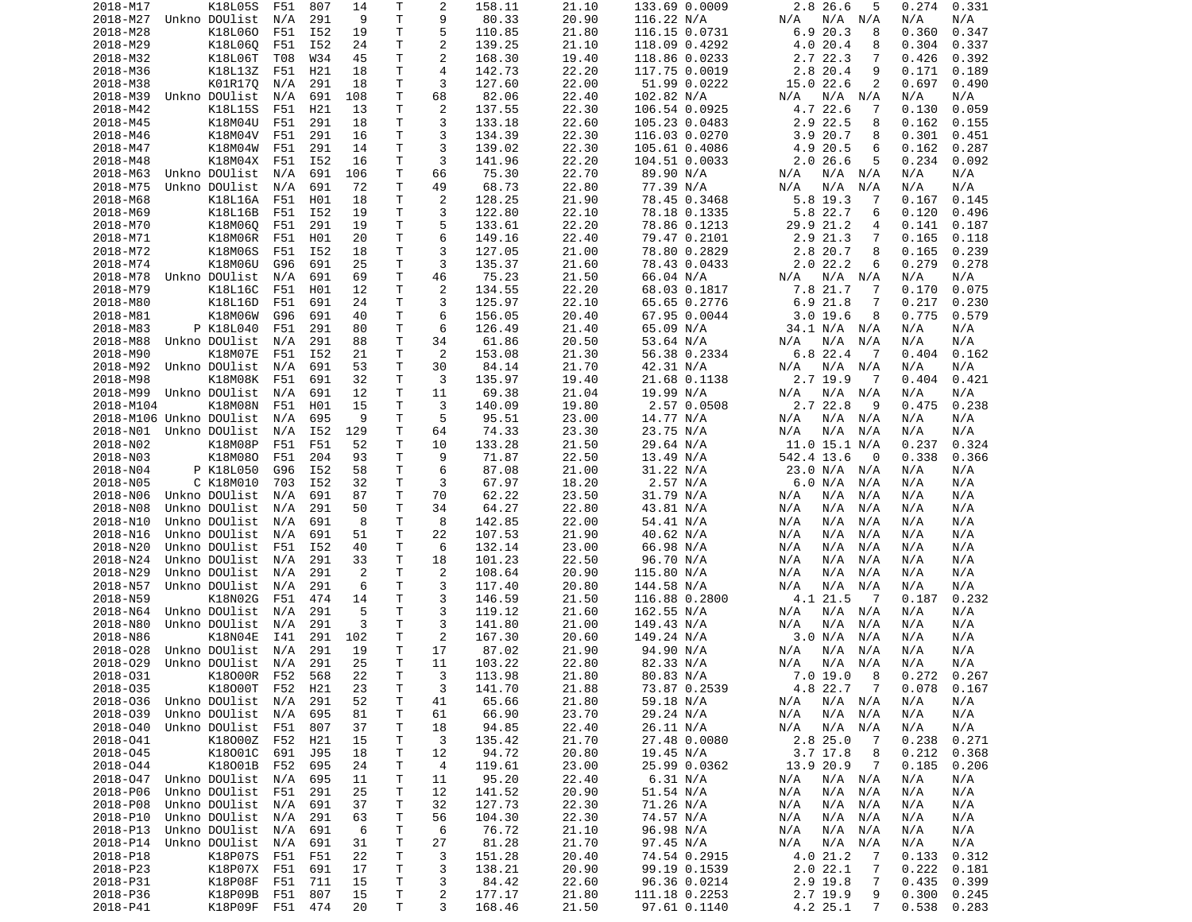| T<br>9<br>2018-M27<br>Unkno DOUlist<br>N/A<br>291<br>9<br>80.33<br>20.90<br>116.22 N/A<br>N/A<br>N/A<br>N/A<br>N/A<br>N/A<br>5<br>K18L060<br>F51<br>I52<br>T<br>110.85<br>21.80<br>116.15 0.0731<br>6.920.3<br>0.360<br>0.347<br>2018-M28<br>19<br>8<br>$\overline{\mathbf{c}}$<br>2018-M29<br>K18L060<br>I52<br>24<br>т<br>139.25<br>21.10<br>4.0 20.4<br>0.304<br>0.337<br>F51<br>118.09 0.4292<br>8<br>$\overline{c}$<br>2018-M32<br>K18L06T<br>W34<br>45<br>т<br>168.30<br>19.40<br>118.86 0.0233<br>2.7 22.3<br>0.392<br>T08<br>7<br>0.426<br>$\overline{4}$<br>2018-M36<br>K18L13Z<br>F51<br>H21<br>18<br>т<br>142.73<br>22.20<br>117.75 0.0019<br>2.8<br>20.4<br>9<br>0.171<br>0.189<br>3<br>K01R17Q<br>т<br>127.60<br>22.00<br>15.0 22.6<br>2<br>2018-M38<br>N/A<br>291<br>18<br>51.99 0.0222<br>0.697<br>0.490<br>Unkno DOUlist<br>691<br>108<br>т<br>68<br>82.06<br>22.40<br>102.82 N/A<br>N/A<br>N/A<br>2018-M39<br>N/A<br>N/A<br>N/A<br>N/A<br>$\overline{c}$<br>K18L15S<br>H21<br>т<br>137.55<br>22.30<br>106.54 0.0925<br>4.7 22.6<br>0.059<br>2018-M42<br>F51<br>13<br>7<br>0.130<br>3<br>2.9 22.5<br>2018-M45<br>K18M04U<br>291<br>т<br>133.18<br>22.60<br>0.162<br>0.155<br>F51<br>18<br>105.23 0.0483<br>8<br>T<br>3<br>2018-M46<br>K18M04V<br>F51<br>291<br>134.39<br>22.30<br>116.03 0.0270<br>3.9<br>20.7<br>0.301<br>16<br>8<br>0.451<br>3<br>2018-M47<br>K18M04W<br>F51<br>291<br>14<br>т<br>139.02<br>22.30<br>105.61 0.4086<br>4.9 20.5<br>0.162<br>0.287<br>6<br>T<br>3<br>2018-M48<br>K18M04X<br>F51<br>I52<br>16<br>141.96<br>22.20<br>104.51 0.0033<br>2.026.6<br>5<br>0.234<br>0.092<br>т<br>66<br>75.30<br>22.70<br>2018-M63<br>Unkno DOUlist<br>N/A<br>691<br>106<br>89.90 N/A<br>N/A<br>N/A<br>N/A<br>N/A<br>N/A<br>Unkno DOUlist<br>691<br>72<br>Τ<br>49<br>68.73<br>22.80<br>77.39 N/A<br>N/A<br>N/A<br>N/A<br>2018-M75<br>N/A<br>N/A<br>N/A<br>2018-M68<br>K18L16A<br>H01<br>т<br>2<br>128.25<br>21.90<br>78.45 0.3468<br>5.8 19.3<br>0.145<br>F51<br>18<br>7<br>0.167<br>3<br>2018-M69<br>K18L16B<br>I52<br>т<br>122.80<br>22.10<br>78.18 0.1335<br>5.8 22.7<br>0.120<br>F51<br>19<br>6<br>0.496<br>т<br>5<br>2018-M70<br>K18M06Q<br>F51<br>291<br>19<br>133.61<br>22.20<br>78.86 0.1213<br>29.9<br>21.2<br>0.141<br>0.187<br>4<br>6<br>2018-M71<br>K18M06R<br>H01<br>20<br>т<br>149.16<br>22.40<br>79.47 0.2101<br>2.9 21.3<br>7<br>0.165<br>F51<br>0.118<br>T<br>3<br>2.8 20.7<br>8<br>0.239<br>2018-M72<br>K18M06S<br>F51<br>I52<br>18<br>127.05<br>21.00<br>78.80 0.2829<br>0.165<br>т<br>3<br>K18M06U<br>G96<br>691<br>25<br>135.37<br>21.60<br>2.022.2<br>0.279<br>0.278<br>2018-M74<br>78.43 0.0433<br>6<br>т<br>Unkno DOUlist<br>N/A<br>691<br>69<br>46<br>75.23<br>21.50<br>66.04 N/A<br>N/A<br>N/A<br>N/A<br>N/A<br>2018-M78<br>N/A<br>$\overline{c}$<br>2018-M79<br>K18L16C<br>H01<br>Τ<br>134.55<br>22.20<br>68.03 0.1817<br>7.8 21.7<br>0.075<br>F51<br>12<br>7<br>0.170<br>2018-M80<br>K18L16D<br>F51<br>691<br>24<br>T<br>3<br>125.97<br>22.10<br>65.65 0.2776<br>6.921.8<br>0.217<br>0.230<br>7<br>2018-M81<br>K18M06W<br>G96<br>691<br>т<br>6<br>156.05<br>20.40<br>67.95 0.0044<br>3.019.6<br>0.775<br>0.579<br>40<br>8<br>2018-M83<br>P K18L040<br>F51<br>291<br>80<br>т<br>6<br>126.49<br>21.40<br>65.09 N/A<br>34.1 N/A<br>N/A<br>N/A<br>N/A<br>T<br>Unkno DOUlist<br>34<br>61.86<br>53.64 N/A<br>2018-M88<br>N/A<br>291<br>88<br>20.50<br>N/A<br>N/A<br>N/A<br>N/A<br>N/A<br>2<br>K18M07E<br>I52<br>21<br>т<br>153.08<br>21.30<br>56.38 0.2334<br>$6.8$ 22.4<br>2018-M90<br>F51<br>0.404<br>0.162<br>-7<br>2018-M92<br>Unkno DOUlist<br>N/A<br>691<br>53<br>т<br>30<br>84.14<br>21.70<br>42.31 N/A<br>N/A<br>N/A<br>N/A<br>N/A<br>N/A<br>K18M08K<br>32<br>т<br>3<br>135.97<br>21.68 0.1138<br>2.7 19.9<br>0.421<br>2018-M98<br>F51<br>691<br>19.40<br>-7<br>0.404<br>2018-M99<br>Unkno DOUlist<br>691<br>т<br>11<br>69.38<br>21.04<br>19.99 N/A<br>N/A<br>N/A<br>N/A<br>N/A<br>N/A<br>12<br>N/A<br>T<br>3<br>2.7 22.8<br>2018-M104<br>K18M08N<br>F51<br>H01<br>15<br>140.09<br>19.80<br>2.57 0.0508<br>9<br>0.475<br>0.238<br>5<br>2018-M106 Unkno DOUlist<br>695<br>9<br>т<br>95.51<br>23.00<br>14.77 N/A<br>N/A<br>N/A<br>N/A<br>N/A<br>N/A<br>N/A<br>т<br>74.33<br>23.75 N/A<br>2018-N01<br>Unkno DOUlist<br>I52<br>129<br>64<br>23.30<br>N/A<br>N/A<br>N/A<br>N/A<br>N/A<br>N/A<br>2018-N02<br>K18M08P<br>F51<br>52<br>Τ<br>10<br>133.28<br>21.50<br>29.64 N/A<br>11.0 15.1 N/A<br>0.237<br>0.324<br>F51<br>2018-N03<br>K18M080<br>F51<br>204<br>93<br>т<br>9<br>71.87<br>22.50<br>13.49 N/A<br>542.4 13.6<br>0.338<br>0.366<br>0<br>6<br>2018-N04<br>P K18L050<br>G96<br>I52<br>т<br>87.08<br>21.00<br>31.22 N/A<br>23.0 N/A<br>N/A<br>58<br>N/A<br>N/A<br>2018-N05<br>C K18M010<br>I52<br>32<br>т<br>3<br>67.97<br>18.20<br>2.57 N/A<br>N/A<br>703<br>6.0 N/A<br>N/A<br>N/A<br>T<br>2018-N06<br>Unkno DOUlist<br>691<br>87<br>70<br>62.22<br>23.50<br>31.79 N/A<br>N/A<br>N/A<br>N/A<br>N/A<br>N/A<br>N/A<br>т<br>34<br>64.27<br>22.80<br>43.81 N/A<br>2018-N08<br>Unkno DOUlist<br>N/A<br>291<br>50<br>N/A<br>N/A<br>N/A<br>N/A<br>N/A<br>T<br>8<br>2018-N10<br>Unkno DOUlist<br>691<br>8<br>142.85<br>22.00<br>54.41 N/A<br>N/A<br>N/A<br>N/A<br>N/A<br>N/A<br>N/A<br>т<br>2018-N16<br>Unkno DOUlist<br>N/A<br>691<br>51<br>22<br>107.53<br>21.90<br>40.62 N/A<br>N/A<br>N/A<br>N/A<br>N/A<br>N/A<br>6<br>2018-N20<br>Unkno DOUlist<br>F51<br>I52<br>т<br>132.14<br>23.00<br>66.98 N/A<br>N/A<br>N/A<br>N/A<br>40<br>N/A<br>N/A<br>Unkno DOUlist<br>291<br>33<br>т<br>18<br>101.23<br>22.50<br>N/A<br>2018-N24<br>96.70 N/A<br>N/A<br>N/A<br>N/A<br>N/A<br>N/A<br>2018-N29<br>Unkno DOUlist<br>291<br>2<br>Τ<br>2<br>108.64<br>20.90<br>115.80 N/A<br>N/A<br>N/A<br>N/A<br>N/A<br>N/A<br>N/A<br>т<br>3<br>2018-N57<br>Unkno DOUlist<br>291<br>6<br>117.40<br>20.80<br>144.58 N/A<br>N/A<br>N/A<br>N/A<br>N/A<br>N/A<br>N/A<br>т<br>3<br>146.59<br>4.1 21.5<br>0.232<br>2018-N59<br>K18N02G<br>F51<br>474<br>14<br>21.50<br>116.88 0.2800<br>- 7<br>0.187<br>3<br>2018-N64<br>Unkno DOUlist<br>291<br>5<br>Τ<br>162.55 N/A<br>N/A<br>N/A<br>N/A<br>119.12<br>21.60<br>N/A<br>N/A<br>N/A<br>3<br>Unkno DOUlist<br>291<br>3<br>т<br>141.80<br>21.00<br>149.43 N/A<br>N/A<br>N/A<br>2018-N80<br>N/A<br>N/A<br>N/A<br>N/A<br>$\overline{c}$<br>2018-N86<br>K18N04E<br>291<br>т<br>149.24 N/A<br>3.0 N/A<br>I41<br>102<br>167.30<br>20.60<br>N/A<br>N/A<br>N/A<br>Unkno DOUlist<br>291<br>T<br>17<br>2018-028<br>N/A<br>19<br>87.02<br>21.90<br>N/A<br>N/A<br>N/A<br>N/A<br>94.90 N/A<br>N/A<br>T<br>2018-029<br>Unkno DOUlist<br>N/A<br>291<br>25<br>11<br>103.22<br>82.33 N/A<br>22.80<br>N/A<br>N/A<br>N/A<br>N/A<br>N/A<br>2018-031<br>K18000R F52 568<br>22<br>T.<br>3<br>113.98<br>21.80<br>80.83 N/A<br>7.0 19.0<br>$_{\rm 8}$<br>0.272<br>0.267<br>3<br>2018-035<br>K18000T F52 H21<br>23<br>Τ<br>141.70<br>21.88<br>73.87 0.2539<br>4.8 22.7 7<br>0.078<br>0.167<br>2018-036<br>Unkno DOUlist<br>N/A<br>291<br>52<br>65.66<br>21.80<br>59.18 N/A<br>N/A N/A<br>N/A<br>N/A<br>Τ<br>41<br>N/A<br>66.90<br>23.70<br>2018-039<br>Unkno DOUlist<br>N/A<br>695<br>Τ<br>29.24 N/A<br>N/A N/A<br>N/A<br>N/A<br>81<br>61<br>N/A<br>2018-040<br>Unkno DOUlist<br>F51<br>37<br>94.85<br>22.40<br>26.11 N/A<br>N/A N/A<br>N/A<br>N/A<br>807<br>Τ<br>18<br>N/A<br>2018-041<br>K18000Z F52<br>H21<br>15<br>Τ<br>3<br>135.42<br>21.70<br>27.48 0.0080<br>2.825.0<br>0.238<br>0.271<br>-7<br>2018-045<br>K18001C<br>691<br>18<br>Τ<br>94.72<br>20.80<br>$3.7$ 17.8<br>0.212<br>J95<br>12<br>19.45 N/A<br>8<br>0.368<br>2018-044<br>K18001B<br>24<br>Τ<br>23.00<br>25.99 0.0362<br>13.9 20.9<br>0.185<br>F52<br>695<br>4<br>119.61<br>$\overline{7}$<br>0.206<br>Unkno DOUlist N/A<br>695<br>Τ<br>11<br>95.20<br>22.40<br>2018-047<br>11<br>6.31 N/A<br>N/A<br>N/A N/A<br>N/A<br>N/A<br>2018-P06<br>Unkno DOUlist<br>F51<br>291<br>25<br>T<br>12<br>141.52<br>20.90<br>51.54 N/A<br>N/A<br>N/A<br>N/A<br>N/A<br>N/A<br>22.30<br>2018-P08<br>Unkno DOUlist<br>N/A<br>691<br>37<br>T<br>32<br>127.73<br>71.26 N/A<br>N/A N/A<br>N/A<br>N/A<br>N/A<br>2018-P10<br>Unkno DOUlist<br>63<br>T<br>104.30<br>22.30<br>74.57 N/A<br>291<br>56<br>N/A<br>N/A N/A<br>N/A<br>N/A<br>N/A<br>2018-P13<br>Unkno DOUlist<br>N/A<br>691<br>6<br>Τ<br>6<br>76.72<br>21.10<br>96.98 N/A<br>N/A<br>N/A<br>N/A<br>N/A<br>N/A<br>2018-P14<br>Unkno DOUlist<br>691<br>31<br>T<br>81.28<br>21.70<br>97.45 N/A<br>N/A<br>N/A<br>N/A<br>27<br>N/A<br>N/A N/A<br>T<br>2018-P18<br>K18P07S<br>22<br>3<br>151.28<br>74.54 0.2915<br>4.0 21.2<br>0.133<br>0.312<br>F51<br>F51<br>20.40<br>-7<br>2018-P23<br>K18P07X<br>691<br>T<br>3<br>138.21<br>20.90<br>99.19 0.1539<br>2.022.1<br>0.222<br>F51<br>17<br>7<br>0.181<br>2018-P31<br>K18P08F<br>F51<br>15<br>T<br>3<br>84.42<br>22.60<br>96.36 0.0214<br>2.9 19.8<br>0.435<br>0.399<br>711<br>7<br>$\overline{c}$<br>2018-P36<br>K18P09B<br>F51<br>T.<br>177.17<br>21.80<br>111.18 0.2253<br>2.7 19.9<br>0.300<br>0.245<br>807<br>15<br>9<br>4.2 25.1<br>2018-P41<br>K18P09F F51 474<br>20<br>T.<br>3<br>168.46<br>21.50<br>97.61 0.1140<br>0.538<br>0.283<br>$7\phantom{.}$ | 2018-M17 | K18L05S | F51 | 807 | 14 | т | 2 | 158.11 | 21.10 | 133.69 0.0009 | 2.8 26.6<br>5 | 0.274 | 0.331 |
|------------------------------------------------------------------------------------------------------------------------------------------------------------------------------------------------------------------------------------------------------------------------------------------------------------------------------------------------------------------------------------------------------------------------------------------------------------------------------------------------------------------------------------------------------------------------------------------------------------------------------------------------------------------------------------------------------------------------------------------------------------------------------------------------------------------------------------------------------------------------------------------------------------------------------------------------------------------------------------------------------------------------------------------------------------------------------------------------------------------------------------------------------------------------------------------------------------------------------------------------------------------------------------------------------------------------------------------------------------------------------------------------------------------------------------------------------------------------------------------------------------------------------------------------------------------------------------------------------------------------------------------------------------------------------------------------------------------------------------------------------------------------------------------------------------------------------------------------------------------------------------------------------------------------------------------------------------------------------------------------------------------------------------------------------------------------------------------------------------------------------------------------------------------------------------------------------------------------------------------------------------------------------------------------------------------------------------------------------------------------------------------------------------------------------------------------------------------------------------------------------------------------------------------------------------------------------------------------------------------------------------------------------------------------------------------------------------------------------------------------------------------------------------------------------------------------------------------------------------------------------------------------------------------------------------------------------------------------------------------------------------------------------------------------------------------------------------------------------------------------------------------------------------------------------------------------------------------------------------------------------------------------------------------------------------------------------------------------------------------------------------------------------------------------------------------------------------------------------------------------------------------------------------------------------------------------------------------------------------------------------------------------------------------------------------------------------------------------------------------------------------------------------------------------------------------------------------------------------------------------------------------------------------------------------------------------------------------------------------------------------------------------------------------------------------------------------------------------------------------------------------------------------------------------------------------------------------------------------------------------------------------------------------------------------------------------------------------------------------------------------------------------------------------------------------------------------------------------------------------------------------------------------------------------------------------------------------------------------------------------------------------------------------------------------------------------------------------------------------------------------------------------------------------------------------------------------------------------------------------------------------------------------------------------------------------------------------------------------------------------------------------------------------------------------------------------------------------------------------------------------------------------------------------------------------------------------------------------------------------------------------------------------------------------------------------------------------------------------------------------------------------------------------------------------------------------------------------------------------------------------------------------------------------------------------------------------------------------------------------------------------------------------------------------------------------------------------------------------------------------------------------------------------------------------------------------------------------------------------------------------------------------------------------------------------------------------------------------------------------------------------------------------------------------------------------------------------------------------------------------------------------------------------------------------------------------------------------------------------------------------------------------------------------------------------------------------------------------------------------------------------------------------------------------------------------------------------------------------------------------------------------------------------------------------------------------------------------------------------------------------------------------------------------------------------------------------------------------------------------------------------------------------------------------------------------------------------------------------------------------------------------------------------------------------------------------------------------------------------------------------------------------------------------------------------------------------------------------------------------------------------------------------------------------------------------------------------------------------------------------------------------------------------------------------------------------------------------------------------------------------------------------------------------------------------------------------------------------------------------------------------------------------------------------------------------------------------------------------------------------------------------------------------------------------------------------------------------------------------------------------------------------------------------------------------------------------------------------------------------------------------------------------------------------------------------------------------------------------------------------------------------------------------------------------------------------------------------------------------------------------------------------------------------------------------------------------------------------------------------------------------------------------------------------------------------------------------------------------------------------------------------------------------------------------------------------------------------------------------------------------------------------------------------------------------------------------------------------------------------------------------------------------------------------------------------------------------------------------------------------------------------------------------------------------------------------------------------------------------------------------------------------------------------------------------------------------------------------------------------------------------------------------------------------------------------------------------------------------------------------------------------------------|----------|---------|-----|-----|----|---|---|--------|-------|---------------|---------------|-------|-------|
|                                                                                                                                                                                                                                                                                                                                                                                                                                                                                                                                                                                                                                                                                                                                                                                                                                                                                                                                                                                                                                                                                                                                                                                                                                                                                                                                                                                                                                                                                                                                                                                                                                                                                                                                                                                                                                                                                                                                                                                                                                                                                                                                                                                                                                                                                                                                                                                                                                                                                                                                                                                                                                                                                                                                                                                                                                                                                                                                                                                                                                                                                                                                                                                                                                                                                                                                                                                                                                                                                                                                                                                                                                                                                                                                                                                                                                                                                                                                                                                                                                                                                                                                                                                                                                                                                                                                                                                                                                                                                                                                                                                                                                                                                                                                                                                                                                                                                                                                                                                                                                                                                                                                                                                                                                                                                                                                                                                                                                                                                                                                                                                                                                                                                                                                                                                                                                                                                                                                                                                                                                                                                                                                                                                                                                                                                                                                                                                                                                                                                                                                                                                                                                                                                                                                                                                                                                                                                                                                                                                                                                                                                                                                                                                                                                                                                                                                                                                                                                                                                                                                                                                                                                                                                                                                                                                                                                                                                                                                                                                                                                                                                                                                                                                                                                                                                                                                                                                                                                                                                                                                                                                                                                                                                                                                                                                                                                                                                                                                                                                                                                                                                                                                                      |          |         |     |     |    |   |   |        |       |               |               |       |       |
|                                                                                                                                                                                                                                                                                                                                                                                                                                                                                                                                                                                                                                                                                                                                                                                                                                                                                                                                                                                                                                                                                                                                                                                                                                                                                                                                                                                                                                                                                                                                                                                                                                                                                                                                                                                                                                                                                                                                                                                                                                                                                                                                                                                                                                                                                                                                                                                                                                                                                                                                                                                                                                                                                                                                                                                                                                                                                                                                                                                                                                                                                                                                                                                                                                                                                                                                                                                                                                                                                                                                                                                                                                                                                                                                                                                                                                                                                                                                                                                                                                                                                                                                                                                                                                                                                                                                                                                                                                                                                                                                                                                                                                                                                                                                                                                                                                                                                                                                                                                                                                                                                                                                                                                                                                                                                                                                                                                                                                                                                                                                                                                                                                                                                                                                                                                                                                                                                                                                                                                                                                                                                                                                                                                                                                                                                                                                                                                                                                                                                                                                                                                                                                                                                                                                                                                                                                                                                                                                                                                                                                                                                                                                                                                                                                                                                                                                                                                                                                                                                                                                                                                                                                                                                                                                                                                                                                                                                                                                                                                                                                                                                                                                                                                                                                                                                                                                                                                                                                                                                                                                                                                                                                                                                                                                                                                                                                                                                                                                                                                                                                                                                                                                                      |          |         |     |     |    |   |   |        |       |               |               |       |       |
|                                                                                                                                                                                                                                                                                                                                                                                                                                                                                                                                                                                                                                                                                                                                                                                                                                                                                                                                                                                                                                                                                                                                                                                                                                                                                                                                                                                                                                                                                                                                                                                                                                                                                                                                                                                                                                                                                                                                                                                                                                                                                                                                                                                                                                                                                                                                                                                                                                                                                                                                                                                                                                                                                                                                                                                                                                                                                                                                                                                                                                                                                                                                                                                                                                                                                                                                                                                                                                                                                                                                                                                                                                                                                                                                                                                                                                                                                                                                                                                                                                                                                                                                                                                                                                                                                                                                                                                                                                                                                                                                                                                                                                                                                                                                                                                                                                                                                                                                                                                                                                                                                                                                                                                                                                                                                                                                                                                                                                                                                                                                                                                                                                                                                                                                                                                                                                                                                                                                                                                                                                                                                                                                                                                                                                                                                                                                                                                                                                                                                                                                                                                                                                                                                                                                                                                                                                                                                                                                                                                                                                                                                                                                                                                                                                                                                                                                                                                                                                                                                                                                                                                                                                                                                                                                                                                                                                                                                                                                                                                                                                                                                                                                                                                                                                                                                                                                                                                                                                                                                                                                                                                                                                                                                                                                                                                                                                                                                                                                                                                                                                                                                                                                                      |          |         |     |     |    |   |   |        |       |               |               |       |       |
|                                                                                                                                                                                                                                                                                                                                                                                                                                                                                                                                                                                                                                                                                                                                                                                                                                                                                                                                                                                                                                                                                                                                                                                                                                                                                                                                                                                                                                                                                                                                                                                                                                                                                                                                                                                                                                                                                                                                                                                                                                                                                                                                                                                                                                                                                                                                                                                                                                                                                                                                                                                                                                                                                                                                                                                                                                                                                                                                                                                                                                                                                                                                                                                                                                                                                                                                                                                                                                                                                                                                                                                                                                                                                                                                                                                                                                                                                                                                                                                                                                                                                                                                                                                                                                                                                                                                                                                                                                                                                                                                                                                                                                                                                                                                                                                                                                                                                                                                                                                                                                                                                                                                                                                                                                                                                                                                                                                                                                                                                                                                                                                                                                                                                                                                                                                                                                                                                                                                                                                                                                                                                                                                                                                                                                                                                                                                                                                                                                                                                                                                                                                                                                                                                                                                                                                                                                                                                                                                                                                                                                                                                                                                                                                                                                                                                                                                                                                                                                                                                                                                                                                                                                                                                                                                                                                                                                                                                                                                                                                                                                                                                                                                                                                                                                                                                                                                                                                                                                                                                                                                                                                                                                                                                                                                                                                                                                                                                                                                                                                                                                                                                                                                                      |          |         |     |     |    |   |   |        |       |               |               |       |       |
|                                                                                                                                                                                                                                                                                                                                                                                                                                                                                                                                                                                                                                                                                                                                                                                                                                                                                                                                                                                                                                                                                                                                                                                                                                                                                                                                                                                                                                                                                                                                                                                                                                                                                                                                                                                                                                                                                                                                                                                                                                                                                                                                                                                                                                                                                                                                                                                                                                                                                                                                                                                                                                                                                                                                                                                                                                                                                                                                                                                                                                                                                                                                                                                                                                                                                                                                                                                                                                                                                                                                                                                                                                                                                                                                                                                                                                                                                                                                                                                                                                                                                                                                                                                                                                                                                                                                                                                                                                                                                                                                                                                                                                                                                                                                                                                                                                                                                                                                                                                                                                                                                                                                                                                                                                                                                                                                                                                                                                                                                                                                                                                                                                                                                                                                                                                                                                                                                                                                                                                                                                                                                                                                                                                                                                                                                                                                                                                                                                                                                                                                                                                                                                                                                                                                                                                                                                                                                                                                                                                                                                                                                                                                                                                                                                                                                                                                                                                                                                                                                                                                                                                                                                                                                                                                                                                                                                                                                                                                                                                                                                                                                                                                                                                                                                                                                                                                                                                                                                                                                                                                                                                                                                                                                                                                                                                                                                                                                                                                                                                                                                                                                                                                                      |          |         |     |     |    |   |   |        |       |               |               |       |       |
|                                                                                                                                                                                                                                                                                                                                                                                                                                                                                                                                                                                                                                                                                                                                                                                                                                                                                                                                                                                                                                                                                                                                                                                                                                                                                                                                                                                                                                                                                                                                                                                                                                                                                                                                                                                                                                                                                                                                                                                                                                                                                                                                                                                                                                                                                                                                                                                                                                                                                                                                                                                                                                                                                                                                                                                                                                                                                                                                                                                                                                                                                                                                                                                                                                                                                                                                                                                                                                                                                                                                                                                                                                                                                                                                                                                                                                                                                                                                                                                                                                                                                                                                                                                                                                                                                                                                                                                                                                                                                                                                                                                                                                                                                                                                                                                                                                                                                                                                                                                                                                                                                                                                                                                                                                                                                                                                                                                                                                                                                                                                                                                                                                                                                                                                                                                                                                                                                                                                                                                                                                                                                                                                                                                                                                                                                                                                                                                                                                                                                                                                                                                                                                                                                                                                                                                                                                                                                                                                                                                                                                                                                                                                                                                                                                                                                                                                                                                                                                                                                                                                                                                                                                                                                                                                                                                                                                                                                                                                                                                                                                                                                                                                                                                                                                                                                                                                                                                                                                                                                                                                                                                                                                                                                                                                                                                                                                                                                                                                                                                                                                                                                                                                                      |          |         |     |     |    |   |   |        |       |               |               |       |       |
|                                                                                                                                                                                                                                                                                                                                                                                                                                                                                                                                                                                                                                                                                                                                                                                                                                                                                                                                                                                                                                                                                                                                                                                                                                                                                                                                                                                                                                                                                                                                                                                                                                                                                                                                                                                                                                                                                                                                                                                                                                                                                                                                                                                                                                                                                                                                                                                                                                                                                                                                                                                                                                                                                                                                                                                                                                                                                                                                                                                                                                                                                                                                                                                                                                                                                                                                                                                                                                                                                                                                                                                                                                                                                                                                                                                                                                                                                                                                                                                                                                                                                                                                                                                                                                                                                                                                                                                                                                                                                                                                                                                                                                                                                                                                                                                                                                                                                                                                                                                                                                                                                                                                                                                                                                                                                                                                                                                                                                                                                                                                                                                                                                                                                                                                                                                                                                                                                                                                                                                                                                                                                                                                                                                                                                                                                                                                                                                                                                                                                                                                                                                                                                                                                                                                                                                                                                                                                                                                                                                                                                                                                                                                                                                                                                                                                                                                                                                                                                                                                                                                                                                                                                                                                                                                                                                                                                                                                                                                                                                                                                                                                                                                                                                                                                                                                                                                                                                                                                                                                                                                                                                                                                                                                                                                                                                                                                                                                                                                                                                                                                                                                                                                                      |          |         |     |     |    |   |   |        |       |               |               |       |       |
|                                                                                                                                                                                                                                                                                                                                                                                                                                                                                                                                                                                                                                                                                                                                                                                                                                                                                                                                                                                                                                                                                                                                                                                                                                                                                                                                                                                                                                                                                                                                                                                                                                                                                                                                                                                                                                                                                                                                                                                                                                                                                                                                                                                                                                                                                                                                                                                                                                                                                                                                                                                                                                                                                                                                                                                                                                                                                                                                                                                                                                                                                                                                                                                                                                                                                                                                                                                                                                                                                                                                                                                                                                                                                                                                                                                                                                                                                                                                                                                                                                                                                                                                                                                                                                                                                                                                                                                                                                                                                                                                                                                                                                                                                                                                                                                                                                                                                                                                                                                                                                                                                                                                                                                                                                                                                                                                                                                                                                                                                                                                                                                                                                                                                                                                                                                                                                                                                                                                                                                                                                                                                                                                                                                                                                                                                                                                                                                                                                                                                                                                                                                                                                                                                                                                                                                                                                                                                                                                                                                                                                                                                                                                                                                                                                                                                                                                                                                                                                                                                                                                                                                                                                                                                                                                                                                                                                                                                                                                                                                                                                                                                                                                                                                                                                                                                                                                                                                                                                                                                                                                                                                                                                                                                                                                                                                                                                                                                                                                                                                                                                                                                                                                                      |          |         |     |     |    |   |   |        |       |               |               |       |       |
|                                                                                                                                                                                                                                                                                                                                                                                                                                                                                                                                                                                                                                                                                                                                                                                                                                                                                                                                                                                                                                                                                                                                                                                                                                                                                                                                                                                                                                                                                                                                                                                                                                                                                                                                                                                                                                                                                                                                                                                                                                                                                                                                                                                                                                                                                                                                                                                                                                                                                                                                                                                                                                                                                                                                                                                                                                                                                                                                                                                                                                                                                                                                                                                                                                                                                                                                                                                                                                                                                                                                                                                                                                                                                                                                                                                                                                                                                                                                                                                                                                                                                                                                                                                                                                                                                                                                                                                                                                                                                                                                                                                                                                                                                                                                                                                                                                                                                                                                                                                                                                                                                                                                                                                                                                                                                                                                                                                                                                                                                                                                                                                                                                                                                                                                                                                                                                                                                                                                                                                                                                                                                                                                                                                                                                                                                                                                                                                                                                                                                                                                                                                                                                                                                                                                                                                                                                                                                                                                                                                                                                                                                                                                                                                                                                                                                                                                                                                                                                                                                                                                                                                                                                                                                                                                                                                                                                                                                                                                                                                                                                                                                                                                                                                                                                                                                                                                                                                                                                                                                                                                                                                                                                                                                                                                                                                                                                                                                                                                                                                                                                                                                                                                                      |          |         |     |     |    |   |   |        |       |               |               |       |       |
|                                                                                                                                                                                                                                                                                                                                                                                                                                                                                                                                                                                                                                                                                                                                                                                                                                                                                                                                                                                                                                                                                                                                                                                                                                                                                                                                                                                                                                                                                                                                                                                                                                                                                                                                                                                                                                                                                                                                                                                                                                                                                                                                                                                                                                                                                                                                                                                                                                                                                                                                                                                                                                                                                                                                                                                                                                                                                                                                                                                                                                                                                                                                                                                                                                                                                                                                                                                                                                                                                                                                                                                                                                                                                                                                                                                                                                                                                                                                                                                                                                                                                                                                                                                                                                                                                                                                                                                                                                                                                                                                                                                                                                                                                                                                                                                                                                                                                                                                                                                                                                                                                                                                                                                                                                                                                                                                                                                                                                                                                                                                                                                                                                                                                                                                                                                                                                                                                                                                                                                                                                                                                                                                                                                                                                                                                                                                                                                                                                                                                                                                                                                                                                                                                                                                                                                                                                                                                                                                                                                                                                                                                                                                                                                                                                                                                                                                                                                                                                                                                                                                                                                                                                                                                                                                                                                                                                                                                                                                                                                                                                                                                                                                                                                                                                                                                                                                                                                                                                                                                                                                                                                                                                                                                                                                                                                                                                                                                                                                                                                                                                                                                                                                                      |          |         |     |     |    |   |   |        |       |               |               |       |       |
|                                                                                                                                                                                                                                                                                                                                                                                                                                                                                                                                                                                                                                                                                                                                                                                                                                                                                                                                                                                                                                                                                                                                                                                                                                                                                                                                                                                                                                                                                                                                                                                                                                                                                                                                                                                                                                                                                                                                                                                                                                                                                                                                                                                                                                                                                                                                                                                                                                                                                                                                                                                                                                                                                                                                                                                                                                                                                                                                                                                                                                                                                                                                                                                                                                                                                                                                                                                                                                                                                                                                                                                                                                                                                                                                                                                                                                                                                                                                                                                                                                                                                                                                                                                                                                                                                                                                                                                                                                                                                                                                                                                                                                                                                                                                                                                                                                                                                                                                                                                                                                                                                                                                                                                                                                                                                                                                                                                                                                                                                                                                                                                                                                                                                                                                                                                                                                                                                                                                                                                                                                                                                                                                                                                                                                                                                                                                                                                                                                                                                                                                                                                                                                                                                                                                                                                                                                                                                                                                                                                                                                                                                                                                                                                                                                                                                                                                                                                                                                                                                                                                                                                                                                                                                                                                                                                                                                                                                                                                                                                                                                                                                                                                                                                                                                                                                                                                                                                                                                                                                                                                                                                                                                                                                                                                                                                                                                                                                                                                                                                                                                                                                                                                                      |          |         |     |     |    |   |   |        |       |               |               |       |       |
|                                                                                                                                                                                                                                                                                                                                                                                                                                                                                                                                                                                                                                                                                                                                                                                                                                                                                                                                                                                                                                                                                                                                                                                                                                                                                                                                                                                                                                                                                                                                                                                                                                                                                                                                                                                                                                                                                                                                                                                                                                                                                                                                                                                                                                                                                                                                                                                                                                                                                                                                                                                                                                                                                                                                                                                                                                                                                                                                                                                                                                                                                                                                                                                                                                                                                                                                                                                                                                                                                                                                                                                                                                                                                                                                                                                                                                                                                                                                                                                                                                                                                                                                                                                                                                                                                                                                                                                                                                                                                                                                                                                                                                                                                                                                                                                                                                                                                                                                                                                                                                                                                                                                                                                                                                                                                                                                                                                                                                                                                                                                                                                                                                                                                                                                                                                                                                                                                                                                                                                                                                                                                                                                                                                                                                                                                                                                                                                                                                                                                                                                                                                                                                                                                                                                                                                                                                                                                                                                                                                                                                                                                                                                                                                                                                                                                                                                                                                                                                                                                                                                                                                                                                                                                                                                                                                                                                                                                                                                                                                                                                                                                                                                                                                                                                                                                                                                                                                                                                                                                                                                                                                                                                                                                                                                                                                                                                                                                                                                                                                                                                                                                                                                                      |          |         |     |     |    |   |   |        |       |               |               |       |       |
|                                                                                                                                                                                                                                                                                                                                                                                                                                                                                                                                                                                                                                                                                                                                                                                                                                                                                                                                                                                                                                                                                                                                                                                                                                                                                                                                                                                                                                                                                                                                                                                                                                                                                                                                                                                                                                                                                                                                                                                                                                                                                                                                                                                                                                                                                                                                                                                                                                                                                                                                                                                                                                                                                                                                                                                                                                                                                                                                                                                                                                                                                                                                                                                                                                                                                                                                                                                                                                                                                                                                                                                                                                                                                                                                                                                                                                                                                                                                                                                                                                                                                                                                                                                                                                                                                                                                                                                                                                                                                                                                                                                                                                                                                                                                                                                                                                                                                                                                                                                                                                                                                                                                                                                                                                                                                                                                                                                                                                                                                                                                                                                                                                                                                                                                                                                                                                                                                                                                                                                                                                                                                                                                                                                                                                                                                                                                                                                                                                                                                                                                                                                                                                                                                                                                                                                                                                                                                                                                                                                                                                                                                                                                                                                                                                                                                                                                                                                                                                                                                                                                                                                                                                                                                                                                                                                                                                                                                                                                                                                                                                                                                                                                                                                                                                                                                                                                                                                                                                                                                                                                                                                                                                                                                                                                                                                                                                                                                                                                                                                                                                                                                                                                                      |          |         |     |     |    |   |   |        |       |               |               |       |       |
|                                                                                                                                                                                                                                                                                                                                                                                                                                                                                                                                                                                                                                                                                                                                                                                                                                                                                                                                                                                                                                                                                                                                                                                                                                                                                                                                                                                                                                                                                                                                                                                                                                                                                                                                                                                                                                                                                                                                                                                                                                                                                                                                                                                                                                                                                                                                                                                                                                                                                                                                                                                                                                                                                                                                                                                                                                                                                                                                                                                                                                                                                                                                                                                                                                                                                                                                                                                                                                                                                                                                                                                                                                                                                                                                                                                                                                                                                                                                                                                                                                                                                                                                                                                                                                                                                                                                                                                                                                                                                                                                                                                                                                                                                                                                                                                                                                                                                                                                                                                                                                                                                                                                                                                                                                                                                                                                                                                                                                                                                                                                                                                                                                                                                                                                                                                                                                                                                                                                                                                                                                                                                                                                                                                                                                                                                                                                                                                                                                                                                                                                                                                                                                                                                                                                                                                                                                                                                                                                                                                                                                                                                                                                                                                                                                                                                                                                                                                                                                                                                                                                                                                                                                                                                                                                                                                                                                                                                                                                                                                                                                                                                                                                                                                                                                                                                                                                                                                                                                                                                                                                                                                                                                                                                                                                                                                                                                                                                                                                                                                                                                                                                                                                                      |          |         |     |     |    |   |   |        |       |               |               |       |       |
|                                                                                                                                                                                                                                                                                                                                                                                                                                                                                                                                                                                                                                                                                                                                                                                                                                                                                                                                                                                                                                                                                                                                                                                                                                                                                                                                                                                                                                                                                                                                                                                                                                                                                                                                                                                                                                                                                                                                                                                                                                                                                                                                                                                                                                                                                                                                                                                                                                                                                                                                                                                                                                                                                                                                                                                                                                                                                                                                                                                                                                                                                                                                                                                                                                                                                                                                                                                                                                                                                                                                                                                                                                                                                                                                                                                                                                                                                                                                                                                                                                                                                                                                                                                                                                                                                                                                                                                                                                                                                                                                                                                                                                                                                                                                                                                                                                                                                                                                                                                                                                                                                                                                                                                                                                                                                                                                                                                                                                                                                                                                                                                                                                                                                                                                                                                                                                                                                                                                                                                                                                                                                                                                                                                                                                                                                                                                                                                                                                                                                                                                                                                                                                                                                                                                                                                                                                                                                                                                                                                                                                                                                                                                                                                                                                                                                                                                                                                                                                                                                                                                                                                                                                                                                                                                                                                                                                                                                                                                                                                                                                                                                                                                                                                                                                                                                                                                                                                                                                                                                                                                                                                                                                                                                                                                                                                                                                                                                                                                                                                                                                                                                                                                                      |          |         |     |     |    |   |   |        |       |               |               |       |       |
|                                                                                                                                                                                                                                                                                                                                                                                                                                                                                                                                                                                                                                                                                                                                                                                                                                                                                                                                                                                                                                                                                                                                                                                                                                                                                                                                                                                                                                                                                                                                                                                                                                                                                                                                                                                                                                                                                                                                                                                                                                                                                                                                                                                                                                                                                                                                                                                                                                                                                                                                                                                                                                                                                                                                                                                                                                                                                                                                                                                                                                                                                                                                                                                                                                                                                                                                                                                                                                                                                                                                                                                                                                                                                                                                                                                                                                                                                                                                                                                                                                                                                                                                                                                                                                                                                                                                                                                                                                                                                                                                                                                                                                                                                                                                                                                                                                                                                                                                                                                                                                                                                                                                                                                                                                                                                                                                                                                                                                                                                                                                                                                                                                                                                                                                                                                                                                                                                                                                                                                                                                                                                                                                                                                                                                                                                                                                                                                                                                                                                                                                                                                                                                                                                                                                                                                                                                                                                                                                                                                                                                                                                                                                                                                                                                                                                                                                                                                                                                                                                                                                                                                                                                                                                                                                                                                                                                                                                                                                                                                                                                                                                                                                                                                                                                                                                                                                                                                                                                                                                                                                                                                                                                                                                                                                                                                                                                                                                                                                                                                                                                                                                                                                                      |          |         |     |     |    |   |   |        |       |               |               |       |       |
|                                                                                                                                                                                                                                                                                                                                                                                                                                                                                                                                                                                                                                                                                                                                                                                                                                                                                                                                                                                                                                                                                                                                                                                                                                                                                                                                                                                                                                                                                                                                                                                                                                                                                                                                                                                                                                                                                                                                                                                                                                                                                                                                                                                                                                                                                                                                                                                                                                                                                                                                                                                                                                                                                                                                                                                                                                                                                                                                                                                                                                                                                                                                                                                                                                                                                                                                                                                                                                                                                                                                                                                                                                                                                                                                                                                                                                                                                                                                                                                                                                                                                                                                                                                                                                                                                                                                                                                                                                                                                                                                                                                                                                                                                                                                                                                                                                                                                                                                                                                                                                                                                                                                                                                                                                                                                                                                                                                                                                                                                                                                                                                                                                                                                                                                                                                                                                                                                                                                                                                                                                                                                                                                                                                                                                                                                                                                                                                                                                                                                                                                                                                                                                                                                                                                                                                                                                                                                                                                                                                                                                                                                                                                                                                                                                                                                                                                                                                                                                                                                                                                                                                                                                                                                                                                                                                                                                                                                                                                                                                                                                                                                                                                                                                                                                                                                                                                                                                                                                                                                                                                                                                                                                                                                                                                                                                                                                                                                                                                                                                                                                                                                                                                                      |          |         |     |     |    |   |   |        |       |               |               |       |       |
|                                                                                                                                                                                                                                                                                                                                                                                                                                                                                                                                                                                                                                                                                                                                                                                                                                                                                                                                                                                                                                                                                                                                                                                                                                                                                                                                                                                                                                                                                                                                                                                                                                                                                                                                                                                                                                                                                                                                                                                                                                                                                                                                                                                                                                                                                                                                                                                                                                                                                                                                                                                                                                                                                                                                                                                                                                                                                                                                                                                                                                                                                                                                                                                                                                                                                                                                                                                                                                                                                                                                                                                                                                                                                                                                                                                                                                                                                                                                                                                                                                                                                                                                                                                                                                                                                                                                                                                                                                                                                                                                                                                                                                                                                                                                                                                                                                                                                                                                                                                                                                                                                                                                                                                                                                                                                                                                                                                                                                                                                                                                                                                                                                                                                                                                                                                                                                                                                                                                                                                                                                                                                                                                                                                                                                                                                                                                                                                                                                                                                                                                                                                                                                                                                                                                                                                                                                                                                                                                                                                                                                                                                                                                                                                                                                                                                                                                                                                                                                                                                                                                                                                                                                                                                                                                                                                                                                                                                                                                                                                                                                                                                                                                                                                                                                                                                                                                                                                                                                                                                                                                                                                                                                                                                                                                                                                                                                                                                                                                                                                                                                                                                                                                                      |          |         |     |     |    |   |   |        |       |               |               |       |       |
|                                                                                                                                                                                                                                                                                                                                                                                                                                                                                                                                                                                                                                                                                                                                                                                                                                                                                                                                                                                                                                                                                                                                                                                                                                                                                                                                                                                                                                                                                                                                                                                                                                                                                                                                                                                                                                                                                                                                                                                                                                                                                                                                                                                                                                                                                                                                                                                                                                                                                                                                                                                                                                                                                                                                                                                                                                                                                                                                                                                                                                                                                                                                                                                                                                                                                                                                                                                                                                                                                                                                                                                                                                                                                                                                                                                                                                                                                                                                                                                                                                                                                                                                                                                                                                                                                                                                                                                                                                                                                                                                                                                                                                                                                                                                                                                                                                                                                                                                                                                                                                                                                                                                                                                                                                                                                                                                                                                                                                                                                                                                                                                                                                                                                                                                                                                                                                                                                                                                                                                                                                                                                                                                                                                                                                                                                                                                                                                                                                                                                                                                                                                                                                                                                                                                                                                                                                                                                                                                                                                                                                                                                                                                                                                                                                                                                                                                                                                                                                                                                                                                                                                                                                                                                                                                                                                                                                                                                                                                                                                                                                                                                                                                                                                                                                                                                                                                                                                                                                                                                                                                                                                                                                                                                                                                                                                                                                                                                                                                                                                                                                                                                                                                                      |          |         |     |     |    |   |   |        |       |               |               |       |       |
|                                                                                                                                                                                                                                                                                                                                                                                                                                                                                                                                                                                                                                                                                                                                                                                                                                                                                                                                                                                                                                                                                                                                                                                                                                                                                                                                                                                                                                                                                                                                                                                                                                                                                                                                                                                                                                                                                                                                                                                                                                                                                                                                                                                                                                                                                                                                                                                                                                                                                                                                                                                                                                                                                                                                                                                                                                                                                                                                                                                                                                                                                                                                                                                                                                                                                                                                                                                                                                                                                                                                                                                                                                                                                                                                                                                                                                                                                                                                                                                                                                                                                                                                                                                                                                                                                                                                                                                                                                                                                                                                                                                                                                                                                                                                                                                                                                                                                                                                                                                                                                                                                                                                                                                                                                                                                                                                                                                                                                                                                                                                                                                                                                                                                                                                                                                                                                                                                                                                                                                                                                                                                                                                                                                                                                                                                                                                                                                                                                                                                                                                                                                                                                                                                                                                                                                                                                                                                                                                                                                                                                                                                                                                                                                                                                                                                                                                                                                                                                                                                                                                                                                                                                                                                                                                                                                                                                                                                                                                                                                                                                                                                                                                                                                                                                                                                                                                                                                                                                                                                                                                                                                                                                                                                                                                                                                                                                                                                                                                                                                                                                                                                                                                                      |          |         |     |     |    |   |   |        |       |               |               |       |       |
|                                                                                                                                                                                                                                                                                                                                                                                                                                                                                                                                                                                                                                                                                                                                                                                                                                                                                                                                                                                                                                                                                                                                                                                                                                                                                                                                                                                                                                                                                                                                                                                                                                                                                                                                                                                                                                                                                                                                                                                                                                                                                                                                                                                                                                                                                                                                                                                                                                                                                                                                                                                                                                                                                                                                                                                                                                                                                                                                                                                                                                                                                                                                                                                                                                                                                                                                                                                                                                                                                                                                                                                                                                                                                                                                                                                                                                                                                                                                                                                                                                                                                                                                                                                                                                                                                                                                                                                                                                                                                                                                                                                                                                                                                                                                                                                                                                                                                                                                                                                                                                                                                                                                                                                                                                                                                                                                                                                                                                                                                                                                                                                                                                                                                                                                                                                                                                                                                                                                                                                                                                                                                                                                                                                                                                                                                                                                                                                                                                                                                                                                                                                                                                                                                                                                                                                                                                                                                                                                                                                                                                                                                                                                                                                                                                                                                                                                                                                                                                                                                                                                                                                                                                                                                                                                                                                                                                                                                                                                                                                                                                                                                                                                                                                                                                                                                                                                                                                                                                                                                                                                                                                                                                                                                                                                                                                                                                                                                                                                                                                                                                                                                                                                                      |          |         |     |     |    |   |   |        |       |               |               |       |       |
|                                                                                                                                                                                                                                                                                                                                                                                                                                                                                                                                                                                                                                                                                                                                                                                                                                                                                                                                                                                                                                                                                                                                                                                                                                                                                                                                                                                                                                                                                                                                                                                                                                                                                                                                                                                                                                                                                                                                                                                                                                                                                                                                                                                                                                                                                                                                                                                                                                                                                                                                                                                                                                                                                                                                                                                                                                                                                                                                                                                                                                                                                                                                                                                                                                                                                                                                                                                                                                                                                                                                                                                                                                                                                                                                                                                                                                                                                                                                                                                                                                                                                                                                                                                                                                                                                                                                                                                                                                                                                                                                                                                                                                                                                                                                                                                                                                                                                                                                                                                                                                                                                                                                                                                                                                                                                                                                                                                                                                                                                                                                                                                                                                                                                                                                                                                                                                                                                                                                                                                                                                                                                                                                                                                                                                                                                                                                                                                                                                                                                                                                                                                                                                                                                                                                                                                                                                                                                                                                                                                                                                                                                                                                                                                                                                                                                                                                                                                                                                                                                                                                                                                                                                                                                                                                                                                                                                                                                                                                                                                                                                                                                                                                                                                                                                                                                                                                                                                                                                                                                                                                                                                                                                                                                                                                                                                                                                                                                                                                                                                                                                                                                                                                                      |          |         |     |     |    |   |   |        |       |               |               |       |       |
|                                                                                                                                                                                                                                                                                                                                                                                                                                                                                                                                                                                                                                                                                                                                                                                                                                                                                                                                                                                                                                                                                                                                                                                                                                                                                                                                                                                                                                                                                                                                                                                                                                                                                                                                                                                                                                                                                                                                                                                                                                                                                                                                                                                                                                                                                                                                                                                                                                                                                                                                                                                                                                                                                                                                                                                                                                                                                                                                                                                                                                                                                                                                                                                                                                                                                                                                                                                                                                                                                                                                                                                                                                                                                                                                                                                                                                                                                                                                                                                                                                                                                                                                                                                                                                                                                                                                                                                                                                                                                                                                                                                                                                                                                                                                                                                                                                                                                                                                                                                                                                                                                                                                                                                                                                                                                                                                                                                                                                                                                                                                                                                                                                                                                                                                                                                                                                                                                                                                                                                                                                                                                                                                                                                                                                                                                                                                                                                                                                                                                                                                                                                                                                                                                                                                                                                                                                                                                                                                                                                                                                                                                                                                                                                                                                                                                                                                                                                                                                                                                                                                                                                                                                                                                                                                                                                                                                                                                                                                                                                                                                                                                                                                                                                                                                                                                                                                                                                                                                                                                                                                                                                                                                                                                                                                                                                                                                                                                                                                                                                                                                                                                                                                                      |          |         |     |     |    |   |   |        |       |               |               |       |       |
|                                                                                                                                                                                                                                                                                                                                                                                                                                                                                                                                                                                                                                                                                                                                                                                                                                                                                                                                                                                                                                                                                                                                                                                                                                                                                                                                                                                                                                                                                                                                                                                                                                                                                                                                                                                                                                                                                                                                                                                                                                                                                                                                                                                                                                                                                                                                                                                                                                                                                                                                                                                                                                                                                                                                                                                                                                                                                                                                                                                                                                                                                                                                                                                                                                                                                                                                                                                                                                                                                                                                                                                                                                                                                                                                                                                                                                                                                                                                                                                                                                                                                                                                                                                                                                                                                                                                                                                                                                                                                                                                                                                                                                                                                                                                                                                                                                                                                                                                                                                                                                                                                                                                                                                                                                                                                                                                                                                                                                                                                                                                                                                                                                                                                                                                                                                                                                                                                                                                                                                                                                                                                                                                                                                                                                                                                                                                                                                                                                                                                                                                                                                                                                                                                                                                                                                                                                                                                                                                                                                                                                                                                                                                                                                                                                                                                                                                                                                                                                                                                                                                                                                                                                                                                                                                                                                                                                                                                                                                                                                                                                                                                                                                                                                                                                                                                                                                                                                                                                                                                                                                                                                                                                                                                                                                                                                                                                                                                                                                                                                                                                                                                                                                                      |          |         |     |     |    |   |   |        |       |               |               |       |       |
|                                                                                                                                                                                                                                                                                                                                                                                                                                                                                                                                                                                                                                                                                                                                                                                                                                                                                                                                                                                                                                                                                                                                                                                                                                                                                                                                                                                                                                                                                                                                                                                                                                                                                                                                                                                                                                                                                                                                                                                                                                                                                                                                                                                                                                                                                                                                                                                                                                                                                                                                                                                                                                                                                                                                                                                                                                                                                                                                                                                                                                                                                                                                                                                                                                                                                                                                                                                                                                                                                                                                                                                                                                                                                                                                                                                                                                                                                                                                                                                                                                                                                                                                                                                                                                                                                                                                                                                                                                                                                                                                                                                                                                                                                                                                                                                                                                                                                                                                                                                                                                                                                                                                                                                                                                                                                                                                                                                                                                                                                                                                                                                                                                                                                                                                                                                                                                                                                                                                                                                                                                                                                                                                                                                                                                                                                                                                                                                                                                                                                                                                                                                                                                                                                                                                                                                                                                                                                                                                                                                                                                                                                                                                                                                                                                                                                                                                                                                                                                                                                                                                                                                                                                                                                                                                                                                                                                                                                                                                                                                                                                                                                                                                                                                                                                                                                                                                                                                                                                                                                                                                                                                                                                                                                                                                                                                                                                                                                                                                                                                                                                                                                                                                                      |          |         |     |     |    |   |   |        |       |               |               |       |       |
|                                                                                                                                                                                                                                                                                                                                                                                                                                                                                                                                                                                                                                                                                                                                                                                                                                                                                                                                                                                                                                                                                                                                                                                                                                                                                                                                                                                                                                                                                                                                                                                                                                                                                                                                                                                                                                                                                                                                                                                                                                                                                                                                                                                                                                                                                                                                                                                                                                                                                                                                                                                                                                                                                                                                                                                                                                                                                                                                                                                                                                                                                                                                                                                                                                                                                                                                                                                                                                                                                                                                                                                                                                                                                                                                                                                                                                                                                                                                                                                                                                                                                                                                                                                                                                                                                                                                                                                                                                                                                                                                                                                                                                                                                                                                                                                                                                                                                                                                                                                                                                                                                                                                                                                                                                                                                                                                                                                                                                                                                                                                                                                                                                                                                                                                                                                                                                                                                                                                                                                                                                                                                                                                                                                                                                                                                                                                                                                                                                                                                                                                                                                                                                                                                                                                                                                                                                                                                                                                                                                                                                                                                                                                                                                                                                                                                                                                                                                                                                                                                                                                                                                                                                                                                                                                                                                                                                                                                                                                                                                                                                                                                                                                                                                                                                                                                                                                                                                                                                                                                                                                                                                                                                                                                                                                                                                                                                                                                                                                                                                                                                                                                                                                                      |          |         |     |     |    |   |   |        |       |               |               |       |       |
|                                                                                                                                                                                                                                                                                                                                                                                                                                                                                                                                                                                                                                                                                                                                                                                                                                                                                                                                                                                                                                                                                                                                                                                                                                                                                                                                                                                                                                                                                                                                                                                                                                                                                                                                                                                                                                                                                                                                                                                                                                                                                                                                                                                                                                                                                                                                                                                                                                                                                                                                                                                                                                                                                                                                                                                                                                                                                                                                                                                                                                                                                                                                                                                                                                                                                                                                                                                                                                                                                                                                                                                                                                                                                                                                                                                                                                                                                                                                                                                                                                                                                                                                                                                                                                                                                                                                                                                                                                                                                                                                                                                                                                                                                                                                                                                                                                                                                                                                                                                                                                                                                                                                                                                                                                                                                                                                                                                                                                                                                                                                                                                                                                                                                                                                                                                                                                                                                                                                                                                                                                                                                                                                                                                                                                                                                                                                                                                                                                                                                                                                                                                                                                                                                                                                                                                                                                                                                                                                                                                                                                                                                                                                                                                                                                                                                                                                                                                                                                                                                                                                                                                                                                                                                                                                                                                                                                                                                                                                                                                                                                                                                                                                                                                                                                                                                                                                                                                                                                                                                                                                                                                                                                                                                                                                                                                                                                                                                                                                                                                                                                                                                                                                                      |          |         |     |     |    |   |   |        |       |               |               |       |       |
|                                                                                                                                                                                                                                                                                                                                                                                                                                                                                                                                                                                                                                                                                                                                                                                                                                                                                                                                                                                                                                                                                                                                                                                                                                                                                                                                                                                                                                                                                                                                                                                                                                                                                                                                                                                                                                                                                                                                                                                                                                                                                                                                                                                                                                                                                                                                                                                                                                                                                                                                                                                                                                                                                                                                                                                                                                                                                                                                                                                                                                                                                                                                                                                                                                                                                                                                                                                                                                                                                                                                                                                                                                                                                                                                                                                                                                                                                                                                                                                                                                                                                                                                                                                                                                                                                                                                                                                                                                                                                                                                                                                                                                                                                                                                                                                                                                                                                                                                                                                                                                                                                                                                                                                                                                                                                                                                                                                                                                                                                                                                                                                                                                                                                                                                                                                                                                                                                                                                                                                                                                                                                                                                                                                                                                                                                                                                                                                                                                                                                                                                                                                                                                                                                                                                                                                                                                                                                                                                                                                                                                                                                                                                                                                                                                                                                                                                                                                                                                                                                                                                                                                                                                                                                                                                                                                                                                                                                                                                                                                                                                                                                                                                                                                                                                                                                                                                                                                                                                                                                                                                                                                                                                                                                                                                                                                                                                                                                                                                                                                                                                                                                                                                                      |          |         |     |     |    |   |   |        |       |               |               |       |       |
|                                                                                                                                                                                                                                                                                                                                                                                                                                                                                                                                                                                                                                                                                                                                                                                                                                                                                                                                                                                                                                                                                                                                                                                                                                                                                                                                                                                                                                                                                                                                                                                                                                                                                                                                                                                                                                                                                                                                                                                                                                                                                                                                                                                                                                                                                                                                                                                                                                                                                                                                                                                                                                                                                                                                                                                                                                                                                                                                                                                                                                                                                                                                                                                                                                                                                                                                                                                                                                                                                                                                                                                                                                                                                                                                                                                                                                                                                                                                                                                                                                                                                                                                                                                                                                                                                                                                                                                                                                                                                                                                                                                                                                                                                                                                                                                                                                                                                                                                                                                                                                                                                                                                                                                                                                                                                                                                                                                                                                                                                                                                                                                                                                                                                                                                                                                                                                                                                                                                                                                                                                                                                                                                                                                                                                                                                                                                                                                                                                                                                                                                                                                                                                                                                                                                                                                                                                                                                                                                                                                                                                                                                                                                                                                                                                                                                                                                                                                                                                                                                                                                                                                                                                                                                                                                                                                                                                                                                                                                                                                                                                                                                                                                                                                                                                                                                                                                                                                                                                                                                                                                                                                                                                                                                                                                                                                                                                                                                                                                                                                                                                                                                                                                                      |          |         |     |     |    |   |   |        |       |               |               |       |       |
|                                                                                                                                                                                                                                                                                                                                                                                                                                                                                                                                                                                                                                                                                                                                                                                                                                                                                                                                                                                                                                                                                                                                                                                                                                                                                                                                                                                                                                                                                                                                                                                                                                                                                                                                                                                                                                                                                                                                                                                                                                                                                                                                                                                                                                                                                                                                                                                                                                                                                                                                                                                                                                                                                                                                                                                                                                                                                                                                                                                                                                                                                                                                                                                                                                                                                                                                                                                                                                                                                                                                                                                                                                                                                                                                                                                                                                                                                                                                                                                                                                                                                                                                                                                                                                                                                                                                                                                                                                                                                                                                                                                                                                                                                                                                                                                                                                                                                                                                                                                                                                                                                                                                                                                                                                                                                                                                                                                                                                                                                                                                                                                                                                                                                                                                                                                                                                                                                                                                                                                                                                                                                                                                                                                                                                                                                                                                                                                                                                                                                                                                                                                                                                                                                                                                                                                                                                                                                                                                                                                                                                                                                                                                                                                                                                                                                                                                                                                                                                                                                                                                                                                                                                                                                                                                                                                                                                                                                                                                                                                                                                                                                                                                                                                                                                                                                                                                                                                                                                                                                                                                                                                                                                                                                                                                                                                                                                                                                                                                                                                                                                                                                                                                                      |          |         |     |     |    |   |   |        |       |               |               |       |       |
|                                                                                                                                                                                                                                                                                                                                                                                                                                                                                                                                                                                                                                                                                                                                                                                                                                                                                                                                                                                                                                                                                                                                                                                                                                                                                                                                                                                                                                                                                                                                                                                                                                                                                                                                                                                                                                                                                                                                                                                                                                                                                                                                                                                                                                                                                                                                                                                                                                                                                                                                                                                                                                                                                                                                                                                                                                                                                                                                                                                                                                                                                                                                                                                                                                                                                                                                                                                                                                                                                                                                                                                                                                                                                                                                                                                                                                                                                                                                                                                                                                                                                                                                                                                                                                                                                                                                                                                                                                                                                                                                                                                                                                                                                                                                                                                                                                                                                                                                                                                                                                                                                                                                                                                                                                                                                                                                                                                                                                                                                                                                                                                                                                                                                                                                                                                                                                                                                                                                                                                                                                                                                                                                                                                                                                                                                                                                                                                                                                                                                                                                                                                                                                                                                                                                                                                                                                                                                                                                                                                                                                                                                                                                                                                                                                                                                                                                                                                                                                                                                                                                                                                                                                                                                                                                                                                                                                                                                                                                                                                                                                                                                                                                                                                                                                                                                                                                                                                                                                                                                                                                                                                                                                                                                                                                                                                                                                                                                                                                                                                                                                                                                                                                                      |          |         |     |     |    |   |   |        |       |               |               |       |       |
|                                                                                                                                                                                                                                                                                                                                                                                                                                                                                                                                                                                                                                                                                                                                                                                                                                                                                                                                                                                                                                                                                                                                                                                                                                                                                                                                                                                                                                                                                                                                                                                                                                                                                                                                                                                                                                                                                                                                                                                                                                                                                                                                                                                                                                                                                                                                                                                                                                                                                                                                                                                                                                                                                                                                                                                                                                                                                                                                                                                                                                                                                                                                                                                                                                                                                                                                                                                                                                                                                                                                                                                                                                                                                                                                                                                                                                                                                                                                                                                                                                                                                                                                                                                                                                                                                                                                                                                                                                                                                                                                                                                                                                                                                                                                                                                                                                                                                                                                                                                                                                                                                                                                                                                                                                                                                                                                                                                                                                                                                                                                                                                                                                                                                                                                                                                                                                                                                                                                                                                                                                                                                                                                                                                                                                                                                                                                                                                                                                                                                                                                                                                                                                                                                                                                                                                                                                                                                                                                                                                                                                                                                                                                                                                                                                                                                                                                                                                                                                                                                                                                                                                                                                                                                                                                                                                                                                                                                                                                                                                                                                                                                                                                                                                                                                                                                                                                                                                                                                                                                                                                                                                                                                                                                                                                                                                                                                                                                                                                                                                                                                                                                                                                                      |          |         |     |     |    |   |   |        |       |               |               |       |       |
|                                                                                                                                                                                                                                                                                                                                                                                                                                                                                                                                                                                                                                                                                                                                                                                                                                                                                                                                                                                                                                                                                                                                                                                                                                                                                                                                                                                                                                                                                                                                                                                                                                                                                                                                                                                                                                                                                                                                                                                                                                                                                                                                                                                                                                                                                                                                                                                                                                                                                                                                                                                                                                                                                                                                                                                                                                                                                                                                                                                                                                                                                                                                                                                                                                                                                                                                                                                                                                                                                                                                                                                                                                                                                                                                                                                                                                                                                                                                                                                                                                                                                                                                                                                                                                                                                                                                                                                                                                                                                                                                                                                                                                                                                                                                                                                                                                                                                                                                                                                                                                                                                                                                                                                                                                                                                                                                                                                                                                                                                                                                                                                                                                                                                                                                                                                                                                                                                                                                                                                                                                                                                                                                                                                                                                                                                                                                                                                                                                                                                                                                                                                                                                                                                                                                                                                                                                                                                                                                                                                                                                                                                                                                                                                                                                                                                                                                                                                                                                                                                                                                                                                                                                                                                                                                                                                                                                                                                                                                                                                                                                                                                                                                                                                                                                                                                                                                                                                                                                                                                                                                                                                                                                                                                                                                                                                                                                                                                                                                                                                                                                                                                                                                                      |          |         |     |     |    |   |   |        |       |               |               |       |       |
|                                                                                                                                                                                                                                                                                                                                                                                                                                                                                                                                                                                                                                                                                                                                                                                                                                                                                                                                                                                                                                                                                                                                                                                                                                                                                                                                                                                                                                                                                                                                                                                                                                                                                                                                                                                                                                                                                                                                                                                                                                                                                                                                                                                                                                                                                                                                                                                                                                                                                                                                                                                                                                                                                                                                                                                                                                                                                                                                                                                                                                                                                                                                                                                                                                                                                                                                                                                                                                                                                                                                                                                                                                                                                                                                                                                                                                                                                                                                                                                                                                                                                                                                                                                                                                                                                                                                                                                                                                                                                                                                                                                                                                                                                                                                                                                                                                                                                                                                                                                                                                                                                                                                                                                                                                                                                                                                                                                                                                                                                                                                                                                                                                                                                                                                                                                                                                                                                                                                                                                                                                                                                                                                                                                                                                                                                                                                                                                                                                                                                                                                                                                                                                                                                                                                                                                                                                                                                                                                                                                                                                                                                                                                                                                                                                                                                                                                                                                                                                                                                                                                                                                                                                                                                                                                                                                                                                                                                                                                                                                                                                                                                                                                                                                                                                                                                                                                                                                                                                                                                                                                                                                                                                                                                                                                                                                                                                                                                                                                                                                                                                                                                                                                                      |          |         |     |     |    |   |   |        |       |               |               |       |       |
|                                                                                                                                                                                                                                                                                                                                                                                                                                                                                                                                                                                                                                                                                                                                                                                                                                                                                                                                                                                                                                                                                                                                                                                                                                                                                                                                                                                                                                                                                                                                                                                                                                                                                                                                                                                                                                                                                                                                                                                                                                                                                                                                                                                                                                                                                                                                                                                                                                                                                                                                                                                                                                                                                                                                                                                                                                                                                                                                                                                                                                                                                                                                                                                                                                                                                                                                                                                                                                                                                                                                                                                                                                                                                                                                                                                                                                                                                                                                                                                                                                                                                                                                                                                                                                                                                                                                                                                                                                                                                                                                                                                                                                                                                                                                                                                                                                                                                                                                                                                                                                                                                                                                                                                                                                                                                                                                                                                                                                                                                                                                                                                                                                                                                                                                                                                                                                                                                                                                                                                                                                                                                                                                                                                                                                                                                                                                                                                                                                                                                                                                                                                                                                                                                                                                                                                                                                                                                                                                                                                                                                                                                                                                                                                                                                                                                                                                                                                                                                                                                                                                                                                                                                                                                                                                                                                                                                                                                                                                                                                                                                                                                                                                                                                                                                                                                                                                                                                                                                                                                                                                                                                                                                                                                                                                                                                                                                                                                                                                                                                                                                                                                                                                                      |          |         |     |     |    |   |   |        |       |               |               |       |       |
|                                                                                                                                                                                                                                                                                                                                                                                                                                                                                                                                                                                                                                                                                                                                                                                                                                                                                                                                                                                                                                                                                                                                                                                                                                                                                                                                                                                                                                                                                                                                                                                                                                                                                                                                                                                                                                                                                                                                                                                                                                                                                                                                                                                                                                                                                                                                                                                                                                                                                                                                                                                                                                                                                                                                                                                                                                                                                                                                                                                                                                                                                                                                                                                                                                                                                                                                                                                                                                                                                                                                                                                                                                                                                                                                                                                                                                                                                                                                                                                                                                                                                                                                                                                                                                                                                                                                                                                                                                                                                                                                                                                                                                                                                                                                                                                                                                                                                                                                                                                                                                                                                                                                                                                                                                                                                                                                                                                                                                                                                                                                                                                                                                                                                                                                                                                                                                                                                                                                                                                                                                                                                                                                                                                                                                                                                                                                                                                                                                                                                                                                                                                                                                                                                                                                                                                                                                                                                                                                                                                                                                                                                                                                                                                                                                                                                                                                                                                                                                                                                                                                                                                                                                                                                                                                                                                                                                                                                                                                                                                                                                                                                                                                                                                                                                                                                                                                                                                                                                                                                                                                                                                                                                                                                                                                                                                                                                                                                                                                                                                                                                                                                                                                                      |          |         |     |     |    |   |   |        |       |               |               |       |       |
|                                                                                                                                                                                                                                                                                                                                                                                                                                                                                                                                                                                                                                                                                                                                                                                                                                                                                                                                                                                                                                                                                                                                                                                                                                                                                                                                                                                                                                                                                                                                                                                                                                                                                                                                                                                                                                                                                                                                                                                                                                                                                                                                                                                                                                                                                                                                                                                                                                                                                                                                                                                                                                                                                                                                                                                                                                                                                                                                                                                                                                                                                                                                                                                                                                                                                                                                                                                                                                                                                                                                                                                                                                                                                                                                                                                                                                                                                                                                                                                                                                                                                                                                                                                                                                                                                                                                                                                                                                                                                                                                                                                                                                                                                                                                                                                                                                                                                                                                                                                                                                                                                                                                                                                                                                                                                                                                                                                                                                                                                                                                                                                                                                                                                                                                                                                                                                                                                                                                                                                                                                                                                                                                                                                                                                                                                                                                                                                                                                                                                                                                                                                                                                                                                                                                                                                                                                                                                                                                                                                                                                                                                                                                                                                                                                                                                                                                                                                                                                                                                                                                                                                                                                                                                                                                                                                                                                                                                                                                                                                                                                                                                                                                                                                                                                                                                                                                                                                                                                                                                                                                                                                                                                                                                                                                                                                                                                                                                                                                                                                                                                                                                                                                                      |          |         |     |     |    |   |   |        |       |               |               |       |       |
|                                                                                                                                                                                                                                                                                                                                                                                                                                                                                                                                                                                                                                                                                                                                                                                                                                                                                                                                                                                                                                                                                                                                                                                                                                                                                                                                                                                                                                                                                                                                                                                                                                                                                                                                                                                                                                                                                                                                                                                                                                                                                                                                                                                                                                                                                                                                                                                                                                                                                                                                                                                                                                                                                                                                                                                                                                                                                                                                                                                                                                                                                                                                                                                                                                                                                                                                                                                                                                                                                                                                                                                                                                                                                                                                                                                                                                                                                                                                                                                                                                                                                                                                                                                                                                                                                                                                                                                                                                                                                                                                                                                                                                                                                                                                                                                                                                                                                                                                                                                                                                                                                                                                                                                                                                                                                                                                                                                                                                                                                                                                                                                                                                                                                                                                                                                                                                                                                                                                                                                                                                                                                                                                                                                                                                                                                                                                                                                                                                                                                                                                                                                                                                                                                                                                                                                                                                                                                                                                                                                                                                                                                                                                                                                                                                                                                                                                                                                                                                                                                                                                                                                                                                                                                                                                                                                                                                                                                                                                                                                                                                                                                                                                                                                                                                                                                                                                                                                                                                                                                                                                                                                                                                                                                                                                                                                                                                                                                                                                                                                                                                                                                                                                                      |          |         |     |     |    |   |   |        |       |               |               |       |       |
|                                                                                                                                                                                                                                                                                                                                                                                                                                                                                                                                                                                                                                                                                                                                                                                                                                                                                                                                                                                                                                                                                                                                                                                                                                                                                                                                                                                                                                                                                                                                                                                                                                                                                                                                                                                                                                                                                                                                                                                                                                                                                                                                                                                                                                                                                                                                                                                                                                                                                                                                                                                                                                                                                                                                                                                                                                                                                                                                                                                                                                                                                                                                                                                                                                                                                                                                                                                                                                                                                                                                                                                                                                                                                                                                                                                                                                                                                                                                                                                                                                                                                                                                                                                                                                                                                                                                                                                                                                                                                                                                                                                                                                                                                                                                                                                                                                                                                                                                                                                                                                                                                                                                                                                                                                                                                                                                                                                                                                                                                                                                                                                                                                                                                                                                                                                                                                                                                                                                                                                                                                                                                                                                                                                                                                                                                                                                                                                                                                                                                                                                                                                                                                                                                                                                                                                                                                                                                                                                                                                                                                                                                                                                                                                                                                                                                                                                                                                                                                                                                                                                                                                                                                                                                                                                                                                                                                                                                                                                                                                                                                                                                                                                                                                                                                                                                                                                                                                                                                                                                                                                                                                                                                                                                                                                                                                                                                                                                                                                                                                                                                                                                                                                                      |          |         |     |     |    |   |   |        |       |               |               |       |       |
|                                                                                                                                                                                                                                                                                                                                                                                                                                                                                                                                                                                                                                                                                                                                                                                                                                                                                                                                                                                                                                                                                                                                                                                                                                                                                                                                                                                                                                                                                                                                                                                                                                                                                                                                                                                                                                                                                                                                                                                                                                                                                                                                                                                                                                                                                                                                                                                                                                                                                                                                                                                                                                                                                                                                                                                                                                                                                                                                                                                                                                                                                                                                                                                                                                                                                                                                                                                                                                                                                                                                                                                                                                                                                                                                                                                                                                                                                                                                                                                                                                                                                                                                                                                                                                                                                                                                                                                                                                                                                                                                                                                                                                                                                                                                                                                                                                                                                                                                                                                                                                                                                                                                                                                                                                                                                                                                                                                                                                                                                                                                                                                                                                                                                                                                                                                                                                                                                                                                                                                                                                                                                                                                                                                                                                                                                                                                                                                                                                                                                                                                                                                                                                                                                                                                                                                                                                                                                                                                                                                                                                                                                                                                                                                                                                                                                                                                                                                                                                                                                                                                                                                                                                                                                                                                                                                                                                                                                                                                                                                                                                                                                                                                                                                                                                                                                                                                                                                                                                                                                                                                                                                                                                                                                                                                                                                                                                                                                                                                                                                                                                                                                                                                                      |          |         |     |     |    |   |   |        |       |               |               |       |       |
|                                                                                                                                                                                                                                                                                                                                                                                                                                                                                                                                                                                                                                                                                                                                                                                                                                                                                                                                                                                                                                                                                                                                                                                                                                                                                                                                                                                                                                                                                                                                                                                                                                                                                                                                                                                                                                                                                                                                                                                                                                                                                                                                                                                                                                                                                                                                                                                                                                                                                                                                                                                                                                                                                                                                                                                                                                                                                                                                                                                                                                                                                                                                                                                                                                                                                                                                                                                                                                                                                                                                                                                                                                                                                                                                                                                                                                                                                                                                                                                                                                                                                                                                                                                                                                                                                                                                                                                                                                                                                                                                                                                                                                                                                                                                                                                                                                                                                                                                                                                                                                                                                                                                                                                                                                                                                                                                                                                                                                                                                                                                                                                                                                                                                                                                                                                                                                                                                                                                                                                                                                                                                                                                                                                                                                                                                                                                                                                                                                                                                                                                                                                                                                                                                                                                                                                                                                                                                                                                                                                                                                                                                                                                                                                                                                                                                                                                                                                                                                                                                                                                                                                                                                                                                                                                                                                                                                                                                                                                                                                                                                                                                                                                                                                                                                                                                                                                                                                                                                                                                                                                                                                                                                                                                                                                                                                                                                                                                                                                                                                                                                                                                                                                                      |          |         |     |     |    |   |   |        |       |               |               |       |       |
|                                                                                                                                                                                                                                                                                                                                                                                                                                                                                                                                                                                                                                                                                                                                                                                                                                                                                                                                                                                                                                                                                                                                                                                                                                                                                                                                                                                                                                                                                                                                                                                                                                                                                                                                                                                                                                                                                                                                                                                                                                                                                                                                                                                                                                                                                                                                                                                                                                                                                                                                                                                                                                                                                                                                                                                                                                                                                                                                                                                                                                                                                                                                                                                                                                                                                                                                                                                                                                                                                                                                                                                                                                                                                                                                                                                                                                                                                                                                                                                                                                                                                                                                                                                                                                                                                                                                                                                                                                                                                                                                                                                                                                                                                                                                                                                                                                                                                                                                                                                                                                                                                                                                                                                                                                                                                                                                                                                                                                                                                                                                                                                                                                                                                                                                                                                                                                                                                                                                                                                                                                                                                                                                                                                                                                                                                                                                                                                                                                                                                                                                                                                                                                                                                                                                                                                                                                                                                                                                                                                                                                                                                                                                                                                                                                                                                                                                                                                                                                                                                                                                                                                                                                                                                                                                                                                                                                                                                                                                                                                                                                                                                                                                                                                                                                                                                                                                                                                                                                                                                                                                                                                                                                                                                                                                                                                                                                                                                                                                                                                                                                                                                                                                                      |          |         |     |     |    |   |   |        |       |               |               |       |       |
|                                                                                                                                                                                                                                                                                                                                                                                                                                                                                                                                                                                                                                                                                                                                                                                                                                                                                                                                                                                                                                                                                                                                                                                                                                                                                                                                                                                                                                                                                                                                                                                                                                                                                                                                                                                                                                                                                                                                                                                                                                                                                                                                                                                                                                                                                                                                                                                                                                                                                                                                                                                                                                                                                                                                                                                                                                                                                                                                                                                                                                                                                                                                                                                                                                                                                                                                                                                                                                                                                                                                                                                                                                                                                                                                                                                                                                                                                                                                                                                                                                                                                                                                                                                                                                                                                                                                                                                                                                                                                                                                                                                                                                                                                                                                                                                                                                                                                                                                                                                                                                                                                                                                                                                                                                                                                                                                                                                                                                                                                                                                                                                                                                                                                                                                                                                                                                                                                                                                                                                                                                                                                                                                                                                                                                                                                                                                                                                                                                                                                                                                                                                                                                                                                                                                                                                                                                                                                                                                                                                                                                                                                                                                                                                                                                                                                                                                                                                                                                                                                                                                                                                                                                                                                                                                                                                                                                                                                                                                                                                                                                                                                                                                                                                                                                                                                                                                                                                                                                                                                                                                                                                                                                                                                                                                                                                                                                                                                                                                                                                                                                                                                                                                                      |          |         |     |     |    |   |   |        |       |               |               |       |       |
|                                                                                                                                                                                                                                                                                                                                                                                                                                                                                                                                                                                                                                                                                                                                                                                                                                                                                                                                                                                                                                                                                                                                                                                                                                                                                                                                                                                                                                                                                                                                                                                                                                                                                                                                                                                                                                                                                                                                                                                                                                                                                                                                                                                                                                                                                                                                                                                                                                                                                                                                                                                                                                                                                                                                                                                                                                                                                                                                                                                                                                                                                                                                                                                                                                                                                                                                                                                                                                                                                                                                                                                                                                                                                                                                                                                                                                                                                                                                                                                                                                                                                                                                                                                                                                                                                                                                                                                                                                                                                                                                                                                                                                                                                                                                                                                                                                                                                                                                                                                                                                                                                                                                                                                                                                                                                                                                                                                                                                                                                                                                                                                                                                                                                                                                                                                                                                                                                                                                                                                                                                                                                                                                                                                                                                                                                                                                                                                                                                                                                                                                                                                                                                                                                                                                                                                                                                                                                                                                                                                                                                                                                                                                                                                                                                                                                                                                                                                                                                                                                                                                                                                                                                                                                                                                                                                                                                                                                                                                                                                                                                                                                                                                                                                                                                                                                                                                                                                                                                                                                                                                                                                                                                                                                                                                                                                                                                                                                                                                                                                                                                                                                                                                                      |          |         |     |     |    |   |   |        |       |               |               |       |       |
|                                                                                                                                                                                                                                                                                                                                                                                                                                                                                                                                                                                                                                                                                                                                                                                                                                                                                                                                                                                                                                                                                                                                                                                                                                                                                                                                                                                                                                                                                                                                                                                                                                                                                                                                                                                                                                                                                                                                                                                                                                                                                                                                                                                                                                                                                                                                                                                                                                                                                                                                                                                                                                                                                                                                                                                                                                                                                                                                                                                                                                                                                                                                                                                                                                                                                                                                                                                                                                                                                                                                                                                                                                                                                                                                                                                                                                                                                                                                                                                                                                                                                                                                                                                                                                                                                                                                                                                                                                                                                                                                                                                                                                                                                                                                                                                                                                                                                                                                                                                                                                                                                                                                                                                                                                                                                                                                                                                                                                                                                                                                                                                                                                                                                                                                                                                                                                                                                                                                                                                                                                                                                                                                                                                                                                                                                                                                                                                                                                                                                                                                                                                                                                                                                                                                                                                                                                                                                                                                                                                                                                                                                                                                                                                                                                                                                                                                                                                                                                                                                                                                                                                                                                                                                                                                                                                                                                                                                                                                                                                                                                                                                                                                                                                                                                                                                                                                                                                                                                                                                                                                                                                                                                                                                                                                                                                                                                                                                                                                                                                                                                                                                                                                                      |          |         |     |     |    |   |   |        |       |               |               |       |       |
|                                                                                                                                                                                                                                                                                                                                                                                                                                                                                                                                                                                                                                                                                                                                                                                                                                                                                                                                                                                                                                                                                                                                                                                                                                                                                                                                                                                                                                                                                                                                                                                                                                                                                                                                                                                                                                                                                                                                                                                                                                                                                                                                                                                                                                                                                                                                                                                                                                                                                                                                                                                                                                                                                                                                                                                                                                                                                                                                                                                                                                                                                                                                                                                                                                                                                                                                                                                                                                                                                                                                                                                                                                                                                                                                                                                                                                                                                                                                                                                                                                                                                                                                                                                                                                                                                                                                                                                                                                                                                                                                                                                                                                                                                                                                                                                                                                                                                                                                                                                                                                                                                                                                                                                                                                                                                                                                                                                                                                                                                                                                                                                                                                                                                                                                                                                                                                                                                                                                                                                                                                                                                                                                                                                                                                                                                                                                                                                                                                                                                                                                                                                                                                                                                                                                                                                                                                                                                                                                                                                                                                                                                                                                                                                                                                                                                                                                                                                                                                                                                                                                                                                                                                                                                                                                                                                                                                                                                                                                                                                                                                                                                                                                                                                                                                                                                                                                                                                                                                                                                                                                                                                                                                                                                                                                                                                                                                                                                                                                                                                                                                                                                                                                                      |          |         |     |     |    |   |   |        |       |               |               |       |       |
|                                                                                                                                                                                                                                                                                                                                                                                                                                                                                                                                                                                                                                                                                                                                                                                                                                                                                                                                                                                                                                                                                                                                                                                                                                                                                                                                                                                                                                                                                                                                                                                                                                                                                                                                                                                                                                                                                                                                                                                                                                                                                                                                                                                                                                                                                                                                                                                                                                                                                                                                                                                                                                                                                                                                                                                                                                                                                                                                                                                                                                                                                                                                                                                                                                                                                                                                                                                                                                                                                                                                                                                                                                                                                                                                                                                                                                                                                                                                                                                                                                                                                                                                                                                                                                                                                                                                                                                                                                                                                                                                                                                                                                                                                                                                                                                                                                                                                                                                                                                                                                                                                                                                                                                                                                                                                                                                                                                                                                                                                                                                                                                                                                                                                                                                                                                                                                                                                                                                                                                                                                                                                                                                                                                                                                                                                                                                                                                                                                                                                                                                                                                                                                                                                                                                                                                                                                                                                                                                                                                                                                                                                                                                                                                                                                                                                                                                                                                                                                                                                                                                                                                                                                                                                                                                                                                                                                                                                                                                                                                                                                                                                                                                                                                                                                                                                                                                                                                                                                                                                                                                                                                                                                                                                                                                                                                                                                                                                                                                                                                                                                                                                                                                                      |          |         |     |     |    |   |   |        |       |               |               |       |       |
|                                                                                                                                                                                                                                                                                                                                                                                                                                                                                                                                                                                                                                                                                                                                                                                                                                                                                                                                                                                                                                                                                                                                                                                                                                                                                                                                                                                                                                                                                                                                                                                                                                                                                                                                                                                                                                                                                                                                                                                                                                                                                                                                                                                                                                                                                                                                                                                                                                                                                                                                                                                                                                                                                                                                                                                                                                                                                                                                                                                                                                                                                                                                                                                                                                                                                                                                                                                                                                                                                                                                                                                                                                                                                                                                                                                                                                                                                                                                                                                                                                                                                                                                                                                                                                                                                                                                                                                                                                                                                                                                                                                                                                                                                                                                                                                                                                                                                                                                                                                                                                                                                                                                                                                                                                                                                                                                                                                                                                                                                                                                                                                                                                                                                                                                                                                                                                                                                                                                                                                                                                                                                                                                                                                                                                                                                                                                                                                                                                                                                                                                                                                                                                                                                                                                                                                                                                                                                                                                                                                                                                                                                                                                                                                                                                                                                                                                                                                                                                                                                                                                                                                                                                                                                                                                                                                                                                                                                                                                                                                                                                                                                                                                                                                                                                                                                                                                                                                                                                                                                                                                                                                                                                                                                                                                                                                                                                                                                                                                                                                                                                                                                                                                                      |          |         |     |     |    |   |   |        |       |               |               |       |       |
|                                                                                                                                                                                                                                                                                                                                                                                                                                                                                                                                                                                                                                                                                                                                                                                                                                                                                                                                                                                                                                                                                                                                                                                                                                                                                                                                                                                                                                                                                                                                                                                                                                                                                                                                                                                                                                                                                                                                                                                                                                                                                                                                                                                                                                                                                                                                                                                                                                                                                                                                                                                                                                                                                                                                                                                                                                                                                                                                                                                                                                                                                                                                                                                                                                                                                                                                                                                                                                                                                                                                                                                                                                                                                                                                                                                                                                                                                                                                                                                                                                                                                                                                                                                                                                                                                                                                                                                                                                                                                                                                                                                                                                                                                                                                                                                                                                                                                                                                                                                                                                                                                                                                                                                                                                                                                                                                                                                                                                                                                                                                                                                                                                                                                                                                                                                                                                                                                                                                                                                                                                                                                                                                                                                                                                                                                                                                                                                                                                                                                                                                                                                                                                                                                                                                                                                                                                                                                                                                                                                                                                                                                                                                                                                                                                                                                                                                                                                                                                                                                                                                                                                                                                                                                                                                                                                                                                                                                                                                                                                                                                                                                                                                                                                                                                                                                                                                                                                                                                                                                                                                                                                                                                                                                                                                                                                                                                                                                                                                                                                                                                                                                                                                                      |          |         |     |     |    |   |   |        |       |               |               |       |       |
|                                                                                                                                                                                                                                                                                                                                                                                                                                                                                                                                                                                                                                                                                                                                                                                                                                                                                                                                                                                                                                                                                                                                                                                                                                                                                                                                                                                                                                                                                                                                                                                                                                                                                                                                                                                                                                                                                                                                                                                                                                                                                                                                                                                                                                                                                                                                                                                                                                                                                                                                                                                                                                                                                                                                                                                                                                                                                                                                                                                                                                                                                                                                                                                                                                                                                                                                                                                                                                                                                                                                                                                                                                                                                                                                                                                                                                                                                                                                                                                                                                                                                                                                                                                                                                                                                                                                                                                                                                                                                                                                                                                                                                                                                                                                                                                                                                                                                                                                                                                                                                                                                                                                                                                                                                                                                                                                                                                                                                                                                                                                                                                                                                                                                                                                                                                                                                                                                                                                                                                                                                                                                                                                                                                                                                                                                                                                                                                                                                                                                                                                                                                                                                                                                                                                                                                                                                                                                                                                                                                                                                                                                                                                                                                                                                                                                                                                                                                                                                                                                                                                                                                                                                                                                                                                                                                                                                                                                                                                                                                                                                                                                                                                                                                                                                                                                                                                                                                                                                                                                                                                                                                                                                                                                                                                                                                                                                                                                                                                                                                                                                                                                                                                                      |          |         |     |     |    |   |   |        |       |               |               |       |       |
|                                                                                                                                                                                                                                                                                                                                                                                                                                                                                                                                                                                                                                                                                                                                                                                                                                                                                                                                                                                                                                                                                                                                                                                                                                                                                                                                                                                                                                                                                                                                                                                                                                                                                                                                                                                                                                                                                                                                                                                                                                                                                                                                                                                                                                                                                                                                                                                                                                                                                                                                                                                                                                                                                                                                                                                                                                                                                                                                                                                                                                                                                                                                                                                                                                                                                                                                                                                                                                                                                                                                                                                                                                                                                                                                                                                                                                                                                                                                                                                                                                                                                                                                                                                                                                                                                                                                                                                                                                                                                                                                                                                                                                                                                                                                                                                                                                                                                                                                                                                                                                                                                                                                                                                                                                                                                                                                                                                                                                                                                                                                                                                                                                                                                                                                                                                                                                                                                                                                                                                                                                                                                                                                                                                                                                                                                                                                                                                                                                                                                                                                                                                                                                                                                                                                                                                                                                                                                                                                                                                                                                                                                                                                                                                                                                                                                                                                                                                                                                                                                                                                                                                                                                                                                                                                                                                                                                                                                                                                                                                                                                                                                                                                                                                                                                                                                                                                                                                                                                                                                                                                                                                                                                                                                                                                                                                                                                                                                                                                                                                                                                                                                                                                                      |          |         |     |     |    |   |   |        |       |               |               |       |       |
|                                                                                                                                                                                                                                                                                                                                                                                                                                                                                                                                                                                                                                                                                                                                                                                                                                                                                                                                                                                                                                                                                                                                                                                                                                                                                                                                                                                                                                                                                                                                                                                                                                                                                                                                                                                                                                                                                                                                                                                                                                                                                                                                                                                                                                                                                                                                                                                                                                                                                                                                                                                                                                                                                                                                                                                                                                                                                                                                                                                                                                                                                                                                                                                                                                                                                                                                                                                                                                                                                                                                                                                                                                                                                                                                                                                                                                                                                                                                                                                                                                                                                                                                                                                                                                                                                                                                                                                                                                                                                                                                                                                                                                                                                                                                                                                                                                                                                                                                                                                                                                                                                                                                                                                                                                                                                                                                                                                                                                                                                                                                                                                                                                                                                                                                                                                                                                                                                                                                                                                                                                                                                                                                                                                                                                                                                                                                                                                                                                                                                                                                                                                                                                                                                                                                                                                                                                                                                                                                                                                                                                                                                                                                                                                                                                                                                                                                                                                                                                                                                                                                                                                                                                                                                                                                                                                                                                                                                                                                                                                                                                                                                                                                                                                                                                                                                                                                                                                                                                                                                                                                                                                                                                                                                                                                                                                                                                                                                                                                                                                                                                                                                                                                                      |          |         |     |     |    |   |   |        |       |               |               |       |       |
|                                                                                                                                                                                                                                                                                                                                                                                                                                                                                                                                                                                                                                                                                                                                                                                                                                                                                                                                                                                                                                                                                                                                                                                                                                                                                                                                                                                                                                                                                                                                                                                                                                                                                                                                                                                                                                                                                                                                                                                                                                                                                                                                                                                                                                                                                                                                                                                                                                                                                                                                                                                                                                                                                                                                                                                                                                                                                                                                                                                                                                                                                                                                                                                                                                                                                                                                                                                                                                                                                                                                                                                                                                                                                                                                                                                                                                                                                                                                                                                                                                                                                                                                                                                                                                                                                                                                                                                                                                                                                                                                                                                                                                                                                                                                                                                                                                                                                                                                                                                                                                                                                                                                                                                                                                                                                                                                                                                                                                                                                                                                                                                                                                                                                                                                                                                                                                                                                                                                                                                                                                                                                                                                                                                                                                                                                                                                                                                                                                                                                                                                                                                                                                                                                                                                                                                                                                                                                                                                                                                                                                                                                                                                                                                                                                                                                                                                                                                                                                                                                                                                                                                                                                                                                                                                                                                                                                                                                                                                                                                                                                                                                                                                                                                                                                                                                                                                                                                                                                                                                                                                                                                                                                                                                                                                                                                                                                                                                                                                                                                                                                                                                                                                                      |          |         |     |     |    |   |   |        |       |               |               |       |       |
|                                                                                                                                                                                                                                                                                                                                                                                                                                                                                                                                                                                                                                                                                                                                                                                                                                                                                                                                                                                                                                                                                                                                                                                                                                                                                                                                                                                                                                                                                                                                                                                                                                                                                                                                                                                                                                                                                                                                                                                                                                                                                                                                                                                                                                                                                                                                                                                                                                                                                                                                                                                                                                                                                                                                                                                                                                                                                                                                                                                                                                                                                                                                                                                                                                                                                                                                                                                                                                                                                                                                                                                                                                                                                                                                                                                                                                                                                                                                                                                                                                                                                                                                                                                                                                                                                                                                                                                                                                                                                                                                                                                                                                                                                                                                                                                                                                                                                                                                                                                                                                                                                                                                                                                                                                                                                                                                                                                                                                                                                                                                                                                                                                                                                                                                                                                                                                                                                                                                                                                                                                                                                                                                                                                                                                                                                                                                                                                                                                                                                                                                                                                                                                                                                                                                                                                                                                                                                                                                                                                                                                                                                                                                                                                                                                                                                                                                                                                                                                                                                                                                                                                                                                                                                                                                                                                                                                                                                                                                                                                                                                                                                                                                                                                                                                                                                                                                                                                                                                                                                                                                                                                                                                                                                                                                                                                                                                                                                                                                                                                                                                                                                                                                                      |          |         |     |     |    |   |   |        |       |               |               |       |       |
|                                                                                                                                                                                                                                                                                                                                                                                                                                                                                                                                                                                                                                                                                                                                                                                                                                                                                                                                                                                                                                                                                                                                                                                                                                                                                                                                                                                                                                                                                                                                                                                                                                                                                                                                                                                                                                                                                                                                                                                                                                                                                                                                                                                                                                                                                                                                                                                                                                                                                                                                                                                                                                                                                                                                                                                                                                                                                                                                                                                                                                                                                                                                                                                                                                                                                                                                                                                                                                                                                                                                                                                                                                                                                                                                                                                                                                                                                                                                                                                                                                                                                                                                                                                                                                                                                                                                                                                                                                                                                                                                                                                                                                                                                                                                                                                                                                                                                                                                                                                                                                                                                                                                                                                                                                                                                                                                                                                                                                                                                                                                                                                                                                                                                                                                                                                                                                                                                                                                                                                                                                                                                                                                                                                                                                                                                                                                                                                                                                                                                                                                                                                                                                                                                                                                                                                                                                                                                                                                                                                                                                                                                                                                                                                                                                                                                                                                                                                                                                                                                                                                                                                                                                                                                                                                                                                                                                                                                                                                                                                                                                                                                                                                                                                                                                                                                                                                                                                                                                                                                                                                                                                                                                                                                                                                                                                                                                                                                                                                                                                                                                                                                                                                                      |          |         |     |     |    |   |   |        |       |               |               |       |       |
|                                                                                                                                                                                                                                                                                                                                                                                                                                                                                                                                                                                                                                                                                                                                                                                                                                                                                                                                                                                                                                                                                                                                                                                                                                                                                                                                                                                                                                                                                                                                                                                                                                                                                                                                                                                                                                                                                                                                                                                                                                                                                                                                                                                                                                                                                                                                                                                                                                                                                                                                                                                                                                                                                                                                                                                                                                                                                                                                                                                                                                                                                                                                                                                                                                                                                                                                                                                                                                                                                                                                                                                                                                                                                                                                                                                                                                                                                                                                                                                                                                                                                                                                                                                                                                                                                                                                                                                                                                                                                                                                                                                                                                                                                                                                                                                                                                                                                                                                                                                                                                                                                                                                                                                                                                                                                                                                                                                                                                                                                                                                                                                                                                                                                                                                                                                                                                                                                                                                                                                                                                                                                                                                                                                                                                                                                                                                                                                                                                                                                                                                                                                                                                                                                                                                                                                                                                                                                                                                                                                                                                                                                                                                                                                                                                                                                                                                                                                                                                                                                                                                                                                                                                                                                                                                                                                                                                                                                                                                                                                                                                                                                                                                                                                                                                                                                                                                                                                                                                                                                                                                                                                                                                                                                                                                                                                                                                                                                                                                                                                                                                                                                                                                                      |          |         |     |     |    |   |   |        |       |               |               |       |       |
|                                                                                                                                                                                                                                                                                                                                                                                                                                                                                                                                                                                                                                                                                                                                                                                                                                                                                                                                                                                                                                                                                                                                                                                                                                                                                                                                                                                                                                                                                                                                                                                                                                                                                                                                                                                                                                                                                                                                                                                                                                                                                                                                                                                                                                                                                                                                                                                                                                                                                                                                                                                                                                                                                                                                                                                                                                                                                                                                                                                                                                                                                                                                                                                                                                                                                                                                                                                                                                                                                                                                                                                                                                                                                                                                                                                                                                                                                                                                                                                                                                                                                                                                                                                                                                                                                                                                                                                                                                                                                                                                                                                                                                                                                                                                                                                                                                                                                                                                                                                                                                                                                                                                                                                                                                                                                                                                                                                                                                                                                                                                                                                                                                                                                                                                                                                                                                                                                                                                                                                                                                                                                                                                                                                                                                                                                                                                                                                                                                                                                                                                                                                                                                                                                                                                                                                                                                                                                                                                                                                                                                                                                                                                                                                                                                                                                                                                                                                                                                                                                                                                                                                                                                                                                                                                                                                                                                                                                                                                                                                                                                                                                                                                                                                                                                                                                                                                                                                                                                                                                                                                                                                                                                                                                                                                                                                                                                                                                                                                                                                                                                                                                                                                                      |          |         |     |     |    |   |   |        |       |               |               |       |       |
|                                                                                                                                                                                                                                                                                                                                                                                                                                                                                                                                                                                                                                                                                                                                                                                                                                                                                                                                                                                                                                                                                                                                                                                                                                                                                                                                                                                                                                                                                                                                                                                                                                                                                                                                                                                                                                                                                                                                                                                                                                                                                                                                                                                                                                                                                                                                                                                                                                                                                                                                                                                                                                                                                                                                                                                                                                                                                                                                                                                                                                                                                                                                                                                                                                                                                                                                                                                                                                                                                                                                                                                                                                                                                                                                                                                                                                                                                                                                                                                                                                                                                                                                                                                                                                                                                                                                                                                                                                                                                                                                                                                                                                                                                                                                                                                                                                                                                                                                                                                                                                                                                                                                                                                                                                                                                                                                                                                                                                                                                                                                                                                                                                                                                                                                                                                                                                                                                                                                                                                                                                                                                                                                                                                                                                                                                                                                                                                                                                                                                                                                                                                                                                                                                                                                                                                                                                                                                                                                                                                                                                                                                                                                                                                                                                                                                                                                                                                                                                                                                                                                                                                                                                                                                                                                                                                                                                                                                                                                                                                                                                                                                                                                                                                                                                                                                                                                                                                                                                                                                                                                                                                                                                                                                                                                                                                                                                                                                                                                                                                                                                                                                                                                                      |          |         |     |     |    |   |   |        |       |               |               |       |       |
|                                                                                                                                                                                                                                                                                                                                                                                                                                                                                                                                                                                                                                                                                                                                                                                                                                                                                                                                                                                                                                                                                                                                                                                                                                                                                                                                                                                                                                                                                                                                                                                                                                                                                                                                                                                                                                                                                                                                                                                                                                                                                                                                                                                                                                                                                                                                                                                                                                                                                                                                                                                                                                                                                                                                                                                                                                                                                                                                                                                                                                                                                                                                                                                                                                                                                                                                                                                                                                                                                                                                                                                                                                                                                                                                                                                                                                                                                                                                                                                                                                                                                                                                                                                                                                                                                                                                                                                                                                                                                                                                                                                                                                                                                                                                                                                                                                                                                                                                                                                                                                                                                                                                                                                                                                                                                                                                                                                                                                                                                                                                                                                                                                                                                                                                                                                                                                                                                                                                                                                                                                                                                                                                                                                                                                                                                                                                                                                                                                                                                                                                                                                                                                                                                                                                                                                                                                                                                                                                                                                                                                                                                                                                                                                                                                                                                                                                                                                                                                                                                                                                                                                                                                                                                                                                                                                                                                                                                                                                                                                                                                                                                                                                                                                                                                                                                                                                                                                                                                                                                                                                                                                                                                                                                                                                                                                                                                                                                                                                                                                                                                                                                                                                                      |          |         |     |     |    |   |   |        |       |               |               |       |       |
|                                                                                                                                                                                                                                                                                                                                                                                                                                                                                                                                                                                                                                                                                                                                                                                                                                                                                                                                                                                                                                                                                                                                                                                                                                                                                                                                                                                                                                                                                                                                                                                                                                                                                                                                                                                                                                                                                                                                                                                                                                                                                                                                                                                                                                                                                                                                                                                                                                                                                                                                                                                                                                                                                                                                                                                                                                                                                                                                                                                                                                                                                                                                                                                                                                                                                                                                                                                                                                                                                                                                                                                                                                                                                                                                                                                                                                                                                                                                                                                                                                                                                                                                                                                                                                                                                                                                                                                                                                                                                                                                                                                                                                                                                                                                                                                                                                                                                                                                                                                                                                                                                                                                                                                                                                                                                                                                                                                                                                                                                                                                                                                                                                                                                                                                                                                                                                                                                                                                                                                                                                                                                                                                                                                                                                                                                                                                                                                                                                                                                                                                                                                                                                                                                                                                                                                                                                                                                                                                                                                                                                                                                                                                                                                                                                                                                                                                                                                                                                                                                                                                                                                                                                                                                                                                                                                                                                                                                                                                                                                                                                                                                                                                                                                                                                                                                                                                                                                                                                                                                                                                                                                                                                                                                                                                                                                                                                                                                                                                                                                                                                                                                                                                                      |          |         |     |     |    |   |   |        |       |               |               |       |       |
|                                                                                                                                                                                                                                                                                                                                                                                                                                                                                                                                                                                                                                                                                                                                                                                                                                                                                                                                                                                                                                                                                                                                                                                                                                                                                                                                                                                                                                                                                                                                                                                                                                                                                                                                                                                                                                                                                                                                                                                                                                                                                                                                                                                                                                                                                                                                                                                                                                                                                                                                                                                                                                                                                                                                                                                                                                                                                                                                                                                                                                                                                                                                                                                                                                                                                                                                                                                                                                                                                                                                                                                                                                                                                                                                                                                                                                                                                                                                                                                                                                                                                                                                                                                                                                                                                                                                                                                                                                                                                                                                                                                                                                                                                                                                                                                                                                                                                                                                                                                                                                                                                                                                                                                                                                                                                                                                                                                                                                                                                                                                                                                                                                                                                                                                                                                                                                                                                                                                                                                                                                                                                                                                                                                                                                                                                                                                                                                                                                                                                                                                                                                                                                                                                                                                                                                                                                                                                                                                                                                                                                                                                                                                                                                                                                                                                                                                                                                                                                                                                                                                                                                                                                                                                                                                                                                                                                                                                                                                                                                                                                                                                                                                                                                                                                                                                                                                                                                                                                                                                                                                                                                                                                                                                                                                                                                                                                                                                                                                                                                                                                                                                                                                                      |          |         |     |     |    |   |   |        |       |               |               |       |       |
|                                                                                                                                                                                                                                                                                                                                                                                                                                                                                                                                                                                                                                                                                                                                                                                                                                                                                                                                                                                                                                                                                                                                                                                                                                                                                                                                                                                                                                                                                                                                                                                                                                                                                                                                                                                                                                                                                                                                                                                                                                                                                                                                                                                                                                                                                                                                                                                                                                                                                                                                                                                                                                                                                                                                                                                                                                                                                                                                                                                                                                                                                                                                                                                                                                                                                                                                                                                                                                                                                                                                                                                                                                                                                                                                                                                                                                                                                                                                                                                                                                                                                                                                                                                                                                                                                                                                                                                                                                                                                                                                                                                                                                                                                                                                                                                                                                                                                                                                                                                                                                                                                                                                                                                                                                                                                                                                                                                                                                                                                                                                                                                                                                                                                                                                                                                                                                                                                                                                                                                                                                                                                                                                                                                                                                                                                                                                                                                                                                                                                                                                                                                                                                                                                                                                                                                                                                                                                                                                                                                                                                                                                                                                                                                                                                                                                                                                                                                                                                                                                                                                                                                                                                                                                                                                                                                                                                                                                                                                                                                                                                                                                                                                                                                                                                                                                                                                                                                                                                                                                                                                                                                                                                                                                                                                                                                                                                                                                                                                                                                                                                                                                                                                                      |          |         |     |     |    |   |   |        |       |               |               |       |       |
|                                                                                                                                                                                                                                                                                                                                                                                                                                                                                                                                                                                                                                                                                                                                                                                                                                                                                                                                                                                                                                                                                                                                                                                                                                                                                                                                                                                                                                                                                                                                                                                                                                                                                                                                                                                                                                                                                                                                                                                                                                                                                                                                                                                                                                                                                                                                                                                                                                                                                                                                                                                                                                                                                                                                                                                                                                                                                                                                                                                                                                                                                                                                                                                                                                                                                                                                                                                                                                                                                                                                                                                                                                                                                                                                                                                                                                                                                                                                                                                                                                                                                                                                                                                                                                                                                                                                                                                                                                                                                                                                                                                                                                                                                                                                                                                                                                                                                                                                                                                                                                                                                                                                                                                                                                                                                                                                                                                                                                                                                                                                                                                                                                                                                                                                                                                                                                                                                                                                                                                                                                                                                                                                                                                                                                                                                                                                                                                                                                                                                                                                                                                                                                                                                                                                                                                                                                                                                                                                                                                                                                                                                                                                                                                                                                                                                                                                                                                                                                                                                                                                                                                                                                                                                                                                                                                                                                                                                                                                                                                                                                                                                                                                                                                                                                                                                                                                                                                                                                                                                                                                                                                                                                                                                                                                                                                                                                                                                                                                                                                                                                                                                                                                                      |          |         |     |     |    |   |   |        |       |               |               |       |       |
|                                                                                                                                                                                                                                                                                                                                                                                                                                                                                                                                                                                                                                                                                                                                                                                                                                                                                                                                                                                                                                                                                                                                                                                                                                                                                                                                                                                                                                                                                                                                                                                                                                                                                                                                                                                                                                                                                                                                                                                                                                                                                                                                                                                                                                                                                                                                                                                                                                                                                                                                                                                                                                                                                                                                                                                                                                                                                                                                                                                                                                                                                                                                                                                                                                                                                                                                                                                                                                                                                                                                                                                                                                                                                                                                                                                                                                                                                                                                                                                                                                                                                                                                                                                                                                                                                                                                                                                                                                                                                                                                                                                                                                                                                                                                                                                                                                                                                                                                                                                                                                                                                                                                                                                                                                                                                                                                                                                                                                                                                                                                                                                                                                                                                                                                                                                                                                                                                                                                                                                                                                                                                                                                                                                                                                                                                                                                                                                                                                                                                                                                                                                                                                                                                                                                                                                                                                                                                                                                                                                                                                                                                                                                                                                                                                                                                                                                                                                                                                                                                                                                                                                                                                                                                                                                                                                                                                                                                                                                                                                                                                                                                                                                                                                                                                                                                                                                                                                                                                                                                                                                                                                                                                                                                                                                                                                                                                                                                                                                                                                                                                                                                                                                                      |          |         |     |     |    |   |   |        |       |               |               |       |       |
|                                                                                                                                                                                                                                                                                                                                                                                                                                                                                                                                                                                                                                                                                                                                                                                                                                                                                                                                                                                                                                                                                                                                                                                                                                                                                                                                                                                                                                                                                                                                                                                                                                                                                                                                                                                                                                                                                                                                                                                                                                                                                                                                                                                                                                                                                                                                                                                                                                                                                                                                                                                                                                                                                                                                                                                                                                                                                                                                                                                                                                                                                                                                                                                                                                                                                                                                                                                                                                                                                                                                                                                                                                                                                                                                                                                                                                                                                                                                                                                                                                                                                                                                                                                                                                                                                                                                                                                                                                                                                                                                                                                                                                                                                                                                                                                                                                                                                                                                                                                                                                                                                                                                                                                                                                                                                                                                                                                                                                                                                                                                                                                                                                                                                                                                                                                                                                                                                                                                                                                                                                                                                                                                                                                                                                                                                                                                                                                                                                                                                                                                                                                                                                                                                                                                                                                                                                                                                                                                                                                                                                                                                                                                                                                                                                                                                                                                                                                                                                                                                                                                                                                                                                                                                                                                                                                                                                                                                                                                                                                                                                                                                                                                                                                                                                                                                                                                                                                                                                                                                                                                                                                                                                                                                                                                                                                                                                                                                                                                                                                                                                                                                                                                                      |          |         |     |     |    |   |   |        |       |               |               |       |       |
|                                                                                                                                                                                                                                                                                                                                                                                                                                                                                                                                                                                                                                                                                                                                                                                                                                                                                                                                                                                                                                                                                                                                                                                                                                                                                                                                                                                                                                                                                                                                                                                                                                                                                                                                                                                                                                                                                                                                                                                                                                                                                                                                                                                                                                                                                                                                                                                                                                                                                                                                                                                                                                                                                                                                                                                                                                                                                                                                                                                                                                                                                                                                                                                                                                                                                                                                                                                                                                                                                                                                                                                                                                                                                                                                                                                                                                                                                                                                                                                                                                                                                                                                                                                                                                                                                                                                                                                                                                                                                                                                                                                                                                                                                                                                                                                                                                                                                                                                                                                                                                                                                                                                                                                                                                                                                                                                                                                                                                                                                                                                                                                                                                                                                                                                                                                                                                                                                                                                                                                                                                                                                                                                                                                                                                                                                                                                                                                                                                                                                                                                                                                                                                                                                                                                                                                                                                                                                                                                                                                                                                                                                                                                                                                                                                                                                                                                                                                                                                                                                                                                                                                                                                                                                                                                                                                                                                                                                                                                                                                                                                                                                                                                                                                                                                                                                                                                                                                                                                                                                                                                                                                                                                                                                                                                                                                                                                                                                                                                                                                                                                                                                                                                                      |          |         |     |     |    |   |   |        |       |               |               |       |       |
|                                                                                                                                                                                                                                                                                                                                                                                                                                                                                                                                                                                                                                                                                                                                                                                                                                                                                                                                                                                                                                                                                                                                                                                                                                                                                                                                                                                                                                                                                                                                                                                                                                                                                                                                                                                                                                                                                                                                                                                                                                                                                                                                                                                                                                                                                                                                                                                                                                                                                                                                                                                                                                                                                                                                                                                                                                                                                                                                                                                                                                                                                                                                                                                                                                                                                                                                                                                                                                                                                                                                                                                                                                                                                                                                                                                                                                                                                                                                                                                                                                                                                                                                                                                                                                                                                                                                                                                                                                                                                                                                                                                                                                                                                                                                                                                                                                                                                                                                                                                                                                                                                                                                                                                                                                                                                                                                                                                                                                                                                                                                                                                                                                                                                                                                                                                                                                                                                                                                                                                                                                                                                                                                                                                                                                                                                                                                                                                                                                                                                                                                                                                                                                                                                                                                                                                                                                                                                                                                                                                                                                                                                                                                                                                                                                                                                                                                                                                                                                                                                                                                                                                                                                                                                                                                                                                                                                                                                                                                                                                                                                                                                                                                                                                                                                                                                                                                                                                                                                                                                                                                                                                                                                                                                                                                                                                                                                                                                                                                                                                                                                                                                                                                                      |          |         |     |     |    |   |   |        |       |               |               |       |       |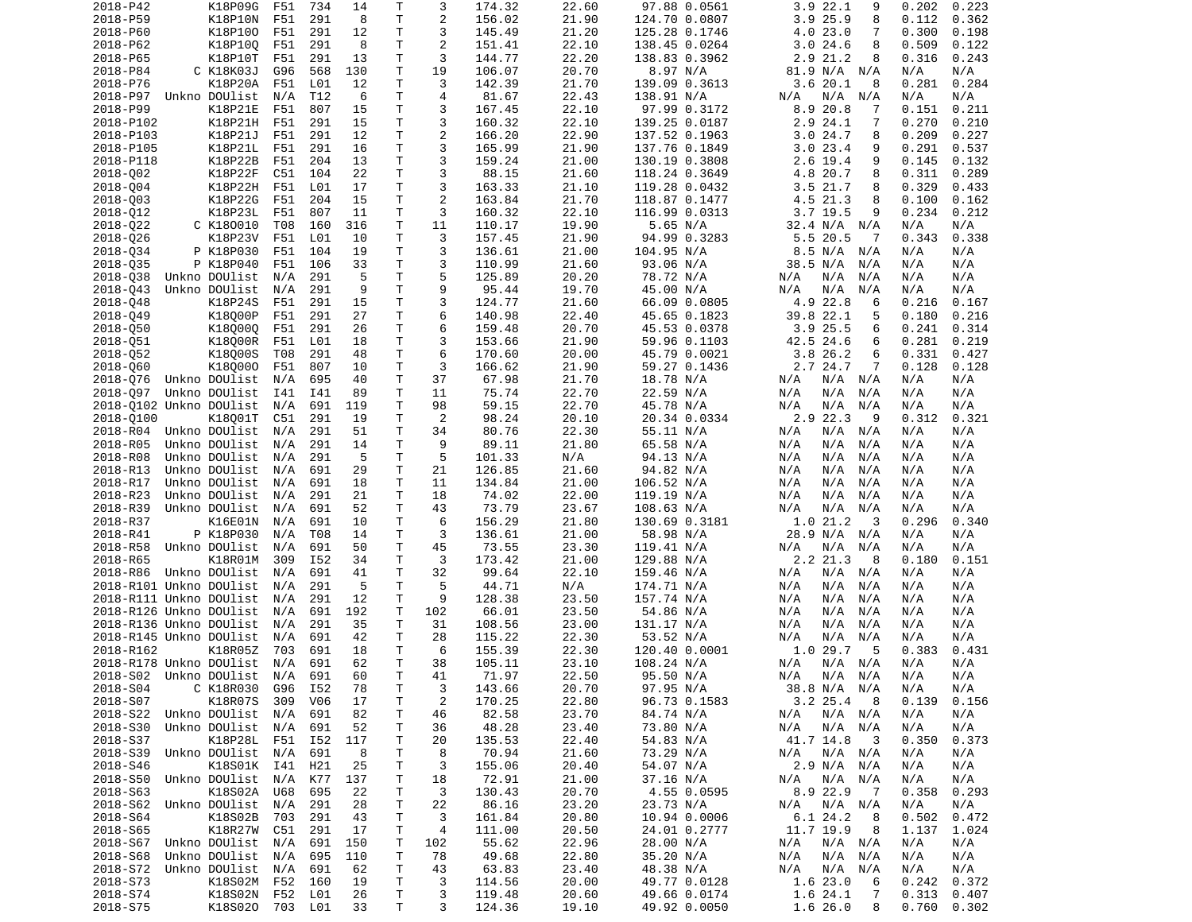| 2018-P42                   | K18P09G                        | F51 | 734             | 14                | Т            | 3              | 174.32           | 22.60          | 97.88 0.0561                 | 3.9 22.1<br>9                  | 0.202<br>0.223                   |
|----------------------------|--------------------------------|-----|-----------------|-------------------|--------------|----------------|------------------|----------------|------------------------------|--------------------------------|----------------------------------|
| 2018-P59                   | K18P10N                        | F51 | 291             | 8                 | Τ            | 2              | 156.02           | 21.90          | 124.70 0.0807                | 3.925.9<br>8                   | 0.362<br>0.112                   |
| 2018-P60                   | K18P100                        | F51 | 291             | 12                | Τ            | 3              | 145.49           | 21.20          | 125.28 0.1746                | 4.023.0<br>7                   | 0.300<br>0.198                   |
| 2018-P62                   | K18P10Q                        | F51 | 291             | 8                 | T.           | 2              | 151.41           | 22.10          | 138.45 0.0264                | 8<br>3.024.6                   | 0.509<br>0.122                   |
| 2018-P65                   | K18P10T                        | F51 | 291             | 13                | T            | 3              | 144.77           | 22.20          | 138.83 0.3962                | 2.9 21.2<br>8                  | 0.243<br>0.316                   |
| 2018-P84                   | C K18K03J                      | G96 | 568             | 130               | T            | 19             | 106.07           | 20.70          | 8.97 N/A                     | 81.9 N/A N/A                   | N/A<br>N/A                       |
| 2018-P76                   | K18P20A                        | F51 | L01             | 12                | т            | 3              | 142.39           | 21.70          | 139.09 0.3613                | 3.620.1<br>8                   | 0.281<br>0.284                   |
| 2018-P97                   | Unkno DOUlist                  | N/A | T12             | 6                 | Τ            | $\overline{4}$ | 81.67            | 22.43          | 138.91 N/A                   | N/A<br>N/A<br>N/A              | N/A<br>N/A                       |
| 2018-P99                   | K18P21E                        | F51 | 807             | 15                | Τ            | 3              | 167.45           | 22.10          | 97.99 0.3172                 | 20.8<br>7                      | 0.151<br>0.211                   |
|                            |                                |     |                 |                   |              |                |                  |                |                              | 8.9                            |                                  |
| 2018-P102                  | K18P21H                        | F51 | 291             | 15                | Τ            | 3              | 160.32           | 22.10          | 139.25 0.0187                | 2.9 24.1<br>7                  | 0.270<br>0.210                   |
| 2018-P103                  | K18P21J                        | F51 | 291             | 12                | Τ            | $\overline{2}$ | 166.20           | 22.90          | 137.52 0.1963                | 3.024.7<br>8                   | 0.209<br>0.227                   |
| 2018-P105                  | K18P21L                        | F51 | 291             | 16                | T            | 3              | 165.99           | 21.90          | 137.76 0.1849                | 3.023.4<br>9                   | 0.291<br>0.537                   |
| 2018-P118                  | K18P22B                        | F51 | 204             | 13                | T            | 3              | 159.24           | 21.00          | 130.19 0.3808                | 2.6 19.4<br>9                  | 0.145<br>0.132                   |
| 2018-002                   | K18P22F                        | C51 | 104             | 22                | T            | 3              | 88.15            | 21.60          | 118.24 0.3649                | 4.8 20.7<br>8                  | 0.311<br>0.289                   |
| 2018-004                   | K18P22H                        | F51 | L01             | 17                | T            | 3              | 163.33           | 21.10          | 119.28 0.0432                | 3.5 21.7<br>8                  | 0.329<br>0.433                   |
| 2018-003                   | K18P22G                        | F51 | 204             | 15                | $\mathsf{T}$ | $\overline{2}$ | 163.84           | 21.70          | 118.87 0.1477                | 4.5 21.3<br>8                  | 0.100<br>0.162                   |
| 2018-012                   | K18P23L                        | F51 | 807             | 11                | Τ            | 3              | 160.32           | 22.10          | 116.99 0.0313                | $3.7$ 19.5<br>9                | 0.234<br>0.212                   |
| 2018-022                   | C K180010                      | T08 | 160             | 316               | T.           | 11             | 110.17           | 19.90          | 5.65 N/A                     | 32.4 N/A<br>N/A                | N/A<br>N/A                       |
| 2018-026                   | K18P23V                        | F51 | L01             | 10                | T            | 3              | 157.45           | 21.90          | 94.99 0.3283                 | 5.5 20.5<br>-7                 | 0.343<br>0.338                   |
| 2018-034                   | P K18P030                      | F51 | 104             | 19                | T            | 3              | 136.61           | 21.00          | 104.95 N/A                   | 8.5 N/A<br>N/A                 | N/A<br>N/A                       |
| 2018-035                   | P K18P040                      | F51 | 106             | 33                | Τ            | 3              | 110.99           | 21.60          | 93.06 N/A                    | 38.5 N/A<br>N/A                | N/A<br>N/A                       |
|                            |                                |     |                 | 5                 | Τ            | 5              |                  |                |                              |                                |                                  |
| 2018-038                   | Unkno DOUlist                  | N/A | 291             |                   |              |                | 125.89           | 20.20          | 78.72 N/A                    | N/A<br>N/A<br>N/A              | N/A<br>N/A                       |
| 2018-043                   | Unkno DOUlist                  | N/A | 291             | 9                 | T            | 9              | 95.44            | 19.70          | 45.00 N/A                    | N/A<br>N/A<br>N/A              | N/A<br>N/A                       |
| 2018-048                   | K18P24S                        | F51 | 291             | 15                | Τ            | 3              | 124.77           | 21.60          | 66.09 0.0805                 | 4.9 22.8<br>6                  | 0.216<br>0.167                   |
| 2018-049                   | K18000P                        | F51 | 291             | 27                | Τ            | 6              | 140.98           | 22.40          | 45.65 0.1823                 | 39.8 22.1<br>5                 | 0.180<br>0.216                   |
| 2018-050                   | K180000                        | F51 | 291             | 26                | T            | 6              | 159.48           | 20.70          | 45.53 0.0378                 | 3.925.5<br>6                   | 0.241<br>0.314                   |
| 2018-051                   | K18000R                        | F51 | L01             | 18                | Τ            | 3              | 153.66           | 21.90          | 59.96 0.1103                 | 42.5 24.6<br>6                 | 0.281<br>0.219                   |
| 2018-052                   | K18000S                        | T08 | 291             | 48                | Τ            | 6              | 170.60           | 20.00          | 45.79 0.0021                 | 3.8 26.2<br>6                  | 0.331<br>0.427                   |
| 2018-060                   | K180000                        | F51 | 807             | 10                | Τ            | 3              | 166.62           | 21.90          | 59.27 0.1436                 | 2.7 24.7<br>7                  | 0.128<br>0.128                   |
| 2018-076                   | Unkno DOUlist                  | N/A | 695             | 40                | T            | 37             | 67.98            | 21.70          | 18.78 N/A                    | N/A<br>N/A N/A                 | N/A<br>N/A                       |
| 2018-097                   | Unkno DOUlist                  | I41 | I41             | 89                | T            | 11             | 75.74            | 22.70          | 22.59 N/A                    | N/A<br>N/A<br>N/A              | N/A<br>N/A                       |
| 2018-0102 Unkno DOUlist    |                                | N/A | 691             | 119               | T            | 98             | 59.15            | 22.70          | 45.78 N/A                    | N/A<br>N/A<br>N/A              | N/A<br>N/A                       |
| 2018-0100                  | K18001T                        | C51 | 291             | 19                | Τ            | $\overline{2}$ | 98.24            | 20.10          | 20.34 0.0334                 | 2.9 22.3<br>9                  | 0.312<br>0.321                   |
| 2018-R04                   | Unkno DOUlist                  |     |                 |                   |              |                |                  |                |                              |                                |                                  |
|                            |                                | N/A | 291             | 51                | т            | 34             | 80.76            | 22.30          | 55.11 N/A                    | N/A N/A<br>N/A                 | N/A<br>N/A                       |
| 2018-R05                   | Unkno DOUlist                  | N/A | 291             | 14                | T.           | 9              | 89.11            | 21.80          | 65.58 N/A                    | N/A<br>N/A<br>N/A              | N/A<br>N/A                       |
| 2018-R08                   | Unkno DOUlist                  | N/A | 291             | -5                | T            | 5              | 101.33           | N/A            | 94.13 N/A                    | N/A<br>N/A<br>N/A              | N/A<br>N/A                       |
| 2018-R13                   | Unkno DOUlist                  | N/A | 691             | 29                | T            | 21             | 126.85           | 21.60          | 94.82 N/A                    | N/A<br>N/A<br>N/A              | N/A<br>N/A                       |
| 2018-R17                   | Unkno DOUlist                  | N/A | 691             | 18                | T            | 11             | 134.84           | 21.00          | 106.52 N/A                   | N/A<br>N/A<br>N/A              | N/A<br>N/A                       |
| 2018-R23                   | Unkno DOUlist                  | N/A | 291             | 21                | Τ            | 18             | 74.02            | 22.00          | 119.19 N/A                   | N/A<br>N/A<br>N/A              | N/A<br>N/A                       |
| 2018-R39                   | Unkno DOUlist                  | N/A | 691             | 52                | T            | 43             | 73.79            | 23.67          | 108.63 N/A                   | N/A<br>N/A<br>N/A              | N/A<br>N/A                       |
| 2018-R37                   | K16E01N                        | N/A | 691             | 10                | т            | 6              | 156.29           | 21.80          | 130.69 0.3181                | 1.021.2<br>3                   | 0.296<br>0.340                   |
| 2018-R41                   | P K18P030                      | N/A | T08             | 14                | T            | 3              | 136.61           | 21.00          | 58.98 N/A                    | 28.9 N/A N/A                   | N/A<br>N/A                       |
| 2018-R58                   | Unkno DOUlist                  | N/A | 691             | 50                | Τ            | 45             | 73.55            | 23.30          | 119.41 N/A                   | N/A<br>N/A<br>N/A              | N/A<br>N/A                       |
| 2018-R65                   | K18R01M                        | 309 | I52             | 34                | T            | 3              | 173.42           | 21.00          | 129.88 N/A                   | 2.2 21.3<br>8                  | 0.180<br>0.151                   |
| 2018-R86                   | Unkno DOUlist                  | N/A | 691             | 41                | T            | 32             | 99.64            | 22.10          | 159.46 N/A                   | N/A<br>N/A N/A                 | N/A<br>N/A                       |
|                            |                                |     |                 | 5                 | T.           | 5              |                  |                |                              |                                |                                  |
| 2018-R101 Unkno DOUlist    |                                | N/A | 291             |                   |              |                | 44.71            | N/A            | 174.71 N/A                   | N/A<br>N/A<br>N/A              | N/A<br>N/A                       |
| 2018-R111 Unkno DOUlist    |                                | N/A | 291             | $12 \overline{ }$ | T            | 9              | 128.38           | 23.50          | 157.74 N/A                   | N/A<br>N/A<br>N/A              | N/A<br>N/A                       |
| 2018-R126 Unkno DOUlist    |                                | N/A | 691             | 192               | Τ            | 102            | 66.01            | 23.50          | 54.86 N/A                    | N/A<br>N/A N/A                 | N/A<br>N/A                       |
| 2018-R136 Unkno DOUlist    |                                | N/A | 291             | 35                | T            | 31             | 108.56           | 23.00          | 131.17 N/A                   | N/A<br>N/A<br>N/A              | N/A<br>N/A                       |
| 2018-R145 Unkno DOUlist    |                                | N/A | 691             | 42                | Τ            | 28             | 115.22           | 22.30          | 53.52 N/A                    | N/A<br>N/A<br>N/A              | N/A<br>N/A                       |
| 2018-R162                  | K18R05Z                        | 703 | 691             | 18                | Τ            | 6              | 155.39           | 22.30          | 120.40 0.0001                | 1.0 29.7<br>-5                 | 0.383<br>0.431                   |
| 2018-R178 Unkno DOUlist    |                                |     |                 |                   |              | 38             |                  |                |                              |                                |                                  |
|                            |                                | N/A | 691             | 62                | T.           |                | 105.11           | 23.10          | 108.24 N/A                   | N/A<br>N/A N/A                 | N/A<br>N/A                       |
|                            |                                |     |                 | 60                | T.           |                |                  | 22.50          |                              |                                |                                  |
|                            | 2018-S02 Unkno DOUlist N/A     |     | 691             |                   |              | 41             | 71.97            |                | 95.50 N/A                    | $N/A$ $N/A$<br>N/A             | N/A<br>N/A                       |
| 2018-S04                   | C K18R030                      | G96 | I52             | 78                | Τ            | 3              | 143.66           | 20.70          | 97.95 N/A                    | 38.8 N/A N/A                   | N/A<br>N/A                       |
| 2018-S07                   | K18R07S                        | 309 | V <sub>06</sub> | 17                | Τ            | $\overline{c}$ | 170.25           | 22.80          | 96.73 0.1583                 | $3.2$ 25.4 8                   | 0.139<br>0.156                   |
| 2018-S22 Unkno DOUlist N/A |                                |     | 691             | 82                | Τ            | 46             | 82.58            | 23.70          | 84.74 N/A                    | N/A<br>N/A N/A                 | N/A<br>N/A                       |
| 2018-S30                   | Unkno DOUlist N/A              |     | 691             | 52                | т            | 36             | 48.28            | 23.40          | 73.80 N/A                    | $N/A$ $N/A$<br>N/A             | N/A<br>N/A                       |
| 2018-S37                   | K18P28L F51                    |     | I52             | 117               | Τ            | 20             | 135.53           | 22.40          | 54.83 N/A                    | 41.7 14.8<br>- 3               | 0.350<br>0.373                   |
| 2018-S39                   | Unkno DOUlist                  | N/A | 691             | 8                 | т            | 8              | 70.94            | 21.60          | 73.29 N/A                    | $N/A$ $N/A$<br>N/A             | N/A<br>N/A                       |
| 2018-S46                   | K18S01K I41                    |     | H21             | 25                | Τ            | 3              | 155.06           | 20.40          | 54.07 N/A                    | 2.9 N/A N/A                    | N/A<br>N/A                       |
| 2018-S50                   | Unkno DOUlist N/A              |     | K77             | 137               | Τ            | 18             | 72.91            | 21.00          | 37.16 N/A                    | N/A N/A<br>N/A                 | N/A<br>N/A                       |
| 2018-S63                   | K18S02A                        | U68 | 695             | 22                | Τ            | 3              | 130.43           | 20.70          | 4.55 0.0595                  | 8.9 22.9<br>$\overline{7}$     | 0.358<br>0.293                   |
| 2018-S62 Unkno DOUlist     |                                | N/A | 291             | 28                | Τ            | 22             | 86.16            | 23.20          | 23.73 N/A                    | N/A<br>N/A N/A                 | N/A<br>N/A                       |
| 2018-S64                   | K18S02B                        | 703 | 291             | 43                | Τ            | 3              | 161.84           | 20.80          | 10.94 0.0006                 | 6.1 24.2<br>8                  | 0.502<br>0.472                   |
|                            |                                |     |                 | 17                |              | 4              |                  |                |                              | 8                              |                                  |
| 2018-S65                   | K18R27W                        | C51 | 291             |                   | Τ            |                | 111.00           | 20.50          | 24.01 0.2777                 | 11.7 19.9                      | 1.137<br>1.024                   |
| 2018-S67                   | Unkno DOUlist                  | N/A | 691             | 150               | Τ            | 102            | 55.62            | 22.96          | 28.00 N/A                    | N/A<br>$N/A$ $N/A$             | N/A<br>N/A                       |
| 2018-S68                   | Unkno DOUlist                  | N/A | 695             | 110               | Τ            | 78             | 49.68            | 22.80          | 35.20 N/A                    | $N/A$ $N/A$<br>N/A             | N/A<br>N/A                       |
| 2018-S72                   | Unkno DOUlist                  | N/A | 691             | 62                | Τ            | 43             | 63.83            | 23.40          | 48.38 N/A                    | $N/A$ $N/A$<br>N/A             | N/A<br>N/A                       |
| 2018-S73                   | K18S02M F52                    |     | 160             | 19                | Τ            | 3              | 114.56           | 20.00          | 49.77 0.0128                 | 1.6 23.0<br>6                  | 0.242<br>0.372                   |
| 2018-S74<br>2018-S75       | K18S02N F52<br>K18S020 703 L01 |     | L01             | 26<br>33          | T.<br>T.     | 3<br>3         | 119.48<br>124.36 | 20.60<br>19.10 | 49.66 0.0174<br>49.92 0.0050 | 1.6 24.1<br>7<br>1.6 26.0<br>8 | 0.313<br>0.407<br>0.760<br>0.302 |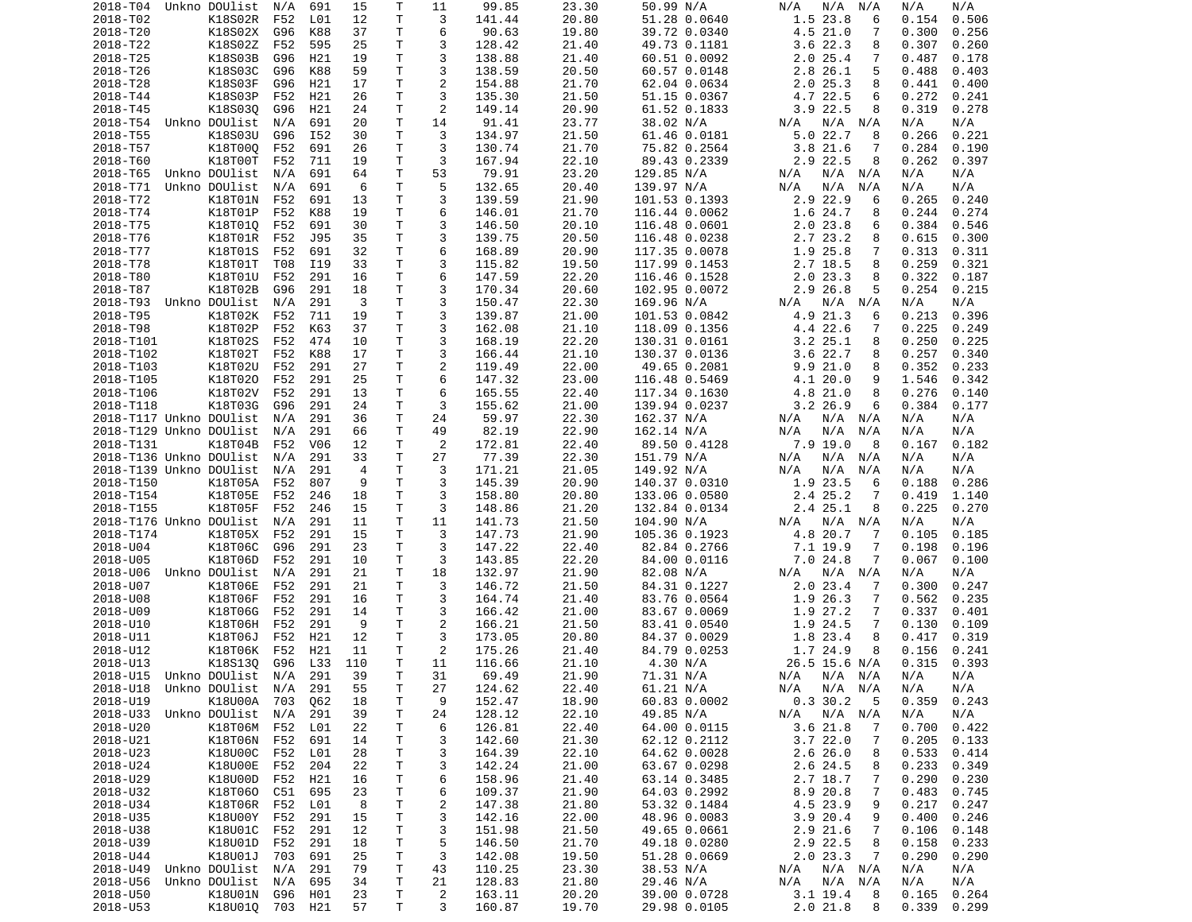| 2018-T04                       | Unkno DOUlist         | N/A        | 691        | 15       | Τ            | 11                  | 99.85            | 23.30          | 50.99 N/A                     | N/A<br>N/A<br>N/A                | N/A<br>N/A                       |
|--------------------------------|-----------------------|------------|------------|----------|--------------|---------------------|------------------|----------------|-------------------------------|----------------------------------|----------------------------------|
| 2018-T02                       | K18S02R               | F52        | L01        | 12       | T            | 3                   | 141.44           | 20.80          | 51.28 0.0640                  | 1.5 23.8<br>6                    | 0.154<br>0.506                   |
| 2018-T20                       | K18S02X               | G96        | K88        | 37       | T            | 6                   | 90.63            | 19.80          | 39.72 0.0340                  | 4.5 21.0<br>7                    | 0.300<br>0.256                   |
| 2018-T22                       | K18S02Z               | F52        | 595        | 25       | т            | 3                   | 128.42           | 21.40          | 49.73 0.1181                  | 3.6 22.3<br>8                    | 0.307<br>0.260                   |
| 2018-T25                       | K18S03B               | G96        | H21        | 19       | Τ            | 3                   | 138.88           | 21.40          | 60.51 0.0092                  | 2.025.4<br>7                     | 0.487<br>0.178                   |
| 2018-T26                       | K18S03C               | G96        | K88        | 59       | т            | 3                   | 138.59           | 20.50          | 60.57 0.0148                  | 2.8<br>26.1<br>5                 | 0.488<br>0.403                   |
| 2018-T28                       | K18S03F<br>K18S03P    | G96        | H21        | 17       | т            | $\overline{c}$<br>3 | 154.88           | 21.70          | 62.04 0.0634                  | 2.025.3<br>8                     | 0.441<br>0.400                   |
| 2018-T44<br>2018-T45           |                       | F52<br>G96 | H21<br>H21 | 26       | Τ<br>T       | $\overline{c}$      | 135.30<br>149.14 | 21.50<br>20.90 | 51.15 0.0367<br>61.52 0.1833  | 4.7 22.5<br>6<br>$3.9$ 22.5<br>8 | 0.272<br>0.241<br>0.319<br>0.278 |
| 2018-T54 Unkno DOUlist         | K18S030               | N/A        | 691        | 24<br>20 | T            | 14                  | 91.41            | 23.77          | 38.02 N/A                     | $N/A$ $N/A$<br>N/A               | N/A<br>N/A                       |
| 2018-T55                       | K18S03U               | G96        | I52        | 30       | т            | 3                   | 134.97           | 21.50          | 61.46 0.0181                  | 5.022.7<br>8                     | 0.221<br>0.266                   |
| 2018-T57                       | K18T00Q               | F52        | 691        | 26       | T            | 3                   | 130.74           | 21.70          | 75.82 0.2564                  | 3.8 21.6<br>7                    | 0.284<br>0.190                   |
| 2018-T60                       | K18T00T               | F52        | 711        | 19       | т            | 3                   | 167.94           | 22.10          | 89.43 0.2339                  | 2.9 22.5<br>8                    | 0.262<br>0.397                   |
| 2018-T65                       | Unkno DOUlist         | N/A        | 691        | 64       | T            | 53                  | 79.91            | 23.20          | 129.85 N/A                    | N/A<br>N/A<br>N/A                | N/A<br>N/A                       |
| 2018-T71                       | Unkno DOUlist         | N/A        | 691        | 6        | Τ            | 5                   | 132.65           | 20.40          | 139.97 N/A                    | N/A<br>N/A<br>N/A                | N/A<br>N/A                       |
| 2018-T72                       | K18T01N               | F52        | 691        | 13       | T            | 3                   | 139.59           | 21.90          | 101.53 0.1393                 | 2.9 22.9<br>6                    | 0.265<br>0.240                   |
| 2018-T74                       | K18T01P               | F52        | K88        | 19       | T            | 6                   | 146.01           | 21.70          | 116.44 0.0062                 | 1.6 24.7<br>8                    | 0.244<br>0.274                   |
| 2018-T75                       | K18T010               | F52        | 691        | 30       | T            | 3                   | 146.50           | 20.10          | 116.48 0.0601                 | 2.023.8<br>6                     | 0.384<br>0.546                   |
| 2018-T76                       | K18T01R               | F52        | J95        | 35       | т            | 3                   | 139.75           | 20.50          | 116.48 0.0238                 | 2.7 23.2<br>8                    | 0.615<br>0.300                   |
| 2018-T77                       | K18T01S               | F52        | 691        | 32       | т            | 6                   | 168.89           | 20.90          | 117.35 0.0078                 | 1.9 25.8<br>7                    | 0.313<br>0.311                   |
| 2018-T78                       | K18T01T               | T08        | I19        | 33       | T            | 3                   | 115.82           | 19.50          | 117.99 0.1453                 | 2.7 18.5<br>8                    | 0.259<br>0.321                   |
| 2018-T80                       | K18T01U               | F52        | 291        | 16       | T            | 6                   | 147.59           | 22.20          | 116.46 0.1528                 | 2.023.3<br>8                     | 0.322<br>0.187                   |
| 2018-T87                       | K18T02B               | G96        | 291        | 18       | T            | 3                   | 170.34           | 20.60          | 102.95 0.0072                 | 2.9 26.8<br>5                    | 0.254<br>0.215                   |
| 2018-T93                       | Unkno DOUlist         | N/A        | 291        | 3        | T            | 3                   | 150.47           | 22.30          | 169.96 N/A                    | $N/A$ $N/A$<br>N/A               | N/A<br>N/A                       |
| 2018-T95                       | K18T02K               | F52        | 711        | 19       | $\mathsf{T}$ | 3                   | 139.87           | 21.00          | 101.53 0.0842                 | 4.9 21.3<br>6                    | 0.213<br>0.396                   |
| 2018-T98                       | K18T02P               | F52        | K63        | 37       | Τ            | 3                   | 162.08           | 21.10          | 118.09 0.1356                 | 4.4 22.6<br>7                    | 0.225<br>0.249                   |
| 2018-T101                      | K18T02S<br>K18T02T    | F52<br>F52 | 474<br>K88 | 10<br>17 | т<br>T       | 3<br>3              | 168.19           | 22.20<br>21.10 | 130.31 0.0161                 | $3.2$ $25.1$<br>8                | 0.250<br>0.225<br>0.257<br>0.340 |
| 2018-T102<br>2018-T103         | K18T02U               | F52        | 291        | 27       | T            | $\overline{c}$      | 166.44<br>119.49 | 22.00          | 130.37 0.0136<br>49.65 0.2081 | 3.6 22.7<br>8<br>9.921.0<br>8    | 0.352<br>0.233                   |
| 2018-T105                      | K18T020               | F52        | 291        | 25       | T            | 6                   | 147.32           | 23.00          | 116.48 0.5469                 | 4.1 20.0<br>9                    | 1.546<br>0.342                   |
| 2018-T106                      | K18T02V               | F52        | 291        | 13       | T            | 6                   | 165.55           | 22.40          | 117.34 0.1630                 | 4.8 21.0<br>8                    | 0.276<br>0.140                   |
| 2018-T118                      | K18T03G               | G96        | 291        | 24       | т            | 3                   | 155.62           | 21.00          | 139.94 0.0237                 | $3.2$ 26.9<br>6                  | 0.384<br>0.177                   |
| 2018-T117 Unkno DOUlist        |                       | N/A        | 291        | 36       | т            | 24                  | 59.97            | 22.30          | 162.37 N/A                    | $N/A$ $N/A$<br>N/A               | N/A<br>N/A                       |
| 2018-T129 Unkno DOUlist        |                       | N/A        | 291        | 66       | Τ            | 49                  | 82.19            | 22.90          | 162.14 N/A                    | N/A<br>N/A<br>N/A                | N/A<br>N/A                       |
| 2018-T131                      | K18T04B               | F52        | V06        | 12       | Τ            | $\overline{2}$      | 172.81           | 22.40          | 89.50 0.4128                  | $7.9$ 19.0<br>8                  | 0.182<br>0.167                   |
| 2018-T136 Unkno DOUlist        |                       | N/A        | 291        | 33       | Τ            | 27                  | 77.39            | 22.30          | 151.79 N/A                    | N/A<br>N/A<br>N/A                | N/A<br>N/A                       |
| 2018-T139 Unkno DOUlist        |                       | N/A        | 291        | 4        | т            | 3                   | 171.21           | 21.05          | 149.92 N/A                    | N/A<br>N/A<br>N/A                | N/A<br>N/A                       |
| 2018-T150                      | K18T05A               | F52        | 807        | 9        | т            | 3                   | 145.39           | 20.90          | 140.37 0.0310                 | 1.9 23.5<br>6                    | 0.188<br>0.286                   |
| 2018-T154                      | K18T05E               | F52        | 246        | 18       | T            | 3                   | 158.80           | 20.80          | 133.06 0.0580                 | 2.4 25.2<br>7                    | 0.419<br>1.140                   |
| 2018-T155                      | K18T05F               | F52        | 246        | 15       | т            | 3                   | 148.86           | 21.20          | 132.84 0.0134                 | 2.4 25.1<br>8                    | 0.225<br>0.270                   |
| 2018-T176 Unkno DOUlist        |                       | N/A        | 291        | 11       | т            | 11                  | 141.73           | 21.50          | 104.90 N/A                    | N/A<br>N/A<br>N/A                | N/A<br>N/A                       |
| 2018-T174                      | K18T05X               | F52        | 291        | 15       | T            | 3                   | 147.73           | 21.90          | 105.36 0.1923                 | 4.8 20.7<br>7                    | 0.185<br>0.105                   |
| 2018-U04                       | K18T06C               | G96        | 291        | 23       | T            | 3                   | 147.22           | 22.40          | 82.84 0.2766                  | 7.1 19.9<br>7                    | 0.198<br>0.196                   |
| 2018-U05                       | K18T06D               | F52        | 291        | 10       | Τ            | 3                   | 143.85           | 22.20          | 84.00 0.0116                  | 7.024.8<br>7                     | 0.067<br>0.100                   |
| 2018-U06                       | Unkno DOUlist         | N/A        | 291        | 21       | T            | 18                  | 132.97           | 21.90          | 82.08 N/A                     | N/A<br>N/A<br>N/A                | N/A<br>N/A                       |
| 2018-U07                       | K18T06E               | F52        | 291        | 21       | Τ            | 3                   | 146.72           | 21.50          | 84.31 0.1227                  | 2.023.4<br>7                     | 0.300<br>0.247                   |
| 2018-U08                       | K18T06F               | F52        | 291        | 16       | Τ            | 3                   | 164.74           | 21.40          | 83.76 0.0564                  | 1.9<br>26.3<br>7                 | 0.562<br>0.235                   |
| 2018-U09<br>2018-U10           | K18T06G<br>K18T06H    | F52<br>F52 | 291<br>291 | 14<br>9  | T.<br>T      | 3<br>$\overline{c}$ | 166.42<br>166.21 | 21.00<br>21.50 | 83.67 0.0069                  | 1.9 27.2<br>7<br>1.9 24.5<br>7   | 0.337<br>0.401<br>0.130<br>0.109 |
| 2018-U11                       | K18T06J               | F52        | H21        | 12       | T            | 3                   | 173.05           | 20.80          | 83.41 0.0540<br>84.37 0.0029  | 1.8 23.4<br>8                    | 0.417<br>0.319                   |
| 2018-U12                       | K18T06K               | F52        | H21        | 11       | T            | $\overline{c}$      | 175.26           | 21.40          | 84.79 0.0253                  | 1.7 24.9<br>8                    | 0.156<br>0.241                   |
| 2018-U13                       | K18S130               | G96        | L33        | 110      | T.           | 11                  | 116.66           | 21.10          | 4.30 N/A                      | 26.5 15.6 N/A                    | 0.315<br>0.393                   |
| 2018-U15 Unkno DOUlist N/A 291 |                       |            |            | 39       | T.           | 31                  | 69.49            | 21.90          | 71.31 N/A                     | N/A N/A N/A                      | N/A<br>N/A                       |
| 2018-U18                       | Unkno DOUlist N/A 291 |            |            | 55       | Τ            | 27                  | 124.62           | 22.40          | 61.21 N/A                     | N/A<br>N/A N/A                   | N/A<br>N/A                       |
| 2018-U19                       | K18U00A 703           |            | Q62        | 18       | Τ            | 9                   | 152.47           | 18.90          | 60.83 0.0002                  | 0.330.2<br>5                     | 0.359<br>0.243                   |
| 2018-U33                       | Unkno DOUlist         | N/A        | 291        | 39       | Τ            | 24                  | 128.12           | 22.10          | 49.85 N/A                     | $N/A$ $N/A$<br>N/A               | N/A<br>N/A                       |
| 2018-U20                       | K18T06M F52           |            | L01        | 22       | Τ            | 6                   | 126.81           | 22.40          | 64.00 0.0115                  | 3.621.8<br>7                     | 0.700<br>0.422                   |
| 2018-U21                       | K18T06N               | F52        | 691        | 14       | Τ            | 3                   | 142.60           | 21.30          | 62.12 0.2112                  | 3.722.0<br>7                     | 0.205<br>0.133                   |
| 2018-U23                       | K18U00C               | F52        | L01        | 28       | Τ            | 3                   | 164.39           | 22.10          | 64.62 0.0028                  | 2.626.0<br>8                     | 0.533<br>0.414                   |
| 2018-U24                       | K18U00E               | F52        | 204        | 22       | т            | 3                   | 142.24           | 21.00          | 63.67 0.0298                  | 2.6 24.5<br>8                    | 0.233<br>0.349                   |
| 2018-U29                       | K18U00D               | F52        | H21        | 16       | Τ            | 6                   | 158.96           | 21.40          | 63.14 0.3485                  | 2.7 18.7<br>7                    | 0.290<br>0.230                   |
| 2018-U32                       | K18T060               | C51        | 695        | 23       | Τ            | 6                   | 109.37           | 21.90          | 64.03 0.2992                  | 8.9 20.8<br>7                    | 0.483<br>0.745                   |
| 2018-U34                       | K18T06R               | F52        | L01        | 8        | T            | 2                   | 147.38           | 21.80          | 53.32 0.1484                  | 4.5 23.9<br>9                    | 0.217<br>0.247                   |
| 2018-U35                       | K18U00Y               | F52        | 291        | 15       | T            | 3                   | 142.16           | 22.00          | 48.96 0.0083                  | 3.920.4<br>9                     | 0.400<br>0.246                   |
| 2018-U38                       | K18U01C               | F52        | 291        | 12       | T            | 3                   | 151.98           | 21.50          | 49.65 0.0661                  | 2.9 21.6<br>7                    | 0.106<br>0.148                   |
| 2018-U39                       | K18U01D               | F52        | 291        | 18       | Τ            | 5                   | 146.50           | 21.70          | 49.18 0.0280                  | 2.9 22.5<br>8                    | 0.158<br>0.233                   |
| 2018-U44                       | K18U01J               | 703        | 691        | 25       | T            | 3                   | 142.08           | 19.50          | 51.28 0.0669                  | 2.023.3<br>7                     | 0.290<br>0.290                   |
| 2018-U49                       | Unkno DOUlist         | N/A        | 291        | 79       | Τ            | 43                  | 110.25           | 23.30          | 38.53 N/A                     | N/A N/A<br>N/A                   | N/A<br>N/A                       |
| 2018-U56                       | Unkno DOUlist         | N/A        | 695        | 34       | Τ            | 21                  | 128.83           | 21.80          | 29.46 N/A                     | N/A<br>N/A N/A                   | N/A<br>N/A                       |
| 2018-U50                       | K18U01N               | G96        | H01        | 23       | T.           | $\overline{c}$      | 163.11           | 20.20          | 39.00 0.0728                  | $3.1$ 19.4<br>8                  | 0.165<br>0.264                   |
| 2018-U53                       | K18U010 703 H21       |            |            | 57       | T.           | 3                   | 160.87           | 19.70          | 29.98 0.0105                  | 2.021.8<br>8                     | 0.339<br>0.299                   |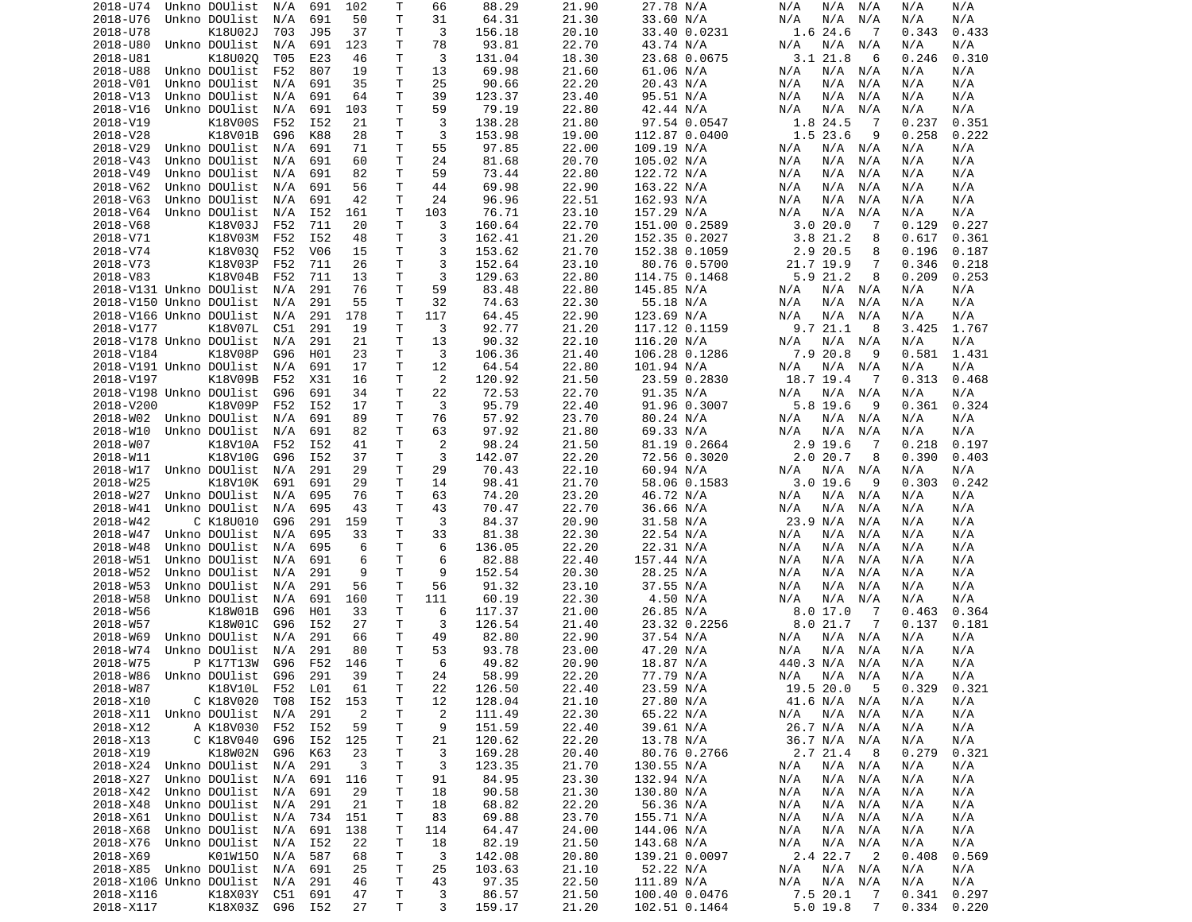| 2018-U74                | Unkno DOUlist   | N/A | 691 | 102 | Т  | 66             | 88.29  | 21.90 | 27.78 N/A     | N/A<br>N/A<br>N/A                    | N/A   | N/A   |
|-------------------------|-----------------|-----|-----|-----|----|----------------|--------|-------|---------------|--------------------------------------|-------|-------|
| 2018-U76                | Unkno DOUlist   | N/A | 691 | 50  | T  | 31             | 64.31  | 21.30 | 33.60 N/A     | N/A<br>N/A<br>N/A                    | N/A   | N/A   |
| 2018-U78                | K18U02J         | 703 | J95 | 37  | т  | 3              | 156.18 | 20.10 | 33.40 0.0231  | 1.6 24.6<br>-7                       | 0.343 | 0.433 |
|                         |                 |     |     |     | Τ  |                | 93.81  |       |               |                                      |       |       |
| 2018-U80                | Unkno DOUlist   | N/A | 691 | 123 |    | 78             |        | 22.70 | 43.74 N/A     | N/A<br>N/A<br>N/A                    | N/A   | N/A   |
| 2018-U81                | K18U02Q         | T05 | E23 | 46  | Τ  | 3              | 131.04 | 18.30 | 23.68 0.0675  | 3.121.8<br>6                         | 0.246 | 0.310 |
| 2018-U88                | Unkno DOUlist   | F52 | 807 | 19  | Τ  | 13             | 69.98  | 21.60 | 61.06 N/A     | N/A<br>N/A<br>N/A                    | N/A   | N/A   |
| 2018-V01                | Unkno DOUlist   | N/A | 691 | 35  | Τ  | 25             | 90.66  | 22.20 | 20.43 N/A     | N/A<br>N/A<br>N/A                    | N/A   | N/A   |
| 2018-V13                | Unkno DOUlist   | N/A | 691 | 64  | т  | 39             | 123.37 | 23.40 | 95.51 N/A     | N/A<br>N/A<br>N/A                    | N/A   | N/A   |
|                         | Unkno DOUlist   |     |     |     |    |                |        |       | 42.44 N/A     |                                      |       |       |
| 2018-V16                |                 | N/A | 691 | 103 | T  | 59             | 79.19  | 22.80 |               | N/A<br>N/A<br>N/A                    | N/A   | N/A   |
| 2018-V19                | K18V00S         | F52 | I52 | 21  | Τ  | 3              | 138.28 | 21.80 | 97.54 0.0547  | 1.8 24.5<br>-7                       | 0.237 | 0.351 |
| 2018-V28                | K18V01B         | G96 | K88 | 28  | T  | 3              | 153.98 | 19.00 | 112.87 0.0400 | 1.5 23.6<br>9                        | 0.258 | 0.222 |
| 2018-V29                | Unkno DOUlist   | N/A | 691 | 71  | T  | 55             | 97.85  | 22.00 | 109.19 N/A    | N/A<br>N/A N/A                       | N/A   | N/A   |
| 2018-V43                | Unkno DOUlist   | N/A | 691 | 60  | T  | 24             | 81.68  | 20.70 | 105.02 N/A    | N/A<br>N/A<br>N/A                    | N/A   | N/A   |
|                         |                 |     |     |     |    |                |        |       |               |                                      |       |       |
| 2018-V49                | Unkno DOUlist   | N/A | 691 | 82  | Τ  | 59             | 73.44  | 22.80 | 122.72 N/A    | N/A<br>N/A<br>N/A                    | N/A   | N/A   |
| 2018-V62                | Unkno DOUlist   | N/A | 691 | 56  | T  | 44             | 69.98  | 22.90 | 163.22 N/A    | N/A<br>N/A<br>N/A                    | N/A   | N/A   |
| 2018-V63                | Unkno DOUlist   | N/A | 691 | 42  | T  | 24             | 96.96  | 22.51 | 162.93 N/A    | N/A<br>N/A<br>N/A                    | N/A   | N/A   |
| 2018-V64                | Unkno DOUlist   | N/A | I52 | 161 | т  | 103            | 76.71  | 23.10 | 157.29 N/A    | N/A<br>N/A<br>N/A                    | N/A   | N/A   |
| 2018-V68                | K18V03J         | F52 | 711 | 20  | T. | 3              |        |       | 151.00 0.2589 | 3.020.0<br>7                         | 0.129 | 0.227 |
|                         |                 |     |     |     |    |                | 160.64 | 22.70 |               |                                      |       |       |
| 2018-V71                | K18V03M         | F52 | I52 | 48  | Τ  | 3              | 162.41 | 21.20 | 152.35 0.2027 | 3.821.2<br>8                         | 0.617 | 0.361 |
| 2018-V74                | K18V030         | F52 | V06 | 15  | т  | 3              | 153.62 | 21.70 | 152.38 0.1059 | 2.9 20.5<br>8                        | 0.196 | 0.187 |
| 2018-V73                | K18V03P         | F52 | 711 | 26  | Τ  | 3              | 152.64 | 23.10 | 80.76 0.5700  | 21.7 19.9<br>7                       | 0.346 | 0.218 |
| 2018-V83                | K18V04B         | F52 | 711 | 13  | Τ  | 3              | 129.63 | 22.80 | 114.75 0.1468 | 5.9 21.2<br>8                        | 0.209 | 0.253 |
|                         |                 |     |     |     |    |                |        |       |               |                                      |       |       |
| 2018-V131 Unkno DOUlist |                 | N/A | 291 | 76  | T  | 59             | 83.48  | 22.80 | 145.85 N/A    | N/A<br>N/A N/A                       | N/A   | N/A   |
| 2018-V150 Unkno DOUlist |                 | N/A | 291 | 55  | Τ  | 32             | 74.63  | 22.30 | 55.18 N/A     | N/A<br>N/A<br>N/A                    | N/A   | N/A   |
| 2018-V166 Unkno DOUlist |                 | N/A | 291 | 178 | T  | 117            | 64.45  | 22.90 | 123.69 N/A    | N/A<br>N/A<br>N/A                    | N/A   | N/A   |
| 2018-V177               | K18V07L         | C51 | 291 | 19  | Τ  | 3              | 92.77  | 21.20 | 117.12 0.1159 | 9.7 21.1<br>-8                       | 3.425 | 1.767 |
| 2018-V178 Unkno DOUlist |                 | N/A | 291 | 21  | т  | 13             | 90.32  | 22.10 |               | N/A<br>N/A N/A                       | N/A   | N/A   |
|                         |                 |     |     |     |    |                |        |       | 116.20 N/A    |                                      |       |       |
| 2018-V184               | K18V08P         | G96 | H01 | 23  | Τ  | 3              | 106.36 | 21.40 | 106.28 0.1286 | 7.9 20.8<br>9                        | 0.581 | 1.431 |
| 2018-V191 Unkno DOUlist |                 | N/A | 691 | 17  | Τ  | 12             | 64.54  | 22.80 | 101.94 N/A    | N/A<br>N/A<br>N/A                    | N/A   | N/A   |
| 2018-V197               | K18V09B         | F52 | X31 | 16  | T  | 2              | 120.92 | 21.50 | 23.59 0.2830  | 18.7 19.4<br>-7                      | 0.313 | 0.468 |
| 2018-V198 Unkno DOUlist |                 | G96 | 691 | 34  | Τ  | 22             | 72.53  | 22.70 | 91.35 N/A     | N/A<br>N/A N/A                       | N/A   | N/A   |
| 2018-V200               | K18V09P         | F52 | I52 | 17  | T  | 3              | 95.79  | 22.40 | 91.96 0.3007  | 5.8 19.6<br>9                        | 0.361 | 0.324 |
|                         |                 |     |     |     |    |                |        |       |               |                                      |       |       |
| 2018-W02                | Unkno DOUlist   | N/A | 691 | 89  | T  | 76             | 57.92  | 23.70 | 80.24 N/A     | $N/A$ $N/A$<br>N/A                   | N/A   | N/A   |
| 2018-W10                | Unkno DOUlist   | N/A | 691 | 82  | т  | 63             | 97.92  | 21.80 | 69.33 N/A     | N/A<br>N/A<br>N/A                    | N/A   | N/A   |
| 2018-W07                | K18V10A         | F52 | I52 | 41  | Τ  | 2              | 98.24  | 21.50 | 81.19 0.2664  | $2.9$ 19.6<br>-7                     | 0.218 | 0.197 |
| 2018-W11                | K18V10G         | G96 | I52 | 37  | т  | 3              | 142.07 | 22.20 | 72.56 0.3020  | 2.020.7<br>8                         | 0.390 | 0.403 |
| 2018-W17                | Unkno DOUlist   |     | 291 | 29  | T  | 29             | 70.43  | 22.10 | 60.94 N/A     |                                      |       | N/A   |
|                         |                 | N/A |     |     |    |                |        |       |               | N/A<br>N/A N/A                       | N/A   |       |
| 2018-W25                | K18V10K         | 691 | 691 | 29  | Τ  | 14             | 98.41  | 21.70 | 58.06 0.1583  | $3.0$ 19.6<br>9                      | 0.303 | 0.242 |
| 2018-W27                | Unkno DOUlist   | N/A | 695 | 76  | Τ  | 63             | 74.20  | 23.20 | 46.72 N/A     | N/A<br>N/A N/A                       | N/A   | N/A   |
| 2018-W41                | Unkno DOUlist   | N/A | 695 | 43  | Τ  | 43             | 70.47  | 22.70 | 36.66 N/A     | N/A<br>N/A<br>N/A                    | N/A   | N/A   |
| 2018-W42                | C K18U010       | G96 | 291 | 159 | т  | 3              | 84.37  | 20.90 | 31.58 N/A     | 23.9 N/A<br>N/A                      | N/A   | N/A   |
|                         |                 |     |     |     | T  |                | 81.38  |       |               |                                      |       |       |
| 2018-W47                | Unkno DOUlist   | N/A | 695 | 33  |    | 33             |        | 22.30 | 22.54 N/A     | N/A<br>N/A<br>N/A                    | N/A   | N/A   |
| 2018-W48                | Unkno DOUlist   | N/A | 695 | 6   | Τ  | 6              | 136.05 | 22.20 | 22.31 N/A     | N/A<br>N/A<br>N/A                    | N/A   | N/A   |
| 2018-W51                | Unkno DOUlist   | N/A | 691 | 6   | T  | 6              | 82.88  | 22.40 | 157.44 N/A    | N/A<br>N/A<br>N/A                    | N/A   | N/A   |
| 2018-W52                | Unkno DOUlist   | N/A | 291 | 9   | T  | 9              | 152.54 | 20.30 | 28.25 N/A     | N/A<br>N/A<br>N/A                    | N/A   | N/A   |
| 2018-W53                | Unkno DOUlist   | N/A | 291 | 56  | Τ  | 56             | 91.32  | 23.10 | 37.55 N/A     | N/A<br>N/A<br>N/A                    | N/A   | N/A   |
|                         | Unkno DOUlist   |     |     |     | T  |                |        |       |               |                                      |       |       |
| 2018-W58                |                 | N/A | 691 | 160 |    | 111            | 60.19  | 22.30 | 4.50 N/A      | N/A<br>N/A<br>N/A                    | N/A   | N/A   |
| 2018-W56                | K18W01B         | G96 | H01 | 33  | Τ  | 6              | 117.37 | 21.00 | 26.85 N/A     | 8.017.0<br>7                         | 0.463 | 0.364 |
| 2018-W57                | K18W01C         | G96 | I52 | 27  | T  | 3              | 126.54 | 21.40 | 23.32 0.2256  | 8.021.7<br>-7                        | 0.137 | 0.181 |
| 2018-W69                | Unkno DOUlist   | N/A | 291 | 66  | т  | 49             | 82.80  | 22.90 | 37.54 N/A     | N/A N/A<br>N/A                       | N/A   | N/A   |
| 2018-W74                | Unkno DOUlist   | N/A | 291 | 80  | Τ  | 53             | 93.78  | 23.00 | 47.20 N/A     | N/A<br>N/A<br>N/A                    | N/A   | N/A   |
|                         |                 |     |     |     |    |                |        |       |               |                                      |       |       |
| 2018-W75                | P K17T13W       | G96 | F52 | 146 | Τ  | 6              | 49.82  | 20.90 | 18.87 N/A     | 440.3 N/A<br>N/A                     | N/A   | N/A   |
| 2018-W86 Unkno DOUlist  |                 | G96 | 291 | 39  | T. | 24             | 58.99  | 22.20 | 77.79 N/A     | N/A N/A<br>N/A                       | N/A   | N/A   |
| 2018-W87                | K18V10L         | F52 | L01 | 61  | Τ  | 22             | 126.50 | 22.40 | 23.59 N/A     | 19.5 20.0 5                          | 0.329 | 0.321 |
| 2018-X10                | C K18V020       | T08 | I52 | 153 | Τ  | 12             | 128.04 | 21.10 | 27.80 N/A     | 41.6 N/A N/A                         | N/A   | N/A   |
| 2018-X11 Unkno DOUlist  |                 | N/A | 291 | 2   | Τ  | $\overline{c}$ | 111.49 | 22.30 | 65.22 N/A     | N/A<br>N/A<br>N/A                    | N/A   | N/A   |
|                         |                 |     |     |     |    |                |        |       |               |                                      |       |       |
| 2018-X12                | A K18V030       | F52 | I52 | 59  | т  | 9              | 151.59 | 22.40 | 39.61 N/A     | 26.7 N/A N/A                         | N/A   | N/A   |
| 2018-X13                | C K18V040       | G96 | I52 | 125 | Τ  | 21             | 120.62 | 22.20 | 13.78 N/A     | 36.7 N/A N/A                         | N/A   | N/A   |
| 2018-X19                | K18W02N         | G96 | K63 | 23  | Τ  | 3              | 169.28 | 20.40 | 80.76 0.2766  | 2.7 21.4<br>- 8                      | 0.279 | 0.321 |
| 2018-X24                | Unkno DOUlist   | N/A | 291 | 3   | Τ  | 3              | 123.35 | 21.70 | 130.55 N/A    | $N/A$ $N/A$<br>N/A                   | N/A   | N/A   |
|                         | Unkno DOUlist   | N/A | 691 |     | Τ  | 91             | 84.95  | 23.30 | 132.94 N/A    | $N/A$ $N/A$<br>N/A                   | N/A   | N/A   |
| 2018-X27                |                 |     |     | 116 |    |                |        |       |               |                                      |       |       |
| 2018-X42                | Unkno DOUlist   | N/A | 691 | 29  | Τ  | 18             | 90.58  | 21.30 | 130.80 N/A    | N/A<br>$N/A$ $N/A$                   | N/A   | N/A   |
| 2018-X48                | Unkno DOUlist   | N/A | 291 | 21  | Τ  | 18             | 68.82  | 22.20 | 56.36 N/A     | N/A<br>N/A<br>N/A                    | N/A   | N/A   |
| 2018-X61                | Unkno DOUlist   | N/A | 734 | 151 | т  | 83             | 69.88  | 23.70 | 155.71 N/A    | N/A<br>N/A N/A                       | N/A   | N/A   |
| 2018-X68                | Unkno DOUlist   | N/A | 691 | 138 | Τ  | 114            | 64.47  | 24.00 | 144.06 N/A    | $N/A$ $N/A$<br>N/A                   | N/A   | N/A   |
| 2018-X76                | Unkno DOUlist   | N/A | I52 | 22  | Т  | 18             | 82.19  | 21.50 | 143.68 N/A    | $N/A$ $N/A$<br>N/A                   | N/A   | N/A   |
|                         |                 |     |     |     |    |                |        |       |               |                                      |       |       |
| 2018-X69                | K01W150         | N/A | 587 | 68  | Τ  | 3              | 142.08 | 20.80 | 139.21 0.0097 | 2.4 22.7<br>$\overline{\phantom{0}}$ | 0.408 | 0.569 |
| 2018-X85 Unkno DOUlist  |                 | N/A | 691 | 25  | Τ  | 25             | 103.63 | 21.10 | 52.22 N/A     | N/A N/A<br>N/A                       | N/A   | N/A   |
| 2018-X106 Unkno DOUlist |                 | N/A | 291 | 46  | Τ  | 43             | 97.35  | 22.50 | 111.89 N/A    | N/A<br>$N/A$ $N/A$                   | N/A   | N/A   |
| 2018-X116               | K18X03Y         | C51 | 691 | 47  | T. | 3              | 86.57  | 21.50 | 100.40 0.0476 | 7.5 20.1<br>$\overline{7}$           | 0.341 | 0.297 |
| 2018-X117               | K18X03Z G96 I52 |     |     | 27  | T. | 3              | 159.17 | 21.20 | 102.51 0.1464 | $5.0$ 19.8<br>7                      | 0.334 | 0.220 |
|                         |                 |     |     |     |    |                |        |       |               |                                      |       |       |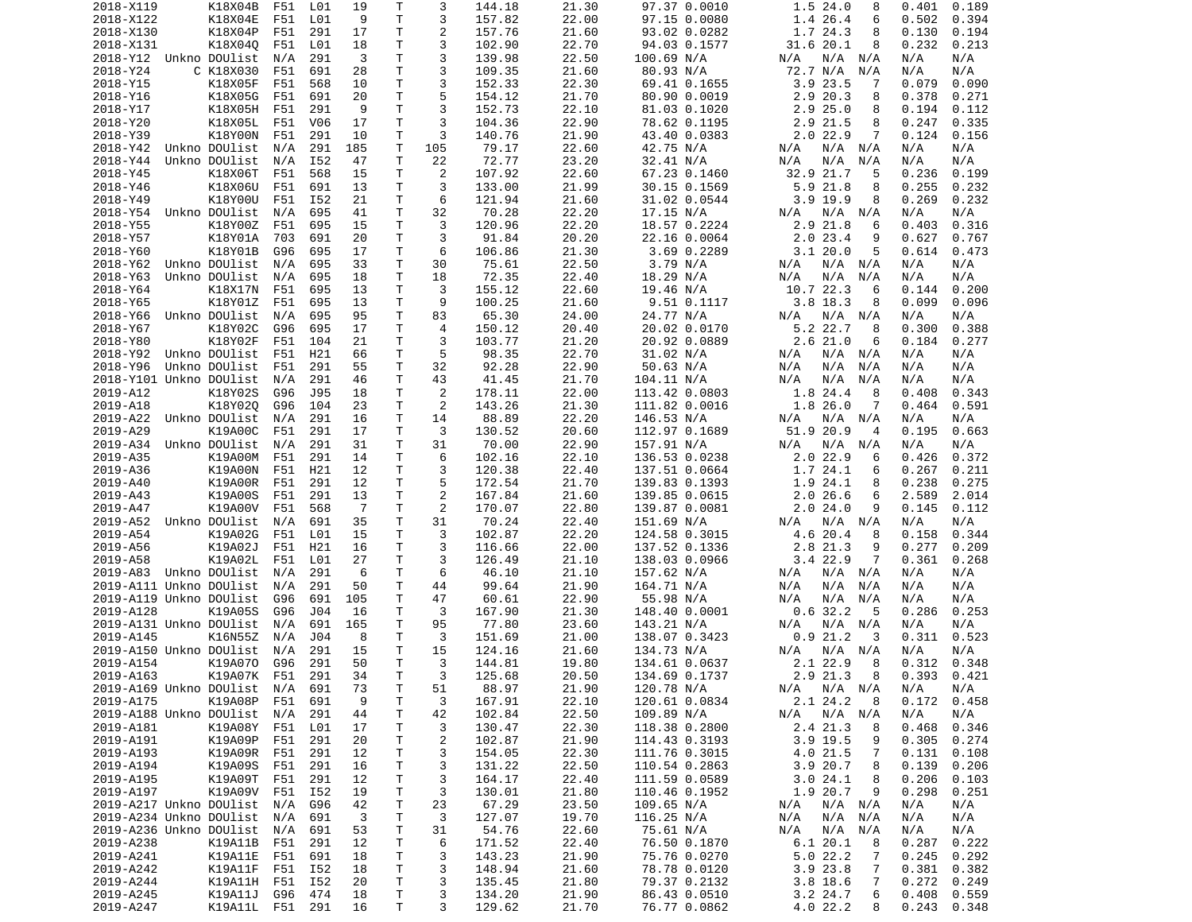| 2018-X119                   | K18X04B         | F51 | L01             | 19  | Т            | 3              | 144.18 | 21.30 | 97.37 0.0010                | 1.5 24.0<br>8      | 0.401<br>0.189  |
|-----------------------------|-----------------|-----|-----------------|-----|--------------|----------------|--------|-------|-----------------------------|--------------------|-----------------|
| 2018-X122                   | K18X04E         | F51 | L01             | 9   | T            | 3              | 157.82 | 22.00 | 97.15 0.0080                | 1.4 26.4<br>6      | 0.502<br>0.394  |
| 2018-X130                   | K18X04P         | F51 | 291             | 17  | т            | $\overline{c}$ | 157.76 | 21.60 | 93.02 0.0282                | 1.7 24.3<br>8      | 0.130<br>0.194  |
| 2018-X131                   | K18X040         | F51 | L01             | 18  | т            | 3              | 102.90 | 22.70 | 94.03 0.1577                | 31.6 20.1<br>8     | 0.232<br>0.213  |
| 2018-Y12 Unkno DOUlist      |                 | N/A | 291             | 3   | T            | 3              | 139.98 | 22.50 | 100.69 N/A                  | N/A<br>N/A<br>N/A  | N/A<br>N/A      |
| 2018-Y24                    | C K18X030       | F51 | 691             | 28  | T            | 3              | 109.35 | 21.60 | 80.93 N/A                   | 72.7 N/A<br>N/A    | N/A<br>N/A      |
| 2018-Y15                    | K18X05F         | F51 | 568             | 10  | т            | 3              | 152.33 | 22.30 | 69.41 0.1655                | 3.923.5<br>7       | 0.079<br>0.090  |
| 2018-Y16                    | K18X05G         | F51 | 691             | 20  | Τ            | 5              | 154.12 | 21.70 | 80.90 0.0019                | 2.9 20.3<br>8      | 0.378<br>0.271  |
| 2018-Y17                    | K18X05H         | F51 | 291             | 9   | T            | 3              | 152.73 | 22.10 | 81.03 0.1020                | 2.9<br>25.0<br>8   | 0.194<br>0.112  |
| 2018-Y20                    | K18X05L         | F51 | V <sub>06</sub> | 17  | т            | 3              | 104.36 | 22.90 | 78.62 0.1195                | 2.9<br>21.5<br>8   | 0.247<br>0.335  |
| 2018-Y39                    | K18Y00N         |     | 291             |     | T            | 3              | 140.76 |       |                             | 7                  | 0.124           |
|                             |                 | F51 |                 | 10  | T            | 105            |        | 21.90 | 43.40 0.0383                | $2.0$ 22.9         | 0.156           |
| 2018-Y42                    | Unkno DOUlist   | N/A | 291             | 185 |              |                | 79.17  | 22.60 | 42.75 N/A                   | N/A<br>N/A<br>N/A  | N/A<br>N/A      |
| 2018-Y44                    | Unkno DOUlist   | N/A | I52             | 47  | T            | 22             | 72.77  | 23.20 | 32.41 N/A                   | N/A<br>N/A<br>N/A  | N/A<br>N/A      |
| 2018-Y45                    | K18X06T         | F51 | 568             | 15  | т            | $\overline{c}$ | 107.92 | 22.60 | 67.23 0.1460                | 32.9 21.7<br>5     | 0.236<br>0.199  |
| 2018-Y46                    | K18X06U         | F51 | 691             | 13  | T            | 3              | 133.00 | 21.99 | 30.15 0.1569                | $5.9$ 21.8<br>8    | 0.255<br>0.232  |
| 2018-Y49                    | K18Y00U         | F51 | I52             | 21  | т            | 6              | 121.94 | 21.60 | 31.02 0.0544                | $3.9$ 19.9<br>8    | 0.269<br>0.232  |
| 2018-Y54                    | Unkno DOUlist   | N/A | 695             | 41  | т            | 32             | 70.28  | 22.20 | 17.15 N/A                   | N/A<br>N/A N/A     | N/A<br>N/A      |
| 2018-Y55                    | K18Y00Z         | F51 | 695             | 15  | T            | 3              | 120.96 | 22.20 | 18.57 0.2224                | 2.9<br>21.8<br>6   | 0.403<br>0.316  |
| 2018-Y57                    | K18Y01A         | 703 | 691             | 20  | $\mathsf{T}$ | 3              | 91.84  | 20.20 | 22.16 0.0064                | 2.023.4<br>9       | 0.627<br>0.767  |
| 2018-Y60                    | K18Y01B         | G96 | 695             | 17  | т            | 6              | 106.86 | 21.30 | 3.69 0.2289                 | 3.120.0<br>5       | 0.614<br>0.473  |
| 2018-Y62                    | Unkno DOUlist   | N/A | 695             | 33  | т            | 30             | 75.61  | 22.50 | 3.79 N/A                    | $N/A$ $N/A$<br>N/A | N/A<br>N/A      |
| 2018-Y63                    | Unkno DOUlist   | N/A | 695             | 18  | т            | 18             | 72.35  | 22.40 | 18.29 N/A                   | N/A<br>N/A<br>N/A  | N/A<br>N/A      |
| 2018-Y64                    | K18X17N         | F51 | 695             | 13  | T            | 3              | 155.12 | 22.60 | 19.46 N/A                   | 10.7 22.3<br>6     | 0.144<br>0.200  |
| 2018-Y65                    | K18Y01Z         | F51 | 695             | 13  | т            | 9              | 100.25 | 21.60 | 9.51 0.1117                 | $3.8$ 18.3<br>8    | 0.099<br>0.096  |
| 2018-Y66                    | Unkno DOUlist   | N/A | 695             | 95  | T            | 83             | 65.30  | 24.00 | 24.77 N/A                   | N/A<br>N/A<br>N/A  | N/A<br>N/A      |
| 2018-Y67                    | K18Y02C         | G96 | 695             | 17  | T            | 4              | 150.12 | 20.40 | 20.02 0.0170                | 5.2 22.7<br>8      | 0.300<br>0.388  |
| 2018-Y80                    | K18Y02F         | F51 | 104             | 21  | Τ            | 3              | 103.77 | 21.20 | 20.92 0.0889                | 2.621.0<br>6       | 0.184<br>0.277  |
| 2018-Y92                    | Unkno DOUlist   | F51 | H21             | 66  | т            | 5              | 98.35  | 22.70 | 31.02 N/A                   | N/A<br>N/A<br>N/A  | N/A<br>N/A      |
| 2018-Y96                    | Unkno DOUlist   | F51 | 291             | 55  | т            | 32             | 92.28  | 22.90 | 50.63 N/A                   | N/A<br>N/A<br>N/A  | N/A<br>N/A      |
| 2018-Y101 Unkno DOUlist     |                 | N/A | 291             | 46  | T            | 43             | 41.45  | 21.70 | 104.11 N/A                  | N/A<br>N/A<br>N/A  | N/A<br>N/A      |
| 2019-A12                    | K18Y02S         | G96 | J95             | 18  | т            | 2              | 178.11 | 22.00 | 113.42 0.0803               | 1.8 24.4<br>8      | 0.408<br>0.343  |
| 2019-A18                    |                 | G96 | 104             | 23  | т            | 2              |        | 21.30 |                             | 1.8 26.0<br>7      | 0.464<br>0.591  |
|                             | K18Y020         |     |                 |     | $\mathsf{T}$ |                | 143.26 |       | 111.82 0.0016<br>146.53 N/A |                    |                 |
| 2019-A22                    | Unkno DOUlist   | N/A | 291             | 16  |              | 14             | 88.89  | 22.20 |                             | $N/A$ $N/A$<br>N/A | N/A<br>N/A      |
| 2019-A29                    | K19A00C         | F51 | 291             | 17  | т            | 3              | 130.52 | 20.60 | 112.97 0.1689               | 51.9 20.9<br>4     | 0.663<br>0.195  |
| 2019-A34                    | Unkno DOUlist   | N/A | 291             | 31  | т            | 31             | 70.00  | 22.90 | 157.91 N/A                  | $N/A$ $N/A$<br>N/A | N/A<br>N/A      |
| 2019-A35                    | K19A00M         | F51 | 291             | 14  | T            | 6              | 102.16 | 22.10 | 136.53 0.0238               | 2.022.9<br>6       | 0.426<br>0.372  |
| 2019-A36                    | K19A00N         | F51 | H21             | 12  | т            | 3              | 120.38 | 22.40 | 137.51 0.0664               | 1.7<br>24.1<br>6   | 0.267<br>0.211  |
| 2019-A40                    | K19A00R         | F51 | 291             | 12  | т            | 5              | 172.54 | 21.70 | 139.83 0.1393               | 1.9 24.1<br>8      | 0.238<br>0.275  |
| 2019-A43                    | K19A00S         | F51 | 291             | 13  | Τ            | $\overline{c}$ | 167.84 | 21.60 | 139.85 0.0615               | 2.026.6<br>6       | 2.589<br>2.014  |
| 2019-A47                    | K19A00V         | F51 | 568             | 7   | т            | $\overline{c}$ | 170.07 | 22.80 | 139.87 0.0081               | 2.024.0<br>9       | 0.145<br>0.112  |
| 2019-A52                    | Unkno DOUlist   | N/A | 691             | 35  | Τ            | 31             | 70.24  | 22.40 | 151.69 N/A                  | N/A<br>N/A<br>N/A  | N/A<br>N/A      |
| 2019-A54                    | K19A02G         | F51 | L01             | 15  | т            | 3              | 102.87 | 22.20 | 124.58 0.3015               | 4.6 20.4<br>8      | 0.158<br>0.344  |
| 2019-A56                    | K19A02J         | F51 | H21             | 16  | т            | 3              | 116.66 | 22.00 | 137.52 0.1336               | 2.8<br>21.3<br>9   | 0.277<br>0.209  |
| 2019-A58                    | K19A02L         | F51 | L01             | 27  | T            | 3              | 126.49 | 21.10 | 138.03 0.0966               | 3.4 22.9<br>7      | 0.361<br>0.268  |
| 2019-A83                    | Unkno DOUlist   | N/A | 291             | 6   | т            | 6              | 46.10  | 21.10 | 157.62 N/A                  | N/A<br>N/A<br>N/A  | N/A<br>N/A      |
| 2019-A111 Unkno DOUlist     |                 | N/A | 291             | 50  | Τ            | 44             | 99.64  | 21.90 | 164.71 N/A                  | N/A<br>N/A<br>N/A  | N/A<br>N/A      |
| 2019-A119 Unkno DOUlist     |                 | G96 | 691             | 105 | Τ            | 47             | 60.61  | 22.90 | 55.98 N/A                   | N/A<br>N/A<br>N/A  | N/A<br>N/A      |
| 2019-A128                   | K19A05S         | G96 | J04             | 16  | Τ            | 3              | 167.90 | 21.30 | 148.40 0.0001               | 0.632.2<br>5       | 0.253<br>0.286  |
| 2019-A131 Unkno DOUlist     |                 | N/A | 691             | 165 | т            | 95             | 77.80  | 23.60 | 143.21 N/A                  | N/A<br>$N/A$ $N/A$ | N/A<br>N/A      |
| 2019-A145                   | K16N55Z         | N/A | J04             | 8   | т            | 3              | 151.69 | 21.00 | 138.07 0.3423               | 0.921.2<br>3       | 0.311<br>0.523  |
| 2019-A150 Unkno DOUlist     |                 | N/A | 291             | 15  | т            | 15             | 124.16 | 21.60 | 134.73 N/A                  | N/A<br>N/A<br>N/A  | N/A<br>N/A      |
| 2019-A154                   | K19A070         | G96 | 291             | 50  | T.           | 3              | 144.81 | 19.80 | 134.61 0.0637               | 2.1 22.9<br>8      | 0.348<br>0.312  |
| 2019-A163                   | K19A07K         | F51 | 291             | 34  | T.           | 3              | 125.68 | 20.50 | 134.69 0.1737               | 2.9 21.3<br>8      | $0.393$ $0.421$ |
| 2019-A169 Unkno DOUlist N/A |                 |     | 691             | 73  | Т            |                | 88.97  | 21.90 | 120.78 N/A                  | $N/A$ $N/A$ $N/A$  | N/A             |
| 2019-A175                   |                 |     |                 |     |              | 51             |        | 22.10 |                             |                    | N/A             |
|                             | K19A08P         | F51 | 691             | 9   | Τ            | 3              | 167.91 |       | 120.61 0.0834               | 2.124.2<br>8       | 0.172<br>0.458  |
| 2019-A188 Unkno DOUlist     |                 | N/A | 291             | 44  | Τ            | 42             | 102.84 | 22.50 | 109.89 N/A                  | $N/A$ $N/A$<br>N/A | N/A<br>N/A      |
| 2019-A181                   | K19A08Y         | F51 | L01             | 17  | Τ            | 3              | 130.47 | 22.30 | 118.38 0.2800               | 2.4 21.3<br>8      | 0.468<br>0.346  |
| 2019-A191                   | K19A09P         | F51 | 291             | 20  | T            | 2              | 102.87 | 21.90 | 114.43 0.3193               | 3.9 19.5<br>9      | 0.305<br>0.274  |
| 2019-A193                   | K19A09R         | F51 | 291             | 12  | Τ            | 3              | 154.05 | 22.30 | 111.76 0.3015               | 4.0 21.5<br>7      | 0.131<br>0.108  |
| 2019-A194                   | K19A09S         | F51 | 291             | 16  | Τ            | 3              | 131.22 | 22.50 | 110.54 0.2863               | 3.9 20.7<br>8      | 0.139<br>0.206  |
| 2019-A195                   | K19A09T         | F51 | 291             | 12  | T            | 3              | 164.17 | 22.40 | 111.59 0.0589               | 3.024.1<br>8       | 0.206<br>0.103  |
| 2019-A197                   | K19A09V F51     |     | I52             | 19  | Τ            | 3              | 130.01 | 21.80 | 110.46 0.1952               | 1.9 20.7<br>9      | 0.298<br>0.251  |
| 2019-A217 Unkno DOUlist     |                 | N/A | G96             | 42  | T            | 23             | 67.29  | 23.50 | 109.65 N/A                  | N/A<br>N/A N/A     | N/A<br>N/A      |
| 2019-A234 Unkno DOUlist     |                 | N/A | 691             | 3   | т            | 3              | 127.07 | 19.70 | 116.25 N/A                  | N/A<br>N/A N/A     | N/A<br>N/A      |
| 2019-A236 Unkno DOUlist     |                 | N/A | 691             | 53  | Τ            | 31             | 54.76  | 22.60 | 75.61 N/A                   | N/A<br>N/A<br>N/A  | N/A<br>N/A      |
| 2019-A238                   | K19A11B         | F51 | 291             | 12  | T            | 6              | 171.52 | 22.40 | 76.50 0.1870                | 6.120.1<br>8       | 0.287<br>0.222  |
| 2019-A241                   | K19A11E         | F51 | 691             | 18  | Τ            | 3              | 143.23 | 21.90 | 75.76 0.0270                | 5.022.2<br>7       | 0.245<br>0.292  |
| 2019-A242                   | K19A11F         | F51 | I52             | 18  | T            | 3              | 148.94 | 21.60 | 78.78 0.0120                | $3.9$ 23.8<br>7    | 0.381<br>0.382  |
| 2019-A244                   | K19A11H F51     |     | I52             | 20  | T            | 3              | 135.45 | 21.80 | 79.37 0.2132                | $3.8$ 18.6<br>7    | 0.272<br>0.249  |
| 2019-A245                   | K19A11J         | G96 | 474             | 18  | T            | 3              | 134.20 | 21.90 | 86.43 0.0510                | 3.2 24.7<br>6      | 0.408<br>0.559  |
| 2019-A247                   | K19A11L F51 291 |     |                 | 16  | Τ            | 3              | 129.62 | 21.70 | 76.77 0.0862                | 4.0 22.2<br>8      | 0.243<br>0.348  |
|                             |                 |     |                 |     |              |                |        |       |                             |                    |                 |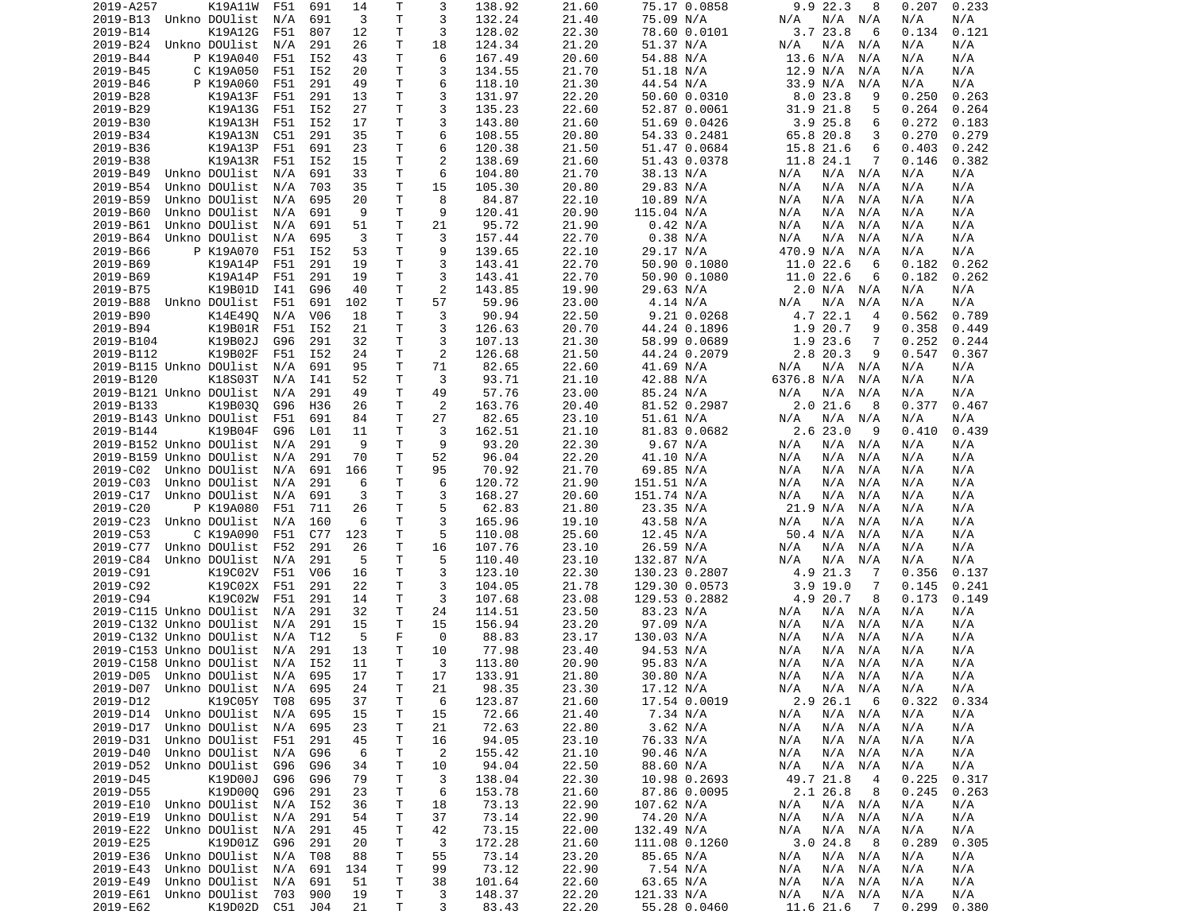| 2019-A257            | K19A11W                    | F51 | 691            | 14       | Т      | 3              | 138.92          | 21.60          | 75.17 0.0858               | 9.9 22.3<br>8                                    | 0.207        | 0.233        |
|----------------------|----------------------------|-----|----------------|----------|--------|----------------|-----------------|----------------|----------------------------|--------------------------------------------------|--------------|--------------|
| 2019-B13             | Unkno DOUlist              | N/A | 691            | 3        | т      | 3              | 132.24          | 21.40          | 75.09 N/A                  | N/A<br>N/A<br>N/A                                | N/A          | N/A          |
| 2019-B14             | K19A12G                    | F51 | 807            | 12       | т      | 3              | 128.02          | 22.30          | 78.60 0.0101               | 3.723.8<br>6                                     | 0.134        | 0.121        |
| 2019-B24             | Unkno DOUlist              | N/A | 291            | 26       | Τ      | 18             | 124.34          | 21.20          | 51.37 N/A                  | N/A<br>N/A<br>N/A                                | N/A          | N/A          |
| 2019-B44             | P K19A040                  | F51 | I52            | 43       | Τ      | 6              | 167.49          | 20.60          | 54.88 N/A                  | 13.6 N/A<br>N/A                                  | N/A          | N/A          |
| 2019-B45             | C K19A050                  | F51 | I52            | 20       | Τ      | 3              | 134.55          | 21.70          | 51.18 N/A                  | 12.9 N/A<br>N/A                                  | N/A          | N/A          |
| 2019-B46             | P K19A060                  | F51 | 291            | 49       | т      | 6              | 118.10          | 21.30          | 44.54 N/A                  | 33.9 N/A<br>N/A                                  | N/A          | N/A          |
| 2019-B28             |                            | F51 | 291            | 13       | T.     | 3              |                 | 22.20          |                            | 9                                                | 0.250        | 0.263        |
|                      | K19A13F                    |     |                |          |        |                | 131.97          |                | 50.60 0.0310               | 8.023.8                                          |              |              |
| 2019-B29             | K19A13G                    | F51 | I52            | 27       | Τ      | 3              | 135.23          | 22.60          | 52.87 0.0061               | 31.9<br>21.8<br>5                                | 0.264        | 0.264        |
| 2019-B30             | K19A13H                    | F51 | I52            | 17       | т      | 3              | 143.80          | 21.60          | 51.69 0.0426               | 3.925.8<br>6                                     | 0.272        | 0.183        |
| 2019-B34             | K19A13N                    | C51 | 291            | 35       | т      | 6              | 108.55          | 20.80          | 54.33 0.2481               | 65.8 20.8<br>3                                   | 0.270        | 0.279        |
| 2019-B36             | K19A13P                    | F51 | 691            | 23       | T.     | 6              | 120.38          | 21.50          | 51.47 0.0684               | 15.8 21.6<br>6                                   | 0.403        | 0.242        |
| 2019-B38             | K19A13R                    | F51 | I52            | 15       | Τ      | $\overline{c}$ | 138.69          | 21.60          | 51.43 0.0378               | 11.8 24.1<br>7                                   | 0.146        | 0.382        |
| 2019-B49             | Unkno DOUlist              | N/A | 691            | 33       | Τ      | 6              | 104.80          | 21.70          | 38.13 N/A                  | N/A<br>N/A N/A                                   | N/A          | N/A          |
| 2019-B54             | Unkno DOUlist              | N/A | 703            | 35       | Τ      | 15             | 105.30          | 20.80          | 29.83 N/A                  | N/A<br>N/A<br>N/A                                | N/A          | N/A          |
| 2019-B59             | Unkno DOUlist              | N/A | 695            | 20       | Τ      | 8              | 84.87           | 22.10          | 10.89 N/A                  | N/A<br>N/A<br>N/A                                | N/A          | N/A          |
| 2019-B60             | Unkno DOUlist              | N/A | 691            | -9       | т      | 9              | 120.41          | 20.90          | 115.04 N/A                 | N/A<br>N/A<br>N/A                                | N/A          | N/A          |
| 2019-B61             | Unkno DOUlist              | N/A | 691            | 51       | Τ      | 21             | 95.72           | 21.90          | 0.42 N/A                   | N/A<br>N/A<br>N/A                                | N/A          | N/A          |
| 2019-B64             | Unkno DOUlist              | N/A | 695            | 3        | Τ      | 3              | 157.44          | 22.70          | 0.38 N/A                   | N/A<br>N/A<br>N/A                                | N/A          | N/A          |
|                      |                            |     |                |          |        |                |                 |                |                            |                                                  |              |              |
| 2019-B66             | P K19A070                  | F51 | I52            | 53       | Τ      | 9              | 139.65          | 22.10          | 29.17 N/A                  | 470.9 N/A<br>N/A                                 | N/A          | N/A          |
| 2019-B69             | K19A14P                    | F51 | 291            | 19       | т      | 3              | 143.41          | 22.70          | 50.90 0.1080               | 11.0 22.6<br>6                                   | 0.182        | 0.262        |
| 2019-B69             | K19A14P                    | F51 | 291            | 19       | T.     | 3              | 143.41          | 22.70          | 50.90 0.1080               | 11.0 22.6<br>6                                   | 0.182        | 0.262        |
| 2019-B75             | K19B01D                    | I41 | G96            | 40       | Τ      | 2              | 143.85          | 19.90          | 29.63 N/A                  | 2.0 N/A<br>N/A                                   | N/A          | N/A          |
| 2019-B88             | Unkno DOUlist              | F51 | 691            | 102      | т      | 57             | 59.96           | 23.00          | 4.14 N/A                   | N/A<br>N/A<br>N/A                                | N/A          | N/A          |
| 2019-B90             | K14E490                    | N/A | V06            | 18       | Τ      | 3              | 90.94           | 22.50          | 9.21 0.0268                | 4.7 22.1<br>4                                    | 0.562        | 0.789        |
| 2019-B94             | K19B01R                    | F51 | I52            | 21       | Τ      | 3              | 126.63          | 20.70          | 44.24 0.1896               | 1.9<br>20.7<br>9                                 | 0.358        | 0.449        |
| 2019-B104            | K19B02J                    | G96 | 291            | 32       | Τ      | 3              | 107.13          | 21.30          | 58.99 0.0689               | 1.9 23.6<br>7                                    | 0.252        | 0.244        |
| 2019-B112            | K19B02F                    | F51 | I52            | 24       | Τ      | 2              | 126.68          | 21.50          | 44.24 0.2079               | 2.8 20.3<br>9                                    | 0.547        | 0.367        |
|                      | 2019-B115 Unkno DOUlist    | N/A | 691            | 95       | Τ      | 71             | 82.65           | 22.60          | 41.69 N/A                  | N/A<br>N/A<br>N/A                                | N/A          | N/A          |
|                      |                            |     |                |          |        |                |                 |                |                            |                                                  |              |              |
| 2019-B120            | K18S03T                    | N/A | I41            | 52       | т      | 3              | 93.71           | 21.10          | 42.88 N/A                  | 6376.8 N/A<br>N/A                                | N/A          | N/A          |
|                      | 2019-B121 Unkno DOUlist    | N/A | 291            | 49       | т      | 49             | 57.76           | 23.00          | 85.24 N/A                  | N/A<br>N/A<br>N/A                                | N/A          | N/A          |
| 2019-B133            | K19B030                    | G96 | H36            | 26       | Τ      | 2              | 163.76          | 20.40          | 81.52 0.2987               | 2.021.6<br>8                                     | 0.377        | 0.467        |
|                      | 2019-B143 Unkno DOUlist    | F51 | 691            | 84       | Τ      | 27             | 82.65           | 23.10          | 51.61 N/A                  | N/A<br>N/A<br>N/A                                | N/A          | N/A          |
| 2019-B144            | K19B04F                    | G96 | L01            | 11       | Τ      | 3              | 162.51          | 21.10          | 81.83 0.0682               | 2.623.0<br>9                                     | 0.410        | 0.439        |
|                      | 2019-B152 Unkno DOUlist    | N/A | 291            | -9       | Τ      | 9              | 93.20           | 22.30          | 9.67 N/A                   | N/A<br>N/A<br>N/A                                | N/A          | N/A          |
|                      | 2019-B159 Unkno DOUlist    | N/A | 291            | 70       | Τ      | 52             | 96.04           | 22.20          | 41.10 N/A                  | N/A<br>N/A<br>N/A                                | N/A          | N/A          |
| 2019-C02             | Unkno DOUlist              | N/A | 691            | 166      | Τ      | 95             | 70.92           | 21.70          | 69.85 N/A                  | N/A<br>N/A<br>N/A                                | N/A          | N/A          |
| 2019-C03             | Unkno DOUlist              | N/A | 291            | 6        | Τ      | 6              | 120.72          | 21.90          | 151.51 N/A                 | N/A<br>N/A<br>N/A                                | N/A          | N/A          |
| 2019-C17             | Unkno DOUlist              | N/A | 691            | 3        | Τ      | 3              | 168.27          | 20.60          | 151.74 N/A                 | N/A<br>N/A<br>N/A                                | N/A          | N/A          |
| 2019-C20             | P K19A080                  | F51 | 711            |          | т      | 5              | 62.83           | 21.80          | 23.35 N/A                  | 21.9 N/A                                         |              | N/A          |
|                      |                            |     |                | 26       |        |                |                 |                |                            | N/A                                              | N/A          |              |
| 2019-C23             | Unkno DOUlist              | N/A | 160            | 6        | т      | 3              | 165.96          | 19.10          | 43.58 N/A                  | N/A<br>N/A<br>N/A                                | N/A          | N/A          |
| 2019-C53             | C K19A090                  | F51 | C77            | 123      | т      | 5              | 110.08          | 25.60          | 12.45 N/A                  | 50.4 N/A<br>N/A                                  | N/A          | N/A          |
| 2019-C77             | Unkno DOUlist              | F52 | 291            | 26       | т      | 16             | 107.76          | 23.10          | 26.59 N/A                  | N/A<br>N/A<br>N/A                                | N/A          | N/A          |
| 2019-C84             | Unkno DOUlist              | N/A | 291            | 5        | Τ      | 5              | 110.40          | 23.10          | 132.87 N/A                 | N/A<br>N/A<br>N/A                                | N/A          | N/A          |
| 2019-C91             | K19C02V                    | F51 | V06            | 16       | Τ      | 3              | 123.10          | 22.30          | 130.23 0.2807              | 4.9 21.3<br>7                                    | 0.356        | 0.137        |
| 2019-C92             | K19C02X                    | F51 | 291            | 22       | Τ      | 3              | 104.05          | 21.78          | 129.30 0.0573              | $3.9$ 19.0<br>7                                  | 0.145        | 0.241        |
| 2019-C94             | K19C02W                    | F51 | 291            | 14       | т      | 3              | 107.68          | 23.08          | 129.53 0.2882              | 4.9 20.7<br>8                                    | 0.173        | 0.149        |
|                      | 2019-C115 Unkno DOUlist    | N/A | 291            | 32       | Τ      | 24             | 114.51          | 23.50          | 83.23 N/A                  | N/A<br>N/A N/A                                   | N/A          | N/A          |
|                      | 2019-C132 Unkno DOUlist    | N/A | 291            | 15       | Τ      | 15             | 156.94          | 23.20          | 97.09 N/A                  | N/A<br>N/A<br>N/A                                | N/A          | N/A          |
|                      | 2019-C132 Unkno DOUlist    | N/A | T12            | 5        | F      | 0              | 88.83           | 23.17          | 130.03 N/A                 | N/A<br>N/A<br>N/A                                | N/A          | N/A          |
|                      | 2019-C153 Unkno DOUlist    | N/A | 291            | 13       | Τ      | 10             | 77.98           | 23.40          | 94.53 N/A                  | N/A<br>N/A<br>N/A                                | N/A          | N/A          |
|                      |                            |     |                |          |        |                |                 |                |                            |                                                  |              |              |
|                      | 2019-C158 Unkno DOUlist    | N/A | I52            | 11       | T.     | 3              | 113.80          | 20.90          | 95.83 N/A                  | N/A<br>N/A<br>N/A                                | N/A          | N/A          |
|                      | 2019-D05 Unkno DOUlist N/A |     | 695            | 17       | T.     | 17             | 133.91          | 21.80          | 30.80 N/A                  | N/A<br>N/A<br>N/A                                | N/A          | N/A          |
| 2019-D07             | Unkno DOUlist N/A          |     | 695            | 24       | T      | 21             | 98.35           | 23.30          | 17.12 N/A                  | N/A N/A<br>N/A                                   | N/A          | N/A          |
| 2019-D12             | K19C05Y                    | T08 | 695            | 37       | Τ      | 6              | 123.87          | 21.60          | 17.54 0.0019               | 2.9 26.1<br>6                                    | 0.322        | 0.334        |
| 2019-D14             | Unkno DOUlist              | N/A | 695            | 15       | т      | 15             | 72.66           | 21.40          | 7.34 N/A                   | N/A<br>N/A N/A                                   | N/A          | N/A          |
| 2019-D17             |                            |     |                |          |        |                |                 |                |                            |                                                  |              |              |
|                      | Unkno DOUlist              | N/A | 695            |          |        |                |                 |                |                            | N/A                                              | N/A          |              |
|                      |                            |     |                | 23       | т      | 21             | 72.63           | 22.80          | 3.62 N/A                   | N/A N/A                                          |              | N/A          |
| 2019-D31             | Unkno DOUlist              | F51 | 291            | 45       | Τ      | 16             | 94.05           | 23.10          | 76.33 N/A                  | N/A<br>N/A<br>N/A                                | N/A          | N/A          |
| 2019-D40             | Unkno DOUlist              | N/A | G96            | 6        | т      | 2              | 155.42          | 21.10          | 90.46 N/A                  | N/A<br>N/A<br>N/A                                | N/A          | N/A          |
| 2019-D52             | Unkno DOUlist              | G96 | G96            | 34       | Τ      | 10             | 94.04           | 22.50          | 88.60 N/A                  | N/A<br>N/A<br>N/A                                | N/A          | N/A          |
| 2019-D45             | K19D00J                    | G96 | G96            | 79       | Τ      | 3              | 138.04          | 22.30          | 10.98 0.2693               | 49.7 21.8<br>-4                                  | 0.225        | 0.317        |
| 2019-D55             | K19D00Q                    | G96 | 291            | 23       | Τ      | 6              | 153.78          | 21.60          | 87.86 0.0095               | 2.1 26.8<br>- 8                                  | 0.245        | 0.263        |
| 2019-E10             | Unkno DOUlist              | N/A | I52            | 36       | Τ      | 18             | 73.13           | 22.90          | 107.62 N/A                 | N/A<br>N/A N/A                                   | N/A          | N/A          |
| 2019-E19             | Unkno DOUlist              | N/A | 291            | 54       | Т      | 37             | 73.14           | 22.90          | 74.20 N/A                  | N/A<br>N/A N/A                                   | N/A          | N/A          |
| 2019-E22             | Unkno DOUlist              | N/A | 291            | 45       | т      | 42             | 73.15           | 22.00          | 132.49 N/A                 | N/A<br>N/A<br>N/A                                | N/A          | N/A          |
| 2019-E25             | K19D01Z                    | G96 | 291            | 20       | T      | 3              | 172.28          | 21.60          | 111.08 0.1260              | 3.024.8<br>- 8                                   | 0.289        | 0.305        |
|                      |                            |     |                |          |        |                |                 |                |                            |                                                  |              |              |
| 2019-E36             | Unkno DOUlist              | N/A | T08            | 88       | T      | 55             | 73.14           | 23.20          | 85.65 N/A                  | N/A<br>$N/A$ $N/A$                               | N/A          | N/A          |
| 2019-E43             | Unkno DOUlist              | N/A | 691            | 134      | Τ      | 99             | 73.12           | 22.90          | 7.54 N/A                   | N/A<br>N/A<br>N/A                                | N/A          | N/A          |
| 2019-E49             | Unkno DOUlist              | N/A | 691            | 51       | Τ      | 38             | 101.64          | 22.60          | 63.65 N/A                  | N/A<br>N/A<br>N/A                                | N/A          | N/A          |
| 2019-E61<br>2019-E62 | Unkno DOUlist<br>K19D02D   | 703 | 900<br>C51 J04 | 19<br>21 | Τ<br>Τ | 3<br>3         | 148.37<br>83.43 | 22.20<br>22.20 | 121.33 N/A<br>55.28 0.0460 | N/A<br>N/A<br>N/A<br>11.6 21.6<br>$\overline{7}$ | N/A<br>0.299 | N/A<br>0.380 |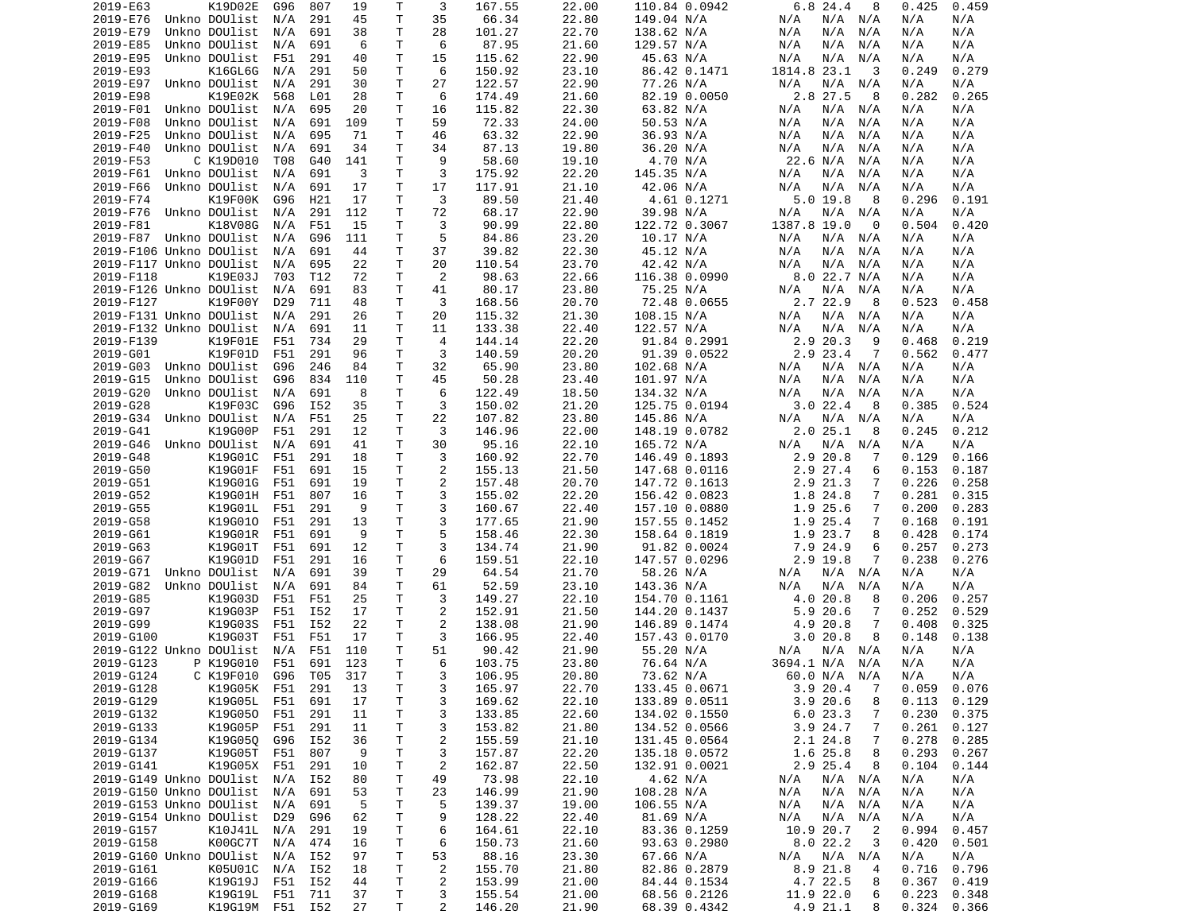| 35<br>22.80<br>2019-E76<br>Unkno DOUlist<br>291<br>45<br>т<br>66.34<br>149.04 N/A<br>N/A<br>N/A<br>N/A<br>N/A<br>N/A<br>N/A<br>2019-E79<br>Unkno DOUlist<br>N/A<br>691<br>38<br>Τ<br>28<br>101.27<br>22.70<br>138.62 N/A<br>N/A<br>N/A<br>N/A<br>N/A<br>N/A<br>6<br>Τ<br>6<br>87.95<br>2019-E85<br>Unkno DOUlist<br>N/A<br>691<br>21.60<br>129.57 N/A<br>N/A<br>N/A<br>N/A<br>N/A<br>N/A<br>T.<br>2019-E95<br>Unkno DOUlist<br>291<br>40<br>15<br>115.62<br>22.90<br>N/A<br>N/A<br>F51<br>45.63 N/A<br>N/A<br>N/A<br>N/A<br>6<br>2019-E93<br>K16GL6G<br>291<br>50<br>Τ<br>150.92<br>23.10<br>86.42 0.1471<br>1814.8 23.1<br>3<br>0.249<br>0.279<br>N/A<br>2019-E97<br>Unkno DOUlist<br>N/A<br>291<br>30<br>Τ<br>27<br>122.57<br>22.90<br>77.26 N/A<br>N/A<br>N/A N/A<br>N/A<br>N/A<br>2019-E98<br>K19E02K<br>L01<br>28<br>6<br>174.49<br>21.60<br>82.19 0.0050<br>2.8 27.5<br>8<br>568<br>Τ<br>0.282<br>0.265<br>2019-F01<br>Unkno DOUlist<br>N/A<br>695<br>20<br>Τ<br>16<br>115.82<br>22.30<br>63.82 N/A<br>N/A<br>N/A<br>N/A<br>N/A<br>N/A<br>2019-F08<br>Unkno DOUlist<br>691<br>109<br>т<br>59<br>72.33<br>24.00<br>50.53 N/A<br>N/A<br>N/A<br>N/A<br>N/A<br>N/A<br>N/A<br>2019-F25<br>Unkno DOUlist<br>71<br>т<br>46<br>63.32<br>22.90<br>36.93 N/A<br>N/A<br>695<br>N/A<br>N/A<br>N/A<br>N/A<br>N/A<br>T.<br>2019-F40<br>Unkno DOUlist<br>691<br>34<br>34<br>87.13<br>19.80<br>36.20 N/A<br>N/A<br>N/A<br>N/A<br>N/A<br>N/A<br>N/A<br>9<br>4.70 N/A<br>2019-F53<br>C K19D010<br>T08<br>G40<br>141<br>Τ<br>58.60<br>19.10<br>22.6 N/A<br>N/A<br>N/A<br>N/A<br>3<br>2019-F61<br>Unkno DOUlist<br>т<br>175.92<br>22.20<br>145.35 N/A<br>N/A<br>691<br>3<br>N/A<br>N/A<br>N/A<br>N/A<br>N/A<br>2019-F66<br>Unkno DOUlist<br>691<br>17<br>Τ<br>17<br>117.91<br>21.10<br>42.06 N/A<br>N/A<br>N/A<br>N/A<br>N/A<br>N/A<br>N/A<br>T.<br>3<br>2019-F74<br>K19F00K<br>G96<br>H21<br>17<br>89.50<br>21.40<br>4.61 0.1271<br>$5.0$ 19.8<br>-8<br>0.296<br>0.191<br>2019-F76<br>Unkno DOUlist<br>291<br>112<br>Τ<br>72<br>68.17<br>22.90<br>39.98 N/A<br>N/A<br>N/A<br>N/A<br>N/A<br>N/A<br>N/A<br>2019-F81<br>K18V08G<br>Τ<br>3<br>90.99<br>122.72 0.3067<br>1387.8 19.0<br>N/A<br>F51<br>15<br>22.80<br>0<br>0.504<br>0.420<br>5<br>2019-F87<br>Unkno DOUlist<br>G96<br>111<br>Τ<br>84.86<br>23.20<br>10.17 N/A<br>N/A<br>$N/A$ $N/A$<br>N/A<br>N/A<br>N/A<br>37<br>2019-F106 Unkno DOUlist<br>691<br>44<br>Τ<br>39.82<br>22.30<br>45.12 N/A<br>N/A<br>N/A<br>N/A<br>N/A<br>N/A<br>N/A<br>22<br>20<br>110.54<br>23.70<br>42.42 N/A<br>N/A<br>N/A<br>N/A<br>2019-F117 Unkno DOUlist<br>N/A<br>695<br>Τ<br>N/A<br>N/A<br>2<br>8.0 22.7 N/A<br>2019-F118<br>K19E03J<br>72<br>98.63<br>22.66<br>116.38 0.0990<br>N/A<br>703<br>T12<br>Τ<br>N/A<br>2019-F126 Unkno DOUlist<br>N/A<br>691<br>83<br>т<br>41<br>80.17<br>23.80<br>75.25 N/A<br>N/A<br>N/A<br>N/A<br>N/A<br>N/A<br>K19F00Y<br>т<br>3<br>72.48 0.0655<br>2.7 22.9<br>2019-F127<br>D <sub>29</sub><br>711<br>48<br>168.56<br>20.70<br>- 8<br>0.523<br>0.458<br>2019-F131 Unkno DOUlist<br>291<br>26<br>Τ<br>20<br>115.32<br>21.30<br>108.15 N/A<br>N/A<br>N/A<br>N/A<br>N/A<br>N/A<br>N/A<br>2019-F132 Unkno DOUlist<br>691<br>Τ<br>11<br>133.38<br>22.40<br>122.57 N/A<br>N/A<br>N/A<br>N/A<br>N/A<br>11<br>N/A<br>N/A<br>2019-F139<br>K19F01E<br>F51<br>734<br>29<br>Τ<br>4<br>144.14<br>22.20<br>91.84 0.2991<br>2.9 20.3<br>9<br>0.219<br>0.468<br>K19F01D<br>3<br>2.9 23.4<br>2019-G01<br>291<br>140.59<br>20.20<br>91.39 0.0522<br>7<br>0.562<br>F51<br>96<br>Τ<br>0.477<br>32<br>2019-G03<br>Unkno DOUlist<br>G96<br>246<br>84<br>Τ<br>65.90<br>23.80<br>102.68 N/A<br>N/A<br>N/A<br>N/A<br>N/A<br>N/A<br>T<br>2019-G15<br>Unkno DOUlist<br>G96<br>834<br>45<br>50.28<br>23.40<br>101.97 N/A<br>N/A<br>N/A<br>N/A<br>110<br>N/A<br>N/A<br>2019-G20<br>т<br>6<br>18.50<br>Unkno DOUlist<br>N/A<br>691<br>8<br>122.49<br>134.32 N/A<br>N/A<br>N/A<br>N/A<br>N/A<br>N/A<br>T.<br>3<br>3.022.4<br>2019-G28<br>K19F03C<br>I52<br>35<br>150.02<br>21.20<br>125.75 0.0194<br>8<br>0.385<br>0.524<br>G96<br>T.<br>22<br>2019-G34<br>Unkno DOUlist<br>N/A<br>F51<br>25<br>107.82<br>23.80<br>145.86 N/A<br>N/A N/A<br>N/A<br>N/A<br>N/A<br>3<br>146.96<br>2.025.1<br>0.212<br>2019-G41<br>K19G00P<br>F51<br>291<br>12<br>Τ<br>22.00<br>148.19 0.0782<br>8<br>0.245<br>2019-G46<br>Unkno DOUlist<br>691<br>41<br>Τ<br>30<br>95.16<br>22.10<br>165.72 N/A<br>N/A<br>N/A<br>N/A<br>N/A<br>N/A<br>N/A<br>2019-G48<br>K19G01C<br>F51<br>291<br>18<br>T.<br>3<br>160.92<br>22.70<br>146.49 0.1893<br>2.9 20.8<br>0.129<br>0.166<br>7<br>$\overline{2}$<br>T<br>2019-G50<br>K19G01F<br>F51<br>691<br>15<br>155.13<br>21.50<br>147.68 0.0116<br>2.9 27.4<br>6<br>0.153<br>0.187<br>T.<br>$\overline{c}$<br>2019-G51<br>K19G01G<br>691<br>20.70<br>2.9 21.3<br>F51<br>19<br>157.48<br>147.72 0.1613<br>7<br>0.226<br>0.258<br>3<br>2019-G52<br>K19G01H<br>807<br>16<br>Τ<br>155.02<br>22.20<br>156.42 0.0823<br>1.8 24.8<br>7<br>0.281<br>0.315<br>F51<br>3<br>2019-G55<br>K19G01L<br>F51<br>291<br>9<br>т<br>160.67<br>22.40<br>1.9 25.6<br>7<br>0.200<br>0.283<br>157.10 0.0880<br>3<br>2019-G58<br>K19G010<br>291<br>т<br>177.65<br>21.90<br>1.9 25.4<br>7<br>0.168<br>0.191<br>F51<br>13<br>157.55 0.1452<br>5<br>K19G01R<br>Τ<br>22.30<br>2019-G61<br>F51<br>691<br>9<br>158.46<br>158.64 0.1819<br>1.9 23.7<br>8<br>0.428<br>0.174<br>3<br>2019-G63<br>K19G01T<br>F51<br>691<br>12<br>т<br>134.74<br>21.90<br>91.82 0.0024<br>7.9 24.9<br>6<br>0.257<br>0.273<br>6<br>K19G01D<br>т<br>2.9 19.8<br>7<br>2019-G67<br>F51<br>291<br>16<br>159.51<br>22.10<br>147.57 0.0296<br>0.238<br>0.276<br>Τ<br>29<br>2019-G71<br>Unkno DOUlist<br>691<br>39<br>64.54<br>21.70<br>58.26 N/A<br>N/A<br>N/A<br>N/A<br>N/A N/A<br>N/A<br>2019-G82<br>Unkno DOUlist<br>691<br>84<br>Τ<br>61<br>52.59<br>23.10<br>143.36 N/A<br>N/A<br>N/A<br>N/A<br>N/A<br>N/A<br>N/A<br>3<br>2019-G85<br>K19G03D<br>F51<br>F51<br>25<br>Τ<br>149.27<br>22.10<br>4.0 20.8<br>0.206<br>0.257<br>154.70 0.1161<br>8<br>2<br>2019-G97<br>K19G03P<br>F51<br>I52<br>152.91<br>21.50<br>144.20 0.1437<br>5.9 20.6<br>0.252<br>0.529<br>17<br>T.<br>7<br>2<br>2019-G99<br>K19G03S<br>F51<br>I52<br>22<br>Τ<br>138.08<br>21.90<br>146.89 0.1474<br>4.9<br>20.8<br>7<br>0.408<br>0.325<br>3<br>2019-G100<br>K19G03T<br>F51<br>F51<br>17<br>Τ<br>166.95<br>22.40<br>157.43 0.0170<br>3.0<br>20.8<br>8<br>0.148<br>0.138<br>Τ<br>51<br>55.20 N/A<br>2019-G122 Unkno DOUlist<br>N/A<br>F51<br>110<br>90.42<br>21.90<br>N/A<br>N/A N/A<br>N/A<br>N/A<br>T.<br>6<br>P K19G010<br>F51<br>691<br>123<br>23.80<br>3694.1 N/A<br>N/A<br>2019-G123<br>103.75<br>76.64 N/A<br>N/A<br>N/A<br>2019-G124<br>C K19F010<br>G96 T05 317<br>T.<br>3<br>106.95<br>20.80<br>73.62 N/A<br>60.0 N/A N/A<br>N/A<br>N/A<br>22.70<br>2019-G128<br>K19G05K F51<br>291<br>Τ<br>3<br>165.97<br>133.45 0.0671<br>3.920.4<br>$0.059$ 0.076<br>13<br>$\overline{7}$<br>22.10<br>2019-G129<br>K19G05L F51<br>691<br>17<br>T<br>3<br>169.62<br>133.89 0.0511<br>3.920.6<br>8<br>0.113<br>0.129<br>K19G050<br>3<br>22.60<br>6.023.3<br>2019-G132<br>F51<br>291<br>11<br>Τ<br>133.85<br>134.02 0.1550<br>7<br>0.230<br>0.375<br>2019-G133<br>K19G05P<br>F51<br>291<br>Τ<br>3<br>153.82<br>21.80<br>134.52 0.0566<br>3.9 24.7<br>7<br>0.261<br>0.127<br>11<br>$\overline{c}$<br>K19G05Q G96<br>36<br>Τ<br>21.10<br>0.278<br>2019-G134<br>I52<br>155.59<br>131.45 0.0564<br>2.1 24.8<br>7<br>0.285<br>2019-G137<br>K19G05T<br>F51<br>807<br>9<br>Τ<br>3<br>157.87<br>22.20<br>0.293<br>0.267<br>135.18 0.0572<br>1.6 25.8<br>8<br>2019-G141<br>K19G05X F51<br>291<br>T<br>$\overline{c}$<br>162.87<br>22.50<br>2.9 25.4<br>0.104<br>10<br>132.91 0.0021<br>8<br>0.144<br>73.98<br>22.10<br>2019-G149 Unkno DOUlist N/A<br>I52<br>4.62 N/A<br>$N/A$ $N/A$<br>N/A<br>N/A<br>80<br>T<br>49<br>N/A<br>146.99<br>21.90<br>2019-G150 Unkno DOUlist N/A<br>691<br>53<br>23<br>108.28 N/A<br>N/A<br>$N/A$ $N/A$<br>N/A<br>T.<br>N/A<br>2019-G153 Unkno DOUlist N/A<br>691<br>-5<br>т<br>5<br>139.37<br>19.00<br>106.55 N/A<br>N/A<br>N/A N/A<br>N/A<br>N/A<br>2019-G154 Unkno DOUlist<br>D29<br>G96<br>62<br>Т<br>9<br>128.22<br>22.40<br>81.69 N/A<br>N/A<br>N/A N/A<br>N/A<br>N/A<br>2019-G157<br>Τ<br>6<br>22.10<br>83.36 0.1259<br>10.9 20.7<br>0.994<br>K10J41L<br>N/A<br>291<br>19<br>164.61<br>2<br>0.457<br>8.022.2<br>2019-G158<br>K00GC7T<br>N/A<br>474<br>16<br>T<br>6<br>150.73<br>21.60<br>93.63 0.2980<br>3<br>0.420<br>0.501<br>88.16<br>2019-G160 Unkno DOUlist<br>I52<br>97<br>Τ<br>53<br>23.30<br>67.66 N/A<br>N/A N/A<br>N/A<br>N/A<br>N/A<br>N/A<br>$\overline{c}$<br>K05U01C<br>I52<br>155.70<br>21.80<br>82.86 0.2879<br>8.9 21.8<br>2019-G161<br>N/A<br>18<br>T.<br>4<br>0.716<br>0.796<br>2019-G166<br>K19G19J<br>F51<br>I52<br>T<br>2<br>153.99<br>21.00<br>84.44 0.1534<br>4.7 22.5<br>0.367<br>44<br>8<br>0.419<br>2019-G168<br>K19G19L F51<br>711<br>37<br>Τ<br>3<br>155.54<br>21.00<br>68.56 0.2126<br>11.9 22.0<br>0.223<br>0.348<br>6<br>27<br>Τ<br>$\overline{2}$<br>K19G19M F51 I52<br>8<br>0.366 | 2019-E63  | K19D02E | G96 | 807 | 19 | Т | 3 | 167.55 | 22.00 | 110.84 0.0942 | 6.8 24.4<br>8 | 0.425<br>0.459 |  |
|---------------------------------------------------------------------------------------------------------------------------------------------------------------------------------------------------------------------------------------------------------------------------------------------------------------------------------------------------------------------------------------------------------------------------------------------------------------------------------------------------------------------------------------------------------------------------------------------------------------------------------------------------------------------------------------------------------------------------------------------------------------------------------------------------------------------------------------------------------------------------------------------------------------------------------------------------------------------------------------------------------------------------------------------------------------------------------------------------------------------------------------------------------------------------------------------------------------------------------------------------------------------------------------------------------------------------------------------------------------------------------------------------------------------------------------------------------------------------------------------------------------------------------------------------------------------------------------------------------------------------------------------------------------------------------------------------------------------------------------------------------------------------------------------------------------------------------------------------------------------------------------------------------------------------------------------------------------------------------------------------------------------------------------------------------------------------------------------------------------------------------------------------------------------------------------------------------------------------------------------------------------------------------------------------------------------------------------------------------------------------------------------------------------------------------------------------------------------------------------------------------------------------------------------------------------------------------------------------------------------------------------------------------------------------------------------------------------------------------------------------------------------------------------------------------------------------------------------------------------------------------------------------------------------------------------------------------------------------------------------------------------------------------------------------------------------------------------------------------------------------------------------------------------------------------------------------------------------------------------------------------------------------------------------------------------------------------------------------------------------------------------------------------------------------------------------------------------------------------------------------------------------------------------------------------------------------------------------------------------------------------------------------------------------------------------------------------------------------------------------------------------------------------------------------------------------------------------------------------------------------------------------------------------------------------------------------------------------------------------------------------------------------------------------------------------------------------------------------------------------------------------------------------------------------------------------------------------------------------------------------------------------------------------------------------------------------------------------------------------------------------------------------------------------------------------------------------------------------------------------------------------------------------------------------------------------------------------------------------------------------------------------------------------------------------------------------------------------------------------------------------------------------------------------------------------------------------------------------------------------------------------------------------------------------------------------------------------------------------------------------------------------------------------------------------------------------------------------------------------------------------------------------------------------------------------------------------------------------------------------------------------------------------------------------------------------------------------------------------------------------------------------------------------------------------------------------------------------------------------------------------------------------------------------------------------------------------------------------------------------------------------------------------------------------------------------------------------------------------------------------------------------------------------------------------------------------------------------------------------------------------------------------------------------------------------------------------------------------------------------------------------------------------------------------------------------------------------------------------------------------------------------------------------------------------------------------------------------------------------------------------------------------------------------------------------------------------------------------------------------------------------------------------------------------------------------------------------------------------------------------------------------------------------------------------------------------------------------------------------------------------------------------------------------------------------------------------------------------------------------------------------------------------------------------------------------------------------------------------------------------------------------------------------------------------------------------------------------------------------------------------------------------------------------------------------------------------------------------------------------------------------------------------------------------------------------------------------------------------------------------------------------------------------------------------------------------------------------------------------------------------------------------------------------------------------------------------------------------------------------------------------------------------------------------------------------------------------------------------------------------------------------------------------------------------------------------------------------------------------------------------------------------------------------------------------------------------------------------------------------------------------------------------------------------------------------------------------------------------------------------------------------------------------------------------------------------------------------------------------------------------------------------------------------------------------------------------------------------------------------------------------------------------------------------------------------------------------------------------------------------------------------------------------------------------------------------------------------------------------------------------------------------------------------------------------------------------------------------------------------------------------------------------------------------------------------------------------------------------------------------------------------------------------------------------------------------------------------------------------------------------------------------------------------------------------------------------------------------------------------------------------------------------------------------------------------------------------|-----------|---------|-----|-----|----|---|---|--------|-------|---------------|---------------|----------------|--|
|                                                                                                                                                                                                                                                                                                                                                                                                                                                                                                                                                                                                                                                                                                                                                                                                                                                                                                                                                                                                                                                                                                                                                                                                                                                                                                                                                                                                                                                                                                                                                                                                                                                                                                                                                                                                                                                                                                                                                                                                                                                                                                                                                                                                                                                                                                                                                                                                                                                                                                                                                                                                                                                                                                                                                                                                                                                                                                                                                                                                                                                                                                                                                                                                                                                                                                                                                                                                                                                                                                                                                                                                                                                                                                                                                                                                                                                                                                                                                                                                                                                                                                                                                                                                                                                                                                                                                                                                                                                                                                                                                                                                                                                                                                                                                                                                                                                                                                                                                                                                                                                                                                                                                                                                                                                                                                                                                                                                                                                                                                                                                                                                                                                                                                                                                                                                                                                                                                                                                                                                                                                                                                                                                                                                                                                                                                                                                                                                                                                                                                                                                                                                                                                                                                                                                                                                                                                                                                                                                                                                                                                                                                                                                                                                                                                                                                                                                                                                                                                                                                                                                                                                                                                                                                                                                                                                                                                                                                                                                                                                                                                                                                                                                                                                                                                                                                                                                                                                                                                                                                                                                                                                                                                                                                                                                                                                                                                                                                                                                                                                                                                                                       |           |         |     |     |    |   |   |        |       |               |               |                |  |
|                                                                                                                                                                                                                                                                                                                                                                                                                                                                                                                                                                                                                                                                                                                                                                                                                                                                                                                                                                                                                                                                                                                                                                                                                                                                                                                                                                                                                                                                                                                                                                                                                                                                                                                                                                                                                                                                                                                                                                                                                                                                                                                                                                                                                                                                                                                                                                                                                                                                                                                                                                                                                                                                                                                                                                                                                                                                                                                                                                                                                                                                                                                                                                                                                                                                                                                                                                                                                                                                                                                                                                                                                                                                                                                                                                                                                                                                                                                                                                                                                                                                                                                                                                                                                                                                                                                                                                                                                                                                                                                                                                                                                                                                                                                                                                                                                                                                                                                                                                                                                                                                                                                                                                                                                                                                                                                                                                                                                                                                                                                                                                                                                                                                                                                                                                                                                                                                                                                                                                                                                                                                                                                                                                                                                                                                                                                                                                                                                                                                                                                                                                                                                                                                                                                                                                                                                                                                                                                                                                                                                                                                                                                                                                                                                                                                                                                                                                                                                                                                                                                                                                                                                                                                                                                                                                                                                                                                                                                                                                                                                                                                                                                                                                                                                                                                                                                                                                                                                                                                                                                                                                                                                                                                                                                                                                                                                                                                                                                                                                                                                                                                                       |           |         |     |     |    |   |   |        |       |               |               |                |  |
|                                                                                                                                                                                                                                                                                                                                                                                                                                                                                                                                                                                                                                                                                                                                                                                                                                                                                                                                                                                                                                                                                                                                                                                                                                                                                                                                                                                                                                                                                                                                                                                                                                                                                                                                                                                                                                                                                                                                                                                                                                                                                                                                                                                                                                                                                                                                                                                                                                                                                                                                                                                                                                                                                                                                                                                                                                                                                                                                                                                                                                                                                                                                                                                                                                                                                                                                                                                                                                                                                                                                                                                                                                                                                                                                                                                                                                                                                                                                                                                                                                                                                                                                                                                                                                                                                                                                                                                                                                                                                                                                                                                                                                                                                                                                                                                                                                                                                                                                                                                                                                                                                                                                                                                                                                                                                                                                                                                                                                                                                                                                                                                                                                                                                                                                                                                                                                                                                                                                                                                                                                                                                                                                                                                                                                                                                                                                                                                                                                                                                                                                                                                                                                                                                                                                                                                                                                                                                                                                                                                                                                                                                                                                                                                                                                                                                                                                                                                                                                                                                                                                                                                                                                                                                                                                                                                                                                                                                                                                                                                                                                                                                                                                                                                                                                                                                                                                                                                                                                                                                                                                                                                                                                                                                                                                                                                                                                                                                                                                                                                                                                                                                       |           |         |     |     |    |   |   |        |       |               |               |                |  |
|                                                                                                                                                                                                                                                                                                                                                                                                                                                                                                                                                                                                                                                                                                                                                                                                                                                                                                                                                                                                                                                                                                                                                                                                                                                                                                                                                                                                                                                                                                                                                                                                                                                                                                                                                                                                                                                                                                                                                                                                                                                                                                                                                                                                                                                                                                                                                                                                                                                                                                                                                                                                                                                                                                                                                                                                                                                                                                                                                                                                                                                                                                                                                                                                                                                                                                                                                                                                                                                                                                                                                                                                                                                                                                                                                                                                                                                                                                                                                                                                                                                                                                                                                                                                                                                                                                                                                                                                                                                                                                                                                                                                                                                                                                                                                                                                                                                                                                                                                                                                                                                                                                                                                                                                                                                                                                                                                                                                                                                                                                                                                                                                                                                                                                                                                                                                                                                                                                                                                                                                                                                                                                                                                                                                                                                                                                                                                                                                                                                                                                                                                                                                                                                                                                                                                                                                                                                                                                                                                                                                                                                                                                                                                                                                                                                                                                                                                                                                                                                                                                                                                                                                                                                                                                                                                                                                                                                                                                                                                                                                                                                                                                                                                                                                                                                                                                                                                                                                                                                                                                                                                                                                                                                                                                                                                                                                                                                                                                                                                                                                                                                                                       |           |         |     |     |    |   |   |        |       |               |               |                |  |
|                                                                                                                                                                                                                                                                                                                                                                                                                                                                                                                                                                                                                                                                                                                                                                                                                                                                                                                                                                                                                                                                                                                                                                                                                                                                                                                                                                                                                                                                                                                                                                                                                                                                                                                                                                                                                                                                                                                                                                                                                                                                                                                                                                                                                                                                                                                                                                                                                                                                                                                                                                                                                                                                                                                                                                                                                                                                                                                                                                                                                                                                                                                                                                                                                                                                                                                                                                                                                                                                                                                                                                                                                                                                                                                                                                                                                                                                                                                                                                                                                                                                                                                                                                                                                                                                                                                                                                                                                                                                                                                                                                                                                                                                                                                                                                                                                                                                                                                                                                                                                                                                                                                                                                                                                                                                                                                                                                                                                                                                                                                                                                                                                                                                                                                                                                                                                                                                                                                                                                                                                                                                                                                                                                                                                                                                                                                                                                                                                                                                                                                                                                                                                                                                                                                                                                                                                                                                                                                                                                                                                                                                                                                                                                                                                                                                                                                                                                                                                                                                                                                                                                                                                                                                                                                                                                                                                                                                                                                                                                                                                                                                                                                                                                                                                                                                                                                                                                                                                                                                                                                                                                                                                                                                                                                                                                                                                                                                                                                                                                                                                                                                                       |           |         |     |     |    |   |   |        |       |               |               |                |  |
|                                                                                                                                                                                                                                                                                                                                                                                                                                                                                                                                                                                                                                                                                                                                                                                                                                                                                                                                                                                                                                                                                                                                                                                                                                                                                                                                                                                                                                                                                                                                                                                                                                                                                                                                                                                                                                                                                                                                                                                                                                                                                                                                                                                                                                                                                                                                                                                                                                                                                                                                                                                                                                                                                                                                                                                                                                                                                                                                                                                                                                                                                                                                                                                                                                                                                                                                                                                                                                                                                                                                                                                                                                                                                                                                                                                                                                                                                                                                                                                                                                                                                                                                                                                                                                                                                                                                                                                                                                                                                                                                                                                                                                                                                                                                                                                                                                                                                                                                                                                                                                                                                                                                                                                                                                                                                                                                                                                                                                                                                                                                                                                                                                                                                                                                                                                                                                                                                                                                                                                                                                                                                                                                                                                                                                                                                                                                                                                                                                                                                                                                                                                                                                                                                                                                                                                                                                                                                                                                                                                                                                                                                                                                                                                                                                                                                                                                                                                                                                                                                                                                                                                                                                                                                                                                                                                                                                                                                                                                                                                                                                                                                                                                                                                                                                                                                                                                                                                                                                                                                                                                                                                                                                                                                                                                                                                                                                                                                                                                                                                                                                                                                       |           |         |     |     |    |   |   |        |       |               |               |                |  |
|                                                                                                                                                                                                                                                                                                                                                                                                                                                                                                                                                                                                                                                                                                                                                                                                                                                                                                                                                                                                                                                                                                                                                                                                                                                                                                                                                                                                                                                                                                                                                                                                                                                                                                                                                                                                                                                                                                                                                                                                                                                                                                                                                                                                                                                                                                                                                                                                                                                                                                                                                                                                                                                                                                                                                                                                                                                                                                                                                                                                                                                                                                                                                                                                                                                                                                                                                                                                                                                                                                                                                                                                                                                                                                                                                                                                                                                                                                                                                                                                                                                                                                                                                                                                                                                                                                                                                                                                                                                                                                                                                                                                                                                                                                                                                                                                                                                                                                                                                                                                                                                                                                                                                                                                                                                                                                                                                                                                                                                                                                                                                                                                                                                                                                                                                                                                                                                                                                                                                                                                                                                                                                                                                                                                                                                                                                                                                                                                                                                                                                                                                                                                                                                                                                                                                                                                                                                                                                                                                                                                                                                                                                                                                                                                                                                                                                                                                                                                                                                                                                                                                                                                                                                                                                                                                                                                                                                                                                                                                                                                                                                                                                                                                                                                                                                                                                                                                                                                                                                                                                                                                                                                                                                                                                                                                                                                                                                                                                                                                                                                                                                                                       |           |         |     |     |    |   |   |        |       |               |               |                |  |
|                                                                                                                                                                                                                                                                                                                                                                                                                                                                                                                                                                                                                                                                                                                                                                                                                                                                                                                                                                                                                                                                                                                                                                                                                                                                                                                                                                                                                                                                                                                                                                                                                                                                                                                                                                                                                                                                                                                                                                                                                                                                                                                                                                                                                                                                                                                                                                                                                                                                                                                                                                                                                                                                                                                                                                                                                                                                                                                                                                                                                                                                                                                                                                                                                                                                                                                                                                                                                                                                                                                                                                                                                                                                                                                                                                                                                                                                                                                                                                                                                                                                                                                                                                                                                                                                                                                                                                                                                                                                                                                                                                                                                                                                                                                                                                                                                                                                                                                                                                                                                                                                                                                                                                                                                                                                                                                                                                                                                                                                                                                                                                                                                                                                                                                                                                                                                                                                                                                                                                                                                                                                                                                                                                                                                                                                                                                                                                                                                                                                                                                                                                                                                                                                                                                                                                                                                                                                                                                                                                                                                                                                                                                                                                                                                                                                                                                                                                                                                                                                                                                                                                                                                                                                                                                                                                                                                                                                                                                                                                                                                                                                                                                                                                                                                                                                                                                                                                                                                                                                                                                                                                                                                                                                                                                                                                                                                                                                                                                                                                                                                                                                                       |           |         |     |     |    |   |   |        |       |               |               |                |  |
|                                                                                                                                                                                                                                                                                                                                                                                                                                                                                                                                                                                                                                                                                                                                                                                                                                                                                                                                                                                                                                                                                                                                                                                                                                                                                                                                                                                                                                                                                                                                                                                                                                                                                                                                                                                                                                                                                                                                                                                                                                                                                                                                                                                                                                                                                                                                                                                                                                                                                                                                                                                                                                                                                                                                                                                                                                                                                                                                                                                                                                                                                                                                                                                                                                                                                                                                                                                                                                                                                                                                                                                                                                                                                                                                                                                                                                                                                                                                                                                                                                                                                                                                                                                                                                                                                                                                                                                                                                                                                                                                                                                                                                                                                                                                                                                                                                                                                                                                                                                                                                                                                                                                                                                                                                                                                                                                                                                                                                                                                                                                                                                                                                                                                                                                                                                                                                                                                                                                                                                                                                                                                                                                                                                                                                                                                                                                                                                                                                                                                                                                                                                                                                                                                                                                                                                                                                                                                                                                                                                                                                                                                                                                                                                                                                                                                                                                                                                                                                                                                                                                                                                                                                                                                                                                                                                                                                                                                                                                                                                                                                                                                                                                                                                                                                                                                                                                                                                                                                                                                                                                                                                                                                                                                                                                                                                                                                                                                                                                                                                                                                                                                       |           |         |     |     |    |   |   |        |       |               |               |                |  |
|                                                                                                                                                                                                                                                                                                                                                                                                                                                                                                                                                                                                                                                                                                                                                                                                                                                                                                                                                                                                                                                                                                                                                                                                                                                                                                                                                                                                                                                                                                                                                                                                                                                                                                                                                                                                                                                                                                                                                                                                                                                                                                                                                                                                                                                                                                                                                                                                                                                                                                                                                                                                                                                                                                                                                                                                                                                                                                                                                                                                                                                                                                                                                                                                                                                                                                                                                                                                                                                                                                                                                                                                                                                                                                                                                                                                                                                                                                                                                                                                                                                                                                                                                                                                                                                                                                                                                                                                                                                                                                                                                                                                                                                                                                                                                                                                                                                                                                                                                                                                                                                                                                                                                                                                                                                                                                                                                                                                                                                                                                                                                                                                                                                                                                                                                                                                                                                                                                                                                                                                                                                                                                                                                                                                                                                                                                                                                                                                                                                                                                                                                                                                                                                                                                                                                                                                                                                                                                                                                                                                                                                                                                                                                                                                                                                                                                                                                                                                                                                                                                                                                                                                                                                                                                                                                                                                                                                                                                                                                                                                                                                                                                                                                                                                                                                                                                                                                                                                                                                                                                                                                                                                                                                                                                                                                                                                                                                                                                                                                                                                                                                                                       |           |         |     |     |    |   |   |        |       |               |               |                |  |
|                                                                                                                                                                                                                                                                                                                                                                                                                                                                                                                                                                                                                                                                                                                                                                                                                                                                                                                                                                                                                                                                                                                                                                                                                                                                                                                                                                                                                                                                                                                                                                                                                                                                                                                                                                                                                                                                                                                                                                                                                                                                                                                                                                                                                                                                                                                                                                                                                                                                                                                                                                                                                                                                                                                                                                                                                                                                                                                                                                                                                                                                                                                                                                                                                                                                                                                                                                                                                                                                                                                                                                                                                                                                                                                                                                                                                                                                                                                                                                                                                                                                                                                                                                                                                                                                                                                                                                                                                                                                                                                                                                                                                                                                                                                                                                                                                                                                                                                                                                                                                                                                                                                                                                                                                                                                                                                                                                                                                                                                                                                                                                                                                                                                                                                                                                                                                                                                                                                                                                                                                                                                                                                                                                                                                                                                                                                                                                                                                                                                                                                                                                                                                                                                                                                                                                                                                                                                                                                                                                                                                                                                                                                                                                                                                                                                                                                                                                                                                                                                                                                                                                                                                                                                                                                                                                                                                                                                                                                                                                                                                                                                                                                                                                                                                                                                                                                                                                                                                                                                                                                                                                                                                                                                                                                                                                                                                                                                                                                                                                                                                                                                                       |           |         |     |     |    |   |   |        |       |               |               |                |  |
|                                                                                                                                                                                                                                                                                                                                                                                                                                                                                                                                                                                                                                                                                                                                                                                                                                                                                                                                                                                                                                                                                                                                                                                                                                                                                                                                                                                                                                                                                                                                                                                                                                                                                                                                                                                                                                                                                                                                                                                                                                                                                                                                                                                                                                                                                                                                                                                                                                                                                                                                                                                                                                                                                                                                                                                                                                                                                                                                                                                                                                                                                                                                                                                                                                                                                                                                                                                                                                                                                                                                                                                                                                                                                                                                                                                                                                                                                                                                                                                                                                                                                                                                                                                                                                                                                                                                                                                                                                                                                                                                                                                                                                                                                                                                                                                                                                                                                                                                                                                                                                                                                                                                                                                                                                                                                                                                                                                                                                                                                                                                                                                                                                                                                                                                                                                                                                                                                                                                                                                                                                                                                                                                                                                                                                                                                                                                                                                                                                                                                                                                                                                                                                                                                                                                                                                                                                                                                                                                                                                                                                                                                                                                                                                                                                                                                                                                                                                                                                                                                                                                                                                                                                                                                                                                                                                                                                                                                                                                                                                                                                                                                                                                                                                                                                                                                                                                                                                                                                                                                                                                                                                                                                                                                                                                                                                                                                                                                                                                                                                                                                                                                       |           |         |     |     |    |   |   |        |       |               |               |                |  |
|                                                                                                                                                                                                                                                                                                                                                                                                                                                                                                                                                                                                                                                                                                                                                                                                                                                                                                                                                                                                                                                                                                                                                                                                                                                                                                                                                                                                                                                                                                                                                                                                                                                                                                                                                                                                                                                                                                                                                                                                                                                                                                                                                                                                                                                                                                                                                                                                                                                                                                                                                                                                                                                                                                                                                                                                                                                                                                                                                                                                                                                                                                                                                                                                                                                                                                                                                                                                                                                                                                                                                                                                                                                                                                                                                                                                                                                                                                                                                                                                                                                                                                                                                                                                                                                                                                                                                                                                                                                                                                                                                                                                                                                                                                                                                                                                                                                                                                                                                                                                                                                                                                                                                                                                                                                                                                                                                                                                                                                                                                                                                                                                                                                                                                                                                                                                                                                                                                                                                                                                                                                                                                                                                                                                                                                                                                                                                                                                                                                                                                                                                                                                                                                                                                                                                                                                                                                                                                                                                                                                                                                                                                                                                                                                                                                                                                                                                                                                                                                                                                                                                                                                                                                                                                                                                                                                                                                                                                                                                                                                                                                                                                                                                                                                                                                                                                                                                                                                                                                                                                                                                                                                                                                                                                                                                                                                                                                                                                                                                                                                                                                                                       |           |         |     |     |    |   |   |        |       |               |               |                |  |
|                                                                                                                                                                                                                                                                                                                                                                                                                                                                                                                                                                                                                                                                                                                                                                                                                                                                                                                                                                                                                                                                                                                                                                                                                                                                                                                                                                                                                                                                                                                                                                                                                                                                                                                                                                                                                                                                                                                                                                                                                                                                                                                                                                                                                                                                                                                                                                                                                                                                                                                                                                                                                                                                                                                                                                                                                                                                                                                                                                                                                                                                                                                                                                                                                                                                                                                                                                                                                                                                                                                                                                                                                                                                                                                                                                                                                                                                                                                                                                                                                                                                                                                                                                                                                                                                                                                                                                                                                                                                                                                                                                                                                                                                                                                                                                                                                                                                                                                                                                                                                                                                                                                                                                                                                                                                                                                                                                                                                                                                                                                                                                                                                                                                                                                                                                                                                                                                                                                                                                                                                                                                                                                                                                                                                                                                                                                                                                                                                                                                                                                                                                                                                                                                                                                                                                                                                                                                                                                                                                                                                                                                                                                                                                                                                                                                                                                                                                                                                                                                                                                                                                                                                                                                                                                                                                                                                                                                                                                                                                                                                                                                                                                                                                                                                                                                                                                                                                                                                                                                                                                                                                                                                                                                                                                                                                                                                                                                                                                                                                                                                                                                                       |           |         |     |     |    |   |   |        |       |               |               |                |  |
|                                                                                                                                                                                                                                                                                                                                                                                                                                                                                                                                                                                                                                                                                                                                                                                                                                                                                                                                                                                                                                                                                                                                                                                                                                                                                                                                                                                                                                                                                                                                                                                                                                                                                                                                                                                                                                                                                                                                                                                                                                                                                                                                                                                                                                                                                                                                                                                                                                                                                                                                                                                                                                                                                                                                                                                                                                                                                                                                                                                                                                                                                                                                                                                                                                                                                                                                                                                                                                                                                                                                                                                                                                                                                                                                                                                                                                                                                                                                                                                                                                                                                                                                                                                                                                                                                                                                                                                                                                                                                                                                                                                                                                                                                                                                                                                                                                                                                                                                                                                                                                                                                                                                                                                                                                                                                                                                                                                                                                                                                                                                                                                                                                                                                                                                                                                                                                                                                                                                                                                                                                                                                                                                                                                                                                                                                                                                                                                                                                                                                                                                                                                                                                                                                                                                                                                                                                                                                                                                                                                                                                                                                                                                                                                                                                                                                                                                                                                                                                                                                                                                                                                                                                                                                                                                                                                                                                                                                                                                                                                                                                                                                                                                                                                                                                                                                                                                                                                                                                                                                                                                                                                                                                                                                                                                                                                                                                                                                                                                                                                                                                                                                       |           |         |     |     |    |   |   |        |       |               |               |                |  |
|                                                                                                                                                                                                                                                                                                                                                                                                                                                                                                                                                                                                                                                                                                                                                                                                                                                                                                                                                                                                                                                                                                                                                                                                                                                                                                                                                                                                                                                                                                                                                                                                                                                                                                                                                                                                                                                                                                                                                                                                                                                                                                                                                                                                                                                                                                                                                                                                                                                                                                                                                                                                                                                                                                                                                                                                                                                                                                                                                                                                                                                                                                                                                                                                                                                                                                                                                                                                                                                                                                                                                                                                                                                                                                                                                                                                                                                                                                                                                                                                                                                                                                                                                                                                                                                                                                                                                                                                                                                                                                                                                                                                                                                                                                                                                                                                                                                                                                                                                                                                                                                                                                                                                                                                                                                                                                                                                                                                                                                                                                                                                                                                                                                                                                                                                                                                                                                                                                                                                                                                                                                                                                                                                                                                                                                                                                                                                                                                                                                                                                                                                                                                                                                                                                                                                                                                                                                                                                                                                                                                                                                                                                                                                                                                                                                                                                                                                                                                                                                                                                                                                                                                                                                                                                                                                                                                                                                                                                                                                                                                                                                                                                                                                                                                                                                                                                                                                                                                                                                                                                                                                                                                                                                                                                                                                                                                                                                                                                                                                                                                                                                                                       |           |         |     |     |    |   |   |        |       |               |               |                |  |
|                                                                                                                                                                                                                                                                                                                                                                                                                                                                                                                                                                                                                                                                                                                                                                                                                                                                                                                                                                                                                                                                                                                                                                                                                                                                                                                                                                                                                                                                                                                                                                                                                                                                                                                                                                                                                                                                                                                                                                                                                                                                                                                                                                                                                                                                                                                                                                                                                                                                                                                                                                                                                                                                                                                                                                                                                                                                                                                                                                                                                                                                                                                                                                                                                                                                                                                                                                                                                                                                                                                                                                                                                                                                                                                                                                                                                                                                                                                                                                                                                                                                                                                                                                                                                                                                                                                                                                                                                                                                                                                                                                                                                                                                                                                                                                                                                                                                                                                                                                                                                                                                                                                                                                                                                                                                                                                                                                                                                                                                                                                                                                                                                                                                                                                                                                                                                                                                                                                                                                                                                                                                                                                                                                                                                                                                                                                                                                                                                                                                                                                                                                                                                                                                                                                                                                                                                                                                                                                                                                                                                                                                                                                                                                                                                                                                                                                                                                                                                                                                                                                                                                                                                                                                                                                                                                                                                                                                                                                                                                                                                                                                                                                                                                                                                                                                                                                                                                                                                                                                                                                                                                                                                                                                                                                                                                                                                                                                                                                                                                                                                                                                                       |           |         |     |     |    |   |   |        |       |               |               |                |  |
|                                                                                                                                                                                                                                                                                                                                                                                                                                                                                                                                                                                                                                                                                                                                                                                                                                                                                                                                                                                                                                                                                                                                                                                                                                                                                                                                                                                                                                                                                                                                                                                                                                                                                                                                                                                                                                                                                                                                                                                                                                                                                                                                                                                                                                                                                                                                                                                                                                                                                                                                                                                                                                                                                                                                                                                                                                                                                                                                                                                                                                                                                                                                                                                                                                                                                                                                                                                                                                                                                                                                                                                                                                                                                                                                                                                                                                                                                                                                                                                                                                                                                                                                                                                                                                                                                                                                                                                                                                                                                                                                                                                                                                                                                                                                                                                                                                                                                                                                                                                                                                                                                                                                                                                                                                                                                                                                                                                                                                                                                                                                                                                                                                                                                                                                                                                                                                                                                                                                                                                                                                                                                                                                                                                                                                                                                                                                                                                                                                                                                                                                                                                                                                                                                                                                                                                                                                                                                                                                                                                                                                                                                                                                                                                                                                                                                                                                                                                                                                                                                                                                                                                                                                                                                                                                                                                                                                                                                                                                                                                                                                                                                                                                                                                                                                                                                                                                                                                                                                                                                                                                                                                                                                                                                                                                                                                                                                                                                                                                                                                                                                                                                       |           |         |     |     |    |   |   |        |       |               |               |                |  |
|                                                                                                                                                                                                                                                                                                                                                                                                                                                                                                                                                                                                                                                                                                                                                                                                                                                                                                                                                                                                                                                                                                                                                                                                                                                                                                                                                                                                                                                                                                                                                                                                                                                                                                                                                                                                                                                                                                                                                                                                                                                                                                                                                                                                                                                                                                                                                                                                                                                                                                                                                                                                                                                                                                                                                                                                                                                                                                                                                                                                                                                                                                                                                                                                                                                                                                                                                                                                                                                                                                                                                                                                                                                                                                                                                                                                                                                                                                                                                                                                                                                                                                                                                                                                                                                                                                                                                                                                                                                                                                                                                                                                                                                                                                                                                                                                                                                                                                                                                                                                                                                                                                                                                                                                                                                                                                                                                                                                                                                                                                                                                                                                                                                                                                                                                                                                                                                                                                                                                                                                                                                                                                                                                                                                                                                                                                                                                                                                                                                                                                                                                                                                                                                                                                                                                                                                                                                                                                                                                                                                                                                                                                                                                                                                                                                                                                                                                                                                                                                                                                                                                                                                                                                                                                                                                                                                                                                                                                                                                                                                                                                                                                                                                                                                                                                                                                                                                                                                                                                                                                                                                                                                                                                                                                                                                                                                                                                                                                                                                                                                                                                                                       |           |         |     |     |    |   |   |        |       |               |               |                |  |
|                                                                                                                                                                                                                                                                                                                                                                                                                                                                                                                                                                                                                                                                                                                                                                                                                                                                                                                                                                                                                                                                                                                                                                                                                                                                                                                                                                                                                                                                                                                                                                                                                                                                                                                                                                                                                                                                                                                                                                                                                                                                                                                                                                                                                                                                                                                                                                                                                                                                                                                                                                                                                                                                                                                                                                                                                                                                                                                                                                                                                                                                                                                                                                                                                                                                                                                                                                                                                                                                                                                                                                                                                                                                                                                                                                                                                                                                                                                                                                                                                                                                                                                                                                                                                                                                                                                                                                                                                                                                                                                                                                                                                                                                                                                                                                                                                                                                                                                                                                                                                                                                                                                                                                                                                                                                                                                                                                                                                                                                                                                                                                                                                                                                                                                                                                                                                                                                                                                                                                                                                                                                                                                                                                                                                                                                                                                                                                                                                                                                                                                                                                                                                                                                                                                                                                                                                                                                                                                                                                                                                                                                                                                                                                                                                                                                                                                                                                                                                                                                                                                                                                                                                                                                                                                                                                                                                                                                                                                                                                                                                                                                                                                                                                                                                                                                                                                                                                                                                                                                                                                                                                                                                                                                                                                                                                                                                                                                                                                                                                                                                                                                                       |           |         |     |     |    |   |   |        |       |               |               |                |  |
|                                                                                                                                                                                                                                                                                                                                                                                                                                                                                                                                                                                                                                                                                                                                                                                                                                                                                                                                                                                                                                                                                                                                                                                                                                                                                                                                                                                                                                                                                                                                                                                                                                                                                                                                                                                                                                                                                                                                                                                                                                                                                                                                                                                                                                                                                                                                                                                                                                                                                                                                                                                                                                                                                                                                                                                                                                                                                                                                                                                                                                                                                                                                                                                                                                                                                                                                                                                                                                                                                                                                                                                                                                                                                                                                                                                                                                                                                                                                                                                                                                                                                                                                                                                                                                                                                                                                                                                                                                                                                                                                                                                                                                                                                                                                                                                                                                                                                                                                                                                                                                                                                                                                                                                                                                                                                                                                                                                                                                                                                                                                                                                                                                                                                                                                                                                                                                                                                                                                                                                                                                                                                                                                                                                                                                                                                                                                                                                                                                                                                                                                                                                                                                                                                                                                                                                                                                                                                                                                                                                                                                                                                                                                                                                                                                                                                                                                                                                                                                                                                                                                                                                                                                                                                                                                                                                                                                                                                                                                                                                                                                                                                                                                                                                                                                                                                                                                                                                                                                                                                                                                                                                                                                                                                                                                                                                                                                                                                                                                                                                                                                                                                       |           |         |     |     |    |   |   |        |       |               |               |                |  |
|                                                                                                                                                                                                                                                                                                                                                                                                                                                                                                                                                                                                                                                                                                                                                                                                                                                                                                                                                                                                                                                                                                                                                                                                                                                                                                                                                                                                                                                                                                                                                                                                                                                                                                                                                                                                                                                                                                                                                                                                                                                                                                                                                                                                                                                                                                                                                                                                                                                                                                                                                                                                                                                                                                                                                                                                                                                                                                                                                                                                                                                                                                                                                                                                                                                                                                                                                                                                                                                                                                                                                                                                                                                                                                                                                                                                                                                                                                                                                                                                                                                                                                                                                                                                                                                                                                                                                                                                                                                                                                                                                                                                                                                                                                                                                                                                                                                                                                                                                                                                                                                                                                                                                                                                                                                                                                                                                                                                                                                                                                                                                                                                                                                                                                                                                                                                                                                                                                                                                                                                                                                                                                                                                                                                                                                                                                                                                                                                                                                                                                                                                                                                                                                                                                                                                                                                                                                                                                                                                                                                                                                                                                                                                                                                                                                                                                                                                                                                                                                                                                                                                                                                                                                                                                                                                                                                                                                                                                                                                                                                                                                                                                                                                                                                                                                                                                                                                                                                                                                                                                                                                                                                                                                                                                                                                                                                                                                                                                                                                                                                                                                                                       |           |         |     |     |    |   |   |        |       |               |               |                |  |
|                                                                                                                                                                                                                                                                                                                                                                                                                                                                                                                                                                                                                                                                                                                                                                                                                                                                                                                                                                                                                                                                                                                                                                                                                                                                                                                                                                                                                                                                                                                                                                                                                                                                                                                                                                                                                                                                                                                                                                                                                                                                                                                                                                                                                                                                                                                                                                                                                                                                                                                                                                                                                                                                                                                                                                                                                                                                                                                                                                                                                                                                                                                                                                                                                                                                                                                                                                                                                                                                                                                                                                                                                                                                                                                                                                                                                                                                                                                                                                                                                                                                                                                                                                                                                                                                                                                                                                                                                                                                                                                                                                                                                                                                                                                                                                                                                                                                                                                                                                                                                                                                                                                                                                                                                                                                                                                                                                                                                                                                                                                                                                                                                                                                                                                                                                                                                                                                                                                                                                                                                                                                                                                                                                                                                                                                                                                                                                                                                                                                                                                                                                                                                                                                                                                                                                                                                                                                                                                                                                                                                                                                                                                                                                                                                                                                                                                                                                                                                                                                                                                                                                                                                                                                                                                                                                                                                                                                                                                                                                                                                                                                                                                                                                                                                                                                                                                                                                                                                                                                                                                                                                                                                                                                                                                                                                                                                                                                                                                                                                                                                                                                                       |           |         |     |     |    |   |   |        |       |               |               |                |  |
|                                                                                                                                                                                                                                                                                                                                                                                                                                                                                                                                                                                                                                                                                                                                                                                                                                                                                                                                                                                                                                                                                                                                                                                                                                                                                                                                                                                                                                                                                                                                                                                                                                                                                                                                                                                                                                                                                                                                                                                                                                                                                                                                                                                                                                                                                                                                                                                                                                                                                                                                                                                                                                                                                                                                                                                                                                                                                                                                                                                                                                                                                                                                                                                                                                                                                                                                                                                                                                                                                                                                                                                                                                                                                                                                                                                                                                                                                                                                                                                                                                                                                                                                                                                                                                                                                                                                                                                                                                                                                                                                                                                                                                                                                                                                                                                                                                                                                                                                                                                                                                                                                                                                                                                                                                                                                                                                                                                                                                                                                                                                                                                                                                                                                                                                                                                                                                                                                                                                                                                                                                                                                                                                                                                                                                                                                                                                                                                                                                                                                                                                                                                                                                                                                                                                                                                                                                                                                                                                                                                                                                                                                                                                                                                                                                                                                                                                                                                                                                                                                                                                                                                                                                                                                                                                                                                                                                                                                                                                                                                                                                                                                                                                                                                                                                                                                                                                                                                                                                                                                                                                                                                                                                                                                                                                                                                                                                                                                                                                                                                                                                                                                       |           |         |     |     |    |   |   |        |       |               |               |                |  |
|                                                                                                                                                                                                                                                                                                                                                                                                                                                                                                                                                                                                                                                                                                                                                                                                                                                                                                                                                                                                                                                                                                                                                                                                                                                                                                                                                                                                                                                                                                                                                                                                                                                                                                                                                                                                                                                                                                                                                                                                                                                                                                                                                                                                                                                                                                                                                                                                                                                                                                                                                                                                                                                                                                                                                                                                                                                                                                                                                                                                                                                                                                                                                                                                                                                                                                                                                                                                                                                                                                                                                                                                                                                                                                                                                                                                                                                                                                                                                                                                                                                                                                                                                                                                                                                                                                                                                                                                                                                                                                                                                                                                                                                                                                                                                                                                                                                                                                                                                                                                                                                                                                                                                                                                                                                                                                                                                                                                                                                                                                                                                                                                                                                                                                                                                                                                                                                                                                                                                                                                                                                                                                                                                                                                                                                                                                                                                                                                                                                                                                                                                                                                                                                                                                                                                                                                                                                                                                                                                                                                                                                                                                                                                                                                                                                                                                                                                                                                                                                                                                                                                                                                                                                                                                                                                                                                                                                                                                                                                                                                                                                                                                                                                                                                                                                                                                                                                                                                                                                                                                                                                                                                                                                                                                                                                                                                                                                                                                                                                                                                                                                                                       |           |         |     |     |    |   |   |        |       |               |               |                |  |
|                                                                                                                                                                                                                                                                                                                                                                                                                                                                                                                                                                                                                                                                                                                                                                                                                                                                                                                                                                                                                                                                                                                                                                                                                                                                                                                                                                                                                                                                                                                                                                                                                                                                                                                                                                                                                                                                                                                                                                                                                                                                                                                                                                                                                                                                                                                                                                                                                                                                                                                                                                                                                                                                                                                                                                                                                                                                                                                                                                                                                                                                                                                                                                                                                                                                                                                                                                                                                                                                                                                                                                                                                                                                                                                                                                                                                                                                                                                                                                                                                                                                                                                                                                                                                                                                                                                                                                                                                                                                                                                                                                                                                                                                                                                                                                                                                                                                                                                                                                                                                                                                                                                                                                                                                                                                                                                                                                                                                                                                                                                                                                                                                                                                                                                                                                                                                                                                                                                                                                                                                                                                                                                                                                                                                                                                                                                                                                                                                                                                                                                                                                                                                                                                                                                                                                                                                                                                                                                                                                                                                                                                                                                                                                                                                                                                                                                                                                                                                                                                                                                                                                                                                                                                                                                                                                                                                                                                                                                                                                                                                                                                                                                                                                                                                                                                                                                                                                                                                                                                                                                                                                                                                                                                                                                                                                                                                                                                                                                                                                                                                                                                                       |           |         |     |     |    |   |   |        |       |               |               |                |  |
|                                                                                                                                                                                                                                                                                                                                                                                                                                                                                                                                                                                                                                                                                                                                                                                                                                                                                                                                                                                                                                                                                                                                                                                                                                                                                                                                                                                                                                                                                                                                                                                                                                                                                                                                                                                                                                                                                                                                                                                                                                                                                                                                                                                                                                                                                                                                                                                                                                                                                                                                                                                                                                                                                                                                                                                                                                                                                                                                                                                                                                                                                                                                                                                                                                                                                                                                                                                                                                                                                                                                                                                                                                                                                                                                                                                                                                                                                                                                                                                                                                                                                                                                                                                                                                                                                                                                                                                                                                                                                                                                                                                                                                                                                                                                                                                                                                                                                                                                                                                                                                                                                                                                                                                                                                                                                                                                                                                                                                                                                                                                                                                                                                                                                                                                                                                                                                                                                                                                                                                                                                                                                                                                                                                                                                                                                                                                                                                                                                                                                                                                                                                                                                                                                                                                                                                                                                                                                                                                                                                                                                                                                                                                                                                                                                                                                                                                                                                                                                                                                                                                                                                                                                                                                                                                                                                                                                                                                                                                                                                                                                                                                                                                                                                                                                                                                                                                                                                                                                                                                                                                                                                                                                                                                                                                                                                                                                                                                                                                                                                                                                                                                       |           |         |     |     |    |   |   |        |       |               |               |                |  |
|                                                                                                                                                                                                                                                                                                                                                                                                                                                                                                                                                                                                                                                                                                                                                                                                                                                                                                                                                                                                                                                                                                                                                                                                                                                                                                                                                                                                                                                                                                                                                                                                                                                                                                                                                                                                                                                                                                                                                                                                                                                                                                                                                                                                                                                                                                                                                                                                                                                                                                                                                                                                                                                                                                                                                                                                                                                                                                                                                                                                                                                                                                                                                                                                                                                                                                                                                                                                                                                                                                                                                                                                                                                                                                                                                                                                                                                                                                                                                                                                                                                                                                                                                                                                                                                                                                                                                                                                                                                                                                                                                                                                                                                                                                                                                                                                                                                                                                                                                                                                                                                                                                                                                                                                                                                                                                                                                                                                                                                                                                                                                                                                                                                                                                                                                                                                                                                                                                                                                                                                                                                                                                                                                                                                                                                                                                                                                                                                                                                                                                                                                                                                                                                                                                                                                                                                                                                                                                                                                                                                                                                                                                                                                                                                                                                                                                                                                                                                                                                                                                                                                                                                                                                                                                                                                                                                                                                                                                                                                                                                                                                                                                                                                                                                                                                                                                                                                                                                                                                                                                                                                                                                                                                                                                                                                                                                                                                                                                                                                                                                                                                                                       |           |         |     |     |    |   |   |        |       |               |               |                |  |
|                                                                                                                                                                                                                                                                                                                                                                                                                                                                                                                                                                                                                                                                                                                                                                                                                                                                                                                                                                                                                                                                                                                                                                                                                                                                                                                                                                                                                                                                                                                                                                                                                                                                                                                                                                                                                                                                                                                                                                                                                                                                                                                                                                                                                                                                                                                                                                                                                                                                                                                                                                                                                                                                                                                                                                                                                                                                                                                                                                                                                                                                                                                                                                                                                                                                                                                                                                                                                                                                                                                                                                                                                                                                                                                                                                                                                                                                                                                                                                                                                                                                                                                                                                                                                                                                                                                                                                                                                                                                                                                                                                                                                                                                                                                                                                                                                                                                                                                                                                                                                                                                                                                                                                                                                                                                                                                                                                                                                                                                                                                                                                                                                                                                                                                                                                                                                                                                                                                                                                                                                                                                                                                                                                                                                                                                                                                                                                                                                                                                                                                                                                                                                                                                                                                                                                                                                                                                                                                                                                                                                                                                                                                                                                                                                                                                                                                                                                                                                                                                                                                                                                                                                                                                                                                                                                                                                                                                                                                                                                                                                                                                                                                                                                                                                                                                                                                                                                                                                                                                                                                                                                                                                                                                                                                                                                                                                                                                                                                                                                                                                                                                                       |           |         |     |     |    |   |   |        |       |               |               |                |  |
|                                                                                                                                                                                                                                                                                                                                                                                                                                                                                                                                                                                                                                                                                                                                                                                                                                                                                                                                                                                                                                                                                                                                                                                                                                                                                                                                                                                                                                                                                                                                                                                                                                                                                                                                                                                                                                                                                                                                                                                                                                                                                                                                                                                                                                                                                                                                                                                                                                                                                                                                                                                                                                                                                                                                                                                                                                                                                                                                                                                                                                                                                                                                                                                                                                                                                                                                                                                                                                                                                                                                                                                                                                                                                                                                                                                                                                                                                                                                                                                                                                                                                                                                                                                                                                                                                                                                                                                                                                                                                                                                                                                                                                                                                                                                                                                                                                                                                                                                                                                                                                                                                                                                                                                                                                                                                                                                                                                                                                                                                                                                                                                                                                                                                                                                                                                                                                                                                                                                                                                                                                                                                                                                                                                                                                                                                                                                                                                                                                                                                                                                                                                                                                                                                                                                                                                                                                                                                                                                                                                                                                                                                                                                                                                                                                                                                                                                                                                                                                                                                                                                                                                                                                                                                                                                                                                                                                                                                                                                                                                                                                                                                                                                                                                                                                                                                                                                                                                                                                                                                                                                                                                                                                                                                                                                                                                                                                                                                                                                                                                                                                                                                       |           |         |     |     |    |   |   |        |       |               |               |                |  |
|                                                                                                                                                                                                                                                                                                                                                                                                                                                                                                                                                                                                                                                                                                                                                                                                                                                                                                                                                                                                                                                                                                                                                                                                                                                                                                                                                                                                                                                                                                                                                                                                                                                                                                                                                                                                                                                                                                                                                                                                                                                                                                                                                                                                                                                                                                                                                                                                                                                                                                                                                                                                                                                                                                                                                                                                                                                                                                                                                                                                                                                                                                                                                                                                                                                                                                                                                                                                                                                                                                                                                                                                                                                                                                                                                                                                                                                                                                                                                                                                                                                                                                                                                                                                                                                                                                                                                                                                                                                                                                                                                                                                                                                                                                                                                                                                                                                                                                                                                                                                                                                                                                                                                                                                                                                                                                                                                                                                                                                                                                                                                                                                                                                                                                                                                                                                                                                                                                                                                                                                                                                                                                                                                                                                                                                                                                                                                                                                                                                                                                                                                                                                                                                                                                                                                                                                                                                                                                                                                                                                                                                                                                                                                                                                                                                                                                                                                                                                                                                                                                                                                                                                                                                                                                                                                                                                                                                                                                                                                                                                                                                                                                                                                                                                                                                                                                                                                                                                                                                                                                                                                                                                                                                                                                                                                                                                                                                                                                                                                                                                                                                                                       |           |         |     |     |    |   |   |        |       |               |               |                |  |
|                                                                                                                                                                                                                                                                                                                                                                                                                                                                                                                                                                                                                                                                                                                                                                                                                                                                                                                                                                                                                                                                                                                                                                                                                                                                                                                                                                                                                                                                                                                                                                                                                                                                                                                                                                                                                                                                                                                                                                                                                                                                                                                                                                                                                                                                                                                                                                                                                                                                                                                                                                                                                                                                                                                                                                                                                                                                                                                                                                                                                                                                                                                                                                                                                                                                                                                                                                                                                                                                                                                                                                                                                                                                                                                                                                                                                                                                                                                                                                                                                                                                                                                                                                                                                                                                                                                                                                                                                                                                                                                                                                                                                                                                                                                                                                                                                                                                                                                                                                                                                                                                                                                                                                                                                                                                                                                                                                                                                                                                                                                                                                                                                                                                                                                                                                                                                                                                                                                                                                                                                                                                                                                                                                                                                                                                                                                                                                                                                                                                                                                                                                                                                                                                                                                                                                                                                                                                                                                                                                                                                                                                                                                                                                                                                                                                                                                                                                                                                                                                                                                                                                                                                                                                                                                                                                                                                                                                                                                                                                                                                                                                                                                                                                                                                                                                                                                                                                                                                                                                                                                                                                                                                                                                                                                                                                                                                                                                                                                                                                                                                                                                                       |           |         |     |     |    |   |   |        |       |               |               |                |  |
|                                                                                                                                                                                                                                                                                                                                                                                                                                                                                                                                                                                                                                                                                                                                                                                                                                                                                                                                                                                                                                                                                                                                                                                                                                                                                                                                                                                                                                                                                                                                                                                                                                                                                                                                                                                                                                                                                                                                                                                                                                                                                                                                                                                                                                                                                                                                                                                                                                                                                                                                                                                                                                                                                                                                                                                                                                                                                                                                                                                                                                                                                                                                                                                                                                                                                                                                                                                                                                                                                                                                                                                                                                                                                                                                                                                                                                                                                                                                                                                                                                                                                                                                                                                                                                                                                                                                                                                                                                                                                                                                                                                                                                                                                                                                                                                                                                                                                                                                                                                                                                                                                                                                                                                                                                                                                                                                                                                                                                                                                                                                                                                                                                                                                                                                                                                                                                                                                                                                                                                                                                                                                                                                                                                                                                                                                                                                                                                                                                                                                                                                                                                                                                                                                                                                                                                                                                                                                                                                                                                                                                                                                                                                                                                                                                                                                                                                                                                                                                                                                                                                                                                                                                                                                                                                                                                                                                                                                                                                                                                                                                                                                                                                                                                                                                                                                                                                                                                                                                                                                                                                                                                                                                                                                                                                                                                                                                                                                                                                                                                                                                                                                       |           |         |     |     |    |   |   |        |       |               |               |                |  |
|                                                                                                                                                                                                                                                                                                                                                                                                                                                                                                                                                                                                                                                                                                                                                                                                                                                                                                                                                                                                                                                                                                                                                                                                                                                                                                                                                                                                                                                                                                                                                                                                                                                                                                                                                                                                                                                                                                                                                                                                                                                                                                                                                                                                                                                                                                                                                                                                                                                                                                                                                                                                                                                                                                                                                                                                                                                                                                                                                                                                                                                                                                                                                                                                                                                                                                                                                                                                                                                                                                                                                                                                                                                                                                                                                                                                                                                                                                                                                                                                                                                                                                                                                                                                                                                                                                                                                                                                                                                                                                                                                                                                                                                                                                                                                                                                                                                                                                                                                                                                                                                                                                                                                                                                                                                                                                                                                                                                                                                                                                                                                                                                                                                                                                                                                                                                                                                                                                                                                                                                                                                                                                                                                                                                                                                                                                                                                                                                                                                                                                                                                                                                                                                                                                                                                                                                                                                                                                                                                                                                                                                                                                                                                                                                                                                                                                                                                                                                                                                                                                                                                                                                                                                                                                                                                                                                                                                                                                                                                                                                                                                                                                                                                                                                                                                                                                                                                                                                                                                                                                                                                                                                                                                                                                                                                                                                                                                                                                                                                                                                                                                                                       |           |         |     |     |    |   |   |        |       |               |               |                |  |
|                                                                                                                                                                                                                                                                                                                                                                                                                                                                                                                                                                                                                                                                                                                                                                                                                                                                                                                                                                                                                                                                                                                                                                                                                                                                                                                                                                                                                                                                                                                                                                                                                                                                                                                                                                                                                                                                                                                                                                                                                                                                                                                                                                                                                                                                                                                                                                                                                                                                                                                                                                                                                                                                                                                                                                                                                                                                                                                                                                                                                                                                                                                                                                                                                                                                                                                                                                                                                                                                                                                                                                                                                                                                                                                                                                                                                                                                                                                                                                                                                                                                                                                                                                                                                                                                                                                                                                                                                                                                                                                                                                                                                                                                                                                                                                                                                                                                                                                                                                                                                                                                                                                                                                                                                                                                                                                                                                                                                                                                                                                                                                                                                                                                                                                                                                                                                                                                                                                                                                                                                                                                                                                                                                                                                                                                                                                                                                                                                                                                                                                                                                                                                                                                                                                                                                                                                                                                                                                                                                                                                                                                                                                                                                                                                                                                                                                                                                                                                                                                                                                                                                                                                                                                                                                                                                                                                                                                                                                                                                                                                                                                                                                                                                                                                                                                                                                                                                                                                                                                                                                                                                                                                                                                                                                                                                                                                                                                                                                                                                                                                                                                                       |           |         |     |     |    |   |   |        |       |               |               |                |  |
|                                                                                                                                                                                                                                                                                                                                                                                                                                                                                                                                                                                                                                                                                                                                                                                                                                                                                                                                                                                                                                                                                                                                                                                                                                                                                                                                                                                                                                                                                                                                                                                                                                                                                                                                                                                                                                                                                                                                                                                                                                                                                                                                                                                                                                                                                                                                                                                                                                                                                                                                                                                                                                                                                                                                                                                                                                                                                                                                                                                                                                                                                                                                                                                                                                                                                                                                                                                                                                                                                                                                                                                                                                                                                                                                                                                                                                                                                                                                                                                                                                                                                                                                                                                                                                                                                                                                                                                                                                                                                                                                                                                                                                                                                                                                                                                                                                                                                                                                                                                                                                                                                                                                                                                                                                                                                                                                                                                                                                                                                                                                                                                                                                                                                                                                                                                                                                                                                                                                                                                                                                                                                                                                                                                                                                                                                                                                                                                                                                                                                                                                                                                                                                                                                                                                                                                                                                                                                                                                                                                                                                                                                                                                                                                                                                                                                                                                                                                                                                                                                                                                                                                                                                                                                                                                                                                                                                                                                                                                                                                                                                                                                                                                                                                                                                                                                                                                                                                                                                                                                                                                                                                                                                                                                                                                                                                                                                                                                                                                                                                                                                                                                       |           |         |     |     |    |   |   |        |       |               |               |                |  |
|                                                                                                                                                                                                                                                                                                                                                                                                                                                                                                                                                                                                                                                                                                                                                                                                                                                                                                                                                                                                                                                                                                                                                                                                                                                                                                                                                                                                                                                                                                                                                                                                                                                                                                                                                                                                                                                                                                                                                                                                                                                                                                                                                                                                                                                                                                                                                                                                                                                                                                                                                                                                                                                                                                                                                                                                                                                                                                                                                                                                                                                                                                                                                                                                                                                                                                                                                                                                                                                                                                                                                                                                                                                                                                                                                                                                                                                                                                                                                                                                                                                                                                                                                                                                                                                                                                                                                                                                                                                                                                                                                                                                                                                                                                                                                                                                                                                                                                                                                                                                                                                                                                                                                                                                                                                                                                                                                                                                                                                                                                                                                                                                                                                                                                                                                                                                                                                                                                                                                                                                                                                                                                                                                                                                                                                                                                                                                                                                                                                                                                                                                                                                                                                                                                                                                                                                                                                                                                                                                                                                                                                                                                                                                                                                                                                                                                                                                                                                                                                                                                                                                                                                                                                                                                                                                                                                                                                                                                                                                                                                                                                                                                                                                                                                                                                                                                                                                                                                                                                                                                                                                                                                                                                                                                                                                                                                                                                                                                                                                                                                                                                                                       |           |         |     |     |    |   |   |        |       |               |               |                |  |
|                                                                                                                                                                                                                                                                                                                                                                                                                                                                                                                                                                                                                                                                                                                                                                                                                                                                                                                                                                                                                                                                                                                                                                                                                                                                                                                                                                                                                                                                                                                                                                                                                                                                                                                                                                                                                                                                                                                                                                                                                                                                                                                                                                                                                                                                                                                                                                                                                                                                                                                                                                                                                                                                                                                                                                                                                                                                                                                                                                                                                                                                                                                                                                                                                                                                                                                                                                                                                                                                                                                                                                                                                                                                                                                                                                                                                                                                                                                                                                                                                                                                                                                                                                                                                                                                                                                                                                                                                                                                                                                                                                                                                                                                                                                                                                                                                                                                                                                                                                                                                                                                                                                                                                                                                                                                                                                                                                                                                                                                                                                                                                                                                                                                                                                                                                                                                                                                                                                                                                                                                                                                                                                                                                                                                                                                                                                                                                                                                                                                                                                                                                                                                                                                                                                                                                                                                                                                                                                                                                                                                                                                                                                                                                                                                                                                                                                                                                                                                                                                                                                                                                                                                                                                                                                                                                                                                                                                                                                                                                                                                                                                                                                                                                                                                                                                                                                                                                                                                                                                                                                                                                                                                                                                                                                                                                                                                                                                                                                                                                                                                                                                                       |           |         |     |     |    |   |   |        |       |               |               |                |  |
|                                                                                                                                                                                                                                                                                                                                                                                                                                                                                                                                                                                                                                                                                                                                                                                                                                                                                                                                                                                                                                                                                                                                                                                                                                                                                                                                                                                                                                                                                                                                                                                                                                                                                                                                                                                                                                                                                                                                                                                                                                                                                                                                                                                                                                                                                                                                                                                                                                                                                                                                                                                                                                                                                                                                                                                                                                                                                                                                                                                                                                                                                                                                                                                                                                                                                                                                                                                                                                                                                                                                                                                                                                                                                                                                                                                                                                                                                                                                                                                                                                                                                                                                                                                                                                                                                                                                                                                                                                                                                                                                                                                                                                                                                                                                                                                                                                                                                                                                                                                                                                                                                                                                                                                                                                                                                                                                                                                                                                                                                                                                                                                                                                                                                                                                                                                                                                                                                                                                                                                                                                                                                                                                                                                                                                                                                                                                                                                                                                                                                                                                                                                                                                                                                                                                                                                                                                                                                                                                                                                                                                                                                                                                                                                                                                                                                                                                                                                                                                                                                                                                                                                                                                                                                                                                                                                                                                                                                                                                                                                                                                                                                                                                                                                                                                                                                                                                                                                                                                                                                                                                                                                                                                                                                                                                                                                                                                                                                                                                                                                                                                                                                       |           |         |     |     |    |   |   |        |       |               |               |                |  |
|                                                                                                                                                                                                                                                                                                                                                                                                                                                                                                                                                                                                                                                                                                                                                                                                                                                                                                                                                                                                                                                                                                                                                                                                                                                                                                                                                                                                                                                                                                                                                                                                                                                                                                                                                                                                                                                                                                                                                                                                                                                                                                                                                                                                                                                                                                                                                                                                                                                                                                                                                                                                                                                                                                                                                                                                                                                                                                                                                                                                                                                                                                                                                                                                                                                                                                                                                                                                                                                                                                                                                                                                                                                                                                                                                                                                                                                                                                                                                                                                                                                                                                                                                                                                                                                                                                                                                                                                                                                                                                                                                                                                                                                                                                                                                                                                                                                                                                                                                                                                                                                                                                                                                                                                                                                                                                                                                                                                                                                                                                                                                                                                                                                                                                                                                                                                                                                                                                                                                                                                                                                                                                                                                                                                                                                                                                                                                                                                                                                                                                                                                                                                                                                                                                                                                                                                                                                                                                                                                                                                                                                                                                                                                                                                                                                                                                                                                                                                                                                                                                                                                                                                                                                                                                                                                                                                                                                                                                                                                                                                                                                                                                                                                                                                                                                                                                                                                                                                                                                                                                                                                                                                                                                                                                                                                                                                                                                                                                                                                                                                                                                                                       |           |         |     |     |    |   |   |        |       |               |               |                |  |
|                                                                                                                                                                                                                                                                                                                                                                                                                                                                                                                                                                                                                                                                                                                                                                                                                                                                                                                                                                                                                                                                                                                                                                                                                                                                                                                                                                                                                                                                                                                                                                                                                                                                                                                                                                                                                                                                                                                                                                                                                                                                                                                                                                                                                                                                                                                                                                                                                                                                                                                                                                                                                                                                                                                                                                                                                                                                                                                                                                                                                                                                                                                                                                                                                                                                                                                                                                                                                                                                                                                                                                                                                                                                                                                                                                                                                                                                                                                                                                                                                                                                                                                                                                                                                                                                                                                                                                                                                                                                                                                                                                                                                                                                                                                                                                                                                                                                                                                                                                                                                                                                                                                                                                                                                                                                                                                                                                                                                                                                                                                                                                                                                                                                                                                                                                                                                                                                                                                                                                                                                                                                                                                                                                                                                                                                                                                                                                                                                                                                                                                                                                                                                                                                                                                                                                                                                                                                                                                                                                                                                                                                                                                                                                                                                                                                                                                                                                                                                                                                                                                                                                                                                                                                                                                                                                                                                                                                                                                                                                                                                                                                                                                                                                                                                                                                                                                                                                                                                                                                                                                                                                                                                                                                                                                                                                                                                                                                                                                                                                                                                                                                                       |           |         |     |     |    |   |   |        |       |               |               |                |  |
|                                                                                                                                                                                                                                                                                                                                                                                                                                                                                                                                                                                                                                                                                                                                                                                                                                                                                                                                                                                                                                                                                                                                                                                                                                                                                                                                                                                                                                                                                                                                                                                                                                                                                                                                                                                                                                                                                                                                                                                                                                                                                                                                                                                                                                                                                                                                                                                                                                                                                                                                                                                                                                                                                                                                                                                                                                                                                                                                                                                                                                                                                                                                                                                                                                                                                                                                                                                                                                                                                                                                                                                                                                                                                                                                                                                                                                                                                                                                                                                                                                                                                                                                                                                                                                                                                                                                                                                                                                                                                                                                                                                                                                                                                                                                                                                                                                                                                                                                                                                                                                                                                                                                                                                                                                                                                                                                                                                                                                                                                                                                                                                                                                                                                                                                                                                                                                                                                                                                                                                                                                                                                                                                                                                                                                                                                                                                                                                                                                                                                                                                                                                                                                                                                                                                                                                                                                                                                                                                                                                                                                                                                                                                                                                                                                                                                                                                                                                                                                                                                                                                                                                                                                                                                                                                                                                                                                                                                                                                                                                                                                                                                                                                                                                                                                                                                                                                                                                                                                                                                                                                                                                                                                                                                                                                                                                                                                                                                                                                                                                                                                                                                       |           |         |     |     |    |   |   |        |       |               |               |                |  |
|                                                                                                                                                                                                                                                                                                                                                                                                                                                                                                                                                                                                                                                                                                                                                                                                                                                                                                                                                                                                                                                                                                                                                                                                                                                                                                                                                                                                                                                                                                                                                                                                                                                                                                                                                                                                                                                                                                                                                                                                                                                                                                                                                                                                                                                                                                                                                                                                                                                                                                                                                                                                                                                                                                                                                                                                                                                                                                                                                                                                                                                                                                                                                                                                                                                                                                                                                                                                                                                                                                                                                                                                                                                                                                                                                                                                                                                                                                                                                                                                                                                                                                                                                                                                                                                                                                                                                                                                                                                                                                                                                                                                                                                                                                                                                                                                                                                                                                                                                                                                                                                                                                                                                                                                                                                                                                                                                                                                                                                                                                                                                                                                                                                                                                                                                                                                                                                                                                                                                                                                                                                                                                                                                                                                                                                                                                                                                                                                                                                                                                                                                                                                                                                                                                                                                                                                                                                                                                                                                                                                                                                                                                                                                                                                                                                                                                                                                                                                                                                                                                                                                                                                                                                                                                                                                                                                                                                                                                                                                                                                                                                                                                                                                                                                                                                                                                                                                                                                                                                                                                                                                                                                                                                                                                                                                                                                                                                                                                                                                                                                                                                                                       |           |         |     |     |    |   |   |        |       |               |               |                |  |
|                                                                                                                                                                                                                                                                                                                                                                                                                                                                                                                                                                                                                                                                                                                                                                                                                                                                                                                                                                                                                                                                                                                                                                                                                                                                                                                                                                                                                                                                                                                                                                                                                                                                                                                                                                                                                                                                                                                                                                                                                                                                                                                                                                                                                                                                                                                                                                                                                                                                                                                                                                                                                                                                                                                                                                                                                                                                                                                                                                                                                                                                                                                                                                                                                                                                                                                                                                                                                                                                                                                                                                                                                                                                                                                                                                                                                                                                                                                                                                                                                                                                                                                                                                                                                                                                                                                                                                                                                                                                                                                                                                                                                                                                                                                                                                                                                                                                                                                                                                                                                                                                                                                                                                                                                                                                                                                                                                                                                                                                                                                                                                                                                                                                                                                                                                                                                                                                                                                                                                                                                                                                                                                                                                                                                                                                                                                                                                                                                                                                                                                                                                                                                                                                                                                                                                                                                                                                                                                                                                                                                                                                                                                                                                                                                                                                                                                                                                                                                                                                                                                                                                                                                                                                                                                                                                                                                                                                                                                                                                                                                                                                                                                                                                                                                                                                                                                                                                                                                                                                                                                                                                                                                                                                                                                                                                                                                                                                                                                                                                                                                                                                                       |           |         |     |     |    |   |   |        |       |               |               |                |  |
|                                                                                                                                                                                                                                                                                                                                                                                                                                                                                                                                                                                                                                                                                                                                                                                                                                                                                                                                                                                                                                                                                                                                                                                                                                                                                                                                                                                                                                                                                                                                                                                                                                                                                                                                                                                                                                                                                                                                                                                                                                                                                                                                                                                                                                                                                                                                                                                                                                                                                                                                                                                                                                                                                                                                                                                                                                                                                                                                                                                                                                                                                                                                                                                                                                                                                                                                                                                                                                                                                                                                                                                                                                                                                                                                                                                                                                                                                                                                                                                                                                                                                                                                                                                                                                                                                                                                                                                                                                                                                                                                                                                                                                                                                                                                                                                                                                                                                                                                                                                                                                                                                                                                                                                                                                                                                                                                                                                                                                                                                                                                                                                                                                                                                                                                                                                                                                                                                                                                                                                                                                                                                                                                                                                                                                                                                                                                                                                                                                                                                                                                                                                                                                                                                                                                                                                                                                                                                                                                                                                                                                                                                                                                                                                                                                                                                                                                                                                                                                                                                                                                                                                                                                                                                                                                                                                                                                                                                                                                                                                                                                                                                                                                                                                                                                                                                                                                                                                                                                                                                                                                                                                                                                                                                                                                                                                                                                                                                                                                                                                                                                                                                       |           |         |     |     |    |   |   |        |       |               |               |                |  |
|                                                                                                                                                                                                                                                                                                                                                                                                                                                                                                                                                                                                                                                                                                                                                                                                                                                                                                                                                                                                                                                                                                                                                                                                                                                                                                                                                                                                                                                                                                                                                                                                                                                                                                                                                                                                                                                                                                                                                                                                                                                                                                                                                                                                                                                                                                                                                                                                                                                                                                                                                                                                                                                                                                                                                                                                                                                                                                                                                                                                                                                                                                                                                                                                                                                                                                                                                                                                                                                                                                                                                                                                                                                                                                                                                                                                                                                                                                                                                                                                                                                                                                                                                                                                                                                                                                                                                                                                                                                                                                                                                                                                                                                                                                                                                                                                                                                                                                                                                                                                                                                                                                                                                                                                                                                                                                                                                                                                                                                                                                                                                                                                                                                                                                                                                                                                                                                                                                                                                                                                                                                                                                                                                                                                                                                                                                                                                                                                                                                                                                                                                                                                                                                                                                                                                                                                                                                                                                                                                                                                                                                                                                                                                                                                                                                                                                                                                                                                                                                                                                                                                                                                                                                                                                                                                                                                                                                                                                                                                                                                                                                                                                                                                                                                                                                                                                                                                                                                                                                                                                                                                                                                                                                                                                                                                                                                                                                                                                                                                                                                                                                                                       |           |         |     |     |    |   |   |        |       |               |               |                |  |
|                                                                                                                                                                                                                                                                                                                                                                                                                                                                                                                                                                                                                                                                                                                                                                                                                                                                                                                                                                                                                                                                                                                                                                                                                                                                                                                                                                                                                                                                                                                                                                                                                                                                                                                                                                                                                                                                                                                                                                                                                                                                                                                                                                                                                                                                                                                                                                                                                                                                                                                                                                                                                                                                                                                                                                                                                                                                                                                                                                                                                                                                                                                                                                                                                                                                                                                                                                                                                                                                                                                                                                                                                                                                                                                                                                                                                                                                                                                                                                                                                                                                                                                                                                                                                                                                                                                                                                                                                                                                                                                                                                                                                                                                                                                                                                                                                                                                                                                                                                                                                                                                                                                                                                                                                                                                                                                                                                                                                                                                                                                                                                                                                                                                                                                                                                                                                                                                                                                                                                                                                                                                                                                                                                                                                                                                                                                                                                                                                                                                                                                                                                                                                                                                                                                                                                                                                                                                                                                                                                                                                                                                                                                                                                                                                                                                                                                                                                                                                                                                                                                                                                                                                                                                                                                                                                                                                                                                                                                                                                                                                                                                                                                                                                                                                                                                                                                                                                                                                                                                                                                                                                                                                                                                                                                                                                                                                                                                                                                                                                                                                                                                                       |           |         |     |     |    |   |   |        |       |               |               |                |  |
|                                                                                                                                                                                                                                                                                                                                                                                                                                                                                                                                                                                                                                                                                                                                                                                                                                                                                                                                                                                                                                                                                                                                                                                                                                                                                                                                                                                                                                                                                                                                                                                                                                                                                                                                                                                                                                                                                                                                                                                                                                                                                                                                                                                                                                                                                                                                                                                                                                                                                                                                                                                                                                                                                                                                                                                                                                                                                                                                                                                                                                                                                                                                                                                                                                                                                                                                                                                                                                                                                                                                                                                                                                                                                                                                                                                                                                                                                                                                                                                                                                                                                                                                                                                                                                                                                                                                                                                                                                                                                                                                                                                                                                                                                                                                                                                                                                                                                                                                                                                                                                                                                                                                                                                                                                                                                                                                                                                                                                                                                                                                                                                                                                                                                                                                                                                                                                                                                                                                                                                                                                                                                                                                                                                                                                                                                                                                                                                                                                                                                                                                                                                                                                                                                                                                                                                                                                                                                                                                                                                                                                                                                                                                                                                                                                                                                                                                                                                                                                                                                                                                                                                                                                                                                                                                                                                                                                                                                                                                                                                                                                                                                                                                                                                                                                                                                                                                                                                                                                                                                                                                                                                                                                                                                                                                                                                                                                                                                                                                                                                                                                                                                       |           |         |     |     |    |   |   |        |       |               |               |                |  |
|                                                                                                                                                                                                                                                                                                                                                                                                                                                                                                                                                                                                                                                                                                                                                                                                                                                                                                                                                                                                                                                                                                                                                                                                                                                                                                                                                                                                                                                                                                                                                                                                                                                                                                                                                                                                                                                                                                                                                                                                                                                                                                                                                                                                                                                                                                                                                                                                                                                                                                                                                                                                                                                                                                                                                                                                                                                                                                                                                                                                                                                                                                                                                                                                                                                                                                                                                                                                                                                                                                                                                                                                                                                                                                                                                                                                                                                                                                                                                                                                                                                                                                                                                                                                                                                                                                                                                                                                                                                                                                                                                                                                                                                                                                                                                                                                                                                                                                                                                                                                                                                                                                                                                                                                                                                                                                                                                                                                                                                                                                                                                                                                                                                                                                                                                                                                                                                                                                                                                                                                                                                                                                                                                                                                                                                                                                                                                                                                                                                                                                                                                                                                                                                                                                                                                                                                                                                                                                                                                                                                                                                                                                                                                                                                                                                                                                                                                                                                                                                                                                                                                                                                                                                                                                                                                                                                                                                                                                                                                                                                                                                                                                                                                                                                                                                                                                                                                                                                                                                                                                                                                                                                                                                                                                                                                                                                                                                                                                                                                                                                                                                                                       |           |         |     |     |    |   |   |        |       |               |               |                |  |
|                                                                                                                                                                                                                                                                                                                                                                                                                                                                                                                                                                                                                                                                                                                                                                                                                                                                                                                                                                                                                                                                                                                                                                                                                                                                                                                                                                                                                                                                                                                                                                                                                                                                                                                                                                                                                                                                                                                                                                                                                                                                                                                                                                                                                                                                                                                                                                                                                                                                                                                                                                                                                                                                                                                                                                                                                                                                                                                                                                                                                                                                                                                                                                                                                                                                                                                                                                                                                                                                                                                                                                                                                                                                                                                                                                                                                                                                                                                                                                                                                                                                                                                                                                                                                                                                                                                                                                                                                                                                                                                                                                                                                                                                                                                                                                                                                                                                                                                                                                                                                                                                                                                                                                                                                                                                                                                                                                                                                                                                                                                                                                                                                                                                                                                                                                                                                                                                                                                                                                                                                                                                                                                                                                                                                                                                                                                                                                                                                                                                                                                                                                                                                                                                                                                                                                                                                                                                                                                                                                                                                                                                                                                                                                                                                                                                                                                                                                                                                                                                                                                                                                                                                                                                                                                                                                                                                                                                                                                                                                                                                                                                                                                                                                                                                                                                                                                                                                                                                                                                                                                                                                                                                                                                                                                                                                                                                                                                                                                                                                                                                                                                                       |           |         |     |     |    |   |   |        |       |               |               |                |  |
|                                                                                                                                                                                                                                                                                                                                                                                                                                                                                                                                                                                                                                                                                                                                                                                                                                                                                                                                                                                                                                                                                                                                                                                                                                                                                                                                                                                                                                                                                                                                                                                                                                                                                                                                                                                                                                                                                                                                                                                                                                                                                                                                                                                                                                                                                                                                                                                                                                                                                                                                                                                                                                                                                                                                                                                                                                                                                                                                                                                                                                                                                                                                                                                                                                                                                                                                                                                                                                                                                                                                                                                                                                                                                                                                                                                                                                                                                                                                                                                                                                                                                                                                                                                                                                                                                                                                                                                                                                                                                                                                                                                                                                                                                                                                                                                                                                                                                                                                                                                                                                                                                                                                                                                                                                                                                                                                                                                                                                                                                                                                                                                                                                                                                                                                                                                                                                                                                                                                                                                                                                                                                                                                                                                                                                                                                                                                                                                                                                                                                                                                                                                                                                                                                                                                                                                                                                                                                                                                                                                                                                                                                                                                                                                                                                                                                                                                                                                                                                                                                                                                                                                                                                                                                                                                                                                                                                                                                                                                                                                                                                                                                                                                                                                                                                                                                                                                                                                                                                                                                                                                                                                                                                                                                                                                                                                                                                                                                                                                                                                                                                                                                       |           |         |     |     |    |   |   |        |       |               |               |                |  |
|                                                                                                                                                                                                                                                                                                                                                                                                                                                                                                                                                                                                                                                                                                                                                                                                                                                                                                                                                                                                                                                                                                                                                                                                                                                                                                                                                                                                                                                                                                                                                                                                                                                                                                                                                                                                                                                                                                                                                                                                                                                                                                                                                                                                                                                                                                                                                                                                                                                                                                                                                                                                                                                                                                                                                                                                                                                                                                                                                                                                                                                                                                                                                                                                                                                                                                                                                                                                                                                                                                                                                                                                                                                                                                                                                                                                                                                                                                                                                                                                                                                                                                                                                                                                                                                                                                                                                                                                                                                                                                                                                                                                                                                                                                                                                                                                                                                                                                                                                                                                                                                                                                                                                                                                                                                                                                                                                                                                                                                                                                                                                                                                                                                                                                                                                                                                                                                                                                                                                                                                                                                                                                                                                                                                                                                                                                                                                                                                                                                                                                                                                                                                                                                                                                                                                                                                                                                                                                                                                                                                                                                                                                                                                                                                                                                                                                                                                                                                                                                                                                                                                                                                                                                                                                                                                                                                                                                                                                                                                                                                                                                                                                                                                                                                                                                                                                                                                                                                                                                                                                                                                                                                                                                                                                                                                                                                                                                                                                                                                                                                                                                                                       |           |         |     |     |    |   |   |        |       |               |               |                |  |
|                                                                                                                                                                                                                                                                                                                                                                                                                                                                                                                                                                                                                                                                                                                                                                                                                                                                                                                                                                                                                                                                                                                                                                                                                                                                                                                                                                                                                                                                                                                                                                                                                                                                                                                                                                                                                                                                                                                                                                                                                                                                                                                                                                                                                                                                                                                                                                                                                                                                                                                                                                                                                                                                                                                                                                                                                                                                                                                                                                                                                                                                                                                                                                                                                                                                                                                                                                                                                                                                                                                                                                                                                                                                                                                                                                                                                                                                                                                                                                                                                                                                                                                                                                                                                                                                                                                                                                                                                                                                                                                                                                                                                                                                                                                                                                                                                                                                                                                                                                                                                                                                                                                                                                                                                                                                                                                                                                                                                                                                                                                                                                                                                                                                                                                                                                                                                                                                                                                                                                                                                                                                                                                                                                                                                                                                                                                                                                                                                                                                                                                                                                                                                                                                                                                                                                                                                                                                                                                                                                                                                                                                                                                                                                                                                                                                                                                                                                                                                                                                                                                                                                                                                                                                                                                                                                                                                                                                                                                                                                                                                                                                                                                                                                                                                                                                                                                                                                                                                                                                                                                                                                                                                                                                                                                                                                                                                                                                                                                                                                                                                                                                                       |           |         |     |     |    |   |   |        |       |               |               |                |  |
|                                                                                                                                                                                                                                                                                                                                                                                                                                                                                                                                                                                                                                                                                                                                                                                                                                                                                                                                                                                                                                                                                                                                                                                                                                                                                                                                                                                                                                                                                                                                                                                                                                                                                                                                                                                                                                                                                                                                                                                                                                                                                                                                                                                                                                                                                                                                                                                                                                                                                                                                                                                                                                                                                                                                                                                                                                                                                                                                                                                                                                                                                                                                                                                                                                                                                                                                                                                                                                                                                                                                                                                                                                                                                                                                                                                                                                                                                                                                                                                                                                                                                                                                                                                                                                                                                                                                                                                                                                                                                                                                                                                                                                                                                                                                                                                                                                                                                                                                                                                                                                                                                                                                                                                                                                                                                                                                                                                                                                                                                                                                                                                                                                                                                                                                                                                                                                                                                                                                                                                                                                                                                                                                                                                                                                                                                                                                                                                                                                                                                                                                                                                                                                                                                                                                                                                                                                                                                                                                                                                                                                                                                                                                                                                                                                                                                                                                                                                                                                                                                                                                                                                                                                                                                                                                                                                                                                                                                                                                                                                                                                                                                                                                                                                                                                                                                                                                                                                                                                                                                                                                                                                                                                                                                                                                                                                                                                                                                                                                                                                                                                                                                       |           |         |     |     |    |   |   |        |       |               |               |                |  |
|                                                                                                                                                                                                                                                                                                                                                                                                                                                                                                                                                                                                                                                                                                                                                                                                                                                                                                                                                                                                                                                                                                                                                                                                                                                                                                                                                                                                                                                                                                                                                                                                                                                                                                                                                                                                                                                                                                                                                                                                                                                                                                                                                                                                                                                                                                                                                                                                                                                                                                                                                                                                                                                                                                                                                                                                                                                                                                                                                                                                                                                                                                                                                                                                                                                                                                                                                                                                                                                                                                                                                                                                                                                                                                                                                                                                                                                                                                                                                                                                                                                                                                                                                                                                                                                                                                                                                                                                                                                                                                                                                                                                                                                                                                                                                                                                                                                                                                                                                                                                                                                                                                                                                                                                                                                                                                                                                                                                                                                                                                                                                                                                                                                                                                                                                                                                                                                                                                                                                                                                                                                                                                                                                                                                                                                                                                                                                                                                                                                                                                                                                                                                                                                                                                                                                                                                                                                                                                                                                                                                                                                                                                                                                                                                                                                                                                                                                                                                                                                                                                                                                                                                                                                                                                                                                                                                                                                                                                                                                                                                                                                                                                                                                                                                                                                                                                                                                                                                                                                                                                                                                                                                                                                                                                                                                                                                                                                                                                                                                                                                                                                                                       |           |         |     |     |    |   |   |        |       |               |               |                |  |
|                                                                                                                                                                                                                                                                                                                                                                                                                                                                                                                                                                                                                                                                                                                                                                                                                                                                                                                                                                                                                                                                                                                                                                                                                                                                                                                                                                                                                                                                                                                                                                                                                                                                                                                                                                                                                                                                                                                                                                                                                                                                                                                                                                                                                                                                                                                                                                                                                                                                                                                                                                                                                                                                                                                                                                                                                                                                                                                                                                                                                                                                                                                                                                                                                                                                                                                                                                                                                                                                                                                                                                                                                                                                                                                                                                                                                                                                                                                                                                                                                                                                                                                                                                                                                                                                                                                                                                                                                                                                                                                                                                                                                                                                                                                                                                                                                                                                                                                                                                                                                                                                                                                                                                                                                                                                                                                                                                                                                                                                                                                                                                                                                                                                                                                                                                                                                                                                                                                                                                                                                                                                                                                                                                                                                                                                                                                                                                                                                                                                                                                                                                                                                                                                                                                                                                                                                                                                                                                                                                                                                                                                                                                                                                                                                                                                                                                                                                                                                                                                                                                                                                                                                                                                                                                                                                                                                                                                                                                                                                                                                                                                                                                                                                                                                                                                                                                                                                                                                                                                                                                                                                                                                                                                                                                                                                                                                                                                                                                                                                                                                                                                                       |           |         |     |     |    |   |   |        |       |               |               |                |  |
|                                                                                                                                                                                                                                                                                                                                                                                                                                                                                                                                                                                                                                                                                                                                                                                                                                                                                                                                                                                                                                                                                                                                                                                                                                                                                                                                                                                                                                                                                                                                                                                                                                                                                                                                                                                                                                                                                                                                                                                                                                                                                                                                                                                                                                                                                                                                                                                                                                                                                                                                                                                                                                                                                                                                                                                                                                                                                                                                                                                                                                                                                                                                                                                                                                                                                                                                                                                                                                                                                                                                                                                                                                                                                                                                                                                                                                                                                                                                                                                                                                                                                                                                                                                                                                                                                                                                                                                                                                                                                                                                                                                                                                                                                                                                                                                                                                                                                                                                                                                                                                                                                                                                                                                                                                                                                                                                                                                                                                                                                                                                                                                                                                                                                                                                                                                                                                                                                                                                                                                                                                                                                                                                                                                                                                                                                                                                                                                                                                                                                                                                                                                                                                                                                                                                                                                                                                                                                                                                                                                                                                                                                                                                                                                                                                                                                                                                                                                                                                                                                                                                                                                                                                                                                                                                                                                                                                                                                                                                                                                                                                                                                                                                                                                                                                                                                                                                                                                                                                                                                                                                                                                                                                                                                                                                                                                                                                                                                                                                                                                                                                                                                       |           |         |     |     |    |   |   |        |       |               |               |                |  |
|                                                                                                                                                                                                                                                                                                                                                                                                                                                                                                                                                                                                                                                                                                                                                                                                                                                                                                                                                                                                                                                                                                                                                                                                                                                                                                                                                                                                                                                                                                                                                                                                                                                                                                                                                                                                                                                                                                                                                                                                                                                                                                                                                                                                                                                                                                                                                                                                                                                                                                                                                                                                                                                                                                                                                                                                                                                                                                                                                                                                                                                                                                                                                                                                                                                                                                                                                                                                                                                                                                                                                                                                                                                                                                                                                                                                                                                                                                                                                                                                                                                                                                                                                                                                                                                                                                                                                                                                                                                                                                                                                                                                                                                                                                                                                                                                                                                                                                                                                                                                                                                                                                                                                                                                                                                                                                                                                                                                                                                                                                                                                                                                                                                                                                                                                                                                                                                                                                                                                                                                                                                                                                                                                                                                                                                                                                                                                                                                                                                                                                                                                                                                                                                                                                                                                                                                                                                                                                                                                                                                                                                                                                                                                                                                                                                                                                                                                                                                                                                                                                                                                                                                                                                                                                                                                                                                                                                                                                                                                                                                                                                                                                                                                                                                                                                                                                                                                                                                                                                                                                                                                                                                                                                                                                                                                                                                                                                                                                                                                                                                                                                                                       |           |         |     |     |    |   |   |        |       |               |               |                |  |
|                                                                                                                                                                                                                                                                                                                                                                                                                                                                                                                                                                                                                                                                                                                                                                                                                                                                                                                                                                                                                                                                                                                                                                                                                                                                                                                                                                                                                                                                                                                                                                                                                                                                                                                                                                                                                                                                                                                                                                                                                                                                                                                                                                                                                                                                                                                                                                                                                                                                                                                                                                                                                                                                                                                                                                                                                                                                                                                                                                                                                                                                                                                                                                                                                                                                                                                                                                                                                                                                                                                                                                                                                                                                                                                                                                                                                                                                                                                                                                                                                                                                                                                                                                                                                                                                                                                                                                                                                                                                                                                                                                                                                                                                                                                                                                                                                                                                                                                                                                                                                                                                                                                                                                                                                                                                                                                                                                                                                                                                                                                                                                                                                                                                                                                                                                                                                                                                                                                                                                                                                                                                                                                                                                                                                                                                                                                                                                                                                                                                                                                                                                                                                                                                                                                                                                                                                                                                                                                                                                                                                                                                                                                                                                                                                                                                                                                                                                                                                                                                                                                                                                                                                                                                                                                                                                                                                                                                                                                                                                                                                                                                                                                                                                                                                                                                                                                                                                                                                                                                                                                                                                                                                                                                                                                                                                                                                                                                                                                                                                                                                                                                                       |           |         |     |     |    |   |   |        |       |               |               |                |  |
|                                                                                                                                                                                                                                                                                                                                                                                                                                                                                                                                                                                                                                                                                                                                                                                                                                                                                                                                                                                                                                                                                                                                                                                                                                                                                                                                                                                                                                                                                                                                                                                                                                                                                                                                                                                                                                                                                                                                                                                                                                                                                                                                                                                                                                                                                                                                                                                                                                                                                                                                                                                                                                                                                                                                                                                                                                                                                                                                                                                                                                                                                                                                                                                                                                                                                                                                                                                                                                                                                                                                                                                                                                                                                                                                                                                                                                                                                                                                                                                                                                                                                                                                                                                                                                                                                                                                                                                                                                                                                                                                                                                                                                                                                                                                                                                                                                                                                                                                                                                                                                                                                                                                                                                                                                                                                                                                                                                                                                                                                                                                                                                                                                                                                                                                                                                                                                                                                                                                                                                                                                                                                                                                                                                                                                                                                                                                                                                                                                                                                                                                                                                                                                                                                                                                                                                                                                                                                                                                                                                                                                                                                                                                                                                                                                                                                                                                                                                                                                                                                                                                                                                                                                                                                                                                                                                                                                                                                                                                                                                                                                                                                                                                                                                                                                                                                                                                                                                                                                                                                                                                                                                                                                                                                                                                                                                                                                                                                                                                                                                                                                                                                       |           |         |     |     |    |   |   |        |       |               |               |                |  |
|                                                                                                                                                                                                                                                                                                                                                                                                                                                                                                                                                                                                                                                                                                                                                                                                                                                                                                                                                                                                                                                                                                                                                                                                                                                                                                                                                                                                                                                                                                                                                                                                                                                                                                                                                                                                                                                                                                                                                                                                                                                                                                                                                                                                                                                                                                                                                                                                                                                                                                                                                                                                                                                                                                                                                                                                                                                                                                                                                                                                                                                                                                                                                                                                                                                                                                                                                                                                                                                                                                                                                                                                                                                                                                                                                                                                                                                                                                                                                                                                                                                                                                                                                                                                                                                                                                                                                                                                                                                                                                                                                                                                                                                                                                                                                                                                                                                                                                                                                                                                                                                                                                                                                                                                                                                                                                                                                                                                                                                                                                                                                                                                                                                                                                                                                                                                                                                                                                                                                                                                                                                                                                                                                                                                                                                                                                                                                                                                                                                                                                                                                                                                                                                                                                                                                                                                                                                                                                                                                                                                                                                                                                                                                                                                                                                                                                                                                                                                                                                                                                                                                                                                                                                                                                                                                                                                                                                                                                                                                                                                                                                                                                                                                                                                                                                                                                                                                                                                                                                                                                                                                                                                                                                                                                                                                                                                                                                                                                                                                                                                                                                                                       |           |         |     |     |    |   |   |        |       |               |               |                |  |
|                                                                                                                                                                                                                                                                                                                                                                                                                                                                                                                                                                                                                                                                                                                                                                                                                                                                                                                                                                                                                                                                                                                                                                                                                                                                                                                                                                                                                                                                                                                                                                                                                                                                                                                                                                                                                                                                                                                                                                                                                                                                                                                                                                                                                                                                                                                                                                                                                                                                                                                                                                                                                                                                                                                                                                                                                                                                                                                                                                                                                                                                                                                                                                                                                                                                                                                                                                                                                                                                                                                                                                                                                                                                                                                                                                                                                                                                                                                                                                                                                                                                                                                                                                                                                                                                                                                                                                                                                                                                                                                                                                                                                                                                                                                                                                                                                                                                                                                                                                                                                                                                                                                                                                                                                                                                                                                                                                                                                                                                                                                                                                                                                                                                                                                                                                                                                                                                                                                                                                                                                                                                                                                                                                                                                                                                                                                                                                                                                                                                                                                                                                                                                                                                                                                                                                                                                                                                                                                                                                                                                                                                                                                                                                                                                                                                                                                                                                                                                                                                                                                                                                                                                                                                                                                                                                                                                                                                                                                                                                                                                                                                                                                                                                                                                                                                                                                                                                                                                                                                                                                                                                                                                                                                                                                                                                                                                                                                                                                                                                                                                                                                                       |           |         |     |     |    |   |   |        |       |               |               |                |  |
|                                                                                                                                                                                                                                                                                                                                                                                                                                                                                                                                                                                                                                                                                                                                                                                                                                                                                                                                                                                                                                                                                                                                                                                                                                                                                                                                                                                                                                                                                                                                                                                                                                                                                                                                                                                                                                                                                                                                                                                                                                                                                                                                                                                                                                                                                                                                                                                                                                                                                                                                                                                                                                                                                                                                                                                                                                                                                                                                                                                                                                                                                                                                                                                                                                                                                                                                                                                                                                                                                                                                                                                                                                                                                                                                                                                                                                                                                                                                                                                                                                                                                                                                                                                                                                                                                                                                                                                                                                                                                                                                                                                                                                                                                                                                                                                                                                                                                                                                                                                                                                                                                                                                                                                                                                                                                                                                                                                                                                                                                                                                                                                                                                                                                                                                                                                                                                                                                                                                                                                                                                                                                                                                                                                                                                                                                                                                                                                                                                                                                                                                                                                                                                                                                                                                                                                                                                                                                                                                                                                                                                                                                                                                                                                                                                                                                                                                                                                                                                                                                                                                                                                                                                                                                                                                                                                                                                                                                                                                                                                                                                                                                                                                                                                                                                                                                                                                                                                                                                                                                                                                                                                                                                                                                                                                                                                                                                                                                                                                                                                                                                                                                       |           |         |     |     |    |   |   |        |       |               |               |                |  |
|                                                                                                                                                                                                                                                                                                                                                                                                                                                                                                                                                                                                                                                                                                                                                                                                                                                                                                                                                                                                                                                                                                                                                                                                                                                                                                                                                                                                                                                                                                                                                                                                                                                                                                                                                                                                                                                                                                                                                                                                                                                                                                                                                                                                                                                                                                                                                                                                                                                                                                                                                                                                                                                                                                                                                                                                                                                                                                                                                                                                                                                                                                                                                                                                                                                                                                                                                                                                                                                                                                                                                                                                                                                                                                                                                                                                                                                                                                                                                                                                                                                                                                                                                                                                                                                                                                                                                                                                                                                                                                                                                                                                                                                                                                                                                                                                                                                                                                                                                                                                                                                                                                                                                                                                                                                                                                                                                                                                                                                                                                                                                                                                                                                                                                                                                                                                                                                                                                                                                                                                                                                                                                                                                                                                                                                                                                                                                                                                                                                                                                                                                                                                                                                                                                                                                                                                                                                                                                                                                                                                                                                                                                                                                                                                                                                                                                                                                                                                                                                                                                                                                                                                                                                                                                                                                                                                                                                                                                                                                                                                                                                                                                                                                                                                                                                                                                                                                                                                                                                                                                                                                                                                                                                                                                                                                                                                                                                                                                                                                                                                                                                                                       |           |         |     |     |    |   |   |        |       |               |               |                |  |
|                                                                                                                                                                                                                                                                                                                                                                                                                                                                                                                                                                                                                                                                                                                                                                                                                                                                                                                                                                                                                                                                                                                                                                                                                                                                                                                                                                                                                                                                                                                                                                                                                                                                                                                                                                                                                                                                                                                                                                                                                                                                                                                                                                                                                                                                                                                                                                                                                                                                                                                                                                                                                                                                                                                                                                                                                                                                                                                                                                                                                                                                                                                                                                                                                                                                                                                                                                                                                                                                                                                                                                                                                                                                                                                                                                                                                                                                                                                                                                                                                                                                                                                                                                                                                                                                                                                                                                                                                                                                                                                                                                                                                                                                                                                                                                                                                                                                                                                                                                                                                                                                                                                                                                                                                                                                                                                                                                                                                                                                                                                                                                                                                                                                                                                                                                                                                                                                                                                                                                                                                                                                                                                                                                                                                                                                                                                                                                                                                                                                                                                                                                                                                                                                                                                                                                                                                                                                                                                                                                                                                                                                                                                                                                                                                                                                                                                                                                                                                                                                                                                                                                                                                                                                                                                                                                                                                                                                                                                                                                                                                                                                                                                                                                                                                                                                                                                                                                                                                                                                                                                                                                                                                                                                                                                                                                                                                                                                                                                                                                                                                                                                                       |           |         |     |     |    |   |   |        |       |               |               |                |  |
|                                                                                                                                                                                                                                                                                                                                                                                                                                                                                                                                                                                                                                                                                                                                                                                                                                                                                                                                                                                                                                                                                                                                                                                                                                                                                                                                                                                                                                                                                                                                                                                                                                                                                                                                                                                                                                                                                                                                                                                                                                                                                                                                                                                                                                                                                                                                                                                                                                                                                                                                                                                                                                                                                                                                                                                                                                                                                                                                                                                                                                                                                                                                                                                                                                                                                                                                                                                                                                                                                                                                                                                                                                                                                                                                                                                                                                                                                                                                                                                                                                                                                                                                                                                                                                                                                                                                                                                                                                                                                                                                                                                                                                                                                                                                                                                                                                                                                                                                                                                                                                                                                                                                                                                                                                                                                                                                                                                                                                                                                                                                                                                                                                                                                                                                                                                                                                                                                                                                                                                                                                                                                                                                                                                                                                                                                                                                                                                                                                                                                                                                                                                                                                                                                                                                                                                                                                                                                                                                                                                                                                                                                                                                                                                                                                                                                                                                                                                                                                                                                                                                                                                                                                                                                                                                                                                                                                                                                                                                                                                                                                                                                                                                                                                                                                                                                                                                                                                                                                                                                                                                                                                                                                                                                                                                                                                                                                                                                                                                                                                                                                                                                       |           |         |     |     |    |   |   |        |       |               |               |                |  |
|                                                                                                                                                                                                                                                                                                                                                                                                                                                                                                                                                                                                                                                                                                                                                                                                                                                                                                                                                                                                                                                                                                                                                                                                                                                                                                                                                                                                                                                                                                                                                                                                                                                                                                                                                                                                                                                                                                                                                                                                                                                                                                                                                                                                                                                                                                                                                                                                                                                                                                                                                                                                                                                                                                                                                                                                                                                                                                                                                                                                                                                                                                                                                                                                                                                                                                                                                                                                                                                                                                                                                                                                                                                                                                                                                                                                                                                                                                                                                                                                                                                                                                                                                                                                                                                                                                                                                                                                                                                                                                                                                                                                                                                                                                                                                                                                                                                                                                                                                                                                                                                                                                                                                                                                                                                                                                                                                                                                                                                                                                                                                                                                                                                                                                                                                                                                                                                                                                                                                                                                                                                                                                                                                                                                                                                                                                                                                                                                                                                                                                                                                                                                                                                                                                                                                                                                                                                                                                                                                                                                                                                                                                                                                                                                                                                                                                                                                                                                                                                                                                                                                                                                                                                                                                                                                                                                                                                                                                                                                                                                                                                                                                                                                                                                                                                                                                                                                                                                                                                                                                                                                                                                                                                                                                                                                                                                                                                                                                                                                                                                                                                                                       |           |         |     |     |    |   |   |        |       |               |               |                |  |
|                                                                                                                                                                                                                                                                                                                                                                                                                                                                                                                                                                                                                                                                                                                                                                                                                                                                                                                                                                                                                                                                                                                                                                                                                                                                                                                                                                                                                                                                                                                                                                                                                                                                                                                                                                                                                                                                                                                                                                                                                                                                                                                                                                                                                                                                                                                                                                                                                                                                                                                                                                                                                                                                                                                                                                                                                                                                                                                                                                                                                                                                                                                                                                                                                                                                                                                                                                                                                                                                                                                                                                                                                                                                                                                                                                                                                                                                                                                                                                                                                                                                                                                                                                                                                                                                                                                                                                                                                                                                                                                                                                                                                                                                                                                                                                                                                                                                                                                                                                                                                                                                                                                                                                                                                                                                                                                                                                                                                                                                                                                                                                                                                                                                                                                                                                                                                                                                                                                                                                                                                                                                                                                                                                                                                                                                                                                                                                                                                                                                                                                                                                                                                                                                                                                                                                                                                                                                                                                                                                                                                                                                                                                                                                                                                                                                                                                                                                                                                                                                                                                                                                                                                                                                                                                                                                                                                                                                                                                                                                                                                                                                                                                                                                                                                                                                                                                                                                                                                                                                                                                                                                                                                                                                                                                                                                                                                                                                                                                                                                                                                                                                                       |           |         |     |     |    |   |   |        |       |               |               |                |  |
|                                                                                                                                                                                                                                                                                                                                                                                                                                                                                                                                                                                                                                                                                                                                                                                                                                                                                                                                                                                                                                                                                                                                                                                                                                                                                                                                                                                                                                                                                                                                                                                                                                                                                                                                                                                                                                                                                                                                                                                                                                                                                                                                                                                                                                                                                                                                                                                                                                                                                                                                                                                                                                                                                                                                                                                                                                                                                                                                                                                                                                                                                                                                                                                                                                                                                                                                                                                                                                                                                                                                                                                                                                                                                                                                                                                                                                                                                                                                                                                                                                                                                                                                                                                                                                                                                                                                                                                                                                                                                                                                                                                                                                                                                                                                                                                                                                                                                                                                                                                                                                                                                                                                                                                                                                                                                                                                                                                                                                                                                                                                                                                                                                                                                                                                                                                                                                                                                                                                                                                                                                                                                                                                                                                                                                                                                                                                                                                                                                                                                                                                                                                                                                                                                                                                                                                                                                                                                                                                                                                                                                                                                                                                                                                                                                                                                                                                                                                                                                                                                                                                                                                                                                                                                                                                                                                                                                                                                                                                                                                                                                                                                                                                                                                                                                                                                                                                                                                                                                                                                                                                                                                                                                                                                                                                                                                                                                                                                                                                                                                                                                                                                       |           |         |     |     |    |   |   |        |       |               |               |                |  |
|                                                                                                                                                                                                                                                                                                                                                                                                                                                                                                                                                                                                                                                                                                                                                                                                                                                                                                                                                                                                                                                                                                                                                                                                                                                                                                                                                                                                                                                                                                                                                                                                                                                                                                                                                                                                                                                                                                                                                                                                                                                                                                                                                                                                                                                                                                                                                                                                                                                                                                                                                                                                                                                                                                                                                                                                                                                                                                                                                                                                                                                                                                                                                                                                                                                                                                                                                                                                                                                                                                                                                                                                                                                                                                                                                                                                                                                                                                                                                                                                                                                                                                                                                                                                                                                                                                                                                                                                                                                                                                                                                                                                                                                                                                                                                                                                                                                                                                                                                                                                                                                                                                                                                                                                                                                                                                                                                                                                                                                                                                                                                                                                                                                                                                                                                                                                                                                                                                                                                                                                                                                                                                                                                                                                                                                                                                                                                                                                                                                                                                                                                                                                                                                                                                                                                                                                                                                                                                                                                                                                                                                                                                                                                                                                                                                                                                                                                                                                                                                                                                                                                                                                                                                                                                                                                                                                                                                                                                                                                                                                                                                                                                                                                                                                                                                                                                                                                                                                                                                                                                                                                                                                                                                                                                                                                                                                                                                                                                                                                                                                                                                                                       |           |         |     |     |    |   |   |        |       |               |               |                |  |
|                                                                                                                                                                                                                                                                                                                                                                                                                                                                                                                                                                                                                                                                                                                                                                                                                                                                                                                                                                                                                                                                                                                                                                                                                                                                                                                                                                                                                                                                                                                                                                                                                                                                                                                                                                                                                                                                                                                                                                                                                                                                                                                                                                                                                                                                                                                                                                                                                                                                                                                                                                                                                                                                                                                                                                                                                                                                                                                                                                                                                                                                                                                                                                                                                                                                                                                                                                                                                                                                                                                                                                                                                                                                                                                                                                                                                                                                                                                                                                                                                                                                                                                                                                                                                                                                                                                                                                                                                                                                                                                                                                                                                                                                                                                                                                                                                                                                                                                                                                                                                                                                                                                                                                                                                                                                                                                                                                                                                                                                                                                                                                                                                                                                                                                                                                                                                                                                                                                                                                                                                                                                                                                                                                                                                                                                                                                                                                                                                                                                                                                                                                                                                                                                                                                                                                                                                                                                                                                                                                                                                                                                                                                                                                                                                                                                                                                                                                                                                                                                                                                                                                                                                                                                                                                                                                                                                                                                                                                                                                                                                                                                                                                                                                                                                                                                                                                                                                                                                                                                                                                                                                                                                                                                                                                                                                                                                                                                                                                                                                                                                                                                                       |           |         |     |     |    |   |   |        |       |               |               |                |  |
|                                                                                                                                                                                                                                                                                                                                                                                                                                                                                                                                                                                                                                                                                                                                                                                                                                                                                                                                                                                                                                                                                                                                                                                                                                                                                                                                                                                                                                                                                                                                                                                                                                                                                                                                                                                                                                                                                                                                                                                                                                                                                                                                                                                                                                                                                                                                                                                                                                                                                                                                                                                                                                                                                                                                                                                                                                                                                                                                                                                                                                                                                                                                                                                                                                                                                                                                                                                                                                                                                                                                                                                                                                                                                                                                                                                                                                                                                                                                                                                                                                                                                                                                                                                                                                                                                                                                                                                                                                                                                                                                                                                                                                                                                                                                                                                                                                                                                                                                                                                                                                                                                                                                                                                                                                                                                                                                                                                                                                                                                                                                                                                                                                                                                                                                                                                                                                                                                                                                                                                                                                                                                                                                                                                                                                                                                                                                                                                                                                                                                                                                                                                                                                                                                                                                                                                                                                                                                                                                                                                                                                                                                                                                                                                                                                                                                                                                                                                                                                                                                                                                                                                                                                                                                                                                                                                                                                                                                                                                                                                                                                                                                                                                                                                                                                                                                                                                                                                                                                                                                                                                                                                                                                                                                                                                                                                                                                                                                                                                                                                                                                                                                       |           |         |     |     |    |   |   |        |       |               |               |                |  |
|                                                                                                                                                                                                                                                                                                                                                                                                                                                                                                                                                                                                                                                                                                                                                                                                                                                                                                                                                                                                                                                                                                                                                                                                                                                                                                                                                                                                                                                                                                                                                                                                                                                                                                                                                                                                                                                                                                                                                                                                                                                                                                                                                                                                                                                                                                                                                                                                                                                                                                                                                                                                                                                                                                                                                                                                                                                                                                                                                                                                                                                                                                                                                                                                                                                                                                                                                                                                                                                                                                                                                                                                                                                                                                                                                                                                                                                                                                                                                                                                                                                                                                                                                                                                                                                                                                                                                                                                                                                                                                                                                                                                                                                                                                                                                                                                                                                                                                                                                                                                                                                                                                                                                                                                                                                                                                                                                                                                                                                                                                                                                                                                                                                                                                                                                                                                                                                                                                                                                                                                                                                                                                                                                                                                                                                                                                                                                                                                                                                                                                                                                                                                                                                                                                                                                                                                                                                                                                                                                                                                                                                                                                                                                                                                                                                                                                                                                                                                                                                                                                                                                                                                                                                                                                                                                                                                                                                                                                                                                                                                                                                                                                                                                                                                                                                                                                                                                                                                                                                                                                                                                                                                                                                                                                                                                                                                                                                                                                                                                                                                                                                                                       |           |         |     |     |    |   |   |        |       |               |               |                |  |
|                                                                                                                                                                                                                                                                                                                                                                                                                                                                                                                                                                                                                                                                                                                                                                                                                                                                                                                                                                                                                                                                                                                                                                                                                                                                                                                                                                                                                                                                                                                                                                                                                                                                                                                                                                                                                                                                                                                                                                                                                                                                                                                                                                                                                                                                                                                                                                                                                                                                                                                                                                                                                                                                                                                                                                                                                                                                                                                                                                                                                                                                                                                                                                                                                                                                                                                                                                                                                                                                                                                                                                                                                                                                                                                                                                                                                                                                                                                                                                                                                                                                                                                                                                                                                                                                                                                                                                                                                                                                                                                                                                                                                                                                                                                                                                                                                                                                                                                                                                                                                                                                                                                                                                                                                                                                                                                                                                                                                                                                                                                                                                                                                                                                                                                                                                                                                                                                                                                                                                                                                                                                                                                                                                                                                                                                                                                                                                                                                                                                                                                                                                                                                                                                                                                                                                                                                                                                                                                                                                                                                                                                                                                                                                                                                                                                                                                                                                                                                                                                                                                                                                                                                                                                                                                                                                                                                                                                                                                                                                                                                                                                                                                                                                                                                                                                                                                                                                                                                                                                                                                                                                                                                                                                                                                                                                                                                                                                                                                                                                                                                                                                                       |           |         |     |     |    |   |   |        |       |               |               |                |  |
|                                                                                                                                                                                                                                                                                                                                                                                                                                                                                                                                                                                                                                                                                                                                                                                                                                                                                                                                                                                                                                                                                                                                                                                                                                                                                                                                                                                                                                                                                                                                                                                                                                                                                                                                                                                                                                                                                                                                                                                                                                                                                                                                                                                                                                                                                                                                                                                                                                                                                                                                                                                                                                                                                                                                                                                                                                                                                                                                                                                                                                                                                                                                                                                                                                                                                                                                                                                                                                                                                                                                                                                                                                                                                                                                                                                                                                                                                                                                                                                                                                                                                                                                                                                                                                                                                                                                                                                                                                                                                                                                                                                                                                                                                                                                                                                                                                                                                                                                                                                                                                                                                                                                                                                                                                                                                                                                                                                                                                                                                                                                                                                                                                                                                                                                                                                                                                                                                                                                                                                                                                                                                                                                                                                                                                                                                                                                                                                                                                                                                                                                                                                                                                                                                                                                                                                                                                                                                                                                                                                                                                                                                                                                                                                                                                                                                                                                                                                                                                                                                                                                                                                                                                                                                                                                                                                                                                                                                                                                                                                                                                                                                                                                                                                                                                                                                                                                                                                                                                                                                                                                                                                                                                                                                                                                                                                                                                                                                                                                                                                                                                                                                       |           |         |     |     |    |   |   |        |       |               |               |                |  |
|                                                                                                                                                                                                                                                                                                                                                                                                                                                                                                                                                                                                                                                                                                                                                                                                                                                                                                                                                                                                                                                                                                                                                                                                                                                                                                                                                                                                                                                                                                                                                                                                                                                                                                                                                                                                                                                                                                                                                                                                                                                                                                                                                                                                                                                                                                                                                                                                                                                                                                                                                                                                                                                                                                                                                                                                                                                                                                                                                                                                                                                                                                                                                                                                                                                                                                                                                                                                                                                                                                                                                                                                                                                                                                                                                                                                                                                                                                                                                                                                                                                                                                                                                                                                                                                                                                                                                                                                                                                                                                                                                                                                                                                                                                                                                                                                                                                                                                                                                                                                                                                                                                                                                                                                                                                                                                                                                                                                                                                                                                                                                                                                                                                                                                                                                                                                                                                                                                                                                                                                                                                                                                                                                                                                                                                                                                                                                                                                                                                                                                                                                                                                                                                                                                                                                                                                                                                                                                                                                                                                                                                                                                                                                                                                                                                                                                                                                                                                                                                                                                                                                                                                                                                                                                                                                                                                                                                                                                                                                                                                                                                                                                                                                                                                                                                                                                                                                                                                                                                                                                                                                                                                                                                                                                                                                                                                                                                                                                                                                                                                                                                                                       | 2019-G169 |         |     |     |    |   |   | 146.20 | 21.90 | 68.39 0.4342  | 4.9 21.1      | 0.324          |  |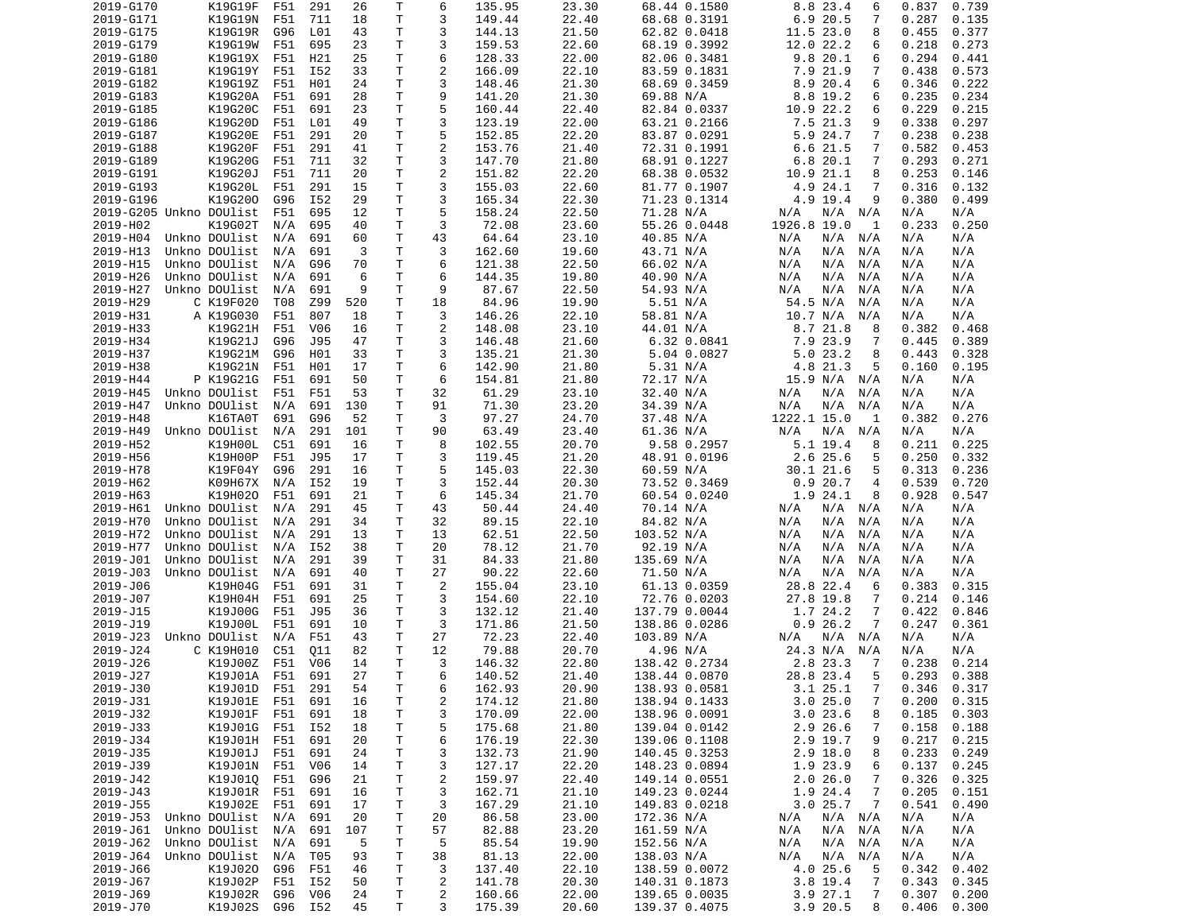| 2019-G170 | K19G19F                 | F51 | 291             | 26  | т            | 6                       | 135.95 | 23.30 | 68.44 0.1580  | 8.8 23.4<br>6                | 0.837<br>0.739 |
|-----------|-------------------------|-----|-----------------|-----|--------------|-------------------------|--------|-------|---------------|------------------------------|----------------|
| 2019-G171 | K19G19N                 | F51 | 711             | 18  | T            | 3                       | 149.44 | 22.40 | 68.68 0.3191  | 6.9 20.5<br>7                | 0.287<br>0.135 |
| 2019-G175 | K19G19R                 | G96 | L <sub>01</sub> | 43  | т            | 3                       | 144.13 | 21.50 | 62.82 0.0418  | 11.5 23.0<br>8               | 0.455<br>0.377 |
| 2019-G179 | K19G19W                 | F51 | 695             | 23  | т            | 3                       | 159.53 | 22.60 | 68.19 0.3992  | 12.0 22.2<br>6               | 0.218<br>0.273 |
| 2019-G180 | K19G19X                 | F51 | H21             | 25  | Τ            | 6                       | 128.33 | 22.00 | 82.06 0.3481  | 9.820.1<br>6                 | 0.294<br>0.441 |
|           |                         |     |                 |     |              |                         |        |       |               |                              |                |
| 2019-G181 | K19G19Y                 | F51 | I52             | 33  | Τ            | $\overline{c}$          | 166.09 | 22.10 | 83.59 0.1831  | 7.9 21.9<br>7                | 0.438<br>0.573 |
| 2019-G182 | K19G19Z                 | F51 | H01             | 24  | т            | 3                       | 148.46 | 21.30 | 68.69 0.3459  | 8.9 20.4<br>6                | 0.346<br>0.222 |
| 2019-G183 | K19G20A                 | F51 | 691             | 28  | т            | 9                       | 141.20 | 21.30 | 69.88 N/A     | 8.8 19.2<br>6                | 0.235<br>0.234 |
| 2019-G185 | K19G20C                 | F51 | 691             | 23  | T            | 5                       | 160.44 | 22.40 | 82.84 0.0337  | 22.2<br>10.9<br>6            | 0.229<br>0.215 |
| 2019-G186 | K19G20D                 | F51 | L01             | 49  | т            | 3                       | 123.19 | 22.00 | 63.21 0.2166  | 7.5 21.3<br>9                | 0.338<br>0.297 |
| 2019-G187 | K19G20E                 | F51 | 291             | 20  | T            | 5                       | 152.85 | 22.20 | 83.87 0.0291  | 5.9 24.7<br>7                | 0.238<br>0.238 |
| 2019-G188 | K19G20F                 | F51 | 291             | 41  | т            | $\overline{\mathbf{c}}$ | 153.76 | 21.40 | 72.31 0.1991  | 6.6 21.5<br>7                | 0.582<br>0.453 |
| 2019-G189 | K19G20G                 | F51 | 711             | 32  | T            | 3                       | 147.70 | 21.80 | 68.91 0.1227  | 6.820.1<br>7                 | 0.293<br>0.271 |
| 2019-G191 |                         |     |                 |     | Τ            | $\overline{c}$          | 151.82 | 22.20 | 68.38 0.0532  |                              | 0.253          |
|           | K19G20J                 | F51 | 711             | 20  |              |                         |        |       |               | 10.9 21.1<br>8               | 0.146          |
| 2019-G193 | K19G20L                 | F51 | 291             | 15  | T            | 3                       | 155.03 | 22.60 | 81.77 0.1907  | 4.9 24.1<br>7                | 0.316<br>0.132 |
| 2019-G196 | K19G200                 | G96 | I52             | 29  | T            | 3                       | 165.34 | 22.30 | 71.23 0.1314  | 4.9 19.4<br>9                | 0.380<br>0.499 |
|           | 2019-G205 Unkno DOUlist | F51 | 695             | 12  | т            | 5                       | 158.24 | 22.50 | 71.28 N/A     | N/A<br>$N/A$ $N/A$           | N/A<br>N/A     |
| 2019-H02  | K19G02T                 | N/A | 695             | 40  | T            | 3                       | 72.08  | 23.60 | 55.26 0.0448  | 1926.8 19.0<br>1             | 0.233<br>0.250 |
| 2019-H04  | Unkno DOUlist           | N/A | 691             | 60  | т            | 43                      | 64.64  | 23.10 | 40.85 N/A     | N/A<br>N/A<br>N/A            | N/A<br>N/A     |
| 2019-H13  | Unkno DOUlist           | N/A | 691             | 3   | т            | 3                       | 162.60 | 19.60 | 43.71 N/A     | N/A<br>N/A<br>N/A            | N/A<br>N/A     |
| 2019-H15  | Unkno DOUlist           | N/A | G96             | 70  | т            | 6                       | 121.38 | 22.50 | 66.02 N/A     | N/A<br>N/A<br>N/A            | N/A<br>N/A     |
| 2019-H26  | Unkno DOUlist           | N/A | 691             | 6   | т            | 6                       | 144.35 | 19.80 | 40.90 N/A     | N/A<br>N/A<br>N/A            | N/A<br>N/A     |
|           |                         | N/A | 691             | 9   | T            | 9                       | 87.67  |       |               | N/A<br>N/A<br>N/A            |                |
| 2019-H27  | Unkno DOUlist           |     |                 |     |              |                         |        | 22.50 | 54.93 N/A     |                              | N/A<br>N/A     |
| 2019-H29  | C K19F020               | T08 | Z99             | 520 | т            | 18                      | 84.96  | 19.90 | 5.51 N/A      | 54.5 N/A<br>N/A              | N/A<br>N/A     |
| 2019-H31  | A K19G030               | F51 | 807             | 18  | T            | 3                       | 146.26 | 22.10 | 58.81 N/A     | 10.7 N/A<br>N/A              | N/A<br>N/A     |
| 2019-H33  | K19G21H                 | F51 | V <sub>06</sub> | 16  | $\mathsf{T}$ | $\overline{c}$          | 148.08 | 23.10 | 44.01 N/A     | 8.721.8<br>8                 | 0.382<br>0.468 |
| 2019-H34  | K19G21J                 | G96 | J95             | 47  | T            | 3                       | 146.48 | 21.60 | 6.32 0.0841   | 7.9 23.9<br>7                | 0.445<br>0.389 |
| 2019-H37  | K19G21M                 | G96 | H01             | 33  | т            | 3                       | 135.21 | 21.30 | 5.04 0.0827   | 5.023.2<br>8                 | 0.328<br>0.443 |
| 2019-H38  | K19G21N                 | F51 | H01             | 17  | т            | 6                       | 142.90 | 21.80 | 5.31 N/A      | 4.8 21.3<br>5                | 0.160<br>0.195 |
| 2019-H44  | P K19G21G               | F51 | 691             | 50  | T            | 6                       | 154.81 | 21.80 | 72.17 N/A     | 15.9 N/A<br>N/A              | N/A<br>N/A     |
| 2019-H45  | Unkno DOUlist           | F51 | F51             | 53  | т            | 32                      | 61.29  | 23.10 | 32.40 N/A     | N/A<br>N/A<br>N/A            | N/A<br>N/A     |
| 2019-H47  | Unkno DOUlist           | N/A | 691             | 130 | T            | 91                      | 71.30  | 23.20 | 34.39 N/A     | N/A<br>N/A<br>N/A            | N/A<br>N/A     |
| 2019-H48  | K16TA0T                 | 691 | G96             | 52  | Τ            | 3                       | 97.27  | 24.70 | 37.48 N/A     | 1222.1 15.0<br>1             | 0.382<br>0.276 |
|           | Unkno DOUlist           |     |                 |     |              |                         |        |       |               |                              |                |
| 2019-H49  |                         | N/A | 291             | 101 | т            | 90                      | 63.49  | 23.40 | 61.36 N/A     | N/A<br>N/A<br>N/A            | N/A<br>N/A     |
| 2019-H52  | K19H00L                 | C51 | 691             | 16  | т            | 8                       | 102.55 | 20.70 | 9.58 0.2957   | 5.1 19.4<br>8                | 0.225<br>0.211 |
| 2019-H56  | K19H00P                 | F51 | J95             | 17  | т            | 3                       | 119.45 | 21.20 | 48.91 0.0196  | 2.6 25.6<br>5                | 0.250<br>0.332 |
| 2019-H78  | K19F04Y                 | G96 | 291             | 16  | т            | 5                       | 145.03 | 22.30 | 60.59 N/A     | 30.1 21.6<br>5               | 0.313<br>0.236 |
| 2019-H62  | K09H67X                 | N/A | I52             | 19  | т            | 3                       | 152.44 | 20.30 | 73.52 0.3469  | 0.920.7<br>4                 | 0.539<br>0.720 |
| 2019-H63  | K19H020                 | F51 | 691             | 21  | Τ            | 6                       | 145.34 | 21.70 | 60.54 0.0240  | 1.9 24.1<br>8                | 0.928<br>0.547 |
| 2019-H61  | Unkno DOUlist           | N/A | 291             | 45  | т            | 43                      | 50.44  | 24.40 | 70.14 N/A     | $N/A$ $N/A$<br>N/A           | N/A<br>N/A     |
| 2019-H70  | Unkno DOUlist           | N/A | 291             | 34  | т            | 32                      | 89.15  | 22.10 | 84.82 N/A     | N/A<br>N/A<br>N/A            | N/A<br>N/A     |
| 2019-H72  | Unkno DOUlist           | N/A | 291             | 13  | T            | 13                      | 62.51  | 22.50 | 103.52 N/A    | N/A<br>N/A<br>N/A            | N/A<br>N/A     |
| 2019-H77  | Unkno DOUlist           | N/A | I52             | 38  | T            | 20                      | 78.12  | 21.70 | 92.19 N/A     | N/A<br>N/A<br>N/A            | N/A<br>N/A     |
| 2019-J01  | Unkno DOUlist           | N/A | 291             | 39  | T            | 31                      | 84.33  | 21.80 | 135.69 N/A    | N/A<br>N/A<br>N/A            | N/A<br>N/A     |
| 2019-J03  | Unkno DOUlist           | N/A | 691             | 40  | т            | 27                      | 90.22  | 22.60 | 71.50 N/A     | N/A<br>N/A<br>N/A            | N/A<br>N/A     |
| 2019-J06  |                         |     |                 |     |              |                         |        |       |               |                              |                |
|           | K19H04G                 | F51 | 691             | 31  | Τ            | 2                       | 155.04 | 23.10 | 61.13 0.0359  | 28.8 22.4<br>6               | 0.383<br>0.315 |
| 2019-J07  | K19H04H                 | F51 | 691             | 25  | Τ            | 3                       | 154.60 | 22.10 | 72.76 0.0203  | 27.8 19.8<br>7               | 0.214<br>0.146 |
| 2019-J15  | K19J00G                 | F51 | J95             | 36  | T            | 3                       | 132.12 | 21.40 | 137.79 0.0044 | 1.7 24.2<br>7                | 0.422<br>0.846 |
| 2019-J19  | K19J00L                 | F51 | 691             | 10  | Τ            | 3                       | 171.86 | 21.50 | 138.86 0.0286 | 0.926.2<br>7                 | 0.247<br>0.361 |
| 2019-J23  | Unkno DOUlist           | N/A | F51             | 43  | Τ            | 27                      | 72.23  | 22.40 | 103.89 N/A    | N/A N/A<br>N/A               | N/A<br>N/A     |
| 2019-J24  | C K19H010               | C51 | Q11             | 82  | т            | 12                      | 79.88  | 20.70 | 4.96 N/A      | 24.3 N/A<br>N/A              | N/A<br>N/A     |
| 2019-J26  | K19J00Z                 | F51 | V06             | 14  | T.           | 3                       | 146.32 | 22.80 | 138.42 0.2734 | 2.8 23.3<br>7                | 0.238<br>0.214 |
| 2019-J27  | K19J01A F51             |     | 691             | 27  | T.           | 6                       | 140.52 | 21.40 | 138.44 0.0870 | 28.8 23.4<br>5               | 0.293<br>0.388 |
| 2019-J30  | K19J01D F51             |     | 291             | 54  | T            | 6                       | 162.93 | 20.90 | 138.93 0.0581 | $\overline{7}$<br>$3.1$ 25.1 | 0.346<br>0.317 |
| 2019-J31  | K19J01E                 | F51 | 691             | 16  | Τ            | 2                       | 174.12 | 21.80 | 138.94 0.1433 | 3.025.0<br>$\overline{7}$    | 0.200<br>0.315 |
|           |                         |     |                 |     |              |                         |        |       |               |                              |                |
| 2019-J32  | K19J01F                 | F51 | 691             | 18  | Τ            | 3                       | 170.09 | 22.00 | 138.96 0.0091 | 3.023.6<br>8                 | 0.185<br>0.303 |
| 2019-J33  | K19J01G                 | F51 | I52             | 18  | Τ            | 5                       | 175.68 | 21.80 | 139.04 0.0142 | 2.9 26.6<br>7                | 0.158<br>0.188 |
| 2019-J34  | K19J01H                 | F51 | 691             | 20  | Τ            | 6                       | 176.19 | 22.30 | 139.06 0.1108 | 2.9 19.7<br>9                | 0.217<br>0.215 |
| 2019-J35  | K19J01J                 | F51 | 691             | 24  | Τ            | 3                       | 132.73 | 21.90 | 140.45 0.3253 | $2.9$ 18.0<br>8              | 0.233<br>0.249 |
| 2019-J39  | K19J01N                 | F51 | V06             | 14  | Τ            | 3                       | 127.17 | 22.20 | 148.23 0.0894 | 1.9 23.9<br>6                | 0.137<br>0.245 |
| 2019-J42  | K19J010                 | F51 | G96             | 21  | Τ            | $\overline{c}$          | 159.97 | 22.40 | 149.14 0.0551 | 2.026.0<br>7                 | 0.326<br>0.325 |
| 2019-J43  | K19J01R                 | F51 | 691             | 16  | T            | 3                       | 162.71 | 21.10 | 149.23 0.0244 | 1.9 24.4<br>7                | 0.205<br>0.151 |
| 2019-J55  | K19J02E                 | F51 | 691             | 17  | T            | 3                       | 167.29 | 21.10 | 149.83 0.0218 | 3.025.7<br>7                 | 0.541<br>0.490 |
| 2019-J53  | Unkno DOUlist           | N/A | 691             | 20  | т            | 20                      | 86.58  | 23.00 | 172.36 N/A    | N/A<br>N/A N/A               | N/A<br>N/A     |
| 2019-J61  | Unkno DOUlist           | N/A | 691             | 107 | T            | 57                      | 82.88  | 23.20 | 161.59 N/A    | N/A<br>N/A<br>N/A            | N/A<br>N/A     |
| 2019-J62  | Unkno DOUlist           | N/A | 691             | 5   | Τ            | 5                       | 85.54  | 19.90 | 152.56 N/A    | N/A<br>N/A<br>N/A            | N/A<br>N/A     |
|           | Unkno DOUlist           |     |                 |     |              |                         |        | 22.00 |               |                              |                |
| 2019-J64  |                         | N/A | T05             | 93  | T            | 38                      | 81.13  |       | 138.03 N/A    | N/A<br>N/A<br>N/A            | N/A<br>N/A     |
| 2019-J66  | K19J020                 | G96 | F51             | 46  | Τ            | 3                       | 137.40 | 22.10 | 138.59 0.0072 | 4.0 25.6<br>5                | 0.342<br>0.402 |
| 2019-J67  | K19J02P                 | F51 | I52             | 50  | T            | 2                       | 141.78 | 20.30 | 140.31 0.1873 | $3.8$ 19.4<br>7              | 0.343<br>0.345 |
| 2019-J69  | K19J02R                 | G96 | V06             | 24  | T            | 2                       | 160.66 | 22.00 | 139.65 0.0035 | 3.927.1<br>7                 | 0.307<br>0.200 |
| 2019-J70  | K19J02S                 | G96 | I52             | 45  | Τ            | 3                       | 175.39 | 20.60 | 139.37 0.4075 | 3.9 20.5<br>8                | 0.406<br>0.300 |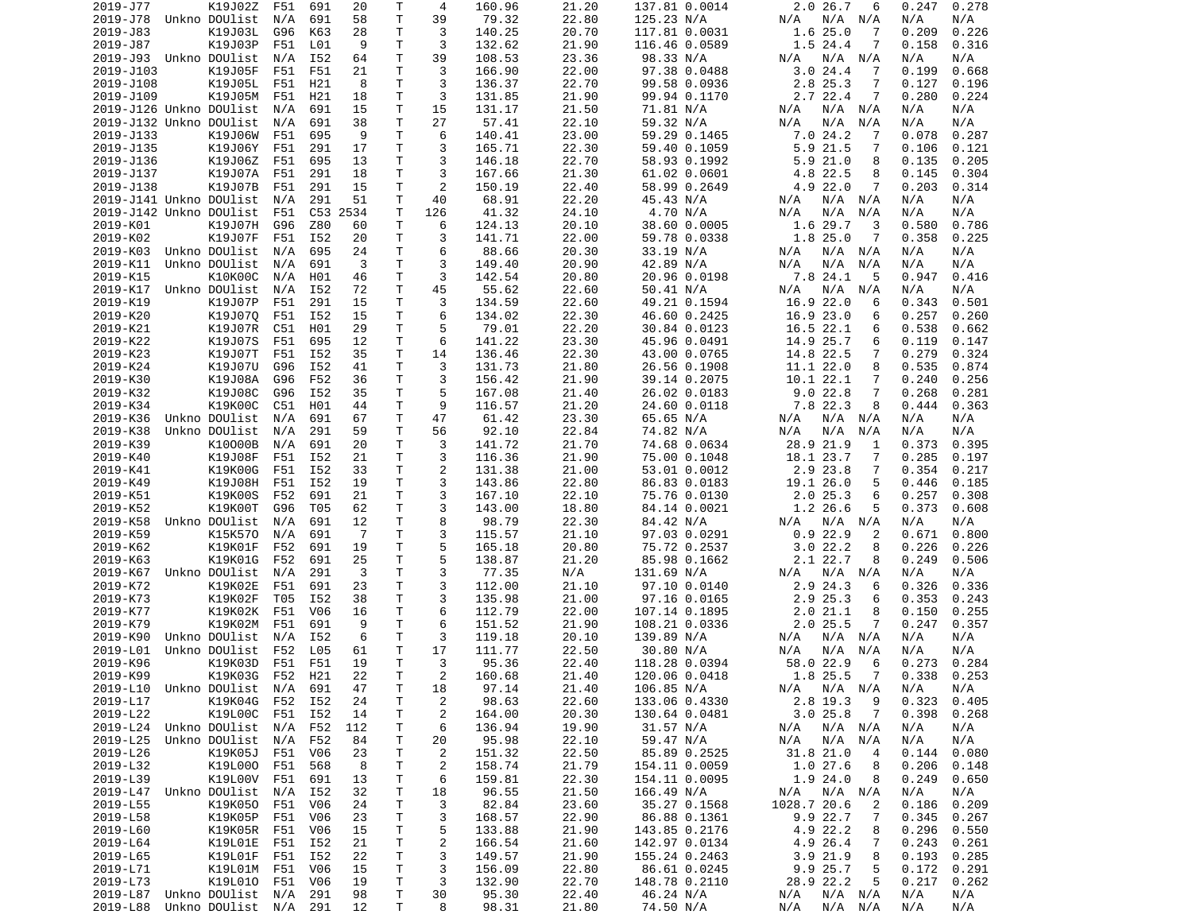| 2019-J77                | K19J02Z               | F51 | 691             | 20       | Т  | 4              | 160.96 | 21.20 | 137.81 0.0014 | $2.0$ 26.7<br>6           | 0.247<br>0.278  |
|-------------------------|-----------------------|-----|-----------------|----------|----|----------------|--------|-------|---------------|---------------------------|-----------------|
| 2019-J78                | Unkno DOUlist         | N/A | 691             | 58       | Τ  | 39             | 79.32  | 22.80 | 125.23 N/A    | N/A<br>N/A<br>N/A         | N/A<br>N/A      |
| 2019-J83                | K19J03L               | G96 | K63             | 28       | Τ  | 3              | 140.25 | 20.70 | 117.81 0.0031 | 1.625.0<br>7              | 0.226<br>0.209  |
| 2019-J87                | K19J03P               | F51 | L01             | 9        | т  | 3              | 132.62 | 21.90 | 116.46 0.0589 | 1.5 24.4<br>7             | 0.158<br>0.316  |
| 2019-J93                | Unkno DOUlist         | N/A | I52             | 64       | T. | 39             | 108.53 | 23.36 | 98.33 N/A     | N/A<br>N/A<br>N/A         | N/A<br>N/A      |
| 2019-J103               | K19J05F               | F51 | F51             | 21       | Τ  | 3              | 166.90 | 22.00 | 97.38 0.0488  | 3.024.4<br>-7             | 0.199<br>0.668  |
| 2019-J108               | K19J05L               | F51 | H21             | 8        | т  | 3              | 136.37 | 22.70 | 99.58 0.0936  | 2.8 25.3<br>7             | 0.127<br>0.196  |
| 2019-J109               | K19J05M               | F51 | H21             | 18       | Τ  | 3              | 131.85 | 21.90 | 99.94 0.1170  | 2.7 22.4<br>7             | 0.280<br>0.224  |
| 2019-J126 Unkno DOUlist |                       | N/A | 691             | 15       | T  | 15             | 131.17 | 21.50 | 71.81 N/A     | N/A<br>N/A<br>N/A         | N/A<br>N/A      |
| 2019-J132 Unkno DOUlist |                       | N/A | 691             | 38       | т  | 27             | 57.41  | 22.10 | 59.32 N/A     | N/A<br>N/A<br>N/A         | N/A<br>N/A      |
| 2019-J133               | K19J06W               | F51 | 695             | 9        | T  | 6              | 140.41 | 23.00 | 59.29 0.1465  | 7.024.2<br>7              | 0.287<br>0.078  |
|                         |                       |     |                 |          | Τ  | 3              |        |       |               | 5.9<br>7                  |                 |
| 2019-J135<br>2019-J136  | K19J06Y               | F51 | 291             | 17       |    |                | 165.71 | 22.30 | 59.40 0.1059  | 21.5                      | 0.121<br>0.106  |
|                         | K19J06Z               | F51 | 695             | 13       | Τ  | 3              | 146.18 | 22.70 | 58.93 0.1992  | 5.9<br>21.0<br>8          | 0.135<br>0.205  |
| 2019-J137               | K19J07A               | F51 | 291             | 18       | т  | 3              | 167.66 | 21.30 | 61.02 0.0601  | 4.8 22.5<br>8             | 0.145<br>0.304  |
| 2019-J138               | K19J07B               | F51 | 291             | 15       | Τ  | 2              | 150.19 | 22.40 | 58.99 0.2649  | 4.9 22.0<br>7             | 0.203<br>0.314  |
| 2019-J141 Unkno DOUlist |                       | N/A | 291             | 51       | Т  | 40             | 68.91  | 22.20 | 45.43 N/A     | N/A<br>N/A<br>N/A         | N/A<br>N/A      |
| 2019-J142 Unkno DOUlist |                       | F51 |                 | C53 2534 | Τ  | 126            | 41.32  | 24.10 | 4.70 N/A      | N/A<br>N/A<br>N/A         | N/A<br>N/A      |
| 2019-K01                | K19J07H               | G96 | Z80             | 60       | Τ  | 6              | 124.13 | 20.10 | 38.60 0.0005  | 1.6 29.7<br>3             | 0.580<br>0.786  |
| 2019-K02                | K19J07F               | F51 | I52             | 20       | Τ  | 3              | 141.71 | 22.00 | 59.78 0.0338  | 1.8 25.0<br>7             | 0.358<br>0.225  |
| 2019-K03                | Unkno DOUlist         | N/A | 695             | 24       | Τ  | 6              | 88.66  | 20.30 | 33.19 N/A     | N/A<br>N/A<br>N/A         | N/A<br>N/A      |
| 2019-K11                | Unkno DOUlist         | N/A | 691             | 3        | т  | 3              | 149.40 | 20.90 | 42.89 N/A     | N/A<br>N/A<br>N/A         | N/A<br>N/A      |
| 2019-K15                | K10K00C               | N/A | H01             | 46       | Τ  | 3              | 142.54 | 20.80 | 20.96 0.0198  | 7.8 24.1<br>5             | 0.947<br>0.416  |
| 2019-K17                | Unkno DOUlist         | N/A | I52             | 72       | T  | 45             | 55.62  | 22.60 | 50.41 N/A     | N/A<br>N/A<br>N/A         | N/A<br>N/A      |
| 2019-K19                | K19J07P               | F51 | 291             | 15       | т  | 3              | 134.59 | 22.60 | 49.21 0.1594  | 16.9 22.0<br>6            | 0.343<br>0.501  |
| 2019-K20                | K19J07Q               | F51 | I52             | 15       | T  | 6              | 134.02 | 22.30 | 46.60 0.2425  | 16.9 23.0<br>6            | 0.257<br>0.260  |
| 2019-K21                | K19J07R               | C51 | H01             | 29       | T. | 5              | 79.01  | 22.20 | 30.84 0.0123  | 16.5 22.1<br>6            | 0.538<br>0.662  |
| 2019-K22                | K19J07S               | F51 | 695             | 12       | т  | 6              | 141.22 | 23.30 | 45.96 0.0491  | 14.9 25.7<br>6            | 0.119<br>0.147  |
| 2019-K23                | K19J07T               | F51 | I52             | 35       | Τ  | 14             | 136.46 | 22.30 | 43.00 0.0765  | 14.8 22.5<br>7            | 0.279<br>0.324  |
| 2019-K24                | K19J07U               | G96 | I52             | 41       | T  | 3              | 131.73 | 21.80 | 26.56 0.1908  | 11.1 22.0<br>8            | 0.535<br>0.874  |
| 2019-K30                | K19J08A               | G96 | F52             | 36       | т  | 3              | 156.42 | 21.90 | 39.14 0.2075  | 10.1 22.1<br>7            | 0.240<br>0.256  |
|                         |                       |     |                 |          | т  | 5              |        |       |               | 7                         |                 |
| 2019-K32                | K19J08C               | G96 | I52             | 35       |    |                | 167.08 | 21.40 | 26.02 0.0183  | 9.022.8                   | 0.268<br>0.281  |
| 2019-K34                | K19K00C               | C51 | H01             | 44       | T. | 9              | 116.57 | 21.20 | 24.60 0.0118  | 7.8 22.3<br>8             | 0.444<br>0.363  |
| 2019-K36                | Unkno DOUlist         | N/A | 691             | 67       | Τ  | 47             | 61.42  | 23.30 | 65.65 N/A     | N/A<br>N/A<br>N/A         | N/A<br>N/A      |
| 2019-K38                | Unkno DOUlist         | N/A | 291             | 59       | Τ  | 56             | 92.10  | 22.84 | 74.82 N/A     | N/A<br>N/A<br>N/A         | N/A<br>N/A      |
| 2019-K39                | K10000B               | N/A | 691             | 20       | T. | 3              | 141.72 | 21.70 | 74.68 0.0634  | 28.9 21.9<br>1            | 0.373<br>0.395  |
| 2019-K40                | K19J08F               | F51 | I52             | 21       | T. | 3              | 116.36 | 21.90 | 75.00 0.1048  | 18.1 23.7<br>7            | 0.285<br>0.197  |
| 2019-K41                | K19K00G               | F51 | I52             | 33       | T  | $\overline{2}$ | 131.38 | 21.00 | 53.01 0.0012  | 2.9 23.8<br>7             | 0.354<br>0.217  |
| 2019-K49                | K19J08H               | F51 | I52             | 19       | T. | 3              | 143.86 | 22.80 | 86.83 0.0183  | 19.1 26.0<br>5            | 0.446<br>0.185  |
| 2019-K51                | K19K00S               | F52 | 691             | 21       | Τ  | 3              | 167.10 | 22.10 | 75.76 0.0130  | 2.025.3<br>6              | 0.257<br>0.308  |
| 2019-K52                | K19K00T               | G96 | T05             | 62       | т  | 3              | 143.00 | 18.80 | 84.14 0.0021  | 5<br>1.2 26.6             | 0.373<br>0.608  |
| 2019-K58                | Unkno DOUlist         | N/A | 691             | 12       | т  | 8              | 98.79  | 22.30 | 84.42 N/A     | N/A<br>N/A<br>N/A         | N/A<br>N/A      |
| 2019-K59                | K15K570               | N/A | 691             | -7       | Τ  | 3              | 115.57 | 21.10 | 97.03 0.0291  | 22.9<br>0.9<br>2          | 0.671<br>0.800  |
| 2019-K62                | K19K01F               | F52 | 691             | 19       | т  | 5              | 165.18 | 20.80 | 75.72 0.2537  | 22.2<br>3.0<br>8          | 0.226<br>0.226  |
| 2019-K63                | K19K01G               | F52 | 691             | 25       | т  | 5              | 138.87 | 21.20 | 85.98 0.1662  | 2.1 22.7<br>8             | 0.249<br>0.506  |
| 2019-K67                | Unkno DOUlist         | N/A | 291             | 3        | Τ  | 3              | 77.35  | N/A   | 131.69 N/A    | N/A<br>N/A<br>N/A         | N/A<br>N/A      |
| 2019-K72                | K19K02E               | F51 | 691             | 23       | Τ  | 3              | 112.00 | 21.10 | 97.10 0.0140  | 2.9 24.3<br>6             | 0.326<br>0.336  |
| 2019-K73                | K19K02F               | T05 | I52             | 38       | Τ  | 3              | 135.98 | 21.00 | 97.16 0.0165  | 2.9 25.3<br>6             | 0.353<br>0.243  |
| 2019-K77                | K19K02K               | F51 | V06             | 16       | T. | 6              | 112.79 | 22.00 | 107.14 0.1895 | 2.021.1<br>8              | 0.150<br>0.255  |
| 2019-K79                | K19K02M               | F51 | 691             | 9        | Τ  | 6              | 151.52 | 21.90 | 108.21 0.0336 | $2.0$ 25.5<br>7           | 0.247<br>0.357  |
| 2019-K90                | Unkno DOUlist         | N/A | I52             | 6        | т  | 3              | 119.18 | 20.10 | 139.89 N/A    | N/A<br>N/A<br>N/A         | N/A<br>N/A      |
|                         | Unkno DOUlist         | F52 | L05             |          | т  | 17             |        |       |               | N/A                       | N/A             |
| 2019-L01                |                       |     |                 | 61       |    |                | 111.77 | 22.50 | 30.80 N/A     | N/A<br>N/A                | N/A             |
| 2019-K96                | K19K03D               | F51 | F51             | 19       | T. | 3              | 95.36  | 22.40 | 118.28 0.0394 | 58.0 22.9<br>6            | 0.273<br>0.284  |
| 2019-K99                | K19K03G F52           |     | H21             | 22       | T. | 2              | 160.68 | 21.40 | 120.06 0.0418 | 1.8 25.5 7                | $0.338$ $0.253$ |
| 2019-L10                | Unkno DOUlist N/A     |     | 691             | 47       | T  | 18             | 97.14  | 21.40 | 106.85 N/A    | N/A N/A<br>N/A            | N/A<br>N/A      |
| 2019-L17                | K19K04G               | F52 | I52             | 24       | Τ  | $\overline{c}$ | 98.63  | 22.60 | 133.06 0.4330 | 2.8 19.3<br>9             | 0.323<br>0.405  |
| 2019-L22                | K19L00C               | F51 | I52             | 14       | т  | $\overline{c}$ | 164.00 | 20.30 | 130.64 0.0481 | 3.025.8<br>$\overline{7}$ | 0.398<br>0.268  |
| 2019-L24                | Unkno DOUlist N/A     |     | F52             | 112      | Τ  | 6              | 136.94 | 19.90 | 31.57 N/A     | N/A N/A<br>N/A            | N/A<br>N/A      |
| 2019-L25                | Unkno DOUlist         | N/A | F52             | 84       | Τ  | 20             | 95.98  | 22.10 | 59.47 N/A     | N/A<br>N/A<br>N/A         | N/A<br>N/A      |
| 2019-L26                | K19K05J               | F51 | V06             | 23       | Τ  | $\overline{c}$ | 151.32 | 22.50 | 85.89 0.2525  | 31.8 21.0<br>4            | 0.144<br>0.080  |
| 2019-L32                | K19L000               | F51 | 568             | 8        | Τ  | $\overline{c}$ | 158.74 | 21.79 | 154.11 0.0059 | 1.027.6<br>8              | 0.206<br>0.148  |
| 2019-L39                | K19L00V               | F51 | 691             | 13       | Τ  | 6              | 159.81 | 22.30 | 154.11 0.0095 | 1.9 24.0<br>8             | 0.249<br>0.650  |
| 2019-L47 Unkno DOUlist  |                       | N/A | I52             | 32       | Τ  | 18             | 96.55  | 21.50 | 166.49 N/A    | N/A N/A<br>N/A            | N/A<br>N/A      |
| 2019-L55                | K19K050               | F51 | V06             | 24       | т  | 3              | 82.84  | 23.60 | 35.27 0.1568  | 1028.7 20.6<br>2          | 0.209<br>0.186  |
| 2019-L58                | K19K05P               | F51 | V06             | 23       | Τ  | 3              | 168.57 | 22.90 | 86.88 0.1361  | 9.9 22.7<br>7             | 0.345<br>0.267  |
| 2019-L60                | K19K05R               | F51 | V <sub>06</sub> | 15       | T  | 5              | 133.88 | 21.90 | 143.85 0.2176 | 4.9 22.2<br>8             | 0.296<br>0.550  |
| 2019-L64                | K19L01E               | F51 | I52             | 21       | T  | 2              | 166.54 | 21.60 | 142.97 0.0134 | 4.9 26.4<br>7             | 0.243<br>0.261  |
| 2019-L65                | K19L01F               | F51 | I52             | 22       | T  | 3              | 149.57 | 21.90 | 155.24 0.2463 | $3.9$ $21.9$<br>8         | 0.193<br>0.285  |
| 2019-L71                | K19L01M F51           |     | V06             | 15       | T  | 3              | 156.09 | 22.80 | 86.61 0.0245  | 9.9 25.7<br>5             | 0.172<br>0.291  |
|                         |                       |     |                 |          |    |                |        |       |               | 28.9 22.2<br>5            |                 |
| 2019-L73                | K19L010 F51           |     | V06             | 19       | T  | 3              | 132.90 | 22.70 | 148.78 0.2110 |                           | 0.217<br>0.262  |
| 2019-L87                | Unkno DOUlist  N/A    |     | 291             | 98       | Τ  | 30             | 95.30  | 22.40 | 46.24 N/A     | N/A<br>$N/A$ $N/A$        | N/A<br>N/A      |
| 2019-L88                | Unkno DOUlist N/A 291 |     |                 | 12       | Τ  | 8              | 98.31  | 21.80 | 74.50 N/A     | N/A<br>N/A N/A            | N/A<br>N/A      |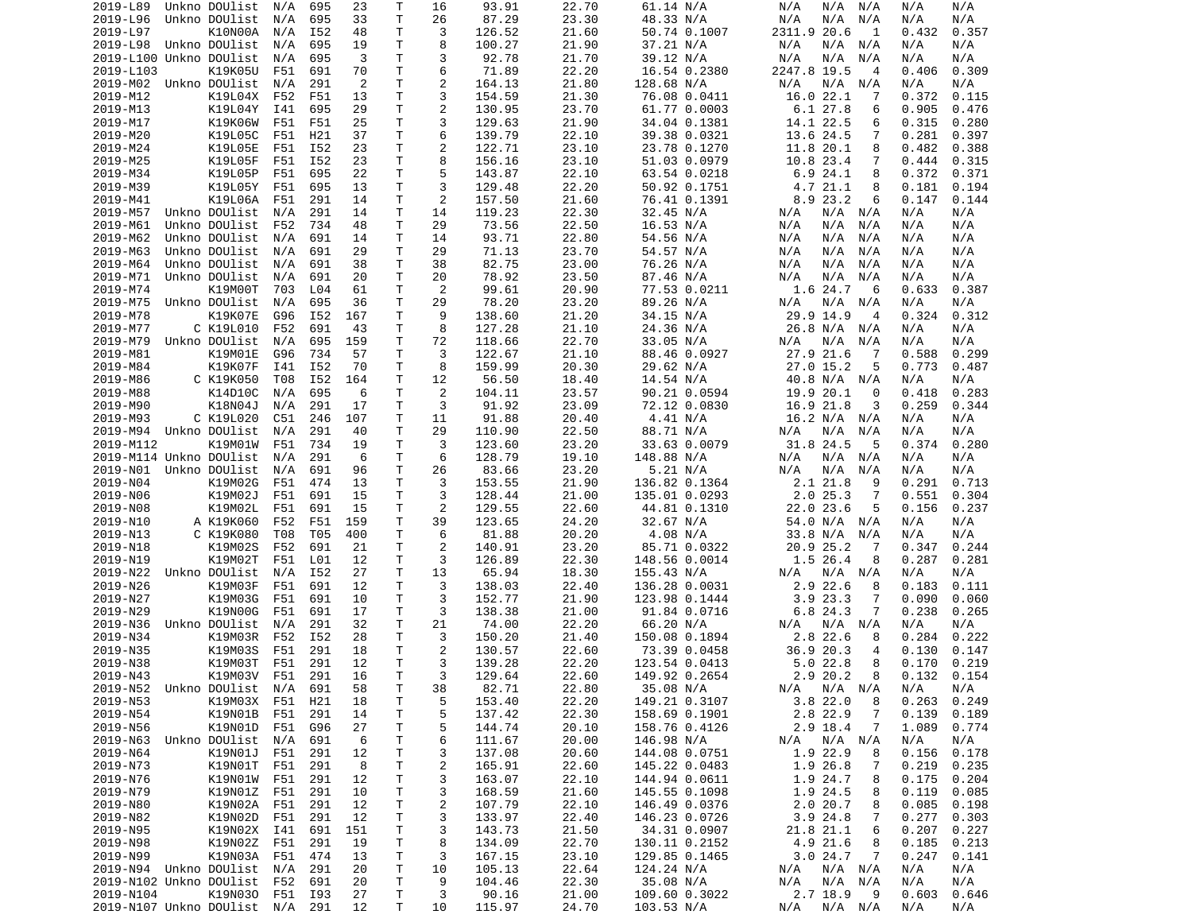| 2019-L89                        | Unkno DOUlist     | N/A     | 695 | 23  | Т  | 16             | 93.91  | 22.70 | 61.14 N/A     | N/A<br>N/A<br>N/A             | N/A<br>N/A      |  |
|---------------------------------|-------------------|---------|-----|-----|----|----------------|--------|-------|---------------|-------------------------------|-----------------|--|
| 2019-L96                        | Unkno DOUlist     | N/A     | 695 | 33  | Τ  | 26             | 87.29  | 23.30 | 48.33 N/A     | N/A<br>N/A<br>N/A             | N/A<br>N/A      |  |
| 2019-L97                        | K10N00A           | N/A     | I52 | 48  | T  | 3              | 126.52 | 21.60 | 50.74 0.1007  | 2311.9 20.6<br>1              | 0.432<br>0.357  |  |
| 2019-L98 Unkno DOUlist          |                   | N/A     | 695 | 19  | Τ  | 8              | 100.27 | 21.90 | 37.21 N/A     | N/A<br>N/A<br>N/A             | N/A<br>N/A      |  |
| 2019-L100 Unkno DOUlist         |                   | N/A     | 695 | 3   | T. | 3              | 92.78  | 21.70 | 39.12 N/A     | N/A<br>N/A<br>N/A             | N/A<br>N/A      |  |
| 2019-L103                       | K19K05U           | F51     | 691 | 70  | Τ  | 6              | 71.89  | 22.20 | 16.54 0.2380  | 2247.8 19.5<br>$\overline{4}$ | 0.406<br>0.309  |  |
| 2019-M02 Unkno DOUlist          |                   | N/A     | 291 | 2   | т  | $\overline{c}$ | 164.13 | 21.80 | 128.68 N/A    | N/A<br>N/A<br>N/A             | N/A<br>N/A      |  |
| 2019-M12                        | K19L04X           | F52     | F51 | 13  | T. | 3              | 154.59 | 21.30 | 76.08 0.0411  | 16.0 22.1<br>7                | 0.372<br>0.115  |  |
|                                 | K19L04Y           | I41     | 695 |     | T  | $\overline{2}$ |        |       |               | 6.127.8<br>6                  | 0.905           |  |
| 2019-M13                        |                   |         |     | 29  |    |                | 130.95 | 23.70 | 61.77 0.0003  |                               | 0.476           |  |
| 2019-M17                        | K19K06W           | F51     | F51 | 25  | т  | 3              | 129.63 | 21.90 | 34.04 0.1381  | 14.1 22.5<br>6                | 0.315<br>0.280  |  |
| 2019-M20                        | K19L05C           | F51     | H21 | 37  | т  | 6              | 139.79 | 22.10 | 39.38 0.0321  | 13.6 24.5<br>7                | 0.281<br>0.397  |  |
| 2019-M24                        | K19L05E           | F51     | I52 | 23  | Τ  | $\overline{c}$ | 122.71 | 23.10 | 23.78 0.1270  | 11.8 20.1<br>8                | 0.482<br>0.388  |  |
| 2019-M25                        | K19L05F           | F51     | I52 | 23  | Τ  | 8              | 156.16 | 23.10 | 51.03 0.0979  | 10.8 23.4<br>7                | 0.444<br>0.315  |  |
| 2019-M34                        | K19L05P           | F51     | 695 | 22  | т  | 5              | 143.87 | 22.10 | 63.54 0.0218  | 6.924.1<br>8                  | 0.372<br>0.371  |  |
| 2019-M39                        | K19L05Y           | F51     | 695 | 13  | T. | 3              | 129.48 | 22.20 | 50.92 0.1751  | 4.7 21.1<br>8                 | 0.181<br>0.194  |  |
| 2019-M41                        | K19L06A           | F51     | 291 | 14  | T  | 2              | 157.50 | 21.60 | 76.41 0.1391  | 8.9 23.2<br>6                 | 0.147<br>0.144  |  |
| 2019-M57                        | Unkno DOUlist     | N/A     | 291 | 14  | т  | 14             | 119.23 | 22.30 | 32.45 N/A     | N/A N/A<br>N/A                | N/A<br>N/A      |  |
| 2019-M61                        | Unkno DOUlist     | F52     | 734 | 48  | Τ  | 29             | 73.56  | 22.50 | 16.53 N/A     | N/A<br>N/A<br>N/A             | N/A<br>N/A      |  |
| 2019-M62                        | Unkno DOUlist     | N/A     | 691 | 14  | Τ  | 14             | 93.71  | 22.80 | 54.56 N/A     | N/A<br>N/A<br>N/A             | N/A<br>N/A      |  |
| 2019-M63                        | Unkno DOUlist     | N/A     | 691 | 29  | т  | 29             | 71.13  | 23.70 | 54.57 N/A     | N/A<br>N/A<br>N/A             | N/A<br>N/A      |  |
| 2019-M64                        | Unkno DOUlist     | N/A     | 691 | 38  | Τ  | 38             | 82.75  | 23.00 | 76.26 N/A     | N/A<br>N/A<br>N/A             | N/A<br>N/A      |  |
|                                 |                   |         |     |     |    |                |        |       |               |                               |                 |  |
| 2019-M71                        | Unkno DOUlist     | N/A     | 691 | 20  | т  | 20             | 78.92  | 23.50 | 87.46 N/A     | N/A<br>N/A<br>N/A             | N/A<br>N/A      |  |
| 2019-M74                        | K19M00T           | 703     | L04 | 61  | Τ  | 2              | 99.61  | 20.90 | 77.53 0.0211  | 1.6 24.7<br>6                 | 0.633<br>0.387  |  |
| 2019-M75                        | Unkno DOUlist     | N/A     | 695 | 36  | т  | 29             | 78.20  | 23.20 | 89.26 N/A     | N/A<br>N/A<br>N/A             | N/A<br>N/A      |  |
| 2019-M78                        | K19K07E           | G96     | I52 | 167 | T  | 9              | 138.60 | 21.20 | 34.15 N/A     | 29.9 14.9<br>4                | 0.324<br>0.312  |  |
| 2019-M77                        | C K19L010         | F52     | 691 | 43  | Τ  | 8              | 127.28 | 21.10 | 24.36 N/A     | 26.8 N/A<br>N/A               | N/A<br>N/A      |  |
| 2019-M79                        | Unkno DOUlist     | N/A     | 695 | 159 | Τ  | 72             | 118.66 | 22.70 | 33.05 N/A     | N/A<br>N/A<br>N/A             | N/A<br>N/A      |  |
| 2019-M81                        | K19M01E           | G96     | 734 | 57  | Τ  | 3              | 122.67 | 21.10 | 88.46 0.0927  | 27.9 21.6<br>-7               | 0.299<br>0.588  |  |
| 2019-M84                        | K19K07F           | I41     | I52 | 70  | Τ  | 8              | 159.99 | 20.30 | 29.62 N/A     | $27.0$ 15.2<br>5              | 0.773<br>0.487  |  |
| 2019-M86                        | C K19K050         | T08     | I52 | 164 | T  | 12             | 56.50  | 18.40 | 14.54 N/A     | 40.8 N/A<br>N/A               | N/A<br>N/A      |  |
| 2019-M88                        | K14D10C           | N/A     | 695 | 6   | T  | 2              | 104.11 | 23.57 | 90.21 0.0594  | 19.9 20.1<br>0                | 0.283<br>0.418  |  |
| 2019-M90                        | K18N04J           | N/A     | 291 | 17  | T. | 3              | 91.92  | 23.09 | 72.12 0.0830  | 16.9 21.8<br>3                | 0.259<br>0.344  |  |
|                                 |                   |         |     |     |    |                |        |       |               |                               |                 |  |
| 2019-M93                        | C K19L020         | C51     | 246 | 107 | Τ  | 11             | 91.88  | 20.40 | 4.41 N/A      | 16.2 N/A N/A                  | N/A<br>N/A      |  |
| 2019-M94                        | Unkno DOUlist     | N/A     | 291 | 40  | т  | 29             | 110.90 | 22.50 | 88.71 N/A     | N/A<br>N/A<br>N/A             | N/A<br>N/A      |  |
| 2019-M112                       | K19M01W           | F51     | 734 | 19  | Τ  | 3              | 123.60 | 23.20 | 33.63 0.0079  | 31.8 24.5<br>5                | 0.374<br>0.280  |  |
| 2019-M114 Unkno DOUlist         |                   | N/A     | 291 | -6  | т  | 6              | 128.79 | 19.10 | 148.88 N/A    | N/A<br>N/A<br>N/A             | N/A<br>N/A      |  |
| 2019-N01                        | Unkno DOUlist     | N/A     | 691 | 96  | т  | 26             | 83.66  | 23.20 | 5.21 N/A      | N/A<br>N/A<br>N/A             | N/A<br>N/A      |  |
| 2019-N04                        | K19M02G           | F51     | 474 | 13  | Τ  | 3              | 153.55 | 21.90 | 136.82 0.1364 | 2.1 21.8<br>9                 | 0.291<br>0.713  |  |
| 2019-N06                        | K19M02J           | F51     | 691 | 15  | Τ  | 3              | 128.44 | 21.00 | 135.01 0.0293 | 2.025.3<br>7                  | 0.551<br>0.304  |  |
| 2019-N08                        | K19M02L           | F51     | 691 | 15  | т  | 2              | 129.55 | 22.60 | 44.81 0.1310  | 22.0 23.6<br>5                | 0.156<br>0.237  |  |
| 2019-N10                        | A K19K060         | F52     | F51 | 159 | т  | 39             | 123.65 | 24.20 | 32.67 N/A     | 54.0 N/A<br>N/A               | N/A<br>N/A      |  |
| 2019-N13                        | C K19K080         | T08     | T05 | 400 | Τ  | 6              | 81.88  | 20.20 | 4.08 N/A      | 33.8 N/A<br>N/A               | N/A<br>N/A      |  |
| 2019-N18                        | K19M02S           | F52     | 691 | 21  | Τ  | $\overline{c}$ | 140.91 | 23.20 | 85.71 0.0322  | 20.9 25.2<br>-7               | 0.347<br>0.244  |  |
| 2019-N19                        | K19M02T           | F51     | L01 | 12  | т  | 3              | 126.89 | 22.30 | 148.56 0.0014 | 1.5 26.4<br>8                 | 0.287<br>0.281  |  |
|                                 |                   |         |     |     |    |                |        |       |               |                               |                 |  |
| 2019-N22                        | Unkno DOUlist     | N/A     | I52 | 27  | Τ  | 13             | 65.94  | 18.30 | 155.43 N/A    | N/A<br>N/A N/A                | N/A<br>N/A      |  |
| 2019-N26                        | K19M03F           | F51     | 691 | 12  | Τ  | 3              | 138.03 | 22.40 | 136.28 0.0031 | 2.9 22.6<br>8                 | 0.183<br>0.111  |  |
| 2019-N27                        | K19M03G           | F51     | 691 | 10  | Τ  | 3              | 152.77 | 21.90 | 123.98 0.1444 | 3.923.3<br>7                  | 0.090<br>0.060  |  |
| 2019-N29                        | K19N00G           | F51     | 691 | 17  | Τ  | 3              | 138.38 | 21.00 | 91.84 0.0716  | 6.8 24.3<br>7                 | 0.238<br>0.265  |  |
| 2019-N36                        | Unkno DOUlist     | N/A     | 291 | 32  | Τ  | 21             | 74.00  | 22.20 | 66.20 N/A     | N/A<br>N/A<br>N/A             | N/A<br>N/A      |  |
| 2019-N34                        | K19M03R           | F52     | I52 | 28  | Τ  | 3              | 150.20 | 21.40 | 150.08 0.1894 | 2.8 22.6<br>8                 | 0.284<br>0.222  |  |
| 2019-N35                        | K19M03S           | F51     | 291 | 18  | т  | $\overline{2}$ | 130.57 | 22.60 | 73.39 0.0458  | 20.3<br>36.9<br>4             | 0.147<br>0.130  |  |
| 2019-N38                        | K19M03T           | F51     | 291 | 12  | T. | 3              | 139.28 | 22.20 | 123.54 0.0413 | $5.0$ 22.8<br>8               | 0.219<br>0.170  |  |
| 2019-N43                        | K19M03V F51       |         | 291 | 16  | T. | 3              | 129.64 | 22.60 | 149.92 0.2654 | 2.9 20.2<br>8                 | $0.132$ $0.154$ |  |
| 2019-N52 Unkno DOUlist N/A      |                   |         | 691 | 58  | Τ  | 38             | 82.71  | 22.80 | 35.08 N/A     | $N/A$ $N/A$<br>N/A            | N/A<br>N/A      |  |
| 2019-N53                        | K19M03X F51       |         | H21 | 18  | Τ  | 5              | 153.40 | 22.20 | 149.21 0.3107 | 3.822.0<br>8                  | 0.263<br>0.249  |  |
|                                 |                   |         |     |     |    | 5              | 137.42 | 22.30 | 158.69 0.1901 |                               |                 |  |
| 2019-N54                        | K19N01B           | F51     | 291 | 14  | Τ  |                |        |       |               | 2.8 22.9<br>7                 | 0.139<br>0.189  |  |
| 2019-N56                        | K19N01D           | F51     | G96 | 27  | Τ  | 5              | 144.74 | 20.10 | 158.76 0.4126 | 2.9 18.4<br>7                 | 1.089<br>0.774  |  |
| 2019-N63                        | Unkno DOUlist N/A |         | 691 | 6   | Τ  | 6              | 111.67 | 20.00 | 146.98 N/A    | N/A<br>N/A<br>N/A             | N/A<br>N/A      |  |
| 2019-N64                        | K19N01J           | F51     | 291 | 12  | Τ  | 3              | 137.08 | 20.60 | 144.08 0.0751 | 1.9 22.9<br>8                 | 0.156<br>0.178  |  |
| 2019-N73                        | K19N01T           | F51     | 291 | 8   | Τ  | 2              | 165.91 | 22.60 | 145.22 0.0483 | 1.9 26.8<br>7                 | 0.219<br>0.235  |  |
| 2019-N76                        | K19N01W F51       |         | 291 | 12  | Τ  | 3              | 163.07 | 22.10 | 144.94 0.0611 | 1.9 24.7<br>8                 | 0.175<br>0.204  |  |
| 2019-N79                        | K19N01Z F51       |         | 291 | 10  | Τ  | 3              | 168.59 | 21.60 | 145.55 0.1098 | 1.9 24.5<br>8                 | 0.119<br>0.085  |  |
| 2019-N80                        | K19N02A           | F51     | 291 | 12  | T  | $\overline{c}$ | 107.79 | 22.10 | 146.49 0.0376 | 2.020.7<br>8                  | 0.085<br>0.198  |  |
| 2019-N82                        | K19N02D           | F51     | 291 | 12  | Τ  | 3              | 133.97 | 22.40 | 146.23 0.0726 | 3.9 24.8<br>7                 | 0.277<br>0.303  |  |
| 2019-N95                        | K19N02X I41       |         | 691 | 151 | T  | 3              | 143.73 | 21.50 | 34.31 0.0907  | 21.8 21.1<br>6                | 0.207<br>0.227  |  |
| 2019-N98                        | K19N02Z           | F51     | 291 | 19  | T  | 8              | 134.09 | 22.70 | 130.11 0.2152 | 4.9 21.6<br>8                 | 0.185<br>0.213  |  |
|                                 | K19N03A           | F51     | 474 | 13  | T  |                |        | 23.10 |               |                               |                 |  |
| 2019-N99                        |                   |         |     |     |    | 3              | 167.15 |       | 129.85 0.1465 | 3.024.7<br>7                  | 0.247<br>0.141  |  |
| 2019-N94 Unkno DOUlist N/A      |                   |         | 291 | 20  | Τ  | 10             | 105.13 | 22.64 | 124.24 N/A    | N/A N/A<br>N/A                | N/A<br>N/A      |  |
| 2019-N102 Unkno DOUlist F52     |                   |         | 691 | 20  | T  | 9              | 104.46 | 22.30 | 35.08 N/A     | $N/A$ $N/A$<br>N/A            | N/A<br>N/A      |  |
| 2019-N104                       | K19N030           | F51 I93 |     | 27  | т  | 3              | 90.16  | 21.00 | 109.60 0.3022 | 2.7 18.9<br>- 9               | 0.603<br>0.646  |  |
| 2019-N107 Unkno DOUlist N/A 291 |                   |         |     | 12  | т  | 10             | 115.97 | 24.70 | 103.53 N/A    | N/A<br>N/A N/A                | N/A<br>N/A      |  |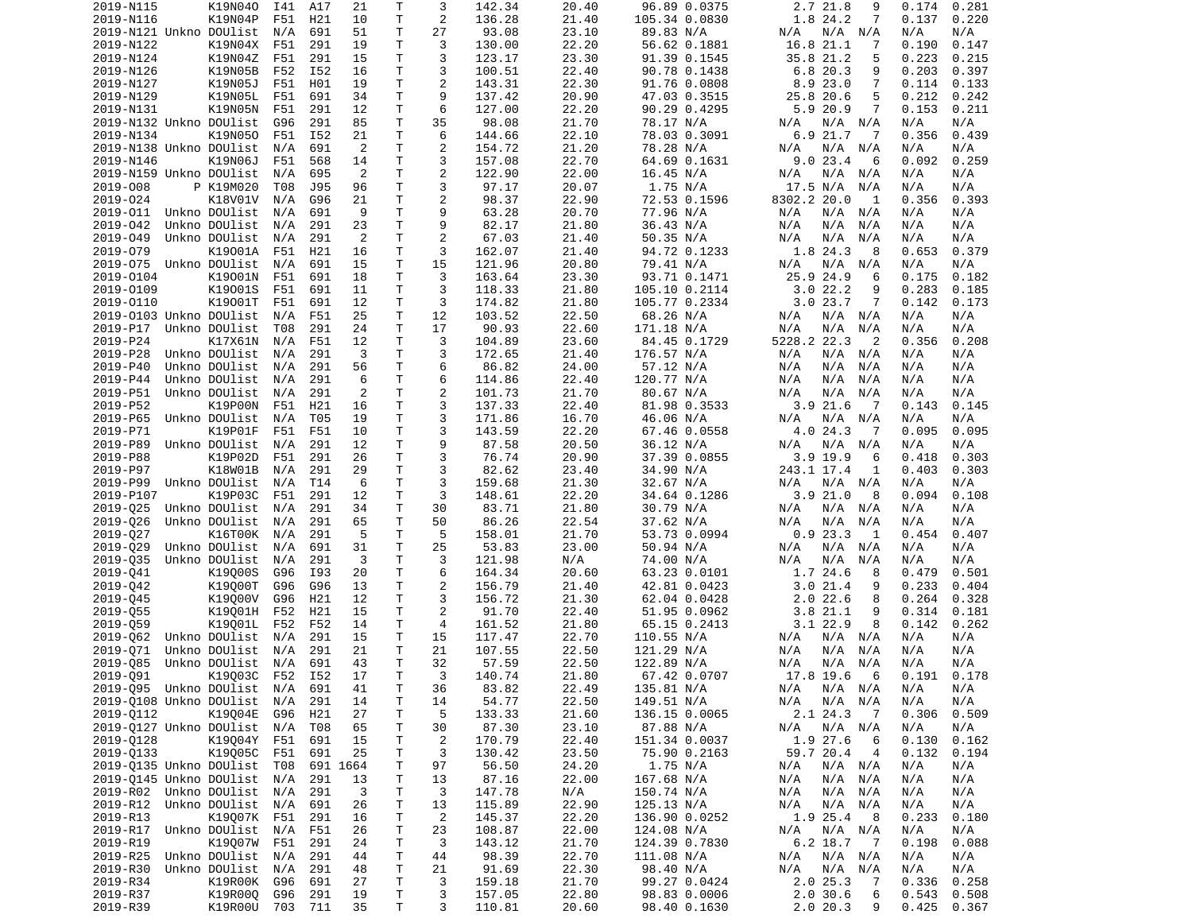| 2019-N115                           | K19N040         | I41        | A17        | 21       | Τ        | 3                   | 142.34          | 20.40          | 96.89 0.0375          | 2.7 21.8<br>9                        | 0.281<br>0.174        |
|-------------------------------------|-----------------|------------|------------|----------|----------|---------------------|-----------------|----------------|-----------------------|--------------------------------------|-----------------------|
| 2019-N116                           | K19N04P         | F51        | H21        | 10       | т        | 2                   | 136.28          | 21.40          | 105.34 0.0830         | 1.8 24.2<br>7                        | 0.137<br>0.220        |
| 2019-N121 Unkno DOUlist             |                 | N/A        | 691        | 51       | T.       | 27                  | 93.08           | 23.10          | 89.83 N/A             | N/A N/A<br>N/A                       | N/A<br>N/A            |
| 2019-N122                           | K19N04X         | F51        | 291        | 19       | Τ        | 3                   | 130.00          | 22.20          | 56.62 0.1881          | 16.8 21.1<br>7                       | 0.190<br>0.147        |
| 2019-N124                           | K19N04Z         | F51        | 291        | 15       | т        | 3                   | 123.17          | 23.30          | 91.39 0.1545          | 35.8 21.2<br>5                       | 0.223<br>0.215        |
| 2019-N126                           | K19N05B         | F52        | I52        | 16       | Τ        | 3                   | 100.51          | 22.40          | 90.78 0.1438          | 6.8 20.3<br>9                        | 0.203<br>0.397        |
| 2019-N127                           | K19N05J         | F51        | H01        | 19       | Τ        | $\mathbf{2}$        | 143.31          | 22.30          | 91.76 0.0808          | 8.9 23.0<br>7                        | 0.114<br>0.133        |
| 2019-N129                           | K19N05L         | F51        | 691        | 34       | Τ        | 9                   | 137.42          | 20.90          | 47.03 0.3515          | 25.8 20.6<br>5                       | 0.212<br>0.242        |
| 2019-N131                           | K19N05N         | F51        | 291        | 12       | т        | 6                   | 127.00          | 22.20          | 90.29 0.4295          | 5.9 20.9<br>7                        | 0.153<br>0.211        |
| 2019-N132 Unkno DOUlist             |                 | G96        | 291        | 85       | т        | 35                  | 98.08           | 21.70          | 78.17 N/A             | N/A<br>N/A N/A                       | N/A<br>N/A            |
| 2019-N134                           | K19N050         | F51        | I52        | 21       | T.       | 6                   | 144.66          | 22.10          | 78.03 0.3091          | 6.9 21.7<br>$\overline{7}$           | 0.356<br>0.439        |
| 2019-N138 Unkno DOUlist             |                 | N/A        | 691        | 2        | т        | 2                   | 154.72          | 21.20          | 78.28 N/A             | N/A<br>N/A<br>N/A                    | N/A<br>N/A            |
| 2019-N146                           | K19N06J         | F51        | 568<br>695 | 14<br>2  | T.<br>T. | 3<br>$\overline{c}$ | 157.08          | 22.70<br>22.00 | 64.69 0.1631          | 9.023.4<br>6                         | 0.092<br>0.259<br>N/A |
| 2019-N159 Unkno DOUlist<br>2019-008 | P K19M020       | N/A<br>T08 | J95        | 96       | T.       | 3                   | 122.90<br>97.17 | 20.07          | 16.45 N/A<br>1.75 N/A | N/A<br>N/A<br>N/A<br>17.5 N/A<br>N/A | N/A<br>N/A<br>N/A     |
| 2019-024                            | K18V01V         | N/A        | G96        | 21       | Τ        | 2                   | 98.37           | 22.90          | 72.53 0.1596          | 8302.2 20.0<br>1                     | 0.356<br>0.393        |
| 2019-011                            | Unkno DOUlist   | N/A        | 691        | 9        | Τ        | 9                   | 63.28           | 20.70          | 77.96 N/A             | N/A<br>N/A<br>N/A                    | N/A<br>N/A            |
| 2019-042                            | Unkno DOUlist   | N/A        | 291        | 23       | T.       | 9                   | 82.17           | 21.80          | 36.43 N/A             | N/A<br>N/A<br>N/A                    | N/A<br>N/A            |
| 2019-049                            | Unkno DOUlist   | N/A        | 291        | 2        | Τ        | 2                   | 67.03           | 21.40          | 50.35 N/A             | N/A<br>N/A<br>N/A                    | N/A<br>N/A            |
| 2019-079                            | K19001A         | F51        | H21        | 16       | Τ        | 3                   | 162.07          | 21.40          | 94.72 0.1233          | 1.8 24.3<br>8                        | 0.379<br>0.653        |
| 2019-075 Unkno DOUlist              |                 | N/A        | 691        | 15       | Τ        | 15                  | 121.96          | 20.80          | 79.41 N/A             | N/A<br>N/A<br>N/A                    | N/A<br>N/A            |
| 2019-0104                           | K19001N         | F51        | 691        | 18       | Τ        | 3                   | 163.64          | 23.30          | 93.71 0.1471          | 25.9 24.9<br>6                       | 0.175<br>0.182        |
| 2019-0109                           | K19001S         | F51        | 691        | 11       | т        | 3                   | 118.33          | 21.80          | 105.10 0.2114         | 3.022.2<br>9                         | 0.283<br>0.185        |
| 2019-0110                           | K19001T         | F51        | 691        | 12       | T.       | 3                   | 174.82          | 21.80          | 105.77 0.2334         | 3.023.7<br>7                         | 0.142<br>0.173        |
| 2019-0103 Unkno DOUlist             |                 | N/A        | F51        | 25       | T.       | 12                  | 103.52          | 22.50          | 68.26 N/A             | N/A<br>N/A<br>N/A                    | N/A<br>N/A            |
| 2019-P17                            | Unkno DOUlist   | T08        | 291        | 24       | Τ        | 17                  | 90.93           | 22.60          | 171.18 N/A            | N/A<br>N/A<br>N/A                    | N/A<br>N/A            |
| 2019-P24                            | K17X61N         | N/A        | F51        | 12       | T.       | 3                   | 104.89          | 23.60          | 84.45 0.1729          | 5228.2 22.3<br>2                     | 0.356<br>0.208        |
| 2019-P28                            | Unkno DOUlist   | N/A        | 291        | 3        | Τ        | 3                   | 172.65          | 21.40          | 176.57 N/A            | N/A<br>N/A<br>N/A                    | N/A<br>N/A            |
| 2019-P40                            | Unkno DOUlist   | N/A        | 291        | 56       | т        | 6                   | 86.82           | 24.00          | 57.12 N/A             | N/A<br>N/A<br>N/A                    | N/A<br>N/A            |
| 2019-P44                            | Unkno DOUlist   | N/A        | 291        | 6        | Τ        | 6                   | 114.86          | 22.40          | 120.77 N/A            | N/A<br>N/A<br>N/A                    | N/A<br>N/A            |
| 2019-P51                            | Unkno DOUlist   | N/A        | 291        | 2        | T.       | $\overline{c}$      | 101.73          | 21.70          | 80.67 N/A             | N/A<br>N/A<br>N/A                    | N/A<br>N/A            |
| 2019-P52                            | K19P00N         | F51        | H21        | 16       | T.       | 3                   | 137.33          | 22.40          | 81.98 0.3533          | 3.921.6<br>-7                        | 0.143<br>0.145        |
| 2019-P65                            | Unkno DOUlist   | N/A        | T05        | 19       | Τ        | 3                   | 171.86          | 16.70          | 46.06 N/A             | N/A<br>N/A<br>N/A                    | N/A<br>N/A            |
| 2019-P71                            | K19P01F         | F51        | F51        | 10       | T.       | 3                   | 143.59          | 22.20          | 67.46 0.0558          | 4.0 24.3<br>7                        | 0.095<br>0.095        |
| 2019-P89                            | Unkno DOUlist   | N/A        | 291        | 12       | T.       | 9                   | 87.58           | 20.50          | 36.12 N/A             | N/A<br>N/A<br>N/A                    | N/A<br>N/A            |
| 2019-P88                            | K19P02D         | F51        | 291        | 26       | Τ        | 3                   | 76.74           | 20.90          | 37.39 0.0855          | 3.9 19.9<br>6                        | 0.418<br>0.303        |
| 2019-P97                            | K18W01B         | N/A        | 291        | 29       | Τ        | 3                   | 82.62           | 23.40          | 34.90 N/A             | 243.1 17.4<br>1                      | 0.403<br>0.303        |
| 2019-P99                            | Unkno DOUlist   | N/A        | T14        | 6        | т        | 3                   | 159.68          | 21.30          | 32.67 N/A             | N/A<br>N/A<br>N/A                    | N/A<br>N/A            |
| 2019-P107                           | K19P03C         | F51        | 291        | 12       | Τ        | 3                   | 148.61          | 22.20          | 34.64 0.1286          | 3.921.0<br>8                         | 0.094<br>0.108        |
| 2019-025                            | Unkno DOUlist   | N/A        | 291        | 34       | Τ        | 30                  | 83.71           | 21.80          | 30.79 N/A             | N/A<br>N/A<br>N/A                    | N/A<br>N/A            |
| 2019-026                            | Unkno DOUlist   | N/A        | 291        | 65       | T.       | 50                  | 86.26           | 22.54          | 37.62 N/A             | N/A<br>N/A<br>N/A                    | N/A<br>N/A            |
| 2019-027                            | K16T00K         | N/A        | 291        | 5        | Τ        | 5                   | 158.01          | 21.70          | 53.73 0.0994          | 0.923.3<br>1                         | 0.454<br>0.407        |
| 2019-029                            | Unkno DOUlist   | N/A        | 691        | 31       | Τ        | 25                  | 53.83           | 23.00          | 50.94 N/A             | N/A<br>N/A<br>N/A                    | N/A<br>N/A            |
| 2019-035                            | Unkno DOUlist   | N/A        | 291        | 3        | T.       | 3                   | 121.98          | N/A            | 74.00 N/A             | N/A<br>N/A<br>N/A                    | N/A<br>N/A            |
| 2019-041                            | K19000S         | G96        | I93        | 20       | Τ        | 6                   | 164.34          | 20.60          | 63.23 0.0101          | 1.7 24.6<br>8                        | 0.479<br>0.501        |
| 2019-042                            | K19000T         | G96        | G96        | 13       | Τ        | 2                   | 156.79          | 21.40          | 42.81 0.0423          | 3.021.4<br>9                         | 0.233<br>0.404        |
| 2019-045                            | K19000V         | G96        | H21        | 12       | Τ        | 3                   | 156.72          | 21.30          | 62.04 0.0428          | 2.022.6<br>8                         | 0.264<br>0.328        |
| 2019-055                            | K19001H         | F52        | H21        | 15       | Τ        | 2                   | 91.70           | 22.40          | 51.95 0.0962          | 3.8 21.1<br>9                        | 0.314<br>0.181        |
| 2019-059                            | K19001L         | F52        | F52        | 14       | т        | 4                   | 161.52          | 21.80          | 65.15 0.2413          | 3.122.9<br>8                         | 0.142<br>0.262        |
| 2019-062                            | Unkno DOUlist   | N/A        | 291        | 15       | т        | 15                  | 117.47          | 22.70          | 110.55 N/A            | N/A<br>N/A<br>N/A                    | N/A<br>N/A            |
| 2019-071                            | Unkno DOUlist   | N/A        | 291        | 21       | T.       | 21                  | 107.55          | 22.50          | 121.29 N/A            | N/A<br>N/A<br>N/A                    | N/A<br>N/A            |
| 2019-085                            | Unkno DOUlist   | N/A        | 691        | 43       | T.       | 32                  | 57.59           | 22.50          | 122.89 N/A            | N/A<br>N/A<br>N/A                    | N/A<br>N/A            |
| 2019-Q91                            | K19Q03C F52 I52 |            |            | 17       | T.       | 3                   | 140.74          | 21.80          | 67.42 0.0707          | 17.8 19.6<br>6                       | $0.191$ $0.178$       |
| 2019-Q95 Unkno DOUlist N/A 691      |                 |            |            | 41       | T        | 36                  | 83.82           | 22.49          | 135.81 N/A            | N/A N/A<br>N/A                       | N/A<br>N/A            |
| 2019-Q108 Unkno DOUlist N/A         |                 |            | 291        | 14       | Τ        | 14                  | 54.77           | 22.50          | 149.51 N/A            | N/A<br>N/A N/A                       | N/A<br>N/A            |
| 2019-0112                           | K19004E         | G96        | H21        | 27       | Τ        | 5                   | 133.33          | 21.60          | 136.15 0.0065         | 2.1 24.3<br>$\overline{7}$           | 0.306<br>0.509        |
| 2019-0127 Unkno DOUlist             |                 | N/A        | T08        | 65       | Τ        | 30                  | 87.30           | 23.10          | 87.88 N/A             | N/A N/A<br>N/A                       | N/A<br>N/A            |
| 2019-0128                           | K19004Y F51     |            | 691        | 15       | т        | $\overline{c}$      | 170.79          | 22.40          | 151.34 0.0037         | 1.9 27.6<br>6                        | 0.130<br>0.162        |
| 2019-0133                           | K19005C         | F51        | 691        | 25       | т        | 3                   | 130.42          | 23.50          | 75.90 0.2163          | 59.7 20.4<br>4                       | 0.132<br>0.194        |
| 2019-0135 Unkno DOUlist T08         |                 |            |            | 691 1664 | Τ        | 97                  | 56.50           | 24.20          | 1.75 N/A              | N/A<br>N/A N/A                       | N/A<br>N/A            |
| 2019-0145 Unkno DOUlist             |                 | N/A        | 291        | 13       | Τ        | 13                  | 87.16           | 22.00          | 167.68 N/A            | N/A<br>N/A<br>N/A                    | N/A<br>N/A            |
| 2019-R02 Unkno DOUlist              |                 | N/A        | 291        | 3        | Τ        | 3                   | 147.78          | N/A            | 150.74 N/A            | N/A<br>N/A<br>N/A                    | N/A<br>N/A            |
| 2019-R12                            | Unkno DOUlist   | N/A        | 691        | 26       | Τ        | 13                  | 115.89          | 22.90          | 125.13 N/A            | N/A<br>N/A<br>N/A                    | N/A<br>N/A            |
| 2019-R13                            | K19007K F51 291 |            |            | 16       | Τ        | $\overline{2}$      | 145.37          | 22.20          | 136.90 0.0252         | 1.9 25.4<br>- 8                      | 0.233<br>0.180        |
| 2019-R17 Unkno DOUlist              |                 | N/A        | F51        | 26       | T        | 23                  | 108.87          | 22.00          | 124.08 N/A            | N/A<br>N/A N/A                       | N/A<br>N/A            |
| 2019-R19                            | K19007W F51     |            | 291        | 24       | Τ        | 3                   | 143.12          | 21.70          | 124.39 0.7830         | $6.2$ 18.7<br>$\overline{7}$         | 0.198<br>0.088        |
| 2019-R25                            | Unkno DOUlist   | N/A        | 291        | 44       | T        | 44                  | 98.39           | 22.70          | 111.08 N/A            | N/A<br>N/A N/A                       | N/A<br>N/A            |
| 2019-R30                            | Unkno DOUlist   | N/A        | 291        | 48       | Τ        | 21                  | 91.69           | 22.30          | 98.40 N/A             | N/A<br>N/A<br>N/A                    | N/A<br>N/A            |
| 2019-R34                            | K19R00K         | G96        | 691        | 27       | Τ        | 3                   | 159.18          | 21.70          | 99.27 0.0424          | 2.025.3<br>-7                        | 0.336<br>0.258        |
| 2019-R37                            | K19R000         | G96        | 291        | 19       | T        | 3                   | 157.05          | 22.80          | 98.83 0.0006          | 2.030.6<br>6                         | 0.543<br>0.508        |
| 2019-R39                            | K19R00U         | 703 711    |            | 35       | Τ        | 3                   | 110.81          | 20.60          | 98.40 0.1630          | 2.020.3<br>9                         | 0.425<br>0.367        |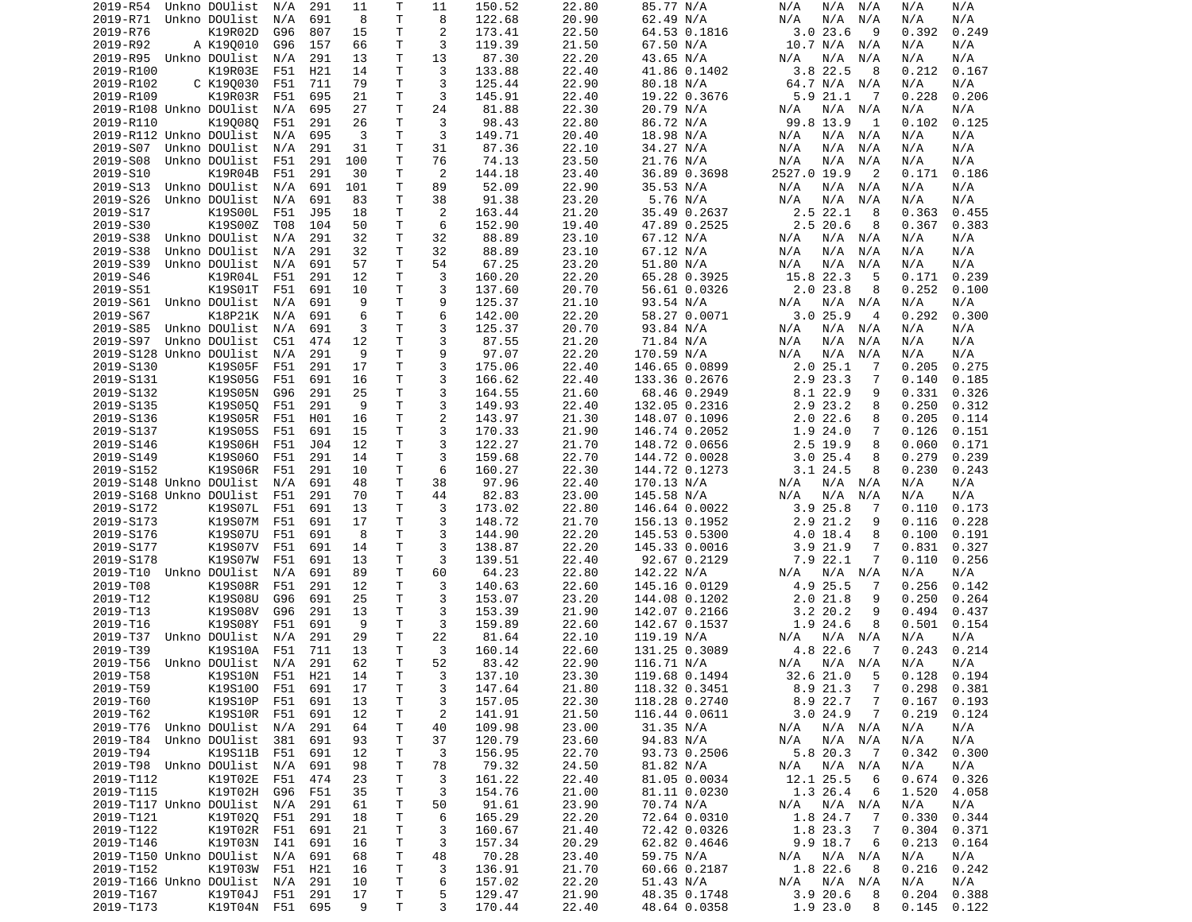| 2019-R54                    | Unkno DOUlist              | N/A  | 291 | 11      | Τ      | 11             | 150.52           | 22.80          | 85.77 N/A                    | N/A<br>N/A<br>N/A             | N/A<br>N/A                       |
|-----------------------------|----------------------------|------|-----|---------|--------|----------------|------------------|----------------|------------------------------|-------------------------------|----------------------------------|
| 2019-R71                    | Unkno DOUlist              | N/A  | 691 | 8       | T      | 8              | 122.68           | 20.90          | 62.49 N/A                    | N/A<br>N/A<br>N/A             | N/A<br>N/A                       |
| 2019-R76                    | K19R02D                    | G96  | 807 | 15      | Τ      | 2              | 173.41           | 22.50          | 64.53 0.1816                 | 3.023.6<br>9                  | 0.392<br>0.249                   |
|                             |                            |      |     |         | Τ      | 3              | 119.39           |                |                              |                               |                                  |
| 2019-R92                    | A K190010                  | G96  | 157 | 66      |        |                |                  | 21.50          | 67.50 N/A                    | 10.7 N/A<br>N/A               | N/A<br>N/A                       |
| 2019-R95 Unkno DOUlist      |                            | N/A  | 291 | 13      | Τ      | 13             | 87.30            | 22.20          | 43.65 N/A                    | N/A<br>N/A<br>N/A             | N/A<br>N/A                       |
| 2019-R100                   | K19R03E                    | F51  | H21 | 14      | Τ      | 3              | 133.88           | 22.40          | 41.86 0.1402                 | 3.8 22.5<br>8                 | 0.212<br>0.167                   |
| 2019-R102                   | C K190030                  | F51  | 711 | 79      | т      | 3              | 125.44           | 22.90          | 80.18 N/A                    | 64.7 N/A N/A                  | N/A<br>N/A                       |
| 2019-R109                   | K19R03R                    | F51  | 695 | 21      | Τ      | 3              | 145.91           | 22.40          | 19.22 0.3676                 | 5.9 21.1<br>-7                | 0.228<br>0.206                   |
| 2019-R108 Unkno DOUlist     |                            | N/A  | 695 | 27      | T      | 24             | 81.88            | 22.30          | 20.79 N/A                    | N/A<br>$N/A$ $N/A$            | N/A<br>N/A                       |
|                             |                            |      |     |         |        |                |                  |                |                              |                               |                                  |
| 2019-R110                   | K190080                    | F51  | 291 | 26      | Τ      | 3              | 98.43            | 22.80          | 86.72 N/A                    | 99.8 13.9<br>1                | 0.125<br>0.102                   |
| 2019-R112 Unkno DOUlist     |                            | N/A  | 695 | 3       | T      | 3              | 149.71           | 20.40          | 18.98 N/A                    | N/A<br>N/A N/A                | N/A<br>N/A                       |
| 2019-S07                    | Unkno DOUlist              | N/A  | 291 | 31      | T      | 31             | 87.36            | 22.10          | 34.27 N/A                    | N/A<br>N/A<br>N/A             | N/A<br>N/A                       |
| 2019-S08                    | Unkno DOUlist              | F51  | 291 | 100     | T.     | 76             | 74.13            | 23.50          | 21.76 N/A                    | N/A<br>N/A<br>N/A             | N/A<br>N/A                       |
| 2019-S10                    | K19R04B                    | F51  | 291 | 30      | Τ      | 2              | 144.18           | 23.40          | 36.89 0.3698                 | 2527.0 19.9<br>2              | 0.171<br>0.186                   |
|                             |                            |      |     |         |        |                |                  |                |                              |                               |                                  |
| 2019-S13                    | Unkno DOUlist              | N/A  | 691 | 101     | Τ      | 89             | 52.09            | 22.90          | 35.53 N/A                    | N/A<br>N/A N/A                | N/A<br>N/A                       |
| 2019-S26                    | Unkno DOUlist              | N/A  | 691 | 83      | T      | 38             | 91.38            | 23.20          | 5.76 N/A                     | N/A<br>N/A<br>N/A             | N/A<br>N/A                       |
| 2019-S17                    | K19S00L                    | F51  | J95 | 18      | т      | 2              | 163.44           | 21.20          | 35.49 0.2637                 | $2.5$ 22.1<br>8               | 0.363<br>0.455                   |
| 2019-S30                    | K19S00Z                    | T08  | 104 | 50      | T      | 6              | 152.90           | 19.40          | 47.89 0.2525                 | $2.5$ 20.6<br>8               | 0.367<br>0.383                   |
| 2019-S38                    | Unkno DOUlist              | N/A  | 291 | 32      | T      | 32             | 88.89            | 23.10          | 67.12 N/A                    | N/A<br>N/A N/A                | N/A<br>N/A                       |
| 2019-S38                    | Unkno DOUlist              | N/A  | 291 | 32      | т      | 32             | 88.89            | 23.10          | 67.12 N/A                    | N/A<br>N/A<br>N/A             | N/A<br>N/A                       |
|                             |                            |      |     |         |        |                |                  |                |                              |                               |                                  |
| 2019-S39                    | Unkno DOUlist              | N/A  | 691 | 57      | T      | 54             | 67.25            | 23.20          | 51.80 N/A                    | N/A<br>N/A<br>N/A             | N/A<br>N/A                       |
| 2019-S46                    | K19R04L                    | F51  | 291 | 12      | Τ      | 3              | 160.20           | 22.20          | 65.28 0.3925                 | 15.8 22.3<br>-5               | 0.171<br>0.239                   |
| 2019-S51                    | K19S01T                    | F51  | 691 | 10      | T      | 3              | 137.60           | 20.70          | 56.61 0.0326                 | $2.0$ 23.8<br>8               | 0.252<br>0.100                   |
| 2019-S61                    | Unkno DOUlist              | N/A  | 691 | 9       | т      | 9              | 125.37           | 21.10          | 93.54 N/A                    | N/A<br>N/A N/A                | N/A<br>N/A                       |
|                             |                            |      |     |         | T.     | 6              |                  |                |                              | 3.025.9<br>4                  | 0.292                            |
| 2019-S67                    | K18P21K                    | N/A  | 691 | 6       |        |                | 142.00           | 22.20          | 58.27 0.0071                 |                               | 0.300                            |
| 2019-S85                    | Unkno DOUlist              | N/A  | 691 | 3       | T.     | 3              | 125.37           | 20.70          | 93.84 N/A                    | N/A<br>N/A N/A                | N/A<br>N/A                       |
| 2019-S97                    | Unkno DOUlist              | C51  | 474 | 12      | т      | 3              | 87.55            | 21.20          | 71.84 N/A                    | N/A<br>N/A<br>N/A             | N/A<br>N/A                       |
| 2019-S128 Unkno DOUlist     |                            | N/A  | 291 | 9       | Τ      | 9              | 97.07            | 22.20          | 170.59 N/A                   | N/A<br>N/A<br>N/A             | N/A<br>N/A                       |
| 2019-S130                   | K19S05F                    | F51  | 291 | 17      | Τ      | 3              | 175.06           | 22.40          | 146.65 0.0899                | 2.025.1<br>7                  | 0.205<br>0.275                   |
| 2019-S131                   | K19S05G                    | F51  | 691 | 16      | T      | 3              | 166.62           | 22.40          |                              | 2.9 23.3<br>7                 | 0.140<br>0.185                   |
|                             |                            |      |     |         |        |                |                  |                | 133.36 0.2676                |                               |                                  |
| 2019-S132                   | K19S05N                    | G96  | 291 | 25      | Τ      | 3              | 164.55           | 21.60          | 68.46 0.2949                 | 8.1 22.9<br>9                 | 0.331<br>0.326                   |
| 2019-S135                   | K19S050                    | F51  | 291 | 9       | T.     | 3              | 149.93           | 22.40          | 132.05 0.2316                | 2.9 23.2<br>8                 | 0.250<br>0.312                   |
| 2019-S136                   | K19S05R                    | F51  | H01 | 16      | T      | 2              | 143.97           | 21.30          | 148.07 0.1096                | $2.0$ 22.6<br>8               | 0.205<br>0.114                   |
| 2019-S137                   | K19S05S                    | F51  | 691 | 15      | Τ      | 3              | 170.33           | 21.90          | 146.74 0.2052                | 1.9 24.0<br>7                 | 0.126<br>0.151                   |
|                             |                            |      |     |         |        |                |                  |                |                              |                               |                                  |
| 2019-S146                   | K19S06H                    | F51  | J04 | 12      | Τ      | 3              | 122.27           | 21.70          | 148.72 0.0656                | 2.5 19.9<br>8                 | 0.060<br>0.171                   |
| 2019-S149                   | K19S060                    | F51  | 291 | 14      | T.     | 3              | 159.68           | 22.70          | 144.72 0.0028                | 3.025.4<br>8                  | 0.279<br>0.239                   |
| 2019-S152                   | K19S06R                    | F51  | 291 | 10      | T      | 6              | 160.27           | 22.30          | 144.72 0.1273                | $3.1$ 24.5<br>8               | 0.230<br>0.243                   |
| 2019-S148 Unkno DOUlist     |                            | N/A  | 691 | 48      | т      | 38             | 97.96            | 22.40          | 170.13 N/A                   | N/A N/A<br>N/A                | N/A<br>N/A                       |
| 2019-S168 Unkno DOUlist     |                            | F51  | 291 | 70      | Τ      | 44             | 82.83            | 23.00          | 145.58 N/A                   | N/A<br>N/A<br>N/A             | N/A<br>N/A                       |
|                             |                            |      | 691 | 13      |        |                |                  |                |                              |                               |                                  |
|                             |                            |      |     |         | т      | 3              | 173.02           | 22.80          | 146.64 0.0022                | 3.925.8<br>-7                 | 0.173<br>0.110                   |
| 2019-S172                   | K19S07L                    | F51  |     |         |        |                | 148.72           |                |                              |                               |                                  |
| 2019-S173                   | K19S07M                    | F51  | 691 | 17      | т      | 3              |                  | 21.70          | 156.13 0.1952                | 2.9 21.2<br>9                 | 0.116<br>0.228                   |
| 2019-S176                   | K19S07U                    | F51  | 691 | 8       | Τ      | 3              | 144.90           | 22.20          | 145.53 0.5300                | 4.0 18.4<br>8                 | 0.100<br>0.191                   |
|                             |                            |      |     |         |        |                |                  |                |                              |                               |                                  |
| 2019-S177                   | K19S07V                    | F51  | 691 | 14      | Τ      | 3              | 138.87           | 22.20          | 145.33 0.0016                | 3.921.9<br>7                  | 0.831<br>0.327                   |
| 2019-S178                   | K19S07W                    | F51  | 691 | 13      | T      | 3              | 139.51           | 22.40          | 92.67 0.2129                 | 7.9 22.1<br>7                 | 0.110<br>0.256                   |
| 2019-T10 Unkno DOUlist      |                            | N/A  | 691 | 89      | Τ      | 60             | 64.23            | 22.80          | 142.22 N/A                   | N/A<br>N/A N/A                | N/A<br>N/A                       |
| 2019-T08                    | K19S08R                    | F51  | 291 | 12      | T.     | 3              | 140.63           | 22.60          | 145.16 0.0129                | 4.9 25.5<br>7                 | 0.256<br>0.142                   |
| 2019-T12                    | K19S08U                    | G96  | 691 | 25      | T      | 3              | 153.07           | 23.20          | 144.08 0.1202                | 2.021.8<br>9                  | 0.250<br>0.264                   |
|                             |                            |      |     |         |        |                |                  |                |                              | 9                             |                                  |
| 2019-T13                    | K19S08V                    | G96  | 291 | 13      | Τ      | 3              | 153.39           | 21.90          | 142.07 0.2166                | $3.2$ 20.2                    | 0.494<br>0.437                   |
| 2019-T16                    | K19S08Y                    | F51  | 691 | 9       | Τ      | 3              | 159.89           | 22.60          | 142.67 0.1537                | 1.9 24.6<br>8                 | 0.501<br>0.154                   |
| 2019-T37                    | Unkno DOUlist              | N/A  | 291 | 29      | т      | 22             | 81.64            | 22.10          | 119.19 N/A                   | N/A N/A<br>N/A                | N/A<br>N/A                       |
| 2019-T39                    | K19S10A                    | F51  | 711 | 13      | T.     | 3              | 160.14           | 22.60          | 131.25 0.3089                | 4.8 22.6<br>-7                | 0.243<br>0.214                   |
| 2019-T56                    | Unkno DOUlist              | N/A  | 291 | 62      | T.     | 52             | 83.42            | 22.90          | 116.71 N/A                   | N/A<br>N/A N/A                | N/A<br>N/A                       |
|                             |                            |      |     | 14      | T.     | 3              |                  |                |                              | 32.621.0<br>-5                | 0.128                            |
| 2019-T58                    | K19S10N F51                |      | H21 |         |        |                | 137.10           | 23.30          | 119.68 0.1494                |                               | 0.194                            |
| 2019-T59                    | K19S100 F51 691            |      |     | 17      | Τ      | 3              | 147.64           | 21.80          | 118.32 0.3451                | $\overline{7}$<br>8.9 21.3    | 0.298<br>0.381                   |
| 2019-T60                    | K19S10P                    | F51  | 691 | 13      | Τ      | 3              | 157.05           | 22.30          | 118.28 0.2740                | 8.9 22.7<br>$\overline{7}$    | 0.167<br>0.193                   |
| 2019-T62                    | K19S10R F51                |      | 691 | 12      | Τ      | $\overline{c}$ | 141.91           | 21.50          | 116.44 0.0611                | 3.024.9<br>7                  | 0.219<br>0.124                   |
| 2019-T76                    | Unkno DOUlist N/A          |      | 291 | 64      | т      | 40             | 109.98           | 23.00          | 31.35 N/A                    | $N/A$ $N/A$<br>N/A            | N/A<br>N/A                       |
|                             |                            |      |     |         |        |                |                  |                |                              |                               |                                  |
| 2019-T84                    | Unkno DOUlist              | -381 | 691 | 93      | Τ      | 37             | 120.79           | 23.60          | 94.83 N/A                    | N/A N/A<br>N/A                | N/A<br>N/A                       |
| 2019-T94                    | K19S11B                    | F51  | 691 | 12      | Τ      | 3              | 156.95           | 22.70          | 93.73 0.2506                 | 5.8 20.3<br>- 7               | 0.342<br>0.300                   |
| 2019-T98 Unkno DOUlist      |                            | N/A  | 691 | 98      | T.     | 78             | 79.32            | 24.50          | 81.82 N/A                    | N/A N/A<br>N/A                | N/A<br>N/A                       |
| 2019-T112                   | K19T02E                    | F51  | 474 | 23      | Τ      | 3              | 161.22           | 22.40          | 81.05 0.0034                 | 12.1 25.5<br>6                | 0.674<br>0.326                   |
| 2019-T115                   | K19T02H                    | G96  | F51 | 35      | Τ      | 3              | 154.76           | 21.00          | 81.11 0.0230                 | 1.3 26.4<br>6                 | 1.520<br>4.058                   |
|                             |                            |      |     |         |        |                |                  |                |                              |                               |                                  |
| 2019-T117 Unkno DOUlist     |                            | N/A  | 291 | 61      | Τ      | 50             | 91.61            | 23.90          | 70.74 N/A                    | N/A<br>N/A N/A                | N/A<br>N/A                       |
| 2019-T121                   | K19T020                    | F51  | 291 | 18      | т      | 6              | 165.29           | 22.20          | 72.64 0.0310                 | 1.8 24.7<br>7                 | 0.330<br>0.344                   |
| 2019-T122                   | K19T02R                    | F51  | 691 | 21      | T      | 3              | 160.67           | 21.40          | 72.42 0.0326                 | 1.8 23.3<br>7                 | 0.304<br>0.371                   |
| 2019-T146                   | K19T03N                    | I41  | 691 | 16      | Τ      | 3              | 157.34           | 20.29          | 62.82 0.4646                 | 9.9 18.7<br>6                 | 0.213<br>0.164                   |
| 2019-T150 Unkno DOUlist     |                            | N/A  | 691 | 68      | T.     | 48             | 70.28            | 23.40          | 59.75 N/A                    | N/A                           | N/A<br>N/A                       |
|                             |                            |      |     |         |        |                |                  |                |                              | N/A N/A                       |                                  |
| 2019-T152                   | K19T03W                    | F51  | H21 | 16      | T      | 3              | 136.91           | 21.70          | 60.66 0.2187                 | 1.8 22.6<br>8                 | 0.216<br>0.242                   |
| 2019-T166 Unkno DOUlist N/A |                            |      | 291 | 10      | Τ      | 6              | 157.02           | 22.20          | 51.43 N/A                    | N/A<br>$N/A$ $N/A$            | N/A<br>N/A                       |
| 2019-T167<br>2019-T173      | K19T04J<br>K19T04N F51 695 | F51  | 291 | 17<br>9 | Τ<br>Τ | 5<br>3         | 129.47<br>170.44 | 21.90<br>22.40 | 48.35 0.1748<br>48.64 0.0358 | 3.920.6<br>8<br>1.9 23.0<br>8 | 0.204<br>0.388<br>0.145<br>0.122 |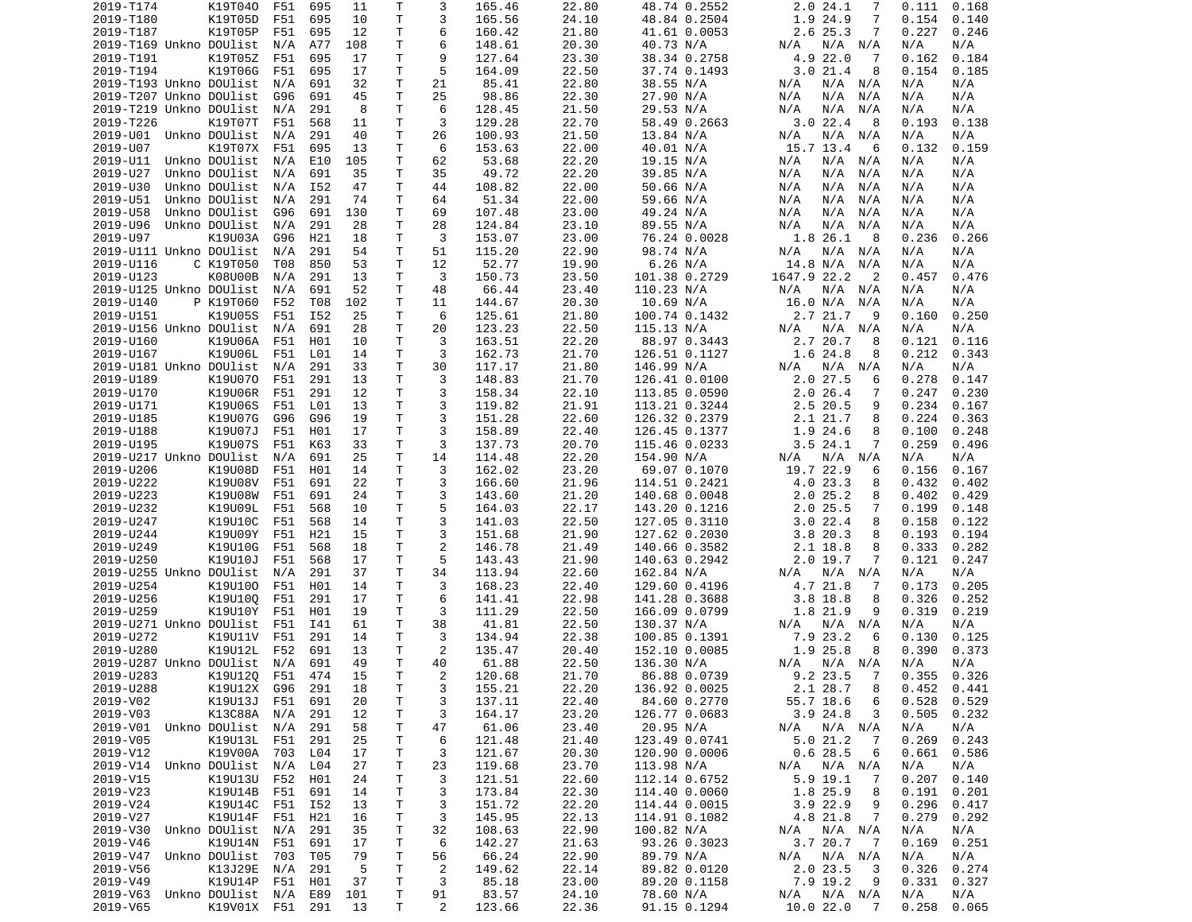| 2019-T174                      | K19T040         | F51 | 695 | 11  | Τ            | 3              | 165.46 | 22.80 | 48.74 0.2552  | 2.0 24.1<br>7                 | 0.111<br>0.168  |  |
|--------------------------------|-----------------|-----|-----|-----|--------------|----------------|--------|-------|---------------|-------------------------------|-----------------|--|
| 2019-T180                      | K19T05D         | F51 | 695 | 10  | T            | 3              | 165.56 | 24.10 | 48.84 0.2504  | 1.9 24.9<br>7                 | 0.154<br>0.140  |  |
| 2019-T187                      | K19T05P         | F51 | 695 | 12  | т            | 6              | 160.42 | 21.80 | 41.61 0.0053  | 2.6 25.3<br>7                 | 0.227<br>0.246  |  |
| 2019-T169 Unkno DOUlist        |                 | N/A | A77 | 108 | Τ            | 6              | 148.61 | 20.30 | 40.73 N/A     | N/A<br>N/A N/A                | N/A<br>N/A      |  |
| 2019-T191                      | K19T05Z         | F51 | 695 | 17  | T.           | 9              | 127.64 | 23.30 | 38.34 0.2758  | 4.9 22.0<br>-7                | 0.184<br>0.162  |  |
| 2019-T194                      | K19T06G         | F51 | 695 | 17  | Τ            | 5              | 164.09 | 22.50 | 37.74 0.1493  | 3.021.4<br>8                  | 0.154<br>0.185  |  |
| 2019-T193 Unkno DOUlist        |                 | N/A | 691 | 32  | Τ            | 21             | 85.41  | 22.80 | 38.55 N/A     | N/A N/A<br>N/A                | N/A<br>N/A      |  |
| 2019-T207 Unkno DOUlist        |                 | G96 | 691 | 45  | T            | 25             | 98.86  | 22.30 |               | N/A                           | N/A             |  |
|                                |                 |     |     |     |              |                |        |       | 27.90 N/A     | N/A<br>N/A                    | N/A             |  |
| 2019-T219 Unkno DOUlist        |                 | N/A | 291 | 8   | T            | 6              | 128.45 | 21.50 | 29.53 N/A     | N/A<br>N/A<br>N/A             | N/A<br>N/A      |  |
| 2019-T226                      | K19T07T         | F51 | 568 | 11  | Τ            | 3              | 129.28 | 22.70 | 58.49 0.2663  | 3.0 22.4<br>8                 | 0.193<br>0.138  |  |
| 2019-U01 Unkno DOUlist         |                 | N/A | 291 | 40  | T            | 26             | 100.93 | 21.50 | 13.84 N/A     | N/A<br>N/A<br>N/A             | N/A<br>N/A      |  |
| 2019-U07                       | K19T07X         | F51 | 695 | 13  | T            | 6              | 153.63 | 22.00 | 40.01 N/A     | 15.7 13.4<br>6                | 0.159<br>0.132  |  |
| 2019-U11                       | Unkno DOUlist   | N/A | E10 | 105 | T            | 62             | 53.68  | 22.20 | 19.15 N/A     | N/A<br>N/A<br>N/A             | N/A<br>N/A      |  |
| 2019-U27                       | Unkno DOUlist   | N/A | 691 | 35  | Τ            | 35             | 49.72  | 22.20 | 39.85 N/A     | N/A<br>N/A<br>N/A             | N/A<br>N/A      |  |
| 2019-U30                       | Unkno DOUlist   | N/A | I52 | 47  | T            | 44             | 108.82 | 22.00 | 50.66 N/A     | N/A N/A<br>N/A                | N/A<br>N/A      |  |
| 2019-U51                       | Unkno DOUlist   | N/A | 291 | 74  | T            | 64             | 51.34  | 22.00 | 59.66 N/A     | N/A<br>N/A<br>N/A             | N/A<br>N/A      |  |
| 2019-U58                       | Unkno DOUlist   | G96 | 691 | 130 | Τ            | 69             | 107.48 | 23.00 | 49.24 N/A     | $N/A$ $N/A$<br>N/A            | N/A<br>N/A      |  |
| 2019-U96                       | Unkno DOUlist   | N/A | 291 | 28  | T            | 28             | 124.84 | 23.10 | 89.55 N/A     | N/A<br>N/A<br>N/A             | N/A<br>N/A      |  |
| 2019-U97                       | K19U03A         | G96 | H21 | 18  | T            | 3              | 153.07 | 23.00 | 76.24 0.0028  | 1.8 26.1<br>-8                | 0.236<br>0.266  |  |
| 2019-U111 Unkno DOUlist        |                 | N/A | 291 | 54  | т            | 51             | 115.20 | 22.90 | 98.74 N/A     | N/A<br>N/A                    | N/A<br>N/A      |  |
|                                |                 |     |     |     |              |                |        |       |               | N/A                           |                 |  |
| 2019-U116                      | C K19T050       | T08 | 850 | 53  | T            | 12             | 52.77  | 19.90 | 6.26 N/A      | 14.8 N/A<br>N/A               | N/A<br>N/A      |  |
| 2019-U123                      | K08U00B         | N/A | 291 | 13  | T            | 3              | 150.73 | 23.50 | 101.38 0.2729 | 1647.9 22.2<br>$\overline{2}$ | 0.457<br>0.476  |  |
| 2019-U125 Unkno DOUlist        |                 | N/A | 691 | 52  | T            | 48             | 66.44  | 23.40 | 110.23 N/A    | N/A<br>N/A N/A                | N/A<br>N/A      |  |
| 2019-U140                      | P K19T060       | F52 | T08 | 102 | Τ            | 11             | 144.67 | 20.30 | 10.69 N/A     | 16.0 N/A<br>N/A               | N/A<br>N/A      |  |
| 2019-U151                      | K19U05S         | F51 | I52 | 25  | T.           | 6              | 125.61 | 21.80 | 100.74 0.1432 | 2.7 21.7<br>9                 | 0.250<br>0.160  |  |
| 2019-U156 Unkno DOUlist        |                 | N/A | 691 | 28  | T            | 20             | 123.23 | 22.50 | 115.13 N/A    | N/A<br>N/A<br>N/A             | N/A<br>N/A      |  |
| 2019-U160                      | K19U06A         | F51 | H01 | 10  | т            | 3              | 163.51 | 22.20 | 88.97 0.3443  | 2.7 20.7<br>8                 | 0.121<br>0.116  |  |
| 2019-U167                      | K19U06L         | F51 | L01 | 14  | Τ            | 3              | 162.73 | 21.70 | 126.51 0.1127 | 1.6 24.8<br>8                 | 0.212<br>0.343  |  |
| 2019-U181 Unkno DOUlist        |                 | N/A | 291 | 33  | Τ            | 30             | 117.17 | 21.80 | 146.99 N/A    | N/A N/A<br>N/A                | N/A<br>N/A      |  |
| 2019-U189                      | K19U070         | F51 | 291 | 13  | Τ            | 3              | 148.83 | 21.70 | 126.41 0.0100 | 2.0 27.5<br>6                 | 0.278<br>0.147  |  |
|                                |                 |     |     |     |              |                |        |       |               |                               |                 |  |
| 2019-U170                      | K19U06R         | F51 | 291 | 12  | Τ            | 3              | 158.34 | 22.10 | 113.85 0.0590 | $2.0$ 26.4<br>7               | 0.247<br>0.230  |  |
| 2019-U171                      | K19U06S         | F51 | L01 | 13  | T.           | 3              | 119.82 | 21.91 | 113.21 0.3244 | 2.5<br>20.5<br>9              | 0.234<br>0.167  |  |
| 2019-U185                      | K19U07G         | G96 | G96 | 19  | T            | 3              | 151.28 | 22.60 | 126.32 0.2379 | 2.1 21.7<br>8                 | 0.224<br>0.363  |  |
| 2019-U188                      | K19U07J         | F51 | H01 | 17  | т            | 3              | 158.89 | 22.40 | 126.45 0.1377 | 1.9 24.6<br>8                 | 0.100<br>0.248  |  |
| 2019-U195                      | K19U07S         | F51 | K63 | 33  | T            | 3              | 137.73 | 20.70 | 115.46 0.0233 | 3.524.1<br>7                  | 0.259<br>0.496  |  |
| 2019-U217 Unkno DOUlist        |                 | N/A | 691 | 25  | Τ            | 14             | 114.48 | 22.20 | 154.90 N/A    | N/A<br>N/A<br>N/A             | N/A<br>N/A      |  |
| 2019-U206                      | K19U08D         | F51 | H01 | 14  | T.           | 3              | 162.02 | 23.20 | 69.07 0.1070  | 19.7 22.9<br>6                | 0.156<br>0.167  |  |
| 2019-U222                      | K19U08V         | F51 | 691 | 22  | т            | 3              | 166.60 | 21.96 | 114.51 0.2421 | 4.0 23.3<br>8                 | 0.432<br>0.402  |  |
| 2019-U223                      | K19U08W         | F51 | 691 | 24  | Τ            | 3              | 143.60 | 21.20 | 140.68 0.0048 | 2.025.2<br>8                  | 0.402<br>0.429  |  |
| 2019-U232                      | K19U09L         | F51 | 568 | 10  | т            | 5              | 164.03 | 22.17 | 143.20 0.1216 | 2.025.5<br>7                  | 0.199<br>0.148  |  |
| 2019-U247                      | K19U10C         | F51 | 568 | 14  | Τ            | 3              | 141.03 | 22.50 | 127.05 0.3110 | 3.022.4<br>8                  | 0.158<br>0.122  |  |
|                                |                 |     |     |     |              |                |        |       |               |                               |                 |  |
| 2019-U244                      | K19U09Y         | F51 | H21 | 15  | T            | 3              | 151.68 | 21.90 | 127.62 0.2030 | 3.8 20.3<br>8                 | 0.193<br>0.194  |  |
| 2019-U249                      | K19U10G         | F51 | 568 | 18  | Τ            | 2              | 146.78 | 21.49 | 140.66 0.3582 | 2.1 18.8<br>8                 | 0.333<br>0.282  |  |
| 2019-U250                      | K19U10J         | F51 | 568 | 17  | T            | 5              | 143.43 | 21.90 | 140.63 0.2942 | $2.0$ 19.7<br>7               | 0.121<br>0.247  |  |
| 2019-U255 Unkno DOUlist        |                 | N/A | 291 | 37  | Τ            | 34             | 113.94 | 22.60 | 162.84 N/A    | N/A<br>N/A N/A                | N/A<br>N/A      |  |
| 2019-U254                      | K19U100         | F51 | H01 | 14  | T.           | 3              | 168.23 | 22.40 | 129.60 0.4196 | 4.7 21.8<br>7                 | 0.173<br>0.205  |  |
| 2019-U256                      | K19U100         | F51 | 291 | 17  | Τ            | 6              | 141.41 | 22.98 | 141.28 0.3688 | $3.8$ 18.8<br>8               | 0.326<br>0.252  |  |
| 2019-U259                      | K19U10Y         | F51 | H01 | 19  | Τ            | 3              | 111.29 | 22.50 | 166.09 0.0799 | 1.8 21.9<br>9                 | 0.319<br>0.219  |  |
| 2019-U271 Unkno DOUlist        |                 | F51 | I41 | 61  | T.           | 38             | 41.81  | 22.50 | 130.37 N/A    | N/A<br>N/A N/A                | N/A<br>N/A      |  |
| 2019-U272                      | K19U11V         | F51 | 291 | 14  | т            | 3              | 134.94 | 22.38 | 100.85 0.1391 | 7.9 23.2<br>6                 | 0.130<br>0.125  |  |
| 2019-U280                      | K19U12L         | F52 | 691 | 13  | T            | 2              | 135.47 | 20.40 | 152.10 0.0085 | 1.9 25.8<br>8                 | 0.390<br>0.373  |  |
| 2019-U287 Unkno DOUlist        |                 | N/A | 691 | 49  | T.           | 40             | 61.88  | 22.50 |               | N/A                           | N/A<br>N/A      |  |
|                                |                 |     |     |     |              |                |        |       | 136.30 N/A    | N/A N/A                       |                 |  |
| 2019-U283                      | K19U12Q         | F51 | 474 | 15  | $\mathsf{T}$ | $\overline{2}$ | 120.68 | 21.70 | 86.88 0.0739  | 9.2 23.5<br>$\overline{7}$    | 0.355<br>0.326  |  |
| 2019-U288                      | K19U12X G96     |     | 291 | 18  | Τ            | 3              | 155.21 | 22.20 | 136.92 0.0025 | 2.1 28.7<br>8                 | $0.452$ $0.441$ |  |
| 2019-V02                       | K19U13J         | F51 | 691 | 20  | Τ            | 3              | 137.11 | 22.40 | 84.60 0.2770  | 55.7 18.6<br>6                | 0.528<br>0.529  |  |
| 2019-V03                       | K13C88A N/A     |     | 291 | 12  | Τ            | 3              | 164.17 | 23.20 | 126.77 0.0683 | 3.924.8<br>3                  | 0.505<br>0.232  |  |
| 2019-V01 Unkno DOUlist N/A     |                 |     | 291 | 58  | т            | 47             | 61.06  | 23.40 | 20.95 N/A     | N/A N/A<br>N/A                | N/A<br>N/A      |  |
| 2019-V05                       | K19U13L F51     |     | 291 | 25  | T            | 6              | 121.48 | 21.40 | 123.49 0.0741 | 5.021.2<br>7                  | 0.269<br>0.243  |  |
| 2019-V12                       | K19V00A         | 703 | L04 | 17  | Τ            | 3              | 121.67 | 20.30 | 120.90 0.0006 | 0.628.5<br>6                  | 0.661<br>0.586  |  |
| 2019-V14 Unkno DOUlist         |                 | N/A | L04 | 27  | T.           | 23             | 119.68 | 23.70 | 113.98 N/A    | N/A N/A<br>N/A                | N/A<br>N/A      |  |
|                                | K19U13U         |     |     |     | Τ            | 3              |        |       | 112.14 0.6752 |                               |                 |  |
| 2019-V15                       |                 | F52 | H01 | 24  |              |                | 121.51 | 22.60 |               | 5.9 19.1<br>-7                | 0.207<br>0.140  |  |
| 2019-V23                       | K19U14B F51     |     | 691 | 14  | Τ            | 3              | 173.84 | 22.30 | 114.40 0.0060 | 1.8 25.9<br>8                 | 0.191<br>0.201  |  |
| 2019-V24                       | K19U14C         | F51 | I52 | 13  | Τ            | 3              | 151.72 | 22.20 | 114.44 0.0015 | $3.9$ 22.9<br>9               | 0.296<br>0.417  |  |
| 2019-V27                       | K19U14F         | F51 | H21 | 16  | т            | 3              | 145.95 | 22.13 | 114.91 0.1082 | 4.8 21.8<br>$\overline{7}$    | 0.279<br>0.292  |  |
| 2019-V30                       | Unkno DOUlist   | N/A | 291 | 35  | T            | 32             | 108.63 | 22.90 | 100.82 N/A    | N/A N/A<br>N/A                | N/A<br>N/A      |  |
| 2019-V46                       | K19U14N         | F51 | 691 | 17  | Τ            | 6              | 142.27 | 21.63 | 93.26 0.3023  | 3.7 20.7<br>- 7               | 0.169<br>0.251  |  |
| 2019-V47 Unkno DOUlist         |                 | 703 | T05 | 79  | T.           | 56             | 66.24  | 22.90 | 89.79 N/A     | N/A<br>$N/A$ $N/A$            | N/A<br>N/A      |  |
| 2019-V56                       | K13J29E         | N/A | 291 | 5   | Τ            | $\overline{2}$ | 149.62 | 22.14 | 89.82 0.0120  | 2.023.5<br>- 3                | 0.326<br>0.274  |  |
| 2019-V49                       | K19U14P F51 H01 |     |     | 37  | Τ            | 3              | 85.18  | 23.00 | 89.20 0.1158  | 7.9 19.2<br>9                 | 0.331<br>0.327  |  |
| 2019-V63 Unkno DOUlist N/A E89 |                 |     |     | 101 | T            | 91             | 83.57  | 24.10 | 78.60 N/A     | N/A<br>N/A N/A                | N/A<br>N/A      |  |
| 2019-V65                       | K19V01X F51 291 |     |     | 13  | Τ            | 2              | 123.66 | 22.36 | 91.15 0.1294  | 10.0 22.0<br>$\overline{7}$   | 0.258<br>0.065  |  |
|                                |                 |     |     |     |              |                |        |       |               |                               |                 |  |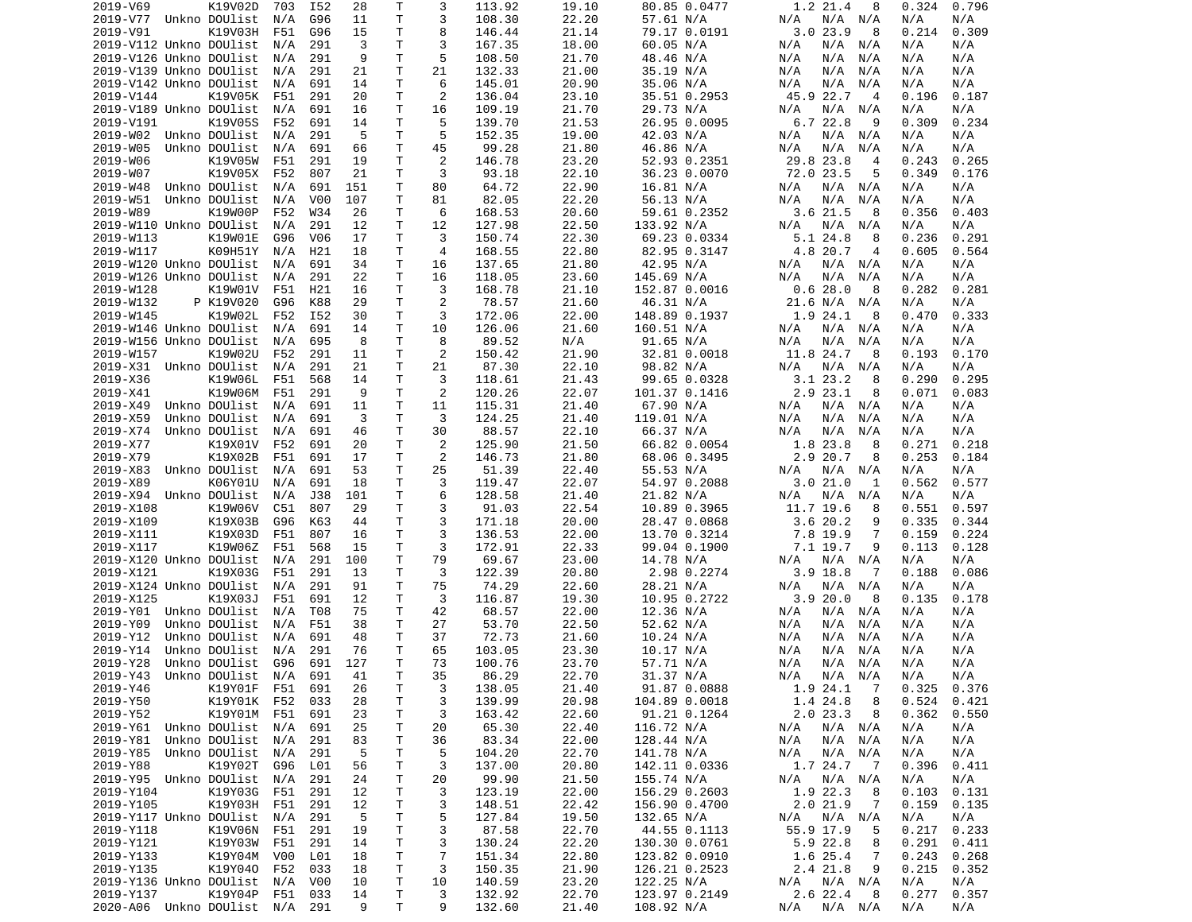| 2019-V69                       | K19V02D           | 703     | I52              | 28  | T            | 3              | 113.92 | 19.10 | 80.85 0.0477  | 1.2 21.4<br>8               | 0.324<br>0.796  |  |
|--------------------------------|-------------------|---------|------------------|-----|--------------|----------------|--------|-------|---------------|-----------------------------|-----------------|--|
| 2019-V77 Unkno DOUlist         |                   | N/A     | G96              | 11  | T.           | 3              | 108.30 | 22.20 | 57.61 N/A     | N/A N/A<br>N/A              | N/A<br>N/A      |  |
| 2019-V91                       | K19V03H           | F51     | G96              | 15  | T            | 8              | 146.44 | 21.14 | 79.17 0.0191  | 3.023.9<br>8                | 0.214<br>0.309  |  |
| 2019-V112 Unkno DOUlist        |                   | N/A     | 291              | 3   | T.           | 3              | 167.35 | 18.00 | 60.05 N/A     | N/A N/A<br>N/A              | N/A<br>N/A      |  |
| 2019-V126 Unkno DOUlist        |                   | N/A     | 291              | 9   | T.           | 5              | 108.50 | 21.70 | 48.46 N/A     | N/A<br>N/A<br>N/A           | N/A<br>N/A      |  |
| 2019-V139 Unkno DOUlist        |                   | N/A     | 291              | 21  | T            | 21             | 132.33 | 21.00 | 35.19 N/A     | N/A<br>N/A<br>N/A           | N/A<br>N/A      |  |
| 2019-V142 Unkno DOUlist        |                   | N/A     | 691              | 14  | Τ            | 6              | 145.01 | 20.90 | 35.06 N/A     | N/A<br>N/A<br>N/A           | N/A<br>N/A      |  |
| 2019-V144                      | K19V05K           | F51     | 291              | 20  | Τ            | 2              | 136.04 | 23.10 | 35.51 0.2953  | 45.9 22.7<br>$\overline{4}$ | 0.196<br>0.187  |  |
| 2019-V189 Unkno DOUlist        |                   | N/A     | 691              | 16  | Τ            | 16             | 109.19 | 21.70 | 29.73 N/A     | $N/A$ $N/A$<br>N/A          | N/A<br>N/A      |  |
| 2019-V191                      | K19V05S           | F52     | 691              | 14  | Τ            | 5              | 139.70 | 21.53 | 26.95 0.0095  | 6.722.8<br>-9               | 0.309<br>0.234  |  |
| 2019-W02 Unkno DOUlist         |                   | N/A     | 291              | 5   | T.           | 5              | 152.35 | 19.00 | 42.03 N/A     | $N/A$ $N/A$<br>N/A          | N/A<br>N/A      |  |
| 2019-W05                       | Unkno DOUlist     | N/A     | 691              | 66  | Τ            | 45             | 99.28  | 21.80 | 46.86 N/A     | N/A<br>N/A<br>N/A           | N/A<br>N/A      |  |
| 2019-W06                       | K19V05W           | F51     | 291              | 19  | T.           | 2              | 146.78 | 23.20 | 52.93 0.2351  | 29.8 23.8<br>$\overline{4}$ | 0.243<br>0.265  |  |
| 2019-W07                       | K19V05X           | F52     | 807              | 21  | Τ            | 3              | 93.18  | 22.10 | 36.23 0.0070  | 72.0 23.5<br>5              | 0.349<br>0.176  |  |
| 2019-W48                       | Unkno DOUlist     | N/A     | 691              | 151 | т            | 80             | 64.72  | 22.90 | 16.81 N/A     | N/A<br>N/A N/A              | N/A<br>N/A      |  |
| 2019-W51                       |                   |         |                  |     |              | 81             |        |       |               |                             |                 |  |
|                                | Unkno DOUlist     | N/A     | V <sub>0</sub> 0 | 107 | т            |                | 82.05  | 22.20 | 56.13 N/A     | N/A<br>N/A<br>N/A           | N/A<br>N/A      |  |
| 2019-W89                       | K19W00P           | F52     | W34              | 26  | т            | 6              | 168.53 | 20.60 | 59.61 0.2352  | 3.6 21.5<br>8               | 0.356<br>0.403  |  |
| 2019-W110 Unkno DOUlist        |                   | N/A     | 291              | 12  | T            | 12             | 127.98 | 22.50 | 133.92 N/A    | N/A<br>N/A N/A              | N/A<br>N/A      |  |
| 2019-W113                      | K19W01E           | G96     | V <sub>06</sub>  | 17  | Τ            | 3              | 150.74 | 22.30 | 69.23 0.0334  | 5.1 24.8<br>8               | 0.236<br>0.291  |  |
| 2019-W117                      | K09H51Y           | N/A     | H21              | 18  | T            | $\overline{4}$ | 168.55 | 22.80 | 82.95 0.3147  | 4.8 20.7<br>4               | 0.605<br>0.564  |  |
| 2019-W120 Unkno DOUlist        |                   | N/A     | 691              | 34  | T            | 16             | 137.65 | 21.80 | 42.95 N/A     | N/A<br>N/A N/A              | N/A<br>N/A      |  |
| 2019-W126 Unkno DOUlist        |                   | N/A     | 291              | 22  | T.           | 16             | 118.05 | 23.60 | 145.69 N/A    | N/A<br>N/A<br>N/A           | N/A<br>N/A      |  |
| 2019-W128                      | K19W01V           | F51     | H <sub>21</sub>  | 16  | T            | 3              | 168.78 | 21.10 | 152.87 0.0016 | 0.628.0<br>8                | 0.282<br>0.281  |  |
| 2019-W132                      | P K19V020         | G96     | K88              | 29  | $\mathsf{T}$ | 2              | 78.57  | 21.60 | 46.31 N/A     | 21.6 N/A N/A                | N/A<br>N/A      |  |
| 2019-W145                      | K19W02L           | F52     | I52              | 30  | T.           | 3              | 172.06 | 22.00 | 148.89 0.1937 | 1.9 24.1<br>-8              | 0.470<br>0.333  |  |
| 2019-W146 Unkno DOUlist        |                   | N/A     | 691              | 14  | Τ            | 10             | 126.06 | 21.60 | 160.51 N/A    | N/A<br>N/A N/A              | N/A<br>N/A      |  |
| 2019-W156 Unkno DOUlist        |                   | N/A     | 695              | 8   | T            | 8              | 89.52  | N/A   | 91.65 N/A     | N/A<br>N/A<br>N/A           | N/A<br>N/A      |  |
| 2019-W157                      | K19W02U           | F52     | 291              | 11  | Τ            | 2              | 150.42 | 21.90 | 32.81 0.0018  | 11.8 24.7<br>-8             | 0.193<br>0.170  |  |
| 2019-X31 Unkno DOUlist         |                   | N/A     | 291              | 21  | Τ            | 21             | 87.30  | 22.10 | 98.82 N/A     | N/A<br>N/A N/A              | N/A<br>N/A      |  |
| 2019-X36                       | K19W06L           | F51     | 568              | 14  | T            | 3              | 118.61 | 21.43 | 99.65 0.0328  | 3.123.2<br>8                | 0.290<br>0.295  |  |
| 2019-X41                       | K19W06M           | F51     | 291              | 9   | Τ            | 2              | 120.26 | 22.07 | 101.37 0.1416 | $2.9$ $23.1$<br>8           | 0.071<br>0.083  |  |
| 2019-X49                       | Unkno DOUlist     | N/A     | 691              | 11  | T            | 11             | 115.31 | 21.40 | 67.90 N/A     | N/A<br>N/A N/A              | N/A<br>N/A      |  |
| 2019-X59                       | Unkno DOUlist     | N/A     | 691              | 3   | Τ            | 3              | 124.25 | 21.40 | 119.01 N/A    | N/A<br>N/A<br>N/A           | N/A<br>N/A      |  |
| 2019-X74                       | Unkno DOUlist     | N/A     | 691              | 46  | T.           | 30             | 88.57  | 22.10 | 66.37 N/A     | N/A<br>N/A<br>N/A           | N/A<br>N/A      |  |
|                                |                   |         |                  |     |              |                |        |       |               |                             |                 |  |
| 2019-X77                       | K19X01V           | F52     | 691              | 20  | Τ            | 2              | 125.90 | 21.50 | 66.82 0.0054  | 1.8 23.8<br>8               | 0.271<br>0.218  |  |
| 2019-X79                       | K19X02B           | F51     | 691              | 17  | Τ            | 2              | 146.73 | 21.80 | 68.06 0.3495  | 2.9 20.7<br>8               | 0.253<br>0.184  |  |
| 2019-X83                       | Unkno DOUlist     | N/A     | 691              | 53  | Τ            | 25             | 51.39  | 22.40 | 55.53 N/A     | N/A N/A<br>N/A              | N/A<br>N/A      |  |
| 2019-X89                       | K06Y01U           | N/A     | 691              | 18  | Τ            | 3              | 119.47 | 22.07 | 54.97 0.2088  | 3.021.0<br>1                | 0.562<br>0.577  |  |
| 2019-X94 Unkno DOUlist         |                   | N/A     | J38              | 101 | Τ            | 6              | 128.58 | 21.40 | 21.82 N/A     | N/A<br>N/A N/A              | N/A<br>N/A      |  |
| 2019-X108                      | K19W06V           | C51     | 807              | 29  | Τ            | 3              | 91.03  | 22.54 | 10.89 0.3965  | 11.7 19.6<br>8              | 0.551<br>0.597  |  |
| 2019-X109                      | K19X03B           | G96     | K63              | 44  | T.           | 3              | 171.18 | 20.00 | 28.47 0.0868  | 3.620.2<br>9                | 0.335<br>0.344  |  |
| 2019-X111                      | K19X03D           | F51     | 807              | 16  | $\mathsf{T}$ | 3              | 136.53 | 22.00 | 13.70 0.3214  | 7.8 19.9<br>7               | 0.159<br>0.224  |  |
| 2019-X117                      | K19W06Z           | F51     | 568              | 15  | Τ            | 3              | 172.91 | 22.33 | 99.04 0.1900  | 7.1 19.7<br>9               | 0.113<br>0.128  |  |
| 2019-X120 Unkno DOUlist        |                   | N/A     | 291              | 100 | Τ            | 79             | 69.67  | 23.00 | 14.78 N/A     | N/A<br>N/A N/A              | N/A<br>N/A      |  |
| 2019-X121                      | K19X03G           | F51     | 291              | 13  | т            | 3              | 122.39 | 20.80 | 2.98 0.2274   | $3.9$ 18.8<br>7             | 0.188<br>0.086  |  |
| 2019-X124 Unkno DOUlist        |                   | N/A     | 291              | 91  | Τ            | 75             | 74.29  | 22.60 | 28.21 N/A     | N/A N/A<br>N/A              | N/A<br>N/A      |  |
| 2019-X125                      | K19X03J           | F51     | 691              | 12  | т            | 3              | 116.87 | 19.30 | 10.95 0.2722  | 3.920.0<br>8                | 0.178<br>0.135  |  |
| 2019-Y01 Unkno DOUlist         |                   | N/A     | T08              | 75  | T            | 42             | 68.57  | 22.00 | 12.36 N/A     | N/A N/A<br>N/A              | N/A<br>N/A      |  |
| 2019-Y09                       | Unkno DOUlist     | N/A     | F51              | 38  | т            | 27             | 53.70  | 22.50 | 52.62 N/A     | N/A<br>N/A<br>N/A           | N/A<br>N/A      |  |
| 2019-Y12                       | Unkno DOUlist     | N/A     | 691              | 48  | Τ            | 37             | 72.73  | 21.60 | 10.24 N/A     | N/A<br>N/A<br>N/A           | N/A<br>N/A      |  |
| 2019-Y14                       | Unkno DOUlist     | N/A     | 291              | 76  | T            | 65             | 103.05 | 23.30 | 10.17 N/A     | N/A<br>N/A<br>N/A           | N/A<br>N/A      |  |
| 2019-Y28                       | Unkno DOUlist     | G96     | 691              | 127 | Τ            | 73             | 100.76 | 23.70 | 57.71 N/A     | N/A<br>N/A N/A              | N/A<br>N/A      |  |
| 2019-Y43 Unkno DOUlist N/A 691 |                   |         |                  | 41  | T.           | 35             | 86.29  | 22.70 | 31.37 N/A     | N/A N/A N/A                 | N/A<br>N/A      |  |
| 2019-Y46                       | K19Y01F F51 691   |         |                  | 26  | Τ            | 3              | 138.05 | 21.40 | 91.87 0.0888  | 1.9 24.1<br>$\overline{7}$  | $0.325$ $0.376$ |  |
| 2019-Y50                       | K19Y01K F52       |         | 033              | 28  | T            | 3              | 139.99 | 20.98 | 104.89 0.0018 | 1.4 24.8<br>8               | 0.524<br>0.421  |  |
| 2019-Y52                       | K19Y01M           | F51     | 691              | 23  | $\mathsf{T}$ | 3              | 163.42 | 22.60 | 91.21 0.1264  | 2.0 23.3<br>8               | 0.362<br>0.550  |  |
|                                |                   |         |                  |     |              |                |        |       |               |                             |                 |  |
| 2019-Y61 Unkno DOUlist N/A     |                   |         | 691              | 25  | T.           | 20             | 65.30  | 22.40 | 116.72 N/A    | N/A N/A<br>N/A              | N/A<br>N/A      |  |
| 2019-Y81                       | Unkno DOUlist N/A |         | 291              | 83  | Τ            | 36             | 83.34  | 22.00 | 128.44 N/A    | N/A N/A<br>N/A              | N/A<br>N/A      |  |
| 2019-Y85                       | Unkno DOUlist     | N/A     | 291              | -5  | Τ            | 5              | 104.20 | 22.70 | 141.78 N/A    | $N/A$ $N/A$<br>N/A          | N/A<br>N/A      |  |
| 2019-Y88                       | K19Y02T           | G96     | L01              | 56  | Τ            | 3              | 137.00 | 20.80 | 142.11 0.0336 | 1.7 24.7<br>$\overline{7}$  | 0.396<br>0.411  |  |
| 2019-Y95 Unkno DOUlist         |                   | N/A     | 291              | 24  | Τ            | 20             | 99.90  | 21.50 | 155.74 N/A    | N/A N/A<br>N/A              | N/A<br>N/A      |  |
| 2019-Y104                      | K19Y03G           | F51     | 291              | 12  | Τ            | 3              | 123.19 | 22.00 | 156.29 0.2603 | 1.9 22.3<br>8               | 0.103<br>0.131  |  |
| 2019-Y105                      | K19Y03H           | F51     | 291              | 12  | T            | 3              | 148.51 | 22.42 | 156.90 0.4700 | 2.021.9<br>$\overline{7}$   | 0.159<br>0.135  |  |
| 2019-Y117 Unkno DOUlist        |                   | N/A     | 291              | 5   | T            | 5              | 127.84 | 19.50 | 132.65 N/A    | N/A N/A<br>N/A              | N/A<br>N/A      |  |
| 2019-Y118                      | K19V06N F51       |         | 291              | 19  | T            | 3              | 87.58  | 22.70 | 44.55 0.1113  | 55.9 17.9<br>5              | 0.217<br>0.233  |  |
| 2019-Y121                      | K19Y03W F51       |         | 291              | 14  | Τ            | 3              | 130.24 | 22.20 | 130.30 0.0761 | 5.9 22.8<br>8               | 0.291<br>0.411  |  |
| 2019-Y133                      | K19Y04M V00       |         | L01              | 18  | T            | $\overline{7}$ | 151.34 | 22.80 | 123.82 0.0910 | 1.6 25.4<br>7               | 0.243<br>0.268  |  |
| 2019-Y135                      | K19Y040           | F52     | 033              | 18  | Τ            | 3              | 150.35 | 21.90 | 126.21 0.2523 | 2.4 21.8<br>9               | 0.215<br>0.352  |  |
| 2019-Y136 Unkno DOUlist        |                   | N/A     | V00              | 10  | T            | 10             | 140.59 | 23.20 | 122.25 N/A    | N/A N/A<br>N/A              | N/A<br>N/A      |  |
| 2019-Y137                      | K19Y04P           | F51 033 |                  | 14  | T.           | 3              | 132.92 | 22.70 | 123.97 0.2149 | 2.622.48                    | 0.277<br>0.357  |  |
| 2020-A06 Unkno DOUlist N/A 291 |                   |         |                  | 9   | T.           | 9              | 132.60 | 21.40 | 108.92 N/A    | N/A N/A<br>N/A              | N/A<br>N/A      |  |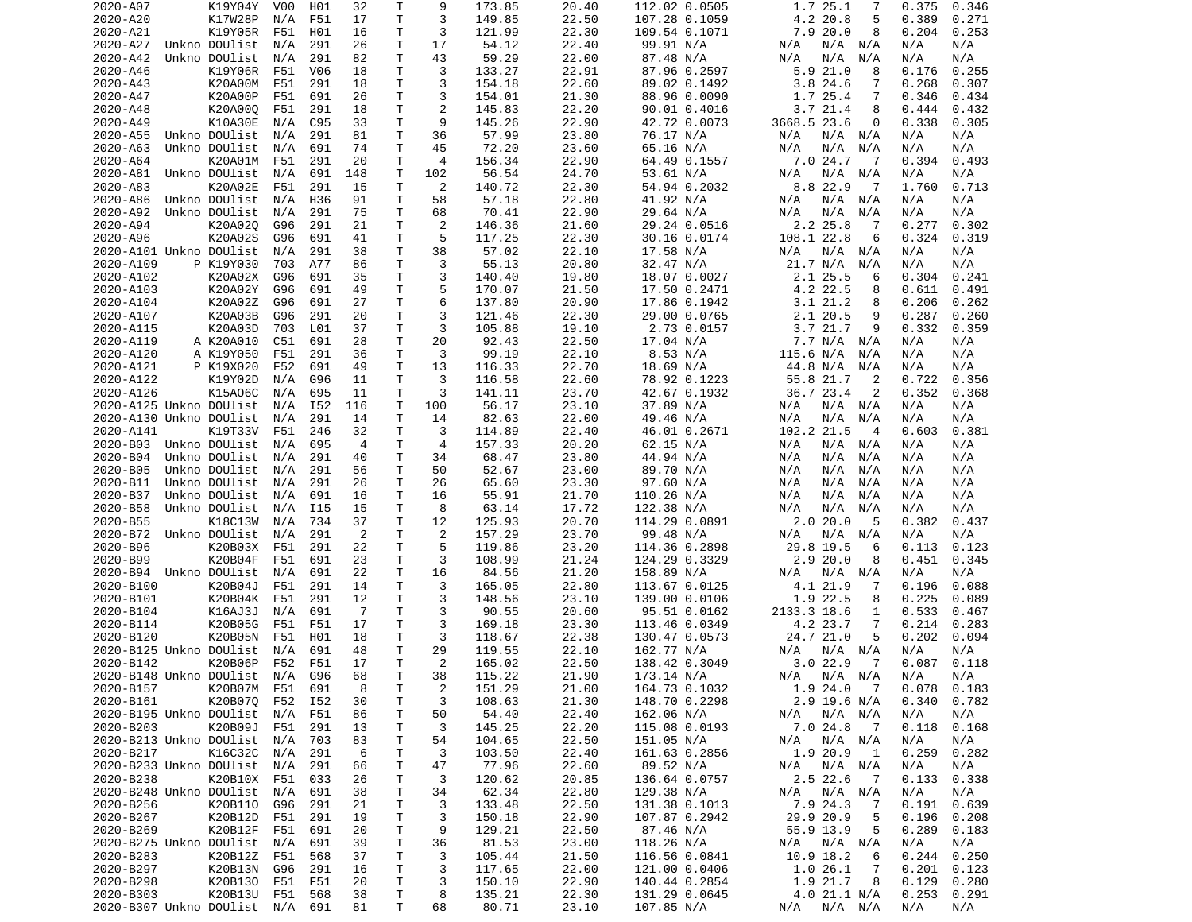| 2020-A07                    | K19Y04Y         | V00 | H01             | 32             | Т            | 9              | 173.85 | 20.40 | 112.02 0.0505 | 1.7 25.1<br>7                        | 0.346<br>0.375  |
|-----------------------------|-----------------|-----|-----------------|----------------|--------------|----------------|--------|-------|---------------|--------------------------------------|-----------------|
| 2020-A20                    | K17W28P         | N/A | F51             | 17             | Τ            | 3              | 149.85 | 22.50 | 107.28 0.1059 | 4.2 20.8<br>5                        | 0.389<br>0.271  |
| 2020-A21                    | K19Y05R         | F51 | H01             | 16             | т            | 3              | 121.99 | 22.30 | 109.54 0.1071 | 7.9 20.0<br>8                        | 0.204<br>0.253  |
| 2020-A27                    | Unkno DOUlist   | N/A | 291             | 26             | Τ            | 17             | 54.12  | 22.40 | 99.91 N/A     | N/A<br>N/A N/A                       | N/A<br>N/A      |
| 2020-A42                    | Unkno DOUlist   | N/A | 291             | 82             | Τ            | 43             | 59.29  | 22.00 | 87.48 N/A     | N/A<br>N/A<br>N/A                    | N/A<br>N/A      |
| 2020-A46                    | K19Y06R         | F51 | V06             | 18             | T.           | 3              | 133.27 | 22.91 | 87.96 0.2597  | 5.921.0<br>8                         | 0.176<br>0.255  |
| 2020-A43                    | K20A00M         | F51 | 291             | 18             | T            | 3              | 154.18 | 22.60 | 89.02 0.1492  | 3.824.6<br>7                         | 0.268<br>0.307  |
| 2020-A47                    | K20A00P         | F51 | 691             | 26             | T.           | 3              | 154.01 | 21.30 | 88.96 0.0090  | 1.7 25.4<br>7                        | 0.346<br>0.434  |
| 2020-A48                    | K20A000         | F51 | 291             | 18             | Τ            | $\overline{2}$ | 145.83 | 22.20 | 90.01 0.4016  | 3.721.4<br>8                         | 0.444<br>0.432  |
| 2020-A49                    | K10A30E         | N/A | C95             | 33             | т            | 9              | 145.26 | 22.90 | 42.72 0.0073  | 3668.5 23.6<br>0                     | 0.338<br>0.305  |
|                             |                 |     |                 |                | T            | 36             |        |       |               |                                      |                 |
| 2020-A55                    | Unkno DOUlist   | N/A | 291             | 81             |              |                | 57.99  | 23.80 | 76.17 N/A     | N/A<br>N/A N/A                       | N/A<br>N/A      |
| 2020-A63                    | Unkno DOUlist   | N/A | 691             | 74             | $\mathsf{T}$ | 45             | 72.20  | 23.60 | 65.16 N/A     | N/A<br>N/A<br>N/A                    | N/A<br>N/A      |
| 2020-A64                    | K20A01M         | F51 | 291             | 20             | Τ            | $\overline{4}$ | 156.34 | 22.90 | 64.49 0.1557  | 7.024.7<br>-7                        | 0.394<br>0.493  |
| 2020-A81                    | Unkno DOUlist   | N/A | 691             | 148            | Τ            | 102            | 56.54  | 24.70 | 53.61 N/A     | N/A<br>N/A<br>N/A                    | N/A<br>N/A      |
| 2020-A83                    | K20A02E         | F51 | 291             | 15             | т            | 2              | 140.72 | 22.30 | 54.94 0.2032  | 8.8 22.9<br>$\overline{7}$           | 1.760<br>0.713  |
| 2020-A86                    | Unkno DOUlist   | N/A | H36             | 91             | T.           | 58             | 57.18  | 22.80 | 41.92 N/A     | N/A<br>N/A N/A                       | N/A<br>N/A      |
| 2020-A92                    | Unkno DOUlist   | N/A | 291             | 75             | Τ            | 68             | 70.41  | 22.90 | 29.64 N/A     | N/A<br>N/A<br>N/A                    | N/A<br>N/A      |
| 2020-A94                    | K20A020         | G96 | 291             | 21             | Τ            | 2              | 146.36 | 21.60 | 29.24 0.0516  | 2.2 25.8<br>-7                       | 0.277<br>0.302  |
| 2020-A96                    | K20A02S         | G96 | 691             | 41             | Τ            | 5              | 117.25 | 22.30 | 30.16 0.0174  | 108.1 22.8<br>6                      | 0.324<br>0.319  |
| 2020-A101 Unkno DOUlist     |                 | N/A | 291             | 38             | T            | 38             | 57.02  | 22.10 | 17.58 N/A     | N/A<br>N/A N/A                       | N/A<br>N/A      |
| 2020-A109                   | P K19Y030       | 703 | A77             | 86             | Τ            | 3              | 55.13  | 20.80 | 32.47 N/A     | 21.7 N/A<br>N/A                      | N/A<br>N/A      |
| 2020-A102                   | K20A02X         | G96 | 691             | 35             | T            | 3              | 140.40 | 19.80 | 18.07 0.0027  | 2.1 25.5<br>6                        | 0.304<br>0.241  |
| 2020-A103                   | K20A02Y         | G96 | 691             | 49             | T.           | 5              | 170.07 | 21.50 | 17.50 0.2471  | 4.2 22.5<br>8                        | 0.611<br>0.491  |
| 2020-A104                   | K20A02Z         | G96 | 691             | 27             | Τ            | 6              | 137.80 | 20.90 | 17.86 0.1942  | 3.1 21.2<br>8                        | 0.206<br>0.262  |
| 2020-A107                   | K20A03B         | G96 | 291             | 20             | T.           | 3              | 121.46 | 22.30 | 29.00 0.0765  | 2.1 20.5<br>9                        | 0.287<br>0.260  |
| 2020-A115                   | K20A03D         | 703 | L <sub>01</sub> | 37             | T            | 3              | 105.88 | 19.10 |               | 9                                    | 0.332<br>0.359  |
|                             |                 |     |                 |                |              |                |        |       | 2.73 0.0157   | 3.7 21.7                             |                 |
| 2020-A119                   | A K20A010       | C51 | 691             | 28             | Τ            | 20             | 92.43  | 22.50 | 17.04 N/A     | 7.7 N/A<br>N/A                       | N/A<br>N/A      |
| 2020-A120                   | A K19Y050       | F51 | 291             | 36             | т            | 3              | 99.19  | 22.10 | 8.53 N/A      | 115.6 N/A<br>N/A                     | N/A<br>N/A      |
| 2020-A121                   | P K19X020       | F52 | 691             | 49             | T.           | 13             | 116.33 | 22.70 | 18.69 N/A     | 44.8 N/A<br>N/A                      | N/A<br>N/A      |
| 2020-A122                   | K19Y02D         | N/A | G96             | 11             | T.           | 3              | 116.58 | 22.60 | 78.92 0.1223  | 55.8 21.7<br>2                       | 0.722<br>0.356  |
| 2020-A126                   | K15A06C         | N/A | 695             | 11             | Τ            | 3              | 141.11 | 23.70 | 42.67 0.1932  | 36.7 23.4<br>2                       | 0.352<br>0.368  |
| 2020-A125 Unkno DOUlist     |                 | N/A | I52             | 116            | Τ            | 100            | 56.17  | 23.10 | 37.89 N/A     | N/A<br>N/A N/A                       | N/A<br>N/A      |
| 2020-A130 Unkno DOUlist     |                 | N/A | 291             | 14             | Τ            | 14             | 82.63  | 22.00 | 49.46 N/A     | N/A<br>N/A<br>N/A                    | N/A<br>N/A      |
| 2020-A141                   | K19T33V         | F51 | 246             | 32             | T            | 3              | 114.89 | 22.40 | 46.01 0.2671  | 102.2 21.5<br>$\overline{4}$         | 0.603<br>0.381  |
| 2020-B03                    | Unkno DOUlist   | N/A | 695             | $\overline{4}$ | Τ            | $\overline{4}$ | 157.33 | 20.20 | 62.15 N/A     | $N/A$ $N/A$<br>N/A                   | N/A<br>N/A      |
| 2020-B04                    | Unkno DOUlist   | N/A | 291             | 40             | T.           | 34             | 68.47  | 23.80 | 44.94 N/A     | N/A<br>N/A<br>N/A                    | N/A<br>N/A      |
| 2020-B05                    | Unkno DOUlist   | N/A | 291             | 56             | T.           | 50             | 52.67  | 23.00 | 89.70 N/A     | N/A<br>N/A<br>N/A                    | N/A<br>N/A      |
| 2020-B11                    | Unkno DOUlist   | N/A | 291             | 26             | Τ            | 26             | 65.60  | 23.30 | 97.60 N/A     | N/A<br>N/A<br>N/A                    | N/A<br>N/A      |
| 2020-B37                    | Unkno DOUlist   | N/A | 691             | 16             | Τ            | 16             | 55.91  | 21.70 | 110.26 N/A    | N/A<br>N/A<br>N/A                    | N/A<br>N/A      |
| 2020-B58                    | Unkno DOUlist   | N/A | I15             | 15             | т            | 8              | 63.14  | 17.72 | 122.38 N/A    | N/A<br>N/A<br>N/A                    | N/A<br>N/A      |
| 2020-B55                    | K18C13W         |     | 734             | 37             | т            |                |        | 20.70 |               | 2.020.0<br>5                         | 0.382<br>0.437  |
|                             |                 | N/A |                 |                |              | 12             | 125.93 |       | 114.29 0.0891 |                                      |                 |
| 2020-B72                    | Unkno DOUlist   | N/A | 291             | $\overline{2}$ | Τ            | 2              | 157.29 | 23.70 | 99.48 N/A     | N/A<br>N/A N/A                       | N/A<br>N/A      |
| 2020-B96                    | K20B03X         | F51 | 291             | 22             | Τ            | 5              | 119.86 | 23.20 | 114.36 0.2898 | 29.8 19.5<br>6                       | 0.113<br>0.123  |
| 2020-B99                    | K20B04F         | F51 | 691             | 23             | Τ            | 3              | 108.99 | 21.24 | 124.29 0.3329 | 2.920.0<br>8                         | 0.451<br>0.345  |
| 2020-B94                    | Unkno DOUlist   | N/A | 691             | 22             | T.           | 16             | 84.56  | 21.20 | 158.89 N/A    | N/A<br>N/A N/A                       | N/A<br>N/A      |
| 2020-B100                   | K20B04J         | F51 | 291             | 14             | T.           | 3              | 165.05 | 22.80 | 113.67 0.0125 | 4.1 21.9<br>7                        | 0.196<br>0.088  |
| 2020-B101                   | K20B04K         | F51 | 291             | 12             | T.           | 3              | 148.56 | 23.10 | 139.00 0.0106 | 1.9 22.5<br>8                        | 0.225<br>0.089  |
| 2020-B104                   | K16AJ3J         | N/A | 691             | -7             | T.           | 3              | 90.55  | 20.60 | 95.51 0.0162  | 2133.3 18.6<br>1                     | 0.533<br>0.467  |
| 2020-B114                   | K20B05G         | F51 | F51             | 17             | т            | 3              | 169.18 | 23.30 | 113.46 0.0349 | 4.2 23.7<br>7                        | 0.214<br>0.283  |
| 2020-B120                   | K20B05N         | F51 | H01             | 18             | T            | 3              | 118.67 | 22.38 | 130.47 0.0573 | 24.7 21.0<br>5                       | 0.202<br>0.094  |
| 2020-B125 Unkno DOUlist     |                 | N/A | 691             | 48             | Τ            | 29             | 119.55 | 22.10 | 162.77 N/A    | N/A<br>N/A N/A                       | N/A<br>N/A      |
| 2020-B142                   | K20B06P         | F52 | F51             | 17             | T.           | 2              | 165.02 | 22.50 | 138.42 0.3049 | 3.022.9<br>$\overline{7}$            | 0.087<br>0.118  |
| 2020-B148 Unkno DOUlist     |                 | N/A | G96             | 68             | T.           | 38             | 115.22 | 21.90 | 173.14 N/A    | N/A<br>N/A N/A                       | N/A<br>N/A      |
| 2020-B157                   | K20B07M F51 691 |     |                 | 8              | Τ            | $\overline{c}$ | 151.29 | 21.00 | 164.73 0.1032 | 1.9 24.0 7                           | $0.078$ 0.183   |
| 2020-B161                   | K20B070 F52     |     | I52             | 30             | T.           | 3              | 108.63 | 21.30 | 148.70 0.2298 | 2.9 19.6 N/A                         | 0.340<br>0.782  |
| 2020-B195 Unkno DOUlist     |                 | N/A | F51             | 86             | T.           | 50             | 54.40  | 22.40 | 162.06 N/A    | N/A N/A<br>N/A                       | N/A<br>N/A      |
| 2020-B203                   | K20B09J         | F51 | 291             |                | т            | 3              |        |       |               |                                      | 0.118<br>0.168  |
| 2020-B213 Unkno DOUlist N/A |                 |     |                 | 13             |              |                | 145.25 | 22.20 | 115.08 0.0193 | 7.0 24.8 7                           |                 |
|                             |                 |     | 703             | 83             | т            | 54             | 104.65 | 22.50 | 151.05 N/A    | N/A N/A<br>N/A                       | N/A<br>N/A      |
| 2020-B217                   | K16C32C         | N/A | 291             | 6              | Τ            | 3              | 103.50 | 22.40 | 161.63 0.2856 | 1.9 20.9<br>$\overline{\phantom{0}}$ | 0.259<br>0.282  |
| 2020-B233 Unkno DOUlist N/A |                 |     | 291             | 66             | T.           | 47             | 77.96  | 22.60 | 89.52 N/A     | $N/A$ $N/A$<br>N/A                   | N/A<br>N/A      |
| 2020-B238                   | K20B10X F51     |     | 033             | 26             | T.           | 3              | 120.62 | 20.85 | 136.64 0.0757 | 2.5 22.6<br>$\overline{7}$           | 0.133<br>0.338  |
| 2020-B248 Unkno DOUlist N/A |                 |     | 691             | 38             | T.           | 34             | 62.34  | 22.80 | 129.38 N/A    | $N/A$ $N/A$<br>N/A                   | N/A<br>N/A      |
| 2020-B256                   | K20B110         | G96 | 291             | 21             | T.           | 3              | 133.48 | 22.50 | 131.38 0.1013 | 7.9 24.3<br>-7                       | $0.191$ $0.639$ |
| 2020-B267                   | K20B12D         | F51 | 291             | 19             | T.           | 3              | 150.18 | 22.90 | 107.87 0.2942 | 29.9 20.9<br>5                       | 0.196<br>0.208  |
| 2020-B269                   | K20B12F         | F51 | 691             | 20             | T.           | 9              | 129.21 | 22.50 | 87.46 N/A     | 55.9 13.9<br>5                       | 0.289<br>0.183  |
| 2020-B275 Unkno DOUlist     |                 | N/A | 691             | 39             | T.           | 36             | 81.53  | 23.00 | 118.26 N/A    | N/A<br>N/A N/A                       | N/A<br>N/A      |
| 2020-B283                   | K20B12Z         | F51 | 568             | 37             | T.           | 3              | 105.44 | 21.50 | 116.56 0.0841 | 10.9 18.2<br>6                       | 0.244<br>0.250  |
| 2020-B297                   | K20B13N         | G96 | 291             | 16             | T.           | 3              | 117.65 | 22.00 | 121.00 0.0406 | 1.026.1<br>-7                        | 0.201<br>0.123  |
| 2020-B298                   | K20B130 F51     |     | F51             | 20             | T.           | 3              | 150.10 | 22.90 | 140.44 0.2854 | 1.9 21.7<br>-8                       | 0.129<br>0.280  |
| 2020-B303                   | K20B13U F51     |     | 568             | 38             | T.           | 8              | 135.21 | 22.30 | 131.29 0.0645 | 4.0 21.1 N/A                         | 0.253<br>0.291  |
|                             |                 |     | 691             | 81             | T.           | 68             | 80.71  | 23.10 | 107.85 N/A    | N/A<br>N/A N/A                       | N/A<br>N/A      |
| 2020-B307 Unkno DOUlist N/A |                 |     |                 |                |              |                |        |       |               |                                      |                 |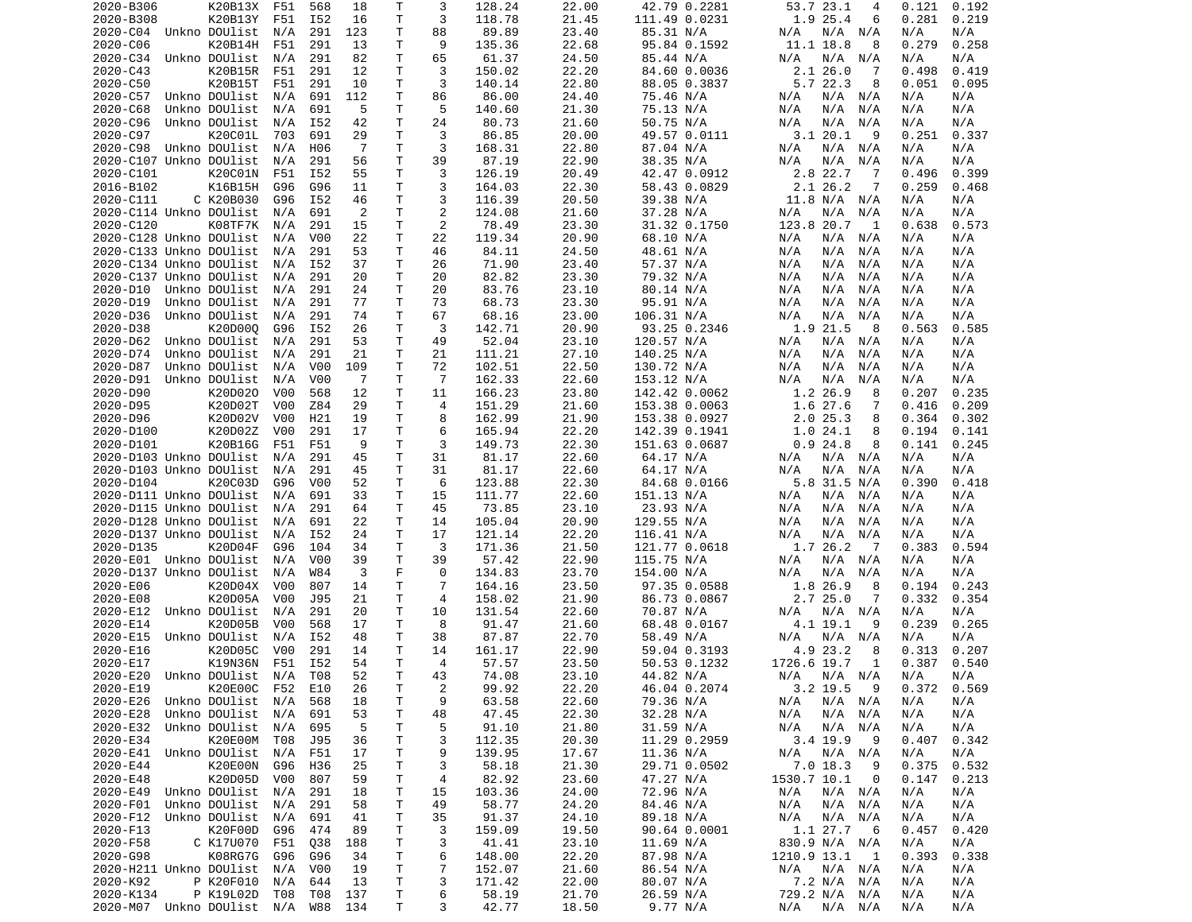| 2020-B306                               | K20B13X           | F51 | 568              | 18  | Т            | 3              | 128.24         | 22.00          | 42.79 0.2281          | 53.7 23.1<br>4                  | 0.121           | 0.192      |
|-----------------------------------------|-------------------|-----|------------------|-----|--------------|----------------|----------------|----------------|-----------------------|---------------------------------|-----------------|------------|
| 2020-B308                               | K20B13Y           | F51 | I52              | 16  | т            | 3              | 118.78         | 21.45          | 111.49 0.0231         | 1.9 25.4<br>6                   | 0.281           | 0.219      |
| 2020-C04                                | Unkno DOUlist     | N/A | 291              | 123 | T.           | 88             | 89.89          | 23.40          | 85.31 N/A             | N/A<br>N/A<br>N/A               | N/A             | N/A        |
| 2020-C06                                | K20B14H           | F51 | 291              | 13  | Τ            | 9              | 135.36         | 22.68          | 95.84 0.1592          | 11.1 18.8<br>8                  | 0.279           | 0.258      |
| 2020-C34                                | Unkno DOUlist     | N/A | 291              | 82  | T.           | 65             | 61.37          | 24.50          | 85.44 N/A             | N/A<br>N/A<br>N/A               | N/A             | N/A        |
| 2020-C43                                | K20B15R           | F51 | 291              | 12  | Τ            | 3              | 150.02         | 22.20          | 84.60 0.0036          | 2.126.0<br>-7                   | 0.498           | 0.419      |
| 2020-C50                                | K20B15T           | F51 | 291              | 10  | т            | 3              | 140.14         | 22.80          | 88.05 0.3837          | 5.7 22.3<br>8                   | 0.051           | 0.095      |
|                                         |                   |     |                  |     | Τ            | 86             |                |                |                       | $N/A$ $N/A$                     |                 |            |
| 2020-C57                                | Unkno DOUlist     | N/A | 691              | 112 |              |                | 86.00          | 24.40          | 75.46 N/A             | N/A                             | N/A             | N/A        |
| 2020-C68                                | Unkno DOUlist     | N/A | 691              | -5  | T            | 5              | 140.60         | 21.30          | 75.13 N/A             | N/A<br>N/A<br>N/A               | N/A             | N/A        |
| 2020-C96                                | Unkno DOUlist     | N/A | I52              | 42  | Τ            | 24             | 80.73          | 21.60          | 50.75 N/A             | N/A<br>N/A<br>N/A               | N/A             | N/A        |
| 2020-C97                                | K20C01L           | 703 | 691              | 29  | T            | 3              | 86.85          | 20.00          | 49.57 0.0111          | 3.120.1<br>9                    | 0.251           | 0.337      |
| 2020-C98                                | Unkno DOUlist     | N/A | H06              | -7  | Τ            | 3              | 168.31         | 22.80          | 87.04 N/A             | N/A N/A<br>N/A                  | N/A             | N/A        |
| 2020-C107 Unkno DOUlist                 |                   | N/A | 291              | 56  | T.           | 39             | 87.19          | 22.90          | 38.35 N/A             | N/A<br>N/A<br>N/A               | N/A             | N/A        |
| 2020-C101                               | K20C01N           | F51 | I52              | 55  | т            | 3              | 126.19         | 20.49          | 42.47 0.0912          | 2.8 22.7<br>7                   | 0.496           | 0.399      |
| 2016-B102                               | K16B15H           | G96 | G96              | 11  | T.           | 3              | 164.03         | 22.30          | 58.43 0.0829          | 2.1 26.2<br>7                   | 0.259           | 0.468      |
| 2020-C111                               | C K20B030         | G96 | I52              | 46  | T            | 3              | 116.39         | 20.50          | 39.38 N/A             | 11.8 N/A N/A                    | N/A             | N/A        |
| 2020-C114 Unkno DOUlist                 |                   | N/A | 691              | 2   | T.           | 2              | 124.08         | 21.60          | 37.28 N/A             | N/A<br>N/A<br>N/A               | N/A             | N/A        |
|                                         |                   |     | 291              |     |              |                |                |                |                       |                                 |                 |            |
| 2020-C120                               | K08TF7K           | N/A |                  | 15  | Τ            | 2              | 78.49          | 23.30          | 31.32 0.1750          | 123.8 20.7<br>1                 | 0.638           | 0.573      |
| 2020-C128 Unkno DOUlist                 |                   | N/A | V <sub>0</sub> 0 | 22  | Τ            | 22             | 119.34         | 20.90          | 68.10 N/A             | N/A<br>N/A<br>N/A               | N/A             | N/A        |
| 2020-C133 Unkno DOUlist                 |                   | N/A | 291              | 53  | T.           | 46             | 84.11          | 24.50          | 48.61 N/A             | N/A<br>N/A<br>N/A               | N/A             | N/A        |
| 2020-C134 Unkno DOUlist                 |                   | N/A | I52              | 37  | Τ            | 26             | 71.90          | 23.40          | 57.37 N/A             | N/A<br>N/A<br>N/A               | N/A             | N/A        |
| 2020-C137 Unkno DOUlist                 |                   | N/A | 291              | 20  | Τ            | 20             | 82.82          | 23.30          | 79.32 N/A             | N/A<br>N/A<br>N/A               | N/A             | N/A        |
| 2020-D10                                | Unkno DOUlist     | N/A | 291              | 24  | $\mathsf{T}$ | 20             | 83.76          | 23.10          | 80.14 N/A             | N/A<br>N/A<br>N/A               | N/A             | N/A        |
| 2020-D19                                | Unkno DOUlist     | N/A | 291              | 77  | т            | 73             | 68.73          | 23.30          | 95.91 N/A             | N/A<br>N/A<br>N/A               | N/A             | N/A        |
| 2020-D36                                | Unkno DOUlist     | N/A | 291              | 74  | Τ            | 67             | 68.16          | 23.00          | 106.31 N/A            | N/A<br>N/A<br>N/A               | N/A             | N/A        |
| 2020-D38                                | K20D000           | G96 | I52              | 26  | Τ            | 3              | 142.71         | 20.90          | 93.25 0.2346          | 1.9 21.5<br>- 8                 | 0.563           | 0.585      |
|                                         |                   |     |                  |     |              |                |                |                |                       |                                 |                 |            |
| 2020-D62                                | Unkno DOUlist     | N/A | 291              | 53  | Τ            | 49             | 52.04          | 23.10          | 120.57 N/A            | N/A<br>N/A<br>N/A               | N/A             | N/A        |
| 2020-D74                                | Unkno DOUlist     | N/A | 291              | 21  | Τ            | 21             | 111.21         | 27.10          | 140.25 N/A            | N/A<br>N/A<br>N/A               | N/A             | N/A        |
| 2020-D87                                | Unkno DOUlist     | N/A | V <sub>0</sub> 0 | 109 | Τ            | 72             | 102.51         | 22.50          | 130.72 N/A            | N/A<br>N/A<br>N/A               | N/A             | N/A        |
| 2020-D91                                | Unkno DOUlist     | N/A | V <sub>0</sub> 0 | -7  | T            | $\overline{7}$ | 162.33         | 22.60          | 153.12 N/A            | N/A<br>N/A<br>N/A               | N/A             | N/A        |
| 2020-D90                                | K20D020           | V00 | 568              | 12  | Τ            | 11             | 166.23         | 23.80          | 142.42 0.0062         | 1.2 26.9<br>8                   | 0.207           | 0.235      |
| 2020-D95                                | K20D02T           | V00 | Z84              | 29  | T.           | 4              | 151.29         | 21.60          | 153.38 0.0063         | 1.6 27.6<br>7                   | 0.416           | 0.209      |
| 2020-D96                                | K20D02V           | V00 | H <sub>21</sub>  | 19  | Τ            | 8              | 162.99         | 21.90          | 153.38 0.0927         | 2.025.3<br>8                    | 0.364           | 0.302      |
| 2020-D100                               | K20D02Z           | V00 | 291              | 17  | Τ            | 6              | 165.94         | 22.20          | 142.39 0.1941         | 1.024.1<br>8                    | 0.194           | 0.141      |
| 2020-D101                               | K20B16G           | F51 | F51              | 9   | т            | 3              | 149.73         | 22.30          | 151.63 0.0687         | 0.924.8<br>8                    | 0.141           | 0.245      |
|                                         |                   |     |                  |     |              |                |                |                |                       |                                 |                 |            |
| 2020-D103 Unkno DOUlist                 |                   | N/A | 291              | 45  | Τ            | 31             | 81.17          | 22.60          | 64.17 N/A             | N/A<br>N/A N/A                  | N/A             | N/A        |
| 2020-D103 Unkno DOUlist                 |                   | N/A | 291              | 45  | T            | 31             | 81.17          | 22.60          | 64.17 N/A             | N/A<br>N/A<br>N/A               | N/A             | N/A        |
| 2020-D104                               | K20C03D           | G96 | V <sub>0</sub>   | 52  | T.           | 6              | 123.88         | 22.30          | 84.68 0.0166          | 5.8 31.5 N/A                    | 0.390           | 0.418      |
| 2020-D111 Unkno DOUlist                 |                   | N/A | 691              | 33  | Τ            | 15             | 111.77         | 22.60          | 151.13 N/A            | N/A<br>N/A<br>N/A               | N/A             | N/A        |
| 2020-D115 Unkno DOUlist                 |                   | N/A | 291              | 64  | Τ            | 45             | 73.85          | 23.10          | 23.93 N/A             | N/A<br>N/A<br>N/A               | N/A             | N/A        |
| 2020-D128 Unkno DOUlist                 |                   | N/A | 691              | 22  | т            | 14             | 105.04         | 20.90          | 129.55 N/A            | N/A<br>N/A<br>N/A               | N/A             | N/A        |
| 2020-D137 Unkno DOUlist                 |                   | N/A | I52              | 24  | Τ            | 17             | 121.14         | 22.20          | 116.41 N/A            | N/A<br>N/A<br>N/A               | N/A             | N/A        |
| 2020-D135                               | K20D04F           | G96 | 104              | 34  | Τ            | 3              | 171.36         | 21.50          | 121.77 0.0618         | 1.7 26.2<br>$\overline{7}$      | 0.383           | 0.594      |
| 2020-E01 Unkno DOUlist                  |                   | N/A | V00              | 39  | T            | 39             | 57.42          | 22.90          | 115.75 N/A            | N/A<br>N/A N/A                  | N/A             | N/A        |
|                                         |                   |     |                  |     | F            | 0              |                |                |                       |                                 |                 |            |
| 2020-D137 Unkno DOUlist                 |                   | N/A | W84              | 3   |              |                | 134.83         | 23.70          | 154.00 N/A            | N/A<br>N/A<br>N/A               | N/A             | N/A        |
| 2020-E06                                | K20D04X           | V00 | 807              | 14  | T.           | $\overline{7}$ | 164.16         | 23.50          | 97.35 0.0588          | 1.8 26.9<br>8                   | 0.194           | 0.243      |
| 2020-E08                                | K20D05A           | V00 | J95              | 21  | т            | 4              | 158.02         | 21.90          | 86.73 0.0867          | 2.725.0<br>7                    | 0.332           | 0.354      |
| 2020-E12                                | Unkno DOUlist     | N/A | 291              | 20  | T.           | 10             | 131.54         | 22.60          | 70.87 N/A             | N/A<br>N/A N/A                  | N/A             | N/A        |
| 2020-E14                                | K20D05B           | V00 | 568              | 17  | Τ            | 8              | 91.47          | 21.60          | 68.48 0.0167          | 4.1 19.1<br>9                   | 0.239           | 0.265      |
| 2020-E15                                | Unkno DOUlist     | N/A | I52              | 48  | Τ            | 38             | 87.87          | 22.70          | 58.49 N/A             | N/A N/A<br>N/A                  | N/A             | N/A        |
| 2020-E16                                | K20D05C           | V00 | 291              | 14  | T            | 14             | 161.17         | 22.90          | 59.04 0.3193          | 4.9 23.2<br>8                   | 0.313           | 0.207      |
| 2020-E17                                | K19N36N           | F51 | I52              | 54  | T.           | 4              | 57.57          | 23.50          | 50.53 0.1232          | 1726.6 19.7<br>1                | 0.387           | 0.540      |
| 2020-E20 Unkno DOUlist N/A T08          |                   |     |                  | 52  | T.           | 43             | 74.08          | 23.10          | 44.82 N/A             | $N/A$ $N/A$ $N/A$               | N/A             | N/A        |
|                                         |                   |     |                  |     |              | $\overline{c}$ |                | 22.20          | 46.04 0.2074          |                                 | $0.372$ $0.569$ |            |
| 2020-E19                                | K20E00C           | F52 | E10              | 26  | Τ            |                | 99.92          |                |                       | $3.2$ 19.5<br>- 9               |                 |            |
| 2020-E26                                | Unkno DOUlist     | N/A | 568              | 18  | T            | 9              | 63.58          | 22.60          | 79.36 N/A             | N/A N/A<br>N/A                  | N/A             | N/A        |
| 2020-E28                                | Unkno DOUlist     | N/A | 691              | 53  | т            | 48             | 47.45          | 22.30          | 32.28 N/A             | N/A<br>N/A N/A                  | N/A             | N/A        |
| 2020-E32                                | Unkno DOUlist N/A |     | 695              | -5  | т            | 5              | 91.10          | 21.80          | 31.59 N/A             | N/A N/A<br>N/A                  | N/A             | N/A        |
| 2020-E34                                | K20E00M T08       |     | J95              | 36  | T            | 3              | 112.35         | 20.30          | 11.29 0.2959          | 3.4 19.9<br>- 9                 | 0.407           | 0.342      |
| 2020-E41                                | Unkno DOUlist     | N/A | F51              | 17  | T            | 9              | 139.95         | 17.67          | 11.36 N/A             | N/A<br>N/A N/A                  | N/A             | N/A        |
| 2020-E44                                | K20E00N           | G96 | H36              | 25  | T            | 3              | 58.18          | 21.30          | 29.71 0.0502          | 7.0 18.3<br>- 9                 | 0.375           | 0.532      |
|                                         | K20D05D           | V00 | 807              | 59  | Τ            | 4              | 82.92          | 23.60          | 47.27 N/A             | 1530.7 10.1<br>- 0              | 0.147           | 0.213      |
|                                         |                   |     |                  |     |              | 15             | 103.36         | 24.00          | 72.96 N/A             | N/A<br>N/A N/A                  | N/A             | N/A        |
| 2020-E48                                |                   |     |                  |     |              |                |                |                |                       |                                 |                 |            |
| 2020-E49                                | Unkno DOUlist     | N/A | 291              | 18  | Τ            |                |                |                |                       |                                 |                 |            |
| 2020-F01                                | Unkno DOUlist N/A |     | 291              | 58  | Τ            | 49             | 58.77          | 24.20          | 84.46 N/A             | N/A<br>N/A N/A                  | N/A             | N/A        |
| 2020-F12                                | Unkno DOUlist     | N/A | 691              | 41  | Τ            | 35             | 91.37          | 24.10          | 89.18 N/A             | N/A<br>N/A N/A                  | N/A             | N/A        |
| 2020-F13                                | K20F00D           | G96 | 474              | 89  | T            | 3              | 159.09         | 19.50          | 90.64 0.0001          | 1.1 27.7<br>- 6                 | 0.457           | 0.420      |
| 2020-F58                                | C K17U070         | F51 | Q38              | 188 | T            | 3              | 41.41          | 23.10          | 11.69 N/A             | 830.9 N/A N/A                   | N/A             | N/A        |
| 2020-G98                                | K08RG7G           | G96 | G96              | 34  | T            | 6              | 148.00         | 22.20          | 87.98 N/A             | 1210.9 13.1 1                   | 0.393           | 0.338      |
|                                         |                   |     |                  |     |              |                |                |                |                       |                                 |                 |            |
| 2020-H211 Unkno DOUlist                 |                   | N/A | V00              | 19  | T            | 7              | 152.07         | 21.60          | 86.54 N/A             | N/A N/A<br>N/A                  | N/A             | N/A        |
| 2020-K92                                | P K20F010         | N/A | 644              | 13  | T            | 3              | 171.42         | 22.00          | 80.07 N/A             | 7.2 N/A N/A                     | N/A             | N/A        |
| 2020-K134<br>2020-M07 Unkno DOUlist N/A | P K19L02D         | T08 | T08<br>W88 134   | 137 | T<br>T.      | 6<br>3         | 58.19<br>42.77 | 21.70<br>18.50 | 26.59 N/A<br>9.77 N/A | 729.2 N/A N/A<br>N/A<br>N/A N/A | N/A<br>N/A      | N/A<br>N/A |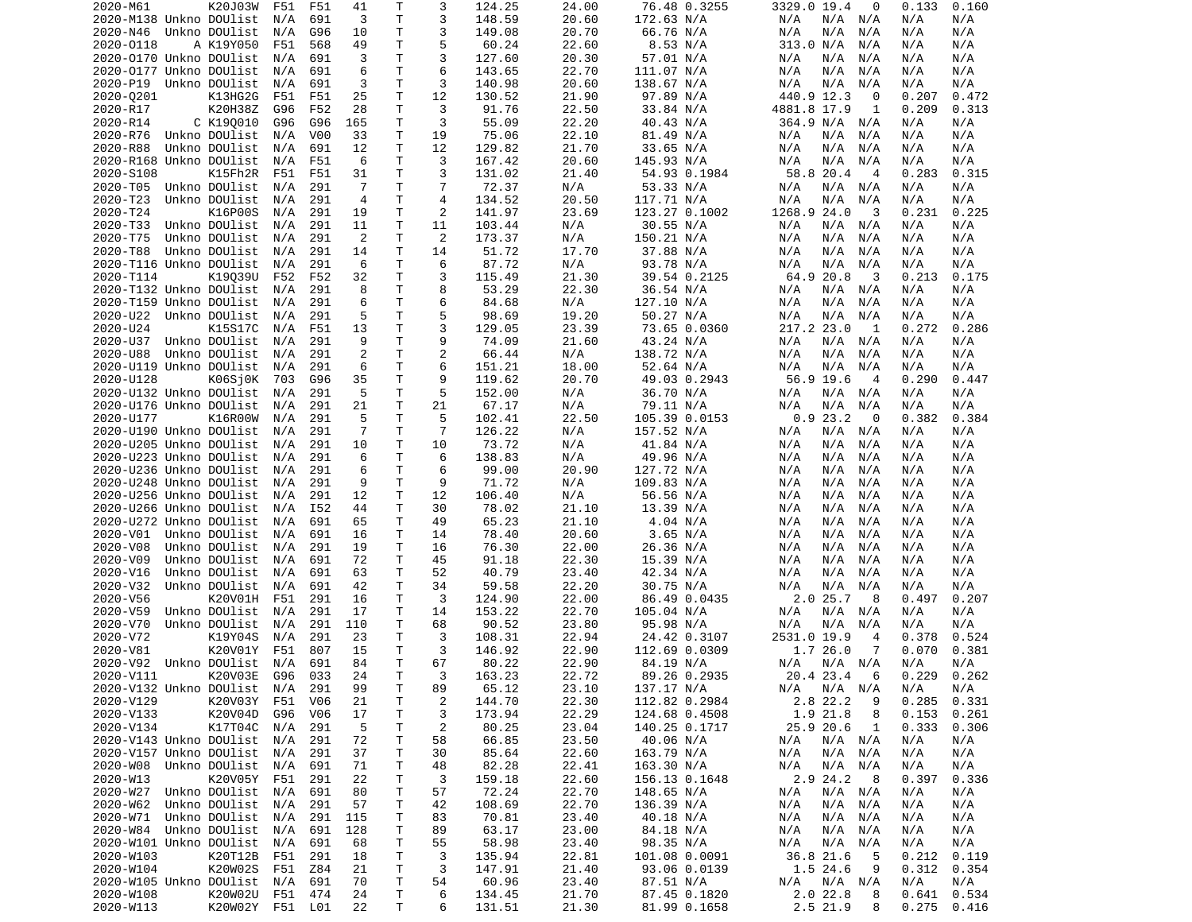| K20J03W<br>2020-M61                                  | F51 | F51             | 41             | т            | 3              | 124.25           | 24.00          | 76.48 0.3255                 | 3329.0 19.4<br>0              | 0.133<br>0.160                   |
|------------------------------------------------------|-----|-----------------|----------------|--------------|----------------|------------------|----------------|------------------------------|-------------------------------|----------------------------------|
| 2020-M138 Unkno DOUlist                              | N/A | 691             | 3              | T.           | 3              | 148.59           | 20.60          | 172.63 N/A                   | N/A N/A<br>N/A                | N/A<br>N/A                       |
| 2020-N46 Unkno DOUlist                               | N/A | G96             | 10             | T.           | 3              | 149.08           | 20.70          | 66.76 N/A                    | N/A<br>N/A<br>N/A             | N/A<br>N/A                       |
|                                                      |     |                 | 49             | T.           | 5              | 60.24            | 22.60          |                              | 313.0 N/A                     |                                  |
| 2020-0118<br>A K19Y050                               | F51 | 568             |                |              |                |                  |                | 8.53 N/A                     | N/A                           | N/A<br>N/A                       |
| 2020-0170 Unkno DOUlist                              | N/A | 691             | 3              | $\mathsf{T}$ | 3              | 127.60           | 20.30          | 57.01 N/A                    | N/A<br>N/A<br>N/A             | N/A<br>N/A                       |
| 2020-0177 Unkno DOUlist                              | N/A | 691             | 6              | $\mathsf{T}$ | 6              | 143.65           | 22.70          | 111.07 N/A                   | N/A<br>N/A<br>N/A             | N/A<br>N/A                       |
| 2020-P19 Unkno DOUlist                               | N/A | 691             | 3              | T            | 3              | 140.98           | 20.60          | 138.67 N/A                   | N/A<br>N/A<br>N/A             | N/A<br>N/A                       |
| 2020-0201<br>K13HG2G                                 | F51 | F51             | 25             | T            | 12             | 130.52           | 21.90          | 97.89 N/A                    | 440.9 12.3<br>0               | 0.207<br>0.472                   |
| K20H38Z                                              |     |                 |                | T.           | 3              |                  |                |                              |                               |                                  |
| 2020-R17                                             | G96 | F52             | 28             |              |                | 91.76            | 22.50          | 33.84 N/A                    | 4881.8 17.9<br>1              | 0.209<br>0.313                   |
| 2020-R14<br>C K190010                                | G96 | G96             | 165            | Τ            | 3              | 55.09            | 22.20          | 40.43 N/A                    | 364.9 N/A N/A                 | N/A<br>N/A                       |
| Unkno DOUlist<br>2020-R76                            | N/A | V00             | 33             | T            | 19             | 75.06            | 22.10          | 81.49 N/A                    | N/A<br>N/A<br>N/A             | N/A<br>N/A                       |
| 2020-R88<br>Unkno DOUlist                            | N/A | 691             | 12             | $\mathsf{T}$ | 12             | 129.82           | 21.70          | 33.65 N/A                    | N/A<br>N/A<br>N/A             | N/A<br>N/A                       |
| 2020-R168 Unkno DOUlist                              | N/A | F51             | 6              | T.           | 3              | 167.42           | 20.60          | 145.93 N/A                   | N/A<br>N/A<br>N/A             | N/A<br>N/A                       |
|                                                      |     |                 |                |              |                |                  |                |                              |                               |                                  |
| 2020-S108<br>K15Fh2R                                 | F51 | F51             | 31             | Τ            | 3              | 131.02           | 21.40          | 54.93 0.1984                 | 58.8 20.4<br>$\overline{4}$   | 0.283<br>0.315                   |
| 2020-T05<br>Unkno DOUlist                            | N/A | 291             | $\overline{7}$ | $\mathsf{T}$ | $\overline{7}$ | 72.37            | N/A            | 53.33 N/A                    | N/A<br>$N/A$ $N/A$            | N/A<br>N/A                       |
| 2020-T23<br>Unkno DOUlist                            | N/A | 291             | $\overline{4}$ | T.           | $\overline{4}$ | 134.52           | 20.50          | 117.71 N/A                   | N/A<br>N/A<br>N/A             | N/A<br>N/A                       |
| 2020-T24<br>K16P00S                                  | N/A | 291             | 19             | T            | 2              | 141.97           | 23.69          | 123.27 0.1002                | 1268.9 24.0<br>- 3            | 0.231<br>0.225                   |
| 2020-T33                                             |     | 291             | 11             | T.           | 11             |                  |                |                              |                               |                                  |
| Unkno DOUlist                                        | N/A |                 |                |              |                | 103.44           | N/A            | 30.55 N/A                    | N/A<br>N/A<br>N/A             | N/A<br>N/A                       |
| 2020-T75<br>Unkno DOUlist                            | N/A | 291             | 2              | $\mathsf{T}$ | 2              | 173.37           | N/A            | 150.21 N/A                   | N/A<br>N/A<br>N/A             | N/A<br>N/A                       |
| 2020-T88<br>Unkno DOUlist                            | N/A | 291             | 14             | T            | 14             | 51.72            | 17.70          | 37.88 N/A                    | N/A<br>N/A<br>N/A             | N/A<br>N/A                       |
| 2020-T116 Unkno DOUlist                              | N/A | 291             | 6              | Τ            | 6              | 87.72            | N/A            | 93.78 N/A                    | N/A<br>N/A<br>N/A             | N/A<br>N/A                       |
| 2020-T114<br>K19039U                                 | F52 | F52             | 32             | T            | 3              | 115.49           | 21.30          | 39.54 0.2125                 | 64.9 20.8<br>-3               | 0.213<br>0.175                   |
|                                                      |     |                 |                |              |                |                  |                |                              |                               |                                  |
| 2020-T132 Unkno DOUlist                              | N/A | 291             | 8              | T.           | 8              | 53.29            | 22.30          | 36.54 N/A                    | N/A<br>N/A<br>N/A             | N/A<br>N/A                       |
| 2020-T159 Unkno DOUlist                              | N/A | 291             | 6              | Τ            | 6              | 84.68            | N/A            | 127.10 N/A                   | N/A<br>N/A<br>N/A             | N/A<br>N/A                       |
| 2020-U22<br>Unkno DOUlist                            | N/A | 291             | 5              | T.           | 5              | 98.69            | 19.20          | 50.27 N/A                    | N/A<br>N/A<br>N/A             | N/A<br>N/A                       |
| 2020-U24<br>K15S17C                                  | N/A | F51             | 13             | $\mathsf{T}$ | 3              | 129.05           | 23.39          | 73.65 0.0360                 | 217.2 23.0<br>1               | 0.272<br>0.286                   |
|                                                      |     |                 | 9              | T.           | 9              |                  |                |                              |                               |                                  |
| 2020-U37<br>Unkno DOUlist                            | N/A | 291             |                |              |                | 74.09            | 21.60          | 43.24 N/A                    | N/A<br>N/A N/A                | N/A<br>N/A                       |
| 2020-U88<br>Unkno DOUlist                            | N/A | 291             | $\overline{c}$ | T.           | $\overline{2}$ | 66.44            | N/A            | 138.72 N/A                   | N/A<br>N/A<br>N/A             | N/A<br>N/A                       |
| 2020-U119 Unkno DOUlist                              | N/A | 291             | 6              | Τ            | 6              | 151.21           | 18.00          | 52.64 N/A                    | N/A<br>N/A<br>N/A             | N/A<br>N/A                       |
| 2020-U128<br>K06Sj0K                                 | 703 | G96             | 35             | T            | 9              | 119.62           | 20.70          | 49.03 0.2943                 | 56.9 19.6<br>$\overline{4}$   | 0.290<br>0.447                   |
| 2020-U132 Unkno DOUlist                              | N/A | 291             | 5              | T            | 5              | 152.00           | N/A            | 36.70 N/A                    | N/A N/A<br>N/A                | N/A<br>N/A                       |
|                                                      |     |                 |                | T.           |                |                  |                |                              |                               |                                  |
| 2020-U176 Unkno DOUlist                              | N/A | 291             | 21             |              | 21             | 67.17            | N/A            | 79.11 N/A                    | N/A<br>N/A<br>N/A             | N/A<br>N/A                       |
| 2020-U177<br>K16R00W                                 | N/A | 291             | 5              | T.           | 5              | 102.41           | 22.50          | 105.39 0.0153                | 0.923.2<br>0                  | 0.382<br>0.384                   |
| 2020-U190 Unkno DOUlist                              | N/A | 291             | $\overline{7}$ | Τ            | $\overline{7}$ | 126.22           | N/A            | 157.52 N/A                   | N/A N/A<br>N/A                | N/A<br>N/A                       |
| 2020-U205 Unkno DOUlist                              | N/A | 291             | 10             | T.           | 10             | 73.72            | N/A            | 41.84 N/A                    | N/A<br>N/A<br>N/A             | N/A<br>N/A                       |
| 2020-U223 Unkno DOUlist                              | N/A | 291             | 6              | T.           | 6              | 138.83           | N/A            | 49.96 N/A                    | N/A<br>N/A<br>N/A             | N/A<br>N/A                       |
|                                                      |     |                 |                |              |                |                  |                |                              |                               |                                  |
| 2020-U236 Unkno DOUlist                              | N/A | 291             | 6              | T.           | 6              | 99.00            | 20.90          | 127.72 N/A                   | N/A<br>N/A<br>N/A             | N/A<br>N/A                       |
| 2020-U248 Unkno DOUlist                              | N/A | 291             | 9              | $\mathsf{T}$ | 9              | 71.72            | N/A            | 109.83 N/A                   | N/A<br>N/A<br>N/A             | N/A<br>N/A                       |
| 2020-U256 Unkno DOUlist                              | N/A | 291             | 12             | $\mathsf{T}$ | 12             | 106.40           | N/A            | 56.56 N/A                    | N/A<br>N/A<br>N/A             | N/A<br>N/A                       |
| 2020-U266 Unkno DOUlist                              | N/A | I52             | 44             | T            | 30             | 78.02            | 21.10          | 13.39 N/A                    | N/A<br>N/A<br>N/A             | N/A<br>N/A                       |
| 2020-U272 Unkno DOUlist                              | N/A | 691             | 65             | т            | 49             | 65.23            | 21.10          | 4.04 N/A                     | N/A<br>N/A<br>N/A             | N/A<br>N/A                       |
|                                                      |     |                 |                |              |                |                  |                |                              |                               |                                  |
| 2020-V01 Unkno DOUlist                               | N/A | 691             | 16             | T            | 14             | 78.40            | 20.60          | 3.65 N/A                     | N/A<br>N/A<br>N/A             | N/A<br>N/A                       |
| 2020-V08<br>Unkno DOUlist                            | N/A | 291             | 19             | T            | 16             | 76.30            | 22.00          | 26.36 N/A                    | N/A<br>N/A<br>N/A             | N/A<br>N/A                       |
| 2020-V09<br>Unkno DOUlist                            | N/A | 691             | 72             | T            | 45             | 91.18            | 22.30          | 15.39 N/A                    | N/A<br>N/A<br>N/A             | N/A<br>N/A                       |
| 2020-V16<br>Unkno DOUlist                            | N/A | 691             | 63             | T            | 52             | 40.79            |                |                              |                               |                                  |
| 2020-V32<br>Unkno DOUlist                            | N/A | 691             | 42             |              |                |                  |                |                              |                               |                                  |
|                                                      |     |                 |                |              |                |                  | 23.40          | 42.34 N/A                    | N/A<br>N/A<br>N/A             | N/A<br>N/A                       |
| 2020-V56<br>K20V01H                                  |     |                 |                | $\mathsf{T}$ | 34             | 59.58            | 22.20          | 30.75 N/A                    | N/A<br>N/A<br>N/A             | N/A<br>N/A                       |
| 2020-V59<br>Unkno DOUlist                            | F51 | 291             | 16             | T            | 3              | 124.90           | 22.00          | 86.49 0.0435                 | 2.025.7<br>8                  | 0.497<br>0.207                   |
|                                                      | N/A | 291             | 17             | Τ            | 14             | 153.22           | 22.70          | 105.04 N/A                   | N/A N/A<br>N/A                | N/A<br>N/A                       |
| 2020-V70<br>Unkno DOUlist                            | N/A | 291             | 110            | $\mathsf{T}$ | 68             | 90.52            | 23.80          | 95.98 N/A                    | N/A<br>N/A<br>N/A             | N/A<br>N/A                       |
|                                                      |     |                 |                |              |                |                  |                |                              |                               |                                  |
| 2020-V72<br>K19Y04S                                  | N/A | 291             | 23             | Τ            | 3              | 108.31           | 22.94          | 24.42 0.3107                 | 2531.0 19.9<br>$\overline{4}$ | 0.378<br>0.524                   |
| K20V01Y<br>2020-V81                                  | F51 | 807             | 15             | Τ            | 3              | 146.92           | 22.90          | 112.69 0.0309                | 1.726.0<br>7                  | 0.070<br>0.381                   |
| 2020-V92 Unkno DOUlist                               | N/A | 691             | 84             | T.           | 67             | 80.22            | 22.90          | 84.19 N/A                    | N/A<br>N/A N/A                | N/A<br>N/A                       |
| 2020-V111<br>K20V03E G96                             |     | 033             | 24             | $\mathsf{T}$ | 3              | 163.23           | 22.72          | 89.26 0.2935                 | 20.4 23.4 6                   | 0.229<br>0.262                   |
|                                                      |     |                 |                |              |                |                  |                |                              |                               |                                  |
| 2020-V132 Unkno DOUlist                              | N/A | 291             | 99             | Τ            | 89             | 65.12            | 23.10          | 137.17 N/A                   | $N/A$ $N/A$<br>N/A            | N/A<br>N/A                       |
| 2020-V129<br>K20V03Y                                 | F51 | V <sub>06</sub> | 21             | T            | $\overline{c}$ | 144.70           | 22.30          | 112.82 0.2984                | 2.8 22.2<br>9                 | 0.285<br>0.331                   |
| 2020-V133<br>K20V04D                                 | G96 | V06             | 17             | т            | 3              | 173.94           | 22.29          | 124.68 0.4508                | 1.9 21.8<br>8                 | 0.153<br>0.261                   |
| 2020-V134<br>K17T04C                                 | N/A | 291             | 5              | т            | $\overline{c}$ | 80.25            | 23.04          | 140.25 0.1717                | 25.9 20.6<br>1                | 0.333<br>0.306                   |
| 2020-V143 Unkno DOUlist                              | N/A | 291             | 72             | т            | 58             | 66.85            | 23.50          |                              | N/A<br>N/A N/A                | N/A<br>N/A                       |
|                                                      |     |                 |                |              |                |                  |                | 40.06 N/A                    |                               |                                  |
| 2020-V157 Unkno DOUlist                              | N/A | 291             | 37             | т            | 30             | 85.64            | 22.60          | 163.79 N/A                   | $N/A$ $N/A$<br>N/A            | N/A<br>N/A                       |
| 2020-W08<br>Unkno DOUlist                            | N/A | 691             | 71             | Τ            | 48             | 82.28            | 22.41          | 163.30 N/A                   | $N/A$ $N/A$<br>N/A            | N/A<br>N/A                       |
| 2020-W13<br>K20V05Y                                  | F51 | 291             | 22             | т            | 3              | 159.18           | 22.60          | 156.13 0.1648                | 2.9 24.2<br>- 8               | 0.397<br>0.336                   |
| Unkno DOUlist<br>2020-W27                            | N/A | 691             | 80             | Τ            | 57             | 72.24            | 22.70          | 148.65 N/A                   | $N/A$ $N/A$<br>N/A            | N/A<br>N/A                       |
| Unkno DOUlist                                        |     |                 |                |              |                |                  |                |                              |                               |                                  |
| 2020-W62                                             | N/A | 291             | 57             | T            | 42             | 108.69           | 22.70          | 136.39 N/A                   | N/A N/A<br>N/A                | N/A<br>N/A                       |
| 2020-W71<br>Unkno DOUlist                            | N/A | 291             | 115            | т            | 83             | 70.81            | 23.40          | 40.18 N/A                    | N/A<br>N/A N/A                | N/A<br>N/A                       |
| 2020-W84<br>Unkno DOUlist                            | N/A | 691             | 128            | T            | 89             | 63.17            | 23.00          | 84.18 N/A                    | $N/A$ $N/A$<br>N/A            | N/A<br>N/A                       |
| 2020-W101 Unkno DOUlist                              | N/A | 691             | 68             | Τ            | 55             | 58.98            | 23.40          | 98.35 N/A                    | N/A<br>$N/A$ $N/A$            | N/A<br>N/A                       |
| 2020-W103<br>K20T12B                                 | F51 | 291             | 18             | Τ            | 3              | 135.94           | 22.81          | 101.08 0.0091                | 36.8 21.6<br>5                | 0.212<br>0.119                   |
|                                                      |     |                 |                |              |                |                  |                |                              |                               |                                  |
| 2020-W104<br>K20W02S                                 | F51 | Z84             | 21             | Τ            | 3              | 147.91           | 21.40          | 93.06 0.0139                 | 1.5 24.6<br>9                 | 0.312<br>0.354                   |
| 2020-W105 Unkno DOUlist                              | N/A | 691             | 70             | Τ            | 54             | 60.96            | 23.40          | 87.51 N/A                    | $N/A$ $N/A$<br>N/A            | N/A<br>N/A                       |
| 2020-W108<br>K20W02U<br>2020-W113<br>K20W02Y F51 L01 | F51 | 474             | 24<br>22       | T<br>Τ       | 6<br>6         | 134.45<br>131.51 | 21.70<br>21.30 | 87.45 0.1820<br>81.99 0.1658 | 2.022.8<br>8<br>2.5 21.9<br>8 | 0.641<br>0.534<br>0.275<br>0.416 |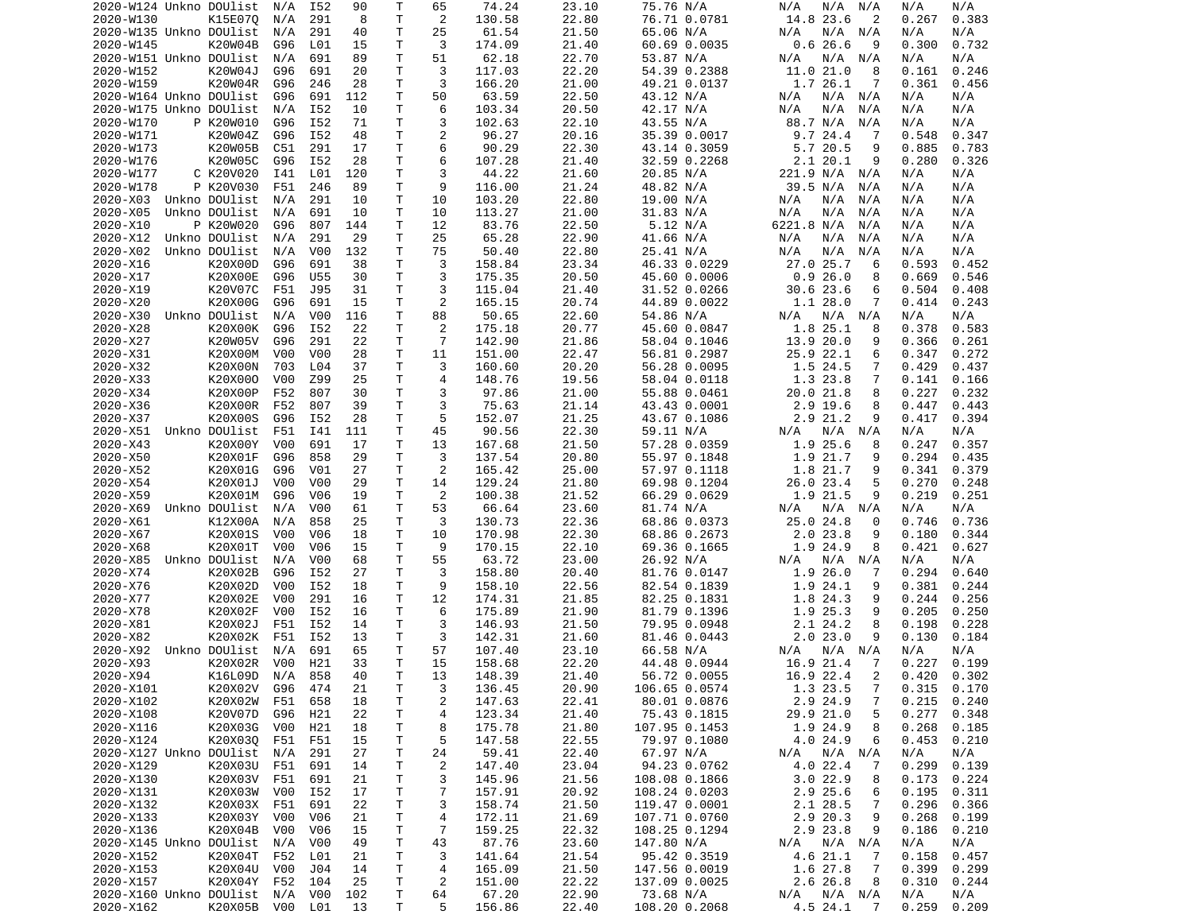| 2020-W124 Unkno DOUlist |                 | N/A              | I52              | 90  | Т            | 65             | 74.24  | 23.10 | 75.76 N/A     | N/A<br>N/A<br>N/A          | N/A<br>N/A      |
|-------------------------|-----------------|------------------|------------------|-----|--------------|----------------|--------|-------|---------------|----------------------------|-----------------|
| 2020-W130               | K15E070         | N/A              | 291              | 8   | T            | 2              | 130.58 | 22.80 | 76.71 0.0781  | 14.8 23.6<br>2             | 0.383<br>0.267  |
| 2020-W135 Unkno DOUlist |                 | N/A              | 291              | 40  | Τ            | 25             | 61.54  | 21.50 | 65.06 N/A     | N/A<br>N/A<br>N/A          | N/A<br>N/A      |
|                         |                 |                  |                  |     | Τ            | 3              |        | 21.40 | 60.69 0.0035  | 0.626.6<br>9               | 0.300<br>0.732  |
| 2020-W145               | K20W04B         | G96              | L01              | 15  |              |                | 174.09 |       |               |                            |                 |
| 2020-W151 Unkno DOUlist |                 | N/A              | 691              | 89  | Τ            | 51             | 62.18  | 22.70 | 53.87 N/A     | N/A N/A<br>N/A             | N/A<br>N/A      |
| 2020-W152               | K20W04J         | G96              | 691              | 20  | Τ            | 3              | 117.03 | 22.20 | 54.39 0.2388  | 11.0 21.0<br>8             | 0.246<br>0.161  |
| 2020-W159               | K20W04R         | G96              | 246              | 28  | т            | 3              | 166.20 | 21.00 | 49.21 0.0137  | 1.7 26.1<br>7              | 0.361<br>0.456  |
| 2020-W164 Unkno DOUlist |                 | G96              | 691              | 112 | Τ            | 50             | 63.59  | 22.50 | 43.12 N/A     | N/A N/A<br>N/A             | N/A<br>N/A      |
|                         |                 |                  |                  |     |              |                |        |       |               |                            |                 |
| 2020-W175 Unkno DOUlist |                 | N/A              | I52              | 10  | T.           | 6              | 103.34 | 20.50 | 42.17 N/A     | N/A<br>N/A<br>N/A          | N/A<br>N/A      |
| 2020-W170               | P K20W010       | G96              | I52              | 71  | т            | 3              | 102.63 | 22.10 | 43.55 N/A     | 88.7 N/A<br>N/A            | N/A<br>N/A      |
| 2020-W171               | K20W04Z         | G96              | I52              | 48  | Τ            | 2              | 96.27  | 20.16 | 35.39 0.0017  | 9.724.4<br>-7              | 0.548<br>0.347  |
| 2020-W173               | K20W05B         | C51              | 291              | 17  | Τ            | 6              | 90.29  | 22.30 | 43.14 0.3059  | 5.7 20.5<br>9              | 0.885<br>0.783  |
| 2020-W176               |                 |                  |                  |     |              | 6              |        |       |               |                            |                 |
|                         | K20W05C         | G96              | I52              | 28  | Τ            |                | 107.28 | 21.40 | 32.59 0.2268  | 2.120.1<br>9               | 0.280<br>0.326  |
| 2020-W177               | C K20V020       | I41              | L01              | 120 | Τ            | 3              | 44.22  | 21.60 | 20.85 N/A     | 221.9 N/A N/A              | N/A<br>N/A      |
| 2020-W178               | P K20V030       | F51              | 246              | 89  | $\mathsf{T}$ | 9              | 116.00 | 21.24 | 48.82 N/A     | 39.5 N/A<br>N/A            | N/A<br>N/A      |
| 2020-X03                | Unkno DOUlist   | N/A              | 291              | 10  | T            | 10             | 103.20 | 22.80 | 19.00 N/A     | N/A<br>N/A<br>N/A          | N/A<br>N/A      |
| 2020-X05                | Unkno DOUlist   | N/A              | 691              | 10  | т            | 10             | 113.27 | 21.00 | 31.83 N/A     | N/A<br>N/A<br>N/A          | N/A<br>N/A      |
|                         |                 |                  |                  |     |              |                |        |       |               |                            |                 |
| 2020-X10                | P K20W020       | G96              | 807              | 144 | T            | 12             | 83.76  | 22.50 | 5.12 N/A      | 6221.8 N/A<br>N/A          | N/A<br>N/A      |
| 2020-X12                | Unkno DOUlist   | N/A              | 291              | 29  | Τ            | 25             | 65.28  | 22.90 | 41.66 N/A     | N/A<br>N/A<br>N/A          | N/A<br>N/A      |
| 2020-X02                | Unkno DOUlist   | N/A              | V <sub>0</sub> 0 | 132 | т            | 75             | 50.40  | 22.80 | 25.41 N/A     | N/A<br>N/A<br>N/A          | N/A<br>N/A      |
| 2020-X16                | K20X00D         | G96              | 691              | 38  | Τ            | 3              | 158.84 | 23.34 | 46.33 0.0229  | 27.0 25.7<br>6             | 0.593<br>0.452  |
| 2020-X17                | K20X00E         |                  | U55              | 30  | Τ            | 3              | 175.35 | 20.50 | 45.60 0.0006  | 0.926.0<br>8               | 0.669<br>0.546  |
|                         |                 | G96              |                  |     |              |                |        |       |               |                            |                 |
| 2020-X19                | K20V07C         | F51              | J95              | 31  | Τ            | 3              | 115.04 | 21.40 | 31.52 0.0266  | $30.6$ 23.6<br>6           | 0.504<br>0.408  |
| 2020-X20                | K20X00G         | G96              | 691              | 15  | Τ            | 2              | 165.15 | 20.74 | 44.89 0.0022  | 1.1 28.0<br>7              | 0.414<br>0.243  |
| 2020-X30                | Unkno DOUlist   | N/A              | V <sub>0</sub> 0 | 116 | Τ            | 88             | 50.65  | 22.60 | 54.86 N/A     | $N/A$ $N/A$<br>N/A         | N/A<br>N/A      |
| 2020-X28                | K20X00K         | G96              | I52              | 22  | Τ            | 2              | 175.18 | 20.77 | 45.60 0.0847  | 1.8 25.1<br>8              | 0.378<br>0.583  |
|                         |                 |                  |                  |     |              |                |        |       |               |                            |                 |
| 2020-X27                | K20W05V         | G96              | 291              | 22  | Τ            | $\overline{7}$ | 142.90 | 21.86 | 58.04 0.1046  | 13.9 20.0<br>9             | 0.366<br>0.261  |
| 2020-X31                | K20X00M         | V00              | V <sub>0</sub> 0 | 28  | Τ            | 11             | 151.00 | 22.47 | 56.81 0.2987  | 25.9 22.1<br>6             | 0.347<br>0.272  |
| 2020-X32                | K20X00N         | 703              | L04              | 37  | Τ            | 3              | 160.60 | 20.20 | 56.28 0.0095  | 1.5 24.5<br>7              | 0.429<br>0.437  |
| 2020-X33                | K20X000         | V <sub>0</sub> 0 | Z99              | 25  | Τ            | $\overline{4}$ | 148.76 | 19.56 | 58.04 0.0118  | 1.3 23.8<br>7              | 0.141<br>0.166  |
|                         |                 |                  |                  |     |              |                |        |       |               |                            |                 |
| 2020-X34                | K20X00P         | F52              | 807              | 30  | Τ            | 3              | 97.86  | 21.00 | 55.88 0.0461  | 20.0 21.8<br>8             | 0.227<br>0.232  |
| 2020-X36                | K20X00R         | F52              | 807              | 39  | T.           | 3              | 75.63  | 21.14 | 43.43 0.0001  | 2.9 19.6<br>8              | 0.447<br>0.443  |
| 2020-X37                | K20X00S         | G96              | I52              | 28  | Τ            | 5              | 152.07 | 21.25 | 43.67 0.1086  | 2.9 21.2<br>9              | 0.417<br>0.394  |
| 2020-X51                | Unkno DOUlist   | F51              | I41              | 111 | Τ            | 45             | 90.56  | 22.30 | 59.11 N/A     | N/A<br>N/A N/A             | N/A<br>N/A      |
| 2020-X43                | K20X00Y         | V <sub>0</sub> 0 | 691              | 17  | Τ            | 13             | 167.68 | 21.50 |               | 1.9 25.6<br>8              | 0.247<br>0.357  |
|                         |                 |                  |                  |     |              |                |        |       | 57.28 0.0359  |                            |                 |
| 2020-X50                | K20X01F         | G96              | 858              | 29  | Τ            | 3              | 137.54 | 20.80 | 55.97 0.1848  | 1.9 21.7<br>9              | 0.294<br>0.435  |
| 2020-X52                | K20X01G         | G96              | V <sub>01</sub>  | 27  | Τ            | 2              | 165.42 | 25.00 | 57.97 0.1118  | 1.8 21.7<br>9              | 0.341<br>0.379  |
| 2020-X54                | K20X01J         | V00              | V <sub>0</sub> 0 | 29  | Τ            | 14             | 129.24 | 21.80 | 69.98 0.1204  | 26.0 23.4<br>5             | 0.270<br>0.248  |
| 2020-X59                | K20X01M         | G96              | V <sub>06</sub>  | 19  | Τ            | 2              | 100.38 | 21.52 | 66.29 0.0629  | 1.9 21.5<br>9              | 0.219<br>0.251  |
|                         |                 |                  |                  |     |              |                |        |       |               |                            |                 |
| 2020-X69                | Unkno DOUlist   | N/A              | V <sub>0</sub> 0 | 61  | Τ            | 53             | 66.64  | 23.60 | 81.74 N/A     | N/A N/A<br>N/A             | N/A<br>N/A      |
| 2020-X61                | K12X00A         | N/A              | 858              | 25  | Τ            | 3              | 130.73 | 22.36 | 68.86 0.0373  | 25.0 24.8<br>0             | 0.746<br>0.736  |
| 2020-X67                | K20X01S         | V <sub>0</sub> 0 | V <sub>06</sub>  | 18  | T            | 10             | 170.98 | 22.30 | 68.86 0.2673  | 2.023.8<br>9               | 0.180<br>0.344  |
| 2020-X68                | K20X01T         | V <sub>0</sub> 0 | V <sub>06</sub>  | 15  | Τ            | 9              | 170.15 | 22.10 | 69.36 0.1665  | 1.9 24.9<br>8              | 0.421<br>0.627  |
|                         |                 |                  |                  |     | T            |                |        |       |               |                            |                 |
| 2020-X85                | Unkno DOUlist   | N/A              | V <sub>0</sub> 0 | 68  |              | 55             | 63.72  | 23.00 | 26.92 N/A     | N/A<br>N/A<br>N/A          | N/A<br>N/A      |
| 2020-X74                | K20X02B         | G96              | I52              | 27  | Τ            | 3              | 158.80 | 20.40 | 81.76 0.0147  | 1.9 26.0<br>7              | 0.294<br>0.640  |
| 2020-X76                | K20X02D         | V <sub>0</sub> 0 | I52              | 18  | Τ            | 9              | 158.10 | 22.56 | 82.54 0.1839  | 1.9 24.1<br>9              | 0.381<br>0.244  |
| 2020-X77                | K20X02E         | V <sub>0</sub> 0 | 291              | 16  | T            | 12             | 174.31 | 21.85 | 82.25 0.1831  | 1.8 24.3<br>9              | 0.244<br>0.256  |
| 2020-X78                | K20X02F         | V00              | I52              | 16  | T.           | 6              | 175.89 | 21.90 | 81.79 0.1396  | 1.9 25.3<br>9              | 0.205<br>0.250  |
|                         |                 |                  |                  |     |              |                |        |       |               |                            |                 |
| 2020-X81                | K20X02J         | F51              | I52              | 14  | T.           | 3              | 146.93 | 21.50 | 79.95 0.0948  | 2.1 24.2<br>8              | 0.198<br>0.228  |
| 2020-X82                | K20X02K         | F51              | I52              | 13  | Τ            | 3              | 142.31 | 21.60 | 81.46 0.0443  | 2.023.0<br>9               | 0.130<br>0.184  |
| 2020-X92                | Unkno DOUlist   | N/A              | 691              | 65  | T.           | 57             | 107.40 | 23.10 | 66.58 N/A     | N/A<br>N/A N/A             | N/A<br>N/A      |
| 2020-X93                | K20X02R         | V00              | H21              | 33  | T.           | 15             | 158.68 | 22.20 | 44.48 0.0944  | 16.9 21.4<br>7             | 0.227<br>0.199  |
|                         |                 |                  | 858              | 40  | T            |                |        |       |               | 16.9 22.4<br>2             | 0.420<br>0.302  |
| 2020-X94                | K16L09D         | N/A              |                  |     |              | 13             | 148.39 | 21.40 | 56.72 0.0055  |                            |                 |
| 2020-X101               | K20X02V         | G96              | 474              | 21  | Τ            | 3              | 136.45 | 20.90 | 106.65 0.0574 | $\overline{7}$<br>1.3 23.5 | $0.315$ $0.170$ |
| 2020-X102               | K20X02W         | F51              | 658              | 18  | T            | 2              | 147.63 | 22.41 | 80.01 0.0876  | 2.9 24.9<br>7              | 0.215<br>0.240  |
| 2020-X108               | K20V07D         | G96              | H21              | 22  | T            | 4              | 123.34 | 21.40 | 75.43 0.1815  | 29.9 21.0<br>5             | 0.277<br>0.348  |
| 2020-X116               | K20X03G         | V00              | H21              | 18  | т            | 8              | 175.78 | 21.80 | 107.95 0.1453 | 1.9 24.9<br>8              | 0.268<br>0.185  |
|                         |                 |                  |                  |     |              |                |        |       |               |                            |                 |
| 2020-X124               | K20X030         | F51              | F51              | 15  | T            | 5              | 147.58 | 22.55 | 79.97 0.1080  | 4.0 24.9<br>6              | 0.453<br>0.210  |
| 2020-X127 Unkno DOUlist |                 | N/A              | 291              | 27  | Τ            | 24             | 59.41  | 22.40 | 67.97 N/A     | $N/A$ $N/A$<br>N/A         | N/A<br>N/A      |
| 2020-X129               | K20X03U         | F51              | 691              | 14  | T.           | $\overline{c}$ | 147.40 | 23.04 | 94.23 0.0762  | 4.0 22.4<br>7              | 0.299<br>0.139  |
| 2020-X130               | K20X03V         | F51              | 691              | 21  | Τ            | 3              | 145.96 | 21.56 | 108.08 0.1866 | 3.022.9<br>8               | 0.173<br>0.224  |
|                         |                 |                  |                  |     |              |                |        |       |               | 2.9 25.6                   |                 |
| 2020-X131               | K20X03W         | V00              | I52              | 17  | T.           | 7              | 157.91 | 20.92 | 108.24 0.0203 | 6                          | 0.195<br>0.311  |
| 2020-X132               | K20X03X         | F51              | 691              | 22  | T            | 3              | 158.74 | 21.50 | 119.47 0.0001 | 2.1 28.5<br>7              | 0.296<br>0.366  |
| 2020-X133               | K20X03Y         | V00              | V06              | 21  | т            | 4              | 172.11 | 21.69 | 107.71 0.0760 | 2.9 20.3<br>9              | 0.268<br>0.199  |
| 2020-X136               | K20X04B         | V00              | V06              | 15  | T            | 7              | 159.25 | 22.32 | 108.25 0.1294 | 2.9 23.8<br>9              | 0.186<br>0.210  |
| 2020-X145 Unkno DOUlist |                 | N/A              | V <sub>0</sub> 0 | 49  | T            | 43             | 87.76  | 23.60 | 147.80 N/A    | $N/A$ $N/A$<br>N/A         | N/A<br>N/A      |
|                         |                 |                  |                  |     |              |                |        |       |               |                            |                 |
| 2020-X152               | K20X04T         | F52              | L01              | 21  | T.           | 3              | 141.64 | 21.54 | 95.42 0.3519  | 4.6 21.1<br>- 7            | 0.158<br>0.457  |
| 2020-X153               | K20X04U         | V00              | J04              | 14  | Τ            | 4              | 165.09 | 21.50 | 147.56 0.0019 | 1.6 27.8<br>7              | 0.399<br>0.299  |
| 2020-X157               | K20X04Y         | F52              | 104              | 25  | Τ            | $\overline{c}$ | 151.00 | 22.22 | 137.09 0.0025 | 2.6 26.8<br>8              | 0.310<br>0.244  |
| 2020-X160 Unkno DOUlist |                 | N/A              | V00              | 102 | T            | 64             | 67.20  | 22.90 | 73.68 N/A     | N/A N/A<br>N/A             | N/A<br>N/A      |
|                         |                 |                  |                  |     |              |                |        |       |               |                            |                 |
| 2020-X162               | K20X05B V00 L01 |                  |                  | 13  | Τ            | 5              | 156.86 | 22.40 | 108.20 0.2068 | 4.5 24.1<br>- 7            | 0.209<br>0.259  |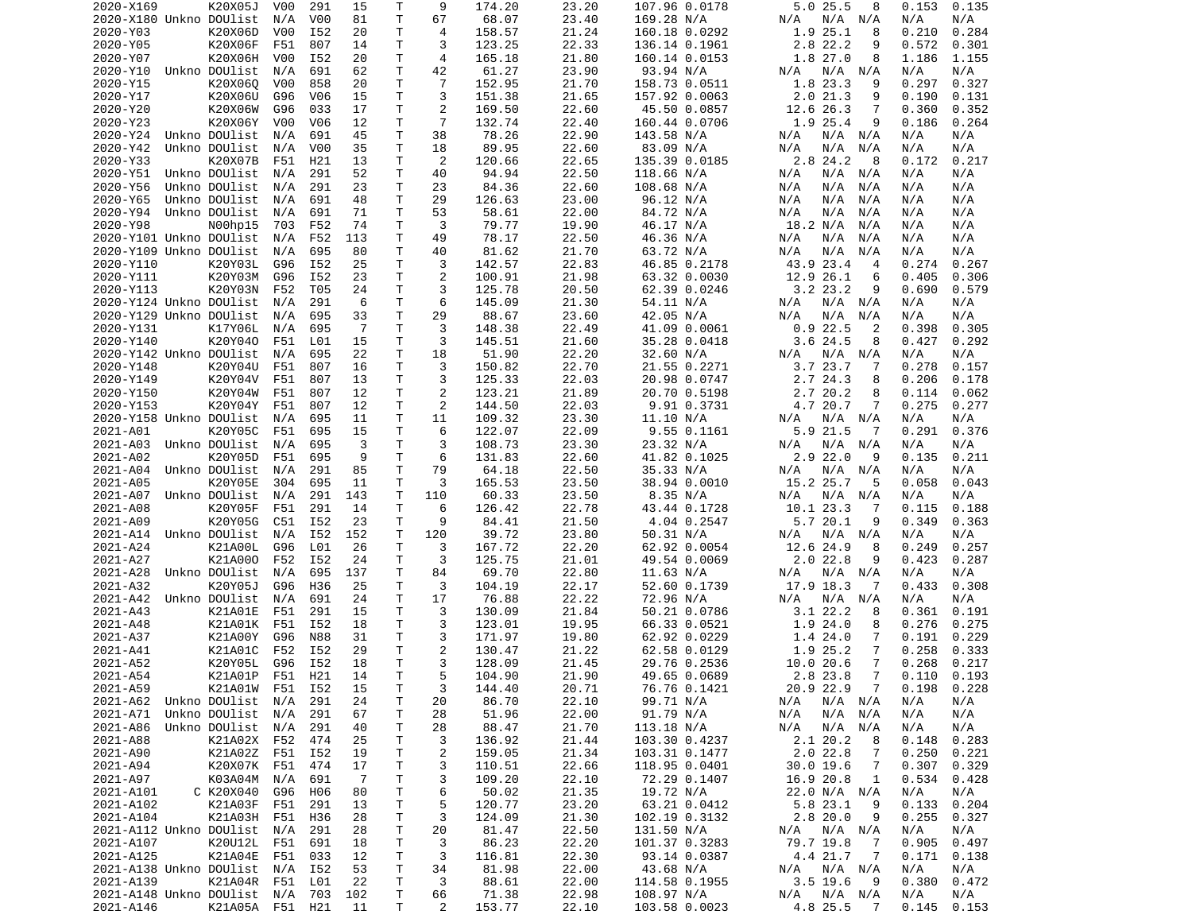| 2020-X169                                | K20X05J           | V00              | 291              | 15             | Τ            | 9                    | 174.20          | 23.20          | 107.96 0.0178               | 5.0 25.5<br>8               | 0.153<br>0.135 |
|------------------------------------------|-------------------|------------------|------------------|----------------|--------------|----------------------|-----------------|----------------|-----------------------------|-----------------------------|----------------|
| 2020-X180 Unkno DOUlist                  |                   | N/A              | V <sub>0</sub>   | 81             | Τ            | 67                   | 68.07           | 23.40          | 169.28 N/A                  | N/A<br>$N/A$ $N/A$          | N/A<br>N/A     |
| 2020-Y03                                 | K20X06D           | V00              | I52              | 20             | т            | 4                    | 158.57          | 21.24          | 160.18 0.0292               | 1.9 25.1<br>8               | 0.210<br>0.284 |
|                                          | K20X06F           |                  |                  |                | Τ            | 3                    |                 |                |                             | 9                           |                |
| 2020-Y05                                 |                   | F51              | 807              | 14             |              |                      | 123.25          | 22.33          | 136.14 0.1961               | 2.8 22.2                    | 0.572<br>0.301 |
| 2020-Y07                                 | K20X06H           | V <sub>0</sub> 0 | I52              | 20             | т            | 4                    | 165.18          | 21.80          | 160.14 0.0153               | 1.8 27.0<br>8               | 1.186<br>1.155 |
| 2020-Y10                                 | Unkno DOUlist     | N/A              | 691              | 62             | T.           | 42                   | 61.27           | 23.90          | 93.94 N/A                   | N/A<br>N/A<br>N/A           | N/A<br>N/A     |
| 2020-Y15                                 | K20X060           | V <sub>0</sub> 0 | 858              | 20             | Τ            | $\overline{7}$       | 152.95          | 21.70          | 158.73 0.0511               | 1.8 23.3<br>9               | 0.297<br>0.327 |
| 2020-Y17                                 | K20X06U           | G96              | V06              | 15             | T.           | 3                    | 151.38          | 21.65          | 157.92 0.0063               | 2.021.3<br>9                | 0.190<br>0.131 |
| 2020-Y20                                 | K20X06W           | G96              | 033              | 17             | T.           | 2                    | 169.50          | 22.60          | 45.50 0.0857                | 12.6 26.3<br>7              | 0.360<br>0.352 |
|                                          |                   |                  |                  |                |              |                      |                 |                |                             |                             |                |
| 2020-Y23                                 | K20X06Y           | V00              | V06              | 12             | Τ            | $\overline{7}$       | 132.74          | 22.40          | 160.44 0.0706               | 1.9 25.4<br>9               | 0.264<br>0.186 |
| 2020-Y24                                 | Unkno DOUlist     | N/A              | 691              | 45             | Τ            | 38                   | 78.26           | 22.90          | 143.58 N/A                  | N/A N/A<br>N/A              | N/A<br>N/A     |
| 2020-Y42                                 | Unkno DOUlist     | N/A              | V <sub>0</sub> 0 | 35             | Τ            | 18                   | 89.95           | 22.60          | 83.09 N/A                   | N/A<br>N/A<br>N/A           | N/A<br>N/A     |
| 2020-Y33                                 | K20X07B           | F51              | H21              | 13             | Τ            | $\overline{2}$       | 120.66          | 22.65          | 135.39 0.0185               | 2.8 24.2<br>-8              | 0.172<br>0.217 |
| 2020-Y51                                 | Unkno DOUlist     | N/A              | 291              | 52             | Τ            | 40                   | 94.94           | 22.50          | 118.66 N/A                  | N/A<br>N/A<br>N/A           | N/A<br>N/A     |
|                                          |                   |                  |                  |                |              |                      |                 |                |                             |                             |                |
| 2020-Y56                                 | Unkno DOUlist     | N/A              | 291              | 23             | Τ            | 23                   | 84.36           | 22.60          | 108.68 N/A                  | N/A<br>N/A<br>N/A           | N/A<br>N/A     |
| 2020-Y65                                 | Unkno DOUlist     | N/A              | 691              | 48             | Τ            | 29                   | 126.63          | 23.00          | 96.12 N/A                   | N/A<br>N/A<br>N/A           | N/A<br>N/A     |
| 2020-Y94                                 | Unkno DOUlist     | N/A              | 691              | 71             | Τ            | 53                   | 58.61           | 22.00          | 84.72 N/A                   | N/A<br>N/A<br>N/A           | N/A<br>N/A     |
| 2020-Y98                                 | N00hp15           | 703              | F52              | 74             | Τ            | 3                    | 79.77           | 19.90          | 46.17 N/A                   | 18.2 N/A<br>N/A             | N/A<br>N/A     |
| 2020-Y101 Unkno DOUlist                  |                   | N/A              | F52              | 113            | т            | 49                   | 78.17           | 22.50          | 46.36 N/A                   | N/A<br>N/A<br>N/A           | N/A<br>N/A     |
|                                          |                   |                  |                  |                |              |                      |                 |                |                             |                             |                |
| 2020-Y109 Unkno DOUlist                  |                   | N/A              | 695              | 80             | т            | 40                   | 81.62           | 21.70          | 63.72 N/A                   | N/A<br>N/A<br>N/A           | N/A<br>N/A     |
| 2020-Y110                                | K20Y03L           | G96              | I52              | 25             | Τ            | 3                    | 142.57          | 22.83          | 46.85 0.2178                | 43.9 23.4<br>$\overline{4}$ | 0.274<br>0.267 |
| 2020-Y111                                | K20Y03M           | G96              | I52              | 23             | Τ            | 2                    | 100.91          | 21.98          | 63.32 0.0030                | 12.9 26.1<br>6              | 0.306<br>0.405 |
| 2020-Y113                                | K20Y03N           | F52              | T05              | 24             | T.           | 3                    | 125.78          | 20.50          | 62.39 0.0246                | $3.2$ $23.2$<br>9           | 0.690<br>0.579 |
| 2020-Y124 Unkno DOUlist                  |                   | N/A              | 291              | 6              | Τ            | 6                    | 145.09          | 21.30          | 54.11 N/A                   | N/A<br>N/A N/A              | N/A<br>N/A     |
|                                          |                   |                  |                  |                |              |                      |                 |                |                             |                             |                |
| 2020-Y129 Unkno DOUlist                  |                   | N/A              | 695              | 33             | T.           | 29                   | 88.67           | 23.60          | 42.05 N/A                   | N/A<br>N/A<br>N/A           | N/A<br>N/A     |
| 2020-Y131                                | K17Y06L           | N/A              | 695              | $\overline{7}$ | T.           | 3                    | 148.38          | 22.49          | 41.09 0.0061                | 0.922.5<br>2                | 0.398<br>0.305 |
| 2020-Y140                                | K20Y040           | F51              | L01              | 15             | Τ            | 3                    | 145.51          | 21.60          | 35.28 0.0418                | $3.6$ 24.5<br>8             | 0.427<br>0.292 |
| 2020-Y142 Unkno DOUlist                  |                   | N/A              | 695              | 22             | Τ            | 18                   | 51.90           | 22.20          | 32.60 N/A                   | N/A N/A<br>N/A              | N/A<br>N/A     |
| 2020-Y148                                | K20Y04U           | F51              | 807              | 16             | Τ            | 3                    | 150.82          | 22.70          | 21.55 0.2271                | 3.7 23.7<br>7               | 0.278<br>0.157 |
|                                          |                   |                  |                  |                |              |                      |                 |                |                             |                             |                |
| 2020-Y149                                | K20Y04V           | F51              | 807              | 13             | Τ            | 3                    | 125.33          | 22.03          | 20.98 0.0747                | 2.7 24.3<br>8               | 0.206<br>0.178 |
| 2020-Y150                                | K20Y04W           | F51              | 807              | 12             | Τ            | 2                    | 123.21          | 21.89          | 20.70 0.5198                | 2.7 20.2<br>8               | 0.114<br>0.062 |
| 2020-Y153                                | K20Y04Y           | F51              | 807              | 12             | Τ            | 2                    | 144.50          | 22.03          | 9.91 0.3731                 | 4.7 20.7<br>7               | 0.275<br>0.277 |
| 2020-Y158 Unkno DOUlist                  |                   | N/A              | 695              | 11             | Τ            | 11                   | 109.32          | 23.30          | 11.10 N/A                   | N/A N/A<br>N/A              | N/A<br>N/A     |
| 2021-A01                                 | K20Y05C           | F51              | 695              | 15             | т            | 6                    | 122.07          | 22.09          | $9.55$ $0.1161$             | 5.9 21.5<br>7               | 0.291<br>0.376 |
|                                          |                   |                  |                  |                |              |                      |                 |                |                             |                             |                |
| 2021-A03                                 | Unkno DOUlist     | N/A              | 695              | 3              | T.           | 3                    | 108.73          | 23.30          | 23.32 N/A                   | N/A<br>N/A N/A              | N/A<br>N/A     |
| 2021-A02                                 | K20Y05D           | F51              | 695              | 9              | Τ            | 6                    | 131.83          | 22.60          | 41.82 0.1025                | $2.9$ 22.0<br>9             | 0.135<br>0.211 |
| 2021-A04                                 | Unkno DOUlist     | N/A              | 291              | 85             | Τ            | 79                   | 64.18           | 22.50          | 35.33 N/A                   | N/A<br>N/A<br>N/A           | N/A<br>N/A     |
| 2021-A05                                 | K20Y05E           | 304              | 695              | 11             | Τ            | 3                    | 165.53          | 23.50          | 38.94 0.0010                | 15.2 25.7<br>5              | 0.043<br>0.058 |
| 2021-A07                                 | Unkno DOUlist     | N/A              | 291              | 143            | Τ            | 110                  | 60.33           | 23.50          | 8.35 N/A                    | N/A<br>$N/A$ $N/A$          | N/A<br>N/A     |
|                                          |                   |                  |                  |                |              |                      |                 |                |                             |                             |                |
| 2021-A08                                 | K20Y05F           | F51              | 291              | 14             | т            | 6                    | 126.42          | 22.78          | 43.44 0.1728                | 10.1 23.3<br>7              | 0.188<br>0.115 |
| 2021-A09                                 | K20Y05G           | C51              | I52              | 23             | т            | 9                    | 84.41           | 21.50          | 4.04 0.2547                 | 5.720.1<br>9                | 0.349<br>0.363 |
| 2021-A14                                 | Unkno DOUlist     | N/A              | I52              | 152            | Τ            | 120                  | 39.72           | 23.80          | 50.31 N/A                   | N/A<br>N/A N/A              | N/A<br>N/A     |
| 2021-A24                                 | K21A00L           | G96              | L01              | 26             | Τ            | 3                    | 167.72          | 22.20          | 62.92 0.0054                | 12.6 24.9<br>8              | 0.249<br>0.257 |
| 2021-A27                                 | K21A000           |                  |                  |                |              |                      |                 |                |                             |                             |                |
|                                          |                   |                  |                  |                |              |                      |                 |                |                             |                             |                |
| 2021-A28                                 |                   | F52              | I52              | 24             | т            | 3                    | 125.75          | 21.01          | 49.54 0.0069                | $2.0$ 22.8<br>9             | 0.423<br>0.287 |
|                                          | Unkno DOUlist     | N/A              | 695              | 137            | Τ            | 84                   | 69.70           | 22.80          | 11.63 N/A                   | N/A N/A<br>N/A              | N/A<br>N/A     |
| 2021-A32                                 | K20Y05J           | G96              | H36              | 25             | Τ            | 3                    | 104.19          | 22.17          | 52.60 0.1739                | 17.9 18.3<br>7              | 0.433<br>0.308 |
|                                          |                   |                  |                  |                |              |                      |                 |                |                             |                             |                |
| 2021-A42                                 | Unkno DOUlist     | N/A              | 691              | 24             | Τ            | 17                   | 76.88           | 22.22          | 72.96 N/A                   | N/A<br>N/A N/A              | N/A<br>N/A     |
| 2021-A43                                 | K21A01E           | F51              | 291              | 15             | Τ            | 3                    | 130.09          | 21.84          | 50.21 0.0786                | 3.1 22.2<br>8               | 0.361<br>0.191 |
| 2021-A48                                 | K21A01K           | F51              | I52              | 18             | Τ            | 3                    | 123.01          | 19.95          | 66.33 0.0521                | 1.9 24.0<br>8               | 0.276<br>0.275 |
| 2021-A37                                 | K21A00Y           | G96              | <b>N88</b>       | 31             | Τ            | 3                    | 171.97          | 19.80          | 62.92 0.0229                | 1.4 24.0<br>7               | 0.191<br>0.229 |
| 2021-A41                                 | K21A01C           | F52              | I52              | 29             | Τ            | $\overline{2}$       | 130.47          | 21.22          | 62.58 0.0129                | 1.9 25.2<br>$\overline{7}$  | 0.258<br>0.333 |
| 2021-A52                                 | K20Y05L           | G96              | I52              | 18             | T.           | 3                    | 128.09          | 21.45          | 29.76 0.2536                | 10.0 20.6<br>7              | 0.268<br>0.217 |
|                                          |                   |                  |                  |                |              |                      |                 |                |                             |                             |                |
| 2021-A54                                 | K21A01P F51       |                  | H21              | 14             | $\mathsf{T}$ | 5                    | 104.90          | 21.90          | 49.65 0.0689                | 2.8 23.8<br>$7^{\circ}$     | 0.110<br>0.193 |
| 2021-A59                                 | K21A01W F51 I52   |                  |                  | 15             | т            | 3                    | 144.40          | 20.71          | 76.76 0.1421                | 20.9 22.9<br>$\overline{7}$ | 0.198<br>0.228 |
| 2021-A62 Unkno DOUlist                   |                   | N/A              | 291              | 24             | Τ            | 20                   | 86.70           | 22.10          | 99.71 N/A                   | $N/A$ $N/A$<br>N/A          | N/A<br>N/A     |
| 2021-A71                                 | Unkno DOUlist     | N/A              | 291              | 67             | т            | 28                   | 51.96           | 22.00          | 91.79 N/A                   | N/A N/A<br>N/A              | N/A<br>N/A     |
|                                          |                   |                  | 291              | 40             |              |                      |                 |                | 113.18 N/A                  |                             | N/A            |
| 2021-A86                                 | Unkno DOUlist N/A |                  |                  |                | т            | 28                   | 88.47           | 21.70          |                             | N/A N/A<br>N/A              | N/A            |
| 2021-A88                                 | K21A02X F52       |                  | 474              | 25             | т            | 3                    | 136.92          | 21.44          | 103.30 0.4237               | 2.1 20.2<br>8               | 0.148<br>0.283 |
| 2021-A90                                 | K21A02Z F51       |                  | I52              | 19             | т            | 2                    | 159.05          | 21.34          | 103.31 0.1477               | 2.022.8<br>7                | 0.250<br>0.221 |
| 2021-A94                                 | K20X07K F51       |                  | 474              | 17             | Τ            | 3                    | 110.51          | 22.66          | 118.95 0.0401               | 30.019.6<br>$\overline{7}$  | 0.307<br>0.329 |
| 2021-A97                                 | K03A04M           | N/A              | 691              | $\overline{7}$ | т            | 3                    | 109.20          | 22.10          | 72.29 0.1407                | 16.9 20.8<br>1              | 0.534<br>0.428 |
|                                          |                   |                  |                  |                |              |                      |                 |                |                             |                             |                |
| 2021-A101                                | C K20X040         | G96              | H06              | 80             | т            | 6                    | 50.02           | 21.35          | 19.72 N/A                   | 22.0 N/A N/A                | N/A<br>N/A     |
| 2021-A102                                | K21A03F           | F51              | 291              | 13             | т            | 5                    | 120.77          | 23.20          | 63.21 0.0412                | 5.8 23.1<br>9               | 0.133<br>0.204 |
| 2021-A104                                | K21A03H F51       |                  | H36              | 28             | т            | 3                    | 124.09          | 21.30          | 102.19 0.3132               | 2.8 20.0<br>9               | 0.255<br>0.327 |
| 2021-A112 Unkno DOUlist N/A              |                   |                  | 291              | 28             | т            | 20                   | 81.47           | 22.50          | 131.50 N/A                  | N/A<br>N/A N/A              | N/A<br>N/A     |
| 2021-A107                                | K20U12L           | F51              | 691              | 18             | т            | 3                    | 86.23           | 22.20          | 101.37 0.3283               | 79.7 19.8<br>-7             | 0.905<br>0.497 |
|                                          |                   |                  |                  |                |              |                      |                 |                |                             |                             |                |
| 2021-A125                                | K21A04E           | F51              | 033              | 12             | T            | 3                    | 116.81          | 22.30          | 93.14 0.0387                | 4.4 21.7<br>$\overline{7}$  | 0.171<br>0.138 |
| 2021-A138 Unkno DOUlist                  |                   | N/A              | I52              | 53             | Τ            | 34                   | 81.98           | 22.00          | 43.68 N/A                   | N/A N/A<br>N/A              | N/A<br>N/A     |
| 2021-A139                                | K21A04R F51       |                  | L01              | 22             | т            | 3                    | 88.61           | 22.00          | 114.58 0.1955               | 3.5 19.6<br>- 9             | 0.380<br>0.472 |
| 2021-A148 Unkno DOUlist N/A<br>2021-A146 |                   |                  | 703              | 102            | Τ<br>Τ       | 66<br>$\overline{2}$ | 71.38<br>153.77 | 22.98<br>22.10 | 108.97 N/A<br>103.58 0.0023 | N/A<br>N/A N/A<br>4.8 25.5  | N/A<br>N/A     |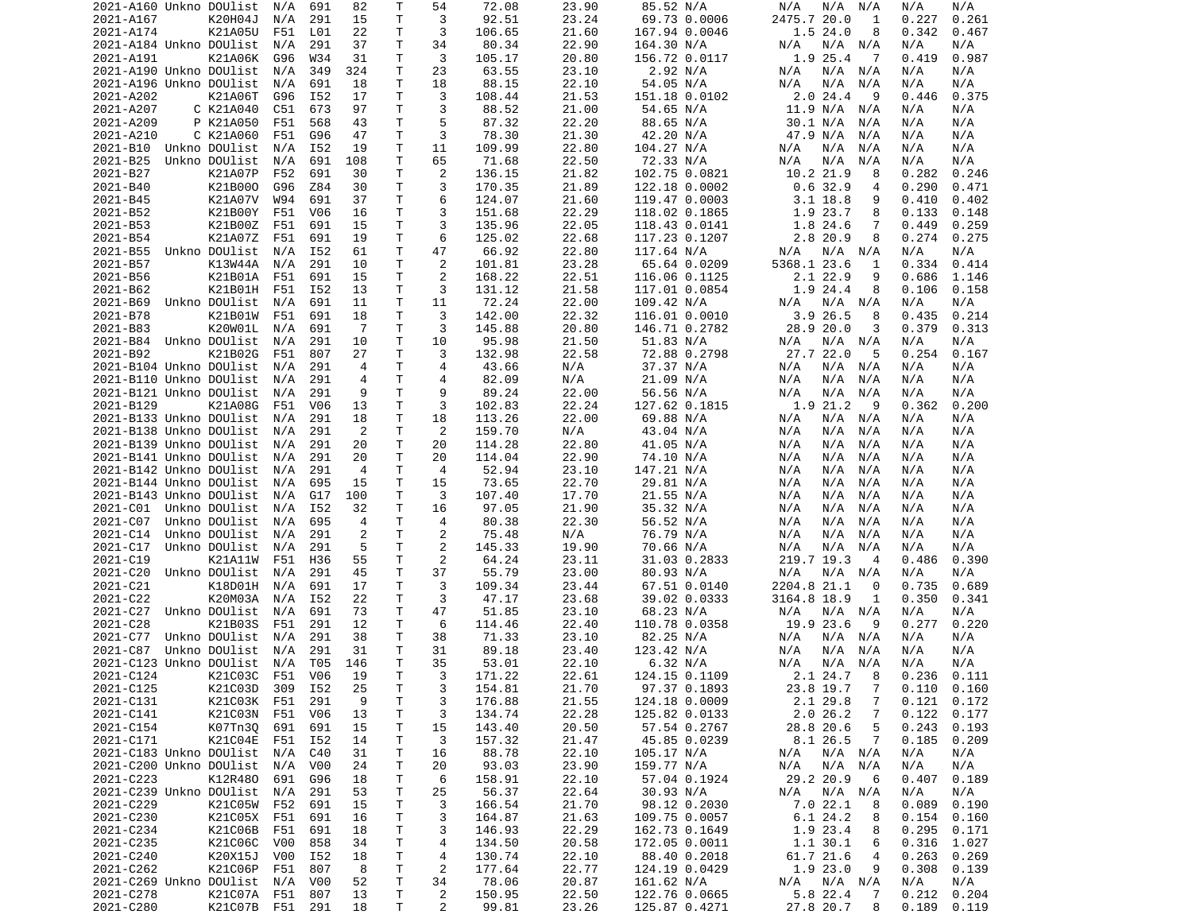|                             | 2021-A160 Unkno DOUlist        | N/A | 691 | 82             | Т       | 54             | 72.08           | 23.90          | 85.52 N/A                      | N/A<br>N/A<br>N/A               | N/A<br>N/A                       |
|-----------------------------|--------------------------------|-----|-----|----------------|---------|----------------|-----------------|----------------|--------------------------------|---------------------------------|----------------------------------|
| 2021-A167                   | K20H04J                        | N/A | 291 | 15             | T       | 3              | 92.51           | 23.24          | 69.73 0.0006                   | 2475.7 20.0<br>1                | 0.227<br>0.261                   |
| 2021-A174                   | K21A05U                        | F51 | L01 | 22             | т       | 3              | 106.65          | 21.60          | 167.94 0.0046                  | 1.524.0<br>8                    | 0.342<br>0.467                   |
| 2021-A184 Unkno DOUlist     |                                |     |     |                | Τ       |                | 80.34           |                |                                |                                 |                                  |
|                             |                                | N/A | 291 | 37             |         | 34             |                 | 22.90          | 164.30 N/A                     | N/A<br>N/A N/A                  | N/A<br>N/A                       |
| 2021-A191                   | K21A06K                        | G96 | W34 | 31             | т       | 3              | 105.17          | 20.80          | 156.72 0.0117                  | 1.9 25.4<br>-7                  | 0.987<br>0.419                   |
| 2021-A190 Unkno DOUlist     |                                | N/A | 349 | 324            | т       | 23             | 63.55           | 23.10          | 2.92 N/A                       | N/A<br>N/A<br>N/A               | N/A<br>N/A                       |
| 2021-A196 Unkno DOUlist     |                                | N/A | 691 | 18             | т       | 18             | 88.15           | 22.10          | 54.05 N/A                      | N/A<br>N/A<br>N/A               | N/A<br>N/A                       |
| 2021-A202                   | K21A06T                        | G96 | I52 | 17             | Τ       | 3              | 108.44          | 21.53          | 151.18 0.0102                  | 2.0 24.4<br>-9                  | 0.446<br>0.375                   |
| 2021-A207                   | C K21A040                      | C51 | 673 | 97             | T       | 3              | 88.52           | 21.00          | 54.65 N/A                      | 11.9 N/A<br>N/A                 | N/A<br>N/A                       |
|                             |                                |     |     |                |         |                |                 |                |                                |                                 |                                  |
| 2021-A209                   | P K21A050                      | F51 | 568 | 43             | т       | 5              | 87.32           | 22.20          | 88.65 N/A                      | 30.1 N/A<br>N/A                 | N/A<br>N/A                       |
| 2021-A210                   | C K21A060                      | F51 | G96 | 47             | T       | 3              | 78.30           | 21.30          | 42.20 N/A                      | 47.9 N/A<br>N/A                 | N/A<br>N/A                       |
| 2021-B10                    | Unkno DOUlist                  | N/A | I52 | 19             | Τ       | 11             | 109.99          | 22.80          | 104.27 N/A                     | N/A<br>N/A<br>N/A               | N/A<br>N/A                       |
| 2021-B25                    | Unkno DOUlist                  | N/A | 691 | 108            | T.      | 65             | 71.68           | 22.50          | 72.33 N/A                      | N/A<br>N/A<br>N/A               | N/A<br>N/A                       |
| 2021-B27                    | K21A07P                        | F52 | 691 | 30             | т       | 2              | 136.15          | 21.82          |                                | 10.2 21.9<br>8                  | 0.282<br>0.246                   |
|                             |                                |     |     |                |         |                |                 |                | 102.75 0.0821                  |                                 |                                  |
| 2021-B40                    | K21B000                        | G96 | Z84 | 30             | Τ       | 3              | 170.35          | 21.89          | 122.18 0.0002                  | 0.632.9<br>4                    | 0.290<br>0.471                   |
| 2021-B45                    | K21A07V                        | W94 | 691 | 37             | T.      | 6              | 124.07          | 21.60          | 119.47 0.0003                  | $3.1$ 18.8<br>9                 | 0.410<br>0.402                   |
| 2021-B52                    | K21B00Y                        | F51 | V06 | 16             | т       | 3              | 151.68          | 22.29          | 118.02 0.1865                  | 1.9 23.7<br>8                   | 0.133<br>0.148                   |
| 2021-B53                    | K21B00Z                        | F51 | 691 | 15             | T       | 3              | 135.96          | 22.05          | 118.43 0.0141                  | 1.8 24.6<br>7                   | 0.449<br>0.259                   |
| 2021-B54                    | K21A07Z                        | F51 | 691 | 19             | т       | 6              | 125.02          | 22.68          |                                | 2.8 20.9<br>8                   | 0.274<br>0.275                   |
|                             |                                |     |     |                |         |                |                 |                | 117.23 0.1207                  |                                 |                                  |
| 2021-B55                    | Unkno DOUlist                  | N/A | I52 | 61             | т       | 47             | 66.92           | 22.80          | 117.64 N/A                     | N/A<br>N/A<br>N/A               | N/A<br>N/A                       |
| 2021-B57                    | K13W44A                        | N/A | 291 | 10             | Τ       | 2              | 101.81          | 23.28          | 65.64 0.0209                   | 5368.1 23.6<br>1                | 0.334<br>0.414                   |
| 2021-B56                    | K21B01A                        | F51 | 691 | 15             | Τ       | 2              | 168.22          | 22.51          | 116.06 0.1125                  | 2.1 22.9<br>9                   | 0.686<br>1.146                   |
| 2021-B62                    | K21B01H                        | F51 | I52 | 13             | T       | 3              | 131.12          | 21.58          | 117.01 0.0854                  | 1.9 24.4<br>8                   | 0.106<br>0.158                   |
|                             | Unkno DOUlist                  |     |     |                | т       |                | 72.24           |                |                                |                                 |                                  |
| 2021-B69                    |                                | N/A | 691 | 11             |         | 11             |                 | 22.00          | 109.42 N/A                     | N/A<br>N/A N/A                  | N/A<br>N/A                       |
| 2021-B78                    | K21B01W                        | F51 | 691 | 18             | T.      | 3              | 142.00          | 22.32          | 116.01 0.0010                  | 3.9 26.5<br>8                   | 0.435<br>0.214                   |
| 2021-B83                    | K20W01L                        | N/A | 691 | $\overline{7}$ | т       | 3              | 145.88          | 20.80          | 146.71 0.2782                  | 28.9 20.0<br>3                  | 0.379<br>0.313                   |
| 2021-B84                    | Unkno DOUlist                  | N/A | 291 | 10             | T       | 10             | 95.98           | 21.50          | 51.83 N/A                      | N/A<br>N/A N/A                  | N/A<br>N/A                       |
| 2021-B92                    | K21B02G                        | F51 | 807 | 27             | T.      | 3              | 132.98          | 22.58          | 72.88 0.2798                   | 27.7 22.0<br>-5                 | 0.254<br>0.167                   |
| 2021-B104 Unkno DOUlist     |                                |     | 291 | $\overline{4}$ | Τ       | 4              | 43.66           | N/A            | 37.37 N/A                      | N/A<br>N/A                      | N/A                              |
|                             |                                | N/A |     |                |         |                |                 |                |                                | N/A                             | N/A                              |
| 2021-B110 Unkno DOUlist     |                                | N/A | 291 | 4              | T       | $\overline{4}$ | 82.09           | N/A            | 21.09 N/A                      | N/A<br>N/A<br>N/A               | N/A<br>N/A                       |
| 2021-B121 Unkno DOUlist     |                                | N/A | 291 | 9              | Τ       | 9              | 89.24           | 22.00          | 56.56 N/A                      | N/A<br>N/A<br>N/A               | N/A<br>N/A                       |
| 2021-B129                   | K21A08G                        | F51 | V06 | 13             | T       | 3              | 102.83          | 22.24          | 127.62 0.1815                  | 1.9 21.2<br>9                   | 0.362<br>0.200                   |
| 2021-B133 Unkno DOUlist     |                                | N/A | 291 | 18             | T       | 18             | 113.26          | 22.00          | 69.88 N/A                      | N/A<br>N/A N/A                  | N/A<br>N/A                       |
| 2021-B138 Unkno DOUlist     |                                |     |     | 2              | Τ       | 2              |                 | N/A            | 43.04 N/A                      |                                 |                                  |
|                             |                                | N/A | 291 |                |         |                | 159.70          |                |                                | N/A<br>N/A<br>N/A               | N/A<br>N/A                       |
| 2021-B139 Unkno DOUlist     |                                | N/A | 291 | 20             | T       | 20             | 114.28          | 22.80          | 41.05 N/A                      | N/A<br>N/A<br>N/A               | N/A<br>N/A                       |
| 2021-B141 Unkno DOUlist     |                                | N/A | 291 | 20             | T.      | 20             | 114.04          | 22.90          | 74.10 N/A                      | N/A<br>N/A<br>N/A               | N/A<br>N/A                       |
|                             |                                |     |     |                |         |                |                 |                |                                |                                 |                                  |
|                             |                                |     |     |                |         | 4              |                 |                |                                |                                 |                                  |
| 2021-B142 Unkno DOUlist     |                                | N/A | 291 | $\overline{4}$ | T       |                | 52.94           | 23.10          | 147.21 N/A                     | N/A<br>N/A<br>N/A               | N/A<br>N/A                       |
| 2021-B144 Unkno DOUlist     |                                | N/A | 695 | 15             | Τ       | 15             | 73.65           | 22.70          | 29.81 N/A                      | N/A<br>N/A<br>N/A               | N/A<br>N/A                       |
| 2021-B143 Unkno DOUlist     |                                | N/A | G17 | 100            | Τ       | 3              | 107.40          | 17.70          | 21.55 N/A                      | N/A<br>N/A<br>N/A               | N/A<br>N/A                       |
| 2021-C01                    | Unkno DOUlist                  | N/A | I52 | 32             | т       | 16             | 97.05           | 21.90          | 35.32 N/A                      | N/A<br>N/A<br>N/A               | N/A<br>N/A                       |
| 2021-C07                    | Unkno DOUlist                  | N/A | 695 | 4              | т       | 4              | 80.38           | 22.30          | 56.52 N/A                      | N/A<br>N/A<br>N/A               | N/A<br>N/A                       |
|                             |                                |     |     |                |         |                |                 |                |                                |                                 |                                  |
| 2021-C14                    | Unkno DOUlist                  | N/A | 291 | $\overline{c}$ | T       | 2              | 75.48           | N/A            | 76.79 N/A                      | N/A<br>N/A<br>N/A               | N/A<br>N/A                       |
| 2021-C17                    | Unkno DOUlist                  | N/A | 291 | 5              | Τ       | 2              | 145.33          | 19.90          | 70.66 N/A                      | N/A<br>N/A<br>N/A               | N/A<br>N/A                       |
| 2021-C19                    | K21A11W                        | F51 | H36 | 55             | T       | 2              | 64.24           | 23.11          | 31.03 0.2833                   | 219.7 19.3<br>4                 | 0.486<br>0.390                   |
| 2021-C20                    | Unkno DOUlist                  | N/A | 291 | 45             | Τ       | 37             | 55.79           | 23.00          | 80.93 N/A                      | N/A<br>N/A N/A                  | N/A<br>N/A                       |
| 2021-C21                    | K18D01H                        | N/A | 691 | 17             | Τ       | 3              | 109.34          | 23.44          | 67.51 0.0140                   | 2204.8 21.1<br>0                | 0.735<br>0.689                   |
|                             |                                |     |     |                |         |                |                 |                |                                |                                 |                                  |
| 2021-C22                    | K20M03A                        | N/A | I52 | 22             | Τ       | 3              | 47.17           | 23.68          | 39.02 0.0333                   | 3164.8 18.9<br>1                | 0.350<br>0.341                   |
| 2021-C27                    | Unkno DOUlist                  | N/A | 691 | 73             | T.      | 47             | 51.85           | 23.10          | 68.23 N/A                      | N/A<br>N/A N/A                  | N/A<br>N/A                       |
| 2021-C28                    | K21B03S                        | F51 | 291 | 12             | т       | 6              | 114.46          | 22.40          | 110.78 0.0358                  | 19.9 23.6<br>9                  | 0.277<br>0.220                   |
| 2021-C77                    | Unkno DOUlist                  | N/A | 291 | 38             | т       | 38             | 71.33           | 23.10          | 82.25 N/A                      | N/A N/A<br>N/A                  | N/A<br>N/A                       |
| 2021-C87                    | Unkno DOUlist                  | N/A | 291 | 31             | T       | 31             | 89.18           | 23.40          | 123.42 N/A                     | N/A<br>N/A<br>N/A               | N/A<br>N/A                       |
|                             |                                |     |     |                |         |                |                 |                |                                |                                 |                                  |
| 2021-C123 Unkno DOUlist     |                                | N/A | T05 | 146            | T.      | 35             | 53.01           | 22.10          | 6.32 N/A                       | N/A<br>N/A N/A                  | N/A<br>N/A                       |
| 2021-C124                   | K21C03C F51                    |     | V06 | - 19           | T.      | 3              | 171.22          | 22.61          | 124.15 0.1109                  | 2.1 24.7 8                      | 0.236<br>0.111                   |
| 2021-C125                   | K21C03D                        | 309 | I52 | 25             | Τ       | 3              | 154.81          | 21.70          | 97.37 0.1893                   | 23.8 19.7<br>$\overline{7}$     | $0.110$ $0.160$                  |
| 2021-C131                   | K21C03K F51                    |     | 291 | 9              | T       | 3              | 176.88          | 21.55          | 124.18 0.0009                  | 2.1 29.8<br>$\overline{7}$      | 0.121<br>0.172                   |
| 2021-C141                   | K21C03N F51                    |     | V06 | 13             | T       | 3              | 134.74          | 22.28          | 125.82 0.0133                  | 2.026.2<br>7                    | 0.122<br>0.177                   |
|                             |                                |     |     |                |         |                |                 |                |                                |                                 |                                  |
| 2021-C154                   | K07Tn3Q                        | 691 | 691 | 15             | т       | 15             | 143.40          | 20.50          | 57.54 0.2767                   | 28.8 20.6<br>5                  | 0.243<br>0.193                   |
| 2021-C171                   | K21C04E                        | F51 | I52 | 14             | т       | 3              | 157.32          | 21.47          | 45.85 0.0239                   | 8.1 26.5<br>7                   | 0.185<br>0.209                   |
| 2021-C183 Unkno DOUlist     |                                | N/A | C40 | 31             | Τ       | 16             | 88.78           | 22.10          | 105.17 N/A                     | N/A N/A<br>N/A                  | N/A<br>N/A                       |
| 2021-C200 Unkno DOUlist     |                                | N/A | V00 | 24             | Τ       | 20             | 93.03           | 23.90          | 159.77 N/A                     | $N/A$ $N/A$<br>N/A              | N/A<br>N/A                       |
| 2021-C223                   | K12R480                        | 691 | G96 | 18             | Τ       | 6              | 158.91          | 22.10          | 57.04 0.1924                   | 29.2 20.9<br>6                  | 0.407<br>0.189                   |
|                             |                                |     |     |                |         |                |                 |                |                                |                                 |                                  |
| 2021-C239 Unkno DOUlist     |                                | N/A | 291 | 53             | T       | 25             | 56.37           | 22.64          | 30.93 N/A                      | N/A<br>$N/A$ $N/A$              | N/A<br>N/A                       |
| 2021-C229                   | K21C05W                        | F52 | 691 | 15             | T       | 3              | 166.54          | 21.70          | 98.12 0.2030                   | 7.022.1<br>8                    | 0.089<br>0.190                   |
| 2021-C230                   | K21C05X                        | F51 | 691 | 16             | Τ       | 3              | 164.87          | 21.63          | 109.75 0.0057                  | 6.1 24.2<br>8                   | 0.154<br>0.160                   |
| 2021-C234                   | K21C06B                        | F51 | 691 | 18             | T       | 3              | 146.93          | 22.29          | 162.73 0.1649                  | 1.9 23.4<br>8                   | 0.295<br>0.171                   |
| 2021-C235                   | K21C06C                        | V00 | 858 | 34             | Τ       | 4              | 134.50          | 20.58          | 172.05 0.0011                  | 1.1 30.1<br>6                   | 0.316<br>1.027                   |
|                             |                                |     |     |                |         |                |                 |                |                                |                                 |                                  |
| 2021-C240                   | K20X15J                        | V00 | I52 | 18             | T       | 4              | 130.74          | 22.10          | 88.40 0.2018                   | 61.7 21.6<br>4                  | 0.263<br>0.269                   |
| 2021-C262                   | K21C06P                        | F51 | 807 | 8              | Τ       | $\overline{c}$ | 177.64          | 22.77          | 124.19 0.0429                  | 1.9 23.0<br>9                   | 0.308<br>0.139                   |
| 2021-C269 Unkno DOUlist N/A |                                |     | V00 | 52             | Τ       | 34             | 78.06           | 20.87          | 161.62 N/A                     | N/A N/A<br>N/A                  | N/A<br>N/A                       |
| 2021-C278<br>2021-C280      | K21C07A F51<br>K21C07B F51 291 |     | 807 | 13<br>18       | T.<br>Τ | 2<br>2         | 150.95<br>99.81 | 22.50<br>23.26 | 122.76 0.0665<br>125.87 0.4271 | 5.8 22.4<br>7<br>27.8 20.7<br>8 | 0.212<br>0.204<br>0.189<br>0.119 |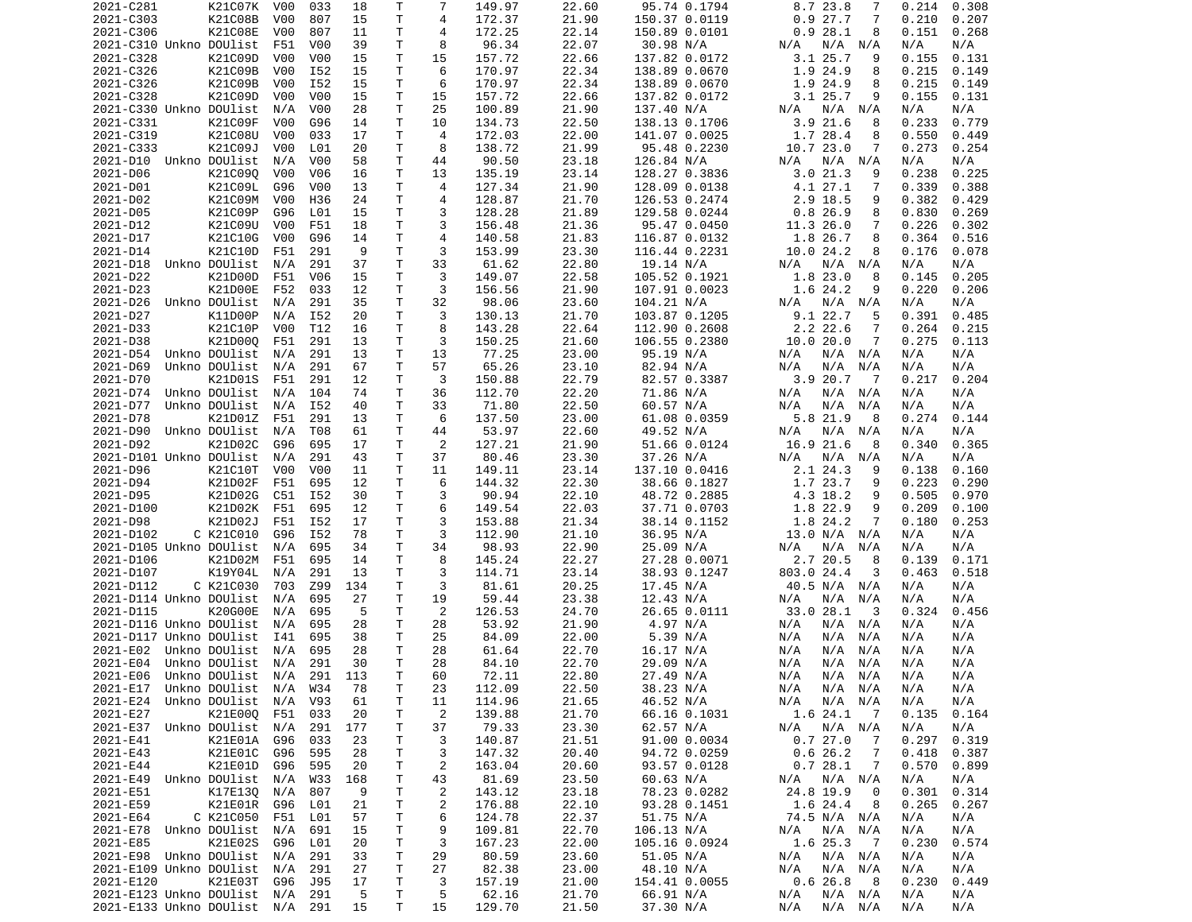|                                | 2021-C281 | K21C07K       | V00              | 033              | 18  | Т            | 7              | 149.97 | 22.60 | 95.74 0.1794  | 8.7 23.8<br>7              | 0.214<br>0.308 |
|--------------------------------|-----------|---------------|------------------|------------------|-----|--------------|----------------|--------|-------|---------------|----------------------------|----------------|
| 2021-C303                      |           | K21C08B       | V <sub>0</sub> 0 | 807              | 15  | T            | 4              | 172.37 | 21.90 | 150.37 0.0119 | 0.927.7<br>7               | 0.210<br>0.207 |
| 2021-C306                      |           | K21C08E       | V00              | 807              | 11  | т            | 4              | 172.25 | 22.14 | 150.89 0.0101 | 0.928.1<br>8               | 0.151<br>0.268 |
|                                |           |               |                  |                  |     | Τ            | 8              | 96.34  |       |               |                            |                |
| 2021-C310 Unkno DOUlist        |           |               | F51              | V00              | 39  |              |                |        | 22.07 | 30.98 N/A     | N/A<br>N/A<br>N/A          | N/A<br>N/A     |
| 2021-C328                      |           | K21C09D       | V <sub>0</sub> 0 | V <sub>0</sub> 0 | 15  | Τ            | 15             | 157.72 | 22.66 | 137.82 0.0172 | $3.1$ 25.7<br>9            | 0.155<br>0.131 |
| 2021-C326                      |           | K21C09B       | V <sub>0</sub> 0 | I52              | 15  | Τ            | 6              | 170.97 | 22.34 | 138.89 0.0670 | 1.9 24.9<br>8              | 0.215<br>0.149 |
| 2021-C326                      |           | K21C09B       | V <sub>0</sub> 0 | I52              | 15  | т            | 6              | 170.97 | 22.34 | 138.89 0.0670 | 1.9 24.9<br>8              | 0.215<br>0.149 |
| 2021-C328                      |           | K21C09D       | V00              | V <sub>0</sub> 0 | 15  | Τ            | 15             | 157.72 | 22.66 | 137.82 0.0172 | 3.125.7<br>9               | 0.155<br>0.131 |
| 2021-C330 Unkno DOUlist        |           |               | N/A              | V <sub>0</sub> 0 | 28  | T.           | 25             | 100.89 | 21.90 | 137.40 N/A    | N/A<br>N/A<br>N/A          | N/A<br>N/A     |
|                                |           |               |                  |                  |     |              |                |        |       |               |                            |                |
| 2021-C331                      |           | K21C09F       | V00              | G96              | 14  | т            | 10             | 134.73 | 22.50 | 138.13 0.1706 | 3.921.6<br>8               | 0.233<br>0.779 |
| 2021-C319                      |           | K21C08U       | V00              | 033              | 17  | T            | $\overline{4}$ | 172.03 | 22.00 | 141.07 0.0025 | 1.7 28.4<br>8              | 0.550<br>0.449 |
| 2021-C333                      |           | K21C09J       | V <sub>0</sub> 0 | L01              | 20  | Τ            | 8              | 138.72 | 21.99 | 95.48 0.2230  | 10.7 23.0<br>7             | 0.273<br>0.254 |
| 2021-D10                       |           | Unkno DOUlist | N/A              | V <sub>0</sub> 0 | 58  | Τ            | 44             | 90.50  | 23.18 | 126.84 N/A    | N/A N/A<br>N/A             | N/A<br>N/A     |
| 2021-D06                       |           | K21C090       | V00              | V06              | 16  | т            | 13             | 135.19 | 23.14 | 128.27 0.3836 | 3.021.3<br>9               | 0.238<br>0.225 |
|                                |           |               |                  |                  |     |              |                |        |       |               |                            |                |
| 2021-D01                       |           | K21C09L       | G96              | V <sub>0</sub> 0 | 13  | T            | 4              | 127.34 | 21.90 | 128.09 0.0138 | 4.1 27.1<br>7              | 0.339<br>0.388 |
| 2021-D02                       |           | K21C09M       | V00              | H36              | 24  | T.           | $\overline{4}$ | 128.87 | 21.70 | 126.53 0.2474 | 2.9 18.5<br>9              | 0.382<br>0.429 |
| 2021-D05                       |           | K21C09P       | G96              | L01              | 15  | Τ            | 3              | 128.28 | 21.89 | 129.58 0.0244 | 0.826.9<br>8               | 0.830<br>0.269 |
| 2021-D12                       |           | K21C09U       | V00              | F51              | 18  | T.           | 3              | 156.48 | 21.36 | 95.47 0.0450  | 11.3 26.0<br>7             | 0.226<br>0.302 |
| 2021-D17                       |           | K21C10G       | V <sub>0</sub> 0 | G96              | 14  | T            | $\overline{4}$ | 140.58 | 21.83 |               | 1.8 26.7<br>8              | 0.364<br>0.516 |
|                                |           |               |                  |                  |     |              |                |        |       | 116.87 0.0132 |                            |                |
| 2021-D14                       |           | K21C10D       | F51              | 291              | 9   | т            | 3              | 153.99 | 23.30 | 116.44 0.2231 | 10.0 24.2<br>8             | 0.176<br>0.078 |
| 2021-D18                       |           | Unkno DOUlist | N/A              | 291              | 37  | Τ            | 33             | 61.62  | 22.80 | 19.14 N/A     | N/A N/A<br>N/A             | N/A<br>N/A     |
| 2021-D22                       |           | K21D00D       | F51              | V06              | 15  | Τ            | 3              | 149.07 | 22.58 | 105.52 0.1921 | 1.8 23.0<br>8              | 0.145<br>0.205 |
| 2021-D23                       |           | K21D00E       | F52              | 033              | 12  | Τ            | 3              | 156.56 | 21.90 | 107.91 0.0023 | 1.6 24.2<br>9              | 0.220<br>0.206 |
|                                |           | Unkno DOUlist |                  |                  |     | Τ            | 32             | 98.06  |       |               |                            |                |
| 2021-D26                       |           |               | N/A              | 291              | 35  |              |                |        | 23.60 | 104.21 N/A    | N/A<br>N/A N/A             | N/A<br>N/A     |
| 2021-D27                       |           | K11D00P       | N/A              | I52              | 20  | T.           | 3              | 130.13 | 21.70 | 103.87 0.1205 | 9.1 22.7<br>5              | 0.391<br>0.485 |
| 2021-D33                       |           | K21C10P       | V <sub>0</sub> 0 | T12              | 16  | Τ            | 8              | 143.28 | 22.64 | 112.90 0.2608 | $2.2$ 22.6<br>7            | 0.264<br>0.215 |
| 2021-D38                       |           | K21D000       | F51              | 291              | 13  | Τ            | 3              | 150.25 | 21.60 | 106.55 0.2380 | 10.020.0<br>7              | 0.275<br>0.113 |
| 2021-D54                       |           | Unkno DOUlist | N/A              | 291              | 13  | т            | 13             | 77.25  | 23.00 | 95.19 N/A     | N/A N/A<br>N/A             | N/A<br>N/A     |
| 2021-D69                       |           | Unkno DOUlist | N/A              | 291              | 67  | т            | 57             | 65.26  | 23.10 | 82.94 N/A     | N/A<br>N/A<br>N/A          | N/A            |
|                                |           |               |                  |                  |     |              |                |        |       |               |                            | N/A            |
| 2021-D70                       |           | K21D01S       | F51              | 291              | 12  | T            | 3              | 150.88 | 22.79 | 82.57 0.3387  | 3.920.7<br>$\overline{7}$  | 0.217<br>0.204 |
| 2021-D74                       |           | Unkno DOUlist | N/A              | 104              | 74  | т            | 36             | 112.70 | 22.20 | 71.86 N/A     | N/A<br>N/A N/A             | N/A<br>N/A     |
| 2021-D77                       |           | Unkno DOUlist | N/A              | I52              | 40  | T            | 33             | 71.80  | 22.50 | 60.57 N/A     | N/A<br>N/A<br>N/A          | N/A<br>N/A     |
| 2021-D78                       |           | K21D01Z       | F51              | 291              | 13  | T            | 6              | 137.50 | 23.00 | 61.08 0.0359  | 5.8 21.9<br>8              | 0.274<br>0.144 |
| 2021-D90                       |           | Unkno DOUlist | N/A              | T08              | 61  | т            | 44             | 53.97  | 22.60 |               | N/A N/A<br>N/A             | N/A<br>N/A     |
|                                |           |               |                  |                  |     |              |                |        |       | 49.52 N/A     |                            |                |
| 2021-D92                       |           | K21D02C       | G96              | 695              | 17  | T.           | 2              | 127.21 | 21.90 | 51.66 0.0124  | 16.9 21.6<br>8             | 0.340<br>0.365 |
| 2021-D101 Unkno DOUlist        |           |               | N/A              | 291              | 43  | Τ            | 37             | 80.46  | 23.30 | 37.26 N/A     | N/A<br>N/A<br>N/A          | N/A<br>N/A     |
| 2021-D96                       |           | K21C10T       | V00              | V <sub>0</sub> 0 | 11  | T.           | 11             | 149.11 | 23.14 | 137.10 0.0416 | 2.1 24.3<br>9              | 0.160<br>0.138 |
| 2021-D94                       |           | K21D02F       | F51              |                  | 12  | т            | 6              | 144.32 | 22.30 |               |                            | 0.223<br>0.290 |
|                                |           |               |                  |                  |     |              |                |        |       |               |                            |                |
|                                |           |               |                  | 695              |     |              |                |        |       | 38.66 0.1827  | 1.7 23.7<br>9              |                |
| 2021-D95                       |           | K21D02G       | C51              | I52              | 30  | т            | 3              | 90.94  | 22.10 | 48.72 0.2885  | 4.3 18.2<br>9              | 0.505<br>0.970 |
| 2021-D100                      |           | K21D02K       | F51              | 695              | 12  | т            | 6              | 149.54 | 22.03 | 37.71 0.0703  | 1.8 22.9<br>9              | 0.209<br>0.100 |
| 2021-D98                       |           | K21D02J       | F51              | I52              | 17  | т            | 3              | 153.88 | 21.34 | 38.14 0.1152  | 1.8 24.2<br>7              | 0.180<br>0.253 |
|                                |           |               |                  |                  |     |              |                |        |       |               |                            |                |
| 2021-D102                      |           | C K21C010     | G96              | I52              | 78  | Τ            | 3              | 112.90 | 21.10 | 36.95 N/A     | 13.0 N/A N/A               | N/A<br>N/A     |
| 2021-D105 Unkno DOUlist        |           |               | N/A              | 695              | 34  | Τ            | 34             | 98.93  | 22.90 | 25.09 N/A     | N/A<br>N/A<br>N/A          | N/A<br>N/A     |
| 2021-D106                      |           | K21D02M       | F51              | 695              | 14  | Τ            | 8              | 145.24 | 22.27 | 27.28 0.0071  | 2.7 20.5<br>8              | 0.139<br>0.171 |
| 2021-D107                      |           | K19Y04L       | N/A              | 291              | 13  | Τ            | 3              | 114.71 | 23.14 | 38.93 0.1247  | 803.0 24.4<br>3            | 0.463<br>0.518 |
| 2021-D112                      |           | C K21C030     | 703              | Z99              | 134 | т            | 3              | 81.61  | 20.25 | 17.45 N/A     | 40.5 N/A N/A               | N/A<br>N/A     |
|                                |           |               |                  |                  |     |              |                |        |       |               |                            |                |
| 2021-D114 Unkno DOUlist        |           |               | N/A              | 695              | 27  | Τ            | 19             | 59.44  | 23.38 | 12.43 N/A     | N/A N/A<br>N/A             | N/A<br>N/A     |
| 2021-D115                      |           | K20G00E       | N/A              | 695              | 5   | T            | 2              | 126.53 | 24.70 | 26.65 0.0111  | 33.0 28.1<br>- 3           | 0.324<br>0.456 |
| 2021-D116 Unkno DOUlist        |           |               | N/A              | 695              | 28  | T.           | 28             | 53.92  | 21.90 | 4.97 N/A      | N/A<br>N/A N/A             | N/A<br>N/A     |
| 2021-D117 Unkno DOUlist        |           |               | I41              | 695              | 38  | Τ            | 25             | 84.09  | 22.00 | 5.39 N/A      | N/A<br>N/A N/A             | N/A<br>N/A     |
| 2021-E02                       |           | Unkno DOUlist | N/A              | 695              | 28  | T            | 28             | 61.64  | 22.70 | 16.17 N/A     | N/A<br>N/A<br>N/A          | N/A<br>N/A     |
|                                |           |               |                  |                  |     |              |                |        |       |               |                            |                |
| 2021-E04                       |           | Unkno DOUlist | N/A              | 291              | 30  | $\mathsf{T}$ | 28             | 84.10  | 22.70 | 29.09 N/A     | N/A<br>N/A<br>N/A          | N/A<br>N/A     |
| 2021-E06 Unkno DOUlist N/A 291 |           |               |                  |                  | 113 | $\mathsf{T}$ | 60             | 72.11  | 22.80 | 27.49 N/A     | $N/A$ $N/A$<br>N/A         | N/A<br>N/A     |
| 2021-E17 Unkno DOUlist N/A W34 |           |               |                  |                  | 78  | Τ            | 23             | 112.09 | 22.50 | 38.23 N/A     | N/A N/A<br>N/A             | N/A<br>N/A     |
| 2021-E24                       |           | Unkno DOUlist | N/A              | V93              | 61  | T            | 11             | 114.96 | 21.65 | 46.52 N/A     | $N/A$ $N/A$<br>N/A         | N/A<br>N/A     |
| 2021-E27                       |           | K21E000 F51   |                  | 033              | 20  | T            | 2              | 139.88 | 21.70 | 66.16 0.1031  | 1.6 24.1<br>$\overline{7}$ | 0.135<br>0.164 |
|                                |           |               |                  |                  |     |              |                |        |       |               |                            |                |
| 2021-E37 Unkno DOUlist N/A     |           |               |                  | 291              | 177 | Τ            | 37             | 79.33  | 23.30 | 62.57 N/A     | $N/A$ $N/A$<br>N/A         | N/A<br>N/A     |
| 2021-E41                       |           | K21E01A G96   |                  | 033              | 23  | Τ            | 3              | 140.87 | 21.51 | 91.00 0.0034  | 0.727.0<br>$\overline{7}$  | 0.297<br>0.319 |
| 2021-E43                       |           | K21E01C G96   |                  | 595              | 28  | Τ            | 3              | 147.32 | 20.40 | 94.72 0.0259  | 0.626.2<br>-7              | 0.418<br>0.387 |
| 2021-E44                       |           | K21E01D G96   |                  | 595              | 20  | T            | $\overline{c}$ | 163.04 | 20.60 | 93.57 0.0128  | 0.728.1<br>$\overline{7}$  | 0.570<br>0.899 |
| 2021-E49 Unkno DOUlist N/A     |           |               |                  | W33              | 168 | Τ            | 43             | 81.69  | 23.50 | 60.63 N/A     | N/A N/A<br>N/A             | N/A<br>N/A     |
|                                |           |               |                  |                  |     |              |                |        |       |               |                            |                |
| 2021-E51                       |           | K17E13Q       | N/A              | 807              | 9   | Τ            | $\overline{c}$ | 143.12 | 23.18 | 78.23 0.0282  | 24.8 19.9<br>0             | 0.301<br>0.314 |
| 2021-E59                       |           | K21E01R       | G96              | L01              | 21  | T            | $\overline{c}$ | 176.88 | 22.10 | 93.28 0.1451  | 1.6 24.4<br>8              | 0.265<br>0.267 |
| 2021-E64                       |           | C K21C050     | F51              | L01              | 57  | Τ            | 6              | 124.78 | 22.37 | 51.75 N/A     | 74.5 N/A N/A               | N/A<br>N/A     |
| 2021-E78 Unkno DOUlist N/A     |           |               |                  | 691              | 15  | T            | 9              | 109.81 | 22.70 | 106.13 N/A    | N/A<br>N/A N/A             | N/A<br>N/A     |
|                                |           |               |                  | L01              | 20  |              |                | 167.23 |       |               | $\overline{7}$             | 0.230          |
| 2021-E85                       |           | K21E02S       | G96              |                  |     | T            | 3              |        | 22.00 | 105.16 0.0924 | 1.6 25.3                   | 0.574          |
| 2021-E98 Unkno DOUlist N/A     |           |               |                  | 291              | 33  | T            | 29             | 80.59  | 23.60 | 51.05 N/A     | N/A<br>N/A N/A             | N/A<br>N/A     |
| 2021-E109 Unkno DOUlist        |           |               | N/A              | 291              | 27  | Τ            | 27             | 82.38  | 23.00 | 48.10 N/A     | $N/A$ $N/A$<br>N/A         | N/A<br>N/A     |
| 2021-E120                      |           | K21E03T G96   |                  | J95              | 17  | Τ            | 3              | 157.19 | 21.00 | 154.41 0.0055 | 0.626.8<br>8               | 0.230<br>0.449 |
| 2021-E123 Unkno DOUlist N/A    |           |               |                  | 291              | 5   | T            | 5              | 62.16  | 21.70 | 66.91 N/A     | N/A<br>N/A N/A             | N/A<br>N/A     |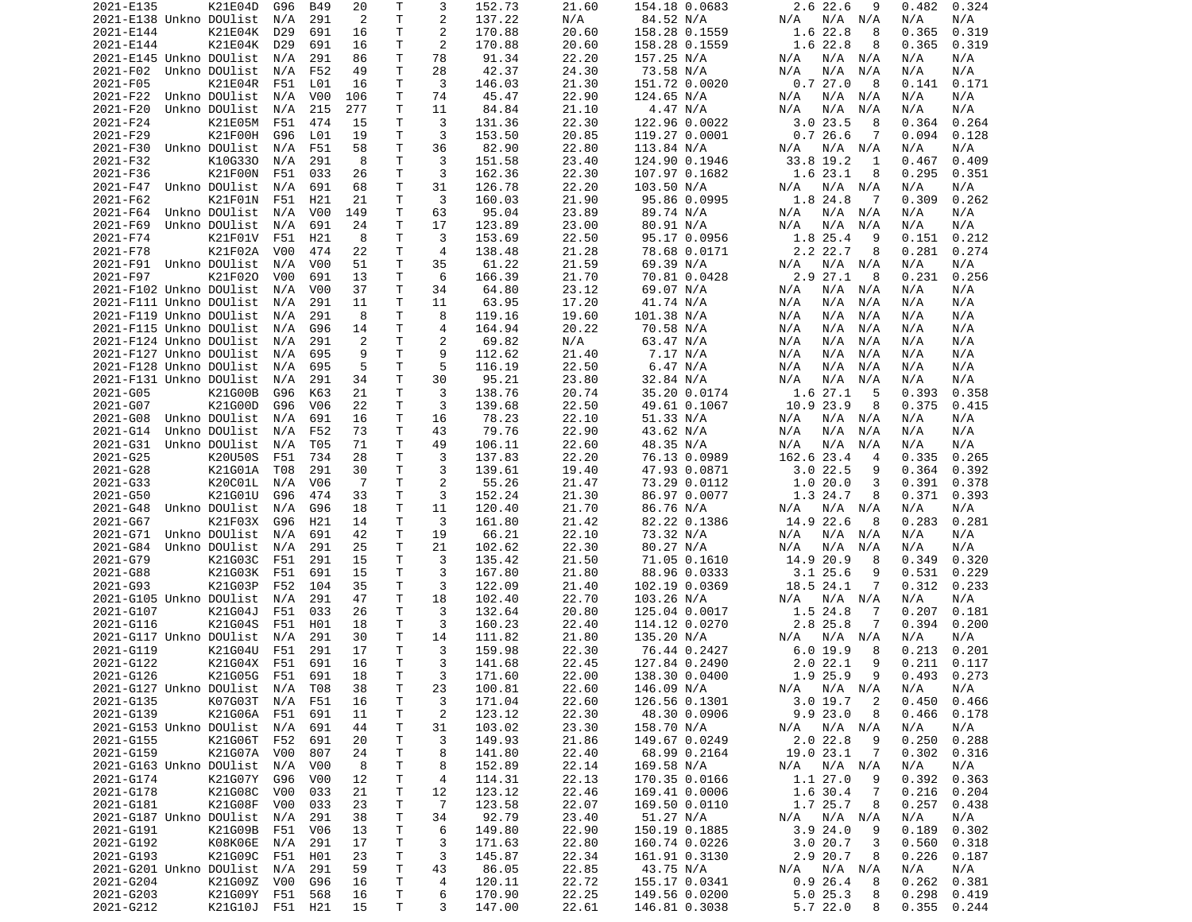| 2021-E135               | K21E04D            | G96              | B49              | 20             | Т            | 3              | 152.73           | 21.60          | 154.18 0.0683                  | 2.6 22.6<br>9                 | 0.482<br>0.324                   |
|-------------------------|--------------------|------------------|------------------|----------------|--------------|----------------|------------------|----------------|--------------------------------|-------------------------------|----------------------------------|
| 2021-E138 Unkno DOUlist |                    | N/A              | 291              | 2              | T            | 2              | 137.22           | N/A            | 84.52 N/A                      | N/A N/A<br>N/A                | N/A<br>N/A                       |
| 2021-E144               | K21E04K            | D <sub>29</sub>  | 691              | 16             | Τ            | 2              | 170.88           | 20.60          | 158.28 0.1559                  | 1.6 22.8<br>8                 | 0.319<br>0.365                   |
|                         | K21E04K            |                  |                  |                | Τ            | 2              | 170.88           | 20.60          | 158.28 0.1559                  | 1.6 22.8                      | 0.319<br>0.365                   |
| 2021-E144               |                    | D29              | 691              | 16             |              |                |                  |                |                                | 8                             |                                  |
| 2021-E145 Unkno DOUlist |                    | N/A              | 291              | 86             | Τ            | 78             | 91.34            | 22.20          | 157.25 N/A                     | N/A N/A<br>N/A                | N/A<br>N/A                       |
| 2021-F02                | Unkno DOUlist      | N/A              | F52              | 49             | Τ            | 28             | 42.37            | 24.30          | 73.58 N/A                      | N/A<br>N/A<br>N/A             | N/A<br>N/A                       |
| 2021-F05                | K21E04R            | F51              | L01              | 16             | т            | 3              | 146.03           | 21.30          | 151.72 0.0020                  | 0.727.0<br>8                  | 0.171<br>0.141                   |
| 2021-F22                | Unkno DOUlist      | N/A              | V <sub>0</sub> 0 | 106            | т            | 74             | 45.47            | 22.90          | 124.65 N/A                     | N/A N/A<br>N/A                | N/A<br>N/A                       |
|                         | Unkno DOUlist      |                  |                  |                | T            |                |                  |                |                                |                               |                                  |
| 2021-F20                |                    | N/A              | 215              | 277            |              | 11             | 84.84            | 21.10          | 4.47 N/A                       | N/A<br>N/A<br>N/A             | N/A<br>N/A                       |
| 2021-F24                | K21E05M            | F51              | 474              | 15             | Τ            | 3              | 131.36           | 22.30          | 122.96 0.0022                  | $3.0$ 23.5<br>8               | 0.364<br>0.264                   |
| 2021-F29                | K21F00H            | G96              | L01              | 19             | T            | 3              | 153.50           | 20.85          | 119.27 0.0001                  | 0.726.6<br>7                  | 0.094<br>0.128                   |
| 2021-F30                | Unkno DOUlist      | N/A              | F51              | 58             | Τ            | 36             | 82.90            | 22.80          | 113.84 N/A                     | N/A<br>N/A N/A                | N/A<br>N/A                       |
| 2021-F32                | K10G330            | N/A              | 291              | 8              | T.           | 3              | 151.58           | 23.40          | 124.90 0.1946                  | 33.8 19.2<br>1                | 0.467<br>0.409                   |
|                         |                    |                  |                  |                |              |                |                  |                |                                |                               |                                  |
| 2021-F36                | K21F00N            | F51              | 033              | 26             | т            | 3              | 162.36           | 22.30          | 107.97 0.1682                  | 1.6 23.1<br>8                 | 0.295<br>0.351                   |
| 2021-F47                | Unkno DOUlist      | N/A              | 691              | 68             | T            | 31             | 126.78           | 22.20          | 103.50 N/A                     | N/A N/A<br>N/A                | N/A<br>N/A                       |
| 2021-F62                | K21F01N            | F51              | H <sub>21</sub>  | 21             | T.           | 3              | 160.03           | 21.90          | 95.86 0.0995                   | 1.8 24.8<br>-7                | 0.262<br>0.309                   |
| 2021-F64                | Unkno DOUlist      | N/A              | V <sub>0</sub> 0 | 149            | Τ            | 63             | 95.04            | 23.89          | 89.74 N/A                      | $N/A$ $N/A$<br>N/A            | N/A<br>N/A                       |
|                         |                    |                  |                  |                | T.           |                |                  |                |                                |                               |                                  |
| 2021-F69                | Unkno DOUlist      | N/A              | 691              | 24             |              | 17             | 123.89           | 23.00          | 80.91 N/A                      | N/A<br>N/A<br>N/A             | N/A<br>N/A                       |
| 2021-F74                | K21F01V            | F51              | H <sub>21</sub>  | 8              | T.           | 3              | 153.69           | 22.50          | 95.17 0.0956                   | 1.8 25.4<br>9                 | 0.212<br>0.151                   |
| 2021-F78                | K21F02A            | V <sub>0</sub> 0 | 474              | 22             | т            | $\overline{4}$ | 138.48           | 21.28          | 78.68 0.0171                   | 2.2 22.7<br>8                 | 0.281<br>0.274                   |
| 2021-F91                | Unkno DOUlist      | N/A              | V <sub>0</sub> 0 | 51             | T            | 35             | 61.22            | 21.59          | 69.39 N/A                      | N/A N/A<br>N/A                | N/A<br>N/A                       |
| 2021-F97                | K21F020            | V <sub>0</sub> 0 | 691              | 13             | Τ            | 6              | 166.39           | 21.70          | 70.81 0.0428                   | 2.927.1<br>8                  | 0.231<br>0.256                   |
|                         |                    |                  |                  |                |              |                |                  |                |                                |                               |                                  |
| 2021-F102 Unkno DOUlist |                    | N/A              | V00              | 37             | T            | 34             | 64.80            | 23.12          | 69.07 N/A                      | N/A<br>N/A N/A                | N/A<br>N/A                       |
| 2021-F111 Unkno DOUlist |                    | N/A              | 291              | 11             | Τ            | 11             | 63.95            | 17.20          | 41.74 N/A                      | N/A<br>N/A N/A                | N/A<br>N/A                       |
| 2021-F119 Unkno DOUlist |                    | N/A              | 291              | 8              | T.           | 8              | 119.16           | 19.60          | 101.38 N/A                     | N/A<br>N/A<br>N/A             | N/A<br>N/A                       |
| 2021-F115 Unkno DOUlist |                    | N/A              | G96              | 14             | T.           | 4              | 164.94           | 20.22          | 70.58 N/A                      | N/A<br>N/A<br>N/A             | N/A<br>N/A                       |
|                         |                    |                  |                  |                |              |                |                  |                |                                |                               |                                  |
| 2021-F124 Unkno DOUlist |                    | N/A              | 291              | 2              | т            | 2              | 69.82            | N/A            | 63.47 N/A                      | N/A<br>N/A<br>N/A             | N/A<br>N/A                       |
| 2021-F127 Unkno DOUlist |                    | N/A              | 695              | 9              | T            | 9              | 112.62           | 21.40          | 7.17 N/A                       | N/A<br>N/A<br>N/A             | N/A<br>N/A                       |
| 2021-F128 Unkno DOUlist |                    | N/A              | 695              | 5              | Τ            | 5              | 116.19           | 22.50          | 6.47 N/A                       | N/A<br>N/A<br>N/A             | N/A<br>N/A                       |
| 2021-F131 Unkno DOUlist |                    | N/A              | 291              | 34             | $\mathsf T$  | 30             | 95.21            | 23.80          | 32.84 N/A                      | N/A<br>N/A<br>N/A             | N/A<br>N/A                       |
|                         |                    |                  |                  |                | Τ            | 3              |                  |                |                                |                               |                                  |
| 2021-G05                | K21G00B            | G96              | K63              | 21             |              |                | 138.76           | 20.74          | 35.20 0.0174                   | 1.6 27.1<br>-5                | 0.393<br>0.358                   |
| 2021-G07                | K21G00D            | G96              | V <sub>06</sub>  | 22             | T.           | 3              | 139.68           | 22.50          | 49.61 0.1067                   | 10.9 23.9<br>8                | 0.375<br>0.415                   |
| 2021-G08                | Unkno DOUlist      | N/A              | 691              | 16             | T            | 16             | 78.23            | 22.10          | 51.33 N/A                      | N/A<br>N/A N/A                | N/A<br>N/A                       |
| 2021-G14                | Unkno DOUlist      | N/A              | F52              | 73             | т            | 43             | 79.76            | 22.90          | 43.62 N/A                      | N/A<br>N/A<br>N/A             | N/A<br>N/A                       |
| 2021-G31                | Unkno DOUlist      | N/A              | T05              | 71             | T.           | 49             | 106.11           | 22.60          | 48.35 N/A                      | N/A<br>N/A<br>N/A             | N/A<br>N/A                       |
|                         |                    |                  |                  |                |              |                |                  |                |                                |                               |                                  |
| 2021-G25                | K20U50S            | F51              | 734              | 28             | T.           | 3              | 137.83           | 22.20          | 76.13 0.0989                   | 162.6 23.4<br>$\overline{4}$  | 0.335<br>0.265                   |
| 2021-G28                | K21G01A            | T08              | 291              | 30             | Τ            | 3              | 139.61           | 19.40          | 47.93 0.0871                   | 3.022.5<br>9                  | 0.364<br>0.392                   |
| 2021-G33                | K20C01L            | N/A              | V <sub>06</sub>  | $\overline{7}$ | Τ            | 2              | 55.26            | 21.47          | 73.29 0.0112                   | 1.020.0<br>3                  | 0.391<br>0.378                   |
| 2021-G50                | K21G01U            | G96              | 474              | 33             | т            | 3              | 152.24           | 21.30          | 86.97 0.0077                   | 1.3 24.7<br>8                 | 0.371<br>0.393                   |
|                         |                    | N/A              |                  |                | Τ            |                |                  |                |                                |                               |                                  |
| 2021-G48                | Unkno DOUlist      |                  | G96              | 18             |              | 11             | 120.40           | 21.70          | 86.76 N/A                      | N/A N/A<br>N/A                | N/A<br>N/A                       |
| 2021-G67                | K21F03X            | G96              | H21              | 14             | т            | 3              | 161.80           | 21.42          | 82.22 0.1386                   | 14.9 22.6<br>8                | 0.283<br>0.281                   |
| 2021-G71                | Unkno DOUlist      | N/A              | 691              | 42             | T            | 19             | 66.21            | 22.10          | 73.32 N/A                      | $N/A$ $N/A$<br>N/A            | N/A<br>N/A                       |
| 2021-G84                | Unkno DOUlist      | N/A              | 291              | 25             | Τ            | 21             | 102.62           | 22.30          | 80.27 N/A                      | N/A<br>N/A<br>N/A             | N/A<br>N/A                       |
| 2021-G79                | K21G03C            | F51              | 291              | 15             | Τ            | 3              | 135.42           | 21.50          | 71.05 0.1610                   | 14.9 20.9<br>8                | 0.349<br>0.320                   |
|                         |                    |                  |                  |                |              |                |                  |                |                                |                               |                                  |
| 2021-G88                | K21G03K            | F51              | 691              | 15             | Τ            | 3              | 167.80           | 21.80          | 88.96 0.0333                   | $3.1$ 25.6<br>9               | 0.531<br>0.229                   |
| 2021-G93                | K21G03P            | F52              | 104              | 35             | T            | 3              | 122.09           | 21.40          | 102.19 0.0369                  | 18.5 24.1<br>7                | 0.312<br>0.233                   |
| 2021-G105 Unkno DOUlist |                    | N/A              | 291              | 47             | T            | 18             | 102.40           | 22.70          | 103.26 N/A                     | N/A N/A<br>N/A                | N/A<br>N/A                       |
| 2021-G107               | K21G04J            | F51              | 033              | 26             | T            | 3              | 132.64           | 20.80          | 125.04 0.0017                  | 1.5 24.8<br>7                 | 0.207<br>0.181                   |
| 2021-G116               | K21G04S            | F51              | H01              | 18             | $\mathsf{T}$ | 3              | 160.23           | 22.40          | 114.12 0.0270                  | 2.8 25.8<br>7                 | 0.394<br>0.200                   |
|                         |                    |                  |                  |                |              |                |                  |                |                                |                               |                                  |
| 2021-G117 Unkno DOUlist |                    | N/A              | 291              | 30             | T.           | 14             | 111.82           | 21.80          | 135.20 N/A                     | N/A N/A<br>N/A                | N/A<br>N/A                       |
| 2021-G119               | K21G04U            | F51              | 291              | 17             | T.           | 3              | 159.98           | 22.30          | 76.44 0.2427                   | 6.019.9<br>8                  | 0.213<br>0.201                   |
| 2021-G122               | K21G04X            | F51              | 691              | 16             | T.           | 3              | 141.68           | 22.45          | 127.84 0.2490                  | 2.022.1<br>9                  | 0.211<br>0.117                   |
| 2021-6126               | K21G05G F51        |                  | 691              | 18             | $\mathsf{T}$ | 3              | 171.60           | 22.00          | 138.30 0.0400                  | 1.9 25.9<br>9                 | $0.493$ $0.273$                  |
|                         |                    |                  |                  |                |              |                |                  |                |                                |                               |                                  |
| 2021-G127 Unkno DOUlist |                    | N/A              | T08              | 38             | Τ            | 23             | 100.81           | 22.60          | 146.09 N/A                     | N/A N/A<br>N/A                | N/A<br>N/A                       |
| 2021-G135               | K07G03T            | N/A              | F51              | 16             | T            | 3              | 171.04           | 22.60          | 126.56 0.1301                  | 3.019.7<br>$\overline{2}$     | 0.450<br>0.466                   |
| 2021-G139               | K21G06A F51        |                  | 691              | 11             | T            | 2              | 123.12           | 22.30          | 48.30 0.0906                   | 9.923.0<br>8                  | 0.466<br>0.178                   |
| 2021-G153 Unkno DOUlist |                    | N/A              | 691              | 44             | т            | 31             | 103.02           | 23.30          | 158.70 N/A                     | $N/A$ $N/A$<br>N/A            | N/A<br>N/A                       |
| 2021-G155               | K21G06T F52        |                  | 691              | 20             | т            | 3              | 149.93           | 21.86          | 149.67 0.0249                  | 2.0 22.8<br>9                 | 0.250<br>0.288                   |
|                         |                    |                  |                  |                |              |                |                  |                |                                |                               |                                  |
| 2021-G159               | K21G07A            | V00              | 807              | 24             | т            | 8              | 141.80           | 22.40          | 68.99 0.2164                   | 19.0 23.1<br>7                | 0.302<br>0.316                   |
| 2021-G163 Unkno DOUlist |                    | N/A              | V00              | 8              | Τ            | 8              | 152.89           | 22.14          | 169.58 N/A                     | N/A N/A<br>N/A                | N/A<br>N/A                       |
| 2021-G174               | K21G07Y            | G96              | V00              | 12             | Τ            | 4              | 114.31           | 22.13          | 170.35 0.0166                  | 1.1 27.0<br>9                 | 0.392<br>0.363                   |
| 2021-G178               | K21G08C            | V00              | 033              | 21             | T.           | 12             | 123.12           | 22.46          | 169.41 0.0006                  | 1.6 30.4<br>-7                | 0.216<br>0.204                   |
|                         |                    |                  |                  |                |              |                |                  |                |                                |                               |                                  |
| 2021-G181               | K21G08F            | V00              | 033              | 23             | T            | $\overline{7}$ | 123.58           | 22.07          | 169.50 0.0110                  | 1.7 25.7<br>8                 | 0.257<br>0.438                   |
| 2021-G187 Unkno DOUlist |                    | N/A              | 291              | 38             | т            | 34             | 92.79            | 23.40          | 51.27 N/A                      | N/A<br>N/A N/A                | N/A<br>N/A                       |
|                         | K21G09B            | F51              | V06              | 13             | T            | 6              | 149.80           | 22.90          | 150.19 0.1885                  | 3.924.0<br>9                  | 0.189<br>0.302                   |
| 2021-G191               |                    |                  |                  |                |              | 3              | 171.63           | 22.80          | 160.74 0.0226                  | 3.020.7<br>3                  | 0.560<br>0.318                   |
|                         |                    |                  |                  |                |              |                |                  |                |                                |                               |                                  |
| 2021-G192               | K08K06E            | N/A              | 291              | 17             | Τ            |                |                  |                |                                |                               |                                  |
| 2021-G193               | K21G09C            | F51              | H01              | 23             | T.           | 3              | 145.87           | 22.34          | 161.91 0.3130                  | 2.9 20.7<br>8                 | 0.226<br>0.187                   |
| 2021-G201 Unkno DOUlist |                    | N/A              | 291              | 59             | $\mathsf{T}$ | 43             | 86.05            | 22.85          | 43.75 N/A                      | N/A N/A<br>N/A                | N/A<br>N/A                       |
| 2021-G204               | K21G09Z V00        |                  | G96              | 16             | Τ            | 4              | 120.11           | 22.72          | 155.17 0.0341                  | 0.926.4<br>8                  | 0.262<br>0.381                   |
|                         |                    |                  |                  |                |              |                |                  |                |                                |                               |                                  |
| 2021-G203<br>2021-G212  | K21G09Y<br>K21G10J | F51<br>F51 H21   | 568              | 16<br>15       | T.<br>T.     | 6<br>3         | 170.90<br>147.00 | 22.25<br>22.61 | 149.56 0.0200<br>146.81 0.3038 | 5.025.3<br>8<br>5.7 22.0<br>8 | 0.298<br>0.419<br>0.355<br>0.244 |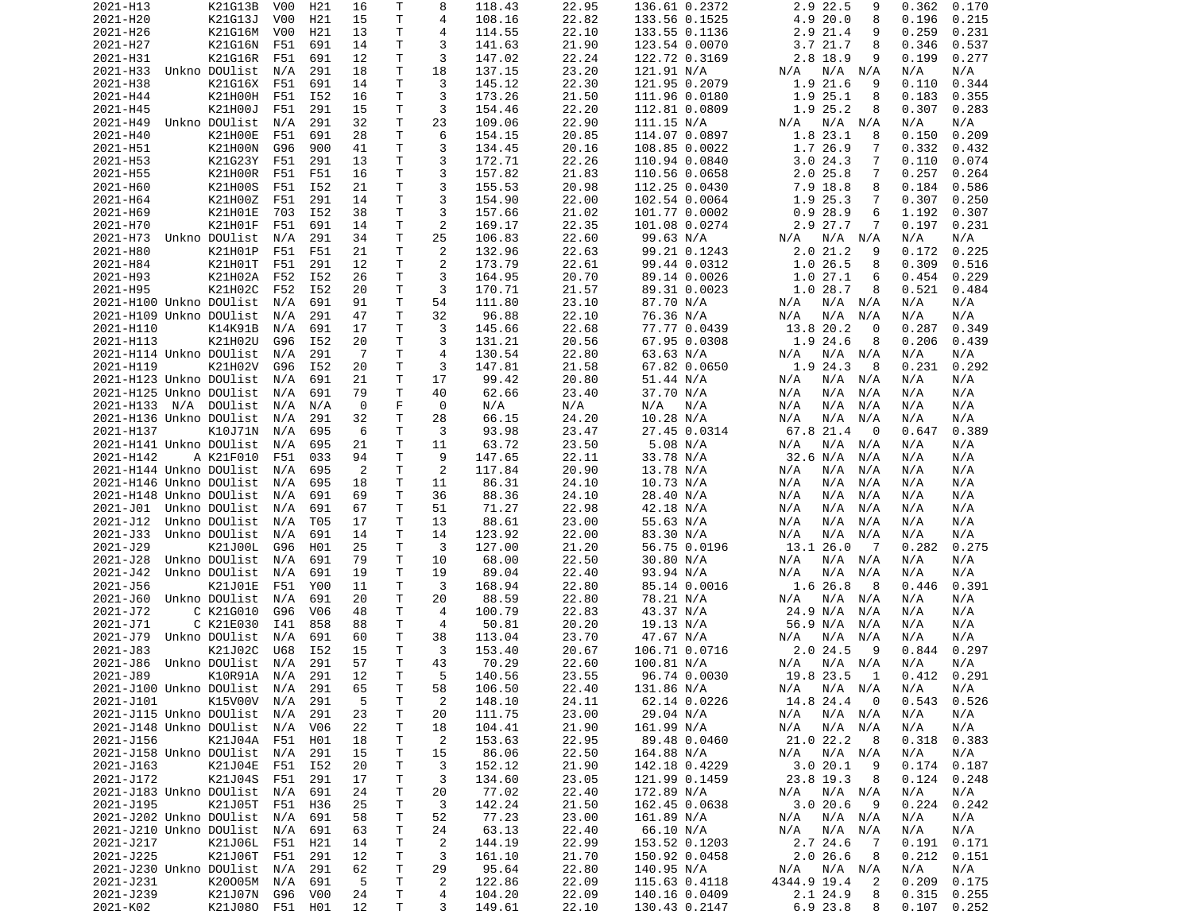|                             | K21G13B         | V00              | H21 | 16 | Т  | 8              | 118.43 | 22.95 | 136.61 0.2372 | 2.9 22.5<br>9             | 0.362<br>0.170 |
|-----------------------------|-----------------|------------------|-----|----|----|----------------|--------|-------|---------------|---------------------------|----------------|
| 2021-H20                    | K21G13J         | V <sub>0</sub> 0 | H21 | 15 | Τ  | 4              | 108.16 | 22.82 | 133.56 0.1525 | 4.9 20.0<br>8             | 0.196<br>0.215 |
| 2021-H26                    | K21G16M         | V00              | H21 | 13 | т  | 4              | 114.55 | 22.10 | 133.55 0.1136 | 2.9 21.4<br>9             | 0.259<br>0.231 |
|                             |                 |                  |     |    | т  | 3              | 141.63 | 21.90 |               |                           |                |
| 2021-H27                    | K21G16N         | F51              | 691 | 14 |    |                |        |       | 123.54 0.0070 | 3.7 21.7<br>8             | 0.346<br>0.537 |
| 2021-H31                    | K21G16R         | F51              | 691 | 12 | т  | 3              | 147.02 | 22.24 | 122.72 0.3169 | 2.8 18.9<br>9             | 0.277<br>0.199 |
| 2021-H33                    | Unkno DOUlist   | N/A              | 291 | 18 | т  | 18             | 137.15 | 23.20 | 121.91 N/A    | N/A<br>N/A<br>N/A         | N/A<br>N/A     |
| 2021-H38                    | K21G16X         | F51              | 691 | 14 | т  | 3              | 145.12 | 22.30 | 121.95 0.2079 | 1.9 21.6<br>9             | 0.110<br>0.344 |
| 2021-H44                    | K21H00H         | F51              | I52 | 16 | Τ  | 3              | 173.26 | 21.50 | 111.96 0.0180 | 1.9 25.1<br>8             | 0.183<br>0.355 |
| 2021-H45                    |                 | F51              |     |    | T  | 3              |        |       |               |                           |                |
|                             | K21H00J         |                  | 291 | 15 |    |                | 154.46 | 22.20 | 112.81 0.0809 | 1.9 25.2<br>8             | 0.307<br>0.283 |
| 2021-H49                    | Unkno DOUlist   | N/A              | 291 | 32 | Τ  | 23             | 109.06 | 22.90 | 111.15 N/A    | N/A N/A<br>N/A            | N/A<br>N/A     |
| 2021-H40                    | K21H00E         | F51              | 691 | 28 | Τ  | 6              | 154.15 | 20.85 | 114.07 0.0897 | 1.8 23.1<br>8             | 0.150<br>0.209 |
| 2021-H51                    | K21H00N         | G96              | 900 | 41 | Τ  | 3              | 134.45 | 20.16 | 108.85 0.0022 | 1.7 26.9<br>7             | 0.332<br>0.432 |
| 2021-H53                    | K21G23Y         | F51              | 291 | 13 | Τ  | 3              | 172.71 | 22.26 | 110.94 0.0840 | 3.024.3<br>7              | 0.110<br>0.074 |
|                             |                 |                  |     |    |    |                |        |       |               |                           |                |
| 2021-H55                    | K21H00R         | F51              | F51 | 16 | т  | 3              | 157.82 | 21.83 | 110.56 0.0658 | 2.025.8<br>7              | 0.257<br>0.264 |
| 2021-H60                    | K21H00S         | F51              | I52 | 21 | T  | 3              | 155.53 | 20.98 | 112.25 0.0430 | 7.9 18.8<br>8             | 0.184<br>0.586 |
| 2021-H64                    | K21H00Z         | F51              | 291 | 14 | T. | 3              | 154.90 | 22.00 | 102.54 0.0064 | 1.9 25.3<br>7             | 0.307<br>0.250 |
| 2021-H69                    | K21H01E         | 703              | I52 | 38 | т  | 3              | 157.66 | 21.02 | 101.77 0.0002 | 0.928.9<br>6              | 1.192<br>0.307 |
|                             |                 |                  |     |    | T  |                |        |       |               |                           |                |
| 2021-H70                    | K21H01F         | F51              | 691 | 14 |    | $\overline{2}$ | 169.17 | 22.35 | 101.08 0.0274 | 2.9 27.7<br>7             | 0.197<br>0.231 |
| 2021-H73                    | Unkno DOUlist   | N/A              | 291 | 34 | Τ  | 25             | 106.83 | 22.60 | 99.63 N/A     | N/A N/A<br>N/A            | N/A<br>N/A     |
| 2021-H80                    | K21H01P         | F51              | F51 | 21 | т  | $\overline{c}$ | 132.96 | 22.63 | 99.21 0.1243  | 2.021.2<br>9              | 0.172<br>0.225 |
| 2021-H84                    | K21H01T         | F51              | 291 | 12 | Τ  | $\overline{c}$ | 173.79 | 22.61 | 99.44 0.0312  | 1.0 26.5<br>8             | 0.309<br>0.516 |
| 2021-H93                    | K21H02A         | F52              | I52 | 26 | Τ  | 3              | 164.95 | 20.70 | 89.14 0.0026  | 1.027.1<br>6              | 0.454<br>0.229 |
|                             |                 |                  |     |    |    |                |        |       |               |                           |                |
| 2021-H95                    | K21H02C         | F52              | I52 | 20 | T  | 3              | 170.71 | 21.57 | 89.31 0.0023  | 1.028.7<br>8              | 0.521<br>0.484 |
| 2021-H100 Unkno DOUlist     |                 | N/A              | 691 | 91 | т  | 54             | 111.80 | 23.10 | 87.70 N/A     | N/A<br>N/A N/A            | N/A<br>N/A     |
| 2021-H109 Unkno DOUlist     |                 | N/A              | 291 | 47 | T. | 32             | 96.88  | 22.10 | 76.36 N/A     | N/A<br>N/A<br>N/A         | N/A<br>N/A     |
| 2021-H110                   | K14K91B         | N/A              | 691 | 17 | т  | 3              | 145.66 | 22.68 | 77.77 0.0439  | 13.8 20.2<br>0            | 0.287<br>0.349 |
|                             |                 |                  |     |    |    |                |        |       |               |                           |                |
| 2021-H113                   | K21H02U         | G96              | I52 | 20 | Τ  | 3              | 131.21 | 20.56 | 67.95 0.0308  | 1.9 24.6<br>8             | 0.206<br>0.439 |
| 2021-H114 Unkno DOUlist     |                 | N/A              | 291 | -7 | T  | $\overline{4}$ | 130.54 | 22.80 | 63.63 N/A     | N/A N/A<br>N/A            | N/A<br>N/A     |
| 2021-H119                   | K21H02V         | G96              | I52 | 20 | т  | 3              | 147.81 | 21.58 | 67.82 0.0650  | 1.9 24.3<br>8             | 0.231<br>0.292 |
| 2021-H123 Unkno DOUlist     |                 | N/A              | 691 | 21 | T  | 17             | 99.42  | 20.80 | 51.44 N/A     | N/A<br>N/A N/A            | N/A<br>N/A     |
|                             |                 |                  |     |    | T  |                |        |       | 37.70 N/A     |                           |                |
| 2021-H125 Unkno DOUlist     |                 | N/A              | 691 | 79 |    | 40             | 62.66  | 23.40 |               | N/A<br>N/A N/A            | N/A<br>N/A     |
| 2021-H133 N/A               | DOUlist         | N/A              | N/A | 0  | F  | 0              | N/A    | N/A   | N/A<br>N/A    | N/A<br>N/A<br>N/A         | N/A<br>N/A     |
| 2021-H136 Unkno DOUlist     |                 | N/A              | 291 | 32 | T  | 28             | 66.15  | 24.20 | 10.28 N/A     | N/A<br>N/A<br>N/A         | N/A<br>N/A     |
| 2021-H137                   | K10J71N         | N/A              | 695 | 6  | т  | 3              | 93.98  | 23.47 | 27.45 0.0314  | 67.8 21.4<br>- 0          | 0.647<br>0.389 |
| 2021-H141 Unkno DOUlist     |                 | N/A              | 695 | 21 | Τ  | 11             | 63.72  | 23.50 | 5.08 N/A      | N/A N/A<br>N/A            | N/A<br>N/A     |
|                             |                 |                  |     |    |    |                |        |       |               |                           |                |
| 2021-H142                   | A K21F010       | F51              | 033 | 94 | Τ  | 9              | 147.65 | 22.11 | 33.78 N/A     | 32.6 N/A<br>N/A           | N/A<br>N/A     |
| 2021-H144 Unkno DOUlist     |                 | N/A              | 695 | 2  | T. | 2              | 117.84 | 20.90 | 13.78 N/A     | $N/A$ $N/A$<br>N/A        | N/A<br>N/A     |
| 2021-H146 Unkno DOUlist     |                 | N/A              | 695 | 18 | т  | 11             | 86.31  | 24.10 | 10.73 N/A     | N/A<br>N/A<br>N/A         | N/A<br>N/A     |
| 2021-H148 Unkno DOUlist     |                 | N/A              | 691 | 69 | Τ  | 36             | 88.36  | 24.10 | 28.40 N/A     | N/A<br>N/A<br>N/A         | N/A<br>N/A     |
| 2021-J01 Unkno DOUlist      |                 | N/A              | 691 | 67 | т  | 51             | 71.27  | 22.98 | 42.18 N/A     | N/A<br>N/A<br>N/A         | N/A<br>N/A     |
|                             |                 |                  |     |    |    |                |        |       |               |                           |                |
| 2021-J12                    | Unkno DOUlist   | N/A              | T05 | 17 | т  | 13             | 88.61  | 23.00 | 55.63 N/A     | N/A<br>N/A<br>N/A         | N/A<br>N/A     |
|                             |                 |                  |     |    |    |                |        |       |               |                           |                |
| 2021-J33                    | Unkno DOUlist   | N/A              | 691 | 14 | T  | 14             | 123.92 | 22.00 | 83.30 N/A     | N/A<br>N/A<br>N/A         | N/A<br>N/A     |
|                             |                 | G96              | H01 |    |    | 3              |        |       |               | $\overline{7}$            | 0.282          |
| 2021-J29                    | K21J00L         |                  |     | 25 | т  |                | 127.00 | 21.20 | 56.75 0.0196  | 13.1 26.0                 | 0.275          |
| 2021-J28                    | Unkno DOUlist   | N/A              | 691 | 79 | T  | 10             | 68.00  | 22.50 | 30.80 N/A     | N/A<br>N/A N/A            | N/A<br>N/A     |
| 2021-J42                    | Unkno DOUlist   | N/A              | 691 | 19 | Τ  | 19             | 89.04  | 22.40 | 93.94 N/A     | N/A<br>N/A<br>N/A         | N/A<br>N/A     |
| 2021-J56                    | K21J01E         | F51              | Y00 | 11 | т  | 3              | 168.94 | 22.80 | 85.14 0.0016  | 1.6 26.8<br>-8            | 0.446<br>0.391 |
| 2021-J60                    | Unkno DOUlist   | N/A              | 691 | 20 | T  | 20             | 88.59  | 22.80 | 78.21 N/A     | N/A N/A<br>N/A            | N/A<br>N/A     |
|                             |                 |                  |     |    | T  | 4              |        |       |               |                           |                |
| 2021-J72                    | C K21G010       | G96              | V06 | 48 |    |                | 100.79 | 22.83 | 43.37 N/A     | 24.9 N/A<br>N/A           | N/A<br>N/A     |
| 2021-J71                    | C K21E030       | I41              | 858 | 88 | т  | 4              | 50.81  | 20.20 | 19.13 N/A     | 56.9 N/A<br>N/A           | N/A<br>N/A     |
| 2021-J79                    | Unkno DOUlist   | N/A              | 691 | 60 | т  | 38             | 113.04 | 23.70 | 47.67 N/A     | N/A<br>N/A<br>N/A         | N/A<br>N/A     |
| 2021-J83                    | K21J02C         | U68              | I52 | 15 | т  | 3              | 153.40 | 20.67 | 106.71 0.0716 | $2.0$ 24.5<br>9           | 0.297<br>0.844 |
| 2021-J86                    | Unkno DOUlist   | N/A              | 291 | 57 | T. | 43             | 70.29  | 22.60 | 100.81 N/A    | N/A<br>N/A N/A            | N/A<br>N/A     |
| 2021-J89                    |                 |                  |     |    | T. | 5              |        |       |               |                           | 0.291          |
|                             | K10R91A N/A 291 |                  |     | 12 |    |                | 140.56 | 23.55 | 96.74 0.0030  | 19.8 23.5 1               | 0.412          |
| 2021-J100 Unkno DOUlist N/A |                 |                  | 291 | 65 | Τ  | 58             | 106.50 | 22.40 | 131.86 N/A    | N/A N/A<br>N/A            | N/A<br>N/A     |
| 2021-J101                   | K15V00V         | N/A              | 291 | 5  | т  | $\overline{2}$ | 148.10 | 24.11 | 62.14 0.0226  | 14.8 24.4<br>- 0          | 0.543<br>0.526 |
| 2021-J115 Unkno DOUlist     |                 | N/A              | 291 | 23 | T  | 20             | 111.75 | 23.00 | 29.04 N/A     | N/A<br>N/A N/A            | N/A<br>N/A     |
| 2021-J148 Unkno DOUlist N/A |                 |                  | V06 | 22 | т  | 18             | 104.41 | 21.90 | 161.99 N/A    | N/A<br>$N/A$ $N/A$        | N/A<br>N/A     |
|                             |                 |                  |     |    |    |                |        |       |               |                           |                |
| 2021-J156                   | K21J04A         | F51              | H01 | 18 | т  | 2              | 153.63 | 22.95 | 89.48 0.0460  | 21.0 22.2<br>8            | 0.318<br>0.383 |
| 2021-J158 Unkno DOUlist     |                 | N/A              | 291 | 15 | т  | 15             | 86.06  | 22.50 | 164.88 N/A    | $N/A$ $N/A$<br>N/A        | N/A<br>N/A     |
| 2021-J163                   | K21J04E F51     |                  | I52 | 20 | Τ  | 3              | 152.12 | 21.90 | 142.18 0.4229 | 3.020.1<br>9              | 0.174<br>0.187 |
| 2021-J172                   | K21J04S         | F51              | 291 | 17 | Τ  | 3              | 134.60 | 23.05 | 121.99 0.1459 | 23.8 19.3<br>8            | 0.124<br>0.248 |
|                             |                 |                  | 691 |    |    |                |        |       |               |                           |                |
| 2021-J183 Unkno DOUlist     |                 | N/A              |     | 24 | Τ  | 20             | 77.02  | 22.40 | 172.89 N/A    | $N/A$ $N/A$<br>N/A        | N/A<br>N/A     |
| 2021-J195                   | K21J05T         | F51              | H36 | 25 | T  | 3              | 142.24 | 21.50 | 162.45 0.0638 | 3.020.6<br>9              | 0.224<br>0.242 |
| 2021-J202 Unkno DOUlist N/A |                 |                  | 691 | 58 | т  | 52             | 77.23  | 23.00 | 161.89 N/A    | N/A<br>N/A N/A            | N/A<br>N/A     |
| 2021-J210 Unkno DOUlist     |                 | N/A              | 691 | 63 | T  | 24             | 63.13  | 22.40 | 66.10 N/A     | $N/A$ $N/A$<br>N/A        | N/A<br>N/A     |
| 2021-J217                   | K21J06L         | F51              | H21 | 14 | Τ  | $\overline{2}$ | 144.19 | 22.99 | 153.52 0.1203 | 2.7 24.6<br>-7            | 0.191<br>0.171 |
|                             |                 |                  |     |    |    |                |        |       |               |                           |                |
| 2021-J225                   | K21J06T         | F51              | 291 | 12 | Τ  | 3              | 161.10 | 21.70 | 150.92 0.0458 | 2.0 26.6<br>8             | 0.212<br>0.151 |
| 2021-J230 Unkno DOUlist     |                 | N/A              | 291 | 62 | Τ  | 29             | 95.64  | 22.80 | 140.95 N/A    | N/A N/A<br>N/A            | N/A<br>N/A     |
| 2021-J231                   | K20005M N/A     |                  | 691 | 5  | Τ  | $\overline{c}$ | 122.86 | 22.09 | 115.63 0.4118 | 4344.9 19.4<br>2          | 0.209<br>0.175 |
| 2021-J239                   | K21J07N         | G96              | V00 | 24 | Τ  | 4              | 104.20 | 22.09 | 140.16 0.0409 | 2.1 24.9<br>8<br>6.9 23.8 | 0.315<br>0.255 |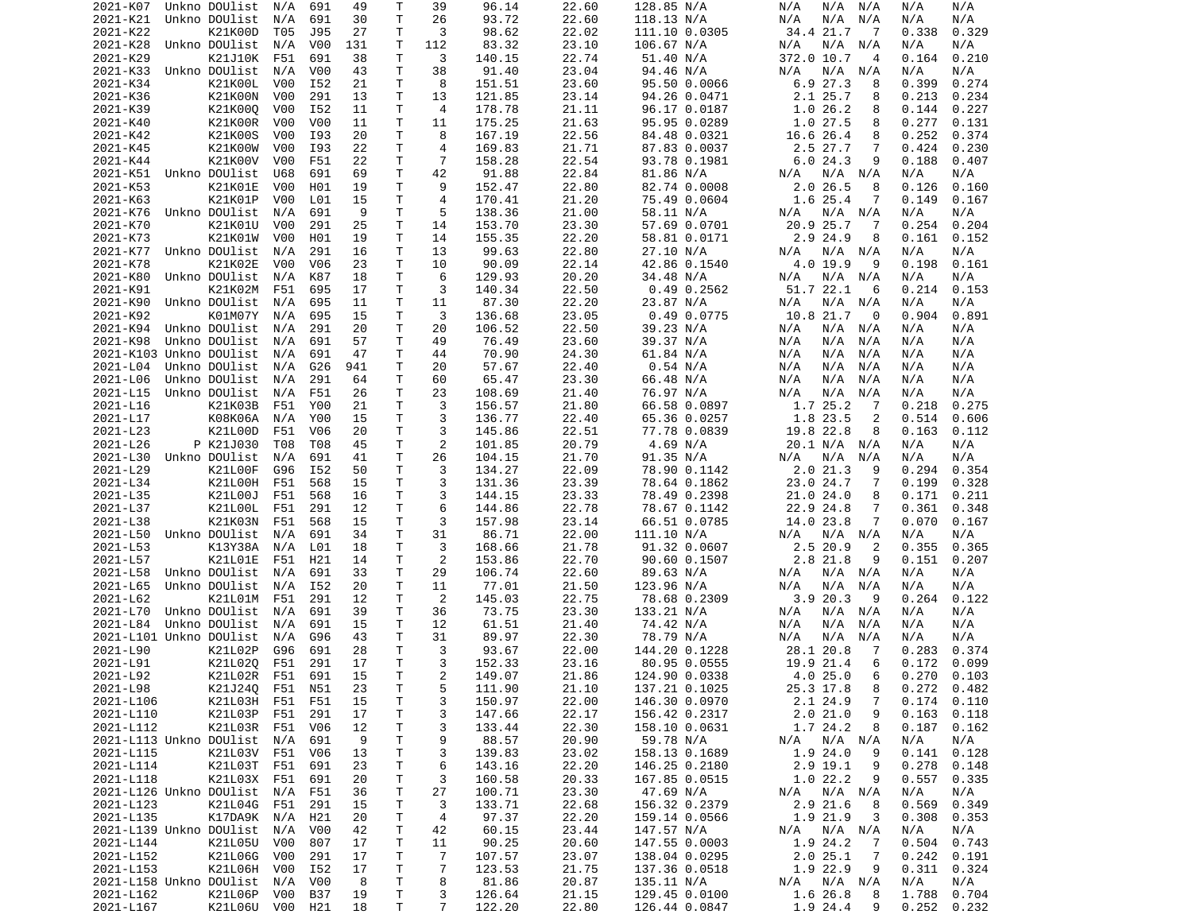| 2021-K07                    | Unkno DOUlist          | N/A              | 691               | 49       | т            | 39             | 96.14            | 22.60          | 128.85 N/A                     | N/A<br>N/A<br>N/A              | N/A<br>N/A                       |
|-----------------------------|------------------------|------------------|-------------------|----------|--------------|----------------|------------------|----------------|--------------------------------|--------------------------------|----------------------------------|
| 2021-K21                    | Unkno DOUlist          | N/A              | 691               | 30       | Τ            | 26             | 93.72            | 22.60          | 118.13 N/A                     | N/A<br>N/A<br>N/A              | N/A<br>N/A                       |
| 2021-K22                    | K21K00D                | T05              | J95               | 27       | т            | 3              | 98.62            | 22.02          | 111.10 0.0305                  | 34.4 21.7<br>$\overline{7}$    | 0.338<br>0.329                   |
|                             | Unkno DOUlist          |                  |                   |          | т            |                |                  | 23.10          | 106.67 N/A                     |                                |                                  |
| 2021-K28                    |                        | N/A              | V00               | 131      |              | 112            | 83.32            |                |                                | N/A<br>N/A<br>N/A              | N/A<br>N/A                       |
| 2021-K29                    | K21J10K                | F51              | 691               | 38       | т            | 3              | 140.15           | 22.74          | 51.40 N/A                      | 372.0 10.7<br>4                | 0.210<br>0.164                   |
| 2021-K33                    | Unkno DOUlist          | N/A              | V <sub>0</sub>    | 43       | T            | 38             | 91.40            | 23.04          | 94.46 N/A                      | N/A<br>N/A<br>N/A              | N/A<br>N/A                       |
| 2021-K34                    | K21K00L                | V00              | I52               | 21       | т            | 8              | 151.51           | 23.60          | 95.50 0.0066                   | 6.927.3<br>8                   | 0.399<br>0.274                   |
| 2021-K36                    | K21K00N                | V00              | 291               | 13       | т            | 13             | 121.85           | 23.14          | 94.26 0.0471                   | 2.1 25.7<br>8                  | 0.213<br>0.234                   |
|                             |                        |                  |                   |          |              |                |                  |                |                                |                                |                                  |
| 2021-K39                    | K21K000                | V00              | I52               | 11       | т            | $\overline{4}$ | 178.78           | 21.11          | 96.17 0.0187                   | 1.026.2<br>8                   | 0.144<br>0.227                   |
| 2021-K40                    | K21K00R                | V00              | V <sub>0</sub>    | 11       | т            | 11             | 175.25           | 21.63          | 95.95 0.0289                   | 1.0 27.5<br>8                  | 0.277<br>0.131                   |
| 2021-K42                    | K21K00S                | V00              | I93               | 20       | T            | 8              | 167.19           | 22.56          | 84.48 0.0321                   | 16.6 26.4<br>8                 | 0.252<br>0.374                   |
| 2021-K45                    | K21K00W                | V <sub>0</sub> 0 | I93               | 22       | т            | 4              | 169.83           | 21.71          | 87.83 0.0037                   | 2.5 27.7<br>7                  | 0.424<br>0.230                   |
| 2021-K44                    | K21K00V                | V00              | F51               | 22       | T            | $\overline{7}$ | 158.28           | 22.54          | 93.78 0.1981                   | 6.024.3<br>9                   | 0.188<br>0.407                   |
|                             |                        |                  |                   |          |              |                |                  |                |                                |                                |                                  |
| 2021-K51                    | Unkno DOUlist          | U68              | 691               | 69       | Τ            | 42             | 91.88            | 22.84          | 81.86 N/A                      | N/A<br>$N/A$ $N/A$             | N/A<br>N/A                       |
| 2021-K53                    | K21K01E                | V00              | H01               | 19       | T            | 9              | 152.47           | 22.80          | 82.74 0.0008                   | 2.0 26.5<br>8                  | 0.126<br>0.160                   |
| 2021-K63                    | K21K01P                | V00              | L01               | 15       | Τ            | 4              | 170.41           | 21.20          | 75.49 0.0604                   | 1.6 25.4<br>7                  | 0.149<br>0.167                   |
| 2021-K76                    | Unkno DOUlist          | N/A              | 691               | 9        | т            | 5              | 138.36           | 21.00          | 58.11 N/A                      | N/A<br>N/A N/A                 | N/A<br>N/A                       |
| 2021-K70                    | K21K01U                | V00              | 291               | 25       | т            | 14             |                  | 23.30          |                                | 25.7<br>20.9<br>7              | 0.254<br>0.204                   |
|                             |                        |                  |                   |          |              |                | 153.70           |                | 57.69 0.0701                   |                                |                                  |
| 2021-K73                    | K21K01W                | V00              | H01               | 19       | T            | 14             | 155.35           | 22.20          | 58.81 0.0171                   | 2.9 24.9<br>8                  | 0.161<br>0.152                   |
| 2021-K77                    | Unkno DOUlist          | N/A              | 291               | 16       | т            | 13             | 99.63            | 22.80          | 27.10 N/A                      | N/A<br>N/A<br>N/A              | N/A<br>N/A                       |
| 2021-K78                    | K21K02E                | V00              | V06               | 23       | т            | 10             | 90.09            | 22.14          | 42.86 0.1540                   | 4.0 19.9<br>9                  | 0.161<br>0.198                   |
| 2021-K80                    | Unkno DOUlist          | N/A              | K87               | 18       | Τ            | 6              | 129.93           | 20.20          | 34.48 N/A                      | N/A<br>N/A<br>N/A              | N/A<br>N/A                       |
|                             |                        |                  |                   |          |              |                |                  |                |                                |                                |                                  |
| 2021-K91                    | K21K02M                | F51              | 695               | 17       | T            | 3              | 140.34           | 22.50          | $0.49$ 0.2562                  | 51.7 22.1<br>6                 | 0.214<br>0.153                   |
| 2021-K90                    | Unkno DOUlist          | N/A              | 695               | 11       | т            | 11             | 87.30            | 22.20          | 23.87 N/A                      | N/A<br>N/A<br>N/A              | N/A<br>N/A                       |
| 2021-K92                    | K01M07Y                | N/A              | 695               | 15       | T            | 3              | 136.68           | 23.05          | $0.49$ $0.0775$                | 10.8 21.7<br>0                 | 0.904<br>0.891                   |
| 2021-K94                    | Unkno DOUlist          | N/A              | 291               | 20       | Τ            | 20             | 106.52           | 22.50          | 39.23 N/A                      | N/A<br>N/A<br>N/A              | N/A<br>N/A                       |
|                             |                        |                  |                   |          |              |                |                  |                |                                |                                |                                  |
| 2021-K98                    | Unkno DOUlist          | N/A              | 691               | 57       | Τ            | 49             | 76.49            | 23.60          | 39.37 N/A                      | N/A<br>N/A<br>N/A              | N/A<br>N/A                       |
| 2021-K103 Unkno DOUlist     |                        | N/A              | 691               | 47       | т            | 44             | 70.90            | 24.30          | 61.84 N/A                      | N/A<br>N/A<br>N/A              | N/A<br>N/A                       |
| 2021-L04                    | Unkno DOUlist          | N/A              | G26               | 941      | т            | 20             | 57.67            | 22.40          | 0.54 N/A                       | N/A<br>N/A<br>N/A              | N/A<br>N/A                       |
| 2021-L06                    | Unkno DOUlist          | N/A              | 291               | 64       | T            | 60             | 65.47            | 23.30          | 66.48 N/A                      | N/A<br>N/A<br>N/A              | N/A<br>N/A                       |
| 2021-L15                    | Unkno DOUlist          | N/A              | F51               | 26       | т            | 23             | 108.69           | 21.40          | 76.97 N/A                      | N/A<br>N/A<br>N/A              | N/A<br>N/A                       |
|                             |                        |                  |                   |          |              |                |                  |                |                                |                                |                                  |
| 2021-L16                    | K21K03B                | F51              | Y00               | 21       | T            | 3              | 156.57           | 21.80          | 66.58 0.0897                   | 1.7 25.2<br>7                  | 0.218<br>0.275                   |
| 2021-L17                    | K08K06A                | N/A              | Y00               | 15       | $\mathsf{T}$ | 3              | 136.77           | 22.40          | 65.36 0.0257                   | 1.8 23.5<br>2                  | 0.514<br>0.606                   |
| 2021-L23                    | K21L00D                | F51              | V06               | 20       | т            | 3              | 145.86           | 22.51          | 77.78 0.0839                   | 19.8 22.8<br>8                 | 0.163<br>0.112                   |
| 2021-L26                    | P K21J030              | T08              | T08               | 45       | T            | $\mathbf{2}$   | 101.85           | 20.79          | 4.69 N/A                       | 20.1 N/A<br>N/A                | N/A<br>N/A                       |
| 2021-L30                    | Unkno DOUlist          | N/A              | 691               | 41       | T            | 26             | 104.15           | 21.70          | 91.35 N/A                      | N/A<br>N/A<br>N/A              | N/A<br>N/A                       |
|                             |                        |                  |                   |          |              |                |                  |                |                                |                                |                                  |
| 2021-L29                    | K21L00F                | G96              | I52               | 50       | т            | 3              | 134.27           | 22.09          | 78.90 0.1142                   | 2.021.3<br>9                   | 0.294<br>0.354                   |
| 2021-L34                    | K21L00H                | F51              | 568               | 15       | Τ            | 3              | 131.36           | 23.39          | 78.64 0.1862                   | 23.0 24.7<br>7                 | 0.199<br>0.328                   |
| 2021-L35                    | K21L00J                | F51              | 568               | 16       | Τ            | 3              | 144.15           | 23.33          | 78.49 0.2398                   | 21.0 24.0<br>8                 | 0.171<br>0.211                   |
| 2021-L37                    | K21L00L                | F51              | 291               | 12       | Τ            | 6              | 144.86           | 22.78          | 78.67 0.1142                   | 22.9 24.8<br>7                 | 0.361<br>0.348                   |
| 2021-L38                    | K21K03N                | F51              | 568               | 15       | т            | 3              | 157.98           | 23.14          | 66.51 0.0785                   | 14.0 23.8<br>7                 | 0.070<br>0.167                   |
|                             |                        |                  |                   |          |              |                |                  |                |                                |                                |                                  |
| 2021-L50                    | Unkno DOUlist          | N/A              | 691               | 34       | т            | 31             | 86.71            | 22.00          | 111.10 N/A                     | N/A<br>N/A<br>N/A              | N/A<br>N/A                       |
| 2021-L53                    | K13Y38A                | N/A              | L <sub>01</sub>   | 18       | т            | 3              | 168.66           | 21.78          | 91.32 0.0607                   | 2.5 20.9<br>2                  | 0.355<br>0.365                   |
| 2021-L57                    | K21L01E                | F51              | H21               | 14       | T            | 2              | 153.86           | 22.70          | 90.60 0.1507                   | 2.8 21.8<br>9                  | 0.151<br>0.207                   |
| 2021-L58                    | Unkno DOUlist          | N/A              | 691               | 33       | т            | 29             | 106.74           | 22.60          | 89.63 N/A                      | N/A<br>N/A N/A                 | N/A<br>N/A                       |
| 2021-L65                    | Unkno DOUlist          |                  | I52               | 20       | Τ            | 11             | 77.01            | 21.50          |                                | N/A<br>N/A                     | N/A<br>N/A                       |
|                             |                        | N/A              |                   |          |              |                |                  |                | 123.96 N/A                     | N/A                            |                                  |
| 2021-L62                    | K21L01M                | F51              | 291               | 12       | Τ            | 2              | 145.03           | 22.75          | 78.68 0.2309                   | 3.920.3<br>9                   | 0.264<br>0.122                   |
| 2021-L70                    | Unkno DOUlist          | N/A              | 691               | 39       | Τ            | 36             | 73.75            | 23.30          | 133.21 N/A                     | N/A<br>N/A<br>N/A              | N/A<br>N/A                       |
| 2021-L84                    | Unkno DOUlist          | N/A              | 691               | 15       | Τ            | 12             | 61.51            | 21.40          | 74.42 N/A                      | N/A<br>N/A<br>N/A              | N/A<br>N/A                       |
| 2021-L101 Unkno DOUlist     |                        | N/A              | G96               | 43       | Τ            | 31             | 89.97            | 22.30          | 78.79 N/A                      | N/A<br>N/A<br>N/A              | N/A<br>N/A                       |
|                             |                        |                  |                   |          |              | 3              |                  |                |                                |                                |                                  |
| 2021-L90                    | K21L02P                | G96              | 691               | 28       | т            |                | 93.67            | 22.00          | 144.20 0.1228                  | 28.1 20.8<br>7                 | 0.283<br>0.374                   |
| 2021-L91                    | K21L020                | F51              | 291               | 17       | T.           | 3              | 152.33           | 23.16          | 80.95 0.0555                   | 19.9 21.4<br>6                 | 0.172<br>0.099                   |
| 2021-L92                    | K21L02R                | F51              | 691               | 15       | T.           | 2              | 149.07           | 21.86          | 124.90 0.0338                  | 4.025.0<br>6                   | $0.270$ $0.103$                  |
| 2021-L98                    | K21J24Q F51 N51        |                  |                   | 23       | T            | 5              | 111.90           | 21.10          | 137.21 0.1025                  | 25.3 17.8<br>8                 | $0.272$ 0.482                    |
| 2021-L106                   |                        |                  |                   | 15       | T            | 3              | 150.97           | 22.00          | 146.30 0.0970                  | 2.1 24.9<br>7                  |                                  |
|                             |                        |                  |                   |          |              |                |                  |                |                                |                                |                                  |
|                             | K21L03H                | F51              | F51               |          |              |                |                  |                |                                |                                | 0.174<br>0.110                   |
| 2021-L110                   | K21L03P                | F51              | 291               | 17       | T            | 3              | 147.66           | 22.17          | 156.42 0.2317                  | 2.021.0<br>9                   | 0.163<br>0.118                   |
| 2021-L112                   | K21L03R F51            |                  | V06               | 12       | Τ            | 3              | 133.44           | 22.30          | 158.10 0.0631                  | 1.7 24.2<br>8                  | 0.187<br>0.162                   |
| 2021-L113 Unkno DOUlist N/A |                        |                  | 691               | 9        | T            | 9              | 88.57            | 20.90          | 59.78 N/A                      | N/A<br>N/A N/A                 | N/A<br>N/A                       |
|                             |                        |                  |                   |          |              |                |                  |                |                                |                                |                                  |
| 2021-L115                   | K21L03V                | F51              | V <sub>06</sub>   | 13       | T            | 3              | 139.83           | 23.02          | 158.13 0.1689                  | 1.9 24.0<br>9                  | 0.141<br>0.128                   |
| 2021-L114                   | K21L03T F51            |                  | 691               | 23       | Τ            | 6              | 143.16           | 22.20          | 146.25 0.2180                  | 2.9 19.1<br>9                  | 0.278<br>0.148                   |
| 2021-L118                   | K21L03X                | F51              | 691               | 20       | Τ            | 3              | 160.58           | 20.33          | 167.85 0.0515                  | 1.022.2<br>9                   | 0.557<br>0.335                   |
| 2021-L126 Unkno DOUlist     |                        | N/A              | F51               | 36       | T            | 27             | 100.71           | 23.30          | 47.69 N/A                      | N/A N/A<br>N/A                 | N/A<br>N/A                       |
|                             |                        |                  |                   |          |              |                |                  |                |                                | 8                              |                                  |
| 2021-L123                   | K21L04G                | F51              | 291               | 15       | Τ            | 3              | 133.71           | 22.68          | 156.32 0.2379                  | $2.9$ 21.6                     | 0.349<br>0.569                   |
| 2021-L135                   | K17DA9K N/A            |                  | H21               | 20       | Τ            | 4              | 97.37            | 22.20          | 159.14 0.0566                  | 1.9 21.9<br>3                  | 0.308<br>0.353                   |
| 2021-L139 Unkno DOUlist     |                        | N/A              | V <sub>0</sub> 0  | 42       | T            | 42             | 60.15            | 23.44          | 147.57 N/A                     | N/A N/A<br>N/A                 | N/A<br>N/A                       |
| 2021-L144                   | K21L05U                | V00              | 807               | 17       | T            | 11             | 90.25            | 20.60          | 147.55 0.0003                  | 1.9 24.2<br>- 7                | 0.504<br>0.743                   |
| 2021-L152                   | K21L06G                | V00              | 291               | 17       | Τ            | $\overline{7}$ | 107.57           | 23.07          | 138.04 0.0295                  | 2.025.1<br>$\overline{7}$      | 0.242<br>0.191                   |
|                             |                        |                  |                   |          |              |                |                  |                |                                |                                |                                  |
| 2021-L153                   | K21L06H V00            |                  | I52               | 17       | Τ            | 7              | 123.53           | 21.75          | 137.36 0.0518                  | 1.9 22.9<br>9                  | 0.311<br>0.324                   |
| 2021-L158 Unkno DOUlist     |                        | N/A              | V00               | 8        | T            | 8              | 81.86            | 20.87          | 135.11 N/A                     | $N/A$ $N/A$<br>N/A             | N/A<br>N/A                       |
| 2021-L162<br>2021-L167      | K21L06P<br>K21L06U V00 | V00              | <b>B37</b><br>H21 | 19<br>18 | T<br>Τ       | 3<br>7         | 126.64<br>122.20 | 21.15<br>22.80 | 129.45 0.0100<br>126.44 0.0847 | 1.6 26.8<br>8<br>1.9 24.4<br>9 | 1.788<br>0.704<br>0.252<br>0.232 |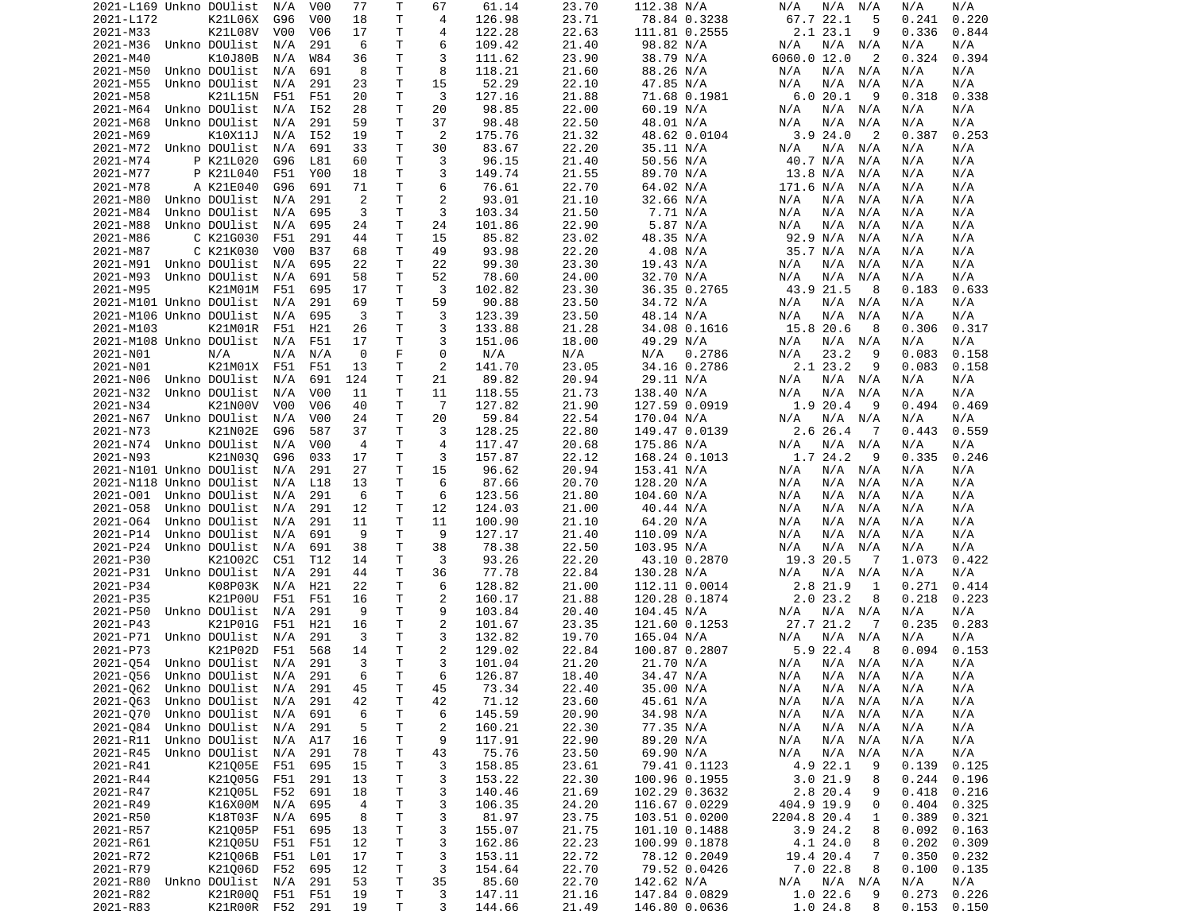| 2021-L169 Unkno DOUlist        |               |                                | N/A              | V00              | 77             | Т           | 67             | 61.14            | 23.70          | 112.38 N/A                     | N/A<br>N/A N/A                 | N/A<br>N/A                       |  |
|--------------------------------|---------------|--------------------------------|------------------|------------------|----------------|-------------|----------------|------------------|----------------|--------------------------------|--------------------------------|----------------------------------|--|
| 2021-L172                      |               | K21L06X                        | G96              | V <sub>0</sub> 0 | 18             | т           | 4              | 126.98           | 23.71          | 78.84 0.3238                   | 67.7 22.1<br>5                 | 0.241<br>0.220                   |  |
| 2021-M33                       |               | K21L08V                        | V00              | V06              | 17             | т           | 4              | 122.28           | 22.63          | 111.81 0.2555                  | 2.1 23.1<br>9                  | 0.336<br>0.844                   |  |
| 2021-M36                       |               | Unkno DOUlist                  | N/A              | 291              | 6              | T.          | 6              | 109.42           | 21.40          | 98.82 N/A                      | N/A<br>$N/A$ $N/A$             | N/A<br>N/A                       |  |
| 2021-M40                       |               | K10J80B                        | N/A              | W84              | 36             | Τ           | 3              | 111.62           | 23.90          | 38.79 N/A                      | 6060.0 12.0<br>2               | 0.324<br>0.394                   |  |
| 2021-M50                       |               | Unkno DOUlist                  | N/A              | 691              | 8              | T           | 8              | 118.21           | 21.60          | 88.26 N/A                      | N/A<br>N/A<br>N/A              | N/A<br>N/A                       |  |
| 2021-M55                       |               | Unkno DOUlist                  | N/A              | 291              | 23             | Τ           | 15             | 52.29            | 22.10          | 47.85 N/A                      | N/A<br>N/A<br>N/A              | N/A<br>N/A                       |  |
| 2021-M58                       |               | K21L15N                        | F51              | F51              | 20             | Τ           | 3              | 127.16           | 21.88          | 71.68 0.1981                   | 6.0 20.1<br>9                  | 0.318<br>0.338                   |  |
| 2021-M64                       |               | Unkno DOUlist                  | N/A              | I52              | 28             | т           | 20             | 98.85            | 22.00          | 60.19 N/A                      | N/A<br>N/A<br>N/A              | N/A<br>N/A                       |  |
| 2021-M68                       |               | Unkno DOUlist                  | N/A              | 291              | 59             | т           | 37             | 98.48            | 22.50          | 48.01 N/A                      | N/A<br>N/A<br>N/A              | N/A<br>N/A                       |  |
| 2021-M69                       |               | K10X11J                        | N/A              | I52              | 19             | т           | 2              | 175.76           | 21.32          | 48.62 0.0104                   | 3.924.0<br>$\overline{2}$      | 0.387<br>0.253                   |  |
| 2021-M72                       |               | Unkno DOUlist                  | N/A              | 691              | 33             | т           | 30             | 83.67            | 22.20          | 35.11 N/A                      | N/A<br>N/A<br>N/A              | N/A<br>N/A                       |  |
|                                |               | P K21L020                      |                  |                  |                | Τ           |                |                  |                |                                |                                |                                  |  |
| 2021-M74                       |               |                                | G96              | L81              | 60             |             | 3              | 96.15            | 21.40          | 50.56 N/A                      | 40.7 N/A<br>N/A                | N/A<br>N/A                       |  |
| 2021-M77                       |               | P K21L040                      | F51              | Y00              | 18             | т           | 3              | 149.74           | 21.55          | 89.70 N/A                      | 13.8 N/A<br>N/A                | N/A<br>N/A                       |  |
| 2021-M78                       |               | A K21E040                      | G96              | 691              | 71             | т           | 6              | 76.61            | 22.70          | 64.02 N/A                      | 171.6 N/A<br>N/A               | N/A<br>N/A                       |  |
| 2021-M80                       |               | Unkno DOUlist                  | N/A              | 291              | 2              | Τ           | $\overline{2}$ | 93.01            | 21.10          | 32.66 N/A                      | N/A<br>N/A<br>N/A              | N/A<br>N/A                       |  |
| 2021-M84                       |               | Unkno DOUlist                  | N/A              | 695              | 3              | т           | 3              | 103.34           | 21.50          | 7.71 N/A                       | N/A<br>N/A<br>N/A              | N/A<br>N/A                       |  |
| 2021-M88                       |               | Unkno DOUlist                  | N/A              | 695              | 24             | Τ           | 24             | 101.86           | 22.90          | 5.87 N/A                       | N/A<br>N/A<br>N/A              | N/A<br>N/A                       |  |
| 2021-M86                       |               | C K21G030                      | F51              | 291              | 44             | т           | 15             | 85.82            | 23.02          | 48.35 N/A                      | 92.9 N/A<br>N/A                | N/A<br>N/A                       |  |
| 2021-M87                       |               | C K21K030                      | V00              | B37              | 68             | T           | 49             | 93.98            | 22.20          | 4.08 N/A                       | 35.7 N/A<br>N/A                | N/A<br>N/A                       |  |
| 2021-M91                       |               | Unkno DOUlist                  | N/A              | 695              | 22             | т           | 22             | 99.30            | 23.30          | 19.43 N/A                      | N/A<br>N/A<br>N/A              | N/A<br>N/A                       |  |
| 2021-M93                       |               | Unkno DOUlist                  | N/A              | 691              | 58             | T.          | 52             | 78.60            | 24.00          | 32.70 N/A                      | N/A<br>N/A<br>N/A              | N/A<br>N/A                       |  |
| 2021-M95                       |               | K21M01M                        | F51              | 695              | 17             | т           | 3              | 102.82           | 23.30          | 36.35 0.2765                   | 43.9 21.5<br>8                 | 0.183<br>0.633                   |  |
| 2021-M101 Unkno DOUlist        |               |                                | N/A              | 291              | 69             | Τ           | 59             | 90.88            | 23.50          | 34.72 N/A                      | N/A<br>N/A N/A                 | N/A<br>N/A                       |  |
| 2021-M106 Unkno DOUlist        |               |                                | N/A              | 695              | 3              | T.          | 3              | 123.39           | 23.50          | 48.14 N/A                      | N/A<br>N/A<br>N/A              | N/A<br>N/A                       |  |
| 2021-M103                      |               | K21M01R                        | F51              | H21              | 26             | Τ           | 3              | 133.88           | 21.28          | 34.08 0.1616                   | 15.8 20.6<br>8                 | 0.306<br>0.317                   |  |
| 2021-M108 Unkno DOUlist        |               |                                | N/A              | F51              | 17             | Τ           | 3              | 151.06           | 18.00          | 49.29 N/A                      | N/A<br>N/A<br>N/A              | N/A<br>N/A                       |  |
| 2021-N01                       |               | N/A                            | N/A              | N/A              | 0              | F.          | 0              | N/A              | N/A            | N/A<br>0.2786                  | 23.2<br>9<br>N/A               | 0.083<br>0.158                   |  |
| 2021-N01                       |               | K21M01X F51                    |                  | F51              | 13             | т           | 2              | 141.70           | 23.05          | 34.16 0.2786                   | 2.1 23.2<br>9                  | 0.083<br>0.158                   |  |
| 2021-N06                       |               | Unkno DOUlist                  | N/A              | 691              | 124            | т           | 21             | 89.82            | 20.94          | 29.11 N/A                      | N/A N/A<br>N/A                 | N/A<br>N/A                       |  |
| 2021-N32                       |               | Unkno DOUlist                  | N/A              | V <sub>0</sub>   | 11             | т           | 11             | 118.55           | 21.73          | 138.40 N/A                     | N/A<br>N/A<br>N/A              | N/A<br>N/A                       |  |
| 2021-N34                       |               | K21N00V                        | V <sub>0</sub> 0 | V <sub>06</sub>  | 40             | T.          | $\overline{7}$ | 127.82           | 21.90          | 127.59 0.0919                  | 1.9 20.4<br>9                  | 0.494<br>0.469                   |  |
| 2021-N67                       |               | Unkno DOUlist                  | N/A              | V00              | 24             | Τ           | 20             | 59.84            | 22.54          | 170.04 N/A                     | N/A<br>N/A N/A                 | N/A<br>N/A                       |  |
| 2021-N73                       |               | K21N02E                        | G96              | 587              | 37             | T.          | 3              | 128.25           | 22.80          | 149.47 0.0139                  | 2.6 26.4<br>7                  | 0.559<br>0.443                   |  |
| 2021-N74                       |               |                                | N/A              | V <sub>0</sub> 0 | $\overline{4}$ | т           | 4              | 117.47           | 20.68          |                                | N/A<br>N/A N/A                 | N/A<br>N/A                       |  |
|                                |               | Unkno DOUlist                  |                  |                  |                |             | 3              |                  |                | 175.86 N/A                     |                                |                                  |  |
| 2021-N93                       |               | K21N030                        | G96              | 033              | 17             | т           |                | 157.87           | 22.12          | 168.24 0.1013                  | 1.7 24.2<br>9                  | 0.335<br>0.246                   |  |
| 2021-N101 Unkno DOUlist        |               |                                | N/A              | 291              | 27             | Τ           | 15             | 96.62            | 20.94          | 153.41 N/A                     | N/A N/A<br>N/A                 | N/A<br>N/A                       |  |
| 2021-N118 Unkno DOUlist        |               |                                | N/A              | L18              | 13             | т           | 6              | 87.66            | 20.70          | 128.20 N/A                     | N/A<br>N/A<br>N/A              | N/A<br>N/A                       |  |
| 2021-001                       |               | Unkno DOUlist                  | N/A              | 291              | 6              | Τ           | 6              | 123.56           | 21.80          | 104.60 N/A                     | N/A<br>N/A<br>N/A              | N/A<br>N/A                       |  |
| 2021-058                       |               | Unkno DOUlist                  | N/A              | 291              | 12             | т           | 12             | 124.03           | 21.00          | 40.44 N/A                      | N/A<br>N/A<br>N/A              | N/A<br>N/A                       |  |
| 2021-064                       |               | Unkno DOUlist                  | N/A              | 291              | 11             | Τ           | 11             | 100.90           | 21.10          | 64.20 N/A                      | N/A<br>N/A<br>N/A              | N/A<br>N/A                       |  |
| 2021-P14                       |               | Unkno DOUlist                  | N/A              | 691              | 9              | т           | 9              | 127.17           | 21.40          | 110.09 N/A                     | N/A<br>N/A<br>N/A              | N/A<br>N/A                       |  |
| 2021-P24                       |               | Unkno DOUlist                  | N/A              | 691              | 38             | т           | 38             | 78.38            | 22.50          | 103.95 N/A                     | N/A<br>N/A<br>N/A              | N/A<br>N/A                       |  |
| 2021-P30                       |               | K21002C                        | C51              | T12              | 14             | т           | 3              | 93.26            | 22.20          | 43.10 0.2870                   | 19.3 20.5<br>-7                | 1.073<br>0.422                   |  |
| 2021-P31                       |               | Unkno DOUlist                  | N/A              | 291              | 44             | Τ           | 36             | 77.78            | 22.84          | 130.28 N/A                     | N/A<br>N/A N/A                 | N/A<br>N/A                       |  |
| 2021-P34                       |               | K08P03K                        | N/A              | H21              | 22             | Τ           | 6              | 128.82           | 21.00          | 112.11 0.0014                  | 2.8 21.9<br>1                  | 0.271<br>0.414                   |  |
| 2021-P35                       |               | K21P00U                        | F51              | F51              | 16             | Τ           | 2              | 160.17           | 21.88          | 120.28 0.1874                  | 2.023.2<br>8                   | 0.218<br>0.223                   |  |
| 2021-P50                       |               | Unkno DOUlist                  | N/A              | 291              | 9              | Τ           | 9              | 103.84           | 20.40          | 104.45 N/A                     | N/A N/A<br>N/A                 | N/A<br>N/A                       |  |
| 2021-P43                       |               | K21P01G                        | F51              | H21              | 16             | Τ           | $\overline{c}$ | 101.67           | 23.35          | 121.60 0.1253                  | 27.7 21.2<br>-7                | 0.235<br>0.283                   |  |
| 2021-P71                       |               | Unkno DOUlist                  | N/A              | 291              | 3              | Τ           | 3              | 132.82           | 19.70          | 165.04 N/A                     | $N/A$ $N/A$<br>N/A             | N/A<br>N/A                       |  |
| 2021-P73                       |               | K21P02D                        | F51              | 568              | 14             | Τ           | $\overline{c}$ | 129.02           | 22.84          | 100.87 0.2807                  | 5.9 22.4<br>8                  | 0.094<br>0.153                   |  |
| 2021-054                       |               | Unkno DOUlist                  | N/A              | 291              | 3              | T.          | 3              | 101.04           | 21.20          | 21.70 N/A                      | N/A<br>N/A N/A                 | N/A<br>N/A                       |  |
| 2021-Q56 Unkno DOUlist N/A 291 |               |                                |                  |                  | - 6            | T.          | 6              | 126.87           | 18.40          | 34.47 N/A                      | N/A<br>N/A N/A                 | N/A<br>N/A                       |  |
| 2021-062 Unkno DOUlist N/A 291 |               |                                |                  |                  | 45             | т           | 45             | 73.34            | 22.40          | 35.00 N/A                      | N/A<br>$N/A$ $N/A$             | N/A<br>N/A                       |  |
| 2021-063                       |               | Unkno DOUlist N/A 291          |                  |                  | 42             | Τ           | 42             | 71.12            | 23.60          | 45.61 N/A                      | N/A<br>$N/A$ $N/A$             | N/A<br>N/A                       |  |
| 2021-070                       |               | Unkno DOUlist                  | N/A              | 691              | 6              | Τ           | 6              | 145.59           | 20.90          | 34.98 N/A                      | N/A<br>N/A N/A                 | N/A<br>N/A                       |  |
| 2021-084                       |               | Unkno DOUlist                  | N/A 291          |                  | 5              | т           | $\overline{c}$ | 160.21           | 22.30          | 77.35 N/A                      | $N/A$ $N/A$<br>N/A             | N/A<br>N/A                       |  |
| 2021-R11                       |               | Unkno DOUlist N/A              |                  | A17              | 16             | т           | 9              | 117.91           | 22.90          | 89.20 N/A                      | N/A<br>N/A<br>N/A              | N/A<br>N/A                       |  |
| 2021-R45                       |               | Unkno DOUlist N/A              |                  | 291              | 78             | Τ           | 43             | 75.76            | 23.50          | 69.90 N/A                      | $N/A$ $N/A$<br>N/A             | N/A<br>N/A                       |  |
| 2021-R41                       |               | K21005E F51                    |                  | 695              | 15             | Τ           | 3              | 158.85           | 23.61          | 79.41 0.1123                   | 4.9 22.1<br>- 9                | 0.139<br>0.125                   |  |
| 2021-R44                       |               | K21005G F51                    |                  | 291              | 13             | T           | 3              | 153.22           | 22.30          | 100.96 0.1955                  | 3.021.9<br>8                   | 0.244<br>0.196                   |  |
| 2021-R47                       |               | K21005L F52                    |                  | 691              | 18             | $\mathsf T$ | 3              | 140.46           | 21.69          | 102.29 0.3632                  | 2.8 20.4<br>9                  | 0.418<br>0.216                   |  |
| 2021-R49                       |               | K16X00M                        | N/A              | 695              | 4              | $\mathsf T$ | 3              | 106.35           | 24.20          | 116.67 0.0229                  | 404.9 19.9<br>0                | 0.404<br>0.325                   |  |
| 2021-R50                       |               | K18T03F                        | N/A              | 695              | 8              | T           | 3              | 81.97            | 23.75          | 103.51 0.0200                  | 2204.8 20.4<br>1               | 0.389<br>0.321                   |  |
|                                |               |                                |                  |                  |                | $\mathsf T$ |                |                  | 21.75          |                                | 8                              |                                  |  |
| 2021-R57                       |               | K21005P                        | F51              | 695              | 13             |             | 3              | 155.07           |                | 101.10 0.1488                  | 3.9 24.2                       | 0.092<br>0.163                   |  |
| 2021-R61                       |               | K21005U F51                    |                  | F51              | 12             | Τ           | 3              | 162.86           | 22.23          | 100.99 0.1878                  | 4.1 24.0<br>8                  | 0.202<br>0.309                   |  |
| 2021-R72                       |               | K21006B F51                    |                  | L01              | 17             | Τ           | 3              | 153.11           | 22.72          | 78.12 0.2049                   | 19.4 20.4<br>7                 | 0.350<br>0.232                   |  |
| 2021-R79                       |               | K21006D                        | F52              | 695              | 12             | T           | 3              | 154.64           | 22.70          | 79.52 0.0426                   | 7.0 22.8<br>8                  | 0.100<br>0.135<br>N/A<br>N/A     |  |
| 2021-R80                       |               |                                |                  |                  |                |             |                |                  |                |                                |                                |                                  |  |
|                                | Unkno DOUlist |                                | N/A              | 291              | 53             | T           | 35             | 85.60            | 22.70          | 142.62 N/A                     | N/A<br>$N/A$ $N/A$             |                                  |  |
| 2021-R82<br>2021-R83           |               | K21R000 F51<br>K21R00R F52 291 |                  | F51              | 19<br>19       | T<br>Τ      | 3<br>3         | 147.11<br>144.66 | 21.16<br>21.49 | 147.84 0.0829<br>146.80 0.0636 | 1.0 22.6<br>9<br>1.0 24.8<br>8 | 0.273<br>0.226<br>0.153<br>0.150 |  |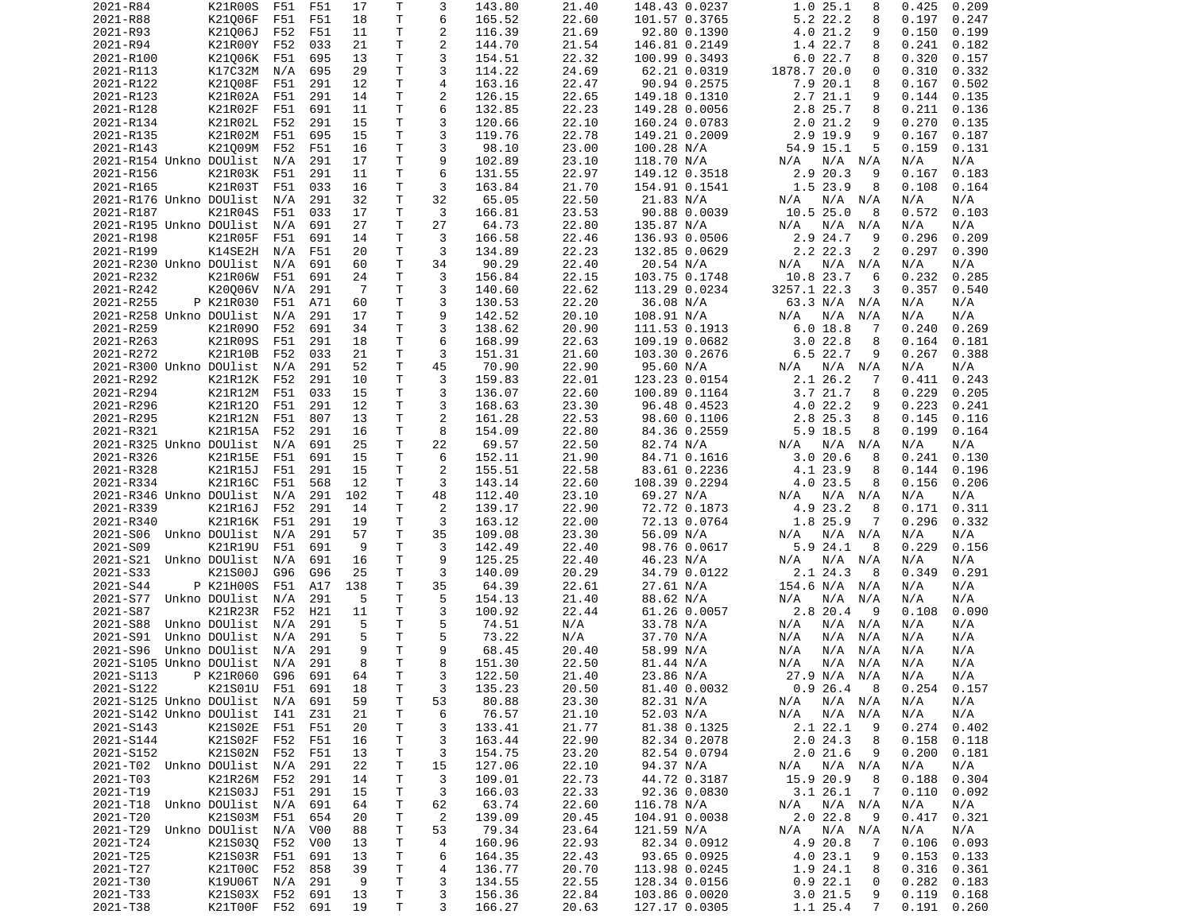| 2021-R84                    | K21R00S                    | F51 | F51              | 17       | Τ            | 3                       | 143.80           | 21.40          | 148.43 0.0237                  | 1.025.1<br>8                            | 0.425                    | 0.209 |
|-----------------------------|----------------------------|-----|------------------|----------|--------------|-------------------------|------------------|----------------|--------------------------------|-----------------------------------------|--------------------------|-------|
| 2021-R88                    | K21006F                    | F51 | F51              | 18       | T            | 6                       | 165.52           | 22.60          | 101.57 0.3765                  | 5.2 22.2<br>8                           | 0.197                    | 0.247 |
| 2021-R93                    | K21006J                    | F52 | F51              | 11       | т            | 2                       | 116.39           | 21.69          | 92.80 0.1390                   | 4.0 21.2<br>9                           | 0.150                    | 0.199 |
|                             |                            |     |                  |          | т            | $\mathbf{2}$            | 144.70           | 21.54          |                                | 1.4 22.7                                | 0.241                    |       |
| 2021-R94                    | K21R00Y                    | F52 | 033              | 21       |              |                         |                  |                | 146.81 0.2149                  | 8                                       |                          | 0.182 |
| 2021-R100                   | K21006K                    | F51 | 695              | 13       | Τ            | 3                       | 154.51           | 22.32          | 100.99 0.3493                  | 6.022.7<br>8                            | 0.320                    | 0.157 |
| 2021-R113                   | K17C32M                    | N/A | 695              | 29       | T            | 3                       | 114.22           | 24.69          | 62.21 0.0319                   | 1878.7 20.0<br>0                        | 0.310                    | 0.332 |
| 2021-R122                   | K21008F                    | F51 | 291              | 12       | Τ            | 4                       | 163.16           | 22.47          | 90.94 0.2575                   | 7.9 20.1<br>8                           | 0.167                    | 0.502 |
| 2021-R123                   | K21R02A                    | F51 | 291              | 14       | т            | $\overline{\mathbf{c}}$ | 126.15           | 22.65          | 149.18 0.1310                  | 2.7 21.1<br>9                           | 0.144                    | 0.135 |
| 2021-R128                   |                            |     |                  |          | T            | 6                       |                  |                |                                |                                         |                          |       |
|                             | K21R02F                    | F51 | 691              | 11       |              |                         | 132.85           | 22.23          | 149.28 0.0056                  | 2.8 25.7<br>8                           | 0.211                    | 0.136 |
| 2021-R134                   | K21R02L                    | F52 | 291              | 15       | т            | 3                       | 120.66           | 22.10          | 160.24 0.0783                  | 2.021.2<br>9                            | 0.270                    | 0.135 |
| 2021-R135                   | K21R02M                    | F51 | 695              | 15       | т            | 3                       | 119.76           | 22.78          | 149.21 0.2009                  | 2.9 19.9<br>9                           | 0.167                    | 0.187 |
| 2021-R143                   | K21009M                    | F52 | F51              | 16       | T            | 3                       | 98.10            | 23.00          | 100.28 N/A                     | 54.9 15.1<br>5                          | 0.159                    | 0.131 |
| 2021-R154 Unkno DOUlist     |                            | N/A | 291              | 17       | $\mathsf{T}$ | 9                       | 102.89           | 23.10          | 118.70 N/A                     | $N/A$ $N/A$<br>N/A                      | N/A                      | N/A   |
|                             |                            |     |                  |          |              |                         |                  |                |                                |                                         |                          |       |
| 2021-R156                   | K21R03K                    | F51 | 291              | 11       | Τ            | 6                       | 131.55           | 22.97          | 149.12 0.3518                  | 2.9 20.3<br>9                           | 0.167                    | 0.183 |
| 2021-R165                   | K21R03T                    | F51 | 033              | 16       | T            | 3                       | 163.84           | 21.70          | 154.91 0.1541                  | 1.5 23.9<br>8                           | 0.108                    | 0.164 |
| 2021-R176 Unkno DOUlist     |                            | N/A | 291              | 32       | T            | 32                      | 65.05            | 22.50          | 21.83 N/A                      | N/A<br>$N/A$ $N/A$                      | N/A                      | N/A   |
| 2021-R187                   | K21R04S                    | F51 | 033              | 17       | т            | 3                       | 166.81           | 23.53          | 90.88 0.0039                   | 10.525.0<br>8                           | 0.572                    | 0.103 |
| 2021-R195 Unkno DOUlist     |                            | N/A | 691              | 27       | T            | 27                      | 64.73            | 22.80          | 135.87 N/A                     | N/A<br>N/A<br>N/A                       | N/A                      | N/A   |
|                             |                            |     |                  |          |              |                         |                  |                |                                |                                         |                          |       |
| 2021-R198                   | K21R05F                    | F51 | 691              | 14       | Τ            | 3                       | 166.58           | 22.46          | 136.93 0.0506                  | 2.9 24.7<br>9                           | 0.296                    | 0.209 |
| 2021-R199                   | K14SE2H                    | N/A | F51              | 20       | Τ            | 3                       | 134.89           | 22.23          | 132.85 0.0629                  | 2.2 22.3<br>2                           | 0.297                    | 0.390 |
| 2021-R230 Unkno DOUlist     |                            | N/A | 691              | 60       | т            | 34                      | 90.29            | 22.40          | 20.54 N/A                      | $N/A$ $N/A$<br>N/A                      | N/A                      | N/A   |
| 2021-R232                   | K21R06W                    | F51 | 691              | 24       | т            | 3                       | 156.84           | 22.15          | 103.75 0.1748                  | 10.8 23.7<br>6                          | 0.232                    | 0.285 |
|                             |                            | N/A |                  | -7       | T            | 3                       |                  |                |                                | 3257.1 22.3<br>3                        | 0.357                    | 0.540 |
| 2021-R242                   | K20006V                    |     | 291              |          |              |                         | 140.60           | 22.62          | 113.29 0.0234                  |                                         |                          |       |
| 2021-R255                   | P K21R030                  | F51 | A71              | 60       | т            | 3                       | 130.53           | 22.20          | 36.08 N/A                      | 63.3 N/A N/A                            | N/A                      | N/A   |
| 2021-R258 Unkno DOUlist     |                            | N/A | 291              | 17       | T            | 9                       | 142.52           | 20.10          | 108.91 N/A                     | N/A<br>N/A<br>N/A                       | N/A                      | N/A   |
| 2021-R259                   | K21R090                    | F52 | 691              | 34       | $\mathsf{T}$ | 3                       | 138.62           | 20.90          | 111.53 0.1913                  | 6.018.8<br>7                            | 0.240                    | 0.269 |
| 2021-R263                   | K21R09S                    | F51 | 291              | 18       | T            | 6                       | 168.99           | 22.63          | 109.19 0.0682                  | 3.022.8<br>8                            | 0.164                    | 0.181 |
|                             | K21R10B                    |     |                  |          |              | 3                       |                  | 21.60          |                                | 6.5 22.7                                |                          |       |
| 2021-R272                   |                            | F52 | 033              | 21       | т            |                         | 151.31           |                | 103.30 0.2676                  | 9                                       | 0.267                    | 0.388 |
| 2021-R300 Unkno DOUlist     |                            | N/A | 291              | 52       | Τ            | 45                      | 70.90            | 22.90          | 95.60 N/A                      | N/A<br>N/A<br>N/A                       | N/A                      | N/A   |
| 2021-R292                   | K21R12K                    | F52 | 291              | 10       | т            | 3                       | 159.83           | 22.01          | 123.23 0.0154                  | 2.1 26.2<br>7                           | 0.411                    | 0.243 |
| 2021-R294                   | K21R12M                    | F51 | 033              | 15       | т            | 3                       | 136.07           | 22.60          | 100.89 0.1164                  | 3.7 21.7<br>8                           | 0.229                    | 0.205 |
| 2021-R296                   | K21R120                    | F51 | 291              | 12       | T            | 3                       | 168.63           | 23.30          | 96.48 0.4523                   | 4.0 22.2<br>9                           | 0.223                    | 0.241 |
|                             |                            |     |                  |          |              |                         |                  |                |                                |                                         |                          |       |
| 2021-R295                   | K21R12N                    | F51 | 807              | 13       | $\mathsf{T}$ | $\mathbf{2}$            | 161.28           | 22.53          | 98.60 0.1106                   | 2.8 25.3<br>8                           | 0.145                    | 0.116 |
| 2021-R321                   | K21R15A                    | F52 | 291              | 16       | Τ            | 8                       | 154.09           | 22.80          | 84.36 0.2559                   | 5.9 18.5<br>8                           | 0.199                    | 0.164 |
| 2021-R325 Unkno DOUlist     |                            | N/A | 691              | 25       | T            | 22                      | 69.57            | 22.50          | 82.74 N/A                      | $N/A$ $N/A$<br>N/A                      | N/A                      | N/A   |
| 2021-R326                   | K21R15E                    | F51 | 691              | 15       | $\mathsf{T}$ | 6                       | 152.11           | 21.90          | 84.71 0.1616                   | 3.0 20.6<br>8                           | 0.241                    | 0.130 |
| 2021-R328                   | K21R15J                    | F51 | 291              | 15       | T            | 2                       | 155.51           | 22.58          | 83.61 0.2236                   | 4.1 23.9<br>8                           | 0.144                    | 0.196 |
|                             |                            |     |                  |          |              |                         |                  |                |                                |                                         |                          |       |
| 2021-R334                   | K21R16C                    | F51 | 568              | 12       | т            | 3                       | 143.14           | 22.60          | 108.39 0.2294                  | 4.0 23.5<br>8                           | 0.156                    | 0.206 |
| 2021-R346 Unkno DOUlist     |                            | N/A | 291              | 102      | Τ            | 48                      | 112.40           | 23.10          | 69.27 N/A                      | N/A<br>$N/A$ $N/A$                      | N/A                      | N/A   |
| 2021-R339                   | K21R16J                    | F52 | 291              | 14       | т            | 2                       | 139.17           | 22.90          | 72.72 0.1873                   | 4.9 23.2<br>8                           | 0.171                    | 0.311 |
| 2021-R340                   | K21R16K                    | F51 | 291              | 19       | т            | 3                       | 163.12           | 22.00          | 72.13 0.0764                   | 1.8 25.9<br>7                           | 0.296                    | 0.332 |
| 2021-S06 Unkno DOUlist      |                            | N/A | 291              | 57       | т            | 35                      | 109.08           | 23.30          | 56.09 N/A                      | $N/A$ $N/A$<br>N/A                      | N/A                      | N/A   |
|                             |                            |     |                  |          |              |                         |                  |                |                                |                                         |                          |       |
| 2021-S09                    | K21R19U                    | F51 | 691              | 9        | T            | 3                       | 142.49           | 22.40          | 98.76 0.0617                   | 5.9 24.1<br>8                           | 0.229                    | 0.156 |
| 2021-S21                    | Unkno DOUlist              | N/A | 691              | 16       | T            | 9                       | 125.25           | 22.40          | 46.23 N/A                      | N/A<br>N/A<br>N/A                       | N/A                      | N/A   |
| 2021-S33                    | K21S00J                    | G96 | G96              | 25       | т            | 3                       | 140.09           | 20.29          | 34.79 0.0122                   | 2.1 24.3<br>8                           | 0.349                    | 0.291 |
| 2021-S44                    | P K21H00S                  | F51 | A17              | 138      | T            | 35                      | 64.39            | 22.61          | 27.61 N/A                      | 154.6 N/A N/A                           | N/A                      | N/A   |
| 2021-S77                    | Unkno DOUlist              | N/A | 291              | 5        | T            | 5                       | 154.13           | 21.40          | 88.62 N/A                      | N/A<br>N/A<br>N/A                       | N/A                      | N/A   |
|                             |                            |     |                  |          |              |                         |                  |                |                                |                                         |                          |       |
| 2021-S87                    | K21R23R                    | F52 | H21              | 11       | T            | 3                       | 100.92           | 22.44          | 61.26 0.0057                   | 2.8 20.4<br>- 9                         | 0.108                    | 0.090 |
| 2021-S88                    | Unkno DOUlist              | N/A | 291              | 5        | T            | 5                       | 74.51            | N/A            | 33.78 N/A                      | N/A<br>$N/A$ $N/A$                      | N/A                      | N/A   |
| 2021-S91                    | Unkno DOUlist              | N/A | 291              | 5        | Τ            | 5                       | 73.22            | N/A            | 37.70 N/A                      | N/A<br>N/A<br>N/A                       | N/A                      | N/A   |
| 2021-S96                    | Unkno DOUlist              | N/A | 291              | 9        | т            | 9                       | 68.45            | 20.40          | 58.99 N/A                      | N/A<br>N/A<br>N/A                       | N/A                      | N/A   |
| 2021-S105 Unkno DOUlist     |                            | N/A | 291              | 8        | T.           | 8                       | 151.30           | 22.50          |                                | N/A<br>N/A<br>N/A                       | N/A                      | N/A   |
|                             |                            |     |                  |          |              |                         |                  |                | 81.44 N/A                      |                                         |                          |       |
| 2021-S113                   | P K21R060 G96              |     | 691              | 64       | T.           | 3                       | 122.50           | 21.40          | 23.86 N/A                      | 27.9 N/A N/A                            | N/A                      | N/A   |
| 2021-S122                   | K21S01U F51 691            |     |                  | 18       | Τ            | 3                       | 135.23           | 20.50          | 81.40 0.0032                   | 0.926.48                                | 0.254                    | 0.157 |
| 2021-S125 Unkno DOUlist     |                            | N/A | 691              | 59       | Τ            | 53                      | 80.88            | 23.30          | 82.31 N/A                      | N/A N/A<br>N/A                          | N/A                      | N/A   |
| 2021-S142 Unkno DOUlist I41 |                            |     | Z31              | 21       | Τ            | 6                       | 76.57            | 21.10          | 52.03 N/A                      | N/A<br>N/A N/A                          | N/A                      | N/A   |
| 2021-S143                   |                            |     |                  |          |              |                         |                  |                |                                |                                         |                          |       |
|                             | K21S02E                    | F51 | F51              | 20       | Τ            | 3                       | 133.41           | 21.77          | 81.38 0.1325                   | 2.1 22.1<br>9                           | 0.274                    | 0.402 |
| 2021-S144                   | K21S02F                    | F52 | F51              | 16       | Τ            | 3                       | 163.44           | 22.90          | 82.34 0.2078                   | 2.024.3<br>8                            | 0.158                    | 0.118 |
| 2021-S152                   | K21S02N F52                |     | F51              | 13       | Τ            | 3                       | 154.75           | 23.20          | 82.54 0.0794                   | 2.021.6<br>9                            | 0.200                    | 0.181 |
| 2021-T02 Unkno DOUlist N/A  |                            |     | 291              | 22       | Τ            | 15                      | 127.06           | 22.10          | 94.37 N/A                      | N/A N/A<br>N/A                          | N/A                      | N/A   |
| 2021-T03                    | K21R26M                    | F52 | 291              | 14       | Τ            | 3                       | 109.01           | 22.73          | 44.72 0.3187                   | 15.9 20.9<br>-8                         | 0.188                    | 0.304 |
|                             |                            |     |                  |          |              |                         |                  |                |                                |                                         |                          |       |
| 2021-T19                    | K21S03J                    | F51 | 291              | 15       | Τ            | 3                       | 166.03           | 22.33          | 92.36 0.0830                   | 3.126.1<br>$\overline{7}$               | 0.110                    | 0.092 |
|                             |                            |     | 691              | 64       | Τ            | 62                      | 63.74            | 22.60          | 116.78 N/A                     | N/A<br>N/A N/A                          | N/A                      | N/A   |
| 2021-T18 Unkno DOUlist      |                            | N/A |                  |          |              | $\overline{c}$          | 139.09           | 20.45          | 104.91 0.0038                  | 2.0 22.8<br>9                           | 0.417                    | 0.321 |
|                             | K21S03M                    | F51 | 654              | 20       | т            |                         |                  |                |                                |                                         |                          |       |
| 2021-T20                    |                            |     |                  |          |              |                         |                  |                |                                |                                         |                          |       |
| 2021-T29 Unkno DOUlist N/A  |                            |     | V <sub>0</sub> 0 | 88       | Τ            | 53                      | 79.34            | 23.64          | 121.59 N/A                     | N/A<br>N/A N/A                          | N/A                      | N/A   |
| 2021-T24                    | K21S030                    | F52 | V <sub>0</sub> 0 | 13       | T            | 4                       | 160.96           | 22.93          | 82.34 0.0912                   | 4.9 20.8<br>7                           | 0.106                    | 0.093 |
| 2021-T25                    | K21S03R                    | F51 | 691              | 13       | T            | 6                       | 164.35           | 22.43          | 93.65 0.0925                   | 4.0 23.1<br>9                           | 0.153                    | 0.133 |
| 2021-T27                    | K21T00C                    | F52 | 858              | 39       | T            | 4                       | 136.77           | 20.70          | 113.98 0.0245                  | 1.9 24.1<br>8                           | 0.316                    | 0.361 |
|                             |                            |     |                  | 9        |              |                         |                  |                |                                | 0                                       |                          |       |
| 2021-T30                    | K19U06T N/A                |     | 291              |          | T            | 3                       | 134.55           | 22.55          | 128.34 0.0156                  | 0.922.1                                 | 0.282                    | 0.183 |
| 2021-T33<br>2021-T38        | K21S03X F52<br>K21T00F F52 |     | 691<br>691       | 13<br>19 | Τ<br>Τ       | 3<br>3                  | 156.36<br>166.27 | 22.84<br>20.63 | 103.86 0.0020<br>127.17 0.0305 | 3.021.5<br>9<br>1.1 25.4<br>$7^{\circ}$ | 0.119<br>$0.191$ $0.260$ | 0.168 |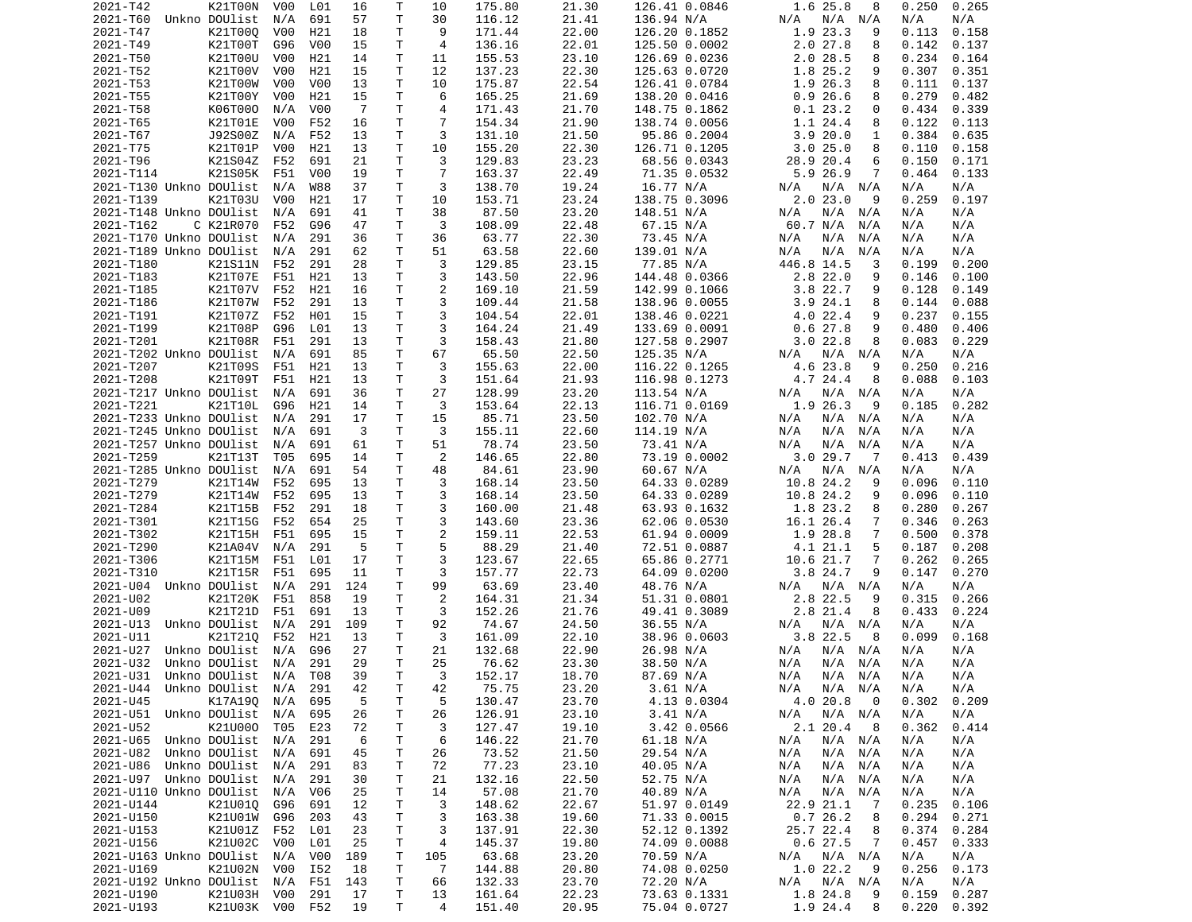| 2021-T42                       | K21T00N                    | V00              | L01              | 16             | Τ            | 10             | 175.80           | 21.30          | 126.41 0.0846 | 1.6 25.8<br>8                  | 0.250<br>0.265 |
|--------------------------------|----------------------------|------------------|------------------|----------------|--------------|----------------|------------------|----------------|---------------|--------------------------------|----------------|
| 2021-T60                       | Unkno DOUlist              | N/A              | 691              | 57             | Τ            | 30             | 116.12           | 21.41          | 136.94 N/A    | N/A N/A<br>N/A                 | N/A<br>N/A     |
| 2021-T47                       | K21T000                    | V <sub>0</sub> 0 | H21              | 18             | T.           | 9              | 171.44           | 22.00          | 126.20 0.1852 | 1.9 23.3<br>9                  | 0.113<br>0.158 |
| 2021-T49                       | K21T00T                    | G96              | V <sub>0</sub> 0 | 15             | т            | 4              | 136.16           | 22.01          | 125.50 0.0002 | 2.027.8<br>8                   | 0.142<br>0.137 |
| 2021-T50                       | K21T00U                    | V00              | H21              | 14             | т            | 11             | 155.53           | 23.10          | 126.69 0.0236 | 2.028.5<br>8                   | 0.234<br>0.164 |
| 2021-T52                       | K21T00V                    | V00              | H21              | 15             | Τ            | 12             | 137.23           | 22.30          | 125.63 0.0720 | 1.8 25.2<br>9                  | 0.307<br>0.351 |
| 2021-T53                       | K21T00W                    | V00              | V00              | 13             | Τ            | 10             | 175.87           | 22.54          | 126.41 0.0784 | 1.9 26.3<br>8                  | 0.111<br>0.137 |
| 2021-T55                       | K21T00Y                    | V00              | H21              | 15             | T.           | 6              | 165.25           | 21.69          | 138.20 0.0416 | 0.926.6<br>8                   | 0.279<br>0.482 |
| 2021-T58                       | K06T000                    | N/A              | V <sub>0</sub> 0 | $\overline{7}$ | Τ            | 4              | 171.43           | 21.70          | 148.75 0.1862 | 0.123.2<br>0                   | 0.434<br>0.339 |
| 2021-T65                       | K21T01E                    | V00              | F52              | 16             | Τ            | $\overline{7}$ | 154.34           | 21.90          | 138.74 0.0056 | 1.1 24.4<br>8                  | 0.122<br>0.113 |
| 2021-T67                       | J92S00Z                    | N/A              | F52              | 13             | T            | 3              | 131.10           | 21.50          | 95.86 0.2004  | 3.920.0<br>1                   | 0.384<br>0.635 |
| 2021-T75                       | K21T01P                    | V00              | H21              | 13             | T.           | 10             | 155.20           | 22.30          | 126.71 0.1205 | 3.025.0<br>8                   | 0.110<br>0.158 |
| 2021-T96                       | K21S04Z                    | F52              | 691              | 21             | Τ            | 3              | 129.83           | 23.23          | 68.56 0.0343  | 28.9 20.4<br>6                 | 0.150<br>0.171 |
| 2021-T114                      | K21S05K                    | F51              | V <sub>0</sub> 0 | 19             | Τ            | 7              | 163.37           | 22.49          | 71.35 0.0532  | 5.9 26.9<br>7                  | 0.464<br>0.133 |
| 2021-T130 Unkno DOUlist        |                            | N/A              | <b>W88</b>       | 37             | Τ            | 3              | 138.70           | 19.24          | 16.77 N/A     | $N/A$ $N/A$<br>N/A             | N/A<br>N/A     |
| 2021-T139                      | K21T03U                    | V <sub>0</sub> 0 | H21              | 17             | т            | 10             | 153.71           | 23.24          | 138.75 0.3096 | 2.023.0<br>9                   | 0.259<br>0.197 |
| 2021-T148 Unkno DOUlist        |                            | N/A              | 691              | 41             | т            | 38             | 87.50            | 23.20          | 148.51 N/A    | N/A N/A<br>N/A                 | N/A<br>N/A     |
| 2021-T162                      | C K21R070                  | F52              | G96              | 47             | T            | 3              | 108.09           | 22.48          | 67.15 N/A     | 60.7 N/A<br>N/A                | N/A<br>N/A     |
| 2021-T170 Unkno DOUlist        |                            | N/A              | 291              | 36             | Τ            | 36             | 63.77            | 22.30          | 73.45 N/A     | N/A<br>N/A<br>N/A              | N/A<br>N/A     |
| 2021-T189 Unkno DOUlist        |                            | N/A              | 291              | 62             | Τ            | 51             | 63.58            | 22.60          | 139.01 N/A    | N/A<br>N/A<br>N/A              | N/A<br>N/A     |
| 2021-T180                      | K21S11N                    | F52              | 291              | 28             | Τ            | 3              | 129.85           | 23.15          | 77.85 N/A     | 446.8 14.5<br>3                | 0.200<br>0.199 |
| 2021-T183                      | K21T07E                    | F51              | H21              | 13             | T            | 3              | 143.50           | 22.96          | 144.48 0.0366 | $2.8$ 22.0<br>9                | 0.146<br>0.100 |
| 2021-T185                      | K21T07V                    | F52              | H21              | 16             | T            | 2              | 169.10           | 21.59          | 142.99 0.1066 | 3.822.7<br>9                   | 0.128<br>0.149 |
| 2021-T186                      | K21T07W                    | F52              | 291              | 13             | T.           | 3              | 109.44           | 21.58          | 138.96 0.0055 | 3.924.1<br>8                   | 0.144<br>0.088 |
| 2021-T191                      | K21T07Z                    | F52              | H01              | 15             | T.           | 3              | 104.54           | 22.01          | 138.46 0.0221 | 4.022.4<br>9                   | 0.237<br>0.155 |
| 2021-T199                      | K21T08P                    | G96              | L01              | 13             | Τ            | 3              | 164.24           | 21.49          | 133.69 0.0091 | 0.627.8<br>9                   | 0.480<br>0.406 |
| 2021-T201                      | K21T08R                    | F51              | 291              | 13             | Τ            | 3              | 158.43           | 21.80          | 127.58 0.2907 | 3.022.8<br>8                   | 0.229<br>0.083 |
| 2021-T202 Unkno DOUlist        |                            | N/A              | 691              | 85             | T            | 67             | 65.50            | 22.50          | 125.35 N/A    | $N/A$ $N/A$<br>N/A             | N/A<br>N/A     |
| 2021-T207                      | K21T09S                    | F51              | H21              | 13             | т            | 3              | 155.63           | 22.00          |               | 4.6 23.8<br>9                  | 0.250<br>0.216 |
|                                | K21T09T                    |                  |                  |                | Τ            | 3              |                  |                | 116.22 0.1265 | 4.7 24.4                       |                |
| 2021-T208                      |                            | F51              | H21              | 13             |              |                | 151.64           | 21.93          | 116.98 0.1273 | 8                              | 0.088<br>0.103 |
| 2021-T217 Unkno DOUlist        |                            | N/A              | 691              | 36             | T            | 27             | 128.99           | 23.20          | 113.54 N/A    | $N/A$ $N/A$<br>N/A             | N/A<br>N/A     |
| 2021-T221                      | K21T10L                    | G96              | H21              | 14             | Τ            | 3              | 153.64           | 22.13          | 116.71 0.0169 | 1.9 26.3<br>9                  | 0.185<br>0.282 |
| 2021-T233 Unkno DOUlist        |                            | N/A              | 291              | 17             | Τ            | 15             | 85.71            | 23.50          | 102.70 N/A    | N/A<br>N/A N/A                 | N/A<br>N/A     |
| 2021-T245 Unkno DOUlist        |                            | N/A              | 691              | 3              | T.           | 3              | 155.11           | 22.60          | 114.19 N/A    | N/A<br>N/A<br>N/A              | N/A<br>N/A     |
| 2021-T257 Unkno DOUlist        |                            | N/A              | 691              | 61             | T            | 51             | 78.74            | 23.50          | 73.41 N/A     | N/A<br>N/A<br>N/A              | N/A<br>N/A     |
| 2021-T259                      | K21T13T                    | T05              | 695              | 14             | Τ            | 2              | 146.65           | 22.80          | 73.19 0.0002  | 3.029.7<br>$\overline{7}$      | 0.413<br>0.439 |
| 2021-T285 Unkno DOUlist        |                            | N/A              | 691              | 54             | Τ            | 48             | 84.61            | 23.90          | 60.67 N/A     | N/A N/A<br>N/A                 | N/A<br>N/A     |
| 2021-T279                      | K21T14W                    | F52              | 695              | 13             | Τ            | 3              | 168.14           | 23.50          | 64.33 0.0289  | 10.8 24.2<br>9                 | 0.096<br>0.110 |
| 2021-T279                      | K21T14W                    | F52              | 695              | 13             | Τ            | 3              | 168.14           | 23.50          | 64.33 0.0289  | 10.8 24.2<br>9                 | 0.096<br>0.110 |
| 2021-T284                      | K21T15B                    | F52              | 291              | 18             | Τ            | 3              | 160.00           | 21.48          | 63.93 0.1632  | 1.8 23.2<br>8                  | 0.280<br>0.267 |
| 2021-T301                      | K21T15G                    | F52              | 654              | 25             | T.           | 3              | 143.60           | 23.36          | 62.06 0.0530  | 16.1 26.4<br>7                 | 0.346<br>0.263 |
| 2021-T302                      | K21T15H                    | F51              | 695              | 15             | T            | $\overline{c}$ | 159.11           | 22.53          | 61.94 0.0009  | 1.9 28.8<br>7                  | 0.500<br>0.378 |
| 2021-T290                      | K21A04V                    | N/A              | 291              | 5              | Τ            | 5              | 88.29            | 21.40          | 72.51 0.0887  | 4.1 21.1<br>5                  | 0.187<br>0.208 |
| 2021-T306                      | K21T15M                    | F51              | L01              | 17             | T            | 3              | 123.67           | 22.65          | 65.86 0.2771  | 10.6 21.7<br>7                 | 0.262<br>0.265 |
| 2021-T310                      | K21T15R F51                |                  | 695              | 11             | Τ            | 3              | 157.77           | 22.73          | 64.09 0.0200  | 3.8 24.7<br>9                  | 0.147<br>0.270 |
| 2021-U04 Unkno DOUlist         |                            | N/A              | 291              | 124            | Τ            | 99             | 63.69            | 23.40          | 48.76 N/A     | N/A N/A<br>N/A                 | N/A<br>N/A     |
| 2021-U02                       | K21T20K                    | F51              | 858              | 19             | т            | 2              | 164.31           | 21.34          | 51.31 0.0801  | 2.8 22.5<br>9                  | 0.315<br>0.266 |
| 2021-U09                       | K21T21D                    | F51              | 691              | 13             | Τ            | 3              | 152.26           | 21.76          | 49.41 0.3089  | 2.8 21.4<br>8                  | 0.433<br>0.224 |
| 2021-U13                       | Unkno DOUlist              | N/A              | 291              | 109            | Τ            | 92             | 74.67            | 24.50          | 36.55 N/A     | N/A N/A<br>N/A                 | N/A<br>N/A     |
| 2021-U11                       | K21T210                    | F52              | H21              | 13             | т            | 3              | 161.09           | 22.10          | 38.96 0.0603  | $3.8$ 22.5<br>8                | 0.099<br>0.168 |
| 2021-U27                       | Unkno DOUlist              | N/A              | G96              | 27             | $\mathsf{T}$ | 21             | 132.68           | 22.90          | 26.98 N/A     | $N/A$ $N/A$<br>N/A             | N/A<br>N/A     |
| 2021-U32                       | Unkno DOUlist              | N/A              | 291              | 29             | T.           | 25             | 76.62            | 23.30          | 38.50 N/A     | N/A<br>N/A N/A                 | N/A<br>N/A     |
| 2021-U31 Unkno DOUlist N/A T08 |                            |                  |                  | 39             | $\mathsf{T}$ | 3              | 152.17           | 18.70          | 87.69 N/A     | N/A<br>N/A N/A                 | N/A<br>N/A     |
| 2021-U44 Unkno DOUlist N/A 291 |                            |                  |                  | 42             | т            | 42             | 75.75            | 23.20          | 3.61 N/A      | N/A N/A<br>N/A                 | N/A<br>N/A     |
| 2021-U45                       | K17A19Q                    | N/A              | 695              | 5              | Τ            | 5              | 130.47           | 23.70          | 4.13 0.0304   | 4.0 20.8<br>0                  | 0.302<br>0.209 |
| 2021-U51 Unkno DOUlist         |                            | N/A              | 695              | 26             | Τ            | 26             | 126.91           | 23.10          | 3.41 N/A      | N/A<br>$N/A$ $N/A$             | N/A<br>N/A     |
| 2021-U52                       | K21U000                    | T05              | E23              | 72             | т            | 3              | 127.47           | 19.10          | 3.42 0.0566   | 2.120.48                       | 0.362<br>0.414 |
| 2021-U65                       | Unkno DOUlist              | N/A              | 291              | 6              | Τ            | 6              | 146.22           | 21.70          | 61.18 N/A     | $N/A$ $N/A$<br>N/A             | N/A<br>N/A     |
| 2021-U82                       | Unkno DOUlist              | N/A              | 691              | 45             | т            | 26             | 73.52            | 21.50          | 29.54 N/A     | N/A<br>N/A N/A                 | N/A<br>N/A     |
| 2021-U86                       | Unkno DOUlist              | N/A              | 291              | 83             | Τ            | 72             | 77.23            | 23.10          | 40.05 N/A     | N/A<br>N/A N/A                 | N/A<br>N/A     |
| 2021-U97 Unkno DOUlist         |                            |                  | 291              |                |              |                |                  |                |               |                                |                |
|                                |                            | N/A              |                  | 30             | Τ            | 21             | 132.16           | 22.50          | 52.75 N/A     | $N/A$ $N/A$<br>N/A             | N/A<br>N/A     |
| 2021-U110 Unkno DOUlist        |                            | N/A              | V06              | 25             | Τ            | 14             | 57.08            | 21.70          | 40.89 N/A     | N/A<br>$N/A$ $N/A$             | N/A<br>N/A     |
| 2021-U144                      | K21U010                    | G96              | 691              | 12             | Τ            | 3              | 148.62           | 22.67          | 51.97 0.0149  | 22.9 21.1<br>- 7               | 0.235<br>0.106 |
| 2021-U150                      | K21U01W                    | G96              | 203              | 43             | Τ            | 3              | 163.38           | 19.60          | 71.33 0.0015  | 0.726.2<br>8                   | 0.294<br>0.271 |
| 2021-U153                      | K21U01Z                    | F52              | L01              | 23             | Τ            | 3              | 137.91           | 22.30          | 52.12 0.1392  | 25.7 22.4<br>8                 | 0.374<br>0.284 |
| 2021-U156                      | K21U02C                    | V00              | L01              | 25             | т            | 4              | 145.37           | 19.80          | 74.09 0.0088  | $0.6$ 27.5<br>7                | 0.457<br>0.333 |
| 2021-U163 Unkno DOUlist        |                            | N/A              | V00              | 189            | T            | 105            | 63.68            | 23.20          | 70.59 N/A     | N/A N/A<br>N/A                 | N/A<br>N/A     |
| 2021-U169                      | K21U02N                    | V00              | I52              | 18             | Т            | 7              | 144.88           | 20.80          | 74.08 0.0250  | 1.022.2<br>9                   | 0.256<br>0.173 |
| 2021-U192 Unkno DOUlist        |                            | N/A              | F51              | 143            | T.           | 66             | 132.33           | 23.70          | 72.20 N/A     | N/A<br>N/A N/A                 | N/A<br>N/A     |
|                                |                            |                  |                  |                |              |                |                  |                | 73.63 0.1331  |                                | 0.159<br>0.287 |
| 2021-U190<br>2021-U193         | K21U03H<br>K21U03K V00 F52 | V00              | 291              | 17<br>19       | T.<br>T      | 13<br>4        | 161.64<br>151.40 | 22.23<br>20.95 | 75.04 0.0727  | 1.8 24.8<br>9<br>1.9 24.4<br>8 | 0.220<br>0.392 |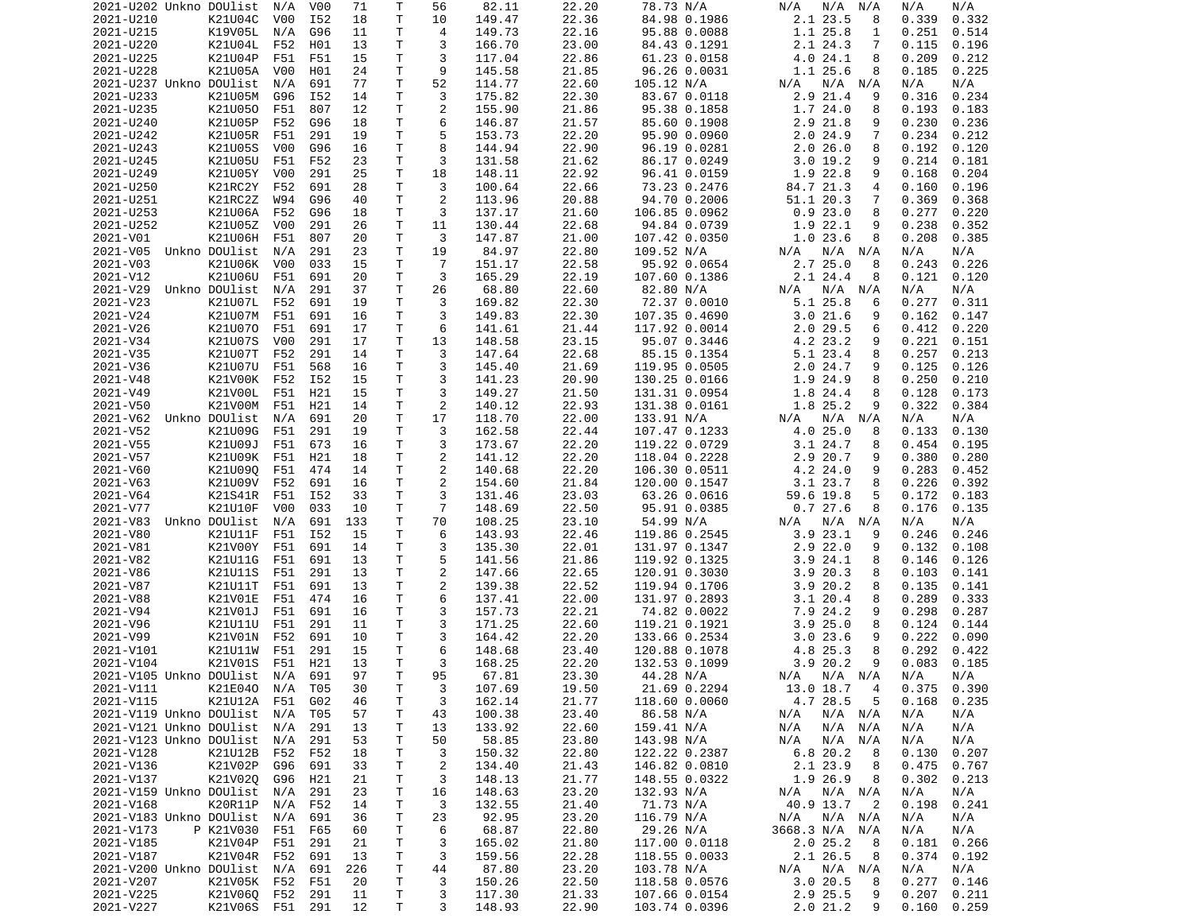|                             | 2021-U202 Unkno DOUlist        | N/A              | V00             | 71       | Т            | 56             | 82.11            | 22.20          | 78.73 N/A                      | N/A<br>N/A<br>N/A              | N/A<br>N/A                        |
|-----------------------------|--------------------------------|------------------|-----------------|----------|--------------|----------------|------------------|----------------|--------------------------------|--------------------------------|-----------------------------------|
| 2021-U210                   | K21U04C                        | V00              | I52             | 18       | Τ            | 10             | 149.47           | 22.36          | 84.98 0.1986                   | 2.1 23.5<br>8                  | 0.332<br>0.339                    |
| 2021-U215                   | K19V05L                        | N/A              | G96             | 11       | Τ            | 4              | 149.73           | 22.16          | 95.88 0.0088                   | 1.1 25.8<br>1                  | 0.251<br>0.514                    |
| 2021-U220                   | K21U04L                        | F52              | H01             | 13       | Τ            | 3              | 166.70           | 23.00          | 84.43 0.1291                   | 2.1 24.3<br>7                  | 0.115<br>0.196                    |
| 2021-U225                   | K21U04P                        | F51              | F51             | 15       | Τ            | 3              | 117.04           | 22.86          |                                | 8                              | 0.209<br>0.212                    |
|                             |                                |                  |                 |          |              |                |                  |                | 61.23 0.0158                   | 4.0 24.1                       |                                   |
| 2021-U228                   | K21U05A                        | V <sub>0</sub> 0 | H01             | 24       | Τ            | 9              | 145.58           | 21.85          | 96.26 0.0031                   | 1.1 25.6<br>8                  | 0.185<br>0.225                    |
| 2021-U237 Unkno DOUlist     |                                | N/A              | 691             | 77       | Τ            | 52             | 114.77           | 22.60          | 105.12 N/A                     | $N/A$ $N/A$<br>N/A             | N/A<br>N/A                        |
| 2021-U233                   | K21U05M                        | G96              | I52             | 14       | T.           | 3              | 175.82           | 22.30          | 83.67 0.0118                   | 2.9 21.4<br>9                  | 0.316<br>0.234                    |
| 2021-U235                   | K21U050                        | F51              | 807             | 12       | T.           | 2              | 155.90           | 21.86          | 95.38 0.1858                   | 1.724.0<br>8                   | 0.193<br>0.183                    |
| 2021-U240                   | K21U05P                        | F52              | G96             | 18       | Τ            | 6              | 146.87           | 21.57          | 85.60 0.1908                   | 2.9 21.8<br>9                  | 0.230<br>0.236                    |
| 2021-U242                   | K21U05R                        | F51              | 291             | 19       | T.           | 5              | 153.73           | 22.20          | 95.90 0.0960                   | 2.024.9<br>7                   | 0.234<br>0.212                    |
|                             |                                |                  |                 |          |              |                |                  |                |                                |                                |                                   |
| 2021-U243                   | K21U05S                        | V <sub>0</sub> 0 | G96             | 16       | T.           | 8              | 144.94           | 22.90          | 96.19 0.0281                   | 2.026.0<br>8                   | 0.192<br>0.120                    |
| 2021-U245                   | K21U05U                        | F51              | F52             | 23       | T.           | 3              | 131.58           | 21.62          | 86.17 0.0249                   | 3.019.2<br>9                   | 0.214<br>0.181                    |
| 2021-U249                   | K21U05Y                        | V00              | 291             | 25       | т            | 18             | 148.11           | 22.92          | 96.41 0.0159                   | 1.9 22.8<br>9                  | 0.168<br>0.204                    |
| 2021-U250                   | K21RC2Y                        | F52              | 691             | 28       | T.           | 3              | 100.64           | 22.66          | 73.23 0.2476                   | 84.7 21.3<br>4                 | 0.160<br>0.196                    |
| 2021-U251                   | K21RC2Z                        | W94              | G96             | 40       | T.           | 2              | 113.96           | 20.88          | 94.70 0.2006                   | 51.1 20.3<br>7                 | 0.369<br>0.368                    |
| 2021-U253                   | K21U06A                        | F52              | G96             | 18       | т            | 3              | 137.17           | 21.60          | 106.85 0.0962                  | 0.923.0<br>8                   | 0.277<br>0.220                    |
|                             | K21U05Z                        |                  |                 |          | T.           |                |                  |                |                                |                                |                                   |
| 2021-U252                   |                                | V00              | 291             | 26       |              | 11             | 130.44           | 22.68          | 94.84 0.0739                   | 1.9 22.1<br>9                  | 0.238<br>0.352                    |
| 2021-V01                    | K21U06H                        | F51              | 807             | 20       | Τ            | 3              | 147.87           | 21.00          | 107.42 0.0350                  | 1.023.6<br>8                   | 0.208<br>0.385                    |
| 2021-V05                    | Unkno DOUlist                  | N/A              | 291             | 23       | т            | 19             | 84.97            | 22.80          | 109.52 N/A                     | $N/A$ $N/A$<br>N/A             | N/A<br>N/A                        |
| 2021-V03                    | K21U06K                        | V00              | 033             | 15       | Τ            | $\overline{7}$ | 151.17           | 22.58          | 95.92 0.0654                   | 2.725.0<br>8                   | 0.243<br>0.226                    |
| 2021-V12                    | K21U06U                        | F51              | 691             | 20       | Τ            | 3              | 165.29           | 22.19          | 107.60 0.1386                  | 2.1 24.4<br>8                  | 0.121<br>0.120                    |
| 2021-V29                    | Unkno DOUlist                  | N/A              | 291             | 37       | T.           | 26             | 68.80            | 22.60          | 82.80 N/A                      | N/A<br>N/A<br>N/A              | N/A<br>N/A                        |
| 2021-V23                    | K21U07L                        | F52              | 691             | 19       | т            | 3              | 169.82           | 22.30          | 72.37 0.0010                   | 5.1 25.8<br>6                  | 0.277<br>0.311                    |
|                             |                                |                  |                 |          |              |                |                  |                |                                |                                |                                   |
| 2021-V24                    | K21U07M                        | F51              | 691             | 16       | T.           | 3              | 149.83           | 22.30          | 107.35 0.4690                  | 3.021.6<br>9                   | 0.162<br>0.147                    |
| 2021-V26                    | K21U070                        | F51              | 691             | 17       | Τ            | 6              | 141.61           | 21.44          | 117.92 0.0014                  | $2.0$ 29.5<br>6                | 0.412<br>0.220                    |
| 2021-V34                    | K21U07S                        | V <sub>0</sub> 0 | 291             | 17       | T            | 13             | 148.58           | 23.15          | 95.07 0.3446                   | 4.2 23.2<br>9                  | 0.221<br>0.151                    |
| 2021-V35                    | K21U07T                        | F52              | 291             | 14       | Τ            | 3              | 147.64           | 22.68          | 85.15 0.1354                   | 5.1 23.4<br>8                  | 0.257<br>0.213                    |
| 2021-V36                    | K21U07U                        | F51              | 568             | 16       | T            | 3              | 145.40           | 21.69          | 119.95 0.0505                  | 2.024.7<br>9                   | 0.125<br>0.126                    |
| 2021-V48                    | K21V00K                        | F52              | I52             | 15       | Τ            | 3              | 141.23           | 20.90          | 130.25 0.0166                  | 1.9 24.9<br>8                  | 0.250<br>0.210                    |
|                             |                                |                  |                 |          |              |                |                  |                |                                |                                |                                   |
| 2021-V49                    | K21V00L                        | F51              | H21             | 15       | Τ            | 3              | 149.27           | 21.50          | 131.31 0.0954                  | 1.8 24.4<br>8                  | 0.128<br>0.173                    |
| 2021-V50                    | K21V00M                        | F51              | H21             | 14       | T.           | 2              | 140.12           | 22.93          | 131.38 0.0161                  | 1.8 25.2<br>9                  | 0.322<br>0.384                    |
| 2021-V62                    | Unkno DOUlist                  | N/A              | 691             | 20       | Τ            | 17             | 118.70           | 22.00          | 133.91 N/A                     | $N/A$ $N/A$<br>N/A             | N/A<br>N/A                        |
| 2021-V52                    | K21U09G                        | F51              | 291             | 19       | т            | 3              | 162.58           | 22.44          | 107.47 0.1233                  | 4.0 25.0<br>8                  | 0.133<br>0.130                    |
| 2021-V55                    | K21U09J                        | F51              | 673             | 16       | T.           | 3              | 173.67           | 22.20          | 119.22 0.0729                  | 3.124.7<br>8                   | 0.454<br>0.195                    |
| 2021-V57                    | K21U09K                        | F51              | H21             | 18       | Τ            | 2              | 141.12           | 22.20          | 118.04 0.2228                  | 2.9 20.7<br>9                  | 0.380<br>0.280                    |
| 2021-V60                    | K21U090                        | F51              | 474             | 14       | T.           | 2              | 140.68           | 22.20          | 106.30 0.0511                  | 4.2 24.0<br>9                  | 0.283                             |
|                             |                                |                  |                 |          |              |                |                  |                |                                |                                | 0.452                             |
| 2021-V63                    | K21U09V                        | F52              | 691             | 16       | Τ            | 2              | 154.60           | 21.84          | 120.00 0.1547                  | 3.1 23.7<br>8                  | 0.226<br>0.392                    |
| 2021-V64                    | K21S41R                        | F51              | I52             | 33       | Τ            | 3              | 131.46           | 23.03          | 63.26 0.0616                   | 59.6 19.8<br>5                 | 0.172<br>0.183                    |
| 2021-V77                    | K21U10F                        | V <sub>0</sub> 0 | 033             | 10       | т            | $\overline{7}$ | 148.69           | 22.50          | 95.91 0.0385                   | 0.727.6<br>8                   | 0.176<br>0.135                    |
| 2021-V83                    |                                |                  |                 |          |              | 70             | 108.25           | 23.10          | 54.99 N/A                      | N/A N/A<br>N/A                 |                                   |
|                             |                                |                  |                 |          |              |                |                  |                |                                |                                |                                   |
|                             | Unkno DOUlist                  | N/A              | 691             | 133      | Τ            |                |                  |                |                                |                                | N/A<br>N/A                        |
| 2021-V80                    | K21U11F                        | F51              | I52             | 15       | T.           | 6              | 143.93           | 22.46          | 119.86 0.2545                  | $3.9$ 23.1<br>9                | 0.246<br>0.246                    |
| 2021-V81                    | K21V00Y                        | F51              | 691             | 14       | т            | 3              | 135.30           | 22.01          | 131.97 0.1347                  | $2.9$ 22.0<br>9                | 0.132<br>0.108                    |
| 2021-V82                    | K21U11G                        | F51              | 691             | 13       | Τ            | 5              | 141.56           | 21.86          | 119.92 0.1325                  | 3.9 24.1<br>8                  | 0.146<br>0.126                    |
| 2021-V86                    | K21U11S                        | F51              | 291             | 13       | Τ            | $\overline{c}$ | 147.66           | 22.65          | 120.91 0.3030                  | 3.920.3<br>8                   | 0.103<br>0.141                    |
| 2021-V87                    | K21U11T                        | F51              | 691             | 13       | T.           | 2              | 139.38           | 22.52          | 119.94 0.1706                  | 3.920.2<br>8                   | 0.135<br>0.141                    |
| 2021-V88                    | K21V01E                        | F51              | 474             | 16       | Τ            | 6              | 137.41           | 22.00          | 131.97 0.2893                  | 3.120.4<br>8                   | 0.289<br>0.333                    |
|                             |                                |                  |                 |          |              |                |                  |                |                                | 9                              |                                   |
| 2021-V94                    | K21V01J                        | F51              | 691             | 16       | T.           | 3              | 157.73           | 22.21          | 74.82 0.0022                   | 7.9 24.2                       | 0.298<br>0.287                    |
| 2021-V96                    | K21U11U                        | F51              | 291             | 11       | T.           | 3              | 171.25           | 22.60          | 119.21 0.1921                  | 3.925.0<br>8                   | 0.124<br>0.144                    |
| 2021-V99                    | K21V01N                        | F52              | 691             | 10       | Τ            | 3              | 164.42           | 22.20          | 133.66 0.2534                  | 3.023.6<br>9                   | 0.222<br>0.090                    |
| 2021-V101                   | K21U11W                        | F51              | 291             | 15       | T.           | 6              | 148.68           | 23.40          | 120.88 0.1078                  | 4.8 25.3<br>8                  | 0.292<br>0.422                    |
| 2021-V104                   | K21V01S                        | F51              | H21             | 13       | T.           | 3              | 168.25           | 22.20          | 132.53 0.1099                  | 3.920.2<br>9                   | 0.083<br>0.185                    |
| 2021-V105 Unkno DOUlist N/A |                                |                  | 691             | 97       | $\mathsf{T}$ | 95             | 67.81            | 23.30          | 44.28 N/A                      | N/A N/A N/A                    | N/A l<br>N/A                      |
|                             |                                |                  |                 |          |              |                |                  |                |                                |                                | $0.375$ $0.390$                   |
| 2021-V111                   | K21E040                        | N/A T05          |                 | 30       | Т            | 3              | 107.69           | 19.50          | 21.69 0.2294                   | $\overline{4}$<br>13.0 18.7    |                                   |
| 2021-V115                   | K21U12A F51                    |                  | G <sub>02</sub> | 46       | Τ            | 3              | 162.14           | 21.77          | 118.60 0.0060                  | 4.7 28.5<br>5                  | 0.168<br>0.235                    |
| 2021-V119 Unkno DOUlist     |                                | N/A              | T05             | 57       | Τ            | 43             | 100.38           | 23.40          | 86.58 N/A                      | N/A<br>N/A N/A                 | N/A<br>N/A                        |
| 2021-V121 Unkno DOUlist     |                                | N/A              | 291             | 13       | т            | 13             | 133.92           | 22.60          | 159.41 N/A                     | N/A<br>N/A<br>N/A              | N/A<br>N/A                        |
| 2021-V123 Unkno DOUlist     |                                | N/A              | 291             | 53       | т            | 50             | 58.85            | 23.80          | 143.98 N/A                     | N/A<br>N/A<br>N/A              | N/A<br>N/A                        |
| 2021-V128                   | K21U12B                        | F52              | F52             | 18       | т            | 3              | 150.32           | 22.80          | 122.22 0.2387                  | 6.820.2<br>8                   | 0.130<br>0.207                    |
| 2021-V136                   | K21V02P                        | G96              | 691             | 33       | Τ            | $\overline{c}$ | 134.40           | 21.43          | 146.82 0.0810                  | 2.1 23.9<br>8                  | 0.475<br>0.767                    |
|                             |                                |                  |                 |          |              |                |                  |                |                                |                                |                                   |
| 2021-V137                   | K21V020                        | G96              | H21             | 21       | Τ            | 3              | 148.13           | 21.77          | 148.55 0.0322                  | 1.9 26.9<br>8                  | 0.302<br>0.213                    |
| 2021-V159 Unkno DOUlist     |                                | N/A              | 291             | 23       | Τ            | 16             | 148.63           | 23.20          | 132.93 N/A                     | N/A N/A<br>N/A                 | N/A<br>N/A                        |
| 2021-V168                   | K20R11P                        | N/A              | F52             | 14       | т            | 3              | 132.55           | 21.40          | 71.73 N/A                      | 40.9 13.7<br>$\overline{2}$    | 0.198<br>0.241                    |
| 2021-V183 Unkno DOUlist     |                                | N/A              | 691             | 36       | т            | 23             | 92.95            | 23.20          | 116.79 N/A                     | N/A N/A<br>N/A                 | N/A<br>N/A                        |
| 2021-V173                   | P K21V030                      | F51              | F65             | 60       | Τ            | 6              | 68.87            | 22.80          | 29.26 N/A                      | 3668.3 N/A N/A                 | N/A<br>N/A                        |
| 2021-V185                   | K21V04P                        | F51              | 291             | 21       | Τ            | 3              | 165.02           | 21.80          | 117.00 0.0118                  | 2.025.2<br>-8                  | 0.181<br>0.266                    |
| 2021-V187                   | K21V04R F52                    |                  | 691             | 13       |              | 3              |                  | 22.28          |                                | 8                              |                                   |
|                             |                                |                  |                 |          | Τ            |                | 159.56           |                | 118.55 0.0033                  | 2.1 26.5                       | $0.374$ $0.192$                   |
| 2021-V200 Unkno DOUlist     |                                | N/A              | 691             | 226      | Τ            | 44             | 87.80            | 23.20          | 103.78 N/A                     | N/A N/A<br>N/A                 | N/A<br>N/A                        |
| 2021-V207                   | K21V05K F52                    |                  | F51             | 20       | Τ            | 3              | 150.26           | 22.50          | 118.58 0.0576                  | 3.0 20.5<br>8                  | $0.277$ $0.146$                   |
| 2021-V225<br>2021-V227      | K21V060 F52<br>K21V06S F51 291 |                  | 291             | 11<br>12 | Τ<br>Τ       | 3<br>3         | 117.30<br>148.93 | 21.33<br>22.90 | 107.66 0.0154<br>103.74 0.0396 | 2.9 25.5<br>9<br>2.0 21.2<br>9 | 0.207<br>0.211<br>$0.160$ $0.259$ |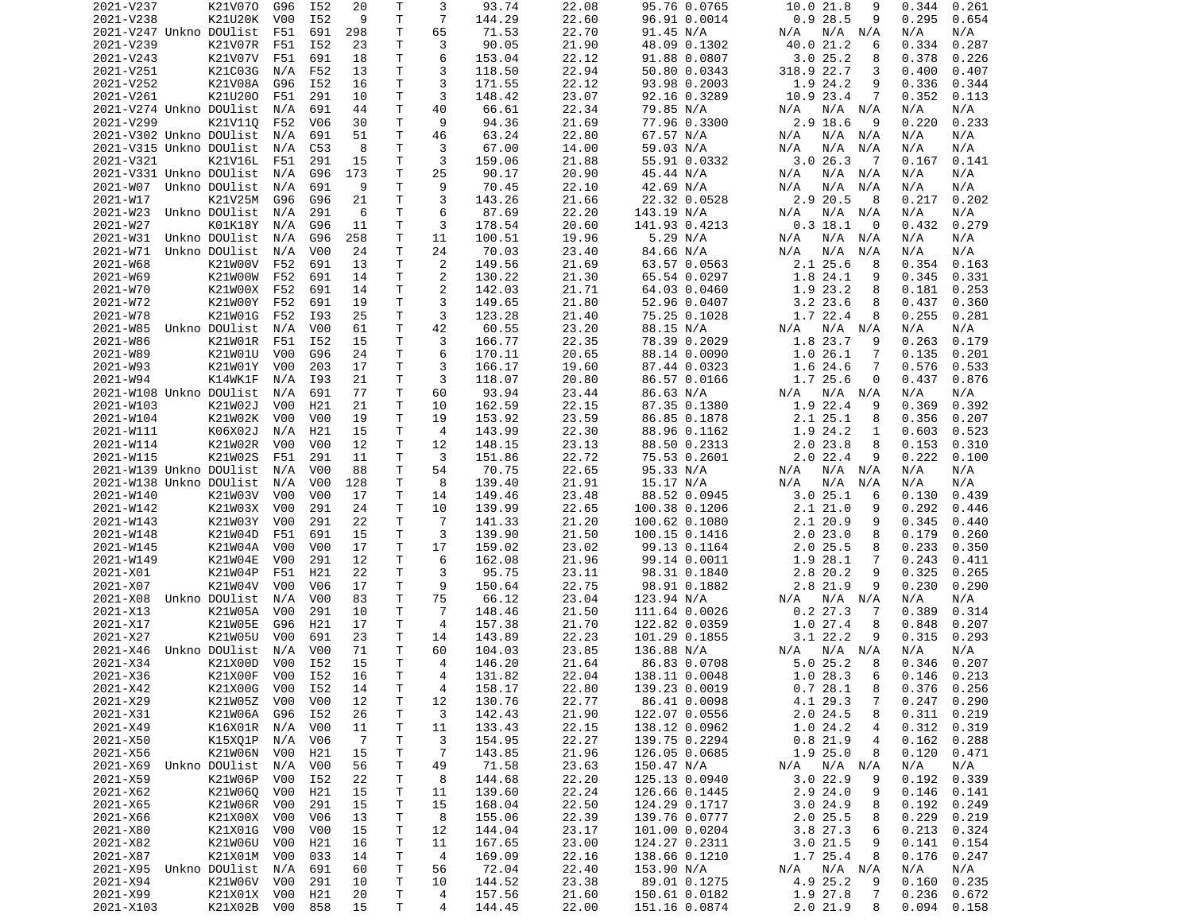| 2021-V237               | K21V070         | G96              | I52              | 20  | Τ            | 3              | 93.74  | 22.08 | 95.76 0.0765  | 10.0 21.8<br>9            | 0.344<br>0.261  |
|-------------------------|-----------------|------------------|------------------|-----|--------------|----------------|--------|-------|---------------|---------------------------|-----------------|
| 2021-V238               | K21U20K         | V00              | I52              | 9   | Τ            | $\overline{7}$ | 144.29 | 22.60 | 96.91 0.0014  | 0.928.5<br>9              | 0.295<br>0.654  |
| 2021-V247 Unkno DOUlist |                 | F51              | 691              | 298 | T.           | 65             | 71.53  | 22.70 | 91.45 N/A     | N/A N/A<br>N/A            | N/A<br>N/A      |
| 2021-V239               | K21V07R         | F51              | I52              | 23  | Τ            | 3              | 90.05  | 21.90 | 48.09 0.1302  | 40.0 21.2<br>6            | 0.334<br>0.287  |
| 2021-V243               | K21V07V         | F51              | 691              | 18  | т            | 6              | 153.04 | 22.12 | 91.88 0.0807  | 3.025.2<br>8              | 0.378<br>0.226  |
| 2021-V251               | K21C03G         | N/A              | F52              | 13  | T            | 3              | 118.50 | 22.94 | 50.80 0.0343  | 318.9 22.7<br>3           | 0.400<br>0.407  |
| 2021-V252               | K21V08A         | G96              | I52              | 16  | Τ            | 3              | 171.55 | 22.12 | 93.98 0.2003  | 1.9 24.2<br>9             | 0.336<br>0.344  |
| 2021-V261               | K21U200         | F51              | 291              | 10  | т            | 3              | 148.42 | 23.07 | 92.16 0.3289  | 10.9 23.4<br>7            | 0.352<br>0.113  |
| 2021-V274 Unkno DOUlist |                 | N/A              | 691              | 44  | Τ            | 40             | 66.61  | 22.34 | 79.85 N/A     | N/A N/A<br>N/A            | N/A<br>N/A      |
| 2021-V299               | K21V110         | F52              | V06              | 30  | Τ            | 9              | 94.36  | 21.69 | 77.96 0.3300  | 2.9 18.6<br>-9            | 0.220<br>0.233  |
| 2021-V302 Unkno DOUlist |                 | N/A              | 691              | 51  | Τ            | 46             | 63.24  | 22.80 | 67.57 N/A     | $N/A$ $N/A$<br>N/A        | N/A<br>N/A      |
| 2021-V315 Unkno DOUlist |                 | N/A              | C53              | 8   | T.           | 3              | 67.00  | 14.00 | 59.03 N/A     | N/A<br>N/A<br>N/A         | N/A<br>N/A      |
| 2021-V321               | K21V16L         | F51              | 291              | 15  | T            | 3              | 159.06 | 21.88 | 55.91 0.0332  | 3.026.3<br>$\overline{7}$ | 0.167<br>0.141  |
| 2021-V331 Unkno DOUlist |                 | N/A              | G96              | 173 | Τ            | 25             | 90.17  | 20.90 | 45.44 N/A     | N/A<br>N/A N/A            | N/A<br>N/A      |
| 2021-W07                | Unkno DOUlist   | N/A              | 691              | 9   | T.           | 9              | 70.45  | 22.10 | 42.69 N/A     | N/A<br>N/A<br>N/A         | N/A<br>N/A      |
| 2021-W17                | K21V25M         | G96              | G96              | 21  | Τ            | 3              | 143.26 | 21.66 | 22.32 0.0528  | 2.9 20.5<br>8             | 0.217<br>0.202  |
| 2021-W23                | Unkno DOUlist   | N/A              | 291              | 6   | Τ            | 6              | 87.69  | 22.20 | 143.19 N/A    | N/A N/A<br>N/A            | N/A<br>N/A      |
| 2021-W27                | K01K18Y         | N/A              | G96              | 11  | T            | 3              | 178.54 | 20.60 | 141.93 0.4213 | $0.3$ 18.1<br>$\Theta$    | 0.432<br>0.279  |
| 2021-W31                | Unkno DOUlist   | N/A              | G96              | 258 | Τ            | 11             | 100.51 | 19.96 | 5.29 N/A      | N/A<br>N/A N/A            | N/A<br>N/A      |
| 2021-W71                | Unkno DOUlist   | N/A              | V00              | 24  | Τ            | 24             | 70.03  | 23.40 | 84.66 N/A     | N/A<br>N/A<br>N/A         | N/A<br>N/A      |
| 2021-W68                | K21W00V         | F52              | 691              | 13  | T.           | $\overline{2}$ | 149.56 | 21.69 | 63.57 0.0563  | $2.1$ $25.6$<br>8         | 0.354<br>0.163  |
| 2021-W69                | K21W00W         | F52              | 691              | 14  | T.           | 2              | 130.22 | 21.30 | 65.54 0.0297  | 1.8 24.1<br>9             | 0.345<br>0.331  |
| 2021-W70                | K21W00X         | F52              | 691              | 14  | T            | 2              | 142.03 | 21.71 | 64.03 0.0460  | 1.9 23.2<br>8             | 0.181<br>0.253  |
| 2021-W72                | K21W00Y         | F52              | 691              | 19  | $\mathsf{T}$ | 3              | 149.65 | 21.80 | 52.96 0.0407  | $3.2$ 23.6<br>8           | 0.437<br>0.360  |
| 2021-W78                | K21W01G         | F52              | I93              | 25  | T.           | 3              | 123.28 | 21.40 | 75.25 0.1028  | 1.7 22.4<br>8             | 0.255<br>0.281  |
| 2021-W85                | Unkno DOUlist   | N/A              | V <sub>0</sub> 0 | 61  | T.           | 42             | 60.55  | 23.20 | 88.15 N/A     | N/A<br>N/A N/A            | N/A<br>N/A      |
| 2021-W86                | K21W01R         | F51              | I52              | 15  | T.           | 3              | 166.77 | 22.35 | 78.39 0.2029  | 1.8 23.7<br>9             | 0.263<br>0.179  |
| 2021-W89                | K21W01U         | V <sub>0</sub> 0 | G96              | 24  | т            | 6              | 170.11 | 20.65 | 88.14 0.0090  | 1.026.1<br>7              | 0.135<br>0.201  |
| 2021-W93                | K21W01Y         | V <sub>0</sub> 0 | 203              | 17  | т            | 3              | 166.17 | 19.60 | 87.44 0.0323  | 1.6 24.6<br>7             | 0.576<br>0.533  |
| 2021-W94                | K14WK1F         | N/A              | I93              | 21  | Τ            | 3              | 118.07 | 20.80 | 86.57 0.0166  | 1.7 25.6<br>0             | 0.437<br>0.876  |
| 2021-W108 Unkno DOUlist |                 | N/A              | 691              | 77  | Τ            | 60             | 93.94  | 23.44 | 86.63 N/A     | N/A N/A<br>N/A            | N/A<br>N/A      |
| 2021-W103               | K21W02J         | V <sub>0</sub> 0 | H21              | 21  | T.           | 10             | 162.59 | 22.15 | 87.35 0.1380  | 1.9 22.4<br>9             | 0.392<br>0.369  |
| 2021-W104               | K21W02K         | V00              | V <sub>0</sub> 0 | 19  | Τ            | 19             | 153.92 | 23.59 | 86.85 0.1878  | 2.125.1<br>8              | 0.356<br>0.207  |
| 2021-W111               | K06X02J         | N/A              | H21              | 15  | Τ            | $\overline{4}$ | 143.99 | 22.30 |               | 1.9 24.2<br>1             | 0.603<br>0.523  |
|                         |                 | V00              | V00              | 12  | Τ            | 12             |        |       | 88.96 0.1162  | 8                         |                 |
| 2021-W114               | K21W02R         |                  |                  |     |              | 3              | 148.15 | 23.13 | 88.50 0.2313  | 2.023.8                   | 0.153<br>0.310  |
| 2021-W115               | K21W02S         | F51              | 291              | 11  | т            |                | 151.86 | 22.72 | 75.53 0.2601  | $2.0$ 22.4<br>9           | 0.222<br>0.100  |
| 2021-W139 Unkno DOUlist |                 | N/A              | V00<br>V00       | 88  | Τ            | 54<br>8        | 70.75  | 22.65 | 95.33 N/A     | N/A N/A<br>N/A<br>N/A     | N/A<br>N/A      |
| 2021-W138 Unkno DOUlist |                 | N/A              |                  | 128 | т            |                | 139.40 | 21.91 | 15.17 N/A     | N/A<br>N/A                | N/A<br>N/A      |
| 2021-W140               | K21W03V         | V00              | V <sub>0</sub> 0 | 17  | T            | 14             | 149.46 | 23.48 | 88.52 0.0945  | 3.025.1<br>6              | 0.130<br>0.439  |
| 2021-W142               | K21W03X         | V00              | 291              | 24  | Τ            | 10             | 139.99 | 22.65 | 100.38 0.1206 | 2.121.0<br>9              | 0.292<br>0.446  |
| 2021-W143               | K21W03Y         | V <sub>0</sub> 0 | 291              | 22  | T.           | $\overline{7}$ | 141.33 | 21.20 | 100.62 0.1080 | 2.1 20.9<br>9             | 0.345<br>0.440  |
| 2021-W148               | K21W04D         | F51              | 691              | 15  | Τ            | 3              | 139.90 | 21.50 | 100.15 0.1416 | 2.023.0<br>8              | 0.179<br>0.260  |
| 2021-W145               | K21W04A         | V00              | V <sub>0</sub> 0 | 17  | Τ            | 17             | 159.02 | 23.02 | 99.13 0.1164  | $2.0$ 25.5<br>8           | 0.233<br>0.350  |
| 2021-W149               | K21W04E         | V00              | 291              | 12  | T.           | 6              | 162.08 | 21.96 | 99.14 0.0011  | 1.9 28.1<br>7             | 0.243<br>0.411  |
| 2021-X01                | K21W04P         | F51              | H21              | 22  | Τ            | 3              | 95.75  | 23.11 | 98.31 0.1840  | 2.8 20.2<br>9             | 0.325<br>0.265  |
| 2021-X07                | K21W04V         | V00              | V <sub>06</sub>  | 17  | Τ            | 9              | 150.64 | 22.75 | 98.91 0.1882  | 2.8 21.9<br>9             | 0.230<br>0.290  |
| 2021-X08                | Unkno DOUlist   | N/A              | V <sub>0</sub> 0 | 83  | Τ            | 75             | 66.12  | 23.04 | 123.94 N/A    | $N/A$ $N/A$<br>N/A        | N/A<br>N/A      |
| 2021-X13                | K21W05A         | V00              | 291              | 10  | Τ            | $\overline{7}$ | 148.46 | 21.50 | 111.64 0.0026 | $0.2$ 27.3<br>7           | 0.389<br>0.314  |
| 2021-X17                | K21W05E         | G96              | H21              | 17  | т            | 4              | 157.38 | 21.70 | 122.82 0.0359 | 1.0 27.4<br>8             | 0.848<br>0.207  |
| 2021-X27                | K21W05U         | V00              | 691              | 23  | т            | 14             | 143.89 | 22.23 | 101.29 0.1855 | 3.122.2<br>9              | 0.315<br>0.293  |
| 2021-X46                | Unkno DOUlist   | N/A              | V <sub>0</sub> 0 | 71  | T.           | 60             | 104.03 | 23.85 | 136.88 N/A    | N/A<br>N/A N/A            | N/A<br>N/A      |
| 2021-X34                | K21X00D         | V00              | I52              | 15  | T.           | 4              | 146.20 | 21.64 | 86.83 0.0708  | 5.0 25.2<br>8             | 0.346<br>0.207  |
| 2021-X36                | K21X00F V00     |                  | I52              | 16  | $\mathsf{T}$ | 4              | 131.82 | 22.04 | 138.11 0.0048 | 1.0 28.3<br>6             | $0.146$ $0.213$ |
| 2021-X42                | K21X00G         | V00              | I52              | 14  | T.           | 4              | 158.17 | 22.80 | 139.23 0.0019 | 0.728.1<br>8              | $0.376$ $0.256$ |
| 2021-X29                | K21W05Z         | V00              | V00              | 12  | T.           | 12             | 130.76 | 22.77 | 86.41 0.0098  | 4.1 29.3<br>7             | 0.247<br>0.290  |
| 2021-X31                | K21W06A         | G96              | I52              | 26  | T.           | 3              | 142.43 | 21.90 | 122.07 0.0556 | 2.024.5<br>8              | 0.311<br>0.219  |
| 2021-X49                | K16X01R         | N/A              | V00              | 11  | T.           | 11             | 133.43 | 22.15 | 138.12 0.0962 | 1.024.2<br>4              | 0.312<br>0.319  |
| 2021-X50                | K15XQ1P         | N/A              | V06              | -7  | Τ            | 3              | 154.95 | 22.27 | 139.75 0.2294 | 0.821.9<br>4              | 0.162<br>0.288  |
| 2021-X56                | K21W06N V00     |                  | H21              | 15  | т            | 7              | 143.85 | 21.96 | 126.05 0.0685 | 1.925.0<br>8              | 0.120<br>0.471  |
| 2021-X69                | Unkno DOUlist   | N/A              | V00              | 56  | Τ            | 49             | 71.58  | 23.63 | 150.47 N/A    | N/A<br>N/A N/A            | N/A<br>N/A      |
| 2021-X59                | K21W06P         | V00              | I52              | 22  | Τ            | 8              | 144.68 | 22.20 | 125.13 0.0940 | 3.022.9<br>9              | 0.192<br>0.339  |
| 2021-X62                | K21W060         | V00              | H21              | 15  | Τ            | 11             | 139.60 | 22.24 | 126.66 0.1445 | 2.924.0<br>9              | 0.146<br>0.141  |
| 2021-X65                | K21W06R         | V00              | 291              | 15  | Τ            | 15             | 168.04 | 22.50 | 124.29 0.1717 | 3.024.9<br>8              | 0.192<br>0.249  |
| 2021-X66                | K21X00X V00     |                  | V06              | 13  | Τ            | 8              | 155.06 | 22.39 | 139.76 0.0777 | $2.0$ 25.5<br>8           | 0.229<br>0.219  |
| 2021-X80                | K21X01G         | V00              | V <sub>0</sub> 0 | 15  | Τ            | 12             | 144.04 | 23.17 | 101.00 0.0204 | 3.8 27.3<br>6             | 0.213<br>0.324  |
| 2021-X82                | K21W06U V00     |                  | H21              | 16  | Τ            | 11             | 167.65 | 23.00 | 124.27 0.2311 | 3.021.5<br>9              | 0.141<br>0.154  |
| 2021-X87                | K21X01M V00     |                  | 033              | 14  | T            | 4              | 169.09 | 22.16 | 138.66 0.1210 | 1.7 25.4<br>8             | 0.176<br>0.247  |
| 2021-X95 Unkno DOUlist  |                 | N/A              | 691              | 60  | Τ            | 56             | 72.04  | 22.40 | 153.90 N/A    | N/A<br>N/A N/A            | N/A<br>N/A      |
| 2021-X94                | K21W06V         | V00              | 291              | 10  | T.           | 10             | 144.52 | 23.38 | 89.01 0.1275  | 4.9 25.2<br>9             | 0.160<br>0.235  |
| 2021-X99                | K21X01X         | V00              | H21              | 20  | T.           | 4              | 157.56 | 21.60 | 150.61 0.0182 | 1.9 27.8<br>7             | 0.236<br>0.672  |
| 2021-X103               | K21X02B V00 858 |                  |                  | 15  | T.           | 4              | 144.45 | 22.00 | 151.16 0.0874 | 2.021.9<br>8              | 0.094<br>0.158  |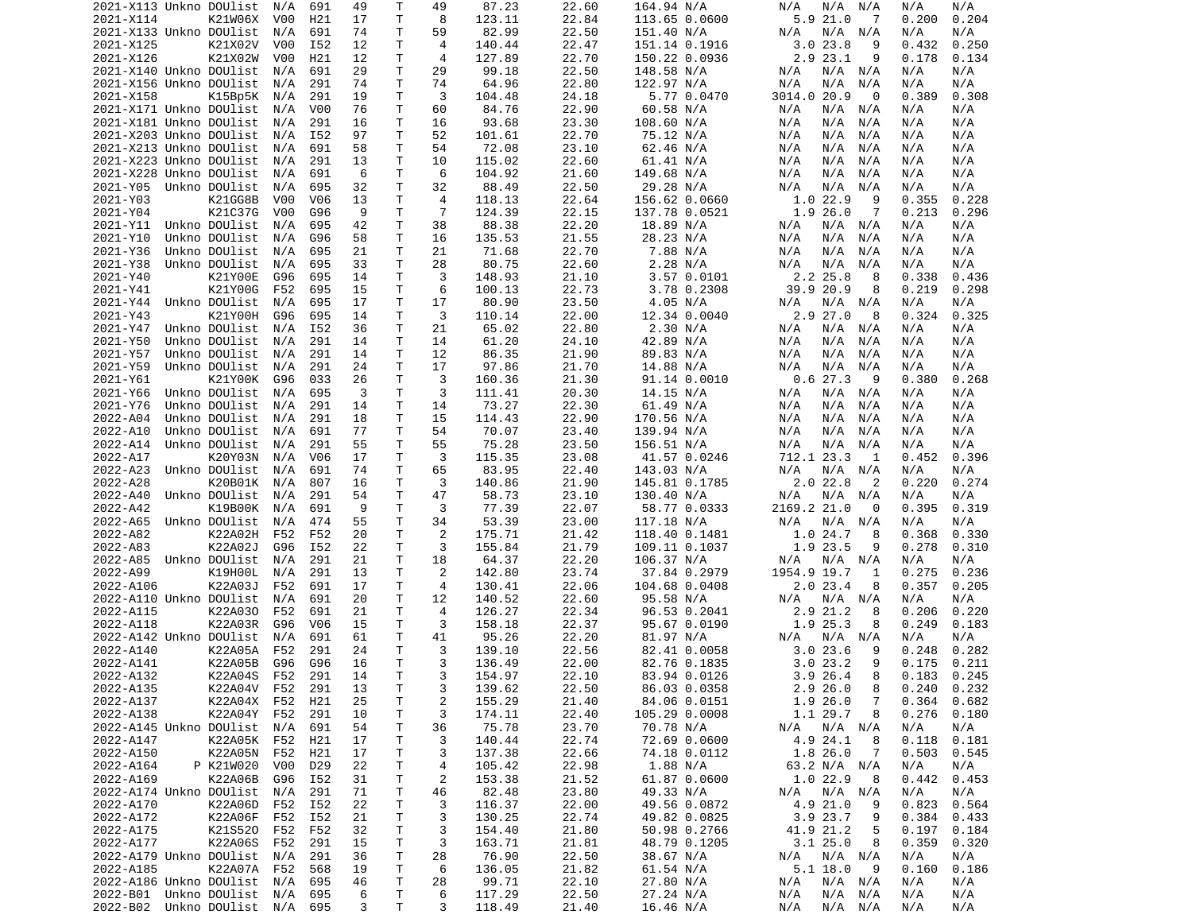|                             | 2021-X113 Unkno DOUlist | N/A              | 691              | 49 | Т       | 49             | 87.23            | 22.60 | 164.94 N/A    | N/A<br>N/A<br>N/A  | N/A<br>N/A          |
|-----------------------------|-------------------------|------------------|------------------|----|---------|----------------|------------------|-------|---------------|--------------------|---------------------|
| 2021-X114                   | K21W06X                 | V00              | H21              | 17 | T       | 8              | 123.11           | 22.84 | 113.65 0.0600 | 5.9 21.0<br>-7     | 0.204<br>0.200      |
| 2021-X133 Unkno DOUlist     |                         | N/A              | 691              | 74 | Τ       | 59             | 82.99            | 22.50 | 151.40 N/A    | N/A<br>N/A N/A     | N/A<br>N/A          |
|                             | K21X02V                 |                  |                  |    | Τ       | 4              |                  |       |               | 9                  |                     |
| 2021-X125                   |                         | V00              | I52              | 12 |         |                | 140.44           | 22.47 | 151.14 0.1916 | 23.8<br>3.0        | 0.432<br>0.250      |
| 2021-X126                   | K21X02W                 | V <sub>0</sub> 0 | H21              | 12 | Τ       | 4              | 127.89           | 22.70 | 150.22 0.0936 | $2.9$ $23.1$<br>9  | 0.178<br>0.134      |
| 2021-X140 Unkno DOUlist     |                         | N/A              | 691              | 29 | Τ       | 29             | 99.18            | 22.50 | 148.58 N/A    | N/A<br>N/A N/A     | N/A<br>N/A          |
| 2021-X156 Unkno DOUlist     |                         | N/A              | 291              | 74 | т       | 74             | 64.96            | 22.80 | 122.97 N/A    | N/A<br>N/A<br>N/A  | N/A<br>N/A          |
| 2021-X158                   | K15Bp5K                 | N/A              | 291              | 19 | Τ       | 3              | 104.48           | 24.18 | 5.77 0.0470   | 3014.0 20.9<br>0   | 0.389<br>0.308      |
| 2021-X171 Unkno DOUlist     |                         |                  |                  |    | T       |                |                  |       |               |                    |                     |
|                             |                         | N/A              | V <sub>0</sub> 0 | 76 |         | 60             | 84.76            | 22.90 | 60.58 N/A     | N/A<br>$N/A$ $N/A$ | N/A<br>N/A          |
| 2021-X181 Unkno DOUlist     |                         | N/A              | 291              | 16 | Τ       | 16             | 93.68            | 23.30 | 108.60 N/A    | N/A<br>N/A N/A     | N/A<br>N/A          |
| 2021-X203 Unkno DOUlist     |                         | N/A              | I52              | 97 | T       | 52             | 101.61           | 22.70 | 75.12 N/A     | N/A<br>N/A<br>N/A  | N/A<br>N/A          |
| 2021-X213 Unkno DOUlist     |                         | N/A              | 691              | 58 | T       | 54             | 72.08            | 23.10 | 62.46 N/A     | N/A<br>N/A<br>N/A  | N/A<br>N/A          |
| 2021-X223 Unkno DOUlist     |                         | N/A              | 291              | 13 | T.      | 10             | 115.02           | 22.60 | 61.41 N/A     | N/A<br>N/A<br>N/A  | N/A<br>N/A          |
|                             |                         |                  |                  |    |         |                |                  |       |               |                    |                     |
| 2021-X228 Unkno DOUlist     |                         | N/A              | 691              | 6  | т       | 6              | 104.92           | 21.60 | 149.68 N/A    | N/A<br>N/A<br>N/A  | N/A<br>N/A          |
| 2021-Y05                    | Unkno DOUlist           | N/A              | 695              | 32 | T       | 32             | 88.49            | 22.50 | 29.28 N/A     | N/A<br>N/A<br>N/A  | N/A<br>N/A          |
| 2021-Y03                    | K21GG8B                 | V <sub>0</sub> 0 | V <sub>06</sub>  | 13 | T.      | 4              | 118.13           | 22.64 | 156.62 0.0660 | 1.022.9<br>9       | 0.355<br>0.228      |
| 2021-Y04                    | K21C37G                 | V00              | G96              | 9  | Τ       | $\overline{7}$ | 124.39           | 22.15 | 137.78 0.0521 | 1.926.0<br>7       | 0.213<br>0.296      |
|                             | Unkno DOUlist           |                  |                  | 42 | T       | 38             |                  |       |               |                    |                     |
| 2021-Y11                    |                         | N/A              | 695              |    |         |                | 88.38            | 22.20 | 18.89 N/A     | N/A<br>N/A N/A     | N/A<br>N/A          |
| 2021-Y10                    | Unkno DOUlist           | N/A              | G96              | 58 | T       | 16             | 135.53           | 21.55 | 28.23 N/A     | N/A<br>N/A<br>N/A  | N/A<br>N/A          |
| 2021-Y36                    | Unkno DOUlist           | N/A              | 695              | 21 | т       | 21             | 71.68            | 22.70 | 7.88 N/A      | N/A<br>N/A<br>N/A  | N/A<br>N/A          |
| 2021-Y38                    | Unkno DOUlist           | N/A              | 695              | 33 | Τ       | 28             | 80.75            | 22.60 | 2.28 N/A      | N/A<br>N/A<br>N/A  | N/A<br>N/A          |
| 2021-Y40                    | K21Y00E                 | G96              | 695              | 14 | Τ       | 3              | 148.93           | 21.10 | 3.57 0.0101   | 2.2 25.8<br>8      | 0.338<br>0.436      |
|                             |                         |                  |                  |    |         |                |                  |       |               |                    |                     |
| 2021-Y41                    | K21Y00G                 | F52              | 695              | 15 | T       | 6              | 100.13           | 22.73 | 3.78 0.2308   | 39.9 20.9<br>8     | 0.219<br>0.298      |
| 2021-Y44                    | Unkno DOUlist           | N/A              | 695              | 17 | т       | 17             | 80.90            | 23.50 | 4.05 N/A      | N/A<br>N/A N/A     | N/A<br>N/A          |
| 2021-Y43                    | K21Y00H                 | G96              | 695              | 14 | T.      | 3              | 110.14           | 22.00 | 12.34 0.0040  | 2.9 27.0<br>8      | 0.324<br>0.325      |
| 2021-Y47                    | Unkno DOUlist           | N/A              | I52              | 36 | Τ       | 21             | 65.02            | 22.80 | 2.30 N/A      | N/A<br>N/A N/A     | N/A<br>N/A          |
|                             |                         |                  |                  |    |         |                |                  |       |               |                    |                     |
| 2021-Y50                    | Unkno DOUlist           | N/A              | 291              | 14 | Τ       | 14             | 61.20            | 24.10 | 42.89 N/A     | N/A<br>N/A<br>N/A  | N/A<br>N/A          |
| 2021-Y57                    | Unkno DOUlist           | N/A              | 291              | 14 | т       | 12             | 86.35            | 21.90 | 89.83 N/A     | N/A<br>N/A<br>N/A  | N/A<br>N/A          |
| 2021-Y59                    | Unkno DOUlist           | N/A              | 291              | 24 | Τ       | 17             | 97.86            | 21.70 | 14.88 N/A     | N/A<br>N/A<br>N/A  | N/A<br>N/A          |
| 2021-Y61                    | K21Y00K                 | G96              | 033              | 26 | Τ       | 3              | 160.36           | 21.30 | 91.14 0.0010  | 0.627.3<br>- 9     | 0.380<br>0.268      |
| 2021-Y66                    | Unkno DOUlist           | N/A              | 695              | 3  | Τ       | 3              | 111.41           | 20.30 | 14.15 N/A     | N/A N/A<br>N/A     | N/A<br>N/A          |
|                             |                         |                  |                  |    |         |                |                  |       |               |                    |                     |
| 2021-Y76                    | Unkno DOUlist           | N/A              | 291              | 14 | T       | 14             | 73.27            | 22.30 | 61.49 N/A     | N/A<br>N/A<br>N/A  | N/A<br>N/A          |
| 2022-A04                    | Unkno DOUlist           | N/A              | 291              | 18 | T       | 15             | 114.43           | 22.90 | 170.56 N/A    | N/A<br>N/A<br>N/A  | N/A<br>N/A          |
| 2022-A10                    | Unkno DOUlist           | N/A              | 691              | 77 | т       | 54             | 70.07            | 23.40 | 139.94 N/A    | N/A<br>N/A<br>N/A  | N/A<br>N/A          |
| 2022-A14                    | Unkno DOUlist           | N/A              | 291              | 55 | Τ       | 55             | 75.28            | 23.50 | 156.51 N/A    | N/A<br>N/A<br>N/A  | N/A<br>N/A          |
|                             |                         |                  | V06              | 17 |         | 3              |                  |       |               |                    |                     |
| 2022-A17                    | K20Y03N                 | N/A              |                  |    | т       |                | 115.35           | 23.08 | 41.57 0.0246  | 712.1 23.3<br>1    | 0.396<br>0.452      |
| 2022-A23                    | Unkno DOUlist           | N/A              | 691              | 74 | T.      | 65             | 83.95            | 22.40 | 143.03 N/A    | N/A<br>N/A N/A     | N/A<br>N/A          |
| 2022-A28                    | K20B01K                 | N/A              | 807              | 16 | т       | 3              | 140.86           | 21.90 | 145.81 0.1785 | $2.0$ 22.8<br>2    | 0.274<br>0.220      |
| 2022-A40                    | Unkno DOUlist           | N/A              | 291              | 54 | Τ       | 47             | 58.73            | 23.10 | 130.40 N/A    | N/A<br>N/A<br>N/A  | N/A<br>N/A          |
| 2022-A42                    | K19B00K                 | N/A              | 691              | 9  | т       | 3              | 77.39            | 22.07 | 58.77 0.0333  | 2169.2 21.0<br>0   | 0.395<br>0.319      |
|                             |                         |                  |                  |    |         |                |                  |       |               |                    |                     |
| 2022-A65                    | Unkno DOUlist           | N/A              | 474              | 55 | Τ       | 34             | 53.39            | 23.00 | 117.18 N/A    | N/A<br>N/A N/A     | N/A<br>N/A          |
| 2022-A82                    | K22A02H                 | F52              | F52              | 20 | Τ       | 2              | 175.71           | 21.42 | 118.40 0.1481 | 1.024.7<br>8       | 0.368<br>0.330      |
|                             |                         |                  |                  |    |         |                |                  |       |               |                    |                     |
| 2022-A83                    | K22A02J                 | G96              | I52              | 22 | Τ       | 3              | 155.84           | 21.79 | 109.11 0.1037 | 1.9 23.5<br>9      | 0.278<br>0.310      |
|                             |                         |                  |                  |    |         |                |                  |       |               |                    |                     |
| 2022-A85                    | Unkno DOUlist           | N/A              | 291              | 21 | T       | 18             | 64.37            | 22.20 | 106.37 N/A    | N/A<br>N/A N/A     | N/A<br>N/A          |
| 2022-A99                    | K19H00L                 | N/A              | 291              | 13 | Τ       | 2              | 142.80           | 23.74 | 37.84 0.2979  | 1954.9 19.7<br>1   | 0.275<br>0.236      |
| 2022-A106                   | K22A03J                 | F52              | 691              | 17 | Τ       | 4              | 130.41           | 22.06 | 104.68 0.0408 | 2.023.4<br>8       | 0.357<br>0.205      |
| 2022-A110 Unkno DOUlist     |                         | N/A              | 691              | 20 | Τ       | 12             | 140.52           | 22.60 | 95.58 N/A     | N/A N/A<br>N/A     | N/A<br>N/A          |
|                             |                         |                  |                  |    |         | 4              |                  |       |               | 8                  |                     |
| 2022-A115                   | K22A030                 | F52              | 691              | 21 | Τ       |                | 126.27           | 22.34 | 96.53 0.2041  | 2.9 21.2           | 0.206<br>0.220      |
| 2022-A118                   | K22A03R                 | G96              | V <sub>06</sub>  | 15 | Τ       | 3              | 158.18           | 22.37 | 95.67 0.0190  | 1.9 25.3<br>8      | 0.249<br>0.183      |
| 2022-A142 Unkno DOUlist     |                         | N/A              | 691              | 61 | T       | 41             | 95.26            | 22.20 | 81.97 N/A     | N/A N/A<br>N/A     | N/A<br>N/A          |
| 2022-A140                   | K22A05A                 | F52              | 291              | 24 | T.      | 3              | 139.10           | 22.56 | 82.41 0.0058  | 3.023.6<br>9       | 0.248<br>0.282      |
| 2022-A141                   | K22A05B                 | G96              | G96              | 16 | T.      | 3              | 136.49           | 22.00 | 82.76 0.1835  | 3.023.2<br>9       | 0.175<br>0.211      |
|                             |                         |                  | 291              |    | T.      | 3              |                  |       |               | 8                  | $0.183 \quad 0.245$ |
| 2022-A132                   | K22A04S                 | F52              |                  | 14 |         |                | 154.97           | 22.10 | 83.94 0.0126  | 3.9 26.4           |                     |
| 2022-A135                   | K22A04V F52             |                  | 291              | 13 | Τ       | 3              | 139.62           | 22.50 | 86.03 0.0358  | 2.926.0<br>8       | 0.240<br>0.232      |
| 2022-A137                   | K22A04X F52             |                  | H21              | 25 | T       | $\overline{c}$ | 155.29           | 21.40 | 84.06 0.0151  | 1.9 26.0<br>7      | 0.364<br>0.682      |
| 2022-A138                   | K22A04Y                 | F52              | 291              | 10 | T       | 3              | 174.11           | 22.40 | 105.29 0.0008 | 1.1 29.7<br>8      | 0.276<br>0.180      |
| 2022-A145 Unkno DOUlist     |                         | N/A              | 691              | 54 | т       | 36             | 75.78            | 23.70 | 70.78 N/A     | N/A                | N/A<br>N/A          |
|                             |                         |                  |                  |    |         |                |                  |       |               | N/A N/A            |                     |
| 2022-A147                   | K22A05K F52             |                  | H21              | 17 | T       | 3              | 140.44           | 22.74 | 72.69 0.0600  | 4.9 24.1<br>8      | 0.118<br>0.181      |
| 2022-A150                   | K22A05N                 | F52              | H21              | 17 | т       | 3              | 137.38           | 22.66 | 74.18 0.0112  | 1.8 26.0<br>7      | 0.503<br>0.545      |
| 2022-A164                   | P K21W020               | V00              | D <sub>29</sub>  | 22 | Τ       | 4              | 105.42           | 22.98 | 1.88 N/A      | 63.2 N/A N/A       | N/A<br>N/A          |
| 2022-A169                   | K22A06B                 | G96              | I52              | 31 | Τ       | $\overline{c}$ | 153.38           | 21.52 | 61.87 0.0600  | 1.0 22.9<br>8      | 0.442<br>0.453      |
| 2022-A174 Unkno DOUlist     |                         | N/A              | 291              | 71 | T.      |                | 82.48            | 23.80 | 49.33 N/A     | N/A                | N/A<br>N/A          |
|                             |                         |                  |                  |    |         | 46             |                  |       |               | N/A N/A            |                     |
| 2022-A170                   | K22A06D                 | F52              | I52              | 22 | T       | 3              | 116.37           | 22.00 | 49.56 0.0872  | 4.9 21.0<br>9      | 0.823<br>0.564      |
| 2022-A172                   | K22A06F                 | F52              | I52              | 21 | Τ       | 3              | 130.25           | 22.74 | 49.82 0.0825  | 3.9 23.7<br>9      | 0.384<br>0.433      |
| 2022-A175                   | K21S520                 | F52              | F52              | 32 | T       | 3              | 154.40           | 21.80 | 50.98 0.2766  | 41.9 21.2<br>5     | 0.197<br>0.184      |
| 2022-A177                   | K22A06S                 | F52              | 291              | 15 | T       | 3              | 163.71           | 21.81 | 48.79 0.1205  | 3.125.0<br>8       | 0.359<br>0.320      |
|                             |                         |                  |                  |    |         |                |                  |       |               |                    |                     |
| 2022-A179 Unkno DOUlist     |                         | N/A              | 291              | 36 | T       | 28             | 76.90            | 22.50 | 38.67 N/A     | $N/A$ $N/A$<br>N/A | N/A<br>N/A          |
| 2022-A185                   | K22A07A                 | F52              | 568              | 19 | T       | 6              | 136.05           | 21.82 | 61.54 N/A     | 5.1 18.0<br>- 9    | 0.160<br>0.186      |
| 2022-A186 Unkno DOUlist N/A |                         |                  | 695              | 46 | Τ       | 28             | 99.71            | 22.10 | 27.80 N/A     | N/A<br>$N/A$ $N/A$ | N/A<br>N/A          |
| 2022-B01 Unkno DOUlist N/A  |                         |                  | 695              | 6  | T.<br>Τ | 6<br>3         | 117.29<br>118.49 | 22.50 | 27.24 N/A     | N/A N/A<br>N/A     | N/A<br>N/A          |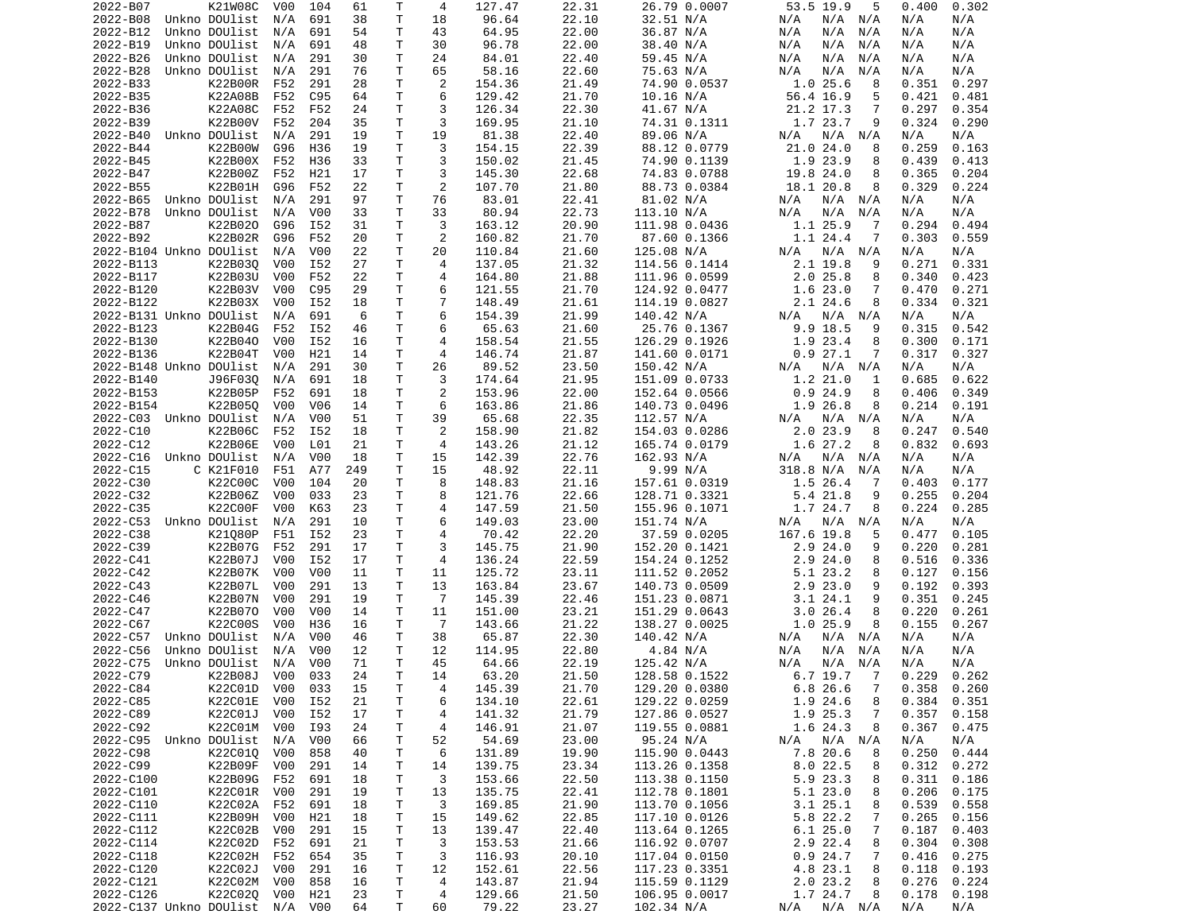| 2022-B07                   | K21W08C        | V00 | 104              | 61        | Τ      | 4              | 127.47          | 22.31 | 26.79 0.0007  | 53.5 19.9<br>5             | 0.400<br>0.302  |
|----------------------------|----------------|-----|------------------|-----------|--------|----------------|-----------------|-------|---------------|----------------------------|-----------------|
| 2022-B08                   | Unkno DOUlist  | N/A | 691              | 38        | Τ      | 18             | 96.64           | 22.10 | 32.51 N/A     | N/A<br>N/A<br>N/A          | N/A<br>N/A      |
| 2022-B12                   | Unkno DOUlist  | N/A | 691              | 54        | Τ      | 43             | 64.95           | 22.00 | 36.87 N/A     | N/A<br>N/A<br>N/A          | N/A<br>N/A      |
| 2022-B19                   | Unkno DOUlist  | N/A | 691              | 48        | Τ      | 30             | 96.78           | 22.00 | 38.40 N/A     | N/A<br>N/A<br>N/A          | N/A<br>N/A      |
| 2022-B26                   | Unkno DOUlist  | N/A | 291              | 30        | Τ      | 24             | 84.01           | 22.40 | 59.45 N/A     | N/A<br>N/A<br>N/A          | N/A<br>N/A      |
| 2022-B28                   | Unkno DOUlist  | N/A | 291              | 76        | Τ      | 65             | 58.16           | 22.60 | 75.63 N/A     | N/A<br>N/A<br>N/A          | N/A<br>N/A      |
| 2022-B33                   | <b>K22B00R</b> | F52 | 291              | 28        | т      | 2              | 154.36          | 21.49 | 74.90 0.0537  | 1.025.6<br>8               | 0.297<br>0.351  |
| 2022-B35                   | K22A08B        | F52 | C95              | 64        | Τ      | 6              | 129.42          | 21.70 | 10.16 N/A     | 56.4 16.9<br>5             | 0.421<br>0.481  |
| 2022-B36                   | K22A08C        | F52 | F52              | 24        | т      | 3              | 126.34          | 22.30 | 41.67 N/A     | 21.2 17.3<br>7             | 0.297<br>0.354  |
| 2022-B39                   | K22B00V        | F52 | 204              | 35        | т      | 3              | 169.95          | 21.10 | 74.31 0.1311  | 1.7 23.7<br>9              | 0.324<br>0.290  |
| 2022-B40                   | Unkno DOUlist  | N/A | 291              | 19        | Τ      | 19             | 81.38           | 22.40 | 89.06 N/A     | N/A<br>N/A<br>N/A          | N/A<br>N/A      |
| 2022-B44                   | K22B00W        | G96 | H36              | 19        | T.     | 3              | 154.15          | 22.39 | 88.12 0.0779  | 21.0 24.0<br>8             | 0.259<br>0.163  |
| 2022-B45                   | K22B00X        | F52 | H36              | 33        | т      | 3              | 150.02          | 21.45 | 74.90 0.1139  | 1.9 23.9<br>8              | 0.439<br>0.413  |
| 2022-B47                   | K22B00Z        | F52 | H21              | 17        | Τ      | 3              | 145.30          | 22.68 | 74.83 0.0788  | 8<br>19.8 24.0             | 0.365<br>0.204  |
| 2022-B55                   | K22B01H        | G96 | F52              | 22        | Τ      | 2              | 107.70          | 21.80 | 88.73 0.0384  | 18.1 20.8<br>8             | 0.329<br>0.224  |
| 2022-B65                   | Unkno DOUlist  | N/A | 291              | 97        | Τ      | 76             | 83.01           | 22.41 | 81.02 N/A     | N/A<br>N/A N/A             | N/A<br>N/A      |
| 2022-B78                   | Unkno DOUlist  | N/A | V <sub>0</sub> 0 | 33        | т      | 33             | 80.94           | 22.73 | 113.10 N/A    | N/A<br>N/A<br>N/A          | N/A<br>N/A      |
| 2022-B87                   | K22B020        | G96 | I52              | 31        | Τ      | 3              | 163.12          | 20.90 | 111.98 0.0436 | 1.1 25.9<br>-7             | 0.294<br>0.494  |
| 2022-B92                   | K22B02R        | G96 | F52              | 20        | т      | 2              | 160.82          | 21.70 | 87.60 0.1366  | 1.1 24.4<br>7              | 0.303<br>0.559  |
| 2022-B104 Unkno DOUlist    |                | N/A | V00              | 22        | т      | 20             | 110.84          | 21.60 | 125.08 N/A    | N/A<br>N/A<br>N/A          | N/A<br>N/A      |
| 2022-B113                  | K22B030        | V00 | I52              | 27        | Τ      | 4              | 137.05          | 21.32 | 114.56 0.1414 | 2.1 19.8<br>9              | 0.271<br>0.331  |
| 2022-B117                  | K22B03U        | V00 | F52              | 22        | Τ      | 4              | 164.80          | 21.88 | 111.96 0.0599 | 2.025.8<br>8               | 0.340<br>0.423  |
| 2022-B120                  | K22B03V        | V00 | C95              | 29        | т      | 6              | 121.55          | 21.70 | 124.92 0.0477 | 1.623.0<br>7               | 0.470<br>0.271  |
| 2022-B122                  | K22B03X        | V00 | I52              | 18        | T.     | $\overline{7}$ | 148.49          | 21.61 | 114.19 0.0827 | 2.1 24.6<br>8              | 0.334<br>0.321  |
| 2022-B131 Unkno DOUlist    |                | N/A | 691              | 6         | T      | 6              | 154.39          | 21.99 | 140.42 N/A    | N/A<br>N/A<br>N/A          | N/A<br>N/A      |
| 2022-B123                  | K22B04G        | F52 | I52              | 46        | Τ      | 6              | 65.63           | 21.60 | 25.76 0.1367  | 9.9 18.5<br>9              | 0.315<br>0.542  |
| 2022-B130                  | K22B040        | V00 | I52              | 16        | T      | $\overline{4}$ | 158.54          | 21.55 | 126.29 0.1926 | 1.9<br>23.4<br>8           | 0.300<br>0.171  |
| 2022-B136                  | K22B04T        | V00 | H21              | 14        | т      | 4              | 146.74          | 21.87 | 141.60 0.0171 | 0.927.1<br>7               | 0.317<br>0.327  |
| 2022-B148 Unkno DOUlist    |                | N/A | 291              | 30        | Τ      | 26             | 89.52           | 23.50 | 150.42 N/A    | N/A<br>N/A<br>N/A          | N/A<br>N/A      |
| 2022-B140                  | J96F030        | N/A | 691              | 18        | т      | 3              | 174.64          | 21.95 | 151.09 0.0733 | 1.2 21.0<br>1              | 0.622<br>0.685  |
| 2022-B153                  | K22B05P        | F52 | 691              | 18        | T.     | 2              | 153.96          | 22.00 | 152.64 0.0566 | 0.924.9<br>8               | 0.406<br>0.349  |
| 2022-B154                  | K22B050        | V00 | V06              | 14        | т      | 6              | 163.86          | 21.86 | 140.73 0.0496 | 1.9 26.8<br>8              | 0.214<br>0.191  |
| 2022-C03 Unkno DOUlist     |                | N/A | V00              | 51        | т      | 39             | 65.68           | 22.35 | 112.57 N/A    | N/A<br>N/A<br>N/A          | N/A<br>N/A      |
| 2022-C10                   | K22B06C        | F52 | I52              | 18        | Τ      | 2              |                 | 21.82 |               | 2.023.9<br>8               | 0.247<br>0.540  |
|                            |                | V00 |                  |           |        | 4              | 158.90          |       | 154.03 0.0286 | 1.6 27.2<br>8              |                 |
| 2022-C12                   | K22B06E        |     | L01              | 21        | т      |                | 143.26          | 21.12 | 165.74 0.0179 |                            | 0.832<br>0.693  |
| 2022-C16                   | Unkno DOUlist  | N/A | V <sub>0</sub> 0 | 18        | т      | 15             | 142.39          | 22.76 | 162.93 N/A    | N/A<br>N/A<br>N/A          | N/A<br>N/A      |
| 2022-C15                   | C K21F010      | F51 | A77              | 249<br>20 | т<br>Τ | 15<br>8        | 48.92           | 22.11 | 9.99 N/A      | 318.8 N/A<br>N/A           | N/A<br>N/A      |
| 2022-C30                   | K22C00C        | V00 | 104              |           |        |                | 148.83          | 21.16 | 157.61 0.0319 | 1.5 26.4<br>7              | 0.403<br>0.177  |
| 2022-C32                   | K22B06Z        | V00 | 033              | 23        | т      | 8              | 121.76          | 22.66 | 128.71 0.3321 | 5.4 21.8<br>9              | 0.255<br>0.204  |
| 2022-C35                   | K22C00F        | V00 | K63              | 23        | Τ      | $\overline{4}$ | 147.59          | 21.50 | 155.96 0.1071 | 1.7 24.7<br>8              | 0.224<br>0.285  |
| 2022-C53                   | Unkno DOUlist  | N/A | 291              | 10        | T.     | 6              | 149.03          | 23.00 | 151.74 N/A    | N/A<br>N/A<br>N/A          | N/A<br>N/A      |
| 2022-C38                   | K21080P        | F51 | I52              | 23        | Τ      | 4              | 70.42           | 22.20 | 37.59 0.0205  | 167.6 19.8<br>5            | 0.477<br>0.105  |
| 2022-C39                   | K22B07G        | F52 | 291              | 17        | Τ      | 3              | 145.75          | 21.90 | 152.20 0.1421 | 2.924.0<br>9               | 0.220<br>0.281  |
| 2022-C41                   | K22B07J        | V00 | I52              | 17        | Τ      | 4              | 136.24          | 22.59 | 154.24 0.1252 | 2.924.0<br>8               | 0.516<br>0.336  |
| 2022-C42                   | K22B07K        | V00 | V00              | 11        | т      | 11             | 125.72          | 23.11 | 111.52 0.2052 | 5.1 23.2<br>8              | 0.127<br>0.156  |
| 2022-C43                   | K22B07L        | V00 | 291              | 13        | т      | 13             | 163.84          | 23.67 | 140.73 0.0509 | $2.9$ $23.0$<br>9          | 0.192<br>0.393  |
| 2022-C46                   | K22B07N        | V00 | 291              | 19        | т      | $\overline{7}$ | 145.39          | 22.46 | 151.23 0.0871 | 3.124.1<br>9               | 0.351<br>0.245  |
| 2022-C47                   | K22B070        | V00 | V <sub>0</sub> 0 | 14        | Τ      | 11             | 151.00          | 23.21 | 151.29 0.0643 | 3.026.4<br>8               | 0.220<br>0.261  |
| 2022-C67                   | K22C00S        | V00 | H36              | 16        | т      | $\overline{7}$ | 143.66          | 21.22 | 138.27 0.0025 | 1.025.9<br>8               | 0.155<br>0.267  |
| 2022-C57                   | Unkno DOUlist  | N/A | V00              | 46        | Τ      | 38             | 65.87           | 22.30 | 140.42 N/A    | N/A N/A<br>N/A             | N/A<br>N/A      |
| 2022-C56                   | Unkno DOUlist  | N/A | V00              | 12        | Τ      | 12             | 114.95          | 22.80 | 4.84 N/A      | N/A<br>N/A<br>N/A          | N/A<br>N/A      |
| 2022-C75                   | Unkno DOUlist  | N/A | V <sub>0</sub> 0 | 71        | Τ      | 45             | 64.66           | 22.19 | 125.42 N/A    | N/A<br>N/A<br>N/A          | N/A<br>N/A      |
| 2022-C79                   | K22B08J V00    |     | 033              | 24        | T.     | 14             | 63.20           | 21.50 | 128.58 0.1522 | 6.7 19.7 7                 | $0.229$ $0.262$ |
| 2022-C84                   | K22C01D V00    |     | 033              | 15        | T      | 4              | 145.39          | 21.70 | 129.20 0.0380 | 6.8 26.6<br>$\overline{7}$ | $0.358$ $0.260$ |
| 2022-C85                   | K22C01E        | V00 | I52              | 21        | T      | 6              | 134.10          | 22.61 | 129.22 0.0259 | 1.9 24.6<br>8              | 0.384<br>0.351  |
| 2022-C89                   | K22C01J        | V00 | I52              | 17        | T      | 4              | 141.32          | 21.79 | 127.86 0.0527 | 1.9 25.3<br>7              | 0.357<br>0.158  |
| 2022-C92                   | K22C01M V00    |     | I93              | 24        | T.     | 4              | 146.91          | 21.07 | 119.55 0.0881 | 1.6 24.3<br>8              | 0.367<br>0.475  |
| 2022-C95 Unkno DOUlist N/A |                |     | V00              | 66        | T.     | 52             | 54.69           | 23.00 | 95.24 N/A     | N/A N/A<br>N/A             | N/A<br>N/A      |
| 2022-C98                   | K22C010        | V00 | 858              | 40        | Τ      | 6              | 131.89          | 19.90 | 115.90 0.0443 | 7.8 20.6<br>8              | 0.250<br>0.444  |
| 2022-C99                   | K22B09F        | V00 | 291              | 14        | т      | 14             | 139.75          | 23.34 | 113.26 0.1358 | 8.022.5<br>8               | 0.312<br>0.272  |
| 2022-C100                  | K22B09G        | F52 | 691              | 18        | T      | 3              | 153.66          | 22.50 | 113.38 0.1150 | 5.9 23.3<br>8              | 0.311<br>0.186  |
| 2022-C101                  | K22C01R        | V00 | 291              | 19        | T.     | 13             | 135.75          | 22.41 | 112.78 0.1801 | 5.1 23.0<br>8              | 0.206<br>0.175  |
| 2022-C110                  | K22C02A        | F52 | 691              | 18        | T.     | 3              | 169.85          | 21.90 | 113.70 0.1056 | 3.125.1<br>8               | 0.539<br>0.558  |
| 2022-C111                  | K22B09H        | V00 | H21              | 18        | Τ      | 15             | 149.62          | 22.85 | 117.10 0.0126 | 5.8 22.2<br>7              | 0.265<br>0.156  |
| 2022-C112                  | K22C02B        | V00 | 291              | 15        | T      | 13             | 139.47          | 22.40 | 113.64 0.1265 | 6.125.0<br>7               | 0.187<br>0.403  |
| 2022-C114                  | K22C02D        | F52 | 691              | 21        | T      | 3              | 153.53          | 21.66 | 116.92 0.0707 | 2.9 22.4<br>8              | 0.304<br>0.308  |
| 2022-C118                  | K22C02H        | F52 | 654              | 35        | т      | 3              | 116.93          | 20.10 | 117.04 0.0150 | 7<br>0.924.7               | 0.416<br>0.275  |
| 2022-C120                  |                |     |                  |           |        |                |                 |       |               |                            | 0.118           |
|                            | K22C02J        | V00 | 291              | 16        | T      | 12             | 152.61          | 22.56 | 117.23 0.3351 | 4.8 23.1<br>8              | 0.193           |
| 2022-C121                  | K22C02M V00    |     | 858              | 16        | T.     | 4              | 143.87          | 21.94 | 115.59 0.1129 | 2.023.2<br>8               | 0.276<br>0.224  |
| 2022-C126                  | K22C02Q V00    |     | H21              | 23        | T      | 4              | 129.66<br>79.22 | 21.50 | 106.95 0.0017 | 1.7 24.7<br>8              | 0.178<br>0.198  |